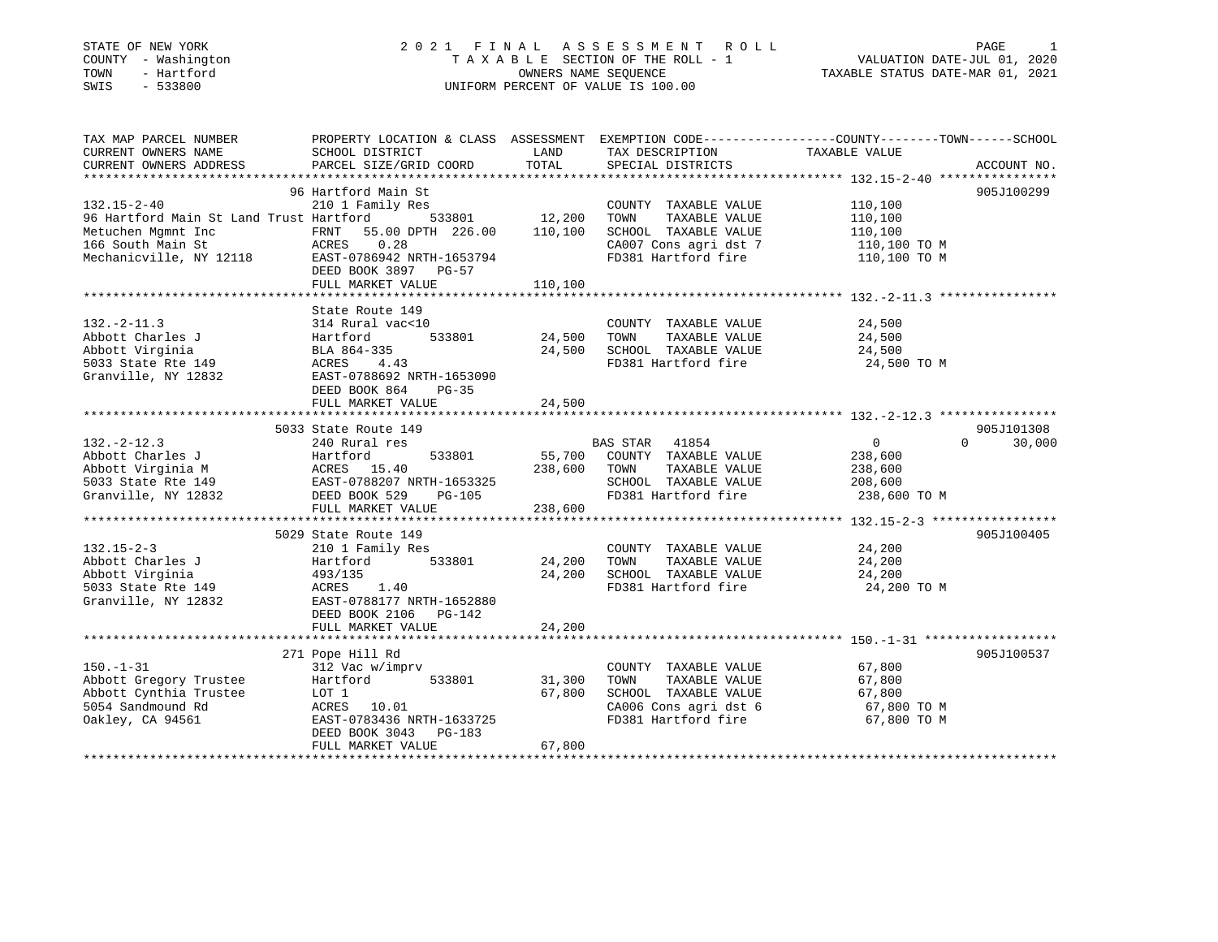# STATE OF NEW YORK 2 0 2 1 F I N A L A S S E S S M E N T R O L L PAGE 1 COUNTY - Washington T A X A B L E SECTION OF THE ROLL - 1 VALUATION DATE-JUL 01, 2020 TOWN - Hartford OWNERS NAME SEQUENCE TAXABLE STATUS DATE-MAR 01, 2021 SWIS - 533800 UNIFORM PERCENT OF VALUE IS 100.00

| TOTAL<br>PARCEL SIZE/GRID COORD<br>533801 12,200<br>FRNT 55.00 DPTH 226.00 110,100 | SPECIAL DISTRICTS<br>COUNTY TAXABLE VALUE<br>TAXABLE VALUE<br>TOWN<br>SCHOOL TAXABLE VALUE<br>CA007 Cons agri dst 7                                                                                                                                                                                                                                                                                                                                                                                   | 110,100<br>110,100<br>110,100                                        | ACCOUNT NO.<br>905J100299        |
|------------------------------------------------------------------------------------|-------------------------------------------------------------------------------------------------------------------------------------------------------------------------------------------------------------------------------------------------------------------------------------------------------------------------------------------------------------------------------------------------------------------------------------------------------------------------------------------------------|----------------------------------------------------------------------|----------------------------------|
|                                                                                    |                                                                                                                                                                                                                                                                                                                                                                                                                                                                                                       |                                                                      |                                  |
|                                                                                    |                                                                                                                                                                                                                                                                                                                                                                                                                                                                                                       |                                                                      |                                  |
|                                                                                    |                                                                                                                                                                                                                                                                                                                                                                                                                                                                                                       | 110,100 TO M<br>FD381 Hartford fire 110,100 TO M                     |                                  |
|                                                                                    |                                                                                                                                                                                                                                                                                                                                                                                                                                                                                                       |                                                                      |                                  |
|                                                                                    |                                                                                                                                                                                                                                                                                                                                                                                                                                                                                                       |                                                                      |                                  |
|                                                                                    | COUNTY TAXABLE VALUE<br>TOWN<br>TAXABLE VALUE<br>SCHOOL TAXABLE VALUE<br>FD381 Hartford fire                                                                                                                                                                                                                                                                                                                                                                                                          | 24,500<br>24,500<br>24,500<br>24,500 TO M                            |                                  |
|                                                                                    |                                                                                                                                                                                                                                                                                                                                                                                                                                                                                                       |                                                                      |                                  |
| 238,600                                                                            | BAS STAR 41854<br>TOWN<br>TAXABLE VALUE<br>SCHOOL TAXABLE VALUE                                                                                                                                                                                                                                                                                                                                                                                                                                       | $\overline{0}$<br>238,600<br>238,600<br>208,600<br>238,600 TO M      | 905J101308<br>30,000<br>$\Omega$ |
|                                                                                    |                                                                                                                                                                                                                                                                                                                                                                                                                                                                                                       |                                                                      |                                  |
| 24,200<br>24,200                                                                   | COUNTY TAXABLE VALUE<br>TOWN<br>TAXABLE VALUE<br>SCHOOL TAXABLE VALUE<br>FD381 Hartford fire                                                                                                                                                                                                                                                                                                                                                                                                          | 24,200<br>24,200<br>24,200<br>24,200 TO M                            | 905J100405                       |
| 24,200                                                                             |                                                                                                                                                                                                                                                                                                                                                                                                                                                                                                       |                                                                      |                                  |
|                                                                                    |                                                                                                                                                                                                                                                                                                                                                                                                                                                                                                       |                                                                      | 905J100537                       |
| 31,300<br>67,800<br>67,800                                                         | COUNTY TAXABLE VALUE<br>TAXABLE VALUE<br>TOWN<br>SCHOOL TAXABLE VALUE<br>CA006 Cons agri dst 6<br>FD381 Hartford fire                                                                                                                                                                                                                                                                                                                                                                                 | 67,800<br>67,800<br>67,800<br>67,800 TO M<br>היה מיים<br>67,800 TO M |                                  |
| 314 Rural vac<10<br>210 1 Family Res                                               | DEED BOOK 3897 PG-57<br>110,100<br>FULL MARKET VALUE<br>533801<br>EAST-0788692 NRTH-1653090<br>DEED BOOK 864 PG-35<br>24,500<br>FULL MARKET VALUE<br>533801<br>Abbott Uirginia M<br>5033 State Rte 149<br>Granville, NY 12832<br>State Rte 149<br>ERST-0788207 NRTH-1653325<br>DEED BOOK 529<br>PG-105<br>FULL MARKET VALUE<br>533801<br>EAST-0788177 NRTH-1652880<br>DEED BOOK 2106 PG-142<br>FULL MARKET VALUE<br>533801<br>EAST-0783436 NRTH-1633725<br>DEED BOOK 3043 PG-183<br>FULL MARKET VALUE | 24,500<br>24,500<br>55,700 COUNTY TAXABLE VALUE<br>238,600           | FD381 Hartford fire              |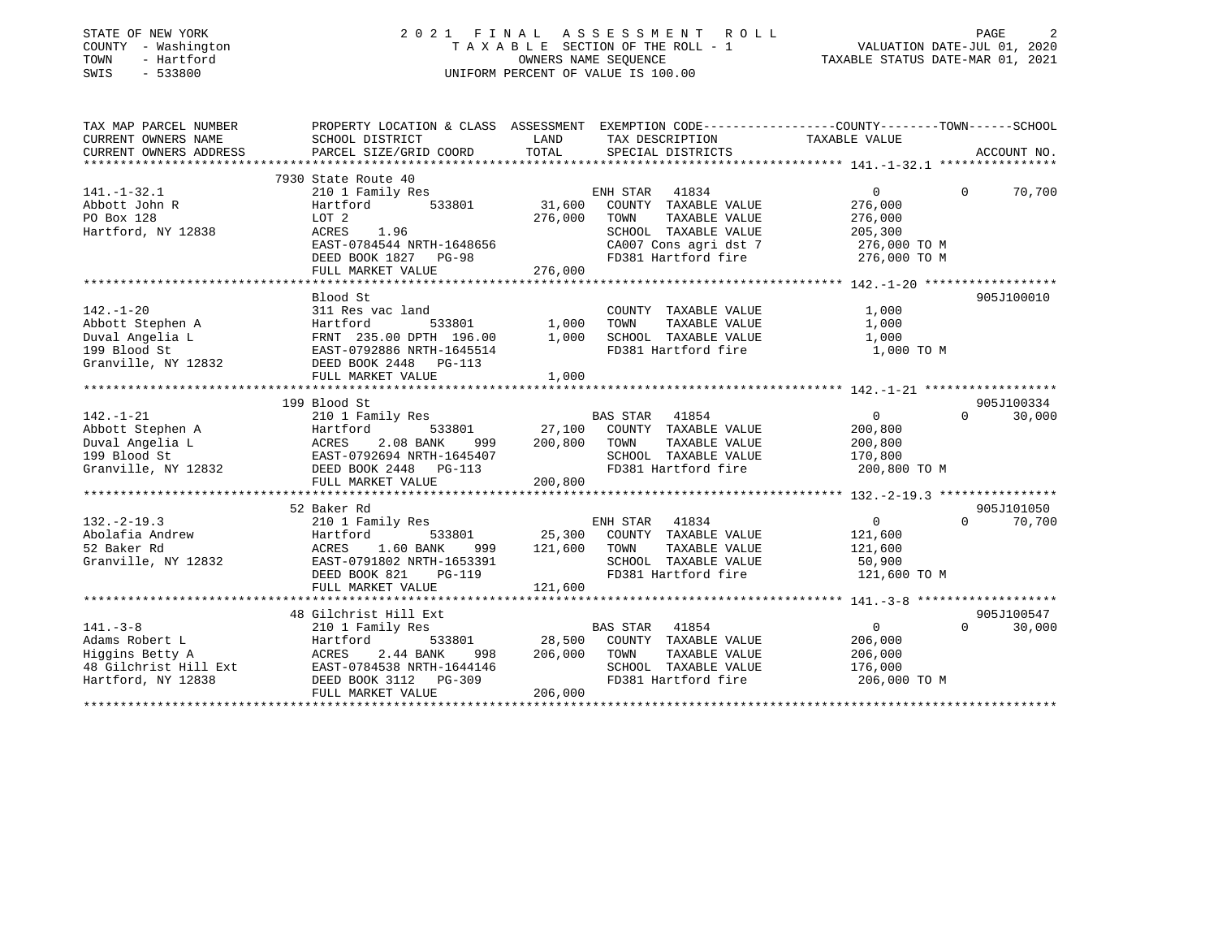| STATE OF NEW YORK<br>COUNTY - Washington<br>- Hartford<br>TOWN<br>$-533800$<br>SWIS |                                                                                                 |                   | 2021 FINAL ASSESSMENT<br>ROLL<br>TAXABLE SECTION OF THE ROLL - 1<br>OWNERS NAME SEQUENCE<br>UNIFORM PERCENT OF VALUE IS 100.00 | VALUATION DATE-JUL 01, 2020<br>TAXABLE STATUS DATE-MAR 01, 2021 | PAGE                   |
|-------------------------------------------------------------------------------------|-------------------------------------------------------------------------------------------------|-------------------|--------------------------------------------------------------------------------------------------------------------------------|-----------------------------------------------------------------|------------------------|
| TAX MAP PARCEL NUMBER                                                               | PROPERTY LOCATION & CLASS ASSESSMENT EXEMPTION CODE---------------COUNTY-------TOWN------SCHOOL |                   |                                                                                                                                |                                                                 |                        |
| CURRENT OWNERS NAME                                                                 | SCHOOL DISTRICT                                                                                 | LAND              | TAX DESCRIPTION                                                                                                                | TAXABLE VALUE                                                   |                        |
| CURRENT OWNERS ADDRESS                                                              | PARCEL SIZE/GRID COORD                                                                          | TOTAL             | SPECIAL DISTRICTS                                                                                                              |                                                                 | ACCOUNT NO.            |
|                                                                                     |                                                                                                 |                   |                                                                                                                                |                                                                 |                        |
|                                                                                     | 7930 State Route 40                                                                             |                   |                                                                                                                                |                                                                 |                        |
| $141. - 1 - 32.1$                                                                   | 210 1 Family Res                                                                                |                   | ENH STAR<br>41834                                                                                                              | $\overline{0}$                                                  | 70,700<br>0            |
| Abbott John R<br>PO Box 128                                                         | Hartford<br>533801<br>LOT 2                                                                     | 31,600<br>276,000 | COUNTY TAXABLE VALUE<br>TAXABLE VALUE                                                                                          | 276,000                                                         |                        |
| Hartford, NY 12838                                                                  | ACRES<br>1.96                                                                                   |                   | TOWN<br>SCHOOL TAXABLE VALUE                                                                                                   | 276,000<br>205,300                                              |                        |
|                                                                                     | EAST-0784544 NRTH-1648656                                                                       |                   | CA007 Cons agri dst 7                                                                                                          | 276,000 ТО М                                                    |                        |
|                                                                                     | DEED BOOK 1827 PG-98                                                                            |                   | FD381 Hartford fire                                                                                                            | 276,000 TO M                                                    |                        |
|                                                                                     | FULL MARKET VALUE                                                                               | 276,000           |                                                                                                                                |                                                                 |                        |
|                                                                                     |                                                                                                 |                   |                                                                                                                                |                                                                 |                        |
|                                                                                     | Blood St                                                                                        |                   |                                                                                                                                |                                                                 | 905J100010             |
| $142. - 1 - 20$                                                                     | 311 Res vac land                                                                                |                   | COUNTY TAXABLE VALUE                                                                                                           | 1,000                                                           |                        |
| Abbott Stephen A                                                                    | Hartford<br>533801                                                                              | 1,000             | TAXABLE VALUE<br>TOWN                                                                                                          | 1,000                                                           |                        |
| Duval Angelia L                                                                     | FRNT 235.00 DPTH 196.00                                                                         | 1,000             | SCHOOL TAXABLE VALUE                                                                                                           | 1,000                                                           |                        |
| 199 Blood St                                                                        | EAST-0792886 NRTH-1645514                                                                       |                   | FD381 Hartford fire                                                                                                            | 1,000 TO M                                                      |                        |
| Granville, NY 12832                                                                 | DEED BOOK 2448 PG-113                                                                           |                   |                                                                                                                                |                                                                 |                        |
|                                                                                     | FULL MARKET VALUE                                                                               | 1,000             |                                                                                                                                |                                                                 |                        |
|                                                                                     |                                                                                                 |                   |                                                                                                                                |                                                                 |                        |
|                                                                                     | 199 Blood St                                                                                    |                   |                                                                                                                                |                                                                 | 905J100334             |
| $142. - 1 - 21$                                                                     | 210 1 Family Res                                                                                |                   | BAS STAR 41854                                                                                                                 | $\overline{0}$                                                  | 30,000<br>$\Omega$     |
| Abbott Stephen A                                                                    | Hartford<br>533801                                                                              | 27,100            | COUNTY TAXABLE VALUE                                                                                                           | 200,800                                                         |                        |
| Duval Angelia L                                                                     | ACRES<br>2.08 BANK<br>999                                                                       | 200,800           | TAXABLE VALUE<br>TOWN                                                                                                          | 200,800                                                         |                        |
| 199 Blood St                                                                        | EAST-0792694 NRTH-1645407                                                                       |                   | SCHOOL TAXABLE VALUE                                                                                                           | 170,800                                                         |                        |
| Granville, NY 12832                                                                 | DEED BOOK 2448 PG-113                                                                           |                   | FD381 Hartford fire                                                                                                            | 200,800 TO M                                                    |                        |
|                                                                                     | FULL MARKET VALUE                                                                               | 200,800           |                                                                                                                                |                                                                 |                        |
|                                                                                     |                                                                                                 |                   |                                                                                                                                |                                                                 |                        |
|                                                                                     | 52 Baker Rd                                                                                     |                   |                                                                                                                                |                                                                 | 905J101050<br>$\Omega$ |
| $132. -2 - 19.3$                                                                    | 210 1 Family Res                                                                                |                   | ENH STAR<br>41834                                                                                                              | $\overline{0}$                                                  | 70,700                 |
| Abolafia Andrew<br>52 Baker Rd                                                      | Hartford<br>533801<br>ACRES                                                                     | 25,300<br>121,600 | COUNTY TAXABLE VALUE<br>TOWN                                                                                                   | 121,600                                                         |                        |
| Granville, NY 12832                                                                 | 1.60 BANK<br>999<br>EAST-0791802 NRTH-1653391                                                   |                   | TAXABLE VALUE<br>SCHOOL TAXABLE VALUE                                                                                          | 121,600<br>50,900                                               |                        |
|                                                                                     | DEED BOOK 821<br>$PG-119$                                                                       |                   | FD381 Hartford fire                                                                                                            | 121,600 TO M                                                    |                        |
|                                                                                     | FULL MARKET VALUE                                                                               | 121,600           |                                                                                                                                |                                                                 |                        |
|                                                                                     |                                                                                                 |                   |                                                                                                                                |                                                                 |                        |
|                                                                                     | 48 Gilchrist Hill Ext                                                                           |                   |                                                                                                                                |                                                                 | 905J100547             |
| $141. - 3 - 8$                                                                      | 210 1 Family Res                                                                                |                   | BAS STAR<br>41854                                                                                                              | $\mathbf 0$                                                     | $\Omega$<br>30,000     |
| Adams Robert L                                                                      | Hartford<br>533801                                                                              | 28,500            | COUNTY TAXABLE VALUE                                                                                                           | 206,000                                                         |                        |
| Higgins Betty A                                                                     | ACRES<br>2.44 BANK<br>998                                                                       | 206,000           | TOWN<br>TAXABLE VALUE                                                                                                          | 206,000                                                         |                        |
| 48 Gilchrist Hill Ext                                                               | EAST-0784538 NRTH-1644146                                                                       |                   | SCHOOL TAXABLE VALUE                                                                                                           | 176,000                                                         |                        |
| Hartford, NY 12838                                                                  | DEED BOOK 3112<br>$PG-309$                                                                      |                   | FD381 Hartford fire                                                                                                            | 206,000 TO M                                                    |                        |
|                                                                                     | FULL MARKET VALUE                                                                               | 206,000           |                                                                                                                                |                                                                 |                        |
|                                                                                     |                                                                                                 |                   |                                                                                                                                |                                                                 |                        |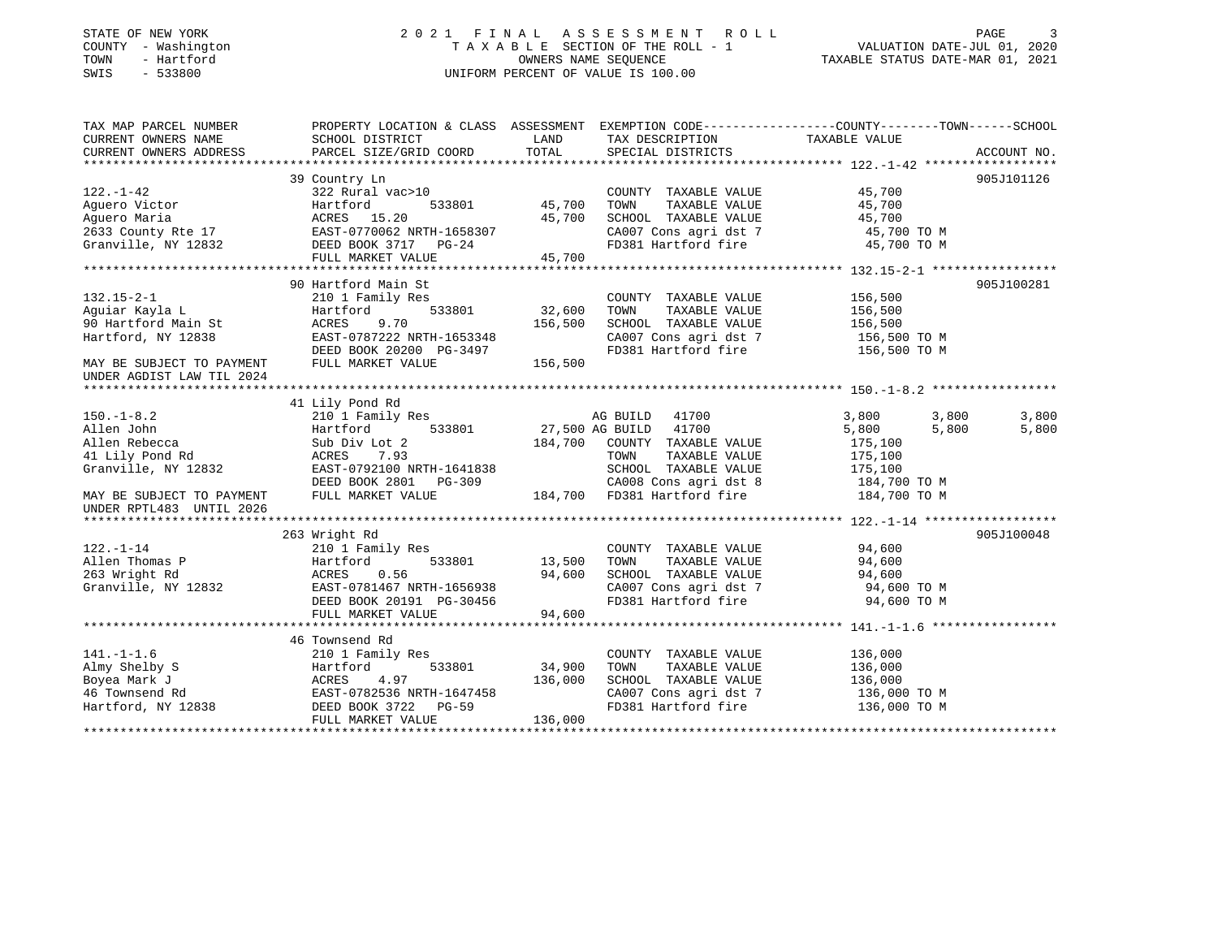### STATE OF NEW YORK 2 0 2 1 F I N A L A S S E S S M E N T R O L L PAGE 3 COUNTY - Washington T A X A B L E SECTION OF THE ROLL - 1 VALUATION DATE-JUL 01, 2020 TOWN - Hartford OWNERS NAME SEQUENCE TAXABLE STATUS DATE-MAR 01, 2021 SWIS - 533800 UNIFORM PERCENT OF VALUE IS 100.00UNIFORM PERCENT OF VALUE IS 100.00

| TAX MAP PARCEL NUMBER                                | PROPERTY LOCATION & CLASS ASSESSMENT EXEMPTION CODE---------------COUNTY-------TOWN-----SCHOOL |               |                                                                        |                              |             |
|------------------------------------------------------|------------------------------------------------------------------------------------------------|---------------|------------------------------------------------------------------------|------------------------------|-------------|
| CURRENT OWNERS NAME                                  | SCHOOL DISTRICT                                                                                | LAND          | TAX DESCRIPTION                                                        | TAXABLE VALUE                |             |
| CURRENT OWNERS ADDRESS                               | PARCEL SIZE/GRID COORD                                                                         | TOTAL         | SPECIAL DISTRICTS                                                      |                              | ACCOUNT NO. |
|                                                      |                                                                                                |               |                                                                        |                              |             |
|                                                      | 39 Country Ln                                                                                  |               |                                                                        |                              | 905J101126  |
| $122. - 1 - 42$                                      | $322$ Rural vac > 10                                                                           |               | COUNTY TAXABLE VALUE                                                   | 45,700                       |             |
| Aguero Victor                                        | Hartford                                                                                       | 533801 45,700 | TAXABLE VALUE<br>TOWN                                                  | 45,700                       |             |
| Aguero Maria                                         |                                                                                                | 45,700        | SCHOOL TAXABLE VALUE                                                   |                              |             |
|                                                      |                                                                                                |               |                                                                        | 45,700 TO M<br>45,700 TO M   |             |
|                                                      | Granville, NY 12832 DEED BOOK 3717 PG-24                                                       |               |                                                                        |                              |             |
|                                                      | FULL MARKET VALUE                                                                              | 45,700        |                                                                        |                              |             |
|                                                      |                                                                                                |               |                                                                        |                              |             |
|                                                      | 90 Hartford Main St                                                                            |               |                                                                        |                              | 905J100281  |
| $132.15 - 2 - 1$                                     | 210 1 Family Res                                                                               |               | COUNTY TAXABLE VALUE                                                   | 156,500                      |             |
| Aquiar Kayla L                                       | $533801$ $32,600$<br>Hartford                                                                  |               | TAXABLE VALUE<br>TOWN                                                  | 156,500                      |             |
| 90 Hartford Main St                                  | ACRES<br>9.70                                                                                  | 156,500       | SCHOOL TAXABLE VALUE                                                   | 156,500                      |             |
| Hartford, NY 12838                                   | EAST-0787222 NRTH-1653348                                                                      |               | SCHOOL TAXABLE VALUE<br>CA007 Cons agri dst 7<br>--000                 | $156,500$ TO M<br>$-60$ TO M |             |
|                                                      |                                                                                                |               | FD381 Hartford fire 156,500 TO M                                       |                              |             |
| MAY BE SUBJECT TO PAYMENT                            | DEED BOOK 20200 PG-3497<br>FULL MARKET VALUE 156,500                                           |               |                                                                        |                              |             |
| UNDER AGDIST LAW TIL 2024                            |                                                                                                |               |                                                                        |                              |             |
|                                                      |                                                                                                |               |                                                                        |                              |             |
|                                                      | 41 Lily Pond Rd                                                                                |               |                                                                        |                              |             |
| $150. - 1 - 8.2$                                     |                                                                                                |               |                                                                        | 3,800<br>3,800               | 3,800       |
| Allen John                                           |                                                                                                |               |                                                                        | 5,800<br>5,800               | 5,800       |
| Allen Rebecca                                        | Sub Div Lot 2                                                                                  |               | 184,700 COUNTY TAXABLE VALUE                                           | 175,100                      |             |
| 41 Lily Pond Rd                                      | ACRES 7.93                                                                                     |               | TAXABLE VALUE<br>TOWN                                                  | 175,100                      |             |
| Granville, NY 12832                                  | EAST-0792100 NRTH-1641838                                                                      |               | SCHOOL TAXABLE VALUE                                                   | 175,100                      |             |
|                                                      |                                                                                                |               | CA008 Cons agri dst 8 184,700 TO M                                     |                              |             |
| MAY BE SUBJECT TO PAYMENT                            | DEED BOOK 2801 PG-309 CA008 Cons agri dst 8<br>FULL MARKET VALUE 184,700 FD381 Hartford fire   |               |                                                                        | 184,700 TO M                 |             |
| UNDER RPTL483 UNTIL 2026                             |                                                                                                |               |                                                                        |                              |             |
|                                                      |                                                                                                |               |                                                                        |                              |             |
|                                                      | 263 Wright Rd                                                                                  |               |                                                                        |                              | 905J100048  |
| $122. - 1 - 14$                                      | 210 1 Family Res                                                                               |               | COUNTY TAXABLE VALUE 94,600                                            |                              |             |
| Allen Thomas P                                       | 533801<br>Hartford                                                                             | 13,500 TOWN   |                                                                        |                              |             |
| 263 Wright Rd                                        | ACRES<br>0.56                                                                                  |               | 13,500 TOWN TAXABLE VALUE 94,600<br>94,600 SCHOOL TAXABLE VALUE 94,600 |                              |             |
| Granville, NY 12832                                  | EAST-0781467 NRTH-1656938                                                                      |               | CA007 Cons agri dst 7                                                  | 94,600 TO M                  |             |
|                                                      | DEED BOOK 20191 PG-30456                                                                       |               | FD381 Hartford fire                                                    | 94,600 TO M                  |             |
|                                                      | FULL MARKET VALUE                                                                              | 94,600        |                                                                        |                              |             |
|                                                      |                                                                                                |               |                                                                        |                              |             |
|                                                      | 46 Townsend Rd                                                                                 |               |                                                                        |                              |             |
| $141. - 1 - 1.6$                                     | 210 1 Family Res                                                                               |               | COUNTY TAXABLE VALUE                                                   | 136,000                      |             |
| Almy Shelby S                                        | Hartford<br>533801                                                                             | 34,900        | TOWN<br>TAXABLE VALUE                                                  | 136,000                      |             |
| Boyea Mark J<br>46 Townsend Rd<br>Hartford, NY 12838 | 4.97<br>ACRES                                                                                  | 136,000       | SCHOOL TAXABLE VALUE                                                   | 136,000                      |             |
|                                                      | EAST-0782536 NRTH-1647458                                                                      |               | CA007 Cons agri dst 7                                                  | 136,000 TO M                 |             |
|                                                      | DEED BOOK 3722 PG-59                                                                           |               | FD381 Hartford fire                                                    | 136,000 TO M                 |             |
|                                                      | FULL MARKET VALUE                                                                              | 136,000       |                                                                        |                              |             |
|                                                      |                                                                                                |               |                                                                        |                              |             |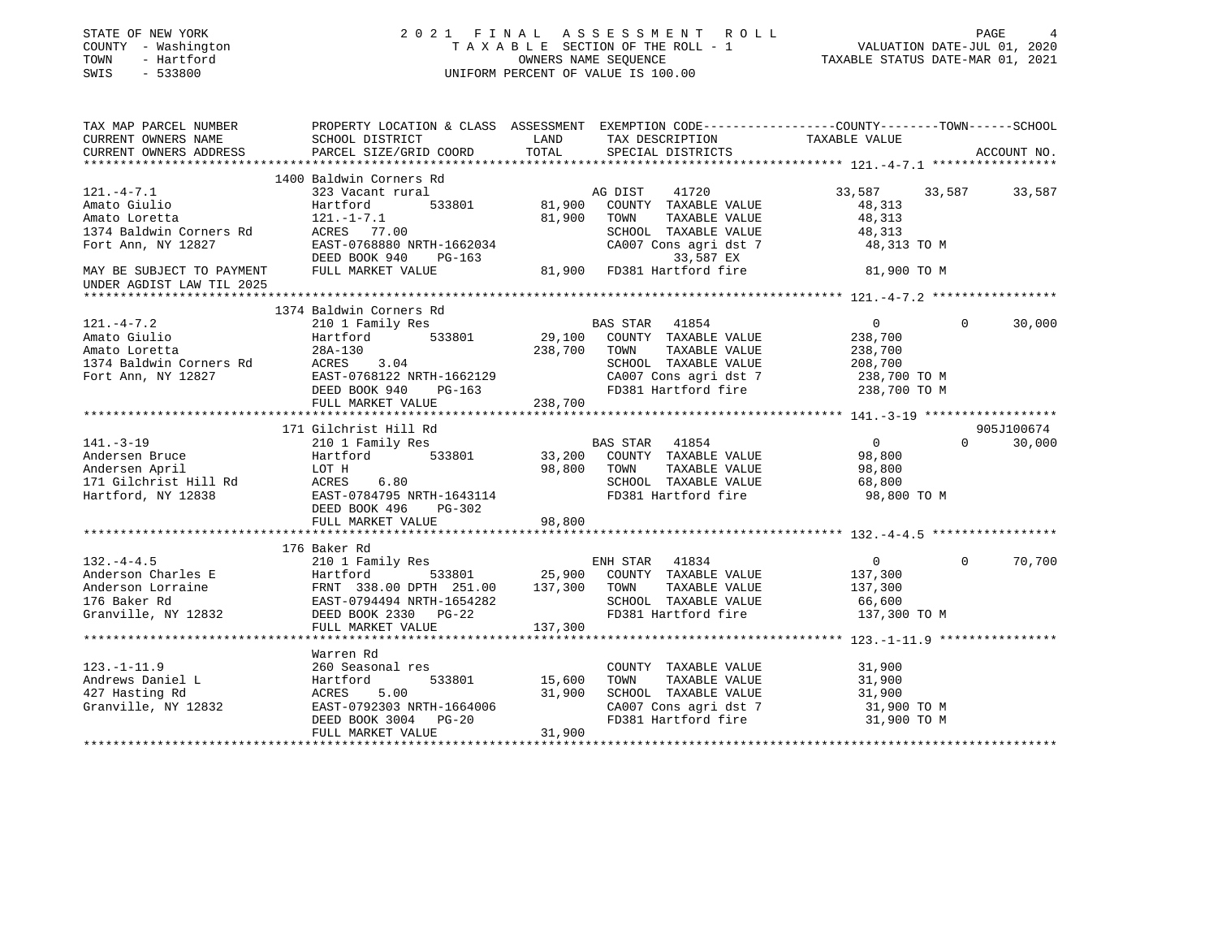| STATE OF NEW YORK<br>COUNTY - Washington<br>- Hartford<br>TOWN<br>SWIS<br>$-533800$ |                                                                                                                                                                                                 | 2021 FINAL ASSESSMENT ROLL<br>T A X A B L E SECTION OF THE ROLL - 1<br>OWNERS NAME SEQUENCE<br>UNIFORM PERCENT OF VALUE IS 100.00                                                                                                                                          | PAGE 4<br>VALUATION DATE-JUL 01, 2020<br>TAXABLE STATUS DATE-MAR 01, 2021 |
|-------------------------------------------------------------------------------------|-------------------------------------------------------------------------------------------------------------------------------------------------------------------------------------------------|----------------------------------------------------------------------------------------------------------------------------------------------------------------------------------------------------------------------------------------------------------------------------|---------------------------------------------------------------------------|
|                                                                                     |                                                                                                                                                                                                 | TAX MAP PARCEL NUMBER THE PROPERTY LOCATION & CLASS ASSESSMENT EXEMPTION CODE---------------COUNTY--------TOWN------SCHOOL                                                                                                                                                 |                                                                           |
| CURRENT OWNERS NAME                                                                 | SCHOOL DISTRICT<br>CURRENT OWNERS ADDRESS PARCEL SIZE/GRID COORD                                                                                                                                | LAND<br>TAX DESCRIPTION TAXABLE VALUE<br>TOTAL<br>SPECIAL DISTRICTS                                                                                                                                                                                                        | ACCOUNT NO.                                                               |
|                                                                                     | 1400 Baldwin Corners Rd                                                                                                                                                                         |                                                                                                                                                                                                                                                                            |                                                                           |
| $121. -4 - 7.1$                                                                     | 323 Vacant rural                                                                                                                                                                                | AG DIST 41720                                                                                                                                                                                                                                                              | 33,587<br>33,587 33,587                                                   |
| Amato Giulio                                                                        | Hartford 533801                                                                                                                                                                                 | 81,900 COUNTY TAXABLE VALUE                                                                                                                                                                                                                                                | 48,313                                                                    |
| Amato Giulio<br>Amato Loretta                                                       |                                                                                                                                                                                                 |                                                                                                                                                                                                                                                                            | 48,313                                                                    |
|                                                                                     |                                                                                                                                                                                                 |                                                                                                                                                                                                                                                                            | 48,313                                                                    |
|                                                                                     |                                                                                                                                                                                                 | CA007 Cons agri dst 7                                                                                                                                                                                                                                                      | 48,313 TO M                                                               |
|                                                                                     |                                                                                                                                                                                                 |                                                                                                                                                                                                                                                                            |                                                                           |
| UNDER AGDIST LAW TIL 2025                                                           |                                                                                                                                                                                                 | Amato Loretta<br>1374 Baldwin Corners Rd<br>Fort Ann, NY 12827 EAST-0768880 NRTH-1662034 CA007 Cons agri dst 7<br>Text Ann, NY 12827 EAST-0768880 NRTH-1662034 CA007 Cons agri dst 7<br>TEXE BOOK 940 PG-163 33,587 EX<br>TELL MARKET VA                                   | 81,900 TO M                                                               |
|                                                                                     |                                                                                                                                                                                                 |                                                                                                                                                                                                                                                                            |                                                                           |
|                                                                                     | 1374 Baldwin Corners Rd                                                                                                                                                                         |                                                                                                                                                                                                                                                                            |                                                                           |
| $121. - 4 - 7.2$                                                                    | 210 1 Family Res                                                                                                                                                                                | BAS STAR 41854                                                                                                                                                                                                                                                             | $\Omega$<br>30,000<br>$\overline{0}$                                      |
| Amato Giulio                                                                        | Hartford 533801                                                                                                                                                                                 | 29,100 COUNTY TAXABLE VALUE                                                                                                                                                                                                                                                | 238,700                                                                   |
|                                                                                     |                                                                                                                                                                                                 | 238,700 TOWN TAXABLE VALUE                                                                                                                                                                                                                                                 | 238,700                                                                   |
|                                                                                     |                                                                                                                                                                                                 | SCHOOL TAXABLE VALUE 208,700<br>CA007 Cons agri dst 7 238,700 TO M                                                                                                                                                                                                         |                                                                           |
|                                                                                     |                                                                                                                                                                                                 |                                                                                                                                                                                                                                                                            |                                                                           |
|                                                                                     | Amato Loretta<br>1374 Baldwin Corners Rd<br>Fort Ann, NY 12827<br>Fort Ann, NY 12827<br>DEED BOOK 940 PG-163<br>FULL MARKET VALUE 238,700                                                       | FD381 Hartford fire                                                                                                                                                                                                                                                        | 238,700 TO M                                                              |
|                                                                                     |                                                                                                                                                                                                 |                                                                                                                                                                                                                                                                            |                                                                           |
|                                                                                     | 171 Gilchrist Hill Rd                                                                                                                                                                           |                                                                                                                                                                                                                                                                            | 905J100674                                                                |
|                                                                                     |                                                                                                                                                                                                 | BAS STAR 41854                                                                                                                                                                                                                                                             | $\overline{0}$<br>$0 \t 30,000$                                           |
|                                                                                     |                                                                                                                                                                                                 | 33,200 COUNTY TAXABLE VALUE                                                                                                                                                                                                                                                | 98,800                                                                    |
|                                                                                     |                                                                                                                                                                                                 | 98,800 TOWN TAXABLE VALUE                                                                                                                                                                                                                                                  | 98,800                                                                    |
|                                                                                     |                                                                                                                                                                                                 | SCHOOL TAXABLE VALUE                                                                                                                                                                                                                                                       | 68,800                                                                    |
|                                                                                     |                                                                                                                                                                                                 | FD381 Hartford fire                                                                                                                                                                                                                                                        | 98,800 TO M                                                               |
|                                                                                     |                                                                                                                                                                                                 |                                                                                                                                                                                                                                                                            |                                                                           |
|                                                                                     |                                                                                                                                                                                                 | 98,800                                                                                                                                                                                                                                                                     |                                                                           |
|                                                                                     | 141.-3-19<br>Andersen Bruce Hartronu<br>Andersen April LOT H<br>171 Gilchrist Hill Rd ACRES 6.80<br>The Ford, NY 12838<br>EAST-0784795 NRTH-1643114<br>DEED BOOK 496 PG-302<br>THE MARKET VALUE |                                                                                                                                                                                                                                                                            |                                                                           |
| $132. -4 - 4.5$                                                                     | 176 Baker Rd                                                                                                                                                                                    |                                                                                                                                                                                                                                                                            |                                                                           |
|                                                                                     | 210 1 Family Res                                                                                                                                                                                | ENH STAR 41834<br>Hartford 533801 25,900 COUNTY TAXABLE VALUE                                                                                                                                                                                                              | $\Omega$<br>70,700<br>$\overline{0}$                                      |
|                                                                                     |                                                                                                                                                                                                 |                                                                                                                                                                                                                                                                            | 137,300<br>137,300                                                        |
|                                                                                     |                                                                                                                                                                                                 | SCHOOL TAXABLE VALUE                                                                                                                                                                                                                                                       | 66,600                                                                    |
|                                                                                     |                                                                                                                                                                                                 | Anderson Charles E<br>Anderson Lorraine FRNT 338.00 DPTH 251.00 25,900 COUNTY TAXABLE VALUE<br>Anderson Lorraine FRNT 338.00 DPTH 251.00 137,300 TOWN TAXABLE VALUE<br>176 Baker Rd EAST-0794494 NRTH-1654282 SCHOOL TAXABLE VALUE<br><br>FD381 Hartford fire 137,300 TO M |                                                                           |
|                                                                                     | FULL MARKET VALUE                                                                                                                                                                               | 137,300                                                                                                                                                                                                                                                                    |                                                                           |
|                                                                                     |                                                                                                                                                                                                 |                                                                                                                                                                                                                                                                            |                                                                           |
|                                                                                     | Warren Rd                                                                                                                                                                                       |                                                                                                                                                                                                                                                                            |                                                                           |
| $123. -1 - 11.9$                                                                    | 260 Seasonal res                                                                                                                                                                                | COUNTY TAXABLE VALUE 31,900                                                                                                                                                                                                                                                |                                                                           |
|                                                                                     | 123.-1-11.9<br>Andrews Daniel L<br>427 Hasting Rd<br>Granville, NY 12832<br>EAST-0792303 NRTH-1664006<br>EAST-0792303 NRTH-1664006                                                              | 533801 15,600<br>TOWN TAXABLE VALUE                                                                                                                                                                                                                                        | 31,900                                                                    |
|                                                                                     |                                                                                                                                                                                                 | 31,900 SCHOOL TAXABLE VALUE                                                                                                                                                                                                                                                | 31,900                                                                    |
|                                                                                     |                                                                                                                                                                                                 | CA007 Cons agri dst 7                                                                                                                                                                                                                                                      | 31,900 TO M                                                               |
|                                                                                     | DEED BOOK 3004 PG-20                                                                                                                                                                            | FD381 Hartford fire                                                                                                                                                                                                                                                        | 31,900 TO M                                                               |
|                                                                                     | FULL MARKET VALUE                                                                                                                                                                               | 31,900                                                                                                                                                                                                                                                                     |                                                                           |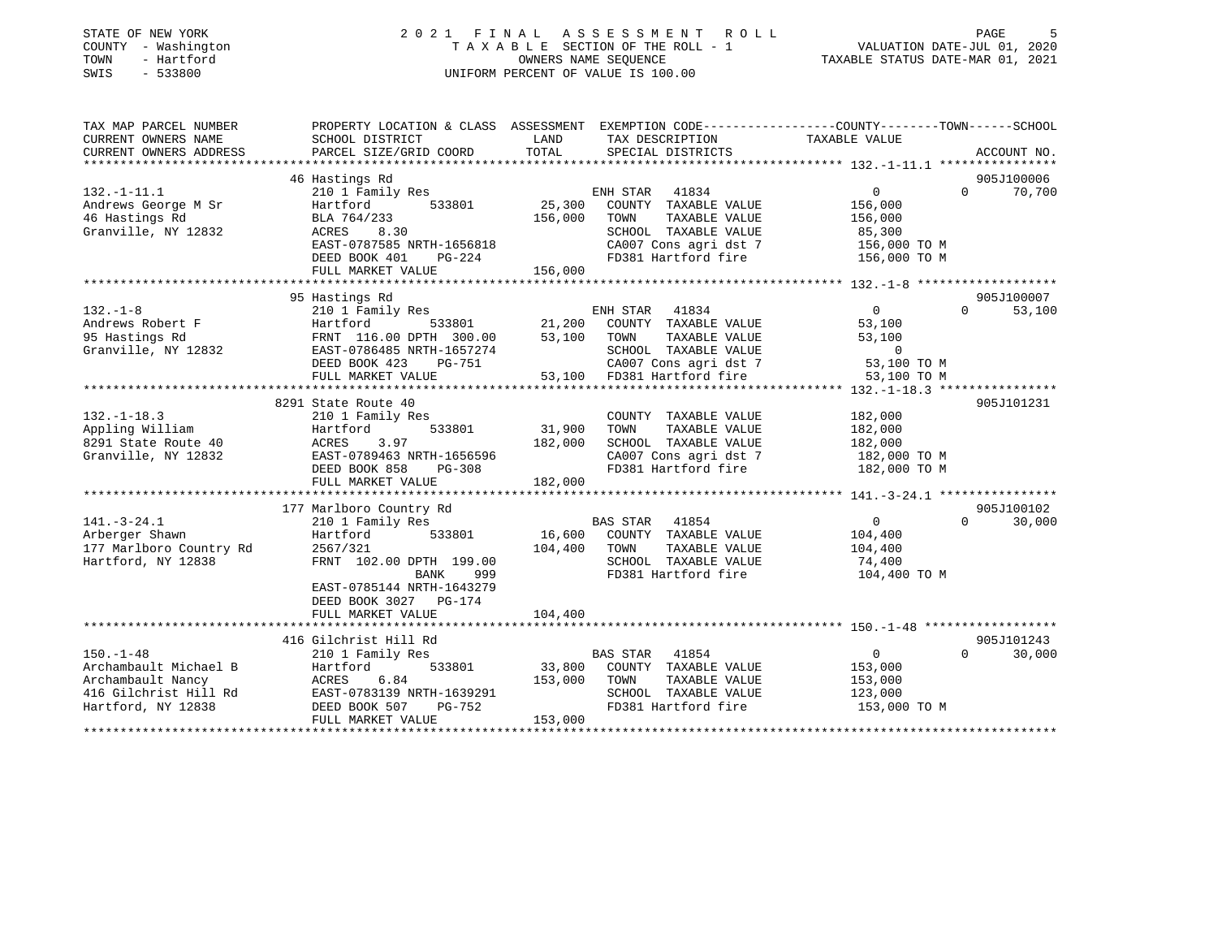| STATE OF NEW YORK<br>COUNTY - Washington<br>- Hartford<br>TOWN<br>SWIS<br>$-533800$ |                                           |                   | 2021 FINAL ASSESSMENT ROLL<br>TAXABLE SECTION OF THE ROLL - 1<br>OWNERS NAME SEOUENCE<br>UNIFORM PERCENT OF VALUE IS 100.00 | PAGE<br>VALUATION DATE-JUL 01, 2020<br>TAXABLE STATUS DATE-MAR 01, 2021                         |
|-------------------------------------------------------------------------------------|-------------------------------------------|-------------------|-----------------------------------------------------------------------------------------------------------------------------|-------------------------------------------------------------------------------------------------|
| TAX MAP PARCEL NUMBER                                                               |                                           |                   |                                                                                                                             | PROPERTY LOCATION & CLASS ASSESSMENT EXEMPTION CODE---------------COUNTY-------TOWN------SCHOOL |
| CURRENT OWNERS NAME<br>CURRENT OWNERS ADDRESS                                       | SCHOOL DISTRICT<br>PARCEL SIZE/GRID COORD | LAND<br>TOTAL     | TAX DESCRIPTION<br>SPECIAL DISTRICTS                                                                                        | TAXABLE VALUE<br>ACCOUNT NO.                                                                    |
| **********************                                                              |                                           |                   |                                                                                                                             |                                                                                                 |
|                                                                                     | 46 Hastings Rd                            |                   |                                                                                                                             | 905J100006                                                                                      |
| $132. - 1 - 11.1$                                                                   | 210 1 Family Res                          |                   | ENH STAR 41834                                                                                                              | $\mathbf{0}$<br>$\Omega$<br>70,700                                                              |
| Andrews George M Sr                                                                 | Hartford<br>533801                        | 25,300            | COUNTY TAXABLE VALUE                                                                                                        | 156,000                                                                                         |
| 46 Hastings Rd                                                                      | BLA 764/233                               | 156,000           | TAXABLE VALUE<br>TOWN                                                                                                       | 156,000                                                                                         |
| Granville, NY 12832                                                                 | ACRES<br>8.30                             |                   | SCHOOL TAXABLE VALUE                                                                                                        | 85,300                                                                                          |
|                                                                                     | EAST-0787585 NRTH-1656818                 |                   | CA007 Cons agri dst 7                                                                                                       | 156,000 TO M                                                                                    |
|                                                                                     | DEED BOOK 401<br>PG-224                   |                   | FD381 Hartford fire                                                                                                         | 156,000 TO M                                                                                    |
|                                                                                     | FULL MARKET VALUE                         | 156,000           |                                                                                                                             |                                                                                                 |
|                                                                                     | 95 Hastings Rd                            |                   |                                                                                                                             | 905J100007                                                                                      |
| $132. - 1 - 8$                                                                      | 210 1 Family Res                          |                   | ENH STAR<br>41834                                                                                                           | $\overline{0}$<br>$\Omega$<br>53,100                                                            |
| Andrews Robert F                                                                    | 533801<br>Hartford                        | 21,200            | COUNTY TAXABLE VALUE                                                                                                        | 53,100                                                                                          |
| 95 Hastings Rd                                                                      | FRNT 116.00 DPTH 300.00                   | 53,100            | TAXABLE VALUE<br>TOWN                                                                                                       | 53,100                                                                                          |
| Granville, NY 12832                                                                 | EAST-0786485 NRTH-1657274                 |                   | SCHOOL TAXABLE VALUE                                                                                                        | $\overline{0}$                                                                                  |
|                                                                                     | DEED BOOK 423<br>PG-751                   |                   | CA007 Cons agri dst 7                                                                                                       | 53,100 TO M                                                                                     |
|                                                                                     | FULL MARKET VALUE                         | 53,100            | FD381 Hartford fire                                                                                                         | 53,100 TO M                                                                                     |
|                                                                                     | *************************                 |                   |                                                                                                                             |                                                                                                 |
|                                                                                     | 8291 State Route 40                       |                   |                                                                                                                             | 905J101231                                                                                      |
| $132. - 1 - 18.3$                                                                   | 210 1 Family Res                          |                   | COUNTY TAXABLE VALUE                                                                                                        | 182,000                                                                                         |
| Appling William<br>8291 State Route 40                                              | Hartford<br>533801<br>3.97<br>ACRES       | 31,900<br>182,000 | TOWN<br>TAXABLE VALUE<br>SCHOOL TAXABLE VALUE                                                                               | 182,000<br>182,000                                                                              |
| Granville, NY 12832                                                                 | EAST-0789463 NRTH-1656596                 |                   | CA007 Cons agri dst 7                                                                                                       | 182,000 TO M                                                                                    |
|                                                                                     | DEED BOOK 858<br>$PG-308$                 |                   | FD381 Hartford fire                                                                                                         | 182,000 TO M                                                                                    |
|                                                                                     | FULL MARKET VALUE                         | 182,000           |                                                                                                                             |                                                                                                 |
|                                                                                     |                                           |                   |                                                                                                                             |                                                                                                 |
|                                                                                     | 177 Marlboro Country Rd                   |                   |                                                                                                                             | 905J100102                                                                                      |
| $141. - 3 - 24.1$                                                                   | 210 1 Family Res                          |                   | 41854<br>BAS STAR                                                                                                           | 30,000<br>$\overline{0}$<br>$\Omega$                                                            |
| Arberger Shawn                                                                      | Hartford<br>533801                        | 16,600            | COUNTY TAXABLE VALUE                                                                                                        | 104,400                                                                                         |
| 177 Marlboro Country Rd                                                             | 2567/321                                  | 104,400           | TAXABLE VALUE<br>TOWN                                                                                                       | 104,400                                                                                         |
| Hartford, NY 12838                                                                  | FRNT 102.00 DPTH 199.00                   |                   | SCHOOL TAXABLE VALUE<br>FD381 Hartford fire                                                                                 | 74,400                                                                                          |
|                                                                                     | BANK<br>999<br>EAST-0785144 NRTH-1643279  |                   |                                                                                                                             | 104,400 TO M                                                                                    |
|                                                                                     | DEED BOOK 3027 PG-174                     |                   |                                                                                                                             |                                                                                                 |
|                                                                                     | FULL MARKET VALUE                         | 104,400           |                                                                                                                             |                                                                                                 |
|                                                                                     |                                           |                   |                                                                                                                             |                                                                                                 |
|                                                                                     | 416 Gilchrist Hill Rd                     |                   |                                                                                                                             | 905J101243                                                                                      |
| $150. - 1 - 48$                                                                     | 210 1 Family Res                          |                   | BAS STAR<br>41854                                                                                                           | 30,000<br>$\overline{0}$<br>$\Omega$                                                            |
| Archambault Michael B                                                               | 533801<br>Hartford                        | 33,800            | COUNTY TAXABLE VALUE                                                                                                        | 153,000                                                                                         |
| Archambault Nancy                                                                   | ACRES<br>6.84                             | 153,000           | TAXABLE VALUE<br>TOWN                                                                                                       | 153,000                                                                                         |
| 416 Gilchrist Hill Rd                                                               | EAST-0783139 NRTH-1639291                 |                   | SCHOOL TAXABLE VALUE                                                                                                        | 123,000                                                                                         |
| Hartford, NY 12838                                                                  | DEED BOOK 507<br>PG-752                   |                   | FD381 Hartford fire                                                                                                         | 153,000 TO M                                                                                    |
|                                                                                     | FULL MARKET VALUE                         | 153,000           |                                                                                                                             |                                                                                                 |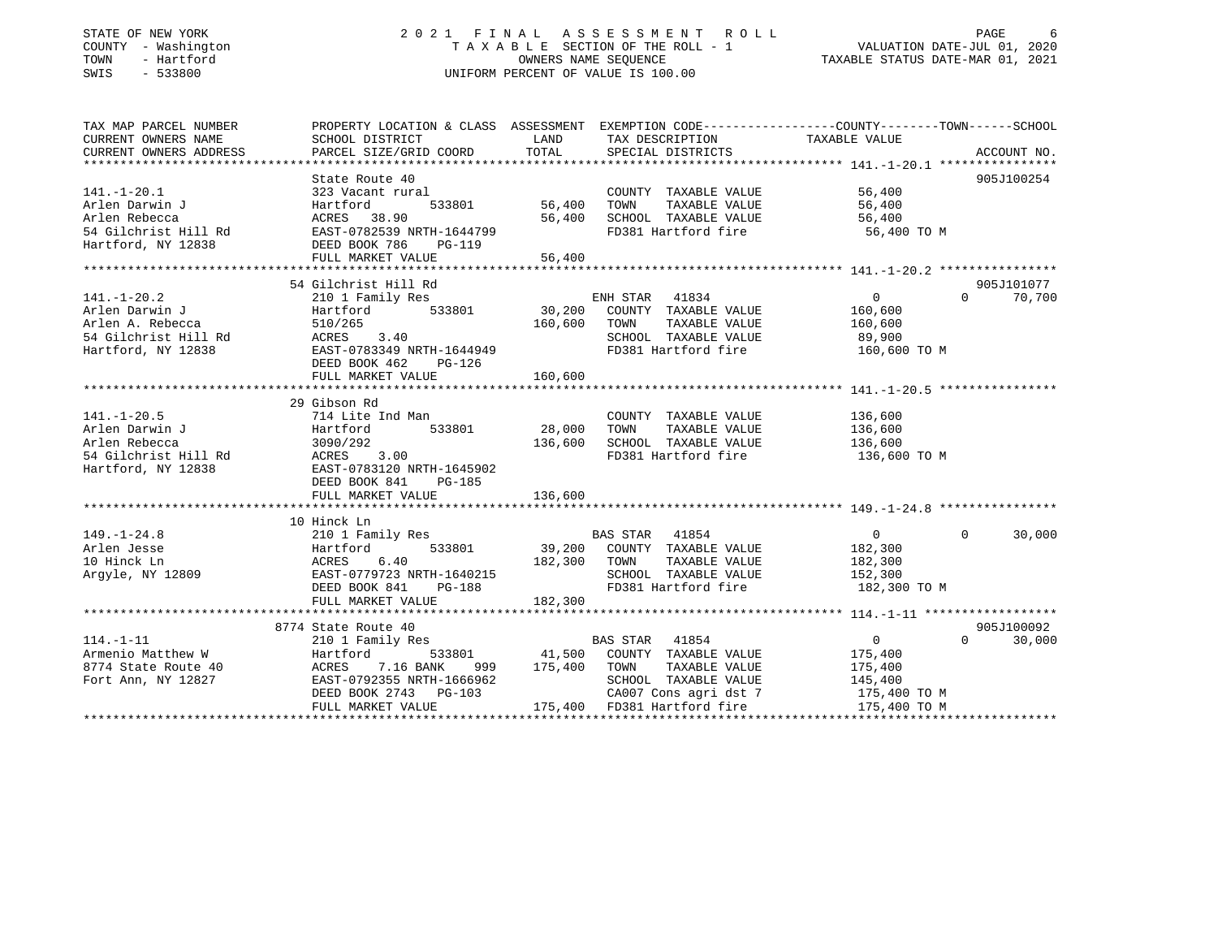## STATE OF NEW YORK GOOD CONSULTED A LIMINAL ASSESSMENT ROLL CONSUMER AGE 6 COUNTY - Washington  $T A X A B L E$  SECTION OF THE ROLL - 1<br>TOWN - Hartford SWIS - 533800 UNIFORM PERCENT OF VALUE IS 100.00

VALUATION DATE-JUL 01, 2020 TAXABLE STATUS DATE-MAR 01, 2021

| TAX MAP PARCEL NUMBER                         | PROPERTY LOCATION & CLASS ASSESSMENT EXEMPTION CODE---------------COUNTY-------TOWN-----SCHOOL                                                                                                                                       |                    |                                            |                        |                       |        |
|-----------------------------------------------|--------------------------------------------------------------------------------------------------------------------------------------------------------------------------------------------------------------------------------------|--------------------|--------------------------------------------|------------------------|-----------------------|--------|
| CURRENT OWNERS NAME                           | SCHOOL DISTRICT                                                                                                                                                                                                                      | LAND               | TAX DESCRIPTION                            | TAXABLE VALUE          |                       |        |
| CURRENT OWNERS NAME<br>CURRENT OWNERS ADDRESS |                                                                                                                                                                                                                                      |                    |                                            |                        |                       |        |
|                                               |                                                                                                                                                                                                                                      |                    |                                            |                        |                       |        |
|                                               |                                                                                                                                                                                                                                      |                    |                                            |                        | 905J100254            |        |
|                                               |                                                                                                                                                                                                                                      |                    | COUNTY TAXABLE VALUE 56,400                |                        |                       |        |
|                                               |                                                                                                                                                                                                                                      | 533801 56,400 TOWN |                                            | TAXABLE VALUE 56,400   |                       |        |
|                                               |                                                                                                                                                                                                                                      |                    | 56,400 SCHOOL TAXABLE VALUE 56,400         |                        |                       |        |
|                                               |                                                                                                                                                                                                                                      |                    | FD381 Hartford fire                        | 56,400 TO M            |                       |        |
|                                               |                                                                                                                                                                                                                                      |                    |                                            |                        |                       |        |
|                                               |                                                                                                                                                                                                                                      |                    |                                            |                        |                       |        |
|                                               |                                                                                                                                                                                                                                      |                    |                                            |                        |                       |        |
|                                               |                                                                                                                                                                                                                                      |                    |                                            |                        | 905J101077            |        |
|                                               |                                                                                                                                                                                                                                      |                    |                                            |                        | $\Omega$ and $\Omega$ | 70,700 |
|                                               |                                                                                                                                                                                                                                      |                    |                                            |                        |                       |        |
|                                               |                                                                                                                                                                                                                                      |                    |                                            |                        |                       |        |
|                                               |                                                                                                                                                                                                                                      |                    |                                            |                        |                       |        |
|                                               |                                                                                                                                                                                                                                      |                    |                                            | 89,900<br>160,600 TO M |                       |        |
|                                               |                                                                                                                                                                                                                                      |                    |                                            |                        |                       |        |
|                                               |                                                                                                                                                                                                                                      |                    |                                            |                        |                       |        |
|                                               |                                                                                                                                                                                                                                      |                    |                                            |                        |                       |        |
|                                               | 29 Gibson Rd                                                                                                                                                                                                                         |                    |                                            |                        |                       |        |
| $141. - 1 - 20.5$                             | 714 Lite Ind Man                                                                                                                                                                                                                     |                    | COUNTY TAXABLE VALUE 136,600               |                        |                       |        |
|                                               | 533801 28,000 TOWN                                                                                                                                                                                                                   |                    | TAXABLE VALUE                              | 136,600                |                       |        |
|                                               |                                                                                                                                                                                                                                      |                    |                                            |                        |                       |        |
|                                               |                                                                                                                                                                                                                                      |                    | 136,600 SCHOOL TAXABLE VALUE 136,600       |                        |                       |        |
|                                               |                                                                                                                                                                                                                                      |                    | FD381 Hartford fire                        | 136,600 TO M           |                       |        |
|                                               |                                                                                                                                                                                                                                      |                    |                                            |                        |                       |        |
|                                               | DEED BOOK 841<br>PG-185                                                                                                                                                                                                              |                    |                                            |                        |                       |        |
|                                               |                                                                                                                                                                                                                                      |                    |                                            |                        |                       |        |
|                                               |                                                                                                                                                                                                                                      |                    |                                            |                        |                       |        |
|                                               | 10 Hinck Ln                                                                                                                                                                                                                          |                    |                                            |                        |                       |        |
|                                               |                                                                                                                                                                                                                                      |                    | BAS STAR 41854                             | $\overline{0}$         | $\overline{0}$        | 30,000 |
|                                               |                                                                                                                                                                                                                                      |                    | 533801 39,200 COUNTY TAXABLE VALUE 182,300 |                        |                       |        |
|                                               |                                                                                                                                                                                                                                      | 182,300 TOWN       | TAXABLE VALUE                              | 182,300                |                       |        |
|                                               |                                                                                                                                                                                                                                      |                    | SCHOOL TAXABLE VALUE                       | 152, 300               |                       |        |
|                                               | $PG-188$<br>DEED BOOK 841                                                                                                                                                                                                            |                    | FD381 Hartford fire 182,300 TO M           |                        |                       |        |
|                                               | FULL MARKET VALUE                                                                                                                                                                                                                    | 182,300            |                                            |                        |                       |        |
|                                               |                                                                                                                                                                                                                                      |                    |                                            |                        |                       |        |
|                                               | 8774 State Route 40<br>state Route 40<br>210 1 Family Res                                                                                                                                                                            |                    |                                            |                        | 905J100092            |        |
|                                               |                                                                                                                                                                                                                                      |                    | <b>BAS STAR</b> 41854                      | $\overline{0}$         | $\Omega$              | 30,000 |
|                                               |                                                                                                                                                                                                                                      |                    |                                            |                        |                       |        |
|                                               |                                                                                                                                                                                                                                      |                    |                                            |                        |                       |        |
|                                               | 114.-1-11 210 1 Family Res BAS STAR 41854 0<br>Armenio Matthew W Hartford 533801 41,500 COUNTY TAXABLE VALUE 175,400<br>8774 State Route 40 ACRES 7.16 BANK 999 175,400 TOWN TAXABLE VALUE 175,400<br>Fort Ann, NY 12827 EAST-079235 |                    |                                            |                        |                       |        |
|                                               | DEED BOOK 2743 PG-103                                                                                                                                                                                                                |                    | CA007 Cons agri dst 7 175,400 TO M         |                        |                       |        |
|                                               | FULL MARKET VALUE                                                                                                                                                                                                                    |                    | 175,400 FD381 Hartford fire                | 175,400 TO M           |                       |        |
|                                               |                                                                                                                                                                                                                                      |                    |                                            |                        |                       |        |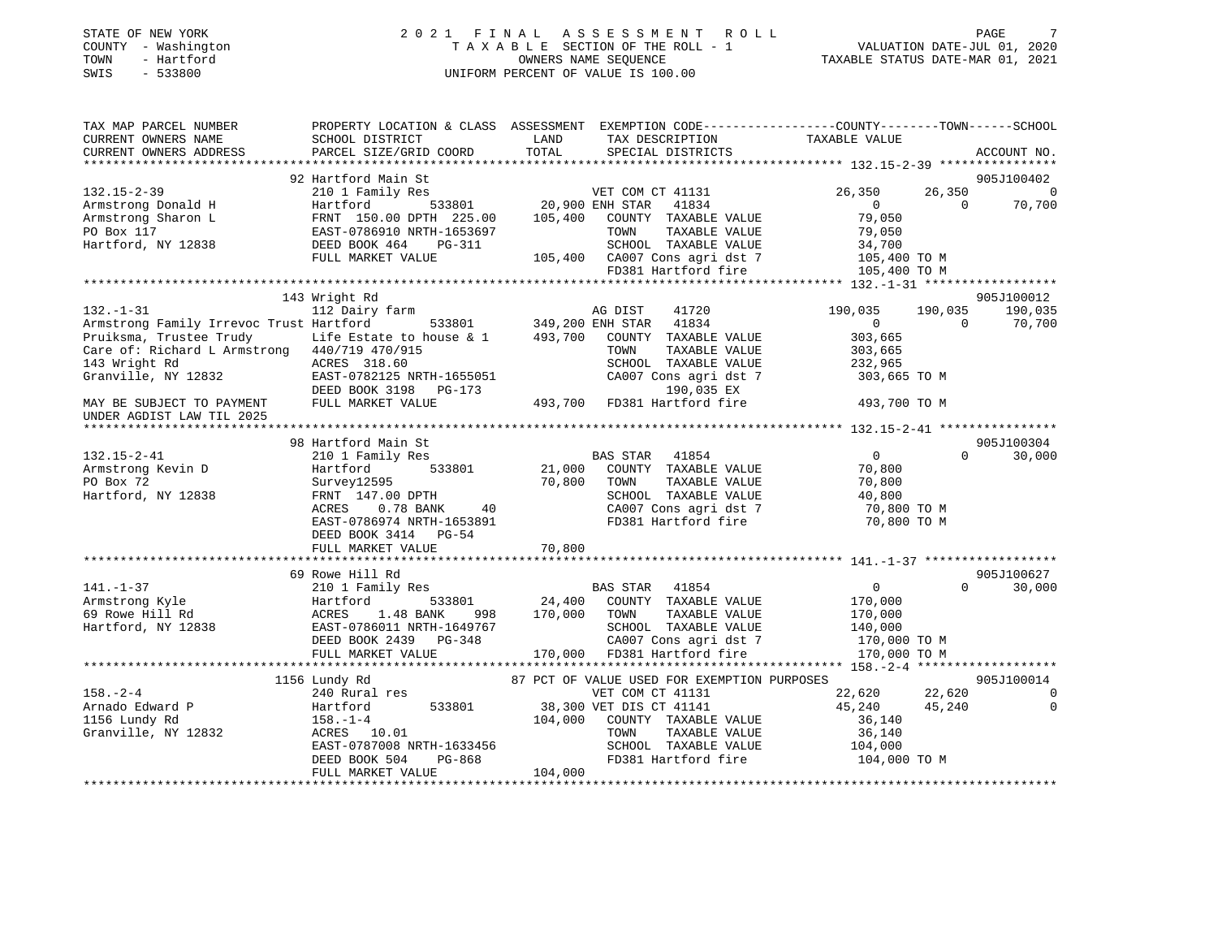| TOWN<br>SWIS | STATE OF NEW YORK<br>COUNTY - Washington<br>- Hartford<br>$-533800$ |                                                         |       | 2021 FINAL ASSESSMENT ROLL<br>TAXABLE SECTION OF THE ROLL - 1<br>OWNERS NAME SEOUENCE<br>UNIFORM PERCENT OF VALUE IS 100.00 |                                                                               | VALUATION DATE-JUL 01, 2020<br>TAXABLE STATUS DATE-MAR 01, 2021 | PAGE | 7 |
|--------------|---------------------------------------------------------------------|---------------------------------------------------------|-------|-----------------------------------------------------------------------------------------------------------------------------|-------------------------------------------------------------------------------|-----------------------------------------------------------------|------|---|
|              | TAX MAP PARCEL NUMBER<br>CURRENT OWNERS NAME                        | PROPERTY LOCATION & CLASS ASSESSMENT<br>SCHOOL DISTRICT | LAND. | TAX DESCRIPTION                                                                                                             | EXEMPTION CODE-----------------COUNTY-------TOWN------SCHOOL<br>TAXARLE VALUE |                                                                 |      |   |

| CURRENI UWNERS NAME                                                           | POUND DIPIKICI                            | <b>THIAD</b> | IAA DESCRIFIIUN                                                                                                                | IAAADLL VALUL                      |                          |
|-------------------------------------------------------------------------------|-------------------------------------------|--------------|--------------------------------------------------------------------------------------------------------------------------------|------------------------------------|--------------------------|
| CURRENT OWNERS ADDRESS                                                        | PARCEL SIZE/GRID COORD                    | TOTAL        | SPECIAL DISTRICTS                                                                                                              |                                    | ACCOUNT NO.              |
|                                                                               |                                           |              |                                                                                                                                |                                    |                          |
|                                                                               | 92 Hartford Main St                       |              |                                                                                                                                |                                    | 905J100402               |
| $132.15 - 2 - 39$                                                             | 210 1 Family Res                          |              | VET COM CT 41131                                                                                                               | 26,350                             | 26,350<br>$\overline{0}$ |
| Armstrong Donald H                                                            | Hartford                                  |              | $\frac{1}{20,900}$ ENH STAR 41834                                                                                              | $\bigcirc$                         | 70,700<br>$\Omega$       |
| Armstrong Sharon L                                                            | FRNT 150.00 DPTH 225.00                   | 105,400      | COUNTY TAXABLE VALUE                                                                                                           | 79,050                             |                          |
| PO Box 117                                                                    | EAST-0786910 NRTH-1653697                 |              | TOWN<br>TAXABLE VALUE                                                                                                          | 79,050                             |                          |
| Hartford, NY 12838                                                            | DEED BOOK 464<br>PG-311                   |              | SCHOOL TAXABLE VALUE                                                                                                           | 34,700                             |                          |
|                                                                               | FULL MARKET VALUE                         |              | 105,400 CA007 Cons agri dst 7                                                                                                  | 34,700<br>105,400 TO M             |                          |
|                                                                               |                                           |              |                                                                                                                                |                                    |                          |
|                                                                               |                                           |              | FD381 Hartford fire                                                                                                            | 105,400 TO M                       |                          |
|                                                                               |                                           |              |                                                                                                                                |                                    |                          |
|                                                                               | 143 Wright Rd                             |              |                                                                                                                                |                                    | 905J100012               |
| $132 - 1 - 31$                                                                | 112 Dairy farm                            |              | AG DIST<br>41720                                                                                                               | 190,035                            | 190,035<br>190,035       |
| Armstrong Family Irrevoc Trust Hartford                                       |                                           |              | 533801 349,200 ENH STAR 41834                                                                                                  | $\overline{0}$                     | $\Omega$<br>70,700       |
| Pruiksma, Trustee Trudy Life Estate to house & 1 493,700 COUNTY TAXABLE VALUE |                                           |              |                                                                                                                                | 303,665                            |                          |
| Care of: Richard L Armstrong 440/719 470/915                                  |                                           |              | TOWN<br>TAXABLE VALUE                                                                                                          | 303,665                            |                          |
| 143 Wright Rd                                                                 | ACRES 318.60                              |              | SCHOOL TAXABLE VALUE                                                                                                           | 232,965                            |                          |
| Granville, NY 12832                                                           | EAST-0782125 NRTH-1655051                 |              |                                                                                                                                | CA007 Cons agri dst 7 303,665 TO M |                          |
|                                                                               |                                           |              |                                                                                                                                |                                    |                          |
|                                                                               | DEED BOOK 3198 PG-173                     |              | 190,035 EX                                                                                                                     |                                    |                          |
| MAY BE SUBJECT TO PAYMENT                                                     | FULL MARKET VALUE                         |              | 493,700 FD381 Hartford fire 493,700 TO M                                                                                       |                                    |                          |
| UNDER AGDIST LAW TIL 2025                                                     |                                           |              |                                                                                                                                |                                    |                          |
|                                                                               |                                           |              |                                                                                                                                |                                    |                          |
|                                                                               | 98 Hartford Main St                       |              |                                                                                                                                |                                    | 905J100304               |
| $132.15 - 2 - 41$                                                             | 210 1 Family Res                          |              | BAS STAR 41854                                                                                                                 | $\overline{0}$                     | $\Omega$<br>30,000       |
| Armstrong Kevin D                                                             | 533801<br>Hartford                        |              | 21,000 COUNTY TAXABLE VALUE                                                                                                    | 70,800                             |                          |
| PO Box 72                                                                     | Survey12595                               | 70,800       | TOWN<br>TAXABLE VALUE                                                                                                          | 70,800                             |                          |
| Hartford, NY 12838                                                            | FRNT 147.00 DPTH                          |              | SCHOOL TAXABLE VALUE                                                                                                           | 40,800                             |                          |
|                                                                               | 0.78 BANK<br>ACRES<br>40                  |              | SCHOOL   TAXABLE  VALUE                           40,800<br>CA007  Cons  agri  dst  7                            70,800  TO  M |                                    |                          |
|                                                                               |                                           |              |                                                                                                                                |                                    |                          |
|                                                                               | EAST-0786974 NRTH-1653891                 |              | FD381 Hartford fire                                                                                                            | 70,800 TO M                        |                          |
|                                                                               | DEED BOOK 3414 PG-54                      |              |                                                                                                                                |                                    |                          |
|                                                                               | FULL MARKET VALUE                         | 70,800       |                                                                                                                                |                                    |                          |
|                                                                               |                                           |              |                                                                                                                                |                                    |                          |
|                                                                               | 69 Rowe Hill Rd                           |              |                                                                                                                                |                                    | 905J100627               |
| $141. - 1 - 37$                                                               | 210 1 Family Res                          |              | BAS STAR 41854                                                                                                                 | $\overline{0}$                     | 30,000<br>$\Omega$       |
| Armstrong Kyle                                                                | Hartford                                  |              | 533801 24,400 COUNTY TAXABLE VALUE                                                                                             | 170,000                            |                          |
| 69 Rowe Hill Rd                                                               | ACRES 1.48 BANK<br>998                    | 170,000 TOWN | TAXABLE VALUE                                                                                                                  | 170,000                            |                          |
| Hartford, NY 12838                                                            | EAST-0786011 NRTH-1649767                 |              | SCHOOL TAXABLE VALUE                                                                                                           | 140,000                            |                          |
|                                                                               | DEED BOOK 2439 PG-348                     |              |                                                                                                                                | 170,000 TO M                       |                          |
|                                                                               |                                           |              | 48 CA007 Cons agri dst 7<br>170,000 FD381 Hartford fire                                                                        |                                    |                          |
|                                                                               | FULL MARKET VALUE                         |              |                                                                                                                                | 170,000 TO M                       |                          |
|                                                                               |                                           |              |                                                                                                                                |                                    |                          |
|                                                                               | 1156 Lundy Rd                             |              | 87 PCT OF VALUE USED FOR EXEMPTION PURPOSES                                                                                    |                                    | 905J100014               |
| $158. - 2 - 4$                                                                | 240 Rural res                             |              | VET COM CT 41131                                                                                                               | 22,620                             | 22,620<br>$\overline{0}$ |
| Arnado Edward P                                                               | Hartford<br>533801                        |              | 38,300 VET DIS CT 41141                                                                                                        | 45,240                             | $\overline{0}$<br>45,240 |
| 1156 Lundy Rd                                                                 | $158. - 1 - 4$                            | 104,000      | COUNTY TAXABLE VALUE                                                                                                           | 36,140                             |                          |
| Granville, NY 12832                                                           | ACRES 10.01                               |              | TOWN<br>TAXABLE VALUE                                                                                                          | 36,140                             |                          |
|                                                                               | EAST-0787008 NRTH-1633456                 |              |                                                                                                                                |                                    |                          |
|                                                                               | $11 - 1033456$<br>PG-868<br>DEED BOOK 504 |              | SCHOOL TAXABLE VALUE 104,000<br>FD381 Hartford fire                                                                            | 104,000 TO M                       |                          |
|                                                                               |                                           |              |                                                                                                                                |                                    |                          |
|                                                                               | FULL MARKET VALUE                         | 104,000      |                                                                                                                                |                                    |                          |
|                                                                               |                                           |              |                                                                                                                                |                                    |                          |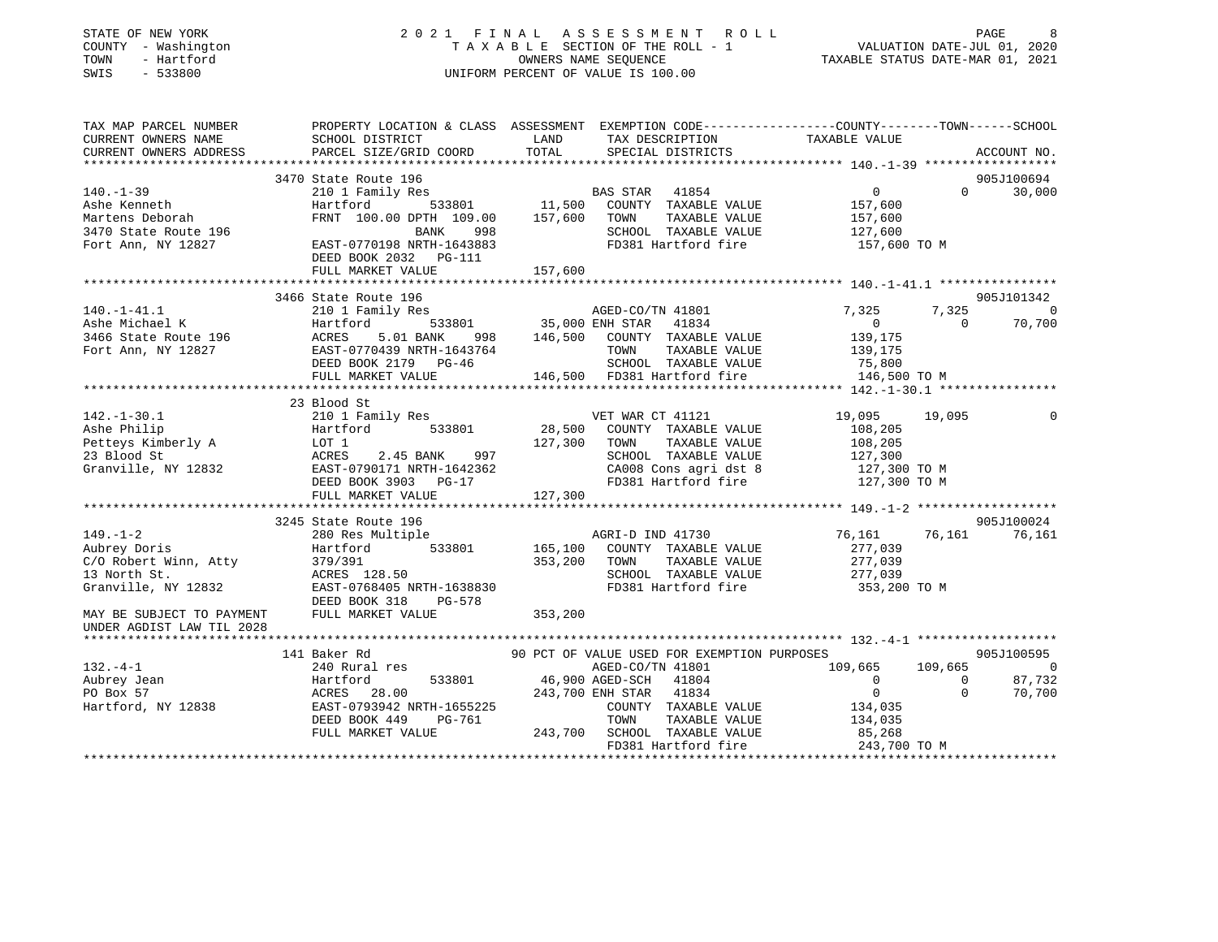| STATE OF NEW YORK<br>COUNTY - Washington<br>TOWN<br>- Hartford<br>SWIS<br>$-533800$                                                                                                                                                                                          |                                                                                                                       |         | 2021 FINAL ASSESSMENT ROLL<br>T A X A B L E SECTION OF THE ROLL - 1<br>OWNERS NAME SEQUENCE<br>UNIFORM PERCENT OF VALUE IS 100.00 |                                                     | PAGE 9<br>1, VALUATION DATE-JUL 01<br>2021, TAXABLE STATUS DATE-MAR 01 |
|------------------------------------------------------------------------------------------------------------------------------------------------------------------------------------------------------------------------------------------------------------------------------|-----------------------------------------------------------------------------------------------------------------------|---------|-----------------------------------------------------------------------------------------------------------------------------------|-----------------------------------------------------|------------------------------------------------------------------------|
| TAX MAP PARCEL NUMBER          PROPERTY LOCATION & CLASS ASSESSMENT EXEMPTION CODE---------------COUNTY-------TOWN------SCHOOL CURRENT OWNERS NAME              SCHOOL DISTRICT                 LAND        TAX DESCRIPTION<br>CURRENT OWNERS ADDRESS PARCEL SIZE/GRID COORD |                                                                                                                       | TOTAL   | SPECIAL DISTRICTS                                                                                                                 |                                                     | ACCOUNT NO.                                                            |
|                                                                                                                                                                                                                                                                              | 3470 State Route 196                                                                                                  |         |                                                                                                                                   |                                                     | 905J100694                                                             |
| $140. - 1 - 39$                                                                                                                                                                                                                                                              | 210 1 Family Res<br>Hartford 533801 11,500 COUNTY TAXABLE VALUE<br>FRNT 100.00 DPTH 109.00 157,600 TOWN TAXABLE VALUE |         |                                                                                                                                   | $\overline{0}$                                      | $0 \t 30,000$                                                          |
|                                                                                                                                                                                                                                                                              |                                                                                                                       |         | AS STAR 41854 U<br>COUNTY TAXABLE VALUE 157,600<br>TOWN TAXABLE VALUE 157,600<br>SCHOOL TAXABLE VALUE 127,600                     |                                                     |                                                                        |
|                                                                                                                                                                                                                                                                              |                                                                                                                       |         |                                                                                                                                   |                                                     |                                                                        |
|                                                                                                                                                                                                                                                                              |                                                                                                                       |         |                                                                                                                                   |                                                     |                                                                        |
| Ashe Kenneth<br>Martens Deborah Martford 533801 11,500<br>3470 State Route 196 BANK 998<br>Fort Ann, NY 12827 EAST-0770198 NRTH-1643883<br>Fort Ann, NY 12827 EAST-0770198 NRTH-1643883                                                                                      | DEED BOOK 2032    PG-111<br>FULL MARKET VALUE                                                                         | 157,600 | FD381 Hartford fire 157,600 TO M                                                                                                  |                                                     |                                                                        |
|                                                                                                                                                                                                                                                                              |                                                                                                                       |         |                                                                                                                                   |                                                     |                                                                        |
|                                                                                                                                                                                                                                                                              |                                                                                                                       |         |                                                                                                                                   |                                                     | 905J101342                                                             |
|                                                                                                                                                                                                                                                                              |                                                                                                                       |         |                                                                                                                                   | 7,325                                               | 7,325 0                                                                |
|                                                                                                                                                                                                                                                                              |                                                                                                                       |         |                                                                                                                                   |                                                     | $\overline{0}$<br>70,700                                               |
|                                                                                                                                                                                                                                                                              |                                                                                                                       |         |                                                                                                                                   | $\begin{smallmatrix}&&0\139\,,175\end{smallmatrix}$ |                                                                        |
|                                                                                                                                                                                                                                                                              |                                                                                                                       |         |                                                                                                                                   | 139,175                                             |                                                                        |
|                                                                                                                                                                                                                                                                              |                                                                                                                       |         | SCHOOL TAXABLE VALUE 75,800                                                                                                       |                                                     |                                                                        |
|                                                                                                                                                                                                                                                                              |                                                                                                                       |         |                                                                                                                                   | 146,500 TO M                                        |                                                                        |
| 49.-1-41.1<br>AgED-CO/TN 41801<br>AgED-CO/TN 41801<br>AgED-CO/TN 41801<br>AgED-CO/TN 41801<br>AgED-CO/TN 41801<br>AgED-CO/TN 41801<br>AgED-CO/TN 41801<br>AgED-CO/TN 41801<br>AgeD-CO/TN 41801<br>AgeD-CO/TN 41801<br>AgeD-CO/TN 41801<br>AgeD-CO/TN 4                       |                                                                                                                       |         |                                                                                                                                   |                                                     |                                                                        |
|                                                                                                                                                                                                                                                                              | 23 Blood St                                                                                                           |         |                                                                                                                                   |                                                     |                                                                        |
|                                                                                                                                                                                                                                                                              |                                                                                                                       |         |                                                                                                                                   |                                                     | 19,095<br>$\mathbf{0}$                                                 |
|                                                                                                                                                                                                                                                                              |                                                                                                                       |         |                                                                                                                                   |                                                     |                                                                        |
|                                                                                                                                                                                                                                                                              |                                                                                                                       |         |                                                                                                                                   |                                                     |                                                                        |
| 142.-1-30.1<br>Ashe Philip and 1011 Family Res<br>Martford 533801 28,500 COUNTY TAXABLE VALUE 108,205<br>Petteys Kimberly A LOT 1<br>23 Blood St ACRES 2.45 BANK 997<br>Granville, NY 12832 EAST-0790171 NRTH-1642362 CA008 Cons agri ds                                     |                                                                                                                       |         |                                                                                                                                   |                                                     |                                                                        |
|                                                                                                                                                                                                                                                                              |                                                                                                                       |         |                                                                                                                                   |                                                     |                                                                        |
|                                                                                                                                                                                                                                                                              | FULL MARKET VALUE                                                                                                     | 127,300 |                                                                                                                                   |                                                     |                                                                        |
|                                                                                                                                                                                                                                                                              |                                                                                                                       |         |                                                                                                                                   |                                                     |                                                                        |
|                                                                                                                                                                                                                                                                              |                                                                                                                       |         |                                                                                                                                   |                                                     | 905J100024                                                             |
|                                                                                                                                                                                                                                                                              |                                                                                                                       |         |                                                                                                                                   | 76,161                                              | 76,161 76,161                                                          |
|                                                                                                                                                                                                                                                                              |                                                                                                                       |         |                                                                                                                                   |                                                     |                                                                        |
|                                                                                                                                                                                                                                                                              |                                                                                                                       |         |                                                                                                                                   | 277,039<br>277,039                                  |                                                                        |
|                                                                                                                                                                                                                                                                              |                                                                                                                       |         |                                                                                                                                   | 277,039                                             |                                                                        |
|                                                                                                                                                                                                                                                                              |                                                                                                                       |         | FD381 Hartford fire 353,200 TO M                                                                                                  |                                                     |                                                                        |
|                                                                                                                                                                                                                                                                              |                                                                                                                       |         |                                                                                                                                   |                                                     |                                                                        |
|                                                                                                                                                                                                                                                                              |                                                                                                                       |         |                                                                                                                                   |                                                     |                                                                        |
|                                                                                                                                                                                                                                                                              |                                                                                                                       |         |                                                                                                                                   |                                                     |                                                                        |
|                                                                                                                                                                                                                                                                              | 141 Baker Rd 6 6 90 PCT OF VALUE USED FOR EXEMPTION PURPOSES                                                          |         |                                                                                                                                   |                                                     | 905J100595                                                             |
| $132. -4 - 1$                                                                                                                                                                                                                                                                | 240 Rural res                                                                                                         |         | AGED-CO/TN 41801                                                                                                                  | 109,665                                             | 109,665<br>$\sim$ 0                                                    |
|                                                                                                                                                                                                                                                                              |                                                                                                                       |         |                                                                                                                                   | $\begin{matrix}0&&&&0\\&0&&&&0\end{matrix}$         | 87,732                                                                 |
|                                                                                                                                                                                                                                                                              |                                                                                                                       |         |                                                                                                                                   |                                                     | $\bigcirc$<br>70,700                                                   |
|                                                                                                                                                                                                                                                                              |                                                                                                                       |         | COUNTY TAXABLE VALUE                                                                                                              | 134,035                                             |                                                                        |
|                                                                                                                                                                                                                                                                              |                                                                                                                       |         | TAXABLE VALUE                                                                                                                     | 134,035                                             |                                                                        |
|                                                                                                                                                                                                                                                                              |                                                                                                                       |         | SCHOOL TAXABLE VALUE 85,268<br>FD381 Hartford fire 243,700 TO M                                                                   |                                                     |                                                                        |
|                                                                                                                                                                                                                                                                              |                                                                                                                       |         |                                                                                                                                   |                                                     |                                                                        |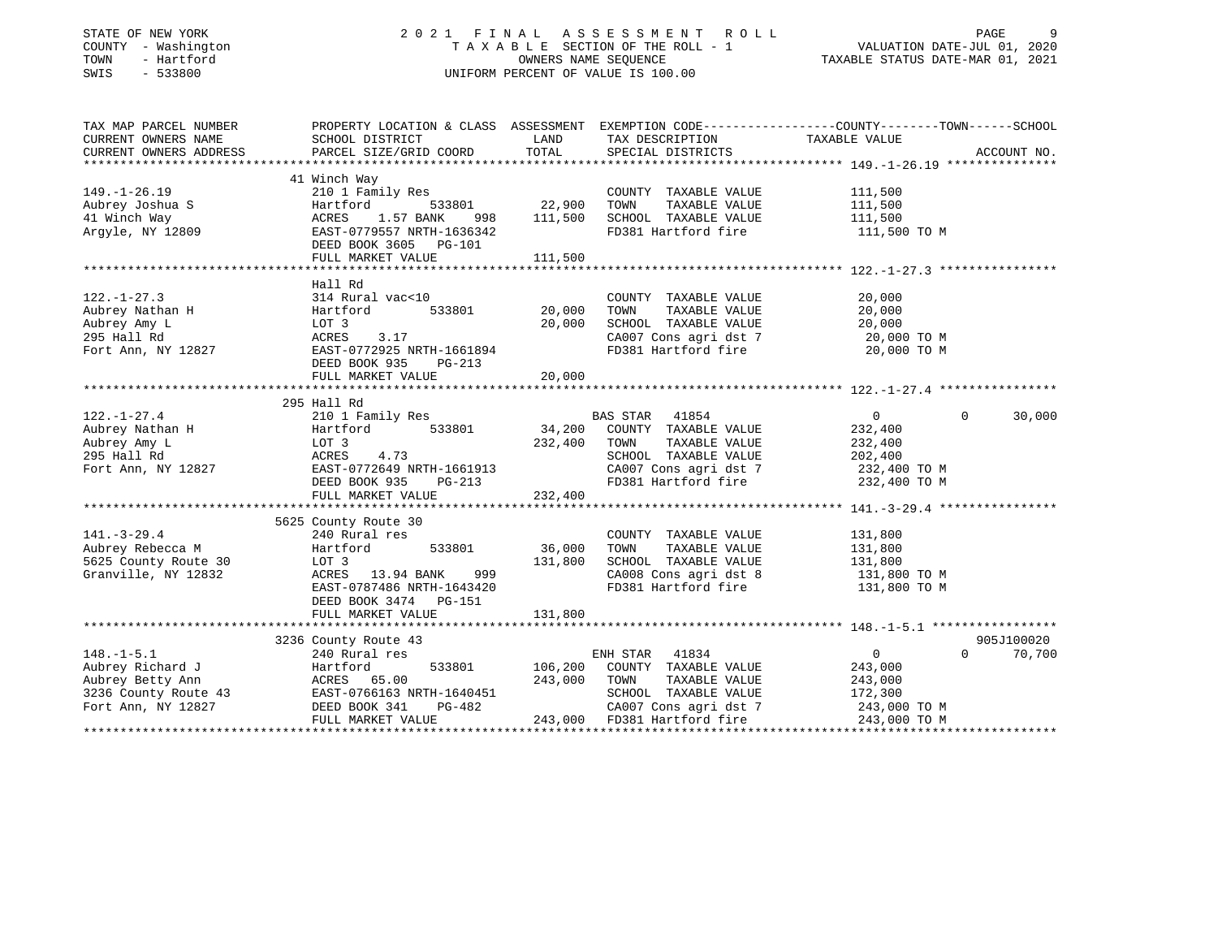### STATE OF NEW YORK 2 0 2 1 F I N A L A S S E S S M E N T R O L L PAGE 9 COUNTY - Washington T A X A B L E SECTION OF THE ROLL - 1 VALUATION DATE-JUL 01, 2020 TOWN - Hartford OWNERS NAME SEQUENCE TAXABLE STATUS DATE-MAR 01, 2021 SWIS - 533800 UNIFORM PERCENT OF VALUE IS 100.00

| TAX MAP PARCEL NUMBER                                                                                                     | PROPERTY LOCATION & CLASS ASSESSMENT EXEMPTION CODE----------------COUNTY-------TOWN------SCHOOL |               |                                                                           |                            |             |
|---------------------------------------------------------------------------------------------------------------------------|--------------------------------------------------------------------------------------------------|---------------|---------------------------------------------------------------------------|----------------------------|-------------|
| CURRENT OWNERS NAME                                                                                                       | SCHOOL DISTRICT                                                                                  | LAND          | TAX DESCRIPTION                                                           | TAXABLE VALUE              |             |
| CURRENT OWNERS ADDRESS                                                                                                    | PARCEL SIZE/GRID COORD                                                                           | TOTAL         | SPECIAL DISTRICTS                                                         |                            | ACCOUNT NO. |
|                                                                                                                           |                                                                                                  |               |                                                                           |                            |             |
|                                                                                                                           | 41 Winch Way                                                                                     |               |                                                                           |                            |             |
| $149. - 1 - 26.19$                                                                                                        | 210 1 Family Res                                                                                 |               | COUNTY TAXABLE VALUE                                                      | 111,500                    |             |
| Aubrey Joshua S                                                                                                           | Hartford                                                                                         | 533801 22,900 | TOWN<br>TAXABLE VALUE                                                     | 111,500                    |             |
| 41 Winch Way                                                                                                              | 1.57 BANK<br>ACRES<br>998                                                                        | 111,500       | SCHOOL TAXABLE VALUE                                                      | 111,500                    |             |
| Argyle, NY 12809                                                                                                          | EAST-0779557 NRTH-1636342                                                                        |               | FD381 Hartford fire                                                       | 111,500 TO M               |             |
|                                                                                                                           | DEED BOOK 3605 PG-101                                                                            |               |                                                                           |                            |             |
|                                                                                                                           | FULL MARKET VALUE                                                                                | 111,500       |                                                                           |                            |             |
|                                                                                                                           |                                                                                                  |               |                                                                           |                            |             |
|                                                                                                                           | Hall Rd                                                                                          |               |                                                                           |                            |             |
| $122. - 1 - 27.3$                                                                                                         | 314 Rural vac<10                                                                                 |               | COUNTY TAXABLE VALUE                                                      | 20,000                     |             |
| Aubrey Nathan H                                                                                                           | Hartford<br>533801                                                                               | 20,000        | TAXABLE VALUE<br>TOWN                                                     | 20,000                     |             |
| Aubrey Amy L                                                                                                              | LOT 3                                                                                            | 20,000        | SCHOOL TAXABLE VALUE                                                      | 20,000                     |             |
| 295 Hall Rd                                                                                                               | ACRES<br>3.17                                                                                    |               | CA007 Cons agri dst 7 20,000 TO M                                         |                            |             |
| Fort Ann, NY 12827                                                                                                        | EAST-0772925 NRTH-1661894                                                                        |               | FD381 Hartford fire                                                       | 20,000 TO M                |             |
|                                                                                                                           | DEED BOOK 935<br>PG-213                                                                          |               |                                                                           |                            |             |
|                                                                                                                           | FULL MARKET VALUE                                                                                | 20,000        |                                                                           |                            |             |
|                                                                                                                           |                                                                                                  |               |                                                                           |                            |             |
|                                                                                                                           | 295 Hall Rd                                                                                      |               |                                                                           |                            |             |
| $122. - 1 - 27.4$                                                                                                         |                                                                                                  |               | <b>BAS STAR</b>                                                           | $\Omega$                   | 30,000      |
|                                                                                                                           | 210 1 Family Res                                                                                 | BA<br>34,200  | 41854                                                                     | $\overline{0}$             |             |
| Aubrey Nathan H                                                                                                           | 533801<br>Hartford                                                                               |               | COUNTY TAXABLE VALUE                                                      | 232,400                    |             |
| Aubrey Amy L                                                                                                              | LOT 3                                                                                            | 232,400       | TAXABLE VALUE<br>TOWN                                                     | 232,400                    |             |
| 295 Hall Rd                                                                                                               | 4.73<br>ACRES                                                                                    |               | SCHOOL TAXABLE VALUE<br>CA007 Cons agri dst 7<br>FD201 The Canadian dst 7 | 202,400<br>232,400 TO M    |             |
| Fort Ann, NY 12827                                                                                                        | EAST-0772649 NRTH-1661913                                                                        |               |                                                                           |                            |             |
|                                                                                                                           | DEED BOOK 935<br>PG-213                                                                          |               | FD381 Hartford fire 232,400 TO M                                          |                            |             |
|                                                                                                                           | FULL MARKET VALUE                                                                                | 232,400       |                                                                           |                            |             |
|                                                                                                                           |                                                                                                  |               |                                                                           |                            |             |
|                                                                                                                           | 5625 County Route 30                                                                             |               |                                                                           |                            |             |
| $141. - 3 - 29.4$                                                                                                         | 240 Rural res                                                                                    |               | COUNTY TAXABLE VALUE                                                      | 131,800                    |             |
| Aubrey Rebecca M                                                                                                          | 533801<br>Hartford                                                                               | 36,000        | TOWN<br>TAXABLE VALUE                                                     | 131,800                    |             |
| 5625 County Route 30                                                                                                      | LOT 3                                                                                            | 131,800       | SCHOOL TAXABLE VALUE                                                      | 131,800                    |             |
| Granville, NY 12832                                                                                                       | ACRES 13.94 BANK<br>999                                                                          |               | CA008 Cons agri dst 8                                                     | 131,800 TO M               |             |
|                                                                                                                           | EAST-0787486 NRTH-1643420                                                                        |               | FD381 Hartford fire                                                       | 131,800 TO M               |             |
|                                                                                                                           | DEED BOOK 3474 PG-151                                                                            |               |                                                                           |                            |             |
|                                                                                                                           | FULL MARKET VALUE                                                                                | 131,800       |                                                                           |                            |             |
|                                                                                                                           |                                                                                                  |               |                                                                           |                            |             |
|                                                                                                                           | 3236 County Route 43<br>240 Pural res                                                            |               |                                                                           |                            | 905J100020  |
| $148. - 1 - 5.1$                                                                                                          | 240 Rural res                                                                                    |               | ENH STAR 41834                                                            | $\overline{0}$<br>$\Omega$ | 70,700      |
| Aubrey Richard J                                                                                                          | Hartford                                                                                         |               | 533801 106,200 COUNTY TAXABLE VALUE                                       | 243,000                    |             |
|                                                                                                                           |                                                                                                  | 243,000       | TOWN<br>TAXABLE VALUE                                                     | 243,000                    |             |
|                                                                                                                           |                                                                                                  |               | SCHOOL TAXABLE VALUE                                                      | 172,300                    |             |
| Aubrey Betty Ann MCRES 65.00<br>3236 County Route 43 EAST-0766163 NRTH-1640451<br>Fort Ann, NY 12827 DEED BOOK 341 PG-482 | PG-482                                                                                           |               | CA007 Cons agri dst 7                                                     | 243,000 TO M               |             |
|                                                                                                                           | FULL MARKET VALUE                                                                                |               | 243,000 FD381 Hartford fire                                               | 243,000 TO M               |             |
|                                                                                                                           |                                                                                                  |               |                                                                           |                            |             |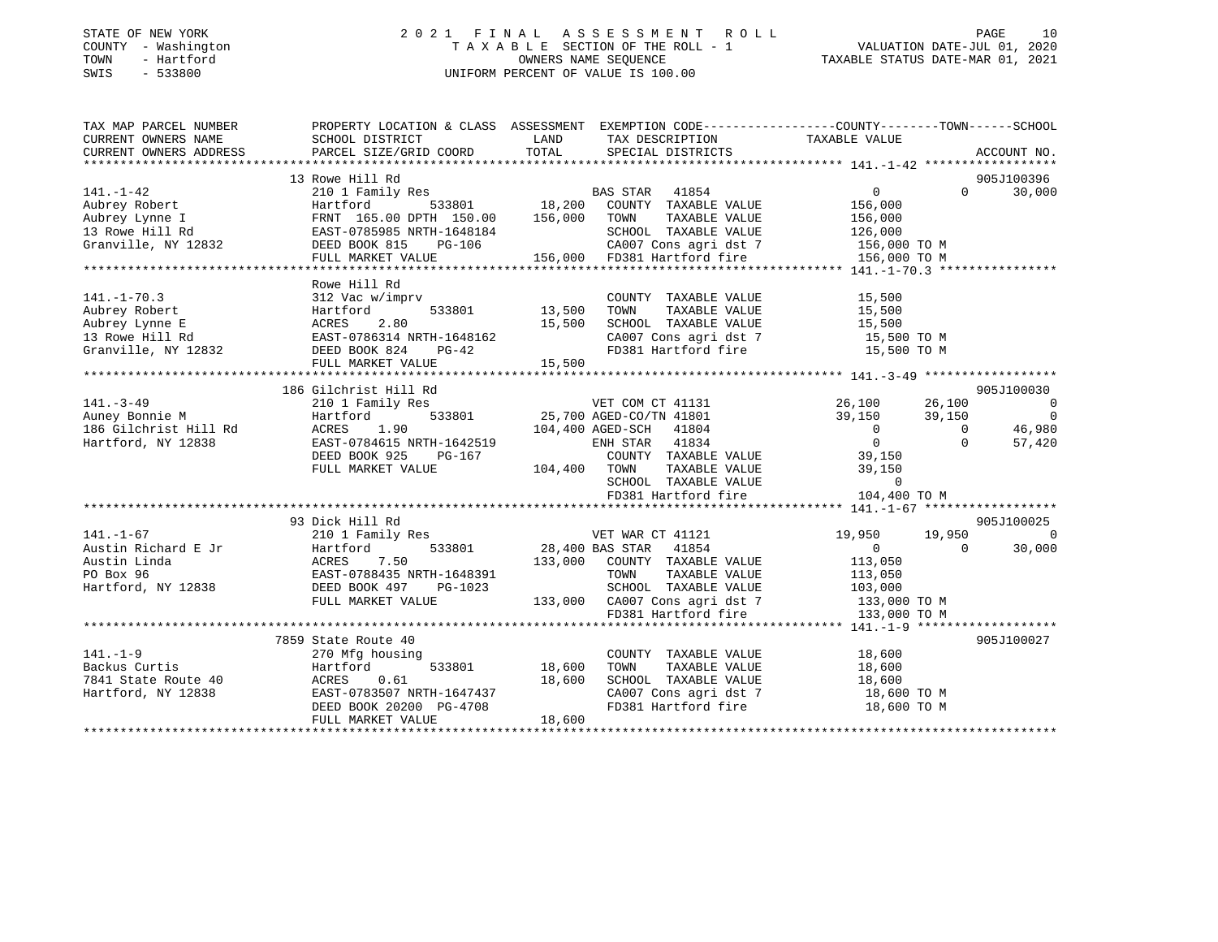### STATE OF NEW YORK 2 0 2 1 F I N A L A S S E S S M E N T R O L L PAGE 10 COUNTY - Washington T A X A B L E SECTION OF THE ROLL - 1 VALUATION DATE-JUL 01, 2020 TOWN - Hartford OWNERS NAME SEQUENCE TAXABLE STATUS DATE-MAR 01, 2021 SWIS - 533800 UNIFORM PERCENT OF VALUE IS 100.00

| TAX MAP PARCEL NUMBER                                                  |                                                                                           |                                                                                                                                                                                                                                         | PROPERTY LOCATION & CLASS ASSESSMENT EXEMPTION CODE----------------COUNTY-------TOWN------SCHOOL |
|------------------------------------------------------------------------|-------------------------------------------------------------------------------------------|-----------------------------------------------------------------------------------------------------------------------------------------------------------------------------------------------------------------------------------------|--------------------------------------------------------------------------------------------------|
| CURRENT OWNERS NAME                                                    | SCHOOL DISTRICT                                                                           | LAND TAX DESCRIPTION TAXABLE VALUE                                                                                                                                                                                                      |                                                                                                  |
| CURRENT OWNERS ADDRESS                                                 | PARCEL SIZE/GRID COORD                                                                    | TOTAL SPECIAL DISTRICTS                                                                                                                                                                                                                 | ACCOUNT NO.                                                                                      |
|                                                                        |                                                                                           |                                                                                                                                                                                                                                         |                                                                                                  |
|                                                                        | 13 Rowe Hill Rd                                                                           |                                                                                                                                                                                                                                         | 905J100396                                                                                       |
| $141. - 1 - 42$                                                        |                                                                                           |                                                                                                                                                                                                                                         | $\overline{0}$<br>$\Omega$<br>30,000                                                             |
|                                                                        |                                                                                           |                                                                                                                                                                                                                                         |                                                                                                  |
|                                                                        |                                                                                           |                                                                                                                                                                                                                                         |                                                                                                  |
|                                                                        |                                                                                           |                                                                                                                                                                                                                                         |                                                                                                  |
|                                                                        |                                                                                           |                                                                                                                                                                                                                                         |                                                                                                  |
|                                                                        |                                                                                           |                                                                                                                                                                                                                                         |                                                                                                  |
|                                                                        |                                                                                           |                                                                                                                                                                                                                                         |                                                                                                  |
|                                                                        | Rowe Hill Rd                                                                              |                                                                                                                                                                                                                                         |                                                                                                  |
| $141. - 1 - 70.3$                                                      | mprv<br>533801 13,500<br>312 Vac w/imprv                                                  | COUNTY TAXABLE VALUE 15,500                                                                                                                                                                                                             |                                                                                                  |
|                                                                        | Aubrey Robert<br>Aubrey Lynne E (ACRES 2.80<br>13 Rowe Hill Rd (BAST-0786314 NRTH-1648162 | TOWN                                                                                                                                                                                                                                    | TAXABLE VALUE<br>TAXABLE VALUE 15,500<br>TAXARLE VALUE 15,500                                    |
|                                                                        |                                                                                           | 15,500<br>SCHOOL TAXABLE VALUE 15,500<br>CA007 Cons agri dst 7 15,500 TO M                                                                                                                                                              |                                                                                                  |
|                                                                        |                                                                                           |                                                                                                                                                                                                                                         |                                                                                                  |
| Granville, NY 12832 DEED BOOK 824                                      | $PG-42$                                                                                   | FD381 Hartford fire 15,500 TO M                                                                                                                                                                                                         |                                                                                                  |
|                                                                        | FULL MARKET VALUE                                                                         | 15,500                                                                                                                                                                                                                                  |                                                                                                  |
|                                                                        |                                                                                           |                                                                                                                                                                                                                                         |                                                                                                  |
|                                                                        | 186 Gilchrist Hill Rd                                                                     |                                                                                                                                                                                                                                         | 905J100030                                                                                       |
| $141. - 3 - 49$                                                        |                                                                                           |                                                                                                                                                                                                                                         | $\sim$ 0                                                                                         |
|                                                                        |                                                                                           |                                                                                                                                                                                                                                         |                                                                                                  |
| in.<br>186 Gilchrist Hill Rd<br>Hartford, NY 12838                     |                                                                                           |                                                                                                                                                                                                                                         | $39,150$ 0<br>0 46,980                                                                           |
|                                                                        |                                                                                           |                                                                                                                                                                                                                                         | 57,420                                                                                           |
|                                                                        |                                                                                           |                                                                                                                                                                                                                                         |                                                                                                  |
|                                                                        |                                                                                           |                                                                                                                                                                                                                                         |                                                                                                  |
|                                                                        |                                                                                           |                                                                                                                                                                                                                                         |                                                                                                  |
|                                                                        |                                                                                           | Gilchrist Hill Rd<br>2010 Family Res<br>Hartford 533801 25,700 AGED-CO/TN 41801 39,150 39,150 39,150<br>ERST-0784615 NRTH-1642519 104,400 AGED-SCH 41804 0<br>DEED BOOK 925 PG-167 COUNTY TAXABLE VALUE 39,150 0<br>FULL MARKET VALUE 1 |                                                                                                  |
|                                                                        |                                                                                           |                                                                                                                                                                                                                                         |                                                                                                  |
|                                                                        | 93 Dick Hill Rd                                                                           |                                                                                                                                                                                                                                         | 905J100025                                                                                       |
| $141. - 1 - 67$                                                        | 210 1 Family Res                                                                          | VET WAR CT 41121                                                                                                                                                                                                                        | 19,950<br>19,950<br>$\overline{0}$                                                               |
|                                                                        |                                                                                           | $\begin{array}{cc}\n 28,400 \text{ BAS STAR} & 41854 \\  \hline\n 122,400 \text{ BAS STAR} & 41854\n \end{array}$                                                                                                                       | 30,000<br>$\overline{0}$<br>$\bigcap$                                                            |
|                                                                        |                                                                                           | 133,000 COUNTY TAXABLE VALUE                                                                                                                                                                                                            | 113,050                                                                                          |
|                                                                        |                                                                                           | TOWN                                                                                                                                                                                                                                    | TAXABLE VALUE 113,050                                                                            |
|                                                                        |                                                                                           |                                                                                                                                                                                                                                         |                                                                                                  |
|                                                                        | FULL MARKET VALUE                                                                         |                                                                                                                                                                                                                                         |                                                                                                  |
|                                                                        |                                                                                           | 3-1023 SCHOOL TAXABLE VALUE 103,000<br>133,000 CA007 Cons agri dst 7 133,000 TO M<br>FD381 Hartford fire 133,000 TO M                                                                                                                   |                                                                                                  |
|                                                                        |                                                                                           |                                                                                                                                                                                                                                         |                                                                                                  |
|                                                                        | 7859 State Route 40                                                                       |                                                                                                                                                                                                                                         | 905J100027                                                                                       |
| $141. - 1 - 9$                                                         | 270 Mfg housing                                                                           | $\begin{tabular}{lllllllllll} \multicolumn{2}{c}{\textbf{COUNTY}} & \textbf{TAXABLE VALUE} & & & 18\,600 \\ \multicolumn{2}{c}{\textbf{TOWN}} & \textbf{TAXABLE VALUE} & & 18\,600 \\ \end{tabular}$                                    |                                                                                                  |
|                                                                        | Hartford                                                                                  | 533801 18,600<br>TOWN                                                                                                                                                                                                                   |                                                                                                  |
|                                                                        |                                                                                           | SCHOOL TAXABLE VALUE<br>CANOT Cons agri dst 7 18,600 TO M                                                                                                                                                                               |                                                                                                  |
| 141.-1-9<br>Backus Curtis<br>7841 State Route 40<br>Hartford, NY 12838 | ACRES 0.61 18,600<br>EAST-0783507 NRTH-1647437 DEED BOOK 20200 PG-4708                    | CA007 Cons agri dst 7<br>FD381 Hartford fire                                                                                                                                                                                            |                                                                                                  |
|                                                                        |                                                                                           |                                                                                                                                                                                                                                         | 18,600 TO M                                                                                      |
|                                                                        | FULL MARKET VALUE                                                                         | 18,600                                                                                                                                                                                                                                  |                                                                                                  |
|                                                                        |                                                                                           |                                                                                                                                                                                                                                         |                                                                                                  |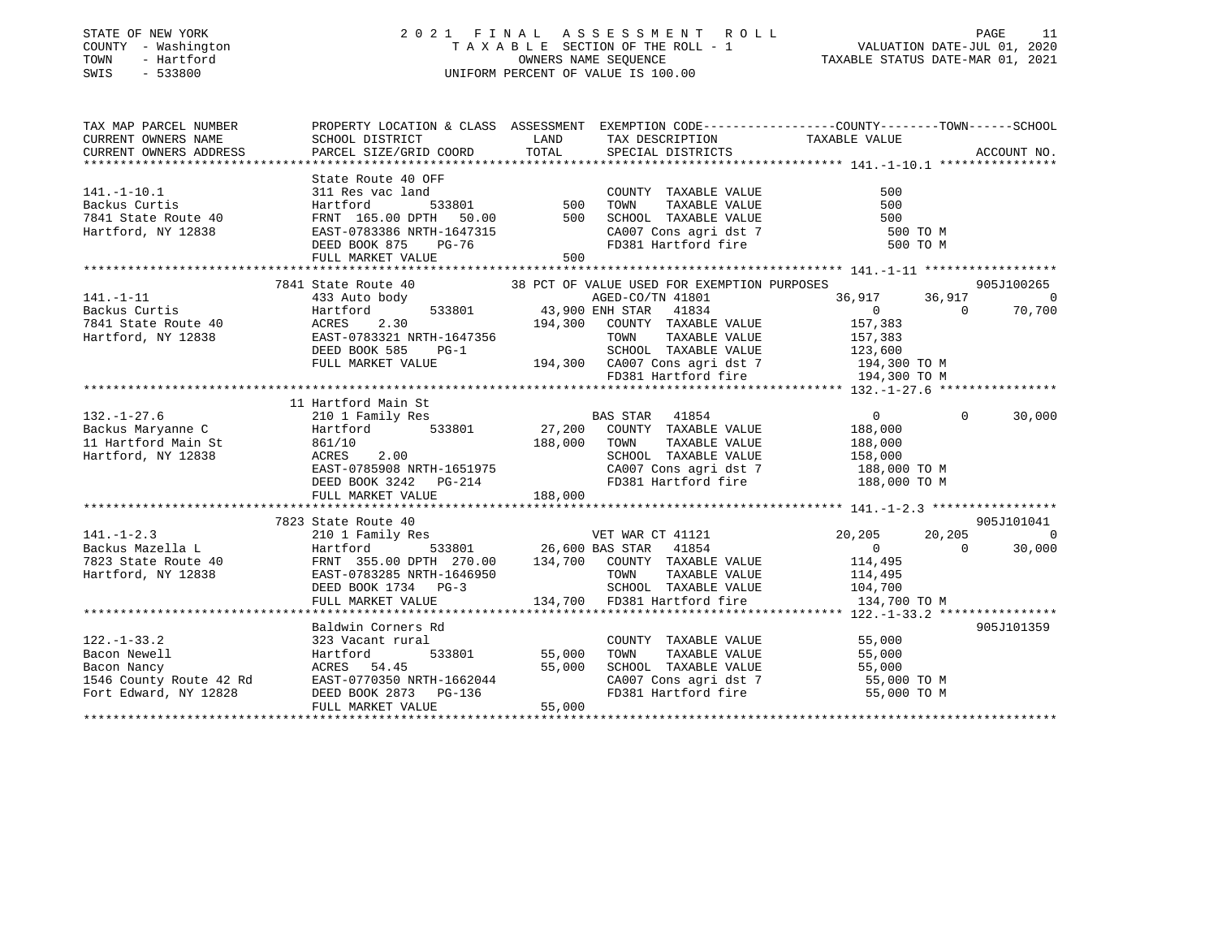### STATE OF NEW YORK 2 0 2 1 F I N A L A S S E S S M E N T R O L L PAGE 11 COUNTY - Washington T A X A B L E SECTION OF THE ROLL - 1 VALUATION DATE-JUL 01, 2020 TOWN - Hartford OWNERS NAME SEQUENCE TAXABLE STATUS DATE-MAR 01, 2021 SWIS - 533800 UNIFORM PERCENT OF VALUE IS 100.00

| TAX MAP PARCEL NUMBER<br>CURRENT OWNERS NAME                                                                                                                                                                                                     | PROPERTY LOCATION & CLASS ASSESSMENT EXEMPTION CODE---------------COUNTY-------TOWN-----SCHOOL<br>SCHOOL DISTRICT                                                   |                    | LAND TAX DESCRIPTION                                                                     |                                                                |                |             |
|--------------------------------------------------------------------------------------------------------------------------------------------------------------------------------------------------------------------------------------------------|---------------------------------------------------------------------------------------------------------------------------------------------------------------------|--------------------|------------------------------------------------------------------------------------------|----------------------------------------------------------------|----------------|-------------|
| CURRENT OWNERS ADDRESS                                                                                                                                                                                                                           | PARCEL SIZE/GRID COORD TOTAL SPECIAL DISTRICTS                                                                                                                      |                    |                                                                                          | TAXABLE VALUE                                                  |                | ACCOUNT NO. |
|                                                                                                                                                                                                                                                  |                                                                                                                                                                     |                    |                                                                                          |                                                                |                |             |
|                                                                                                                                                                                                                                                  |                                                                                                                                                                     |                    |                                                                                          |                                                                |                |             |
|                                                                                                                                                                                                                                                  |                                                                                                                                                                     |                    |                                                                                          | 500                                                            |                |             |
|                                                                                                                                                                                                                                                  |                                                                                                                                                                     |                    | TAXABLE VALUE<br>TAXABLE VALUE<br>TAXABLE VALUE                                          |                                                                |                |             |
|                                                                                                                                                                                                                                                  |                                                                                                                                                                     |                    |                                                                                          | 500<br>500                                                     |                |             |
| Hartford, NY 12838                                                                                                                                                                                                                               | EAST-0783386 NRTH-1647315<br>DEED BOOK 875 PG-76<br>FULL MARKET VALUE 500                                                                                           |                    |                                                                                          |                                                                |                |             |
|                                                                                                                                                                                                                                                  |                                                                                                                                                                     |                    |                                                                                          | CA007 Cons agri dst 7 500 TO M<br>FD381 Hartford fire 500 TO M |                |             |
|                                                                                                                                                                                                                                                  | FULL MARKET VALUE                                                                                                                                                   |                    |                                                                                          |                                                                |                |             |
|                                                                                                                                                                                                                                                  |                                                                                                                                                                     |                    |                                                                                          |                                                                |                |             |
|                                                                                                                                                                                                                                                  | 7841 State Route 40 38 PCT OF VALUE USED FOR EXEMPTION PURPOSES                                                                                                     |                    |                                                                                          |                                                                |                | 905J100265  |
|                                                                                                                                                                                                                                                  | 36, 917<br>433 Auto body<br>Hartford 533801 43, 900 ENH STAR 41834 0<br>ACRES 2.30 194, 300 COUNTY TAXABLE VALUE 157, 383<br>194, 300 COUNTY TAXABLE VALUE 157, 383 |                    |                                                                                          | 36,917 36,917                                                  |                | $\Omega$    |
|                                                                                                                                                                                                                                                  |                                                                                                                                                                     |                    |                                                                                          |                                                                | $\overline{0}$ | 70,700      |
|                                                                                                                                                                                                                                                  |                                                                                                                                                                     |                    |                                                                                          |                                                                |                |             |
|                                                                                                                                                                                                                                                  |                                                                                                                                                                     |                    |                                                                                          |                                                                |                |             |
|                                                                                                                                                                                                                                                  |                                                                                                                                                                     |                    |                                                                                          |                                                                |                |             |
|                                                                                                                                                                                                                                                  |                                                                                                                                                                     |                    |                                                                                          |                                                                |                |             |
|                                                                                                                                                                                                                                                  |                                                                                                                                                                     |                    |                                                                                          |                                                                |                |             |
|                                                                                                                                                                                                                                                  |                                                                                                                                                                     |                    |                                                                                          |                                                                |                |             |
|                                                                                                                                                                                                                                                  | 11 Hartford Main St                                                                                                                                                 |                    |                                                                                          |                                                                |                |             |
| 132.-1-27.6<br>132.-1-27.6<br>210 1 Family Res<br>210 1 Family Res<br>27,200 COUNTY TAXABLE VALUE<br>27,200 COUNTY TAXABLE VALUE<br>27,200 COUNTY TAXABLE VALUE<br>27,200 COUNTY TAXABLE VALUE<br>27,200 COUNTY TAXABLE VALUE<br>28,000 TOWN TAX |                                                                                                                                                                     |                    |                                                                                          | $\overline{0}$                                                 | $\Omega$       | 30,000      |
|                                                                                                                                                                                                                                                  |                                                                                                                                                                     |                    |                                                                                          | 188,000                                                        |                |             |
|                                                                                                                                                                                                                                                  |                                                                                                                                                                     |                    |                                                                                          |                                                                |                |             |
|                                                                                                                                                                                                                                                  |                                                                                                                                                                     |                    |                                                                                          |                                                                |                |             |
|                                                                                                                                                                                                                                                  |                                                                                                                                                                     |                    |                                                                                          |                                                                |                |             |
|                                                                                                                                                                                                                                                  |                                                                                                                                                                     |                    |                                                                                          |                                                                |                |             |
| 11 Hartford Main St and Startford Main St and Startford Main St and Startford Main St and Startford Main St and Startford Main St and Startford Main St and Startford Main St and Startford Main St and Startford Den Startfor                   |                                                                                                                                                                     |                    |                                                                                          |                                                                |                |             |
|                                                                                                                                                                                                                                                  |                                                                                                                                                                     |                    |                                                                                          |                                                                |                |             |
|                                                                                                                                                                                                                                                  | 7823 State Route 40                                                                                                                                                 |                    |                                                                                          |                                                                |                | 905J101041  |
| $141. - 1 - 2.3$                                                                                                                                                                                                                                 |                                                                                                                                                                     |                    |                                                                                          | 20,205                                                         | 20,205         | $\Omega$    |
|                                                                                                                                                                                                                                                  |                                                                                                                                                                     |                    |                                                                                          | $\overline{0}$                                                 | $\Omega$       | 30,000      |
|                                                                                                                                                                                                                                                  |                                                                                                                                                                     |                    |                                                                                          |                                                                |                |             |
| 7823 State Route 40 FRNT 355.00 DPTH 270.00 134,700 COUNTY TAXABLE VALUE 114,495<br>Hartford, NY 12838 EAST-0783285 NRTH-1646950 TOWN TAXABLE VALUE 114,495<br>DEED BOOK 1734 PG-3 SCHOOL TAXABLE VALUE 104,700                                  |                                                                                                                                                                     |                    |                                                                                          |                                                                |                |             |
|                                                                                                                                                                                                                                                  |                                                                                                                                                                     | TOWN<br>SCHOO      | SCHOOL TAXABLE VALUE 104,700                                                             |                                                                |                |             |
|                                                                                                                                                                                                                                                  | FULL MARKET VALUE                                                                                                                                                   |                    | 134,700 FD381 Hartford fire                                                              | 134,700 TO M                                                   |                |             |
|                                                                                                                                                                                                                                                  |                                                                                                                                                                     |                    |                                                                                          |                                                                |                |             |
|                                                                                                                                                                                                                                                  | Baldwin Corners Rd                                                                                                                                                  |                    |                                                                                          |                                                                |                | 905J101359  |
| $122. - 1 - 33.2$                                                                                                                                                                                                                                | 323 Vacant rural                                                                                                                                                    |                    |                                                                                          |                                                                |                |             |
|                                                                                                                                                                                                                                                  |                                                                                                                                                                     | 533801 55,000 TOWN | COUNTY TAXABLE VALUE 55,000<br>TOWN TAXABLE VALUE 55,000                                 |                                                                |                |             |
| 122.-1-33.2<br>Bacon Newell Hartford 533801 55,000<br>Bacon Nancy ACRES 54.45 55,000<br>1546 County Route 42 Rd EAST-0770350 NRTH-1662044<br>Fort Edward, NY 12828 DEED BOOK 2873 PG-136                                                         |                                                                                                                                                                     |                    |                                                                                          |                                                                |                |             |
|                                                                                                                                                                                                                                                  |                                                                                                                                                                     |                    | SCHOOL TAXABLE VALUE<br>SCHOOL TAXABLE VALUE 55,000<br>CA007 Cons agri dst 7 55,000 TO M |                                                                |                |             |
|                                                                                                                                                                                                                                                  |                                                                                                                                                                     |                    | CA007 Cons agri dst 7<br>FD381 Hartford fire                                             | 55,000 TO M                                                    |                |             |
|                                                                                                                                                                                                                                                  |                                                                                                                                                                     | 55,000             |                                                                                          |                                                                |                |             |
|                                                                                                                                                                                                                                                  | FULL MARKET VALUE                                                                                                                                                   |                    |                                                                                          |                                                                |                |             |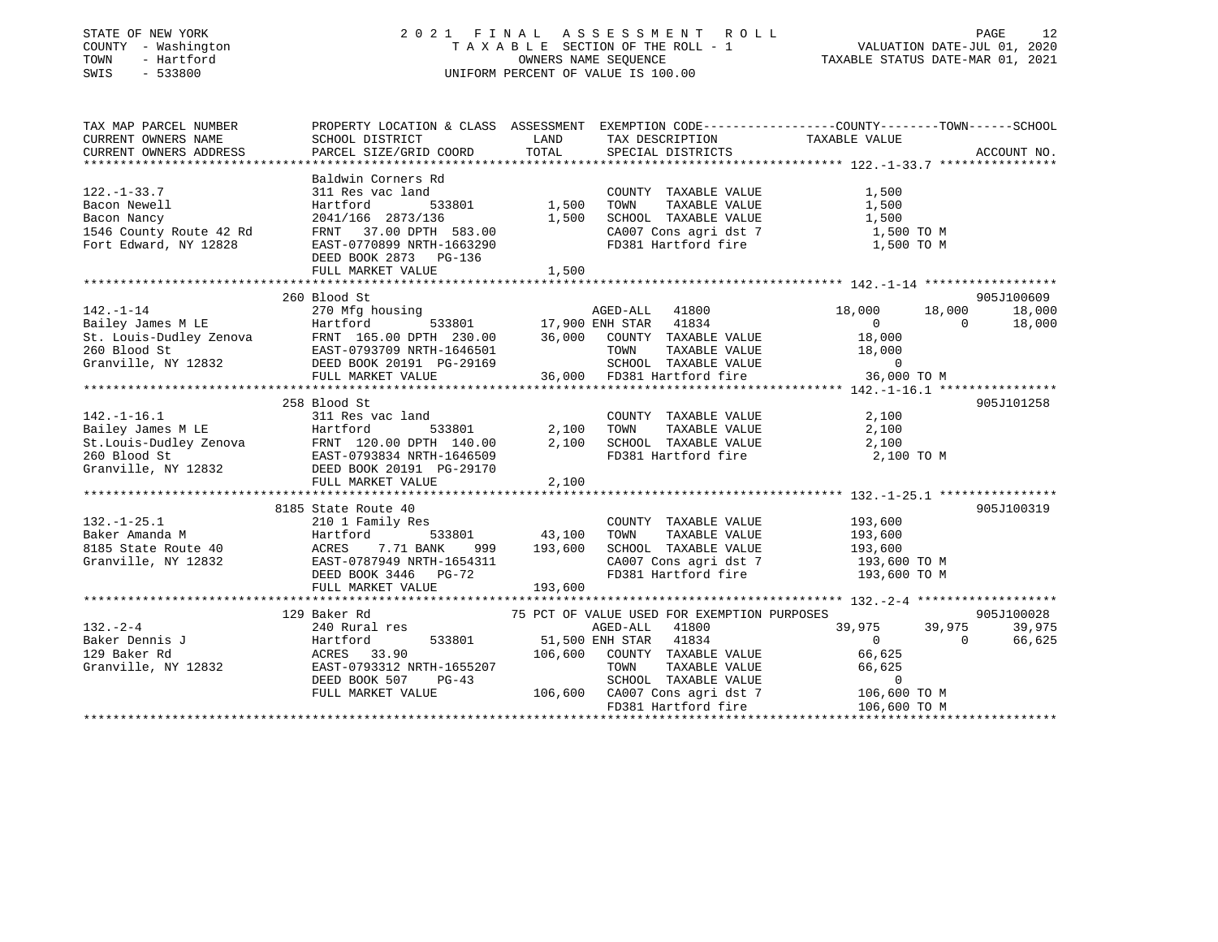### STATE OF NEW YORK 2 0 2 1 F I N A L A S S E S S M E N T R O L L PAGE 12 COUNTY - Washington T A X A B L E SECTION OF THE ROLL - 1 VALUATION DATE-JUL 01, 2020 TOWN - Hartford OWNERS NAME SEQUENCE TAXABLE STATUS DATE-MAR 01, 2021 SWIS - 533800 UNIFORM PERCENT OF VALUE IS 100.00

| TAX MAP PARCEL NUMBER<br>CURRENT OWNERS NAME<br>CURRENT OWNERS ADDRESS                                                     | PROPERTY LOCATION & CLASS ASSESSMENT EXEMPTION CODE----------------COUNTY-------TOWN------SCHOOL<br>SCHOOL DISTRICT<br>PARCEL SIZE/GRID COORD                                                                                    | LAND<br>TOTAL            | TAX DESCRIPTION<br>SPECIAL DISTRICTS                                                                                                                                                                               | TAXABLE VALUE                                                                                       | ACCOUNT NO.                                |
|----------------------------------------------------------------------------------------------------------------------------|----------------------------------------------------------------------------------------------------------------------------------------------------------------------------------------------------------------------------------|--------------------------|--------------------------------------------------------------------------------------------------------------------------------------------------------------------------------------------------------------------|-----------------------------------------------------------------------------------------------------|--------------------------------------------|
| $122. - 1 - 33.7$<br>Bacon Newell<br>Bacon Nancy<br>1546 County Route 42 Rd<br>Fort Edward, NY 12828                       | Baldwin Corners Rd<br>311 Res vac land<br>533801<br>Hartford<br>2041/166 2873/136<br>2041/166 2073/133<br>FRNT 37.00 DPTH 583.00<br>DEED BOOK 2873 PG-136                                                                        | 1,500<br>1,500           | COUNTY TAXABLE VALUE<br>TOWN<br>TAXABLE VALUE<br>SCHOOL TAXABLE VALUE                                                                                                                                              | 1,500<br>1,500<br>1,500<br>$CA007$ Cons agri dst 7 $1,500$ TO M<br>FD381 Hartford fire $1,500$ TO M |                                            |
|                                                                                                                            | FULL MARKET VALUE                                                                                                                                                                                                                | 1,500                    |                                                                                                                                                                                                                    |                                                                                                     |                                            |
|                                                                                                                            | 260 Blood St                                                                                                                                                                                                                     |                          |                                                                                                                                                                                                                    |                                                                                                     | 905J100609                                 |
| $142. - 1 - 14$<br>Bailey James M LE Hartford                                                                              | 270 Mfg housing<br>St. Louis-Dudley Zenova<br>260 Blood St<br>370-0793709 NRTH-1646501<br>370-29169<br>260 Blood St<br>371-1646501<br>271-1646501<br>2721-0793709 NRTH-1646501<br>2721-0793709 NRTH-1646501<br>FULL MARKET VALUE |                          | AGED-ALL 41800<br>533801 17,900 ENH STAR 41834<br>36,000 COUNTY TAXABLE VALUE<br>TAXABLE VALUE<br>TOWN<br>SCHOOL TAXABLE VALUE<br>36,000 FD381 Hartford fire                                                       | 18,000<br>18,000<br>$\overline{0}$<br>18,000<br>18,000<br>$\mathbf 0$<br>36,000 TO M                | 18,000<br>$\Omega$<br>18,000               |
|                                                                                                                            |                                                                                                                                                                                                                                  |                          |                                                                                                                                                                                                                    |                                                                                                     |                                            |
| $142. - 1 - 16.1$                                                                                                          | 258 Blood St<br>311 Res vac land<br>Pailey James M LE<br>Bailey James M LE<br>St.Louis-Dudley Zenova<br>260 Blood St<br>Granville, NY 12832<br>EED BOOK 20191 PG-29170<br>FULL MARKET VALUE                                      | 2,100<br>2,100<br>2,100  | COUNTY TAXABLE VALUE<br>TAXABLE VALUE<br>TOWN<br>SCHOOL TAXABLE VALUE<br>FD381 Hartford fire                                                                                                                       | 2,100<br>2,100<br>2,100<br>2,100 TO M                                                               | 905J101258                                 |
|                                                                                                                            |                                                                                                                                                                                                                                  |                          |                                                                                                                                                                                                                    |                                                                                                     |                                            |
| $132. - 1 - 25.1$<br>132.-1-25.1<br>Baker Amanda M<br>8185 State Route 40<br>Granville, NY 12832<br>DEED BOOK<br>DEED BOOK | 8185 State Route 40<br>210 1 Family Res<br>7.71 BANK<br>999<br>EAST-0787949 NRTH-1654311<br>DEED BOOK 3446 PG-72                                                                                                                 | 533801 43,100<br>193,600 | COUNTY TAXABLE VALUE<br>TAXABLE VALUE<br>TOWN<br>SCHOOL TAXABLE VALUE<br>CA007 Cons agri dst 7<br>FD381 Hartford fire                                                                                              | 193,600<br>193,600<br>193,600<br>193,600 TO M<br>193,600 TO M                                       | 905J100319                                 |
|                                                                                                                            | FULL MARKET VALUE                                                                                                                                                                                                                | 193,600                  |                                                                                                                                                                                                                    |                                                                                                     |                                            |
| $132 - 2 - 4$<br>Baker Dennis J<br>129 Baker Rd<br>Granville, NY 12832                                                     | 129 Baker Rd<br>240 Rural res<br>Hartford<br>533801<br>ACRES 33.90<br>EAST-0793312 M<br>EAST-0793312 NRTH-1655207<br>DEED BOOK 507<br>$PG-43$<br>FULL MARKET VALUE                                                               | 106,600<br>106,600       | 75 PCT OF VALUE USED FOR EXEMPTION PURPOSES<br>AGED-ALL<br>41800<br>51,500 ENH STAR 41834<br>COUNTY TAXABLE VALUE<br>TAXABLE VALUE<br>TOWN<br>SCHOOL TAXABLE VALUE<br>CA007 Cons agri dst 7<br>FD381 Hartford fire | 39,975<br>39,975<br>0<br>66,625<br>66,625<br>$\mathbf 0$<br>106,600 TO M<br>106,600 TO M            | 905J100028<br>39,975<br>$\Omega$<br>66,625 |
|                                                                                                                            |                                                                                                                                                                                                                                  |                          |                                                                                                                                                                                                                    |                                                                                                     |                                            |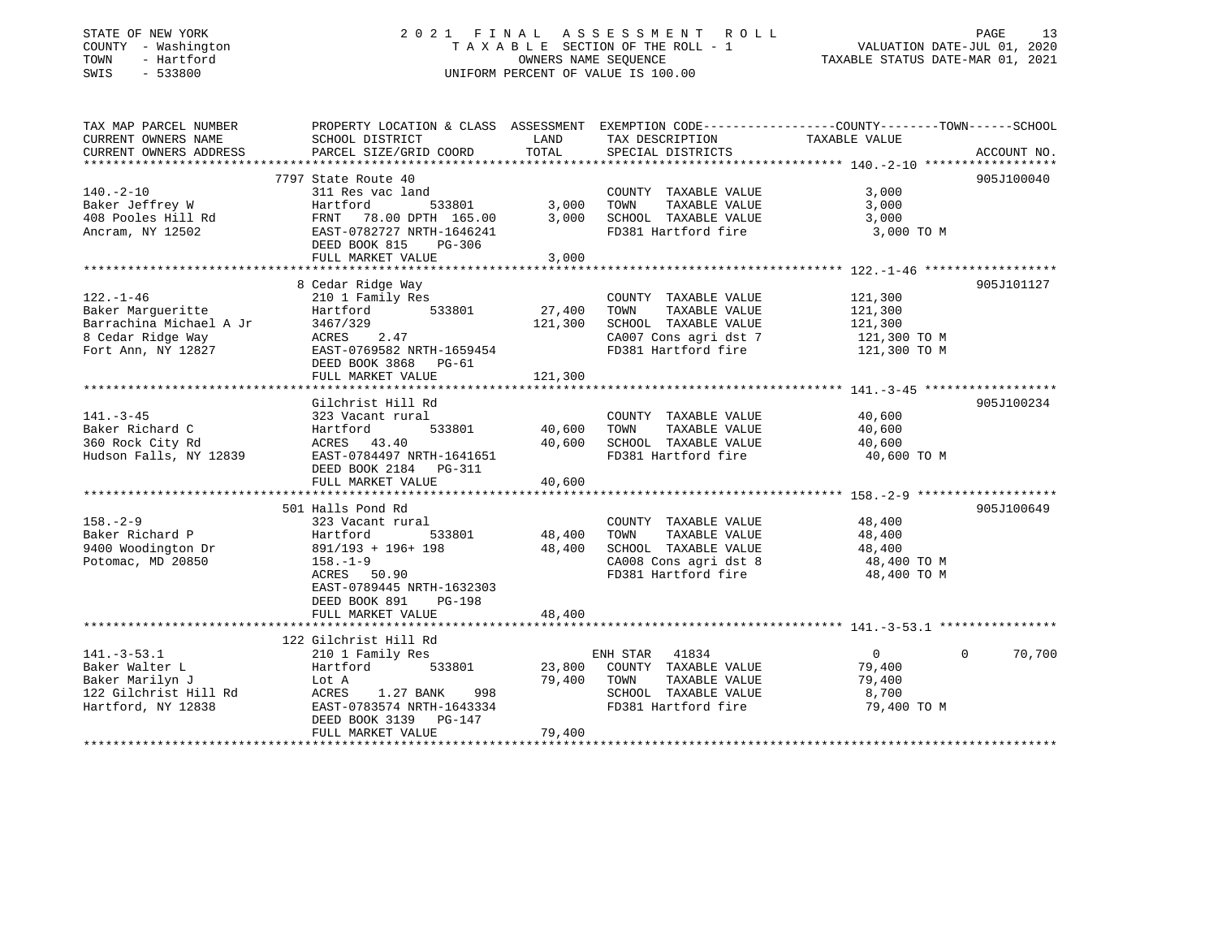### STATE OF NEW YORK 2 0 2 1 F I N A L A S S E S S M E N T R O L L PAGE 13COUNTY - Washington  $\begin{array}{ccc} 1 & 0 & 0 \\ -1 & 0 & 0 \end{array}$  T A X A B L E SECTION OF THE ROLL - 1 SWIS - 533800 UNIFORM PERCENT OF VALUE IS 100.00

VALUATION DATE-JUL 01, 2020

TAXABLE STATUS DATE-MAR 01, 2021

| TAX MAP PARCEL NUMBER                                                                                                           | PROPERTY LOCATION & CLASS ASSESSMENT EXEMPTION CODE----------------COUNTY-------TOWN------SCHOOL                                                                            |                                   |                                                                                                                       |                                                               |                    |
|---------------------------------------------------------------------------------------------------------------------------------|-----------------------------------------------------------------------------------------------------------------------------------------------------------------------------|-----------------------------------|-----------------------------------------------------------------------------------------------------------------------|---------------------------------------------------------------|--------------------|
| CURRENT OWNERS NAME<br>CURRENT OWNERS ADDRESS                                                                                   | SCHOOL DISTRICT<br>PARCEL SIZE/GRID COORD                                                                                                                                   | LAND<br>TOTAL                     | TAX DESCRIPTION<br>SPECIAL DISTRICTS                                                                                  | TAXABLE VALUE                                                 | ACCOUNT NO.        |
|                                                                                                                                 |                                                                                                                                                                             |                                   |                                                                                                                       |                                                               |                    |
| $140. -2 - 10$<br>Baker Jeffrey W<br>408 Pooles Hill Rd<br>Ancram, NY 12502                                                     | 7797 State Route 40<br>311 Res vac land<br>Hartford<br>FRNT 78.00 DPTH 165.00<br>EAST-0782727 NRTH-1646241<br>DEED BOOK 815<br>PG-306<br>FULL MARKET VALUE                  | 533801 3,000<br>3,000<br>3,000    | COUNTY TAXABLE VALUE<br>TOWN<br>TAXABLE VALUE<br>SCHOOL TAXABLE VALUE<br>FD381 Hartford fire                          | 3,000<br>3,000<br>3,000<br>3,000 TO M                         | 905J100040         |
|                                                                                                                                 | 8 Cedar Ridge Way                                                                                                                                                           |                                   |                                                                                                                       |                                                               | 905J101127         |
| $122. - 1 - 46$<br>Baker Marqueritte<br>Barrachina Michael A Jr<br>8 Cedar Ridge Way<br>o ceuar Kinge way<br>Fort Ann, NY 12827 | 210 1 Family Res<br>533801<br>Hartford<br>3467/329<br>ACRES 2.47<br>EAST-0769582 NRTH-1659454<br>DEED BOOK 3868 PG-61<br>FULL MARKET VALUE                                  | 27,400<br>121,300<br>121,300      | COUNTY TAXABLE VALUE<br>TAXABLE VALUE<br>TOWN<br>SCHOOL TAXABLE VALUE<br>CA007 Cons agri dst 7<br>FD381 Hartford fire | 121,300<br>121,300<br>121,300<br>121,300 TO M<br>121,300 TO M |                    |
|                                                                                                                                 |                                                                                                                                                                             |                                   |                                                                                                                       |                                                               |                    |
| $141. - 3 - 45$<br>Baker Richard C<br>360 Rock City Rd<br>Hudson Falls, NY 12839                                                | Gilchrist Hill Rd<br>323 Vacant rural<br>Hartford<br>ACRES 43.40<br>EAST-0784497 NRTH-1641651<br>DEED BOOK 2184 PG-311<br>FULL MARKET VALUE                                 | 533801 40,600<br>40,600<br>40,600 | COUNTY TAXABLE VALUE<br>TOWN<br>TAXABLE VALUE<br>SCHOOL TAXABLE VALUE<br>FD381 Hartford fire                          | 40,600<br>40,600<br>40,600<br>40,600 TO M                     | 905J100234         |
|                                                                                                                                 |                                                                                                                                                                             |                                   |                                                                                                                       |                                                               |                    |
| $158. - 2 - 9$<br>Baker Richard P<br>9400 Woodington Dr<br>Potomac, MD 20850                                                    | 501 Halls Pond Rd<br>323 Vacant rural<br>Bas vacan<br>533801<br>891/193 + 196+ 198<br>$158. - 1 - 9$<br>ACRES 50.90<br>EAST-0789445 NRTH-1632303<br>DEED BOOK 891<br>PG-198 | 48,400<br>48,400                  | COUNTY TAXABLE VALUE<br>TAXABLE VALUE<br>TOWN<br>SCHOOL TAXABLE VALUE<br>CA008 Cons agri dst 8<br>FD381 Hartford fire | 48,400<br>48,400<br>48,400<br>48,400 TO M<br>48,400 TO M      | 905J100649         |
|                                                                                                                                 | FULL MARKET VALUE                                                                                                                                                           | 48,400                            |                                                                                                                       |                                                               |                    |
|                                                                                                                                 | 122 Gilchrist Hill Rd                                                                                                                                                       |                                   |                                                                                                                       |                                                               |                    |
| $141. - 3 - 53.1$<br>Baker Walter L<br>Baker Marilyn J<br>122 Gilchrist Hill Rd<br>Hartford, NY 12838                           | 210 1 Family Res<br>Hartford 533801<br>Lot A<br>ACRES<br>1.27 BANK<br>998<br>EAST-0783574 NRTH-1643334<br>DEED BOOK 3139 PG-147<br>FULL MARKET VALUE                        | 23,800<br>79,400<br>79,400        | ENH STAR 41834<br>COUNTY TAXABLE VALUE<br>TAXABLE VALUE<br>TOWN<br>SCHOOL TAXABLE VALUE<br>FD381 Hartford fire        | $\overline{0}$<br>79,400<br>79,400<br>8,700<br>79,400 TO M    | $\Omega$<br>70,700 |
|                                                                                                                                 |                                                                                                                                                                             |                                   |                                                                                                                       |                                                               |                    |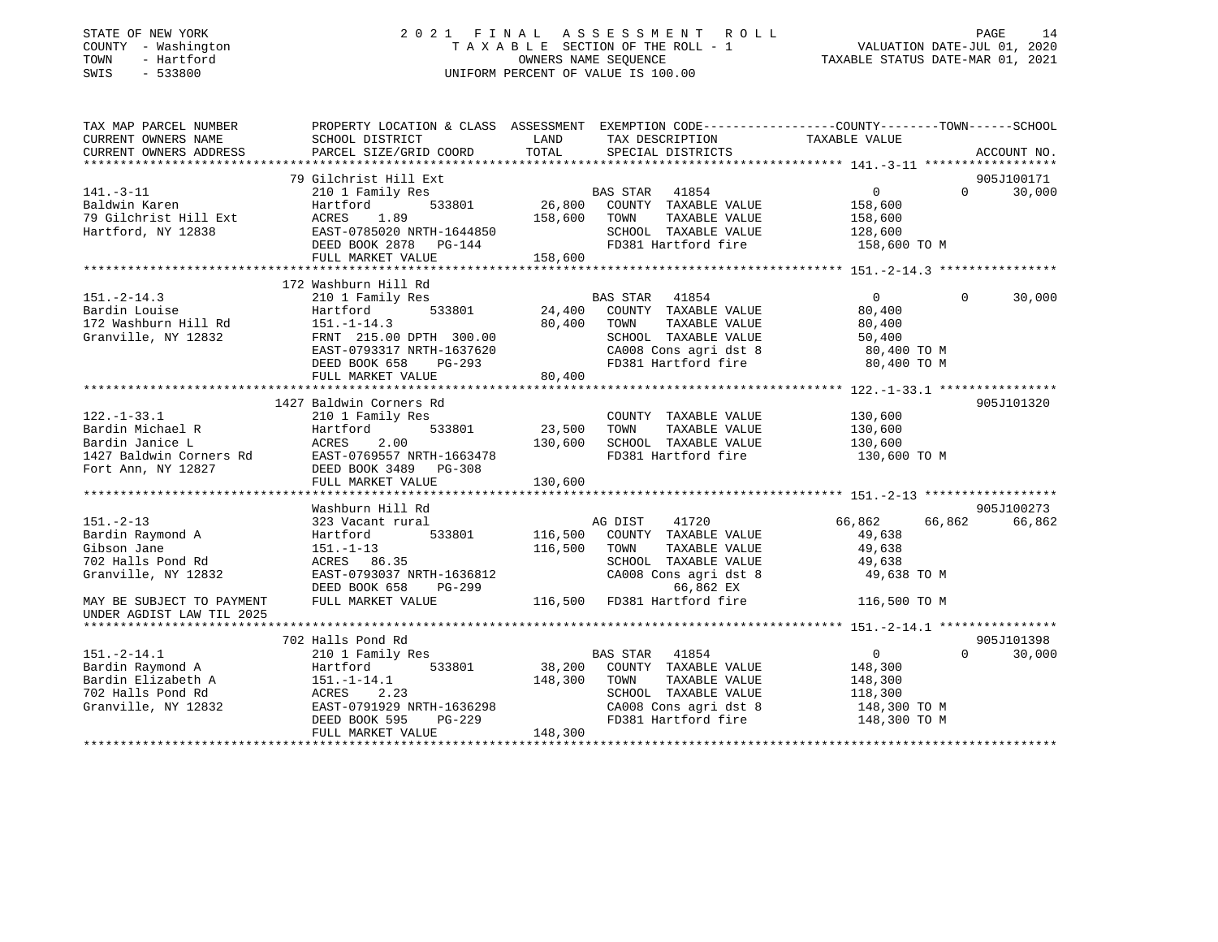### STATE OF NEW YORK 2 0 2 1 F I N A L A S S E S S M E N T R O L L PAGE 14 COUNTY - Washington T A X A B L E SECTION OF THE ROLL - 1 VALUATION DATE-JUL 01, 2020 TOWN - Hartford OWNERS NAME SEQUENCE TAXABLE STATUS DATE-MAR 01, 2021 SWIS - 533800 UNIFORM PERCENT OF VALUE IS 100.00

| TAX MAP PARCEL NUMBER                                   | PROPERTY LOCATION & CLASS ASSESSMENT EXEMPTION CODE----------------COUNTY-------TOWN------SCHOOL |               |                                                                       |                    |                    |
|---------------------------------------------------------|--------------------------------------------------------------------------------------------------|---------------|-----------------------------------------------------------------------|--------------------|--------------------|
| CURRENT OWNERS NAME<br>CURRENT OWNERS ADDRESS           | SCHOOL DISTRICT<br>PARCEL SIZE/GRID COORD                                                        | LAND<br>TOTAL | TAX DESCRIPTION<br>SPECIAL DISTRICTS                                  | TAXABLE VALUE      | ACCOUNT NO.        |
|                                                         |                                                                                                  |               |                                                                       |                    |                    |
|                                                         | 79 Gilchrist Hill Ext                                                                            |               |                                                                       |                    | 905J100171         |
| $141. - 3 - 11$                                         | 210 1 Family Res                                                                                 |               | BAS STAR 41854                                                        | $\overline{0}$     | $\Omega$<br>30,000 |
| Baldwin Karen                                           | 533801<br>Hartford                                                                               | 26,800        | COUNTY TAXABLE VALUE                                                  | 158,600            |                    |
| 79 Gilchrist Hill Ext                                   | ACRES<br>1.89                                                                                    | 158,600       | TOWN<br>TAXABLE VALUE                                                 | 158,600            |                    |
| Hartford, NY 12838                                      | EAST-0785020 NRTH-1644850                                                                        |               | SCHOOL TAXABLE VALUE                                                  | 128,600            |                    |
|                                                         | DEED BOOK 2878 PG-144                                                                            |               | FD381 Hartford fire 158,600 TO M                                      |                    |                    |
|                                                         | FULL MARKET VALUE                                                                                | 158,600       |                                                                       |                    |                    |
|                                                         |                                                                                                  |               |                                                                       |                    |                    |
|                                                         | 172 Washburn Hill Rd                                                                             |               |                                                                       |                    |                    |
| $151. - 2 - 14.3$                                       | 210 1 Family Res                                                                                 |               | BAS STAR<br>41854                                                     | $\Omega$           | 30,000<br>$\Omega$ |
| Bardin Louise                                           | 533801<br>Hartford                                                                               | 24,400        | COUNTY TAXABLE VALUE                                                  | 80,400             |                    |
| 172 Washburn Hill Rd                                    | $151. - 1 - 14.3$                                                                                | 80,400        | TAXABLE VALUE<br>TOWN                                                 | 80,400             |                    |
| Granville, NY 12832                                     | FRNT 215.00 DPTH 300.00                                                                          |               | SCHOOL TAXABLE VALUE<br>SCHOOL TAXABLE VALUE<br>CA008 Cons agri dst 8 | 50,400             |                    |
|                                                         | EAST-0793317 NRTH-1637620                                                                        |               |                                                                       | 80,400 TO M        |                    |
|                                                         | DEED BOOK 658<br>PG-293                                                                          | 80,400        | FD381 Hartford fire                                                   | 80,400 TO M        |                    |
|                                                         | FULL MARKET VALUE                                                                                |               |                                                                       |                    |                    |
|                                                         | 1427 Baldwin Corners Rd                                                                          |               |                                                                       |                    | 905J101320         |
|                                                         |                                                                                                  |               |                                                                       |                    |                    |
| $122. - 1 - 33.1$                                       | 210 1 Family Res<br>533801                                                                       |               | COUNTY TAXABLE VALUE                                                  | 130,600            |                    |
| Bardin Michael R                                        | Hartford                                                                                         | 23,500        | TOWN<br>TAXABLE VALUE                                                 | 130,600<br>130,600 |                    |
| Bardin Janice L                                         | ACRES<br>2.00                                                                                    | 130,600       | SCHOOL TAXABLE VALUE<br>FD381 Hartford fire                           |                    |                    |
| 1427 Baldwin Corners Rd                                 | EAST-0769557 NRTH-1663478                                                                        |               |                                                                       | 130,600 TO M       |                    |
| Fort Ann, NY 12827                                      | $\overline{D}$<br>DEED BOOK 3489 PG-308                                                          |               |                                                                       |                    |                    |
|                                                         | FULL MARKET VALUE                                                                                | 130,600       |                                                                       |                    |                    |
|                                                         | Washburn Hill Rd                                                                                 |               |                                                                       |                    | 905J100273         |
| $151. - 2 - 13$                                         | 323 Vacant rural                                                                                 |               | AG DIST<br>41720                                                      | 66,862             | 66,862<br>66,862   |
| Bardin Raymond A                                        | 533801<br>Hartford                                                                               | 116,500       | COUNTY TAXABLE VALUE                                                  | 49,638             |                    |
| Gibson Jane                                             | $151.-1-13$                                                                                      | 116,500       | TAXABLE VALUE<br>TOWN                                                 | 49,638             |                    |
| 702 Halls Pond Rd                                       | ACRES 86.35                                                                                      |               | SCHOOL TAXABLE VALUE                                                  | 49,638             |                    |
| Granville, NY 12832                                     | EAST-0793037 NRTH-1636812                                                                        |               | CA008 Cons agri dst 8                                                 | 49,638 TO M        |                    |
|                                                         | DEED BOOK 658<br>PG-299                                                                          |               | 66,862 EX                                                             |                    |                    |
| MAY BE SUBJECT TO PAYMENT                               | FULL MARKET VALUE                                                                                |               | 5-299 66,862 EX<br>116,500 FD381 Hartford fire                        | 116,500 TO M       |                    |
| UNDER AGDIST LAW TIL 2025                               |                                                                                                  |               |                                                                       |                    |                    |
|                                                         |                                                                                                  |               |                                                                       |                    |                    |
|                                                         | 702 Halls Pond Rd                                                                                |               |                                                                       |                    | 905J101398         |
| $151. - 2 - 14.1$                                       | 210 1 Family Res                                                                                 |               | BAS STAR 41854                                                        | $\overline{0}$     | $\Omega$<br>30,000 |
| Bardin Raymond A                                        | 533801<br>Hartford                                                                               | 38,200        | COUNTY TAXABLE VALUE                                                  | 148,300            |                    |
| Bardin Elizabeth A 151.-1-14<br>702 Halls Pond Rd ACRES | 151.-1-14.1                                                                                      | 148,300       | TAXABLE VALUE<br>TOWN                                                 | 148,300            |                    |
|                                                         | 2.23                                                                                             |               | SCHOOL TAXABLE VALUE                                                  | 118,300            |                    |
| Granville, NY 12832                                     | EAST-0791929 NRTH-1636298                                                                        |               | CA008 Cons agri dst 8                                                 | 148,300 TO M       |                    |
|                                                         | PG-229<br>DEED BOOK 595                                                                          |               | FD381 Hartford fire                                                   | 148,300 TO M       |                    |
|                                                         | FULL MARKET VALUE                                                                                | 148,300       |                                                                       |                    |                    |
|                                                         |                                                                                                  |               |                                                                       |                    |                    |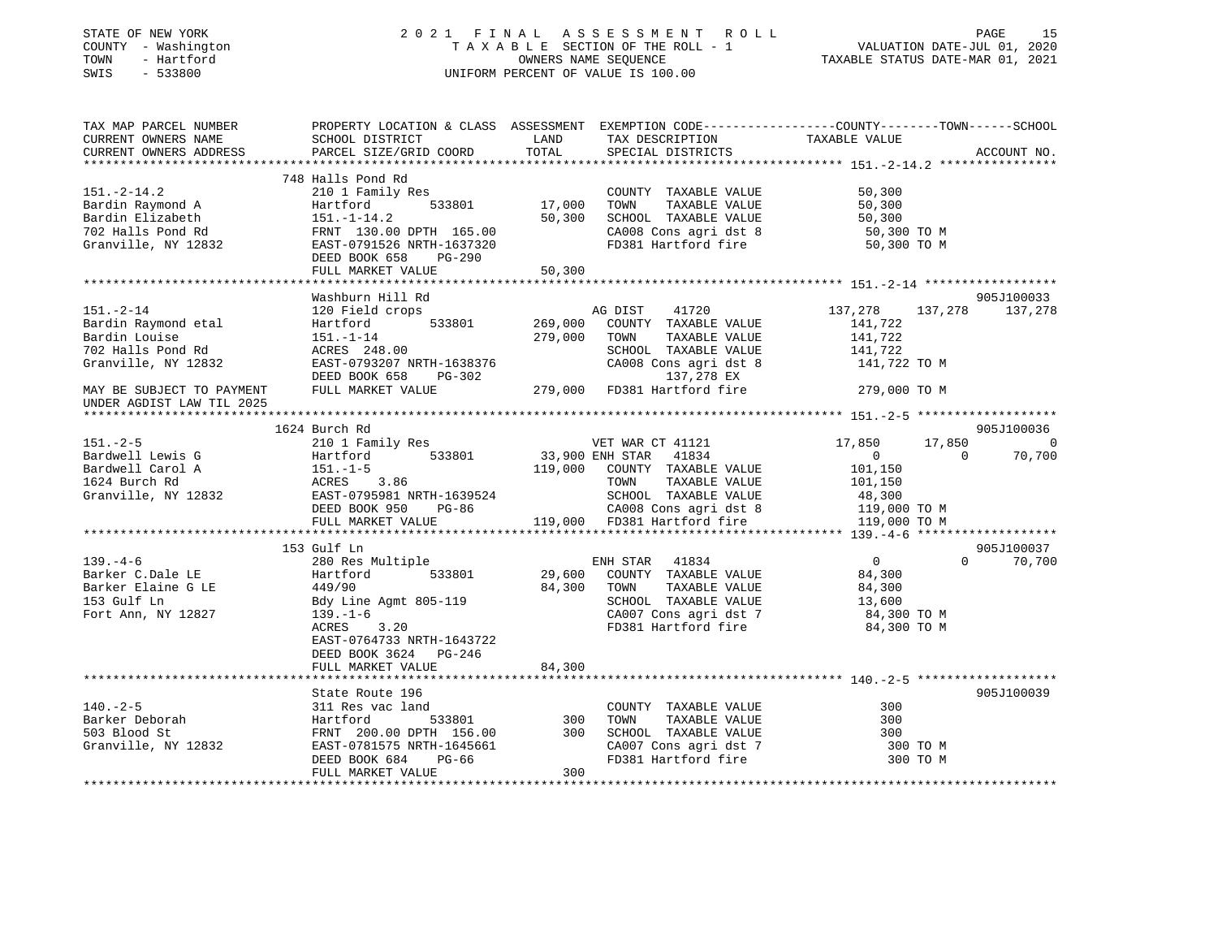| STATE OF NEW YORK<br>COUNTY - Washington<br>TOWN<br>- Hartford<br>SWIS<br>$-533800$                 |                                                                                                       |                    | 2021 FINAL ASSESSMENT ROLL<br>T A X A B L E SECTION OF THE ROLL - 1<br>OWNERS NAME SEQUENCE<br>UNIFORM PERCENT OF VALUE IS 100.00                     | VALUATION DATE-JUL 01, 2020<br>TAXABLE STATUS DATE-MAR 01, 2021     | PAGE<br>15         |
|-----------------------------------------------------------------------------------------------------|-------------------------------------------------------------------------------------------------------|--------------------|-------------------------------------------------------------------------------------------------------------------------------------------------------|---------------------------------------------------------------------|--------------------|
| TAX MAP PARCEL NUMBER<br>CURRENT OWNERS NAME<br>CURRENT OWNERS ADDRESS                              | SCHOOL DISTRICT<br>PARCEL SIZE/GRID COORD                                                             | LAND<br>TOTAL      | PROPERTY LOCATION & CLASS ASSESSMENT EXEMPTION CODE---------------COUNTY-------TOWN------SCHOOL<br>TAX DESCRIPTION TAXABLE VALUE<br>SPECIAL DISTRICTS |                                                                     | ACCOUNT NO.        |
|                                                                                                     |                                                                                                       |                    |                                                                                                                                                       |                                                                     |                    |
| $151 - 2 - 14.2$<br>Bardin Raymond A<br>Bardin Elizabeth                                            | 748 Halls Pond Rd<br>210 1 Family Res<br>Hartford<br>533801<br>$151. - 1 - 14.2$                      | 17,000<br>50,300   | COUNTY TAXABLE VALUE<br>TOWN<br>TAXABLE VALUE<br>SCHOOL TAXABLE VALUE                                                                                 | 50,300<br>50,300<br>50,300                                          |                    |
| 702 Halls Pond Rd<br>Granville, NY 12832                                                            | FRNT 130.00 DPTH 165.00<br>EAST-0791526 NRTH-1637320<br>DEED BOOK 658 PG-290<br>FULL MARKET VALUE     | 50,300             | CA008 Cons agri dst 8<br>FD381 Hartford fire                                                                                                          | 50,300 TO M<br>50,300 TO M                                          |                    |
|                                                                                                     |                                                                                                       |                    |                                                                                                                                                       |                                                                     |                    |
|                                                                                                     | Washburn Hill Rd                                                                                      |                    |                                                                                                                                                       |                                                                     | 905J100033         |
| $151. - 2 - 14$<br>Bardin Raymond etal<br>Bardin Louise<br>702 Halls Pond Rd<br>Granville, NY 12832 | 120 Field crops<br>533801<br>Hartford<br>$151. - 1 - 14$<br>ACRES 248.00<br>EAST-0793207 NRTH-1638376 | 269,000<br>279,000 | AG DIST<br>41720<br>COUNTY TAXABLE VALUE<br>TOWN<br>TAXABLE VALUE<br>SCHOOL TAXABLE VALUE<br>CA008 Cons agri dst 8                                    | 137,278<br>137,278<br>141,722<br>141,722<br>141,722<br>141,722 TO M | 137,278            |
|                                                                                                     | DEED BOOK 658 PG-302                                                                                  |                    | 137,278 EX                                                                                                                                            |                                                                     |                    |
| MAY BE SUBJECT TO PAYMENT<br>UNDER AGDIST LAW TIL 2025                                              | FULL MARKET VALUE                                                                                     |                    | 279,000 FD381 Hartford fire                                                                                                                           | 279,000 TO M                                                        |                    |
|                                                                                                     | 1624 Burch Rd                                                                                         |                    |                                                                                                                                                       |                                                                     | 905J100036         |
| $151. - 2 - 5$                                                                                      | 210 1 Family Res                                                                                      |                    |                                                                                                                                                       | 17,850<br>17,850                                                    | $\sim$ 0           |
| Bardwell Lewis G                                                                                    | Hartford 533801                                                                                       |                    | 33,900 ENH STAR 41834                                                                                                                                 | $\sim$ 0<br>$\sim$ 0                                                | 70,700             |
| Bardwell Carol A                                                                                    | $151. - 1 - 5$                                                                                        |                    | 119,000 COUNTY TAXABLE VALUE                                                                                                                          | 101,150                                                             |                    |
| 1624 Burch Rd                                                                                       | ACRES 3.86                                                                                            |                    | TAXABLE VALUE<br>TOWN                                                                                                                                 | 101,150                                                             |                    |
| Granville, NY 12832                                                                                 | EAST-0795981 NRTH-1639524                                                                             |                    | SCHOOL TAXABLE VALUE                                                                                                                                  | 48,300                                                              |                    |
|                                                                                                     | DEED BOOK 950 PG-86                                                                                   |                    | CA008 Cons agri dst 8                                                                                                                                 | 119,000 TO M                                                        |                    |
|                                                                                                     |                                                                                                       |                    | FULL MARKET VALUE 119,000 FD381 Hartford fire                                                                                                         | 119,000 TO M                                                        |                    |
|                                                                                                     |                                                                                                       |                    |                                                                                                                                                       |                                                                     |                    |
|                                                                                                     | 153 Gulf Ln                                                                                           |                    |                                                                                                                                                       |                                                                     | 905J100037         |
| $139. -4 - 6$                                                                                       | 280 Res Multiple                                                                                      |                    | ENH STAR 41834                                                                                                                                        | $\overline{0}$                                                      | 70,700<br>$\Omega$ |
| Barker C.Dale LE<br>Barker Elaine G LE                                                              | Hartford<br>533801                                                                                    | 29,600             | COUNTY TAXABLE VALUE                                                                                                                                  | 84,300                                                              |                    |
| 153 Gulf Ln                                                                                         | 449/90<br>Bdy Line Agmt 805-119                                                                       | 84,300             | TOWN<br>TAXABLE VALUE<br>SCHOOL TAXABLE VALUE                                                                                                         | 84,300<br>13,600                                                    |                    |
| Fort Ann, NY 12827                                                                                  | $139. - 1 - 6$                                                                                        |                    | CA007 Cons agri dst 7                                                                                                                                 | 84,300 TO M                                                         |                    |
|                                                                                                     | 3.20<br>ACRES<br>EAST-0764733 NRTH-1643722<br>DEED BOOK 3624 PG-246<br>FULL MARKET VALUE              | 84,300             | FD381 Hartford fire                                                                                                                                   | 84,300 TO M                                                         |                    |
|                                                                                                     |                                                                                                       |                    |                                                                                                                                                       |                                                                     |                    |
|                                                                                                     | State Route 196                                                                                       |                    |                                                                                                                                                       |                                                                     | 905J100039         |
| $140. - 2 - 5$                                                                                      | 311 Res vac land                                                                                      |                    | COUNTY TAXABLE VALUE                                                                                                                                  | 300                                                                 |                    |
| Barker Deborah                                                                                      | 533801<br>Hartford                                                                                    | 300                | TAXABLE VALUE<br>TOWN                                                                                                                                 | 300                                                                 |                    |
| 503 Blood St                                                                                        | FRNT 200.00 DPTH 156.00                                                                               | 300                | SCHOOL TAXABLE VALUE                                                                                                                                  | 300                                                                 |                    |
| Granville, NY 12832                                                                                 | EAST-0781575 NRTH-1645661                                                                             |                    | CA007 Cons agri dst 7                                                                                                                                 | 300 TO M                                                            |                    |
|                                                                                                     | DEED BOOK 684<br>PG-66<br>FULL MARKET VALUE                                                           | 300                | FD381 Hartford fire                                                                                                                                   | 300 TO M<br>****************************                            |                    |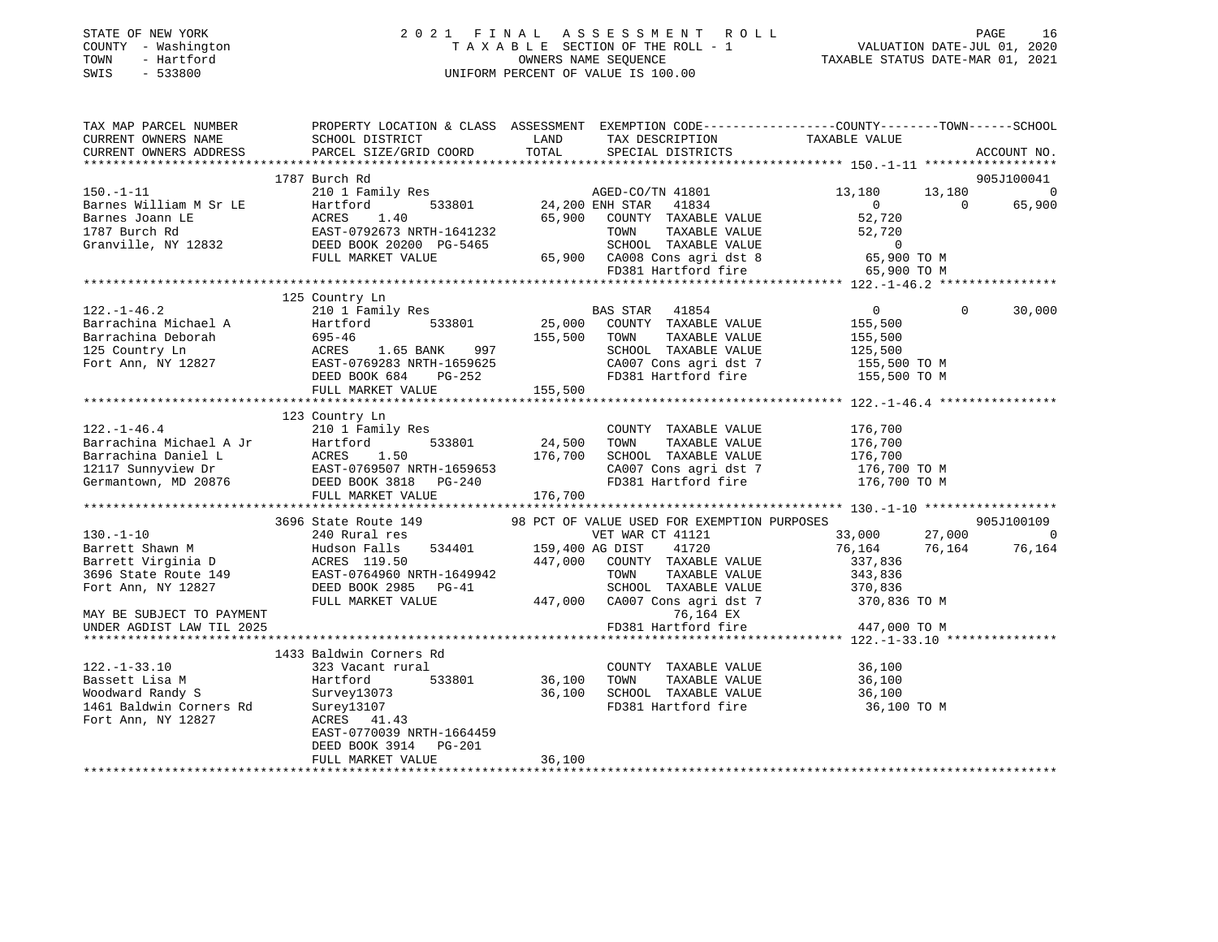| STATE OF NEW YORK      |                                                                                                 |             | 2021 FINAL ASSESSMENT ROLL         |                                  | 16<br>PAGE  |
|------------------------|-------------------------------------------------------------------------------------------------|-------------|------------------------------------|----------------------------------|-------------|
| - Washington<br>COUNTY |                                                                                                 |             | TAXABLE SECTION OF THE ROLL - 1    | VALUATION DATE-JUL 01, 2020      |             |
| - Hartford<br>TOWN     |                                                                                                 |             | OWNERS NAME SEQUENCE               | TAXABLE STATUS DATE-MAR 01, 2021 |             |
| $-533800$<br>SWIS      |                                                                                                 |             | UNIFORM PERCENT OF VALUE IS 100.00 |                                  |             |
|                        |                                                                                                 |             |                                    |                                  |             |
|                        |                                                                                                 |             |                                    |                                  |             |
| TAX MAP PARCEL NUMBER  | PROPERTY LOCATION & CLASS ASSESSMENT EXEMPTION CODE---------------COUNTY-------TOWN------SCHOOL |             |                                    |                                  |             |
| CURRENT OWNERS NAME    | SCHOOL DISTRICT                                                                                 | <b>LAND</b> | TAX DESCRIPTION TAXABLE VALUE      |                                  |             |
| CURRENT OWNERS ADDRESS | PARCEL SIZE/GRID COORD TOTAL                                                                    |             | SPECIAL DISTRICTS                  |                                  | ACCOUNT NO. |
|                        |                                                                                                 |             |                                    |                                  |             |
|                        | 1787 Burch Rd                                                                                   |             |                                    |                                  | 905J100041  |
| $150. -1 - 11$         | 210 1 Family Res AGED-CO/TN 41801                                                               |             |                                    | 13,180 13,180                    |             |
| Barnes William M Sr LE | Hartford 533801 24,200 ENH STAR 41834                                                           |             |                                    | $\Omega$<br>$\Omega$             | 65,900      |
| Barnes Joann LE        | ACRES 1.40                                                                                      | 65,900      | COUNTY TAXABLE VALUE               | 52,720                           |             |
| 1787 Burch Rd          | EAST-0792673 NRTH-1641232                                                                       |             | TOWN<br>TAXABLE VALUE              | 52,720                           |             |
| Granville, NY 12832    | DEED BOOK 20200 PG-5465                                                                         |             | TAXABLE VALUE<br>SCHOOL            | $\sim$ 0                         |             |
|                        | FULL MARKET VALUE                                                                               | 65,900      | CA008 Cons agri dst 8 65,900 TO M  |                                  |             |
|                        |                                                                                                 |             | FD381 Hartford fire 65,900 TO M    |                                  |             |
|                        |                                                                                                 |             |                                    |                                  |             |
|                        | 125 Country Ln                                                                                  |             |                                    |                                  |             |
|                        | 122.-1-46.2 210 1 Family Res                                                                    |             | 41854<br>BAS STAR                  | $\Omega$<br>$\overline{0}$       | 30,000      |
| Barrachina Michael A   | Hartford<br>533801                                                                              | 25,000      | COUNTY TAXABLE VALUE               | 155,500                          |             |
| Barrachina Deborah     | $695 - 46$                                                                                      | 155,500     | TAXABLE VALUE<br>TOWN              | 155,500                          |             |

DEED BOOK 684 PG-252 FD381 Hartford fire 155,500 TO M

FULL MARKET VALUE 447,000 CA007 Cons agri dst 7 370,836 TO M

3696 State Route 149 98 PCT OF VALUE USED FOR EXEMPTION PURPOSES 905J100109

76,164 EX

 $\begin{array}{cccc} 33\,, 000 & \quad & 27\,, 000 & \quad & 0 \\ 76\,, 164 & \quad & 76\,, 164 & \quad & 76\,, 164 \\ 337\,, 836 & \quad & \end{array}$ 

\*\*\*\*\*\*\*\*\*\*\*\*\*\*\*\*\*\*\*\*\*\*\*\*\*\*\*\*\*\*\*\*\*\*\*\*\*\*\*\*\*\*\*\*\*\*\*\*\*\*\*\*\*\*\*\*\*\*\*\*\*\*\*\*\*\*\*\*\*\*\*\*\*\*\*\*\*\*\*\*\*\*\*\*\*\*\*\*\*\*\*\*\*\*\*\*\*\*\*\*\*\*\* 122.-1-46.4 \*\*\*\*\*\*\*\*\*\*\*\*\*\*\*\*

\*\*\*\*\*\*\*\*\*\*\*\*\*\*\*\*\*\*\*\*\*\*\*\*\*\*\*\*\*\*\*\*\*\*\*\*\*\*\*\*\*\*\*\*\*\*\*\*\*\*\*\*\*\*\*\*\*\*\*\*\*\*\*\*\*\*\*\*\*\*\*\*\*\*\*\*\*\*\*\*\*\*\*\*\*\*\*\*\*\*\*\*\*\*\*\*\*\*\*\*\*\*\* 130.-1-10 \*\*\*\*\*\*\*\*\*\*\*\*\*\*\*\*\*\*

130.-1-10 240 Rural res VET WAR CT 41121 33,000 27,000 0 Barrett Shawn M Hudson Falls 534401 159,400 AG DIST 41720 76,164 76,164 76,164

\*\*\*\*\*\*\*\*\*\*\*\*\*\*\*\*\*\*\*\*\*\*\*\*\*\*\*\*\*\*\*\*\*\*\*\*\*\*\*\*\*\*\*\*\*\*\*\*\*\*\*\*\*\*\*\*\*\*\*\*\*\*\*\*\*\*\*\*\*\*\*\*\*\*\*\*\*\*\*\*\*\*\*\*\*\*\*\*\*\*\*\*\*\*\*\*\*\*\*\*\*\*\* 122.-1-33.10 \*\*\*\*\*\*\*\*\*\*\*\*\*\*\*

\*\*\*\*\*\*\*\*\*\*\*\*\*\*\*\*\*\*\*\*\*\*\*\*\*\*\*\*\*\*\*\*\*\*\*\*\*\*\*\*\*\*\*\*\*\*\*\*\*\*\*\*\*\*\*\*\*\*\*\*\*\*\*\*\*\*\*\*\*\*\*\*\*\*\*\*\*\*\*\*\*\*\*\*\*\*\*\*\*\*\*\*\*\*\*\*\*\*\*\*\*\*\*\*\*\*\*\*\*\*\*\*\*\*\*\*\*\*\*\*\*\*\*\*\*\*\*\*\*\*\*\*

125 Country Ln ACRES 1.65 BANK 997 SCHOOL TAXABLE VALUE 125,500 Fort Ann, NY 12827 EAST-0769283 NRTH-1659625 CA007 Cons agri dst 7 155,500 TO M

122.-1-46.4 210 1 Family Res COUNTY TAXABLE VALUE 176,700 Barrachina Michael A Jr Hartford 533801 24,500 TOWN TAXABLE VALUE 176,700 Barrachina Daniel L ACRES 1.50 176,700 SCHOOL TAXABLE VALUE 176,700 12117 Sunnyview Dr EAST-0769507 NRTH-1659653 CA007 Cons agri dst 7 176,700 TO M Germantown, MD 20876 DEED BOOK 3818 PG-240 FD381 Hartford fire 176,700 TO M

Barrett Virginia D ACRES 119.50 447,000 COUNTY TAXABLE VALUE 337,836 3696 State Route 149 EAST-0764960 NRTH-1649942 TOWN TAXABLE VALUE 343,836 Fort Ann, NY 12827 DEED BOOK 2985 PG-41 SCHOOL TAXABLE VALUE 370,836

 122.-1-33.10 323 Vacant rural COUNTY TAXABLE VALUE 36,100 Bassett Lisa M Hartford 533801 36,100 TOWN TAXABLE VALUE 36,100 Woodward Randy S Survey13073 36,100 SCHOOL TAXABLE VALUE 36,100 1461 Baldwin Corners Rd Surey13107 FD381 Hartford fire 36,100 TO M

UNDER AGDIST LAW TIL 2025 TO A 1999 TO ME TO A 1999 TO ME TO A 1999 TO ME TO A 1999 TO ME TO A 1999 TO ME TO A

FULL MARKET VALUE 155,500

FULL MARKET VALUE 176,700

123 Country Ln

1433 Baldwin Corners Rd

DEED BOOK 3914 PG-201

FULL MARKET VALUE 36,100

Fort Ann, NY 12827 ACRES 41.43 EAST-0770039 NRTH-1664459

MAY BE SUBJECT TO PAYMENT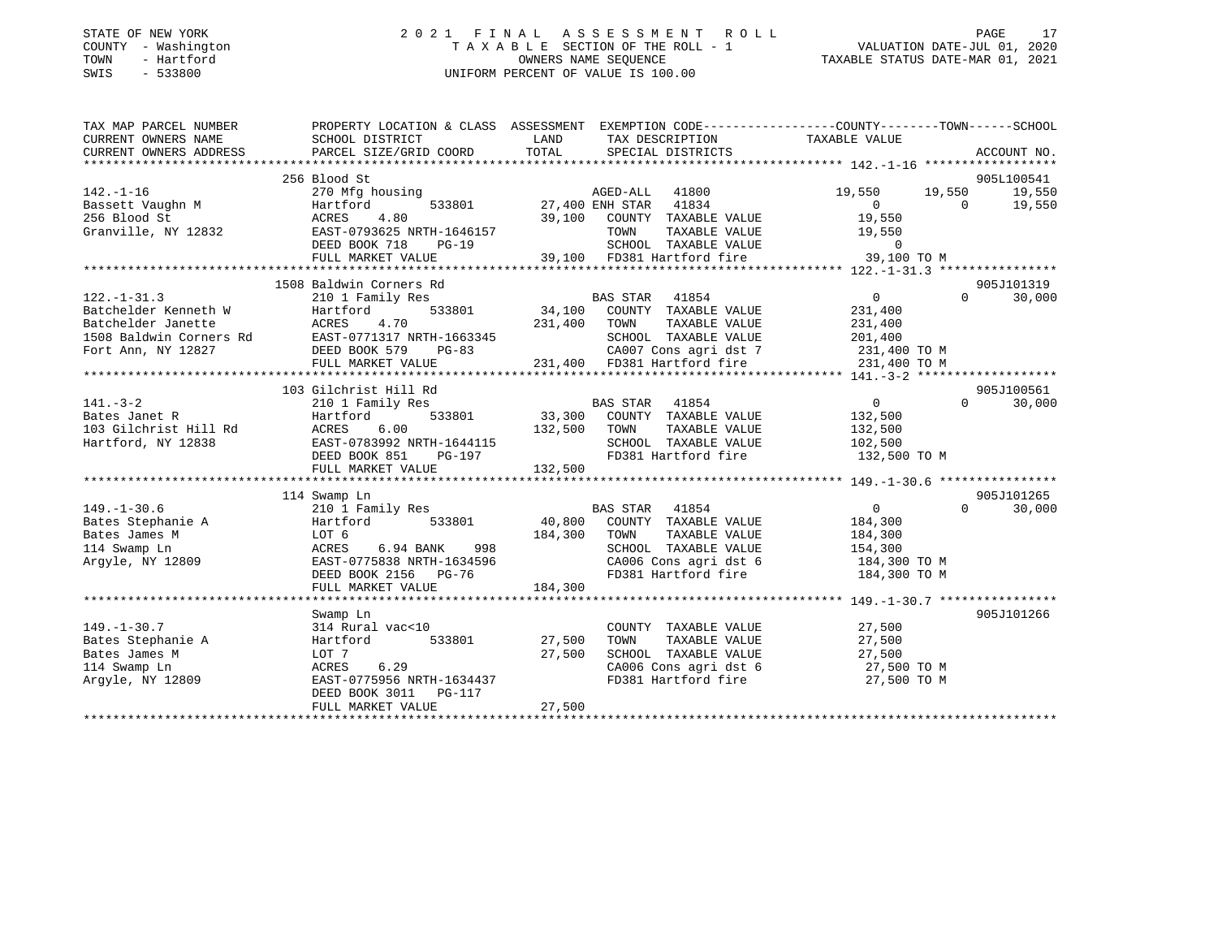### STATE OF NEW YORK 2 0 2 1 F I N A L A S S E S S M E N T R O L L PAGE 17 COUNTY - Washington T A X A B L E SECTION OF THE ROLL - 1 VALUATION DATE-JUL 01, 2020 TOWN - Hartford OWNERS NAME SEQUENCE TAXABLE STATUS DATE-MAR 01, 2021 SWIS - 533800 UNIFORM PERCENT OF VALUE IS 100.00

| TAX MAP PARCEL NUMBER                                                                                                                                                                                                               | PROPERTY LOCATION & CLASS ASSESSMENT EXEMPTION CODE---------------COUNTY-------TOWN-----SCHOOL                                                                                                                                         |                                    |                                                                                     |                                              |          |             |
|-------------------------------------------------------------------------------------------------------------------------------------------------------------------------------------------------------------------------------------|----------------------------------------------------------------------------------------------------------------------------------------------------------------------------------------------------------------------------------------|------------------------------------|-------------------------------------------------------------------------------------|----------------------------------------------|----------|-------------|
| CURRENT OWNERS NAME                                                                                                                                                                                                                 | SCHOOL DISTRICT                                                                                                                                                                                                                        | LAND                               | TAX DESCRIPTION TAXABLE VALUE                                                       |                                              |          |             |
| CURRENT OWNERS ADDRESS                                                                                                                                                                                                              | PARCEL SIZE/GRID COORD                                                                                                                                                                                                                 | TOTAL                              | SPECIAL DISTRICTS                                                                   |                                              |          | ACCOUNT NO. |
|                                                                                                                                                                                                                                     |                                                                                                                                                                                                                                        |                                    |                                                                                     |                                              |          |             |
|                                                                                                                                                                                                                                     |                                                                                                                                                                                                                                        |                                    |                                                                                     |                                              |          | 905L100541  |
|                                                                                                                                                                                                                                     | Hartford 533801 AGED-ALL 41800 19,550 19,550 19,550 19,550<br>ACRES 4.80 39,100 COUNTY TAXABLE VALUE 10,550 19,550 19,550<br>EAST-0793625 NRTH-1646157 TOWN TAXABLE VALUE 12,550<br>EAST-0793625 NRTH-1646157 TOWN TAXABLE VALUE 12,50 |                                    |                                                                                     |                                              |          |             |
|                                                                                                                                                                                                                                     |                                                                                                                                                                                                                                        |                                    |                                                                                     |                                              |          |             |
|                                                                                                                                                                                                                                     |                                                                                                                                                                                                                                        |                                    |                                                                                     |                                              |          |             |
|                                                                                                                                                                                                                                     |                                                                                                                                                                                                                                        |                                    |                                                                                     |                                              |          |             |
|                                                                                                                                                                                                                                     |                                                                                                                                                                                                                                        |                                    |                                                                                     |                                              |          |             |
|                                                                                                                                                                                                                                     |                                                                                                                                                                                                                                        |                                    |                                                                                     |                                              |          |             |
| 330 51000 50<br>Granville, NY 12832 5 EAST-0793625 NRTH-1646157 50000 70 526 5 NRTH-1646157 50000 74XABLE VALUE<br>EED BOOK 718 PG-19 55,100 FD381 Hartford fire 39,100 TO M<br>FULL MARKET VALUE 39,100 FD381 Hartford fire 39,100 |                                                                                                                                                                                                                                        |                                    |                                                                                     |                                              |          |             |
|                                                                                                                                                                                                                                     | 1508 Baldwin Corners Rd                                                                                                                                                                                                                |                                    |                                                                                     |                                              |          | 905J101319  |
|                                                                                                                                                                                                                                     |                                                                                                                                                                                                                                        |                                    |                                                                                     |                                              | $\cap$   | 30,000      |
|                                                                                                                                                                                                                                     |                                                                                                                                                                                                                                        |                                    |                                                                                     |                                              |          |             |
|                                                                                                                                                                                                                                     |                                                                                                                                                                                                                                        |                                    |                                                                                     |                                              |          |             |
|                                                                                                                                                                                                                                     |                                                                                                                                                                                                                                        |                                    |                                                                                     |                                              |          |             |
|                                                                                                                                                                                                                                     |                                                                                                                                                                                                                                        |                                    |                                                                                     |                                              |          |             |
|                                                                                                                                                                                                                                     |                                                                                                                                                                                                                                        |                                    |                                                                                     |                                              |          |             |
|                                                                                                                                                                                                                                     |                                                                                                                                                                                                                                        |                                    |                                                                                     |                                              |          |             |
|                                                                                                                                                                                                                                     |                                                                                                                                                                                                                                        |                                    |                                                                                     |                                              |          | 905J100561  |
| $141. - 3 - 2$                                                                                                                                                                                                                      | 210 1 Family Res                                                                                                                                                                                                                       |                                    | BAS STAR 41854                                                                      | $\overline{0}$                               | $\Omega$ | 30,000      |
| Bates Janet R<br>103 Gilchrist Hill Rd<br>103 Gilchrist Hill Rd<br>103 Gilchrist Hill Rd<br>103 Gilchrist Hill Rd<br>103 Gilchrist Hill Rd<br>103 Gilchrist Hill Rd<br>103 Gilchrist Hill Rd                                        |                                                                                                                                                                                                                                        |                                    | $\overline{1}$ 533801 33,300 COUNTY TAXABLE VALUE<br>.00 132,500 TOWN TAXABLE VALUE | 132,500<br>132,500                           |          |             |
|                                                                                                                                                                                                                                     |                                                                                                                                                                                                                                        |                                    |                                                                                     |                                              |          |             |
| Hartford, NY 12838 EAST-0783992 NRTH-1644115                                                                                                                                                                                        |                                                                                                                                                                                                                                        |                                    | SCHOOL TAXABLE VALUE 102,500                                                        |                                              |          |             |
|                                                                                                                                                                                                                                     | DEED BOOK 851 PG-197                                                                                                                                                                                                                   |                                    | FD381 Hartford fire                                                                 | 132,500 TO M                                 |          |             |
|                                                                                                                                                                                                                                     | FULL MARKET VALUE                                                                                                                                                                                                                      | 132,500                            |                                                                                     |                                              |          |             |
|                                                                                                                                                                                                                                     |                                                                                                                                                                                                                                        |                                    |                                                                                     |                                              |          |             |
|                                                                                                                                                                                                                                     | 114 Swamp Ln                                                                                                                                                                                                                           |                                    |                                                                                     |                                              |          | 905J101265  |
| $149. - 1 - 30.6$                                                                                                                                                                                                                   | 210 1 Family Res                                                                                                                                                                                                                       |                                    | BAS STAR 41854                                                                      | $\overline{0}$                               | $\Omega$ | 30,000      |
| Bates Stephanie A Martford 533801<br>Bates James M LOT 6                                                                                                                                                                            |                                                                                                                                                                                                                                        | 184,300 COUNTY<br>998 184,300 TOWN | 40,800 COUNTY TAXABLE VALUE 184,300<br>184,300 TOWN TAXABLE VALUE 184,300           |                                              |          |             |
|                                                                                                                                                                                                                                     |                                                                                                                                                                                                                                        |                                    |                                                                                     |                                              |          |             |
| 114 Swamp Ln                                                                                                                                                                                                                        | ACRES<br>6.94 BANK                                                                                                                                                                                                                     |                                    | SCHOOL TAXABLE VALUE 154,300                                                        |                                              |          |             |
| Argyle, NY 12809                                                                                                                                                                                                                    | EAST-0775838 NRTH-1634596                                                                                                                                                                                                              |                                    | CA006 Cons agri dst 6 184,300 TO M<br>FD381 Hartford fire 184,300 TO M              |                                              |          |             |
|                                                                                                                                                                                                                                     | DEED BOOK 2156 PG-76                                                                                                                                                                                                                   |                                    |                                                                                     |                                              |          |             |
|                                                                                                                                                                                                                                     | FULL MARKET VALUE                                                                                                                                                                                                                      | 184,300                            |                                                                                     |                                              |          |             |
|                                                                                                                                                                                                                                     |                                                                                                                                                                                                                                        |                                    |                                                                                     |                                              |          |             |
| $149. - 1 - 30.7$                                                                                                                                                                                                                   | Swamp Ln                                                                                                                                                                                                                               |                                    |                                                                                     |                                              |          | 905J101266  |
|                                                                                                                                                                                                                                     | 314 Rural vac<10<br>533801                                                                                                                                                                                                             |                                    | COUNTY TAXABLE VALUE                                                                | 27,500                                       |          |             |
| Bates Stephanie A<br>Deter James M                                                                                                                                                                                                  | Hartford                                                                                                                                                                                                                               | 27,500                             | TOWN<br>SCHOOL TAXABLE VALUE                                                        | TAXABLE VALUE 27,500<br>TAXABLE VALUE 27,500 |          |             |
|                                                                                                                                                                                                                                     | LOT 7                                                                                                                                                                                                                                  | 27,500                             |                                                                                     |                                              |          |             |
| 114 Swamp Ln                                                                                                                                                                                                                        | 6.29<br>AUKES 6.29<br>EAST-0775956 NRTH-1634437                                                                                                                                                                                        |                                    | CA006 Cons agri dst 6<br>FD381 Hartford fire                                        | 27,500 TO M                                  |          |             |
| Argyle, NY 12809                                                                                                                                                                                                                    | DEED BOOK 3011 PG-117                                                                                                                                                                                                                  |                                    |                                                                                     | 27,500 TO M                                  |          |             |
|                                                                                                                                                                                                                                     | FULL MARKET VALUE                                                                                                                                                                                                                      | 27,500                             |                                                                                     |                                              |          |             |
|                                                                                                                                                                                                                                     |                                                                                                                                                                                                                                        |                                    |                                                                                     |                                              |          |             |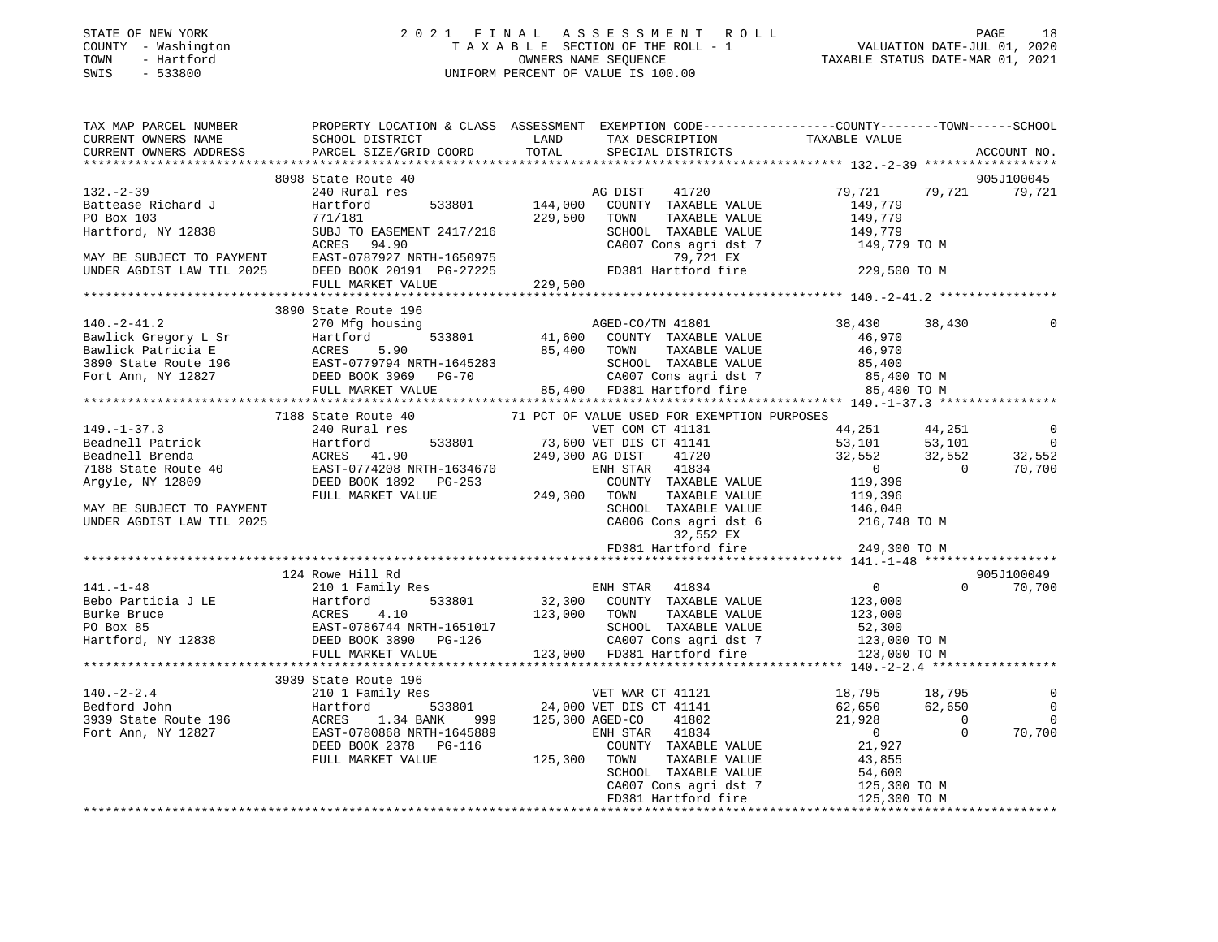### STATE OF NEW YORK 2 0 2 1 F I N A L A S S E S S M E N T R O L L PAGE 18 COUNTY - Washington T A X A B L E SECTION OF THE ROLL - 1 VALUATION DATE-JUL 01, 2020 TOWN - Hartford OWNERS NAME SEQUENCE TAXABLE STATUS DATE-MAR 01, 2021 SWIS - 533800 UNIFORM PERCENT OF VALUE IS 100.00

|                                                                               | TAX MAP PARCEL NUMBER PROPERTY LOCATION & CLASS ASSESSMENT EXEMPTION CODE---------------COUNTY--------TOWN------SCHOOL                                                                                                                                                                        |                                    |                             |                             |                  |                    |                 |        |                             |         |   |        |             |       |      |        |                             |   |  |
|-------------------------------------------------------------------------------|-----------------------------------------------------------------------------------------------------------------------------------------------------------------------------------------------------------------------------------------------------------------------------------------------|------------------------------------|-----------------------------|-----------------------------|------------------|--------------------|-----------------|--------|-----------------------------|---------|---|--------|-------------|-------|------|--------|-----------------------------|---|--|
|                                                                               |                                                                                                                                                                                                                                                                                               | ACCOUNT NO.                        |                             |                             |                  |                    |                 |        |                             |         |   |        |             |       |      |        |                             |   |  |
|                                                                               |                                                                                                                                                                                                                                                                                               |                                    |                             |                             |                  |                    |                 |        |                             |         |   |        |             |       |      |        |                             |   |  |
| 8098 State Route 40                                                           |                                                                                                                                                                                                                                                                                               | 905J100045<br>79,721 79,721 79,721 |                             |                             |                  |                    |                 |        |                             |         |   |        |             |       |      |        |                             |   |  |
|                                                                               |                                                                                                                                                                                                                                                                                               |                                    |                             |                             |                  |                    |                 |        |                             |         |   |        |             |       |      |        |                             |   |  |
|                                                                               |                                                                                                                                                                                                                                                                                               |                                    |                             |                             |                  |                    |                 |        |                             |         |   |        |             |       |      |        |                             |   |  |
|                                                                               |                                                                                                                                                                                                                                                                                               |                                    |                             |                             |                  |                    |                 |        |                             |         |   |        |             |       |      |        |                             |   |  |
|                                                                               |                                                                                                                                                                                                                                                                                               |                                    |                             |                             |                  |                    |                 |        |                             |         |   |        |             |       |      |        |                             |   |  |
|                                                                               |                                                                                                                                                                                                                                                                                               |                                    |                             |                             |                  |                    |                 |        |                             |         |   |        |             |       |      |        |                             |   |  |
|                                                                               |                                                                                                                                                                                                                                                                                               |                                    |                             |                             |                  |                    |                 |        |                             |         |   |        |             |       |      |        |                             |   |  |
|                                                                               |                                                                                                                                                                                                                                                                                               |                                    |                             |                             |                  |                    |                 |        |                             |         |   |        |             |       |      |        |                             |   |  |
|                                                                               | $[132. -2-39$ DIST 41720<br>Battease Richard J<br>PO Box 103<br>Hartford, NY 12838<br>MAY BE SUBJECT TO PAYMENT EAST-0787927 NRTH-1650975<br>MAY BE SUBJECT TO PAYMENT EAST-0787927 NRTH-1650975<br>TO EASEMENT 2417/216<br>MAY BE SUBJECT T                                                  |                                    |                             |                             |                  |                    |                 |        |                             |         |   |        |             |       |      |        |                             |   |  |
| 3890 State Route 196                                                          |                                                                                                                                                                                                                                                                                               |                                    |                             |                             |                  |                    |                 |        |                             |         |   |        |             |       |      |        |                             |   |  |
|                                                                               | 38,430 38,430                                                                                                                                                                                                                                                                                 |                                    |                             |                             |                  |                    |                 |        |                             |         |   |        |             |       |      |        |                             |   |  |
|                                                                               |                                                                                                                                                                                                                                                                                               |                                    |                             |                             |                  |                    |                 |        |                             |         |   |        |             |       |      |        |                             |   |  |
|                                                                               |                                                                                                                                                                                                                                                                                               |                                    |                             |                             |                  |                    |                 |        |                             |         |   |        |             |       |      |        |                             |   |  |
|                                                                               |                                                                                                                                                                                                                                                                                               |                                    |                             |                             |                  |                    |                 |        |                             |         |   |        |             |       |      |        |                             |   |  |
|                                                                               |                                                                                                                                                                                                                                                                                               |                                    |                             |                             |                  |                    |                 |        |                             |         |   |        |             |       |      |        |                             |   |  |
|                                                                               | 3890 State Route 196 3890 State Route 196 270 Mg housing<br>Bawlick Gregory L Sr<br>Bawlick Patricia E ACRES 5.90<br>3890 State Route 196 200 Mg housing<br>3890 State Route 196 200 Mg housing<br>3890 State Route 196 200 Mg Housing<br>                                                    |                                    |                             |                             |                  |                    |                 |        |                             |         |   |        |             |       |      |        |                             |   |  |
|                                                                               |                                                                                                                                                                                                                                                                                               |                                    |                             |                             |                  |                    |                 |        |                             |         |   |        |             |       |      |        |                             |   |  |
| 7188 State Route 40 71 PCT OF VALUE USED FOR EXEMPTION PURPOSES 240 Rural res |                                                                                                                                                                                                                                                                                               |                                    |                             |                             |                  |                    |                 |        |                             |         |   |        |             |       |      |        |                             |   |  |
|                                                                               |                                                                                                                                                                                                                                                                                               | $\overline{0}$                     |                             |                             |                  |                    |                 |        |                             |         |   |        |             |       |      |        |                             |   |  |
|                                                                               |                                                                                                                                                                                                                                                                                               | $\overline{\phantom{0}}$<br>32,552 |                             |                             |                  |                    |                 |        |                             |         |   |        |             |       |      |        |                             |   |  |
|                                                                               |                                                                                                                                                                                                                                                                                               | 70,700                             |                             |                             |                  |                    |                 |        |                             |         |   |        |             |       |      |        |                             |   |  |
|                                                                               |                                                                                                                                                                                                                                                                                               |                                    |                             |                             |                  |                    |                 |        |                             |         |   |        |             |       |      |        |                             |   |  |
|                                                                               |                                                                                                                                                                                                                                                                                               |                                    |                             |                             |                  |                    |                 |        |                             |         |   |        |             |       |      |        |                             |   |  |
|                                                                               |                                                                                                                                                                                                                                                                                               |                                    |                             |                             |                  |                    |                 |        |                             |         |   |        |             |       |      |        |                             |   |  |
|                                                                               |                                                                                                                                                                                                                                                                                               |                                    |                             |                             |                  |                    |                 |        |                             |         |   |        |             |       |      |        |                             |   |  |
|                                                                               |                                                                                                                                                                                                                                                                                               |                                    |                             |                             |                  |                    |                 |        |                             |         |   |        |             |       |      |        |                             |   |  |
|                                                                               |                                                                                                                                                                                                                                                                                               |                                    |                             |                             |                  |                    |                 |        |                             |         |   |        |             |       |      |        |                             |   |  |
|                                                                               |                                                                                                                                                                                                                                                                                               |                                    |                             |                             |                  |                    |                 |        |                             |         |   |        |             |       |      |        |                             |   |  |
| 124 Rowe Hill Rd                                                              |                                                                                                                                                                                                                                                                                               | 905J100049                         |                             |                             |                  |                    |                 |        |                             |         |   |        |             |       |      |        |                             |   |  |
|                                                                               |                                                                                                                                                                                                                                                                                               |                                    |                             |                             |                  |                    |                 |        |                             |         |   |        |             |       |      |        |                             |   |  |
|                                                                               |                                                                                                                                                                                                                                                                                               |                                    |                             |                             |                  |                    |                 |        |                             |         |   |        |             |       |      |        |                             |   |  |
|                                                                               |                                                                                                                                                                                                                                                                                               |                                    |                             |                             |                  |                    |                 |        |                             |         |   |        |             |       |      |        |                             |   |  |
|                                                                               |                                                                                                                                                                                                                                                                                               |                                    |                             |                             |                  |                    |                 |        |                             |         |   |        |             |       |      |        |                             |   |  |
|                                                                               |                                                                                                                                                                                                                                                                                               |                                    |                             |                             |                  |                    |                 |        |                             |         |   |        |             |       |      |        |                             |   |  |
|                                                                               | $\n\n\n141.-1-48\n124 Rowe Hill Rd\n20\n210 J Family Res\n\n\nBebo Particia J LE\n121. Family Res\n533801\n32,300 COUNTY TAXABLE VALUE\n123,000\n0\n70,700\n\n\nBurke Bruce\nACRES\n4.10\n533801\n32,300 COUNTY TAXABLE VALUE\n1$                                                             | 141.-1-48                          | 124 Rowe Hill Rd            | 20                          | 210 J Family Res | Bebo Particia J LE | 121. Family Res | 533801 | 32,300 COUNTY TAXABLE VALUE | 123,000 | 0 | 70,700 | Burke Bruce | ACRES | 4.10 | 533801 | 32,300 COUNTY TAXABLE VALUE | 1 |  |
| 141.-1-48                                                                     | 124 Rowe Hill Rd                                                                                                                                                                                                                                                                              | 20                                 | 210 J Family Res            |                             |                  |                    |                 |        |                             |         |   |        |             |       |      |        |                             |   |  |
| Bebo Particia J LE                                                            | 121. Family Res                                                                                                                                                                                                                                                                               | 533801                             | 32,300 COUNTY TAXABLE VALUE | 123,000                     | 0                | 70,700             |                 |        |                             |         |   |        |             |       |      |        |                             |   |  |
| Burke Bruce                                                                   | ACRES                                                                                                                                                                                                                                                                                         | 4.10                               | 533801                      | 32,300 COUNTY TAXABLE VALUE | 1                |                    |                 |        |                             |         |   |        |             |       |      |        |                             |   |  |
|                                                                               |                                                                                                                                                                                                                                                                                               |                                    |                             |                             |                  |                    |                 |        |                             |         |   |        |             |       |      |        |                             |   |  |
| 3939 State Route 196                                                          |                                                                                                                                                                                                                                                                                               |                                    |                             |                             |                  |                    |                 |        |                             |         |   |        |             |       |      |        |                             |   |  |
|                                                                               |                                                                                                                                                                                                                                                                                               | $\overline{\phantom{0}}$           |                             |                             |                  |                    |                 |        |                             |         |   |        |             |       |      |        |                             |   |  |
|                                                                               |                                                                                                                                                                                                                                                                                               | $\overline{\phantom{0}}$           |                             |                             |                  |                    |                 |        |                             |         |   |        |             |       |      |        |                             |   |  |
|                                                                               |                                                                                                                                                                                                                                                                                               | $\overline{0}$<br>70,700           |                             |                             |                  |                    |                 |        |                             |         |   |        |             |       |      |        |                             |   |  |
|                                                                               |                                                                                                                                                                                                                                                                                               |                                    |                             |                             |                  |                    |                 |        |                             |         |   |        |             |       |      |        |                             |   |  |
|                                                                               |                                                                                                                                                                                                                                                                                               |                                    |                             |                             |                  |                    |                 |        |                             |         |   |        |             |       |      |        |                             |   |  |
|                                                                               |                                                                                                                                                                                                                                                                                               |                                    |                             |                             |                  |                    |                 |        |                             |         |   |        |             |       |      |        |                             |   |  |
|                                                                               |                                                                                                                                                                                                                                                                                               |                                    |                             |                             |                  |                    |                 |        |                             |         |   |        |             |       |      |        |                             |   |  |
|                                                                               | $\begin{array}{cccccccc} 140.-2-2.4 & 3939 \text{ State Route } 196 & 2101 \text{ Femily} & 18,795 & 18,795 & 18,795 & 18,795 & 18,795 & 18,795 & 18,795 & 18,795 & 18,795 & 18,795 & 18,795 & 18,795 & 18,795 & 18,795 & 18,795 & 18,795 & 18,795 & 18,795 & 18,795 & 18,795 & 18,795 & 18,$ |                                    |                             |                             |                  |                    |                 |        |                             |         |   |        |             |       |      |        |                             |   |  |
|                                                                               |                                                                                                                                                                                                                                                                                               |                                    |                             |                             |                  |                    |                 |        |                             |         |   |        |             |       |      |        |                             |   |  |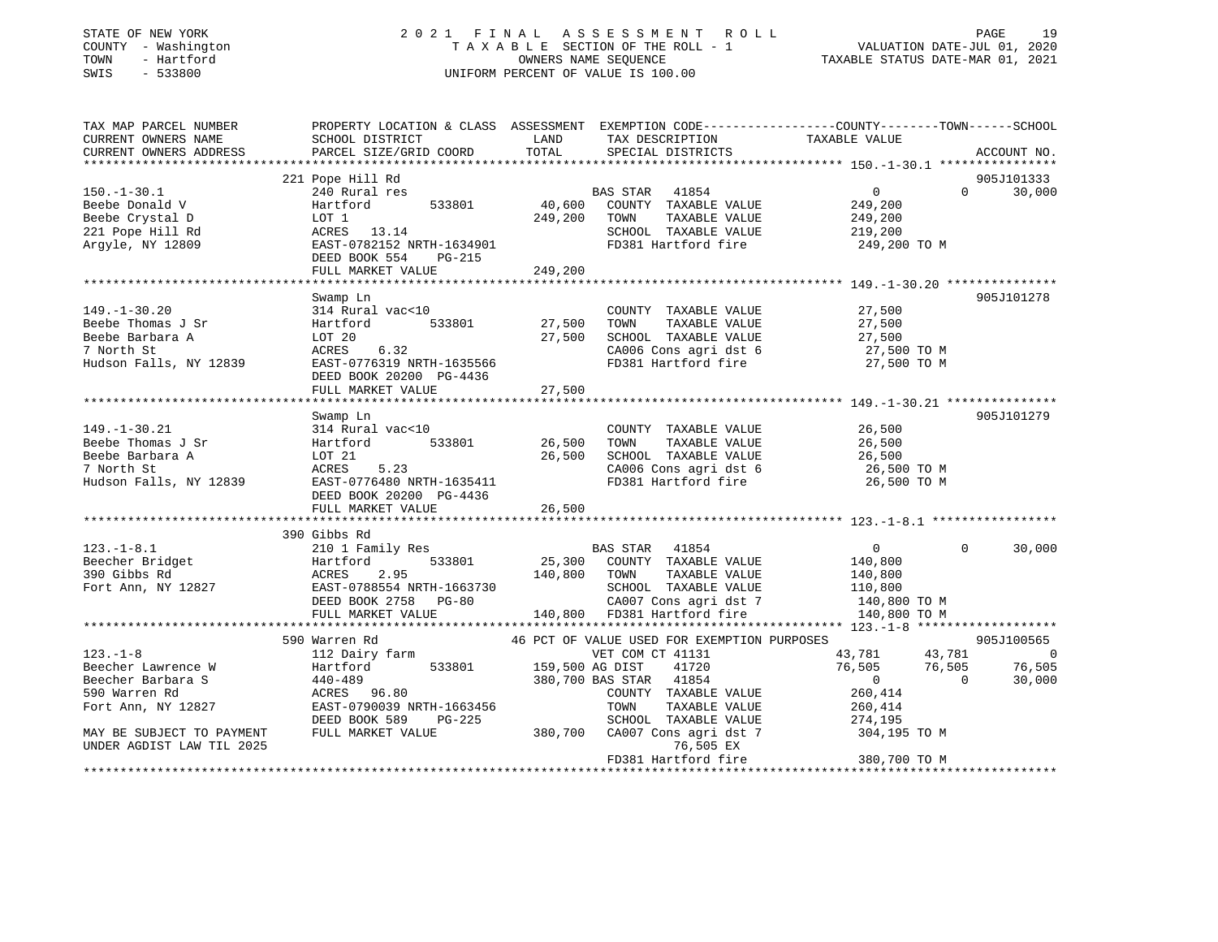### STATE OF NEW YORK 2 0 2 1 F I N A L A S S E S S M E N T R O L L PAGE 19 COUNTY - Washington T A X A B L E SECTION OF THE ROLL - 1 VALUATION DATE-JUL 01, 2020 TOWN - Hartford OWNERS NAME SEQUENCE TAXABLE STATUS DATE-MAR 01, 2021 SWIS - 533800 UNIFORM PERCENT OF VALUE IS 100.00

| TAX MAP PARCEL NUMBER     | PROPERTY LOCATION & CLASS ASSESSMENT EXEMPTION CODE---------------COUNTY-------TOWN------SCHOOL |                 |                                              |                                                                                                                                                          |                    |
|---------------------------|-------------------------------------------------------------------------------------------------|-----------------|----------------------------------------------|----------------------------------------------------------------------------------------------------------------------------------------------------------|--------------------|
| CURRENT OWNERS NAME       | SCHOOL DISTRICT                                                                                 | LAND            | TAX DESCRIPTION                              | TAXABLE VALUE                                                                                                                                            |                    |
| CURRENT OWNERS ADDRESS    | PARCEL SIZE/GRID COORD                                                                          | TOTAL           | SPECIAL DISTRICTS                            |                                                                                                                                                          | ACCOUNT NO.        |
|                           |                                                                                                 |                 |                                              |                                                                                                                                                          |                    |
|                           | 221 Pope Hill Rd                                                                                |                 |                                              |                                                                                                                                                          | 905J101333         |
| $150.-1-30.1$             | 240 Rural res                                                                                   |                 | BAS STAR 41854                               | $\mathbf{0}$                                                                                                                                             | $\Omega$<br>30,000 |
| Beebe Donald V            | 533801<br>Hartford                                                                              | 40,600          | COUNTY TAXABLE VALUE                         | 249,200                                                                                                                                                  |                    |
| Beebe Crystal D           | LOT 1                                                                                           | 249,200         | TOWN<br>TAXABLE VALUE                        | 249,200                                                                                                                                                  |                    |
| 221 Pope Hill Rd          | ACRES 13.14<br>ACRES 13.14<br>EAST-0782152 NRTH-1634901                                         |                 | SCHOOL TAXABLE VALUE                         | 219,200                                                                                                                                                  |                    |
| Argyle, NY 12809          |                                                                                                 |                 | FD381 Hartford fire                          | 249,200 TO M                                                                                                                                             |                    |
|                           | DEED BOOK 554<br>PG-215                                                                         |                 |                                              |                                                                                                                                                          |                    |
|                           | FULL MARKET VALUE                                                                               | 249,200         |                                              |                                                                                                                                                          |                    |
|                           |                                                                                                 |                 |                                              |                                                                                                                                                          |                    |
|                           | Swamp Ln                                                                                        |                 |                                              |                                                                                                                                                          | 905J101278         |
| $149. - 1 - 30.20$        | 314 Rural vac<10                                                                                |                 | COUNTY TAXABLE VALUE                         | 27,500                                                                                                                                                   |                    |
| Beebe Thomas J Sr         | 533801<br>Hartford                                                                              | 27,500          | TOWN<br>TAXABLE VALUE                        | 27,500                                                                                                                                                   |                    |
| Beebe Barbara A           | LOT 20                                                                                          | 27,500          | SCHOOL TAXABLE VALUE                         | 27,500                                                                                                                                                   |                    |
| 7 North St                | 6.32<br>ACRES                                                                                   |                 | CA006 Cons agri dst 6                        | 27,500 TO M                                                                                                                                              |                    |
| Hudson Falls, NY 12839    | EAST-0776319 NRTH-1635566                                                                       |                 | FD381 Hartford fire                          | 27,500 TO M                                                                                                                                              |                    |
|                           | DEED BOOK 20200 PG-4436                                                                         |                 |                                              |                                                                                                                                                          |                    |
|                           | FULL MARKET VALUE                                                                               | 27,500          |                                              |                                                                                                                                                          |                    |
|                           |                                                                                                 |                 |                                              |                                                                                                                                                          |                    |
|                           | Swamp Ln                                                                                        |                 |                                              |                                                                                                                                                          | 905J101279         |
| $149. - 1 - 30.21$        | 314 Rural vac<10                                                                                |                 | COUNTY TAXABLE VALUE                         | 26,500                                                                                                                                                   |                    |
| Beebe Thomas J Sr         | 533801<br>Hartford                                                                              | 26,500          | TOWN<br>TAXABLE VALUE                        | 26,500                                                                                                                                                   |                    |
| Beebe Barbara A           | LOT 21                                                                                          | 26,500          | SCHOOL TAXABLE VALUE                         | 26,500                                                                                                                                                   |                    |
| 7 North St                | ACRES<br>5.23                                                                                   |                 | CA006 Cons agri dst 6<br>FD381 Hartford fire | 26,500 TO M                                                                                                                                              |                    |
| Hudson Falls, NY 12839    | EAST-0776480 NRTH-1635411                                                                       |                 |                                              | 26,500 TO M                                                                                                                                              |                    |
|                           | DEED BOOK 20200 PG-4436                                                                         |                 |                                              |                                                                                                                                                          |                    |
|                           | FULL MARKET VALUE                                                                               | 26,500          |                                              |                                                                                                                                                          |                    |
|                           |                                                                                                 |                 |                                              |                                                                                                                                                          |                    |
|                           | 390 Gibbs Rd                                                                                    |                 |                                              |                                                                                                                                                          |                    |
| $123. - 1 - 8.1$          | 210 1 Family Res                                                                                |                 | BAS STAR 41854                               | $\overline{0}$                                                                                                                                           | $\Omega$<br>30,000 |
| Beecher Bridget           |                                                                                                 |                 | 25,300 COUNTY TAXABLE VALUE                  | 140,800                                                                                                                                                  |                    |
| 390 Gibbs Rd              |                                                                                                 | 140,800 TOWN    | TAXABLE VALUE                                | 140,800                                                                                                                                                  |                    |
| Fort Ann, NY 12827        |                                                                                                 |                 | SCHOOL TAXABLE VALUE                         | 110,800                                                                                                                                                  |                    |
|                           | Hartford 533801 25,500<br>ACRES 2.95 140,800<br>EAST-0788554 NRTH-1663730                       |                 | CA007 Cons agri dst 7                        | 140,800 TO M                                                                                                                                             |                    |
|                           | FULL MARKET VALUE                                                                               |                 | $140,800$ FD381 Hartford fire                | 140,800 TO M                                                                                                                                             |                    |
|                           |                                                                                                 |                 |                                              |                                                                                                                                                          |                    |
|                           | 590 Warren Rd                                                                                   |                 | 46 PCT OF VALUE USED FOR EXEMPTION PURPOSES  |                                                                                                                                                          | 905J100565         |
| $123. - 1 - 8$            | 112 Dairy farm                                                                                  |                 | VET COM CT 41131                             | $\begin{array}{cc} 43\,,781 & \quad \quad \  \, 43\,,781 \\ 76\,,505 & \quad \quad \  \, 76\,,505 \\ \quad \  \  0 & \quad \quad \  \  \, 0 \end{array}$ | $\overline{0}$     |
| Beecher Lawrence W        | 533801<br>Hartford                                                                              | 159,500 AG DIST | 41720                                        |                                                                                                                                                          | 76,505             |
| Beecher Barbara S         | 440-489                                                                                         |                 | 380,700 BAS STAR 41854                       |                                                                                                                                                          | 30,000             |
| 590 Warren Rd             | 96.80<br>ACRES                                                                                  |                 | COUNTY TAXABLE VALUE                         | 260,414                                                                                                                                                  |                    |
| Fort Ann, NY 12827        | EAST-0790039 NRTH-1663456                                                                       |                 | TOWN<br>TAXABLE VALUE                        | 260,414                                                                                                                                                  |                    |
|                           | DEED BOOK 589<br>PG-225                                                                         |                 | SCHOOL TAXABLE VALUE                         | 274,195                                                                                                                                                  |                    |
| MAY BE SUBJECT TO PAYMENT | FULL MARKET VALUE                                                                               | 380,700         | CA007 Cons agri dst 7                        | 304,195 TO M                                                                                                                                             |                    |
| UNDER AGDIST LAW TIL 2025 |                                                                                                 |                 | 76,505 EX                                    |                                                                                                                                                          |                    |
|                           |                                                                                                 |                 | FD381 Hartford fire                          | 380,700 TO M                                                                                                                                             |                    |
|                           |                                                                                                 |                 |                                              | **************************************                                                                                                                   |                    |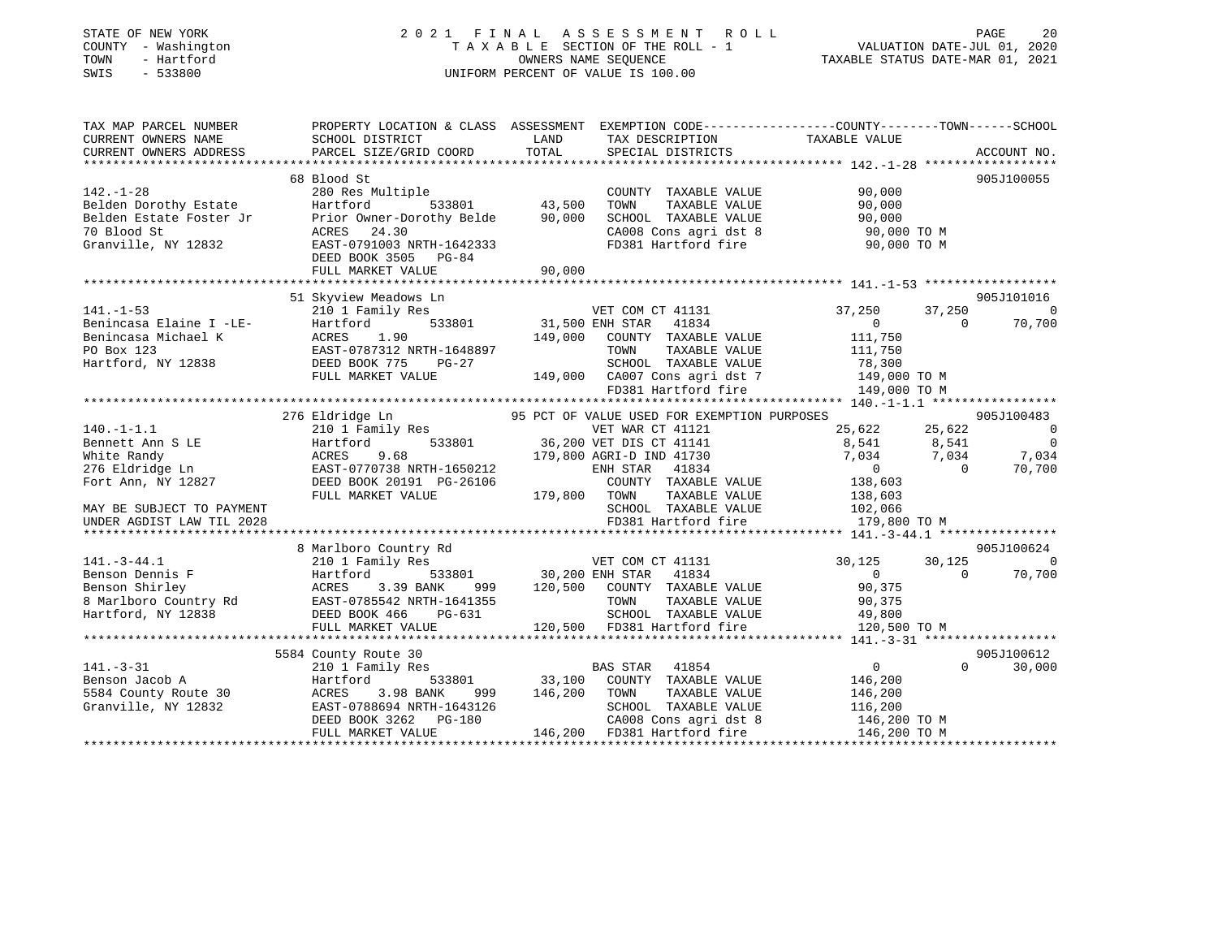### STATE OF NEW YORK 2 0 2 1 F I N A L A S S E S S M E N T R O L L PAGE 20COUNTY - Washington  $T A X A B L E$  SECTION OF THE ROLL - 1<br>TOWN - Hartford TOWN - Hartford **Taxable STATUS DATE-MAR 01, 2021** OWNERS NAME SEQUENCE TAXABLE STATUS DATE-MAR 01, 2021 SWIS - 533800 UNIFORM PERCENT OF VALUE IS 100.00

VALUATION DATE-JUL  $01$ , 2020

| TAX MAP PARCEL NUMBER<br>CURRENT OWNERS NAME<br>CURRENT OWNERS ADDRESS | SCHOOL DISTRICT<br>PARCEL SIZE/GRID COORD                                                                       | LAND<br>TOTAL          | TAX DESCRIPTION<br>SPECIAL DISTRICTS                                            | PROPERTY LOCATION & CLASS ASSESSMENT EXEMPTION CODE----------------COUNTY-------TOWN-----SCHOOL<br>$\begin{tabular}{ll} \multicolumn{2}{l}{{\small{\textbf{-U}U}}{\small{NTY--}}}\label{fig:1}}\\ \multicolumn{2}{l}{\small{\textbf{TAXABLE}}}\end{tabular}$ | ACCOUNT NO.    |
|------------------------------------------------------------------------|-----------------------------------------------------------------------------------------------------------------|------------------------|---------------------------------------------------------------------------------|--------------------------------------------------------------------------------------------------------------------------------------------------------------------------------------------------------------------------------------------------------------|----------------|
|                                                                        |                                                                                                                 |                        |                                                                                 |                                                                                                                                                                                                                                                              |                |
|                                                                        | 68 Blood St                                                                                                     |                        |                                                                                 |                                                                                                                                                                                                                                                              | 905J100055     |
| $142. - 1 - 28$                                                        | 280 Res Multiple                                                                                                |                        | COUNTY TAXABLE VALUE                                                            | 90,000                                                                                                                                                                                                                                                       |                |
| Belden Dorothy Estate                                                  | Hartford<br>533801                                                                                              | 43,500                 | TOWN<br>TAXABLE VALUE                                                           | 90,000                                                                                                                                                                                                                                                       |                |
| Belden Estate Foster Jr                                                | Prior Owner-Dorothy Belde 90,000                                                                                |                        | SCHOOL TAXABLE VALUE                                                            | 90,000                                                                                                                                                                                                                                                       |                |
| 70 Blood St                                                            | ACRES 24.30                                                                                                     |                        | CA008 Cons agri dst 8                                                           | 90,000 TO M                                                                                                                                                                                                                                                  |                |
| Granville, NY 12832                                                    | EAST-0791003 NRTH-1642333                                                                                       |                        |                                                                                 | FD381 Hartford fire 90,000 TO M                                                                                                                                                                                                                              |                |
|                                                                        | DEED BOOK 3505 PG-84                                                                                            |                        |                                                                                 |                                                                                                                                                                                                                                                              |                |
|                                                                        | FULL MARKET VALUE                                                                                               | 90,000                 |                                                                                 |                                                                                                                                                                                                                                                              |                |
|                                                                        |                                                                                                                 |                        |                                                                                 |                                                                                                                                                                                                                                                              |                |
|                                                                        | 51 Skyview Meadows Ln                                                                                           |                        |                                                                                 |                                                                                                                                                                                                                                                              | 905J101016     |
| $141. - 1 - 53$                                                        | 210 1 Family Res                                                                                                |                        | VET COM CT 41131                                                                | 37,250<br>37,250                                                                                                                                                                                                                                             | $\overline{0}$ |
| Benincasa Elaine I -LE-                                                | 533801<br>Hartford                                                                                              | 31,500 ENH STAR        | 41834                                                                           | 0<br>$\Omega$                                                                                                                                                                                                                                                | 70,700         |
| Benincasa Michael K                                                    | 1.90<br>ACRES                                                                                                   |                        | 149,000 COUNTY TAXABLE VALUE                                                    | 111,750                                                                                                                                                                                                                                                      |                |
| PO Box 123                                                             | EAST-0787312 NRTH-1648897                                                                                       |                        | TOWN<br>TAXABLE VALUE                                                           | 111,750                                                                                                                                                                                                                                                      |                |
| Hartford, NY 12838                                                     | DEED BOOK 775<br>PG-27                                                                                          |                        | SCHOOL TAXABLE VALUE                                                            | 78,300                                                                                                                                                                                                                                                       |                |
|                                                                        | FULL MARKET VALUE                                                                                               |                        | 149,000 CA007 Cons agri dst 7                                                   | 149,000 TO M                                                                                                                                                                                                                                                 |                |
|                                                                        |                                                                                                                 |                        | FD381 Hartford fire                                                             | 149,000 TO M                                                                                                                                                                                                                                                 |                |
|                                                                        |                                                                                                                 |                        |                                                                                 |                                                                                                                                                                                                                                                              |                |
|                                                                        | 276 Eldridge Ln                                                                                                 |                        | 95 PCT OF VALUE USED FOR EXEMPTION PURPOSES                                     |                                                                                                                                                                                                                                                              | 905J100483     |
| $140. - 1 - 1.1$                                                       | 210 1 Family Res                                                                                                |                        | VET WAR CT 41121                                                                | 25,622                                                                                                                                                                                                                                                       | $\bigcirc$     |
| Bennett Ann S LE                                                       | Hartford                                                                                                        |                        | 533801 36,200 VET DIS CT 41141                                                  | 25,622<br>8,541<br>8,541                                                                                                                                                                                                                                     | $\overline{0}$ |
| White Randy                                                            | 9.68<br>ACRES                                                                                                   |                        | 179,800 AGRI-D IND 41730                                                        | 7,034<br>7,034                                                                                                                                                                                                                                               | 7,034          |
| 276 Eldridge Ln                                                        | EAST-0770738 NRTH-1650212                                                                                       |                        | ENH STAR 41834                                                                  | $\overline{0}$<br>$\overline{0}$                                                                                                                                                                                                                             | 70,700         |
| Fort Ann, NY 12827                                                     |                                                                                                                 |                        |                                                                                 |                                                                                                                                                                                                                                                              |                |
|                                                                        | DEED BOOK 20191 PG-26106                                                                                        |                        | COUNTY TAXABLE VALUE                                                            | 138,603                                                                                                                                                                                                                                                      |                |
|                                                                        | FULL MARKET VALUE                                                                                               | 179,800 TOWN           | TAXABLE VALUE                                                                   | 138,603                                                                                                                                                                                                                                                      |                |
| MAY BE SUBJECT TO PAYMENT                                              |                                                                                                                 |                        | SCHOOL TAXABLE VALUE                                                            | 102,066                                                                                                                                                                                                                                                      |                |
| UNDER AGDIST LAW TIL 2028                                              |                                                                                                                 |                        | FD381 Hartford fire                                                             | 179,800 TO M                                                                                                                                                                                                                                                 |                |
|                                                                        |                                                                                                                 |                        |                                                                                 |                                                                                                                                                                                                                                                              |                |
|                                                                        | 8 Marlboro Country Rd                                                                                           |                        |                                                                                 |                                                                                                                                                                                                                                                              | 905J100624     |
| $141. - 3 - 44.1$                                                      | 210 1 Family Res                                                                                                |                        | VET COM CT 41131                                                                | 30,125<br>30,125                                                                                                                                                                                                                                             | $\Omega$       |
| Benson Dennis F                                                        | Hartford                                                                                                        | 533801 30,200 ENH STAR | 41834                                                                           | $\overline{0}$<br>$\Omega$                                                                                                                                                                                                                                   | 70,700         |
|                                                                        |                                                                                                                 |                        | 999 120,500 COUNTY TAXABLE VALUE                                                | 90,375                                                                                                                                                                                                                                                       |                |
|                                                                        | Benson Shirley<br>8 Marlboro Country Rd BAST-0785542 NRTH-1641355<br>COMPTER STRIP-1061355<br>COMPTER STRIP-101 |                        | TOWN<br>TAXABLE VALUE                                                           | 90,375                                                                                                                                                                                                                                                       |                |
| Hartford, NY 12838                                                     | DEED BOOK 466 PG-631                                                                                            |                        | SCHOOL TAXABLE VALUE<br>SCHOOL   TAXABLE VALUE<br>120,500   FD381 Hartford fire | 49,800                                                                                                                                                                                                                                                       |                |
|                                                                        | FULL MARKET VALUE                                                                                               |                        |                                                                                 | 120,500 TO M                                                                                                                                                                                                                                                 |                |
|                                                                        |                                                                                                                 |                        |                                                                                 |                                                                                                                                                                                                                                                              |                |
|                                                                        | 5584 County Route 30                                                                                            |                        |                                                                                 |                                                                                                                                                                                                                                                              | 905J100612     |
| $141. - 3 - 31$                                                        | 210 1 Family Res                                                                                                |                        | <b>BAS STAR</b><br>41854                                                        | 0<br>$\Omega$                                                                                                                                                                                                                                                | 30,000         |
| Benson Jacob A                                                         | Hartford<br>533801                                                                                              |                        | 33,100 COUNTY TAXABLE VALUE                                                     | 146,200                                                                                                                                                                                                                                                      |                |
| 5584 County Route 30                                                   | 3.98 BANK<br>ACRES<br>999                                                                                       | 146,200                | TOWN<br>TAXABLE VALUE                                                           | 146,200                                                                                                                                                                                                                                                      |                |
| Granville, NY 12832                                                    | EAST-0788694 NRTH-1643126                                                                                       |                        | SCHOOL TAXABLE VALUE                                                            | 116,200                                                                                                                                                                                                                                                      |                |
|                                                                        | DEED BOOK 3262 PG-180                                                                                           |                        | CA008 Cons agri dst 8                                                           | 146,200 TO M                                                                                                                                                                                                                                                 |                |
|                                                                        | FULL MARKET VALUE                                                                                               |                        | 146,200 FD381 Hartford fire                                                     | 146,200 TO M                                                                                                                                                                                                                                                 |                |
|                                                                        |                                                                                                                 |                        |                                                                                 |                                                                                                                                                                                                                                                              |                |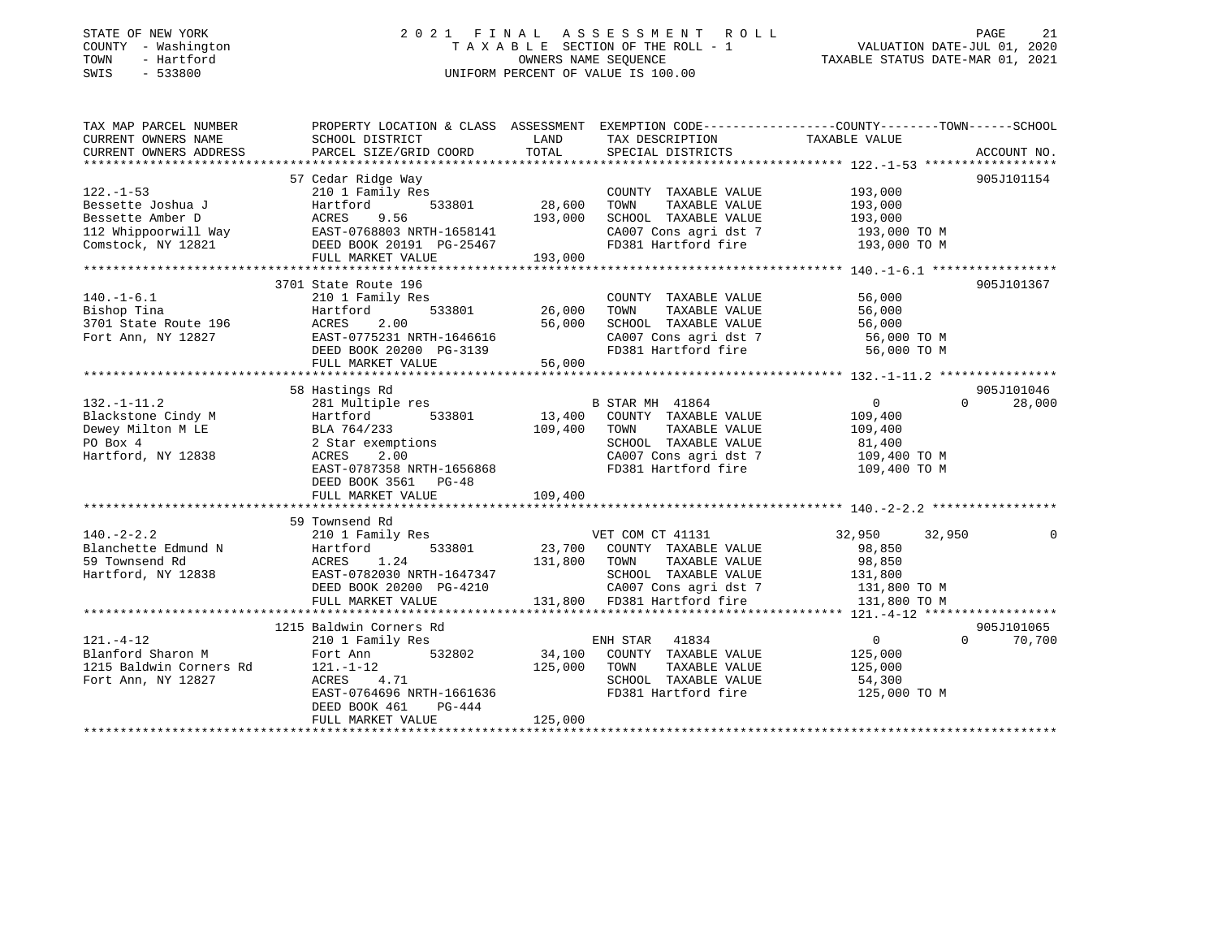### STATE OF NEW YORK 2 0 2 1 F I N A L A S S E S S M E N T R O L L PAGE 21 COUNTY - Washington T A X A B L E SECTION OF THE ROLL - 1 VALUATION DATE-JUL 01, 2020 TOWN - Hartford OWNERS NAME SEQUENCE TAXABLE STATUS DATE-MAR 01, 2021 SWIS - 533800 UNIFORM PERCENT OF VALUE IS 100.00

| TAX MAP PARCEL NUMBER<br>CURRENT OWNERS NAME                                                        | SCHOOL DISTRICT                         | LAND          | TAX DESCRIPTION TAXABLE VALUE SPECIAL DISTRICTS                                                     | PROPERTY LOCATION & CLASS ASSESSMENT EXEMPTION CODE----------------COUNTY-------TOWN------SCHOOL |                    |
|-----------------------------------------------------------------------------------------------------|-----------------------------------------|---------------|-----------------------------------------------------------------------------------------------------|--------------------------------------------------------------------------------------------------|--------------------|
| CURRENT OWNERS ADDRESS                                                                              | PARCEL SIZE/GRID COORD                  | TOTAL         |                                                                                                     |                                                                                                  | ACCOUNT NO.        |
|                                                                                                     | 57 Cedar Ridge Way                      |               |                                                                                                     |                                                                                                  | 905J101154         |
| $122. - 1 - 53$                                                                                     | 210 1 Family Res                        |               | COUNTY TAXABLE VALUE                                                                                | 193,000                                                                                          |                    |
| Bessette Joshua J                                                                                   | Hartford<br>533801                      | 28,600        | TOWN<br>TAXABLE VALUE                                                                               | 193,000                                                                                          |                    |
| Bessette Amber D                                                                                    | ACRES<br>9.56                           | 193,000       | SCHOOL TAXABLE VALUE                                                                                | 193,000                                                                                          |                    |
|                                                                                                     |                                         |               | CA007 Cons agri dst 7                                                                               |                                                                                                  |                    |
| 112 Whippoorwill Way<br>EAST-0768803 NRTH-1658141<br>Comstock, NY 12821<br>DEED BOOK 20191 PG-25467 |                                         |               | CA007 Cons agri dst 7 193,000 TO M<br>FD381 Hartford fire 193,000 TO M                              |                                                                                                  |                    |
|                                                                                                     | FULL MARKET VALUE                       | 193,000       |                                                                                                     |                                                                                                  |                    |
|                                                                                                     |                                         |               |                                                                                                     |                                                                                                  |                    |
|                                                                                                     | 3701 State Route 196                    |               |                                                                                                     |                                                                                                  | 905J101367         |
| $140.-1-6.1$                                                                                        | 210 1 Family Res                        |               | COUNTY TAXABLE VALUE                                                                                | 56,000                                                                                           |                    |
| Bishop Tina                                                                                         | 533801<br>Hartford                      | 26,000        | TOWN<br>TAXABLE VALUE                                                                               | 56,000                                                                                           |                    |
| 3701 State Route 196                                                                                | ACRES<br>2.00                           | 56,000        |                                                                                                     |                                                                                                  |                    |
| Fort Ann, NY 12827                                                                                  | EAST-0775231 NRTH-1646616               |               | SCHOOL TAXABLE VALUE 56,000<br>CA007 Cons agri dst 7 56,000 TO M<br>FD381 Hartford fire 56,000 TO M |                                                                                                  |                    |
|                                                                                                     | DEED BOOK 20200 PG-3139                 |               |                                                                                                     |                                                                                                  |                    |
|                                                                                                     | FULL MARKET VALUE                       | 56,000        |                                                                                                     |                                                                                                  |                    |
|                                                                                                     |                                         |               |                                                                                                     |                                                                                                  |                    |
|                                                                                                     | 58 Hastings Rd                          |               |                                                                                                     |                                                                                                  | 905J101046         |
| $132. - 1 - 11.2$                                                                                   | 281 Multiple res                        |               | B STAR MH 41864                                                                                     | $\overline{0}$<br>$\Omega$                                                                       | 28,000             |
| Blackstone Cindy M                                                                                  | Hartford                                | 533801 13,400 | COUNTY TAXABLE VALUE                                                                                | 109,400                                                                                          |                    |
| Dewey Milton M LE                                                                                   | BLA 764/233                             | 109,400       | TAXABLE VALUE<br>TOWN                                                                               | 109,400                                                                                          |                    |
| PO Box 4                                                                                            | 2 Star exemptions                       |               | SCHOOL TAXABLE VALUE                                                                                | 81,400                                                                                           |                    |
| Hartford, NY 12838                                                                                  | 2.00<br>ACRES                           |               | CA007 Cons agri dst 7                                                                               | 109,400 TO M                                                                                     |                    |
|                                                                                                     | EAST-0787358 NRTH-1656868               |               | FD381 Hartford fire                                                                                 | 109,400 TO M                                                                                     |                    |
|                                                                                                     | DEED BOOK 3561 PG-48                    |               |                                                                                                     |                                                                                                  |                    |
|                                                                                                     | FULL MARKET VALUE                       | 109,400       |                                                                                                     |                                                                                                  |                    |
|                                                                                                     |                                         |               |                                                                                                     |                                                                                                  |                    |
|                                                                                                     | 59 Townsend Rd                          |               |                                                                                                     |                                                                                                  |                    |
| $140. -2 - 2.2$                                                                                     | 210 1 Family Res                        |               | VET COM CT 41131                                                                                    | 32,950<br>32,950                                                                                 | $\Omega$           |
| Blanchette Edmund N                                                                                 | 533801<br>Hartford                      |               | 23,700 COUNTY TAXABLE VALUE                                                                         | 98,850                                                                                           |                    |
| 59 Townsend Rd                                                                                      | ACRES 1.24                              | 131,800 TOWN  | TAXABLE VALUE                                                                                       | 98,850                                                                                           |                    |
| Hartford, NY 12838                                                                                  |                                         |               | SCHOOL TAXABLE VALUE 131,800                                                                        |                                                                                                  |                    |
|                                                                                                     | ACRES 1.24<br>EAST-0782030 NRTH-1647347 |               |                                                                                                     |                                                                                                  |                    |
|                                                                                                     | FULL MARKET VALUE                       |               | G-4210 CA007 Cons agri dst 7 131,800 TO M<br>131,800 FD381 Hartford fire 131,800 TO M               |                                                                                                  |                    |
|                                                                                                     |                                         |               |                                                                                                     |                                                                                                  |                    |
|                                                                                                     | 1215 Baldwin Corners Rd                 |               |                                                                                                     |                                                                                                  | 905J101065         |
| $121. - 4 - 12$                                                                                     | 210 1 Family Res                        |               | ENH STAR 41834                                                                                      | $\overline{0}$                                                                                   | $\Omega$<br>70,700 |
| Blanford Sharon M                                                                                   | 532802<br>Fort Ann                      | 34,100        | COUNTY TAXABLE VALUE                                                                                | 125,000                                                                                          |                    |
| 1215 Baldwin Corners Rd                                                                             | 121.-1-12                               | 125,000       | TOWN<br>TAXABLE VALUE                                                                               | 125,000                                                                                          |                    |
| Fort Ann, NY 12827                                                                                  | ACRES 4.71                              |               | SCHOOL TAXABLE VALUE                                                                                | 54,300                                                                                           |                    |
|                                                                                                     | EAST-0764696 NRTH-1661636               |               | FD381 Hartford fire                                                                                 | 125,000 TO M                                                                                     |                    |
|                                                                                                     | DEED BOOK 461<br>PG-444                 |               |                                                                                                     |                                                                                                  |                    |
|                                                                                                     | FULL MARKET VALUE                       | 125,000       |                                                                                                     |                                                                                                  |                    |
|                                                                                                     |                                         |               |                                                                                                     |                                                                                                  |                    |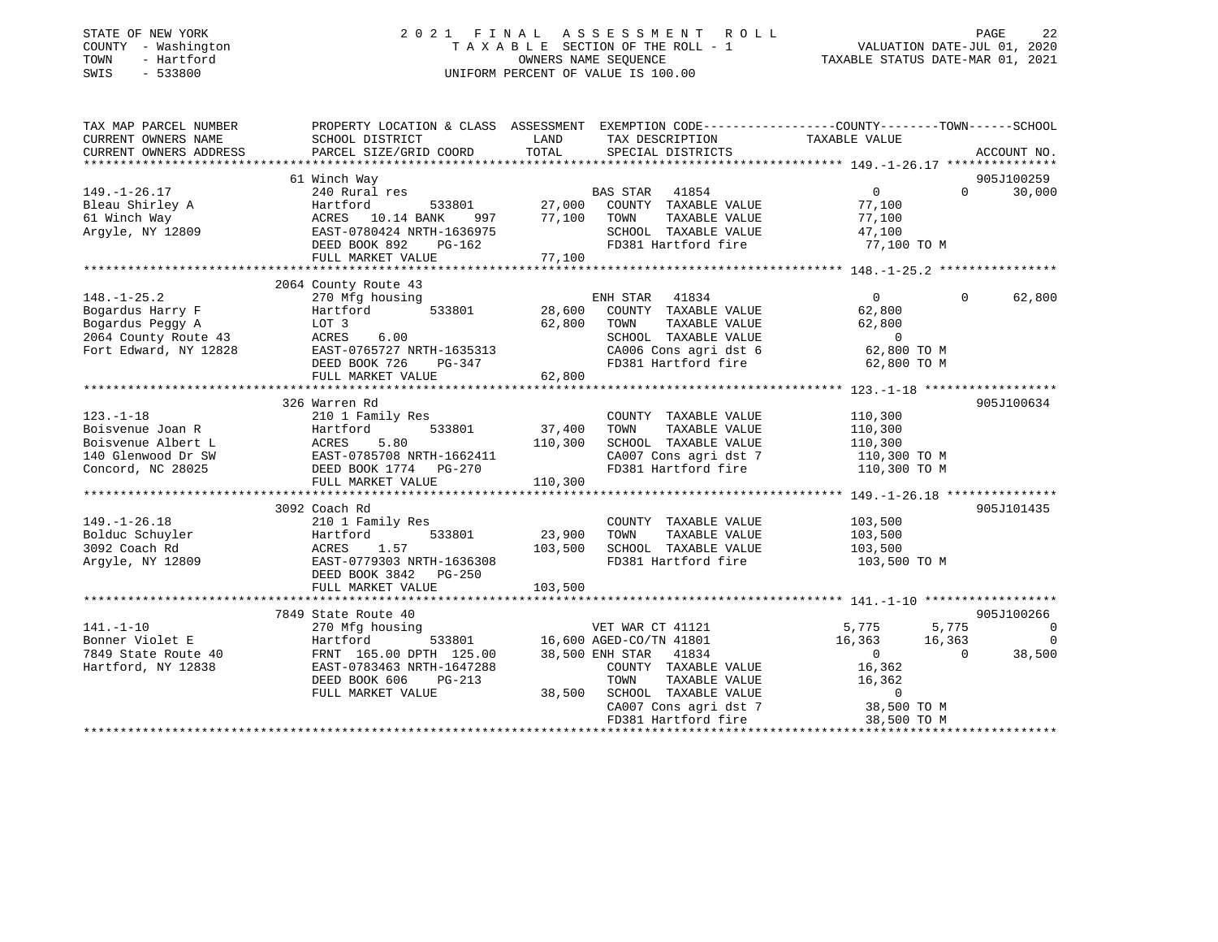| STATE OF NEW YORK |              |
|-------------------|--------------|
| COUNTY            | - Washington |
| TOWN              | - Hartford   |
| <b>CMTC</b>       | 533800       |

## STATE OF NEW YORK 2 0 2 1 F I N A L A S S E S S M E N T R O L L PAGE 22T A X A B L E SECTION OF THE ROLL - 1<br>OWNERS NAME SEQUENCE SWIS - 533800 UNIFORM PERCENT OF VALUE IS 100.00

TAXABLE STATUS DATE-MAR 01, 2021

| TAX MAP PARCEL NUMBER<br>CURRENT OWNERS NAME | SCHOOL DISTRICT           | LAND    | TAX DESCRIPTION                | PROPERTY LOCATION & CLASS ASSESSMENT EXEMPTION CODE----------------COUNTY-------TOWN------SCHOOL<br>TAXABLE VALUE |                    |
|----------------------------------------------|---------------------------|---------|--------------------------------|-------------------------------------------------------------------------------------------------------------------|--------------------|
| CURRENT OWNERS ADDRESS                       | PARCEL SIZE/GRID COORD    | TOTAL   | SPECIAL DISTRICTS              |                                                                                                                   | ACCOUNT NO.        |
|                                              |                           |         |                                |                                                                                                                   |                    |
|                                              | 61 Winch Way              |         |                                |                                                                                                                   | 905J100259         |
| $149. - 1 - 26.17$                           | 240 Rural res             |         | BAS STAR 41854                 | $0 \qquad \qquad$                                                                                                 | $\Omega$<br>30,000 |
| Bleau Shirley A                              | Hartford<br>533801        |         | 27,000 COUNTY TAXABLE VALUE    | 77,100                                                                                                            |                    |
| 61 Winch Way                                 | ACRES 10.14 BANK<br>997   | 77,100  | TOWN<br>TAXABLE VALUE          | 77,100                                                                                                            |                    |
| Arqyle, NY 12809                             | EAST-0780424 NRTH-1636975 |         | SCHOOL TAXABLE VALUE           | 47,100                                                                                                            |                    |
|                                              | DEED BOOK 892<br>PG-162   |         | FD381 Hartford fire            | 77,100 TO M                                                                                                       |                    |
|                                              | FULL MARKET VALUE         | 77,100  |                                |                                                                                                                   |                    |
|                                              |                           |         |                                |                                                                                                                   |                    |
|                                              | 2064 County Route 43      |         |                                |                                                                                                                   |                    |
| $148. - 1 - 25.2$                            | 270 Mfg housing           |         | ENH STAR 41834                 | $\overline{0}$<br>$\Omega$                                                                                        | 62,800             |
| Bogardus Harry F                             | Hartford<br>533801        | 28,600  | COUNTY TAXABLE VALUE           | 62,800                                                                                                            |                    |
| Bogardus Peggy A                             | LOT 3                     | 62,800  | TOWN<br>TAXABLE VALUE          | 62,800                                                                                                            |                    |
| 2064 County Route 43                         | ACRES<br>6.00             |         | SCHOOL TAXABLE VALUE           | $\overline{0}$                                                                                                    |                    |
| Fort Edward, NY 12828                        | EAST-0765727 NRTH-1635313 |         | CA006 Cons agri dst 6          | 62,800 TO M                                                                                                       |                    |
|                                              | DEED BOOK 726<br>PG-347   |         | FD381 Hartford fire            | 62,800 TO M                                                                                                       |                    |
|                                              | FULL MARKET VALUE         | 62,800  |                                |                                                                                                                   |                    |
|                                              |                           |         |                                |                                                                                                                   |                    |
|                                              | 326 Warren Rd             |         |                                |                                                                                                                   | 905J100634         |
| $123. - 1 - 18$                              | 210 1 Family Res          |         | COUNTY TAXABLE VALUE           | 110,300                                                                                                           |                    |
| Boisvenue Joan R                             | Hartford<br>533801        | 37,400  | TAXABLE VALUE<br>TOWN          | 110,300                                                                                                           |                    |
| Boisvenue Albert L                           | ACRES<br>5.80             | 110,300 | SCHOOL TAXABLE VALUE           | 110,300                                                                                                           |                    |
| 140 Glenwood Dr SW                           | EAST-0785708 NRTH-1662411 |         | CA007 Cons agri dst 7          | 110,300 TO M                                                                                                      |                    |
| Concord, NC 28025                            | DEED BOOK 1774    PG-270  |         | FD381 Hartford fire            | 110,300 TO M                                                                                                      |                    |
|                                              | FULL MARKET VALUE         | 110,300 |                                |                                                                                                                   |                    |
|                                              |                           |         |                                |                                                                                                                   |                    |
|                                              | 3092 Coach Rd             |         |                                |                                                                                                                   | 905J101435         |
| $149. - 1 - 26.18$                           | 210 1 Family Res          |         | COUNTY TAXABLE VALUE           | 103,500                                                                                                           |                    |
| Bolduc Schuyler                              | Hartford<br>533801        | 23,900  | TAXABLE VALUE<br>TOWN          | 103,500                                                                                                           |                    |
| 3092 Coach Rd                                | 1.57<br>ACRES             | 103,500 | SCHOOL TAXABLE VALUE           | 103,500                                                                                                           |                    |
| Argyle, NY 12809                             | EAST-0779303 NRTH-1636308 |         | FD381 Hartford fire            | 103,500 TO M                                                                                                      |                    |
|                                              | DEED BOOK 3842 PG-250     |         |                                |                                                                                                                   |                    |
|                                              | FULL MARKET VALUE         | 103,500 |                                |                                                                                                                   |                    |
|                                              |                           |         |                                |                                                                                                                   |                    |
|                                              | 7849 State Route 40       |         |                                |                                                                                                                   | 905J100266         |
| $141. - 1 - 10$                              | 270 Mfg housing           |         | VET WAR CT 41121               | 5,775                                                                                                             | 5,775 0            |
| Bonner Violet E                              | Hartford                  |         | 533801 16,600 AGED-CO/TN 41801 | 16,363<br>16,363                                                                                                  | $\overline{0}$     |
| 7849 State Route 40                          | FRNT 165.00 DPTH 125.00   |         | 38,500 ENH STAR 41834          | $\Omega$<br>$\overline{0}$                                                                                        | 38,500             |
| Hartford, NY 12838                           | EAST-0783463 NRTH-1647288 |         | COUNTY TAXABLE VALUE           | 16,362                                                                                                            |                    |
|                                              | DEED BOOK 606<br>PG-213   |         | TOWN<br>TAXABLE VALUE          | 16,362                                                                                                            |                    |
|                                              | FULL MARKET VALUE         | 38,500  | SCHOOL TAXABLE VALUE           | $\overline{0}$                                                                                                    |                    |
|                                              |                           |         | CA007 Cons agri dst 7          | 38,500 TO M                                                                                                       |                    |
|                                              |                           |         | FD381 Hartford fire            | 38,500 TO M                                                                                                       |                    |
|                                              |                           |         |                                |                                                                                                                   |                    |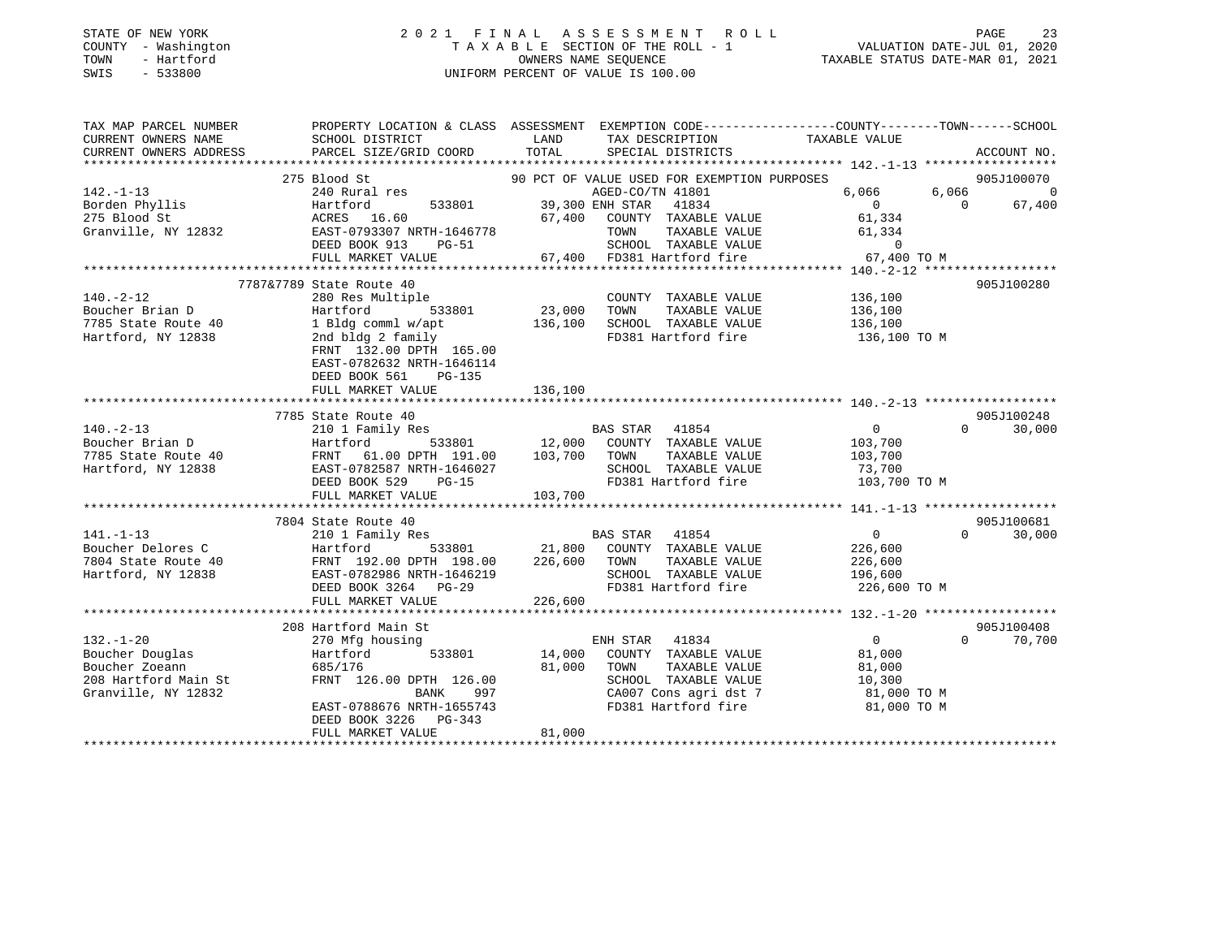### STATE OF NEW YORK 2 0 2 1 F I N A L A S S E S S M E N T R O L L PAGE 23 COUNTY - Washington T A X A B L E SECTION OF THE ROLL - 1 VALUATION DATE-JUL 01, 2020 TOWN - Hartford OWNERS NAME SEQUENCE TAXABLE STATUS DATE-MAR 01, 2021 SWIS - 533800 UNIFORM PERCENT OF VALUE IS 100.00

| TAXABLE VALUE<br>TOTAL<br>CURRENT OWNERS ADDRESS<br>PARCEL SIZE/GRID COORD<br>SPECIAL DISTRICTS<br>ACCOUNT NO.<br>275 Blood St<br>90 PCT OF VALUE USED FOR EXEMPTION PURPOSES<br>905J100070<br>240 Rural res<br>AGED-CO/TN 41801<br>6,066<br>6,066<br>$\Omega$<br>39,300 ENH STAR<br>$\overline{0}$<br>67,400<br>Borden Phyllis<br>Hartford<br>533801<br>41834<br>$\bigcap$<br>ACRES 16.60<br>67,400 COUNTY TAXABLE VALUE<br>61,334<br>Granville, NY 12832<br>EAST-0793307 NRTH-1646778<br>TOWN<br>TAXABLE VALUE<br>61,334<br>SCHOOL TAXABLE VALUE<br>67,400 FD381 Hartford fire<br>DEED BOOK 913<br>$\overline{0}$<br>PG-51<br>FULL MARKET VALUE<br>67,400 TO M<br>7787&7789 State Route 40<br>905J100280<br>$140. - 2 - 12$<br>136,100<br>280 Res Multiple<br>COUNTY TAXABLE VALUE<br>23,000<br>136,100<br>TAXABLE VALUE<br>Boucher Brian D<br>Hartford<br>533801<br>TOWN<br>136,100<br>136,100<br>SCHOOL TAXABLE VALUE<br>7785 State Route 40<br>1 Bldg comml w/apt<br>FD381 Hartford fire<br>Hartford, NY 12838<br>2nd bldg 2 family<br>136,100 TO M<br>FRNT 132.00 DPTH 165.00<br>EAST-0782632 NRTH-1646114<br>DEED BOOK 561<br>PG-135<br>136,100<br>FULL MARKET VALUE<br>905J100248<br>7785 State Route 40<br>BAS STAR 41854<br>12,000 COUNTY TAXABLE VALUE<br>$140. -2 - 13$<br>0<br>$\Omega$<br>30,000<br>210 1 Family Res<br>Boucher Brian D<br>533801<br>Hartford<br>103,700<br>103,700 TOWN<br>7785 State Route 40<br>61.00 DPTH 191.00<br>TAXABLE VALUE<br>FRNT<br>103,700<br>Hartford, NY 12838<br>EAST-0782587 NRTH-1646027<br>SCHOOL TAXABLE VALUE<br>FD381 Hartford fire<br>73,700<br>103,700 TO M<br>DEED BOOK 529 PG-15<br>FULL MARKET VALUE<br>103,700<br>905J100681<br>7804 State Route 40<br>$141. - 1 - 13$<br>210 1 Family Res<br>BAS STAR 41854<br>$\overline{0}$<br>$\Omega$<br>30,000<br>533801 21,800 COUNTY TAXABLE VALUE<br>Boucher Delores C<br>Boucher Delores C<br>Hartford<br>226,600<br>226,600<br>TOWN<br>TAXABLE VALUE<br>FRNT 192.00 DPTH 198.00<br>226,600<br>Hartford, NY 12838<br>EAST-0782986 NRTH-1646219<br>SCHOOL TAXABLE VALUE 196,600<br>FD381 Hartford fire<br>DEED BOOK 3264 PG-29<br>226,600 TO M<br>FULL MARKET VALUE<br>226,600<br>905J100408<br>208 Hartford Main St<br>$132. - 1 - 20$<br>ENH STAR 41834<br>$\overline{0}$<br>$\Omega$<br>270 Mfg housing<br>70,700<br>Boucher Douglas<br>533801<br>14,000 COUNTY TAXABLE VALUE<br>Hartford<br>81,000<br>Boucher Zoeann<br>685/176<br>81,000<br>TAXABLE VALUE<br>TOWN<br>81,000<br>208 Hartford Main St<br>SCHOOL TAXABLE VALUE<br>FRNT 126.00 DPTH 126.00<br>10,300<br>81,000 TO M<br>CA007 Cons agri dst 7<br>Granville, NY 12832<br>BANK<br>997<br>FD381 Hartford fire<br>EAST-0788676 NRTH-1655743<br>81,000 TO M<br>DEED BOOK 3226 PG-343<br>81,000<br>FULL MARKET VALUE | TAX MAP PARCEL NUMBER<br>CURRENT OWNERS NAME | SCHOOL DISTRICT | LAND<br>TAX DESCRIPTION | PROPERTY LOCATION & CLASS ASSESSMENT EXEMPTION CODE----------------COUNTY-------TOWN------SCHOOL |
|------------------------------------------------------------------------------------------------------------------------------------------------------------------------------------------------------------------------------------------------------------------------------------------------------------------------------------------------------------------------------------------------------------------------------------------------------------------------------------------------------------------------------------------------------------------------------------------------------------------------------------------------------------------------------------------------------------------------------------------------------------------------------------------------------------------------------------------------------------------------------------------------------------------------------------------------------------------------------------------------------------------------------------------------------------------------------------------------------------------------------------------------------------------------------------------------------------------------------------------------------------------------------------------------------------------------------------------------------------------------------------------------------------------------------------------------------------------------------------------------------------------------------------------------------------------------------------------------------------------------------------------------------------------------------------------------------------------------------------------------------------------------------------------------------------------------------------------------------------------------------------------------------------------------------------------------------------------------------------------------------------------------------------------------------------------------------------------------------------------------------------------------------------------------------------------------------------------------------------------------------------------------------------------------------------------------------------------------------------------------------------------------------------------------------------------------------------------------------------------------------------------------------------------------------------------------------------------------------------------------------------------------------------------------------------------------------------------------------------------------------------------------------------|----------------------------------------------|-----------------|-------------------------|--------------------------------------------------------------------------------------------------|
|                                                                                                                                                                                                                                                                                                                                                                                                                                                                                                                                                                                                                                                                                                                                                                                                                                                                                                                                                                                                                                                                                                                                                                                                                                                                                                                                                                                                                                                                                                                                                                                                                                                                                                                                                                                                                                                                                                                                                                                                                                                                                                                                                                                                                                                                                                                                                                                                                                                                                                                                                                                                                                                                                                                                                                                    |                                              |                 |                         |                                                                                                  |
|                                                                                                                                                                                                                                                                                                                                                                                                                                                                                                                                                                                                                                                                                                                                                                                                                                                                                                                                                                                                                                                                                                                                                                                                                                                                                                                                                                                                                                                                                                                                                                                                                                                                                                                                                                                                                                                                                                                                                                                                                                                                                                                                                                                                                                                                                                                                                                                                                                                                                                                                                                                                                                                                                                                                                                                    |                                              |                 |                         |                                                                                                  |
|                                                                                                                                                                                                                                                                                                                                                                                                                                                                                                                                                                                                                                                                                                                                                                                                                                                                                                                                                                                                                                                                                                                                                                                                                                                                                                                                                                                                                                                                                                                                                                                                                                                                                                                                                                                                                                                                                                                                                                                                                                                                                                                                                                                                                                                                                                                                                                                                                                                                                                                                                                                                                                                                                                                                                                                    |                                              |                 |                         |                                                                                                  |
|                                                                                                                                                                                                                                                                                                                                                                                                                                                                                                                                                                                                                                                                                                                                                                                                                                                                                                                                                                                                                                                                                                                                                                                                                                                                                                                                                                                                                                                                                                                                                                                                                                                                                                                                                                                                                                                                                                                                                                                                                                                                                                                                                                                                                                                                                                                                                                                                                                                                                                                                                                                                                                                                                                                                                                                    | $142. - 1 - 13$                              |                 |                         |                                                                                                  |
|                                                                                                                                                                                                                                                                                                                                                                                                                                                                                                                                                                                                                                                                                                                                                                                                                                                                                                                                                                                                                                                                                                                                                                                                                                                                                                                                                                                                                                                                                                                                                                                                                                                                                                                                                                                                                                                                                                                                                                                                                                                                                                                                                                                                                                                                                                                                                                                                                                                                                                                                                                                                                                                                                                                                                                                    |                                              |                 |                         |                                                                                                  |
|                                                                                                                                                                                                                                                                                                                                                                                                                                                                                                                                                                                                                                                                                                                                                                                                                                                                                                                                                                                                                                                                                                                                                                                                                                                                                                                                                                                                                                                                                                                                                                                                                                                                                                                                                                                                                                                                                                                                                                                                                                                                                                                                                                                                                                                                                                                                                                                                                                                                                                                                                                                                                                                                                                                                                                                    | 275 Blood St                                 |                 |                         |                                                                                                  |
|                                                                                                                                                                                                                                                                                                                                                                                                                                                                                                                                                                                                                                                                                                                                                                                                                                                                                                                                                                                                                                                                                                                                                                                                                                                                                                                                                                                                                                                                                                                                                                                                                                                                                                                                                                                                                                                                                                                                                                                                                                                                                                                                                                                                                                                                                                                                                                                                                                                                                                                                                                                                                                                                                                                                                                                    |                                              |                 |                         |                                                                                                  |
|                                                                                                                                                                                                                                                                                                                                                                                                                                                                                                                                                                                                                                                                                                                                                                                                                                                                                                                                                                                                                                                                                                                                                                                                                                                                                                                                                                                                                                                                                                                                                                                                                                                                                                                                                                                                                                                                                                                                                                                                                                                                                                                                                                                                                                                                                                                                                                                                                                                                                                                                                                                                                                                                                                                                                                                    |                                              |                 |                         |                                                                                                  |
|                                                                                                                                                                                                                                                                                                                                                                                                                                                                                                                                                                                                                                                                                                                                                                                                                                                                                                                                                                                                                                                                                                                                                                                                                                                                                                                                                                                                                                                                                                                                                                                                                                                                                                                                                                                                                                                                                                                                                                                                                                                                                                                                                                                                                                                                                                                                                                                                                                                                                                                                                                                                                                                                                                                                                                                    |                                              |                 |                         |                                                                                                  |
|                                                                                                                                                                                                                                                                                                                                                                                                                                                                                                                                                                                                                                                                                                                                                                                                                                                                                                                                                                                                                                                                                                                                                                                                                                                                                                                                                                                                                                                                                                                                                                                                                                                                                                                                                                                                                                                                                                                                                                                                                                                                                                                                                                                                                                                                                                                                                                                                                                                                                                                                                                                                                                                                                                                                                                                    |                                              |                 |                         |                                                                                                  |
|                                                                                                                                                                                                                                                                                                                                                                                                                                                                                                                                                                                                                                                                                                                                                                                                                                                                                                                                                                                                                                                                                                                                                                                                                                                                                                                                                                                                                                                                                                                                                                                                                                                                                                                                                                                                                                                                                                                                                                                                                                                                                                                                                                                                                                                                                                                                                                                                                                                                                                                                                                                                                                                                                                                                                                                    |                                              |                 |                         |                                                                                                  |
|                                                                                                                                                                                                                                                                                                                                                                                                                                                                                                                                                                                                                                                                                                                                                                                                                                                                                                                                                                                                                                                                                                                                                                                                                                                                                                                                                                                                                                                                                                                                                                                                                                                                                                                                                                                                                                                                                                                                                                                                                                                                                                                                                                                                                                                                                                                                                                                                                                                                                                                                                                                                                                                                                                                                                                                    |                                              |                 |                         |                                                                                                  |
|                                                                                                                                                                                                                                                                                                                                                                                                                                                                                                                                                                                                                                                                                                                                                                                                                                                                                                                                                                                                                                                                                                                                                                                                                                                                                                                                                                                                                                                                                                                                                                                                                                                                                                                                                                                                                                                                                                                                                                                                                                                                                                                                                                                                                                                                                                                                                                                                                                                                                                                                                                                                                                                                                                                                                                                    |                                              |                 |                         |                                                                                                  |
|                                                                                                                                                                                                                                                                                                                                                                                                                                                                                                                                                                                                                                                                                                                                                                                                                                                                                                                                                                                                                                                                                                                                                                                                                                                                                                                                                                                                                                                                                                                                                                                                                                                                                                                                                                                                                                                                                                                                                                                                                                                                                                                                                                                                                                                                                                                                                                                                                                                                                                                                                                                                                                                                                                                                                                                    |                                              |                 |                         |                                                                                                  |
|                                                                                                                                                                                                                                                                                                                                                                                                                                                                                                                                                                                                                                                                                                                                                                                                                                                                                                                                                                                                                                                                                                                                                                                                                                                                                                                                                                                                                                                                                                                                                                                                                                                                                                                                                                                                                                                                                                                                                                                                                                                                                                                                                                                                                                                                                                                                                                                                                                                                                                                                                                                                                                                                                                                                                                                    |                                              |                 |                         |                                                                                                  |
|                                                                                                                                                                                                                                                                                                                                                                                                                                                                                                                                                                                                                                                                                                                                                                                                                                                                                                                                                                                                                                                                                                                                                                                                                                                                                                                                                                                                                                                                                                                                                                                                                                                                                                                                                                                                                                                                                                                                                                                                                                                                                                                                                                                                                                                                                                                                                                                                                                                                                                                                                                                                                                                                                                                                                                                    |                                              |                 |                         |                                                                                                  |
|                                                                                                                                                                                                                                                                                                                                                                                                                                                                                                                                                                                                                                                                                                                                                                                                                                                                                                                                                                                                                                                                                                                                                                                                                                                                                                                                                                                                                                                                                                                                                                                                                                                                                                                                                                                                                                                                                                                                                                                                                                                                                                                                                                                                                                                                                                                                                                                                                                                                                                                                                                                                                                                                                                                                                                                    |                                              |                 |                         |                                                                                                  |
|                                                                                                                                                                                                                                                                                                                                                                                                                                                                                                                                                                                                                                                                                                                                                                                                                                                                                                                                                                                                                                                                                                                                                                                                                                                                                                                                                                                                                                                                                                                                                                                                                                                                                                                                                                                                                                                                                                                                                                                                                                                                                                                                                                                                                                                                                                                                                                                                                                                                                                                                                                                                                                                                                                                                                                                    |                                              |                 |                         |                                                                                                  |
|                                                                                                                                                                                                                                                                                                                                                                                                                                                                                                                                                                                                                                                                                                                                                                                                                                                                                                                                                                                                                                                                                                                                                                                                                                                                                                                                                                                                                                                                                                                                                                                                                                                                                                                                                                                                                                                                                                                                                                                                                                                                                                                                                                                                                                                                                                                                                                                                                                                                                                                                                                                                                                                                                                                                                                                    |                                              |                 |                         |                                                                                                  |
|                                                                                                                                                                                                                                                                                                                                                                                                                                                                                                                                                                                                                                                                                                                                                                                                                                                                                                                                                                                                                                                                                                                                                                                                                                                                                                                                                                                                                                                                                                                                                                                                                                                                                                                                                                                                                                                                                                                                                                                                                                                                                                                                                                                                                                                                                                                                                                                                                                                                                                                                                                                                                                                                                                                                                                                    |                                              |                 |                         |                                                                                                  |
|                                                                                                                                                                                                                                                                                                                                                                                                                                                                                                                                                                                                                                                                                                                                                                                                                                                                                                                                                                                                                                                                                                                                                                                                                                                                                                                                                                                                                                                                                                                                                                                                                                                                                                                                                                                                                                                                                                                                                                                                                                                                                                                                                                                                                                                                                                                                                                                                                                                                                                                                                                                                                                                                                                                                                                                    |                                              |                 |                         |                                                                                                  |
|                                                                                                                                                                                                                                                                                                                                                                                                                                                                                                                                                                                                                                                                                                                                                                                                                                                                                                                                                                                                                                                                                                                                                                                                                                                                                                                                                                                                                                                                                                                                                                                                                                                                                                                                                                                                                                                                                                                                                                                                                                                                                                                                                                                                                                                                                                                                                                                                                                                                                                                                                                                                                                                                                                                                                                                    |                                              |                 |                         |                                                                                                  |
|                                                                                                                                                                                                                                                                                                                                                                                                                                                                                                                                                                                                                                                                                                                                                                                                                                                                                                                                                                                                                                                                                                                                                                                                                                                                                                                                                                                                                                                                                                                                                                                                                                                                                                                                                                                                                                                                                                                                                                                                                                                                                                                                                                                                                                                                                                                                                                                                                                                                                                                                                                                                                                                                                                                                                                                    |                                              |                 |                         |                                                                                                  |
|                                                                                                                                                                                                                                                                                                                                                                                                                                                                                                                                                                                                                                                                                                                                                                                                                                                                                                                                                                                                                                                                                                                                                                                                                                                                                                                                                                                                                                                                                                                                                                                                                                                                                                                                                                                                                                                                                                                                                                                                                                                                                                                                                                                                                                                                                                                                                                                                                                                                                                                                                                                                                                                                                                                                                                                    |                                              |                 |                         |                                                                                                  |
|                                                                                                                                                                                                                                                                                                                                                                                                                                                                                                                                                                                                                                                                                                                                                                                                                                                                                                                                                                                                                                                                                                                                                                                                                                                                                                                                                                                                                                                                                                                                                                                                                                                                                                                                                                                                                                                                                                                                                                                                                                                                                                                                                                                                                                                                                                                                                                                                                                                                                                                                                                                                                                                                                                                                                                                    |                                              |                 |                         |                                                                                                  |
|                                                                                                                                                                                                                                                                                                                                                                                                                                                                                                                                                                                                                                                                                                                                                                                                                                                                                                                                                                                                                                                                                                                                                                                                                                                                                                                                                                                                                                                                                                                                                                                                                                                                                                                                                                                                                                                                                                                                                                                                                                                                                                                                                                                                                                                                                                                                                                                                                                                                                                                                                                                                                                                                                                                                                                                    |                                              |                 |                         |                                                                                                  |
|                                                                                                                                                                                                                                                                                                                                                                                                                                                                                                                                                                                                                                                                                                                                                                                                                                                                                                                                                                                                                                                                                                                                                                                                                                                                                                                                                                                                                                                                                                                                                                                                                                                                                                                                                                                                                                                                                                                                                                                                                                                                                                                                                                                                                                                                                                                                                                                                                                                                                                                                                                                                                                                                                                                                                                                    |                                              |                 |                         |                                                                                                  |
|                                                                                                                                                                                                                                                                                                                                                                                                                                                                                                                                                                                                                                                                                                                                                                                                                                                                                                                                                                                                                                                                                                                                                                                                                                                                                                                                                                                                                                                                                                                                                                                                                                                                                                                                                                                                                                                                                                                                                                                                                                                                                                                                                                                                                                                                                                                                                                                                                                                                                                                                                                                                                                                                                                                                                                                    |                                              |                 |                         |                                                                                                  |
|                                                                                                                                                                                                                                                                                                                                                                                                                                                                                                                                                                                                                                                                                                                                                                                                                                                                                                                                                                                                                                                                                                                                                                                                                                                                                                                                                                                                                                                                                                                                                                                                                                                                                                                                                                                                                                                                                                                                                                                                                                                                                                                                                                                                                                                                                                                                                                                                                                                                                                                                                                                                                                                                                                                                                                                    |                                              |                 |                         |                                                                                                  |
|                                                                                                                                                                                                                                                                                                                                                                                                                                                                                                                                                                                                                                                                                                                                                                                                                                                                                                                                                                                                                                                                                                                                                                                                                                                                                                                                                                                                                                                                                                                                                                                                                                                                                                                                                                                                                                                                                                                                                                                                                                                                                                                                                                                                                                                                                                                                                                                                                                                                                                                                                                                                                                                                                                                                                                                    |                                              |                 |                         |                                                                                                  |
|                                                                                                                                                                                                                                                                                                                                                                                                                                                                                                                                                                                                                                                                                                                                                                                                                                                                                                                                                                                                                                                                                                                                                                                                                                                                                                                                                                                                                                                                                                                                                                                                                                                                                                                                                                                                                                                                                                                                                                                                                                                                                                                                                                                                                                                                                                                                                                                                                                                                                                                                                                                                                                                                                                                                                                                    |                                              |                 |                         |                                                                                                  |
|                                                                                                                                                                                                                                                                                                                                                                                                                                                                                                                                                                                                                                                                                                                                                                                                                                                                                                                                                                                                                                                                                                                                                                                                                                                                                                                                                                                                                                                                                                                                                                                                                                                                                                                                                                                                                                                                                                                                                                                                                                                                                                                                                                                                                                                                                                                                                                                                                                                                                                                                                                                                                                                                                                                                                                                    |                                              |                 |                         |                                                                                                  |
|                                                                                                                                                                                                                                                                                                                                                                                                                                                                                                                                                                                                                                                                                                                                                                                                                                                                                                                                                                                                                                                                                                                                                                                                                                                                                                                                                                                                                                                                                                                                                                                                                                                                                                                                                                                                                                                                                                                                                                                                                                                                                                                                                                                                                                                                                                                                                                                                                                                                                                                                                                                                                                                                                                                                                                                    |                                              |                 |                         |                                                                                                  |
|                                                                                                                                                                                                                                                                                                                                                                                                                                                                                                                                                                                                                                                                                                                                                                                                                                                                                                                                                                                                                                                                                                                                                                                                                                                                                                                                                                                                                                                                                                                                                                                                                                                                                                                                                                                                                                                                                                                                                                                                                                                                                                                                                                                                                                                                                                                                                                                                                                                                                                                                                                                                                                                                                                                                                                                    |                                              |                 |                         |                                                                                                  |
|                                                                                                                                                                                                                                                                                                                                                                                                                                                                                                                                                                                                                                                                                                                                                                                                                                                                                                                                                                                                                                                                                                                                                                                                                                                                                                                                                                                                                                                                                                                                                                                                                                                                                                                                                                                                                                                                                                                                                                                                                                                                                                                                                                                                                                                                                                                                                                                                                                                                                                                                                                                                                                                                                                                                                                                    |                                              |                 |                         |                                                                                                  |
|                                                                                                                                                                                                                                                                                                                                                                                                                                                                                                                                                                                                                                                                                                                                                                                                                                                                                                                                                                                                                                                                                                                                                                                                                                                                                                                                                                                                                                                                                                                                                                                                                                                                                                                                                                                                                                                                                                                                                                                                                                                                                                                                                                                                                                                                                                                                                                                                                                                                                                                                                                                                                                                                                                                                                                                    |                                              |                 |                         |                                                                                                  |
|                                                                                                                                                                                                                                                                                                                                                                                                                                                                                                                                                                                                                                                                                                                                                                                                                                                                                                                                                                                                                                                                                                                                                                                                                                                                                                                                                                                                                                                                                                                                                                                                                                                                                                                                                                                                                                                                                                                                                                                                                                                                                                                                                                                                                                                                                                                                                                                                                                                                                                                                                                                                                                                                                                                                                                                    |                                              |                 |                         |                                                                                                  |
|                                                                                                                                                                                                                                                                                                                                                                                                                                                                                                                                                                                                                                                                                                                                                                                                                                                                                                                                                                                                                                                                                                                                                                                                                                                                                                                                                                                                                                                                                                                                                                                                                                                                                                                                                                                                                                                                                                                                                                                                                                                                                                                                                                                                                                                                                                                                                                                                                                                                                                                                                                                                                                                                                                                                                                                    |                                              |                 |                         |                                                                                                  |
|                                                                                                                                                                                                                                                                                                                                                                                                                                                                                                                                                                                                                                                                                                                                                                                                                                                                                                                                                                                                                                                                                                                                                                                                                                                                                                                                                                                                                                                                                                                                                                                                                                                                                                                                                                                                                                                                                                                                                                                                                                                                                                                                                                                                                                                                                                                                                                                                                                                                                                                                                                                                                                                                                                                                                                                    |                                              |                 |                         |                                                                                                  |
|                                                                                                                                                                                                                                                                                                                                                                                                                                                                                                                                                                                                                                                                                                                                                                                                                                                                                                                                                                                                                                                                                                                                                                                                                                                                                                                                                                                                                                                                                                                                                                                                                                                                                                                                                                                                                                                                                                                                                                                                                                                                                                                                                                                                                                                                                                                                                                                                                                                                                                                                                                                                                                                                                                                                                                                    |                                              |                 |                         |                                                                                                  |
|                                                                                                                                                                                                                                                                                                                                                                                                                                                                                                                                                                                                                                                                                                                                                                                                                                                                                                                                                                                                                                                                                                                                                                                                                                                                                                                                                                                                                                                                                                                                                                                                                                                                                                                                                                                                                                                                                                                                                                                                                                                                                                                                                                                                                                                                                                                                                                                                                                                                                                                                                                                                                                                                                                                                                                                    |                                              |                 |                         |                                                                                                  |
|                                                                                                                                                                                                                                                                                                                                                                                                                                                                                                                                                                                                                                                                                                                                                                                                                                                                                                                                                                                                                                                                                                                                                                                                                                                                                                                                                                                                                                                                                                                                                                                                                                                                                                                                                                                                                                                                                                                                                                                                                                                                                                                                                                                                                                                                                                                                                                                                                                                                                                                                                                                                                                                                                                                                                                                    |                                              |                 |                         |                                                                                                  |
|                                                                                                                                                                                                                                                                                                                                                                                                                                                                                                                                                                                                                                                                                                                                                                                                                                                                                                                                                                                                                                                                                                                                                                                                                                                                                                                                                                                                                                                                                                                                                                                                                                                                                                                                                                                                                                                                                                                                                                                                                                                                                                                                                                                                                                                                                                                                                                                                                                                                                                                                                                                                                                                                                                                                                                                    |                                              |                 |                         |                                                                                                  |
|                                                                                                                                                                                                                                                                                                                                                                                                                                                                                                                                                                                                                                                                                                                                                                                                                                                                                                                                                                                                                                                                                                                                                                                                                                                                                                                                                                                                                                                                                                                                                                                                                                                                                                                                                                                                                                                                                                                                                                                                                                                                                                                                                                                                                                                                                                                                                                                                                                                                                                                                                                                                                                                                                                                                                                                    |                                              |                 |                         |                                                                                                  |
|                                                                                                                                                                                                                                                                                                                                                                                                                                                                                                                                                                                                                                                                                                                                                                                                                                                                                                                                                                                                                                                                                                                                                                                                                                                                                                                                                                                                                                                                                                                                                                                                                                                                                                                                                                                                                                                                                                                                                                                                                                                                                                                                                                                                                                                                                                                                                                                                                                                                                                                                                                                                                                                                                                                                                                                    |                                              |                 |                         |                                                                                                  |
|                                                                                                                                                                                                                                                                                                                                                                                                                                                                                                                                                                                                                                                                                                                                                                                                                                                                                                                                                                                                                                                                                                                                                                                                                                                                                                                                                                                                                                                                                                                                                                                                                                                                                                                                                                                                                                                                                                                                                                                                                                                                                                                                                                                                                                                                                                                                                                                                                                                                                                                                                                                                                                                                                                                                                                                    |                                              |                 |                         |                                                                                                  |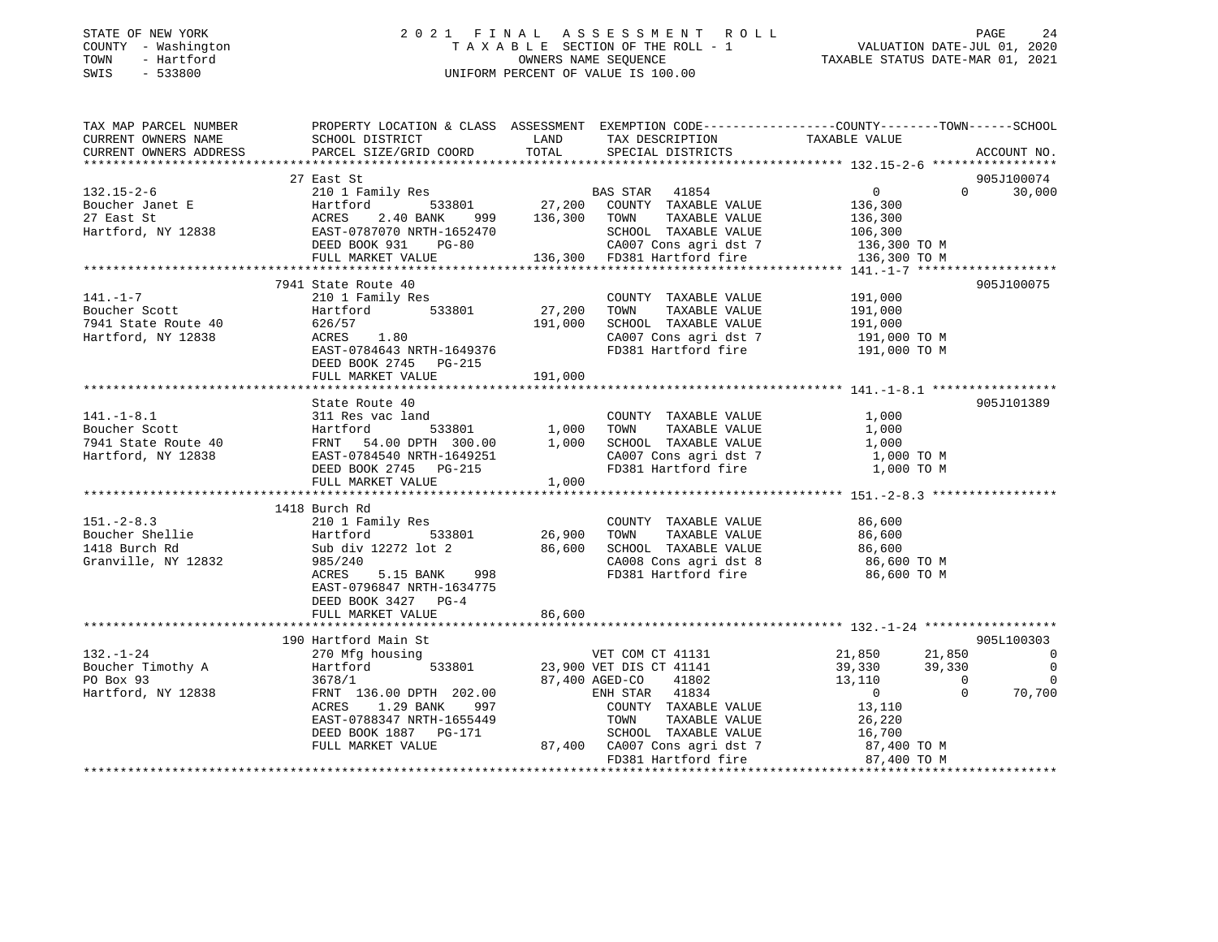### STATE OF NEW YORK 2 0 2 1 F I N A L A S S E S S M E N T R O L L PAGE 24 COUNTY - Washington T A X A B L E SECTION OF THE ROLL - 1 VALUATION DATE-JUL 01, 2020 TOWN - Hartford OWNERS NAME SEQUENCE TAXABLE STATUS DATE-MAR 01, 2021 SWIS - 533800 UNIFORM PERCENT OF VALUE IS 100.00

| TAXABLE VALUE<br>LAND<br>TAX DESCRIPTION<br>CURRENT OWNERS NAME<br>SCHOOL DISTRICT<br>TOTAL<br>CURRENT OWNERS ADDRESS<br>PARCEL SIZE/GRID COORD<br>SPECIAL DISTRICTS<br>ACCOUNT NO.<br>27 East St<br>905J100074<br>210 1 Family Res<br>BAS STAR 41854<br>$\overline{0}$<br>$0 \t 30,000$<br>$132.15 - 2 - 6$<br>Hartford 533801 27,200 COUNTY TAXABLE VALUE<br>ACRES 2.40 BANK 999 136,300 COUNTY TAXABLE VALUE<br>EAST-0787070 NRTH-1652470 SCHOOL TAXABLE VALUE<br>DEED BOOK 931 PG-80 CA007 Cons agri dst 7<br>132.15-2<br>Boucher Janet E<br>136,300<br>136,300<br>Hartford, NY 12838<br>SCHOOL TAXABLE VALUE 106,300<br>CA007 Cons agri dst 7 136,300 TO M<br>136,300 FD381 Hartford fire<br>FULL MARKET VALUE<br>136,300 TO M<br>7941 State Route 40<br>905J100075<br>$141. - 1 - 7$<br>210 1 Family Res<br>COUNTY TAXABLE VALUE<br>191,000<br>27,200<br>Hartford 533801<br>Boucher Scott<br>TOWN<br>TAXABLE VALUE<br>191,000<br>191,000<br>191,000<br>SCHOOL TAXABLE VALUE<br>7941 State Route 40<br>626/57<br>ACRES 1.80<br>Hartford, NY 12838<br>CA007 Cons agri dst 7<br>FD381 Hartford fire<br>191,000 TO M<br>191,000 TO M<br>EAST-0784643 NRTH-1649376<br>DEED BOOK 2745 PG-215<br>191,000<br>FULL MARKET VALUE<br>905J101389<br>COUNTY TAXABLE VALUE<br>TOWN      TAXABLE VALUE<br>1,000<br>1,000<br>SCHOOL TAXABLE VALUE<br>1,000<br>$C A 007$ Cons agri dst 7<br>FD291 West $\sim$<br>$1,000$ TO M<br>FD381 Hartford fire<br>1,000 TO M<br>1418 Burch Rd<br>210 1 Family Res<br>$\begin{tabular}{llllllll} \multicolumn{2}{c}{\textbf{COUNTY}} & \textbf{TAXABLE VALUE} & & & 86,600 \\ \multicolumn{2}{c}{\textbf{TONN}} & \textbf{TAXABLE VALUE} & & & 86,600 \\ \end{tabular}$<br>210 1 Fam<br>Hartford<br>Sub div 1<br>Boucher Shellie<br>1418 Burch Rd<br>Sub div 12272 lot 2 86,600<br>SCHOOL TAXABLE VALUE 86,600<br>CA008 Cons agri dst 8 86,600<br>985/240<br>86,600 TO M<br>FD381 Hartford fire<br>ACRES 5.15 BANK 998<br>86,600 TO M<br>EAST-0796847 NRTH-1634775<br>DEED BOOK 3427 PG-4<br>86,600<br>FULL MARKET VALUE<br>905L100303<br>190 Hartford Main St<br>$132. - 1 - 24$<br>VET COM CT 41131<br>21,850 21,850<br>39,330 39,330<br>270 Mfg housing<br>$\overline{\phantom{0}}$<br>Hartford<br>533801<br>23,900 VET DIS CT 41141<br>Boucher Timothy A<br>$\overline{0}$<br>$13,110$<br>0<br>PO Box 93<br>87,400 AGED-CO 41802<br>3678/1<br>$\begin{array}{c} 0 \\ 0 \end{array}$<br>$\overline{0}$<br>70,700<br>Hartford, NY 12838<br>ENH STAR 41834<br>$\Omega$<br>FRNT 136.00 DPTH 202.00<br>ACRES<br>1.29 BANK<br>997<br>COUNTY TAXABLE VALUE<br>13,110<br>EAST-0788347 NRTH-1655449<br>TAXABLE VALUE<br>TOWN<br>26,220<br>16,700<br>DEED BOOK 1887 PG-171<br>FULL MARKET VALUE<br>87,400 TO M<br>FD381 Hartford fire 87,400 TO M | TAX MAP PARCEL NUMBER | PROPERTY LOCATION & CLASS ASSESSMENT EXEMPTION CODE----------------COUNTY-------TOWN------SCHOOL |  |  |
|-----------------------------------------------------------------------------------------------------------------------------------------------------------------------------------------------------------------------------------------------------------------------------------------------------------------------------------------------------------------------------------------------------------------------------------------------------------------------------------------------------------------------------------------------------------------------------------------------------------------------------------------------------------------------------------------------------------------------------------------------------------------------------------------------------------------------------------------------------------------------------------------------------------------------------------------------------------------------------------------------------------------------------------------------------------------------------------------------------------------------------------------------------------------------------------------------------------------------------------------------------------------------------------------------------------------------------------------------------------------------------------------------------------------------------------------------------------------------------------------------------------------------------------------------------------------------------------------------------------------------------------------------------------------------------------------------------------------------------------------------------------------------------------------------------------------------------------------------------------------------------------------------------------------------------------------------------------------------------------------------------------------------------------------------------------------------------------------------------------------------------------------------------------------------------------------------------------------------------------------------------------------------------------------------------------------------------------------------------------------------------------------------------------------------------------------------------------------------------------------------------------------------------------------------------------------------------------------------------------------------------------------------------------------------------------------------------------------------------------------------------------------------|-----------------------|--------------------------------------------------------------------------------------------------|--|--|
|                                                                                                                                                                                                                                                                                                                                                                                                                                                                                                                                                                                                                                                                                                                                                                                                                                                                                                                                                                                                                                                                                                                                                                                                                                                                                                                                                                                                                                                                                                                                                                                                                                                                                                                                                                                                                                                                                                                                                                                                                                                                                                                                                                                                                                                                                                                                                                                                                                                                                                                                                                                                                                                                                                                                                                       |                       |                                                                                                  |  |  |
|                                                                                                                                                                                                                                                                                                                                                                                                                                                                                                                                                                                                                                                                                                                                                                                                                                                                                                                                                                                                                                                                                                                                                                                                                                                                                                                                                                                                                                                                                                                                                                                                                                                                                                                                                                                                                                                                                                                                                                                                                                                                                                                                                                                                                                                                                                                                                                                                                                                                                                                                                                                                                                                                                                                                                                       |                       |                                                                                                  |  |  |
|                                                                                                                                                                                                                                                                                                                                                                                                                                                                                                                                                                                                                                                                                                                                                                                                                                                                                                                                                                                                                                                                                                                                                                                                                                                                                                                                                                                                                                                                                                                                                                                                                                                                                                                                                                                                                                                                                                                                                                                                                                                                                                                                                                                                                                                                                                                                                                                                                                                                                                                                                                                                                                                                                                                                                                       |                       |                                                                                                  |  |  |
|                                                                                                                                                                                                                                                                                                                                                                                                                                                                                                                                                                                                                                                                                                                                                                                                                                                                                                                                                                                                                                                                                                                                                                                                                                                                                                                                                                                                                                                                                                                                                                                                                                                                                                                                                                                                                                                                                                                                                                                                                                                                                                                                                                                                                                                                                                                                                                                                                                                                                                                                                                                                                                                                                                                                                                       |                       |                                                                                                  |  |  |
|                                                                                                                                                                                                                                                                                                                                                                                                                                                                                                                                                                                                                                                                                                                                                                                                                                                                                                                                                                                                                                                                                                                                                                                                                                                                                                                                                                                                                                                                                                                                                                                                                                                                                                                                                                                                                                                                                                                                                                                                                                                                                                                                                                                                                                                                                                                                                                                                                                                                                                                                                                                                                                                                                                                                                                       |                       |                                                                                                  |  |  |
|                                                                                                                                                                                                                                                                                                                                                                                                                                                                                                                                                                                                                                                                                                                                                                                                                                                                                                                                                                                                                                                                                                                                                                                                                                                                                                                                                                                                                                                                                                                                                                                                                                                                                                                                                                                                                                                                                                                                                                                                                                                                                                                                                                                                                                                                                                                                                                                                                                                                                                                                                                                                                                                                                                                                                                       |                       |                                                                                                  |  |  |
|                                                                                                                                                                                                                                                                                                                                                                                                                                                                                                                                                                                                                                                                                                                                                                                                                                                                                                                                                                                                                                                                                                                                                                                                                                                                                                                                                                                                                                                                                                                                                                                                                                                                                                                                                                                                                                                                                                                                                                                                                                                                                                                                                                                                                                                                                                                                                                                                                                                                                                                                                                                                                                                                                                                                                                       |                       |                                                                                                  |  |  |
|                                                                                                                                                                                                                                                                                                                                                                                                                                                                                                                                                                                                                                                                                                                                                                                                                                                                                                                                                                                                                                                                                                                                                                                                                                                                                                                                                                                                                                                                                                                                                                                                                                                                                                                                                                                                                                                                                                                                                                                                                                                                                                                                                                                                                                                                                                                                                                                                                                                                                                                                                                                                                                                                                                                                                                       |                       |                                                                                                  |  |  |
|                                                                                                                                                                                                                                                                                                                                                                                                                                                                                                                                                                                                                                                                                                                                                                                                                                                                                                                                                                                                                                                                                                                                                                                                                                                                                                                                                                                                                                                                                                                                                                                                                                                                                                                                                                                                                                                                                                                                                                                                                                                                                                                                                                                                                                                                                                                                                                                                                                                                                                                                                                                                                                                                                                                                                                       |                       |                                                                                                  |  |  |
|                                                                                                                                                                                                                                                                                                                                                                                                                                                                                                                                                                                                                                                                                                                                                                                                                                                                                                                                                                                                                                                                                                                                                                                                                                                                                                                                                                                                                                                                                                                                                                                                                                                                                                                                                                                                                                                                                                                                                                                                                                                                                                                                                                                                                                                                                                                                                                                                                                                                                                                                                                                                                                                                                                                                                                       |                       |                                                                                                  |  |  |
|                                                                                                                                                                                                                                                                                                                                                                                                                                                                                                                                                                                                                                                                                                                                                                                                                                                                                                                                                                                                                                                                                                                                                                                                                                                                                                                                                                                                                                                                                                                                                                                                                                                                                                                                                                                                                                                                                                                                                                                                                                                                                                                                                                                                                                                                                                                                                                                                                                                                                                                                                                                                                                                                                                                                                                       |                       |                                                                                                  |  |  |
|                                                                                                                                                                                                                                                                                                                                                                                                                                                                                                                                                                                                                                                                                                                                                                                                                                                                                                                                                                                                                                                                                                                                                                                                                                                                                                                                                                                                                                                                                                                                                                                                                                                                                                                                                                                                                                                                                                                                                                                                                                                                                                                                                                                                                                                                                                                                                                                                                                                                                                                                                                                                                                                                                                                                                                       |                       |                                                                                                  |  |  |
|                                                                                                                                                                                                                                                                                                                                                                                                                                                                                                                                                                                                                                                                                                                                                                                                                                                                                                                                                                                                                                                                                                                                                                                                                                                                                                                                                                                                                                                                                                                                                                                                                                                                                                                                                                                                                                                                                                                                                                                                                                                                                                                                                                                                                                                                                                                                                                                                                                                                                                                                                                                                                                                                                                                                                                       |                       |                                                                                                  |  |  |
|                                                                                                                                                                                                                                                                                                                                                                                                                                                                                                                                                                                                                                                                                                                                                                                                                                                                                                                                                                                                                                                                                                                                                                                                                                                                                                                                                                                                                                                                                                                                                                                                                                                                                                                                                                                                                                                                                                                                                                                                                                                                                                                                                                                                                                                                                                                                                                                                                                                                                                                                                                                                                                                                                                                                                                       |                       |                                                                                                  |  |  |
|                                                                                                                                                                                                                                                                                                                                                                                                                                                                                                                                                                                                                                                                                                                                                                                                                                                                                                                                                                                                                                                                                                                                                                                                                                                                                                                                                                                                                                                                                                                                                                                                                                                                                                                                                                                                                                                                                                                                                                                                                                                                                                                                                                                                                                                                                                                                                                                                                                                                                                                                                                                                                                                                                                                                                                       |                       |                                                                                                  |  |  |
|                                                                                                                                                                                                                                                                                                                                                                                                                                                                                                                                                                                                                                                                                                                                                                                                                                                                                                                                                                                                                                                                                                                                                                                                                                                                                                                                                                                                                                                                                                                                                                                                                                                                                                                                                                                                                                                                                                                                                                                                                                                                                                                                                                                                                                                                                                                                                                                                                                                                                                                                                                                                                                                                                                                                                                       |                       |                                                                                                  |  |  |
|                                                                                                                                                                                                                                                                                                                                                                                                                                                                                                                                                                                                                                                                                                                                                                                                                                                                                                                                                                                                                                                                                                                                                                                                                                                                                                                                                                                                                                                                                                                                                                                                                                                                                                                                                                                                                                                                                                                                                                                                                                                                                                                                                                                                                                                                                                                                                                                                                                                                                                                                                                                                                                                                                                                                                                       |                       |                                                                                                  |  |  |
|                                                                                                                                                                                                                                                                                                                                                                                                                                                                                                                                                                                                                                                                                                                                                                                                                                                                                                                                                                                                                                                                                                                                                                                                                                                                                                                                                                                                                                                                                                                                                                                                                                                                                                                                                                                                                                                                                                                                                                                                                                                                                                                                                                                                                                                                                                                                                                                                                                                                                                                                                                                                                                                                                                                                                                       |                       |                                                                                                  |  |  |
|                                                                                                                                                                                                                                                                                                                                                                                                                                                                                                                                                                                                                                                                                                                                                                                                                                                                                                                                                                                                                                                                                                                                                                                                                                                                                                                                                                                                                                                                                                                                                                                                                                                                                                                                                                                                                                                                                                                                                                                                                                                                                                                                                                                                                                                                                                                                                                                                                                                                                                                                                                                                                                                                                                                                                                       |                       |                                                                                                  |  |  |
|                                                                                                                                                                                                                                                                                                                                                                                                                                                                                                                                                                                                                                                                                                                                                                                                                                                                                                                                                                                                                                                                                                                                                                                                                                                                                                                                                                                                                                                                                                                                                                                                                                                                                                                                                                                                                                                                                                                                                                                                                                                                                                                                                                                                                                                                                                                                                                                                                                                                                                                                                                                                                                                                                                                                                                       |                       |                                                                                                  |  |  |
|                                                                                                                                                                                                                                                                                                                                                                                                                                                                                                                                                                                                                                                                                                                                                                                                                                                                                                                                                                                                                                                                                                                                                                                                                                                                                                                                                                                                                                                                                                                                                                                                                                                                                                                                                                                                                                                                                                                                                                                                                                                                                                                                                                                                                                                                                                                                                                                                                                                                                                                                                                                                                                                                                                                                                                       |                       |                                                                                                  |  |  |
|                                                                                                                                                                                                                                                                                                                                                                                                                                                                                                                                                                                                                                                                                                                                                                                                                                                                                                                                                                                                                                                                                                                                                                                                                                                                                                                                                                                                                                                                                                                                                                                                                                                                                                                                                                                                                                                                                                                                                                                                                                                                                                                                                                                                                                                                                                                                                                                                                                                                                                                                                                                                                                                                                                                                                                       |                       |                                                                                                  |  |  |
|                                                                                                                                                                                                                                                                                                                                                                                                                                                                                                                                                                                                                                                                                                                                                                                                                                                                                                                                                                                                                                                                                                                                                                                                                                                                                                                                                                                                                                                                                                                                                                                                                                                                                                                                                                                                                                                                                                                                                                                                                                                                                                                                                                                                                                                                                                                                                                                                                                                                                                                                                                                                                                                                                                                                                                       |                       |                                                                                                  |  |  |
|                                                                                                                                                                                                                                                                                                                                                                                                                                                                                                                                                                                                                                                                                                                                                                                                                                                                                                                                                                                                                                                                                                                                                                                                                                                                                                                                                                                                                                                                                                                                                                                                                                                                                                                                                                                                                                                                                                                                                                                                                                                                                                                                                                                                                                                                                                                                                                                                                                                                                                                                                                                                                                                                                                                                                                       |                       |                                                                                                  |  |  |
|                                                                                                                                                                                                                                                                                                                                                                                                                                                                                                                                                                                                                                                                                                                                                                                                                                                                                                                                                                                                                                                                                                                                                                                                                                                                                                                                                                                                                                                                                                                                                                                                                                                                                                                                                                                                                                                                                                                                                                                                                                                                                                                                                                                                                                                                                                                                                                                                                                                                                                                                                                                                                                                                                                                                                                       |                       |                                                                                                  |  |  |
|                                                                                                                                                                                                                                                                                                                                                                                                                                                                                                                                                                                                                                                                                                                                                                                                                                                                                                                                                                                                                                                                                                                                                                                                                                                                                                                                                                                                                                                                                                                                                                                                                                                                                                                                                                                                                                                                                                                                                                                                                                                                                                                                                                                                                                                                                                                                                                                                                                                                                                                                                                                                                                                                                                                                                                       |                       |                                                                                                  |  |  |
|                                                                                                                                                                                                                                                                                                                                                                                                                                                                                                                                                                                                                                                                                                                                                                                                                                                                                                                                                                                                                                                                                                                                                                                                                                                                                                                                                                                                                                                                                                                                                                                                                                                                                                                                                                                                                                                                                                                                                                                                                                                                                                                                                                                                                                                                                                                                                                                                                                                                                                                                                                                                                                                                                                                                                                       |                       |                                                                                                  |  |  |
|                                                                                                                                                                                                                                                                                                                                                                                                                                                                                                                                                                                                                                                                                                                                                                                                                                                                                                                                                                                                                                                                                                                                                                                                                                                                                                                                                                                                                                                                                                                                                                                                                                                                                                                                                                                                                                                                                                                                                                                                                                                                                                                                                                                                                                                                                                                                                                                                                                                                                                                                                                                                                                                                                                                                                                       |                       |                                                                                                  |  |  |
|                                                                                                                                                                                                                                                                                                                                                                                                                                                                                                                                                                                                                                                                                                                                                                                                                                                                                                                                                                                                                                                                                                                                                                                                                                                                                                                                                                                                                                                                                                                                                                                                                                                                                                                                                                                                                                                                                                                                                                                                                                                                                                                                                                                                                                                                                                                                                                                                                                                                                                                                                                                                                                                                                                                                                                       | $151. - 2 - 8.3$      |                                                                                                  |  |  |
|                                                                                                                                                                                                                                                                                                                                                                                                                                                                                                                                                                                                                                                                                                                                                                                                                                                                                                                                                                                                                                                                                                                                                                                                                                                                                                                                                                                                                                                                                                                                                                                                                                                                                                                                                                                                                                                                                                                                                                                                                                                                                                                                                                                                                                                                                                                                                                                                                                                                                                                                                                                                                                                                                                                                                                       |                       |                                                                                                  |  |  |
|                                                                                                                                                                                                                                                                                                                                                                                                                                                                                                                                                                                                                                                                                                                                                                                                                                                                                                                                                                                                                                                                                                                                                                                                                                                                                                                                                                                                                                                                                                                                                                                                                                                                                                                                                                                                                                                                                                                                                                                                                                                                                                                                                                                                                                                                                                                                                                                                                                                                                                                                                                                                                                                                                                                                                                       | 1418 Burch Rd         |                                                                                                  |  |  |
|                                                                                                                                                                                                                                                                                                                                                                                                                                                                                                                                                                                                                                                                                                                                                                                                                                                                                                                                                                                                                                                                                                                                                                                                                                                                                                                                                                                                                                                                                                                                                                                                                                                                                                                                                                                                                                                                                                                                                                                                                                                                                                                                                                                                                                                                                                                                                                                                                                                                                                                                                                                                                                                                                                                                                                       | Granville, NY 12832   |                                                                                                  |  |  |
|                                                                                                                                                                                                                                                                                                                                                                                                                                                                                                                                                                                                                                                                                                                                                                                                                                                                                                                                                                                                                                                                                                                                                                                                                                                                                                                                                                                                                                                                                                                                                                                                                                                                                                                                                                                                                                                                                                                                                                                                                                                                                                                                                                                                                                                                                                                                                                                                                                                                                                                                                                                                                                                                                                                                                                       |                       |                                                                                                  |  |  |
|                                                                                                                                                                                                                                                                                                                                                                                                                                                                                                                                                                                                                                                                                                                                                                                                                                                                                                                                                                                                                                                                                                                                                                                                                                                                                                                                                                                                                                                                                                                                                                                                                                                                                                                                                                                                                                                                                                                                                                                                                                                                                                                                                                                                                                                                                                                                                                                                                                                                                                                                                                                                                                                                                                                                                                       |                       |                                                                                                  |  |  |
|                                                                                                                                                                                                                                                                                                                                                                                                                                                                                                                                                                                                                                                                                                                                                                                                                                                                                                                                                                                                                                                                                                                                                                                                                                                                                                                                                                                                                                                                                                                                                                                                                                                                                                                                                                                                                                                                                                                                                                                                                                                                                                                                                                                                                                                                                                                                                                                                                                                                                                                                                                                                                                                                                                                                                                       |                       |                                                                                                  |  |  |
|                                                                                                                                                                                                                                                                                                                                                                                                                                                                                                                                                                                                                                                                                                                                                                                                                                                                                                                                                                                                                                                                                                                                                                                                                                                                                                                                                                                                                                                                                                                                                                                                                                                                                                                                                                                                                                                                                                                                                                                                                                                                                                                                                                                                                                                                                                                                                                                                                                                                                                                                                                                                                                                                                                                                                                       |                       |                                                                                                  |  |  |
|                                                                                                                                                                                                                                                                                                                                                                                                                                                                                                                                                                                                                                                                                                                                                                                                                                                                                                                                                                                                                                                                                                                                                                                                                                                                                                                                                                                                                                                                                                                                                                                                                                                                                                                                                                                                                                                                                                                                                                                                                                                                                                                                                                                                                                                                                                                                                                                                                                                                                                                                                                                                                                                                                                                                                                       |                       |                                                                                                  |  |  |
|                                                                                                                                                                                                                                                                                                                                                                                                                                                                                                                                                                                                                                                                                                                                                                                                                                                                                                                                                                                                                                                                                                                                                                                                                                                                                                                                                                                                                                                                                                                                                                                                                                                                                                                                                                                                                                                                                                                                                                                                                                                                                                                                                                                                                                                                                                                                                                                                                                                                                                                                                                                                                                                                                                                                                                       |                       |                                                                                                  |  |  |
|                                                                                                                                                                                                                                                                                                                                                                                                                                                                                                                                                                                                                                                                                                                                                                                                                                                                                                                                                                                                                                                                                                                                                                                                                                                                                                                                                                                                                                                                                                                                                                                                                                                                                                                                                                                                                                                                                                                                                                                                                                                                                                                                                                                                                                                                                                                                                                                                                                                                                                                                                                                                                                                                                                                                                                       |                       |                                                                                                  |  |  |
|                                                                                                                                                                                                                                                                                                                                                                                                                                                                                                                                                                                                                                                                                                                                                                                                                                                                                                                                                                                                                                                                                                                                                                                                                                                                                                                                                                                                                                                                                                                                                                                                                                                                                                                                                                                                                                                                                                                                                                                                                                                                                                                                                                                                                                                                                                                                                                                                                                                                                                                                                                                                                                                                                                                                                                       |                       |                                                                                                  |  |  |
|                                                                                                                                                                                                                                                                                                                                                                                                                                                                                                                                                                                                                                                                                                                                                                                                                                                                                                                                                                                                                                                                                                                                                                                                                                                                                                                                                                                                                                                                                                                                                                                                                                                                                                                                                                                                                                                                                                                                                                                                                                                                                                                                                                                                                                                                                                                                                                                                                                                                                                                                                                                                                                                                                                                                                                       |                       |                                                                                                  |  |  |
|                                                                                                                                                                                                                                                                                                                                                                                                                                                                                                                                                                                                                                                                                                                                                                                                                                                                                                                                                                                                                                                                                                                                                                                                                                                                                                                                                                                                                                                                                                                                                                                                                                                                                                                                                                                                                                                                                                                                                                                                                                                                                                                                                                                                                                                                                                                                                                                                                                                                                                                                                                                                                                                                                                                                                                       |                       |                                                                                                  |  |  |
|                                                                                                                                                                                                                                                                                                                                                                                                                                                                                                                                                                                                                                                                                                                                                                                                                                                                                                                                                                                                                                                                                                                                                                                                                                                                                                                                                                                                                                                                                                                                                                                                                                                                                                                                                                                                                                                                                                                                                                                                                                                                                                                                                                                                                                                                                                                                                                                                                                                                                                                                                                                                                                                                                                                                                                       |                       |                                                                                                  |  |  |
|                                                                                                                                                                                                                                                                                                                                                                                                                                                                                                                                                                                                                                                                                                                                                                                                                                                                                                                                                                                                                                                                                                                                                                                                                                                                                                                                                                                                                                                                                                                                                                                                                                                                                                                                                                                                                                                                                                                                                                                                                                                                                                                                                                                                                                                                                                                                                                                                                                                                                                                                                                                                                                                                                                                                                                       |                       |                                                                                                  |  |  |
|                                                                                                                                                                                                                                                                                                                                                                                                                                                                                                                                                                                                                                                                                                                                                                                                                                                                                                                                                                                                                                                                                                                                                                                                                                                                                                                                                                                                                                                                                                                                                                                                                                                                                                                                                                                                                                                                                                                                                                                                                                                                                                                                                                                                                                                                                                                                                                                                                                                                                                                                                                                                                                                                                                                                                                       |                       |                                                                                                  |  |  |
|                                                                                                                                                                                                                                                                                                                                                                                                                                                                                                                                                                                                                                                                                                                                                                                                                                                                                                                                                                                                                                                                                                                                                                                                                                                                                                                                                                                                                                                                                                                                                                                                                                                                                                                                                                                                                                                                                                                                                                                                                                                                                                                                                                                                                                                                                                                                                                                                                                                                                                                                                                                                                                                                                                                                                                       |                       |                                                                                                  |  |  |
|                                                                                                                                                                                                                                                                                                                                                                                                                                                                                                                                                                                                                                                                                                                                                                                                                                                                                                                                                                                                                                                                                                                                                                                                                                                                                                                                                                                                                                                                                                                                                                                                                                                                                                                                                                                                                                                                                                                                                                                                                                                                                                                                                                                                                                                                                                                                                                                                                                                                                                                                                                                                                                                                                                                                                                       |                       |                                                                                                  |  |  |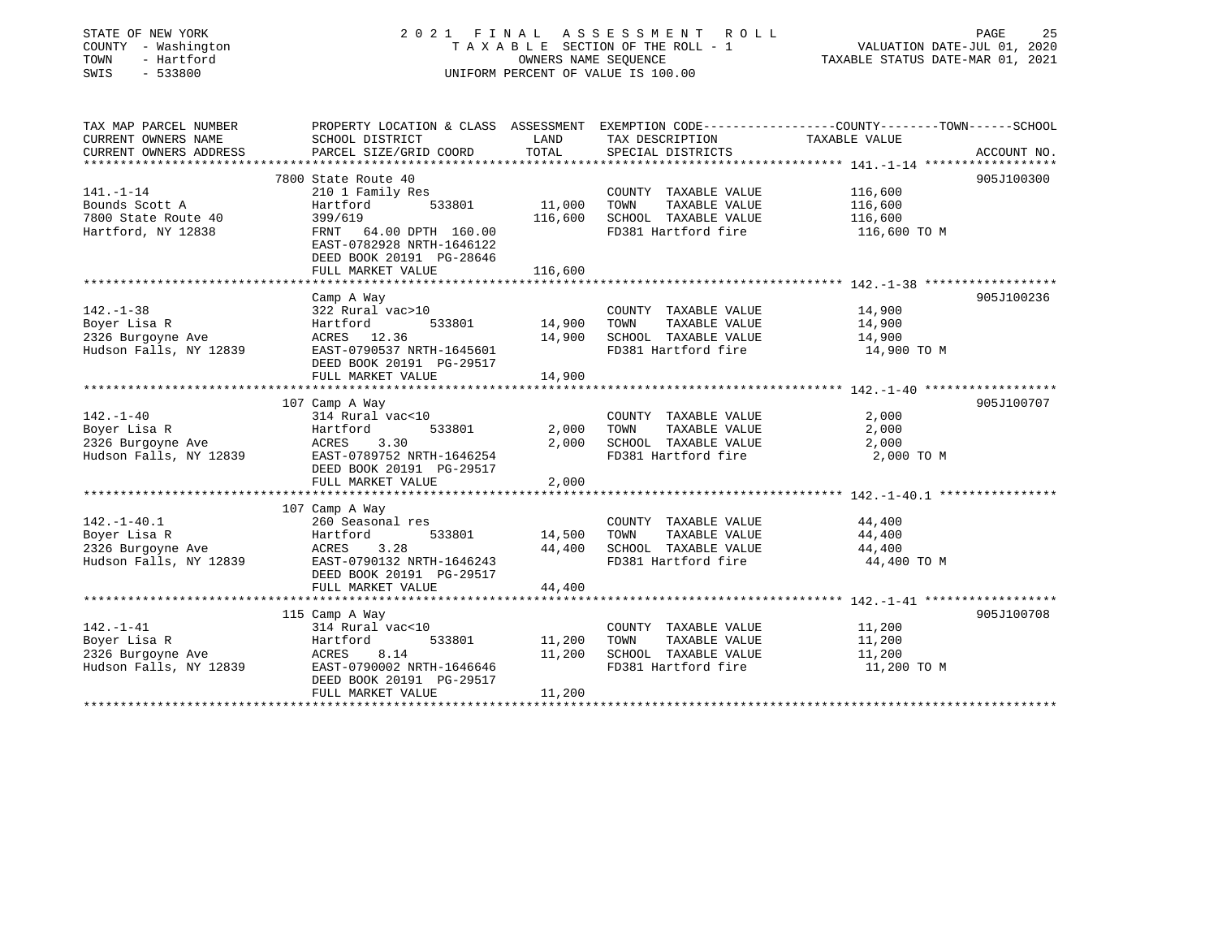| STATE OF NEW YORK<br>COUNTY - Washington<br>TOWN<br>- Hartford<br>SWIS<br>$-533800$ |                                                                                                   | OWNERS NAME SEOUENCE | 2021 FINAL ASSESSMENT ROLL<br>TAXABLE SECTION OF THE ROLL - 1<br>UNIFORM PERCENT OF VALUE IS 100.00 | VALUATION DATE-JUL 01, 2020<br>TAXABLE STATUS DATE-MAR 01, 2021 | 25<br>PAGE  |
|-------------------------------------------------------------------------------------|---------------------------------------------------------------------------------------------------|----------------------|-----------------------------------------------------------------------------------------------------|-----------------------------------------------------------------|-------------|
| TAX MAP PARCEL NUMBER                                                               | PROPERTY LOCATION & CLASS ASSESSMENT EXEMPTION CODE-----------------COUNTY-------TOWN------SCHOOL |                      |                                                                                                     |                                                                 |             |
| CURRENT OWNERS NAME                                                                 | SCHOOL DISTRICT                                                                                   | LAND                 | TAX DESCRIPTION                                                                                     | TAXABLE VALUE                                                   |             |
| CURRENT OWNERS ADDRESS                                                              | PARCEL SIZE/GRID COORD                                                                            | TOTAL                | SPECIAL DISTRICTS                                                                                   |                                                                 | ACCOUNT NO. |
|                                                                                     |                                                                                                   |                      |                                                                                                     |                                                                 |             |
|                                                                                     | 7800 State Route 40                                                                               |                      |                                                                                                     |                                                                 | 905J100300  |
| 141.-1-14                                                                           | 210 1 Family Res                                                                                  |                      | COUNTY TAXABLE VALUE                                                                                | 116,600                                                         |             |
| Bounds Scott A                                                                      | Hartford<br>533801                                                                                | 11,000               | TOWN<br>TAXABLE VALUE                                                                               | 116,600                                                         |             |
| 7800 State Route 40                                                                 | 399/619                                                                                           | 116,600              | SCHOOL TAXABLE VALUE<br>FD381 Hartford fire                                                         | 116,600                                                         |             |
| Hartford, NY 12838                                                                  | FRNT 64.00 DPTH 160.00<br>EAST-0782928 NRTH-1646122<br>DEED BOOK 20191 PG-28646                   |                      |                                                                                                     | 116,600 TO M                                                    |             |
|                                                                                     | FULL MARKET VALUE                                                                                 | 116,600              |                                                                                                     |                                                                 |             |
|                                                                                     |                                                                                                   |                      |                                                                                                     |                                                                 |             |
|                                                                                     | Camp A Way                                                                                        |                      |                                                                                                     |                                                                 | 905J100236  |
| $142. - 1 - 38$<br>Boyer Lisa R                                                     | 322 Rural vac>10<br>Hartford<br>533801                                                            | 14,900               | COUNTY TAXABLE VALUE<br>TOWN<br>TAXABLE VALUE                                                       | 14,900<br>14,900                                                |             |
| 2326 Burgoyne Ave                                                                   | ACRES 12.36                                                                                       |                      | 14,900 SCHOOL TAXABLE VALUE                                                                         | 14,900                                                          |             |
| Hudson Falls, NY 12839                                                              | EAST-0790537 NRTH-1645601                                                                         |                      | FD381 Hartford fire                                                                                 | 14,900 TO M                                                     |             |
|                                                                                     | DEED BOOK 20191 PG-29517<br>FULL MARKET VALUE                                                     | 14,900               |                                                                                                     |                                                                 |             |
|                                                                                     |                                                                                                   |                      |                                                                                                     |                                                                 |             |
|                                                                                     | 107 Camp A Way                                                                                    |                      |                                                                                                     |                                                                 | 905J100707  |
| $142. - 1 - 40$                                                                     | 314 Rural vac<10                                                                                  |                      | COUNTY TAXABLE VALUE                                                                                | 2,000                                                           |             |
| Boyer Lisa R                                                                        | 533801<br>Hartford                                                                                | 2,000                | TOWN<br>TAXABLE VALUE                                                                               | 2,000                                                           |             |
| 2326 Burgoyne Ave                                                                   | 3.30<br>ACRES                                                                                     |                      | 2,000 SCHOOL TAXABLE VALUE                                                                          | 2,000                                                           |             |
| Hudson Falls, NY 12839                                                              | EAST-0789752 NRTH-1646254                                                                         |                      | FD381 Hartford fire                                                                                 | 2,000 TO M                                                      |             |
|                                                                                     | DEED BOOK 20191 PG-29517                                                                          |                      |                                                                                                     |                                                                 |             |
|                                                                                     | FULL MARKET VALUE                                                                                 | 2,000                |                                                                                                     |                                                                 |             |
|                                                                                     | **********************                                                                            |                      |                                                                                                     | ********************* 142.-1-40.1 ****************              |             |
|                                                                                     | 107 Camp A Way                                                                                    |                      |                                                                                                     |                                                                 |             |
| $142. - 1 - 40.1$                                                                   | 260 Seasonal res                                                                                  |                      | COUNTY TAXABLE VALUE                                                                                | 44,400                                                          |             |
| Boyer Lisa R                                                                        | Hartford<br>533801                                                                                | 14,500               | TOWN<br>TAXABLE VALUE                                                                               | 44,400                                                          |             |
| 2326 Burgoyne Ave                                                                   | 3.28<br>ACRES                                                                                     | 44,400               | SCHOOL TAXABLE VALUE                                                                                | 44,400                                                          |             |
| Hudson Falls, NY 12839                                                              | EAST-0790132 NRTH-1646243<br>DEED BOOK 20191 PG-29517                                             |                      | FD381 Hartford fire                                                                                 | 44,400 TO M                                                     |             |
|                                                                                     | FULL MARKET VALUE                                                                                 | 44,400               |                                                                                                     |                                                                 |             |
|                                                                                     |                                                                                                   |                      |                                                                                                     |                                                                 |             |
|                                                                                     | 115 Camp A Way                                                                                    |                      |                                                                                                     |                                                                 | 905J100708  |
| $142. - 1 - 41$                                                                     | 314 Rural vac<10                                                                                  |                      | COUNTY TAXABLE VALUE                                                                                | 11,200                                                          |             |
| Boyer Lisa R                                                                        | 533801<br>Hartford                                                                                | 11,200               | TOWN<br>TAXABLE VALUE                                                                               | 11,200                                                          |             |
| 2326 Burgoyne Ave                                                                   | 8.14<br>ACRES                                                                                     | 11,200               | SCHOOL TAXABLE VALUE                                                                                | 11,200                                                          |             |
| Hudson Falls, NY 12839                                                              | EAST-0790002 NRTH-1646646                                                                         |                      | FD381 Hartford fire                                                                                 | 11,200 TO M                                                     |             |
|                                                                                     | DEED BOOK 20191 PG-29517<br>FULL MARKET VALUE                                                     | 11,200               |                                                                                                     |                                                                 |             |
|                                                                                     |                                                                                                   |                      |                                                                                                     |                                                                 |             |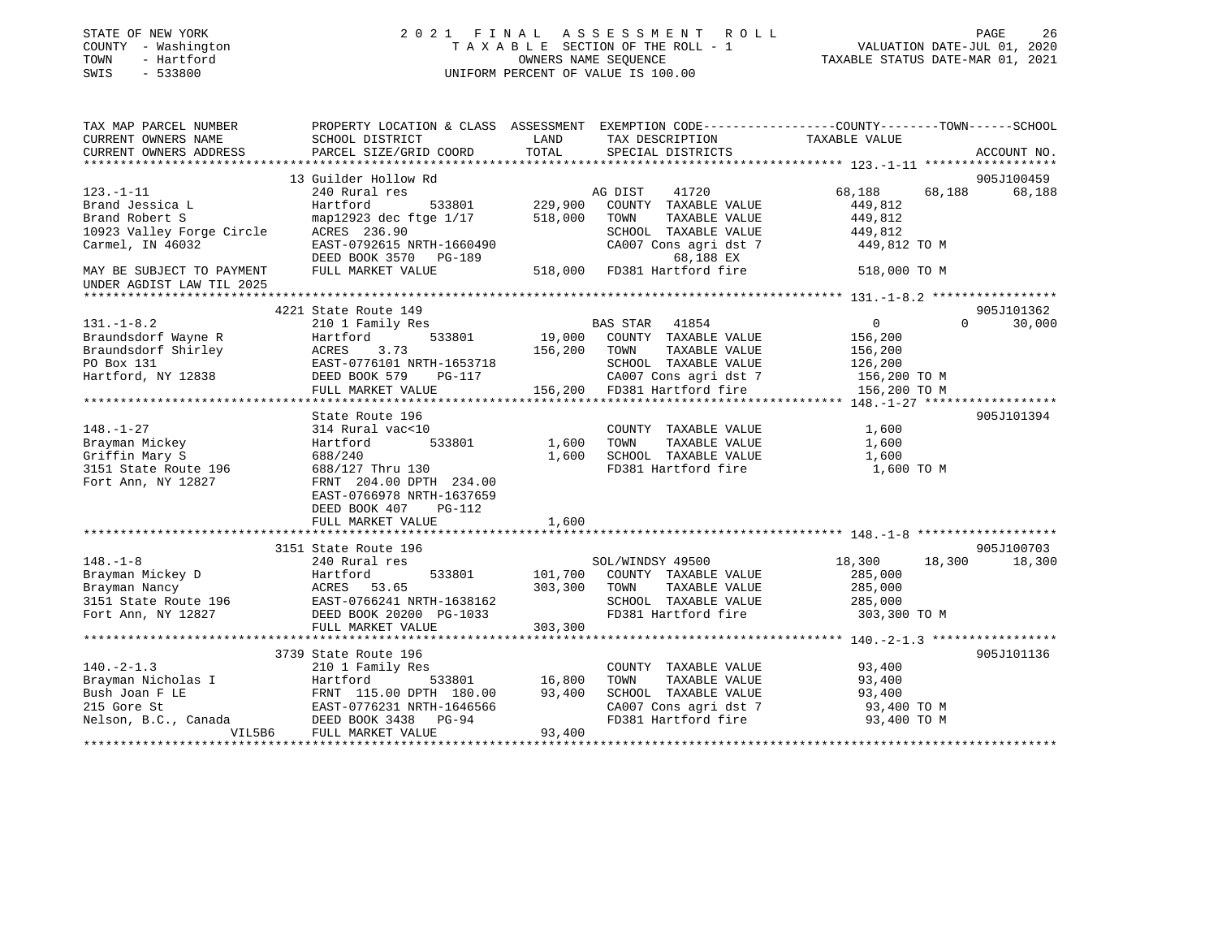| STATE OF NEW YORK<br>COUNTY - Washington<br>TOWN<br>- Hartford<br>SWIS<br>$-533800$                                                                                    |                                                                                                |               | 2021 FINAL ASSESSMENT ROLL<br>T A X A B L E SECTION OF THE ROLL - 1<br>OWNERS NAME SEQUENCE<br>UNIFORM PERCENT OF VALUE IS 100.00 | VALUATION DATE-JUL 01, 2020<br>TAXABLE STATUS DATE-MAR 01, 2021 | PAGE<br>26         |
|------------------------------------------------------------------------------------------------------------------------------------------------------------------------|------------------------------------------------------------------------------------------------|---------------|-----------------------------------------------------------------------------------------------------------------------------------|-----------------------------------------------------------------|--------------------|
| TAX MAP PARCEL NUMBER                                                                                                                                                  | PROPERTY LOCATION & CLASS ASSESSMENT EXEMPTION CODE---------------COUNTY-------TOWN-----SCHOOL |               |                                                                                                                                   |                                                                 |                    |
| CURRENT OWNERS NAME                                                                                                                                                    | SCHOOL DISTRICT                                                                                | LAND          | TAX DESCRIPTION TAXABLE VALUE                                                                                                     |                                                                 |                    |
| CURRENT OWNERS ADDRESS                                                                                                                                                 | PARCEL SIZE/GRID COORD                                                                         | TOTAL         | SPECIAL DISTRICTS                                                                                                                 |                                                                 | ACCOUNT NO.        |
|                                                                                                                                                                        | 13 Guilder Hollow Rd                                                                           |               |                                                                                                                                   |                                                                 | 905J100459         |
| $123. - 1 - 11$                                                                                                                                                        | 240 Rural res                                                                                  |               | AG DIST<br>41720                                                                                                                  | 68,188<br>68,188                                                | 68,188             |
| Brand Jessica L                                                                                                                                                        | Hartford<br>533801                                                                             | 229,900       | COUNTY TAXABLE VALUE                                                                                                              | 449,812                                                         |                    |
| Brand Robert S                                                                                                                                                         | map12923 dec ftge 1/17                                                                         | 518,000       | TOWN<br>TAXABLE VALUE                                                                                                             | 449,812                                                         |                    |
| 10923 Valley Forge Circle                                                                                                                                              | ACRES 236.90                                                                                   |               | SCHOOL TAXABLE VALUE                                                                                                              | 449,812                                                         |                    |
| Carmel, IN 46032                                                                                                                                                       | EAST-0792615 NRTH-1660490<br>DEED BOOK 3570 PG-189                                             |               | CA007 Cons agri dst 7<br>CA007 Cons agri dst<br>68,188 EX<br>518,000 FD381 Hartford fire<br>68,188 EX                             | 449,812 TO M                                                    |                    |
| MAY BE SUBJECT TO PAYMENT<br>UNDER AGDIST LAW TIL 2025                                                                                                                 | FULL MARKET VALUE                                                                              |               |                                                                                                                                   | 518,000 TO M                                                    |                    |
|                                                                                                                                                                        |                                                                                                |               |                                                                                                                                   |                                                                 |                    |
|                                                                                                                                                                        | 4221 State Route 149                                                                           |               |                                                                                                                                   |                                                                 | 905J101362         |
| $131. - 1 - 8.2$                                                                                                                                                       | 210 1 Family Res                                                                               |               | BAS STAR 41854                                                                                                                    | $\overline{0}$                                                  | $\Omega$<br>30,000 |
| Examples of Wayne R<br>Braundsdorf Shirley<br>PO Box 131 EAST-0<br>Hartford, NY 12838 DEED B                                                                           | 533801<br>Hartford                                                                             |               | 19,000 COUNTY TAXABLE VALUE                                                                                                       | 156,200                                                         |                    |
|                                                                                                                                                                        | 3.73                                                                                           | 156,200       | TOWN<br>TAXABLE VALUE                                                                                                             | 156,200                                                         |                    |
|                                                                                                                                                                        | EAST-0776101 NRTH-1653718<br>DEED BOOK 579 PG-117                                              |               | SCHOOL TAXABLE VALUE                                                                                                              | 126,200<br>$156,200$ TO M                                       |                    |
|                                                                                                                                                                        | FULL MARKET VALUE                                                                              |               | CA007 Cons agri dst 7<br>156,200 FD381 Hartford fire                                                                              | 156,200 TO M                                                    |                    |
|                                                                                                                                                                        |                                                                                                |               |                                                                                                                                   |                                                                 |                    |
|                                                                                                                                                                        | State Route 196                                                                                |               |                                                                                                                                   |                                                                 | 905J101394         |
| $148. - 1 - 27$                                                                                                                                                        | 314 Rural vac<10                                                                               |               | COUNTY TAXABLE VALUE                                                                                                              | 1,600                                                           |                    |
| Brayman Mickey                                                                                                                                                         | Hartford                                                                                       | 533801 1,600  | TAXABLE VALUE<br>TOWN                                                                                                             | 1,600                                                           |                    |
| Griffin Mary S                                                                                                                                                         | 688/240                                                                                        | 1,600         | SCHOOL TAXABLE VALUE                                                                                                              | 1,600                                                           |                    |
| Griffin $max_1$ $\omega$<br>3151 State Route 196                                                                                                                       | 688/127 Thru 130                                                                               |               | FD381 Hartford fire                                                                                                               | 1,600 TO M                                                      |                    |
| Fort Ann, NY 12827                                                                                                                                                     | FRNT 204.00 DPTH 234.00<br>EAST-0766978 NRTH-1637659                                           |               |                                                                                                                                   |                                                                 |                    |
|                                                                                                                                                                        | DEED BOOK 407<br>PG-112                                                                        |               |                                                                                                                                   |                                                                 |                    |
|                                                                                                                                                                        | FULL MARKET VALUE                                                                              | 1,600         |                                                                                                                                   |                                                                 |                    |
|                                                                                                                                                                        |                                                                                                |               |                                                                                                                                   |                                                                 |                    |
|                                                                                                                                                                        | 3151 State Route 196                                                                           |               |                                                                                                                                   |                                                                 | 905J100703         |
|                                                                                                                                                                        |                                                                                                |               | SOL/WINDSY 49500<br>101,700 COUNTY TAXABLE VALUE                                                                                  | 18,300                                                          | 18,300 18,300      |
|                                                                                                                                                                        |                                                                                                |               | TAXABLE VALUE<br>TOWN                                                                                                             | 285,000<br>285,000                                              |                    |
|                                                                                                                                                                        |                                                                                                |               | SCHOOL TAXABLE VALUE                                                                                                              | 285,000                                                         |                    |
|                                                                                                                                                                        |                                                                                                |               | FD381 Hartford fire                                                                                                               | 303,300 TO M                                                    |                    |
|                                                                                                                                                                        | FULL MARKET VALUE                                                                              | 303,300       |                                                                                                                                   |                                                                 |                    |
|                                                                                                                                                                        |                                                                                                |               |                                                                                                                                   |                                                                 |                    |
|                                                                                                                                                                        | 3739 State Route 196                                                                           |               |                                                                                                                                   |                                                                 | 905J101136         |
| $140. -2 - 1.3$                                                                                                                                                        | 210 1 Family Res                                                                               |               | COUNTY TAXABLE VALUE                                                                                                              | 93,400                                                          |                    |
|                                                                                                                                                                        |                                                                                                | 533801 16,800 | TOWN<br>TAXABLE VALUE                                                                                                             | 93,400                                                          |                    |
|                                                                                                                                                                        |                                                                                                | 93,400        | SCHOOL TAXABLE VALUE                                                                                                              | 93,400                                                          |                    |
| Brayman Nicholas I (1938)<br>Bush Joan F LE (1948)<br>215 Gore St (1948)<br>RAST-0776231 NRTH-1646566<br>Nelson, B.C., Canada (1958)<br>DEED BOOK 3438 (1959)<br>PG-94 |                                                                                                |               | CA007 Cons agri dst 7                                                                                                             | 93,400 TO M                                                     |                    |
| VIL5B6                                                                                                                                                                 | FULL MARKET VALUE                                                                              | 93,400        | FD381 Hartford fire                                                                                                               | 93,400 TO M                                                     |                    |
|                                                                                                                                                                        |                                                                                                |               |                                                                                                                                   |                                                                 |                    |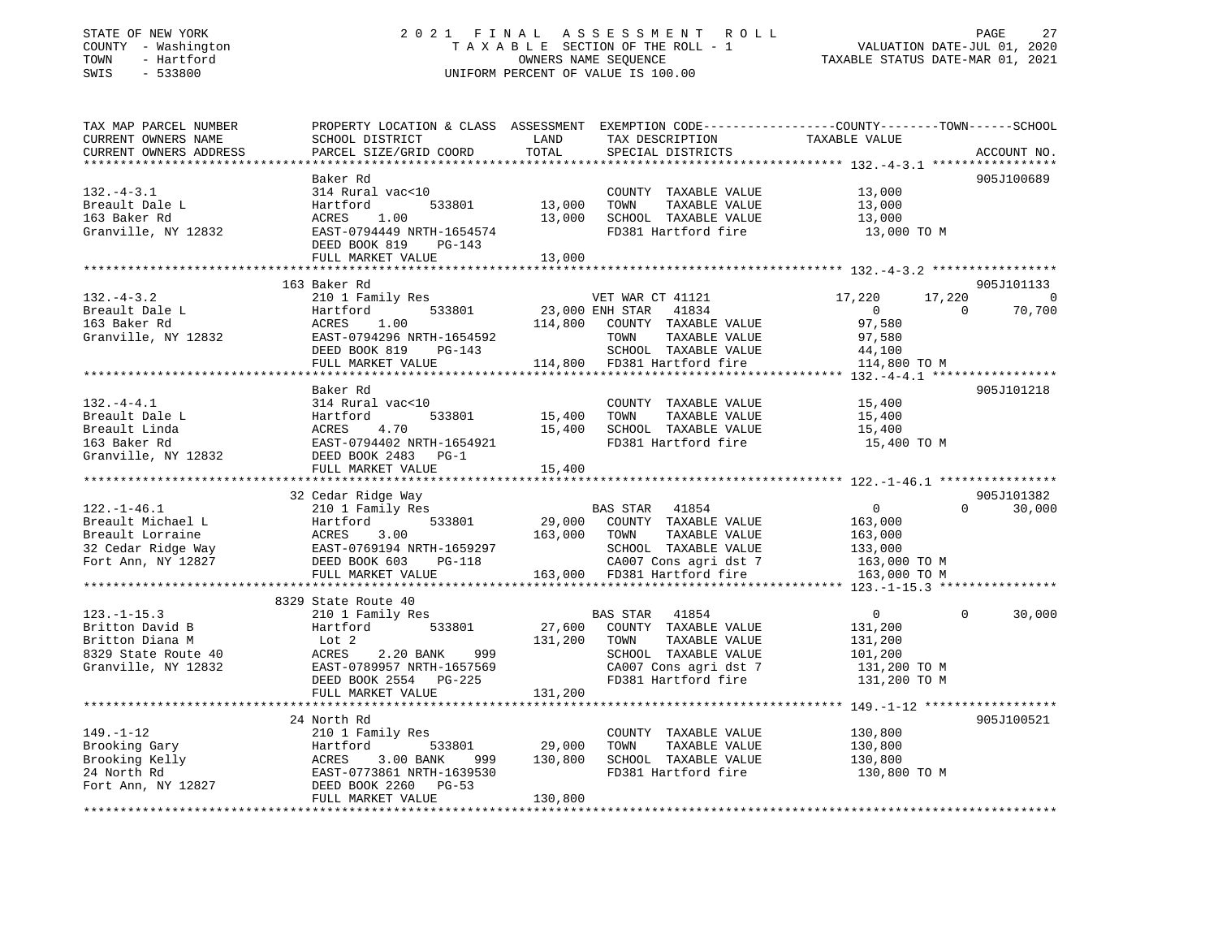### STATE OF NEW YORK 2 0 2 1 F I N A L A S S E S S M E N T R O L L PAGE 27 COUNTY - Washington T A X A B L E SECTION OF THE ROLL - 1 VALUATION DATE-JUL 01, 2020 TOWN - Hartford OWNERS NAME SEQUENCE TAXABLE STATUS DATE-MAR 01, 2021 SWIS - 533800 UNIFORM PERCENT OF VALUE IS 100.00

| TAX MAP PARCEL NUMBER<br>CURRENT OWNERS NAME       | PROPERTY LOCATION & CLASS ASSESSMENT EXEMPTION CODE---------------COUNTY-------TOWN------SCHOOL<br>SCHOOL DISTRICT | LAND            | TAX DESCRIPTION                             | TAXABLE VALUE                                               |             |
|----------------------------------------------------|--------------------------------------------------------------------------------------------------------------------|-----------------|---------------------------------------------|-------------------------------------------------------------|-------------|
| CURRENT OWNERS ADDRESS<br>************************ | PARCEL SIZE/GRID COORD                                                                                             | TOTAL           | SPECIAL DISTRICTS                           |                                                             | ACCOUNT NO. |
|                                                    | Baker Rd                                                                                                           |                 |                                             |                                                             | 905J100689  |
| $132 - 4 - 3.1$                                    | 314 Rural vac<10                                                                                                   |                 | COUNTY TAXABLE VALUE                        | 13,000                                                      |             |
| Breault Dale L                                     | 533801<br>Hartford                                                                                                 | 13,000          | TOWN<br>TAXABLE VALUE                       | 13,000                                                      |             |
| 163 Baker Rd                                       | 1.00<br>ACRES                                                                                                      | 13,000          | SCHOOL TAXABLE VALUE                        | 13,000                                                      |             |
| Granville, NY 12832                                | EAST-0794449 NRTH-1654574                                                                                          |                 | FD381 Hartford fire                         | 13,000 TO M                                                 |             |
|                                                    | DEED BOOK 819<br>PG-143                                                                                            |                 |                                             |                                                             |             |
|                                                    | FULL MARKET VALUE                                                                                                  | 13,000          |                                             |                                                             |             |
|                                                    |                                                                                                                    |                 |                                             |                                                             |             |
|                                                    | 163 Baker Rd                                                                                                       |                 |                                             |                                                             | 905J101133  |
| $132. - 4 - 3.2$                                   | 210 1 Family Res                                                                                                   |                 | VET WAR CT 41121                            | 17,220<br>17,220                                            | $\Omega$    |
| Breault Dale L                                     | 533801<br>Hartford                                                                                                 | 23,000 ENH STAR | 41834                                       | $\circ$<br>$\Omega$                                         | 70,700      |
| 163 Baker Rd                                       | ACRES<br>1.00                                                                                                      | 114,800         | COUNTY TAXABLE VALUE                        | 97,580                                                      |             |
| Granville, NY 12832                                | EAST-0794296 NRTH-1654592                                                                                          |                 | TOWN<br>TAXABLE VALUE                       | 97,580                                                      |             |
|                                                    | DEED BOOK 819<br>$PG-143$                                                                                          |                 | SCHOOL TAXABLE VALUE                        | 44,100                                                      |             |
|                                                    | FULL MARKET VALUE                                                                                                  |                 | 114,800 FD381 Hartford fire                 | 114,800 TO M                                                |             |
|                                                    |                                                                                                                    |                 |                                             |                                                             |             |
|                                                    | Baker Rd                                                                                                           |                 |                                             |                                                             | 905J101218  |
| $132. -4 - 4.1$                                    | 314 Rural vac<10                                                                                                   |                 | COUNTY TAXABLE VALUE                        | 15,400                                                      |             |
| Breault Dale L                                     | 533801<br>Hartford                                                                                                 | 15,400          | TOWN<br>TAXABLE VALUE                       | 15,400                                                      |             |
| Breault Linda                                      | 4.70<br>ACRES                                                                                                      | 15,400          | SCHOOL TAXABLE VALUE                        | 15,400                                                      |             |
| 163 Baker Rd                                       | EAST-0794402 NRTH-1654921                                                                                          |                 | FD381 Hartford fire                         | 15,400 TO M                                                 |             |
| Granville, NY 12832                                | DEED BOOK 2483<br>$PG-1$                                                                                           |                 |                                             |                                                             |             |
|                                                    | FULL MARKET VALUE                                                                                                  | 15,400          |                                             |                                                             |             |
|                                                    |                                                                                                                    |                 |                                             |                                                             |             |
|                                                    | 32 Cedar Ridge Way                                                                                                 |                 |                                             |                                                             | 905J101382  |
| $122. - 1 - 46.1$                                  | 210 1 Family Res                                                                                                   |                 | BAS STAR<br>41854                           | $\overline{0}$<br>$\Omega$                                  | 30,000      |
| Breault Michael L                                  | 533801<br>Hartford                                                                                                 | 29,000          | COUNTY TAXABLE VALUE                        | 163,000                                                     |             |
| Breault Lorraine                                   | 3.00<br>ACRES                                                                                                      | 163,000         | TAXABLE VALUE<br>TOWN                       | 163,000                                                     |             |
| 32 Cedar Ridge Way                                 | EAST-0769194 NRTH-1659297                                                                                          |                 | SCHOOL TAXABLE VALUE                        | 133,000                                                     |             |
| Fort Ann, NY 12827                                 | DEED BOOK 603<br><b>PG-118</b>                                                                                     |                 | CA007 Cons agri dst 7                       | 163,000 TO M                                                |             |
|                                                    | FULL MARKET VALUE                                                                                                  |                 | 163,000 FD381 Hartford fire                 | 163,000 TO M                                                |             |
|                                                    |                                                                                                                    |                 |                                             |                                                             |             |
|                                                    | 8329 State Route 40                                                                                                |                 |                                             |                                                             |             |
| $123. - 1 - 15.3$                                  | 210 1 Family Res                                                                                                   |                 | 41854<br>BAS STAR                           | $\mathbf 0$<br>$\Omega$                                     | 30,000      |
| Britton David B                                    | 533801<br>Hartford                                                                                                 | 27,600          | COUNTY TAXABLE VALUE                        | 131,200                                                     |             |
| Britton Diana M                                    | Lot 2                                                                                                              | 131,200         | TAXABLE VALUE<br>TOWN                       | 131,200                                                     |             |
| 8329 State Route 40                                | ACRES<br>2.20 BANK<br>999                                                                                          |                 | SCHOOL TAXABLE VALUE                        | 101,200                                                     |             |
| Granville, NY 12832                                | EAST-0789957 NRTH-1657569                                                                                          |                 | CA007 Cons agri dst 7                       | 131,200 TO M                                                |             |
|                                                    | DEED BOOK 2554<br>$PG-225$                                                                                         |                 | FD381 Hartford fire                         | 131,200 TO M                                                |             |
|                                                    | FULL MARKET VALUE<br>**************************                                                                    | 131,200         |                                             | ****************************** 149.-1-12 ****************** |             |
|                                                    |                                                                                                                    |                 |                                             |                                                             | 905J100521  |
|                                                    | 24 North Rd                                                                                                        |                 |                                             |                                                             |             |
| $149. - 1 - 12$                                    | 210 1 Family Res                                                                                                   |                 | COUNTY TAXABLE VALUE                        | 130,800                                                     |             |
| Brooking Gary                                      | Hartford<br>533801                                                                                                 | 29,000          | TOWN<br>TAXABLE VALUE                       | 130,800                                                     |             |
| Brooking Kelly<br>24 North Rd                      | 3.00 BANK<br>ACRES<br>999                                                                                          | 130,800         | SCHOOL TAXABLE VALUE<br>FD381 Hartford fire | 130,800                                                     |             |
|                                                    | EAST-0773861 NRTH-1639530<br>DEED BOOK 2260<br>PG-53                                                               |                 |                                             | 130,800 TO M                                                |             |
| Fort Ann, NY 12827                                 | FULL MARKET VALUE                                                                                                  | 130,800         |                                             |                                                             |             |
|                                                    |                                                                                                                    |                 |                                             |                                                             |             |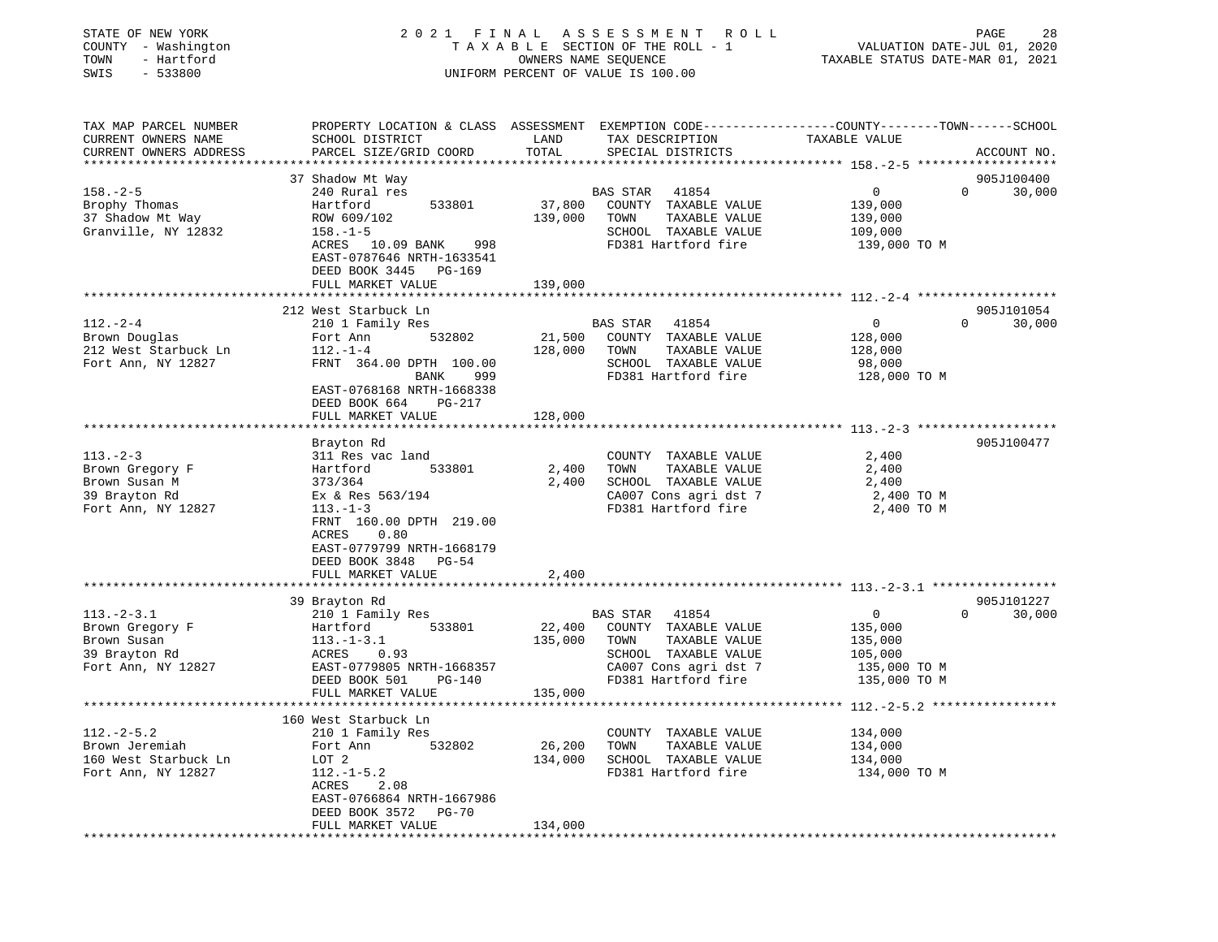| STATE OF NEW YORK<br>COUNTY - Washington<br>TOWN<br>- Hartford<br>SWIS<br>$-533800$ |                                                                                                                    |               | 2021 FINAL ASSESSMENT<br>R O L L<br>TAXABLE SECTION OF THE ROLL - 1<br>OWNERS NAME SEQUENCE<br>UNIFORM PERCENT OF VALUE IS 100.00 | PAGE<br>28<br>VALUATION DATE-JUL 01, 2020<br>TAXABLE STATUS DATE-MAR 01, 2021                                                   |
|-------------------------------------------------------------------------------------|--------------------------------------------------------------------------------------------------------------------|---------------|-----------------------------------------------------------------------------------------------------------------------------------|---------------------------------------------------------------------------------------------------------------------------------|
| TAX MAP PARCEL NUMBER<br>CURRENT OWNERS NAME<br>CURRENT OWNERS ADDRESS              | SCHOOL DISTRICT<br>PARCEL SIZE/GRID COORD                                                                          | LAND<br>TOTAL | TAX DESCRIPTION<br>SPECIAL DISTRICTS                                                                                              | PROPERTY LOCATION & CLASS ASSESSMENT EXEMPTION CODE---------------COUNTY-------TOWN------SCHOOL<br>TAXABLE VALUE<br>ACCOUNT NO. |
|                                                                                     |                                                                                                                    |               |                                                                                                                                   |                                                                                                                                 |
|                                                                                     | 37 Shadow Mt Way                                                                                                   |               |                                                                                                                                   | 905J100400                                                                                                                      |
| $158. - 2 - 5$                                                                      | 240 Rural res                                                                                                      |               | BAS STAR<br>41854                                                                                                                 | $\mathbf 0$<br>0<br>30,000                                                                                                      |
| Brophy Thomas                                                                       | 533801<br>Hartford                                                                                                 | 37,800        | COUNTY TAXABLE VALUE                                                                                                              | 139,000                                                                                                                         |
| 37 Shadow Mt Way                                                                    | ROW 609/102                                                                                                        | 139,000       | TAXABLE VALUE<br>TOWN                                                                                                             | 139,000                                                                                                                         |
| Granville, NY 12832                                                                 | $158. - 1 - 5$<br>ACRES 10.09 BANK<br>998<br>EAST-0787646 NRTH-1633541<br>DEED BOOK 3445 PG-169                    |               | SCHOOL TAXABLE VALUE<br>FD381 Hartford fire                                                                                       | 109,000<br>139,000 TO M                                                                                                         |
|                                                                                     | FULL MARKET VALUE                                                                                                  | 139,000       |                                                                                                                                   |                                                                                                                                 |
|                                                                                     |                                                                                                                    |               |                                                                                                                                   |                                                                                                                                 |
|                                                                                     | 212 West Starbuck Ln                                                                                               |               |                                                                                                                                   | 905J101054                                                                                                                      |
| $112.-2-4$                                                                          | 210 1 Family Res                                                                                                   |               | 41854<br>BAS STAR                                                                                                                 | $\Omega$<br>30,000<br>$\mathbf{0}$                                                                                              |
| Brown Douglas                                                                       | 532802<br>Fort Ann                                                                                                 | 21,500        | COUNTY TAXABLE VALUE                                                                                                              | 128,000                                                                                                                         |
| 212 West Starbuck Ln                                                                | $112. - 1 - 4$                                                                                                     | 128,000       | TOWN<br>TAXABLE VALUE                                                                                                             | 128,000                                                                                                                         |
| Fort Ann, NY 12827                                                                  | FRNT 364.00 DPTH 100.00                                                                                            |               | SCHOOL TAXABLE VALUE                                                                                                              | 98,000                                                                                                                          |
|                                                                                     | BANK<br>999<br>EAST-0768168 NRTH-1668338<br>DEED BOOK 664<br>PG-217<br>FULL MARKET VALUE                           | 128,000       | FD381 Hartford fire                                                                                                               | 128,000 TO M                                                                                                                    |
|                                                                                     |                                                                                                                    |               |                                                                                                                                   |                                                                                                                                 |
|                                                                                     | Brayton Rd                                                                                                         |               |                                                                                                                                   | 905J100477                                                                                                                      |
| $113. - 2 - 3$                                                                      | 311 Res vac land                                                                                                   |               | COUNTY TAXABLE VALUE                                                                                                              | 2,400                                                                                                                           |
| Brown Gregory F                                                                     | Hartford<br>533801                                                                                                 | 2,400         | TAXABLE VALUE<br>TOWN                                                                                                             | 2,400                                                                                                                           |
| Brown Susan M                                                                       | 373/364                                                                                                            | 2,400         | SCHOOL TAXABLE VALUE                                                                                                              | 2,400                                                                                                                           |
| 39 Brayton Rd                                                                       | Ex & Res 563/194                                                                                                   |               | CA007 Cons agri dst 7                                                                                                             | 2,400 TO M                                                                                                                      |
| Fort Ann, NY 12827                                                                  | $113. - 1 - 3$<br>FRNT 160.00 DPTH 219.00<br>0.80<br>ACRES<br>EAST-0779799 NRTH-1668179<br>DEED BOOK 3848<br>PG-54 |               | FD381 Hartford fire                                                                                                               | 2,400 TO M                                                                                                                      |
|                                                                                     | FULL MARKET VALUE                                                                                                  | 2,400         |                                                                                                                                   |                                                                                                                                 |
|                                                                                     |                                                                                                                    |               |                                                                                                                                   |                                                                                                                                 |
|                                                                                     | 39 Brayton Rd                                                                                                      |               |                                                                                                                                   | 905J101227                                                                                                                      |
| $113.-2-3.1$                                                                        | 210 1 Family Res                                                                                                   |               | 41854<br>BAS STAR                                                                                                                 | $\mathbf 0$<br>$\Omega$<br>30,000                                                                                               |
| Brown Gregory F                                                                     | Hartford<br>533801                                                                                                 | 22,400        | COUNTY TAXABLE VALUE                                                                                                              | 135,000                                                                                                                         |
| Brown Susan                                                                         | $113. - 1 - 3.1$                                                                                                   | 135,000       | TOWN<br>TAXABLE VALUE                                                                                                             | 135,000                                                                                                                         |
| 39 Brayton Rd                                                                       | ACRES<br>0.93                                                                                                      |               | SCHOOL TAXABLE VALUE                                                                                                              | 105,000                                                                                                                         |
| Fort Ann, NY 12827                                                                  | EAST-0779805 NRTH-1668357                                                                                          |               | CA007 Cons agri dst 7                                                                                                             | 135,000 TO M                                                                                                                    |
|                                                                                     | DEED BOOK 501<br>PG-140                                                                                            |               | FD381 Hartford fire                                                                                                               | 135,000 TO M                                                                                                                    |
|                                                                                     | FULL MARKET VALUE                                                                                                  | 135,000       |                                                                                                                                   |                                                                                                                                 |
|                                                                                     |                                                                                                                    |               |                                                                                                                                   |                                                                                                                                 |
| $112.-2-5.2$                                                                        | 160 West Starbuck Ln<br>210 1 Family Res                                                                           |               | COUNTY TAXABLE VALUE                                                                                                              | 134,000                                                                                                                         |
| Brown Jeremiah                                                                      | Fort Ann<br>532802                                                                                                 | 26,200        | TOWN<br>TAXABLE VALUE                                                                                                             | 134,000                                                                                                                         |
| 160 West Starbuck Ln                                                                | LOT 2                                                                                                              | 134,000       | SCHOOL TAXABLE VALUE                                                                                                              | 134,000                                                                                                                         |
| Fort Ann, NY 12827                                                                  | $112.-1-5.2$                                                                                                       |               | FD381 Hartford fire                                                                                                               | 134,000 TO M                                                                                                                    |
|                                                                                     | ACRES<br>2.08                                                                                                      |               |                                                                                                                                   |                                                                                                                                 |
|                                                                                     | EAST-0766864 NRTH-1667986<br>DEED BOOK 3572<br><b>PG-70</b>                                                        |               |                                                                                                                                   |                                                                                                                                 |
|                                                                                     | FULL MARKET VALUE                                                                                                  | 134,000       |                                                                                                                                   |                                                                                                                                 |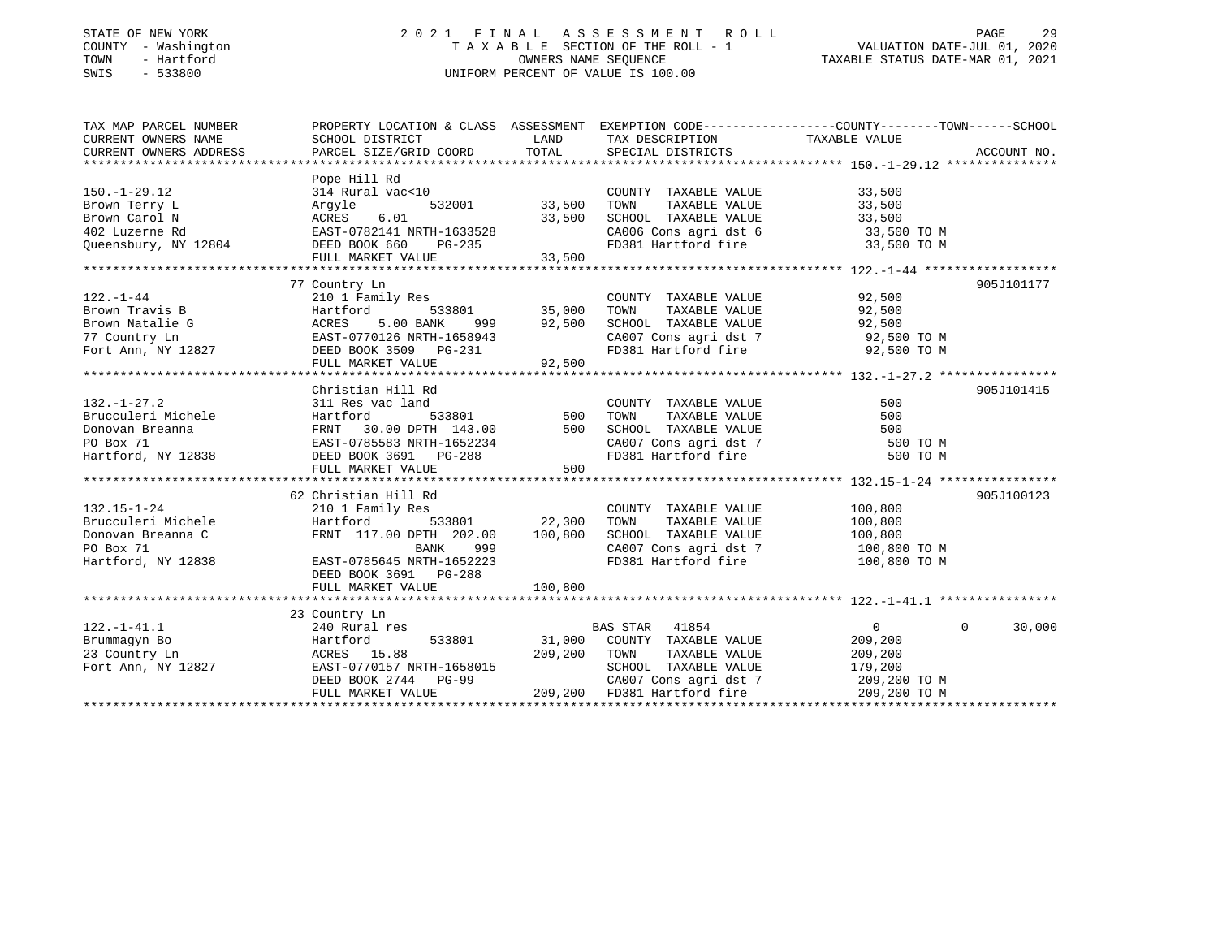### STATE OF NEW YORK 2 0 2 1 F I N A L A S S E S S M E N T R O L L PAGE 29 COUNTY - Washington T A X A B L E SECTION OF THE ROLL - 1 VALUATION DATE-JUL 01, 2020 TOWN - Hartford OWNERS NAME SEQUENCE TAXABLE STATUS DATE-MAR 01, 2021 SWIS - 533800 UNIFORM PERCENT OF VALUE IS 100.00

| TAX MAP PARCEL NUMBER                                                                                                                                                                                                                                                                                                                                                                                                               |                                                                               |            |                                                                                                     | PROPERTY LOCATION & CLASS ASSESSMENT EXEMPTION CODE----------------COUNTY-------TOWN------SCHOOL |  |
|-------------------------------------------------------------------------------------------------------------------------------------------------------------------------------------------------------------------------------------------------------------------------------------------------------------------------------------------------------------------------------------------------------------------------------------|-------------------------------------------------------------------------------|------------|-----------------------------------------------------------------------------------------------------|--------------------------------------------------------------------------------------------------|--|
| CURRENT OWNERS NAME                                                                                                                                                                                                                                                                                                                                                                                                                 | SCHOOL DISTRICT                                                               |            | LAND TAX DESCRIPTION TAXABLE VALUE                                                                  |                                                                                                  |  |
|                                                                                                                                                                                                                                                                                                                                                                                                                                     |                                                                               |            |                                                                                                     |                                                                                                  |  |
|                                                                                                                                                                                                                                                                                                                                                                                                                                     |                                                                               |            |                                                                                                     |                                                                                                  |  |
|                                                                                                                                                                                                                                                                                                                                                                                                                                     | Pope Hill Rd                                                                  |            |                                                                                                     |                                                                                                  |  |
| $150. - 1 - 29.12$                                                                                                                                                                                                                                                                                                                                                                                                                  | Pope niii ku<br>314 Rural vac<10<br>Argyle 532001 33,500<br>ACRES 6.01 33,500 |            | COUNTY TAXABLE VALUE                                                                                | 33,500                                                                                           |  |
|                                                                                                                                                                                                                                                                                                                                                                                                                                     |                                                                               |            | TOWN TAXABLE VALUE 33,500<br>SCHOOL TAXABLE VALUE 33,500                                            |                                                                                                  |  |
|                                                                                                                                                                                                                                                                                                                                                                                                                                     |                                                                               |            |                                                                                                     |                                                                                                  |  |
|                                                                                                                                                                                                                                                                                                                                                                                                                                     |                                                                               |            |                                                                                                     | CA006 Cons agri dst 6 33,500 TO M                                                                |  |
|                                                                                                                                                                                                                                                                                                                                                                                                                                     |                                                                               |            | FD381 Hartford fire                                                                                 | 33,500 TO M                                                                                      |  |
|                                                                                                                                                                                                                                                                                                                                                                                                                                     |                                                                               |            |                                                                                                     |                                                                                                  |  |
| $\begin{tabular}{l l l l} 150.-1-29.12 & \rule{0mm}{3.5mm} \text{Brown Terry L} & \rule{0mm}{3.5mm} \text{Arrown} & \rule{0mm}{3.5mm} \text{Term Rd} & \rule{0mm}{3.5mm} \text{Argument} & \rule{0mm}{3.5mm} \text{Argument} & \rule{0mm}{3.5mm} \text{Group} & \rule{0mm}{3.5mm} \text{Common C} & \rule{0mm}{3.5mm} \text{Convn} & \rule{0mm}{3.5mm} \text{Car} & \rule{0mm}{3.5mm} \text{R} & \rule{0mm}{3.5mm} \text{REES} & \$ |                                                                               |            |                                                                                                     |                                                                                                  |  |
|                                                                                                                                                                                                                                                                                                                                                                                                                                     | 77 Country Ln                                                                 |            |                                                                                                     | 905J101177                                                                                       |  |
| $122. - 1 - 44$                                                                                                                                                                                                                                                                                                                                                                                                                     | 210 1 Family Res                                                              |            | COUNTY TAXABLE VALUE 92,500                                                                         |                                                                                                  |  |
|                                                                                                                                                                                                                                                                                                                                                                                                                                     |                                                                               |            | TOWN                                                                                                | TAXABLE VALUE 92,500                                                                             |  |
|                                                                                                                                                                                                                                                                                                                                                                                                                                     |                                                                               |            |                                                                                                     |                                                                                                  |  |
|                                                                                                                                                                                                                                                                                                                                                                                                                                     |                                                                               |            |                                                                                                     |                                                                                                  |  |
| Brown Travis B<br>Brown Natalie G<br>77 Country Ln<br>Fort Ann, NY 12827<br>Fort Ann, NY 12827<br>PEED BOOK 3509<br>PC-231                                                                                                                                                                                                                                                                                                          |                                                                               |            | SCHOOL TAXABLE VALUE 92,500<br>CA007 Cons agri dst 7 92,500 TO M<br>FD381 Hartford fire 92,500 TO M |                                                                                                  |  |
|                                                                                                                                                                                                                                                                                                                                                                                                                                     |                                                                               |            |                                                                                                     |                                                                                                  |  |
|                                                                                                                                                                                                                                                                                                                                                                                                                                     |                                                                               |            |                                                                                                     |                                                                                                  |  |
|                                                                                                                                                                                                                                                                                                                                                                                                                                     | Christian Hill Rd                                                             |            |                                                                                                     | 905J101415                                                                                       |  |
|                                                                                                                                                                                                                                                                                                                                                                                                                                     |                                                                               |            |                                                                                                     |                                                                                                  |  |
|                                                                                                                                                                                                                                                                                                                                                                                                                                     |                                                                               |            |                                                                                                     |                                                                                                  |  |
|                                                                                                                                                                                                                                                                                                                                                                                                                                     |                                                                               |            |                                                                                                     |                                                                                                  |  |
|                                                                                                                                                                                                                                                                                                                                                                                                                                     |                                                                               |            |                                                                                                     | 500 TO M                                                                                         |  |
|                                                                                                                                                                                                                                                                                                                                                                                                                                     |                                                                               |            |                                                                                                     | 500 TO M                                                                                         |  |
|                                                                                                                                                                                                                                                                                                                                                                                                                                     | FULL MARKET VALUE                                                             | 500        |                                                                                                     |                                                                                                  |  |
|                                                                                                                                                                                                                                                                                                                                                                                                                                     |                                                                               |            |                                                                                                     |                                                                                                  |  |
|                                                                                                                                                                                                                                                                                                                                                                                                                                     | 62 Christian Hill Rd                                                          |            |                                                                                                     | 905J100123                                                                                       |  |
| $132.15 - 1 - 24$                                                                                                                                                                                                                                                                                                                                                                                                                   | 210 1 Family Res                                                              |            | COUNTY TAXABLE VALUE 100,800                                                                        |                                                                                                  |  |
|                                                                                                                                                                                                                                                                                                                                                                                                                                     |                                                                               |            | TOWN                                                                                                | TAXABLE VALUE 100,800                                                                            |  |
|                                                                                                                                                                                                                                                                                                                                                                                                                                     | Hartford 533801 22,300<br>FRNT 117.00 DPTH 202.00 100,800                     |            | SCHOOL TAXABLE VALUE                                                                                | 100,800                                                                                          |  |
|                                                                                                                                                                                                                                                                                                                                                                                                                                     |                                                                               | 999 (1989) |                                                                                                     | CA007 Cons agri dst 7 100,800 TO M                                                               |  |
| Brucculeri Michele<br>Donovan Breanna C<br>PO Box 71 BANK 999<br>Hartford, NY 12838 EAST-0785645 NRTH-1652223                                                                                                                                                                                                                                                                                                                       |                                                                               |            | FD381 Hartford fire 100,800 TO M                                                                    |                                                                                                  |  |
|                                                                                                                                                                                                                                                                                                                                                                                                                                     | DEED BOOK 3691 PG-288                                                         |            |                                                                                                     |                                                                                                  |  |
|                                                                                                                                                                                                                                                                                                                                                                                                                                     | FULL MARKET VALUE                                                             | 100,800    |                                                                                                     |                                                                                                  |  |
|                                                                                                                                                                                                                                                                                                                                                                                                                                     |                                                                               |            |                                                                                                     |                                                                                                  |  |
|                                                                                                                                                                                                                                                                                                                                                                                                                                     | 23 Country Ln                                                                 |            |                                                                                                     |                                                                                                  |  |
| $122. - 1 - 41.1$                                                                                                                                                                                                                                                                                                                                                                                                                   | 240 Rural res                                                                 |            | BAS STAR 41854                                                                                      | 30,000<br>$\overline{0}$<br>$\mathbf{0}$                                                         |  |
| Examinglyn Bo Bartford 533801 31,000 COUNTY<br>23 Country Ln ACRES 15.88 209,200 TOWN Fort Ann, NY 12827 EAST-0770157 NRTH-1658015 SCHOOL                                                                                                                                                                                                                                                                                           |                                                                               |            | 533801 31,000 COUNTY TAXABLE VALUE 209,200<br>5.88 209,200 TOWN TAXABLE VALUE 209,200               |                                                                                                  |  |
|                                                                                                                                                                                                                                                                                                                                                                                                                                     |                                                                               |            |                                                                                                     |                                                                                                  |  |
|                                                                                                                                                                                                                                                                                                                                                                                                                                     |                                                                               |            | SCHOOL TAXABLE VALUE 179,200                                                                        |                                                                                                  |  |
|                                                                                                                                                                                                                                                                                                                                                                                                                                     |                                                                               |            |                                                                                                     |                                                                                                  |  |
|                                                                                                                                                                                                                                                                                                                                                                                                                                     |                                                                               |            |                                                                                                     |                                                                                                  |  |
|                                                                                                                                                                                                                                                                                                                                                                                                                                     |                                                                               |            |                                                                                                     |                                                                                                  |  |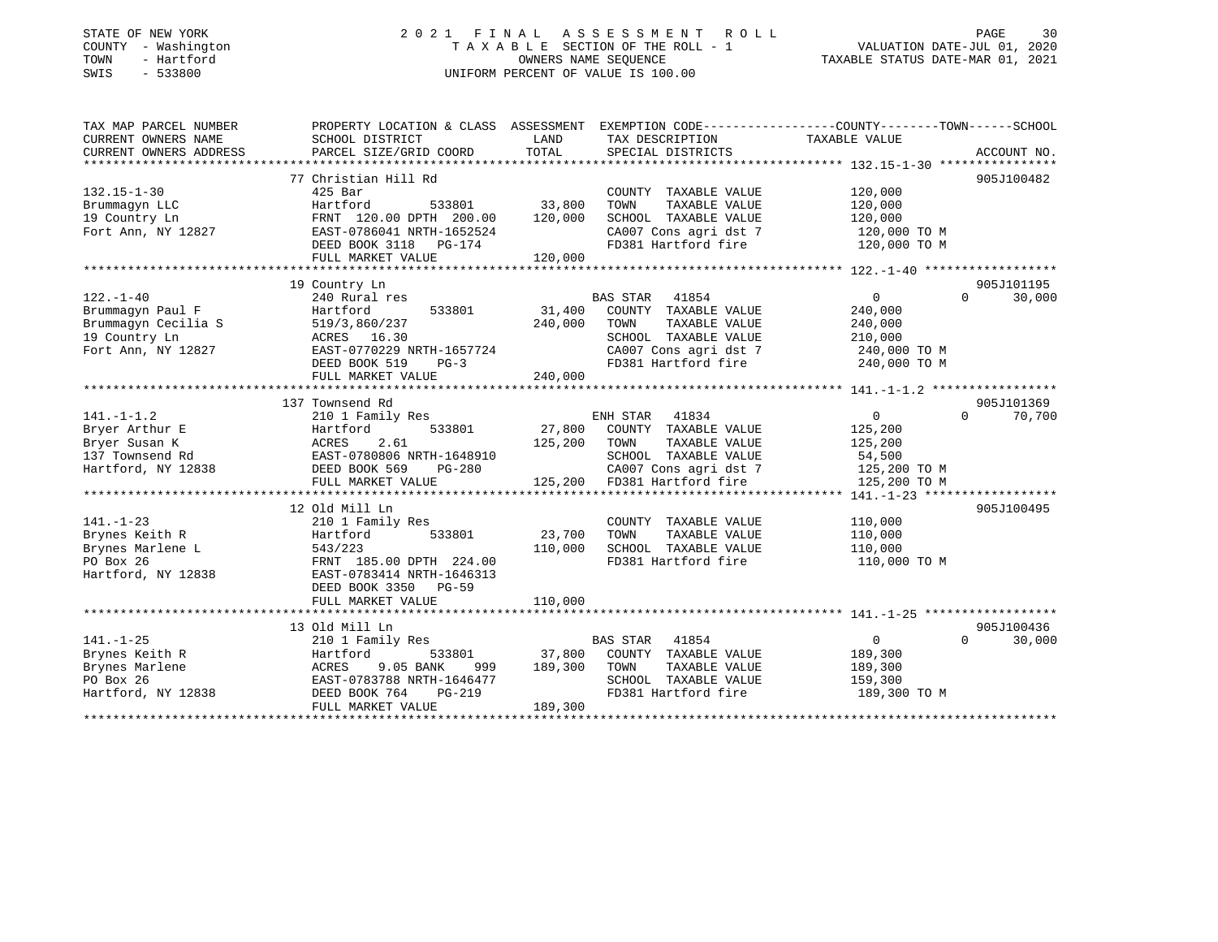## STATE OF NEW YORK 2 0 2 1 F I N A L A S S E S S M E N T R O L L PAGE 30COUNTY - Washington  $T A X A B L E$  SECTION OF THE ROLL - 1<br>TOWN - Hartford SWIS - 533800 UNIFORM PERCENT OF VALUE IS 100.00

VALUATION DATE-JUL 01, 2020

TAXABLE STATUS DATE-MAR 01, 2021

| TAX MAP PARCEL NUMBER                                                                                | PROPERTY LOCATION & CLASS ASSESSMENT EXEMPTION CODE----------------COUNTY-------TOWN------SCHOOL                                                                                |                  |                                                                        |                                   |                    |
|------------------------------------------------------------------------------------------------------|---------------------------------------------------------------------------------------------------------------------------------------------------------------------------------|------------------|------------------------------------------------------------------------|-----------------------------------|--------------------|
| CURRENT OWNERS NAME                                                                                  | SCHOOL DISTRICT                                                                                                                                                                 | LAND             | TAX DESCRIPTION                                                        | TAXABLE VALUE                     |                    |
| CURRENT OWNERS ADDRESS                                                                               | PARCEL SIZE/GRID COORD                                                                                                                                                          | TOTAL            | SPECIAL DISTRICTS                                                      |                                   | ACCOUNT NO.        |
|                                                                                                      |                                                                                                                                                                                 |                  |                                                                        |                                   |                    |
|                                                                                                      | 77 Christian Hill Rd                                                                                                                                                            |                  |                                                                        |                                   | 905J100482         |
| $132.15 - 1 - 30$                                                                                    | 425 Bar                                                                                                                                                                         |                  | COUNTY TAXABLE VALUE                                                   | 120,000                           |                    |
| Brummagyn LLC                                                                                        | 533801 33,800<br>Hartford                                                                                                                                                       |                  | TOWN<br>TAXABLE VALUE                                                  | 120,000                           |                    |
| 19 Country Ln                                                                                        |                                                                                                                                                                                 |                  | SCHOOL TAXABLE VALUE                                                   | 120,000                           |                    |
| Fort Ann, NY 12827                                                                                   |                                                                                                                                                                                 |                  |                                                                        |                                   |                    |
|                                                                                                      |                                                                                                                                                                                 |                  | CA007 Cons agri dst 7 120,000 TO M<br>FD381 Hartford fire 120,000 TO M |                                   |                    |
|                                                                                                      | FRNT 120.00 DFTH 200.00<br>EAST-0786041 NRTH-1652524<br>DEED BOOK 3118 PG-174<br>120,000                                                                                        |                  |                                                                        |                                   |                    |
|                                                                                                      |                                                                                                                                                                                 |                  |                                                                        |                                   |                    |
|                                                                                                      | 19 Country Ln                                                                                                                                                                   |                  |                                                                        |                                   | 905J101195         |
| $122. - 1 - 40$                                                                                      | 240 Rural res                                                                                                                                                                   |                  | BAS STAR 41854                                                         | 0                                 | 30,000<br>$\Omega$ |
| Brummagyn Paul F                                                                                     | Hartford                                                                                                                                                                        |                  |                                                                        | 240,000                           |                    |
|                                                                                                      |                                                                                                                                                                                 | 240,000          | TOWN<br>TAXABLE VALUE                                                  | 240,000                           |                    |
|                                                                                                      |                                                                                                                                                                                 |                  | SCHOOL TAXABLE VALUE                                                   | 210,000                           |                    |
| Examinagyn Cecilia S<br>Brummagyn Cecilia S<br>19 Country Ln<br>Fort Ann, NY 12827<br>EAST-0770229 N | EAST-0770229 NRTH-1657724                                                                                                                                                       |                  | SCHOOL TAXABLE VALUE<br>CA007 Cons agri dst 7                          | $240,000$ TO M<br>$-240,000$ TO M |                    |
|                                                                                                      | DEED BOOK 519<br>$PG-3$                                                                                                                                                         |                  | FD381 Hartford fire 240,000 TO M                                       |                                   |                    |
|                                                                                                      | FULL MARKET VALUE                                                                                                                                                               | 240,000          |                                                                        |                                   |                    |
|                                                                                                      |                                                                                                                                                                                 |                  |                                                                        |                                   |                    |
|                                                                                                      | 137 Townsend Rd                                                                                                                                                                 |                  |                                                                        |                                   | 905J101369         |
| $141. - 1 - 1.2$                                                                                     | 210 1 Family Res                                                                                                                                                                |                  | ENH STAR 41834                                                         | $\overline{0}$                    | $0 \t 70,700$      |
|                                                                                                      |                                                                                                                                                                                 |                  | 27,800 COUNTY TAXABLE VALUE                                            | 125,200                           |                    |
|                                                                                                      |                                                                                                                                                                                 | 125,200 TOWN     | TAXABLE VALUE                                                          | 125,200                           |                    |
|                                                                                                      |                                                                                                                                                                                 |                  | SCHOOL TAXABLE VALUE                                                   | 54,500                            |                    |
|                                                                                                      | First-1.-2<br>Bryer Arthur E Hartford 533801 27,800<br>Bryer Susan K ACRES 2.61 125,200<br>137 Townsend Rd EAST-0780806 NRTH-1648910<br>Hartford, NY 12838 DEED BOOK 569 PG-280 |                  | CA007 Cons agri dst 7 125,200 TO M                                     |                                   |                    |
|                                                                                                      | FULL MARKET VALUE                                                                                                                                                               |                  | 125,200 FD381 Hartford fire                                            | 125,200 TO M                      |                    |
|                                                                                                      |                                                                                                                                                                                 |                  |                                                                        |                                   |                    |
|                                                                                                      | 12 Old Mill Ln                                                                                                                                                                  |                  |                                                                        |                                   | 905J100495         |
| $141. - 1 - 23$                                                                                      |                                                                                                                                                                                 |                  | COUNTY TAXABLE VALUE                                                   | 110,000                           |                    |
| Brynes Keith R                                                                                       | 210 1 Family Res<br>Hartford         !<br>533801                                                                                                                                | 23,700           | TAXABLE VALUE<br>TOWN                                                  | 110,000                           |                    |
| Brynes Marlene L                                                                                     |                                                                                                                                                                                 | 110,000          | SCHOOL TAXABLE VALUE                                                   | 110,000                           |                    |
| PO Box 26                                                                                            |                                                                                                                                                                                 |                  | FD381 Hartford fire                                                    | 110,000 TO M                      |                    |
| Hartford, NY 12838                                                                                   | -----<br>543/223<br>FRNT 185.00 DPTH 224.00<br>BAST-0783414 NRTH-1646313                                                                                                        |                  |                                                                        |                                   |                    |
|                                                                                                      | DEED BOOK 3350 PG-59                                                                                                                                                            |                  |                                                                        |                                   |                    |
|                                                                                                      | FULL MARKET VALUE                                                                                                                                                               | 110,000          |                                                                        |                                   |                    |
|                                                                                                      |                                                                                                                                                                                 |                  |                                                                        |                                   |                    |
|                                                                                                      | 13 Old Mill Ln                                                                                                                                                                  |                  |                                                                        |                                   | 905J100436         |
| $141. - 1 - 25$                                                                                      | 210 1 Family Res                                                                                                                                                                |                  | BAS STAR 41854                                                         | $\overline{0}$                    | $0 \t 30,000$      |
| Brynes Keith R                                                                                       | Hartford                                                                                                                                                                        |                  | 533801 37,800 COUNTY TAXABLE VALUE                                     | 189,300                           |                    |
| Brynes Marlene                                                                                       | ACRES 9.05 BANK 999<br>EAST-0783788 NRTH-1646477                                                                                                                                | 999 189,300 TOWN | TAXABLE VALUE                                                          | 189,300                           |                    |
| PO Box 26                                                                                            |                                                                                                                                                                                 |                  | SCHOOL TAXABLE VALUE                                                   | 159,300                           |                    |
| Hartford, NY 12838                                                                                   | DEED BOOK 764<br>PG-219                                                                                                                                                         |                  | FD381 Hartford fire                                                    | 189,300 TO M                      |                    |
|                                                                                                      | FULL MARKET VALUE                                                                                                                                                               | 189,300          |                                                                        |                                   |                    |
|                                                                                                      |                                                                                                                                                                                 |                  |                                                                        |                                   |                    |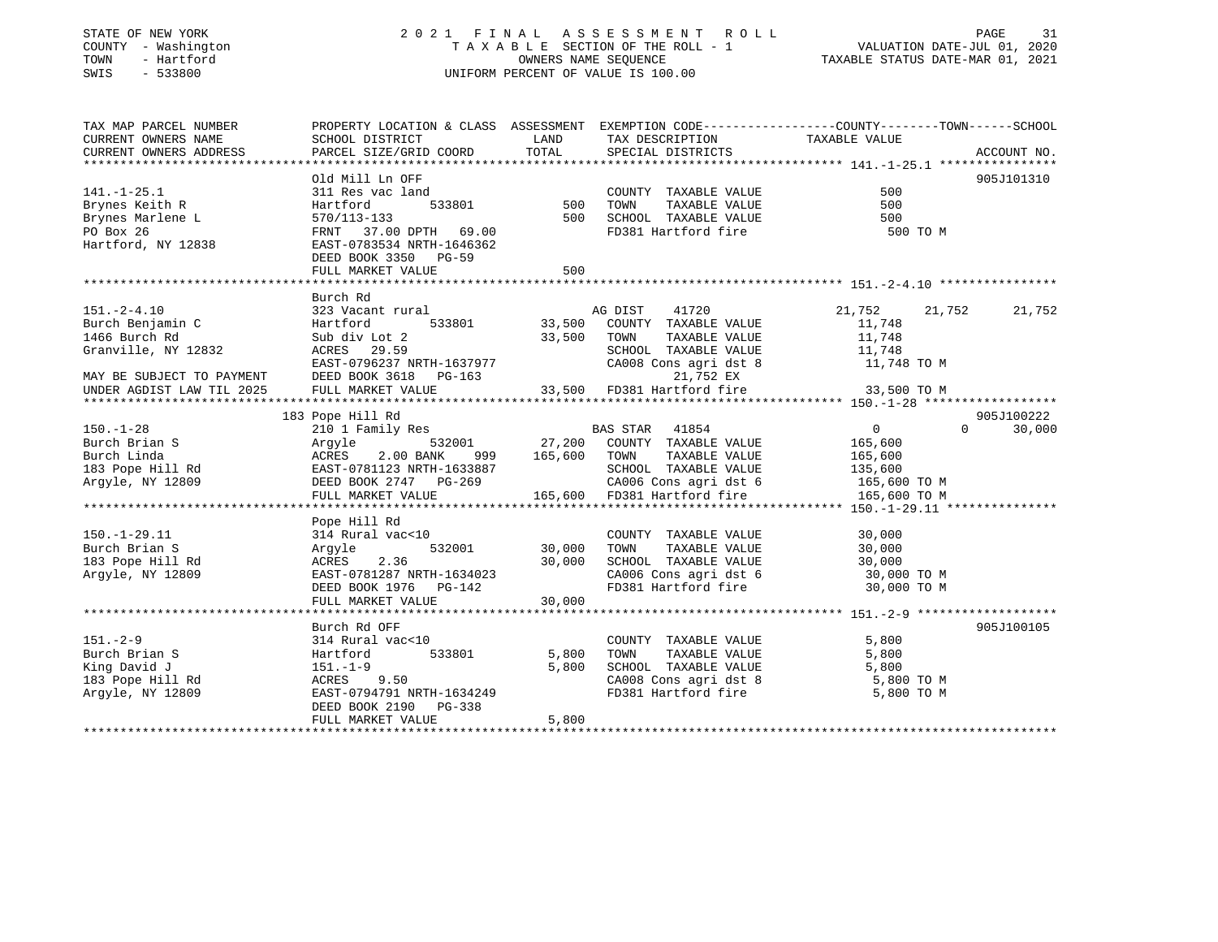## STATE OF NEW YORK 2 0 2 1 F I N A L A S S E S S M E N T R O L L PAGE 31COUNTY - Washington  $T A X A B L E$  SECTION OF THE ROLL - 1<br>TOWN - Hartford SWIS - 533800 UNIFORM PERCENT OF VALUE IS 100.00

VALUATION DATE-JUL 01, 2020

TAXABLE STATUS DATE-MAR 01, 2021

| TAX MAP PARCEL NUMBER<br>CURRENT OWNERS NAME<br>CURRENT OWNERS ADDRESS                                                                                                               | SCHOOL DISTRICT<br>PARCEL SIZE/GRID COORD                                                                                                                         | LAND<br>TOTAL                     | TAX DESCRIPTION<br>SPECIAL DISTRICTS                                                                                                                                                                                                                                                                                                                                                                  | PROPERTY LOCATION & CLASS ASSESSMENT EXEMPTION CODE---------------COUNTY-------TOWN------SCHOOL<br>TAXABLE VALUE<br>ACCOUNT NO.                                                                                                                                                                                                                                                                                                                                                                |
|--------------------------------------------------------------------------------------------------------------------------------------------------------------------------------------|-------------------------------------------------------------------------------------------------------------------------------------------------------------------|-----------------------------------|-------------------------------------------------------------------------------------------------------------------------------------------------------------------------------------------------------------------------------------------------------------------------------------------------------------------------------------------------------------------------------------------------------|------------------------------------------------------------------------------------------------------------------------------------------------------------------------------------------------------------------------------------------------------------------------------------------------------------------------------------------------------------------------------------------------------------------------------------------------------------------------------------------------|
| $141. - 1 - 25.1$<br>Brynes Keith R<br>Brynes Marlene L<br>PO Box 26<br>Hartford, NY 12838                                                                                           | Old Mill Ln OFF<br>311 Res vac land<br>Hartford<br>570/113-133<br>FRNT 37.00 DPTH 69.00<br>EAST-0783534 NRTH-1646362<br>DEED BOOK 3350 PG-59<br>FULL MARKET VALUE | d<br>533801 500<br>500<br>500     | COUNTY TAXABLE VALUE<br>TAXABLE VALUE<br>TOWN<br>SCHOOL TAXABLE VALUE 500<br>FD381 Hartford fire                                                                                                                                                                                                                                                                                                      | 905J101310<br>500<br>500<br>500 TO M                                                                                                                                                                                                                                                                                                                                                                                                                                                           |
| $151. - 2 - 4.10$<br>Burch Benjamin C<br>1466 Burch Rd                                                                                                                               | Burch Rd<br>323 Vacant rural<br>Hartford<br>Sub div Lot 2                                                                                                         | 33,500                            | AG DIST<br>41720<br>533801 33,500 COUNTY TAXABLE VALUE<br>TOWN<br>TAXABLE VALUE                                                                                                                                                                                                                                                                                                                       | 21,752<br>21,752<br>21,752<br>11,748<br>11,748<br>SCHOOL TAXABLE VALUE 11,748<br>CA008 Cons agri dst 8 11,748 TO M                                                                                                                                                                                                                                                                                                                                                                             |
| $150. - 1 - 28$<br>Parch Brian S<br>Burch Linda<br>183 Pope Hill Rd<br>183 Pope Hill Rd<br>183 Pope Hill Rd<br>183 Pope Hill Rd<br>184 EAST-0781123 NRTH-1633887<br>Argyle, NY 12809 | 183 Pope Hill Rd<br>210 1 Family Res<br>EASI-0781123 NRTH-1633887<br>DEED BOOK 2747 PG-269<br>FIILL MADVET 121111<br>FULL MARKET VALUE                            | 999 165,600 TOWN                  | $\begin{tabular}{lllllllllll} \multicolumn{2}{c}{\textbf{532001}} & \multicolumn{2}{c}{\textbf{BAS STAR}} & \multicolumn{2}{c}{\textbf{41854}} \\ \multicolumn{2}{c}{\textbf{532001}} & \multicolumn{2}{c}{\textbf{27,200}} & \multicolumn{2}{c}{\textbf{COMITY}} & \multicolumn{2}{c}{\textbf{TAXABLE VALUE}} \end{tabular}$<br>TAXABLE VALUE<br>SCHOOL TAXABLE VALUE<br>165,600 FD381 Hartford fire | 905J100222<br>$\overline{0}$<br>$\Omega$<br>30,000<br>165,600<br>165,600<br>135,600<br>CA006 Cons agri dst 6 165,600 TO M<br>165,600 TO M                                                                                                                                                                                                                                                                                                                                                      |
| $150.-1-29.11$<br>Burch Brian S<br>183 Pope Hill Rd<br>Arqyle, NY 12809                                                                                                              | Pope Hill Rd<br>314 Rural vac<10<br>Argyle<br>ACRES 2.36<br>EAST-0781287 NRTH-1634023<br>FULL MARKET VALUE                                                        | 532001 30,000<br>30,000<br>30,000 | COUNTY TAXABLE VALUE<br>TOWN<br>TAXABLE VALUE<br>FD381 Hartford fire                                                                                                                                                                                                                                                                                                                                  | 30,000<br>$30,000$<br>$30,000$<br>$\begin{tabular}{lllllllll} \multicolumn{2}{l}{{\bf SCHODL}} & \multicolumn{2}{l}{\bf TAXABLE} & \multicolumn{2}{l}{\bf VALUE} & \multicolumn{2}{l}{\bf 30,000} & \multicolumn{2}{l}{\bf CAO06} & \multicolumn{2}{l}{\bf CONO} & \multicolumn{2}{l}{\bf 31,000} & \multicolumn{2}{l}{\bf TO} & \multicolumn{2}{l}{\bf M} & \multicolumn{2}{l}{\bf 32,000} & \multicolumn{2}{l}{\bf TO} & \multicolumn{2}{l}{\bf M} & \multicolumn{2}{l}{\bf $<br>30,000 TO M |
| $151. - 2 - 9$<br>Burch Brian S<br>King David J<br>183 Pope Hill Rd<br>Argyle, NY 12809                                                                                              | Burch Rd OFF<br>314 Rural vac<10<br>533801<br>Hartford<br>151.-1-9<br>ACRES 9.50<br>EAST-0794791 NRTH-1634249<br>DEED BOOK 2190 PG-338<br>FULL MARKET VALUE       | 5,800<br>5,800<br>5,800           | COUNTY TAXABLE VALUE<br>TAXABLE VALUE<br>TOWN<br>SCHOOL TAXABLE VALUE<br>FD381 Hartford fire                                                                                                                                                                                                                                                                                                          | 905J100105<br>5,800<br>5,800<br>5,800<br>CA008 Cons agri dst 8 5,800 TO M<br>5,800 TO M                                                                                                                                                                                                                                                                                                                                                                                                        |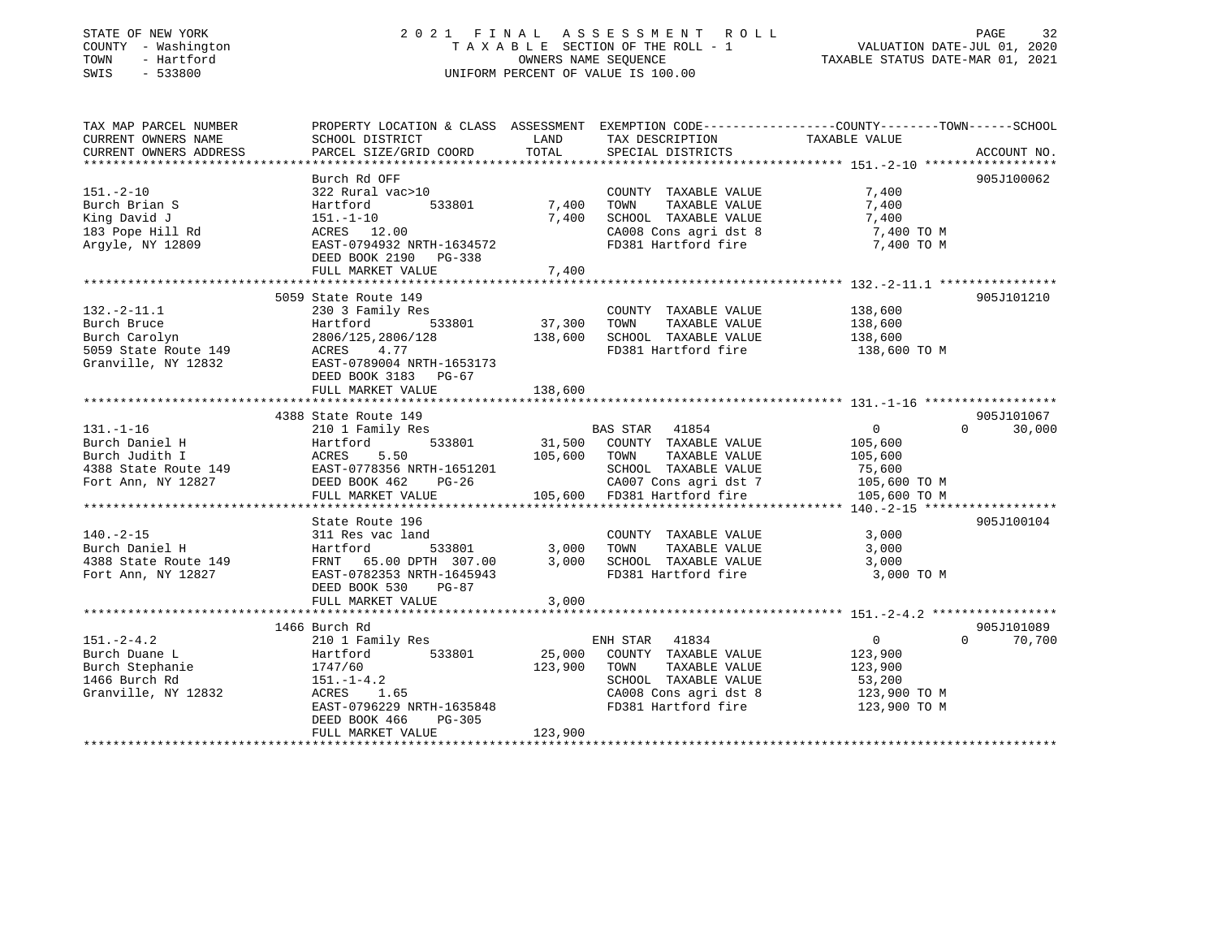### STATE OF NEW YORK 2 0 2 1 F I N A L A S S E S S M E N T R O L L PAGE 32 COUNTY - Washington T A X A B L E SECTION OF THE ROLL - 1 VALUATION DATE-JUL 01, 2020 TOWN - Hartford OWNERS NAME SEQUENCE TAXABLE STATUS DATE-MAR 01, 2021 SWIS - 533800 UNIFORM PERCENT OF VALUE IS 100.00

| TAX MAP PARCEL NUMBER<br>CURRENT OWNERS NAME                                                                                                         | PROPERTY LOCATION & CLASS ASSESSMENT EXEMPTION CODE---------------COUNTY-------TOWN------SCHOOL<br>SCHOOL DISTRICT                                                                   | LAND                         | TAX DESCRIPTION                                                                                                       | TAXABLE VALUE                                                                                           |                                  |
|------------------------------------------------------------------------------------------------------------------------------------------------------|--------------------------------------------------------------------------------------------------------------------------------------------------------------------------------------|------------------------------|-----------------------------------------------------------------------------------------------------------------------|---------------------------------------------------------------------------------------------------------|----------------------------------|
| CURRENT OWNERS ADDRESS                                                                                                                               | PARCEL SIZE/GRID COORD                                                                                                                                                               | TOTAL                        | SPECIAL DISTRICTS                                                                                                     |                                                                                                         | ACCOUNT NO.                      |
|                                                                                                                                                      | Burch Rd OFF                                                                                                                                                                         |                              |                                                                                                                       |                                                                                                         | 905J100062                       |
| $151. - 2 - 10$<br>Burch Brian S<br>King David J<br>183 Pope Hill Rd<br>Argyle, NY 12809                                                             | 322 Rural vac>10<br>Hartford<br>151.-1-10<br>ACRES 12.00<br>EAST-0794932 NRTH-1634572<br>DEED BOOK 2190 PG-338                                                                       | 533801 7,400<br>7,400        | COUNTY TAXABLE VALUE<br>TOWN<br>TAXABLE VALUE<br>SCHOOL TAXABLE VALUE<br>CA008 Cons agri dst 8<br>FD381 Hartford fire | 7,400<br>7,400<br>7,400<br>7,400 TO M<br>7,400 TO M                                                     |                                  |
|                                                                                                                                                      | FULL MARKET VALUE                                                                                                                                                                    | 7,400                        |                                                                                                                       |                                                                                                         |                                  |
|                                                                                                                                                      | 5059 State Route 149                                                                                                                                                                 |                              |                                                                                                                       |                                                                                                         | 905J101210                       |
| $132.-2-11.1$<br>Burch Bruce<br>Burch Carolyn 2806/125,2806/<br>5059 State Route 149 2806/125,2806/<br>Granville, NY 12832 EAST-0789004 NRTH-1653173 | 230 3 Family Res<br>533801 37,300<br>Hartford<br>2806/125,2806/128 138,600 SCHOOL TAXABLE VALUE<br>DEED BOOK 3183 PG-67<br>FULL MARKET VALUE                                         | 138,600                      | COUNTY TAXABLE VALUE<br>TAXABLE VALUE<br>TOWN<br>FD381 Hartford fire                                                  | 138,600<br>138,600<br>138,600<br>138,600 TO M                                                           |                                  |
|                                                                                                                                                      |                                                                                                                                                                                      |                              |                                                                                                                       |                                                                                                         |                                  |
|                                                                                                                                                      | 4388 State Route 149<br>State Route 149<br>210 1 Family Res                                                                                                                          |                              | BAS STAR 41854<br>CA007 Cons agri dst 7 105,600 TO M                                                                  | $\overline{0}$<br>105,600<br>105,600<br>75,600<br>105,600 TO M                                          | 905J101067<br>$0 \t 30,000$      |
|                                                                                                                                                      | State Route 196                                                                                                                                                                      |                              |                                                                                                                       |                                                                                                         | 905J100104                       |
| $140. -2 - 15$<br>Burch Daniel H<br>4388 State Route 149<br>Fort Ann, NY 12827                                                                       | 311 Res vac land<br>Hartford 533801 3,000<br>FRNT 65.00 DPTH 307.00 3,000<br>EAST-0782353 NRTH-1645943<br>DEED BOOK 530<br>PG-87<br>FULL MARKET VALUE                                | 3,000                        | COUNTY TAXABLE VALUE<br>TOWN<br>TAXABLE VALUE<br>SCHOOL TAXABLE VALUE<br>FD381 Hartford fire                          | 3,000<br>3,000<br>3,000<br>3,000 TO M                                                                   |                                  |
|                                                                                                                                                      |                                                                                                                                                                                      |                              |                                                                                                                       |                                                                                                         |                                  |
| $151. - 2 - 4.2$<br>Burch Duane L<br>Burch Stephanie<br>1466 Burch Rd<br>1466 Burch Rd<br>Granville, NY 12832                                        | 1466 Burch Rd<br>210 1 Family Res<br>533801<br>Hartford<br>1747/60<br>$151. - 1 - 4.2$<br>ACRES<br>1.65<br>EAST-0796229 NRTH-1635848<br>DEED BOOK 466<br>PG-305<br>FULL MARKET VALUE | 25,000<br>123,900<br>123,900 | ENH STAR 41834<br>COUNTY TAXABLE VALUE<br>TAXABLE VALUE<br>TOWN<br>SCHOOL TAXABLE VALUE<br>FD381 Hartford fire        | $0 \qquad \qquad$<br>123,900<br>123,900<br>53,200<br>CA008 Cons agri dst 8 123,900 TO M<br>123,900 TO M | 905J101089<br>$\Omega$<br>70,700 |
|                                                                                                                                                      |                                                                                                                                                                                      |                              |                                                                                                                       |                                                                                                         |                                  |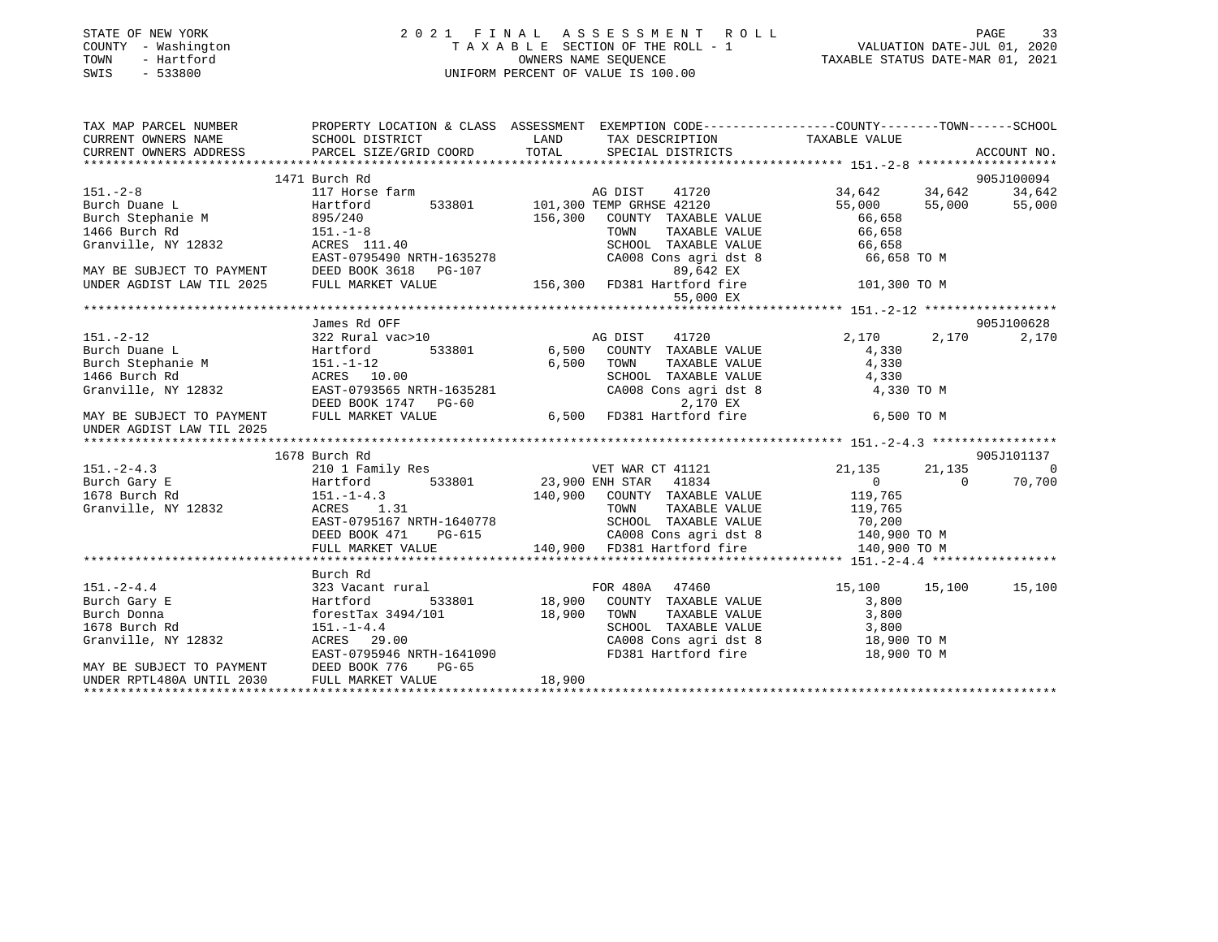| STATE OF NEW YORK<br>- Washington<br>COUNTY<br>- Hartford<br>TOWN<br>$-533800$<br>SWIS | 2021 FINAL                                                             | ASSESSMENT ROLL<br>TAXABLE SECTION OF THE ROLL - 1<br>OWNERS NAME SEOUENCE<br>UNIFORM PERCENT OF VALUE IS 100.00 | 33<br>PAGE<br>VALUATION DATE-JUL 01, 2020<br>TAXABLE STATUS DATE-MAR 01, 2021                 |
|----------------------------------------------------------------------------------------|------------------------------------------------------------------------|------------------------------------------------------------------------------------------------------------------|-----------------------------------------------------------------------------------------------|
| TAX MAP PARCEL NUMBER<br>CURRENT OWNERS NAME<br>CURRENT OWNERS ADDRESS                 | PROPERTY LOCATION & CLASS<br>SCHOOL DISTRICT<br>PARCEL SIZE/GRID COORD | ASSESSMENT<br>LAND<br>TAX DESCRIPTION<br>SPECIAL DISTRICTS<br>TOTAL                                              | EXEMPTION CODE-----------------COUNTY--------TOWN------SCHOOL<br>TAXABLE VALUE<br>ACCOUNT NO. |
|                                                                                        |                                                                        |                                                                                                                  |                                                                                               |
|                                                                                        | 1471 Burch Rd                                                          |                                                                                                                  | 905J100094                                                                                    |
| $151. - 2 - 8$                                                                         | 117 Horse farm                                                         | 41720<br>AG DIST                                                                                                 | 34,642<br>34,642<br>34,642                                                                    |
| Burch Duane L                                                                          | Hartford<br>533801                                                     | 101,300 TEMP GRHSE 42120                                                                                         | 55,000<br>55,000<br>55,000                                                                    |
| Burch Stephanie M                                                                      | 895/240                                                                | 156,300<br>COUNTY<br>TAXABLE VALUE                                                                               | 66,658                                                                                        |
| 1466 Burch Rd                                                                          | $151. - 1 - 8$                                                         | TAXABLE VALUE<br>TOWN                                                                                            | 66,658                                                                                        |

EAST-0795490 NRTH-1635278 CA008 Cons agri dst 8 66,658 TO M

Granville, NY 12832 ACRES 111.40 SCHOOL TAXABLE VALUE 66,658

| MAY BE SUBJECT TO PAYMENT        DEED BOOK 3618    PG-107 |                                                                                                                                                                                                                                                                                                                                                | 89,642 EX                                                                                                  |                                               |
|-----------------------------------------------------------|------------------------------------------------------------------------------------------------------------------------------------------------------------------------------------------------------------------------------------------------------------------------------------------------------------------------------------------------|------------------------------------------------------------------------------------------------------------|-----------------------------------------------|
|                                                           |                                                                                                                                                                                                                                                                                                                                                | UNDER AGDIST LAW TIL 2025 FULL MARKET VALUE 156,300 FD381 Hartford fire 101,300 TO M                       |                                               |
|                                                           |                                                                                                                                                                                                                                                                                                                                                | 55,000 EX                                                                                                  |                                               |
|                                                           |                                                                                                                                                                                                                                                                                                                                                |                                                                                                            |                                               |
|                                                           | James Rd OFF                                                                                                                                                                                                                                                                                                                                   |                                                                                                            | 905J100628                                    |
|                                                           |                                                                                                                                                                                                                                                                                                                                                | AG DIST 41720                                                                                              | 2,170 2,170<br>2,170                          |
|                                                           |                                                                                                                                                                                                                                                                                                                                                |                                                                                                            | 4,330                                         |
|                                                           |                                                                                                                                                                                                                                                                                                                                                |                                                                                                            | TAXABLE VALUE 4,330                           |
| 1466 Burch Rd                                             | ACRES 10.00                                                                                                                                                                                                                                                                                                                                    | SCHOOL TAXABLE VALUE                                                                                       | 4,330                                         |
|                                                           |                                                                                                                                                                                                                                                                                                                                                | CA008 Cons agri dst 8 4,330 TO M                                                                           |                                               |
|                                                           |                                                                                                                                                                                                                                                                                                                                                |                                                                                                            |                                               |
| MAY BE SUBJECT TO PAYMENT FULL MARKET VALUE               |                                                                                                                                                                                                                                                                                                                                                | EASI-0733333 MAIN 100000<br>DEED BOOK 1747 PG-60<br>FULL MARKET VALUE 6,500 FD381 Hartford fire 6,500 TO M |                                               |
| UNDER AGDIST LAW TIL 2025                                 |                                                                                                                                                                                                                                                                                                                                                |                                                                                                            |                                               |
|                                                           |                                                                                                                                                                                                                                                                                                                                                |                                                                                                            |                                               |
|                                                           | 1678 Burch Rd                                                                                                                                                                                                                                                                                                                                  |                                                                                                            | 905J101137                                    |
| $151. -2 - 4.3$                                           |                                                                                                                                                                                                                                                                                                                                                | 210 1 Family Res WET WAR CT 41121                                                                          | 21, 135 21, 135<br>$\sim$ 0                   |
| Burch Gary E                                              |                                                                                                                                                                                                                                                                                                                                                | Hartford 533801 23,900 ENH STAR 41834                                                                      | $0 \qquad \qquad$<br>70,700<br>$\overline{0}$ |
| 1678 Burch Rd                                             | $151.-1-4.3$                                                                                                                                                                                                                                                                                                                                   | 140,900 COUNTY TAXABLE VALUE 119,765                                                                       |                                               |
| Granville, NY 12832 ACRES 1.31                            |                                                                                                                                                                                                                                                                                                                                                | TOWN                                                                                                       | TAXABLE VALUE 119,765                         |
|                                                           | EAST-0795167 NRTH-1640778                                                                                                                                                                                                                                                                                                                      | SCHOOL TAXABLE VALUE 70,200                                                                                |                                               |
|                                                           |                                                                                                                                                                                                                                                                                                                                                |                                                                                                            |                                               |
|                                                           |                                                                                                                                                                                                                                                                                                                                                |                                                                                                            |                                               |
|                                                           |                                                                                                                                                                                                                                                                                                                                                |                                                                                                            |                                               |
|                                                           | Burch Rd                                                                                                                                                                                                                                                                                                                                       |                                                                                                            |                                               |
| $151. - 2 - 4.4$                                          |                                                                                                                                                                                                                                                                                                                                                | 323 Vacant rural The Research Store Robert Robert Store and FOR 480A 47460                                 | 15,100 15,100 15,100                          |
| Burch Gary E                                              |                                                                                                                                                                                                                                                                                                                                                | Hartford 533801 18,900 COUNTY TAXABLE VALUE                                                                | 3,800                                         |
| Burch Donna                                               | $f{\rm or}$ $f{\rm or}$ $f{\rm or}$ $f{\rm or}$ $f{\rm or}$ $f{\rm or}$ $f{\rm or}$ $f{\rm or}$ $f{\rm or}$ $f{\rm or}$ $f{\rm or}$ $f{\rm or}$ $f{\rm or}$ $f{\rm or}$ $f{\rm or}$ $f{\rm or}$ $f{\rm or}$ $f{\rm or}$ $f{\rm or}$ $f{\rm or}$ $f{\rm or}$ $f{\rm or}$ $f{\rm or}$ $f{\rm or}$ $f{\rm or}$ $f{\rm or}$ $f{\rm or}$ $f{\rm or$ |                                                                                                            |                                               |
| 1678 Burch Rd                                             |                                                                                                                                                                                                                                                                                                                                                |                                                                                                            |                                               |
| Granville, NY 12832 ACRES 29.00                           | ACRES 29.00<br>EAST-0795946 NRTH-1641090                                                                                                                                                                                                                                                                                                       | CA008 Cons agri dst 8 18,900 TO M                                                                          |                                               |
|                                                           |                                                                                                                                                                                                                                                                                                                                                | FD381 Hartford fire                                                                                        | 18,900 TO M                                   |
|                                                           | MAY BE SUBJECT TO PAYMENT      DEED BOOK 776    PG-65<br>UNDER RPTL480A UNTIL 2030       FULL MARKET VALUE                             18,900                                                                                                                                                                                                  |                                                                                                            |                                               |
|                                                           |                                                                                                                                                                                                                                                                                                                                                |                                                                                                            |                                               |
|                                                           |                                                                                                                                                                                                                                                                                                                                                |                                                                                                            |                                               |
|                                                           |                                                                                                                                                                                                                                                                                                                                                |                                                                                                            |                                               |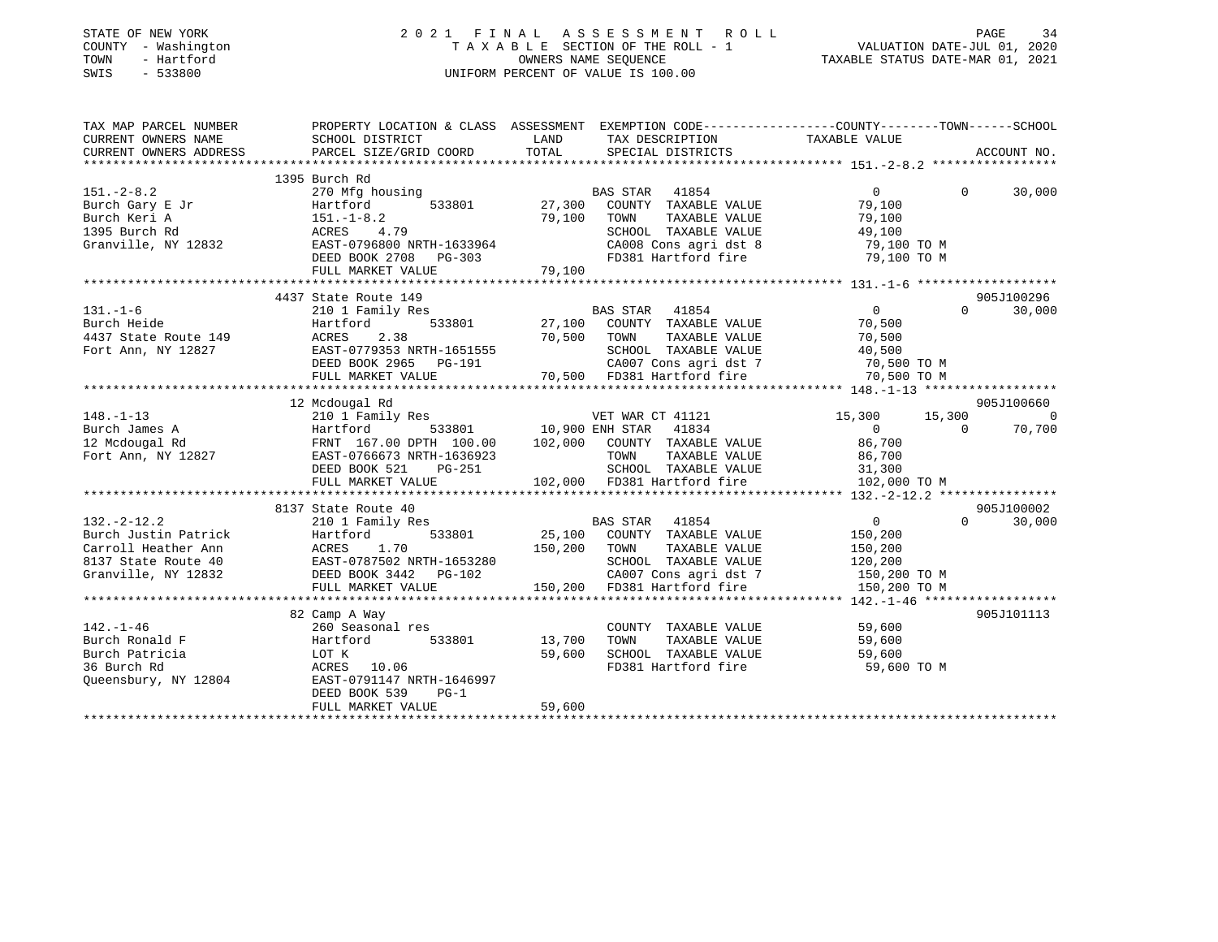| PROPERTY LOCATION & CLASS ASSESSMENT EXEMPTION CODE----------------COUNTY-------TOWN------SCHOOL<br>TAX MAP PARCEL NUMBER<br>LAND<br>TAXABLE VALUE<br>CURRENT OWNERS NAME<br>SCHOOL DISTRICT<br>TAX DESCRIPTION<br>TOTAL<br>CURRENT OWNERS ADDRESS<br>PARCEL SIZE/GRID COORD<br>SPECIAL DISTRICTS<br>ACCOUNT NO.<br>1395 Burch Rd<br>$151. - 2 - 8.2$<br>270 Mfg housing<br>BAS STAR 41854<br>$\mathbf{0}$<br>$\Omega$<br>30,000<br>Burch Gary E Jr<br>533801<br>27,300<br>COUNTY TAXABLE VALUE<br>79,100<br>Hartford<br>79,100<br>Burch Keri A<br>$151. - 1 - 8.2$<br>TOWN<br>TAXABLE VALUE<br>79,100<br>1395 Burch Rd<br>ACRES 4.79<br>SCHOOL TAXABLE VALUE<br>49,100<br>Granville, NY 12832<br>EAST-0796800 NRTH-1633964<br>CA008 Cons agri dst 8<br>79,100 TO M<br>DEED BOOK 2708 PG-303<br>FD381 Hartford fire<br>79,100 TO M<br>79,100<br>FULL MARKET VALUE<br>4437 State Route 149<br>905J100296<br>$\overline{0}$<br>$\Omega$<br>30,000<br>$131. - 1 - 6$<br>210 1 Family Res<br>BAS STAR 41854<br>533801<br>27,100 COUNTY TAXABLE VALUE<br>Burch Heide<br>70,500<br>Hartford<br>4437 State Route 149<br>70,500<br>TAXABLE VALUE<br>ACRES<br>2.38<br>TOWN<br>70,500<br>Fort Ann, NY 12827<br>EAST-0779353 NRTH-1651555<br>SCHOOL TAXABLE VALUE<br>40,500<br>CA007 Cons agri dst 7<br>DEED BOOK 2965<br>70,500 TO M<br>PG-191<br>70,500 FD381 Hartford fire<br>FULL MARKET VALUE<br>70,500 TO M<br>*************************<br>905J100660<br>12 Mcdougal Rd<br>$148. - 1 - 13$<br>15,300<br>15,300<br>210 1 Family Res<br>VET WAR CT 41121<br>$\sim$ 0<br>533801<br>10,900 ENH STAR<br>41834<br>70,700<br>Burch James A<br>Hartford<br>$\overline{0}$<br>$\Omega$<br>12 Mcdougal Rd<br>102,000<br>COUNTY TAXABLE VALUE<br>86,700<br>FRNT 167.00 DPTH 100.00<br>Fort Ann, NY 12827<br>EAST-0766673 NRTH-1636923<br>TOWN<br>TAXABLE VALUE<br>86,700<br>DEED BOOK 521<br>SCHOOL TAXABLE VALUE<br>31,300<br>PG-251<br>FULL MARKET VALUE<br>102,000 FD381 Hartford fire<br>102,000 TO M<br>8137 State Route 40<br>905J100002<br>$0 \qquad \qquad$<br>30,000<br>$132. - 2 - 12.2$<br>210 1 Family Res<br>41854<br>$\overline{0}$<br>BAS STAR<br>Burch Justin Patrick<br>533801<br>25,100<br>COUNTY TAXABLE VALUE<br>Hartford<br>150,200<br>Carroll Heather Ann<br>ACRES<br>1.70<br>150,200<br>TOWN<br>TAXABLE VALUE<br>150,200<br>8137 State Route 40<br>EAST-0787502 NRTH-1653280<br>SCHOOL TAXABLE VALUE<br>120,200<br>Granville, NY 12832<br>CA007 Cons agri dst 7<br>DEED BOOK 3442 PG-102<br>150,200 TO M<br>150,200 FD381 Hartford fire<br>FULL MARKET VALUE<br>150,200 TO M<br>************************<br>905J101113<br>82 Camp A Way<br>$142. - 1 - 46$<br>260 Seasonal res<br>COUNTY TAXABLE VALUE<br>59,600<br>Burch Ronald F<br>TAXABLE VALUE<br>Hartford<br>533801<br>13,700<br>TOWN<br>59,600<br>Burch Patricia<br>59,600<br>SCHOOL TAXABLE VALUE<br>LOT K<br>59,600<br>36 Burch Rd<br>ACRES 10.06<br>FD381 Hartford fire<br>59,600 TO M<br>Queensbury, NY 12804<br>EAST-0791147 NRTH-1646997<br>DEED BOOK 539<br>$PG-1$<br>FULL MARKET VALUE<br>59,600 | STATE OF NEW YORK<br>COUNTY - Washington<br>- Hartford<br>TOWN<br>SWIS<br>$-533800$ | 2021 FINAL ASSESSMENT ROLL<br>PAGE<br>VALUATION DATE-JUL 01, 2020<br>TAXABLE STATUS DATE-MAR 01, 2021<br>TAXABLE SECTION OF THE ROLL - 1<br>OWNERS NAME SEQUENCE<br>UNIFORM PERCENT OF VALUE IS 100.00 |  |  |  |  |
|-------------------------------------------------------------------------------------------------------------------------------------------------------------------------------------------------------------------------------------------------------------------------------------------------------------------------------------------------------------------------------------------------------------------------------------------------------------------------------------------------------------------------------------------------------------------------------------------------------------------------------------------------------------------------------------------------------------------------------------------------------------------------------------------------------------------------------------------------------------------------------------------------------------------------------------------------------------------------------------------------------------------------------------------------------------------------------------------------------------------------------------------------------------------------------------------------------------------------------------------------------------------------------------------------------------------------------------------------------------------------------------------------------------------------------------------------------------------------------------------------------------------------------------------------------------------------------------------------------------------------------------------------------------------------------------------------------------------------------------------------------------------------------------------------------------------------------------------------------------------------------------------------------------------------------------------------------------------------------------------------------------------------------------------------------------------------------------------------------------------------------------------------------------------------------------------------------------------------------------------------------------------------------------------------------------------------------------------------------------------------------------------------------------------------------------------------------------------------------------------------------------------------------------------------------------------------------------------------------------------------------------------------------------------------------------------------------------------------------------------------------------------------------------------------------------------------------------------------------------------------------------------------------------------------------------------------------------------------------------------------------------------------------------------------------------------------|-------------------------------------------------------------------------------------|--------------------------------------------------------------------------------------------------------------------------------------------------------------------------------------------------------|--|--|--|--|
|                                                                                                                                                                                                                                                                                                                                                                                                                                                                                                                                                                                                                                                                                                                                                                                                                                                                                                                                                                                                                                                                                                                                                                                                                                                                                                                                                                                                                                                                                                                                                                                                                                                                                                                                                                                                                                                                                                                                                                                                                                                                                                                                                                                                                                                                                                                                                                                                                                                                                                                                                                                                                                                                                                                                                                                                                                                                                                                                                                                                                                                                         |                                                                                     |                                                                                                                                                                                                        |  |  |  |  |
|                                                                                                                                                                                                                                                                                                                                                                                                                                                                                                                                                                                                                                                                                                                                                                                                                                                                                                                                                                                                                                                                                                                                                                                                                                                                                                                                                                                                                                                                                                                                                                                                                                                                                                                                                                                                                                                                                                                                                                                                                                                                                                                                                                                                                                                                                                                                                                                                                                                                                                                                                                                                                                                                                                                                                                                                                                                                                                                                                                                                                                                                         |                                                                                     |                                                                                                                                                                                                        |  |  |  |  |
|                                                                                                                                                                                                                                                                                                                                                                                                                                                                                                                                                                                                                                                                                                                                                                                                                                                                                                                                                                                                                                                                                                                                                                                                                                                                                                                                                                                                                                                                                                                                                                                                                                                                                                                                                                                                                                                                                                                                                                                                                                                                                                                                                                                                                                                                                                                                                                                                                                                                                                                                                                                                                                                                                                                                                                                                                                                                                                                                                                                                                                                                         |                                                                                     |                                                                                                                                                                                                        |  |  |  |  |
|                                                                                                                                                                                                                                                                                                                                                                                                                                                                                                                                                                                                                                                                                                                                                                                                                                                                                                                                                                                                                                                                                                                                                                                                                                                                                                                                                                                                                                                                                                                                                                                                                                                                                                                                                                                                                                                                                                                                                                                                                                                                                                                                                                                                                                                                                                                                                                                                                                                                                                                                                                                                                                                                                                                                                                                                                                                                                                                                                                                                                                                                         |                                                                                     |                                                                                                                                                                                                        |  |  |  |  |
|                                                                                                                                                                                                                                                                                                                                                                                                                                                                                                                                                                                                                                                                                                                                                                                                                                                                                                                                                                                                                                                                                                                                                                                                                                                                                                                                                                                                                                                                                                                                                                                                                                                                                                                                                                                                                                                                                                                                                                                                                                                                                                                                                                                                                                                                                                                                                                                                                                                                                                                                                                                                                                                                                                                                                                                                                                                                                                                                                                                                                                                                         |                                                                                     |                                                                                                                                                                                                        |  |  |  |  |
|                                                                                                                                                                                                                                                                                                                                                                                                                                                                                                                                                                                                                                                                                                                                                                                                                                                                                                                                                                                                                                                                                                                                                                                                                                                                                                                                                                                                                                                                                                                                                                                                                                                                                                                                                                                                                                                                                                                                                                                                                                                                                                                                                                                                                                                                                                                                                                                                                                                                                                                                                                                                                                                                                                                                                                                                                                                                                                                                                                                                                                                                         |                                                                                     |                                                                                                                                                                                                        |  |  |  |  |
|                                                                                                                                                                                                                                                                                                                                                                                                                                                                                                                                                                                                                                                                                                                                                                                                                                                                                                                                                                                                                                                                                                                                                                                                                                                                                                                                                                                                                                                                                                                                                                                                                                                                                                                                                                                                                                                                                                                                                                                                                                                                                                                                                                                                                                                                                                                                                                                                                                                                                                                                                                                                                                                                                                                                                                                                                                                                                                                                                                                                                                                                         |                                                                                     |                                                                                                                                                                                                        |  |  |  |  |
|                                                                                                                                                                                                                                                                                                                                                                                                                                                                                                                                                                                                                                                                                                                                                                                                                                                                                                                                                                                                                                                                                                                                                                                                                                                                                                                                                                                                                                                                                                                                                                                                                                                                                                                                                                                                                                                                                                                                                                                                                                                                                                                                                                                                                                                                                                                                                                                                                                                                                                                                                                                                                                                                                                                                                                                                                                                                                                                                                                                                                                                                         |                                                                                     |                                                                                                                                                                                                        |  |  |  |  |
|                                                                                                                                                                                                                                                                                                                                                                                                                                                                                                                                                                                                                                                                                                                                                                                                                                                                                                                                                                                                                                                                                                                                                                                                                                                                                                                                                                                                                                                                                                                                                                                                                                                                                                                                                                                                                                                                                                                                                                                                                                                                                                                                                                                                                                                                                                                                                                                                                                                                                                                                                                                                                                                                                                                                                                                                                                                                                                                                                                                                                                                                         |                                                                                     |                                                                                                                                                                                                        |  |  |  |  |
|                                                                                                                                                                                                                                                                                                                                                                                                                                                                                                                                                                                                                                                                                                                                                                                                                                                                                                                                                                                                                                                                                                                                                                                                                                                                                                                                                                                                                                                                                                                                                                                                                                                                                                                                                                                                                                                                                                                                                                                                                                                                                                                                                                                                                                                                                                                                                                                                                                                                                                                                                                                                                                                                                                                                                                                                                                                                                                                                                                                                                                                                         |                                                                                     |                                                                                                                                                                                                        |  |  |  |  |
|                                                                                                                                                                                                                                                                                                                                                                                                                                                                                                                                                                                                                                                                                                                                                                                                                                                                                                                                                                                                                                                                                                                                                                                                                                                                                                                                                                                                                                                                                                                                                                                                                                                                                                                                                                                                                                                                                                                                                                                                                                                                                                                                                                                                                                                                                                                                                                                                                                                                                                                                                                                                                                                                                                                                                                                                                                                                                                                                                                                                                                                                         |                                                                                     |                                                                                                                                                                                                        |  |  |  |  |
|                                                                                                                                                                                                                                                                                                                                                                                                                                                                                                                                                                                                                                                                                                                                                                                                                                                                                                                                                                                                                                                                                                                                                                                                                                                                                                                                                                                                                                                                                                                                                                                                                                                                                                                                                                                                                                                                                                                                                                                                                                                                                                                                                                                                                                                                                                                                                                                                                                                                                                                                                                                                                                                                                                                                                                                                                                                                                                                                                                                                                                                                         |                                                                                     |                                                                                                                                                                                                        |  |  |  |  |
|                                                                                                                                                                                                                                                                                                                                                                                                                                                                                                                                                                                                                                                                                                                                                                                                                                                                                                                                                                                                                                                                                                                                                                                                                                                                                                                                                                                                                                                                                                                                                                                                                                                                                                                                                                                                                                                                                                                                                                                                                                                                                                                                                                                                                                                                                                                                                                                                                                                                                                                                                                                                                                                                                                                                                                                                                                                                                                                                                                                                                                                                         |                                                                                     |                                                                                                                                                                                                        |  |  |  |  |
|                                                                                                                                                                                                                                                                                                                                                                                                                                                                                                                                                                                                                                                                                                                                                                                                                                                                                                                                                                                                                                                                                                                                                                                                                                                                                                                                                                                                                                                                                                                                                                                                                                                                                                                                                                                                                                                                                                                                                                                                                                                                                                                                                                                                                                                                                                                                                                                                                                                                                                                                                                                                                                                                                                                                                                                                                                                                                                                                                                                                                                                                         |                                                                                     |                                                                                                                                                                                                        |  |  |  |  |
|                                                                                                                                                                                                                                                                                                                                                                                                                                                                                                                                                                                                                                                                                                                                                                                                                                                                                                                                                                                                                                                                                                                                                                                                                                                                                                                                                                                                                                                                                                                                                                                                                                                                                                                                                                                                                                                                                                                                                                                                                                                                                                                                                                                                                                                                                                                                                                                                                                                                                                                                                                                                                                                                                                                                                                                                                                                                                                                                                                                                                                                                         |                                                                                     |                                                                                                                                                                                                        |  |  |  |  |
|                                                                                                                                                                                                                                                                                                                                                                                                                                                                                                                                                                                                                                                                                                                                                                                                                                                                                                                                                                                                                                                                                                                                                                                                                                                                                                                                                                                                                                                                                                                                                                                                                                                                                                                                                                                                                                                                                                                                                                                                                                                                                                                                                                                                                                                                                                                                                                                                                                                                                                                                                                                                                                                                                                                                                                                                                                                                                                                                                                                                                                                                         |                                                                                     |                                                                                                                                                                                                        |  |  |  |  |
|                                                                                                                                                                                                                                                                                                                                                                                                                                                                                                                                                                                                                                                                                                                                                                                                                                                                                                                                                                                                                                                                                                                                                                                                                                                                                                                                                                                                                                                                                                                                                                                                                                                                                                                                                                                                                                                                                                                                                                                                                                                                                                                                                                                                                                                                                                                                                                                                                                                                                                                                                                                                                                                                                                                                                                                                                                                                                                                                                                                                                                                                         |                                                                                     |                                                                                                                                                                                                        |  |  |  |  |
|                                                                                                                                                                                                                                                                                                                                                                                                                                                                                                                                                                                                                                                                                                                                                                                                                                                                                                                                                                                                                                                                                                                                                                                                                                                                                                                                                                                                                                                                                                                                                                                                                                                                                                                                                                                                                                                                                                                                                                                                                                                                                                                                                                                                                                                                                                                                                                                                                                                                                                                                                                                                                                                                                                                                                                                                                                                                                                                                                                                                                                                                         |                                                                                     |                                                                                                                                                                                                        |  |  |  |  |
|                                                                                                                                                                                                                                                                                                                                                                                                                                                                                                                                                                                                                                                                                                                                                                                                                                                                                                                                                                                                                                                                                                                                                                                                                                                                                                                                                                                                                                                                                                                                                                                                                                                                                                                                                                                                                                                                                                                                                                                                                                                                                                                                                                                                                                                                                                                                                                                                                                                                                                                                                                                                                                                                                                                                                                                                                                                                                                                                                                                                                                                                         |                                                                                     |                                                                                                                                                                                                        |  |  |  |  |
|                                                                                                                                                                                                                                                                                                                                                                                                                                                                                                                                                                                                                                                                                                                                                                                                                                                                                                                                                                                                                                                                                                                                                                                                                                                                                                                                                                                                                                                                                                                                                                                                                                                                                                                                                                                                                                                                                                                                                                                                                                                                                                                                                                                                                                                                                                                                                                                                                                                                                                                                                                                                                                                                                                                                                                                                                                                                                                                                                                                                                                                                         |                                                                                     |                                                                                                                                                                                                        |  |  |  |  |
|                                                                                                                                                                                                                                                                                                                                                                                                                                                                                                                                                                                                                                                                                                                                                                                                                                                                                                                                                                                                                                                                                                                                                                                                                                                                                                                                                                                                                                                                                                                                                                                                                                                                                                                                                                                                                                                                                                                                                                                                                                                                                                                                                                                                                                                                                                                                                                                                                                                                                                                                                                                                                                                                                                                                                                                                                                                                                                                                                                                                                                                                         |                                                                                     |                                                                                                                                                                                                        |  |  |  |  |
|                                                                                                                                                                                                                                                                                                                                                                                                                                                                                                                                                                                                                                                                                                                                                                                                                                                                                                                                                                                                                                                                                                                                                                                                                                                                                                                                                                                                                                                                                                                                                                                                                                                                                                                                                                                                                                                                                                                                                                                                                                                                                                                                                                                                                                                                                                                                                                                                                                                                                                                                                                                                                                                                                                                                                                                                                                                                                                                                                                                                                                                                         |                                                                                     |                                                                                                                                                                                                        |  |  |  |  |
|                                                                                                                                                                                                                                                                                                                                                                                                                                                                                                                                                                                                                                                                                                                                                                                                                                                                                                                                                                                                                                                                                                                                                                                                                                                                                                                                                                                                                                                                                                                                                                                                                                                                                                                                                                                                                                                                                                                                                                                                                                                                                                                                                                                                                                                                                                                                                                                                                                                                                                                                                                                                                                                                                                                                                                                                                                                                                                                                                                                                                                                                         |                                                                                     |                                                                                                                                                                                                        |  |  |  |  |
|                                                                                                                                                                                                                                                                                                                                                                                                                                                                                                                                                                                                                                                                                                                                                                                                                                                                                                                                                                                                                                                                                                                                                                                                                                                                                                                                                                                                                                                                                                                                                                                                                                                                                                                                                                                                                                                                                                                                                                                                                                                                                                                                                                                                                                                                                                                                                                                                                                                                                                                                                                                                                                                                                                                                                                                                                                                                                                                                                                                                                                                                         |                                                                                     |                                                                                                                                                                                                        |  |  |  |  |
|                                                                                                                                                                                                                                                                                                                                                                                                                                                                                                                                                                                                                                                                                                                                                                                                                                                                                                                                                                                                                                                                                                                                                                                                                                                                                                                                                                                                                                                                                                                                                                                                                                                                                                                                                                                                                                                                                                                                                                                                                                                                                                                                                                                                                                                                                                                                                                                                                                                                                                                                                                                                                                                                                                                                                                                                                                                                                                                                                                                                                                                                         |                                                                                     |                                                                                                                                                                                                        |  |  |  |  |
|                                                                                                                                                                                                                                                                                                                                                                                                                                                                                                                                                                                                                                                                                                                                                                                                                                                                                                                                                                                                                                                                                                                                                                                                                                                                                                                                                                                                                                                                                                                                                                                                                                                                                                                                                                                                                                                                                                                                                                                                                                                                                                                                                                                                                                                                                                                                                                                                                                                                                                                                                                                                                                                                                                                                                                                                                                                                                                                                                                                                                                                                         |                                                                                     |                                                                                                                                                                                                        |  |  |  |  |
|                                                                                                                                                                                                                                                                                                                                                                                                                                                                                                                                                                                                                                                                                                                                                                                                                                                                                                                                                                                                                                                                                                                                                                                                                                                                                                                                                                                                                                                                                                                                                                                                                                                                                                                                                                                                                                                                                                                                                                                                                                                                                                                                                                                                                                                                                                                                                                                                                                                                                                                                                                                                                                                                                                                                                                                                                                                                                                                                                                                                                                                                         |                                                                                     |                                                                                                                                                                                                        |  |  |  |  |
|                                                                                                                                                                                                                                                                                                                                                                                                                                                                                                                                                                                                                                                                                                                                                                                                                                                                                                                                                                                                                                                                                                                                                                                                                                                                                                                                                                                                                                                                                                                                                                                                                                                                                                                                                                                                                                                                                                                                                                                                                                                                                                                                                                                                                                                                                                                                                                                                                                                                                                                                                                                                                                                                                                                                                                                                                                                                                                                                                                                                                                                                         |                                                                                     |                                                                                                                                                                                                        |  |  |  |  |
|                                                                                                                                                                                                                                                                                                                                                                                                                                                                                                                                                                                                                                                                                                                                                                                                                                                                                                                                                                                                                                                                                                                                                                                                                                                                                                                                                                                                                                                                                                                                                                                                                                                                                                                                                                                                                                                                                                                                                                                                                                                                                                                                                                                                                                                                                                                                                                                                                                                                                                                                                                                                                                                                                                                                                                                                                                                                                                                                                                                                                                                                         |                                                                                     |                                                                                                                                                                                                        |  |  |  |  |
|                                                                                                                                                                                                                                                                                                                                                                                                                                                                                                                                                                                                                                                                                                                                                                                                                                                                                                                                                                                                                                                                                                                                                                                                                                                                                                                                                                                                                                                                                                                                                                                                                                                                                                                                                                                                                                                                                                                                                                                                                                                                                                                                                                                                                                                                                                                                                                                                                                                                                                                                                                                                                                                                                                                                                                                                                                                                                                                                                                                                                                                                         |                                                                                     |                                                                                                                                                                                                        |  |  |  |  |
|                                                                                                                                                                                                                                                                                                                                                                                                                                                                                                                                                                                                                                                                                                                                                                                                                                                                                                                                                                                                                                                                                                                                                                                                                                                                                                                                                                                                                                                                                                                                                                                                                                                                                                                                                                                                                                                                                                                                                                                                                                                                                                                                                                                                                                                                                                                                                                                                                                                                                                                                                                                                                                                                                                                                                                                                                                                                                                                                                                                                                                                                         |                                                                                     |                                                                                                                                                                                                        |  |  |  |  |
|                                                                                                                                                                                                                                                                                                                                                                                                                                                                                                                                                                                                                                                                                                                                                                                                                                                                                                                                                                                                                                                                                                                                                                                                                                                                                                                                                                                                                                                                                                                                                                                                                                                                                                                                                                                                                                                                                                                                                                                                                                                                                                                                                                                                                                                                                                                                                                                                                                                                                                                                                                                                                                                                                                                                                                                                                                                                                                                                                                                                                                                                         |                                                                                     |                                                                                                                                                                                                        |  |  |  |  |
|                                                                                                                                                                                                                                                                                                                                                                                                                                                                                                                                                                                                                                                                                                                                                                                                                                                                                                                                                                                                                                                                                                                                                                                                                                                                                                                                                                                                                                                                                                                                                                                                                                                                                                                                                                                                                                                                                                                                                                                                                                                                                                                                                                                                                                                                                                                                                                                                                                                                                                                                                                                                                                                                                                                                                                                                                                                                                                                                                                                                                                                                         |                                                                                     |                                                                                                                                                                                                        |  |  |  |  |
|                                                                                                                                                                                                                                                                                                                                                                                                                                                                                                                                                                                                                                                                                                                                                                                                                                                                                                                                                                                                                                                                                                                                                                                                                                                                                                                                                                                                                                                                                                                                                                                                                                                                                                                                                                                                                                                                                                                                                                                                                                                                                                                                                                                                                                                                                                                                                                                                                                                                                                                                                                                                                                                                                                                                                                                                                                                                                                                                                                                                                                                                         |                                                                                     |                                                                                                                                                                                                        |  |  |  |  |
|                                                                                                                                                                                                                                                                                                                                                                                                                                                                                                                                                                                                                                                                                                                                                                                                                                                                                                                                                                                                                                                                                                                                                                                                                                                                                                                                                                                                                                                                                                                                                                                                                                                                                                                                                                                                                                                                                                                                                                                                                                                                                                                                                                                                                                                                                                                                                                                                                                                                                                                                                                                                                                                                                                                                                                                                                                                                                                                                                                                                                                                                         |                                                                                     |                                                                                                                                                                                                        |  |  |  |  |
|                                                                                                                                                                                                                                                                                                                                                                                                                                                                                                                                                                                                                                                                                                                                                                                                                                                                                                                                                                                                                                                                                                                                                                                                                                                                                                                                                                                                                                                                                                                                                                                                                                                                                                                                                                                                                                                                                                                                                                                                                                                                                                                                                                                                                                                                                                                                                                                                                                                                                                                                                                                                                                                                                                                                                                                                                                                                                                                                                                                                                                                                         |                                                                                     |                                                                                                                                                                                                        |  |  |  |  |
|                                                                                                                                                                                                                                                                                                                                                                                                                                                                                                                                                                                                                                                                                                                                                                                                                                                                                                                                                                                                                                                                                                                                                                                                                                                                                                                                                                                                                                                                                                                                                                                                                                                                                                                                                                                                                                                                                                                                                                                                                                                                                                                                                                                                                                                                                                                                                                                                                                                                                                                                                                                                                                                                                                                                                                                                                                                                                                                                                                                                                                                                         |                                                                                     |                                                                                                                                                                                                        |  |  |  |  |
|                                                                                                                                                                                                                                                                                                                                                                                                                                                                                                                                                                                                                                                                                                                                                                                                                                                                                                                                                                                                                                                                                                                                                                                                                                                                                                                                                                                                                                                                                                                                                                                                                                                                                                                                                                                                                                                                                                                                                                                                                                                                                                                                                                                                                                                                                                                                                                                                                                                                                                                                                                                                                                                                                                                                                                                                                                                                                                                                                                                                                                                                         |                                                                                     |                                                                                                                                                                                                        |  |  |  |  |
|                                                                                                                                                                                                                                                                                                                                                                                                                                                                                                                                                                                                                                                                                                                                                                                                                                                                                                                                                                                                                                                                                                                                                                                                                                                                                                                                                                                                                                                                                                                                                                                                                                                                                                                                                                                                                                                                                                                                                                                                                                                                                                                                                                                                                                                                                                                                                                                                                                                                                                                                                                                                                                                                                                                                                                                                                                                                                                                                                                                                                                                                         |                                                                                     |                                                                                                                                                                                                        |  |  |  |  |
|                                                                                                                                                                                                                                                                                                                                                                                                                                                                                                                                                                                                                                                                                                                                                                                                                                                                                                                                                                                                                                                                                                                                                                                                                                                                                                                                                                                                                                                                                                                                                                                                                                                                                                                                                                                                                                                                                                                                                                                                                                                                                                                                                                                                                                                                                                                                                                                                                                                                                                                                                                                                                                                                                                                                                                                                                                                                                                                                                                                                                                                                         |                                                                                     |                                                                                                                                                                                                        |  |  |  |  |
|                                                                                                                                                                                                                                                                                                                                                                                                                                                                                                                                                                                                                                                                                                                                                                                                                                                                                                                                                                                                                                                                                                                                                                                                                                                                                                                                                                                                                                                                                                                                                                                                                                                                                                                                                                                                                                                                                                                                                                                                                                                                                                                                                                                                                                                                                                                                                                                                                                                                                                                                                                                                                                                                                                                                                                                                                                                                                                                                                                                                                                                                         |                                                                                     |                                                                                                                                                                                                        |  |  |  |  |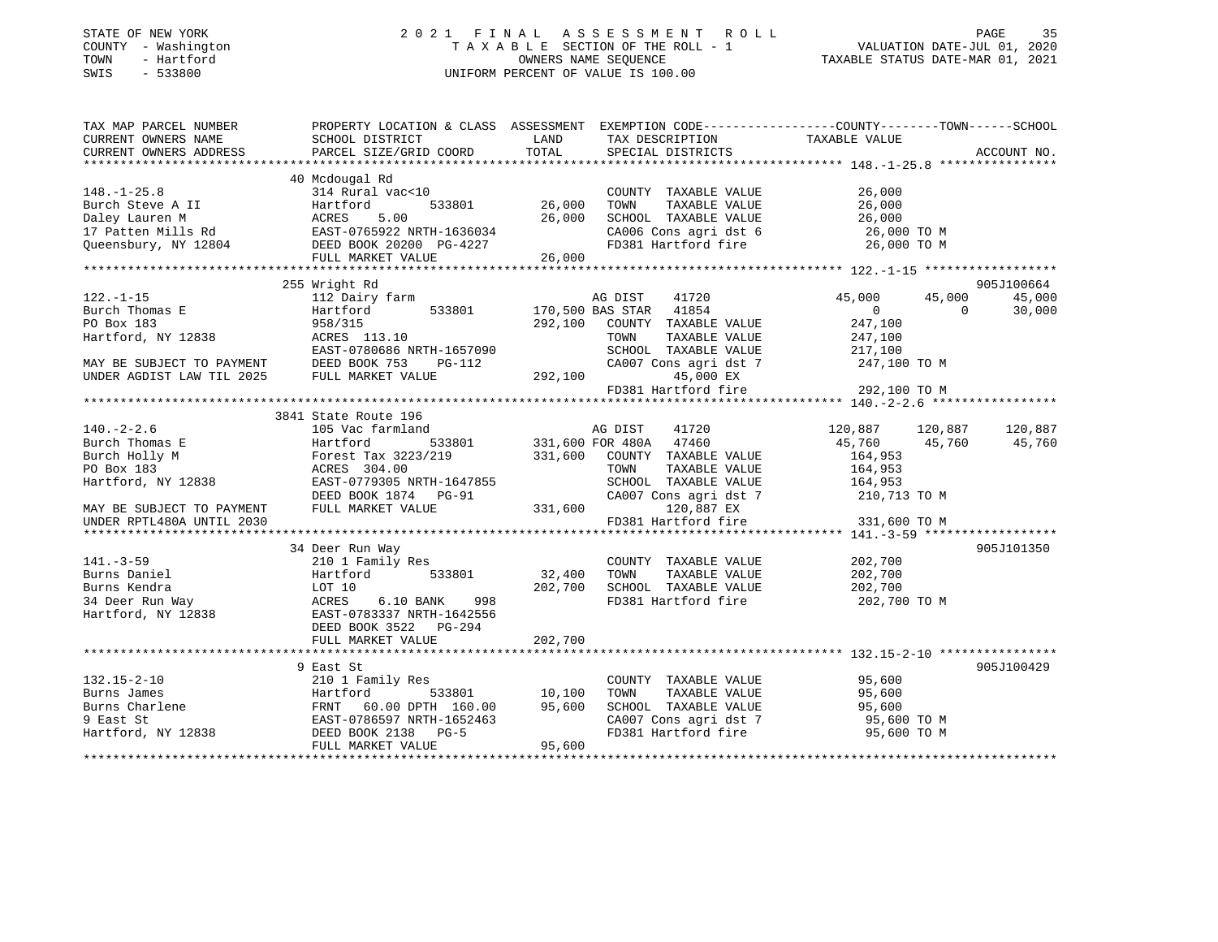### STATE OF NEW YORK 2 0 2 1 F I N A L A S S E S S M E N T R O L L PAGE 35 COUNTY - Washington T A X A B L E SECTION OF THE ROLL - 1 VALUATION DATE-JUL 01, 2020 TOWN - Hartford OWNERS NAME SEQUENCE TAXABLE STATUS DATE-MAR 01, 2021 SWIS - 533800 UNIFORM PERCENT OF VALUE IS 100.00

| TAX MAP PARCEL NUMBER<br>CURRENT OWNERS NAME<br>CURRENT OWNERS ADDRESS | SCHOOL DISTRICT<br>PARCEL SIZE/GRID COORD                                                                                                                                                  | LAND<br>TOTAL | TAX DESCRIPTION<br>SPECIAL DISTRICTS | PROPERTY LOCATION & CLASS ASSESSMENT EXEMPTION CODE---------------COUNTY-------TOWN------SCHOOL<br>TAXABLE VALUE | ACCOUNT NO. |
|------------------------------------------------------------------------|--------------------------------------------------------------------------------------------------------------------------------------------------------------------------------------------|---------------|--------------------------------------|------------------------------------------------------------------------------------------------------------------|-------------|
|                                                                        |                                                                                                                                                                                            |               |                                      |                                                                                                                  |             |
|                                                                        | 40 Mcdougal Rd                                                                                                                                                                             |               |                                      |                                                                                                                  |             |
| $148. - 1 - 25.8$                                                      | 314 Rural vac<10                                                                                                                                                                           |               | COUNTY TAXABLE VALUE                 | 26,000                                                                                                           |             |
|                                                                        |                                                                                                                                                                                            | 26,000        | TOWN<br>TAXABLE VALUE                | 26,000                                                                                                           |             |
|                                                                        |                                                                                                                                                                                            | 26,000        | SCHOOL TAXABLE VALUE                 | 26,000                                                                                                           |             |
|                                                                        |                                                                                                                                                                                            |               | CA006 Cons agri dst 6                | 26,000 TO M                                                                                                      |             |
|                                                                        | Burch Steve A II Hartford 533801 26,<br>Daley Lauren M ACRES 5.00 26,<br>17 Patten Mills Rd EAST-0765922 NRTH-1636034<br>Queensbury, NY 12804 DEED BOOK 20200 PG-4227<br>FUIL MAPKET VALUE |               | FD381 Hartford fire                  | 26,000 TO M                                                                                                      |             |
|                                                                        | FULL MARKET VALUE                                                                                                                                                                          | 26,000        |                                      |                                                                                                                  |             |
|                                                                        |                                                                                                                                                                                            |               |                                      |                                                                                                                  |             |
|                                                                        | 255 Wright Rd                                                                                                                                                                              |               |                                      |                                                                                                                  | 905J100664  |
| $122. - 1 - 15$                                                        | 112 Dairy farm                                                                                                                                                                             |               | 41720<br>AG DIST                     | 45,000<br>45,000                                                                                                 | 45,000      |
| Burch Thomas E                                                         | 533801<br>Hartford                                                                                                                                                                         |               | 170,500 BAS STAR 41854               | $0 \qquad \qquad$<br>$\Omega$                                                                                    | 30,000      |
| PO Box 183                                                             | 958/315                                                                                                                                                                                    | 292,100       | COUNTY TAXABLE VALUE                 | 247,100                                                                                                          |             |
| Hartford, NY 12838                                                     | ACRES 113.10                                                                                                                                                                               |               | TOWN<br>TAXABLE VALUE                | 247,100                                                                                                          |             |
|                                                                        | EAST-0780686 NRTH-1657090                                                                                                                                                                  |               | SCHOOL TAXABLE VALUE                 | 217,100                                                                                                          |             |
| MAY BE SUBJECT TO PAYMENT                                              | DEED BOOK 753<br>$PG-112$                                                                                                                                                                  |               | CA007 Cons agri dst 7                | 247,100 TO M                                                                                                     |             |
| UNDER AGDIST LAW TIL 2025                                              | FULL MARKET VALUE                                                                                                                                                                          | 292,100       | 45,000 EX                            |                                                                                                                  |             |
|                                                                        |                                                                                                                                                                                            |               | FD381 Hartford fire                  | 292,100 TO M                                                                                                     |             |
|                                                                        |                                                                                                                                                                                            |               |                                      |                                                                                                                  |             |
|                                                                        | 3841 State Route 196                                                                                                                                                                       |               |                                      |                                                                                                                  |             |
| $140. - 2 - 2.6$                                                       | 105 Vac farmland                                                                                                                                                                           |               | AG DIST<br>41720                     | 120,887 120,887                                                                                                  | 120,887     |
| Burch Thomas E                                                         | 533801<br>Hartford                                                                                                                                                                         |               | 331,600 FOR 480A 47460               | 45,760<br>45,760                                                                                                 | 45,760      |
| Burch Holly M                                                          | Forest Tax 3223/219                                                                                                                                                                        |               | 331,600 COUNTY TAXABLE VALUE         | 164,953                                                                                                          |             |
| PO Box 183                                                             | ACRES 304.00                                                                                                                                                                               |               | TAXABLE VALUE<br>TOWN                | 164,953                                                                                                          |             |
| Hartford, NY 12838                                                     | EAST-0779305 NRTH-1647855                                                                                                                                                                  |               | SCHOOL TAXABLE VALUE                 | 164,953                                                                                                          |             |
|                                                                        | DEED BOOK 1874 PG-91                                                                                                                                                                       |               | CA007 Cons agri dst 7                | 210,713 TO M                                                                                                     |             |
| MAY BE SUBJECT TO PAYMENT                                              | FULL MARKET VALUE                                                                                                                                                                          | 331,600       | 120,887 EX                           |                                                                                                                  |             |
| UNDER RPTL480A UNTIL 2030                                              |                                                                                                                                                                                            |               | FD381 Hartford fire                  | 331,600 TO M                                                                                                     |             |
|                                                                        |                                                                                                                                                                                            |               |                                      |                                                                                                                  |             |
|                                                                        | 34 Deer Run Way                                                                                                                                                                            |               |                                      |                                                                                                                  | 905J101350  |
| $141. - 3 - 59$                                                        | 210 1 Family Res                                                                                                                                                                           |               | COUNTY TAXABLE VALUE                 | 202,700                                                                                                          |             |
| Burns Daniel                                                           | Hartford<br>533801                                                                                                                                                                         | 32,400        | TAXABLE VALUE<br>TOWN                | 202,700                                                                                                          |             |
| Burns Kendra                                                           | LOT 10                                                                                                                                                                                     | 202,700       | SCHOOL TAXABLE VALUE                 | 202,700                                                                                                          |             |
| 34 Deer Run Way                                                        | 998<br>ACRES<br>6.10 BANK                                                                                                                                                                  |               | FD381 Hartford fire                  | 202,700 TO M                                                                                                     |             |
| Hartford, NY 12838                                                     | EAST-0783337 NRTH-1642556                                                                                                                                                                  |               |                                      |                                                                                                                  |             |
|                                                                        | DEED BOOK 3522 PG-294                                                                                                                                                                      |               |                                      |                                                                                                                  |             |
|                                                                        | FULL MARKET VALUE                                                                                                                                                                          | 202,700       |                                      |                                                                                                                  |             |
|                                                                        |                                                                                                                                                                                            |               |                                      |                                                                                                                  |             |
|                                                                        | 9 East St                                                                                                                                                                                  |               |                                      |                                                                                                                  | 905J100429  |
| $132.15 - 2 - 10$                                                      | 210 1 Family Res                                                                                                                                                                           |               | COUNTY TAXABLE VALUE                 | 95,600                                                                                                           |             |
| Burns James                                                            | 533801<br>Hartford                                                                                                                                                                         | 10,100        | TOWN<br>TAXABLE VALUE                | 95,600                                                                                                           |             |
| Burns Charlene                                                         | 60.00 DPTH 160.00<br>FRNT                                                                                                                                                                  | 95,600        | SCHOOL TAXABLE VALUE                 | 95,600                                                                                                           |             |
| 9 East St                                                              | EAST-0786597 NRTH-1652463                                                                                                                                                                  |               | CA007 Cons agri dst 7                | 95,600 TO M                                                                                                      |             |
| Hartford, NY 12838                                                     | DEED BOOK 2138 PG-5                                                                                                                                                                        |               | FD381 Hartford fire                  | 95,600 TO M                                                                                                      |             |
|                                                                        | FULL MARKET VALUE                                                                                                                                                                          | 95,600        |                                      |                                                                                                                  |             |
|                                                                        |                                                                                                                                                                                            |               |                                      |                                                                                                                  |             |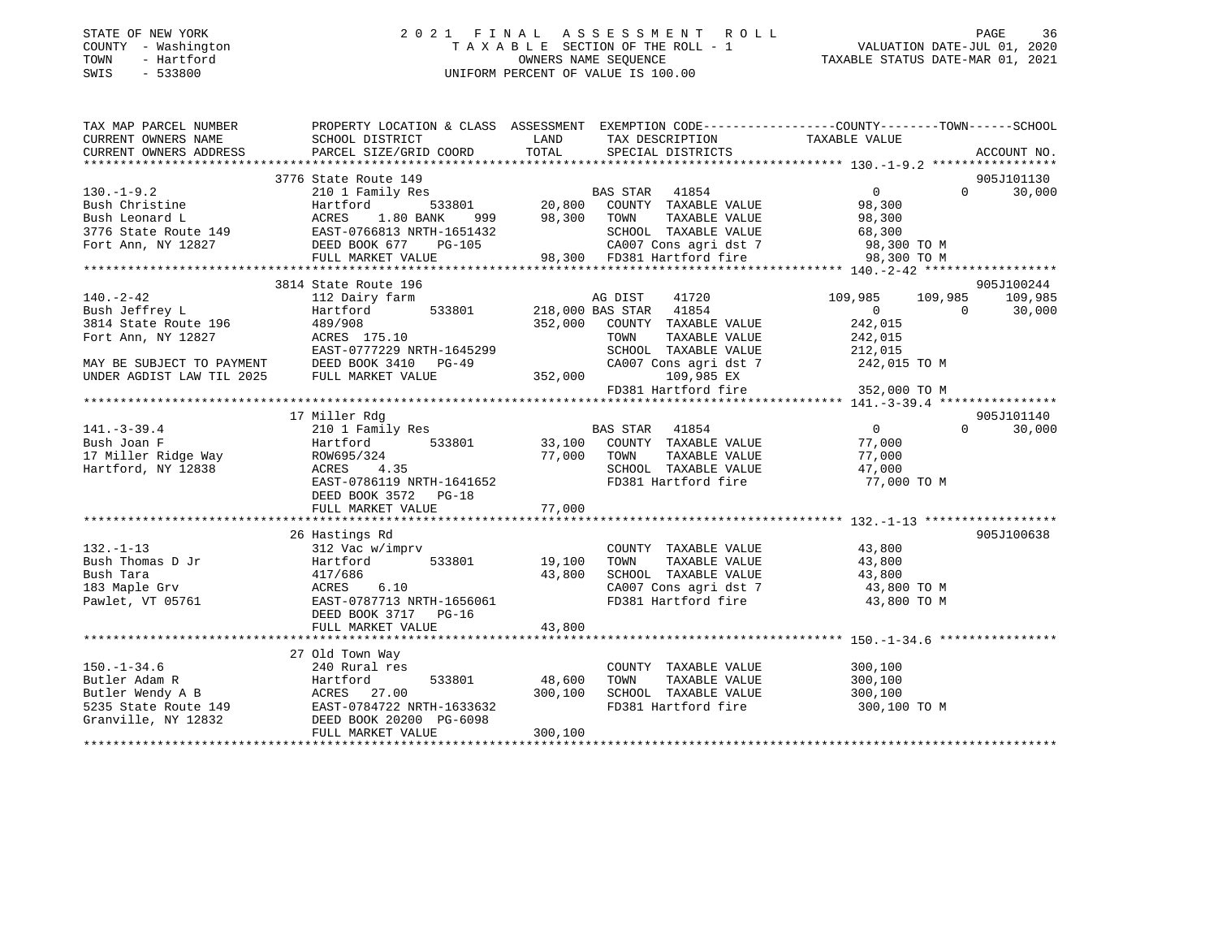### STATE OF NEW YORK 2 0 2 1 F I N A L A S S E S S M E N T R O L L PAGE 36 COUNTY - Washington T A X A B L E SECTION OF THE ROLL - 1 VALUATION DATE-JUL 01, 2020 TOWN - Hartford OWNERS NAME SEQUENCE TAXABLE STATUS DATE-MAR 01, 2021 SWIS - 533800 UNIFORM PERCENT OF VALUE IS 100.00

| TAX MAP PARCEL NUMBER | PROPERTY LOCATION & CLASS ASSESSMENT EXEMPTION CODE----------------COUNTY--------TOWN------SCHOOL                                                                                                                                                        |                                                                                                                                                                                                    |                    |                    |
|-----------------------|----------------------------------------------------------------------------------------------------------------------------------------------------------------------------------------------------------------------------------------------------------|----------------------------------------------------------------------------------------------------------------------------------------------------------------------------------------------------|--------------------|--------------------|
|                       |                                                                                                                                                                                                                                                          |                                                                                                                                                                                                    |                    |                    |
|                       |                                                                                                                                                                                                                                                          |                                                                                                                                                                                                    |                    |                    |
|                       |                                                                                                                                                                                                                                                          |                                                                                                                                                                                                    |                    |                    |
|                       |                                                                                                                                                                                                                                                          |                                                                                                                                                                                                    |                    | 905J101130         |
|                       | 3776 State Route 149<br>130.-1-9.2 210 1 Family Res<br>210 1 Family Res<br>20,800 COUNTY TAXABLE VALUE<br>20,800 COUNTY TAXABLE VALUE<br>20,800 COUNTY TAXABLE VALUE<br>20,800 COUNTY TAXABLE VALUE<br>20,800 COUNTY TAXABLE VALUE<br>20,800 C           |                                                                                                                                                                                                    |                    | $\Omega$<br>30,000 |
|                       |                                                                                                                                                                                                                                                          |                                                                                                                                                                                                    |                    |                    |
|                       |                                                                                                                                                                                                                                                          |                                                                                                                                                                                                    |                    |                    |
|                       |                                                                                                                                                                                                                                                          |                                                                                                                                                                                                    |                    |                    |
|                       |                                                                                                                                                                                                                                                          |                                                                                                                                                                                                    |                    |                    |
|                       |                                                                                                                                                                                                                                                          |                                                                                                                                                                                                    |                    |                    |
|                       |                                                                                                                                                                                                                                                          |                                                                                                                                                                                                    |                    |                    |
|                       |                                                                                                                                                                                                                                                          |                                                                                                                                                                                                    |                    |                    |
|                       | 3814 State Route 196                                                                                                                                                                                                                                     |                                                                                                                                                                                                    |                    | 905J100244         |
|                       | 3814 State Route 196<br>3814 State Route 196<br>3814 State Route 196<br>3814 State Route 196<br>3814 State Route 196<br>3814 State Route 196<br>489/908<br>3814 State Route 196<br>489/908<br>352,000 COUNTY TAXABLE VALUE<br>3814 State Route 196       |                                                                                                                                                                                                    |                    | 109,985            |
|                       |                                                                                                                                                                                                                                                          |                                                                                                                                                                                                    |                    | 30,000             |
|                       |                                                                                                                                                                                                                                                          |                                                                                                                                                                                                    |                    |                    |
|                       |                                                                                                                                                                                                                                                          |                                                                                                                                                                                                    |                    |                    |
|                       |                                                                                                                                                                                                                                                          |                                                                                                                                                                                                    |                    |                    |
|                       |                                                                                                                                                                                                                                                          |                                                                                                                                                                                                    |                    |                    |
|                       |                                                                                                                                                                                                                                                          |                                                                                                                                                                                                    |                    |                    |
|                       |                                                                                                                                                                                                                                                          | FD381 Hartford fire 352,000 TO M                                                                                                                                                                   |                    |                    |
|                       |                                                                                                                                                                                                                                                          |                                                                                                                                                                                                    |                    |                    |
|                       | 17 Miller Rdg                                                                                                                                                                                                                                            |                                                                                                                                                                                                    |                    | 905J101140         |
| 141. $-3-39.4$        |                                                                                                                                                                                                                                                          |                                                                                                                                                                                                    |                    | 30,000<br>$\Omega$ |
|                       |                                                                                                                                                                                                                                                          |                                                                                                                                                                                                    |                    |                    |
|                       |                                                                                                                                                                                                                                                          |                                                                                                                                                                                                    |                    |                    |
|                       |                                                                                                                                                                                                                                                          |                                                                                                                                                                                                    |                    |                    |
|                       |                                                                                                                                                                                                                                                          |                                                                                                                                                                                                    |                    |                    |
|                       | EAST-0786119 NRTH-1641652                                                                                                                                                                                                                                | FD381 Hartford fire 77,000 TO M                                                                                                                                                                    |                    |                    |
|                       | DEED BOOK 3572 PG-18                                                                                                                                                                                                                                     |                                                                                                                                                                                                    |                    |                    |
|                       |                                                                                                                                                                                                                                                          |                                                                                                                                                                                                    |                    |                    |
|                       |                                                                                                                                                                                                                                                          |                                                                                                                                                                                                    |                    |                    |
|                       | 26 Hastings Rd                                                                                                                                                                                                                                           |                                                                                                                                                                                                    |                    | 905J100638         |
|                       |                                                                                                                                                                                                                                                          |                                                                                                                                                                                                    |                    |                    |
|                       |                                                                                                                                                                                                                                                          | $\begin{tabular}{lllllllll} \multicolumn{2}{c}{\textbf{COUNTY}} & \textbf{TXABLE VALUE} & & & & 43,800 \\ \multicolumn{2}{c}{\textbf{TOWN}} & \textbf{TXABLE VALUE} & & & 43,800 \\ \end{tabular}$ |                    |                    |
|                       |                                                                                                                                                                                                                                                          |                                                                                                                                                                                                    |                    |                    |
|                       |                                                                                                                                                                                                                                                          | 19,100 TOWN TAXABLE VALUE 19,100 TOWN TAXABLE VALUE 43,800<br>43,800 SCHOOL TAXABLE VALUE 43,800 TO M                                                                                              |                    |                    |
|                       | 132.-1-13<br>Bush Thomas D Jr Hartford 533801 19,100 TOWN<br>Bush Tara 417/686 43,800 SCHOO<br>193 Maple Grv ACRES 6.10 CA007<br>Pawlet, VT 05761 EAST-0787713 NRTH-1656061 FD381                                                                        | CA007 Cons agri dst 7 43,800 TO M<br>FD381 Hartford fire 43,800 TO M                                                                                                                               |                    |                    |
|                       | DEED BOOK 3717 PG-16                                                                                                                                                                                                                                     |                                                                                                                                                                                                    |                    |                    |
|                       |                                                                                                                                                                                                                                                          |                                                                                                                                                                                                    |                    |                    |
|                       |                                                                                                                                                                                                                                                          |                                                                                                                                                                                                    |                    |                    |
|                       | 27 Old Town Way                                                                                                                                                                                                                                          |                                                                                                                                                                                                    |                    |                    |
|                       |                                                                                                                                                                                                                                                          | COUNTY TAXABLE VALUE                                                                                                                                                                               |                    |                    |
|                       |                                                                                                                                                                                                                                                          | TAXABLE VALUE<br>TOWN                                                                                                                                                                              | 300,100<br>300,100 |                    |
|                       |                                                                                                                                                                                                                                                          | SCHOOL TAXABLE VALUE 300,100                                                                                                                                                                       |                    |                    |
|                       |                                                                                                                                                                                                                                                          |                                                                                                                                                                                                    |                    |                    |
|                       |                                                                                                                                                                                                                                                          | FD381 Hartford fire 300,100 TO M                                                                                                                                                                   |                    |                    |
|                       |                                                                                                                                                                                                                                                          |                                                                                                                                                                                                    |                    |                    |
|                       | 150.-1-34.6<br>Butler Adam R<br>Butler Wendy A B<br>533801 48,600<br>533801 48,600<br>533801 48,600<br>533801 48,600<br>533801 48,600<br>533801 48,600<br>533801 48,600<br>533801 48,600<br>5335 State Route 149<br>EAST-0784722 NRTH-1633632<br>Cranvil |                                                                                                                                                                                                    |                    |                    |
|                       |                                                                                                                                                                                                                                                          |                                                                                                                                                                                                    |                    |                    |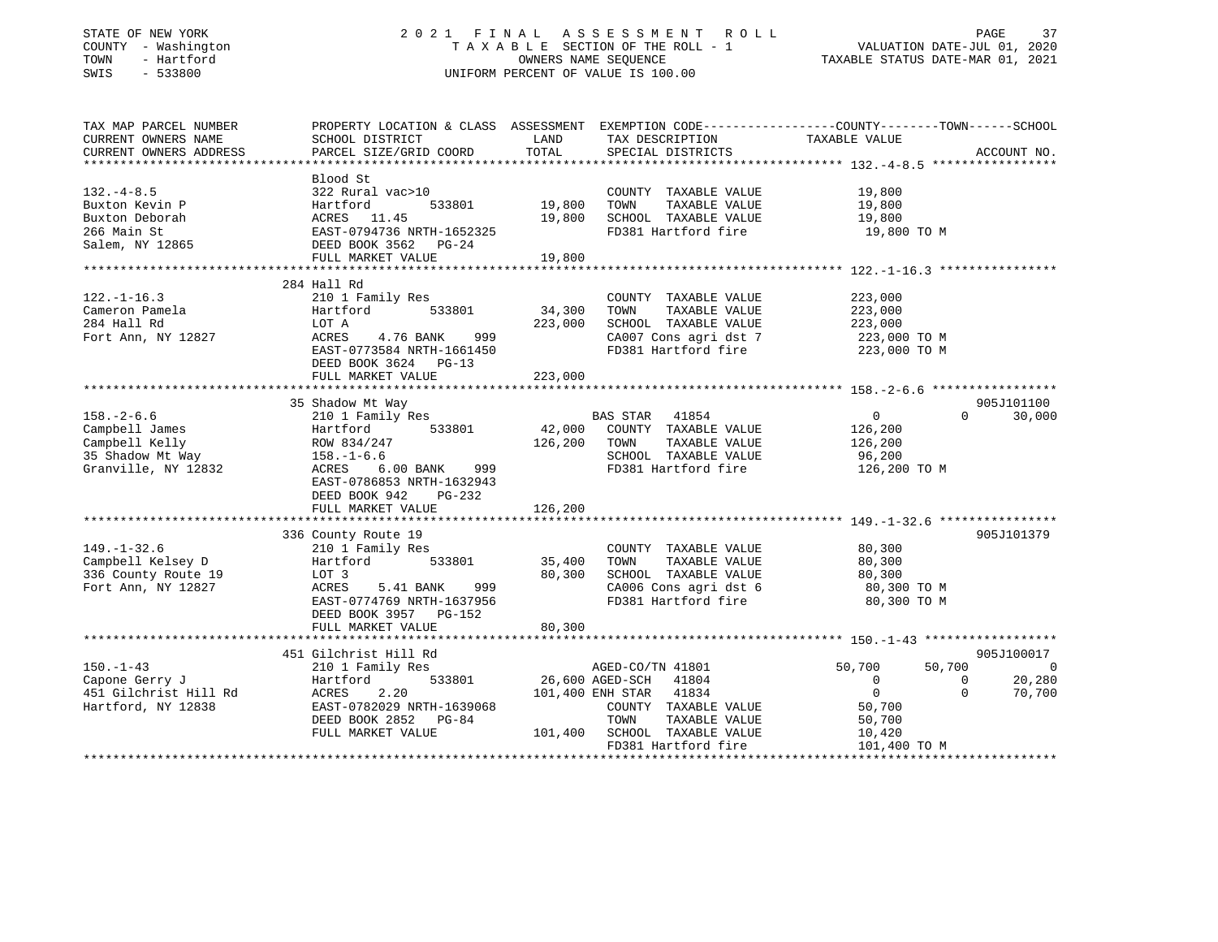## STATE OF NEW YORK 2 0 2 1 F I N A L A S S E S S M E N T R O L L PAGE 37 COUNTY - Washington T A X A B L E SECTION OF THE ROLL - 1 VALUATION DATE-JUL 01, 2020 TOWN - Hartford OWNERS NAME SEQUENCE TAXABLE STATUS DATE-MAR 01, 2021 SWIS - 533800 UNIFORM PERCENT OF VALUE IS 100.00

| TAX MAP PARCEL NUMBER<br>CURRENT OWNERS NAME                                                    | PROPERTY LOCATION & CLASS ASSESSMENT<br>SCHOOL DISTRICT                                                                                                               | LAND                         | EXEMPTION CODE-----------------COUNTY-------TOWN------SCHOOL<br>TAX DESCRIPTION                                                | TAXABLE VALUE                                                              |                                        |
|-------------------------------------------------------------------------------------------------|-----------------------------------------------------------------------------------------------------------------------------------------------------------------------|------------------------------|--------------------------------------------------------------------------------------------------------------------------------|----------------------------------------------------------------------------|----------------------------------------|
| CURRENT OWNERS ADDRESS                                                                          | PARCEL SIZE/GRID COORD                                                                                                                                                | TOTAL                        | SPECIAL DISTRICTS                                                                                                              |                                                                            | ACCOUNT NO.                            |
|                                                                                                 |                                                                                                                                                                       |                              |                                                                                                                                |                                                                            |                                        |
| $132 - 4 - 8.5$<br>Buxton Kevin P<br>Buxton Deborah<br>266 Main St<br>Salem, NY 12865           | Blood St<br>322 Rural vac>10<br>Hartford<br>533801<br>ACRES 11.45<br>EAST-0794736 NRTH-1652325<br>DEED BOOK 3562 PG-24<br>FULL MARKET VALUE                           | 19,800<br>19,800<br>19,800   | COUNTY TAXABLE VALUE<br>TOWN<br>TAXABLE VALUE<br>SCHOOL TAXABLE VALUE<br>FD381 Hartford fire                                   | 19,800<br>19,800<br>19,800<br>19,800 TO M                                  |                                        |
|                                                                                                 |                                                                                                                                                                       |                              |                                                                                                                                |                                                                            |                                        |
| $122. - 1 - 16.3$<br>Cameron Pamela<br>284 Hall Rd<br>Fort Ann, NY 12827                        | 284 Hall Rd<br>210 1 Family Res<br>Hartford<br>533801<br>LOT A<br>999<br>ACRES<br>4.76 BANK<br>EAST-0773584 NRTH-1661450<br>DEED BOOK 3624 PG-13<br>FULL MARKET VALUE | 34,300<br>223,000<br>223,000 | COUNTY TAXABLE VALUE<br>TAXABLE VALUE<br>TOWN<br>SCHOOL TAXABLE VALUE<br>CA007 Cons agri dst 7<br>FD381 Hartford fire          | 223,000<br>223,000<br>223,000<br>223,000 TO M<br>223,000 TO M              |                                        |
|                                                                                                 | 35 Shadow Mt Way                                                                                                                                                      |                              |                                                                                                                                |                                                                            | 905J101100                             |
| $158. - 2 - 6.6$<br>Campbell James<br>Campbell Kelly<br>35 Shadow Mt Way<br>Granville, NY 12832 | 210 1 Family Res<br>533801<br>Hartford<br>ROW 834/247<br>$158. - 1 - 6.6$<br>6.00 BANK 999<br>ACRES<br>EAST-0786853 NRTH-1632943<br>DEED BOOK 942<br>PG-232           | 42,000<br>126,200            | BAS STAR 41854<br>COUNTY TAXABLE VALUE<br>TOWN<br>TAXABLE VALUE<br>SCHOOL TAXABLE VALUE<br>FD381 Hartford fire                 | $\overline{0}$<br>$\Omega$<br>126,200<br>126,200<br>96,200<br>126,200 TO M | 30,000                                 |
|                                                                                                 | FULL MARKET VALUE                                                                                                                                                     | 126,200                      |                                                                                                                                |                                                                            |                                        |
| $149. - 1 - 32.6$<br>Campbell Kelsey D<br>336 County Route 19<br>Fort Ann, NY 12827             | 336 County Route 19<br>210 1 Family Res<br>533801<br>Hartford<br>LOT 3<br>5.41 BANK<br>999<br>ACRES<br>EAST-0774769 NRTH-1637956<br>DEED BOOK 3957 PG-152             | 35,400<br>80,300             | COUNTY TAXABLE VALUE<br>TAXABLE VALUE<br>TOWN<br>SCHOOL TAXABLE VALUE<br>CA006 Cons agri dst 6<br>FD381 Hartford fire          | 80,300<br>80,300<br>80,300<br>80,300 TO M<br>80,300 TO M                   | 905J101379                             |
|                                                                                                 | FULL MARKET VALUE                                                                                                                                                     | 80,300                       |                                                                                                                                |                                                                            |                                        |
| $150. - 1 - 43$<br>Capone Gerry J                                                               | 451 Gilchrist Hill Rd<br>210 1 Family Res<br>533801<br>Hartford                                                                                                       |                              | AGED-CO/TN 41801<br>26,600 AGED-SCH 41804                                                                                      | 50,700<br>50,700<br>$\Omega$<br>$\Omega$                                   | 905J100017<br>$\overline{0}$<br>20,280 |
| 451 Gilchrist Hill Rd<br>Hartford, NY 12838                                                     | ACRES<br>2.20<br>EAST-0782029 NRTH-1639068<br>DEED BOOK 2852 PG-84<br>FULL MARKET VALUE                                                                               |                              | 101,400 ENH STAR 41834<br>COUNTY TAXABLE VALUE<br>TOWN<br>TAXABLE VALUE<br>101,400 SCHOOL TAXABLE VALUE<br>FD381 Hartford fire | $\overline{0}$<br>$\Omega$<br>50,700<br>50,700<br>10,420<br>101,400 TO M   | 70,700                                 |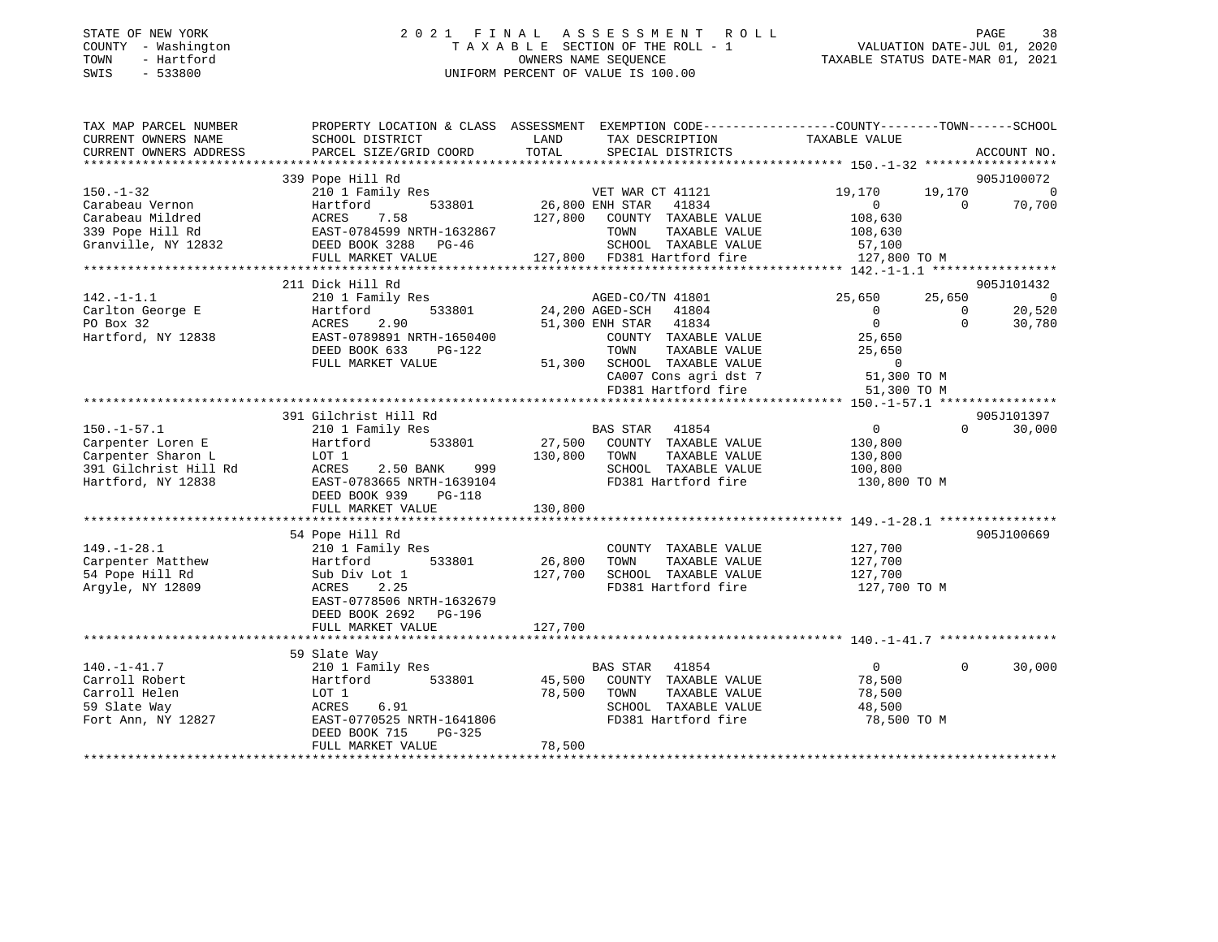| STATE OF NEW YORK   | 2021 FINAL ASSESSMENT ROLL         | 38<br>PAGE                       |
|---------------------|------------------------------------|----------------------------------|
| COUNTY - Washington | TAXABLE SECTION OF THE ROLL - 1    | VALUATION DATE-JUL 01, 2020      |
| TOWN<br>- Hartford  | OWNERS NAME SEOUENCE               | TAXABLE STATUS DATE-MAR 01, 2021 |
| SWIS<br>- 533800    | UNIFORM PERCENT OF VALUE IS 100.00 |                                  |
|                     |                                    |                                  |

| SCHOOL DISTRICT       | LAND<br>TAX DESCRIPTION                                                                                                                                                                                                                                                                                                                                                                                                                                                                                                                                                                                                                                          | TAXABLE VALUE                                                                                                                                                                                                                                                                                                                                                                                                                                                                                                                                                                                                                                                                                                                                                                                                                                                                                                                                                                                                                                  |
|-----------------------|------------------------------------------------------------------------------------------------------------------------------------------------------------------------------------------------------------------------------------------------------------------------------------------------------------------------------------------------------------------------------------------------------------------------------------------------------------------------------------------------------------------------------------------------------------------------------------------------------------------------------------------------------------------|------------------------------------------------------------------------------------------------------------------------------------------------------------------------------------------------------------------------------------------------------------------------------------------------------------------------------------------------------------------------------------------------------------------------------------------------------------------------------------------------------------------------------------------------------------------------------------------------------------------------------------------------------------------------------------------------------------------------------------------------------------------------------------------------------------------------------------------------------------------------------------------------------------------------------------------------------------------------------------------------------------------------------------------------|
|                       |                                                                                                                                                                                                                                                                                                                                                                                                                                                                                                                                                                                                                                                                  |                                                                                                                                                                                                                                                                                                                                                                                                                                                                                                                                                                                                                                                                                                                                                                                                                                                                                                                                                                                                                                                |
|                       |                                                                                                                                                                                                                                                                                                                                                                                                                                                                                                                                                                                                                                                                  |                                                                                                                                                                                                                                                                                                                                                                                                                                                                                                                                                                                                                                                                                                                                                                                                                                                                                                                                                                                                                                                |
|                       |                                                                                                                                                                                                                                                                                                                                                                                                                                                                                                                                                                                                                                                                  | 905J100072                                                                                                                                                                                                                                                                                                                                                                                                                                                                                                                                                                                                                                                                                                                                                                                                                                                                                                                                                                                                                                     |
|                       |                                                                                                                                                                                                                                                                                                                                                                                                                                                                                                                                                                                                                                                                  | 19,170<br>19,170<br>$\Omega$                                                                                                                                                                                                                                                                                                                                                                                                                                                                                                                                                                                                                                                                                                                                                                                                                                                                                                                                                                                                                   |
|                       |                                                                                                                                                                                                                                                                                                                                                                                                                                                                                                                                                                                                                                                                  | 70,700<br>$\Omega$<br>$\Omega$                                                                                                                                                                                                                                                                                                                                                                                                                                                                                                                                                                                                                                                                                                                                                                                                                                                                                                                                                                                                                 |
|                       |                                                                                                                                                                                                                                                                                                                                                                                                                                                                                                                                                                                                                                                                  | 108,630                                                                                                                                                                                                                                                                                                                                                                                                                                                                                                                                                                                                                                                                                                                                                                                                                                                                                                                                                                                                                                        |
|                       |                                                                                                                                                                                                                                                                                                                                                                                                                                                                                                                                                                                                                                                                  | 108,630                                                                                                                                                                                                                                                                                                                                                                                                                                                                                                                                                                                                                                                                                                                                                                                                                                                                                                                                                                                                                                        |
|                       |                                                                                                                                                                                                                                                                                                                                                                                                                                                                                                                                                                                                                                                                  | 57,100                                                                                                                                                                                                                                                                                                                                                                                                                                                                                                                                                                                                                                                                                                                                                                                                                                                                                                                                                                                                                                         |
|                       |                                                                                                                                                                                                                                                                                                                                                                                                                                                                                                                                                                                                                                                                  | 127,800 TO M                                                                                                                                                                                                                                                                                                                                                                                                                                                                                                                                                                                                                                                                                                                                                                                                                                                                                                                                                                                                                                   |
|                       |                                                                                                                                                                                                                                                                                                                                                                                                                                                                                                                                                                                                                                                                  |                                                                                                                                                                                                                                                                                                                                                                                                                                                                                                                                                                                                                                                                                                                                                                                                                                                                                                                                                                                                                                                |
|                       |                                                                                                                                                                                                                                                                                                                                                                                                                                                                                                                                                                                                                                                                  | 905J101432                                                                                                                                                                                                                                                                                                                                                                                                                                                                                                                                                                                                                                                                                                                                                                                                                                                                                                                                                                                                                                     |
|                       |                                                                                                                                                                                                                                                                                                                                                                                                                                                                                                                                                                                                                                                                  |                                                                                                                                                                                                                                                                                                                                                                                                                                                                                                                                                                                                                                                                                                                                                                                                                                                                                                                                                                                                                                                |
|                       |                                                                                                                                                                                                                                                                                                                                                                                                                                                                                                                                                                                                                                                                  | 25,650 25,650 0                                                                                                                                                                                                                                                                                                                                                                                                                                                                                                                                                                                                                                                                                                                                                                                                                                                                                                                                                                                                                                |
|                       |                                                                                                                                                                                                                                                                                                                                                                                                                                                                                                                                                                                                                                                                  | $\overline{0}$<br>20,520<br>$\overline{0}$                                                                                                                                                                                                                                                                                                                                                                                                                                                                                                                                                                                                                                                                                                                                                                                                                                                                                                                                                                                                     |
|                       |                                                                                                                                                                                                                                                                                                                                                                                                                                                                                                                                                                                                                                                                  | $\overline{0}$<br>$\Omega$<br>30,780                                                                                                                                                                                                                                                                                                                                                                                                                                                                                                                                                                                                                                                                                                                                                                                                                                                                                                                                                                                                           |
|                       |                                                                                                                                                                                                                                                                                                                                                                                                                                                                                                                                                                                                                                                                  | 25,650                                                                                                                                                                                                                                                                                                                                                                                                                                                                                                                                                                                                                                                                                                                                                                                                                                                                                                                                                                                                                                         |
|                       |                                                                                                                                                                                                                                                                                                                                                                                                                                                                                                                                                                                                                                                                  | 25,650                                                                                                                                                                                                                                                                                                                                                                                                                                                                                                                                                                                                                                                                                                                                                                                                                                                                                                                                                                                                                                         |
|                       |                                                                                                                                                                                                                                                                                                                                                                                                                                                                                                                                                                                                                                                                  | $\overline{0}$                                                                                                                                                                                                                                                                                                                                                                                                                                                                                                                                                                                                                                                                                                                                                                                                                                                                                                                                                                                                                                 |
|                       |                                                                                                                                                                                                                                                                                                                                                                                                                                                                                                                                                                                                                                                                  | 51,300 TO M                                                                                                                                                                                                                                                                                                                                                                                                                                                                                                                                                                                                                                                                                                                                                                                                                                                                                                                                                                                                                                    |
|                       | FD381 Hartford fire                                                                                                                                                                                                                                                                                                                                                                                                                                                                                                                                                                                                                                              | 51,300 TO M                                                                                                                                                                                                                                                                                                                                                                                                                                                                                                                                                                                                                                                                                                                                                                                                                                                                                                                                                                                                                                    |
|                       |                                                                                                                                                                                                                                                                                                                                                                                                                                                                                                                                                                                                                                                                  |                                                                                                                                                                                                                                                                                                                                                                                                                                                                                                                                                                                                                                                                                                                                                                                                                                                                                                                                                                                                                                                |
| 391 Gilchrist Hill Rd |                                                                                                                                                                                                                                                                                                                                                                                                                                                                                                                                                                                                                                                                  | 905J101397                                                                                                                                                                                                                                                                                                                                                                                                                                                                                                                                                                                                                                                                                                                                                                                                                                                                                                                                                                                                                                     |
|                       |                                                                                                                                                                                                                                                                                                                                                                                                                                                                                                                                                                                                                                                                  | $\overline{0}$<br>$\Omega$<br>30,000                                                                                                                                                                                                                                                                                                                                                                                                                                                                                                                                                                                                                                                                                                                                                                                                                                                                                                                                                                                                           |
|                       |                                                                                                                                                                                                                                                                                                                                                                                                                                                                                                                                                                                                                                                                  | 130,800                                                                                                                                                                                                                                                                                                                                                                                                                                                                                                                                                                                                                                                                                                                                                                                                                                                                                                                                                                                                                                        |
|                       |                                                                                                                                                                                                                                                                                                                                                                                                                                                                                                                                                                                                                                                                  | 130,800                                                                                                                                                                                                                                                                                                                                                                                                                                                                                                                                                                                                                                                                                                                                                                                                                                                                                                                                                                                                                                        |
|                       |                                                                                                                                                                                                                                                                                                                                                                                                                                                                                                                                                                                                                                                                  | 100,800                                                                                                                                                                                                                                                                                                                                                                                                                                                                                                                                                                                                                                                                                                                                                                                                                                                                                                                                                                                                                                        |
|                       |                                                                                                                                                                                                                                                                                                                                                                                                                                                                                                                                                                                                                                                                  | 130,800 TO M                                                                                                                                                                                                                                                                                                                                                                                                                                                                                                                                                                                                                                                                                                                                                                                                                                                                                                                                                                                                                                   |
|                       |                                                                                                                                                                                                                                                                                                                                                                                                                                                                                                                                                                                                                                                                  |                                                                                                                                                                                                                                                                                                                                                                                                                                                                                                                                                                                                                                                                                                                                                                                                                                                                                                                                                                                                                                                |
|                       |                                                                                                                                                                                                                                                                                                                                                                                                                                                                                                                                                                                                                                                                  |                                                                                                                                                                                                                                                                                                                                                                                                                                                                                                                                                                                                                                                                                                                                                                                                                                                                                                                                                                                                                                                |
|                       |                                                                                                                                                                                                                                                                                                                                                                                                                                                                                                                                                                                                                                                                  |                                                                                                                                                                                                                                                                                                                                                                                                                                                                                                                                                                                                                                                                                                                                                                                                                                                                                                                                                                                                                                                |
|                       |                                                                                                                                                                                                                                                                                                                                                                                                                                                                                                                                                                                                                                                                  |                                                                                                                                                                                                                                                                                                                                                                                                                                                                                                                                                                                                                                                                                                                                                                                                                                                                                                                                                                                                                                                |
|                       |                                                                                                                                                                                                                                                                                                                                                                                                                                                                                                                                                                                                                                                                  | 905J100669                                                                                                                                                                                                                                                                                                                                                                                                                                                                                                                                                                                                                                                                                                                                                                                                                                                                                                                                                                                                                                     |
|                       |                                                                                                                                                                                                                                                                                                                                                                                                                                                                                                                                                                                                                                                                  | 127,700                                                                                                                                                                                                                                                                                                                                                                                                                                                                                                                                                                                                                                                                                                                                                                                                                                                                                                                                                                                                                                        |
|                       |                                                                                                                                                                                                                                                                                                                                                                                                                                                                                                                                                                                                                                                                  | 127,700                                                                                                                                                                                                                                                                                                                                                                                                                                                                                                                                                                                                                                                                                                                                                                                                                                                                                                                                                                                                                                        |
|                       |                                                                                                                                                                                                                                                                                                                                                                                                                                                                                                                                                                                                                                                                  | 127,700                                                                                                                                                                                                                                                                                                                                                                                                                                                                                                                                                                                                                                                                                                                                                                                                                                                                                                                                                                                                                                        |
|                       |                                                                                                                                                                                                                                                                                                                                                                                                                                                                                                                                                                                                                                                                  | 127,700 TO M                                                                                                                                                                                                                                                                                                                                                                                                                                                                                                                                                                                                                                                                                                                                                                                                                                                                                                                                                                                                                                   |
|                       |                                                                                                                                                                                                                                                                                                                                                                                                                                                                                                                                                                                                                                                                  |                                                                                                                                                                                                                                                                                                                                                                                                                                                                                                                                                                                                                                                                                                                                                                                                                                                                                                                                                                                                                                                |
| DEED BOOK 2692 PG-196 |                                                                                                                                                                                                                                                                                                                                                                                                                                                                                                                                                                                                                                                                  |                                                                                                                                                                                                                                                                                                                                                                                                                                                                                                                                                                                                                                                                                                                                                                                                                                                                                                                                                                                                                                                |
| FULL MARKET VALUE     |                                                                                                                                                                                                                                                                                                                                                                                                                                                                                                                                                                                                                                                                  |                                                                                                                                                                                                                                                                                                                                                                                                                                                                                                                                                                                                                                                                                                                                                                                                                                                                                                                                                                                                                                                |
|                       |                                                                                                                                                                                                                                                                                                                                                                                                                                                                                                                                                                                                                                                                  |                                                                                                                                                                                                                                                                                                                                                                                                                                                                                                                                                                                                                                                                                                                                                                                                                                                                                                                                                                                                                                                |
| 59 Slate Way          |                                                                                                                                                                                                                                                                                                                                                                                                                                                                                                                                                                                                                                                                  |                                                                                                                                                                                                                                                                                                                                                                                                                                                                                                                                                                                                                                                                                                                                                                                                                                                                                                                                                                                                                                                |
| 210 1 Family Res      | BAS STAR 41854                                                                                                                                                                                                                                                                                                                                                                                                                                                                                                                                                                                                                                                   | $\overline{0}$<br>$\Omega$<br>30,000                                                                                                                                                                                                                                                                                                                                                                                                                                                                                                                                                                                                                                                                                                                                                                                                                                                                                                                                                                                                           |
| 533801<br>Hartford    | COUNTY TAXABLE VALUE<br>45,500                                                                                                                                                                                                                                                                                                                                                                                                                                                                                                                                                                                                                                   | 78,500                                                                                                                                                                                                                                                                                                                                                                                                                                                                                                                                                                                                                                                                                                                                                                                                                                                                                                                                                                                                                                         |
|                       |                                                                                                                                                                                                                                                                                                                                                                                                                                                                                                                                                                                                                                                                  | 78,500                                                                                                                                                                                                                                                                                                                                                                                                                                                                                                                                                                                                                                                                                                                                                                                                                                                                                                                                                                                                                                         |
|                       |                                                                                                                                                                                                                                                                                                                                                                                                                                                                                                                                                                                                                                                                  | 48,500                                                                                                                                                                                                                                                                                                                                                                                                                                                                                                                                                                                                                                                                                                                                                                                                                                                                                                                                                                                                                                         |
|                       |                                                                                                                                                                                                                                                                                                                                                                                                                                                                                                                                                                                                                                                                  | 78,500 TO M                                                                                                                                                                                                                                                                                                                                                                                                                                                                                                                                                                                                                                                                                                                                                                                                                                                                                                                                                                                                                                    |
|                       |                                                                                                                                                                                                                                                                                                                                                                                                                                                                                                                                                                                                                                                                  |                                                                                                                                                                                                                                                                                                                                                                                                                                                                                                                                                                                                                                                                                                                                                                                                                                                                                                                                                                                                                                                |
|                       |                                                                                                                                                                                                                                                                                                                                                                                                                                                                                                                                                                                                                                                                  |                                                                                                                                                                                                                                                                                                                                                                                                                                                                                                                                                                                                                                                                                                                                                                                                                                                                                                                                                                                                                                                |
|                       |                                                                                                                                                                                                                                                                                                                                                                                                                                                                                                                                                                                                                                                                  |                                                                                                                                                                                                                                                                                                                                                                                                                                                                                                                                                                                                                                                                                                                                                                                                                                                                                                                                                                                                                                                |
|                       | 339 Pope Hill Rd<br>210 1 Family Res<br>533801<br>Hartford<br>7.58<br>ACRES<br>EAST-0784599 NRTH-1632867<br>DEED BOOK 3288 PG-46<br>FULL MARKET VALUE<br>211 Dick Hill Rd<br>210 1 Family Res<br>533801<br>Hartford<br>2.90<br>ACRES<br>EAST-0789891 NRTH-1650400<br>DEED BOOK 633<br>PG-122<br>FULL MARKET VALUE<br>210 1 Family Res<br>Hartford<br>533801<br>LOT 1<br>ACRES<br>EAST-0783665 NRTH-1639104<br>DEED BOOK 939<br>PG-118<br>FULL MARKET VALUE<br>54 Pope Hill Rd<br>210 1 Family Res<br>533801<br>Hartford<br>Sub Div Lot 1<br>ACRES<br>2.25<br>EAST-0778506 NRTH-1632679<br>LOT 1<br>6.91<br>ACRES<br>DEED BOOK 715<br>PG-325<br>FULL MARKET VALUE | PROPERTY LOCATION & CLASS ASSESSMENT EXEMPTION CODE---------------COUNTY-------TOWN------SCHOOL<br>CURRENT OWNERS ADDRESS FORCEL SIZE/GRID COORD TOTAL SPECIAL DISTRICTS ACCOUNT NO.<br>TERRENT OWNERS ADDRESS PARCEL SIZE/GRID COORD TOTAL SPECIAL DISTRICTS ACCOUNT NO.<br>VET WAR CT 41121<br>26,800 ENH STAR 41834<br>127,800 COUNTY TAXABLE VALUE<br>TAXABLE VALUE<br>TOWN<br>SCHOOL TAXABLE VALUE<br>127,800 FD381 Hartford fire<br>AGED-CO/TN 41801<br>24,200 AGED-SCH 41804<br>51,300 ENH STAR 41834<br>COUNTY TAXABLE VALUE<br>TOWN<br>TAXABLE VALUE<br>51,300 SCHOOL TAXABLE VALUE<br>CA007 Cons agri dst 7<br>BAS STAR 41854<br>27,500 COUNTY TAXABLE VALUE<br>130,800<br>TOWN<br>TAXABLE VALUE<br>SCHOOL TAXABLE VALUE<br>2.50 BANK 999<br>FD381 Hartford fire<br>130,800<br>COUNTY TAXABLE VALUE<br>26,800<br>TOWN<br>TAXABLE VALUE<br>SCHOOL TAXABLE VALUE<br>127,700<br>FD381 Hartford fire<br>127,700<br>TAXABLE VALUE<br>78,500<br>TOWN<br>SCHOOL TAXABLE VALUE<br>FD381 Hartford fire<br>EAST-0770525 NRTH-1641806<br>78,500 |

 $\begin{array}{c} 38 \\ 2020 \end{array}$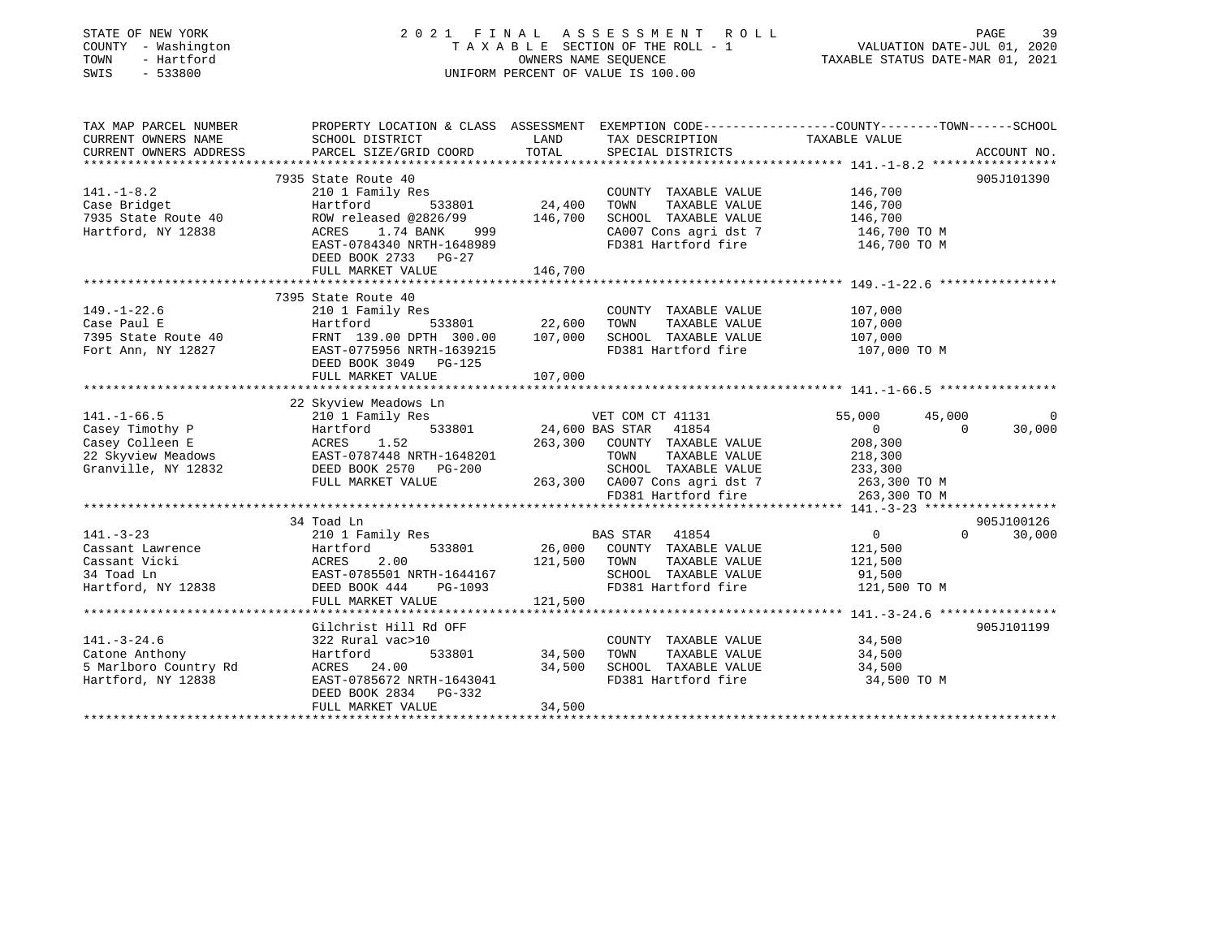| STATE OF NEW YORK<br>COUNTY - Washington<br>TOWN<br>- Hartford<br>SWIS<br>$-533800$ | 2021 FINAL ASSESSMENT<br>TAXABLE SECTION OF THE ROLL - 1<br>UNIFORM PERCENT OF VALUE IS 100.00                                                | R O L L           | PAGE<br>39<br>VALUATION DATE-JUL 01, 2020<br>TAXABLE STATUS DATE-MAR 01, 2021 |                              |                                  |
|-------------------------------------------------------------------------------------|-----------------------------------------------------------------------------------------------------------------------------------------------|-------------------|-------------------------------------------------------------------------------|------------------------------|----------------------------------|
| TAX MAP PARCEL NUMBER<br>CURRENT OWNERS NAME<br>CURRENT OWNERS ADDRESS              | PROPERTY LOCATION & CLASS ASSESSMENT EXEMPTION CODE----------------COUNTY-------TOWN------SCHOOL<br>SCHOOL DISTRICT<br>PARCEL SIZE/GRID COORD | LAND<br>TOTAL     | TAX DESCRIPTION<br>SPECIAL DISTRICTS                                          | TAXABLE VALUE                | ACCOUNT NO.                      |
| **********************                                                              |                                                                                                                                               |                   |                                                                               |                              |                                  |
|                                                                                     | 7935 State Route 40                                                                                                                           |                   |                                                                               |                              | 905J101390                       |
| $141. - 1 - 8.2$                                                                    | 210 1 Family Res                                                                                                                              |                   | COUNTY TAXABLE VALUE                                                          | 146,700                      |                                  |
| Case Bridget<br>7935 State Route 40                                                 | Hartford<br>533801<br>ROW released @2826/99                                                                                                   | 24,400<br>146,700 | TOWN<br>TAXABLE VALUE<br>SCHOOL TAXABLE VALUE                                 | 146,700<br>146,700           |                                  |
| Hartford, NY 12838                                                                  | 1.74 BANK<br>ACRES<br>999<br>EAST-0784340 NRTH-1648989<br>DEED BOOK 2733 PG-27                                                                |                   | CA007 Cons agri dst 7<br>FD381 Hartford fire                                  | 146,700 TO M<br>146,700 TO M |                                  |
|                                                                                     | FULL MARKET VALUE                                                                                                                             | 146,700           |                                                                               |                              |                                  |
|                                                                                     |                                                                                                                                               |                   |                                                                               |                              |                                  |
| $149. - 1 - 22.6$                                                                   | 7395 State Route 40<br>210 1 Family Res                                                                                                       |                   | COUNTY TAXABLE VALUE                                                          | 107,000                      |                                  |
| Case Paul E                                                                         | Hartford<br>533801                                                                                                                            | 22,600            | TOWN<br>TAXABLE VALUE                                                         | 107,000                      |                                  |
| 7395 State Route 40                                                                 | FRNT 139.00 DPTH 300.00                                                                                                                       | 107,000           | SCHOOL TAXABLE VALUE                                                          | 107,000                      |                                  |
| Fort Ann, NY 12827                                                                  | EAST-0775956 NRTH-1639215<br>DEED BOOK 3049<br><b>PG-125</b><br>FULL MARKET VALUE                                                             | 107,000           | FD381 Hartford fire                                                           | 107,000 TO M                 |                                  |
|                                                                                     |                                                                                                                                               | ***********       |                                                                               |                              |                                  |
|                                                                                     | 22 Skyview Meadows Ln                                                                                                                         |                   |                                                                               |                              |                                  |
| $141. - 1 - 66.5$                                                                   | 210 1 Family Res                                                                                                                              |                   | VET COM CT 41131                                                              | 55,000                       | 45,000<br>$\Omega$               |
| Casey Timothy P                                                                     | 533801<br>Hartford                                                                                                                            | 24,600 BAS STAR   | 41854                                                                         | $\overline{0}$               | 30,000<br>$\Omega$               |
| Casey Colleen E                                                                     | 1.52<br>ACRES                                                                                                                                 | 263,300           | COUNTY TAXABLE VALUE                                                          | 208,300                      |                                  |
| 22 Skyview Meadows                                                                  | EAST-0787448 NRTH-1648201                                                                                                                     |                   | TAXABLE VALUE<br>TOWN                                                         | 218,300                      |                                  |
| Granville, NY 12832                                                                 | DEED BOOK 2570<br>PG-200                                                                                                                      |                   | SCHOOL TAXABLE VALUE                                                          | 233,300                      |                                  |
|                                                                                     | FULL MARKET VALUE                                                                                                                             | 263,300           | CA007 Cons agri dst 7                                                         | 263,300 TO M                 |                                  |
|                                                                                     |                                                                                                                                               |                   | FD381 Hartford fire                                                           | 263,300 TO M                 |                                  |
|                                                                                     |                                                                                                                                               |                   |                                                                               |                              |                                  |
|                                                                                     | 34 Toad Ln                                                                                                                                    |                   |                                                                               | $\overline{0}$               | 905J100126<br>$\Omega$<br>30,000 |
| $141. - 3 - 23$<br>Cassant Lawrence                                                 | 210 1 Family Res<br>533801                                                                                                                    | 26,000            | <b>BAS STAR</b><br>41854<br>COUNTY TAXABLE VALUE                              | 121,500                      |                                  |
| Cassant Vicki                                                                       | Hartford<br>ACRES<br>2.00                                                                                                                     | 121,500           | TOWN<br>TAXABLE VALUE                                                         | 121,500                      |                                  |
| 34 Toad Ln                                                                          | EAST-0785501 NRTH-1644167                                                                                                                     |                   | SCHOOL TAXABLE VALUE                                                          | 91,500                       |                                  |
| Hartford, NY 12838                                                                  | DEED BOOK 444<br>PG-1093                                                                                                                      |                   | FD381 Hartford fire                                                           | 121,500 TO M                 |                                  |
|                                                                                     | FULL MARKET VALUE                                                                                                                             | 121,500           |                                                                               |                              |                                  |
|                                                                                     |                                                                                                                                               |                   |                                                                               |                              |                                  |
|                                                                                     | Gilchrist Hill Rd OFF                                                                                                                         |                   |                                                                               |                              | 905J101199                       |
| $141. - 3 - 24.6$                                                                   | 322 Rural vac>10                                                                                                                              |                   | COUNTY TAXABLE VALUE                                                          | 34,500                       |                                  |
| Catone Anthony                                                                      | Hartford<br>533801                                                                                                                            | 34,500            | TOWN<br>TAXABLE VALUE                                                         | 34,500                       |                                  |
| 5 Marlboro Country Rd                                                               | ACRES 24.00                                                                                                                                   | 34,500            | SCHOOL TAXABLE VALUE                                                          | 34,500                       |                                  |
| Hartford, NY 12838                                                                  | EAST-0785672 NRTH-1643041<br>DEED BOOK 2834<br>PG-332                                                                                         |                   | FD381 Hartford fire                                                           | 34,500 TO M                  |                                  |
|                                                                                     | FULL MARKET VALUE                                                                                                                             | 34,500            |                                                                               |                              |                                  |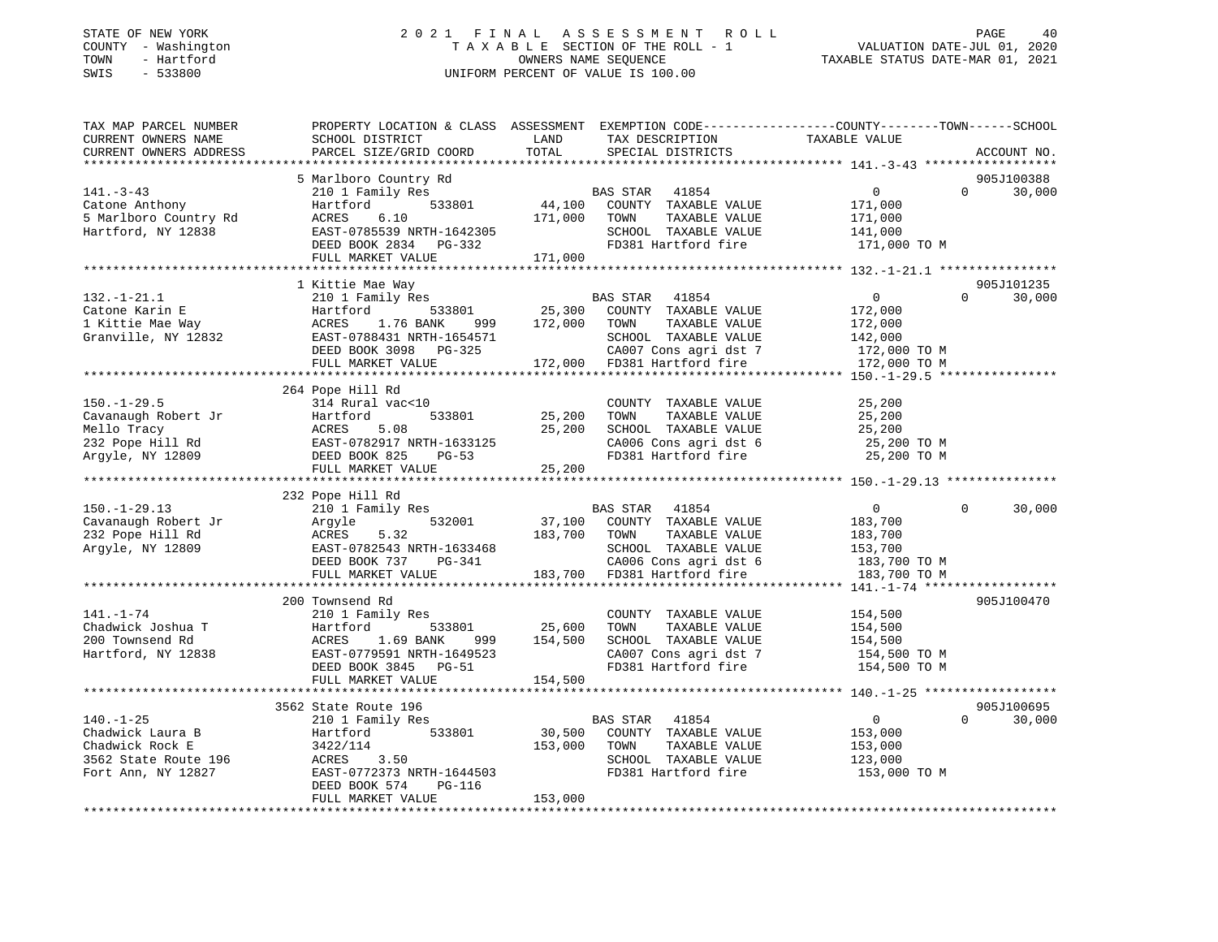### STATE OF NEW YORK 2 0 2 1 F I N A L A S S E S S M E N T R O L L PAGE 40 COUNTY - Washington T A X A B L E SECTION OF THE ROLL - 1 VALUATION DATE-JUL 01, 2020 TOWN - Hartford OWNERS NAME SEQUENCE TAXABLE STATUS DATE-MAR 01, 2021 SWIS - 533800 UNIFORM PERCENT OF VALUE IS 100.00

| TAX MAP PARCEL NUMBER<br>CURRENT OWNERS NAME | PROPERTY LOCATION & CLASS ASSESSMENT EXEMPTION CODE---------------COUNTY-------TOWN-----SCHOOL<br>SCHOOL DISTRICT | LAND             | TAX DESCRIPTION             | TAXABLE VALUE  |          |                      |
|----------------------------------------------|-------------------------------------------------------------------------------------------------------------------|------------------|-----------------------------|----------------|----------|----------------------|
| CURRENT OWNERS ADDRESS                       | PARCEL SIZE/GRID COORD                                                                                            | TOTAL            | SPECIAL DISTRICTS           |                |          | ACCOUNT NO.          |
|                                              |                                                                                                                   |                  |                             |                |          |                      |
|                                              | 5 Marlboro Country Rd                                                                                             |                  |                             |                |          | 905J100388           |
| $141. - 3 - 43$                              | 210 1 Family Res                                                                                                  |                  | BAS STAR 41854              | $\overline{0}$ | $\Omega$ | 30,000               |
| Catone Anthony                               | 533801<br>Hartford                                                                                                |                  | 44,100 COUNTY TAXABLE VALUE | 171,000        |          |                      |
| 5 Marlboro Country Rd                        | ACRES 6.10                                                                                                        | 171,000          | TAXABLE VALUE<br>TOWN       | 171,000        |          |                      |
| Hartford, NY 12838                           | EAST-0785539 NRTH-1642305                                                                                         |                  | SCHOOL TAXABLE VALUE        | 141,000        |          |                      |
|                                              | DEED BOOK 2834 PG-332                                                                                             |                  | FD381 Hartford fire         | 171,000 TO M   |          |                      |
|                                              | FULL MARKET VALUE                                                                                                 | 171,000          |                             |                |          |                      |
|                                              |                                                                                                                   |                  |                             |                |          |                      |
| $132. - 1 - 21.1$                            | 1 Kittie Mae Way<br>210 1 Family Res                                                                              |                  | <b>BAS STAR</b><br>41854    | 0              | $\Omega$ | 905J101235<br>30,000 |
| Catone Karin E                               | 533801<br>Hartford                                                                                                |                  | 25,300 COUNTY TAXABLE VALUE | 172,000        |          |                      |
| Catone Karin E<br>1 Kittie Mae Way           | 1.76 BANK<br>ACRES                                                                                                | 999 172,000 TOWN | TAXABLE VALUE               | 172,000        |          |                      |
| Granville, NY 12832                          | EAST-0788431 NRTH-1654571                                                                                         |                  | SCHOOL TAXABLE VALUE        | 142,000        |          |                      |
|                                              | DEED BOOK 3098 PG-325                                                                                             |                  | CA007 Cons agri dst 7       | 172,000 TO M   |          |                      |
|                                              | FULL MARKET VALUE                                                                                                 |                  | 172,000 FD381 Hartford fire | 172,000 TO M   |          |                      |
|                                              |                                                                                                                   |                  |                             |                |          |                      |
|                                              | 264 Pope Hill Rd                                                                                                  |                  |                             |                |          |                      |
| $150. - 1 - 29.5$                            | 314 Rural vac<10                                                                                                  |                  | COUNTY TAXABLE VALUE        | 25,200         |          |                      |
| Cavanaugh Robert Jr                          | 533801<br>Hartford                                                                                                | 25,200           | TOWN<br>TAXABLE VALUE       | 25,200         |          |                      |
| Mello Tracy                                  | ACRES<br>5.08                                                                                                     | 25,200           | SCHOOL TAXABLE VALUE        | 25,200         |          |                      |
| 232 Pope Hill Rd                             | EAST-0782917 NRTH-1633125                                                                                         |                  | CA006 Cons agri dst 6       | 25,200 TO M    |          |                      |
| Argyle, NY 12809                             | DEED BOOK 825<br>PG-53                                                                                            |                  | FD381 Hartford fire         | 25,200 TO M    |          |                      |
|                                              | FULL MARKET VALUE                                                                                                 | 25,200           |                             |                |          |                      |
|                                              |                                                                                                                   |                  |                             |                |          |                      |
|                                              | 232 Pope Hill Rd                                                                                                  |                  |                             |                |          |                      |
| $150. - 1 - 29.13$                           | 210 1 Family Res                                                                                                  |                  | BAS STAR 41854              | $\overline{0}$ | $\Omega$ | 30,000               |
| Cavanaugh Robert Jr                          | 532001<br>Argyle                                                                                                  |                  | 37,100 COUNTY TAXABLE VALUE | 183,700        |          |                      |
| 232 Pope Hill Rd                             | 5.32<br>ACRES                                                                                                     | 183,700 TOWN     | TAXABLE VALUE               | 183,700        |          |                      |
| Argyle, NY 12809                             | EAST-0782543 NRTH-1633468                                                                                         |                  | SCHOOL TAXABLE VALUE        | 153,700        |          |                      |
|                                              | DEED BOOK 737 PG-341                                                                                              |                  | CA006 Cons agri dst 6       | 183,700 TO M   |          |                      |
|                                              | FULL MARKET VALUE                                                                                                 |                  | 183,700 FD381 Hartford fire | 183,700 TO M   |          |                      |
|                                              |                                                                                                                   |                  |                             |                |          |                      |
| $141. - 1 - 74$                              | 200 Townsend Rd                                                                                                   |                  | COUNTY TAXABLE VALUE        | 154,500        |          | 905J100470           |
| Chadwick Joshua T                            | 210 1 Family Res<br>Hartford<br>533801                                                                            | 25,600           | TOWN<br>TAXABLE VALUE       | 154,500        |          |                      |
| 200 Townsend Rd                              | 1.69 BANK<br>ACRES<br>999 — 1                                                                                     | 154,500          | SCHOOL TAXABLE VALUE        | 154,500        |          |                      |
| Hartford, NY 12838                           | EAST-0779591 NRTH-1649523                                                                                         |                  | CA007 Cons agri dst 7       | 154,500 TO M   |          |                      |
|                                              | DEED BOOK 3845 PG-51                                                                                              |                  | FD381 Hartford fire         | 154,500 TO M   |          |                      |
|                                              | FULL MARKET VALUE                                                                                                 | 154,500          |                             |                |          |                      |
|                                              |                                                                                                                   |                  |                             |                |          |                      |
|                                              | 3562 State Route 196                                                                                              |                  |                             |                |          | 905J100695           |
| $140. - 1 - 25$                              | 210 1 Family Res                                                                                                  |                  | BAS STAR 41854              | $\overline{0}$ | $\Omega$ | 30,000               |
| Chadwick Laura B                             | 533801<br>Hartford                                                                                                |                  | 30,500 COUNTY TAXABLE VALUE | 153,000        |          |                      |
| Chadwick Rock E                              | 3422/114                                                                                                          | 153,000          | TOWN<br>TAXABLE VALUE       | 153,000        |          |                      |
| 3562 State Route 196                         | ACRES<br>3.50                                                                                                     |                  | SCHOOL TAXABLE VALUE        | 123,000        |          |                      |
| Fort Ann, NY 12827                           | EAST-0772373 NRTH-1644503                                                                                         |                  | FD381 Hartford fire         | 153,000 TO M   |          |                      |
|                                              | DEED BOOK 574<br>PG-116                                                                                           |                  |                             |                |          |                      |
|                                              | FULL MARKET VALUE                                                                                                 | 153,000          |                             |                |          |                      |
|                                              |                                                                                                                   |                  |                             |                |          |                      |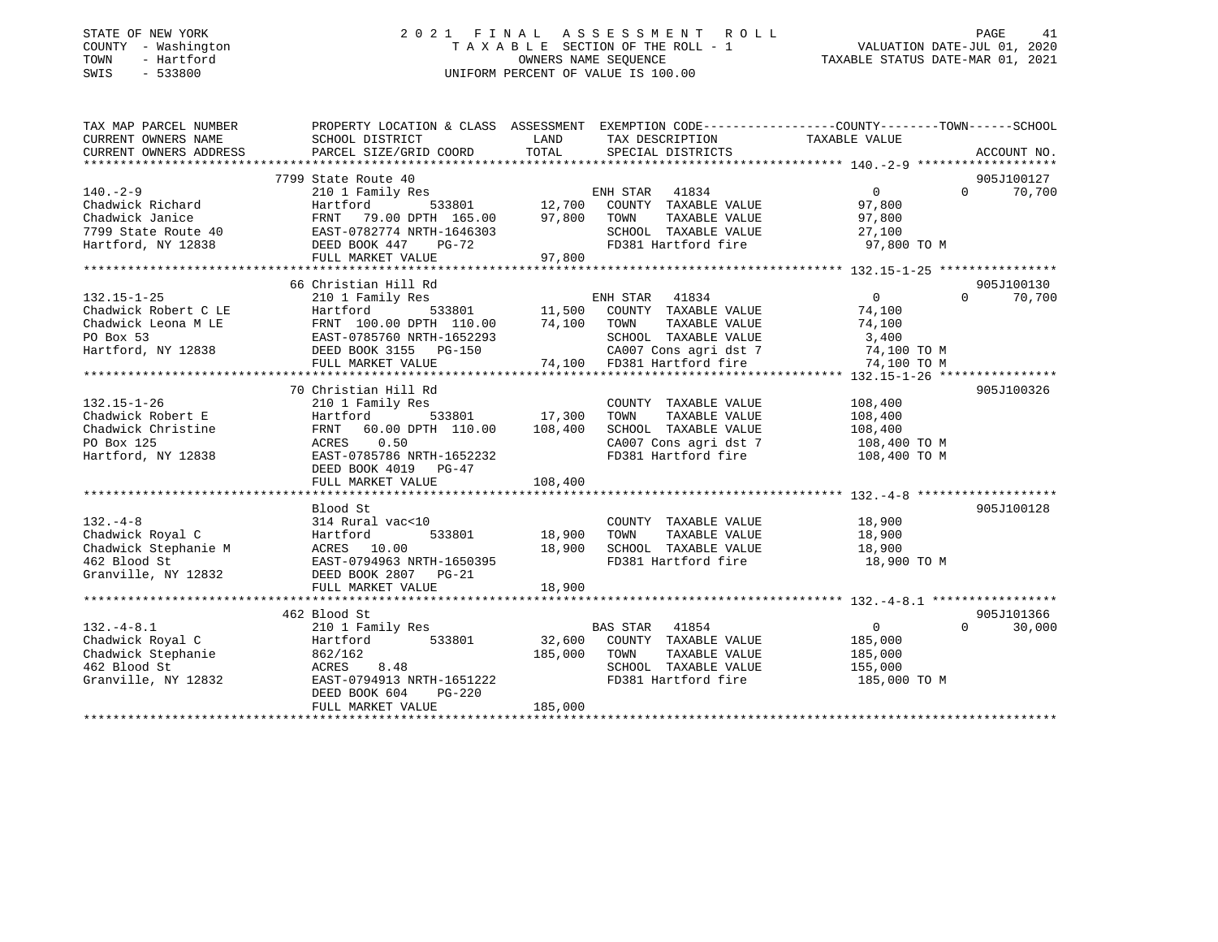### STATE OF NEW YORK 2 0 2 1 F I N A L A S S E S S M E N T R O L L PAGE 41 COUNTY - Washington T A X A B L E SECTION OF THE ROLL - 1 VALUATION DATE-JUL 01, 2020 TOWN - Hartford OWNERS NAME SEQUENCE TAXABLE STATUS DATE-MAR 01, 2021 SWIS - 533800 UNIFORM PERCENT OF VALUE IS 100.00

| TAX MAP PARCEL NUMBER                                                                                                                                                                                                                                                                                                                                                                                                                                                                   | PROPERTY LOCATION & CLASS ASSESSMENT EXEMPTION CODE---------------COUNTY-------TOWN------SCHOOL |                                      |                                             |                    |                             |
|-----------------------------------------------------------------------------------------------------------------------------------------------------------------------------------------------------------------------------------------------------------------------------------------------------------------------------------------------------------------------------------------------------------------------------------------------------------------------------------------|-------------------------------------------------------------------------------------------------|--------------------------------------|---------------------------------------------|--------------------|-----------------------------|
| CURRENT OWNERS NAME                                                                                                                                                                                                                                                                                                                                                                                                                                                                     | SCHOOL DISTRICT                                                                                 | LAND                                 | TAX DESCRIPTION TAXABLE VALUE               |                    |                             |
| CURRENT OWNERS ADDRESS                                                                                                                                                                                                                                                                                                                                                                                                                                                                  | PARCEL SIZE/GRID COORD TOTAL                                                                    |                                      | SPECIAL DISTRICTS                           |                    | ACCOUNT NO.                 |
|                                                                                                                                                                                                                                                                                                                                                                                                                                                                                         |                                                                                                 |                                      |                                             |                    |                             |
|                                                                                                                                                                                                                                                                                                                                                                                                                                                                                         | 7799 State Route 40                                                                             |                                      |                                             |                    | 905J100127                  |
| $140. -2 - 9$                                                                                                                                                                                                                                                                                                                                                                                                                                                                           |                                                                                                 |                                      |                                             | $\overline{0}$     | $0 \t 70,700$               |
| Chadwick Richard                                                                                                                                                                                                                                                                                                                                                                                                                                                                        | Hartford                                                                                        |                                      |                                             | 97,800             |                             |
|                                                                                                                                                                                                                                                                                                                                                                                                                                                                                         |                                                                                                 |                                      | TAXABLE VALUE 97,800                        |                    |                             |
|                                                                                                                                                                                                                                                                                                                                                                                                                                                                                         |                                                                                                 |                                      | SCHOOL TAXABLE VALUE<br>FD381 Hartford fire | 27,100             |                             |
|                                                                                                                                                                                                                                                                                                                                                                                                                                                                                         |                                                                                                 |                                      |                                             | 97,800 TO M        |                             |
| Chadwick Janice<br>Chadwick Janice<br>79.00 DPTH 165.00 97,800 TOWN<br>7799 State Route 40 EAST-0782774 NRTH-1646303 SCHOO<br>Hartford, NY 12838 DEED BOOK 447 PG-72 FD381<br>FULL MARKET VALUE 97,800 97,800                                                                                                                                                                                                                                                                           |                                                                                                 |                                      |                                             |                    |                             |
|                                                                                                                                                                                                                                                                                                                                                                                                                                                                                         |                                                                                                 |                                      |                                             |                    |                             |
| $\begin{tabular}{lllllllllllllllllllllll} \multicolumn{4}{c }{\text{\small 132.15--1-25}} & \multicolumn{4}{c }{\text{\small 66\textsmall{ Christ1au~null~null}} & \multicolumn{4}{c }{\text{\small 86\textsmall{ Christ1au~null~null}} & \multicolumn{4}{c }{\text{\small 874.100}} & \multicolumn{4}{c }{\text{\small 88\textsmall{N}} & \multicolumn{4}{c }{\text{\small 88\textsmall{N}} & \multicolumn{4}{c }{\text{\small 89\textsmall{N}} & \multicolumn{4}{c }{\text{\small 99$ |                                                                                                 |                                      |                                             |                    | 905J100130                  |
|                                                                                                                                                                                                                                                                                                                                                                                                                                                                                         |                                                                                                 |                                      |                                             |                    | $0 \t 70,700$               |
|                                                                                                                                                                                                                                                                                                                                                                                                                                                                                         |                                                                                                 |                                      |                                             |                    |                             |
|                                                                                                                                                                                                                                                                                                                                                                                                                                                                                         |                                                                                                 |                                      |                                             |                    |                             |
|                                                                                                                                                                                                                                                                                                                                                                                                                                                                                         |                                                                                                 |                                      |                                             |                    |                             |
|                                                                                                                                                                                                                                                                                                                                                                                                                                                                                         |                                                                                                 |                                      |                                             |                    |                             |
|                                                                                                                                                                                                                                                                                                                                                                                                                                                                                         |                                                                                                 |                                      |                                             |                    |                             |
|                                                                                                                                                                                                                                                                                                                                                                                                                                                                                         |                                                                                                 |                                      |                                             |                    |                             |
|                                                                                                                                                                                                                                                                                                                                                                                                                                                                                         | 70 Christian Hill Rd                                                                            |                                      |                                             |                    | 905J100326                  |
| $132.15 - 1 - 26$                                                                                                                                                                                                                                                                                                                                                                                                                                                                       | 210 1 Family Res                                                                                |                                      | COUNTY TAXABLE VALUE 108,400                |                    |                             |
| Chadwick Robert E                                                                                                                                                                                                                                                                                                                                                                                                                                                                       |                                                                                                 |                                      | TOWN<br>TAXABLE VALUE                       | 108,400<br>108,400 |                             |
| Chadwick Christine                                                                                                                                                                                                                                                                                                                                                                                                                                                                      | Hartford 533801 17,300<br>FRNT 60.00 DPTH 110.00 108,400                                        |                                      | SCHOOL TAXABLE VALUE                        |                    |                             |
| PO Box 125                                                                                                                                                                                                                                                                                                                                                                                                                                                                              | ACRES 0.50                                                                                      |                                      | CA007 Cons agri dst 7 108,400 TO M          |                    |                             |
| Hartford, NY 12838                                                                                                                                                                                                                                                                                                                                                                                                                                                                      | EAST-0785786 NRTH-1652232                                                                       |                                      | FD381 Hartford fire                         | 108,400 TO M       |                             |
|                                                                                                                                                                                                                                                                                                                                                                                                                                                                                         | DEED BOOK 4019 PG-47                                                                            |                                      |                                             |                    |                             |
|                                                                                                                                                                                                                                                                                                                                                                                                                                                                                         | FULL MARKET VALUE                                                                               | 108,400                              |                                             |                    |                             |
|                                                                                                                                                                                                                                                                                                                                                                                                                                                                                         |                                                                                                 |                                      |                                             |                    |                             |
|                                                                                                                                                                                                                                                                                                                                                                                                                                                                                         | Blood St                                                                                        |                                      |                                             |                    | 905J100128                  |
|                                                                                                                                                                                                                                                                                                                                                                                                                                                                                         |                                                                                                 | 0<br>533801                   18,900 | COUNTY TAXABLE VALUE 18,900                 |                    |                             |
|                                                                                                                                                                                                                                                                                                                                                                                                                                                                                         |                                                                                                 |                                      | TOWN<br>TAXABLE VALUE                       | 18,900             |                             |
|                                                                                                                                                                                                                                                                                                                                                                                                                                                                                         |                                                                                                 | 18,900                               | SCHOOL TAXABLE VALUE 18,900                 |                    |                             |
|                                                                                                                                                                                                                                                                                                                                                                                                                                                                                         |                                                                                                 |                                      | FD381 Hartford fire                         | 18,900 TO M        |                             |
|                                                                                                                                                                                                                                                                                                                                                                                                                                                                                         |                                                                                                 |                                      |                                             |                    |                             |
|                                                                                                                                                                                                                                                                                                                                                                                                                                                                                         | FULL MARKET VALUE                                                                               | 18,900                               |                                             |                    |                             |
|                                                                                                                                                                                                                                                                                                                                                                                                                                                                                         |                                                                                                 |                                      |                                             |                    |                             |
|                                                                                                                                                                                                                                                                                                                                                                                                                                                                                         | 462 Blood St                                                                                    |                                      |                                             |                    | 905J101366                  |
|                                                                                                                                                                                                                                                                                                                                                                                                                                                                                         |                                                                                                 |                                      | BAS STAR 41854                              | 0                  | $0 \qquad \qquad$<br>30,000 |
| 132.-4-8.1<br>Chadwick Royal C<br>Chadwick Stephanie<br>462 Blood St<br>Granville, NY 12832<br>Chadwick Stephanie<br>2832<br>EAST-0794913 NRTH-1651222<br>FACRES<br>2837-0794913 NRTH-1651222<br>2837-0794913 NRTH-1651222<br>2837-0794913 NRTH-1651                                                                                                                                                                                                                                    |                                                                                                 |                                      | 32,600 COUNTY TAXABLE VALUE                 | 185,000            |                             |
|                                                                                                                                                                                                                                                                                                                                                                                                                                                                                         |                                                                                                 | 185,000 TOWN                         | TAXABLE VALUE                               | 185,000            |                             |
|                                                                                                                                                                                                                                                                                                                                                                                                                                                                                         |                                                                                                 |                                      | SCHOOL TAXABLE VALUE 155,000                |                    |                             |
|                                                                                                                                                                                                                                                                                                                                                                                                                                                                                         |                                                                                                 |                                      |                                             | 185,000 TO M       |                             |
|                                                                                                                                                                                                                                                                                                                                                                                                                                                                                         | PG-220<br>DEED BOOK 604                                                                         |                                      |                                             |                    |                             |
|                                                                                                                                                                                                                                                                                                                                                                                                                                                                                         | FULL MARKET VALUE                                                                               | 185,000                              |                                             |                    |                             |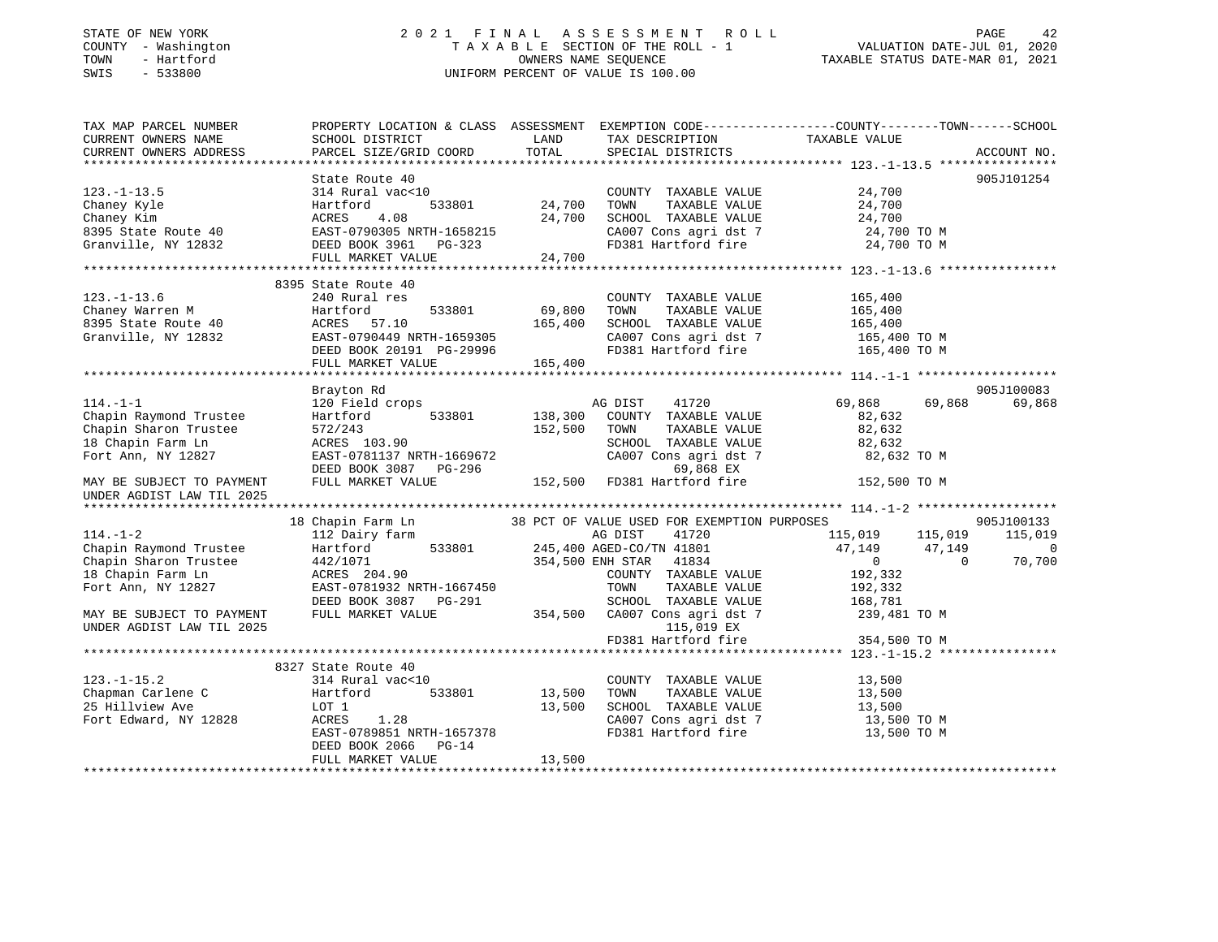## STATE OF NEW YORK 2 0 2 1 F I N A L A S S E S S M E N T R O L L PAGE 42 COUNTY - Washington T A X A B L E SECTION OF THE ROLL - 1 VALUATION DATE-JUL 01, 2020 TOWN - Hartford OWNERS NAME SEQUENCE TAXABLE STATUS DATE-MAR 01, 2021 SWIS - 533800 UNIFORM PERCENT OF VALUE IS 100.00

| TAX MAP PARCEL NUMBER<br>CURRENT OWNERS NAME | SCHOOL DISTRICT                        | LAND             | TAX DESCRIPTION                               | PROPERTY LOCATION & CLASS ASSESSMENT EXEMPTION CODE---------------COUNTY-------TOWN------SCHOOL<br>TAXABLE VALUE |                          |
|----------------------------------------------|----------------------------------------|------------------|-----------------------------------------------|------------------------------------------------------------------------------------------------------------------|--------------------------|
| CURRENT OWNERS ADDRESS                       | PARCEL SIZE/GRID COORD                 | TOTAL            | SPECIAL DISTRICTS                             |                                                                                                                  | ACCOUNT NO.              |
|                                              | State Route 40                         |                  |                                               |                                                                                                                  | 905J101254               |
| $123. - 1 - 13.5$                            | 314 Rural vac<10                       |                  | COUNTY TAXABLE VALUE                          | 24,700                                                                                                           |                          |
| Chaney Kyle                                  | 533801<br>Hartford                     | 24,700           | TOWN<br>TAXABLE VALUE                         | 24,700                                                                                                           |                          |
| Chaney Kim                                   | ACRES<br>4.08                          | 24,700           | SCHOOL TAXABLE VALUE                          | 24,700                                                                                                           |                          |
| 8395 State Route 40                          | EAST-0790305 NRTH-1658215              |                  | CA007 Cons agri dst 7                         | 24,700 TO M                                                                                                      |                          |
| Granville, NY 12832                          | DEED BOOK 3961 PG-323                  |                  | FD381 Hartford fire                           | 24,700 TO M                                                                                                      |                          |
|                                              | FULL MARKET VALUE                      | 24,700           |                                               |                                                                                                                  |                          |
|                                              |                                        |                  |                                               |                                                                                                                  |                          |
|                                              | 8395 State Route 40                    |                  |                                               |                                                                                                                  |                          |
| $123. - 1 - 13.6$                            | 240 Rural res                          |                  | COUNTY TAXABLE VALUE                          | 165,400                                                                                                          |                          |
| Chaney Warren M                              | 533801<br>Hartford                     | 69,800           | TOWN<br>TAXABLE VALUE                         | 165,400                                                                                                          |                          |
| 8395 State Route 40                          | ACRES 57.10                            | 165,400          | SCHOOL TAXABLE VALUE                          | 165,400                                                                                                          |                          |
| Granville, NY 12832                          | EAST-0790449 NRTH-1659305              |                  | CA007 Cons agri dst 7                         | 165,400 TO M                                                                                                     |                          |
|                                              | DEED BOOK 20191 PG-29996               |                  | FD381 Hartford fire                           | 165,400 TO M                                                                                                     |                          |
|                                              | FULL MARKET VALUE                      | 165,400          |                                               |                                                                                                                  |                          |
|                                              | Brayton Rd                             |                  |                                               |                                                                                                                  | 905J100083               |
| $114. - 1 - 1$                               | 120 Field crops                        |                  | 41720<br>AG DIST                              | 69,868<br>69,868                                                                                                 | 69,868                   |
| Chapin Raymond Trustee                       | 533801<br>Hartford                     | 138,300          | COUNTY TAXABLE VALUE                          | 82,632                                                                                                           |                          |
| Chapin Sharon Trustee                        | 572/243                                | 152,500          | TOWN<br>TAXABLE VALUE                         | 82,632                                                                                                           |                          |
| 18 Chapin Farm Ln                            | ACRES 103.90                           |                  | SCHOOL TAXABLE VALUE                          | 82,632                                                                                                           |                          |
| Fort Ann, NY 12827                           | EAST-0781137 NRTH-1669672              |                  | CA007 Cons agri dst 7                         | 82,632 TO M                                                                                                      |                          |
|                                              | DEED BOOK 3087 PG-296                  |                  | 69,868 EX                                     |                                                                                                                  |                          |
| MAY BE SUBJECT TO PAYMENT                    | FULL MARKET VALUE                      |                  | 152,500 FD381 Hartford fire                   | 152,500 TO M                                                                                                     |                          |
| UNDER AGDIST LAW TIL 2025                    |                                        |                  |                                               |                                                                                                                  |                          |
|                                              |                                        |                  |                                               |                                                                                                                  |                          |
|                                              | 18 Chapin Farm Ln                      |                  | 38 PCT OF VALUE USED FOR EXEMPTION PURPOSES   |                                                                                                                  | 905J100133               |
| $114. - 1 - 2$                               | 112 Dairy farm                         |                  | AG DIST<br>41720                              | 115,019<br>115,019                                                                                               | 115,019                  |
| Chapin Raymond Trustee                       | 533801<br>Hartford                     |                  | 245,400 AGED-CO/TN 41801                      | 47,149<br>47,149                                                                                                 | $\overline{\phantom{0}}$ |
| Chapin Sharon Trustee                        | 442/1071                               |                  | 354,500 ENH STAR 41834                        | $\overline{0}$<br>$\overline{0}$                                                                                 | 70,700                   |
| 18 Chapin Farm Ln                            | ACRES 204.90                           |                  | COUNTY TAXABLE VALUE                          | 192,332                                                                                                          |                          |
| Fort Ann, NY 12827                           | EAST-0781932 NRTH-1667450              |                  | TOWN<br>TAXABLE VALUE                         | 192,332                                                                                                          |                          |
|                                              | DEED BOOK 3087 PG-291                  |                  | SCHOOL TAXABLE VALUE                          | 168,781                                                                                                          |                          |
| MAY BE SUBJECT TO PAYMENT                    | FULL MARKET VALUE                      | 354,500          | CA007 Cons agri dst 7                         | 239,481 TO M                                                                                                     |                          |
| UNDER AGDIST LAW TIL 2025                    |                                        |                  | 115,019 EX                                    |                                                                                                                  |                          |
|                                              |                                        |                  | FD381 Hartford fire                           | 354,500 TO M                                                                                                     |                          |
|                                              | 8327 State Route 40                    |                  |                                               |                                                                                                                  |                          |
|                                              |                                        |                  |                                               |                                                                                                                  |                          |
| $123. - 1 - 15.2$                            | 314 Rural vac<10<br>Hartford<br>533801 |                  | COUNTY TAXABLE VALUE<br>TOWN<br>TAXABLE VALUE | 13,500                                                                                                           |                          |
| Chapman Carlene C<br>25 Hillview Ave         | LOT 1                                  | 13,500<br>13,500 | SCHOOL TAXABLE VALUE                          | 13,500<br>13,500                                                                                                 |                          |
| Fort Edward, NY 12828                        | ACRES<br>1.28                          |                  | CA007 Cons agri dst 7                         | 13,500 TO M                                                                                                      |                          |
|                                              | EAST-0789851 NRTH-1657378              |                  | FD381 Hartford fire                           | 13,500 TO M                                                                                                      |                          |
|                                              | DEED BOOK 2066<br>$PG-14$              |                  |                                               |                                                                                                                  |                          |
|                                              | FULL MARKET VALUE                      | 13,500           |                                               |                                                                                                                  |                          |
|                                              |                                        |                  |                                               |                                                                                                                  |                          |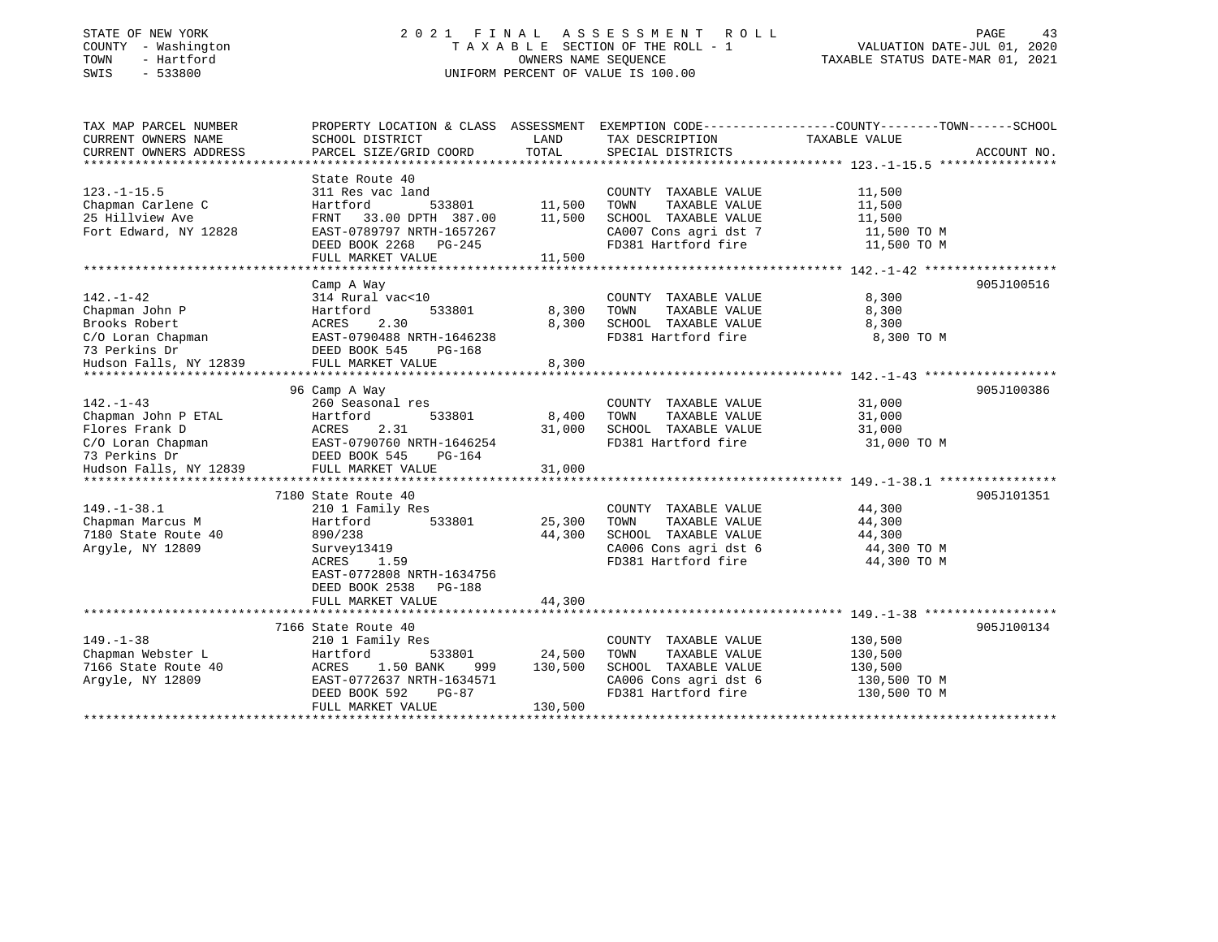# STATE OF NEW YORK 2 0 2 1 F I N A L A S S E S S M E N T R O L L PAGE 43COUNTY - Washington  $\begin{array}{ccc} 1 & 0 & 0 \\ 0 & 0 & 0 \end{array}$  T A X A B L E SECTION OF THE ROLL - 1 SWIS - 533800 UNIFORM PERCENT OF VALUE IS 100.00

TAXABLE STATUS DATE-MAR 01, 2021

| TAX MAP PARCEL NUMBER                   | PROPERTY LOCATION & CLASS ASSESSMENT EXEMPTION CODE----------------COUNTY-------TOWN------SCHOOL |         |                       |               |             |
|-----------------------------------------|--------------------------------------------------------------------------------------------------|---------|-----------------------|---------------|-------------|
| CURRENT OWNERS NAME                     | SCHOOL DISTRICT                                                                                  | LAND    | TAX DESCRIPTION       | TAXABLE VALUE |             |
| CURRENT OWNERS ADDRESS                  | PARCEL SIZE/GRID COORD                                                                           | TOTAL   | SPECIAL DISTRICTS     |               | ACCOUNT NO. |
|                                         |                                                                                                  |         |                       |               |             |
|                                         | State Route 40                                                                                   |         |                       |               |             |
| $123. - 1 - 15.5$                       | 311 Res vac land                                                                                 |         | COUNTY TAXABLE VALUE  | 11,500        |             |
| Chapman Carlene C                       | Hartford<br>533801                                                                               | 11,500  | TAXABLE VALUE<br>TOWN | 11,500        |             |
| 25 Hillview Ave                         | FRNT 33.00 DPTH 387.00                                                                           | 11,500  | SCHOOL TAXABLE VALUE  | 11,500        |             |
| Fort Edward, NY 12828                   | EAST-0789797 NRTH-1657267                                                                        |         | CA007 Cons agri dst 7 | 11,500 TO M   |             |
|                                         | DEED BOOK 2268 PG-245                                                                            |         | FD381 Hartford fire   | 11,500 TO M   |             |
|                                         | FULL MARKET VALUE                                                                                | 11,500  |                       |               |             |
|                                         |                                                                                                  |         |                       |               |             |
|                                         | Camp A Way                                                                                       |         |                       |               | 905J100516  |
| $142. - 1 - 42$                         | 314 Rural vac<10                                                                                 |         | COUNTY TAXABLE VALUE  | 8,300         |             |
| Chapman John P                          | Hartford<br>533801                                                                               | 8,300   | TOWN<br>TAXABLE VALUE | 8,300         |             |
| Brooks Robert                           | ACRES<br>2.30                                                                                    | 8,300   | SCHOOL TAXABLE VALUE  | 8,300         |             |
|                                         |                                                                                                  |         | FD381 Hartford fire   | 8,300 TO M    |             |
| 73 Perkins Dr                           | DEED BOOK 545<br>PG-168                                                                          |         |                       |               |             |
| Hudson Falls, NY 12839                  | FULL MARKET VALUE                                                                                | 8,300   |                       |               |             |
|                                         |                                                                                                  |         |                       |               |             |
|                                         | 96 Camp A Way                                                                                    |         |                       |               | 905J100386  |
| $142. - 1 - 43$                         | 260 Seasonal res                                                                                 |         | COUNTY TAXABLE VALUE  | 31,000        |             |
| Chapman John P ETAL                     | 533801<br>Hartford                                                                               | 8,400   | TAXABLE VALUE<br>TOWN | 31,000        |             |
| Flores Frank D                          | 2.31<br>ACRES                                                                                    | 31,000  | SCHOOL TAXABLE VALUE  | 31,000        |             |
| C/O Loran Chapman                       | EAST-0790760 NRTH-1646254                                                                        |         | FD381 Hartford fire   | 31,000 TO M   |             |
| 73 Perkins Dr<br>Hudson Falls, NY 12839 | DEED BOOK 545<br>PG-164                                                                          |         |                       |               |             |
|                                         | FULL MARKET VALUE                                                                                | 31,000  |                       |               |             |
|                                         |                                                                                                  |         |                       |               |             |
|                                         | 7180 State Route 40                                                                              |         |                       |               | 905J101351  |
| $149. - 1 - 38.1$                       | 210 1 Family Res                                                                                 |         | COUNTY TAXABLE VALUE  | 44,300        |             |
| Chapman Marcus M                        | 533801<br>Hartford                                                                               | 25,300  | TOWN<br>TAXABLE VALUE | 44,300        |             |
| 7180 State Route 40                     | 890/238                                                                                          | 44,300  | SCHOOL TAXABLE VALUE  | 44,300        |             |
| Argyle, NY 12809                        | Survey13419                                                                                      |         | CA006 Cons agri dst 6 | 44,300 TO M   |             |
|                                         | 1.59<br>ACRES                                                                                    |         | FD381 Hartford fire   | 44,300 TO M   |             |
|                                         | EAST-0772808 NRTH-1634756                                                                        |         |                       |               |             |
|                                         | DEED BOOK 2538<br>$PG-188$                                                                       |         |                       |               |             |
|                                         | FULL MARKET VALUE                                                                                | 44,300  |                       |               |             |
|                                         |                                                                                                  |         |                       |               |             |
|                                         | 7166 State Route 40                                                                              |         |                       |               | 905J100134  |
| $149. - 1 - 38$                         | 210 1 Family Res                                                                                 |         | COUNTY TAXABLE VALUE  | 130,500       |             |
| Chapman Webster L                       | 533801<br>Hartford                                                                               | 24,500  | TAXABLE VALUE<br>TOWN | 130,500       |             |
| 7166 State Route 40                     | 1.50 BANK<br>ACRES<br>999                                                                        | 130,500 | SCHOOL TAXABLE VALUE  | 130,500       |             |
| Argyle, NY 12809                        | EAST-0772637 NRTH-1634571                                                                        |         | CA006 Cons agri dst 6 | 130,500 TO M  |             |
|                                         | DEED BOOK 592<br>PG-87                                                                           |         | FD381 Hartford fire   | 130,500 TO M  |             |
|                                         | FULL MARKET VALUE                                                                                | 130,500 |                       |               |             |
|                                         |                                                                                                  |         |                       |               |             |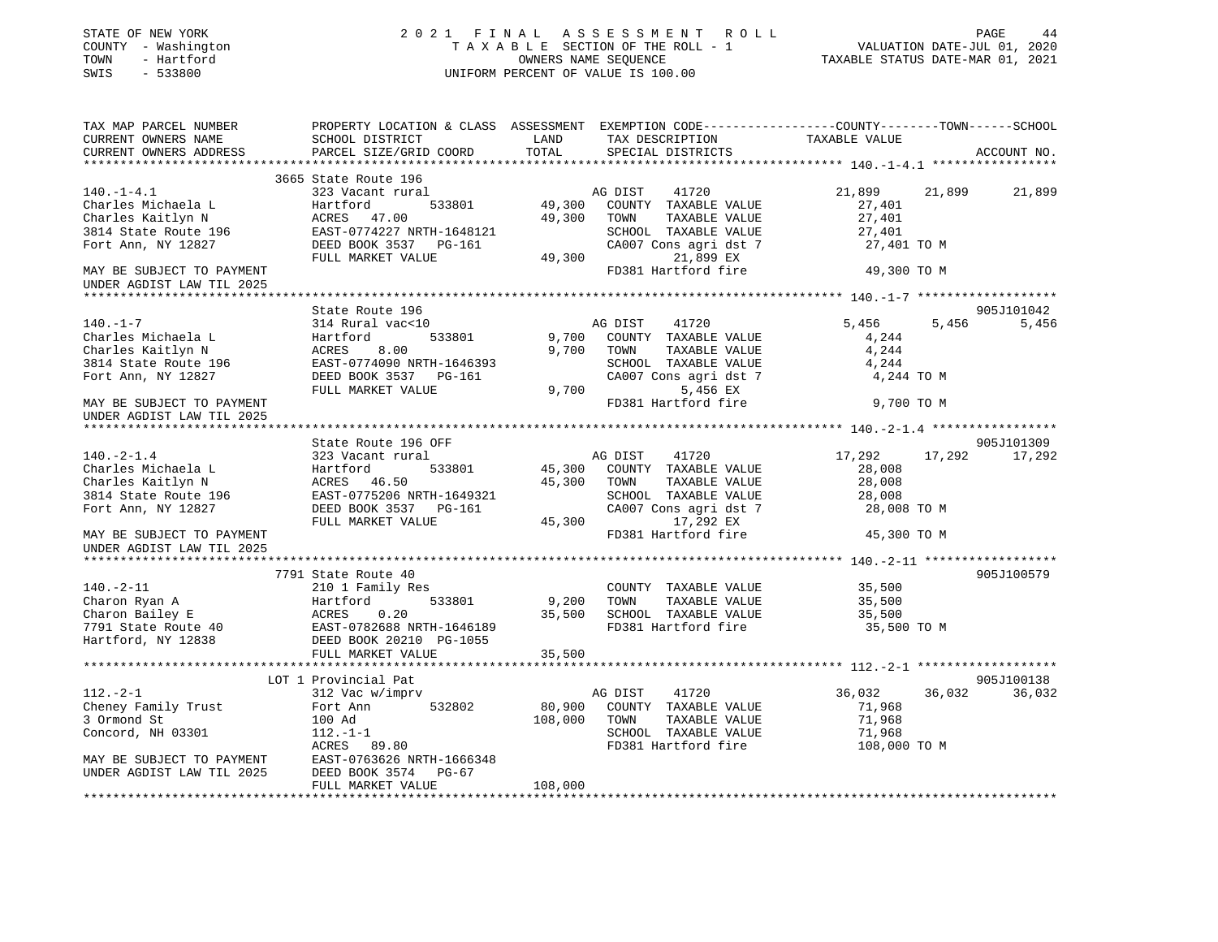| STATE OF NEW YORK<br>COUNTY - Washington<br>TOWN<br>- Hartford<br>SWIS<br>$-533800$                       |                                                                                                                                  |                   | 2021 FINAL ASSESSMENT ROLL<br>TAXABLE SECTION OF THE ROLL - 1<br>OWNERS NAME SEOUENCE<br>UNIFORM PERCENT OF VALUE IS 100.00              | VALUATION DATE-JUL 01, 2020<br>TAXABLE STATUS DATE-MAR 01, 2021 | PAGE<br>44                   |
|-----------------------------------------------------------------------------------------------------------|----------------------------------------------------------------------------------------------------------------------------------|-------------------|------------------------------------------------------------------------------------------------------------------------------------------|-----------------------------------------------------------------|------------------------------|
| TAX MAP PARCEL NUMBER<br>CURRENT OWNERS NAME<br>CURRENT OWNERS ADDRESS                                    | SCHOOL DISTRICT<br>PARCEL SIZE/GRID COORD                                                                                        | LAND<br>TOTAL     | PROPERTY LOCATION & CLASS ASSESSMENT EXEMPTION CODE----------------COUNTY-------TOWN------SCHOOL<br>TAX DESCRIPTION<br>SPECIAL DISTRICTS | TAXABLE VALUE                                                   | ACCOUNT NO.                  |
|                                                                                                           | 3665 State Route 196                                                                                                             |                   |                                                                                                                                          |                                                                 |                              |
| $140. - 1 - 4.1$<br>Charles Michaela L<br>Charles Kaitlyn N<br>3814 State Route 196<br>Fort Ann, NY 12827 | 323 Vacant rural<br>Hartford<br>533801<br>ACRES 47.00<br>EAST-0774227 NRTH-1648121<br>DEED BOOK 3537 PG-161<br>FULL MARKET VALUE | 49,300<br>49,300  | AG DIST<br>41720<br>49,300 COUNTY TAXABLE VALUE<br>TOWN<br>TAXABLE VALUE<br>SCHOOL TAXABLE VALUE<br>CA007 Cons agri dst 7<br>21,899 EX   | 21,899<br>27,401<br>27,401<br>27,401<br>27,401 TO M             | 21,899<br>21,899             |
| MAY BE SUBJECT TO PAYMENT                                                                                 |                                                                                                                                  |                   | FD381 Hartford fire                                                                                                                      | 49,300 TO M                                                     |                              |
| UNDER AGDIST LAW TIL 2025                                                                                 |                                                                                                                                  |                   |                                                                                                                                          |                                                                 |                              |
|                                                                                                           |                                                                                                                                  |                   |                                                                                                                                          |                                                                 |                              |
| $140. - 1 - 7$                                                                                            | State Route 196<br>314 Rural vac<10                                                                                              |                   | AG DIST<br>41720                                                                                                                         | 5,456                                                           | 905J101042<br>5,456<br>5,456 |
| Charles Michaela L                                                                                        | Hartford<br>533801                                                                                                               | 9,700             | COUNTY TAXABLE VALUE                                                                                                                     | 4,244                                                           |                              |
| Charles Kaitlyn N                                                                                         | ACRES<br>8.00                                                                                                                    | 9,700             | TOWN<br>TAXABLE VALUE                                                                                                                    | 4,244                                                           |                              |
| 3814 State Route 196                                                                                      | EAST-0774090 NRTH-1646393                                                                                                        |                   | SCHOOL TAXABLE VALUE                                                                                                                     | 4,244                                                           |                              |
| Fort Ann, NY 12827                                                                                        | DEED BOOK 3537 PG-161                                                                                                            |                   | CA007 Cons agri dst 7                                                                                                                    | 4,244 TO M                                                      |                              |
|                                                                                                           | FULL MARKET VALUE                                                                                                                | 9,700             | 5,456 EX                                                                                                                                 |                                                                 |                              |
| MAY BE SUBJECT TO PAYMENT<br>UNDER AGDIST LAW TIL 2025                                                    |                                                                                                                                  |                   | FD381 Hartford fire                                                                                                                      | 9,700 TO M                                                      |                              |
| **************************                                                                                |                                                                                                                                  |                   |                                                                                                                                          |                                                                 |                              |
|                                                                                                           | State Route 196 OFF                                                                                                              |                   |                                                                                                                                          |                                                                 | 905J101309                   |
| $140. - 2 - 1.4$                                                                                          | 323 Vacant rural                                                                                                                 |                   | AG DIST<br>41720                                                                                                                         | 17,292                                                          | 17,292<br>17,292             |
| Charles Michaela L                                                                                        | Hartford<br>533801                                                                                                               |                   | 45,300 COUNTY TAXABLE VALUE                                                                                                              | 28,008                                                          |                              |
| Charles Kaitlyn N<br>3814 State Route 196                                                                 | ACRES 46.50<br>EAST-0775206 NRTH-1649321                                                                                         | 45,300            | TOWN<br>TAXABLE VALUE<br>SCHOOL TAXABLE VALUE                                                                                            | 28,008<br>28,008                                                |                              |
| Fort Ann, NY 12827                                                                                        | DEED BOOK 3537 PG-161                                                                                                            |                   | CA007 Cons agri dst 7                                                                                                                    | 28,008 TO M                                                     |                              |
|                                                                                                           | FULL MARKET VALUE                                                                                                                |                   | 17,292 EX<br>45,300                                                                                                                      |                                                                 |                              |
| MAY BE SUBJECT TO PAYMENT                                                                                 |                                                                                                                                  |                   | FD381 Hartford fire                                                                                                                      | 45,300 TO M                                                     |                              |
| UNDER AGDIST LAW TIL 2025                                                                                 |                                                                                                                                  |                   |                                                                                                                                          |                                                                 |                              |
|                                                                                                           |                                                                                                                                  |                   |                                                                                                                                          |                                                                 |                              |
| $140. - 2 - 11$                                                                                           | 7791 State Route 40<br>210 1 Family Res                                                                                          |                   | COUNTY TAXABLE VALUE                                                                                                                     | 35,500                                                          | 905J100579                   |
| Charon Ryan A                                                                                             | Hartford<br>533801                                                                                                               | 9,200             | TAXABLE VALUE<br>TOWN                                                                                                                    | 35,500                                                          |                              |
| Charon Bailey E                                                                                           | ACRES<br>0.20                                                                                                                    | 35,500            | SCHOOL TAXABLE VALUE                                                                                                                     | 35,500                                                          |                              |
| 7791 State Route 40                                                                                       | EAST-0782688 NRTH-1646189                                                                                                        |                   | FD381 Hartford fire                                                                                                                      | 35,500 TO M                                                     |                              |
| Hartford, NY 12838                                                                                        | DEED BOOK 20210 PG-1055                                                                                                          |                   |                                                                                                                                          |                                                                 |                              |
|                                                                                                           | FULL MARKET VALUE                                                                                                                | 35,500            |                                                                                                                                          |                                                                 |                              |
|                                                                                                           |                                                                                                                                  |                   |                                                                                                                                          |                                                                 |                              |
|                                                                                                           | LOT 1 Provincial Pat                                                                                                             |                   |                                                                                                                                          |                                                                 | 905J100138                   |
| $112.-2-1$<br>Cheney Family Trust                                                                         | 312 Vac w/imprv<br>Fort Ann<br>532802                                                                                            |                   | AG DIST<br>41720<br>COUNTY TAXABLE VALUE                                                                                                 | 36,032<br>71,968                                                | 36,032<br>36,032             |
| 3 Ormond St                                                                                               | 100 Ad                                                                                                                           | 80,900<br>108,000 | TOWN<br>TAXABLE VALUE                                                                                                                    | 71,968                                                          |                              |
| Concord, NH 03301                                                                                         | $112. - 1 - 1$                                                                                                                   |                   | SCHOOL TAXABLE VALUE                                                                                                                     | 71,968                                                          |                              |
|                                                                                                           | ACRES 89.80                                                                                                                      |                   | FD381 Hartford fire                                                                                                                      | 108,000 TO M                                                    |                              |
| MAY BE SUBJECT TO PAYMENT                                                                                 | EAST-0763626 NRTH-1666348                                                                                                        |                   |                                                                                                                                          |                                                                 |                              |
| UNDER AGDIST LAW TIL 2025                                                                                 | DEED BOOK 3574 PG-67                                                                                                             |                   |                                                                                                                                          |                                                                 |                              |
|                                                                                                           | FULL MARKET VALUE                                                                                                                | 108,000           |                                                                                                                                          |                                                                 |                              |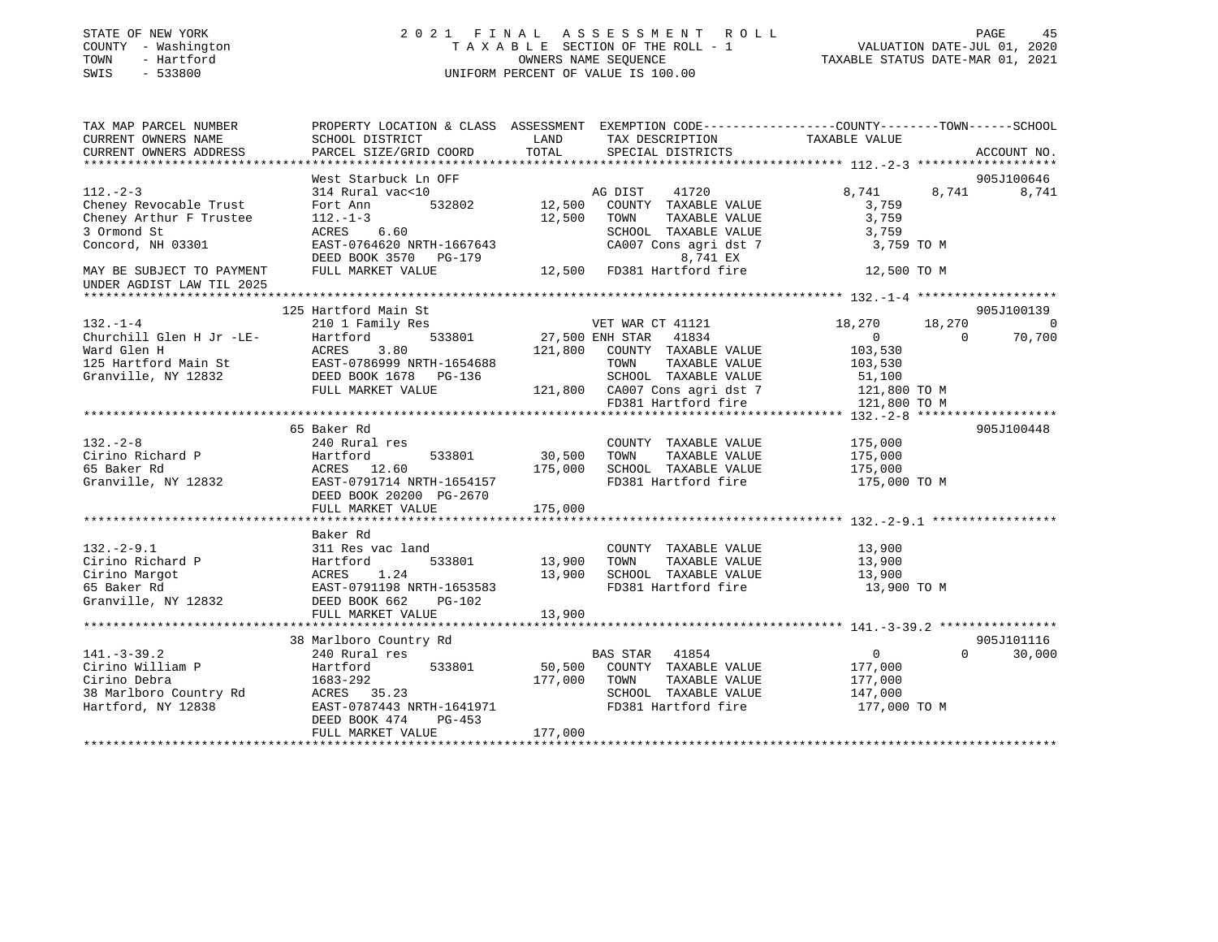| STATE OF NEW YORK<br>COUNTY - Washington<br>- Hartford<br>TOWN<br>SWIS<br>$-533800$ | 2021 FINAL                                                                                                         |                  | A S S E S S M E N T<br>ROLL<br>TAXABLE SECTION OF THE ROLL - 1<br>OWNERS NAME SEOUENCE<br>UNIFORM PERCENT OF VALUE IS 100.00 | VALUATION DATE-JUL 01, 2020<br>TAXABLE STATUS DATE-MAR 01, 2021 | PAGE<br>45  |
|-------------------------------------------------------------------------------------|--------------------------------------------------------------------------------------------------------------------|------------------|------------------------------------------------------------------------------------------------------------------------------|-----------------------------------------------------------------|-------------|
| TAX MAP PARCEL NUMBER<br>CURRENT OWNERS NAME                                        | PROPERTY LOCATION & CLASS ASSESSMENT EXEMPTION CODE---------------COUNTY-------TOWN------SCHOOL<br>SCHOOL DISTRICT | LAND             | TAX DESCRIPTION                                                                                                              | TAXABLE VALUE                                                   |             |
| CURRENT OWNERS ADDRESS                                                              | PARCEL SIZE/GRID COORD                                                                                             | TOTAL            | SPECIAL DISTRICTS                                                                                                            |                                                                 | ACCOUNT NO. |
|                                                                                     |                                                                                                                    |                  |                                                                                                                              |                                                                 |             |
|                                                                                     | West Starbuck Ln OFF                                                                                               |                  |                                                                                                                              |                                                                 | 905J100646  |
| $112. - 2 - 3$                                                                      | 314 Rural vac<10                                                                                                   |                  | 41720<br>AG DIST                                                                                                             | 8,741<br>8,741                                                  | 8,741       |
| Cheney Revocable Trust<br>Cheney Arthur F Trustee                                   | Fort Ann<br>532802<br>$112. - 1 - 3$                                                                               | 12,500<br>12,500 | COUNTY TAXABLE VALUE<br>TOWN<br>TAXABLE VALUE                                                                                | 3,759<br>3,759                                                  |             |
| 3 Ormond St                                                                         | ACRES<br>6.60                                                                                                      |                  | SCHOOL TAXABLE VALUE                                                                                                         | 3,759                                                           |             |
| Concord, NH 03301                                                                   | EAST-0764620 NRTH-1667643                                                                                          |                  | CA007 Cons agri dst 7                                                                                                        | 3,759 TO M                                                      |             |
|                                                                                     | DEED BOOK 3570 PG-179                                                                                              |                  | 8,741 EX                                                                                                                     |                                                                 |             |
| MAY BE SUBJECT TO PAYMENT<br>UNDER AGDIST LAW TIL 2025                              | FULL MARKET VALUE                                                                                                  | 12,500           | FD381 Hartford fire                                                                                                          | 12,500 TO M                                                     |             |
|                                                                                     |                                                                                                                    |                  |                                                                                                                              |                                                                 |             |
|                                                                                     | 125 Hartford Main St                                                                                               |                  |                                                                                                                              |                                                                 | 905J100139  |
| $132. - 1 - 4$                                                                      | 210 1 Family Res                                                                                                   |                  | VET WAR CT 41121                                                                                                             | 18,270<br>18,270                                                | $\mathbf 0$ |
| Churchill Glen H Jr -LE-                                                            | Hartford<br>533801                                                                                                 |                  | 27,500 ENH STAR<br>41834                                                                                                     | $\overline{0}$<br>$\Omega$                                      | 70,700      |
| Ward Glen H                                                                         | ACRES<br>3.80                                                                                                      | 121,800          | COUNTY TAXABLE VALUE                                                                                                         | 103,530                                                         |             |
| 125 Hartford Main St                                                                | EAST-0786999 NRTH-1654688                                                                                          |                  | TOWN<br>TAXABLE VALUE                                                                                                        | 103,530                                                         |             |
| Granville, NY 12832                                                                 | DEED BOOK 1678 PG-136                                                                                              |                  | SCHOOL TAXABLE VALUE                                                                                                         | 51,100                                                          |             |
|                                                                                     | FULL MARKET VALUE                                                                                                  |                  | 121,800 CA007 Cons agri dst 7<br>FD381 Hartford fire                                                                         | 121,800 TO M                                                    |             |
|                                                                                     |                                                                                                                    |                  |                                                                                                                              | 121,800 TO M                                                    |             |
|                                                                                     | 65 Baker Rd                                                                                                        |                  |                                                                                                                              |                                                                 | 905J100448  |
| $132 - 2 - 8$                                                                       | 240 Rural res                                                                                                      |                  | COUNTY TAXABLE VALUE                                                                                                         | 175,000                                                         |             |
| Cirino Richard P                                                                    | Hartford<br>533801                                                                                                 | 30,500           | TOWN<br>TAXABLE VALUE                                                                                                        | 175,000                                                         |             |
| 65 Baker Rd                                                                         | ACRES 12.60                                                                                                        | 175,000          | SCHOOL TAXABLE VALUE                                                                                                         | 175,000                                                         |             |
| Granville, NY 12832                                                                 | EAST-0791714 NRTH-1654157                                                                                          |                  | FD381 Hartford fire                                                                                                          | 175,000 TO M                                                    |             |
|                                                                                     | DEED BOOK 20200 PG-2670                                                                                            |                  |                                                                                                                              |                                                                 |             |
|                                                                                     | FULL MARKET VALUE                                                                                                  | 175,000          |                                                                                                                              |                                                                 |             |
|                                                                                     |                                                                                                                    |                  |                                                                                                                              |                                                                 |             |
|                                                                                     | Baker Rd                                                                                                           |                  |                                                                                                                              |                                                                 |             |
| $132. - 2 - 9.1$<br>Cirino Richard P                                                | 311 Res vac land<br>Hartford<br>533801                                                                             | 13,900           | COUNTY TAXABLE VALUE<br>TOWN<br>TAXABLE VALUE                                                                                | 13,900<br>13,900                                                |             |
| Cirino Margot                                                                       | ACRES<br>1.24                                                                                                      | 13,900           | SCHOOL TAXABLE VALUE                                                                                                         | 13,900                                                          |             |
| 65 Baker Rd                                                                         | EAST-0791198 NRTH-1653583                                                                                          |                  | FD381 Hartford fire                                                                                                          | 13,900 TO M                                                     |             |
| Granville, NY 12832                                                                 | DEED BOOK 662<br>$PG-102$                                                                                          |                  |                                                                                                                              |                                                                 |             |
|                                                                                     | FULL MARKET VALUE                                                                                                  | 13,900           |                                                                                                                              |                                                                 |             |
|                                                                                     |                                                                                                                    |                  |                                                                                                                              |                                                                 |             |
|                                                                                     | 38 Marlboro Country Rd                                                                                             |                  |                                                                                                                              |                                                                 | 905J101116  |
| $141. - 3 - 39.2$                                                                   | 240 Rural res                                                                                                      |                  | <b>BAS STAR</b><br>41854                                                                                                     | $\overline{0}$<br>$\Omega$                                      | 30,000      |
| Cirino William P                                                                    | 533801<br>Hartford                                                                                                 | 50,500           | COUNTY TAXABLE VALUE                                                                                                         | 177,000                                                         |             |
| Cirino Debra                                                                        | 1683-292                                                                                                           | 177,000          | TOWN<br>TAXABLE VALUE                                                                                                        | 177,000                                                         |             |
| 38 Marlboro Country Rd                                                              | ACRES 35.23                                                                                                        |                  | SCHOOL TAXABLE VALUE                                                                                                         | 147,000                                                         |             |
| Hartford, NY 12838                                                                  | EAST-0787443 NRTH-1641971<br>DEED BOOK 474<br>$PG-453$                                                             |                  | FD381 Hartford fire                                                                                                          | 177,000 TO M                                                    |             |

177,000

\*\*\*\*\*\*\*\*\*\*\*\*\*\*\*\*\*\*\*\*\*\*\*\*\*\*\*\*\*\*\*\*\*\*\*\*\*\*\*\*\*\*\*\*\*\*\*\*\*\*\*\*\*\*\*\*\*\*\*\*\*\*\*\*\*\*\*\*\*\*\*\*\*\*\*\*\*\*\*\*\*\*\*\*\*\*\*\*\*\*\*\*\*\*\*\*\*\*\*\*\*\*\*\*\*\*\*\*\*\*\*\*\*\*\*\*\*\*\*\*\*\*\*\*\*\*\*\*\*\*\*\*

FULL MARKET VALUE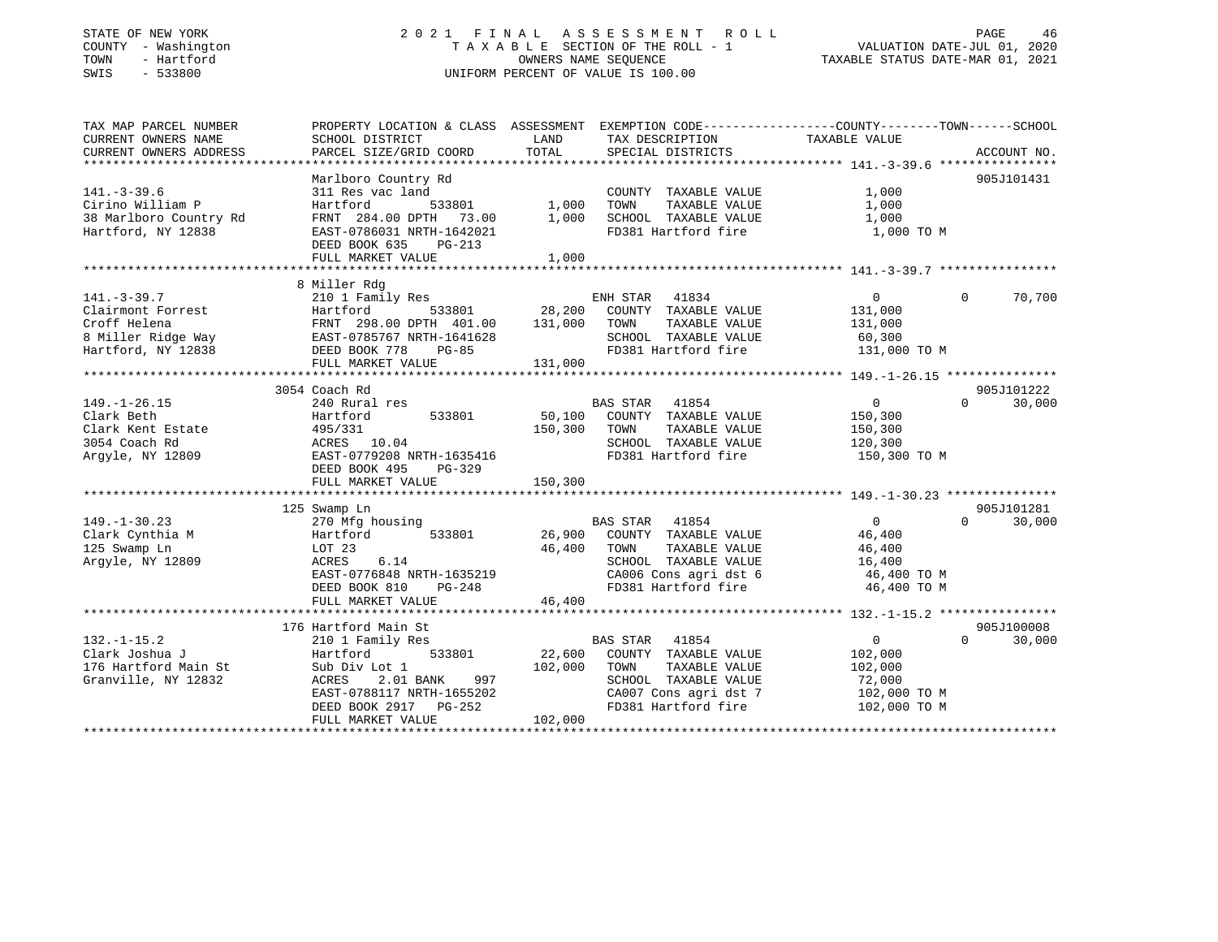#### STATE OF NEW YORK 2 0 2 1 F I N A L A S S E S S M E N T R O L L PAGE 46COUNTY - Washington  $T A X A B L E$  SECTION OF THE ROLL - 1<br>TOWN - Hartford TOWN - Hartford **Taxable STATUS DATE-MAR 01, 2021** OWNERS NAME SEQUENCE TAXABLE STATUS DATE-MAR 01, 2021 SWIS - 533800 UNIFORM PERCENT OF VALUE IS 100.00

# VALUATION DATE-JUL 01, 2020

| SCHOOL DISTRICT<br>PARCEL SIZE/GRID COORD                                                                                                                              | LAND<br>TOTAL                                         | SPECIAL DISTRICTS                                                                                                              |                                                                                                | ACCOUNT NO.                                                                                                                                                |
|------------------------------------------------------------------------------------------------------------------------------------------------------------------------|-------------------------------------------------------|--------------------------------------------------------------------------------------------------------------------------------|------------------------------------------------------------------------------------------------|------------------------------------------------------------------------------------------------------------------------------------------------------------|
| Marlboro Country Rd<br>311 Res vac land<br>Hartford<br>533801<br>FRNT 284.00 DPTH 73.00<br>EAST-0786031 NRTH-1642021<br>DEED BOOK 635<br>$PG-213$<br>FULL MARKET VALUE | 1,000<br>1,000<br>1,000                               | COUNTY TAXABLE VALUE<br>TAXABLE VALUE<br>TOWN<br>SCHOOL TAXABLE VALUE<br>FD381 Hartford fire                                   | 1,000<br>1,000<br>1,000<br>1,000 TO M                                                          | 905J101431                                                                                                                                                 |
|                                                                                                                                                                        |                                                       |                                                                                                                                |                                                                                                |                                                                                                                                                            |
| 8 Miller Rdg<br>210 1 Family Res<br>Hartford<br>533801<br>FRNT 298.00 DPTH 401.00<br>EAST-0785767 NRTH-1641628<br>DEED BOOK 778<br>$PG-85$<br>FULL MARKET VALUE        | 131,000<br>131,000                                    | 41834<br>COUNTY TAXABLE VALUE<br>TOWN<br>TAXABLE VALUE<br>SCHOOL TAXABLE VALUE<br>FD381 Hartford fire                          | $\overline{0}$<br>131,000<br>131,000<br>60,300<br>131,000 TO M                                 | $\mathbf 0$<br>70,700                                                                                                                                      |
|                                                                                                                                                                        |                                                       |                                                                                                                                |                                                                                                |                                                                                                                                                            |
| 240 Rural res<br>533801<br>Hartford<br>495/331<br>ACRES 10.04<br>EAST-0779208 NRTH-1635416<br>DEED BOOK 495<br>PG-329<br>FULL MARKET VALUE                             | 150,300<br>150,300                                    | COUNTY TAXABLE VALUE<br>TAXABLE VALUE<br>TOWN<br>SCHOOL TAXABLE VALUE<br>FD381 Hartford fire                                   | $\Omega$<br>150,300<br>150,300<br>120,300<br>150,300 TO M                                      | 905J101222<br>$\Omega$<br>30,000                                                                                                                           |
|                                                                                                                                                                        |                                                       |                                                                                                                                |                                                                                                | 905J101281                                                                                                                                                 |
| 270 Mfg housing<br>Hartford<br>533801<br>LOT 23<br>ACRES<br>6.14<br>EAST-0776848 NRTH-1635219<br>PG-248<br>DEED BOOK 810<br>FULL MARKET VALUE                          | 46,400<br>46,400                                      | 41854<br>COUNTY TAXABLE VALUE<br>TOWN<br>TAXABLE VALUE<br>SCHOOL TAXABLE VALUE<br>FD381 Hartford fire                          | $\Omega$<br>46,400<br>46,400<br>16,400<br>46,400 TO M<br>46,400 TO M                           | 30,000<br>$\Omega$                                                                                                                                         |
|                                                                                                                                                                        |                                                       |                                                                                                                                |                                                                                                |                                                                                                                                                            |
| 210 1 Family Res<br>533801<br>Hartford<br>Sub Div Lot 1<br>2.01 BANK<br>997<br>ACRES<br>EAST-0788117 NRTH-1655202<br>DEED BOOK 2917 PG-252<br>FULL MARKET VALUE        | 22,600<br>102,000<br>102,000                          | 41854<br>COUNTY TAXABLE VALUE<br>TOWN<br>TAXABLE VALUE<br>SCHOOL TAXABLE VALUE<br>CA007 Cons agri dst 7<br>FD381 Hartford fire | $\overline{0}$<br>102,000<br>102,000<br>72,000<br>102,000 TO M<br>102,000 TO M                 | 905J100008<br>$\Omega$<br>30,000                                                                                                                           |
|                                                                                                                                                                        | 3054 Coach Rd<br>125 Swamp Ln<br>176 Hartford Main St |                                                                                                                                | ENH STAR<br>28,200<br>BAS STAR 41854<br>50,100<br><b>BAS STAR</b><br>26,900<br><b>BAS STAR</b> | PROPERTY LOCATION & CLASS ASSESSMENT EXEMPTION CODE----------------COUNTY-------TOWN------SCHOOL<br>TAX DESCRIPTION TAXABLE VALUE<br>CA006 Cons agri dst 6 |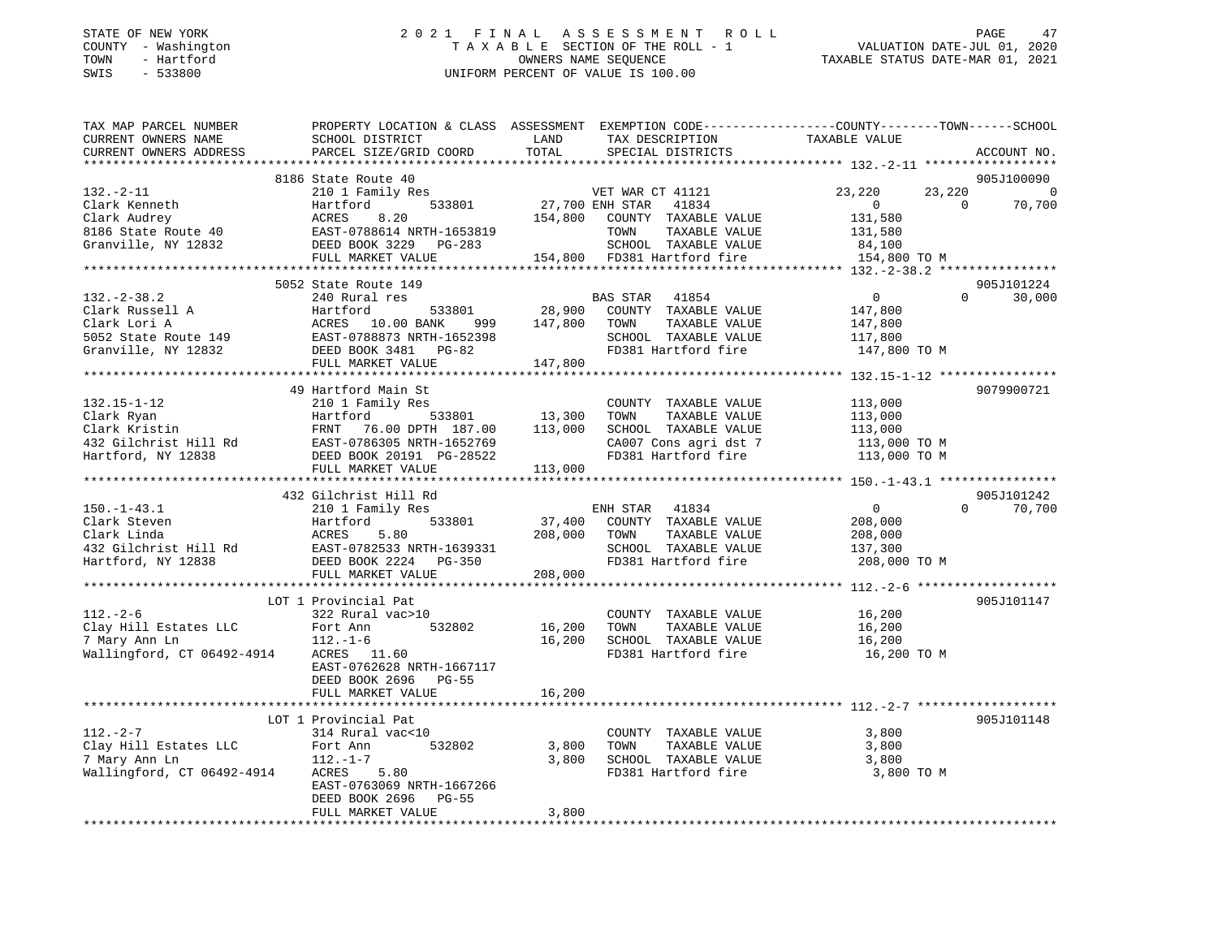#### STATE OF NEW YORK 2 0 2 1 F I N A L A S S E S S M E N T R O L L PAGE 47COUNTY - Washington  $T A X A B L E$  SECTION OF THE ROLL - 1<br>TOWN - Hartford TOWN - Hartford **Taxable STATUS DATE-MAR 01, 2021** OWNERS NAME SEQUENCE TAXABLE STATUS DATE-MAR 01, 2021 SWIS - 533800 UNIFORM PERCENT OF VALUE IS 100.00

VALUATION DATE-JUL  $01$ , 2020

| TAX MAP PARCEL NUMBER<br>CURRENT OWNERS NAME                                                                                                                                                           | SCHOOL DISTRICT           | LAND                   | TAX DESCRIPTION       | PROPERTY LOCATION & CLASS ASSESSMENT EXEMPTION CODE---------------COUNTY-------TOWN-----SCHOOL<br>TAXABLE VALUE |                |
|--------------------------------------------------------------------------------------------------------------------------------------------------------------------------------------------------------|---------------------------|------------------------|-----------------------|-----------------------------------------------------------------------------------------------------------------|----------------|
| CURRENT OWNERS ADDRESS                                                                                                                                                                                 | PARCEL SIZE/GRID COORD    | TOTAL                  | SPECIAL DISTRICTS     |                                                                                                                 | ACCOUNT NO.    |
|                                                                                                                                                                                                        |                           |                        |                       |                                                                                                                 |                |
|                                                                                                                                                                                                        | 8186 State Route 40       |                        |                       |                                                                                                                 | 905J100090     |
| $132. - 2 - 11$                                                                                                                                                                                        | 210 1 Family Res          |                        | VET WAR CT 41121      | 23,220<br>23,220                                                                                                | $\overline{0}$ |
| Clark Kenneth                                                                                                                                                                                          | Hartford                  | 533801 27,700 ENH STAR | 41834                 | $\overline{0}$<br>$\overline{0}$                                                                                | 70,700         |
|                                                                                                                                                                                                        |                           |                        |                       | 131,580                                                                                                         |                |
|                                                                                                                                                                                                        |                           |                        |                       | 131,580                                                                                                         |                |
| Clark Audrey<br>8186 State Route 40<br>Granville, NY 12832                                                                                                                                             |                           |                        |                       | 84,100                                                                                                          |                |
|                                                                                                                                                                                                        | FULL MARKET VALUE         |                        |                       |                                                                                                                 |                |
|                                                                                                                                                                                                        |                           |                        |                       | 154,800 TO M                                                                                                    |                |
|                                                                                                                                                                                                        |                           |                        |                       |                                                                                                                 |                |
|                                                                                                                                                                                                        | 5052 State Route 149      |                        |                       | $\Omega$                                                                                                        | 905J101224     |
| $132 - 2 - 38.2$                                                                                                                                                                                       | 240 Rural res             |                        | BAS STAR<br>41854     | $\overline{0}$                                                                                                  | 30,000         |
| Clark Russell A                                                                                                                                                                                        | Hartford                  | 533801 28,900          | COUNTY TAXABLE VALUE  | 147,800                                                                                                         |                |
|                                                                                                                                                                                                        | 999                       | 147,800                | TOWN<br>TAXABLE VALUE | 147,800                                                                                                         |                |
|                                                                                                                                                                                                        |                           |                        | SCHOOL TAXABLE VALUE  | 117,800                                                                                                         |                |
|                                                                                                                                                                                                        |                           |                        | FD381 Hartford fire   | 147,800 TO M                                                                                                    |                |
|                                                                                                                                                                                                        | FULL MARKET VALUE         | 147,800                |                       |                                                                                                                 |                |
|                                                                                                                                                                                                        |                           |                        |                       |                                                                                                                 |                |
|                                                                                                                                                                                                        | 49 Hartford Main St       |                        |                       |                                                                                                                 | 9079900721     |
| $132.15 - 1 - 12$                                                                                                                                                                                      |                           |                        | COUNTY TAXABLE VALUE  | 113,000                                                                                                         |                |
|                                                                                                                                                                                                        |                           | 533801 13,300          | TAXABLE VALUE<br>TOWN | 113,000                                                                                                         |                |
|                                                                                                                                                                                                        | FRNT 76.00 DPTH 187.00    | 113,000                | SCHOOL TAXABLE VALUE  | 113,000                                                                                                         |                |
|                                                                                                                                                                                                        |                           |                        |                       |                                                                                                                 |                |
|                                                                                                                                                                                                        |                           |                        |                       | CA007 Cons agri dst 7 113,000 TO M<br>FD381 Hartford fire 113,000 TO M                                          |                |
| 132.15-1-12<br>Clark Ryan Hartford 533801<br>Clark Kristin FRNT 76.00 DPTH 187.00<br>432 Gilchrist Hill Rd EAST-0786305 NRTH-1652769<br>Tartford NY 12838 DEED BOOK 20191 PG-28522<br>The MADKET VALUE | FULL MARKET VALUE         | 113,000                |                       |                                                                                                                 |                |
|                                                                                                                                                                                                        |                           |                        |                       |                                                                                                                 |                |
|                                                                                                                                                                                                        | 432 Gilchrist Hill Rd     |                        |                       |                                                                                                                 | 905J101242     |
| $150. - 1 - 43.1$                                                                                                                                                                                      | 210 1 Family Res          |                        | ENH STAR 41834        | 0<br>$\Omega$                                                                                                   | 70,700         |
| Clark Steven                                                                                                                                                                                           | Hartford<br>533801        | 37,400                 | COUNTY TAXABLE VALUE  | 208,000                                                                                                         |                |
| Clark Linda                                                                                                                                                                                            | ACRES<br>5.80             | 208,000                | TAXABLE VALUE<br>TOWN | 208,000                                                                                                         |                |
| 432 Gilchrist Hill Rd<br>EAST-0782533 NRTH-1639331                                                                                                                                                     |                           |                        | SCHOOL TAXABLE VALUE  | 137,300                                                                                                         |                |
| Hartford, NY 12838                                                                                                                                                                                     | DEED BOOK 2224 PG-350     |                        | FD381 Hartford fire   | 208,000 TO M                                                                                                    |                |
|                                                                                                                                                                                                        | FULL MARKET VALUE         | 208,000                |                       |                                                                                                                 |                |
|                                                                                                                                                                                                        |                           |                        |                       |                                                                                                                 |                |
|                                                                                                                                                                                                        | LOT 1 Provincial Pat      |                        |                       |                                                                                                                 | 905J101147     |
|                                                                                                                                                                                                        |                           |                        |                       |                                                                                                                 |                |
| $112. - 2 - 6$                                                                                                                                                                                         | 322 Rural vac>10          |                        | COUNTY TAXABLE VALUE  | 16,200                                                                                                          |                |
| Clay Hill Estates LLC                                                                                                                                                                                  | Fort Ann<br>532802        | 16,200                 | TOWN<br>TAXABLE VALUE | 16,200                                                                                                          |                |
| 7 Mary Ann Ln                                                                                                                                                                                          | $112. - 1 - 6$            | 16,200                 | SCHOOL TAXABLE VALUE  | 16,200                                                                                                          |                |
| Wallingford, CT 06492-4914                                                                                                                                                                             | ACRES 11.60               |                        | FD381 Hartford fire   | 16,200 TO M                                                                                                     |                |
|                                                                                                                                                                                                        | EAST-0762628 NRTH-1667117 |                        |                       |                                                                                                                 |                |
|                                                                                                                                                                                                        | DEED BOOK 2696 PG-55      |                        |                       |                                                                                                                 |                |
|                                                                                                                                                                                                        | FULL MARKET VALUE         | 16,200                 |                       |                                                                                                                 |                |
|                                                                                                                                                                                                        |                           |                        |                       |                                                                                                                 |                |
|                                                                                                                                                                                                        | LOT 1 Provincial Pat      |                        |                       |                                                                                                                 | 905J101148     |
| $112. - 2 - 7$                                                                                                                                                                                         | 314 Rural vac<10          |                        | COUNTY TAXABLE VALUE  | 3,800                                                                                                           |                |
| Clay Hill Estates LLC                                                                                                                                                                                  | Fort Ann<br>532802        | 3,800                  | TAXABLE VALUE<br>TOWN | 3,800                                                                                                           |                |
| 7 Mary Ann Ln                                                                                                                                                                                          | $112. - 1 - 7$            | 3,800                  | SCHOOL TAXABLE VALUE  | 3,800                                                                                                           |                |
| Wallingford, CT 06492-4914                                                                                                                                                                             | ACRES<br>5.80             |                        | FD381 Hartford fire   | 3,800 TO M                                                                                                      |                |
|                                                                                                                                                                                                        | EAST-0763069 NRTH-1667266 |                        |                       |                                                                                                                 |                |
|                                                                                                                                                                                                        | DEED BOOK 2696<br>$PG-55$ |                        |                       |                                                                                                                 |                |
|                                                                                                                                                                                                        | FULL MARKET VALUE         | 3,800                  |                       |                                                                                                                 |                |
|                                                                                                                                                                                                        |                           |                        |                       |                                                                                                                 |                |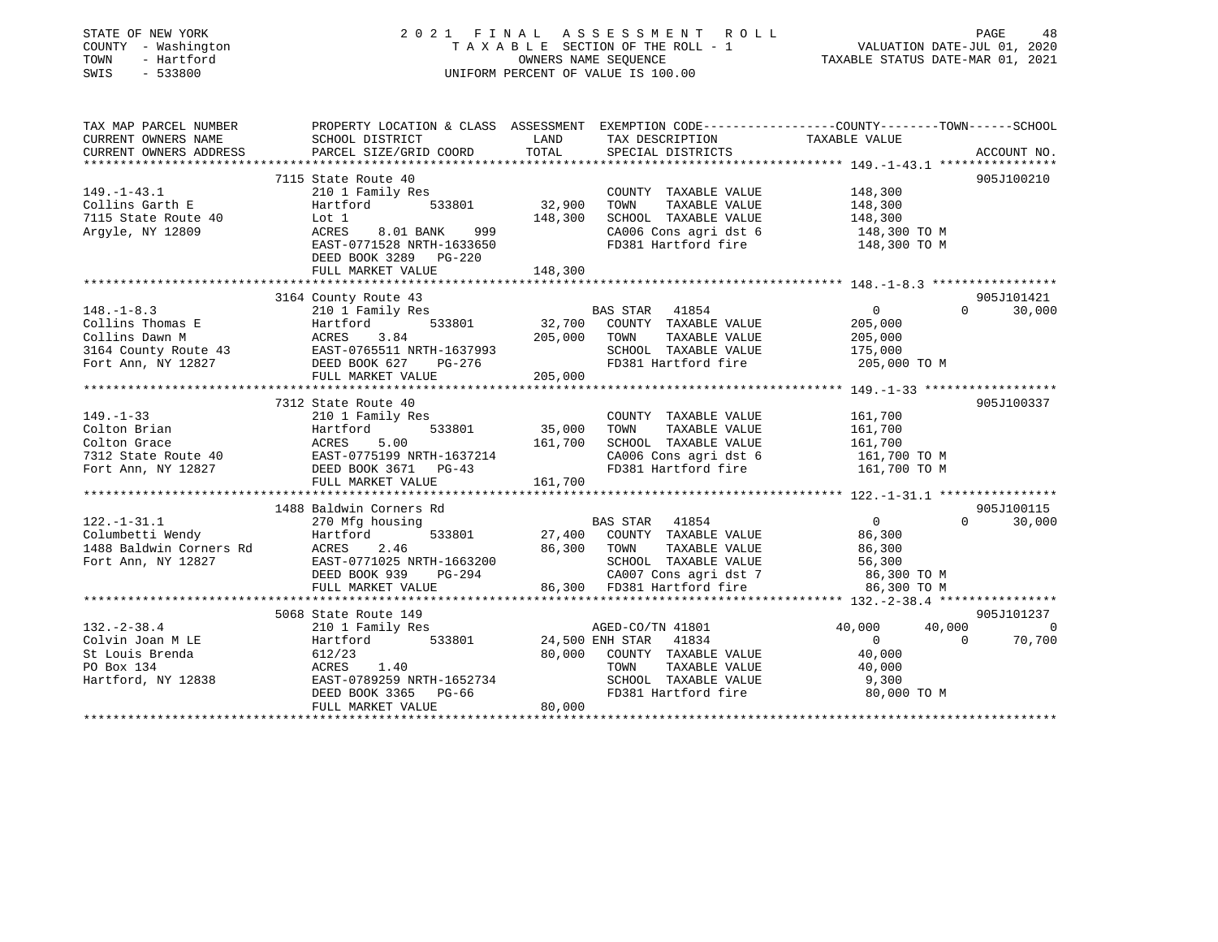| TAX MAP PARCEL NUMBER<br>PROPERTY LOCATION & CLASS ASSESSMENT EXEMPTION CODE----------------COUNTY-------TOWN------SCHOOL<br>CURRENT OWNERS NAME<br>LAND<br>TAXABLE VALUE<br>SCHOOL DISTRICT<br>TAX DESCRIPTION<br>TOTAL<br>PARCEL SIZE/GRID COORD<br>CURRENT OWNERS ADDRESS<br>SPECIAL DISTRICTS<br>ACCOUNT NO.<br>7115 State Route 40<br>905J100210<br>148,300<br>$149. - 1 - 43.1$<br>210 1 Family Res<br>COUNTY TAXABLE VALUE<br>32,900<br>TAXABLE VALUE<br>148,300<br>Collins Garth E<br>Hartford<br>533801<br>TOWN<br>148,300<br>SCHOOL TAXABLE VALUE<br>7115 State Route 40<br>Lot 1<br>148,300<br>999<br>CA006 Cons agri dst 6<br>Argyle, NY 12809<br>ACRES<br>8.01 BANK<br>148,300 TO M<br>EAST-0771528 NRTH-1633650<br>FD381 Hartford fire<br>148,300 TO M<br>DEED BOOK 3289 PG-220<br>FULL MARKET VALUE<br>148,300<br>905J101421<br>3164 County Route 43<br>BAS STAR 41854<br>$\overline{0}$<br>$\Omega$<br>30,000<br>$148. - 1 - 8.3$<br>210 1 Family Res<br>32,700 COUNTY TAXABLE VALUE<br>533801<br>Collins Thomas E<br>205,000<br>Hartford<br>205,000<br>Collins Dawn M<br>TAXABLE VALUE<br>205,000<br>ACRES<br>3.84<br>TOWN<br>3164 County Route 43<br>EAST-0765511 NRTH-1637993<br>SCHOOL TAXABLE VALUE<br>175,000<br>Fort Ann, NY 12827<br>FD381 Hartford fire<br>DEED BOOK 627<br>PG-276<br>205,000 TO M<br>205,000<br>FULL MARKET VALUE<br>7312 State Route 40<br>905J100337<br>$149. - 1 - 33$<br>210 1 Family Res<br>161,700<br>COUNTY TAXABLE VALUE<br>35,000<br>Colton Brian<br>533801<br>TOWN<br>TAXABLE VALUE<br>161,700<br>Hartford<br>5.00<br>161,700<br>Colton Grace<br>ACRES<br>SCHOOL TAXABLE VALUE<br>161,700<br>EAST-0775199 NRTH-1637214<br>DEED BOOK 3671 PG-43<br>CA006 Cons agri dst 6<br>7312 State Route 40<br>161,700 TO M<br>DEED BOOK 3671 PG-43<br>FD381 Hartford fire<br>161,700 TO M<br>Fort Ann, NY 12827<br>FULL MARKET VALUE<br>161,700<br>1488 Baldwin Corners Rd<br>905J100115<br>$0 \qquad \qquad$<br>$122. - 1 - 31.1$<br>270 Mfg housing<br>41854<br>$\Omega$<br>30,000<br><b>BAS STAR</b><br>Columbetti Wendy<br>Hartford<br>533801<br>27,400<br>COUNTY TAXABLE VALUE<br>86,300<br>86,300<br>1488 Baldwin Corners Rd<br>ACRES<br>2.46<br>TOWN<br>TAXABLE VALUE<br>86,300<br>Fort Ann, NY 12827<br>EAST-0771025 NRTH-1663200<br>SCHOOL TAXABLE VALUE<br>56,300<br>CA007 Cons agri dst 7<br>DEED BOOK 939<br>PG-294<br>86,300 TO M<br>86,300 FD381 Hartford fire<br>FULL MARKET VALUE<br>86,300 TO M<br>5068 State Route 149<br>905J101237<br>$132 - 2 - 38.4$<br>40,000<br>40,000<br>210 1 Family Res<br>AGED-CO/TN 41801<br>$\overline{0}$<br>533801<br>Colvin Joan M LE<br>24,500 ENH STAR<br>41834<br>$\Omega$<br>$\Omega$<br>70,700<br>Hartford<br>Colvin Joan M LE<br>St Louis Brenda<br>80,000<br>COUNTY TAXABLE VALUE<br>40,000<br>612/23<br>PO Box 134<br>ACRES<br>1.40<br>TAXABLE VALUE<br>40,000<br>TOWN<br>Hartford, NY 12838<br>EAST-0789259 NRTH-1652734<br>SCHOOL TAXABLE VALUE<br>9,300<br>FD381 Hartford fire<br>80,000 TO M<br>DEED BOOK 3365<br>$PG-66$<br>80,000<br>FULL MARKET VALUE | STATE OF NEW YORK<br>COUNTY - Washington<br>- Hartford<br>TOWN<br>SWIS<br>$-533800$ | 2021 FINAL ASSESSMENT<br>R O L L<br>TAXABLE SECTION OF THE ROLL - 1<br>OWNERS NAME SEQUENCE<br>UNIFORM PERCENT OF VALUE IS 100.00 | PAGE<br>48<br>VALUATION DATE-JUL 01, 2020<br>TAXABLE STATUS DATE-MAR 01, 2021 |
|---------------------------------------------------------------------------------------------------------------------------------------------------------------------------------------------------------------------------------------------------------------------------------------------------------------------------------------------------------------------------------------------------------------------------------------------------------------------------------------------------------------------------------------------------------------------------------------------------------------------------------------------------------------------------------------------------------------------------------------------------------------------------------------------------------------------------------------------------------------------------------------------------------------------------------------------------------------------------------------------------------------------------------------------------------------------------------------------------------------------------------------------------------------------------------------------------------------------------------------------------------------------------------------------------------------------------------------------------------------------------------------------------------------------------------------------------------------------------------------------------------------------------------------------------------------------------------------------------------------------------------------------------------------------------------------------------------------------------------------------------------------------------------------------------------------------------------------------------------------------------------------------------------------------------------------------------------------------------------------------------------------------------------------------------------------------------------------------------------------------------------------------------------------------------------------------------------------------------------------------------------------------------------------------------------------------------------------------------------------------------------------------------------------------------------------------------------------------------------------------------------------------------------------------------------------------------------------------------------------------------------------------------------------------------------------------------------------------------------------------------------------------------------------------------------------------------------------------------------------------------------------------------------------------------------------------------------------------------------------------------------------------------------------------------------------|-------------------------------------------------------------------------------------|-----------------------------------------------------------------------------------------------------------------------------------|-------------------------------------------------------------------------------|
|                                                                                                                                                                                                                                                                                                                                                                                                                                                                                                                                                                                                                                                                                                                                                                                                                                                                                                                                                                                                                                                                                                                                                                                                                                                                                                                                                                                                                                                                                                                                                                                                                                                                                                                                                                                                                                                                                                                                                                                                                                                                                                                                                                                                                                                                                                                                                                                                                                                                                                                                                                                                                                                                                                                                                                                                                                                                                                                                                                                                                                                               |                                                                                     |                                                                                                                                   |                                                                               |
|                                                                                                                                                                                                                                                                                                                                                                                                                                                                                                                                                                                                                                                                                                                                                                                                                                                                                                                                                                                                                                                                                                                                                                                                                                                                                                                                                                                                                                                                                                                                                                                                                                                                                                                                                                                                                                                                                                                                                                                                                                                                                                                                                                                                                                                                                                                                                                                                                                                                                                                                                                                                                                                                                                                                                                                                                                                                                                                                                                                                                                                               |                                                                                     |                                                                                                                                   |                                                                               |
|                                                                                                                                                                                                                                                                                                                                                                                                                                                                                                                                                                                                                                                                                                                                                                                                                                                                                                                                                                                                                                                                                                                                                                                                                                                                                                                                                                                                                                                                                                                                                                                                                                                                                                                                                                                                                                                                                                                                                                                                                                                                                                                                                                                                                                                                                                                                                                                                                                                                                                                                                                                                                                                                                                                                                                                                                                                                                                                                                                                                                                                               |                                                                                     |                                                                                                                                   |                                                                               |
|                                                                                                                                                                                                                                                                                                                                                                                                                                                                                                                                                                                                                                                                                                                                                                                                                                                                                                                                                                                                                                                                                                                                                                                                                                                                                                                                                                                                                                                                                                                                                                                                                                                                                                                                                                                                                                                                                                                                                                                                                                                                                                                                                                                                                                                                                                                                                                                                                                                                                                                                                                                                                                                                                                                                                                                                                                                                                                                                                                                                                                                               |                                                                                     |                                                                                                                                   |                                                                               |
|                                                                                                                                                                                                                                                                                                                                                                                                                                                                                                                                                                                                                                                                                                                                                                                                                                                                                                                                                                                                                                                                                                                                                                                                                                                                                                                                                                                                                                                                                                                                                                                                                                                                                                                                                                                                                                                                                                                                                                                                                                                                                                                                                                                                                                                                                                                                                                                                                                                                                                                                                                                                                                                                                                                                                                                                                                                                                                                                                                                                                                                               |                                                                                     |                                                                                                                                   |                                                                               |
|                                                                                                                                                                                                                                                                                                                                                                                                                                                                                                                                                                                                                                                                                                                                                                                                                                                                                                                                                                                                                                                                                                                                                                                                                                                                                                                                                                                                                                                                                                                                                                                                                                                                                                                                                                                                                                                                                                                                                                                                                                                                                                                                                                                                                                                                                                                                                                                                                                                                                                                                                                                                                                                                                                                                                                                                                                                                                                                                                                                                                                                               |                                                                                     |                                                                                                                                   |                                                                               |
|                                                                                                                                                                                                                                                                                                                                                                                                                                                                                                                                                                                                                                                                                                                                                                                                                                                                                                                                                                                                                                                                                                                                                                                                                                                                                                                                                                                                                                                                                                                                                                                                                                                                                                                                                                                                                                                                                                                                                                                                                                                                                                                                                                                                                                                                                                                                                                                                                                                                                                                                                                                                                                                                                                                                                                                                                                                                                                                                                                                                                                                               |                                                                                     |                                                                                                                                   |                                                                               |
|                                                                                                                                                                                                                                                                                                                                                                                                                                                                                                                                                                                                                                                                                                                                                                                                                                                                                                                                                                                                                                                                                                                                                                                                                                                                                                                                                                                                                                                                                                                                                                                                                                                                                                                                                                                                                                                                                                                                                                                                                                                                                                                                                                                                                                                                                                                                                                                                                                                                                                                                                                                                                                                                                                                                                                                                                                                                                                                                                                                                                                                               |                                                                                     |                                                                                                                                   |                                                                               |
|                                                                                                                                                                                                                                                                                                                                                                                                                                                                                                                                                                                                                                                                                                                                                                                                                                                                                                                                                                                                                                                                                                                                                                                                                                                                                                                                                                                                                                                                                                                                                                                                                                                                                                                                                                                                                                                                                                                                                                                                                                                                                                                                                                                                                                                                                                                                                                                                                                                                                                                                                                                                                                                                                                                                                                                                                                                                                                                                                                                                                                                               |                                                                                     |                                                                                                                                   |                                                                               |
|                                                                                                                                                                                                                                                                                                                                                                                                                                                                                                                                                                                                                                                                                                                                                                                                                                                                                                                                                                                                                                                                                                                                                                                                                                                                                                                                                                                                                                                                                                                                                                                                                                                                                                                                                                                                                                                                                                                                                                                                                                                                                                                                                                                                                                                                                                                                                                                                                                                                                                                                                                                                                                                                                                                                                                                                                                                                                                                                                                                                                                                               |                                                                                     |                                                                                                                                   |                                                                               |
|                                                                                                                                                                                                                                                                                                                                                                                                                                                                                                                                                                                                                                                                                                                                                                                                                                                                                                                                                                                                                                                                                                                                                                                                                                                                                                                                                                                                                                                                                                                                                                                                                                                                                                                                                                                                                                                                                                                                                                                                                                                                                                                                                                                                                                                                                                                                                                                                                                                                                                                                                                                                                                                                                                                                                                                                                                                                                                                                                                                                                                                               |                                                                                     |                                                                                                                                   |                                                                               |
|                                                                                                                                                                                                                                                                                                                                                                                                                                                                                                                                                                                                                                                                                                                                                                                                                                                                                                                                                                                                                                                                                                                                                                                                                                                                                                                                                                                                                                                                                                                                                                                                                                                                                                                                                                                                                                                                                                                                                                                                                                                                                                                                                                                                                                                                                                                                                                                                                                                                                                                                                                                                                                                                                                                                                                                                                                                                                                                                                                                                                                                               |                                                                                     |                                                                                                                                   |                                                                               |
|                                                                                                                                                                                                                                                                                                                                                                                                                                                                                                                                                                                                                                                                                                                                                                                                                                                                                                                                                                                                                                                                                                                                                                                                                                                                                                                                                                                                                                                                                                                                                                                                                                                                                                                                                                                                                                                                                                                                                                                                                                                                                                                                                                                                                                                                                                                                                                                                                                                                                                                                                                                                                                                                                                                                                                                                                                                                                                                                                                                                                                                               |                                                                                     |                                                                                                                                   |                                                                               |
|                                                                                                                                                                                                                                                                                                                                                                                                                                                                                                                                                                                                                                                                                                                                                                                                                                                                                                                                                                                                                                                                                                                                                                                                                                                                                                                                                                                                                                                                                                                                                                                                                                                                                                                                                                                                                                                                                                                                                                                                                                                                                                                                                                                                                                                                                                                                                                                                                                                                                                                                                                                                                                                                                                                                                                                                                                                                                                                                                                                                                                                               |                                                                                     |                                                                                                                                   |                                                                               |
|                                                                                                                                                                                                                                                                                                                                                                                                                                                                                                                                                                                                                                                                                                                                                                                                                                                                                                                                                                                                                                                                                                                                                                                                                                                                                                                                                                                                                                                                                                                                                                                                                                                                                                                                                                                                                                                                                                                                                                                                                                                                                                                                                                                                                                                                                                                                                                                                                                                                                                                                                                                                                                                                                                                                                                                                                                                                                                                                                                                                                                                               |                                                                                     |                                                                                                                                   |                                                                               |
|                                                                                                                                                                                                                                                                                                                                                                                                                                                                                                                                                                                                                                                                                                                                                                                                                                                                                                                                                                                                                                                                                                                                                                                                                                                                                                                                                                                                                                                                                                                                                                                                                                                                                                                                                                                                                                                                                                                                                                                                                                                                                                                                                                                                                                                                                                                                                                                                                                                                                                                                                                                                                                                                                                                                                                                                                                                                                                                                                                                                                                                               |                                                                                     |                                                                                                                                   |                                                                               |
|                                                                                                                                                                                                                                                                                                                                                                                                                                                                                                                                                                                                                                                                                                                                                                                                                                                                                                                                                                                                                                                                                                                                                                                                                                                                                                                                                                                                                                                                                                                                                                                                                                                                                                                                                                                                                                                                                                                                                                                                                                                                                                                                                                                                                                                                                                                                                                                                                                                                                                                                                                                                                                                                                                                                                                                                                                                                                                                                                                                                                                                               |                                                                                     |                                                                                                                                   |                                                                               |
|                                                                                                                                                                                                                                                                                                                                                                                                                                                                                                                                                                                                                                                                                                                                                                                                                                                                                                                                                                                                                                                                                                                                                                                                                                                                                                                                                                                                                                                                                                                                                                                                                                                                                                                                                                                                                                                                                                                                                                                                                                                                                                                                                                                                                                                                                                                                                                                                                                                                                                                                                                                                                                                                                                                                                                                                                                                                                                                                                                                                                                                               |                                                                                     |                                                                                                                                   |                                                                               |
|                                                                                                                                                                                                                                                                                                                                                                                                                                                                                                                                                                                                                                                                                                                                                                                                                                                                                                                                                                                                                                                                                                                                                                                                                                                                                                                                                                                                                                                                                                                                                                                                                                                                                                                                                                                                                                                                                                                                                                                                                                                                                                                                                                                                                                                                                                                                                                                                                                                                                                                                                                                                                                                                                                                                                                                                                                                                                                                                                                                                                                                               |                                                                                     |                                                                                                                                   |                                                                               |
|                                                                                                                                                                                                                                                                                                                                                                                                                                                                                                                                                                                                                                                                                                                                                                                                                                                                                                                                                                                                                                                                                                                                                                                                                                                                                                                                                                                                                                                                                                                                                                                                                                                                                                                                                                                                                                                                                                                                                                                                                                                                                                                                                                                                                                                                                                                                                                                                                                                                                                                                                                                                                                                                                                                                                                                                                                                                                                                                                                                                                                                               |                                                                                     |                                                                                                                                   |                                                                               |
|                                                                                                                                                                                                                                                                                                                                                                                                                                                                                                                                                                                                                                                                                                                                                                                                                                                                                                                                                                                                                                                                                                                                                                                                                                                                                                                                                                                                                                                                                                                                                                                                                                                                                                                                                                                                                                                                                                                                                                                                                                                                                                                                                                                                                                                                                                                                                                                                                                                                                                                                                                                                                                                                                                                                                                                                                                                                                                                                                                                                                                                               |                                                                                     |                                                                                                                                   |                                                                               |
|                                                                                                                                                                                                                                                                                                                                                                                                                                                                                                                                                                                                                                                                                                                                                                                                                                                                                                                                                                                                                                                                                                                                                                                                                                                                                                                                                                                                                                                                                                                                                                                                                                                                                                                                                                                                                                                                                                                                                                                                                                                                                                                                                                                                                                                                                                                                                                                                                                                                                                                                                                                                                                                                                                                                                                                                                                                                                                                                                                                                                                                               |                                                                                     |                                                                                                                                   |                                                                               |
|                                                                                                                                                                                                                                                                                                                                                                                                                                                                                                                                                                                                                                                                                                                                                                                                                                                                                                                                                                                                                                                                                                                                                                                                                                                                                                                                                                                                                                                                                                                                                                                                                                                                                                                                                                                                                                                                                                                                                                                                                                                                                                                                                                                                                                                                                                                                                                                                                                                                                                                                                                                                                                                                                                                                                                                                                                                                                                                                                                                                                                                               |                                                                                     |                                                                                                                                   |                                                                               |
|                                                                                                                                                                                                                                                                                                                                                                                                                                                                                                                                                                                                                                                                                                                                                                                                                                                                                                                                                                                                                                                                                                                                                                                                                                                                                                                                                                                                                                                                                                                                                                                                                                                                                                                                                                                                                                                                                                                                                                                                                                                                                                                                                                                                                                                                                                                                                                                                                                                                                                                                                                                                                                                                                                                                                                                                                                                                                                                                                                                                                                                               |                                                                                     |                                                                                                                                   |                                                                               |
|                                                                                                                                                                                                                                                                                                                                                                                                                                                                                                                                                                                                                                                                                                                                                                                                                                                                                                                                                                                                                                                                                                                                                                                                                                                                                                                                                                                                                                                                                                                                                                                                                                                                                                                                                                                                                                                                                                                                                                                                                                                                                                                                                                                                                                                                                                                                                                                                                                                                                                                                                                                                                                                                                                                                                                                                                                                                                                                                                                                                                                                               |                                                                                     |                                                                                                                                   |                                                                               |
|                                                                                                                                                                                                                                                                                                                                                                                                                                                                                                                                                                                                                                                                                                                                                                                                                                                                                                                                                                                                                                                                                                                                                                                                                                                                                                                                                                                                                                                                                                                                                                                                                                                                                                                                                                                                                                                                                                                                                                                                                                                                                                                                                                                                                                                                                                                                                                                                                                                                                                                                                                                                                                                                                                                                                                                                                                                                                                                                                                                                                                                               |                                                                                     |                                                                                                                                   |                                                                               |
|                                                                                                                                                                                                                                                                                                                                                                                                                                                                                                                                                                                                                                                                                                                                                                                                                                                                                                                                                                                                                                                                                                                                                                                                                                                                                                                                                                                                                                                                                                                                                                                                                                                                                                                                                                                                                                                                                                                                                                                                                                                                                                                                                                                                                                                                                                                                                                                                                                                                                                                                                                                                                                                                                                                                                                                                                                                                                                                                                                                                                                                               |                                                                                     |                                                                                                                                   |                                                                               |
|                                                                                                                                                                                                                                                                                                                                                                                                                                                                                                                                                                                                                                                                                                                                                                                                                                                                                                                                                                                                                                                                                                                                                                                                                                                                                                                                                                                                                                                                                                                                                                                                                                                                                                                                                                                                                                                                                                                                                                                                                                                                                                                                                                                                                                                                                                                                                                                                                                                                                                                                                                                                                                                                                                                                                                                                                                                                                                                                                                                                                                                               |                                                                                     |                                                                                                                                   |                                                                               |
|                                                                                                                                                                                                                                                                                                                                                                                                                                                                                                                                                                                                                                                                                                                                                                                                                                                                                                                                                                                                                                                                                                                                                                                                                                                                                                                                                                                                                                                                                                                                                                                                                                                                                                                                                                                                                                                                                                                                                                                                                                                                                                                                                                                                                                                                                                                                                                                                                                                                                                                                                                                                                                                                                                                                                                                                                                                                                                                                                                                                                                                               |                                                                                     |                                                                                                                                   |                                                                               |
|                                                                                                                                                                                                                                                                                                                                                                                                                                                                                                                                                                                                                                                                                                                                                                                                                                                                                                                                                                                                                                                                                                                                                                                                                                                                                                                                                                                                                                                                                                                                                                                                                                                                                                                                                                                                                                                                                                                                                                                                                                                                                                                                                                                                                                                                                                                                                                                                                                                                                                                                                                                                                                                                                                                                                                                                                                                                                                                                                                                                                                                               |                                                                                     |                                                                                                                                   |                                                                               |
|                                                                                                                                                                                                                                                                                                                                                                                                                                                                                                                                                                                                                                                                                                                                                                                                                                                                                                                                                                                                                                                                                                                                                                                                                                                                                                                                                                                                                                                                                                                                                                                                                                                                                                                                                                                                                                                                                                                                                                                                                                                                                                                                                                                                                                                                                                                                                                                                                                                                                                                                                                                                                                                                                                                                                                                                                                                                                                                                                                                                                                                               |                                                                                     |                                                                                                                                   |                                                                               |
|                                                                                                                                                                                                                                                                                                                                                                                                                                                                                                                                                                                                                                                                                                                                                                                                                                                                                                                                                                                                                                                                                                                                                                                                                                                                                                                                                                                                                                                                                                                                                                                                                                                                                                                                                                                                                                                                                                                                                                                                                                                                                                                                                                                                                                                                                                                                                                                                                                                                                                                                                                                                                                                                                                                                                                                                                                                                                                                                                                                                                                                               |                                                                                     |                                                                                                                                   |                                                                               |
|                                                                                                                                                                                                                                                                                                                                                                                                                                                                                                                                                                                                                                                                                                                                                                                                                                                                                                                                                                                                                                                                                                                                                                                                                                                                                                                                                                                                                                                                                                                                                                                                                                                                                                                                                                                                                                                                                                                                                                                                                                                                                                                                                                                                                                                                                                                                                                                                                                                                                                                                                                                                                                                                                                                                                                                                                                                                                                                                                                                                                                                               |                                                                                     |                                                                                                                                   |                                                                               |
|                                                                                                                                                                                                                                                                                                                                                                                                                                                                                                                                                                                                                                                                                                                                                                                                                                                                                                                                                                                                                                                                                                                                                                                                                                                                                                                                                                                                                                                                                                                                                                                                                                                                                                                                                                                                                                                                                                                                                                                                                                                                                                                                                                                                                                                                                                                                                                                                                                                                                                                                                                                                                                                                                                                                                                                                                                                                                                                                                                                                                                                               |                                                                                     |                                                                                                                                   |                                                                               |
|                                                                                                                                                                                                                                                                                                                                                                                                                                                                                                                                                                                                                                                                                                                                                                                                                                                                                                                                                                                                                                                                                                                                                                                                                                                                                                                                                                                                                                                                                                                                                                                                                                                                                                                                                                                                                                                                                                                                                                                                                                                                                                                                                                                                                                                                                                                                                                                                                                                                                                                                                                                                                                                                                                                                                                                                                                                                                                                                                                                                                                                               |                                                                                     |                                                                                                                                   |                                                                               |
|                                                                                                                                                                                                                                                                                                                                                                                                                                                                                                                                                                                                                                                                                                                                                                                                                                                                                                                                                                                                                                                                                                                                                                                                                                                                                                                                                                                                                                                                                                                                                                                                                                                                                                                                                                                                                                                                                                                                                                                                                                                                                                                                                                                                                                                                                                                                                                                                                                                                                                                                                                                                                                                                                                                                                                                                                                                                                                                                                                                                                                                               |                                                                                     |                                                                                                                                   |                                                                               |
|                                                                                                                                                                                                                                                                                                                                                                                                                                                                                                                                                                                                                                                                                                                                                                                                                                                                                                                                                                                                                                                                                                                                                                                                                                                                                                                                                                                                                                                                                                                                                                                                                                                                                                                                                                                                                                                                                                                                                                                                                                                                                                                                                                                                                                                                                                                                                                                                                                                                                                                                                                                                                                                                                                                                                                                                                                                                                                                                                                                                                                                               |                                                                                     |                                                                                                                                   |                                                                               |
|                                                                                                                                                                                                                                                                                                                                                                                                                                                                                                                                                                                                                                                                                                                                                                                                                                                                                                                                                                                                                                                                                                                                                                                                                                                                                                                                                                                                                                                                                                                                                                                                                                                                                                                                                                                                                                                                                                                                                                                                                                                                                                                                                                                                                                                                                                                                                                                                                                                                                                                                                                                                                                                                                                                                                                                                                                                                                                                                                                                                                                                               |                                                                                     |                                                                                                                                   |                                                                               |
|                                                                                                                                                                                                                                                                                                                                                                                                                                                                                                                                                                                                                                                                                                                                                                                                                                                                                                                                                                                                                                                                                                                                                                                                                                                                                                                                                                                                                                                                                                                                                                                                                                                                                                                                                                                                                                                                                                                                                                                                                                                                                                                                                                                                                                                                                                                                                                                                                                                                                                                                                                                                                                                                                                                                                                                                                                                                                                                                                                                                                                                               |                                                                                     |                                                                                                                                   |                                                                               |
|                                                                                                                                                                                                                                                                                                                                                                                                                                                                                                                                                                                                                                                                                                                                                                                                                                                                                                                                                                                                                                                                                                                                                                                                                                                                                                                                                                                                                                                                                                                                                                                                                                                                                                                                                                                                                                                                                                                                                                                                                                                                                                                                                                                                                                                                                                                                                                                                                                                                                                                                                                                                                                                                                                                                                                                                                                                                                                                                                                                                                                                               |                                                                                     |                                                                                                                                   |                                                                               |
|                                                                                                                                                                                                                                                                                                                                                                                                                                                                                                                                                                                                                                                                                                                                                                                                                                                                                                                                                                                                                                                                                                                                                                                                                                                                                                                                                                                                                                                                                                                                                                                                                                                                                                                                                                                                                                                                                                                                                                                                                                                                                                                                                                                                                                                                                                                                                                                                                                                                                                                                                                                                                                                                                                                                                                                                                                                                                                                                                                                                                                                               |                                                                                     |                                                                                                                                   |                                                                               |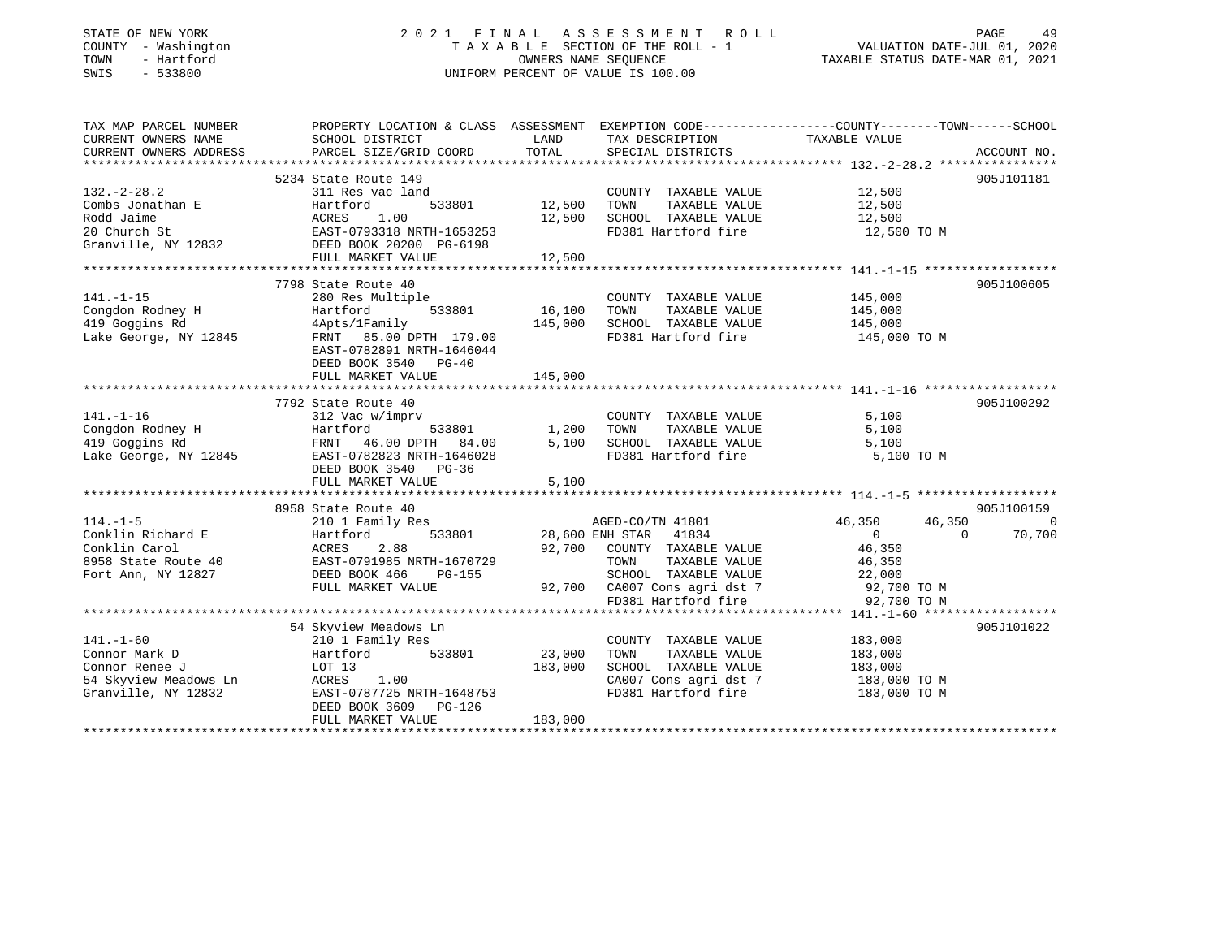## STATE OF NEW YORK 2 0 2 1 F I N A L A S S E S S M E N T R O L L PAGE 49 COUNTY - Washington T A X A B L E SECTION OF THE ROLL - 1 VALUATION DATE-JUL 01, 2020 TOWN - Hartford OWNERS NAME SEQUENCE TAXABLE STATUS DATE-MAR 01, 2021 SWIS - 533800 UNIFORM PERCENT OF VALUE IS 100.00

| TAX MAP PARCEL NUMBER<br>CURRENT OWNERS NAME<br>CURRENT OWNERS ADDRESS | SCHOOL DISTRICT<br>PARCEL SIZE/GRID COORD                                                          | LAND<br>TOTAL | TAX DESCRIPTION TAXABLE VALUE<br>SPECIAL DISTRICTS  | PROPERTY LOCATION & CLASS ASSESSMENT EXEMPTION CODE---------------COUNTY-------TOWN------SCHOOL | ACCOUNT NO. |
|------------------------------------------------------------------------|----------------------------------------------------------------------------------------------------|---------------|-----------------------------------------------------|-------------------------------------------------------------------------------------------------|-------------|
|                                                                        |                                                                                                    |               |                                                     |                                                                                                 |             |
|                                                                        | 5234 State Route 149                                                                               |               |                                                     |                                                                                                 | 905J101181  |
| $132 - 2 - 28.2$                                                       | 311 Res vac land                                                                                   |               | COUNTY TAXABLE VALUE                                | 12,500                                                                                          |             |
| Combs Jonathan E                                                       | 533801<br>Hartford                                                                                 | 12,500        | TAXABLE VALUE<br>TOWN                               | 12,500                                                                                          |             |
|                                                                        |                                                                                                    | 12,500        | SCHOOL TAXABLE VALUE                                | 12,500                                                                                          |             |
|                                                                        | EAST-0793318 NRTH-1653253                                                                          |               | FD381 Hartford fire                                 | 12,500 TO M                                                                                     |             |
|                                                                        | Rodd Jaime<br>20 Church St<br>31 Church St<br>32 Cranville, NY 12832<br>32 DEED BOOK 20200 PG-6198 |               |                                                     |                                                                                                 |             |
|                                                                        | FULL MARKET VALUE                                                                                  | 12,500        |                                                     |                                                                                                 |             |
|                                                                        |                                                                                                    |               |                                                     |                                                                                                 |             |
|                                                                        | 7798 State Route 40                                                                                |               |                                                     |                                                                                                 | 905J100605  |
| $141. - 1 - 15$                                                        | 280 Res Multiple                                                                                   |               | COUNTY TAXABLE VALUE                                | 145,000                                                                                         |             |
| Congdon Rodney H                                                       | Hartford                                                                                           | 533801 16,100 | TOWN<br>TAXABLE VALUE                               | 145,000                                                                                         |             |
| 419 Goggins Rd                                                         | 4Apts/1Family                                                                                      | 145,000       | SCHOOL TAXABLE VALUE                                | 145,000                                                                                         |             |
| Lake George, NY 12845                                                  | FRNT 85.00 DPTH 179.00                                                                             |               | FD381 Hartford fire                                 | 145,000 TO M                                                                                    |             |
|                                                                        | EAST-0782891 NRTH-1646044                                                                          |               |                                                     |                                                                                                 |             |
|                                                                        | DEED BOOK 3540 PG-40                                                                               |               |                                                     |                                                                                                 |             |
|                                                                        | FULL MARKET VALUE                                                                                  | 145,000       |                                                     |                                                                                                 |             |
|                                                                        |                                                                                                    |               |                                                     |                                                                                                 |             |
|                                                                        | 7792 State Route 40                                                                                |               |                                                     |                                                                                                 | 905J100292  |
| $141. - 1 - 16$                                                        | 312 Vac w/imprv                                                                                    |               | COUNTY TAXABLE VALUE                                | 5,100                                                                                           |             |
| Congdon Rodney H                                                       | 533801                                                                                             | 1,200         | TOWN<br>TAXABLE VALUE                               | 5,100                                                                                           |             |
| 419 Goggins Rd                                                         |                                                                                                    | 5,100         | SCHOOL TAXABLE VALUE                                | 5,100                                                                                           |             |
| Lake George, NY 12845                                                  | EAST-0782823 NRTH-1646028                                                                          |               | FD381 Hartford fire                                 | 5,100 TO M                                                                                      |             |
|                                                                        | DEED BOOK 3540 PG-36                                                                               |               |                                                     |                                                                                                 |             |
|                                                                        | FULL MARKET VALUE                                                                                  | 5,100         |                                                     |                                                                                                 |             |
|                                                                        |                                                                                                    |               |                                                     |                                                                                                 |             |
|                                                                        | 8958 State Route 40                                                                                |               |                                                     |                                                                                                 | 905J100159  |
| $114. - 1 - 5$                                                         | 210 1 Family Res                                                                                   |               | AGED-CO/TN 41801                                    | 46,350<br>46,350                                                                                | $\bigcirc$  |
| Conklin Richard E                                                      | 533801<br>Hartford                                                                                 |               | 28,600 ENH STAR 41834                               | $\overline{0}$<br>$\overline{0}$                                                                | 70,700      |
| Conklin Carol                                                          |                                                                                                    | 92,700        | COUNTY TAXABLE VALUE                                | 46,350                                                                                          |             |
| 8958 State Route 40                                                    | ACRES 2.88<br>0 EAST-0791985 NRTH-1670729<br>DEED BOOK 466 PG-155                                  |               | TAXABLE VALUE<br>TOWN                               | 46,350                                                                                          |             |
| Fort Ann, NY 12827                                                     |                                                                                                    |               | SCHOOL TAXABLE VALUE 22,000                         |                                                                                                 |             |
|                                                                        | FULL MARKET VALUE                                                                                  |               | 92,700 CA007 Cons agri dst 7<br>FD381 Hartford fire | 92,700 TO M                                                                                     |             |
|                                                                        |                                                                                                    |               |                                                     | 92,700 TO M                                                                                     |             |
|                                                                        |                                                                                                    |               |                                                     |                                                                                                 |             |
|                                                                        | 54 Skyview Meadows Ln                                                                              |               |                                                     |                                                                                                 | 905J101022  |
| $141. - 1 - 60$                                                        | 210 1 Family Res                                                                                   |               | COUNTY TAXABLE VALUE                                | 183,000                                                                                         |             |
| Connor Mark D                                                          | Hartford<br>533801                                                                                 | 23,000        | TOWN<br>TAXABLE VALUE                               | 183,000                                                                                         |             |
| Connor Renee J                                                         | LOT 13                                                                                             | 183,000       | SCHOOL TAXABLE VALUE                                | 183,000                                                                                         |             |
| 54 Skyview Meadows Ln                                                  | ACRES<br>1.00                                                                                      |               | CA007 Cons agri dst 7                               | 183,000 TO M                                                                                    |             |
| Granville, NY 12832                                                    | EAST-0787725 NRTH-1648753                                                                          |               | FD381 Hartford fire                                 | 183,000 TO M                                                                                    |             |
|                                                                        | DEED BOOK 3609<br>PG-126                                                                           |               |                                                     |                                                                                                 |             |
|                                                                        | FULL MARKET VALUE                                                                                  | 183,000       |                                                     |                                                                                                 |             |
|                                                                        |                                                                                                    |               |                                                     |                                                                                                 |             |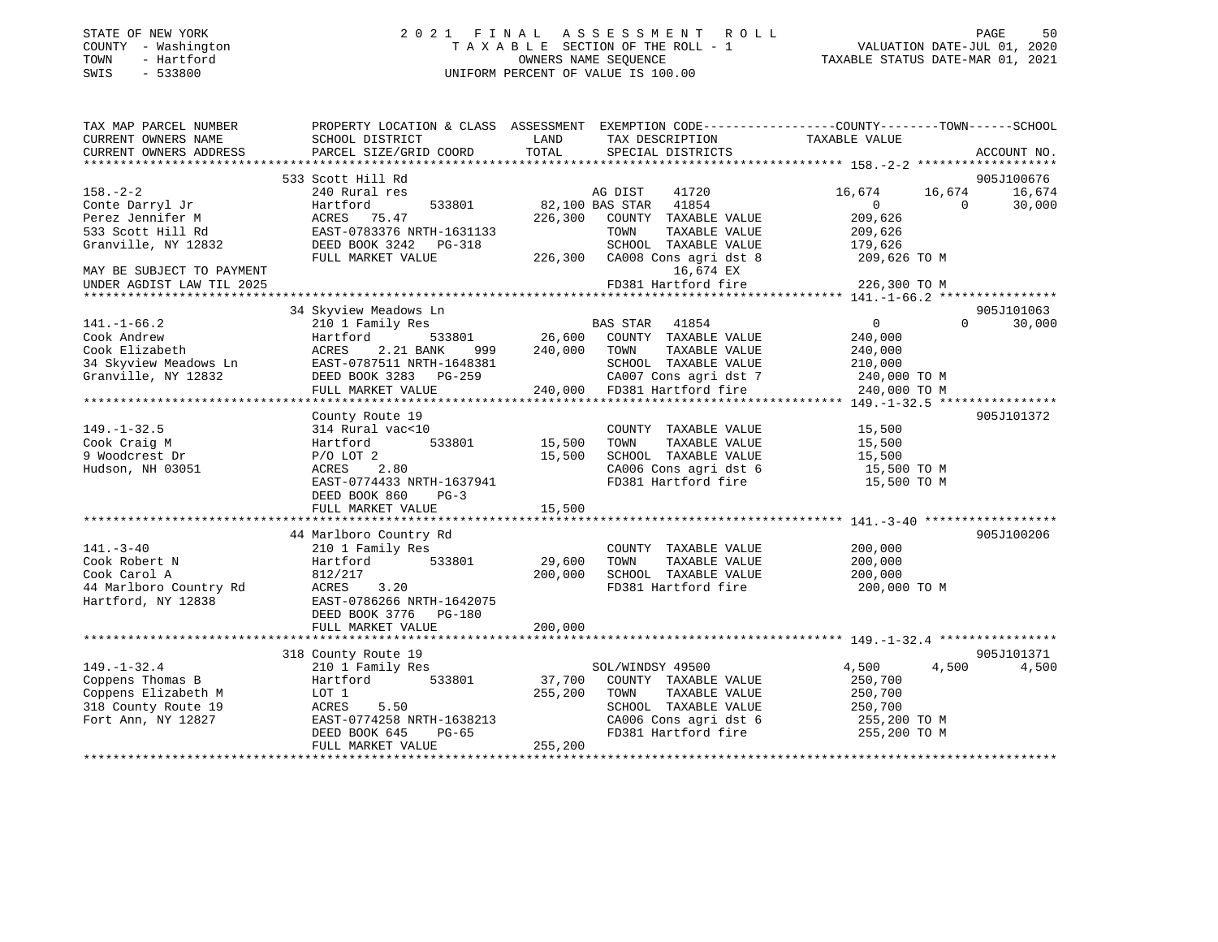|      | STATE OF NEW YORK   | 2021 FINAL ASSESSMENT ROLL         |                                  | PAGE | 50 |
|------|---------------------|------------------------------------|----------------------------------|------|----|
|      | COUNTY - Washington | TAXABLE SECTION OF THE ROLL - 1    | VALUATION DATE-JUL 01, 2020      |      |    |
| TOWN | - Hartford          | OWNERS NAME SEOUENCE               | TAXABLE STATUS DATE-MAR 01, 2021 |      |    |
| SWIS | - 533800            | UNIFORM PERCENT OF VALUE IS 100.00 |                                  |      |    |
|      |                     |                                    |                                  |      |    |
|      |                     |                                    |                                  |      |    |

| TAX MAP PARCEL NUMBER               | PROPERTY LOCATION & CLASS ASSESSMENT EXEMPTION CODE-----------------COUNTY-------TOWN------SCHOOL |                       |                                                                                |                              |            |                      |
|-------------------------------------|---------------------------------------------------------------------------------------------------|-----------------------|--------------------------------------------------------------------------------|------------------------------|------------|----------------------|
| CURRENT OWNERS NAME                 | SCHOOL DISTRICT                                                                                   | LAND                  | TAX DESCRIPTION                                                                | TAXABLE VALUE                |            |                      |
| CURRENT OWNERS ADDRESS              | PARCEL SIZE/GRID COORD                                                                            | TOTAL                 | SPECIAL DISTRICTS                                                              |                              |            | ACCOUNT NO.          |
|                                     |                                                                                                   |                       |                                                                                |                              |            |                      |
| $158. - 2 - 2$                      | 533 Scott Hill Rd<br>240 Rural res                                                                |                       | AG DIST<br>41720                                                               | 16,674                       | 16,674     | 905J100676<br>16,674 |
|                                     | 533801                                                                                            |                       | 82,100 BAS STAR 41854                                                          | $\overline{0}$               | $\bigcirc$ | 30,000               |
| Conte Darryl Jr<br>Perez Jennifer M | Hartford<br>ACRES 75.47                                                                           |                       | 226,300 COUNTY TAXABLE VALUE                                                   | 209,626                      |            |                      |
| 533 Scott Hill Rd                   | EAST-0783376 NRTH-1631133                                                                         |                       | TAXABLE VALUE<br>TOWN                                                          | 209,626                      |            |                      |
| Granville, NY 12832                 | DEED BOOK 3242 PG-318                                                                             |                       | SCHOOL TAXABLE VALUE                                                           | 179,626                      |            |                      |
|                                     | FULL MARKET VALUE                                                                                 |                       | 226,300 CA008 Cons agri dst 8 209,626 TO M                                     |                              |            |                      |
| MAY BE SUBJECT TO PAYMENT           |                                                                                                   |                       | 16,674 EX                                                                      |                              |            |                      |
| UNDER AGDIST LAW TIL 2025           |                                                                                                   |                       | FD381 Hartford fire                                                            | 226,300 TO M                 |            |                      |
|                                     |                                                                                                   |                       |                                                                                |                              |            |                      |
|                                     | 34 Skyview Meadows Ln                                                                             |                       |                                                                                |                              |            | 905J101063           |
| $141. - 1 - 66.2$                   | 210 1 Family Res                                                                                  |                       | BAS STAR 41854                                                                 | $\overline{0}$               | $\Omega$   | 30,000               |
| Cook Andrew                         | Hartford                                                                                          |                       | 533801 26,600 COUNTY TAXABLE VALUE                                             | 240,000                      |            |                      |
| Cook Elizabeth                      | ACRES 2.21 BANK<br>999 — 1                                                                        |                       | 240,000 TOWN<br>TAXABLE VALUE                                                  | 240,000                      |            |                      |
| 34 Skyview Meadows Ln               | EAST-0787511 NRTH-1648381                                                                         |                       | SCHOOL TAXABLE VALUE                                                           | 210,000                      |            |                      |
| Granville, NY 12832                 | DEED BOOK 3283 PG-259                                                                             |                       |                                                                                |                              |            |                      |
|                                     |                                                                                                   |                       | CA007 Cons agri dst 7 240,000 TO M<br>240,000 FD381 Hartford fire 240,000 TO M |                              |            |                      |
|                                     | FULL MARKET VALUE                                                                                 |                       |                                                                                |                              |            |                      |
|                                     |                                                                                                   |                       |                                                                                |                              |            |                      |
|                                     | County Route 19                                                                                   |                       |                                                                                |                              |            | 905J101372           |
| $149. - 1 - 32.5$                   | 314 Rural vac<10<br>533801                                                                        | COUNTY<br>15,500 TOWN | COUNTY TAXABLE VALUE                                                           | 15,500                       |            |                      |
| Cook Craig M<br>9 Woodcrest Dr      | Hartford                                                                                          |                       | TAXABLE VALUE                                                                  | 15,500                       |            |                      |
|                                     | $P/O$ LOT $2$                                                                                     |                       | 15,500 SCHOOL TAXABLE VALUE 15,500<br>CA006 Cons agri dst 6 15,500 TO M        |                              |            |                      |
| Hudson, NH 03051                    | ACRES 2.80                                                                                        |                       | FD381 Hartford fire                                                            |                              |            |                      |
|                                     | EAST-0774433 NRTH-1637941                                                                         |                       |                                                                                | 15,500 TO M                  |            |                      |
|                                     | DEED BOOK 860<br>$PG-3$                                                                           |                       |                                                                                |                              |            |                      |
|                                     | FULL MARKET VALUE                                                                                 | 15,500                |                                                                                |                              |            |                      |
|                                     |                                                                                                   |                       |                                                                                |                              |            |                      |
|                                     | 44 Marlboro Country Rd                                                                            |                       |                                                                                |                              |            | 905J100206           |
| $141. - 3 - 40$                     | 210 1 Family Res                                                                                  |                       | COUNTY TAXABLE VALUE                                                           | 200,000                      |            |                      |
| Cook Robert N                       | Hartford 533801                                                                                   | 29,600                | TOWN<br>TAXABLE VALUE                                                          | 200,000                      |            |                      |
| Cook Carol A                        | 812/217                                                                                           | 200,000               | SCHOOL TAXABLE VALUE                                                           | 200,000                      |            |                      |
| 44 Marlboro Country Rd              | ACRES 3.20                                                                                        |                       | FD381 Hartford fire                                                            | 200,000 TO M                 |            |                      |
| Hartford, NY 12838                  | EAST-0786266 NRTH-1642075                                                                         |                       |                                                                                |                              |            |                      |
|                                     | DEED BOOK 3776 PG-180                                                                             |                       |                                                                                |                              |            |                      |
|                                     | FULL MARKET VALUE                                                                                 | 200,000               |                                                                                |                              |            |                      |
|                                     |                                                                                                   |                       |                                                                                |                              |            |                      |
|                                     | 318 County Route 19                                                                               |                       |                                                                                |                              |            | 905J101371           |
| $149. - 1 - 32.4$                   | 210 1 Family Res                                                                                  |                       | SOL/WINDSY 49500                                                               | 4,500                        | 4,500      | 4,500                |
| Coppens Thomas B                    | Hartford 533801                                                                                   |                       | 37,700 COUNTY TAXABLE VALUE                                                    | 250,700                      |            |                      |
| Coppens Elizabeth M                 | LOT 1                                                                                             | 255,200               | TOWN<br>TAXABLE VALUE                                                          | 250,700                      |            |                      |
| 318 County Route 19                 | ACRES<br>5.50                                                                                     |                       | SCHOOL TAXABLE VALUE                                                           | 250,700                      |            |                      |
| Fort Ann, NY 12827                  |                                                                                                   |                       | CA006 Cons agri dst 6<br>FD381 Hartford fire                                   | 255,200 ТО М<br>255,200 ТО М |            |                      |
|                                     | EAST-0774258 NRTH-1638213<br>DEED BOOK 645 PG-65<br>RHII 11200K 645 PG-65                         |                       |                                                                                |                              |            |                      |
|                                     | FULL MARKET VALUE                                                                                 | 255, 200              |                                                                                |                              |            |                      |
|                                     |                                                                                                   |                       |                                                                                |                              |            |                      |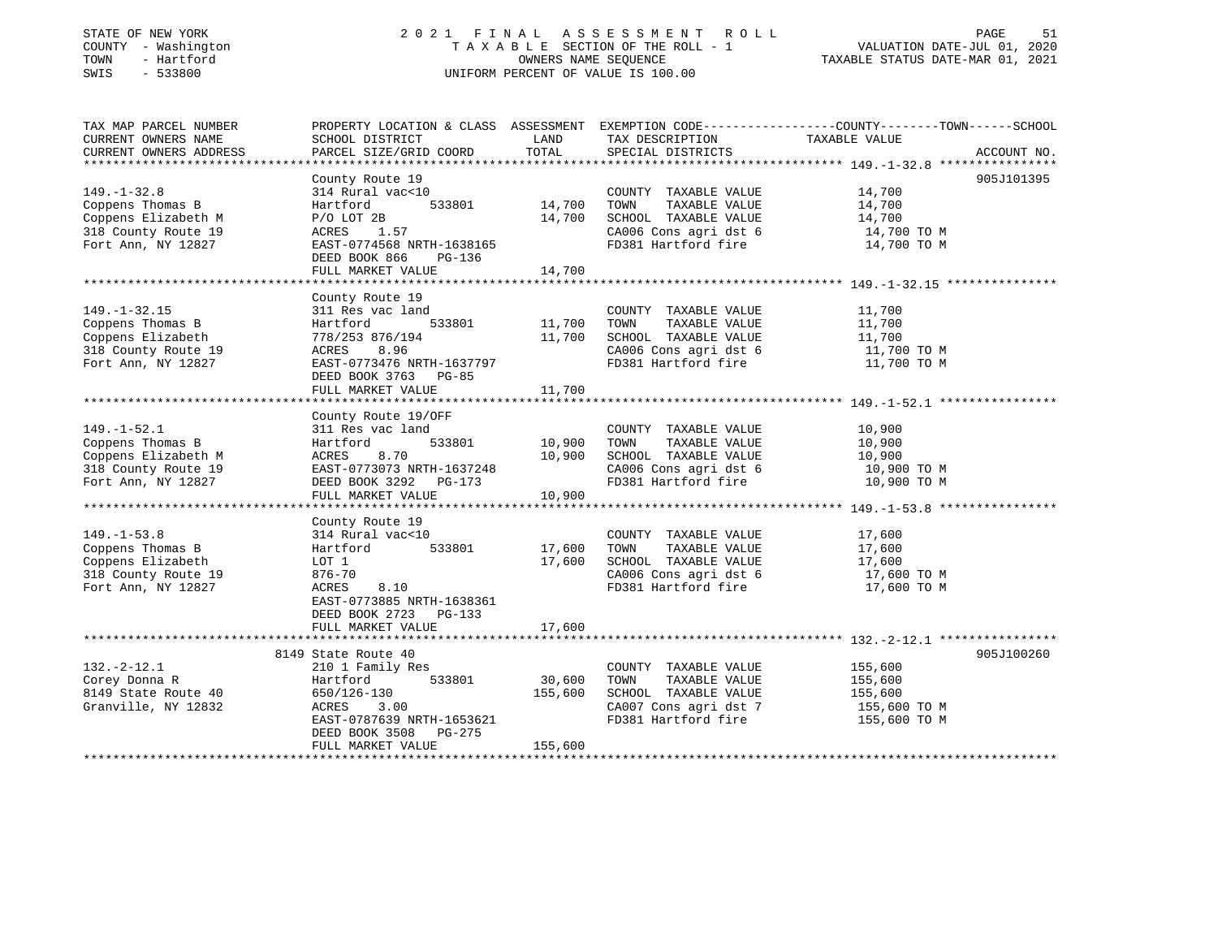## STATE OF NEW YORK 2 0 2 1 F I N A L A S S E S S M E N T R O L L PAGE 51 COUNTY - Washington T A X A B L E SECTION OF THE ROLL - 1 VALUATION DATE-JUL 01, 2020 TOWN - Hartford OWNERS NAME SEQUENCE TAXABLE STATUS DATE-MAR 01, 2021 SWIS - 533800 UNIFORM PERCENT OF VALUE IS 100.00

| TAX MAP PARCEL NUMBER<br>CURRENT OWNERS NAME<br>CURRENT OWNERS ADDRESS                                    | SCHOOL DISTRICT<br>PARCEL SIZE/GRID COORD                                                                                                                               | LAND<br>TOTAL                | TAX DESCRIPTION<br>SPECIAL DISTRICTS                                                                                  | PROPERTY LOCATION & CLASS ASSESSMENT EXEMPTION CODE----------------COUNTY-------TOWN-----SCHOOL<br>TAXABLE VALUE<br>ACCOUNT NO. |
|-----------------------------------------------------------------------------------------------------------|-------------------------------------------------------------------------------------------------------------------------------------------------------------------------|------------------------------|-----------------------------------------------------------------------------------------------------------------------|---------------------------------------------------------------------------------------------------------------------------------|
|                                                                                                           |                                                                                                                                                                         |                              |                                                                                                                       |                                                                                                                                 |
| $149. - 1 - 32.8$<br>Coppens Thomas B<br>Coppens Elizabeth M<br>318 County Route 19<br>Fort Ann, NY 12827 | County Route 19<br>314 Rural vac<10<br>533801<br>Hartford<br>$P/O$ LOT 2B<br>1.57<br>ACRES<br>EAST-0774568 NRTH-1638165<br>DEED BOOK 866<br>PG-136<br>FULL MARKET VALUE | 14,700<br>14,700<br>14,700   | COUNTY TAXABLE VALUE<br>TOWN<br>TAXABLE VALUE<br>SCHOOL TAXABLE VALUE<br>CA006 Cons agri dst 6<br>FD381 Hartford fire | 905J101395<br>14,700<br>14,700<br>14,700<br>14,700 TO M<br>14,700 TO M                                                          |
| $149. - 1 - 32.15$<br>Coppens Thomas B<br>Coppens Elizabeth<br>318 County Route 19<br>Fort Ann, NY 12827  | County Route 19<br>311 Res vac land<br>533801<br>Hartford<br>778/253 876/194<br>8.96<br>ACRES<br>EAST-0773476 NRTH-1637797<br>DEED BOOK 3763 PG-85<br>FULL MARKET VALUE | 11,700<br>11,700<br>11,700   | COUNTY TAXABLE VALUE<br>TAXABLE VALUE<br>TOWN<br>SCHOOL TAXABLE VALUE<br>CA006 Cons agri dst 6<br>FD381 Hartford fire | 11,700<br>11,700<br>11,700<br>11,700 TO M<br>11,700 TO M                                                                        |
|                                                                                                           | County Route 19/OFF                                                                                                                                                     |                              |                                                                                                                       |                                                                                                                                 |
| $149. - 1 - 52.1$<br>Coppens Thomas B<br>Coppens Elizabeth M<br>318 County Route 19<br>Fort Ann, NY 12827 | 311 Res vac land<br>533801<br>Hartford<br>8.70<br>ACRES<br>EAST-0773073 NRTH-1637248<br>DEED BOOK 3292 PG-173<br>FULL MARKET VALUE                                      | 10,900<br>10,900<br>10,900   | COUNTY TAXABLE VALUE<br>TOWN<br>TAXABLE VALUE<br>SCHOOL TAXABLE VALUE<br>CA006 Cons agri dst 6<br>FD381 Hartford fire | 10,900<br>10,900<br>10,900<br>10,900 TO M<br>10,900 TO M                                                                        |
|                                                                                                           | County Route 19                                                                                                                                                         |                              |                                                                                                                       |                                                                                                                                 |
| $149. - 1 - 53.8$<br>Coppens Thomas B<br>Coppens Elizabeth<br>318 County Route 19<br>Fort Ann, NY 12827   | 314 Rural vac<10<br>533801<br>Hartford<br>LOT 1<br>876-70<br>8.10<br>ACRES<br>EAST-0773885 NRTH-1638361<br>DEED BOOK 2723 PG-133                                        | 17,600<br>17,600             | COUNTY TAXABLE VALUE<br>TOWN<br>TAXABLE VALUE<br>SCHOOL TAXABLE VALUE<br>CA006 Cons agri dst 6<br>FD381 Hartford fire | 17,600<br>17,600<br>17,600<br>17,600 TO M<br>17,600 TO M                                                                        |
|                                                                                                           | FULL MARKET VALUE                                                                                                                                                       | 17,600                       |                                                                                                                       |                                                                                                                                 |
|                                                                                                           | 8149 State Route 40                                                                                                                                                     |                              |                                                                                                                       | 905J100260                                                                                                                      |
| $132. - 2 - 12.1$<br>Corey Donna R<br>8149 State Route 40<br>Granville, NY 12832                          | 210 1 Family Res<br>Hartford<br>533801<br>650/126-130<br>ACRES<br>3.00<br>EAST-0787639 NRTH-1653621<br>DEED BOOK 3508 PG-275<br>FULL MARKET VALUE                       | 30,600<br>155,600<br>155,600 | COUNTY TAXABLE VALUE<br>TOWN<br>TAXABLE VALUE<br>SCHOOL TAXABLE VALUE<br>CA007 Cons agri dst 7<br>FD381 Hartford fire | 155,600<br>155,600<br>155,600<br>155,600 TO M<br>155,600 TO M                                                                   |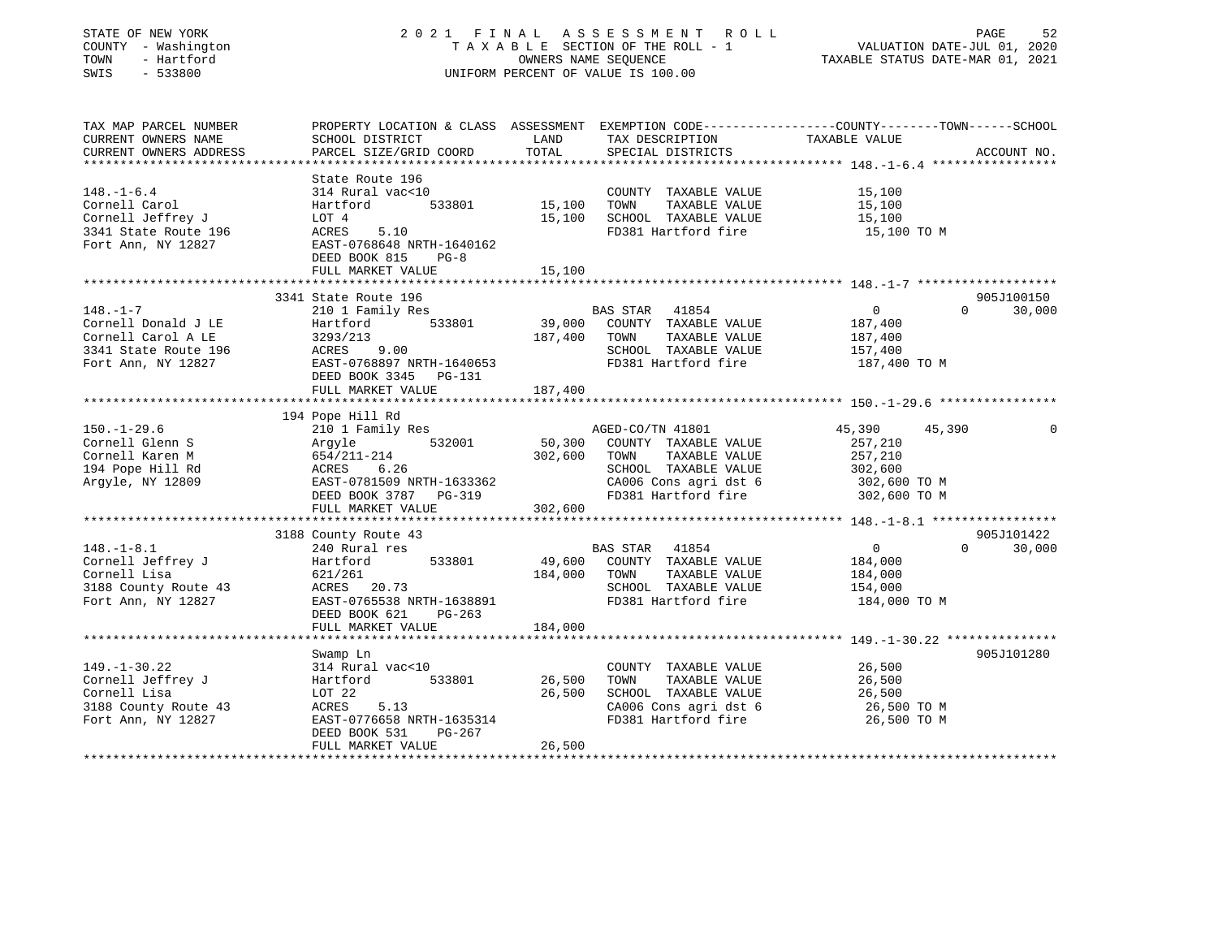| STATE OF NEW YORK<br>COUNTY - Washington<br>- Hartford<br>TOWN<br>SWIS<br>$-533800$                                                                                                   |                                                                                                                                                                                            |                         | 2021 FINAL ASSESSMENT ROLL<br>TAXABLE SECTION OF THE ROLL - 1<br>OWNERS NAME SEQUENCE<br>UNIFORM PERCENT OF VALUE IS 100.00                                                     | PAGE<br>52<br>VALUATION DATE-JUL 01, 2020<br>TAXABLE STATUS DATE-MAR 01, 2021                                 |
|---------------------------------------------------------------------------------------------------------------------------------------------------------------------------------------|--------------------------------------------------------------------------------------------------------------------------------------------------------------------------------------------|-------------------------|---------------------------------------------------------------------------------------------------------------------------------------------------------------------------------|---------------------------------------------------------------------------------------------------------------|
| TAX MAP PARCEL NUMBER<br>CURRENT OWNERS NAME<br>CURRENT OWNERS ADDRESS                                                                                                                | SCHOOL DISTRICT<br>PARCEL SIZE/GRID COORD                                                                                                                                                  | LAND<br>TOTAL           | TAX DESCRIPTION TAXABLE VALUE<br>SPECIAL DISTRICTS<br>SPECIAL DISTRICTS                                                                                                         | PROPERTY LOCATION & CLASS ASSESSMENT EXEMPTION CODE---------------COUNTY-------TOWN-----SCHOOL<br>ACCOUNT NO. |
| $148. - 1 - 6.4$<br>Cornell Carol<br>Cornell Jeffrey J<br>3341 State Route 196<br>Fort Ann, NY 12827                                                                                  | State Route 196<br>314 Rural vac<10<br>Hartford 533801 15,100<br>LOT 4<br>$\frac{\text{NOT} 4}{\text{ACRES}}$ 5.10<br>EAST-0768648 NRTH-1640162<br>DEED BOOK 815 PG-8<br>FULL MARKET VALUE | 15,100<br>15,100        | COUNTY TAXABLE VALUE<br>TAXABLE VALUE<br>TOWN<br>SCHOOL TAXABLE VALUE<br>FD381 Hartford fire                                                                                    | 15,100<br>15,100<br>15,100<br>15,100 TO M                                                                     |
|                                                                                                                                                                                       |                                                                                                                                                                                            |                         |                                                                                                                                                                                 |                                                                                                               |
| $148. - 1 - 7$<br>Cornell Donald J LE<br>Cornell Carol A LE<br>3293/213 187,400<br>3341 State Route 196 ACRES<br>Fort Ann, NY 12827 EAST-0768897 NRTH-1640653<br>EEST-07683745 PC-131 | 3341 State Route 196<br>210 1 Family Res<br>Hartford 533801<br>DEED BOOK 3345 PG-131                                                                                                       |                         | <b>BAS STAR</b> 41854<br>11094<br>39,000 COUNTY TAXABLE VALUE<br>187,400 TOWN TAXABLE VALUE<br>SCHOOL TAXABLE VALUE<br>FD381 Hartford fire                                      | 905J100150<br>$\overline{0}$<br>$0 \t 30,000$<br>187,400<br>187,400<br>157,400<br>187,400 TO M                |
|                                                                                                                                                                                       | FULL MARKET VALUE                                                                                                                                                                          | 187,400                 |                                                                                                                                                                                 |                                                                                                               |
|                                                                                                                                                                                       |                                                                                                                                                                                            |                         |                                                                                                                                                                                 |                                                                                                               |
| $150. - 1 - 29.6$<br>Cornell Glenn S<br>Cornell Karen M<br>194 Pope Hill Rd<br>Argyle, NY 12809                                                                                       | 194 Pope Hill Rd<br>210 1 Family Res<br>Argyle 532001 50,300<br>654/211-214 302,600<br>ACRES 6.26<br>EAST-0781509 NRTH-1633362<br>DEED BOOK 3787 PG-319<br>FULL MARKET VALUE               | 302,600                 | AGED-CO/TN 41801<br>50,300 COUNTY TAXABLE VALUE<br>302,600 TOWN TAXABLE VALUE<br>SCHOOL TAXABLE VALUE<br>CA006 Cons agri dst 6 302,600 TO M<br>FD381 Hartford fire 302,600 TO M | 45,390<br>45,390<br>257,210<br>257,210<br>302,600                                                             |
|                                                                                                                                                                                       |                                                                                                                                                                                            |                         |                                                                                                                                                                                 |                                                                                                               |
| $148. - 1 - 8.1$<br>Cornell Jeffrey J<br>Cornell Lisa 621/261 533801<br>3188 County Route 43<br>Fort Ann, NY 12827                                                                    | 3188 County Route 43<br>240 Rural res<br>$ACRES$ 20.73<br>$FCRES$ 20.73<br>EAST-0765538 NRTH-1638891<br>DEED BOOK 621 PG-263<br>FULL MARKET VALUE                                          | 184,000 TOWN<br>184,000 | BAS STAR 41854<br>49,600 COUNTY TAXABLE VALUE<br>TAXABLE VALUE<br>SCHOOL TAXABLE VALUE<br>FD381 Hartford fire                                                                   | 905J101422<br>$\overline{0}$<br>$0 \t 30,000$<br>184,000<br>184,000<br>154,000<br>184,000 TO M                |
|                                                                                                                                                                                       |                                                                                                                                                                                            |                         |                                                                                                                                                                                 |                                                                                                               |
| $149. - 1 - 30.22$<br>Cornell Jeffrey J<br>Cornell Lisa<br>3188 County Route 43<br>Fort Ann, NY 12827                                                                                 | Swamp Ln<br>314 Rural vac<10<br>Hartford 533801 26,500<br>LOT 22<br>5.13<br>ACRES<br>ACRES 5.13<br>EAST-0776658 NRTH-1635314<br>DEED BOOK 531<br>PG-267                                    | 26,500                  | COUNTY TAXABLE VALUE<br>TOWN<br>TAXABLE VALUE<br>SCHOOL TAXABLE VALUE<br>CA006 Cons agri dst 6<br>$FD381$ Hartford fire 26,500 TO M                                             | 905J101280<br>26,500<br>26,500<br>26,500<br>26,500 TO M                                                       |
|                                                                                                                                                                                       | FULL MARKET VALUE                                                                                                                                                                          | 26,500                  |                                                                                                                                                                                 |                                                                                                               |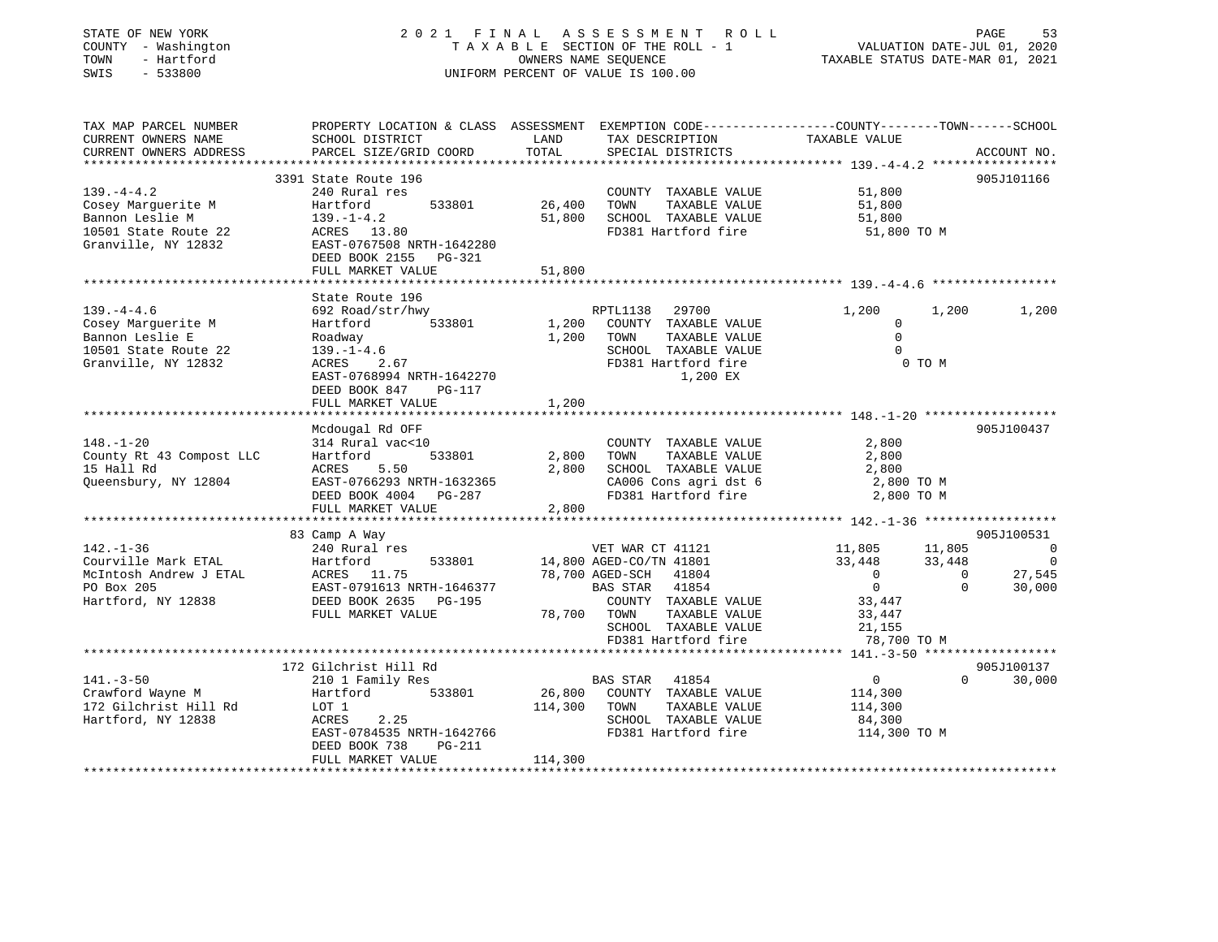| STATE OF NEW YORK<br>COUNTY - Washington<br>TOWN<br>- Hartford<br>$-533800$<br>SWIS | 2021 FINAL                                                                                                                                   |                  | A S S E S S M E N T R O L L<br>TAXABLE SECTION OF THE ROLL - 1<br>OWNERS NAME SEQUENCE<br>UNIFORM PERCENT OF VALUE IS 100.00 | VALUATION DATE-JUL 01, 2020<br>TAXABLE STATUS DATE-MAR 01, 2021 |                       | PAGE<br>53                 |
|-------------------------------------------------------------------------------------|----------------------------------------------------------------------------------------------------------------------------------------------|------------------|------------------------------------------------------------------------------------------------------------------------------|-----------------------------------------------------------------|-----------------------|----------------------------|
| TAX MAP PARCEL NUMBER<br>CURRENT OWNERS NAME<br>CURRENT OWNERS ADDRESS              | PROPERTY LOCATION & CLASS ASSESSMENT EXEMPTION CODE----------------COUNTY-------TOWN-----SCHOOL<br>SCHOOL DISTRICT<br>PARCEL SIZE/GRID COORD | LAND<br>TOTAL    | TAX DESCRIPTION<br>SPECIAL DISTRICTS                                                                                         | TAXABLE VALUE                                                   |                       | ACCOUNT NO.                |
|                                                                                     |                                                                                                                                              |                  | ************************************** 139.-4-4.2 ******************                                                         |                                                                 |                       |                            |
|                                                                                     | 3391 State Route 196                                                                                                                         |                  |                                                                                                                              |                                                                 |                       | 905J101166                 |
| $139. -4 - 4.2$                                                                     | 240 Rural res                                                                                                                                |                  | COUNTY TAXABLE VALUE                                                                                                         | 51,800                                                          |                       |                            |
| Cosey Marquerite M<br>Bannon Leslie M                                               | Hartford<br>533801<br>$139. - 1 - 4.2$                                                                                                       | 26,400<br>51,800 | TOWN<br>TAXABLE VALUE<br>SCHOOL TAXABLE VALUE                                                                                | 51,800<br>51,800                                                |                       |                            |
| 10501 State Route 22<br>Granville, NY 12832                                         | ACRES 13.80<br>EAST-0767508 NRTH-1642280<br>DEED BOOK 2155 PG-321                                                                            |                  | FD381 Hartford fire                                                                                                          | 51,800 TO M                                                     |                       |                            |
|                                                                                     | FULL MARKET VALUE                                                                                                                            | 51,800           |                                                                                                                              |                                                                 |                       |                            |
|                                                                                     |                                                                                                                                              |                  |                                                                                                                              |                                                                 |                       |                            |
| $139. -4 - 4.6$<br>Cosey Marquerite M                                               | State Route 196<br>692 Road/str/hwy<br>533801<br>Hartford                                                                                    | 1,200            | RPTL1138<br>29700<br>COUNTY TAXABLE VALUE                                                                                    | 1,200<br>$\mathbf 0$                                            | 1,200                 | 1,200                      |
| Bannon Leslie E                                                                     | Roadway                                                                                                                                      | 1,200            | TOWN<br>TAXABLE VALUE                                                                                                        | $\mathbf 0$                                                     |                       |                            |
| 10501 State Route 22                                                                | $139. - 1 - 4.6$                                                                                                                             |                  | SCHOOL TAXABLE VALUE                                                                                                         | $\mathbf 0$                                                     |                       |                            |
| Granville, NY 12832                                                                 | ACRES<br>2.67<br>EAST-0768994 NRTH-1642270<br>DEED BOOK 847<br>PG-117                                                                        |                  | FD381 Hartford fire<br>1,200 EX                                                                                              |                                                                 | 0 TO M                |                            |
|                                                                                     | FULL MARKET VALUE<br>* * * * * * * * * * * * * * * * * * *                                                                                   | 1,200            |                                                                                                                              |                                                                 |                       |                            |
|                                                                                     | Mcdougal Rd OFF                                                                                                                              |                  |                                                                                                                              |                                                                 |                       | 905J100437                 |
| $148. - 1 - 20$                                                                     | 314 Rural vac<10                                                                                                                             |                  | COUNTY TAXABLE VALUE                                                                                                         | 2,800                                                           |                       |                            |
| County Rt 43 Compost LLC                                                            | 533801<br>Hartford                                                                                                                           | 2,800            | TOWN<br>TAXABLE VALUE                                                                                                        | 2,800                                                           |                       |                            |
| 15 Hall Rd                                                                          | ACRES<br>5.50                                                                                                                                | 2,800            | SCHOOL TAXABLE VALUE                                                                                                         | 2,800                                                           |                       |                            |
| Queensbury, NY 12804                                                                | EAST-0766293 NRTH-1632365                                                                                                                    |                  | CA006 Cons agri dst 6                                                                                                        | 2,800 TO M                                                      |                       |                            |
|                                                                                     | DEED BOOK 4004 PG-287                                                                                                                        |                  | FD381 Hartford fire                                                                                                          | 2,800 TO M                                                      |                       |                            |
|                                                                                     | FULL MARKET VALUE                                                                                                                            | 2,800            |                                                                                                                              |                                                                 |                       |                            |
|                                                                                     | **********************                                                                                                                       |                  | *********************                                                                                                        | ********************* 142.-1-36 *******************             |                       |                            |
|                                                                                     | 83 Camp A Way                                                                                                                                |                  |                                                                                                                              |                                                                 |                       | 905J100531                 |
| $142. - 1 - 36$<br>Courville Mark ETAL                                              | 240 Rural res                                                                                                                                |                  | VET WAR CT 41121                                                                                                             | 11,805                                                          | 11,805                | $\Omega$<br>$\overline{0}$ |
| McIntosh Andrew J ETAL                                                              | Hartford<br>533801<br>ACRES 11.75                                                                                                            |                  | 14,800 AGED-CO/TN 41801<br>78,700 AGED-SCH<br>41804                                                                          | 33,448<br>$\overline{0}$                                        | 33,448<br>$\mathbf 0$ | 27,545                     |
| PO Box 205                                                                          | EAST-0791613 NRTH-1646377                                                                                                                    |                  | BAS STAR<br>41854                                                                                                            | $\mathbf 0$                                                     | $\mathbf 0$           | 30,000                     |
| Hartford, NY 12838                                                                  | DEED BOOK 2635<br>PG-195                                                                                                                     |                  | COUNTY TAXABLE VALUE                                                                                                         | 33,447                                                          |                       |                            |
|                                                                                     | FULL MARKET VALUE                                                                                                                            | 78,700           | TOWN<br>TAXABLE VALUE                                                                                                        | 33,447                                                          |                       |                            |
|                                                                                     |                                                                                                                                              |                  | SCHOOL TAXABLE VALUE                                                                                                         | 21,155                                                          |                       |                            |
|                                                                                     |                                                                                                                                              |                  | FD381 Hartford fire                                                                                                          | 78,700 TO M                                                     |                       |                            |
|                                                                                     |                                                                                                                                              |                  |                                                                                                                              |                                                                 |                       |                            |
|                                                                                     | 172 Gilchrist Hill Rd                                                                                                                        |                  |                                                                                                                              |                                                                 |                       | 905J100137                 |
| $141. - 3 - 50$                                                                     | 210 1 Family Res                                                                                                                             |                  | <b>BAS STAR</b><br>41854                                                                                                     | $\overline{0}$                                                  | $\Omega$              | 30,000                     |
| Crawford Wayne M                                                                    | 533801<br>Hartford                                                                                                                           | 26,800           | COUNTY TAXABLE VALUE                                                                                                         | 114,300                                                         |                       |                            |
| 172 Gilchrist Hill Rd                                                               | LOT 1                                                                                                                                        | 114,300          | TOWN<br>TAXABLE VALUE                                                                                                        | 114,300                                                         |                       |                            |
| Hartford, NY 12838                                                                  | 2.25<br>ACRES                                                                                                                                |                  | SCHOOL TAXABLE VALUE                                                                                                         | 84,300                                                          |                       |                            |
|                                                                                     | EAST-0784535 NRTH-1642766<br>DEED BOOK 738<br>PG-211<br>FULL MARKET VALUE                                                                    | 114,300          | FD381 Hartford fire                                                                                                          | 114,300 TO M                                                    |                       |                            |
|                                                                                     |                                                                                                                                              |                  |                                                                                                                              |                                                                 |                       |                            |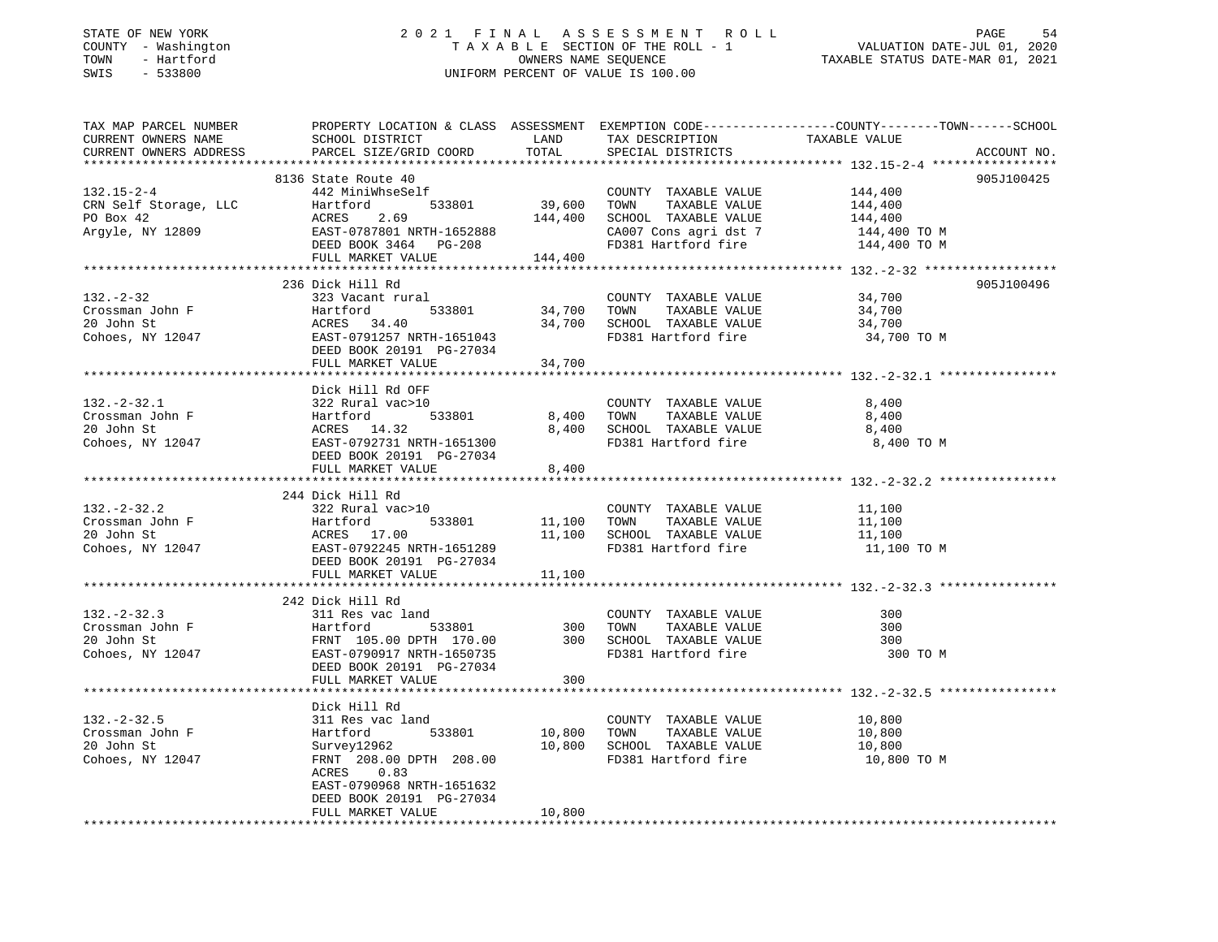### STATE OF NEW YORK 2 0 2 1 F I N A L A S S E S S M E N T R O L L PAGE 54 COUNTY - Washington T A X A B L E SECTION OF THE ROLL - 1 VALUATION DATE-JUL 01, 2020 TOWN - Hartford OWNERS NAME SEQUENCE TAXABLE STATUS DATE-MAR 01, 2021 SWIS - 533800 UNIFORM PERCENT OF VALUE IS 100.00

TAX MAP PARCEL NUMBER PROPERTY LOCATION & CLASS ASSESSMENT EXEMPTION CODE------------------COUNTY--------TOWN------SCHOOL CURRENT OWNERS NAME SCHOOL DISTRICT THE LAND TAX DESCRIPTION TAXABLE VALUE CURRENT OWNERS ADDRESS PARCEL SIZE/GRID COORD TOTAL SPECIAL DISTRICTS ACCOUNT NO. \*\*\*\*\*\*\*\*\*\*\*\*\*\*\*\*\*\*\*\*\*\*\*\*\*\*\*\*\*\*\*\*\*\*\*\*\*\*\*\*\*\*\*\*\*\*\*\*\*\*\*\*\*\*\*\*\*\*\*\*\*\*\*\*\*\*\*\*\*\*\*\*\*\*\*\*\*\*\*\*\*\*\*\*\*\*\*\*\*\*\*\*\*\*\*\*\*\*\*\*\*\*\* 132.15-2-4 \*\*\*\*\*\*\*\*\*\*\*\*\*\*\*\*\* 8136 State Route 40 905J100425 132.15-2-4 442 MiniWhseSelf COUNTY TAXABLE VALUE 144,400 CRN Self Storage, LLC Hartford 533801 39,600 TOWN TAXABLE VALUE 144,400 PO Box 42 ACRES 2.69 144,400 SCHOOL TAXABLE VALUE 144,400 Argyle, NY 12809 EAST-0787801 NRTH-1652888 CA007 Cons agri dst 7 144,400 TO M DEED BOOK 3464 PG-208 FD381 Hartford fire 144,400 TO M FULL MARKET VALUE 144,400 \*\*\*\*\*\*\*\*\*\*\*\*\*\*\*\*\*\*\*\*\*\*\*\*\*\*\*\*\*\*\*\*\*\*\*\*\*\*\*\*\*\*\*\*\*\*\*\*\*\*\*\*\*\*\*\*\*\*\*\*\*\*\*\*\*\*\*\*\*\*\*\*\*\*\*\*\*\*\*\*\*\*\*\*\*\*\*\*\*\*\*\*\*\*\*\*\*\*\*\*\*\*\* 132.-2-32 \*\*\*\*\*\*\*\*\*\*\*\*\*\*\*\*\*\* 236 Dick Hill Rd 905J100496132.-2-32 323 Vacant rural COUNTY TAXABLE VALUE 34,700 Crossman John F Hartford 533801 34,700 TOWN TAXABLE VALUE 34,700 20 John St ACRES 34.40 34,700 SCHOOL TAXABLE VALUE 34,700 Cohoes, NY 12047 EAST-0791257 NRTH-1651043 FD381 Hartford fire 34,700 TO M DEED BOOK 20191 PG-27034 FULL MARKET VALUE 34,700 \*\*\*\*\*\*\*\*\*\*\*\*\*\*\*\*\*\*\*\*\*\*\*\*\*\*\*\*\*\*\*\*\*\*\*\*\*\*\*\*\*\*\*\*\*\*\*\*\*\*\*\*\*\*\*\*\*\*\*\*\*\*\*\*\*\*\*\*\*\*\*\*\*\*\*\*\*\*\*\*\*\*\*\*\*\*\*\*\*\*\*\*\*\*\*\*\*\*\*\*\*\*\* 132.-2-32.1 \*\*\*\*\*\*\*\*\*\*\*\*\*\*\*\* Dick Hill Rd OFF322 Rural vac>10 132.-2-32.1 322 Rural vac>10 COUNTY TAXABLE VALUE 8,400 Crossman John F Hartford 533801 8,400 TOWN TAXABLE VALUE 8,400 20 John St ACRES 14.32 8,400 SCHOOL TAXABLE VALUE 8,400 Cohoes, NY 12047 EAST-0792731 NRTH-1651300 FD381 Hartford fire 8,400 TO M DEED BOOK 20191 PG-27034  $FULL$  MARKET VALUE  $8,400$ \*\*\*\*\*\*\*\*\*\*\*\*\*\*\*\*\*\*\*\*\*\*\*\*\*\*\*\*\*\*\*\*\*\*\*\*\*\*\*\*\*\*\*\*\*\*\*\*\*\*\*\*\*\*\*\*\*\*\*\*\*\*\*\*\*\*\*\*\*\*\*\*\*\*\*\*\*\*\*\*\*\*\*\*\*\*\*\*\*\*\*\*\*\*\*\*\*\*\*\*\*\*\* 132.-2-32.2 \*\*\*\*\*\*\*\*\*\*\*\*\*\*\*\* 244 Dick Hill Rd 132.-2-32.2 322 Rural vac>10 COUNTY TAXABLE VALUE 11,100 Crossman John F Hartford 533801 11,100 TOWN TAXABLE VALUE 11,100 20 John St ACRES 17.00 11,100 SCHOOL TAXABLE VALUE 11,100 Cohoes, NY 12047 **EAST-0792245 NRTH-1651289** FD381 Hartford fire 11,100 TO M DEED BOOK 20191 PG-27034FULL MARKET VALUE 11,100 \*\*\*\*\*\*\*\*\*\*\*\*\*\*\*\*\*\*\*\*\*\*\*\*\*\*\*\*\*\*\*\*\*\*\*\*\*\*\*\*\*\*\*\*\*\*\*\*\*\*\*\*\*\*\*\*\*\*\*\*\*\*\*\*\*\*\*\*\*\*\*\*\*\*\*\*\*\*\*\*\*\*\*\*\*\*\*\*\*\*\*\*\*\*\*\*\*\*\*\*\*\*\* 132.-2-32.3 \*\*\*\*\*\*\*\*\*\*\*\*\*\*\*\* 242 Dick Hill Rd 132.-2-32.3 311 Res vac land COUNTY TAXABLE VALUE 300Crossman John F Hartford 533801 300 TOWN TAXABLE VALUE 30020 John St FRNT 105.00 DPTH 170.00 300 SCHOOL TAXABLE VALUE 300Cohoes, NY 12047 EAST-0790917 NRTH-1650735 FD381 Hartford fire 300 TO M DEED BOOK 20191 PG-27034 FULL MARKET VALUE 300 \*\*\*\*\*\*\*\*\*\*\*\*\*\*\*\*\*\*\*\*\*\*\*\*\*\*\*\*\*\*\*\*\*\*\*\*\*\*\*\*\*\*\*\*\*\*\*\*\*\*\*\*\*\*\*\*\*\*\*\*\*\*\*\*\*\*\*\*\*\*\*\*\*\*\*\*\*\*\*\*\*\*\*\*\*\*\*\*\*\*\*\*\*\*\*\*\*\*\*\*\*\*\* 132.-2-32.5 \*\*\*\*\*\*\*\*\*\*\*\*\*\*\*\* Dick Hill Rd311 Res vac land 132.-2-32.5 311 Res vac land COUNTY TAXABLE VALUE 10,800 Crossman John F Hartford 533801 10,800 TOWN TAXABLE VALUE 10,800 20 John St Survey12962 10,800 SCHOOL TAXABLE VALUE 10,800 Cohoes, NY 12047 FRNT 208.00 DPTH 208.00 FD381 Hartford fire 10,800 TO M ACRES 0.83 EAST-0790968 NRTH-1651632 DEED BOOK 20191 PG-27034FULL MARKET VALUE 10,800 \*\*\*\*\*\*\*\*\*\*\*\*\*\*\*\*\*\*\*\*\*\*\*\*\*\*\*\*\*\*\*\*\*\*\*\*\*\*\*\*\*\*\*\*\*\*\*\*\*\*\*\*\*\*\*\*\*\*\*\*\*\*\*\*\*\*\*\*\*\*\*\*\*\*\*\*\*\*\*\*\*\*\*\*\*\*\*\*\*\*\*\*\*\*\*\*\*\*\*\*\*\*\*\*\*\*\*\*\*\*\*\*\*\*\*\*\*\*\*\*\*\*\*\*\*\*\*\*\*\*\*\*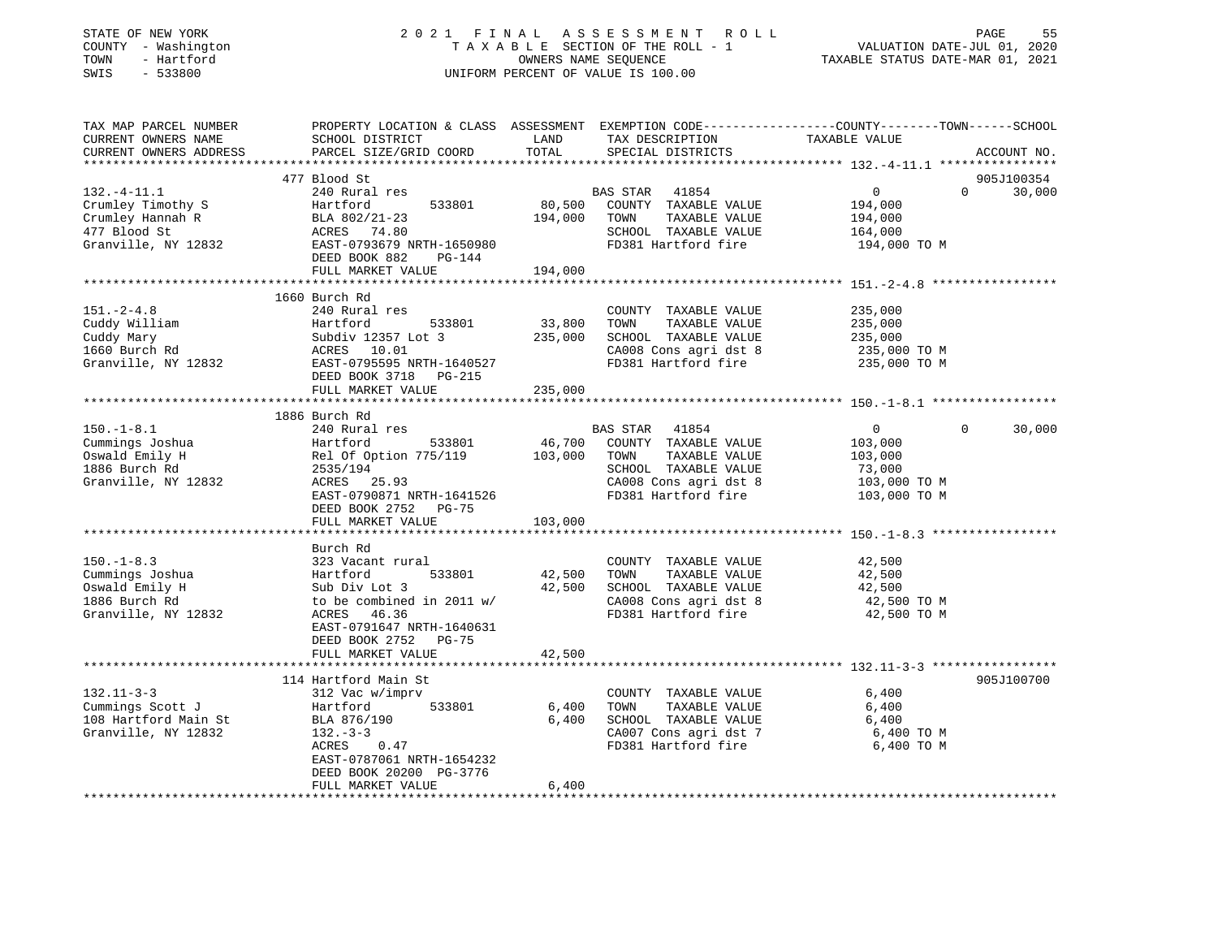| STATE OF NEW YORK<br>COUNTY - Washington<br>- Hartford<br>TOWN<br>SWIS<br>$-533800$ |                                           |                        | 2021 FINAL ASSESSMENT<br>R O L L<br>TAXABLE SECTION OF THE ROLL - 1<br>OWNERS NAME SEQUENCE<br>UNIFORM PERCENT OF VALUE IS 100.00 | 55<br>PAGE<br>VALUATION DATE-JUL 01, 2020<br>TAXABLE STATUS DATE-MAR 01, 2021                                                    |
|-------------------------------------------------------------------------------------|-------------------------------------------|------------------------|-----------------------------------------------------------------------------------------------------------------------------------|----------------------------------------------------------------------------------------------------------------------------------|
| TAX MAP PARCEL NUMBER<br>CURRENT OWNERS NAME<br>CURRENT OWNERS ADDRESS              | SCHOOL DISTRICT<br>PARCEL SIZE/GRID COORD | LAND<br>TOTAL          | TAX DESCRIPTION<br>SPECIAL DISTRICTS                                                                                              | PROPERTY LOCATION & CLASS ASSESSMENT EXEMPTION CODE----------------COUNTY-------TOWN------SCHOOL<br>TAXABLE VALUE<br>ACCOUNT NO. |
|                                                                                     | 477 Blood St                              |                        |                                                                                                                                   | 905J100354                                                                                                                       |
| $132. -4 - 11.1$                                                                    | 240 Rural res                             |                        | <b>BAS STAR</b><br>41854                                                                                                          | $\overline{0}$<br>$\Omega$<br>30,000                                                                                             |
| Crumley Timothy S                                                                   | 533801<br>Hartford                        | 80,500                 | COUNTY TAXABLE VALUE                                                                                                              | 194,000                                                                                                                          |
| Crumley Hannah R                                                                    | BLA 802/21-23                             | 194,000                | TOWN<br>TAXABLE VALUE                                                                                                             | 194,000                                                                                                                          |
| 477 Blood St                                                                        | ACRES 74.80                               |                        | SCHOOL TAXABLE VALUE                                                                                                              | 164,000                                                                                                                          |
| Granville, NY 12832                                                                 | EAST-0793679 NRTH-1650980                 |                        | FD381 Hartford fire                                                                                                               | 194,000 TO M                                                                                                                     |
|                                                                                     | DEED BOOK 882<br>PG-144                   |                        |                                                                                                                                   |                                                                                                                                  |
|                                                                                     | FULL MARKET VALUE                         | 194,000                |                                                                                                                                   |                                                                                                                                  |
|                                                                                     |                                           |                        |                                                                                                                                   |                                                                                                                                  |
|                                                                                     | 1660 Burch Rd                             |                        |                                                                                                                                   |                                                                                                                                  |
| $151. - 2 - 4.8$<br>Cuddy William                                                   | 240 Rural res<br>533801<br>Hartford       | 33,800                 | COUNTY TAXABLE VALUE<br>TOWN<br>TAXABLE VALUE                                                                                     | 235,000<br>235,000                                                                                                               |
| Cuddy Mary                                                                          | Subdiv 12357 Lot 3                        | 235,000                | SCHOOL TAXABLE VALUE                                                                                                              | 235,000                                                                                                                          |
| 1660 Burch Rd                                                                       | ACRES 10.01                               |                        | CA008 Cons agri dst 8                                                                                                             | 235,000 TO M                                                                                                                     |
| Granville, NY 12832                                                                 | EAST-0795595 NRTH-1640527                 |                        | FD381 Hartford fire                                                                                                               | 235,000 TO M                                                                                                                     |
|                                                                                     | DEED BOOK 3718<br>PG-215                  |                        |                                                                                                                                   |                                                                                                                                  |
|                                                                                     | FULL MARKET VALUE                         | 235,000                |                                                                                                                                   |                                                                                                                                  |
|                                                                                     |                                           |                        |                                                                                                                                   |                                                                                                                                  |
|                                                                                     | 1886 Burch Rd                             |                        |                                                                                                                                   |                                                                                                                                  |
| $150. - 1 - 8.1$                                                                    | 240 Rural res                             |                        | 41854<br>BAS STAR                                                                                                                 | $\Omega$<br>$\Omega$<br>30,000                                                                                                   |
| Cummings Joshua                                                                     | Hartford<br>533801                        | 46,700                 | COUNTY TAXABLE VALUE                                                                                                              | 103,000                                                                                                                          |
| Oswald Emily H                                                                      | Rel Of Option 775/119                     | 103,000                | TOWN<br>TAXABLE VALUE                                                                                                             | 103,000                                                                                                                          |
| 1886 Burch Rd                                                                       | 2535/194                                  |                        | SCHOOL TAXABLE VALUE                                                                                                              | 73,000                                                                                                                           |
| Granville, NY 12832                                                                 | ACRES 25.93                               |                        | CA008 Cons agri dst 8                                                                                                             | 103,000 TO M                                                                                                                     |
|                                                                                     | EAST-0790871 NRTH-1641526                 |                        | FD381 Hartford fire                                                                                                               | 103,000 TO M                                                                                                                     |
|                                                                                     | DEED BOOK 2752 PG-75                      |                        |                                                                                                                                   |                                                                                                                                  |
|                                                                                     | FULL MARKET VALUE                         | 103,000<br>*********** |                                                                                                                                   |                                                                                                                                  |
|                                                                                     | Burch Rd                                  |                        |                                                                                                                                   |                                                                                                                                  |
| $150. - 1 - 8.3$                                                                    | 323 Vacant rural                          |                        | COUNTY TAXABLE VALUE                                                                                                              | 42,500                                                                                                                           |
| Cummings Joshua                                                                     | Hartford<br>533801                        | 42,500                 | TOWN<br>TAXABLE VALUE                                                                                                             | 42,500                                                                                                                           |
| Oswald Emily H                                                                      | Sub Div Lot 3                             | 42,500                 | SCHOOL TAXABLE VALUE                                                                                                              | 42,500                                                                                                                           |
| 1886 Burch Rd                                                                       | to be combined in 2011 w/                 |                        | CA008 Cons agri dst 8                                                                                                             | 42,500 TO M                                                                                                                      |
| Granville, NY 12832                                                                 | ACRES 46.36                               |                        | FD381 Hartford fire                                                                                                               | 42,500 TO M                                                                                                                      |
|                                                                                     | EAST-0791647 NRTH-1640631                 |                        |                                                                                                                                   |                                                                                                                                  |
|                                                                                     | DEED BOOK 2752<br>$PG-75$                 |                        |                                                                                                                                   |                                                                                                                                  |
|                                                                                     | FULL MARKET VALUE                         | 42,500                 |                                                                                                                                   |                                                                                                                                  |
|                                                                                     |                                           |                        |                                                                                                                                   |                                                                                                                                  |
|                                                                                     | 114 Hartford Main St                      |                        |                                                                                                                                   | 905J100700                                                                                                                       |
| $132.11 - 3 - 3$                                                                    | 312 Vac w/imprv                           |                        | COUNTY TAXABLE VALUE                                                                                                              | 6,400                                                                                                                            |
| Cummings Scott J                                                                    | Hartford<br>533801                        | 6,400                  | TOWN<br>TAXABLE VALUE                                                                                                             | 6,400                                                                                                                            |
| 108 Hartford Main St<br>Granville, NY 12832                                         | BLA 876/190<br>$132 - 3 - 3$              | 6,400                  | SCHOOL TAXABLE VALUE                                                                                                              | 6,400                                                                                                                            |
|                                                                                     | ACRES<br>0.47                             |                        | CA007 Cons agri dst 7<br>FD381 Hartford fire                                                                                      | 6,400 TO M<br>6,400 TO M                                                                                                         |
|                                                                                     | EAST-0787061 NRTH-1654232                 |                        |                                                                                                                                   |                                                                                                                                  |
|                                                                                     | DEED BOOK 20200 PG-3776                   |                        |                                                                                                                                   |                                                                                                                                  |
|                                                                                     | FULL MARKET VALUE                         | 6,400                  |                                                                                                                                   |                                                                                                                                  |
|                                                                                     | ****************                          |                        |                                                                                                                                   |                                                                                                                                  |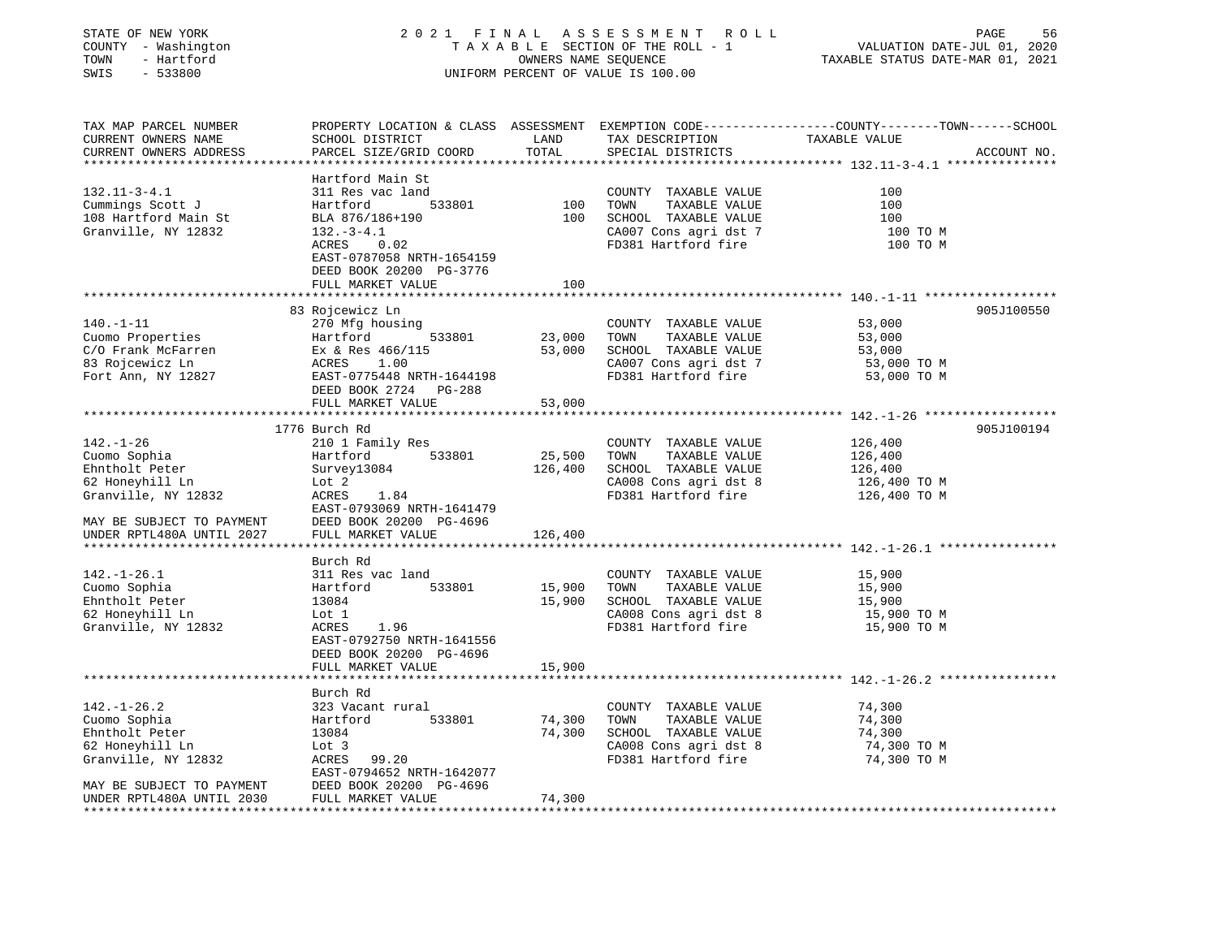| STATE OF NEW YORK<br>COUNTY - Washington<br>TOWN<br>- Hartford<br>SWIS<br>$-533800$                                                                   |                                                                                                                                                                                             | OWNERS NAME SEQUENCE         | 2021 FINAL ASSESSMENT ROLL<br>TAXABLE SECTION OF THE ROLL - 1<br>UNIFORM PERCENT OF VALUE IS 100.00                   | PAGE<br>56<br>VALUATION DATE-JUL 01, 2020<br>TAXABLE STATUS DATE-MAR 01, 2021                                                   |
|-------------------------------------------------------------------------------------------------------------------------------------------------------|---------------------------------------------------------------------------------------------------------------------------------------------------------------------------------------------|------------------------------|-----------------------------------------------------------------------------------------------------------------------|---------------------------------------------------------------------------------------------------------------------------------|
| TAX MAP PARCEL NUMBER<br>CURRENT OWNERS NAME<br>CURRENT OWNERS ADDRESS<br>**********************                                                      | SCHOOL DISTRICT<br>PARCEL SIZE/GRID COORD                                                                                                                                                   | LAND<br>TOTAL                | TAX DESCRIPTION<br>SPECIAL DISTRICTS                                                                                  | PROPERTY LOCATION & CLASS ASSESSMENT EXEMPTION CODE---------------COUNTY-------TOWN------SCHOOL<br>TAXABLE VALUE<br>ACCOUNT NO. |
| $132.11 - 3 - 4.1$<br>Cummings Scott J<br>108 Hartford Main St<br>Granville, NY 12832                                                                 | Hartford Main St<br>311 Res vac land<br>Hartford<br>533801<br>BLA 876/186+190<br>$132.-3-4.1$<br>ACRES<br>0.02<br>EAST-0787058 NRTH-1654159<br>DEED BOOK 20200 PG-3776<br>FULL MARKET VALUE | 100<br>100<br>100            | COUNTY TAXABLE VALUE<br>TOWN<br>TAXABLE VALUE<br>SCHOOL TAXABLE VALUE<br>CA007 Cons agri dst 7<br>FD381 Hartford fire | 100<br>100<br>100<br>100 TO M<br>100 TO M                                                                                       |
|                                                                                                                                                       |                                                                                                                                                                                             |                              |                                                                                                                       |                                                                                                                                 |
| $140. - 1 - 11$<br>Cuomo Properties<br>C/O Frank McFarren<br>83 Rojcewicz Ln<br>Fort Ann, NY 12827                                                    | 83 Rojcewicz Ln<br>270 Mfg housing<br>Hartford<br>533801<br>Ex & Res 466/115<br>ACRES<br>1.00<br>EAST-0775448 NRTH-1644198<br>DEED BOOK 2724 PG-288<br>FULL MARKET VALUE                    | 23,000<br>53,000<br>53,000   | COUNTY TAXABLE VALUE<br>TOWN<br>TAXABLE VALUE<br>SCHOOL TAXABLE VALUE<br>CA007 Cons agri dst 7<br>FD381 Hartford fire | 905J100550<br>53,000<br>53,000<br>53,000<br>53,000 TO M<br>53,000 TO M                                                          |
|                                                                                                                                                       |                                                                                                                                                                                             |                              |                                                                                                                       |                                                                                                                                 |
| $142. - 1 - 26$<br>Cuomo Sophia<br>Ehntholt Peter<br>62 Honeyhill Ln<br>Granville, NY 12832<br>MAY BE SUBJECT TO PAYMENT<br>UNDER RPTL480A UNTIL 2027 | 1776 Burch Rd<br>210 1 Family Res<br>533801<br>Hartford<br>Survey13084<br>Lot 2<br>ACRES<br>1.84<br>EAST-0793069 NRTH-1641479<br>DEED BOOK 20200 PG-4696<br>FULL MARKET VALUE               | 25,500<br>126,400<br>126,400 | COUNTY TAXABLE VALUE<br>TOWN<br>TAXABLE VALUE<br>SCHOOL TAXABLE VALUE<br>CA008 Cons agri dst 8<br>FD381 Hartford fire | 905J100194<br>126,400<br>126,400<br>126,400<br>126,400 ТО М<br>126,400 TO M                                                     |
| ******************************                                                                                                                        | ******************                                                                                                                                                                          |                              |                                                                                                                       | *********************************** 142.-1-26.1 *****************                                                               |
| $142. - 1 - 26.1$<br>Cuomo Sophia<br>Ehntholt Peter<br>62 Honeyhill Ln<br>Granville, NY 12832                                                         | Burch Rd<br>311 Res vac land<br>533801<br>Hartford<br>13084<br>Lot 1<br>1.96<br>ACRES<br>EAST-0792750 NRTH-1641556<br>DEED BOOK 20200 PG-4696<br>FULL MARKET VALUE                          | 15,900<br>15,900<br>15,900   | COUNTY TAXABLE VALUE<br>TAXABLE VALUE<br>TOWN<br>SCHOOL TAXABLE VALUE<br>CA008 Cons agri dst 8<br>FD381 Hartford fire | 15,900<br>15,900<br>15,900<br>15,900 TO M<br>15,900 TO M                                                                        |
|                                                                                                                                                       | * * * * * * * * * * * * * * * * * * *                                                                                                                                                       |                              |                                                                                                                       | ********************************* 142.-1-26.2 ************                                                                      |
| $142. - 1 - 26.2$<br>Cuomo Sophia<br>Ehntholt Peter<br>62 Honeyhill Ln<br>Granville, NY 12832                                                         | Burch Rd<br>323 Vacant rural<br>Hartford<br>533801<br>13084<br>Lot 3<br>99.20<br>ACRES                                                                                                      | 74,300<br>74,300             | COUNTY TAXABLE VALUE<br>TOWN<br>TAXABLE VALUE<br>SCHOOL TAXABLE VALUE<br>CA008 Cons agri dst 8<br>FD381 Hartford fire | 74,300<br>74,300<br>74,300<br>74,300 TO M<br>74,300 TO M                                                                        |
| MAY BE SUBJECT TO PAYMENT<br>UNDER RPTL480A UNTIL 2030                                                                                                | EAST-0794652 NRTH-1642077<br>DEED BOOK 20200 PG-4696<br>FULL MARKET VALUE                                                                                                                   | 74,300                       |                                                                                                                       |                                                                                                                                 |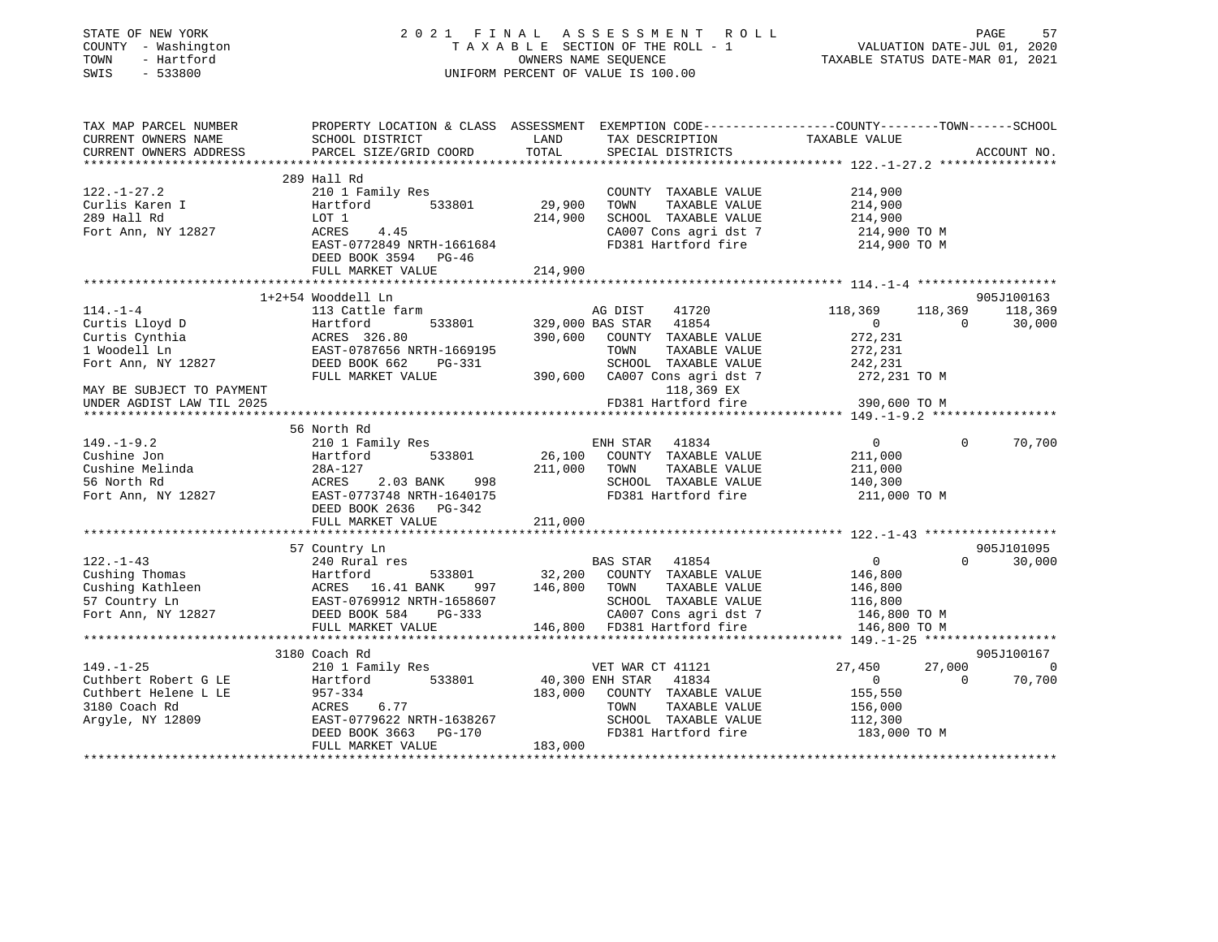| COUNTY - Washington                                                                                                                                                                                   |                                                                                                                                                                                                                                                                                                                                                                                                               |             | T A T IN A L A S S E S S M E N T R O L L<br>T A X A B L E SECTION OF THE ROLL - 1 VALUATION DATE-JUL 01, 2020<br>OWNERS NAME SEQUENCE  TAXABLE STATUS DATE-MAR 01, 2021                          |                         |                 |                    |
|-------------------------------------------------------------------------------------------------------------------------------------------------------------------------------------------------------|---------------------------------------------------------------------------------------------------------------------------------------------------------------------------------------------------------------------------------------------------------------------------------------------------------------------------------------------------------------------------------------------------------------|-------------|--------------------------------------------------------------------------------------------------------------------------------------------------------------------------------------------------|-------------------------|-----------------|--------------------|
| TOWN<br>- Hartford                                                                                                                                                                                    |                                                                                                                                                                                                                                                                                                                                                                                                               |             | OWNERS NAME SEQUENCE<br>UNIFORM PERCENT OF VALUE IS 100.00                                                                                                                                       |                         |                 |                    |
| SWIS<br>$-533800$                                                                                                                                                                                     |                                                                                                                                                                                                                                                                                                                                                                                                               |             |                                                                                                                                                                                                  |                         |                 |                    |
|                                                                                                                                                                                                       |                                                                                                                                                                                                                                                                                                                                                                                                               |             |                                                                                                                                                                                                  |                         |                 |                    |
| TAX MAP PARCEL NUMBER<br>CURRENT OWNERS NAME                                                                                                                                                          | PROPERTY LOCATION & CLASS ASSESSMENT EXEMPTION CODE----------------COUNTY--------TOWN------SCHOOL<br>SCHOOL DISTRICT               LAND       TAX DESCRIPTION               TAXABLE VALUE<br>PARCEL SIZE/GRID COORD         TOTAL                                                                                                                                                                             |             |                                                                                                                                                                                                  |                         |                 |                    |
| CURRENT OWNERS ADDRESS                                                                                                                                                                                |                                                                                                                                                                                                                                                                                                                                                                                                               |             |                                                                                                                                                                                                  |                         |                 |                    |
|                                                                                                                                                                                                       |                                                                                                                                                                                                                                                                                                                                                                                                               |             |                                                                                                                                                                                                  |                         |                 |                    |
|                                                                                                                                                                                                       | 289 Hall Rd                                                                                                                                                                                                                                                                                                                                                                                                   |             |                                                                                                                                                                                                  |                         |                 |                    |
| $122. - 1 - 27.2$                                                                                                                                                                                     | 210 1 Family Res                                                                                                                                                                                                                                                                                                                                                                                              |             |                                                                                                                                                                                                  |                         |                 |                    |
| Curlis Karen I<br>200 Hall Rd                                                                                                                                                                         |                                                                                                                                                                                                                                                                                                                                                                                                               | 29,900 TOWN | $\begin{tabular}{lllllllllllll} \multicolumn{2}{c}{\text{COUNTY}} & \text{TAXABLE VALUE} & & & 214,900 \\ \multicolumn{2}{c}{\text{TOWN}} & \text{TAXABLE VALUE} & & & 214,900 \\ \end{tabular}$ |                         |                 |                    |
|                                                                                                                                                                                                       |                                                                                                                                                                                                                                                                                                                                                                                                               |             | 214,900 SCHOOL TAXABLE VALUE                                                                                                                                                                     |                         |                 |                    |
| Fort Ann, NY 12827                                                                                                                                                                                    | LOT 1<br>ACRES 4.45                                                                                                                                                                                                                                                                                                                                                                                           |             | CA007 Cons agri dst 7                                                                                                                                                                            | 214,900<br>214,900 TO M |                 |                    |
|                                                                                                                                                                                                       | EAST-0772849 NRTH-1661684                                                                                                                                                                                                                                                                                                                                                                                     |             | CA007 Cons agri dst 7<br>FD381 Hartford fire                                                                                                                                                     | 214,900 TO M            |                 |                    |
|                                                                                                                                                                                                       | DEED BOOK 3594 PG-46                                                                                                                                                                                                                                                                                                                                                                                          |             |                                                                                                                                                                                                  |                         |                 |                    |
|                                                                                                                                                                                                       | FULL MARKET VALUE                                                                                                                                                                                                                                                                                                                                                                                             | 214,900     |                                                                                                                                                                                                  |                         |                 |                    |
|                                                                                                                                                                                                       | ***************************                                                                                                                                                                                                                                                                                                                                                                                   |             |                                                                                                                                                                                                  |                         |                 |                    |
|                                                                                                                                                                                                       | 1+2+54 Wooddell Ln                                                                                                                                                                                                                                                                                                                                                                                            |             |                                                                                                                                                                                                  |                         |                 | 905J100163         |
|                                                                                                                                                                                                       | 114.-1-4<br>Curtis Lloyd D<br>Curtis Cynthia Hartford 533801 329,000 BAS STAR 41854<br>Curtis Cynthia ACRES 326.80<br>1 Woodell Ln EAST-0787656 NRTH-1669195<br>Fort Ann, NY 12827 DEED BOOK 662<br>TOWN TAXABLE VALUE<br>ENDER DOOK 662<br>TO                                                                                                                                                                |             |                                                                                                                                                                                                  | 41720 118,369           | 118,369 118,369 |                    |
|                                                                                                                                                                                                       |                                                                                                                                                                                                                                                                                                                                                                                                               |             |                                                                                                                                                                                                  | $\overline{0}$          | $\overline{0}$  | 30,000             |
|                                                                                                                                                                                                       |                                                                                                                                                                                                                                                                                                                                                                                                               |             |                                                                                                                                                                                                  | 272,231<br>272,231      |                 |                    |
|                                                                                                                                                                                                       |                                                                                                                                                                                                                                                                                                                                                                                                               |             |                                                                                                                                                                                                  |                         |                 |                    |
| Fort Ann, NY 12827                                                                                                                                                                                    |                                                                                                                                                                                                                                                                                                                                                                                                               |             |                                                                                                                                                                                                  | 242,231                 |                 |                    |
|                                                                                                                                                                                                       |                                                                                                                                                                                                                                                                                                                                                                                                               |             |                                                                                                                                                                                                  |                         |                 |                    |
|                                                                                                                                                                                                       |                                                                                                                                                                                                                                                                                                                                                                                                               |             |                                                                                                                                                                                                  |                         |                 |                    |
|                                                                                                                                                                                                       |                                                                                                                                                                                                                                                                                                                                                                                                               |             | 118,369 EX                                                                                                                                                                                       |                         |                 |                    |
|                                                                                                                                                                                                       |                                                                                                                                                                                                                                                                                                                                                                                                               |             | FD381 Hartford fire                                                                                                                                                                              | 390,600 TO M            |                 |                    |
|                                                                                                                                                                                                       |                                                                                                                                                                                                                                                                                                                                                                                                               |             |                                                                                                                                                                                                  |                         |                 |                    |
|                                                                                                                                                                                                       | 56 North Rd                                                                                                                                                                                                                                                                                                                                                                                                   |             |                                                                                                                                                                                                  | $\overline{0}$          | $\Omega$        |                    |
|                                                                                                                                                                                                       | 210 1 Family Res                                                                                                                                                                                                                                                                                                                                                                                              |             | ENH STAR 41834                                                                                                                                                                                   |                         |                 |                    |
|                                                                                                                                                                                                       |                                                                                                                                                                                                                                                                                                                                                                                                               |             |                                                                                                                                                                                                  |                         |                 |                    |
|                                                                                                                                                                                                       |                                                                                                                                                                                                                                                                                                                                                                                                               |             | 26,100 COUNTY TAXABLE VALUE 211,000<br>211,000 TOWN TAXABLE VALUE 211,000<br>211,000 COUNTY TAXABLE VALUE 211,000<br>SCHOOL TAXABLE VALUE                                                        | 140,300                 |                 |                    |
|                                                                                                                                                                                                       |                                                                                                                                                                                                                                                                                                                                                                                                               |             |                                                                                                                                                                                                  |                         |                 | 70,700             |
|                                                                                                                                                                                                       | Cushine Jon<br>Cushine Melinda<br>S5 North Rd<br>Fort Ann, NY 12827<br>The S53801<br>Cushine Melinda<br>28A-127<br>ACRES<br>2.03 BANK<br>28A-17<br>2.03 BANK<br>28A-17<br>2.03 BANK<br>28A-17<br>2.03 BANK<br>28A-17<br>2.03 BANK<br>28A-17<br>2.03 BANK<br>2.03 RAN<br>DEED BOOK 2636 PG-342                                                                                                                 |             | $FD381$ Hartford fire 211,000 TO M                                                                                                                                                               |                         |                 |                    |
|                                                                                                                                                                                                       | FULL MARKET VALUE                                                                                                                                                                                                                                                                                                                                                                                             | 211,000     |                                                                                                                                                                                                  |                         |                 |                    |
|                                                                                                                                                                                                       |                                                                                                                                                                                                                                                                                                                                                                                                               |             |                                                                                                                                                                                                  |                         |                 |                    |
|                                                                                                                                                                                                       | 57 Country Ln                                                                                                                                                                                                                                                                                                                                                                                                 |             |                                                                                                                                                                                                  |                         |                 | 905J101095         |
|                                                                                                                                                                                                       | 240 Rural res                                                                                                                                                                                                                                                                                                                                                                                                 |             | BAS STAR 41854                                                                                                                                                                                   | $\overline{0}$          |                 |                    |
|                                                                                                                                                                                                       |                                                                                                                                                                                                                                                                                                                                                                                                               |             |                                                                                                                                                                                                  |                         |                 |                    |
|                                                                                                                                                                                                       |                                                                                                                                                                                                                                                                                                                                                                                                               |             |                                                                                                                                                                                                  |                         |                 |                    |
|                                                                                                                                                                                                       |                                                                                                                                                                                                                                                                                                                                                                                                               |             |                                                                                                                                                                                                  |                         |                 |                    |
|                                                                                                                                                                                                       |                                                                                                                                                                                                                                                                                                                                                                                                               |             |                                                                                                                                                                                                  |                         |                 |                    |
|                                                                                                                                                                                                       | $\begin{tabular}{lllllllllllllllllllll} \hline 122.-1-43 & 240 \; \text{Kural} \; \text{res} & 533801 & 32,200 & \; \text{COMITY} \; \text{TAXABLE VALUE} & 146,800 \\ \hline \text{Cusing Kathleen} & \text{Achleen} & \text{ACRES} & 16.41 \; \text{BANK} & 997 & 146,800 & \; \text{COMITY} \; \text{TAXABLE VALUE} & 146,800 \\ \text{57 Country Ln} & \text{EAST-0769912 NRFH-1658607} & \text{SCHOOL T$ |             |                                                                                                                                                                                                  |                         |                 |                    |
|                                                                                                                                                                                                       |                                                                                                                                                                                                                                                                                                                                                                                                               |             |                                                                                                                                                                                                  |                         |                 | $0 \t 30,000$      |
|                                                                                                                                                                                                       | 3180 Coach Rd                                                                                                                                                                                                                                                                                                                                                                                                 |             |                                                                                                                                                                                                  |                         |                 | 905J100167         |
|                                                                                                                                                                                                       | 210 1 Family Res                                                                                                                                                                                                                                                                                                                                                                                              |             | VET WAR CT 41121                                                                                                                                                                                 | 27,450                  | $\overline{0}$  |                    |
|                                                                                                                                                                                                       |                                                                                                                                                                                                                                                                                                                                                                                                               |             |                                                                                                                                                                                                  | 0                       |                 |                    |
|                                                                                                                                                                                                       |                                                                                                                                                                                                                                                                                                                                                                                                               |             | 40,300 ENH STAR 41834<br>183,000 COUNTY TAXABLE VALUE                                                                                                                                            | 155,550                 |                 |                    |
|                                                                                                                                                                                                       |                                                                                                                                                                                                                                                                                                                                                                                                               |             |                                                                                                                                                                                                  |                         |                 |                    |
| MAY BE SUBJECT TO PAYMENT<br>UNDER AGDIST LAW TIL 2025<br>$149. - 1 - 9.2$<br>$122. - 1 - 43$<br>$149. - 1 - 25$<br>Cuthbert Robert G LE<br>Cuthbert Helene L LE<br>3180 Coach Rd<br>Argyle, NY 12809 | ALL Family Res<br>Hartford 533801<br>957-334<br>ACRES 6.77<br>EAST-0779622 NRTH-1638267<br>DEED BOOK 2662 DO 102<br>DEED BOOK 3663 PG-170                                                                                                                                                                                                                                                                     |             |                                                                                                                                                                                                  |                         |                 | 27,000 0<br>70,700 |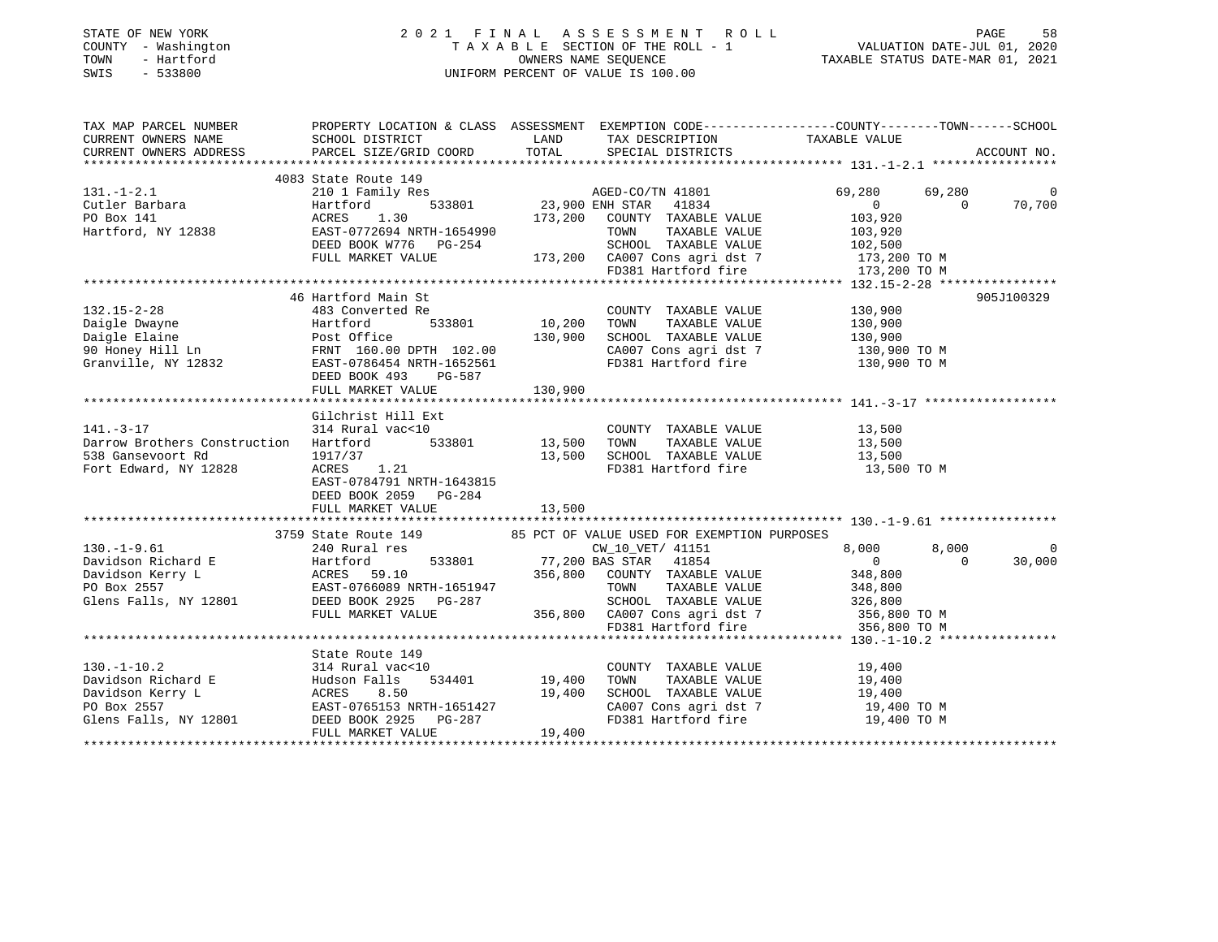## STATE OF NEW YORK 2 0 2 1 F I N A L A S S E S S M E N T R O L L PAGE 58 COUNTY - Washington T A X A B L E SECTION OF THE ROLL - 1 VALUATION DATE-JUL 01, 2020 TOWN - Hartford OWNERS NAME SEQUENCE TAXABLE STATUS DATE-MAR 01, 2021 SWIS - 533800 UNIFORM PERCENT OF VALUE IS 100.00

| TAX MAP PARCEL NUMBER                                                                                                                                                                                                                           |                                                                  |                                     | PROPERTY LOCATION & CLASS ASSESSMENT EXEMPTION CODE-----------------COUNTY--------TOWN------SCHOOL   |                  |                |             |
|-------------------------------------------------------------------------------------------------------------------------------------------------------------------------------------------------------------------------------------------------|------------------------------------------------------------------|-------------------------------------|------------------------------------------------------------------------------------------------------|------------------|----------------|-------------|
| CURRENT OWNERS NAME                                                                                                                                                                                                                             | SCHOOL DISTRICT                                                  |                                     | LAND TAX DESCRIPTION TAXABLE VALUE                                                                   |                  |                |             |
| CURRENT OWNERS ADDRESS                                                                                                                                                                                                                          | PARCEL SIZE/GRID COORD                                           |                                     | TOTAL SPECIAL DISTRICTS                                                                              |                  |                | ACCOUNT NO. |
|                                                                                                                                                                                                                                                 |                                                                  |                                     |                                                                                                      |                  |                |             |
|                                                                                                                                                                                                                                                 | 4083 State Route 149                                             |                                     |                                                                                                      |                  |                |             |
| $131. - 1 - 2.1$                                                                                                                                                                                                                                |                                                                  |                                     |                                                                                                      | 69,280           | 69,280         | $\mathbf 0$ |
| Cutler Barbara                                                                                                                                                                                                                                  |                                                                  |                                     |                                                                                                      | $\overline{0}$   | $\Omega$       | 70,700      |
|                                                                                                                                                                                                                                                 |                                                                  |                                     |                                                                                                      | 103,920          |                |             |
| PO Box 141 $\texttt{ACKES}$ 1.30 173,200 COUNTY TAXABLE VALUE Hartford, NY 12838 EAST-0772694 NRTH-1654990 TOWN TAXABLE VALUE                                                                                                                   |                                                                  |                                     | TAXABLE VALUE                                                                                        | 103,920          |                |             |
|                                                                                                                                                                                                                                                 | DEED BOOK W776 PG-254                                            |                                     |                                                                                                      |                  |                |             |
|                                                                                                                                                                                                                                                 | FULL MARKET VALUE                                                |                                     |                                                                                                      |                  |                |             |
|                                                                                                                                                                                                                                                 |                                                                  |                                     | 254<br>254<br>273,200 CA007 Cons agri dst 7 173,200 TO M<br>273,200 FD381 Hartford fire 173,200 TO M |                  |                |             |
|                                                                                                                                                                                                                                                 |                                                                  |                                     |                                                                                                      |                  |                |             |
|                                                                                                                                                                                                                                                 | 46 Hartford Main St                                              |                                     |                                                                                                      |                  |                | 905J100329  |
| $132.15 - 2 - 28$                                                                                                                                                                                                                               | 483 Converted Re                                                 | -<br>e COUNTY<br>533801 10,200 TOWN | COUNTY TAXABLE VALUE 130,900                                                                         |                  |                |             |
|                                                                                                                                                                                                                                                 |                                                                  |                                     | TAXABLE VALUE 130,900                                                                                |                  |                |             |
|                                                                                                                                                                                                                                                 |                                                                  |                                     | SCHOOL TAXABLE VALUE 130,900<br>CA007 Cons agri dst 7 130,900 TO M                                   |                  |                |             |
|                                                                                                                                                                                                                                                 |                                                                  |                                     |                                                                                                      |                  |                |             |
| Paigle Dwayne<br>Daigle Dwayne<br>Daigle Elaine<br>90 Honey Hill Ln<br>90 Honey Hill Ln<br>Granville, NY 12832<br>POST-07064544 NRTH-1652561<br>POST-0706443 NRTH-1652561<br>POST-0706443 NRTH-1652561                                          |                                                                  |                                     | FD381 Hartford fire 130,900 TO M                                                                     |                  |                |             |
|                                                                                                                                                                                                                                                 | DEED BOOK 493<br>PG-587                                          |                                     |                                                                                                      |                  |                |             |
|                                                                                                                                                                                                                                                 | FULL MARKET VALUE                                                | 130,900                             |                                                                                                      |                  |                |             |
|                                                                                                                                                                                                                                                 |                                                                  |                                     |                                                                                                      |                  |                |             |
|                                                                                                                                                                                                                                                 | Gilchrist Hill Ext                                               |                                     |                                                                                                      |                  |                |             |
| $141. - 3 - 17$                                                                                                                                                                                                                                 | 314 Rural vac<10                                                 |                                     | COUNTY TAXABLE VALUE<br>TAXABLE VALUE<br>TAXABLE VALUE                                               | 13,500<br>13,500 |                |             |
| Darrow Brothers Construction Hartford                                                                                                                                                                                                           |                                                                  | 533801 13,500 TOWN                  |                                                                                                      |                  |                |             |
| 538 Gansevoort Rd                                                                                                                                                                                                                               | 1917/37                                                          |                                     | $1.21$<br>1.21 $1.21$<br>1.21 $1.21$<br>1.21 $1.21$                                                  |                  |                |             |
| Fort Edward, NY 12828                                                                                                                                                                                                                           | ACRES 1.21                                                       |                                     |                                                                                                      | 13,500 TO M      |                |             |
|                                                                                                                                                                                                                                                 | EAST-0784791 NRTH-1643815                                        |                                     |                                                                                                      |                  |                |             |
|                                                                                                                                                                                                                                                 | DEED BOOK 2059 PG-284                                            |                                     |                                                                                                      |                  |                |             |
|                                                                                                                                                                                                                                                 | FULL MARKET VALUE                                                | 13,500                              |                                                                                                      |                  |                |             |
|                                                                                                                                                                                                                                                 |                                                                  |                                     |                                                                                                      |                  |                |             |
|                                                                                                                                                                                                                                                 | 3759 State Route 149 85 PCT OF VALUE USED FOR EXEMPTION PURPOSES |                                     |                                                                                                      |                  |                |             |
| $130. -1 - 9.61$                                                                                                                                                                                                                                | 240 Rural res                                                    |                                     | CW_10_VET/ 41151                                                                                     | 8,000            | 8,000          |             |
| 130.-1-9.61 8,000<br>Davidson Richard E Hartford 533801 77,200 BAS STAR 41854 0<br>Davidson Kerry L ACRES 59.10 356,800 COUNTY TAXABLE VALUE 348,800<br>PO Box 2557 EAST-0766089 NRTH-1651947 TOWN TAXABLE VALUE 348,800<br>Glens Fall          |                                                                  |                                     |                                                                                                      |                  | $\overline{0}$ | 30,000      |
|                                                                                                                                                                                                                                                 |                                                                  |                                     |                                                                                                      |                  |                |             |
|                                                                                                                                                                                                                                                 |                                                                  |                                     |                                                                                                      |                  |                |             |
|                                                                                                                                                                                                                                                 |                                                                  |                                     |                                                                                                      |                  |                |             |
|                                                                                                                                                                                                                                                 | FULL MARKET VALUE                                                |                                     | 356,800 CA007 Cons agri dst 7 356,800 TO M<br>FD381 Hartford fire 356,800 TO M                       |                  |                |             |
|                                                                                                                                                                                                                                                 |                                                                  |                                     |                                                                                                      |                  |                |             |
|                                                                                                                                                                                                                                                 |                                                                  |                                     |                                                                                                      |                  |                |             |
|                                                                                                                                                                                                                                                 | State Route 149                                                  |                                     |                                                                                                      |                  |                |             |
|                                                                                                                                                                                                                                                 |                                                                  |                                     | COUNTY TAXABLE VALUE 19,400                                                                          |                  |                |             |
|                                                                                                                                                                                                                                                 | 534401 19,400                                                    |                                     | TAXABLE VALUE 19,400<br>TAXABLE VALUE 19,400<br>TOWN                                                 |                  |                |             |
|                                                                                                                                                                                                                                                 |                                                                  | 19,400                              | SCHOOL TAXABLE VALUE                                                                                 |                  |                |             |
| 130.-1-10.2<br>2 314 Rural vac<10<br>Davidson Richard E<br>Davidson Kerry L<br>PO Box 2557<br>Clens Falls, NY 12801<br>2008 Detail Davidson Falls 314401<br>2008 BAST-0765153 NRTH-1651427<br>2008 Detail David DEED BOOK 2925<br>2008 Details, |                                                                  |                                     | CA007 Cons agri dst 7                                                                                | 19,400 TO M      |                |             |
|                                                                                                                                                                                                                                                 |                                                                  | 19,400                              | FD381 Hartford fire                                                                                  | 19,400 TO M      |                |             |
|                                                                                                                                                                                                                                                 | FULL MARKET VALUE                                                |                                     |                                                                                                      |                  |                |             |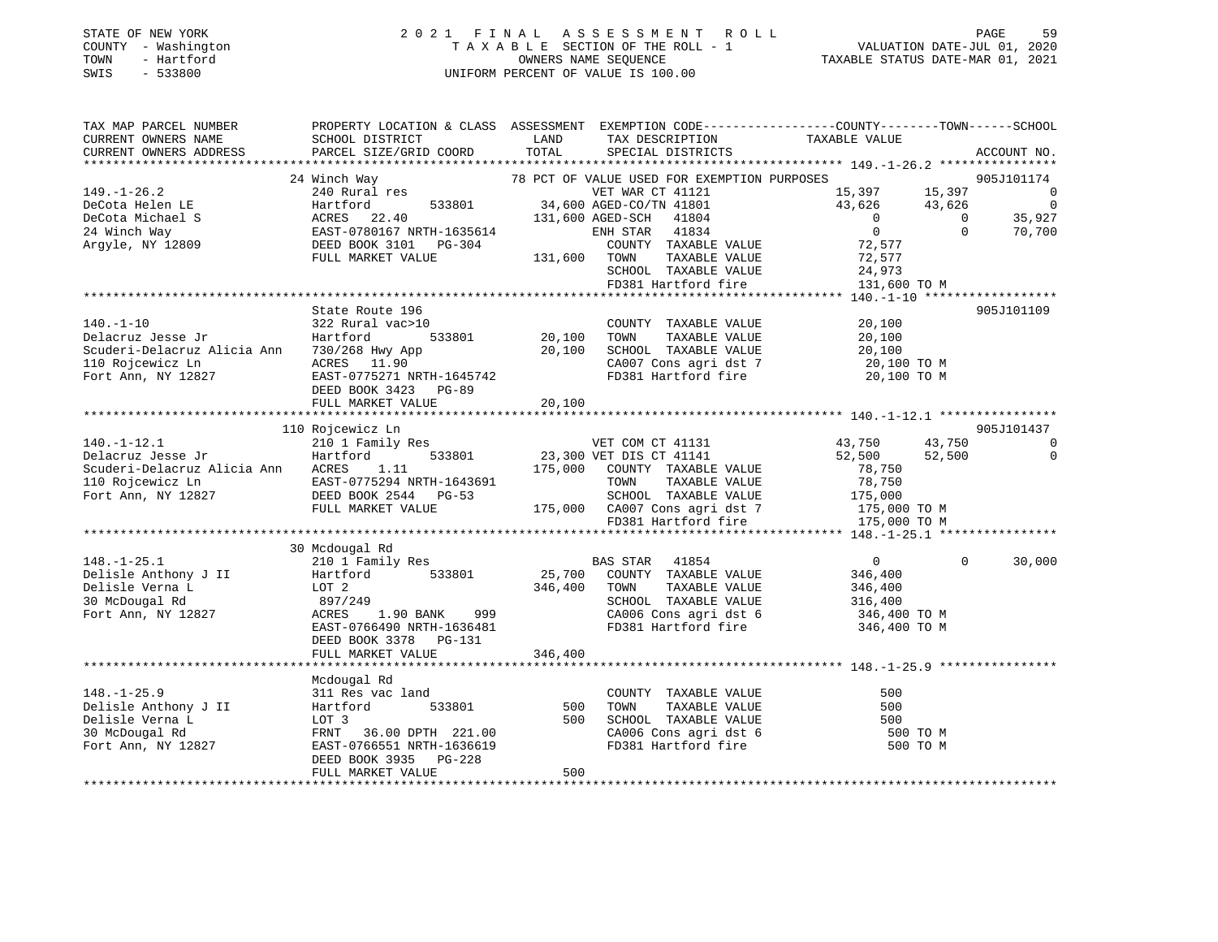## STATE OF NEW YORK 2 0 2 1 F I N A L A S S E S S M E N T R O L L PAGE 59 COUNTY - Washington T A X A B L E SECTION OF THE ROLL - 1 VALUATION DATE-JUL 01, 2020 TOWN - Hartford OWNERS NAME SEQUENCE TAXABLE STATUS DATE-MAR 01, 2021 SWIS - 533800 UNIFORM PERCENT OF VALUE IS 100.00

| TAX MAP PARCEL NUMBER                                                                                                                                                                                                          | PROPERTY LOCATION & CLASS ASSESSMENT EXEMPTION CODE-----------------COUNTY--------TOWN------SCHOOL               |               |                                                                                                           |                 |          |             |
|--------------------------------------------------------------------------------------------------------------------------------------------------------------------------------------------------------------------------------|------------------------------------------------------------------------------------------------------------------|---------------|-----------------------------------------------------------------------------------------------------------|-----------------|----------|-------------|
| CURRENT OWNERS NAME                                                                                                                                                                                                            | SCHOOL DISTRICT                                                                                                  | LAND          | TAX DESCRIPTION                                                                                           | TAXABLE VALUE   |          |             |
| CURRENT OWNERS ADDRESS                                                                                                                                                                                                         | PARCEL SIZE/GRID COORD                                                                                           | TOTAL         | SPECIAL DISTRICTS                                                                                         |                 |          | ACCOUNT NO. |
|                                                                                                                                                                                                                                |                                                                                                                  |               |                                                                                                           |                 |          |             |
|                                                                                                                                                                                                                                | 24 Winch Way                                                                                                     |               | 78 PCT OF VALUE USED FOR EXEMPTION PURPOSES                                                               |                 |          | 905J101174  |
| $149. - 1 - 26.2$                                                                                                                                                                                                              | 240 Rural res                                                                                                    |               | VET WAR CT 41121                                                                                          | 15,397 15,397 0 |          |             |
| DeCota Helen LE                                                                                                                                                                                                                | Hartford                                                                                                         |               |                                                                                                           |                 |          |             |
| DeCota Michael S                                                                                                                                                                                                               | ACRES 22.40                                                                                                      |               | VET WAR CT 41121<br>533801 34,600 AGED-CO/TN 41801<br>131,600 AGED-SCH 41804<br>FH-1635614 ENH STAR 41834 |                 |          |             |
| 24 Winch Way                                                                                                                                                                                                                   |                                                                                                                  |               |                                                                                                           |                 |          |             |
| Argyle, NY 12809                                                                                                                                                                                                               | ACRES 22.40<br>EAST-0780167 NRTH-1635614<br>DEED BOOK 3101 PG-304 131,600 TOWN<br>FULL MARKET VALUE 131,600 TOWN |               | COUNTY TAXABLE VALUE                                                                                      | 72,577          |          |             |
|                                                                                                                                                                                                                                |                                                                                                                  |               | TAXABLE VALUE                                                                                             | 72,577          |          |             |
|                                                                                                                                                                                                                                |                                                                                                                  |               | SCHOOL TAXABLE VALUE<br>FD381 Hartford fire                                                               | 24,973          |          |             |
|                                                                                                                                                                                                                                |                                                                                                                  |               |                                                                                                           | 131,600 TO M    |          |             |
|                                                                                                                                                                                                                                |                                                                                                                  |               |                                                                                                           |                 |          |             |
|                                                                                                                                                                                                                                | State Route 196                                                                                                  |               |                                                                                                           |                 |          | 905J101109  |
| $140. - 1 - 10$                                                                                                                                                                                                                | 322 Rural vac>10                                                                                                 |               | COUNTY TAXABLE VALUE                                                                                      | 20,100          |          |             |
| Delacruz Jesse Jr                                                                                                                                                                                                              | Hartford                                                                                                         | 533801 20,100 | TOWN<br>TAXABLE VALUE                                                                                     | 20,100          |          |             |
| Scuderi-Delacruz Alicia Ann 730/268 Hwy App                                                                                                                                                                                    |                                                                                                                  | 20,100        | SCHOOL TAXABLE VALUE                                                                                      | 20,100          |          |             |
| 110 Rojcewicz Ln                                                                                                                                                                                                               | ACRES 11.90<br>EAST-0775271 NRTH-1645742                                                                         |               | CA007 Cons agri dst 7 20,100 TO M                                                                         |                 |          |             |
| Fort Ann, NY 12827                                                                                                                                                                                                             |                                                                                                                  |               | FD381 Hartford fire                                                                                       | 20,100 TO M     |          |             |
|                                                                                                                                                                                                                                | DEED BOOK 3423 PG-89                                                                                             |               |                                                                                                           |                 |          |             |
|                                                                                                                                                                                                                                | FULL MARKET VALUE                                                                                                | 20,100        |                                                                                                           |                 |          |             |
|                                                                                                                                                                                                                                | 110 Rojcewicz Ln                                                                                                 |               |                                                                                                           |                 |          | 905J101437  |
| $140. - 1 - 12.1$                                                                                                                                                                                                              | 210 1 Family Res                                                                                                 |               |                                                                                                           | 43,750          | 43,750   | $\Omega$    |
| Delacruz Jesse Jr                                                                                                                                                                                                              | Hartford                                                                                                         |               | VET COM CT 41131<br>533801 23,300 VET DIS CT 41141                                                        | 52,500          | 52,500   | 0           |
| Scuderi-Delacruz Alicia Ann ACRES                                                                                                                                                                                              | 1.11                                                                                                             |               | 175,000 COUNTY TAXABLE VALUE                                                                              | 78,750          |          |             |
|                                                                                                                                                                                                                                |                                                                                                                  |               | TOWN<br>TAXABLE VALUE                                                                                     | 78,750          |          |             |
| 110 Rojcewicz Ln EAST-0775294 NRTH-1643691<br>Fort Ann, NY 12827 DEED BOOK 2544 PG-53                                                                                                                                          |                                                                                                                  |               |                                                                                                           |                 |          |             |
|                                                                                                                                                                                                                                | FULL MARKET VALUE                                                                                                |               | 99-53 SCHOOL TAXABLE VALUE 175,000 175,000 CA007 Cons agri dst 7 175,000 TO M                             |                 |          |             |
|                                                                                                                                                                                                                                |                                                                                                                  |               | FD381 Hartford fire                                                                                       | 175,000 TO M    |          |             |
|                                                                                                                                                                                                                                |                                                                                                                  |               |                                                                                                           |                 |          |             |
|                                                                                                                                                                                                                                | 30 Mcdougal Rd                                                                                                   |               |                                                                                                           |                 |          |             |
| Contains the Contains of the Contains of the Contains of the Contains of the Contains of the Contains the Contains of the Contains of the Contains of the Contains of the Contains of the Contains of the Contains of the Cont |                                                                                                                  |               | BAS STAR 41854                                                                                            | $\overline{0}$  | $\Omega$ | 30,000      |
|                                                                                                                                                                                                                                |                                                                                                                  |               | 25,700 COUNTY TAXABLE VALUE                                                                               | 346,400         |          |             |
|                                                                                                                                                                                                                                |                                                                                                                  | 346,400 TOWN  | TAXABLE VALUE                                                                                             | 346,400         |          |             |
|                                                                                                                                                                                                                                | 897/249                                                                                                          |               | SCHOOL TAXABLE VALUE                                                                                      | 316,400         |          |             |
| Fort Ann, NY 12827                                                                                                                                                                                                             | ACRES<br>1.90 BANK 999                                                                                           |               | CA006 Cons agri dst 6 346,400 TO M                                                                        |                 |          |             |
|                                                                                                                                                                                                                                | EAST-0766490 NRTH-1636481                                                                                        |               | FD381 Hartford fire                                                                                       | 346,400 TO M    |          |             |
|                                                                                                                                                                                                                                | DEED BOOK 3378 PG-131                                                                                            |               |                                                                                                           |                 |          |             |
|                                                                                                                                                                                                                                | FULL MARKET VALUE                                                                                                | 346,400       |                                                                                                           |                 |          |             |
|                                                                                                                                                                                                                                |                                                                                                                  |               |                                                                                                           |                 |          |             |
|                                                                                                                                                                                                                                | Mcdougal Rd                                                                                                      |               |                                                                                                           |                 |          |             |
| $148. - 1 - 25.9$                                                                                                                                                                                                              | 311 Res vac land                                                                                                 |               | COUNTY TAXABLE VALUE<br>TOWN TAXABLE VALUE                                                                | 500             |          |             |
| Delisle Anthony J II                                                                                                                                                                                                           | 533801<br>Hartford                                                                                               | 500           |                                                                                                           | 500             |          |             |
| Delisle Verna L                                                                                                                                                                                                                | LOT 3                                                                                                            | 500           | SCHOOL TAXABLE VALUE<br>CA006 Cons agri dst 6                                                             | 500             |          |             |
| 30 McDougal Rd                                                                                                                                                                                                                 | FRNT 36.00 DPTH 221.00                                                                                           |               |                                                                                                           | 500 TO M        |          |             |
| Fort Ann, NY 12827                                                                                                                                                                                                             | EAST-0766551 NRTH-1636619                                                                                        |               | FD381 Hartford fire                                                                                       | 500 TO M        |          |             |
|                                                                                                                                                                                                                                | DEED BOOK 3935 PG-228                                                                                            |               |                                                                                                           |                 |          |             |
|                                                                                                                                                                                                                                | FULL MARKET VALUE                                                                                                | 500           |                                                                                                           |                 |          |             |
|                                                                                                                                                                                                                                |                                                                                                                  |               |                                                                                                           |                 |          |             |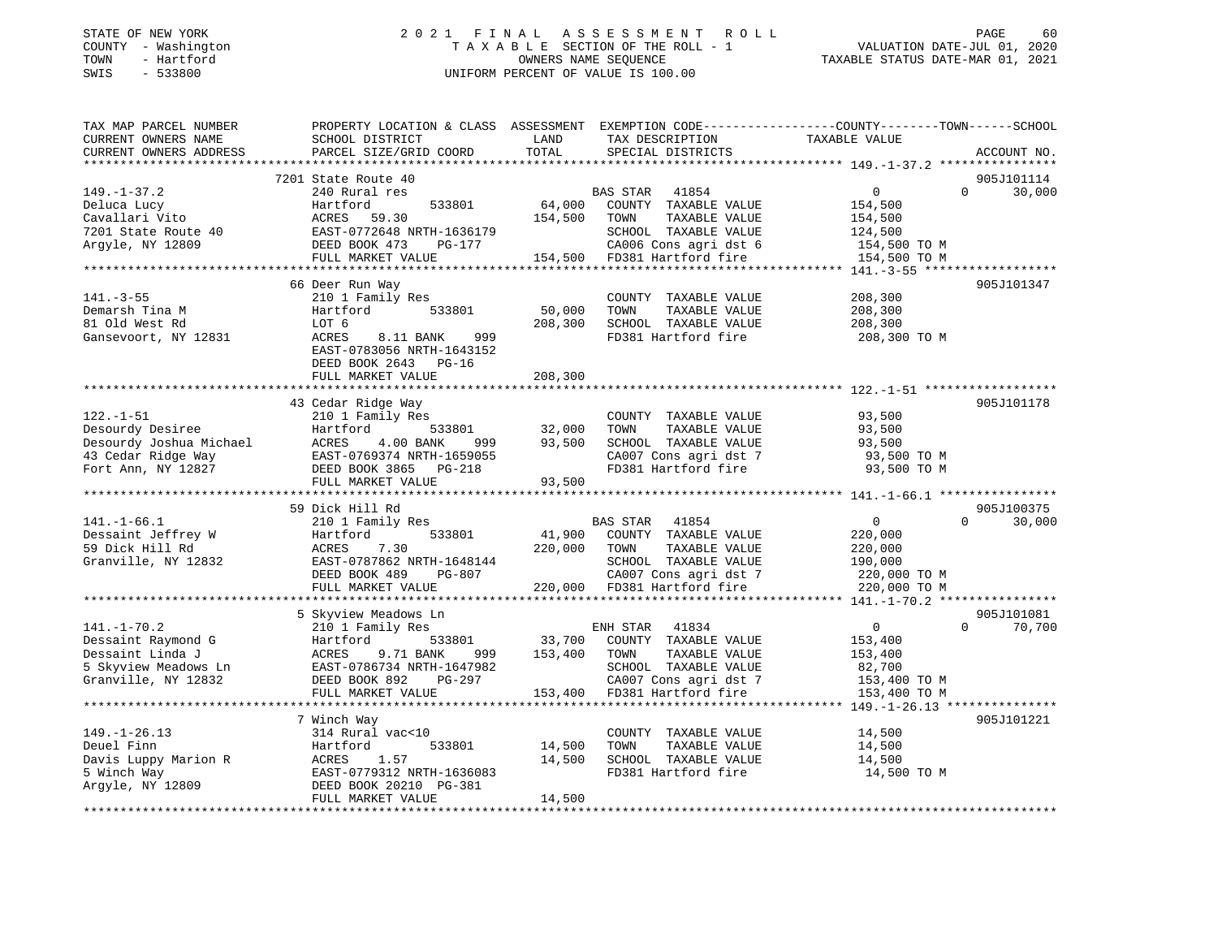### STATE OF NEW YORK 2 0 2 1 F I N A L A S S E S S M E N T R O L L PAGE 60 COUNTY - Washington T A X A B L E SECTION OF THE ROLL - 1 VALUATION DATE-JUL 01, 2020 TOWN - Hartford OWNERS NAME SEQUENCE TAXABLE STATUS DATE-MAR 01, 2021 SWIS - 533800 UNIFORM PERCENT OF VALUE IS 100.00

| TAX MAP PARCEL NUMBER               | PROPERTY LOCATION & CLASS ASSESSMENT EXEMPTION CODE----------------COUNTY-------TOWN------SCHOOL |                  |                                               |                                           |                    |
|-------------------------------------|--------------------------------------------------------------------------------------------------|------------------|-----------------------------------------------|-------------------------------------------|--------------------|
| CURRENT OWNERS NAME                 | SCHOOL DISTRICT                                                                                  | LAND             | TAX DESCRIPTION                               | TAXABLE VALUE                             |                    |
| CURRENT OWNERS ADDRESS              | PARCEL SIZE/GRID COORD                                                                           | TOTAL            | SPECIAL DISTRICTS                             |                                           | ACCOUNT NO.        |
|                                     |                                                                                                  |                  |                                               |                                           |                    |
|                                     | 7201 State Route 40                                                                              |                  |                                               |                                           | 905J101114         |
| $149. - 1 - 37.2$                   | 240 Rural res                                                                                    |                  | BAS STAR 41854                                | $\Omega$                                  | $\Omega$<br>30,000 |
| Deluca Lucy                         | Hartford<br>533801                                                                               | 64,000           | COUNTY TAXABLE VALUE                          | 154,500                                   |                    |
| Cavallari Vito                      | 59.30<br>ACRES                                                                                   | 154,500          | TOWN<br>TAXABLE VALUE                         | 154,500                                   |                    |
| 7201 State Route 40                 | EAST-0772648 NRTH-1636179                                                                        |                  | SCHOOL TAXABLE VALUE                          | 124,500                                   |                    |
| Argyle, NY 12809                    | DEED BOOK 473<br>PG-177                                                                          |                  | CA006 Cons agri dst 6                         | 154,500 TO M                              |                    |
|                                     | FULL MARKET VALUE                                                                                |                  | 154,500 FD381 Hartford fire                   | 154,500 TO M                              |                    |
|                                     |                                                                                                  |                  |                                               |                                           |                    |
|                                     | 66 Deer Run Way                                                                                  |                  |                                               |                                           | 905J101347         |
| $141. - 3 - 55$                     | 210 1 Family Res                                                                                 |                  | COUNTY TAXABLE VALUE                          | 208,300                                   |                    |
| Demarsh Tina M                      | 533801<br>Hartford                                                                               | 50,000           | TOWN<br>TAXABLE VALUE                         | 208,300                                   |                    |
| 81 Old West Rd                      | LOT 6                                                                                            | 208,300          | SCHOOL TAXABLE VALUE                          | 208,300                                   |                    |
| Gansevoort, NY 12831                | ACRES<br>8.11 BANK<br>999                                                                        |                  | FD381 Hartford fire                           | 208,300 TO M                              |                    |
|                                     | EAST-0783056 NRTH-1643152                                                                        |                  |                                               |                                           |                    |
|                                     | DEED BOOK 2643 PG-16                                                                             |                  |                                               |                                           |                    |
|                                     | FULL MARKET VALUE                                                                                | 208,300          |                                               |                                           |                    |
|                                     |                                                                                                  |                  |                                               |                                           |                    |
|                                     | 43 Cedar Ridge Way                                                                               |                  |                                               |                                           | 905J101178         |
| $122. - 1 - 51$                     | 210 1 Family Res                                                                                 |                  | COUNTY TAXABLE VALUE                          | 93,500                                    |                    |
| Desourdy Desiree                    | 533801<br>Hartford                                                                               | 32,000           | TOWN<br>TAXABLE VALUE                         | 93,500                                    |                    |
| Desourdy Joshua Michael             | ACRES<br>4.00 BANK<br>999                                                                        | 93,500           | SCHOOL TAXABLE VALUE                          | 93,500                                    |                    |
| 43 Cedar Ridge Way                  | EAST-0769374 NRTH-1659055                                                                        |                  | CA007 Cons agri dst 7                         | 93,500 TO M                               |                    |
| Fort Ann, NY 12827                  | DEED BOOK 3865 PG-218                                                                            |                  | FD381 Hartford fire                           | 93,500 TO M                               |                    |
|                                     | FULL MARKET VALUE                                                                                | 93,500           |                                               |                                           |                    |
|                                     |                                                                                                  |                  |                                               |                                           |                    |
|                                     | 59 Dick Hill Rd                                                                                  |                  |                                               |                                           | 905J100375         |
| $141. - 1 - 66.1$                   | 210 1 Family Res                                                                                 |                  | BAS STAR<br>41854                             | $\mathbf 0$                               | $\Omega$<br>30,000 |
| Dessaint Jeffrey W                  | Hartford<br>533801                                                                               | 41,900           | COUNTY TAXABLE VALUE                          | 220,000                                   |                    |
| 59 Dick Hill Rd                     | ACRES<br>7.30                                                                                    | 220,000          | TOWN<br>TAXABLE VALUE                         | 220,000                                   |                    |
| Granville, NY 12832                 | EAST-0787862 NRTH-1648144                                                                        |                  | SCHOOL TAXABLE VALUE                          | 190,000                                   |                    |
|                                     | DEED BOOK 489<br>PG-807                                                                          |                  | CA007 Cons agri dst 7                         | 220,000 TO M                              |                    |
|                                     | FULL MARKET VALUE                                                                                |                  | 220,000 FD381 Hartford fire                   | 220,000 TO M                              |                    |
|                                     |                                                                                                  |                  |                                               |                                           |                    |
|                                     | 5 Skyview Meadows Ln                                                                             |                  |                                               |                                           | 905J101081         |
| $141. - 1 - 70.2$                   | 210 1 Family Res                                                                                 |                  | ENH STAR 41834                                | $\overline{0}$                            | $\Omega$<br>70,700 |
| Dessaint Raymond G                  | 533801<br>Hartford                                                                               | 33,700           | COUNTY TAXABLE VALUE                          | 153,400                                   |                    |
| Dessaint Linda J                    | ACRES<br>9.71 BANK<br>999                                                                        | 153,400          | TAXABLE VALUE<br>TOWN                         | 153,400                                   |                    |
| 5 Skyview Meadows Ln                | EAST-0786734 NRTH-1647982                                                                        |                  | SCHOOL TAXABLE VALUE                          | 82,700                                    |                    |
| Granville, NY 12832                 | DEED BOOK 892<br>PG-297                                                                          |                  | CA007 Cons agri dst 7                         | 153,400 TO M                              |                    |
|                                     | FULL MARKET VALUE<br>**********************                                                      | 153,400          | FD381 Hartford fire                           | 153,400 TO M                              |                    |
|                                     |                                                                                                  |                  |                                               | ******* $149 - 1 - 26.13$ *************** |                    |
|                                     | 7 Winch Way                                                                                      |                  |                                               |                                           | 905J101221         |
| $149. - 1 - 26.13$                  | 314 Rural vac<10                                                                                 |                  | COUNTY TAXABLE VALUE                          | 14,500                                    |                    |
| Deuel Finn                          | Hartford<br>533801<br>1.57                                                                       | 14,500<br>14,500 | TOWN<br>TAXABLE VALUE<br>SCHOOL TAXABLE VALUE | 14,500                                    |                    |
| Davis Luppy Marion R<br>5 Winch Way | ACRES<br>EAST-0779312 NRTH-1636083                                                               |                  | FD381 Hartford fire                           | 14,500<br>14,500 TO M                     |                    |
| Argyle, NY 12809                    | DEED BOOK 20210 PG-381                                                                           |                  |                                               |                                           |                    |
|                                     | FULL MARKET VALUE                                                                                | 14,500           |                                               |                                           |                    |
|                                     |                                                                                                  |                  |                                               |                                           |                    |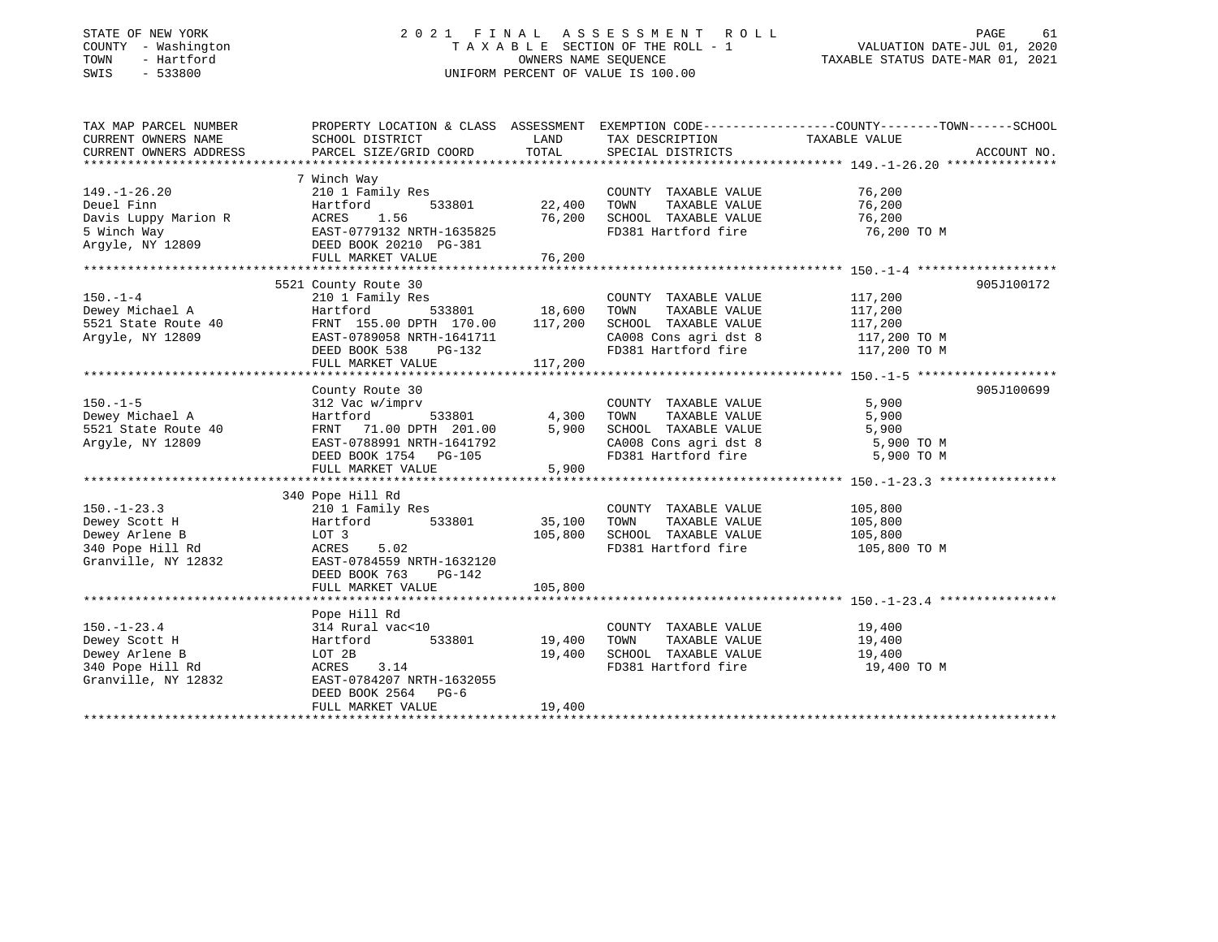## STATE OF NEW YORK 2 0 2 1 F I N A L A S S E S S M E N T R O L L PAGE 61 COUNTY - Washington T A X A B L E SECTION OF THE ROLL - 1 VALUATION DATE-JUL 01, 2020 TOWN - Hartford OWNERS NAME SEQUENCE TAXABLE STATUS DATE-MAR 01, 2021 SWIS - 533800 UNIFORM PERCENT OF VALUE IS 100.00

| TAX MAP PARCEL NUMBER                          |                                                   |                                       |                                    | PROPERTY LOCATION & CLASS ASSESSMENT EXEMPTION CODE----------------COUNTY-------TOWN------SCHOOL |
|------------------------------------------------|---------------------------------------------------|---------------------------------------|------------------------------------|--------------------------------------------------------------------------------------------------|
| CURRENT OWNERS NAME                            | SCHOOL DISTRICT                                   | LAND                                  | TAX DESCRIPTION                    | TAXABLE VALUE                                                                                    |
| CURRENT OWNERS ADDRESS                         | PARCEL SIZE/GRID COORD                            | TOTAL                                 | SPECIAL DISTRICTS                  | ACCOUNT NO.                                                                                      |
|                                                |                                                   |                                       |                                    |                                                                                                  |
|                                                | 7 Winch Way                                       |                                       |                                    |                                                                                                  |
| $149. - 1 - 26.20$                             | 210 1 Family Res                                  |                                       | COUNTY TAXABLE VALUE               | 76,200                                                                                           |
| Deuel Finn                                     | 533801<br>Hartford                                | 22,400                                | TOWN<br>TAXABLE VALUE              | 76,200                                                                                           |
| Davis Luppy Marion R                           | 1.56<br>ACRES                                     | 76,200                                | SCHOOL TAXABLE VALUE               | 76,200                                                                                           |
| 5 Winch Way<br>5 Winch Way<br>Argyle, NY 12809 | EAST-0779132 NRTH-1635825<br>Derd rook 20110 -- 1 |                                       | FD381 Hartford fire                | 76,200 TO M                                                                                      |
|                                                | DEED BOOK 20210 PG-381                            |                                       |                                    |                                                                                                  |
|                                                | FULL MARKET VALUE                                 | 76,200                                |                                    |                                                                                                  |
|                                                |                                                   |                                       |                                    |                                                                                                  |
|                                                | 5521 County Route 30                              |                                       |                                    | 905J100172                                                                                       |
| $150. - 1 - 4$                                 | 210 1 Family Res                                  | з<br>533801                    18,600 | COUNTY TAXABLE VALUE               | 117,200                                                                                          |
| Dewey Michael A                                | Hartford                                          |                                       | TOWN<br>TAXABLE VALUE              | 117,200                                                                                          |
| 5521 State Route 40                            | FRNT 155.00 DPTH 170.00 117,200                   |                                       | SCHOOL TAXABLE VALUE               | 117,200                                                                                          |
| Argyle, NY 12809                               | EAST-0789058 NRTH-1641711                         |                                       | CA008 Cons agri dst 8 117,200 TO M |                                                                                                  |
|                                                | DEED BOOK 538<br>PG-132                           |                                       | FD381 Hartford fire                | 117,200 TO M                                                                                     |
|                                                | FULL MARKET VALUE                                 | 117,200                               |                                    |                                                                                                  |
|                                                |                                                   |                                       |                                    |                                                                                                  |
|                                                | County Route 30                                   |                                       |                                    | 905J100699                                                                                       |
| $150. - 1 - 5$                                 | 312 Vac w/imprv                                   |                                       | COUNTY TAXABLE VALUE               | 5,900                                                                                            |
| Dewey Michael A                                | Hartford<br>533801                                | $\frac{4}{5}$ , 300                   | TOWN<br>TAXABLE VALUE              | 5,900                                                                                            |
| 5521 State Route 40                            | FRNT 71.00 DPTH 201.00                            |                                       | SCHOOL TAXABLE VALUE               | 5,900                                                                                            |
| Argyle, NY 12809                               | EAST-0788991 NRTH-1641792                         |                                       | CA008 Cons agri dst 8 5,900 TO M   |                                                                                                  |
|                                                | DEED BOOK 1754 PG-105                             |                                       | FD381 Hartford fire                | 5,900 TO M                                                                                       |
|                                                | FULL MARKET VALUE                                 | 5,900                                 |                                    |                                                                                                  |
|                                                |                                                   |                                       |                                    |                                                                                                  |
|                                                | 340 Pope Hill Rd                                  |                                       |                                    |                                                                                                  |
| $150. - 1 - 23.3$                              | 210 1 Family Res                                  |                                       | COUNTY TAXABLE VALUE 105,800       |                                                                                                  |
| Dewey Scott H                                  | 533801<br>Hartford                                | 35,100                                | TOWN<br>TAXABLE VALUE              | 105,800                                                                                          |
| Dewey Arlene B                                 | LOT 3                                             | 105,800                               | SCHOOL TAXABLE VALUE               | 105,800                                                                                          |
| 340 Pope Hill Rd                               | ACRES<br>5.02                                     |                                       | FD381 Hartford fire 105,800 TO M   |                                                                                                  |
| Granville, NY 12832                            | EAST-0784559 NRTH-1632120                         |                                       |                                    |                                                                                                  |
|                                                | DEED BOOK 763<br>PG-142                           |                                       |                                    |                                                                                                  |
|                                                | FULL MARKET VALUE                                 | 105,800                               |                                    |                                                                                                  |
|                                                |                                                   |                                       |                                    |                                                                                                  |
|                                                | Pope Hill Rd                                      |                                       |                                    |                                                                                                  |
| $150. - 1 - 23.4$                              | 314 Rural vac<10                                  |                                       | COUNTY TAXABLE VALUE               | 19,400                                                                                           |
| Dewey Scott H                                  | 533801<br>Hartford                                | 19,400                                | TAXABLE VALUE<br>TOWN              | 19,400                                                                                           |
| Dewey Arlene B                                 | LOT 2B                                            | 19,400                                | SCHOOL TAXABLE VALUE               | 19,400                                                                                           |
| 340 Pope Hill Rd                               | ACRES 3.14                                        |                                       | FD381 Hartford fire                | 19,400 TO M                                                                                      |
| Granville, NY 12832                            | EAST-0784207 NRTH-1632055                         |                                       |                                    |                                                                                                  |
|                                                | DEED BOOK 2564 PG-6                               |                                       |                                    |                                                                                                  |
|                                                | FULL MARKET VALUE                                 | 19,400                                |                                    |                                                                                                  |
|                                                |                                                   |                                       |                                    |                                                                                                  |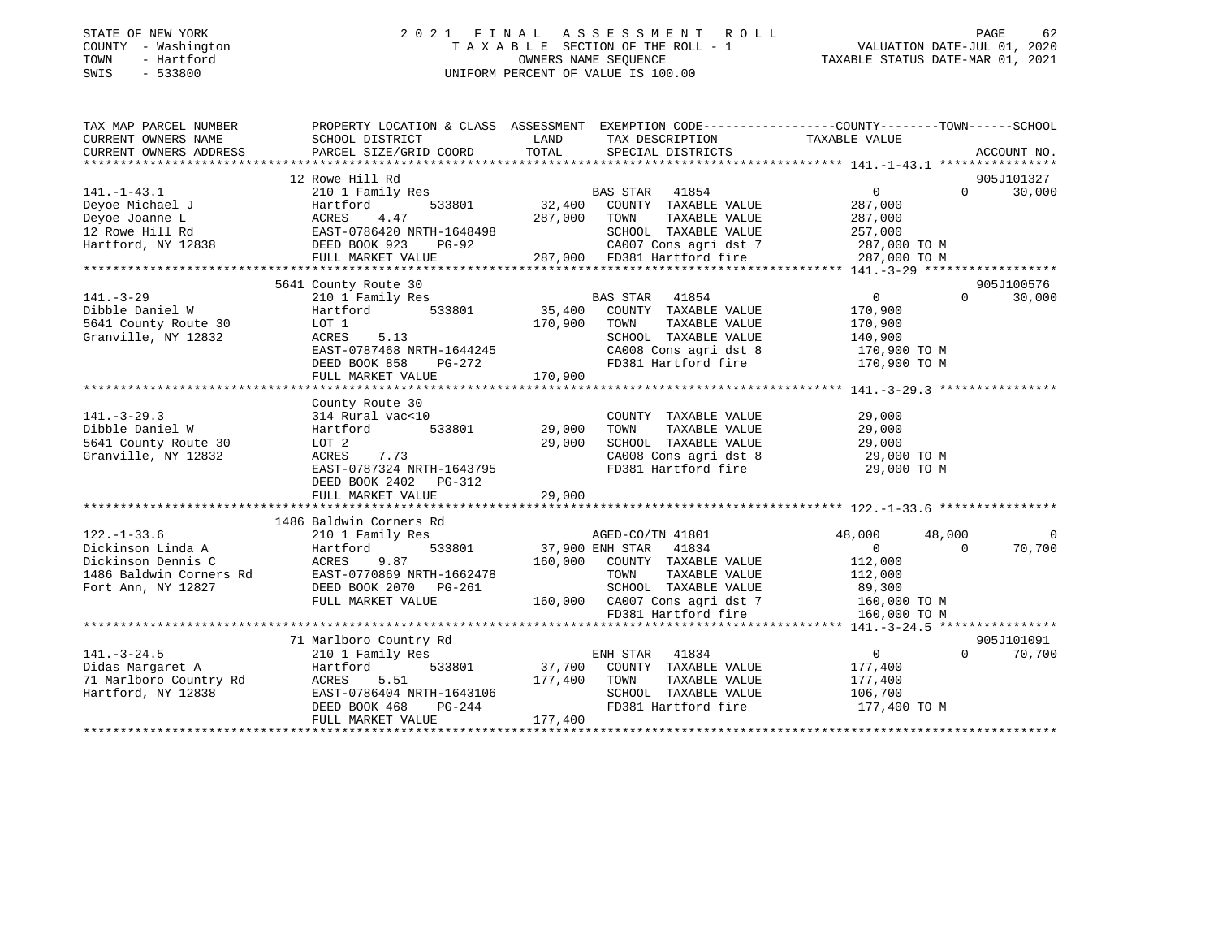|      | STATE OF NEW YORK   | 2021 FINAL ASSESSMENT ROLL                                     | PAGE | -62 |
|------|---------------------|----------------------------------------------------------------|------|-----|
|      | COUNTY - Washington | VALUATION DATE-JUL 01, 2020<br>TAXABLE SECTION OF THE ROLL - 1 |      |     |
| TOWN | - Hartford          | TAXABLE STATUS DATE-MAR 01, 2021<br>OWNERS NAME SEOUENCE       |      |     |
| SWIS | $-533800$           | UNIFORM PERCENT OF VALUE IS 100.00                             |      |     |
|      |                     |                                                                |      |     |
|      |                     |                                                                |      |     |
|      |                     |                                                                |      |     |

TAX MAP PARCEL NUMBER PROPERTY LOCATION & CLASS ASSESSMENT EXEMPTION CODE------------------COUNTY--------TOWN------SCHOOL

| CURRENT OWNERS NAME     | SCHOOL DISTRICT           | LAND    | TAX DESCRIPTION             | TAXABLE VALUE    |                    |
|-------------------------|---------------------------|---------|-----------------------------|------------------|--------------------|
| CURRENT OWNERS ADDRESS  | PARCEL SIZE/GRID COORD    | TOTAL   | SPECIAL DISTRICTS           |                  | ACCOUNT NO.        |
|                         | 12 Rowe Hill Rd           |         |                             |                  | 905J101327         |
| $141. - 1 - 43.1$       | 210 1 Family Res          |         | 41854<br>BAS STAR           | 0                | $\Omega$<br>30,000 |
| Deyoe Michael J         | Hartford<br>533801        | 32,400  | COUNTY TAXABLE VALUE        | 287,000          |                    |
| Deyoe Joanne L          | 4.47<br>ACRES             | 287,000 | TAXABLE VALUE<br>TOWN       | 287,000          |                    |
| 12 Rowe Hill Rd         | EAST-0786420 NRTH-1648498 |         | SCHOOL TAXABLE VALUE        | 257,000          |                    |
| Hartford, NY 12838      | DEED BOOK 923<br>PG-92    |         | CA007 Cons agri dst 7       | 287,000 TO M     |                    |
|                         | FULL MARKET VALUE         |         | 287,000 FD381 Hartford fire | 287,000 TO M     |                    |
|                         |                           |         |                             |                  |                    |
|                         | 5641 County Route 30      |         |                             |                  | 905J100576         |
| $141. - 3 - 29$         | 210 1 Family Res          |         | <b>BAS STAR</b><br>41854    | $\overline{0}$   | $\Omega$<br>30,000 |
| Dibble Daniel W         | 533801<br>Hartford        | 35,400  | COUNTY TAXABLE VALUE        | 170,900          |                    |
| 5641 County Route 30    | LOT 1                     | 170,900 | TAXABLE VALUE<br>TOWN       | 170,900          |                    |
| Granville, NY 12832     | ACRES<br>5.13             |         | SCHOOL TAXABLE VALUE        | 140,900          |                    |
|                         | EAST-0787468 NRTH-1644245 |         | CA008 Cons agri dst 8       | 170,900 TO M     |                    |
|                         | DEED BOOK 858<br>PG-272   |         | FD381 Hartford fire         | 170,900 TO M     |                    |
|                         | FULL MARKET VALUE         | 170,900 |                             |                  |                    |
|                         |                           |         |                             |                  |                    |
|                         | County Route 30           |         |                             |                  |                    |
| $141. - 3 - 29.3$       | 314 Rural vac<10          |         | COUNTY TAXABLE VALUE        | 29,000           |                    |
| Dibble Daniel W         | 533801<br>Hartford        | 29,000  | TAXABLE VALUE<br>TOWN       | 29,000           |                    |
| 5641 County Route 30    | LOT 2                     | 29,000  | SCHOOL TAXABLE VALUE        | 29,000           |                    |
| Granville, NY 12832     | ACRES<br>7.73             |         | CA008 Cons agri dst 8       | 29,000 TO M      |                    |
|                         | EAST-0787324 NRTH-1643795 |         | FD381 Hartford fire         | 29,000 TO M      |                    |
|                         | DEED BOOK 2402 PG-312     |         |                             |                  |                    |
|                         | FULL MARKET VALUE         | 29,000  |                             |                  |                    |
|                         |                           |         |                             |                  |                    |
|                         | 1486 Baldwin Corners Rd   |         |                             |                  |                    |
| $122. - 1 - 33.6$       | 210 1 Family Res          |         | AGED-CO/TN 41801            | 48,000<br>48,000 | $\Omega$           |
| Dickinson Linda A       | Hartford<br>533801        |         | 37,900 ENH STAR<br>41834    | $\overline{0}$   | 70,700<br>$\Omega$ |
| Dickinson Dennis C      | 9.87<br>ACRES             | 160,000 | COUNTY TAXABLE VALUE        | 112,000          |                    |
| 1486 Baldwin Corners Rd | EAST-0770869 NRTH-1662478 |         | TOWN<br>TAXABLE VALUE       | 112,000          |                    |
| Fort Ann, NY 12827      | DEED BOOK 2070 PG-261     |         | SCHOOL TAXABLE VALUE        | 89,300           |                    |
|                         | FULL MARKET VALUE         | 160,000 | CA007 Cons agri dst 7       | 160,000 TO M     |                    |
|                         |                           |         | FD381 Hartford fire         | 160,000 TO M     |                    |
|                         |                           |         |                             |                  |                    |
|                         | 71 Marlboro Country Rd    |         |                             |                  | 905J101091         |
| $141. - 3 - 24.5$       | 210 1 Family Res          |         | ENH STAR 41834              | $\overline{0}$   | $\Omega$<br>70,700 |
| Didas Margaret A        | Hartford<br>533801        | 37,700  | COUNTY TAXABLE VALUE        | 177,400          |                    |
| 71 Marlboro Country Rd  | 5.51<br>ACRES             | 177,400 | TOWN<br>TAXABLE VALUE       | 177,400          |                    |
| Hartford, NY 12838      | EAST-0786404 NRTH-1643106 |         | SCHOOL TAXABLE VALUE        | 106,700          |                    |
|                         | DEED BOOK 468<br>PG-244   |         | FD381 Hartford fire         | 177,400 TO M     |                    |
|                         | FULL MARKET VALUE         | 177,400 |                             |                  |                    |
|                         |                           |         |                             |                  |                    |

62<br>020: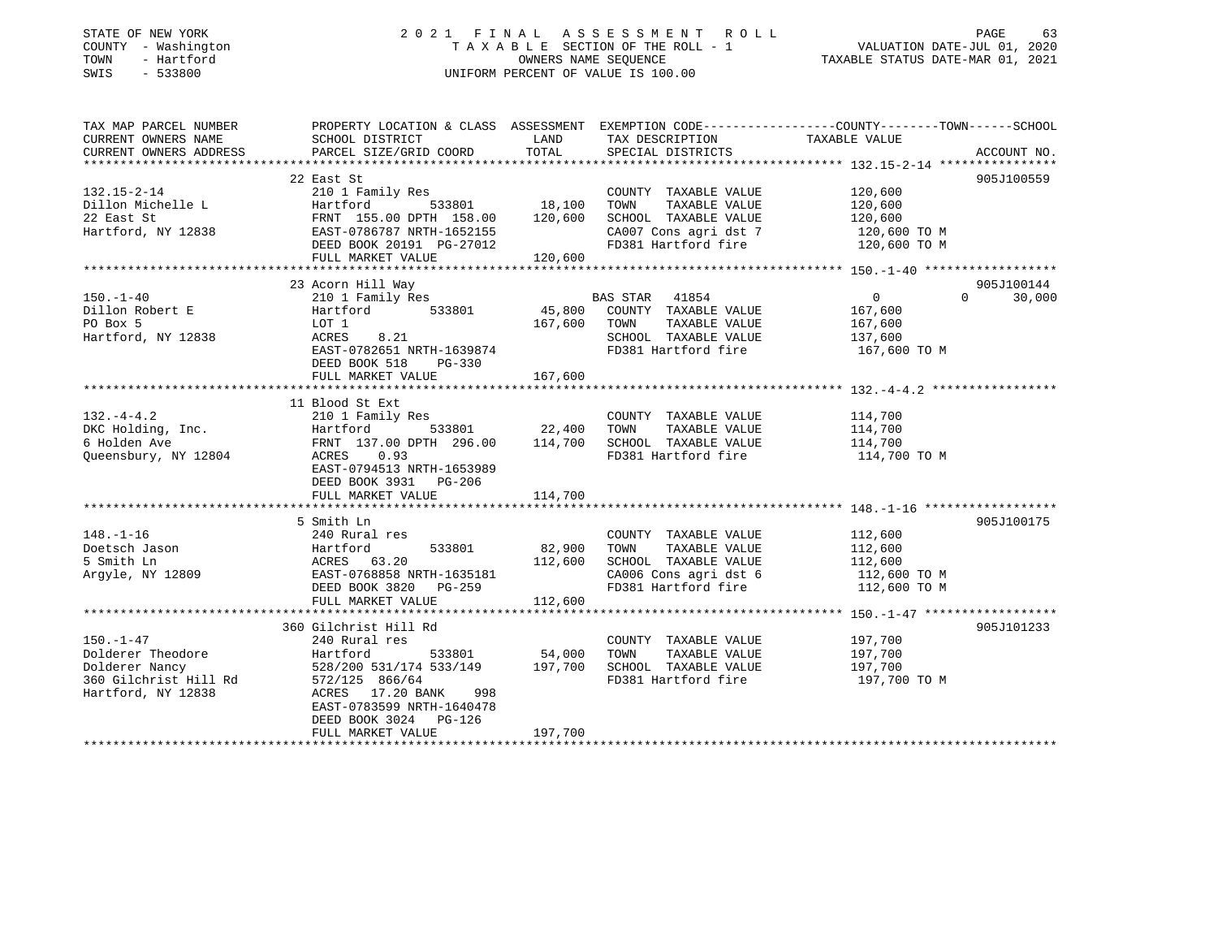# STATE OF NEW YORK GOOD CONSULTED A LIMIT A S S E S S M E N T R O L L CONSULTED AGE 63 COUNTY - Washington  $T A X A B L E$  SECTION OF THE ROLL - 1<br>TOWN - Hartford SWIS - 533800 UNIFORM PERCENT OF VALUE IS 100.00

VALUATION DATE-JUL 01, 2020

TAXABLE STATUS DATE-MAR 01, 2021

| TAX MAP PARCEL NUMBER<br>CURRENT OWNERS NAME | PROPERTY LOCATION & CLASS ASSESSMENT EXEMPTION CODE----------------COUNTY-------TOWN------SCHOOL<br>SCHOOL DISTRICT | LAND          | TAX DESCRIPTION                    | TAXABLE VALUE  |                    |
|----------------------------------------------|---------------------------------------------------------------------------------------------------------------------|---------------|------------------------------------|----------------|--------------------|
| CURRENT OWNERS ADDRESS                       | PARCEL SIZE/GRID COORD                                                                                              | TOTAL         | SPECIAL DISTRICTS                  |                | ACCOUNT NO.        |
|                                              |                                                                                                                     |               |                                    |                |                    |
|                                              | 22 East St                                                                                                          |               |                                    |                | 905J100559         |
| 132.15-2-14                                  | 210 1 Family Res                                                                                                    |               | COUNTY TAXABLE VALUE               | 120,600        |                    |
| Dillon Michelle L                            | Hartford                                                                                                            | 533801 18,100 | TAXABLE VALUE<br>TOWN              | 120,600        |                    |
| 22 East St                                   | FRNT 155.00 DPTH 158.00                                                                                             | 120,600       | SCHOOL TAXABLE VALUE               | 120,600        |                    |
| Hartford, NY 12838                           | EAST-0786787 NRTH-1652155                                                                                           |               | CA007 Cons agri dst 7              | 120,600 TO M   |                    |
|                                              | DEED BOOK 20191 PG-27012<br>FULL MARKET VALUE                                                                       | 120,600       | FD381 Hartford fire                | 120,600 TO M   |                    |
|                                              |                                                                                                                     |               |                                    |                |                    |
|                                              | 23 Acorn Hill Way                                                                                                   |               |                                    |                | 905J100144         |
| $150. - 1 - 40$                              | 210 1 Family Res                                                                                                    |               | BAS STAR 41854                     | $\overline{0}$ | $\Omega$<br>30,000 |
| Dillon Robert E                              | 533801<br>Hartford                                                                                                  |               | 45,800 COUNTY TAXABLE VALUE        | 167,600        |                    |
| PO Box 5                                     | LOT 1                                                                                                               | 167,600       | TOWN<br>TAXABLE VALUE              | 167,600        |                    |
| Hartford, NY 12838                           | ACRES<br>8.21                                                                                                       |               | SCHOOL TAXABLE VALUE               | 137,600        |                    |
|                                              | EAST-0782651 NRTH-1639874                                                                                           |               | FD381 Hartford fire                | 167,600 TO M   |                    |
|                                              | DEED BOOK 518<br>$PG-330$                                                                                           |               |                                    |                |                    |
|                                              | FULL MARKET VALUE                                                                                                   | 167,600       |                                    |                |                    |
|                                              |                                                                                                                     |               |                                    |                |                    |
|                                              | 11 Blood St Ext                                                                                                     |               |                                    |                |                    |
| $132. -4 - 4.2$                              | 210 1 Family Res                                                                                                    |               | COUNTY TAXABLE VALUE               | 114,700        |                    |
| DKC Holding, Inc.                            | 533801 22,400<br>DPTH 296.00 114,700<br>Hartford                                                                    |               | TOWN<br>TAXABLE VALUE              | 114,700        |                    |
| 6 Holden Ave                                 | FRNT 137.00 DPTH 296.00                                                                                             |               | SCHOOL TAXABLE VALUE               | 114,700        |                    |
| Oueensbury, NY 12804                         | ACRES 0.93                                                                                                          |               | FD381 Hartford fire                | 114,700 TO M   |                    |
|                                              | EAST-0794513 NRTH-1653989                                                                                           |               |                                    |                |                    |
|                                              | DEED BOOK 3931 PG-206                                                                                               |               |                                    |                |                    |
|                                              | FULL MARKET VALUE                                                                                                   | 114,700       |                                    |                |                    |
|                                              | 5 Smith Ln                                                                                                          |               |                                    |                | 905J100175         |
| $148. - 1 - 16$                              | 240 Rural res                                                                                                       |               | COUNTY TAXABLE VALUE               | 112,600        |                    |
| Doetsch Jason                                | 533801<br>Hartford                                                                                                  | 82,900        | TAXABLE VALUE<br>TOWN              | 112,600        |                    |
| 5 Smith Ln                                   | ACRES 63.20                                                                                                         | 112,600       | SCHOOL TAXABLE VALUE               | 112,600        |                    |
| Argyle, NY 12809                             | EAST-0768858 NRTH-1635181                                                                                           |               | CA006 Cons agri dst 6 112,600 TO M |                |                    |
|                                              | DEED BOOK 3820 PG-259                                                                                               |               | FD381 Hartford fire                | 112,600 TO M   |                    |
|                                              | FULL MARKET VALUE                                                                                                   | 112,600       |                                    |                |                    |
|                                              |                                                                                                                     |               |                                    |                |                    |
|                                              | 360 Gilchrist Hill Rd                                                                                               |               |                                    |                | 905J101233         |
| $150. - 1 - 47$                              | 240 Rural res                                                                                                       |               | COUNTY TAXABLE VALUE               | 197,700        |                    |
| Dolderer Theodore                            | 533801<br>Hartford                                                                                                  | 54,000        | TAXABLE VALUE<br>TOWN              | 197,700        |                    |
| Dolderer Nancy                               | 528/200 531/174 533/149 197,700                                                                                     |               | SCHOOL TAXABLE VALUE               | 197,700        |                    |
| 360 Gilchrist Hill Rd<br>"12838              | 572/125 866/64                                                                                                      |               | FD381 Hartford fire                | 197,700 TO M   |                    |
| Hartford, NY 12838                           | ACRES 17.20 BANK<br>998                                                                                             |               |                                    |                |                    |
|                                              | EAST-0783599 NRTH-1640478                                                                                           |               |                                    |                |                    |
|                                              | DEED BOOK 3024 PG-126                                                                                               |               |                                    |                |                    |
|                                              | FULL MARKET VALUE                                                                                                   | 197,700       |                                    |                |                    |
|                                              |                                                                                                                     |               |                                    |                |                    |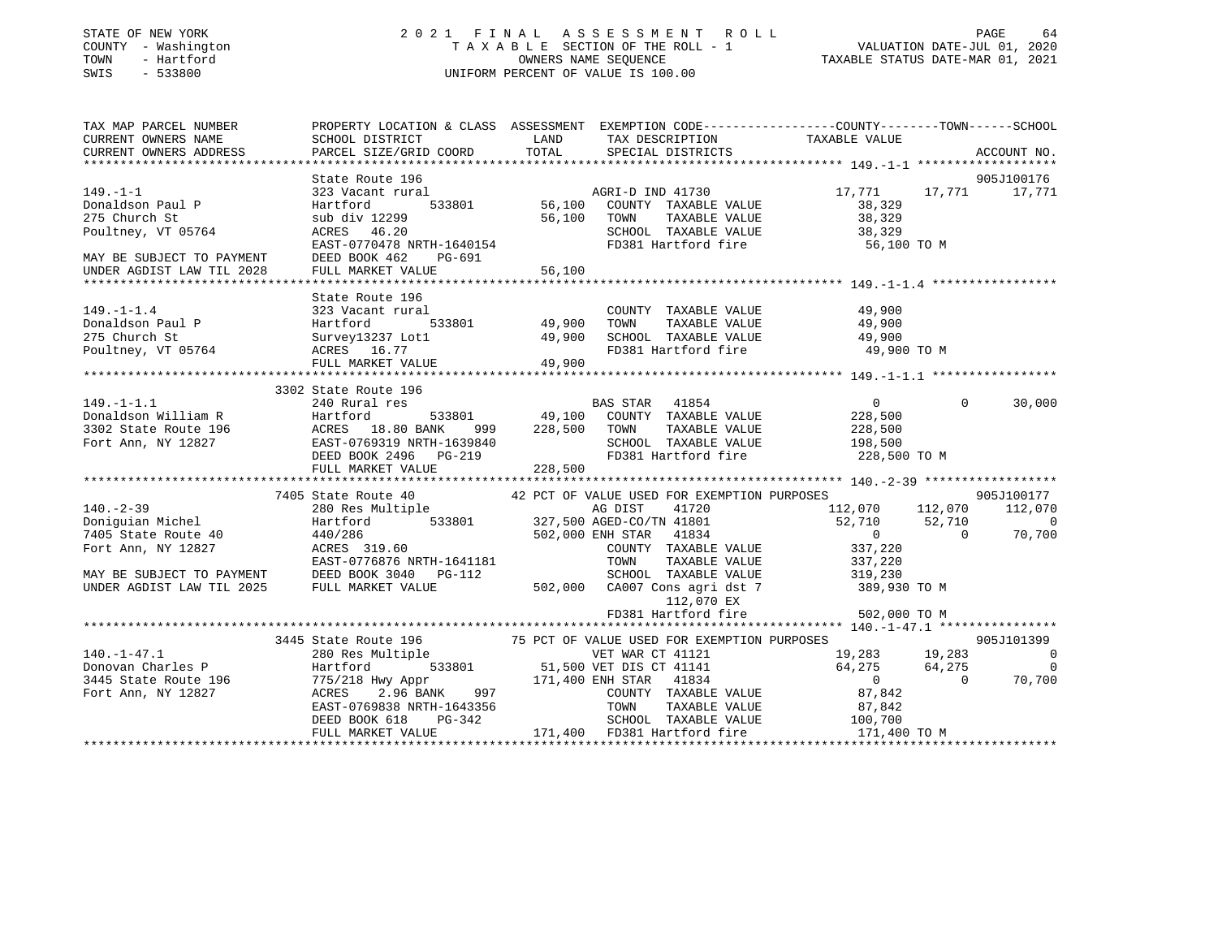## STATE OF NEW YORK 2 0 2 1 F I N A L A S S E S S M E N T R O L L PAGE 64 COUNTY - Washington T A X A B L E SECTION OF THE ROLL - 1 VALUATION DATE-JUL 01, 2020 TOWN - Hartford OWNERS NAME SEQUENCE TAXABLE STATUS DATE-MAR 01, 2021 SWIS - 533800 UNIFORM PERCENT OF VALUE IS 100.00

| TAX MAP PARCEL NUMBER                                                    | PROPERTY LOCATION & CLASS ASSESSMENT EXEMPTION CODE---------------COUNTY-------TOWN------SCHOOL                                                                                                                                                                                                                                                                                                                      |                    |                                                                             |                                               |                                                      |
|--------------------------------------------------------------------------|----------------------------------------------------------------------------------------------------------------------------------------------------------------------------------------------------------------------------------------------------------------------------------------------------------------------------------------------------------------------------------------------------------------------|--------------------|-----------------------------------------------------------------------------|-----------------------------------------------|------------------------------------------------------|
| CURRENT OWNERS NAME                                                      | SCHOOL DISTRICT                                                                                                                                                                                                                                                                                                                                                                                                      | <b>LAND</b>        | TAX DESCRIPTION                                                             | TAXABLE VALUE                                 |                                                      |
| CURRENT OWNERS ADDRESS                                                   | PARCEL SIZE/GRID COORD                                                                                                                                                                                                                                                                                                                                                                                               | TOTAL              | SPECIAL DISTRICTS                                                           |                                               | ACCOUNT NO.                                          |
|                                                                          |                                                                                                                                                                                                                                                                                                                                                                                                                      |                    |                                                                             |                                               |                                                      |
|                                                                          | State Route 196                                                                                                                                                                                                                                                                                                                                                                                                      |                    |                                                                             |                                               | 905J100176                                           |
| $149. - 1 - 1$                                                           | 323 Vacant rural                                                                                                                                                                                                                                                                                                                                                                                                     |                    | AGRI-D IND 41730                                                            |                                               | 17,771 17,771 17,771                                 |
| Donaldson Paul P                                                         | Hartford                                                                                                                                                                                                                                                                                                                                                                                                             |                    | 533801 56,100 COUNTY TAXABLE VALUE                                          | 38,329                                        |                                                      |
| 275 Church St                                                            | sub div 12299                                                                                                                                                                                                                                                                                                                                                                                                        |                    | 56,100 TOWN TAXABLE VALUE<br>SCHOOL TAXABLE VALUE                           | 38,329                                        |                                                      |
| Poultney, VT 05764                                                       | ACRES 46.20                                                                                                                                                                                                                                                                                                                                                                                                          |                    |                                                                             | 38,329                                        |                                                      |
|                                                                          | EAST-0770478 NRTH-1640154                                                                                                                                                                                                                                                                                                                                                                                            |                    | FD381 Hartford fire 56,100 TO M                                             |                                               |                                                      |
| MAY BE SUBJECT TO PAYMENT                                                | DEED BOOK 462<br>PG-691                                                                                                                                                                                                                                                                                                                                                                                              |                    |                                                                             |                                               |                                                      |
| UNDER AGDIST LAW TIL 2028                                                | FULL MARKET VALUE                                                                                                                                                                                                                                                                                                                                                                                                    | 56,100             |                                                                             |                                               |                                                      |
|                                                                          |                                                                                                                                                                                                                                                                                                                                                                                                                      |                    |                                                                             |                                               |                                                      |
|                                                                          |                                                                                                                                                                                                                                                                                                                                                                                                                      |                    |                                                                             |                                               |                                                      |
|                                                                          |                                                                                                                                                                                                                                                                                                                                                                                                                      |                    | COUNTY TAXABLE VALUE                                                        | 49,900                                        |                                                      |
|                                                                          |                                                                                                                                                                                                                                                                                                                                                                                                                      | -<br>533801 49,900 | TOWN                                                                        | TAXABLE VALUE 49,900                          |                                                      |
|                                                                          |                                                                                                                                                                                                                                                                                                                                                                                                                      | 49,900             | SCHOOL TAXABLE VALUE 49,900<br>FD381 Hartford fire 49,900                   |                                               |                                                      |
|                                                                          |                                                                                                                                                                                                                                                                                                                                                                                                                      |                    |                                                                             | 49,900 TO M                                   |                                                      |
|                                                                          | 149.-1-1.4<br>Donaldson Paul P<br>275 Church St<br>$\begin{array}{ccc}\n & 323 \text{ vacuum.} & 53380 \text{ J.} \\ 275 \text{ Church St} & \text{Surve}y13237 \text{ Lot1} \\ -\text{m} & \text{n}5764 & \text{ACRES} & 16.77 \\ & & \text{m} & \text{MAKEY VALUE} \\ & & & \text{m} & \text{MARKET VALUE} \\ & & & & \text{MAKKT} \\ & & & & \text{MAKKT} \\ & & & & \text{MAKKT} \\ & & & & \text{MAKKT} \\ & &$ | 49,900             |                                                                             |                                               |                                                      |
|                                                                          |                                                                                                                                                                                                                                                                                                                                                                                                                      |                    |                                                                             |                                               |                                                      |
|                                                                          | 3302 State Route 196                                                                                                                                                                                                                                                                                                                                                                                                 |                    |                                                                             |                                               |                                                      |
|                                                                          |                                                                                                                                                                                                                                                                                                                                                                                                                      |                    |                                                                             | $\overline{0}$                                | $\Omega$<br>30,000                                   |
|                                                                          |                                                                                                                                                                                                                                                                                                                                                                                                                      |                    | BAS STAR 41854 0<br>533801 49,100 COUNTY TAXABLE VALUE 228,500              |                                               |                                                      |
|                                                                          |                                                                                                                                                                                                                                                                                                                                                                                                                      | 999 228,500 TOWN   | TAXABLE VALUE                                                               |                                               |                                                      |
|                                                                          |                                                                                                                                                                                                                                                                                                                                                                                                                      |                    | SCHOOL TAXABLE VALUE                                                        | 228,500<br>198,500                            |                                                      |
|                                                                          | 149.-1-1.1 240 Rural res<br>Donaldson William R<br>3302 State Route 196 ACRES 18.80 BANK 999 228,500<br>Fort Ann, NY 12827 EAST-0769319 NRTH-1639840<br>EAST-0769319 NRTH-1639840<br>DEED BOOK 2496 PG-219<br>DEED BOOK 2496 PG-219                                                                                                                                                                                  |                    | FD381 Hartford fire 228,500 TO M                                            |                                               |                                                      |
|                                                                          | FULL MARKET VALUE                                                                                                                                                                                                                                                                                                                                                                                                    | 228,500            |                                                                             |                                               |                                                      |
|                                                                          |                                                                                                                                                                                                                                                                                                                                                                                                                      |                    |                                                                             |                                               |                                                      |
|                                                                          | 7405 State Route 40 42 PCT OF VALUE USED FOR EXEMPTION PURPOSES<br>280 Res Multiple 6 6 AG DIST 41720 112,070                                                                                                                                                                                                                                                                                                        |                    |                                                                             |                                               | 905J100177                                           |
| $140. - 2 - 39$                                                          |                                                                                                                                                                                                                                                                                                                                                                                                                      |                    |                                                                             | 41720 112,070 112,070 112,070                 |                                                      |
|                                                                          |                                                                                                                                                                                                                                                                                                                                                                                                                      |                    |                                                                             | 52,710                                        | 52,710<br>$\begin{array}{c} 0 \\ 70.700 \end{array}$ |
| Doniguian Michel<br>7405 State Route 40                                  | Hartford 533801 327,500 AGED-CO/TN 41801<br>440/286 502,000 ENH STAR 41834                                                                                                                                                                                                                                                                                                                                           |                    |                                                                             | $\overline{0}$                                | 70,700<br>$\overline{0}$                             |
| 7405 State Roule To<br>Fort Ann, NY 12827                                | ACRES 319.60                                                                                                                                                                                                                                                                                                                                                                                                         |                    | COUNTY TAXABLE VALUE 337,220                                                |                                               |                                                      |
|                                                                          | EAST-0776876 NRTH-1641181                                                                                                                                                                                                                                                                                                                                                                                            |                    | TAXABLE VALUE<br>TOWN                                                       | 337,220                                       |                                                      |
|                                                                          | MAY BE SUBJECT TO PAYMENT DEED BOOK 3040 PG-112                                                                                                                                                                                                                                                                                                                                                                      |                    | SCHOOL TAXABLE VALUE 319,230                                                |                                               |                                                      |
| UNDER AGDIST LAW TIL 2025                                                | FULL MARKET VALUE                                                                                                                                                                                                                                                                                                                                                                                                    |                    | 502,000 CA007 Cons agri dst 7 389,930 TO M                                  |                                               |                                                      |
|                                                                          |                                                                                                                                                                                                                                                                                                                                                                                                                      |                    | 112,070 EX                                                                  |                                               |                                                      |
|                                                                          |                                                                                                                                                                                                                                                                                                                                                                                                                      |                    | FD381 Hartford fire                                                         | 502,000 TO M                                  |                                                      |
|                                                                          |                                                                                                                                                                                                                                                                                                                                                                                                                      |                    |                                                                             |                                               |                                                      |
|                                                                          | 3445 State Route 196                                                                                                                                                                                                                                                                                                                                                                                                 |                    |                                                                             |                                               | 905J101399                                           |
| $140. - 1 - 47.1$                                                        | State Route 196 75 PCT OF VALUE USED FOR EXEMPTION PURPOSES 905J10<br>280 Res Multiple 75 905J10<br>Hartford 533801 51,500 VET DIS CT 41141 64,275 64,275                                                                                                                                                                                                                                                            |                    |                                                                             |                                               | $\sim$ 0                                             |
| 170.-1-47.1<br>Donovan Charles P<br>2445.0116.00 (1991)                  |                                                                                                                                                                                                                                                                                                                                                                                                                      |                    |                                                                             |                                               | $\overline{0}$                                       |
|                                                                          |                                                                                                                                                                                                                                                                                                                                                                                                                      |                    |                                                                             | $\overline{0}$                                | $\overline{0}$<br>70,700                             |
| 3445 State Route 196 775/218 Hwy Appr Fort Ann, NY 12827 ACRES 2.96 BANK |                                                                                                                                                                                                                                                                                                                                                                                                                      |                    | 171,400 ENH STAR 41834<br>997 COUNTY TAXABLE<br>COUNTY TAXABLE VALUE 87,842 |                                               |                                                      |
|                                                                          |                                                                                                                                                                                                                                                                                                                                                                                                                      |                    | TOWN                                                                        |                                               |                                                      |
|                                                                          | EAST-0769838 NRTH-1643356<br>DEED BOOK 618 PG-342                                                                                                                                                                                                                                                                                                                                                                    |                    | SCHOOL TAXABLE VALUE                                                        | TAXABLE VALUE 87,842<br>TAXABLE VALUE 100,700 |                                                      |
|                                                                          | FULL MARKET VALUE                                                                                                                                                                                                                                                                                                                                                                                                    |                    | 171,400 FD381 Hartford fire 171,400 TO M                                    |                                               |                                                      |
|                                                                          |                                                                                                                                                                                                                                                                                                                                                                                                                      |                    |                                                                             |                                               |                                                      |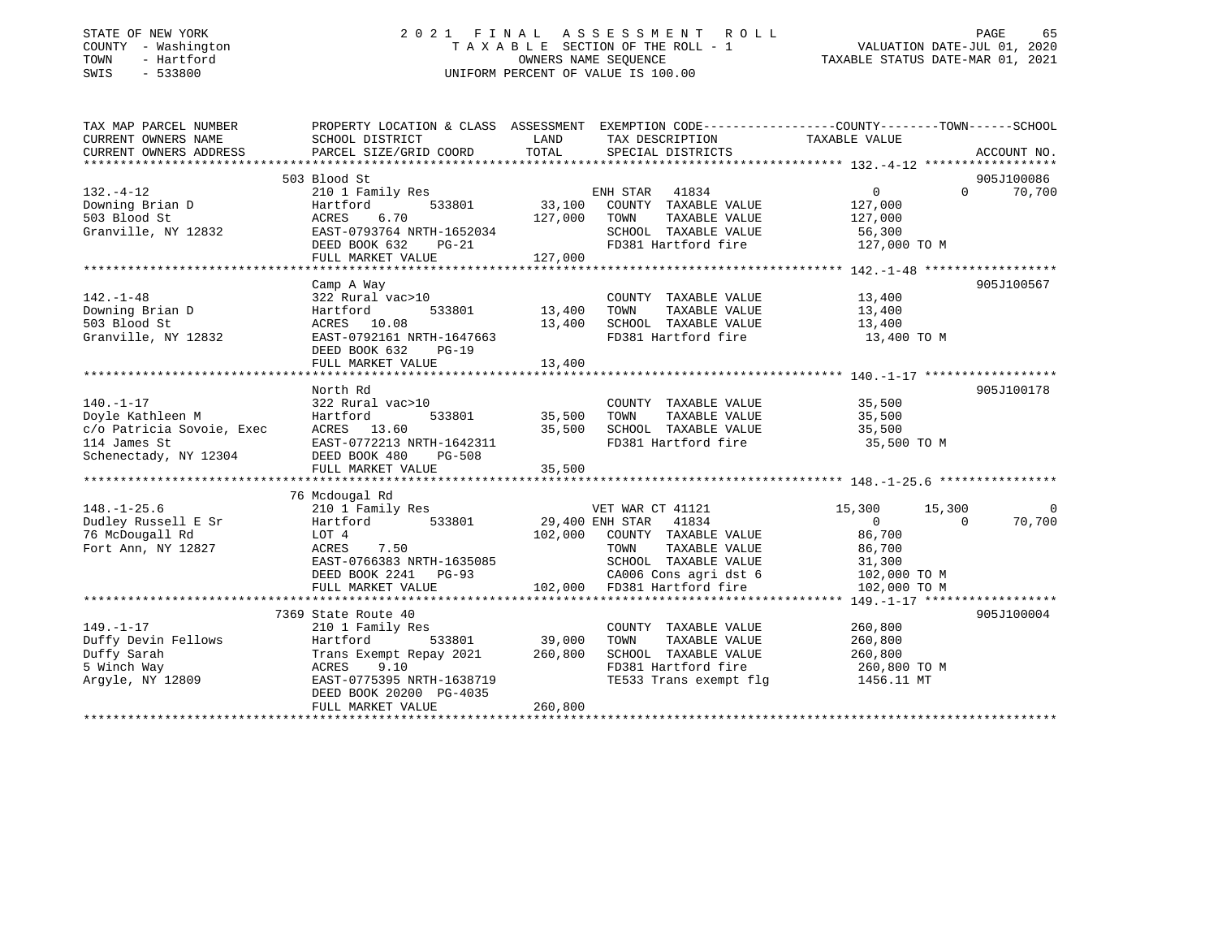#### STATE OF NEW YORK 2 0 2 1 F I N A L A S S E S S M E N T R O L L PAGE 65COUNTY - Washington  $T A X A B L E$  SECTION OF THE ROLL - 1<br>TOWN - Hartford TOWN - Hartford **Taxable STATUS DATE-MAR 01, 2021** OWNERS NAME SEQUENCE TAXABLE STATUS DATE-MAR 01, 2021 SWIS - 533800 UNIFORM PERCENT OF VALUE IS 100.00

VALUATION DATE-JUL 01, 2020

| TAX MAP PARCEL NUMBER                                                                                                                                 | PROPERTY LOCATION & CLASS ASSESSMENT EXEMPTION CODE---------------COUNTY-------TOWN------SCHOOL |               |                                                                   |                            |                |
|-------------------------------------------------------------------------------------------------------------------------------------------------------|-------------------------------------------------------------------------------------------------|---------------|-------------------------------------------------------------------|----------------------------|----------------|
| CURRENT OWNERS NAME                                                                                                                                   | SCHOOL DISTRICT                                                                                 | LAND          | TAX DESCRIPTION                                                   | TAXABLE VALUE              |                |
| CURRENT OWNERS ADDRESS                                                                                                                                | PARCEL SIZE/GRID COORD                                                                          | TOTAL         | SPECIAL DISTRICTS                                                 |                            | ACCOUNT NO.    |
|                                                                                                                                                       |                                                                                                 |               |                                                                   |                            |                |
|                                                                                                                                                       | 503 Blood St                                                                                    |               |                                                                   |                            | 905J100086     |
| $132 - 4 - 12$                                                                                                                                        | 210 1 Family Res<br>Hartford 533801 33,100                                                      |               | ENH STAR 41834                                                    | $0 \qquad \qquad$          | $0 \t 70,700$  |
| Downing Brian D                                                                                                                                       |                                                                                                 |               | COUNTY TAXABLE VALUE                                              | 127,000                    |                |
| 503 Blood St                                                                                                                                          | ACRES<br>6.70                                                                                   | 127,000 TOWN  | TAXABLE VALUE                                                     | 127,000                    |                |
| Granville, NY 12832                                                                                                                                   | EAST-0793764 NRTH-1652034                                                                       |               | SCHOOL TAXABLE VALUE                                              | 56,300                     |                |
|                                                                                                                                                       | DEED BOOK 632 PG-21                                                                             |               | FD381 Hartford fire                                               | 127,000 TO M               |                |
|                                                                                                                                                       | FULL MARKET VALUE                                                                               | 127,000       |                                                                   |                            |                |
|                                                                                                                                                       |                                                                                                 |               |                                                                   |                            |                |
|                                                                                                                                                       | Camp A Way                                                                                      |               |                                                                   |                            | 905J100567     |
| $142. - 1 - 48$                                                                                                                                       | 322 Rural vac>10                                                                                |               | COUNTY TAXABLE VALUE                                              | 13,400                     |                |
|                                                                                                                                                       | 533801<br>Hartford                                                                              | 13,400        | TOWN<br>TAXABLE VALUE                                             | 13,400                     |                |
| 142.-1-40<br>Downing Brian D                                                                                                                          | ACRES 10.08                                                                                     | 13,400        | SCHOOL TAXABLE VALUE 13,400                                       |                            |                |
| Granville, NY 12832                                                                                                                                   | EAST-0792161 NRTH-1647663                                                                       |               | FD381 Hartford fire                                               | 13,400 TO M                |                |
|                                                                                                                                                       | DEED BOOK 632<br>$PG-19$                                                                        |               |                                                                   |                            |                |
|                                                                                                                                                       | FULL MARKET VALUE                                                                               | 13,400        |                                                                   |                            |                |
|                                                                                                                                                       |                                                                                                 |               |                                                                   |                            |                |
|                                                                                                                                                       | North Rd                                                                                        |               |                                                                   |                            | 905J100178     |
| $140. - 1 - 17$                                                                                                                                       | 322 Rural vac>10                                                                                |               | COUNTY TAXABLE VALUE 35,500                                       |                            |                |
| Doyle Kathleen M                                                                                                                                      | Hartford                                                                                        | 533801 35,500 | TAXABLE VALUE<br>TOWN                                             | 35,500                     |                |
|                                                                                                                                                       |                                                                                                 | 35,500        | SCHOOL TAXABLE VALUE                                              | 35,500                     |                |
|                                                                                                                                                       |                                                                                                 |               | FD381 Hartford fire                                               | 35,500 TO M                |                |
| Doyle Natilies M<br>C/O Patricia Sovoie, Exec (ACRES 13.60<br>114 James St (BAST-0772213 NRTH-1642311<br>Schenectady, NY 12304 (DEED BOOK 480 PG-508) |                                                                                                 |               |                                                                   |                            |                |
|                                                                                                                                                       | FULL MARKET VALUE                                                                               | 35,500        |                                                                   |                            |                |
|                                                                                                                                                       |                                                                                                 |               |                                                                   |                            |                |
|                                                                                                                                                       | 76 Mcdougal Rd                                                                                  |               |                                                                   |                            |                |
| $148. - 1 - 25.6$                                                                                                                                     | 210 1 Family Res                                                                                |               | VET WAR CT 41121                                                  | 15,300<br>15,300           | $\overline{0}$ |
| Dudley Russell E Sr                                                                                                                                   | Hartford 533801                                                                                 |               | 29,400 ENH STAR 41834                                             | $\Omega$<br>$\overline{0}$ | 70,700         |
| 76 McDougall Rd                                                                                                                                       | LOT 4                                                                                           |               | 102,000 COUNTY TAXABLE VALUE                                      | 86,700                     |                |
| Fort Ann, NY 12827                                                                                                                                    | 7.50<br>ACRES                                                                                   |               | TAXABLE VALUE<br>TOWN                                             | 86,700                     |                |
|                                                                                                                                                       | EAST-0766383 NRTH-1635085<br>DEED BOOK 2241 PG-93                                               |               | SCHOOL TAXABLE VALUE 31,300<br>CA006 Cons agri dst 6 102,000 TO M |                            |                |
|                                                                                                                                                       |                                                                                                 |               |                                                                   |                            |                |
|                                                                                                                                                       | FULL MARKET VALUE                                                                               |               | 102,000 FD381 Hartford fire                                       | 102,000 TO M               |                |
|                                                                                                                                                       |                                                                                                 |               |                                                                   |                            |                |
|                                                                                                                                                       | 7369 State Route 40                                                                             |               |                                                                   |                            | 905J100004     |
| $149. - 1 - 17$                                                                                                                                       | 210 1 Family Res                                                                                |               | COUNTY TAXABLE VALUE                                              | 260,800                    |                |
| Duffy Devin Fellows                                                                                                                                   | Hartford<br>533801                                                                              | 39,000        | TOWN<br>TAXABLE VALUE                                             | 260,800                    |                |
| Duffy Sarah                                                                                                                                           | Trans Exempt Repay 2021 260,800                                                                 |               | SCHOOL TAXABLE VALUE                                              | 260,800                    |                |
| 5 Winch Way                                                                                                                                           | ACRES<br>9.10                                                                                   |               | FD381 Hartford fire                                               | 260,800 TO M               |                |
| Argyle, NY 12809                                                                                                                                      | EAST-0775395 NRTH-1638719                                                                       |               | TE533 Trans exempt flq                                            | 1456.11 MT                 |                |
|                                                                                                                                                       | DEED BOOK 20200 PG-4035                                                                         |               |                                                                   |                            |                |
|                                                                                                                                                       | FULL MARKET VALUE                                                                               | 260,800       |                                                                   |                            |                |
|                                                                                                                                                       |                                                                                                 |               |                                                                   |                            |                |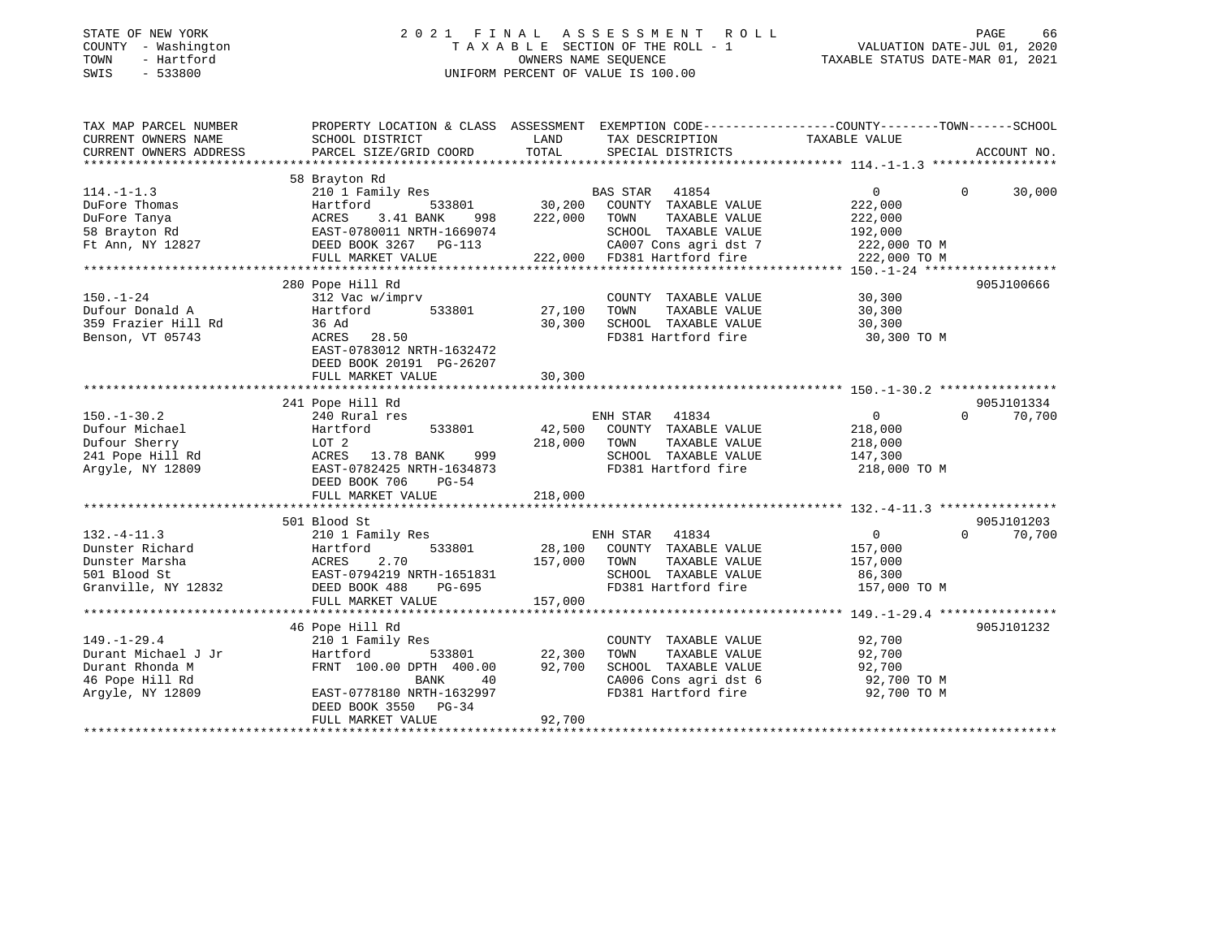| STATE OF NEW YORK |              |
|-------------------|--------------|
| COUNTY            | - Washington |
| TOWN              | - Hartford   |
| <b>CMTC</b>       | 533800       |

### STATE OF NEW YORK 2 0 2 1 F I N A L A S S E S S M E N T R O L L PAGE 66 COUNTY - Washington T A X A B L E SECTION OF THE ROLL - 1 VALUATION DATE-JUL 01, 2020 TOWN - Hartford OWNERS NAME SEQUENCE TAXABLE STATUS DATE-MAR 01, 2021 SWIS - 533800 UNIFORM PERCENT OF VALUE IS 100.00

| TAX MAP PARCEL NUMBER<br>CURRENT OWNERS NAME | PROPERTY LOCATION & CLASS ASSESSMENT EXEMPTION CODE---------------COUNTY-------TOWN-----SCHOOL<br>SCHOOL DISTRICT | LAND         | TAX DESCRIPTION             | TAXABLE VALUE  |          |             |
|----------------------------------------------|-------------------------------------------------------------------------------------------------------------------|--------------|-----------------------------|----------------|----------|-------------|
| CURRENT OWNERS ADDRESS                       | PARCEL SIZE/GRID COORD                                                                                            | TOTAL        | SPECIAL DISTRICTS           |                |          | ACCOUNT NO. |
|                                              |                                                                                                                   |              |                             |                |          |             |
|                                              | 58 Brayton Rd                                                                                                     |              |                             |                |          |             |
| $114. - 1 - 1.3$                             | 210 1 Family Res                                                                                                  |              | <b>BAS STAR</b><br>41854    | 0              | $\Omega$ | 30,000      |
| DuFore Thomas                                | 533801<br>Hartford                                                                                                | 30,200       | COUNTY TAXABLE VALUE        | 222,000        |          |             |
| DuFore Tanya                                 | ACRES<br>3.41 BANK<br>998                                                                                         | 222,000      | TOWN<br>TAXABLE VALUE       | 222,000        |          |             |
| 58 Brayton Rd                                | EAST-0780011 NRTH-1669074                                                                                         |              | SCHOOL TAXABLE VALUE        | 192,000        |          |             |
| Ft Ann, NY 12827                             | DEED BOOK 3267 PG-113                                                                                             |              | CA007 Cons agri dst 7       | 222,000 TO M   |          |             |
|                                              | FULL MARKET VALUE                                                                                                 |              | 222,000 FD381 Hartford fire | 222,000 TO M   |          |             |
|                                              |                                                                                                                   |              |                             |                |          |             |
|                                              | 280 Pope Hill Rd                                                                                                  |              |                             |                |          | 905J100666  |
| $150. - 1 - 24$                              | 312 Vac w/imprv                                                                                                   |              | COUNTY TAXABLE VALUE        | 30,300         |          |             |
| Dufour Donald A                              | Hartford<br>533801                                                                                                | 27,100       | TAXABLE VALUE<br>TOWN       | 30,300         |          |             |
| 359 Frazier Hill Rd                          | 36 Ad                                                                                                             | 30,300       | SCHOOL TAXABLE VALUE        | 30,300         |          |             |
| Benson, VT 05743                             | ACRES 28.50                                                                                                       |              | FD381 Hartford fire         | 30,300 TO M    |          |             |
|                                              | EAST-0783012 NRTH-1632472                                                                                         |              |                             |                |          |             |
|                                              | DEED BOOK 20191 PG-26207                                                                                          |              |                             |                |          |             |
|                                              | FULL MARKET VALUE                                                                                                 | 30,300       |                             |                |          |             |
|                                              |                                                                                                                   |              |                             |                |          |             |
|                                              | 241 Pope Hill Rd                                                                                                  |              |                             |                |          | 905J101334  |
| $150. - 1 - 30.2$                            | 240 Rural res                                                                                                     |              | ENH STAR<br>41834           | $\overline{0}$ | $\Omega$ | 70,700      |
| Dufour Michael                               | 533801<br>Hartford                                                                                                |              | 42,500 COUNTY TAXABLE VALUE | 218,000        |          |             |
| Dufour Sherry                                | LOT 2                                                                                                             | 218,000      | TAXABLE VALUE<br>TOWN       | 218,000        |          |             |
| 241 Pope Hill Rd                             | ACRES 13.78 BANK<br>999                                                                                           |              | SCHOOL TAXABLE VALUE        | 147,300        |          |             |
| Argyle, NY 12809                             | EAST-0782425 NRTH-1634873                                                                                         |              | FD381 Hartford fire         | 218,000 TO M   |          |             |
|                                              | DEED BOOK 706<br>$PG-54$                                                                                          |              |                             |                |          |             |
|                                              | FULL MARKET VALUE                                                                                                 | 218,000      |                             |                |          |             |
|                                              |                                                                                                                   |              |                             |                |          |             |
|                                              | 501 Blood St                                                                                                      |              |                             |                |          | 905J101203  |
| $132. - 4 - 11.3$                            | 210 1 Family Res                                                                                                  |              | ENH STAR 41834              | 0              | $\Omega$ | 70,700      |
| Dunster Richard                              | 533801<br>Hartford                                                                                                |              | 28,100 COUNTY TAXABLE VALUE | 157,000        |          |             |
| Dunster Marsha                               | 2.70<br>ACRES                                                                                                     | 157,000 TOWN | TAXABLE VALUE               | 157,000        |          |             |
| 501 Blood St                                 | EAST-0794219 NRTH-1651831                                                                                         |              | SCHOOL TAXABLE VALUE        | 86,300         |          |             |
| Granville, NY 12832                          | PG-695<br>DEED BOOK 488                                                                                           |              | FD381 Hartford fire         | 157,000 TO M   |          |             |
|                                              | FULL MARKET VALUE                                                                                                 | 157,000      |                             |                |          |             |
|                                              |                                                                                                                   |              |                             |                |          |             |
|                                              | 46 Pope Hill Rd                                                                                                   |              |                             |                |          | 905J101232  |
| $149. - 1 - 29.4$                            | 210 1 Family Res                                                                                                  |              | COUNTY TAXABLE VALUE        | 92,700         |          |             |
| Durant Michael J Jr                          | 533801<br>Hartford                                                                                                | 22,300       | TOWN<br>TAXABLE VALUE       | 92,700         |          |             |
| Durant Rhonda M                              | FRNT 100.00 DPTH 400.00                                                                                           | 92,700       | SCHOOL TAXABLE VALUE        | 92,700         |          |             |
| 46 Pope Hill Rd                              | 40<br>BANK                                                                                                        |              | CA006 Cons agri dst 6       | 92,700 TO M    |          |             |
| Argyle, NY 12809                             | EAST-0778180 NRTH-1632997                                                                                         |              | FD381 Hartford fire         | 92,700 TO M    |          |             |
|                                              | DEED BOOK 3550 PG-34                                                                                              |              |                             |                |          |             |
|                                              | FULL MARKET VALUE                                                                                                 | 92,700       |                             |                |          |             |
|                                              |                                                                                                                   |              |                             |                |          |             |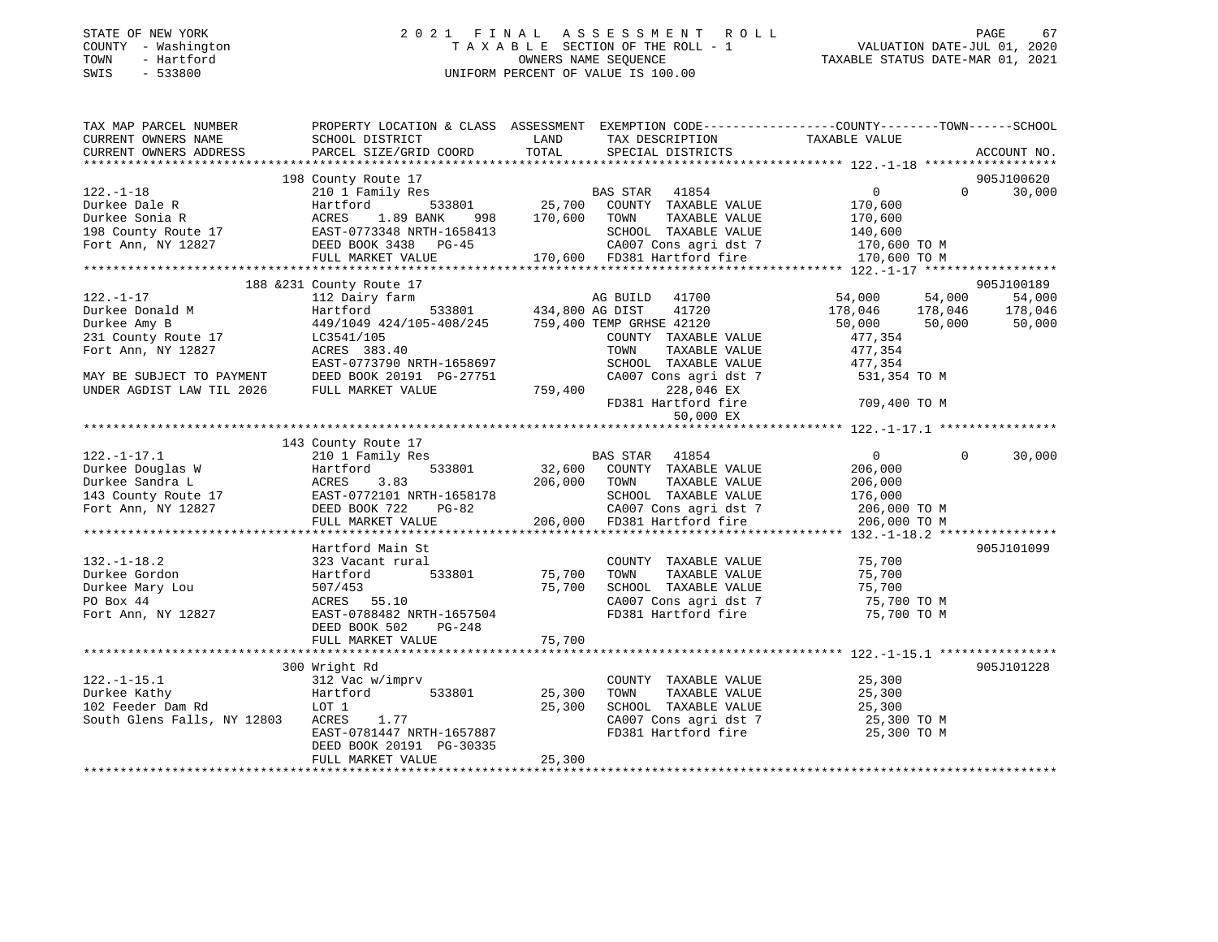### STATE OF NEW YORK 2 0 2 1 F I N A L A S S E S S M E N T R O L L PAGE 67 COUNTY - Washington T A X A B L E SECTION OF THE ROLL - 1 VALUATION DATE-JUL 01, 2020 TOWN - Hartford OWNERS NAME SEQUENCE TAXABLE STATUS DATE-MAR 01, 2021 SWIS - 533800 UNIFORM PERCENT OF VALUE IS 100.00

| TAX MAP PARCEL NUMBER                                          | PROPERTY LOCATION & CLASS ASSESSMENT EXEMPTION CODE----------------COUNTY-------TOWN------SCHOOL |                                    |                                               |                         |          |                 |
|----------------------------------------------------------------|--------------------------------------------------------------------------------------------------|------------------------------------|-----------------------------------------------|-------------------------|----------|-----------------|
| CURRENT OWNERS NAME                                            | SCHOOL DISTRICT                                                                                  | LAND                               | TAX DESCRIPTION                               | TAXABLE VALUE           |          |                 |
| CURRENT OWNERS ADDRESS                                         | PARCEL SIZE/GRID COORD                                                                           | TOTAL                              | SPECIAL DISTRICTS                             |                         |          | ACCOUNT NO.     |
|                                                                |                                                                                                  |                                    |                                               |                         |          |                 |
|                                                                | 198 County Route 17<br>210 1 Family Res                                                          |                                    |                                               |                         | $\Omega$ | 905J100620      |
| $122. - 1 - 18$                                                |                                                                                                  |                                    | BAS STAR 41854                                | 0                       |          | 30,000          |
| Durkee Dale R                                                  | 533801<br>Hartford                                                                               | 170,600                            | 25,700 COUNTY TAXABLE VALUE                   | 170,600                 |          |                 |
| Durkee Sonia R                                                 | ACRES<br>1.89 BANK<br>998                                                                        |                                    | TOWN<br>TAXABLE VALUE                         | 170,600                 |          |                 |
| 198 County Route 17                                            | EAST-0773348 NRTH-1658413                                                                        |                                    | SCHOOL TAXABLE VALUE<br>CA007 Cons agri dst 7 | 140,600<br>170,600 TO M |          |                 |
| Fort Ann, NY 12827                                             | DEED BOOK 3438 PG-45                                                                             |                                    | 170,600 FD381 Hartford fire                   | 170,600 TO M            |          |                 |
|                                                                | FULL MARKET VALUE                                                                                |                                    |                                               |                         |          |                 |
|                                                                | 188 & 231 County Route 17                                                                        |                                    |                                               |                         |          | 905J100189      |
| $122. - 1 - 17$                                                | 112 Dairy farm                                                                                   |                                    | AG BUILD 41700                                | 54,000                  | 54,000   | 54,000          |
| Durkee Donald M                                                | Hartford                                                                                         | AG BUILD<br>533801 434,800 AG DIST | 41720                                         |                         |          | 178,046 178,046 |
| Durkee Amy B                                                   | 449/1049 424/105-408/245 759,400 TEMP GRHSE 42120                                                |                                    |                                               | 178,046<br>50,000       | 50,000   | 50,000          |
| 231 County Route 17                                            | LC3541/105                                                                                       |                                    | COUNTY TAXABLE VALUE                          | 477,354                 |          |                 |
| Fort Ann, NY 12827                                             | ACRES 383.40                                                                                     |                                    | TOWN<br>TAXABLE VALUE                         | 477,354                 |          |                 |
|                                                                | EAST-0773790 NRTH-1658697                                                                        |                                    | SCHOOL TAXABLE VALUE                          | 477,354                 |          |                 |
| MAY BE SUBJECT TO PAYMENT                                      | DEED BOOK 20191 PG-27751                                                                         |                                    | CA007 Cons agri dst 7                         | 531,354 TO M            |          |                 |
| UNDER AGDIST LAW TIL 2026                                      | FULL MARKET VALUE                                                                                | 759,400                            | 228,046 EX                                    |                         |          |                 |
|                                                                |                                                                                                  |                                    | FD381 Hartford fire                           | 709,400 TO M            |          |                 |
|                                                                |                                                                                                  |                                    | 50,000 EX                                     |                         |          |                 |
|                                                                |                                                                                                  |                                    |                                               |                         |          |                 |
|                                                                | 143 County Route 17                                                                              |                                    |                                               |                         |          |                 |
| $122. - 1 - 17.1$                                              | 210 1 Family Res                                                                                 |                                    | BAS STAR 41854                                | 0                       | $\Omega$ | 30,000          |
| Durkee Douglas W                                               | 533801<br>Hartford                                                                               |                                    | 32,600 COUNTY TAXABLE VALUE                   | 206,000                 |          |                 |
| Durkee Sandra L                                                | ACRES<br>3.83                                                                                    | 206,000                            | TAXABLE VALUE<br>TOWN                         | 206,000                 |          |                 |
|                                                                | EAST-0772101 NRTH-1658178                                                                        |                                    | SCHOOL TAXABLE VALUE                          | 176,000                 |          |                 |
| 143 County Route 17<br>Fort Ann NV 12827<br>Fort Ann, NY 12827 | DEED BOOK 722<br>$PG-82$                                                                         |                                    | CA007 Cons agri dst 7                         | 206,000 TO M            |          |                 |
|                                                                | FULL MARKET VALUE                                                                                | 206,000                            | FD381 Hartford fire                           | 206,000 TO M            |          |                 |
|                                                                |                                                                                                  |                                    |                                               |                         |          |                 |
|                                                                | Hartford Main St                                                                                 |                                    |                                               |                         |          | 905J101099      |
| $132. - 1 - 18.2$                                              | 323 Vacant rural                                                                                 |                                    | COUNTY TAXABLE VALUE                          | 75,700                  |          |                 |
| Durkee Gordon                                                  | 533801<br>Hartford                                                                               | 75,700                             | TOWN<br>TAXABLE VALUE                         | 75,700                  |          |                 |
| Durkee Mary Lou                                                | 507/453                                                                                          | 75,700                             | SCHOOL TAXABLE VALUE                          | 75,700                  |          |                 |
| PO Box 44                                                      | ACRES 55.10                                                                                      |                                    | CA007 Cons agri dst 7                         | 75,700 TO M             |          |                 |
| Fort Ann, NY 12827                                             | EAST-0788482 NRTH-1657504                                                                        |                                    | FD381 Hartford fire                           | 75,700 TO M             |          |                 |
|                                                                | DEED BOOK 502<br>PG-248                                                                          |                                    |                                               |                         |          |                 |
|                                                                | FULL MARKET VALUE                                                                                | 75,700                             |                                               |                         |          |                 |
|                                                                |                                                                                                  |                                    |                                               |                         |          |                 |
|                                                                | 300 Wright Rd                                                                                    |                                    |                                               |                         |          | 905J101228      |
| $122. - 1 - 15.1$                                              | 312 Vac w/imprv                                                                                  |                                    | COUNTY TAXABLE VALUE                          | 25,300                  |          |                 |
| Durkee Kathy                                                   | 533801<br>Hartford                                                                               | 25,300                             | TOWN<br>TAXABLE VALUE                         | 25,300                  |          |                 |
| 102 Feeder Dam Rd                                              | LOT 1                                                                                            | 25,300                             | SCHOOL TAXABLE VALUE                          | 25,300                  |          |                 |
| South Glens Falls, NY 12803                                    | 1.77<br>ACRES                                                                                    |                                    | CA007 Cons agri dst 7                         | 25,300 TO M             |          |                 |
|                                                                | EAST-0781447 NRTH-1657887                                                                        |                                    | FD381 Hartford fire                           | 25,300 TO M             |          |                 |
|                                                                | DEED BOOK 20191 PG-30335                                                                         |                                    |                                               |                         |          |                 |
|                                                                | FULL MARKET VALUE                                                                                | 25,300                             |                                               |                         |          |                 |
|                                                                |                                                                                                  |                                    |                                               |                         |          |                 |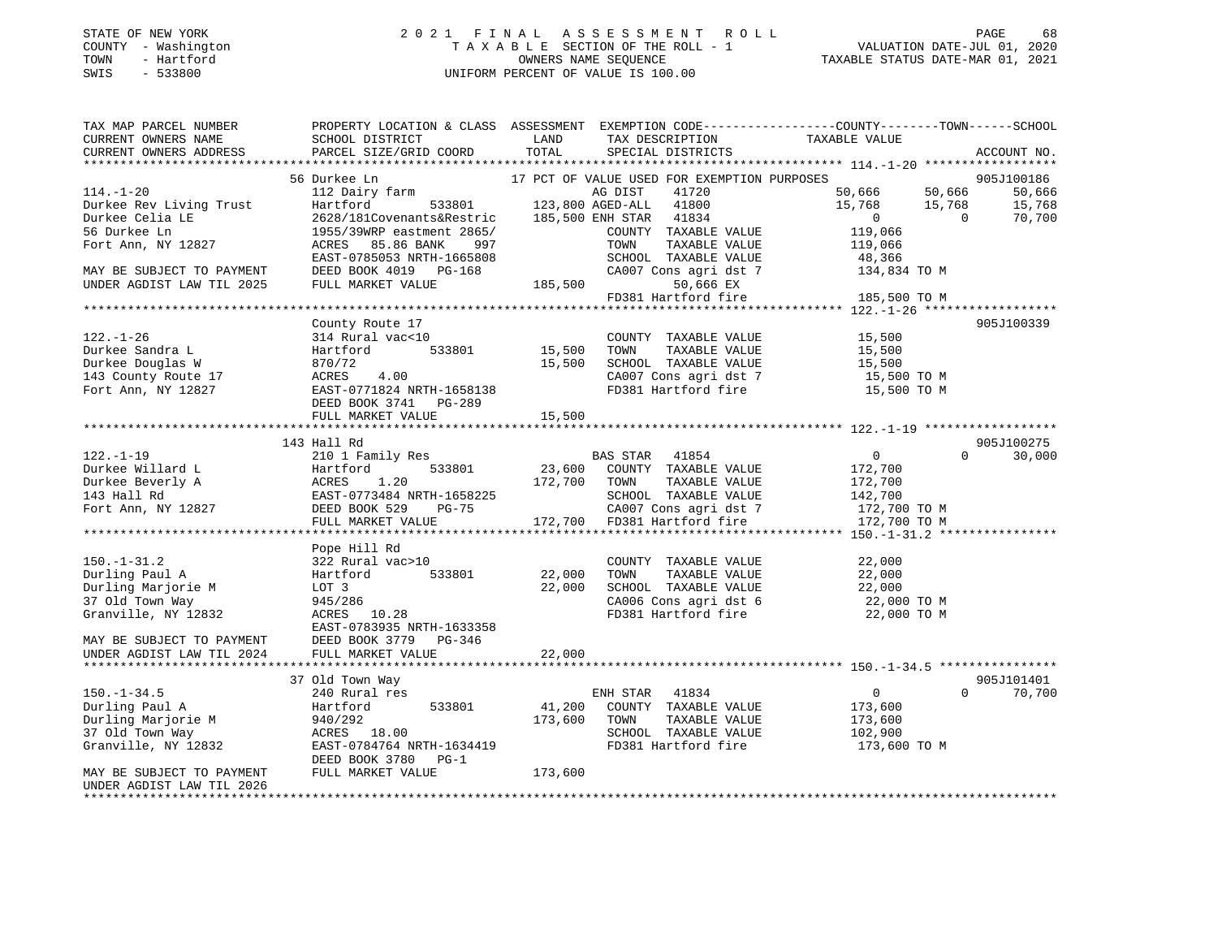### STATE OF NEW YORK 2 0 2 1 F I N A L A S S E S S M E N T R O L L PAGE 68 COUNTY - Washington T A X A B L E SECTION OF THE ROLL - 1 VALUATION DATE-JUL 01, 2020 TOWN - Hartford OWNERS NAME SEQUENCE TAXABLE STATUS DATE-MAR 01, 2021 SWIS - 533800 UNIFORM PERCENT OF VALUE IS 100.00

| TAXABLE VALUE<br>CURRENT OWNERS NAME<br>SCHOOL DISTRICT<br>LAND<br>TAX DESCRIPTION<br>TOTAL<br>PARCEL SIZE/GRID COORD<br>SPECIAL DISTRICTS<br>CURRENT OWNERS ADDRESS<br>ACCOUNT NO.<br>17 PCT OF VALUE USED FOR EXEMPTION PURPOSES<br>AG DIST 41720 50,666 50,666 50,666<br>123,800 AGED-ALL 41800 15,768 15,768 15,768 15,768<br>185,500 ENH STAR 41834 0 70,700<br>COUNTY TAXABLE VALUE 119,066 15,066 70,700<br>$114. - 1 - 20$<br>%THE COORL<br>% **********************<br>% Durkee Ln<br>112 Dairy farm<br>Hartford 533801<br>2628/181Covenant<br>farm<br>533801 123,800 AGED-ALL 41800<br>Durkee Rev Living Trust<br>Durkee Celia LE<br>56 Durkee Ln<br>Fort Ann, NY 12827<br>134,834 TO M<br>MAY BE SUBJECT TO PAYMENT<br>UNDER AGDIST LAW TIL 2025<br>185,500 TO M<br>905J100339<br>County Route 17<br>COUNTY TAXABLE VALUE 15,500<br>TOWN TAXABLE VALUE 15,500<br>314 Rural vac<10 COUNT<br>Hartford 533801 15,500 TOWN<br>$122. - 1 - 26$<br>Durkee Sandra L<br>15,500<br>$870/72$<br>ACRES 4.00 15,500 SCHOOL TAXABLE VALUE<br>CA007 Cons agri <sup>dst 7</sup><br>Durkee Douglas W<br>Durkee Douglas W<br>143 County Route 17<br>Fort Ann, NY 12827<br>CA007 Cons agri dst 7 15,500 TO M<br>ACKES 4.00<br>EAST-0771824 NRTH-1658138<br>DEED POOK 2741 - DO 000<br>FD381 Hartford fire<br>15,500 TO M<br>DEED BOOK 3741 PG-289<br>143 Hall Rd<br>905J100275<br>210 1 Family Res<br>$122. - 1 - 19$<br>$\overline{0}$<br>$\Omega$<br>30,000<br>BAS STAR 41854<br>533801 23,600 COUNTY TAXABLE VALUE<br>172,700<br>172,700 TOWN<br>TOWN TAXABLE VALUE<br>SCHOOL TAXABLE VALUE 142,700<br>2002 Care agri dst. 7 172,700 TO M<br>172,700 FD381 Hartford fire 172,700 TO M |
|-----------------------------------------------------------------------------------------------------------------------------------------------------------------------------------------------------------------------------------------------------------------------------------------------------------------------------------------------------------------------------------------------------------------------------------------------------------------------------------------------------------------------------------------------------------------------------------------------------------------------------------------------------------------------------------------------------------------------------------------------------------------------------------------------------------------------------------------------------------------------------------------------------------------------------------------------------------------------------------------------------------------------------------------------------------------------------------------------------------------------------------------------------------------------------------------------------------------------------------------------------------------------------------------------------------------------------------------------------------------------------------------------------------------------------------------------------------------------------------------------------------------------------------------------------------------------------------------------------------------------------------------------------------------------------------|
|                                                                                                                                                                                                                                                                                                                                                                                                                                                                                                                                                                                                                                                                                                                                                                                                                                                                                                                                                                                                                                                                                                                                                                                                                                                                                                                                                                                                                                                                                                                                                                                                                                                                                   |
|                                                                                                                                                                                                                                                                                                                                                                                                                                                                                                                                                                                                                                                                                                                                                                                                                                                                                                                                                                                                                                                                                                                                                                                                                                                                                                                                                                                                                                                                                                                                                                                                                                                                                   |
|                                                                                                                                                                                                                                                                                                                                                                                                                                                                                                                                                                                                                                                                                                                                                                                                                                                                                                                                                                                                                                                                                                                                                                                                                                                                                                                                                                                                                                                                                                                                                                                                                                                                                   |
|                                                                                                                                                                                                                                                                                                                                                                                                                                                                                                                                                                                                                                                                                                                                                                                                                                                                                                                                                                                                                                                                                                                                                                                                                                                                                                                                                                                                                                                                                                                                                                                                                                                                                   |
|                                                                                                                                                                                                                                                                                                                                                                                                                                                                                                                                                                                                                                                                                                                                                                                                                                                                                                                                                                                                                                                                                                                                                                                                                                                                                                                                                                                                                                                                                                                                                                                                                                                                                   |
|                                                                                                                                                                                                                                                                                                                                                                                                                                                                                                                                                                                                                                                                                                                                                                                                                                                                                                                                                                                                                                                                                                                                                                                                                                                                                                                                                                                                                                                                                                                                                                                                                                                                                   |
|                                                                                                                                                                                                                                                                                                                                                                                                                                                                                                                                                                                                                                                                                                                                                                                                                                                                                                                                                                                                                                                                                                                                                                                                                                                                                                                                                                                                                                                                                                                                                                                                                                                                                   |
|                                                                                                                                                                                                                                                                                                                                                                                                                                                                                                                                                                                                                                                                                                                                                                                                                                                                                                                                                                                                                                                                                                                                                                                                                                                                                                                                                                                                                                                                                                                                                                                                                                                                                   |
|                                                                                                                                                                                                                                                                                                                                                                                                                                                                                                                                                                                                                                                                                                                                                                                                                                                                                                                                                                                                                                                                                                                                                                                                                                                                                                                                                                                                                                                                                                                                                                                                                                                                                   |
|                                                                                                                                                                                                                                                                                                                                                                                                                                                                                                                                                                                                                                                                                                                                                                                                                                                                                                                                                                                                                                                                                                                                                                                                                                                                                                                                                                                                                                                                                                                                                                                                                                                                                   |
|                                                                                                                                                                                                                                                                                                                                                                                                                                                                                                                                                                                                                                                                                                                                                                                                                                                                                                                                                                                                                                                                                                                                                                                                                                                                                                                                                                                                                                                                                                                                                                                                                                                                                   |
|                                                                                                                                                                                                                                                                                                                                                                                                                                                                                                                                                                                                                                                                                                                                                                                                                                                                                                                                                                                                                                                                                                                                                                                                                                                                                                                                                                                                                                                                                                                                                                                                                                                                                   |
|                                                                                                                                                                                                                                                                                                                                                                                                                                                                                                                                                                                                                                                                                                                                                                                                                                                                                                                                                                                                                                                                                                                                                                                                                                                                                                                                                                                                                                                                                                                                                                                                                                                                                   |
|                                                                                                                                                                                                                                                                                                                                                                                                                                                                                                                                                                                                                                                                                                                                                                                                                                                                                                                                                                                                                                                                                                                                                                                                                                                                                                                                                                                                                                                                                                                                                                                                                                                                                   |
|                                                                                                                                                                                                                                                                                                                                                                                                                                                                                                                                                                                                                                                                                                                                                                                                                                                                                                                                                                                                                                                                                                                                                                                                                                                                                                                                                                                                                                                                                                                                                                                                                                                                                   |
|                                                                                                                                                                                                                                                                                                                                                                                                                                                                                                                                                                                                                                                                                                                                                                                                                                                                                                                                                                                                                                                                                                                                                                                                                                                                                                                                                                                                                                                                                                                                                                                                                                                                                   |
|                                                                                                                                                                                                                                                                                                                                                                                                                                                                                                                                                                                                                                                                                                                                                                                                                                                                                                                                                                                                                                                                                                                                                                                                                                                                                                                                                                                                                                                                                                                                                                                                                                                                                   |
|                                                                                                                                                                                                                                                                                                                                                                                                                                                                                                                                                                                                                                                                                                                                                                                                                                                                                                                                                                                                                                                                                                                                                                                                                                                                                                                                                                                                                                                                                                                                                                                                                                                                                   |
|                                                                                                                                                                                                                                                                                                                                                                                                                                                                                                                                                                                                                                                                                                                                                                                                                                                                                                                                                                                                                                                                                                                                                                                                                                                                                                                                                                                                                                                                                                                                                                                                                                                                                   |
|                                                                                                                                                                                                                                                                                                                                                                                                                                                                                                                                                                                                                                                                                                                                                                                                                                                                                                                                                                                                                                                                                                                                                                                                                                                                                                                                                                                                                                                                                                                                                                                                                                                                                   |
|                                                                                                                                                                                                                                                                                                                                                                                                                                                                                                                                                                                                                                                                                                                                                                                                                                                                                                                                                                                                                                                                                                                                                                                                                                                                                                                                                                                                                                                                                                                                                                                                                                                                                   |
|                                                                                                                                                                                                                                                                                                                                                                                                                                                                                                                                                                                                                                                                                                                                                                                                                                                                                                                                                                                                                                                                                                                                                                                                                                                                                                                                                                                                                                                                                                                                                                                                                                                                                   |
|                                                                                                                                                                                                                                                                                                                                                                                                                                                                                                                                                                                                                                                                                                                                                                                                                                                                                                                                                                                                                                                                                                                                                                                                                                                                                                                                                                                                                                                                                                                                                                                                                                                                                   |
|                                                                                                                                                                                                                                                                                                                                                                                                                                                                                                                                                                                                                                                                                                                                                                                                                                                                                                                                                                                                                                                                                                                                                                                                                                                                                                                                                                                                                                                                                                                                                                                                                                                                                   |
|                                                                                                                                                                                                                                                                                                                                                                                                                                                                                                                                                                                                                                                                                                                                                                                                                                                                                                                                                                                                                                                                                                                                                                                                                                                                                                                                                                                                                                                                                                                                                                                                                                                                                   |
|                                                                                                                                                                                                                                                                                                                                                                                                                                                                                                                                                                                                                                                                                                                                                                                                                                                                                                                                                                                                                                                                                                                                                                                                                                                                                                                                                                                                                                                                                                                                                                                                                                                                                   |
|                                                                                                                                                                                                                                                                                                                                                                                                                                                                                                                                                                                                                                                                                                                                                                                                                                                                                                                                                                                                                                                                                                                                                                                                                                                                                                                                                                                                                                                                                                                                                                                                                                                                                   |
|                                                                                                                                                                                                                                                                                                                                                                                                                                                                                                                                                                                                                                                                                                                                                                                                                                                                                                                                                                                                                                                                                                                                                                                                                                                                                                                                                                                                                                                                                                                                                                                                                                                                                   |
|                                                                                                                                                                                                                                                                                                                                                                                                                                                                                                                                                                                                                                                                                                                                                                                                                                                                                                                                                                                                                                                                                                                                                                                                                                                                                                                                                                                                                                                                                                                                                                                                                                                                                   |
|                                                                                                                                                                                                                                                                                                                                                                                                                                                                                                                                                                                                                                                                                                                                                                                                                                                                                                                                                                                                                                                                                                                                                                                                                                                                                                                                                                                                                                                                                                                                                                                                                                                                                   |
| Pope Hill Rd                                                                                                                                                                                                                                                                                                                                                                                                                                                                                                                                                                                                                                                                                                                                                                                                                                                                                                                                                                                                                                                                                                                                                                                                                                                                                                                                                                                                                                                                                                                                                                                                                                                                      |
| 322 Rural vac>10<br>COUNTY TAXABLE VALUE 22,000                                                                                                                                                                                                                                                                                                                                                                                                                                                                                                                                                                                                                                                                                                                                                                                                                                                                                                                                                                                                                                                                                                                                                                                                                                                                                                                                                                                                                                                                                                                                                                                                                                   |
| 150.-1-31.2<br>Durling Paul A<br>Durling Marjorie M<br>37 Old Town Way<br>Granville, NY 12832<br>28 REAST-0783935 NRTH-1633358<br>28 REAST-0783935 NRTH-1633358<br>22,000 TOWN TAXABLE VALUE 22,000<br>22,000 SCHOOL TAXABLE VALUE 22,000<br>CA006 Cons agri dst 6 22,000 TO M                                                                                                                                                                                                                                                                                                                                                                                                                                                                                                                                                                                                                                                                                                                                                                                                                                                                                                                                                                                                                                                                                                                                                                                                                                                                                                                                                                                                    |
|                                                                                                                                                                                                                                                                                                                                                                                                                                                                                                                                                                                                                                                                                                                                                                                                                                                                                                                                                                                                                                                                                                                                                                                                                                                                                                                                                                                                                                                                                                                                                                                                                                                                                   |
| CA006 Cons agri dst 6 22,000 TO M<br>FD381 Hartford fire 22,000 TO M                                                                                                                                                                                                                                                                                                                                                                                                                                                                                                                                                                                                                                                                                                                                                                                                                                                                                                                                                                                                                                                                                                                                                                                                                                                                                                                                                                                                                                                                                                                                                                                                              |
|                                                                                                                                                                                                                                                                                                                                                                                                                                                                                                                                                                                                                                                                                                                                                                                                                                                                                                                                                                                                                                                                                                                                                                                                                                                                                                                                                                                                                                                                                                                                                                                                                                                                                   |
|                                                                                                                                                                                                                                                                                                                                                                                                                                                                                                                                                                                                                                                                                                                                                                                                                                                                                                                                                                                                                                                                                                                                                                                                                                                                                                                                                                                                                                                                                                                                                                                                                                                                                   |
|                                                                                                                                                                                                                                                                                                                                                                                                                                                                                                                                                                                                                                                                                                                                                                                                                                                                                                                                                                                                                                                                                                                                                                                                                                                                                                                                                                                                                                                                                                                                                                                                                                                                                   |
| 22,000<br>FULL MARKET VALUE                                                                                                                                                                                                                                                                                                                                                                                                                                                                                                                                                                                                                                                                                                                                                                                                                                                                                                                                                                                                                                                                                                                                                                                                                                                                                                                                                                                                                                                                                                                                                                                                                                                       |
|                                                                                                                                                                                                                                                                                                                                                                                                                                                                                                                                                                                                                                                                                                                                                                                                                                                                                                                                                                                                                                                                                                                                                                                                                                                                                                                                                                                                                                                                                                                                                                                                                                                                                   |
| 37 Old Town Way<br>905J101401                                                                                                                                                                                                                                                                                                                                                                                                                                                                                                                                                                                                                                                                                                                                                                                                                                                                                                                                                                                                                                                                                                                                                                                                                                                                                                                                                                                                                                                                                                                                                                                                                                                     |
| $\overline{0}$<br>$0 \t 70,700$<br>$150. - 1 - 34.5$<br>240 Rural res<br>ENH STAR 41834                                                                                                                                                                                                                                                                                                                                                                                                                                                                                                                                                                                                                                                                                                                                                                                                                                                                                                                                                                                                                                                                                                                                                                                                                                                                                                                                                                                                                                                                                                                                                                                           |
| 150.-1-34.5<br>Durling Paul A<br>Durling Marjorie M<br>37 Old Town Way<br>Granville, NY 12832<br>Hartford 533801 41,200 COUNTY TAXABLE VALUE 173,600                                                                                                                                                                                                                                                                                                                                                                                                                                                                                                                                                                                                                                                                                                                                                                                                                                                                                                                                                                                                                                                                                                                                                                                                                                                                                                                                                                                                                                                                                                                              |
| 173,600 TOWN<br>940/292<br>TAXABLE VALUE<br>173,600<br>00                                                                                                                                                                                                                                                                                                                                                                                                                                                                                                                                                                                                                                                                                                                                                                                                                                                                                                                                                                                                                                                                                                                                                                                                                                                                                                                                                                                                                                                                                                                                                                                                                         |
| SCHOOL TAXABLE VALUE 102,900<br>ACRES 18.00<br>ACRES 16.00<br>EAST-0784764 NRTH-1634419                                                                                                                                                                                                                                                                                                                                                                                                                                                                                                                                                                                                                                                                                                                                                                                                                                                                                                                                                                                                                                                                                                                                                                                                                                                                                                                                                                                                                                                                                                                                                                                           |
| FD381 Hartford fire<br>Granville, NY 12832<br>173,600 TO M                                                                                                                                                                                                                                                                                                                                                                                                                                                                                                                                                                                                                                                                                                                                                                                                                                                                                                                                                                                                                                                                                                                                                                                                                                                                                                                                                                                                                                                                                                                                                                                                                        |
|                                                                                                                                                                                                                                                                                                                                                                                                                                                                                                                                                                                                                                                                                                                                                                                                                                                                                                                                                                                                                                                                                                                                                                                                                                                                                                                                                                                                                                                                                                                                                                                                                                                                                   |
| DEED BOOK 3780 PG-1                                                                                                                                                                                                                                                                                                                                                                                                                                                                                                                                                                                                                                                                                                                                                                                                                                                                                                                                                                                                                                                                                                                                                                                                                                                                                                                                                                                                                                                                                                                                                                                                                                                               |
| FULL MARKET VALUE 173,600<br>MAY BE SUBJECT TO PAYMENT<br>UNDER AGDIST LAW TIL 2026                                                                                                                                                                                                                                                                                                                                                                                                                                                                                                                                                                                                                                                                                                                                                                                                                                                                                                                                                                                                                                                                                                                                                                                                                                                                                                                                                                                                                                                                                                                                                                                               |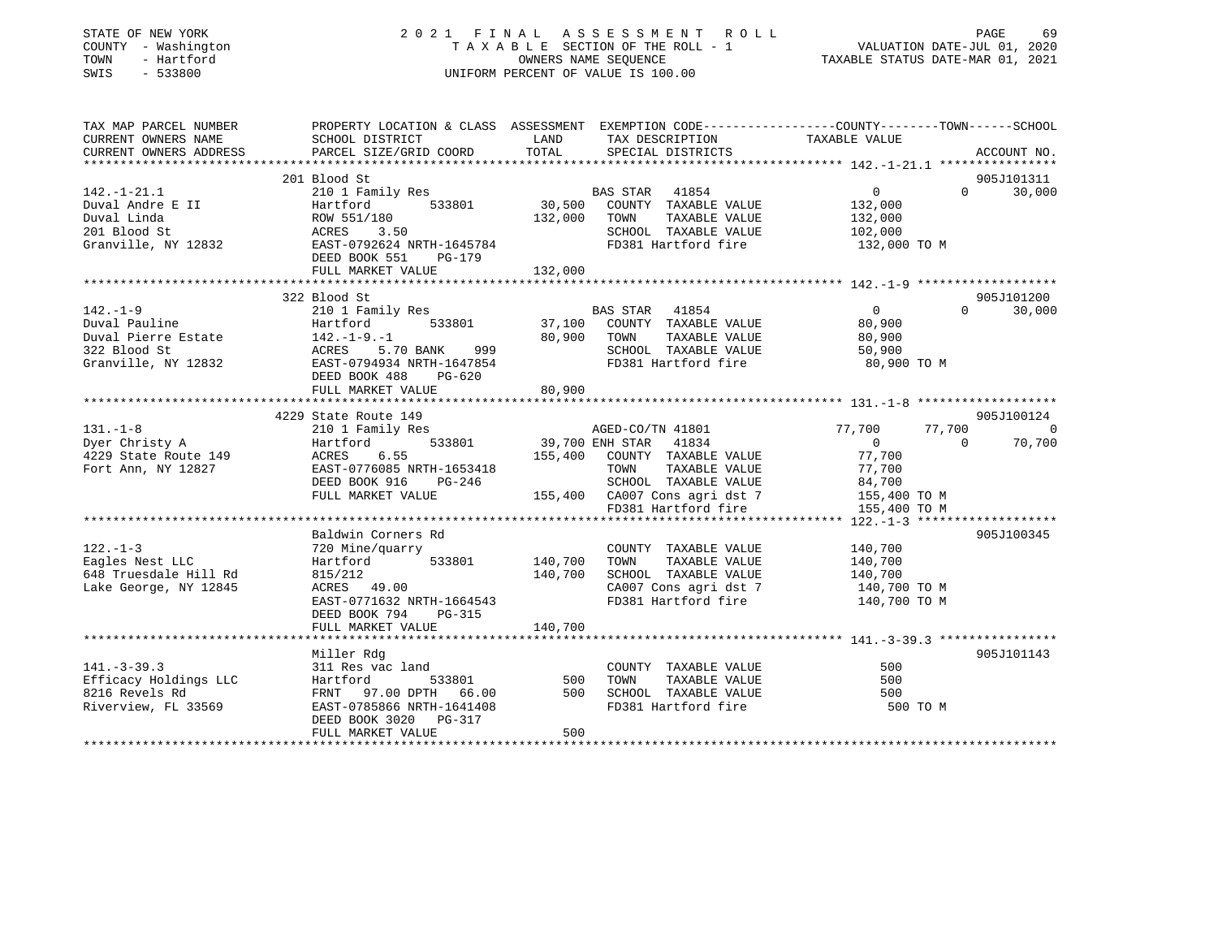| STATE OF NEW YORK<br>COUNTY - Washington<br>TOWN<br>- Hartford<br>SWIS<br>$-533800$ |                                                      | OWNERS NAME SEQUENCE | 2021 FINAL ASSESSMENT ROLL<br>T A X A B L E SECTION OF THE ROLL - 1<br>UNIFORM PERCENT OF VALUE IS 100.00 | PAGE<br>69<br>VALUATION DATE-JUL 01, 2020<br>TAXABLE STATUS DATE-MAR 01, 2021                    |
|-------------------------------------------------------------------------------------|------------------------------------------------------|----------------------|-----------------------------------------------------------------------------------------------------------|--------------------------------------------------------------------------------------------------|
| TAX MAP PARCEL NUMBER                                                               |                                                      |                      |                                                                                                           | PROPERTY LOCATION & CLASS ASSESSMENT EXEMPTION CODE----------------COUNTY-------TOWN------SCHOOL |
| CURRENT OWNERS NAME                                                                 | SCHOOL DISTRICT                                      | LAND                 | TAX DESCRIPTION                                                                                           | TAXABLE VALUE                                                                                    |
| CURRENT OWNERS ADDRESS                                                              | PARCEL SIZE/GRID COORD                               | TOTAL                | SPECIAL DISTRICTS                                                                                         | ACCOUNT NO.                                                                                      |
|                                                                                     | 201 Blood St                                         |                      |                                                                                                           | 905J101311                                                                                       |
| $142. - 1 - 21.1$                                                                   | 210 1 Family Res                                     |                      | BAS STAR 41854                                                                                            | $\overline{0}$<br>$\Omega$<br>30,000                                                             |
| Duval Andre E II                                                                    | Hartford 533801                                      |                      | 30,500 COUNTY TAXABLE VALUE                                                                               | 132,000                                                                                          |
| Duval Linda                                                                         | ROW 551/180                                          |                      | 132,000 TOWN TAXABLE VALUE                                                                                | 132,000                                                                                          |
| 201 Blood St                                                                        | ACRES<br>3.50                                        |                      | SCHOOL TAXABLE VALUE                                                                                      | 102,000                                                                                          |
| Granville, NY 12832                                                                 | EAST-0792624 NRTH-1645784<br>DEED BOOK 551<br>PG-179 |                      | FD381 Hartford fire                                                                                       | 132,000 TO M                                                                                     |
|                                                                                     | FULL MARKET VALUE                                    | 132,000              |                                                                                                           |                                                                                                  |
|                                                                                     |                                                      |                      |                                                                                                           |                                                                                                  |
| $142. - 1 - 9$                                                                      | 322 Blood St<br>210 1 Family Res                     |                      | BAS STAR 41854                                                                                            | 905J101200<br>$\overline{0}$<br>$\Omega$<br>30,000                                               |
| Duval Pauline                                                                       | Hartford 533801                                      |                      | 37,100 COUNTY TAXABLE VALUE                                                                               | 80,900                                                                                           |
| Duval Pierre Estate                                                                 | $142. - 1 - 9. - 1$                                  | 80,900               | TOWN<br>TAXABLE VALUE                                                                                     | 80,900                                                                                           |
| 322 Blood St                                                                        | ACRES 5.70 BANK<br>999                               |                      | SCHOOL TAXABLE VALUE                                                                                      | 50,900                                                                                           |
| Granville, NY 12832                                                                 | EAST-0794934 NRTH-1647854<br>DEED BOOK 488<br>PG-620 |                      | FD381 Hartford fire                                                                                       | 80,900 TO M                                                                                      |
|                                                                                     | FULL MARKET VALUE                                    | 80,900               |                                                                                                           |                                                                                                  |
|                                                                                     |                                                      |                      |                                                                                                           |                                                                                                  |
|                                                                                     | 4229 State Route 149                                 |                      |                                                                                                           | 905J100124                                                                                       |
| $131. - 1 - 8$<br>Dyer Christy A                                                    | 210 1 Family Res<br>Hartford 533801                  |                      | AGED-CO/TN 41801<br>39,700 ENH STAR 41834                                                                 | 77,700<br>77,700<br>$\overline{0}$<br>70,700<br>$\Omega$<br>$\overline{0}$                       |
| 4229 State Route 149                                                                | ACRES<br>6.55                                        |                      | 155,400 COUNTY TAXABLE VALUE                                                                              | 77,700                                                                                           |
| Fort Ann, NY 12827                                                                  | EAST-0776085 NRTH-1653418                            |                      | TOWN TAXABLE VALUE                                                                                        | 77,700                                                                                           |
|                                                                                     | DEED BOOK 916<br>PG-246                              |                      | SCHOOL TAXABLE VALUE                                                                                      | 84,700                                                                                           |
|                                                                                     | FULL MARKET VALUE                                    |                      | 155,400 CA007 Cons agri dst 7                                                                             | 155,400 TO M                                                                                     |
|                                                                                     |                                                      |                      | FD381 Hartford fire                                                                                       | 155,400 TO M                                                                                     |
|                                                                                     |                                                      |                      |                                                                                                           |                                                                                                  |
|                                                                                     | Baldwin Corners Rd                                   |                      |                                                                                                           | 905J100345                                                                                       |
| $122. - 1 - 3$                                                                      | 720 Mine/quarry                                      |                      | COUNTY TAXABLE VALUE                                                                                      | 140,700                                                                                          |
| Eagles Nest LLC                                                                     | Hartford 533801                                      | 140,700              | TOWN<br>TAXABLE VALUE                                                                                     | 140,700                                                                                          |
| 648 Truesdale Hill Rd                                                               | 815/212<br>ACRES 49.00                               | 140,700              | SCHOOL TAXABLE VALUE                                                                                      | 140,700                                                                                          |
| Lake George, NY 12845                                                               | EAST-0771632 NRTH-1664543                            |                      | CA007 Cons agri dst 7<br>FD381 Hartford fire                                                              | 140,700 TO M<br>140,700 TO M                                                                     |
|                                                                                     | DEED BOOK 794 PG-315                                 |                      |                                                                                                           |                                                                                                  |
|                                                                                     | FULL MARKET VALUE                                    | 140,700              |                                                                                                           |                                                                                                  |
|                                                                                     |                                                      |                      |                                                                                                           |                                                                                                  |
|                                                                                     | Miller Rdg                                           |                      |                                                                                                           | 905J101143                                                                                       |
| $141. - 3 - 39.3$                                                                   | 311 Res vac land                                     |                      | COUNTY TAXABLE VALUE                                                                                      | 500                                                                                              |
| Efficacy Holdings LLC                                                               | Hartford<br>533801                                   | 500                  | TOWN<br>TAXABLE VALUE                                                                                     | 500                                                                                              |
| 8216 Revels Rd                                                                      | FRNT 97.00 DPTH 66.00                                | 500                  | SCHOOL TAXABLE VALUE                                                                                      | 500                                                                                              |
| Riverview, FL 33569                                                                 | EAST-0785866 NRTH-1641408<br>DEED BOOK 3020 PG-317   | 500                  | FD381 Hartford fire                                                                                       | 500 TO M                                                                                         |
|                                                                                     | FULL MARKET VALUE                                    |                      |                                                                                                           |                                                                                                  |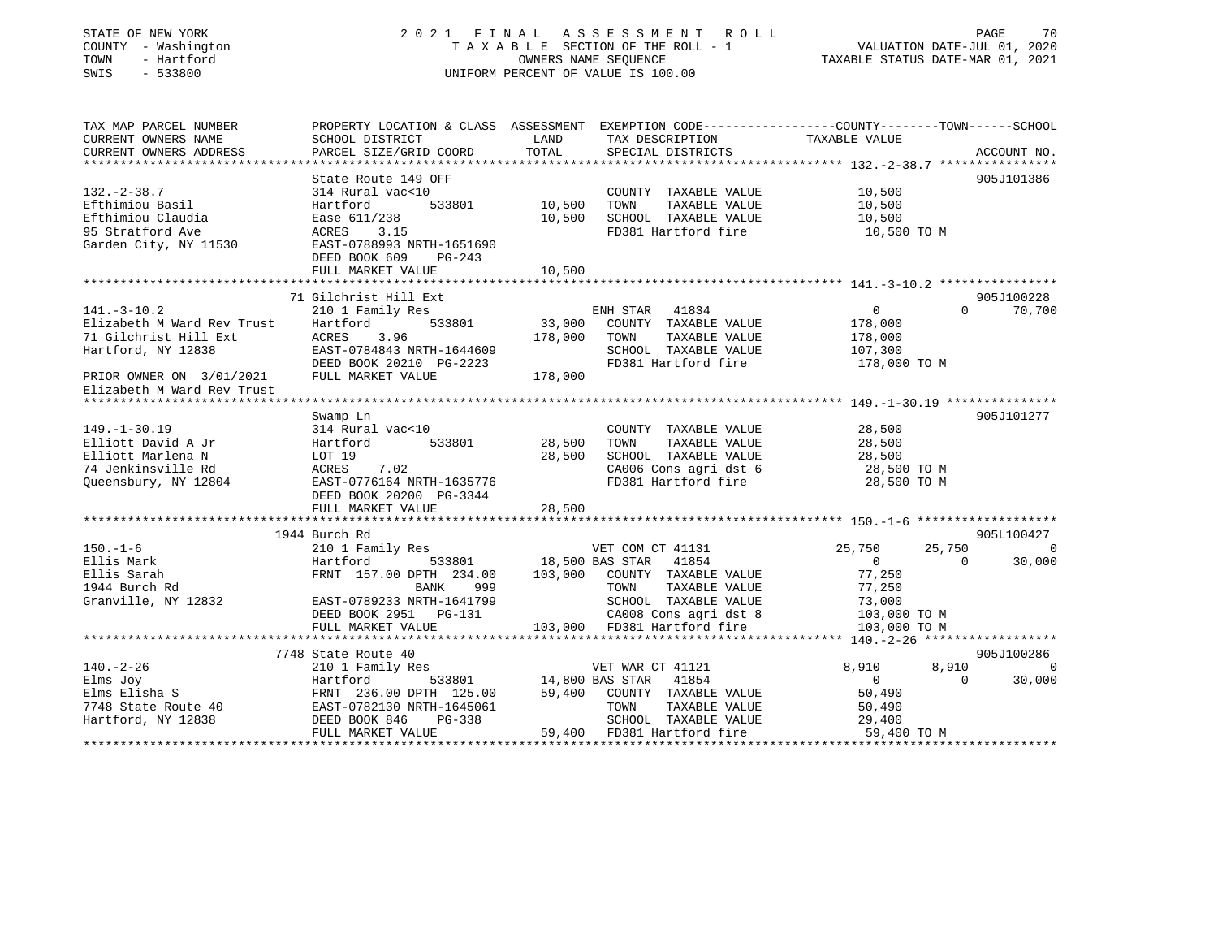## STATE OF NEW YORK 2 0 2 1 F I N A L A S S E S S M E N T R O L L PAGE 70 COUNTY - Washington T A X A B L E SECTION OF THE ROLL - 1 VALUATION DATE-JUL 01, 2020 TOWN - Hartford OWNERS NAME SEQUENCE TAXABLE STATUS DATE-MAR 01, 2021 SWIS - 533800 UNIFORM PERCENT OF VALUE IS 100.00

| TAX MAP PARCEL NUMBER<br>CURRENT OWNERS NAME | PROPERTY LOCATION & CLASS ASSESSMENT EXEMPTION CODE---------------COUNTY-------TOWN-----SCHOOL<br>SCHOOL DISTRICT            | LAND   | TAX DESCRIPTION                                                                                           | TAXABLE VALUE        |                          |
|----------------------------------------------|------------------------------------------------------------------------------------------------------------------------------|--------|-----------------------------------------------------------------------------------------------------------|----------------------|--------------------------|
| CURRENT OWNERS ADDRESS                       | PARCEL SIZE/GRID COORD                                                                                                       | TOTAL  | SPECIAL DISTRICTS                                                                                         |                      | ACCOUNT NO.              |
|                                              |                                                                                                                              |        |                                                                                                           |                      |                          |
|                                              | State Route 149 OFF                                                                                                          |        |                                                                                                           |                      | 905J101386               |
| $132 - 2 - 38.7$                             | 314 Rural vac<10                                                                                                             |        | COUNTY TAXABLE VALUE 10,500                                                                               |                      |                          |
| Efthimiou Basil                              | 533801 10,500<br>Hartford                                                                                                    |        | TOWN                                                                                                      | TAXABLE VALUE 10,500 |                          |
| Efthimiou Claudia                            | Ease 611/238                                                                                                                 |        | 10,500 SCHOOL TAXABLE VALUE 10,500<br>FD381 Hartford fire 10,500 TO M                                     |                      |                          |
| 95 Stratford Ave                             | ACRES 3.15                                                                                                                   |        |                                                                                                           |                      |                          |
| Garden City, NY 11530                        | EAST-0788993 NRTH-1651690                                                                                                    |        |                                                                                                           |                      |                          |
|                                              | DEED BOOK 609<br>$PG-243$                                                                                                    |        |                                                                                                           |                      |                          |
|                                              | FULL MARKET VALUE                                                                                                            | 10,500 |                                                                                                           |                      |                          |
|                                              | 71 Gilchrist Hill Ext                                                                                                        |        |                                                                                                           |                      | 905J100228               |
| $141.-3-10.2$                                | 210 1 Family Res                                                                                                             |        |                                                                                                           |                      | $\Omega$<br>70,700       |
| Elizabeth M Ward Rev Trust                   | Hartford                                                                                                                     |        |                                                                                                           |                      |                          |
| 71 Gilchrist Hill Ext                        |                                                                                                                              |        | TAXABLE VALUE                                                                                             | 178,000              |                          |
| Hartford, NY 12838                           |                                                                                                                              |        | 176,000<br>SCHOOL TAXABLE VALUE 107,300                                                                   |                      |                          |
|                                              |                                                                                                                              |        | FD381 Hartford fire 178,000 TO M                                                                          |                      |                          |
| PRIOR OWNER ON 3/01/2021 FULL MARKET VALUE   | ACRES 3.96 178,000 TOWN<br>EAST-0784843 NRTH-1644609 SCHOOL<br>DEED BOOK 20210 PG-2223 FD381 Hz<br>PULL MARKET VALUE 178,000 |        |                                                                                                           |                      |                          |
| Elizabeth M Ward Rev Trust                   |                                                                                                                              |        |                                                                                                           |                      |                          |
|                                              |                                                                                                                              |        |                                                                                                           |                      |                          |
|                                              | Swamp Ln                                                                                                                     |        |                                                                                                           |                      | 905J101277               |
| $149. - 1 - 30.19$                           | 314 Rural vac<10                                                                                                             |        | COUNTY TAXABLE VALUE                                                                                      | 28,500<br>28,500     |                          |
| Elliott David A Jr                           | 533801 28,500<br>Hartfor<br>Hartfor<br>LOT 19<br>ACRES<br>Hartford                                                           |        | TAXABLE VALUE<br>TOWN                                                                                     | 28,500               |                          |
| Elliott Marlena N                            |                                                                                                                              | 28,500 |                                                                                                           |                      |                          |
| 74 Jenkinsville Rd                           | 7.02                                                                                                                         |        | SCHOOL TAXABLE VALUE $28,500$<br>CA006 Cons agri dst 6 $28,500$ TO M<br>FD381 Hartford fire $28,500$ TO M |                      |                          |
|                                              | Queensbury, NY 12804 EAST-0776164 NRTH-1635776                                                                               |        |                                                                                                           |                      |                          |
|                                              | DEED BOOK 20200 PG-3344                                                                                                      |        |                                                                                                           |                      |                          |
|                                              | FULL MARKET VALUE                                                                                                            | 28,500 |                                                                                                           |                      |                          |
|                                              | 1944 Burch Rd                                                                                                                |        |                                                                                                           |                      | 905L100427               |
| $150. - 1 - 6$                               | 210 1 Family Res                                                                                                             |        | VET COM CT 41131                                                                                          | 25,750               | 25,750<br>$\Omega$       |
| Ellis Mark                                   | 533801 18,500 BAS STAR 41854<br>Hartford                                                                                     |        |                                                                                                           | $\sim$ 0             | 30,000<br>$\overline{0}$ |
| Ellis Sarah                                  | FRNT 157.00 DPTH 234.00 103,000 COUNTY TAXABLE VALUE                                                                         |        |                                                                                                           | 77,250               |                          |
| 1944 Burch Rd                                | BANK<br>999                                                                                                                  |        | TOWN<br>TAXABLE VALUE                                                                                     | 77,250               |                          |
| Granville, NY 12832                          |                                                                                                                              |        | TOWN TAXABLE VALUE<br>SCHOOL TAXABLE VALUE 73,000<br>CALLO Constanti dst. 8 103,000 TO M                  |                      |                          |
|                                              | $\frac{1}{2}$ EAST-0789233 NRTH-1641799                                                                                      |        |                                                                                                           |                      |                          |
|                                              | DEED BOOK 2951 PG-131 CA008 Cons agri dst 8<br>FULL MARKET VALUE 103,000 FD381 Hartford fire                                 |        |                                                                                                           | 103,000 TO M         |                          |
|                                              |                                                                                                                              |        |                                                                                                           |                      |                          |
|                                              | 7748 State Route 40                                                                                                          |        |                                                                                                           |                      | 905J100286               |
| $140. - 2 - 26$                              | 210 1 Family Res                                                                                                             |        |                                                                                                           | 8,910                | 8,910<br>0               |
| Elms Joy                                     | Hartford                                                                                                                     |        | s<br>533801 14,800 BAS STAR 41854                                                                         | $\overline{0}$       | $\bigcap$<br>30,000      |
|                                              |                                                                                                                              |        |                                                                                                           |                      |                          |
|                                              |                                                                                                                              |        |                                                                                                           |                      |                          |
|                                              |                                                                                                                              |        |                                                                                                           |                      |                          |
|                                              | FULL MARKET VALUE                                                                                                            |        | 59,400 FD381 Hartford fire                                                                                | 59,400 TO M          |                          |
|                                              |                                                                                                                              |        |                                                                                                           |                      |                          |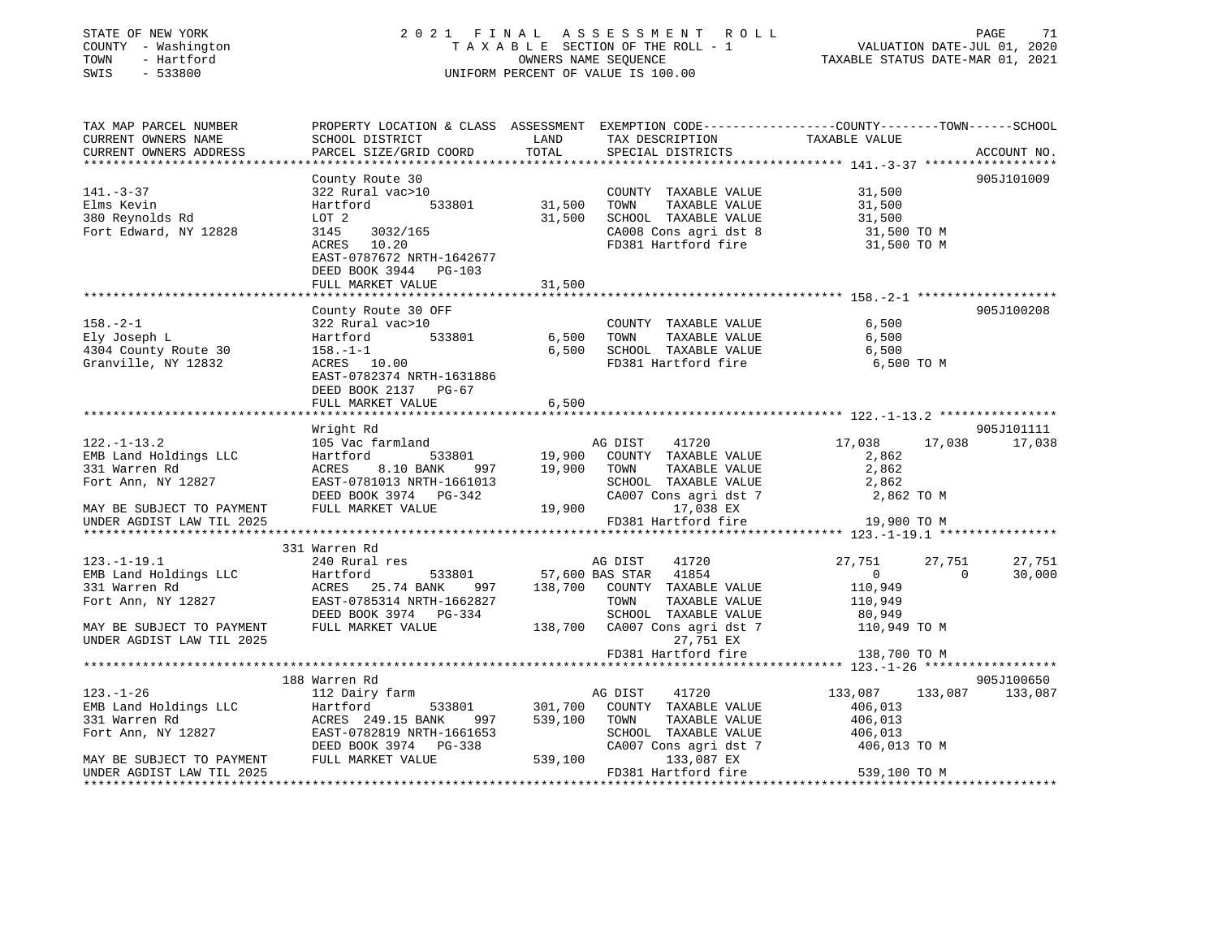| STATE OF NEW YORK<br>COUNTY - Washington<br>TOWN - Hartford<br>SWIS - 533800                                                                                  |                                                                                                                                                                                     |        | 2021 FINAL ASSESSMENT ROLL<br>I FINAL ASSESSMENT ROLL<br>TAXABLE SECTION OF THE ROLL - 1 VALUATION DATE-JUL 01, 2020<br>OWNERS NAME SEQUENCE TAXABLE STATUS DATE-MAR 01, 2021<br>UNIFORM PERCENT OF VALUE IS 100.00 |                                      | PAGE<br>71               |
|---------------------------------------------------------------------------------------------------------------------------------------------------------------|-------------------------------------------------------------------------------------------------------------------------------------------------------------------------------------|--------|---------------------------------------------------------------------------------------------------------------------------------------------------------------------------------------------------------------------|--------------------------------------|--------------------------|
| TAX MAP PARCEL NUMBER<br>CURRENT OWNERS NAME                                                                                                                  | PROPERTY LOCATION & CLASS ASSESSMENT EXEMPTION CODE----------------COUNTY-------TOWN------SCHOOL<br>SCHOOL DISTRICT THE TAND TAX DESCRIPTION TAXABLE VALUE                          |        |                                                                                                                                                                                                                     |                                      |                          |
| CURRENT OWNERS ADDRESS                                                                                                                                        | PARCEL SIZE/GRID COORD                                                                                                                                                              | TOTAL  | SPECIAL DISTRICTS                                                                                                                                                                                                   |                                      | ACCOUNT NO.              |
|                                                                                                                                                               | County Route 30                                                                                                                                                                     |        |                                                                                                                                                                                                                     |                                      | 905J101009               |
| $141. - 3 - 37$                                                                                                                                               | 322 Rural vac>10                                                                                                                                                                    |        | COUNTY TAXABLE VALUE                                                                                                                                                                                                | 31,500                               |                          |
| Elms Kevin                                                                                                                                                    | 322 Audit valent 533801<br>Hartford 533801 31,500 TOWN TAXABLE VALUE<br>LOT 2 31,500 SCHOOL TAXABLE VALUE<br>3145 3032/165 2A008 Cons agri dst 8<br>ACRES 10.20 FD381 Hartford fire |        |                                                                                                                                                                                                                     | 31,500                               |                          |
| 380 Reynolds Rd                                                                                                                                               |                                                                                                                                                                                     |        |                                                                                                                                                                                                                     | 31,500<br>31,500 TO M<br>31,500 TO M |                          |
| Fort Edward, NY 12828                                                                                                                                         |                                                                                                                                                                                     |        |                                                                                                                                                                                                                     |                                      |                          |
|                                                                                                                                                               |                                                                                                                                                                                     |        | CA008 Cons agri dst 8<br>FD381 Hartford fire                                                                                                                                                                        |                                      |                          |
|                                                                                                                                                               | EAST-0787672 NRTH-1642677                                                                                                                                                           |        |                                                                                                                                                                                                                     |                                      |                          |
|                                                                                                                                                               | DEED BOOK 3944 PG-103                                                                                                                                                               |        |                                                                                                                                                                                                                     |                                      |                          |
|                                                                                                                                                               | FULL MARKET VALUE                                                                                                                                                                   | 31,500 |                                                                                                                                                                                                                     |                                      |                          |
|                                                                                                                                                               | County Route 30 OFF                                                                                                                                                                 |        |                                                                                                                                                                                                                     |                                      | 905J100208               |
| $158. - 2 - 1$                                                                                                                                                | 322 Rural vac>10                                                                                                                                                                    |        | COUNTY TAXABLE VALUE                                                                                                                                                                                                | 6,500                                |                          |
| Ely Joseph L                                                                                                                                                  |                                                                                                                                                                                     |        |                                                                                                                                                                                                                     | 6,500                                |                          |
| 4304 County Route 30                                                                                                                                          |                                                                                                                                                                                     |        |                                                                                                                                                                                                                     | 6,500                                |                          |
| Granville, NY 12832                                                                                                                                           | Hartford 533801 6,500 TOWN TAXABLE VALUE<br>158.-1-1 6,500 SCHOOL TAXABLE VALUE<br>ACRES 10.00 FD381 Hartford fire                                                                  |        |                                                                                                                                                                                                                     | 6,500 ТО М                           |                          |
|                                                                                                                                                               | EAST-0782374 NRTH-1631886                                                                                                                                                           |        |                                                                                                                                                                                                                     |                                      |                          |
|                                                                                                                                                               | DEED BOOK 2137 PG-67                                                                                                                                                                |        |                                                                                                                                                                                                                     |                                      |                          |
|                                                                                                                                                               | FULL MARKET VALUE                                                                                                                                                                   | 6,500  |                                                                                                                                                                                                                     |                                      |                          |
|                                                                                                                                                               |                                                                                                                                                                                     |        |                                                                                                                                                                                                                     |                                      | 905J101111               |
| $122. - 1 - 13.2$                                                                                                                                             | Wright Rd                                                                                                                                                                           |        |                                                                                                                                                                                                                     |                                      | 17,038 17,038            |
| EMB Land Holdings LLC                                                                                                                                         |                                                                                                                                                                                     |        |                                                                                                                                                                                                                     |                                      |                          |
| 331 Warren Rd                                                                                                                                                 |                                                                                                                                                                                     |        |                                                                                                                                                                                                                     |                                      |                          |
| Fort Ann, NY 12827                                                                                                                                            |                                                                                                                                                                                     |        |                                                                                                                                                                                                                     |                                      |                          |
|                                                                                                                                                               |                                                                                                                                                                                     |        |                                                                                                                                                                                                                     |                                      |                          |
| MAY BE SUBJECT TO PAYMENT                                                                                                                                     |                                                                                                                                                                                     |        |                                                                                                                                                                                                                     |                                      |                          |
| UNDER AGDIST LAW TIL 2025                                                                                                                                     |                                                                                                                                                                                     |        | FD381 Hartford fire                                                                                                                                                                                                 | 19,900 TO M                          |                          |
|                                                                                                                                                               |                                                                                                                                                                                     |        |                                                                                                                                                                                                                     |                                      |                          |
| $123. - 1 - 19.1$                                                                                                                                             | 331 Warren Rd                                                                                                                                                                       |        |                                                                                                                                                                                                                     | 27,751                               | 27,751<br>27,751         |
|                                                                                                                                                               |                                                                                                                                                                                     |        |                                                                                                                                                                                                                     | $\overline{0}$                       | $\overline{0}$<br>30,000 |
| EMB Land Holdings LLC<br>331 Warren Rd                                                                                                                        | 240 Rural res<br>Hartford 533801 57,600 BAS STAR 41854<br>ACRES 25.74 BANK 997 138,700 COUNTY TAXABLE VALUE<br>FAST-0785314 NPTH-166997 138,700 COUNTY TAXABLE VALUE                |        |                                                                                                                                                                                                                     |                                      |                          |
| 331 Warren<br>Fort Ann, NY 12827                                                                                                                              |                                                                                                                                                                                     |        |                                                                                                                                                                                                                     | 110,949<br>110,949                   |                          |
| Fort Ann, NY 12827<br>RAST-0785314 NRTH-1662827<br>DEED BOOK 3974 PG-334<br>RESUBJECT TO PAYMENT FULL MARKET VALUE 138,700 CA007 Cons agri dst 7 110,949 TO M |                                                                                                                                                                                     |        |                                                                                                                                                                                                                     |                                      |                          |
|                                                                                                                                                               |                                                                                                                                                                                     |        |                                                                                                                                                                                                                     |                                      |                          |
| UNDER AGDIST LAW TIL 2025                                                                                                                                     |                                                                                                                                                                                     |        | 27,751 EX                                                                                                                                                                                                           |                                      |                          |
|                                                                                                                                                               |                                                                                                                                                                                     |        | FD381 Hartford fire                                                                                                                                                                                                 | 138,700 TO M                         |                          |
|                                                                                                                                                               |                                                                                                                                                                                     |        |                                                                                                                                                                                                                     |                                      |                          |
|                                                                                                                                                               | 188 Warren Rd                                                                                                                                                                       |        |                                                                                                                                                                                                                     |                                      | 905J100650               |
|                                                                                                                                                               |                                                                                                                                                                                     |        |                                                                                                                                                                                                                     |                                      | 133,087 133,087 133,087  |
|                                                                                                                                                               |                                                                                                                                                                                     |        |                                                                                                                                                                                                                     | 406,013<br>406,013                   |                          |
|                                                                                                                                                               |                                                                                                                                                                                     |        |                                                                                                                                                                                                                     | 406,013                              |                          |
|                                                                                                                                                               |                                                                                                                                                                                     |        |                                                                                                                                                                                                                     | 406,013 TO M                         |                          |
|                                                                                                                                                               |                                                                                                                                                                                     |        |                                                                                                                                                                                                                     |                                      |                          |
| UNDER AGDIST LAW TIL 2025                                                                                                                                     |                                                                                                                                                                                     |        | FD381 Hartford fire                                                                                                                                                                                                 | 539,100 TO M                         |                          |
|                                                                                                                                                               |                                                                                                                                                                                     |        |                                                                                                                                                                                                                     |                                      |                          |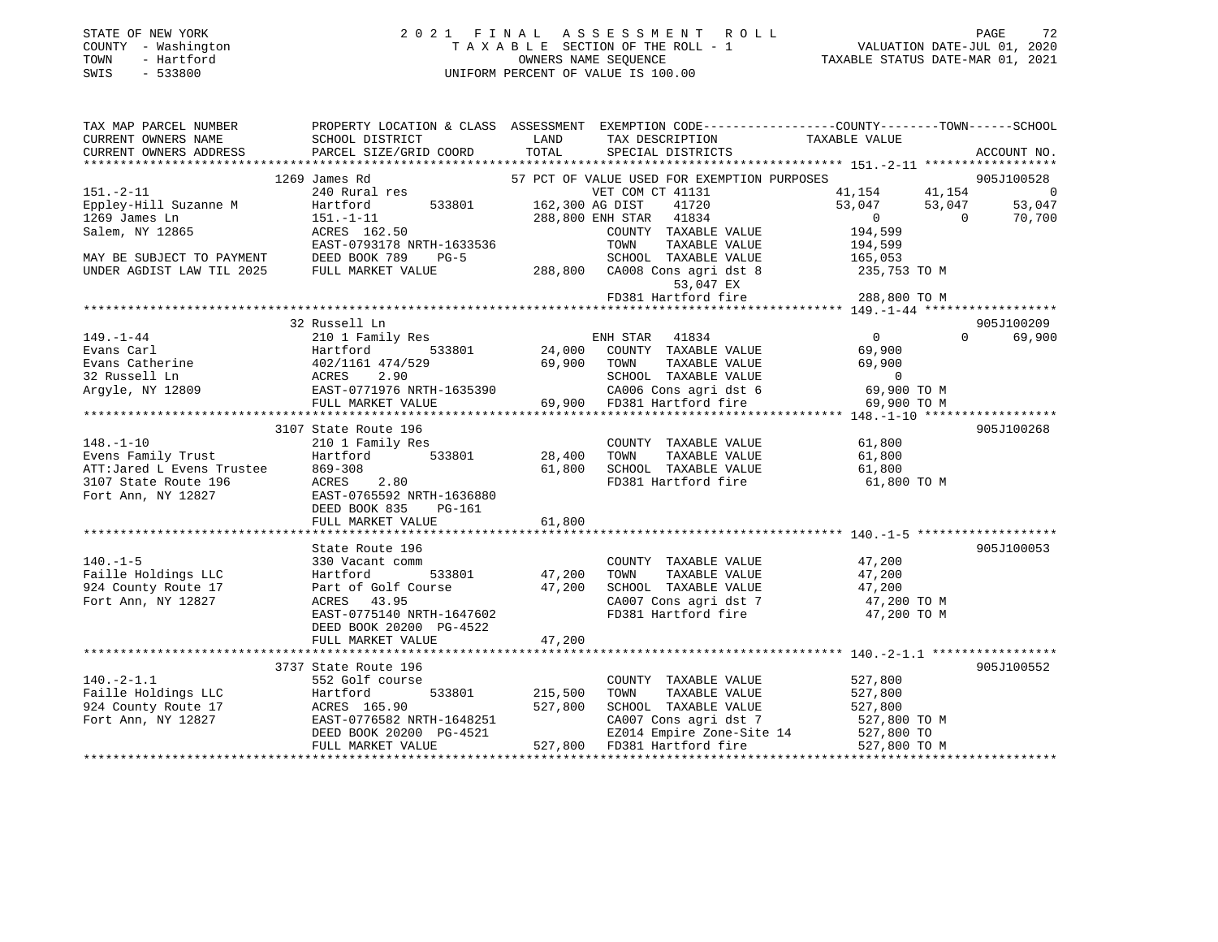| STATE OF NEW YORK   | 2021 FINAL ASSESSMENT ROLL         | PAGE                             |
|---------------------|------------------------------------|----------------------------------|
| COUNTY - Washington | TAXABLE SECTION OF THE ROLL - 1    | VALUATION DATE-JUL 01, 2020      |
| TOWN<br>- Hartford  | OWNERS NAME SEOUENCE               | TAXABLE STATUS DATE-MAR 01, 2021 |
| SWIS<br>- 533800    | UNIFORM PERCENT OF VALUE IS 100.00 |                                  |

| TAX MAP PARCEL NUMBER                      |                                                                                                                                                                                                                                                                      |             | PROPERTY LOCATION & CLASS ASSESSMENT EXEMPTION CODE--------------COUNTY-------TOWN-----SCHOOL                                                                   |                                                                     |          |             |
|--------------------------------------------|----------------------------------------------------------------------------------------------------------------------------------------------------------------------------------------------------------------------------------------------------------------------|-------------|-----------------------------------------------------------------------------------------------------------------------------------------------------------------|---------------------------------------------------------------------|----------|-------------|
| CURRENT OWNERS NAME                        | SCHOOL DISTRICT                                                                                                                                                                                                                                                      | <b>LAND</b> | TAX DESCRIPTION                                                                                                                                                 | TAXABLE VALUE                                                       |          |             |
|                                            | CURRENT OWNERS ADDRESS PARCEL SIZE/GRID COORD TOTAL                                                                                                                                                                                                                  |             | SPECIAL DISTRICTS                                                                                                                                               |                                                                     |          | ACCOUNT NO. |
|                                            |                                                                                                                                                                                                                                                                      |             |                                                                                                                                                                 |                                                                     |          |             |
|                                            | 1269 James Rd                                                                                                                                                                                                                                                        |             | 57 PCT OF VALUE USED FOR EXEMPTION PURPOSES                                                                                                                     |                                                                     |          | 905J100528  |
|                                            |                                                                                                                                                                                                                                                                      |             | VET COM CT 41131                                                                                                                                                | $41,154$ $41,154$ 0<br>$53,047$ $53,047$ $53,047$<br>0<br>$194,599$ |          |             |
|                                            |                                                                                                                                                                                                                                                                      |             | 162,300 AG DIST 41720<br>288,800 ENH STAR 41834                                                                                                                 |                                                                     |          |             |
| 1269 James Ln                              |                                                                                                                                                                                                                                                                      |             |                                                                                                                                                                 |                                                                     |          |             |
| Salem, NY 12865                            | 151.-1-11<br>ACRES 162.50                                                                                                                                                                                                                                            |             | COUNTY TAXABLE VALUE                                                                                                                                            |                                                                     |          |             |
|                                            | EAST-0793178 NRTH-1633536                                                                                                                                                                                                                                            |             |                                                                                                                                                                 |                                                                     |          |             |
|                                            |                                                                                                                                                                                                                                                                      |             | TAXABLE VALUE 194,599<br>TAXABLE VALUE 165,053<br>TOWN                                                                                                          |                                                                     |          |             |
|                                            |                                                                                                                                                                                                                                                                      |             |                                                                                                                                                                 |                                                                     |          |             |
|                                            | EAST-0793178 NRTH-1633536 TOWN TAXABLE VALUE 194, 194, 199<br>MAY BE SUBJECT TO PAYMENT DEED BOOK 789 PG-5 SCHOOL TAXABLE VALUE 165, 053<br>UNDER AGDIST LAW TIL 2025 FULL MARKET VALUE 288,800 CA008 Consequent and the 235, 753 TO                                 |             |                                                                                                                                                                 |                                                                     |          |             |
|                                            |                                                                                                                                                                                                                                                                      |             | 53,047 EX                                                                                                                                                       |                                                                     |          |             |
|                                            |                                                                                                                                                                                                                                                                      |             | FD381 Hartford fire 288,800 TO M                                                                                                                                |                                                                     |          |             |
|                                            |                                                                                                                                                                                                                                                                      |             |                                                                                                                                                                 |                                                                     |          |             |
|                                            | 32 Russell Ln                                                                                                                                                                                                                                                        |             |                                                                                                                                                                 | $\begin{array}{c}\n0 \\ 69\n\end{array}$                            |          | 905J100209  |
|                                            |                                                                                                                                                                                                                                                                      |             |                                                                                                                                                                 |                                                                     | $\Omega$ | 69,900      |
|                                            |                                                                                                                                                                                                                                                                      |             |                                                                                                                                                                 |                                                                     |          |             |
|                                            |                                                                                                                                                                                                                                                                      |             | TAXABLE VALUE 69,900                                                                                                                                            |                                                                     |          |             |
|                                            |                                                                                                                                                                                                                                                                      |             |                                                                                                                                                                 |                                                                     |          |             |
|                                            |                                                                                                                                                                                                                                                                      |             | SCHOOL TAXABLE VALUE 0<br>CA006 Cons agri dst 6 69,900 TO M                                                                                                     |                                                                     |          |             |
|                                            |                                                                                                                                                                                                                                                                      |             |                                                                                                                                                                 |                                                                     |          |             |
|                                            |                                                                                                                                                                                                                                                                      |             |                                                                                                                                                                 | 69,900 TO M                                                         |          |             |
|                                            |                                                                                                                                                                                                                                                                      |             |                                                                                                                                                                 |                                                                     |          |             |
|                                            | 3107 State Route 196<br>148.-1-10<br>Evens Family Trust Hartford 533801 28,400<br>ATT:Jared L Evens Trustee 869-308 61,800<br>3107 State Route 196<br>ACRES 2.80<br>Fort Ann, NY 12827<br>BED BOOK 835 PG-161<br>POOK 835 PG-161<br>POOK 835 PG-161<br>POOK 835 PG-1 |             |                                                                                                                                                                 |                                                                     |          | 905J100268  |
|                                            |                                                                                                                                                                                                                                                                      |             | COUNTY TAXABLE VALUE 61,800                                                                                                                                     |                                                                     |          |             |
|                                            |                                                                                                                                                                                                                                                                      |             | TAXABLE VALUE 61,800<br>TAXABLE VALUE 61,800<br>TOWN                                                                                                            |                                                                     |          |             |
|                                            |                                                                                                                                                                                                                                                                      |             | SCHOOL TAXABLE VALUE                                                                                                                                            |                                                                     |          |             |
|                                            |                                                                                                                                                                                                                                                                      |             | FD381 Hartford fire 61,800 TO M                                                                                                                                 |                                                                     |          |             |
|                                            |                                                                                                                                                                                                                                                                      |             |                                                                                                                                                                 |                                                                     |          |             |
|                                            |                                                                                                                                                                                                                                                                      |             |                                                                                                                                                                 |                                                                     |          |             |
|                                            | FULL MARKET VALUE 61,800                                                                                                                                                                                                                                             |             |                                                                                                                                                                 |                                                                     |          |             |
|                                            |                                                                                                                                                                                                                                                                      |             |                                                                                                                                                                 |                                                                     |          |             |
|                                            | State Route 196                                                                                                                                                                                                                                                      |             |                                                                                                                                                                 |                                                                     |          | 905J100053  |
| $140. -1 - 5$                              | 330 Vacant comm                                                                                                                                                                                                                                                      |             | COUNTY TAXABLE VALUE 47,200                                                                                                                                     |                                                                     |          |             |
|                                            |                                                                                                                                                                                                                                                                      |             |                                                                                                                                                                 |                                                                     |          |             |
| Faille Holdings LLC<br>924 County Route 17 | 330 Vacant comm<br>Hartford 533801 47,200<br>Part of Golf Course 47,200<br>ACRES 43.95<br>EAST-0775140 NRTH-1647602                                                                                                                                                  |             | TOWN TAXABLE VALUE 47,200<br>SCHOOL TAXABLE VALUE 47,200                                                                                                        |                                                                     |          |             |
| Fort Ann, NY 12827                         |                                                                                                                                                                                                                                                                      |             |                                                                                                                                                                 |                                                                     |          |             |
|                                            |                                                                                                                                                                                                                                                                      |             | CA007 Cons agri dst 7 47,200 TO M<br>FD381 Hartford fire                                                                                                        |                                                                     |          |             |
|                                            |                                                                                                                                                                                                                                                                      |             |                                                                                                                                                                 | 47,200 TO M                                                         |          |             |
|                                            | DEED BOOK 20200 PG-4522<br>FULL MARKET VALUE 47,200                                                                                                                                                                                                                  |             |                                                                                                                                                                 |                                                                     |          |             |
|                                            |                                                                                                                                                                                                                                                                      |             |                                                                                                                                                                 |                                                                     |          |             |
|                                            |                                                                                                                                                                                                                                                                      |             |                                                                                                                                                                 |                                                                     |          |             |
|                                            | 3737 State Route 196                                                                                                                                                                                                                                                 |             |                                                                                                                                                                 |                                                                     |          | 905J100552  |
| $140.-2-1.1$                               | 552 Golf course                                                                                                                                                                                                                                                      |             | COUNTY TAXABLE VALUE                                                                                                                                            | 527,800                                                             |          |             |
|                                            | 533801 215,500<br>Faille Holdings LLC<br>924 County Route 17<br>Fort Ann, NY 12827<br>Fort Ann, NY 12827<br>EAST-0776582 NRTH-1648251<br>DEED BOOK 20200 PG-4521                                                                                                     |             | TOWN      TAXABLE VALUE<br>SCHOOL   TAXABLE VALUE                                                                                                               | 527,800                                                             |          |             |
|                                            |                                                                                                                                                                                                                                                                      | 527,800     |                                                                                                                                                                 | 527,800                                                             |          |             |
|                                            |                                                                                                                                                                                                                                                                      |             |                                                                                                                                                                 |                                                                     |          |             |
|                                            |                                                                                                                                                                                                                                                                      |             |                                                                                                                                                                 |                                                                     |          |             |
|                                            | FULL MARKET VALUE                                                                                                                                                                                                                                                    |             | CAOUT IMMADE VALUE 1527,800 TO M<br>EZ014 Empire Zone-Site 14<br>FD381 Hartford fire 527,800 TO FD381 Hartford fire 527,800 TO M<br>527,800 FD381 Hartford fire |                                                                     |          |             |
|                                            |                                                                                                                                                                                                                                                                      |             |                                                                                                                                                                 |                                                                     |          |             |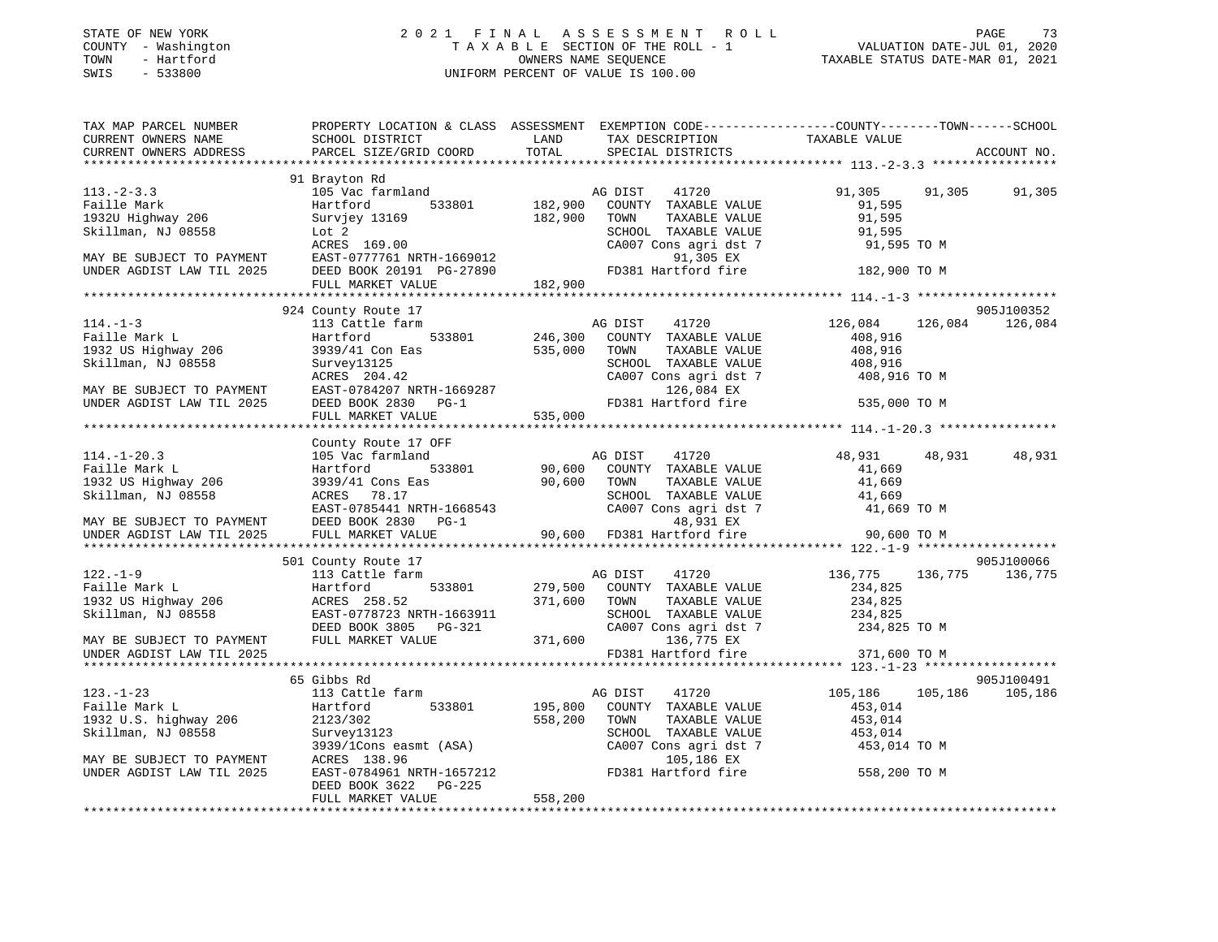# STATE OF NEW YORK 2 0 2 1 F I N A L A S S E S S M E N T R O L L PAGE 73 COUNTY - Washington T A X A B L E SECTION OF THE ROLL - 1 VALUATION DATE-JUL 01, 2020 TOWN - Hartford OWNERS NAME SEQUENCE TAXABLE STATUS DATE-MAR 01, 2021 SWIS - 533800 UNIFORM PERCENT OF VALUE IS 100.00

| TAX MAP PARCEL NUMBER                                  |                                                                                                                                                                                                                                                                                       |                                                                                                                                                                                                                                                    | PROPERTY LOCATION & CLASS ASSESSMENT EXEMPTION CODE----------------COUNTY-------TOWN------SCHOOL    |  |
|--------------------------------------------------------|---------------------------------------------------------------------------------------------------------------------------------------------------------------------------------------------------------------------------------------------------------------------------------------|----------------------------------------------------------------------------------------------------------------------------------------------------------------------------------------------------------------------------------------------------|-----------------------------------------------------------------------------------------------------|--|
|                                                        |                                                                                                                                                                                                                                                                                       |                                                                                                                                                                                                                                                    |                                                                                                     |  |
|                                                        |                                                                                                                                                                                                                                                                                       |                                                                                                                                                                                                                                                    | ACCOUNT NO.                                                                                         |  |
|                                                        |                                                                                                                                                                                                                                                                                       |                                                                                                                                                                                                                                                    |                                                                                                     |  |
|                                                        | 91 Brayton Rd                                                                                                                                                                                                                                                                         |                                                                                                                                                                                                                                                    |                                                                                                     |  |
| $113. - 2 - 3.3$                                       | 105 Vac farmland                                                                                                                                                                                                                                                                      | AG DIST 41720<br>533801 182,900 COUNTY TAXABLE VALUE                                                                                                                                                                                               | 91,305 91,305<br>91,305                                                                             |  |
| Faille Mark<br>raille Mark<br>1932U Highway 206        | Hartford                                                                                                                                                                                                                                                                              |                                                                                                                                                                                                                                                    | 91,595                                                                                              |  |
|                                                        |                                                                                                                                                                                                                                                                                       |                                                                                                                                                                                                                                                    |                                                                                                     |  |
|                                                        |                                                                                                                                                                                                                                                                                       |                                                                                                                                                                                                                                                    |                                                                                                     |  |
|                                                        |                                                                                                                                                                                                                                                                                       |                                                                                                                                                                                                                                                    |                                                                                                     |  |
|                                                        |                                                                                                                                                                                                                                                                                       |                                                                                                                                                                                                                                                    |                                                                                                     |  |
|                                                        |                                                                                                                                                                                                                                                                                       |                                                                                                                                                                                                                                                    |                                                                                                     |  |
|                                                        |                                                                                                                                                                                                                                                                                       | Faille Mark 206 Skillman, NJ 08558 Survivey 13169<br>MAY BE SUBJECT TO PAYMENT EAST-0777761 NRTH-1669012 CMDER AGDIST LAW TIL 2025 DEED BOOK 20191 PG-27890 TOM 182,900 TOM TAXABLE VALUE 182,900 TO MAY BE SUBJECT TO PAYMENT E                   |                                                                                                     |  |
|                                                        | 924 County Route 17                                                                                                                                                                                                                                                                   |                                                                                                                                                                                                                                                    | 905J100352                                                                                          |  |
| $114. - 1 - 3$                                         |                                                                                                                                                                                                                                                                                       |                                                                                                                                                                                                                                                    | 126,084                                                                                             |  |
| Faille Mark L                                          |                                                                                                                                                                                                                                                                                       | 113 Cattle farm<br>113 Cattle farm<br>533801 246,300 COUNTY TAXABLE VALUE 408,916                                                                                                                                                                  |                                                                                                     |  |
|                                                        |                                                                                                                                                                                                                                                                                       |                                                                                                                                                                                                                                                    |                                                                                                     |  |
| 1932 US Highway 206<br>Skillman, NJ 08558              | $3939/41$ Con Eas<br>Survey13125<br>SCHOOL<br>SCHOOL<br>SCHOOL<br>SCHOOL<br>SCHOOL<br>SCHOOL<br>SCHOOL<br>SCHOOL<br>SCHOOL<br>SCHOOL<br>SCHOOL<br>SCHOOL<br>SCHOOL<br>SCHOOL<br>SCHOOL<br>SCHOOL<br>DIED<br>DIED<br>DIED<br>DIED<br>DIED<br>DIED<br>DIED<br>DIED<br>DIED<br>DIED<br>D | TOWN TAXABLE VALUE 408,916<br>SCHOOL TAXABLE VALUE 408,916                                                                                                                                                                                         |                                                                                                     |  |
|                                                        |                                                                                                                                                                                                                                                                                       |                                                                                                                                                                                                                                                    |                                                                                                     |  |
|                                                        |                                                                                                                                                                                                                                                                                       |                                                                                                                                                                                                                                                    |                                                                                                     |  |
|                                                        |                                                                                                                                                                                                                                                                                       |                                                                                                                                                                                                                                                    |                                                                                                     |  |
|                                                        |                                                                                                                                                                                                                                                                                       | SKillman, NJ 08558<br>SURJECT TO PAYMENT<br>MAY BE SUBJECT TO PAYMENT<br>EAST-0784207 NRTH-1669287<br>DEED BOOK 2830 PG-1<br>FULL MARKET VALUE<br>FULL MARKET VALUE<br>SCHOOL TAXABLE VALUE<br>SCHOOL TAXABLE VALUE<br>SCHOOL TAXABLE VALUE<br>SCH |                                                                                                     |  |
|                                                        |                                                                                                                                                                                                                                                                                       |                                                                                                                                                                                                                                                    |                                                                                                     |  |
|                                                        |                                                                                                                                                                                                                                                                                       |                                                                                                                                                                                                                                                    |                                                                                                     |  |
|                                                        |                                                                                                                                                                                                                                                                                       |                                                                                                                                                                                                                                                    | 48,931 48,931<br>48,931                                                                             |  |
| 114.-1-20.3<br>Faille Mark L                           |                                                                                                                                                                                                                                                                                       |                                                                                                                                                                                                                                                    |                                                                                                     |  |
|                                                        |                                                                                                                                                                                                                                                                                       |                                                                                                                                                                                                                                                    |                                                                                                     |  |
|                                                        |                                                                                                                                                                                                                                                                                       |                                                                                                                                                                                                                                                    |                                                                                                     |  |
|                                                        |                                                                                                                                                                                                                                                                                       |                                                                                                                                                                                                                                                    |                                                                                                     |  |
|                                                        |                                                                                                                                                                                                                                                                                       |                                                                                                                                                                                                                                                    |                                                                                                     |  |
|                                                        |                                                                                                                                                                                                                                                                                       |                                                                                                                                                                                                                                                    |                                                                                                     |  |
|                                                        |                                                                                                                                                                                                                                                                                       |                                                                                                                                                                                                                                                    |                                                                                                     |  |
|                                                        | 501 County Route 17                                                                                                                                                                                                                                                                   |                                                                                                                                                                                                                                                    | 905J100066                                                                                          |  |
|                                                        |                                                                                                                                                                                                                                                                                       |                                                                                                                                                                                                                                                    |                                                                                                     |  |
|                                                        |                                                                                                                                                                                                                                                                                       |                                                                                                                                                                                                                                                    | 136,775 136,775 136,775<br>234,825                                                                  |  |
|                                                        |                                                                                                                                                                                                                                                                                       |                                                                                                                                                                                                                                                    |                                                                                                     |  |
|                                                        |                                                                                                                                                                                                                                                                                       |                                                                                                                                                                                                                                                    |                                                                                                     |  |
|                                                        |                                                                                                                                                                                                                                                                                       |                                                                                                                                                                                                                                                    |                                                                                                     |  |
|                                                        |                                                                                                                                                                                                                                                                                       | 501 County Route 17<br>Faille Mark L<br>Faille Mark L<br>Hartford 533801 279,500 COUNTY TAXABLE VALUE 234,825<br>136,775 136,7<br>136,775 136,7<br>136,775 136,7<br>234,825<br>Skillman, NJ 08558 EAST-0778723 NRTH-1663911 DEED BOOK 3805 PG-     |                                                                                                     |  |
| UNDER AGDIST LAW TIL 2025                              |                                                                                                                                                                                                                                                                                       | FD381 Hartford fire 371,600 TO M                                                                                                                                                                                                                   |                                                                                                     |  |
|                                                        |                                                                                                                                                                                                                                                                                       |                                                                                                                                                                                                                                                    |                                                                                                     |  |
|                                                        | 65 Gibbs Rd                                                                                                                                                                                                                                                                           |                                                                                                                                                                                                                                                    | 905J100491                                                                                          |  |
| $123. - 1 - 23$                                        | 113 Cattle farm                                                                                                                                                                                                                                                                       | AG DIST 41720                                                                                                                                                                                                                                      | 105,186 105,186 105,186                                                                             |  |
| Faille Mark L                                          |                                                                                                                                                                                                                                                                                       | Hartford 533801 195,800 COUNTY TAXABLE VALUE                                                                                                                                                                                                       | 453,014                                                                                             |  |
| 1932 U.S. highway 206                                  |                                                                                                                                                                                                                                                                                       | 558,200 TOWN<br>TAXABLE VALUE                                                                                                                                                                                                                      | 453,014<br>TOWN TAXABLE VALUE<br>SCHOOL TAXABLE VALUE 453,014<br>2007 Cars agri dst. 7 453,014 TO M |  |
| Skillman, NJ 08558                                     |                                                                                                                                                                                                                                                                                       |                                                                                                                                                                                                                                                    |                                                                                                     |  |
|                                                        |                                                                                                                                                                                                                                                                                       | CA007 Cons agri dst 7                                                                                                                                                                                                                              |                                                                                                     |  |
| MAY BE SUBJECT TO PAYMENT<br>UNDER AGDIST LAW TIL 2025 | Harttora<br>2123/302 558,200<br>Survey13123 558,200<br>3939/1Cons easmt (ASA)<br>138.96                                                                                                                                                                                               | 105,186 EX                                                                                                                                                                                                                                         |                                                                                                     |  |
|                                                        |                                                                                                                                                                                                                                                                                       | EAST-0784961 NRTH-1657212 FD381 Hartford fire 558,200 TO M                                                                                                                                                                                         |                                                                                                     |  |
|                                                        | DEED BOOK 3622 PG-225                                                                                                                                                                                                                                                                 |                                                                                                                                                                                                                                                    |                                                                                                     |  |
|                                                        | FULL MARKET VALUE                                                                                                                                                                                                                                                                     | 558,200                                                                                                                                                                                                                                            |                                                                                                     |  |
|                                                        |                                                                                                                                                                                                                                                                                       |                                                                                                                                                                                                                                                    |                                                                                                     |  |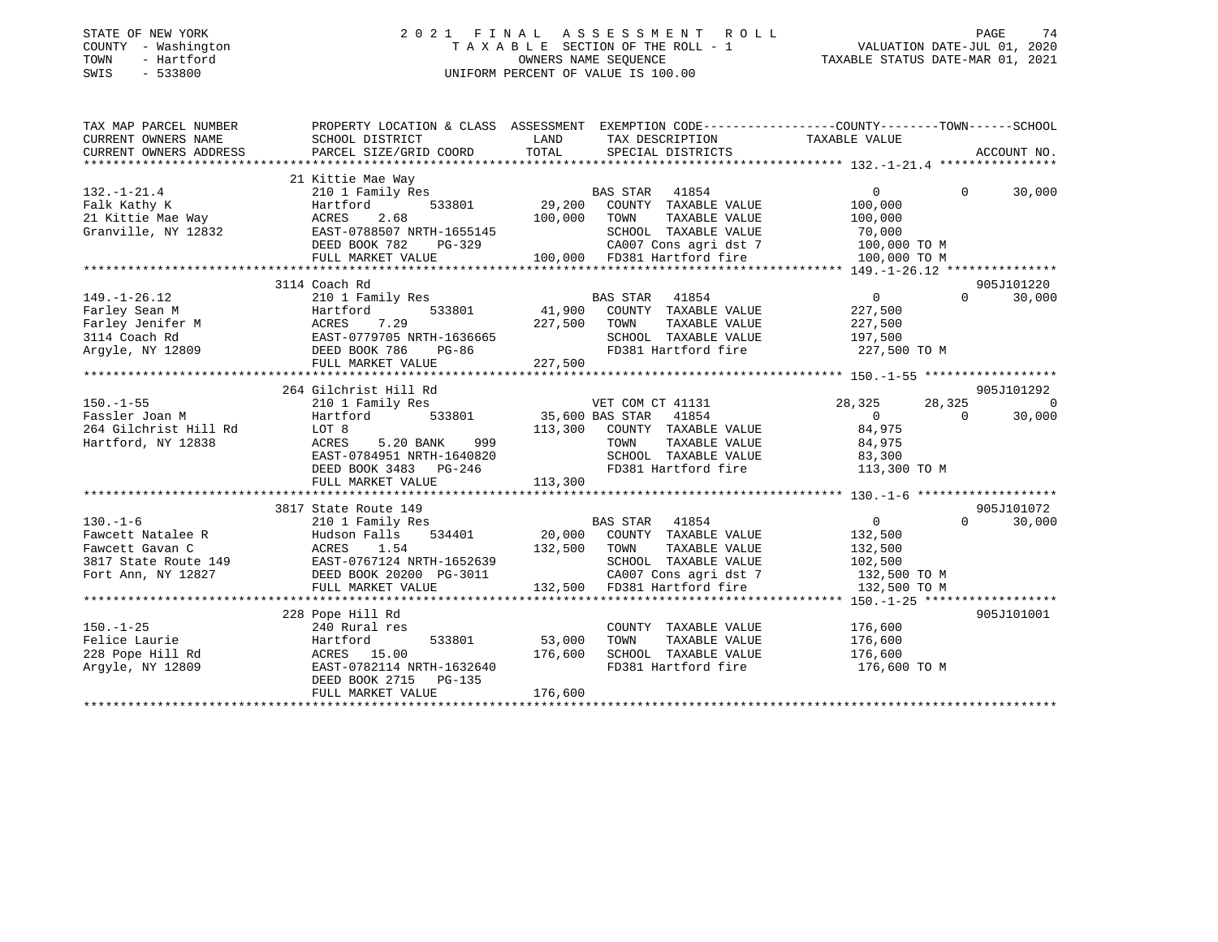# STATE OF NEW YORK 2 0 2 1 F I N A L A S S E S S M E N T R O L L PAGE 74 COUNTY - Washington T A X A B L E SECTION OF THE ROLL - 1 VALUATION DATE-JUL 01, 2020 TOWN - Hartford OWNERS NAME SEQUENCE TAXABLE STATUS DATE-MAR 01, 2021 SWIS - 533800 UNIFORM PERCENT OF VALUE IS 100.00

| TAX MAP PARCEL NUMBER             |                                                                       |                                                                                                                                                                                                                                      | PROPERTY LOCATION & CLASS ASSESSMENT EXEMPTION CODE---------------COUNTY-------TOWN------SCHOOL                                                                                                                                |
|-----------------------------------|-----------------------------------------------------------------------|--------------------------------------------------------------------------------------------------------------------------------------------------------------------------------------------------------------------------------------|--------------------------------------------------------------------------------------------------------------------------------------------------------------------------------------------------------------------------------|
| CURRENT OWNERS NAME               | SCHOOL DISTRICT                                                       | LAND<br>TAX DESCRIPTION                                                                                                                                                                                                              | TAXABLE VALUE                                                                                                                                                                                                                  |
| CURRENT OWNERS ADDRESS            |                                                                       |                                                                                                                                                                                                                                      | .CURRENT OWNERS ADDRESS PARCEL SIZE/GRID COORD TOTAL SPECIAL DISTRICTS AND ACCOUNT NO ACCOUNT NO ACCOUNT NO AND A ALLY A AND A LOCOUNT A A LARGE AND HER A LARGE AND A LARGE AND A LARGE AND A LARGE AND A LARGE AND LARGE AND |
|                                   |                                                                       |                                                                                                                                                                                                                                      |                                                                                                                                                                                                                                |
|                                   | 21 Kittie Mae Way                                                     |                                                                                                                                                                                                                                      |                                                                                                                                                                                                                                |
| $132. - 1 - 21.4$                 |                                                                       | Example was made way<br>20 1 Family Res (29,200 CONTY TAXABLE VALUE)<br>29,200 CONTY TAXABLE VALUE<br>29,200 CONTY TAXABLE VALUE<br>29,000 TOWN TAXABLE VALUE                                                                        | $0 \qquad \qquad$<br>$0 \t 30,000$                                                                                                                                                                                             |
|                                   |                                                                       |                                                                                                                                                                                                                                      | 100,000                                                                                                                                                                                                                        |
| Falk Kathy K<br>21 Kittie Mae Way |                                                                       |                                                                                                                                                                                                                                      | 100,000                                                                                                                                                                                                                        |
|                                   | Granville, NY 12832 EAST-0788507 NRTH-1655145<br>DEED BOOK 782 PG-329 | SCHOOL TAXABLE VALUE                                                                                                                                                                                                                 | 70,000                                                                                                                                                                                                                         |
|                                   |                                                                       |                                                                                                                                                                                                                                      |                                                                                                                                                                                                                                |
|                                   | FULL MARKET VALUE                                                     | VG-329 CA007 Cons agri dst 7 100,000 TO M<br>100,000 FD381 Hartford fire 100,000 TO M                                                                                                                                                |                                                                                                                                                                                                                                |
|                                   |                                                                       |                                                                                                                                                                                                                                      |                                                                                                                                                                                                                                |
|                                   | 3114 Coach Rd                                                         |                                                                                                                                                                                                                                      | 905J101220                                                                                                                                                                                                                     |
| $149. - 1 - 26.12$                | 210 1 Family Res                                                      | BAS STAR 41854                                                                                                                                                                                                                       | $\overline{0}$<br>$0 \qquad \qquad$<br>30,000                                                                                                                                                                                  |
|                                   |                                                                       | 533801 41,900 COUNTY TAXABLE VALUE                                                                                                                                                                                                   | 227,500                                                                                                                                                                                                                        |
|                                   |                                                                       | TAXABLE VALUE                                                                                                                                                                                                                        | 227,500                                                                                                                                                                                                                        |
|                                   |                                                                       | SCHOOL TAXABLE VALUE 227,500                                                                                                                                                                                                         |                                                                                                                                                                                                                                |
|                                   |                                                                       |                                                                                                                                                                                                                                      | FD381 Hartford fire 227,500 TO M                                                                                                                                                                                               |
|                                   |                                                                       |                                                                                                                                                                                                                                      |                                                                                                                                                                                                                                |
|                                   |                                                                       |                                                                                                                                                                                                                                      |                                                                                                                                                                                                                                |
|                                   | 264 Gilchrist Hill Rd                                                 |                                                                                                                                                                                                                                      | 905J101292                                                                                                                                                                                                                     |
| $150. - 1 - 55$                   |                                                                       | VET COM CT 41131                                                                                                                                                                                                                     | 28,325<br>28,325<br>$\overline{0}$                                                                                                                                                                                             |
| Fassler Joan M                    |                                                                       |                                                                                                                                                                                                                                      | $\overline{0}$<br>30,000<br>$\overline{0}$                                                                                                                                                                                     |
| 264 Gilchrist Hill Rd             | LOT 8                                                                 | 113,300 COUNTY TAXABLE VALUE 84,975                                                                                                                                                                                                  |                                                                                                                                                                                                                                |
| Hartford, NY 12838                | ACRES 5.20 BANK 999                                                   |                                                                                                                                                                                                                                      | 84,975                                                                                                                                                                                                                         |
|                                   | EAST-0784951 NRTH-1640820                                             | TOWN      TAXABLE  VALUE<br>SCHOOL   TAXABLE  VALUE                                                                                                                                                                                  | 83,300                                                                                                                                                                                                                         |
|                                   | DEED BOOK 3483 PG-246                                                 | FD381 Hartford fire                                                                                                                                                                                                                  | 113,300 TO M                                                                                                                                                                                                                   |
|                                   | FULL MARKET VALUE                                                     | 113,300                                                                                                                                                                                                                              |                                                                                                                                                                                                                                |
|                                   |                                                                       |                                                                                                                                                                                                                                      |                                                                                                                                                                                                                                |
|                                   | 3817 State Route 149                                                  |                                                                                                                                                                                                                                      | 905J101072                                                                                                                                                                                                                     |
| $130. - 1 - 6$                    | 210 1 Family Res                                                      | <b>BAS STAR</b> 41854                                                                                                                                                                                                                | 0<br>$0 \t 30,000$                                                                                                                                                                                                             |
|                                   |                                                                       |                                                                                                                                                                                                                                      | 132,500                                                                                                                                                                                                                        |
|                                   |                                                                       |                                                                                                                                                                                                                                      | 132,500                                                                                                                                                                                                                        |
|                                   |                                                                       | 130.-1-6 210 1 Family Res BAS STAR 41854<br>Fawcett Natalee R Hudson Falls 534401 20,000 COUNTY TAXABLE VALUE<br>Fawcett Gavan C ACRES 1.54 132,500 TOWN TAXABLE VALUE<br>3817 State Route 149 EAST-0767124 NRTH-1652639 SCHOOL TAXA |                                                                                                                                                                                                                                |
|                                   |                                                                       | CA007 Cons agri dst 7                                                                                                                                                                                                                | 102,500<br>132,500 TO M                                                                                                                                                                                                        |
|                                   | FULL MARKET VALUE                                                     | 132,500 FD381 Hartford fire                                                                                                                                                                                                          | 132,500 TO M                                                                                                                                                                                                                   |
|                                   |                                                                       |                                                                                                                                                                                                                                      |                                                                                                                                                                                                                                |
|                                   | 228 Pope Hill Rd                                                      |                                                                                                                                                                                                                                      | 905J101001                                                                                                                                                                                                                     |
| $150. - 1 - 25$                   | 240 Rural res                                                         | COUNTY TAXABLE VALUE                                                                                                                                                                                                                 | 176,600                                                                                                                                                                                                                        |
| Felice Laurie                     | 533801<br>Hartford                                                    | 53,000<br>TOWN<br>TAXABLE VALUE                                                                                                                                                                                                      | 176,600                                                                                                                                                                                                                        |
| 228 Pope Hill Rd                  | ACRES 15.00                                                           | 176,600<br>SCHOOL TAXABLE VALUE                                                                                                                                                                                                      | 176,600                                                                                                                                                                                                                        |
| Argyle, NY 12809                  | EAST-0782114 NRTH-1632640                                             | FD381 Hartford fire                                                                                                                                                                                                                  | 176,600 TO M                                                                                                                                                                                                                   |
|                                   | DEED BOOK 2715 PG-135                                                 |                                                                                                                                                                                                                                      |                                                                                                                                                                                                                                |
|                                   | FULL MARKET VALUE                                                     | 176,600                                                                                                                                                                                                                              |                                                                                                                                                                                                                                |
|                                   |                                                                       |                                                                                                                                                                                                                                      |                                                                                                                                                                                                                                |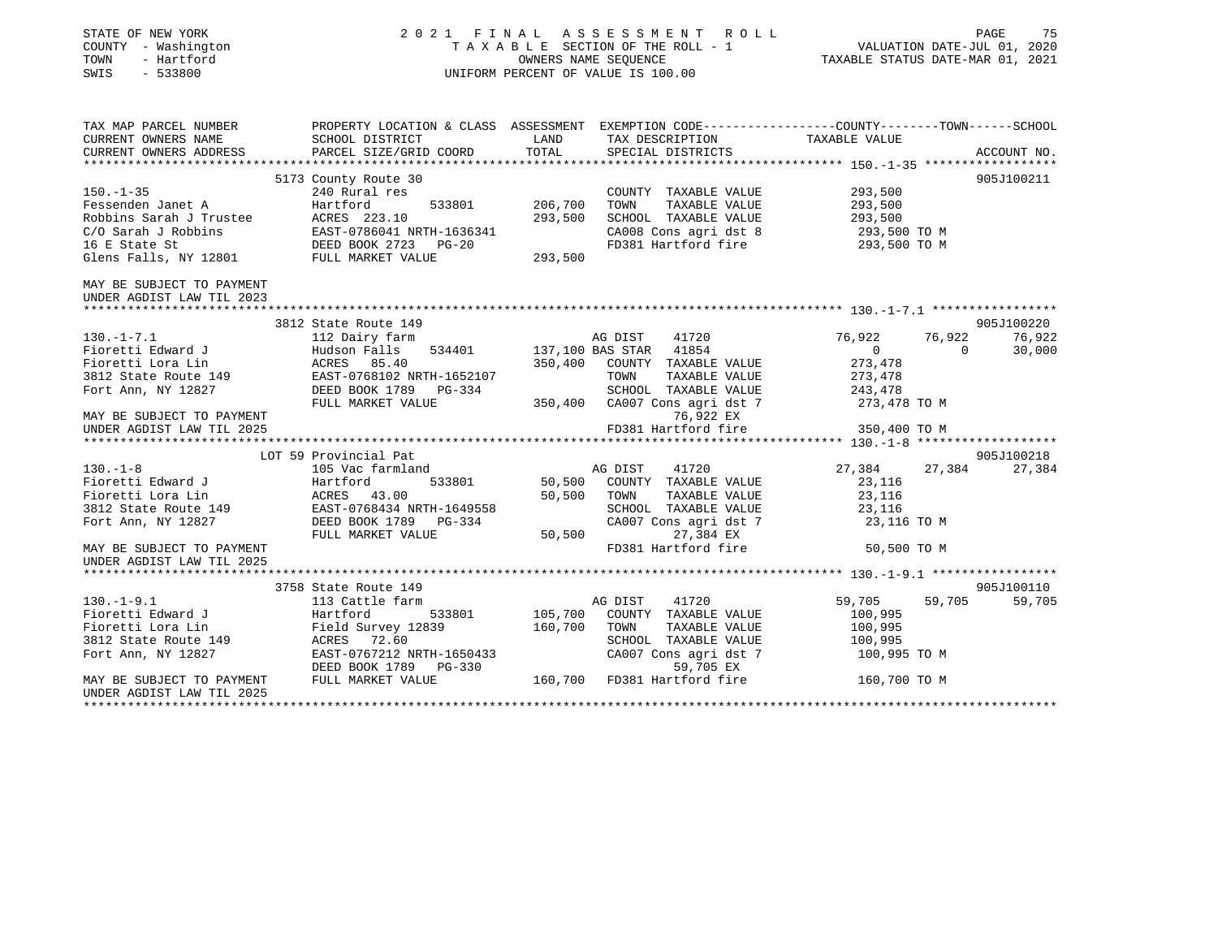| STATE OF NEW YORK<br>COUNTY - Washington<br>TOWN<br>- Hartford<br>SWIS<br>$-533800$                                                                                                                                                                                                                                                                                                                                        |                                                               |                | PAGE 75<br>TAXABLE SECTION OF THE ROLL - 1 VALUATION DATE-JUL 01, 2020<br>OWNERS NAME SEQUENCE TAXABLE STATUS DATE-MAR 01, 2021<br>UNIFORM PERCENT OF VALUE IS 100.00<br>2021 FINAL ASSESSMENT ROLL |                                    |                  |
|----------------------------------------------------------------------------------------------------------------------------------------------------------------------------------------------------------------------------------------------------------------------------------------------------------------------------------------------------------------------------------------------------------------------------|---------------------------------------------------------------|----------------|-----------------------------------------------------------------------------------------------------------------------------------------------------------------------------------------------------|------------------------------------|------------------|
| TAX MAP PARCEL NUMBER<br>CURPENT OWNERS NAME COUNCIL DIGUION DIGTERY OF A SERIGNENT EXEMPTION CODE---------------COUNTY-------TOWN------SCHOOL                                                                                                                                                                                                                                                                             |                                                               |                |                                                                                                                                                                                                     |                                    |                  |
| CURRENT OWNERS NAME                                                                                                                                                                                                                                                                                                                                                                                                        | SCHOOL DISTRICT                                               | LAND           | TAX DESCRIPTION                                                                                                                                                                                     | TAXABLE VALUE                      |                  |
| CURRENT OWNERS ADDRESS                                                                                                                                                                                                                                                                                                                                                                                                     | PARCEL SIZE/GRID COORD                                        | TOTAL          | SPECIAL DISTRICTS                                                                                                                                                                                   |                                    | ACCOUNT NO.      |
|                                                                                                                                                                                                                                                                                                                                                                                                                            |                                                               |                |                                                                                                                                                                                                     |                                    |                  |
| $150. - 1 - 35$                                                                                                                                                                                                                                                                                                                                                                                                            | 5173 County Route 30<br><u>e de la compa</u><br>240 Rural res |                |                                                                                                                                                                                                     |                                    | 905J100211       |
|                                                                                                                                                                                                                                                                                                                                                                                                                            |                                                               | 533801 206,700 | COUNTY TAXABLE VALUE 293,500<br>TOWN<br>TAXABLE VALUE                                                                                                                                               | 293,500                            |                  |
|                                                                                                                                                                                                                                                                                                                                                                                                                            |                                                               |                | SCHOOL TAXABLE VALUE                                                                                                                                                                                |                                    |                  |
|                                                                                                                                                                                                                                                                                                                                                                                                                            |                                                               |                | CA008 Cons agri dst 8                                                                                                                                                                               | 293,500<br>293,500 TO M            |                  |
|                                                                                                                                                                                                                                                                                                                                                                                                                            |                                                               |                | FD381 Hartford fire 293,500 TO M                                                                                                                                                                    |                                    |                  |
| $\begin{tabular}{lllllllllllllllllllllll} 150.-1-35 & 240~\text{Rural res} \\ \hline \texttt{Fessenden Janet A} & Hartford & 533801 & 206,700 \\ \texttt{Robbins Sarah J Trustee} & A & A & A & 533801 & 293,500 \\ \texttt{C/O Sarah J Robbins} & EAST-0786041~\texttt{NRTH}-1636341 & 293,500 \\ \texttt{16 E State St} & DEED BOK 2723 & PG-20 \\ \texttt{Glens Falls, NY 12801} & FULL MARKET VALUE & 293,500 \\ \end$ |                                                               |                |                                                                                                                                                                                                     |                                    |                  |
| MAY BE SUBJECT TO PAYMENT<br>UNDER AGDIST LAW TIL 2023                                                                                                                                                                                                                                                                                                                                                                     |                                                               |                |                                                                                                                                                                                                     |                                    |                  |
|                                                                                                                                                                                                                                                                                                                                                                                                                            |                                                               |                |                                                                                                                                                                                                     |                                    |                  |
| 130.-1-7.1<br>Fioretti Edward J<br>Fioretti Lora Lin<br>3812 State Route 149<br>Foretti Lora Lin<br>3812 State Route 149<br>Fort Ann, NY 12827<br>The ERST-0768102 NRTH-1652107<br>Fort Ann, NY 12827<br>FILL MARKET VALUE PIG-334<br>FILL MARKET                                                                                                                                                                          | 3812 State Route 149                                          |                |                                                                                                                                                                                                     |                                    | 905J100220       |
|                                                                                                                                                                                                                                                                                                                                                                                                                            |                                                               |                | AG DIST 41720<br>137,100 BAS STAR 41854<br>AG DIST 41720                                                                                                                                            | 76,922<br>76,922<br>$\overline{0}$ | 76,922           |
|                                                                                                                                                                                                                                                                                                                                                                                                                            |                                                               |                | 350,400 COUNTY TAXABLE VALUE                                                                                                                                                                        | $\overline{0}$                     | 30,000           |
|                                                                                                                                                                                                                                                                                                                                                                                                                            |                                                               |                | TAXABLE VALUE<br>TOWN                                                                                                                                                                               | 273,478<br>273,478                 |                  |
|                                                                                                                                                                                                                                                                                                                                                                                                                            |                                                               |                | SCHOOL TAXABLE VALUE                                                                                                                                                                                |                                    |                  |
|                                                                                                                                                                                                                                                                                                                                                                                                                            |                                                               |                | 350,400 CA007 Cons agri dst 7                                                                                                                                                                       | 243,478<br>273,478 TO M            |                  |
| MAY BE SUBJECT TO PAYMENT                                                                                                                                                                                                                                                                                                                                                                                                  |                                                               |                | 76,922 EX                                                                                                                                                                                           |                                    |                  |
|                                                                                                                                                                                                                                                                                                                                                                                                                            |                                                               |                |                                                                                                                                                                                                     |                                    |                  |
| or 24 aA (24 aA (25 A) 24 aA (25 A) 24 aA (25 A) 24 aA (26 A) 26 aA (27 A) 24 aA (27 A) 24 aA (27 A) 26 aA (27<br>UNDER AGDIST LAW TIL 2025 2025 FD381 Hartford fire 2025 250,400 TO M (27 and 28 attil 2025 20 aA (27 A) 24 aA                                                                                                                                                                                            |                                                               |                |                                                                                                                                                                                                     |                                    |                  |
|                                                                                                                                                                                                                                                                                                                                                                                                                            | LOT 59 Provincial Pat                                         |                |                                                                                                                                                                                                     |                                    | 905J100218       |
| $130. -1 - 8$                                                                                                                                                                                                                                                                                                                                                                                                              |                                                               |                |                                                                                                                                                                                                     | 27,384 27,384 27,384               |                  |
|                                                                                                                                                                                                                                                                                                                                                                                                                            |                                                               |                | 50,500 COUNTY TAXABLE VALUE                                                                                                                                                                         | 23,116                             |                  |
|                                                                                                                                                                                                                                                                                                                                                                                                                            |                                                               | 50,500 TOWN    | TAXABLE VALUE                                                                                                                                                                                       | 23,116                             |                  |
| 130.-1-8<br>Fioretti Edward J<br>Fioretti Lora Lin<br>3812 State Route 149<br>Fort Ann, NY 12827<br>FULL MARKET VALUE<br>FULL MARKET VALUE                                                                                                                                                                                                                                                                                 |                                                               |                | SCHOOL TAXABLE VALUE                                                                                                                                                                                | 23,116<br>23,116 TO M              |                  |
|                                                                                                                                                                                                                                                                                                                                                                                                                            |                                                               |                | SCHOOL TAXABLE VALUE<br>CA007 Cons agri dst 7                                                                                                                                                       |                                    |                  |
|                                                                                                                                                                                                                                                                                                                                                                                                                            |                                                               |                | 50,500<br>27,384 EX                                                                                                                                                                                 |                                    |                  |
| MAY BE SUBJECT TO PAYMENT                                                                                                                                                                                                                                                                                                                                                                                                  |                                                               |                | FD381 Hartford fire 50,500 TO M                                                                                                                                                                     |                                    |                  |
|                                                                                                                                                                                                                                                                                                                                                                                                                            |                                                               |                |                                                                                                                                                                                                     |                                    |                  |
|                                                                                                                                                                                                                                                                                                                                                                                                                            |                                                               |                |                                                                                                                                                                                                     |                                    |                  |
|                                                                                                                                                                                                                                                                                                                                                                                                                            | 3758 State Route 149                                          |                |                                                                                                                                                                                                     |                                    | 905J100110       |
|                                                                                                                                                                                                                                                                                                                                                                                                                            |                                                               |                |                                                                                                                                                                                                     | 59,705                             | 59,705<br>59,705 |
|                                                                                                                                                                                                                                                                                                                                                                                                                            |                                                               |                |                                                                                                                                                                                                     | 100,995                            |                  |
|                                                                                                                                                                                                                                                                                                                                                                                                                            |                                                               |                |                                                                                                                                                                                                     | 100,995<br>100,995                 |                  |
|                                                                                                                                                                                                                                                                                                                                                                                                                            |                                                               |                |                                                                                                                                                                                                     | 100,995 TO M                       |                  |
|                                                                                                                                                                                                                                                                                                                                                                                                                            |                                                               |                |                                                                                                                                                                                                     |                                    |                  |
|                                                                                                                                                                                                                                                                                                                                                                                                                            |                                                               |                |                                                                                                                                                                                                     | 160,700 TO M                       |                  |
| 130.-1-9.1 130.-1-9.1 130.-1-9.1 130.-1-9.1 130.-1-9.1 130.-1-9.1 130.-1-9.1 130.-1-9.1 130.-1-9.1 130.-1-9.1 130.<br>Fioretti Edward J<br>Field Survey 12839 160,700 COUNTY TAXABLE VALUE<br>Field Survey 12839 160,700 TOWN TAXABL<br>UNDER AGDIST LAW TIL 2025                                                                                                                                                          |                                                               |                |                                                                                                                                                                                                     |                                    |                  |
|                                                                                                                                                                                                                                                                                                                                                                                                                            |                                                               |                |                                                                                                                                                                                                     |                                    |                  |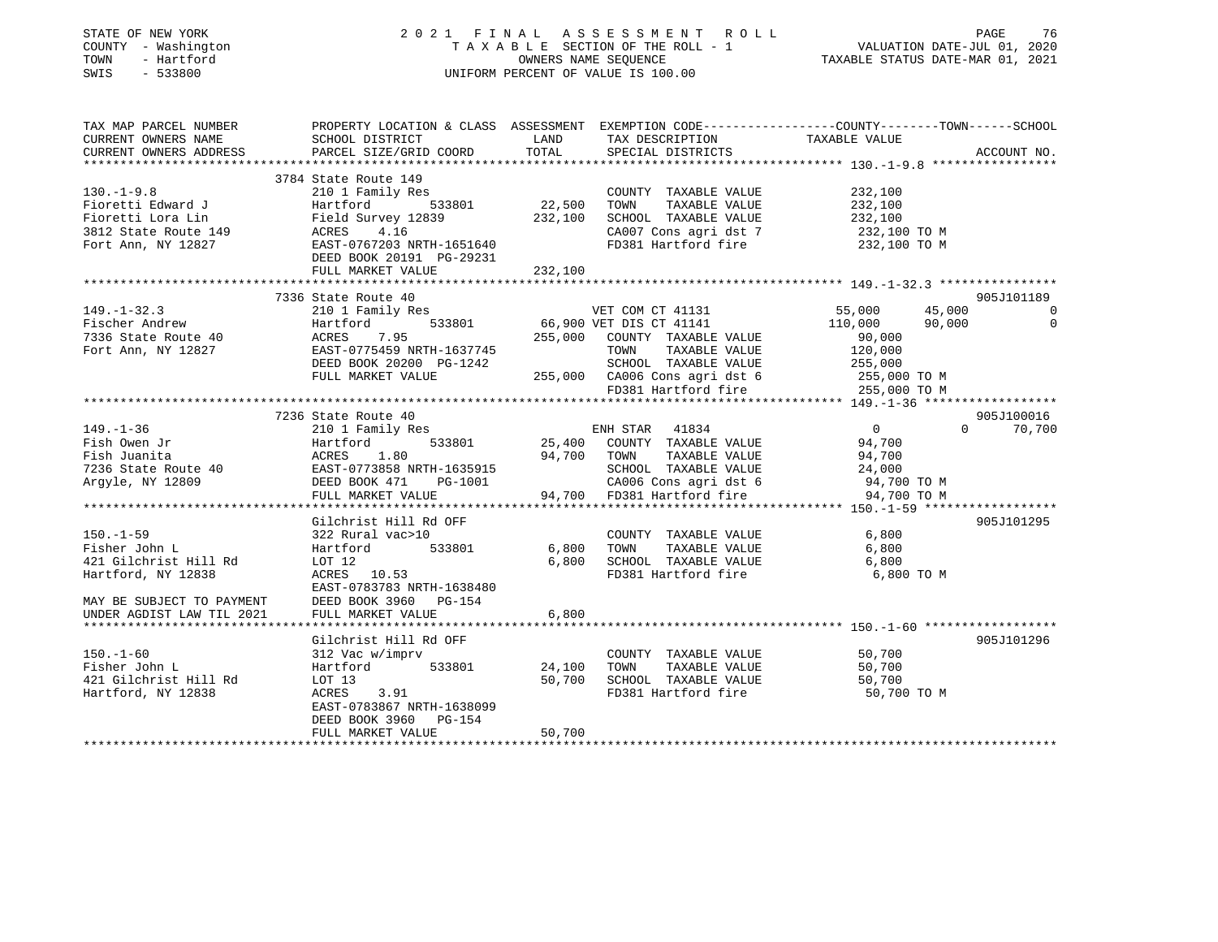| STATE OF NEW YORK<br>COUNTY - Washington<br>TOWN<br>- Hartford<br>SWIS<br>$-533800$                                                                                                                                                     |                                                |         | 2021 FINAL ASSESSMENT ROLL<br>T A X A B L E SECTION OF THE ROLL - 1<br>OWNERS NAME SEQUENCE<br>UNIFORM PERCENT OF VALUE IS 100.00                                                 | VALUATION DATE-JUL 01, 2020<br>TAXABLE STATUS DATE-MAR 01, 2021 | PAGE<br>76                  |
|-----------------------------------------------------------------------------------------------------------------------------------------------------------------------------------------------------------------------------------------|------------------------------------------------|---------|-----------------------------------------------------------------------------------------------------------------------------------------------------------------------------------|-----------------------------------------------------------------|-----------------------------|
| TAX MAP PARCEL NUMBER THE PROPERTY LOCATION & CLASS ASSESSMENT EXEMPTION CODE---------------COUNTY--------TOWN------SCHOOL                                                                                                              |                                                |         |                                                                                                                                                                                   |                                                                 |                             |
| CURRENT OWNERS NAME<br>CURRENT OWNERS ADDRESS                                                                                                                                                                                           | SCHOOL DISTRICT LAND<br>PARCEL SIZE/GRID COORD | TOTAL   | TAX DESCRIPTION TAXABLE VALUE<br>SPECIAL DISTRICTS                                                                                                                                |                                                                 | ACCOUNT NO.                 |
|                                                                                                                                                                                                                                         |                                                |         |                                                                                                                                                                                   |                                                                 |                             |
|                                                                                                                                                                                                                                         | 3784 State Route 149                           |         |                                                                                                                                                                                   |                                                                 |                             |
| $130. - 1 - 9.8$                                                                                                                                                                                                                        | 210 1 Family Res                               |         | COUNTY TAXABLE VALUE                                                                                                                                                              | 232,100                                                         |                             |
|                                                                                                                                                                                                                                         |                                                | 22,500  | TOWN TAXABLE VALUE                                                                                                                                                                | 232,100                                                         |                             |
|                                                                                                                                                                                                                                         |                                                | 232,100 | SCHOOL TAXABLE VALUE                                                                                                                                                              | 232,100                                                         |                             |
|                                                                                                                                                                                                                                         |                                                |         | CA007 Cons agri dst 7                                                                                                                                                             | 232,100 TO M                                                    |                             |
| Fioretti Edward J<br>Fioretti Lora Lin Field Survey 12839<br>3812 State Route 149 ACRES 4.16<br>Fort Ann, NY 12827 EAST-0767203 NRTH-1651640<br>DEED BOOK 20191 PG-29231                                                                |                                                |         | FD381 Hartford fire                                                                                                                                                               | 232,100 TO M                                                    |                             |
|                                                                                                                                                                                                                                         | FULL MARKET VALUE                              | 232,100 |                                                                                                                                                                                   |                                                                 |                             |
|                                                                                                                                                                                                                                         | 7336 State Route 40                            |         |                                                                                                                                                                                   |                                                                 | 905J101189                  |
| $149. - 1 - 32.3$                                                                                                                                                                                                                       | 210 1 Family Res                               |         | VET COM CT 41131                                                                                                                                                                  | 55,000                                                          | 45,000 0                    |
|                                                                                                                                                                                                                                         |                                                |         |                                                                                                                                                                                   |                                                                 | 90,000<br>$\overline{0}$    |
|                                                                                                                                                                                                                                         |                                                |         |                                                                                                                                                                                   |                                                                 |                             |
|                                                                                                                                                                                                                                         |                                                |         |                                                                                                                                                                                   |                                                                 |                             |
|                                                                                                                                                                                                                                         |                                                |         |                                                                                                                                                                                   |                                                                 |                             |
|                                                                                                                                                                                                                                         |                                                |         |                                                                                                                                                                                   |                                                                 |                             |
| 149.-1-32.3<br>Fischer Andrew Hartford 533801 66,900 VET COM CT 41131<br>7336 State Route 40<br>Fort Ann, NY 12827 EAST-0775459 NRTH-1637745<br>Fort Ann, NY 12827 EAST-0775459 NRTH-1637745<br>FULL MARKET VALUE 255,000 CA006 Cons ag |                                                |         |                                                                                                                                                                                   |                                                                 |                             |
|                                                                                                                                                                                                                                         |                                                |         |                                                                                                                                                                                   |                                                                 |                             |
| $149. - 1 - 36$                                                                                                                                                                                                                         | 7236 State Route 40                            |         | ENH STAR 41834                                                                                                                                                                    | $\overline{0}$                                                  | 905J100016<br>$0 \t 70,700$ |
| Fish Owen Jr                                                                                                                                                                                                                            | 210 1 Family Res                               |         | $\frac{25,400}{25,400}$ COUNTY TAXABLE VALUE                                                                                                                                      | 94,700                                                          |                             |
| Fish Juanita                                                                                                                                                                                                                            |                                                |         |                                                                                                                                                                                   |                                                                 |                             |
|                                                                                                                                                                                                                                         |                                                |         |                                                                                                                                                                                   |                                                                 |                             |
| 7236 State Route 40<br>Argyle NY 12809<br>Argyle, NY 12809                                                                                                                                                                              |                                                |         |                                                                                                                                                                                   |                                                                 |                             |
|                                                                                                                                                                                                                                         | FULL MARKET VALUE                              |         | 94,700 TOWN TAXABLE VALUE 94,700<br>RTH-1635915 SCHOOL TAXABLE VALUE 24,000<br>PG-1001 2A006 Cons agri dst 6 94,700 TO M<br>24,700 PG-1001 94,700 FD381 Hartford fire 94,700 TO M |                                                                 |                             |
|                                                                                                                                                                                                                                         |                                                |         |                                                                                                                                                                                   |                                                                 |                             |
|                                                                                                                                                                                                                                         | Gilchrist Hill Rd OFF                          |         |                                                                                                                                                                                   |                                                                 | 905J101295                  |
| $150. - 1 - 59$                                                                                                                                                                                                                         | 322 Rural vac>10                               |         | COUNTY TAXABLE VALUE                                                                                                                                                              | 6,800                                                           |                             |
| Fisher John L                                                                                                                                                                                                                           | Hartford 533801                                | 6,800   | TOWN TAXABLE VALUE                                                                                                                                                                | 6,800                                                           |                             |
| 421 Gilchrist Hill Rd                                                                                                                                                                                                                   | LOT 12<br>ACRES 10.53                          |         | 6,800 SCHOOL TAXABLE VALUE<br>FD381 Hartford fire                                                                                                                                 | 6,800<br>6,800 TO M                                             |                             |
| Hartford, NY 12838                                                                                                                                                                                                                      | EAST-0783783 NRTH-1638480                      |         |                                                                                                                                                                                   |                                                                 |                             |
| MAY BE SUBJECT TO PAYMENT<br>DEED BOOK 3960 - DEED BOOK 3960 - 154<br>UNDER AGDIST LAW TIL 2021 - FULL MARKET VALUE                                                                                                                     |                                                |         |                                                                                                                                                                                   |                                                                 |                             |
|                                                                                                                                                                                                                                         |                                                | 6,800   |                                                                                                                                                                                   |                                                                 |                             |
|                                                                                                                                                                                                                                         |                                                |         |                                                                                                                                                                                   |                                                                 |                             |
|                                                                                                                                                                                                                                         | Gilchrist Hill Rd OFF                          |         |                                                                                                                                                                                   |                                                                 | 905J101296                  |
| $150. - 1 - 60$                                                                                                                                                                                                                         | 312 Vac w/imprv                                |         | COUNTY TAXABLE VALUE                                                                                                                                                              | 50,700                                                          |                             |
| Fisher John L                                                                                                                                                                                                                           | Hartford 533801                                | 24,100  | TOWN<br>TAXABLE VALUE                                                                                                                                                             | 50,700                                                          |                             |
| 421 Gilchrist Hill Rd                                                                                                                                                                                                                   | LOT 13                                         |         | 50,700 SCHOOL TAXABLE VALUE                                                                                                                                                       | 50,700                                                          |                             |
| Hartford, NY 12838                                                                                                                                                                                                                      | 3.91<br>ACRES                                  |         | FD381 Hartford fire                                                                                                                                                               | 50,700 TO M                                                     |                             |
|                                                                                                                                                                                                                                         | EAST-0783867 NRTH-1638099                      |         |                                                                                                                                                                                   |                                                                 |                             |
|                                                                                                                                                                                                                                         | DEED BOOK 3960 PG-154<br>FULL MARKET VALUE     | 50,700  |                                                                                                                                                                                   |                                                                 |                             |
|                                                                                                                                                                                                                                         |                                                |         |                                                                                                                                                                                   |                                                                 |                             |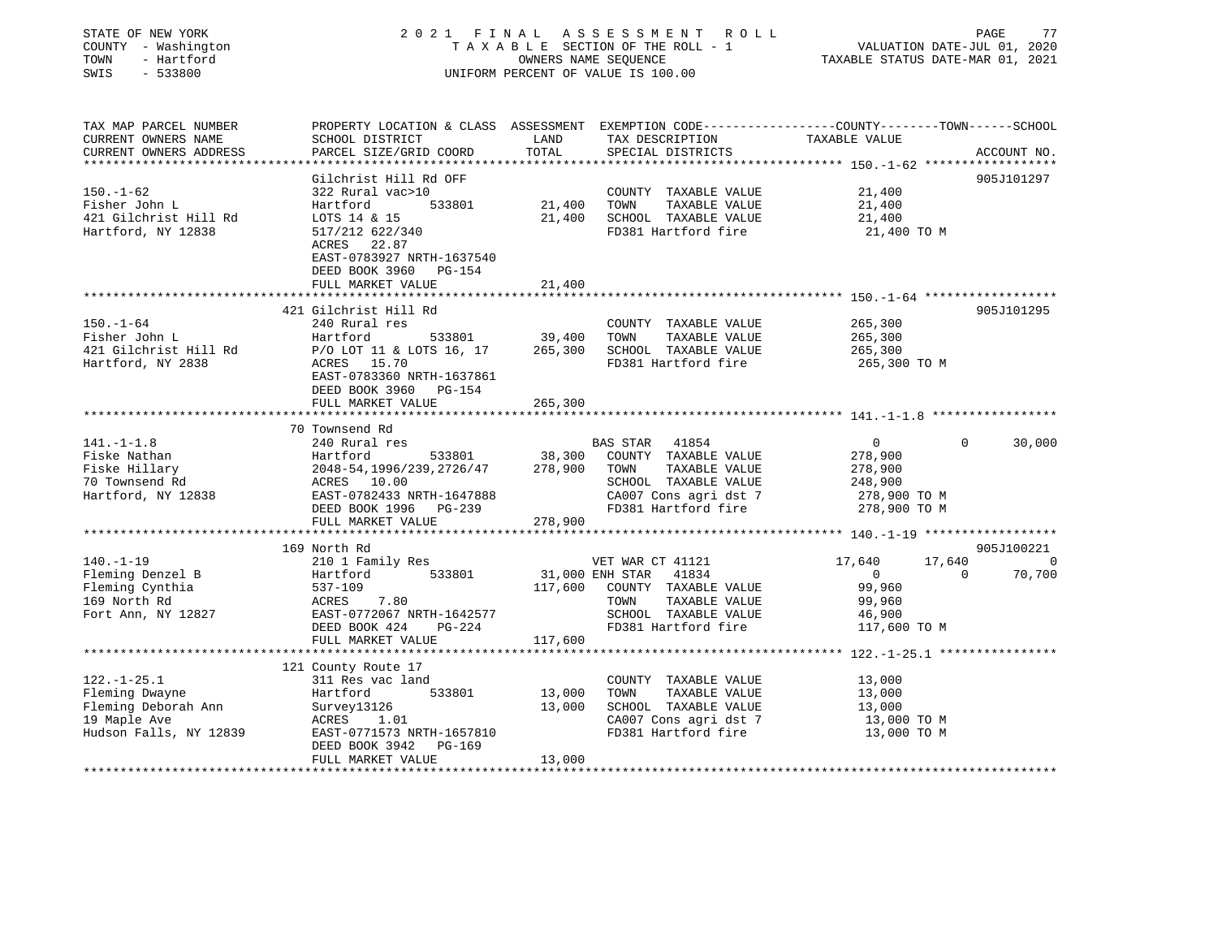| STATE OF NEW YORK<br>COUNTY - Washington<br>TOWN<br>- Hartford<br>$-533800$<br>SWIS | 2021 FINAL                                                                                                          |                    | A S S E S S M E N T<br>ROLL<br>TAXABLE SECTION OF THE ROLL - 1<br>OWNERS NAME SEQUENCE<br>UNIFORM PERCENT OF VALUE IS 100.00 | VALUATION DATE-JUL 01, 2020<br>TAXABLE STATUS DATE-MAR 01, 2021 | PAGE<br>77               |
|-------------------------------------------------------------------------------------|---------------------------------------------------------------------------------------------------------------------|--------------------|------------------------------------------------------------------------------------------------------------------------------|-----------------------------------------------------------------|--------------------------|
| TAX MAP PARCEL NUMBER<br>CURRENT OWNERS NAME                                        | PROPERTY LOCATION & CLASS ASSESSMENT EXEMPTION CODE----------------COUNTY-------TOWN------SCHOOL<br>SCHOOL DISTRICT | LAND               | TAX DESCRIPTION                                                                                                              | TAXABLE VALUE                                                   |                          |
| CURRENT OWNERS ADDRESS                                                              | PARCEL SIZE/GRID COORD                                                                                              | TOTAL              | SPECIAL DISTRICTS                                                                                                            |                                                                 | ACCOUNT NO.              |
|                                                                                     |                                                                                                                     |                    |                                                                                                                              |                                                                 |                          |
| $150. - 1 - 62$                                                                     | Gilchrist Hill Rd OFF<br>322 Rural vac>10                                                                           |                    | COUNTY TAXABLE VALUE                                                                                                         | 21,400                                                          | 905J101297               |
| Fisher John L                                                                       | 533801<br>Hartford                                                                                                  | 21,400             | TOWN<br>TAXABLE VALUE                                                                                                        | 21,400                                                          |                          |
| 421 Gilchrist Hill Rd                                                               | LOTS 14 & 15                                                                                                        | 21,400             | SCHOOL TAXABLE VALUE                                                                                                         | 21,400                                                          |                          |
| Hartford, NY 12838                                                                  | 517/212 622/340                                                                                                     |                    | FD381 Hartford fire                                                                                                          | 21,400 TO M                                                     |                          |
|                                                                                     | ACRES 22.87<br>EAST-0783927 NRTH-1637540                                                                            |                    |                                                                                                                              |                                                                 |                          |
|                                                                                     | DEED BOOK 3960 PG-154                                                                                               |                    |                                                                                                                              |                                                                 |                          |
|                                                                                     | FULL MARKET VALUE<br>**********************                                                                         | 21,400<br>******** |                                                                                                                              |                                                                 |                          |
|                                                                                     | 421 Gilchrist Hill Rd                                                                                               |                    |                                                                                                                              | ************************** 150.-1-64 *******************        | 905J101295               |
| $150. - 1 - 64$                                                                     | 240 Rural res                                                                                                       |                    | COUNTY TAXABLE VALUE                                                                                                         | 265,300                                                         |                          |
| Fisher John L                                                                       | Hartford<br>533801                                                                                                  | 39,400             | TAXABLE VALUE<br>TOWN                                                                                                        | 265,300                                                         |                          |
| 421 Gilchrist Hill Rd                                                               | P/O LOT 11 & LOTS 16, 17                                                                                            | 265,300            | SCHOOL TAXABLE VALUE                                                                                                         | 265,300                                                         |                          |
| Hartford, NY 2838                                                                   | ACRES 15.70                                                                                                         |                    | FD381 Hartford fire                                                                                                          | 265,300 TO M                                                    |                          |
|                                                                                     | EAST-0783360 NRTH-1637861<br>DEED BOOK 3960 PG-154                                                                  |                    |                                                                                                                              |                                                                 |                          |
|                                                                                     | FULL MARKET VALUE                                                                                                   | 265,300            |                                                                                                                              |                                                                 |                          |
|                                                                                     |                                                                                                                     |                    |                                                                                                                              |                                                                 |                          |
|                                                                                     | 70 Townsend Rd                                                                                                      |                    |                                                                                                                              |                                                                 |                          |
| $141. - 1 - 1.8$                                                                    | 240 Rural res                                                                                                       |                    | BAS STAR 41854                                                                                                               | $\overline{0}$                                                  | $\Omega$<br>30,000       |
| Fiske Nathan                                                                        | 533801<br>Hartford                                                                                                  | 38,300             | COUNTY TAXABLE VALUE                                                                                                         | 278,900                                                         |                          |
| Fiske Hillary                                                                       | 2048-54, 1996/239, 2726/47                                                                                          | 278,900            | TAXABLE VALUE<br>TOWN                                                                                                        | 278,900                                                         |                          |
| 70 Townsend Rd                                                                      | ACRES 10.00<br>EAST-0782433 NRTH-1647888                                                                            |                    | SCHOOL TAXABLE VALUE                                                                                                         | 248,900                                                         |                          |
| Hartford, NY 12838                                                                  |                                                                                                                     |                    | CA007 Cons agri dst 7<br>FD381 Hartford fire                                                                                 | 278,900 TO M<br>278,900 TO M                                    |                          |
|                                                                                     | DEED BOOK 1996 PG-239<br>FULL MARKET VALUE                                                                          | 278,900            |                                                                                                                              |                                                                 |                          |
| **********************                                                              | ******************************                                                                                      |                    |                                                                                                                              |                                                                 |                          |
|                                                                                     | 169 North Rd                                                                                                        |                    |                                                                                                                              |                                                                 | 905J100221               |
| $140. - 1 - 19$                                                                     | 210 1 Family Res                                                                                                    |                    | VET WAR CT 41121                                                                                                             | 17,640<br>17,640                                                | $\overline{\phantom{0}}$ |
| Fleming Denzel B                                                                    | 533801<br>Hartford                                                                                                  |                    | 31,000 ENH STAR<br>41834                                                                                                     | $\overline{0}$                                                  | 70,700<br>$\Omega$       |
| Fleming Cynthia                                                                     | 537-109                                                                                                             | 117,600            | COUNTY TAXABLE VALUE                                                                                                         | 99,960                                                          |                          |
| 169 North Rd                                                                        | 7.80<br>ACRES                                                                                                       |                    | TAXABLE VALUE<br>TOWN                                                                                                        | 99,960                                                          |                          |
| Fort Ann, NY 12827                                                                  | EAST-0772067 NRTH-1642577                                                                                           |                    | SCHOOL TAXABLE VALUE                                                                                                         | 46,900                                                          |                          |
|                                                                                     | DEED BOOK 424<br>PG-224                                                                                             |                    | FD381 Hartford fire                                                                                                          | 117,600 TO M                                                    |                          |
|                                                                                     | FULL MARKET VALUE                                                                                                   | 117,600            |                                                                                                                              |                                                                 |                          |
|                                                                                     |                                                                                                                     |                    |                                                                                                                              |                                                                 |                          |
|                                                                                     | 121 County Route 17                                                                                                 |                    |                                                                                                                              |                                                                 |                          |
| $122. - 1 - 25.1$                                                                   | 311 Res vac land                                                                                                    |                    | COUNTY TAXABLE VALUE                                                                                                         | 13,000                                                          |                          |
| Fleming Dwayne                                                                      | 533801<br>Hartford                                                                                                  | 13,000             | TOWN<br>TAXABLE VALUE                                                                                                        | 13,000                                                          |                          |
| Fleming Deborah Ann                                                                 | Survey13126                                                                                                         | 13,000             | SCHOOL TAXABLE VALUE                                                                                                         | 13,000                                                          |                          |
| 19 Maple Ave                                                                        | ACRES<br>1.01                                                                                                       |                    | CA007 Cons agri dst 7                                                                                                        | 13,000 TO M                                                     |                          |
| Hudson Falls, NY 12839                                                              | EAST-0771573 NRTH-1657810<br>DEED BOOK 3942 PG-169                                                                  |                    | FD381 Hartford fire                                                                                                          | 13,000 TO M                                                     |                          |
|                                                                                     | FULL MARKET VALUE                                                                                                   | 13,000             |                                                                                                                              |                                                                 |                          |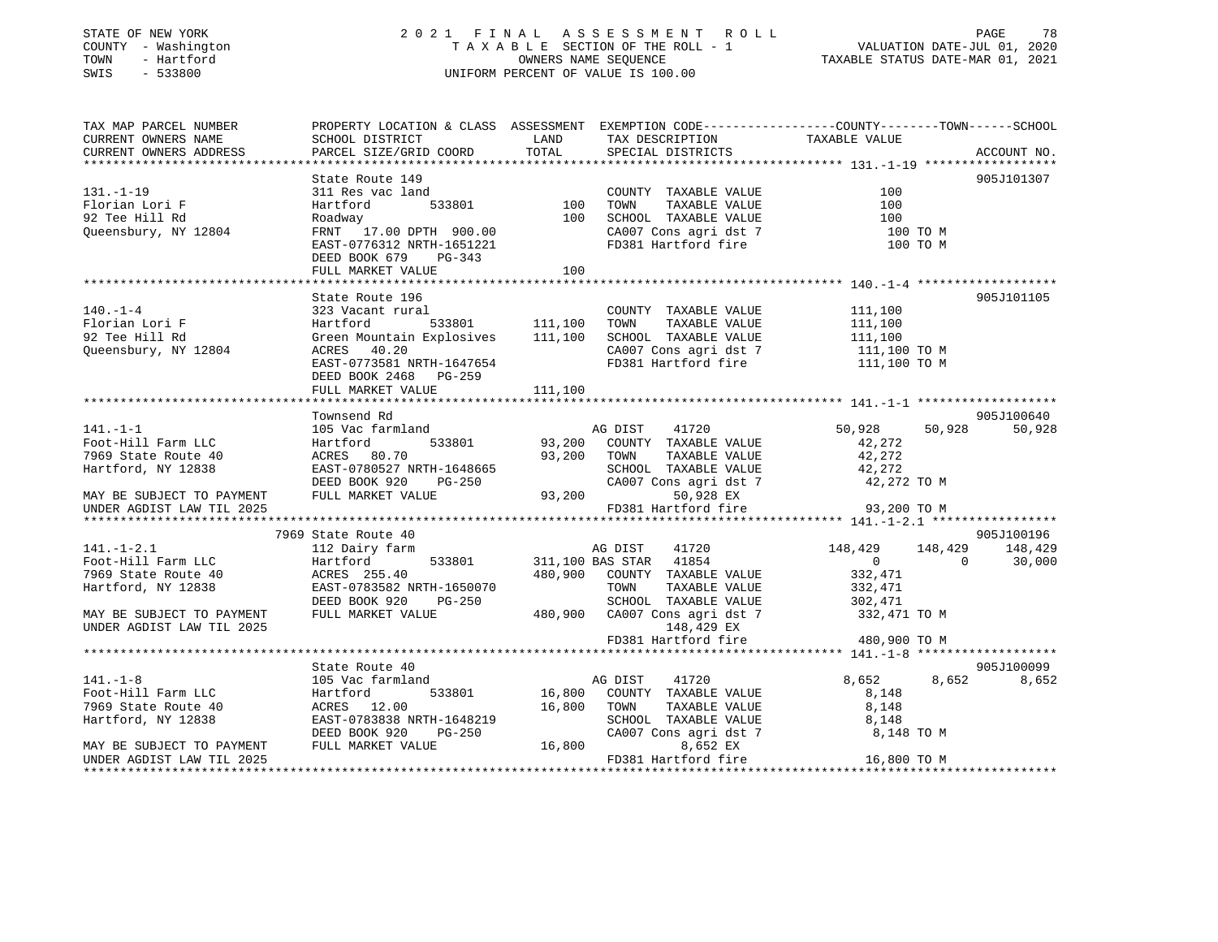# STATE OF NEW YORK 2 0 2 1 F I N A L A S S E S S M E N T R O L L PAGE 78 COUNTY - Washington T A X A B L E SECTION OF THE ROLL - 1 VALUATION DATE-JUL 01, 2020 TOWN - Hartford OWNERS NAME SEQUENCE TAXABLE STATUS DATE-MAR 01, 2021 SWIS - 533800 UNIFORM PERCENT OF VALUE IS 100.00

| TAX MAP PARCEL NUMBER<br>CURRENT OWNERS NAME | PROPERTY LOCATION & CLASS ASSESSMENT EXEMPTION CODE----------------COUNTY-------TOWN------SCHOOL<br>SCHOOL DISTRICT | <b>LAND</b>      | TAX DESCRIPTION                                                    | TAXABLE VALUE      |                       |
|----------------------------------------------|---------------------------------------------------------------------------------------------------------------------|------------------|--------------------------------------------------------------------|--------------------|-----------------------|
| CURRENT OWNERS ADDRESS                       | PARCEL SIZE/GRID COORD                                                                                              | TOTAL            | SPECIAL DISTRICTS                                                  |                    | ACCOUNT NO.           |
|                                              | State Route 149                                                                                                     |                  |                                                                    |                    | 905J101307            |
| $131. -1 - 19$                               | 311 Res vac land                                                                                                    |                  | COUNTY TAXABLE VALUE                                               | 100                |                       |
| Florian Lori F                               | 533801 100<br>Hartford                                                                                              |                  | TAXABLE VALUE<br>TOWN                                              | 100                |                       |
| 92 Tee Hill Rd                               | Roadway                                                                                                             | 100              | SCHOOL TAXABLE VALUE                                               | 100                |                       |
| Queensbury, NY 12804                         | FRNT 17.00 DPTH 900.00                                                                                              |                  | CA007 Cons agri dst 7<br>FD381 Hartford fire                       | 100 TO M           |                       |
|                                              | EAST-0776312 NRTH-1651221                                                                                           |                  |                                                                    | 100 TO M           |                       |
|                                              | DEED BOOK 679<br>PG-343                                                                                             |                  |                                                                    |                    |                       |
|                                              | FULL MARKET VALUE                                                                                                   | 100              |                                                                    |                    |                       |
|                                              |                                                                                                                     |                  |                                                                    |                    |                       |
|                                              | State Route 196                                                                                                     |                  |                                                                    |                    | 905J101105            |
| $140. - 1 - 4$                               | 323 Vacant rural                                                                                                    |                  | COUNTY TAXABLE VALUE<br>TOWN                                       | 111,100            |                       |
| Florian Lori F                               | Hartford<br>Green Mountain Explosives 111,100                                                                       |                  | TAXABLE VALUE                                                      | 111,100            |                       |
| 92 Tee Hill Rd<br>Queensbury, NY 12804       | ACRES 40.20                                                                                                         |                  | SCHOOL TAXABLE VALUE 111,100<br>CA007 Cons agri dst 7 111,100 TO M |                    |                       |
|                                              | EAST-0773581 NRTH-1647654                                                                                           |                  | FD381 Hartford fire 111,100 TO M                                   |                    |                       |
|                                              | DEED BOOK 2468 PG-259                                                                                               |                  |                                                                    |                    |                       |
|                                              | FULL MARKET VALUE                                                                                                   | 111,100          |                                                                    |                    |                       |
|                                              |                                                                                                                     |                  |                                                                    |                    |                       |
|                                              | Townsend Rd                                                                                                         |                  |                                                                    |                    | 905J100640            |
| $141. - 1 - 1$                               | 105 Vac farmland                                                                                                    |                  | 41720<br>AG DIST                                                   | 50,928             | 50,928<br>50,928      |
| Foot-Hill Farm LLC                           | Hartford                                                                                                            |                  | 533801 93,200 COUNTY TAXABLE VALUE                                 | 42,272             |                       |
| 7969 State Route 40                          | ACRES 80.70                                                                                                         | 93,200 TOWN      | TAXABLE VALUE                                                      | 42,272             |                       |
| Hartford, NY 12838                           | EAST-0780527 NRTH-1648665                                                                                           |                  | SCHOOL TAXABLE VALUE<br>CA007 Cons agri dst 7                      | 42,272             |                       |
|                                              | DEED BOOK 920<br>PG-250                                                                                             |                  |                                                                    | 42,272 TO M        |                       |
| MAY BE SUBJECT TO PAYMENT                    | FULL MARKET VALUE                                                                                                   | $93,200$ FD38    | 50,928 EX<br>FD381 Hartford fire 93,200 TO M                       |                    |                       |
| UNDER AGDIST LAW TIL 2025                    |                                                                                                                     |                  |                                                                    |                    |                       |
|                                              |                                                                                                                     |                  |                                                                    |                    |                       |
| $141. - 1 - 2.1$                             | 7969 State Route 40<br>112 Dairy farm                                                                               |                  | 41720<br>AG DIST                                                   | 148,429 148,429    | 905J100196<br>148,429 |
| Foot-Hill Farm LLC                           | Hartford<br>533801                                                                                                  |                  | 311,100 BAS STAR 41854                                             | $\overline{0}$     | $\sim$ 0<br>30,000    |
| 7969 State Route 40                          |                                                                                                                     |                  | 480,900 COUNTY TAXABLE VALUE                                       |                    |                       |
| Hartford, NY 12838                           | ACRES 255.40<br>EAST-0783582 NRTH-1650070                                                                           |                  | TOWN<br>TAXABLE VALUE                                              | 332,471<br>332,471 |                       |
|                                              | DEED BOOK 920<br>PG-250                                                                                             |                  | SCHOOL TAXABLE VALUE                                               | 302,471            |                       |
| MAY BE SUBJECT TO PAYMENT                    | FULL MARKET VALUE                                                                                                   |                  | SCHOOL TAXABLE VALUE<br>480,900 CA007 Cons agri dst 7              | 332,471 TO M       |                       |
| UNDER AGDIST LAW TIL 2025                    |                                                                                                                     |                  | 148,429 EX                                                         |                    |                       |
|                                              |                                                                                                                     |                  | FD381 Hartford fire                                                | 480,900 TO M       |                       |
|                                              |                                                                                                                     |                  |                                                                    |                    |                       |
|                                              | State Route 40                                                                                                      |                  |                                                                    |                    | 905J100099            |
| $141. - 1 - 8$                               | 105 Vac farmland                                                                                                    |                  | 41720<br>AG DIST                                                   | 8,652              | 8,652<br>8,652        |
| Foot-Hill Farm LLC                           | 533801<br>Hartford                                                                                                  |                  | 16,800 COUNTY TAXABLE VALUE                                        | 8,148              |                       |
| 7969 State Route 40                          | ACRES 12.00<br>EAST-0783838 NRTH-1648219                                                                            | 16,800           | TOWN<br>TAXABLE VALUE                                              | 8,148              |                       |
| Hartford, NY 12838                           |                                                                                                                     |                  | SCHOOL TAXABLE VALUE                                               | 8,148              |                       |
|                                              | DEED BOOK 920<br>PG-250                                                                                             | / CAUU<br>16,800 | CA007 Cons agri dst 7                                              | 8,148 TO M         |                       |
| MAY BE SUBJECT TO PAYMENT                    | FULL MARKET VALUE                                                                                                   |                  | 8,652 EX<br>FD381 Hartford fire                                    | 16,800 TO M        |                       |
| UNDER AGDIST LAW TIL 2025                    |                                                                                                                     |                  |                                                                    |                    |                       |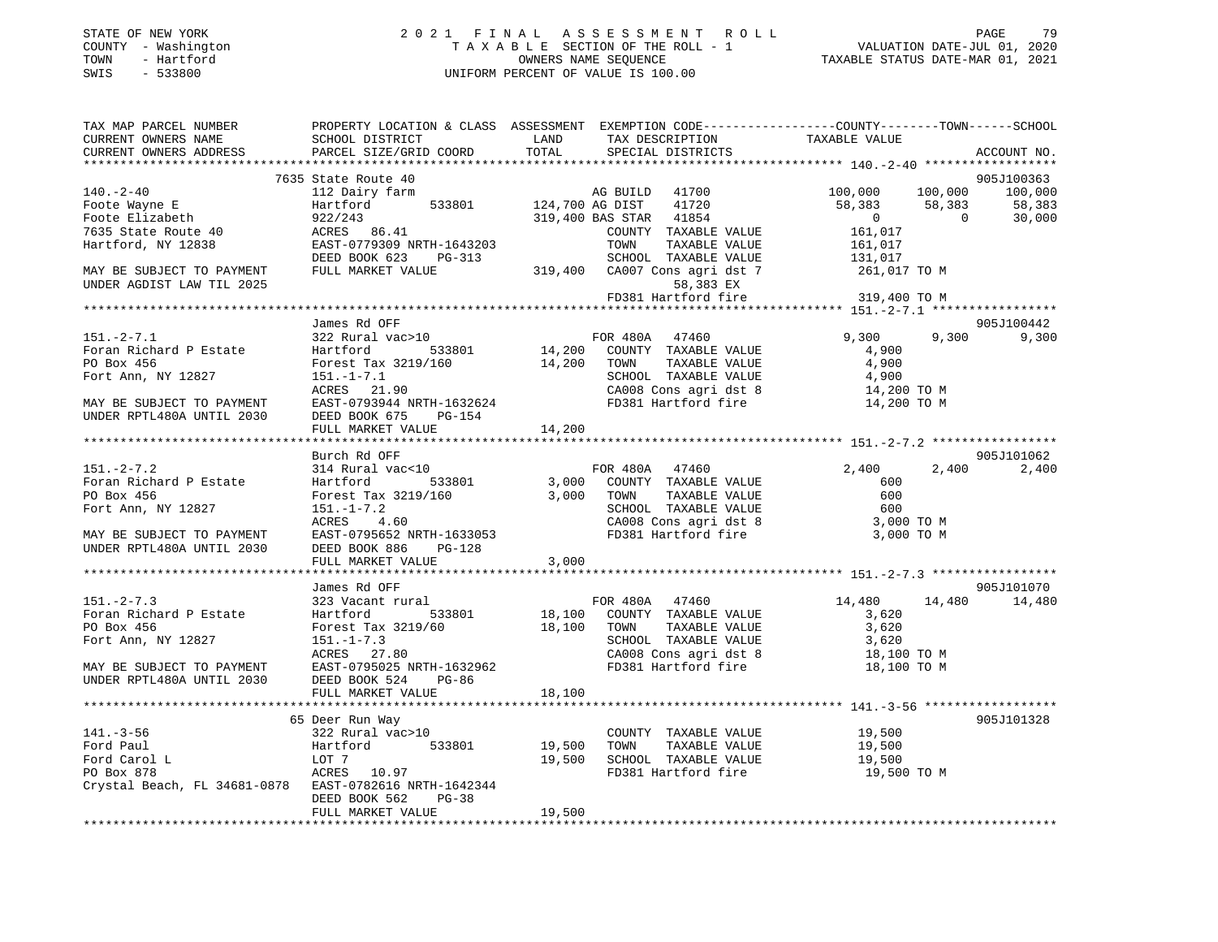| STATE OF NEW YORK                      |              |
|----------------------------------------|--------------|
| COUNTY                                 | - Washington |
| TOWN                                   | - Hartford   |
| CM <sub>T</sub> C<br>$\sim$ 100 $\sim$ | 533800       |

# STATE OF NEW YORK 2 0 2 1 F I N A L A S S E S S M E N T R O L L PAGE 79 COUNTY - Washington T A X A B L E SECTION OF THE ROLL - 1 VALUATION DATE-JUL 01, 2020 TOWN - Hartford OWNERS NAME SEQUENCE TAXABLE STATUS DATE-MAR 01, 2021 SWIS - 533800 UNIFORM PERCENT OF VALUE IS 100.00

| TAX MAP PARCEL NUMBER                                                                                                          | PROPERTY LOCATION & CLASS ASSESSMENT EXEMPTION CODE---------------COUNTY-------TOWN-----SCHOOL                            |        |                       |                                                                 |                   |
|--------------------------------------------------------------------------------------------------------------------------------|---------------------------------------------------------------------------------------------------------------------------|--------|-----------------------|-----------------------------------------------------------------|-------------------|
| CURRENT OWNERS NAME                                                                                                            | SCHOOL DISTRICT                                                                                                           | LAND   | TAX DESCRIPTION       | TAXABLE VALUE                                                   |                   |
| CURRENT OWNERS ADDRESS                                                                                                         | PARCEL SIZE/GRID COORD                                                                                                    | TOTAL  | SPECIAL DISTRICTS     |                                                                 | ACCOUNT NO.       |
|                                                                                                                                |                                                                                                                           |        |                       |                                                                 |                   |
|                                                                                                                                | 7635 State Route 40                                                                                                       |        |                       |                                                                 | 905J100363        |
| $140. - 2 - 40$                                                                                                                | 112 Dairy farm                                                                                                            |        | AG BUILD 41700        | 100,000 100,000 100,000                                         |                   |
|                                                                                                                                | Hartford 533801 124,700 AG DIST 41720<br>922/243 319,400 BAS STAR 41854                                                   |        |                       |                                                                 |                   |
| Foote Wayne E<br>Foote Elizabeth                                                                                               |                                                                                                                           |        |                       |                                                                 |                   |
| 7635 State Route 40                                                                                                            | 922/243<br>ACRES 86.41                                                                                                    |        | COUNTY TAXABLE VALUE  | $58,383$ $58,383$ $58,383$<br>0<br>161,017 0 30,000             |                   |
| Hartford, NY 12838                                                                                                             | EAST-0779309 NRTH-1643203                                                                                                 |        | TOWN<br>TAXABLE VALUE |                                                                 |                   |
|                                                                                                                                |                                                                                                                           |        |                       | 161,017<br>131,017                                              |                   |
| MAY BE SUBJECT TO PAYMENT                                                                                                      | EAST-0779309 NKIH-1043203<br>DEED BOOK 623 PG-313 SCHOOL TAXABLE VALUE<br>FULL MARKET VALUE 319,400 CA007 Cons agri dst 7 |        |                       | 261,017 TO M                                                    |                   |
| UNDER AGDIST LAW TIL 2025                                                                                                      |                                                                                                                           |        |                       |                                                                 |                   |
|                                                                                                                                |                                                                                                                           |        |                       | 58,383 EX<br>FD381 Hartford fire 319,400 TO M                   |                   |
|                                                                                                                                |                                                                                                                           |        |                       |                                                                 |                   |
|                                                                                                                                |                                                                                                                           |        |                       |                                                                 |                   |
|                                                                                                                                | James Rd OFF<br>322 Rural vac>10                                                                                          |        |                       |                                                                 | 905J100442        |
| $151.-2-7.1$                                                                                                                   |                                                                                                                           |        | FOR 480A 47460        |                                                                 | 9,300 9,300 9,300 |
| For a Richard P Estate Hartford 533801 14,200 COUNTY TAXABLE VALUE<br>PO Box 456 Forest Tax 3219/160 14,200 TOWN TAXABLE VALUE |                                                                                                                           |        |                       | 4,900                                                           |                   |
|                                                                                                                                |                                                                                                                           |        |                       | 4,900                                                           |                   |
| Fort Ann, NY 12827                                                                                                             | 151.-1-7.1<br>ACRES 21.90 CAO08 Cons agri dst 8<br>EAST-0793944 NRTH-1632624 FD381 Hartford fire                          |        |                       | SCHOOL TAXABLE VALUE 4,900<br>CA008 Cons agri dst 8 14,200 TO M |                   |
|                                                                                                                                |                                                                                                                           |        |                       |                                                                 |                   |
| MAY BE SUBJECT TO PAYMENT                                                                                                      |                                                                                                                           |        |                       | 14,200 TO M                                                     |                   |
| UNDER RPTL480A UNTIL 2030                                                                                                      | DEED BOOK 675<br>PG-154                                                                                                   |        |                       |                                                                 |                   |
|                                                                                                                                | FULL MARKET VALUE                                                                                                         | 14,200 |                       |                                                                 |                   |
|                                                                                                                                |                                                                                                                           |        |                       |                                                                 |                   |
|                                                                                                                                | Burch Rd OFF                                                                                                              |        |                       |                                                                 | 905J101062        |
| $151 - 2 - 7.2$                                                                                                                | 314 Rural vac<10                                                                                                          |        | FOR 480A 47460        | 2,400                                                           | 2,400 2,400       |
| Foran Richard P Estate                                                                                                         | Hartford 533801 3,000 COUNTY TAXABLE VALUE<br>Forest Tax 3219/160 3,000 TOWN TAXABLE VALUE                                |        |                       | 600                                                             |                   |
| PO Box 456                                                                                                                     |                                                                                                                           |        |                       | 600                                                             |                   |
| Fort Ann, NY 12827                                                                                                             | 151.-1-7.2<br>ACRES 4.60                                                                                                  |        |                       | SCHOOL TAXABLE VALUE 600<br>CA008 Cons agri dst 8 3,000 TO M    |                   |
|                                                                                                                                |                                                                                                                           |        |                       |                                                                 |                   |
| MAY BE SUBJECT TO PAYMENT                                                                                                      | 151.-1-7.2<br>ACRES 4.60 CA008 Cons agri dst 8<br>EAST-0795652 NRTH-1633053 FD381 Hartford fire                           |        |                       | 3,000 TO M                                                      |                   |
| UNDER RPTL480A UNTIL 2030                                                                                                      | DEED BOOK 886 PG-128                                                                                                      |        |                       |                                                                 |                   |
|                                                                                                                                | FULL MARKET VALUE                                                                                                         | 3,000  |                       |                                                                 |                   |
|                                                                                                                                |                                                                                                                           |        |                       |                                                                 |                   |
|                                                                                                                                | James Rd OFF                                                                                                              |        |                       |                                                                 | 905J101070        |
| $151. - 2 - 7.3$                                                                                                               | 323 Vacant rural                                                                                                          |        | FOR 480A 47460        | 14,480 14,480 14,480                                            |                   |
|                                                                                                                                |                                                                                                                           |        |                       | 3,620                                                           |                   |
|                                                                                                                                | Forest Tax 3219/60                                                                                                        |        |                       | 3,620                                                           |                   |
| Fort Ann, NY 12827                                                                                                             |                                                                                                                           |        |                       |                                                                 |                   |
|                                                                                                                                | 151.-1-7.3<br>ACRES 27.80                                                                                                 |        |                       | SCHOOL TAXABLE VALUE 3,620<br>CA008 Cons agri dst 8 18,100 TO M |                   |
| MAY BE SUBJECT TO PAYMENT                                                                                                      |                                                                                                                           |        |                       | 18,100 TO M                                                     |                   |
| UNDER RPTL480A UNTIL 2030                                                                                                      | DEED BOOK 524<br>PG-86                                                                                                    |        |                       |                                                                 |                   |
|                                                                                                                                | FULL MARKET VALUE                                                                                                         | 18,100 |                       |                                                                 |                   |
|                                                                                                                                |                                                                                                                           |        |                       |                                                                 |                   |
|                                                                                                                                |                                                                                                                           |        |                       |                                                                 | 905J101328        |
|                                                                                                                                | 65 Deer Run Way<br>$322$ Rural vac>10                                                                                     |        |                       |                                                                 |                   |
| $141. - 3 - 56$                                                                                                                |                                                                                                                           |        | COUNTY TAXABLE VALUE  | 19,500                                                          |                   |
| Ford Paul                                                                                                                      | Hartford 533801 19,500<br>LOT 7 19,500                                                                                    |        |                       | TOWN TAXABLE VALUE 19,500<br>SCHOOL TAXABLE VALUE 19,500        |                   |
| Ford Carol L                                                                                                                   | $LOT$ 7                                                                                                                   |        |                       |                                                                 |                   |
| PO Box 878                                                                                                                     | $ACRES$ 10.97                                                                                                             |        | FD381 Hartford fire   | 19,500 TO M                                                     |                   |
| Crystal Beach, FL 34681-0878 EAST-0782616 NRTH-1642344                                                                         |                                                                                                                           |        |                       |                                                                 |                   |
|                                                                                                                                | DEED BOOK 562<br>$PG-38$                                                                                                  |        |                       |                                                                 |                   |
|                                                                                                                                | FULL MARKET VALUE                                                                                                         | 19,500 |                       |                                                                 |                   |
|                                                                                                                                |                                                                                                                           |        |                       |                                                                 |                   |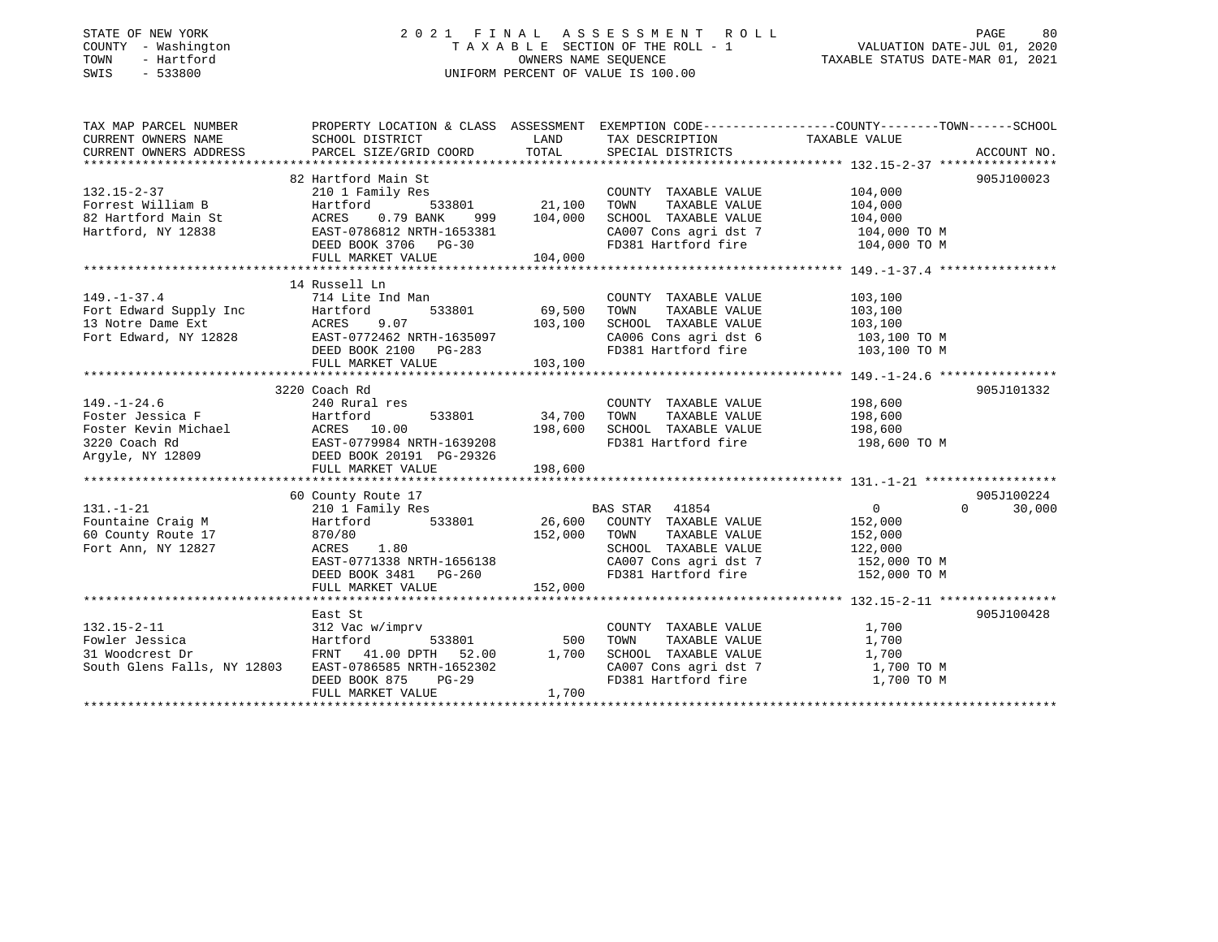# STATE OF NEW YORK 2 0 2 1 F I N A L A S S E S S M E N T R O L L PAGE 80 COUNTY - Washington T A X A B L E SECTION OF THE ROLL - 1 VALUATION DATE-JUL 01, 2020 TOWN - Hartford OWNERS NAME SEQUENCE TAXABLE STATUS DATE-MAR 01, 2021 SWIS - 533800 UNIFORM PERCENT OF VALUE IS 100.00

| TAX MAP PARCEL NUMBER                                                                                                                                                                                                           |                                                    |                          |                                                                    | PROPERTY LOCATION & CLASS ASSESSMENT EXEMPTION CODE---------------COUNTY-------TOWN------SCHOOL |        |
|---------------------------------------------------------------------------------------------------------------------------------------------------------------------------------------------------------------------------------|----------------------------------------------------|--------------------------|--------------------------------------------------------------------|-------------------------------------------------------------------------------------------------|--------|
| CURRENT OWNERS NAME SCHOOL DISTRICT                                                                                                                                                                                             |                                                    | <b>EXAMPLE TO A LAND</b> | TAX DESCRIPTION TAXABLE VALUE                                      |                                                                                                 |        |
|                                                                                                                                                                                                                                 |                                                    |                          |                                                                    |                                                                                                 |        |
|                                                                                                                                                                                                                                 |                                                    |                          |                                                                    |                                                                                                 |        |
|                                                                                                                                                                                                                                 | 82 Hartford Main St                                |                          |                                                                    | 905J100023                                                                                      |        |
| $132.15 - 2 - 37$                                                                                                                                                                                                               | ily Res<br>533801 21,100<br>210 1 Family Res       |                          | COUNTY TAXABLE VALUE                                               | $104,000$<br>$104,000$                                                                          |        |
| Forrest William B                                                                                                                                                                                                               | Hartford                                           |                          | TOWN<br>TAXABLE VALUE                                              |                                                                                                 |        |
| 82 Hartford Main St March 2007 2008                                                                                                                                                                                             |                                                    | $999$ $104,000$          | SCHOOL TAXABLE VALUE 104,000                                       |                                                                                                 |        |
| Hartford, NY 12838                                                                                                                                                                                                              | EAST-0786812 NRTH-1653381                          |                          | CA007 Cons agri dst 7 104,000 TO M                                 |                                                                                                 |        |
|                                                                                                                                                                                                                                 | EAST-0786812 NRTH-1653381<br>DEED BOOK 3706 PG-30  |                          | FD381 Hartford fire                                                | 104,000 TO M                                                                                    |        |
|                                                                                                                                                                                                                                 | FULL MARKET VALUE                                  | 104,000                  |                                                                    |                                                                                                 |        |
|                                                                                                                                                                                                                                 |                                                    |                          |                                                                    |                                                                                                 |        |
|                                                                                                                                                                                                                                 | 14 Russell Ln                                      |                          |                                                                    |                                                                                                 |        |
| $149. - 1 - 37.4$                                                                                                                                                                                                               | 714 Lite Ind Man                                   |                          | COUNTY TAXABLE VALUE 103,100                                       |                                                                                                 |        |
|                                                                                                                                                                                                                                 |                                                    |                          | TOWN                                                               | TAXABLE VALUE 103,100                                                                           |        |
|                                                                                                                                                                                                                                 |                                                    |                          | SCHOOL TAXABLE VALUE 103,100<br>CA006 Cons agri dst 6 103,100 TO M |                                                                                                 |        |
|                                                                                                                                                                                                                                 |                                                    |                          |                                                                    |                                                                                                 |        |
|                                                                                                                                                                                                                                 |                                                    |                          | FD381 Hartford fire 103,100 TO M                                   |                                                                                                 |        |
| 149.-1-37.4<br>Fort Edward, NY 12828<br>Fort Edward, NY 12828<br>FULL MARKET VALUE<br>FORES PORT CRES FORES 103,100<br>FULL MARKET VALUE<br>FULL MARKET VALUE<br>103,100<br>103,100<br>103,100<br>103,100<br>103,100<br>103,100 |                                                    |                          |                                                                    |                                                                                                 |        |
|                                                                                                                                                                                                                                 |                                                    |                          |                                                                    |                                                                                                 |        |
|                                                                                                                                                                                                                                 | 3220 Coach Rd                                      |                          |                                                                    | 905J101332                                                                                      |        |
| $149. - 1 - 24.6$<br>$149. -1 - 24.6$ $\textbf{Foster Jessica F} \qquad \qquad 240 \text{ Rural} \\ \textbf{Foster Jessica F} \qquad \qquad 440.$                                                                               | 240 Rural res                                      |                          | COUNTY TAXABLE VALUE 198,600                                       |                                                                                                 |        |
|                                                                                                                                                                                                                                 | $533801$ $34,700$                                  |                          | TAXABLE VALUE<br>TOWN                                              | 198,600                                                                                         |        |
|                                                                                                                                                                                                                                 |                                                    |                          | SCHOOL TAXABLE VALUE 198,600                                       |                                                                                                 |        |
|                                                                                                                                                                                                                                 |                                                    |                          | FD381 Hartford fire                                                | 198,600 TO M                                                                                    |        |
| Poster Kevin Michael (1987)<br>Poster Kevin Michael (1987)<br>220 Coach Rd (1987–0779984 NRTH-1639208<br>220 Coach Rd (1988–1998)<br>DEED BOOK 20191 PG-29326                                                                   |                                                    |                          |                                                                    |                                                                                                 |        |
|                                                                                                                                                                                                                                 |                                                    |                          |                                                                    |                                                                                                 |        |
|                                                                                                                                                                                                                                 |                                                    |                          |                                                                    |                                                                                                 |        |
|                                                                                                                                                                                                                                 | 60 County Route 17                                 |                          |                                                                    | 905J100224                                                                                      |        |
| $131. - 1 - 21$                                                                                                                                                                                                                 | 210 1 Family Res                                   |                          | BAS STAR 41854                                                     | $0 \qquad \qquad$<br>$\Omega$                                                                   | 30,000 |
| Fountaine Craig M<br>60 County Route 17                                                                                                                                                                                         | Hartford 533801 26,600 COUNTY TAXABLE VALUE        |                          |                                                                    | 152,000<br>152,000                                                                              |        |
|                                                                                                                                                                                                                                 |                                                    | 152,000                  | TAXABLE VALUE<br>TOWN                                              |                                                                                                 |        |
| Fort Ann, NY 12827                                                                                                                                                                                                              | 870/80<br>ACRES 1.80                               |                          | SCHOOL TAXABLE VALUE 122,000                                       |                                                                                                 |        |
|                                                                                                                                                                                                                                 |                                                    |                          | CA007 Cons agri dst 7 $152,000$ TO M                               |                                                                                                 |        |
|                                                                                                                                                                                                                                 | EAST-0771338 NRTH-1656138<br>DEED BOOK 3481 PG-260 |                          | FD381 Hartford fire                                                | 152,000 TO M                                                                                    |        |
|                                                                                                                                                                                                                                 | FULL MARKET VALUE                                  | 152,000                  |                                                                    |                                                                                                 |        |
|                                                                                                                                                                                                                                 |                                                    |                          |                                                                    |                                                                                                 |        |
|                                                                                                                                                                                                                                 | East St                                            |                          |                                                                    | 905J100428                                                                                      |        |
| $132.15 - 2 - 11$                                                                                                                                                                                                               | 312 Vac w/imprv                                    |                          | COUNTY TAXABLE VALUE 1,700                                         |                                                                                                 |        |
| Fowler Jessica Fartford 533801 500<br>31 Woodcrest Dr FRNT 41.00 DPTH 52.00 1,700<br>South Glens Falls, NY 12803 EAST-0786585 NRTH-1652302                                                                                      |                                                    |                          | TOWN<br>TAXABLE VALUE<br>TAXABLE VALUE                             | 1,700                                                                                           |        |
|                                                                                                                                                                                                                                 |                                                    |                          | SCHOOL TAXABLE VALUE                                               | 1,700                                                                                           |        |
|                                                                                                                                                                                                                                 |                                                    |                          | CA007 Cons agri dst 7 1,700 TO M                                   |                                                                                                 |        |
|                                                                                                                                                                                                                                 | DEED BOOK 875<br>PG-29                             |                          | FD381 Hartford fire                                                | 1,700 TO M                                                                                      |        |
|                                                                                                                                                                                                                                 | FULL MARKET VALUE                                  | 1,700                    |                                                                    |                                                                                                 |        |
|                                                                                                                                                                                                                                 |                                                    |                          |                                                                    |                                                                                                 |        |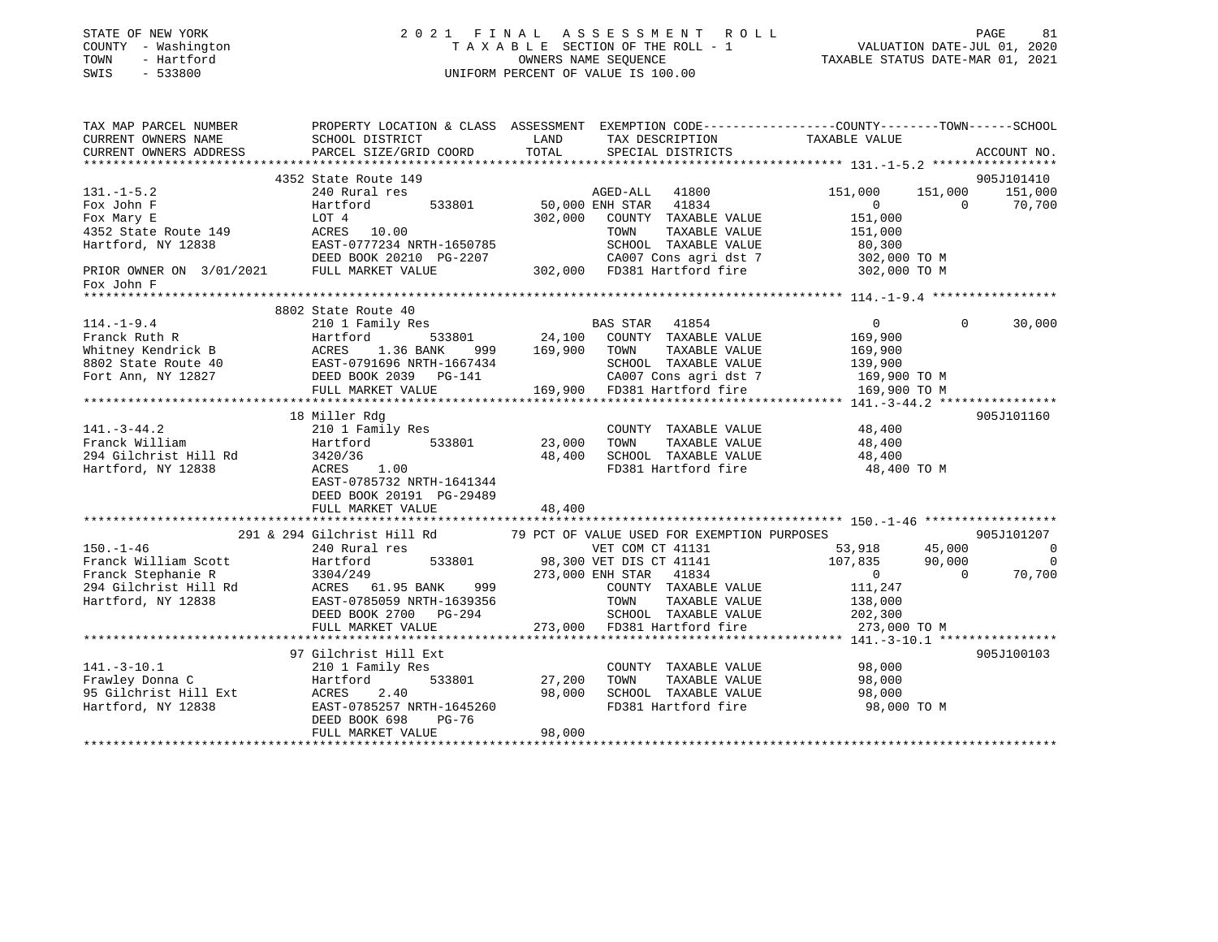| STATE OF NEW YORK<br>COUNTY - Washington<br>TOWN<br>- Hartford<br>$-533800$<br>SWIS                                                |                                                                                                                                                                                                                                                    |                    | 2021 FINAL ASSESSMENT ROLL<br>T A X A B L E SECTION OF THE ROLL - 1<br>OWNERS NAME SEQUENCE<br>UNIFORM PERCENT OF VALUE IS 100.00 | PAGE 61<br>VALUATION DATE-JUL 01, 2020<br>TAXABLE STATUS DATE-MAR 01, 2021 | PAGE<br>81               |
|------------------------------------------------------------------------------------------------------------------------------------|----------------------------------------------------------------------------------------------------------------------------------------------------------------------------------------------------------------------------------------------------|--------------------|-----------------------------------------------------------------------------------------------------------------------------------|----------------------------------------------------------------------------|--------------------------|
| TAX MAP PARCEL NUMBER                                                                                                              | PROPERTY LOCATION & CLASS ASSESSMENT EXEMPTION CODE-----------------COUNTY-------TOWN------SCHOOL                                                                                                                                                  |                    |                                                                                                                                   |                                                                            |                          |
| CURRENT OWNERS NAME<br>CURRENT OWNERS ADDRESS                                                                                      | SCHOOL DISTRICT<br>PARCEL SIZE/GRID COORD                                                                                                                                                                                                          | LAND<br>TOTAL      | TAX DESCRIPTION<br>SPECIAL DISTRICTS                                                                                              | TAXABLE VALUE                                                              | ACCOUNT NO.              |
|                                                                                                                                    |                                                                                                                                                                                                                                                    |                    |                                                                                                                                   |                                                                            |                          |
|                                                                                                                                    | 4352 State Route 149                                                                                                                                                                                                                               |                    |                                                                                                                                   |                                                                            | 905J101410               |
| $131. -1 - 5.2$                                                                                                                    | 240 Rural res                                                                                                                                                                                                                                      |                    | AGED-ALL 41800                                                                                                                    | 151,000                                                                    | 151,000<br>151,000       |
| Fox John F                                                                                                                         | Hartford<br>533801                                                                                                                                                                                                                                 |                    | AGED-ALL 41800<br>50,000 ENH STAR 41834                                                                                           | 0                                                                          | $\sim$ 0<br>70,700       |
| Fox Mary E                                                                                                                         | LOT 4                                                                                                                                                                                                                                              |                    | 302,000 COUNTY TAXABLE VALUE                                                                                                      | 151,000                                                                    |                          |
|                                                                                                                                    | 4352 State Route 149<br>Hartford, NY 12838<br>EAST-0777234 NRTH-1650785<br>DEED BOOK 20210 PG-2207                                                                                                                                                 |                    | TAXABLE VALUE<br>TOWN                                                                                                             | 151,000                                                                    |                          |
|                                                                                                                                    |                                                                                                                                                                                                                                                    |                    | SCHOOL TAXABLE VALUE                                                                                                              | 80,300                                                                     |                          |
|                                                                                                                                    |                                                                                                                                                                                                                                                    |                    | 2007 60007 CA007 CONS agrid st 7<br>202,000 6007 CA007 CONS agrid st 7<br>302,000 6007 Hartford fire 302,000 TO M                 |                                                                            |                          |
| PRIOR OWNER ON 3/01/2021 FULL MARKET VALUE<br>Fox John F                                                                           |                                                                                                                                                                                                                                                    |                    |                                                                                                                                   |                                                                            |                          |
|                                                                                                                                    |                                                                                                                                                                                                                                                    |                    |                                                                                                                                   |                                                                            |                          |
|                                                                                                                                    | 8802 State Route 40                                                                                                                                                                                                                                |                    |                                                                                                                                   |                                                                            |                          |
| $114. - 1 - 9.4$                                                                                                                   | 210 1 Family Res                                                                                                                                                                                                                                   |                    | BAS STAR 41854                                                                                                                    | $\overline{0}$                                                             | $\Omega$<br>30,000       |
|                                                                                                                                    | Franck Ruth R<br>Whitney Kendrick B<br>Whitney Kendrick B<br>8802 State Route 40<br>Fort Ann, NY 12827<br>The CHOOL Fort Ann, NY 12827<br>The CHOOL Fort Ann, NY 12827<br>The CAOL COMPOSITIES<br>The CAOL COMPOSITIES<br>The CAOL COMPOSITIES<br> |                    | 533801 24,100 COUNTY TAXABLE VALUE                                                                                                | 169,900                                                                    |                          |
|                                                                                                                                    |                                                                                                                                                                                                                                                    |                    | TAXABLE VALUE                                                                                                                     | 169,900                                                                    |                          |
|                                                                                                                                    |                                                                                                                                                                                                                                                    |                    | SCHOOL TAXABLE VALUE<br>CA007 Cons agri dst 7                                                                                     | 139,900<br>$169,900$ TO M                                                  |                          |
|                                                                                                                                    | FULL MARKET VALUE                                                                                                                                                                                                                                  |                    | 169,900 FD381 Hartford fire                                                                                                       | 169,900 TO M                                                               |                          |
|                                                                                                                                    |                                                                                                                                                                                                                                                    |                    |                                                                                                                                   |                                                                            |                          |
|                                                                                                                                    | 18 Miller Rdg                                                                                                                                                                                                                                      |                    |                                                                                                                                   |                                                                            | 905J101160               |
| $141. - 3 - 44.2$                                                                                                                  | 210 1 Family Res                                                                                                                                                                                                                                   |                    | COUNTY TAXABLE VALUE                                                                                                              | 48,400                                                                     |                          |
| Franck William                                                                                                                     | Hartford 533801                                                                                                                                                                                                                                    | 23,000             | TOWN<br>TAXABLE VALUE                                                                                                             | 48,400<br>48,400                                                           |                          |
| 294 Gilchrist Hill Rd                                                                                                              |                                                                                                                                                                                                                                                    | 48,400             | SCHOOL TAXABLE VALUE                                                                                                              |                                                                            |                          |
| Hartford, NY 12838                                                                                                                 | 3420/36<br>ACRES 1.00<br>EAST-0785732 NRTH-1641344<br>DEED BOOK 20191 PG-29489<br>FULL MARKET VALUE                                                                                                                                                | 48,400             | FD381 Hartford fire                                                                                                               | 48,400 TO M                                                                |                          |
|                                                                                                                                    |                                                                                                                                                                                                                                                    |                    |                                                                                                                                   |                                                                            |                          |
|                                                                                                                                    | 291 & 294 Gilchrist Hill Rd                                                                                                                                                                                                                        |                    | 79 PCT OF VALUE USED FOR EXEMPTION PURPOSES                                                                                       |                                                                            | 905J101207               |
| $150. - 1 - 46$                                                                                                                    | 240 Rural res                                                                                                                                                                                                                                      |                    | VET COM CT 41131<br>98,300 VET DIS CT 41141<br>273,000 ENH STAR 41834                                                             | 53,918<br>45,000                                                           | $\overline{0}$           |
| Franck William Scott<br>Franck Stephanie R 3304/249<br>294 Gilchrist Hill Rd ACRES 61.95 BA<br>Hartford, NY 12838 EAST-0785059 NRT | 533801                                                                                                                                                                                                                                             |                    |                                                                                                                                   | 107,835                                                                    | 90,000<br>$\overline{0}$ |
|                                                                                                                                    |                                                                                                                                                                                                                                                    |                    |                                                                                                                                   | $\overline{0}$                                                             | 70,700<br>$\overline{0}$ |
|                                                                                                                                    | ACRES 61.95 BANK                                                                                                                                                                                                                                   | 999<br>9356        | COUNTY TAXABLE VALUE                                                                                                              | 111,247<br>138,000                                                         |                          |
|                                                                                                                                    | EAST-0785059 NRTH-1639356                                                                                                                                                                                                                          |                    | TOWN<br>TAXABLE VALUE                                                                                                             |                                                                            |                          |
|                                                                                                                                    | DEED BOOK 2700 PG-294                                                                                                                                                                                                                              |                    | SCHOOL TAXABLE VALUE<br>273,000 FD381 Hartford fire                                                                               | 202,300                                                                    |                          |
|                                                                                                                                    | FULL MARKET VALUE                                                                                                                                                                                                                                  |                    |                                                                                                                                   | 273,000 TO M                                                               |                          |
|                                                                                                                                    | 97 Gilchrist Hill Ext                                                                                                                                                                                                                              |                    |                                                                                                                                   |                                                                            | 905J100103               |
| $141.-3-10.1$                                                                                                                      | 210 1 Family Res                                                                                                                                                                                                                                   |                    | COUNTY TAXABLE VALUE                                                                                                              | 98,000                                                                     |                          |
|                                                                                                                                    | Hartford                                                                                                                                                                                                                                           | 533801 27,200 TOWN | TAXABLE VALUE                                                                                                                     | 98,000                                                                     |                          |
|                                                                                                                                    | ACRES<br>2.40                                                                                                                                                                                                                                      | 98,000             | SCHOOL TAXABLE VALUE                                                                                                              | 98,000                                                                     |                          |
| 141.-3-10.1<br>Frawley Donna C<br>95 Gilchrist Hill Ext<br>Wartford, NY 12838                                                      | EAST-0785257 NRTH-1645260<br>DEED BOOK 698<br>PG-76                                                                                                                                                                                                |                    | FD381 Hartford fire                                                                                                               | 98,000 TO M                                                                |                          |
|                                                                                                                                    | FULL MARKET VALUE                                                                                                                                                                                                                                  | 98,000             |                                                                                                                                   |                                                                            |                          |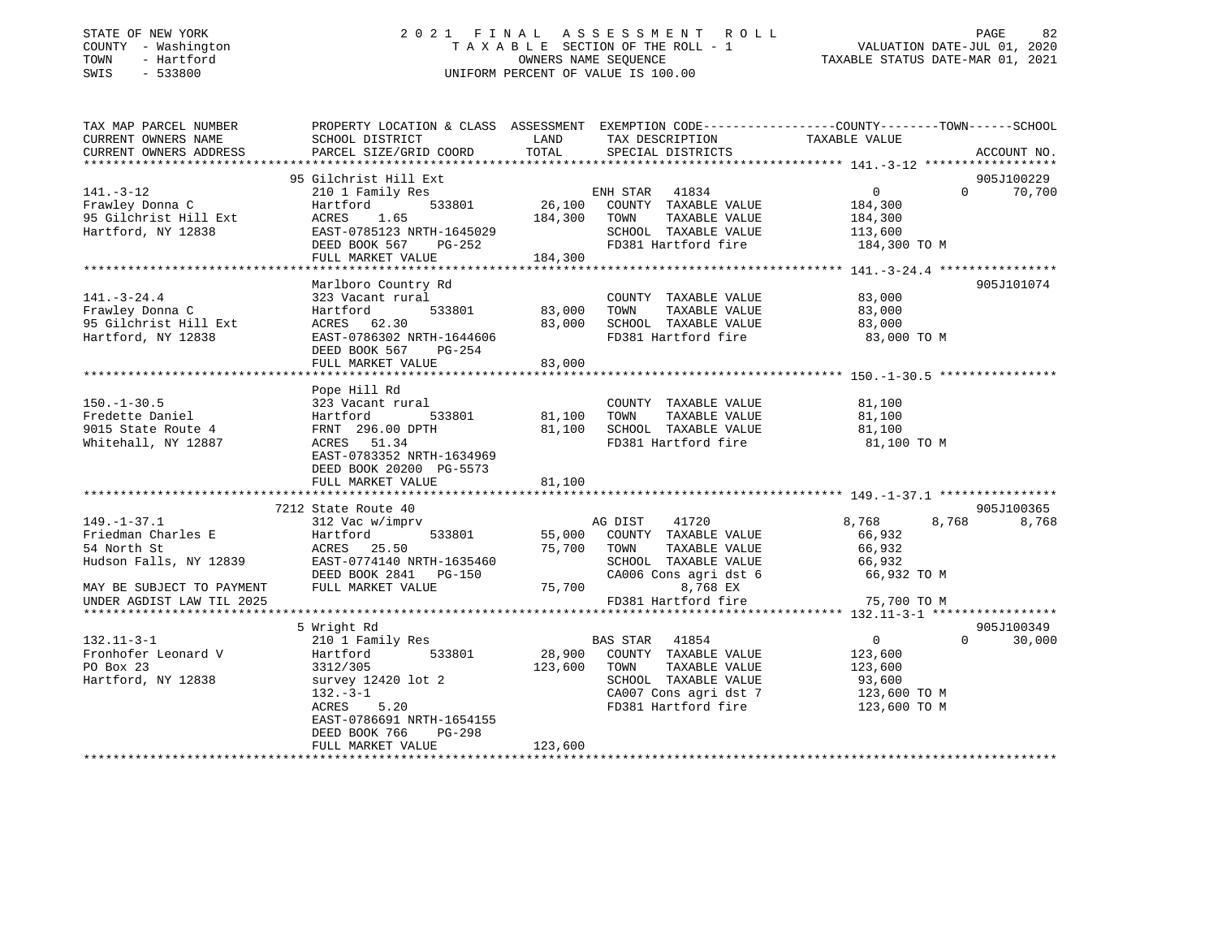# STATE OF NEW YORK 2 0 2 1 F I N A L A S S E S S M E N T R O L L PAGE 82 COUNTY - Washington T A X A B L E SECTION OF THE ROLL - 1 VALUATION DATE-JUL 01, 2020 TOWN - Hartford OWNERS NAME SEQUENCE TAXABLE STATUS DATE-MAR 01, 2021 SWIS - 533800 UNIFORM PERCENT OF VALUE IS 100.00

| TAX MAP PARCEL NUMBER     | PROPERTY LOCATION & CLASS ASSESSMENT EXEMPTION CODE----------------COUNTY-------TOWN------SCHOOL |               |                                  |                |                    |
|---------------------------|--------------------------------------------------------------------------------------------------|---------------|----------------------------------|----------------|--------------------|
| CURRENT OWNERS NAME       | SCHOOL DISTRICT                                                                                  | LAND          | TAX DESCRIPTION                  | TAXABLE VALUE  |                    |
| CURRENT OWNERS ADDRESS    | PARCEL SIZE/GRID COORD                                                                           | TOTAL         | SPECIAL DISTRICTS                |                | ACCOUNT NO.        |
|                           |                                                                                                  |               |                                  |                |                    |
|                           | 95 Gilchrist Hill Ext                                                                            |               |                                  |                | 905J100229         |
| $141. - 3 - 12$           | 210 1 Family Res                                                                                 |               | ENH STAR 41834                   | $\overline{0}$ | $0 \t 70,700$      |
| Frawley Donna C           | 533801<br>Hartford                                                                               |               | 26,100 COUNTY TAXABLE VALUE      | 184,300        |                    |
| 95 Gilchrist Hill Ext     | ACRES<br>1.65                                                                                    | 184,300       | TOWN<br>TAXABLE VALUE            | 184,300        |                    |
| Hartford, NY 12838        | EAST-0785123 NRTH-1645029                                                                        |               | SCHOOL TAXABLE VALUE             | 113,600        |                    |
|                           | DEED BOOK 567 PG-252                                                                             |               | FD381 Hartford fire              | 184,300 TO M   |                    |
|                           | FULL MARKET VALUE                                                                                | 184,300       |                                  |                |                    |
|                           | Marlboro Country Rd                                                                              |               |                                  |                | 905J101074         |
| $141. - 3 - 24.4$         | 323 Vacant rural                                                                                 |               | COUNTY TAXABLE VALUE             | 83,000         |                    |
| Frawley Donna C           | Hartford                                                                                         | 533801 83,000 | TOWN<br>TAXABLE VALUE            | 83,000         |                    |
| 95 Gilchrist Hill Ext     | ACRES 62.30                                                                                      | 83,000        | SCHOOL TAXABLE VALUE             | 83,000         |                    |
| Hartford, NY 12838        | EAST-0786302 NRTH-1644606                                                                        |               | FD381 Hartford fire              | 83,000 TO M    |                    |
|                           | DEED BOOK 567 PG-254                                                                             |               |                                  |                |                    |
|                           | FULL MARKET VALUE                                                                                | 83,000        |                                  |                |                    |
|                           |                                                                                                  |               |                                  |                |                    |
|                           | Pope Hill Rd                                                                                     |               |                                  |                |                    |
| $150. - 1 - 30.5$         | 323 Vacant rural                                                                                 |               | COUNTY TAXABLE VALUE             | 81,100         |                    |
| Fredette Daniel           | Hartford                                                                                         | 533801 81,100 | TAXABLE VALUE<br>TOWN            | 81,100         |                    |
| 9015 State Route 4        | FRNT 296.00 DPTH                                                                                 | 81,100        | SCHOOL TAXABLE VALUE             | 81,100         |                    |
| Whitehall, NY 12887       | ACRES 51.34                                                                                      |               | FD381 Hartford fire              | 81,100 TO M    |                    |
|                           | EAST-0783352 NRTH-1634969                                                                        |               |                                  |                |                    |
|                           | DEED BOOK 20200 PG-5573                                                                          |               |                                  |                |                    |
|                           | FULL MARKET VALUE                                                                                | 81,100        |                                  |                |                    |
|                           |                                                                                                  |               |                                  |                |                    |
|                           | 7212 State Route 40                                                                              |               |                                  |                | 905J100365         |
| $149. - 1 - 37.1$         | State noute 40<br>312 Vac w/imprv                                                                |               | AG DIST 41720                    | 8,768          | 8,768<br>8,768     |
| Friedman Charles E        | Hartford                                                                                         | 533801 55,000 | COUNTY TAXABLE VALUE             | 66,932         |                    |
| 54 North St               | ACRES 25.50                                                                                      |               | 75,700 TOWN<br>TAXABLE VALUE     | 66,932         |                    |
| Hudson Falls, NY 12839    | EAST-0774140 NRTH-1635460                                                                        |               | SCHOOL TAXABLE VALUE             | 66,932         |                    |
|                           | DEED BOOK 2841 PG-150                                                                            |               | CA006 Cons agri dst 6            | 66,932 TO M    |                    |
| MAY BE SUBJECT TO PAYMENT | FULL MARKET VALUE                                                                                | 75,700        | 8,768 EX                         |                |                    |
| UNDER AGDIST LAW TIL 2025 |                                                                                                  |               | FD381 Hartford fire              | 75,700 TO M    |                    |
|                           |                                                                                                  |               |                                  |                |                    |
|                           | 5 Wright Rd                                                                                      |               |                                  |                | 905J100349         |
| $132.11 - 3 - 1$          | 210 1 Family Res                                                                                 |               | BAS STAR 41854                   | $\overline{0}$ | $\Omega$<br>30,000 |
| Fronhofer Leonard V       | 533801<br>Hartford                                                                               |               | 28,900 COUNTY TAXABLE VALUE      | 123,600        |                    |
| PO Box 23                 | 3312/305                                                                                         | 123,600       | TOWN<br>TAXABLE VALUE            | 123,600        |                    |
| Hartford, NY 12838        | survey 12420 lot 2                                                                               |               | SCHOOL TAXABLE VALUE             | 93,600         |                    |
|                           | $132 - 3 - 1$                                                                                    |               | CA007 Cons agri dst 7            | 123,600 TO M   |                    |
|                           | 5.20<br>ACRES                                                                                    |               | FD381 Hartford fire 123,600 TO M |                |                    |
|                           | EAST-0786691 NRTH-1654155                                                                        |               |                                  |                |                    |
|                           | DEED BOOK 766<br>PG-298                                                                          |               |                                  |                |                    |
|                           | FULL MARKET VALUE                                                                                | 123,600       |                                  |                |                    |
|                           |                                                                                                  |               |                                  |                |                    |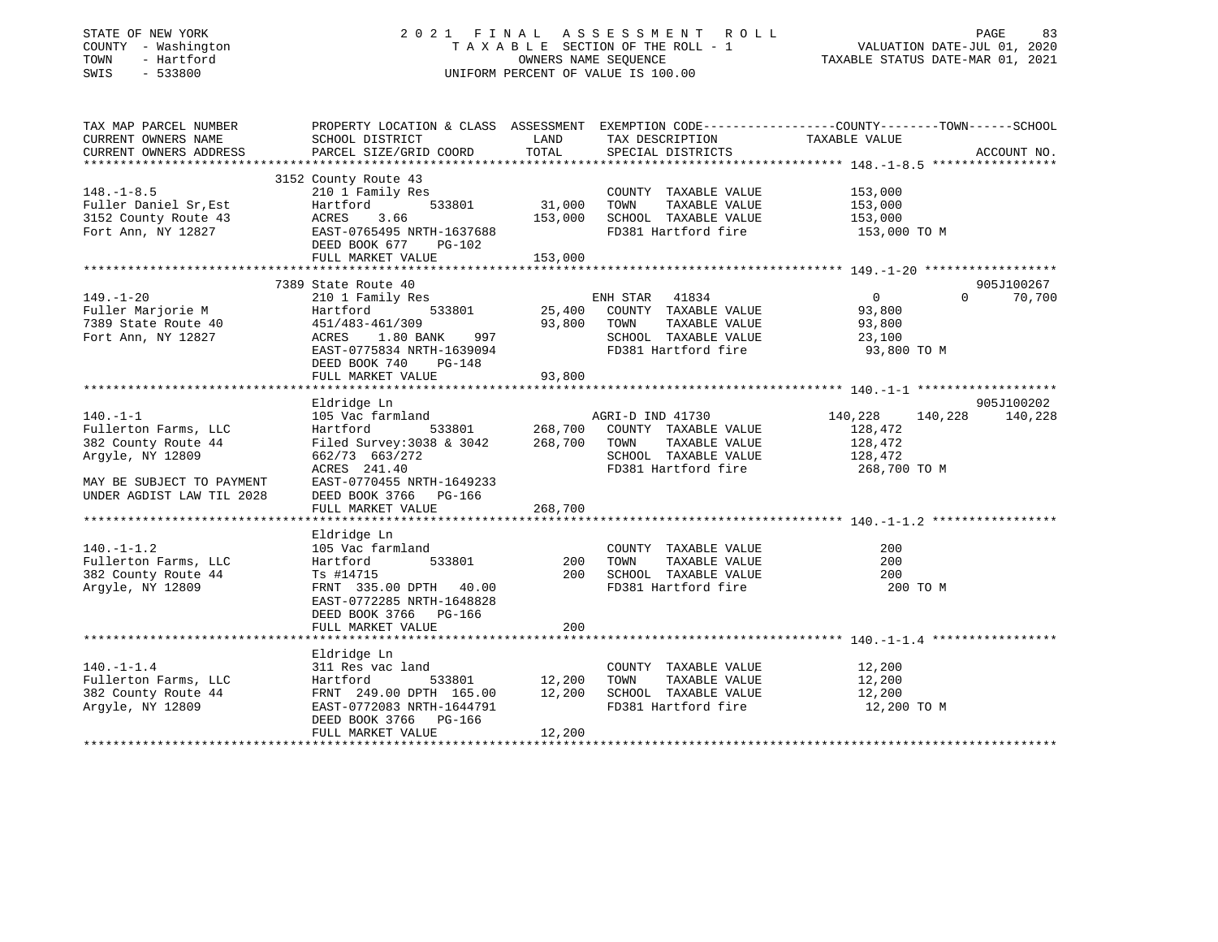# STATE OF NEW YORK 2 0 2 1 F I N A L A S S E S S M E N T R O L L PAGE 83 COUNTY - Washington T A X A B L E SECTION OF THE ROLL - 1 VALUATION DATE-JUL 01, 2020 TOWN - Hartford OWNERS NAME SEQUENCE TAXABLE STATUS DATE-MAR 01, 2021 SWIS - 533800 UNIFORM PERCENT OF VALUE IS 100.00

| TAX MAP PARCEL NUMBER<br>CURRENT OWNERS NAME<br>CURRENT OWNERS ADDRESS                       | SCHOOL DISTRICT<br>PARCEL SIZE/GRID COORD                                                                                                                                                                                                                                               | LAND<br>TOTAL           | TAX DESCRIPTION<br>SPECIAL DISTRICTS                                                                      | PROPERTY LOCATION & CLASS ASSESSMENT EXEMPTION CODE----------------COUNTY-------TOWN------SCHOOL<br>TAXABLE VALUE<br>ACCOUNT NO. |
|----------------------------------------------------------------------------------------------|-----------------------------------------------------------------------------------------------------------------------------------------------------------------------------------------------------------------------------------------------------------------------------------------|-------------------------|-----------------------------------------------------------------------------------------------------------|----------------------------------------------------------------------------------------------------------------------------------|
| $148. - 1 - 8.5$<br>Fuller Daniel Sr, Est<br>3152 County Route 43<br>Fort Ann, NY 12827      | 3152 County Route 43<br>Hartford 533801 31,000 TOWN TAXABLE VALUE 153,000<br>ACRES 3.66 153,000 SCHOOL TAXABLE VALUE 153,000<br>EAST-0765495 NRTH-1637688 FD381 Hartford fire 153,000 TO M<br>DEED BOOK 677 PG-102                                                                      |                         | COUNTY TAXABLE VALUE 153,000                                                                              |                                                                                                                                  |
| $149. - 1 - 20$<br>Fort Ann, NY 12827                                                        | 7389 State Route 40<br>210 1 Family Res<br>Hartford 533801 25,400 COUNTY TAXABLE VALUE 93,800<br>451/483-461/309 93,800 TOWN TAXABLE VALUE 93,800<br>ACRES 1.80 BANK 997 SCHOOL TAXABLE VALUE 23,100<br>EAST-0775834 NRTH-1639094 FD381 Hartford fire 93,800<br>DEED BOOK 740<br>PG-148 |                         |                                                                                                           | 905J100267<br>$\overline{0}$<br>$\Omega$ and $\Omega$<br>70,700                                                                  |
| $140. - 1 - 1$<br>Argyle, NY 12809<br>MAY BE SUBJECT TO PAYMENT<br>UNDER AGDIST LAW TIL 2028 | Eldridge Ln<br>105 Vac farmland<br>662/73 663/272<br>ACRES 241.40<br>EAST-0770455 NRTH-1649233<br>DEED BOOK 3766 PG-166<br>FULL MARKET VALUE                                                                                                                                            | 268,700                 | AGRI-D IND 41730<br>SCHOOL TAXABLE VALUE 128,472<br>FD381 Hartford fire                                   | 905J100202<br>140,228<br>140,228 140,228<br>268,700 TO M                                                                         |
| $140. - 1 - 1.2$<br>Fullerton Farms, LLC<br>382 County Route 44<br>Argyle, NY 12809          | Eldridge Ln<br>105 Vac farmland<br>533801 200 TOWN<br>Hartford<br>Ts #14715<br>FRNT 335.00 DPTH 40.00<br>EAST-0772285 NRTH-1648828<br>DEED BOOK 3766 PG-166<br>FULL MARKET VALUE                                                                                                        | 200                     | COUNTY TAXABLE VALUE<br>TAXABLE VALUE<br>TAXABLE VALUE<br>200 SCHOOL TAXABLE VALUE<br>FD381 Hartford fire | 200<br>200<br>200<br>200 TO M                                                                                                    |
| $140. - 1 - 1.4$<br>Fullerton Farms, LLC<br>382 County Route 44<br>Argyle, NY 12809          | Eldridge Ln<br>311 Res vac land<br>Hartford<br>FRNT 249.00 DPTH 165.00 12,200 SCHOOL TAXABLE VALUE 12,200<br>EAST-0772083 NRTH-1644791<br>DEED BOOK 3766 PG-166<br>FULL MARKET VALUE                                                                                                    | $12,200$ TOWN<br>12,200 | COUNTY TAXABLE VALUE<br>TAXABLE VALUE<br>FD381 Hartford fire                                              | 12,200<br>12,200<br>12,200 TO M                                                                                                  |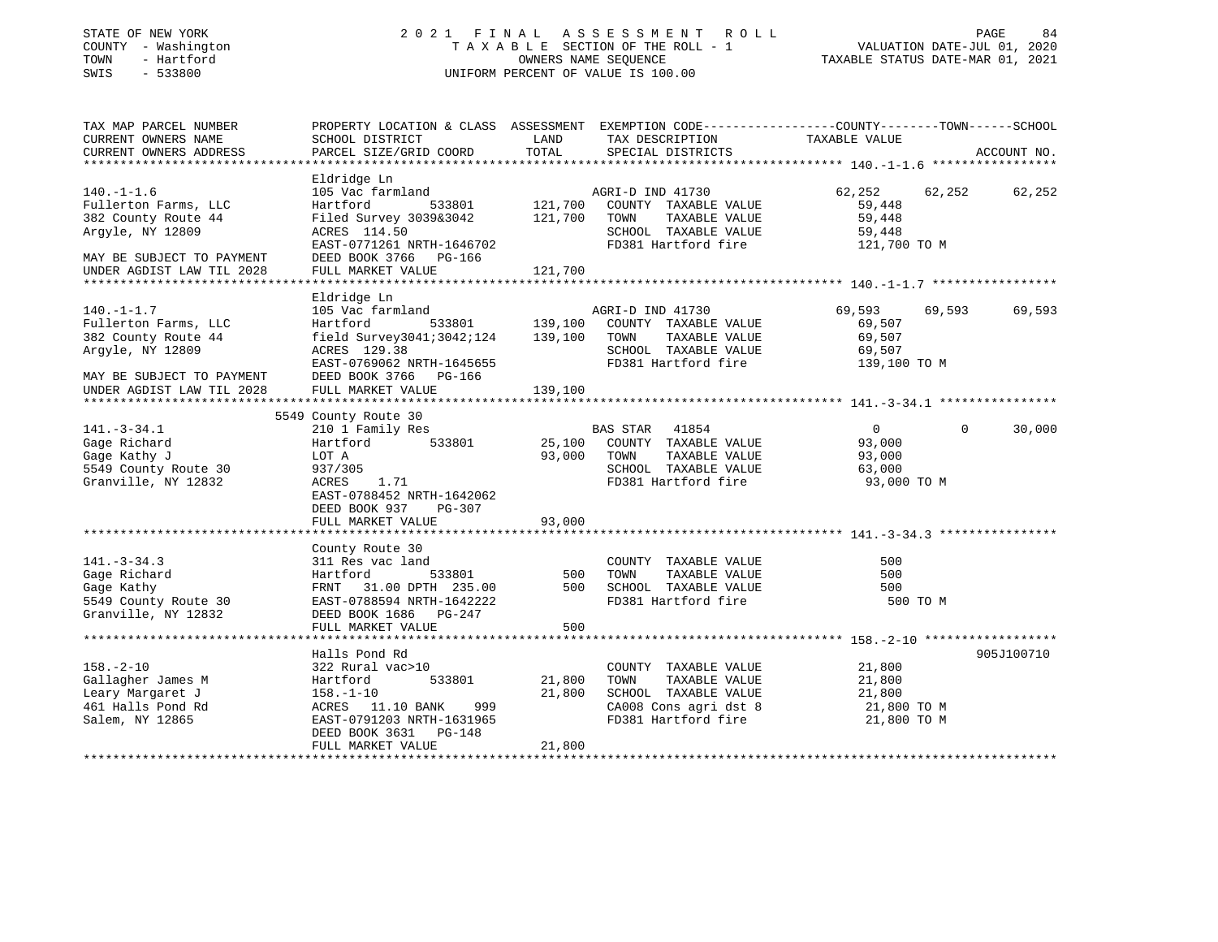# STATE OF NEW YORK 2 0 2 1 F I N A L A S S E S S M E N T R O L L PAGE 84 COUNTY - Washington T A X A B L E SECTION OF THE ROLL - 1 VALUATION DATE-JUL 01, 2020 TOWN - Hartford OWNERS NAME SEQUENCE TAXABLE STATUS DATE-MAR 01, 2021 SWIS - 533800 UNIFORM PERCENT OF VALUE IS 100.00

| TAX MAP PARCEL NUMBER<br>CURRENT OWNERS NAME<br>CURRENT OWNERS ADDRESS                                                                        | PROPERTY LOCATION & CLASS ASSESSMENT EXEMPTION CODE----------------COUNTY-------TOWN------SCHOOL<br>SCHOOL DISTRICT<br>PARCEL SIZE/GRID COORD                                    | LAND<br>TOTAL                        | TAX DESCRIPTION<br>SPECIAL DISTRICTS                                                                                    | TAXABLE VALUE                                               |              | ACCOUNT NO. |
|-----------------------------------------------------------------------------------------------------------------------------------------------|----------------------------------------------------------------------------------------------------------------------------------------------------------------------------------|--------------------------------------|-------------------------------------------------------------------------------------------------------------------------|-------------------------------------------------------------|--------------|-------------|
| $140. - 1 - 1.6$<br>Fullerton Farms, LLC<br>382 County Route 44<br>Argyle, NY 12809<br>MAY BE SUBJECT TO PAYMENT<br>UNDER AGDIST LAW TIL 2028 | Eldridge Ln<br>105 Vac farmland<br>Hartford<br>Filed Survey 3039&3042<br>ACRES 114.50<br>EAST-0771261 NRTH-1646702<br>DEED BOOK 3766 PG-166<br>FULL MARKET VALUE                 | 533801 121,700<br>121,700<br>121,700 | AGRI-D IND 41730<br>COUNTY TAXABLE VALUE<br>TOWN<br>TAXABLE VALUE<br>SCHOOL TAXABLE VALUE<br>FD381 Hartford fire        | 62,252<br>59,448<br>59,448<br>59,448<br>121,700 TO M        | 62,252       | 62,252      |
| $140. - 1 - 1.7$<br>Fullerton Farms, LLC<br>382 County Route 44<br>Argyle, NY 12809<br>MAY BE SUBJECT TO PAYMENT<br>UNDER AGDIST LAW TIL 2028 | Eldridge Ln<br>105 Vac farmland<br>Hartford<br>field Survey3041;3042;124 139,100 TOWN<br>ACRES 129.38<br>EAST-0769062 NRTH-1645655<br>DEED BOOK 3766 PG-166<br>FULL MARKET VALUE | 139,100                              | AGRI-D IND 41730<br>533801 139,100 COUNTY TAXABLE VALUE<br>TAXABLE VALUE<br>SCHOOL TAXABLE VALUE<br>FD381 Hartford fire | 69,593<br>69,507<br>69,507<br>69,507<br>139,100 TO M        | 69,593       | 69,593      |
| $141. - 3 - 34.1$<br>Gage Richard<br>Gage Kathy J<br>5549 County Route 30<br>Granville, NY 12832                                              | 5549 County Route 30<br>210 1 Family Res<br>533801<br>Hartford<br>LOT A<br>937/305<br>1.71<br>ACRES<br>EAST-0788452 NRTH-1642062<br>DEED BOOK 937 PG-307<br>FULL MARKET VALUE    | 93,000 TOWN<br>93,000                | BAS STAR 41854<br>25,100 COUNTY TAXABLE VALUE<br>TAXABLE VALUE<br>SCHOOL TAXABLE VALUE<br>FD381 Hartford fire           | $\overline{0}$<br>93,000<br>93,000<br>63,000<br>93,000 TO M | $\mathbf{0}$ | 30,000      |
| $141. - 3 - 34.3$<br>Gage Richard<br>Gage Kathy<br>5549 County Route 30<br>Granville, NY 12832                                                | County Route 30<br>311 Res vac land<br>533801<br>Hartford<br>FRNT 31.00 DPTH 235.00<br>EAST-0788594 NRTH-1642222<br>DEED BOOK 1686 PG-247<br>FULL MARKET VALUE                   | 500<br>500<br>500                    | COUNTY TAXABLE VALUE<br>TAXABLE VALUE<br>TOWN<br>SCHOOL TAXABLE VALUE<br>FD381 Hartford fire                            | 500<br>500<br>500<br>500 TO M                               |              |             |
| $158. - 2 - 10$<br>Gallagher James M<br>Leary Margaret J<br>461 Halls Pond Rd<br>Salem, NY 12865                                              | Halls Pond Rd<br>322 Rural vac>10<br>533801<br>Hartford<br>$158. - 1 - 10$<br>ACRES 11.10 BANK<br>999<br>EAST-0791203 NRTH-1631965<br>DEED BOOK 3631 PG-148<br>FULL MARKET VALUE | 21,800<br>21,800<br>21,800           | COUNTY TAXABLE VALUE<br>TOWN<br>TAXABLE VALUE<br>SCHOOL TAXABLE VALUE<br>CA008 Cons agri dst 8<br>FD381 Hartford fire   | 21,800<br>21,800<br>21,800<br>21,800 TO M<br>21,800 TO M    |              | 905J100710  |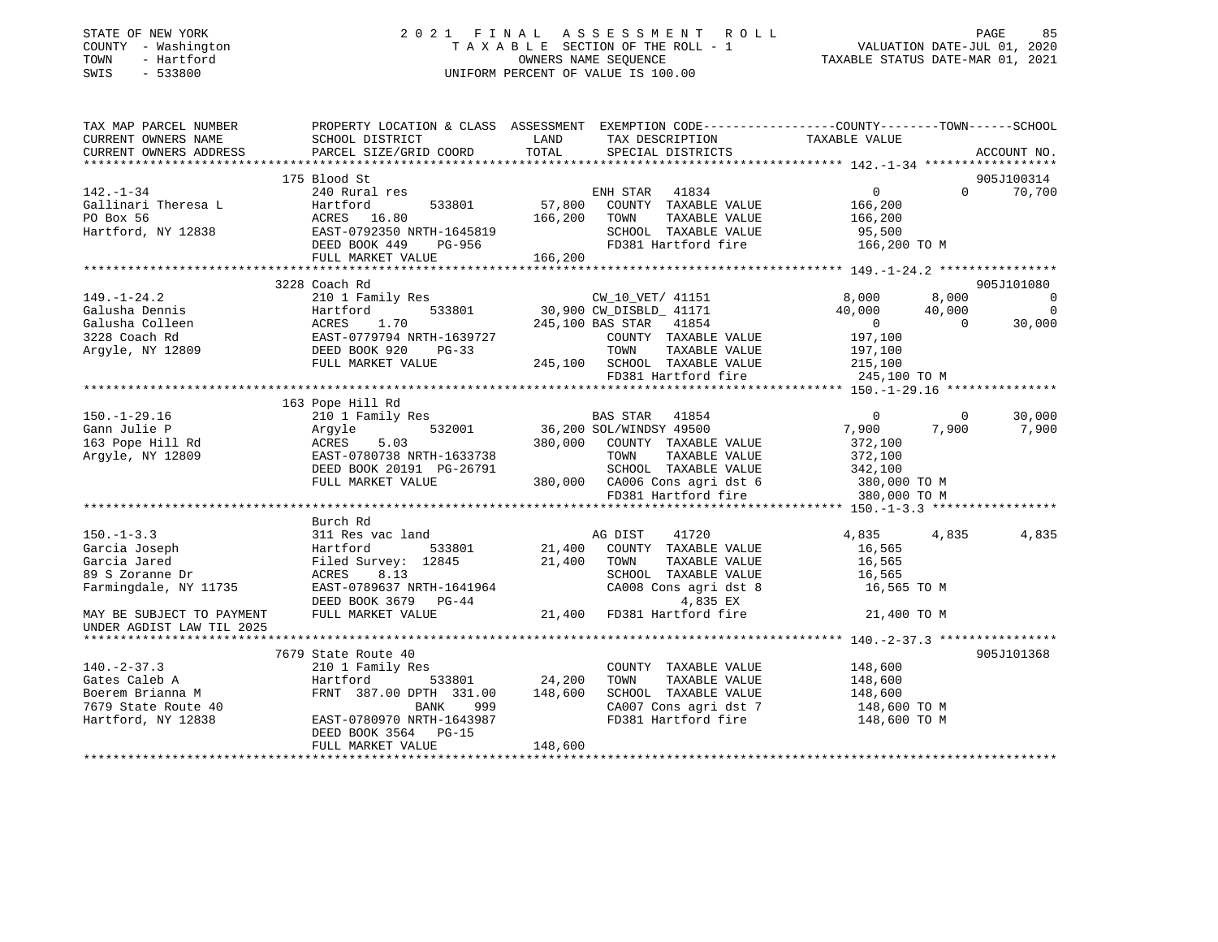| STATE OF NEW YORK<br>COUNTY - Washington<br>TOWN<br>- Hartford<br>SWIS<br>$-533800$           | 2021 FINAL ASSESSMENT ROLL<br>TAXABLE SECTION OF THE ROLL - 1<br>OWNERS NAME SEOUENCE<br>UNIFORM PERCENT OF VALUE IS 100.00                                                                         |                                                                              |                                                       | 85 PAGE<br>1, VALUATION DATE-JUL 01<br>1, TAXABLE STATUS DATE-MAR 01 |                |                          |
|-----------------------------------------------------------------------------------------------|-----------------------------------------------------------------------------------------------------------------------------------------------------------------------------------------------------|------------------------------------------------------------------------------|-------------------------------------------------------|----------------------------------------------------------------------|----------------|--------------------------|
| CURRENT OWNERS NAME                                                                           | TAX MAP PARCEL NUMBER PROPERTY LOCATION & CLASS ASSESSMENT EXEMPTION CODE----------------COUNTY-------TOWN------SCHOOL<br>SCHOOL DISTRICT                                                           |                                                                              |                                                       |                                                                      |                |                          |
| CURRENT OWNERS ADDRESS                                                                        | PARCEL SIZE/GRID COORD                                                                                                                                                                              | $\begin{array}{cc}\n\text{M} & \alpha & \text{Carno} \\ \hline\n\end{array}$ | TAX DESCRIPTION TAXABLE VALUE<br>SPECIAL DISTRICTS    |                                                                      |                | ACCOUNT NO.              |
|                                                                                               |                                                                                                                                                                                                     |                                                                              |                                                       |                                                                      |                |                          |
|                                                                                               | 175 Blood St                                                                                                                                                                                        |                                                                              |                                                       |                                                                      |                | 905J100314               |
| $142. - 1 - 34$                                                                               | 240 Rural res                                                                                                                                                                                       |                                                                              | ENH STAR 41834                                        | $\Omega$                                                             |                | $0 \t 70,700$            |
|                                                                                               | 533801                                                                                                                                                                                              | 57,800                                                                       | COUNTY TAXABLE VALUE                                  | 166,200                                                              |                |                          |
| Gallinari Theresa L<br>PO Box 56<br>Hartford, NY 12838<br>Hartford, NY 12838<br>DEED BOOK 449 |                                                                                                                                                                                                     | 166,200                                                                      | TOWN<br>TAXABLE VALUE                                 | 166,200                                                              |                |                          |
|                                                                                               |                                                                                                                                                                                                     |                                                                              | SCHOOL TAXABLE VALUE                                  | 95,500                                                               |                |                          |
|                                                                                               | EAST-0792350 NRTH-1645819<br>DEED BOOK 449 PG-956<br>FULL MARKET VALUE 166,200                                                                                                                      |                                                                              | FD381 Hartford fire                                   | 166,200 TO M                                                         |                |                          |
|                                                                                               |                                                                                                                                                                                                     |                                                                              |                                                       |                                                                      |                |                          |
|                                                                                               | 3228 Coach Rd                                                                                                                                                                                       |                                                                              |                                                       |                                                                      |                | 905J101080               |
| $149. - 1 - 24.2$                                                                             | 210 1 Family Res                                                                                                                                                                                    |                                                                              | CW_10_VET/ 41151                                      | 8,000                                                                | 8,000          | $\overline{0}$           |
|                                                                                               | 533801<br>Galusha Dennis<br>Galusha Colleen<br>3228 Coach Rd<br>Argyle, NY 12809<br>Case Corp. 2006 920<br>CAST-0779794 NRTH-1639727<br>DEED BOOK 920<br>DEED BOOK 920<br>DEED DEED DEED DEED PG-33 |                                                                              | 30,900 CW_DISBLD_ 41171                               | 40,000                                                               | 40,000         | $\overline{\phantom{0}}$ |
|                                                                                               |                                                                                                                                                                                                     |                                                                              | 245,100 BAS STAR 41854                                | $\overline{0}$                                                       | $\overline{0}$ | 30,000                   |
|                                                                                               |                                                                                                                                                                                                     |                                                                              | COUNTY TAXABLE VALUE                                  | 197,100                                                              |                |                          |
|                                                                                               |                                                                                                                                                                                                     |                                                                              | TOWN<br>TAXABLE VALUE                                 | 197,100                                                              |                |                          |
|                                                                                               | FULL MARKET VALUE                                                                                                                                                                                   |                                                                              | 245,100 SCHOOL TAXABLE VALUE                          | 215,100                                                              |                |                          |
|                                                                                               |                                                                                                                                                                                                     |                                                                              | FD381 Hartford fire                                   | 245,100 TO M                                                         |                |                          |
|                                                                                               |                                                                                                                                                                                                     |                                                                              |                                                       |                                                                      |                |                          |
|                                                                                               | 163 Pope Hill Rd<br>Pope 1<br>210 1<br>Argyle<br>ACRES<br>EAST                                                                                                                                      |                                                                              |                                                       |                                                                      |                |                          |
| $150. - 1 - 29.16$                                                                            | 210 1 Family Res                                                                                                                                                                                    |                                                                              | BAS STAR 41854                                        | $\mathbf 0$                                                          | $\overline{0}$ | 30,000                   |
| Gann Julie P                                                                                  | 532001                                                                                                                                                                                              |                                                                              | 36,200 SOL/WINDSY 49500                               | 7,900                                                                | 7,900          | 7,900                    |
| 163 Pope Hill Rd                                                                              | 5.03                                                                                                                                                                                                |                                                                              | 380,000 COUNTY TAXABLE VALUE                          | 372,100                                                              |                |                          |
| Argyle, NY 12809                                                                              | EAST-0780738 NRTH-1633738                                                                                                                                                                           |                                                                              | TOWN<br>TAXABLE VALUE                                 | 372,100<br>342,100                                                   |                |                          |
|                                                                                               | DEED BOOK 20191 PG-26791<br>FULL MARKET VALUE                                                                                                                                                       |                                                                              | SCHOOL TAXABLE VALUE<br>380,000 CA006 Cons agri dst 6 |                                                                      |                |                          |
|                                                                                               |                                                                                                                                                                                                     |                                                                              | FD381 Hartford fire                                   | 380,000 TO M<br>380,000 TO M                                         |                |                          |
|                                                                                               |                                                                                                                                                                                                     |                                                                              |                                                       |                                                                      |                |                          |
|                                                                                               | Burch Rd                                                                                                                                                                                            |                                                                              |                                                       |                                                                      |                |                          |
| $150. - 1 - 3.3$                                                                              | 311 Res vac land                                                                                                                                                                                    |                                                                              | 41720<br>AG DIST                                      | 4,835                                                                | 4,835          | 4,835                    |
| Garcia Joseph                                                                                 | Hartford 533801                                                                                                                                                                                     |                                                                              | 21,400 COUNTY TAXABLE VALUE                           | 16,565                                                               |                |                          |
| Garcia Jared                                                                                  | Filed Survey: 12845 21,400                                                                                                                                                                          |                                                                              | TOWN<br>TAXABLE VALUE                                 | 16,565                                                               |                |                          |
| 89 S Zoranne Dr                                                                               | ACRES<br>8.13                                                                                                                                                                                       |                                                                              | SCHOOL TAXABLE VALUE                                  | 16,565                                                               |                |                          |
| Farmingdale, NY 11735                                                                         | EAST-0789637 NRTH-1641964                                                                                                                                                                           |                                                                              | CA008 Cons agri dst 8                                 | 16,565 TO M                                                          |                |                          |
|                                                                                               |                                                                                                                                                                                                     |                                                                              |                                                       |                                                                      |                |                          |
| MAY BE SUBJECT TO PAYMENT<br>UNDER AGDIST LAW TIL 2025                                        | EAST-0789637 EXERCISE 21,400 FD381 Hartford fire                                                                                                                                                    |                                                                              |                                                       | 21,400 TO M                                                          |                |                          |
|                                                                                               |                                                                                                                                                                                                     |                                                                              |                                                       |                                                                      |                |                          |
|                                                                                               | 7679 State Route 40                                                                                                                                                                                 |                                                                              |                                                       |                                                                      |                | 905J101368               |
| 140.-2-37.5<br>Gates Caleb A<br>Boerem Brianna M<br>Charles Poute 40                          | 210 1 Family Res                                                                                                                                                                                    |                                                                              | COUNTY TAXABLE VALUE                                  | 148,600                                                              |                |                          |
|                                                                                               | Hartford<br>533801                                                                                                                                                                                  | 24,200                                                                       | TOWN<br>TAXABLE VALUE                                 | 148,600                                                              |                |                          |
|                                                                                               | FRNT 387.00 DPTH 331.00                                                                                                                                                                             | 148,600                                                                      | SCHOOL TAXABLE VALUE                                  | 148,600                                                              |                |                          |
|                                                                                               | 999<br>BANK                                                                                                                                                                                         |                                                                              | CA007 Cons agri dst 7                                 | 148,600 TO M                                                         |                |                          |
| Hartford, NY 12838                                                                            | EAST-0780970 NRTH-1643987                                                                                                                                                                           |                                                                              | FD381 Hartford fire                                   | 148,600 TO M                                                         |                |                          |

\*\*\*\*\*\*\*\*\*\*\*\*\*\*\*\*\*\*\*\*\*\*\*\*\*\*\*\*\*\*\*\*\*\*\*\*\*\*\*\*\*\*\*\*\*\*\*\*\*\*\*\*\*\*\*\*\*\*\*\*\*\*\*\*\*\*\*\*\*\*\*\*\*\*\*\*\*\*\*\*\*\*\*\*\*\*\*\*\*\*\*\*\*\*\*\*\*\*\*\*\*\*\*\*\*\*\*\*\*\*\*\*\*\*\*\*\*\*\*\*\*\*\*\*\*\*\*\*\*\*\*\*

DEED BOOK 3564 PG-15

FULL MARKET VALUE 148,600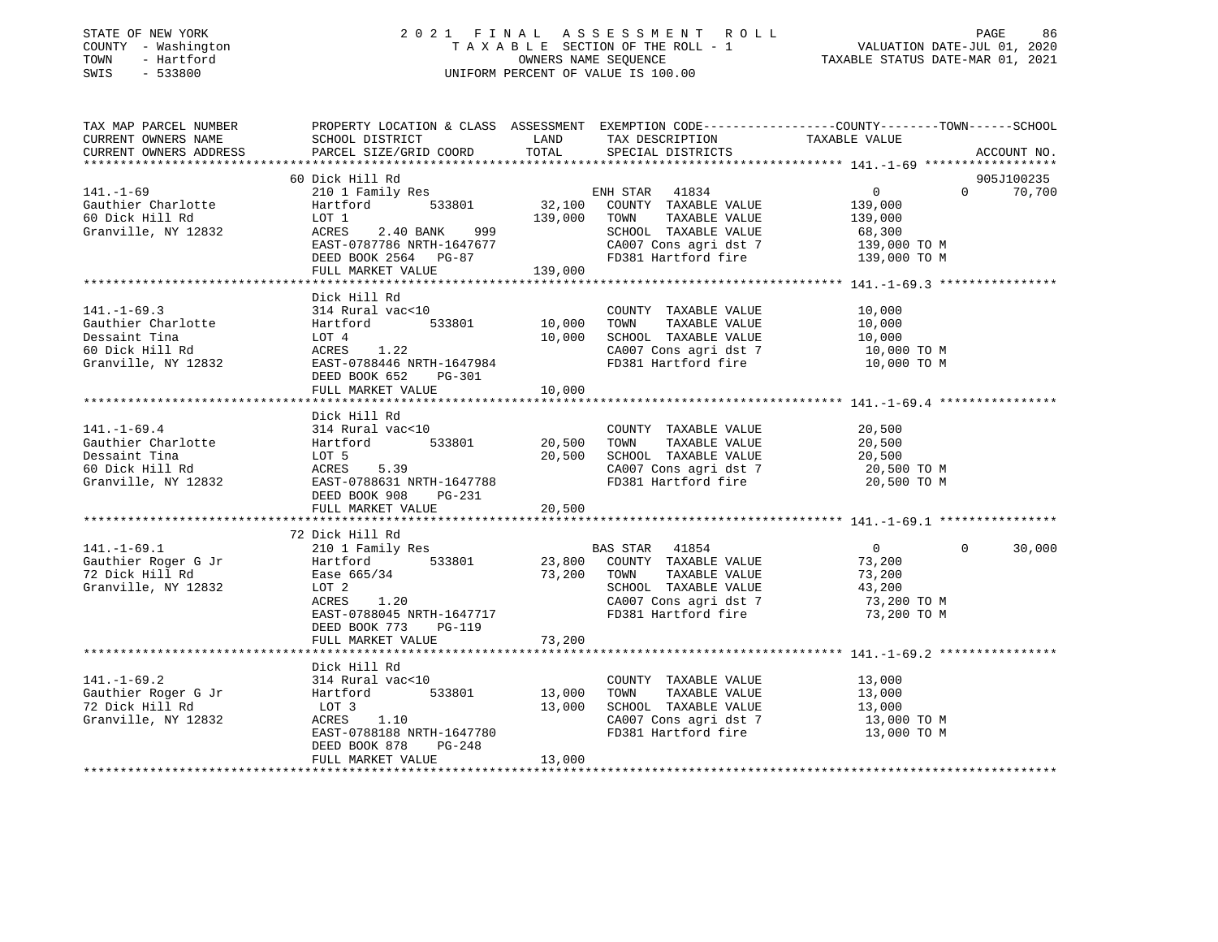| STATE OF NEW YORK |  |              |  |
|-------------------|--|--------------|--|
| COUNTY            |  | - Washington |  |
| TOWN              |  | - Hartford   |  |
| <b>CMTC</b>       |  | 533800       |  |

# STATE OF NEW YORK 2 0 2 1 F I N A L A S S E S S M E N T R O L L PAGE 86 COUNTY - Washington T A X A B L E SECTION OF THE ROLL - 1 VALUATION DATE-JUL 01, 2020 TOWN - Hartford OWNERS NAME SEQUENCE TAXABLE STATUS DATE-MAR 01, 2021 SWIS - 533800 UNIFORM PERCENT OF VALUE IS 100.00

| TAX MAP PARCEL NUMBER                                                                                                                                                                                                                                                                                                                                                                                                                              | PROPERTY LOCATION & CLASS ASSESSMENT EXEMPTION CODE----------------COUNTY-------TOWN------SCHOOL                                                  |             |                                                                         |                            |          |            |
|----------------------------------------------------------------------------------------------------------------------------------------------------------------------------------------------------------------------------------------------------------------------------------------------------------------------------------------------------------------------------------------------------------------------------------------------------|---------------------------------------------------------------------------------------------------------------------------------------------------|-------------|-------------------------------------------------------------------------|----------------------------|----------|------------|
|                                                                                                                                                                                                                                                                                                                                                                                                                                                    |                                                                                                                                                   |             |                                                                         |                            |          |            |
|                                                                                                                                                                                                                                                                                                                                                                                                                                                    |                                                                                                                                                   |             |                                                                         |                            |          |            |
|                                                                                                                                                                                                                                                                                                                                                                                                                                                    |                                                                                                                                                   |             |                                                                         |                            |          |            |
|                                                                                                                                                                                                                                                                                                                                                                                                                                                    | 60 Dick Hill Rd                                                                                                                                   |             |                                                                         |                            | $\Omega$ | 905J100235 |
| $141. - 1 - 69$                                                                                                                                                                                                                                                                                                                                                                                                                                    |                                                                                                                                                   |             |                                                                         | $\overline{0}$             |          | 70,700     |
|                                                                                                                                                                                                                                                                                                                                                                                                                                                    | DICK HILL NU<br>210 1 Family Res<br>Hartford 533801 32,100 COUNTY TAXABLE VALUE<br>LOT 1 139,000 TOWN TAXABLE VALUE<br>139,000 TOWN TAXABLE VALUE |             |                                                                         | 139,000                    |          |            |
| Gauthier Charlotte<br>60 Dick Hill Rd<br>Granville, NY 12832                                                                                                                                                                                                                                                                                                                                                                                       | ACRES 2.40 BANK 999                                                                                                                               |             | TAXABLE VALUE 139,000<br>SCHOOL TAXABLE VALUE                           | 68,300                     |          |            |
|                                                                                                                                                                                                                                                                                                                                                                                                                                                    |                                                                                                                                                   |             | CA007 Cons agri dst 7 139,000 TO M                                      |                            |          |            |
|                                                                                                                                                                                                                                                                                                                                                                                                                                                    | ACRES 2.40 BANK 999<br>EAST-0787786 NRTH-1647677<br>DEED BOOK 2564 PG-87                                                                          |             | FD381 Hartford fire                                                     | 139,000 TO M               |          |            |
|                                                                                                                                                                                                                                                                                                                                                                                                                                                    | FULL MARKET VALUE                                                                                                                                 | 139,000     |                                                                         |                            |          |            |
|                                                                                                                                                                                                                                                                                                                                                                                                                                                    |                                                                                                                                                   |             |                                                                         |                            |          |            |
|                                                                                                                                                                                                                                                                                                                                                                                                                                                    | Dick Hill Rd                                                                                                                                      |             |                                                                         |                            |          |            |
|                                                                                                                                                                                                                                                                                                                                                                                                                                                    |                                                                                                                                                   |             |                                                                         |                            |          |            |
| $[141.-1-69.3 \qquad 314 \text{ Rural vac} < 10 \qquad \text{COUNTY} \\ \text{Gauthier Charlotte} \qquad \qquad 314 \text{ Rural vac} < 10 \qquad \qquad 10,000 \qquad \text{TOWN} \\ \text{Dessaint Tina} \qquad \qquad \text{LOT 4} \qquad \qquad 10,000 \qquad \text{SCHODL} \\ \text{60 Dick Hill Rd} \qquad \qquad \text{ACRES} \qquad \qquad 1.22 \qquad \qquad 10,000 \qquad \text{SCHODL} \\ \text{CA007 Ccc} \qquad \qquad 1.22 \qquad \$ |                                                                                                                                                   |             |                                                                         |                            |          |            |
|                                                                                                                                                                                                                                                                                                                                                                                                                                                    |                                                                                                                                                   |             |                                                                         |                            |          |            |
|                                                                                                                                                                                                                                                                                                                                                                                                                                                    |                                                                                                                                                   |             | 10,000 SCHOOL TAXABLE VALUE 10,000<br>CA007 Cons agri dst 7 10,000 TO M |                            |          |            |
| Granville, NY 12832                                                                                                                                                                                                                                                                                                                                                                                                                                |                                                                                                                                                   |             | FD381 Hartford fire 10,000 TO M                                         |                            |          |            |
|                                                                                                                                                                                                                                                                                                                                                                                                                                                    | $2.22$<br>EAST-0788446 NRTH-1647984<br>DEED BOOK 652 PG-301                                                                                       |             |                                                                         |                            |          |            |
|                                                                                                                                                                                                                                                                                                                                                                                                                                                    | FULL MARKET VALUE 10,000                                                                                                                          |             |                                                                         |                            |          |            |
|                                                                                                                                                                                                                                                                                                                                                                                                                                                    |                                                                                                                                                   |             |                                                                         |                            |          |            |
|                                                                                                                                                                                                                                                                                                                                                                                                                                                    | Dick Hill Rd                                                                                                                                      |             |                                                                         |                            |          |            |
|                                                                                                                                                                                                                                                                                                                                                                                                                                                    |                                                                                                                                                   |             | COUNTY TAXABLE VALUE                                                    | 20,500                     |          |            |
|                                                                                                                                                                                                                                                                                                                                                                                                                                                    |                                                                                                                                                   | 20,500 TOWN |                                                                         |                            |          |            |
|                                                                                                                                                                                                                                                                                                                                                                                                                                                    |                                                                                                                                                   | 20,500      | TOWN      TAXABLE  VALUE<br>SCHOOL    TAXABLE  VALUE                    | 20,500<br>20,500           |          |            |
|                                                                                                                                                                                                                                                                                                                                                                                                                                                    |                                                                                                                                                   |             |                                                                         |                            |          |            |
| 141.-1-69.4 314 Rural vac<10<br>Gauthier Charlotte Hartford 533801 20,500<br>Dessaint Tina LOT 5 20,500<br>60 Dick Hill Rd ACRES 5.39<br>Granville, NY 12832 EAST-0788631 NRTH-1647788                                                                                                                                                                                                                                                             |                                                                                                                                                   |             | CA007 Cons agri dst 7<br>FD381 Hartford fire                            | 20,500 ТО М<br>20,500 ТО М |          |            |
|                                                                                                                                                                                                                                                                                                                                                                                                                                                    | DEED BOOK 908 PG-231                                                                                                                              |             |                                                                         |                            |          |            |
|                                                                                                                                                                                                                                                                                                                                                                                                                                                    | FULL MARKET VALUE                                                                                                                                 | 20,500      |                                                                         |                            |          |            |
|                                                                                                                                                                                                                                                                                                                                                                                                                                                    |                                                                                                                                                   |             |                                                                         |                            |          |            |
|                                                                                                                                                                                                                                                                                                                                                                                                                                                    | 72 Dick Hill Rd                                                                                                                                   |             |                                                                         |                            |          |            |
| Examples and the main of the same of the state of the state of the state of the state of the state of the state of the state of the state of the state of the state of the state of the state of the state of the state of the                                                                                                                                                                                                                     |                                                                                                                                                   |             |                                                                         | $\overline{0}$             | $\Omega$ | 30,000     |
|                                                                                                                                                                                                                                                                                                                                                                                                                                                    |                                                                                                                                                   |             |                                                                         | 73,200                     |          |            |
|                                                                                                                                                                                                                                                                                                                                                                                                                                                    |                                                                                                                                                   |             |                                                                         |                            |          |            |
|                                                                                                                                                                                                                                                                                                                                                                                                                                                    |                                                                                                                                                   |             | 73,200 TOWN TAXABLE VALUE 73,200<br>SCHOOL TAXABLE VALUE 43,200         |                            |          |            |
|                                                                                                                                                                                                                                                                                                                                                                                                                                                    | 1.20<br>ACRES                                                                                                                                     |             |                                                                         |                            |          |            |
|                                                                                                                                                                                                                                                                                                                                                                                                                                                    | EAST-0788045 NRTH-1647717                                                                                                                         |             | CA007 Cons agri dst 7 3,200 TO M<br>FD381 Hartford fire 73,200 TO M     |                            |          |            |
|                                                                                                                                                                                                                                                                                                                                                                                                                                                    | DEED BOOK 773 PG-119                                                                                                                              |             |                                                                         |                            |          |            |
|                                                                                                                                                                                                                                                                                                                                                                                                                                                    | FULL MARKET VALUE                                                                                                                                 | 73,200      |                                                                         |                            |          |            |
|                                                                                                                                                                                                                                                                                                                                                                                                                                                    |                                                                                                                                                   |             |                                                                         |                            |          |            |
|                                                                                                                                                                                                                                                                                                                                                                                                                                                    | Dick Hill Rd                                                                                                                                      |             |                                                                         |                            |          |            |
| $141. - 1 - 69.2$                                                                                                                                                                                                                                                                                                                                                                                                                                  |                                                                                                                                                   |             |                                                                         |                            |          |            |
|                                                                                                                                                                                                                                                                                                                                                                                                                                                    | 314 Rural vac<10            COUNTY<br>Hartford     533801      13,000   TOWN                                                                      |             | COUNTY TAXABLE VALUE 13,000<br>TOWN TAXABLE VALUE 13,000                |                            |          |            |
| Gauthier Roger G Jr                                                                                                                                                                                                                                                                                                                                                                                                                                |                                                                                                                                                   |             |                                                                         |                            |          |            |
| 72 Dick Hill Rd                                                                                                                                                                                                                                                                                                                                                                                                                                    | LOT 3<br>ACRES 1.10                                                                                                                               | 13,000      | SCHOOL TAXABLE VALUE 13,000<br>CA007 Cons agri dst 7 13,000 TO M        |                            |          |            |
| Granville, NY 12832                                                                                                                                                                                                                                                                                                                                                                                                                                |                                                                                                                                                   |             | FD381 Hartford fire 13,000 TO M                                         |                            |          |            |
|                                                                                                                                                                                                                                                                                                                                                                                                                                                    | EAST-0788188 NRTH-1647780                                                                                                                         |             |                                                                         |                            |          |            |
|                                                                                                                                                                                                                                                                                                                                                                                                                                                    | DEED BOOK 878 PG-248                                                                                                                              | 13,000      |                                                                         |                            |          |            |
|                                                                                                                                                                                                                                                                                                                                                                                                                                                    | FULL MARKET VALUE                                                                                                                                 |             |                                                                         |                            |          |            |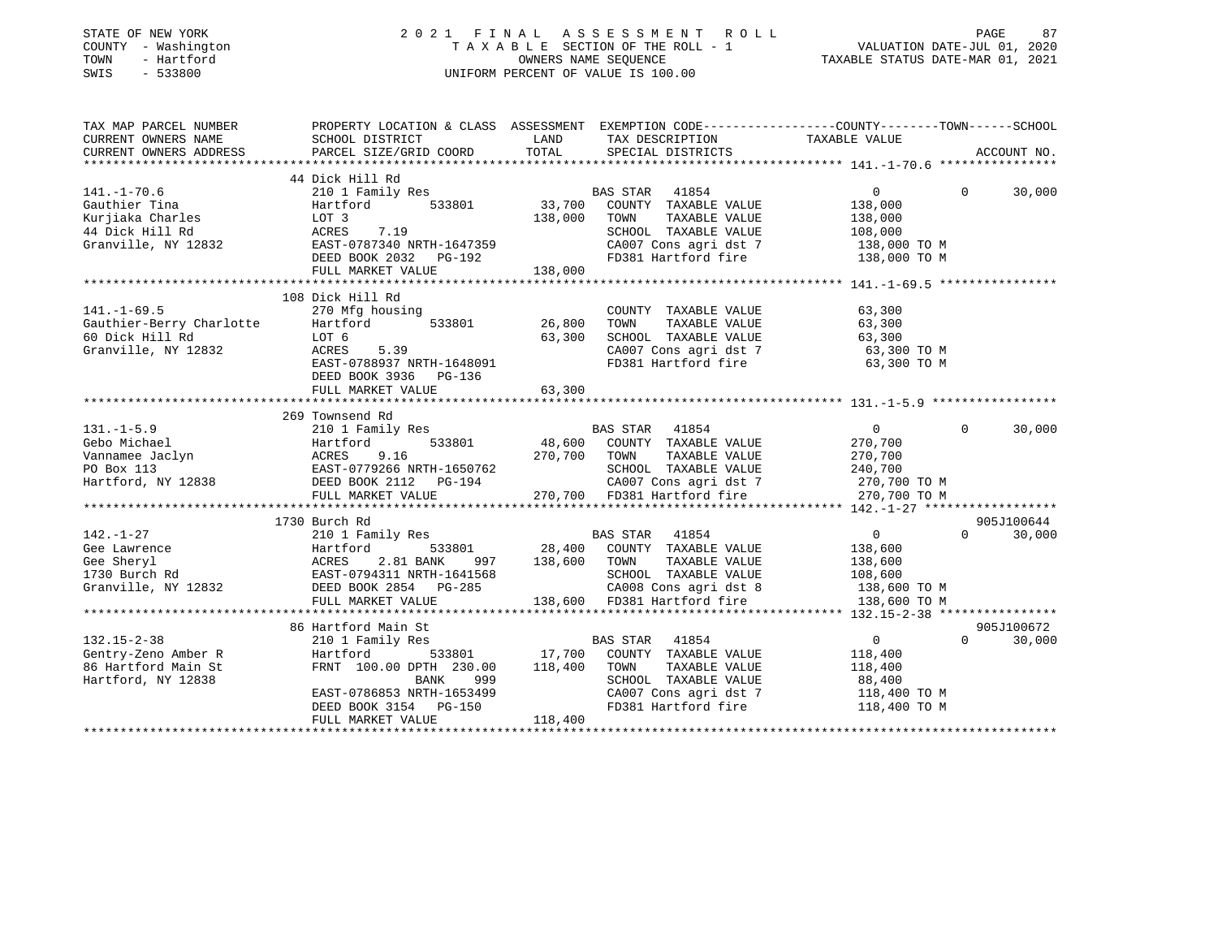| STATE OF NEW YORK<br>COUNTY - Washington<br>- Hartford<br>TOWN<br>$-533800$<br>SWIS |                                                                                                                    |         | 2021 FINAL ASSESSMENT ROLL<br>TAXABLE SECTION OF THE ROLL - 1<br>OWNERS NAME SEOUENCE<br>UNIFORM PERCENT OF VALUE IS 100.00 | VALUATION DATE-JUL 01, 2020<br>TAXABLE STATUS DATE-MAR 01, 2021 | PAGE<br>87  |
|-------------------------------------------------------------------------------------|--------------------------------------------------------------------------------------------------------------------|---------|-----------------------------------------------------------------------------------------------------------------------------|-----------------------------------------------------------------|-------------|
| TAX MAP PARCEL NUMBER<br>CURRENT OWNERS NAME                                        | PROPERTY LOCATION & CLASS ASSESSMENT EXEMPTION CODE----------------COUNTY-------TOWN-----SCHOOL<br>SCHOOL DISTRICT | LAND    | TAX DESCRIPTION                                                                                                             | TAXABLE VALUE                                                   |             |
| CURRENT OWNERS ADDRESS                                                              | PARCEL SIZE/GRID COORD                                                                                             | TOTAL   | SPECIAL DISTRICTS                                                                                                           |                                                                 | ACCOUNT NO. |
|                                                                                     |                                                                                                                    |         |                                                                                                                             |                                                                 |             |
|                                                                                     | 44 Dick Hill Rd                                                                                                    |         |                                                                                                                             | $\overline{0}$<br>$\Omega$                                      |             |
| $141. - 1 - 70.6$<br>Gauthier Tina                                                  | 210 1 Family Res<br>Hartford<br>533801                                                                             | 33,700  | BAS STAR 41854<br>COUNTY TAXABLE VALUE                                                                                      | 138,000                                                         | 30,000      |
| Kurjiaka Charles                                                                    | LOT 3                                                                                                              | 138,000 | TOWN<br>TAXABLE VALUE                                                                                                       | 138,000                                                         |             |
| 44 Dick Hill Rd                                                                     | ACRES<br>7.19                                                                                                      |         | SCHOOL TAXABLE VALUE                                                                                                        | 108,000                                                         |             |
| Granville, NY 12832                                                                 | EAST-0787340 NRTH-1647359                                                                                          |         | CA007 Cons agri dst 7                                                                                                       | 138,000 TO M                                                    |             |
|                                                                                     | DEED BOOK 2032 PG-192                                                                                              |         | FD381 Hartford fire                                                                                                         | 138,000 TO M                                                    |             |
|                                                                                     | FULL MARKET VALUE                                                                                                  | 138,000 |                                                                                                                             |                                                                 |             |
|                                                                                     |                                                                                                                    |         |                                                                                                                             |                                                                 |             |
|                                                                                     | 108 Dick Hill Rd                                                                                                   |         |                                                                                                                             |                                                                 |             |
| $141. - 1 - 69.5$                                                                   | 270 Mfg housing                                                                                                    |         | COUNTY TAXABLE VALUE                                                                                                        | 63,300                                                          |             |
| Gauthier-Berry Charlotte                                                            | 533801<br>Hartford                                                                                                 | 26,800  | TOWN<br>TAXABLE VALUE                                                                                                       | 63,300                                                          |             |
| 60 Dick Hill Rd                                                                     | LOT 6                                                                                                              | 63,300  | SCHOOL TAXABLE VALUE                                                                                                        | 63,300                                                          |             |
| Granville, NY 12832                                                                 | ACRES<br>5.39                                                                                                      |         | CA007 Cons agri dst 7                                                                                                       | 63,300 TO M                                                     |             |
|                                                                                     | EAST-0788937 NRTH-1648091                                                                                          |         | FD381 Hartford fire                                                                                                         | 63,300 TO M                                                     |             |
|                                                                                     | DEED BOOK 3936 PG-136                                                                                              |         |                                                                                                                             |                                                                 |             |
|                                                                                     | FULL MARKET VALUE                                                                                                  | 63,300  |                                                                                                                             |                                                                 |             |
|                                                                                     |                                                                                                                    |         |                                                                                                                             |                                                                 |             |
|                                                                                     | 269 Townsend Rd                                                                                                    |         |                                                                                                                             |                                                                 |             |
| $131. -1 - 5.9$                                                                     | 210 1 Family Res                                                                                                   |         | BAS STAR<br>41854                                                                                                           | $\overline{0}$<br>$\Omega$                                      | 30,000      |
| Gebo Michael                                                                        | 533801<br>Hartford                                                                                                 | 48,600  | COUNTY TAXABLE VALUE                                                                                                        | 270,700                                                         |             |
| Vannamee Jaclyn                                                                     | 9.16<br>ACRES                                                                                                      | 270,700 | TOWN<br>TAXABLE VALUE                                                                                                       | 270,700                                                         |             |
| PO Box 113                                                                          | EAST-0779266 NRTH-1650762                                                                                          |         | SCHOOL TAXABLE VALUE                                                                                                        | 240,700                                                         |             |
| Hartford, NY 12838                                                                  | DEED BOOK 2112 PG-194                                                                                              |         | CA007 Cons agri dst 7                                                                                                       | 270,700 TO M                                                    |             |
|                                                                                     | FULL MARKET VALUE                                                                                                  |         | 270,700 FD381 Hartford fire                                                                                                 | 270,700 TO M                                                    |             |
|                                                                                     |                                                                                                                    |         |                                                                                                                             |                                                                 |             |
|                                                                                     | 1730 Burch Rd                                                                                                      |         |                                                                                                                             |                                                                 | 905J100644  |
| $142. - 1 - 27$                                                                     | 210 1 Family Res                                                                                                   |         | BAS STAR<br>41854                                                                                                           | $\Omega$<br>$\overline{0}$                                      | 30,000      |
| Gee Lawrence                                                                        | 533801<br>Hartford                                                                                                 |         | 28,400 COUNTY TAXABLE VALUE                                                                                                 | 138,600                                                         |             |
| Gee Sheryl<br>1730 Burch Rd                                                         | ACRES<br>2.81 BANK<br>997<br>EAST-0794311 NRTH-1641568                                                             | 138,600 | TAXABLE VALUE<br>TOWN<br>SCHOOL TAXABLE VALUE                                                                               | 138,600                                                         |             |
|                                                                                     | DEED BOOK 2854 PG-285                                                                                              |         |                                                                                                                             | 108,600                                                         |             |
| Granville, NY 12832                                                                 | FULL MARKET VALUE                                                                                                  |         | CA008 Cons agri dst 8<br>138,600 FD381 Hartford fire                                                                        | 138,600 ТО М<br>138,600 TO M                                    |             |
|                                                                                     |                                                                                                                    |         |                                                                                                                             |                                                                 |             |
|                                                                                     | 86 Hartford Main St                                                                                                |         |                                                                                                                             |                                                                 | 905J100672  |
| $132.15 - 2 - 38$                                                                   | 210 1 Family Res                                                                                                   |         | 41854<br>BAS STAR                                                                                                           | $\Omega$<br>$\overline{0}$                                      | 30,000      |
| Gentry-Zeno Amber R                                                                 | Hartford<br>533801                                                                                                 | 17,700  | COUNTY TAXABLE VALUE                                                                                                        | 118,400                                                         |             |
| 86 Hartford Main St                                                                 | FRNT 100.00 DPTH 230.00                                                                                            | 118,400 | TOWN<br>TAXABLE VALUE                                                                                                       | 118,400                                                         |             |
| Hartford, NY 12838                                                                  | 999<br>BANK                                                                                                        |         | SCHOOL TAXABLE VALUE                                                                                                        | 88,400                                                          |             |
|                                                                                     | EAST-0786853 NRTH-1653499                                                                                          |         | CA007 Cons agri dst 7                                                                                                       | 118,400 TO M                                                    |             |
|                                                                                     | DEED BOOK 3154 PG-150                                                                                              |         | FD381 Hartford fire                                                                                                         | 118,400 TO M                                                    |             |
|                                                                                     | FULL MARKET VALUE                                                                                                  | 118,400 |                                                                                                                             |                                                                 |             |

\*\*\*\*\*\*\*\*\*\*\*\*\*\*\*\*\*\*\*\*\*\*\*\*\*\*\*\*\*\*\*\*\*\*\*\*\*\*\*\*\*\*\*\*\*\*\*\*\*\*\*\*\*\*\*\*\*\*\*\*\*\*\*\*\*\*\*\*\*\*\*\*\*\*\*\*\*\*\*\*\*\*\*\*\*\*\*\*\*\*\*\*\*\*\*\*\*\*\*\*\*\*\*\*\*\*\*\*\*\*\*\*\*\*\*\*\*\*\*\*\*\*\*\*\*\*\*\*\*\*\*\*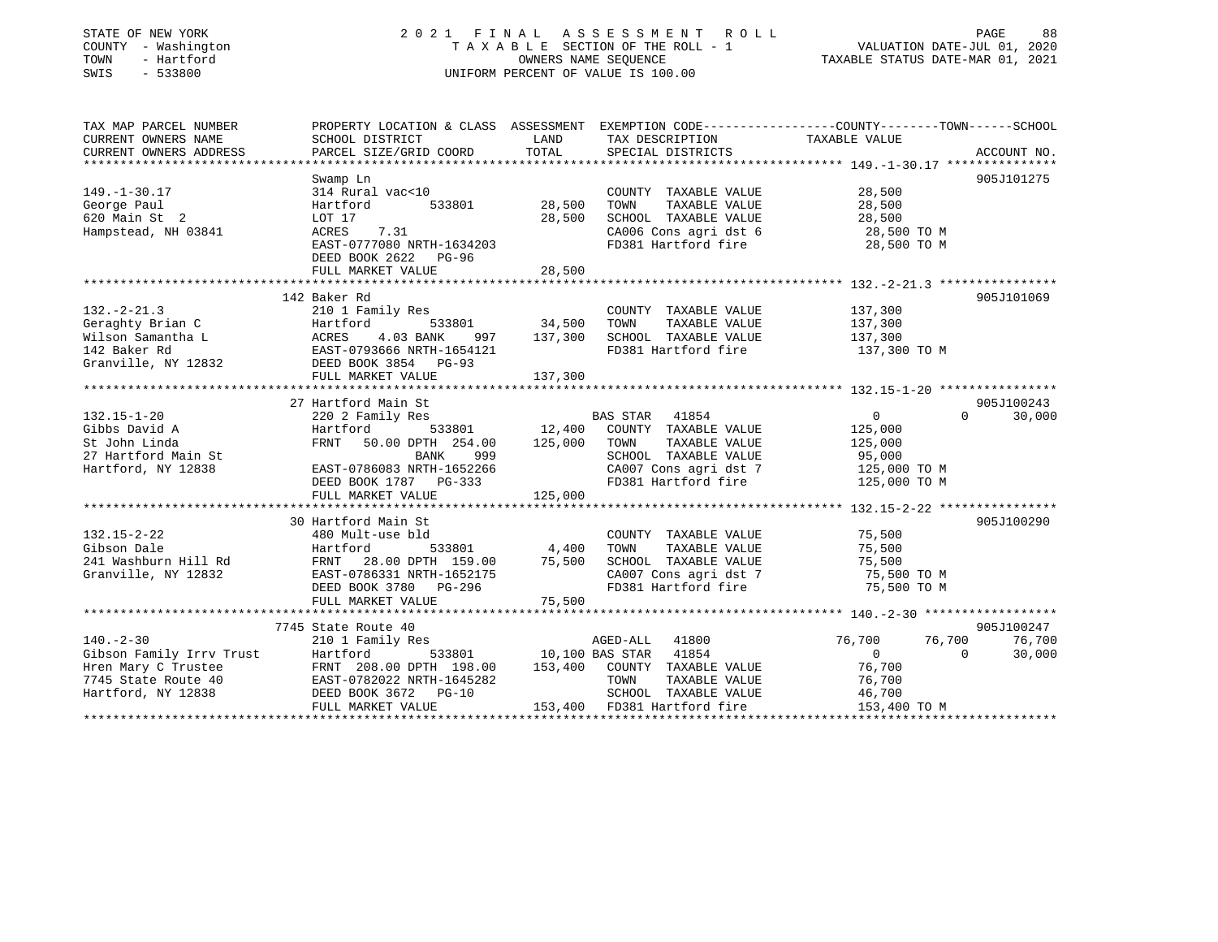| STATE OF NEW YORK<br>COUNTY - Washington<br>- Hartford<br>TOWN<br>SWIS<br>$-533800$ | 2021 FINAL ASSESSMENT<br>TAXABLE SECTION OF THE ROLL - 1<br>UNIFORM PERCENT OF VALUE IS 100.00   | VALUATION DATE-JUL 01, 2020<br>TAXABLE STATUS DATE-MAR 01, 2021 | PAGE<br>88                                    |                            |             |
|-------------------------------------------------------------------------------------|--------------------------------------------------------------------------------------------------|-----------------------------------------------------------------|-----------------------------------------------|----------------------------|-------------|
| TAX MAP PARCEL NUMBER                                                               | PROPERTY LOCATION & CLASS ASSESSMENT EXEMPTION CODE----------------COUNTY-------TOWN------SCHOOL | LAND                                                            |                                               | TAXABLE VALUE              |             |
| CURRENT OWNERS NAME<br>CURRENT OWNERS ADDRESS                                       | SCHOOL DISTRICT<br>PARCEL SIZE/GRID COORD                                                        | TOTAL                                                           | TAX DESCRIPTION<br>SPECIAL DISTRICTS          |                            | ACCOUNT NO. |
|                                                                                     |                                                                                                  |                                                                 |                                               |                            |             |
|                                                                                     | Swamp Ln                                                                                         |                                                                 |                                               |                            | 905J101275  |
| $149. - 1 - 30.17$                                                                  | 314 Rural vac<10                                                                                 |                                                                 | COUNTY TAXABLE VALUE                          | 28,500                     |             |
| George Paul                                                                         | Hartford<br>533801                                                                               | 28,500                                                          | TAXABLE VALUE<br>TOWN                         | 28,500                     |             |
| 620 Main St 2                                                                       | LOT 17                                                                                           | 28,500                                                          | SCHOOL TAXABLE VALUE                          | 28,500                     |             |
| Hampstead, NH 03841                                                                 | ACRES<br>7.31                                                                                    |                                                                 | CA006 Cons agri dst 6                         | 28,500 TO M                |             |
|                                                                                     | EAST-0777080 NRTH-1634203                                                                        |                                                                 | FD381 Hartford fire                           | 28,500 TO M                |             |
|                                                                                     | DEED BOOK 2622 PG-96                                                                             |                                                                 |                                               |                            |             |
|                                                                                     | FULL MARKET VALUE                                                                                | 28,500                                                          |                                               |                            |             |
|                                                                                     |                                                                                                  |                                                                 |                                               |                            |             |
|                                                                                     | 142 Baker Rd                                                                                     |                                                                 |                                               |                            | 905J101069  |
| $132 - 2 - 21.3$                                                                    | 210 1 Family Res                                                                                 |                                                                 | COUNTY TAXABLE VALUE                          | 137,300                    |             |
| Geraghty Brian C<br>Wilson Samantha L                                               | Hartford<br>533801<br>ACRES<br>4.03 BANK<br>997                                                  | 34,500<br>137,300                                               | TAXABLE VALUE<br>TOWN<br>SCHOOL TAXABLE VALUE | 137,300<br>137,300         |             |
| 142 Baker Rd                                                                        | EAST-0793666 NRTH-1654121                                                                        |                                                                 | FD381 Hartford fire                           | 137,300 TO M               |             |
| Granville, NY 12832                                                                 | DEED BOOK 3854 PG-93                                                                             |                                                                 |                                               |                            |             |
|                                                                                     | FULL MARKET VALUE                                                                                | 137,300                                                         |                                               |                            |             |
|                                                                                     |                                                                                                  |                                                                 |                                               |                            |             |
|                                                                                     | 27 Hartford Main St                                                                              |                                                                 |                                               |                            | 905J100243  |
| $132.15 - 1 - 20$                                                                   | 220 2 Family Res                                                                                 |                                                                 | BAS STAR<br>41854                             | $\mathbf{0}$<br>$\Omega$   | 30,000      |
| Gibbs David A                                                                       | Hartford<br>533801                                                                               | 12,400                                                          | COUNTY TAXABLE VALUE                          | 125,000                    |             |
| St John Linda                                                                       | FRNT 50.00 DPTH 254.00                                                                           | 125,000                                                         | TOWN<br>TAXABLE VALUE                         | 125,000                    |             |
| 27 Hartford Main St                                                                 | BANK<br>999                                                                                      |                                                                 | SCHOOL TAXABLE VALUE                          | 95,000                     |             |
| Hartford, NY 12838                                                                  | EAST-0786083 NRTH-1652266                                                                        |                                                                 | CA007 Cons agri dst 7                         | 125,000 TO M               |             |
|                                                                                     | DEED BOOK 1787 PG-333                                                                            |                                                                 | FD381 Hartford fire                           | 125,000 TO M               |             |
|                                                                                     | FULL MARKET VALUE                                                                                | 125,000                                                         |                                               |                            |             |
|                                                                                     |                                                                                                  |                                                                 |                                               |                            |             |
|                                                                                     | 30 Hartford Main St                                                                              |                                                                 |                                               |                            | 905J100290  |
| $132.15 - 2 - 22$                                                                   | 480 Mult-use bld                                                                                 |                                                                 | COUNTY TAXABLE VALUE                          | 75,500                     |             |
| Gibson Dale                                                                         | Hartford<br>533801                                                                               | 4,400                                                           | TOWN<br>TAXABLE VALUE                         | 75,500                     |             |
| 241 Washburn Hill Rd<br>Granville, NY 12832                                         | FRNT 28.00 DPTH 159.00<br>EAST-0786331 NRTH-1652175                                              | 75,500                                                          | SCHOOL TAXABLE VALUE<br>CA007 Cons agri dst 7 | 75,500<br>75,500 TO M      |             |
|                                                                                     | DEED BOOK 3780 PG-296                                                                            |                                                                 | FD381 Hartford fire                           | 75,500 TO M                |             |
|                                                                                     | FULL MARKET VALUE                                                                                | 75,500                                                          |                                               |                            |             |
|                                                                                     | ***********************                                                                          |                                                                 |                                               |                            |             |
|                                                                                     | 7745 State Route 40                                                                              |                                                                 |                                               |                            | 905J100247  |
| $140. - 2 - 30$                                                                     | 210 1 Family Res                                                                                 |                                                                 | AGED-ALL<br>41800                             | 76,700<br>76,700           | 76,700      |
| Gibson Family Irrv Trust                                                            | Hartford<br>533801                                                                               |                                                                 | 10,100 BAS STAR<br>41854                      | $\overline{0}$<br>$\Omega$ | 30,000      |
| Hren Mary C Trustee                                                                 | FRNT 208.00 DPTH 198.00                                                                          | 153,400                                                         | COUNTY TAXABLE VALUE                          | 76,700                     |             |
| 7745 State Route 40                                                                 | EAST-0782022 NRTH-1645282                                                                        |                                                                 | TAXABLE VALUE<br>TOWN                         | 76,700                     |             |
| Hartford, NY 12838                                                                  | DEED BOOK 3672 PG-10                                                                             |                                                                 | SCHOOL TAXABLE VALUE                          | 46,700                     |             |
|                                                                                     | FULL MARKET VALUE                                                                                |                                                                 | 153,400 FD381 Hartford fire                   | 153,400 TO M               |             |
|                                                                                     |                                                                                                  |                                                                 |                                               |                            |             |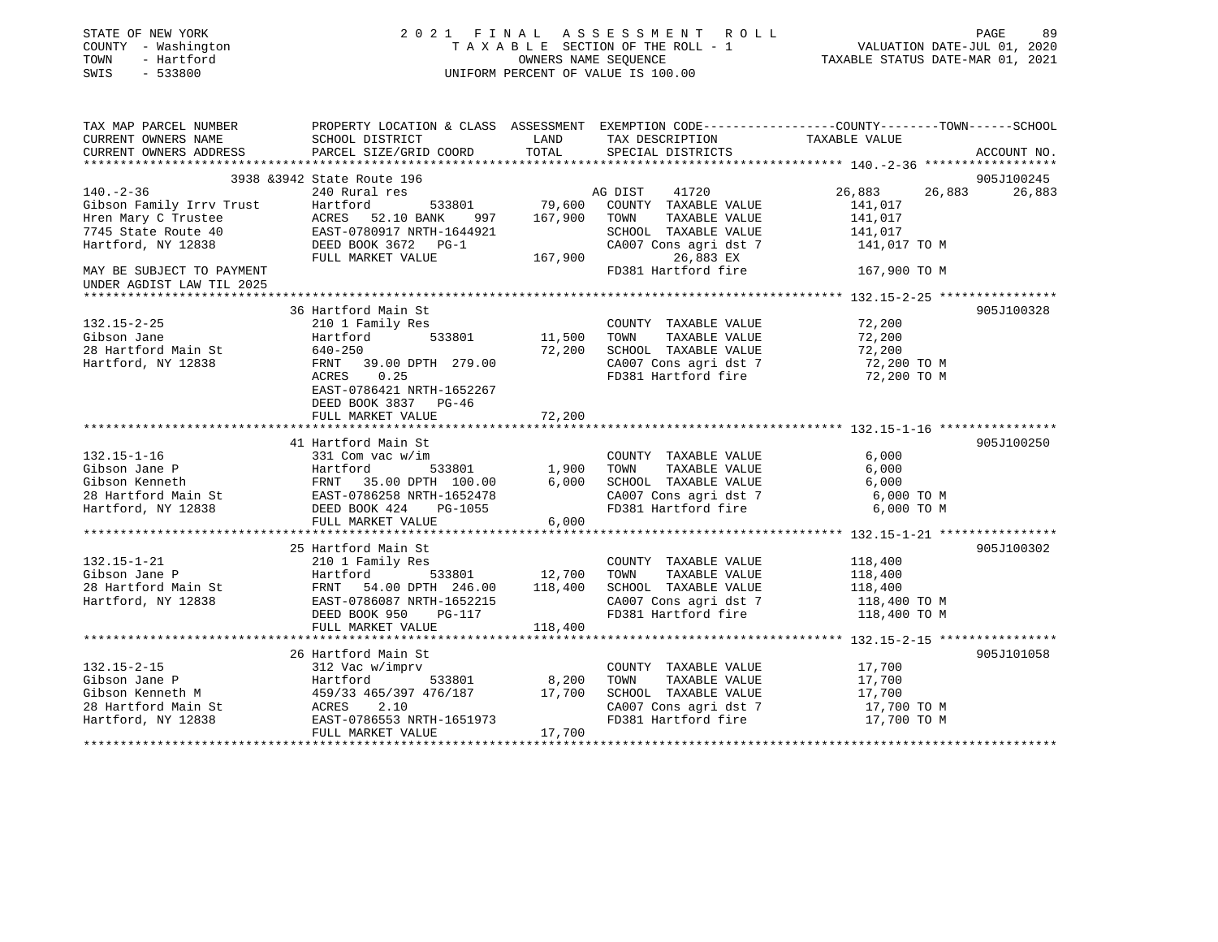| STATE OF NEW YORK<br>COUNTY - Washington<br>- Hartford<br>TOWN<br>$-533800$<br>SWIS |                                                                                         |         | 2021 FINAL ASSESSMENT ROLL<br>TAXABLE SECTION OF THE ROLL - 1<br>OWNERS NAME SEQUENCE<br>UNIFORM PERCENT OF VALUE IS 100.00 | PAGE<br>89<br>VALUATION DATE-JUL 01, 2020<br>TAXABLE STATUS DATE-MAR 01, 2021                                    |
|-------------------------------------------------------------------------------------|-----------------------------------------------------------------------------------------|---------|-----------------------------------------------------------------------------------------------------------------------------|------------------------------------------------------------------------------------------------------------------|
| TAX MAP PARCEL NUMBER<br>CURRENT OWNERS NAME                                        | SCHOOL DISTRICT                                                                         | LAND    | TAX DESCRIPTION                                                                                                             | PROPERTY LOCATION & CLASS ASSESSMENT EXEMPTION CODE----------------COUNTY-------TOWN-----SCHOOL<br>TAXABLE VALUE |
| CURRENT OWNERS ADDRESS                                                              | PARCEL SIZE/GRID COORD                                                                  | TOTAL   | SPECIAL DISTRICTS                                                                                                           | ACCOUNT NO.                                                                                                      |
|                                                                                     |                                                                                         |         |                                                                                                                             |                                                                                                                  |
|                                                                                     | 3938 & 3942 State Route 196                                                             |         |                                                                                                                             | 905J100245                                                                                                       |
| $140. - 2 - 36$                                                                     | 240 Rural res                                                                           |         | AG DIST<br>41720                                                                                                            | 26,883<br>26,883<br>26,883                                                                                       |
| Gibson Family Irrv Trust                                                            | Hartford<br>533801                                                                      | 79,600  | COUNTY TAXABLE VALUE                                                                                                        | 141,017                                                                                                          |
| Hren Mary C Trustee                                                                 | 52.10 BANK<br>ACRES<br>997                                                              | 167,900 | TOWN<br>TAXABLE VALUE                                                                                                       | 141,017                                                                                                          |
| 7745 State Route 40                                                                 | EAST-0780917 NRTH-1644921                                                               |         | SCHOOL TAXABLE VALUE                                                                                                        | 141,017                                                                                                          |
| Hartford, NY 12838                                                                  | DEED BOOK 3672 PG-1                                                                     |         | CA007 Cons agri dst 7                                                                                                       | 141,017 TO M                                                                                                     |
|                                                                                     | FULL MARKET VALUE                                                                       | 167,900 | 26,883 EX                                                                                                                   |                                                                                                                  |
| MAY BE SUBJECT TO PAYMENT<br>UNDER AGDIST LAW TIL 2025<br>********************      |                                                                                         |         | FD381 Hartford fire                                                                                                         | 167,900 TO M                                                                                                     |
|                                                                                     |                                                                                         |         |                                                                                                                             |                                                                                                                  |
| $132.15 - 2 - 25$                                                                   | 36 Hartford Main St<br>210 1 Family Res                                                 |         | COUNTY TAXABLE VALUE                                                                                                        | 905J100328<br>72,200                                                                                             |
| Gibson Jane                                                                         | Hartford<br>533801                                                                      | 11,500  | TAXABLE VALUE<br>TOWN                                                                                                       | 72,200                                                                                                           |
| 28 Hartford Main St                                                                 | 640-250                                                                                 | 72,200  | SCHOOL TAXABLE VALUE                                                                                                        | 72,200                                                                                                           |
| Hartford, NY 12838                                                                  | FRNT<br>39.00 DPTH 279.00                                                               |         | CA007 Cons agri dst 7                                                                                                       | 72,200 TO M                                                                                                      |
|                                                                                     | 0.25<br>ACRES<br>EAST-0786421 NRTH-1652267<br>DEED BOOK 3837 PG-46<br>FULL MARKET VALUE | 72,200  | FD381 Hartford fire                                                                                                         | 72,200 TO M                                                                                                      |
|                                                                                     |                                                                                         |         |                                                                                                                             |                                                                                                                  |
|                                                                                     | 41 Hartford Main St                                                                     |         |                                                                                                                             | 905J100250                                                                                                       |
| $132.15 - 1 - 16$                                                                   | 331 Com vac w/im                                                                        |         | COUNTY TAXABLE VALUE                                                                                                        | 6,000                                                                                                            |
| Gibson Jane P                                                                       | Hartford<br>533801                                                                      | 1,900   | TAXABLE VALUE<br>TOWN                                                                                                       | 6,000                                                                                                            |
| Gibson Kenneth                                                                      | FRNT 35.00 DPTH 100.00                                                                  | 6,000   | SCHOOL TAXABLE VALUE                                                                                                        | 6,000                                                                                                            |
| 28 Hartford Main St                                                                 | EAST-0786258 NRTH-1652478                                                               |         | CA007 Cons agri dst 7                                                                                                       | 6,000 TO M                                                                                                       |
| Hartford, NY 12838                                                                  | DEED BOOK 424<br>PG-1055                                                                |         | FD381 Hartford fire                                                                                                         | 6,000 TO M                                                                                                       |
|                                                                                     | FULL MARKET VALUE<br>**************************                                         | 6,000   |                                                                                                                             | ******************************* 132        .15-1-21 ****************                                             |
|                                                                                     | 25 Hartford Main St                                                                     |         |                                                                                                                             | 905J100302                                                                                                       |
| $132.15 - 1 - 21$                                                                   | 210 1 Family Res                                                                        |         | COUNTY TAXABLE VALUE                                                                                                        | 118,400                                                                                                          |
| Gibson Jane P                                                                       | 533801<br>Hartford                                                                      | 12,700  | TAXABLE VALUE<br>TOWN                                                                                                       | 118,400                                                                                                          |
| 28 Hartford Main St                                                                 | 54.00 DPTH 246.00<br>FRNT                                                               | 118,400 | SCHOOL TAXABLE VALUE                                                                                                        | 118,400                                                                                                          |
| Hartford, NY 12838                                                                  | EAST-0786087 NRTH-1652215                                                               |         | CA007 Cons agri dst 7                                                                                                       | 118,400 TO M                                                                                                     |
|                                                                                     | DEED BOOK 950<br>PG-117                                                                 |         | FD381 Hartford fire                                                                                                         | 118,400 TO M                                                                                                     |
|                                                                                     | FULL MARKET VALUE                                                                       | 118,400 |                                                                                                                             |                                                                                                                  |
|                                                                                     |                                                                                         |         |                                                                                                                             |                                                                                                                  |
|                                                                                     | 26 Hartford Main St                                                                     |         |                                                                                                                             | 905J101058                                                                                                       |
| $132.15 - 2 - 15$                                                                   | 312 Vac w/imprv                                                                         |         | COUNTY TAXABLE VALUE                                                                                                        | 17,700                                                                                                           |
| Gibson Jane P                                                                       | Hartford<br>533801                                                                      | 8,200   | TOWN<br>TAXABLE VALUE                                                                                                       | 17,700                                                                                                           |
| Gibson Kenneth M                                                                    | 459/33 465/397 476/187                                                                  | 17,700  | SCHOOL TAXABLE VALUE                                                                                                        | 17,700                                                                                                           |
| 28 Hartford Main St                                                                 | ACRES<br>2.10                                                                           |         | CA007 Cons agri dst 7                                                                                                       | 17,700 TO M                                                                                                      |
| Hartford, NY 12838                                                                  | EAST-0786553 NRTH-1651973<br>FULL MARKET VALUE                                          | 17,700  | FD381 Hartford fire                                                                                                         | 17,700 TO M                                                                                                      |

\*\*\*\*\*\*\*\*\*\*\*\*\*\*\*\*\*\*\*\*\*\*\*\*\*\*\*\*\*\*\*\*\*\*\*\*\*\*\*\*\*\*\*\*\*\*\*\*\*\*\*\*\*\*\*\*\*\*\*\*\*\*\*\*\*\*\*\*\*\*\*\*\*\*\*\*\*\*\*\*\*\*\*\*\*\*\*\*\*\*\*\*\*\*\*\*\*\*\*\*\*\*\*\*\*\*\*\*\*\*\*\*\*\*\*\*\*\*\*\*\*\*\*\*\*\*\*\*\*\*\*\*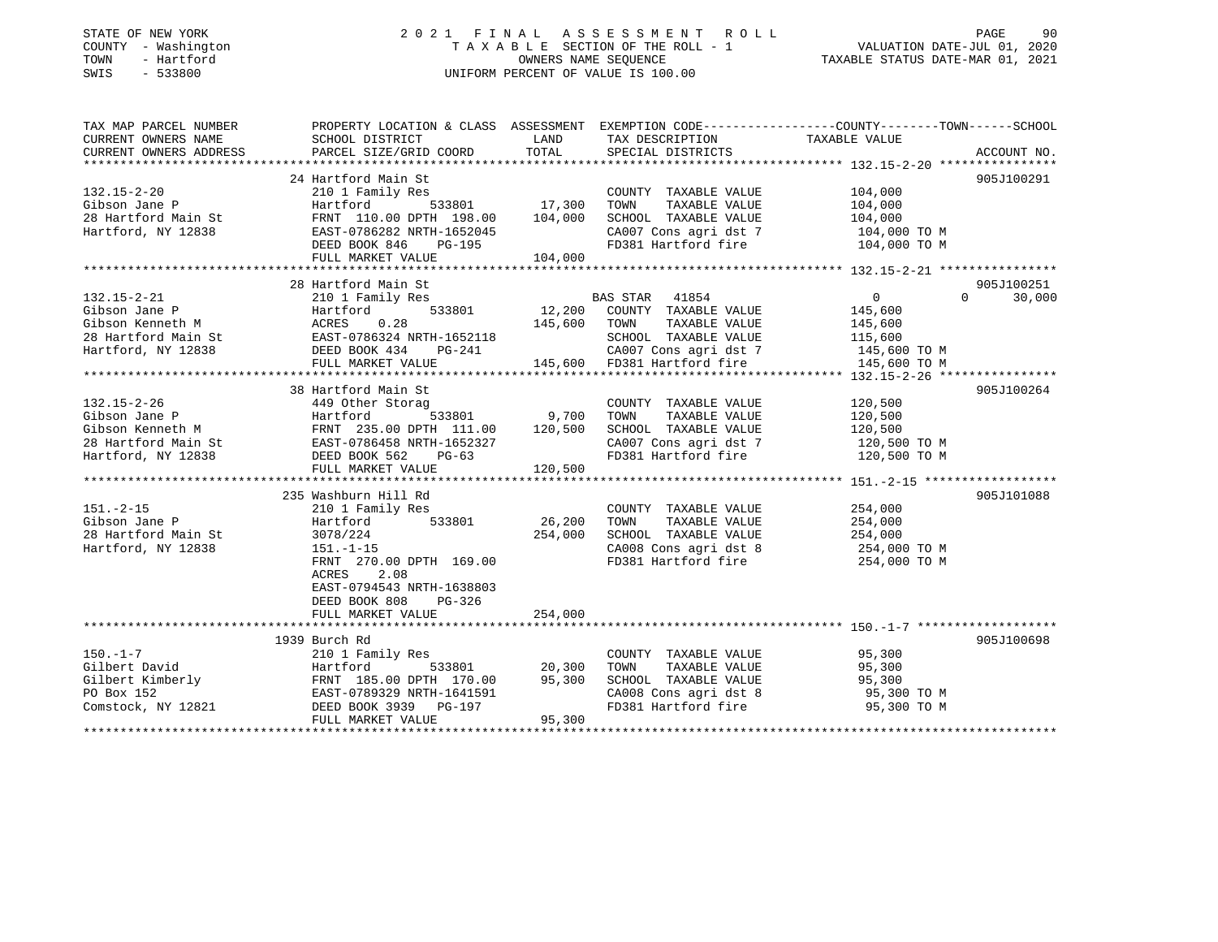# STATE OF NEW YORK 2 0 2 1 F I N A L A S S E S S M E N T R O L L PAGE 90 COUNTY - Washington T A X A B L E SECTION OF THE ROLL - 1 VALUATION DATE-JUL 01, 2020 TOWN - Hartford OWNERS NAME SEQUENCE TAXABLE STATUS DATE-MAR 01, 2021 SWIS - 533800 UNIFORM PERCENT OF VALUE IS 100.00

| TAX MAP PARCEL NUMBER  |                                                                                                                                                                                                                                                    |                        |                                                                                                                                       | PROPERTY LOCATION & CLASS ASSESSMENT EXEMPTION CODE---------------COUNTY-------TOWN------SCHOOL                                                                                                                                                                                                                                               |             |
|------------------------|----------------------------------------------------------------------------------------------------------------------------------------------------------------------------------------------------------------------------------------------------|------------------------|---------------------------------------------------------------------------------------------------------------------------------------|-----------------------------------------------------------------------------------------------------------------------------------------------------------------------------------------------------------------------------------------------------------------------------------------------------------------------------------------------|-------------|
| CURRENT OWNERS NAME    | SCHOOL DISTRICT                                                                                                                                                                                                                                    | <b>Example 12</b> LAND | TAX DESCRIPTION                                                                                                                       | TAXABLE VALUE                                                                                                                                                                                                                                                                                                                                 |             |
| CURRENT OWNERS ADDRESS | PARCEL SIZE/GRID COORD                                                                                                                                                                                                                             | TOTAL                  | SPECIAL DISTRICTS                                                                                                                     |                                                                                                                                                                                                                                                                                                                                               | ACCOUNT NO. |
|                        |                                                                                                                                                                                                                                                    |                        |                                                                                                                                       |                                                                                                                                                                                                                                                                                                                                               |             |
|                        | 24 Hartford Main St                                                                                                                                                                                                                                |                        |                                                                                                                                       |                                                                                                                                                                                                                                                                                                                                               | 905J100291  |
|                        |                                                                                                                                                                                                                                                    |                        | COUNTY TAXABLE VALUE                                                                                                                  | $104,000$<br>$104,000$                                                                                                                                                                                                                                                                                                                        |             |
|                        |                                                                                                                                                                                                                                                    |                        | TOWN<br>TAXABLE VALUE                                                                                                                 |                                                                                                                                                                                                                                                                                                                                               |             |
|                        |                                                                                                                                                                                                                                                    |                        |                                                                                                                                       |                                                                                                                                                                                                                                                                                                                                               |             |
|                        |                                                                                                                                                                                                                                                    |                        |                                                                                                                                       |                                                                                                                                                                                                                                                                                                                                               |             |
|                        |                                                                                                                                                                                                                                                    |                        |                                                                                                                                       | $\begin{tabular}{l l l l l} \multicolumn{1}{c}{\textbf{SCHODL}} & \textbf{TAXABLE VALUE} & & & 104,000 \\ \multicolumn{1}{c}{\textbf{CAO07 Cons2}} & \textbf{COS1} & \textbf{SST1} & \textbf{SST1} & & 104,000 & \textbf{TO M} \\ \multicolumn{1}{c}{\textbf{FD381} & \textbf{Hartford fire}} & & & 104,000 & \textbf{TO M} \\ \end{tabular}$ |             |
|                        | 132.15-2-20<br>Gibson Jane P<br>28 Hartford Main St<br>Hartford, NY 12838<br>Hartford, NY 12838<br>Hartford, NY 12838<br>28 EAST-0786282 NRTH-1652045<br>DEED BOOK 846<br>PG-195<br>204,000<br>204,000<br>204,000<br>204,000<br>204,000<br>204,000 |                        |                                                                                                                                       |                                                                                                                                                                                                                                                                                                                                               |             |
|                        |                                                                                                                                                                                                                                                    |                        |                                                                                                                                       |                                                                                                                                                                                                                                                                                                                                               |             |
|                        | 28 Hartford Main St                                                                                                                                                                                                                                |                        |                                                                                                                                       |                                                                                                                                                                                                                                                                                                                                               | 905J100251  |
| 132.15-2-21            | 210 1 Family Res                                                                                                                                                                                                                                   |                        | s<br>533801 12,200 COUNTY TAXABLE VALUE 145,600                                                                                       | $\Omega$                                                                                                                                                                                                                                                                                                                                      | 30,000      |
|                        | 132.15-2-21 210 1 Family Res<br>Gibson Jane P<br>Gibson Kenneth M<br>28 Hartford Main St<br>Hartford, NY 12838 DEED BOOK 434<br>THE PG-241<br>PG-241                                                                                               |                        |                                                                                                                                       |                                                                                                                                                                                                                                                                                                                                               |             |
|                        |                                                                                                                                                                                                                                                    | 145,600 TOWN           | TAXABLE VALUE                                                                                                                         | 145,600                                                                                                                                                                                                                                                                                                                                       |             |
|                        |                                                                                                                                                                                                                                                    |                        |                                                                                                                                       | 115,600                                                                                                                                                                                                                                                                                                                                       |             |
|                        |                                                                                                                                                                                                                                                    |                        |                                                                                                                                       |                                                                                                                                                                                                                                                                                                                                               |             |
|                        | FULL MARKET VALUE                                                                                                                                                                                                                                  |                        | RTH-1652118 SCHOOL TAXABLE VALUE 115,600<br>PG-241 CA007 Cons agri dst 7 145,600 TO M<br>LUE 145,600 FD381 Hartford fire 145,600 TO M |                                                                                                                                                                                                                                                                                                                                               |             |
|                        |                                                                                                                                                                                                                                                    |                        |                                                                                                                                       |                                                                                                                                                                                                                                                                                                                                               |             |
|                        | 38 Hartford Main St                                                                                                                                                                                                                                |                        |                                                                                                                                       |                                                                                                                                                                                                                                                                                                                                               | 905J100264  |
| 132.15-2-26            | 449 Other Storag                                                                                                                                                                                                                                   |                        | COUNTY TAXABLE VALUE 120,500                                                                                                          |                                                                                                                                                                                                                                                                                                                                               |             |
|                        |                                                                                                                                                                                                                                                    |                        | TOWN<br>TAXABLE VALUE                                                                                                                 | 120,500                                                                                                                                                                                                                                                                                                                                       |             |
|                        |                                                                                                                                                                                                                                                    |                        | SCHOOL TAXABLE VALUE                                                                                                                  | 120,500                                                                                                                                                                                                                                                                                                                                       |             |
|                        |                                                                                                                                                                                                                                                    |                        |                                                                                                                                       | CA007 Cons agri dst 7 120,500 TO M                                                                                                                                                                                                                                                                                                            |             |
|                        |                                                                                                                                                                                                                                                    |                        |                                                                                                                                       | FD381 Hartford fire 120,500 TO M                                                                                                                                                                                                                                                                                                              |             |
|                        | 132.15-2-26<br>Gibson Jane P Hartford 533801 9,700<br>Gibson Kenneth M FRNT 235.00 DPTH 111.00 120,500<br>28 Hartford Main St EAST-0786458 NRTH-1652327<br>Hartford, NY 12838 DEED BOOK 562 PG-63<br>FULL MARKET VALUE 120,500                     |                        |                                                                                                                                       |                                                                                                                                                                                                                                                                                                                                               |             |
|                        |                                                                                                                                                                                                                                                    |                        |                                                                                                                                       |                                                                                                                                                                                                                                                                                                                                               |             |
|                        | 235 Washburn Hill Rd                                                                                                                                                                                                                               |                        |                                                                                                                                       |                                                                                                                                                                                                                                                                                                                                               | 905J101088  |
| $151. - 2 - 15$        |                                                                                                                                                                                                                                                    |                        |                                                                                                                                       |                                                                                                                                                                                                                                                                                                                                               |             |
|                        | 210 1 Family Res                                                                                                                                                                                                                                   |                        | COUNTY TAXABLE VALUE                                                                                                                  | 254,000                                                                                                                                                                                                                                                                                                                                       |             |
| Gibson Jane P          | 533801<br>Hartford                                                                                                                                                                                                                                 | 26,200                 | TOWN<br>TAXABLE VALUE                                                                                                                 | 254,000<br>254,000                                                                                                                                                                                                                                                                                                                            |             |
| 28 Hartford Main St    | 3078/224                                                                                                                                                                                                                                           | 254,000                | SCHOOL TAXABLE VALUE                                                                                                                  |                                                                                                                                                                                                                                                                                                                                               |             |
| Hartford, NY 12838     | $151.-1-15$                                                                                                                                                                                                                                        |                        |                                                                                                                                       | CA008 Cons agri dst 8 254,000 TO M                                                                                                                                                                                                                                                                                                            |             |
|                        | FRNT 270.00 DPTH 169.00                                                                                                                                                                                                                            |                        | FD381 Hartford fire                                                                                                                   | 254,000 TO M                                                                                                                                                                                                                                                                                                                                  |             |
|                        | 2.08<br>ACRES                                                                                                                                                                                                                                      |                        |                                                                                                                                       |                                                                                                                                                                                                                                                                                                                                               |             |
|                        | EAST-0794543 NRTH-1638803                                                                                                                                                                                                                          |                        |                                                                                                                                       |                                                                                                                                                                                                                                                                                                                                               |             |
|                        | DEED BOOK 808<br>PG-326                                                                                                                                                                                                                            |                        |                                                                                                                                       |                                                                                                                                                                                                                                                                                                                                               |             |
|                        | FULL MARKET VALUE                                                                                                                                                                                                                                  | 254,000                |                                                                                                                                       |                                                                                                                                                                                                                                                                                                                                               |             |
|                        |                                                                                                                                                                                                                                                    |                        |                                                                                                                                       |                                                                                                                                                                                                                                                                                                                                               |             |
|                        | 1939 Burch Rd                                                                                                                                                                                                                                      |                        |                                                                                                                                       |                                                                                                                                                                                                                                                                                                                                               | 905J100698  |
| $150. - 1 - 7$         | 210 1 Family Res<br>210 1 Fan<br>Hartford                                                                                                                                                                                                          |                        | COUNTY TAXABLE VALUE                                                                                                                  | 95,300<br>95,300                                                                                                                                                                                                                                                                                                                              |             |
| Gilbert David          |                                                                                                                                                                                                                                                    | 533801 20,300          | TAXABLE VALUE<br>TOWN                                                                                                                 |                                                                                                                                                                                                                                                                                                                                               |             |
|                        |                                                                                                                                                                                                                                                    |                        | SCHOOL TAXABLE VALUE                                                                                                                  | 95,300<br>95,300 TO M                                                                                                                                                                                                                                                                                                                         |             |
|                        |                                                                                                                                                                                                                                                    |                        |                                                                                                                                       | CA008 Cons agri dst 8 95,300 TO M<br>FD381 Hartford fire 95,300 TO M                                                                                                                                                                                                                                                                          |             |
|                        | CONSTRUCT AND HOLD FINIT 185.00 DPTH 170.00 295,300<br>PO Box 152 EAST-0789329 NRTH-1641591<br>Comstock, NY 12821 DEED BOOK 3939 PG-197                                                                                                            |                        |                                                                                                                                       |                                                                                                                                                                                                                                                                                                                                               |             |
|                        | FULL MARKET VALUE                                                                                                                                                                                                                                  | 95,300                 |                                                                                                                                       |                                                                                                                                                                                                                                                                                                                                               |             |
|                        |                                                                                                                                                                                                                                                    |                        |                                                                                                                                       |                                                                                                                                                                                                                                                                                                                                               |             |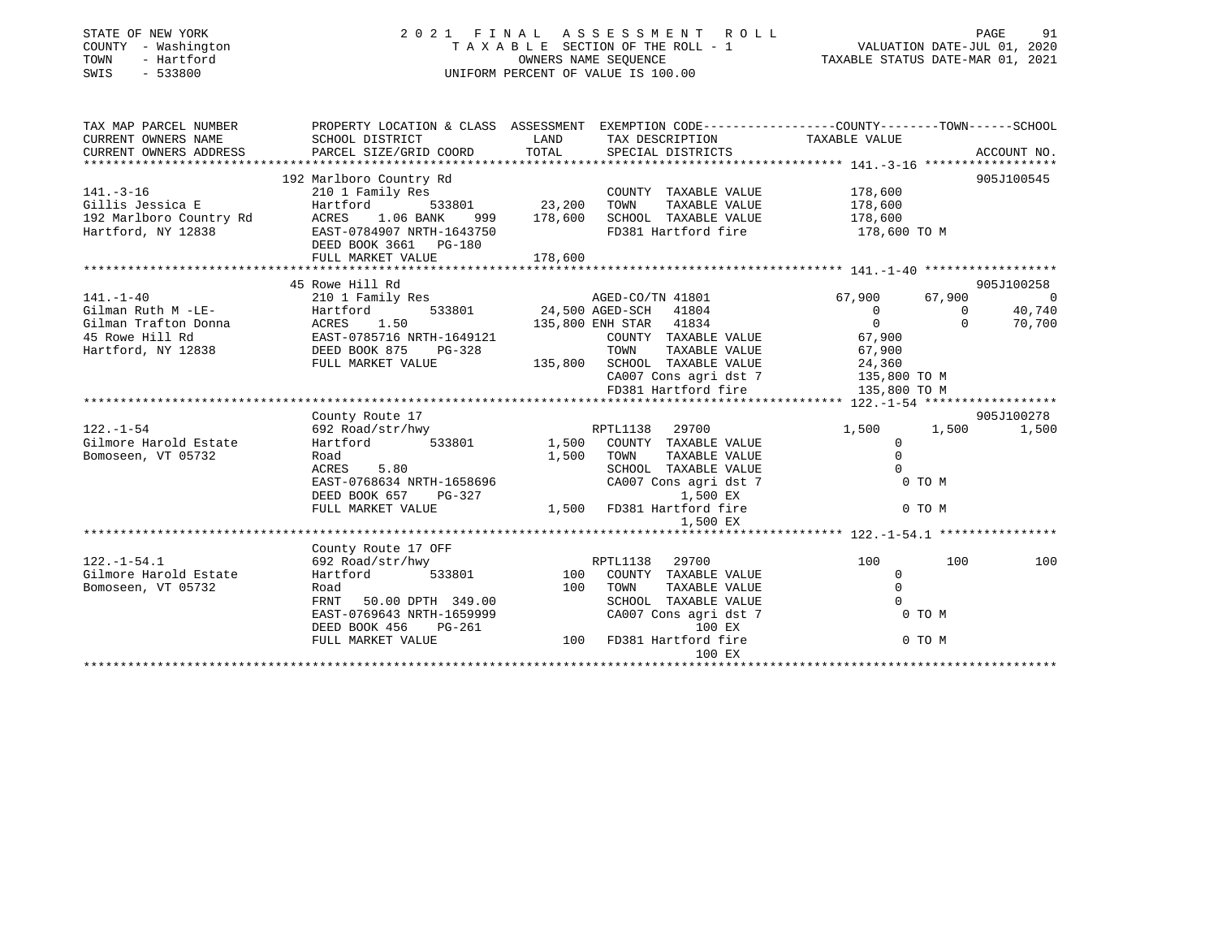# STATE OF NEW YORK 2 0 2 1 F I N A L A S S E S S M E N T R O L L PAGE 91 COUNTY - Washington T A X A B L E SECTION OF THE ROLL - 1 VALUATION DATE-JUL 01, 2020 TOWN - Hartford OWNERS NAME SEQUENCE TAXABLE STATUS DATE-MAR 01, 2021 SWIS - 533800 UNIFORM PERCENT OF VALUE IS 100.00

| TAX MAP PARCEL NUMBER                   | PROPERTY LOCATION & CLASS ASSESSMENT EXEMPTION CODE---------------COUNTY-------TOWN-----SCHOOL                                                                                                                                                     |             |                                    |                                      |                |                |
|-----------------------------------------|----------------------------------------------------------------------------------------------------------------------------------------------------------------------------------------------------------------------------------------------------|-------------|------------------------------------|--------------------------------------|----------------|----------------|
| CURRENT OWNERS NAME                     | SCHOOL DISTRICT                                                                                                                                                                                                                                    |             | LAND TAX DESCRIPTION TAXABLE VALUE |                                      |                |                |
| CURRENT OWNERS ADDRESS                  | PARCEL SIZE/GRID COORD TOTAL SPECIAL DISTRICTS                                                                                                                                                                                                     |             |                                    |                                      |                | ACCOUNT NO.    |
|                                         |                                                                                                                                                                                                                                                    |             |                                    |                                      |                |                |
|                                         | 192 Marlboro Country Rd                                                                                                                                                                                                                            |             |                                    |                                      |                | 905J100545     |
| $141. - 3 - 16$                         |                                                                                                                                                                                                                                                    |             | COUNTY TAXABLE VALUE 178,600       |                                      |                |                |
|                                         | 141.-3-16    COUNT<br>Gillis Jessica E    COUNT    Example    COUNT    Gillis Jessica E    E    Example    COUNT                                                                                                                                   |             |                                    | TAXABLE VALUE 178,600                |                |                |
| 192 Marlboro Country Rd ACRES 1.06 BANK |                                                                                                                                                                                                                                                    | 999 178,600 | SCHOOL TAXABLE VALUE 178,600       |                                      |                |                |
| Hartford, NY 12838                      | EAST-0784907 NRTH-1643750                                                                                                                                                                                                                          |             | FD381 Hartford fire 178,600 TO M   |                                      |                |                |
|                                         | DEED BOOK 3661 PG-180                                                                                                                                                                                                                              |             |                                    |                                      |                |                |
|                                         |                                                                                                                                                                                                                                                    |             |                                    |                                      |                |                |
|                                         |                                                                                                                                                                                                                                                    |             |                                    |                                      |                |                |
|                                         | 45 Rowe Hill Rd                                                                                                                                                                                                                                    |             |                                    |                                      |                | 905J100258     |
|                                         | 141.-1-40<br>210 1 Family Res<br>210 1 Family Res<br>24,500 AGED-SCH 41804<br>24,500 AGED-SCH 41804<br>24,500 AGED-SCH 41804<br>24,500 AGED-SCH 41804<br>24,500 AGED-SCH 41804<br>24,500 AGED-SCH 41804<br>25,800 ENH STAR 41834<br>25,800 ENH STA |             |                                    | 67,900 67,900                        |                | $\overline{0}$ |
|                                         |                                                                                                                                                                                                                                                    |             |                                    | $\begin{matrix} 0 \\ 0 \end{matrix}$ | $\overline{0}$ | 40,740         |
|                                         |                                                                                                                                                                                                                                                    |             |                                    |                                      | $\Omega$       | 70,700         |
|                                         |                                                                                                                                                                                                                                                    |             | COUNTY TAXABLE VALUE 67,900        |                                      |                |                |
|                                         |                                                                                                                                                                                                                                                    |             |                                    |                                      |                |                |
|                                         | Hartford, NY 12838 EXERCIBIOOK 875 PG-328 TOWN TAXABLE VALUE 67,900<br>Hartford, NY 12838 FULL MARKET VALUE 135,800 SCHOOL TAXABLE VALUE 24,360<br>FULL MARKET VALUE 135,800 CA007 Cons agri dst 7 135,800 TO M<br>FD381 Hartford fi               |             |                                    |                                      |                |                |
|                                         |                                                                                                                                                                                                                                                    |             |                                    |                                      |                |                |
|                                         |                                                                                                                                                                                                                                                    |             |                                    |                                      |                |                |
|                                         |                                                                                                                                                                                                                                                    |             |                                    |                                      |                |                |
|                                         | County Route 17                                                                                                                                                                                                                                    |             |                                    |                                      |                | 905J100278     |
|                                         |                                                                                                                                                                                                                                                    |             |                                    | 1,500                                | 1,500          | 1,500          |
|                                         |                                                                                                                                                                                                                                                    |             |                                    | $\Omega$                             |                |                |
| Bomoseen, VT 05732                      | Road                                                                                                                                                                                                                                               | 1,500 TOWN  | TAXABLE VALUE                      | $\Omega$                             |                |                |
|                                         | 5.80<br>ACRES                                                                                                                                                                                                                                      |             | SCHOOL TAXABLE VALUE               | $\bigcap$                            |                |                |
|                                         | EAST-0768634 NRTH-1658696<br>DEED BOOK 657 PG-327                                                                                                                                                                                                  |             | CA007 Cons agri dst 7              | $0$ TO M                             |                |                |
|                                         |                                                                                                                                                                                                                                                    |             | 1,500 EX                           |                                      |                |                |
|                                         | FULL MARKET VALUE                                                                                                                                                                                                                                  |             | 1,500 FD381 Hartford fire          |                                      | 0 TO M         |                |
|                                         |                                                                                                                                                                                                                                                    |             | 1,500 EX                           |                                      |                |                |
|                                         |                                                                                                                                                                                                                                                    |             |                                    |                                      |                |                |
|                                         | County Route 17 OFF                                                                                                                                                                                                                                |             |                                    |                                      |                |                |
| $122. - 1 - 54.1$                       | 692 Road/str/hwy                                                                                                                                                                                                                                   |             | RPTL1138 29700                     | 100                                  | 100            | 100            |
| Gilmore Harold Estate                   | Hartford 533801 100 COUNTY TAXABLE VALUE                                                                                                                                                                                                           |             |                                    | $\Omega$                             |                |                |
| Bomoseen, VT 05732                      | Road                                                                                                                                                                                                                                               |             | 100 TOWN<br>TAXABLE VALUE          | $\Omega$                             |                |                |
|                                         | FRNT 50.00 DPTH 349.00                                                                                                                                                                                                                             |             | SCHOOL TAXABLE VALUE               | $\bigcap$                            |                |                |
|                                         |                                                                                                                                                                                                                                                    |             | CA007 Cons agri dst 7              | 0 TO M                               |                |                |
|                                         | EAST-0769643 NRTH-1659999<br>DEED BOOK 456<br>PUIL MARWING PG-261                                                                                                                                                                                  |             | 100 EX                             |                                      |                |                |
|                                         | FULL MARKET VALUE                                                                                                                                                                                                                                  |             | 100 FD381 Hartford fire            |                                      | 0 TO M         |                |
|                                         |                                                                                                                                                                                                                                                    |             | 100 EX                             |                                      |                |                |
|                                         |                                                                                                                                                                                                                                                    |             |                                    |                                      |                |                |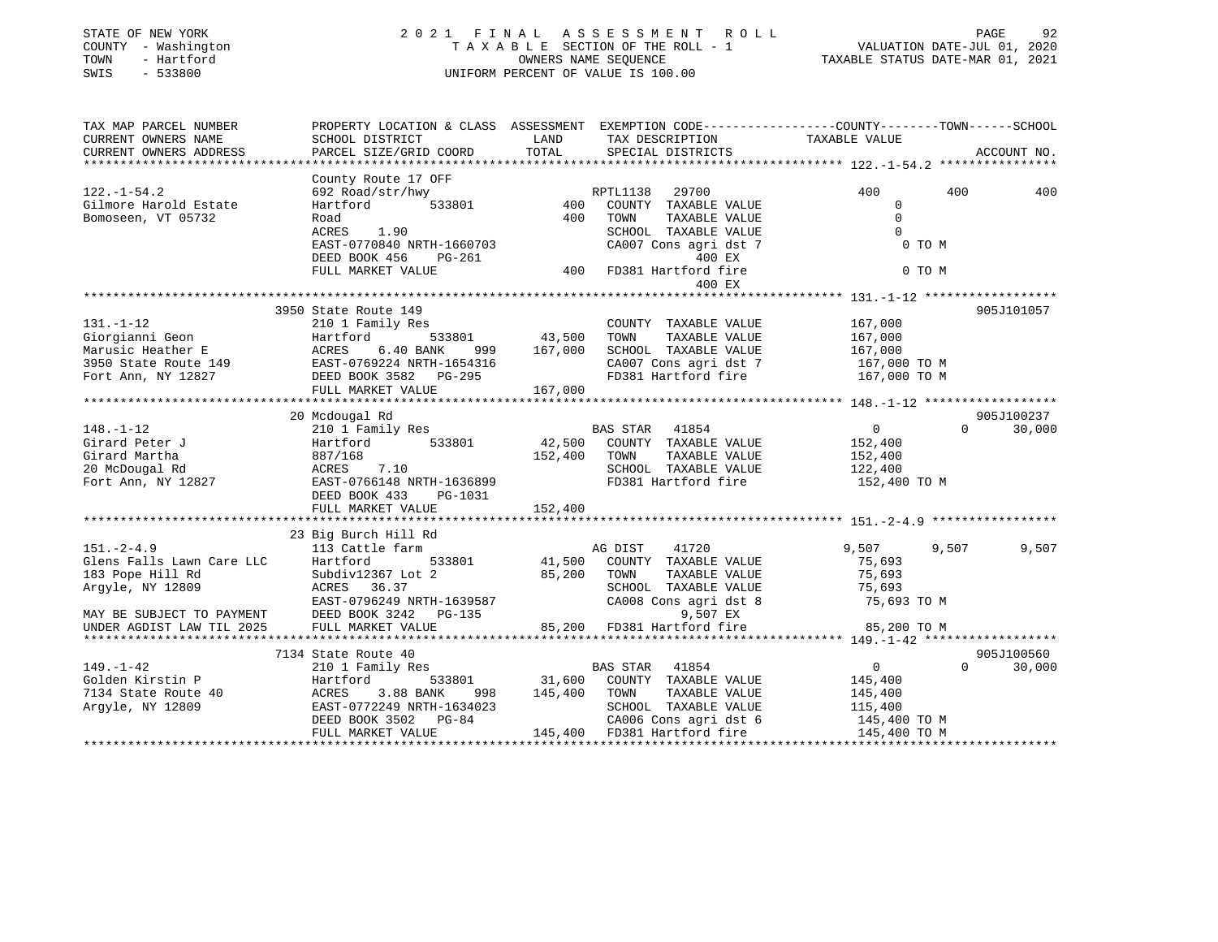| STATE OF NEW YORK<br>COUNTY - Washington<br>- Hartford<br>TOWN<br>SWIS<br>$-533800$ |                                                                                                  |               | 2021 FINAL ASSESSMENT ROLL<br>TAXABLE SECTION OF THE ROLL - 1<br>OWNERS NAME SEQUENCE<br>UNIFORM PERCENT OF VALUE IS 100.00 | VALUATION DATE-JUL 01, 2020<br>TAXABLE STATUS DATE-MAR 01, 2021 | PAGE<br>92         |
|-------------------------------------------------------------------------------------|--------------------------------------------------------------------------------------------------|---------------|-----------------------------------------------------------------------------------------------------------------------------|-----------------------------------------------------------------|--------------------|
| TAX MAP PARCEL NUMBER                                                               | PROPERTY LOCATION & CLASS ASSESSMENT EXEMPTION CODE----------------COUNTY-------TOWN------SCHOOL |               |                                                                                                                             |                                                                 |                    |
| CURRENT OWNERS NAME                                                                 | SCHOOL DISTRICT<br>PARCEL SIZE/GRID COORD                                                        | LAND<br>TOTAL | TAX DESCRIPTION<br>SPECIAL DISTRICTS                                                                                        | TAXABLE VALUE                                                   | ACCOUNT NO.        |
| CURRENT OWNERS ADDRESS                                                              |                                                                                                  |               |                                                                                                                             |                                                                 |                    |
|                                                                                     | County Route 17 OFF                                                                              |               |                                                                                                                             |                                                                 |                    |
| $122. - 1 - 54.2$                                                                   | 692 Road/str/hwy                                                                                 |               | RPTL1138<br>29700                                                                                                           | 400                                                             | 400<br>400         |
| Gilmore Harold Estate                                                               | Hartford 533801                                                                                  |               | 400 COUNTY TAXABLE VALUE                                                                                                    | $\mathbf 0$                                                     |                    |
| Bomoseen, VT 05732                                                                  | Road                                                                                             | 400           | TOWN<br>TAXABLE VALUE                                                                                                       | $\mathbf{0}$                                                    |                    |
|                                                                                     | 1.90<br>ACRES                                                                                    |               | SCHOOL TAXABLE VALUE                                                                                                        | $\Omega$                                                        |                    |
|                                                                                     | EAST-0770840 NRTH-1660703                                                                        |               | CA007 Cons agri dst 7                                                                                                       | 0 TO M                                                          |                    |
|                                                                                     | DEED BOOK 456<br>PG-261                                                                          |               | 400 EX                                                                                                                      |                                                                 |                    |
|                                                                                     | FULL MARKET VALUE                                                                                |               | 400 FD381 Hartford fire                                                                                                     | 0 TO M                                                          |                    |
|                                                                                     |                                                                                                  |               | 400 EX                                                                                                                      |                                                                 |                    |
|                                                                                     |                                                                                                  |               |                                                                                                                             |                                                                 |                    |
|                                                                                     | 3950 State Route 149                                                                             |               |                                                                                                                             |                                                                 | 905J101057         |
| $131. - 1 - 12$                                                                     | 210 1 Family Res                                                                                 | 533801 43,500 | COUNTY TAXABLE VALUE<br>TOWN<br>TAXABLE VALUE                                                                               | 167,000                                                         |                    |
| Giorgianni Geon<br>Marusic Heather E                                                | Hartford<br>6.40 BANK 999 167,000<br>ACRES                                                       |               | SCHOOL TAXABLE VALUE                                                                                                        | 167,000<br>167,000                                              |                    |
|                                                                                     |                                                                                                  |               | CA007 Cons agri dst 7                                                                                                       | 167,000 TO M                                                    |                    |
|                                                                                     | 3950 State Route 149 EAST-0769224 NRTH-1654316<br>Fort Ann, NY 12827 DEED BOOK 3582 PG-295       |               | FD381 Hartford fire                                                                                                         | 167,000 TO M                                                    |                    |
|                                                                                     | FULL MARKET VALUE                                                                                | 167,000       |                                                                                                                             |                                                                 |                    |
|                                                                                     |                                                                                                  |               |                                                                                                                             |                                                                 |                    |
|                                                                                     | 20 Mcdougal Rd                                                                                   |               |                                                                                                                             |                                                                 | 905J100237         |
| $148. - 1 - 12$                                                                     | 210 1 Family Res                                                                                 |               | BAS STAR<br>41854                                                                                                           | $\overline{0}$                                                  | 30,000<br>$\Omega$ |
| Girard Peter J                                                                      | 533801<br>Hartford                                                                               |               | 42,500 COUNTY TAXABLE VALUE                                                                                                 | 152,400                                                         |                    |
| Girard Martha                                                                       | 887/168                                                                                          | 152,400       | TOWN<br>TAXABLE VALUE                                                                                                       | 152,400                                                         |                    |
|                                                                                     | ACRES 7.10                                                                                       |               | SCHOOL TAXABLE VALUE                                                                                                        | 122,400                                                         |                    |
| 20 McDougal Rd<br>Fort Ann, NY 12827                                                | EAST-0766148 NRTH-1636899                                                                        |               | FD381 Hartford fire                                                                                                         | 152,400 TO M                                                    |                    |
|                                                                                     | DEED BOOK 433<br>PG-1031                                                                         |               |                                                                                                                             |                                                                 |                    |
|                                                                                     | FULL MARKET VALUE                                                                                | 152,400       |                                                                                                                             |                                                                 |                    |
|                                                                                     |                                                                                                  |               |                                                                                                                             |                                                                 |                    |
| $151. - 2 - 4.9$                                                                    | 23 Big Burch Hill Rd                                                                             |               |                                                                                                                             |                                                                 | 9,507              |
|                                                                                     | 113 Cattle farm<br>Hartford<br>533801                                                            |               | AG DIST<br>41720<br>41,500 COUNTY TAXABLE VALUE                                                                             | 9,507<br>75,693                                                 | 9,507              |
| Glens Falls Lawn Care LLC<br>183 Pope Hill Rd                                       | Subdiv12367 Lot 2                                                                                | 85,200 TOWN   | TAXABLE VALUE                                                                                                               | 75,693                                                          |                    |
| Argyle, NY 12809                                                                    | ACRES 36.37                                                                                      |               | SCHOOL TAXABLE VALUE                                                                                                        | 75,693                                                          |                    |
|                                                                                     | EAST-0796249 NRTH-1639587                                                                        |               | CA008 Cons agri dst 8                                                                                                       | 75,693 TO M                                                     |                    |
| MAY BE SUBJECT TO PAYMENT                                                           | DEED BOOK 3242 PG-135                                                                            |               | 9,507 EX                                                                                                                    |                                                                 |                    |
| UNDER AGDIST LAW TIL 2025                                                           | FULL MARKET VALUE                                                                                |               | 85,200 FD381 Hartford fire                                                                                                  | 85,200 TO M                                                     |                    |
|                                                                                     |                                                                                                  |               |                                                                                                                             |                                                                 |                    |
|                                                                                     | 7134 State Route 40                                                                              |               |                                                                                                                             |                                                                 | 905J100560         |
| $149. - 1 - 42$                                                                     | 210 1 Family Res                                                                                 |               | BAS STAR 41854                                                                                                              | $\overline{0}$                                                  | 30,000<br>$\Omega$ |
| Golden Kirstin P                                                                    | Hartford<br>533801                                                                               | 31,600        | COUNTY TAXABLE VALUE                                                                                                        | 145,400                                                         |                    |
| 7134 State Route 40                                                                 | ACRES<br>3.88 BANK<br>998                                                                        | 145,400       | TOWN<br>TAXABLE VALUE                                                                                                       | 145,400                                                         |                    |
| Argyle, NY 12809                                                                    | EAST-0772249 NRTH-1634023                                                                        |               | SCHOOL TAXABLE VALUE                                                                                                        | 115,400                                                         |                    |
|                                                                                     | DEED BOOK 3502 PG-84                                                                             |               | CA006 Cons agri dst 6                                                                                                       | 145,400 TO M                                                    |                    |
|                                                                                     | FULL MARKET VALUE                                                                                |               | 145,400 FD381 Hartford fire                                                                                                 |                                                                 |                    |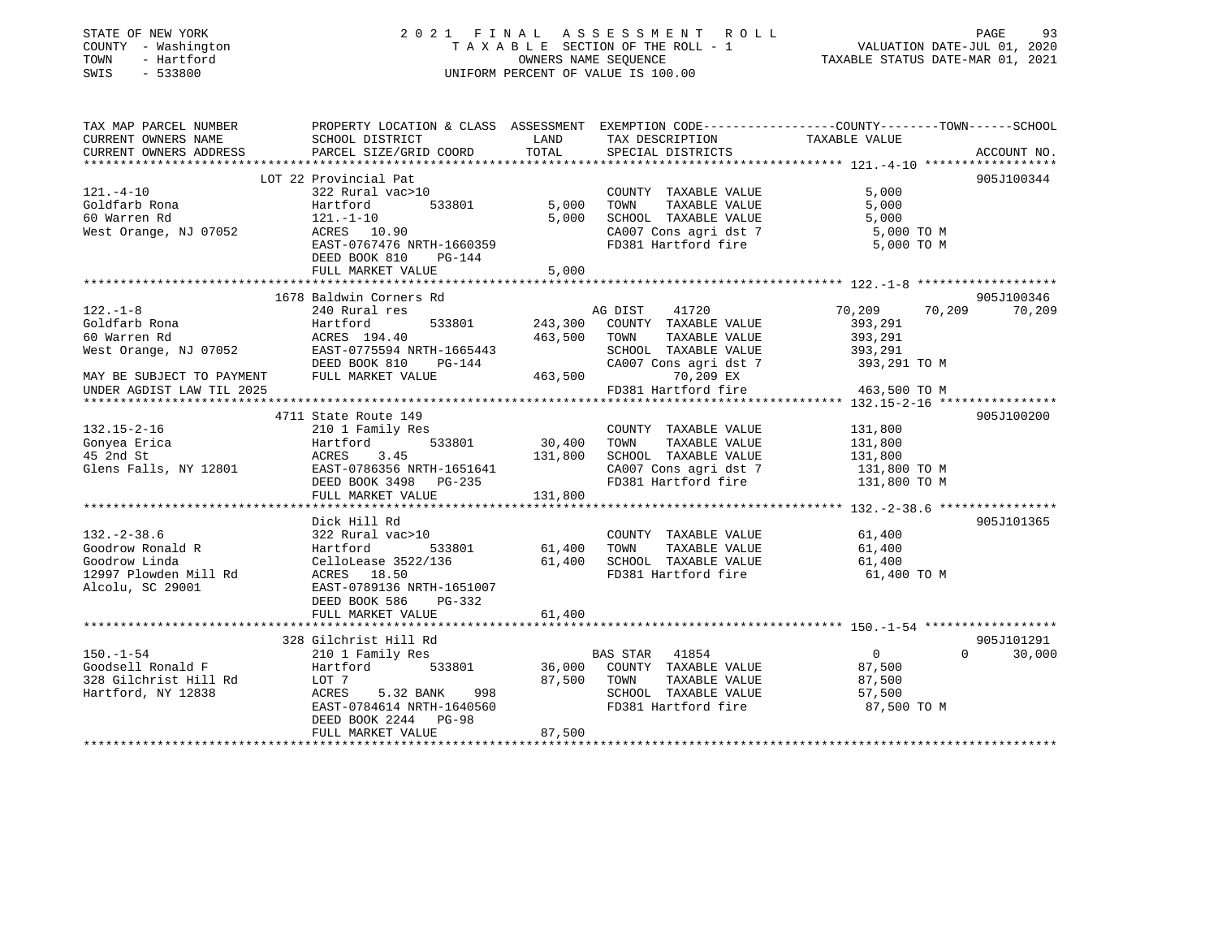# STATE OF NEW YORK 2 0 2 1 F I N A L A S S E S S M E N T R O L L PAGE 93 COUNTY - Washington T A X A B L E SECTION OF THE ROLL - 1 VALUATION DATE-JUL 01, 2020 TOWN - Hartford OWNERS NAME SEQUENCE TAXABLE STATUS DATE-MAR 01, 2021 SWIS - 533800 UNIFORM PERCENT OF VALUE IS 100.00

| TAX MAP PARCEL NUMBER                                                                                                                                                                                                                                                                                                                                                                                                                               | PROPERTY LOCATION & CLASS ASSESSMENT EXEMPTION CODE---------------COUNTY-------TOWN------SCHOOL |               |                                                                |                      |                    |
|-----------------------------------------------------------------------------------------------------------------------------------------------------------------------------------------------------------------------------------------------------------------------------------------------------------------------------------------------------------------------------------------------------------------------------------------------------|-------------------------------------------------------------------------------------------------|---------------|----------------------------------------------------------------|----------------------|--------------------|
| CURRENT OWNERS NAME<br>CURRENT OWNERS ADDRESS                                                                                                                                                                                                                                                                                                                                                                                                       | SCHOOL DISTRICT<br>PARCEL SIZE/GRID COORD                                                       | LAND<br>TOTAL | TAX DESCRIPTION<br>SPECIAL DISTRICTS                           | TAXABLE VALUE        | ACCOUNT NO.        |
|                                                                                                                                                                                                                                                                                                                                                                                                                                                     |                                                                                                 |               |                                                                |                      |                    |
|                                                                                                                                                                                                                                                                                                                                                                                                                                                     | LOT 22 Provincial Pat                                                                           |               |                                                                |                      | 905J100344         |
| $121. - 4 - 10$                                                                                                                                                                                                                                                                                                                                                                                                                                     | 322 Rural vac>10                                                                                |               | COUNTY TAXABLE VALUE                                           | 5,000                |                    |
| Goldfarb Rona                                                                                                                                                                                                                                                                                                                                                                                                                                       | Hartford                                                                                        | 533801 5,000  | TAXABLE VALUE<br>TOWN                                          | 5,000                |                    |
|                                                                                                                                                                                                                                                                                                                                                                                                                                                     |                                                                                                 | 5,000         | SCHOOL TAXABLE VALUE 5,000<br>CA007 Cons agri dst 7 5,000 TO M |                      |                    |
|                                                                                                                                                                                                                                                                                                                                                                                                                                                     |                                                                                                 |               |                                                                |                      |                    |
|                                                                                                                                                                                                                                                                                                                                                                                                                                                     | EAST-0767476 NRTH-1660359                                                                       |               | FD381 Hartford fire                                            | 5,000 TO M           |                    |
|                                                                                                                                                                                                                                                                                                                                                                                                                                                     | DEED BOOK 810<br>PG-144                                                                         |               |                                                                |                      |                    |
|                                                                                                                                                                                                                                                                                                                                                                                                                                                     | FULL MARKET VALUE                                                                               | 5,000         |                                                                |                      |                    |
|                                                                                                                                                                                                                                                                                                                                                                                                                                                     |                                                                                                 |               |                                                                |                      |                    |
|                                                                                                                                                                                                                                                                                                                                                                                                                                                     | 1678 Baldwin Corners Rd                                                                         |               |                                                                |                      | 905J100346         |
| $122. - 1 - 8$                                                                                                                                                                                                                                                                                                                                                                                                                                      | 240 Rural res                                                                                   |               | AG DIST 41720                                                  | 70,209 70,209 70,209 |                    |
| Goldfarb Rona                                                                                                                                                                                                                                                                                                                                                                                                                                       | Hartford                                                                                        |               | 533801 243,300 COUNTY TAXABLE VALUE                            | 393,291              |                    |
|                                                                                                                                                                                                                                                                                                                                                                                                                                                     |                                                                                                 |               |                                                                | 393,291<br>393,291   |                    |
|                                                                                                                                                                                                                                                                                                                                                                                                                                                     |                                                                                                 |               |                                                                |                      |                    |
|                                                                                                                                                                                                                                                                                                                                                                                                                                                     |                                                                                                 |               | CA007 Cons agri dst 7 393,291 TO M                             |                      |                    |
| $\begin{tabular}{lllllllllllllllllllll} \hline 60\ &\text{Warren Rd} & \text{ACRES} & 194.40 & 463,500 & \text{TOWN} & \text{TAXABLE VALUE} \\ \hline \text{West Orange, NJ} & 07052 & \text{EAST}-0775594\ &\text{NRTH}-1665443 & \text{SCHOOL} & \text{TAXABLE VALUE} \\ \hline \text{DEED BOOK 810} & \text{PG}-144 & \text{CA007 Cons agri dst 7} \\ \hline \text{MAX BE SUBJECT TO PAYMENT} & \text{FULL MARKET VALUE} & 463,500 & \text{TOON$ |                                                                                                 |               |                                                                |                      |                    |
| UNDER AGDIST LAW TIL 2025                                                                                                                                                                                                                                                                                                                                                                                                                           |                                                                                                 |               | FD381 Hartford fire 463,500 TO M                               |                      |                    |
|                                                                                                                                                                                                                                                                                                                                                                                                                                                     |                                                                                                 |               |                                                                |                      |                    |
|                                                                                                                                                                                                                                                                                                                                                                                                                                                     | 4711 State Route 149                                                                            |               |                                                                |                      | 905J100200         |
| $132.15 - 2 - 16$                                                                                                                                                                                                                                                                                                                                                                                                                                   | 210 1 Family Res                                                                                |               | COUNTY TAXABLE VALUE 131,800<br>TOWN TAXABLE VALUE 131,800     |                      |                    |
|                                                                                                                                                                                                                                                                                                                                                                                                                                                     |                                                                                                 |               |                                                                |                      |                    |
|                                                                                                                                                                                                                                                                                                                                                                                                                                                     |                                                                                                 |               |                                                                |                      |                    |
|                                                                                                                                                                                                                                                                                                                                                                                                                                                     |                                                                                                 |               |                                                                |                      |                    |
|                                                                                                                                                                                                                                                                                                                                                                                                                                                     |                                                                                                 |               |                                                                |                      |                    |
| 132.15-2-16 210 1 Family Res<br>COUNTY TAXABLE VALUE 131,800<br>45 2nd St<br>30,400 TOWN TAXABLE VALUE 131,800<br>45 2nd St<br>30 30,400 TOWN TAXABLE VALUE 131,800<br>45 2nd St<br>30 30,400 TOWN TAXABLE VALUE 131,800<br>2007 CONSITY TAXAB                                                                                                                                                                                                      |                                                                                                 |               |                                                                |                      |                    |
|                                                                                                                                                                                                                                                                                                                                                                                                                                                     |                                                                                                 |               |                                                                |                      |                    |
|                                                                                                                                                                                                                                                                                                                                                                                                                                                     | Dick Hill Rd                                                                                    |               |                                                                |                      | 905J101365         |
| $132. - 2 - 38.6$                                                                                                                                                                                                                                                                                                                                                                                                                                   | 322 Rural vac>10                                                                                |               | COUNTY TAXABLE VALUE 61,400                                    |                      |                    |
|                                                                                                                                                                                                                                                                                                                                                                                                                                                     | $533801$ 61,400                                                                                 |               | TOWN<br>TAXABLE VALUE                                          | 61,400               |                    |
|                                                                                                                                                                                                                                                                                                                                                                                                                                                     |                                                                                                 | 61,400        | SCHOOL TAXABLE VALUE                                           | 61,400               |                    |
|                                                                                                                                                                                                                                                                                                                                                                                                                                                     |                                                                                                 |               | FD381 Hartford fire 61,400 TO M                                |                      |                    |
|                                                                                                                                                                                                                                                                                                                                                                                                                                                     |                                                                                                 |               |                                                                |                      |                    |
|                                                                                                                                                                                                                                                                                                                                                                                                                                                     | DEED BOOK 586<br>PG-332                                                                         |               |                                                                |                      |                    |
|                                                                                                                                                                                                                                                                                                                                                                                                                                                     | FULL MARKET VALUE                                                                               | 61,400        |                                                                |                      |                    |
|                                                                                                                                                                                                                                                                                                                                                                                                                                                     |                                                                                                 |               |                                                                |                      |                    |
| $150. - 1 - 54$                                                                                                                                                                                                                                                                                                                                                                                                                                     | 328 Gilchrist Hill Rd                                                                           |               |                                                                |                      | 905J101291         |
|                                                                                                                                                                                                                                                                                                                                                                                                                                                     | 210 1 Family Res                                                                                |               | <b>BAS STAR 41854</b>                                          | $\overline{0}$       | $\Omega$<br>30,000 |
| Goodsell Ronald F                 Hartford          533801          36,000  COUNTY TAXABLE VALUE                87,500                                                                                                                                                                                                                                                                                                                              |                                                                                                 |               |                                                                |                      |                    |
| 328 Gilchrist Hill Rd                                                                                                                                                                                                                                                                                                                                                                                                                               | LOT 7                                                                                           | 87,500 TOWN   | TAXABLE VALUE                                                  | 87,500               |                    |
| Hartford, NY 12838                                                                                                                                                                                                                                                                                                                                                                                                                                  | ACRES 5.32 BANK                                                                                 | 998           | SCHOOL TAXABLE VALUE 57,500                                    |                      |                    |
|                                                                                                                                                                                                                                                                                                                                                                                                                                                     | EAST-0784614 NRTH-1640560                                                                       |               | FD381 Hartford fire                                            | 87,500 TO M          |                    |
|                                                                                                                                                                                                                                                                                                                                                                                                                                                     | DEED BOOK 2244 PG-98                                                                            |               |                                                                |                      |                    |
|                                                                                                                                                                                                                                                                                                                                                                                                                                                     | FULL MARKET VALUE                                                                               | 87,500        |                                                                |                      |                    |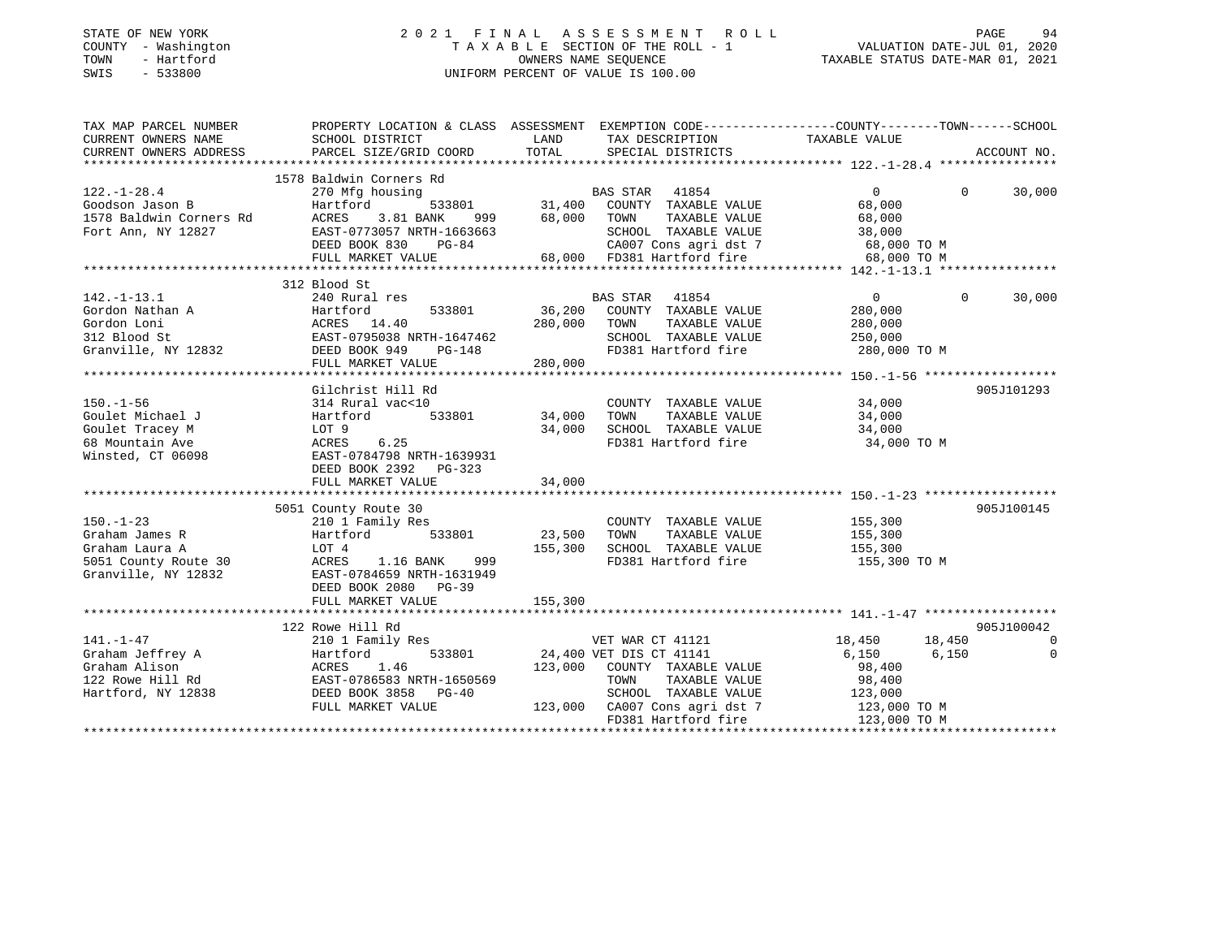# STATE OF NEW YORK 2 0 2 1 F I N A L A S S E S S M E N T R O L L PAGE 94 COUNTY - Washington T A X A B L E SECTION OF THE ROLL - 1 VALUATION DATE-JUL 01, 2020 TOWN - Hartford OWNERS NAME SEQUENCE TAXABLE STATUS DATE-MAR 01, 2021 SWIS - 533800 UNIFORM PERCENT OF VALUE IS 100.00

| TAX MAP PARCEL NUMBER  | PROPERTY LOCATION & CLASS ASSESSMENT EXEMPTION CODE----------------COUNTY-------TOWN------SCHOOL                                                                                                                                                                                                                                                                                                                                         |                                                                                                                       |                                                                |                      |                         |
|------------------------|------------------------------------------------------------------------------------------------------------------------------------------------------------------------------------------------------------------------------------------------------------------------------------------------------------------------------------------------------------------------------------------------------------------------------------------|-----------------------------------------------------------------------------------------------------------------------|----------------------------------------------------------------|----------------------|-------------------------|
| CURRENT OWNERS NAME    | SCHOOL DISTRICT                                                                                                                                                                                                                                                                                                                                                                                                                          | <b>EXAMPLE DESCRIPTION OF STREET AND STREET AND STREET AND STREET AND STREET AND STREET AND STREET AND STREET AND</b> | TAX DESCRIPTION                                                | TAXABLE VALUE        |                         |
| CURRENT OWNERS ADDRESS | PARCEL SIZE/GRID COORD                                                                                                                                                                                                                                                                                                                                                                                                                   | TOTAL                                                                                                                 | SPECIAL DISTRICTS                                              |                      | ACCOUNT NO.             |
|                        |                                                                                                                                                                                                                                                                                                                                                                                                                                          |                                                                                                                       |                                                                |                      |                         |
|                        |                                                                                                                                                                                                                                                                                                                                                                                                                                          |                                                                                                                       |                                                                |                      |                         |
|                        |                                                                                                                                                                                                                                                                                                                                                                                                                                          |                                                                                                                       |                                                                | $\overline{0}$       | $0 \t 30,000$           |
|                        |                                                                                                                                                                                                                                                                                                                                                                                                                                          |                                                                                                                       |                                                                | 68,000               |                         |
|                        |                                                                                                                                                                                                                                                                                                                                                                                                                                          |                                                                                                                       |                                                                |                      |                         |
|                        |                                                                                                                                                                                                                                                                                                                                                                                                                                          |                                                                                                                       |                                                                |                      |                         |
|                        |                                                                                                                                                                                                                                                                                                                                                                                                                                          |                                                                                                                       | CA007 Cons agri dst 7 68,000 TO M                              |                      |                         |
|                        |                                                                                                                                                                                                                                                                                                                                                                                                                                          |                                                                                                                       |                                                                | 68,000 TO M          |                         |
|                        | $\begin{tabular}{lllllllllllllllllllllll} \multicolumn{4}{c }{\text{\small 122. -1-28.4}} & \multicolumn{4}{c }{\text{\small 210.1--2}} & \multicolumn{4}{c }{\text{\small 31.400}} & \multicolumn{4}{c }{\text{\small 31.400}} & \multicolumn{4}{c }{\text{\small 31.400}} & \multicolumn{4}{c }{\text{\small 31.400}} & \multicolumn{4}{c }{\text{\small 31.400}} & \multicolumn{4}{c }{\text{\small 31.400}} & \multicolumn{4}{c }{\$ |                                                                                                                       |                                                                |                      |                         |
|                        | 312 Blood St                                                                                                                                                                                                                                                                                                                                                                                                                             |                                                                                                                       |                                                                |                      |                         |
|                        |                                                                                                                                                                                                                                                                                                                                                                                                                                          |                                                                                                                       | BAS STAR 41854                                                 | $\overline{0}$       | 30,000<br>$\Omega$      |
|                        |                                                                                                                                                                                                                                                                                                                                                                                                                                          |                                                                                                                       | COUNTY TAXABLE VALUE 280,000                                   |                      |                         |
|                        |                                                                                                                                                                                                                                                                                                                                                                                                                                          |                                                                                                                       | TOWN<br>TAXABLE VALUE                                          | 280,000              |                         |
|                        |                                                                                                                                                                                                                                                                                                                                                                                                                                          |                                                                                                                       | SCHOOL TAXABLE VALUE                                           | 250,000              |                         |
|                        |                                                                                                                                                                                                                                                                                                                                                                                                                                          |                                                                                                                       | FD381 Hartford fire 280,000 TO M                               |                      |                         |
|                        |                                                                                                                                                                                                                                                                                                                                                                                                                                          |                                                                                                                       |                                                                |                      |                         |
|                        |                                                                                                                                                                                                                                                                                                                                                                                                                                          |                                                                                                                       |                                                                |                      |                         |
|                        | Gilchrist Hill Rd                                                                                                                                                                                                                                                                                                                                                                                                                        |                                                                                                                       |                                                                |                      | 905J101293              |
| $150. - 1 - 56$        | 314 Rural vac<10                                                                                                                                                                                                                                                                                                                                                                                                                         |                                                                                                                       | COUNTY TAXABLE VALUE 34,000                                    |                      |                         |
| Goulet Michael J       | Hartford 533801 34,000<br>LOT 9 34,000<br>ACRES 6.25                                                                                                                                                                                                                                                                                                                                                                                     |                                                                                                                       | TOWN                                                           | TAXABLE VALUE 34,000 |                         |
| Goulet Tracey M        |                                                                                                                                                                                                                                                                                                                                                                                                                                          | 34,000                                                                                                                |                                                                |                      |                         |
| 68 Mountain Ave        |                                                                                                                                                                                                                                                                                                                                                                                                                                          |                                                                                                                       | SCHOOL TAXABLE VALUE 34,000<br>FD381 Hartford fire 34,000 TO M |                      |                         |
| Winsted, CT 06098      | EAST-0784798 NRTH-1639931                                                                                                                                                                                                                                                                                                                                                                                                                |                                                                                                                       |                                                                |                      |                         |
|                        | DEED BOOK 2392 PG-323                                                                                                                                                                                                                                                                                                                                                                                                                    |                                                                                                                       |                                                                |                      |                         |
|                        | FULL MARKET VALUE                                                                                                                                                                                                                                                                                                                                                                                                                        | 34,000                                                                                                                |                                                                |                      |                         |
|                        |                                                                                                                                                                                                                                                                                                                                                                                                                                          |                                                                                                                       |                                                                |                      |                         |
|                        | 5051 County Route 30                                                                                                                                                                                                                                                                                                                                                                                                                     |                                                                                                                       |                                                                |                      | 905J100145              |
| $150. - 1 - 23$        | County Route 30<br>210 1 Family Res                                                                                                                                                                                                                                                                                                                                                                                                      |                                                                                                                       |                                                                |                      |                         |
|                        |                                                                                                                                                                                                                                                                                                                                                                                                                                          |                                                                                                                       | COUNTY TAXABLE VALUE 155,300<br>TOWN TAXABLE VALUE 155,300     |                      |                         |
|                        |                                                                                                                                                                                                                                                                                                                                                                                                                                          |                                                                                                                       | 155,300 SCHOOL TAXABLE VALUE 155,300                           |                      |                         |
|                        | $\begin{array}{lllllllllllllllllllll} \text{150.-1-23} & \text{210 1 Family Res} & \text{COUNT} \\ \text{Graham James R} & \text{Hartford} & \text{533801} & \text{23,500} & \text{TOWN} \\ \text{Graham Laura A} & \text{LOT 4} & \text{155,300} & \text{SCHOO} \\ \text{5051 County Route 30} & \text{ACRES} & \text{1.16 BANK} & \text{999} & \text{FD381} \\ \text{Granville, NY 12832} & \text{EAST-0784659 NRH-1631949}$           |                                                                                                                       | FD381 Hartford fire                                            | 155,300 TO M         |                         |
|                        |                                                                                                                                                                                                                                                                                                                                                                                                                                          |                                                                                                                       |                                                                |                      |                         |
|                        | DEED BOOK 2080 PG-39                                                                                                                                                                                                                                                                                                                                                                                                                     |                                                                                                                       |                                                                |                      |                         |
|                        |                                                                                                                                                                                                                                                                                                                                                                                                                                          |                                                                                                                       |                                                                |                      |                         |
|                        |                                                                                                                                                                                                                                                                                                                                                                                                                                          |                                                                                                                       |                                                                |                      |                         |
|                        |                                                                                                                                                                                                                                                                                                                                                                                                                                          |                                                                                                                       |                                                                |                      | 905J100042              |
|                        |                                                                                                                                                                                                                                                                                                                                                                                                                                          |                                                                                                                       | VET WAR CT 41121                                               | 18,450 18,450        | $\overline{0}$          |
|                        |                                                                                                                                                                                                                                                                                                                                                                                                                                          |                                                                                                                       |                                                                | 6,150                | 6,150<br>$\overline{0}$ |
|                        |                                                                                                                                                                                                                                                                                                                                                                                                                                          |                                                                                                                       | 123,000 COUNTY TAXABLE VALUE                                   | 98,400               |                         |
|                        |                                                                                                                                                                                                                                                                                                                                                                                                                                          |                                                                                                                       |                                                                |                      |                         |
|                        |                                                                                                                                                                                                                                                                                                                                                                                                                                          |                                                                                                                       | TOWN TAXABLE VALUE 98,400<br>SCHOOL TAXABLE VALUE 123,000      |                      |                         |
|                        |                                                                                                                                                                                                                                                                                                                                                                                                                                          |                                                                                                                       | 123,000 CA007 Cons agri dst 7 123,000 TO M                     |                      |                         |
|                        | $\begin{tabular}{lllllllllllll} $\texttt{111} & $\texttt{111} & $\texttt{111} & $\texttt{111} & $\texttt{111} & $\texttt{111} & $\texttt{111} & $\texttt{111} & $\texttt{111} & $\texttt{111} & $\texttt{111} & $\texttt{111} & $\texttt{111} & $\texttt{111} & $\texttt{111} & $\texttt{111} & $\texttt{111} & $\texttt{111} & $\texttt{111} & $\texttt{111} & $\texttt{111} & $\texttt{111} & $\texttt{111}$                           |                                                                                                                       | FD381 Hartford fire 123,000 TO M                               |                      |                         |
|                        |                                                                                                                                                                                                                                                                                                                                                                                                                                          |                                                                                                                       |                                                                |                      |                         |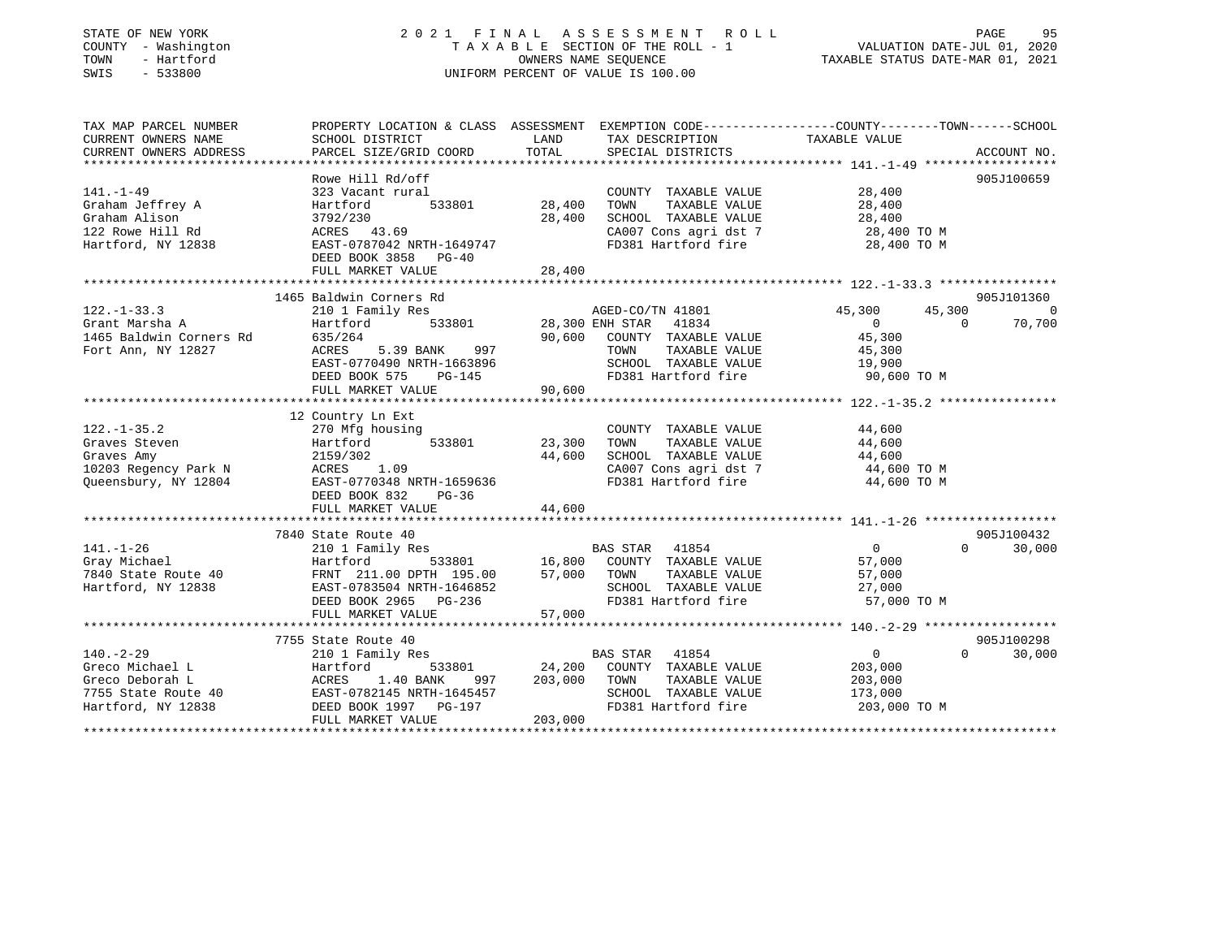# STATE OF NEW YORK 2 0 2 1 F I N A L A S S E S S M E N T R O L L PAGE 95 COUNTY - Washington T A X A B L E SECTION OF THE ROLL - 1 VALUATION DATE-JUL 01, 2020 TOWN - Hartford OWNERS NAME SEQUENCE TAXABLE STATUS DATE-MAR 01, 2021 SWIS - 533800 UNIFORM PERCENT OF VALUE IS 100.00UNIFORM PERCENT OF VALUE IS 100.00

| TAX MAP PARCEL NUMBER<br>CURRENT OWNERS NAME<br>CURRENT OWNERS ADDRESS                             | SCHOOL DISTRICT<br>PARCEL SIZE/GRID COORD                                                                                                                      | LAND<br>TOTAL                       | TAX DESCRIPTION<br>SERCIAL DISTRICTS<br>SPECIAL DISTRICTS                                                                                        | PROPERTY LOCATION & CLASS ASSESSMENT EXEMPTION CODE----------------COUNTY-------TOWN-----SCHOOL                                                                                                                                                                                 | ACCOUNT NO.              |
|----------------------------------------------------------------------------------------------------|----------------------------------------------------------------------------------------------------------------------------------------------------------------|-------------------------------------|--------------------------------------------------------------------------------------------------------------------------------------------------|---------------------------------------------------------------------------------------------------------------------------------------------------------------------------------------------------------------------------------------------------------------------------------|--------------------------|
| $141. - 1 - 49$<br>Graham Jeffrey A<br>Graham Alison<br>122 Rowe Hill Rd<br>Hartford, NY 12838     | Rowe Hill Rd/off<br>323 Vacant rural<br>Hartford<br>533801<br>3792/230<br>ACRES 43.69<br>EAST-0787042 NRTH-1649747<br>DEED BOOK 3858 PG-40                     | 28,400<br>28,400                    | COUNTY TAXABLE VALUE<br>TOWN<br>TAXABLE VALUE<br>SCHOOL TAXABLE VALUE<br>CA007 Cons agri dst 7<br>----- "---ford fire<br>FD381 Hartford fire     | 28,400<br>28,400<br>28,400<br>28,400 TO M<br>28,400 TO M                                                                                                                                                                                                                        | 905J100659               |
|                                                                                                    |                                                                                                                                                                |                                     |                                                                                                                                                  |                                                                                                                                                                                                                                                                                 |                          |
|                                                                                                    | 1465 Baldwin Corners Rd                                                                                                                                        |                                     |                                                                                                                                                  |                                                                                                                                                                                                                                                                                 | 905J101360               |
| $122. - 1 - 33.3$<br>Grant Marsha A<br>1465 Baldwin Corners Rd<br>Fort Ann, NY 12827               | 210 1 Family Res<br>Hartford<br>635/264<br>5.39 BANK<br>997<br>ACRES<br>EAST-0770490 NRTH-1663896<br><b>PG-145</b><br>DEED BOOK 575<br>FULL MARKET VALUE       | 90,600<br>90,600                    | AGED-CO/TN 41801<br>533801 28,300 ENH STAR 41834<br>COUNTY TAXABLE VALUE<br>TAXABLE VALUE<br>TOWN<br>SCHOOL TAXABLE VALUE<br>FD381 Hartford fire | 45,300<br>45,300<br>$\overline{0}$<br>$\Omega$<br>45,300<br>45,300<br>19,900<br>90,600 TO M                                                                                                                                                                                     | $\overline{0}$<br>70,700 |
|                                                                                                    | 12 Country Ln Ext                                                                                                                                              |                                     |                                                                                                                                                  |                                                                                                                                                                                                                                                                                 |                          |
| $122. - 1 - 35.2$<br>Graves Steven<br>Graves Amy<br>10203 Regency Park N<br>Oueensbury, NY 12804   | 2159/302<br>ACRES 1.09<br>EAST-0770348 NRTH-1659636<br>DEED BOOK 832<br>$PG-36$<br>FULL MARKET VALUE                                                           | 44,600<br>44,600                    | COUNTY TAXABLE VALUE<br>TOWN<br>TAXABLE VALUE<br>CA007 Cons agri dst 7<br>FD381 Hartford fire                                                    | 44,600<br>44,600<br>$\begin{tabular}{lllllllll} \texttt{SCHOOL} & \texttt{TAXABLE} & \texttt{VALUE} & & \texttt{44,600} \\ \texttt{CA007} & \texttt{Cons}\ \texttt{agri}\ \texttt{dst}\ \texttt{7} & & \texttt{44,600} & \texttt{TO} \ \texttt{M} \end{tabular}$<br>44,600 TO M |                          |
|                                                                                                    | 7840 State Route 40                                                                                                                                            |                                     |                                                                                                                                                  |                                                                                                                                                                                                                                                                                 | 905J100432               |
| $141. - 1 - 26$<br>Hartford, NY 12838                                                              | 210 1 Family Res<br>----- -------<br>EAST-0783504 NRTH-1646852<br>PFFD BOOK 2965 - PG-236<br>DEED BOOK 2965 PG-236<br>FULL MARKET VALUE                        | 57,000                              | BAS STAR 41854<br>SCHOOL TAXABLE VALUE<br>FD381 Hartford fire                                                                                    | $\Omega$<br>$\overline{0}$<br>57,000<br>57,000<br>27,000<br>57,000 TO M                                                                                                                                                                                                         | 30,000                   |
|                                                                                                    |                                                                                                                                                                |                                     |                                                                                                                                                  |                                                                                                                                                                                                                                                                                 |                          |
| $140. - 2 - 29$<br>Greco Michael L<br>Greco Deborah L<br>7755 State Route 40<br>Hartford, NY 12838 | 7755 State Route 40<br>210 1 Family Res<br>Hartford<br>997<br>1.40 BANK<br>ACRES<br>EAST-0782145 NRTH-1645457<br>DEED BOOK 1997    PG-197<br>FULL MARKET VALUE | 533801 24,200<br>203,000<br>203,000 | BAS STAR<br>41854<br>COUNTY TAXABLE VALUE<br>TOWN<br>TAXABLE VALUE<br>SCHOOL TAXABLE VALUE<br>FD381 Hartford fire                                | $\overline{0}$<br>$\Omega$<br>203,000<br>203,000<br>173,000<br>203,000 TO M                                                                                                                                                                                                     | 905J100298<br>30,000     |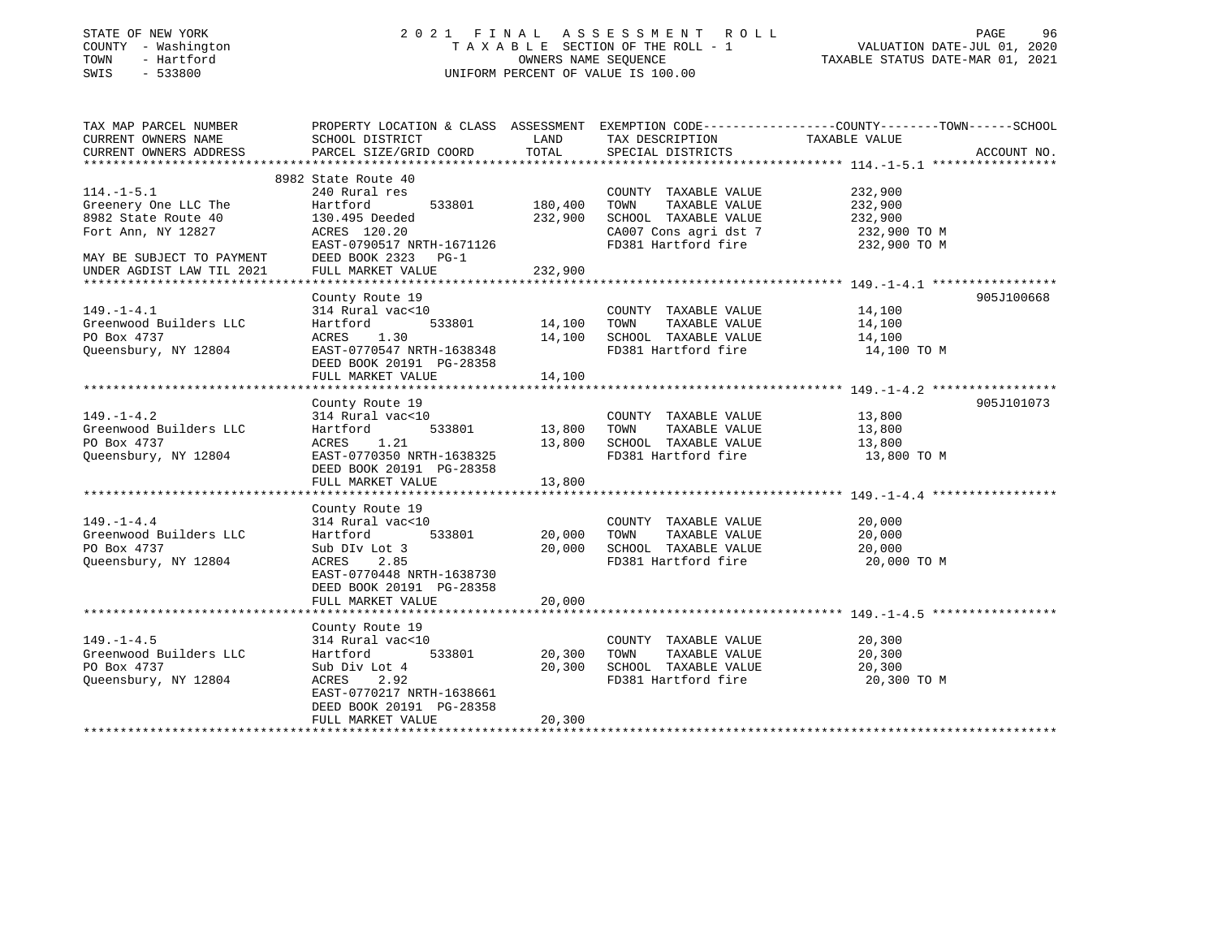| STATE OF NEW YORK<br>COUNTY - Washington<br>- Hartford<br>TOWN<br>$-533800$<br>SWIS              |                                                                                                                                                      | OWNERS NAME SEOUENCE | 2021 FINAL ASSESSMENT<br>R O L L<br>TAXABLE SECTION OF THE ROLL - 1<br>UNIFORM PERCENT OF VALUE IS 100.00 | PAGE<br>96<br>VALUATION DATE-JUL 01, 2020<br>TAXABLE STATUS DATE-MAR 01, 2021                                                    |
|--------------------------------------------------------------------------------------------------|------------------------------------------------------------------------------------------------------------------------------------------------------|----------------------|-----------------------------------------------------------------------------------------------------------|----------------------------------------------------------------------------------------------------------------------------------|
| TAX MAP PARCEL NUMBER<br>CURRENT OWNERS NAME<br>CURRENT OWNERS ADDRESS<br>********************** | SCHOOL DISTRICT<br>PARCEL SIZE/GRID COORD                                                                                                            | LAND<br>TOTAL        | TAX DESCRIPTION<br>SPECIAL DISTRICTS                                                                      | PROPERTY LOCATION & CLASS ASSESSMENT EXEMPTION CODE----------------COUNTY-------TOWN------SCHOOL<br>TAXABLE VALUE<br>ACCOUNT NO. |
|                                                                                                  | 8982 State Route 40                                                                                                                                  |                      |                                                                                                           |                                                                                                                                  |
| $114. -1 - 5.1$                                                                                  | 240 Rural res                                                                                                                                        |                      | COUNTY TAXABLE VALUE                                                                                      | 232,900                                                                                                                          |
| Greenery One LLC The<br>8982 State Route 40<br>Fort Ann, NY 12827                                | Hartford<br>533801<br>130.495 Deeded<br>ACRES 120.20                                                                                                 | 180,400<br>232,900   | TAXABLE VALUE<br>TOWN<br>SCHOOL TAXABLE VALUE<br>CA007 Cons agri dst 7                                    | 232,900<br>232,900<br>232,900 TO M                                                                                               |
| MAY BE SUBJECT TO PAYMENT                                                                        | EAST-0790517 NRTH-1671126<br>DEED BOOK 2323 PG-1                                                                                                     |                      | FD381 Hartford fire                                                                                       | 232,900 TO M                                                                                                                     |
| UNDER AGDIST LAW TIL 2021                                                                        | FULL MARKET VALUE                                                                                                                                    | 232,900              |                                                                                                           |                                                                                                                                  |
|                                                                                                  | County Route 19                                                                                                                                      |                      |                                                                                                           | 905J100668                                                                                                                       |
| $149. - 1 - 4.1$<br>Greenwood Builders LLC<br>PO Box 4737                                        | 314 Rural vac<10<br>Hartford<br>533801<br>1.30<br>ACRES                                                                                              | 14,100<br>14,100     | COUNTY TAXABLE VALUE<br>TAXABLE VALUE<br>TOWN<br>SCHOOL TAXABLE VALUE                                     | 14,100<br>14,100<br>14,100                                                                                                       |
| Queensbury, NY 12804                                                                             | EAST-0770547 NRTH-1638348<br>DEED BOOK 20191 PG-28358<br>FULL MARKET VALUE                                                                           | 14,100               | FD381 Hartford fire                                                                                       | 14,100 TO M                                                                                                                      |
|                                                                                                  |                                                                                                                                                      |                      |                                                                                                           |                                                                                                                                  |
|                                                                                                  | County Route 19                                                                                                                                      |                      |                                                                                                           | 905J101073                                                                                                                       |
| $149. - 1 - 4.2$                                                                                 | 314 Rural vac<10                                                                                                                                     |                      | COUNTY TAXABLE VALUE                                                                                      | 13,800                                                                                                                           |
| Greenwood Builders LLC                                                                           | Hartford<br>533801                                                                                                                                   | 13,800               | TAXABLE VALUE<br>TOWN                                                                                     | 13,800                                                                                                                           |
| PO Box 4737                                                                                      | 1.21<br>ACRES                                                                                                                                        | 13,800               | SCHOOL TAXABLE VALUE                                                                                      | 13,800                                                                                                                           |
| Oueensbury, NY 12804                                                                             | EAST-0770350 NRTH-1638325<br>DEED BOOK 20191 PG-28358<br>FULL MARKET VALUE                                                                           | 13,800               | FD381 Hartford fire                                                                                       | 13,800 TO M                                                                                                                      |
|                                                                                                  |                                                                                                                                                      |                      |                                                                                                           |                                                                                                                                  |
|                                                                                                  | County Route 19                                                                                                                                      |                      |                                                                                                           |                                                                                                                                  |
| $149. - 1 - 4.4$<br>Greenwood Builders LLC                                                       | 314 Rural vac<10<br>Hartford<br>533801                                                                                                               | 20,000               | COUNTY TAXABLE VALUE<br>TOWN<br>TAXABLE VALUE                                                             | 20,000<br>20,000                                                                                                                 |
| PO Box 4737<br>Queensbury, NY 12804                                                              | Sub DIv Lot 3<br>2.85<br>ACRES<br>EAST-0770448 NRTH-1638730<br>DEED BOOK 20191 PG-28358                                                              | 20,000               | SCHOOL TAXABLE VALUE<br>FD381 Hartford fire                                                               | 20,000<br>20,000 TO M                                                                                                            |
|                                                                                                  | FULL MARKET VALUE                                                                                                                                    | 20,000               |                                                                                                           |                                                                                                                                  |
|                                                                                                  |                                                                                                                                                      |                      |                                                                                                           |                                                                                                                                  |
| $149. - 1 - 4.5$<br>Greenwood Builders LLC<br>PO Box 4737<br>Queensbury, NY 12804                | County Route 19<br>314 Rural vac<10<br>Hartford<br>533801<br>Sub Div Lot 4<br>ACRES<br>2.92<br>EAST-0770217 NRTH-1638661<br>DEED BOOK 20191 PG-28358 | 20,300<br>20,300     | COUNTY TAXABLE VALUE<br>TAXABLE VALUE<br>TOWN<br>SCHOOL TAXABLE VALUE<br>FD381 Hartford fire              | 20,300<br>20,300<br>20,300<br>20,300 TO M                                                                                        |

\*\*\*\*\*\*\*\*\*\*\*\*\*\*\*\*\*\*\*\*\*\*\*\*\*\*\*\*\*\*\*\*\*\*\*\*\*\*\*\*\*\*\*\*\*\*\*\*\*\*\*\*\*\*\*\*\*\*\*\*\*\*\*\*\*\*\*\*\*\*\*\*\*\*\*\*\*\*\*\*\*\*\*\*\*\*\*\*\*\*\*\*\*\*\*\*\*\*\*\*\*\*\*\*\*\*\*\*\*\*\*\*\*\*\*\*\*\*\*\*\*\*\*\*\*\*\*\*\*\*\*\*

FULL MARKET VALUE 20,300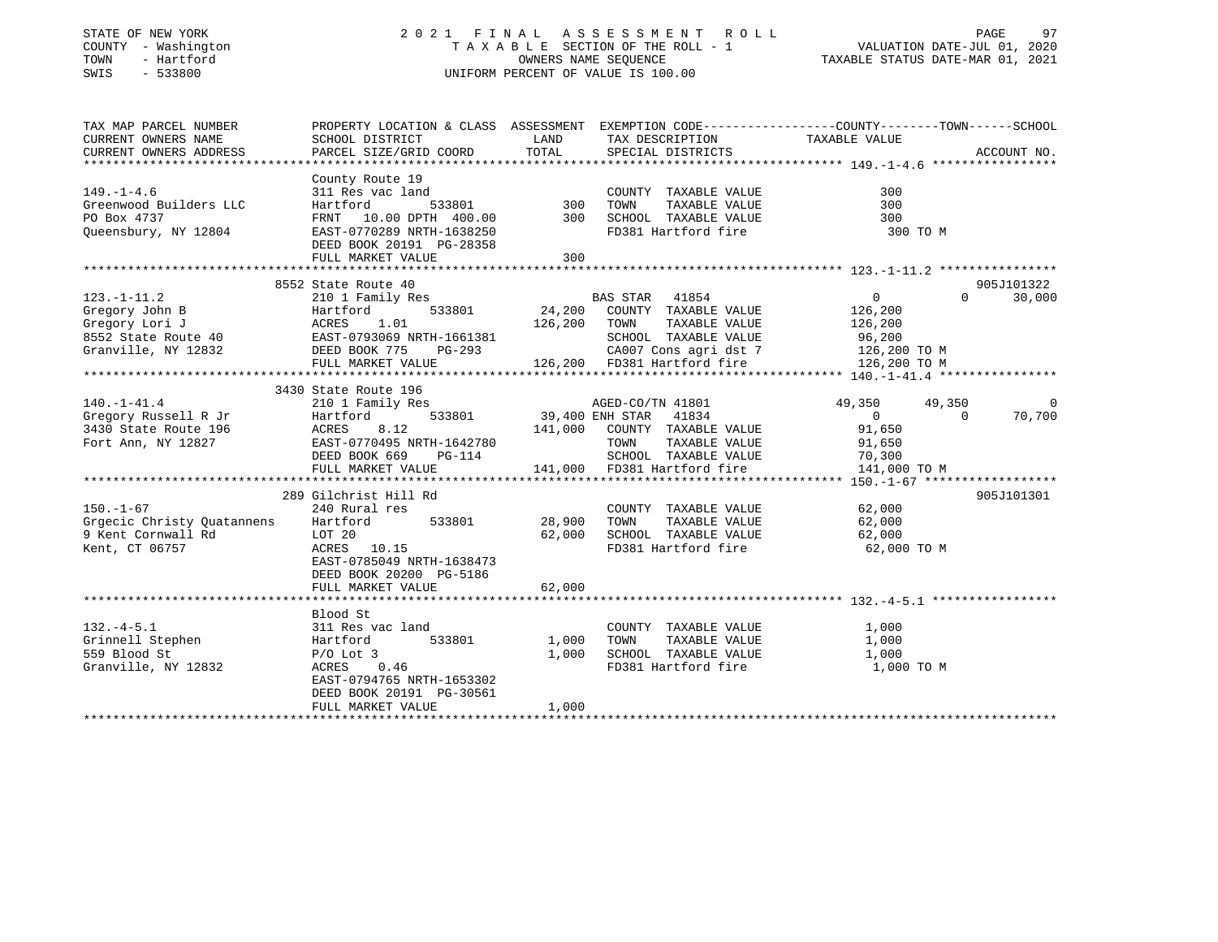# STATE OF NEW YORK 2 0 2 1 F I N A L A S S E S S M E N T R O L L PAGE 97 COUNTY - Washington T A X A B L E SECTION OF THE ROLL - 1 VALUATION DATE-JUL 01, 2020 TOWN - Hartford OWNERS NAME SEQUENCE TAXABLE STATUS DATE-MAR 01, 2021 SWIS - 533800 UNIFORM PERCENT OF VALUE IS 100.00

| PARCEL SIZE/GRID COORD<br>TOTAL<br>SPECIAL DISTRICTS<br>ACCOUNT NO.<br>CURRENT OWNERS ADDRESS<br>County Route 19<br>$149. - 1 - 4.6$<br>300<br>Greenwood Builders LLC<br>300<br>PO Box 4737<br>300<br>Queensbury, NY 12804<br>FD381 Hartford fire<br>EAST-0770289 NRTH-1638250<br>300 TO M<br>DEED BOOK 20191 PG-28358<br>FULL MARKET VALUE<br>300<br>905J101322<br>8552 State Route 40<br>$123. - 1 - 11.2$<br>210 1 Family Res<br>BAS STAR 41854<br>$\overline{0}$<br>$\Omega$<br>30,000<br>3430 State Route 196<br>$140. - 1 - 41.4$<br>210 1 Family Res<br>AGED-CO/TN 41801<br>49,350<br>49,350<br>$\overline{0}$<br>533801 39,400 ENH STAR 41834<br>12 141,000 COUNTY TAXABLE VALUE<br>$\overline{0}$<br>70,700<br>$\Omega$<br>91,650<br>8.12 | TAX MAP PARCEL NUMBER<br>CURRENT OWNERS NAME | PROPERTY LOCATION & CLASS ASSESSMENT EXEMPTION CODE---------------COUNTY-------TOWN-----SCHOOL<br>SCHOOL DISTRICT | LAND TAX DESCRIPTION | TAXABLE VALUE |  |
|----------------------------------------------------------------------------------------------------------------------------------------------------------------------------------------------------------------------------------------------------------------------------------------------------------------------------------------------------------------------------------------------------------------------------------------------------------------------------------------------------------------------------------------------------------------------------------------------------------------------------------------------------------------------------------------------------------------------------------------------------|----------------------------------------------|-------------------------------------------------------------------------------------------------------------------|----------------------|---------------|--|
|                                                                                                                                                                                                                                                                                                                                                                                                                                                                                                                                                                                                                                                                                                                                                    |                                              |                                                                                                                   |                      |               |  |
|                                                                                                                                                                                                                                                                                                                                                                                                                                                                                                                                                                                                                                                                                                                                                    |                                              |                                                                                                                   |                      |               |  |
|                                                                                                                                                                                                                                                                                                                                                                                                                                                                                                                                                                                                                                                                                                                                                    |                                              |                                                                                                                   |                      |               |  |
|                                                                                                                                                                                                                                                                                                                                                                                                                                                                                                                                                                                                                                                                                                                                                    |                                              |                                                                                                                   |                      |               |  |
|                                                                                                                                                                                                                                                                                                                                                                                                                                                                                                                                                                                                                                                                                                                                                    |                                              |                                                                                                                   |                      |               |  |
|                                                                                                                                                                                                                                                                                                                                                                                                                                                                                                                                                                                                                                                                                                                                                    |                                              |                                                                                                                   |                      |               |  |
|                                                                                                                                                                                                                                                                                                                                                                                                                                                                                                                                                                                                                                                                                                                                                    |                                              |                                                                                                                   |                      |               |  |
|                                                                                                                                                                                                                                                                                                                                                                                                                                                                                                                                                                                                                                                                                                                                                    |                                              |                                                                                                                   |                      |               |  |
|                                                                                                                                                                                                                                                                                                                                                                                                                                                                                                                                                                                                                                                                                                                                                    |                                              |                                                                                                                   |                      |               |  |
|                                                                                                                                                                                                                                                                                                                                                                                                                                                                                                                                                                                                                                                                                                                                                    |                                              |                                                                                                                   |                      |               |  |
|                                                                                                                                                                                                                                                                                                                                                                                                                                                                                                                                                                                                                                                                                                                                                    |                                              |                                                                                                                   |                      |               |  |
|                                                                                                                                                                                                                                                                                                                                                                                                                                                                                                                                                                                                                                                                                                                                                    |                                              |                                                                                                                   |                      |               |  |
|                                                                                                                                                                                                                                                                                                                                                                                                                                                                                                                                                                                                                                                                                                                                                    |                                              |                                                                                                                   |                      |               |  |
|                                                                                                                                                                                                                                                                                                                                                                                                                                                                                                                                                                                                                                                                                                                                                    |                                              |                                                                                                                   |                      |               |  |
|                                                                                                                                                                                                                                                                                                                                                                                                                                                                                                                                                                                                                                                                                                                                                    |                                              |                                                                                                                   |                      |               |  |
|                                                                                                                                                                                                                                                                                                                                                                                                                                                                                                                                                                                                                                                                                                                                                    |                                              |                                                                                                                   |                      |               |  |
|                                                                                                                                                                                                                                                                                                                                                                                                                                                                                                                                                                                                                                                                                                                                                    |                                              |                                                                                                                   |                      |               |  |
|                                                                                                                                                                                                                                                                                                                                                                                                                                                                                                                                                                                                                                                                                                                                                    |                                              |                                                                                                                   |                      |               |  |
|                                                                                                                                                                                                                                                                                                                                                                                                                                                                                                                                                                                                                                                                                                                                                    |                                              |                                                                                                                   |                      |               |  |
|                                                                                                                                                                                                                                                                                                                                                                                                                                                                                                                                                                                                                                                                                                                                                    |                                              |                                                                                                                   |                      |               |  |
|                                                                                                                                                                                                                                                                                                                                                                                                                                                                                                                                                                                                                                                                                                                                                    |                                              |                                                                                                                   |                      |               |  |
|                                                                                                                                                                                                                                                                                                                                                                                                                                                                                                                                                                                                                                                                                                                                                    |                                              |                                                                                                                   |                      |               |  |
| EAST-0770495 NRTH-1642780<br>Fort Ann, NY 12827                                                                                                                                                                                                                                                                                                                                                                                                                                                                                                                                                                                                                                                                                                    |                                              |                                                                                                                   |                      |               |  |
| TOWN TAXABLE VALUE 91,650<br>SCHOOL TAXABLE VALUE 70,300<br>141,000 FD381 Hartford fire 141,000<br>DEED BOOK 669<br>PG-114                                                                                                                                                                                                                                                                                                                                                                                                                                                                                                                                                                                                                         |                                              |                                                                                                                   |                      |               |  |
| 141,000 TO M<br>FULL MARKET VALUE                                                                                                                                                                                                                                                                                                                                                                                                                                                                                                                                                                                                                                                                                                                  |                                              |                                                                                                                   |                      |               |  |
|                                                                                                                                                                                                                                                                                                                                                                                                                                                                                                                                                                                                                                                                                                                                                    |                                              |                                                                                                                   |                      |               |  |
| 289 Gilchrist Hill Rd<br>905J101301                                                                                                                                                                                                                                                                                                                                                                                                                                                                                                                                                                                                                                                                                                                |                                              |                                                                                                                   |                      |               |  |
| $150. - 1 - 67$<br>240 Rural res<br>COUNTY TAXABLE VALUE 62,000                                                                                                                                                                                                                                                                                                                                                                                                                                                                                                                                                                                                                                                                                    |                                              |                                                                                                                   |                      |               |  |
| TAXABLE VALUE 62,000<br>TAXABLE VALUE 62,000<br>Grgecic Christy Quatannens Hartford 533801<br>9 Kent Cornwall Rd LOT 20<br>28,900 TOWN                                                                                                                                                                                                                                                                                                                                                                                                                                                                                                                                                                                                             |                                              |                                                                                                                   |                      |               |  |
| 62,000 SCHOOL TAXABLE VALUE                                                                                                                                                                                                                                                                                                                                                                                                                                                                                                                                                                                                                                                                                                                        |                                              |                                                                                                                   |                      |               |  |
| FD381 Hartford fire 62,000 TO M<br>Kent, CT 06757<br>ACRES 10.15                                                                                                                                                                                                                                                                                                                                                                                                                                                                                                                                                                                                                                                                                   |                                              |                                                                                                                   |                      |               |  |
| EAST-0785049 NRTH-1638473                                                                                                                                                                                                                                                                                                                                                                                                                                                                                                                                                                                                                                                                                                                          |                                              |                                                                                                                   |                      |               |  |
| DEED BOOK 20200 PG-5186                                                                                                                                                                                                                                                                                                                                                                                                                                                                                                                                                                                                                                                                                                                            |                                              |                                                                                                                   |                      |               |  |
| 62,000<br>FULL MARKET VALUE                                                                                                                                                                                                                                                                                                                                                                                                                                                                                                                                                                                                                                                                                                                        |                                              |                                                                                                                   |                      |               |  |
|                                                                                                                                                                                                                                                                                                                                                                                                                                                                                                                                                                                                                                                                                                                                                    |                                              |                                                                                                                   |                      |               |  |
| Blood St                                                                                                                                                                                                                                                                                                                                                                                                                                                                                                                                                                                                                                                                                                                                           |                                              |                                                                                                                   |                      |               |  |
| $132. -4 - 5.1$<br>311 Res vac land<br>COUNTY TAXABLE VALUE<br>1,000<br>א 311 Res<br>Hartford                                                                                                                                                                                                                                                                                                                                                                                                                                                                                                                                                                                                                                                      |                                              |                                                                                                                   |                      |               |  |
| 533801<br>Grinnell Stephen<br>1,000 TOWN<br>TAXABLE VALUE<br>1,000                                                                                                                                                                                                                                                                                                                                                                                                                                                                                                                                                                                                                                                                                 |                                              |                                                                                                                   |                      |               |  |
| 559 Blood St<br>1,000<br>SCHOOL TAXABLE VALUE<br>$P/O$ Lot 3<br>1,000                                                                                                                                                                                                                                                                                                                                                                                                                                                                                                                                                                                                                                                                              |                                              |                                                                                                                   |                      |               |  |
| Granville, NY 12832<br>ACRES 0.46<br>FD381 Hartford fire<br>1,000 TO M                                                                                                                                                                                                                                                                                                                                                                                                                                                                                                                                                                                                                                                                             |                                              |                                                                                                                   |                      |               |  |
| EAST-0794765 NRTH-1653302                                                                                                                                                                                                                                                                                                                                                                                                                                                                                                                                                                                                                                                                                                                          |                                              |                                                                                                                   |                      |               |  |
| DEED BOOK 20191 PG-30561                                                                                                                                                                                                                                                                                                                                                                                                                                                                                                                                                                                                                                                                                                                           |                                              |                                                                                                                   |                      |               |  |
| FULL MARKET VALUE<br>1,000                                                                                                                                                                                                                                                                                                                                                                                                                                                                                                                                                                                                                                                                                                                         |                                              |                                                                                                                   |                      |               |  |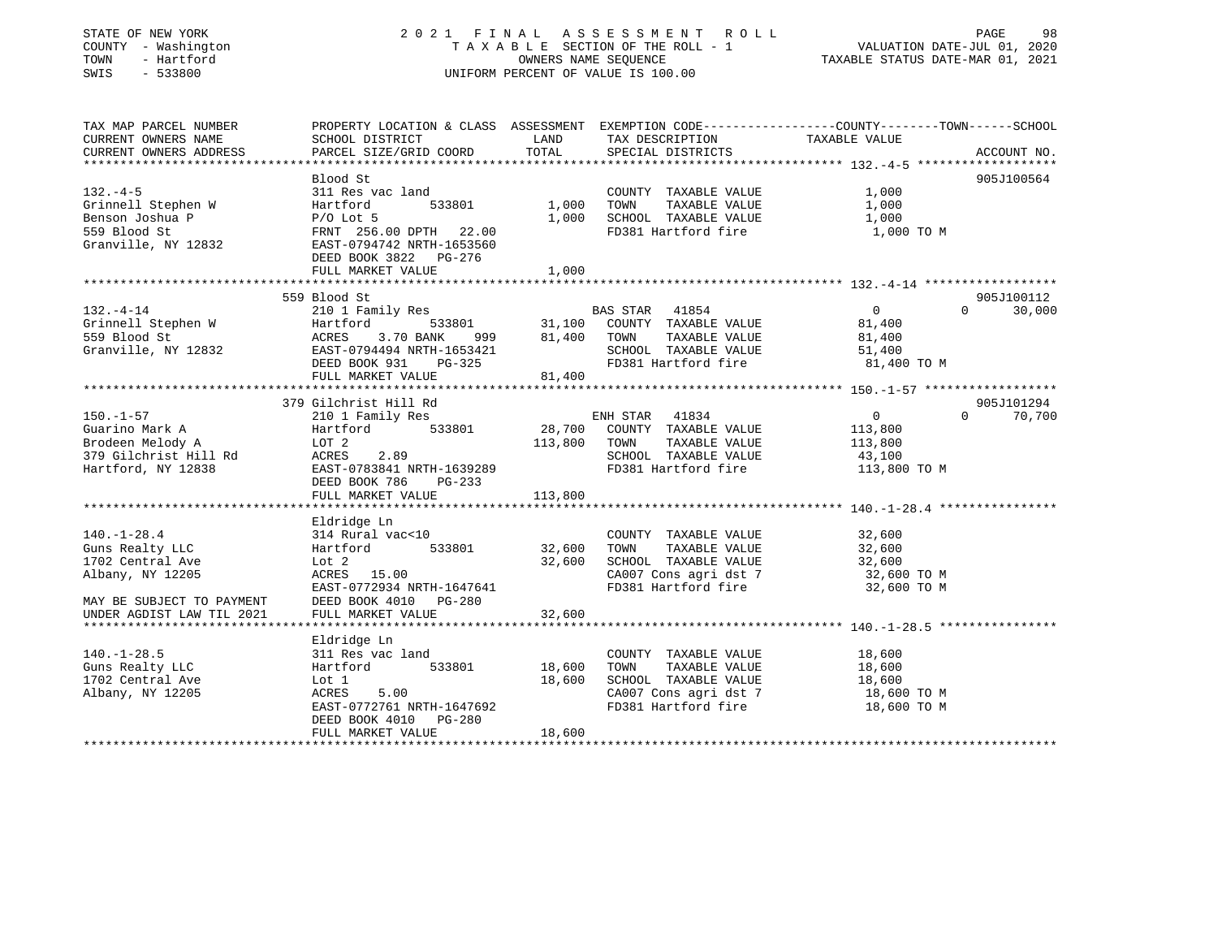| $-533800$<br>SWIS                                                      |                                                                                                                                              | TAXABLE SECTION OF THE ROLL - 1<br>OWNERS NAME SEQUENCE<br>UNIFORM PERCENT OF VALUE IS 100.00 |                |                                              | VALUATION DATE-JUL 01, 2020<br>TAXABLE STATUS DATE-MAR 01, 2021 |          |             |
|------------------------------------------------------------------------|----------------------------------------------------------------------------------------------------------------------------------------------|-----------------------------------------------------------------------------------------------|----------------|----------------------------------------------|-----------------------------------------------------------------|----------|-------------|
| TAX MAP PARCEL NUMBER<br>CURRENT OWNERS NAME<br>CURRENT OWNERS ADDRESS | PROPERTY LOCATION & CLASS ASSESSMENT EXEMPTION CODE----------------COUNTY-------TOWN-----SCHOOL<br>SCHOOL DISTRICT<br>PARCEL SIZE/GRID COORD | LAND<br>TOTAL                                                                                 |                | TAX DESCRIPTION<br>SPECIAL DISTRICTS         | TAXABLE VALUE                                                   |          | ACCOUNT NO. |
|                                                                        | Blood St                                                                                                                                     |                                                                                               |                |                                              |                                                                 |          | 905J100564  |
| $132 - 4 - 5$                                                          | 311 Res vac land                                                                                                                             |                                                                                               |                | COUNTY TAXABLE VALUE                         | 1,000                                                           |          |             |
| Grinnell Stephen W                                                     | 533801<br>Hartford                                                                                                                           | 1,000                                                                                         | TOWN           | TAXABLE VALUE                                | 1,000                                                           |          |             |
| Benson Joshua P                                                        | $P/O$ Lot 5                                                                                                                                  | 1,000                                                                                         |                | SCHOOL TAXABLE VALUE                         | 1,000                                                           |          |             |
| 559 Blood St<br>Granville, NY 12832                                    | FRNT 256.00 DPTH 22.00<br>EAST-0794742 NRTH-1653560<br>DEED BOOK 3822 PG-276                                                                 |                                                                                               |                | FD381 Hartford fire                          | 1,000 TO M                                                      |          |             |
|                                                                        | FULL MARKET VALUE                                                                                                                            | 1,000                                                                                         |                |                                              |                                                                 |          |             |
|                                                                        | 559 Blood St                                                                                                                                 |                                                                                               |                |                                              |                                                                 |          | 905J100112  |
| $132. -4 - 14$                                                         | 210 1 Family Res                                                                                                                             |                                                                                               | BAS STAR 41854 |                                              | $\overline{0}$                                                  |          | 30,000      |
| Grinnell Stephen W                                                     | 533801<br>Hartford                                                                                                                           |                                                                                               |                | 31,100 COUNTY TAXABLE VALUE                  | 81,400                                                          |          |             |
| 559 Blood St                                                           | ACRES<br>3.70 BANK<br>999                                                                                                                    |                                                                                               | 81,400 TOWN    | TAXABLE VALUE                                | 81,400                                                          |          |             |
| Granville, NY 12832                                                    | EAST-0794494 NRTH-1653421                                                                                                                    |                                                                                               |                | SCHOOL TAXABLE VALUE                         | 51,400                                                          |          |             |
|                                                                        | PG-325<br>DEED BOOK 931                                                                                                                      |                                                                                               |                | FD381 Hartford fire                          | 81,400 TO M                                                     |          |             |
|                                                                        | FULL MARKET VALUE                                                                                                                            | 81,400                                                                                        |                |                                              | ******************************* 150.-1-57 ******************    |          |             |
|                                                                        | 379 Gilchrist Hill Rd                                                                                                                        |                                                                                               |                |                                              |                                                                 |          | 905J101294  |
| $150. - 1 - 57$                                                        | 210 1 Family Res                                                                                                                             |                                                                                               | ENH STAR       | 41834                                        | $\overline{0}$                                                  | $\Omega$ | 70,700      |
| Guarino Mark A                                                         | 533801<br>Hartford                                                                                                                           |                                                                                               |                | 28,700 COUNTY TAXABLE VALUE                  | 113,800                                                         |          |             |
| Brodeen Melody A                                                       | LOT 2                                                                                                                                        | 113,800 TOWN                                                                                  |                | TAXABLE VALUE                                | 113,800                                                         |          |             |
| 379 Gilchrist Hill Rd                                                  | 2.89<br>ACRES                                                                                                                                |                                                                                               |                | SCHOOL TAXABLE VALUE                         | 43,100                                                          |          |             |
| Hartford, NY 12838                                                     | EAST-0783841 NRTH-1639289<br>DEED BOOK 786<br>PG-233                                                                                         |                                                                                               |                | FD381 Hartford fire                          | 113,800 TO M                                                    |          |             |
|                                                                        |                                                                                                                                              |                                                                                               |                |                                              |                                                                 |          |             |
|                                                                        | FULL MARKET VALUE                                                                                                                            | 113,800                                                                                       |                |                                              |                                                                 |          |             |
|                                                                        |                                                                                                                                              |                                                                                               |                |                                              |                                                                 |          |             |
|                                                                        | Eldridge Ln                                                                                                                                  |                                                                                               |                |                                              |                                                                 |          |             |
| $140. - 1 - 28.4$                                                      | 314 Rural vac<10<br>533801<br>Hartford                                                                                                       |                                                                                               | TOWN           | COUNTY TAXABLE VALUE<br>TAXABLE VALUE        | 32,600                                                          |          |             |
| Guns Realty LLC<br>1702 Central Ave                                    | Lot 2                                                                                                                                        | 32,600<br>32,600                                                                              |                | SCHOOL TAXABLE VALUE                         | 32,600<br>32,600                                                |          |             |
| Albany, NY 12205                                                       | ACRES 15.00                                                                                                                                  |                                                                                               |                | CA007 Cons agri dst 7                        | 32,600 TO M                                                     |          |             |
|                                                                        | EAST-0772934 NRTH-1647641                                                                                                                    |                                                                                               |                | FD381 Hartford fire                          | 32,600 TO M                                                     |          |             |
|                                                                        | DEED BOOK 4010 PG-280                                                                                                                        |                                                                                               |                |                                              |                                                                 |          |             |
| UNDER AGDIST LAW TIL 2021                                              | FULL MARKET VALUE                                                                                                                            | 32,600                                                                                        |                |                                              |                                                                 |          |             |
| MAY BE SUBJECT TO PAYMENT                                              |                                                                                                                                              |                                                                                               |                |                                              |                                                                 |          |             |
|                                                                        | Eldridge Ln                                                                                                                                  |                                                                                               |                |                                              |                                                                 |          |             |
| $140.-1-28.5$                                                          | 311 Res vac land                                                                                                                             |                                                                                               |                | COUNTY TAXABLE VALUE                         | 18,600                                                          |          |             |
| Guns Realty LLC                                                        | 533801<br>Hartford                                                                                                                           | 18,600                                                                                        | TOWN           | TAXABLE VALUE                                | 18,600                                                          |          |             |
| 1702 Central Ave                                                       | Lot 1                                                                                                                                        | 18,600                                                                                        |                | SCHOOL TAXABLE VALUE                         | 18,600                                                          |          |             |
| Albany, NY 12205                                                       | ACRES<br>5.00<br>EAST-0772761 NRTH-1647692<br>DEED BOOK 4010 PG-280                                                                          |                                                                                               |                | CA007 Cons agri dst 7<br>FD381 Hartford fire | 18,600 TO M<br>18,600 TO M                                      |          |             |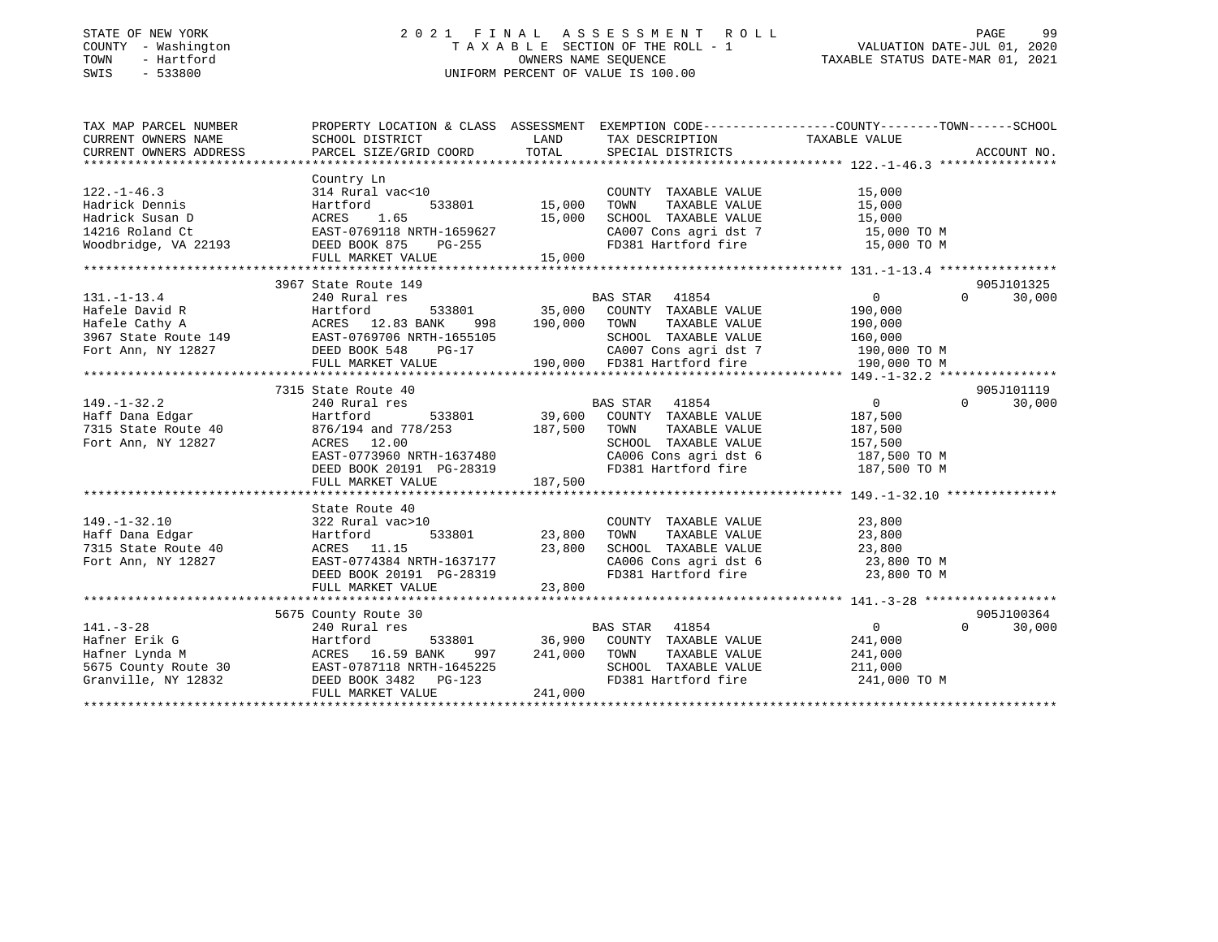# STATE OF NEW YORK 2 0 2 1 F I N A L A S S E S S M E N T R O L L PAGE 99 COUNTY - Washington T A X A B L E SECTION OF THE ROLL - 1 VALUATION DATE-JUL 01, 2020 TOWN - Hartford OWNERS NAME SEQUENCE TAXABLE STATUS DATE-MAR 01, 2021 SWIS - 533800 UNIFORM PERCENT OF VALUE IS 100.00

| TAX MAP PARCEL NUMBER<br>CURRENT OWNERS NAME                                                                                                                                                                                                                    | PROPERTY LOCATION & CLASS ASSESSMENT EXEMPTION CODE----------------COUNTY-------TOWN------SCHOOL                                                                        |                  |                                                                                                                                                                                                                                                                                                                                                                                                                               |                                                                 |                                  |
|-----------------------------------------------------------------------------------------------------------------------------------------------------------------------------------------------------------------------------------------------------------------|-------------------------------------------------------------------------------------------------------------------------------------------------------------------------|------------------|-------------------------------------------------------------------------------------------------------------------------------------------------------------------------------------------------------------------------------------------------------------------------------------------------------------------------------------------------------------------------------------------------------------------------------|-----------------------------------------------------------------|----------------------------------|
| $122. - 1 - 46.3$<br>Hadrick Dennis<br>Hadrick Susan D<br>14216 Roland Ct<br>Woodbridge, VA 22193 DEED BOOK 875                                                                                                                                                 | Country Ln<br>314 Rural vac<10<br>Hartford 533801 15,000<br>ACRES 1.65 15,000<br>EAST-0769118 NRTH-1659627 15,000<br>PG-255<br>FULL MARKET VALUE                        | 15,000           | COUNTY TAXABLE VALUE<br>TAXABLE VALUE<br>TOWN<br>$\begin{tabular}{lllllllll} \texttt{SCHOOL} & \texttt{TAXABLE} & \texttt{VALUE} & & \texttt{15,000} \\ \texttt{CA007} & \texttt{Cons}\ & \texttt{agt}\ & \texttt{15,000}} & \texttt{TO}\ & \texttt{M} \\ \end{tabular}$<br>FD381 Hartford fire 15,000 TO M                                                                                                                   | 15,000<br>15,000                                                |                                  |
|                                                                                                                                                                                                                                                                 |                                                                                                                                                                         |                  |                                                                                                                                                                                                                                                                                                                                                                                                                               |                                                                 |                                  |
| $131. - 1 - 13.4$<br>Hafele David R<br>Hafele Cathy A<br>Hafele Cathy A<br>3967 State Route 149<br>Fort Ann, NY 12827<br>EED BOOK 548 PG-17                                                                                                                     | 3967 State Route 149<br>240 Rural res<br>Hartford<br>FULL MARKET VALUE                                                                                                  | 998 190,000 TOWN | $\begin{tabular}{lcccccc} & & & \text{BAS STAR} & & \text{41854} & & & & & 0 \\ & & & \text{BAS STAR} & & \text{41854} & & & & & 0 \\ & & & \text{35,000} & & \text{COUNTY} & \text{TAXABLE VALUE} & & \text{410,000} & \text{53801} & & & \text{56,000} & \text{6600} \\ \end{tabular}$<br>1655105 SCHOOL TAXABLE VALUE 160,000<br>G-17 190,000 FD381 Hartford fire 190,000 TO M<br>190,000 FD381 Hartford fire 190,000 TO M | $\overline{0}$<br>TAXABLE VALUE 190,000                         | 905J101325<br>$\Omega$<br>30,000 |
|                                                                                                                                                                                                                                                                 |                                                                                                                                                                         |                  |                                                                                                                                                                                                                                                                                                                                                                                                                               |                                                                 |                                  |
| $149. - 1 - 32.2$<br>Haff Dana Edgar<br>7315 State Route 40<br>Fort Ann, NY 12827                                                                                                                                                                               | 7315 State Route 40<br>240 Rural res<br>Hartford<br>876/194 and 778/253 187,500 TOWN<br>ACRES 12.00<br>FULL MARKET VALUE                                                | 187,500          | TAXABLE VALUE<br>SCHOOL TAXABLE VALUE                                                                                                                                                                                                                                                                                                                                                                                         | $\overline{0}$<br>187,500<br>187,500<br>157,500<br>187,500 TO M | 905J101119<br>$\Omega$<br>30,000 |
|                                                                                                                                                                                                                                                                 |                                                                                                                                                                         |                  |                                                                                                                                                                                                                                                                                                                                                                                                                               |                                                                 |                                  |
| 149.-1-32.10<br>Haff Dana Edgar<br>7315 State Route 40<br>Fort Ann, NY 12827                                                                                                                                                                                    | State Route 40<br>322 Rural vac>10<br>Hartford 533801 23,800<br>ACRES 11.15 23,800<br>EAST-0774384 NRTH-1637177<br>DEED BOOK 20191 PG-28319<br>FULL MARKET VALUE 23,800 |                  | COUNTY TAXABLE VALUE<br>TAXABLE VALUE<br>TOWN<br>SCHOOL TAXABLE VALUE<br>CA006 Cons agri dst 6 23,800 TO M<br>FD381 Hartford fire                                                                                                                                                                                                                                                                                             | 23,800<br>23,800<br>23,800<br>23,800 TO M                       |                                  |
|                                                                                                                                                                                                                                                                 |                                                                                                                                                                         |                  |                                                                                                                                                                                                                                                                                                                                                                                                                               |                                                                 |                                  |
|                                                                                                                                                                                                                                                                 | 5675 County Route 30                                                                                                                                                    |                  |                                                                                                                                                                                                                                                                                                                                                                                                                               |                                                                 | 905J100364                       |
| $141. - 3 - 28$<br>Hafner Erik G<br>Hafner Lynda M<br>Hafner Lynda M<br>ACRES 16.59 BANK 997 241,000 TOWN TAXABLE VALUE 241,000<br>5675 County Route 30<br>Granville, NY 12832 DEED BOOK 3482 PG-123<br>FDS81 Hartford fire 241,000<br>FDS81 Hartford fire 241, | 240 Rural res<br>FULL MARKET VALUE                                                                                                                                      | 241,000          | <b>BAS STAR</b> 41854<br>FD381 Hartford fire 241,000 TO M                                                                                                                                                                                                                                                                                                                                                                     | $\overline{0}$                                                  | 30,000<br>$\Omega$               |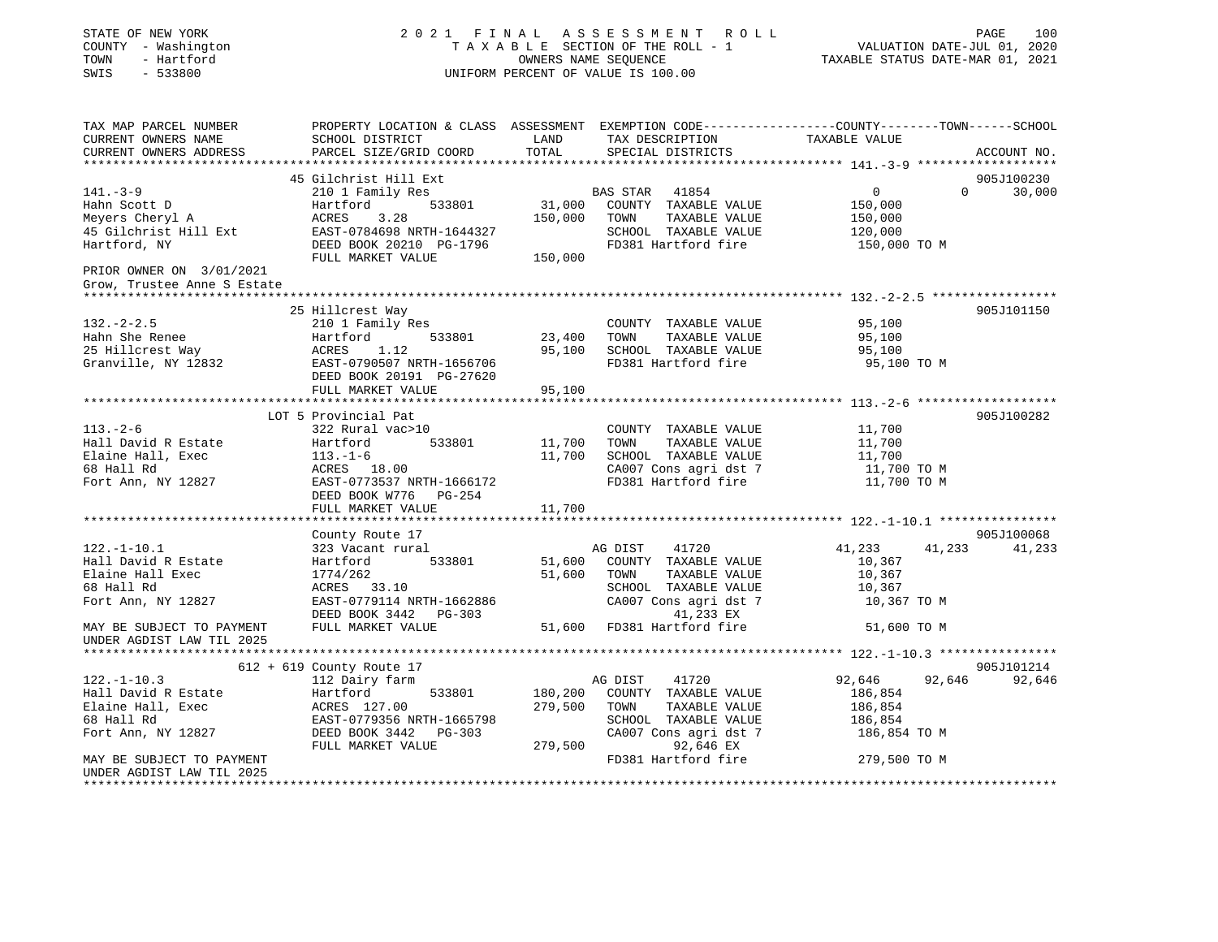| STATE OF NEW YORK<br>COUNTY - Washington<br>TOWN - Hartford<br>SWIS<br>$-533800$ |                                                                                 |         | 2021 FINAL ASSESSMENT ROLL<br>UNIFORM PERCENT OF VALUE IS 100.00 | 100<br>PAGE<br>$\begin{tabular}{lllllllllllll} \multicolumn{4}{c }{\begin{tabular}{lcccccc} \multicolumn{4}{c }{\begin{tabular}{lcccccc} \multicolumn{4}{c }{\begin{tabular}{lcccccc} \multicolumn{4}{c }{\begin{tabular}{lcccccc} \multicolumn{4}{c }{\begin{tabular}{lcccccc} \multicolumn{4}{c }{\begin{tabular}{c} \multicolumn{4}{c }{\multicolumn{4}{c}{} & \multicolumn{4}{c}{} & \multicolumn{4}{c}{} & \multicolumn{4}{c}{} & \multicolumn{4}{c}{} & \multicolumn{4}{c}{} & \multicolumn{4}{c}{} & \$ |
|----------------------------------------------------------------------------------|---------------------------------------------------------------------------------|---------|------------------------------------------------------------------|----------------------------------------------------------------------------------------------------------------------------------------------------------------------------------------------------------------------------------------------------------------------------------------------------------------------------------------------------------------------------------------------------------------------------------------------------------------------------------------------------------------|
| TAX MAP PARCEL NUMBER<br>CURRENT OWNERS NAME<br>CURRENT OWNERS ADDRESS           | SCHOOL DISTRICT<br>PARCEL SIZE/GRID COORD                                       | TOTAL   | LAND TAX DESCRIPTION TAXABLE VALUE<br>SPECIAL DISTRICTS          | PROPERTY LOCATION & CLASS ASSESSMENT EXEMPTION CODE-----------------COUNTY-------TOWN------SCHOOL<br>ACCOUNT NO.                                                                                                                                                                                                                                                                                                                                                                                               |
|                                                                                  | 45 Gilchrist Hill Ext                                                           |         |                                                                  | 905J100230                                                                                                                                                                                                                                                                                                                                                                                                                                                                                                     |
| $141. - 3 - 9$                                                                   | 210 1 Family Res                                                                |         | <b>BAS STAR 41854</b>                                            | $\overline{0}$<br>$\Omega$<br>30,000                                                                                                                                                                                                                                                                                                                                                                                                                                                                           |
| Hahn Scott D                                                                     | 533801<br>Hartford                                                              |         | 31,000 COUNTY TAXABLE VALUE                                      | 150,000                                                                                                                                                                                                                                                                                                                                                                                                                                                                                                        |
| наши scocc <i>D</i><br>Meyers Cheryl A                                           | ACRES 3.28                                                                      |         | 150,000 TOWN<br>TAXABLE VALUE                                    | 150,000                                                                                                                                                                                                                                                                                                                                                                                                                                                                                                        |
| 45 Gilchrist Hill Ext                                                            | EAST-0784698 NRTH-1644327<br>DEED BOOK 20210 PG-1796                            |         | SCHOOL TAXABLE VALUE                                             | 120,000                                                                                                                                                                                                                                                                                                                                                                                                                                                                                                        |
| Hartford, NY                                                                     | DEED BOOK 20210 PG-1796                                                         |         | FD381 Hartford fire                                              | 150,000 TO M                                                                                                                                                                                                                                                                                                                                                                                                                                                                                                   |
|                                                                                  | FULL MARKET VALUE 150,000                                                       |         |                                                                  |                                                                                                                                                                                                                                                                                                                                                                                                                                                                                                                |
| PRIOR OWNER ON 3/01/2021                                                         |                                                                                 |         |                                                                  |                                                                                                                                                                                                                                                                                                                                                                                                                                                                                                                |
| Grow, Trustee Anne S Estate                                                      |                                                                                 |         |                                                                  |                                                                                                                                                                                                                                                                                                                                                                                                                                                                                                                |
|                                                                                  |                                                                                 |         |                                                                  |                                                                                                                                                                                                                                                                                                                                                                                                                                                                                                                |
| $132 - 2 - 2.5$                                                                  | 25 Hillcrest Way<br>210 1 Family Res                                            |         | COUNTY TAXABLE VALUE                                             | 905J101150<br>95,100                                                                                                                                                                                                                                                                                                                                                                                                                                                                                           |
| Hahn She Renee                                                                   | Hartford 533801                                                                 |         | 23,400 TOWN TAXABLE VALUE                                        | 95,100                                                                                                                                                                                                                                                                                                                                                                                                                                                                                                         |
| 25 Hillcrest Way                                                                 |                                                                                 |         | 95,100 SCHOOL TAXABLE VALUE                                      | 95,100                                                                                                                                                                                                                                                                                                                                                                                                                                                                                                         |
| Granville, NY 12832                                                              | ACRES 1.12<br>EAST-0790507 NRTH-1656706                                         |         | FD381 Hartford fire                                              | 95,100 TO M                                                                                                                                                                                                                                                                                                                                                                                                                                                                                                    |
|                                                                                  | DEED BOOK 20191 PG-27620                                                        |         |                                                                  |                                                                                                                                                                                                                                                                                                                                                                                                                                                                                                                |
|                                                                                  | FULL MARKET VALUE                                                               | 95,100  |                                                                  |                                                                                                                                                                                                                                                                                                                                                                                                                                                                                                                |
|                                                                                  |                                                                                 |         |                                                                  |                                                                                                                                                                                                                                                                                                                                                                                                                                                                                                                |
|                                                                                  | LOT 5 Provincial Pat                                                            |         |                                                                  | 905J100282                                                                                                                                                                                                                                                                                                                                                                                                                                                                                                     |
| $113. - 2 - 6$                                                                   | 322 Rural vac>10                                                                |         | COUNTY TAXABLE VALUE                                             | 11,700                                                                                                                                                                                                                                                                                                                                                                                                                                                                                                         |
| Hall David R Estate                                                              | 533801<br>Hartford                                                              | 11,700  | TAXABLE VALUE<br>TOWN                                            |                                                                                                                                                                                                                                                                                                                                                                                                                                                                                                                |
| Elaine Hall, Exec                                                                | 113.-1-6<br>ACRES 18.00                                                         | 11,700  | SCHOOL TAXABLE VALUE                                             | 11,700<br>11,700<br>11,700 TO M                                                                                                                                                                                                                                                                                                                                                                                                                                                                                |
| 68 Hall Rd                                                                       |                                                                                 |         |                                                                  |                                                                                                                                                                                                                                                                                                                                                                                                                                                                                                                |
| Fort Ann, NY 12827                                                               | EAST-0773537 NRTH-1666172                                                       |         |                                                                  |                                                                                                                                                                                                                                                                                                                                                                                                                                                                                                                |
|                                                                                  | DEED BOOK W776 PG-254                                                           |         |                                                                  |                                                                                                                                                                                                                                                                                                                                                                                                                                                                                                                |
|                                                                                  | FULL MARKET VALUE                                                               | 11,700  |                                                                  |                                                                                                                                                                                                                                                                                                                                                                                                                                                                                                                |
|                                                                                  |                                                                                 |         |                                                                  | 905J100068                                                                                                                                                                                                                                                                                                                                                                                                                                                                                                     |
| $122. - 1 - 10.1$                                                                | County Route 17<br>323 Vacant rural                                             |         | AG DIST<br>41720                                                 | 41,233 41,233<br>41,233                                                                                                                                                                                                                                                                                                                                                                                                                                                                                        |
| Hall David R Estate                                                              | Hartford 533801                                                                 |         | 51,600 COUNTY TAXABLE VALUE                                      | 10,367                                                                                                                                                                                                                                                                                                                                                                                                                                                                                                         |
| Elaine Hall Exec                                                                 | 1774/262                                                                        | 51,600  | TOWN<br>TAXABLE VALUE                                            | 10,367                                                                                                                                                                                                                                                                                                                                                                                                                                                                                                         |
| 68 Hall Rd                                                                       | ACRES 33.10                                                                     |         | SCHOOL TAXABLE VALUE                                             | 10,367                                                                                                                                                                                                                                                                                                                                                                                                                                                                                                         |
| Fort Ann, NY 12827                                                               | EAST-0779114 NRTH-1662886                                                       |         | CA007 Cons agri dst 7                                            | 10,367 TO M                                                                                                                                                                                                                                                                                                                                                                                                                                                                                                    |
|                                                                                  | DEED BOOK 3442 PG-303<br>FULL MARKET VALUE                                      |         | 41,233 EX                                                        |                                                                                                                                                                                                                                                                                                                                                                                                                                                                                                                |
| MAY BE SUBJECT TO PAYMENT                                                        |                                                                                 |         | 51,600 FD381 Hartford fire                                       | 51,600 TO M                                                                                                                                                                                                                                                                                                                                                                                                                                                                                                    |
| UNDER AGDIST LAW TIL 2025                                                        |                                                                                 |         |                                                                  |                                                                                                                                                                                                                                                                                                                                                                                                                                                                                                                |
|                                                                                  |                                                                                 |         |                                                                  |                                                                                                                                                                                                                                                                                                                                                                                                                                                                                                                |
|                                                                                  | 612 + 619 County Route 17                                                       |         |                                                                  | 905J101214                                                                                                                                                                                                                                                                                                                                                                                                                                                                                                     |
| $122. - 1 - 10.3$                                                                | 112 Dairy farm                                                                  |         | 41720<br>AG DIST                                                 | 92,646<br>92,646<br>92,646                                                                                                                                                                                                                                                                                                                                                                                                                                                                                     |
| Hall David R Estate                                                              | Hartford<br>533801                                                              | 180,200 | COUNTY TAXABLE VALUE                                             | 186,854                                                                                                                                                                                                                                                                                                                                                                                                                                                                                                        |
| Elaine Hall, Exec                                                                | ACRES 127.00                                                                    | 279,500 | TAXABLE VALUE<br>TOWN                                            | 186,854                                                                                                                                                                                                                                                                                                                                                                                                                                                                                                        |
| 68 Hall Rd                                                                       | EAST-0779356 NRTH-1665798<br>EAST-0779356 NRTH-1665798<br>DEED BOOK 3442 PG-303 |         | SCHOOL TAXABLE VALUE                                             | 186,854                                                                                                                                                                                                                                                                                                                                                                                                                                                                                                        |
| Fort Ann, NY 12827                                                               | FULL MARKET VALUE                                                               |         | CA007 Cons agri dst 7<br>279,500<br>92,646 EX                    | 186,854 TO M                                                                                                                                                                                                                                                                                                                                                                                                                                                                                                   |
| MAY BE SUBJECT TO PAYMENT                                                        |                                                                                 |         | FD381 Hartford fire                                              | 279,500 TO M                                                                                                                                                                                                                                                                                                                                                                                                                                                                                                   |
| UNDER AGDIST LAW TIL 2025                                                        |                                                                                 |         |                                                                  |                                                                                                                                                                                                                                                                                                                                                                                                                                                                                                                |
|                                                                                  |                                                                                 |         |                                                                  |                                                                                                                                                                                                                                                                                                                                                                                                                                                                                                                |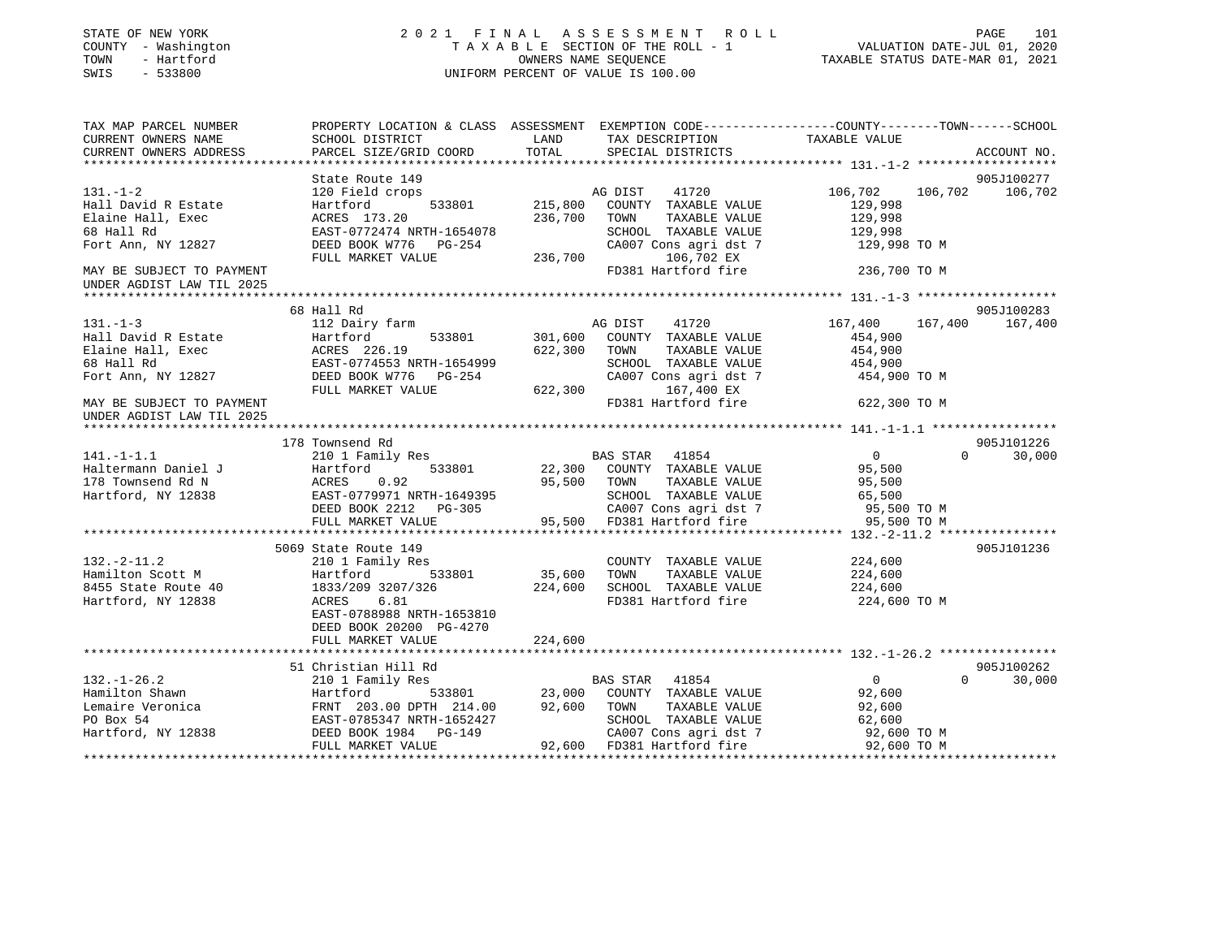| STATE OF NEW YORK<br>COUNTY - Washington<br>TOWN<br>- Hartford<br>$-533800$<br>SWIS |                                                                                                 |         | 2021 FINAL ASSESSMENT ROLL<br>T A X A B L E SECTION OF THE ROLL - 1<br>OWNERS NAME SEQUENCE<br>UNIFORM PERCENT OF VALUE IS 100.00 | VALUATION DATE-JUL 01, 2020<br>TAXABLE STATUS DATE-MAR 01, 2021 | PAGE<br>101        |
|-------------------------------------------------------------------------------------|-------------------------------------------------------------------------------------------------|---------|-----------------------------------------------------------------------------------------------------------------------------------|-----------------------------------------------------------------|--------------------|
| TAX MAP PARCEL NUMBER                                                               | PROPERTY LOCATION & CLASS ASSESSMENT EXEMPTION CODE----------------COUNTY-------TOWN-----SCHOOL |         |                                                                                                                                   |                                                                 |                    |
| CURRENT OWNERS NAME                                                                 | SCHOOL DISTRICT                                                                                 | LAND    | TAX DESCRIPTION TAXABLE VALUE                                                                                                     |                                                                 |                    |
| CURRENT OWNERS ADDRESS<br>**********************                                    | PARCEL SIZE/GRID COORD                                                                          | TOTAL   | SPECIAL DISTRICTS                                                                                                                 |                                                                 | ACCOUNT NO.        |
|                                                                                     | State Route 149                                                                                 |         |                                                                                                                                   |                                                                 | 905J100277         |
| $131. - 1 - 2$                                                                      | 120 Field crops                                                                                 |         | AG DIST<br>41720                                                                                                                  | 106,702                                                         | 106,702<br>106,702 |
| Hall David R Estate                                                                 | 533801<br>Hartford                                                                              | 215,800 | COUNTY TAXABLE VALUE                                                                                                              | 129,998                                                         |                    |
| Elaine Hall, Exec                                                                   | ACRES 173.20                                                                                    | 236,700 | TOWN<br>TAXABLE VALUE                                                                                                             | 129,998                                                         |                    |
| 68 Hall Rd                                                                          | EAST-0772474 NRTH-1654078                                                                       |         | SCHOOL TAXABLE VALUE                                                                                                              | 129,998                                                         |                    |
| Fort Ann, NY 12827                                                                  | DEED BOOK W776 PG-254                                                                           |         | CA007 Cons agri dst 7                                                                                                             | 129,998 TO M                                                    |                    |
|                                                                                     | FULL MARKET VALUE                                                                               | 236,700 | 106,702 EX                                                                                                                        |                                                                 |                    |
| MAY BE SUBJECT TO PAYMENT                                                           |                                                                                                 |         | FD381 Hartford fire                                                                                                               | 236,700 TO M                                                    |                    |
| UNDER AGDIST LAW TIL 2025                                                           |                                                                                                 |         |                                                                                                                                   |                                                                 |                    |
|                                                                                     |                                                                                                 |         |                                                                                                                                   |                                                                 |                    |
|                                                                                     | 68 Hall Rd                                                                                      |         |                                                                                                                                   |                                                                 | 905J100283         |
| $131. -1 - 3$                                                                       | 112 Dairy farm                                                                                  |         | AG DIST<br>41720                                                                                                                  | 167,400                                                         | 167,400<br>167,400 |
| Hall David R Estate                                                                 | 533801<br>Hartford                                                                              |         | 301,600 COUNTY TAXABLE VALUE                                                                                                      | 454,900                                                         |                    |
| Elaine Hall, Exec                                                                   | ACRES 226.19                                                                                    | 622,300 | TOWN<br>TAXABLE VALUE                                                                                                             | 454,900                                                         |                    |
| 68 Hall Rd<br>Fort Ann, NY 12827                                                    | EAST-0774553 NRTH-1654999<br>DEED BOOK W776 PG-254                                              |         | SCHOOL TAXABLE VALUE                                                                                                              | 454,900<br>454,900 TO M                                         |                    |
|                                                                                     | FULL MARKET VALUE                                                                               | 622,300 | CA007 Cons agri dst 7<br>167,400 EX                                                                                               |                                                                 |                    |
| MAY BE SUBJECT TO PAYMENT                                                           |                                                                                                 |         | FD381 Hartford fire                                                                                                               | 622,300 TO M                                                    |                    |
| UNDER AGDIST LAW TIL 2025                                                           |                                                                                                 |         |                                                                                                                                   |                                                                 |                    |
|                                                                                     |                                                                                                 |         |                                                                                                                                   |                                                                 |                    |
|                                                                                     | 178 Townsend Rd                                                                                 |         |                                                                                                                                   |                                                                 | 905J101226         |
| $141. - 1 - 1.1$                                                                    | 210 1 Family Res                                                                                |         | <b>BAS STAR</b> 41854                                                                                                             | $\overline{0}$                                                  | $\Omega$<br>30,000 |
| Haltermann Daniel J                                                                 | 533801<br>Hartford                                                                              |         | 22,300 COUNTY TAXABLE VALUE                                                                                                       | 95,500                                                          |                    |
| 178 Townsend Rd N                                                                   | 0.92<br>ACRES                                                                                   |         | 95,500 TOWN<br>TAXABLE VALUE                                                                                                      | 95,500                                                          |                    |
| Hartford, NY 12838                                                                  | EAST-0779971 NRTH-1649395                                                                       |         | SCHOOL TAXABLE VALUE                                                                                                              | 65,500                                                          |                    |
|                                                                                     | DEED BOOK 2212 PG-305                                                                           |         |                                                                                                                                   | 95,500 TO M                                                     |                    |
|                                                                                     | FULL MARKET VALUE                                                                               |         |                                                                                                                                   | 95,500 TO M                                                     |                    |
|                                                                                     |                                                                                                 |         |                                                                                                                                   |                                                                 |                    |
| $132.-2-11.2$                                                                       | 5069 State Route 149<br>210 1 Family Res                                                        |         | COUNTY TAXABLE VALUE                                                                                                              | 224,600                                                         | 905J101236         |
| Hamilton Scott M                                                                    | Hartford 533801                                                                                 | 35,600  | TOWN<br>TAXABLE VALUE                                                                                                             | 224,600                                                         |                    |
| 8455 State Route 40                                                                 | 1833/209 3207/326                                                                               | 224,600 | SCHOOL TAXABLE VALUE                                                                                                              | 224,600                                                         |                    |
| Hartford, NY 12838                                                                  | ACRES<br>6.81                                                                                   |         | FD381 Hartford fire                                                                                                               | 224,600 TO M                                                    |                    |
|                                                                                     | EAST-0788988 NRTH-1653810                                                                       |         |                                                                                                                                   |                                                                 |                    |
|                                                                                     | DEED BOOK 20200 PG-4270                                                                         |         |                                                                                                                                   |                                                                 |                    |
|                                                                                     | FULL MARKET VALUE                                                                               | 224,600 |                                                                                                                                   |                                                                 |                    |
|                                                                                     |                                                                                                 |         |                                                                                                                                   |                                                                 |                    |
|                                                                                     | 51 Christian Hill Rd                                                                            |         |                                                                                                                                   |                                                                 | 905J100262         |
| $132. - 1 - 26.2$                                                                   | 210 1 Family Res<br>$\frac{1}{533801}$<br>30 DDTH $\frac{214.00}{100}$                          |         | BAS STAR 41854                                                                                                                    | $\overline{0}$                                                  | $\Omega$<br>30,000 |
| Hamilton Shawn                                                                      | Hartford 533801<br>FRNT 203.00 DPTH 214.00<br>EAST-0785347 NRTH-1652427                         |         | 23,000 COUNTY TAXABLE VALUE                                                                                                       | 92,600                                                          |                    |
| Lemaire Veronica                                                                    |                                                                                                 |         | 92,600 TOWN<br>TAXABLE VALUE                                                                                                      | 92,600                                                          |                    |
| PO Box 54                                                                           | EAST-0785347 NRTH-1652427                                                                       |         | SCHOOL TAXABLE VALUE                                                                                                              | 62,600                                                          |                    |
| Hartford, NY 12838                                                                  | DEED BOOK 1984    PG-149                                                                        |         | CA007 Cons agri dst 7                                                                                                             | 92,600 TO M                                                     |                    |
|                                                                                     | FULL MARKET VALUE                                                                               |         | 92,600 FD381 Hartford fire                                                                                                        | 92,600 TO M                                                     |                    |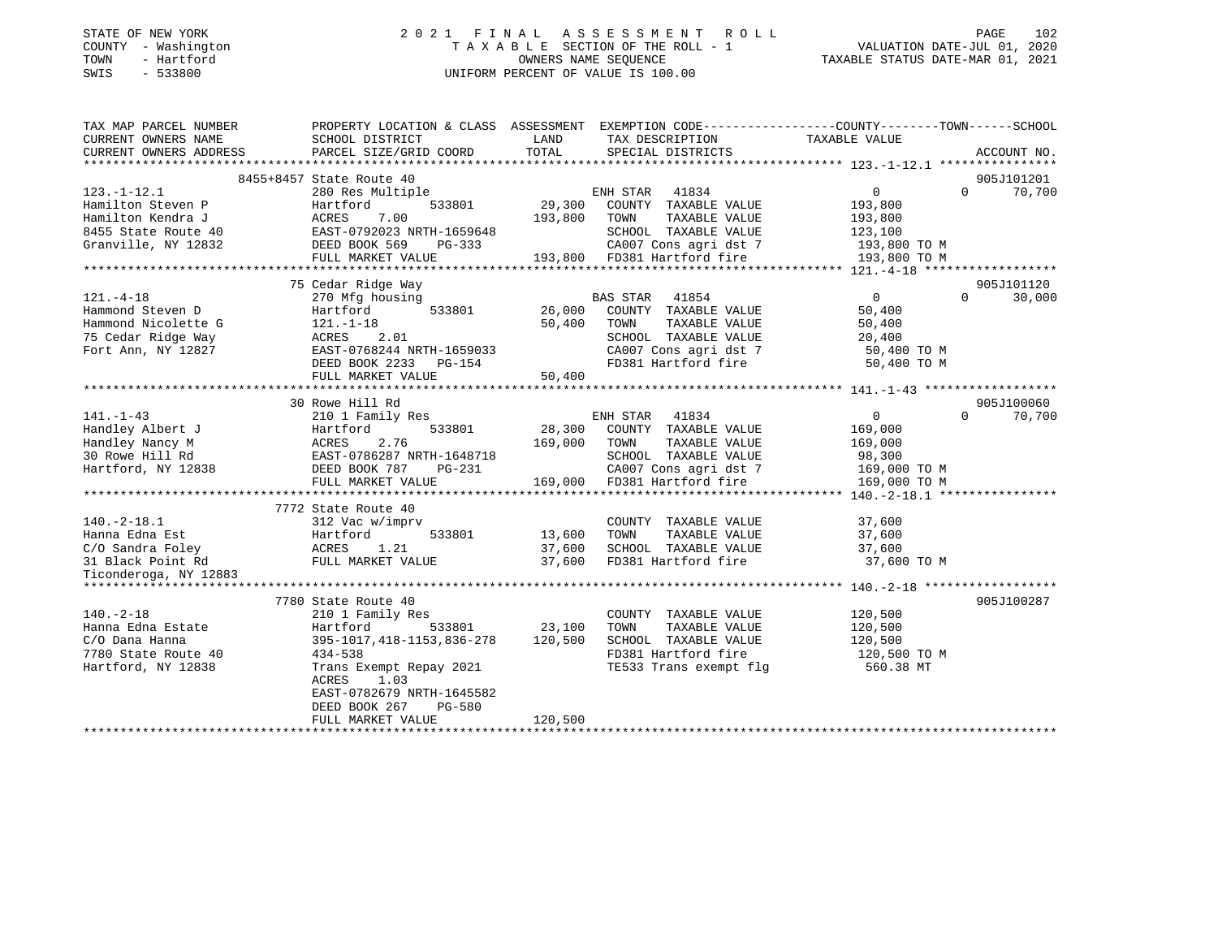| STATE OF NEW YORK |        |              |
|-------------------|--------|--------------|
| COUNTY            |        | - Washington |
| TOWN              |        | - Hartford   |
| <b>CMTC</b>       | $\sim$ | 533800       |

# STATE OF NEW YORK 2 0 2 1 F I N A L A S S E S S M E N T R O L L PAGE 102 COUNTY - Washington T A X A B L E SECTION OF THE ROLL - 1 VALUATION DATE-JUL 01, 2020 OWNERS NAME SEQUENCE TAXABLE STATUS DATE-MAR 01, 2021 SWIS - 533800 UNIFORM PERCENT OF VALUE IS 100.00

| LAND<br>TAXABLE VALUE<br>CURRENT OWNERS NAME<br>SCHOOL DISTRICT<br>TAX DESCRIPTION<br>TOTAL<br>SPECIAL DISTRICTS<br>CURRENT OWNERS ADDRESS<br>PARCEL SIZE/GRID COORD<br>ACCOUNT NO.<br>8455+8457 State Route 40<br>905J101201<br>$\overline{0}$<br>70,700<br>$123. - 1 - 12.1$<br>ENH STAR<br>41834<br>$\Omega$<br>280 Res Multiple<br>29,300<br>Hamilton Steven P<br>Hartford<br>533801<br>COUNTY TAXABLE VALUE<br>193,800<br>Hamilton Kendra J<br>7.00<br>193,800<br>TAXABLE VALUE<br>ACRES<br>TOWN<br>193,800<br>8455 State Route 40<br>EAST-0792023 NRTH-1659648<br>SCHOOL TAXABLE VALUE<br>123,100<br>CA007 Cons agri dst 7<br>Granville, NY 12832<br>DEED BOOK 569<br>PG-333<br>193,800 TO M<br>193,800 FD381 Hartford fire<br>FULL MARKET VALUE<br>193,800 TO M<br>75 Cedar Ridge Way<br>905J101120<br>$121. -4 - 18$<br>270 Mfg housing<br>BAS STAR 41854<br>$\mathbf{0}$<br>$\Omega$<br>30,000<br>Hammond Steven D<br>Hartford<br>533801<br>26,000<br>COUNTY TAXABLE VALUE<br>50,400<br>Hammond Nicolette G<br>$121. - 1 - 18$<br>50,400<br>TOWN<br>TAXABLE VALUE<br>50,400<br>2.01<br>SCHOOL TAXABLE VALUE<br>75 Cedar Ridge Way<br>ACRES<br>20,400<br>Fort Ann, NY 12827<br>EAST-0768244 NRTH-1659033<br>CA007 Cons agri dst 7<br>50,400 TO M<br>FD381 Hartford fire<br>DEED BOOK 2233 PG-154<br>50,400 TO M<br>FULL MARKET VALUE<br>50,400<br>905J100060<br>30 Rowe Hill Rd<br>ENH STAR<br>41834<br>$\overline{0}$<br>210 1 Family Res<br>$\Omega$<br>70,700<br>533801<br>28,300 COUNTY TAXABLE VALUE<br>Hartford<br>169,000<br>2.76<br>169,000<br>TAXABLE VALUE<br>ACRES<br>TOWN<br>169,000<br>EAST-0786287 NRTH-1648718<br>SCHOOL TAXABLE VALUE<br>98,300<br>Hartford, NY 12838<br>DEED BOOK 787<br>CA007 Cons agri dst 7<br>169,000 TO M<br>PG-231<br>169,000<br>FD381 Hartford fire<br>FULL MARKET VALUE<br>169,000 TO M<br>7772 State Route 40<br>$140. -2 - 18.1$<br>COUNTY TAXABLE VALUE<br>37,600<br>312 Vac w/imprv<br>Hanna Edna Est<br>Hartford<br>533801<br>13,600<br>TOWN<br>TAXABLE VALUE<br>37,600<br>ACRES<br>FULL N<br>C/O Sandra Foley<br>1.21<br>37,600<br>SCHOOL TAXABLE VALUE<br>37,600<br>FULL MARKET VALUE<br>37,600<br>FD381 Hartford fire<br>31 Black Point Rd<br>37,600 TO M<br>Ticonderoga, NY 12883<br>905J100287<br>7780 State Route 40<br>$140. -2 - 18$<br>COUNTY TAXABLE VALUE<br>120,500<br>210 1 Family Res<br>533801<br>23,100<br>TAXABLE VALUE<br>120,500<br>Hanna Edna Estate<br>Hartford<br>TOWN<br>395-1017, 418-1153, 836-278<br>120,500<br>SCHOOL TAXABLE VALUE<br>120,500<br>C/O Dana Hanna<br>FD381 Hartford fire<br>$434 - 538$<br>120,500 TO M<br>7780 State Route 40<br>TE533 Trans exempt flg<br>Hartford, NY 12838<br>Trans Exempt Repay 2021<br>560.38 MT<br>ACRES<br>1.03<br>EAST-0782679 NRTH-1645582<br>DEED BOOK 267<br>PG-580<br>120,500<br>FULL MARKET VALUE | TAX MAP PARCEL NUMBER | PROPERTY LOCATION & CLASS ASSESSMENT EXEMPTION CODE---------------COUNTY-------TOWN-----SCHOOL |  |  |
|---------------------------------------------------------------------------------------------------------------------------------------------------------------------------------------------------------------------------------------------------------------------------------------------------------------------------------------------------------------------------------------------------------------------------------------------------------------------------------------------------------------------------------------------------------------------------------------------------------------------------------------------------------------------------------------------------------------------------------------------------------------------------------------------------------------------------------------------------------------------------------------------------------------------------------------------------------------------------------------------------------------------------------------------------------------------------------------------------------------------------------------------------------------------------------------------------------------------------------------------------------------------------------------------------------------------------------------------------------------------------------------------------------------------------------------------------------------------------------------------------------------------------------------------------------------------------------------------------------------------------------------------------------------------------------------------------------------------------------------------------------------------------------------------------------------------------------------------------------------------------------------------------------------------------------------------------------------------------------------------------------------------------------------------------------------------------------------------------------------------------------------------------------------------------------------------------------------------------------------------------------------------------------------------------------------------------------------------------------------------------------------------------------------------------------------------------------------------------------------------------------------------------------------------------------------------------------------------------------------------------------------------------------------------------------------------------------------------------------------------------------------------------------------------------------------------------------|-----------------------|------------------------------------------------------------------------------------------------|--|--|
|                                                                                                                                                                                                                                                                                                                                                                                                                                                                                                                                                                                                                                                                                                                                                                                                                                                                                                                                                                                                                                                                                                                                                                                                                                                                                                                                                                                                                                                                                                                                                                                                                                                                                                                                                                                                                                                                                                                                                                                                                                                                                                                                                                                                                                                                                                                                                                                                                                                                                                                                                                                                                                                                                                                                                                                                                                 |                       |                                                                                                |  |  |
|                                                                                                                                                                                                                                                                                                                                                                                                                                                                                                                                                                                                                                                                                                                                                                                                                                                                                                                                                                                                                                                                                                                                                                                                                                                                                                                                                                                                                                                                                                                                                                                                                                                                                                                                                                                                                                                                                                                                                                                                                                                                                                                                                                                                                                                                                                                                                                                                                                                                                                                                                                                                                                                                                                                                                                                                                                 |                       |                                                                                                |  |  |
|                                                                                                                                                                                                                                                                                                                                                                                                                                                                                                                                                                                                                                                                                                                                                                                                                                                                                                                                                                                                                                                                                                                                                                                                                                                                                                                                                                                                                                                                                                                                                                                                                                                                                                                                                                                                                                                                                                                                                                                                                                                                                                                                                                                                                                                                                                                                                                                                                                                                                                                                                                                                                                                                                                                                                                                                                                 |                       |                                                                                                |  |  |
|                                                                                                                                                                                                                                                                                                                                                                                                                                                                                                                                                                                                                                                                                                                                                                                                                                                                                                                                                                                                                                                                                                                                                                                                                                                                                                                                                                                                                                                                                                                                                                                                                                                                                                                                                                                                                                                                                                                                                                                                                                                                                                                                                                                                                                                                                                                                                                                                                                                                                                                                                                                                                                                                                                                                                                                                                                 |                       |                                                                                                |  |  |
|                                                                                                                                                                                                                                                                                                                                                                                                                                                                                                                                                                                                                                                                                                                                                                                                                                                                                                                                                                                                                                                                                                                                                                                                                                                                                                                                                                                                                                                                                                                                                                                                                                                                                                                                                                                                                                                                                                                                                                                                                                                                                                                                                                                                                                                                                                                                                                                                                                                                                                                                                                                                                                                                                                                                                                                                                                 |                       |                                                                                                |  |  |
|                                                                                                                                                                                                                                                                                                                                                                                                                                                                                                                                                                                                                                                                                                                                                                                                                                                                                                                                                                                                                                                                                                                                                                                                                                                                                                                                                                                                                                                                                                                                                                                                                                                                                                                                                                                                                                                                                                                                                                                                                                                                                                                                                                                                                                                                                                                                                                                                                                                                                                                                                                                                                                                                                                                                                                                                                                 |                       |                                                                                                |  |  |
|                                                                                                                                                                                                                                                                                                                                                                                                                                                                                                                                                                                                                                                                                                                                                                                                                                                                                                                                                                                                                                                                                                                                                                                                                                                                                                                                                                                                                                                                                                                                                                                                                                                                                                                                                                                                                                                                                                                                                                                                                                                                                                                                                                                                                                                                                                                                                                                                                                                                                                                                                                                                                                                                                                                                                                                                                                 |                       |                                                                                                |  |  |
|                                                                                                                                                                                                                                                                                                                                                                                                                                                                                                                                                                                                                                                                                                                                                                                                                                                                                                                                                                                                                                                                                                                                                                                                                                                                                                                                                                                                                                                                                                                                                                                                                                                                                                                                                                                                                                                                                                                                                                                                                                                                                                                                                                                                                                                                                                                                                                                                                                                                                                                                                                                                                                                                                                                                                                                                                                 |                       |                                                                                                |  |  |
|                                                                                                                                                                                                                                                                                                                                                                                                                                                                                                                                                                                                                                                                                                                                                                                                                                                                                                                                                                                                                                                                                                                                                                                                                                                                                                                                                                                                                                                                                                                                                                                                                                                                                                                                                                                                                                                                                                                                                                                                                                                                                                                                                                                                                                                                                                                                                                                                                                                                                                                                                                                                                                                                                                                                                                                                                                 |                       |                                                                                                |  |  |
|                                                                                                                                                                                                                                                                                                                                                                                                                                                                                                                                                                                                                                                                                                                                                                                                                                                                                                                                                                                                                                                                                                                                                                                                                                                                                                                                                                                                                                                                                                                                                                                                                                                                                                                                                                                                                                                                                                                                                                                                                                                                                                                                                                                                                                                                                                                                                                                                                                                                                                                                                                                                                                                                                                                                                                                                                                 |                       |                                                                                                |  |  |
|                                                                                                                                                                                                                                                                                                                                                                                                                                                                                                                                                                                                                                                                                                                                                                                                                                                                                                                                                                                                                                                                                                                                                                                                                                                                                                                                                                                                                                                                                                                                                                                                                                                                                                                                                                                                                                                                                                                                                                                                                                                                                                                                                                                                                                                                                                                                                                                                                                                                                                                                                                                                                                                                                                                                                                                                                                 |                       |                                                                                                |  |  |
|                                                                                                                                                                                                                                                                                                                                                                                                                                                                                                                                                                                                                                                                                                                                                                                                                                                                                                                                                                                                                                                                                                                                                                                                                                                                                                                                                                                                                                                                                                                                                                                                                                                                                                                                                                                                                                                                                                                                                                                                                                                                                                                                                                                                                                                                                                                                                                                                                                                                                                                                                                                                                                                                                                                                                                                                                                 |                       |                                                                                                |  |  |
|                                                                                                                                                                                                                                                                                                                                                                                                                                                                                                                                                                                                                                                                                                                                                                                                                                                                                                                                                                                                                                                                                                                                                                                                                                                                                                                                                                                                                                                                                                                                                                                                                                                                                                                                                                                                                                                                                                                                                                                                                                                                                                                                                                                                                                                                                                                                                                                                                                                                                                                                                                                                                                                                                                                                                                                                                                 |                       |                                                                                                |  |  |
|                                                                                                                                                                                                                                                                                                                                                                                                                                                                                                                                                                                                                                                                                                                                                                                                                                                                                                                                                                                                                                                                                                                                                                                                                                                                                                                                                                                                                                                                                                                                                                                                                                                                                                                                                                                                                                                                                                                                                                                                                                                                                                                                                                                                                                                                                                                                                                                                                                                                                                                                                                                                                                                                                                                                                                                                                                 |                       |                                                                                                |  |  |
|                                                                                                                                                                                                                                                                                                                                                                                                                                                                                                                                                                                                                                                                                                                                                                                                                                                                                                                                                                                                                                                                                                                                                                                                                                                                                                                                                                                                                                                                                                                                                                                                                                                                                                                                                                                                                                                                                                                                                                                                                                                                                                                                                                                                                                                                                                                                                                                                                                                                                                                                                                                                                                                                                                                                                                                                                                 |                       |                                                                                                |  |  |
|                                                                                                                                                                                                                                                                                                                                                                                                                                                                                                                                                                                                                                                                                                                                                                                                                                                                                                                                                                                                                                                                                                                                                                                                                                                                                                                                                                                                                                                                                                                                                                                                                                                                                                                                                                                                                                                                                                                                                                                                                                                                                                                                                                                                                                                                                                                                                                                                                                                                                                                                                                                                                                                                                                                                                                                                                                 |                       |                                                                                                |  |  |
|                                                                                                                                                                                                                                                                                                                                                                                                                                                                                                                                                                                                                                                                                                                                                                                                                                                                                                                                                                                                                                                                                                                                                                                                                                                                                                                                                                                                                                                                                                                                                                                                                                                                                                                                                                                                                                                                                                                                                                                                                                                                                                                                                                                                                                                                                                                                                                                                                                                                                                                                                                                                                                                                                                                                                                                                                                 |                       |                                                                                                |  |  |
|                                                                                                                                                                                                                                                                                                                                                                                                                                                                                                                                                                                                                                                                                                                                                                                                                                                                                                                                                                                                                                                                                                                                                                                                                                                                                                                                                                                                                                                                                                                                                                                                                                                                                                                                                                                                                                                                                                                                                                                                                                                                                                                                                                                                                                                                                                                                                                                                                                                                                                                                                                                                                                                                                                                                                                                                                                 |                       |                                                                                                |  |  |
|                                                                                                                                                                                                                                                                                                                                                                                                                                                                                                                                                                                                                                                                                                                                                                                                                                                                                                                                                                                                                                                                                                                                                                                                                                                                                                                                                                                                                                                                                                                                                                                                                                                                                                                                                                                                                                                                                                                                                                                                                                                                                                                                                                                                                                                                                                                                                                                                                                                                                                                                                                                                                                                                                                                                                                                                                                 |                       |                                                                                                |  |  |
|                                                                                                                                                                                                                                                                                                                                                                                                                                                                                                                                                                                                                                                                                                                                                                                                                                                                                                                                                                                                                                                                                                                                                                                                                                                                                                                                                                                                                                                                                                                                                                                                                                                                                                                                                                                                                                                                                                                                                                                                                                                                                                                                                                                                                                                                                                                                                                                                                                                                                                                                                                                                                                                                                                                                                                                                                                 |                       |                                                                                                |  |  |
|                                                                                                                                                                                                                                                                                                                                                                                                                                                                                                                                                                                                                                                                                                                                                                                                                                                                                                                                                                                                                                                                                                                                                                                                                                                                                                                                                                                                                                                                                                                                                                                                                                                                                                                                                                                                                                                                                                                                                                                                                                                                                                                                                                                                                                                                                                                                                                                                                                                                                                                                                                                                                                                                                                                                                                                                                                 |                       |                                                                                                |  |  |
|                                                                                                                                                                                                                                                                                                                                                                                                                                                                                                                                                                                                                                                                                                                                                                                                                                                                                                                                                                                                                                                                                                                                                                                                                                                                                                                                                                                                                                                                                                                                                                                                                                                                                                                                                                                                                                                                                                                                                                                                                                                                                                                                                                                                                                                                                                                                                                                                                                                                                                                                                                                                                                                                                                                                                                                                                                 | $141. - 1 - 43$       |                                                                                                |  |  |
|                                                                                                                                                                                                                                                                                                                                                                                                                                                                                                                                                                                                                                                                                                                                                                                                                                                                                                                                                                                                                                                                                                                                                                                                                                                                                                                                                                                                                                                                                                                                                                                                                                                                                                                                                                                                                                                                                                                                                                                                                                                                                                                                                                                                                                                                                                                                                                                                                                                                                                                                                                                                                                                                                                                                                                                                                                 | Handley Albert J      |                                                                                                |  |  |
|                                                                                                                                                                                                                                                                                                                                                                                                                                                                                                                                                                                                                                                                                                                                                                                                                                                                                                                                                                                                                                                                                                                                                                                                                                                                                                                                                                                                                                                                                                                                                                                                                                                                                                                                                                                                                                                                                                                                                                                                                                                                                                                                                                                                                                                                                                                                                                                                                                                                                                                                                                                                                                                                                                                                                                                                                                 | Handley Nancy M       |                                                                                                |  |  |
|                                                                                                                                                                                                                                                                                                                                                                                                                                                                                                                                                                                                                                                                                                                                                                                                                                                                                                                                                                                                                                                                                                                                                                                                                                                                                                                                                                                                                                                                                                                                                                                                                                                                                                                                                                                                                                                                                                                                                                                                                                                                                                                                                                                                                                                                                                                                                                                                                                                                                                                                                                                                                                                                                                                                                                                                                                 | 30 Rowe Hill Rd       |                                                                                                |  |  |
|                                                                                                                                                                                                                                                                                                                                                                                                                                                                                                                                                                                                                                                                                                                                                                                                                                                                                                                                                                                                                                                                                                                                                                                                                                                                                                                                                                                                                                                                                                                                                                                                                                                                                                                                                                                                                                                                                                                                                                                                                                                                                                                                                                                                                                                                                                                                                                                                                                                                                                                                                                                                                                                                                                                                                                                                                                 |                       |                                                                                                |  |  |
|                                                                                                                                                                                                                                                                                                                                                                                                                                                                                                                                                                                                                                                                                                                                                                                                                                                                                                                                                                                                                                                                                                                                                                                                                                                                                                                                                                                                                                                                                                                                                                                                                                                                                                                                                                                                                                                                                                                                                                                                                                                                                                                                                                                                                                                                                                                                                                                                                                                                                                                                                                                                                                                                                                                                                                                                                                 |                       |                                                                                                |  |  |
|                                                                                                                                                                                                                                                                                                                                                                                                                                                                                                                                                                                                                                                                                                                                                                                                                                                                                                                                                                                                                                                                                                                                                                                                                                                                                                                                                                                                                                                                                                                                                                                                                                                                                                                                                                                                                                                                                                                                                                                                                                                                                                                                                                                                                                                                                                                                                                                                                                                                                                                                                                                                                                                                                                                                                                                                                                 |                       |                                                                                                |  |  |
|                                                                                                                                                                                                                                                                                                                                                                                                                                                                                                                                                                                                                                                                                                                                                                                                                                                                                                                                                                                                                                                                                                                                                                                                                                                                                                                                                                                                                                                                                                                                                                                                                                                                                                                                                                                                                                                                                                                                                                                                                                                                                                                                                                                                                                                                                                                                                                                                                                                                                                                                                                                                                                                                                                                                                                                                                                 |                       |                                                                                                |  |  |
|                                                                                                                                                                                                                                                                                                                                                                                                                                                                                                                                                                                                                                                                                                                                                                                                                                                                                                                                                                                                                                                                                                                                                                                                                                                                                                                                                                                                                                                                                                                                                                                                                                                                                                                                                                                                                                                                                                                                                                                                                                                                                                                                                                                                                                                                                                                                                                                                                                                                                                                                                                                                                                                                                                                                                                                                                                 |                       |                                                                                                |  |  |
|                                                                                                                                                                                                                                                                                                                                                                                                                                                                                                                                                                                                                                                                                                                                                                                                                                                                                                                                                                                                                                                                                                                                                                                                                                                                                                                                                                                                                                                                                                                                                                                                                                                                                                                                                                                                                                                                                                                                                                                                                                                                                                                                                                                                                                                                                                                                                                                                                                                                                                                                                                                                                                                                                                                                                                                                                                 |                       |                                                                                                |  |  |
|                                                                                                                                                                                                                                                                                                                                                                                                                                                                                                                                                                                                                                                                                                                                                                                                                                                                                                                                                                                                                                                                                                                                                                                                                                                                                                                                                                                                                                                                                                                                                                                                                                                                                                                                                                                                                                                                                                                                                                                                                                                                                                                                                                                                                                                                                                                                                                                                                                                                                                                                                                                                                                                                                                                                                                                                                                 |                       |                                                                                                |  |  |
|                                                                                                                                                                                                                                                                                                                                                                                                                                                                                                                                                                                                                                                                                                                                                                                                                                                                                                                                                                                                                                                                                                                                                                                                                                                                                                                                                                                                                                                                                                                                                                                                                                                                                                                                                                                                                                                                                                                                                                                                                                                                                                                                                                                                                                                                                                                                                                                                                                                                                                                                                                                                                                                                                                                                                                                                                                 |                       |                                                                                                |  |  |
|                                                                                                                                                                                                                                                                                                                                                                                                                                                                                                                                                                                                                                                                                                                                                                                                                                                                                                                                                                                                                                                                                                                                                                                                                                                                                                                                                                                                                                                                                                                                                                                                                                                                                                                                                                                                                                                                                                                                                                                                                                                                                                                                                                                                                                                                                                                                                                                                                                                                                                                                                                                                                                                                                                                                                                                                                                 |                       |                                                                                                |  |  |
|                                                                                                                                                                                                                                                                                                                                                                                                                                                                                                                                                                                                                                                                                                                                                                                                                                                                                                                                                                                                                                                                                                                                                                                                                                                                                                                                                                                                                                                                                                                                                                                                                                                                                                                                                                                                                                                                                                                                                                                                                                                                                                                                                                                                                                                                                                                                                                                                                                                                                                                                                                                                                                                                                                                                                                                                                                 |                       |                                                                                                |  |  |
|                                                                                                                                                                                                                                                                                                                                                                                                                                                                                                                                                                                                                                                                                                                                                                                                                                                                                                                                                                                                                                                                                                                                                                                                                                                                                                                                                                                                                                                                                                                                                                                                                                                                                                                                                                                                                                                                                                                                                                                                                                                                                                                                                                                                                                                                                                                                                                                                                                                                                                                                                                                                                                                                                                                                                                                                                                 |                       |                                                                                                |  |  |
|                                                                                                                                                                                                                                                                                                                                                                                                                                                                                                                                                                                                                                                                                                                                                                                                                                                                                                                                                                                                                                                                                                                                                                                                                                                                                                                                                                                                                                                                                                                                                                                                                                                                                                                                                                                                                                                                                                                                                                                                                                                                                                                                                                                                                                                                                                                                                                                                                                                                                                                                                                                                                                                                                                                                                                                                                                 |                       |                                                                                                |  |  |
|                                                                                                                                                                                                                                                                                                                                                                                                                                                                                                                                                                                                                                                                                                                                                                                                                                                                                                                                                                                                                                                                                                                                                                                                                                                                                                                                                                                                                                                                                                                                                                                                                                                                                                                                                                                                                                                                                                                                                                                                                                                                                                                                                                                                                                                                                                                                                                                                                                                                                                                                                                                                                                                                                                                                                                                                                                 |                       |                                                                                                |  |  |
|                                                                                                                                                                                                                                                                                                                                                                                                                                                                                                                                                                                                                                                                                                                                                                                                                                                                                                                                                                                                                                                                                                                                                                                                                                                                                                                                                                                                                                                                                                                                                                                                                                                                                                                                                                                                                                                                                                                                                                                                                                                                                                                                                                                                                                                                                                                                                                                                                                                                                                                                                                                                                                                                                                                                                                                                                                 |                       |                                                                                                |  |  |
|                                                                                                                                                                                                                                                                                                                                                                                                                                                                                                                                                                                                                                                                                                                                                                                                                                                                                                                                                                                                                                                                                                                                                                                                                                                                                                                                                                                                                                                                                                                                                                                                                                                                                                                                                                                                                                                                                                                                                                                                                                                                                                                                                                                                                                                                                                                                                                                                                                                                                                                                                                                                                                                                                                                                                                                                                                 |                       |                                                                                                |  |  |
|                                                                                                                                                                                                                                                                                                                                                                                                                                                                                                                                                                                                                                                                                                                                                                                                                                                                                                                                                                                                                                                                                                                                                                                                                                                                                                                                                                                                                                                                                                                                                                                                                                                                                                                                                                                                                                                                                                                                                                                                                                                                                                                                                                                                                                                                                                                                                                                                                                                                                                                                                                                                                                                                                                                                                                                                                                 |                       |                                                                                                |  |  |
|                                                                                                                                                                                                                                                                                                                                                                                                                                                                                                                                                                                                                                                                                                                                                                                                                                                                                                                                                                                                                                                                                                                                                                                                                                                                                                                                                                                                                                                                                                                                                                                                                                                                                                                                                                                                                                                                                                                                                                                                                                                                                                                                                                                                                                                                                                                                                                                                                                                                                                                                                                                                                                                                                                                                                                                                                                 |                       |                                                                                                |  |  |
|                                                                                                                                                                                                                                                                                                                                                                                                                                                                                                                                                                                                                                                                                                                                                                                                                                                                                                                                                                                                                                                                                                                                                                                                                                                                                                                                                                                                                                                                                                                                                                                                                                                                                                                                                                                                                                                                                                                                                                                                                                                                                                                                                                                                                                                                                                                                                                                                                                                                                                                                                                                                                                                                                                                                                                                                                                 |                       |                                                                                                |  |  |
|                                                                                                                                                                                                                                                                                                                                                                                                                                                                                                                                                                                                                                                                                                                                                                                                                                                                                                                                                                                                                                                                                                                                                                                                                                                                                                                                                                                                                                                                                                                                                                                                                                                                                                                                                                                                                                                                                                                                                                                                                                                                                                                                                                                                                                                                                                                                                                                                                                                                                                                                                                                                                                                                                                                                                                                                                                 |                       |                                                                                                |  |  |
|                                                                                                                                                                                                                                                                                                                                                                                                                                                                                                                                                                                                                                                                                                                                                                                                                                                                                                                                                                                                                                                                                                                                                                                                                                                                                                                                                                                                                                                                                                                                                                                                                                                                                                                                                                                                                                                                                                                                                                                                                                                                                                                                                                                                                                                                                                                                                                                                                                                                                                                                                                                                                                                                                                                                                                                                                                 |                       |                                                                                                |  |  |
|                                                                                                                                                                                                                                                                                                                                                                                                                                                                                                                                                                                                                                                                                                                                                                                                                                                                                                                                                                                                                                                                                                                                                                                                                                                                                                                                                                                                                                                                                                                                                                                                                                                                                                                                                                                                                                                                                                                                                                                                                                                                                                                                                                                                                                                                                                                                                                                                                                                                                                                                                                                                                                                                                                                                                                                                                                 |                       |                                                                                                |  |  |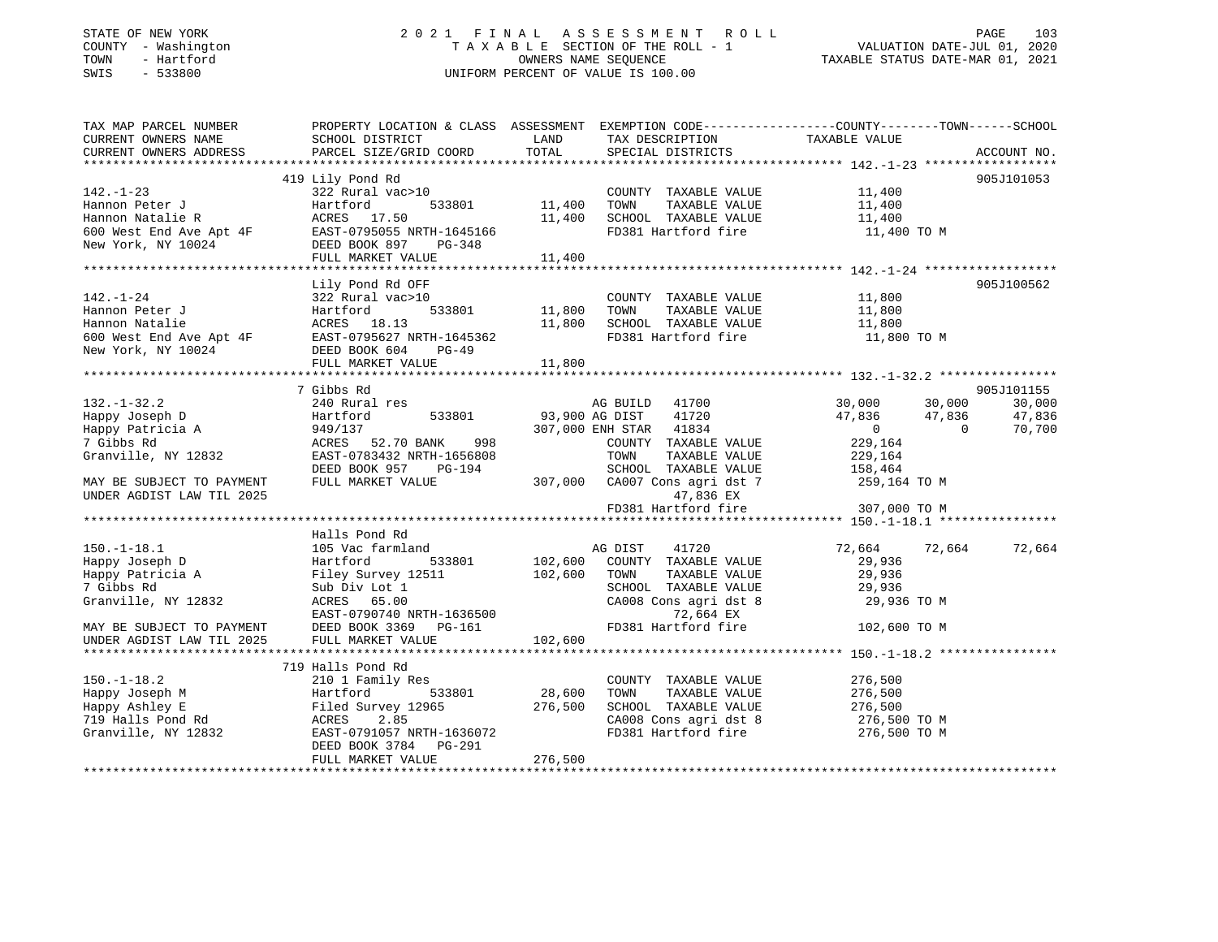# STATE OF NEW YORK 2 0 2 1 F I N A L A S S E S S M E N T R O L L PAGE 103 COUNTY - Washington T A X A B L E SECTION OF THE ROLL - 1 VALUATION DATE-JUL 01, 2020 TOWN - Hartford OWNERS NAME SEQUENCE TAXABLE STATUS DATE-MAR 01, 2021 SWIS - 533800 UNIFORM PERCENT OF VALUE IS 100.00

| TAX MAP PARCEL NUMBER                                                                                                                                                                                                         | PROPERTY LOCATION & CLASS ASSESSMENT EXEMPTION CODE----------------COUNTY-------TOWN------SCHOOL |               |                                  |                                  |               |
|-------------------------------------------------------------------------------------------------------------------------------------------------------------------------------------------------------------------------------|--------------------------------------------------------------------------------------------------|---------------|----------------------------------|----------------------------------|---------------|
| CURRENT OWNERS NAME                                                                                                                                                                                                           | SCHOOL DISTRICT                                                                                  | LAND          | TAX DESCRIPTION TAXABLE VALUE    |                                  |               |
|                                                                                                                                                                                                                               |                                                                                                  |               |                                  |                                  |               |
|                                                                                                                                                                                                                               |                                                                                                  |               |                                  |                                  |               |
|                                                                                                                                                                                                                               | 419 Lily Pond Rd                                                                                 |               |                                  |                                  | 905J101053    |
|                                                                                                                                                                                                                               |                                                                                                  |               | COUNTY TAXABLE VALUE             | 11,400                           |               |
|                                                                                                                                                                                                                               |                                                                                                  | 533801 11,400 | TOWN<br>TAXABLE VALUE            | 11,400                           |               |
|                                                                                                                                                                                                                               |                                                                                                  | 11,400        | SCHOOL TAXABLE VALUE             | 11,400                           |               |
| 1990 - 1991 - 1991 - 1991 - 1991 - 1991 - 1991 - 1991 - 1991 - 1991 - 1991 - 1991 - 1991 - 1991 - 1991 - 1991 - 1991 - 1991 - 1991 - 1991 - 1991 - 1991 - 1991 - 1991 - 1991 - 1991 - 1991 - 1991 - 1991 - 1991 - 1991 - 1991 |                                                                                                  |               | FD381 Hartford fire              | 11,400 TO M                      |               |
|                                                                                                                                                                                                                               |                                                                                                  |               |                                  |                                  |               |
|                                                                                                                                                                                                                               |                                                                                                  | 11,400        |                                  |                                  |               |
|                                                                                                                                                                                                                               |                                                                                                  |               |                                  |                                  |               |
|                                                                                                                                                                                                                               | Lily Pond Rd OFF                                                                                 |               |                                  |                                  | 905J100562    |
| $142. - 1 - 24$                                                                                                                                                                                                               | 322 Rural vac>10                                                                                 |               | COUNTY TAXABLE VALUE 11,800      |                                  |               |
| Hannon Peter J<br>Hannon Natalie (1897)<br>600 West End Ave Apt 4F (1897–0795627 NRTH-1645362<br>New York, NY 10024 (1898)<br>DEED BOOK 604 (1898–49)                                                                         |                                                                                                  | 533801 11,800 | TOWN<br>TAXABLE VALUE            | 11,800                           |               |
|                                                                                                                                                                                                                               |                                                                                                  | 11,800        | SCHOOL TAXABLE VALUE             | 11,800                           |               |
|                                                                                                                                                                                                                               |                                                                                                  |               | FD381 Hartford fire              | 11,800 TO M                      |               |
|                                                                                                                                                                                                                               |                                                                                                  |               |                                  |                                  |               |
|                                                                                                                                                                                                                               | FULL MARKET VALUE                                                                                | 11,800        |                                  |                                  |               |
|                                                                                                                                                                                                                               |                                                                                                  |               |                                  |                                  |               |
|                                                                                                                                                                                                                               | 7 Gibbs Rd                                                                                       |               |                                  |                                  | 905J101155    |
| $132. - 1 - 32.2$                                                                                                                                                                                                             | 240 Rural res                                                                                    |               | AG BUILD 41700                   | 30,000<br>30,000                 | 30,000        |
| Happy Joseph D                                                                                                                                                                                                                | 533801<br>Hartford                                                                               |               | 93,900 AG DIST 41720             | 47,836<br>47,836                 | 47,836        |
| Happy Joseph D<br>Happy Patricia A                                                                                                                                                                                            | Hartford<br>949/137<br>ACRES                                                                     |               | 307,000 ENH STAR 41834           | $\overline{0}$<br>$\overline{0}$ | 70,700        |
| 7 Gibbs Rd                                                                                                                                                                                                                    | 998<br>ACRES 52.70 BANK                                                                          |               | COUNTY TAXABLE VALUE             | 229,164                          |               |
| Granville, NY 12832                                                                                                                                                                                                           | EAST-0783432 NRTH-1656808                                                                        |               | TAXABLE VALUE<br>TOWN            | 229,164                          |               |
|                                                                                                                                                                                                                               | DEED BOOK 957 PG-194                                                                             |               | SCHOOL TAXABLE VALUE             | 158,464                          |               |
| MAY BE SUBJECT TO PAYMENT                                                                                                                                                                                                     | FULL MARKET VALUE                                                                                |               | 307,000 CA007 Cons agri dst 7    | 259,164 TO M                     |               |
| UNDER AGDIST LAW TIL 2025                                                                                                                                                                                                     |                                                                                                  |               | 47,836 EX                        |                                  |               |
|                                                                                                                                                                                                                               |                                                                                                  |               | FD381 Hartford fire 307,000 TO M |                                  |               |
|                                                                                                                                                                                                                               |                                                                                                  |               |                                  |                                  |               |
|                                                                                                                                                                                                                               | Halls Pond Rd                                                                                    |               |                                  |                                  |               |
| $150.-1-18.1$                                                                                                                                                                                                                 | 105 Vac farmland                                                                                 |               | 41720<br>AG DIST                 | 72,664                           | 72,664 72,664 |
|                                                                                                                                                                                                                               |                                                                                                  | 102,600       | COUNTY TAXABLE VALUE             | 29,936                           |               |
|                                                                                                                                                                                                                               |                                                                                                  | 102,600       | TOWN<br>TAXABLE VALUE            | 29,936                           |               |
| 7 Gibbs Rd                                                                                                                                                                                                                    | Sub Div Lot 1                                                                                    |               | SCHOOL TAXABLE VALUE             | 29,936                           |               |
| Granville, NY 12832                                                                                                                                                                                                           | ACRES 65.00                                                                                      |               | CA008 Cons agri dst 8            | 29,936 TO M                      |               |
|                                                                                                                                                                                                                               | EAST-0790740 NRTH-1636500                                                                        |               | 72,664 EX                        |                                  |               |
| MAY BE SUBJECT TO PAYMENT<br>UNDER AGDIST LAW TIL 2025                                                                                                                                                                        | DEED BOOK 3369 PG-161                                                                            |               | FD381 Hartford fire 102,600 TO M |                                  |               |
|                                                                                                                                                                                                                               | FULL MARKET VALUE                                                                                | 102,600       |                                  |                                  |               |
|                                                                                                                                                                                                                               |                                                                                                  |               |                                  |                                  |               |
|                                                                                                                                                                                                                               | 719 Halls Pond Rd                                                                                |               |                                  |                                  |               |
| $150. - 1 - 18.2$                                                                                                                                                                                                             | 210 1 Family Res                                                                                 |               | COUNTY TAXABLE VALUE             | 276,500                          |               |
| Happy Joseph M<br>Happy Ashley E<br>719 Halls Pond Rd                                                                                                                                                                         | 533801<br>Hartford                                                                               | 28,600        | TOWN<br>TAXABLE VALUE            | 276,500                          |               |
|                                                                                                                                                                                                                               | Filed Survey 12965                                                                               | 276,500       | SCHOOL TAXABLE VALUE             | 276,500                          |               |
|                                                                                                                                                                                                                               | ACRES 2.85                                                                                       |               | CA008 Cons agri dst 8            | 276,500 TO M                     |               |
| Granville, NY 12832                                                                                                                                                                                                           | EAST-0791057 NRTH-1636072                                                                        |               | FD381 Hartford fire 276,500 TO M |                                  |               |
|                                                                                                                                                                                                                               | DEED BOOK 3784 PG-291                                                                            |               |                                  |                                  |               |
|                                                                                                                                                                                                                               | FULL MARKET VALUE                                                                                | 276,500       |                                  |                                  |               |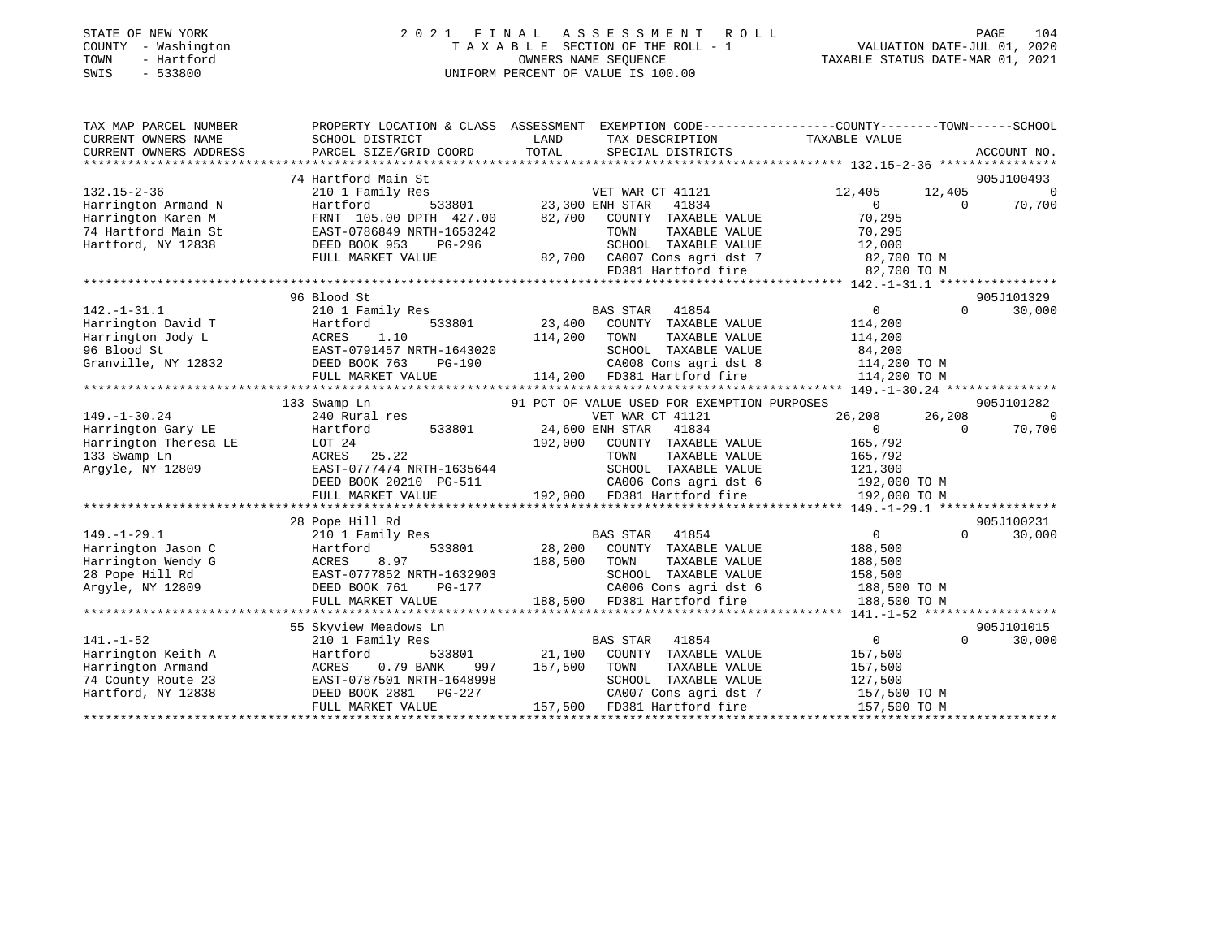|      | STATE OF NEW YORK   | 2021 FINAL ASSESSMENT ROLL |                                    |                                  | PAGE | 104 |
|------|---------------------|----------------------------|------------------------------------|----------------------------------|------|-----|
|      | COUNTY - Washington |                            | TAXABLE SECTION OF THE ROLL - 1    | VALUATION DATE-JUL 01, 2020      |      |     |
| TOWN | - Hartford          |                            | OWNERS NAME SEOUENCE               | TAXABLE STATUS DATE-MAR 01, 2021 |      |     |
| SWIS | $-533800$           |                            | UNIFORM PERCENT OF VALUE IS 100.00 |                                  |      |     |
|      |                     |                            |                                    |                                  |      |     |
|      |                     |                            |                                    |                                  |      |     |

| TAX MAP PARCEL NUMBER   |                           | PROPERTY LOCATION & CLASS ASSESSMENT EXEMPTION CODE--------------COUNTY-------TOWN-----SCHOOL |                                         |
|-------------------------|---------------------------|-----------------------------------------------------------------------------------------------|-----------------------------------------|
| CURRENT OWNERS NAME     | SCHOOL DISTRICT           | LAND<br>TAX DESCRIPTION                                                                       | TAXABLE VALUE                           |
| CURRENT OWNERS ADDRESS  | PARCEL SIZE/GRID COORD    | TOTAL<br>SPECIAL DISTRICTS                                                                    | ACCOUNT NO.                             |
| *********************** |                           |                                                                                               |                                         |
|                         | 74 Hartford Main St       |                                                                                               | 905J100493                              |
| $132.15 - 2 - 36$       | 210 1 Family Res          | VET WAR CT 41121                                                                              | 12,405<br>$\overline{0}$<br>12,405      |
| Harrington Armand N     | Hartford<br>533801        | 23,300 ENH STAR<br>41834                                                                      | 70,700<br>$\Omega$<br>$\Omega$          |
| Harrington Karen M      | FRNT 105.00 DPTH 427.00   | 82,700<br>COUNTY TAXABLE VALUE                                                                | 70,295                                  |
| 74 Hartford Main St     | EAST-0786849 NRTH-1653242 | TAXABLE VALUE<br>TOWN                                                                         | 70,295                                  |
| Hartford, NY 12838      | DEED BOOK 953<br>PG-296   | SCHOOL TAXABLE VALUE                                                                          | 12,000                                  |
|                         | FULL MARKET VALUE         | 82,700 CA007 Cons agri dst 7                                                                  | 82,700 TO M                             |
|                         |                           | CA007 Cons agri dst 7<br>FD381 Hartford fire                                                  | 82,700 TO M                             |
|                         |                           |                                                                                               |                                         |
|                         | 96 Blood St               |                                                                                               | 905J101329                              |
| $142. - 1 - 31.1$       | 210 1 Family Res          | <b>BAS STAR</b><br>41854                                                                      | $\Omega$<br>30,000<br>$\overline{0}$    |
| Harrington David T      | 533801<br>Hartford        | 23,400<br>COUNTY TAXABLE VALUE                                                                | 114,200                                 |
| Harrington Jody L       | 1.10<br>ACRES             | 114,200<br>TOWN<br>TAXABLE VALUE                                                              | 114,200                                 |
| 96 Blood St             | EAST-0791457 NRTH-1643020 | SCHOOL TAXABLE VALUE                                                                          | 84,200                                  |
| Granville, NY 12832     | DEED BOOK 763<br>PG-190   | CA008 Cons agri dst 8                                                                         | 114,200 TO M                            |
|                         | FULL MARKET VALUE         | 114,200 FD381 Hartford fire                                                                   | 114,200 TO M                            |
|                         |                           |                                                                                               |                                         |
|                         | 133 Swamp Ln              | 91 PCT OF VALUE USED FOR EXEMPTION PURPOSES                                                   | 905J101282                              |
| $149. - 1 - 30.24$      | 240 Rural res             | VET WAR CT 41121                                                                              | 26,208<br>26,208<br>$\Omega$            |
| Harrington Gary LE      | 533801<br>Hartford        | 24,600 ENH STAR<br>41834                                                                      | $\Omega$<br>70,700<br>$\cap$            |
| Harrington Theresa LE   | LOT 24                    | 192,000<br>COUNTY TAXABLE VALUE                                                               | 165,792                                 |
| 133 Swamp Ln            | ACRES 25.22               | TOWN<br>TAXABLE VALUE                                                                         | 165,792                                 |
| Argyle, NY 12809        | EAST-0777474 NRTH-1635644 | SCHOOL TAXABLE VALUE                                                                          | 121,300                                 |
|                         | DEED BOOK 20210 PG-511    | CA006 Cons agri dst 6                                                                         | 192,000 TO M                            |
|                         | FULL MARKET VALUE         | 192,000 FD381 Hartford fire                                                                   | 192,000 TO M                            |
|                         |                           |                                                                                               |                                         |
|                         | 28 Pope Hill Rd           |                                                                                               | 905J100231                              |
| $149. - 1 - 29.1$       | 210 1 Family Res          | <b>BAS STAR</b><br>41854                                                                      | $\Omega$<br>$\Omega$<br>30,000          |
| Harrington Jason C      | 533801                    | 28,200<br>COUNTY TAXABLE VALUE                                                                | 188,500                                 |
| Harrington Wendy G      | Hartford<br>8.97<br>ACRES | TAXABLE VALUE<br>188,500<br>TOWN                                                              | 188,500                                 |
| 28 Pope Hill Rd         |                           | SCHOOL TAXABLE VALUE                                                                          |                                         |
|                         | EAST-0777852 NRTH-1632903 | CA006 Cons agri dst 6                                                                         | 158,500                                 |
| Arqyle, NY 12809        | DEED BOOK 761<br>PG-177   |                                                                                               | 188,500 TO M                            |
|                         | FULL MARKET VALUE         | 188,500 FD381 Hartford fire                                                                   | 188,500 TO M                            |
|                         |                           |                                                                                               |                                         |
|                         | 55 Skyview Meadows Ln     |                                                                                               | 905J101015                              |
| $141. - 1 - 52$         | 210 1 Family Res          | <b>BAS STAR</b><br>41854                                                                      | $0 \qquad \qquad$<br>$\Omega$<br>30,000 |
| Harrington Keith A      | Hartford<br>533801        | 21,100<br>COUNTY TAXABLE VALUE                                                                | 157,500                                 |
| Harrington Armand       | 0.79 BANK<br>ACRES<br>997 | 157,500<br>TOWN<br>TAXABLE VALUE                                                              | 157,500                                 |
| 74 County Route 23      | EAST-0787501 NRTH-1648998 | SCHOOL TAXABLE VALUE                                                                          | 127,500                                 |
| Hartford, NY 12838      | DEED BOOK 2881 PG-227     | CA007 Cons agri dst 7                                                                         | 157,500 TO M                            |
|                         | FULL MARKET VALUE         | 157,500 FD381 Hartford fire                                                                   | 157,500 TO M                            |
|                         |                           |                                                                                               |                                         |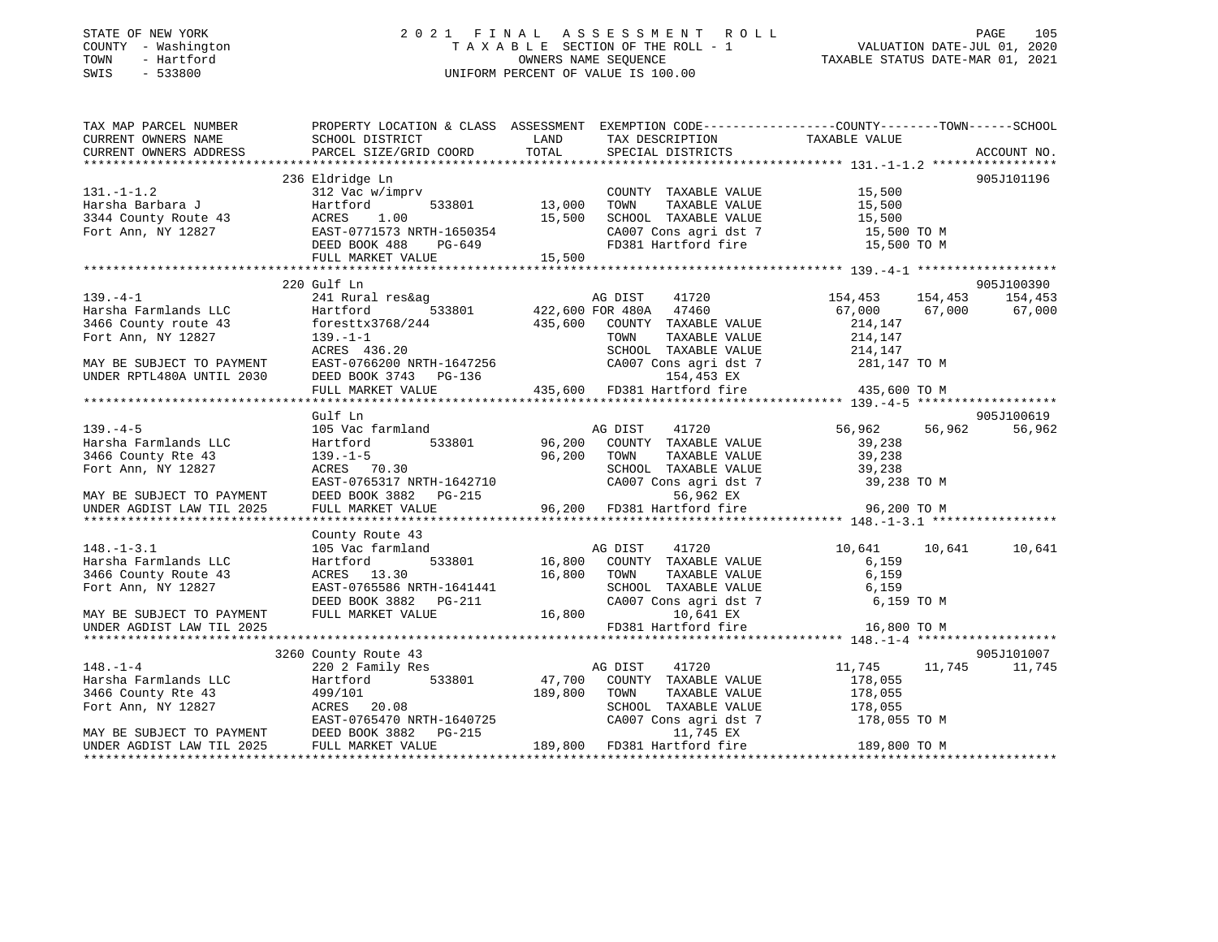# STATE OF NEW YORK 2 0 2 1 F I N A L A S S E S S M E N T R O L L PAGE 105 COUNTY - Washington T A X A B L E SECTION OF THE ROLL - 1 VALUATION DATE-JUL 01, 2020 TOWN - Hartford OWNERS NAME SEQUENCE TAXABLE STATUS DATE-MAR 01, 2021 SWIS - 533800 UNIFORM PERCENT OF VALUE IS 100.00

| TAX MAP PARCEL NUMBER<br>CURRENT OWNERS NAME<br>CURRENT OWNERS ADDRESS                                                                                                                                                                                  | PROPERTY LOCATION & CLASS ASSESSMENT EXEMPTION CODE----------------COUNTY-------TOWN------SCHOOL<br><b>EXAMPLE SERVICE SERVICE SERVICE SERVICE SERVICE SERVICE SERVICE SERVICE SERVICE SERVICE SERVICE SERVICE SERVICE</b><br>SCHOOL DISTRICT<br>PARCEL SIZE/GRID COORD TOTAL |         | TAX DESCRIPTION TAXABLE VALUE<br>SPECIAL DISTRICTS |                                                 | ACCOUNT NO. |
|---------------------------------------------------------------------------------------------------------------------------------------------------------------------------------------------------------------------------------------------------------|-------------------------------------------------------------------------------------------------------------------------------------------------------------------------------------------------------------------------------------------------------------------------------|---------|----------------------------------------------------|-------------------------------------------------|-------------|
|                                                                                                                                                                                                                                                         |                                                                                                                                                                                                                                                                               |         |                                                    |                                                 |             |
|                                                                                                                                                                                                                                                         | 236 Eldridge Ln                                                                                                                                                                                                                                                               |         |                                                    |                                                 | 905J101196  |
|                                                                                                                                                                                                                                                         | 312 Vac w/imprv                                                                                                                                                                                                                                                               |         | COUNTY TAXABLE VALUE 15,500                        |                                                 |             |
|                                                                                                                                                                                                                                                         |                                                                                                                                                                                                                                                                               |         | TOWN                                               | TAXABLE VALUE 15,500                            |             |
|                                                                                                                                                                                                                                                         |                                                                                                                                                                                                                                                                               |         | SCHOOL TAXABLE VALUE                               | 15,500                                          |             |
|                                                                                                                                                                                                                                                         |                                                                                                                                                                                                                                                                               |         | CA007 Cons agri dst 7 15,500 TO M                  |                                                 |             |
| 131.-1-1.2<br>Harsha Barbara J<br>3344 County Route 43<br>Fort Ann, NY 12827<br>Fort Ann, NY 12827<br>Fort Ann, NY 12827<br>Fort Ann, NY 12827<br>Fort Ann, NY 12827<br>Fort Ann, NY 12827<br>Fort Ann, NY 12827<br>Fort Ann, NY 12827<br>Fort Ann,     |                                                                                                                                                                                                                                                                               |         | FD381 Hartford fire                                | 15,500 TO M                                     |             |
|                                                                                                                                                                                                                                                         |                                                                                                                                                                                                                                                                               |         |                                                    |                                                 |             |
|                                                                                                                                                                                                                                                         | 220 Gulf Ln                                                                                                                                                                                                                                                                   |         |                                                    |                                                 | 905J100390  |
| $139. -4 - 1$                                                                                                                                                                                                                                           |                                                                                                                                                                                                                                                                               |         |                                                    |                                                 |             |
| Harsha Farmlands LLC                                                                                                                                                                                                                                    |                                                                                                                                                                                                                                                                               |         |                                                    | 154,453 154,453 154,453<br>67,000 67,000 67,000 |             |
| 3466 County route 43                                                                                                                                                                                                                                    | foresttx3768/244 435,600 COUNTY TAXABLE VALUE                                                                                                                                                                                                                                 |         |                                                    | 214,147                                         |             |
| Fort Ann, NY 12827                                                                                                                                                                                                                                      | $139. - 1 - 1$                                                                                                                                                                                                                                                                |         | TOWN<br>TAXABLE VALUE                              | 214,147                                         |             |
|                                                                                                                                                                                                                                                         | ACRES 436.20                                                                                                                                                                                                                                                                  |         | SCHOOL TAXABLE VALUE 214,147                       |                                                 |             |
|                                                                                                                                                                                                                                                         |                                                                                                                                                                                                                                                                               |         |                                                    | 281,147 TO M                                    |             |
|                                                                                                                                                                                                                                                         |                                                                                                                                                                                                                                                                               |         |                                                    |                                                 |             |
| MAY BE SUBJECT TO PAYMENT<br>MAY BE SUBJECT TO PAYMENT EAST-0766200 NRTH-1647256 CA007 Cons agri dst 7<br>UNDER RPTL480A UNTIL 2030 DEED BOOK 3743 PG-136 435,600 FD381 Hartford fire<br>FULL MARKET VALUE 435,600 FD381 Hartford fi                    |                                                                                                                                                                                                                                                                               |         |                                                    | 435,600 TO M                                    |             |
|                                                                                                                                                                                                                                                         |                                                                                                                                                                                                                                                                               |         |                                                    |                                                 |             |
|                                                                                                                                                                                                                                                         | Gulf Ln                                                                                                                                                                                                                                                                       |         |                                                    |                                                 | 905J100619  |
| $139. -4-5$                                                                                                                                                                                                                                             | 105 Vac farmland                                                                                                                                                                                                                                                              |         | 41720<br>AG DIST                                   | 56,962 56,962                                   | 56,962      |
| Harsha Farmlands LLC<br>3466 County Rte 43                                                                                                                                                                                                              | Hartford 533801 96,200 COUNTY TAXABLE VALUE                                                                                                                                                                                                                                   |         |                                                    | 39,238                                          |             |
|                                                                                                                                                                                                                                                         | $139. - 1 - 5$                                                                                                                                                                                                                                                                | 96,200  | TOWN<br>TAXABLE VALUE                              | 39,238                                          |             |
| Fort Ann, NY 12827                                                                                                                                                                                                                                      | ACRES 70.30                                                                                                                                                                                                                                                                   |         | SCHOOL TAXABLE VALUE                               | 39,238                                          |             |
|                                                                                                                                                                                                                                                         |                                                                                                                                                                                                                                                                               |         | CA007 Cons agri dst 7                              |                                                 |             |
| MAY BE SUBJECT TO PAYMENT<br>UNDER AGDIST LAW TIL 2025                                                                                                                                                                                                  | EAST-0765317 NRTH-1642710<br>DEED BOOK 3882 PG-215<br>FULL MARKET VALUE 96,200 FD381 Hartford fire 96,200 TO M                                                                                                                                                                |         |                                                    |                                                 |             |
|                                                                                                                                                                                                                                                         |                                                                                                                                                                                                                                                                               |         |                                                    |                                                 |             |
|                                                                                                                                                                                                                                                         |                                                                                                                                                                                                                                                                               |         |                                                    |                                                 |             |
|                                                                                                                                                                                                                                                         | County Route 43                                                                                                                                                                                                                                                               |         |                                                    |                                                 |             |
| $148. - 1 - 3.1$                                                                                                                                                                                                                                        | 105 Vac farmland MG DIST 41720<br>Hartford 533801 16,800 COUNTY TAXABLE VALUE                                                                                                                                                                                                 |         |                                                    | 10,641 10,641                                   | 10,641      |
| Harsha Farmlands LLC                                                                                                                                                                                                                                    |                                                                                                                                                                                                                                                                               | 16,800  |                                                    | 6,159                                           |             |
| 3466 County Route 43<br>Fort Ann, NY 12827                                                                                                                                                                                                              | ACRES 13.30<br>EAST-0765586 NRTH-1641441                                                                                                                                                                                                                                      |         | TAXABLE VALUE<br>TOWN<br>SCHOOL TAXABLE VALUE      | 6,159<br>6,159                                  |             |
|                                                                                                                                                                                                                                                         |                                                                                                                                                                                                                                                                               |         | CA007 Cons agri dst 7                              | 6,159 TO M                                      |             |
| MAY BE SUBJECT TO PAYMENT                                                                                                                                                                                                                               | DEED BOOK 3882 PG-211<br>PHILI. MADEET ******<br>FULL MARKET VALUE                                                                                                                                                                                                            | 16,800  | 10,641 EX                                          |                                                 |             |
| UNDER AGDIST LAW TIL 2025                                                                                                                                                                                                                               |                                                                                                                                                                                                                                                                               |         | FD381 Hartford fire                                | 16,800 TO M                                     |             |
|                                                                                                                                                                                                                                                         |                                                                                                                                                                                                                                                                               |         |                                                    |                                                 |             |
|                                                                                                                                                                                                                                                         | 3260 County Route 43                                                                                                                                                                                                                                                          |         |                                                    |                                                 | 905J101007  |
| $148. - 1 - 4$                                                                                                                                                                                                                                          |                                                                                                                                                                                                                                                                               |         | 41720                                              | 11,745 11,745                                   | 11,745      |
| Harsha Farmlands LLC                                                                                                                                                                                                                                    | 220 2 Family Res AG DIST<br>Hartford 533801 47,700 COUNTY                                                                                                                                                                                                                     |         | COUNTY TAXABLE VALUE                               | 178,055                                         |             |
| 3466 County Rte 43                                                                                                                                                                                                                                      | 499/101                                                                                                                                                                                                                                                                       | 189,800 | TAXABLE VALUE<br>TOWN                              | 178,055                                         |             |
| Fort Ann, NY 12827                                                                                                                                                                                                                                      | ACRES 20.08                                                                                                                                                                                                                                                                   |         | SCHOOL TAXABLE VALUE                               | 178,055                                         |             |
|                                                                                                                                                                                                                                                         | EAST-0765470 NRTH-1640725                                                                                                                                                                                                                                                     |         | CA007 Cons agri dst 7                              | 178,055 TO M                                    |             |
| $\begin{minipage}{.4\linewidth} \texttt{EAST-0765470 NRTH-1640725} \\ \texttt{MAX BE SUBJECT TO PAYMENT} \end{minipage} \begin{minipage}{.4\linewidth} \begin{minipage}{.4\linewidth} \texttt{EAST-0765470 NRTH-1640725} \end{minipage} \end{minipage}$ |                                                                                                                                                                                                                                                                               |         | 11,745 EX                                          |                                                 |             |
| UNDER AGDIST LAW TIL 2025                                                                                                                                                                                                                               | FULL MARKET VALUE                                                                                                                                                                                                                                                             |         | 189,800 FD381 Hartford fire                        | 189,800 TO M                                    |             |
|                                                                                                                                                                                                                                                         |                                                                                                                                                                                                                                                                               |         |                                                    |                                                 |             |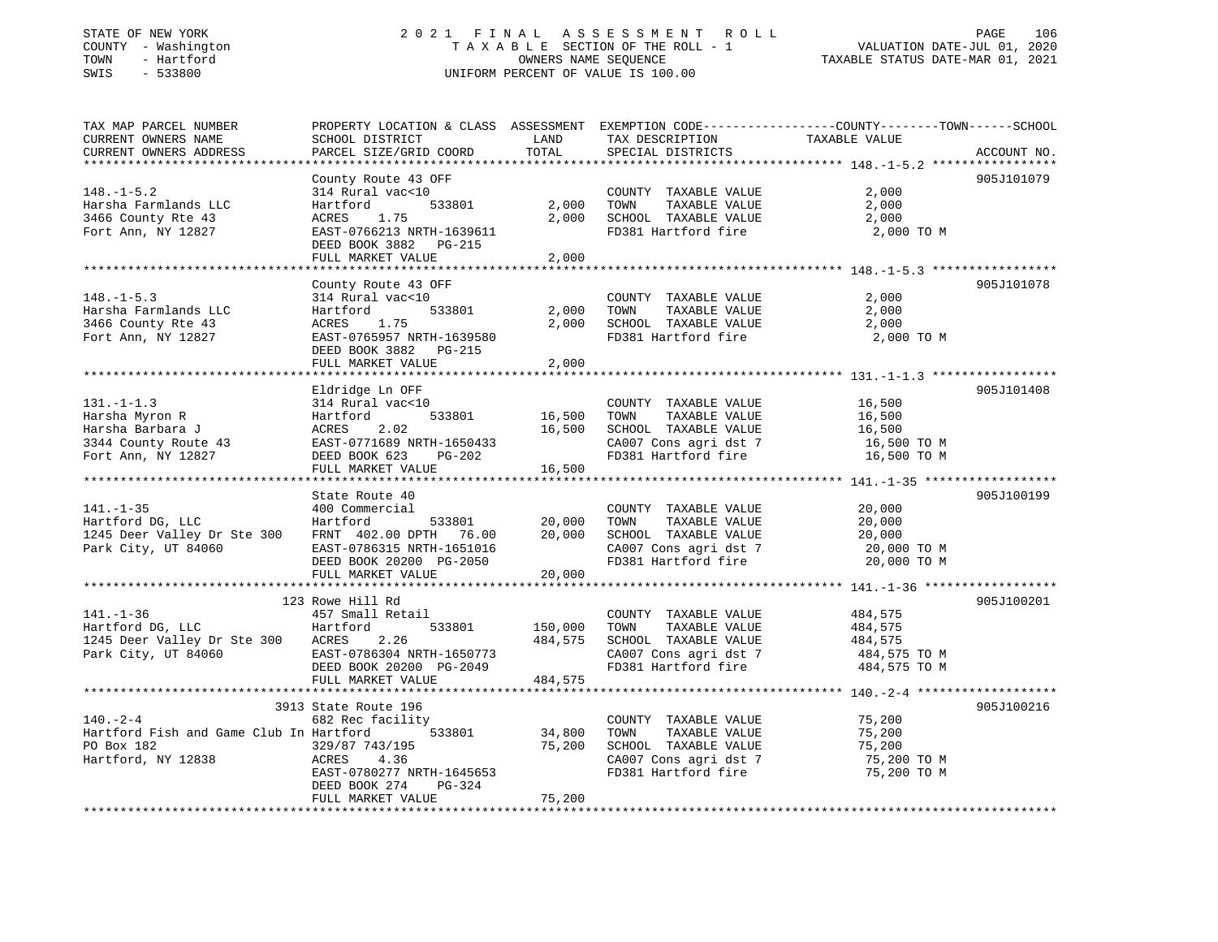# STATE OF NEW YORK 2 0 2 1 F I N A L A S S E S S M E N T R O L L PAGE 106 COUNTY - Washington T A X A B L E SECTION OF THE ROLL - 1 VALUATION DATE-JUL 01, 2020 TOWN - Hartford OWNERS NAME SEQUENCE TAXABLE STATUS DATE-MAR 01, 2021 SWIS - 533800 UNIFORM PERCENT OF VALUE IS 100.00UNIFORM PERCENT OF VALUE IS 100.00

| TAX MAP PARCEL NUMBER                   | PROPERTY LOCATION & CLASS ASSESSMENT EXEMPTION CODE---------------COUNTY-------TOWN-----SCHOOL |         |                                                                  |                       |             |
|-----------------------------------------|------------------------------------------------------------------------------------------------|---------|------------------------------------------------------------------|-----------------------|-------------|
| CURRENT OWNERS NAME                     | SCHOOL DISTRICT                                                                                | LAND    | TAX DESCRIPTION                                                  | TAXABLE VALUE         |             |
| CURRENT OWNERS ADDRESS                  | PARCEL SIZE/GRID COORD                                                                         | TOTAL   | SPECIAL DISTRICTS                                                |                       | ACCOUNT NO. |
|                                         |                                                                                                |         |                                                                  |                       |             |
|                                         | County Route 43 OFF                                                                            |         |                                                                  |                       | 905J101079  |
| $148. - 1 - 5.2$                        | 314 Rural vac<10                                                                               |         | COUNTY TAXABLE VALUE                                             | 2,000                 |             |
| Harsha Farmlands LLC                    | 533801<br>Hartford                                                                             | 2,000   | TOWN<br>TAXABLE VALUE                                            | 2,000                 |             |
| 3466 County Rte 43                      | 1.75<br>ACRES                                                                                  | 2,000   | SCHOOL TAXABLE VALUE                                             | 2,000                 |             |
| Fort Ann, NY 12827                      | EAST-0766213 NRTH-1639611                                                                      |         | FD381 Hartford fire                                              | 2,000 TO M            |             |
|                                         | DEED BOOK 3882 PG-215                                                                          |         |                                                                  |                       |             |
|                                         | FULL MARKET VALUE                                                                              | 2,000   |                                                                  |                       |             |
|                                         |                                                                                                |         |                                                                  |                       |             |
|                                         | County Route 43 OFF                                                                            |         |                                                                  |                       | 905J101078  |
| $148. - 1 - 5.3$                        | 314 Rural vac<10                                                                               |         | COUNTY TAXABLE VALUE                                             | 2,000                 |             |
| Harsha Farmlands LLC                    | 533801<br>Hartford                                                                             | 2,000   | TAXABLE VALUE<br>TOWN                                            | 2,000                 |             |
| 3466 County Rte 43                      | ACRES 1.75                                                                                     | 2,000   | SCHOOL TAXABLE VALUE                                             | 2,000                 |             |
| Fort Ann, NY 12827                      | EAST-0765957 NRTH-1639580                                                                      |         | FD381 Hartford fire 2,000 TO M                                   |                       |             |
|                                         | DEED BOOK 3882 PG-215                                                                          |         |                                                                  |                       |             |
|                                         | FULL MARKET VALUE                                                                              | 2,000   |                                                                  |                       |             |
|                                         |                                                                                                |         |                                                                  |                       |             |
|                                         | Eldridge Ln OFF                                                                                |         |                                                                  |                       | 905J101408  |
| $131. -1 - 1.3$                         | 314 Rural vac<10                                                                               |         | COUNTY TAXABLE VALUE                                             | 16,500                |             |
|                                         | ,<br>533801<br>Hartford                                                                        | 16,500  | TOWN                                                             |                       |             |
| Harsha Myron R                          |                                                                                                |         | TAXABLE VALUE                                                    | 16,500                |             |
| Harsha Barbara J                        | 2.02<br>ACRES<br>EAST-0771689 NRTH-1650433                                                     |         | 16,500 SCHOOL TAXABLE VALUE                                      | 16,500<br>16,500 TO M |             |
| 3344 County Route 43                    |                                                                                                |         | CA007 Cons agri dst 7<br>CA007 Cons agri dst 7<br>FD381 Hertf: 1 |                       |             |
| Fort Ann, NY 12827                      | DEED BOOK 623 PG-202                                                                           | 16,500  | FD381 Hartford fire                                              | 16,500 TO M           |             |
|                                         | FULL MARKET VALUE                                                                              |         |                                                                  |                       |             |
|                                         |                                                                                                |         |                                                                  |                       |             |
|                                         | State Route 40                                                                                 |         |                                                                  |                       | 905J100199  |
| $141. - 1 - 35$                         | 400 Commercial                                                                                 |         | COUNTY TAXABLE VALUE                                             | 20,000                |             |
| Hartford DG, LLC                        | 533801<br>Hartford                                                                             | 20,000  | TOWN<br>TAXABLE VALUE                                            | 20,000                |             |
| 1245 Deer Valley Dr Ste 300             | FRNT 402.00 DPTH 76.00                                                                         | 20,000  | SCHOOL TAXABLE VALUE                                             | 20,000                |             |
| Park City, UT 84060                     | EAST-0786315 NRTH-1651016                                                                      |         | CA007 Cons agri dst 7<br>FD381 Hartford fire                     | 20,000 TO M           |             |
|                                         | DEED BOOK 20200 PG-2050                                                                        |         |                                                                  | 20,000 TO M           |             |
|                                         | FULL MARKET VALUE                                                                              | 20,000  |                                                                  |                       |             |
|                                         |                                                                                                |         |                                                                  |                       |             |
|                                         | 123 Rowe Hill Rd                                                                               |         |                                                                  |                       | 905J100201  |
| $141. - 1 - 36$                         | 457 Small Retail                                                                               |         | COUNTY TAXABLE VALUE                                             | 484,575               |             |
| Hartford<br>Hartford DG, LLC            | 533801                                                                                         | 150,000 | TAXABLE VALUE<br>TOWN                                            | 484,575               |             |
| 1245 Deer Valley Dr Ste 300 ACRES       | 2.26                                                                                           | 484,575 | SCHOOL TAXABLE VALUE                                             | 484,575               |             |
| Park City, UT 84060                     | EAST-0786304 NRTH-1650773                                                                      |         | CA007 Cons agri dst 7                                            | 484,575 TO M          |             |
|                                         | DEED BOOK 20200 PG-2049                                                                        |         | FD381 Hartford fire                                              | 484,575 TO M          |             |
|                                         | FULL MARKET VALUE                                                                              | 484,575 |                                                                  |                       |             |
|                                         | ***************************                                                                    |         |                                                                  |                       |             |
|                                         | 3913 State Route 196                                                                           |         |                                                                  |                       | 905J100216  |
| $140. -2 - 4$                           | 682 Rec facility                                                                               |         | COUNTY TAXABLE VALUE                                             | 75,200                |             |
| Hartford Fish and Game Club In Hartford | 533801                                                                                         | 34,800  | TOWN<br>TAXABLE VALUE                                            | 75,200                |             |
| PO Box 182                              | 329/87 743/195                                                                                 | 75,200  | SCHOOL TAXABLE VALUE                                             | 75,200                |             |
| Hartford, NY 12838                      | ACRES<br>4.36                                                                                  |         | CA007 Cons agri dst 7                                            | 75,200 TO M           |             |
|                                         | EAST-0780277 NRTH-1645653                                                                      |         | FD381 Hartford fire                                              | 75,200 TO M           |             |
|                                         | PG-324<br>DEED BOOK 274                                                                        |         |                                                                  |                       |             |
|                                         | FULL MARKET VALUE                                                                              | 75,200  |                                                                  |                       |             |
|                                         |                                                                                                |         |                                                                  |                       |             |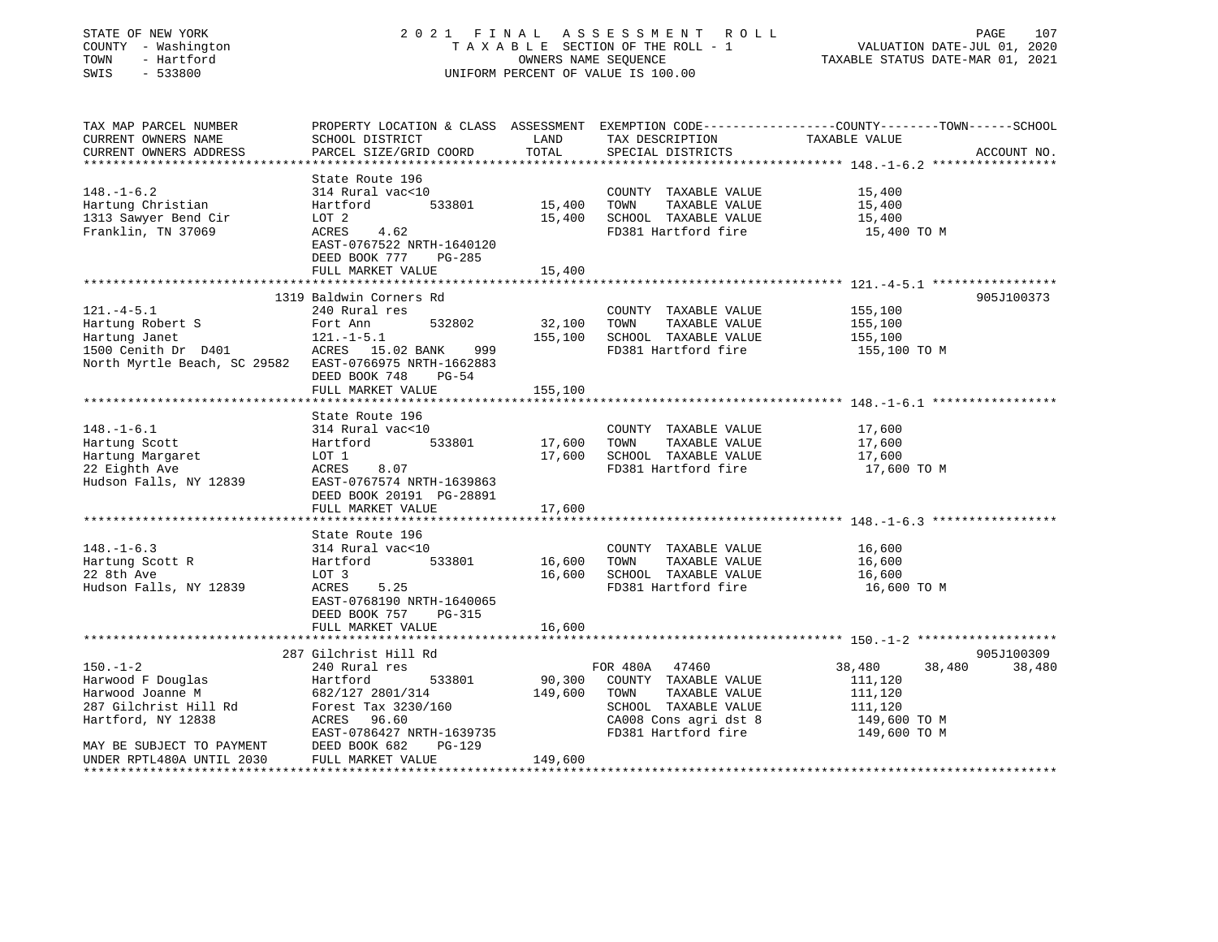| STATE OF NEW YORK |  |                     |  |
|-------------------|--|---------------------|--|
|                   |  | COUNTY - Washington |  |
| TOWN              |  | - Hartford          |  |
| $\Gamma$          |  | raann               |  |

# STATE OF NEW YORK 2 0 2 1 F I N A L A S S E S S M E N T R O L L PAGE 107 COUNTY - Washington T A X A B L E SECTION OF THE ROLL - 1 VALUATION DATE-JUL 01, 2020 TOWN - Hartford OWNERS NAME SEQUENCE TAXABLE STATUS DATE-MAR 01, 2021 SWIS - 533800 UNIFORM PERCENT OF VALUE IS 100.00

| TAX MAP PARCEL NUMBER<br>CURRENT OWNERS NAME           | SCHOOL DISTRICT                                                         | LAND        | TAX DESCRIPTION                             | PROPERTY LOCATION & CLASS ASSESSMENT EXEMPTION CODE----------------COUNTY-------TOWN------SCHOOL<br>TAXABLE VALUE |
|--------------------------------------------------------|-------------------------------------------------------------------------|-------------|---------------------------------------------|-------------------------------------------------------------------------------------------------------------------|
| CURRENT OWNERS ADDRESS                                 | PARCEL SIZE/GRID COORD                                                  | TOTAL       | SPECIAL DISTRICTS                           | ACCOUNT NO.                                                                                                       |
|                                                        |                                                                         |             |                                             |                                                                                                                   |
|                                                        | State Route 196                                                         |             |                                             |                                                                                                                   |
| $148. - 1 - 6.2$                                       | 314 Rural vac<10                                                        |             | COUNTY TAXABLE VALUE 15,400                 |                                                                                                                   |
| Hartung Christian                                      | 533801<br>Hartford                                                      | 15,400      | TOWN<br>TAXABLE VALUE                       | 15,400                                                                                                            |
| 1313 Sawyer Bend Cir                                   | LOT 2                                                                   | 15,400      | SCHOOL TAXABLE VALUE                        | 15,400                                                                                                            |
| Franklin, TN 37069                                     | ACRES 4.62<br>EAST-0767522 NRTH-1640120<br>DEED BOOK 777<br>PG-285      |             | FD381 Hartford fire                         | 15,400 TO M                                                                                                       |
|                                                        | FULL MARKET VALUE                                                       | 15,400      |                                             |                                                                                                                   |
|                                                        |                                                                         |             |                                             |                                                                                                                   |
|                                                        | 1319 Baldwin Corners Rd                                                 |             |                                             | 905J100373                                                                                                        |
| $121.-4-5.1$                                           | 240 Rural res                                                           |             | COUNTY TAXABLE VALUE                        | 155,100                                                                                                           |
| Hartung Robert S                                       | 532802<br>Fort Ann                                                      | 32,100 TOWN | TAXABLE VALUE                               | 155,100                                                                                                           |
| Hartung Janet<br>1500 Cenith Dr D401 MCRES 15.02 BANK  | $121.-1-5.1$                                                            | 155,100     | SCHOOL TAXABLE VALUE<br>FD381 Hartford fire | 155,100                                                                                                           |
| North Myrtle Beach, SC 29582 EAST-0766975 NRTH-1662883 | 999<br>DEED BOOK 748<br>PG-54<br>FULL MARKET VALUE                      |             |                                             | 155,100 TO M                                                                                                      |
|                                                        |                                                                         | 155,100     |                                             |                                                                                                                   |
|                                                        | State Route 196                                                         |             |                                             |                                                                                                                   |
| $148. - 1 - 6.1$                                       | 314 Rural vac<10                                                        |             | COUNTY TAXABLE VALUE                        | 17,600                                                                                                            |
| Hartung Scott                                          | 533801<br>Hartford                                                      | 17,600 TOWN | TAXABLE VALUE                               | 17,600                                                                                                            |
| Hartung Margaret                                       | LOT 1                                                                   | 17,600      | SCHOOL TAXABLE VALUE                        | 17,600                                                                                                            |
| 22 Eighth Ave                                          | ACRES<br>8.07                                                           |             | FD381 Hartford fire                         | 17,600 TO M                                                                                                       |
| Hudson Falls, NY 12839                                 | EAST-0767574 NRTH-1639863<br>DEED BOOK 20191 PG-28891                   |             |                                             |                                                                                                                   |
|                                                        | FULL MARKET VALUE                                                       | 17,600      |                                             |                                                                                                                   |
|                                                        |                                                                         |             |                                             |                                                                                                                   |
|                                                        | State Route 196                                                         |             |                                             |                                                                                                                   |
| $148. - 1 - 6.3$                                       | 314 Rural vac<10                                                        |             | COUNTY TAXABLE VALUE                        | 16,600                                                                                                            |
| Hartung Scott R                                        | Hartford<br>533801                                                      | 16,600 TOWN | TAXABLE VALUE                               | 16,600                                                                                                            |
| 22 8th Ave                                             | LOT 3                                                                   | 16,600      | SCHOOL TAXABLE VALUE                        | 16,600                                                                                                            |
| Hudson Falls, NY 12839                                 | ACRES<br>5.25<br>EAST-0768190 NRTH-1640065<br>DEED BOOK 757<br>$PG-315$ |             | FD381 Hartford fire                         | 16,600 TO M                                                                                                       |
|                                                        | FULL MARKET VALUE                                                       | 16,600      |                                             |                                                                                                                   |
|                                                        |                                                                         |             |                                             |                                                                                                                   |
|                                                        | 287 Gilchrist Hill Rd                                                   |             |                                             | 905J100309                                                                                                        |
| $150. - 1 - 2$                                         | 240 Rural res                                                           |             | FOR 480A 47460                              | 38,480<br>38,480<br>38,480                                                                                        |
| Harwood F Douglas                                      | Hartford<br>533801                                                      |             | 90,300 COUNTY TAXABLE VALUE                 | 111,120                                                                                                           |
| Harwood Joanne M                                       | 682/127 2801/314                                                        | 149,600     | TOWN<br>TAXABLE VALUE                       | 111,120                                                                                                           |
| 287 Gilchrist Hill Rd                                  | Forest Tax 3230/160                                                     |             | SCHOOL TAXABLE VALUE                        | 111,120                                                                                                           |
| Hartford, NY 12838                                     | ACRES 96.60                                                             |             | CA008 Cons agri dst 8                       | 149,600 TO M                                                                                                      |
|                                                        | EAST-0786427 NRTH-1639735                                               |             | FD381 Hartford fire                         | 149,600 TO M                                                                                                      |
| MAY BE SUBJECT TO PAYMENT                              | DEED BOOK 682<br>$PG-129$                                               |             |                                             |                                                                                                                   |
| UNDER RPTL480A UNTIL 2030                              | FULL MARKET VALUE                                                       | 149,600     |                                             |                                                                                                                   |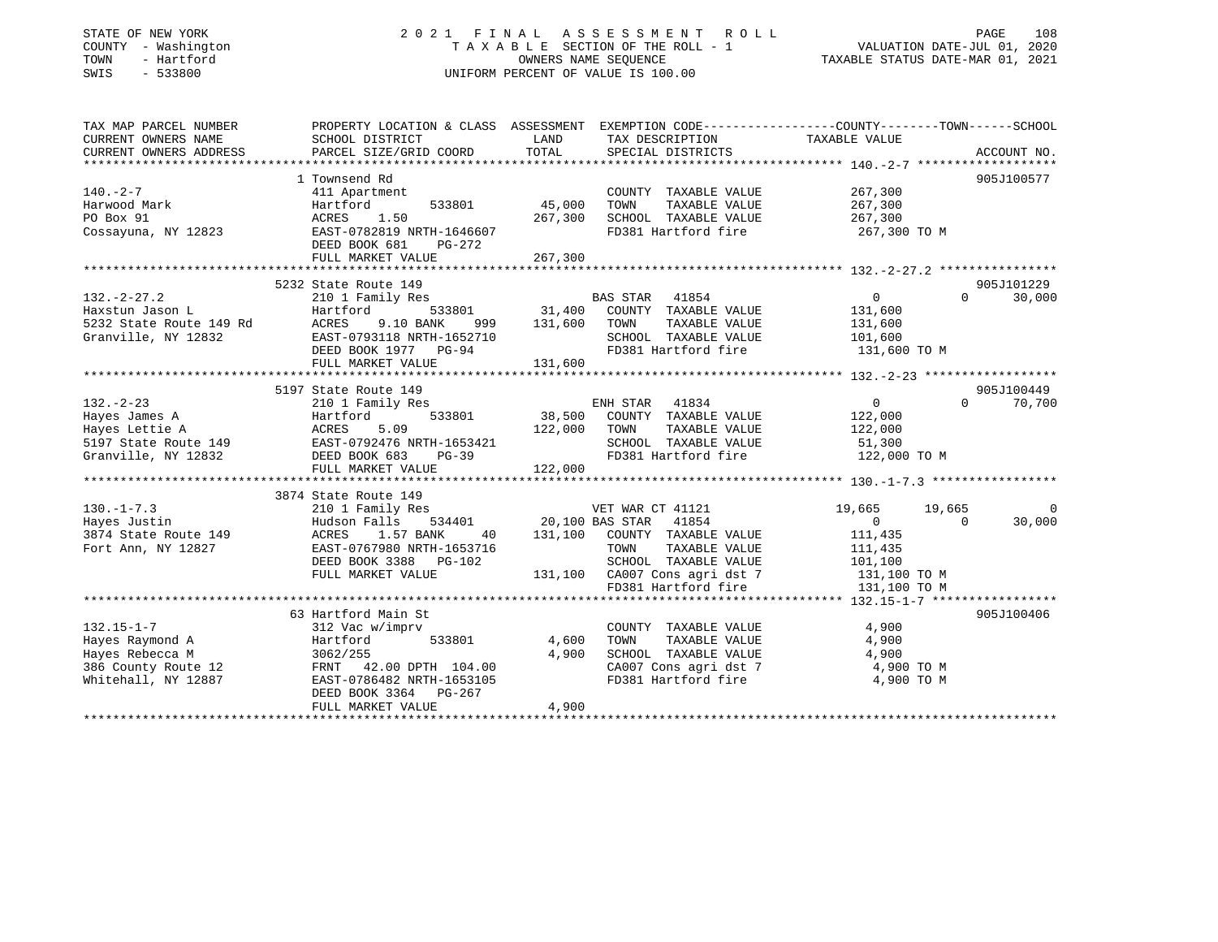#### STATE OF NEW YORK 2 0 2 1 F I N A L A S S E S S M E N T R O L L PAGE 108COUNTY - Washington  $T A X A B L E$  SECTION OF THE ROLL - 1<br>TOWN - Hartford TOWN - Hartford **Taxable STATUS DATE-MAR 01, 2021** OWNERS NAME SEQUENCE TAXABLE STATUS DATE-MAR 01, 2021 SWIS - 533800 UNIFORM PERCENT OF VALUE IS 100.00

VALUATION DATE-JUL 01, 2020

| TAX MAP PARCEL NUMBER                                                                                                                    | PROPERTY LOCATION & CLASS ASSESSMENT EXEMPTION CODE----------------COUNTY-------TOWN------SCHOOL |                  |                                                                                         |                                             |                   |             |
|------------------------------------------------------------------------------------------------------------------------------------------|--------------------------------------------------------------------------------------------------|------------------|-----------------------------------------------------------------------------------------|---------------------------------------------|-------------------|-------------|
| CURRENT OWNERS NAME                                                                                                                      | SCHOOL DISTRICT                                                                                  | LAND             | TAX DESCRIPTION                                                                         | TAXABLE VALUE                               |                   |             |
| CURRENT OWNERS ADDRESS                                                                                                                   | PARCEL SIZE/GRID COORD                                                                           | TOTAL            | SPECIAL DISTRICTS                                                                       |                                             |                   | ACCOUNT NO. |
|                                                                                                                                          |                                                                                                  |                  |                                                                                         |                                             |                   |             |
|                                                                                                                                          | 1 Townsend Rd                                                                                    |                  |                                                                                         |                                             |                   | 905J100577  |
| $140. - 2 - 7$                                                                                                                           | 411 Apartment                                                                                    |                  | COUNTY TAXABLE VALUE                                                                    | 267,300<br>267,300                          |                   |             |
| Harwood Mark                                                                                                                             | Hartford                                                                                         | 533801 45,000    | TOWN<br>TAXABLE VALUE                                                                   |                                             |                   |             |
| PO Box 91                                                                                                                                | 1.50<br>ACRES                                                                                    | 267,300          | SCHOOL TAXABLE VALUE                                                                    | 267,300                                     |                   |             |
| Cossayuna, NY 12823                                                                                                                      | EAST-0782819 NRTH-1646607                                                                        |                  | FD381 Hartford fire                                                                     | 267,300 TO M                                |                   |             |
|                                                                                                                                          | DEED BOOK 681<br>PG-272                                                                          |                  |                                                                                         |                                             |                   |             |
|                                                                                                                                          | FULL MARKET VALUE                                                                                | 267,300          |                                                                                         |                                             |                   |             |
|                                                                                                                                          |                                                                                                  |                  |                                                                                         |                                             |                   |             |
|                                                                                                                                          | 5232 State Route 149                                                                             |                  |                                                                                         |                                             |                   | 905J101229  |
|                                                                                                                                          |                                                                                                  |                  |                                                                                         | $\begin{array}{c} 0 \\ 131,600 \end{array}$ | $\Omega$          | 30,000      |
|                                                                                                                                          |                                                                                                  |                  |                                                                                         |                                             |                   |             |
|                                                                                                                                          | 9.10 BANK                                                                                        | 999 131,600 TOWN | TAXABLE VALUE                                                                           | 131,600                                     |                   |             |
| Granville, NY 12832                                                                                                                      |                                                                                                  |                  |                                                                                         |                                             |                   |             |
|                                                                                                                                          | EAST-0793118 NRTH-1652710<br>EAST-0793118 NRTH-1652710                                           |                  | SCHOOL TAXABLE VALUE 101,600<br>FD381 Hartford fire 131,600 TO M<br>FD381 Hartford fire |                                             |                   |             |
|                                                                                                                                          | FULL MARKET VALUE                                                                                | 131,600          |                                                                                         |                                             |                   |             |
|                                                                                                                                          |                                                                                                  |                  |                                                                                         |                                             |                   |             |
|                                                                                                                                          | 5197 State Route 149                                                                             |                  |                                                                                         |                                             |                   | 905J100449  |
| $132 - 2 - 23$                                                                                                                           | 210 1 Family Res                                                                                 |                  | ENH STAR 41834                                                                          | 0                                           | $0 \qquad \qquad$ | 70,700      |
|                                                                                                                                          |                                                                                                  |                  | $5.09$ 533801 38,500 COUNTY TAXABLE VALUE<br>5.09 122,000 TOWN TAXABLE VALUE            | 122,000                                     |                   |             |
|                                                                                                                                          |                                                                                                  |                  |                                                                                         | 122,000                                     |                   |             |
|                                                                                                                                          |                                                                                                  |                  | SCHOOL TAXABLE VALUE 51,300                                                             |                                             |                   |             |
| Hayes James A<br>Hayes Lettie A<br>5197 State Route 149<br>67 Granville, NY 12832<br>ERST-0792476 NRTH-1653421<br>FEED BOOK 683<br>PG-39 | $PG-39$                                                                                          |                  | FD381 Hartford fire                                                                     | 122,000 TO M                                |                   |             |
|                                                                                                                                          | FULL MARKET VALUE                                                                                | 122,000          |                                                                                         |                                             |                   |             |
|                                                                                                                                          |                                                                                                  |                  |                                                                                         |                                             |                   |             |
|                                                                                                                                          | 3874 State Route 149                                                                             |                  |                                                                                         |                                             |                   |             |
| $130. -1 - 7.3$                                                                                                                          |                                                                                                  |                  |                                                                                         |                                             |                   | - 0         |
|                                                                                                                                          |                                                                                                  |                  |                                                                                         | $0 \qquad \qquad$                           | $\overline{0}$    | 30,000      |
|                                                                                                                                          |                                                                                                  |                  |                                                                                         | 111,435                                     |                   |             |
| Fort Ann, NY 12827                                                                                                                       | EAST-0767980 NRTH-1653716                                                                        |                  | TOWN<br>TAXABLE VALUE                                                                   | 111,435                                     |                   |             |
|                                                                                                                                          | DEED BOOK 3388 PG-102                                                                            |                  |                                                                                         | 101,100                                     |                   |             |
|                                                                                                                                          | FULL MARKET VALUE                                                                                |                  | 102 SCHOOL TAXABLE VALUE 101,100<br>131,100 CA007 Cons agri dst 7 131,100 TO M          |                                             |                   |             |
|                                                                                                                                          |                                                                                                  |                  | FD381 Hartford fire                                                                     | 131,100 TO M                                |                   |             |
|                                                                                                                                          |                                                                                                  |                  |                                                                                         |                                             |                   |             |
|                                                                                                                                          | 63 Hartford Main St                                                                              |                  |                                                                                         |                                             |                   | 905J100406  |
| $132.15 - 1 - 7$                                                                                                                         | 312 Vac w/imprv                                                                                  |                  | COUNTY TAXABLE VALUE                                                                    | $\frac{1}{2}$ , $\frac{1}{2}$<br>4,900      |                   |             |
| Hayes Raymond A                                                                                                                          | Hartford<br>533801                                                                               | 4,600            | TAXABLE VALUE<br>TOWN                                                                   | 4,900                                       |                   |             |
| Hayes Rebecca M                                                                                                                          | 3062/255                                                                                         | 4,900            | SCHOOL TAXABLE VALUE                                                                    | 4,900                                       |                   |             |
|                                                                                                                                          |                                                                                                  |                  | CA007 Cons agri dst 7<br>The Ulumber of time                                            | 4,900 TO M                                  |                   |             |
| 386 County Route 12 FRNT 42.00 DPTH 104.00<br>Whitehall, NY 12887 EAST-0786482 NRTH-1653105                                              |                                                                                                  |                  | FD381 Hartford fire                                                                     | 4,900 TO M                                  |                   |             |
|                                                                                                                                          | DEED BOOK 3364 PG-267                                                                            |                  |                                                                                         |                                             |                   |             |
|                                                                                                                                          | FULL MARKET VALUE                                                                                | 4,900            |                                                                                         |                                             |                   |             |
|                                                                                                                                          |                                                                                                  |                  |                                                                                         |                                             |                   |             |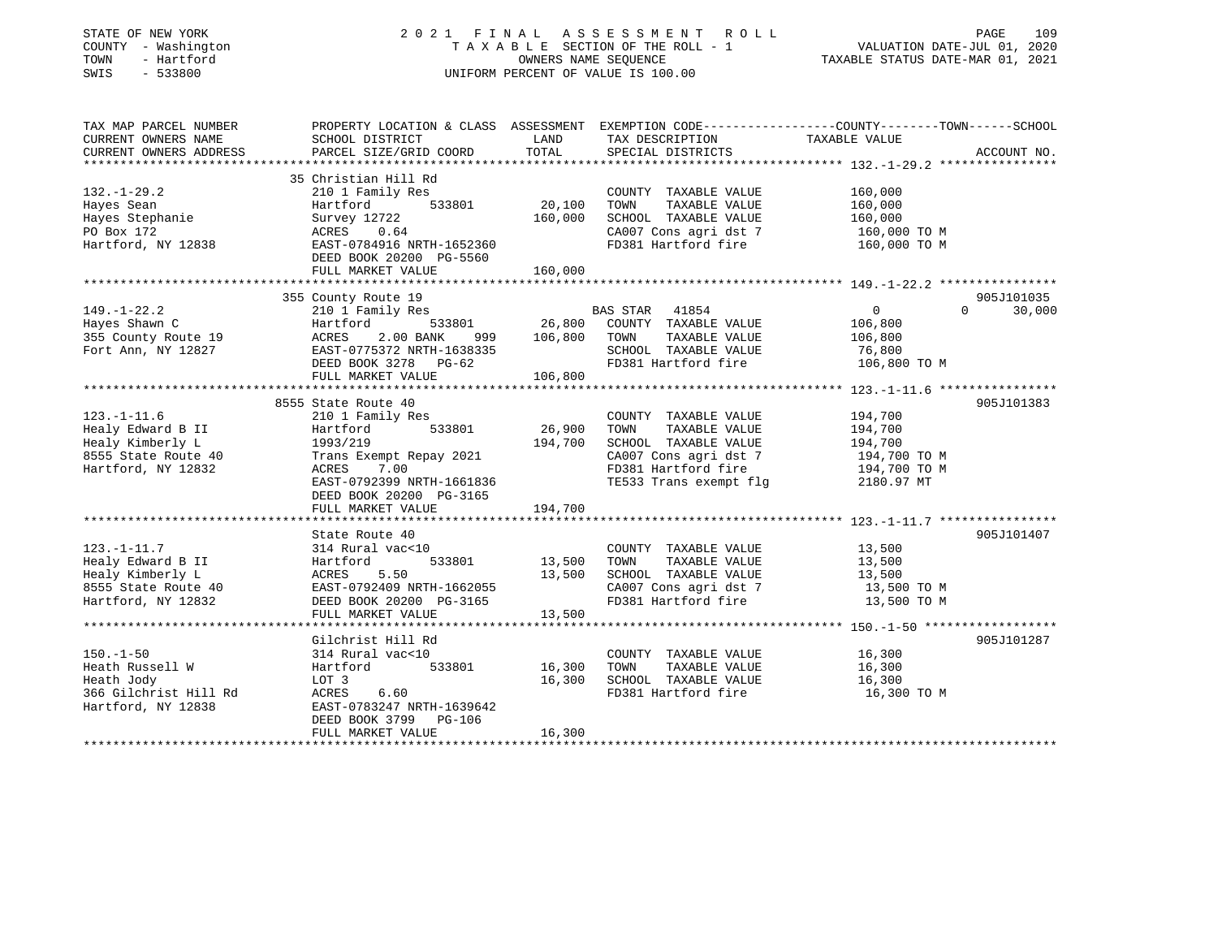| STATE OF NEW YORK<br>COUNTY - Washington<br>TOWN<br>- Hartford<br>SWIS<br>$-533800$                     | 2021 FINAL ASSESSMENT ROLL<br>UNIFORM PERCENT OF VALUE IS 100.00                                                                                                                                       | TAXABLE SECTION OF THE ROLL - 1 VALUATION DATE-JUL 01, 2020<br>TAXABLE STATUS DATE-MAR 01, 2021 | 109<br>PAGE                                                                                                                                                |                                                                |                                  |
|---------------------------------------------------------------------------------------------------------|--------------------------------------------------------------------------------------------------------------------------------------------------------------------------------------------------------|-------------------------------------------------------------------------------------------------|------------------------------------------------------------------------------------------------------------------------------------------------------------|----------------------------------------------------------------|----------------------------------|
| TAX MAP PARCEL NUMBER<br>CURRENT OWNERS NAME<br>CURRENT OWNERS ADDRESS                                  | PROPERTY LOCATION & CLASS ASSESSMENT EXEMPTION CODE----------------COUNTY-------TOWN------SCHOOL<br>SCHOOL DISTRICT<br>PARCEL SIZE/GRID COORD                                                          | <b>LAND</b><br>TOTAL                                                                            | TAX DESCRIPTION TAXABLE VALUE<br>SPECIAL DISTRICTS                                                                                                         |                                                                | ACCOUNT NO.                      |
| $132. - 1 - 29.2$<br>Hayes Sean<br>Hayes Stephanie<br>PO Box 172<br>Hartford, NY 12838                  | 35 Christian Hill Rd<br>210 1 Family Res<br>Hartford 533801<br>Survey 12722<br>ACRES 0.64<br>EAST-0784916 NRTH-1652360<br>DEED BOOK 20200 PG-5560<br>FULL MARKET VALUE                                 | 20,100<br>160,000<br>160,000                                                                    | COUNTY TAXABLE VALUE<br>TOWN<br>TAXABLE VALUE<br>SCHOOL TAXABLE VALUE<br>CA007 Cons agri dst 7 160,000 TO M<br>FD381 Hartford fire 160,000 TO M            | 160,000<br>160,000<br>160,000<br>160,000 TO M                  |                                  |
|                                                                                                         |                                                                                                                                                                                                        |                                                                                                 |                                                                                                                                                            |                                                                |                                  |
| $149. - 1 - 22.2$<br>Hayes Shawn C<br>$355$ County Route 19<br>Fort Ann, NY 12827                       | 355 County Route 19<br>210 1 Family Res 633801 BAS STAR 41854<br>Hartford 533801 26,800 COUNTY TAXABLE VALUE<br>ACRES 2.00 BANK<br>EAST-0775372 NRTH-1638335<br>- FAST 2078 PG-62<br>FULL MARKET VALUE | 999 106,800 TOWN<br>106,800                                                                     | TAXABLE VALUE<br>SCHOOL TAXABLE VALUE<br>FD381 Hartford fire                                                                                               | $\overline{0}$<br>106,800<br>106,800<br>76,800<br>106,800 TO M | 905J101035<br>$\Omega$<br>30,000 |
|                                                                                                         | 8555 State Route 40                                                                                                                                                                                    |                                                                                                 |                                                                                                                                                            |                                                                | 905J101383                       |
| $123. - 1 - 11.6$<br>Healy Edward B II<br>Healy Kimberly L<br>8555 State Route 40<br>Hartford, NY 12832 | 210 1 Family Res<br>Hartford<br>533801<br>1993/219<br>Trans Exempt Repay 2021<br>7.00<br>ACRES<br>EAST-0792399 NRTH-1661836<br>DEED BOOK 20200 PG-3165                                                 | 26,900<br>194,700                                                                               | COUNTY TAXABLE VALUE<br>TAXABLE VALUE<br>TOWN<br>SCHOOL TAXABLE VALUE<br>CA007 Cons agri dst 7<br>FD381 Hartford fire<br>TE533 Trans exempt flg 2180.97 MT | 194,700<br>194,700<br>194,700<br>194,700 TO M<br>194,700 TO M  |                                  |
|                                                                                                         | FULL MARKET VALUE                                                                                                                                                                                      | 194,700                                                                                         |                                                                                                                                                            |                                                                |                                  |
| $123. - 1 - 11.7$<br>Healy Edward B II<br>Healy Kimberly L<br>8555 State Route 40<br>Hartford, NY 12832 | State Route 40<br>314 Rural vac<10<br>Hartford<br>ACRES 5.50 13,500<br>EAST-0792409 NRTH-1662055 13,500<br>DEED BOOK 20200 PG-3165<br>FULL MARKET VALUE                                                | 533801 13,500<br>13,500                                                                         | COUNTY TAXABLE VALUE<br>TAXABLE VALUE<br>TOWN<br>SCHOOL TAXABLE VALUE<br>CA007 Cons agri dst 7 13,500 TO M<br>FD381 Hartford fire 13,500 TO M              | 13,500<br>13,500<br>13,500                                     | 905J101407                       |
|                                                                                                         | Gilchrist Hill Rd                                                                                                                                                                                      |                                                                                                 |                                                                                                                                                            |                                                                | 905J101287                       |

150.-1-50 314 Rural vac<10 COUNTY TAXABLE VALUE 16,300 Heath Russell W **Hartford** 533801 16,300 TOWN TAXABLE VALUE Heath Jody LOT 3 16,300 SCHOOL TAXABLE VALUE 16,300 366 Gilchrist Hill Rd ACRES 6.60 FD381 Hartford fire 16,300 TO M Hartford, NY 12838 EAST-0783247 NRTH-1639642 DEED BOOK 3799 PG-106 FULL MARKET VALUE 16,300

\*\*\*\*\*\*\*\*\*\*\*\*\*\*\*\*\*\*\*\*\*\*\*\*\*\*\*\*\*\*\*\*\*\*\*\*\*\*\*\*\*\*\*\*\*\*\*\*\*\*\*\*\*\*\*\*\*\*\*\*\*\*\*\*\*\*\*\*\*\*\*\*\*\*\*\*\*\*\*\*\*\*\*\*\*\*\*\*\*\*\*\*\*\*\*\*\*\*\*\*\*\*\*\*\*\*\*\*\*\*\*\*\*\*\*\*\*\*\*\*\*\*\*\*\*\*\*\*\*\*\*\*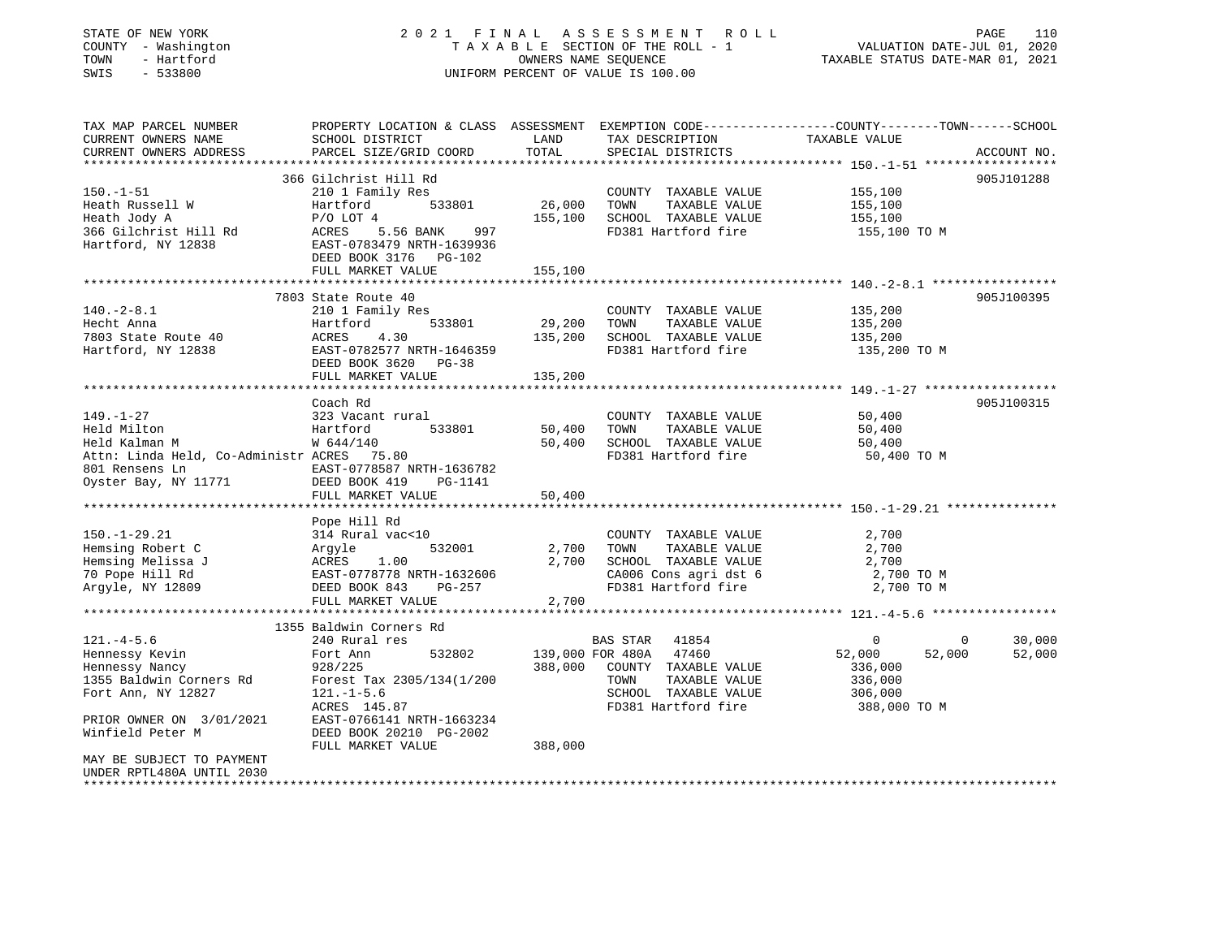| COUNTY - Washington<br>- Hartford<br>TOWN<br>$-533800$<br>SWIS |                           |         | TAXABLE SECTION OF THE ROLL - 1<br>OWNERS NAME SEQUENCE<br>UNIFORM PERCENT OF VALUE IS 100.00 | VALUATION DATE-JUL 01, 2020<br>TAXABLE STATUS DATE-MAR 01, 2021                                                 |
|----------------------------------------------------------------|---------------------------|---------|-----------------------------------------------------------------------------------------------|-----------------------------------------------------------------------------------------------------------------|
| TAX MAP PARCEL NUMBER<br>CURRENT OWNERS NAME                   | SCHOOL DISTRICT           | LAND    | TAX DESCRIPTION                                                                               | PROPERTY LOCATION & CLASS ASSESSMENT EXEMPTION CODE---------------COUNTY-------TOWN-----SCHOOL<br>TAXABLE VALUE |
| CURRENT OWNERS ADDRESS<br>******************                   | PARCEL SIZE/GRID COORD    | TOTAL   | SPECIAL DISTRICTS                                                                             | ACCOUNT NO.                                                                                                     |
|                                                                | 366 Gilchrist Hill Rd     |         |                                                                                               | *************** 150.-1-51 *******************<br>905J101288                                                     |
| $150. - 1 - 51$                                                | 210 1 Family Res          |         | COUNTY TAXABLE VALUE                                                                          | 155,100                                                                                                         |
| Heath Russell W                                                | 533801<br>Hartford        | 26,000  | TOWN<br>TAXABLE VALUE                                                                         | 155,100                                                                                                         |
| Heath Jody A                                                   | $P/O$ LOT 4               |         | 155,100 SCHOOL TAXABLE VALUE                                                                  | 155,100                                                                                                         |
| 366 Gilchrist Hill Rd                                          | ACRES 5.56 BANK<br>997    |         | FD381 Hartford fire                                                                           | 155,100 TO M                                                                                                    |
| Hartford, NY 12838                                             | EAST-0783479 NRTH-1639936 |         |                                                                                               |                                                                                                                 |
|                                                                | DEED BOOK 3176 PG-102     |         |                                                                                               |                                                                                                                 |
|                                                                | FULL MARKET VALUE         | 155,100 |                                                                                               |                                                                                                                 |
|                                                                | 7803 State Route 40       |         |                                                                                               | 905J100395                                                                                                      |
| $140. - 2 - 8.1$                                               | 210 1 Family Res          |         | COUNTY TAXABLE VALUE                                                                          | 135,200                                                                                                         |
| Hecht Anna                                                     | Hartford<br>533801        | 29,200  | TOWN<br>TAXABLE VALUE                                                                         | 135,200                                                                                                         |
| 7803 State Route 40                                            | ACRES<br>4.30             |         | 135,200 SCHOOL TAXABLE VALUE                                                                  | 135,200                                                                                                         |
| Hartford, NY 12838                                             | EAST-0782577 NRTH-1646359 |         | FD381 Hartford fire                                                                           | 135,200 TO M                                                                                                    |
|                                                                | DEED BOOK 3620 PG-38      |         |                                                                                               |                                                                                                                 |
|                                                                | FULL MARKET VALUE         | 135,200 |                                                                                               |                                                                                                                 |
|                                                                | Coach Rd                  |         |                                                                                               | ***************** 149.-1-27 *******************<br>905J100315                                                   |
| $149. - 1 - 27$                                                | 323 Vacant rural          |         | COUNTY TAXABLE VALUE                                                                          | 50,400                                                                                                          |
| Held Milton                                                    | Hartford<br>533801        | 50,400  | TOWN<br>TAXABLE VALUE                                                                         | 50,400                                                                                                          |
| Held Kalman M                                                  | W 644/140                 |         | 50,400 SCHOOL TAXABLE VALUE                                                                   | 50,400                                                                                                          |
| Attn: Linda Held, Co-Administr ACRES 75.80                     |                           |         | FD381 Hartford fire                                                                           | 50,400 TO M                                                                                                     |
| 801 Rensens Ln                                                 | EAST-0778587 NRTH-1636782 |         |                                                                                               |                                                                                                                 |
| Oyster Bay, NY 11771                                           | DEED BOOK 419 PG-1141     |         |                                                                                               |                                                                                                                 |
|                                                                | FULL MARKET VALUE         | 50,400  |                                                                                               |                                                                                                                 |
|                                                                | Pope Hill Rd              |         |                                                                                               |                                                                                                                 |
| $150. - 1 - 29.21$                                             | 314 Rural vac<10          |         | COUNTY TAXABLE VALUE                                                                          | 2,700                                                                                                           |
| Hemsing Robert C                                               | 532001<br>Argyle          |         | 2,700 TOWN<br>TAXABLE VALUE                                                                   | 2,700                                                                                                           |
| Hemsing Melissa J                                              | ACRES 1.00                |         | 2,700 SCHOOL TAXABLE VALUE                                                                    | 2,700                                                                                                           |
| 70 Pope Hill Rd                                                | EAST-0778778 NRTH-1632606 |         | CA006 Cons agri dst 6                                                                         | 2,700 TO M                                                                                                      |
| Argyle, NY 12809                                               | PG-257<br>DEED BOOK 843   |         | FD381 Hartford fire                                                                           | 2,700 TO M                                                                                                      |
|                                                                | FULL MARKET VALUE         | 2,700   |                                                                                               |                                                                                                                 |
|                                                                | 1355 Baldwin Corners Rd   |         |                                                                                               |                                                                                                                 |
| $121. -4 - 5.6$                                                | 240 Rural res             |         | BAS STAR 41854                                                                                | $\Omega$<br>$\Omega$<br>30,000                                                                                  |
| Hennessy Kevin                                                 | Fort Ann<br>532802        |         | 139,000 FOR 480A 47460                                                                        | 52,000<br>52,000<br>52,000                                                                                      |
| Hennessy Nancy                                                 | 928/225                   | 388,000 | COUNTY TAXABLE VALUE                                                                          | 336,000                                                                                                         |
| 1355 Baldwin Corners Rd                                        | Forest Tax 2305/134(1/200 |         | TAXABLE VALUE<br>TOWN                                                                         | 336,000                                                                                                         |
| Fort Ann, NY 12827                                             | $121. - 1 - 5.6$          |         | SCHOOL TAXABLE VALUE                                                                          | 306,000                                                                                                         |
|                                                                | ACRES 145.87              |         | FD381 Hartford fire                                                                           | 388,000 TO M                                                                                                    |
| PRIOR OWNER ON 3/01/2021                                       | EAST-0766141 NRTH-1663234 |         |                                                                                               |                                                                                                                 |
| Winfield Peter M                                               | DEED BOOK 20210 PG-2002   |         |                                                                                               |                                                                                                                 |
|                                                                | FULL MARKET VALUE         | 388,000 |                                                                                               |                                                                                                                 |
|                                                                |                           |         |                                                                                               |                                                                                                                 |
| MAY BE SUBJECT TO PAYMENT<br>UNDER RPTL480A UNTIL 2030         |                           |         |                                                                                               |                                                                                                                 |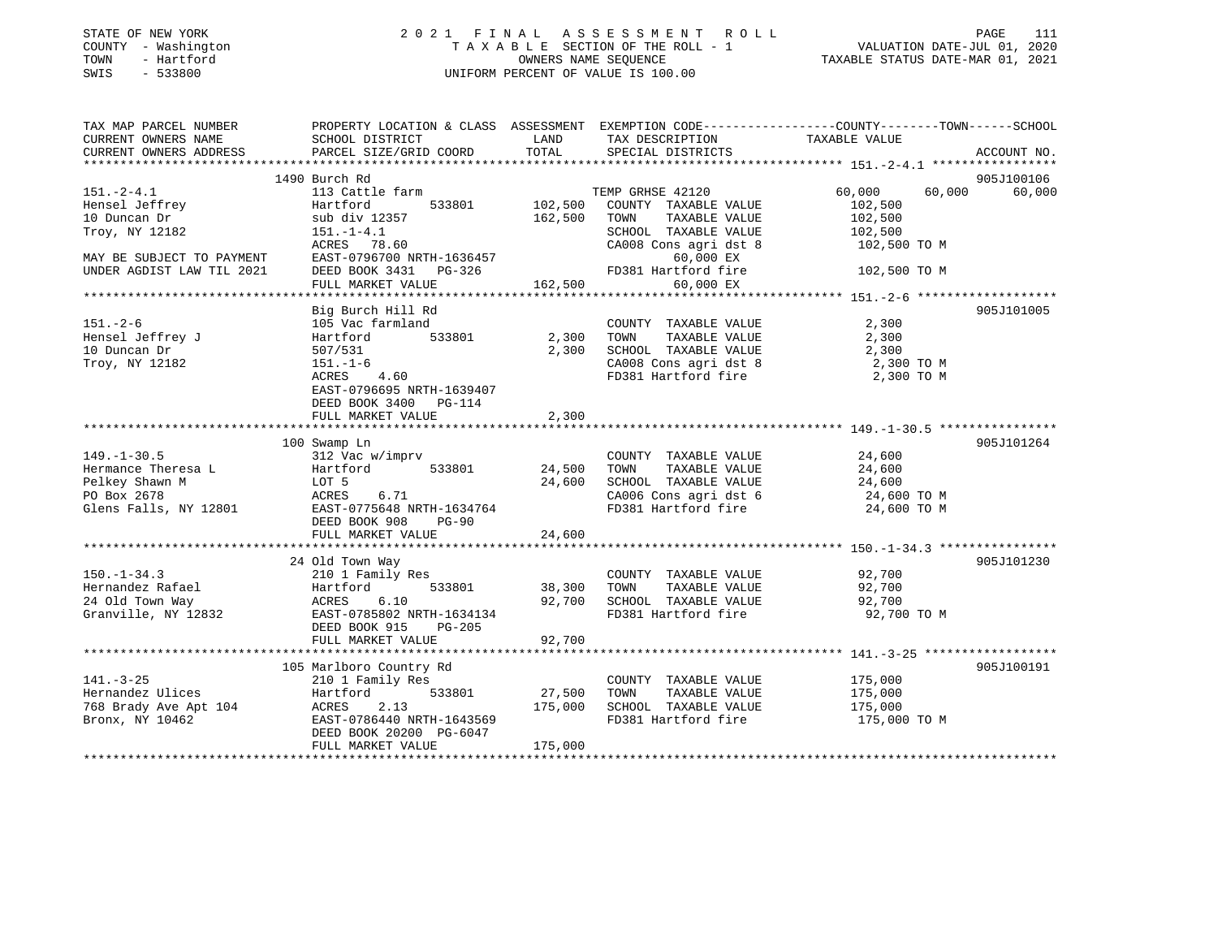| COUNTY - Washington<br>TOWN<br>- Hartford<br>SWIS<br>$-533800$                                    | TAXABLE SECTION OF THE ROLL - 1<br>OWNERS NAME SEQUENCE<br>UNIFORM PERCENT OF VALUE IS 100.00                                                                  |                            |                                                                                                                       | VALUATION DATE-JUL 01, 2020<br>TAXABLE STATUS DATE-MAR 01, 2021                                                                 |  |
|---------------------------------------------------------------------------------------------------|----------------------------------------------------------------------------------------------------------------------------------------------------------------|----------------------------|-----------------------------------------------------------------------------------------------------------------------|---------------------------------------------------------------------------------------------------------------------------------|--|
| TAX MAP PARCEL NUMBER<br>CURRENT OWNERS NAME<br>CURRENT OWNERS ADDRESS                            | SCHOOL DISTRICT<br>PARCEL SIZE/GRID COORD                                                                                                                      | LAND<br>TOTAL              | TAX DESCRIPTION<br>SPECIAL DISTRICTS                                                                                  | PROPERTY LOCATION & CLASS ASSESSMENT EXEMPTION CODE---------------COUNTY-------TOWN------SCHOOL<br>TAXABLE VALUE<br>ACCOUNT NO. |  |
|                                                                                                   | 1490 Burch Rd                                                                                                                                                  |                            |                                                                                                                       | 905J100106                                                                                                                      |  |
| $151. - 2 - 4.1$<br>Hensel Jeffrey                                                                | 113 Cattle farm<br>533801<br>Hartford                                                                                                                          | 102,500                    | TEMP GRHSE 42120<br>COUNTY TAXABLE VALUE                                                                              | 60,000<br>60,000<br>60,000<br>102,500                                                                                           |  |
| 10 Duncan Dr<br>Troy, NY 12182                                                                    | sub div 12357<br>$151. - 1 - 4.1$<br>ACRES 78.60                                                                                                               | 162,500                    | TOWN<br>TAXABLE VALUE<br>SCHOOL TAXABLE VALUE<br>CA008 Cons agri dst 8                                                | 102,500<br>102,500<br>102,500 TO M                                                                                              |  |
| MAY BE SUBJECT TO PAYMENT<br>UNDER AGDIST LAW TIL 2021                                            | EAST-0796700 NRTH-1636457<br>DEED BOOK 3431 PG-326<br>FULL MARKET VALUE                                                                                        | 162,500                    | 60,000 EX<br>FD381 Hartford fire<br>60,000 EX                                                                         | 102,500 TO M                                                                                                                    |  |
|                                                                                                   |                                                                                                                                                                |                            |                                                                                                                       |                                                                                                                                 |  |
| $151. - 2 - 6$                                                                                    | Big Burch Hill Rd<br>105 Vac farmland                                                                                                                          |                            | COUNTY TAXABLE VALUE                                                                                                  | 905J101005<br>2,300                                                                                                             |  |
| Hensel Jeffrey J<br>10 Duncan Dr<br>Troy, NY 12182                                                | 533801<br>Hartford<br>507/531<br>$151. - 1 - 6$                                                                                                                | 2,300<br>2,300             | TAXABLE VALUE<br>TOWN<br>SCHOOL TAXABLE VALUE<br>CA008 Cons agri dst 8                                                | 2,300<br>2,300<br>2,300 TO M                                                                                                    |  |
|                                                                                                   | ACRES 4.60<br>EAST-0796695 NRTH-1639407<br>DEED BOOK 3400 PG-114<br>FULL MARKET VALUE                                                                          | 2,300                      | FD381 Hartford fire                                                                                                   | 2,300 TO M                                                                                                                      |  |
|                                                                                                   |                                                                                                                                                                |                            |                                                                                                                       |                                                                                                                                 |  |
|                                                                                                   | 100 Swamp Ln                                                                                                                                                   |                            |                                                                                                                       | 905J101264                                                                                                                      |  |
| $149. - 1 - 30.5$<br>Hermance Theresa L<br>Pelkey Shawn M<br>PO Box 2678<br>Glens Falls, NY 12801 | 312 Vac w/imprv<br>Hartford<br>533801<br>LOT 5<br>ACRES<br>6.71<br>EAST-0775648 NRTH-1634764<br>DEED BOOK 908<br><b>PG-90</b>                                  | 24,500<br>24,600           | COUNTY TAXABLE VALUE<br>TOWN<br>TAXABLE VALUE<br>SCHOOL TAXABLE VALUE<br>CA006 Cons agri dst 6<br>FD381 Hartford fire | 24,600<br>24,600<br>24,600<br>24,600 TO M<br>24,600 TO M                                                                        |  |
|                                                                                                   | FULL MARKET VALUE                                                                                                                                              | 24,600                     |                                                                                                                       |                                                                                                                                 |  |
|                                                                                                   |                                                                                                                                                                |                            |                                                                                                                       |                                                                                                                                 |  |
| $150. - 1 - 34.3$<br>Hernandez Rafael<br>24 Old Town Way<br>Granville, NY 12832                   | 24 Old Town Way<br>210 1 Family Res<br>533801<br>Hartford<br><b>ACRES</b><br>6.10<br>EAST-0785802 NRTH-1634134<br>DEED BOOK 915<br>PG-205<br>FULL MARKET VALUE | 38,300<br>92,700<br>92,700 | COUNTY TAXABLE VALUE<br>TOWN<br>TAXABLE VALUE<br>SCHOOL TAXABLE VALUE<br>FD381 Hartford fire                          | 905J101230<br>92,700<br>92,700<br>92,700<br>92,700 TO M                                                                         |  |
|                                                                                                   |                                                                                                                                                                |                            |                                                                                                                       |                                                                                                                                 |  |
| $141. - 3 - 25$<br>Hernandez Ulices<br>768 Brady Ave Apt 104<br>Bronx, NY 10462                   | 105 Marlboro Country Rd<br>210 1 Family Res<br>533801<br>Hartford<br>ACRES<br>2.13<br>EAST-0786440 NRTH-1643569                                                | 27,500<br>175,000          | COUNTY TAXABLE VALUE<br>TOWN<br>TAXABLE VALUE<br>SCHOOL TAXABLE VALUE<br>FD381 Hartford fire                          | 905J100191<br>175,000<br>175,000<br>175,000<br>175,000 TO M                                                                     |  |

\*\*\*\*\*\*\*\*\*\*\*\*\*\*\*\*\*\*\*\*\*\*\*\*\*\*\*\*\*\*\*\*\*\*\*\*\*\*\*\*\*\*\*\*\*\*\*\*\*\*\*\*\*\*\*\*\*\*\*\*\*\*\*\*\*\*\*\*\*\*\*\*\*\*\*\*\*\*\*\*\*\*\*\*\*\*\*\*\*\*\*\*\*\*\*\*\*\*\*\*\*\*\*\*\*\*\*\*\*\*\*\*\*\*\*\*\*\*\*\*\*\*\*\*\*\*\*\*\*\*\*\*

FULL MARKET VALUE 175,000

DEED BOOK 20200 PG-6047

# STATE OF NEW YORK 2 0 2 1 F I N A L A S S E S S M E N T R O L L PAGE 111

111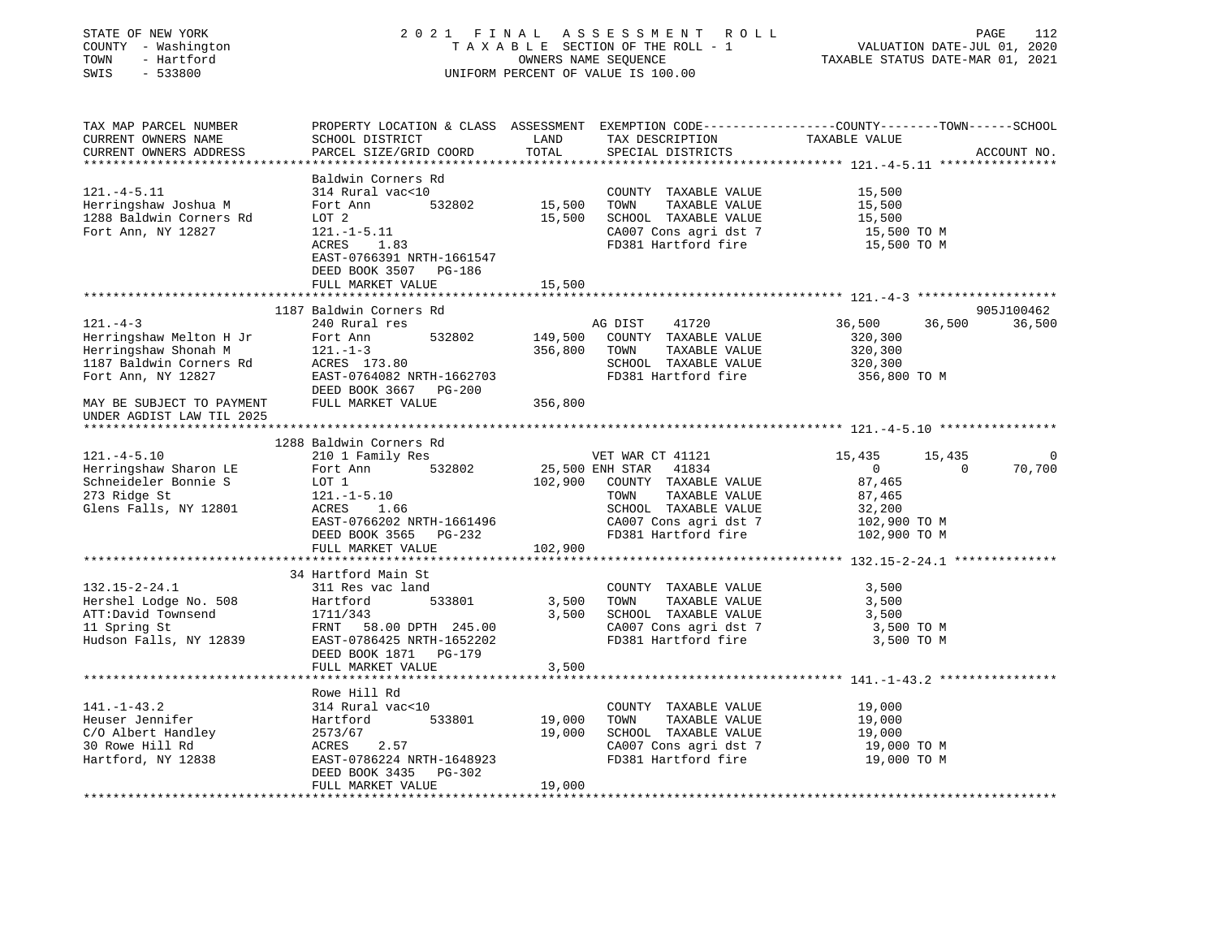| STATE OF NEW YORK<br>COUNTY - Washington<br>TOWN<br>- Hartford<br>$-533800$<br>SWIS                 |                                                                                                                                              |               | 2021 FINAL ASSESSMENT ROLL<br>TAXABLE SECTION OF THE ROLL - 1<br>OWNERS NAME SEOUENCE<br>UNIFORM PERCENT OF VALUE IS 100.00 | VALUATION DATE-JUL 01, 2020<br>TAXABLE STATUS DATE-MAR 01, 2021 | PAGE<br>112          |
|-----------------------------------------------------------------------------------------------------|----------------------------------------------------------------------------------------------------------------------------------------------|---------------|-----------------------------------------------------------------------------------------------------------------------------|-----------------------------------------------------------------|----------------------|
| TAX MAP PARCEL NUMBER<br>CURRENT OWNERS NAME<br>CURRENT OWNERS ADDRESS<br>************************* | PROPERTY LOCATION & CLASS ASSESSMENT EXEMPTION CODE---------------COUNTY-------TOWN------SCHOOL<br>SCHOOL DISTRICT<br>PARCEL SIZE/GRID COORD | LAND<br>TOTAL | TAX DESCRIPTION<br>SPECIAL DISTRICTS                                                                                        | TAXABLE VALUE                                                   | ACCOUNT NO.          |
|                                                                                                     | Baldwin Corners Rd                                                                                                                           |               |                                                                                                                             |                                                                 |                      |
| $121. -4 - 5.11$                                                                                    | 314 Rural vac<10                                                                                                                             |               | COUNTY TAXABLE VALUE                                                                                                        | 15,500                                                          |                      |
| Herringshaw Joshua M                                                                                | Fort Ann<br>532802                                                                                                                           | 15,500        | TOWN<br>TAXABLE VALUE                                                                                                       | 15,500                                                          |                      |
| 1288 Baldwin Corners Rd                                                                             | LOT 2                                                                                                                                        | 15,500        | SCHOOL TAXABLE VALUE                                                                                                        | 15,500                                                          |                      |
| Fort Ann, NY 12827                                                                                  | $121.-1-5.11$                                                                                                                                |               | CA007 Cons agri dst 7                                                                                                       | 15,500 TO M                                                     |                      |
|                                                                                                     | ACRES 1.83<br>EAST-0766391 NRTH-1661547<br>DEED BOOK 3507 PG-186                                                                             |               | FD381 Hartford fire                                                                                                         | 15,500 TO M                                                     |                      |
|                                                                                                     | FULL MARKET VALUE                                                                                                                            | 15,500        |                                                                                                                             |                                                                 |                      |
|                                                                                                     |                                                                                                                                              |               |                                                                                                                             |                                                                 |                      |
| $121. -4-3$                                                                                         | 1187 Baldwin Corners Rd<br>240 Rural res                                                                                                     |               | AG DIST<br>41720                                                                                                            | 36,500<br>36,500                                                | 905J100462<br>36,500 |
| Herringshaw Melton H Jr                                                                             | Fort Ann<br>532802                                                                                                                           | 149,500       | COUNTY TAXABLE VALUE                                                                                                        | 320,300                                                         |                      |
| Herringshaw Shonah M                                                                                | $121. - 1 - 3$                                                                                                                               | 356,800       | TOWN<br>TAXABLE VALUE                                                                                                       | 320,300                                                         |                      |
| 1187 Baldwin Corners Rd                                                                             | ACRES 173.80                                                                                                                                 |               | SCHOOL TAXABLE VALUE                                                                                                        | 320,300                                                         |                      |
| Fort Ann, NY 12827                                                                                  | EAST-0764082 NRTH-1662703                                                                                                                    |               | FD381 Hartford fire                                                                                                         | 356,800 TO M                                                    |                      |
|                                                                                                     | DEED BOOK 3667 PG-200                                                                                                                        |               |                                                                                                                             |                                                                 |                      |
| MAY BE SUBJECT TO PAYMENT                                                                           | FULL MARKET VALUE                                                                                                                            | 356,800       |                                                                                                                             |                                                                 |                      |
| UNDER AGDIST LAW TIL 2025                                                                           |                                                                                                                                              |               |                                                                                                                             |                                                                 |                      |
|                                                                                                     | 1288 Baldwin Corners Rd                                                                                                                      |               |                                                                                                                             |                                                                 |                      |
| $121. -4 - 5.10$                                                                                    | 210 1 Family Res                                                                                                                             |               | VET WAR CT 41121                                                                                                            | 15,435<br>15,435                                                | $\overline{0}$       |
| Herringshaw Sharon LE                                                                               | Fort Ann<br>532802                                                                                                                           |               | 25,500 ENH STAR 41834                                                                                                       | $\overline{0}$<br>$\overline{0}$                                | 70,700               |
| Schneideler Bonnie S                                                                                | LOT 1                                                                                                                                        |               | 102,900 COUNTY TAXABLE VALUE                                                                                                | 87,465                                                          |                      |
| 273 Ridge St                                                                                        | $121.-1-5.10$                                                                                                                                |               | TOWN<br>TAXABLE VALUE                                                                                                       | 87,465                                                          |                      |
| Glens Falls, NY 12801                                                                               | ACRES 1.66                                                                                                                                   |               | SCHOOL TAXABLE VALUE                                                                                                        | 32,200                                                          |                      |
|                                                                                                     | EAST-0766202 NRTH-1661496<br>DEED BOOK 3565 PG-232                                                                                           |               | CA007 Cons agri dst 7<br>FD381 Hartford fire                                                                                | 102,900 TO M<br>102,900 TO M                                    |                      |
|                                                                                                     | FULL MARKET VALUE                                                                                                                            | 102,900       |                                                                                                                             |                                                                 |                      |
|                                                                                                     |                                                                                                                                              |               |                                                                                                                             |                                                                 |                      |
|                                                                                                     | 34 Hartford Main St                                                                                                                          |               |                                                                                                                             |                                                                 |                      |
| $132.15 - 2 - 24.1$                                                                                 | 311 Res vac land                                                                                                                             |               | COUNTY TAXABLE VALUE                                                                                                        | 3,500                                                           |                      |
| Hershel Lodge No. 508                                                                               | Hartford<br>533801                                                                                                                           | 3,500         | TOWN<br>TAXABLE VALUE                                                                                                       | 3,500                                                           |                      |
| ATT:David Townsend                                                                                  | 1711/343                                                                                                                                     | 3,500         | SCHOOL TAXABLE VALUE                                                                                                        | 3,500                                                           |                      |
| 11 Spring St<br>Hudson Falls, NY 12839                                                              | FRNT 58.00 DPTH 245.00<br>EAST-0786425 NRTH-1652202                                                                                          |               | CA007 Cons agri dst 7<br>FD381 Hartford fire                                                                                | 3,500 TO M<br>3,500 TO M                                        |                      |
|                                                                                                     | DEED BOOK 1871 PG-179                                                                                                                        |               |                                                                                                                             |                                                                 |                      |
|                                                                                                     | FULL MARKET VALUE                                                                                                                            | 3,500         |                                                                                                                             |                                                                 |                      |
|                                                                                                     |                                                                                                                                              |               |                                                                                                                             |                                                                 |                      |
|                                                                                                     | Rowe Hill Rd                                                                                                                                 |               |                                                                                                                             |                                                                 |                      |
| $141. - 1 - 43.2$                                                                                   | 314 Rural vac<10                                                                                                                             |               | COUNTY TAXABLE VALUE                                                                                                        | 19,000                                                          |                      |
| Heuser Jennifer                                                                                     | Hartford<br>533801                                                                                                                           | 19,000        | TAXABLE VALUE<br>TOWN                                                                                                       | 19,000                                                          |                      |
| C/O Albert Handley                                                                                  | 2573/67                                                                                                                                      | 19,000        | SCHOOL TAXABLE VALUE                                                                                                        | 19,000                                                          |                      |
| 30 Rowe Hill Rd<br>Hartford, NY 12838                                                               | ACRES 2.57<br>EAST-0786224 NRTH-1648923                                                                                                      |               | CA007 Cons agri dst 7<br>FD381 Hartford fire                                                                                | 19,000 TO M<br>19,000 TO M                                      |                      |
|                                                                                                     |                                                                                                                                              |               |                                                                                                                             |                                                                 |                      |
|                                                                                                     |                                                                                                                                              |               |                                                                                                                             |                                                                 |                      |
|                                                                                                     | DEED BOOK 3435 PG-302<br>FULL MARKET VALUE                                                                                                   | 19,000        |                                                                                                                             |                                                                 |                      |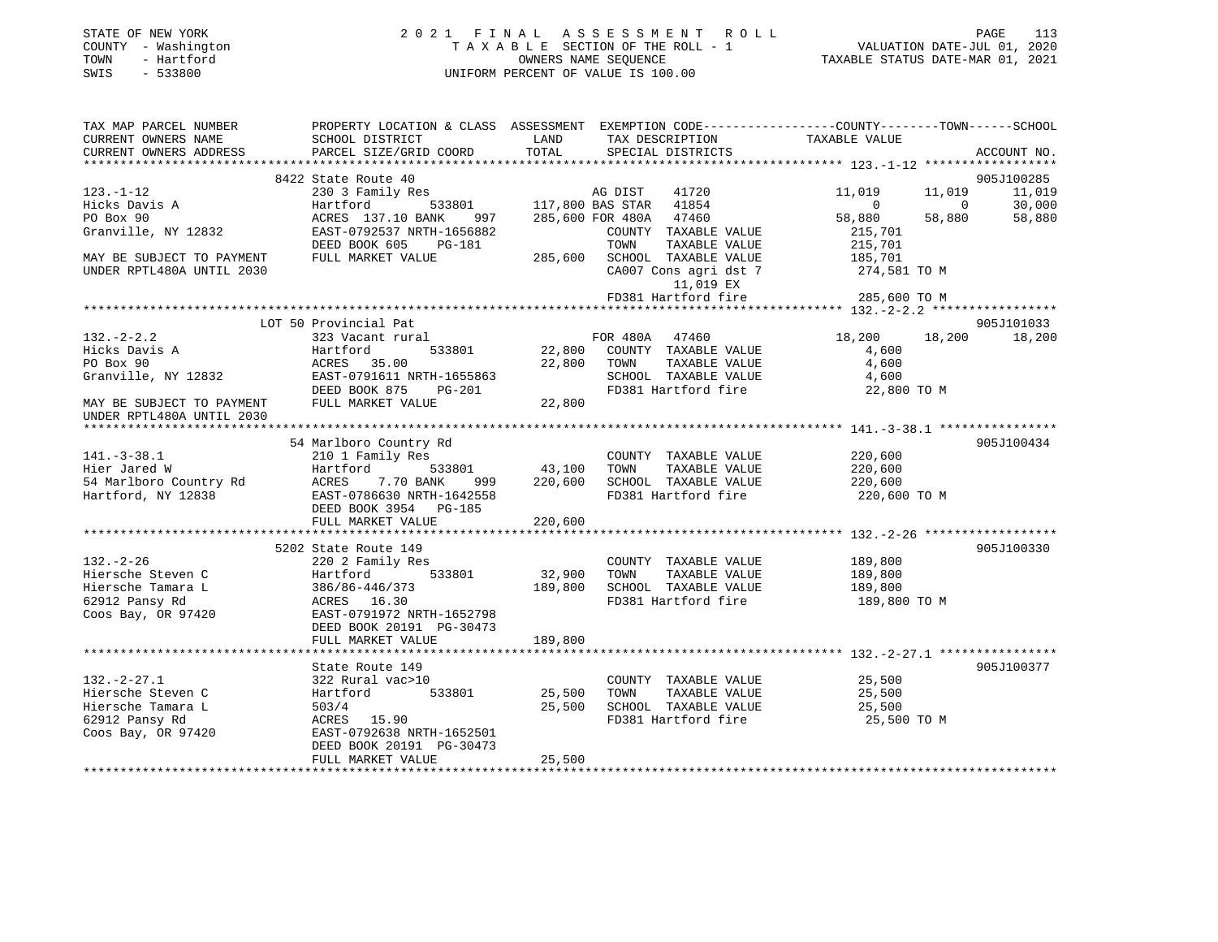|      | STATE OF NEW YORK   | 2021 FINAL ASSESSMENT ROLL |                                    |                                  | PAGE | 113 |
|------|---------------------|----------------------------|------------------------------------|----------------------------------|------|-----|
|      | COUNTY - Washington |                            | TAXABLE SECTION OF THE ROLL - 1    | VALUATION DATE-JUL 01, 2020      |      |     |
| TOWN | - Hartford          |                            | OWNERS NAME SEOUENCE               | TAXABLE STATUS DATE-MAR 01, 2021 |      |     |
| SWIS | - 533800            |                            | UNIFORM PERCENT OF VALUE IS 100.00 |                                  |      |     |
|      |                     |                            |                                    |                                  |      |     |
|      |                     |                            |                                    |                                  |      |     |

| TAX MAP PARCEL NUMBER     | PROPERTY LOCATION & CLASS ASSESSMENT EXEMPTION CODE---------------COUNTY-------TOWN------SCHOOL |                                    |             |                                                   |                                      |                |             |
|---------------------------|-------------------------------------------------------------------------------------------------|------------------------------------|-------------|---------------------------------------------------|--------------------------------------|----------------|-------------|
| CURRENT OWNERS NAME       | SCHOOL DISTRICT                                                                                 | LAND                               |             | TAX DESCRIPTION                                   | TAXABLE VALUE                        |                |             |
| CURRENT OWNERS ADDRESS    | PARCEL SIZE/GRID COORD                                                                          | TOTAL                              |             | SPECIAL DISTRICTS                                 |                                      |                | ACCOUNT NO. |
|                           |                                                                                                 |                                    |             |                                                   |                                      |                |             |
|                           | 8422 State Route 40                                                                             |                                    |             |                                                   |                                      |                | 905J100285  |
| $123. - 1 - 12$           | 230 3 Family Res                                                                                | 3<br>533801 117,800 BAS STAR 41854 |             |                                                   | 11,019                               | 11,019         | 11,019      |
| Hicks Davis A             | Hartford                                                                                        |                                    |             |                                                   | $\overline{0}$                       | $\overline{0}$ | 30,000      |
| PO Box 90                 | ACRES 137.10 BANK                                                                               | 997 285,600 FOR 480A 47460         |             |                                                   | 58,880                               | 58,880         | 58,880      |
| Granville, NY 12832       | EAST-0792537 NRTH-1656882                                                                       |                                    |             | COUNTY TAXABLE VALUE                              | 215,701                              |                |             |
|                           | DEED BOOK 605<br>PG-181                                                                         |                                    | TOWN        | TAXABLE VALUE                                     | 215,701                              |                |             |
| MAY BE SUBJECT TO PAYMENT | FULL MARKET VALUE                                                                               |                                    |             | 285,600 SCHOOL TAXABLE VALUE                      | 185,701                              |                |             |
| UNDER RPTL480A UNTIL 2030 |                                                                                                 |                                    |             |                                                   | CA007 Cons agri dst 7 274,581 TO M   |                |             |
|                           |                                                                                                 |                                    |             | 11,019 EX                                         |                                      |                |             |
|                           |                                                                                                 |                                    |             | FD381 Hartford fire                               | 285,600 TO M                         |                |             |
|                           |                                                                                                 |                                    |             |                                                   |                                      |                |             |
|                           | LOT 50 Provincial Pat                                                                           |                                    |             |                                                   |                                      |                | 905J101033  |
| $132 - 2 - 2.2$           | 323 Vacant rural                                                                                | FOR 480A 47460                     |             |                                                   | 18,200 18,200                        |                | 18,200      |
| Hicks Davis A             | Hartford                                                                                        |                                    |             | 533801 22,800 COUNTY TAXABLE VALUE                | 4,600                                |                |             |
| PO Box 90                 | ACRES 35.00                                                                                     |                                    | 22,800 TOWN | TAXABLE VALUE                                     | 4,600                                |                |             |
| Granville, NY 12832       | EAST-0791611 NRTH-1655863                                                                       |                                    |             | SCHOOL TAXABLE VALUE                              | 4,600                                |                |             |
|                           | DEED BOOK 875 PG-201                                                                            |                                    |             | FD381 Hartford fire                               | 22,800 TO M                          |                |             |
| MAY BE SUBJECT TO PAYMENT | FULL MARKET VALUE                                                                               | 22,800                             |             |                                                   |                                      |                |             |
| UNDER RPTL480A UNTIL 2030 |                                                                                                 |                                    |             |                                                   |                                      |                |             |
|                           |                                                                                                 |                                    |             |                                                   |                                      |                |             |
|                           | 54 Marlboro Country Rd                                                                          |                                    |             |                                                   |                                      |                | 905J100434  |
| $141.-3-38.1$             | 210 1 Family Res                                                                                |                                    |             | COUNTY TAXABLE VALUE<br>43,100 TOWN TAXABLE VALUE | COUNTY TAXABLE VALUE 220,600         |                |             |
| Hier Jared W              | Hartford 533801                                                                                 |                                    |             |                                                   | 220,600                              |                |             |
| 54 Marlboro Country Rd    | ACRES 7.70 BANK<br>999                                                                          |                                    |             |                                                   | 220,600 SCHOOL TAXABLE VALUE 220,600 |                |             |
| Hartford, NY 12838        | EAST-0786630 NRTH-1642558                                                                       |                                    |             | FD381 Hartford fire                               | 220,600 TO M                         |                |             |
|                           | DEED BOOK 3954 PG-185                                                                           |                                    |             |                                                   |                                      |                |             |
|                           | FULL MARKET VALUE                                                                               | 220,600                            |             |                                                   |                                      |                |             |
|                           |                                                                                                 |                                    |             |                                                   |                                      |                |             |
|                           | 5202 State Route 149                                                                            |                                    |             |                                                   |                                      |                | 905J100330  |
| $132. - 2 - 26$           | 220 2 Family Res                                                                                |                                    |             |                                                   | COUNTY TAXABLE VALUE 189,800         |                |             |
| Hiersche Steven C         | Hartford 533801                                                                                 | 32,900                             | TOWN        | TAXABLE VALUE                                     | 189,800                              |                |             |
| Hiersche Tamara L         | 386/86-446/373                                                                                  |                                    |             | 189,800 SCHOOL TAXABLE VALUE                      | 189,800                              |                |             |
| 62912 Pansy Rd            | ACRES 16.30                                                                                     |                                    |             | FD381 Hartford fire                               | 189,800 TO M                         |                |             |
| Coos Bay, OR 97420        | EAST-0791972 NRTH-1652798                                                                       |                                    |             |                                                   |                                      |                |             |
|                           | DEED BOOK 20191 PG-30473                                                                        |                                    |             |                                                   |                                      |                |             |
|                           | FULL MARKET VALUE                                                                               | 189,800                            |             |                                                   |                                      |                |             |
|                           |                                                                                                 |                                    |             |                                                   |                                      |                |             |
|                           | State Route 149                                                                                 |                                    |             |                                                   |                                      |                | 905J100377  |
| $132. - 2 - 27.1$         | 322 Rural vac>10                                                                                | 25,500                             |             | COUNTY TAXABLE VALUE                              | 25,500                               |                |             |
| Hiersche Steven C         | Hartford<br>533801                                                                              |                                    | TOWN        | TAXABLE VALUE                                     | 25,500                               |                |             |
| Hiersche Tamara L         | 503/4                                                                                           | 25,500                             |             | SCHOOL TAXABLE VALUE                              | 25,500                               |                |             |
| 62912 Pansy Rd            | ACRES 15.90                                                                                     |                                    |             | FD381 Hartford fire                               | 25,500 TO M                          |                |             |
| Coos Bay, OR 97420        | EAST-0792638 NRTH-1652501                                                                       |                                    |             |                                                   |                                      |                |             |
|                           | DEED BOOK 20191 PG-30473                                                                        |                                    |             |                                                   |                                      |                |             |
|                           | FULL MARKET VALUE                                                                               | 25,500                             |             |                                                   |                                      |                |             |
|                           |                                                                                                 |                                    |             |                                                   |                                      |                |             |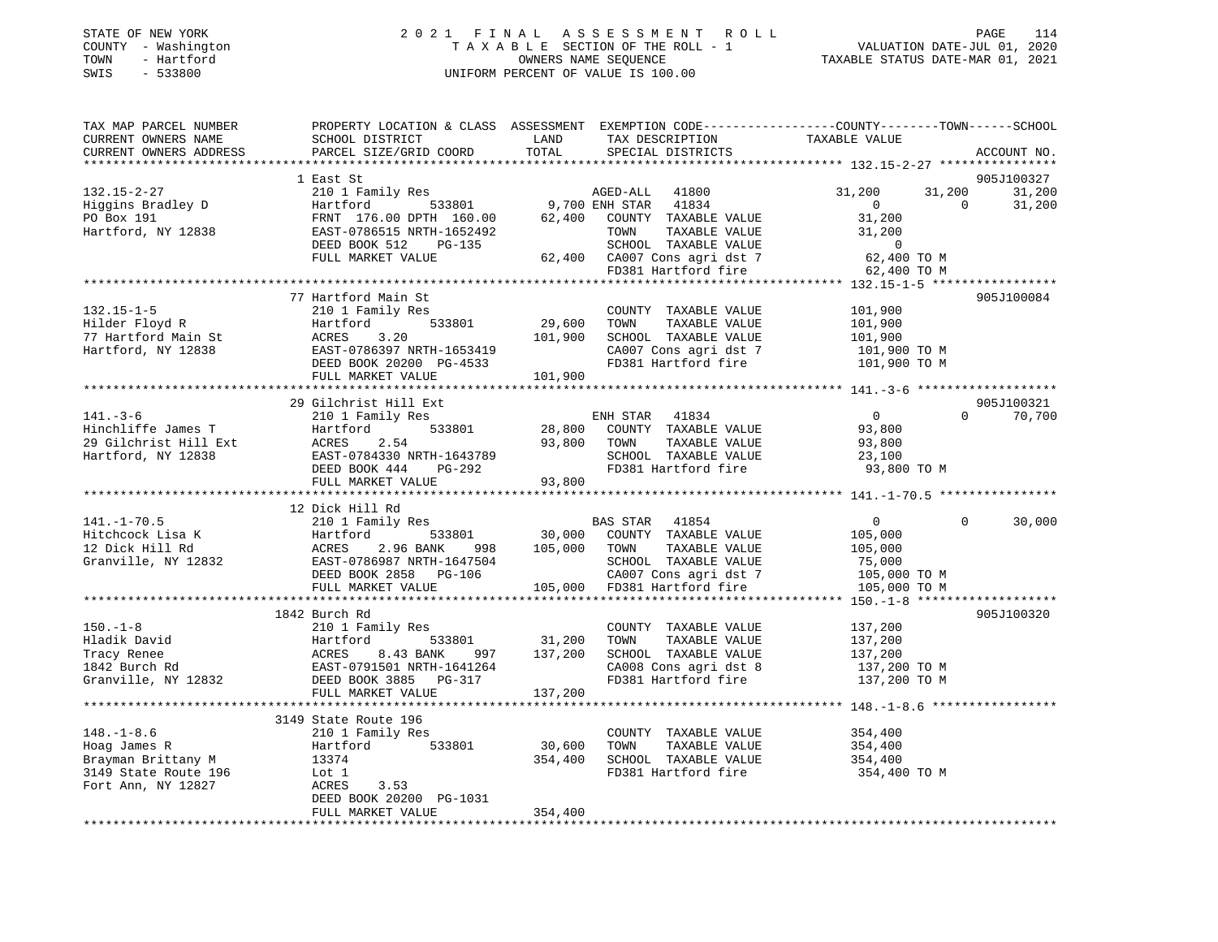| STATE OF NEW YORK |  |              |
|-------------------|--|--------------|
| COUNTY            |  | - Washington |
| TOWN              |  | - Hartford   |
| CMT C             |  | ECCOON       |

### STATE OF NEW YORK 2 0 2 1 F I N A L A S S E S S M E N T R O L L PAGE 114 COUNTY - Washington T A X A B L E SECTION OF THE ROLL - 1 VALUATION DATE-JUL 01, 2020 TOWN - Hartford OWNERS NAME SEQUENCE TAXABLE STATUS DATE-MAR 01, 2021 SWIS - 533800 UNIFORM PERCENT OF VALUE IS 100.00

| TAX MAP PARCEL NUMBER<br>CURRENT OWNERS NAME<br>CURRENT OWNERS ADDRESS                               | PROPERTY LOCATION & CLASS ASSESSMENT EXEMPTION CODE----------------COUNTY-------TOWN------SCHOOL<br>SCHOOL DISTRICT<br>PARCEL SIZE/GRID COORD                                                       | LAND<br>TOTAL                                      | TAX DESCRIPTION<br>SPECIAL DISTRICTS                                                                                                                           | TAXABLE VALUE                                                                  | ACCOUNT NO.                      |
|------------------------------------------------------------------------------------------------------|-----------------------------------------------------------------------------------------------------------------------------------------------------------------------------------------------------|----------------------------------------------------|----------------------------------------------------------------------------------------------------------------------------------------------------------------|--------------------------------------------------------------------------------|----------------------------------|
|                                                                                                      |                                                                                                                                                                                                     |                                                    |                                                                                                                                                                |                                                                                |                                  |
|                                                                                                      | 1 East St                                                                                                                                                                                           |                                                    |                                                                                                                                                                |                                                                                | 905J100327                       |
| $132.15 - 2 - 27$<br>Higgins Bradley D<br>PO Box 191<br>Hartford, NY 12838                           | 210 1 Family Res<br>533801<br>Hartford<br>FRNT 176.00 DPTH 160.00<br>EAST-0786515 NRTH-1652492                                                                                                      | 62,400                                             | AGED-ALL 41800<br>9,700 ENH STAR 41834<br>COUNTY TAXABLE VALUE<br>TOWN<br>TAXABLE VALUE                                                                        | 31,200<br>31,200<br>$\overline{0}$<br>31,200<br>31,200                         | 31,200<br>$\Omega$<br>31,200     |
|                                                                                                      | DEED BOOK 512<br>PG-135<br>FULL MARKET VALUE                                                                                                                                                        |                                                    | SCHOOL TAXABLE VALUE<br>62,400 CA007 Cons agri dst 7<br>FD381 Hartford fire                                                                                    | $\overline{0}$<br>62,400 TO M                                                  |                                  |
|                                                                                                      |                                                                                                                                                                                                     |                                                    |                                                                                                                                                                | 62,400 TO M                                                                    |                                  |
|                                                                                                      | 77 Hartford Main St                                                                                                                                                                                 |                                                    |                                                                                                                                                                |                                                                                | 905J100084                       |
| $132.15 - 1 - 5$<br>Hilder Floyd R<br>77 Hartford Main St<br>Hartford, NY 12838                      | 210 1 Family Res<br>533801<br>Hartford<br>ACRES<br>3.20<br>EAST-0786397 NRTH-1653419<br>DEED BOOK 20200 PG-4533<br>FULL MARKET VALUE                                                                | 29,600<br>101,900<br>101,900                       | COUNTY TAXABLE VALUE 101,900<br>TOWN<br>TAXABLE VALUE<br>SCHOOL TAXABLE VALUE<br>CA007 Cons agri dst 7<br>FD381 Hartford fire                                  | 101,900<br>101,900<br>101,900 TO M<br>101,900 TO M                             |                                  |
|                                                                                                      |                                                                                                                                                                                                     |                                                    |                                                                                                                                                                |                                                                                |                                  |
| $141. - 3 - 6$<br>Hinchliffe James T<br>29 Gilchrist Hill Ext                                        | 29 Gilchrist Hill Ext<br>210 1 Family Res<br>533801<br>Hartford<br>2.54<br>ACRES                                                                                                                    | 28,800<br>93,800                                   | ENH STAR 41834<br>COUNTY TAXABLE VALUE<br>TAXABLE VALUE<br>TOWN                                                                                                | $\overline{0}$<br>93,800<br>93,800                                             | 905J100321<br>70,700<br>$\Omega$ |
| Hartford, NY 12838                                                                                   | EAST-0784330 NRTH-1643789<br>DEED BOOK 444<br>PG-292<br>FULL MARKET VALUE                                                                                                                           | 93,800                                             | SCHOOL TAXABLE VALUE<br>FD381 Hartford fire                                                                                                                    | 23,100<br>93,800 TO M                                                          |                                  |
|                                                                                                      |                                                                                                                                                                                                     |                                                    |                                                                                                                                                                |                                                                                |                                  |
| $141. - 1 - 70.5$<br>Hitchcock Lisa K<br>12 Dick Hill Rd<br>Granville, NY 12832                      | 12 Dick Hill Rd<br>210 1 Family Res<br>Hartford<br>533801<br>ACRES<br>2.96 BANK<br>998<br>EAST-0786987 NRTH-1647504<br>DEED BOOK 2858 PG-106<br>FULL MARKET VALUE                                   |                                                    | BAS STAR 41854<br>30,000 COUNTY TAXABLE VALUE<br>105,000 TOWN<br>TAXABLE VALUE<br>SCHOOL TAXABLE VALUE<br>CA007 Cons agri dst 7<br>105,000 FD381 Hartford fire | $\overline{0}$<br>105,000<br>105,000<br>75,000<br>105,000 TO M<br>105,000 TO M | $\mathbf{0}$<br>30,000           |
|                                                                                                      |                                                                                                                                                                                                     |                                                    |                                                                                                                                                                |                                                                                |                                  |
| $150. - 1 - 8$<br>Hladik David<br>Tracy Renee<br>1842 Burch Rd<br>Granville, NY 12832                | 1842 Burch Rd<br>210 1 Family Res<br>533801<br>Hartford 533801<br>ACRES 8.43 BANK 997<br>EAST-0791501 NRTH-1641264<br>DEED BOOK 3885 PG-317<br>997<br>FULL MARKET VALUE<br>************************ | 31,200<br>137,200<br>137,200<br>****************** | COUNTY TAXABLE VALUE<br>TAXABLE VALUE<br>TOWN<br>SCHOOL TAXABLE VALUE<br>CA008 Cons agri dst 8<br>FD381 Hartford fire                                          | 137,200<br>137,200<br>137,200<br>137,200 TO M<br>137,200 TO M                  | 905J100320                       |
|                                                                                                      | 3149 State Route 196                                                                                                                                                                                |                                                    |                                                                                                                                                                |                                                                                |                                  |
| $148. - 1 - 8.6$<br>Hoag James R<br>Brayman Brittany M<br>3149 State Route 196<br>Fort Ann, NY 12827 | 210 1 Family Res<br>533801<br>Hartford<br>13374<br>Lot 1<br>ACRES<br>3.53<br>DEED BOOK 20200 PG-1031<br>FULL MARKET VALUE                                                                           | 30,600<br>354,400<br>354,400                       | COUNTY TAXABLE VALUE<br>TOWN<br>TAXABLE VALUE<br>SCHOOL TAXABLE VALUE<br>FD381 Hartford fire                                                                   | 354,400<br>354,400<br>354,400<br>354,400 TO M                                  |                                  |
|                                                                                                      |                                                                                                                                                                                                     |                                                    |                                                                                                                                                                |                                                                                |                                  |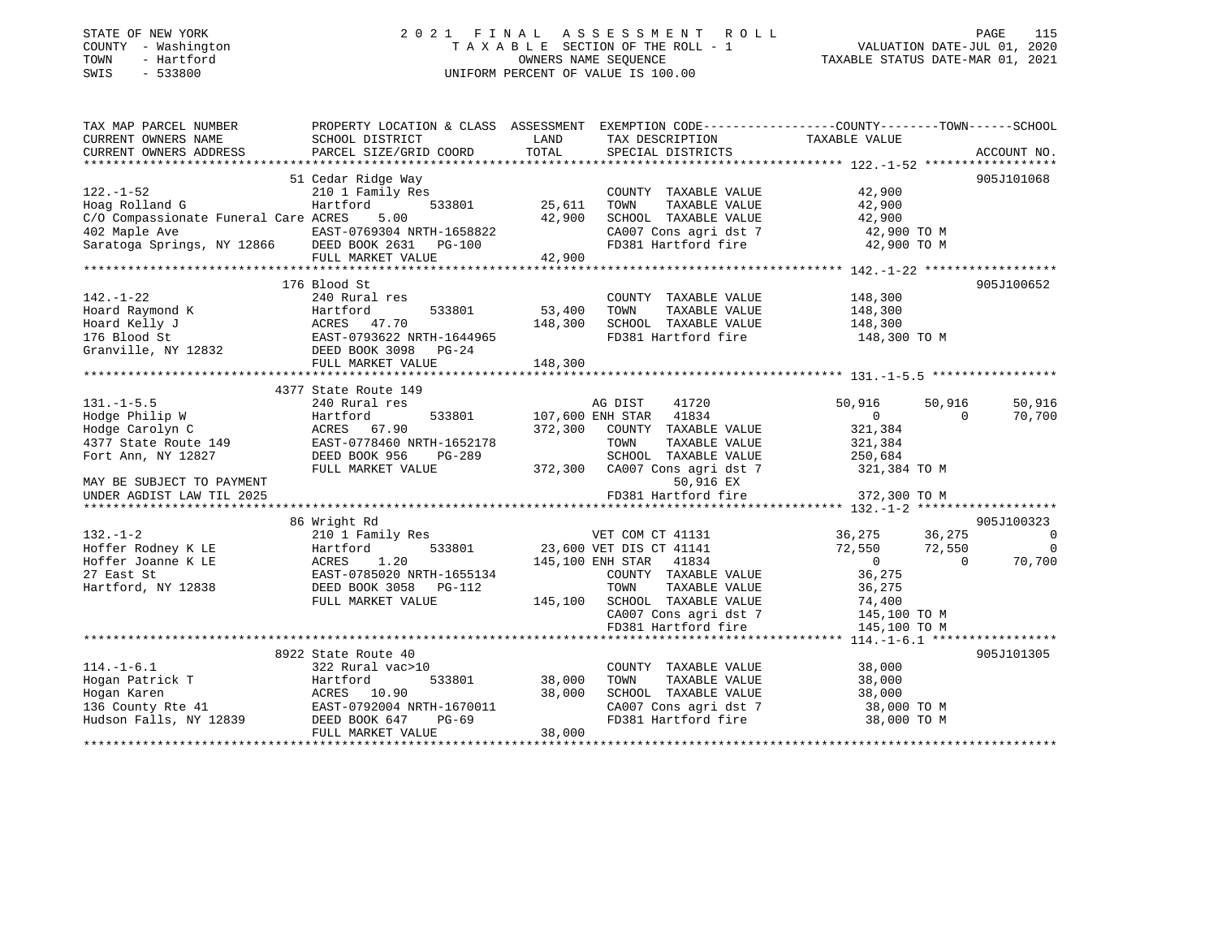#### STATE OF NEW YORK 2 0 2 1 F I N A L A S S E S S M E N T R O L L PAGE 115COUNTY - Washington  $T A X A B L E$  SECTION OF THE ROLL - 1<br>TOWN - Hartford OWNERS NAME SEQUENCE TAXABLE STATUS DATE-MAR 01, 2021 SWIS - 533800 UNIFORM PERCENT OF VALUE IS 100.00

VALUATION DATE-JUL 01, 2020

| TAX MAP PARCEL NUMBER                                                                                                                                                                     | PROPERTY LOCATION & CLASS ASSESSMENT EXEMPTION CODE---------------COUNTY-------TOWN-----SCHOOL |               |                                              |                                                                        |                |
|-------------------------------------------------------------------------------------------------------------------------------------------------------------------------------------------|------------------------------------------------------------------------------------------------|---------------|----------------------------------------------|------------------------------------------------------------------------|----------------|
| CURRENT OWNERS NAME                                                                                                                                                                       | SCHOOL DISTRICT                                                                                | LAND<br>TOTAL | TAX DESCRIPTION                              | TAXABLE VALUE                                                          |                |
| CURRENT OWNERS ADDRESS                                                                                                                                                                    | PARCEL SIZE/GRID COORD                                                                         |               | SPECIAL DISTRICTS                            |                                                                        | ACCOUNT NO.    |
|                                                                                                                                                                                           | 51 Cedar Ridge Way                                                                             |               |                                              |                                                                        | 905J101068     |
| $122. - 1 - 52$                                                                                                                                                                           | 210 1 Family Res                                                                               |               | COUNTY TAXABLE VALUE                         | 42,900                                                                 |                |
| Hoag Rolland G                                                                                                                                                                            | 533801<br>Hartford                                                                             | 25,611        | TOWN<br>TAXABLE VALUE                        | 42,900                                                                 |                |
| C/O Compassionate Funeral Care ACRES                                                                                                                                                      | 5.00                                                                                           | 42,900        | SCHOOL TAXABLE VALUE                         | 42,900                                                                 |                |
| 402 Maple Ave                                                                                                                                                                             | EAST-0769304 NRTH-1658822                                                                      |               | CA007 Cons agri dst 7                        | 42,900 TO M                                                            |                |
| Saratoga Springs, NY 12866 DEED BOOK 2631 PG-100                                                                                                                                          |                                                                                                |               |                                              | FD381 Hartford fire 42,900 TO M                                        |                |
|                                                                                                                                                                                           | FULL MARKET VALUE                                                                              | 42,900        |                                              |                                                                        |                |
|                                                                                                                                                                                           |                                                                                                |               |                                              |                                                                        |                |
|                                                                                                                                                                                           | 176 Blood St                                                                                   |               |                                              |                                                                        | 905J100652     |
| $142. - 1 - 22$                                                                                                                                                                           | 240 Rural res                                                                                  |               | COUNTY TAXABLE VALUE                         | 148,300                                                                |                |
|                                                                                                                                                                                           |                                                                                                | 53,400        | TOWN<br>TAXABLE VALUE                        | 148,300                                                                |                |
|                                                                                                                                                                                           |                                                                                                | 148,300       | SCHOOL TAXABLE VALUE                         | 148,300                                                                |                |
|                                                                                                                                                                                           |                                                                                                |               | FD381 Hartford fire                          | 148,300 TO M                                                           |                |
|                                                                                                                                                                                           |                                                                                                |               |                                              |                                                                        |                |
| Hoard Raymond K (Eartford 533801<br>Hoard Kelly J (EARES 47.70<br>176 Blood St (EAST-0793622 NRTH-1644965<br>Granville, NY 12832 (EAST-0793622 NRTH-1644965<br>PG-24<br>FULL MARKET VALUE | FULL MARKET VALUE                                                                              | 148,300       |                                              |                                                                        |                |
|                                                                                                                                                                                           |                                                                                                |               |                                              |                                                                        |                |
|                                                                                                                                                                                           | 4377 State Route 149                                                                           |               |                                              |                                                                        |                |
| $131. -1 - 5.5$                                                                                                                                                                           | 240 Rural res                                                                                  |               | AG DIST<br>41720                             | 50,916<br>50,916                                                       | 50,916         |
| Hodge Philip W                                                                                                                                                                            | Hartford<br>533801                                                                             |               | 107,600 ENH STAR 41834                       | $\overline{0}$<br>$\Omega$                                             | 70,700         |
| Hodge Carolyn C                                                                                                                                                                           | ACRES 67.90                                                                                    | 372,300       | COUNTY TAXABLE VALUE                         |                                                                        |                |
| 4377 State Route 149                                                                                                                                                                      | EAST-0778460 NRTH-1652178                                                                      |               | TOWN<br>TAXABLE VALUE                        | 321,384<br>321,384                                                     |                |
| Fort Ann, NY 12827                                                                                                                                                                        | DEED BOOK 956<br>PG-289                                                                        |               | SCHOOL TAXABLE VALUE                         | 250,684                                                                |                |
|                                                                                                                                                                                           | FULL MARKET VALUE                                                                              |               | 372,300 CA007 Cons agri dst 7                | 321,384 TO M                                                           |                |
| MAY BE SUBJECT TO PAYMENT                                                                                                                                                                 |                                                                                                |               | 50,916 EX                                    |                                                                        |                |
| UNDER AGDIST LAW TIL 2025                                                                                                                                                                 |                                                                                                |               | FD381 Hartford fire                          | 372,300 TO M                                                           |                |
|                                                                                                                                                                                           |                                                                                                |               |                                              |                                                                        |                |
|                                                                                                                                                                                           | 86 Wright Rd                                                                                   |               |                                              |                                                                        | 905J100323     |
| $132. - 1 - 2$                                                                                                                                                                            | 210 1 Family Res                                                                               |               | VET COM CT 41131                             | 36,275<br>36,275                                                       | $\overline{0}$ |
| Hoffer Rodney K LE                                                                                                                                                                        | Hartford                                                                                       |               | 533801 23,600 VET DIS CT 41141               | 72,550 72,550                                                          | $\overline{0}$ |
| Hoffer Joanne K LE                                                                                                                                                                        | ACRES<br>1.20                                                                                  |               | 145,100 ENH STAR 41834                       | $\overline{0}$<br>$\overline{0}$                                       | 70,700         |
| 27 East St                                                                                                                                                                                | EAST-0785020 NRTH-1655134                                                                      |               | COUNTY TAXABLE VALUE                         | 36,275                                                                 |                |
| Hartford, NY 12838                                                                                                                                                                        | DEED BOOK 3058 PG-112                                                                          |               | TOWN<br>TAXABLE VALUE                        | 36,275                                                                 |                |
|                                                                                                                                                                                           | FULL MARKET VALUE                                                                              |               | $145,100$ SCHOOL TAXABLE VALUE 74,400        |                                                                        |                |
|                                                                                                                                                                                           |                                                                                                |               |                                              |                                                                        |                |
|                                                                                                                                                                                           |                                                                                                |               |                                              | CA007 Cons agri dst 7 145,100 TO M<br>FD381 Hartford fire 145,100 TO M |                |
|                                                                                                                                                                                           |                                                                                                |               |                                              |                                                                        |                |
|                                                                                                                                                                                           | 8922 State Route 40                                                                            |               |                                              |                                                                        | 905J101305     |
| $114. - 1 - 6.1$                                                                                                                                                                          | 322 Rural vac>10                                                                               |               | COUNTY TAXABLE VALUE                         | 38,000                                                                 |                |
| Hogan Patrick T                                                                                                                                                                           | Hartford<br>533801                                                                             | 38,000        | TAXABLE VALUE<br>TOWN                        | 38,000                                                                 |                |
|                                                                                                                                                                                           |                                                                                                | 38,000        | SCHOOL TAXABLE VALUE                         | 38,000                                                                 |                |
|                                                                                                                                                                                           | EAST-0792004 NRTH-1670011                                                                      |               |                                              | 38,000 TO M                                                            |                |
|                                                                                                                                                                                           | PG-69                                                                                          |               | CA007 Cons agri dst 7<br>En201 Wartford fire | 38,000 TO M                                                            |                |
|                                                                                                                                                                                           | FULL MARKET VALUE                                                                              | 38,000        |                                              |                                                                        |                |
|                                                                                                                                                                                           |                                                                                                |               |                                              |                                                                        |                |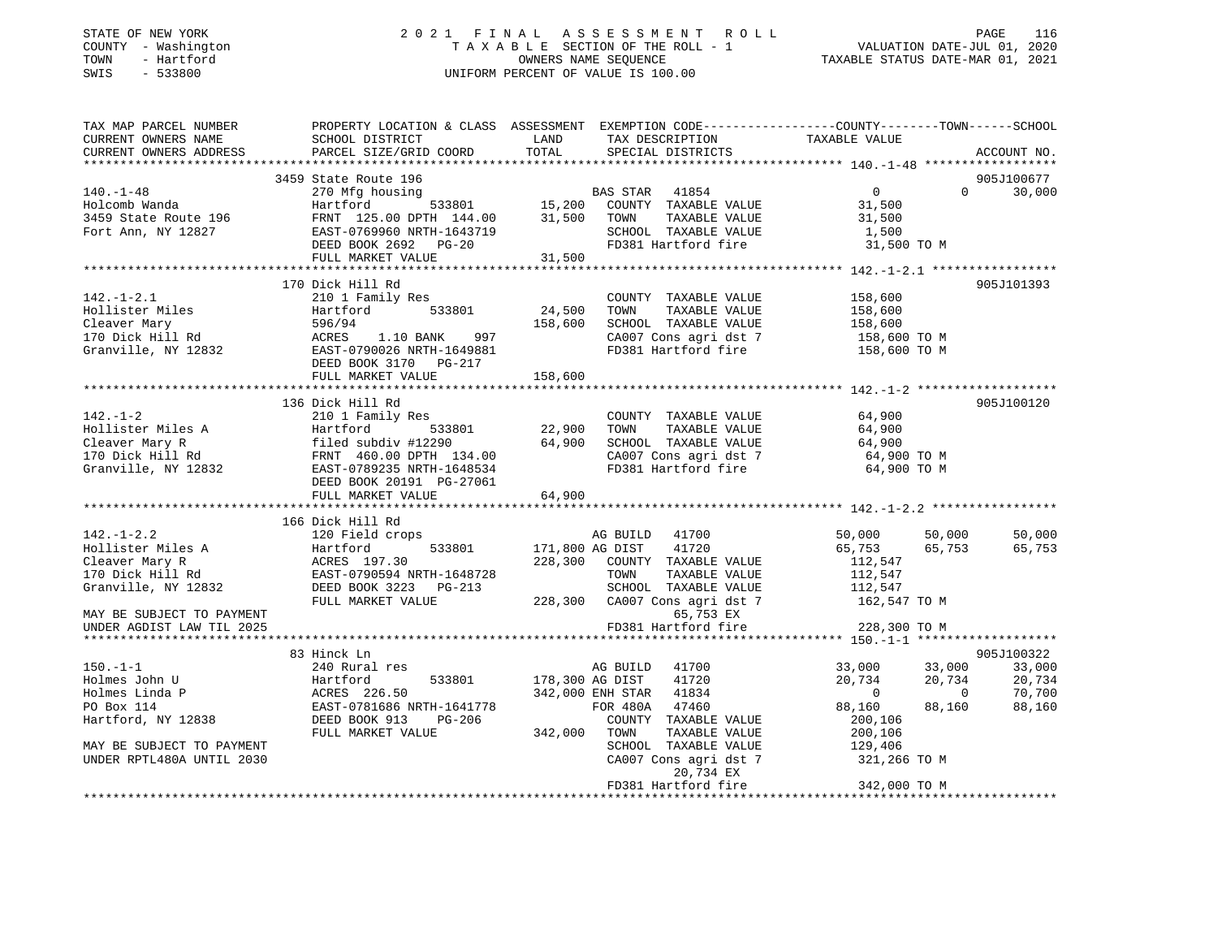### STATE OF NEW YORK 2 0 2 1 F I N A L A S S E S S M E N T R O L L PAGE 116 COUNTY - Washington T A X A B L E SECTION OF THE ROLL - 1 VALUATION DATE-JUL 01, 2020 TOWN - Hartford OWNERS NAME SEQUENCE TAXABLE STATUS DATE-MAR 01, 2021 SWIS - 533800 UNIFORM PERCENT OF VALUE IS 100.00

| TAX MAP PARCEL NUMBER<br>CURRENT OWNERS NAME<br>CURRENT OWNERS ADDRESS                             | SCHOOL DISTRICT<br>PARCEL SIZE/GRID COORD                                                                                                            | LAND<br>TOTAL                   | TAX DESCRIPTION<br>SPECIAL DISTRICTS                                                                                                                      | PROPERTY LOCATION & CLASS ASSESSMENT EXEMPTION CODE---------------COUNTY-------TOWN-----SCHOOL<br>TAXABLE VALUE | ACCOUNT NO.                          |
|----------------------------------------------------------------------------------------------------|------------------------------------------------------------------------------------------------------------------------------------------------------|---------------------------------|-----------------------------------------------------------------------------------------------------------------------------------------------------------|-----------------------------------------------------------------------------------------------------------------|--------------------------------------|
|                                                                                                    |                                                                                                                                                      |                                 |                                                                                                                                                           |                                                                                                                 |                                      |
| $140. - 1 - 48$<br>Holcomb Wanda<br>3459 State Route 196<br>Fort Ann, NY 12827                     | 3459 State Route 196<br>270 Mfg housing<br>Hartford<br>FRNT 125.00 DPTH 144.00<br>EAST-0769960 NRTH-1643719<br>DEED BOOK 2692 PG-20                  | 31,500                          | BAS STAR 41854<br>533801 15,200 COUNTY TAXABLE VALUE<br>TOWN<br>TAXABLE VALUE<br>SCHOOL TAXABLE VALUE<br>FD381 Hartford fire                              | $\overline{0}$<br>$\Omega$<br>31,500<br>31,500<br>1,500<br>31,500 TO M                                          | 905J100677<br>30,000                 |
|                                                                                                    | FULL MARKET VALUE                                                                                                                                    | 31,500                          |                                                                                                                                                           |                                                                                                                 |                                      |
|                                                                                                    |                                                                                                                                                      |                                 |                                                                                                                                                           |                                                                                                                 |                                      |
| $142. - 1 - 2.1$<br>Hollister Miles<br>Cleaver Mary<br>170 Dick Hill Rd<br>Granville, NY 12832     | 170 Dick Hill Rd<br>210 1 Family Res<br>Hartford<br>533801<br>596/94<br>1.10 BANK<br>997<br>ACRES<br>EAST-0790026 NRTH-1649881                       | 24,500<br>158,600               | COUNTY TAXABLE VALUE<br>TOWN<br>TAXABLE VALUE<br>SCHOOL TAXABLE VALUE<br>CA007 Cons agri dst 7<br>FD381 Hartford fire                                     | 158,600<br>158,600<br>158,600<br>158,600 TO M<br>158,600 TO M                                                   | 905J101393                           |
|                                                                                                    | DEED BOOK 3170 PG-217<br>FULL MARKET VALUE                                                                                                           | 158,600                         |                                                                                                                                                           |                                                                                                                 |                                      |
|                                                                                                    | 136 Dick Hill Rd                                                                                                                                     |                                 |                                                                                                                                                           |                                                                                                                 | 905J100120                           |
| $142. - 1 - 2$                                                                                     | 210 1 Family Res<br>DEED BOOK 20191 PG-27061<br>FULL MARKET VALUE                                                                                    | 22,900<br>64,900<br>64,900      | COUNTY TAXABLE VALUE<br>TAXABLE VALUE<br>TOWN<br>SCHOOL TAXABLE VALUE<br>CA007 Cons agri dst 7<br>FD381 Hartford fire                                     | 64,900<br>64,900<br>64,900<br>64,900 TO M<br>64,900 TO M                                                        |                                      |
|                                                                                                    |                                                                                                                                                      |                                 |                                                                                                                                                           |                                                                                                                 |                                      |
| $142. - 1 - 2.2$<br>Hollister Miles A<br>Cleaver Mary R<br>170 Dick Hill Rd<br>Granville, NY 12832 | 166 Dick Hill Rd<br>120 Field crops<br>533801<br>Hartford<br>ACRES 197.30<br>EAST-0790594 NRTH-1648728<br>DEED BOOK 3223 PG-213<br>FULL MARKET VALUE |                                 | AG BUILD 41700<br>171,800 AG DIST 41720<br>228,300 COUNTY TAXABLE VALUE<br>TOWN<br>TAXABLE VALUE<br>SCHOOL TAXABLE VALUE<br>228,300 CA007 Cons agri dst 7 | 50,000<br>50,000<br>65,753<br>65,753<br>112,547<br>112,547<br>112,547<br>162,547 TO M                           | 50,000<br>65,753                     |
| MAY BE SUBJECT TO PAYMENT<br>UNDER AGDIST LAW TIL 2025                                             |                                                                                                                                                      |                                 | 65,753 EX<br>FD381 Hartford fire                                                                                                                          | 228,300 TO M                                                                                                    |                                      |
|                                                                                                    |                                                                                                                                                      |                                 |                                                                                                                                                           |                                                                                                                 |                                      |
|                                                                                                    | 83 Hinck Ln                                                                                                                                          |                                 |                                                                                                                                                           |                                                                                                                 | 905J100322                           |
| $150. - 1 - 1$<br>Holmes John U<br>Holmes Linda P<br>PO Box 114<br>Hartford, NY 12838              | 240 Rural res<br>Hartford<br>533801<br>ACRES 226.50<br>EAST-0781686 NRTH-1641778<br>DEED BOOK 913<br>PG-206<br>FULL MARKET VALUE                     | 178,300 AG DIST<br>342,000 TOWN | AG BUILD 41700<br>41720<br>342,000 ENH STAR 41834<br>FOR 480A 47460<br>COUNTY TAXABLE VALUE<br>TAXABLE VALUE                                              | 33,000<br>33,000<br>20,734<br>20,734<br>$\overline{0}$<br>$\bigcirc$<br>88,160<br>88,160<br>200,106<br>200,106  | 33,000<br>20,734<br>70,700<br>88,160 |
| MAY BE SUBJECT TO PAYMENT<br>UNDER RPTL480A UNTIL 2030                                             |                                                                                                                                                      |                                 | SCHOOL TAXABLE VALUE<br>CA007 Cons agri dst 7<br>20,734 EX<br>FD381 Hartford fire                                                                         | 129,406<br>321,266 TO M<br>342,000 TO M                                                                         |                                      |
|                                                                                                    |                                                                                                                                                      |                                 |                                                                                                                                                           |                                                                                                                 |                                      |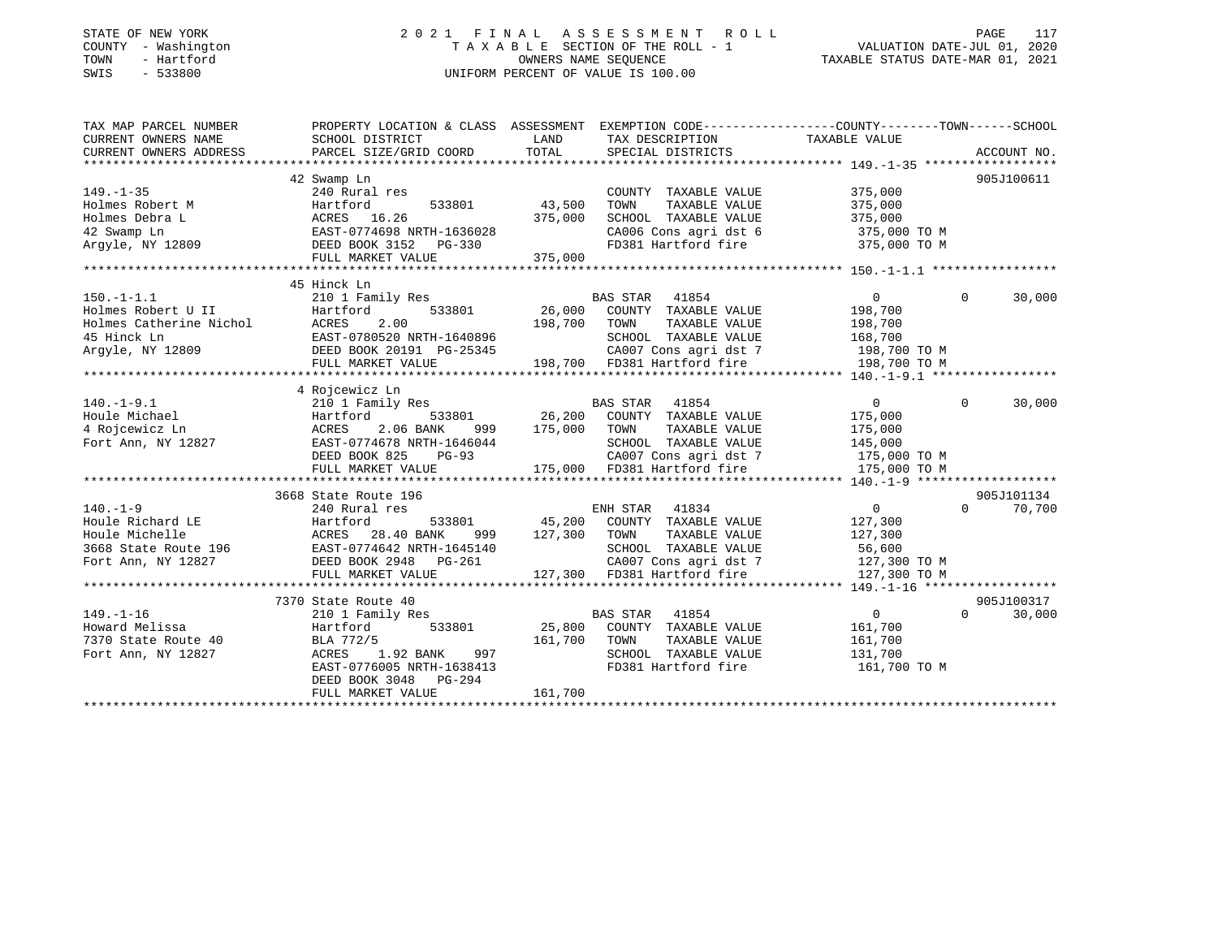### STATE OF NEW YORK 2 0 2 1 F I N A L A S S E S S M E N T R O L L PAGE 117 COUNTY - Washington T A X A B L E SECTION OF THE ROLL - 1 VALUATION DATE-JUL 01, 2020 TOWN - Hartford OWNERS NAME SEQUENCE TAXABLE STATUS DATE-MAR 01, 2021 SWIS - 533800 UNIFORM PERCENT OF VALUE IS 100.00

| TAX MAP PARCEL NUMBER  | PROPERTY LOCATION & CLASS ASSESSMENT EXEMPTION CODE-----------------COUNTY-------TOWN------SCHOOL                                                                                                                                  |                  |                                                                                                                                                              |                      |                          |
|------------------------|------------------------------------------------------------------------------------------------------------------------------------------------------------------------------------------------------------------------------------|------------------|--------------------------------------------------------------------------------------------------------------------------------------------------------------|----------------------|--------------------------|
| CURRENT OWNERS NAME    | SCHOOL DISTRICT                                                                                                                                                                                                                    | LAND             | TAX DESCRIPTION                                                                                                                                              | TAXABLE VALUE        |                          |
| CURRENT OWNERS ADDRESS | PARCEL SIZE/GRID COORD                                                                                                                                                                                                             | TOTAL            | SPECIAL DISTRICTS                                                                                                                                            |                      | ACCOUNT NO.              |
|                        |                                                                                                                                                                                                                                    |                  |                                                                                                                                                              |                      |                          |
|                        | 42 Swamp Ln                                                                                                                                                                                                                        |                  |                                                                                                                                                              |                      | 905J100611               |
| $149. - 1 - 35$        | 240 Rural res                                                                                                                                                                                                                      |                  | COUNTY TAXABLE VALUE                                                                                                                                         | 375,000              |                          |
| Holmes Robert M        | Hartford<br>533801                                                                                                                                                                                                                 | 43,500           | TAXABLE VALUE<br>TOWN                                                                                                                                        | 375,000              |                          |
| Holmes Debra L         | ACRES 16.26                                                                                                                                                                                                                        | 375,000          | SCHOOL TAXABLE VALUE                                                                                                                                         | 375,000              |                          |
|                        |                                                                                                                                                                                                                                    |                  | CA006 Cons agri dst 6 375,000 TO M                                                                                                                           |                      |                          |
|                        |                                                                                                                                                                                                                                    |                  | FD381 Hartford fire                                                                                                                                          | 375,000 TO M         |                          |
|                        | FULL MARKET VALUE                                                                                                                                                                                                                  | 375,000          |                                                                                                                                                              |                      |                          |
|                        |                                                                                                                                                                                                                                    |                  |                                                                                                                                                              |                      |                          |
|                        | 45 Hinck Ln                                                                                                                                                                                                                        |                  |                                                                                                                                                              |                      |                          |
| $150.-1-1.1$           | 210 1 Family Res                                                                                                                                                                                                                   |                  | BAS STAR 41854                                                                                                                                               | $\overline{0}$       | $\overline{0}$<br>30,000 |
|                        |                                                                                                                                                                                                                                    |                  |                                                                                                                                                              |                      |                          |
|                        |                                                                                                                                                                                                                                    |                  |                                                                                                                                                              |                      |                          |
|                        |                                                                                                                                                                                                                                    |                  |                                                                                                                                                              |                      |                          |
|                        |                                                                                                                                                                                                                                    |                  |                                                                                                                                                              |                      |                          |
|                        | Holmes Robert U II and Hartford 533801 26,000 COUNTY TAXABLE VALUE 198,700<br>Holmes Catherine Nichol ACRES 2.00 198,700 TOWN TAXABLE VALUE 198,700<br>45 Hinck Ln EAST-0780520 NRTH-1640896 EST-0780520 EXTH-1640896 20191 PG-253 |                  |                                                                                                                                                              |                      |                          |
|                        |                                                                                                                                                                                                                                    |                  |                                                                                                                                                              |                      |                          |
|                        | 4 Rojcewicz Ln                                                                                                                                                                                                                     |                  |                                                                                                                                                              |                      |                          |
| $140. -1 - 9.1$        | 210 1 Family Res                                                                                                                                                                                                                   |                  | $\begin{tabular}{lllllllllll} \rule{0.2cm}{0.2cm} \text{BAS STAR} & 41854 \\ \text{533801} & 26,200 & \text{COUNTY} & \text{TAXABLE VALUE} \\ \end{tabular}$ | $\overline{0}$       | $\Omega$<br>30,000       |
| Houle Michael          | Hartford                                                                                                                                                                                                                           |                  |                                                                                                                                                              | 175,000              |                          |
| 4 Rojcewicz Ln         | 2.06 BANK<br>ACRES                                                                                                                                                                                                                 | 999 175,000 TOWN | TAXABLE VALUE                                                                                                                                                | 175,000              |                          |
| Fort Ann, NY 12827     | EAST-0774678 NRTH-1646044                                                                                                                                                                                                          |                  |                                                                                                                                                              |                      |                          |
|                        | DEED BOOK 825<br>$PG-93$                                                                                                                                                                                                           |                  |                                                                                                                                                              |                      |                          |
|                        | FULL MARKET VALUE                                                                                                                                                                                                                  |                  |                                                                                                                                                              |                      |                          |
|                        |                                                                                                                                                                                                                                    |                  |                                                                                                                                                              |                      |                          |
|                        | 3668 State Route 196                                                                                                                                                                                                               |                  |                                                                                                                                                              |                      | 905J101134               |
| $140. - 1 - 9$         | 240 Rural res                                                                                                                                                                                                                      |                  | ENH STAR<br>41834                                                                                                                                            | $\overline{0}$       | 70,700<br>$\Omega$       |
|                        |                                                                                                                                                                                                                                    |                  | 533801 45,200 COUNTY TAXABLE VALUE                                                                                                                           | 127,300              |                          |
|                        |                                                                                                                                                                                                                                    | 999 127,300 TOWN | TAXABLE VALUE                                                                                                                                                | 127,300<br>$-56,600$ |                          |
|                        |                                                                                                                                                                                                                                    |                  | SCHOOL TAXABLE VALUE                                                                                                                                         |                      |                          |
| Fort Ann, NY 12827     | DEED BOOK 2948 PG-261                                                                                                                                                                                                              |                  | CA007 Cons agri dst 7 127,300 TO M                                                                                                                           |                      |                          |
|                        | FULL MARKET VALUE                                                                                                                                                                                                                  |                  | 127,300 FD381 Hartford fire                                                                                                                                  | 127,300 TO M         |                          |
|                        |                                                                                                                                                                                                                                    |                  |                                                                                                                                                              |                      |                          |
|                        | 7370 State Route 40                                                                                                                                                                                                                |                  |                                                                                                                                                              |                      | 905J100317               |
| $149. - 1 - 16$        | 210 1 Family Res                                                                                                                                                                                                                   |                  | BAS STAR 41854                                                                                                                                               | $\overline{0}$       | 30,000<br>$\Omega$       |
| Howard Melissa         | 533801<br>Hartford                                                                                                                                                                                                                 |                  | 25,800 COUNTY TAXABLE VALUE                                                                                                                                  | 161,700              |                          |
| 7370 State Route 40    | BLA 772/5                                                                                                                                                                                                                          | 161,700 TOWN     | TAXABLE VALUE                                                                                                                                                | 161,700              |                          |
| Fort Ann, NY 12827     | 997<br>ACRES 1.92 BANK                                                                                                                                                                                                             |                  | SCHOOL TAXABLE VALUE                                                                                                                                         | 131,700              |                          |
|                        | EAST-0776005 NRTH-1638413                                                                                                                                                                                                          |                  | FD381 Hartford fire                                                                                                                                          | 161,700 TO M         |                          |
|                        | DEED BOOK 3048 PG-294                                                                                                                                                                                                              |                  |                                                                                                                                                              |                      |                          |
|                        | FULL MARKET VALUE                                                                                                                                                                                                                  | 161,700          |                                                                                                                                                              |                      |                          |
|                        |                                                                                                                                                                                                                                    |                  |                                                                                                                                                              |                      |                          |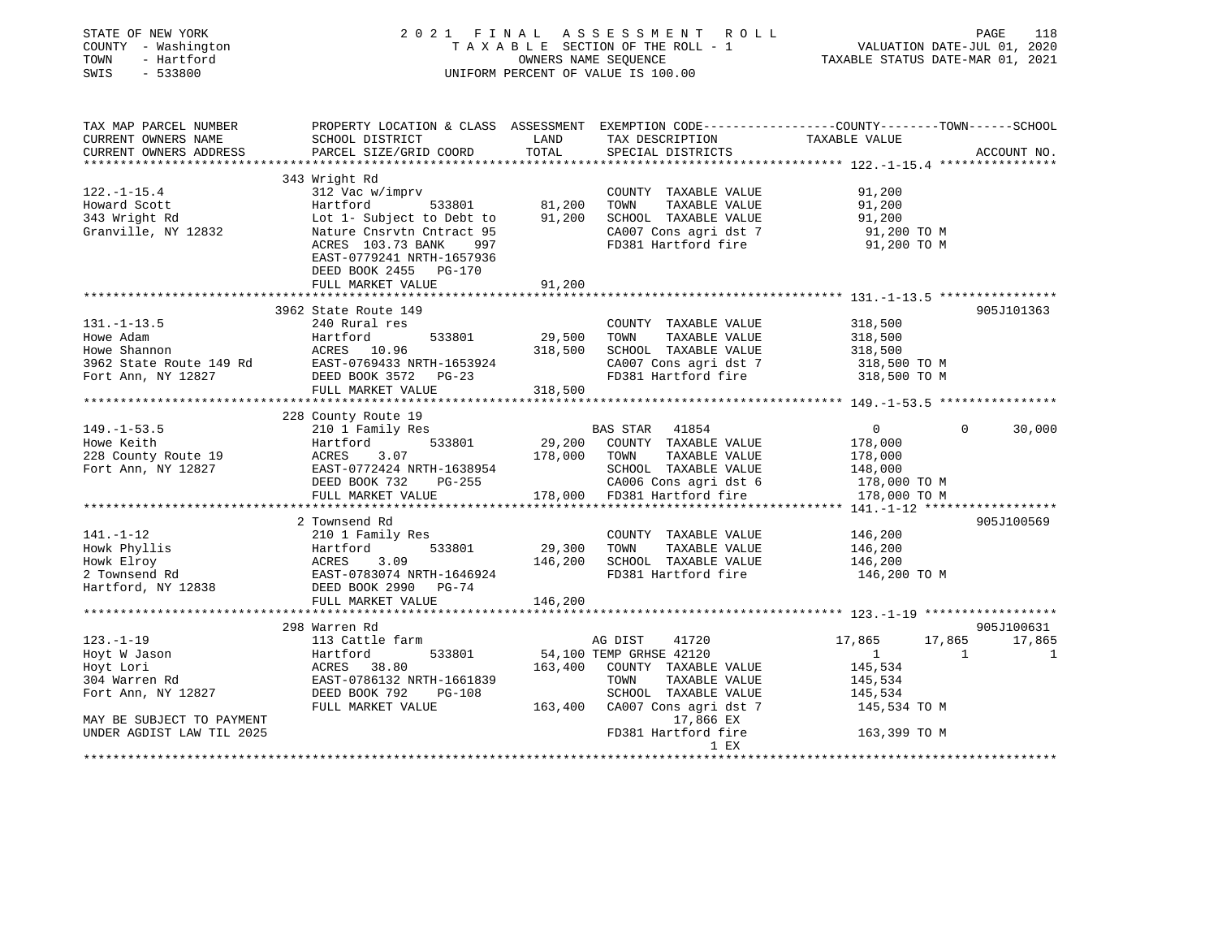| STATE OF NEW YORK<br>COUNTY - Washington<br>TOWN<br>- Hartford<br>SWIS - 533800                                                               | 2021 FINAL ASSESSMENT ROLL<br>UNIFORM PERCENT OF VALUE IS 100.00                                                                                                                                            | TAXABLE SECTION OF THE ROLL - 1<br>TAXABLE SECTION OF THE ROLL - 1<br>OWNERS NAME SEQUENCE TAXABLE STATUS DATE-MAR 01, 2021 | PAGE<br>118                                                                                                                                                                                              |                                                                                                          |                                  |
|-----------------------------------------------------------------------------------------------------------------------------------------------|-------------------------------------------------------------------------------------------------------------------------------------------------------------------------------------------------------------|-----------------------------------------------------------------------------------------------------------------------------|----------------------------------------------------------------------------------------------------------------------------------------------------------------------------------------------------------|----------------------------------------------------------------------------------------------------------|----------------------------------|
| TAX MAP PARCEL NUMBER<br>CURRENT OWNERS NAME<br>CURRENT OWNERS ADDRESS                                                                        | SCHOOL DISTRICT<br>PARCEL SIZE/GRID COORD                                                                                                                                                                   | LAND<br>TOTAL                                                                                                               | PROPERTY LOCATION & CLASS ASSESSMENT EXEMPTION CODE----------------COUNTY-------TOWN------SCHOOL<br>TAX DESCRIPTION<br>SPECIAL DISTRICTS                                                                 | TAXABLE VALUE                                                                                            | ACCOUNT NO.                      |
|                                                                                                                                               |                                                                                                                                                                                                             |                                                                                                                             |                                                                                                                                                                                                          |                                                                                                          |                                  |
| $122. - 1 - 15.4$<br>Howard Scott<br>343 Wright Rd<br>Granville, NY 12832                                                                     | 343 Wright Rd<br>312 Vac w/imprv<br>Hartford 533801<br>Lot 1- Subject to Debt to $91,200$<br>Nature Cnsrvtn Cntract 95<br>ACRES 103.73 BANK 997<br>EAST-0779241 NRTH-1657936<br>DEED BOOK 2455 PG-170       | 81,200                                                                                                                      | COUNTY TAXABLE VALUE<br>TOWN<br>TAXABLE VALUE<br>SCHOOL TAXABLE VALUE<br>CA007 Cons agri dst 7<br>FD381 Hartford fire                                                                                    | 91,200<br>91,200<br>91,200<br>91,200 TO M<br>91,200 TO M                                                 |                                  |
|                                                                                                                                               | FULL MARKET VALUE                                                                                                                                                                                           | 91,200                                                                                                                      |                                                                                                                                                                                                          |                                                                                                          |                                  |
|                                                                                                                                               |                                                                                                                                                                                                             |                                                                                                                             |                                                                                                                                                                                                          |                                                                                                          |                                  |
| $131. - 1 - 13.5$<br>Howe Adam<br>Howe Shannon<br>3962 State Route 149 Rd<br>Fort Ann, NY 12827                                               | 3962 State Route 149<br>240 Rural res<br>533801<br>Hartford<br>ACRES 10.96<br>LAST-0769433 NRTH-1653924<br>DRED BOOK 3572 PG-23<br>FULL MARKET VALUE                                                        | $29,500$<br>$318$ For<br>318,500                                                                                            | COUNTY TAXABLE VALUE<br>TOWN TAXABLE VALUE<br>SCHOOL TAXABLE VALUE<br>CA007 Cons agri dst 7<br>FD381 Hartford fire                                                                                       | 318,500<br>318,500<br>318,500<br>318,500 TO M<br>318,500 TO M                                            | 905J101363                       |
|                                                                                                                                               |                                                                                                                                                                                                             |                                                                                                                             |                                                                                                                                                                                                          |                                                                                                          |                                  |
| $149. - 1 - 53.5$<br>Howe Keith<br>228 County Route 19<br>Fort Ann, NY 12827                                                                  | 228 County Route 19<br>210 1 Family Res<br>Hartford 533801<br>ACRES 3.07 178,000 TOWN TAXABLE VALUE<br>ILAST-0772424 NRTH-1638954<br>RAST-0772424 NRTH-1638954<br>PERD ROOK 732 PG-255<br>FULL MARKET VALUE |                                                                                                                             | BAS STAR 41854<br>29,200 COUNTY TAXABLE VALUE<br>SCHOOL TAXABLE VALUE<br>CA006 Cons agri dst 6<br>178,000 FD381 Hartford fire                                                                            | 0<br>$\Omega$<br>178,000<br>178,000<br>148,000<br>178,000 TO M<br>178,000 TO M                           | 30,000                           |
|                                                                                                                                               |                                                                                                                                                                                                             |                                                                                                                             |                                                                                                                                                                                                          |                                                                                                          |                                  |
| $141. - 1 - 12$<br>Howk Phyllis<br>Howk Elroy<br>2 Townsend Rd<br>Hartford, NY 12838                                                          | 2 Townsend Rd<br>210 1 Family Res<br>Hartford 533801<br>ACRES<br>3.09<br>EAST-0783074 NRTH-1646924<br>DEED BOOK 2990 PG-74                                                                                  | 29,300<br>146,200                                                                                                           | COUNTY TAXABLE VALUE<br>TOWN<br>TAXABLE VALUE<br>SCHOOL TAXABLE VALUE<br>FD381 Hartford fire                                                                                                             | 146,200<br>146,200<br>146,200<br>146,200 TO M                                                            | 905J100569                       |
|                                                                                                                                               | FULL MARKET VALUE                                                                                                                                                                                           | 146,200                                                                                                                     |                                                                                                                                                                                                          |                                                                                                          |                                  |
|                                                                                                                                               |                                                                                                                                                                                                             |                                                                                                                             |                                                                                                                                                                                                          |                                                                                                          |                                  |
| $123. - 1 - 19$<br>Hoyt W Jason<br>Hoyt Lori<br>304 Warren Rd<br>Fort Ann, NY 12827<br>MAY BE SUBJECT TO PAYMENT<br>UNDER AGDIST LAW TIL 2025 | 298 Warren Rd<br>113 Cattle farm<br>533801<br>Hartford<br>ACRES 38.80<br>EAST-0786132 NRTH-1661839<br>DEED BOOK 792 PG-108<br>FULL MARKET VALUE                                                             |                                                                                                                             | AG DIST 41720<br>54,100 TEMP GRHSE 42120<br>163,400 COUNTY TAXABLE VALUE<br>TOWN<br>TAXABLE VALUE<br>SCHOOL TAXABLE VALUE<br>163,400 CA007 Cons agri dst 7<br>17,866 EX<br>FD381 Hartford fire<br>$1$ EX | 17,865<br>17,865<br>$\overline{1}$<br>1<br>145,534<br>145,534<br>145,534<br>145,534 TO M<br>163,399 TO M | 905J100631<br>17,865<br>$\sim$ 1 |
|                                                                                                                                               |                                                                                                                                                                                                             |                                                                                                                             | .                                                                                                                                                                                                        |                                                                                                          |                                  |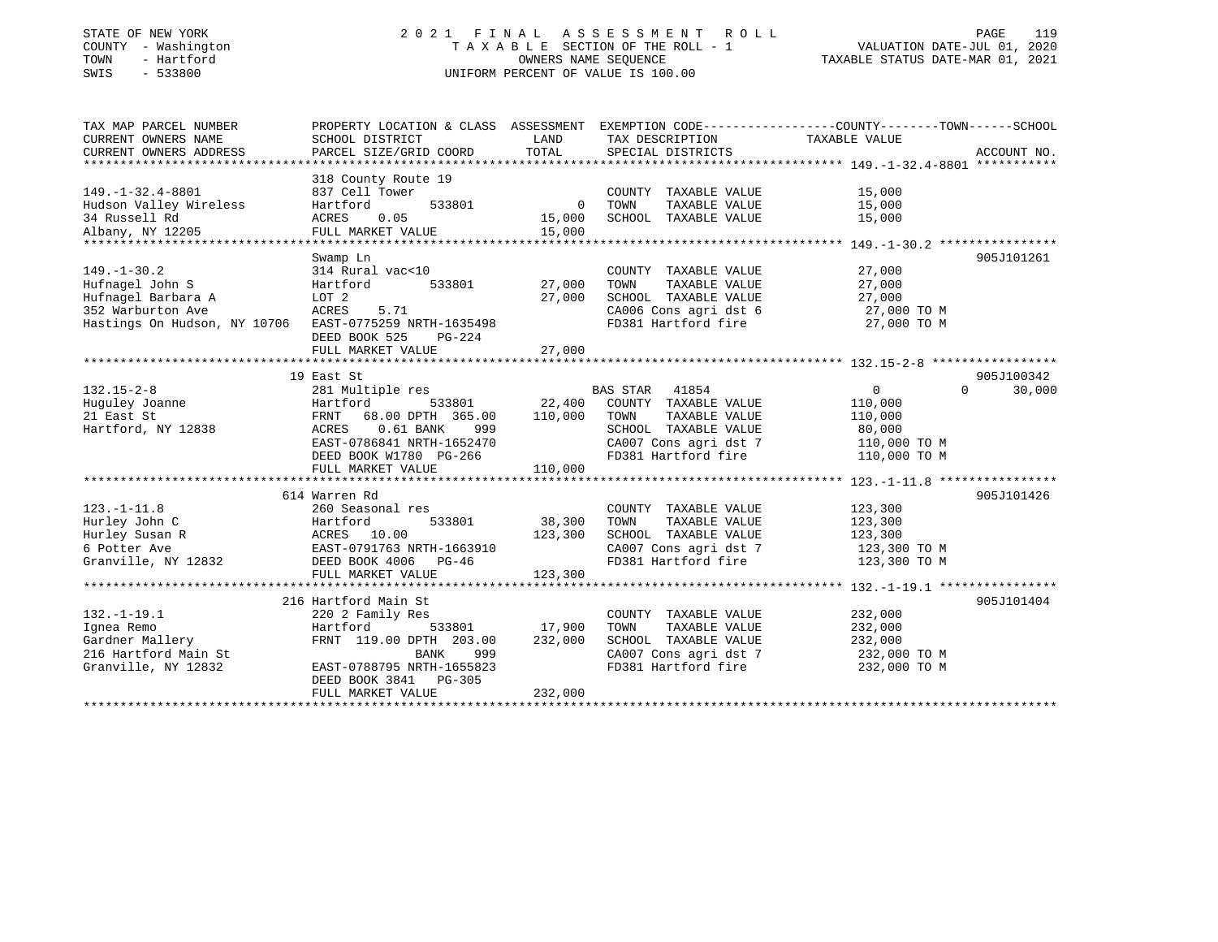### STATE OF NEW YORK 2 0 2 1 F I N A L A S S E S S M E N T R O L L PAGE 119 COUNTY - Washington T A X A B L E SECTION OF THE ROLL - 1 VALUATION DATE-JUL 01, 2020 TOWN - Hartford OWNERS NAME SEQUENCE TAXABLE STATUS DATE-MAR 01, 2021 SWIS - 533800 UNIFORM PERCENT OF VALUE IS 100.00

| TAX MAP PARCEL NUMBER                                  | PROPERTY LOCATION & CLASS ASSESSMENT EXEMPTION CODE---------------COUNTY-------TOWN-----SCHOOL |             |                          |                            |             |
|--------------------------------------------------------|------------------------------------------------------------------------------------------------|-------------|--------------------------|----------------------------|-------------|
| CURRENT OWNERS NAME                                    | SCHOOL DISTRICT                                                                                | LAND        | TAX DESCRIPTION          | TAXABLE VALUE              |             |
| CURRENT OWNERS ADDRESS                                 | PARCEL SIZE/GRID COORD                                                                         | TOTAL       | SPECIAL DISTRICTS        |                            | ACCOUNT NO. |
|                                                        |                                                                                                |             |                          |                            |             |
|                                                        | 318 County Route 19                                                                            |             |                          |                            |             |
| $149. - 1 - 32.4 - 8801$                               | 837 Cell Tower                                                                                 |             | COUNTY TAXABLE VALUE     | 15,000                     |             |
| Hudson Valley Wireless                                 | Hartford<br>533801                                                                             | $\mathbf 0$ | TAXABLE VALUE<br>TOWN    | 15,000                     |             |
| 34 Russell Rd                                          | ACRES<br>0.05                                                                                  | 15,000      | SCHOOL TAXABLE VALUE     | 15,000                     |             |
| Albany, NY 12205                                       | FULL MARKET VALUE                                                                              | 15,000      |                          |                            |             |
|                                                        |                                                                                                |             |                          |                            |             |
|                                                        | Swamp Ln                                                                                       |             |                          |                            | 905J101261  |
| $149. - 1 - 30.2$                                      | 314 Rural vac<10                                                                               |             | COUNTY TAXABLE VALUE     | 27,000                     |             |
| Hufnagel John S                                        | Hartford<br>533801                                                                             | 27,000      | TAXABLE VALUE<br>TOWN    | 27,000                     |             |
| Hufnagel Barbara A                                     | LOT 2                                                                                          | 27,000      | SCHOOL TAXABLE VALUE     | 27,000                     |             |
| 352 Warburton Ave                                      | ACRES<br>5.71                                                                                  |             | CA006 Cons agri dst 6    | 27,000 TO M                |             |
| Hastings On Hudson, NY 10706 EAST-0775259 NRTH-1635498 |                                                                                                |             | FD381 Hartford fire      | 27,000 TO M                |             |
|                                                        | DEED BOOK 525<br>PG-224                                                                        |             |                          |                            |             |
|                                                        | FULL MARKET VALUE                                                                              | 27,000      |                          |                            |             |
|                                                        |                                                                                                |             |                          |                            |             |
|                                                        | 19 East St                                                                                     |             |                          |                            | 905J100342  |
| $132.15 - 2 - 8$                                       | 281 Multiple res                                                                               |             | <b>BAS STAR</b><br>41854 | $\overline{0}$<br>$\Omega$ | 30,000      |
| Huguley Joanne                                         | Hartford<br>533801                                                                             | 22,400      | COUNTY TAXABLE VALUE     | 110,000                    |             |
| 21 East St                                             | 68.00 DPTH 365.00<br>FRNT                                                                      | 110,000     | TAXABLE VALUE<br>TOWN    | 110,000                    |             |
| Hartford, NY 12838                                     | 0.61 BANK<br>ACRES<br>999                                                                      |             | SCHOOL TAXABLE VALUE     | 80,000                     |             |
|                                                        | EAST-0786841 NRTH-1652470                                                                      |             | CA007 Cons agri dst 7    | 110,000 TO M               |             |
|                                                        | DEED BOOK W1780 PG-266                                                                         |             | FD381 Hartford fire      | 110,000 TO M               |             |
|                                                        | FULL MARKET VALUE                                                                              | 110,000     |                          |                            |             |
|                                                        |                                                                                                |             |                          |                            |             |
|                                                        | 614 Warren Rd                                                                                  |             |                          |                            | 905J101426  |
| $123. - 1 - 11.8$                                      | 260 Seasonal res                                                                               |             | COUNTY TAXABLE VALUE     | 123,300                    |             |
| Hurley John C                                          | Hartford<br>533801                                                                             | 38,300      | TAXABLE VALUE<br>TOWN    | 123,300                    |             |
| Hurley Susan R                                         | ACRES 10.00                                                                                    | 123,300     | SCHOOL TAXABLE VALUE     | 123,300                    |             |
| 6 Potter Ave                                           | EAST-0791763 NRTH-1663910                                                                      |             | CA007 Cons agri dst 7    | 123,300 TO M               |             |
| Granville, NY 12832                                    | DEED BOOK 4006 PG-46                                                                           |             | FD381 Hartford fire      | 123,300 TO M               |             |
|                                                        | FULL MARKET VALUE                                                                              | 123,300     |                          |                            |             |
|                                                        |                                                                                                |             |                          |                            |             |
|                                                        | 216 Hartford Main St                                                                           |             |                          |                            | 905J101404  |
| $132. - 1 - 19.1$                                      | 220 2 Family Res                                                                               |             | COUNTY TAXABLE VALUE     | 232,000                    |             |
| Ignea Remo                                             | Hartford<br>533801                                                                             | 17,900      | TOWN<br>TAXABLE VALUE    | 232,000                    |             |
| Gardner Mallery                                        | FRNT 119.00 DPTH 203.00                                                                        | 232,000     | SCHOOL TAXABLE VALUE     | 232,000                    |             |
| 216 Hartford Main St                                   | 999<br>BANK                                                                                    |             | CA007 Cons agri dst 7    | 232,000 TO M               |             |
| Granville, NY 12832                                    | EAST-0788795 NRTH-1655823                                                                      |             | FD381 Hartford fire      | 232,000 TO M               |             |
|                                                        | DEED BOOK 3841 PG-305                                                                          |             |                          |                            |             |
|                                                        | FULL MARKET VALUE                                                                              | 232,000     |                          |                            |             |
|                                                        |                                                                                                |             |                          |                            |             |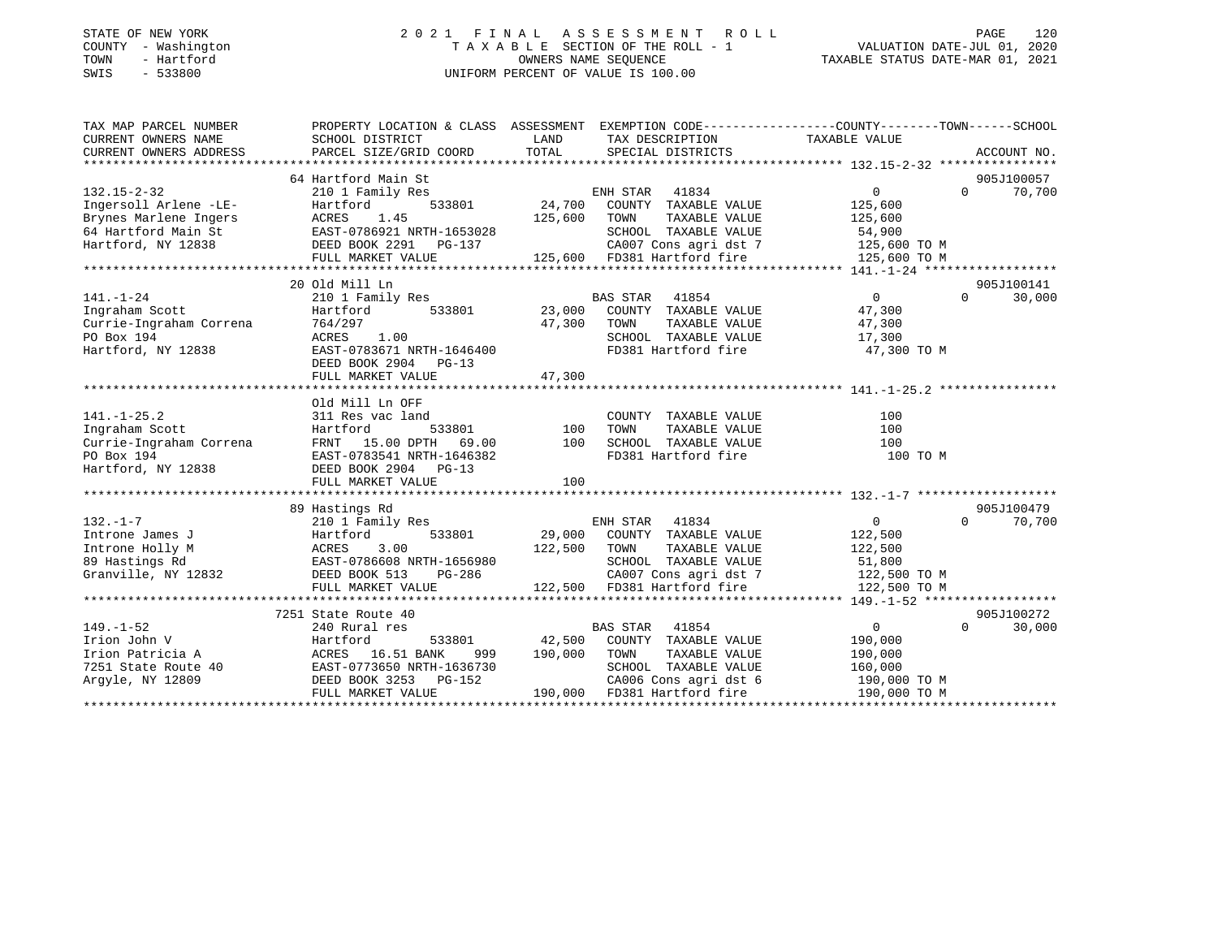### STATE OF NEW YORK 2 0 2 1 F I N A L A S S E S S M E N T R O L L PAGE 120 COUNTY - Washington T A X A B L E SECTION OF THE ROLL - 1 VALUATION DATE-JUL 01, 2020 TOWN - Hartford OWNERS NAME SEQUENCE TAXABLE STATUS DATE-MAR 01, 2021 SWIS - 533800 UNIFORM PERCENT OF VALUE IS 100.00

| TAX MAP PARCEL NUMBER   | PROPERTY LOCATION & CLASS ASSESSMENT EXEMPTION CODE----------------COUNTY-------TOWN------SCHOOL |              |                                                                                                               |                              |          |             |
|-------------------------|--------------------------------------------------------------------------------------------------|--------------|---------------------------------------------------------------------------------------------------------------|------------------------------|----------|-------------|
| CURRENT OWNERS NAME     | SCHOOL DISTRICT                                                                                  | LAND         | TAX DESCRIPTION                                                                                               | TAXABLE VALUE                |          |             |
| CURRENT OWNERS ADDRESS  | PARCEL SIZE/GRID COORD                                                                           | TOTAL        | SPECIAL DISTRICTS                                                                                             |                              |          | ACCOUNT NO. |
|                         |                                                                                                  |              |                                                                                                               |                              |          |             |
|                         | 64 Hartford Main St                                                                              |              |                                                                                                               |                              |          | 905J100057  |
| $132.15 - 2 - 32$       | 210 1 Family Res                                                                                 |              | ENH STAR<br>41834                                                                                             | 0                            | $\Omega$ | 70,700      |
| Ingersoll Arlene -LE-   | Hartford<br>533801                                                                               | 24,700       | COUNTY TAXABLE VALUE                                                                                          | 125,600                      |          |             |
| Brynes Marlene Ingers   | 1.45<br>ACRES                                                                                    | 125,600      | TOWN<br>TAXABLE VALUE                                                                                         | 125,600                      |          |             |
| 64 Hartford Main St     | EAST-0786921 NRTH-1653028<br>DEED BOOK 2291 PG-137                                               |              | SCHOOL TAXABLE VALUE 54,900<br>CA007 Cons agri dst 7 125,600 TO M<br>125,600 FD381 Hartford fire 125,600 TO M |                              |          |             |
| Hartford, NY 12838      |                                                                                                  |              |                                                                                                               |                              |          |             |
|                         | FULL MARKET VALUE                                                                                |              |                                                                                                               |                              |          |             |
|                         |                                                                                                  |              |                                                                                                               |                              |          |             |
|                         | 20 Old Mill Ln                                                                                   |              |                                                                                                               |                              |          | 905J100141  |
| $141. - 1 - 24$         | 210 1 Family Res                                                                                 |              | BAS STAR<br>41854                                                                                             | $\overline{0}$               | $\Omega$ | 30,000      |
| Ingraham Scott          | Hartford                                                                                         |              | 533801 23,000 COUNTY TAXABLE VALUE                                                                            | 47,300                       |          |             |
| Currie-Ingraham Correna | 764/297                                                                                          | 47,300 TOWN  | TAXABLE VALUE                                                                                                 | 47,300                       |          |             |
| PO Box 194              | ACRES 1.00                                                                                       |              | SCHOOL TAXABLE VALUE                                                                                          | 17,300                       |          |             |
| Hartford, NY 12838      | EAST-0783671 NRTH-1646400                                                                        |              | FD381 Hartford fire 47,300 TO M                                                                               |                              |          |             |
|                         | DEED BOOK 2904 PG-13                                                                             |              |                                                                                                               |                              |          |             |
|                         |                                                                                                  |              |                                                                                                               |                              |          |             |
|                         |                                                                                                  |              |                                                                                                               |                              |          |             |
|                         | Old Mill Ln OFF                                                                                  |              |                                                                                                               |                              |          |             |
| $141. - 1 - 25.2$       | 311 Res vac land                                                                                 |              | COUNTY TAXABLE VALUE                                                                                          | 100                          |          |             |
| Ingraham Scott          | Hartford                                                                                         | 533801 100   | TOWN<br>TAXABLE VALUE                                                                                         | 100                          |          |             |
| Currie-Ingraham Correna | FRNT 15.00 DPTH 69.00                                                                            | 100          | SCHOOL TAXABLE VALUE                                                                                          | 100                          |          |             |
| PO Box 194              | EAST-0783541 NRTH-1646382                                                                        |              | FD381 Hartford fire                                                                                           | 100 TO M                     |          |             |
| Hartford, NY 12838      | DEED BOOK 2904 PG-13                                                                             |              |                                                                                                               |                              |          |             |
|                         | FULL MARKET VALUE                                                                                | 100          |                                                                                                               |                              |          |             |
|                         |                                                                                                  |              |                                                                                                               |                              |          |             |
|                         | 89 Hastings Rd                                                                                   |              |                                                                                                               |                              |          | 905J100479  |
| $132 - 1 - 7$           | 210 1 Family Res                                                                                 |              | ENH STAR 41834                                                                                                | $\overline{0}$               | $\Omega$ | 70,700      |
| Introne James J         | Hartford<br>533801<br>3.00                                                                       |              | 29,000 COUNTY TAXABLE VALUE                                                                                   | 122,500                      |          |             |
| Introne Holly M         | ACRES                                                                                            | 122,500 TOWN | TAXABLE VALUE<br>SCHOOL TAXABLE VALUE                                                                         | 122,500                      |          |             |
| 89 Hastings Rd          | EAST-0786608 NRTH-1656980                                                                        |              |                                                                                                               | 51,800<br>122,500 TO M       |          |             |
| Granville, NY 12832     | DEED BOOK 513<br>PG-286                                                                          |              | CA007 Cons agri dst 7<br>122,500 FD381 Hartford fire                                                          |                              |          |             |
|                         | FULL MARKET VALUE                                                                                |              |                                                                                                               | 122,500 TO M                 |          |             |
|                         |                                                                                                  |              |                                                                                                               |                              |          |             |
|                         | 7251 State Route 40                                                                              |              |                                                                                                               |                              |          | 905J100272  |
| $149. - 1 - 52$         | 240 Rural res                                                                                    |              | <b>BAS STAR</b><br>41854                                                                                      | $\overline{0}$               | $\Omega$ | 30,000      |
| Irion John V            | Hartford<br>533801<br>ACRES 16.51 BANK                                                           | 42,500       | COUNTY TAXABLE VALUE                                                                                          | 190,000                      |          |             |
| Irion Patricia A        | 999<br>EAST-0773650 NRTH-1636730                                                                 | 190,000 TOWN | TAXABLE VALUE<br>SCHOOL TAXABLE VALUE                                                                         | 190,000<br>160,000           |          |             |
| 7251 State Route 40     | DEED BOOK 3253 PG-152                                                                            |              |                                                                                                               |                              |          |             |
| Argyle, NY 12809        | FULL MARKET VALUE                                                                                |              | 152 CA006 Cons agri dst 6<br>190,000 FD381 Hartford fire<br>CA006 Cons agri dst 6                             | 190,000 TO M<br>190,000 TO M |          |             |
|                         |                                                                                                  |              |                                                                                                               |                              |          |             |
|                         |                                                                                                  |              |                                                                                                               |                              |          |             |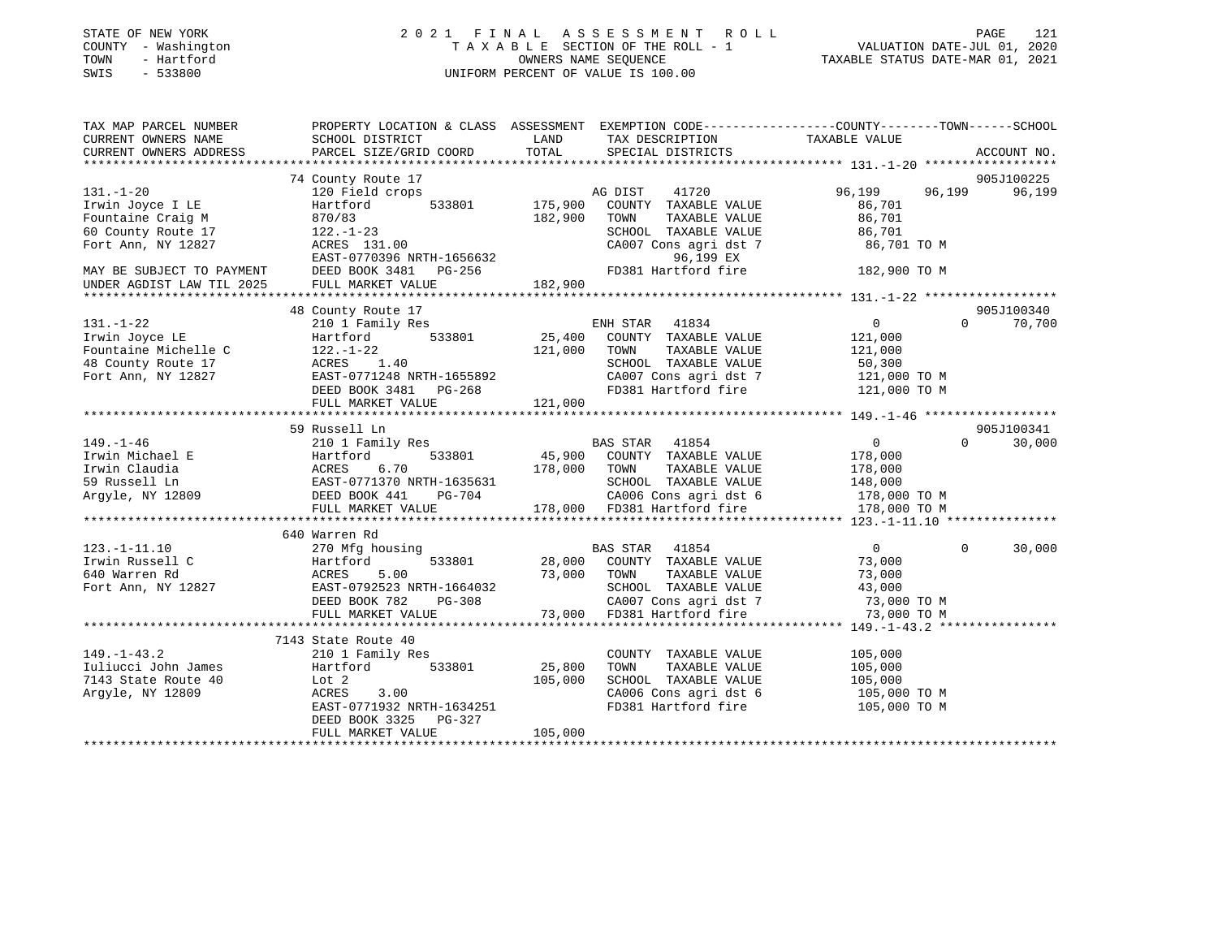| STATE OF NEW YORK |              |
|-------------------|--------------|
| COUNTY            | - Washington |
| TOWN              | - Hartford   |
| <b>CMTC</b>       | 533800       |

### STATE OF NEW YORK 2 0 2 1 F I N A L A S S E S S M E N T R O L L PAGE 121 COUNTY - Washington T A X A B L E SECTION OF THE ROLL - 1 VALUATION DATE-JUL 01, 2020 TOWN - Hartford OWNERS NAME SEQUENCE TAXABLE STATUS DATE-MAR 01, 2021 SWIS - 533800 UNIFORM PERCENT OF VALUE IS 100.00

| TAX MAP PARCEL NUMBER     | PROPERTY LOCATION & CLASS ASSESSMENT    |              | EXEMPTION CODE-----------------COUNTY-------TOWN------SCHOOL |                              |                    |
|---------------------------|-----------------------------------------|--------------|--------------------------------------------------------------|------------------------------|--------------------|
| CURRENT OWNERS NAME       | SCHOOL DISTRICT                         | LAND         | TAX DESCRIPTION                                              | TAXABLE VALUE                |                    |
| CURRENT OWNERS ADDRESS    | PARCEL SIZE/GRID COORD                  | TOTAL        | SPECIAL DISTRICTS                                            |                              | ACCOUNT NO.        |
|                           |                                         |              |                                                              |                              |                    |
|                           | 74 County Route 17                      |              |                                                              |                              | 905J100225         |
| $131. - 1 - 20$           | 120 Field crops                         |              | 41720<br>AG DIST                                             | 96,199<br>96,199             | 96,199             |
| Irwin Joyce I LE          | 533801<br>Hartford                      | 175,900      | COUNTY TAXABLE VALUE                                         | 86,701                       |                    |
| Fountaine Craig M         | 870/83                                  | 182,900      | TOWN<br>TAXABLE VALUE                                        | 86,701                       |                    |
| 60 County Route 17        | $122. - 1 - 23$                         |              | SCHOOL TAXABLE VALUE                                         | 86,701                       |                    |
| Fort Ann, NY 12827        | ACRES 131.00                            |              | CA007 Cons agri dst 7                                        | 86,701 TO M                  |                    |
|                           | EAST-0770396 NRTH-1656632               |              | 96,199 EX                                                    |                              |                    |
| MAY BE SUBJECT TO PAYMENT | DEED BOOK 3481<br>PG-256                |              | FD381 Hartford fire                                          | 182,900 TO M                 |                    |
| UNDER AGDIST LAW TIL 2025 | FULL MARKET VALUE                       | 182,900      |                                                              |                              |                    |
|                           |                                         |              |                                                              |                              |                    |
|                           | 48 County Route 17                      |              |                                                              |                              | 905J100340         |
| $131. - 1 - 22$           | 210 1 Family Res                        |              | ENH STAR<br>41834                                            | $\overline{0}$               | 70,700<br>$\Omega$ |
| Irwin Joyce LE            | 533801<br>Hartford                      | 25,400       | COUNTY TAXABLE VALUE                                         | 121,000                      |                    |
| Fountaine Michelle C      | $122. - 1 - 22$                         | 121,000      | TOWN<br>TAXABLE VALUE                                        | 121,000                      |                    |
| 48 County Route 17        | ACRES<br>1.40                           |              | SCHOOL TAXABLE VALUE                                         | 50,300                       |                    |
| Fort Ann, NY 12827        | EAST-0771248 NRTH-1655892               |              | CA007 Cons agri dst 7                                        | 121,000 TO M                 |                    |
|                           | DEED BOOK 3481 PG-268                   |              | FD381 Hartford fire                                          | 121,000 TO M                 |                    |
|                           | FULL MARKET VALUE                       | 121,000      |                                                              |                              |                    |
|                           |                                         |              |                                                              |                              |                    |
|                           | 59 Russell Ln                           |              |                                                              |                              | 905J100341         |
| $149. - 1 - 46$           | 210 1 Family Res                        |              | BAS STAR 41854                                               | $\sim$ 0                     | $\Omega$<br>30,000 |
| Irwin Michael E           | 533801<br>Hartford                      |              | 45,900 COUNTY TAXABLE VALUE                                  | 178,000                      |                    |
| Irwin Claudia             |                                         | 178,000 TOWN | TAXABLE VALUE                                                | 178,000                      |                    |
| 59 Russell Ln             | ACRES 6.70<br>EAST-0771370 NRTH-1635631 |              | SCHOOL TAXABLE VALUE                                         | 148,000                      |                    |
| Arqyle, NY 12809          | DEED BOOK 441<br>PG-704                 |              | CA006 Cons agri dst 6                                        |                              |                    |
|                           |                                         |              | <sup>31</sup> 178,000 FD381 Hartford fire                    | 178,000 TO M<br>178 NAO TO M |                    |
|                           | FULL MARKET VALUE                       |              |                                                              | 178,000 TO M                 |                    |
|                           |                                         |              |                                                              |                              |                    |
|                           | 640 Warren Rd                           |              |                                                              |                              |                    |
| $123. - 1 - 11.10$        | 270 Mfg housing                         |              | BAS STAR 41854                                               | $\overline{0}$               | 30,000<br>$\Omega$ |
| Irwin Russell C           | Hartford<br>533801                      |              | 28,000 COUNTY TAXABLE VALUE                                  | 73,000                       |                    |
| 640 Warren Rd             | 5.00<br>ACRES                           | 73,000       | TAXABLE VALUE<br>TOWN                                        | 73,000                       |                    |
| Fort Ann, NY 12827        | EAST-0792523 NRTH-1664032               |              | SCHOOL TAXABLE VALUE                                         | 43,000                       |                    |
|                           | PG-308<br>DEED BOOK 782                 |              | CA007 Cons agri dst 7                                        | 73,000 TO M                  |                    |
|                           | FULL MARKET VALUE                       | 73,000       | FD381 Hartford fire                                          | 73,000 TO M                  |                    |
|                           |                                         |              |                                                              |                              |                    |
|                           | 7143 State Route 40                     |              |                                                              |                              |                    |
| $149. - 1 - 43.2$         | 210 1 Family Res                        |              | COUNTY TAXABLE VALUE                                         | 105,000                      |                    |
| Iuliucci John James       | 533801<br>Hartford                      | 25,800       | TAXABLE VALUE<br>TOWN                                        | 105,000                      |                    |
| 7143 State Route 40       | Lot 2                                   | 105,000      | SCHOOL TAXABLE VALUE                                         | 105,000                      |                    |
| Argyle, NY 12809          | ACRES<br>3.00                           |              | CA006 Cons agri dst 6                                        | 105,000 TO M                 |                    |
|                           | EAST-0771932 NRTH-1634251               |              | FD381 Hartford fire                                          | 105,000 TO M                 |                    |
|                           | DEED BOOK 3325<br>PG-327                |              |                                                              |                              |                    |
|                           | FULL MARKET VALUE                       | 105,000      |                                                              |                              |                    |
|                           |                                         |              |                                                              |                              |                    |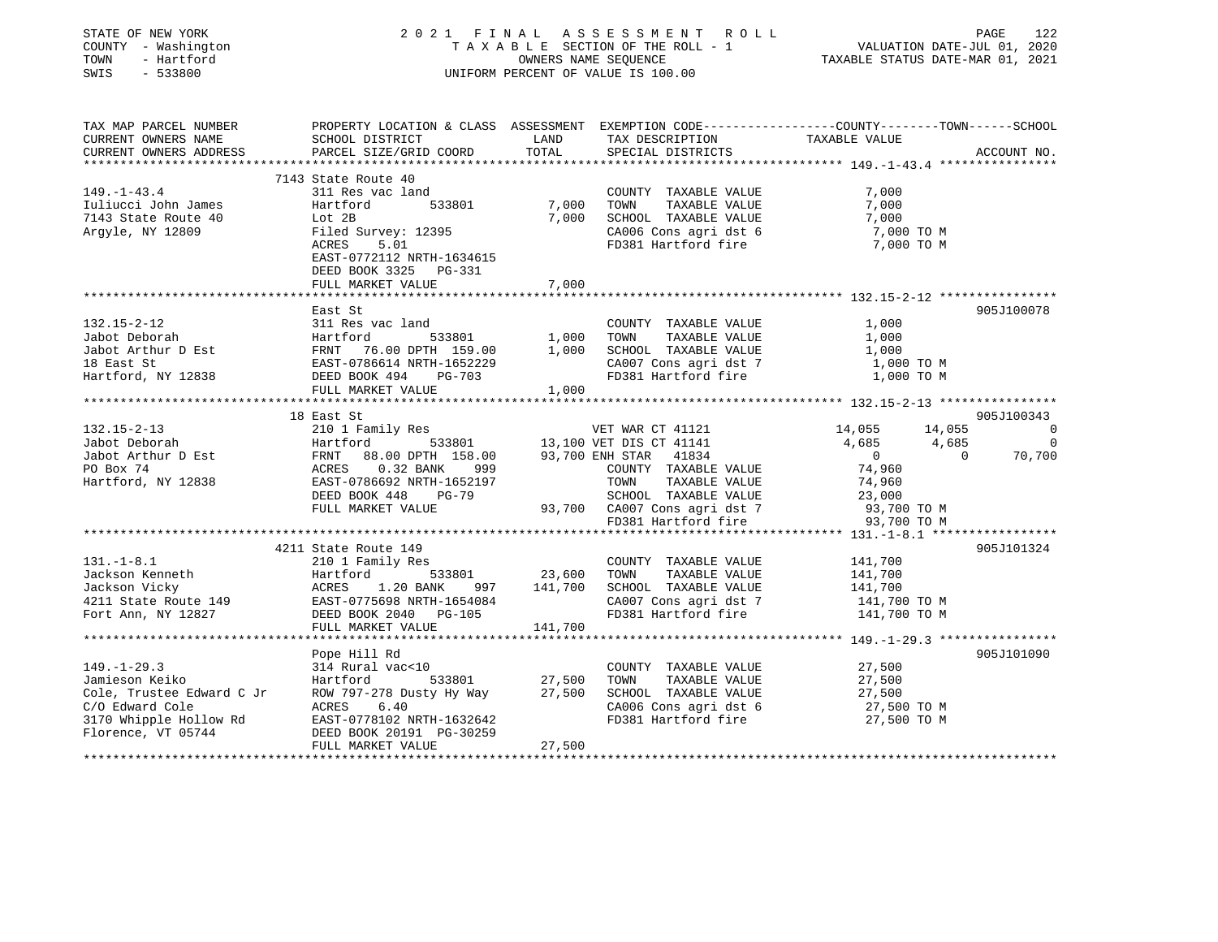| STATE OF NEW YORK<br>COUNTY - Washington<br>TOWN<br>- Hartford<br>SWIS<br>$-533800$                                                                                                                                                              |                                                                                                                                                                                                                                                               |         | 2021 FINAL ASSESSMENT ROLL<br>T A X A B L E SECTION OF THE ROLL - 1<br>OWNERS NAME SEQUENCE<br>UNIFORM PERCENT OF VALUE IS 100.00 | 421 FAGE<br>1220 VALUATION DATE-JUL<br>1202 TAXABLE STATUS DATE-MAR                                                                                                                                                     | PAGE<br>122 |
|--------------------------------------------------------------------------------------------------------------------------------------------------------------------------------------------------------------------------------------------------|---------------------------------------------------------------------------------------------------------------------------------------------------------------------------------------------------------------------------------------------------------------|---------|-----------------------------------------------------------------------------------------------------------------------------------|-------------------------------------------------------------------------------------------------------------------------------------------------------------------------------------------------------------------------|-------------|
| TAX MAP PARCEL NUMBER                                                                                                                                                                                                                            |                                                                                                                                                                                                                                                               |         |                                                                                                                                   | PROPERTY LOCATION & CLASS ASSESSMENT EXEMPTION CODE------------------COUNTY--------TOWN------SCHOOL<br>SCHOOL DISTRICT LAND TAX DESCRIPTION TAXABLE VALUE<br>PARCEL SIZE/GRID COORD TOTAL SPECIAL DISTRICTS ACCOUNT NO. |             |
| CURRENT OWNERS NAME<br>CURRENT OWNERS ADDRESS                                                                                                                                                                                                    | PARCEL SIZE/GRID COORD                                                                                                                                                                                                                                        | TOTAL   | SPECIAL DISTRICTS                                                                                                                 |                                                                                                                                                                                                                         | ACCOUNT NO. |
| **********************                                                                                                                                                                                                                           |                                                                                                                                                                                                                                                               |         |                                                                                                                                   |                                                                                                                                                                                                                         |             |
| $149. - 1 - 43.4$                                                                                                                                                                                                                                | 7143 State Route 40                                                                                                                                                                                                                                           |         |                                                                                                                                   |                                                                                                                                                                                                                         |             |
|                                                                                                                                                                                                                                                  | 311 Res vac land<br>533801                                                                                                                                                                                                                                    | 7,000   | COUNTY TAXABLE VALUE<br>TOWN TAXABLE VALUE                                                                                        | 7,000<br>7,000                                                                                                                                                                                                          |             |
|                                                                                                                                                                                                                                                  |                                                                                                                                                                                                                                                               |         | 7,000 SCHOOL TAXABLE VALUE                                                                                                        | 7,000                                                                                                                                                                                                                   |             |
| Iuliucci John James<br>7143 State Route 40<br>Argyle, NY 12809<br>Filed Survey: 12395<br>Filed Survey: 12395                                                                                                                                     |                                                                                                                                                                                                                                                               |         | CA006 Cons agri dst 6                                                                                                             | 7,000 TO M                                                                                                                                                                                                              |             |
|                                                                                                                                                                                                                                                  | $\mathcal{L}(\mathcal{L})$ and $\mathcal{L}(\mathcal{L})$<br>ACRES<br>5.01                                                                                                                                                                                    |         |                                                                                                                                   | FD381 Hartford fire 7,000 TO M                                                                                                                                                                                          |             |
|                                                                                                                                                                                                                                                  | EAST-0772112 NRTH-1634615                                                                                                                                                                                                                                     |         |                                                                                                                                   |                                                                                                                                                                                                                         |             |
|                                                                                                                                                                                                                                                  | DEED BOOK 3325 PG-331                                                                                                                                                                                                                                         |         |                                                                                                                                   |                                                                                                                                                                                                                         |             |
|                                                                                                                                                                                                                                                  | FULL MARKET VALUE                                                                                                                                                                                                                                             | 7,000   |                                                                                                                                   |                                                                                                                                                                                                                         |             |
|                                                                                                                                                                                                                                                  |                                                                                                                                                                                                                                                               |         |                                                                                                                                   |                                                                                                                                                                                                                         |             |
|                                                                                                                                                                                                                                                  | East St                                                                                                                                                                                                                                                       |         |                                                                                                                                   |                                                                                                                                                                                                                         | 905J100078  |
|                                                                                                                                                                                                                                                  |                                                                                                                                                                                                                                                               |         | COUNTY TAXABLE VALUE 1,000                                                                                                        |                                                                                                                                                                                                                         |             |
|                                                                                                                                                                                                                                                  |                                                                                                                                                                                                                                                               |         | TOWN TAXABLE VALUE                                                                                                                | 1,000                                                                                                                                                                                                                   |             |
| 132.15-2-12<br>Jabot Deborah 1,000<br>Jabot Arthur D Est FRNT 76.00 DPTH 159.00 1,000<br>1,000<br>1,000<br>1,000<br>1,000<br>1,000<br>1,000<br>1,000<br>1,000<br>2007 EAST-0786614 NRTH-1652229                                                  |                                                                                                                                                                                                                                                               |         | 1,000 SCHOOL TAXABLE VALUE<br>SCHOOL IAAABLE VALUE<br>CA007 Cons agridst 7 1,000 TO M                                             | 1,000                                                                                                                                                                                                                   |             |
|                                                                                                                                                                                                                                                  |                                                                                                                                                                                                                                                               |         |                                                                                                                                   | 1,000 TO M                                                                                                                                                                                                              |             |
|                                                                                                                                                                                                                                                  | FULL MARKET VALUE 1,000                                                                                                                                                                                                                                       |         | FD381 Hartford fire                                                                                                               |                                                                                                                                                                                                                         |             |
|                                                                                                                                                                                                                                                  |                                                                                                                                                                                                                                                               |         |                                                                                                                                   |                                                                                                                                                                                                                         |             |
|                                                                                                                                                                                                                                                  | 18 East St                                                                                                                                                                                                                                                    |         |                                                                                                                                   |                                                                                                                                                                                                                         | 905J100343  |
| $132.15 - 2 - 13$                                                                                                                                                                                                                                | 210 1 Family Res                                                                                                                                                                                                                                              |         | VET WAR CT 41121                                                                                                                  | $14,055$ $14,055$<br>$4,685$ $4,685$ 0<br>0<br>0<br>0<br>70,700                                                                                                                                                         |             |
| Jabot Deborah                                                                                                                                                                                                                                    | 410 1 Family Res 533801 VET WAR CT 41121<br>Hartford 533801 13,100 VET DIS CT 41141<br>FRNT 88.00 DPTH 158.00 93,700 ENH STAR 41834<br>ACRES 0.32 BANK 999 COUNTY TAXABLE VALUE<br>EAST-0786692 NRTH-1652197 TOWN TAXABLE VALUE                               |         |                                                                                                                                   |                                                                                                                                                                                                                         |             |
| Jabot Arthur D Est<br>PO Box 74                                                                                                                                                                                                                  |                                                                                                                                                                                                                                                               |         |                                                                                                                                   |                                                                                                                                                                                                                         |             |
| PO Box 74                                                                                                                                                                                                                                        | ACRES 0.32 BANK 999<br>EAST-0786692 NRTH-1652197 TOWN TAXABLE VALUE 74,960<br>DEED BOOK 448 PG-79 SCHOOL TAXABLE VALUE 23,000<br>FULL MARKET VALUE 93,700 CA007 Cons agri dst 7 93,700 TO M<br>FD381 Hartford fire 93,700 TO M                                |         |                                                                                                                                   |                                                                                                                                                                                                                         |             |
| Hartford, NY 12838                                                                                                                                                                                                                               |                                                                                                                                                                                                                                                               |         |                                                                                                                                   |                                                                                                                                                                                                                         |             |
|                                                                                                                                                                                                                                                  |                                                                                                                                                                                                                                                               |         |                                                                                                                                   |                                                                                                                                                                                                                         |             |
|                                                                                                                                                                                                                                                  |                                                                                                                                                                                                                                                               |         |                                                                                                                                   |                                                                                                                                                                                                                         |             |
|                                                                                                                                                                                                                                                  |                                                                                                                                                                                                                                                               |         |                                                                                                                                   |                                                                                                                                                                                                                         |             |
|                                                                                                                                                                                                                                                  |                                                                                                                                                                                                                                                               |         |                                                                                                                                   |                                                                                                                                                                                                                         |             |
| 131.-1-8.1<br>131.-1-8.1<br>141,700<br>141,700<br>141,700<br>141,700<br>141,700<br>141,700<br>141,700<br>141,700<br>141,700<br>141,700<br>141,700<br>141,700<br>141,700<br>141,700<br>141,700<br>141,700<br>141,700<br>EAST-0775698 NRTH-1654084 |                                                                                                                                                                                                                                                               |         |                                                                                                                                   |                                                                                                                                                                                                                         | 905J101324  |
|                                                                                                                                                                                                                                                  |                                                                                                                                                                                                                                                               |         |                                                                                                                                   |                                                                                                                                                                                                                         |             |
|                                                                                                                                                                                                                                                  |                                                                                                                                                                                                                                                               |         |                                                                                                                                   |                                                                                                                                                                                                                         |             |
|                                                                                                                                                                                                                                                  |                                                                                                                                                                                                                                                               |         |                                                                                                                                   |                                                                                                                                                                                                                         |             |
|                                                                                                                                                                                                                                                  |                                                                                                                                                                                                                                                               |         |                                                                                                                                   |                                                                                                                                                                                                                         |             |
|                                                                                                                                                                                                                                                  |                                                                                                                                                                                                                                                               | 141,700 |                                                                                                                                   |                                                                                                                                                                                                                         |             |
|                                                                                                                                                                                                                                                  |                                                                                                                                                                                                                                                               |         |                                                                                                                                   |                                                                                                                                                                                                                         |             |
|                                                                                                                                                                                                                                                  | Pope Hill Rd                                                                                                                                                                                                                                                  |         |                                                                                                                                   |                                                                                                                                                                                                                         | 905J101090  |
|                                                                                                                                                                                                                                                  |                                                                                                                                                                                                                                                               |         | COUNTY TAXABLE VALUE                                                                                                              | 27,500<br>27,500                                                                                                                                                                                                        |             |
|                                                                                                                                                                                                                                                  |                                                                                                                                                                                                                                                               |         |                                                                                                                                   |                                                                                                                                                                                                                         |             |
|                                                                                                                                                                                                                                                  | 533801 27,500                                                                                                                                                                                                                                                 |         | TOWN TAXABLE VALUE                                                                                                                |                                                                                                                                                                                                                         |             |
|                                                                                                                                                                                                                                                  |                                                                                                                                                                                                                                                               |         | SCHOOL TAXABLE VALUE                                                                                                              | 27,500                                                                                                                                                                                                                  |             |
|                                                                                                                                                                                                                                                  |                                                                                                                                                                                                                                                               |         | CA006 Cons agri dst 6                                                                                                             |                                                                                                                                                                                                                         |             |
|                                                                                                                                                                                                                                                  |                                                                                                                                                                                                                                                               |         | FD381 Hartford fire                                                                                                               | 27,500 ТО М<br>27,500 ТО М                                                                                                                                                                                              |             |
|                                                                                                                                                                                                                                                  | 149.-1-29.3<br>Jamieson Keiko Hartford 533801 27,500<br>Cole, Trustee Edward C Jr ROW 797-278 Dusty Hy Way 27,500<br>C/O Edward Cole ACRES 6.40<br>3170 Whipple Hollow Rd EAST-0778102 NRTH-1632642<br>Florence, VT 05744 DEED BOOK 2019<br>FULL MARKET VALUE | 27,500  |                                                                                                                                   |                                                                                                                                                                                                                         |             |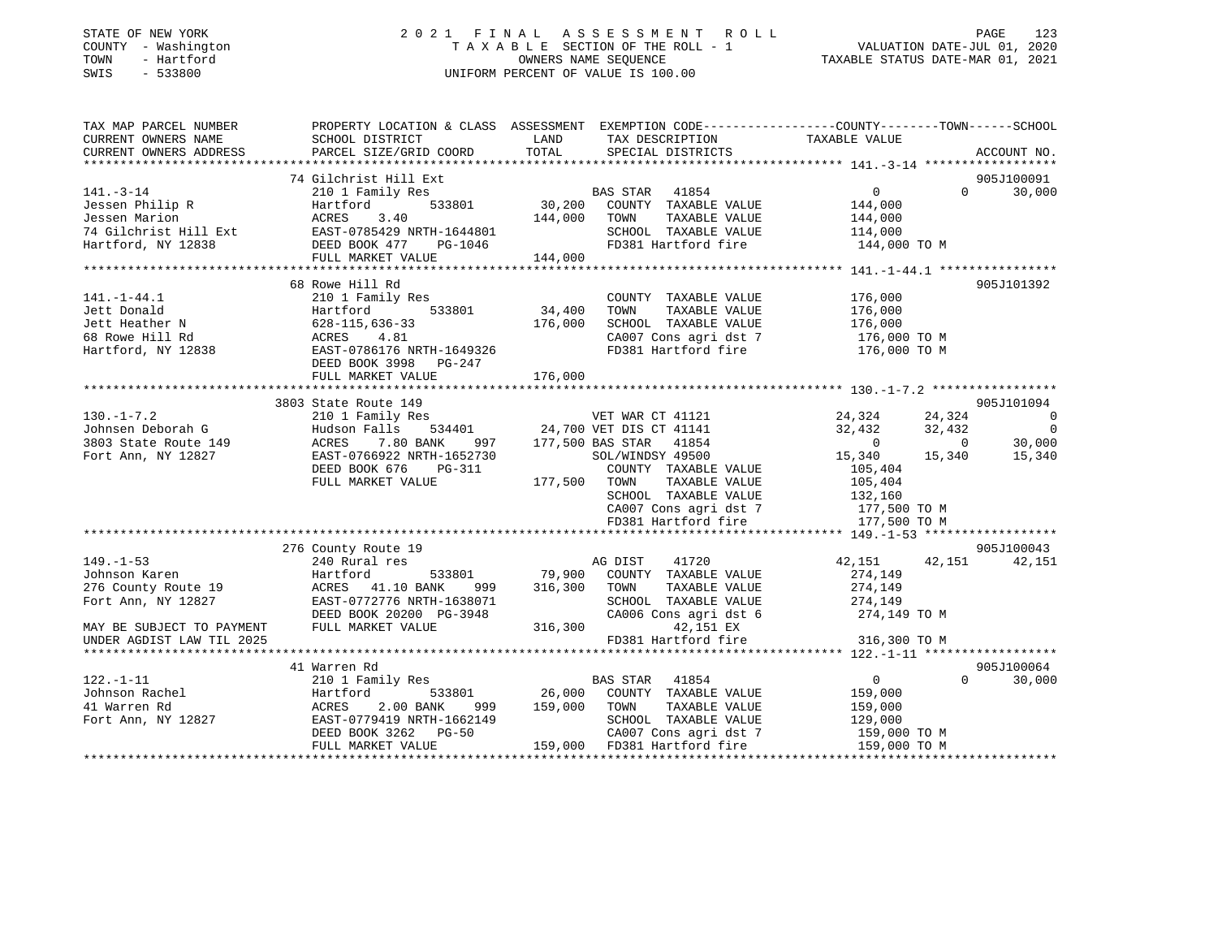| STATE OF NEW YORK |  |              |
|-------------------|--|--------------|
| COUNTY            |  | - Washington |
| TOWN              |  | - Hartford   |
| SWTS              |  | $-533800$    |

### STATE OF NEW YORK 2 0 2 1 F I N A L A S S E S S M E N T R O L L PAGE 123 COUNTY - Washington T A X A B L E SECTION OF THE ROLL - 1 VALUATION DATE-JUL 01, 2020 OWNERS NAME SEQUENCE TAXABLE STATUS DATE-MAR 01, 2021 SWIS - 533800 UNIFORM PERCENT OF VALUE IS 100.00

| TAX MAP PARCEL NUMBER<br>CURRENT OWNERS NAME                                                                                                                             | PROPERTY LOCATION & CLASS ASSESSMENT EXEMPTION CODE---------------COUNTY-------TOWN------SCHOOL<br>SCHOOL DISTRICT                                                   | LAND                                | TAX DESCRIPTION                                                                                                                 | TAXABLE VALUE                                                   |                                        |                                                      |
|--------------------------------------------------------------------------------------------------------------------------------------------------------------------------|----------------------------------------------------------------------------------------------------------------------------------------------------------------------|-------------------------------------|---------------------------------------------------------------------------------------------------------------------------------|-----------------------------------------------------------------|----------------------------------------|------------------------------------------------------|
| CURRENT OWNERS ADDRESS                                                                                                                                                   | PARCEL SIZE/GRID COORD                                                                                                                                               | TOTAL                               | SPECIAL DISTRICTS                                                                                                               |                                                                 |                                        | ACCOUNT NO.                                          |
|                                                                                                                                                                          | 74 Gilchrist Hill Ext                                                                                                                                                |                                     |                                                                                                                                 |                                                                 |                                        | 905J100091                                           |
| $141. - 3 - 14$<br>Jessen Philip R<br>Jessen Marion<br>74 Gilchrist Hill Ext EAST-0785429 NRTH-1644801<br>Hartford, NY 12838 DEED BOOK 477 PG-1046<br>Hartford, NY 12838 | 210 1 Family Res<br>533801<br>Hartford<br>ACRES<br>3.40<br>FULL MARKET VALUE                                                                                         | 30,200<br>144,000<br>144,000        | BAS STAR 41854<br>COUNTY TAXABLE VALUE<br>TOWN<br>TAXABLE VALUE<br>SCHOOL TAXABLE VALUE<br>FD381 Hartford fire                  | $\overline{0}$<br>144,000<br>144,000<br>114,000<br>144,000 TO M | $\Omega$                               | 30,000                                               |
|                                                                                                                                                                          |                                                                                                                                                                      |                                     |                                                                                                                                 |                                                                 |                                        |                                                      |
| $141. - 1 - 44.1$<br>Jett Donald<br>Jett Heather N<br>68 Rowe Hill Rd<br>Hartford, NY 12838                                                                              | 68 Rowe Hill Rd<br>210 1 Family Res<br>533801<br>Hartford<br>628-115,636-33<br>ACRES 4.81<br>EAST-0786176 NRTH-1649326<br>DEED BOOK 3998 PG-247<br>FULL MARKET VALUE | 34,400<br>176,000<br>176,000        | COUNTY TAXABLE VALUE<br>TAXABLE VALUE<br>TOWN<br>SCHOOL TAXABLE VALUE<br>CA007 Cons agri dst 7<br>FD381 Hartford fire           | 176,000<br>176,000<br>176,000<br>176,000 то м<br>176,000 TO M   |                                        | 905J101392                                           |
|                                                                                                                                                                          | 3803 State Route 149                                                                                                                                                 |                                     |                                                                                                                                 |                                                                 |                                        | 905J101094                                           |
| $130. -1 - 7.2$<br>Johnsen Deborah G<br>3803 State Route 149<br>Fort Ann, NY 12827                                                                                       | 210 1 Family Res<br>Hudson Falls<br>ACRES<br>7.80 BANK<br>EAST-0766922 NRTH-1652730                                                                                  |                                     | VET WAR CT 41121<br>534401 24,700 VET DIS CT 41141<br>ANK 997 177,500 BAS STAR 41854<br>SOL/WINDSY 49500                        | 24,324<br>32,432<br>$\overline{0}$<br>15,340                    | 24,324<br>32,432<br>$\sim$ 0<br>15,340 | $\overline{0}$<br>$\overline{0}$<br>30,000<br>15,340 |
|                                                                                                                                                                          | DEED BOOK 676<br>PG-311<br>FULL MARKET VALUE                                                                                                                         | 177,500 TOWN                        | COUNTY TAXABLE VALUE<br>TAXABLE VALUE<br>SCHOOL TAXABLE VALUE<br>CA007 Cons agri dst 7<br>FD381 Hartford fire                   | 105,404<br>105,404<br>132,160<br>177,500 TO M<br>177,500 TO M   |                                        |                                                      |
|                                                                                                                                                                          |                                                                                                                                                                      |                                     |                                                                                                                                 |                                                                 |                                        |                                                      |
|                                                                                                                                                                          | 276 County Route 19                                                                                                                                                  |                                     |                                                                                                                                 |                                                                 |                                        | 905J100043                                           |
| $149. - 1 - 53$<br>Johnson Karen<br>276 County Route 19<br>Fort Ann, NY 12827<br>MAY BE SUBJECT TO PAYMENT                                                               | 240 Rural res<br>Hartford<br>ACRES 41.10 BANK<br>999<br>EAST-0772776 NRTH-1638071<br>DEED BOOK 20200 PG-3948<br>FULL MARKET VALUE                                    | 533801 79,900<br>316,300<br>316,300 | 41720<br>AG DIST<br>COUNTY TAXABLE VALUE<br>TOWN<br>TAXABLE VALUE<br>SCHOOL TAXABLE VALUE<br>CA006 Cons agri dst 6<br>42,151 EX | 42,151<br>274,149<br>274,149<br>274,149<br>274,149 TO M         | 42,151                                 | 42,151                                               |
| UNDER AGDIST LAW TIL 2025                                                                                                                                                |                                                                                                                                                                      |                                     | FD381 Hartford fire                                                                                                             | 316,300 TO M                                                    |                                        |                                                      |
|                                                                                                                                                                          |                                                                                                                                                                      |                                     |                                                                                                                                 |                                                                 |                                        |                                                      |
| $122. - 1 - 11$<br>Johnson Rachel                                                                                                                                        | 41 Warren Rd<br>210 1 Family Res<br>Hartford<br>533801                                                                                                               |                                     | 41854<br>BAS STAR<br>26,000 COUNTY TAXABLE VALUE                                                                                | $\overline{0}$<br>159,000                                       | $\Omega$                               | 905J100064<br>30,000                                 |
| 41 Warren Rd                                                                                                                                                             | 2.00 BANK<br>ACRES<br>999                                                                                                                                            | 159,000                             | TOWN<br>TAXABLE VALUE                                                                                                           | 159,000                                                         |                                        |                                                      |
| Fort Ann, NY 12827                                                                                                                                                       | EAST-0779419 NRTH-1662149<br><b>PG-50</b><br>DEED BOOK 3262<br>FULL MARKET VALUE                                                                                     |                                     | SCHOOL TAXABLE VALUE<br>CA007 Cons agri dst 7<br>159,000 FD381 Hartford fire                                                    | 129,000<br>159,000 TO M<br>159,000 TO M                         |                                        |                                                      |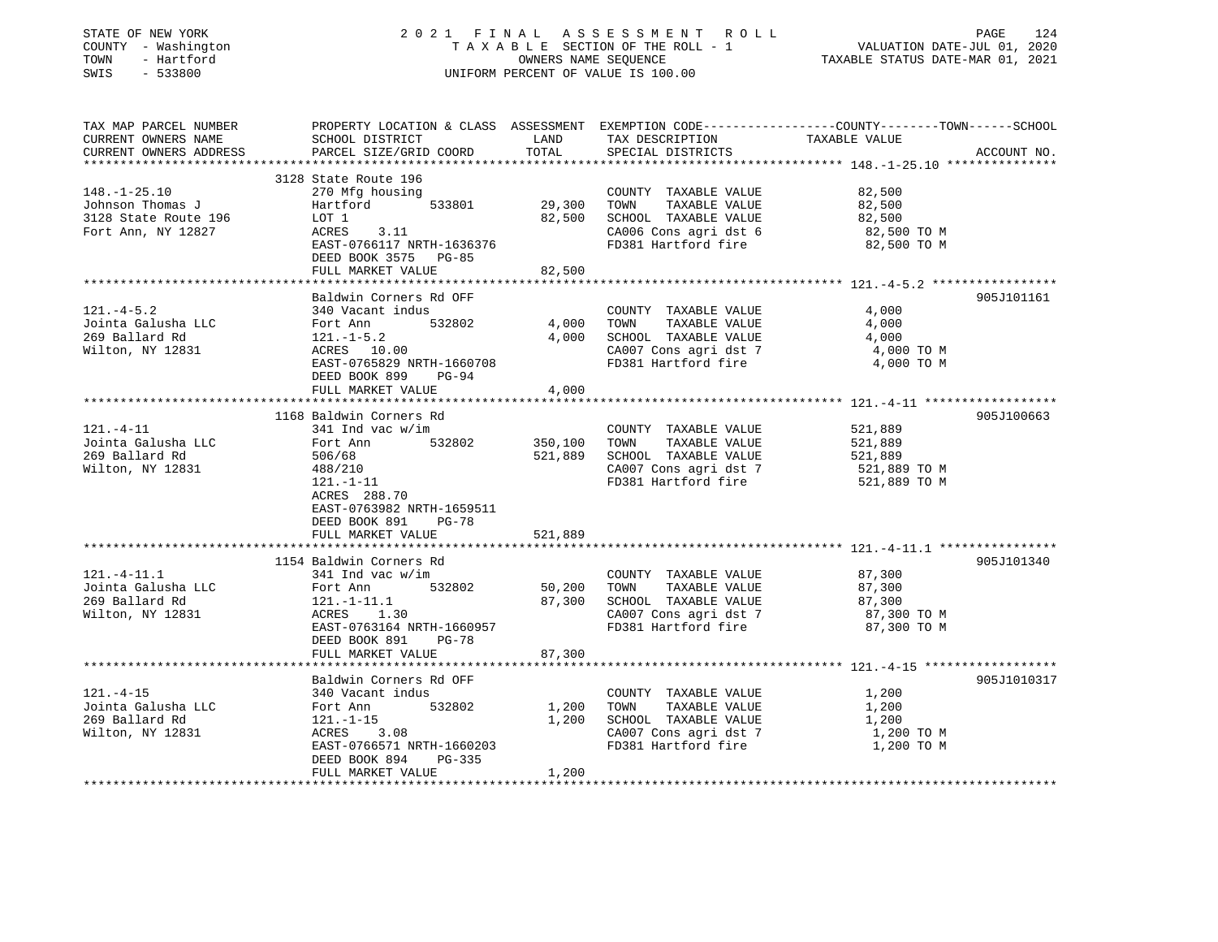| STATE OF NEW YORK<br>COUNTY - Washington<br>TOWN<br>- Hartford<br>SWIS<br>$-533800$ |                                              | OWNERS NAME SEQUENCE | 2021 FINAL ASSESSMENT ROLL<br>TAXABLE SECTION OF THE ROLL - 1<br>UNIFORM PERCENT OF VALUE IS 100.00 | VALUATION DATE-JUL 01, 2020<br>TAXABLE STATUS DATE-MAR 01, 2021                                                   | PAGE<br>124 |
|-------------------------------------------------------------------------------------|----------------------------------------------|----------------------|-----------------------------------------------------------------------------------------------------|-------------------------------------------------------------------------------------------------------------------|-------------|
| TAX MAP PARCEL NUMBER<br>CURRENT OWNERS NAME<br>CURRENT OWNERS ADDRESS              | SCHOOL DISTRICT<br>PARCEL SIZE/GRID COORD    | LAND<br>TOTAL        | TAX DESCRIPTION<br>SPECIAL DISTRICTS                                                                | PROPERTY LOCATION & CLASS ASSESSMENT EXEMPTION CODE----------------COUNTY-------TOWN------SCHOOL<br>TAXABLE VALUE | ACCOUNT NO. |
|                                                                                     | **********************                       |                      |                                                                                                     |                                                                                                                   |             |
| $148. - 1 - 25.10$                                                                  | 3128 State Route 196<br>270 Mfg housing      |                      | COUNTY TAXABLE VALUE                                                                                | 82,500                                                                                                            |             |
| Johnson Thomas J                                                                    | Hartford<br>533801                           | 29,300               | TOWN<br>TAXABLE VALUE                                                                               | 82,500                                                                                                            |             |
| 3128 State Route 196                                                                | LOT 1                                        | 82,500               | SCHOOL TAXABLE VALUE                                                                                | 82,500                                                                                                            |             |
| Fort Ann, NY 12827                                                                  | ACRES 3.11                                   |                      | CA006 Cons agri dst 6                                                                               | 82,500 TO M                                                                                                       |             |
|                                                                                     | EAST-0766117 NRTH-1636376                    |                      | FD381 Hartford fire                                                                                 | 82,500 TO M                                                                                                       |             |
|                                                                                     | DEED BOOK 3575 PG-85                         |                      |                                                                                                     |                                                                                                                   |             |
|                                                                                     | FULL MARKET VALUE                            | 82,500               |                                                                                                     |                                                                                                                   |             |
|                                                                                     | Baldwin Corners Rd OFF                       |                      |                                                                                                     |                                                                                                                   | 905J101161  |
| $121. -4 - 5.2$                                                                     | 340 Vacant indus                             |                      | COUNTY TAXABLE VALUE                                                                                | 4,000                                                                                                             |             |
| Jointa Galusha LLC                                                                  | Fort Ann<br>532802                           | 4,000                | TOWN<br>TAXABLE VALUE                                                                               | 4,000                                                                                                             |             |
| 269 Ballard Rd                                                                      | $121.-1-5.2$                                 | 4,000                | SCHOOL TAXABLE VALUE                                                                                | 4,000                                                                                                             |             |
| Wilton, NY 12831                                                                    | ACRES 10.00                                  |                      | CA007 Cons agri dst 7                                                                               | 4,000 TO M                                                                                                        |             |
|                                                                                     | EAST-0765829 NRTH-1660708<br>PG-94           |                      | FD381 Hartford fire                                                                                 | 4,000 TO M                                                                                                        |             |
|                                                                                     | DEED BOOK 899<br>FULL MARKET VALUE           | 4,000                |                                                                                                     |                                                                                                                   |             |
|                                                                                     |                                              |                      |                                                                                                     |                                                                                                                   |             |
|                                                                                     | 1168 Baldwin Corners Rd                      |                      |                                                                                                     |                                                                                                                   | 905J100663  |
| 121.-4-11                                                                           | $341$ Ind vac w/im                           |                      | COUNTY TAXABLE VALUE                                                                                | 521,889                                                                                                           |             |
| Jointa Galusha LLC                                                                  | 532802<br>Fort Ann                           | 350,100              | TAXABLE VALUE<br>TOWN                                                                               | 521,889                                                                                                           |             |
| 269 Ballard Rd                                                                      | 506/68                                       | 521,889              | SCHOOL TAXABLE VALUE                                                                                | 521,889                                                                                                           |             |
| Wilton, NY 12831                                                                    | 488/210<br>$121. - 1 - 11$                   |                      | CA007 Cons agri dst 7<br>FD381 Hartford fire                                                        | 521,889 TO M<br>521,889 TO M                                                                                      |             |
|                                                                                     | ACRES 288.70                                 |                      |                                                                                                     |                                                                                                                   |             |
|                                                                                     | EAST-0763982 NRTH-1659511                    |                      |                                                                                                     |                                                                                                                   |             |
|                                                                                     | $PG-78$<br>DEED BOOK 891                     |                      |                                                                                                     |                                                                                                                   |             |
|                                                                                     | FULL MARKET VALUE                            | 521,889              |                                                                                                     |                                                                                                                   |             |
|                                                                                     |                                              |                      |                                                                                                     |                                                                                                                   |             |
| $121. - 4 - 11.1$                                                                   | 1154 Baldwin Corners Rd<br>341 Ind vac w/im  |                      | COUNTY TAXABLE VALUE                                                                                | 87,300                                                                                                            | 905J101340  |
| Jointa Galusha LLC                                                                  | 532802<br>Fort Ann                           | 50,200               | TAXABLE VALUE<br>TOWN                                                                               | 87,300                                                                                                            |             |
| 269 Ballard Rd                                                                      | $121.-1-11.1$                                | 87,300               | SCHOOL TAXABLE VALUE                                                                                | 87,300                                                                                                            |             |
| Wilton, NY 12831                                                                    | ACRES 1.30                                   |                      | CA007 Cons agri dst 7                                                                               | 87,300 ТО М                                                                                                       |             |
|                                                                                     | EAST-0763164 NRTH-1660957                    |                      | FD381 Hartford fire                                                                                 | 87,300 TO M                                                                                                       |             |
|                                                                                     | DEED BOOK 891<br><b>PG-78</b>                |                      |                                                                                                     |                                                                                                                   |             |
|                                                                                     | FULL MARKET VALUE                            | 87,300               |                                                                                                     |                                                                                                                   |             |
|                                                                                     | Baldwin Corners Rd OFF                       |                      |                                                                                                     |                                                                                                                   | 905J1010317 |
| $121. - 4 - 15$                                                                     | 340 Vacant indus                             |                      | COUNTY TAXABLE VALUE                                                                                | 1,200                                                                                                             |             |
| Jointa Galusha LLC                                                                  | Fort Ann<br>532802                           | 1,200                | TAXABLE VALUE<br>TOWN                                                                               | 1,200                                                                                                             |             |
| 269 Ballard Rd                                                                      | $121. - 1 - 15$                              | 1,200                | SCHOOL TAXABLE VALUE                                                                                | 1,200                                                                                                             |             |
| Wilton, NY 12831                                                                    | ACRES<br>3.08                                |                      | CA007 Cons agri dst 7                                                                               | 1,200 TO M                                                                                                        |             |
|                                                                                     | EAST-0766571 NRTH-1660203                    |                      | FD381 Hartford fire                                                                                 | 1,200 TO M                                                                                                        |             |
|                                                                                     | DEED BOOK 894<br>PG-335<br>FULL MARKET VALUE | 1,200                |                                                                                                     |                                                                                                                   |             |
|                                                                                     |                                              |                      |                                                                                                     |                                                                                                                   |             |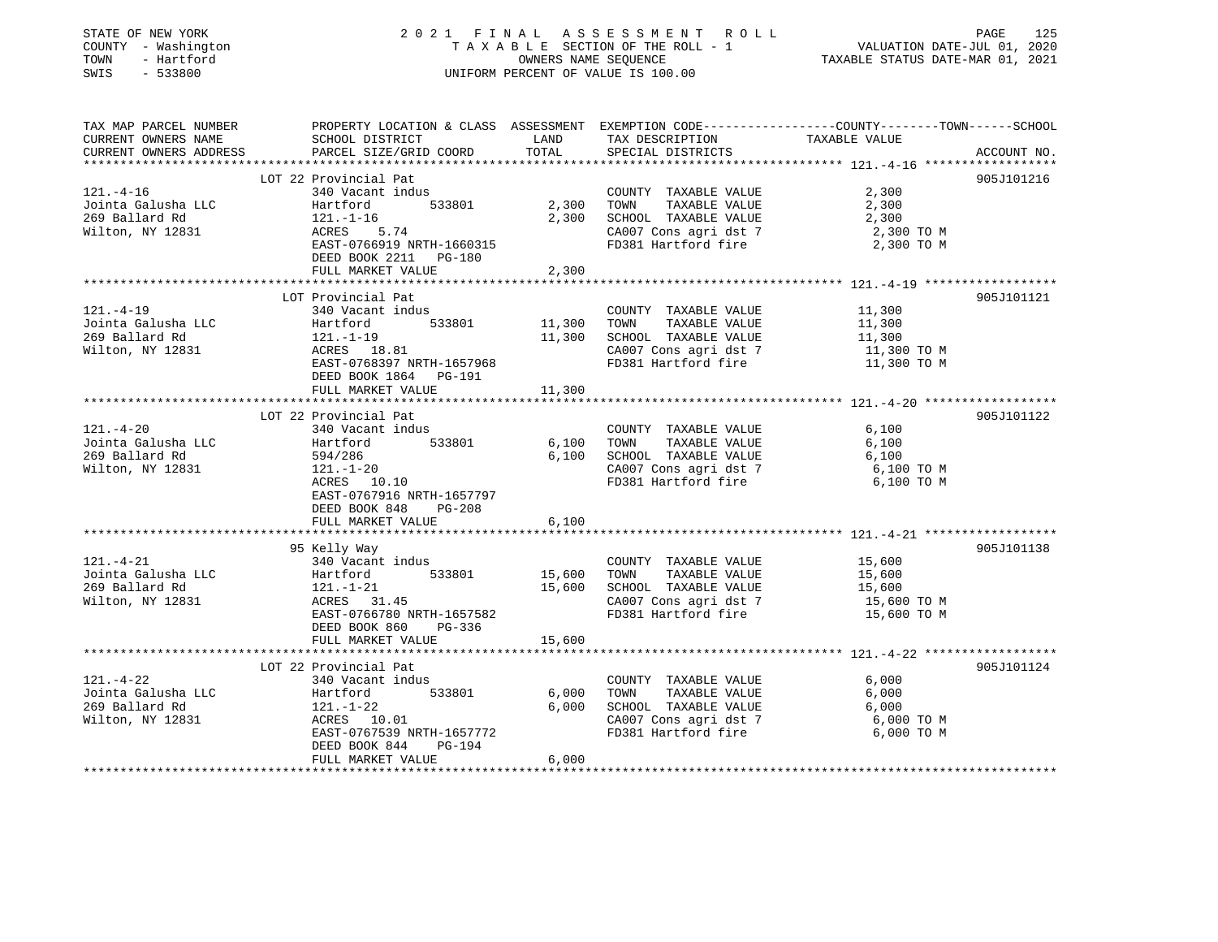|                                                                                                                                  | 2021 FINAL                                                               |                  | A S S E S S M E N T R O L L                   |                                                                                                  |  |  |
|----------------------------------------------------------------------------------------------------------------------------------|--------------------------------------------------------------------------|------------------|-----------------------------------------------|--------------------------------------------------------------------------------------------------|--|--|
| COUNTY - Washington                                                                                                              | TAXABLE SECTION OF THE ROLL - 1                                          |                  |                                               |                                                                                                  |  |  |
| TOWN                                                                                                                             | - Hartford<br>OWNERS NAME SEQUENCE<br>UNIFORM PERCENT OF VALUE IS 100.00 |                  |                                               | TAXABLE STATUS DATE-MAR 01, 2021                                                                 |  |  |
| SWIS<br>$-533800$                                                                                                                |                                                                          |                  |                                               |                                                                                                  |  |  |
| TAX MAP PARCEL NUMBER                                                                                                            |                                                                          |                  |                                               | PROPERTY LOCATION & CLASS ASSESSMENT EXEMPTION CODE----------------COUNTY-------TOWN------SCHOOL |  |  |
| CURRENT OWNERS NAME                                                                                                              | SCHOOL DISTRICT                                                          | LAND             | TAX DESCRIPTION                               | TAXABLE VALUE                                                                                    |  |  |
| CURRENT OWNERS ADDRESS                                                                                                           | PARCEL SIZE/GRID COORD                                                   | TOTAL            | SPECIAL DISTRICTS                             | ACCOUNT NO.                                                                                      |  |  |
|                                                                                                                                  |                                                                          |                  |                                               |                                                                                                  |  |  |
|                                                                                                                                  | LOT 22 Provincial Pat                                                    |                  |                                               | 905J101216                                                                                       |  |  |
| $121. - 4 - 16$                                                                                                                  | 340 Vacant indus                                                         |                  | COUNTY TAXABLE VALUE                          | 2,300                                                                                            |  |  |
| Jointa Galusha LLC                                                                                                               | Hartford<br>533801                                                       | 2,300            | TOWN<br>TAXABLE VALUE                         | 2,300                                                                                            |  |  |
| 269 Ballard Rd                                                                                                                   | $121.-1-16$                                                              | 2,300            | SCHOOL TAXABLE VALUE                          | 2,300                                                                                            |  |  |
| Wilton, NY 12831                                                                                                                 | 5.74<br>ACRES                                                            |                  | CA007 Cons agri dst 7                         | 2,300 TO M                                                                                       |  |  |
|                                                                                                                                  | EAST-0766919 NRTH-1660315                                                |                  | FD381 Hartford fire                           | 2,300 TO M                                                                                       |  |  |
|                                                                                                                                  | DEED BOOK 2211 PG-180                                                    |                  |                                               |                                                                                                  |  |  |
|                                                                                                                                  | FULL MARKET VALUE                                                        | 2,300            |                                               |                                                                                                  |  |  |
|                                                                                                                                  |                                                                          | ********         |                                               | *********************** 121._4_19 ******************                                             |  |  |
|                                                                                                                                  | LOT Provincial Pat                                                       |                  |                                               | 905J101121                                                                                       |  |  |
| $121. -4-19$                                                                                                                     | 340 Vacant indus                                                         |                  | COUNTY TAXABLE VALUE                          | 11,300                                                                                           |  |  |
| Jointa Galusha LLC<br>269 Ballard Rd                                                                                             | 533801<br>Hartford                                                       | 11,300<br>11,300 | TOWN<br>TAXABLE VALUE<br>SCHOOL TAXABLE VALUE | 11,300<br>11,300                                                                                 |  |  |
| Wilton, NY 12831                                                                                                                 | 121.-1-19<br>ACRES 18.81                                                 |                  | CA007 Cons agri dst 7                         | 11,300 TO M                                                                                      |  |  |
|                                                                                                                                  | EAST-0768397 NRTH-1657968                                                |                  | FD381 Hartford fire                           | 11,300 TO M                                                                                      |  |  |
|                                                                                                                                  | DEED BOOK 1864 PG-191                                                    |                  |                                               |                                                                                                  |  |  |
|                                                                                                                                  | FULL MARKET VALUE                                                        | 11,300           |                                               |                                                                                                  |  |  |
|                                                                                                                                  |                                                                          |                  |                                               |                                                                                                  |  |  |
|                                                                                                                                  | LOT 22 Provincial Pat                                                    |                  |                                               | 905J101122                                                                                       |  |  |
| $121. - 4 - 20$                                                                                                                  | 340 Vacant indus                                                         |                  | COUNTY TAXABLE VALUE                          | 6,100                                                                                            |  |  |
| Jointa Galusha LLC                                                                                                               | 533801<br>Hartford                                                       | 6,100            | TOWN<br>TAXABLE VALUE                         | 6,100                                                                                            |  |  |
| 269 Ballard Rd                                                                                                                   | 594/286                                                                  | 6,100            | SCHOOL TAXABLE VALUE                          | 6,100                                                                                            |  |  |
| Wilton, NY 12831                                                                                                                 | 121.-1-20                                                                |                  | CA007 Cons agri dst 7                         | 6,100 ТО М                                                                                       |  |  |
|                                                                                                                                  | ACRES 10.10                                                              |                  | FD381 Hartford fire                           | 6,100 то м                                                                                       |  |  |
|                                                                                                                                  | EAST-0767916 NRTH-1657797                                                |                  |                                               |                                                                                                  |  |  |
|                                                                                                                                  | DEED BOOK 848<br>PG-208                                                  |                  |                                               |                                                                                                  |  |  |
|                                                                                                                                  | FULL MARKET VALUE                                                        | 6,100            |                                               |                                                                                                  |  |  |
|                                                                                                                                  |                                                                          |                  |                                               |                                                                                                  |  |  |
|                                                                                                                                  |                                                                          |                  |                                               |                                                                                                  |  |  |
|                                                                                                                                  | 95 Kelly Way                                                             |                  |                                               | 905J101138                                                                                       |  |  |
|                                                                                                                                  | 340 Vacant indus                                                         |                  | COUNTY TAXABLE VALUE                          | 15,600                                                                                           |  |  |
|                                                                                                                                  | 533801<br>Hartford                                                       | 15,600           | TOWN<br>TAXABLE VALUE                         | 15,600                                                                                           |  |  |
|                                                                                                                                  | 121.-1-21                                                                | 15,600           | SCHOOL TAXABLE VALUE                          | 15,600                                                                                           |  |  |
|                                                                                                                                  | ACRES 31.45                                                              |                  | CA007 Cons agri dst 7                         | 15,600 TO M                                                                                      |  |  |
|                                                                                                                                  | EAST-0766780 NRTH-1657582                                                |                  | FD381 Hartford fire                           | 15,600 TO M                                                                                      |  |  |
|                                                                                                                                  | PG-336<br>DEED BOOK 860                                                  |                  |                                               |                                                                                                  |  |  |
|                                                                                                                                  | FULL MARKET VALUE                                                        | 15,600           |                                               |                                                                                                  |  |  |
|                                                                                                                                  | LOT 22 Provincial Pat                                                    |                  |                                               | 905J101124                                                                                       |  |  |
|                                                                                                                                  | 340 Vacant indus                                                         |                  | COUNTY TAXABLE VALUE                          | 6,000                                                                                            |  |  |
|                                                                                                                                  | 533801<br>Hartford                                                       | 6,000            | TOWN<br>TAXABLE VALUE                         | 6,000                                                                                            |  |  |
| $121. - 4 - 21$<br>Jointa Galusha LLC<br>269 Ballard Rd<br>Wilton, NY 12831<br>121.-4-22<br>Jointa Galusha LLC<br>269 Ballard Rd | 121.-1-22                                                                | 6,000            | SCHOOL TAXABLE VALUE                          | 6,000                                                                                            |  |  |
|                                                                                                                                  | ACRES 10.01                                                              |                  | CA007 Cons agri dst 7                         | 6,000 TO M                                                                                       |  |  |
| Wilton, NY 12831                                                                                                                 | EAST-0767539 NRTH-1657772                                                |                  | FD381 Hartford fire                           | 6,000 TO M                                                                                       |  |  |
|                                                                                                                                  | DEED BOOK 844<br>PG-194                                                  |                  |                                               |                                                                                                  |  |  |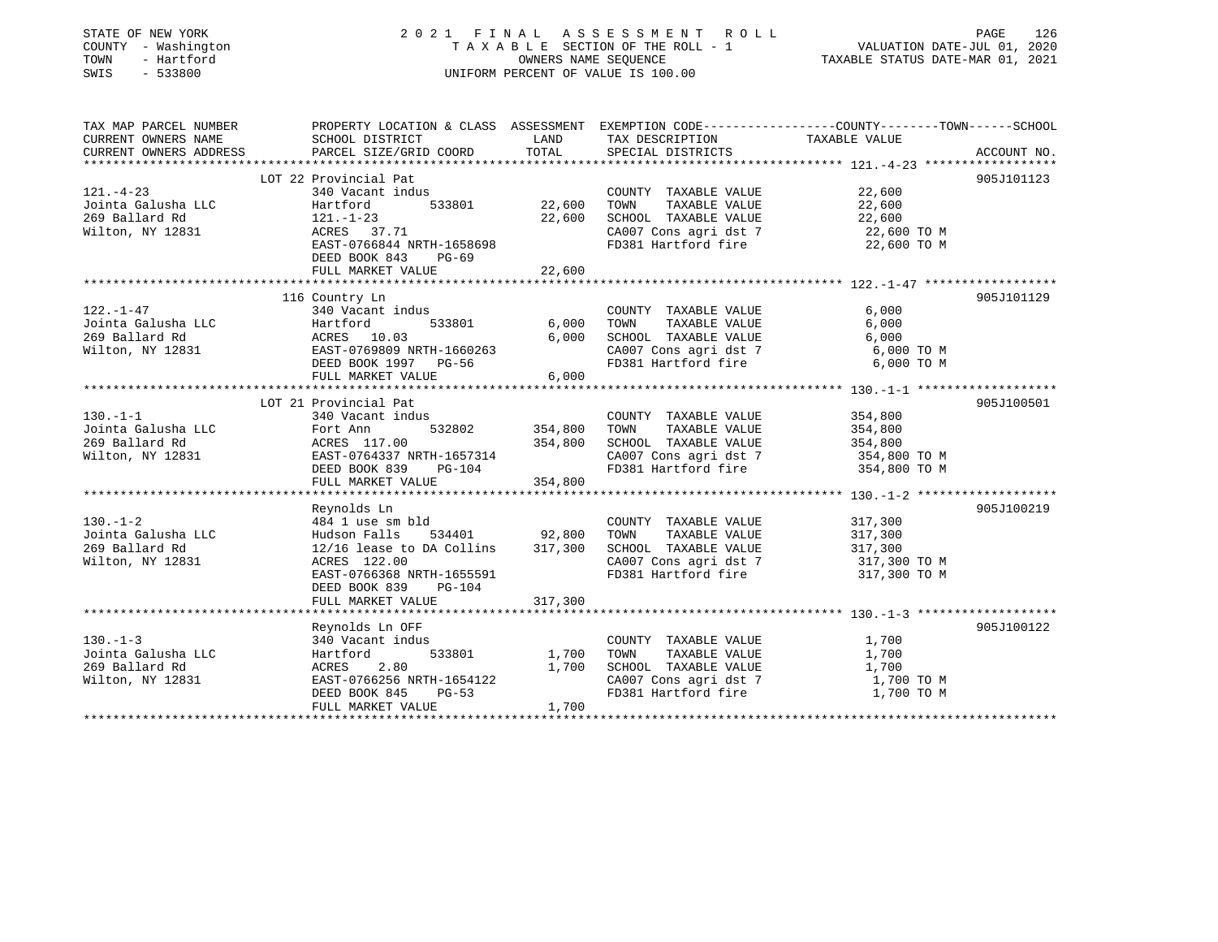| STATE OF NEW YORK<br>COUNTY - Washington<br>- Hartford<br>TOWN<br>SWIS<br>$-533800$ |                                                                                                                     | OWNERS NAME SEQUENCE | 2021 FINAL ASSESSMENT ROLL<br>TAXABLE SECTION OF THE ROLL - 1<br>UNIFORM PERCENT OF VALUE IS 100.00 | VALUATION DATE-JUL 01, 2020<br>TAXABLE STATUS DATE-MAR 01, 2021 | PAGE<br>126 |
|-------------------------------------------------------------------------------------|---------------------------------------------------------------------------------------------------------------------|----------------------|-----------------------------------------------------------------------------------------------------|-----------------------------------------------------------------|-------------|
| TAX MAP PARCEL NUMBER<br>CURRENT OWNERS NAME                                        | PROPERTY LOCATION & CLASS ASSESSMENT EXEMPTION CODE----------------COUNTY-------TOWN------SCHOOL<br>SCHOOL DISTRICT | LAND                 | TAX DESCRIPTION                                                                                     | TAXABLE VALUE                                                   |             |
| CURRENT OWNERS ADDRESS                                                              | PARCEL SIZE/GRID COORD                                                                                              | TOTAL                | SPECIAL DISTRICTS                                                                                   |                                                                 | ACCOUNT NO. |
|                                                                                     | LOT 22 Provincial Pat                                                                                               |                      |                                                                                                     |                                                                 | 905J101123  |
| $121. - 4 - 23$                                                                     | 340 Vacant indus                                                                                                    |                      | COUNTY TAXABLE VALUE                                                                                | 22,600                                                          |             |
| Jointa Galusha LLC                                                                  | Hartford<br>533801                                                                                                  | 22,600               | TOWN<br>TAXABLE VALUE                                                                               | 22,600                                                          |             |
| 269 Ballard Rd                                                                      | $121. - 1 - 23$                                                                                                     | 22,600               | SCHOOL TAXABLE VALUE                                                                                | 22,600                                                          |             |
| Wilton, NY 12831                                                                    | ACRES 37.71                                                                                                         |                      | CA007 Cons agri dst 7                                                                               | 22,600 TO M                                                     |             |
|                                                                                     | EAST-0766844 NRTH-1658698                                                                                           |                      | FD381 Hartford fire                                                                                 | 22,600 TO M                                                     |             |
|                                                                                     | DEED BOOK 843<br>$PG-69$<br>FULL MARKET VALUE                                                                       | 22,600               |                                                                                                     |                                                                 |             |
|                                                                                     |                                                                                                                     |                      |                                                                                                     |                                                                 |             |
|                                                                                     | 116 Country Ln                                                                                                      |                      |                                                                                                     |                                                                 | 905J101129  |
| 122.-1-47                                                                           | 340 Vacant indus                                                                                                    |                      | COUNTY TAXABLE VALUE                                                                                | 6,000                                                           |             |
| Jointa Galusha LLC                                                                  | 533801<br>Hartford                                                                                                  | 6,000                | TOWN<br>TAXABLE VALUE                                                                               | 6,000                                                           |             |
| 269 Ballard Rd                                                                      | ACRES 10.03                                                                                                         | 6,000                | SCHOOL TAXABLE VALUE                                                                                | 6,000                                                           |             |
| Wilton, NY 12831                                                                    | EAST-0769809 NRTH-1660263                                                                                           |                      | CA007 Cons agri dst 7                                                                               | 6,000 TO M                                                      |             |
|                                                                                     | DEED BOOK 1997 PG-56                                                                                                |                      | FD381 Hartford fire                                                                                 | 6,000 TO M                                                      |             |
|                                                                                     | FULL MARKET VALUE<br>******************************                                                                 | 6,000                |                                                                                                     |                                                                 |             |
|                                                                                     | LOT 21 Provincial Pat                                                                                               |                      |                                                                                                     |                                                                 | 905J100501  |
| $130. - 1 - 1$                                                                      | 340 Vacant indus                                                                                                    |                      | COUNTY TAXABLE VALUE                                                                                | 354,800                                                         |             |
| Jointa Galusha LLC                                                                  | 532802<br>Fort Ann                                                                                                  | 354,800              | TOWN<br>TAXABLE VALUE                                                                               | 354,800                                                         |             |
| 269 Ballard Rd                                                                      | ACRES 117.00                                                                                                        | 354,800              | SCHOOL TAXABLE VALUE                                                                                | 354,800                                                         |             |
| Wilton, NY 12831                                                                    | EAST-0764337 NRTH-1657314                                                                                           |                      | CA007 Cons agri dst 7                                                                               | 354,800 TO M                                                    |             |
|                                                                                     | DEED BOOK 839<br>PG-104                                                                                             |                      | FD381 Hartford fire                                                                                 | 354,800 TO M                                                    |             |
|                                                                                     | FULL MARKET VALUE                                                                                                   | 354,800              |                                                                                                     |                                                                 |             |
|                                                                                     | Reynolds Ln                                                                                                         |                      |                                                                                                     |                                                                 | 905J100219  |
| $130. - 1 - 2$                                                                      | 484 1 use sm bld                                                                                                    |                      | COUNTY TAXABLE VALUE                                                                                | 317,300                                                         |             |
| Jointa Galusha LLC                                                                  | Hudson Falls<br>534401                                                                                              | 92,800               | TAXABLE VALUE<br>TOWN                                                                               | 317,300                                                         |             |
| 269 Ballard Rd                                                                      | 12/16 lease to DA Collins                                                                                           | 317,300              | SCHOOL TAXABLE VALUE                                                                                | 317,300                                                         |             |
| Wilton, NY 12831                                                                    | ACRES 122.00                                                                                                        |                      | CA007 Cons agri dst 7                                                                               | 317,300 TO M                                                    |             |
|                                                                                     | EAST-0766368 NRTH-1655591                                                                                           |                      | FD381 Hartford fire                                                                                 | 317,300 TO M                                                    |             |
|                                                                                     | DEED BOOK 839<br>$PG-104$                                                                                           |                      |                                                                                                     |                                                                 |             |
|                                                                                     | FULL MARKET VALUE                                                                                                   | 317,300              |                                                                                                     |                                                                 |             |
|                                                                                     | Reynolds Ln OFF                                                                                                     |                      |                                                                                                     |                                                                 | 905J100122  |
| $130. -1 - 3$                                                                       | 340 Vacant indus                                                                                                    |                      | COUNTY TAXABLE VALUE                                                                                | 1,700                                                           |             |
| Jointa Galusha LLC                                                                  | Hartford<br>533801                                                                                                  | 1,700                | TOWN<br>TAXABLE VALUE                                                                               | 1,700                                                           |             |
| 269 Ballard Rd                                                                      | 2.80<br>ACRES                                                                                                       | 1,700                | SCHOOL TAXABLE VALUE                                                                                | 1,700                                                           |             |
| Wilton, NY 12831                                                                    | EAST-0766256 NRTH-1654122                                                                                           |                      | CA007 Cons agri dst 7                                                                               | 1,700 TO M                                                      |             |
|                                                                                     | DEED BOOK 845<br>$PG-53$                                                                                            |                      | FD381 Hartford fire                                                                                 | 1,700 TO M                                                      |             |
|                                                                                     | FULL MARKET VALUE                                                                                                   | 1,700                |                                                                                                     |                                                                 |             |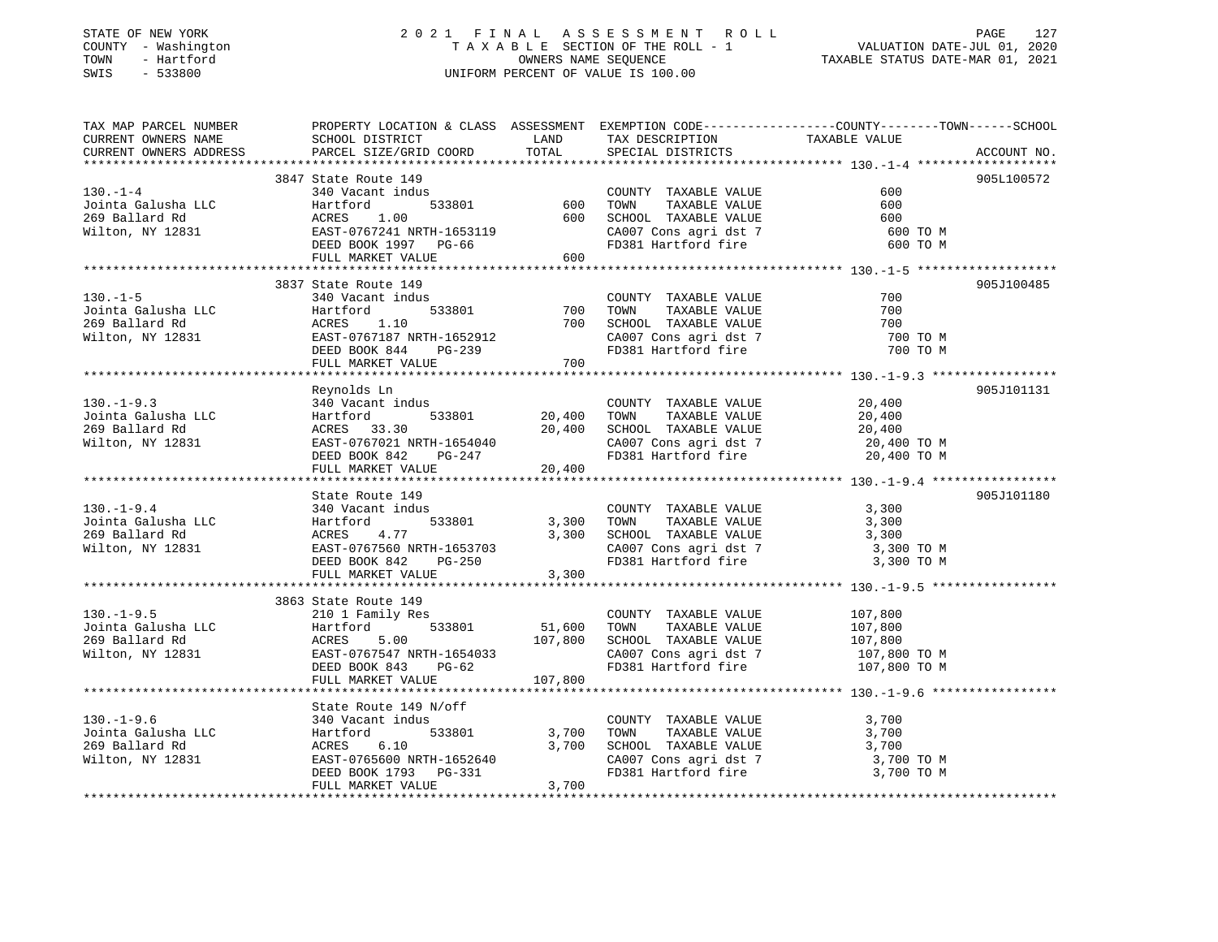### STATE OF NEW YORK 2 0 2 1 F I N A L A S S E S S M E N T R O L L PAGE 127 COUNTY - Washington T A X A B L E SECTION OF THE ROLL - 1 VALUATION DATE-JUL 01, 2020 TOWN - Hartford OWNERS NAME SEQUENCE TAXABLE STATUS DATE-MAR 01, 2021 SWIS - 533800 UNIFORM PERCENT OF VALUE IS 100.00

| TAX MAP PARCEL NUMBER                                                                                                                                                                                                            | PROPERTY LOCATION & CLASS ASSESSMENT EXEMPTION CODE-----------------COUNTY-------TOWN------SCHOOL |         |                                                                                                   |              |             |
|----------------------------------------------------------------------------------------------------------------------------------------------------------------------------------------------------------------------------------|---------------------------------------------------------------------------------------------------|---------|---------------------------------------------------------------------------------------------------|--------------|-------------|
|                                                                                                                                                                                                                                  |                                                                                                   |         |                                                                                                   |              |             |
|                                                                                                                                                                                                                                  |                                                                                                   |         |                                                                                                   |              | ACCOUNT NO. |
|                                                                                                                                                                                                                                  |                                                                                                   |         |                                                                                                   |              |             |
|                                                                                                                                                                                                                                  | 3847 State Route 149                                                                              |         |                                                                                                   |              | 905L100572  |
|                                                                                                                                                                                                                                  |                                                                                                   |         | COUNTY TAXABLE VALUE<br>TAXABLE VALUE<br>TAXABLE VALUE                                            | 600          |             |
|                                                                                                                                                                                                                                  |                                                                                                   |         | TOWN                                                                                              | 600          |             |
|                                                                                                                                                                                                                                  |                                                                                                   |         | SCHOOL TAXABLE VALUE                                                                              | 600          |             |
|                                                                                                                                                                                                                                  |                                                                                                   |         | CA007 Cons agri dst 7 600 TO M                                                                    |              |             |
|                                                                                                                                                                                                                                  |                                                                                                   |         | FD381 Hartford fire                                                                               | 600 TO M     |             |
| 130.-1-4<br>Jointa Galusha LLC Hartford 533801<br>269 Ballard Rd ACRES 1.00 600 S<br>Wilton, NY 12831 EAST-0767241 NRTH-1653119 (<br>DEED BOOK 1997 PG-66 J<br>THIT. MARKET VALUE 600                                            |                                                                                                   |         |                                                                                                   |              |             |
|                                                                                                                                                                                                                                  |                                                                                                   |         |                                                                                                   |              |             |
|                                                                                                                                                                                                                                  | 3837 State Route 149                                                                              |         |                                                                                                   |              | 905J100485  |
| $130. - 1 - 5$                                                                                                                                                                                                                   | 340 Vacant indus                                                                                  |         | COUNTY TAXABLE VALUE                                                                              | 700          |             |
|                                                                                                                                                                                                                                  |                                                                                                   | 700     | TOWN        TAXABLE  VALUE<br>SCHOOL    TAXABLE  VALUE                                            | 700          |             |
|                                                                                                                                                                                                                                  |                                                                                                   | 700     |                                                                                                   | 700          |             |
|                                                                                                                                                                                                                                  |                                                                                                   |         | CA007 Cons agri dst 7<br>FD381 Hartford fire                                                      | 700 TO M     |             |
|                                                                                                                                                                                                                                  |                                                                                                   |         |                                                                                                   | 700 TO M     |             |
|                                                                                                                                                                                                                                  |                                                                                                   |         |                                                                                                   |              |             |
|                                                                                                                                                                                                                                  |                                                                                                   |         |                                                                                                   |              |             |
|                                                                                                                                                                                                                                  | Reynolds Ln                                                                                       |         |                                                                                                   |              | 905J101131  |
|                                                                                                                                                                                                                                  |                                                                                                   |         | COUNTY TAXABLE VALUE                                                                              | 20,400       |             |
|                                                                                                                                                                                                                                  |                                                                                                   |         | TOWN TAXABLE VALUE                                                                                | 20,400       |             |
|                                                                                                                                                                                                                                  |                                                                                                   |         | SCHOOL TAXABLE VALUE<br>CA007 Cons agri dst 7                                                     | 20,400       |             |
|                                                                                                                                                                                                                                  |                                                                                                   |         | FD381 Hartford fire 20,400 TO M                                                                   | 20,400 TO M  |             |
|                                                                                                                                                                                                                                  | DEED BOOK 842 $PG-247$<br>FULL MARKET VALUE 20,400                                                |         |                                                                                                   |              |             |
|                                                                                                                                                                                                                                  |                                                                                                   |         |                                                                                                   |              |             |
|                                                                                                                                                                                                                                  | State Route 149                                                                                   |         |                                                                                                   |              | 905J101180  |
| $130. -1 - 9.4$                                                                                                                                                                                                                  | 340 Vacant indus                                                                                  |         | COUNTY TAXABLE VALUE                                                                              | 3,300        |             |
|                                                                                                                                                                                                                                  |                                                                                                   |         | TAXABLE VALUE<br>TOWN                                                                             | 3,300        |             |
|                                                                                                                                                                                                                                  |                                                                                                   |         | SCHOOL TAXABLE VALUE                                                                              | 3,300        |             |
|                                                                                                                                                                                                                                  |                                                                                                   |         | $\frac{1}{2}$ CA007 Cons agri dst 7 3,300 TO M                                                    |              |             |
|                                                                                                                                                                                                                                  |                                                                                                   |         | FD381 Hartford fire                                                                               | 3,300 TO M   |             |
|                                                                                                                                                                                                                                  | FULL MARKET VALUE                                                                                 | 3,300   |                                                                                                   |              |             |
|                                                                                                                                                                                                                                  |                                                                                                   |         |                                                                                                   |              |             |
|                                                                                                                                                                                                                                  | 3863 State Route 149                                                                              |         |                                                                                                   |              |             |
|                                                                                                                                                                                                                                  |                                                                                                   |         | COUNTY TAXABLE VALUE 107,800                                                                      |              |             |
|                                                                                                                                                                                                                                  |                                                                                                   |         | $533801 \t\t 51,600\t\t\t 70WN\t\t  TAXABLE VALUE\n107,800\t\t\t  SCHOOL\nTAXABLE VALUE$          | 107,800      |             |
|                                                                                                                                                                                                                                  |                                                                                                   |         | 10000 1828 1828 1848 1848 185 1860 1872<br>SCHOOL TAXABLE VALUE 107,800<br>CA007 Cons.agri dst. 7 |              |             |
| 130.-1-9.5<br>Jointa Galusha LLC (10 1 Family 100 533801 51,000 51,000 533801 51,000 51,000 51,000 107,800 107,800 51,000 51,000 51,000 51,000 51,000 51,000 51,000 51,000 51,000 51,000 51,000 51,000 51,000 51,000 51,000 51,0 |                                                                                                   |         | CA007 Cons agri dst 7                                                                             | 107,800 TO M |             |
|                                                                                                                                                                                                                                  |                                                                                                   |         | FD381 Hartford fire 107,800 TO M                                                                  |              |             |
|                                                                                                                                                                                                                                  | FULL MARKET VALUE                                                                                 | 107,800 |                                                                                                   |              |             |
|                                                                                                                                                                                                                                  |                                                                                                   |         |                                                                                                   |              |             |
|                                                                                                                                                                                                                                  |                                                                                                   |         |                                                                                                   |              |             |
|                                                                                                                                                                                                                                  |                                                                                                   |         |                                                                                                   | 3,700        |             |
|                                                                                                                                                                                                                                  |                                                                                                   |         | COUNTY TAXABLE VALUE<br>TOWN TAXABLE VALUE                                                        | 3,700        |             |
|                                                                                                                                                                                                                                  |                                                                                                   |         |                                                                                                   |              |             |
|                                                                                                                                                                                                                                  |                                                                                                   |         | SCHOOL TAXABLE VALUE 3,700<br>CA007 Cons agri dst 7 3,700 TO M                                    |              |             |
|                                                                                                                                                                                                                                  |                                                                                                   |         | FD381 Hartford fire                                                                               | 3,700 TO M   |             |
|                                                                                                                                                                                                                                  | FULL MARKET VALUE                                                                                 | 3,700   |                                                                                                   |              |             |
|                                                                                                                                                                                                                                  |                                                                                                   |         |                                                                                                   |              |             |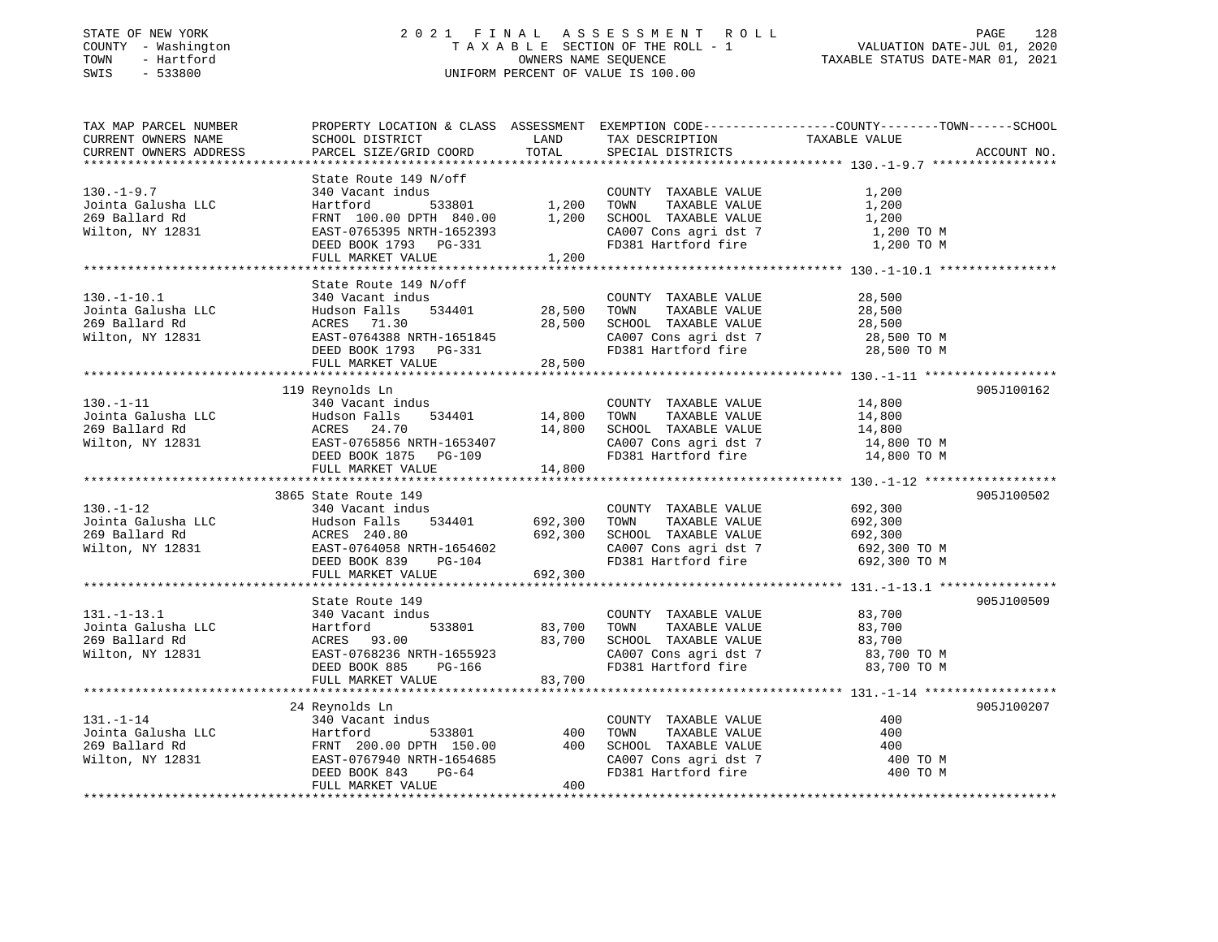### STATE OF NEW YORK 2 0 2 1 F I N A L A S S E S S M E N T R O L L PAGE 128 COUNTY - Washington T A X A B L E SECTION OF THE ROLL - 1 VALUATION DATE-JUL 01, 2020 TOWN - Hartford OWNERS NAME SEQUENCE TAXABLE STATUS DATE-MAR 01, 2021 SWIS - 533800 UNIFORM PERCENT OF VALUE IS 100.00

| TAX MAP PARCEL NUMBER<br>CURRENT OWNERS NAME<br>CURRENT OWNERS ADDRESS        | PROPERTY LOCATION & CLASS ASSESSMENT EXEMPTION CODE----------------COUNTY-------TOWN------SCHOOL<br>SCHOOL DISTRICT<br>PARCEL SIZE/GRID COORD                         | LAND<br>TOTAL                 | TAX DESCRIPTION<br>SPECIAL DISTRICTS                                                                                  | TAXABLE VALUE                                                 | ACCOUNT NO. |
|-------------------------------------------------------------------------------|-----------------------------------------------------------------------------------------------------------------------------------------------------------------------|-------------------------------|-----------------------------------------------------------------------------------------------------------------------|---------------------------------------------------------------|-------------|
|                                                                               |                                                                                                                                                                       |                               |                                                                                                                       |                                                               |             |
| $130. - 1 - 9.7$<br>Jointa Galusha LLC<br>269 Ballard Rd<br>Wilton, NY 12831  | State Route 149 N/off<br>340 Vacant indus<br>533801<br>Hartford<br>FRNT 100.00 DPTH 840.00<br>EAST-0765395 NRTH-1652393<br>DEED BOOK 1793 PG-331<br>FULL MARKET VALUE | 1,200<br>1,200<br>1,200       | COUNTY TAXABLE VALUE<br>TAXABLE VALUE<br>TOWN<br>SCHOOL TAXABLE VALUE<br>CA007 Cons agri dst 7<br>FD381 Hartford fire | 1,200<br>1,200<br>1,200<br>1,200 TO M<br>1,200 TO M           |             |
|                                                                               | State Route 149 N/off                                                                                                                                                 |                               |                                                                                                                       |                                                               |             |
| $130. - 1 - 10.1$<br>Jointa Galusha LLC<br>269 Ballard Rd<br>Wilton, NY 12831 | 340 Vacant indus<br>Hudson Falls<br>534401<br>ACRES 71.30<br>EAST-0764388 NRTH-1651845<br>DEED BOOK 1793 PG-331<br>FULL MARKET VALUE                                  | 28,500<br>28,500<br>28,500    | COUNTY TAXABLE VALUE<br>TAXABLE VALUE<br>TOWN<br>SCHOOL TAXABLE VALUE<br>CA007 Cons agri dst 7<br>FD381 Hartford fire | 28,500<br>28,500<br>28,500<br>28,500 TO M<br>28,500 TO M      |             |
|                                                                               |                                                                                                                                                                       |                               |                                                                                                                       |                                                               |             |
| $130. - 1 - 11$<br>Jointa Galusha LLC<br>269 Ballard Rd<br>Wilton, NY 12831   | 119 Reynolds Ln<br>340 Vacant indus<br>Hudson Falls<br>534401<br>ACRES 24.70<br>EAST-0765856 NRTH-1653407<br>DEED BOOK 1875 PG-109<br>FULL MARKET VALUE               | 14,800<br>14,800<br>14,800    | COUNTY TAXABLE VALUE<br>TOWN<br>TAXABLE VALUE<br>SCHOOL TAXABLE VALUE<br>CA007 Cons agri dst 7<br>FD381 Hartford fire | 14,800<br>14,800<br>14,800<br>14,800 TO M<br>14,800 TO M      | 905J100162  |
|                                                                               |                                                                                                                                                                       |                               |                                                                                                                       |                                                               |             |
| $130. - 1 - 12$<br>Jointa Galusha LLC<br>269 Ballard Rd<br>Wilton, NY 12831   | 3865 State Route 149<br>340 Vacant indus<br>534401<br>Hudson Falls<br>ACRES 240.80<br>EAST-0764058 NRTH-1654602<br>DEED BOOK 839<br>PG-104<br>FULL MARKET VALUE       | 692,300<br>692,300<br>692,300 | COUNTY TAXABLE VALUE<br>TAXABLE VALUE<br>TOWN<br>SCHOOL TAXABLE VALUE<br>CA007 Cons agri dst 7<br>FD381 Hartford fire | 692,300<br>692,300<br>692,300<br>692,300 TO M<br>692,300 TO M | 905J100502  |
|                                                                               |                                                                                                                                                                       |                               |                                                                                                                       |                                                               | 905J100509  |
| $131. - 1 - 13.1$<br>Jointa Galusha LLC<br>269 Ballard Rd<br>Wilton, NY 12831 | State Route 149<br>340 Vacant indus<br>Hartford<br>533801<br>ACRES 93.00<br>EAST-0768236 NRTH-1655923<br>DEED BOOK 885<br>PG-166                                      | 83,700<br>83,700              | COUNTY TAXABLE VALUE<br>TOWN<br>TAXABLE VALUE<br>SCHOOL TAXABLE VALUE<br>CA007 Cons agri dst 7<br>FD381 Hartford fire | 83,700<br>83,700<br>83,700<br>83,700 TO M<br>83,700 TO M      |             |
|                                                                               | FULL MARKET VALUE                                                                                                                                                     | 83,700                        |                                                                                                                       |                                                               |             |
|                                                                               | 24 Reynolds Ln                                                                                                                                                        |                               |                                                                                                                       |                                                               | 905J100207  |
| 131.-1-14<br>Jointa Galusha LLC<br>269 Ballard Rd<br>Wilton, NY 12831         | 340 Vacant indus<br>533801<br>Hartford<br>FRNT 200.00 DPTH 150.00<br>EAST-0767940 NRTH-1654685<br>DEED BOOK 843<br>PG-64<br>FULL MARKET VALUE                         | 400<br>400<br>400             | COUNTY TAXABLE VALUE<br>TOWN<br>TAXABLE VALUE<br>SCHOOL TAXABLE VALUE<br>CA007 Cons agri dst 7<br>FD381 Hartford fire | 400<br>400<br>400<br>400 TO M<br>400 TO M                     |             |
|                                                                               |                                                                                                                                                                       |                               |                                                                                                                       |                                                               |             |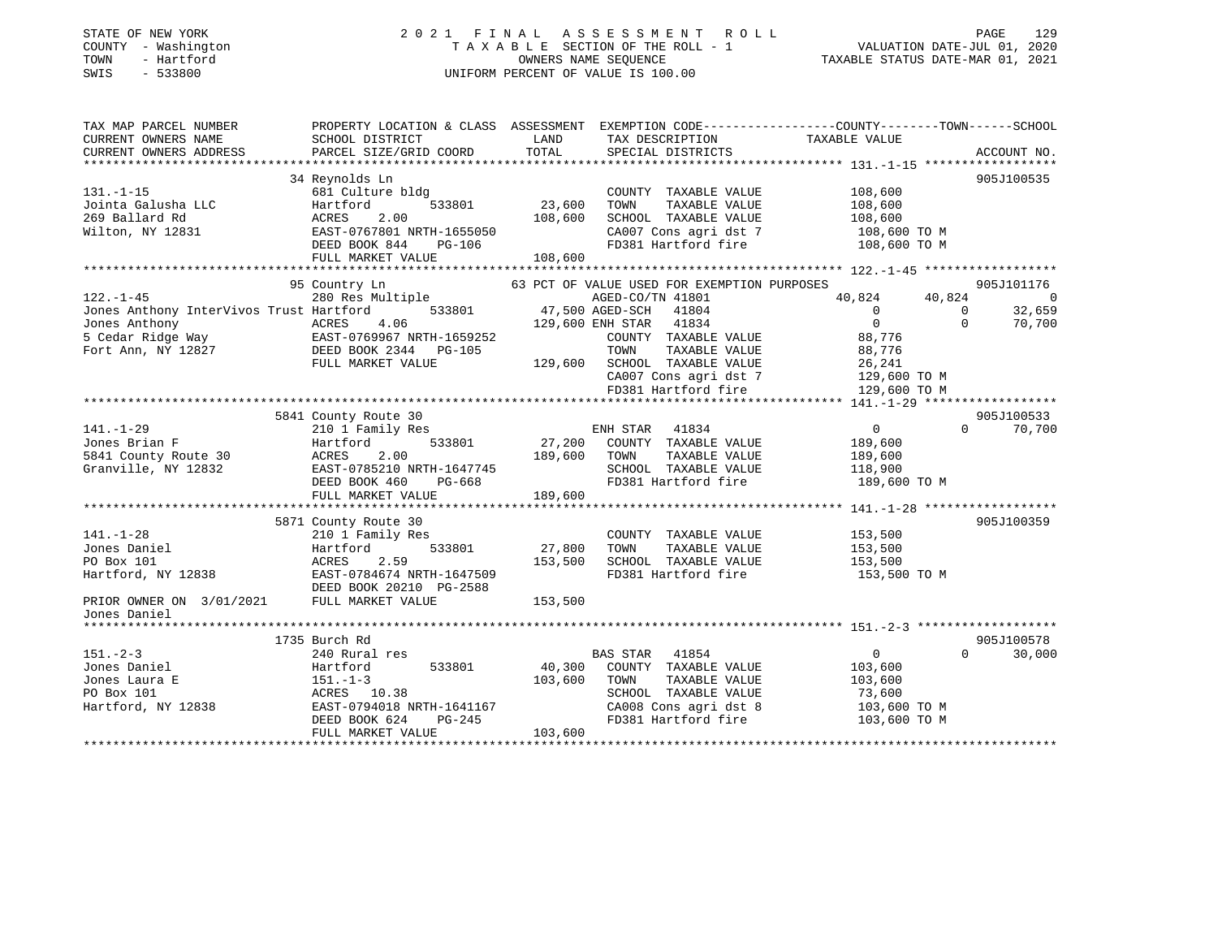### STATE OF NEW YORK 2 0 2 1 F I N A L A S S E S S M E N T R O L L PAGE 129 COUNTY - Washington T A X A B L E SECTION OF THE ROLL - 1 VALUATION DATE-JUL 01, 2020 TOWN - Hartford OWNERS NAME SEQUENCE TAXABLE STATUS DATE-MAR 01, 2021 SWIS - 533800 UNIFORM PERCENT OF VALUE IS 100.00

| TAX MAP PARCEL NUMBER<br>CURRENT OWNERS NAME | SCHOOL DISTRICT           | LAND<br>TAX DESCRIPTION                     | PROPERTY LOCATION & CLASS ASSESSMENT EXEMPTION CODE----------------COUNTY-------TOWN------SCHOOL<br>TAXABLE VALUE |
|----------------------------------------------|---------------------------|---------------------------------------------|-------------------------------------------------------------------------------------------------------------------|
| CURRENT OWNERS ADDRESS                       | PARCEL SIZE/GRID COORD    | TOTAL<br>SPECIAL DISTRICTS                  | ACCOUNT NO.                                                                                                       |
|                                              |                           |                                             |                                                                                                                   |
|                                              | 34 Reynolds Ln            |                                             | 905J100535                                                                                                        |
| $131. - 1 - 15$                              | 681 Culture bldg          | COUNTY TAXABLE VALUE                        | 108,600                                                                                                           |
| Jointa Galusha LLC                           | Hartford<br>533801        | 23,600<br>TAXABLE VALUE<br>TOWN             | 108,600                                                                                                           |
| 269 Ballard Rd                               | 2.00<br>ACRES             | 108,600<br>SCHOOL TAXABLE VALUE             | 108,600                                                                                                           |
| Wilton, NY 12831                             | EAST-0767801 NRTH-1655050 | CA007 Cons agri dst 7                       | 108,600 TO M                                                                                                      |
|                                              | DEED BOOK 844<br>PG-106   | FD381 Hartford fire                         | 108,600 TO M                                                                                                      |
|                                              | FULL MARKET VALUE         | 108,600                                     |                                                                                                                   |
|                                              |                           |                                             |                                                                                                                   |
|                                              | 95 Country Ln             | 63 PCT OF VALUE USED FOR EXEMPTION PURPOSES | 905J101176                                                                                                        |
| $122. - 1 - 45$                              | 280 Res Multiple          | AGED-CO/TN 41801                            | 40,824<br>$\overline{0}$<br>40,824                                                                                |
| Jones Anthony InterVivos Trust Hartford      | 533801                    | 47,500 AGED-SCH<br>41804                    | 32,659<br>$\overline{0}$<br>$\mathbf{0}$                                                                          |
| Jones Anthony                                | ACRES<br>4.06             | 129,600 ENH STAR<br>41834                   | $\Omega$<br>$\Omega$<br>70,700                                                                                    |
| 5 Cedar Ridge Way                            | EAST-0769967 NRTH-1659252 | COUNTY TAXABLE VALUE                        | 88,776                                                                                                            |
| Fort Ann, NY 12827                           | DEED BOOK 2344 PG-105     | TOWN<br>TAXABLE VALUE                       |                                                                                                                   |
|                                              |                           |                                             | 88,776                                                                                                            |
|                                              | FULL MARKET VALUE         | 129,600 SCHOOL TAXABLE VALUE                | 26,241                                                                                                            |
|                                              |                           | CA007 Cons agri dst 7                       | 129,600 TO M                                                                                                      |
|                                              |                           | FD381 Hartford fire                         | 129,600 TO M                                                                                                      |
|                                              |                           |                                             |                                                                                                                   |
|                                              | 5841 County Route 30      |                                             | 905J100533                                                                                                        |
| $141. - 1 - 29$                              | 210 1 Family Res          | ENH STAR<br>41834                           | $0 \qquad \qquad$<br>$\Omega$<br>70,700                                                                           |
| Jones Brian F                                | 533801<br>Hartford        | 27,200<br>COUNTY TAXABLE VALUE              | 189,600                                                                                                           |
| 5841 County Route 30                         | 2.00<br>ACRES             | 189,600<br>TOWN<br>TAXABLE VALUE            | 189,600                                                                                                           |
| Granville, NY 12832                          | EAST-0785210 NRTH-1647745 | SCHOOL TAXABLE VALUE                        | 118,900                                                                                                           |
|                                              | DEED BOOK 460<br>PG-668   | FD381 Hartford fire                         | 189,600 TO M                                                                                                      |
|                                              | FULL MARKET VALUE         | 189,600                                     |                                                                                                                   |
|                                              |                           |                                             |                                                                                                                   |
|                                              | 5871 County Route 30      |                                             | 905J100359                                                                                                        |
| $141. - 1 - 28$                              | 210 1 Family Res          | COUNTY TAXABLE VALUE                        | 153,500                                                                                                           |
| Jones Daniel                                 | 533801<br>Hartford        | 27,800<br>TAXABLE VALUE<br>TOWN             | 153,500                                                                                                           |
| PO Box 101                                   | 2.59<br>ACRES             | 153,500<br>SCHOOL TAXABLE VALUE             | 153,500                                                                                                           |
| Hartford, NY 12838                           | EAST-0784674 NRTH-1647509 | FD381 Hartford fire                         | 153,500 TO M                                                                                                      |
|                                              | DEED BOOK 20210 PG-2588   |                                             |                                                                                                                   |
| PRIOR OWNER ON 3/01/2021 FULL MARKET VALUE   |                           | 153,500                                     |                                                                                                                   |
| Jones Daniel                                 |                           |                                             |                                                                                                                   |
|                                              |                           |                                             |                                                                                                                   |
|                                              | 1735 Burch Rd             |                                             | 905J100578                                                                                                        |
| $151 - 2 - 3$                                | 240 Rural res             | BAS STAR 41854                              | $\overline{0}$<br>$\Omega$<br>30,000                                                                              |
| Jones Daniel                                 | 533801<br>Hartford        | 40,300<br>COUNTY TAXABLE VALUE              | 103,600                                                                                                           |
| Jones Laura E                                | $151. - 1 - 3$            | 103,600<br>TAXABLE VALUE<br>TOWN            | 103,600                                                                                                           |
| PO Box 101                                   | ACRES 10.38               | SCHOOL TAXABLE VALUE                        | 73,600                                                                                                            |
| Hartford, NY 12838                           | EAST-0794018 NRTH-1641167 | CA008 Cons agri dst 8                       |                                                                                                                   |
|                                              |                           | FD381 Hartford fire                         | 103,600 ТО М                                                                                                      |
|                                              | DEED BOOK 624<br>PG-245   |                                             | 103,600 TO M                                                                                                      |
|                                              | FULL MARKET VALUE         | 103,600                                     |                                                                                                                   |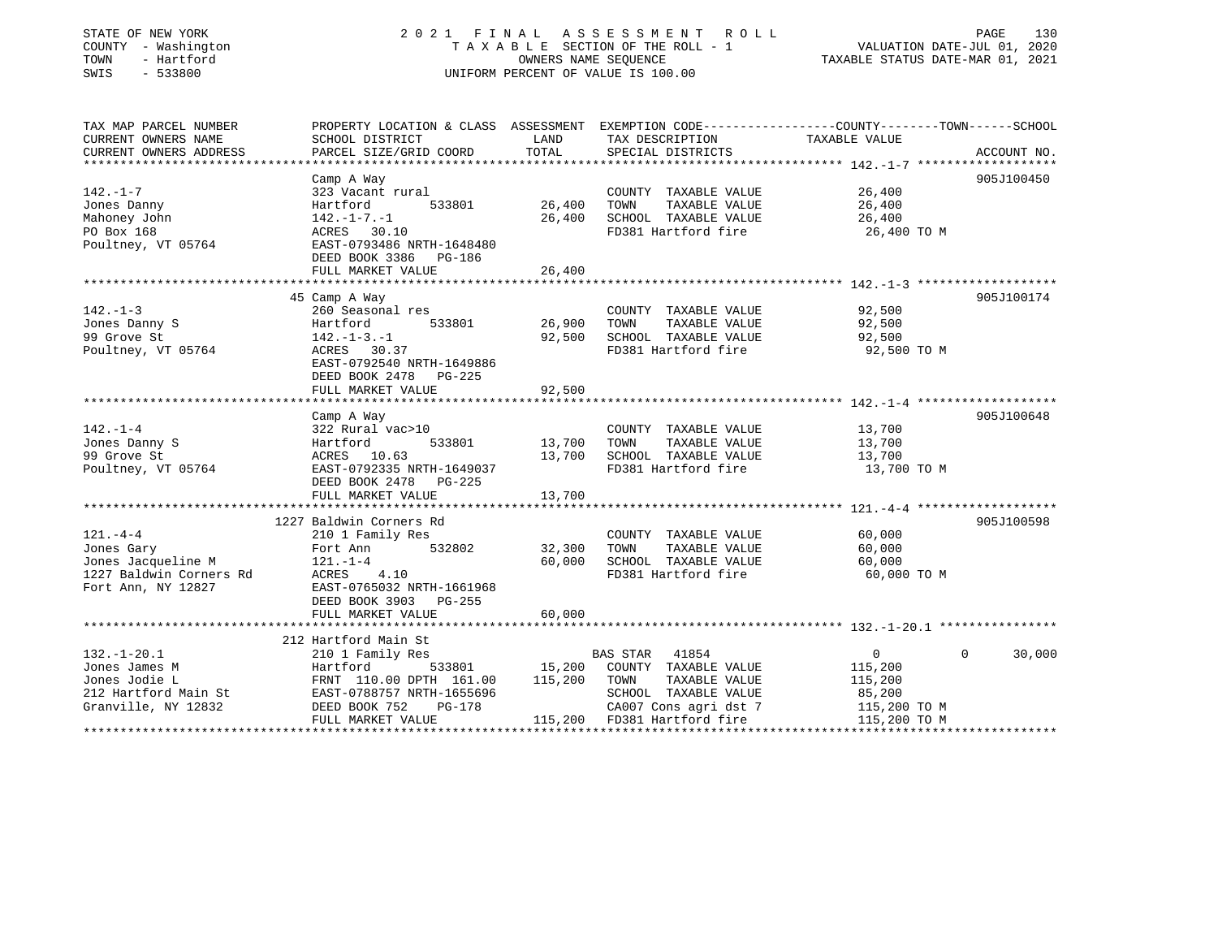| COUNTY - Washington<br>TOWN<br>- Hartford<br>SWIS<br>$-533800$ | TAXABLE SECTION OF THE ROLL - 1<br>OWNERS NAME SEOUENCE<br>UNIFORM PERCENT OF VALUE IS 100.00  |         | VALUATION DATE-JUL 01, 2020<br>TAXABLE STATUS DATE-MAR 01, 2021 |               |                    |
|----------------------------------------------------------------|------------------------------------------------------------------------------------------------|---------|-----------------------------------------------------------------|---------------|--------------------|
| TAX MAP PARCEL NUMBER                                          | PROPERTY LOCATION & CLASS ASSESSMENT EXEMPTION CODE---------------COUNTY-------TOWN-----SCHOOL |         |                                                                 |               |                    |
| CURRENT OWNERS NAME                                            | SCHOOL DISTRICT                                                                                | LAND    | TAX DESCRIPTION                                                 | TAXABLE VALUE |                    |
| CURRENT OWNERS ADDRESS                                         | PARCEL SIZE/GRID COORD                                                                         | TOTAL   | SPECIAL DISTRICTS                                               |               | ACCOUNT NO.        |
|                                                                | Camp A Way                                                                                     |         |                                                                 |               | 905J100450         |
| $142. - 1 - 7$                                                 | 323 Vacant rural                                                                               |         | COUNTY TAXABLE VALUE                                            | 26,400        |                    |
| Jones Danny                                                    | 533801<br>Hartford                                                                             | 26,400  | TAXABLE VALUE<br>TOWN                                           | 26,400        |                    |
| Mahoney John                                                   | $142. - 1 - 7. - 1$                                                                            | 26,400  | SCHOOL TAXABLE VALUE                                            | 26,400        |                    |
| PO Box 168                                                     | ACRES 30.10                                                                                    |         | FD381 Hartford fire                                             | 26,400 TO M   |                    |
| Poultney, VT 05764                                             | EAST-0793486 NRTH-1648480                                                                      |         |                                                                 |               |                    |
|                                                                | DEED BOOK 3386<br>PG-186                                                                       |         |                                                                 |               |                    |
|                                                                | FULL MARKET VALUE                                                                              | 26,400  |                                                                 |               |                    |
|                                                                |                                                                                                |         |                                                                 |               |                    |
|                                                                | 45 Camp A Way                                                                                  |         |                                                                 |               | 905J100174         |
| $142. - 1 - 3$                                                 | 260 Seasonal res                                                                               |         | COUNTY TAXABLE VALUE                                            | 92,500        |                    |
| Jones Danny S                                                  | Hartford<br>533801                                                                             | 26,900  | TOWN<br>TAXABLE VALUE                                           | 92,500        |                    |
| 99 Grove St                                                    | $142. - 1 - 3. - 1$                                                                            | 92,500  | SCHOOL TAXABLE VALUE                                            | 92,500        |                    |
| Poultney, VT 05764                                             | ACRES 30.37<br>EAST-0792540 NRTH-1649886<br>DEED BOOK 2478 PG-225                              |         | FD381 Hartford fire                                             | 92,500 TO M   |                    |
|                                                                | FULL MARKET VALUE                                                                              | 92,500  |                                                                 |               |                    |
|                                                                |                                                                                                |         |                                                                 |               |                    |
|                                                                | Camp A Way                                                                                     |         |                                                                 |               | 905J100648         |
| $142. - 1 - 4$                                                 | 322 Rural vac>10                                                                               |         | COUNTY TAXABLE VALUE                                            | 13,700        |                    |
| Jones Danny S                                                  | Hartford<br>533801                                                                             | 13,700  | TOWN<br>TAXABLE VALUE                                           | 13,700        |                    |
| 99 Grove St                                                    | ACRES 10.63                                                                                    | 13,700  | SCHOOL TAXABLE VALUE                                            | 13,700        |                    |
| Poultney, VT 05764                                             | EAST-0792335 NRTH-1649037                                                                      |         | FD381 Hartford fire                                             | 13,700 TO M   |                    |
|                                                                | DEED BOOK 2478<br>PG-225                                                                       |         |                                                                 |               |                    |
|                                                                | FULL MARKET VALUE                                                                              | 13,700  |                                                                 |               |                    |
|                                                                | 1227 Baldwin Corners Rd                                                                        |         |                                                                 |               | 905J100598         |
| $121. -4 -4$                                                   | 210 1 Family Res                                                                               |         | COUNTY TAXABLE VALUE                                            | 60,000        |                    |
| Jones Gary                                                     | 532802<br>Fort Ann                                                                             | 32,300  | TOWN<br>TAXABLE VALUE                                           | 60,000        |                    |
| Jones Jacqueline M                                             | $121. - 1 - 4$                                                                                 | 60,000  | SCHOOL TAXABLE VALUE                                            | 60,000        |                    |
| 1227 Baldwin Corners Rd                                        | ACRES<br>4.10                                                                                  |         | FD381 Hartford fire                                             | 60,000 TO M   |                    |
| Fort Ann, NY 12827                                             | EAST-0765032 NRTH-1661968                                                                      |         |                                                                 |               |                    |
|                                                                | DEED BOOK 3903 PG-255                                                                          |         |                                                                 |               |                    |
|                                                                | FULL MARKET VALUE                                                                              | 60,000  |                                                                 |               |                    |
|                                                                |                                                                                                |         |                                                                 |               |                    |
|                                                                | 212 Hartford Main St                                                                           |         |                                                                 |               |                    |
| $132. - 1 - 20.1$                                              | 210 1 Family Res                                                                               |         | <b>BAS STAR</b><br>41854                                        | 0             | $\Omega$<br>30,000 |
| Jones James M                                                  | Hartford<br>533801                                                                             | 15,200  | COUNTY TAXABLE VALUE                                            | 115,200       |                    |
| Jones Jodie L                                                  | FRNT 110.00 DPTH 161.00                                                                        | 115,200 | TOWN<br>TAXABLE VALUE                                           | 115,200       |                    |
| 212 Hartford Main St                                           | EAST-0788757 NRTH-1655696                                                                      |         | SCHOOL TAXABLE VALUE                                            | 85,200        |                    |

Granville, NY 12832 DEED BOOK 752 PG-178 CA007 Cons agri dst 7 115,200 TO M

FULL MARKET VALUE 115,200 FD381 Hartford fire 115,200 TO M

\*\*\*\*\*\*\*\*\*\*\*\*\*\*\*\*\*\*\*\*\*\*\*\*\*\*\*\*\*\*\*\*\*\*\*\*\*\*\*\*\*\*\*\*\*\*\*\*\*\*\*\*\*\*\*\*\*\*\*\*\*\*\*\*\*\*\*\*\*\*\*\*\*\*\*\*\*\*\*\*\*\*\*\*\*\*\*\*\*\*\*\*\*\*\*\*\*\*\*\*\*\*\*\*\*\*\*\*\*\*\*\*\*\*\*\*\*\*\*\*\*\*\*\*\*\*\*\*\*\*\*\*

PAGE 130

STATE OF NEW YORK 2021 FINAL ASSESSMENT ROLL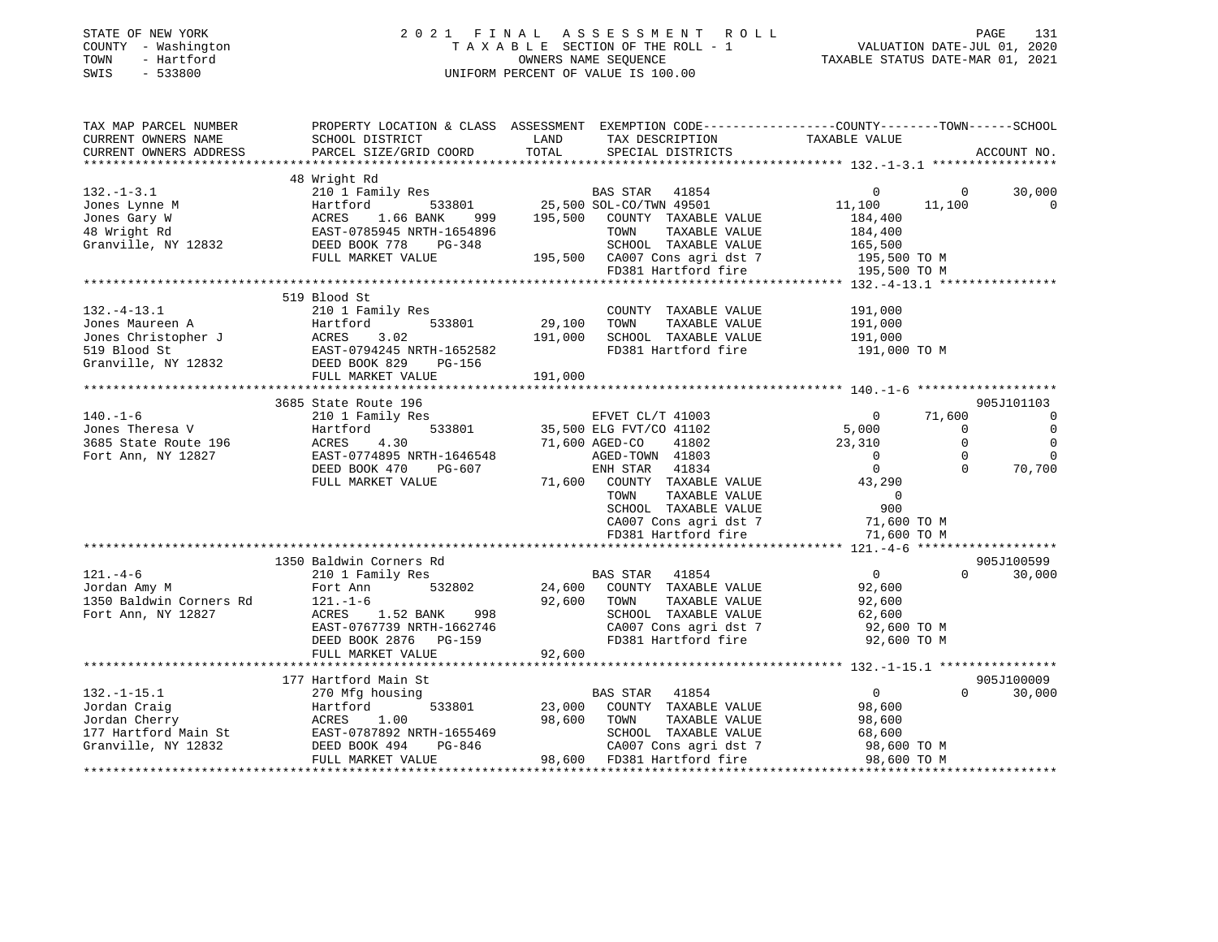| STATE OF NEW YORK<br>COUNTY - Washington<br>TOWN<br>- Hartford<br>SWIS<br>$-533800$ | 2021 FINAL ASSESSMENT ROLL<br>T A X A B L E SECTION OF THE ROLL - 1<br>OWNERS NAME SEQUENCE<br>UNIFORM PERCENT OF VALUE IS 100.00                                                                                                                                                | PAGE<br>131<br>VALUATION DATE-JUL 01, 2020<br>TAXABLE STATUS DATE-MAR 01, 2021                                                                                                                                                                                                                                                                                                                                                                                             |                                                                                                         |
|-------------------------------------------------------------------------------------|----------------------------------------------------------------------------------------------------------------------------------------------------------------------------------------------------------------------------------------------------------------------------------|----------------------------------------------------------------------------------------------------------------------------------------------------------------------------------------------------------------------------------------------------------------------------------------------------------------------------------------------------------------------------------------------------------------------------------------------------------------------------|---------------------------------------------------------------------------------------------------------|
| TAX MAP PARCEL NUMBER<br>CURRENT OWNERS NAME<br>CURRENT OWNERS ADDRESS              | SCHOOL DISTRICT<br>PARCEL SIZE/GRID COORD                                                                                                                                                                                                                                        | PROPERTY LOCATION & CLASS ASSESSMENT EXEMPTION CODE---------------COUNTY-------TOWN------SCHOOL<br>TAX DESCRIPTION TAXABLE VALUE<br>LAND<br>LAND<br>TOTAL<br>SPECIAL DISTRICTS                                                                                                                                                                                                                                                                                             | ACCOUNT NO.                                                                                             |
|                                                                                     |                                                                                                                                                                                                                                                                                  |                                                                                                                                                                                                                                                                                                                                                                                                                                                                            |                                                                                                         |
|                                                                                     | 48 Wright Rd                                                                                                                                                                                                                                                                     | $\begin{tabular}{lllllllllllllllllll} \begin{tabular}{l} \multicolumn{2}{l}{{\small 132.-1-3.1}} & & & {\small 132.-1-3.1} & & \\ & & & & 210 & \text{Family Res} & & \\ & & & & {\small 140 & \text{Family Res}} & & \\ & & & & {\small 152 & \text{Family Res}} & & \\ & & & & {\small 152 & \text{Family Res}} & & \\ & & & & & {\small 152 & \text{Fanily Res}} & & \\ & & & & & & {\small 152 & \text{Finily Res}} & & \\ & & & & & & {\small 152 & \text{Finily Res$ |                                                                                                         |
|                                                                                     |                                                                                                                                                                                                                                                                                  |                                                                                                                                                                                                                                                                                                                                                                                                                                                                            | 30,000<br>$\overline{0}$<br>$\sim$ 0<br>11,100<br>11,100<br>$\overline{0}$                              |
|                                                                                     |                                                                                                                                                                                                                                                                                  |                                                                                                                                                                                                                                                                                                                                                                                                                                                                            | 184,400                                                                                                 |
|                                                                                     |                                                                                                                                                                                                                                                                                  |                                                                                                                                                                                                                                                                                                                                                                                                                                                                            | 184,400                                                                                                 |
|                                                                                     |                                                                                                                                                                                                                                                                                  |                                                                                                                                                                                                                                                                                                                                                                                                                                                                            |                                                                                                         |
|                                                                                     |                                                                                                                                                                                                                                                                                  | 195,500 CA007 Cons agri dst 7                                                                                                                                                                                                                                                                                                                                                                                                                                              |                                                                                                         |
|                                                                                     |                                                                                                                                                                                                                                                                                  | SCHOOL TAXABLE VALUE 165,500<br>CA007 Cons agri dst 7 195,500 TO M<br>FD381 Hartford fire 195,500 TO M                                                                                                                                                                                                                                                                                                                                                                     |                                                                                                         |
|                                                                                     |                                                                                                                                                                                                                                                                                  |                                                                                                                                                                                                                                                                                                                                                                                                                                                                            |                                                                                                         |
|                                                                                     | 519 Blood St                                                                                                                                                                                                                                                                     |                                                                                                                                                                                                                                                                                                                                                                                                                                                                            |                                                                                                         |
| $132. -4 - 13.1$                                                                    | 210 1 Family Res<br>Hartford 533801                                                                                                                                                                                                                                              | COUNTY TAXABLE VALUE 191,000                                                                                                                                                                                                                                                                                                                                                                                                                                               |                                                                                                         |
|                                                                                     |                                                                                                                                                                                                                                                                                  | 29,100<br>TOWN<br>TAXABLE VALUE                                                                                                                                                                                                                                                                                                                                                                                                                                            | 191,000                                                                                                 |
|                                                                                     |                                                                                                                                                                                                                                                                                  | SCHOOL TAXABLE VALUE<br>191,000                                                                                                                                                                                                                                                                                                                                                                                                                                            | 191,000                                                                                                 |
|                                                                                     | Jones Maureen A<br>Jones Christopher J<br>533801<br>519 Blood St<br>Granville, NY 12832<br>519 Blood St<br>533801<br>533801<br>533801<br>533801<br>533801<br>533801<br>542<br>539 Blood St<br>542<br>542<br>542<br>542<br>552582<br>552<br>552<br>562<br>562<br>562<br>562<br>56 | FD381 Hartford fire                                                                                                                                                                                                                                                                                                                                                                                                                                                        | 191,000 TO M                                                                                            |
|                                                                                     | FULL MARKET VALUE                                                                                                                                                                                                                                                                | 191,000                                                                                                                                                                                                                                                                                                                                                                                                                                                                    |                                                                                                         |
|                                                                                     |                                                                                                                                                                                                                                                                                  |                                                                                                                                                                                                                                                                                                                                                                                                                                                                            |                                                                                                         |
|                                                                                     | 140.-1-6<br>Jones Theresa V<br>3685 State Route 196<br>ACRES 4.30<br>ACRES 4.30<br>ACRES 4.30<br>EAST-0774895 NRTH-1646548<br>DEED BOOK 470 PG-607<br>PG-607<br>PHIL, MARKET VALUE                                                                                               |                                                                                                                                                                                                                                                                                                                                                                                                                                                                            | 905J101103                                                                                              |
|                                                                                     |                                                                                                                                                                                                                                                                                  | EFVET CL/T 41003                                                                                                                                                                                                                                                                                                                                                                                                                                                           | $\overline{0}$<br>71,600<br>$\overline{\phantom{0}}$                                                    |
|                                                                                     | 533801                                                                                                                                                                                                                                                                           | 35,500 ELG FVT/CO 41102                                                                                                                                                                                                                                                                                                                                                                                                                                                    | $\overline{0}$<br>$\overline{0}$                                                                        |
|                                                                                     |                                                                                                                                                                                                                                                                                  | 71,600 AGED-CO<br>41802                                                                                                                                                                                                                                                                                                                                                                                                                                                    | $\begin{array}{c} 5 \end{array}, 000 \\ 23 \end{array}, 310$<br>$\mathbf 0$<br>$\overline{\phantom{0}}$ |
|                                                                                     |                                                                                                                                                                                                                                                                                  | AGED-TOWN 41803<br>ENH STAR 41834<br>71,600 COUNTY TAXABLE VALUE                                                                                                                                                                                                                                                                                                                                                                                                           | $\mathbf{0}$<br>$\mathbf 0$                                                                             |
|                                                                                     |                                                                                                                                                                                                                                                                                  |                                                                                                                                                                                                                                                                                                                                                                                                                                                                            | $\Omega$<br>70,700                                                                                      |
|                                                                                     |                                                                                                                                                                                                                                                                                  |                                                                                                                                                                                                                                                                                                                                                                                                                                                                            | $\begin{bmatrix} 0 \\ 0 \\ 43,290 \end{bmatrix}$                                                        |
|                                                                                     |                                                                                                                                                                                                                                                                                  | TOWN<br>TAXABLE VALUE                                                                                                                                                                                                                                                                                                                                                                                                                                                      | $\begin{array}{c}\n0 \\ 900\n\end{array}$                                                               |
|                                                                                     |                                                                                                                                                                                                                                                                                  | SCHOOL TAXABLE VALUE                                                                                                                                                                                                                                                                                                                                                                                                                                                       |                                                                                                         |
|                                                                                     |                                                                                                                                                                                                                                                                                  | SCHOOL Income<br>CA007 Cons agri dst 7<br>CA007 Cons agri fire                                                                                                                                                                                                                                                                                                                                                                                                             | 71,600 TO M                                                                                             |
|                                                                                     |                                                                                                                                                                                                                                                                                  |                                                                                                                                                                                                                                                                                                                                                                                                                                                                            | 71,600 TO M                                                                                             |
|                                                                                     |                                                                                                                                                                                                                                                                                  |                                                                                                                                                                                                                                                                                                                                                                                                                                                                            | 905J100599                                                                                              |
| $121. - 4 - 6$                                                                      | 1350 Baldwin Corners Rd<br>210 1 Family Res<br>210 1 Family Res                                                                                                                                                                                                                  | BAS STAR 41854                                                                                                                                                                                                                                                                                                                                                                                                                                                             | $\Omega$<br>30,000                                                                                      |
| Jordan Amy M                                                                        | 532802<br>Fort Ann                                                                                                                                                                                                                                                               | 24,600 COUNTY TAXABLE VALUE                                                                                                                                                                                                                                                                                                                                                                                                                                                | $\begin{array}{c} 0 \\ 92,600 \end{array}$                                                              |
| 1350 Baldwin Corners Rd                                                             | $121. - 1 - 6$                                                                                                                                                                                                                                                                   | 92,600<br>TOWN<br>TAXABLE VALUE                                                                                                                                                                                                                                                                                                                                                                                                                                            | 92,600                                                                                                  |
| Fort Ann, NY 12827                                                                  | 998<br>ACRES 1.52 BANK                                                                                                                                                                                                                                                           | SCHOOL TAXABLE VALUE                                                                                                                                                                                                                                                                                                                                                                                                                                                       | 62,600                                                                                                  |
|                                                                                     | ACRES 1.52 BANK 998<br>EAST-0767739 NRTH-1662746<br>DEED BOOK 2876 PG-159                                                                                                                                                                                                        | CA007 Cons agri dst 7                                                                                                                                                                                                                                                                                                                                                                                                                                                      | 92,600 TO M                                                                                             |
|                                                                                     |                                                                                                                                                                                                                                                                                  | FD381 Hartford fire                                                                                                                                                                                                                                                                                                                                                                                                                                                        | 92,600 TO M                                                                                             |
|                                                                                     | FULL MARKET VALUE                                                                                                                                                                                                                                                                | 92,600                                                                                                                                                                                                                                                                                                                                                                                                                                                                     |                                                                                                         |
|                                                                                     | ************************                                                                                                                                                                                                                                                         |                                                                                                                                                                                                                                                                                                                                                                                                                                                                            |                                                                                                         |
|                                                                                     | 177 Hartford Main St                                                                                                                                                                                                                                                             |                                                                                                                                                                                                                                                                                                                                                                                                                                                                            | 905J100009                                                                                              |
| $132.-1-15.1$                                                                       | 270 Mfg housing                                                                                                                                                                                                                                                                  | BAS STAR 41854<br>COUNTY TAXABLE VALUE                                                                                                                                                                                                                                                                                                                                                                                                                                     | $\overline{0}$<br>$\Omega$ and $\Omega$<br>30,000<br>$98,600$<br>$98,600$<br>$98,600$                   |
|                                                                                     |                                                                                                                                                                                                                                                                                  | 23,000<br>98,600<br>TOWN<br>TAXABLE VALUE                                                                                                                                                                                                                                                                                                                                                                                                                                  |                                                                                                         |
|                                                                                     |                                                                                                                                                                                                                                                                                  |                                                                                                                                                                                                                                                                                                                                                                                                                                                                            |                                                                                                         |
|                                                                                     | Fordan Craig<br>Fordan Craig<br>Jordan Cherry<br>177 Hartford Main St<br>Granville, NY 12832<br>SEED BOOK 494<br>THE PG-846<br>THE PG-846<br>CREED BOOK 494<br>THE PG-846                                                                                                        | H-1655469 SCHOOL TAXABLE VALUE 68,600<br>PG-846 CA007 Cons agri dst 7 98,600 TO M<br>Extra 198,600 FD381 Hartford fire 98,600 TO M                                                                                                                                                                                                                                                                                                                                         |                                                                                                         |
|                                                                                     | FULL MARKET VALUE                                                                                                                                                                                                                                                                |                                                                                                                                                                                                                                                                                                                                                                                                                                                                            |                                                                                                         |
|                                                                                     |                                                                                                                                                                                                                                                                                  |                                                                                                                                                                                                                                                                                                                                                                                                                                                                            |                                                                                                         |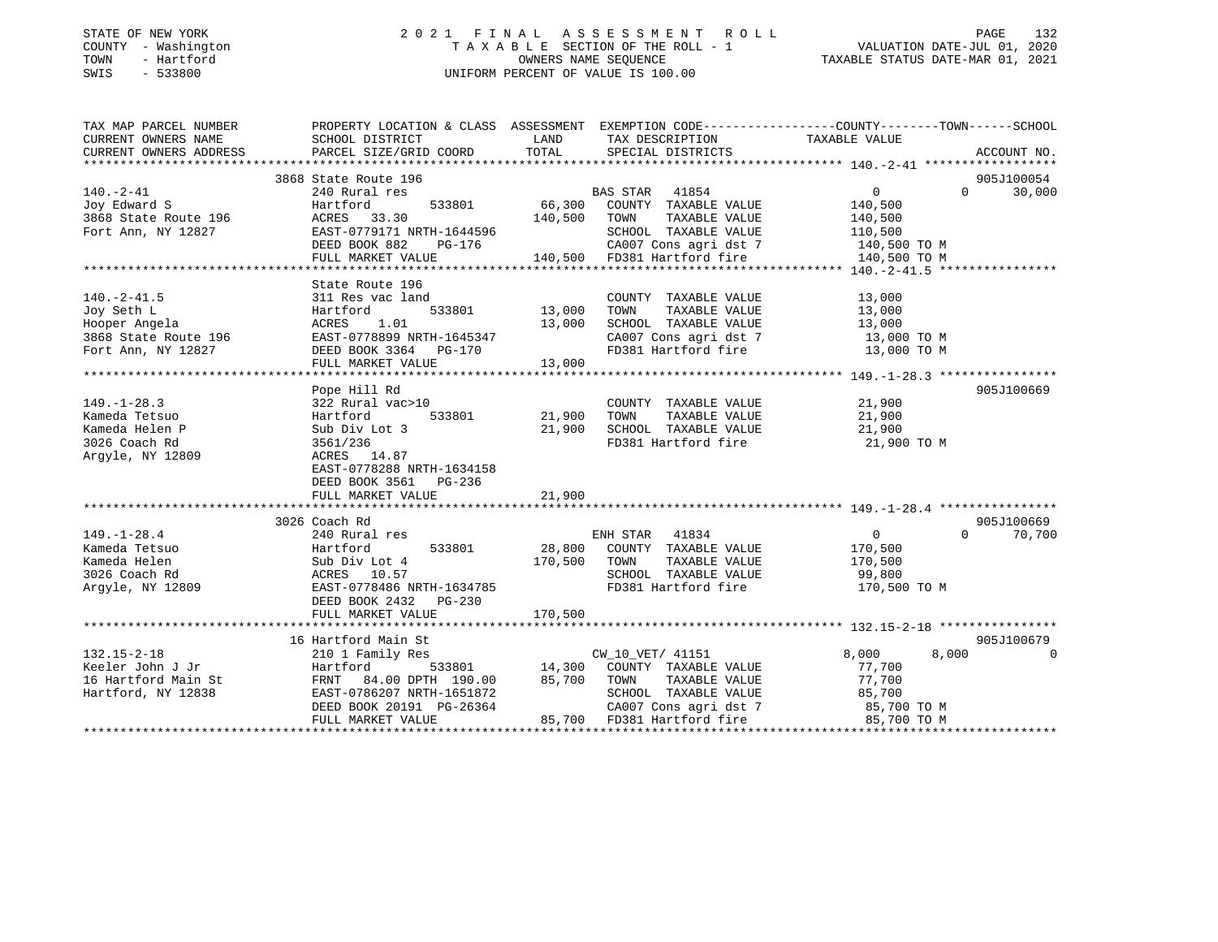### STATE OF NEW YORK 2 0 2 1 F I N A L A S S E S S M E N T R O L L PAGE 132 COUNTY - Washington T A X A B L E SECTION OF THE ROLL - 1 VALUATION DATE-JUL 01, 2020 TOWN - Hartford OWNERS NAME SEQUENCE TAXABLE STATUS DATE-MAR 01, 2021 SWIS - 533800 UNIFORM PERCENT OF VALUE IS 100.00UNIFORM PERCENT OF VALUE IS 100.00

| TAX MAP PARCEL NUMBER  |                                               |               |                                                                                          | PROPERTY LOCATION & CLASS ASSESSMENT EXEMPTION CODE---------------COUNTY-------TOWN------SCHOOL |             |
|------------------------|-----------------------------------------------|---------------|------------------------------------------------------------------------------------------|-------------------------------------------------------------------------------------------------|-------------|
| CURRENT OWNERS NAME    | SCHOOL DISTRICT                               | LAND          | TAX DESCRIPTION                                                                          | TAXABLE VALUE                                                                                   |             |
| CURRENT OWNERS ADDRESS | PARCEL SIZE/GRID COORD                        | TOTAL         | SPECIAL DISTRICTS                                                                        |                                                                                                 | ACCOUNT NO. |
|                        |                                               |               |                                                                                          |                                                                                                 |             |
|                        | 3868 State Route 196                          |               |                                                                                          |                                                                                                 | 905J100054  |
| $140. - 2 - 41$        | 240 Rural res                                 |               | BAS STAR 41854                                                                           | $0 \qquad \qquad$<br>$\Omega$                                                                   | 30,000      |
| Joy Edward S           | 533801<br>Hartford                            |               | 66,300 COUNTY TAXABLE VALUE                                                              | 140,500                                                                                         |             |
| 3868 State Route 196   | ACRES 33.30                                   | 140,500 TOWN  | TAXABLE VALUE                                                                            | 140,500                                                                                         |             |
| Fort Ann, NY 12827     | EAST-0779171 NRTH-1644596                     |               | SCHOOL TAXABLE VALUE                                                                     | 110,500                                                                                         |             |
|                        | $PG-176$<br>DEED BOOK 882                     |               | CA007 Cons agri dst 7 140,500 TO M                                                       |                                                                                                 |             |
|                        | FULL MARKET VALUE 140,500 FD381 Hartford fire |               |                                                                                          | 140,500 TO M                                                                                    |             |
|                        |                                               |               |                                                                                          |                                                                                                 |             |
| $140. -2 - 41.5$       | State Route 196<br>311 Res vac land           |               | COUNTY TAXABLE VALUE                                                                     | 13,000                                                                                          |             |
|                        |                                               | 533801 13,000 | TAXABLE VALUE                                                                            |                                                                                                 |             |
| Joy Seth L             | Hartford<br>ACRES 1.01                        | 13,000        | TOWN                                                                                     | 13,000                                                                                          |             |
| Hooper Angela          | EAST-0778899 NRTH-1645347                     |               | SCHOOL TAXABLE VALUE<br>SCHOOL TAXABLE VALUE 13,000<br>CA007 Cons agri dst 7 13,000 TO M | 13,000                                                                                          |             |
| 3868 State Route 196   |                                               |               |                                                                                          |                                                                                                 |             |
| Fort Ann, NY 12827     | DEED BOOK 3364 PG-170<br>FULL MARKET VALUE    | 13,000        | FD381 Hartford fire 13,000 TO M                                                          |                                                                                                 |             |
|                        |                                               |               |                                                                                          |                                                                                                 |             |
|                        | Pope Hill Rd                                  |               |                                                                                          |                                                                                                 | 905J100669  |
| $149. - 1 - 28.3$      | 322 Rural vac>10                              |               | COUNTY TAXABLE VALUE                                                                     | 21,900                                                                                          |             |
| Kameda Tetsuo          | Hartford 533801                               | 21,900        | TOWN<br>TAXABLE VALUE                                                                    | 21,900                                                                                          |             |
| Kameda Helen P         | Sub Div Lot 3                                 | 21,900        |                                                                                          | 21,900                                                                                          |             |
| 3026 Coach Rd          | 3561/236                                      |               | SCHOOL TAXABLE VALUE<br>FD381 Hartford fire                                              | 21,900 TO M                                                                                     |             |
| Argyle, NY 12809       | ACRES 14.87                                   |               |                                                                                          |                                                                                                 |             |
|                        | EAST-0778288 NRTH-1634158                     |               |                                                                                          |                                                                                                 |             |
|                        | DEED BOOK 3561 PG-236                         |               |                                                                                          |                                                                                                 |             |
|                        | FULL MARKET VALUE                             | 21,900        |                                                                                          |                                                                                                 |             |
|                        |                                               |               |                                                                                          |                                                                                                 |             |
|                        | 3026 Coach Rd                                 |               |                                                                                          |                                                                                                 | 905J100669  |
| $149. - 1 - 28.4$      | 240 Rural res                                 |               | ENH STAR 41834                                                                           | $\overline{0}$<br>$\Omega$                                                                      | 70,700      |
| Kameda Tetsuo          | Hartford                                      |               | 533801 28,800 COUNTY TAXABLE VALUE                                                       | 170,500                                                                                         |             |
| Kameda Helen           | Sub Div Lot 4                                 | 170,500 TOWN  | TAXABLE VALUE                                                                            | 170,500                                                                                         |             |
| 3026 Coach Rd          | ACRES 10.57                                   |               | SCHOOL TAXABLE VALUE                                                                     | 99,800                                                                                          |             |
| Arqyle, NY 12809       | EAST-0778486 NRTH-1634785                     |               | FD381 Hartford fire                                                                      | 170,500 TO M                                                                                    |             |
|                        | DEED BOOK 2432 PG-230                         |               |                                                                                          |                                                                                                 |             |
|                        | FULL MARKET VALUE                             | 170,500       |                                                                                          |                                                                                                 |             |
|                        |                                               |               |                                                                                          |                                                                                                 |             |
|                        | 16 Hartford Main St                           |               |                                                                                          |                                                                                                 | 905J100679  |
| $132.15 - 2 - 18$      | 210 1 Family Res                              |               | CW 10 VET/ 41151                                                                         | 8,000<br>8,000                                                                                  | - 0         |
| Keeler John J Jr       | Hartford                                      |               | 533801 14,300 COUNTY TAXABLE VALUE                                                       | 77,700                                                                                          |             |
| 16 Hartford Main St    | 84.00 DPTH 190.00<br>FRNT                     |               | 85,700 TOWN<br>TAXABLE VALUE                                                             | 77,700                                                                                          |             |
| Hartford, NY 12838     | EAST-0786207 NRTH-1651872                     |               | SCHOOL TAXABLE VALUE                                                                     |                                                                                                 |             |
|                        | DEED BOOK 20191 PG-26364                      |               | CA007 Cons agri dst 7                                                                    | 85,700 TO M<br>85,700 TO M<br>-- 700 TO M                                                       |             |
|                        | FULL MARKET VALUE                             |               | 85,700 FD381 Hartford fire                                                               |                                                                                                 |             |
|                        |                                               |               |                                                                                          |                                                                                                 |             |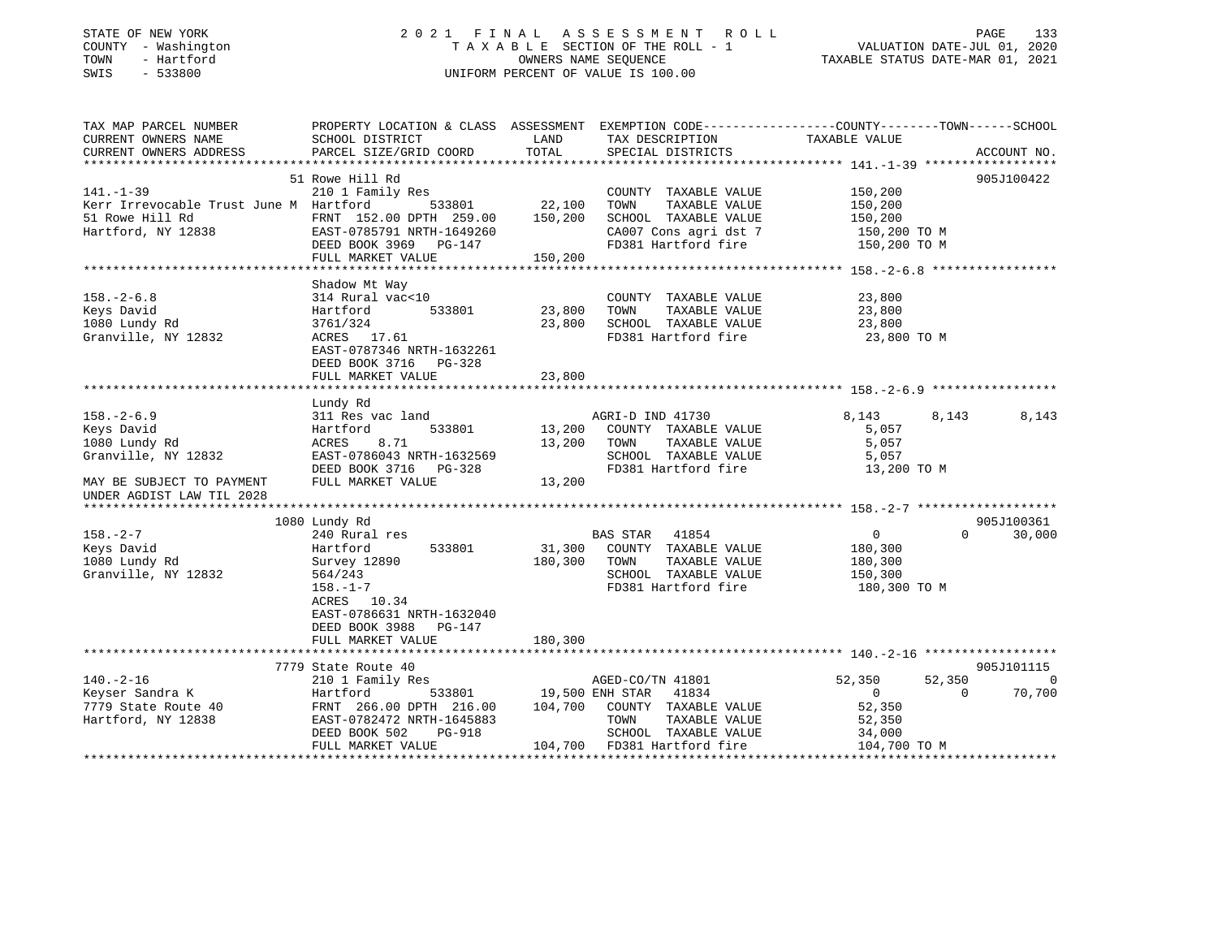| STATE OF NEW YORK |           |              |
|-------------------|-----------|--------------|
| COUNTY            |           | - Washington |
| TOWN              |           | - Hartford   |
| SMTS              | $-533800$ |              |

### STATE OF NEW YORK 2 0 2 1 F I N A L A S S E S S M E N T R O L L PAGE 133T A X A B L E SECTION OF THE ROLL - 1<br>OWNERS NAME SEQUENCE SWIS - 533800 UNIFORM PERCENT OF VALUE IS 100.00

VALUATION DATE-JUL 01, 2020

TAXABLE STATUS DATE-MAR 01, 2021

| CURRENT OWNERS NAME<br>SCHOOL DISTRICT<br>TAXABLE VALUE<br>LAND<br>TAX DESCRIPTION<br>TOTAL<br>CURRENT OWNERS ADDRESS<br>PARCEL SIZE/GRID COORD<br>SPECIAL DISTRICTS<br>ACCOUNT NO.<br>51 Rowe Hill Rd<br>905J100422<br>$141. - 1 - 39$<br>210 1 Family Res<br>COUNTY TAXABLE VALUE<br>150,200<br>22,100<br>Kerr Irrevocable Trust June M Hartford<br>533801<br>TOWN<br>TAXABLE VALUE<br>150,200<br>51 Rowe Hill Rd<br>FRNT 152.00 DPTH 259.00<br>150,200<br>SCHOOL TAXABLE VALUE<br>150,200<br>Hartford, NY 12838<br>CA007 Cons agri dst 7<br>EAST-0785791 NRTH-1649260<br>150,200 TO M<br>DEED BOOK 3969 PG-147<br>FD381 Hartford fire<br>150,200 TO M<br>FULL MARKET VALUE<br>150,200<br>Shadow Mt Way<br>314 Rural vac<10<br>COUNTY TAXABLE VALUE<br>23,800<br>533801<br>23,800<br>TAXABLE VALUE<br>Keys David<br>Hartford<br>TOWN<br>23,800<br>1080 Lundy Rd<br>23,800<br>SCHOOL TAXABLE VALUE<br>3761/324<br>23,800<br>FD381 Hartford fire<br>Granville, NY 12832<br>23,800 TO M<br>ACRES 17.61<br>EAST-0787346 NRTH-1632261<br>DEED BOOK 3716 PG-328<br>FULL MARKET VALUE<br>23,800<br>Lundy Rd<br>AGRI-D IND 41730<br>8,143<br>8,143<br>8,143<br>311 Res vac land<br>533801<br>13,200<br>COUNTY TAXABLE VALUE<br>5,057<br>Hartford<br>13,200<br>1080 Lundy Rd<br>ACRES<br>8.71<br>TOWN<br>TAXABLE VALUE<br>5,057<br>Granville, NY 12832<br>EAST-0786043 NRTH-1632569<br>SCHOOL TAXABLE VALUE<br>5,057<br>DEED BOOK 3716 PG-328<br>FD381 Hartford fire<br>13,200 TO M<br>FULL MARKET VALUE<br>13,200<br>MAY BE SUBJECT TO PAYMENT<br>UNDER AGDIST LAW TIL 2028<br>1080 Lundy Rd<br>905J100361<br>$158. - 2 - 7$<br>BAS STAR 41854<br>240 Rural res<br>$\overline{0}$<br>$\Omega$<br>30,000<br>533801<br>31,300 COUNTY TAXABLE VALUE<br>Keys David<br>180,300<br>Hartford<br>1080 Lundy Rd<br>180,300<br>Survey 12890<br>TOWN<br>TAXABLE VALUE<br>180,300<br>Granville, NY 12832<br>564/243<br>SCHOOL TAXABLE VALUE<br>150,300<br>$158. - 1 - 7$<br>FD381 Hartford fire<br>180,300 TO M<br>ACRES 10.34<br>EAST-0786631 NRTH-1632040<br>DEED BOOK 3988 PG-147<br>180,300<br>FULL MARKET VALUE<br>7779 State Route 40<br>905J101115<br>$140. - 2 - 16$<br>210 1 Family Res<br>AGED-CO/TN 41801<br>52,350<br>52,350<br>$\overline{0}$<br>Keyser Sandra K<br>533801 19,500 ENH STAR 41834<br>70,700<br>Hartford<br>$\overline{0}$<br>$\Omega$<br>7779 State Route 40<br>FRNT 266.00 DPTH 216.00 104,700<br>COUNTY TAXABLE VALUE<br>52,350<br>EAST-0782472 NRTH-1645883<br>TOWN<br>TAXABLE VALUE<br>52,350<br>DEED BOOK 502<br>PG-918<br>SCHOOL TAXABLE VALUE<br>34,000<br>FULL MARKET VALUE<br>104,700 FD381 Hartford fire<br>104,700 TO M | TAX MAP PARCEL NUMBER |  | PROPERTY LOCATION & CLASS ASSESSMENT EXEMPTION CODE----------------COUNTY-------TOWN------SCHOOL |  |
|----------------------------------------------------------------------------------------------------------------------------------------------------------------------------------------------------------------------------------------------------------------------------------------------------------------------------------------------------------------------------------------------------------------------------------------------------------------------------------------------------------------------------------------------------------------------------------------------------------------------------------------------------------------------------------------------------------------------------------------------------------------------------------------------------------------------------------------------------------------------------------------------------------------------------------------------------------------------------------------------------------------------------------------------------------------------------------------------------------------------------------------------------------------------------------------------------------------------------------------------------------------------------------------------------------------------------------------------------------------------------------------------------------------------------------------------------------------------------------------------------------------------------------------------------------------------------------------------------------------------------------------------------------------------------------------------------------------------------------------------------------------------------------------------------------------------------------------------------------------------------------------------------------------------------------------------------------------------------------------------------------------------------------------------------------------------------------------------------------------------------------------------------------------------------------------------------------------------------------------------------------------------------------------------------------------------------------------------------------------------------------------------------------------------------------------------------------------------------------------------------------------------------------------------------------------------------------------------------------------------------------------------|-----------------------|--|--------------------------------------------------------------------------------------------------|--|
|                                                                                                                                                                                                                                                                                                                                                                                                                                                                                                                                                                                                                                                                                                                                                                                                                                                                                                                                                                                                                                                                                                                                                                                                                                                                                                                                                                                                                                                                                                                                                                                                                                                                                                                                                                                                                                                                                                                                                                                                                                                                                                                                                                                                                                                                                                                                                                                                                                                                                                                                                                                                                                              |                       |  |                                                                                                  |  |
|                                                                                                                                                                                                                                                                                                                                                                                                                                                                                                                                                                                                                                                                                                                                                                                                                                                                                                                                                                                                                                                                                                                                                                                                                                                                                                                                                                                                                                                                                                                                                                                                                                                                                                                                                                                                                                                                                                                                                                                                                                                                                                                                                                                                                                                                                                                                                                                                                                                                                                                                                                                                                                              |                       |  |                                                                                                  |  |
|                                                                                                                                                                                                                                                                                                                                                                                                                                                                                                                                                                                                                                                                                                                                                                                                                                                                                                                                                                                                                                                                                                                                                                                                                                                                                                                                                                                                                                                                                                                                                                                                                                                                                                                                                                                                                                                                                                                                                                                                                                                                                                                                                                                                                                                                                                                                                                                                                                                                                                                                                                                                                                              |                       |  |                                                                                                  |  |
|                                                                                                                                                                                                                                                                                                                                                                                                                                                                                                                                                                                                                                                                                                                                                                                                                                                                                                                                                                                                                                                                                                                                                                                                                                                                                                                                                                                                                                                                                                                                                                                                                                                                                                                                                                                                                                                                                                                                                                                                                                                                                                                                                                                                                                                                                                                                                                                                                                                                                                                                                                                                                                              |                       |  |                                                                                                  |  |
|                                                                                                                                                                                                                                                                                                                                                                                                                                                                                                                                                                                                                                                                                                                                                                                                                                                                                                                                                                                                                                                                                                                                                                                                                                                                                                                                                                                                                                                                                                                                                                                                                                                                                                                                                                                                                                                                                                                                                                                                                                                                                                                                                                                                                                                                                                                                                                                                                                                                                                                                                                                                                                              |                       |  |                                                                                                  |  |
|                                                                                                                                                                                                                                                                                                                                                                                                                                                                                                                                                                                                                                                                                                                                                                                                                                                                                                                                                                                                                                                                                                                                                                                                                                                                                                                                                                                                                                                                                                                                                                                                                                                                                                                                                                                                                                                                                                                                                                                                                                                                                                                                                                                                                                                                                                                                                                                                                                                                                                                                                                                                                                              |                       |  |                                                                                                  |  |
|                                                                                                                                                                                                                                                                                                                                                                                                                                                                                                                                                                                                                                                                                                                                                                                                                                                                                                                                                                                                                                                                                                                                                                                                                                                                                                                                                                                                                                                                                                                                                                                                                                                                                                                                                                                                                                                                                                                                                                                                                                                                                                                                                                                                                                                                                                                                                                                                                                                                                                                                                                                                                                              |                       |  |                                                                                                  |  |
|                                                                                                                                                                                                                                                                                                                                                                                                                                                                                                                                                                                                                                                                                                                                                                                                                                                                                                                                                                                                                                                                                                                                                                                                                                                                                                                                                                                                                                                                                                                                                                                                                                                                                                                                                                                                                                                                                                                                                                                                                                                                                                                                                                                                                                                                                                                                                                                                                                                                                                                                                                                                                                              |                       |  |                                                                                                  |  |
|                                                                                                                                                                                                                                                                                                                                                                                                                                                                                                                                                                                                                                                                                                                                                                                                                                                                                                                                                                                                                                                                                                                                                                                                                                                                                                                                                                                                                                                                                                                                                                                                                                                                                                                                                                                                                                                                                                                                                                                                                                                                                                                                                                                                                                                                                                                                                                                                                                                                                                                                                                                                                                              |                       |  |                                                                                                  |  |
|                                                                                                                                                                                                                                                                                                                                                                                                                                                                                                                                                                                                                                                                                                                                                                                                                                                                                                                                                                                                                                                                                                                                                                                                                                                                                                                                                                                                                                                                                                                                                                                                                                                                                                                                                                                                                                                                                                                                                                                                                                                                                                                                                                                                                                                                                                                                                                                                                                                                                                                                                                                                                                              |                       |  |                                                                                                  |  |
|                                                                                                                                                                                                                                                                                                                                                                                                                                                                                                                                                                                                                                                                                                                                                                                                                                                                                                                                                                                                                                                                                                                                                                                                                                                                                                                                                                                                                                                                                                                                                                                                                                                                                                                                                                                                                                                                                                                                                                                                                                                                                                                                                                                                                                                                                                                                                                                                                                                                                                                                                                                                                                              |                       |  |                                                                                                  |  |
|                                                                                                                                                                                                                                                                                                                                                                                                                                                                                                                                                                                                                                                                                                                                                                                                                                                                                                                                                                                                                                                                                                                                                                                                                                                                                                                                                                                                                                                                                                                                                                                                                                                                                                                                                                                                                                                                                                                                                                                                                                                                                                                                                                                                                                                                                                                                                                                                                                                                                                                                                                                                                                              |                       |  |                                                                                                  |  |
|                                                                                                                                                                                                                                                                                                                                                                                                                                                                                                                                                                                                                                                                                                                                                                                                                                                                                                                                                                                                                                                                                                                                                                                                                                                                                                                                                                                                                                                                                                                                                                                                                                                                                                                                                                                                                                                                                                                                                                                                                                                                                                                                                                                                                                                                                                                                                                                                                                                                                                                                                                                                                                              | $158. - 2 - 6.8$      |  |                                                                                                  |  |
|                                                                                                                                                                                                                                                                                                                                                                                                                                                                                                                                                                                                                                                                                                                                                                                                                                                                                                                                                                                                                                                                                                                                                                                                                                                                                                                                                                                                                                                                                                                                                                                                                                                                                                                                                                                                                                                                                                                                                                                                                                                                                                                                                                                                                                                                                                                                                                                                                                                                                                                                                                                                                                              |                       |  |                                                                                                  |  |
|                                                                                                                                                                                                                                                                                                                                                                                                                                                                                                                                                                                                                                                                                                                                                                                                                                                                                                                                                                                                                                                                                                                                                                                                                                                                                                                                                                                                                                                                                                                                                                                                                                                                                                                                                                                                                                                                                                                                                                                                                                                                                                                                                                                                                                                                                                                                                                                                                                                                                                                                                                                                                                              |                       |  |                                                                                                  |  |
|                                                                                                                                                                                                                                                                                                                                                                                                                                                                                                                                                                                                                                                                                                                                                                                                                                                                                                                                                                                                                                                                                                                                                                                                                                                                                                                                                                                                                                                                                                                                                                                                                                                                                                                                                                                                                                                                                                                                                                                                                                                                                                                                                                                                                                                                                                                                                                                                                                                                                                                                                                                                                                              |                       |  |                                                                                                  |  |
|                                                                                                                                                                                                                                                                                                                                                                                                                                                                                                                                                                                                                                                                                                                                                                                                                                                                                                                                                                                                                                                                                                                                                                                                                                                                                                                                                                                                                                                                                                                                                                                                                                                                                                                                                                                                                                                                                                                                                                                                                                                                                                                                                                                                                                                                                                                                                                                                                                                                                                                                                                                                                                              |                       |  |                                                                                                  |  |
|                                                                                                                                                                                                                                                                                                                                                                                                                                                                                                                                                                                                                                                                                                                                                                                                                                                                                                                                                                                                                                                                                                                                                                                                                                                                                                                                                                                                                                                                                                                                                                                                                                                                                                                                                                                                                                                                                                                                                                                                                                                                                                                                                                                                                                                                                                                                                                                                                                                                                                                                                                                                                                              |                       |  |                                                                                                  |  |
|                                                                                                                                                                                                                                                                                                                                                                                                                                                                                                                                                                                                                                                                                                                                                                                                                                                                                                                                                                                                                                                                                                                                                                                                                                                                                                                                                                                                                                                                                                                                                                                                                                                                                                                                                                                                                                                                                                                                                                                                                                                                                                                                                                                                                                                                                                                                                                                                                                                                                                                                                                                                                                              |                       |  |                                                                                                  |  |
|                                                                                                                                                                                                                                                                                                                                                                                                                                                                                                                                                                                                                                                                                                                                                                                                                                                                                                                                                                                                                                                                                                                                                                                                                                                                                                                                                                                                                                                                                                                                                                                                                                                                                                                                                                                                                                                                                                                                                                                                                                                                                                                                                                                                                                                                                                                                                                                                                                                                                                                                                                                                                                              |                       |  |                                                                                                  |  |
|                                                                                                                                                                                                                                                                                                                                                                                                                                                                                                                                                                                                                                                                                                                                                                                                                                                                                                                                                                                                                                                                                                                                                                                                                                                                                                                                                                                                                                                                                                                                                                                                                                                                                                                                                                                                                                                                                                                                                                                                                                                                                                                                                                                                                                                                                                                                                                                                                                                                                                                                                                                                                                              |                       |  |                                                                                                  |  |
|                                                                                                                                                                                                                                                                                                                                                                                                                                                                                                                                                                                                                                                                                                                                                                                                                                                                                                                                                                                                                                                                                                                                                                                                                                                                                                                                                                                                                                                                                                                                                                                                                                                                                                                                                                                                                                                                                                                                                                                                                                                                                                                                                                                                                                                                                                                                                                                                                                                                                                                                                                                                                                              | $158. - 2 - 6.9$      |  |                                                                                                  |  |
|                                                                                                                                                                                                                                                                                                                                                                                                                                                                                                                                                                                                                                                                                                                                                                                                                                                                                                                                                                                                                                                                                                                                                                                                                                                                                                                                                                                                                                                                                                                                                                                                                                                                                                                                                                                                                                                                                                                                                                                                                                                                                                                                                                                                                                                                                                                                                                                                                                                                                                                                                                                                                                              | Keys David            |  |                                                                                                  |  |
|                                                                                                                                                                                                                                                                                                                                                                                                                                                                                                                                                                                                                                                                                                                                                                                                                                                                                                                                                                                                                                                                                                                                                                                                                                                                                                                                                                                                                                                                                                                                                                                                                                                                                                                                                                                                                                                                                                                                                                                                                                                                                                                                                                                                                                                                                                                                                                                                                                                                                                                                                                                                                                              |                       |  |                                                                                                  |  |
|                                                                                                                                                                                                                                                                                                                                                                                                                                                                                                                                                                                                                                                                                                                                                                                                                                                                                                                                                                                                                                                                                                                                                                                                                                                                                                                                                                                                                                                                                                                                                                                                                                                                                                                                                                                                                                                                                                                                                                                                                                                                                                                                                                                                                                                                                                                                                                                                                                                                                                                                                                                                                                              |                       |  |                                                                                                  |  |
|                                                                                                                                                                                                                                                                                                                                                                                                                                                                                                                                                                                                                                                                                                                                                                                                                                                                                                                                                                                                                                                                                                                                                                                                                                                                                                                                                                                                                                                                                                                                                                                                                                                                                                                                                                                                                                                                                                                                                                                                                                                                                                                                                                                                                                                                                                                                                                                                                                                                                                                                                                                                                                              |                       |  |                                                                                                  |  |
|                                                                                                                                                                                                                                                                                                                                                                                                                                                                                                                                                                                                                                                                                                                                                                                                                                                                                                                                                                                                                                                                                                                                                                                                                                                                                                                                                                                                                                                                                                                                                                                                                                                                                                                                                                                                                                                                                                                                                                                                                                                                                                                                                                                                                                                                                                                                                                                                                                                                                                                                                                                                                                              |                       |  |                                                                                                  |  |
|                                                                                                                                                                                                                                                                                                                                                                                                                                                                                                                                                                                                                                                                                                                                                                                                                                                                                                                                                                                                                                                                                                                                                                                                                                                                                                                                                                                                                                                                                                                                                                                                                                                                                                                                                                                                                                                                                                                                                                                                                                                                                                                                                                                                                                                                                                                                                                                                                                                                                                                                                                                                                                              |                       |  |                                                                                                  |  |
|                                                                                                                                                                                                                                                                                                                                                                                                                                                                                                                                                                                                                                                                                                                                                                                                                                                                                                                                                                                                                                                                                                                                                                                                                                                                                                                                                                                                                                                                                                                                                                                                                                                                                                                                                                                                                                                                                                                                                                                                                                                                                                                                                                                                                                                                                                                                                                                                                                                                                                                                                                                                                                              |                       |  |                                                                                                  |  |
|                                                                                                                                                                                                                                                                                                                                                                                                                                                                                                                                                                                                                                                                                                                                                                                                                                                                                                                                                                                                                                                                                                                                                                                                                                                                                                                                                                                                                                                                                                                                                                                                                                                                                                                                                                                                                                                                                                                                                                                                                                                                                                                                                                                                                                                                                                                                                                                                                                                                                                                                                                                                                                              |                       |  |                                                                                                  |  |
|                                                                                                                                                                                                                                                                                                                                                                                                                                                                                                                                                                                                                                                                                                                                                                                                                                                                                                                                                                                                                                                                                                                                                                                                                                                                                                                                                                                                                                                                                                                                                                                                                                                                                                                                                                                                                                                                                                                                                                                                                                                                                                                                                                                                                                                                                                                                                                                                                                                                                                                                                                                                                                              |                       |  |                                                                                                  |  |
|                                                                                                                                                                                                                                                                                                                                                                                                                                                                                                                                                                                                                                                                                                                                                                                                                                                                                                                                                                                                                                                                                                                                                                                                                                                                                                                                                                                                                                                                                                                                                                                                                                                                                                                                                                                                                                                                                                                                                                                                                                                                                                                                                                                                                                                                                                                                                                                                                                                                                                                                                                                                                                              |                       |  |                                                                                                  |  |
|                                                                                                                                                                                                                                                                                                                                                                                                                                                                                                                                                                                                                                                                                                                                                                                                                                                                                                                                                                                                                                                                                                                                                                                                                                                                                                                                                                                                                                                                                                                                                                                                                                                                                                                                                                                                                                                                                                                                                                                                                                                                                                                                                                                                                                                                                                                                                                                                                                                                                                                                                                                                                                              |                       |  |                                                                                                  |  |
|                                                                                                                                                                                                                                                                                                                                                                                                                                                                                                                                                                                                                                                                                                                                                                                                                                                                                                                                                                                                                                                                                                                                                                                                                                                                                                                                                                                                                                                                                                                                                                                                                                                                                                                                                                                                                                                                                                                                                                                                                                                                                                                                                                                                                                                                                                                                                                                                                                                                                                                                                                                                                                              |                       |  |                                                                                                  |  |
|                                                                                                                                                                                                                                                                                                                                                                                                                                                                                                                                                                                                                                                                                                                                                                                                                                                                                                                                                                                                                                                                                                                                                                                                                                                                                                                                                                                                                                                                                                                                                                                                                                                                                                                                                                                                                                                                                                                                                                                                                                                                                                                                                                                                                                                                                                                                                                                                                                                                                                                                                                                                                                              |                       |  |                                                                                                  |  |
|                                                                                                                                                                                                                                                                                                                                                                                                                                                                                                                                                                                                                                                                                                                                                                                                                                                                                                                                                                                                                                                                                                                                                                                                                                                                                                                                                                                                                                                                                                                                                                                                                                                                                                                                                                                                                                                                                                                                                                                                                                                                                                                                                                                                                                                                                                                                                                                                                                                                                                                                                                                                                                              |                       |  |                                                                                                  |  |
|                                                                                                                                                                                                                                                                                                                                                                                                                                                                                                                                                                                                                                                                                                                                                                                                                                                                                                                                                                                                                                                                                                                                                                                                                                                                                                                                                                                                                                                                                                                                                                                                                                                                                                                                                                                                                                                                                                                                                                                                                                                                                                                                                                                                                                                                                                                                                                                                                                                                                                                                                                                                                                              |                       |  |                                                                                                  |  |
|                                                                                                                                                                                                                                                                                                                                                                                                                                                                                                                                                                                                                                                                                                                                                                                                                                                                                                                                                                                                                                                                                                                                                                                                                                                                                                                                                                                                                                                                                                                                                                                                                                                                                                                                                                                                                                                                                                                                                                                                                                                                                                                                                                                                                                                                                                                                                                                                                                                                                                                                                                                                                                              |                       |  |                                                                                                  |  |
|                                                                                                                                                                                                                                                                                                                                                                                                                                                                                                                                                                                                                                                                                                                                                                                                                                                                                                                                                                                                                                                                                                                                                                                                                                                                                                                                                                                                                                                                                                                                                                                                                                                                                                                                                                                                                                                                                                                                                                                                                                                                                                                                                                                                                                                                                                                                                                                                                                                                                                                                                                                                                                              |                       |  |                                                                                                  |  |
|                                                                                                                                                                                                                                                                                                                                                                                                                                                                                                                                                                                                                                                                                                                                                                                                                                                                                                                                                                                                                                                                                                                                                                                                                                                                                                                                                                                                                                                                                                                                                                                                                                                                                                                                                                                                                                                                                                                                                                                                                                                                                                                                                                                                                                                                                                                                                                                                                                                                                                                                                                                                                                              |                       |  |                                                                                                  |  |
|                                                                                                                                                                                                                                                                                                                                                                                                                                                                                                                                                                                                                                                                                                                                                                                                                                                                                                                                                                                                                                                                                                                                                                                                                                                                                                                                                                                                                                                                                                                                                                                                                                                                                                                                                                                                                                                                                                                                                                                                                                                                                                                                                                                                                                                                                                                                                                                                                                                                                                                                                                                                                                              |                       |  |                                                                                                  |  |
|                                                                                                                                                                                                                                                                                                                                                                                                                                                                                                                                                                                                                                                                                                                                                                                                                                                                                                                                                                                                                                                                                                                                                                                                                                                                                                                                                                                                                                                                                                                                                                                                                                                                                                                                                                                                                                                                                                                                                                                                                                                                                                                                                                                                                                                                                                                                                                                                                                                                                                                                                                                                                                              |                       |  |                                                                                                  |  |
|                                                                                                                                                                                                                                                                                                                                                                                                                                                                                                                                                                                                                                                                                                                                                                                                                                                                                                                                                                                                                                                                                                                                                                                                                                                                                                                                                                                                                                                                                                                                                                                                                                                                                                                                                                                                                                                                                                                                                                                                                                                                                                                                                                                                                                                                                                                                                                                                                                                                                                                                                                                                                                              |                       |  |                                                                                                  |  |
|                                                                                                                                                                                                                                                                                                                                                                                                                                                                                                                                                                                                                                                                                                                                                                                                                                                                                                                                                                                                                                                                                                                                                                                                                                                                                                                                                                                                                                                                                                                                                                                                                                                                                                                                                                                                                                                                                                                                                                                                                                                                                                                                                                                                                                                                                                                                                                                                                                                                                                                                                                                                                                              |                       |  |                                                                                                  |  |
|                                                                                                                                                                                                                                                                                                                                                                                                                                                                                                                                                                                                                                                                                                                                                                                                                                                                                                                                                                                                                                                                                                                                                                                                                                                                                                                                                                                                                                                                                                                                                                                                                                                                                                                                                                                                                                                                                                                                                                                                                                                                                                                                                                                                                                                                                                                                                                                                                                                                                                                                                                                                                                              | Hartford, NY 12838    |  |                                                                                                  |  |
|                                                                                                                                                                                                                                                                                                                                                                                                                                                                                                                                                                                                                                                                                                                                                                                                                                                                                                                                                                                                                                                                                                                                                                                                                                                                                                                                                                                                                                                                                                                                                                                                                                                                                                                                                                                                                                                                                                                                                                                                                                                                                                                                                                                                                                                                                                                                                                                                                                                                                                                                                                                                                                              |                       |  |                                                                                                  |  |
|                                                                                                                                                                                                                                                                                                                                                                                                                                                                                                                                                                                                                                                                                                                                                                                                                                                                                                                                                                                                                                                                                                                                                                                                                                                                                                                                                                                                                                                                                                                                                                                                                                                                                                                                                                                                                                                                                                                                                                                                                                                                                                                                                                                                                                                                                                                                                                                                                                                                                                                                                                                                                                              |                       |  |                                                                                                  |  |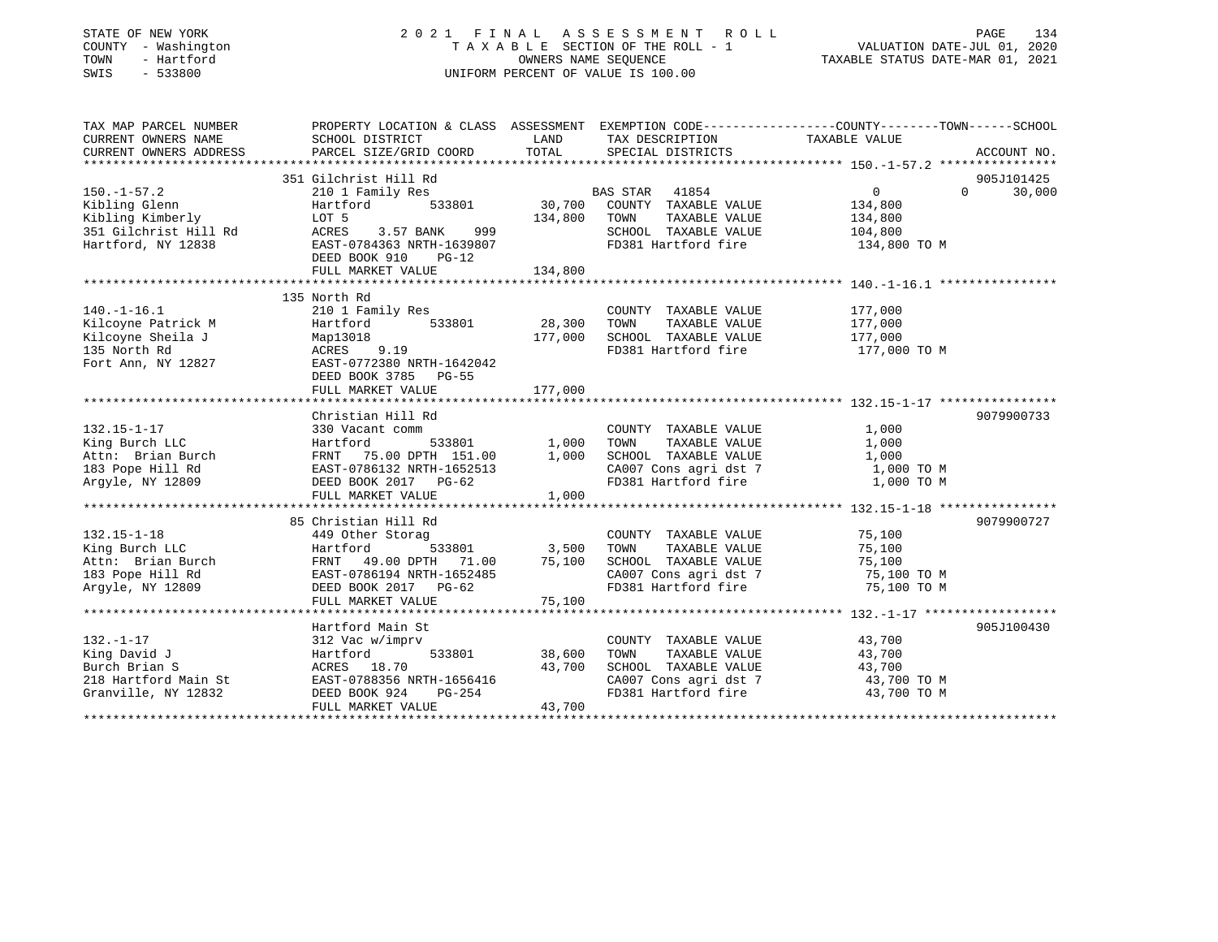### STATE OF NEW YORK 2 0 2 1 F I N A L A S S E S S M E N T R O L L PAGE 134 COUNTY - Washington T A X A B L E SECTION OF THE ROLL - 1 VALUATION DATE-JUL 01, 2020 TOWN - Hartford OWNERS NAME SEQUENCE TAXABLE STATUS DATE-MAR 01, 2021 SWIS - 533800 UNIFORM PERCENT OF VALUE IS 100.00

| TAX MAP PARCEL NUMBER                                                                                                                                                                                                             | PROPERTY LOCATION & CLASS ASSESSMENT EXEMPTION CODE---------------COUNTY-------TOWN-----SCHOOL |              |                                                                                                                                                                                                                         |                |                    |
|-----------------------------------------------------------------------------------------------------------------------------------------------------------------------------------------------------------------------------------|------------------------------------------------------------------------------------------------|--------------|-------------------------------------------------------------------------------------------------------------------------------------------------------------------------------------------------------------------------|----------------|--------------------|
| CURRENT OWNERS NAME SCHOOL DISTRICT                                                                                                                                                                                               |                                                                                                |              | LAND TAX DESCRIPTION TAXABLE VALUE                                                                                                                                                                                      |                |                    |
| CURRENT OWNERS ADDRESS                                                                                                                                                                                                            | PARCEL SIZE/GRID COORD                                                                         |              | TOTAL SPECIAL DISTRICTS                                                                                                                                                                                                 |                | ACCOUNT NO.        |
|                                                                                                                                                                                                                                   |                                                                                                |              |                                                                                                                                                                                                                         |                |                    |
|                                                                                                                                                                                                                                   | 351 Gilchrist Hill Rd                                                                          |              |                                                                                                                                                                                                                         |                | 905J101425         |
| $150. - 1 - 57.2$                                                                                                                                                                                                                 | 210 1 Family Res                                                                               |              |                                                                                                                                                                                                                         | $\overline{0}$ | 30,000<br>$\Omega$ |
| Kibling Glenn                                                                                                                                                                                                                     | Hartford                                                                                       |              |                                                                                                                                                                                                                         | 134,800        |                    |
|                                                                                                                                                                                                                                   | LOT 5                                                                                          | 134,800 TOWN | TAXABLE VALUE 134,800                                                                                                                                                                                                   |                |                    |
| Kibiling Gienn<br>Kibling Kimberly<br>351 Gilchrist Hill Rd<br>¤artford. NY 12838                                                                                                                                                 | ACRES 3.57 BANK 999                                                                            |              |                                                                                                                                                                                                                         |                |                    |
| Hartford, NY 12838                                                                                                                                                                                                                | AURES 3.57 BANK 999<br>EAST-0784363 NRTH-1639807                                               |              |                                                                                                                                                                                                                         |                |                    |
|                                                                                                                                                                                                                                   | DEED BOOK 910 PG-12                                                                            |              |                                                                                                                                                                                                                         |                |                    |
|                                                                                                                                                                                                                                   |                                                                                                |              |                                                                                                                                                                                                                         |                |                    |
|                                                                                                                                                                                                                                   |                                                                                                |              |                                                                                                                                                                                                                         |                |                    |
|                                                                                                                                                                                                                                   | 135 North Rd                                                                                   |              |                                                                                                                                                                                                                         |                |                    |
| $140. - 1 - 16.1$                                                                                                                                                                                                                 | 210 1 Family Res                                                                               |              | COUNTY TAXABLE VALUE                                                                                                                                                                                                    | 177,000        |                    |
|                                                                                                                                                                                                                                   |                                                                                                |              | TAXABLE VALUE 177,000<br>TOWN                                                                                                                                                                                           |                |                    |
|                                                                                                                                                                                                                                   |                                                                                                |              | SCHOOL TAXABLE VALUE 177,000                                                                                                                                                                                            |                |                    |
|                                                                                                                                                                                                                                   |                                                                                                |              | FD381 Hartford fire                                                                                                                                                                                                     | 177,000 TO M   |                    |
|                                                                                                                                                                                                                                   |                                                                                                |              |                                                                                                                                                                                                                         |                |                    |
|                                                                                                                                                                                                                                   | DEED BOOK 3785 PG-55                                                                           |              |                                                                                                                                                                                                                         |                |                    |
|                                                                                                                                                                                                                                   | FULL MARKET VALUE                                                                              | 177,000      |                                                                                                                                                                                                                         |                |                    |
|                                                                                                                                                                                                                                   |                                                                                                |              |                                                                                                                                                                                                                         |                |                    |
|                                                                                                                                                                                                                                   | Christian Hill Rd                                                                              |              |                                                                                                                                                                                                                         |                | 9079900733         |
| $132.15 - 1 - 17$                                                                                                                                                                                                                 | 330 Vacant comm                                                                                |              | COUNTY TAXABLE VALUE                                                                                                                                                                                                    | 1,000          |                    |
| Xing Burch LLC Hartford 533801 1,000 TOWN TAXABLE VALUE 1,000<br>Attn: Brian Burch FRNT 75.00 DPTH 151.00 1,000 SCHOOL TAXABLE VALUE 1,000<br>183 Pope Hill Rd EAST-0786132 NRTH-1652513 CA007 Cons agri dst 7 1,000 TOWN Argyle, |                                                                                                |              |                                                                                                                                                                                                                         |                |                    |
|                                                                                                                                                                                                                                   |                                                                                                |              |                                                                                                                                                                                                                         |                |                    |
|                                                                                                                                                                                                                                   |                                                                                                |              |                                                                                                                                                                                                                         |                |                    |
|                                                                                                                                                                                                                                   |                                                                                                |              |                                                                                                                                                                                                                         |                |                    |
|                                                                                                                                                                                                                                   | FULL MARKET VALUE                                                                              | 1,000        |                                                                                                                                                                                                                         |                |                    |
|                                                                                                                                                                                                                                   |                                                                                                |              |                                                                                                                                                                                                                         |                |                    |
|                                                                                                                                                                                                                                   | 85 Christian Hill Rd                                                                           |              |                                                                                                                                                                                                                         |                | 9079900727         |
| $132.15 - 1 - 18$                                                                                                                                                                                                                 | 449 Other Storag                                                                               |              | COUNTY TAXABLE VALUE                                                                                                                                                                                                    | 75,100         |                    |
|                                                                                                                                                                                                                                   | $533801$ 3,500 TOWN                                                                            |              | TAXABLE VALUE                                                                                                                                                                                                           | 75,100         |                    |
|                                                                                                                                                                                                                                   |                                                                                                |              |                                                                                                                                                                                                                         |                |                    |
| 449 Uther Storag<br>King Burch LLC Hartford 533801<br>Attn: Brian Burch FRNT 49.00 DPTH 71.00<br>183 Pope Hill Rd EAST-0786194 NRTH-1652485<br>Argyle, NY 12809 DEED BOOK 2017 PG-62                                              | FRNT 49.00 DPTH 71.00 75,100<br>EAST-0786194 NRTH-1652485                                      |              | SCHOOL TAXABLE VALUE 75,100<br>CA007 Cons agri dst 7 75,100 TO M                                                                                                                                                        |                |                    |
|                                                                                                                                                                                                                                   |                                                                                                |              | FD381 Hartford fire 75,100 TO M                                                                                                                                                                                         |                |                    |
|                                                                                                                                                                                                                                   |                                                                                                |              |                                                                                                                                                                                                                         |                |                    |
|                                                                                                                                                                                                                                   |                                                                                                |              |                                                                                                                                                                                                                         |                |                    |
|                                                                                                                                                                                                                                   | Hartford Main St                                                                               |              |                                                                                                                                                                                                                         |                | 905J100430         |
| $132. - 1 - 17$                                                                                                                                                                                                                   | 312 Vac w/imprv                                                                                |              |                                                                                                                                                                                                                         |                |                    |
| King David J                                                                                                                                                                                                                      | 533801 38,600<br>Hartford                                                                      |              | $\begin{tabular}{lllllllll} \multicolumn{2}{c}{\textbf{COUNTY}} & \textbf{TXABLE VALUE} & & & \textbf{43,700} \\ \multicolumn{2}{c}{\textbf{TOWN}} & \textbf{TXABLE VALUE} & & & \textbf{43,700} \end{tabular}$<br>TOWN |                |                    |
|                                                                                                                                                                                                                                   |                                                                                                | 43,700       | SCHOOL TAXABLE VALUE 43,700                                                                                                                                                                                             |                |                    |
|                                                                                                                                                                                                                                   |                                                                                                |              |                                                                                                                                                                                                                         | 43,700 TO M    |                    |
| Eurch Brian S<br>218 Hartford Main St<br>Granville, NY 12832<br>DEED BOOK 924 PG-254                                                                                                                                              | H-1656416<br>PG-254                                                                            |              | CA007 Cons agri dst 7<br>FD381 Hartford fire                                                                                                                                                                            | 43,700 TO M    |                    |
|                                                                                                                                                                                                                                   | FULL MARKET VALUE                                                                              | 43,700       |                                                                                                                                                                                                                         |                |                    |
|                                                                                                                                                                                                                                   |                                                                                                |              |                                                                                                                                                                                                                         |                |                    |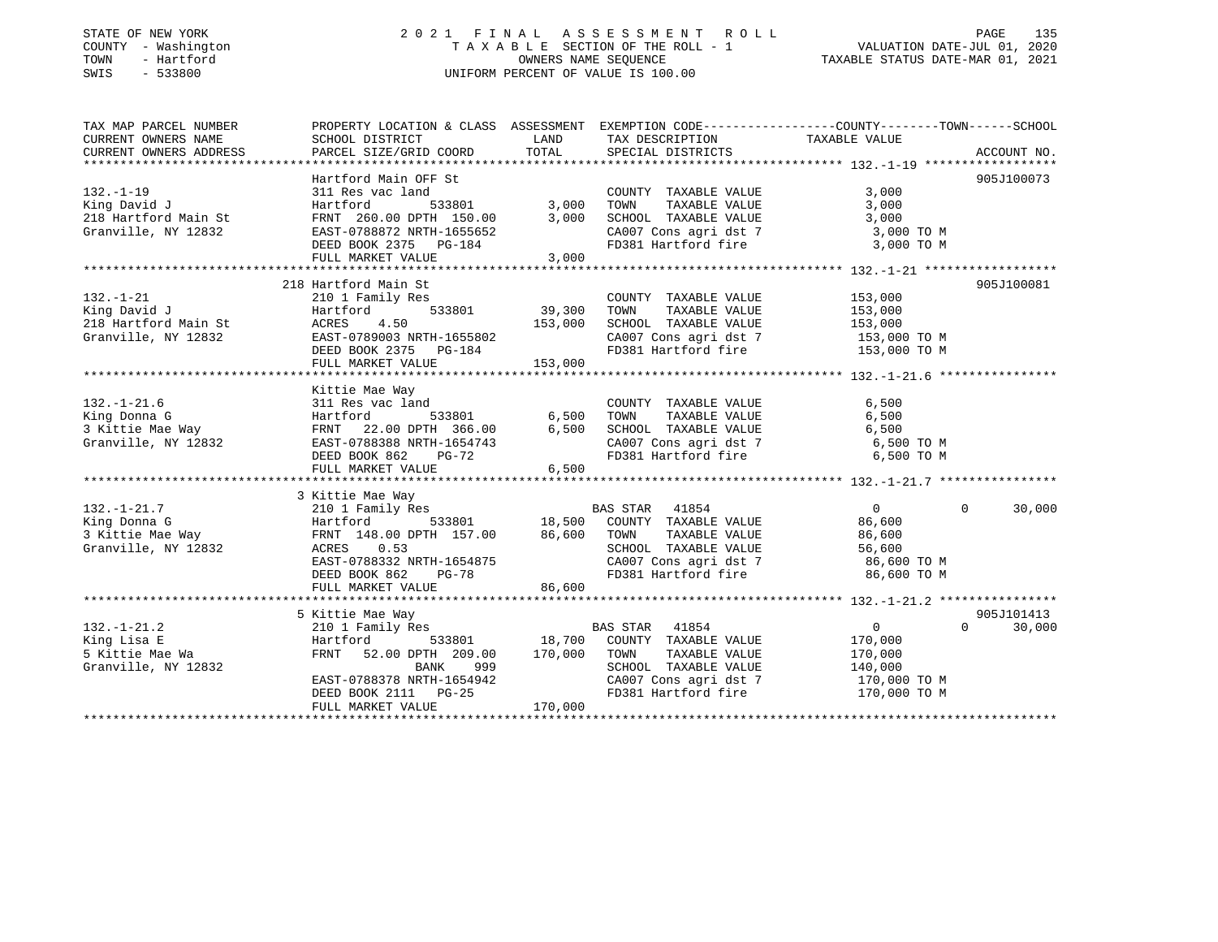#### STATE OF NEW YORK 2 0 2 1 F I N A L A S S E S S M E N T R O L L PAGE 135COUNTY - Washington T A X A B L E SECTION OF THE ROLL - 1 TOWN - Hartford **Taxable State of the CONNERS OWNERS NAME SEQUENCE** TAXABLE STATUS DATE-MAR 01, 2021 SWIS - 533800 UNIFORM PERCENT OF VALUE IS 100.00

## VALUATION DATE-JUL 01, 2020

| TAX MAP PARCEL NUMBER  | PROPERTY LOCATION & CLASS ASSESSMENT EXEMPTION CODE---------------COUNTY-------TOWN-----SCHOOL   |                                   |                                                                       |                |                    |
|------------------------|--------------------------------------------------------------------------------------------------|-----------------------------------|-----------------------------------------------------------------------|----------------|--------------------|
| CURRENT OWNERS NAME    | SCHOOL DISTRICT                                                                                  | <b>EXAMPLE TO A LAND THE LAND</b> | TAX DESCRIPTION                                                       | TAXABLE VALUE  |                    |
| CURRENT OWNERS ADDRESS | PARCEL SIZE/GRID COORD                                                                           | TOTAL                             | SPECIAL DISTRICTS                                                     |                | ACCOUNT NO.        |
|                        |                                                                                                  |                                   |                                                                       |                |                    |
|                        | Hartford Main OFF St                                                                             |                                   |                                                                       |                | 905J100073         |
| $132. - 1 - 19$        | 311 Res vac land                                                                                 |                                   | COUNTY TAXABLE VALUE                                                  | 3,000          |                    |
| King David J           | Hartford                                                                                         |                                   | TAXABLE VALUE<br>TOWN                                                 | 3,000          |                    |
| 218 Hartford Main St   | FRNT 260.00 DPTH 150.00                                                                          | 3,000                             | SCHOOL TAXABLE VALUE                                                  | 3,000          |                    |
| Granville, NY 12832    | EAST-0788872 NRTH-1655652                                                                        |                                   | CA007 Cons agri dst 7                                                 | 3,000 TO M     |                    |
|                        | DEED BOOK 2375 PG-184                                                                            |                                   | FD381 Hartford fire                                                   | 3,000 TO M     |                    |
|                        | FULL MARKET VALUE                                                                                | 3,000                             |                                                                       |                |                    |
|                        |                                                                                                  |                                   |                                                                       |                |                    |
|                        | 218 Hartford Main St                                                                             |                                   |                                                                       |                | 905J100081         |
| $132. - 1 - 21$        | 210 1 Family Res                                                                                 |                                   | COUNTY TAXABLE VALUE                                                  | 153,000        |                    |
| King David J           | 533801<br>Hartford                                                                               | 39,300                            |                                                                       |                |                    |
| 218 Hartford Main St   | ACRES<br>4.50                                                                                    | 153,000                           |                                                                       |                |                    |
| Granville, NY 12832    | EAST-0789003 NRTH-1655802                                                                        |                                   | CA007 Cons agri dst 7 153,000 TO M                                    |                |                    |
|                        | DEED BOOK 2375 PG-184                                                                            |                                   | FD381 Hartford fire                                                   | 153,000 TO M   |                    |
|                        | FULL MARKET VALUE                                                                                | 153,000                           |                                                                       |                |                    |
|                        |                                                                                                  |                                   |                                                                       |                |                    |
|                        | Kittie Mae Way                                                                                   |                                   |                                                                       |                |                    |
| $132. - 1 - 21.6$      | 311 Res vac land                                                                                 |                                   | COUNTY TAXABLE VALUE                                                  | 6,500          |                    |
| King Donna G           | Hartford<br>533801                                                                               | 6,500                             | TAXABLE VALUE<br>TOWN                                                 | 6,500          |                    |
| 3 Kittie Mae Way       | 22.00 DPTH 366.00<br>FRNT                                                                        | 6,500                             | SCHOOL TAXABLE VALUE                                                  | 6,500          |                    |
| Granville, NY 12832    | EAST-0788388 NRTH-1654743                                                                        |                                   | CA007 Cons agri dst 7                                                 | 6,500 TO M     |                    |
|                        | DEED BOOK 862<br>$PG-72$                                                                         |                                   | FD381 Hartford fire                                                   | 6,500 TO M     |                    |
|                        | FULL MARKET VALUE                                                                                | 6,500                             |                                                                       |                |                    |
|                        |                                                                                                  |                                   |                                                                       |                |                    |
|                        | 3 Kittie Mae Way                                                                                 |                                   |                                                                       |                |                    |
| $132. - 1 - 21.7$      | 210 1 Family Res                                                                                 |                                   | BAS STAR 41854                                                        | $\overline{0}$ | 30,000<br>$\Omega$ |
| King Donna G           |                                                                                                  |                                   |                                                                       | 86,600         |                    |
| 3 Kittie Mae Way       | Hartford 533801 18,500 COUNTY TAXABLE VALUE<br>FRNT 148.00 DPTH 157.00 86,600 TOWN TAXABLE VALUE |                                   |                                                                       | 86,600         |                    |
| Granville, NY 12832    | ACRES<br>0.53                                                                                    |                                   | SCHOOL TAXABLE VALUE                                                  | 56,600         |                    |
|                        | EAST-0788332 NRTH-1654875                                                                        |                                   |                                                                       | 86,600 TO M    |                    |
|                        | DEED BOOK 862<br>$PG-78$                                                                         |                                   | CA007 Cons agri dst 7<br>FD381 Hartford fire                          | 86,600 TO M    |                    |
|                        |                                                                                                  | 86,600                            |                                                                       |                |                    |
|                        | FULL MARKET VALUE                                                                                |                                   |                                                                       |                |                    |
|                        |                                                                                                  |                                   |                                                                       |                | 905J101413         |
|                        | 5 Kittie Mae Way                                                                                 |                                   | <b>BAS STAR</b>                                                       | $\overline{0}$ | $\Omega$           |
| $132. - 1 - 21.2$      | 210 1 Family Res                                                                                 |                                   | 41854                                                                 |                | 30,000             |
| King Lisa E            | 533801<br>Hartford                                                                               |                                   | 18,700 COUNTY TAXABLE VALUE                                           | 170,000        |                    |
| 5 Kittie Mae Wa        | 52.00 DPTH 209.00<br>FRNT                                                                        | 170,000                           | TOWN<br>TAXABLE VALUE                                                 | 170,000        |                    |
| Granville, NY 12832    | 999<br>BANK                                                                                      |                                   | SCHOOL TAXABLE VALUE<br>SCHOOL TAXABLE VALUE<br>CA007 Cons agri dst 7 | 140,000        |                    |
|                        | EAST-0788378 NRTH-1654942                                                                        |                                   |                                                                       | 170,000 TO M   |                    |
|                        | DEED BOOK 2111 PG-25                                                                             |                                   | FD381 Hartford fire                                                   | 170,000 TO M   |                    |
|                        | FULL MARKET VALUE                                                                                | 170,000                           |                                                                       |                |                    |
|                        |                                                                                                  |                                   |                                                                       |                |                    |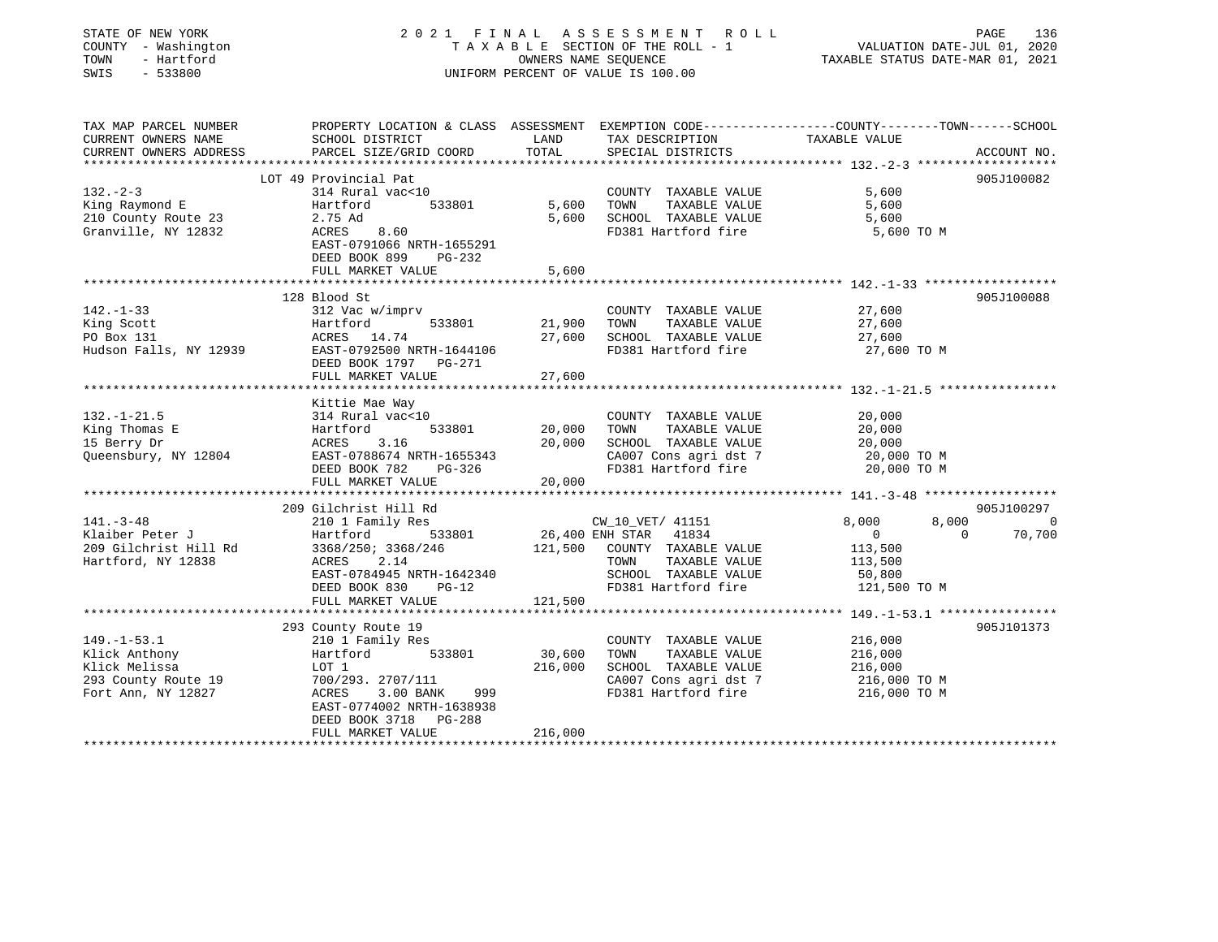| STATE OF NEW YORK<br>COUNTY - Washington<br>TOWN<br>- Hartford<br>SWIS<br>$-533800$ |                                                                                                                     | OWNERS NAME SEQUENCE                       | 2021 FINAL ASSESSMENT<br>R O L L<br>TAXABLE SECTION OF THE ROLL - 1<br>UNIFORM PERCENT OF VALUE IS 100.00 | PAGE<br>136<br>VALUATION DATE-JUL 01, 2020<br>TAXABLE STATUS DATE-MAR 01, 2021 |                    |
|-------------------------------------------------------------------------------------|---------------------------------------------------------------------------------------------------------------------|--------------------------------------------|-----------------------------------------------------------------------------------------------------------|--------------------------------------------------------------------------------|--------------------|
| TAX MAP PARCEL NUMBER<br>CURRENT OWNERS NAME                                        | PROPERTY LOCATION & CLASS ASSESSMENT EXEMPTION CODE----------------COUNTY-------TOWN------SCHOOL<br>SCHOOL DISTRICT | LAND                                       | TAX DESCRIPTION                                                                                           | TAXABLE VALUE                                                                  |                    |
| CURRENT OWNERS ADDRESS                                                              | PARCEL SIZE/GRID COORD                                                                                              | TOTAL                                      | SPECIAL DISTRICTS                                                                                         |                                                                                | ACCOUNT NO.        |
|                                                                                     | *******************************                                                                                     |                                            | *******************************                                                                           | *************** 132.-2-3 *******************                                   |                    |
|                                                                                     | LOT 49 Provincial Pat                                                                                               |                                            |                                                                                                           |                                                                                | 905J100082         |
| $132 - 2 - 3$                                                                       | 314 Rural vac<10                                                                                                    |                                            | COUNTY TAXABLE VALUE                                                                                      | 5,600                                                                          |                    |
| King Raymond E                                                                      | 533801<br>Hartford                                                                                                  | 5,600                                      | TAXABLE VALUE<br>TOWN                                                                                     | 5,600                                                                          |                    |
| 210 County Route 23                                                                 | 2.75 Ad                                                                                                             | 5,600                                      | SCHOOL TAXABLE VALUE<br>FD381 Hartford fire                                                               | 5,600                                                                          |                    |
| Granville, NY 12832                                                                 | ACRES<br>8.60<br>EAST-0791066 NRTH-1655291                                                                          |                                            |                                                                                                           | 5,600 TO M                                                                     |                    |
|                                                                                     | DEED BOOK 899<br>PG-232                                                                                             |                                            |                                                                                                           |                                                                                |                    |
|                                                                                     | FULL MARKET VALUE                                                                                                   | 5,600                                      |                                                                                                           |                                                                                |                    |
|                                                                                     |                                                                                                                     |                                            |                                                                                                           |                                                                                |                    |
|                                                                                     | 128 Blood St                                                                                                        |                                            |                                                                                                           |                                                                                | 905J100088         |
| $142. - 1 - 33$                                                                     | 312 Vac w/imprv                                                                                                     |                                            | COUNTY TAXABLE VALUE                                                                                      | 27,600                                                                         |                    |
| King Scott                                                                          | 533801<br>Hartford                                                                                                  | 21,900                                     | TAXABLE VALUE<br>TOWN                                                                                     | 27,600                                                                         |                    |
| PO Box 131                                                                          | ACRES<br>14.74                                                                                                      | 27,600                                     | SCHOOL TAXABLE VALUE                                                                                      | 27,600                                                                         |                    |
| Hudson Falls, NY 12939                                                              | EAST-0792500 NRTH-1644106                                                                                           |                                            | FD381 Hartford fire                                                                                       | 27,600 TO M                                                                    |                    |
|                                                                                     | DEED BOOK 1797 PG-271                                                                                               |                                            |                                                                                                           |                                                                                |                    |
|                                                                                     | FULL MARKET VALUE                                                                                                   | 27,600                                     |                                                                                                           |                                                                                |                    |
|                                                                                     |                                                                                                                     |                                            |                                                                                                           |                                                                                |                    |
| $132. - 1 - 21.5$                                                                   | Kittie Mae Way                                                                                                      |                                            |                                                                                                           | 20,000                                                                         |                    |
| King Thomas E                                                                       | 314 Rural vac<10<br>533801<br>Hartford                                                                              | 20,000                                     | COUNTY TAXABLE VALUE<br>TOWN<br>TAXABLE VALUE                                                             | 20,000                                                                         |                    |
| 15 Berry Dr                                                                         | ACRES<br>3.16                                                                                                       | 20,000                                     | SCHOOL TAXABLE VALUE                                                                                      | 20,000                                                                         |                    |
| Queensbury, NY 12804                                                                | EAST-0788674 NRTH-1655343                                                                                           |                                            | CA007 Cons agri dst 7                                                                                     | 20,000 TO M                                                                    |                    |
|                                                                                     | DEED BOOK 782<br>PG-326                                                                                             |                                            | FD381 Hartford fire                                                                                       | 20,000 TO M                                                                    |                    |
|                                                                                     | FULL MARKET VALUE                                                                                                   | 20,000                                     |                                                                                                           |                                                                                |                    |
|                                                                                     |                                                                                                                     |                                            |                                                                                                           |                                                                                |                    |
|                                                                                     | 209 Gilchrist Hill Rd                                                                                               |                                            |                                                                                                           |                                                                                | 905J100297         |
| $141. - 3 - 48$                                                                     | 210 1 Family Res                                                                                                    |                                            | CW_10_VET/ 41151                                                                                          | 8,000                                                                          | 8,000<br>- 0       |
| Klaiber Peter J                                                                     | 533801<br>Hartford                                                                                                  | 26,400 ENH STAR                            | 41834                                                                                                     | $\mathbf{0}$                                                                   | $\Omega$<br>70,700 |
| 209 Gilchrist Hill Rd                                                               | 3368/250; 3368/246                                                                                                  | 121,500                                    | COUNTY TAXABLE VALUE                                                                                      | 113,500                                                                        |                    |
| Hartford, NY 12838                                                                  | 2.14<br>ACRES                                                                                                       |                                            | TOWN<br>TAXABLE VALUE                                                                                     | 113,500                                                                        |                    |
|                                                                                     | EAST-0784945 NRTH-1642340                                                                                           |                                            | SCHOOL TAXABLE VALUE                                                                                      | 50,800                                                                         |                    |
|                                                                                     | DEED BOOK 830<br>$PG-12$                                                                                            |                                            | FD381 Hartford fire                                                                                       | 121,500 TO M                                                                   |                    |
|                                                                                     | FULL MARKET VALUE                                                                                                   | 121,500                                    |                                                                                                           |                                                                                |                    |
|                                                                                     | 293 County Route 19                                                                                                 |                                            |                                                                                                           |                                                                                | 905J101373         |
| $149. - 1 - 53.1$                                                                   | 210 1 Family Res                                                                                                    |                                            | COUNTY TAXABLE VALUE                                                                                      | 216,000                                                                        |                    |
| Klick Anthony                                                                       | Hartford<br>533801                                                                                                  | 30,600                                     | TOWN<br>TAXABLE VALUE                                                                                     | 216,000                                                                        |                    |
| Klick Melissa                                                                       | LOT 1                                                                                                               | 216,000                                    | SCHOOL TAXABLE VALUE                                                                                      | 216,000                                                                        |                    |
| 293 County Route 19                                                                 | 700/293. 2707/111                                                                                                   |                                            | CA007 Cons agri dst 7                                                                                     | 216,000 TO M                                                                   |                    |
| Fort Ann, NY 12827                                                                  | ACRES<br>3.00 BANK<br>999                                                                                           |                                            | FD381 Hartford fire                                                                                       | 216,000 TO M                                                                   |                    |
|                                                                                     | EAST-0774002 NRTH-1638938                                                                                           |                                            |                                                                                                           |                                                                                |                    |
|                                                                                     | PG-288<br>DEED BOOK 3718                                                                                            |                                            |                                                                                                           |                                                                                |                    |
|                                                                                     | FULL MARKET VALUE                                                                                                   | 216,000<br>+ + + + + + + + + + + + + + + + |                                                                                                           |                                                                                |                    |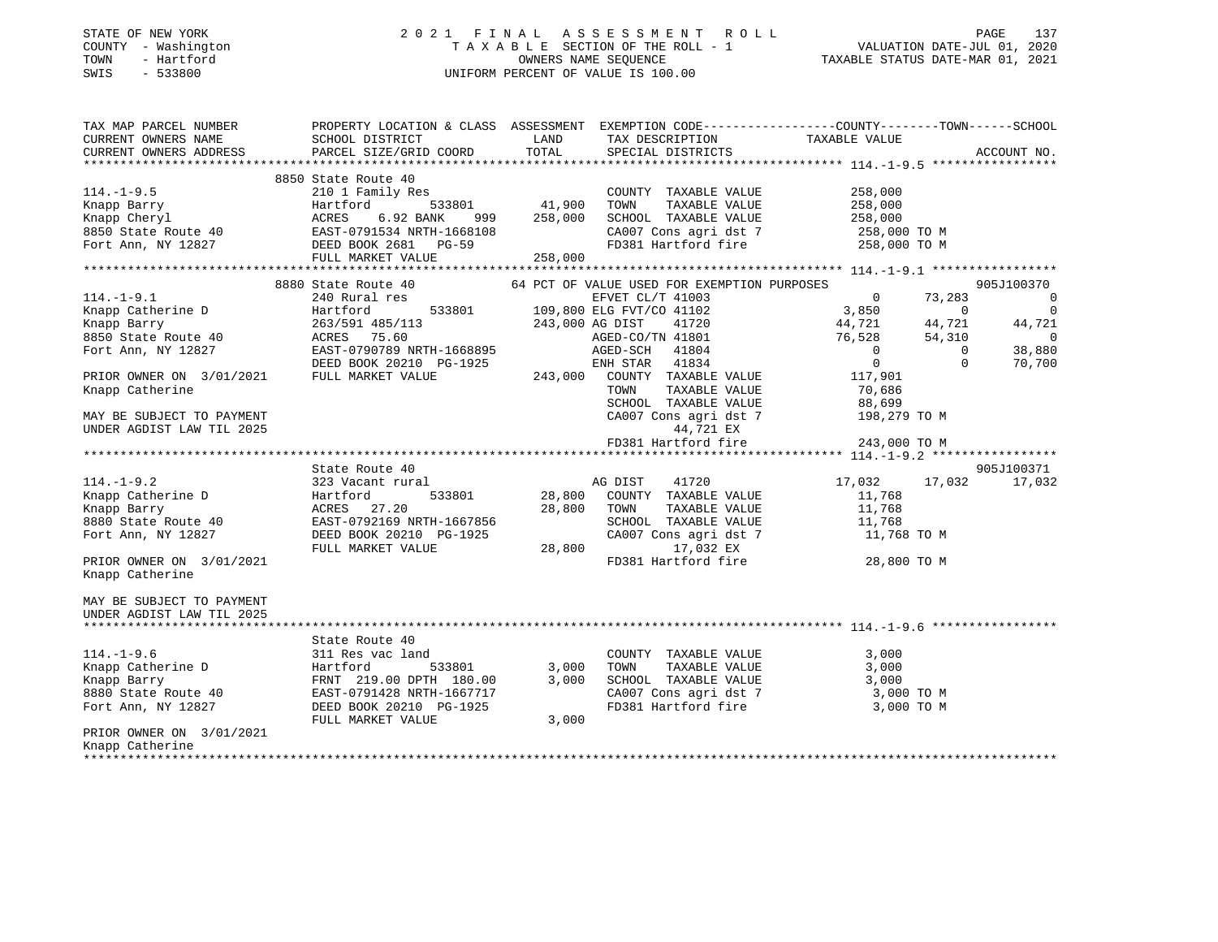#### STATE OF NEW YORK 2 0 2 1 F I N A L A S S E S S M E N T R O L L PAGE 137COUNTY - Washington  $T A X A B L E$  SECTION OF THE ROLL - 1<br>TOWN - Hartford TOWN - Hartford OWNERS NAME SEQUENCE TAXABLE STATUS DATE-MAR 01, 2021 SWIS - 533800 UNIFORM PERCENT OF VALUE IS 100.00

VALUATION DATE-JUL 01, 2020

| TAX MAP PARCEL NUMBER<br>CURRENT OWNERS NAME SCHOOL DISTRICT              |                                                                                                                                                                                                                                                     | LAND TAX DESCRIPTION TAXABLE VALUE                                                                                                                                                                                                                                     | PROPERTY LOCATION & CLASS ASSESSMENT EXEMPTION CODE---------------COUNTY-------TOWN-----SCHOOL                                                                                                                                                                                                                                                     |
|---------------------------------------------------------------------------|-----------------------------------------------------------------------------------------------------------------------------------------------------------------------------------------------------------------------------------------------------|------------------------------------------------------------------------------------------------------------------------------------------------------------------------------------------------------------------------------------------------------------------------|----------------------------------------------------------------------------------------------------------------------------------------------------------------------------------------------------------------------------------------------------------------------------------------------------------------------------------------------------|
| CURRENT OWNERS ADDRESS                                                    |                                                                                                                                                                                                                                                     | PARCEL SIZE/GRID COORD TOTAL SPECIAL DISTRICTS                                                                                                                                                                                                                         | ACCOUNT NO.                                                                                                                                                                                                                                                                                                                                        |
| $114. - 1 - 9.5$                                                          | 8850 State Route 40<br>State Route 40<br>210 1 Family Res<br>210 1 Family Res<br>Hartford 533801 41,900 TOWN                                                                                                                                        | COUNTY TAXABLE VALUE 258,000<br>114.-1-9.5<br>Xnapp Barry Hartford 533801 41,900 TOWN TAXABLE VALUE<br>Xnapp Cheryl ACRES 6.92 BANK 999 258,000 SCHOOL TAXABLE VALUE 258,000<br>8650 State Route 40 EAST-0791534 NRTH-1668108 CA007 Cons agri dst 7 258,000 TO M<br>FO |                                                                                                                                                                                                                                                                                                                                                    |
| Knapp Catherine<br>MAY BE SUBJECT TO PAYMENT<br>UNDER AGDIST LAW TIL 2025 | 240 Rural res                                                                                                                                                                                                                                       | 8880 State Route 40 64 PCT OF VALUE USED FOR EXEMPTION PURPOSES<br>TOWN<br>44,721 EX                                                                                                                                                                                   | 905J100370<br>$\overline{\phantom{0}}$<br>$\overline{0}$<br>44,721<br>$\sim$ 0<br>38,880<br>70,700<br>TAXABLE VALUE 70,686<br>TAXABLE VALUE 88,699<br>$\begin{tabular}{lllllllll} \texttt{SCHODL} & \texttt{TAXABLE VALUE} & & & 88,699 \\ \texttt{CA007 Cons agri dst 7} & & & 198,279 TO M \\ \end{tabular}$<br>FD381 Hartford fire 343,000 TO M |
|                                                                           |                                                                                                                                                                                                                                                     |                                                                                                                                                                                                                                                                        |                                                                                                                                                                                                                                                                                                                                                    |
| PRIOR OWNER ON 3/01/2021<br>Knapp Catherine                               | State Route 40                                                                                                                                                                                                                                      | 323 Vacant rural<br>Example 2 and 28,800 COUNTY TAXABLE VALUE<br>EXAMPLE VALUE<br>Fort Ann, NY 12827 BEED BOOK 20210 PG-1925<br>PRIOR OWNER ON 3/01/2021<br>PRIOR OWNER ON 3/01/2021<br>PRIOR OWNER ON 3/01/2021<br>PRIOR OWNER ON 3/01/2021                           | 905J100371<br>17,032 17,032<br>17,032<br>11,768<br>TOWN TAXABLE VALUE<br>TOWN TAXABLE VALUE<br>SCHOOL TAXABLE VALUE<br>CA007 Cons agri dst 7 11,768 TO M<br>FD381 Hartford fire 28,800 TO M                                                                                                                                                        |
| MAY BE SUBJECT TO PAYMENT<br>UNDER AGDIST LAW TIL 2025                    |                                                                                                                                                                                                                                                     |                                                                                                                                                                                                                                                                        |                                                                                                                                                                                                                                                                                                                                                    |
| $114. - 1 - 9.6$<br>PRIOR OWNER ON 3/01/2021<br>Knapp Catherine           | State Route 40<br>311 Res vac land<br>Example Catherine D<br>Example Barry<br>Example Barry<br>FRNT 219.00 DPTH 180.00 3,000<br>8880 State Route 40<br>Fort Ann, NY 12827<br>DEED BOOK 20210 PG-1925<br>THE MONE 20210 PG-1925<br>FULL MARKET VALUE | COUNTY TAXABLE VALUE<br>TOWN<br>TAXABLE VALUE<br>SCHOOL TAXABLE VALUE<br>FD381 Hartford fire<br>3,000                                                                                                                                                                  | 3,000<br>3,000<br>3,000<br>CA007 Cons agri dst 7 3,000 TO M<br>3,000 TO M                                                                                                                                                                                                                                                                          |

Knapp Catherine \*\*\*\*\*\*\*\*\*\*\*\*\*\*\*\*\*\*\*\*\*\*\*\*\*\*\*\*\*\*\*\*\*\*\*\*\*\*\*\*\*\*\*\*\*\*\*\*\*\*\*\*\*\*\*\*\*\*\*\*\*\*\*\*\*\*\*\*\*\*\*\*\*\*\*\*\*\*\*\*\*\*\*\*\*\*\*\*\*\*\*\*\*\*\*\*\*\*\*\*\*\*\*\*\*\*\*\*\*\*\*\*\*\*\*\*\*\*\*\*\*\*\*\*\*\*\*\*\*\*\*\*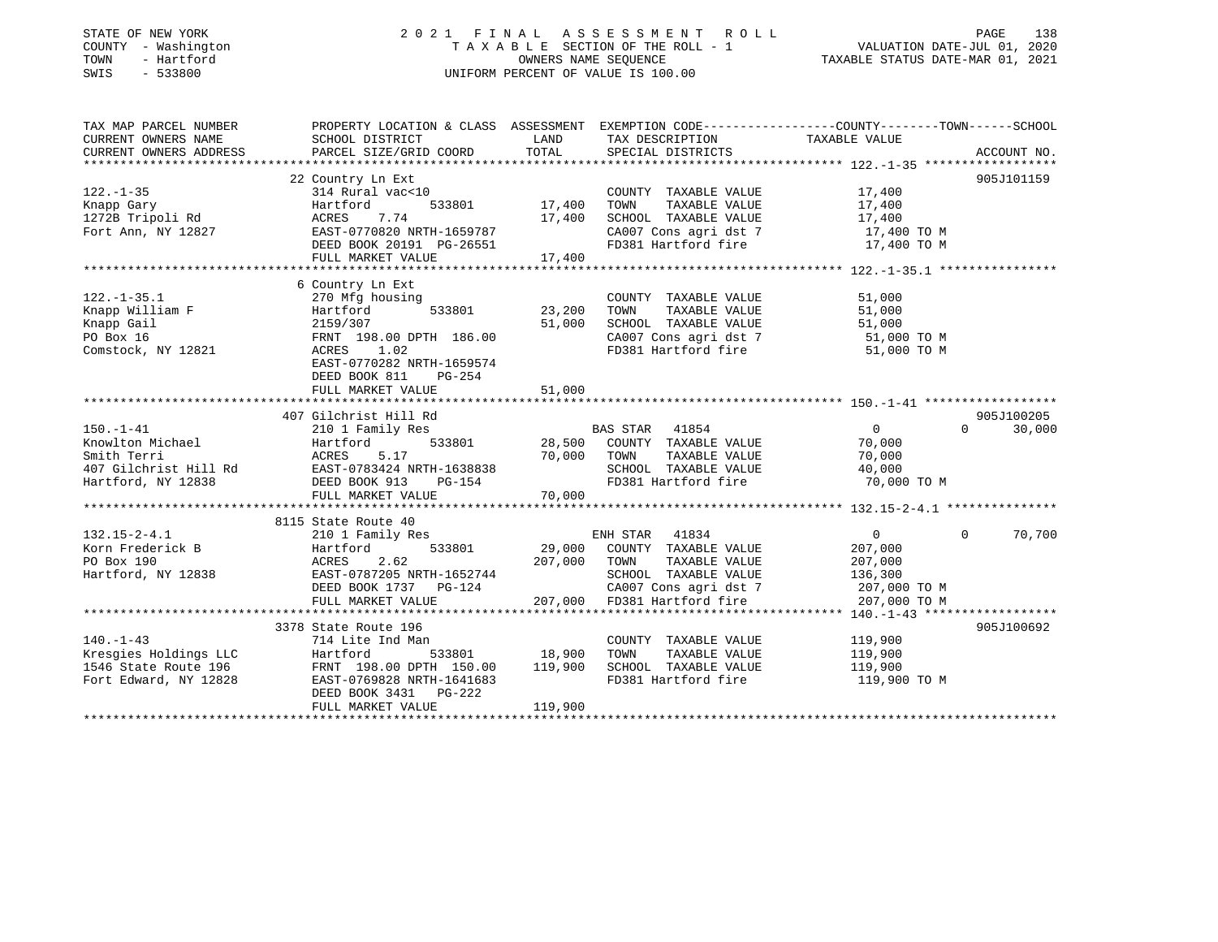### STATE OF NEW YORK 2 0 2 1 F I N A L A S S E S S M E N T R O L L PAGE 138 COUNTY - Washington T A X A B L E SECTION OF THE ROLL - 1 VALUATION DATE-JUL 01, 2020 TOWN - Hartford OWNERS NAME SEQUENCE TAXABLE STATUS DATE-MAR 01, 2021 SWIS - 533800 UNIFORM PERCENT OF VALUE IS 100.00

| TAX MAP PARCEL NUMBER<br>CURRENT OWNERS NAME<br>CURRENT OWNERS ADDRESS                            | PROPERTY LOCATION & CLASS ASSESSMENT EXEMPTION CODE---------------COUNTY-------TOWN-----SCHOOL<br>SCHOOL DISTRICT<br>PARCEL SIZE/GRID COORD                                                    | LAND<br>TOTAL                | TAX DESCRIPTION<br>SPECIAL DISTRICTS                                                                                                                   | TAXABLE VALUE                                                      | ACCOUNT NO.                      |
|---------------------------------------------------------------------------------------------------|------------------------------------------------------------------------------------------------------------------------------------------------------------------------------------------------|------------------------------|--------------------------------------------------------------------------------------------------------------------------------------------------------|--------------------------------------------------------------------|----------------------------------|
| $122. - 1 - 35$<br>Knapp Gary<br>1272B Tripoli Rd<br>Fort Ann, NY 12827                           | 22 Country Ln Ext<br>314 Rural vac<10<br>533801<br>Hartford<br>7.74<br>ACRES<br>EAST-0770820 NRTH-1659787<br>DEED BOOK 20191 PG-26551<br>FULL MARKET VALUE                                     | 17,400<br>17,400<br>17,400   | COUNTY TAXABLE VALUE<br>TAXABLE VALUE<br>TOWN<br>SCHOOL TAXABLE VALUE<br>CA007 Cons agri dst 7<br>FD381 Hartford fire                                  | 17,400<br>17,400<br>17,400<br>17,400 TO M<br>17,400 TO M           | 905J101159                       |
| $122. - 1 - 35.1$<br>Knapp William F<br>Knapp Gail<br>PO Box 16<br>Comstock, NY 12821             | 6 Country Ln Ext<br>270 Mfg housing<br>533801<br>Hartford<br>2159/307<br>FRNT 198.00 DPTH 186.00<br>ACRES<br>1.02<br>EAST-0770282 NRTH-1659574<br>DEED BOOK 811<br>PG-254<br>FULL MARKET VALUE | 23,200<br>51,000<br>51,000   | COUNTY TAXABLE VALUE<br>TOWN<br>TAXABLE VALUE<br>SCHOOL TAXABLE VALUE<br>CA007 Cons agri dst 7<br>FD381 Hartford fire                                  | 51,000<br>51,000<br>51,000<br>51,000 TO M<br>51,000 TO M           |                                  |
| $150. - 1 - 41$<br>Knowlton Michael<br>Smith Terri<br>407 Gilchrist Hill Rd<br>Hartford, NY 12838 | 407 Gilchrist Hill Rd<br>210 1 Family Res<br>Hartford<br>533801<br>5.17<br>ACRES<br>EAST-0783424 NRTH-1638838<br>DEED BOOK 913<br>$PG-154$<br>FULL MARKET VALUE                                | 70,000 TOWN<br>70,000        | BAS STAR 41854<br>28,500 COUNTY TAXABLE VALUE<br>TAXABLE VALUE<br>SCHOOL TAXABLE VALUE<br>FD381 Hartford fire                                          | $\overline{0}$<br>70,000<br>70,000<br>40,000<br>70,000 TO M        | 905J100205<br>30,000<br>$\Omega$ |
|                                                                                                   |                                                                                                                                                                                                |                              |                                                                                                                                                        |                                                                    |                                  |
| $132.15 - 2 - 4.1$<br>Korn Frederick B<br>PO Box 190<br>Hartford, NY 12838                        | 8115 State Route 40<br>210 1 Family Res<br>533801<br>Hartford<br>2.62<br>ACRES<br>EAST-0787205 NRTH-1652744<br>DEED BOOK 1737 PG-124<br>FULL MARKET VALUE                                      | 207,000                      | ENH STAR 41834<br>29,000 COUNTY TAXABLE VALUE<br>TOWN<br>TAXABLE VALUE<br>SCHOOL TAXABLE VALUE<br>CA007 Cons agri dst 7<br>207,000 FD381 Hartford fire | 0<br>207,000<br>207,000<br>136,300<br>207,000 TO M<br>207,000 TO M | $\Omega$<br>70,700               |
|                                                                                                   |                                                                                                                                                                                                |                              |                                                                                                                                                        |                                                                    |                                  |
| $140. - 1 - 43$<br>Kresgies Holdings LLC<br>1546 State Route 196<br>Fort Edward, NY 12828         | 3378 State Route 196<br>714 Lite Ind Man<br>533801<br>Hartford<br>FRNT 198.00 DPTH 150.00<br>EAST-0769828 NRTH-1641683<br>DEED BOOK 3431 PG-222<br>FULL MARKET VALUE                           | 18,900<br>119,900<br>119,900 | COUNTY TAXABLE VALUE<br>TAXABLE VALUE<br>TOWN<br>SCHOOL TAXABLE VALUE<br>FD381 Hartford fire                                                           | 119,900<br>119,900<br>119,900<br>119,900 TO M                      | 905J100692                       |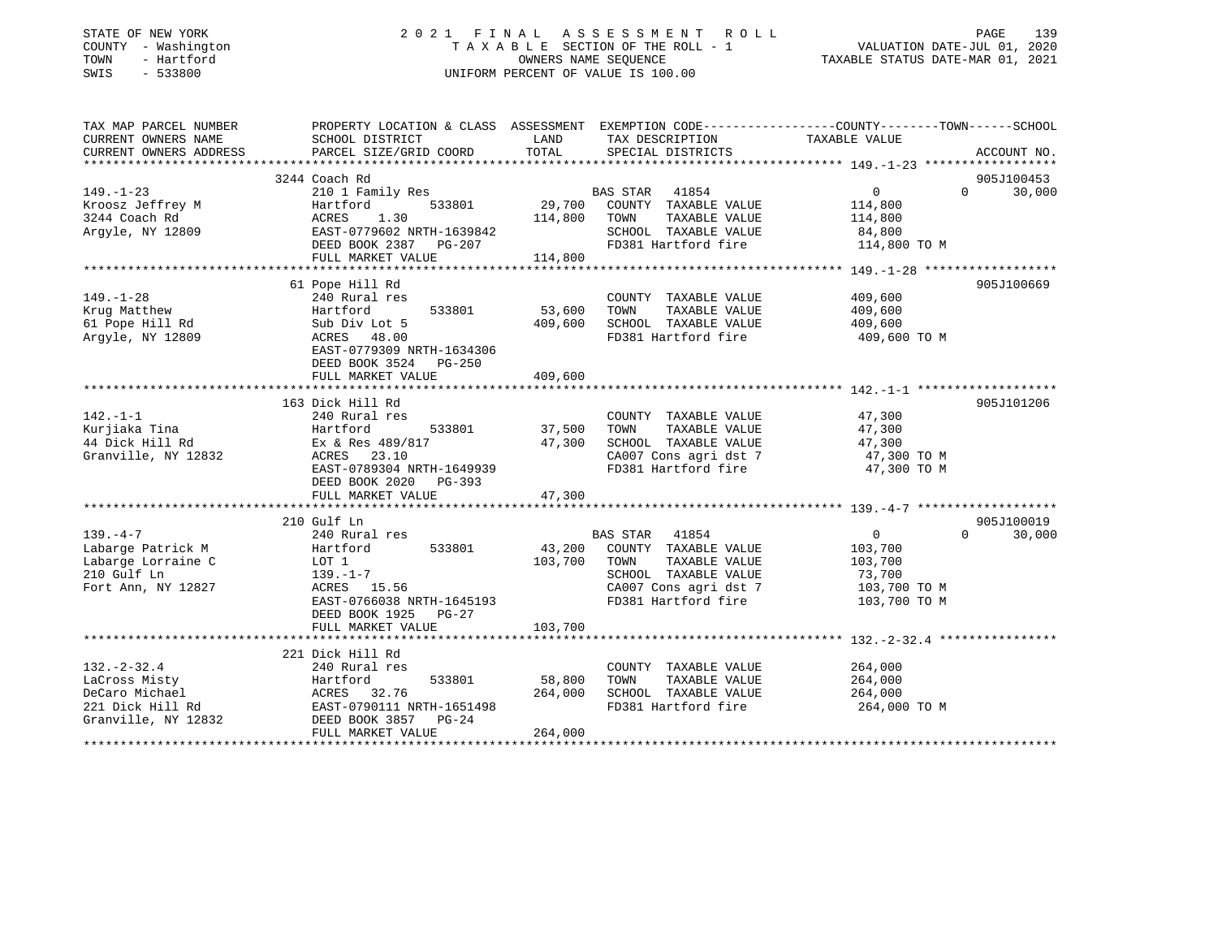| STATE OF NEW YORK<br>COUNTY - Washington<br>- Hartford<br>TOWN<br>SWIS<br>$-533800$ | 2021 FINAL                                | OWNERS NAME SEQUENCE | A S S E S S M E N T<br>ROLL<br>TAXABLE SECTION OF THE ROLL - 1<br>UNIFORM PERCENT OF VALUE IS 100.00 | PAGE<br>139<br>VALUATION DATE-JUL 01, 2020<br>TAXABLE STATUS DATE-MAR 01, 2021                   |
|-------------------------------------------------------------------------------------|-------------------------------------------|----------------------|------------------------------------------------------------------------------------------------------|--------------------------------------------------------------------------------------------------|
| TAX MAP PARCEL NUMBER                                                               |                                           |                      |                                                                                                      | PROPERTY LOCATION & CLASS ASSESSMENT EXEMPTION CODE----------------COUNTY-------TOWN------SCHOOL |
| CURRENT OWNERS NAME<br>CURRENT OWNERS ADDRESS                                       | SCHOOL DISTRICT<br>PARCEL SIZE/GRID COORD | LAND<br>TOTAL        | TAX DESCRIPTION<br>SPECIAL DISTRICTS                                                                 | TAXABLE VALUE<br>ACCOUNT NO.                                                                     |
|                                                                                     |                                           |                      |                                                                                                      |                                                                                                  |
|                                                                                     | 3244 Coach Rd                             |                      |                                                                                                      | 905J100453                                                                                       |
| $149. - 1 - 23$                                                                     | 210 1 Family Res                          |                      | 41854<br>BAS STAR                                                                                    | $\overline{0}$<br>30,000<br>$\Omega$                                                             |
| Kroosz Jeffrey M                                                                    | 533801<br>Hartford                        | 29,700               | COUNTY TAXABLE VALUE                                                                                 | 114,800                                                                                          |
| 3244 Coach Rd                                                                       | ACRES<br>1.30                             | 114,800              | TAXABLE VALUE<br>TOWN                                                                                | 114,800                                                                                          |
| Argyle, NY 12809                                                                    | EAST-0779602 NRTH-1639842                 |                      | SCHOOL TAXABLE VALUE                                                                                 | 84,800                                                                                           |
|                                                                                     | DEED BOOK 2387<br>PG-207                  |                      | FD381 Hartford fire                                                                                  | 114,800 TO M                                                                                     |
|                                                                                     | FULL MARKET VALUE                         | 114,800              |                                                                                                      |                                                                                                  |
|                                                                                     | 61 Pope Hill Rd                           |                      |                                                                                                      | 905J100669                                                                                       |
| $149. - 1 - 28$                                                                     | 240 Rural res                             |                      | COUNTY TAXABLE VALUE                                                                                 | 409,600                                                                                          |
| Krug Matthew                                                                        | Hartford<br>533801                        | 53,600               | TAXABLE VALUE<br>TOWN                                                                                | 409,600                                                                                          |
| 61 Pope Hill Rd                                                                     | Sub Div Lot 5                             | 409,600              | SCHOOL TAXABLE VALUE                                                                                 | 409,600                                                                                          |
| Argyle, NY 12809                                                                    | ACRES<br>48.00                            |                      | FD381 Hartford fire                                                                                  | 409,600 TO M                                                                                     |
|                                                                                     | EAST-0779309 NRTH-1634306                 |                      |                                                                                                      |                                                                                                  |
|                                                                                     | DEED BOOK 3524<br>PG-250                  |                      |                                                                                                      |                                                                                                  |
|                                                                                     | FULL MARKET VALUE                         | 409,600              |                                                                                                      |                                                                                                  |
|                                                                                     |                                           |                      |                                                                                                      |                                                                                                  |
|                                                                                     | 163 Dick Hill Rd                          |                      |                                                                                                      | 905J101206                                                                                       |
| $142. - 1 - 1$                                                                      | 240 Rural res                             |                      | COUNTY TAXABLE VALUE                                                                                 | 47,300                                                                                           |
| Kurjiaka Tina                                                                       | Hartford<br>533801                        | 37,500               | TOWN<br>TAXABLE VALUE                                                                                | 47,300                                                                                           |
| 44 Dick Hill Rd<br>Granville, NY 12832                                              | Ex & Res 489/817<br>ACRES 23.10           | 47,300               | SCHOOL TAXABLE VALUE<br>CA007 Cons agri dst 7                                                        | 47,300<br>47,300 TO M                                                                            |
|                                                                                     | EAST-0789304 NRTH-1649939                 |                      | FD381 Hartford fire                                                                                  | 47,300 TO M                                                                                      |
|                                                                                     | DEED BOOK 2020 PG-393                     |                      |                                                                                                      |                                                                                                  |
|                                                                                     | FULL MARKET VALUE                         | 47,300               |                                                                                                      |                                                                                                  |
|                                                                                     |                                           |                      |                                                                                                      |                                                                                                  |
|                                                                                     | 210 Gulf Ln                               |                      |                                                                                                      | 905J100019                                                                                       |
| $139. -4 -7$                                                                        | 240 Rural res                             |                      | BAS STAR 41854                                                                                       | $\overline{0}$<br>30,000<br>$\Omega$                                                             |
| Labarge Patrick M                                                                   | Hartford<br>533801                        | 43,200               | COUNTY TAXABLE VALUE                                                                                 | 103,700                                                                                          |
| Labarge Lorraine C                                                                  | LOT 1                                     | 103,700              | TOWN<br>TAXABLE VALUE                                                                                | 103,700                                                                                          |
| 210 Gulf Ln                                                                         | $139. - 1 - 7$                            |                      | SCHOOL TAXABLE VALUE                                                                                 | 73,700                                                                                           |
| Fort Ann, NY 12827                                                                  | ACRES 15.56                               |                      | CA007 Cons agri dst 7                                                                                | 103,700 TO M                                                                                     |
|                                                                                     | EAST-0766038 NRTH-1645193                 |                      | FD381 Hartford fire                                                                                  | 103,700 TO M                                                                                     |
|                                                                                     | DEED BOOK 1925<br>PG-27                   |                      |                                                                                                      |                                                                                                  |
|                                                                                     | FULL MARKET VALUE                         | 103,700              |                                                                                                      |                                                                                                  |
|                                                                                     | 221 Dick Hill Rd                          |                      |                                                                                                      |                                                                                                  |
| $132 - 2 - 32.4$                                                                    | 240 Rural res                             |                      | COUNTY TAXABLE VALUE                                                                                 | 264,000                                                                                          |
| LaCross Misty                                                                       | Hartford<br>533801                        | 58,800               | TAXABLE VALUE<br>TOWN                                                                                | 264,000                                                                                          |
| DeCaro Michael                                                                      | ACRES<br>32.76                            | 264,000              | SCHOOL TAXABLE VALUE                                                                                 | 264,000                                                                                          |
| 221 Dick Hill Rd                                                                    | EAST-0790111 NRTH-1651498                 |                      | FD381 Hartford fire                                                                                  | 264,000 TO M                                                                                     |

\*\*\*\*\*\*\*\*\*\*\*\*\*\*\*\*\*\*\*\*\*\*\*\*\*\*\*\*\*\*\*\*\*\*\*\*\*\*\*\*\*\*\*\*\*\*\*\*\*\*\*\*\*\*\*\*\*\*\*\*\*\*\*\*\*\*\*\*\*\*\*\*\*\*\*\*\*\*\*\*\*\*\*\*\*\*\*\*\*\*\*\*\*\*\*\*\*\*\*\*\*\*\*\*\*\*\*\*\*\*\*\*\*\*\*\*\*\*\*\*\*\*\*\*\*\*\*\*\*\*\*\*

Granville, NY 12832 DEED BOOK 3857 PG-24

FULL MARKET VALUE 264,000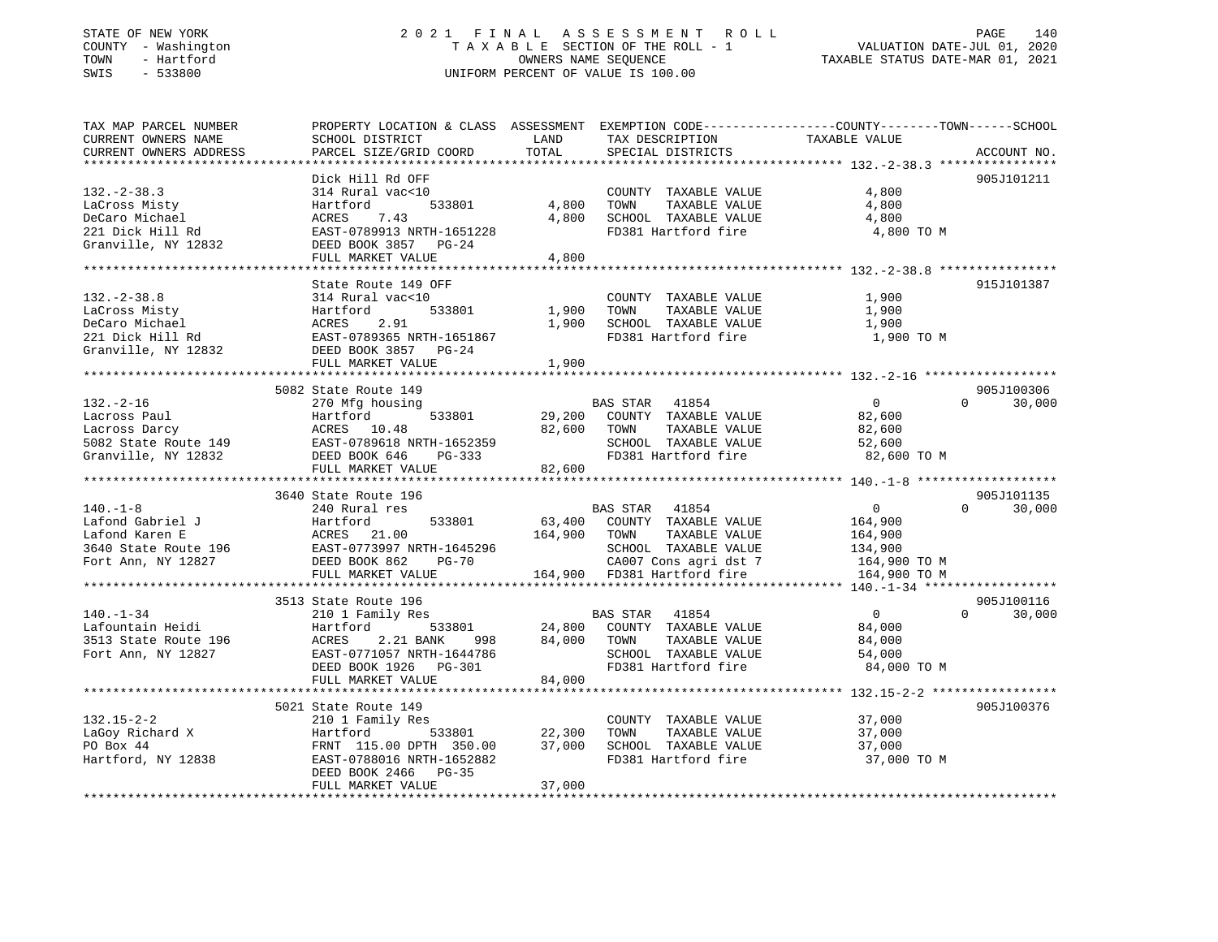### STATE OF NEW YORK 2 0 2 1 F I N A L A S S E S S M E N T R O L L PAGE 140 COUNTY - Washington T A X A B L E SECTION OF THE ROLL - 1 VALUATION DATE-JUL 01, 2020 TOWN - Hartford OWNERS NAME SEQUENCE TAXABLE STATUS DATE-MAR 01, 2021 SWIS - 533800 UNIFORM PERCENT OF VALUE IS 100.00

| TAX MAP PARCEL NUMBER<br>CURRENT OWNERS NAME<br>CURRENT OWNERS ADDRESS | PROPERTY LOCATION & CLASS ASSESSMENT EXEMPTION CODE---------------COUNTY-------TOWN------SCHOOL<br>SCHOOL DISTRICT<br>PARCEL SIZE/GRID COORD | LAND<br>TOTAL    | TAX DESCRIPTION<br>SPECIAL DISTRICTS                                                         | TAXABLE VALUE                             | ACCOUNT NO.          |
|------------------------------------------------------------------------|----------------------------------------------------------------------------------------------------------------------------------------------|------------------|----------------------------------------------------------------------------------------------|-------------------------------------------|----------------------|
| **********************                                                 |                                                                                                                                              |                  |                                                                                              |                                           |                      |
| $132. - 2 - 38.3$<br>LaCross Misty<br>DeCaro Michael                   | Dick Hill Rd OFF<br>314 Rural vac<10<br>Hartford<br>533801<br>ACRES<br>7.43                                                                  | 4,800<br>4,800   | COUNTY TAXABLE VALUE<br>TOWN<br>TAXABLE VALUE<br>SCHOOL TAXABLE VALUE                        | 4,800<br>4,800<br>4,800                   | 905J101211           |
| 221 Dick Hill Rd<br>Granville, NY 12832                                | EAST-0789913 NRTH-1651228<br>DEED BOOK 3857<br>PG-24<br>FULL MARKET VALUE                                                                    | 4,800            | FD381 Hartford fire                                                                          | 4,800 TO M                                |                      |
|                                                                        |                                                                                                                                              |                  |                                                                                              |                                           |                      |
| $132 - 2 - 38.8$<br>LaCross Misty                                      | State Route 149 OFF<br>314 Rural vac<10<br>Hartford<br>533801                                                                                | 1,900            | COUNTY TAXABLE VALUE<br>TOWN<br>TAXABLE VALUE                                                | 1,900<br>1,900                            | 915J101387           |
| DeCaro Michael<br>221 Dick Hill Rd<br>Granville, NY 12832              | ACRES<br>2.91<br>EAST-0789365 NRTH-1651867<br>DEED BOOK 3857 PG-24                                                                           | 1,900            | SCHOOL TAXABLE VALUE<br>FD381 Hartford fire                                                  | 1,900<br>1,900 TO M                       |                      |
|                                                                        | FULL MARKET VALUE                                                                                                                            | 1,900            |                                                                                              |                                           |                      |
|                                                                        |                                                                                                                                              |                  |                                                                                              |                                           |                      |
| $132. - 2 - 16$                                                        | 5082 State Route 149<br>270 Mfg housing                                                                                                      |                  | BAS STAR<br>41854                                                                            | $\overline{0}$<br>$\Omega$                | 905J100306<br>30,000 |
| Lacross Paul<br>Lacross Darcy<br>5082 State Route 149                  | Hartford<br>533801<br>ACRES 10.48<br>------<br>EAST-0789618 NRTH-1652359<br>DEED BOOK 646<br>PG-333                                          | 29,200<br>82,600 | COUNTY TAXABLE VALUE<br>TOWN<br>TAXABLE VALUE<br>SCHOOL TAXABLE VALUE<br>FD381 Hartford fire | 82,600<br>82,600<br>52,600<br>82,600 TO M |                      |
| Granville, NY 12832                                                    | FULL MARKET VALUE                                                                                                                            | 82,600           |                                                                                              |                                           |                      |
| **********************                                                 |                                                                                                                                              |                  |                                                                                              |                                           |                      |
|                                                                        | 3640 State Route 196                                                                                                                         |                  |                                                                                              |                                           | 905J101135           |
| $140. - 1 - 8$                                                         | 240 Rural res                                                                                                                                |                  | BAS STAR 41854                                                                               | $\overline{0}$<br>$\Omega$                | 30,000               |
| Lafond Gabriel J                                                       | Hartford<br>533801                                                                                                                           | 63,400           | COUNTY TAXABLE VALUE                                                                         | 164,900                                   |                      |
| Lafond Karen E                                                         | ACRES<br>21.00                                                                                                                               | 164,900          | TOWN<br>TAXABLE VALUE                                                                        | 164,900                                   |                      |
| 3640 State Route 196                                                   | EAST-0773997 NRTH-1645296                                                                                                                    |                  | SCHOOL TAXABLE VALUE                                                                         | 134,900                                   |                      |
| Fort Ann, NY 12827                                                     | DEED BOOK 862<br>$PG-70$                                                                                                                     |                  | CA007 Cons agri dst 7                                                                        | 164,900 TO M                              |                      |
|                                                                        | FULL MARKET VALUE<br>****************************                                                                                            |                  | 164,900 FD381 Hartford fire                                                                  | 164,900 TO M                              |                      |
|                                                                        | 3513 State Route 196                                                                                                                         |                  |                                                                                              |                                           | 905J100116           |
| $140. - 1 - 34$                                                        | 210 1 Family Res                                                                                                                             |                  | 41854<br>BAS STAR                                                                            | $\overline{0}$<br>$\Omega$                | 30,000               |
| Lafountain Heidi                                                       | Hartford<br>533801                                                                                                                           | 24,800           | COUNTY TAXABLE VALUE                                                                         | 84,000                                    |                      |
| 3513 State Route 196                                                   | 2.21 BANK<br>ACRES<br>998                                                                                                                    | 84,000           | TOWN<br>TAXABLE VALUE                                                                        | 84,000                                    |                      |
| Fort Ann, NY 12827                                                     | EAST-0771057 NRTH-1644786                                                                                                                    |                  | SCHOOL TAXABLE VALUE                                                                         | 54,000                                    |                      |
|                                                                        | DEED BOOK 1926 PG-301                                                                                                                        |                  | FD381 Hartford fire                                                                          | 84,000 TO M                               |                      |
|                                                                        | FULL MARKET VALUE                                                                                                                            | 84,000           |                                                                                              |                                           |                      |
|                                                                        |                                                                                                                                              |                  |                                                                                              |                                           |                      |
|                                                                        | 5021 State Route 149                                                                                                                         |                  |                                                                                              |                                           | 905J100376           |
| $132.15 - 2 - 2$                                                       | 210 1 Family Res                                                                                                                             |                  | COUNTY TAXABLE VALUE                                                                         | 37,000                                    |                      |
| LaGoy Richard X                                                        | Hartford<br>533801                                                                                                                           | 22,300           | TAXABLE VALUE<br>TOWN                                                                        | 37,000                                    |                      |
| PO Box 44                                                              | FRNT 115.00 DPTH 350.00                                                                                                                      | 37,000           | SCHOOL TAXABLE VALUE                                                                         | 37,000                                    |                      |
| Hartford, NY 12838                                                     | EAST-0788016 NRTH-1652882<br>DEED BOOK 2466<br>PG-35                                                                                         |                  | FD381 Hartford fire                                                                          | 37,000 TO M                               |                      |
|                                                                        | FULL MARKET VALUE                                                                                                                            | 37,000           |                                                                                              |                                           |                      |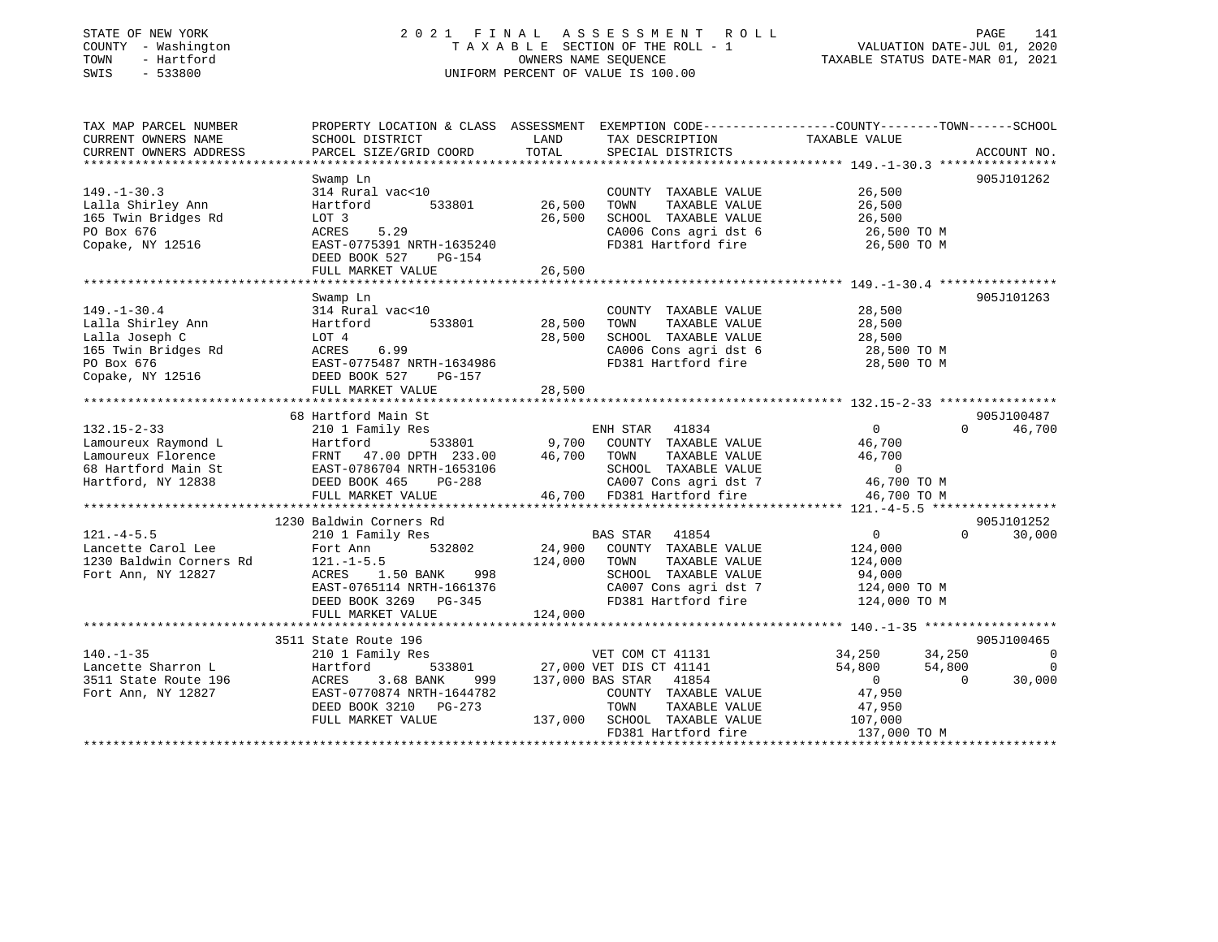### STATE OF NEW YORK 2 0 2 1 F I N A L A S S E S S M E N T R O L L PAGE 141 COUNTY - Washington T A X A B L E SECTION OF THE ROLL - 1 VALUATION DATE-JUL 01, 2020 TOWN - Hartford OWNERS NAME SEQUENCE TAXABLE STATUS DATE-MAR 01, 2021 SWIS - 533800 UNIFORM PERCENT OF VALUE IS 100.00

| TAX MAP PARCEL NUMBER                         | PROPERTY LOCATION & CLASS ASSESSMENT EXEMPTION CODE----------------COUNTY-------TOWN------SCHOOL |                |                                                                                                                                                                                                                                     |                |                          |
|-----------------------------------------------|--------------------------------------------------------------------------------------------------|----------------|-------------------------------------------------------------------------------------------------------------------------------------------------------------------------------------------------------------------------------------|----------------|--------------------------|
| CURRENT OWNERS NAME<br>CURRENT OWNERS ADDRESS | SCHOOL DISTRICT<br>PARCEL SIZE/GRID COORD                                                        | LAND<br>TOTAL  | TAX DESCRIPTION                                                                                                                                                                                                                     | TAXABLE VALUE  | ACCOUNT NO.              |
|                                               |                                                                                                  |                | SPECIAL DISTRICTS                                                                                                                                                                                                                   |                |                          |
|                                               | Swamp Ln                                                                                         |                |                                                                                                                                                                                                                                     |                | 905J101262               |
| $149. - 1 - 30.3$                             | 314 Rural vac<10                                                                                 |                | COUNTY TAXABLE VALUE                                                                                                                                                                                                                | 26,500         |                          |
| Lalla Shirley Ann                             | 533801<br>Hartford                                                                               | 26,500         | TOWN<br>TAXABLE VALUE                                                                                                                                                                                                               | 26,500         |                          |
| 165 Twin Bridges Rd                           | LOT 3                                                                                            | 26,500         | SCHOOL TAXABLE VALUE                                                                                                                                                                                                                | 26,500         |                          |
| PO Box 676                                    | 5.29<br>ACRES                                                                                    |                | CA006 Cons agri dst 6                                                                                                                                                                                                               | 26,500 TO M    |                          |
| Copake, NY 12516                              | EAST-0775391 NRTH-1635240                                                                        |                | FD381 Hartford fire                                                                                                                                                                                                                 | 26,500 TO M    |                          |
|                                               | DEED BOOK 527<br>PG-154                                                                          |                |                                                                                                                                                                                                                                     |                |                          |
|                                               | FULL MARKET VALUE                                                                                | 26,500         |                                                                                                                                                                                                                                     |                |                          |
|                                               |                                                                                                  |                |                                                                                                                                                                                                                                     |                |                          |
|                                               | Swamp Ln                                                                                         |                |                                                                                                                                                                                                                                     |                | 905J101263               |
| $149. - 1 - 30.4$                             | 314 Rural vac<10                                                                                 |                | COUNTY TAXABLE VALUE                                                                                                                                                                                                                | 28,500         |                          |
| Lalla Shirley Ann                             | Hartford                                                                                         | 533801 28,500  | TAXABLE VALUE<br>TOWN                                                                                                                                                                                                               | 28,500         |                          |
| Lalla Joseph C                                | LOT 4                                                                                            | 28,500         | SCHOOL TAXABLE VALUE                                                                                                                                                                                                                | 28,500         |                          |
| 165 Twin Bridges Rd                           | 6.99<br>ACRES                                                                                    |                | CA006 Cons agri dst 6                                                                                                                                                                                                               | 28,500 TO M    |                          |
| PO Box 676                                    | EAST-0775487 NRTH-1634986                                                                        |                | FD381 Hartford fire                                                                                                                                                                                                                 | 28,500 TO M    |                          |
| Copake, NY 12516                              | DEED BOOK 527<br>PG-157                                                                          |                |                                                                                                                                                                                                                                     |                |                          |
|                                               | FULL MARKET VALUE                                                                                | 28,500         |                                                                                                                                                                                                                                     |                |                          |
|                                               |                                                                                                  |                |                                                                                                                                                                                                                                     |                |                          |
|                                               | 68 Hartford Main St                                                                              |                |                                                                                                                                                                                                                                     |                | 905J100487               |
| $132.15 - 2 - 33$                             | 210 1 Family Res<br>533801                                                                       | 9,700          | ENH STAR 41834<br>COUNTY TAXABLE VALUE                                                                                                                                                                                              | $\overline{0}$ | 46,700<br>$\Omega$       |
| Lamoureux Raymond L                           | Hartford                                                                                         |                |                                                                                                                                                                                                                                     | 46,700         |                          |
| Lamoureux Florence<br>68 Hartford Main St     | FRNT 47.00 LL 1.1<br>EAST-0786704 NRTH-1653106<br>COLLACE DG-288                                 | 46,700         | TOWN<br>TAXABLE VALUE                                                                                                                                                                                                               | 46,700         |                          |
| Hartford, NY 12838                            | DEED BOOK 465<br>PG-288                                                                          | $\overline{a}$ | ${\tt SCH OOL} \quad {\tt TAXABLE} \quad {\tt VALUE} \qquad \qquad {\tt O} \nonumber \\ {\tt C A007} \quad {\tt Cons} \quad {\tt agri} \quad {\tt dt} \quad {\tt 7} \qquad \qquad {\tt 46,700} \, {\tt TO} \, {\tt M} \nonumber \\$ |                |                          |
|                                               | FULL MARKET VALUE                                                                                |                | 46,700 FD381 Hartford fire                                                                                                                                                                                                          | 46,700 TO M    |                          |
|                                               |                                                                                                  |                |                                                                                                                                                                                                                                     |                |                          |
|                                               | 1230 Baldwin Corners Rd                                                                          |                |                                                                                                                                                                                                                                     |                | 905J101252               |
| $121. -4 - 5.5$                               | 210 1 Family Res                                                                                 |                | BAS STAR 41854                                                                                                                                                                                                                      | $\overline{0}$ | $\Omega$<br>30,000       |
| Lancette Carol Lee                            | 532802<br>Fort Ann                                                                               | 24,900         | COUNTY TAXABLE VALUE                                                                                                                                                                                                                | 124,000        |                          |
| 1230 Baldwin Corners Rd                       | $121. - 1 - 5.5$                                                                                 | 124,000        | TAXABLE VALUE<br>TOWN                                                                                                                                                                                                               | 124,000        |                          |
| Fort Ann, NY 12827                            | 1.50 BANK<br>998<br>ACRES                                                                        |                | SCHOOL TAXABLE VALUE                                                                                                                                                                                                                | 94,000         |                          |
|                                               | EAST-0765114 NRTH-1661376                                                                        |                | CA007 Cons agri dst 7                                                                                                                                                                                                               | 124,000 TO M   |                          |
|                                               | DEED BOOK 3269 PG-345                                                                            |                | FD381 Hartford fire                                                                                                                                                                                                                 | 124,000 TO M   |                          |
|                                               | FULL MARKET VALUE                                                                                | 124,000        |                                                                                                                                                                                                                                     |                |                          |
|                                               |                                                                                                  |                |                                                                                                                                                                                                                                     |                |                          |
|                                               | 3511 State Route 196                                                                             |                |                                                                                                                                                                                                                                     |                | 905J100465               |
| $140. - 1 - 35$                               | 210 1 Family Res                                                                                 |                | VET COM CT 41131                                                                                                                                                                                                                    | 34,250         | 34,250<br>$\overline{0}$ |
| Lancette Sharron L                            | Hartford                                                                                         |                | 533801 27,000 VET DIS CT 41141                                                                                                                                                                                                      | 54,800         | 54,800<br>$\overline{0}$ |
| 3511 State Route 196                          | 3.68 BANK<br>ACRES<br>999                                                                        |                | 137,000 BAS STAR 41854                                                                                                                                                                                                              | $\sim$ 0       | 30,000<br>$\Omega$       |
| Fort Ann, NY 12827                            | EAST-0770874 NRTH-1644782                                                                        |                | COUNTY TAXABLE VALUE                                                                                                                                                                                                                | 47,950         |                          |
|                                               | DEED BOOK 3210 PG-273                                                                            |                | TOWN<br>TAXABLE VALUE                                                                                                                                                                                                               | 47,950         |                          |
|                                               | FULL MARKET VALUE                                                                                | 137,000        | SCHOOL TAXABLE VALUE                                                                                                                                                                                                                | 107,000        |                          |
|                                               |                                                                                                  |                | FD381 Hartford fire                                                                                                                                                                                                                 | 137,000 TO M   |                          |
|                                               |                                                                                                  |                |                                                                                                                                                                                                                                     |                |                          |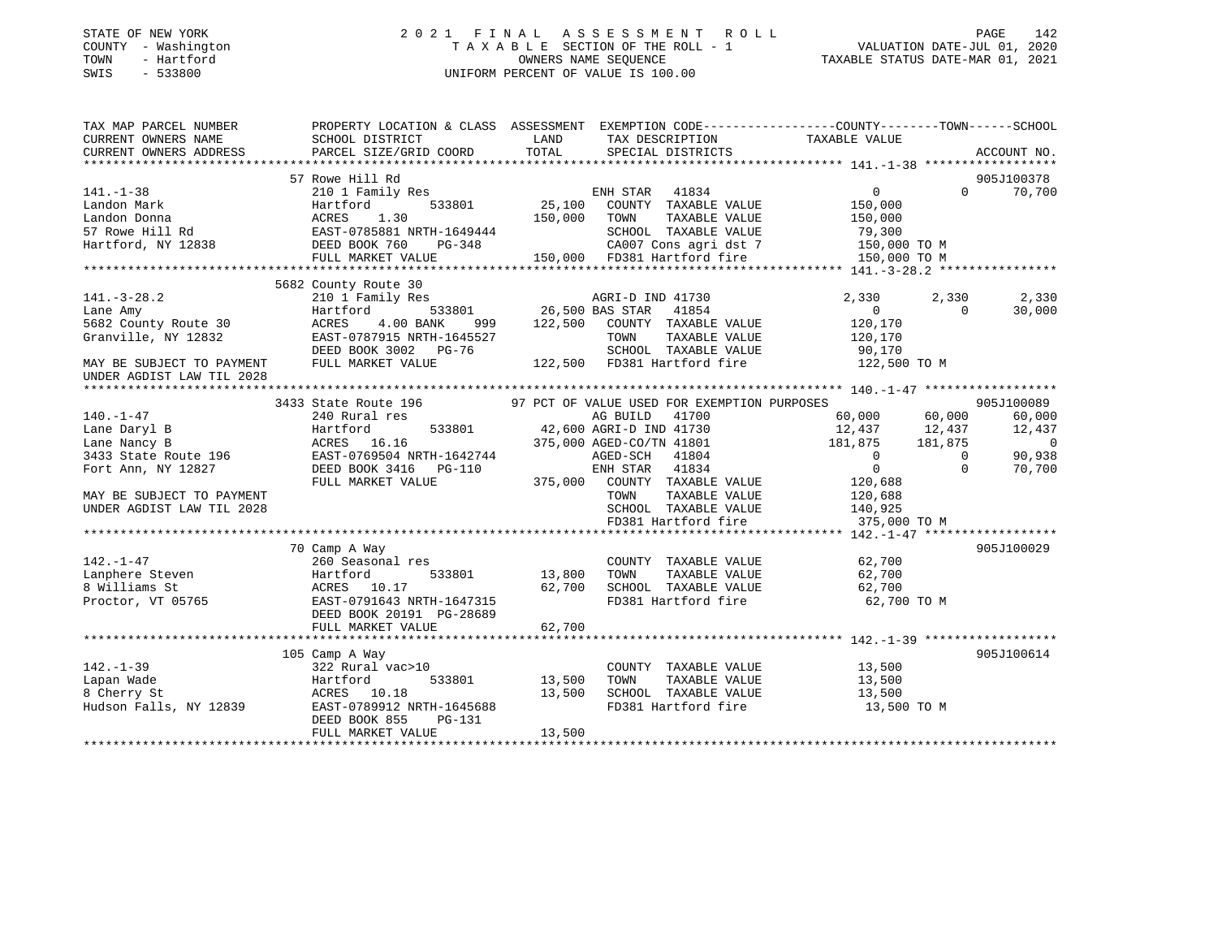### STATE OF NEW YORK 2 0 2 1 F I N A L A S S E S S M E N T R O L L PAGE 142 COUNTY - Washington T A X A B L E SECTION OF THE ROLL - 1 VALUATION DATE-JUL 01, 2020 TOWN - Hartford OWNERS NAME SEQUENCE TAXABLE STATUS DATE-MAR 01, 2021 SWIS - 533800 UNIFORM PERCENT OF VALUE IS 100.00

| TAX MAP PARCEL NUMBER                                  | PROPERTY LOCATION & CLASS ASSESSMENT EXEMPTION CODE----------------COUNTY-------TOWN------SCHOOL                         |                                   |                                                                                                                             |                                       |                |                          |
|--------------------------------------------------------|--------------------------------------------------------------------------------------------------------------------------|-----------------------------------|-----------------------------------------------------------------------------------------------------------------------------|---------------------------------------|----------------|--------------------------|
| CURRENT OWNERS NAME                                    | SCHOOL DISTRICT                                                                                                          | <b>EXAMPLE THE STATE OF STATE</b> | TAX DESCRIPTION                                                                                                             | TAXABLE VALUE                         |                |                          |
| CURRENT OWNERS ADDRESS                                 | PARCEL SIZE/GRID COORD                                                                                                   | TOTAL                             | SPECIAL DISTRICTS                                                                                                           |                                       |                | ACCOUNT NO.              |
|                                                        |                                                                                                                          |                                   |                                                                                                                             |                                       |                |                          |
|                                                        | 57 Rowe Hill Rd                                                                                                          |                                   |                                                                                                                             |                                       |                | 905J100378               |
| $141. - 1 - 38$                                        |                                                                                                                          |                                   |                                                                                                                             | $\overline{0}$                        |                | 70,700<br>$\Omega$       |
|                                                        |                                                                                                                          |                                   |                                                                                                                             |                                       |                |                          |
|                                                        |                                                                                                                          |                                   |                                                                                                                             |                                       |                |                          |
|                                                        |                                                                                                                          |                                   |                                                                                                                             |                                       |                |                          |
|                                                        |                                                                                                                          |                                   |                                                                                                                             |                                       |                |                          |
|                                                        |                                                                                                                          |                                   |                                                                                                                             |                                       |                |                          |
|                                                        |                                                                                                                          |                                   |                                                                                                                             |                                       |                |                          |
|                                                        |                                                                                                                          |                                   |                                                                                                                             |                                       |                |                          |
| $141. - 3 - 28.2$                                      | 210 1 Family Res                                                                                                         |                                   | 1.1y Res - 3.3801 - 26,500 BAS STAR - 41730<br>533801 - 26,500 BAS STAR - 41854<br>1.00 BANK - 999 - 122,500 COUNTY TAXABLE | 2,330                                 | 2,330          | 2,330                    |
| Lane Amy                                               | Hartford                                                                                                                 |                                   |                                                                                                                             | $\overline{0}$                        | $\Omega$       | 30,000                   |
| 5682 County Route 30                                   | 4.00 BANK<br>ACRES                                                                                                       |                                   | COUNTY TAXABLE VALUE                                                                                                        | 120,170                               |                |                          |
| Granville, NY 12832                                    |                                                                                                                          |                                   | TOWN TAXABLE VALUE 120,170<br>SCHOOL TAXABLE VALUE 190,170                                                                  |                                       |                |                          |
|                                                        | DEED BOOK 3002 PG-76<br>FULL MARKET WATER                                                                                |                                   |                                                                                                                             |                                       |                |                          |
| MAY BE SUBJECT TO PAYMENT<br>UNDER AGDIST LAW TIL 2028 | FULL MARKET VALUE                                                                                                        |                                   | 122,500 FD381 Hartford fire 122,500 TO M                                                                                    |                                       |                |                          |
|                                                        |                                                                                                                          |                                   |                                                                                                                             |                                       |                |                          |
|                                                        |                                                                                                                          |                                   |                                                                                                                             |                                       |                | 905J100089               |
| $140. - 1 - 47$                                        | 240 Rural res                                                                                                            |                                   | 41700<br>AG BUILD                                                                                                           | 60,000 60,000                         |                | 60,000                   |
| Lane Daryl B                                           | Hartford<br>ACRES 16.16                                                                                                  |                                   | 533801 42,600 AGRI-D IND 41730<br>375.000 AGED-CO/TN 41801                                                                  | 12,437 12,437<br>181,875 181,875      |                | 12,437                   |
| Lane Nancy B                                           |                                                                                                                          |                                   |                                                                                                                             |                                       |                | $\overline{\phantom{0}}$ |
|                                                        |                                                                                                                          |                                   |                                                                                                                             |                                       | $\overline{0}$ | 90,938                   |
|                                                        | 2433 State Route 196 EAST-0769504 NRTH-1642744 AGED-SCH 41804<br>Fort Ann, NY 12827 DEED BOOK 3416 PG-110 ENH STAR 41834 |                                   |                                                                                                                             | $\begin{array}{c} 0 \\ 0 \end{array}$ | $\Omega$       | 70,700                   |
|                                                        | FULL MARKET VALUE                                                                                                        |                                   | 375,000 COUNTY TAXABLE VALUE 120,688                                                                                        |                                       |                |                          |
| MAY BE SUBJECT TO PAYMENT                              |                                                                                                                          |                                   | TAXABLE VALUE<br>TOWN                                                                                                       | 120,688                               |                |                          |
| UNDER AGDIST LAW TIL 2028                              |                                                                                                                          |                                   | SCHOOL TAXABLE VALUE 140,925                                                                                                |                                       |                |                          |
|                                                        |                                                                                                                          |                                   | FD381 Hartford fire                                                                                                         | 375,000 TO M                          |                |                          |
|                                                        |                                                                                                                          |                                   |                                                                                                                             |                                       |                |                          |
|                                                        | 70 Camp A Way                                                                                                            |                                   |                                                                                                                             |                                       |                | 905J100029               |
| $142. - 1 - 47$                                        | 260 Seasonal res                                                                                                         |                                   | COUNTY TAXABLE VALUE 62,700                                                                                                 |                                       |                |                          |
|                                                        |                                                                                                                          |                                   |                                                                                                                             |                                       |                |                          |
|                                                        |                                                                                                                          |                                   |                                                                                                                             |                                       |                |                          |
|                                                        |                                                                                                                          |                                   |                                                                                                                             |                                       |                |                          |
|                                                        | DEED BOOK 20191 PG-28689                                                                                                 |                                   |                                                                                                                             |                                       |                |                          |
|                                                        | FULL MARKET VALUE                                                                                                        | 62,700                            |                                                                                                                             |                                       |                |                          |
|                                                        |                                                                                                                          |                                   |                                                                                                                             |                                       |                |                          |
|                                                        | 105 Camp A Way                                                                                                           |                                   |                                                                                                                             |                                       |                | 905J100614               |
| $142. - 1 - 39$                                        | 322 Rural vac>10                                                                                                         |                                   | COUNTY TAXABLE VALUE                                                                                                        | 13,500                                |                |                          |
| Lapan Wade                                             | 533801 13,500<br>Hartford                                                                                                |                                   | TAXABLE VALUE<br>TOWN                                                                                                       | 13,500                                |                |                          |
| 8 Cherry St                                            | ACRES 10.18                                                                                                              | 13,500                            | SCHOOL TAXABLE VALUE                                                                                                        | $\frac{1}{13}, \frac{1}{500}$         |                |                          |
| Hudson Falls, NY 12839                                 | EAST-0789912 NRTH-1645688                                                                                                |                                   | FD381 Hartford fire                                                                                                         | 13,500 TO M                           |                |                          |
|                                                        | DEED BOOK 855<br>PG-131                                                                                                  |                                   |                                                                                                                             |                                       |                |                          |
|                                                        | FULL MARKET VALUE                                                                                                        | 13,500                            |                                                                                                                             |                                       |                |                          |
|                                                        |                                                                                                                          |                                   |                                                                                                                             |                                       |                |                          |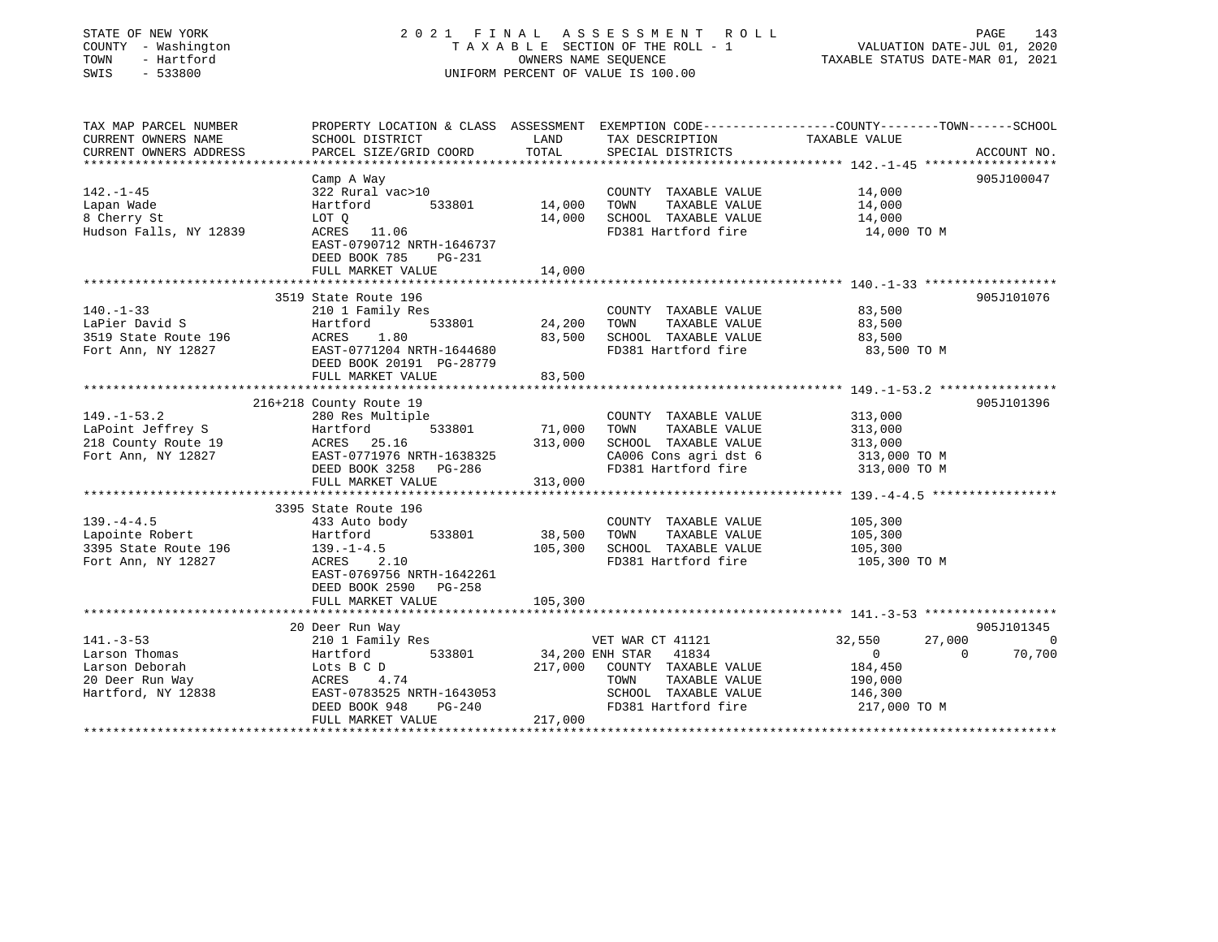| STATE OF NEW YORK                                                                                                                                                                                                                                                      |                                                                                                |                                                                 |                                               |                  |             |
|------------------------------------------------------------------------------------------------------------------------------------------------------------------------------------------------------------------------------------------------------------------------|------------------------------------------------------------------------------------------------|-----------------------------------------------------------------|-----------------------------------------------|------------------|-------------|
| COUNTY - Washington                                                                                                                                                                                                                                                    | TAXABLE SECTION OF THE ROLL - 1                                                                | VALUATION DATE-JUL 01, 2020<br>TAXABLE STATUS DATE-MAR 01, 2021 |                                               |                  |             |
| TOWN<br>- Hartford                                                                                                                                                                                                                                                     |                                                                                                | OWNERS NAME SEOUENCE<br>UNIFORM PERCENT OF VALUE IS 100.00      |                                               |                  |             |
| SWIS<br>$-533800$                                                                                                                                                                                                                                                      |                                                                                                |                                                                 |                                               |                  |             |
| TAX MAP PARCEL NUMBER                                                                                                                                                                                                                                                  | PROPERTY LOCATION & CLASS ASSESSMENT EXEMPTION CODE---------------COUNTY-------TOWN-----SCHOOL |                                                                 |                                               |                  |             |
| CURRENT OWNERS NAME                                                                                                                                                                                                                                                    | SCHOOL DISTRICT                                                                                | LAND                                                            | TAX DESCRIPTION                               | TAXABLE VALUE    |             |
| CURRENT OWNERS ADDRESS                                                                                                                                                                                                                                                 | PARCEL SIZE/GRID COORD                                                                         | TOTAL<br>************                                           | SPECIAL DISTRICTS                             |                  | ACCOUNT NO. |
|                                                                                                                                                                                                                                                                        | Camp A Way                                                                                     |                                                                 |                                               |                  | 905J100047  |
| $142. - 1 - 45$                                                                                                                                                                                                                                                        | 322 Rural vac>10                                                                               |                                                                 | COUNTY TAXABLE VALUE                          | 14,000           |             |
| Lapan Wade                                                                                                                                                                                                                                                             | 533801<br>Hartford                                                                             | 14,000                                                          | TAXABLE VALUE<br>TOWN                         | 14,000           |             |
| 8 Cherry St                                                                                                                                                                                                                                                            | LOT Q                                                                                          | 14,000                                                          | SCHOOL TAXABLE VALUE                          | 14,000           |             |
| Hudson Falls, NY 12839                                                                                                                                                                                                                                                 | ACRES 11.06<br>EAST-0790712 NRTH-1646737<br>DEED BOOK 785<br>PG-231                            |                                                                 | FD381 Hartford fire                           | 14,000 TO M      |             |
|                                                                                                                                                                                                                                                                        | FULL MARKET VALUE                                                                              | 14,000                                                          |                                               |                  |             |
|                                                                                                                                                                                                                                                                        |                                                                                                |                                                                 |                                               |                  |             |
| $140. - 1 - 33$                                                                                                                                                                                                                                                        | 3519 State Route 196<br>210 1 Family Res                                                       |                                                                 |                                               | 83,500           | 905J101076  |
| LaPier David S                                                                                                                                                                                                                                                         | Hartford<br>533801                                                                             | 24,200                                                          | COUNTY TAXABLE VALUE<br>TOWN<br>TAXABLE VALUE | 83,500           |             |
| 3519 State Route 196                                                                                                                                                                                                                                                   | ACRES<br>1.80                                                                                  | 83,500                                                          | SCHOOL TAXABLE VALUE                          | 83,500           |             |
|                                                                                                                                                                                                                                                                        |                                                                                                |                                                                 |                                               |                  |             |
|                                                                                                                                                                                                                                                                        |                                                                                                |                                                                 |                                               |                  |             |
|                                                                                                                                                                                                                                                                        | EAST-0771204 NRTH-1644680<br>DEED BOOK 20191 PG-28779                                          |                                                                 | FD381 Hartford fire                           | 83,500 TO M      |             |
|                                                                                                                                                                                                                                                                        | FULL MARKET VALUE                                                                              | 83,500                                                          |                                               |                  |             |
|                                                                                                                                                                                                                                                                        | *****************************                                                                  |                                                                 |                                               |                  |             |
|                                                                                                                                                                                                                                                                        | 216+218 County Route 19                                                                        |                                                                 |                                               |                  | 905J101396  |
|                                                                                                                                                                                                                                                                        | 280 Res Multiple                                                                               |                                                                 | COUNTY TAXABLE VALUE                          | 313,000          |             |
|                                                                                                                                                                                                                                                                        | 533801<br>Hartford                                                                             | 71,000                                                          | TOWN<br>TAXABLE VALUE                         | 313,000          |             |
|                                                                                                                                                                                                                                                                        | ACRES 25.16                                                                                    | 313,000                                                         | SCHOOL TAXABLE VALUE                          | 313,000          |             |
|                                                                                                                                                                                                                                                                        | EAST-0771976 NRTH-1638325                                                                      |                                                                 | CA006 Cons agri dst 6                         | 313,000 TO M     |             |
|                                                                                                                                                                                                                                                                        | DEED BOOK 3258<br>PG-286                                                                       |                                                                 | FD381 Hartford fire                           | 313,000 TO M     |             |
|                                                                                                                                                                                                                                                                        | FULL MARKET VALUE                                                                              | 313,000                                                         |                                               |                  |             |
|                                                                                                                                                                                                                                                                        | 3395 State Route 196                                                                           |                                                                 |                                               |                  |             |
|                                                                                                                                                                                                                                                                        | 433 Auto body                                                                                  |                                                                 | COUNTY TAXABLE VALUE                          | 105,300          |             |
|                                                                                                                                                                                                                                                                        | Hartford<br>533801                                                                             | 38,500                                                          | TAXABLE VALUE<br>TOWN                         | 105,300          |             |
|                                                                                                                                                                                                                                                                        | $139. - 1 - 4.5$                                                                               | 105,300                                                         | SCHOOL TAXABLE VALUE                          | 105,300          |             |
|                                                                                                                                                                                                                                                                        | ACRES<br>2.10                                                                                  |                                                                 | FD381 Hartford fire                           | 105,300 TO M     |             |
|                                                                                                                                                                                                                                                                        | EAST-0769756 NRTH-1642261                                                                      |                                                                 |                                               |                  |             |
|                                                                                                                                                                                                                                                                        | DEED BOOK 2590<br>PG-258                                                                       |                                                                 |                                               |                  |             |
|                                                                                                                                                                                                                                                                        | FULL MARKET VALUE                                                                              | 105,300                                                         |                                               |                  |             |
|                                                                                                                                                                                                                                                                        |                                                                                                |                                                                 |                                               |                  |             |
|                                                                                                                                                                                                                                                                        | 20 Deer Run Way                                                                                |                                                                 |                                               |                  | 905J101345  |
|                                                                                                                                                                                                                                                                        | 210 1 Family Res                                                                               |                                                                 | VET WAR CT 41121                              | 32,550<br>27,000 |             |
|                                                                                                                                                                                                                                                                        | 533801<br>Hartford                                                                             |                                                                 | 34,200 ENH STAR<br>41834                      | $\bigcirc$       | $\Omega$    |
|                                                                                                                                                                                                                                                                        | Lots B C D                                                                                     | 217,000                                                         | COUNTY TAXABLE VALUE                          | 184,450          | 0<br>70,700 |
| Fort Ann, NY 12827<br>$149. - 1 - 53.2$<br>LaPoint Jeffrey S<br>218 County Route 19<br>Fort Ann, NY 12827<br>$139. -4 - 4.5$<br>Lapointe Robert<br>3395 State Route 196<br>Fort Ann, NY 12827<br>$141. - 3 - 53$<br>Larson Thomas<br>Larson Deborah<br>20 Deer Run Way | ACRES<br>4.74                                                                                  |                                                                 | TOWN<br>TAXABLE VALUE                         | 190,000          |             |
| Hartford, NY 12838                                                                                                                                                                                                                                                     | EAST-0783525 NRTH-1643053                                                                      |                                                                 | SCHOOL TAXABLE VALUE                          | 146,300          |             |
|                                                                                                                                                                                                                                                                        | DEED BOOK 948<br>PG-240                                                                        |                                                                 | FD381 Hartford fire                           | 217,000 TO M     |             |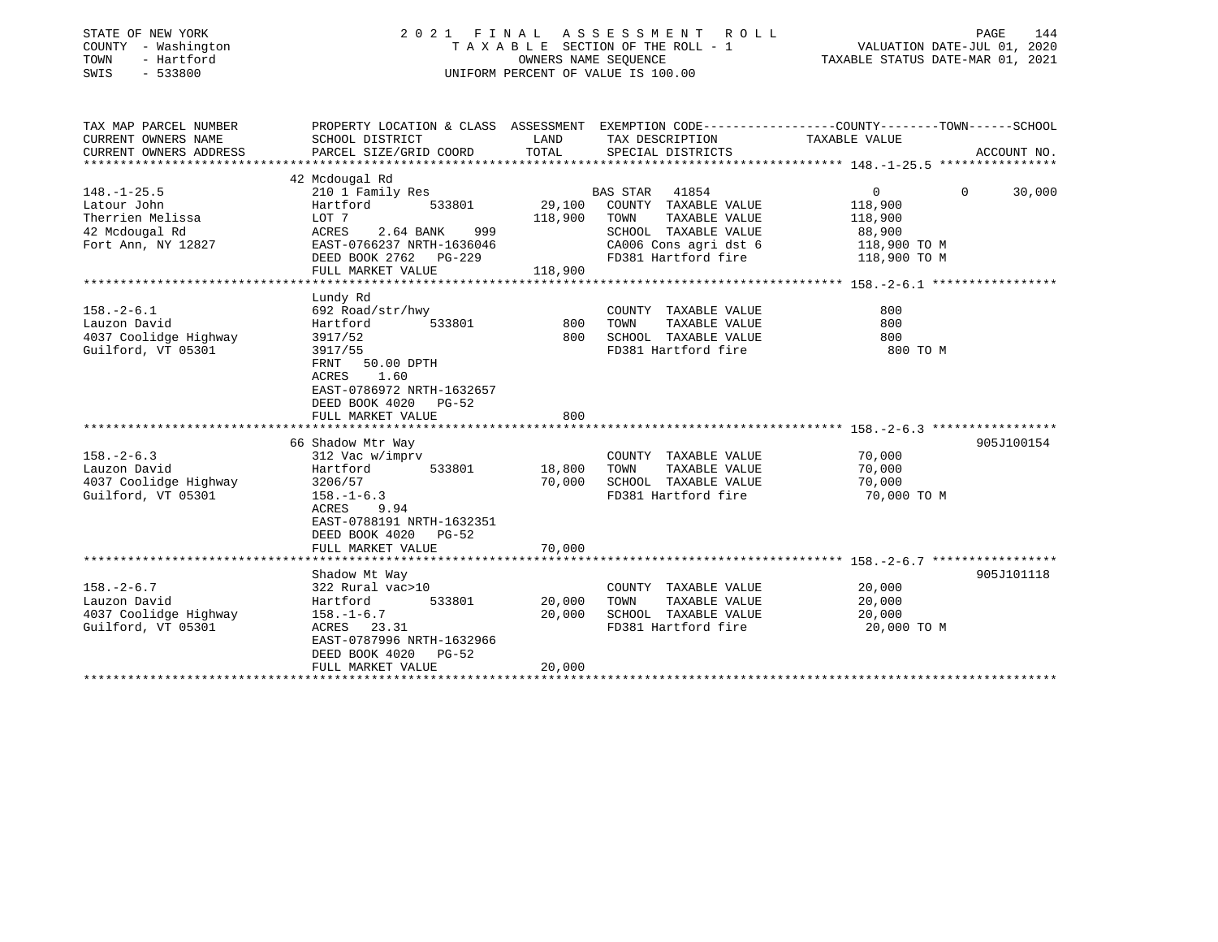| STATE OF NEW YORK<br>COUNTY - Washington<br>TOWN<br>- Hartford<br>SWIS<br>$-533800$ |                                                   | OWNERS NAME SEQUENCE              | 2021 FINAL ASSESSMENT<br>R O L L<br>TAXABLE SECTION OF THE ROLL - 1<br>UNIFORM PERCENT OF VALUE IS 100.00 | PAGE<br>VALUATION DATE-JUL 01, 2020<br>TAXABLE STATUS DATE-MAR 01, 2021                         | 144         |
|-------------------------------------------------------------------------------------|---------------------------------------------------|-----------------------------------|-----------------------------------------------------------------------------------------------------------|-------------------------------------------------------------------------------------------------|-------------|
| TAX MAP PARCEL NUMBER                                                               |                                                   |                                   |                                                                                                           | PROPERTY LOCATION & CLASS ASSESSMENT EXEMPTION CODE---------------COUNTY-------TOWN------SCHOOL |             |
| CURRENT OWNERS NAME                                                                 | SCHOOL DISTRICT                                   | LAND                              | TAX DESCRIPTION                                                                                           | TAXABLE VALUE                                                                                   |             |
| CURRENT OWNERS ADDRESS<br>**********************                                    | PARCEL SIZE/GRID COORD                            | TOTAL                             | SPECIAL DISTRICTS                                                                                         |                                                                                                 | ACCOUNT NO. |
|                                                                                     | 42 Mcdougal Rd                                    |                                   |                                                                                                           |                                                                                                 |             |
| $148. - 1 - 25.5$                                                                   | 210 1 Family Res                                  |                                   | <b>BAS STAR</b><br>41854                                                                                  | $\overline{0}$<br>$\Omega$                                                                      | 30,000      |
| Latour John                                                                         | Hartford<br>533801                                | 29,100                            | COUNTY TAXABLE VALUE                                                                                      | 118,900                                                                                         |             |
| Therrien Melissa                                                                    | LOT 7                                             | 118,900                           | TOWN<br>TAXABLE VALUE                                                                                     | 118,900                                                                                         |             |
| 42 Mcdougal Rd                                                                      | 2.64 BANK<br>999<br>ACRES                         |                                   | SCHOOL TAXABLE VALUE                                                                                      | 88,900                                                                                          |             |
| Fort Ann, NY 12827                                                                  | EAST-0766237 NRTH-1636046                         |                                   | CA006 Cons agri dst 6                                                                                     | 118,900 TO M                                                                                    |             |
|                                                                                     | DEED BOOK 2762 PG-229                             |                                   | FD381 Hartford fire                                                                                       | 118,900 TO M                                                                                    |             |
|                                                                                     | FULL MARKET VALUE                                 | 118,900                           |                                                                                                           |                                                                                                 |             |
|                                                                                     | Lundy Rd                                          |                                   |                                                                                                           |                                                                                                 |             |
| $158. - 2 - 6.1$                                                                    | 692 Road/str/hwy                                  |                                   | COUNTY TAXABLE VALUE                                                                                      | 800                                                                                             |             |
| Lauzon David                                                                        | 533801<br>Hartford                                | 800                               | TOWN<br>TAXABLE VALUE                                                                                     | 800                                                                                             |             |
| 4037 Coolidge Highway                                                               | 3917/52                                           | 800                               | SCHOOL TAXABLE VALUE                                                                                      | 800                                                                                             |             |
| Guilford, VT 05301                                                                  | 3917/55                                           |                                   | FD381 Hartford fire                                                                                       | 800 TO M                                                                                        |             |
|                                                                                     | FRNT<br>50.00 DPTH                                |                                   |                                                                                                           |                                                                                                 |             |
|                                                                                     | ACRES<br>1.60                                     |                                   |                                                                                                           |                                                                                                 |             |
|                                                                                     | EAST-0786972 NRTH-1632657                         |                                   |                                                                                                           |                                                                                                 |             |
|                                                                                     | DEED BOOK 4020<br>PG-52                           |                                   |                                                                                                           |                                                                                                 |             |
|                                                                                     | FULL MARKET VALUE                                 | 800                               |                                                                                                           |                                                                                                 |             |
|                                                                                     | 66 Shadow Mtr Way                                 |                                   |                                                                                                           | 905J100154                                                                                      |             |
| $158. - 2 - 6.3$                                                                    | 312 Vac w/imprv                                   |                                   | COUNTY TAXABLE VALUE                                                                                      | 70,000                                                                                          |             |
| Lauzon David                                                                        | 533801<br>Hartford                                | 18,800                            | TOWN<br>TAXABLE VALUE                                                                                     | 70,000                                                                                          |             |
| 4037 Coolidge Highway                                                               | 3206/57                                           | 70,000                            | SCHOOL TAXABLE VALUE                                                                                      | 70,000                                                                                          |             |
| Guilford, VT 05301                                                                  | $158. - 1 - 6.3$                                  |                                   | FD381 Hartford fire                                                                                       | 70,000 TO M                                                                                     |             |
|                                                                                     | ACRES<br>9.94                                     |                                   |                                                                                                           |                                                                                                 |             |
|                                                                                     | EAST-0788191 NRTH-1632351                         |                                   |                                                                                                           |                                                                                                 |             |
|                                                                                     | DEED BOOK 4020<br>$PG-52$                         |                                   |                                                                                                           |                                                                                                 |             |
|                                                                                     | FULL MARKET VALUE<br>**************************** | 70,000<br>* * * * * * * * * * * * |                                                                                                           |                                                                                                 |             |
|                                                                                     | Shadow Mt Way                                     |                                   |                                                                                                           | 905J101118                                                                                      |             |
| $158. - 2 - 6.7$                                                                    | 322 Rural vac>10                                  |                                   | COUNTY TAXABLE VALUE                                                                                      | 20,000                                                                                          |             |
| Lauzon David                                                                        | 533801<br>Hartford                                | 20,000                            | TOWN<br>TAXABLE VALUE                                                                                     | 20,000                                                                                          |             |
| 4037 Coolidge Highway                                                               | $158. - 1 - 6.7$                                  | 20,000                            | SCHOOL TAXABLE VALUE                                                                                      | 20,000                                                                                          |             |
| Guilford, VT 05301                                                                  | ACRES 23.31                                       |                                   | FD381 Hartford fire                                                                                       | 20,000 TO M                                                                                     |             |
|                                                                                     | EAST-0787996 NRTH-1632966                         |                                   |                                                                                                           |                                                                                                 |             |
|                                                                                     | DEED BOOK 4020<br><b>PG-52</b>                    |                                   |                                                                                                           |                                                                                                 |             |
|                                                                                     | FULL MARKET VALUE                                 | 20,000                            |                                                                                                           |                                                                                                 |             |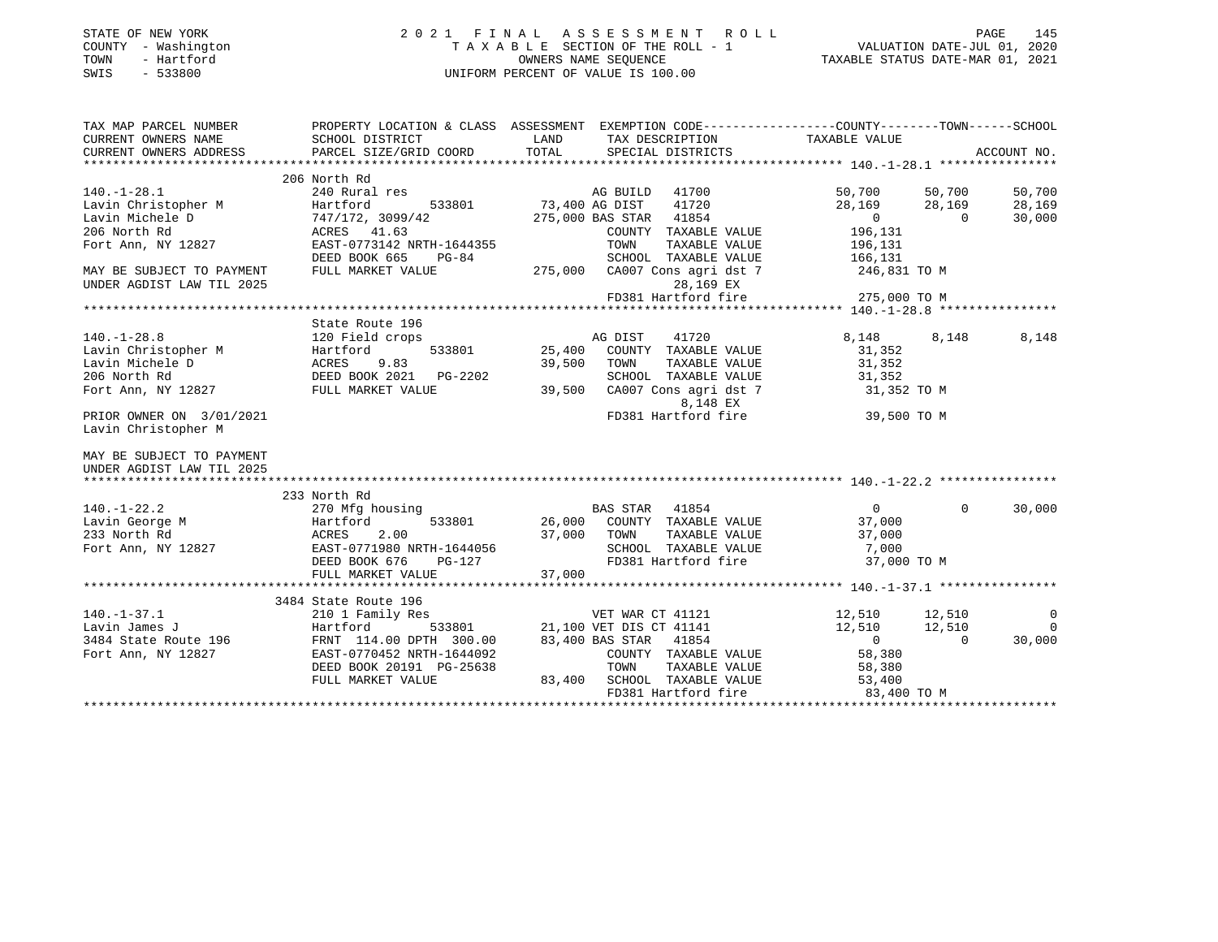| STATE OF NEW YORK<br>COUNTY - Washington<br>- Hartford<br>TOWN<br>SWIS<br>$-533800$                                                                                                    | 2021 FINAL ASSESSMENT ROLL<br>UNIFORM PERCENT OF VALUE IS 100.00 | PAGE 145    PAGE 145    PAGE 145<br>TAXABLE SECTION OF THE ROLL - 1    VALUATION DATE-JUL 01, 2020<br>OWNERS NAME SEQUENCE TAXABLE STATUS DATE-MAR 01, 2021                         |                                  |                |
|----------------------------------------------------------------------------------------------------------------------------------------------------------------------------------------|------------------------------------------------------------------|-------------------------------------------------------------------------------------------------------------------------------------------------------------------------------------|----------------------------------|----------------|
| CURRENT OWNERS NAME<br>CURRENT OWNERS ADDRESS                                                                                                                                          | SCHOOL DISTRICT<br>PARCEL SIZE/GRID COORD                        | TAX MAP PARCEL NUMBER THE PROPERTY LOCATION & CLASS ASSESSMENT EXEMPTION CODE---------------COUNTY--------TOWN------SCHOOL<br>LAND<br>TAX DESCRIPTION<br>TOTAL<br>SPECIAL DISTRICTS | TAXABLE VALUE                    | ACCOUNT NO.    |
|                                                                                                                                                                                        | 206 North Rd                                                     |                                                                                                                                                                                     |                                  |                |
| $140.-1-28.1$                                                                                                                                                                          | 240 Rural res                                                    | AG BUILD 41700                                                                                                                                                                      | 50,700<br>50,700                 | 50,700         |
| Lavin Christopher M                                                                                                                                                                    | 533801<br>Hartford                                               | AG BUILD<br>73,400 AG DIST<br>41720                                                                                                                                                 | 28,169<br>28,169                 | 28,169         |
| Lavin Michele D                                                                                                                                                                        | 747/172, 3099/42                                                 | 275,000 BAS STAR 41854                                                                                                                                                              | $\overline{0}$<br>$\overline{0}$ | 30,000         |
| 206 North Rd                                                                                                                                                                           | ACRES 41.63                                                      | COUNTY TAXABLE VALUE                                                                                                                                                                | 196,131                          |                |
| Fort Ann, NY 12827                                                                                                                                                                     | EAST-0773142 NRTH-1644355                                        | TOWN<br>TAXABLE VALUE                                                                                                                                                               | 196,131                          |                |
|                                                                                                                                                                                        | DEED BOOK 665<br>PG-84                                           | SCHOOL TAXABLE VALUE                                                                                                                                                                | 166,131                          |                |
| MAY BE SUBJECT TO PAYMENT                                                                                                                                                              | FULL MARKET VALUE                                                | 275,000<br>CA007 Cons agri dst 7                                                                                                                                                    | 246,831 TO M                     |                |
| UNDER AGDIST LAW TIL 2025                                                                                                                                                              |                                                                  | 28,169 EX                                                                                                                                                                           |                                  |                |
|                                                                                                                                                                                        |                                                                  | FD381 Hartford fire                                                                                                                                                                 | 275,000 TO M                     |                |
|                                                                                                                                                                                        |                                                                  |                                                                                                                                                                                     |                                  |                |
|                                                                                                                                                                                        | State Route 196                                                  |                                                                                                                                                                                     |                                  |                |
| $140. - 1 - 28.8$                                                                                                                                                                      | 120 Field crops                                                  | AG DIST<br>41720<br>AC<br>25,400                                                                                                                                                    | 8,148<br>8,148                   | 8,148          |
| 140.-1-26.0<br>Lavin Christopher M<br>Lavin Michele D<br>206 North Rd<br>Fort Ann, NY 12827<br>FULL MARKET VALUE                                                                       |                                                                  | COUNTY TAXABLE VALUE<br>39,500<br>TAXABLE VALUE<br>TOWN                                                                                                                             | 31,352<br>31,352                 |                |
|                                                                                                                                                                                        |                                                                  | SCHOOL TAXABLE VALUE                                                                                                                                                                | 31,352                           |                |
|                                                                                                                                                                                        |                                                                  | 39,500<br>CA007 Cons agri dst 7                                                                                                                                                     | 31,352 TO M                      |                |
|                                                                                                                                                                                        |                                                                  | 8,148 EX                                                                                                                                                                            |                                  |                |
| PRIOR OWNER ON 3/01/2021                                                                                                                                                               |                                                                  | FD381 Hartford fire                                                                                                                                                                 | 39,500 TO M                      |                |
| Lavin Christopher M                                                                                                                                                                    |                                                                  |                                                                                                                                                                                     |                                  |                |
| MAY BE SUBJECT TO PAYMENT<br>UNDER AGDIST LAW TIL 2025                                                                                                                                 |                                                                  |                                                                                                                                                                                     |                                  |                |
| $140. - 1 - 22.2$                                                                                                                                                                      | 233 North Rd<br>270 Mfg housing                                  | BAS STAR 41854                                                                                                                                                                      | $\overline{0}$<br>$\Omega$       | 30,000         |
|                                                                                                                                                                                        |                                                                  | 26,000<br>COUNTY TAXABLE VALUE                                                                                                                                                      | 37,000                           |                |
| Extra Secret Martford 533801<br>233 North Rd ACRES 2.00<br>Fort Ann, NY 12827 EAST-0771980 NRTH-1644056                                                                                |                                                                  | 37,000 TOWN<br>TAXABLE VALUE                                                                                                                                                        | 37,000                           |                |
|                                                                                                                                                                                        |                                                                  | SCHOOL TAXABLE VALUE                                                                                                                                                                | 7,000                            |                |
|                                                                                                                                                                                        | DEED BOOK 676<br>PG-127                                          | FD381 Hartford fire                                                                                                                                                                 | 37,000 TO M                      |                |
|                                                                                                                                                                                        | FULL MARKET VALUE                                                | 37,000                                                                                                                                                                              |                                  |                |
|                                                                                                                                                                                        |                                                                  |                                                                                                                                                                                     |                                  |                |
|                                                                                                                                                                                        | 3484 State Route 196                                             |                                                                                                                                                                                     |                                  |                |
| $140. - 1 - 37.1$                                                                                                                                                                      | 210 1 Family Res                                                 | VET WAR CT 41121                                                                                                                                                                    | 12,510<br>12,510                 | $\overline{0}$ |
|                                                                                                                                                                                        |                                                                  | 533801 21,100 VET DIS CT 41141<br>TH 300.00 83,400 BAS STAR 41854                                                                                                                   | 12,510<br>12,510                 | $\overline{0}$ |
| 140.-1-37.1<br>Lavin James J<br>3484 State Route 196<br>FOTT Ann, NY 12827<br>FOTT Ann, NY 12827<br>DEED BOOK 20191 PG-25638<br>TEAST-0770452 NRTH-1644092<br>DEED BOOK 20191 PG-25638 |                                                                  |                                                                                                                                                                                     | $\overline{0}$<br>$\overline{0}$ | 30,000         |
|                                                                                                                                                                                        |                                                                  | COUNTY TAXABLE VALUE                                                                                                                                                                | 58,380                           |                |
|                                                                                                                                                                                        |                                                                  |                                                                                                                                                                                     |                                  |                |
|                                                                                                                                                                                        | FULL MARKET VALUE                                                | 83,400 SCHOOL TAXABLE VALUE                                                                                                                                                         |                                  |                |
|                                                                                                                                                                                        |                                                                  |                                                                                                                                                                                     | 83,400 TO M                      |                |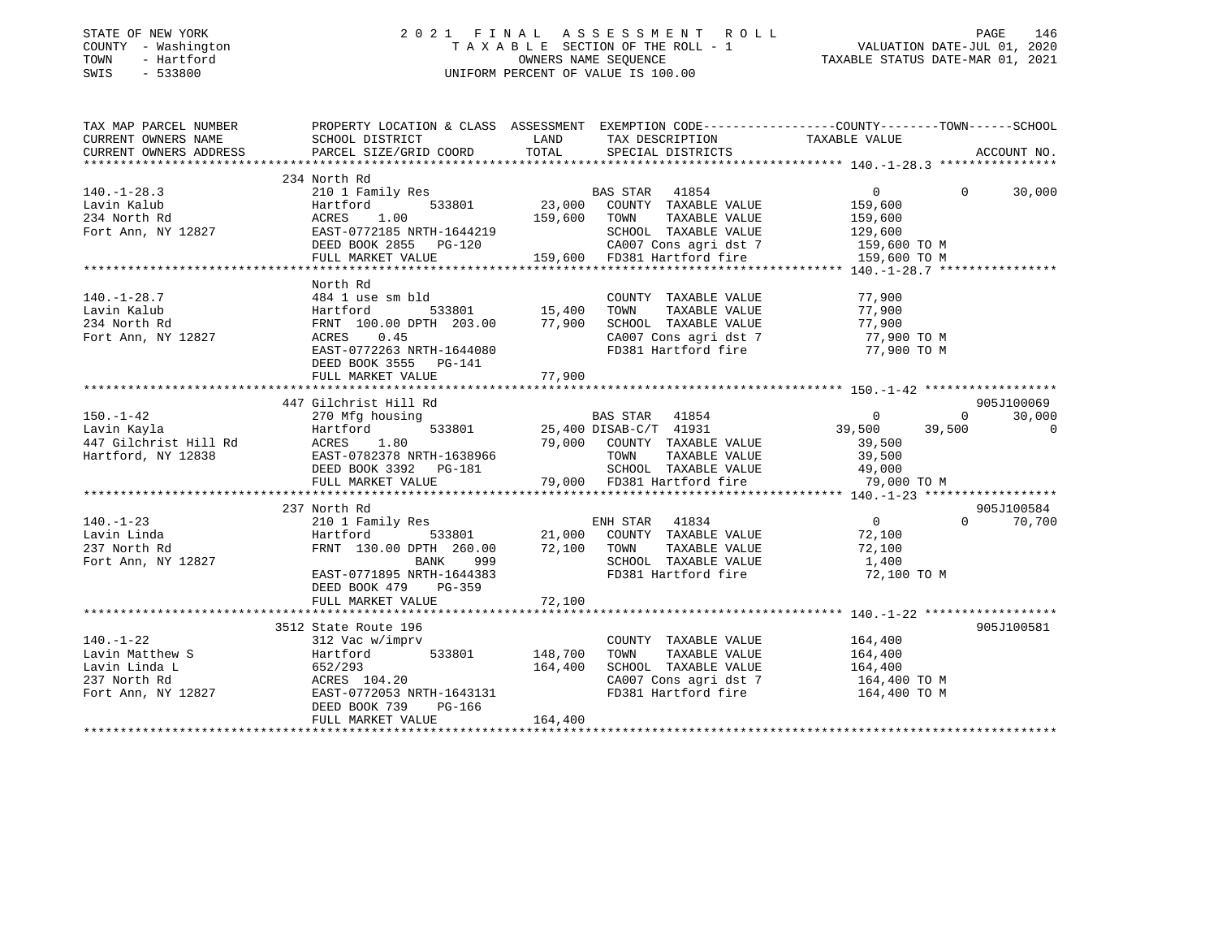| STATE OF NEW YORK |              |
|-------------------|--------------|
| COUNTY            | - Washington |
| TOWN              | - Hartford   |
| CITJTC1           | 533000       |

### STATE OF NEW YORK 2 0 2 1 F I N A L A S S E S S M E N T R O L L PAGE 146 COUNTY - Washington T A X A B L E SECTION OF THE ROLL - 1 VALUATION DATE-JUL 01, 2020 TOWN - Hartford OWNERS NAME SEQUENCE TAXABLE STATUS DATE-MAR 01, 2021 SWIS - 533800 UNIFORM PERCENT OF VALUE IS 100.00

| TAX MAP PARCEL NUMBER<br>CURRENT OWNERS NAME                           | PROPERTY LOCATION & CLASS ASSESSMENT EXEMPTION CODE---------------COUNTY-------TOWN-----SCHOOL<br>SCHOOL DISTRICT                                                                                                                                                         |         | LAND TAX DESCRIPTION                                                                                                                       | TAXABLE VALUE                                                                                    |                                                    |
|------------------------------------------------------------------------|---------------------------------------------------------------------------------------------------------------------------------------------------------------------------------------------------------------------------------------------------------------------------|---------|--------------------------------------------------------------------------------------------------------------------------------------------|--------------------------------------------------------------------------------------------------|----------------------------------------------------|
| CURRENT OWNERS ADDRESS                                                 | PARCEL SIZE/GRID COORD                                                                                                                                                                                                                                                    |         | TOTAL SPECIAL DISTRICTS                                                                                                                    |                                                                                                  | ACCOUNT NO.                                        |
|                                                                        |                                                                                                                                                                                                                                                                           |         |                                                                                                                                            |                                                                                                  |                                                    |
|                                                                        | 234 North Rd<br>140.-1-28.3<br>Lavin Kalub Hartford 533801 23,000 CONN-234 North Rd acres 1.00 159,600 TOWN<br>Fort Ann, NY 12827 EAST-0772185 NRTH-1644219 SCHOOL<br>DEED BOOK 2855 PG-120 28007 C 28007 C                                                               |         | TAXABLE VALUE<br>SCHOOL TAXABLE VALUE<br>CA007 Cons agri dst 7 159,600 TO M                                                                | $\overline{0}$<br>159,600<br>159,600<br>129,600                                                  | 30,000<br>$\Omega$                                 |
|                                                                        | FULL MARKET VALUE 159,600 FD381 Hartford fire                                                                                                                                                                                                                             |         |                                                                                                                                            | 159,600 TO M                                                                                     |                                                    |
|                                                                        |                                                                                                                                                                                                                                                                           |         |                                                                                                                                            |                                                                                                  |                                                    |
| $140. - 1 - 28.7$<br>Lavin Kalub<br>234 North Rd<br>Fort Ann, NY 12827 | North Rd<br>484 1 use sm bld<br>Hartford<br>FRNT 100.00 DPTH 203.00 77,900<br>ACRES 0.45<br>EAST-0772263 NRTH-1644080<br>DEED BOOK 3555 PG-141                                                                                                                            |         | COUNTY TAXABLE VALUE<br>SCHOOL TAXABLE VALUE 77,900<br>CA007 Cons agri dst 7 7 77,900 TO M<br>FD381 Hartford fire 77,900 TO M              | 77,900<br>TAXABLE VALUE 77,900                                                                   |                                                    |
|                                                                        | FULL MARKET VALUE                                                                                                                                                                                                                                                         | 77,900  |                                                                                                                                            |                                                                                                  |                                                    |
|                                                                        |                                                                                                                                                                                                                                                                           |         |                                                                                                                                            |                                                                                                  |                                                    |
| $150. - 1 - 42$                                                        | 447 Gilchrist Hill Rd<br>270 Mfg housing 633801 BAS STAR 41854<br>Hartford 533801 25,400 DISAB-C/T 41931                                                                                                                                                                  |         | BAS STAR 41854<br>79,000 COUNTY TAXABLE VALUE                                                                                              | $\mathbf{0}$<br>39,500   39,500<br>39,500                                                        | 905J100069<br>30,000<br>$\Omega$<br>$\overline{0}$ |
|                                                                        |                                                                                                                                                                                                                                                                           |         |                                                                                                                                            |                                                                                                  |                                                    |
| $140. - 1 - 23$<br>Lavin Linda<br>237 North Rd<br>Fort Ann, NY 12827   | 237 North Rd<br>Hartford<br>FRNT 130.00 DPTH 260.00 72,100 TOWN<br>BANK 999<br>EAST-0771895 NRTH-1644383<br>DEED BOOK 479 PG-359                                                                                                                                          |         | SCHOOL TAXABLE VALUE<br>FD381 Hartford fire                                                                                                | $\begin{array}{c}0\\72.100\end{array}$<br>72,100<br>TAXABLE VALUE 72,100<br>1,400<br>72,100 TO M | 905J100584<br>$\Omega$<br>70,700                   |
|                                                                        | 3512 State Route 196                                                                                                                                                                                                                                                      |         |                                                                                                                                            |                                                                                                  | 905J100581                                         |
| $140. - 1 - 22$                                                        | 312 Vac w/imprv<br>1.0.1 avin Matthew S<br>148,700<br>Lavin Linda L<br>237 North Rd<br>Fort Ann, NY 12827<br>164,400<br>237 North Rd<br>237 EAST-0772053 NRTH-1643131<br>237 North Rd<br>237 North Rd<br>237 NRTH-1643131<br>DEED BOOK 739<br>PG-166<br>FULL MARKET VALUE | 164,400 | COUNTY TAXABLE VALUE 164,400<br>TAXABLE VALUE<br>TOWN<br>SCHOOL TAXABLE VALUE<br>CA007 Cons agri dst 7 164,400 TO M<br>FD381 Hartford fire | 164,400<br>164,400<br>164,400 TO M                                                               |                                                    |
|                                                                        |                                                                                                                                                                                                                                                                           |         |                                                                                                                                            |                                                                                                  |                                                    |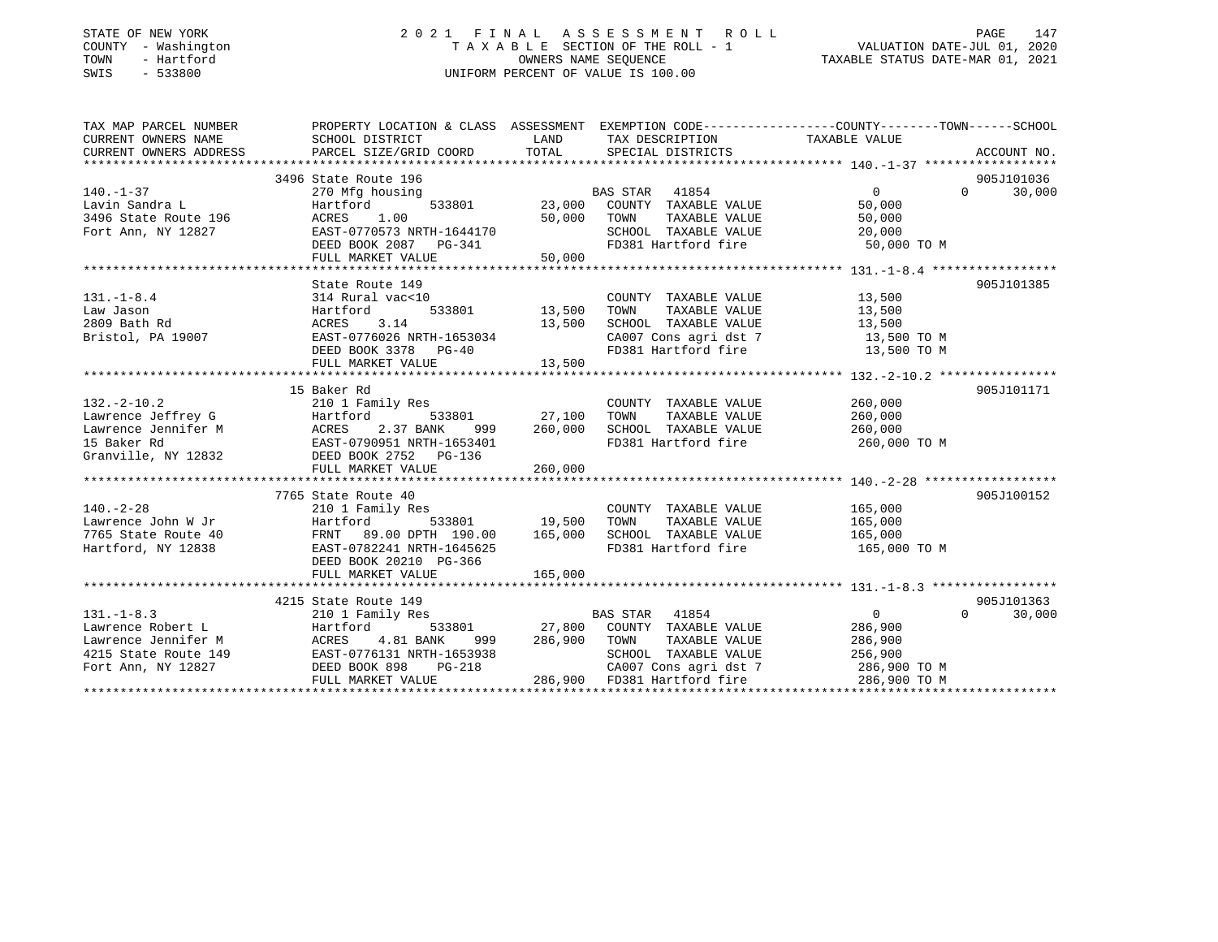### STATE OF NEW YORK 2 0 2 1 F I N A L A S S E S S M E N T R O L L PAGE 147 COUNTY - Washington T A X A B L E SECTION OF THE ROLL - 1 VALUATION DATE-JUL 01, 2020 TOWN - Hartford OWNERS NAME SEQUENCE TAXABLE STATUS DATE-MAR 01, 2021 SWIS - 533800 UNIFORM PERCENT OF VALUE IS 100.00

| TAX MAP PARCEL NUMBER                                                                                                                                                                                                                                      | PROPERTY LOCATION & CLASS ASSESSMENT EXEMPTION CODE----------------COUNTY-------TOWN------SCHOOL                     |               |                                                                   |                       |                             |
|------------------------------------------------------------------------------------------------------------------------------------------------------------------------------------------------------------------------------------------------------------|----------------------------------------------------------------------------------------------------------------------|---------------|-------------------------------------------------------------------|-----------------------|-----------------------------|
| CURRENT OWNERS NAME                                                                                                                                                                                                                                        | SCHOOL DISTRICT                                                                                                      | LAND          | TAX DESCRIPTION TAXABLE VALUE                                     |                       |                             |
| CURRENT OWNERS ADDRESS                                                                                                                                                                                                                                     |                                                                                                                      |               |                                                                   |                       |                             |
|                                                                                                                                                                                                                                                            |                                                                                                                      |               |                                                                   |                       |                             |
|                                                                                                                                                                                                                                                            | 3496 State Route 196                                                                                                 |               |                                                                   |                       | 905J101036                  |
| $140. - 1 - 37$                                                                                                                                                                                                                                            | 270 Mfg housing                                                                                                      |               | BAS STAR 41854                                                    | $\overline{0}$        | $0 \t 30,000$               |
|                                                                                                                                                                                                                                                            |                                                                                                                      |               | 533801 23,000 COUNTY TAXABLE VALUE                                | 50,000                |                             |
|                                                                                                                                                                                                                                                            |                                                                                                                      | 50,000        | TOWN<br>TAXABLE VALUE                                             | 50,000                |                             |
|                                                                                                                                                                                                                                                            |                                                                                                                      |               | SCHOOL TAXABLE VALUE 20,000                                       |                       |                             |
|                                                                                                                                                                                                                                                            | DEED BOOK 2087    PG-341                                                                                             |               | FD381 Hartford fire 50,000 TO M                                   |                       |                             |
|                                                                                                                                                                                                                                                            | FULL MARKET VALUE                                                                                                    | 50,000        |                                                                   |                       |                             |
|                                                                                                                                                                                                                                                            |                                                                                                                      |               |                                                                   |                       |                             |
|                                                                                                                                                                                                                                                            | State Route 149                                                                                                      |               |                                                                   |                       | 905J101385                  |
| $131. - 1 - 8.4$                                                                                                                                                                                                                                           | 314 Rural vac<10                                                                                                     |               | COUNTY TAXABLE VALUE                                              | 13,500                |                             |
| Law Jason                                                                                                                                                                                                                                                  | $533801$ $13,500$<br>Hartford                                                                                        |               | TAXABLE VALUE<br>TOWN                                             | 13,500<br>13,500      |                             |
| 2809 Bath Rd                                                                                                                                                                                                                                               | ACRES 3.14                                                                                                           | 13,500        | SCHOOL TAXABLE VALUE                                              |                       |                             |
| Bristol, PA 19007 EAST-0776026 NRTH-1653034                                                                                                                                                                                                                |                                                                                                                      |               | CA007 Cons agri dst 7 13,500 TO M                                 |                       |                             |
|                                                                                                                                                                                                                                                            | DEED BOOK 3378 PG-40                                                                                                 |               | FD381 Hartford fire                                               | 13,500 TO M           |                             |
|                                                                                                                                                                                                                                                            | FULL MARKET VALUE                                                                                                    | 13,500        |                                                                   |                       |                             |
|                                                                                                                                                                                                                                                            |                                                                                                                      |               |                                                                   |                       |                             |
|                                                                                                                                                                                                                                                            | 15 Baker Rd                                                                                                          |               |                                                                   |                       | 905J101171                  |
|                                                                                                                                                                                                                                                            | 210 1 Family Res                                                                                                     |               | COUNTY TAXABLE VALUE                                              | 260,000               |                             |
|                                                                                                                                                                                                                                                            |                                                                                                                      | 533801 27,100 | TAXABLE VALUE<br>TOWN                                             | 260,000               |                             |
|                                                                                                                                                                                                                                                            |                                                                                                                      | 999 260,000   | SCHOOL TAXABLE VALUE 260,000                                      |                       |                             |
|                                                                                                                                                                                                                                                            |                                                                                                                      |               | FD381 Hartford fire                                               | 260,000 TO M          |                             |
| 132.-2-10.2<br>Lawrence Jeffrey G<br>Lawrence Jennifer M<br>15 Baker Rd<br>2.37 BANK 999<br>15 Baker Rd<br>2.37 BANK 999<br>15 Baker Rd<br>2.37 BANK 999<br>2.37 BANK 999<br>2.37 BANK 999<br>2.37 BANK 999<br>2.37 BANK 999<br>2.57 BANK 53401<br>2.00000 |                                                                                                                      |               |                                                                   |                       |                             |
|                                                                                                                                                                                                                                                            | FULL MARKET VALUE                                                                                                    | 260,000       |                                                                   |                       |                             |
|                                                                                                                                                                                                                                                            |                                                                                                                      |               |                                                                   |                       |                             |
|                                                                                                                                                                                                                                                            | 7765 State Route 40<br>210 1 Family Res                                                                              |               |                                                                   |                       | 905J100152                  |
| $140. - 2 - 28$                                                                                                                                                                                                                                            |                                                                                                                      |               | COUNTY TAXABLE VALUE 165,000                                      |                       |                             |
| Lawrence John W Jr                                                                                                                                                                                                                                         | Hartford 533801 19,500 TOWN                                                                                          |               |                                                                   | TAXABLE VALUE 165,000 |                             |
| 7765 State Route 40                                                                                                                                                                                                                                        | FRNT 89.00 DPTH 190.00 165,000 SCHOOL TAXABLE-VALUE 165,000<br>EAST-0782241 NRTH-1645625 FD381 Hartford fire 165 000 |               |                                                                   |                       |                             |
| Hartford, NY 12838                                                                                                                                                                                                                                         | EAST-0782241 NRTH-1645625                                                                                            |               | FD381 Hartford fire                                               | 165,000 TO M          |                             |
|                                                                                                                                                                                                                                                            | DEED BOOK 20210 PG-366                                                                                               |               |                                                                   |                       |                             |
|                                                                                                                                                                                                                                                            |                                                                                                                      |               |                                                                   |                       |                             |
|                                                                                                                                                                                                                                                            |                                                                                                                      |               |                                                                   |                       | 905J101363                  |
|                                                                                                                                                                                                                                                            | 4215 State Route 149<br>210 1 Family Res                                                                             |               |                                                                   |                       |                             |
| $131. - 1 - 8.3$                                                                                                                                                                                                                                           |                                                                                                                      |               | BAS STAR 41854                                                    | $\overline{0}$        | $0 \qquad \qquad$<br>30,000 |
| Lawrence Robert L<br>Lawrence Jennifer M<br>27,800 COUNTY TAXABLE VALUE<br>4215 State Route 149<br>Fort Ann, NY 12827<br>286,900 TOWN TAXABLE VALUE<br>286,900 TOWN TAXABLE VALUE<br>286,900 TOWN TAXABLE VALUE<br>286,900 TOWN TAXABLE VALUE<br>          |                                                                                                                      |               |                                                                   | 286,900               |                             |
|                                                                                                                                                                                                                                                            |                                                                                                                      |               | SCHOOL TAXABLE VALUE 256,900                                      | 286,900               |                             |
|                                                                                                                                                                                                                                                            |                                                                                                                      |               |                                                                   |                       |                             |
|                                                                                                                                                                                                                                                            | FULL MARKET VALUE                                                                                                    |               | CA007 Cons agri dst 7 286,900 TO M<br>286,900 FD381 Hartford fire | 286,900 TO M          |                             |
|                                                                                                                                                                                                                                                            |                                                                                                                      |               |                                                                   |                       |                             |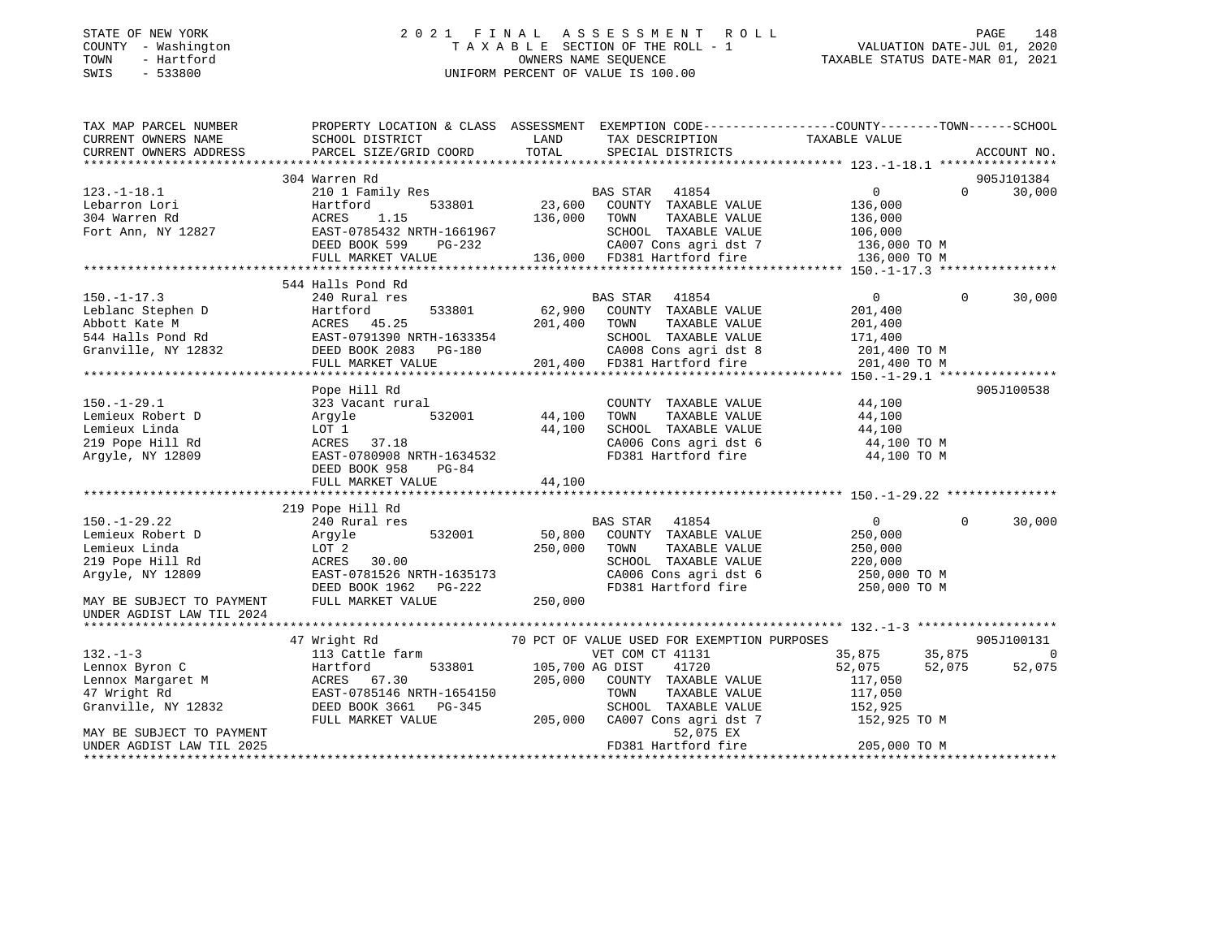#### STATE OF NEW YORK 2 0 2 1 F I N A L A S S E S S M E N T R O L L PAGE 148COUNTY - Washington T A X A B L E SECTION OF THE ROLL - 1 VALUATION DATE-JUL 01, 2020 OWNERS NAME SEQUENCE TAXABLE STATUS DATE-MAR 01, 2021 SWIS - 533800 UNIFORM PERCENT OF VALUE IS 100.00

VALUATION DATE-JUL 01, 2020

| TAX MAP PARCEL NUMBER                                                                                                                                                                                                                   | PROPERTY LOCATION & CLASS ASSESSMENT EXEMPTION CODE----------------COUNTY-------TOWN------SCHOOL |         |                                                                                    |                         |          |             |
|-----------------------------------------------------------------------------------------------------------------------------------------------------------------------------------------------------------------------------------------|--------------------------------------------------------------------------------------------------|---------|------------------------------------------------------------------------------------|-------------------------|----------|-------------|
| CURRENT OWNERS NAME                                                                                                                                                                                                                     | SCHOOL DISTRICT                                                                                  | LAND    | TAX DESCRIPTION                                                                    | TAXABLE VALUE           |          |             |
| CURRENT OWNERS ADDRESS                                                                                                                                                                                                                  | PARCEL SIZE/GRID COORD                                                                           | TOTAL   | SPECIAL DISTRICTS                                                                  |                         |          | ACCOUNT NO. |
|                                                                                                                                                                                                                                         |                                                                                                  |         |                                                                                    |                         |          |             |
|                                                                                                                                                                                                                                         | 304 Warren Rd                                                                                    |         |                                                                                    |                         |          | 905J101384  |
| $123.-1-18.1$                                                                                                                                                                                                                           | 210 1 Family Res                                                                                 |         | BAS STAR 41854                                                                     | $\overline{0}$          | $\Omega$ | 30,000      |
| Lebarron Lori                                                                                                                                                                                                                           | 533801<br>Hartford                                                                               |         | 23,600 COUNTY TAXABLE VALUE                                                        | 136,000                 |          |             |
| 304 Warren Rd                                                                                                                                                                                                                           | 1.15<br>ACRES                                                                                    | 136,000 | TOWN<br>TAXABLE VALUE                                                              | 136,000                 |          |             |
| Fort Ann, NY 12827                                                                                                                                                                                                                      | EAST-0785432 NRTH-1661967                                                                        |         | SCHOOL TAXABLE VALUE                                                               | 106,000<br>136,000 TO M |          |             |
|                                                                                                                                                                                                                                         | DEED BOOK 599<br>PG-232                                                                          |         | 232 CA007 Cons agri dst 7 136,000 TO M<br>136,000 FD381 Hartford fire 136,000 TO M |                         |          |             |
|                                                                                                                                                                                                                                         | FULL MARKET VALUE                                                                                |         |                                                                                    |                         |          |             |
|                                                                                                                                                                                                                                         |                                                                                                  |         |                                                                                    |                         |          |             |
|                                                                                                                                                                                                                                         | 544 Halls Pond Rd                                                                                |         |                                                                                    |                         |          |             |
| $150. - 1 - 17.3$                                                                                                                                                                                                                       | 240 Rural res                                                                                    |         | BAS STAR 41854                                                                     | $\overline{0}$          | $\Omega$ | 30,000      |
|                                                                                                                                                                                                                                         |                                                                                                  |         |                                                                                    |                         |          |             |
|                                                                                                                                                                                                                                         |                                                                                                  |         |                                                                                    |                         |          |             |
|                                                                                                                                                                                                                                         |                                                                                                  |         |                                                                                    |                         |          |             |
|                                                                                                                                                                                                                                         |                                                                                                  |         |                                                                                    |                         |          |             |
|                                                                                                                                                                                                                                         |                                                                                                  |         |                                                                                    |                         |          |             |
| 150.-1-17.3<br>Leblanc Stephen D<br>Martford 533801 62,900 COUNTI TAXABLE VALUE<br>201,400 TOWN TAXABLE VALUE 201,400<br>544 Halls Pond Rd EAST-0791390 NRTH-1633354 SCHOOL TAXABLE VALUE 171,400<br>Granville, NY 12832 DEED BOOK 2083 |                                                                                                  |         |                                                                                    |                         |          |             |
|                                                                                                                                                                                                                                         | Pope Hill Rd                                                                                     |         |                                                                                    |                         |          | 905J100538  |
| $150. - 1 - 29.1$                                                                                                                                                                                                                       | 323 Vacant rural                                                                                 |         | COUNTY TAXABLE VALUE                                                               | $44,100$<br>$44.100$    |          |             |
| Lemieux Robert D                                                                                                                                                                                                                        | 532001<br>Argyle                                                                                 | 44,100  | TAXABLE VALUE<br>TOWN                                                              | 44,100                  |          |             |
| Lemieux Linda                                                                                                                                                                                                                           | LOT 1                                                                                            | 44,100  | SCHOOL TAXABLE VALUE                                                               | 44,100                  |          |             |
| 219 Pope Hill Rd                                                                                                                                                                                                                        | ACRES<br>37.18                                                                                   |         | CA006 Cons agri dst 6<br>FD381 Hartford fire                                       | 44,100 TO M             |          |             |
| Argyle, NY 12809                                                                                                                                                                                                                        | EAST-0780908 NRTH-1634532                                                                        |         |                                                                                    | 44,100 TO M             |          |             |
|                                                                                                                                                                                                                                         | DEED BOOK 958<br>PG-84                                                                           |         |                                                                                    |                         |          |             |
|                                                                                                                                                                                                                                         | FULL MARKET VALUE                                                                                | 44,100  |                                                                                    |                         |          |             |
|                                                                                                                                                                                                                                         |                                                                                                  |         |                                                                                    |                         |          |             |
|                                                                                                                                                                                                                                         | 219 Pope Hill Rd                                                                                 |         |                                                                                    |                         |          |             |
| $150. - 1 - 29.22$                                                                                                                                                                                                                      | 240 Rural res                                                                                    |         | BAS STAR 41854                                                                     | $\overline{0}$          | $\Omega$ | 30,000      |
| Lemieux Robert D                                                                                                                                                                                                                        | 532001<br>Argyle                                                                                 | 50,800  | COUNTY TAXABLE VALUE                                                               | 250,000                 |          |             |
| Lemieux Linda                                                                                                                                                                                                                           | LOT 2                                                                                            | 250,000 | TOWN<br>TAXABLE VALUE                                                              | 250,000<br>220,000      |          |             |
| 219 Pope Hill Rd                                                                                                                                                                                                                        | 30.00<br>ACRES                                                                                   |         | SCHOOL TAXABLE VALUE                                                               |                         |          |             |
| Argyle, NY 12809                                                                                                                                                                                                                        | EAST-0781526 NRTH-1635173                                                                        |         | CA006 Cons agri dst 6<br>FD381 Hartford fire                                       | 250,000 TO M            |          |             |
|                                                                                                                                                                                                                                         | DEED BOOK 1962 PG-222                                                                            |         |                                                                                    | 250,000 TO M            |          |             |
| MAY BE SUBJECT TO PAYMENT                                                                                                                                                                                                               | FULL MARKET VALUE                                                                                | 250,000 |                                                                                    |                         |          |             |
| UNDER AGDIST LAW TIL 2024                                                                                                                                                                                                               |                                                                                                  |         |                                                                                    |                         |          |             |
|                                                                                                                                                                                                                                         |                                                                                                  |         |                                                                                    |                         |          |             |
|                                                                                                                                                                                                                                         | 47 Wright Rd                                                                                     |         | 70 PCT OF VALUE USED FOR EXEMPTION PURPOSES                                        |                         |          | 905J100131  |
| $132 - 1 - 3$                                                                                                                                                                                                                           | 113 Cattle farm<br>Hartford 533801 105,700 AG DIST                                               |         | VET COM CT 41131                                                                   | 35,875 35,875           |          | 0           |
| Lennox Byron C                                                                                                                                                                                                                          |                                                                                                  |         | 41720                                                                              | 52,075                  | 52,075   | 52,075      |
| Lennox Margaret M                                                                                                                                                                                                                       | ACRES 67.30                                                                                      | 205,000 | COUNTY TAXABLE VALUE                                                               | 117,050                 |          |             |
| 47 Wright Rd                                                                                                                                                                                                                            | EAST-0785146 NRTH-1654150                                                                        |         | TOWN<br>TAXABLE VALUE                                                              | 117,050                 |          |             |
| Granville, NY 12832                                                                                                                                                                                                                     | DEED BOOK 3661 PG-345                                                                            |         | SCHOOL TAXABLE VALUE                                                               | 152,925                 |          |             |
|                                                                                                                                                                                                                                         | FULL MARKET VALUE                                                                                | 205,000 | CA007 Cons agri dst 7                                                              | 152,925 TO M            |          |             |
| MAY BE SUBJECT TO PAYMENT                                                                                                                                                                                                               |                                                                                                  |         | 52,075 EX                                                                          |                         |          |             |
| UNDER AGDIST LAW TIL 2025                                                                                                                                                                                                               |                                                                                                  |         | FD381 Hartford fire                                                                | 205,000 TO M            |          |             |
|                                                                                                                                                                                                                                         |                                                                                                  |         |                                                                                    |                         |          |             |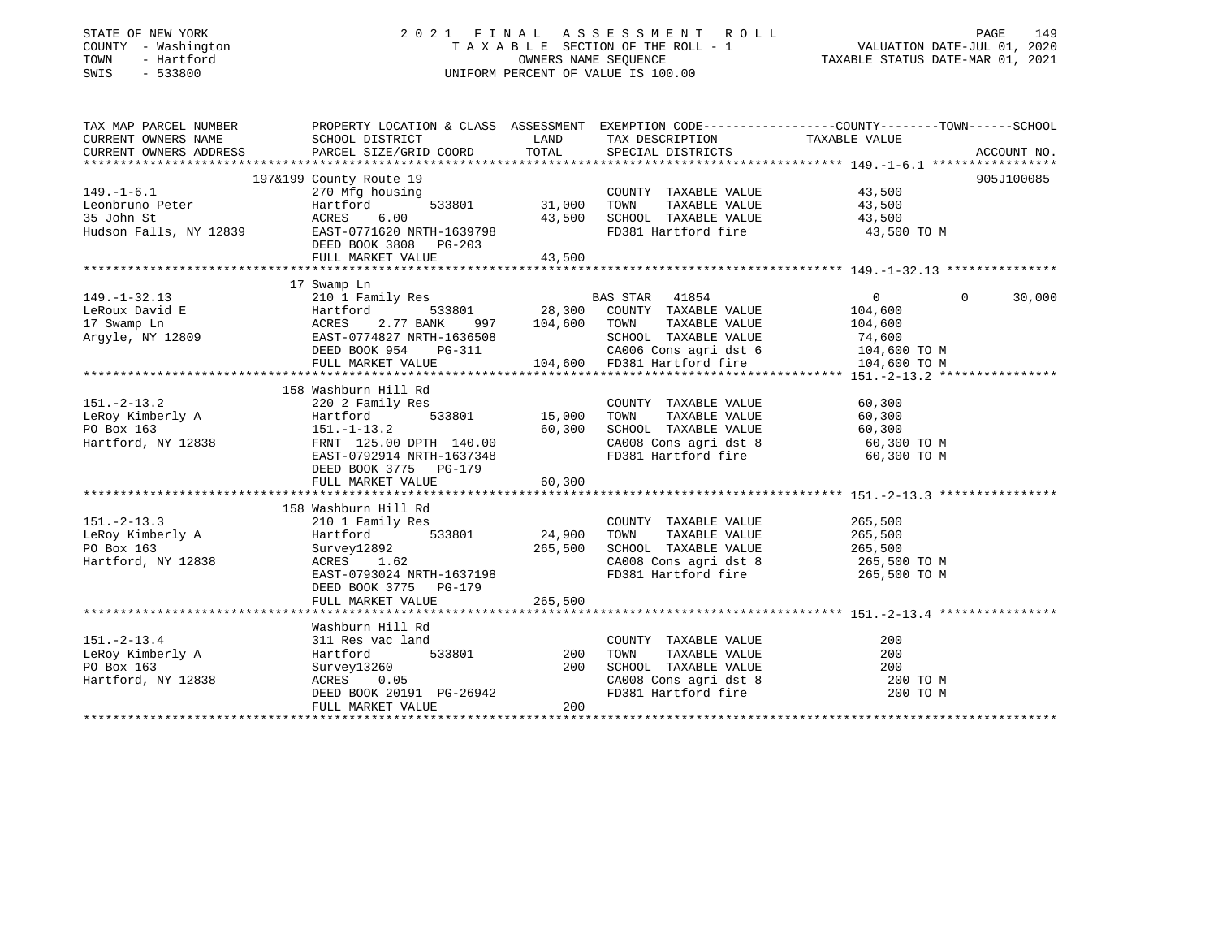### STATE OF NEW YORK 2 0 2 1 F I N A L A S S E S S M E N T R O L L PAGE 149 COUNTY - Washington T A X A B L E SECTION OF THE ROLL - 1 VALUATION DATE-JUL 01, 2020 TOWN - Hartford OWNERS NAME SEQUENCE TAXABLE STATUS DATE-MAR 01, 2021 SWIS - 533800 UNIFORM PERCENT OF VALUE IS 100.00

| TAX MAP PARCEL NUMBER                                                                                                                                                                                                                | PROPERTY LOCATION & CLASS ASSESSMENT EXEMPTION CODE----------------COUNTY-------TOWN------SCHOOL |                                                                                         |                                                            |                                             |          |             |
|--------------------------------------------------------------------------------------------------------------------------------------------------------------------------------------------------------------------------------------|--------------------------------------------------------------------------------------------------|-----------------------------------------------------------------------------------------|------------------------------------------------------------|---------------------------------------------|----------|-------------|
| CURRENT OWNERS NAME                                                                                                                                                                                                                  | SCHOOL DISTRICT                                                                                  | <b>EXAMPLE THE STATE OF STATE OF STATE OF STATE OF STATE OF STATE OF STATE OF STATE</b> | TAX DESCRIPTION TAXABLE VALUE                              |                                             |          |             |
| CURRENT OWNERS ADDRESS                                                                                                                                                                                                               | PARCEL SIZE/GRID COORD                                                                           | TOTAL                                                                                   | SPECIAL DISTRICTS                                          |                                             |          | ACCOUNT NO. |
|                                                                                                                                                                                                                                      |                                                                                                  |                                                                                         |                                                            |                                             |          |             |
|                                                                                                                                                                                                                                      | 197&199 County Route 19                                                                          |                                                                                         |                                                            |                                             |          | 905J100085  |
| $149. - 1 - 6.1$                                                                                                                                                                                                                     | $\frac{15}{25}$<br>ousing 533801 31,000<br>270 Mfg housing<br>Hartford<br>ACRES 6.00             |                                                                                         | COUNTY TAXABLE VALUE 43,500                                |                                             |          |             |
| Leonbruno Peter<br>35 John St                                                                                                                                                                                                        |                                                                                                  |                                                                                         | TOWN<br>TAXABLE VALUE                                      | 43,500                                      |          |             |
|                                                                                                                                                                                                                                      |                                                                                                  | 43,500                                                                                  | SCHOOL TAXABLE VALUE 43,500                                |                                             |          |             |
| Hudson Falls, NY 12839 EAST-0771620 NRTH-1639798                                                                                                                                                                                     |                                                                                                  |                                                                                         | FD381 Hartford fire                                        | 43,500 TO M                                 |          |             |
|                                                                                                                                                                                                                                      | DEED BOOK 3808 PG-203                                                                            |                                                                                         |                                                            |                                             |          |             |
|                                                                                                                                                                                                                                      | FULL MARKET VALUE                                                                                | 43,500                                                                                  |                                                            |                                             |          |             |
|                                                                                                                                                                                                                                      |                                                                                                  |                                                                                         |                                                            |                                             |          |             |
|                                                                                                                                                                                                                                      | 17 Swamp Ln                                                                                      |                                                                                         |                                                            |                                             |          |             |
| $149. - 1 - 32.13$                                                                                                                                                                                                                   | 210 1 Family Res                                                                                 |                                                                                         | BAS STAR 41854                                             | $\begin{array}{c} 0 \\ 104,600 \end{array}$ | $\Omega$ | 30,000      |
|                                                                                                                                                                                                                                      |                                                                                                  |                                                                                         |                                                            |                                             |          |             |
|                                                                                                                                                                                                                                      |                                                                                                  |                                                                                         |                                                            |                                             |          |             |
|                                                                                                                                                                                                                                      |                                                                                                  |                                                                                         |                                                            |                                             |          |             |
|                                                                                                                                                                                                                                      |                                                                                                  |                                                                                         |                                                            |                                             |          |             |
| EXERIBILIZE SERVIT ON THE MATHEMATICS AND MANUSE VALUE 104,600<br>17 Swamp Ln ACRES 2.77 BANK 997 104,600 TOWN TAXABLE VALUE 104,600<br>Argyle, NY 12809 EAST-0774827 NRTH-1636508 SCHOOL TAXABLE VALUE 74,600<br>DEED BOOK 954 PG-3 |                                                                                                  |                                                                                         |                                                            |                                             |          |             |
|                                                                                                                                                                                                                                      |                                                                                                  |                                                                                         |                                                            |                                             |          |             |
|                                                                                                                                                                                                                                      | 158 Washburn Hill Rd                                                                             |                                                                                         |                                                            |                                             |          |             |
| $151. - 2 - 13.2$                                                                                                                                                                                                                    | 220 2 Family Res                                                                                 |                                                                                         | COUNTY TAXABLE VALUE                                       | 60,300                                      |          |             |
|                                                                                                                                                                                                                                      | 533801 15,000                                                                                    |                                                                                         | TAXABLE VALUE 60,300<br>TOWN                               |                                             |          |             |
|                                                                                                                                                                                                                                      |                                                                                                  | 60,300                                                                                  | SCHOOL TAXABLE VALUE                                       | 60,300                                      |          |             |
| Hartford, NY 12838 FRNT 125.00 DPTH 140.00                                                                                                                                                                                           |                                                                                                  |                                                                                         | CA008 Cons agri dst 8 60,300 TO M                          |                                             |          |             |
|                                                                                                                                                                                                                                      | EAST-0792914 NRTH-1637348                                                                        |                                                                                         | FD381 Hartford fire                                        | 60,300 TO M                                 |          |             |
|                                                                                                                                                                                                                                      | DEED BOOK 3775 PG-179                                                                            |                                                                                         |                                                            |                                             |          |             |
|                                                                                                                                                                                                                                      | FULL MARKET VALUE                                                                                | 60, 300                                                                                 |                                                            |                                             |          |             |
|                                                                                                                                                                                                                                      |                                                                                                  |                                                                                         |                                                            |                                             |          |             |
|                                                                                                                                                                                                                                      | 158 Washburn Hill Rd                                                                             |                                                                                         |                                                            |                                             |          |             |
| $151. - 2 - 13.3$<br>151.-2-15.5<br>LeRoy Kimberly A                                                                                                                                                                                 |                                                                                                  |                                                                                         | COUNTY TAXABLE VALUE 265,500                               |                                             |          |             |
|                                                                                                                                                                                                                                      |                                                                                                  |                                                                                         | TOWN TAXABLE VALUE 265,500<br>SCHOOL TAXABLE VALUE 265,500 |                                             |          |             |
| PO Box 163                                                                                                                                                                                                                           | Survey12892<br>ACRES 1.62                                                                        | 265,500                                                                                 |                                                            |                                             |          |             |
| Hartford, NY 12838                                                                                                                                                                                                                   | ACRES 1.62                                                                                       |                                                                                         | CA008 Cons agri dst 8 $265,500$ TO M                       |                                             |          |             |
|                                                                                                                                                                                                                                      | EAST-0793024 NRTH-1637198                                                                        |                                                                                         | FD381 Hartford fire                                        | 265,500 TO M                                |          |             |
|                                                                                                                                                                                                                                      | DEED BOOK 3775 PG-179                                                                            |                                                                                         |                                                            |                                             |          |             |
|                                                                                                                                                                                                                                      | FULL MARKET VALUE                                                                                | 265,500                                                                                 |                                                            |                                             |          |             |
|                                                                                                                                                                                                                                      |                                                                                                  |                                                                                         |                                                            |                                             |          |             |
|                                                                                                                                                                                                                                      | Washburn Hill Rd                                                                                 |                                                                                         |                                                            |                                             |          |             |
| $151. - 2 - 13.4$                                                                                                                                                                                                                    | 311 Res vac land                                                                                 |                                                                                         | COUNTY TAXABLE VALUE<br>TAXABLE VALUE                      | 200                                         |          |             |
| LeRoy Kimberly A<br>PO Box 163                                                                                                                                                                                                       | 533801 200<br>Hartford                                                                           | 200                                                                                     | TOWN<br>SCHOOL TAXABLE VALUE                               | 200                                         |          |             |
|                                                                                                                                                                                                                                      | Survey13260                                                                                      |                                                                                         |                                                            | 200                                         |          |             |
| Hartford, NY 12838                                                                                                                                                                                                                   | ACRES 0.05<br>DEED BOOK 20191 PG-26942                                                           |                                                                                         | CA008 Cons agri dst 8<br>FD381 Hartford fire               | 200 TO M                                    |          |             |
|                                                                                                                                                                                                                                      |                                                                                                  | 200                                                                                     |                                                            | 200 TO M                                    |          |             |
|                                                                                                                                                                                                                                      | FULL MARKET VALUE                                                                                |                                                                                         |                                                            |                                             |          |             |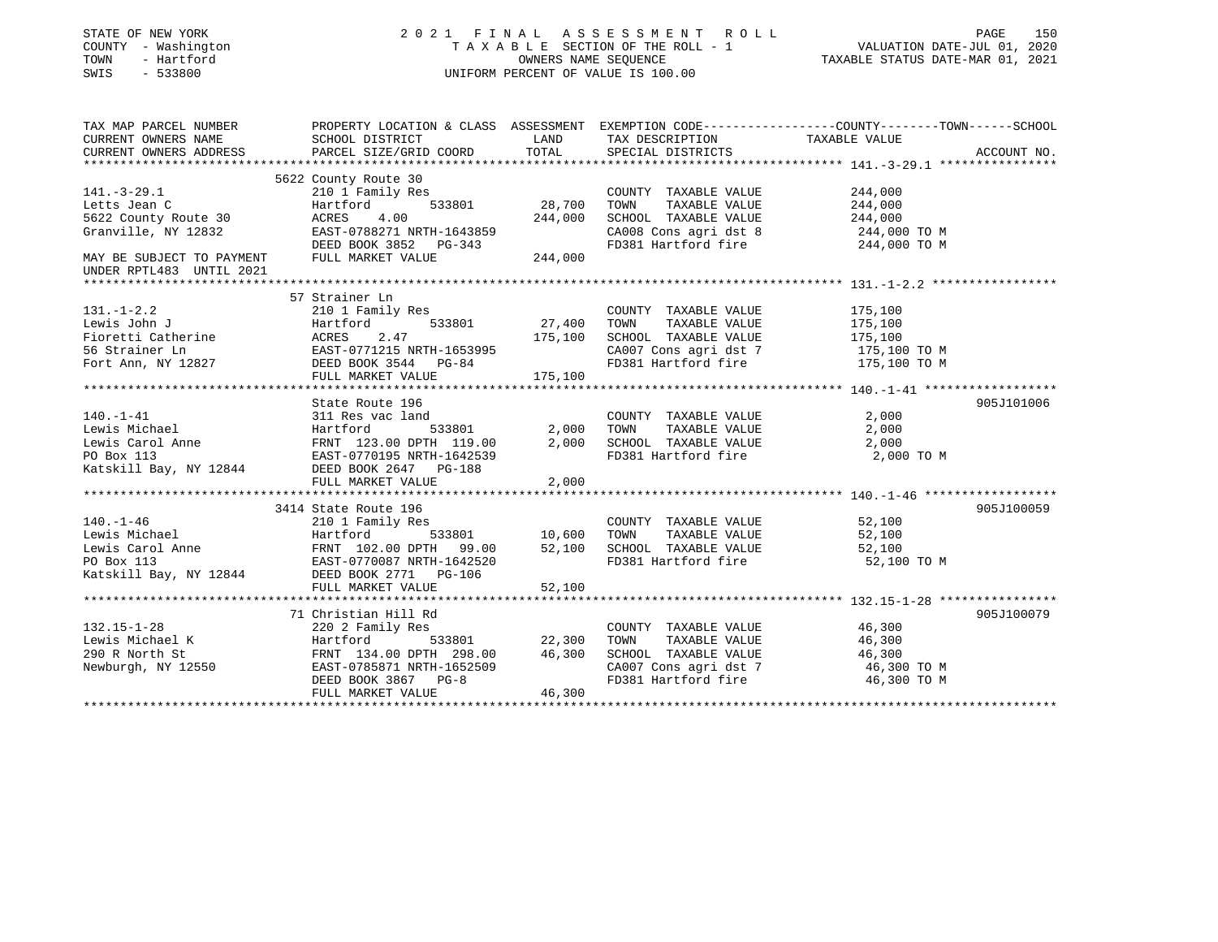| STATE OF NEW YORK<br>COUNTY - Washington<br>- Hartford<br>TOWN<br>SWIS<br>$-533800$                                                   | 2021 FINAL ASSESSMENT ROLL                                                                                                                                                                                               | TAXABLE SECTION OF THE ROLL - 1<br>OWNERS NAME SEQUENCE<br>UNIFORM PERCENT OF VALUE IS 100.00 | PAGE<br>150<br>VALUATION DATE-JUL 01, 2020<br>TAXABLE STATUS DATE-MAR 01, 2021                                        |                                                                                                                                                          |
|---------------------------------------------------------------------------------------------------------------------------------------|--------------------------------------------------------------------------------------------------------------------------------------------------------------------------------------------------------------------------|-----------------------------------------------------------------------------------------------|-----------------------------------------------------------------------------------------------------------------------|----------------------------------------------------------------------------------------------------------------------------------------------------------|
| CURRENT OWNERS NAME<br>CURRENT OWNERS ADDRESS                                                                                         | SCHOOL DISTRICT<br>PARCEL SIZE/GRID COORD                                                                                                                                                                                | LAND<br>TOTAL                                                                                 | TAX DESCRIPTION<br>SPECIAL DISTRICTS                                                                                  | TAX MAP PARCEL NUMBER THE PROPERTY LOCATION & CLASS ASSESSMENT EXEMPTION CODE---------------COUNTY-------TOWN-----SCHOOL<br>TAXABLE VALUE<br>ACCOUNT NO. |
| $141.-3-29.1$<br>Letts Jean C<br>5622 County Route 30<br>Granville, NY 12832<br>MAY BE SUBJECT TO PAYMENT<br>UNDER RPTL483 UNTIL 2021 | 5622 County Route 30<br>210 1 Family Res<br>Hartford<br>533801<br>4.00<br>ACRES<br>EAST-0788271 NRTH-1643859<br>DEED BOOK 3852 PG-343<br>FULL MARKET VALUE                                                               | 28,700<br>244,000<br>244,000                                                                  | COUNTY TAXABLE VALUE<br>TOWN<br>TAXABLE VALUE<br>SCHOOL TAXABLE VALUE<br>CA008 Cons agri dst 8<br>FD381 Hartford fire | 244,000<br>244,000<br>244,000<br>244,000 TO M<br>244,000 TO M                                                                                            |
| $131. - 1 - 2.2$<br>131.-1-2.2<br>Lewis John J<br>Fioretti Catherine<br>56 Strainer Ln<br>Fort Ann, NY 12827                          | 57 Strainer Ln<br>210 1 Family Res<br>Hartford<br>533801<br>2.47<br>ACRES<br>EAST-0771215 NRTH-1653995<br>DEED BOOK 3544 PG-84<br>FULL MARKET VALUE                                                                      | 27,400<br>175,100<br>175,100                                                                  | COUNTY TAXABLE VALUE<br>TAXABLE VALUE<br>TOWN<br>SCHOOL TAXABLE VALUE<br>CA007 Cons agri dst 7<br>FD381 Hartford fire | 175,100<br>175,100<br>175,100<br>175,100 TO M<br>175,100 TO M                                                                                            |
| $140. - 1 - 41$                                                                                                                       | State Route 196<br>311 Res vac land<br>Lewis Michael Bartford 533801<br>Lewis Carol Anne Hartford 533801<br>PO Box 113<br>EAST-0770195 NRTH-1642539<br>Katskill Bay, NY 12844 DEED BOOK 2647 PG-188<br>FULL MARKET VALUE | 2,000<br>2,000<br>2,000                                                                       | COUNTY TAXABLE VALUE<br>TAXABLE VALUE<br>TOWN<br>SCHOOL TAXABLE VALUE<br>FD381 Hartford fire                          | 905J101006<br>2,000<br>2,000<br>2,000<br>2,000 TO M                                                                                                      |
| Katskill Bay, NY 12844 DEED BOOK 2771 PG-106                                                                                          | 3414 State Route 196<br>533801<br>FULL MARKET VALUE                                                                                                                                                                      | 10,600<br>52,100<br>52,100                                                                    | COUNTY TAXABLE VALUE<br>TOWN<br>TAXABLE VALUE<br>SCHOOL TAXABLE VALUE<br>FD381 Hartford fire                          | 905J100059<br>52,100<br>52,100<br>52,100<br>52,100 TO M                                                                                                  |
| $132.15 - 1 - 28$<br>Lewis Michael K<br>290 R North St<br>Newburgh, NY 12550                                                          | 71 Christian Hill Rd<br>220 2 Family Res<br>Hartford<br>FRNT 134.00 DPTH 298.00 46,300<br>EAST-0785871 NRTH-1652509<br>DEED BOOK 3867 PG-8<br>FULL MARKET VALUE                                                          | 533801 22,300<br>46,300                                                                       | COUNTY TAXABLE VALUE<br>TAXABLE VALUE<br>TOWN<br>SCHOOL TAXABLE VALUE<br>CA007 Cons agri dst 7<br>FD381 Hartford fire | 905J100079<br>46,300<br>46,300<br>46,300<br>46,300 TO M<br>46,300 TO M                                                                                   |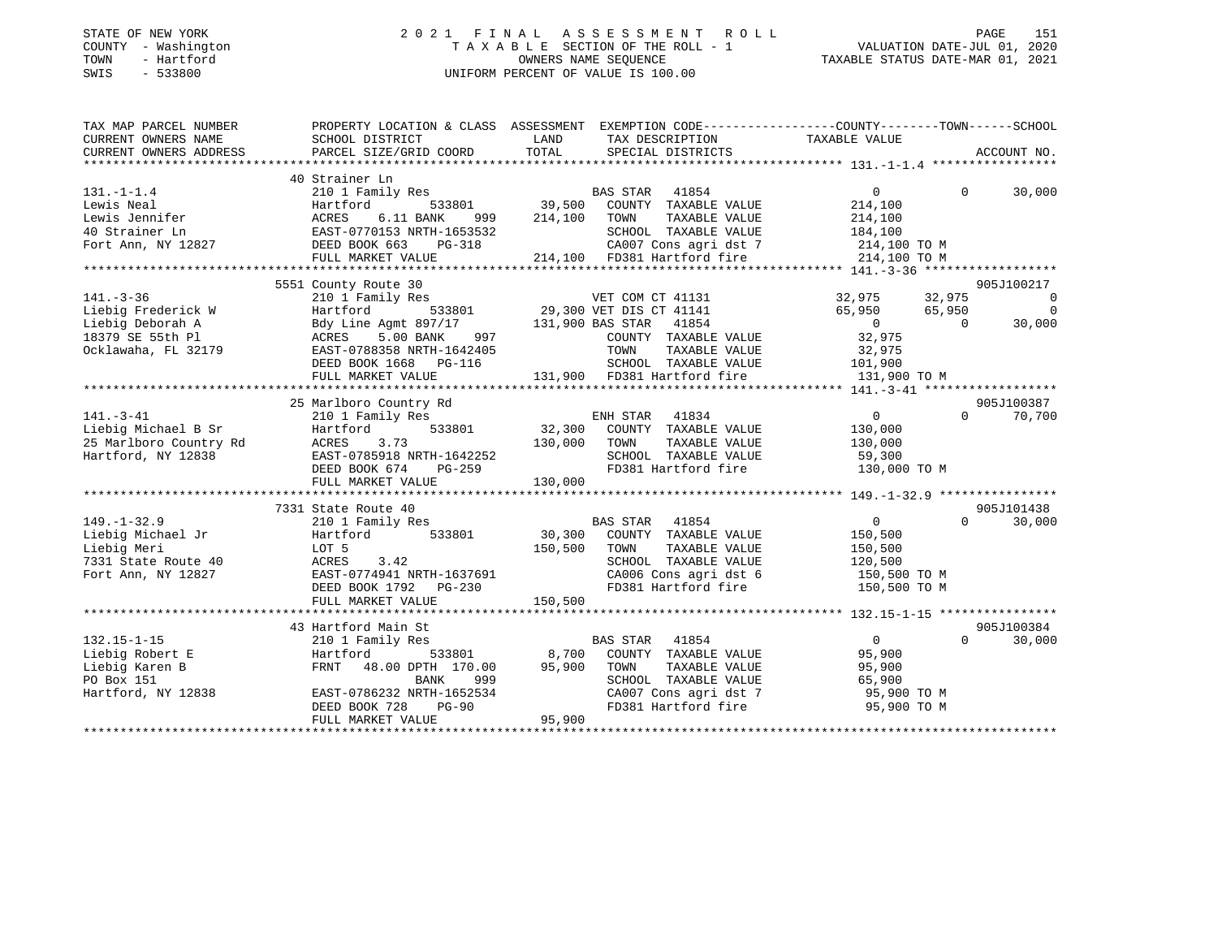### STATE OF NEW YORK 2 0 2 1 F I N A L A S S E S S M E N T R O L L PAGE 151 COUNTY - Washington T A X A B L E SECTION OF THE ROLL - 1 VALUATION DATE-JUL 01, 2020 TOWN - Hartford OWNERS NAME SEQUENCE TAXABLE STATUS DATE-MAR 01, 2021 SWIS - 533800 UNIFORM PERCENT OF VALUE IS 100.00

| TAX MAP PARCEL NUMBER<br>CURRENT OWNERS NAME    | SCHOOL DISTRICT                                                                                                     | <b>EXAMPLE SETTING STATE</b><br>TAX DESCRIPTION                                                                                                                                                                                         | PROPERTY LOCATION & CLASS ASSESSMENT EXEMPTION CODE---------------COUNTY-------TOWN------SCHOOL<br>TAXABLE VALUE                                                                                                                                                                                                                                                                                                                                                                        |
|-------------------------------------------------|---------------------------------------------------------------------------------------------------------------------|-----------------------------------------------------------------------------------------------------------------------------------------------------------------------------------------------------------------------------------------|-----------------------------------------------------------------------------------------------------------------------------------------------------------------------------------------------------------------------------------------------------------------------------------------------------------------------------------------------------------------------------------------------------------------------------------------------------------------------------------------|
| CURRENT OWNERS ADDRESS                          | PARCEL SIZE/GRID COORD                                                                                              | TOTAL<br>SPECIAL DISTRICTS                                                                                                                                                                                                              | ACCOUNT NO.                                                                                                                                                                                                                                                                                                                                                                                                                                                                             |
|                                                 | 40 Strainer Ln                                                                                                      |                                                                                                                                                                                                                                         |                                                                                                                                                                                                                                                                                                                                                                                                                                                                                         |
| $131. -1 - 1.4$                                 |                                                                                                                     |                                                                                                                                                                                                                                         | $0 \qquad \qquad$<br>$\Omega$<br>30,000                                                                                                                                                                                                                                                                                                                                                                                                                                                 |
| Lewis Neal                                      |                                                                                                                     |                                                                                                                                                                                                                                         | 214,100                                                                                                                                                                                                                                                                                                                                                                                                                                                                                 |
|                                                 |                                                                                                                     |                                                                                                                                                                                                                                         |                                                                                                                                                                                                                                                                                                                                                                                                                                                                                         |
|                                                 |                                                                                                                     |                                                                                                                                                                                                                                         |                                                                                                                                                                                                                                                                                                                                                                                                                                                                                         |
|                                                 |                                                                                                                     |                                                                                                                                                                                                                                         |                                                                                                                                                                                                                                                                                                                                                                                                                                                                                         |
|                                                 |                                                                                                                     |                                                                                                                                                                                                                                         | EWIS Nearly 1999<br>Here Indicates and the MCRES 11 BANK 999 214,100 TOWN TAXABLE VALUE<br>40 Strainer Ln EAST-0770153 NRTH-1653532 SCHOOL TAXABLE VALUE 184,100<br>Fort Ann, NY 12827 DEED BOOK 663 PG-318 214,100 FD381 Hartford f                                                                                                                                                                                                                                                    |
|                                                 |                                                                                                                     | 11. - 3-30 (17 Amily Res UET COM CT 41131<br>Liebig Frederick W Hartford 533801 29,300 VET DIS CT 41141 32,975 32,975 32,975<br>Liebig Deborah A Bdy Line Agmt 897/17 131,900 BAS STAR 41854 0 65,950 65,950<br>0 30,975 SE 55th P1     | 905J100217                                                                                                                                                                                                                                                                                                                                                                                                                                                                              |
|                                                 |                                                                                                                     |                                                                                                                                                                                                                                         | $\sim$ 0                                                                                                                                                                                                                                                                                                                                                                                                                                                                                |
|                                                 |                                                                                                                     |                                                                                                                                                                                                                                         | $\overline{0}$                                                                                                                                                                                                                                                                                                                                                                                                                                                                          |
|                                                 |                                                                                                                     |                                                                                                                                                                                                                                         | 30,000                                                                                                                                                                                                                                                                                                                                                                                                                                                                                  |
|                                                 |                                                                                                                     |                                                                                                                                                                                                                                         |                                                                                                                                                                                                                                                                                                                                                                                                                                                                                         |
|                                                 |                                                                                                                     |                                                                                                                                                                                                                                         |                                                                                                                                                                                                                                                                                                                                                                                                                                                                                         |
|                                                 |                                                                                                                     |                                                                                                                                                                                                                                         |                                                                                                                                                                                                                                                                                                                                                                                                                                                                                         |
|                                                 | FULL MARKET VALUE                                                                                                   | 12405 TOWN TAXABLE VALUE 32,975<br>16 SCHOOL TAXABLE VALUE 101,900<br>131,900 FD381 Hartford fire 131,900 TO M                                                                                                                          |                                                                                                                                                                                                                                                                                                                                                                                                                                                                                         |
|                                                 |                                                                                                                     |                                                                                                                                                                                                                                         |                                                                                                                                                                                                                                                                                                                                                                                                                                                                                         |
|                                                 | 25 Marlboro Country Rd                                                                                              |                                                                                                                                                                                                                                         | 905J100387                                                                                                                                                                                                                                                                                                                                                                                                                                                                              |
| $141. - 3 - 41$                                 |                                                                                                                     | ENH STAR 41834<br>210 1 Family Res ENH STAR 41834<br>Hartford 533801 32,300 COUNTY TAXABLE VALUE<br>ACRES 3.73 130,000 TOWN TAXABLE VALUE<br>EAST-0785918 NRTH-1642252 SCHOOL TAXABLE VALUE<br>DEED BOOK 674 PG-259 FD381 Hartford fire | $\overline{0}$<br>$\Omega$<br>70,700                                                                                                                                                                                                                                                                                                                                                                                                                                                    |
|                                                 |                                                                                                                     |                                                                                                                                                                                                                                         | 130,000                                                                                                                                                                                                                                                                                                                                                                                                                                                                                 |
|                                                 |                                                                                                                     |                                                                                                                                                                                                                                         | TAXABLE VALUE 130,000                                                                                                                                                                                                                                                                                                                                                                                                                                                                   |
|                                                 |                                                                                                                     |                                                                                                                                                                                                                                         |                                                                                                                                                                                                                                                                                                                                                                                                                                                                                         |
|                                                 |                                                                                                                     | SCHOOL TAXABLE VALUE 59,300<br>FD381 Hartford fire 130,000 TO M                                                                                                                                                                         |                                                                                                                                                                                                                                                                                                                                                                                                                                                                                         |
|                                                 | FULL MARKET VALUE                                                                                                   | 130,000                                                                                                                                                                                                                                 |                                                                                                                                                                                                                                                                                                                                                                                                                                                                                         |
|                                                 |                                                                                                                     |                                                                                                                                                                                                                                         |                                                                                                                                                                                                                                                                                                                                                                                                                                                                                         |
|                                                 |                                                                                                                     |                                                                                                                                                                                                                                         |                                                                                                                                                                                                                                                                                                                                                                                                                                                                                         |
|                                                 |                                                                                                                     |                                                                                                                                                                                                                                         |                                                                                                                                                                                                                                                                                                                                                                                                                                                                                         |
|                                                 |                                                                                                                     |                                                                                                                                                                                                                                         |                                                                                                                                                                                                                                                                                                                                                                                                                                                                                         |
|                                                 |                                                                                                                     |                                                                                                                                                                                                                                         |                                                                                                                                                                                                                                                                                                                                                                                                                                                                                         |
|                                                 |                                                                                                                     |                                                                                                                                                                                                                                         |                                                                                                                                                                                                                                                                                                                                                                                                                                                                                         |
|                                                 |                                                                                                                     |                                                                                                                                                                                                                                         |                                                                                                                                                                                                                                                                                                                                                                                                                                                                                         |
|                                                 |                                                                                                                     |                                                                                                                                                                                                                                         |                                                                                                                                                                                                                                                                                                                                                                                                                                                                                         |
|                                                 |                                                                                                                     |                                                                                                                                                                                                                                         |                                                                                                                                                                                                                                                                                                                                                                                                                                                                                         |
|                                                 |                                                                                                                     |                                                                                                                                                                                                                                         | $\begin{array}{cccccccc} \texttt{7331 State Route 40} & \texttt{7331 State Route 40} & \texttt{7331 State Route 40} & \texttt{7331 State Route 40} & \texttt{7331 State Route 40} & \texttt{7331 State Route 40} & \texttt{731 State Route 40} & \texttt{731 State Route 40} & \texttt{731 State Route 40} & \texttt{731 State Route 40} & \texttt{731 State Route 40} & \texttt{731 State Route 40} & \texttt{731 State Route 40} & \texttt{7321 State Route 40} & \texttt{7331 State$ |
|                                                 | 43 Hartford Main St                                                                                                 |                                                                                                                                                                                                                                         | 905J100384                                                                                                                                                                                                                                                                                                                                                                                                                                                                              |
| $132.15 - 1 - 15$                               | 210 1 Family Res                                                                                                    | BAS STAR 41854                                                                                                                                                                                                                          | $\overline{0}$<br>30,000<br>$\Omega$                                                                                                                                                                                                                                                                                                                                                                                                                                                    |
|                                                 |                                                                                                                     | Hartford 533801 8,700 COUNTY TAXABLE VALUE<br>FRNT 48.00 DPTH 170.00 95,900 TOWN TAXABLE VALUE                                                                                                                                          | 95,900                                                                                                                                                                                                                                                                                                                                                                                                                                                                                  |
| Liebig Robert E<br>Liebig Karen B<br>PO Box 151 |                                                                                                                     |                                                                                                                                                                                                                                         | 95,900                                                                                                                                                                                                                                                                                                                                                                                                                                                                                  |
| Hartford, NY 12838                              |                                                                                                                     | SCHOOL TAXABLE VALUE 65,900                                                                                                                                                                                                             |                                                                                                                                                                                                                                                                                                                                                                                                                                                                                         |
|                                                 |                                                                                                                     |                                                                                                                                                                                                                                         |                                                                                                                                                                                                                                                                                                                                                                                                                                                                                         |
|                                                 | FRNT 48.00 DFIA 170.00<br>BANK 999<br>EAST-0786232 NRTH-1652534<br>DEED BOOK 728 PG-90<br>FIILL MARKET VALUE 95,900 |                                                                                                                                                                                                                                         |                                                                                                                                                                                                                                                                                                                                                                                                                                                                                         |
|                                                 |                                                                                                                     |                                                                                                                                                                                                                                         |                                                                                                                                                                                                                                                                                                                                                                                                                                                                                         |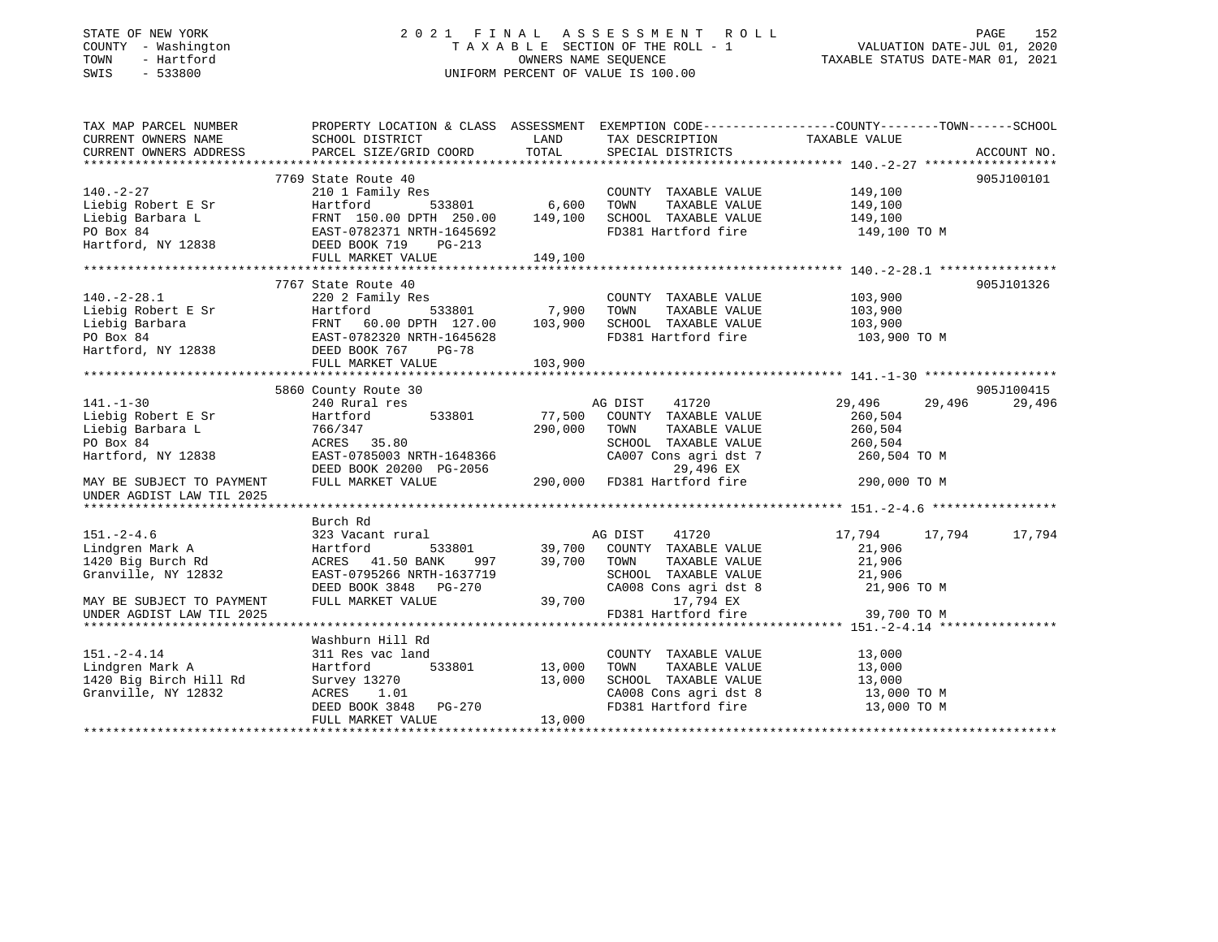### STATE OF NEW YORK 2 0 2 1 F I N A L A S S E S S M E N T R O L L PAGE 152 COUNTY - Washington T A X A B L E SECTION OF THE ROLL - 1 VALUATION DATE-JUL 01, 2020 TOWN - Hartford OWNERS NAME SEQUENCE TAXABLE STATUS DATE-MAR 01, 2021 SWIS - 533800 UNIFORM PERCENT OF VALUE IS 100.00UNIFORM PERCENT OF VALUE IS 100.00

| TAX MAP PARCEL NUMBER<br>CURRENT OWNERS NAME                                                                                                                                                                                                                                                                                                                                                                                   | SCHOOL DISTRICT                 | LAND                    | TAX DESCRIPTION TAXABLE VALUE SPECIAL DISTRICTS       | PROPERTY LOCATION & CLASS ASSESSMENT EXEMPTION CODE---------------COUNTY-------TOWN------SCHOOL |               |
|--------------------------------------------------------------------------------------------------------------------------------------------------------------------------------------------------------------------------------------------------------------------------------------------------------------------------------------------------------------------------------------------------------------------------------|---------------------------------|-------------------------|-------------------------------------------------------|-------------------------------------------------------------------------------------------------|---------------|
| CURRENT OWNERS ADDRESS                                                                                                                                                                                                                                                                                                                                                                                                         | PARCEL SIZE/GRID COORD          | TOTAL                   |                                                       |                                                                                                 | ACCOUNT NO.   |
|                                                                                                                                                                                                                                                                                                                                                                                                                                | 7769 State Route 40             |                         |                                                       |                                                                                                 | 905J100101    |
|                                                                                                                                                                                                                                                                                                                                                                                                                                |                                 |                         | COUNTY TAXABLE VALUE                                  | 149,100                                                                                         |               |
|                                                                                                                                                                                                                                                                                                                                                                                                                                | $\frac{1}{533801}$ 6,600        |                         | TOWN<br>TAXABLE VALUE                                 | 149,100                                                                                         |               |
|                                                                                                                                                                                                                                                                                                                                                                                                                                | FRNT 150.00 DPTH 250.00 149,100 |                         | SCHOOL TAXABLE VALUE 149,100                          |                                                                                                 |               |
|                                                                                                                                                                                                                                                                                                                                                                                                                                |                                 |                         | FD381 Hartford fire                                   | 149,100 TO M                                                                                    |               |
|                                                                                                                                                                                                                                                                                                                                                                                                                                |                                 |                         |                                                       |                                                                                                 |               |
|                                                                                                                                                                                                                                                                                                                                                                                                                                |                                 | 149,100                 |                                                       |                                                                                                 |               |
| 140.-2-27<br>Liebig Robert E Sr<br>Liebig Barbara L<br>PO Box 84<br>NGC 213<br>PO Box 84<br>NGC 213<br>PO Box 84<br>NGC 213<br>PO BOX 34<br>PO BOX 84<br>PO BOX 21<br>PG-213<br>PG-213<br>PG-213<br>PG-213<br>PG-213<br>PG-213<br>PG-213                                                                                                                                                                                       |                                 |                         |                                                       |                                                                                                 |               |
|                                                                                                                                                                                                                                                                                                                                                                                                                                | 7767 State Route 40             |                         |                                                       |                                                                                                 | 905J101326    |
| $140.-2-28.1$                                                                                                                                                                                                                                                                                                                                                                                                                  | 220 2 Family Res                |                         | COUNTY TAXABLE VALUE                                  | 103,900                                                                                         |               |
|                                                                                                                                                                                                                                                                                                                                                                                                                                |                                 | <sup>533801</sup> 7,900 | TOWN<br>TAXABLE VALUE                                 | 103,900                                                                                         |               |
|                                                                                                                                                                                                                                                                                                                                                                                                                                |                                 |                         | SCHOOL TAXABLE VALUE 103,900                          |                                                                                                 |               |
|                                                                                                                                                                                                                                                                                                                                                                                                                                |                                 |                         | FD381 Hartford fire                                   | 103,900 ТО М                                                                                    |               |
| $\begin{tabular}{lllllllllllllllllllll} \rule{0pt}{0pt} 140.-2-28.1 & 220\ 2\ \texttt{Family Res} \\ \rule{0pt}{0pt} \texttt{Liebig Robert E Sr} & \rule{0pt}{0pt} \texttt{Hartford} & 533801 & 7,900 \\ \rule{0pt}{0pt} \texttt{Liebig Barbara} & \rule{0pt}{0pt} \texttt{Frankford} & \rule{0pt}{0pt} \texttt{533801} & 7,900 \\ \rule{0pt}{0pt} \texttt{Liebig Barbara} & \rule{0pt}{0pt} \texttt{FRNT} & 60.00\ \texttt{D$ |                                 |                         |                                                       |                                                                                                 |               |
|                                                                                                                                                                                                                                                                                                                                                                                                                                | FULL MARKET VALUE               | 103,900                 |                                                       |                                                                                                 |               |
|                                                                                                                                                                                                                                                                                                                                                                                                                                |                                 |                         |                                                       |                                                                                                 |               |
|                                                                                                                                                                                                                                                                                                                                                                                                                                | 5860 County Route 30            |                         |                                                       |                                                                                                 | 905J100415    |
| $141. - 1 - 30$                                                                                                                                                                                                                                                                                                                                                                                                                | 240 Rural res                   |                         | AG DIST<br>41720                                      | 29,496<br>29,496                                                                                | 29,496        |
| Liebig Robert E Sr                                                                                                                                                                                                                                                                                                                                                                                                             | 533801<br>Hartford              | 77,500                  | COUNTY TAXABLE VALUE                                  | 260,504                                                                                         |               |
| Liebig Barbara L                                                                                                                                                                                                                                                                                                                                                                                                               | 766/347                         | 290,000                 | TOWN<br>TAXABLE VALUE                                 | 260,504                                                                                         |               |
| PO Box 84                                                                                                                                                                                                                                                                                                                                                                                                                      | ACRES 35.80                     |                         | SCHOOL TAXABLE VALUE                                  | 260, 504                                                                                        |               |
| Hartford, NY 12838                                                                                                                                                                                                                                                                                                                                                                                                             | EAST-0785003 NRTH-1648366       |                         | CA007 Cons agri dst 7 260,504 TO M                    |                                                                                                 |               |
|                                                                                                                                                                                                                                                                                                                                                                                                                                | DEED BOOK 20200 PG-2056         |                         | 29,496 EX                                             |                                                                                                 |               |
| MAY BE SUBJECT TO PAYMENT                                                                                                                                                                                                                                                                                                                                                                                                      | FULL MARKET VALUE               |                         | 290,000 FD381 Hartford fire                           | 290,000 TO M                                                                                    |               |
| UNDER AGDIST LAW TIL 2025                                                                                                                                                                                                                                                                                                                                                                                                      |                                 |                         |                                                       |                                                                                                 |               |
|                                                                                                                                                                                                                                                                                                                                                                                                                                |                                 |                         |                                                       |                                                                                                 |               |
| $151. - 2 - 4.6$                                                                                                                                                                                                                                                                                                                                                                                                               | Burch Rd<br>323 Vacant rural    |                         | 41720<br>AG DIST                                      | 17,794                                                                                          | 17,794 17,794 |
| Lindgren Mark A                                                                                                                                                                                                                                                                                                                                                                                                                | Hartford                        |                         | 533801 39,700 COUNTY TAXABLE VALUE                    | 21,906                                                                                          |               |
| 1420 Big Burch Rd                                                                                                                                                                                                                                                                                                                                                                                                              | ACRES 41.50 BANK<br>997         |                         | 39,700 TOWN                                           | 21,906                                                                                          |               |
| Granville, NY 12832                                                                                                                                                                                                                                                                                                                                                                                                            | EAST-0795266 NRTH-1637719       |                         | TOWN       TAXABLE  VALUE<br>SCHOOL    TAXABLE  VALUE | 21,906                                                                                          |               |
|                                                                                                                                                                                                                                                                                                                                                                                                                                | DEED BOOK 3848 PG-270           |                         | CA008 Cons agri dst 8 21,906 TO M                     |                                                                                                 |               |
| MAY BE SUBJECT TO PAYMENT                                                                                                                                                                                                                                                                                                                                                                                                      | FULL MARKET VALUE               | 39,700                  | 17,794 EX                                             |                                                                                                 |               |
| UNDER AGDIST LAW TIL 2025                                                                                                                                                                                                                                                                                                                                                                                                      |                                 |                         | FD381 Hartford fire 39,700 TO M                       |                                                                                                 |               |
|                                                                                                                                                                                                                                                                                                                                                                                                                                |                                 |                         |                                                       |                                                                                                 |               |
|                                                                                                                                                                                                                                                                                                                                                                                                                                | Washburn Hill Rd                |                         |                                                       |                                                                                                 |               |
| $151. - 2 - 4.14$                                                                                                                                                                                                                                                                                                                                                                                                              | 311 Res vac land                |                         | COUNTY TAXABLE VALUE                                  | 13,000                                                                                          |               |
| Lindgren Mark A                                                                                                                                                                                                                                                                                                                                                                                                                | 533801<br>Hartford              | 13,000                  | TOWN<br>TAXABLE VALUE                                 | 13,000                                                                                          |               |
| 1420 Big Birch Hill Rd                                                                                                                                                                                                                                                                                                                                                                                                         | Survey 13270                    | 13,000                  | SCHOOL TAXABLE VALUE 13,000                           |                                                                                                 |               |
| Granville, NY 12832                                                                                                                                                                                                                                                                                                                                                                                                            | ACRES 1.01                      |                         |                                                       | 13,000 TO M                                                                                     |               |
|                                                                                                                                                                                                                                                                                                                                                                                                                                | DEED BOOK 3848 PG-270           |                         | CA008 Cons agri dst 8<br>FD381 Hartford fire          | 13,000 TO M                                                                                     |               |
|                                                                                                                                                                                                                                                                                                                                                                                                                                | FULL MARKET VALUE               | 13,000                  |                                                       |                                                                                                 |               |
|                                                                                                                                                                                                                                                                                                                                                                                                                                |                                 |                         |                                                       |                                                                                                 |               |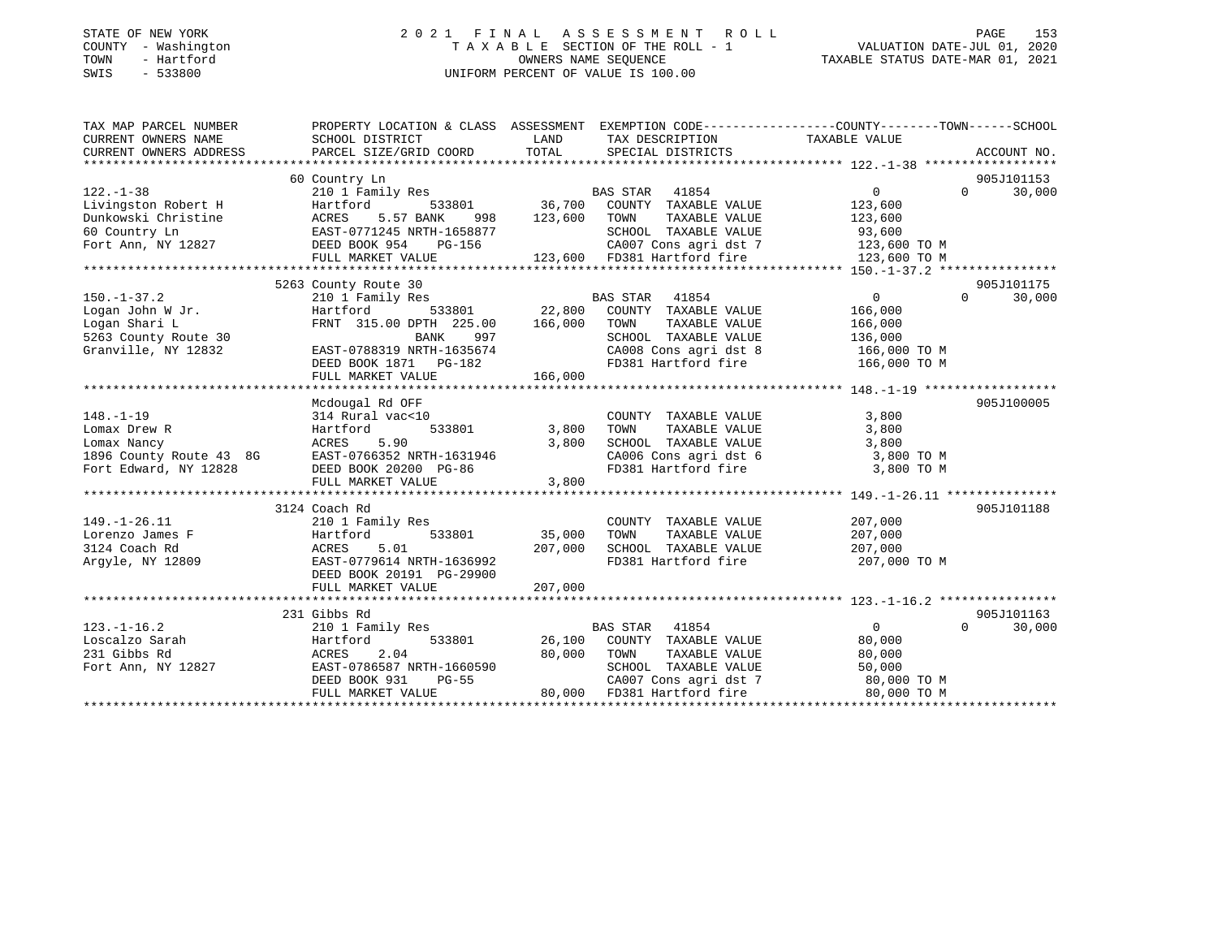### STATE OF NEW YORK 2 0 2 1 F I N A L A S S E S S M E N T R O L L PAGE 153 COUNTY - Washington T A X A B L E SECTION OF THE ROLL - 1 VALUATION DATE-JUL 01, 2020 TOWN - Hartford OWNERS NAME SEQUENCE TAXABLE STATUS DATE-MAR 01, 2021 SWIS - 533800 UNIFORM PERCENT OF VALUE IS 100.00

| TAX MAP PARCEL NUMBER                                                                                                                                                | PROPERTY LOCATION & CLASS ASSESSMENT EXEMPTION CODE----------------COUNTY-------TOWN------SCHOOL |               |                                                                                                    |                    |                    |
|----------------------------------------------------------------------------------------------------------------------------------------------------------------------|--------------------------------------------------------------------------------------------------|---------------|----------------------------------------------------------------------------------------------------|--------------------|--------------------|
| CURRENT OWNERS NAME                                                                                                                                                  | SCHOOL DISTRICT                                                                                  | LAND          | TAX DESCRIPTION TAXABLE VALUE                                                                      |                    |                    |
| CURRENT OWNERS ADDRESS                                                                                                                                               | PARCEL SIZE/GRID COORD                                                                           | TOTAL         | SPECIAL DISTRICTS                                                                                  |                    | ACCOUNT NO.        |
|                                                                                                                                                                      |                                                                                                  |               |                                                                                                    |                    |                    |
|                                                                                                                                                                      | 60 Country Ln                                                                                    |               |                                                                                                    |                    | 905J101153         |
| $122. - 1 - 38$                                                                                                                                                      |                                                                                                  |               |                                                                                                    | 0                  | $0 \t 30,000$      |
| Livingston Robert H Martford 533801<br>Dunkowski Christine ACRES 5.57 BANK 998<br>60 Country Ln EAST-0771245 NRTH-1658877<br>Fort Ann, NY 12827 DEED BOOK 954 PG-156 |                                                                                                  |               |                                                                                                    | 123,600            |                    |
|                                                                                                                                                                      |                                                                                                  |               |                                                                                                    | 123,600            |                    |
|                                                                                                                                                                      |                                                                                                  |               | SCHOOL TAXABLE VALUE                                                                               | 93,600             |                    |
|                                                                                                                                                                      |                                                                                                  |               |                                                                                                    |                    |                    |
|                                                                                                                                                                      | FULL MARKET VALUE                                                                                |               |                                                                                                    |                    |                    |
|                                                                                                                                                                      |                                                                                                  |               |                                                                                                    |                    |                    |
|                                                                                                                                                                      | 5263 County Route 30                                                                             |               |                                                                                                    |                    | 905J101175         |
| $150. - 1 - 37.2$                                                                                                                                                    | 210 1 Family Res                                                                                 |               | <b>BAS STAR</b> 41854                                                                              | $\overline{0}$     | $\Omega$<br>30,000 |
| Logan John W Jr.                                                                                                                                                     | $533801$ 22,800<br>Hartford                                                                      |               | COUNTY TAXABLE VALUE                                                                               | 166,000            |                    |
| Logan Shari L                                                                                                                                                        | FRNT 315.00 DPTH 225.00 166,000 TOWN                                                             |               | TAXABLE VALUE                                                                                      | 166,000            |                    |
| ⊔ogan snari L<br>5263 County Route 30                                                                                                                                | 997<br>BANK                                                                                      |               | SCHOOL TAXABLE VALUE                                                                               | 136,000            |                    |
| Granville, NY 12832                                                                                                                                                  | EAST-0788319 NRTH-1635674                                                                        |               | CA008 Cons agri dst 8 166,000 TO M                                                                 |                    |                    |
|                                                                                                                                                                      |                                                                                                  |               |                                                                                                    |                    |                    |
|                                                                                                                                                                      |                                                                                                  |               |                                                                                                    |                    |                    |
|                                                                                                                                                                      |                                                                                                  |               |                                                                                                    |                    |                    |
|                                                                                                                                                                      | Mcdougal Rd OFF                                                                                  |               |                                                                                                    |                    | 905J100005         |
| $148. - 1 - 19$                                                                                                                                                      | 314 Rural vac<10                                                                                 |               | COUNTY TAXABLE VALUE                                                                               | 3,800              |                    |
| Lomax Drew R                                                                                                                                                         | Hartford                                                                                         | 533801 3,800  | TAXABLE VALUE<br>TOWN                                                                              | 3,800              |                    |
|                                                                                                                                                                      |                                                                                                  | 3,800         |                                                                                                    |                    |                    |
| Lomax Nancy<br>1896 County Route 43 8G EAST-0766352 NRTH-1631946                                                                                                     |                                                                                                  |               |                                                                                                    |                    |                    |
| Fort Edward, NY 12828                                                                                                                                                | DEED BOOK 20200 PG-86                                                                            |               | SCHOOL TAXABLE VALUE $3,800$<br>CA006 Cons agri dst 6 3,800 TO M<br>FD381 Hartford fire 3,800 TO M |                    |                    |
|                                                                                                                                                                      | FULL MARKET VALUE                                                                                | 3,800         |                                                                                                    |                    |                    |
|                                                                                                                                                                      |                                                                                                  |               |                                                                                                    |                    |                    |
|                                                                                                                                                                      | 3124 Coach Rd                                                                                    |               |                                                                                                    |                    | 905J101188         |
| $149. - 1 - 26.11$                                                                                                                                                   | 210 1 Family Res                                                                                 |               | COUNTY TAXABLE VALUE                                                                               | 207,000<br>207.000 |                    |
| Lorenzo James F                                                                                                                                                      | 533801 35,000<br>Hartford                                                                        |               | TAXABLE VALUE<br>TOWN                                                                              | 207,000            |                    |
| 3124 Coach Rd                                                                                                                                                        | ACRES<br>5.01                                                                                    | 207,000       | SCHOOL TAXABLE VALUE                                                                               | 207,000            |                    |
| Argyle, NY 12809                                                                                                                                                     | EAST-0779614 NRTH-1636992                                                                        |               | FD381 Hartford fire                                                                                | 207,000 TO M       |                    |
|                                                                                                                                                                      | DEED BOOK 20191 PG-29900                                                                         |               |                                                                                                    |                    |                    |
|                                                                                                                                                                      | FULL MARKET VALUE                                                                                | 207,000       |                                                                                                    |                    |                    |
|                                                                                                                                                                      |                                                                                                  |               |                                                                                                    |                    |                    |
|                                                                                                                                                                      | 231 Gibbs Rd                                                                                     |               |                                                                                                    |                    | 905J101163         |
| $123. - 1 - 16.2$                                                                                                                                                    | 210 1 Family Res                                                                                 |               | BAS STAR 41854                                                                                     | $\overline{0}$     | $\Omega$<br>30,000 |
| Loscalzo Sarah                                                                                                                                                       | Hartford                                                                                         | 533801 26,100 | COUNTY TAXABLE VALUE                                                                               | 80,000             |                    |
| 231 Gibbs Rd                                                                                                                                                         | ACRES 2.04                                                                                       |               | 80,000 TOWN<br>TAXABLE VALUE                                                                       | 80,000             |                    |
| Fort Ann, NY 12827                                                                                                                                                   | EAST-0786587 NRTH-1660590                                                                        |               | SCHOOL TAXABLE VALUE                                                                               | 50,000             |                    |
|                                                                                                                                                                      | DEED BOOK 931<br>PG-55                                                                           |               | -55<br>7 CA007 Cons agri dst<br>80,000 FD381 Hartford fire<br>CA007 Cons agri dst 7                | 80,000 TO M        |                    |
|                                                                                                                                                                      | FULL MARKET VALUE                                                                                |               |                                                                                                    | 80,000 TO M        |                    |
|                                                                                                                                                                      |                                                                                                  |               |                                                                                                    |                    |                    |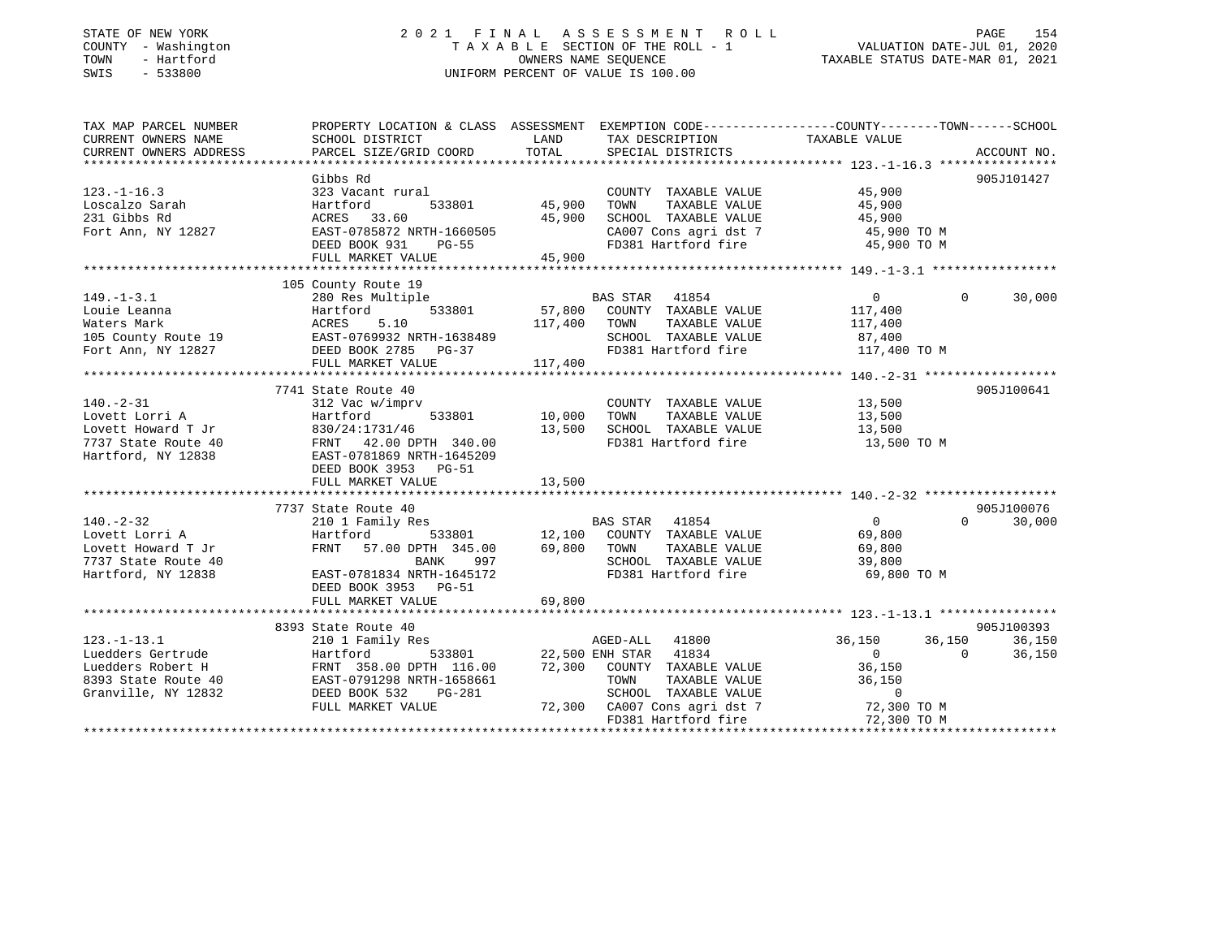# STATE OF NEW YORK 2 0 2 1 F I N A L A S S E S S M E N T R O L L PAGE 154COUNTY - Washington  $\begin{array}{ccc} 1 & 0 & 0 \\ -1 & 0 & 0 \end{array}$  T A X A B L E SECTION OF THE ROLL - 1 SWIS - 533800 UNIFORM PERCENT OF VALUE IS 100.00

# VALUATION DATE-JUL 01, 2020

TAXABLE STATUS DATE-MAR 01, 2021

| TAX MAP PARCEL NUMBER<br>CURRENT OWNERS NAME | PROPERTY LOCATION & CLASS ASSESSMENT EXEMPTION CODE---------------COUNTY-------TOWN-----SCHOOL<br>SCHOOL DISTRICT | LAND        | TAX DESCRIPTION                                                                              | TAXABLE VALUE    |                    |
|----------------------------------------------|-------------------------------------------------------------------------------------------------------------------|-------------|----------------------------------------------------------------------------------------------|------------------|--------------------|
| CURRENT OWNERS ADDRESS                       | PARCEL SIZE/GRID COORD                                                                                            | TOTAL       | SPECIAL DISTRICTS                                                                            |                  | ACCOUNT NO.        |
|                                              | Gibbs Rd                                                                                                          |             |                                                                                              |                  | 905J101427         |
| $123. - 1 - 16.3$                            | 323 Vacant rural                                                                                                  |             | COUNTY TAXABLE VALUE                                                                         | 45,900           |                    |
| Loscalzo Sarah                               | Hartford<br>533801                                                                                                | 45,900      | TAXABLE VALUE<br>TOWN                                                                        | 45,900           |                    |
| 231 Gibbs Rd                                 | ACRES 33.60                                                                                                       | 45,900      | SCHOOL TAXABLE VALUE                                                                         | 45,900           |                    |
| Fort Ann, NY 12827                           | EAST-0785872 NRTH-1660505                                                                                         |             | CA007 Cons agri dst 7                                                                        | 45,900 TO M      |                    |
|                                              | DEED BOOK 931<br><b>PG-55</b>                                                                                     |             | FD381 Hartford fire                                                                          | 45,900 TO M      |                    |
|                                              | FULL MARKET VALUE                                                                                                 | 45,900      |                                                                                              |                  |                    |
|                                              |                                                                                                                   |             |                                                                                              |                  |                    |
|                                              | 105 County Route 19                                                                                               |             |                                                                                              |                  |                    |
| $149. - 1 - 3.1$                             | 280 Res Multiple                                                                                                  |             | BAS STAR 41854                                                                               | $\Omega$         | $\Omega$<br>30,000 |
| Louie Leanna                                 | 533801<br>Hartford                                                                                                | 57,800      | COUNTY TAXABLE VALUE                                                                         | 117,400          |                    |
| Waters Mark                                  | ACRES<br>5.10                                                                                                     | 117,400     | TOWN<br>TAXABLE VALUE                                                                        | 117,400          |                    |
| 105 County Route 19                          | EAST-0769932 NRTH-1638489                                                                                         |             | SCHOOL TAXABLE VALUE                                                                         | 87,400           |                    |
| Fort Ann, NY 12827                           | DEED BOOK 2785 PG-37                                                                                              |             | FD381 Hartford fire 117,400 TO M                                                             |                  |                    |
|                                              | FULL MARKET VALUE                                                                                                 | 117,400     |                                                                                              |                  |                    |
|                                              |                                                                                                                   |             |                                                                                              |                  |                    |
|                                              | 7741 State Route 40                                                                                               |             |                                                                                              |                  | 905J100641         |
| $140. - 2 - 31$                              | 312 Vac w/imprv                                                                                                   |             | COUNTY TAXABLE VALUE                                                                         | 13,500           |                    |
| Lovett Lorri A                               | 533801<br>Hartford                                                                                                | 10,000      | TOWN<br>TAXABLE VALUE                                                                        | 13,500           |                    |
| Lovett Howard T Jr                           | 830/24:1731/46                                                                                                    | 13,500      | SCHOOL TAXABLE VALUE                                                                         | 13,500           |                    |
| 7737 State Route 40                          | FRNT 42.00 DPTH 340.00                                                                                            |             | FD381 Hartford fire                                                                          | 13,500 TO M      |                    |
| Hartford, NY 12838                           | EAST-0781869 NRTH-1645209                                                                                         |             |                                                                                              |                  |                    |
|                                              | DEED BOOK 3953 PG-51                                                                                              |             |                                                                                              |                  |                    |
|                                              | FULL MARKET VALUE                                                                                                 | 13,500      |                                                                                              |                  |                    |
|                                              |                                                                                                                   |             |                                                                                              |                  |                    |
|                                              | 7737 State Route 40                                                                                               |             |                                                                                              |                  | 905J100076         |
| $140. - 2 - 32$                              | 210 1 Family Res                                                                                                  |             | BAS STAR 41854                                                                               | 0                | 30,000<br>$\Omega$ |
| Lovett Lorri A                               | Hartford<br>533801                                                                                                |             | 12,100 COUNTY TAXABLE VALUE                                                                  | 69,800           |                    |
| Lovett Howard T Jr                           | 57.00 DPTH 345.00<br>FRNT                                                                                         | 69,800 TOWN | TAXABLE VALUE                                                                                | 69,800           |                    |
| 7737 State Route 40                          | BANK<br>997                                                                                                       |             | SCHOOL TAXABLE VALUE                                                                         | 39,800           |                    |
| Hartford, NY 12838                           | EAST-0781834 NRTH-1645172                                                                                         |             | FD381 Hartford fire                                                                          | 69,800 TO M      |                    |
|                                              | DEED BOOK 3953 PG-51                                                                                              |             |                                                                                              |                  |                    |
|                                              | FULL MARKET VALUE                                                                                                 | 69,800      |                                                                                              |                  |                    |
|                                              |                                                                                                                   |             |                                                                                              |                  |                    |
|                                              | 8393 State Route 40                                                                                               |             |                                                                                              |                  | 905J100393         |
| $123. - 1 - 13.1$                            | 210 1 Family Res                                                                                                  |             | AGED-ALL 41800                                                                               | 36,150<br>36,150 | 36,150             |
| Luedders Gertrude                            | Hartford                                                                                                          |             | 533801 22,500 ENH STAR 41834                                                                 | $\overline{0}$   | 36,150<br>$\Omega$ |
| Luedders Robert H                            | FRNT 358.00 DPTH 116.00                                                                                           | 72,300      | COUNTY TAXABLE VALUE                                                                         | 36,150           |                    |
| 8393 State Route 40                          | EAST-0791298 NRTH-1658661                                                                                         |             | TOWN<br>TAXABLE VALUE                                                                        | 36,150           |                    |
| Granville, NY 12832                          | DEED BOOK 532<br>PG-281                                                                                           |             | SCHOOL TAXABLE VALUE<br>SCHOOL TAXABLE VALUE 0<br>72,300 CA007 Cons agri dst 7 7 72,300 TO M | $\mathbf 0$      |                    |
|                                              | FULL MARKET VALUE                                                                                                 |             |                                                                                              |                  |                    |
|                                              |                                                                                                                   |             | FD381 Hartford fire                                                                          | 72,300 TO M      |                    |
|                                              |                                                                                                                   |             |                                                                                              |                  |                    |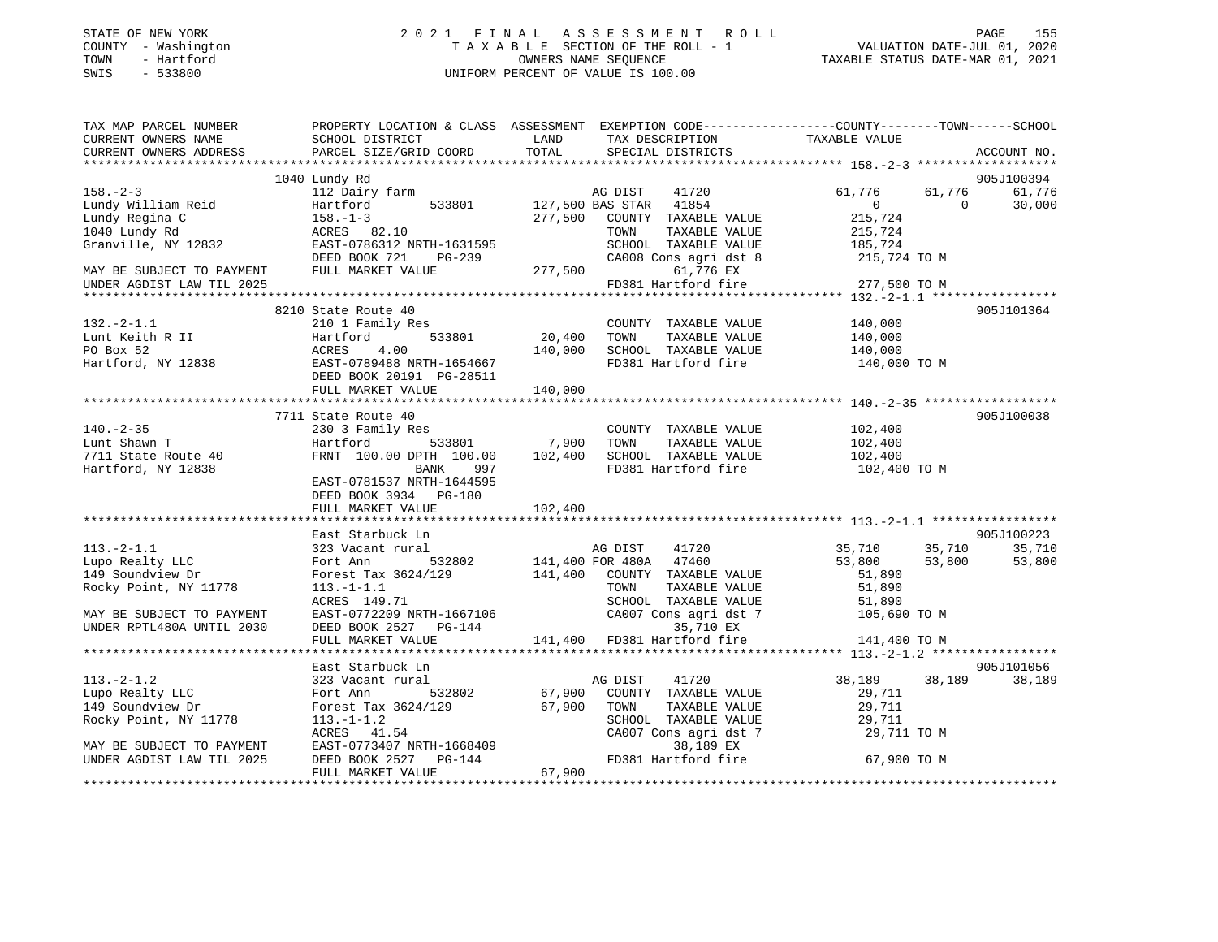| STATE OF NEW YORK    |  |              |  |
|----------------------|--|--------------|--|
| COUNTY               |  | - Washington |  |
| TOWN                 |  | - Hartford   |  |
| $\sim$ $\sim$ $\sim$ |  | $-2222$      |  |

### STATE OF NEW YORK 2 0 2 1 F I N A L A S S E S S M E N T R O L L PAGE 155 COUNTY - Washington T A X A B L E SECTION OF THE ROLL - 1 VALUATION DATE-JUL 01, 2020 TOWN - Hartford OWNERS NAME SEQUENCE TAXABLE STATUS DATE-MAR 01, 2021 SWIS - 533800 UNIFORM PERCENT OF VALUE IS 100.00

| TAX MAP PARCEL NUMBER<br>CURRENT OWNERS NAME                                                                                                                                                                                                         | PROPERTY LOCATION & CLASS ASSESSMENT EXEMPTION CODE---------------COUNTY-------TOWN-----SCHOOL<br>SCHOOL DISTRICT | LAND    | TAX DESCRIPTION                                                   | TAXABLE VALUE                                                                                     |               |
|------------------------------------------------------------------------------------------------------------------------------------------------------------------------------------------------------------------------------------------------------|-------------------------------------------------------------------------------------------------------------------|---------|-------------------------------------------------------------------|---------------------------------------------------------------------------------------------------|---------------|
| CURRENT OWNERS ADDRESS                                                                                                                                                                                                                               | PARCEL SIZE/GRID COORD                                                                                            | TOTAL   | SPECIAL DISTRICTS                                                 |                                                                                                   | ACCOUNT NO.   |
|                                                                                                                                                                                                                                                      | 1040 Lundy Rd                                                                                                     |         |                                                                   |                                                                                                   | 905J100394    |
| $158. - 2 - 3$                                                                                                                                                                                                                                       | 112 Dairy farm                                                                                                    |         |                                                                   | 61,776                                                                                            | 61,776 61,776 |
|                                                                                                                                                                                                                                                      | 112 Dairy farm<br>Hartford 533801 127,500 BAS STAR 41854                                                          |         |                                                                   |                                                                                                   |               |
| 1908. -2-3<br>Lundy Regina C<br>Lundy Regina C<br>19140 Lundy Regina C<br>1940 Lundy Regina C<br>1940 Lundy Regina C<br>1958. -1-3<br>197,500 COUNTY TAXABLE VALUE<br>277,500 COUNTY TAXABLE VALUE<br>215,724<br>277,500 COUNTY TAXABLE VALUE<br>215 |                                                                                                                   |         |                                                                   |                                                                                                   |               |
|                                                                                                                                                                                                                                                      |                                                                                                                   |         |                                                                   |                                                                                                   |               |
|                                                                                                                                                                                                                                                      |                                                                                                                   |         |                                                                   |                                                                                                   |               |
|                                                                                                                                                                                                                                                      |                                                                                                                   |         |                                                                   |                                                                                                   |               |
|                                                                                                                                                                                                                                                      |                                                                                                                   |         |                                                                   |                                                                                                   |               |
|                                                                                                                                                                                                                                                      |                                                                                                                   |         |                                                                   |                                                                                                   |               |
|                                                                                                                                                                                                                                                      |                                                                                                                   |         |                                                                   |                                                                                                   |               |
|                                                                                                                                                                                                                                                      | 8210 State Route 40                                                                                               |         |                                                                   |                                                                                                   | 905J101364    |
| $132 - 2 - 1.1$                                                                                                                                                                                                                                      | 210 1 Family Res                                                                                                  |         | COUNTY TAXABLE VALUE                                              | 140,000                                                                                           |               |
| Lunt Keith R II<br>1.2.1 Partford, NY 12838 EAST-0789488 NRTH-1654667<br>Hartford, NY 12838 EAST-0789488 NRTH-1654667<br>Hartford, NY 12838 EAST-0789488 NRTH-1654667<br>DEED BOOK 20191 PG-28511                                                    |                                                                                                                   |         | TAXABLE VALUE<br>TOWN                                             | 140,000                                                                                           |               |
|                                                                                                                                                                                                                                                      |                                                                                                                   |         | SCHOOL TAXABLE VALUE<br>FD381 Hartford fire                       | 140,000                                                                                           |               |
|                                                                                                                                                                                                                                                      |                                                                                                                   |         |                                                                   | 140,000 TO M                                                                                      |               |
|                                                                                                                                                                                                                                                      |                                                                                                                   |         |                                                                   |                                                                                                   |               |
|                                                                                                                                                                                                                                                      | FULL MARKET VALUE                                                                                                 | 140,000 |                                                                   |                                                                                                   |               |
|                                                                                                                                                                                                                                                      |                                                                                                                   |         |                                                                   |                                                                                                   |               |
|                                                                                                                                                                                                                                                      | 7711 State Route 40                                                                                               |         |                                                                   |                                                                                                   | 905J100038    |
| $140. - 2 - 35$                                                                                                                                                                                                                                      | 230 3 Family Res                                                                                                  |         | COUNTY TAXABLE VALUE                                              | 102,400                                                                                           |               |
|                                                                                                                                                                                                                                                      | Hartford 533801 7,900<br>FRNT 100.00 DPTH 100.00 102,400                                                          |         | TOWN<br>TAXABLE VALUE                                             | 102,400                                                                                           |               |
| For the Martford<br>That Hartford<br>Hartford, NY 12838<br>Hartford, NY 12838                                                                                                                                                                        |                                                                                                                   |         | SCHOOL TAXABLE VALUE                                              | 102,400                                                                                           |               |
|                                                                                                                                                                                                                                                      | BANK<br>997                                                                                                       |         | FD381 Hartford fire 102,400 TO M                                  |                                                                                                   |               |
|                                                                                                                                                                                                                                                      | EAST-0781537 NRTH-1644595                                                                                         |         |                                                                   |                                                                                                   |               |
|                                                                                                                                                                                                                                                      | DEED BOOK 3934 PG-180                                                                                             |         |                                                                   |                                                                                                   |               |
|                                                                                                                                                                                                                                                      | FULL MARKET VALUE                                                                                                 | 102,400 |                                                                   |                                                                                                   |               |
|                                                                                                                                                                                                                                                      |                                                                                                                   |         |                                                                   |                                                                                                   |               |
| $113.-2-1.1$                                                                                                                                                                                                                                         | East Starbuck Ln<br>323 Vacant rural                                                                              |         |                                                                   |                                                                                                   | 905J100223    |
| Lupo Realty LLC                                                                                                                                                                                                                                      | Fort Ann                                                                                                          |         | AG DIST 41720<br>EOD 480A 47460                                   | 35,710              35,710              35,710<br>53,800               53,800              53,800 | 53,800        |
| 149 Soundview Dr                                                                                                                                                                                                                                     | Forest Tax 3624/129 141,400 COUNTY TAXABLE VALUE                                                                  |         |                                                                   | 51,890                                                                                            |               |
| Rocky Point, NY 11778                                                                                                                                                                                                                                | $113.-1-1.1$                                                                                                      |         | TAXABLE VALUE<br>TOWN                                             | 51,890                                                                                            |               |
|                                                                                                                                                                                                                                                      |                                                                                                                   |         |                                                                   |                                                                                                   |               |
| MAY BE SUBJECT TO PAYMENT                                                                                                                                                                                                                            | 113.-1-1.1<br>ACRES 149.71<br>EAST-0772209 NRTH-1667106<br>DEED BOOK 2527 PG-144                                  |         | SCHOOL TAXABLE VALUE 51,890<br>CA007 Cons agri dst 7 105,690 TO M |                                                                                                   |               |
| UNDER RPTL480A UNTIL 2030                                                                                                                                                                                                                            |                                                                                                                   |         | 35,710 EX                                                         |                                                                                                   |               |
|                                                                                                                                                                                                                                                      | FULL MARKET VALUE                                                                                                 |         | $141,400$ FD381 Hartford fire $141,400$ TO M                      |                                                                                                   |               |
|                                                                                                                                                                                                                                                      |                                                                                                                   |         |                                                                   |                                                                                                   |               |
|                                                                                                                                                                                                                                                      | East Starbuck Ln                                                                                                  |         |                                                                   |                                                                                                   | 905J101056    |
| $113. - 2 - 1.2$                                                                                                                                                                                                                                     | 323 Vacant rural                                                                                                  |         | AG DIST<br>41720                                                  | 38,189 38,189 38,189                                                                              |               |
| Fort Ann<br>Lupo Realty LLC                                                                                                                                                                                                                          | 532802 67,900                                                                                                     |         | COUNTY TAXABLE VALUE                                              | 29,711                                                                                            |               |
| 149 Soundview Dr                                                                                                                                                                                                                                     | Forest Tax 3624/129 67,90<br>113.-1-1.2<br>ACRES 41.54<br>EAST-0773407 NRTH-1668409<br>DEED BOOK 2527 PG-144      | 67,900  | TOWN<br>TAXABLE VALUE                                             | 29,711                                                                                            |               |
| Rocky Point, NY 11778                                                                                                                                                                                                                                |                                                                                                                   |         | SCHOOL TAXABLE VALUE                                              | 29,711                                                                                            |               |
|                                                                                                                                                                                                                                                      |                                                                                                                   |         | CA007 Cons agri dst 7                                             | 29,711 TO M                                                                                       |               |
| MAY BE SUBJECT TO PAYMENT                                                                                                                                                                                                                            |                                                                                                                   |         | 38,189 EX                                                         |                                                                                                   |               |
| UNDER AGDIST LAW TIL 2025                                                                                                                                                                                                                            | DEED BOOK 2527 PG-144                                                                                             |         | FD381 Hartford fire 67,900 TO M                                   |                                                                                                   |               |
|                                                                                                                                                                                                                                                      | FULL MARKET VALUE                                                                                                 | 67,900  |                                                                   |                                                                                                   |               |
|                                                                                                                                                                                                                                                      |                                                                                                                   |         |                                                                   |                                                                                                   |               |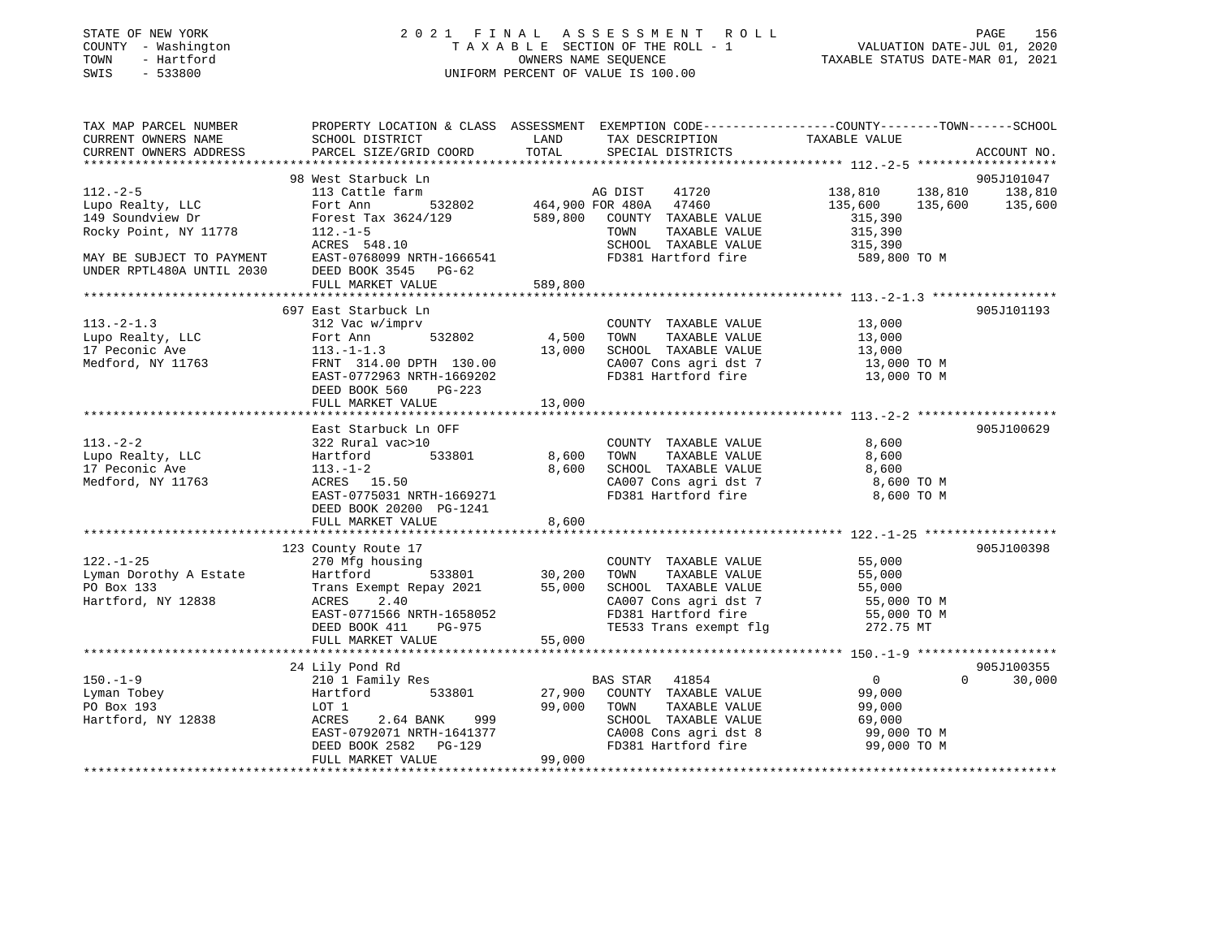| STATE OF NEW YORK |              |
|-------------------|--------------|
| COUNTY            | - Washington |
| TOWN              | - Hartford   |
| CM <sub>T</sub> C | 533800       |

#### STATE OF NEW YORK 2 0 2 1 F I N A L A S S E S S M E N T R O L L PAGE 156TA X A B L E SECTION OF THE ROLL - 1 OWNERS NAME SEQUENCE TAXABLE STATUS DATE-MAR 01, 2021 SWIS - 533800 UNIFORM PERCENT OF VALUE IS 100.00

VALUATION DATE-JUL 01, 2020

| TAX MAP PARCEL NUMBER                                                                                                           |                                                                             |         | PROPERTY LOCATION & CLASS ASSESSMENT EXEMPTION CODE----------------COUNTY-------TOWN------SCHOOL                                                        |                            |             |
|---------------------------------------------------------------------------------------------------------------------------------|-----------------------------------------------------------------------------|---------|---------------------------------------------------------------------------------------------------------------------------------------------------------|----------------------------|-------------|
| CURRENT OWNERS NAME                                                                                                             | SCHOOL DISTRICT                                                             | LAND    | TAX DESCRIPTION TAXABLE VALUE                                                                                                                           |                            |             |
| CURRENT OWNERS ADDRESS                                                                                                          | PARCEL SIZE/GRID COORD                                                      | TOTAL   | SPECIAL DISTRICTS                                                                                                                                       |                            | ACCOUNT NO. |
|                                                                                                                                 |                                                                             |         |                                                                                                                                                         |                            |             |
|                                                                                                                                 | 98 West Starbuck Ln                                                         |         |                                                                                                                                                         |                            | 905J101047  |
| $112. - 2 - 5$                                                                                                                  | 113 Cattle farm                                                             |         |                                                                                                                                                         | 138,810 138,810 138,810    |             |
| Lupo Realty, LLC                                                                                                                | Fort Ann                                                                    |         | $\begin{tabular}{lllllll} \texttt{farm} & & \texttt{AG DIST} & \texttt{41720} \\ & 532802 & & \texttt{464,900 FOR 480A} & \texttt{47460} \end{tabular}$ | 135,600 135,600 135,600    |             |
| 149 Soundview Dr                                                                                                                |                                                                             |         |                                                                                                                                                         |                            |             |
| Rocky Point, NY 11778                                                                                                           | Forest Tax 3624/129 589,800 COUNTY TAXABLE VALUE<br>$112. - 1 - 5$          |         | TAXABLE VALUE<br>TOWN                                                                                                                                   | 315,390<br>315,390         |             |
|                                                                                                                                 |                                                                             |         |                                                                                                                                                         |                            |             |
| ACRES 548.10<br>MAY BE SUBJECT TO PAYMENT EAST-0768099 NRTH-1666541<br>UNDER RPTL480A UNTIL 2030 DEED BOOK 3545 PG-62           |                                                                             |         | SCHOOL TAXABLE VALUE                                                                                                                                    | 315,390                    |             |
|                                                                                                                                 |                                                                             |         | FD381 Hartford fire                                                                                                                                     | 589,800 TO M               |             |
|                                                                                                                                 |                                                                             |         |                                                                                                                                                         |                            |             |
|                                                                                                                                 | FULL MARKET VALUE                                                           | 589,800 |                                                                                                                                                         |                            |             |
|                                                                                                                                 |                                                                             |         |                                                                                                                                                         |                            |             |
|                                                                                                                                 | 697 East Starbuck Ln                                                        |         |                                                                                                                                                         |                            | 905J101193  |
| $113.-2-1.3$                                                                                                                    | 312 Vac w/imprv                                                             |         | COUNTY TAXABLE VALUE 13,000                                                                                                                             |                            |             |
|                                                                                                                                 |                                                                             | 4,500   | TOWN<br>TAXABLE VALUE                                                                                                                                   | 13,000                     |             |
|                                                                                                                                 |                                                                             | 13,000  | SCHOOL TAXABLE VALUE 13,000                                                                                                                             |                            |             |
| Lupo Realty, LLC Fort Ann 532802<br>17 Peconic Ave 113.-1-1.3<br>Medford, NY 11763 FRNT 314.00 DPTH 130.00<br>Medford, NY 11763 | 113.-1-1.5<br>FRNT 314.00 DPTH 130.00<br>™™™-0772963 NRTH-1669202           |         | CA007 Cons agri dst 7 13,000 TO M<br>FD381 Hartford fire 13,000 TO M                                                                                    |                            |             |
|                                                                                                                                 |                                                                             |         |                                                                                                                                                         |                            |             |
|                                                                                                                                 | DEED BOOK 560 PG-223                                                        |         |                                                                                                                                                         |                            |             |
|                                                                                                                                 | FULL MARKET VALUE                                                           | 13,000  |                                                                                                                                                         |                            |             |
|                                                                                                                                 |                                                                             |         |                                                                                                                                                         |                            |             |
|                                                                                                                                 | East Starbuck Ln OFF                                                        |         |                                                                                                                                                         |                            | 905J100629  |
| $113. - 2 - 2$                                                                                                                  | 322 Rural vac>10                                                            |         | COUNTY TAXABLE VALUE                                                                                                                                    | 8,600                      |             |
| Lupo Realty, LLC                                                                                                                | Hartford 533801 8,600                                                       |         | TAXABLE VALUE<br>TOWN                                                                                                                                   | 8,600                      |             |
| 17 Peconic Ave                                                                                                                  | $113. - 1 - 2$                                                              | 8,600   | SCHOOL TAXABLE VALUE                                                                                                                                    | 8,600                      |             |
|                                                                                                                                 | ACRES 15.50                                                                 |         | CA007 Cons agri dst 7 8,600 TO M                                                                                                                        |                            |             |
| Medford, NY 11763                                                                                                               |                                                                             |         |                                                                                                                                                         |                            |             |
|                                                                                                                                 | EAST-0775031 NRTH-1669271                                                   |         | FD381 Hartford fire                                                                                                                                     | 8,600 TO M                 |             |
|                                                                                                                                 | DEED BOOK 20200 PG-1241                                                     |         |                                                                                                                                                         |                            |             |
|                                                                                                                                 | FULL MARKET VALUE                                                           | 8,600   |                                                                                                                                                         |                            |             |
|                                                                                                                                 |                                                                             |         |                                                                                                                                                         |                            |             |
|                                                                                                                                 | 123 County Route 17                                                         |         |                                                                                                                                                         |                            | 905J100398  |
| $122. - 1 - 25$                                                                                                                 | 270 Mfg housing                                                             |         | COUNTY TAXABLE VALUE 55,000                                                                                                                             |                            |             |
| Lyman Dorothy A Estate                                                                                                          | Hartford 533801                                                             | 30,200  | TOWN TAXABLE VALUE                                                                                                                                      | 55,000                     |             |
| PO Box 133                                                                                                                      | Trans Exempt Repay 2021 55,000                                              |         | SCHOOL TAXABLE VALUE                                                                                                                                    | 55,000                     |             |
| Hartford, NY 12838                                                                                                              | 2.40<br>ACRES                                                               |         | CA007 Cons agri dst 7<br>FD381 Hartford fire                                                                                                            | 55,000 TO M<br>55,000 TO M |             |
|                                                                                                                                 | EAST-0771566 NRTH-1658052                                                   |         |                                                                                                                                                         |                            |             |
|                                                                                                                                 | DEED BOOK 411<br>PG-975                                                     |         | TE533 Trans exempt flg 372.75 MT                                                                                                                        |                            |             |
|                                                                                                                                 | FULL MARKET VALUE                                                           | 55,000  |                                                                                                                                                         |                            |             |
|                                                                                                                                 |                                                                             |         |                                                                                                                                                         |                            |             |
|                                                                                                                                 | 24 Lily Pond Rd                                                             |         |                                                                                                                                                         |                            | 905J100355  |
| $150. - 1 - 9$                                                                                                                  | 210 1 Family Res                                                            |         | BAS STAR 41854                                                                                                                                          | $\Omega$<br>$\overline{0}$ | 30,000      |
| Lyman Tobey                                                                                                                     | Hartford 533801                                                             | 27,900  | COUNTY TAXABLE VALUE                                                                                                                                    | 99,000                     |             |
| PO Box 193                                                                                                                      | LOT 1                                                                       | 99,000  | TOWN<br>TAXABLE VALUE                                                                                                                                   | 99,000                     |             |
| Hartford, NY 12838                                                                                                              | 2.64 BANK<br>999<br>ACRES                                                   |         | SCHOOL TAXABLE VALUE                                                                                                                                    | 69,000                     |             |
|                                                                                                                                 |                                                                             |         |                                                                                                                                                         | 99,000 TO M                |             |
|                                                                                                                                 | EAST-0792071 NRTH-1641377<br>DEED BOOK 2582 PG-129<br>DEED BOOK 2582 PG-129 |         | CA008 Cons agri dst 8<br>FD381 Hartford fire                                                                                                            | 99,000 TO M                |             |
|                                                                                                                                 | FULL MARKET VALUE                                                           | 99,000  |                                                                                                                                                         |                            |             |
|                                                                                                                                 |                                                                             |         |                                                                                                                                                         |                            |             |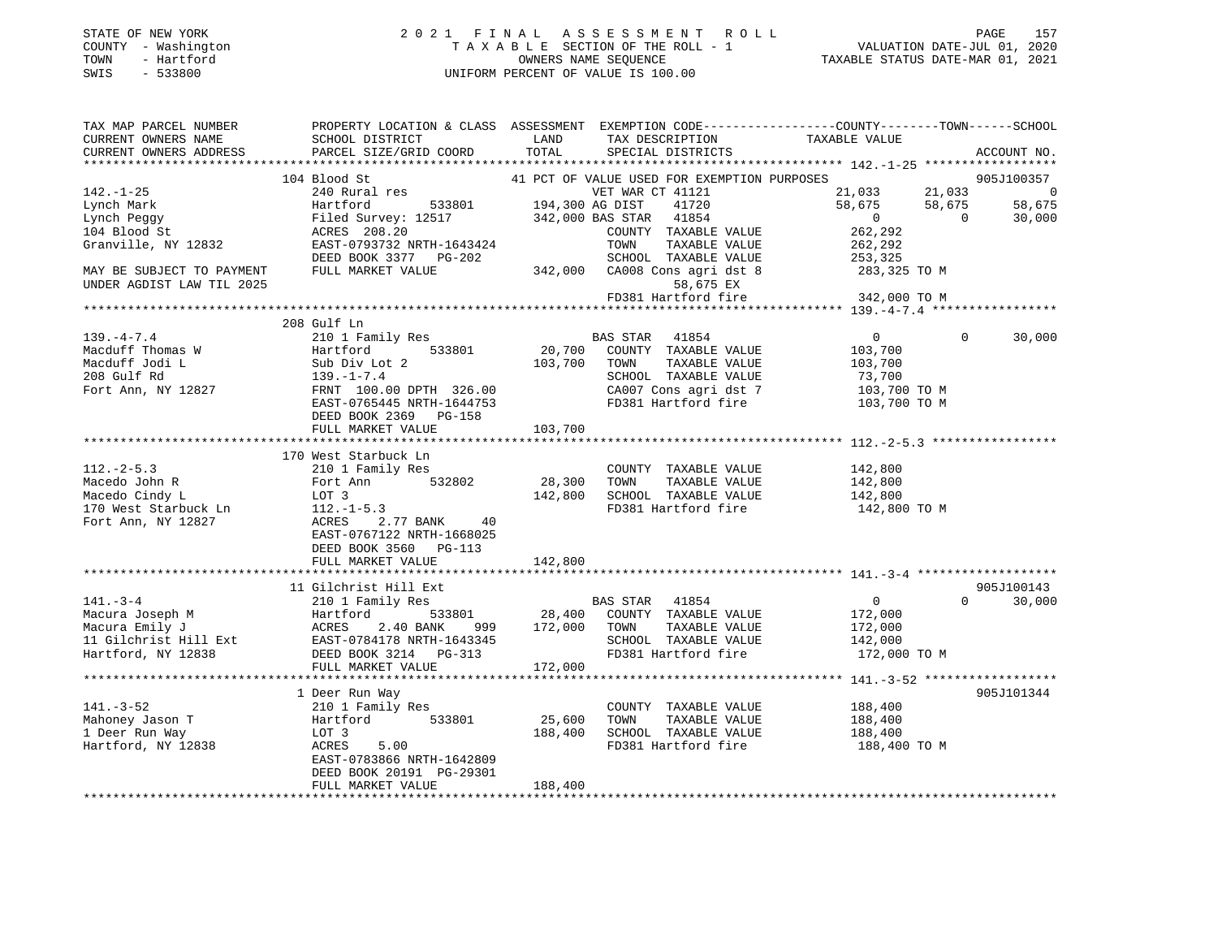| STATE OF NEW YORK   | 2021 FINAL ASSESSMENT ROLL         | 157<br>PAGE                      |
|---------------------|------------------------------------|----------------------------------|
| COUNTY - Washington | TAXABLE SECTION OF THE ROLL - 1    | VALUATION DATE-JUL 01, 2020      |
| TOWN<br>- Hartford  | OWNERS NAME SEOUENCE               | TAXABLE STATUS DATE-MAR 01, 2021 |
| SWIS<br>$-533800$   | UNIFORM PERCENT OF VALUE IS 100.00 |                                  |
|                     |                                    |                                  |

| TAX MAP PARCEL NUMBER                                                                                                                                                                                                          |                                                                                                                                                                                                                                               |         |                                                                                                   | PROPERTY LOCATION & CLASS ASSESSMENT EXEMPTION CODE---------------COUNTY-------TOWN-----SCHOOL                                                |        |
|--------------------------------------------------------------------------------------------------------------------------------------------------------------------------------------------------------------------------------|-----------------------------------------------------------------------------------------------------------------------------------------------------------------------------------------------------------------------------------------------|---------|---------------------------------------------------------------------------------------------------|-----------------------------------------------------------------------------------------------------------------------------------------------|--------|
| CURRENT OWNERS NAME                                                                                                                                                                                                            | SCHOOL DISTRICT                                                                                                                                                                                                                               | LAND    |                                                                                                   |                                                                                                                                               |        |
|                                                                                                                                                                                                                                | CURRENT OWNERS ADDRESS PARCEL SIZE/GRID COORD TOTAL                                                                                                                                                                                           |         |                                                                                                   | ACCOUNT NO.                                                                                                                                   |        |
|                                                                                                                                                                                                                                |                                                                                                                                                                                                                                               |         |                                                                                                   |                                                                                                                                               |        |
|                                                                                                                                                                                                                                | 104 Blood St                                                                                                                                                                                                                                  |         |                                                                                                   | 41 PCT OF VALUE USED FOR EXEMPTION PURPOSES                                                                                                   |        |
| $142. - 1 - 25$                                                                                                                                                                                                                | 240 Rural res                                                                                                                                                                                                                                 |         | VET WAR CT 41121                                                                                  |                                                                                                                                               |        |
| Lynch Mark                                                                                                                                                                                                                     |                                                                                                                                                                                                                                               |         |                                                                                                   |                                                                                                                                               |        |
| Lynch Peggy                                                                                                                                                                                                                    |                                                                                                                                                                                                                                               |         |                                                                                                   |                                                                                                                                               |        |
| 104 Blood St                                                                                                                                                                                                                   | Hartford 533801 194,300 AG DIST 41720<br>Filed Survey: 12517 342,000 BAS STAR 41854<br>ACRES 200 20                                                                                                                                           |         | COUNTY TAXABLE VALUE                                                                              | $21,033$<br>$58,675$<br>$21,033$<br>$58,675$<br>$0$<br>$262,292$<br>$260$<br>$262$                                                            |        |
| Granville, NY 12832                                                                                                                                                                                                            |                                                                                                                                                                                                                                               |         | TOWN                                                                                              |                                                                                                                                               |        |
|                                                                                                                                                                                                                                | RIFIED $308.20$<br>RAST-0793732 NRTH-1643424<br>$208.20$<br>$208.20$<br>$208.20$<br>$208.20$<br>$208.20$                                                                                                                                      |         | TAXABLE VALUE                                                                                     | 262,292                                                                                                                                       |        |
|                                                                                                                                                                                                                                | DEED BOOK 3377 PG-202                                                                                                                                                                                                                         |         | SCHOOL TAXABLE VALUE                                                                              | 253,325                                                                                                                                       |        |
| MAY BE SUBJECT TO PAYMENT                                                                                                                                                                                                      | FULL MARKET VALUE 342,000 CA008 Cons agri dst 8 283,325 TO M                                                                                                                                                                                  |         |                                                                                                   |                                                                                                                                               |        |
| UNDER AGDIST LAW TIL 2025                                                                                                                                                                                                      |                                                                                                                                                                                                                                               |         | 58,675 EX                                                                                         |                                                                                                                                               |        |
|                                                                                                                                                                                                                                |                                                                                                                                                                                                                                               |         | FD381 Hartford fire                                                                               | 342,000 TO M                                                                                                                                  |        |
|                                                                                                                                                                                                                                |                                                                                                                                                                                                                                               |         |                                                                                                   |                                                                                                                                               |        |
|                                                                                                                                                                                                                                | 208 Gulf Ln                                                                                                                                                                                                                                   |         |                                                                                                   |                                                                                                                                               |        |
|                                                                                                                                                                                                                                |                                                                                                                                                                                                                                               |         |                                                                                                   | $\overline{0}$<br>$\Omega$                                                                                                                    | 30,000 |
|                                                                                                                                                                                                                                | 139.-4-7.4<br>Macduff Thomas W Hartford 533801 20,700 COUNTY TAXABLE VALUE<br>Macduff Jodi L Sub Div Lot 2<br>208 Gulf Rd 139.-1-7.4<br>Fort Ann, NY 12827<br>EAS STAR 41854<br>Macduff Jodi L Sub Div Lot 2<br>208 Gulf Rd 139.-1-7.4<br>For |         | --7 1122<br>533801 20,700 COUNTY TAXABLE VALUE 103,700<br>bt 2 103,700 TOWN TAXABLE VALUE 103,700 |                                                                                                                                               |        |
|                                                                                                                                                                                                                                |                                                                                                                                                                                                                                               |         |                                                                                                   |                                                                                                                                               |        |
|                                                                                                                                                                                                                                |                                                                                                                                                                                                                                               |         |                                                                                                   |                                                                                                                                               |        |
|                                                                                                                                                                                                                                |                                                                                                                                                                                                                                               |         |                                                                                                   | TOWN TAXABLE VALUE<br>SCHOOL TAXABLE VALUE 73,700<br>CA007 Cons agri dst 7 103,700 TO M<br>CA007 Cons agri dst 7 103,700 TO M<br>103,700 TO M |        |
|                                                                                                                                                                                                                                |                                                                                                                                                                                                                                               |         |                                                                                                   |                                                                                                                                               |        |
|                                                                                                                                                                                                                                | DEED BOOK 2369 PG-158                                                                                                                                                                                                                         |         |                                                                                                   |                                                                                                                                               |        |
|                                                                                                                                                                                                                                |                                                                                                                                                                                                                                               |         |                                                                                                   |                                                                                                                                               |        |
|                                                                                                                                                                                                                                | FULL MARKET VALUE                                                                                                                                                                                                                             | 103,700 |                                                                                                   |                                                                                                                                               |        |
|                                                                                                                                                                                                                                |                                                                                                                                                                                                                                               |         |                                                                                                   |                                                                                                                                               |        |
|                                                                                                                                                                                                                                | 170 West Starbuck Ln                                                                                                                                                                                                                          |         |                                                                                                   |                                                                                                                                               |        |
| $112 - 2 - 5.3$                                                                                                                                                                                                                | 210 1 Family Res COUNT COUNT<br>Fort Ann 532802 28,300 TOWN                                                                                                                                                                                   |         | COUNTY TAXABLE VALUE                                                                              | 142,800<br>142,800                                                                                                                            |        |
| 112.-2-5. <i>3</i><br>Macedo John R<br>Cirdy L                                                                                                                                                                                 |                                                                                                                                                                                                                                               |         | TAXABLE VALUE                                                                                     |                                                                                                                                               |        |
|                                                                                                                                                                                                                                | LOT 3                                                                                                                                                                                                                                         |         |                                                                                                   | 142,800 SCHOOL TAXABLE VALUE 142,800<br>FD381 Hartford fire 142,800 TO M                                                                      |        |
|                                                                                                                                                                                                                                |                                                                                                                                                                                                                                               |         |                                                                                                   |                                                                                                                                               |        |
| maceuve chapter and the model of the method of the method of the method of the method of the method of the method of the method of the method of the method of the method of the method of the method of the method of the met | ACRES 2.77 BANK 40                                                                                                                                                                                                                            |         |                                                                                                   |                                                                                                                                               |        |
|                                                                                                                                                                                                                                | EAST-0767122 NRTH-1668025                                                                                                                                                                                                                     |         |                                                                                                   |                                                                                                                                               |        |
|                                                                                                                                                                                                                                | DEED BOOK 3560 PG-113                                                                                                                                                                                                                         |         |                                                                                                   |                                                                                                                                               |        |
|                                                                                                                                                                                                                                | FULL MARKET VALUE                                                                                                                                                                                                                             | 142,800 |                                                                                                   |                                                                                                                                               |        |
|                                                                                                                                                                                                                                |                                                                                                                                                                                                                                               |         |                                                                                                   |                                                                                                                                               |        |
|                                                                                                                                                                                                                                |                                                                                                                                                                                                                                               |         |                                                                                                   | 905J100143                                                                                                                                    |        |
|                                                                                                                                                                                                                                |                                                                                                                                                                                                                                               |         |                                                                                                   | $\overline{0}$<br>$0 \t 30,000$                                                                                                               |        |
|                                                                                                                                                                                                                                | Macura Joseph M (210 1 Family Res )<br>Macura Joseph M (210 1 Family Res )<br>Macura Emily J (210 1 Family Res )<br>Macura Emily J (210 20 28,400 COUNTY TAXABLE VALUE<br>Macura Emily J (22,000 TOWN TAXABLE VALUE<br>172,000 TOWN TAXA      |         |                                                                                                   |                                                                                                                                               |        |
|                                                                                                                                                                                                                                |                                                                                                                                                                                                                                               |         |                                                                                                   | 172,000<br>172,000                                                                                                                            |        |
|                                                                                                                                                                                                                                |                                                                                                                                                                                                                                               |         |                                                                                                   |                                                                                                                                               |        |
|                                                                                                                                                                                                                                |                                                                                                                                                                                                                                               |         |                                                                                                   | SCHOOL TAXABLE VALUE 142,000<br>FD381 Hartford fire 172,000 TO M                                                                              |        |
|                                                                                                                                                                                                                                |                                                                                                                                                                                                                                               |         |                                                                                                   |                                                                                                                                               |        |
|                                                                                                                                                                                                                                |                                                                                                                                                                                                                                               |         |                                                                                                   |                                                                                                                                               |        |
|                                                                                                                                                                                                                                |                                                                                                                                                                                                                                               |         |                                                                                                   |                                                                                                                                               |        |
|                                                                                                                                                                                                                                | 1 Deer Run Way                                                                                                                                                                                                                                |         |                                                                                                   | 905J101344                                                                                                                                    |        |
|                                                                                                                                                                                                                                |                                                                                                                                                                                                                                               |         |                                                                                                   |                                                                                                                                               |        |
|                                                                                                                                                                                                                                | Community Rest<br>Mahoney Jason T<br>1 Deer Run Way<br>Hartford, NY 12838<br>Hartford, NY 12838<br>ACRES 5.00                                                                                                                                 | 25,600  | COUNTY TAXABLE VALUE 188,400<br>TOWN TAXABLE VALUE 188,400                                        |                                                                                                                                               |        |
|                                                                                                                                                                                                                                | 188,400 188,400 188,400 188,400 CHOOL TAXABLE VALUE 188,400 188,400 ED381 Hartford fire 189,400 189,400 ED381 Hartford fire                                                                                                                   |         |                                                                                                   |                                                                                                                                               |        |
|                                                                                                                                                                                                                                |                                                                                                                                                                                                                                               |         |                                                                                                   | 188,400 TO M                                                                                                                                  |        |
|                                                                                                                                                                                                                                |                                                                                                                                                                                                                                               |         |                                                                                                   |                                                                                                                                               |        |
|                                                                                                                                                                                                                                | DEED BOOK 20191 PG-29301                                                                                                                                                                                                                      |         |                                                                                                   |                                                                                                                                               |        |
|                                                                                                                                                                                                                                | FULL MARKET VALUE                                                                                                                                                                                                                             | 188,400 |                                                                                                   |                                                                                                                                               |        |
|                                                                                                                                                                                                                                |                                                                                                                                                                                                                                               |         |                                                                                                   |                                                                                                                                               |        |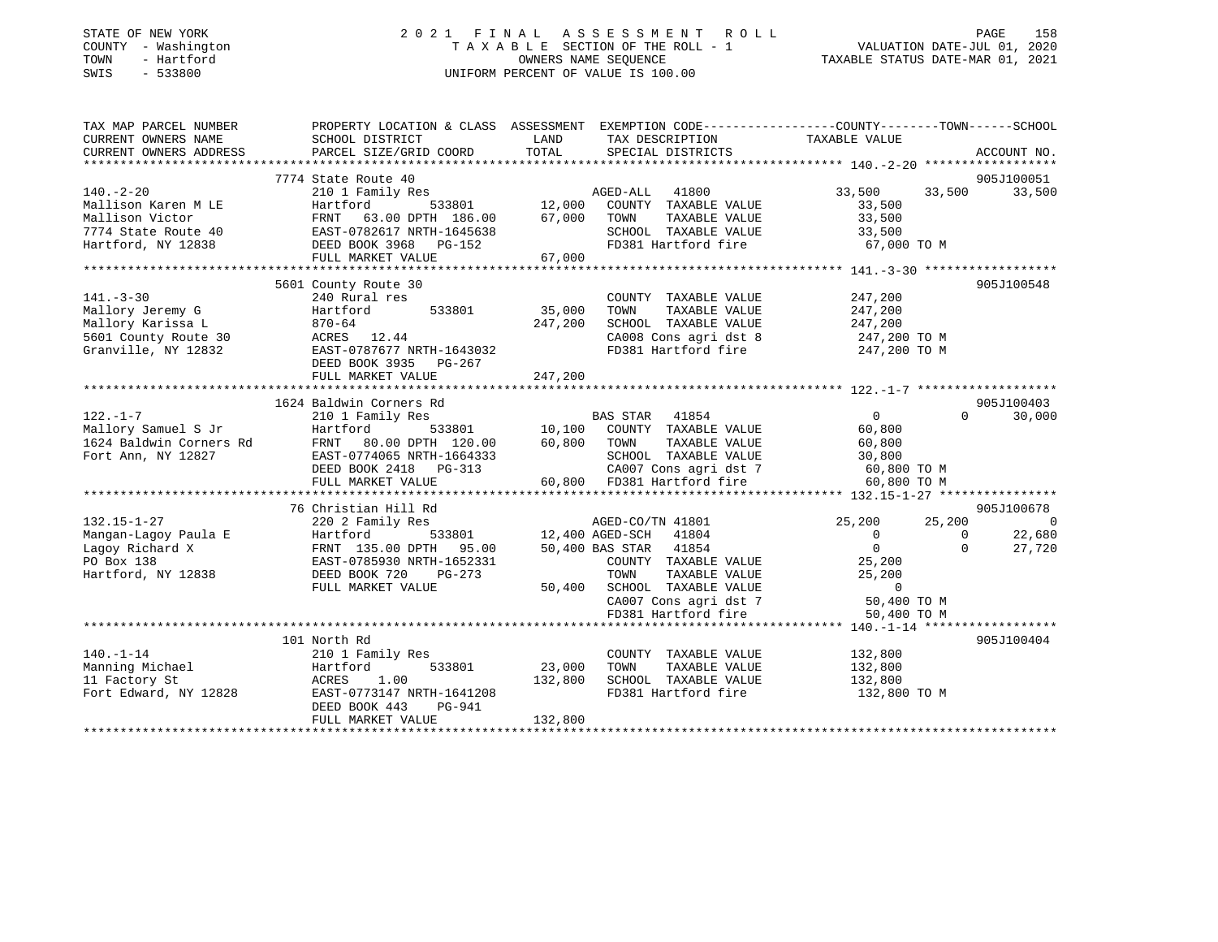| STATE OF NEW YORK |  |              |
|-------------------|--|--------------|
| COUNTY            |  | - Washington |
| TOWN              |  | - Hartford   |
| SMTS              |  | $-533800$    |

### STATE OF NEW YORK 2 0 2 1 F I N A L A S S E S S M E N T R O L L PAGE 158 COUNTY - Washington T A X A B L E SECTION OF THE ROLL - 1 VALUATION DATE-JUL 01, 2020 TOWN - Hartford OWNERS NAME SEQUENCE TAXABLE STATUS DATE-MAR 01, 2021 SWIS - 533800 UNIFORM PERCENT OF VALUE IS 100.00

| TAX MAP PARCEL NUMBER                          | PROPERTY LOCATION & CLASS ASSESSMENT EXEMPTION CODE----------------COUNTY-------TOWN------SCHOOL |                |                                                                  |                   |                |                |
|------------------------------------------------|--------------------------------------------------------------------------------------------------|----------------|------------------------------------------------------------------|-------------------|----------------|----------------|
| CURRENT OWNERS NAME                            | SCHOOL DISTRICT                                                                                  | LAND           | TAX DESCRIPTION                                                  | TAXABLE VALUE     |                |                |
| CURRENT OWNERS ADDRESS                         | PARCEL SIZE/GRID COORD                                                                           | TOTAL          | SPECIAL DISTRICTS                                                |                   |                | ACCOUNT NO.    |
|                                                |                                                                                                  |                |                                                                  |                   |                |                |
|                                                | 7774 State Route 40                                                                              |                |                                                                  |                   |                | 905J100051     |
| $140. -2 - 20$                                 | 210 1 Family Res                                                                                 |                | AGED-ALL 41800                                                   | 33,500            |                | 33,500 33,500  |
| Mallison Karen M LE                            | Hartford                                                                                         | 533801 12,000  | COUNTY TAXABLE VALUE                                             | 33,500            |                |                |
| Mallison Victor                                | FRNT 63.00 DPTH 186.00                                                                           | 67,000         | TOWN<br>TAXABLE VALUE                                            | 33,500            |                |                |
| 7774 State Route 40                            |                                                                                                  |                | SCHOOL TAXABLE VALUE                                             | 33,500            |                |                |
| Hartford, NY 12838                             | FRNT 63.00 DPTH 186.00<br>EAST-0782617 NRTH-1645638<br>DEED BOOK 3968 PG-152                     |                | FD381 Hartford fire 67,000 TO M                                  |                   |                |                |
|                                                | FULL MARKET VALUE                                                                                | 67,000         |                                                                  |                   |                |                |
|                                                |                                                                                                  |                |                                                                  |                   |                |                |
|                                                | 5601 County Route 30                                                                             |                |                                                                  |                   |                | 905J100548     |
| $141. - 3 - 30$                                | 240 Rural res                                                                                    |                | COUNTY TAXABLE VALUE                                             | 247,200           |                |                |
| Mallory Jeremy G                               | 533801 35,000<br>Hartford                                                                        |                | TOWN<br>TAXABLE VALUE                                            | 247,200           |                |                |
| Mallory Karissa L                              |                                                                                                  | 247,200        | SCHOOL TAXABLE VALUE                                             | 247,200           |                |                |
| 5601 County Route 30                           | $0.70 - 64$<br>ACRES 12.44                                                                       |                | CA008 Cons agri dst 8                                            | 247,200 TO M      |                |                |
| Granville, NY 12832                            | EAST-0787677 NRTH-1643032                                                                        |                | FD381 Hartford fire 247,200 TO M                                 |                   |                |                |
|                                                | DEED BOOK 3935 PG-267                                                                            |                |                                                                  |                   |                |                |
|                                                | FULL MARKET VALUE                                                                                | 247,200        |                                                                  |                   |                |                |
|                                                |                                                                                                  |                |                                                                  |                   |                |                |
|                                                | 1624 Baldwin Corners Rd                                                                          |                |                                                                  |                   |                | 905J100403     |
| $122. - 1 - 7$                                 | 210 1 Family Res                                                                                 |                | BAS STAR 41854                                                   | $\overline{0}$    | $\Omega$       | 30,000         |
| Mallory Samuel S Jr                            | Hartford                                                                                         |                | 533801 10,100 COUNTY TAXABLE VALUE                               | 60,800            |                |                |
| Mallory Samuel S Jr<br>1624 Baldwin Corners Rd | FRNT 80.00 DPTH 120.00                                                                           | 60,800 TOWN    | TAXABLE VALUE                                                    | 60,800            |                |                |
| Fort Ann, NY 12827                             | EAST-0774065 NRTH-1664333                                                                        |                |                                                                  |                   |                |                |
|                                                | DEED BOOK 2418 PG-313                                                                            | $\frac{33}{2}$ | SCHOOL TAXABLE VALUE 30,800<br>CA007 Cons agri dst 7 60,800 TO M |                   |                |                |
|                                                | FULL MARKET VALUE                                                                                |                | 60,800 FD381 Hartford fire                                       | 60,800 TO M       |                |                |
|                                                |                                                                                                  |                |                                                                  |                   |                |                |
|                                                | 76 Christian Hill Rd                                                                             |                |                                                                  |                   |                | 905J100678     |
| $132.15 - 1 - 27$                              | 220 2 Family Res                                                                                 |                | AGED-CO/TN 41801                                                 | 25,200 25,200     |                | $\overline{0}$ |
| Mangan-Lagoy Paula E                           | Hartford                                                                                         |                | 533801 12,400 AGED-SCH 41804                                     | $\overline{0}$    | $\overline{0}$ | 22,680         |
| Lagoy Richard X                                | FRNT 135.00 DPTH 95.00                                                                           |                | 50,400 BAS STAR 41854                                            | $0 \qquad \qquad$ | $\Omega$       | 27,720         |
| PO Box 138                                     | EAST-0785930 NRTH-1652331                                                                        |                | COUNTY TAXABLE VALUE                                             | 25,200            |                |                |
| Hartford, NY 12838                             | DEED BOOK 720<br>PG-273                                                                          |                | TAXABLE VALUE<br>TOWN                                            | 25,200            |                |                |
|                                                | FULL MARKET VALUE                                                                                | 50,400         |                                                                  | $\sim$ 0          |                |                |
|                                                |                                                                                                  |                | SCHOOL TAXABLE VALUE<br>CA007 Cons agri dst 7                    | 50,400 TO M       |                |                |
|                                                |                                                                                                  |                | FD381 Hartford fire                                              | 50,400 TO M       |                |                |
|                                                |                                                                                                  |                |                                                                  |                   |                |                |
|                                                | 101 North Rd                                                                                     |                |                                                                  |                   |                | 905J100404     |
| $140. - 1 - 14$                                | 210 1 Family Res                                                                                 |                | COUNTY TAXABLE VALUE                                             | 132,800           |                |                |
| Manning Michael                                | 533801<br>Hartford                                                                               | 23,000         | TOWN<br>TAXABLE VALUE                                            | 132,800           |                |                |
| 11 Factory St                                  | 1.00<br>ACRES                                                                                    | 132,800        | SCHOOL TAXABLE VALUE                                             | 132,800           |                |                |
| Fort Edward, NY 12828                          | EAST-0773147 NRTH-1641208                                                                        |                | FD381 Hartford fire                                              | 132,800 TO M      |                |                |
|                                                | DEED BOOK 443<br>PG-941                                                                          |                |                                                                  |                   |                |                |
|                                                | FULL MARKET VALUE                                                                                | 132,800        |                                                                  |                   |                |                |
|                                                |                                                                                                  |                |                                                                  |                   |                |                |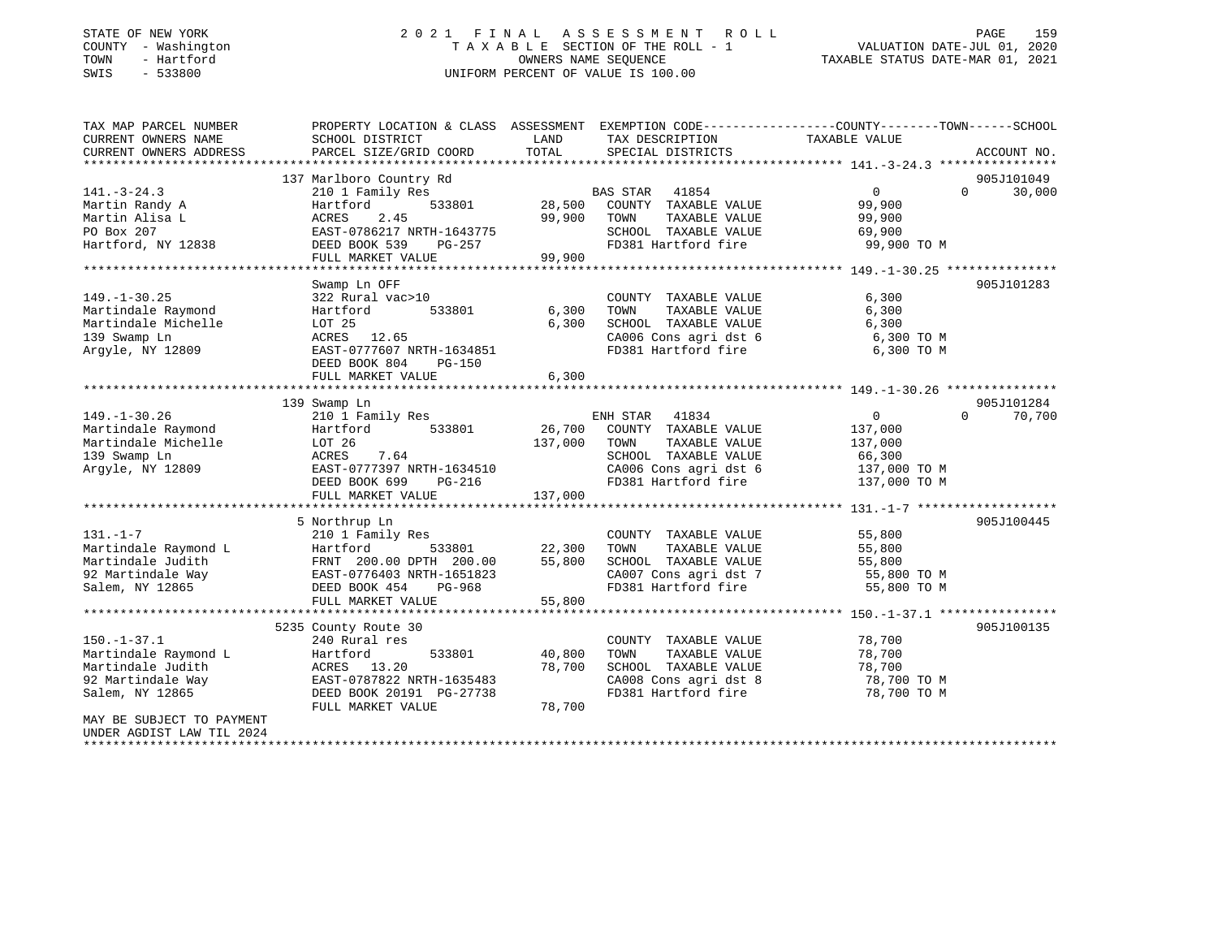#### STATE OF NEW YORK 2 0 2 1 F I N A L A S S E S S M E N T R O L L PAGE 159COUNTY - Washington  $T A X A B L E$  SECTION OF THE ROLL - 1<br>TOWN - Hartford  $\bullet$  2000 - 2021 - 2021 - 2020 - 2020 - 2020 - 2020 - 2020 - 2020 - 2020 - 2020 - 2020 - 2020 OWNERS NAME SEQUENCE TAXABLE STATUS DATE-MAR 01, 2021 SWIS - 533800 UNIFORM PERCENT OF VALUE IS 100.00

VALUATION DATE-JUL 01, 2020

| TAX MAP PARCEL NUMBER                          | PROPERTY LOCATION & CLASS ASSESSMENT EXEMPTION CODE----------------COUNTY-------TOWN-----SCHOOL |         |                                  |                   |                             |
|------------------------------------------------|-------------------------------------------------------------------------------------------------|---------|----------------------------------|-------------------|-----------------------------|
| CURRENT OWNERS NAME                            | SCHOOL DISTRICT                                                                                 | LAND    | TAX DESCRIPTION                  | TAXABLE VALUE     |                             |
| CURRENT OWNERS ADDRESS                         | PARCEL SIZE/GRID COORD                                                                          | TOTAL   | SPECIAL DISTRICTS                |                   | ACCOUNT NO.                 |
|                                                |                                                                                                 |         |                                  |                   |                             |
|                                                | 137 Marlboro Country Rd                                                                         |         |                                  |                   | 905J101049                  |
| $141. - 3 - 24.3$                              | 210 1 Family Res                                                                                |         | BAS STAR 41854                   | $\overline{0}$    | $0 \qquad \qquad$<br>30,000 |
| Martin Randy A                                 | 533801<br>Hartford                                                                              | 28,500  | COUNTY TAXABLE VALUE             | 99,900            |                             |
| Martin Alisa L                                 | 2.45<br>ACRES                                                                                   | 99,900  | TOWN<br>TAXABLE VALUE            | 99,900            |                             |
| PO Box 207                                     | EAST-0786217 NRTH-1643775                                                                       |         | SCHOOL TAXABLE VALUE             | 69,900            |                             |
| Hartford, NY 12838                             | DEED BOOK 539<br>PG-257                                                                         |         | FD381 Hartford fire              | 99,900 TO M       |                             |
|                                                | FULL MARKET VALUE                                                                               | 99,900  |                                  |                   |                             |
|                                                |                                                                                                 |         |                                  |                   |                             |
|                                                | Swamp Ln OFF                                                                                    |         |                                  |                   | 905J101283                  |
| $149. - 1 - 30.25$                             | 322 Rural vac>10                                                                                |         | COUNTY TAXABLE VALUE             | 6,300             |                             |
| Martindale Raymond                             | 533801<br>Hartford                                                                              | 6,300   | TAXABLE VALUE<br>TOWN            | 6,300             |                             |
| Martindale Michelle                            | LOT 25                                                                                          | 6,300   | SCHOOL TAXABLE VALUE             | 6,300             |                             |
| 139 Swamp Ln                                   | ACRES 12.65                                                                                     |         | CA006 Cons agri dst 6            | 6,300 TO M        |                             |
| Arqyle, NY 12809                               | EAST-0777607 NRTH-1634851                                                                       |         | FD381 Hartford fire              | 6,300 TO M        |                             |
|                                                | DEED BOOK 804<br>PG-150                                                                         |         |                                  |                   |                             |
|                                                | FULL MARKET VALUE                                                                               | 6,300   |                                  |                   |                             |
|                                                |                                                                                                 |         |                                  |                   |                             |
|                                                | 139 Swamp Ln                                                                                    |         |                                  |                   | 905J101284                  |
| $149. - 1 - 30.26$                             | 210 1 Family Res                                                                                |         | ENH STAR 41834                   | $0 \qquad \qquad$ | $\Omega$<br>70,700          |
| Martindale Raymond                             | Hartford<br>533801                                                                              | 26,700  | COUNTY TAXABLE VALUE             | 137,000           |                             |
| Martindale Michelle                            | LOT 26                                                                                          | 137,000 | TOWN<br>TAXABLE VALUE            | 137,000           |                             |
| 139 Swamp Ln                                   | 7.64<br>ACRES                                                                                   |         | SCHOOL TAXABLE VALUE             | 66,300            |                             |
| Arqyle, NY 12809                               | EAST-0777397 NRTH-1634510                                                                       |         | CA006 Cons agri dst 6            | 137,000 TO M      |                             |
|                                                | PG-216<br>DEED BOOK 699                                                                         |         | FD381 Hartford fire 137,000 TO M |                   |                             |
|                                                | FULL MARKET VALUE                                                                               | 137,000 |                                  |                   |                             |
|                                                |                                                                                                 |         |                                  |                   |                             |
|                                                | 5 Northrup Ln                                                                                   |         |                                  |                   | 905J100445                  |
| $131. - 1 - 7$                                 | 210 1 Family Res                                                                                |         | COUNTY TAXABLE VALUE             | 55,800            |                             |
| Martindale Raymond L                           | 533801<br>Hartford                                                                              | 22,300  | TOWN<br>TAXABLE VALUE            | 55,800            |                             |
| Martindale Judith                              | FRNT 200.00 DPTH 200.00                                                                         | 55,800  | SCHOOL TAXABLE VALUE             | 55,800            |                             |
| 92 Martindale Way 62 EAST-0776403 NRTH-1651823 |                                                                                                 |         | CA007 Cons agri dst 7            | 55,800 TO M       |                             |
| Salem, NY 12865                                | DEED BOOK 454<br>PG-968                                                                         |         | FD381 Hartford fire              | 55,800 TO M       |                             |
|                                                | FULL MARKET VALUE                                                                               | 55,800  |                                  |                   |                             |
|                                                |                                                                                                 |         |                                  |                   |                             |
|                                                | 5235 County Route 30                                                                            |         |                                  |                   | 905J100135                  |
| $150. - 1 - 37.1$                              | 240 Rural res                                                                                   |         |                                  | 78,700            |                             |
|                                                |                                                                                                 |         | COUNTY TAXABLE VALUE<br>TOWN     |                   |                             |
| Martindale Raymond L                           | 533801<br>Hartford                                                                              | 40,800  | TAXABLE VALUE                    | 78,700            |                             |
| Martindale Judith                              | ACRES 13.20                                                                                     | 78,700  | SCHOOL TAXABLE VALUE             | 78,700            |                             |
| 92 Martindale Way                              | EAST-0787822 NRTH-1635483                                                                       |         | CA008 Cons agri dst 8            | 78,700 TO M       |                             |
| Salem, NY 12865                                | DEED BOOK 20191 PG-27738                                                                        |         | FD381 Hartford fire              | 78,700 TO M       |                             |
|                                                | FULL MARKET VALUE                                                                               | 78,700  |                                  |                   |                             |
| MAY BE SUBJECT TO PAYMENT                      |                                                                                                 |         |                                  |                   |                             |
| UNDER AGDIST LAW TIL 2024                      |                                                                                                 |         |                                  |                   |                             |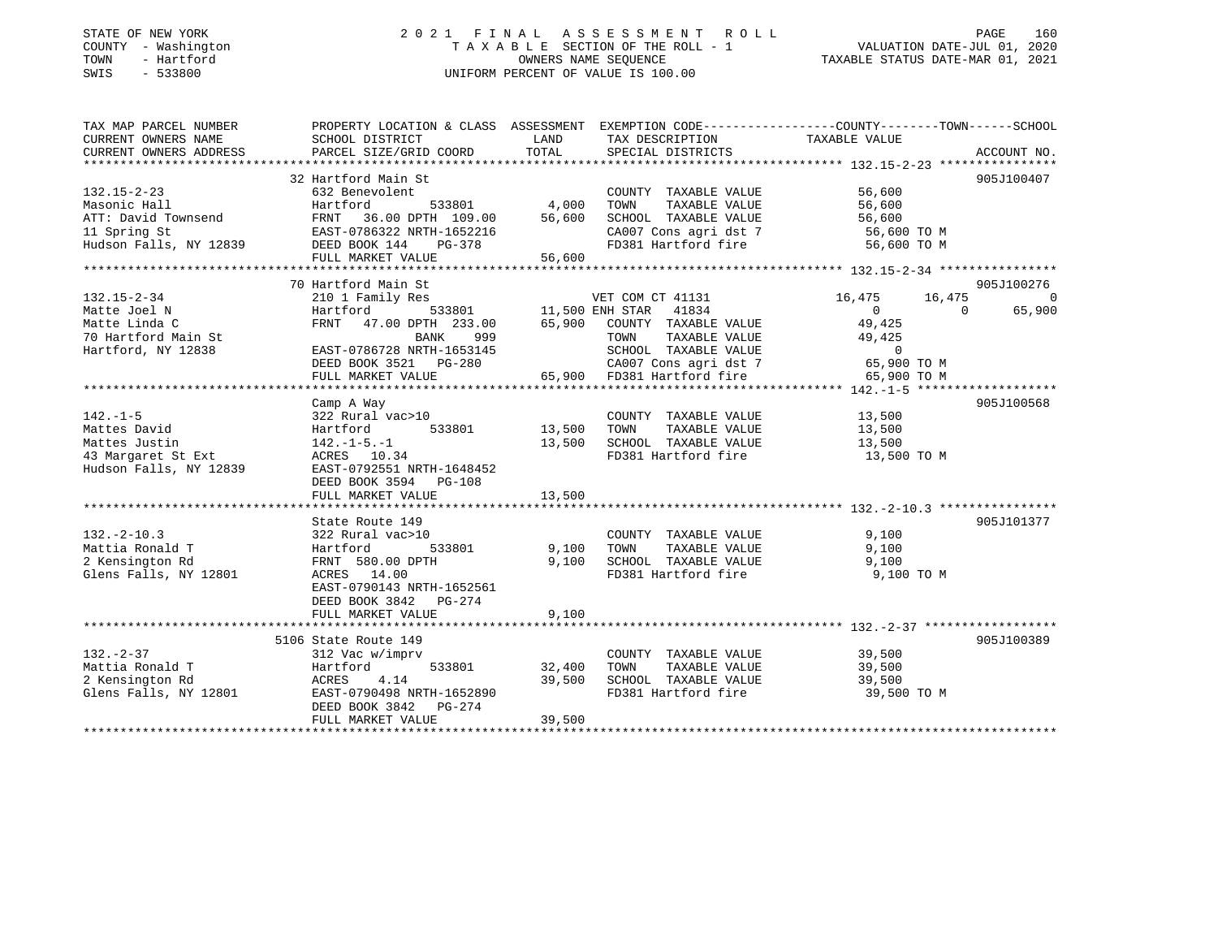### STATE OF NEW YORK 2 0 2 1 F I N A L A S S E S S M E N T R O L L PAGE 160 COUNTY - Washington T A X A B L E SECTION OF THE ROLL - 1 VALUATION DATE-JUL 01, 2020 TOWN - Hartford OWNERS NAME SEQUENCE TAXABLE STATUS DATE-MAR 01, 2021 SWIS - 533800 UNIFORM PERCENT OF VALUE IS 100.00

| TAXABLE VALUE<br>CURRENT OWNERS NAME<br>SCHOOL DISTRICT<br>LAND<br>TAX DESCRIPTION<br>TOTAL<br>CURRENT OWNERS ADDRESS<br>SPECIAL DISTRICTS<br>PARCEL SIZE/GRID COORD<br>ACCOUNT NO.<br>32 Hartford Main St<br>905J100407<br>COUNTY TAXABLE VALUE<br>132.15-2-23<br>56,600<br>632 Benevolent<br>533801 4,000<br>Masonic Hall<br>TOWN<br>TAXABLE VALUE<br>56,600<br>Masonic Hall<br>ATT: David Townsend FRNT 36.00 DPTH 109.00<br>EAST-0786322 NRTH-1652216<br>FAST-0786322 NRTH-1652216<br>FRNT 36.00 DPTH 109.00 56,600<br>SCHOOL TAXABLE VALUE 56,600<br>CA007 Cons agri dst 7 56,600 TO M<br>Hudson Falls, NY 12839 DEED BOOK 144<br>FD381 Hartford fire 56,600 TO M<br>PG-378<br>70 Hartford Main St<br>905J100276<br>VET COM CT 41131<br>$132.15 - 2 - 34$<br>210 1 Family Res<br>16,475<br>16,475<br>$\sim$ 0<br>533801 11,500 ENH STAR 41834<br>Matte Joel N<br>Hartford<br>$\overline{0}$<br>$\Omega$<br>65,900<br>FRNT 47.00 DPTH 233.00 65,900 COUNTY TAXABLE VALUE<br>49,425<br>Matte Linda C<br>49,425<br>999<br>TAXABLE VALUE<br>70 Hartford Main St<br>BANK<br>TOWN<br>Hartford, NY 12838<br>65,900 FD381 Hartford fire<br>FULL MARKET VALUE<br>65,900 TO M<br>905J100568<br>Camp A Way<br>$142. - 1 - 5$<br>COUNTY TAXABLE VALUE<br>13,500<br>TOWN<br>TAXABLE VALUE<br>13,500<br>Mattes David<br>Mattes Justin<br>$142. - 1 - 5. - 1$<br>13,500<br>SCHOOL TAXABLE VALUE 13,500<br>FD381 Hartford fire<br>13,500 TO M<br>43 Margaret St Ext<br>ACRES 10.34<br>EAST-0792551 NRTH-1648452<br>Hudson Falls, NY 12839<br>DEED BOOK 3594 PG-108<br>13,500<br>FULL MARKET VALUE<br>905J101377<br>State Route 149<br>COUNTY TAXABLE VALUE 9,100<br>$132. - 2 - 10.3$<br>322 Rural vac>10<br>Hartford 533801<br>9,100<br>9,100<br>TOWN TAXABLE VALUE<br>Mattia Ronald T<br>9,100<br>9,100<br>2 Kensington Rd<br>FRNT 580.00 DPTH<br>SCHOOL TAXABLE VALUE<br>FD381 Hartford fire 9,100 TO M<br>Glens Falls, NY 12801<br>ACRES 14.00<br>EAST-0790143 NRTH-1652561<br>DEED BOOK 3842 PG-274<br>9,100<br>FULL MARKET VALUE<br>5106 State Route 149<br>905J100389<br>COUNTY TAXABLE VALUE 39,500<br>$132 - 2 - 37$<br>312 Vac w/imprv<br>TAXABLE VALUE 39,500<br>Mattia Ronald T<br>Hartford 533801 32,400<br>TOWN<br>2 Kensington Rd<br>Glens Falls, NY 12801<br>ACRES 4.14<br>39,500<br>SCHOOL TAXABLE VALUE 39,500<br>EAST-0790498 NRTH-1652890<br>FD381 Hartford fire<br>39,500 TO M<br>DEED BOOK 3842 PG-274<br>FULL MARKET VALUE<br>39,500 | TAX MAP PARCEL NUMBER | PROPERTY LOCATION & CLASS ASSESSMENT EXEMPTION CODE----------------COUNTY-------TOWN------SCHOOL |  |  |
|--------------------------------------------------------------------------------------------------------------------------------------------------------------------------------------------------------------------------------------------------------------------------------------------------------------------------------------------------------------------------------------------------------------------------------------------------------------------------------------------------------------------------------------------------------------------------------------------------------------------------------------------------------------------------------------------------------------------------------------------------------------------------------------------------------------------------------------------------------------------------------------------------------------------------------------------------------------------------------------------------------------------------------------------------------------------------------------------------------------------------------------------------------------------------------------------------------------------------------------------------------------------------------------------------------------------------------------------------------------------------------------------------------------------------------------------------------------------------------------------------------------------------------------------------------------------------------------------------------------------------------------------------------------------------------------------------------------------------------------------------------------------------------------------------------------------------------------------------------------------------------------------------------------------------------------------------------------------------------------------------------------------------------------------------------------------------------------------------------------------------------------------------------------------------------------------------------------------------------------------------------------------------------------------------------------------------------------------------------------------------------------------------------------------------------------------------|-----------------------|--------------------------------------------------------------------------------------------------|--|--|
|                                                                                                                                                                                                                                                                                                                                                                                                                                                                                                                                                                                                                                                                                                                                                                                                                                                                                                                                                                                                                                                                                                                                                                                                                                                                                                                                                                                                                                                                                                                                                                                                                                                                                                                                                                                                                                                                                                                                                                                                                                                                                                                                                                                                                                                                                                                                                                                                                                                  |                       |                                                                                                  |  |  |
|                                                                                                                                                                                                                                                                                                                                                                                                                                                                                                                                                                                                                                                                                                                                                                                                                                                                                                                                                                                                                                                                                                                                                                                                                                                                                                                                                                                                                                                                                                                                                                                                                                                                                                                                                                                                                                                                                                                                                                                                                                                                                                                                                                                                                                                                                                                                                                                                                                                  |                       |                                                                                                  |  |  |
|                                                                                                                                                                                                                                                                                                                                                                                                                                                                                                                                                                                                                                                                                                                                                                                                                                                                                                                                                                                                                                                                                                                                                                                                                                                                                                                                                                                                                                                                                                                                                                                                                                                                                                                                                                                                                                                                                                                                                                                                                                                                                                                                                                                                                                                                                                                                                                                                                                                  |                       |                                                                                                  |  |  |
|                                                                                                                                                                                                                                                                                                                                                                                                                                                                                                                                                                                                                                                                                                                                                                                                                                                                                                                                                                                                                                                                                                                                                                                                                                                                                                                                                                                                                                                                                                                                                                                                                                                                                                                                                                                                                                                                                                                                                                                                                                                                                                                                                                                                                                                                                                                                                                                                                                                  |                       |                                                                                                  |  |  |
|                                                                                                                                                                                                                                                                                                                                                                                                                                                                                                                                                                                                                                                                                                                                                                                                                                                                                                                                                                                                                                                                                                                                                                                                                                                                                                                                                                                                                                                                                                                                                                                                                                                                                                                                                                                                                                                                                                                                                                                                                                                                                                                                                                                                                                                                                                                                                                                                                                                  |                       |                                                                                                  |  |  |
|                                                                                                                                                                                                                                                                                                                                                                                                                                                                                                                                                                                                                                                                                                                                                                                                                                                                                                                                                                                                                                                                                                                                                                                                                                                                                                                                                                                                                                                                                                                                                                                                                                                                                                                                                                                                                                                                                                                                                                                                                                                                                                                                                                                                                                                                                                                                                                                                                                                  |                       |                                                                                                  |  |  |
|                                                                                                                                                                                                                                                                                                                                                                                                                                                                                                                                                                                                                                                                                                                                                                                                                                                                                                                                                                                                                                                                                                                                                                                                                                                                                                                                                                                                                                                                                                                                                                                                                                                                                                                                                                                                                                                                                                                                                                                                                                                                                                                                                                                                                                                                                                                                                                                                                                                  |                       |                                                                                                  |  |  |
|                                                                                                                                                                                                                                                                                                                                                                                                                                                                                                                                                                                                                                                                                                                                                                                                                                                                                                                                                                                                                                                                                                                                                                                                                                                                                                                                                                                                                                                                                                                                                                                                                                                                                                                                                                                                                                                                                                                                                                                                                                                                                                                                                                                                                                                                                                                                                                                                                                                  |                       |                                                                                                  |  |  |
|                                                                                                                                                                                                                                                                                                                                                                                                                                                                                                                                                                                                                                                                                                                                                                                                                                                                                                                                                                                                                                                                                                                                                                                                                                                                                                                                                                                                                                                                                                                                                                                                                                                                                                                                                                                                                                                                                                                                                                                                                                                                                                                                                                                                                                                                                                                                                                                                                                                  |                       |                                                                                                  |  |  |
|                                                                                                                                                                                                                                                                                                                                                                                                                                                                                                                                                                                                                                                                                                                                                                                                                                                                                                                                                                                                                                                                                                                                                                                                                                                                                                                                                                                                                                                                                                                                                                                                                                                                                                                                                                                                                                                                                                                                                                                                                                                                                                                                                                                                                                                                                                                                                                                                                                                  |                       |                                                                                                  |  |  |
|                                                                                                                                                                                                                                                                                                                                                                                                                                                                                                                                                                                                                                                                                                                                                                                                                                                                                                                                                                                                                                                                                                                                                                                                                                                                                                                                                                                                                                                                                                                                                                                                                                                                                                                                                                                                                                                                                                                                                                                                                                                                                                                                                                                                                                                                                                                                                                                                                                                  |                       |                                                                                                  |  |  |
|                                                                                                                                                                                                                                                                                                                                                                                                                                                                                                                                                                                                                                                                                                                                                                                                                                                                                                                                                                                                                                                                                                                                                                                                                                                                                                                                                                                                                                                                                                                                                                                                                                                                                                                                                                                                                                                                                                                                                                                                                                                                                                                                                                                                                                                                                                                                                                                                                                                  |                       |                                                                                                  |  |  |
|                                                                                                                                                                                                                                                                                                                                                                                                                                                                                                                                                                                                                                                                                                                                                                                                                                                                                                                                                                                                                                                                                                                                                                                                                                                                                                                                                                                                                                                                                                                                                                                                                                                                                                                                                                                                                                                                                                                                                                                                                                                                                                                                                                                                                                                                                                                                                                                                                                                  |                       |                                                                                                  |  |  |
|                                                                                                                                                                                                                                                                                                                                                                                                                                                                                                                                                                                                                                                                                                                                                                                                                                                                                                                                                                                                                                                                                                                                                                                                                                                                                                                                                                                                                                                                                                                                                                                                                                                                                                                                                                                                                                                                                                                                                                                                                                                                                                                                                                                                                                                                                                                                                                                                                                                  |                       |                                                                                                  |  |  |
|                                                                                                                                                                                                                                                                                                                                                                                                                                                                                                                                                                                                                                                                                                                                                                                                                                                                                                                                                                                                                                                                                                                                                                                                                                                                                                                                                                                                                                                                                                                                                                                                                                                                                                                                                                                                                                                                                                                                                                                                                                                                                                                                                                                                                                                                                                                                                                                                                                                  |                       |                                                                                                  |  |  |
|                                                                                                                                                                                                                                                                                                                                                                                                                                                                                                                                                                                                                                                                                                                                                                                                                                                                                                                                                                                                                                                                                                                                                                                                                                                                                                                                                                                                                                                                                                                                                                                                                                                                                                                                                                                                                                                                                                                                                                                                                                                                                                                                                                                                                                                                                                                                                                                                                                                  |                       |                                                                                                  |  |  |
|                                                                                                                                                                                                                                                                                                                                                                                                                                                                                                                                                                                                                                                                                                                                                                                                                                                                                                                                                                                                                                                                                                                                                                                                                                                                                                                                                                                                                                                                                                                                                                                                                                                                                                                                                                                                                                                                                                                                                                                                                                                                                                                                                                                                                                                                                                                                                                                                                                                  |                       |                                                                                                  |  |  |
|                                                                                                                                                                                                                                                                                                                                                                                                                                                                                                                                                                                                                                                                                                                                                                                                                                                                                                                                                                                                                                                                                                                                                                                                                                                                                                                                                                                                                                                                                                                                                                                                                                                                                                                                                                                                                                                                                                                                                                                                                                                                                                                                                                                                                                                                                                                                                                                                                                                  |                       |                                                                                                  |  |  |
|                                                                                                                                                                                                                                                                                                                                                                                                                                                                                                                                                                                                                                                                                                                                                                                                                                                                                                                                                                                                                                                                                                                                                                                                                                                                                                                                                                                                                                                                                                                                                                                                                                                                                                                                                                                                                                                                                                                                                                                                                                                                                                                                                                                                                                                                                                                                                                                                                                                  |                       |                                                                                                  |  |  |
|                                                                                                                                                                                                                                                                                                                                                                                                                                                                                                                                                                                                                                                                                                                                                                                                                                                                                                                                                                                                                                                                                                                                                                                                                                                                                                                                                                                                                                                                                                                                                                                                                                                                                                                                                                                                                                                                                                                                                                                                                                                                                                                                                                                                                                                                                                                                                                                                                                                  |                       |                                                                                                  |  |  |
|                                                                                                                                                                                                                                                                                                                                                                                                                                                                                                                                                                                                                                                                                                                                                                                                                                                                                                                                                                                                                                                                                                                                                                                                                                                                                                                                                                                                                                                                                                                                                                                                                                                                                                                                                                                                                                                                                                                                                                                                                                                                                                                                                                                                                                                                                                                                                                                                                                                  |                       |                                                                                                  |  |  |
|                                                                                                                                                                                                                                                                                                                                                                                                                                                                                                                                                                                                                                                                                                                                                                                                                                                                                                                                                                                                                                                                                                                                                                                                                                                                                                                                                                                                                                                                                                                                                                                                                                                                                                                                                                                                                                                                                                                                                                                                                                                                                                                                                                                                                                                                                                                                                                                                                                                  |                       |                                                                                                  |  |  |
|                                                                                                                                                                                                                                                                                                                                                                                                                                                                                                                                                                                                                                                                                                                                                                                                                                                                                                                                                                                                                                                                                                                                                                                                                                                                                                                                                                                                                                                                                                                                                                                                                                                                                                                                                                                                                                                                                                                                                                                                                                                                                                                                                                                                                                                                                                                                                                                                                                                  |                       |                                                                                                  |  |  |
|                                                                                                                                                                                                                                                                                                                                                                                                                                                                                                                                                                                                                                                                                                                                                                                                                                                                                                                                                                                                                                                                                                                                                                                                                                                                                                                                                                                                                                                                                                                                                                                                                                                                                                                                                                                                                                                                                                                                                                                                                                                                                                                                                                                                                                                                                                                                                                                                                                                  |                       |                                                                                                  |  |  |
|                                                                                                                                                                                                                                                                                                                                                                                                                                                                                                                                                                                                                                                                                                                                                                                                                                                                                                                                                                                                                                                                                                                                                                                                                                                                                                                                                                                                                                                                                                                                                                                                                                                                                                                                                                                                                                                                                                                                                                                                                                                                                                                                                                                                                                                                                                                                                                                                                                                  |                       |                                                                                                  |  |  |
|                                                                                                                                                                                                                                                                                                                                                                                                                                                                                                                                                                                                                                                                                                                                                                                                                                                                                                                                                                                                                                                                                                                                                                                                                                                                                                                                                                                                                                                                                                                                                                                                                                                                                                                                                                                                                                                                                                                                                                                                                                                                                                                                                                                                                                                                                                                                                                                                                                                  |                       |                                                                                                  |  |  |
|                                                                                                                                                                                                                                                                                                                                                                                                                                                                                                                                                                                                                                                                                                                                                                                                                                                                                                                                                                                                                                                                                                                                                                                                                                                                                                                                                                                                                                                                                                                                                                                                                                                                                                                                                                                                                                                                                                                                                                                                                                                                                                                                                                                                                                                                                                                                                                                                                                                  |                       |                                                                                                  |  |  |
|                                                                                                                                                                                                                                                                                                                                                                                                                                                                                                                                                                                                                                                                                                                                                                                                                                                                                                                                                                                                                                                                                                                                                                                                                                                                                                                                                                                                                                                                                                                                                                                                                                                                                                                                                                                                                                                                                                                                                                                                                                                                                                                                                                                                                                                                                                                                                                                                                                                  |                       |                                                                                                  |  |  |
|                                                                                                                                                                                                                                                                                                                                                                                                                                                                                                                                                                                                                                                                                                                                                                                                                                                                                                                                                                                                                                                                                                                                                                                                                                                                                                                                                                                                                                                                                                                                                                                                                                                                                                                                                                                                                                                                                                                                                                                                                                                                                                                                                                                                                                                                                                                                                                                                                                                  |                       |                                                                                                  |  |  |
|                                                                                                                                                                                                                                                                                                                                                                                                                                                                                                                                                                                                                                                                                                                                                                                                                                                                                                                                                                                                                                                                                                                                                                                                                                                                                                                                                                                                                                                                                                                                                                                                                                                                                                                                                                                                                                                                                                                                                                                                                                                                                                                                                                                                                                                                                                                                                                                                                                                  |                       |                                                                                                  |  |  |
|                                                                                                                                                                                                                                                                                                                                                                                                                                                                                                                                                                                                                                                                                                                                                                                                                                                                                                                                                                                                                                                                                                                                                                                                                                                                                                                                                                                                                                                                                                                                                                                                                                                                                                                                                                                                                                                                                                                                                                                                                                                                                                                                                                                                                                                                                                                                                                                                                                                  |                       |                                                                                                  |  |  |
|                                                                                                                                                                                                                                                                                                                                                                                                                                                                                                                                                                                                                                                                                                                                                                                                                                                                                                                                                                                                                                                                                                                                                                                                                                                                                                                                                                                                                                                                                                                                                                                                                                                                                                                                                                                                                                                                                                                                                                                                                                                                                                                                                                                                                                                                                                                                                                                                                                                  |                       |                                                                                                  |  |  |
|                                                                                                                                                                                                                                                                                                                                                                                                                                                                                                                                                                                                                                                                                                                                                                                                                                                                                                                                                                                                                                                                                                                                                                                                                                                                                                                                                                                                                                                                                                                                                                                                                                                                                                                                                                                                                                                                                                                                                                                                                                                                                                                                                                                                                                                                                                                                                                                                                                                  |                       |                                                                                                  |  |  |
|                                                                                                                                                                                                                                                                                                                                                                                                                                                                                                                                                                                                                                                                                                                                                                                                                                                                                                                                                                                                                                                                                                                                                                                                                                                                                                                                                                                                                                                                                                                                                                                                                                                                                                                                                                                                                                                                                                                                                                                                                                                                                                                                                                                                                                                                                                                                                                                                                                                  |                       |                                                                                                  |  |  |
|                                                                                                                                                                                                                                                                                                                                                                                                                                                                                                                                                                                                                                                                                                                                                                                                                                                                                                                                                                                                                                                                                                                                                                                                                                                                                                                                                                                                                                                                                                                                                                                                                                                                                                                                                                                                                                                                                                                                                                                                                                                                                                                                                                                                                                                                                                                                                                                                                                                  |                       |                                                                                                  |  |  |
|                                                                                                                                                                                                                                                                                                                                                                                                                                                                                                                                                                                                                                                                                                                                                                                                                                                                                                                                                                                                                                                                                                                                                                                                                                                                                                                                                                                                                                                                                                                                                                                                                                                                                                                                                                                                                                                                                                                                                                                                                                                                                                                                                                                                                                                                                                                                                                                                                                                  |                       |                                                                                                  |  |  |
|                                                                                                                                                                                                                                                                                                                                                                                                                                                                                                                                                                                                                                                                                                                                                                                                                                                                                                                                                                                                                                                                                                                                                                                                                                                                                                                                                                                                                                                                                                                                                                                                                                                                                                                                                                                                                                                                                                                                                                                                                                                                                                                                                                                                                                                                                                                                                                                                                                                  |                       |                                                                                                  |  |  |
|                                                                                                                                                                                                                                                                                                                                                                                                                                                                                                                                                                                                                                                                                                                                                                                                                                                                                                                                                                                                                                                                                                                                                                                                                                                                                                                                                                                                                                                                                                                                                                                                                                                                                                                                                                                                                                                                                                                                                                                                                                                                                                                                                                                                                                                                                                                                                                                                                                                  |                       |                                                                                                  |  |  |
|                                                                                                                                                                                                                                                                                                                                                                                                                                                                                                                                                                                                                                                                                                                                                                                                                                                                                                                                                                                                                                                                                                                                                                                                                                                                                                                                                                                                                                                                                                                                                                                                                                                                                                                                                                                                                                                                                                                                                                                                                                                                                                                                                                                                                                                                                                                                                                                                                                                  |                       |                                                                                                  |  |  |
|                                                                                                                                                                                                                                                                                                                                                                                                                                                                                                                                                                                                                                                                                                                                                                                                                                                                                                                                                                                                                                                                                                                                                                                                                                                                                                                                                                                                                                                                                                                                                                                                                                                                                                                                                                                                                                                                                                                                                                                                                                                                                                                                                                                                                                                                                                                                                                                                                                                  |                       |                                                                                                  |  |  |
|                                                                                                                                                                                                                                                                                                                                                                                                                                                                                                                                                                                                                                                                                                                                                                                                                                                                                                                                                                                                                                                                                                                                                                                                                                                                                                                                                                                                                                                                                                                                                                                                                                                                                                                                                                                                                                                                                                                                                                                                                                                                                                                                                                                                                                                                                                                                                                                                                                                  |                       |                                                                                                  |  |  |
|                                                                                                                                                                                                                                                                                                                                                                                                                                                                                                                                                                                                                                                                                                                                                                                                                                                                                                                                                                                                                                                                                                                                                                                                                                                                                                                                                                                                                                                                                                                                                                                                                                                                                                                                                                                                                                                                                                                                                                                                                                                                                                                                                                                                                                                                                                                                                                                                                                                  |                       |                                                                                                  |  |  |
|                                                                                                                                                                                                                                                                                                                                                                                                                                                                                                                                                                                                                                                                                                                                                                                                                                                                                                                                                                                                                                                                                                                                                                                                                                                                                                                                                                                                                                                                                                                                                                                                                                                                                                                                                                                                                                                                                                                                                                                                                                                                                                                                                                                                                                                                                                                                                                                                                                                  |                       |                                                                                                  |  |  |
|                                                                                                                                                                                                                                                                                                                                                                                                                                                                                                                                                                                                                                                                                                                                                                                                                                                                                                                                                                                                                                                                                                                                                                                                                                                                                                                                                                                                                                                                                                                                                                                                                                                                                                                                                                                                                                                                                                                                                                                                                                                                                                                                                                                                                                                                                                                                                                                                                                                  |                       |                                                                                                  |  |  |
|                                                                                                                                                                                                                                                                                                                                                                                                                                                                                                                                                                                                                                                                                                                                                                                                                                                                                                                                                                                                                                                                                                                                                                                                                                                                                                                                                                                                                                                                                                                                                                                                                                                                                                                                                                                                                                                                                                                                                                                                                                                                                                                                                                                                                                                                                                                                                                                                                                                  |                       |                                                                                                  |  |  |
|                                                                                                                                                                                                                                                                                                                                                                                                                                                                                                                                                                                                                                                                                                                                                                                                                                                                                                                                                                                                                                                                                                                                                                                                                                                                                                                                                                                                                                                                                                                                                                                                                                                                                                                                                                                                                                                                                                                                                                                                                                                                                                                                                                                                                                                                                                                                                                                                                                                  |                       |                                                                                                  |  |  |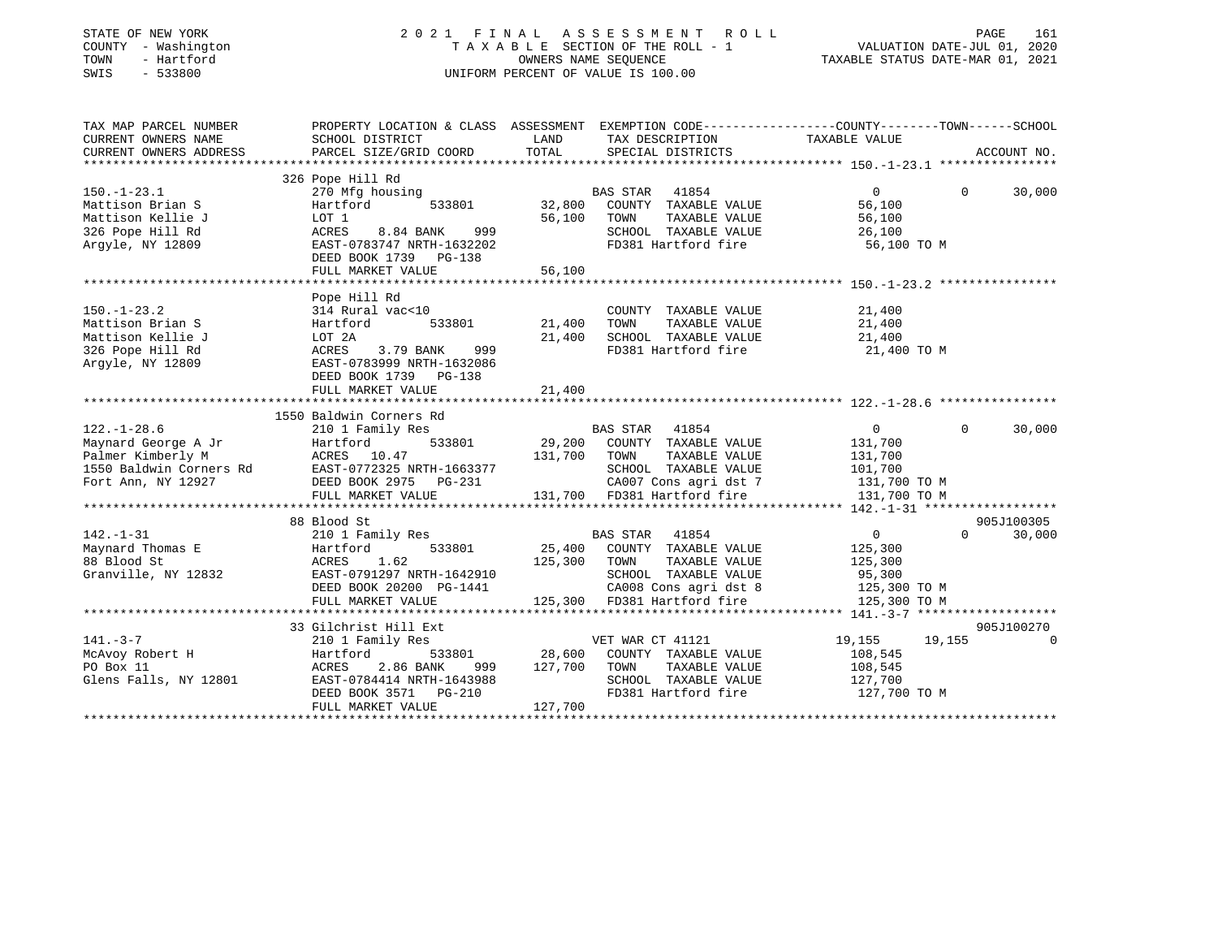| STATE OF NEW YORK<br>COUNTY - Washington<br>TOWN<br>- Hartford<br>SWIS<br>$-533800$                                                                                                                                                                                                                                                                                                                                          |                                                                                                                                          |               | 2021 FINAL ASSESSMENT ROLL<br>UNIFORM PERCENT OF VALUE IS 100.00 | PAGE<br>PAGE 161<br>TAXABLE SECTION OF THE ROLL - 1<br>OWNERS NAME SEQUENCE CONCERT OF THE ROLL - 1<br>TAXABLE STATUS DATE-MAR 01, 2021<br>NIFORM DEDGENT OF VALUATION CONCERT OF SALUATION CONCERT OF SALUATION | 161         |
|------------------------------------------------------------------------------------------------------------------------------------------------------------------------------------------------------------------------------------------------------------------------------------------------------------------------------------------------------------------------------------------------------------------------------|------------------------------------------------------------------------------------------------------------------------------------------|---------------|------------------------------------------------------------------|------------------------------------------------------------------------------------------------------------------------------------------------------------------------------------------------------------------|-------------|
| TAX MAP PARCEL NUMBER<br>CURRENT OWNERS NAME                                                                                                                                                                                                                                                                                                                                                                                 | SCHOOL DISTRICT LAND                                                                                                                     |               |                                                                  | PROPERTY LOCATION & CLASS ASSESSMENT EXEMPTION CODE----------------COUNTY-------TOWN------SCHOOL                                                                                                                 |             |
| CURRENT OWNERS ADDRESS                                                                                                                                                                                                                                                                                                                                                                                                       | PARCEL SIZE/GRID COORD                                                                                                                   | TOTAL         | TAX DESCRIPTION TAXABLE VALUE SPECIAL DISTRICTS                  |                                                                                                                                                                                                                  | ACCOUNT NO. |
|                                                                                                                                                                                                                                                                                                                                                                                                                              |                                                                                                                                          |               |                                                                  |                                                                                                                                                                                                                  |             |
|                                                                                                                                                                                                                                                                                                                                                                                                                              | 326 Pope Hill Rd                                                                                                                         |               |                                                                  |                                                                                                                                                                                                                  |             |
| $150.-1-23.1$                                                                                                                                                                                                                                                                                                                                                                                                                |                                                                                                                                          |               | BAS STAR 41854                                                   | $\Omega$<br>$\begin{array}{c} 0 \\ 56,100 \end{array}$                                                                                                                                                           | 30,000      |
| Mattison Brian S                                                                                                                                                                                                                                                                                                                                                                                                             | Pope Hill ka<br>270 Mfg housing 633801 BAS STAR 41854<br>11 Martford 533801 32,800 COUNTY TAXABLE VALUE                                  |               |                                                                  |                                                                                                                                                                                                                  |             |
| Mattison Kellie J                                                                                                                                                                                                                                                                                                                                                                                                            |                                                                                                                                          |               | 56,100 TOWN TAXABLE VALUE                                        | 56,100<br>26,100                                                                                                                                                                                                 |             |
| 326 Pope Hill Rd                                                                                                                                                                                                                                                                                                                                                                                                             |                                                                                                                                          |               | SCHOOL TAXABLE VALUE                                             |                                                                                                                                                                                                                  |             |
| Argyle, NY 12809                                                                                                                                                                                                                                                                                                                                                                                                             | LOT 1 56,100<br>ACRES 8.84 BANK 999 56,100<br>EAST-0783747 NRTH-1632202                                                                  |               | FD381 Hartford fire                                              | 56,100 TO M                                                                                                                                                                                                      |             |
|                                                                                                                                                                                                                                                                                                                                                                                                                              | DEED BOOK 1739    PG-138                                                                                                                 |               |                                                                  |                                                                                                                                                                                                                  |             |
|                                                                                                                                                                                                                                                                                                                                                                                                                              | FULL MARKET VALUE                                                                                                                        | 56,100        |                                                                  |                                                                                                                                                                                                                  |             |
|                                                                                                                                                                                                                                                                                                                                                                                                                              | Pope Hill Rd                                                                                                                             |               |                                                                  |                                                                                                                                                                                                                  |             |
| $150. - 1 - 23.2$                                                                                                                                                                                                                                                                                                                                                                                                            | 314 Rural vac<10                                                                                                                         |               | COUNTY TAXABLE VALUE                                             |                                                                                                                                                                                                                  |             |
| Mattison Brian S                                                                                                                                                                                                                                                                                                                                                                                                             | Hartford                                                                                                                                 | 533801 21,400 | TAXABLE VALUE<br>TOWN                                            |                                                                                                                                                                                                                  |             |
| Mattison Kellie J                                                                                                                                                                                                                                                                                                                                                                                                            | LOT 2A                                                                                                                                   |               | 21,400 SCHOOL TAXABLE VALUE                                      | 21,400<br>21,400<br>21,400                                                                                                                                                                                       |             |
| 326 Pope Hill Rd                                                                                                                                                                                                                                                                                                                                                                                                             | ACRES 3.79 BANK<br>999                                                                                                                   |               | FD381 Hartford fire                                              | 21,400 TO M                                                                                                                                                                                                      |             |
| Argyle, NY 12809                                                                                                                                                                                                                                                                                                                                                                                                             | EAST-0783999 NRTH-1632086                                                                                                                |               |                                                                  |                                                                                                                                                                                                                  |             |
|                                                                                                                                                                                                                                                                                                                                                                                                                              | DEED BOOK 1739 PG-138                                                                                                                    |               |                                                                  |                                                                                                                                                                                                                  |             |
|                                                                                                                                                                                                                                                                                                                                                                                                                              | FULL MARKET VALUE                                                                                                                        | 21,400        |                                                                  |                                                                                                                                                                                                                  |             |
|                                                                                                                                                                                                                                                                                                                                                                                                                              |                                                                                                                                          |               |                                                                  |                                                                                                                                                                                                                  |             |
|                                                                                                                                                                                                                                                                                                                                                                                                                              | 1550 Baldwin Corners Rd                                                                                                                  |               |                                                                  |                                                                                                                                                                                                                  |             |
|                                                                                                                                                                                                                                                                                                                                                                                                                              |                                                                                                                                          |               |                                                                  | $\Omega$<br>$\overline{0}$                                                                                                                                                                                       | 30,000      |
|                                                                                                                                                                                                                                                                                                                                                                                                                              |                                                                                                                                          |               |                                                                  |                                                                                                                                                                                                                  |             |
|                                                                                                                                                                                                                                                                                                                                                                                                                              |                                                                                                                                          |               |                                                                  |                                                                                                                                                                                                                  |             |
|                                                                                                                                                                                                                                                                                                                                                                                                                              |                                                                                                                                          |               |                                                                  |                                                                                                                                                                                                                  |             |
|                                                                                                                                                                                                                                                                                                                                                                                                                              |                                                                                                                                          |               |                                                                  | COUNTY TAXABLE VALUE 131,700<br>TOWN TAXABLE VALUE 131,700<br>SCHOOL TAXABLE VALUE 101,700<br>CA007 Cons agri dst 7 131,700 TO M                                                                                 |             |
|                                                                                                                                                                                                                                                                                                                                                                                                                              |                                                                                                                                          |               |                                                                  | 131,700 TO M                                                                                                                                                                                                     |             |
| $\begin{tabular}{lllllllllllll} \rule{0pt}{0pt} \texttt{122.-1-28.6} & \rule{0pt}{0pt} \rule{0pt}{0pt} \texttt{Maynard George A Jr} & \rule{0pt}{0pt} \texttt{Hartford} & \rule{0pt}{0pt} \texttt{B33801} & \rule{0pt}{0pt} \rule{0pt}{0pt} \texttt{Palmer Kimberly M} & \rule{0pt}{0pt} \texttt{ACRES} & \rule{0pt}{0pt} \texttt{131,700} & \rule{0pt}{0pt} \texttt{TOWN} & \rule{0pt}{0pt} \texttt{ITAAPDE} & \rule{0pt}{$ |                                                                                                                                          |               |                                                                  |                                                                                                                                                                                                                  |             |
|                                                                                                                                                                                                                                                                                                                                                                                                                              |                                                                                                                                          |               |                                                                  |                                                                                                                                                                                                                  | 905J100305  |
| $142. - 1 - 31$                                                                                                                                                                                                                                                                                                                                                                                                              | Executed<br>210 1 Family Res<br>Hartford 533801 25,400 COUNTY TAXABLE VALUE                                                              |               |                                                                  | $\overline{0}$<br>$0 \qquad \qquad$                                                                                                                                                                              | 30,000      |
| Maynard Thomas E                                                                                                                                                                                                                                                                                                                                                                                                             |                                                                                                                                          |               |                                                                  | 125,300                                                                                                                                                                                                          |             |
| 88 Blood St                                                                                                                                                                                                                                                                                                                                                                                                                  | ACRES 1.62 125,300 TOWN TAXABLE VALUE<br>EAST-0791297 NRTH-1642910 SCHOOL TAXABLE VALUE<br>DEED BOOK 20200 PG-1441 CA008 Cons agri dst 8 |               |                                                                  | 125,300                                                                                                                                                                                                          |             |
| Granville, NY 12832 EAST-0791297 NRTH-1642910                                                                                                                                                                                                                                                                                                                                                                                |                                                                                                                                          |               |                                                                  | 95,300<br>125,300 TO M                                                                                                                                                                                           |             |
|                                                                                                                                                                                                                                                                                                                                                                                                                              |                                                                                                                                          |               |                                                                  |                                                                                                                                                                                                                  |             |
|                                                                                                                                                                                                                                                                                                                                                                                                                              | FULL MARKET VALUE                                                                                                                        |               | 125,300 FD381 Hartford fire                                      | 125,300 TO M                                                                                                                                                                                                     |             |
|                                                                                                                                                                                                                                                                                                                                                                                                                              |                                                                                                                                          |               |                                                                  |                                                                                                                                                                                                                  |             |
|                                                                                                                                                                                                                                                                                                                                                                                                                              |                                                                                                                                          |               |                                                                  |                                                                                                                                                                                                                  | 905J100270  |
|                                                                                                                                                                                                                                                                                                                                                                                                                              |                                                                                                                                          |               |                                                                  | 19,155<br>19,155 0                                                                                                                                                                                               |             |
|                                                                                                                                                                                                                                                                                                                                                                                                                              |                                                                                                                                          |               |                                                                  | 108,545                                                                                                                                                                                                          |             |
|                                                                                                                                                                                                                                                                                                                                                                                                                              |                                                                                                                                          |               | 2.86 BANK 999 127,700 TOWN TAXABLE VALUE                         | 108,545<br>127,700                                                                                                                                                                                               |             |
|                                                                                                                                                                                                                                                                                                                                                                                                                              |                                                                                                                                          |               | SCHOOL TAXABLE VALUE                                             |                                                                                                                                                                                                                  |             |
| 33 Gilchrist Hill Ext<br>141.-3-7 210 1 Family Res<br>MCAvoy Robert H Hartford 533801 28,600 COUNTY TAXABLE VALUE<br>PO Box 11 ACRES 2.86 BANK 999 127,700 TOWN TAXABLE VALUE<br>Glens Falls, NY 12801 EAST-0784414 NRTH-1643988 SCHOO                                                                                                                                                                                       |                                                                                                                                          |               | FD381 Hartford fire                                              | 127,700 TO M                                                                                                                                                                                                     |             |
|                                                                                                                                                                                                                                                                                                                                                                                                                              | FULL MARKET VALUE                                                                                                                        | 127,700       |                                                                  |                                                                                                                                                                                                                  |             |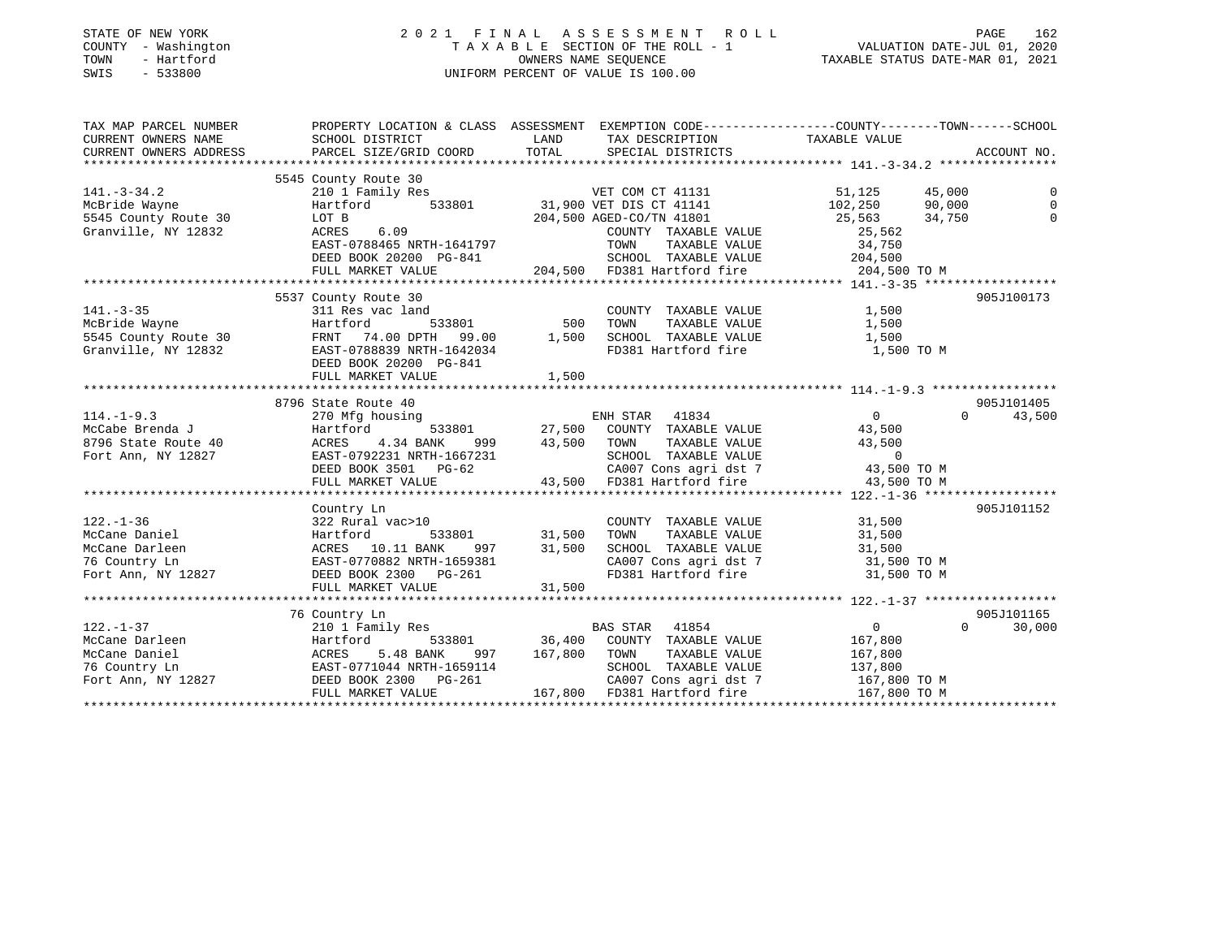| STATE OF NEW YORK |              |
|-------------------|--------------|
| <b>COUNTY</b>     | - Washington |
| TOWN              | - Hartford   |
| CMT C             | につつOOO       |

### STATE OF NEW YORK 2 0 2 1 F I N A L A S S E S S M E N T R O L L PAGE 162 COUNTY - Washington T A X A B L E SECTION OF THE ROLL - 1 VALUATION DATE-JUL 01, 2020 TOWN - Hartford OWNERS NAME SEQUENCE TAXABLE STATUS DATE-MAR 01, 2021 SWIS - 533800 UNIFORM PERCENT OF VALUE IS 100.00

| TAX MAP PARCEL NUMBER |                                                                      |                                                                                                                                                                                                                                                                                                                                                                                                                                                                          | PROPERTY LOCATION & CLASS ASSESSMENT EXEMPTION CODE-----------------COUNTY-------TOWN------SCHOOL                                                                                                                                                                                                                                                                                                              |
|-----------------------|----------------------------------------------------------------------|--------------------------------------------------------------------------------------------------------------------------------------------------------------------------------------------------------------------------------------------------------------------------------------------------------------------------------------------------------------------------------------------------------------------------------------------------------------------------|----------------------------------------------------------------------------------------------------------------------------------------------------------------------------------------------------------------------------------------------------------------------------------------------------------------------------------------------------------------------------------------------------------------|
|                       |                                                                      |                                                                                                                                                                                                                                                                                                                                                                                                                                                                          |                                                                                                                                                                                                                                                                                                                                                                                                                |
|                       |                                                                      |                                                                                                                                                                                                                                                                                                                                                                                                                                                                          |                                                                                                                                                                                                                                                                                                                                                                                                                |
|                       |                                                                      |                                                                                                                                                                                                                                                                                                                                                                                                                                                                          |                                                                                                                                                                                                                                                                                                                                                                                                                |
|                       | 5545 County Route 30                                                 |                                                                                                                                                                                                                                                                                                                                                                                                                                                                          |                                                                                                                                                                                                                                                                                                                                                                                                                |
| $141. - 3 - 34.2$     | 210 1 Family Res                                                     |                                                                                                                                                                                                                                                                                                                                                                                                                                                                          |                                                                                                                                                                                                                                                                                                                                                                                                                |
| McBride Wayne         | Hartford                                                             |                                                                                                                                                                                                                                                                                                                                                                                                                                                                          |                                                                                                                                                                                                                                                                                                                                                                                                                |
| 5545 County Route 30  | LOT B 204,500 i<br>ACRES 6.09 204,500 i<br>EAST-0788465 NRTH-1641797 | 1131 51,125 45,000<br>12,250 533801 31,900 VET DIS CT 41141 102,250 90,000<br>204,500 AGED-CO/TN 41801 25,563 34,750                                                                                                                                                                                                                                                                                                                                                     |                                                                                                                                                                                                                                                                                                                                                                                                                |
| Granville, NY 12832   |                                                                      | COUNTY TAXABLE VALUE 25,562                                                                                                                                                                                                                                                                                                                                                                                                                                              |                                                                                                                                                                                                                                                                                                                                                                                                                |
|                       | EAST-0788465 NRTH-1641797<br>DEED BOOK 20200 PG-841                  |                                                                                                                                                                                                                                                                                                                                                                                                                                                                          |                                                                                                                                                                                                                                                                                                                                                                                                                |
|                       |                                                                      |                                                                                                                                                                                                                                                                                                                                                                                                                                                                          |                                                                                                                                                                                                                                                                                                                                                                                                                |
|                       | FULL MARKET VALUE                                                    |                                                                                                                                                                                                                                                                                                                                                                                                                                                                          |                                                                                                                                                                                                                                                                                                                                                                                                                |
|                       |                                                                      |                                                                                                                                                                                                                                                                                                                                                                                                                                                                          |                                                                                                                                                                                                                                                                                                                                                                                                                |
|                       | 5537 County Route 30                                                 |                                                                                                                                                                                                                                                                                                                                                                                                                                                                          | 905J100173                                                                                                                                                                                                                                                                                                                                                                                                     |
|                       |                                                                      |                                                                                                                                                                                                                                                                                                                                                                                                                                                                          |                                                                                                                                                                                                                                                                                                                                                                                                                |
|                       |                                                                      |                                                                                                                                                                                                                                                                                                                                                                                                                                                                          |                                                                                                                                                                                                                                                                                                                                                                                                                |
|                       |                                                                      | 141.-3-35<br>McBride Wayne<br>McBride Wayne<br>McBride Wayne<br>McBride Wayne<br>21,500<br>McBride Wayne<br>21,500<br>21,500<br>21,500<br>21,500<br>21,500<br>21,500<br>21,500<br>21,500<br>21,500<br>21,500<br>21,500<br>21,500<br>21,500<br>21,500<br>21,500<br>21,500<br>                                                                                                                                                                                             |                                                                                                                                                                                                                                                                                                                                                                                                                |
|                       |                                                                      |                                                                                                                                                                                                                                                                                                                                                                                                                                                                          |                                                                                                                                                                                                                                                                                                                                                                                                                |
|                       | DEED BOOK 20200 PG-841                                               | 1,500                                                                                                                                                                                                                                                                                                                                                                                                                                                                    |                                                                                                                                                                                                                                                                                                                                                                                                                |
|                       | FULL MARKET VALUE                                                    |                                                                                                                                                                                                                                                                                                                                                                                                                                                                          |                                                                                                                                                                                                                                                                                                                                                                                                                |
|                       | 8796 State Route 40                                                  |                                                                                                                                                                                                                                                                                                                                                                                                                                                                          | 905J101405                                                                                                                                                                                                                                                                                                                                                                                                     |
| $114. - 1 - 9.3$      | 270 Mfg housing                                                      |                                                                                                                                                                                                                                                                                                                                                                                                                                                                          | $\Omega$<br>43,500                                                                                                                                                                                                                                                                                                                                                                                             |
|                       |                                                                      | ing<br>533801 27,500 COUNTY TAXABLE VALUE 43,500                                                                                                                                                                                                                                                                                                                                                                                                                         |                                                                                                                                                                                                                                                                                                                                                                                                                |
|                       |                                                                      |                                                                                                                                                                                                                                                                                                                                                                                                                                                                          |                                                                                                                                                                                                                                                                                                                                                                                                                |
|                       |                                                                      |                                                                                                                                                                                                                                                                                                                                                                                                                                                                          |                                                                                                                                                                                                                                                                                                                                                                                                                |
|                       |                                                                      |                                                                                                                                                                                                                                                                                                                                                                                                                                                                          |                                                                                                                                                                                                                                                                                                                                                                                                                |
|                       |                                                                      |                                                                                                                                                                                                                                                                                                                                                                                                                                                                          |                                                                                                                                                                                                                                                                                                                                                                                                                |
|                       |                                                                      |                                                                                                                                                                                                                                                                                                                                                                                                                                                                          | $\begin{array}{cccccccc} 114.-1-9.3 & 270 Mfg housing & \text{ENH STAR} & 41834 & 0 & 33900 \\ \text{McCabe Brenda J} & \text{Hartford} & 533801 & 27,500 & \text{COUNT} & \text{TAXABLE VALUE} & 43,500 \\ \text{8796 State Route 40} & \text{ACRES} & 4.34 BANK & 999 & 43,500 & \text{TAXABLE VALUE} & 0 \\ \text{Fort Ann, NY} & 12827 & \text{EABST} & 0 & 283801 & 0 & 43,500 \\ \text{PEED BOOK} & 350$ |
|                       | Country Ln                                                           |                                                                                                                                                                                                                                                                                                                                                                                                                                                                          | 905J101152                                                                                                                                                                                                                                                                                                                                                                                                     |
|                       |                                                                      |                                                                                                                                                                                                                                                                                                                                                                                                                                                                          |                                                                                                                                                                                                                                                                                                                                                                                                                |
|                       |                                                                      |                                                                                                                                                                                                                                                                                                                                                                                                                                                                          |                                                                                                                                                                                                                                                                                                                                                                                                                |
|                       |                                                                      |                                                                                                                                                                                                                                                                                                                                                                                                                                                                          |                                                                                                                                                                                                                                                                                                                                                                                                                |
|                       |                                                                      |                                                                                                                                                                                                                                                                                                                                                                                                                                                                          | CA007 Cons agri dst 7 31,500 TO M                                                                                                                                                                                                                                                                                                                                                                              |
|                       |                                                                      | FD381 Hartford fire                                                                                                                                                                                                                                                                                                                                                                                                                                                      | 31,500 TO M                                                                                                                                                                                                                                                                                                                                                                                                    |
|                       |                                                                      |                                                                                                                                                                                                                                                                                                                                                                                                                                                                          |                                                                                                                                                                                                                                                                                                                                                                                                                |
|                       |                                                                      |                                                                                                                                                                                                                                                                                                                                                                                                                                                                          |                                                                                                                                                                                                                                                                                                                                                                                                                |
|                       | 76 Country Ln                                                        |                                                                                                                                                                                                                                                                                                                                                                                                                                                                          | 905J101165                                                                                                                                                                                                                                                                                                                                                                                                     |
| $122. - 1 - 37$       | 210 1 Family Res                                                     | BAS STAR 41854                                                                                                                                                                                                                                                                                                                                                                                                                                                           | $\overline{a}$<br>$\Omega$<br>30,000                                                                                                                                                                                                                                                                                                                                                                           |
|                       |                                                                      |                                                                                                                                                                                                                                                                                                                                                                                                                                                                          |                                                                                                                                                                                                                                                                                                                                                                                                                |
|                       |                                                                      |                                                                                                                                                                                                                                                                                                                                                                                                                                                                          |                                                                                                                                                                                                                                                                                                                                                                                                                |
|                       |                                                                      |                                                                                                                                                                                                                                                                                                                                                                                                                                                                          |                                                                                                                                                                                                                                                                                                                                                                                                                |
|                       |                                                                      |                                                                                                                                                                                                                                                                                                                                                                                                                                                                          |                                                                                                                                                                                                                                                                                                                                                                                                                |
|                       |                                                                      | $\begin{tabular}{lllllllllllllllllllll} \multicolumn{4}{c}{\texttt{McCane Darleen}} & \multicolumn{4}{c}{\texttt{McCane Darleen}} & \multicolumn{4}{c}{\texttt{McCane Darleen}} & \multicolumn{4}{c}{\texttt{McCane Darleen}} & \multicolumn{4}{c}{\texttt{McCane Darleen}} & \multicolumn{4}{c}{\texttt{McCane Danie1}} & \multicolumn{4}{c}{\texttt{McCane Danie1}} & \multicolumn{4}{c}{\texttt{ACRES}} & 5.48 \text{ BANK} & 997 & 167,800 & \texttt{TONNN} & \text$ |                                                                                                                                                                                                                                                                                                                                                                                                                |
|                       |                                                                      |                                                                                                                                                                                                                                                                                                                                                                                                                                                                          |                                                                                                                                                                                                                                                                                                                                                                                                                |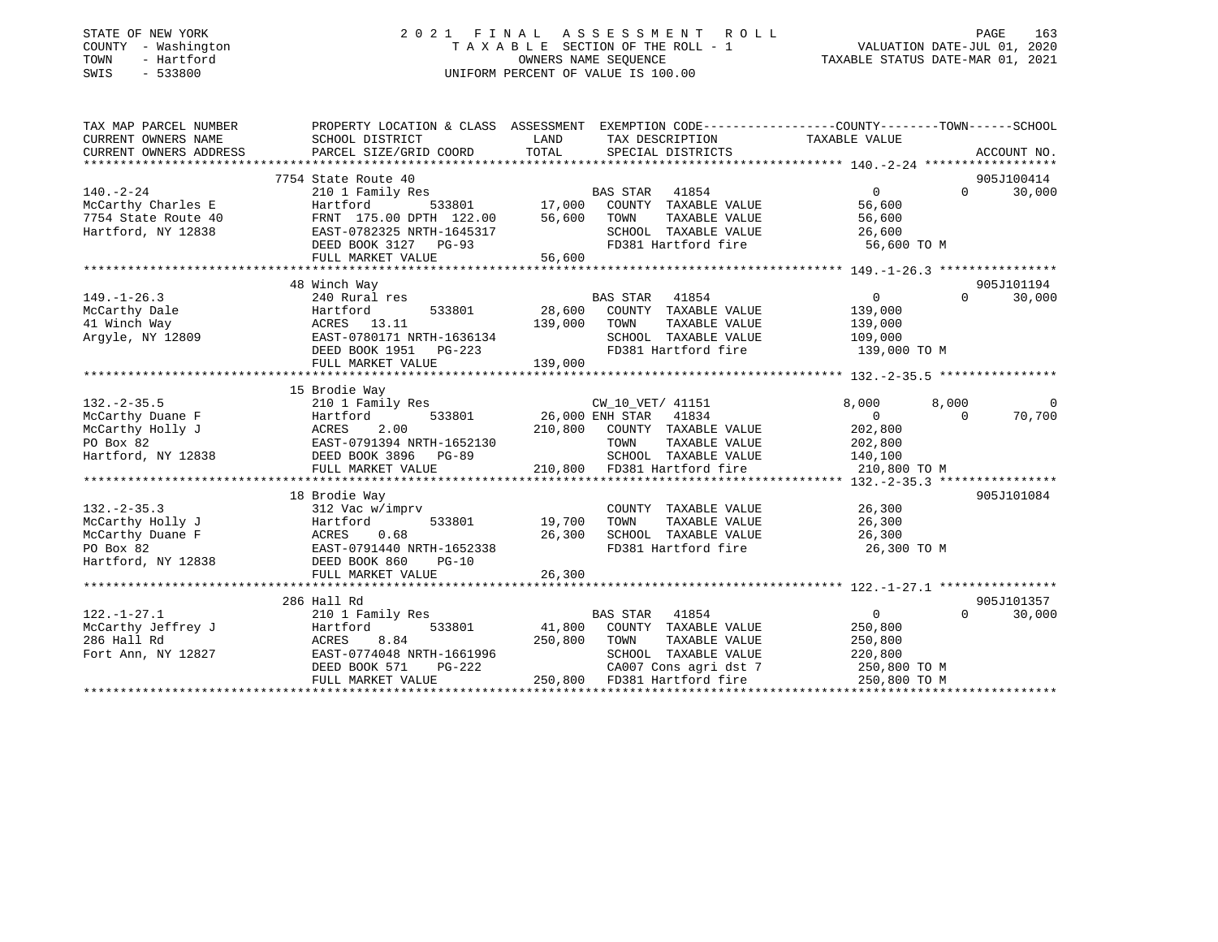### STATE OF NEW YORK 2 0 2 1 F I N A L A S S E S S M E N T R O L L PAGE 163 COUNTY - Washington T A X A B L E SECTION OF THE ROLL - 1 VALUATION DATE-JUL 01, 2020 TOWN - Hartford OWNERS NAME SEQUENCE TAXABLE STATUS DATE-MAR 01, 2021 SWIS - 533800 UNIFORM PERCENT OF VALUE IS 100.00

| TAX MAP PARCEL NUMBER  | PROPERTY LOCATION & CLASS ASSESSMENT EXEMPTION CODE---------------COUNTY-------TOWN-----SCHOOL |               |                                    |                |                   |             |
|------------------------|------------------------------------------------------------------------------------------------|---------------|------------------------------------|----------------|-------------------|-------------|
| CURRENT OWNERS NAME    | SCHOOL DISTRICT                                                                                | LAND          | TAX DESCRIPTION                    | TAXABLE VALUE  |                   |             |
| CURRENT OWNERS ADDRESS | PARCEL SIZE/GRID COORD                                                                         | TOTAL         | SPECIAL DISTRICTS                  |                |                   | ACCOUNT NO. |
|                        |                                                                                                |               |                                    |                |                   |             |
|                        | 7754 State Route 40                                                                            |               |                                    |                |                   | 905J100414  |
| $140. - 2 - 24$        | 210 1 Family Res                                                                               |               | BAS STAR 41854                     | $\Omega$       | $\Omega$          | 30,000      |
| McCarthy Charles E     | Hartford                                                                                       |               | 533801 17,000 COUNTY TAXABLE VALUE | 56,600         |                   |             |
| 7754 State Route 40    | FRNT 175.00 DPTH 122.00                                                                        | 56,600        | TOWN<br>TAXABLE VALUE              | 56,600         |                   |             |
| Hartford, NY 12838     | EAST-0782325 NRTH-1645317                                                                      |               | SCHOOL TAXABLE VALUE               | 26,600         |                   |             |
|                        | DEED BOOK 3127 PG-93                                                                           |               | FD381 Hartford fire                | 56,600 TO M    |                   |             |
|                        | FULL MARKET VALUE                                                                              | 56,600        |                                    |                |                   |             |
|                        |                                                                                                |               |                                    |                |                   |             |
|                        | 48 Winch Way                                                                                   |               |                                    |                |                   | 905J101194  |
| $149. - 1 - 26.3$      | 240 Rural res                                                                                  |               | BAS STAR 41854                     | $\overline{0}$ | $0 \qquad \qquad$ | 30,000      |
| McCarthy Dale          | Hartford<br>533801                                                                             |               | 28,600 COUNTY TAXABLE VALUE        | 139,000        |                   |             |
| 41 Winch Way           | ACRES 13.11                                                                                    | 139,000       | TAXABLE VALUE<br>TOWN              | 139,000        |                   |             |
| Argyle, NY 12809       | EAST-0780171 NRTH-1636134                                                                      |               | SCHOOL TAXABLE VALUE 109,000       |                |                   |             |
|                        | DEED BOOK 1951    PG-223                                                                       |               | FD381 Hartford fire                | 139,000 TO M   |                   |             |
|                        | FULL MARKET VALUE                                                                              | 139,000       |                                    |                |                   |             |
|                        |                                                                                                |               |                                    |                |                   |             |
| $132 - 2 - 35.5$       | 15 Brodie Way<br>210 1 Family Res                                                              |               | CW 10 VET/ 41151                   | 8,000          | 8,000             | $\Omega$    |
| McCarthy Duane F       | 533801<br>Hartford                                                                             |               | 26,000 ENH STAR 41834              | $\overline{0}$ | $\bigcap$         | 70,700      |
| McCarthy Holly J       | 2.00<br>ACRES                                                                                  | 210,800       | COUNTY TAXABLE VALUE               | 202,800        |                   |             |
| PO Box 82              | EAST-0791394 NRTH-1652130                                                                      |               | TOWN<br>TAXABLE VALUE              | 202,800        |                   |             |
| Hartford, NY 12838     | DEED BOOK 3896 PG-89                                                                           |               | SCHOOL TAXABLE VALUE               | 140,100        |                   |             |
|                        | FULL MARKET VALUE                                                                              |               | 210,800 FD381 Hartford fire        | 210,800 TO M   |                   |             |
|                        |                                                                                                |               |                                    |                |                   |             |
|                        | 18 Brodie Way                                                                                  |               |                                    |                |                   | 905J101084  |
| $132 - 2 - 35.3$       | 312 Vac w/imprv                                                                                |               | COUNTY TAXABLE VALUE               | 26,300         |                   |             |
| McCarthy Holly J       | Hartford                                                                                       | 533801 19,700 | TAXABLE VALUE<br>TOWN              | 26,300         |                   |             |
| McCarthy Duane F       | 0.68<br>ACRES                                                                                  | 26,300        | SCHOOL TAXABLE VALUE               | 26,300         |                   |             |
| PO Box 82              | EAST-0791440 NRTH-1652338                                                                      |               | FD381 Hartford fire                | 26,300 TO M    |                   |             |
| Hartford, NY 12838     | DEED BOOK 860<br>$PG-10$                                                                       |               |                                    |                |                   |             |
|                        | FULL MARKET VALUE                                                                              | 26,300        |                                    |                |                   |             |
|                        |                                                                                                |               |                                    |                |                   |             |
|                        | 286 Hall Rd                                                                                    |               |                                    |                |                   | 905J101357  |
| $122. - 1 - 27.1$      | 210 1 Family Res                                                                               |               | <b>BAS STAR</b><br>41854           | $\sim$ 0       | $\Omega$          | 30,000      |
| McCarthy Jeffrey J     | 533801<br>Hartford                                                                             |               | 41,800 COUNTY TAXABLE VALUE        | 250,800        |                   |             |
| 286 Hall Rd            | ACRES<br>8.84                                                                                  |               | 250,800 TOWN<br>TAXABLE VALUE      | 250,800        |                   |             |
| Fort Ann, NY 12827     | EAST-0774048 NRTH-1661996                                                                      |               | SCHOOL TAXABLE VALUE               | 220,800        |                   |             |
|                        | PG-222<br>DEED BOOK 571                                                                        |               | CA007 Cons agri dst 7              | 250,800 TO M   |                   |             |
|                        | FULL MARKET VALUE                                                                              |               | 250,800 FD381 Hartford fire        | 250,800 TO M   |                   |             |
|                        |                                                                                                |               |                                    |                |                   |             |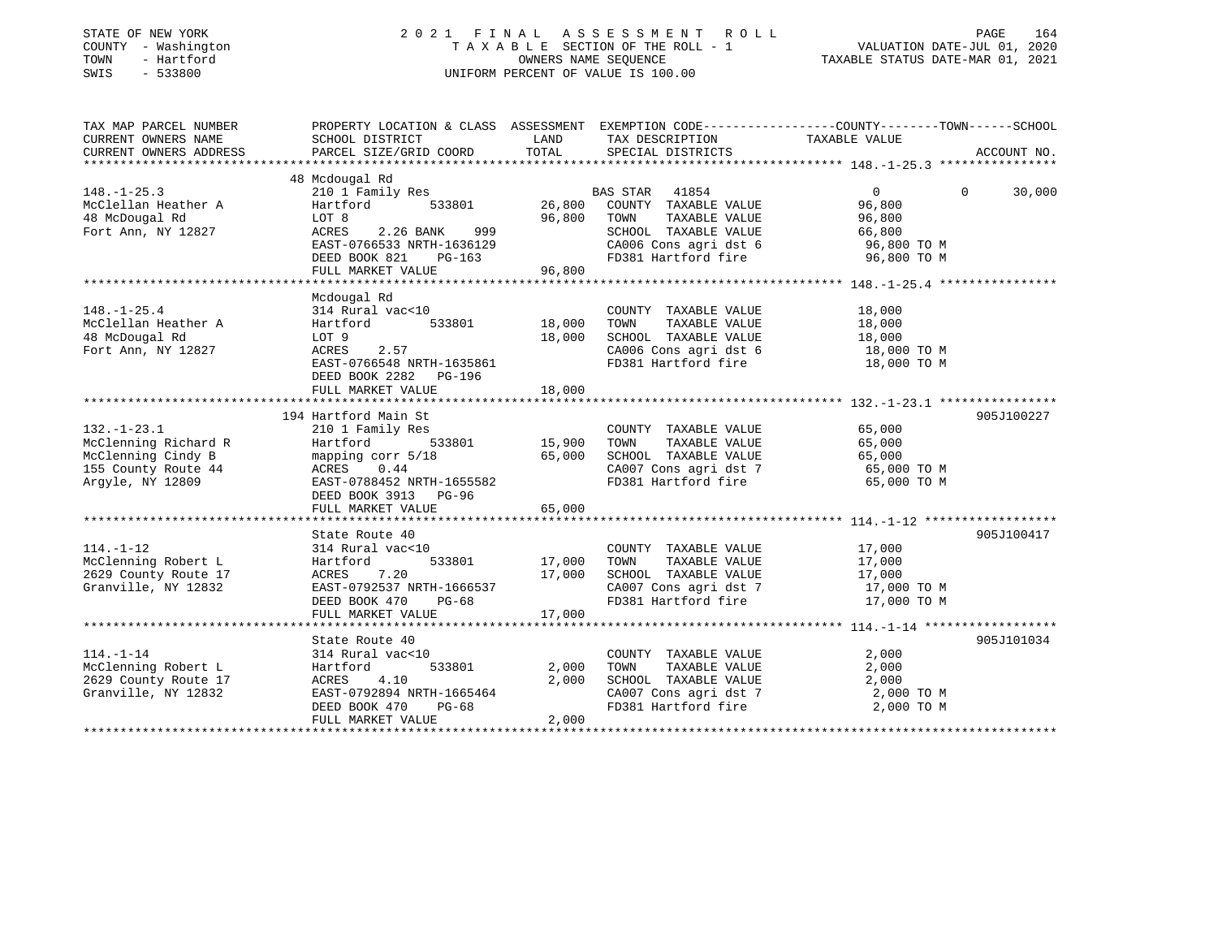| STATE OF NEW YORK<br>COUNTY - Washington<br>TOWN<br>- Hartford<br>SWIS<br>$-533800$ | 2021 FINAL                                                                                      | OWNERS NAME SEOUENCE | ASSESSMENT ROLL<br>TAXABLE SECTION OF THE ROLL - 1<br>UNIFORM PERCENT OF VALUE IS 100.00 | VALUATION DATE-JUL 01, 2020<br>TAXABLE STATUS DATE-MAR 01, 2021 | PAGE<br>164 |
|-------------------------------------------------------------------------------------|-------------------------------------------------------------------------------------------------|----------------------|------------------------------------------------------------------------------------------|-----------------------------------------------------------------|-------------|
| TAX MAP PARCEL NUMBER                                                               | PROPERTY LOCATION & CLASS ASSESSMENT EXEMPTION CODE---------------COUNTY-------TOWN------SCHOOL |                      |                                                                                          |                                                                 |             |
| CURRENT OWNERS NAME<br>CURRENT OWNERS ADDRESS                                       | SCHOOL DISTRICT<br>PARCEL SIZE/GRID COORD                                                       | LAND<br>TOTAL        | TAX DESCRIPTION<br>SPECIAL DISTRICTS                                                     | TAXABLE VALUE                                                   | ACCOUNT NO. |
| ********************                                                                |                                                                                                 |                      |                                                                                          |                                                                 |             |
|                                                                                     | 48 Mcdougal Rd                                                                                  |                      |                                                                                          |                                                                 |             |
| $148. - 1 - 25.3$                                                                   | 210 1 Family Res                                                                                |                      | BAS STAR<br>41854                                                                        | $\Omega$<br>$\Omega$                                            | 30,000      |
| McClellan Heather A                                                                 | Hartford<br>533801                                                                              | 26,800               | COUNTY TAXABLE VALUE                                                                     | 96,800                                                          |             |
| 48 McDougal Rd                                                                      | LOT 8                                                                                           | 96,800               | TAXABLE VALUE<br>TOWN                                                                    | 96,800                                                          |             |
| Fort Ann, NY 12827                                                                  | ACRES<br>2.26 BANK<br>999                                                                       |                      | SCHOOL TAXABLE VALUE                                                                     | 66,800                                                          |             |
|                                                                                     | EAST-0766533 NRTH-1636129                                                                       |                      | CA006 Cons agri dst 6                                                                    | 96,800 TO M                                                     |             |
|                                                                                     | DEED BOOK 821<br>PG-163<br>FULL MARKET VALUE                                                    |                      | FD381 Hartford fire                                                                      | 96,800 TO M                                                     |             |
|                                                                                     |                                                                                                 | 96,800               |                                                                                          |                                                                 |             |
|                                                                                     | Mcdougal Rd                                                                                     |                      |                                                                                          |                                                                 |             |
| $148. - 1 - 25.4$                                                                   | 314 Rural vac<10                                                                                |                      | COUNTY TAXABLE VALUE                                                                     | 18,000                                                          |             |
| McClellan Heather A                                                                 | Hartford<br>533801                                                                              | 18,000               | TAXABLE VALUE<br>TOWN                                                                    | 18,000                                                          |             |
| 48 McDougal Rd                                                                      | LOT 9                                                                                           | 18,000               | SCHOOL TAXABLE VALUE                                                                     | 18,000                                                          |             |
| Fort Ann, NY 12827                                                                  | ACRES<br>2.57                                                                                   |                      | CA006 Cons agri dst 6                                                                    | 18,000 TO M                                                     |             |
|                                                                                     | EAST-0766548 NRTH-1635861                                                                       |                      | FD381 Hartford fire                                                                      | 18,000 TO M                                                     |             |
|                                                                                     | DEED BOOK 2282 PG-196                                                                           |                      |                                                                                          |                                                                 |             |
|                                                                                     | FULL MARKET VALUE                                                                               | 18,000               |                                                                                          |                                                                 |             |
|                                                                                     |                                                                                                 |                      |                                                                                          |                                                                 | 905J100227  |
| $132. - 1 - 23.1$                                                                   | 194 Hartford Main St<br>210 1 Family Res                                                        |                      | COUNTY TAXABLE VALUE                                                                     | 65,000                                                          |             |
| McClenning Richard R                                                                | 533801<br>Hartford                                                                              | 15,900               | TAXABLE VALUE<br>TOWN                                                                    | 65,000                                                          |             |
| McClenning Cindy B                                                                  | mapping corr 5/18                                                                               | 65,000               | SCHOOL TAXABLE VALUE                                                                     | 65,000                                                          |             |
| 155 County Route 44                                                                 | ACRES 0.44                                                                                      |                      | CA007 Cons agri dst 7                                                                    | 65,000 TO M                                                     |             |
| Argyle, NY 12809                                                                    | EAST-0788452 NRTH-1655582                                                                       |                      | FD381 Hartford fire                                                                      | 65,000 TO M                                                     |             |
|                                                                                     | DEED BOOK 3913 PG-96                                                                            |                      |                                                                                          |                                                                 |             |
|                                                                                     | FULL MARKET VALUE                                                                               | 65,000               |                                                                                          |                                                                 |             |
|                                                                                     |                                                                                                 |                      |                                                                                          |                                                                 |             |
|                                                                                     | State Route 40                                                                                  |                      |                                                                                          |                                                                 | 905J100417  |
| $114. - 1 - 12$                                                                     | 314 Rural vac<10                                                                                |                      | COUNTY TAXABLE VALUE                                                                     | 17,000                                                          |             |
| McClenning Robert L<br>2629 County Route 17                                         | 533801<br>Hartford<br>7.20<br>ACRES                                                             | 17,000<br>17,000     | TAXABLE VALUE<br>TOWN<br>SCHOOL TAXABLE VALUE                                            | 17,000<br>17,000                                                |             |
| Granville, NY 12832                                                                 | EAST-0792537 NRTH-1666537                                                                       |                      | CA007 Cons agri dst 7                                                                    | 17,000 TO M                                                     |             |
|                                                                                     | DEED BOOK 470<br>$PG-68$                                                                        |                      | FD381 Hartford fire                                                                      | 17,000 TO M                                                     |             |
|                                                                                     | FULL MARKET VALUE                                                                               | 17,000               |                                                                                          |                                                                 |             |
|                                                                                     |                                                                                                 |                      |                                                                                          |                                                                 |             |
|                                                                                     | State Route 40                                                                                  |                      |                                                                                          |                                                                 | 905J101034  |
| $114. - 1 - 14$                                                                     | 314 Rural vac<10                                                                                |                      | COUNTY TAXABLE VALUE                                                                     | 2,000                                                           |             |
| McClenning Robert L                                                                 | Hartford<br>533801                                                                              | 2,000                | TOWN<br>TAXABLE VALUE                                                                    | 2,000                                                           |             |
| 2629 County Route 17                                                                | ACRES<br>4.10                                                                                   | 2,000                | SCHOOL TAXABLE VALUE                                                                     | 2,000                                                           |             |
| Granville, NY 12832                                                                 | EAST-0792894 NRTH-1665464                                                                       |                      | CA007 Cons agri dst 7                                                                    | 2,000 TO M                                                      |             |
|                                                                                     | DEED BOOK 470<br>$PG-68$<br>FULL MARKET VALUE                                                   | 2,000                | FD381 Hartford fire                                                                      | 2,000 TO M                                                      |             |
|                                                                                     |                                                                                                 |                      |                                                                                          |                                                                 |             |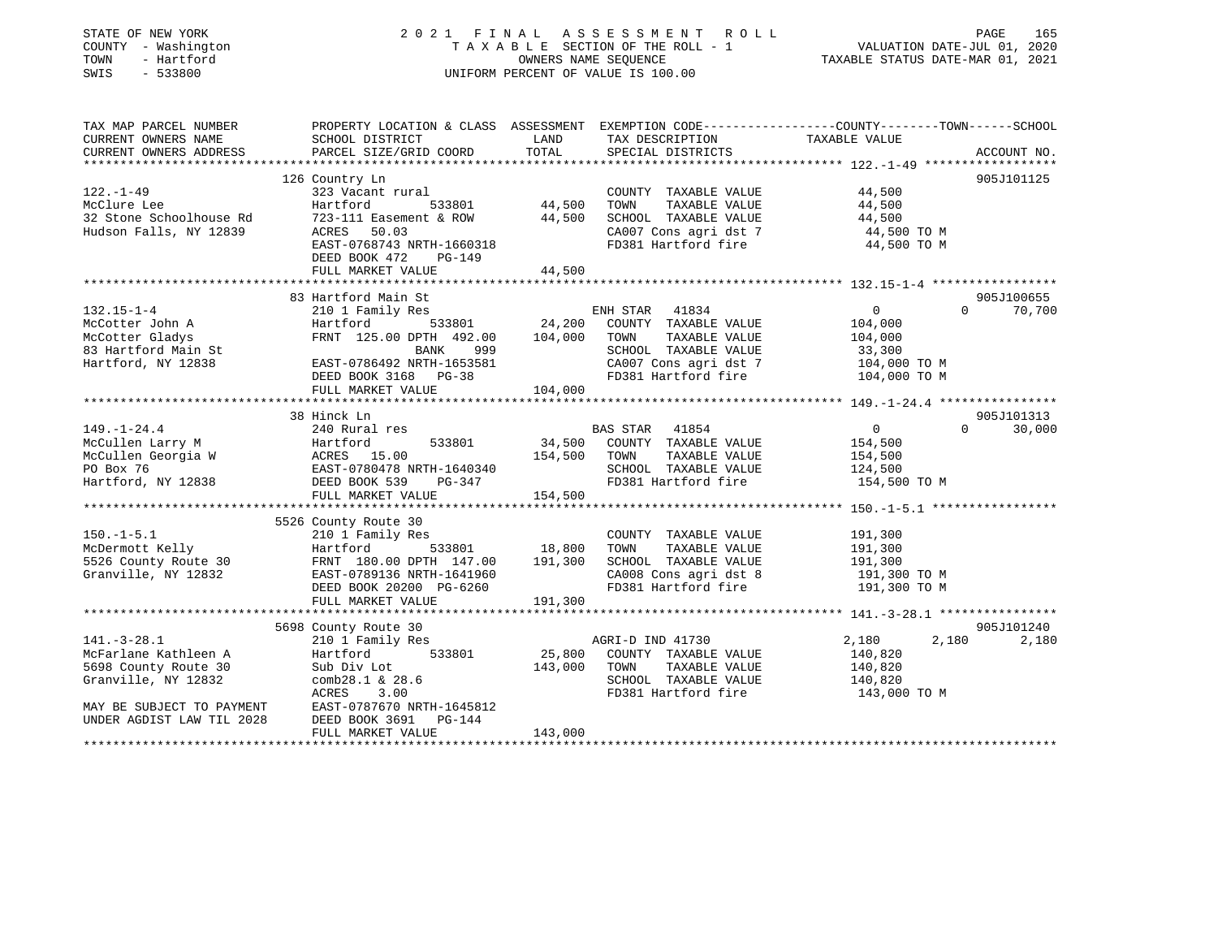| STATE OF NEW YORK<br>COUNTY - Washington<br>TOWN<br>- Hartford<br>$-533800$<br>SWIS | 2021 FINAL ASSESSMENT<br>TAXABLE SECTION OF THE ROLL - 1<br>UNIFORM PERCENT OF VALUE IS 100.00                      | TAXABLE STATUS DATE-MAR 01, 2021 | PAGE<br>165<br>VALUATION DATE-JUL 01, 2020    |                            |                    |
|-------------------------------------------------------------------------------------|---------------------------------------------------------------------------------------------------------------------|----------------------------------|-----------------------------------------------|----------------------------|--------------------|
| TAX MAP PARCEL NUMBER<br>CURRENT OWNERS NAME                                        | PROPERTY LOCATION & CLASS ASSESSMENT EXEMPTION CODE----------------COUNTY-------TOWN------SCHOOL<br>SCHOOL DISTRICT | LAND                             | TAX DESCRIPTION                               | TAXABLE VALUE              |                    |
| CURRENT OWNERS ADDRESS                                                              | PARCEL SIZE/GRID COORD                                                                                              | TOTAL                            | SPECIAL DISTRICTS                             |                            | ACCOUNT NO.        |
|                                                                                     |                                                                                                                     |                                  |                                               |                            |                    |
| $122. - 1 - 49$                                                                     | 126 Country Ln<br>323 Vacant rural                                                                                  |                                  |                                               | 44,500                     | 905J101125         |
| McClure Lee                                                                         | Hartford<br>533801                                                                                                  | 44,500                           | COUNTY TAXABLE VALUE<br>TOWN<br>TAXABLE VALUE | 44,500                     |                    |
| 32 Stone Schoolhouse Rd                                                             | 723-111 Easement & ROW                                                                                              | 44,500                           | SCHOOL TAXABLE VALUE                          | 44,500                     |                    |
| Hudson Falls, NY 12839                                                              | ACRES 50.03                                                                                                         |                                  | CA007 Cons agri dst 7                         |                            |                    |
|                                                                                     | EAST-0768743 NRTH-1660318                                                                                           |                                  | FD381 Hartford fire                           | 44,500 TO M<br>44,500 TO M |                    |
|                                                                                     | DEED BOOK 472<br>PG-149                                                                                             |                                  |                                               |                            |                    |
|                                                                                     | FULL MARKET VALUE                                                                                                   | 44,500                           |                                               |                            |                    |
|                                                                                     |                                                                                                                     |                                  |                                               |                            |                    |
|                                                                                     | 83 Hartford Main St                                                                                                 |                                  |                                               |                            | 905J100655         |
| $132.15 - 1 - 4$                                                                    | 210 1 Family Res                                                                                                    |                                  | ENH STAR<br>41834                             | $\overline{0}$             | $\Omega$<br>70,700 |
| McCotter John A                                                                     | Hartford<br>533801                                                                                                  | 24,200                           | COUNTY TAXABLE VALUE                          | 104,000                    |                    |
| McCotter Gladys                                                                     | FRNT 125.00 DPTH 492.00                                                                                             | 104,000                          | TOWN<br>TAXABLE VALUE                         | 104,000                    |                    |
| 83 Hartford Main St                                                                 | BANK<br>999                                                                                                         |                                  | SCHOOL TAXABLE VALUE                          | 33,300                     |                    |
| Hartford, NY 12838                                                                  | EAST-0786492 NRTH-1653581                                                                                           |                                  | CA007 Cons agri dst 7                         | 104,000 TO M               |                    |
|                                                                                     | DEED BOOK 3168 PG-38                                                                                                |                                  | FD381 Hartford fire                           | 104,000 TO M               |                    |
|                                                                                     | FULL MARKET VALUE                                                                                                   | 104,000                          |                                               |                            |                    |
|                                                                                     | ***************************                                                                                         |                                  |                                               |                            |                    |
|                                                                                     | 38 Hinck Ln                                                                                                         |                                  |                                               |                            | 905J101313         |
| $149. - 1 - 24.4$                                                                   | 240 Rural res                                                                                                       |                                  | 41854<br>BAS STAR                             | $\overline{0}$             | 30,000<br>0        |
| McCullen Larry M                                                                    | 533801<br>Hartford                                                                                                  | 34,500                           | COUNTY TAXABLE VALUE                          | 154,500                    |                    |
| McCullen Georgia W                                                                  |                                                                                                                     | 154,500                          | TOWN<br>TAXABLE VALUE                         | 154,500                    |                    |
| PO Box 76                                                                           | ACRES 15.00<br>EAST-0780478 N<br>EAST-0780478 NRTH-1640340                                                          |                                  | SCHOOL TAXABLE VALUE                          | 124,500                    |                    |
| Hartford, NY 12838                                                                  | DEED BOOK 539<br>PG-347                                                                                             |                                  | FD381 Hartford fire                           | 154,500 TO M               |                    |
|                                                                                     | FULL MARKET VALUE                                                                                                   | 154,500                          |                                               |                            |                    |
|                                                                                     |                                                                                                                     |                                  |                                               |                            |                    |
|                                                                                     | 5526 County Route 30                                                                                                |                                  |                                               |                            |                    |
| $150.-1-5.1$                                                                        | 210 1 Family Res                                                                                                    |                                  | COUNTY TAXABLE VALUE                          | 191,300                    |                    |
| McDermott Kelly                                                                     | Hartford<br>533801                                                                                                  | 18,800                           | TOWN<br>TAXABLE VALUE                         | 191,300                    |                    |
| 5526 County Route 30                                                                | FRNT 180.00 DPTH 147.00                                                                                             | 191,300                          | SCHOOL TAXABLE VALUE                          | 191,300                    |                    |
| Granville, NY 12832                                                                 | EAST-0789136 NRTH-1641960                                                                                           |                                  | CA008 Cons agri dst 8                         | 191,300 TO M               |                    |
|                                                                                     | DEED BOOK 20200 PG-6260                                                                                             |                                  | FD381 Hartford fire                           | 191,300 TO M               |                    |
|                                                                                     | FULL MARKET VALUE                                                                                                   | 191,300                          |                                               |                            |                    |
|                                                                                     |                                                                                                                     |                                  |                                               |                            |                    |
|                                                                                     | 5698 County Route 30                                                                                                |                                  |                                               |                            | 905J101240         |
| $141. - 3 - 28.1$                                                                   | 210 1 Family Res                                                                                                    |                                  | AGRI-D IND 41730                              | 2,180                      | 2,180<br>2,180     |
| McFarlane Kathleen A                                                                | Hartford<br>533801                                                                                                  | 25,800                           | COUNTY TAXABLE VALUE                          | 140,820                    |                    |
| 5698 County Route 30                                                                | Sub Div Lot                                                                                                         | 143,000                          | TOWN<br>TAXABLE VALUE                         | 140,820                    |                    |
| Granville, NY 12832                                                                 | comb28.1 & 28.6                                                                                                     |                                  | SCHOOL TAXABLE VALUE                          | 140,820                    |                    |
|                                                                                     | <b>ACRES</b><br>3.00                                                                                                |                                  | FD381 Hartford fire                           | 143,000 TO M               |                    |
| MAY BE SUBJECT TO PAYMENT                                                           | EAST-0787670 NRTH-1645812                                                                                           |                                  |                                               |                            |                    |
| UNDER AGDIST LAW TIL 2028                                                           | DEED BOOK 3691<br><b>PG-144</b>                                                                                     |                                  |                                               |                            |                    |
|                                                                                     | FULL MARKET VALUE                                                                                                   | 143,000                          |                                               |                            |                    |
|                                                                                     |                                                                                                                     | <b>+++++++++++++++</b>           |                                               |                            |                    |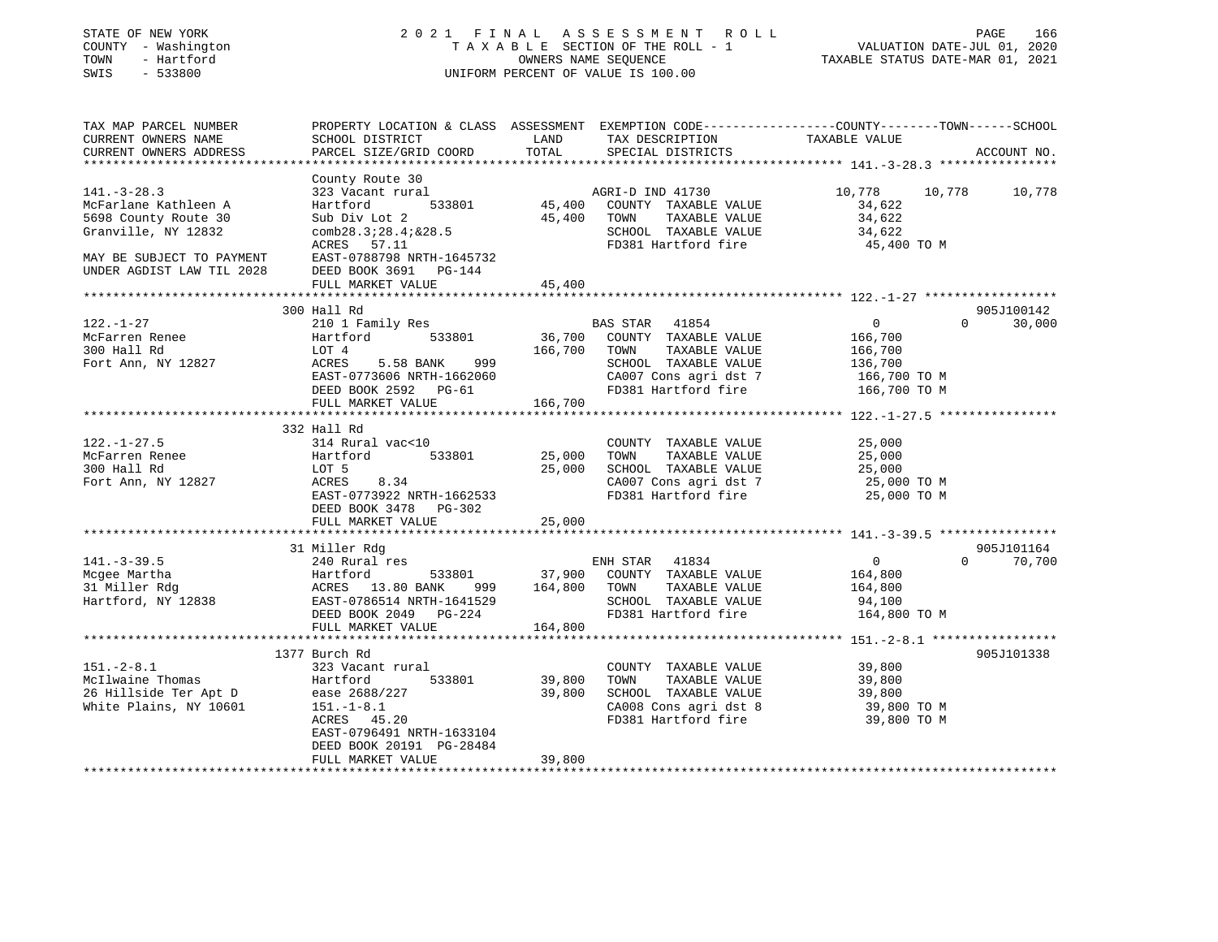| STATE OF NEW YORK<br>COUNTY - Washington<br>- Hartford<br>TOWN<br>$-533800$<br>SWIS | ASSESSMENT ROLL<br>2021 FINAL<br>TAXABLE SECTION OF THE ROLL - 1<br>OWNERS NAME SEQUENCE<br>UNIFORM PERCENT OF VALUE IS 100.00               |                   |                                                                       | VALUATION DATE-JUL 01, 2020<br>TAXABLE STATUS DATE-MAR 01, 2021 | PAGE<br>166                      |
|-------------------------------------------------------------------------------------|----------------------------------------------------------------------------------------------------------------------------------------------|-------------------|-----------------------------------------------------------------------|-----------------------------------------------------------------|----------------------------------|
| TAX MAP PARCEL NUMBER<br>CURRENT OWNERS NAME<br>CURRENT OWNERS ADDRESS              | PROPERTY LOCATION & CLASS ASSESSMENT EXEMPTION CODE----------------COUNTY-------TOWN-----SCHOOL<br>SCHOOL DISTRICT<br>PARCEL SIZE/GRID COORD | LAND<br>TOTAL     | TAX DESCRIPTION<br>SPECIAL DISTRICTS                                  | TAXABLE VALUE                                                   | ACCOUNT NO.                      |
|                                                                                     |                                                                                                                                              |                   |                                                                       |                                                                 |                                  |
| $141. - 3 - 28.3$<br>McFarlane Kathleen A                                           | County Route 30<br>323 Vacant rural<br>533801<br>Hartford                                                                                    | 45,400            | AGRI-D IND 41730<br>COUNTY TAXABLE VALUE                              | 10,778<br>10,778<br>34,622                                      | 10,778                           |
| 5698 County Route 30<br>Granville, NY 12832                                         | Sub Div Lot 2<br>comb28.3728.47&28.5<br>ACRES 57.11                                                                                          | 45,400            | TAXABLE VALUE<br>TOWN<br>SCHOOL TAXABLE VALUE<br>FD381 Hartford fire  | 34,622<br>34,622<br>45,400 TO M                                 |                                  |
| MAY BE SUBJECT TO PAYMENT<br>UNDER AGDIST LAW TIL 2028                              | EAST-0788798 NRTH-1645732<br>DEED BOOK 3691 PG-144<br>FULL MARKET VALUE                                                                      | 45,400            |                                                                       |                                                                 |                                  |
| ********************                                                                | **********************                                                                                                                       | **********        |                                                                       | ********************** 122.-1-27 *******************            |                                  |
| $122. - 1 - 27$                                                                     | 300 Hall Rd<br>210 1 Family Res                                                                                                              |                   | BAS STAR 41854                                                        | $\overline{0}$                                                  | 905J100142<br>$\Omega$<br>30,000 |
| McFarren Renee<br>300 Hall Rd<br>Fort Ann, NY 12827                                 | Hartford<br>533801<br>LOT 4<br>ACRES<br>999<br>5.58 BANK                                                                                     | 36,700<br>166,700 | COUNTY TAXABLE VALUE<br>TOWN<br>TAXABLE VALUE<br>SCHOOL TAXABLE VALUE | 166,700<br>166,700<br>136,700                                   |                                  |
|                                                                                     | EAST-0773606 NRTH-1662060<br>DEED BOOK 2592 PG-61<br>FULL MARKET VALUE                                                                       | 166,700           | CA007 Cons agri dst 7<br>FD381 Hartford fire                          | 166,700 то м<br>166,700 TO M                                    |                                  |
|                                                                                     |                                                                                                                                              |                   |                                                                       |                                                                 |                                  |
|                                                                                     | 332 Hall Rd                                                                                                                                  |                   |                                                                       |                                                                 |                                  |
| $122. - 1 - 27.5$                                                                   | 314 Rural vac<10                                                                                                                             |                   | COUNTY TAXABLE VALUE                                                  | 25,000                                                          |                                  |
| McFarren Renee                                                                      | 533801<br>Hartford                                                                                                                           | 25,000            | TAXABLE VALUE<br>TOWN                                                 | 25,000                                                          |                                  |
| 300 Hall Rd                                                                         | LOT 5                                                                                                                                        | 25,000            | SCHOOL TAXABLE VALUE                                                  | 25,000                                                          |                                  |
| Fort Ann, NY 12827                                                                  | ACRES<br>8.34<br>EAST-0773922 NRTH-1662533<br>DEED BOOK 3478 PG-302                                                                          |                   | CA007 Cons agri dst 7<br>FD381 Hartford fire                          | 25,000 TO M<br>25,000 TO M                                      |                                  |
|                                                                                     | FULL MARKET VALUE                                                                                                                            | 25,000            |                                                                       |                                                                 |                                  |
|                                                                                     | 31 Miller Rdg                                                                                                                                |                   |                                                                       |                                                                 | 905J101164                       |
| $141. - 3 - 39.5$                                                                   | 240 Rural res                                                                                                                                |                   | ENH STAR 41834                                                        | $\overline{0}$                                                  | $\Omega$<br>70,700               |
| Mcgee Martha                                                                        | Hartford<br>533801                                                                                                                           | 37,900            | COUNTY TAXABLE VALUE                                                  | 164,800                                                         |                                  |
| 31 Miller Rdg                                                                       | ACRES 13.80 BANK<br>999                                                                                                                      | 164,800           | TOWN<br>TAXABLE VALUE                                                 | 164,800                                                         |                                  |
| Hartford, NY 12838                                                                  | EAST-0786514 NRTH-1641529                                                                                                                    |                   | SCHOOL TAXABLE VALUE                                                  | 94,100                                                          |                                  |
|                                                                                     | DEED BOOK 2049<br>PG-224<br>FULL MARKET VALUE                                                                                                | 164,800           | FD381 Hartford fire                                                   | 164,800 TO M                                                    |                                  |
|                                                                                     |                                                                                                                                              |                   |                                                                       |                                                                 |                                  |
|                                                                                     | 1377 Burch Rd                                                                                                                                |                   |                                                                       |                                                                 | 905J101338                       |
| $151 - 2 - 8.1$                                                                     | 323 Vacant rural                                                                                                                             |                   | COUNTY TAXABLE VALUE                                                  | 39,800                                                          |                                  |
| McIlwaine Thomas                                                                    | Hartford<br>533801                                                                                                                           | 39,800            | TOWN<br>TAXABLE VALUE                                                 | 39,800                                                          |                                  |
| 26 Hillside Ter Apt D                                                               | ease 2688/227                                                                                                                                | 39,800            | SCHOOL TAXABLE VALUE                                                  | 39,800                                                          |                                  |
| White Plains, NY 10601                                                              | $151. - 1 - 8.1$                                                                                                                             |                   | CA008 Cons agri dst 8                                                 | 39,800 TO M                                                     |                                  |
|                                                                                     | ACRES<br>45.20<br>EAST-0796491 NRTH-1633104<br>DEED BOOK 20191 PG-28484                                                                      |                   | FD381 Hartford fire                                                   | 39,800 TO M                                                     |                                  |
|                                                                                     | FULL MARKET VALUE                                                                                                                            | 39,800            |                                                                       |                                                                 |                                  |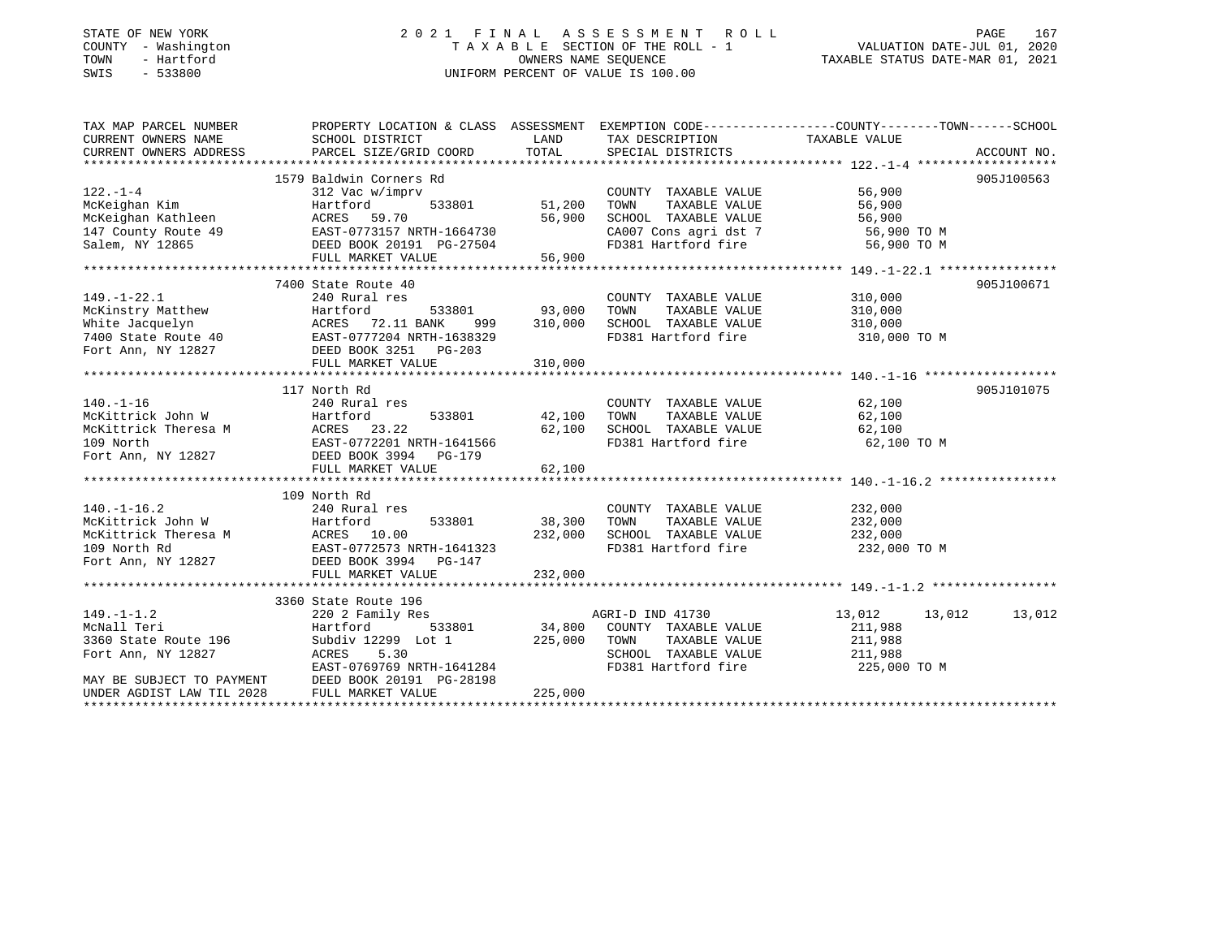## STATE OF NEW YORK 2 0 2 1 F I N A L A S S E S S M E N T R O L L PAGE 167COUNTY - Washington  $T A X A B L E$  SECTION OF THE ROLL - 1<br>TOWN - Hartford SWIS - 533800 UNIFORM PERCENT OF VALUE IS 100.00

VALUATION DATE-JUL 01, 2020

TAXABLE STATUS DATE-MAR 01, 2021

| TAX MAP PARCEL NUMBER                                                                                     | PROPERTY LOCATION & CLASS ASSESSMENT EXEMPTION CODE---------------COUNTY-------TOWN-----SCHOOL                                                                                                                                                                                                                                                                                                                                                |                        |                                                                                         |                          |            |
|-----------------------------------------------------------------------------------------------------------|-----------------------------------------------------------------------------------------------------------------------------------------------------------------------------------------------------------------------------------------------------------------------------------------------------------------------------------------------------------------------------------------------------------------------------------------------|------------------------|-----------------------------------------------------------------------------------------|--------------------------|------------|
| CURRENT OWNERS NAME SCHOOL DISTRICT                                                                       |                                                                                                                                                                                                                                                                                                                                                                                                                                               | <b>Example 12</b> LAND | TAX DESCRIPTION TAXABLE VALUE                                                           |                          |            |
| CURRENT OWNERS ADDRESS                                                                                    |                                                                                                                                                                                                                                                                                                                                                                                                                                               |                        |                                                                                         |                          |            |
|                                                                                                           |                                                                                                                                                                                                                                                                                                                                                                                                                                               |                        |                                                                                         |                          |            |
|                                                                                                           | 1579 Baldwin Corners Rd                                                                                                                                                                                                                                                                                                                                                                                                                       |                        |                                                                                         |                          | 905J100563 |
|                                                                                                           |                                                                                                                                                                                                                                                                                                                                                                                                                                               |                        |                                                                                         |                          |            |
|                                                                                                           |                                                                                                                                                                                                                                                                                                                                                                                                                                               |                        |                                                                                         |                          |            |
|                                                                                                           | Jiz vac w/imprv<br>Hartford 533801 51,200<br>ACRES 59.70 56.900<br>EAST-0773157.77777                                                                                                                                                                                                                                                                                                                                                         |                        | COUNTY TAXABLE VALUE 56,900<br>TOWN TAXABLE VALUE 56,900<br>SCHOOL TAXABLE VALUE 56,900 |                          |            |
|                                                                                                           |                                                                                                                                                                                                                                                                                                                                                                                                                                               |                        | CA007 Cons agri dst 7 56,900 TO M                                                       |                          |            |
|                                                                                                           |                                                                                                                                                                                                                                                                                                                                                                                                                                               |                        | FD381 Hartford fire                                                                     | 56,900 TO M              |            |
|                                                                                                           |                                                                                                                                                                                                                                                                                                                                                                                                                                               |                        |                                                                                         |                          |            |
|                                                                                                           | 122.-1-4<br>McKeighan Kim Hartford 533801 51,200<br>McKeighan Kathleen ACRES 59.70 56,900<br>147 County Route 49 EAST-0773157 NRTH-1664730<br>Salem, NY 12865 FULL MARKET VALUE 56,900<br>FULL MARKET VALUE 56,900                                                                                                                                                                                                                            |                        |                                                                                         |                          |            |
|                                                                                                           | 7400 State Route 40                                                                                                                                                                                                                                                                                                                                                                                                                           |                        |                                                                                         |                          | 905J100671 |
| $149. - 1 - 22.1$                                                                                         | 240 Rural res                                                                                                                                                                                                                                                                                                                                                                                                                                 |                        | COUNTY TAXABLE VALUE 310,000                                                            |                          |            |
|                                                                                                           |                                                                                                                                                                                                                                                                                                                                                                                                                                               |                        | TOWN                                                                                    | TAXABLE VALUE 310,000    |            |
|                                                                                                           |                                                                                                                                                                                                                                                                                                                                                                                                                                               |                        |                                                                                         |                          |            |
|                                                                                                           |                                                                                                                                                                                                                                                                                                                                                                                                                                               |                        |                                                                                         |                          |            |
|                                                                                                           |                                                                                                                                                                                                                                                                                                                                                                                                                                               |                        |                                                                                         |                          |            |
|                                                                                                           |                                                                                                                                                                                                                                                                                                                                                                                                                                               |                        |                                                                                         |                          |            |
|                                                                                                           |                                                                                                                                                                                                                                                                                                                                                                                                                                               |                        |                                                                                         |                          |            |
|                                                                                                           | 117 North Rd                                                                                                                                                                                                                                                                                                                                                                                                                                  |                        |                                                                                         |                          | 905J101075 |
|                                                                                                           |                                                                                                                                                                                                                                                                                                                                                                                                                                               |                        | COUNTY TAXABLE VALUE 62,100<br>TOWN TAXABLE VALUE 62,100                                |                          |            |
|                                                                                                           | COUNTY<br>533801 42,100 TOWN                                                                                                                                                                                                                                                                                                                                                                                                                  |                        |                                                                                         |                          |            |
|                                                                                                           |                                                                                                                                                                                                                                                                                                                                                                                                                                               |                        | SCHOOL TAXABLE VALUE 62,100                                                             |                          |            |
|                                                                                                           |                                                                                                                                                                                                                                                                                                                                                                                                                                               |                        | FD381 Hartford fire 62,100 TO M                                                         |                          |            |
|                                                                                                           |                                                                                                                                                                                                                                                                                                                                                                                                                                               |                        |                                                                                         |                          |            |
|                                                                                                           | $\begin{tabular}{lllllllllllllllllllllll} \rule{0pt}{0pt} \rule{0pt}{0pt} \rule{0pt}{0pt} \rule{0pt}{0pt} \rule{0pt}{0pt} \rule{0pt}{0pt} \rule{0pt}{0pt} \rule{0pt}{0pt} \rule{0pt}{0pt} \rule{0pt}{0pt} \rule{0pt}{0pt} \rule{0pt}{0pt} \rule{0pt}{0pt} \rule{0pt}{0pt} \rule{0pt}{0pt} \rule{0pt}{0pt} \rule{0pt}{0pt} \rule{0pt}{0pt} \rule{0pt}{0pt} \rule{0pt}{0pt} \rule{0pt}{0pt} \rule{0pt}{0pt} \rule{$<br>FULL MARKET VALUE 62,100 |                        |                                                                                         |                          |            |
|                                                                                                           |                                                                                                                                                                                                                                                                                                                                                                                                                                               |                        |                                                                                         |                          |            |
|                                                                                                           | 109 North Rd                                                                                                                                                                                                                                                                                                                                                                                                                                  |                        |                                                                                         |                          |            |
| $140. - 1 - 16.2$                                                                                         | 240 Rural res                                                                                                                                                                                                                                                                                                                                                                                                                                 |                        | COUNTY TAXABLE VALUE 232,000                                                            |                          |            |
|                                                                                                           | 533801 38,300                                                                                                                                                                                                                                                                                                                                                                                                                                 |                        | TOWN                                                                                    | TAXABLE VALUE 232,000    |            |
|                                                                                                           |                                                                                                                                                                                                                                                                                                                                                                                                                                               |                        |                                                                                         |                          |            |
|                                                                                                           | McKittrick John W Hartford 533801<br>McKittrick Theresa M ACRES 10.00<br>109 North Rd EAST-0772573 NRTH-1641323                                                                                                                                                                                                                                                                                                                               | 232,000                |                                                                                         |                          |            |
|                                                                                                           | Fort Ann, NY 12827 DEED BOOK 3994 PG-147                                                                                                                                                                                                                                                                                                                                                                                                      |                        |                                                                                         |                          |            |
|                                                                                                           | FULL MARKET VALUE                                                                                                                                                                                                                                                                                                                                                                                                                             | 232,000                |                                                                                         |                          |            |
|                                                                                                           |                                                                                                                                                                                                                                                                                                                                                                                                                                               |                        |                                                                                         |                          |            |
|                                                                                                           | 3360 State Route 196                                                                                                                                                                                                                                                                                                                                                                                                                          |                        |                                                                                         |                          |            |
| $149. - 1 - 1.2$                                                                                          |                                                                                                                                                                                                                                                                                                                                                                                                                                               |                        |                                                                                         | 13,012   13,012   13,012 |            |
| i 1982 - 220 2 Family 1983<br>Martford<br>--<br>McNall Teri<br>3360 State Route 196<br>Fort Ann, NY 12827 |                                                                                                                                                                                                                                                                                                                                                                                                                                               |                        |                                                                                         | 211,988                  |            |
|                                                                                                           |                                                                                                                                                                                                                                                                                                                                                                                                                                               |                        |                                                                                         |                          |            |
|                                                                                                           |                                                                                                                                                                                                                                                                                                                                                                                                                                               |                        |                                                                                         |                          |            |
|                                                                                                           | Subdiv 12299 Lot 1 225,000 TOWN TAXABLE VALUE 211,988<br>ACRES 5.30 SCHOOL TAXABLE VALUE 211,988<br>EAST-0769769 NRTH-1641284 FD381 Hartford fire 225.000                                                                                                                                                                                                                                                                                     |                        |                                                                                         | 225,000 TO M             |            |
| MAY BE SUBJECT TO PAYMENT                                                                                 | DEED BOOK 20191 PG-28198                                                                                                                                                                                                                                                                                                                                                                                                                      |                        |                                                                                         |                          |            |
| UNDER AGDIST LAW TIL 2028                                                                                 | FULL MARKET VALUE                                                                                                                                                                                                                                                                                                                                                                                                                             | 225,000                |                                                                                         |                          |            |
|                                                                                                           |                                                                                                                                                                                                                                                                                                                                                                                                                                               |                        |                                                                                         |                          |            |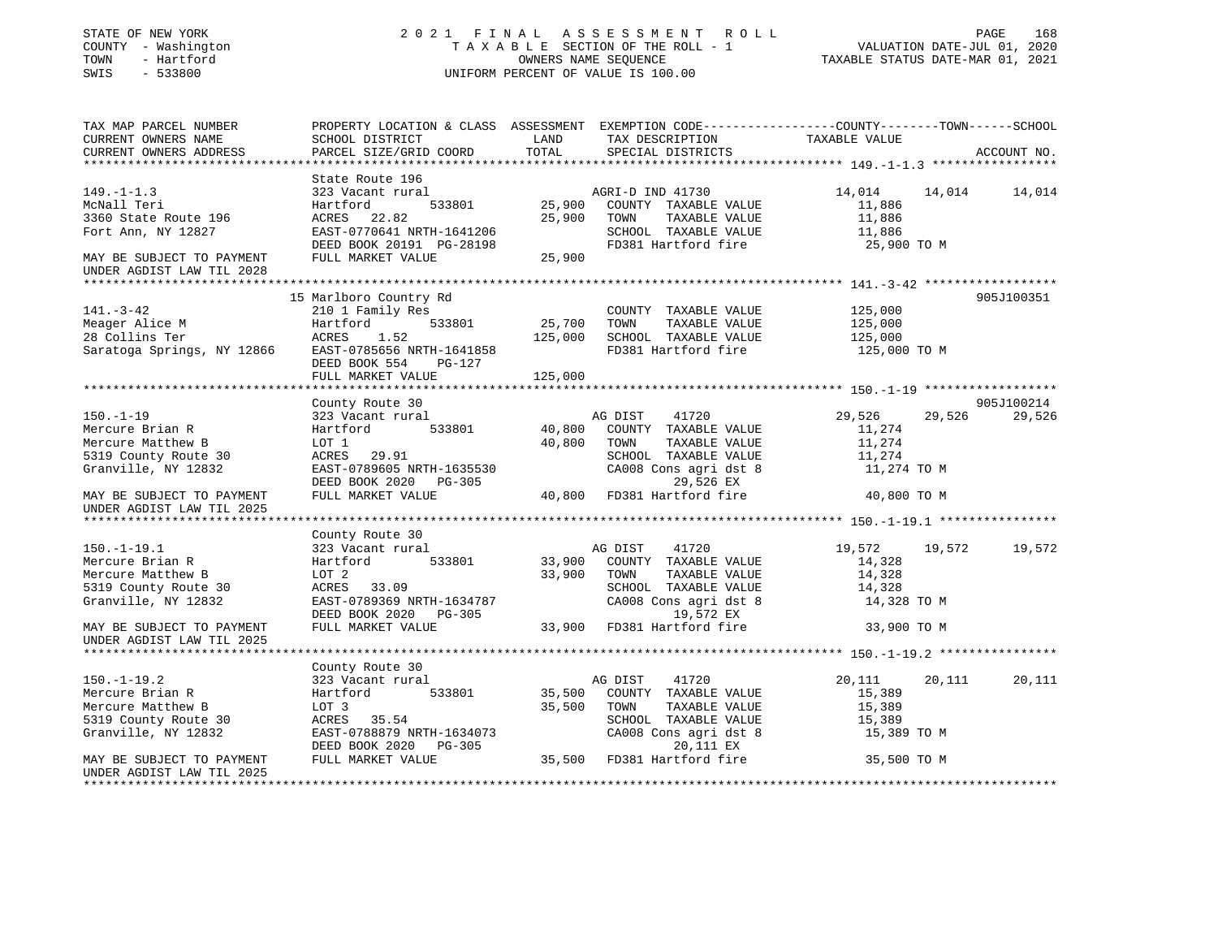### STATE OF NEW YORK 2 0 2 1 F I N A L A S S E S S M E N T R O L L PAGE 168 COUNTY - Washington T A X A B L E SECTION OF THE ROLL - 1 VALUATION DATE-JUL 01, 2020 TOWN - Hartford OWNERS NAME SEQUENCE TAXABLE STATUS DATE-MAR 01, 2021 SWIS - 533800 UNIFORM PERCENT OF VALUE IS 100.00

| TAX MAP PARCEL NUMBER      |                           |         | PROPERTY LOCATION & CLASS ASSESSMENT EXEMPTION CODE----------------COUNTY-------TOWN------SCHOOL |               |        |             |
|----------------------------|---------------------------|---------|--------------------------------------------------------------------------------------------------|---------------|--------|-------------|
| CURRENT OWNERS NAME        | SCHOOL DISTRICT           | LAND    | TAX DESCRIPTION                                                                                  | TAXABLE VALUE |        |             |
| CURRENT OWNERS ADDRESS     | PARCEL SIZE/GRID COORD    | TOTAL   | SPECIAL DISTRICTS                                                                                |               |        | ACCOUNT NO. |
|                            |                           |         |                                                                                                  |               |        |             |
|                            | State Route 196           |         |                                                                                                  |               |        |             |
| $149. - 1 - 1.3$           | 323 Vacant rural          |         | AGRI-D IND 41730                                                                                 | 14,014        | 14,014 | 14,014      |
| McNall Teri                | 533801<br>Hartford        | 25,900  | COUNTY TAXABLE VALUE                                                                             | 11,886        |        |             |
| 3360 State Route 196       | ACRES<br>22.82            | 25,900  | TOWN<br>TAXABLE VALUE                                                                            | 11,886        |        |             |
| Fort Ann, NY 12827         | EAST-0770641 NRTH-1641206 |         | SCHOOL TAXABLE VALUE                                                                             | 11,886        |        |             |
|                            | DEED BOOK 20191 PG-28198  |         | FD381 Hartford fire                                                                              | 25,900 TO M   |        |             |
| MAY BE SUBJECT TO PAYMENT  | FULL MARKET VALUE         | 25,900  |                                                                                                  |               |        |             |
| UNDER AGDIST LAW TIL 2028  |                           |         |                                                                                                  |               |        |             |
|                            |                           |         |                                                                                                  |               |        |             |
|                            | 15 Marlboro Country Rd    |         |                                                                                                  |               |        | 905J100351  |
| $141. - 3 - 42$            | 210 1 Family Res          |         | COUNTY TAXABLE VALUE                                                                             | 125,000       |        |             |
| Meager Alice M             | 533801<br>Hartford        | 25,700  | TOWN<br>TAXABLE VALUE                                                                            | 125,000       |        |             |
| 28 Collins Ter             | ACRES<br>1.52             | 125,000 | SCHOOL TAXABLE VALUE                                                                             | 125,000       |        |             |
| Saratoga Springs, NY 12866 | EAST-0785656 NRTH-1641858 |         | FD381 Hartford fire                                                                              | 125,000 TO M  |        |             |
|                            | DEED BOOK 554<br>PG-127   |         |                                                                                                  |               |        |             |
|                            | FULL MARKET VALUE         | 125,000 |                                                                                                  |               |        |             |
|                            |                           |         |                                                                                                  |               |        |             |
|                            | County Route 30           |         |                                                                                                  |               |        | 905J100214  |
| $150. - 1 - 19$            | 323 Vacant rural          |         | AG DIST<br>41720                                                                                 | 29,526        | 29,526 | 29,526      |
| Mercure Brian R            | 533801<br>Hartford        | 40,800  | COUNTY TAXABLE VALUE                                                                             | 11,274        |        |             |
| Mercure Matthew B          | LOT 1                     | 40,800  | TOWN<br>TAXABLE VALUE                                                                            | 11,274        |        |             |
| 5319 County Route 30       | ACRES 29.91               |         | SCHOOL TAXABLE VALUE                                                                             | 11,274        |        |             |
| Granville, NY 12832        | EAST-0789605 NRTH-1635530 |         | CA008 Cons agri dst 8                                                                            | 11,274 TO M   |        |             |
|                            | DEED BOOK 2020 PG-305     |         | 29,526 EX                                                                                        |               |        |             |
| MAY BE SUBJECT TO PAYMENT  | FULL MARKET VALUE         | 40,800  | FD381 Hartford fire                                                                              | 40,800 TO M   |        |             |
| UNDER AGDIST LAW TIL 2025  |                           |         |                                                                                                  |               |        |             |
|                            |                           |         |                                                                                                  |               |        |             |
|                            |                           |         |                                                                                                  |               |        |             |
|                            | County Route 30           |         |                                                                                                  |               |        |             |
| $150.-1-19.1$              | 323 Vacant rural          |         | 41720<br>AG DIST                                                                                 | 19,572 19,572 |        | 19,572      |
| Mercure Brian R            | Hartford<br>533801        | 33,900  | COUNTY TAXABLE VALUE                                                                             | 14,328        |        |             |
| Mercure Matthew B          | LOT 2                     | 33,900  | TOWN<br>TAXABLE VALUE                                                                            | 14,328        |        |             |
| 5319 County Route 30       | ACRES 33.09               |         | SCHOOL TAXABLE VALUE                                                                             | 14,328        |        |             |
| Granville, NY 12832        | EAST-0789369 NRTH-1634787 |         | CA008 Cons agri dst 8                                                                            | 14,328 TO M   |        |             |
|                            | DEED BOOK 2020 PG-305     |         | 19,572 EX                                                                                        |               |        |             |
| MAY BE SUBJECT TO PAYMENT  | FULL MARKET VALUE         |         | 33,900 FD381 Hartford fire                                                                       | 33,900 TO M   |        |             |
| UNDER AGDIST LAW TIL 2025  |                           |         |                                                                                                  |               |        |             |
|                            |                           |         |                                                                                                  |               |        |             |
|                            | County Route 30           |         |                                                                                                  |               |        |             |
| $150. - 1 - 19.2$          | 323 Vacant rural          |         | AG DIST<br>41720                                                                                 | 20,111        | 20,111 | 20,111      |
| Mercure Brian R            | 533801<br>Hartford        | 35,500  | COUNTY TAXABLE VALUE                                                                             | 15,389        |        |             |
| Mercure Matthew B          | LOT 3                     | 35,500  | TOWN<br>TAXABLE VALUE                                                                            | 15,389        |        |             |
| 5319 County Route 30       | ACRES 35.54               |         | SCHOOL TAXABLE VALUE                                                                             | 15,389        |        |             |
| Granville, NY 12832        | EAST-0788879 NRTH-1634073 |         | CA008 Cons agri dst 8                                                                            | 15,389 TO M   |        |             |
|                            | DEED BOOK 2020<br>PG-305  |         | 20,111 EX                                                                                        |               |        |             |
| MAY BE SUBJECT TO PAYMENT  | FULL MARKET VALUE         |         | 35,500 FD381 Hartford fire                                                                       | 35,500 TO M   |        |             |
| UNDER AGDIST LAW TIL 2025  |                           |         |                                                                                                  |               |        |             |
|                            |                           |         |                                                                                                  |               |        |             |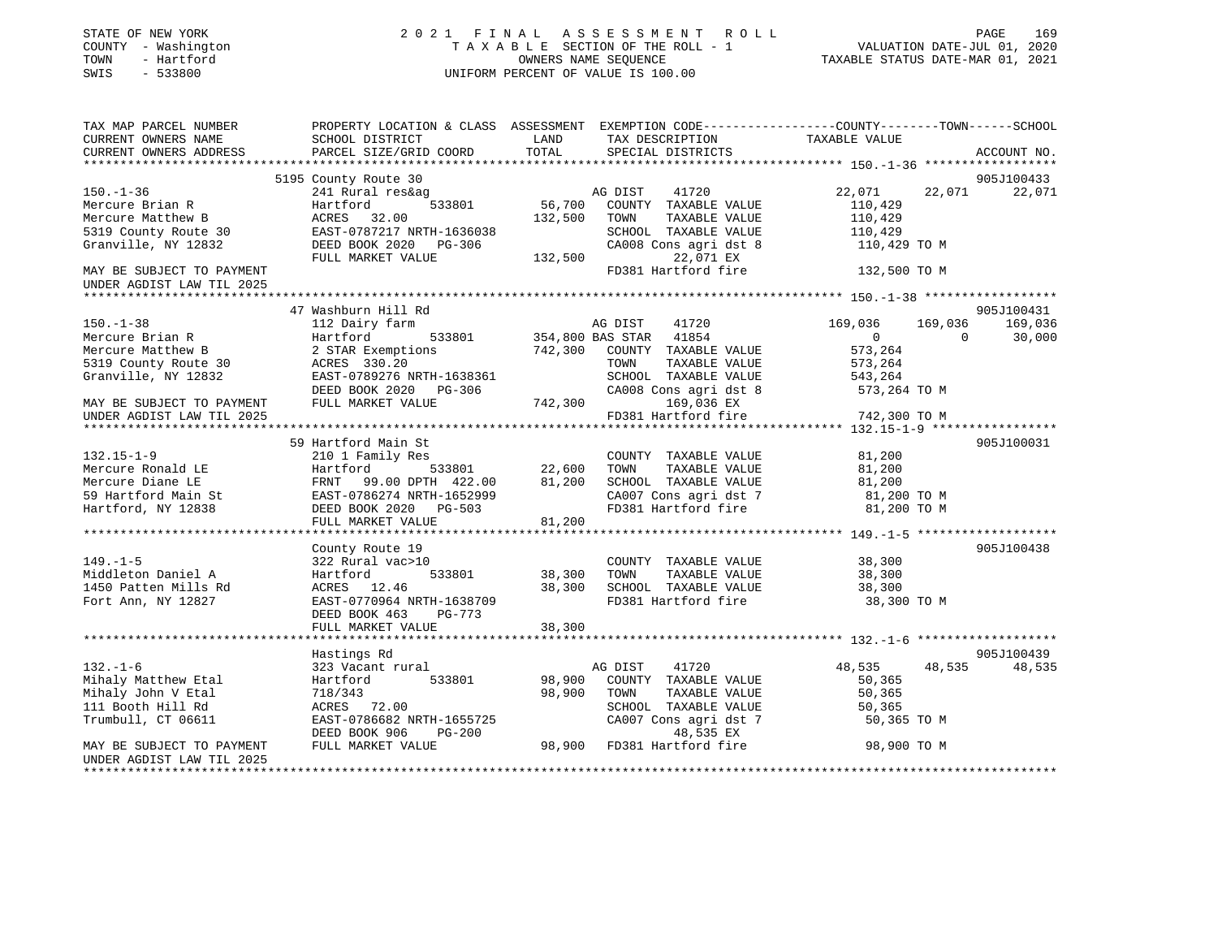| STATE OF NEW YORK<br>COUNTY - Washington<br>TOWN<br>- Hartford<br>SWIS<br>$-533800$ | 2021 FINAL ASSESSMENT ROLL<br>TAXABLE SECTION OF THE ROLL - 1<br>OWNERS NAME SEQUENCE<br>UNIFORM PERCENT OF VALUE IS 100.00                   |               |                                               |                  | PAGE<br>169<br>VALUATION DATE-JUL 01, 2020<br>TAXABLE STATUS DATE-MAR 01, 2021 |
|-------------------------------------------------------------------------------------|-----------------------------------------------------------------------------------------------------------------------------------------------|---------------|-----------------------------------------------|------------------|--------------------------------------------------------------------------------|
| TAX MAP PARCEL NUMBER<br>CURRENT OWNERS NAME<br>CURRENT OWNERS ADDRESS              | PROPERTY LOCATION & CLASS ASSESSMENT EXEMPTION CODE----------------COUNTY-------TOWN------SCHOOL<br>SCHOOL DISTRICT<br>PARCEL SIZE/GRID COORD | LAND<br>TOTAL | TAX DESCRIPTION<br>SPECIAL DISTRICTS          | TAXABLE VALUE    | ACCOUNT NO.                                                                    |
|                                                                                     |                                                                                                                                               |               |                                               |                  |                                                                                |
|                                                                                     | 5195 County Route 30                                                                                                                          |               |                                               |                  | 905J100433                                                                     |
| $150. - 1 - 36$                                                                     | 241 Rural res&ag                                                                                                                              |               | AG DIST<br>41720                              | 22,071           | 22,071<br>22,071                                                               |
| Mercure Brian R                                                                     | Hartford<br>533801                                                                                                                            |               | 56,700 COUNTY TAXABLE VALUE                   | 110,429          |                                                                                |
| Mercure Matthew B                                                                   | ACRES 32.00                                                                                                                                   | 132,500       | TAXABLE VALUE<br>TOWN                         | 110,429          |                                                                                |
| 5319 County Route 30<br>Granville, NY 12832                                         | EAST-0787217 NRTH-1636038<br>DEED BOOK 2020 PG-306                                                                                            |               | SCHOOL TAXABLE VALUE                          | 110,429          |                                                                                |
|                                                                                     | FULL MARKET VALUE                                                                                                                             | 132,500       | CA008 Cons agri dst 8<br>22,071 EX            | 110,429 TO M     |                                                                                |
| MAY BE SUBJECT TO PAYMENT                                                           |                                                                                                                                               |               | FD381 Hartford fire                           | 132,500 TO M     |                                                                                |
| UNDER AGDIST LAW TIL 2025                                                           |                                                                                                                                               |               |                                               |                  |                                                                                |
| ********************                                                                |                                                                                                                                               |               |                                               |                  |                                                                                |
|                                                                                     | 47 Washburn Hill Rd                                                                                                                           |               |                                               |                  | 905J100431                                                                     |
| $150. - 1 - 38$                                                                     | 112 Dairy farm                                                                                                                                |               | AG DIST<br>41720                              | 169,036          | 169,036<br>169,036                                                             |
| Mercure Brian R                                                                     | Hartford<br>533801                                                                                                                            |               | 354,800 BAS STAR 41854                        | $\overline{0}$   | 30,000<br>$\sim$ 0                                                             |
| Mercure Matthew B                                                                   | 2 STAR Exemptions                                                                                                                             |               | 742,300 COUNTY TAXABLE VALUE                  | 573,264          |                                                                                |
| 5319 County Route 30                                                                | ACRES 330.20                                                                                                                                  |               | TAXABLE VALUE<br>TOWN                         | 573,264          |                                                                                |
| Granville, NY 12832                                                                 | EAST-0789276 NRTH-1638361                                                                                                                     |               | SCHOOL TAXABLE VALUE                          | 543,264          |                                                                                |
|                                                                                     | DEED BOOK 2020 PG-306                                                                                                                         |               | CA008 Cons agri dst 8                         | 573,264 TO M     |                                                                                |
| MAY BE SUBJECT TO PAYMENT                                                           | FULL MARKET VALUE                                                                                                                             | 742,300       | 169,036 EX                                    |                  |                                                                                |
| UNDER AGDIST LAW TIL 2025                                                           | **********************************                                                                                                            |               | FD381 Hartford fire                           | 742,300 TO M     |                                                                                |
|                                                                                     |                                                                                                                                               |               |                                               |                  | ***************** 132.15-1-9 *****************                                 |
|                                                                                     | 59 Hartford Main St                                                                                                                           |               |                                               |                  | 905J100031                                                                     |
| $132.15 - 1 - 9$                                                                    | 210 1 Family Res<br>533801<br>Hartford                                                                                                        | 22,600        | COUNTY TAXABLE VALUE<br>TOWN<br>TAXABLE VALUE | 81,200<br>81,200 |                                                                                |
| Mercure Ronald LE<br>Mercure Diane LE                                               | FRNT 99.00 DPTH 422.00                                                                                                                        | 81,200        | SCHOOL TAXABLE VALUE                          | 81,200           |                                                                                |
| 59 Hartford Main St                                                                 | EAST-0786274 NRTH-1652999                                                                                                                     |               | CA007 Cons agri dst 7                         | 81,200 TO M      |                                                                                |
| Hartford, NY 12838                                                                  | DEED BOOK 2020 PG-503                                                                                                                         |               | FD381 Hartford fire                           | 81,200 TO M      |                                                                                |
|                                                                                     | FULL MARKET VALUE                                                                                                                             | 81,200        |                                               |                  |                                                                                |
|                                                                                     |                                                                                                                                               |               |                                               |                  |                                                                                |
|                                                                                     | County Route 19                                                                                                                               |               |                                               |                  | 905J100438                                                                     |
| $149. - 1 - 5$                                                                      | 322 Rural vac>10                                                                                                                              |               | COUNTY TAXABLE VALUE                          | 38,300           |                                                                                |
| Middleton Daniel A                                                                  | 533801<br>Hartford                                                                                                                            | 38,300        | TOWN<br>TAXABLE VALUE                         | 38,300           |                                                                                |
| 1450 Patten Mills Rd                                                                | ACRES 12.46                                                                                                                                   | 38,300        | SCHOOL TAXABLE VALUE                          | 38,300           |                                                                                |
| Fort Ann, NY 12827                                                                  | EAST-0770964 NRTH-1638709                                                                                                                     |               | FD381 Hartford fire                           | 38,300 TO M      |                                                                                |
|                                                                                     | DEED BOOK 463<br>$PG-773$                                                                                                                     |               |                                               |                  |                                                                                |
|                                                                                     | FULL MARKET VALUE                                                                                                                             | 38,300        |                                               |                  |                                                                                |
|                                                                                     |                                                                                                                                               |               |                                               |                  |                                                                                |
|                                                                                     | Hastings Rd                                                                                                                                   |               |                                               |                  | 905J100439                                                                     |
| $132. - 1 - 6$                                                                      | 323 Vacant rural                                                                                                                              |               | AG DIST<br>41720                              | 48,535           | 48,535<br>48,535                                                               |
| Mihaly Matthew Etal                                                                 | Hartford<br>533801                                                                                                                            | 98,900        | COUNTY TAXABLE VALUE                          | 50,365           |                                                                                |
| Mihaly John V Etal                                                                  | 718/343                                                                                                                                       | 98,900        | TOWN<br>TAXABLE VALUE                         | 50,365           |                                                                                |
| 111 Booth Hill Rd<br>Trumbull, CT 06611                                             | ACRES 72.00<br>EAST-0786682 NRTH-1655725                                                                                                      |               | SCHOOL TAXABLE VALUE<br>CA007 Cons agri dst 7 | 50,365           |                                                                                |
|                                                                                     | DEED BOOK 906<br>PG-200                                                                                                                       |               | 48,535 EX                                     | 50,365 TO M      |                                                                                |
| MAY BE SUBJECT TO PAYMENT                                                           | FULL MARKET VALUE                                                                                                                             |               | 98,900 FD381 Hartford fire                    | 98,900 TO M      |                                                                                |
| UNDER AGDIST LAW TIL 2025                                                           |                                                                                                                                               |               |                                               |                  |                                                                                |
|                                                                                     |                                                                                                                                               |               |                                               |                  |                                                                                |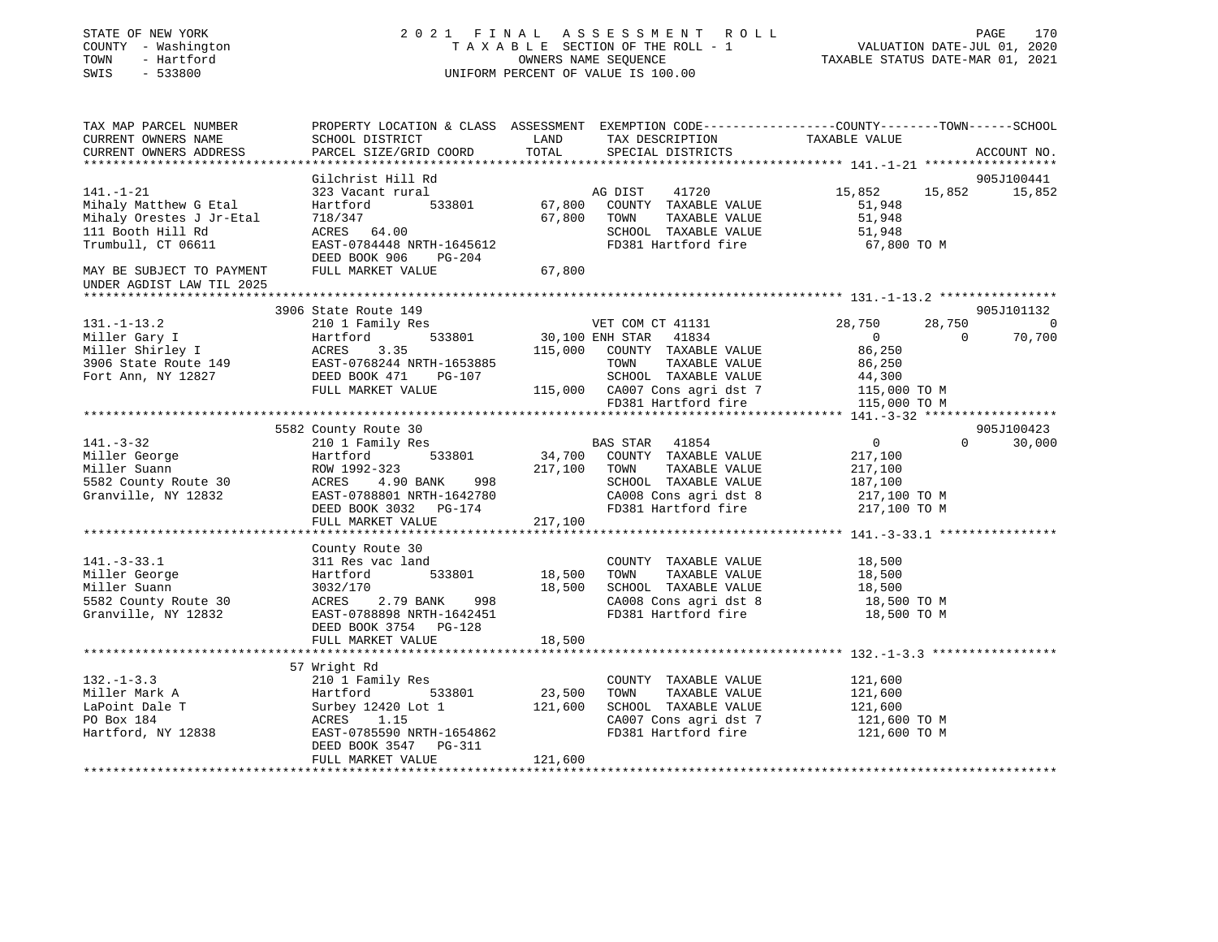| STATE OF NEW YORK<br>COUNTY - Washington<br>TOWN<br>- Hartford<br>SWIS<br>$-533800$                                                                                                                    | 2021 FINAL ASSESSMENT ROLL<br>T A X A B L E SECTION OF THE ROLL - 1<br>OWNERS NAME SEQUENCE<br>UNIFORM PERCENT OF VALUE IS 100.00           |                   |                                                                                        | VALUATION DATE-JUL 01, 2020<br>TAXABLE STATUS DATE-MAR 01, 2021 | PAGE<br>170                 |
|--------------------------------------------------------------------------------------------------------------------------------------------------------------------------------------------------------|---------------------------------------------------------------------------------------------------------------------------------------------|-------------------|----------------------------------------------------------------------------------------|-----------------------------------------------------------------|-----------------------------|
| TAX MAP PARCEL NUMBER<br>CURRENT OWNERS NAME<br>CURRENT OWNERS ADDRESS                                                                                                                                 | PROPERTY LOCATION & CLASS ASSESSMENT EXEMPTION CODE---------------COUNTY-------TOWN-----SCHOOL<br>SCHOOL DISTRICT<br>PARCEL SIZE/GRID COORD |                   |                                                                                        | TAXABLE VALUE                                                   | ACCOUNT NO.                 |
|                                                                                                                                                                                                        |                                                                                                                                             |                   |                                                                                        |                                                                 |                             |
| 141.-1-21                                                                                                                                                                                              | Gilchrist Hill Rd<br>323 Vacant rural                                                                                                       |                   | 41720<br>AG DIST                                                                       | 15,852                                                          | 905J100441<br>15,852 15,852 |
| Mihaly Matthew G Etal                                                                                                                                                                                  | Hartford 533801                                                                                                                             |                   | 67,800 COUNTY TAXABLE VALUE                                                            | 51,948                                                          |                             |
| Mihaly Orestes J Jr-Etal                                                                                                                                                                               |                                                                                                                                             |                   | 67,800 TOWN<br>TAXABLE VALUE                                                           | 51,948                                                          |                             |
| 111 Booth Hill Rd                                                                                                                                                                                      | $ACRES$ 64.00                                                                                                                               |                   | SCHOOL TAXABLE VALUE                                                                   | 51,948                                                          |                             |
| Trumbull, CT 06611                                                                                                                                                                                     | EAST-0784448 NRTH-1645612                                                                                                                   |                   | FD381 Hartford fire                                                                    | 67,800 TO M                                                     |                             |
|                                                                                                                                                                                                        | DEED BOOK 906 PG-204                                                                                                                        |                   |                                                                                        |                                                                 |                             |
| MAY BE SUBJECT TO PAYMENT<br>UNDER AGDIST LAW TIL 2025                                                                                                                                                 | FULL MARKET VALUE                                                                                                                           | 67,800            |                                                                                        |                                                                 |                             |
|                                                                                                                                                                                                        |                                                                                                                                             |                   |                                                                                        |                                                                 |                             |
|                                                                                                                                                                                                        | 3906 State Route 149                                                                                                                        |                   |                                                                                        |                                                                 | 905J101132                  |
| $131. - 1 - 13.2$                                                                                                                                                                                      | 210 1 Family Res                                                                                                                            |                   | VET COM CT 41131                                                                       | 28,750<br>28,750<br>$\overline{0}$<br>$\sim$ 0                  | $\sim$ 0                    |
|                                                                                                                                                                                                        |                                                                                                                                             |                   | 533801 30,100 ENH STAR 41834<br>115,000 COUNTY TAXABLE<br>115,000 COUNTY TAXABLE VALUE | 86,250                                                          | 70,700                      |
| Miller Gary I Martford 533801 30,100 E<br>Miller Shirley I ACRES 3.35 115,000<br>3906 State Route 149 EAST-0768244 NRTH-1653885<br>Fort Ann, NY 12827 DEED BOOK 471 PG-107<br>FILL MAPKET VALUE PG-107 |                                                                                                                                             |                   | TOWN TAXABLE VALUE                                                                     | 86,250                                                          |                             |
|                                                                                                                                                                                                        |                                                                                                                                             |                   | SCHOOL TAXABLE VALUE                                                                   | 44,300                                                          |                             |
|                                                                                                                                                                                                        | FULL MARKET VALUE                                                                                                                           |                   |                                                                                        | 115,000 TO M                                                    |                             |
|                                                                                                                                                                                                        |                                                                                                                                             |                   | 115,000 CA007 Cons agri dst 7<br>FD381 Hartford fire                                   | 115,000 TO M                                                    |                             |
|                                                                                                                                                                                                        |                                                                                                                                             |                   |                                                                                        |                                                                 |                             |
|                                                                                                                                                                                                        | 5582 County Route 30                                                                                                                        |                   |                                                                                        |                                                                 | 905J100423                  |
| $141. - 3 - 32$                                                                                                                                                                                        | 210 1 Family Res                                                                                                                            |                   | BAS STAR 41854                                                                         | $\overline{0}$                                                  | $\Omega$<br>30,000          |
|                                                                                                                                                                                                        |                                                                                                                                             |                   | 34,700 COUNTY TAXABLE VALUE                                                            | 217,100                                                         |                             |
|                                                                                                                                                                                                        |                                                                                                                                             |                   | 217,100 TOWN<br>TAXABLE VALUE                                                          | 217,100                                                         |                             |
|                                                                                                                                                                                                        |                                                                                                                                             |                   | SCHOOL TAXABLE VALUE                                                                   | 187,100                                                         |                             |
|                                                                                                                                                                                                        |                                                                                                                                             |                   | CA008 Cons agri dst 8                                                                  | 217,100 TO M                                                    |                             |
|                                                                                                                                                                                                        | DEED BOOK 3032 PG-174                                                                                                                       |                   | FD381 Hartford fire                                                                    | 217,100 TO M                                                    |                             |
|                                                                                                                                                                                                        | FULL MARKET VALUE                                                                                                                           | 217,100           |                                                                                        |                                                                 |                             |
|                                                                                                                                                                                                        | County Route 30                                                                                                                             |                   |                                                                                        |                                                                 |                             |
| $141. - 3 - 33.1$                                                                                                                                                                                      | 311 Res vac land                                                                                                                            |                   | COUNTY TAXABLE VALUE                                                                   | 18,500                                                          |                             |
|                                                                                                                                                                                                        |                                                                                                                                             | 18,500            | TOWN<br>TAXABLE VALUE                                                                  | 18,500                                                          |                             |
| --.<br>Miller George<br><sup>Miller</sup> Suann                                                                                                                                                        |                                                                                                                                             | 18,500            | SCHOOL TAXABLE VALUE                                                                   | 18,500                                                          |                             |
| 5582 County Route 30                                                                                                                                                                                   |                                                                                                                                             |                   | CA008 Cons agri dst 8                                                                  | 18,500 TO M                                                     |                             |
| Granville, NY 12832                                                                                                                                                                                    | EAST-0788898 NRTH-1642451                                                                                                                   |                   | FD381 Hartford fire                                                                    | 18,500 TO M                                                     |                             |
|                                                                                                                                                                                                        | DEED BOOK 3754 PG-128                                                                                                                       |                   |                                                                                        |                                                                 |                             |
|                                                                                                                                                                                                        | FULL MARKET VALUE                                                                                                                           | 18,500            |                                                                                        |                                                                 |                             |
|                                                                                                                                                                                                        |                                                                                                                                             |                   |                                                                                        |                                                                 |                             |
|                                                                                                                                                                                                        | 57 Wright Rd                                                                                                                                |                   |                                                                                        |                                                                 |                             |
| $132. - 1 - 3.3$                                                                                                                                                                                       | 210 1 Family Res                                                                                                                            |                   | COUNTY TAXABLE VALUE                                                                   | 121,600                                                         |                             |
| Miller Mark A<br>LaPoint Dale T                                                                                                                                                                        | Hartford 533801                                                                                                                             | 23,500<br>121,600 | TOWN<br>TAXABLE VALUE<br>SCHOOL TAXABLE VALUE                                          | 121,600<br>121,600                                              |                             |
| PO Box 184                                                                                                                                                                                             | Surbey 12420 Lot 1<br>ACRES 1.15<br>1.15<br>ACRES                                                                                           |                   | CA007 Cons agri dst 7                                                                  | 121,600 TO M                                                    |                             |
| Hartford, NY 12838                                                                                                                                                                                     | EAST-0785590 NRTH-1654862                                                                                                                   |                   | FD381 Hartford fire                                                                    | 121,600 TO M                                                    |                             |
|                                                                                                                                                                                                        | DEED BOOK 3547 PG-311<br>FULL MARKET VALUE                                                                                                  | 121,600           |                                                                                        |                                                                 |                             |
|                                                                                                                                                                                                        |                                                                                                                                             |                   |                                                                                        |                                                                 |                             |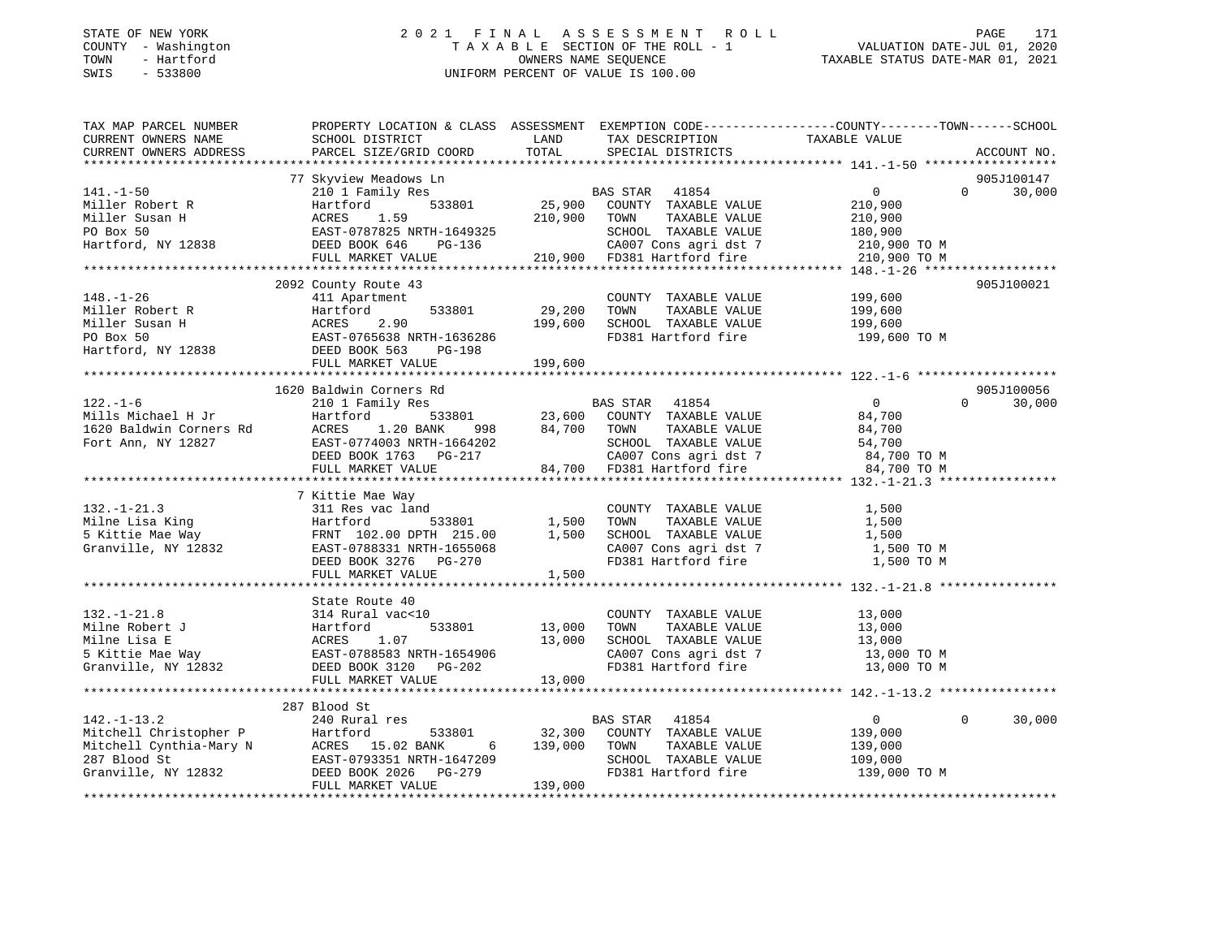### STATE OF NEW YORK 2 0 2 1 F I N A L A S S E S S M E N T R O L L PAGE 171 COUNTY - Washington T A X A B L E SECTION OF THE ROLL - 1 VALUATION DATE-JUL 01, 2020 TOWN - Hartford **Taxable State of the CONNERS OWNERS NAME SEQUENCE** TAXABLE STATUS DATE-MAR 01, 2021 SWIS - 533800 UNIFORM PERCENT OF VALUE IS 100.00

| TAX MAP PARCEL NUMBER<br>CURRENT OWNERS NAME<br>CURRENT OWNERS ADDRESS<br>PARCEL SIZE/GRID COORD<br>PARCEL SIZE/GRID COORD | PROPERTY LOCATION & CLASS ASSESSMENT EXEMPTION CODE-----------------COUNTY-------TOWN------SCHOOL                                                                                                                                                             | LAND                     | TAX DESCRIPTION TAXABLE VALUE                                                                                                                                                                                                                                                                                                                                                                                                |                    |                    |
|----------------------------------------------------------------------------------------------------------------------------|---------------------------------------------------------------------------------------------------------------------------------------------------------------------------------------------------------------------------------------------------------------|--------------------------|------------------------------------------------------------------------------------------------------------------------------------------------------------------------------------------------------------------------------------------------------------------------------------------------------------------------------------------------------------------------------------------------------------------------------|--------------------|--------------------|
|                                                                                                                            |                                                                                                                                                                                                                                                               |                          | TOTAL SPECIAL DISTRICTS                                                                                                                                                                                                                                                                                                                                                                                                      |                    | ACCOUNT NO.        |
|                                                                                                                            | 77 Skyview Meadows Ln                                                                                                                                                                                                                                         |                          |                                                                                                                                                                                                                                                                                                                                                                                                                              |                    | 905J100147         |
|                                                                                                                            | 141.-1-50<br>Miller Robert R<br>Miller Susan H<br>Miller Susan H<br>Miller Susan H<br>Miller Susan H<br>Miller Susan H<br>MILL MARKET VALUE 210,900 TOWN TAXABLE VALUE 210,900<br>EAST-0787825 NRTH-1649325<br>Miller Susan H<br>MARKET VALUE 210,            |                          |                                                                                                                                                                                                                                                                                                                                                                                                                              |                    | $\Omega$<br>30,000 |
|                                                                                                                            |                                                                                                                                                                                                                                                               |                          |                                                                                                                                                                                                                                                                                                                                                                                                                              |                    |                    |
|                                                                                                                            |                                                                                                                                                                                                                                                               |                          |                                                                                                                                                                                                                                                                                                                                                                                                                              |                    |                    |
|                                                                                                                            |                                                                                                                                                                                                                                                               |                          |                                                                                                                                                                                                                                                                                                                                                                                                                              |                    |                    |
|                                                                                                                            |                                                                                                                                                                                                                                                               |                          |                                                                                                                                                                                                                                                                                                                                                                                                                              |                    |                    |
|                                                                                                                            |                                                                                                                                                                                                                                                               |                          |                                                                                                                                                                                                                                                                                                                                                                                                                              |                    |                    |
|                                                                                                                            |                                                                                                                                                                                                                                                               |                          |                                                                                                                                                                                                                                                                                                                                                                                                                              |                    |                    |
|                                                                                                                            | 2092 County Route 43                                                                                                                                                                                                                                          |                          |                                                                                                                                                                                                                                                                                                                                                                                                                              |                    | 905J100021         |
| $148. - 1 - 26$                                                                                                            | 411 Apartment                                                                                                                                                                                                                                                 |                          | COUNTY TAXABLE VALUE 199,600                                                                                                                                                                                                                                                                                                                                                                                                 |                    |                    |
|                                                                                                                            |                                                                                                                                                                                                                                                               |                          | TAXABLE VALUE<br>TOWN                                                                                                                                                                                                                                                                                                                                                                                                        |                    |                    |
|                                                                                                                            |                                                                                                                                                                                                                                                               | 533801 29,200<br>199,600 | SCHOOL TAXABLE VALUE                                                                                                                                                                                                                                                                                                                                                                                                         | 199,600<br>199,600 |                    |
|                                                                                                                            |                                                                                                                                                                                                                                                               |                          | FD381 Hartford fire                                                                                                                                                                                                                                                                                                                                                                                                          | 199,600 TO M       |                    |
|                                                                                                                            | Miller Robert R<br>Miller Susan H<br>PO Box 50<br>Hartford, NY 12838<br>PO Box 50<br>Hartford, NY 12838<br>PO BOX 563<br>PO BOX 563<br>PO BOX 563<br>PO BOX 563<br>PO BOX 563<br>PO BOX 563<br>PO BOX 563<br>PO BOX 563<br>PO BOX 563<br>PO BOX 563<br>PO BOX |                          |                                                                                                                                                                                                                                                                                                                                                                                                                              |                    |                    |
|                                                                                                                            | FULL MARKET VALUE 199,600                                                                                                                                                                                                                                     |                          |                                                                                                                                                                                                                                                                                                                                                                                                                              |                    |                    |
|                                                                                                                            |                                                                                                                                                                                                                                                               |                          |                                                                                                                                                                                                                                                                                                                                                                                                                              |                    |                    |
|                                                                                                                            | 1620 Baldwin Corners Rd                                                                                                                                                                                                                                       |                          |                                                                                                                                                                                                                                                                                                                                                                                                                              |                    | 905J100056         |
|                                                                                                                            |                                                                                                                                                                                                                                                               |                          |                                                                                                                                                                                                                                                                                                                                                                                                                              |                    | $\Omega$<br>30,000 |
|                                                                                                                            |                                                                                                                                                                                                                                                               |                          |                                                                                                                                                                                                                                                                                                                                                                                                                              |                    |                    |
|                                                                                                                            |                                                                                                                                                                                                                                                               |                          |                                                                                                                                                                                                                                                                                                                                                                                                                              |                    |                    |
|                                                                                                                            |                                                                                                                                                                                                                                                               |                          |                                                                                                                                                                                                                                                                                                                                                                                                                              |                    |                    |
|                                                                                                                            |                                                                                                                                                                                                                                                               |                          |                                                                                                                                                                                                                                                                                                                                                                                                                              |                    |                    |
|                                                                                                                            |                                                                                                                                                                                                                                                               |                          |                                                                                                                                                                                                                                                                                                                                                                                                                              |                    |                    |
|                                                                                                                            |                                                                                                                                                                                                                                                               |                          |                                                                                                                                                                                                                                                                                                                                                                                                                              |                    |                    |
|                                                                                                                            | 7 Kittie Mae Way                                                                                                                                                                                                                                              |                          |                                                                                                                                                                                                                                                                                                                                                                                                                              |                    |                    |
| $132. - 1 - 21.3$                                                                                                          | 311 Res vac land                                                                                                                                                                                                                                              |                          | COUNTY TAXABLE VALUE                                                                                                                                                                                                                                                                                                                                                                                                         | 1,500              |                    |
|                                                                                                                            |                                                                                                                                                                                                                                                               |                          | TAXABLE VALUE<br>TOWN                                                                                                                                                                                                                                                                                                                                                                                                        | 1,500              |                    |
|                                                                                                                            |                                                                                                                                                                                                                                                               |                          |                                                                                                                                                                                                                                                                                                                                                                                                                              | 1,500              |                    |
|                                                                                                                            |                                                                                                                                                                                                                                                               |                          |                                                                                                                                                                                                                                                                                                                                                                                                                              | 1,500 TO M         |                    |
|                                                                                                                            | 132.-1-21.3<br>Milne Lisa King<br>5 Kittie Mae Way<br>5 Kittie Mae Way<br>6 FRNT 102.00 DPTH 215.00<br>5 Cranville, NY 12832<br>5 EAST-0788331 NRTH-1655068<br>5 EAST-0788331 NRTH-1655068<br>DEED BOOK 3276<br>PG-270                                        |                          | 1,500 SCHOOL TAXABLE VALUE<br>CA007 Cons agri dst 7<br>FD381 Hartford fire                                                                                                                                                                                                                                                                                                                                                   | 1,500 TO M         |                    |
|                                                                                                                            | FULL MARKET VALUE                                                                                                                                                                                                                                             | 1,500                    |                                                                                                                                                                                                                                                                                                                                                                                                                              |                    |                    |
|                                                                                                                            |                                                                                                                                                                                                                                                               |                          |                                                                                                                                                                                                                                                                                                                                                                                                                              |                    |                    |
|                                                                                                                            | State Route 40                                                                                                                                                                                                                                                |                          |                                                                                                                                                                                                                                                                                                                                                                                                                              |                    |                    |
|                                                                                                                            |                                                                                                                                                                                                                                                               |                          | COUNTY TAXABLE VALUE 13,000                                                                                                                                                                                                                                                                                                                                                                                                  |                    |                    |
|                                                                                                                            |                                                                                                                                                                                                                                                               |                          |                                                                                                                                                                                                                                                                                                                                                                                                                              |                    |                    |
|                                                                                                                            |                                                                                                                                                                                                                                                               |                          |                                                                                                                                                                                                                                                                                                                                                                                                                              |                    |                    |
|                                                                                                                            |                                                                                                                                                                                                                                                               |                          | COUNTY TAXABLE VALUE<br>TOWN TAXABLE VALUE 13,000<br>SCHOOL TAXABLE VALUE 13,000 TO M<br>IS 13,000 TO M<br>IS 13,000 TO M                                                                                                                                                                                                                                                                                                    |                    |                    |
|                                                                                                                            |                                                                                                                                                                                                                                                               |                          | CA007 Cons agri dst 7 13,000 TO M<br>FD381 Hartford fire 13,000 TO M                                                                                                                                                                                                                                                                                                                                                         |                    |                    |
|                                                                                                                            | 132.-1-21.8<br>Milne Robert J<br>Milne Lisa E<br>5 Kittie Mae Way<br>5 Kittie Mae Way<br>6 Granville, NY 12832<br>7 EAST-0788583 NRTH-1654906<br>5 Kittie Mae Way<br>5 EED BOOK 3120<br>PG-202<br>FIIT. MARKET VALUE<br>13,000<br>FULL MARKET VALUE           | 13,000                   |                                                                                                                                                                                                                                                                                                                                                                                                                              |                    |                    |
|                                                                                                                            |                                                                                                                                                                                                                                                               |                          |                                                                                                                                                                                                                                                                                                                                                                                                                              |                    |                    |
|                                                                                                                            | 287 Blood St                                                                                                                                                                                                                                                  |                          |                                                                                                                                                                                                                                                                                                                                                                                                                              |                    |                    |
| $142. - 1 - 13.2$                                                                                                          | 240 Rural res                                                                                                                                                                                                                                                 |                          |                                                                                                                                                                                                                                                                                                                                                                                                                              |                    | $\Omega$<br>30,000 |
|                                                                                                                            |                                                                                                                                                                                                                                                               |                          | ${\small \begin{tabular}{ccccc} res & & & & & & \text{BAS STAR} & 41854 & & & & \text{0} \\ 533801 & 32,300 & \text{COUNTY} & \text{TAXABLE VALUE} & 139,000 & \text{0} & \text{0} & \text{0} & \text{0} & \text{0} & \text{0} & \text{0} & \text{0} & \text{0} & \text{0} & \text{0} & \text{0} & \text{0} & \text{0} & \text{0} & \text{0} & \text{0} & \text{0} & \text{0} & \text{0} & \text{0} & \text{0} & \text{0} &$ |                    |                    |
|                                                                                                                            |                                                                                                                                                                                                                                                               | 6 139,000                | TAXABLE VALUE<br>TOWN                                                                                                                                                                                                                                                                                                                                                                                                        | 139,000            |                    |
|                                                                                                                            |                                                                                                                                                                                                                                                               |                          | SCHOOL TAXABLE VALUE                                                                                                                                                                                                                                                                                                                                                                                                         | 109,000            |                    |
|                                                                                                                            | 142.-1-13.2<br>Mitchell Christopher P Hartford 533801<br>Mitchell Cynthia-Mary N ACRES 15.02 BANK 6<br>287 Blood St EAST-0793351 NRTH-1647209<br>Granville, NY 12832 DEED BOOK 2026 PG-279<br>FULL MARKET VALUE                                               |                          | FD381 Hartford fire                                                                                                                                                                                                                                                                                                                                                                                                          | 139,000 TO M       |                    |
|                                                                                                                            | FULL MARKET VALUE                                                                                                                                                                                                                                             | 139,000                  |                                                                                                                                                                                                                                                                                                                                                                                                                              |                    |                    |
|                                                                                                                            |                                                                                                                                                                                                                                                               |                          |                                                                                                                                                                                                                                                                                                                                                                                                                              |                    |                    |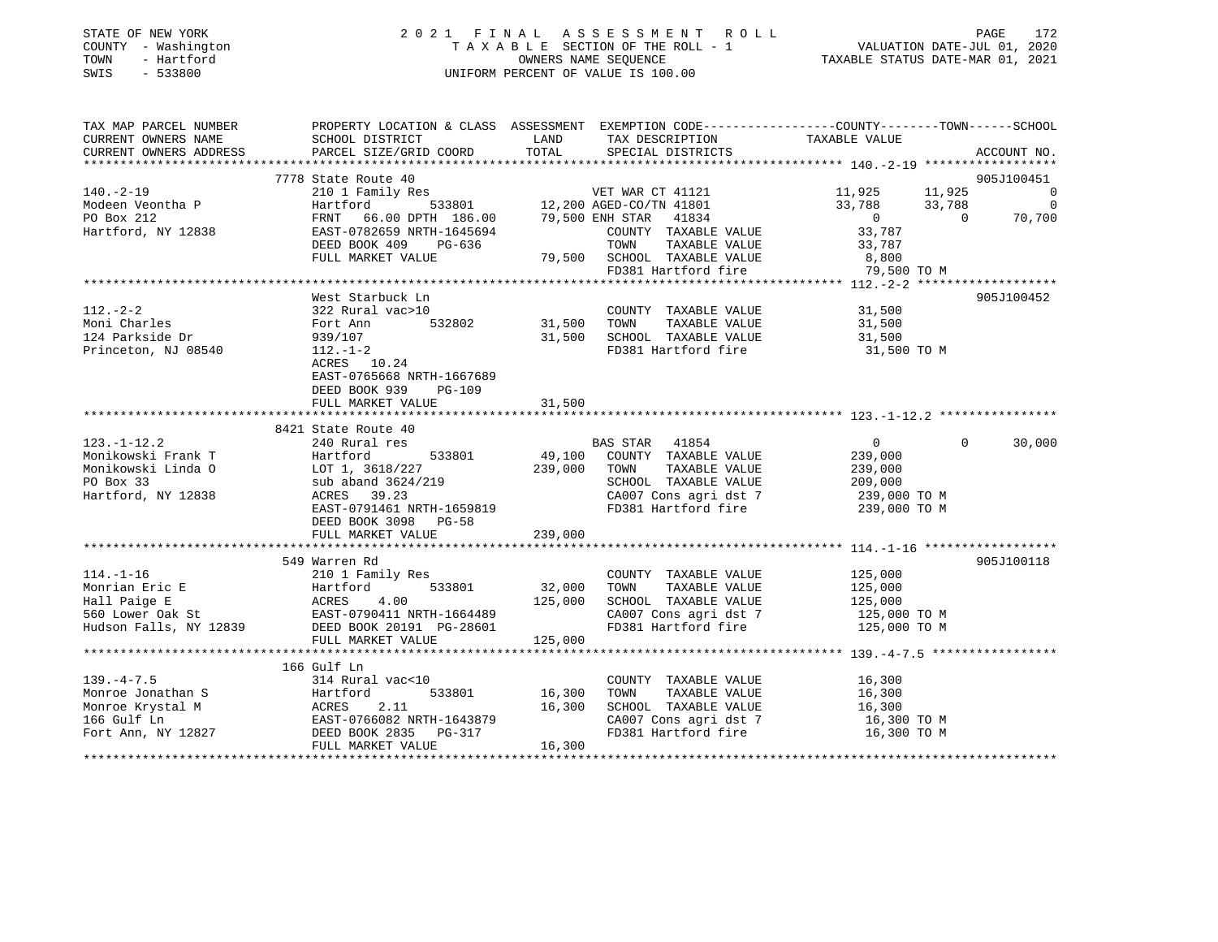| STATE OF NEW YORK |  |              |  |
|-------------------|--|--------------|--|
| COUNTY            |  | - Washington |  |
| TOWN              |  | - Hartford   |  |
| SWTS              |  | $-533800$    |  |

# STATE OF NEW YORK CONTROLLER SERVICE OF A LIGHT ASSESS OF THE RELATION CONTROLLER STATE OF NEW YORK CONTROLLER T A X A B L E SECTION OF THE ROLL - 1<br>OWNERS NAME SEQUENCE SWIS - 533800 UNIFORM PERCENT OF VALUE IS 100.00

VALUATION DATE-JUL 01, 2020

TAXABLE STATUS DATE-MAR 01, 2021

| TAX MAP PARCEL NUMBER                                                                                                                                                                                                                                           |                           |               |                                                                           | PROPERTY LOCATION & CLASS ASSESSMENT EXEMPTION CODE---------------COUNTY-------TOWN-----SCHOOL                                                                                                                                       |            |
|-----------------------------------------------------------------------------------------------------------------------------------------------------------------------------------------------------------------------------------------------------------------|---------------------------|---------------|---------------------------------------------------------------------------|--------------------------------------------------------------------------------------------------------------------------------------------------------------------------------------------------------------------------------------|------------|
|                                                                                                                                                                                                                                                                 |                           | LAND          |                                                                           |                                                                                                                                                                                                                                      |            |
|                                                                                                                                                                                                                                                                 |                           |               |                                                                           |                                                                                                                                                                                                                                      |            |
|                                                                                                                                                                                                                                                                 |                           |               |                                                                           |                                                                                                                                                                                                                                      |            |
|                                                                                                                                                                                                                                                                 | 7778 State Route 40       |               |                                                                           |                                                                                                                                                                                                                                      | 905J100451 |
|                                                                                                                                                                                                                                                                 |                           |               |                                                                           | 140.-2-19<br>Modeen Veontha P (210 1 Family Res VET WAR CT 41121 1,925 11,925 11,925 0<br>Modeen Veontha P Hartford 533801 12,200 AGED-CO/TN 41801 33,788 33,788 0<br>PO Box 212 FRNT 66.00 DPTH 186.00 79,500 ENH STAR 41834 0 70,7 |            |
|                                                                                                                                                                                                                                                                 |                           |               |                                                                           |                                                                                                                                                                                                                                      |            |
|                                                                                                                                                                                                                                                                 |                           |               |                                                                           |                                                                                                                                                                                                                                      |            |
|                                                                                                                                                                                                                                                                 |                           |               |                                                                           |                                                                                                                                                                                                                                      |            |
|                                                                                                                                                                                                                                                                 |                           |               | TAXABLE VALUE                                                             |                                                                                                                                                                                                                                      |            |
|                                                                                                                                                                                                                                                                 | FULL MARKET VALUE         |               | 79,500 SCHOOL TAXABLE VALUE 8,800<br>FD381 Hartford fire 79,500 TO M      |                                                                                                                                                                                                                                      |            |
|                                                                                                                                                                                                                                                                 |                           |               |                                                                           |                                                                                                                                                                                                                                      |            |
|                                                                                                                                                                                                                                                                 |                           |               |                                                                           |                                                                                                                                                                                                                                      |            |
|                                                                                                                                                                                                                                                                 | West Starbuck Ln          |               |                                                                           |                                                                                                                                                                                                                                      | 905J100452 |
| $112. - 2 - 2$                                                                                                                                                                                                                                                  |                           |               | COUNTY TAXABLE VALUE 31,500                                               |                                                                                                                                                                                                                                      |            |
| Moni Charles                                                                                                                                                                                                                                                    |                           |               |                                                                           | 31,500                                                                                                                                                                                                                               |            |
| 124 Parkside Dr                                                                                                                                                                                                                                                 | 939/107                   |               |                                                                           |                                                                                                                                                                                                                                      |            |
| Princeton, NJ 08540                                                                                                                                                                                                                                             | $112. - 1 - 2$            |               | 31,500 SCHOOL TAXABLE VALUE 31,500<br>FD381 Hartford fire 31,500 TO M     |                                                                                                                                                                                                                                      |            |
|                                                                                                                                                                                                                                                                 | ACRES 10.24               |               |                                                                           |                                                                                                                                                                                                                                      |            |
|                                                                                                                                                                                                                                                                 | EAST-0765668 NRTH-1667689 |               |                                                                           |                                                                                                                                                                                                                                      |            |
|                                                                                                                                                                                                                                                                 | DEED BOOK 939 PG-109      |               |                                                                           |                                                                                                                                                                                                                                      |            |
|                                                                                                                                                                                                                                                                 | FULL MARKET VALUE         | 31,500        |                                                                           |                                                                                                                                                                                                                                      |            |
|                                                                                                                                                                                                                                                                 |                           |               |                                                                           |                                                                                                                                                                                                                                      |            |
|                                                                                                                                                                                                                                                                 | 8421 State Route 40       |               |                                                                           |                                                                                                                                                                                                                                      |            |
| $123. - 1 - 12.2$                                                                                                                                                                                                                                               | 240 Rural res             |               | BAS STAR 41854                                                            | $\sim$ 0<br>$\Omega$                                                                                                                                                                                                                 | 30,000     |
| 123.-1-12.2<br>Monikowski Frank T<br>Monikowski Linda 0<br>PO Box 33<br>The Monikowski Linda 0<br>LOT 1, 3618/227<br>Sub aband 3624/219<br>Monikowski Linda 0<br>Monikowski Linda 0<br>Sub aband 3624/219<br>Montford NY 12838<br>ACRES 39.23<br>Notic          | 533801                    |               |                                                                           |                                                                                                                                                                                                                                      |            |
|                                                                                                                                                                                                                                                                 |                           |               | 49,100 COUNTY TAXABLE VALUE 239,000<br>239,000 TOWN TAXABLE VALUE 239,000 |                                                                                                                                                                                                                                      |            |
|                                                                                                                                                                                                                                                                 |                           |               | SCHOOL TAXABLE VALUE 209,000                                              |                                                                                                                                                                                                                                      |            |
|                                                                                                                                                                                                                                                                 |                           |               |                                                                           |                                                                                                                                                                                                                                      |            |
|                                                                                                                                                                                                                                                                 | EAST-0791461 NRTH-1659819 |               |                                                                           | CA007 Cons agri dst 7 and 239,000 TO M<br>FD381 Hartford fire 239,000 TO M                                                                                                                                                           |            |
|                                                                                                                                                                                                                                                                 | DEED BOOK 3098 PG-58      |               |                                                                           |                                                                                                                                                                                                                                      |            |
|                                                                                                                                                                                                                                                                 | FULL MARKET VALUE         | 239,000       |                                                                           |                                                                                                                                                                                                                                      |            |
|                                                                                                                                                                                                                                                                 |                           |               |                                                                           |                                                                                                                                                                                                                                      |            |
|                                                                                                                                                                                                                                                                 | 549 Warren Rd             |               |                                                                           |                                                                                                                                                                                                                                      | 905J100118 |
|                                                                                                                                                                                                                                                                 |                           |               |                                                                           |                                                                                                                                                                                                                                      |            |
|                                                                                                                                                                                                                                                                 | 533801 32,000 TOWN        |               | COUNTY TAXABLE VALUE 125,000<br>TOWN TAXABLE VALUE 125,000                |                                                                                                                                                                                                                                      |            |
| 114.-1-16<br>Monrian Eric E<br>Hall Paige E<br>FactFord 533801 32,000<br>560 Lower Oak St<br>Hudson Falls, NY 12839<br>EAST-0790411 NRTH-1664489<br>EAST-0790411 NRTH-1664489<br>EAST-0790411 NRTH-1664489<br>ELED BOOK 20191 PG-28601<br>THE ROOM              |                           |               |                                                                           | TOWN TAXABLE VALUE<br>SCHOOL TAXABLE VALUE 125,000<br>CAROS Consider dst 7 125,000 TO M                                                                                                                                              |            |
|                                                                                                                                                                                                                                                                 |                           |               |                                                                           |                                                                                                                                                                                                                                      |            |
|                                                                                                                                                                                                                                                                 |                           |               |                                                                           | CA007 Cons agri dst 7 125,000 TO M<br>FD381 Hartford fire 125,000 TO M                                                                                                                                                               |            |
|                                                                                                                                                                                                                                                                 |                           |               |                                                                           |                                                                                                                                                                                                                                      |            |
|                                                                                                                                                                                                                                                                 |                           |               |                                                                           |                                                                                                                                                                                                                                      |            |
|                                                                                                                                                                                                                                                                 | 166 Gulf Ln               |               |                                                                           |                                                                                                                                                                                                                                      |            |
| $139. -4 - 7.5$                                                                                                                                                                                                                                                 | 314 Rural vac<10          |               | COUNTY TAXABLE VALUE 16,300                                               |                                                                                                                                                                                                                                      |            |
|                                                                                                                                                                                                                                                                 |                           | 533801 16,300 | TOWN<br>TAXABLE VALUE                                                     | 16,300                                                                                                                                                                                                                               |            |
|                                                                                                                                                                                                                                                                 |                           | 16,300        | SCHOOL TAXABLE VALUE                                                      | $16,300$<br>$16,300$                                                                                                                                                                                                                 |            |
|                                                                                                                                                                                                                                                                 |                           |               |                                                                           |                                                                                                                                                                                                                                      |            |
| Monroe Jonathan S<br>Monroe Krystal M<br>16,300<br>16,300<br>16,300<br>16,300<br>16,300<br>16,300<br>Fort Ann, NY 12827<br>Fort Ann, NY 12827<br>FULL MARKET VALUE<br>16,300<br>16,300<br>16,300<br>16,300<br>IERST-0766082<br>NRTH-1643879<br>PG-317<br>16,300 |                           |               | FD381 Hartford fire                                                       | CA007 Cons agri dst 7 16,300 TO M<br>16,300 TO M                                                                                                                                                                                     |            |
|                                                                                                                                                                                                                                                                 | FULL MARKET VALUE         | 16,300        |                                                                           |                                                                                                                                                                                                                                      |            |
|                                                                                                                                                                                                                                                                 |                           |               |                                                                           |                                                                                                                                                                                                                                      |            |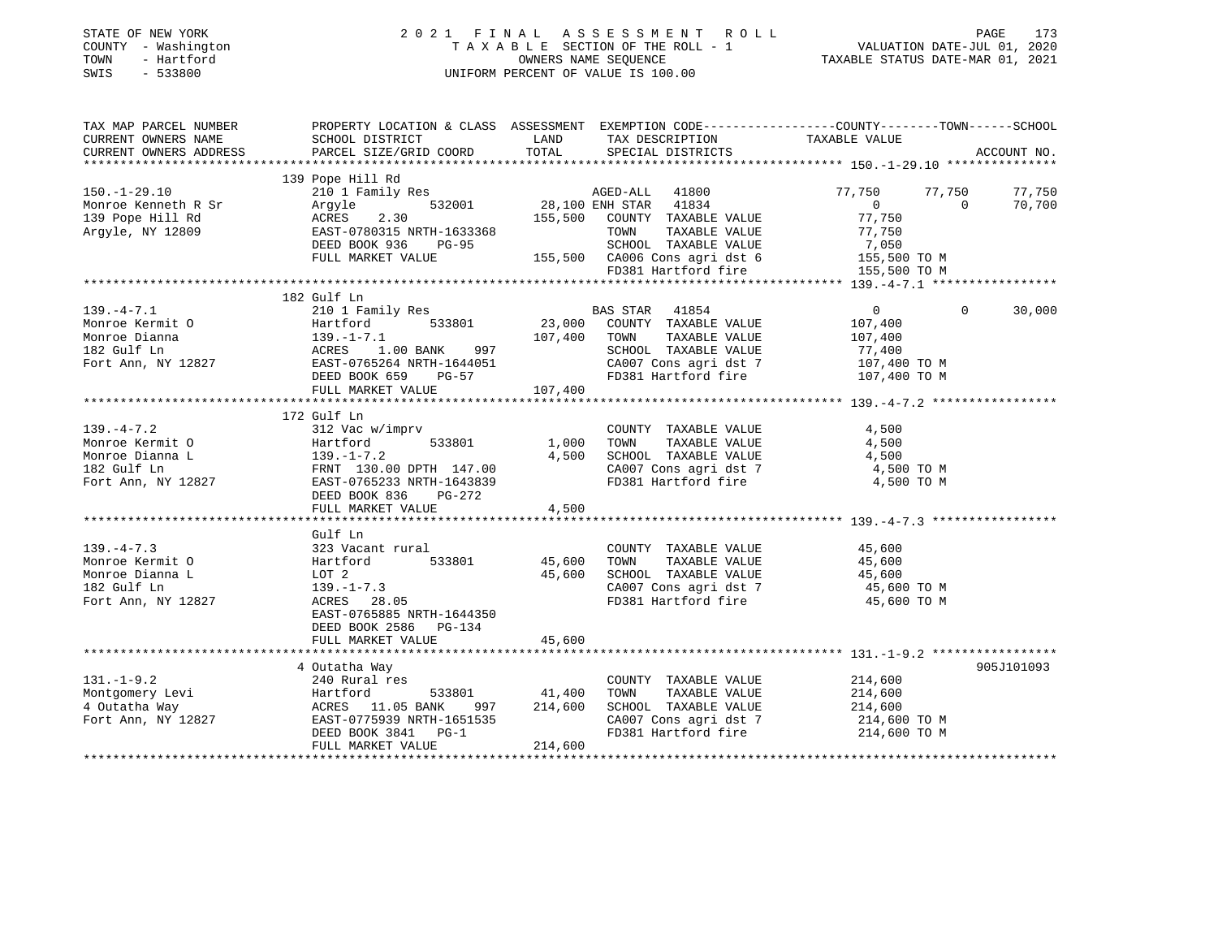| STATE OF NEW YORK<br>COUNTY - Washington<br>TOWN<br>- Hartford<br>$-533800$<br>SWIS |                                                                             |              | 2021 FINAL ASSESSMENT ROLL<br>TAXABLE SECTION OF THE ROLL - 1<br>OWNERS NAME SEQUENCE<br>TAXABLE STATUS DATE-MAR 01, 2021<br>UNIFORM PERCENT OF VALUE IS 100.00 |                |                | PAGE<br>173 |
|-------------------------------------------------------------------------------------|-----------------------------------------------------------------------------|--------------|-----------------------------------------------------------------------------------------------------------------------------------------------------------------|----------------|----------------|-------------|
| TAX MAP PARCEL NUMBER                                                               |                                                                             |              | PROPERTY LOCATION & CLASS ASSESSMENT EXEMPTION CODE---------------COUNTY-------TOWN------SCHOOL                                                                 |                |                |             |
| CURRENT OWNERS NAME                                                                 | SCHOOL DISTRICT                                                             | LAND         | TAX DESCRIPTION TAXABLE VALUE                                                                                                                                   |                |                |             |
| CURRENT OWNERS ADDRESS                                                              | PARCEL SIZE/GRID COORD                                                      | TOTAL        | SPECIAL DISTRICTS                                                                                                                                               |                |                | ACCOUNT NO. |
|                                                                                     | 139 Pope Hill Rd                                                            |              |                                                                                                                                                                 |                |                |             |
| $150.-1-29.10$                                                                      | 210 1 Family Res<br>210 1 Family Res                                        |              |                                                                                                                                                                 | 77,750         | 77,750         | 77,750      |
| Monroe Kenneth R Sr                                                                 | Argyle                                                                      |              | 532001 28,100 ENH STAR 41834                                                                                                                                    | $\overline{0}$ | $\overline{0}$ | 70,700      |
| 139 Pope Hill Rd                                                                    | ACRES 2.30                                                                  |              |                                                                                                                                                                 | 77,750         |                |             |
| Argyle, NY 12809                                                                    |                                                                             |              | ACRES 2.30 155,500 COUNTY TAXABLE VALUE<br>EAST-0780315 NRTH-1633368 TOWN TAXABLE VALUE<br>TAXABLE VALUE                                                        | 77,750         |                |             |
|                                                                                     | DEED BOOK 936 PG-95                                                         |              |                                                                                                                                                                 |                |                |             |
|                                                                                     | FULL MARKET VALUE                                                           |              | SCHOOL TAXABLE VALUE 7,050<br>155,500 CA006 Cons agri dst 6 155,500 TO M                                                                                        |                |                |             |
|                                                                                     |                                                                             |              | FD381 Hartford fire                                                                                                                                             | 155,500 TO M   |                |             |
|                                                                                     |                                                                             |              |                                                                                                                                                                 |                |                |             |
|                                                                                     | 182 Gulf Ln                                                                 |              |                                                                                                                                                                 |                |                |             |
| $139. -4 - 7.1$                                                                     |                                                                             |              |                                                                                                                                                                 | $\overline{0}$ | $\Omega$       | 30,000      |
| Monroe Kermit O                                                                     |                                                                             |              | 107,400 TOWN TAXABLE VALUE                                                                                                                                      | 107,400        |                |             |
| Monroe Dianna                                                                       | 139.-1-7.1 100 BANK 997<br>ACRES 1.00 BANK 997<br>EAST-0765264 NRTH-1644051 |              |                                                                                                                                                                 | 107,400        |                |             |
| 182 Gulf Ln<br>Fort Ann, NY 12827                                                   |                                                                             |              | SCHOOL TAXABLE VALUE 77,400<br>CA007 Cons agri dst 7 107,400 TO M                                                                                               |                |                |             |
|                                                                                     |                                                                             |              | FD381 Hartford fire 107,400 TO M                                                                                                                                |                |                |             |
|                                                                                     | DEED BOOK 659 PG-57                                                         |              |                                                                                                                                                                 |                |                |             |
|                                                                                     |                                                                             |              |                                                                                                                                                                 |                |                |             |
|                                                                                     | 172 Gulf Ln                                                                 |              |                                                                                                                                                                 |                |                |             |
| $139. -4 - 7.2$                                                                     | 312 Vac w/imprv                                                             |              | COUNTY TAXABLE VALUE                                                                                                                                            | 4,500          |                |             |
| Monroe Kermit O                                                                     | Hartford                                                                    | 533801 1,000 | TAXABLE VALUE<br>TOWN                                                                                                                                           | 4,500          |                |             |
| Monroe Dianna L                                                                     |                                                                             | 4,500        |                                                                                                                                                                 |                |                |             |
| 182 Gulf Ln                                                                         | 139.-1-7.2<br>FRNT 130.00 DPTH 147.00                                       |              | SCHOOL TAXABLE VALUE 4,500<br>CA007 Cons agri dst 7 4,500 TO M                                                                                                  |                |                |             |
| Fort Ann, NY 12827                                                                  | EAST-0765233 NRTH-1643839                                                   |              | FD381 Hartford fire                                                                                                                                             | 4,500 TO M     |                |             |
|                                                                                     | DEED BOOK 836<br>PG-272                                                     |              |                                                                                                                                                                 |                |                |             |
|                                                                                     | FULL MARKET VALUE                                                           | 4,500        |                                                                                                                                                                 |                |                |             |
|                                                                                     |                                                                             |              |                                                                                                                                                                 |                |                |             |
|                                                                                     | Gulf Ln                                                                     |              |                                                                                                                                                                 |                |                |             |
| $139. -4 - 7.3$                                                                     | 323 Vacant rural                                                            |              | COUNTY TAXABLE VALUE 45,600                                                                                                                                     |                |                |             |
| Monroe Kermit O                                                                     |                                                                             | 45,600       | TOWN TAXABLE VALUE 45,600<br>SCHOOL TAXABLE VALUE 45,600                                                                                                        |                |                |             |
| Monroe Dianna L                                                                     |                                                                             | 45,600       |                                                                                                                                                                 |                |                |             |
| 182 Gulf Ln                                                                         | $139. -1 - 7.3$<br>$27.3$<br>$28.05$                                        |              | CA007 Cons agri dst 7 45,600 TO M                                                                                                                               |                |                |             |
| Fort Ann, NY 12827                                                                  | EAST-0765885 NRTH-1644350                                                   |              | FD381 Hartford fire                                                                                                                                             | 45,600 TO M    |                |             |
|                                                                                     | DEED BOOK 2586 PG-134                                                       |              |                                                                                                                                                                 |                |                |             |
|                                                                                     |                                                                             |              |                                                                                                                                                                 |                |                |             |

|                    | FULL MARKET VALUE         | 45,600  |                         |              |
|--------------------|---------------------------|---------|-------------------------|--------------|
|                    |                           |         |                         |              |
|                    | 4 Outatha Way             |         |                         | 905J101093   |
| $131. - 1 - 9.2$   | 240 Rural res             |         | TAXABLE VALUE<br>COUNTY | 214,600      |
| Montgomery Levi    | Hartford<br>533801        | 41,400  | TOWN<br>TAXABLE VALUE   | 214,600      |
| 4 Outatha Way      | 997<br>ACRES 11.05 BANK   | 214,600 | SCHOOL TAXABLE VALUE    | 214,600      |
| Fort Ann, NY 12827 | EAST-0775939 NRTH-1651535 |         | CA007 Cons agri dst 7   | 214,600 TO M |
|                    | DEED BOOK 3841 PG-1       |         | FD381 Hartford fire     | 214,600 TO M |
|                    | FULL MARKET VALUE         | 214,600 |                         |              |
|                    |                           |         |                         |              |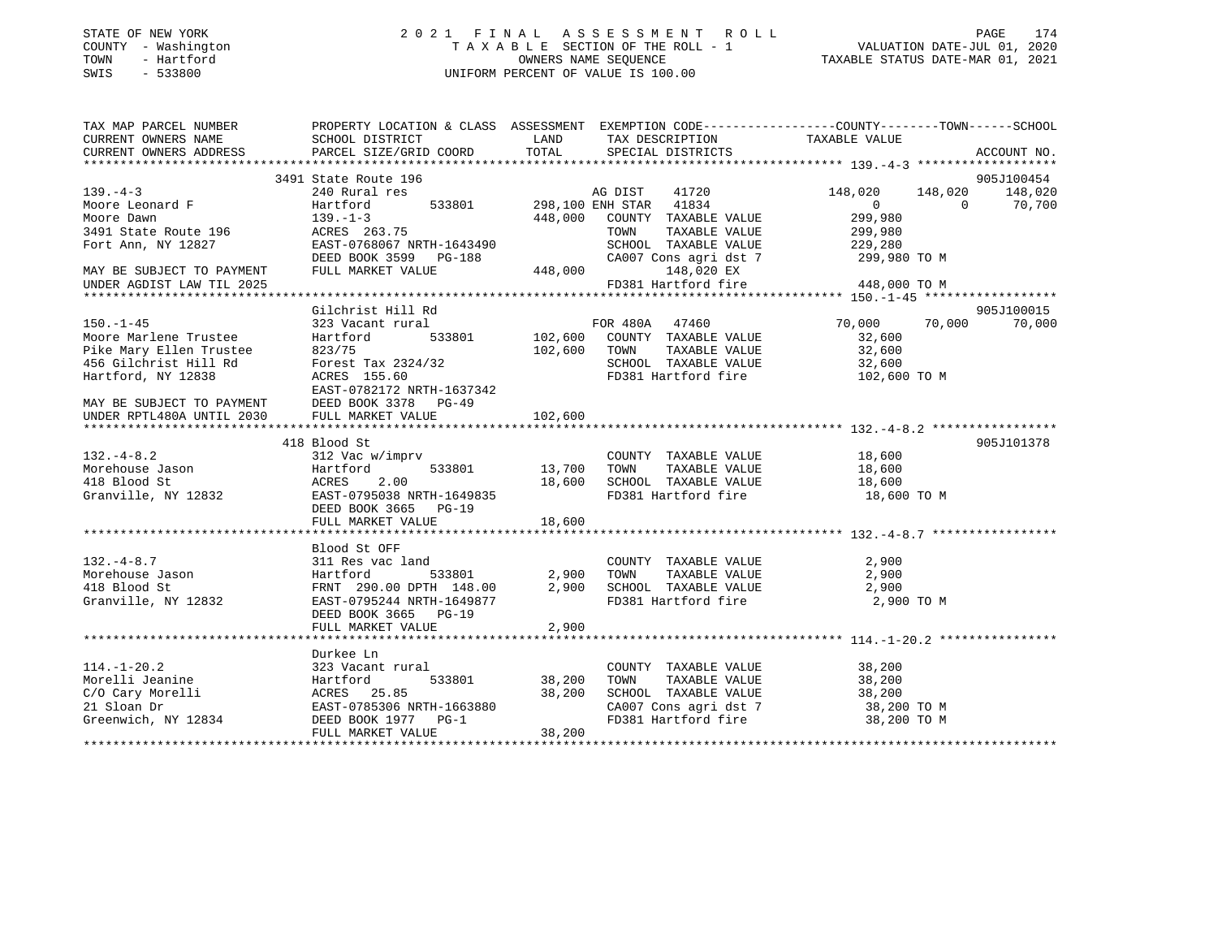### STATE OF NEW YORK 2 0 2 1 F I N A L A S S E S S M E N T R O L L PAGE 174 COUNTY - Washington T A X A B L E SECTION OF THE ROLL - 1 VALUATION DATE-JUL 01, 2020 TOWN - Hartford OWNERS NAME SEQUENCE TAXABLE STATUS DATE-MAR 01, 2021 SWIS - 533800 UNIFORM PERCENT OF VALUE IS 100.00

| TAX MAP PARCEL NUMBER                                                                                                                                                                                                                      | PROPERTY LOCATION & CLASS ASSESSMENT EXEMPTION CODE----------------COUNTY--------TOWN------SCHOOL         |         |                                                                 |                            |                 |
|--------------------------------------------------------------------------------------------------------------------------------------------------------------------------------------------------------------------------------------------|-----------------------------------------------------------------------------------------------------------|---------|-----------------------------------------------------------------|----------------------------|-----------------|
|                                                                                                                                                                                                                                            |                                                                                                           |         |                                                                 |                            |                 |
|                                                                                                                                                                                                                                            |                                                                                                           |         |                                                                 |                            |                 |
|                                                                                                                                                                                                                                            |                                                                                                           |         |                                                                 |                            |                 |
|                                                                                                                                                                                                                                            | 3491 State Route 196<br>240 Rural res<br>Hartford 533801 298,100 ENH STAR 41834<br>298,100 ENH STAR 41834 |         |                                                                 |                            | 905J100454      |
| $139. -4 - 3$                                                                                                                                                                                                                              |                                                                                                           |         | AG DIST 41720 148,020                                           |                            | 148,020 148,020 |
|                                                                                                                                                                                                                                            |                                                                                                           |         |                                                                 |                            | $0 \t 70,700$   |
|                                                                                                                                                                                                                                            |                                                                                                           |         | 448,000 COUNTY TAXABLE VALUE                                    | 0<br>299,980               |                 |
|                                                                                                                                                                                                                                            |                                                                                                           |         |                                                                 |                            |                 |
|                                                                                                                                                                                                                                            |                                                                                                           |         |                                                                 |                            |                 |
|                                                                                                                                                                                                                                            |                                                                                                           |         |                                                                 |                            |                 |
|                                                                                                                                                                                                                                            |                                                                                                           |         |                                                                 |                            |                 |
|                                                                                                                                                                                                                                            |                                                                                                           |         |                                                                 |                            |                 |
| MOOTE DAWIN TAXABLE VALUE<br>MOOTE DAWIN TAXABLE VALUE<br>3491 State Route 196 ACRES 263.75 TOWN TAXABLE VALUE 299,980<br>Fort Ann, NY 12827 EAST-0768067 NRTH-1643490 SCHOOL TAXABLE VALUE 229,280<br>MAY BE SUBJECT TO PAYMENT DEED      |                                                                                                           |         |                                                                 |                            |                 |
|                                                                                                                                                                                                                                            | Gilchrist Hill Rd                                                                                         |         |                                                                 |                            | 905J100015      |
| $150. - 1 - 45$                                                                                                                                                                                                                            |                                                                                                           |         |                                                                 | 70,000 70,000              | 70,000          |
| Foor Marlene Trustee Hartford 533801<br>Pike Mary Ellen Trustee 823/75<br>456 Gilchrist Hill Rd Forest Tax 2324/32<br>Hartford, NY 12838 ACRES 155.60<br>MAY BE SUBJECT TO PAYMENT DEED BOOK 3378 PG-49<br>UNDER RPTL480A UNTIL MARKET V   |                                                                                                           |         |                                                                 | 32,600                     |                 |
|                                                                                                                                                                                                                                            |                                                                                                           |         | $102,600$ TOWN TAXABLE VALUE 32,600                             |                            |                 |
|                                                                                                                                                                                                                                            |                                                                                                           |         |                                                                 |                            |                 |
|                                                                                                                                                                                                                                            |                                                                                                           |         | SCHOOL TAXABLE VALUE 32,600<br>FD381 Hartford fire 102,600 TO M |                            |                 |
|                                                                                                                                                                                                                                            |                                                                                                           |         |                                                                 |                            |                 |
|                                                                                                                                                                                                                                            |                                                                                                           |         |                                                                 |                            |                 |
|                                                                                                                                                                                                                                            |                                                                                                           |         |                                                                 |                            |                 |
|                                                                                                                                                                                                                                            |                                                                                                           | 102,600 |                                                                 |                            |                 |
|                                                                                                                                                                                                                                            |                                                                                                           |         |                                                                 |                            |                 |
|                                                                                                                                                                                                                                            |                                                                                                           |         |                                                                 |                            | 905J101378      |
|                                                                                                                                                                                                                                            |                                                                                                           |         |                                                                 |                            |                 |
|                                                                                                                                                                                                                                            |                                                                                                           |         |                                                                 |                            |                 |
|                                                                                                                                                                                                                                            |                                                                                                           |         |                                                                 |                            |                 |
|                                                                                                                                                                                                                                            |                                                                                                           |         |                                                                 | 18,600 TO M                |                 |
|                                                                                                                                                                                                                                            |                                                                                                           |         |                                                                 |                            |                 |
|                                                                                                                                                                                                                                            | FULL MARKET VALUE                                                                                         | 18,600  |                                                                 |                            |                 |
|                                                                                                                                                                                                                                            |                                                                                                           |         |                                                                 |                            |                 |
|                                                                                                                                                                                                                                            | Blood St OFF                                                                                              |         |                                                                 |                            |                 |
| $132. -4 - 8.7$                                                                                                                                                                                                                            | 311 Res vac land                                                                                          |         | COUNTY TAXABLE VALUE                                            | 2,900                      |                 |
|                                                                                                                                                                                                                                            |                                                                                                           |         |                                                                 |                            |                 |
| Morehouse Jason and the Hartford and the S33801 2,900 TOWN TAXABLE VALUE 2,900 2,900<br>418 Blood St FRNT 290.00 DPTH 148.00 2,900 SCHOOL TAXABLE VALUE 2,900 2,900<br>Granville, NY 12832 EAST-0795244 NRTH-1649877 FD381 Hartfor         |                                                                                                           |         |                                                                 |                            |                 |
|                                                                                                                                                                                                                                            |                                                                                                           |         |                                                                 |                            |                 |
|                                                                                                                                                                                                                                            | DEED BOOK 3665 PG-19                                                                                      |         |                                                                 |                            |                 |
|                                                                                                                                                                                                                                            | FULL MARKET VALUE                                                                                         | 2,900   |                                                                 |                            |                 |
|                                                                                                                                                                                                                                            |                                                                                                           |         |                                                                 |                            |                 |
|                                                                                                                                                                                                                                            | Durkee Ln                                                                                                 |         |                                                                 |                            |                 |
|                                                                                                                                                                                                                                            |                                                                                                           |         | COUNTY TAXABLE VALUE                                            | 38,200                     |                 |
|                                                                                                                                                                                                                                            |                                                                                                           |         | TOWN<br>TAXABLE VALUE                                           | 38,200                     |                 |
|                                                                                                                                                                                                                                            |                                                                                                           |         | SCHOOL TAXABLE VALUE 38,200                                     |                            |                 |
|                                                                                                                                                                                                                                            |                                                                                                           |         |                                                                 |                            |                 |
|                                                                                                                                                                                                                                            |                                                                                                           |         | CA007 Cons agri dst 7<br>FD381 Hartford fire                    | 38,200 TO M<br>38,200 TO M |                 |
| 114.-1-20.2<br>Morelli Jeanine 1233 Vacant rural<br>Morelli Jeanine Hartford 533801 38,200<br>C/O Cary Morelli ACRES 25.85 38,200<br>21 Sloan Dr EAST-0785306 NRTH-1663880<br>Greenwich, NY 12834 DEED BOOK 1977 PG-1<br>FULL MARKET VALUE | FULL MARKET VALUE                                                                                         | 38,200  |                                                                 |                            |                 |
|                                                                                                                                                                                                                                            |                                                                                                           |         |                                                                 |                            |                 |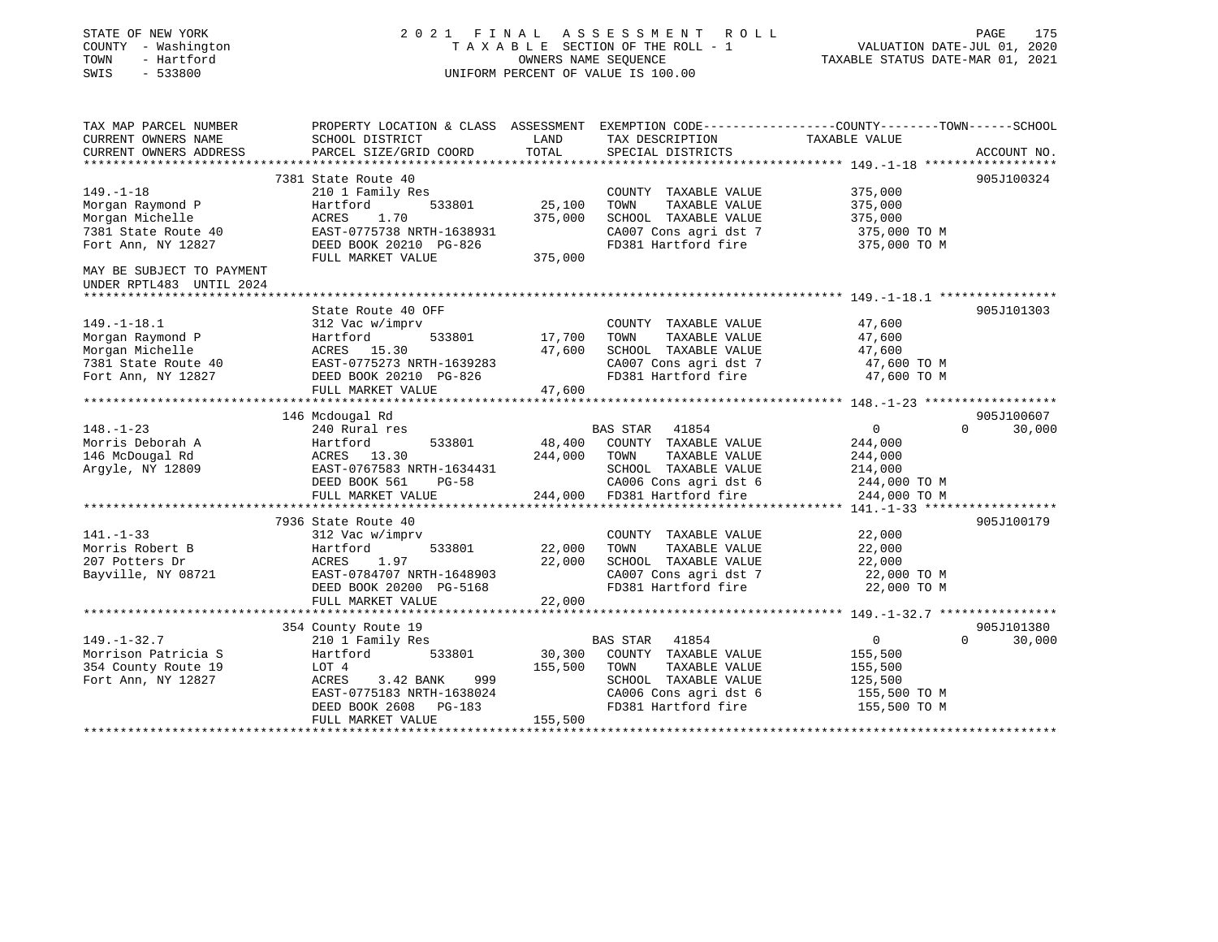| STATE OF NEW YORK<br>COUNTY - Washington<br>TOWN<br>- Hartford<br>SWIS<br>$-533800$ | 2021 FINAL ASSESSMENT ROLL<br>TAXABLE SECTION OF THE ROLL - 1<br>UNIFORM PERCENT OF VALUE IS 100.00                | PAGE<br>175<br>VALUATION DATE-JUL 01, 2020<br>TAXABLE STATUS DATE-MAR 01, 2021 |                                                                        |                                    |             |
|-------------------------------------------------------------------------------------|--------------------------------------------------------------------------------------------------------------------|--------------------------------------------------------------------------------|------------------------------------------------------------------------|------------------------------------|-------------|
| TAX MAP PARCEL NUMBER<br>CURRENT OWNERS NAME                                        | PROPERTY LOCATION & CLASS ASSESSMENT EXEMPTION CODE---------------COUNTY-------TOWN------SCHOOL<br>SCHOOL DISTRICT | LAND                                                                           | TAX DESCRIPTION                                                        | TAXABLE VALUE                      |             |
| CURRENT OWNERS ADDRESS                                                              | PARCEL SIZE/GRID COORD                                                                                             | TOTAL                                                                          | SPECIAL DISTRICTS                                                      |                                    | ACCOUNT NO. |
|                                                                                     | 7381 State Route 40                                                                                                |                                                                                |                                                                        |                                    | 905J100324  |
| $149. - 1 - 18$                                                                     | 210 1 Family Res                                                                                                   |                                                                                | COUNTY TAXABLE VALUE                                                   | 375,000                            |             |
| Morgan Raymond P<br>Morgan Michelle<br>7381 State Route 40                          | 533801<br>Hartford<br>ACRES<br>1.70<br>EAST-0775738 NRTH-1638931                                                   | 25,100<br>375,000                                                              | TAXABLE VALUE<br>TOWN<br>SCHOOL TAXABLE VALUE<br>CA007 Cons agri dst 7 | 375,000<br>375,000<br>375,000 TO M |             |
| Fort Ann, NY 12827                                                                  | DEED BOOK 20210 PG-826                                                                                             |                                                                                | FD381 Hartford fire                                                    | 375,000 TO M                       |             |
| MAY BE SUBJECT TO PAYMENT<br>UNDER RPTL483 UNTIL 2024                               | FULL MARKET VALUE                                                                                                  | 375,000                                                                        |                                                                        |                                    |             |
|                                                                                     |                                                                                                                    |                                                                                |                                                                        |                                    | 905J101303  |
| $149. - 1 - 18.1$<br>Morgan Raymond P                                               | State Route 40 OFF<br>312 Vac w/imprv<br>Hartford<br>533801                                                        | 17,700                                                                         | COUNTY TAXABLE VALUE<br>TAXABLE VALUE<br>TOWN                          | 47,600<br>47,600                   |             |
| Morgan Michelle                                                                     | ACRES 15.30                                                                                                        | 47,600                                                                         | SCHOOL TAXABLE VALUE                                                   | 47,600                             |             |
| 7381 State Route 40                                                                 | EAST-0775273 NRTH-1639283                                                                                          |                                                                                | CA007 Cons agri dst 7                                                  | 47,600 TO M                        |             |
| Fort Ann, NY 12827                                                                  | DEED BOOK 20210 PG-826                                                                                             |                                                                                | FD381 Hartford fire                                                    | 47,600 TO M                        |             |
|                                                                                     | FULL MARKET VALUE                                                                                                  | 47,600                                                                         |                                                                        |                                    |             |
|                                                                                     | 146 Mcdougal Rd                                                                                                    |                                                                                |                                                                        |                                    | 905J100607  |
| $148. - 1 - 23$                                                                     | 240 Rural res                                                                                                      |                                                                                | BAS STAR 41854                                                         | $\overline{0}$<br>$\Omega$         | 30,000      |
| Morris Deborah A                                                                    | 533801<br>Hartford                                                                                                 | 48,400                                                                         | COUNTY TAXABLE VALUE                                                   | 244,000                            |             |
| 146 McDougal Rd                                                                     | ACRES 13.30                                                                                                        | 244,000                                                                        | TAXABLE VALUE<br>TOWN                                                  | 244,000                            |             |
| Argyle, NY 12809                                                                    | EAST-0767583 NRTH-1634431                                                                                          |                                                                                | SCHOOL TAXABLE VALUE                                                   | 214,000                            |             |
|                                                                                     | DEED BOOK 561<br>PG-58                                                                                             |                                                                                | CA006 Cons agri dst 6                                                  | 244,000 TO M                       |             |
|                                                                                     | FULL MARKET VALUE                                                                                                  | 244,000                                                                        | FD381 Hartford fire                                                    | 244,000 TO M                       |             |
|                                                                                     | 7936 State Route 40                                                                                                |                                                                                |                                                                        |                                    | 905J100179  |
| $141. - 1 - 33$                                                                     | 312 Vac w/imprv                                                                                                    |                                                                                | COUNTY TAXABLE VALUE                                                   | 22,000                             |             |
| Morris Robert B                                                                     | 533801<br>Hartford                                                                                                 | 22,000                                                                         | TAXABLE VALUE<br>TOWN                                                  | 22,000                             |             |
| 207 Potters Dr                                                                      | 1.97<br>ACRES                                                                                                      | 22,000                                                                         | SCHOOL TAXABLE VALUE                                                   | 22,000                             |             |
| Bayville, NY 08721                                                                  | EAST-0784707 NRTH-1648903                                                                                          |                                                                                | CA007 Cons agri dst 7<br>FD381 Hartford fire                           | 22,000 TO M<br>22,000 TO M         |             |
|                                                                                     | DEED BOOK 20200 PG-5168<br>FULL MARKET VALUE                                                                       | 22,000                                                                         |                                                                        |                                    |             |
|                                                                                     |                                                                                                                    |                                                                                |                                                                        |                                    |             |
|                                                                                     | 354 County Route 19                                                                                                |                                                                                |                                                                        |                                    | 905J101380  |
| $149. - 1 - 32.7$                                                                   | 210 1 Family Res                                                                                                   |                                                                                | BAS STAR 41854                                                         | $\mathsf{O}$<br>$\Omega$           | 30,000      |
| Morrison Patricia S                                                                 | Hartford<br>533801                                                                                                 | 30,300                                                                         | COUNTY TAXABLE VALUE                                                   | 155,500                            |             |
| 354 County Route 19                                                                 | LOT 4                                                                                                              | 155,500                                                                        | TOWN<br>TAXABLE VALUE                                                  | 155,500                            |             |
| Fort Ann, NY 12827                                                                  | 3.42 BANK<br>999<br>ACRES<br>EAST-0775183 NRTH-1638024                                                             |                                                                                | SCHOOL TAXABLE VALUE<br>CA006 Cons agri dst 6                          | 125,500<br>155,500 TO M            |             |
|                                                                                     | DEED BOOK 2608<br>PG-183                                                                                           |                                                                                | FD381 Hartford fire                                                    | 155,500 TO M                       |             |
|                                                                                     | FULL MARKET VALUE                                                                                                  | 155,500                                                                        |                                                                        |                                    |             |
|                                                                                     |                                                                                                                    |                                                                                |                                                                        |                                    |             |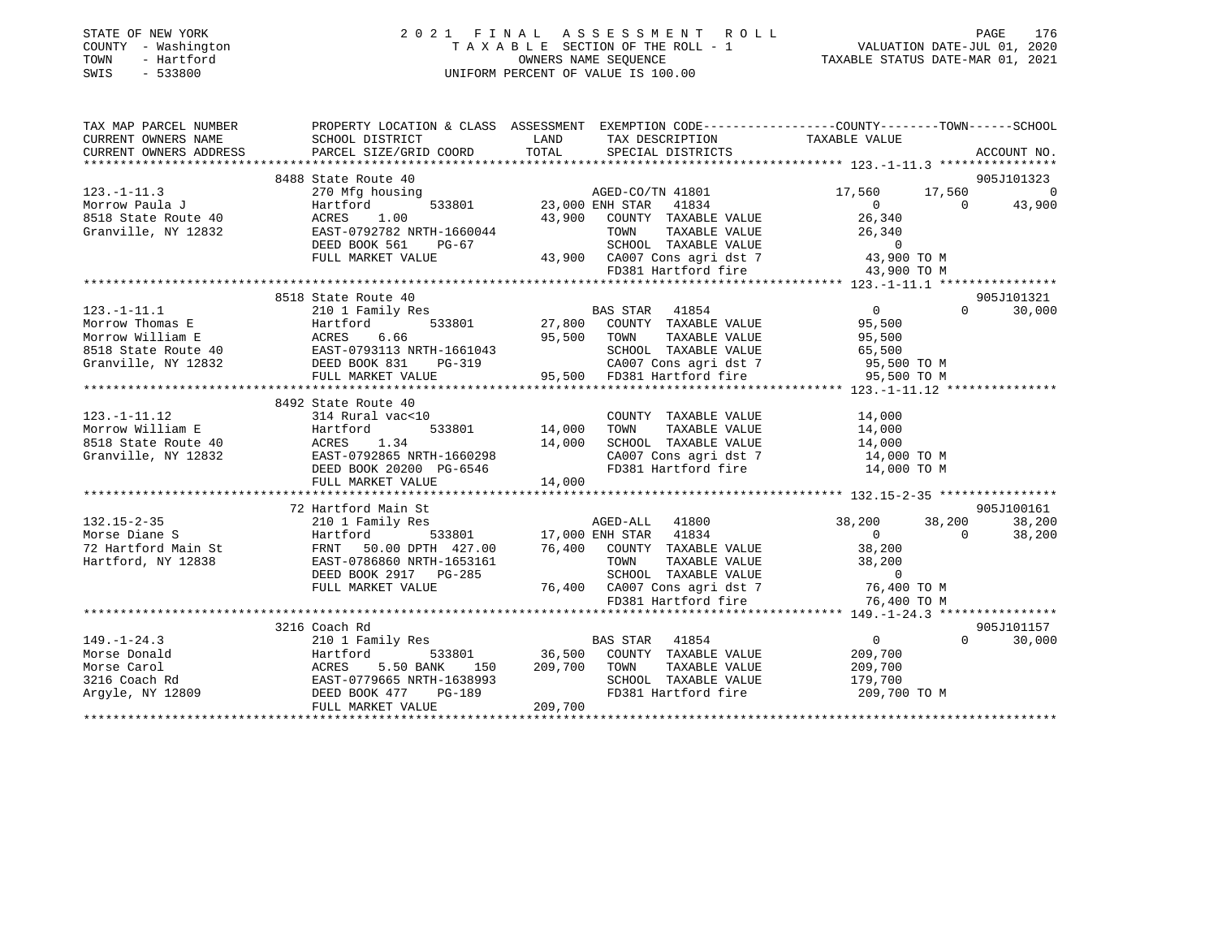| STATE OF NEW YORK<br>- Washington<br>COUNTY<br>- Hartford<br>TOWN<br>$-533800$<br>SWIS | 2021 FINAL ASSESSMENT ROLL<br>TAXABLE SECTION OF THE ROLL - 1<br>OWNERS NAME SEQUENCE<br>UNIFORM PERCENT OF VALUE IS 100.00 |                    |                                                                                                                    |               | VALUATION DATE-JUL 01, 2020<br>TAXABLE STATUS DATE-MAR 01, 2021 | 176<br>PAGE |
|----------------------------------------------------------------------------------------|-----------------------------------------------------------------------------------------------------------------------------|--------------------|--------------------------------------------------------------------------------------------------------------------|---------------|-----------------------------------------------------------------|-------------|
| TAX MAP PARCEL NUMBER<br>CURRENT OWNERS NAME<br>CURRENT OWNERS ADDRESS                 | PROPERTY LOCATION & CLASS<br>SCHOOL DISTRICT<br>PARCEL SIZE/GRID COORD TOTAL                                                | ASSESSMENT<br>LAND | EXEMPTION CODE-----------------COUNTY-------TOWN------SCHOOL<br>TAX DESCRIPTION TAXABLE VALUE<br>SPECIAL DISTRICTS |               |                                                                 | ACCOUNT NO. |
|                                                                                        | 8488 State Route 40                                                                                                         |                    |                                                                                                                    |               |                                                                 | 905J101323  |
| $123. - 1 - 11.3$                                                                      | 270 Mfg housing                                                                                                             |                    | AGED-CO/TN 41801                                                                                                   | 17,560 17,560 |                                                                 |             |
| Morrow Paula J                                                                         | Hartford<br>533801                                                                                                          |                    | 41834<br>23,000 ENH STAR                                                                                           |               | $\mathbf{0}$                                                    | 43,900      |
| 8518 State Route 40                                                                    | ACRES 1.00                                                                                                                  | 43,900             | COUNTY<br>TAXABLE VALUE                                                                                            | 26,340        |                                                                 |             |
| Granville, NY 12832                                                                    | EAST-0792782 NRTH-1660044                                                                                                   |                    | TOWN<br>TAXABLE VALUE                                                                                              | 26,340        |                                                                 |             |
|                                                                                        | DEED BOOK 561<br>PG-67                                                                                                      |                    | SCHOOL<br>TAXABLE VALUE                                                                                            |               |                                                                 |             |
|                                                                                        | FULL MARKET VALUE                                                                                                           | 43,900             | CA007 Cons agri dst 7                                                                                              | 43,900 TO M   |                                                                 |             |
|                                                                                        |                                                                                                                             |                    | FD381 Hartford fire                                                                                                | 43,900 TO M   |                                                                 |             |

|                     |                                                                       | FD381 Hartford fire                                       | 43,900 TO M                         |            |
|---------------------|-----------------------------------------------------------------------|-----------------------------------------------------------|-------------------------------------|------------|
|                     |                                                                       |                                                           |                                     |            |
|                     | 8518 State Route 40                                                   |                                                           |                                     | 905J101321 |
| $123. - 1 - 11.1$   | 210 1 Family Res                                                      | BAS STAR<br>41854                                         | $\overline{0}$<br>$\Omega$          | 30,000     |
| Morrow Thomas E     | Hartford                                                              | 533801 27,800 COUNTY TAXABLE VALUE                        | 95,500                              |            |
| Morrow William E    |                                                                       | 95,500 TOWN<br>TAXABLE VALUE                              | 95,500                              |            |
| 8518 State Route 40 |                                                                       | SCHOOL TAXABLE VALUE 65,500                               |                                     |            |
| Granville, NY 12832 | ACRES 6.66<br>40 EAST-0793113 NRTH-1661043<br>32 DEED BOOK 831 PG-319 | CA007 Cons agri dst 7 95,500 TO M                         |                                     |            |
|                     | FULL MARKET VALUE                                                     | 95,500 FD381 Hartford fire 95,500 TO M                    |                                     |            |
|                     |                                                                       |                                                           |                                     |            |
|                     | 8492 State Route 40                                                   |                                                           |                                     |            |
| $123. - 1 - 11.12$  | 314 Rural vac<10                                                      | COUNTY TAXABLE VALUE                                      | 14,000                              |            |
| Morrow William E    | Hartford<br>533801 14,000                                             | TAXABLE VALUE<br>TOWN                                     | 14,000                              |            |
| 8518 State Route 40 | ACRES 1.34                                                            | 14,000 SCHOOL TAXABLE VALUE 14,000                        |                                     |            |
| Granville, NY 12832 | EAST-0792865 NRTH-1660298                                             | CA007 Cons agri dst 7                                     | 14,000 TO M                         |            |
|                     | DEED BOOK 20200 PG-6546                                               | FD381 Hartford fire 14,000 TO M                           |                                     |            |
|                     | FULL MARKET VALUE                                                     | 14,000                                                    |                                     |            |
|                     |                                                                       |                                                           |                                     |            |
|                     | 72 Hartford Main St                                                   |                                                           |                                     | 905J100161 |
| $132.15 - 2 - 35$   | 210 1 Family Res                                                      | AGED-ALL 41800                                            | 38,200 38,200                       | 38,200     |
| Morse Diane S       | Hartford                                                              | 533801 17,000 ENH STAR 41834                              | $\overline{0}$<br>$\Omega$          | 38,200     |
| 72 Hartford Main St |                                                                       | FRNT 50.00 DPTH 427.00 76,400 COUNTY TAXABLE VALUE 38,200 |                                     |            |
| Hartford, NY 12838  | EAST-0786860 NRTH-1653161                                             | TOWN<br>TAXABLE VALUE                                     | 38,200                              |            |
|                     | DEED BOOK 2917 PG-285                                                 | SCHOOL TAXABLE VALUE                                      | $\Omega$                            |            |
|                     | FULL MARKET VALUE                                                     | 76,400 CA007 Cons agri dst 7 76,400 TO M                  |                                     |            |
|                     |                                                                       | FD381 Hartford fire                                       | 76,400 TO M                         |            |
|                     |                                                                       |                                                           |                                     |            |
|                     | 3216 Coach Rd                                                         |                                                           |                                     | 905J101157 |
| $149. - 1 - 24.3$   | 210 1 Family Res                                                      | BAS STAR<br>41854                                         | $\overline{0}$<br>$0 \qquad \qquad$ | 30,000     |
| Morse Donald        | Hartford                                                              | 533801 36,500 COUNTY TAXABLE VALUE                        | 209,700                             |            |
| Morse Carol         | ACRES 5.50 BANK 150                                                   | 209,700 TOWN<br>TAXABLE VALUE                             | 209,700                             |            |
| 3216 Coach Rd       | EAST-0779665 NRTH-1638993                                             | SCHOOL TAXABLE VALUE                                      | 179,700                             |            |
| Arqyle, NY 12809    | DEED BOOK 477<br><b>PG-189</b>                                        | FD381 Hartford fire 209,700 TO M                          |                                     |            |
|                     | FULL MARKET VALUE                                                     | 209,700                                                   |                                     |            |
|                     |                                                                       |                                                           |                                     |            |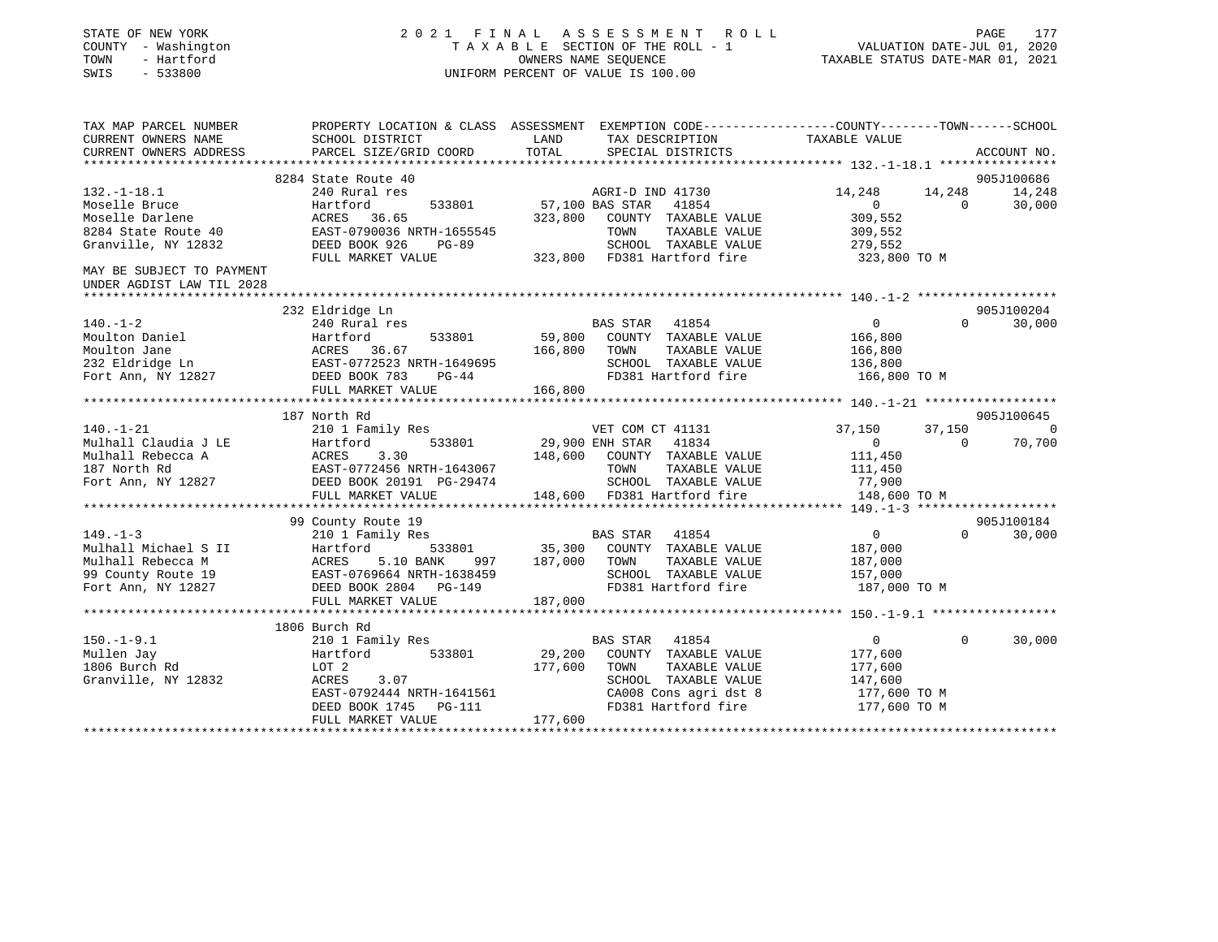| STATE OF NEW YORK<br>COUNTY - Washington<br>- Hartford<br>TOWN<br>SWIS<br>$-533800$ | 2021 FINAL ASSESSMENT ROLL<br>TAXABLE SECTION OF THE ROLL - 1<br>UNIFORM PERCENT OF VALUE IS 100.00 | PAGE<br>177<br>VALUATION DATE-JUL 01, 2020<br>TAXABLE STATUS DATE-MAR 01, 2021                                            |                            |             |
|-------------------------------------------------------------------------------------|-----------------------------------------------------------------------------------------------------|---------------------------------------------------------------------------------------------------------------------------|----------------------------|-------------|
| TAX MAP PARCEL NUMBER<br>CURRENT OWNERS NAME                                        | SCHOOL DISTRICT                                                                                     | PROPERTY LOCATION & CLASS ASSESSMENT EXEMPTION CODE---------------COUNTY-------TOWN-----SCHOOL<br>LAND<br>TAX DESCRIPTION | TAXABLE VALUE              |             |
| CURRENT OWNERS ADDRESS                                                              | PARCEL SIZE/GRID COORD                                                                              | TOTAL<br>SPECIAL DISTRICTS                                                                                                |                            | ACCOUNT NO. |
|                                                                                     |                                                                                                     |                                                                                                                           |                            |             |
|                                                                                     | 8284 State Route 40                                                                                 |                                                                                                                           |                            | 905J100686  |
| $132.-1-18.1$                                                                       | 240 Rural res                                                                                       | AGRI-D IND 41730                                                                                                          | 14,248<br>14,248           | 14,248      |
| Moselle Bruce                                                                       | Hartford<br>533801                                                                                  | 57,100 BAS STAR<br>41854                                                                                                  | $\Omega$<br>$\Omega$       | 30,000      |
| Moselle Darlene                                                                     | ACRES<br>36.65                                                                                      | 323,800<br>COUNTY TAXABLE VALUE                                                                                           | 309,552                    |             |
| 8284 State Route 40<br>Granville, NY 12832                                          | EAST-0790036 NRTH-1655545<br>DEED BOOK 926<br><b>PG-89</b>                                          | TAXABLE VALUE<br>TOWN<br>SCHOOL TAXABLE VALUE                                                                             | 309,552<br>279,552         |             |
|                                                                                     | FULL MARKET VALUE                                                                                   | 323,800 FD381 Hartford fire                                                                                               | 323,800 TO M               |             |
| MAY BE SUBJECT TO PAYMENT<br>UNDER AGDIST LAW TIL 2028                              |                                                                                                     |                                                                                                                           |                            |             |
|                                                                                     |                                                                                                     |                                                                                                                           |                            |             |
|                                                                                     | 232 Eldridge Ln                                                                                     |                                                                                                                           |                            | 905J100204  |
| $140. - 1 - 2$                                                                      | 240 Rural res                                                                                       | BAS STAR 41854                                                                                                            | $\overline{0}$<br>$\Omega$ | 30,000      |
| Moulton Daniel                                                                      | Hartford<br>533801                                                                                  | 59,800<br>COUNTY TAXABLE VALUE                                                                                            | 166,800                    |             |
| Moulton Jane                                                                        | ACRES<br>36.67<br>EAST-0772523 NRTH-1649695                                                         | 166,800<br>TAXABLE VALUE<br>TOWN<br>SCHOOL TAXABLE VALUE                                                                  | 166,800<br>136,800         |             |
| 232 Eldridge Ln<br>Fort Ann, NY 12827                                               | DEED BOOK 783<br>PG-44                                                                              | FD381 Hartford fire                                                                                                       | 166,800 TO M               |             |
|                                                                                     | FULL MARKET VALUE                                                                                   | 166,800                                                                                                                   |                            |             |
|                                                                                     | ****************************                                                                        |                                                                                                                           |                            |             |
|                                                                                     | 187 North Rd                                                                                        |                                                                                                                           |                            | 905J100645  |
| $140. - 1 - 21$                                                                     | 210 1 Family Res                                                                                    | VET COM CT 41131                                                                                                          | 37,150<br>37,150           | $\Omega$    |
| Mulhall Claudia J LE                                                                | 533801<br>Hartford                                                                                  | 29,900 ENH STAR<br>41834                                                                                                  | $\overline{0}$<br>$\Omega$ | 70,700      |
| Mulhall Rebecca A                                                                   | ACRES<br>3.30                                                                                       | 148,600<br>COUNTY TAXABLE VALUE                                                                                           | 111,450                    |             |
| 187 North Rd                                                                        | EAST-0772456 NRTH-1643067                                                                           | TAXABLE VALUE<br>TOWN                                                                                                     | 111,450                    |             |
| Fort Ann, NY 12827                                                                  | DEED BOOK 20191 PG-29474                                                                            | SCHOOL TAXABLE VALUE                                                                                                      | 77,900                     |             |
|                                                                                     | FULL MARKET VALUE                                                                                   | 148,600 FD381 Hartford fire                                                                                               | 148,600 TO M               |             |
|                                                                                     |                                                                                                     |                                                                                                                           |                            |             |
|                                                                                     | 99 County Route 19                                                                                  |                                                                                                                           |                            | 905J100184  |
| $149. - 1 - 3$                                                                      | 210 1 Family Res                                                                                    | BAS STAR<br>41854                                                                                                         | $\circ$<br>$\Omega$        | 30,000      |
| Mulhall Michael S II                                                                | 533801<br>Hartford                                                                                  | 35,300<br>COUNTY TAXABLE VALUE                                                                                            | 187,000                    |             |
| Mulhall Rebecca M<br>99 County Route 19                                             | ACRES<br>5.10 BANK<br>997<br>EAST-0769664 NRTH-1638459                                              | 187,000<br>TOWN<br>TAXABLE VALUE<br>SCHOOL TAXABLE VALUE                                                                  | 187,000<br>157,000         |             |
| Fort Ann, NY 12827                                                                  | DEED BOOK 2804 PG-149                                                                               | FD381 Hartford fire                                                                                                       | 187,000 TO M               |             |
|                                                                                     | FULL MARKET VALUE                                                                                   | 187,000                                                                                                                   |                            |             |
|                                                                                     | **********************                                                                              |                                                                                                                           |                            |             |
|                                                                                     | 1806 Burch Rd                                                                                       |                                                                                                                           |                            |             |
| $150. - 1 - 9.1$                                                                    | 210 1 Family Res                                                                                    | <b>BAS STAR 41854</b>                                                                                                     | $\mathbf{0}$<br>$\Omega$   | 30,000      |
| Mullen Jay                                                                          | 533801<br>Hartford                                                                                  | 29,200<br>COUNTY TAXABLE VALUE                                                                                            | 177,600                    |             |
| 1806 Burch Rd                                                                       | LOT 2                                                                                               | 177,600<br>TOWN<br>TAXABLE VALUE                                                                                          | 177,600                    |             |
| Granville, NY 12832                                                                 | ACRES<br>3.07                                                                                       | SCHOOL TAXABLE VALUE                                                                                                      | 147,600                    |             |
|                                                                                     | EAST-0792444 NRTH-1641561                                                                           | CA008 Cons agri dst 8                                                                                                     | 177,600 TO M               |             |
|                                                                                     | DEED BOOK 1745<br>$PG-111$                                                                          | FD381 Hartford fire                                                                                                       | 177,600 TO M               |             |
| ***************************                                                         | FULL MARKET VALUE<br>***********************                                                        | 177,600<br>* * * * * * * * * * * * *                                                                                      |                            |             |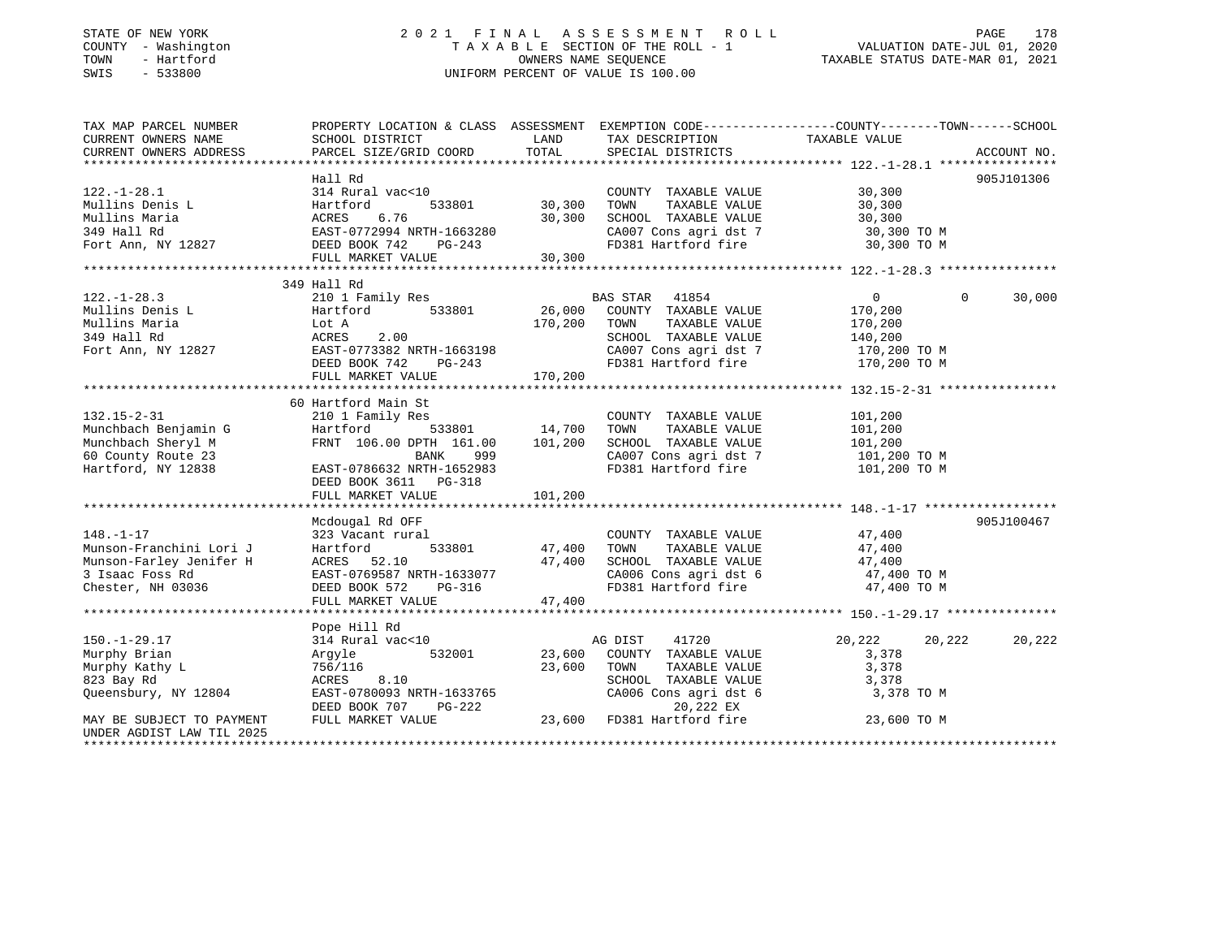### STATE OF NEW YORK 2 0 2 1 F I N A L A S S E S S M E N T R O L L PAGE 178 COUNTY - Washington T A X A B L E SECTION OF THE ROLL - 1 VALUATION DATE-JUL 01, 2020 TOWN - Hartford OWNERS NAME SEQUENCE TAXABLE STATUS DATE-MAR 01, 2021 SWIS - 533800 UNIFORM PERCENT OF VALUE IS 100.00

| TAX MAP PARCEL NUMBER<br>CURRENT OWNERS NAME | PROPERTY LOCATION & CLASS ASSESSMENT EXEMPTION CODE---------------COUNTY-------TOWN------SCHOOL<br>SCHOOL DISTRICT | LAND                    | TAX DESCRIPTION                               | TAXABLE VALUE              |             |
|----------------------------------------------|--------------------------------------------------------------------------------------------------------------------|-------------------------|-----------------------------------------------|----------------------------|-------------|
| CURRENT OWNERS ADDRESS                       | PARCEL SIZE/GRID COORD                                                                                             | TOTAL                   | SPECIAL DISTRICTS                             |                            | ACCOUNT NO. |
|                                              |                                                                                                                    |                         |                                               |                            |             |
|                                              | Hall Rd                                                                                                            |                         |                                               |                            | 905J101306  |
| $122. - 1 - 28.1$                            | 314 Rural vac<10                                                                                                   |                         | COUNTY TAXABLE VALUE                          | 30,300                     |             |
| Mullins Denis L                              | Hartford                                                                                                           | 533801 30,300           | TOWN<br>TAXABLE VALUE                         | 30,300                     |             |
| Mullins Maria                                |                                                                                                                    |                         | SCHOOL TAXABLE VALUE<br>CA007 Cons agri dst 7 | 30,300                     |             |
| 349 Hall Rd                                  |                                                                                                                    |                         |                                               | 30,300 TO M                |             |
| Fort Ann, NY 12827 DEED BOOK 742             |                                                                                                                    |                         | FD381 Hartford fire 30,300 TO M               |                            |             |
|                                              | FULL MARKET VALUE                                                                                                  | 30,300                  |                                               |                            |             |
|                                              |                                                                                                                    |                         |                                               |                            |             |
|                                              | 349 Hall Rd                                                                                                        |                         |                                               |                            |             |
| $122. - 1 - 28.3$                            | 210 1 Family Res                                                                                                   |                         | 41854<br>BAS STAR                             | $\overline{0}$<br>$\Omega$ | 30,000      |
| Mullins Denis L                              | 533801<br>Hartford                                                                                                 | 26,000                  | COUNTY TAXABLE VALUE                          | 170,200                    |             |
| Mullins Maria                                | Lot A                                                                                                              | 170,200                 | TAXABLE VALUE<br>TOWN                         | 170,200                    |             |
| 349 Hall Rd                                  | ACRES<br>2.00                                                                                                      |                         | SCHOOL TAXABLE VALUE                          | 140,200                    |             |
| Fort Ann, NY 12827                           | EAST-0773382 NRTH-1663198                                                                                          |                         | CA007 Cons agri dst 7                         | 170,200 TO M               |             |
|                                              | DEED BOOK 742                                                                                                      |                         | FD381 Hartford fire 170,200 TO M              |                            |             |
|                                              | FULL MARKET VALUE                                                                                                  | $PG-243$<br>LUE 170,200 |                                               |                            |             |
|                                              |                                                                                                                    |                         |                                               |                            |             |
|                                              | 60 Hartford Main St                                                                                                |                         |                                               |                            |             |
| $132.15 - 2 - 31$                            | 210 1 Family Res                                                                                                   |                         | COUNTY TAXABLE VALUE                          | 101,200                    |             |
| Munchbach Benjamin G                         | 533801 14,700<br>Hartford                                                                                          |                         | TAXABLE VALUE<br>TOWN                         | 101,200                    |             |
| Munchbach Sheryl M                           | FRNT 106.00 DPTH 161.00                                                                                            | 101,200                 | SCHOOL TAXABLE VALUE                          | 101,200                    |             |
| 60 County Route 23                           | BANK<br>999                                                                                                        |                         | CA007 Cons agri dst 7 101,200 TO M            |                            |             |
| Hartford, NY 12838                           | EAST-0786632 NRTH-1652983                                                                                          |                         | FD381 Hartford fire                           | 101,200 TO M               |             |
|                                              |                                                                                                                    |                         |                                               |                            |             |
|                                              | DEED BOOK 3611 PG-318                                                                                              |                         |                                               |                            |             |
|                                              | FULL MARKET VALUE                                                                                                  | 101, 200                |                                               |                            |             |
|                                              |                                                                                                                    |                         |                                               |                            |             |
|                                              | Mcdougal Rd OFF                                                                                                    |                         |                                               |                            | 905J100467  |
| $148. - 1 - 17$                              | 323 Vacant rural                                                                                                   |                         | COUNTY TAXABLE VALUE                          | 47,400                     |             |
| Munson-Franchini Lori J                      | Hartford                                                                                                           | 533801 47,400           | TOWN<br>TAXABLE VALUE                         | 47,400                     |             |
| Munson-Farley Jenifer H                      | ACRES 52.10                                                                                                        | 47,400                  | SCHOOL TAXABLE VALUE                          | 47,400                     |             |
| 3 Isaac Foss Rd                              | EAST-0769587 NRTH-1633077                                                                                          |                         | CA006 Cons agri dst 6 47,400 TO M             |                            |             |
| Chester, NH 03036                            | DEED BOOK 572<br>PG-316                                                                                            |                         | FD381 Hartford fire                           | 47,400 TO M                |             |
|                                              | FULL MARKET VALUE                                                                                                  | 47,400                  |                                               |                            |             |
|                                              |                                                                                                                    |                         |                                               |                            |             |
|                                              | Pope Hill Rd                                                                                                       |                         |                                               |                            |             |
| $150. - 1 - 29.17$                           | 314 Rural vac<10                                                                                                   |                         | 41720<br>AG DIST                              | 20,222<br>20,222           | 20,222      |
| Murphy Brian                                 | 532001<br>Argyle                                                                                                   | 23,600                  | COUNTY TAXABLE VALUE                          | 3,378                      |             |
| Murphy Kathy L                               | 756/116                                                                                                            | 23,600                  | TOWN<br>TAXABLE VALUE                         | 3,378                      |             |
| 823 Bay Rd                                   | 8.10<br>ACRES                                                                                                      |                         | SCHOOL TAXABLE VALUE                          | 3,378                      |             |
| Queensbury, NY 12804                         | EAST-0780093 NRTH-1633765                                                                                          |                         | SCHOOL TAXABLE VALUE<br>CA006 Cons agri dst 6 | 3,378 TO M                 |             |
|                                              | DEED BOOK 707<br>PG-222                                                                                            |                         | 20,222 EX                                     |                            |             |
| MAY BE SUBJECT TO PAYMENT                    | FULL MARKET VALUE                                                                                                  | 23,600                  | FD381 Hartford fire                           | 23,600 TO M                |             |
| UNDER AGDIST LAW TIL 2025                    |                                                                                                                    |                         |                                               |                            |             |
|                                              |                                                                                                                    |                         |                                               |                            |             |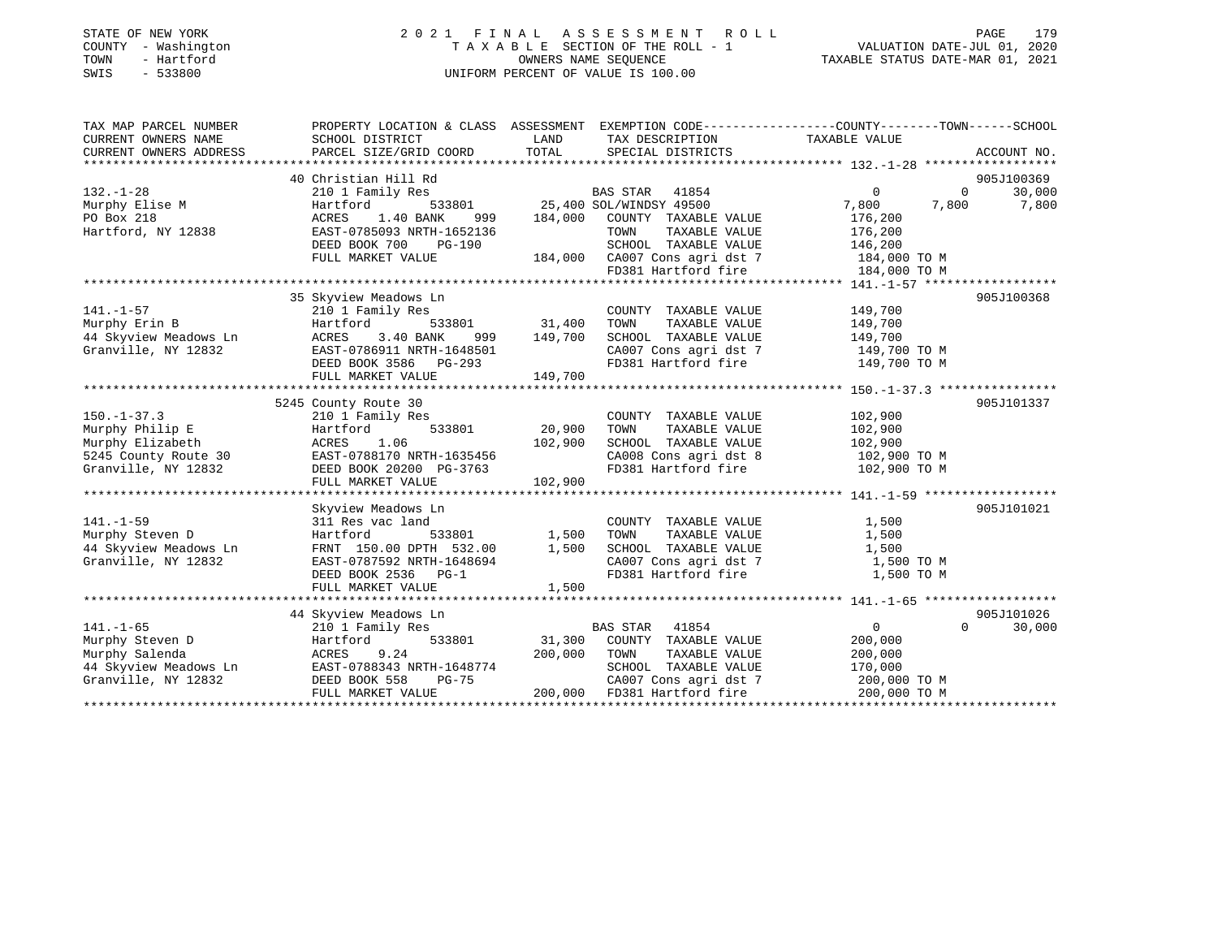### STATE OF NEW YORK 2 0 2 1 F I N A L A S S E S S M E N T R O L L PAGE 179 COUNTY - Washington T A X A B L E SECTION OF THE ROLL - 1 VALUATION DATE-JUL 01, 2020 TOWN - Hartford OWNERS NAME SEQUENCE TAXABLE STATUS DATE-MAR 01, 2021 SWIS - 533800 UNIFORM PERCENT OF VALUE IS 100.00

| TAX MAP PARCEL NUMBER                                                                                                             | PROPERTY LOCATION & CLASS ASSESSMENT EXEMPTION CODE----------------COUNTY-------TOWN------SCHOOL                                                        |                   |                                                                                                                                                                                                                                          |                    |                                                                |
|-----------------------------------------------------------------------------------------------------------------------------------|---------------------------------------------------------------------------------------------------------------------------------------------------------|-------------------|------------------------------------------------------------------------------------------------------------------------------------------------------------------------------------------------------------------------------------------|--------------------|----------------------------------------------------------------|
| CURRENT OWNERS NAME                                                                                                               | SCHOOL DISTRICT                                                                                                                                         | <b>LAND</b>       | TAX DESCRIPTION                                                                                                                                                                                                                          | TAXABLE VALUE      |                                                                |
| CURRENT OWNERS ADDRESS                                                                                                            | PARCEL SIZE/GRID COORD TOTAL                                                                                                                            |                   | SPECIAL DISTRICTS                                                                                                                                                                                                                        |                    | ACCOUNT NO.                                                    |
|                                                                                                                                   |                                                                                                                                                         |                   |                                                                                                                                                                                                                                          |                    |                                                                |
|                                                                                                                                   | 40 Christian Hill Rd<br>210 1 Family Res<br>Hartford 533801 25,400 SOL/WINDSY 49500<br>25,400 SOL/WINDSY 49500                                          |                   |                                                                                                                                                                                                                                          |                    | 905J100369                                                     |
| $132. - 1 - 28$                                                                                                                   |                                                                                                                                                         |                   |                                                                                                                                                                                                                                          | $\overline{0}$     | $\begin{array}{ccc} & 0 & 30,000 \\ 7,800 & 7,800 \end{array}$ |
| Murphy Elise M                                                                                                                    |                                                                                                                                                         |                   |                                                                                                                                                                                                                                          | 7,800              |                                                                |
| PO Box 218                                                                                                                        | ACRES<br>1.40 BANK                                                                                                                                      |                   | 999 184,000 COUNTY TAXABLE VALUE                                                                                                                                                                                                         | 176,200            |                                                                |
| Hartford, NY 12838                                                                                                                | EAST-0785093 NRTH-1652136                                                                                                                               |                   | TOWN<br>TAXABLE VALUE                                                                                                                                                                                                                    | 176,200<br>146,200 |                                                                |
|                                                                                                                                   | DEED BOOK 700 PG-190                                                                                                                                    |                   | SCHOOL TAXABLE VALUE                                                                                                                                                                                                                     |                    |                                                                |
|                                                                                                                                   | FULL MARKET VALUE                                                                                                                                       |                   | 184,000 CA007 Cons agri dst 7 184,000 TO M                                                                                                                                                                                               |                    |                                                                |
|                                                                                                                                   |                                                                                                                                                         |                   | FD381 Hartford fire 184,000 TO M                                                                                                                                                                                                         |                    |                                                                |
|                                                                                                                                   |                                                                                                                                                         |                   |                                                                                                                                                                                                                                          |                    |                                                                |
|                                                                                                                                   | 35 Skyview Meadows Ln                                                                                                                                   |                   |                                                                                                                                                                                                                                          |                    | 905J100368                                                     |
| 141.-1-57 210 1 Family Res<br>Murphy Erin B Hartford 533<br>44 Skyview Meadows Ln ACRES 3.40 BANK<br>The Tagge of Tagge 1314 NDTH |                                                                                                                                                         |                   | COUNTY TAXABLE VALUE                                                                                                                                                                                                                     | 149,700            |                                                                |
|                                                                                                                                   |                                                                                                                                                         |                   | TOWN TAXABLE VALUE                                                                                                                                                                                                                       | 149,700            |                                                                |
|                                                                                                                                   |                                                                                                                                                         | 999 149,700       | SCHOOL TAXABLE VALUE                                                                                                                                                                                                                     | 149,700            |                                                                |
| Granville, NY 12832                                                                                                               | EAST-0786911 NRTH-1648501<br>DEED BOOK 3586 PG-293                                                                                                      |                   | CA007 Cons agri dst 7 149,700 TO M                                                                                                                                                                                                       |                    |                                                                |
|                                                                                                                                   |                                                                                                                                                         |                   | FD381 Hartford fire                                                                                                                                                                                                                      | 149,700 TO M       |                                                                |
|                                                                                                                                   | FULL MARKET VALUE 149,700                                                                                                                               |                   |                                                                                                                                                                                                                                          |                    |                                                                |
|                                                                                                                                   |                                                                                                                                                         |                   |                                                                                                                                                                                                                                          |                    |                                                                |
|                                                                                                                                   | 5245 County Route 30                                                                                                                                    |                   |                                                                                                                                                                                                                                          |                    | 905J101337                                                     |
| $150. - 1 - 37.3$                                                                                                                 | 210 1 Family Res                                                                                                                                        |                   | COUNTY TAXABLE VALUE                                                                                                                                                                                                                     | 102,900            |                                                                |
|                                                                                                                                   |                                                                                                                                                         |                   | TOWN<br>TAXABLE VALUE                                                                                                                                                                                                                    | 102,900            |                                                                |
|                                                                                                                                   |                                                                                                                                                         |                   | $\begin{tabular}{lllllllll} \texttt{SCHOOL} & \texttt{TAXABLE} & \texttt{VALUE} & & \texttt{102,900} \\ \texttt{CA008} & \texttt{Cons} & \texttt{agri} & \texttt{dst} & 8 & & \texttt{102,900} & \texttt{TO} & \texttt{M} \end{tabular}$ |                    |                                                                |
|                                                                                                                                   |                                                                                                                                                         |                   |                                                                                                                                                                                                                                          |                    |                                                                |
|                                                                                                                                   | Murphy Philip E<br>Murphy Elizabeth ACRES 1.06 102,900<br>5245 County Route 30 EAST-0788170 NRTH-1635456<br>Granville, NY 12832 DEED BOOK 20200 PG-3763 |                   | FD381 Hartford fire 102,900 TO M                                                                                                                                                                                                         |                    |                                                                |
|                                                                                                                                   | FULL MARKET VALUE                                                                                                                                       | 102,900           |                                                                                                                                                                                                                                          |                    |                                                                |
|                                                                                                                                   |                                                                                                                                                         |                   |                                                                                                                                                                                                                                          |                    |                                                                |
|                                                                                                                                   | Skyview Meadows Ln                                                                                                                                      |                   |                                                                                                                                                                                                                                          |                    | 905J101021                                                     |
| $141. - 1 - 59$                                                                                                                   | 311 Res vac land                                                                                                                                        |                   | COUNTY TAXABLE VALUE                                                                                                                                                                                                                     | 1,500<br>1,500     |                                                                |
| Murphy Steven D                                                                                                                   | Hartford                                                                                                                                                | 533801 1,500 TOWN | TAXABLE VALUE                                                                                                                                                                                                                            |                    |                                                                |
| 44 Skyview Meadows Ln                                                                                                             | FRNT 150.00 DPTH 532.00 1,500                                                                                                                           |                   | SCHOOL TAXABLE VALUE                                                                                                                                                                                                                     | 1,500              |                                                                |
| Granville, NY 12832                                                                                                               | EAST-0787592 NRTH-1648694<br>EAST-0787592 NRTH-1648694                                                                                                  |                   | CA007 Cons agri dst 7 1,500 TO M<br>FD381 Hartford fire 1,500 TO M                                                                                                                                                                       |                    |                                                                |
|                                                                                                                                   | DEED BOOK 2536 PG-1                                                                                                                                     |                   |                                                                                                                                                                                                                                          |                    |                                                                |
|                                                                                                                                   | FULL MARKET VALUE                                                                                                                                       | 1,500             |                                                                                                                                                                                                                                          |                    |                                                                |
|                                                                                                                                   |                                                                                                                                                         |                   |                                                                                                                                                                                                                                          |                    |                                                                |
|                                                                                                                                   | 44 Skyview Meadows Ln                                                                                                                                   |                   |                                                                                                                                                                                                                                          |                    | 905J101026                                                     |
| $141. - 1 - 65$                                                                                                                   | 210 1 Family Res                                                                                                                                        |                   | BAS STAR 41854                                                                                                                                                                                                                           | $\overline{0}$     | $\Omega$<br>30,000                                             |
|                                                                                                                                   |                                                                                                                                                         |                   | 31,300 COUNTY TAXABLE VALUE                                                                                                                                                                                                              | 200,000            |                                                                |
|                                                                                                                                   | ACRES 9.24 200,000 TOWN                                                                                                                                 |                   | TAXABLE VALUE                                                                                                                                                                                                                            | 200,000            |                                                                |
|                                                                                                                                   |                                                                                                                                                         |                   | SCHOOL TAXABLE VALUE                                                                                                                                                                                                                     | 170,000            |                                                                |
| Granville, NY 12832                                                                                                               |                                                                                                                                                         |                   |                                                                                                                                                                                                                                          |                    |                                                                |
|                                                                                                                                   |                                                                                                                                                         |                   |                                                                                                                                                                                                                                          |                    |                                                                |
|                                                                                                                                   |                                                                                                                                                         |                   |                                                                                                                                                                                                                                          |                    |                                                                |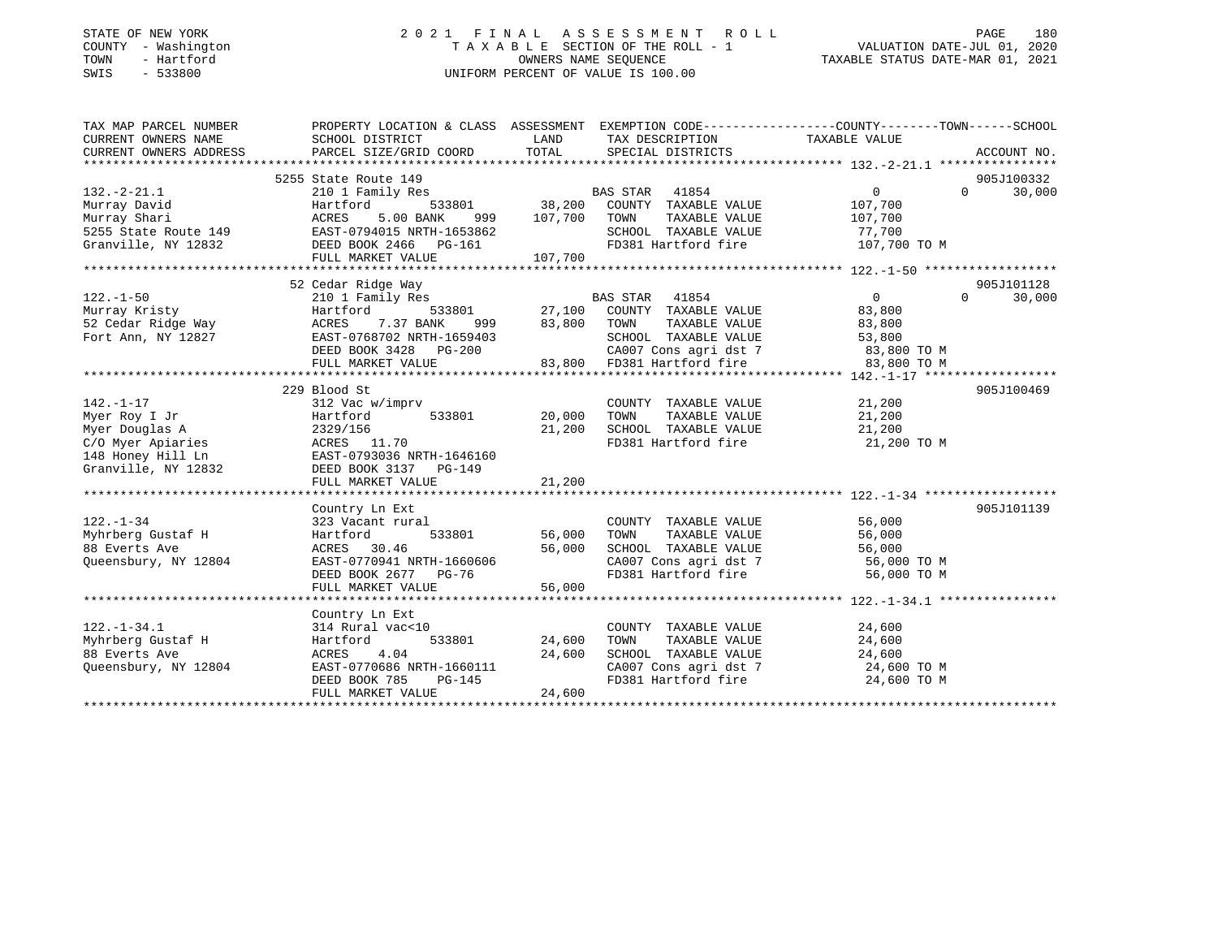### STATE OF NEW YORK 2 0 2 1 F I N A L A S S E S S M E N T R O L L PAGE 180 COUNTY - Washington T A X A B L E SECTION OF THE ROLL - 1 VALUATION DATE-JUL 01, 2020 TOWN - Hartford OWNERS NAME SEQUENCE TAXABLE STATUS DATE-MAR 01, 2021 SWIS - 533800 UNIFORM PERCENT OF VALUE IS 100.00

| <b>LAND</b><br>TAX DESCRIPTION TAXABLE VALUE<br>SCHOOL DISTRICT<br>TOTAL SPECIAL DISTRICTS<br>CURRENT OWNERS ADDRESS<br>PARCEL SIZE/GRID COORD<br>ACCOUNT NO.<br>5255 State Route 149<br>905J100332<br>$\overline{0}$<br>$0 \qquad \qquad$<br>30,000<br>$132. - 2 - 21.1$<br>210 1 Family Res<br>107,700<br>Hartford<br>$999$ $107,700$ TOWN<br>TAXABLE VALUE 107,700<br>Murray Shari<br>ACRES<br>5.00 BANK<br>SCHOOL TAXABLE VALUE 77,700<br>FD381 Hartford fire<br>107,700 TO M<br>905J101128<br>52 Cedar Ridge Way<br>BAS STAR 41854 0<br>533801 27,100 COUNTY TAXABLE VALUE 83,800<br>27,100 COUNTY TAXABLE VALUE 83,800<br>$\overline{0}$<br>$122. - 1 - 50$<br>210 1 Family Res<br>$\Omega$<br>30,000<br>CA007 Cons agri dst 7 83,800 TO M<br>83,800 TO M<br>905J100469<br>229 Blood St<br>$\begin{tabular}{lllllllllllll} \multicolumn{2}{c}{\text{COUNTY}} & \text{TAXABLE VALUE} & & & & 21\,,200 \\ \multicolumn{2}{c}{\text{TOWN}} & \text{TAXABLE VALUE} & & & 21\,,200 \end{tabular}$<br>$312$ Vac w/imprv<br>$Hartford$ 533801 20,000 TOWN<br>142.-1-17<br>Myer Roy I Jr<br>Myer Douglas A<br>SCHOOL TAXABLE VALUE 21,200<br>2329/156<br>21,200<br>COMper Apiaries<br>COMper Apiaries<br>148 Honey Hill Ln<br>Granville, NY 12832<br>DEED BOOK 3137 PG-149<br>FD381 Hartford fire 21,200 TO M<br>FULL MARKET VALUE<br>21,200<br>905J101139<br>Country Ln Ext<br>56,000<br>56,000<br>$122. - 1 - 34$<br>COUNTY TAXABLE VALUE<br>323 Vacant rural<br>533801 56,000<br>Myhrberg Gustaf H<br>Alexandr Ave<br>TAXABLE VALUE<br>56,000<br>Hartford<br>TOWN<br>SCHOOL TAXABLE VALUE<br>56,000<br>ACRES 30.46<br>EAST-0770941 NRTH-1660606<br>Oueensbury, NY 12804<br>CA007 Cons agri dst 7 56,000 TO M<br>FD381 Hartford fire<br>56,000 TO M<br>56,000<br>FULL MARKET VALUE<br>Country Ln Ext<br>COUNTY TAXABLE VALUE 24,600<br>$122. - 1 - 34.1$<br>314 Rural vac<10<br>Myhrberg Gustaf H<br>533801 24,600<br>TOWN TAXABLE VALUE $24,600$<br>SCHOOL TAXABLE VALUE $24,600$<br>CA007 Cons agri dst 7 $24,600$ TO M<br>Hartford<br>88 Everts Ave<br>$\begin{tabular}{l l l l} \hline & $\texttt{--0170686} $ & $\texttt{mm1660111}$ & $ \texttt{24,600}$ \\ \hline \texttt{EAST-0770686} $ & $\texttt{RTH-1660111}$ & & $ \texttt{24,600}$ \\ \texttt{DEED BOOK 785} & $\texttt{PG-145}$ & \\ \texttt{FULL MARKET VALIIF} & & \\ \end{tabular}$<br>Queensbury, NY 12804<br>FD381 Hartford fire<br>24,600 TO M | TAX MAP PARCEL NUMBER | PROPERTY LOCATION & CLASS ASSESSMENT EXEMPTION CODE----------------COUNTY-------TOWN------SCHOOL |  |  |  |
|---------------------------------------------------------------------------------------------------------------------------------------------------------------------------------------------------------------------------------------------------------------------------------------------------------------------------------------------------------------------------------------------------------------------------------------------------------------------------------------------------------------------------------------------------------------------------------------------------------------------------------------------------------------------------------------------------------------------------------------------------------------------------------------------------------------------------------------------------------------------------------------------------------------------------------------------------------------------------------------------------------------------------------------------------------------------------------------------------------------------------------------------------------------------------------------------------------------------------------------------------------------------------------------------------------------------------------------------------------------------------------------------------------------------------------------------------------------------------------------------------------------------------------------------------------------------------------------------------------------------------------------------------------------------------------------------------------------------------------------------------------------------------------------------------------------------------------------------------------------------------------------------------------------------------------------------------------------------------------------------------------------------------------------------------------------------------------------------------------------------------------------------------------------------------------------------------------------------------------------------------------------------------------------------------------------------------------------------------------------------------------------------------------------------|-----------------------|--------------------------------------------------------------------------------------------------|--|--|--|
|                                                                                                                                                                                                                                                                                                                                                                                                                                                                                                                                                                                                                                                                                                                                                                                                                                                                                                                                                                                                                                                                                                                                                                                                                                                                                                                                                                                                                                                                                                                                                                                                                                                                                                                                                                                                                                                                                                                                                                                                                                                                                                                                                                                                                                                                                                                                                                                                                     | CURRENT OWNERS NAME   |                                                                                                  |  |  |  |
|                                                                                                                                                                                                                                                                                                                                                                                                                                                                                                                                                                                                                                                                                                                                                                                                                                                                                                                                                                                                                                                                                                                                                                                                                                                                                                                                                                                                                                                                                                                                                                                                                                                                                                                                                                                                                                                                                                                                                                                                                                                                                                                                                                                                                                                                                                                                                                                                                     |                       |                                                                                                  |  |  |  |
|                                                                                                                                                                                                                                                                                                                                                                                                                                                                                                                                                                                                                                                                                                                                                                                                                                                                                                                                                                                                                                                                                                                                                                                                                                                                                                                                                                                                                                                                                                                                                                                                                                                                                                                                                                                                                                                                                                                                                                                                                                                                                                                                                                                                                                                                                                                                                                                                                     |                       |                                                                                                  |  |  |  |
|                                                                                                                                                                                                                                                                                                                                                                                                                                                                                                                                                                                                                                                                                                                                                                                                                                                                                                                                                                                                                                                                                                                                                                                                                                                                                                                                                                                                                                                                                                                                                                                                                                                                                                                                                                                                                                                                                                                                                                                                                                                                                                                                                                                                                                                                                                                                                                                                                     |                       |                                                                                                  |  |  |  |
|                                                                                                                                                                                                                                                                                                                                                                                                                                                                                                                                                                                                                                                                                                                                                                                                                                                                                                                                                                                                                                                                                                                                                                                                                                                                                                                                                                                                                                                                                                                                                                                                                                                                                                                                                                                                                                                                                                                                                                                                                                                                                                                                                                                                                                                                                                                                                                                                                     |                       |                                                                                                  |  |  |  |
|                                                                                                                                                                                                                                                                                                                                                                                                                                                                                                                                                                                                                                                                                                                                                                                                                                                                                                                                                                                                                                                                                                                                                                                                                                                                                                                                                                                                                                                                                                                                                                                                                                                                                                                                                                                                                                                                                                                                                                                                                                                                                                                                                                                                                                                                                                                                                                                                                     | Murray David          |                                                                                                  |  |  |  |
|                                                                                                                                                                                                                                                                                                                                                                                                                                                                                                                                                                                                                                                                                                                                                                                                                                                                                                                                                                                                                                                                                                                                                                                                                                                                                                                                                                                                                                                                                                                                                                                                                                                                                                                                                                                                                                                                                                                                                                                                                                                                                                                                                                                                                                                                                                                                                                                                                     |                       |                                                                                                  |  |  |  |
|                                                                                                                                                                                                                                                                                                                                                                                                                                                                                                                                                                                                                                                                                                                                                                                                                                                                                                                                                                                                                                                                                                                                                                                                                                                                                                                                                                                                                                                                                                                                                                                                                                                                                                                                                                                                                                                                                                                                                                                                                                                                                                                                                                                                                                                                                                                                                                                                                     |                       |                                                                                                  |  |  |  |
|                                                                                                                                                                                                                                                                                                                                                                                                                                                                                                                                                                                                                                                                                                                                                                                                                                                                                                                                                                                                                                                                                                                                                                                                                                                                                                                                                                                                                                                                                                                                                                                                                                                                                                                                                                                                                                                                                                                                                                                                                                                                                                                                                                                                                                                                                                                                                                                                                     |                       |                                                                                                  |  |  |  |
|                                                                                                                                                                                                                                                                                                                                                                                                                                                                                                                                                                                                                                                                                                                                                                                                                                                                                                                                                                                                                                                                                                                                                                                                                                                                                                                                                                                                                                                                                                                                                                                                                                                                                                                                                                                                                                                                                                                                                                                                                                                                                                                                                                                                                                                                                                                                                                                                                     |                       |                                                                                                  |  |  |  |
|                                                                                                                                                                                                                                                                                                                                                                                                                                                                                                                                                                                                                                                                                                                                                                                                                                                                                                                                                                                                                                                                                                                                                                                                                                                                                                                                                                                                                                                                                                                                                                                                                                                                                                                                                                                                                                                                                                                                                                                                                                                                                                                                                                                                                                                                                                                                                                                                                     |                       |                                                                                                  |  |  |  |
|                                                                                                                                                                                                                                                                                                                                                                                                                                                                                                                                                                                                                                                                                                                                                                                                                                                                                                                                                                                                                                                                                                                                                                                                                                                                                                                                                                                                                                                                                                                                                                                                                                                                                                                                                                                                                                                                                                                                                                                                                                                                                                                                                                                                                                                                                                                                                                                                                     |                       |                                                                                                  |  |  |  |
|                                                                                                                                                                                                                                                                                                                                                                                                                                                                                                                                                                                                                                                                                                                                                                                                                                                                                                                                                                                                                                                                                                                                                                                                                                                                                                                                                                                                                                                                                                                                                                                                                                                                                                                                                                                                                                                                                                                                                                                                                                                                                                                                                                                                                                                                                                                                                                                                                     |                       |                                                                                                  |  |  |  |
|                                                                                                                                                                                                                                                                                                                                                                                                                                                                                                                                                                                                                                                                                                                                                                                                                                                                                                                                                                                                                                                                                                                                                                                                                                                                                                                                                                                                                                                                                                                                                                                                                                                                                                                                                                                                                                                                                                                                                                                                                                                                                                                                                                                                                                                                                                                                                                                                                     |                       |                                                                                                  |  |  |  |
|                                                                                                                                                                                                                                                                                                                                                                                                                                                                                                                                                                                                                                                                                                                                                                                                                                                                                                                                                                                                                                                                                                                                                                                                                                                                                                                                                                                                                                                                                                                                                                                                                                                                                                                                                                                                                                                                                                                                                                                                                                                                                                                                                                                                                                                                                                                                                                                                                     |                       |                                                                                                  |  |  |  |
|                                                                                                                                                                                                                                                                                                                                                                                                                                                                                                                                                                                                                                                                                                                                                                                                                                                                                                                                                                                                                                                                                                                                                                                                                                                                                                                                                                                                                                                                                                                                                                                                                                                                                                                                                                                                                                                                                                                                                                                                                                                                                                                                                                                                                                                                                                                                                                                                                     |                       |                                                                                                  |  |  |  |
|                                                                                                                                                                                                                                                                                                                                                                                                                                                                                                                                                                                                                                                                                                                                                                                                                                                                                                                                                                                                                                                                                                                                                                                                                                                                                                                                                                                                                                                                                                                                                                                                                                                                                                                                                                                                                                                                                                                                                                                                                                                                                                                                                                                                                                                                                                                                                                                                                     |                       |                                                                                                  |  |  |  |
|                                                                                                                                                                                                                                                                                                                                                                                                                                                                                                                                                                                                                                                                                                                                                                                                                                                                                                                                                                                                                                                                                                                                                                                                                                                                                                                                                                                                                                                                                                                                                                                                                                                                                                                                                                                                                                                                                                                                                                                                                                                                                                                                                                                                                                                                                                                                                                                                                     |                       |                                                                                                  |  |  |  |
|                                                                                                                                                                                                                                                                                                                                                                                                                                                                                                                                                                                                                                                                                                                                                                                                                                                                                                                                                                                                                                                                                                                                                                                                                                                                                                                                                                                                                                                                                                                                                                                                                                                                                                                                                                                                                                                                                                                                                                                                                                                                                                                                                                                                                                                                                                                                                                                                                     |                       |                                                                                                  |  |  |  |
|                                                                                                                                                                                                                                                                                                                                                                                                                                                                                                                                                                                                                                                                                                                                                                                                                                                                                                                                                                                                                                                                                                                                                                                                                                                                                                                                                                                                                                                                                                                                                                                                                                                                                                                                                                                                                                                                                                                                                                                                                                                                                                                                                                                                                                                                                                                                                                                                                     |                       |                                                                                                  |  |  |  |
|                                                                                                                                                                                                                                                                                                                                                                                                                                                                                                                                                                                                                                                                                                                                                                                                                                                                                                                                                                                                                                                                                                                                                                                                                                                                                                                                                                                                                                                                                                                                                                                                                                                                                                                                                                                                                                                                                                                                                                                                                                                                                                                                                                                                                                                                                                                                                                                                                     |                       |                                                                                                  |  |  |  |
|                                                                                                                                                                                                                                                                                                                                                                                                                                                                                                                                                                                                                                                                                                                                                                                                                                                                                                                                                                                                                                                                                                                                                                                                                                                                                                                                                                                                                                                                                                                                                                                                                                                                                                                                                                                                                                                                                                                                                                                                                                                                                                                                                                                                                                                                                                                                                                                                                     |                       |                                                                                                  |  |  |  |
|                                                                                                                                                                                                                                                                                                                                                                                                                                                                                                                                                                                                                                                                                                                                                                                                                                                                                                                                                                                                                                                                                                                                                                                                                                                                                                                                                                                                                                                                                                                                                                                                                                                                                                                                                                                                                                                                                                                                                                                                                                                                                                                                                                                                                                                                                                                                                                                                                     |                       |                                                                                                  |  |  |  |
|                                                                                                                                                                                                                                                                                                                                                                                                                                                                                                                                                                                                                                                                                                                                                                                                                                                                                                                                                                                                                                                                                                                                                                                                                                                                                                                                                                                                                                                                                                                                                                                                                                                                                                                                                                                                                                                                                                                                                                                                                                                                                                                                                                                                                                                                                                                                                                                                                     |                       |                                                                                                  |  |  |  |
|                                                                                                                                                                                                                                                                                                                                                                                                                                                                                                                                                                                                                                                                                                                                                                                                                                                                                                                                                                                                                                                                                                                                                                                                                                                                                                                                                                                                                                                                                                                                                                                                                                                                                                                                                                                                                                                                                                                                                                                                                                                                                                                                                                                                                                                                                                                                                                                                                     |                       |                                                                                                  |  |  |  |
|                                                                                                                                                                                                                                                                                                                                                                                                                                                                                                                                                                                                                                                                                                                                                                                                                                                                                                                                                                                                                                                                                                                                                                                                                                                                                                                                                                                                                                                                                                                                                                                                                                                                                                                                                                                                                                                                                                                                                                                                                                                                                                                                                                                                                                                                                                                                                                                                                     |                       |                                                                                                  |  |  |  |
|                                                                                                                                                                                                                                                                                                                                                                                                                                                                                                                                                                                                                                                                                                                                                                                                                                                                                                                                                                                                                                                                                                                                                                                                                                                                                                                                                                                                                                                                                                                                                                                                                                                                                                                                                                                                                                                                                                                                                                                                                                                                                                                                                                                                                                                                                                                                                                                                                     |                       |                                                                                                  |  |  |  |
|                                                                                                                                                                                                                                                                                                                                                                                                                                                                                                                                                                                                                                                                                                                                                                                                                                                                                                                                                                                                                                                                                                                                                                                                                                                                                                                                                                                                                                                                                                                                                                                                                                                                                                                                                                                                                                                                                                                                                                                                                                                                                                                                                                                                                                                                                                                                                                                                                     |                       |                                                                                                  |  |  |  |
|                                                                                                                                                                                                                                                                                                                                                                                                                                                                                                                                                                                                                                                                                                                                                                                                                                                                                                                                                                                                                                                                                                                                                                                                                                                                                                                                                                                                                                                                                                                                                                                                                                                                                                                                                                                                                                                                                                                                                                                                                                                                                                                                                                                                                                                                                                                                                                                                                     |                       |                                                                                                  |  |  |  |
|                                                                                                                                                                                                                                                                                                                                                                                                                                                                                                                                                                                                                                                                                                                                                                                                                                                                                                                                                                                                                                                                                                                                                                                                                                                                                                                                                                                                                                                                                                                                                                                                                                                                                                                                                                                                                                                                                                                                                                                                                                                                                                                                                                                                                                                                                                                                                                                                                     |                       |                                                                                                  |  |  |  |
|                                                                                                                                                                                                                                                                                                                                                                                                                                                                                                                                                                                                                                                                                                                                                                                                                                                                                                                                                                                                                                                                                                                                                                                                                                                                                                                                                                                                                                                                                                                                                                                                                                                                                                                                                                                                                                                                                                                                                                                                                                                                                                                                                                                                                                                                                                                                                                                                                     |                       |                                                                                                  |  |  |  |
|                                                                                                                                                                                                                                                                                                                                                                                                                                                                                                                                                                                                                                                                                                                                                                                                                                                                                                                                                                                                                                                                                                                                                                                                                                                                                                                                                                                                                                                                                                                                                                                                                                                                                                                                                                                                                                                                                                                                                                                                                                                                                                                                                                                                                                                                                                                                                                                                                     |                       |                                                                                                  |  |  |  |
|                                                                                                                                                                                                                                                                                                                                                                                                                                                                                                                                                                                                                                                                                                                                                                                                                                                                                                                                                                                                                                                                                                                                                                                                                                                                                                                                                                                                                                                                                                                                                                                                                                                                                                                                                                                                                                                                                                                                                                                                                                                                                                                                                                                                                                                                                                                                                                                                                     |                       |                                                                                                  |  |  |  |
|                                                                                                                                                                                                                                                                                                                                                                                                                                                                                                                                                                                                                                                                                                                                                                                                                                                                                                                                                                                                                                                                                                                                                                                                                                                                                                                                                                                                                                                                                                                                                                                                                                                                                                                                                                                                                                                                                                                                                                                                                                                                                                                                                                                                                                                                                                                                                                                                                     |                       |                                                                                                  |  |  |  |
|                                                                                                                                                                                                                                                                                                                                                                                                                                                                                                                                                                                                                                                                                                                                                                                                                                                                                                                                                                                                                                                                                                                                                                                                                                                                                                                                                                                                                                                                                                                                                                                                                                                                                                                                                                                                                                                                                                                                                                                                                                                                                                                                                                                                                                                                                                                                                                                                                     |                       |                                                                                                  |  |  |  |
|                                                                                                                                                                                                                                                                                                                                                                                                                                                                                                                                                                                                                                                                                                                                                                                                                                                                                                                                                                                                                                                                                                                                                                                                                                                                                                                                                                                                                                                                                                                                                                                                                                                                                                                                                                                                                                                                                                                                                                                                                                                                                                                                                                                                                                                                                                                                                                                                                     |                       |                                                                                                  |  |  |  |
|                                                                                                                                                                                                                                                                                                                                                                                                                                                                                                                                                                                                                                                                                                                                                                                                                                                                                                                                                                                                                                                                                                                                                                                                                                                                                                                                                                                                                                                                                                                                                                                                                                                                                                                                                                                                                                                                                                                                                                                                                                                                                                                                                                                                                                                                                                                                                                                                                     |                       |                                                                                                  |  |  |  |
|                                                                                                                                                                                                                                                                                                                                                                                                                                                                                                                                                                                                                                                                                                                                                                                                                                                                                                                                                                                                                                                                                                                                                                                                                                                                                                                                                                                                                                                                                                                                                                                                                                                                                                                                                                                                                                                                                                                                                                                                                                                                                                                                                                                                                                                                                                                                                                                                                     |                       |                                                                                                  |  |  |  |
|                                                                                                                                                                                                                                                                                                                                                                                                                                                                                                                                                                                                                                                                                                                                                                                                                                                                                                                                                                                                                                                                                                                                                                                                                                                                                                                                                                                                                                                                                                                                                                                                                                                                                                                                                                                                                                                                                                                                                                                                                                                                                                                                                                                                                                                                                                                                                                                                                     |                       |                                                                                                  |  |  |  |
|                                                                                                                                                                                                                                                                                                                                                                                                                                                                                                                                                                                                                                                                                                                                                                                                                                                                                                                                                                                                                                                                                                                                                                                                                                                                                                                                                                                                                                                                                                                                                                                                                                                                                                                                                                                                                                                                                                                                                                                                                                                                                                                                                                                                                                                                                                                                                                                                                     |                       |                                                                                                  |  |  |  |
|                                                                                                                                                                                                                                                                                                                                                                                                                                                                                                                                                                                                                                                                                                                                                                                                                                                                                                                                                                                                                                                                                                                                                                                                                                                                                                                                                                                                                                                                                                                                                                                                                                                                                                                                                                                                                                                                                                                                                                                                                                                                                                                                                                                                                                                                                                                                                                                                                     |                       |                                                                                                  |  |  |  |
|                                                                                                                                                                                                                                                                                                                                                                                                                                                                                                                                                                                                                                                                                                                                                                                                                                                                                                                                                                                                                                                                                                                                                                                                                                                                                                                                                                                                                                                                                                                                                                                                                                                                                                                                                                                                                                                                                                                                                                                                                                                                                                                                                                                                                                                                                                                                                                                                                     |                       |                                                                                                  |  |  |  |
|                                                                                                                                                                                                                                                                                                                                                                                                                                                                                                                                                                                                                                                                                                                                                                                                                                                                                                                                                                                                                                                                                                                                                                                                                                                                                                                                                                                                                                                                                                                                                                                                                                                                                                                                                                                                                                                                                                                                                                                                                                                                                                                                                                                                                                                                                                                                                                                                                     |                       |                                                                                                  |  |  |  |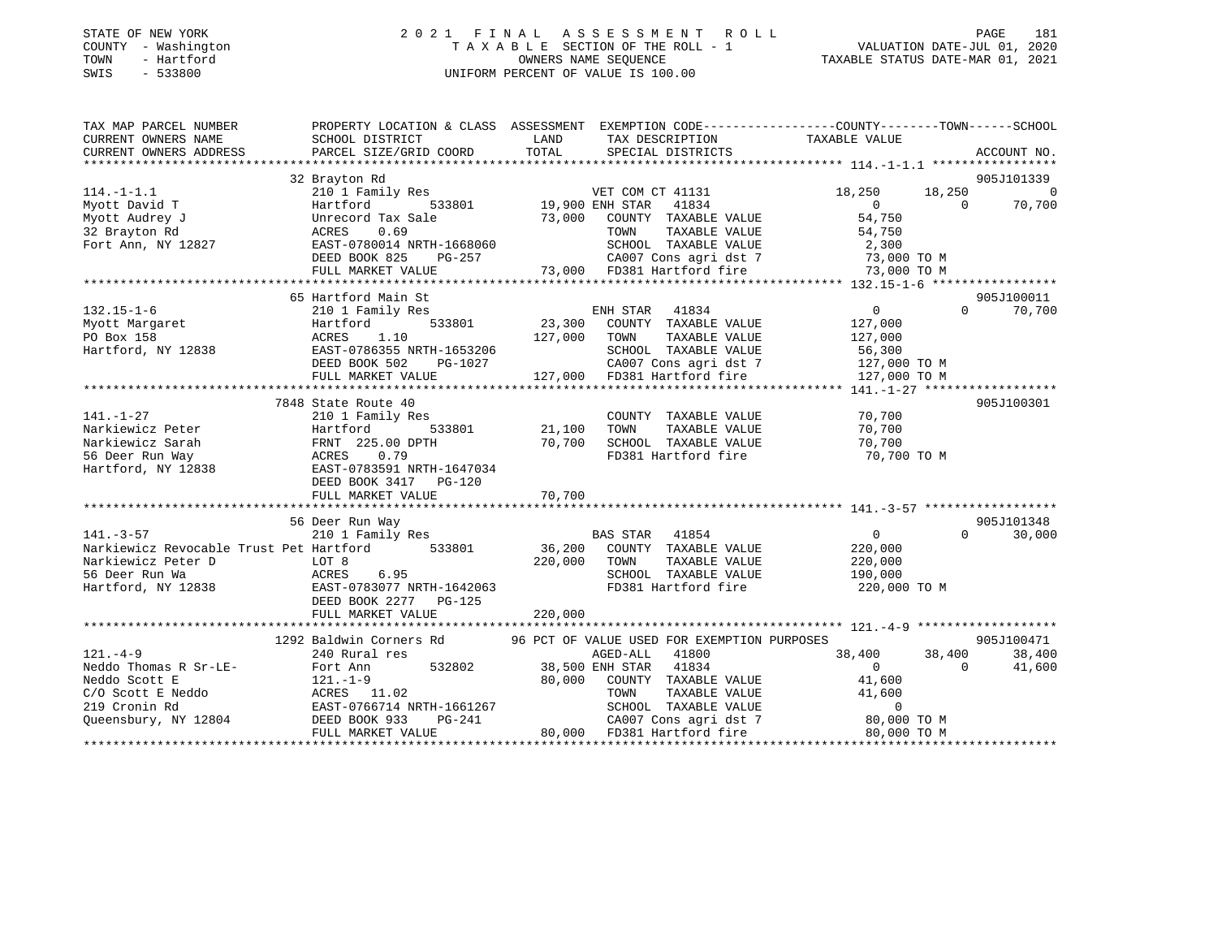### STATE OF NEW YORK 2 0 2 1 F I N A L A S S E S S M E N T R O L L PAGE 181 COUNTY - Washington T A X A B L E SECTION OF THE ROLL - 1 VALUATION DATE-JUL 01, 2020 TOWN - Hartford OWNERS NAME SEQUENCE TAXABLE STATUS DATE-MAR 01, 2021 SWIS - 533800 UNIFORM PERCENT OF VALUE IS 100.00

| TAX MAP PARCEL NUMBER  |                                                                                                                                                                                                                                                                                                                                                                                                                      |                                             | PROPERTY LOCATION & CLASS ASSESSMENT EXEMPTION CODE---------------COUNTY-------TOWN------SCHOOL                                                                                                                                                           |                    |
|------------------------|----------------------------------------------------------------------------------------------------------------------------------------------------------------------------------------------------------------------------------------------------------------------------------------------------------------------------------------------------------------------------------------------------------------------|---------------------------------------------|-----------------------------------------------------------------------------------------------------------------------------------------------------------------------------------------------------------------------------------------------------------|--------------------|
| CURRENT OWNERS NAME    | SCHOOL DISTRICT                                                                                                                                                                                                                                                                                                                                                                                                      | LAND<br>TAX DESCRIPTION                     | TAXABLE VALUE                                                                                                                                                                                                                                             |                    |
| CURRENT OWNERS ADDRESS | PARCEL SIZE/GRID COORD                                                                                                                                                                                                                                                                                                                                                                                               | TOTAL<br>SPECIAL DISTRICTS                  |                                                                                                                                                                                                                                                           | ACCOUNT NO.        |
|                        |                                                                                                                                                                                                                                                                                                                                                                                                                      |                                             |                                                                                                                                                                                                                                                           |                    |
|                        | 32 Brayton Rd                                                                                                                                                                                                                                                                                                                                                                                                        |                                             |                                                                                                                                                                                                                                                           | 905J101339         |
| $114. - 1 - 1.1$       | 210 1 Family Res                                                                                                                                                                                                                                                                                                                                                                                                     | VET COM CT 41131                            | 18,250                                                                                                                                                                                                                                                    | 18,250<br>$\sim$ 0 |
| Myott David T          | Hartford                                                                                                                                                                                                                                                                                                                                                                                                             | 533801 19,900 ENH STAR<br>41834             | $0 \qquad \qquad$                                                                                                                                                                                                                                         | 70,700<br>$\Omega$ |
| Myott Audrey J         | Unrecord Tax Sale                                                                                                                                                                                                                                                                                                                                                                                                    | 73,000 COUNTY TAXABLE VALUE                 | 54,750                                                                                                                                                                                                                                                    |                    |
| 32 Brayton Rd          | 0.69<br>ACRES                                                                                                                                                                                                                                                                                                                                                                                                        | TOWN                                        | TAXABLE VALUE<br>54,750                                                                                                                                                                                                                                   |                    |
| Fort Ann, NY 12827     | EAST-0780014 NRTH-1668060                                                                                                                                                                                                                                                                                                                                                                                            | SCHOOL TAXABLE VALUE                        |                                                                                                                                                                                                                                                           |                    |
|                        | DEED BOOK 825<br>PG-257                                                                                                                                                                                                                                                                                                                                                                                              |                                             | 2,300<br>73,000 TO M                                                                                                                                                                                                                                      |                    |
|                        | FULL MARKET VALUE                                                                                                                                                                                                                                                                                                                                                                                                    |                                             | 73,000 TO M                                                                                                                                                                                                                                               |                    |
|                        |                                                                                                                                                                                                                                                                                                                                                                                                                      |                                             |                                                                                                                                                                                                                                                           |                    |
|                        | 65 Hartford Main St                                                                                                                                                                                                                                                                                                                                                                                                  |                                             |                                                                                                                                                                                                                                                           | 905J100011         |
| $132.15 - 1 - 6$       | 210 1 Family Res                                                                                                                                                                                                                                                                                                                                                                                                     | ENH STAR 41834                              | $0 \qquad \qquad$                                                                                                                                                                                                                                         | $\Omega$<br>70,700 |
| Myott Margaret         | 533801<br>Hartford                                                                                                                                                                                                                                                                                                                                                                                                   | 23,300<br>COUNTY TAXABLE VALUE              | 127,000                                                                                                                                                                                                                                                   |                    |
| PO Box 158             | 1.10<br>ACRES                                                                                                                                                                                                                                                                                                                                                                                                        | 127,000<br>TOWN                             | TAXABLE VALUE<br>127,000                                                                                                                                                                                                                                  |                    |
|                        |                                                                                                                                                                                                                                                                                                                                                                                                                      |                                             |                                                                                                                                                                                                                                                           |                    |
|                        |                                                                                                                                                                                                                                                                                                                                                                                                                      |                                             |                                                                                                                                                                                                                                                           |                    |
|                        |                                                                                                                                                                                                                                                                                                                                                                                                                      |                                             |                                                                                                                                                                                                                                                           |                    |
|                        | ${\small \begin{tabular}{l} Hartford, NY 12838 \\ \texttt{Hartford, NY 12838} \\ \texttt{DEED B0OK 502} \\ \texttt{DEED B0OK 502} \\ \texttt{FULL MARKET VALUE} \\ \texttt{MARKET VALUE} \\ \texttt{127,000} \\ \texttt{FOLL MARKET VALUE} \\ \texttt{127,000} \\ \texttt{127,000} \\ \texttt{127,000} \\ \texttt{127,000} \\ \texttt{127,000} \\ \texttt{127,000} \\ \texttt{127,000} \\ \texttt{127,000} \\ \text$ |                                             |                                                                                                                                                                                                                                                           |                    |
|                        | 7848 State Route 40                                                                                                                                                                                                                                                                                                                                                                                                  |                                             |                                                                                                                                                                                                                                                           | 905J100301         |
| $141. - 1 - 27$        | 210 1 Family Res                                                                                                                                                                                                                                                                                                                                                                                                     | COUNTY TAXABLE VALUE                        | 70,700                                                                                                                                                                                                                                                    |                    |
| Narkiewicz Peter       | 533801<br>Hartford                                                                                                                                                                                                                                                                                                                                                                                                   | 21,100<br>TOWN                              | TAXABLE VALUE<br>70,700                                                                                                                                                                                                                                   |                    |
| Narkiewicz Sarah       | FRNT 225.00 DPTH                                                                                                                                                                                                                                                                                                                                                                                                     | 70,700<br>SCHOOL TAXABLE VALUE              | 70,700                                                                                                                                                                                                                                                    |                    |
| 56 Deer Run Way        | ACRES<br>0.79                                                                                                                                                                                                                                                                                                                                                                                                        | FD381 Hartford fire                         | 70,700 TO M                                                                                                                                                                                                                                               |                    |
| Hartford, NY 12838     | EAST-0783591 NRTH-1647034                                                                                                                                                                                                                                                                                                                                                                                            |                                             |                                                                                                                                                                                                                                                           |                    |
|                        | DEED BOOK 3417 PG-120                                                                                                                                                                                                                                                                                                                                                                                                |                                             |                                                                                                                                                                                                                                                           |                    |
|                        | FULL MARKET VALUE                                                                                                                                                                                                                                                                                                                                                                                                    | 70,700                                      |                                                                                                                                                                                                                                                           |                    |
|                        |                                                                                                                                                                                                                                                                                                                                                                                                                      |                                             |                                                                                                                                                                                                                                                           |                    |
|                        | 56 Deer Run Way                                                                                                                                                                                                                                                                                                                                                                                                      |                                             |                                                                                                                                                                                                                                                           | 905J101348         |
| $141. - 3 - 57$        | 210 1 Family Res                                                                                                                                                                                                                                                                                                                                                                                                     | BAS STAR 41854                              | $\overline{0}$                                                                                                                                                                                                                                            | $\Omega$<br>30,000 |
|                        | Narkiewicz Revocable Trust Pet Hartford 533801                                                                                                                                                                                                                                                                                                                                                                       | 36,200<br>COUNTY TAXABLE VALUE              | 220,000                                                                                                                                                                                                                                                   |                    |
| Narkiewicz Peter D     | LOT 8                                                                                                                                                                                                                                                                                                                                                                                                                | 220,000<br>TOWN                             | TAXABLE VALUE<br>220,000                                                                                                                                                                                                                                  |                    |
| 56 Deer Run Wa         | ACRES<br>6.95                                                                                                                                                                                                                                                                                                                                                                                                        | SCHOOL TAXABLE VALUE                        | 190,000                                                                                                                                                                                                                                                   |                    |
| Hartford, NY 12838     | EAST-0783077 NRTH-1642063                                                                                                                                                                                                                                                                                                                                                                                            | FD381 Hartford fire                         | 220,000 TO M                                                                                                                                                                                                                                              |                    |
|                        | DEED BOOK 2277 PG-125                                                                                                                                                                                                                                                                                                                                                                                                |                                             |                                                                                                                                                                                                                                                           |                    |
|                        |                                                                                                                                                                                                                                                                                                                                                                                                                      |                                             |                                                                                                                                                                                                                                                           |                    |
|                        |                                                                                                                                                                                                                                                                                                                                                                                                                      |                                             |                                                                                                                                                                                                                                                           |                    |
|                        | 1292 Baldwin Corners Rd                                                                                                                                                                                                                                                                                                                                                                                              | 96 PCT OF VALUE USED FOR EXEMPTION PURPOSES |                                                                                                                                                                                                                                                           | 905J100471         |
| $121. -4 - 9$          | 240 Rural res                                                                                                                                                                                                                                                                                                                                                                                                        | AGED-ALL 41800                              | 38,400                                                                                                                                                                                                                                                    | 38,400<br>38,400   |
| Neddo Thomas R Sr-LE-  | 532802<br>Fort Ann                                                                                                                                                                                                                                                                                                                                                                                                   | 38,500 ENH STAR 41834                       | $0 \qquad \qquad$                                                                                                                                                                                                                                         | $\Omega$<br>41,600 |
| Neddo Scott E          | $121. - 1 - 9$                                                                                                                                                                                                                                                                                                                                                                                                       | 80,000<br>COUNTY TAXABLE VALUE              | 41,600                                                                                                                                                                                                                                                    |                    |
| C/O Scott E Neddo      | ACRES 11.02                                                                                                                                                                                                                                                                                                                                                                                                          | TOWN                                        | TAXABLE VALUE<br>41,600                                                                                                                                                                                                                                   |                    |
| 219 Cronin Rd          | EAST-0766714 NRTH-1661267                                                                                                                                                                                                                                                                                                                                                                                            |                                             |                                                                                                                                                                                                                                                           |                    |
| Queensbury, NY 12804   | EAST-0766714 N<br>DEED BOOK 933                                                                                                                                                                                                                                                                                                                                                                                      | n-1661267<br>PG-241                         | $\begin{tabular}{lllllllllll} \multicolumn{4}{c}{\textbf{SCHODL}} & \textbf{TAXABLE} & \textbf{VALUE} & & 0 \\ \multicolumn{4}{c}{\textbf{CAOO7}} & \textbf{Cons} & \textbf{agri} & \textbf{dst} & 7 & & 80,000 & \textbf{TO} & \textbf{M} \end{tabular}$ |                    |
|                        | FULL MARKET VALUE                                                                                                                                                                                                                                                                                                                                                                                                    | 80,000 FD381 Hartford fire                  | 80,000 TO M                                                                                                                                                                                                                                               |                    |
|                        |                                                                                                                                                                                                                                                                                                                                                                                                                      |                                             |                                                                                                                                                                                                                                                           |                    |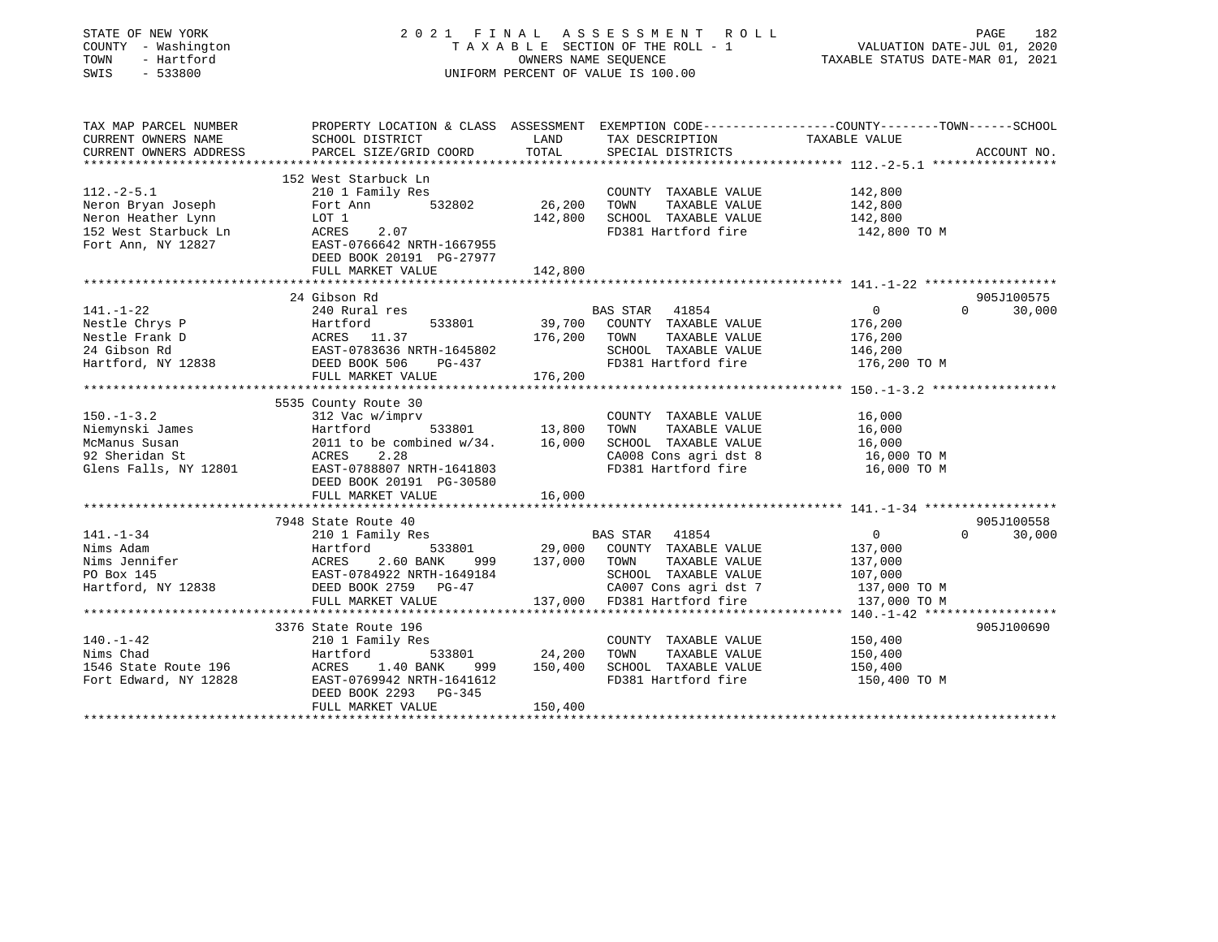| STATE OF NEW YORK<br>COUNTY - Washington<br>- Hartford<br>TOWN<br>SWIS<br>$-533800$ | 2021 FINAL ASSESSMENT ROLL<br>TAXABLE SECTION OF THE ROLL - 1<br>UNIFORM PERCENT OF VALUE IS 100.00 | 182<br>PAGE<br>VALUATION DATE-JUL 01, 2020<br>TAXABLE STATUS DATE-MAR 01, 2021 |                                                                     |                                                          |             |
|-------------------------------------------------------------------------------------|-----------------------------------------------------------------------------------------------------|--------------------------------------------------------------------------------|---------------------------------------------------------------------|----------------------------------------------------------|-------------|
| TAX MAP PARCEL NUMBER                                                               | PROPERTY LOCATION & CLASS ASSESSMENT EXEMPTION CODE-----------------COUNTY-------TOWN------SCHOOL   |                                                                                |                                                                     |                                                          |             |
| CURRENT OWNERS NAME                                                                 | SCHOOL DISTRICT                                                                                     | LAND                                                                           | TAX DESCRIPTION                                                     | TAXABLE VALUE                                            |             |
| CURRENT OWNERS ADDRESS<br>**********************                                    | PARCEL SIZE/GRID COORD<br>**************************                                                | TOTAL                                                                          | SPECIAL DISTRICTS                                                   |                                                          | ACCOUNT NO. |
|                                                                                     | 152 West Starbuck Ln                                                                                |                                                                                |                                                                     |                                                          |             |
| $112.-2-5.1$                                                                        | 210 1 Family Res                                                                                    |                                                                                | COUNTY TAXABLE VALUE                                                | 142,800                                                  |             |
| Neron Bryan Joseph                                                                  | 532802<br>Fort Ann                                                                                  | 26,200                                                                         | TAXABLE VALUE<br>TOWN                                               | 142,800                                                  |             |
| Neron Heather Lynn                                                                  | LOT 1                                                                                               | 142,800                                                                        | SCHOOL TAXABLE VALUE                                                | 142,800                                                  |             |
| 152 West Starbuck Ln                                                                | 2.07<br>ACRES                                                                                       |                                                                                | FD381 Hartford fire                                                 | 142,800 TO M                                             |             |
| Fort Ann, NY 12827                                                                  | EAST-0766642 NRTH-1667955                                                                           |                                                                                |                                                                     |                                                          |             |
|                                                                                     | DEED BOOK 20191 PG-27977                                                                            |                                                                                |                                                                     |                                                          |             |
|                                                                                     | FULL MARKET VALUE                                                                                   | 142,800                                                                        |                                                                     |                                                          |             |
|                                                                                     | 24 Gibson Rd                                                                                        |                                                                                |                                                                     |                                                          | 905J100575  |
| $141. - 1 - 22$                                                                     | 240 Rural res                                                                                       |                                                                                | BAS STAR<br>41854                                                   | $\overline{0}$<br>$\Omega$                               | 30,000      |
| Nestle Chrys P                                                                      | 533801<br>Hartford                                                                                  | 39,700                                                                         | COUNTY TAXABLE VALUE                                                | 176,200                                                  |             |
| Nestle Frank D                                                                      | ACRES<br>11.37                                                                                      | 176,200                                                                        | TAXABLE VALUE<br>TOWN                                               | 176,200                                                  |             |
| 24 Gibson Rd                                                                        | EAST-0783636 NRTH-1645802                                                                           |                                                                                | SCHOOL TAXABLE VALUE                                                | 146,200                                                  |             |
| Hartford, NY 12838                                                                  | DEED BOOK 506<br>PG-437                                                                             |                                                                                | FD381 Hartford fire                                                 | 176,200 TO M                                             |             |
|                                                                                     | FULL MARKET VALUE                                                                                   | 176,200                                                                        |                                                                     |                                                          |             |
|                                                                                     |                                                                                                     |                                                                                |                                                                     |                                                          |             |
|                                                                                     | 5535 County Route 30                                                                                |                                                                                |                                                                     |                                                          |             |
| $150. - 1 - 3.2$                                                                    | 312 Vac w/imprv                                                                                     |                                                                                | COUNTY TAXABLE VALUE                                                | 16,000                                                   |             |
| Niemynski James                                                                     | 533801<br>Hartford                                                                                  | 13,800                                                                         | TAXABLE VALUE<br>TOWN                                               | 16,000                                                   |             |
| McManus Susan<br>92 Sheridan St                                                     | 2011 to be combined $w/34$ .<br>2.28                                                                | 16,000                                                                         | SCHOOL TAXABLE VALUE                                                | 16,000                                                   |             |
| Glens Falls, NY 12801                                                               | ACRES<br>EAST-0788807 NRTH-1641803                                                                  |                                                                                | CA008 Cons agri dst 8<br>FD381 Hartford fire                        | 16,000 TO M<br>16,000 TO M                               |             |
|                                                                                     | DEED BOOK 20191 PG-30580                                                                            |                                                                                |                                                                     |                                                          |             |
|                                                                                     | FULL MARKET VALUE                                                                                   | 16,000                                                                         |                                                                     |                                                          |             |
|                                                                                     | ************************                                                                            |                                                                                |                                                                     |                                                          |             |
|                                                                                     | 7948 State Route 40                                                                                 |                                                                                |                                                                     |                                                          | 905J100558  |
| $141. - 1 - 34$                                                                     | 210 1 Family Res                                                                                    |                                                                                | BAS STAR<br>41854                                                   | $\overline{0}$<br>$\Omega$                               | 30,000      |
| Nims Adam                                                                           | Hartford<br>533801                                                                                  | 29,000                                                                         | COUNTY TAXABLE VALUE                                                | 137,000                                                  |             |
| Nims Jennifer                                                                       | ACRES<br>2.60 BANK<br>999                                                                           | 137,000                                                                        | TAXABLE VALUE<br>TOWN                                               | 137,000                                                  |             |
| PO Box 145                                                                          | EAST-0784922 NRTH-1649184                                                                           |                                                                                | SCHOOL TAXABLE VALUE                                                | 107,000                                                  |             |
| Hartford, NY 12838                                                                  | DEED BOOK 2759 PG-47                                                                                |                                                                                | CA007 Cons agri dst 7                                               | 137,000 TO M                                             |             |
|                                                                                     | FULL MARKET VALUE<br>*****************************                                                  |                                                                                | 137,000 FD381 Hartford fire<br>************************************ | 137,000 TO M<br>********** 140.-1-42 ******************* |             |
|                                                                                     | 3376 State Route 196                                                                                |                                                                                |                                                                     |                                                          | 905J100690  |
| $140. - 1 - 42$                                                                     | 210 1 Family Res                                                                                    |                                                                                | COUNTY TAXABLE VALUE                                                | 150,400                                                  |             |
| Nims Chad                                                                           | Hartford<br>533801                                                                                  | 24,200                                                                         | TAXABLE VALUE<br>TOWN                                               | 150,400                                                  |             |
| 1546 State Route 196                                                                | 1.40 BANK<br>ACRES<br>999                                                                           | 150,400                                                                        | SCHOOL TAXABLE VALUE                                                | 150,400                                                  |             |
| Fort Edward, NY 12828                                                               | EAST-0769942 NRTH-1641612                                                                           |                                                                                | FD381 Hartford fire                                                 | 150,400 TO M                                             |             |
|                                                                                     | DEED BOOK 2293<br>PG-345                                                                            |                                                                                |                                                                     |                                                          |             |
|                                                                                     | FULL MARKET VALUE                                                                                   | 150,400                                                                        |                                                                     |                                                          |             |
|                                                                                     |                                                                                                     |                                                                                |                                                                     |                                                          |             |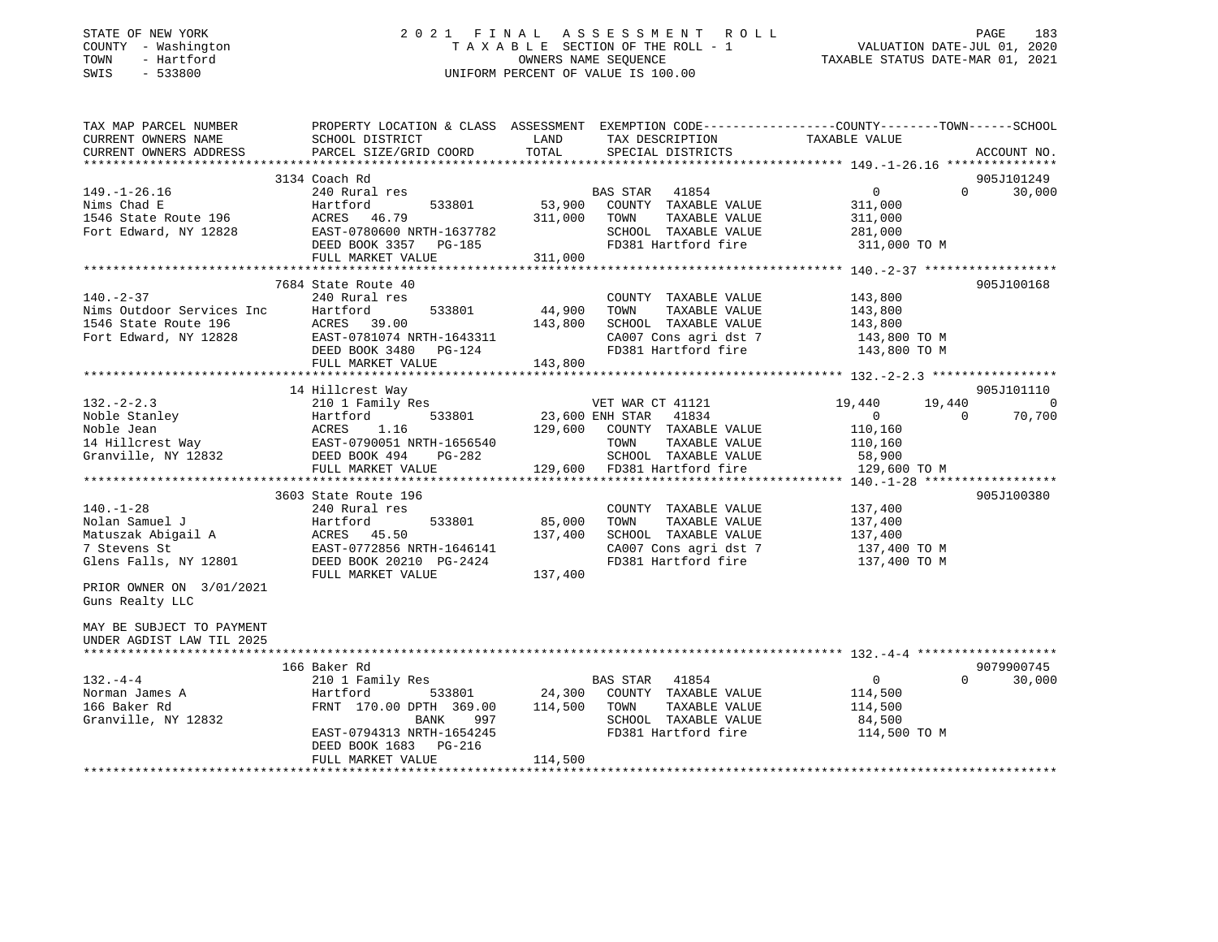| STATE OF NEW YORK           |              |
|-----------------------------|--------------|
| COUNTY                      | - Washington |
| TOWN                        | - Hartford   |
| CM <sub>T</sub> C<br>$\sim$ | 533800       |

# STATE OF NEW YORK CONTROLLER SERVICE OF A LIGHT A S S A LIGHT A S S E S S M E N T R O L LIGHT OF NEW YORK LIGH T A X A B L E SECTION OF THE ROLL - 1<br>OWNERS NAME SEQUENCE SWIS - 533800 UNIFORM PERCENT OF VALUE IS 100.00

VALUATION DATE-JUL 01, 2020

TAXABLE STATUS DATE-MAR 01, 2021

| TAX MAP PARCEL NUMBER     | PROPERTY LOCATION & CLASS ASSESSMENT EXEMPTION CODE---------------COUNTY-------TOWN-----SCHOOL |                 |                          |                |          |             |
|---------------------------|------------------------------------------------------------------------------------------------|-----------------|--------------------------|----------------|----------|-------------|
| CURRENT OWNERS NAME       | SCHOOL DISTRICT                                                                                | LAND            | TAX DESCRIPTION          | TAXABLE VALUE  |          |             |
| CURRENT OWNERS ADDRESS    | PARCEL SIZE/GRID COORD                                                                         | TOTAL           | SPECIAL DISTRICTS        |                |          | ACCOUNT NO. |
|                           | 3134 Coach Rd                                                                                  |                 |                          |                |          | 905J101249  |
| $149. - 1 - 26.16$        | 240 Rural res                                                                                  |                 | 41854<br><b>BAS STAR</b> | $\overline{0}$ | $\Omega$ | 30,000      |
| Nims Chad E               | Hartford<br>533801                                                                             | 53,900          | COUNTY TAXABLE VALUE     | 311,000        |          |             |
| 1546 State Route 196      | ACRES<br>46.79                                                                                 | 311,000         | TAXABLE VALUE<br>TOWN    | 311,000        |          |             |
| Fort Edward, NY 12828     | EAST-0780600 NRTH-1637782                                                                      |                 | SCHOOL TAXABLE VALUE     | 281,000        |          |             |
|                           | DEED BOOK 3357<br>$PG-185$                                                                     |                 | FD381 Hartford fire      | 311,000 TO M   |          |             |
|                           | FULL MARKET VALUE                                                                              | 311,000         |                          |                |          |             |
|                           |                                                                                                |                 |                          |                |          |             |
|                           | 7684 State Route 40                                                                            |                 |                          |                |          | 905J100168  |
| $140. - 2 - 37$           | 240 Rural res                                                                                  |                 | COUNTY TAXABLE VALUE     | 143,800        |          |             |
| Nims Outdoor Services Inc | 533801<br>Hartford                                                                             | 44,900          | TOWN<br>TAXABLE VALUE    | 143,800        |          |             |
| 1546 State Route 196      | ACRES<br>39.00                                                                                 | 143,800         | SCHOOL TAXABLE VALUE     | 143,800        |          |             |
| Fort Edward, NY 12828     | EAST-0781074 NRTH-1643311                                                                      |                 | CA007 Cons agri dst 7    | 143,800 TO M   |          |             |
|                           | DEED BOOK 3480<br>PG-124                                                                       |                 | FD381 Hartford fire      | 143,800 TO M   |          |             |
|                           | FULL MARKET VALUE                                                                              | 143,800         |                          |                |          |             |
|                           |                                                                                                |                 |                          |                |          |             |
|                           | 14 Hillcrest Way                                                                               |                 |                          |                |          | 905J101110  |
| $132 - 2 - 2.3$           | 210 1 Family Res                                                                               |                 | VET WAR CT 41121         | 19,440         | 19,440   | - 0         |
| Noble Stanley             | 533801<br>Hartford                                                                             | 23,600 ENH STAR | 41834                    | $\overline{0}$ | $\Omega$ | 70,700      |
| Noble Jean                | 1.16<br>ACRES                                                                                  | 129,600         | COUNTY TAXABLE VALUE     | 110,160        |          |             |
| 14 Hillcrest Way          | EAST-0790051 NRTH-1656540                                                                      |                 | TAXABLE VALUE<br>TOWN    | 110,160        |          |             |
| Granville, NY 12832       | DEED BOOK 494<br>$PG-282$                                                                      |                 | SCHOOL TAXABLE VALUE     | 58,900         |          |             |
|                           | FULL MARKET VALUE                                                                              | 129,600         | FD381 Hartford fire      | 129,600 TO M   |          |             |
|                           |                                                                                                |                 |                          |                |          |             |
|                           | 3603 State Route 196                                                                           |                 |                          |                |          | 905J100380  |
| $140. - 1 - 28$           | 240 Rural res                                                                                  |                 | COUNTY TAXABLE VALUE     | 137,400        |          |             |
| Nolan Samuel J            | 533801<br>Hartford                                                                             | 85,000          | TOWN<br>TAXABLE VALUE    | 137,400        |          |             |
| Matuszak Abigail A        | 45.50<br>ACRES                                                                                 | 137,400         | SCHOOL TAXABLE VALUE     | 137,400        |          |             |
| 7 Stevens St              | EAST-0772856 NRTH-1646141                                                                      |                 | CA007 Cons agri dst 7    | 137,400 TO M   |          |             |
| Glens Falls, NY 12801     | DEED BOOK 20210 PG-2424                                                                        |                 | FD381 Hartford fire      | 137,400 TO M   |          |             |
|                           | FULL MARKET VALUE                                                                              | 137,400         |                          |                |          |             |
| PRIOR OWNER ON 3/01/2021  |                                                                                                |                 |                          |                |          |             |
| Guns Realty LLC           |                                                                                                |                 |                          |                |          |             |
|                           |                                                                                                |                 |                          |                |          |             |
| MAY BE SUBJECT TO PAYMENT |                                                                                                |                 |                          |                |          |             |
| UNDER AGDIST LAW TIL 2025 |                                                                                                |                 |                          |                |          |             |
|                           | 166 Baker Rd                                                                                   |                 |                          |                |          | 9079900745  |
| $132 - 4 - 4$             | 210 1 Family Res                                                                               |                 | 41854<br>BAS STAR        | $\mathbf 0$    | $\Omega$ | 30,000      |
| Norman James A            | Hartford<br>533801                                                                             | 24,300          | COUNTY TAXABLE VALUE     | 114,500        |          |             |
| 166 Baker Rd              | FRNT 170.00 DPTH 369.00                                                                        | 114,500         | TOWN<br>TAXABLE VALUE    | 114,500        |          |             |
| Granville, NY 12832       | BANK<br>997                                                                                    |                 | SCHOOL TAXABLE VALUE     | 84,500         |          |             |
|                           | EAST-0794313 NRTH-1654245                                                                      |                 | FD381 Hartford fire      | 114,500 TO M   |          |             |
|                           | DEED BOOK 1683<br>PG-216                                                                       |                 |                          |                |          |             |
|                           | FULL MARKET VALUE                                                                              | 114,500         |                          |                |          |             |
|                           |                                                                                                |                 |                          |                |          |             |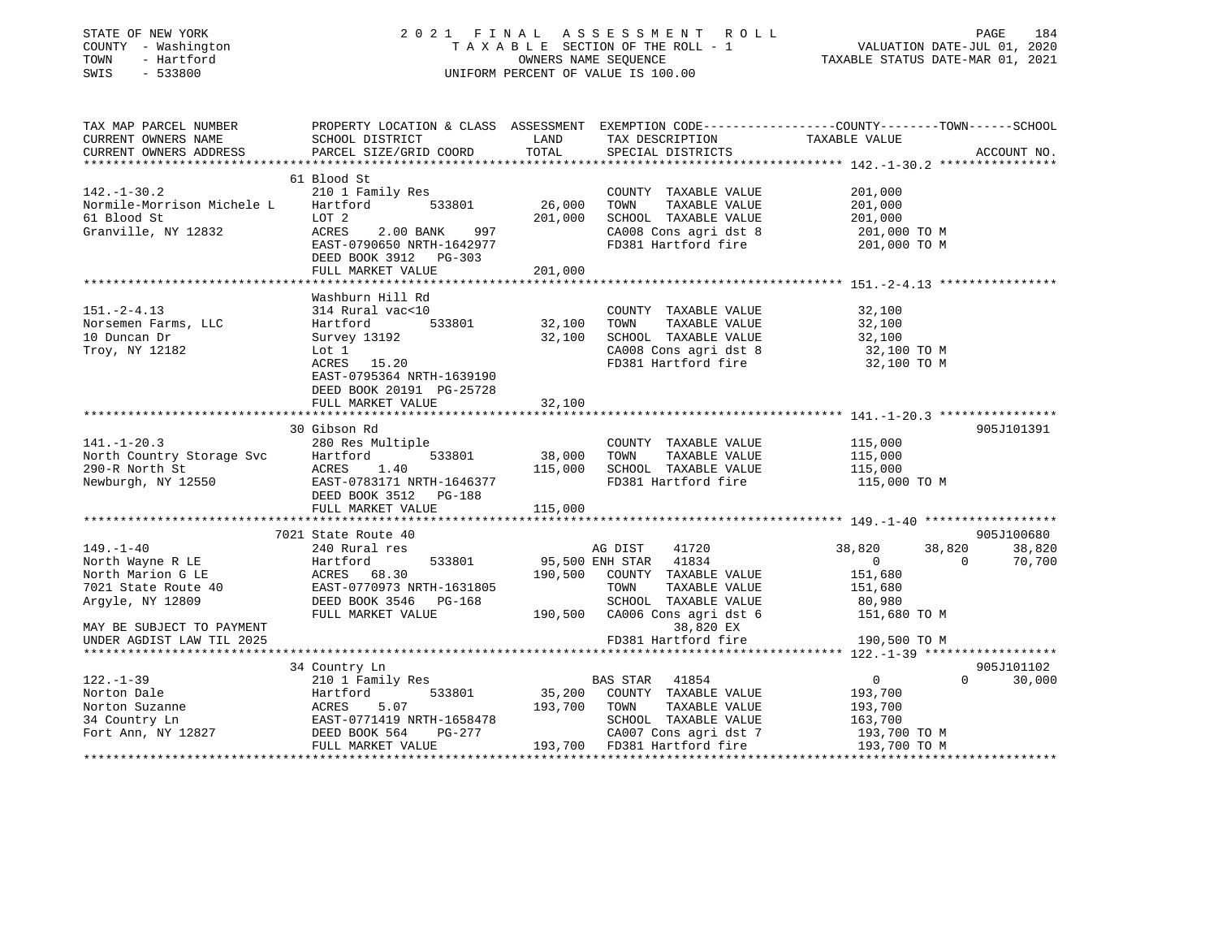| STATE OF NEW YORK<br>COUNTY - Washington<br>TOWN<br>- Hartford<br>SWIS<br>$-533800$ |                                                                                                 |         | 2021 FINAL ASSESSMENT ROLL<br>TAXABLE SECTION OF THE ROLL - 1<br>OWNERS NAME SEQUENCE<br>UNIFORM PERCENT OF VALUE IS 100.00 |                  | PAGE<br>184<br>VALUATION DATE-JUL 01, 2020<br>TAXABLE STATUS DATE-MAR 01, 2021 |
|-------------------------------------------------------------------------------------|-------------------------------------------------------------------------------------------------|---------|-----------------------------------------------------------------------------------------------------------------------------|------------------|--------------------------------------------------------------------------------|
| TAX MAP PARCEL NUMBER                                                               | PROPERTY LOCATION & CLASS ASSESSMENT EXEMPTION CODE----------------COUNTY-------TOWN-----SCHOOL |         |                                                                                                                             |                  |                                                                                |
| CURRENT OWNERS NAME                                                                 | SCHOOL DISTRICT                                                                                 | LAND    | TAX DESCRIPTION TAXABLE VALUE                                                                                               |                  |                                                                                |
| CURRENT OWNERS ADDRESS<br>**********************                                    | PARCEL SIZE/GRID COORD                                                                          | TOTAL   | SPECIAL DISTRICTS                                                                                                           |                  | ACCOUNT NO.                                                                    |
|                                                                                     | 61 Blood St                                                                                     |         |                                                                                                                             |                  |                                                                                |
| $142. - 1 - 30.2$                                                                   | 210 1 Family Res                                                                                |         | COUNTY TAXABLE VALUE                                                                                                        | 201,000          |                                                                                |
| Normile-Morrison Michele L                                                          | 533801<br>Hartford                                                                              | 26,000  | TOWN<br>TAXABLE VALUE                                                                                                       | 201,000          |                                                                                |
| 61 Blood St                                                                         | LOT 2                                                                                           | 201,000 | SCHOOL TAXABLE VALUE                                                                                                        | 201,000          |                                                                                |
| Granville, NY 12832                                                                 | ACRES<br>2.00 BANK<br>997                                                                       |         | CA008 Cons agri dst 8                                                                                                       | 201,000 ТО М     |                                                                                |
|                                                                                     | EAST-0790650 NRTH-1642977<br>DEED BOOK 3912 PG-303                                              |         | FD381 Hartford fire                                                                                                         | 201,000 TO M     |                                                                                |
|                                                                                     | FULL MARKET VALUE                                                                               | 201,000 |                                                                                                                             |                  |                                                                                |
|                                                                                     |                                                                                                 |         |                                                                                                                             |                  |                                                                                |
|                                                                                     | Washburn Hill Rd                                                                                |         |                                                                                                                             |                  |                                                                                |
| $151. - 2 - 4.13$                                                                   | 314 Rural vac<10<br>533801<br>Hartford                                                          | 32,100  | COUNTY TAXABLE VALUE                                                                                                        | 32,100           |                                                                                |
| Norsemen Farms, LLC<br>10 Duncan Dr                                                 | Survey 13192                                                                                    | 32,100  | TOWN<br>TAXABLE VALUE<br>SCHOOL TAXABLE VALUE                                                                               | 32,100<br>32,100 |                                                                                |
| Troy, NY 12182                                                                      | Lot 1                                                                                           |         | CA008 Cons agri dst 8                                                                                                       | 32,100 TO M      |                                                                                |
|                                                                                     | ACRES 15.20                                                                                     |         | FD381 Hartford fire                                                                                                         | 32,100 TO M      |                                                                                |
|                                                                                     | EAST-0795364 NRTH-1639190                                                                       |         |                                                                                                                             |                  |                                                                                |
|                                                                                     | DEED BOOK 20191 PG-25728                                                                        |         |                                                                                                                             |                  |                                                                                |
|                                                                                     | FULL MARKET VALUE                                                                               | 32,100  |                                                                                                                             |                  |                                                                                |
|                                                                                     | 30 Gibson Rd                                                                                    |         |                                                                                                                             |                  | 905J101391                                                                     |
| $141.-1-20.3$                                                                       | 280 Res Multiple                                                                                |         | COUNTY TAXABLE VALUE                                                                                                        | 115,000          |                                                                                |
| North Country Storage Svc<br>290-R North St                                         | 533801<br>Hartford                                                                              | 38,000  | TOWN<br>TAXABLE VALUE                                                                                                       | 115,000          |                                                                                |
| 290-R North St<br>Newburgh, NY 12550                                                | ACRES<br>1.40                                                                                   | 115,000 | SCHOOL TAXABLE VALUE                                                                                                        | 115,000          |                                                                                |
|                                                                                     | EAST-0783171 NRTH-1646377                                                                       |         | FD381 Hartford fire                                                                                                         | 115,000 TO M     |                                                                                |
|                                                                                     | DEED BOOK 3512 PG-188                                                                           |         |                                                                                                                             |                  |                                                                                |
|                                                                                     | FULL MARKET VALUE                                                                               | 115,000 |                                                                                                                             |                  |                                                                                |
|                                                                                     | 7021 State Route 40                                                                             |         |                                                                                                                             |                  | 905J100680                                                                     |
| $149. - 1 - 40$                                                                     | 240 Rural res                                                                                   |         | AG DIST<br>41720                                                                                                            | 38,820           | 38,820<br>38,820                                                               |
| North Wayne R LE                                                                    | 533801<br>Hartford                                                                              |         | 95,500 ENH STAR<br>41834                                                                                                    | $\overline{0}$   | 70,700<br>$\Omega$                                                             |
| North Marion G LE                                                                   | ACRES 68.30                                                                                     |         | 190,500 COUNTY TAXABLE VALUE                                                                                                | 151,680          |                                                                                |
| 7021 State Route 40                                                                 | EAST-0770973 NRTH-1631805                                                                       |         | TOWN<br>TAXABLE VALUE                                                                                                       | 151,680          |                                                                                |
| Argyle, NY 12809                                                                    | DEED BOOK 3546 PG-168                                                                           |         | SCHOOL TAXABLE VALUE                                                                                                        | 80,980           |                                                                                |
|                                                                                     | FULL MARKET VALUE                                                                               |         | 190,500 CA006 Cons agri dst 6                                                                                               | 151,680 TO M     |                                                                                |
| MAY BE SUBJECT TO PAYMENT                                                           |                                                                                                 |         | 38,820 EX                                                                                                                   |                  |                                                                                |
| UNDER AGDIST LAW TIL 2025                                                           |                                                                                                 |         | FD381 Hartford fire                                                                                                         | 190,500 TO M     |                                                                                |
|                                                                                     | 34 Country Ln                                                                                   |         |                                                                                                                             |                  | 905J101102                                                                     |
| $122. - 1 - 39$                                                                     | 210 1 Family Res                                                                                |         | BAS STAR 41854                                                                                                              | $\overline{0}$   | 30,000<br>$\Omega$                                                             |
| Norton Dale                                                                         | 533801<br>Hartford                                                                              |         | 35,200 COUNTY TAXABLE VALUE                                                                                                 | 193,700          |                                                                                |
| Norton Suzanne                                                                      | ACRES<br>5.07                                                                                   | 193,700 | TOWN<br>TAXABLE VALUE                                                                                                       | 193,700          |                                                                                |
| 34 Country Ln                                                                       | EAST-0771419 NRTH-1658478                                                                       |         | SCHOOL TAXABLE VALUE                                                                                                        | 163,700          |                                                                                |
| Fort Ann, NY 12827                                                                  | DEED BOOK 564<br>PG-277                                                                         |         | CA007 Cons agri dst 7 193,700 TO M<br>193,700 FD381 Hartford fire 193,700 TO M                                              |                  |                                                                                |
|                                                                                     | FULL MARKET VALUE                                                                               |         |                                                                                                                             |                  |                                                                                |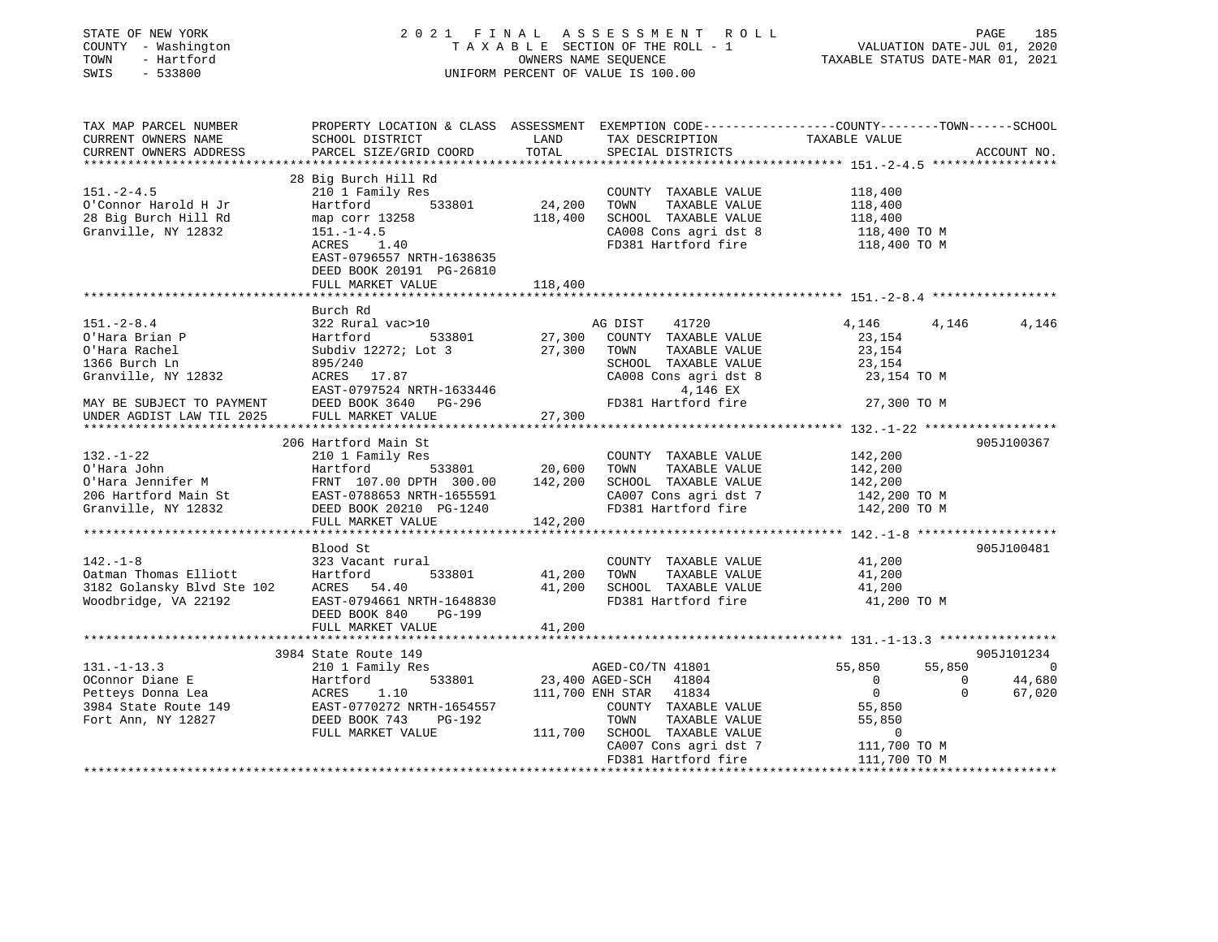| STATE OF NEW YORK<br>COUNTY - Washington<br>TOWN<br>- Hartford<br>SWIS<br>$-533800$ |                                                                                                                                              |                     | 2021 FINAL ASSESSMENT ROLL<br>TAXABLE SECTION OF THE ROLL - 1<br>OWNERS NAME SEQUENCE<br>UNIFORM PERCENT OF VALUE IS 100.00 | VALUATION DATE-JUL 01, 2020<br>TAXABLE STATUS DATE-MAR 01, 2021 | PAGE<br>185 |
|-------------------------------------------------------------------------------------|----------------------------------------------------------------------------------------------------------------------------------------------|---------------------|-----------------------------------------------------------------------------------------------------------------------------|-----------------------------------------------------------------|-------------|
| TAX MAP PARCEL NUMBER<br>CURRENT OWNERS NAME<br>CURRENT OWNERS ADDRESS              | PROPERTY LOCATION & CLASS ASSESSMENT EXEMPTION CODE----------------COUNTY-------TOWN-----SCHOOL<br>SCHOOL DISTRICT<br>PARCEL SIZE/GRID COORD | LAND<br>TOTAL       | TAX DESCRIPTION<br>SPECIAL DISTRICTS                                                                                        | TAXABLE VALUE                                                   | ACCOUNT NO. |
|                                                                                     |                                                                                                                                              |                     |                                                                                                                             |                                                                 |             |
|                                                                                     | 28 Big Burch Hill Rd                                                                                                                         |                     |                                                                                                                             |                                                                 |             |
| $151 - 2 - 4.5$                                                                     | 210 1 Family Res                                                                                                                             |                     | COUNTY TAXABLE VALUE                                                                                                        | 118,400                                                         |             |
| O'Connor Harold H Jr                                                                | Hartford<br>533801                                                                                                                           | 24,200              | TOWN<br>TAXABLE VALUE                                                                                                       | 118,400                                                         |             |
| 28 Big Burch Hill Rd                                                                | map corr 13258                                                                                                                               | 118,400             | SCHOOL TAXABLE VALUE                                                                                                        | 118,400                                                         |             |
| Granville, NY 12832                                                                 | $151. - 1 - 4.5$                                                                                                                             |                     | CA008 Cons agri dst 8                                                                                                       | 118,400 TO M                                                    |             |
|                                                                                     | ACRES 1.40                                                                                                                                   |                     | FD381 Hartford fire                                                                                                         | 118,400 TO M                                                    |             |
|                                                                                     | EAST-0796557 NRTH-1638635<br>DEED BOOK 20191 PG-26810                                                                                        |                     |                                                                                                                             |                                                                 |             |
|                                                                                     | FULL MARKET VALUE                                                                                                                            | 118,400             |                                                                                                                             |                                                                 |             |
|                                                                                     |                                                                                                                                              |                     |                                                                                                                             |                                                                 |             |
|                                                                                     | Burch Rd                                                                                                                                     |                     |                                                                                                                             |                                                                 |             |
| $151 - 2 - 8.4$                                                                     | 322 Rural vac>10                                                                                                                             |                     | AG DIST<br>41720                                                                                                            | 4,146<br>4,146                                                  | 4,146       |
| O'Hara Brian P                                                                      | 533801<br>Hartford                                                                                                                           | 27,300              | COUNTY TAXABLE VALUE                                                                                                        | 23,154                                                          |             |
| O'Hara Rachel                                                                       | Subdiv 12272; Lot 3                                                                                                                          | 27,300              | TOWN<br>TAXABLE VALUE                                                                                                       | 23,154                                                          |             |
| 1366 Burch Ln                                                                       | 895/240                                                                                                                                      |                     | SCHOOL TAXABLE VALUE                                                                                                        | 23,154                                                          |             |
| Granville, NY 12832                                                                 | ACRES 17.87                                                                                                                                  |                     | CA008 Cons agri dst 8                                                                                                       | 23,154 TO M                                                     |             |
|                                                                                     | EAST-0797524 NRTH-1633446                                                                                                                    |                     | 4,146 EX                                                                                                                    |                                                                 |             |
| MAY BE SUBJECT TO PAYMENT                                                           | DEED BOOK 3640 PG-296                                                                                                                        |                     | FD381 Hartford fire                                                                                                         | 27,300 TO M                                                     |             |
| UNDER AGDIST LAW TIL 2025                                                           | FULL MARKET VALUE                                                                                                                            | 27,300              |                                                                                                                             |                                                                 |             |
|                                                                                     |                                                                                                                                              | * * * * * * * * * * |                                                                                                                             |                                                                 |             |
|                                                                                     | 206 Hartford Main St                                                                                                                         |                     |                                                                                                                             |                                                                 | 905J100367  |
| $132. - 1 - 22$                                                                     | 210 1 Family Res                                                                                                                             |                     | COUNTY TAXABLE VALUE                                                                                                        | 142,200                                                         |             |
| O'Hara John                                                                         | 533801<br>Hartford                                                                                                                           | 20,600              | TOWN<br>TAXABLE VALUE                                                                                                       | 142,200                                                         |             |
| O'Hara Jennifer M                                                                   | FRNT 107.00 DPTH 300.00                                                                                                                      | 142,200             | SCHOOL TAXABLE VALUE                                                                                                        | 142,200                                                         |             |
| 206 Hartford Main St                                                                | EAST-0788653 NRTH-1655591                                                                                                                    |                     | CA007 Cons agri dst 7                                                                                                       | 142,200 TO M                                                    |             |
| Granville, NY 12832                                                                 | DEED BOOK 20210 PG-1240<br>FULL MARKET VALUE                                                                                                 | 142,200             | FD381 Hartford fire                                                                                                         | 142,200 TO M                                                    |             |
|                                                                                     |                                                                                                                                              |                     |                                                                                                                             |                                                                 |             |
|                                                                                     | Blood St                                                                                                                                     |                     |                                                                                                                             |                                                                 | 905J100481  |
| $142. - 1 - 8$                                                                      | 323 Vacant rural                                                                                                                             |                     | COUNTY TAXABLE VALUE                                                                                                        | 41,200                                                          |             |
| Oatman Thomas Elliott                                                               | Hartford<br>533801                                                                                                                           | 41,200              | TOWN<br>TAXABLE VALUE                                                                                                       | 41,200                                                          |             |
| 3182 Golansky Blvd Ste 102                                                          | ACRES 54.40                                                                                                                                  | 41,200              | SCHOOL TAXABLE VALUE                                                                                                        | 41,200                                                          |             |
| Woodbridge, VA 22192                                                                | EAST-0794661 NRTH-1648830                                                                                                                    |                     | FD381 Hartford fire                                                                                                         | 41,200 TO M                                                     |             |
|                                                                                     | DEED BOOK 840<br>PG-199                                                                                                                      |                     |                                                                                                                             |                                                                 |             |
|                                                                                     | FULL MARKET VALUE                                                                                                                            | 41,200              |                                                                                                                             |                                                                 |             |
|                                                                                     |                                                                                                                                              |                     |                                                                                                                             |                                                                 |             |
|                                                                                     | 3984 State Route 149                                                                                                                         |                     |                                                                                                                             |                                                                 | 905J101234  |
| $131. - 1 - 13.3$                                                                   | 210 1 Family Res                                                                                                                             |                     | AGED-CO/TN 41801                                                                                                            | 55,850<br>55,850                                                | $\Omega$    |
| OConnor Diane E                                                                     | 533801<br>Hartford<br>Hartfo<br>ACRES                                                                                                        |                     | 23,400 AGED-SCH<br>41804                                                                                                    | $\overline{0}$<br>$\mathbf{0}$                                  | 44,680      |
| Petteys Donna Lea                                                                   | 1.10                                                                                                                                         |                     | 111,700 ENH STAR<br>41834                                                                                                   | $\mathbf{0}$<br>$\mathbf{0}$                                    | 67,020      |
| 3984 State Route 149                                                                | EAST-0770272 NRTH-1654557                                                                                                                    |                     | COUNTY TAXABLE VALUE                                                                                                        | 55,850                                                          |             |
| Fort Ann, NY 12827                                                                  | DEED BOOK 743<br>PG-192                                                                                                                      |                     | TOWN<br>TAXABLE VALUE                                                                                                       | 55,850                                                          |             |
|                                                                                     | FULL MARKET VALUE                                                                                                                            |                     | 111,700 SCHOOL TAXABLE VALUE                                                                                                | $\mathbf 0$                                                     |             |
|                                                                                     |                                                                                                                                              |                     | CA007 Cons agri dst 7                                                                                                       | 111,700 TO M                                                    |             |
|                                                                                     |                                                                                                                                              |                     | FD381 Hartford fire                                                                                                         | 111,700 TO M                                                    |             |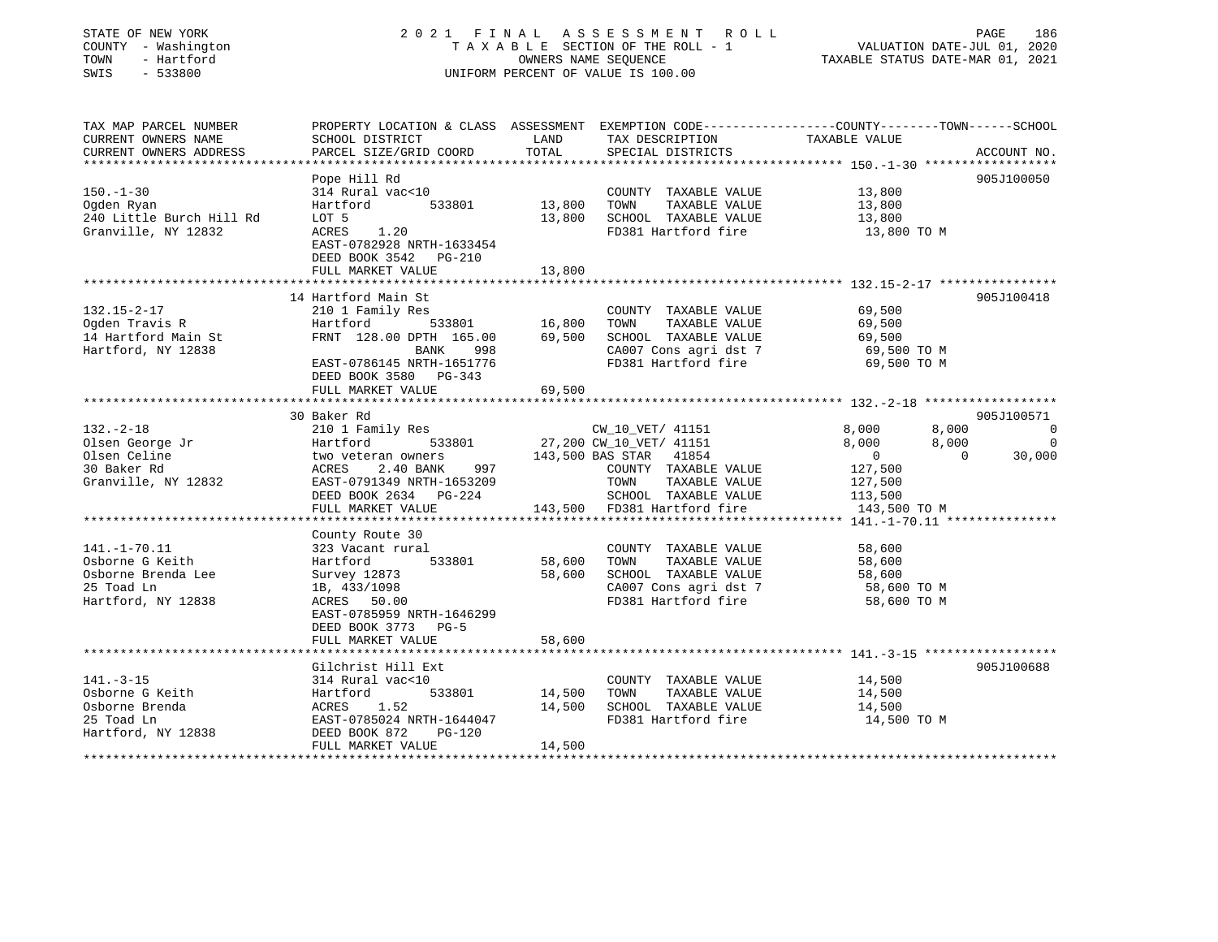### STATE OF NEW YORK 2 0 2 1 F I N A L A S S E S S M E N T R O L L PAGE 186 COUNTY - Washington T A X A B L E SECTION OF THE ROLL - 1 VALUATION DATE-JUL 01, 2020 TOWN - Hartford OWNERS NAME SEQUENCE TAXABLE STATUS DATE-MAR 01, 2021 SWIS - 533800 UNIFORM PERCENT OF VALUE IS 100.00

| TAX MAP PARCEL NUMBER<br>CURRENT OWNERS NAME<br>CURRENT OWNERS ADDRESS                          | SCHOOL DISTRICT<br>PARCEL SIZE/GRID COORD                                                                                                                                           | LAND<br>TOTAL              | TAX DESCRIPTION<br>SPECIAL DISTRICTS                                                                                                                                          | PROPERTY LOCATION & CLASS ASSESSMENT EXEMPTION CODE---------------COUNTY-------TOWN------SCHOOL<br>TAXABLE VALUE<br>ACCOUNT NO.                                             |
|-------------------------------------------------------------------------------------------------|-------------------------------------------------------------------------------------------------------------------------------------------------------------------------------------|----------------------------|-------------------------------------------------------------------------------------------------------------------------------------------------------------------------------|-----------------------------------------------------------------------------------------------------------------------------------------------------------------------------|
| $150. - 1 - 30$<br>Oqden Ryan<br>240 Little Burch Hill Rd<br>Granville, NY 12832                | Pope Hill Rd<br>314 Rural vac<10<br>533801<br>Hartford<br>LOT 5<br>1.20<br>ACRES<br>EAST-0782928 NRTH-1633454<br>DEED BOOK 3542<br>PG-210<br>FULL MARKET VALUE                      | 13,800<br>13,800<br>13,800 | COUNTY TAXABLE VALUE<br>TAXABLE VALUE<br>TOWN<br>SCHOOL TAXABLE VALUE<br>FD381 Hartford fire                                                                                  | 905J100050<br>13,800<br>13,800<br>13,800<br>13,800 TO M                                                                                                                     |
| $132.15 - 2 - 17$<br>Ogden Travis R<br>14 Hartford Main St<br>Hartford, NY 12838                | 14 Hartford Main St<br>210 1 Family Res<br>Hartford<br>533801<br>FRNT 128.00 DPTH 165.00<br>BANK<br>998<br>EAST-0786145 NRTH-1651776<br>DEED BOOK 3580 PG-343<br>FULL MARKET VALUE  | 16,800<br>69,500<br>69,500 | COUNTY TAXABLE VALUE<br>TOWN<br>TAXABLE VALUE<br>SCHOOL TAXABLE VALUE<br>CA007 Cons agri dst 7<br>FD381 Hartford fire                                                         | 905J100418<br>69,500<br>69,500<br>69,500<br>69,500 TO M<br>69,500 TO M                                                                                                      |
| $132. - 2 - 18$<br>Olsen George Jr<br>Olsen Celine<br>30 Baker Rd<br>Granville, NY 12832        | 30 Baker Rd<br>210 1 Family Res<br>533801<br>Hartford<br>two veteran owners<br>2.40 BANK<br>ACRES<br>997<br>EAST-0791349 NRTH-1653209<br>DEED BOOK 2634 PG-224<br>FULL MARKET VALUE |                            | CW_10_VET/ 41151<br>27,200 CW_10_VET/ 41151<br>143,500 BAS STAR 41854<br>COUNTY TAXABLE VALUE<br>TOWN<br>TAXABLE VALUE<br>SCHOOL TAXABLE VALUE<br>143,500 FD381 Hartford fire | 905J100571<br>8,000<br>8,000<br>$\overline{0}$<br>$\overline{0}$<br>8,000<br>8,000<br>$\overline{0}$<br>$\Omega$<br>30,000<br>127,500<br>127,500<br>113,500<br>143,500 TO M |
| $141. - 1 - 70.11$<br>Osborne G Keith<br>Osborne Brenda Lee<br>25 Toad Ln<br>Hartford, NY 12838 | County Route 30<br>323 Vacant rural<br>533801<br>Hartford<br>Survey 12873<br>1B, 433/1098<br>ACRES 50.00<br>EAST-0785959 NRTH-1646299<br>DEED BOOK 3773 PG-5<br>FULL MARKET VALUE   | 58,600<br>58,600<br>58,600 | COUNTY TAXABLE VALUE<br>TOWN<br>TAXABLE VALUE<br>SCHOOL TAXABLE VALUE<br>CA007 Cons agri dst 7<br>FD381 Hartford fire                                                         | 58,600<br>58,600<br>58,600<br>58,600 TO M<br>58,600 TO M                                                                                                                    |
| $141. - 3 - 15$<br>Osborne G Keith<br>Osborne Brenda<br>25 Toad Ln<br>Hartford, NY 12838        | Gilchrist Hill Ext<br>314 Rural vac<10<br>533801<br>Hartford<br>ACRES<br>1.52<br>EAST-0785024 NRTH-1644047<br>DEED BOOK 872<br>$PG-120$<br>FULL MARKET VALUE                        | 14,500<br>14,500<br>14,500 | COUNTY TAXABLE VALUE<br>TOWN<br>TAXABLE VALUE<br>SCHOOL TAXABLE VALUE<br>FD381 Hartford fire                                                                                  | 905J100688<br>14,500<br>14,500<br>14,500<br>14,500 TO M                                                                                                                     |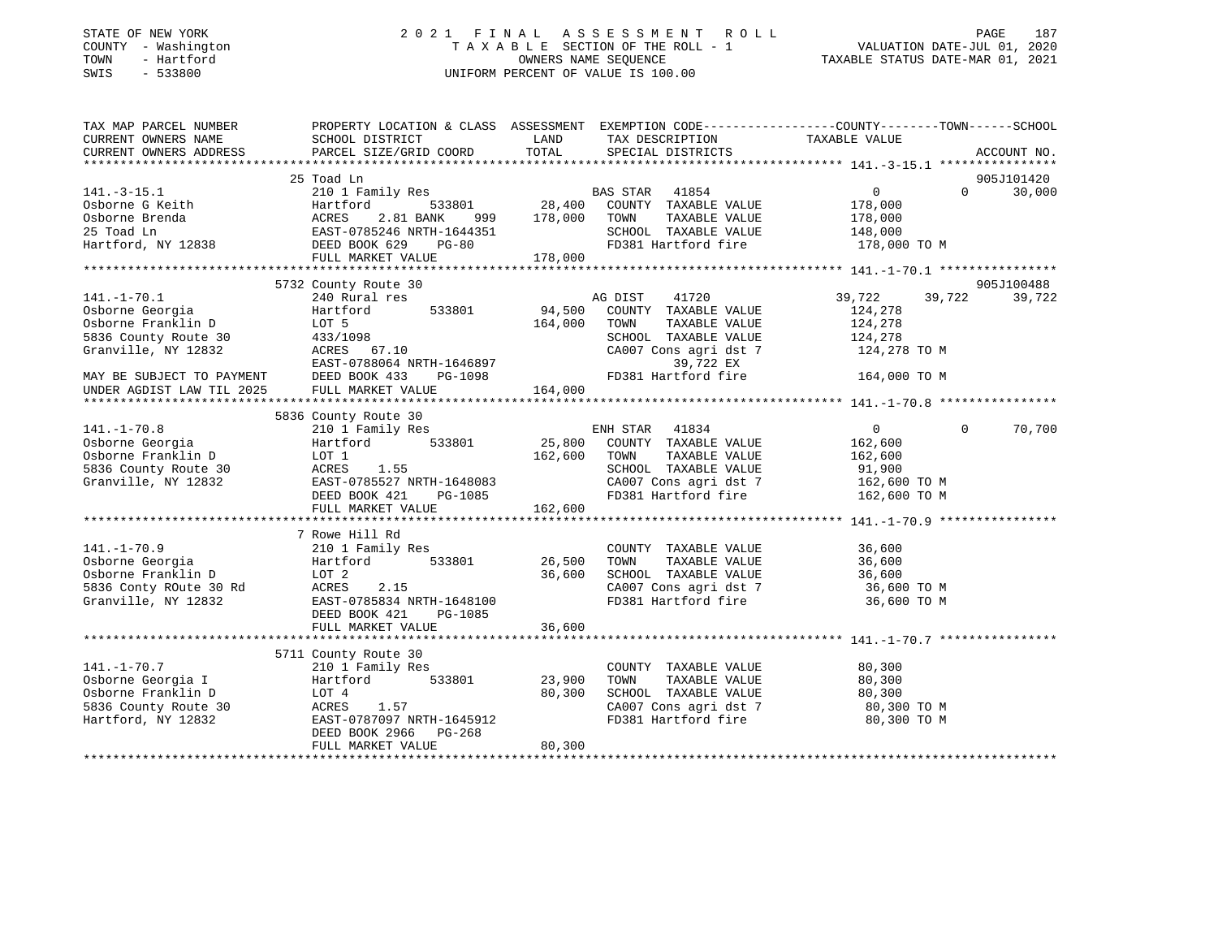#### STATE OF NEW YORK 2 0 2 1 F I N A L A S S E S S M E N T R O L L PAGE 187COUNTY - Washington  $T A X A B L E$  SECTION OF THE ROLL - 1<br>TOWN - Hartford  $\bullet$  2000 - 2021 - 2021 - 2020 - 2020 - 2020 - 2020 - 2020 - 2020 - 2020 - 2020 - 2020 - 2020 TOWN - Hartford **Taxable State of the CONNERS OWNERS NAME SEQUENCE** TAXABLE STATUS DATE-MAR 01, 2021 SWIS - 533800 UNIFORM PERCENT OF VALUE IS 100.00

VALUATION DATE-JUL 01, 2020

| TAX MAP PARCEL NUMBER                   | PROPERTY LOCATION & CLASS ASSESSMENT EXEMPTION CODE----------------COUNTY-------TOWN------SCHOOL                                                                        |                    |                                        |                           |          |             |
|-----------------------------------------|-------------------------------------------------------------------------------------------------------------------------------------------------------------------------|--------------------|----------------------------------------|---------------------------|----------|-------------|
| CURRENT OWNERS NAME                     | SCHOOL DISTRICT                                                                                                                                                         | LAND               | TAX DESCRIPTION TAXABLE VALUE          |                           |          |             |
| CURRENT OWNERS ADDRESS                  | PARCEL SIZE/GRID COORD                                                                                                                                                  | TOTAL              | SPECIAL DISTRICTS                      |                           |          | ACCOUNT NO. |
|                                         |                                                                                                                                                                         |                    |                                        |                           |          |             |
|                                         | 25 Toad Ln                                                                                                                                                              |                    |                                        |                           |          | 905J101420  |
| 141.-3-15.1                             | 210 1 Family Res                                                                                                                                                        | s<br>533801 28,400 | BAS STAR 41854                         | $\overline{0}$            | $\Omega$ | 30,000      |
|                                         |                                                                                                                                                                         |                    | COUNTY TAXABLE VALUE                   | 178,000                   |          |             |
|                                         | 999                                                                                                                                                                     | 178,000            | TOWN<br>TAXABLE VALUE                  | 178,000                   |          |             |
|                                         |                                                                                                                                                                         |                    | SCHOOL TAXABLE VALUE                   | 148,000                   |          |             |
|                                         | CONSIDER THE MANUSCRIP OF THE MANUSCRIP OF THE SAME STORE STORE TO A PART OF THE MANUSCRIP OF THE MANUSCRIP OF<br>25 Toad Ln<br>Hartford, NY 12838 TOBED BOOK 629 PG-80 |                    | FD381 Hartford fire 178,000 TO M       |                           |          |             |
|                                         | FULL MARKET VALUE                                                                                                                                                       | 178,000            |                                        |                           |          |             |
|                                         |                                                                                                                                                                         |                    |                                        |                           |          |             |
|                                         | 5732 County Route 30                                                                                                                                                    |                    |                                        |                           |          | 905J100488  |
| 141.–1–70.1                             | 240 Rural res                                                                                                                                                           |                    | 41720<br>AG DIST                       | 39,722                    | 39,722   | 39,722      |
|                                         | 533801<br>Hartford                                                                                                                                                      | 94,500             | COUNTY TAXABLE VALUE                   | 124,278                   |          |             |
|                                         |                                                                                                                                                                         | 164,000            | TOWN<br>TAXABLE VALUE                  | 124,278                   |          |             |
| 5836 County Route 30                    |                                                                                                                                                                         |                    | SCHOOL TAXABLE VALUE                   | 124,278                   |          |             |
| Granville, NY 12832                     | 433/1098<br>ACRES 67.10                                                                                                                                                 |                    | CA007 Cons agri dst 7                  | 124,278 TO M              |          |             |
|                                         |                                                                                                                                                                         |                    | 39,722 EX                              |                           |          |             |
| MAY BE SUBJECT TO PAYMENT DEED BOOK 433 | EAST-0788064 NRTH-1646897<br>DEED BOOK 433 PG-1098                                                                                                                      |                    | FD381 Hartford fire                    | 164,000 TO M              |          |             |
| UNDER AGDIST LAW TIL 2025               | FULL MARKET VALUE                                                                                                                                                       | 164,000            |                                        |                           |          |             |
|                                         |                                                                                                                                                                         |                    |                                        |                           |          |             |
|                                         | 5836 County Route 30                                                                                                                                                    |                    |                                        |                           |          |             |
|                                         | County Route 50<br>210 1 Family Res                                                                                                                                     |                    |                                        |                           | $\Omega$ |             |
| 141.-1-70.8<br>Osborne Georgia          | 533801<br>Hartford                                                                                                                                                      | 25,800             | ENH STAR 41834<br>COUNTY TAXABLE VALUE | $\overline{0}$<br>162,600 |          | 70,700      |
|                                         |                                                                                                                                                                         |                    |                                        |                           |          |             |
| Osborne Franklin D                      | LOT 1                                                                                                                                                                   | 162,600            | TOWN<br>TAXABLE VALUE                  | 162,600                   |          |             |
|                                         |                                                                                                                                                                         |                    | SCHOOL TAXABLE VALUE                   | 91,900                    |          |             |
|                                         |                                                                                                                                                                         | PG-1085            | CA007 Cons agri dst 7                  | 162,600 TO M              |          |             |
|                                         |                                                                                                                                                                         |                    | FD381 Hartford fire                    | 162,600 TO M              |          |             |
|                                         | FULL MARKET VALUE                                                                                                                                                       | 162,600            |                                        |                           |          |             |
|                                         |                                                                                                                                                                         |                    |                                        |                           |          |             |
|                                         | 7 Rowe Hill Rd                                                                                                                                                          |                    |                                        |                           |          |             |
| 141.-1-70.9                             | 210 1 Family Res                                                                                                                                                        |                    | COUNTY TAXABLE VALUE                   | 36,600                    |          |             |
| Osborne Georgia                         | 533801<br>Hartford                                                                                                                                                      | 26,500             | TOWN TAXABLE VALUE                     | 36,600                    |          |             |
| Osborne Franklin D                      | LOT 2                                                                                                                                                                   | 36,600             | SCHOOL TAXABLE VALUE                   | 36,600                    |          |             |
| 5836 Conty ROute 30 Rd                  | ACRES 2.15                                                                                                                                                              |                    | CA007 Cons agri dst 7                  | 36,600 TO M               |          |             |
| Granville, NY 12832                     | EAST-0785834 NRTH-1648100                                                                                                                                               |                    | FD381 Hartford fire                    | 36,600 TO M               |          |             |
|                                         | DEED BOOK 421<br>PG-1085                                                                                                                                                |                    |                                        |                           |          |             |
|                                         | FULL MARKET VALUE                                                                                                                                                       | 36,600             |                                        |                           |          |             |
|                                         |                                                                                                                                                                         |                    |                                        |                           |          |             |
|                                         | 5711 County Route 30                                                                                                                                                    |                    |                                        |                           |          |             |
| 141.-1-70.7                             | 210 1 Family Res                                                                                                                                                        |                    | COUNTY TAXABLE VALUE                   | 80,300                    |          |             |
| Osborne Georgia I                       | Hartford 533801                                                                                                                                                         | 23,900             | TOWN<br>TAXABLE VALUE                  | 80,300                    |          |             |
| Osborne Franklin D                      | LOT 4<br>ACRES 1.57                                                                                                                                                     | 80,300             | SCHOOL TAXABLE VALUE                   | 80,300                    |          |             |
| 5836 County Route 30                    |                                                                                                                                                                         |                    | CA007 Cons agri dst 7                  | 80,300 TO M               |          |             |
| Hartford, NY 12832                      | EAST-0787097 NRTH-1645912                                                                                                                                               |                    | FD381 Hartford fire                    | 80,300 TO M               |          |             |
|                                         | DEED BOOK 2966<br>PG-268                                                                                                                                                |                    |                                        |                           |          |             |
|                                         | FULL MARKET VALUE                                                                                                                                                       | 80,300             |                                        |                           |          |             |
|                                         |                                                                                                                                                                         |                    |                                        |                           |          |             |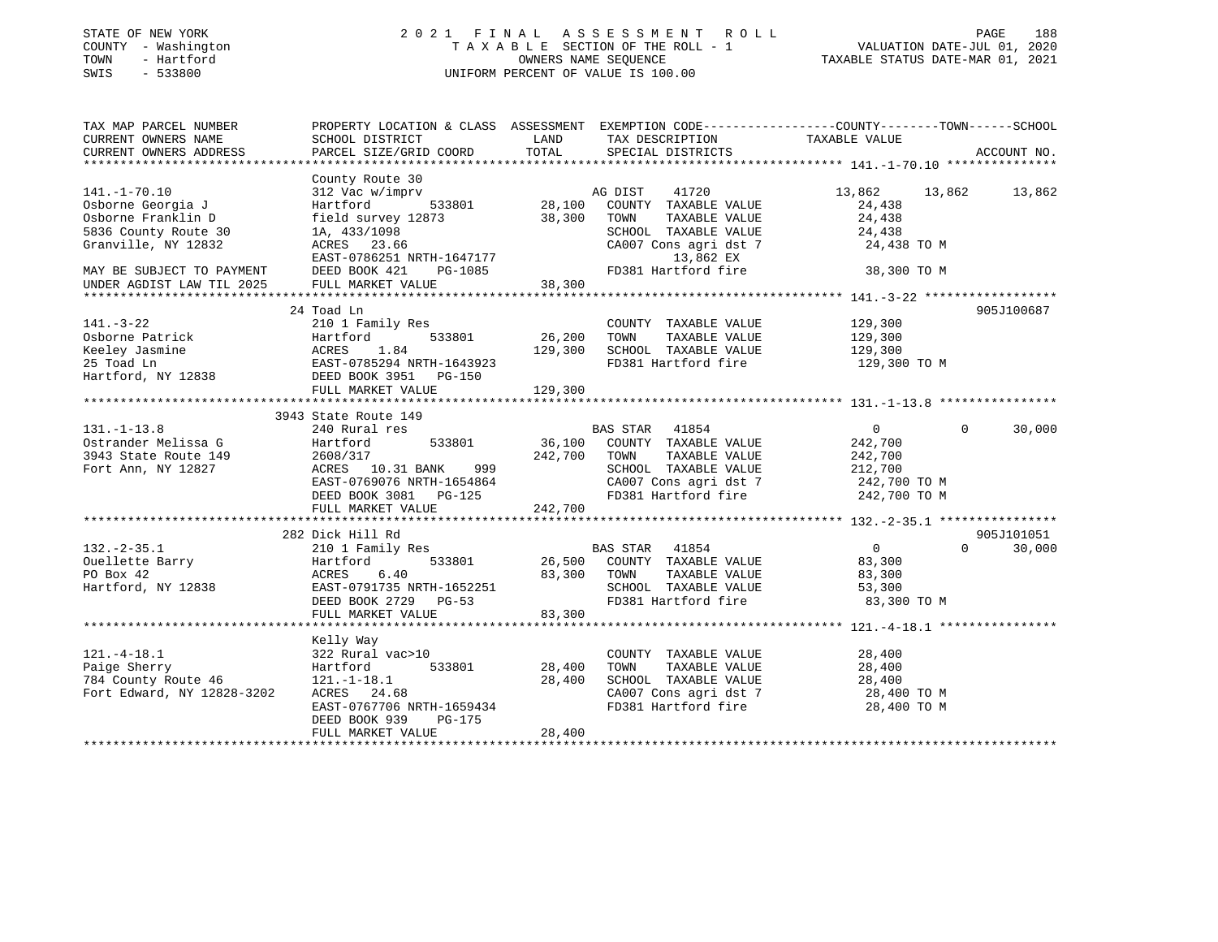| STATE OF NEW YORK |     |  |              |
|-------------------|-----|--|--------------|
| COUNTY            |     |  | - Washington |
| TOWN              |     |  | - Hartford   |
| CM <sub>T</sub> C | $-$ |  | 533800       |

### STATE OF NEW YORK 2 0 2 1 F I N A L A S S E S S M E N T R O L L PAGE 188 COUNTY - Washington T A X A B L E SECTION OF THE ROLL - 1 VALUATION DATE-JUL 01, 2020 TOWN - Hartford OWNERS NAME SEQUENCE TAXABLE STATUS DATE-MAR 01, 2021 SWIS - 533800 UNIFORM PERCENT OF VALUE IS 100.00

| TAX MAP PARCEL NUMBER<br>CURRENT OWNERS NAME<br>CURRENT OWNERS ADDRESS                                       | SCHOOL DISTRICT<br>PARCEL SIZE/GRID COORD                                                                                                                                                 | LAND<br>TOTAL                       | TAX DESCRIPTION<br>SPECIAL DISTRICTS                                                                                                    | PROPERTY LOCATION & CLASS ASSESSMENT EXEMPTION CODE---------------COUNTY-------TOWN------SCHOOL<br>TAXABLE VALUE | ACCOUNT NO.          |
|--------------------------------------------------------------------------------------------------------------|-------------------------------------------------------------------------------------------------------------------------------------------------------------------------------------------|-------------------------------------|-----------------------------------------------------------------------------------------------------------------------------------------|------------------------------------------------------------------------------------------------------------------|----------------------|
|                                                                                                              |                                                                                                                                                                                           |                                     |                                                                                                                                         |                                                                                                                  |                      |
| $141. - 1 - 70.10$<br>Osborne Georgia J<br>Osborne Franklin D<br>5836 County Route 30<br>Granville, NY 12832 | County Route 30<br>312 Vac w/imprv<br>Hartford<br>field survey 12873<br>1A, 433/1098<br>ACRES 23.66<br>EAST-0786251 NRTH-1647177                                                          | 533801 28,100<br>38,300             | 41720<br>AG DIST<br>COUNTY TAXABLE VALUE<br>TOWN<br>TAXABLE VALUE<br>SCHOOL TAXABLE VALUE<br>CA007 Cons agri dst 7<br>13,862 EX         | 13,862<br>13,862 13,862<br>24,438<br>24,438<br>24,438<br>24,438 TO M                                             |                      |
| MAY BE SUBJECT TO PAYMENT                                                                                    | DEED BOOK 421<br>PG-1085                                                                                                                                                                  |                                     | FD381 Hartford fire 38,300 TO M                                                                                                         |                                                                                                                  |                      |
| UNDER AGDIST LAW TIL 2025                                                                                    | FULL MARKET VALUE                                                                                                                                                                         | 38,300                              |                                                                                                                                         |                                                                                                                  |                      |
| $141. - 3 - 22$<br>Osborne Patrick<br>Keeley Jasmine<br>25 Toad Ln<br>Hartford, NY 12838                     | 24 Toad Ln<br>210 1 Family Res<br>533801<br>Hartford                                                                                                                                      | 26,200<br>129,300                   | COUNTY TAXABLE VALUE<br>TOWN<br>TAXABLE VALUE<br>SCHOOL TAXABLE VALUE<br>FD381 Hartford fire                                            | 129,300<br>129,300<br>129,300<br>129,300 TO M                                                                    | 905J100687           |
|                                                                                                              |                                                                                                                                                                                           |                                     |                                                                                                                                         |                                                                                                                  |                      |
|                                                                                                              | FULL MARKET VALUE                                                                                                                                                                         | 129,300                             |                                                                                                                                         |                                                                                                                  |                      |
|                                                                                                              |                                                                                                                                                                                           |                                     |                                                                                                                                         |                                                                                                                  |                      |
| $131. - 1 - 13.8$<br>Ostrander Melissa G<br>3943 State Route 149<br>Fort Ann, NY 12827                       | 3943 State Route 149<br>240 Rural res<br>Hartford<br>2608/317<br>ACRES 10.31 BANK 999<br>EAST-0769076 NRTH-1654864<br>DEED BOOK 3081 PG-125<br>DEED BOOK 3081 PG-125<br>FULL MARKET VALUE | 533801 36,100<br>242,700<br>242,700 | BAS STAR 41854<br>COUNTY TAXABLE VALUE<br>TOWN<br>TAXABLE VALUE<br>SCHOOL TAXABLE VALUE<br>CA007 Cons agri dst 7<br>FD381 Hartford fire | $0 \qquad \qquad$<br>$\Omega$<br>242,700<br>242,700<br>212,700<br>242,700 TO M<br>242,700 TO M                   | 30,000               |
|                                                                                                              |                                                                                                                                                                                           |                                     |                                                                                                                                         |                                                                                                                  |                      |
| $132. - 2 - 35.1$<br>Ouellette Barry<br>PO Box 42<br>Hartford, NY 12838                                      | 282 Dick Hill Rd<br>210 1 Family Res<br>533801<br>Hartford<br>6.40<br>ACRES<br>EAST-0791735 NRTH-1652251<br>DEED BOOK 2729 PG-53<br>FULL MARKET VALUE                                     | 26,500<br>83,300<br>83,300          | BAS STAR 41854<br>COUNTY TAXABLE VALUE<br>TAXABLE VALUE<br>TOWN<br>SCHOOL TAXABLE VALUE<br>FD381 Hartford fire 83,300 TO M              | $0 \qquad \qquad$<br>$\Omega$<br>83,300<br>83,300<br>53,300                                                      | 905J101051<br>30,000 |
|                                                                                                              |                                                                                                                                                                                           |                                     |                                                                                                                                         |                                                                                                                  |                      |
| $121. - 4 - 18.1$<br>Paige Sherry<br>784 County Route 46<br>Fort Edward, NY 12828-3202                       | Kelly Way<br>322 Rural vac>10<br>533801<br>Hartford<br>$121.-1-18.1$<br>ACRES 24.68<br>EAST-0767706 NRTH-1659434<br>DEED BOOK 939<br>PG-175<br>FULL MARKET VALUE                          | 28,400<br>28,400<br>28,400          | COUNTY TAXABLE VALUE<br>TOWN<br>TAXABLE VALUE<br>SCHOOL TAXABLE VALUE<br>CA007 Cons agri dst 7 28,400 TO M<br>FD381 Hartford fire       | 28,400<br>28,400<br>28,400<br>28,400 TO M                                                                        |                      |
|                                                                                                              |                                                                                                                                                                                           |                                     |                                                                                                                                         |                                                                                                                  |                      |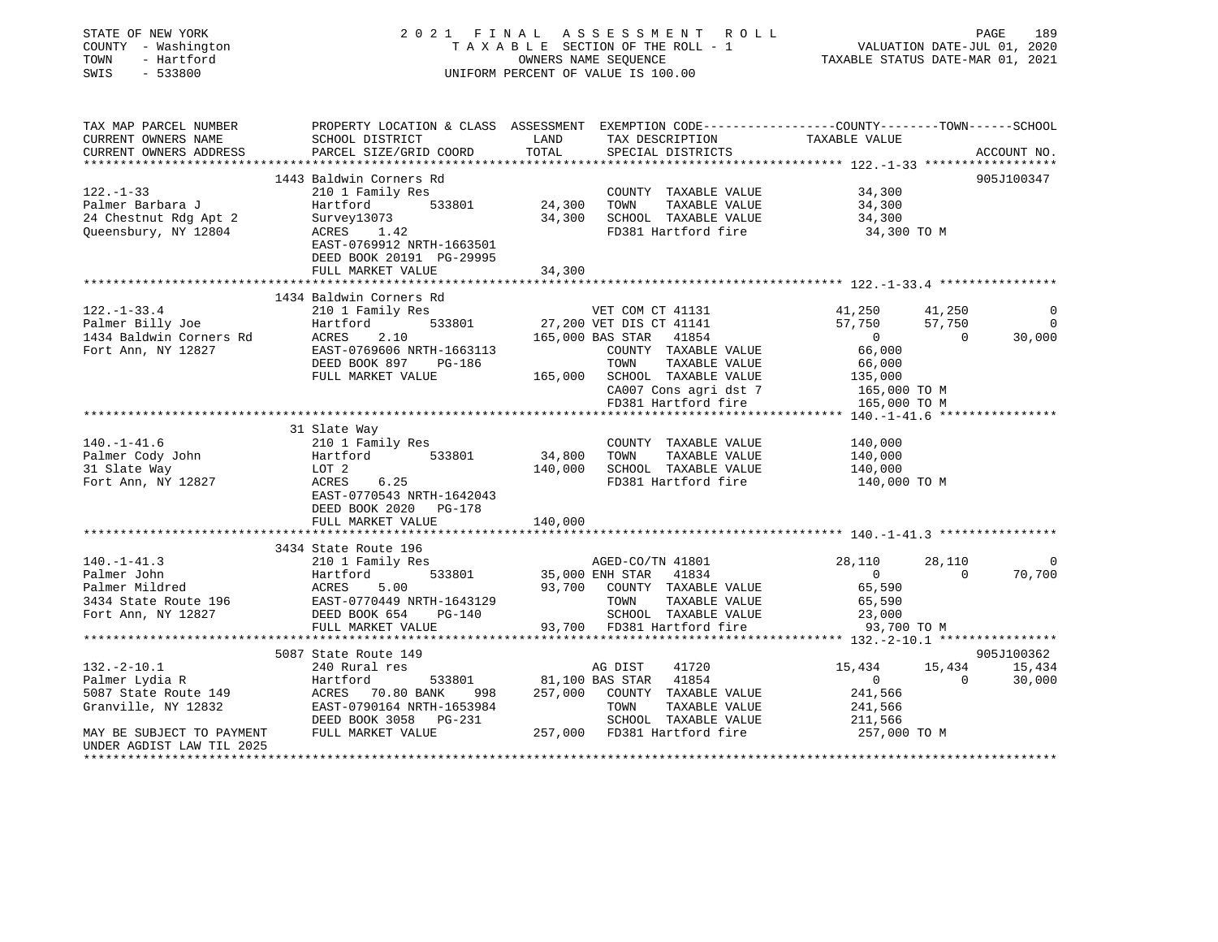| STATE OF NEW YORK<br>COUNTY - Washington<br>TOWN<br>- Hartford<br>SWIS<br>$-533800$                         | 2021 FINAL<br>PAGE 189<br>TAXABLE SECTION OF THE ROLL - 1 VALUATION DATE-JUL 01, 2020<br>OWNERS NAME SEQUENCE TAXABLE STATUS DATE-MAR 01, 2021<br>UNIFORM PERCENT OF VALUE IS 100.00                |                                                  |                                                                                                                                                                                                        |                                                                                      |                                    |                            |
|-------------------------------------------------------------------------------------------------------------|-----------------------------------------------------------------------------------------------------------------------------------------------------------------------------------------------------|--------------------------------------------------|--------------------------------------------------------------------------------------------------------------------------------------------------------------------------------------------------------|--------------------------------------------------------------------------------------|------------------------------------|----------------------------|
| TAX MAP PARCEL NUMBER<br>CURRENT OWNERS NAME<br>CURRENT OWNERS ADDRESS                                      | PROPERTY LOCATION & CLASS ASSESSMENT EXEMPTION CODE----------------COUNTY-------TOWN------SCHOOL<br>SCHOOL DISTRICT<br>PARCEL SIZE/GRID COORD                                                       | LAND<br>TOTAL                                    | TAX DESCRIPTION<br>SPECIAL DISTRICTS                                                                                                                                                                   | TAXABLE VALUE                                                                        |                                    | ACCOUNT NO.                |
|                                                                                                             | 1443 Baldwin Corners Rd                                                                                                                                                                             |                                                  |                                                                                                                                                                                                        |                                                                                      |                                    | 905J100347                 |
| $122. - 1 - 33$<br>24 Chestnut Rdg Apt 2<br>24 Chestnut Rdg Apt 2<br>Queensbury, NY 12804<br>2001           | 210 1 Family Res<br>533801<br>ACRES 1.42<br>EAST-0769912 NRTH-1663501<br>DEED BOOK 20191 PG-29995                                                                                                   | 24,300 TOWN                                      | COUNTY TAXABLE VALUE<br>TAXABLE VALUE<br>34,300 SCHOOL TAXABLE VALUE<br>FD381 Hartford fire                                                                                                            | 34,300<br>34,300<br>34,300<br>34,300 TO M                                            |                                    |                            |
|                                                                                                             | FULL MARKET VALUE                                                                                                                                                                                   | 34,300                                           |                                                                                                                                                                                                        |                                                                                      |                                    |                            |
| $122. - 1 - 33.4$                                                                                           | 1434 Baldwin Corners Rd<br>210 1 Family Res<br>FULL MARKET VALUE                                                                                                                                    |                                                  | VET COM CT 41131<br>27,200 VET DIS CT 41141<br>165,000 BAS STAR 41854<br>COUNTY TAXABLE VALUE<br>TOWN<br>TAXABLE VALUE<br>165,000 SCHOOL TAXABLE VALUE<br>CA007 Cons agri dst 7<br>FD381 Hartford fire | 41,250<br>57,750<br>0<br>66,000<br>66,000<br>135,000<br>165,000 TO M<br>165,000 TO M | 41,250<br>57,750<br>$\overline{0}$ | 0<br>$\mathbf 0$<br>30,000 |
|                                                                                                             |                                                                                                                                                                                                     |                                                  |                                                                                                                                                                                                        |                                                                                      |                                    |                            |
| $140. - 1 - 41.6$<br>Palmer Cody John<br>31 Slate Way<br>Fort Ann, NY 12827                                 | 31 Slate Way<br>210 1 Family Res<br>Hartford<br>533801<br>LOT 2<br>ACRES<br>6.25<br>EAST-0770543 NRTH-1642043<br>DEED BOOK 2020 PG-178<br>FULL MARKET VALUE                                         | 34,800 TOWN<br>140,000                           | COUNTY TAXABLE VALUE<br>TAXABLE VALUE<br>140,000 SCHOOL TAXABLE VALUE<br>FD381 Hartford fire                                                                                                           | 140,000<br>140,000<br>140,000<br>140,000 TO M                                        |                                    |                            |
|                                                                                                             |                                                                                                                                                                                                     |                                                  |                                                                                                                                                                                                        |                                                                                      |                                    |                            |
| $140.-1-41.3$<br>Palmer John<br>Palmer Mildred<br>Fort Ann, NY 12827                                        | 3434 State Route 196<br>210 1 Family Res<br>533801<br>Hartford<br>ACRES<br>5.00<br>Palmer miluted<br>3434 State Route 196 EAST-0770449 NRTH-1643129<br>DEED BOOK 654<br>PG-140<br>FULL MARKET VALUE |                                                  | AGED-CO/TN 41801<br>35,000 ENH STAR<br>41834<br>93,700 COUNTY TAXABLE VALUE<br>TOWN<br>TAXABLE VALUE<br>SCHOOL TAXABLE VALUE<br>93,700 FD381 Hartford fire                                             | 28,110<br>$\overline{0}$<br>65,590<br>65,590<br>23,000<br>93,700 TO M                | 28,110<br>$\Omega$                 | $\mathbf 0$<br>70,700      |
|                                                                                                             | ****************************                                                                                                                                                                        |                                                  |                                                                                                                                                                                                        |                                                                                      |                                    |                            |
|                                                                                                             | 5087 State Route 149                                                                                                                                                                                |                                                  |                                                                                                                                                                                                        |                                                                                      |                                    | 905J100362                 |
| $132.-2-10.1$<br>Palmer Lydia R<br>5087 State Route 149<br>Granville, NY 12832<br>MAY BE SUBJECT TO PAYMENT | 240 Rural res<br>ددد Hartford<br>ACRES 70.80 BANK<br>1 ACRES 11 ACREW<br>EAST-0790164 NRTH-1653984<br>DEED BOOK 3058 PG-231<br>FULL MARKET VALUE                                                    | 533801 81,100 BAS STAR<br>ANK 998 257,000 COUNTY | 41720<br>AG DIST<br>41854<br>257,000 COUNTY TAXABLE VALUE<br>TOWN TAXABLE VALUE<br>SCHOOL TAXABLE VALUE<br>257,000 FD381 Hartford fire                                                                 | 15,434<br>$\overline{0}$<br>241,566<br>241,566<br>211,566<br>257,000 TO M            | $\overline{0}$                     | 15,434 15,434<br>30,000    |
| UNDER AGDIST LAW TIL 2025                                                                                   |                                                                                                                                                                                                     |                                                  |                                                                                                                                                                                                        |                                                                                      |                                    |                            |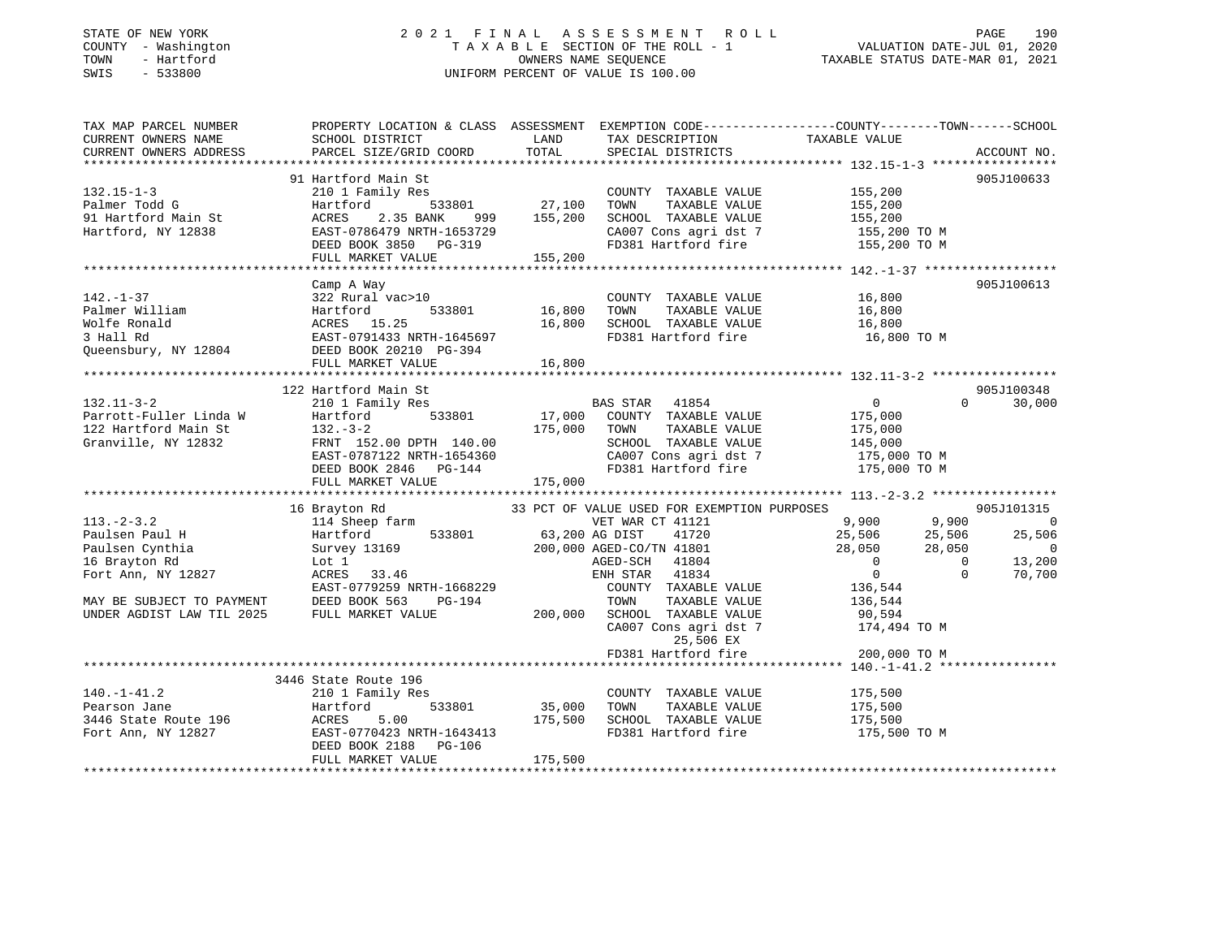# STATE OF NEW YORK 2 0 2 1 F I N A L A S S E S S M E N T R O L L PAGE 190COUNTY - Washington  $T A X A B L E$  SECTION OF THE ROLL - 1<br>TOWN - Hartford SWIS - 533800 UNIFORM PERCENT OF VALUE IS 100.00

VALUATION DATE-JUL 01, 2020

TAXABLE STATUS DATE-MAR 01, 2021

| TAX MAP PARCEL NUMBER                                               | PROPERTY LOCATION & CLASS ASSESSMENT EXEMPTION CODE---------------COUNTY-------TOWN-----SCHOOL |                              |                                                                                                                                              |                                                                       |                |             |
|---------------------------------------------------------------------|------------------------------------------------------------------------------------------------|------------------------------|----------------------------------------------------------------------------------------------------------------------------------------------|-----------------------------------------------------------------------|----------------|-------------|
| CURRENT OWNERS NAME                                                 | SCHOOL DISTRICT                                                                                | LAND                         | TAX DESCRIPTION                                                                                                                              | TAXABLE VALUE                                                         |                |             |
| CURRENT OWNERS ADDRESS                                              | PARCEL SIZE/GRID COORD                                                                         | TOTAL                        | SPECIAL DISTRICTS                                                                                                                            |                                                                       |                | ACCOUNT NO. |
|                                                                     |                                                                                                |                              |                                                                                                                                              |                                                                       |                |             |
|                                                                     | 91 Hartford Main St                                                                            |                              |                                                                                                                                              |                                                                       |                | 905J100633  |
| 132.15-1-3<br>Palmer Todd G<br>91 Hartford Main St<br>1500 NY 12838 | 210 1 Family Res                                                                               |                              | COUNTY TAXABLE VALUE                                                                                                                         | 155,200                                                               |                |             |
|                                                                     | Hartford                                                                                       |                              | TAXABLE VALUE                                                                                                                                | 155,200                                                               |                |             |
|                                                                     | ACRES<br>2.35 BANK<br>999                                                                      |                              | 155,200 SCHOOL TAXABLE VALUE 155,200                                                                                                         |                                                                       |                |             |
|                                                                     | EAST-0786479 NRTH-1653729                                                                      |                              |                                                                                                                                              |                                                                       |                |             |
|                                                                     | DEED BOOK 3850 PG-319                                                                          |                              | CA007 Cons agri dst 7 155,200 TO M<br>FD381 Hartford fire 155,200 TO M                                                                       |                                                                       |                |             |
|                                                                     | FULL MARKET VALUE                                                                              | 155,200                      |                                                                                                                                              |                                                                       |                |             |
|                                                                     |                                                                                                |                              |                                                                                                                                              |                                                                       |                |             |
|                                                                     | Camp A Way                                                                                     |                              |                                                                                                                                              |                                                                       |                | 905J100613  |
| $142. - 1 - 37$                                                     | 322 Rural vac>10                                                                               |                              | COUNTY TAXABLE VALUE 16,800                                                                                                                  |                                                                       |                |             |
| Palmer William                                                      | 533801<br>Hartford                                                                             | 16,800 TOWN                  | TAXABLE VALUE                                                                                                                                | 16,800                                                                |                |             |
| Wolfe Ronald                                                        | ACRES 15.25                                                                                    |                              | 16,800 SCHOOL TAXABLE VALUE 16,800                                                                                                           |                                                                       |                |             |
| 3 Hall Rd                                                           | EAST-0791433 NRTH-1645697                                                                      |                              | FD381 Hartford fire                                                                                                                          | 16,800 TO M                                                           |                |             |
|                                                                     | Queensbury, NY 12804 DEED BOOK 20210 PG-394                                                    |                              |                                                                                                                                              |                                                                       |                |             |
|                                                                     | FULL MARKET VALUE                                                                              | 16,800                       |                                                                                                                                              |                                                                       |                |             |
|                                                                     |                                                                                                |                              |                                                                                                                                              |                                                                       |                |             |
|                                                                     |                                                                                                |                              |                                                                                                                                              |                                                                       |                | 905J100348  |
|                                                                     | 122 Hartford Main St                                                                           |                              |                                                                                                                                              |                                                                       | $\Omega$       |             |
| $132.11 - 3 - 2$                                                    | 210 1 Family Res                                                                               |                              | BAS STAR 41854                                                                                                                               | $\overline{0}$                                                        |                | 30,000      |
| Parrott-Fuller Linda W                                              | 533801<br>Hartford                                                                             |                              | 17,000 COUNTY TAXABLE VALUE                                                                                                                  | 175,000                                                               |                |             |
| 122 Hartford Main St                                                | $132 - 3 - 2$                                                                                  | 175,000 TOWN                 | TAXABLE VALUE                                                                                                                                | 175,000                                                               |                |             |
| Granville, NY 12832                                                 | FRNT 152.00 DPTH 140.00                                                                        |                              | SCHOOL TAXABLE VALUE<br>SCHOOL   TAXABLE  VALUE                           145,000<br>CA007 Cons agri dst 7                      175,000 TO M |                                                                       |                |             |
|                                                                     | EAST-0787122 NRTH-1654360                                                                      |                              |                                                                                                                                              |                                                                       |                |             |
|                                                                     | DEED BOOK 2846 PG-144                                                                          |                              | FD381 Hartford fire 175,000 TO M                                                                                                             |                                                                       |                |             |
|                                                                     | FULL MARKET VALUE                                                                              | 175,000                      |                                                                                                                                              |                                                                       |                |             |
|                                                                     |                                                                                                |                              |                                                                                                                                              |                                                                       |                |             |
|                                                                     | 16 Brayton Rd                                                                                  |                              | 33 PCT OF VALUE USED FOR EXEMPTION PURPOSES                                                                                                  |                                                                       |                | 905J101315  |
| $113. - 2 - 3.2$                                                    |                                                                                                | VET WAR CT<br>63,200 AG DIST | VET WAR CT 41121                                                                                                                             | $\begin{array}{cccc} 9,900 & & 9,900 \ 25,506 & & 25,506 \end{array}$ |                | $\Omega$    |
| Paulsen Paul H                                                      | 533801                                                                                         |                              | 41720                                                                                                                                        |                                                                       |                | 25,506      |
| Paulsen Cynthia                                                     | Survey 13169                                                                                   |                              | 200,000 AGED-CO/TN 41801                                                                                                                     | 28,050                                                                | 28,050         | - 0         |
| 16 Brayton Rd                                                       | Lot 1                                                                                          |                              | AGED-SCH 41804                                                                                                                               | $\overline{0}$                                                        | $\overline{0}$ | 13,200      |
| Fort Ann, NY 12827                                                  | ACRES 33.46                                                                                    |                              | ENH STAR 41834                                                                                                                               | $\overline{0}$                                                        | $\Omega$       | 70,700      |
|                                                                     | EAST-0779259 NRTH-1668229                                                                      |                              | COUNTY TAXABLE VALUE                                                                                                                         | 136,544                                                               |                |             |
| MAY BE SUBJECT TO PAYMENT                                           | DEED BOOK 563<br>PG-194                                                                        |                              | TOWN<br>TAXABLE VALUE                                                                                                                        | 136,544                                                               |                |             |
| UNDER AGDIST LAW TIL 2025                                           | FULL MARKET VALUE                                                                              |                              | 200,000 SCHOOL TAXABLE VALUE                                                                                                                 | 90,594                                                                |                |             |
|                                                                     |                                                                                                |                              | CA007 Cons agri dst 7 174,494 TO M                                                                                                           |                                                                       |                |             |
|                                                                     |                                                                                                |                              | 25,506 EX                                                                                                                                    |                                                                       |                |             |
|                                                                     |                                                                                                |                              | FD381 Hartford fire                                                                                                                          | 200,000 TO M                                                          |                |             |
|                                                                     |                                                                                                |                              |                                                                                                                                              |                                                                       |                |             |
|                                                                     | 3446 State Route 196                                                                           |                              |                                                                                                                                              |                                                                       |                |             |
| $140. - 1 - 41.2$                                                   | 210 1 Family Res                                                                               |                              | COUNTY TAXABLE VALUE                                                                                                                         | 175,500                                                               |                |             |
| Pearson Jane                                                        | Hartford                                                                                       | 533801 35,000                | TOWN<br>TAXABLE VALUE                                                                                                                        | 175,500                                                               |                |             |
| 3446 State Route 196                                                | Hartfo<br>ACRES<br>5.00                                                                        |                              | 175,500 SCHOOL TAXABLE VALUE                                                                                                                 | 175,500                                                               |                |             |
| Fort Ann, NY 12827                                                  | EAST-0770423 NRTH-1643413                                                                      |                              | FD381 Hartford fire                                                                                                                          | 175,500 TO M                                                          |                |             |
|                                                                     | DEED BOOK 2188 PG-106                                                                          |                              |                                                                                                                                              |                                                                       |                |             |
|                                                                     | FULL MARKET VALUE                                                                              | 175,500                      |                                                                                                                                              |                                                                       |                |             |
|                                                                     |                                                                                                |                              |                                                                                                                                              |                                                                       |                |             |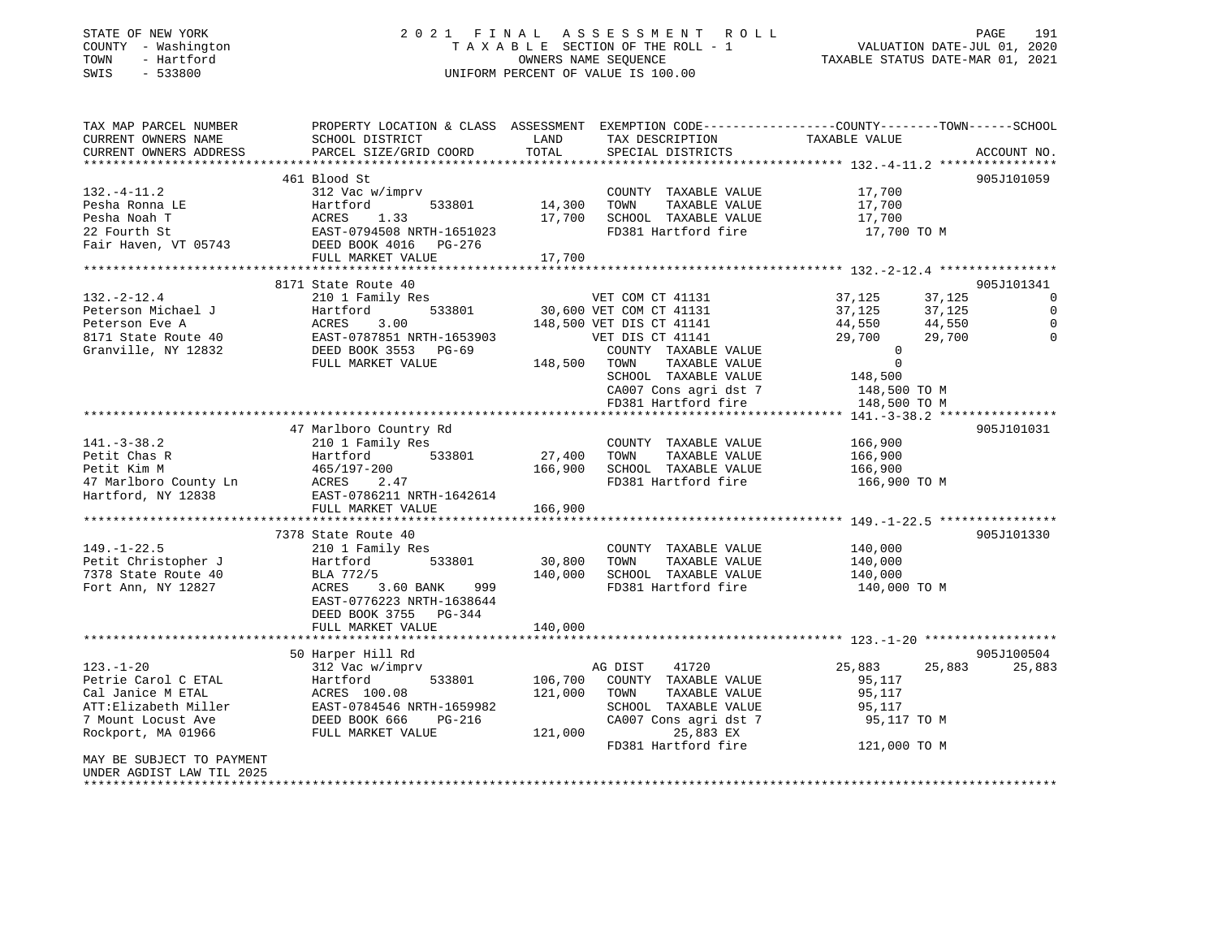### STATE OF NEW YORK 2 0 2 1 F I N A L A S S E S S M E N T R O L L PAGE 191 COUNTY - Washington T A X A B L E SECTION OF THE ROLL - 1 VALUATION DATE-JUL 01, 2020 TOWN - Hartford OWNERS NAME SEQUENCE TAXABLE STATUS DATE-MAR 01, 2021 SWIS - 533800 UNIFORM PERCENT OF VALUE IS 100.00

| TAX MAP PARCEL NUMBER<br>CURRENT OWNERS NAME<br>CURRENT OWNERS ADDRESS               | PROPERTY LOCATION & CLASS ASSESSMENT EXEMPTION CODE----------------COUNTY-------TOWN------SCHOOL<br>SCHOOL DISTRICT<br>PARCEL SIZE/GRID COORD | LAND<br>TOTAL         | TAX DESCRIPTION<br>SPECIAL DISTRICTS          | TAXABLE VALUE                                 | ACCOUNT NO.      |
|--------------------------------------------------------------------------------------|-----------------------------------------------------------------------------------------------------------------------------------------------|-----------------------|-----------------------------------------------|-----------------------------------------------|------------------|
|                                                                                      |                                                                                                                                               |                       |                                               |                                               |                  |
| $132. - 4 - 11.2$                                                                    | 461 Blood St<br>312 Vac w/imprv                                                                                                               |                       | COUNTY TAXABLE VALUE                          | 17,700                                        | 905J101059       |
| Pesha Ronna LE<br>Pesha Noah T                                                       | Hartford<br>533801                                                                                                                            | 14,300<br>17,700      | TOWN<br>TAXABLE VALUE<br>SCHOOL TAXABLE VALUE | 17,700<br>17,700                              |                  |
| 22 Fourth St<br>Fair Haven, VT 05743 DEED BOOK 4016 PG-276                           | ACRES 1.33<br>EAST-0794508 NRTH-1651023<br>FULL MARKET VALUE                                                                                  | 17,700                | FD381 Hartford fire                           | 17,700 TO M                                   |                  |
|                                                                                      |                                                                                                                                               |                       |                                               |                                               |                  |
|                                                                                      | 8171 State Route 40                                                                                                                           |                       |                                               |                                               | 905J101341       |
| $132. -2 - 12.4$<br>Peterson Michael J                                               | 210 1 Family Res<br>з<br>533801                                                                                                               |                       | VET COM CT 41131<br>30,600 VET COM CT 41131   | 37,125<br>37,125<br>37,125<br>37,125          | 0<br>$\mathbf 0$ |
| Peterson Eve A                                                                       | Hartford 533801<br>ACRES 3.00<br>EAST-0787851_NRTH-1653903                                                                                    |                       | 148,500 VET DIS CT 41141<br>VET DIS CT 41141  | 44,550<br>44,550                              | 0                |
| 8171 State Route 40                                                                  |                                                                                                                                               |                       |                                               | 29,700<br>29,700                              | $\mathbf 0$      |
| Granville, NY 12832                                                                  | DEED BOOK 3553 PG-69                                                                                                                          |                       | COUNTY TAXABLE VALUE                          | $\mathbf{0}$                                  |                  |
|                                                                                      | FULL MARKET VALUE                                                                                                                             | 148,500 TOWN          | TAXABLE VALUE                                 | $\overline{0}$                                |                  |
|                                                                                      |                                                                                                                                               |                       | SCHOOL TAXABLE VALUE                          | 148,500<br>CA007 Cons agri dst 7 148,500 TO M |                  |
|                                                                                      |                                                                                                                                               |                       | FD381 Hartford fire                           | 148,500 TO M                                  |                  |
|                                                                                      |                                                                                                                                               |                       |                                               |                                               |                  |
|                                                                                      | 47 Marlboro Country Rd                                                                                                                        |                       |                                               |                                               | 905J101031       |
| $141.-3-38.2$                                                                        | 210 1 Family Res                                                                                                                              |                       | COUNTY TAXABLE VALUE                          | 166,900                                       |                  |
| Petit Chas R                                                                         | Hartford<br>533801                                                                                                                            | COUNTY<br>27,400 TOWN | TAXABLE VALUE                                 | 166,900                                       |                  |
| Petit Kim M<br>465/197-200<br>47 Marlboro County Ln<br>KRES 2.47                     |                                                                                                                                               |                       | 166,900 SCHOOL TAXABLE VALUE                  | 166,900                                       |                  |
|                                                                                      |                                                                                                                                               |                       | FD381 Hartford fire                           | 166,900 TO M                                  |                  |
| Hartford, NY 12838 EAST-0786211 NRTH-1642614                                         | FULL MARKET VALUE                                                                                                                             | 166,900               |                                               |                                               |                  |
|                                                                                      |                                                                                                                                               |                       |                                               |                                               |                  |
|                                                                                      | 7378 State Route 40                                                                                                                           |                       |                                               |                                               | 905J101330       |
| $149. - 1 - 22.5$                                                                    | 210 1 Family Res                                                                                                                              | 30,800 TOWN           | COUNTY TAXABLE VALUE                          | 140,000                                       |                  |
| Petit Christopher J<br>7378 State Route 40                                           | Hartford 533801<br>BLA 772/5                                                                                                                  | 140,000               | TAXABLE VALUE<br>SCHOOL TAXABLE VALUE         | 140,000<br>140,000                            |                  |
| Fort Ann, NY 12827                                                                   | 999<br>ACRES<br>3.60 BANK                                                                                                                     |                       | FD381 Hartford fire                           | 140,000 TO M                                  |                  |
|                                                                                      | EAST-0776223 NRTH-1638644<br>DEED BOOK 3755 PG-344<br>FULL MARKET VALUE                                                                       | 140,000               |                                               |                                               |                  |
|                                                                                      |                                                                                                                                               |                       |                                               |                                               |                  |
|                                                                                      | 50 Harper Hill Rd                                                                                                                             |                       |                                               |                                               | 905J100504       |
| $123. - 1 - 20$                                                                      | 312 Vac w/imprv                                                                                                                               |                       | AG DIST<br>41720                              | 25,883                                        | 25,883<br>25,883 |
| Petrie Carol C ETAL                                                                  | Hartford<br>533801                                                                                                                            |                       | 106,700 COUNTY TAXABLE VALUE                  | 95,117                                        |                  |
| Cal Janice M ETAL                                                                    |                                                                                                                                               | 121,000               | TOWN<br>TAXABLE VALUE                         | 95,117                                        |                  |
|                                                                                      | ACRES 100.08<br>EAST-0784546 NRTH-1659982                                                                                                     |                       | SCHOOL TAXABLE VALUE                          | 95,117                                        |                  |
| Cal Janice n 22.<br>ATT:Elizabeth Miller<br>7 Mount Locust Ave<br>Rockport, MA 01966 | DEED BOOK 666<br>PG-216<br>FULL MARKET VALUE                                                                                                  | 121,000               | CA007 Cons agri dst 7<br>25,883 EX            | 95,117 TO M                                   |                  |
| MAY BE SUBJECT TO PAYMENT<br>UNDER AGDIST LAW TIL 2025<br>*********************      |                                                                                                                                               |                       | FD381 Hartford fire                           | 121,000 TO M                                  |                  |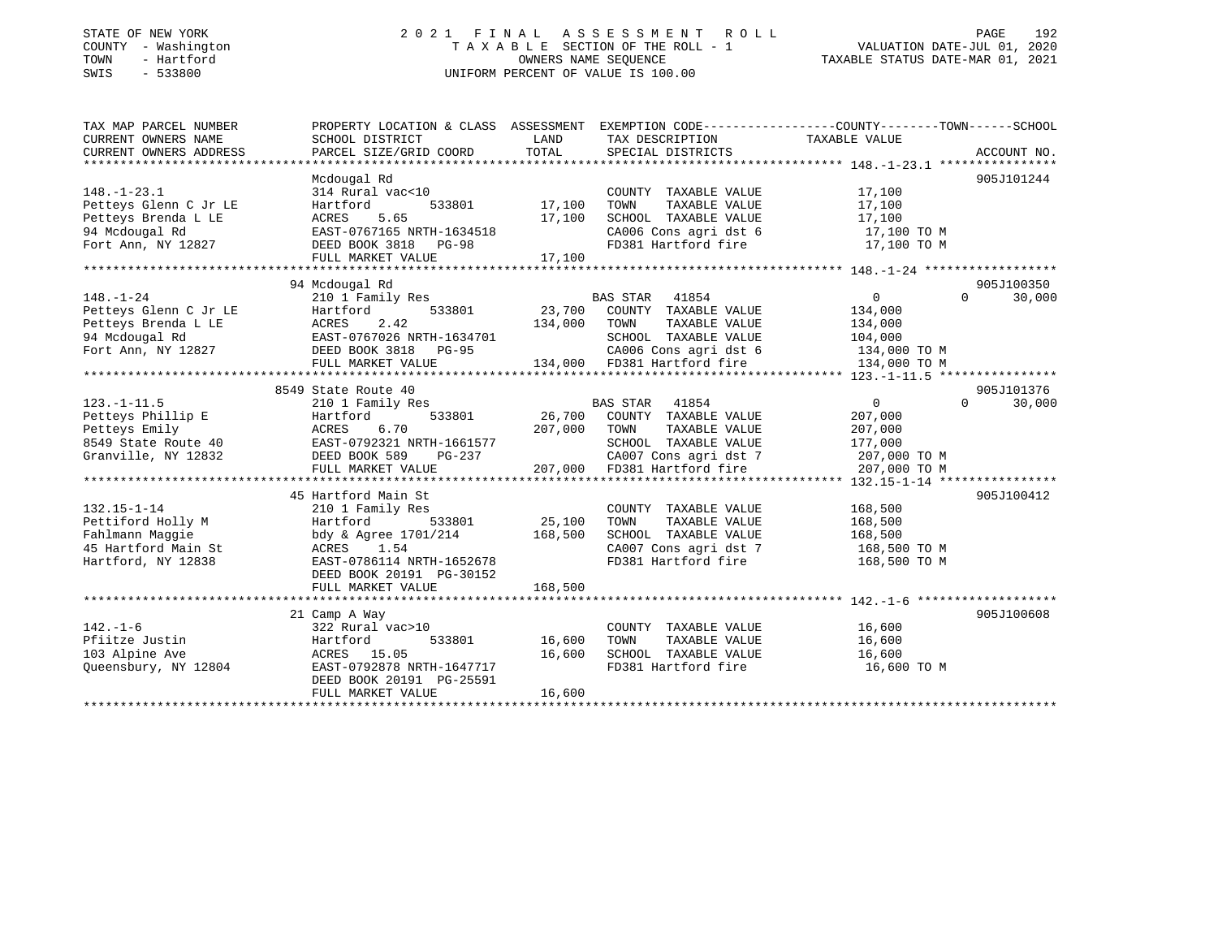# STATE OF NEW YORK 2 0 2 1 F I N A L A S S E S S M E N T R O L L PAGE 192COUNTY - Washington  $T A X A B L E$  SECTION OF THE ROLL - 1<br>TOWN - Hartford SWIS - 533800 UNIFORM PERCENT OF VALUE IS 100.00

TAXABLE STATUS DATE-MAR 01, 2021

| TAX MAP PARCEL NUMBER      | PROPERTY LOCATION & CLASS ASSESSMENT EXEMPTION CODE----------------COUNTY-------TOWN------SCHOOL                                                                                                                                               |               |                                                           |                                                                    |                    |
|----------------------------|------------------------------------------------------------------------------------------------------------------------------------------------------------------------------------------------------------------------------------------------|---------------|-----------------------------------------------------------|--------------------------------------------------------------------|--------------------|
| CURRENT OWNERS NAME        | SCHOOL DISTRICT                                                                                                                                                                                                                                | LAND          | TAX DESCRIPTION                                           | TAXABLE VALUE                                                      |                    |
| CURRENT OWNERS ADDRESS     | PARCEL SIZE/GRID COORD                                                                                                                                                                                                                         | TOTAL         | SPECIAL DISTRICTS                                         |                                                                    | ACCOUNT NO.        |
|                            |                                                                                                                                                                                                                                                |               |                                                           |                                                                    |                    |
|                            | Mcdougal Rd                                                                                                                                                                                                                                    |               |                                                           |                                                                    | 905J101244         |
| $148. - 1 - 23.1$          | 314 Rural vac<10                                                                                                                                                                                                                               |               | COUNTY TAXABLE VALUE 17,100                               |                                                                    |                    |
| Petteys Glenn C Jr LE      | Hartford<br>533801                                                                                                                                                                                                                             | 17,100        | TOWN      TAXABLE  VALUE<br>SCHOOL   TAXABLE  VALUE       | 17,100                                                             |                    |
| Petteys Brenda L LE        | ACRES<br>5.65                                                                                                                                                                                                                                  | 17,100        |                                                           | 17,100                                                             |                    |
| 94 Mcdougal Rd             | EAST-0767165 NRTH-1634518                                                                                                                                                                                                                      |               |                                                           | CA006 Cons agri dst 6 17,100 TO M                                  |                    |
| Fort Ann, NY 12827         | DEED BOOK 3818 PG-98                                                                                                                                                                                                                           |               |                                                           | FD381 Hartford fire 17,100 TO M                                    |                    |
|                            | FULL MARKET VALUE                                                                                                                                                                                                                              | 17,100        |                                                           |                                                                    |                    |
|                            |                                                                                                                                                                                                                                                |               |                                                           |                                                                    |                    |
|                            | 94 Mcdougal Rd                                                                                                                                                                                                                                 |               |                                                           |                                                                    | 905J100350         |
| $148. - 1 - 24$            | 210 1 Family Res                                                                                                                                                                                                                               |               | BAS STAR 41854                                            | $\overline{0}$                                                     | $\Omega$<br>30,000 |
|                            |                                                                                                                                                                                                                                                |               |                                                           |                                                                    |                    |
|                            |                                                                                                                                                                                                                                                |               |                                                           |                                                                    |                    |
|                            |                                                                                                                                                                                                                                                |               |                                                           |                                                                    |                    |
|                            | Petteys Glenn C Jr LE<br>Petteys Brenda L LE<br>23.700 COUNTY TAXABLE VALUE<br>23.700 COUNTY TAXABLE VALUE<br>23.700 COUNTY TAXABLE VALUE<br>23.700 COUNTY TAXABLE VALUE<br>23.700 COUNTY TAXABLE VALUE<br>23.700 COUNTY TAXABLE VALUE<br>23.7 |               | CA006 Cons agri dst 6 134,000 TO M                        |                                                                    |                    |
|                            |                                                                                                                                                                                                                                                |               |                                                           |                                                                    |                    |
|                            |                                                                                                                                                                                                                                                |               |                                                           |                                                                    |                    |
|                            | 8549 State Route 40                                                                                                                                                                                                                            |               |                                                           |                                                                    | 905J101376         |
| $123. - 1 - 11.5$          |                                                                                                                                                                                                                                                |               |                                                           |                                                                    | 30,000             |
|                            |                                                                                                                                                                                                                                                |               |                                                           |                                                                    |                    |
|                            |                                                                                                                                                                                                                                                |               |                                                           |                                                                    |                    |
|                            |                                                                                                                                                                                                                                                |               |                                                           |                                                                    |                    |
|                            |                                                                                                                                                                                                                                                |               |                                                           |                                                                    |                    |
|                            |                                                                                                                                                                                                                                                |               |                                                           |                                                                    |                    |
|                            |                                                                                                                                                                                                                                                |               |                                                           |                                                                    |                    |
|                            | 45 Hartford Main St                                                                                                                                                                                                                            |               |                                                           |                                                                    | 905J100412         |
| $132.15 - 1 - 14$          | 210 1 Family Res                                                                                                                                                                                                                               |               | COUNTY TAXABLE VALUE                                      | 168,500                                                            |                    |
| Pettiford Holly M Martford | 533801 25,100                                                                                                                                                                                                                                  |               | TAXABLE VALUE<br>TOWN                                     | 168,500                                                            |                    |
|                            | Fahlmann Maggie bdy & Agree 1701/214 168,500<br>45 Hartford Main St               ACRES     1.54                                                                                                                                               |               |                                                           | SCHOOL TAXABLE VALUE 168,500<br>CA007 Cons agri dst 7 168,500 TO M |                    |
|                            |                                                                                                                                                                                                                                                |               |                                                           |                                                                    |                    |
| Hartford, NY 12838         | EAST-0786114 NRTH-1652678                                                                                                                                                                                                                      |               |                                                           | FD381 Hartford fire 168,500 TO M                                   |                    |
|                            | DEED BOOK 20191 PG-30152                                                                                                                                                                                                                       |               |                                                           |                                                                    |                    |
|                            | FULL MARKET VALUE                                                                                                                                                                                                                              | 168,500       |                                                           |                                                                    |                    |
|                            |                                                                                                                                                                                                                                                |               |                                                           |                                                                    |                    |
|                            | 21 Camp A Way                                                                                                                                                                                                                                  |               |                                                           |                                                                    | 905J100608         |
| $142. - 1 - 6$             | 322 Rural vac>10                                                                                                                                                                                                                               |               | COUNTY TAXABLE VALUE 16,600                               |                                                                    |                    |
| Pfiitze Justin             |                                                                                                                                                                                                                                                | 533801 16,600 | TOWN                                                      | TAXABLE VALUE 16,600                                               |                    |
| 103 Alpine Ave             |                                                                                                                                                                                                                                                |               | SCHOOL TAXABLE VALUE 16,600<br>FD381 Hartford fire 16,600 |                                                                    |                    |
| Queensbury, NY 12804       | ACRES 15.05 16,600<br>EAST-0792878 NRTH-1647717 16,600                                                                                                                                                                                         |               |                                                           | 16,600 TO M                                                        |                    |
|                            | DEED BOOK 20191 PG-25591                                                                                                                                                                                                                       |               |                                                           |                                                                    |                    |
|                            | FULL MARKET VALUE                                                                                                                                                                                                                              | 16,600        |                                                           |                                                                    |                    |
|                            |                                                                                                                                                                                                                                                |               |                                                           |                                                                    |                    |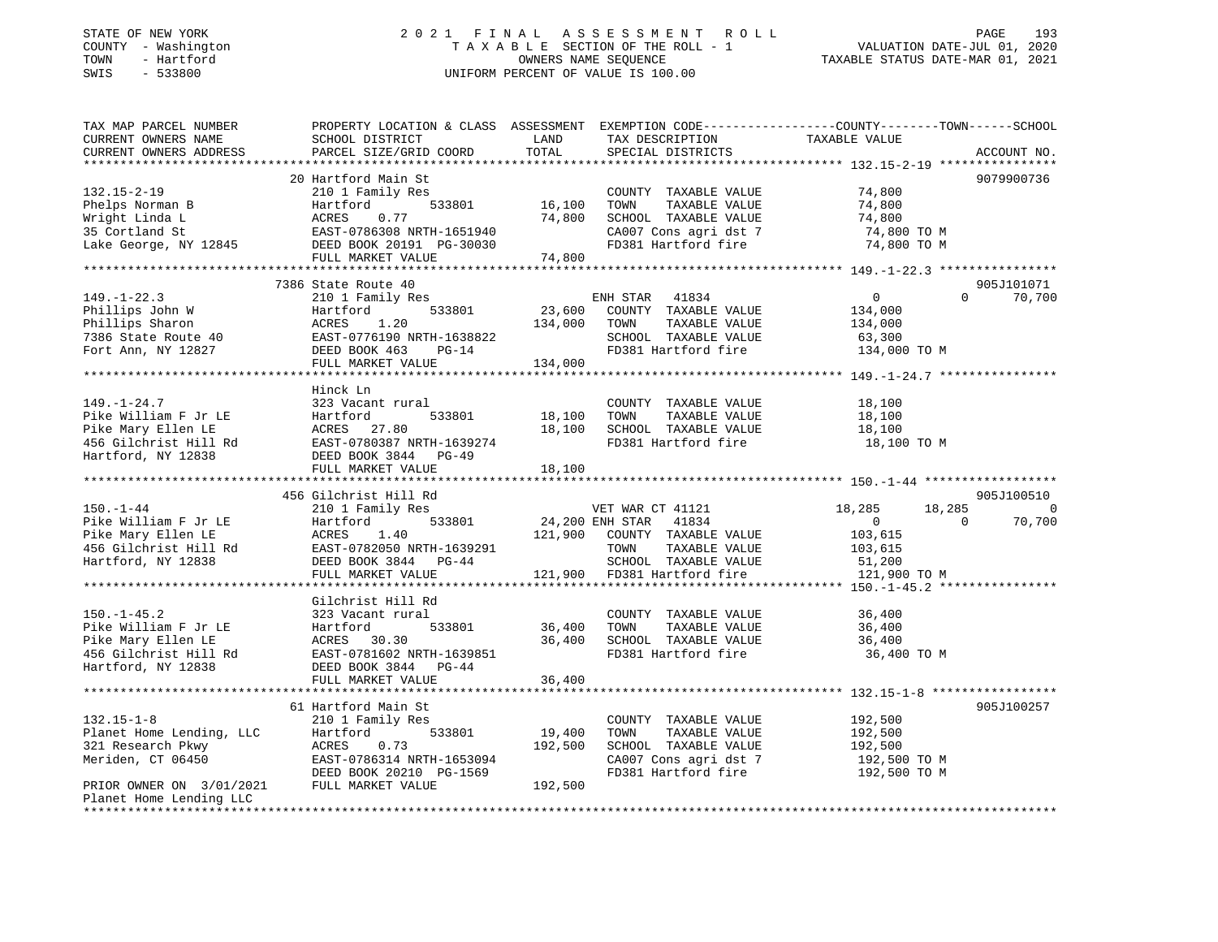#### STATE OF NEW YORK 2 0 2 1 F I N A L A S S E S S M E N T R O L L PAGE 193COUNTY - Washington  $T A X A B L E$  SECTION OF THE ROLL - 1<br>TOWN - Hartford TOWN - Hartford **Taxable STATUS DATE-MAR 01, 2021** OWNERS NAME SEQUENCE TAXABLE STATUS DATE-MAR 01, 2021 SWIS - 533800 UNIFORM PERCENT OF VALUE IS 100.00

VALUATION DATE-JUL 01, 2020

| TAX MAP PARCEL NUMBER<br>CURRENT OWNERS NAME<br>CURRENT OWNERS ADDRESS                                                                          | SCHOOL DISTRICT<br>PARCEL SIZE/GRID COORD                                 | LAND<br>TOTAL | TAX DESCRIPTION<br>SPECIAL DISTRICTS | PROPERTY LOCATION & CLASS ASSESSMENT EXEMPTION CODE---------------COUNTY-------TOWN-----SCHOOL<br>TAXABLE VALUE | ACCOUNT NO.    |
|-------------------------------------------------------------------------------------------------------------------------------------------------|---------------------------------------------------------------------------|---------------|--------------------------------------|-----------------------------------------------------------------------------------------------------------------|----------------|
|                                                                                                                                                 |                                                                           |               |                                      |                                                                                                                 |                |
|                                                                                                                                                 | 20 Hartford Main St                                                       |               |                                      |                                                                                                                 | 9079900736     |
| $132.15 - 2 - 19$                                                                                                                               | 210 1 Family Res                                                          |               | COUNTY TAXABLE VALUE                 | 74,800                                                                                                          |                |
| Phelps Norman B                                                                                                                                 | Hartford                                                                  | 533801 16,100 | TAXABLE VALUE<br>TOWN                | 74,800                                                                                                          |                |
| Wright Linda L                                                                                                                                  | ACRES<br>0.77                                                             | 74,800        | SCHOOL TAXABLE VALUE                 | 74,800                                                                                                          |                |
| $\label{eq:1} \frac{1}{\sqrt{2\pi}}\int_{0}^{\infty}\frac{1}{\sqrt{2\pi}}\left(\frac{1}{\sqrt{2\pi}}\right)^{2\pi}d\mu\,d\mu$<br>35 Cortland St | EAST-0786308 NRTH-1651940                                                 |               | CA007 Cons agri dst 7                | 74,800 TO M                                                                                                     |                |
| Lake George, NY 12845                                                                                                                           | DEED BOOK 20191 PG-30030                                                  |               | FD381 Hartford fire                  | 74,800 TO M                                                                                                     |                |
|                                                                                                                                                 | FULL MARKET VALUE                                                         | 74,800        |                                      |                                                                                                                 |                |
|                                                                                                                                                 |                                                                           |               |                                      |                                                                                                                 |                |
|                                                                                                                                                 | 7386 State Route 40                                                       |               |                                      |                                                                                                                 | 905J101071     |
| $149. - 1 - 22.3$                                                                                                                               | 210 1 Family Res                                                          |               | ENH STAR 41834                       | $\Omega$<br>$\overline{0}$                                                                                      | 70,700         |
|                                                                                                                                                 | 533801<br>Hartford                                                        | 23,600        | COUNTY TAXABLE VALUE                 | 134,000                                                                                                         |                |
|                                                                                                                                                 | ACRES<br>1.20                                                             | 134,000 TOWN  | TAXABLE VALUE                        | 134,000                                                                                                         |                |
|                                                                                                                                                 | EAST-0776190 NRTH-1638822                                                 |               | SCHOOL TAXABLE VALUE                 | 63,300                                                                                                          |                |
|                                                                                                                                                 | DEED BOOK 463<br>$PG-14$                                                  |               | FD381 Hartford fire                  | 134,000 TO M                                                                                                    |                |
|                                                                                                                                                 | FULL MARKET VALUE                                                         | 134,000       |                                      |                                                                                                                 |                |
|                                                                                                                                                 |                                                                           |               |                                      |                                                                                                                 |                |
|                                                                                                                                                 | Hinck Ln                                                                  |               |                                      |                                                                                                                 |                |
| $149. - 1 - 24.7$                                                                                                                               | 323 Vacant rural                                                          |               | COUNTY TAXABLE VALUE                 | 18,100                                                                                                          |                |
| Pike William F Jr LE                                                                                                                            |                                                                           | 18,100        | TOWN<br>TAXABLE VALUE                | 18,100                                                                                                          |                |
| Pike Mary Ellen LE                                                                                                                              |                                                                           | 18,100        | SCHOOL TAXABLE VALUE                 | 18,100                                                                                                          |                |
| 456 Gilchrist Hill Rd                                                                                                                           | Hartford 533801<br>ACRES 27.80<br>EAST-0780387 NRTH-1639274               |               | FD381 Hartford fire                  | 18,100 TO M                                                                                                     |                |
| Hartford, NY 12838                                                                                                                              | DEED BOOK 3844 PG-49                                                      |               |                                      |                                                                                                                 |                |
|                                                                                                                                                 | FULL MARKET VALUE                                                         | 18,100        |                                      |                                                                                                                 |                |
|                                                                                                                                                 |                                                                           |               |                                      |                                                                                                                 |                |
|                                                                                                                                                 |                                                                           |               |                                      |                                                                                                                 |                |
|                                                                                                                                                 | 456 Gilchrist Hill Rd                                                     |               |                                      |                                                                                                                 | 905J100510     |
| $150. - 1 - 44$                                                                                                                                 | 210 1 Family Res                                                          |               | VET WAR CT 41121                     | 18,285<br>18,285                                                                                                | $\overline{0}$ |
|                                                                                                                                                 | Hartford<br>533801                                                        |               | 24,200 ENH STAR 41834                | $\Omega$<br>$\overline{0}$                                                                                      | 70,700         |
|                                                                                                                                                 | 1.40                                                                      |               | 121,900 COUNTY TAXABLE VALUE         | 103,615                                                                                                         |                |
|                                                                                                                                                 |                                                                           |               | TOWN<br>TAXABLE VALUE                | 103,615                                                                                                         |                |
| Pike William F Jr LE Hartfc<br>Pike Mary Ellen LE ACRES<br>456 Gilchrist Hill Rd EAST-0<br>Hartford, NY 12838 DEED E<br>Hartford, NY 12838      | EAST-0782050 NRTH-1639291<br>DEED BOOK 3844 PG-44<br>DEED BOOK 3844 PG-44 |               | SCHOOL TAXABLE VALUE                 | 51,200                                                                                                          |                |
|                                                                                                                                                 | FULL MARKET VALUE                                                         |               | 121,900 FD381 Hartford fire          | 121,900 TO M                                                                                                    |                |
|                                                                                                                                                 |                                                                           |               |                                      |                                                                                                                 |                |
|                                                                                                                                                 | Gilchrist Hill Rd                                                         |               |                                      |                                                                                                                 |                |
| $150. - 1 - 45.2$                                                                                                                               | 323 Vacant rural                                                          |               | COUNTY TAXABLE VALUE                 | 36,400                                                                                                          |                |
| Pike William F Jr LE                                                                                                                            | Hartford<br>533801                                                        | 36,400        | TOWN<br>TAXABLE VALUE                | 36,400                                                                                                          |                |
| Pike Mary Ellen LE                                                                                                                              |                                                                           | 36,400        | SCHOOL TAXABLE VALUE                 | 36,400                                                                                                          |                |
| 456 Gilchrist Hill Rd                                                                                                                           | ACRES 30.30<br>EAST-0781602 NRTH-1639851                                  |               | FD381 Hartford fire                  | 36,400 TO M                                                                                                     |                |
| Hartford, NY 12838                                                                                                                              | DEED BOOK 3844 PG-44                                                      |               |                                      |                                                                                                                 |                |
|                                                                                                                                                 | FULL MARKET VALUE                                                         | 36,400        |                                      |                                                                                                                 |                |
|                                                                                                                                                 |                                                                           |               |                                      |                                                                                                                 |                |
| $132.15 - 1 - 8$                                                                                                                                | 61 Hartford Main St                                                       |               | COUNTY TAXABLE VALUE                 | 192,500                                                                                                         | 905J100257     |
| Planet Home Lending, LLC                                                                                                                        | 210 1 Family Res<br>533801<br>Hartford                                    | 19,400        | TOWN<br>TAXABLE VALUE                | 192,500                                                                                                         |                |
| 321 Research Pkwy                                                                                                                               | ACRES<br>0.73                                                             | 192,500       | SCHOOL TAXABLE VALUE                 | 192,500                                                                                                         |                |
| Meriden, CT 06450                                                                                                                               | EAST-0786314 NRTH-1653094                                                 |               | CA007 Cons agri dst 7                | 192,500 TO M                                                                                                    |                |
|                                                                                                                                                 | DEED BOOK 20210 PG-1569                                                   |               | FD381 Hartford fire                  | 192,500 TO M                                                                                                    |                |
| PRIOR OWNER ON 3/01/2021                                                                                                                        | FULL MARKET VALUE                                                         | 192,500       |                                      |                                                                                                                 |                |
| Planet Home Lending LLC                                                                                                                         |                                                                           |               |                                      |                                                                                                                 |                |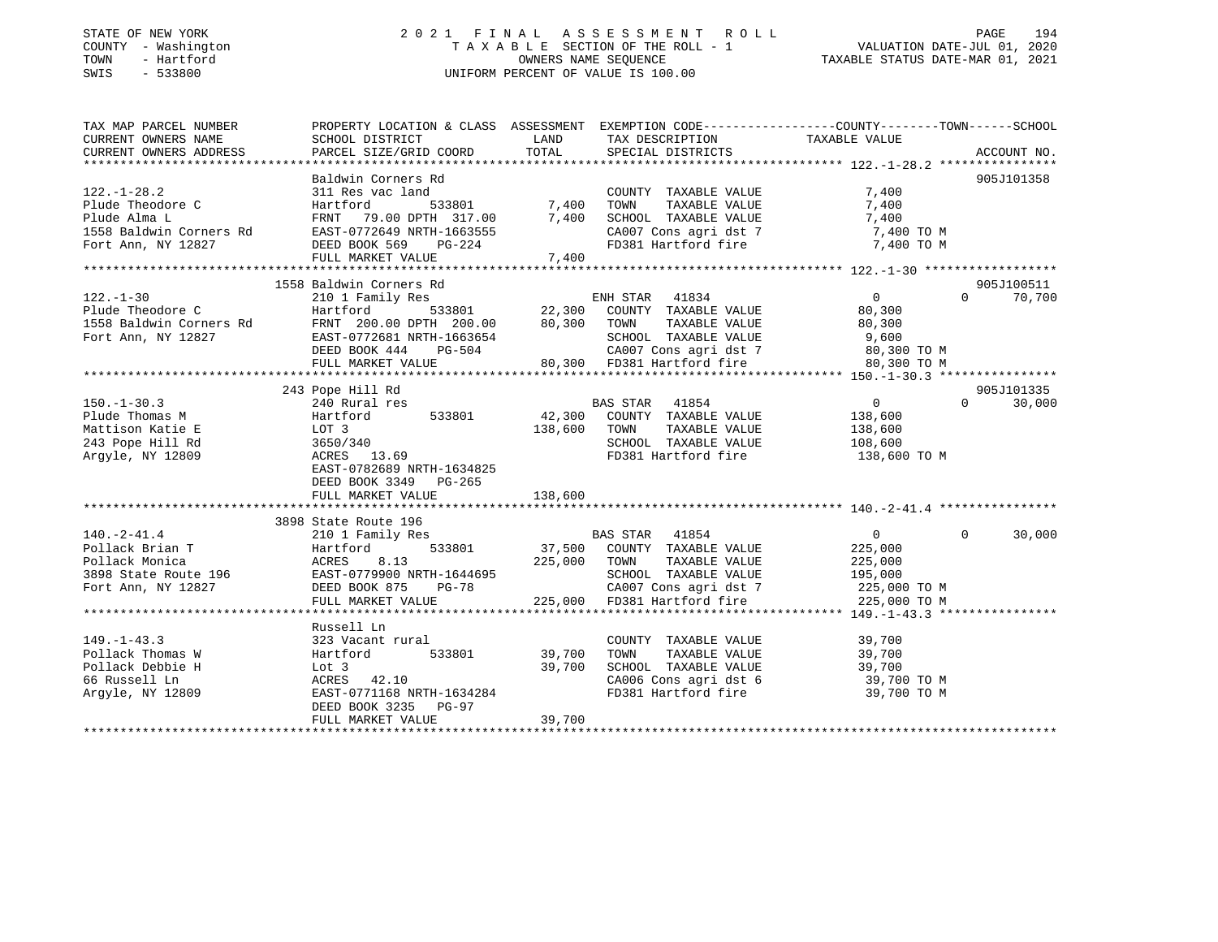# STATE OF NEW YORK 2 0 2 1 F I N A L A S S E S S M E N T R O L L PAGE 194COUNTY - Washington  $T A X A B L E$  SECTION OF THE ROLL - 1<br>TOWN - Hartford SWIS - 533800 UNIFORM PERCENT OF VALUE IS 100.00

# VALUATION DATE-JUL 01, 2020

TAXABLE STATUS DATE-MAR 01, 2021

| TAX MAP PARCEL NUMBER                                                                                                                                                                                                                                                                                                                                                                                                                    | PROPERTY LOCATION & CLASS ASSESSMENT EXEMPTION CODE----------------COUNTY-------TOWN------SCHOOL |             |                                                          |                                                    |                   |             |
|------------------------------------------------------------------------------------------------------------------------------------------------------------------------------------------------------------------------------------------------------------------------------------------------------------------------------------------------------------------------------------------------------------------------------------------|--------------------------------------------------------------------------------------------------|-------------|----------------------------------------------------------|----------------------------------------------------|-------------------|-------------|
| CURRENT OWNERS NAME                                                                                                                                                                                                                                                                                                                                                                                                                      | SCHOOL DISTRICT                                                                                  | <b>LAND</b> | TAX DESCRIPTION TAXABLE VALUE                            |                                                    |                   |             |
| CURRENT OWNERS ADDRESS                                                                                                                                                                                                                                                                                                                                                                                                                   | PARCEL SIZE/GRID COORD TOTAL                                                                     |             | SPECIAL DISTRICTS                                        |                                                    |                   | ACCOUNT NO. |
|                                                                                                                                                                                                                                                                                                                                                                                                                                          |                                                                                                  |             |                                                          |                                                    |                   |             |
| 311 Res vac land<br>22.-1-28.2 311 Res vac land<br>23.-1-28.2 311 Res vac land<br>23.-1-28.2 311 Res vac land<br>23.801 7,400 TOWN TAXABLE VALUE 7,400<br>23.801 7,400 TOWN TAXABLE VALUE 7,400<br>27.400 TOWN TAXABLE VALUE 7,400<br>27.400                                                                                                                                                                                             |                                                                                                  |             |                                                          |                                                    |                   | 905J101358  |
|                                                                                                                                                                                                                                                                                                                                                                                                                                          |                                                                                                  |             |                                                          |                                                    |                   |             |
|                                                                                                                                                                                                                                                                                                                                                                                                                                          |                                                                                                  |             |                                                          |                                                    |                   |             |
|                                                                                                                                                                                                                                                                                                                                                                                                                                          |                                                                                                  |             |                                                          |                                                    |                   |             |
|                                                                                                                                                                                                                                                                                                                                                                                                                                          |                                                                                                  |             |                                                          |                                                    |                   |             |
|                                                                                                                                                                                                                                                                                                                                                                                                                                          |                                                                                                  |             |                                                          |                                                    |                   |             |
|                                                                                                                                                                                                                                                                                                                                                                                                                                          |                                                                                                  |             |                                                          |                                                    |                   |             |
|                                                                                                                                                                                                                                                                                                                                                                                                                                          |                                                                                                  |             |                                                          |                                                    |                   |             |
|                                                                                                                                                                                                                                                                                                                                                                                                                                          | 1558 Baldwin Corners Rd                                                                          |             |                                                          |                                                    |                   | 905J100511  |
| $122. - 1 - 30$                                                                                                                                                                                                                                                                                                                                                                                                                          | 210 1 Family Res                                                                                 |             |                                                          | $\overline{0}$                                     | $\Omega$          | 70,700      |
|                                                                                                                                                                                                                                                                                                                                                                                                                                          |                                                                                                  |             |                                                          |                                                    |                   |             |
|                                                                                                                                                                                                                                                                                                                                                                                                                                          |                                                                                                  |             |                                                          |                                                    |                   |             |
|                                                                                                                                                                                                                                                                                                                                                                                                                                          |                                                                                                  |             |                                                          |                                                    |                   |             |
|                                                                                                                                                                                                                                                                                                                                                                                                                                          |                                                                                                  |             |                                                          |                                                    |                   |             |
|                                                                                                                                                                                                                                                                                                                                                                                                                                          |                                                                                                  |             |                                                          |                                                    |                   |             |
|                                                                                                                                                                                                                                                                                                                                                                                                                                          |                                                                                                  |             |                                                          |                                                    |                   |             |
| $\begin{array}{cccccc} \text{150.-1-30.3} & \text{243 Pope Hill Rd} & \text{240 Rural res} & \text{BAS STAR} & \text{41854} & 0 \\ \text{Plude Thomas M} & \text{138,600} & \text{Hartford} & \text{533801} & 42,300 & \text{COUNTY TAXABLE VALUE} & \text{138,600} \\ \text{MatrixSINATE} & \text{138,600} & \text{138,600} & \text{138,600} & \text{243 Pope Hill Rd} & \text{243 Pope Hill Rd} & \text{243 Pope Hill Rd} & \text{243$ |                                                                                                  |             |                                                          |                                                    |                   | 905J101335  |
|                                                                                                                                                                                                                                                                                                                                                                                                                                          |                                                                                                  |             |                                                          |                                                    | $0 \qquad \qquad$ | 30,000      |
|                                                                                                                                                                                                                                                                                                                                                                                                                                          |                                                                                                  |             |                                                          |                                                    |                   |             |
|                                                                                                                                                                                                                                                                                                                                                                                                                                          |                                                                                                  |             |                                                          |                                                    |                   |             |
|                                                                                                                                                                                                                                                                                                                                                                                                                                          |                                                                                                  |             |                                                          |                                                    |                   |             |
|                                                                                                                                                                                                                                                                                                                                                                                                                                          |                                                                                                  |             |                                                          |                                                    |                   |             |
|                                                                                                                                                                                                                                                                                                                                                                                                                                          | EAST-0782689 NRTH-1634825                                                                        |             |                                                          |                                                    |                   |             |
|                                                                                                                                                                                                                                                                                                                                                                                                                                          | DEED BOOK 3349 PG-265                                                                            |             |                                                          |                                                    |                   |             |
|                                                                                                                                                                                                                                                                                                                                                                                                                                          | FULL MARKET VALUE                                                                                | 138,600     |                                                          |                                                    |                   |             |
|                                                                                                                                                                                                                                                                                                                                                                                                                                          |                                                                                                  |             |                                                          |                                                    |                   |             |
|                                                                                                                                                                                                                                                                                                                                                                                                                                          |                                                                                                  |             |                                                          |                                                    |                   |             |
| $140. -2 - 41.4$                                                                                                                                                                                                                                                                                                                                                                                                                         |                                                                                                  |             |                                                          | $\begin{array}{ccc} & & 0 & \quad & 0 \end{array}$ |                   | 30,000      |
|                                                                                                                                                                                                                                                                                                                                                                                                                                          |                                                                                                  |             |                                                          |                                                    |                   |             |
|                                                                                                                                                                                                                                                                                                                                                                                                                                          |                                                                                                  |             |                                                          |                                                    |                   |             |
|                                                                                                                                                                                                                                                                                                                                                                                                                                          |                                                                                                  |             |                                                          |                                                    |                   |             |
|                                                                                                                                                                                                                                                                                                                                                                                                                                          |                                                                                                  |             |                                                          |                                                    |                   |             |
|                                                                                                                                                                                                                                                                                                                                                                                                                                          |                                                                                                  |             |                                                          |                                                    |                   |             |
|                                                                                                                                                                                                                                                                                                                                                                                                                                          |                                                                                                  |             |                                                          |                                                    |                   |             |
|                                                                                                                                                                                                                                                                                                                                                                                                                                          | Russell Ln                                                                                       |             |                                                          |                                                    |                   |             |
|                                                                                                                                                                                                                                                                                                                                                                                                                                          |                                                                                                  |             | COUNTY TAXABLE VALUE 39,700                              |                                                    |                   |             |
|                                                                                                                                                                                                                                                                                                                                                                                                                                          |                                                                                                  |             | TOWN                                                     |                                                    |                   |             |
|                                                                                                                                                                                                                                                                                                                                                                                                                                          |                                                                                                  |             | TOWN TAXABLE VALUE 39,700<br>SCHOOL TAXABLE VALUE 39,700 |                                                    |                   |             |
|                                                                                                                                                                                                                                                                                                                                                                                                                                          |                                                                                                  |             | CA006 Cons agri dst $6$ 39,700 TO M                      |                                                    |                   |             |
| 149.-1-43.3<br>Pollack Thomas W 323 Vacant rural<br>Pollack Debbie H 10t 3<br>66 Russell Ln 2009<br>Argyle, NY 12809<br>Argyle, NY 12809<br>PERS 42.10<br>REES 42.10<br>POLLAS NRTH-1634284<br>PERS 12.10<br>PERS 12.10<br>POLLAS NRTH-1634284                                                                                                                                                                                           |                                                                                                  |             | FD381 Hartford fire                                      | 39,700 TO M                                        |                   |             |
|                                                                                                                                                                                                                                                                                                                                                                                                                                          | DEED BOOK 3235 PG-97                                                                             |             |                                                          |                                                    |                   |             |
|                                                                                                                                                                                                                                                                                                                                                                                                                                          |                                                                                                  | 39,700      |                                                          |                                                    |                   |             |
|                                                                                                                                                                                                                                                                                                                                                                                                                                          | FULL MARKET VALUE                                                                                |             |                                                          |                                                    |                   |             |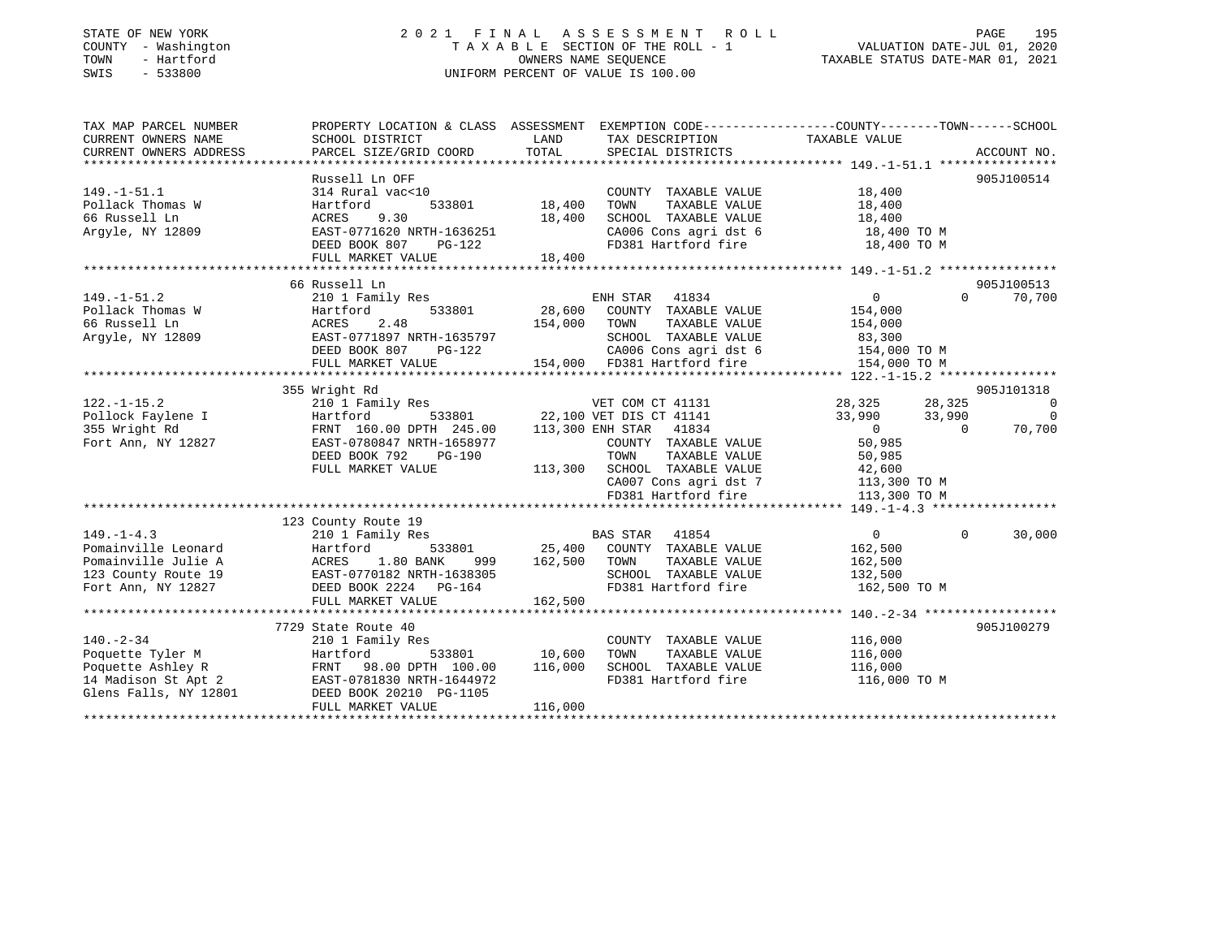### STATE OF NEW YORK 2 0 2 1 F I N A L A S S E S S M E N T R O L L PAGE 195 COUNTY - Washington T A X A B L E SECTION OF THE ROLL - 1 VALUATION DATE-JUL 01, 2020 TOWN - Hartford OWNERS NAME SEQUENCE TAXABLE STATUS DATE-MAR 01, 2021 SWIS - 533800 UNIFORM PERCENT OF VALUE IS 100.00

| TAX MAP PARCEL NUMBER<br>CURRENT OWNERS NAME | PROPERTY LOCATION & CLASS ASSESSMENT EXEMPTION CODE----------------COUNTY-------TOWN------SCHOOL<br>SCHOOL DISTRICT | LAND    | TAX DESCRIPTION                                      | TAXABLE VALUE      |             |                |
|----------------------------------------------|---------------------------------------------------------------------------------------------------------------------|---------|------------------------------------------------------|--------------------|-------------|----------------|
| CURRENT OWNERS ADDRESS                       | PARCEL SIZE/GRID COORD                                                                                              | TOTAL   | SPECIAL DISTRICTS                                    |                    | ACCOUNT NO. |                |
|                                              |                                                                                                                     |         |                                                      |                    |             |                |
|                                              | Russell Ln OFF                                                                                                      |         |                                                      |                    | 905J100514  |                |
| $149. - 1 - 51.1$                            | 314 Rural vac<10                                                                                                    |         | COUNTY TAXABLE VALUE                                 | 18,400             |             |                |
| Pollack Thomas W                             | Hartford<br>533801                                                                                                  | 18,400  | TAXABLE VALUE<br>TOWN                                | 18,400             |             |                |
| 66 Russell Ln                                | ACRES<br>9.30                                                                                                       | 18,400  | SCHOOL TAXABLE VALUE                                 | 18,400             |             |                |
| Argyle, NY 12809                             | EAST-0771620 NRTH-1636251                                                                                           |         | CA006 Cons agri dst 6                                | 18,400 TO M        |             |                |
|                                              | DEED BOOK 807<br>PG-122                                                                                             |         | FD381 Hartford fire                                  | 18,400 TO M        |             |                |
|                                              | FULL MARKET VALUE                                                                                                   | 18,400  |                                                      |                    |             |                |
|                                              |                                                                                                                     |         |                                                      |                    |             |                |
|                                              | 66 Russell Ln                                                                                                       |         |                                                      |                    | 905J100513  |                |
| $149. - 1 - 51.2$                            | 210 1 Family Res                                                                                                    |         | ENH STAR 41834                                       | $\overline{0}$     | $\Omega$    | 70,700         |
| Pollack Thomas W                             | 533801<br>Hartford                                                                                                  | 28,600  | COUNTY TAXABLE VALUE                                 | 154,000            |             |                |
| 66 Russell Ln                                | 2.48<br>ACRES                                                                                                       | 154,000 | TOWN<br>TAXABLE VALUE                                | 154,000            |             |                |
| Arqyle, NY 12809                             | EAST-0771897 NRTH-1635797                                                                                           |         | SCHOOL TAXABLE VALUE                                 | 83,300             |             |                |
|                                              | DEED BOOK 807<br>$PG-122$                                                                                           |         |                                                      | 154,000 TO M       |             |                |
|                                              | FULL MARKET VALUE                                                                                                   |         | CAUUD CONS agri dst 6<br>154,000 FD381 Hartford fire | 154,000 TO M       |             |                |
|                                              |                                                                                                                     |         |                                                      |                    |             |                |
|                                              | 355 Wright Rd                                                                                                       |         |                                                      |                    | 905J101318  |                |
| $122. - 1 - 15.2$                            | 210 1 Family Res                                                                                                    |         | VET COM CT 41131                                     | 28,325             | 28,325      | $\overline{0}$ |
| Pollock Faylene I                            | 533801<br>Hartford                                                                                                  |         | 22,100 VET DIS CT 41141                              | 33,990             | 33,990      | $\Omega$       |
| 355 Wright Rd                                | FRNT 160.00 DPTH 245.00                                                                                             |         | 113,300 ENH STAR 41834                               | $\overline{0}$     | $\Omega$    | 70,700         |
| Fort Ann, NY 12827                           | EAST-0780847 NRTH-1658977                                                                                           |         | COUNTY TAXABLE VALUE                                 | 50,985             |             |                |
|                                              | DEED BOOK 792<br>PG-190                                                                                             |         | TOWN<br>TAXABLE VALUE                                | 50,985             |             |                |
|                                              | FULL MARKET VALUE                                                                                                   | 113,300 | SCHOOL TAXABLE VALUE                                 | 42,600             |             |                |
|                                              |                                                                                                                     |         | CA007 Cons agri dst 7                                | 113,300 TO M       |             |                |
|                                              |                                                                                                                     |         | FD381 Hartford fire                                  | 113,300 TO M       |             |                |
|                                              |                                                                                                                     |         |                                                      |                    |             |                |
|                                              | 123 County Route 19                                                                                                 |         |                                                      |                    |             |                |
| $149. - 1 - 4.3$                             | 210 1 Family Res                                                                                                    |         | BAS STAR 41854                                       | $\overline{0}$     | $\Omega$    | 30,000         |
| Pomainville Leonard                          | Hartford<br>533801                                                                                                  | 25,400  | COUNTY TAXABLE VALUE                                 | 162,500            |             |                |
| Pomainville Julie A                          | ACRES<br>1.80 BANK<br>999                                                                                           | 162,500 | TOWN<br>TAXABLE VALUE                                | 162,500            |             |                |
| 123 County Route 19                          | EAST-0770182 NRTH-1638305                                                                                           |         | SCHOOL TAXABLE VALUE                                 | 132,500            |             |                |
| Fort Ann, NY 12827                           | DEED BOOK 2224 PG-164                                                                                               |         | FD381 Hartford fire                                  | 162,500 TO M       |             |                |
|                                              | FULL MARKET VALUE                                                                                                   | 162,500 |                                                      |                    |             |                |
|                                              |                                                                                                                     |         |                                                      |                    |             |                |
|                                              | 7729 State Route 40                                                                                                 |         |                                                      |                    | 905J100279  |                |
| $140. - 2 - 34$<br>Poquette Tyler M          | 210 1 Family Res<br>533801<br>Hartford                                                                              | 10,600  | COUNTY TAXABLE VALUE<br>TAXABLE VALUE<br>TOWN        | 116,000<br>116,000 |             |                |
| Poquette Ashley R                            | FRNT<br>98.00 DPTH 100.00                                                                                           | 116,000 | SCHOOL TAXABLE VALUE                                 | 116,000            |             |                |
| 14 Madison St Apt 2                          | EAST-0781830 NRTH-1644972                                                                                           |         | FD381 Hartford fire                                  | 116,000 TO M       |             |                |
| Glens Falls, NY 12801                        | DEED BOOK 20210 PG-1105                                                                                             |         |                                                      |                    |             |                |
|                                              | FULL MARKET VALUE                                                                                                   | 116,000 |                                                      |                    |             |                |
|                                              |                                                                                                                     |         |                                                      |                    |             |                |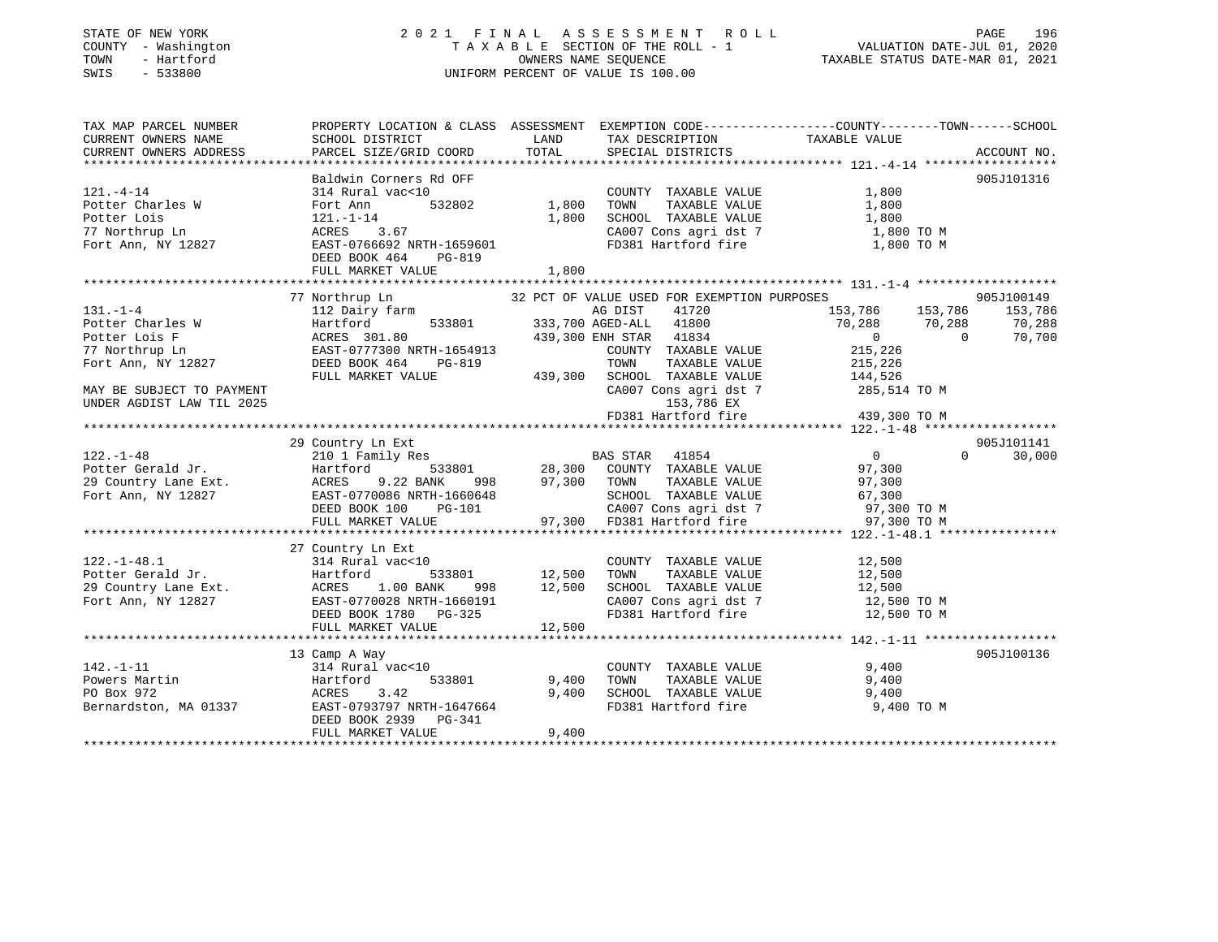### STATE OF NEW YORK 2 0 2 1 F I N A L A S S E S S M E N T R O L L PAGE 196 COUNTY - Washington T A X A B L E SECTION OF THE ROLL - 1 VALUATION DATE-JUL 01, 2020 TOWN - Hartford OWNERS NAME SEQUENCE TAXABLE STATUS DATE-MAR 01, 2021 SWIS - 533800 UNIFORM PERCENT OF VALUE IS 100.00

| TAX MAP PARCEL NUMBER                                                                                                                     |                                                                                                                                                                                |                                         |                                                                                                                                                                                              | PROPERTY LOCATION & CLASS ASSESSMENT EXEMPTION CODE---------------COUNTY-------TOWN------SCHOOL                                                                                                                                                                                                                                       |                                           |
|-------------------------------------------------------------------------------------------------------------------------------------------|--------------------------------------------------------------------------------------------------------------------------------------------------------------------------------|-----------------------------------------|----------------------------------------------------------------------------------------------------------------------------------------------------------------------------------------------|---------------------------------------------------------------------------------------------------------------------------------------------------------------------------------------------------------------------------------------------------------------------------------------------------------------------------------------|-------------------------------------------|
| $121. - 4 - 14$<br>Potter Charles W<br>Potter Lois<br>77 Northrup Ln<br>77 Northrup Ln<br>Fort Ann, NY 12827                              | Baldwin Corners Rd OFF<br>314 Rural vac<10<br>Fort Ann<br>121.-1-14<br>ACRES 3.67<br>EAST-0766692 NRTH-1659601<br>DEED BOOK 464<br>PG-819<br>FULL MARKET VALUE                 | 1,800<br>1,800                          | COUNTY TAXABLE VALUE<br>TOWN<br>TAXABLE VALUE<br>SCHOOL TAXABLE VALUE                                                                                                                        | 1,800<br>1,800<br>1,800<br>CA007 Cons agri dst 7 $1,800$ TO M<br>FD381 Hartford fire $1,800$ TO M                                                                                                                                                                                                                                     | 905J101316                                |
|                                                                                                                                           |                                                                                                                                                                                |                                         |                                                                                                                                                                                              |                                                                                                                                                                                                                                                                                                                                       |                                           |
| $131. -1 - 4$<br>Potter Charles W<br>Potter Lois F<br>77 Northrup Ln<br>77 Northrup Ln<br>Fort Ann, NY 12827<br>MAY BE SUBJECT TO PAYMENT | 77 Northrup Ln<br>112 Dairy farm<br>533801<br>Hartford<br>ACRES 301.80<br>EAST-0777300 NRTH-1654913<br>$PG-819$<br>DEED BOOK 464<br>FULL MARKET VALUE                          | 439,300                                 | 32 PCT OF VALUE USED FOR EXEMPTION PURPOSES<br>AG DIST<br>41720<br>333,700 AGED-ALL 41800<br>439,300 ENH STAR 41834<br>COUNTY TAXABLE VALUE<br>TAXABLE VALUE<br>TOWN<br>SCHOOL TAXABLE VALUE | 153,786 153,786<br>70,288<br>70,288<br>$\begin{array}{c} 0 \\ 215,226 \end{array}$<br>$\Omega$<br>215,226<br>$\begin{tabular}{lllllll} \texttt{SCHOOL} & \texttt{TAXABLE} & \texttt{VALUE} & & 144,526 \\ \texttt{CA007} & \texttt{Cons}\ \texttt{agri}\ \texttt{dst}\ \texttt{7} & & 285,514\ \texttt{TO}\ \texttt{M} \end{tabular}$ | 905J100149<br>153,786<br>70,288<br>70,700 |
| UNDER AGDIST LAW TIL 2025                                                                                                                 |                                                                                                                                                                                |                                         |                                                                                                                                                                                              |                                                                                                                                                                                                                                                                                                                                       |                                           |
|                                                                                                                                           |                                                                                                                                                                                |                                         | 153,786 EX<br>FD381 Hartford fire                                                                                                                                                            | 439,300 TO M                                                                                                                                                                                                                                                                                                                          |                                           |
|                                                                                                                                           |                                                                                                                                                                                |                                         |                                                                                                                                                                                              |                                                                                                                                                                                                                                                                                                                                       |                                           |
| $122. - 1 - 48$<br>Potter Gerald Jr. Hartfor<br>29 Country Lane Ext. ACRES<br>Fort Ann, NY 12827 EAST-07<br>DEED BO                       | 29 Country Ln Ext<br>210 1 Family Res<br>Hartford 533801 28,300 COUNTY TAXABLE VALUE<br>9.22 BANK<br>998<br>AURES 7.2 ---<br>EAST-0770086 NRTH-1660648<br>TIPR POOK 100 PG-101 | 97,300                                  | BAS STAR 41854<br>TAXABLE VALUE<br>TOWN<br>560648 SCHOOL TAXABLE VALUE 67,300<br>101 CA007 Cons agri dst 7 97,300 TD 97,300<br>101 97,300 FD381 Hartford fire 97,300 TO M                    | $\overline{0}$<br>$\Omega$<br>97,300<br>97,300                                                                                                                                                                                                                                                                                        | 905J101141<br>30,000                      |
|                                                                                                                                           | FULL MARKET VALUE                                                                                                                                                              |                                         |                                                                                                                                                                                              |                                                                                                                                                                                                                                                                                                                                       |                                           |
| $122. - 1 - 48.1$<br>Potter Gerald Jr.<br>29 Country Lane Ext.<br>Fort Ann, NY 12827 EAST-0770028 NRTH-1660191                            | 27 Country Ln Ext<br>314 Rural vac<10<br>DEED BOOK 1780 PG-325<br>FULL MARKET VALUE                                                                                            | 533801 12,500<br>$998$ 12,500<br>12,500 | COUNTY TAXABLE VALUE<br>TAXABLE VALUE<br>TOWN                                                                                                                                                | 12,500<br>12,500<br>SCHOOL TAXABLE VALUE 12,500<br>CA007 Cons agri dst 7 12,500 TO M<br>FD381 Hartford fire 12,500 TO M                                                                                                                                                                                                               |                                           |
|                                                                                                                                           |                                                                                                                                                                                |                                         |                                                                                                                                                                                              |                                                                                                                                                                                                                                                                                                                                       |                                           |
| $142. - 1 - 11$<br>Powers Martin<br>PO Box 972<br>Bernardston, MA 01337                                                                   | 13 Camp A Way<br>314 Rural vac<10<br>Hartford<br>533801<br>ACRES 3.42<br>EAST-0793797 NRTH-1647664<br>DEED BOOK 2939 PG-341<br>FULL MARKET VALUE                               | 9,400<br>9,400<br>9,400                 | COUNTY TAXABLE VALUE<br>TOWN<br>TAXABLE VALUE<br>SCHOOL TAXABLE VALUE<br>FD381 Hartford fire                                                                                                 | 9,400<br>9,400<br>9,400<br>9,400 TO M                                                                                                                                                                                                                                                                                                 | 905J100136                                |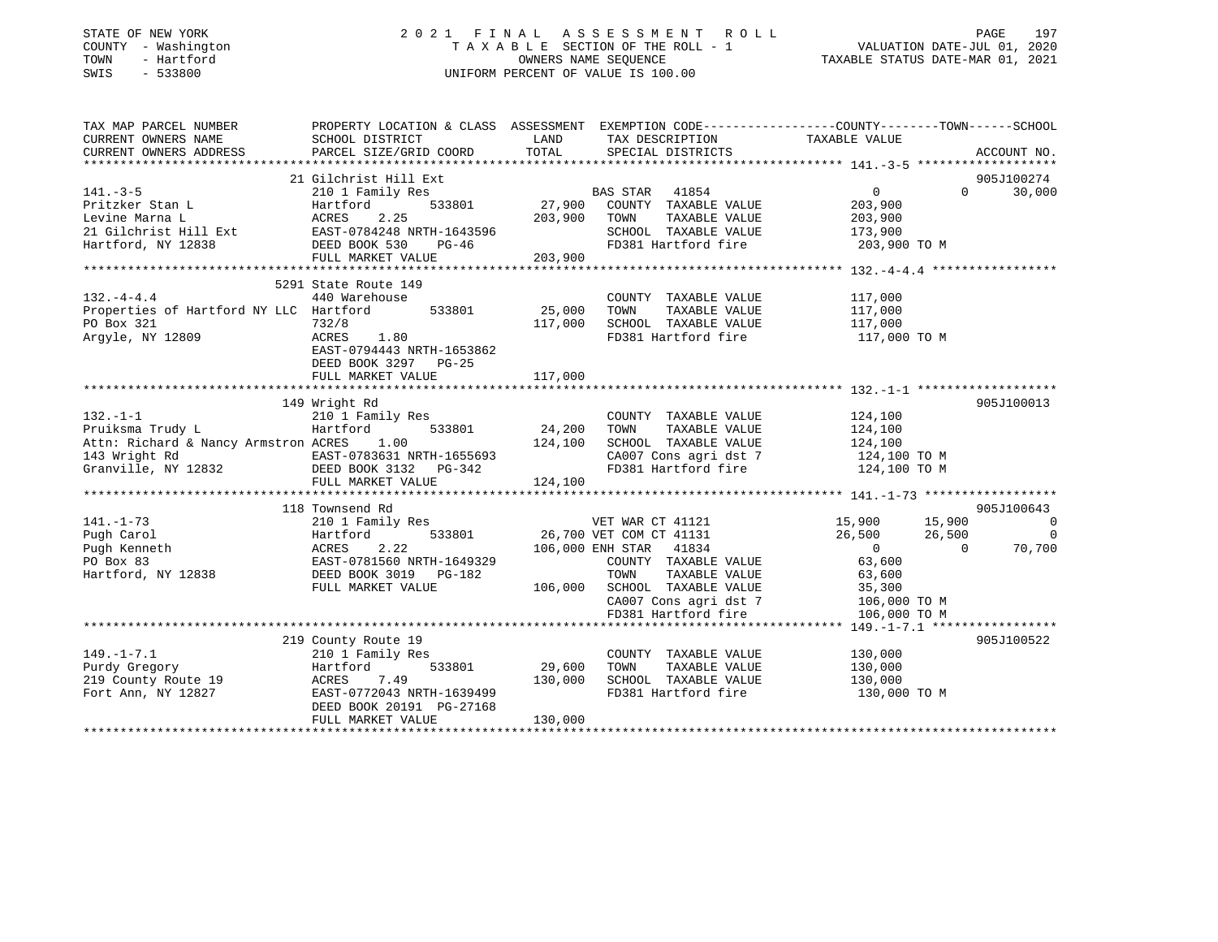| STATE OF NEW YORK |  |              |  |
|-------------------|--|--------------|--|
| COUNTY            |  | - Washington |  |
| TOWN              |  | - Hartford   |  |
| <b>SWTS</b>       |  | $-533800$    |  |

### STATE OF NEW YORK 2 0 2 1 F I N A L A S S E S S M E N T R O L L PAGE 197 COUNTY - Washington T A X A B L E SECTION OF THE ROLL - 1 VALUATION DATE-JUL 01, 2020 TOWN - Hartford OWNERS NAME SEQUENCE TAXABLE STATUS DATE-MAR 01, 2021 SWIS - 533800 UNIFORM PERCENT OF VALUE IS 100.00

|                       | PAGE |     |
|-----------------------|------|-----|
| VALIIATION DATR-JIII. |      | つのつ |

| TAX MAP PARCEL NUMBER                                     | PROPERTY LOCATION & CLASS ASSESSMENT EXEMPTION CODE----------------COUNTY-------TOWN------SCHOOL |         |                                                                                                                                                                                                                              |                                                      |                          |
|-----------------------------------------------------------|--------------------------------------------------------------------------------------------------|---------|------------------------------------------------------------------------------------------------------------------------------------------------------------------------------------------------------------------------------|------------------------------------------------------|--------------------------|
| CURRENT OWNERS NAME                                       | SCHOOL DISTRICT                                                                                  | LAND    | TAX DESCRIPTION                                                                                                                                                                                                              | TAXABLE VALUE                                        |                          |
| CURRENT OWNERS ADDRESS                                    | PARCEL SIZE/GRID COORD                                                                           | TOTAL   | SPECIAL DISTRICTS                                                                                                                                                                                                            |                                                      | ACCOUNT NO.              |
|                                                           |                                                                                                  |         |                                                                                                                                                                                                                              |                                                      |                          |
|                                                           | 21 Gilchrist Hill Ext                                                                            |         |                                                                                                                                                                                                                              |                                                      | 905J100274               |
| $141. - 3 - 5$                                            | 210 1 Family Res                                                                                 |         | ${\small \begin{tabular}{lllllllllll} \texttt{SAC} & \texttt{SAC} & \texttt{SAC} & \texttt{SAC} \\ \texttt{S} & \texttt{S3001} & \texttt{S27,900} & \texttt{COUNTY} & \texttt{TAXABLE VALUE} \end{tabular}} \label{eq:1854}$ | $\overline{0}$                                       | 30,000<br>$\Omega$       |
| Pritzker Stan L                                           | Hartford                                                                                         |         |                                                                                                                                                                                                                              | 203,900                                              |                          |
|                                                           |                                                                                                  |         |                                                                                                                                                                                                                              |                                                      |                          |
|                                                           |                                                                                                  |         |                                                                                                                                                                                                                              |                                                      |                          |
|                                                           |                                                                                                  |         |                                                                                                                                                                                                                              | FD381 Hartford fire 203,900 TO M                     |                          |
|                                                           |                                                                                                  |         |                                                                                                                                                                                                                              |                                                      |                          |
|                                                           | 5291 State Route 149                                                                             |         |                                                                                                                                                                                                                              |                                                      |                          |
| $132. -4 - 4.4$                                           | 440 Warehouse                                                                                    |         |                                                                                                                                                                                                                              | 117,000                                              |                          |
| Properties of Hartford NY LLC Hartford                    | 533801 25,000                                                                                    |         | COUNTY TAXABLE VALUE<br>TAXABLE VALUE<br>TOWN                                                                                                                                                                                |                                                      |                          |
| PO Box 321                                                | 732/8                                                                                            | 117,000 | SCHOOL TAXABLE VALUE                                                                                                                                                                                                         | 117,000<br>117,000                                   |                          |
| Argyle, NY 12809                                          | $1.32/8$<br>ACRES 1.80                                                                           |         | FD381 Hartford fire                                                                                                                                                                                                          | 117,000 TO M                                         |                          |
|                                                           | EAST-0794443 NRTH-1653862                                                                        |         |                                                                                                                                                                                                                              |                                                      |                          |
|                                                           |                                                                                                  |         |                                                                                                                                                                                                                              |                                                      |                          |
|                                                           | DEED BOOK 3297 PG-25<br>FULL MARKET VALUE                                                        | 117,000 |                                                                                                                                                                                                                              |                                                      |                          |
|                                                           |                                                                                                  |         |                                                                                                                                                                                                                              |                                                      |                          |
|                                                           | 149 Wright Rd                                                                                    |         |                                                                                                                                                                                                                              |                                                      | 905J100013               |
| $132. -1 - 1$                                             |                                                                                                  |         | COUNTY TAXABLE VALUE                                                                                                                                                                                                         | 124,100                                              |                          |
| Pruiksma Trudy L                                          | 210 <sup>1</sup> Family Res<br>Hartford 533801<br>Hartford                                       | 24,200  | TOWN<br>TAXABLE VALUE                                                                                                                                                                                                        | 124,100                                              |                          |
| Attn: Richard & Nancy Armstron ACRES                      | 1.00                                                                                             | 124,100 | SCHOOL TAXABLE VALUE 124,100                                                                                                                                                                                                 |                                                      |                          |
|                                                           |                                                                                                  |         |                                                                                                                                                                                                                              |                                                      |                          |
|                                                           |                                                                                                  |         | CA007 Cons agri dst 7<br>FD381 Hartford fire                                                                                                                                                                                 | 124,100 TO M<br>124,100 TO M                         |                          |
|                                                           | FULL MARKET VALUE                                                                                | 124,100 |                                                                                                                                                                                                                              |                                                      |                          |
|                                                           |                                                                                                  |         |                                                                                                                                                                                                                              |                                                      |                          |
|                                                           | 118 Townsend Rd                                                                                  |         |                                                                                                                                                                                                                              |                                                      | 905J100643               |
| $141. - 1 - 73$                                           |                                                                                                  |         |                                                                                                                                                                                                                              |                                                      | $\overline{\phantom{0}}$ |
| Pugh Carol                                                | Hartford                                                                                         |         |                                                                                                                                                                                                                              |                                                      | $\overline{0}$           |
|                                                           | 2.22<br>ACRES                                                                                    |         | 106,000 ENH STAR 41834                                                                                                                                                                                                       | $\overline{0}$                                       | 70,700                   |
| Pugh Kenneth<br>PO Box 83<br>Hartford, NY 12838           | EAST-0781560 NRTH-1649329                                                                        |         | COUNTY TAXABLE VALUE                                                                                                                                                                                                         | $\begin{array}{c} 0 \\ 63,600 \end{array}$<br>63,600 |                          |
|                                                           | DEED BOOK 3019 PG-182                                                                            |         | TAXABLE VALUE<br>TOWN                                                                                                                                                                                                        | 63,600                                               |                          |
|                                                           | FULL MARKET VALUE                                                                                |         |                                                                                                                                                                                                                              |                                                      |                          |
|                                                           |                                                                                                  |         |                                                                                                                                                                                                                              |                                                      |                          |
|                                                           |                                                                                                  |         | 106,000 SCHOOL TAXABLE VALUE 35,300<br>CA007 Cons agri dst 7 106,000 TO M<br>FD381 Hartford fire 106,000 TO M                                                                                                                |                                                      |                          |
|                                                           |                                                                                                  |         |                                                                                                                                                                                                                              |                                                      |                          |
|                                                           | 219 County Route 19                                                                              |         |                                                                                                                                                                                                                              |                                                      | 905J100522               |
| $149. - 1 - 7.1$                                          | 210 1 Family Res                                                                                 |         |                                                                                                                                                                                                                              |                                                      |                          |
| Purdy Gregory                                             | Hartford 533801 29,600 TOWN                                                                      |         | COUNTY TAXABLE VALUE 130,000<br>TOWN TAXABLE VALUE 130.000<br>TAXABLE VALUE                                                                                                                                                  | 130,000                                              |                          |
|                                                           | 130,000<br>7.49                                                                                  |         | SCHOOL TAXABLE VALUE 130,000                                                                                                                                                                                                 |                                                      |                          |
| 219 County Route 19 ACRES<br>Fort Ann, NY 12827 EAST-0772 | EAST-0772043 NRTH-1639499                                                                        |         | FD381 Hartford fire                                                                                                                                                                                                          | 130,000 TO M                                         |                          |
|                                                           | DEED BOOK 20191 PG-27168                                                                         |         |                                                                                                                                                                                                                              |                                                      |                          |
|                                                           | FULL MARKET VALUE                                                                                | 130,000 |                                                                                                                                                                                                                              |                                                      |                          |
|                                                           |                                                                                                  |         |                                                                                                                                                                                                                              |                                                      |                          |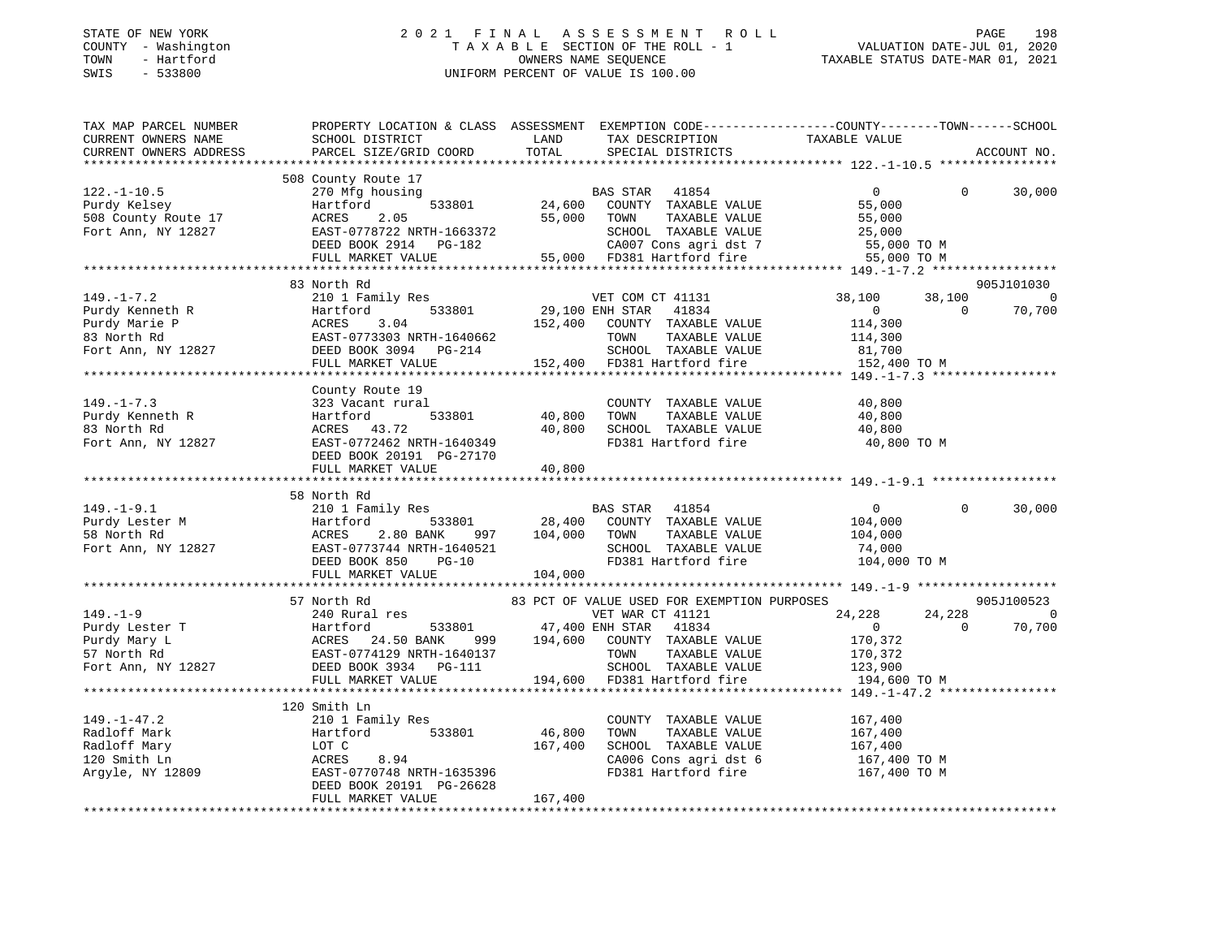#### STATE OF NEW YORK 2 0 2 1 F I N A L A S S E S S M E N T R O L L PAGE 198COUNTY - Washington T A X A B L E SECTION OF THE ROLL - 1 TOWN - Hartford OWNERS NAME SEQUENCE TAXABLE STATUS DATE-MAR 01, 2021 SWIS - 533800 UNIFORM PERCENT OF VALUE IS 100.00

TAX MAP PARCEL NUMBER PROPERTY LOCATION & CLASS ASSESSMENT EXEMPTION CODE------------------COUNTY--------TOWN------SCHOOL CURRENT OWNERS NAME SCHOOL DISTRICT A LAND TAX DESCRIPTION TAXABLE VALUE CURRENT OWNERS ADDRESS PARCEL SIZE/GRID COORD TOTAL SPECIAL DISTRICTS ACCOUNT NO. \*\*\*\*\*\*\*\*\*\*\*\*\*\*\*\*\*\*\*\*\*\*\*\*\*\*\*\*\*\*\*\*\*\*\*\*\*\*\*\*\*\*\*\*\*\*\*\*\*\*\*\*\*\*\*\*\*\*\*\*\*\*\*\*\*\*\*\*\*\*\*\*\*\*\*\*\*\*\*\*\*\*\*\*\*\*\*\*\*\*\*\*\*\*\*\*\*\*\*\*\*\*\* 122.-1-10.5 \*\*\*\*\*\*\*\*\*\*\*\*\*\*\*\* 508 County Route 17 122.-1-10.5 270 Mfg housing BAS STAR 41854 0 0 30,000 Purdy Kelsey Hartford 533801 24,600 COUNTY TAXABLE VALUE 55,000 508 County Route 17 ACRES 2.05 55,000 TOWN TAXABLE VALUE 55,000 Fort Ann, NY 12827 **EAST-0778722 NRTH-1663372** SCHOOL TAXABLE VALUE 25,000 DEED BOOK 2914 PG-182 CA007 Cons agri dst 7 55,000 TO M FULL MARKET VALUE 55,000 FD381 Hartford fire 55,000 TO M \*\*\*\*\*\*\*\*\*\*\*\*\*\*\*\*\*\*\*\*\*\*\*\*\*\*\*\*\*\*\*\*\*\*\*\*\*\*\*\*\*\*\*\*\*\*\*\*\*\*\*\*\*\*\*\*\*\*\*\*\*\*\*\*\*\*\*\*\*\*\*\*\*\*\*\*\*\*\*\*\*\*\*\*\*\*\*\*\*\*\*\*\*\*\*\*\*\*\*\*\*\*\* 149.-1-7.2 \*\*\*\*\*\*\*\*\*\*\*\*\*\*\*\*\*

|                                                                  | 83 North Rd                                                                                                                                                                                                                                       |                                                                                      | 905J101030                           |
|------------------------------------------------------------------|---------------------------------------------------------------------------------------------------------------------------------------------------------------------------------------------------------------------------------------------------|--------------------------------------------------------------------------------------|--------------------------------------|
| $149. - 1 - 7.2$                                                 | 210 1 Family Res                                                                                                                                                                                                                                  | VET COM CT 41131                                                                     | 38,100<br>$\overline{0}$<br>38,100   |
| Purdy Kenneth R                                                  | Hartford                                                                                                                                                                                                                                          | $\frac{1}{29,100}$ ENH STAR 41834                                                    | $\overline{0}$<br>70,700<br>$\Omega$ |
| Purdy Marie P                                                    | ACRES 3.04<br>EAST-0773303 NRTH-1640662                                                                                                                                                                                                           | 152,400<br>COUNTY TAXABLE VALUE                                                      | 114,300                              |
| 83 North Rd                                                      |                                                                                                                                                                                                                                                   | TAXABLE VALUE<br>TOWN                                                                | 114,300                              |
|                                                                  | Fort Ann, NY 12827 DEED BOOK 3094 PG-214                                                                                                                                                                                                          |                                                                                      |                                      |
|                                                                  | FULL MARKET VALUE                                                                                                                                                                                                                                 | SCHOOL TAXABLE VALUE 81,700<br>152,400 FD381 Hartford fire 152,400 TO M              |                                      |
|                                                                  |                                                                                                                                                                                                                                                   |                                                                                      |                                      |
|                                                                  | County Route 19                                                                                                                                                                                                                                   |                                                                                      |                                      |
| $149. - 1 - 7.3$                                                 | 323 Vacant rural                                                                                                                                                                                                                                  | COUNTY TAXABLE VALUE                                                                 | 40,800                               |
| Purdy Kenneth R                                                  | 533801<br>Hartford                                                                                                                                                                                                                                | 40,800<br>TOWN<br>TAXABLE VALUE                                                      | 40,800                               |
| 83 North Rd                                                      |                                                                                                                                                                                                                                                   | SCHOOL TAXABLE VALUE 40,800                                                          |                                      |
| Fort Ann, NY 12827                                               | 40,800 43.72 40,800<br>EAST-0772462 NRTH-1640349 40,800                                                                                                                                                                                           | FD381 Hartford fire                                                                  | 40,800 TO M                          |
|                                                                  | DEED BOOK 20191 PG-27170<br>FULL MARKET VALUE                                                                                                                                                                                                     | 40,800                                                                               |                                      |
|                                                                  |                                                                                                                                                                                                                                                   |                                                                                      |                                      |
|                                                                  | 58 North Rd                                                                                                                                                                                                                                       |                                                                                      |                                      |
| $149. - 1 - 9.1$                                                 | 210 1 Family Res                                                                                                                                                                                                                                  | BAS STAR 41854                                                                       | $\overline{0}$<br>$\Omega$<br>30,000 |
| Purdy Lester M                                                   | --- -<br>Hartfo<br>ACRES<br>Hartford                                                                                                                                                                                                              | 533801 28,400 COUNTY TAXABLE VALUE                                                   | 104,000                              |
| 58 North Rd                                                      | 2.80 BANK                                                                                                                                                                                                                                         | 997 104,000<br>TAXABLE VALUE<br>TOWN                                                 | 104,000                              |
|                                                                  | Fort Ann, NY 12827 EAST-0773744 NRTH-1640521                                                                                                                                                                                                      | SCHOOL TAXABLE VALUE 74,000                                                          |                                      |
|                                                                  | DEED BOOK 850<br>$PG-10$                                                                                                                                                                                                                          | FD381 Hartford fire                                                                  | 104,000 TO M                         |
|                                                                  | FULL MARKET VALUE                                                                                                                                                                                                                                 | 104,000                                                                              |                                      |
|                                                                  |                                                                                                                                                                                                                                                   |                                                                                      |                                      |
|                                                                  | 57 North Rd                                                                                                                                                                                                                                       | 83 PCT OF VALUE USED FOR EXEMPTION PURPOSES                                          | 905J100523                           |
| $149. - 1 - 9$                                                   | 240 Rural res                                                                                                                                                                                                                                     | VET WAR CT 41121                                                                     | 24,228<br>24,228<br>$\Omega$         |
|                                                                  | Purdy Lester T<br>Purdy Mary L<br>Purdy Mary L<br>57 North Rd<br>Fort Ann, NY 12827<br>Pure Public CAST-0774129 NRTH-1640137<br>Pure Public CAST-0774129 NRTH-1640137<br>Public CAST-0774129 NRTH-1640137<br>Public CAST-0774129 NRTH-1640137<br> | 533801 47,400 ENH STAR<br>41834                                                      | 70,700<br>$\overline{0}$<br>$\Omega$ |
|                                                                  |                                                                                                                                                                                                                                                   | 999 194,600 COUNTY TAXABLE VALUE                                                     | 170,372                              |
|                                                                  |                                                                                                                                                                                                                                                   | TOWN<br>TAXABLE VALUE                                                                | 170,372                              |
|                                                                  |                                                                                                                                                                                                                                                   | SCHOOL TAXABLE VALUE                                                                 | 123,900                              |
|                                                                  | FULL MARKET VALUE                                                                                                                                                                                                                                 | 194,600 FD381 Hartford fire                                                          | 194,600 TO M                         |
|                                                                  |                                                                                                                                                                                                                                                   |                                                                                      |                                      |
|                                                                  | 120 Smith Ln                                                                                                                                                                                                                                      |                                                                                      |                                      |
| $149. - 1 - 47.2$                                                | 210 1 Family Res                                                                                                                                                                                                                                  | COUNTY TAXABLE VALUE                                                                 | 167,400                              |
|                                                                  | 533801<br>Hartford                                                                                                                                                                                                                                | 46,800<br>TAXABLE VALUE<br>TOWN<br>TOWN      TAXABLE VALUE<br>SCHOOL   TAXABLE VALUE | 167,400                              |
| Radloff Mark<br>Radloff Mary<br>120 Smith Ln<br>Argyle, NY 12809 | LOT C                                                                                                                                                                                                                                             | 167,400                                                                              | 167,400                              |
|                                                                  | 8.94<br>ACRES                                                                                                                                                                                                                                     |                                                                                      | CA006 Cons agri dst 6 167,400 TO M   |
|                                                                  | EAST-0770748 NRTH-1635396                                                                                                                                                                                                                         | FD381 Hartford fire                                                                  | 167,400 ТО М                         |
|                                                                  | DEED BOOK 20191 PG-26628                                                                                                                                                                                                                          |                                                                                      |                                      |
|                                                                  | FULL MARKET VALUE                                                                                                                                                                                                                                 | 167,400                                                                              |                                      |
|                                                                  |                                                                                                                                                                                                                                                   |                                                                                      |                                      |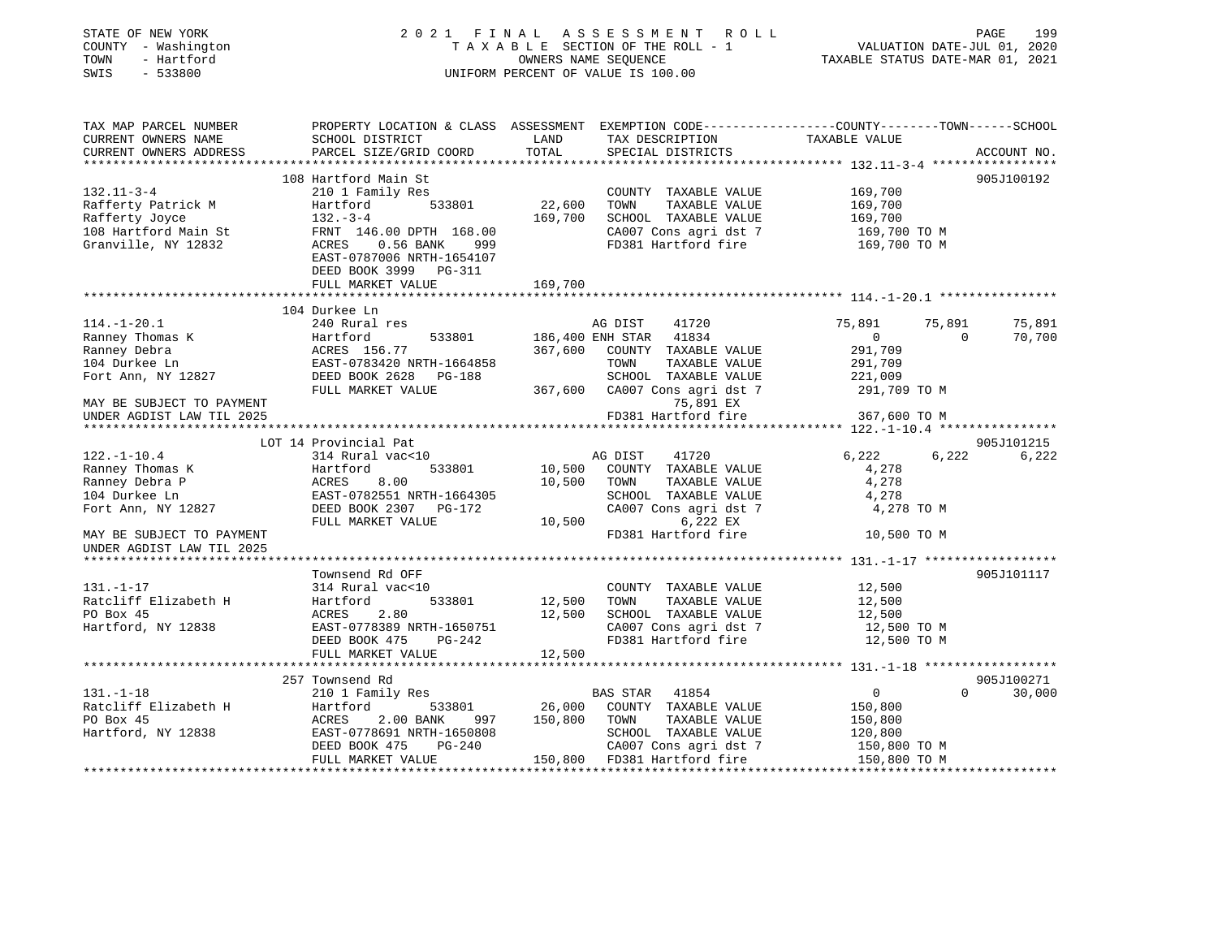| STATE OF NEW YORK<br>COUNTY - Washington<br>TOWN - Hartford<br>SWIS<br>$-533800$                        |                                                                                                                                                                               | 2021 FINAL ASSESSMENT ROLL<br>UNIFORM PERCENT OF VALUE IS 100.00                                                                                                                                                                                                                                                                                                  | PAGE<br>199<br>FINAL ASSESSMENT ROLL<br>TAXABLE SECTION OF THE ROLL - 1 VALUATION DATE-JUL 01, 2020<br>OWNERS NAME SEQUENCE TAXABLE STATUS DATE-MAR 01, 2021 |
|---------------------------------------------------------------------------------------------------------|-------------------------------------------------------------------------------------------------------------------------------------------------------------------------------|-------------------------------------------------------------------------------------------------------------------------------------------------------------------------------------------------------------------------------------------------------------------------------------------------------------------------------------------------------------------|--------------------------------------------------------------------------------------------------------------------------------------------------------------|
| TAX MAP PARCEL NUMBER<br>CURRENT OWNERS NAME<br>CURRENT OWNERS ADDRESS                                  | SCHOOL DISTRICT<br>PARCEL SIZE/GRID COORD                                                                                                                                     | TAX DESCRIPTION<br>LAND<br>TOTAL<br>SPECIAL DISTRICTS                                                                                                                                                                                                                                                                                                             | PROPERTY LOCATION & CLASS ASSESSMENT EXEMPTION CODE---------------COUNTY-------TOWN-----SCHOOL<br>TAXABLE VALUE<br>ACCOUNT NO.                               |
| $132.11 - 3 - 4$<br>Rafferty Patrick M<br>Rafferty Joyce<br>108 Hartford Main St<br>Granville, NY 12832 | 108 Hartford Main St<br>210 1 Family Res<br>Hartford<br>$132 - 3 - 4$<br>FRNT 146.00 DPTH 168.00<br>ACRES 0.56 BANK 999<br>EAST-0787006 NRTH-1654107<br>DEED BOOK 3999 PG-311 | COUNTY TAXABLE VALUE<br>533801 22,600 TOWN<br>TAXABLE VALUE<br>169,700 SCHOOL TAXABLE VALUE<br>CA007 Cons agri dst 7                                                                                                                                                                                                                                              | 905J100192<br>169,700<br>169,700<br>169,700<br>169,700 TO M<br>FD381 Hartford fire 169,700 TO M                                                              |
|                                                                                                         | FULL MARKET VALUE                                                                                                                                                             | 169,700                                                                                                                                                                                                                                                                                                                                                           |                                                                                                                                                              |
| $114.-1-20.1$                                                                                           | 104 Durkee Ln<br>240 Rural res                                                                                                                                                |                                                                                                                                                                                                                                                                                                                                                                   | 75,891<br>75,891<br>75,891                                                                                                                                   |
|                                                                                                         |                                                                                                                                                                               | AG DIST 41720<br>533801 186,400 ENH STAR 41834<br>Ranney Thomas K (Additional Health State 186,400 ENH STAR 41834<br>Ranney Debra (Additional ACRES 156.77 (Additional STAR 41834<br>104 Durkee Ln EAST-0783420 NRTH-1664858 TOWN TAXABLE VALUE<br>Fort Ann, NY 12827 DEED BOOK 2628 P<br>SCHOOL TAXABLE VALUE<br>FULL MARKET VALUE 367,600 CA007 Cons agri dst 7 | $\overline{0}$<br>$\sim$ 0<br>70,700<br>291,709<br>291,709<br>$\frac{221,009}{291,709}$<br>291,709 TO M                                                      |
| MAY BE SUBJECT TO PAYMENT<br>UNDER AGDIST LAW TIL 2025                                                  |                                                                                                                                                                               | 75,891 EX<br>FD381 Hartford fire                                                                                                                                                                                                                                                                                                                                  | 367,600 ТО М                                                                                                                                                 |
|                                                                                                         | LOT 14 Provincial Pat                                                                                                                                                         |                                                                                                                                                                                                                                                                                                                                                                   | 905J101215                                                                                                                                                   |
| $122. - 1 - 10.4$<br>Ranney Thomas K<br>Ranney Debra P<br>104 Durkee Ln<br>Fort Ann, NY 12827           | 314 Rural vac<10<br>533801<br>Hartford<br>ACRES 8.00<br>EAST-0782551 NRTH-1664305<br>DEED BOOK 2307 PG-172<br>FULL MARKET VALUE                                               | AG DIST 41720<br>10,500 COUNTY TAXABLE VALUE<br>10,500 TOWN<br>TAXABLE VALUE<br>SCHOOL TAXABLE VALUE<br>SCHOOL TAXABLE VALUE<br>CA007 Cons agri dst 7<br>10,500<br>6,222 EX                                                                                                                                                                                       | 6,222<br>6,222 6,222<br>4,278<br>4,278<br>4,278<br>4,278 TO M                                                                                                |
| MAY BE SUBJECT TO PAYMENT<br>UNDER AGDIST LAW TIL 2025                                                  |                                                                                                                                                                               |                                                                                                                                                                                                                                                                                                                                                                   | FD381 Hartford fire 10,500 TO M                                                                                                                              |
|                                                                                                         |                                                                                                                                                                               |                                                                                                                                                                                                                                                                                                                                                                   |                                                                                                                                                              |
| $131. - 1 - 17$<br>Ratcliff Elizabeth H<br>PO Box 45<br>Hartford, NY 12838                              | Townsend Rd OFF<br>314 Rural vac<10<br>533801<br>Hartford<br>DEED BOOK 475 PG-242<br>FULL MARKET VALUE                                                                        | COUNTY<br>12,500 TOWN<br>COUNTY TAXABLE VALUE<br>TAXABLE VALUE<br>ACRES 2.80 12,500 SCHOOL TAXABLE VALUE<br>EAST-0778389 NRTH-1650751 CA007 Cons agri dst 7<br>DEED BOOK 475 PG-242 FD381 Hartford fire<br>FD381 Hartford fire<br>12,500                                                                                                                          | 905J101117<br>12,500<br>12,500<br>12,500<br>CA007 Cons agri dst 7 12,500 TO M<br>12,500 TO M                                                                 |
|                                                                                                         |                                                                                                                                                                               |                                                                                                                                                                                                                                                                                                                                                                   |                                                                                                                                                              |
|                                                                                                         | 257 Townsend Rd                                                                                                                                                               |                                                                                                                                                                                                                                                                                                                                                                   | 905J100271                                                                                                                                                   |
| $131. - 1 - 18$<br>Ratcliff Elizabeth H<br>PO Box 45<br>Hartford, NY 12838                              | 210 1 Family Res<br>EAST-0778691 NRTH-1650808                                                                                                                                 | BAS STAR 41854<br>Hartford 533801 26,000 COUNTY TAXABLE VALUE<br>ACRES 2.00 BANK 997 150,800 TOWN TAXABLE VALUE<br>SCHOOL TAXABLE VALUE<br>CA007 Cons agri dst 7                                                                                                                                                                                                  | $0 \qquad \qquad$<br>$\overline{0}$<br>30,000<br>150,800<br>150,800<br>120,800                                                                               |
|                                                                                                         | DEED BOOK 475 PG-240<br>FULL MARKET VALUE                                                                                                                                     | 40 CA007 Cons agri dst 7 150,800 TO M<br>150,800 FD381 Hartford fire 150,800 TO M                                                                                                                                                                                                                                                                                 |                                                                                                                                                              |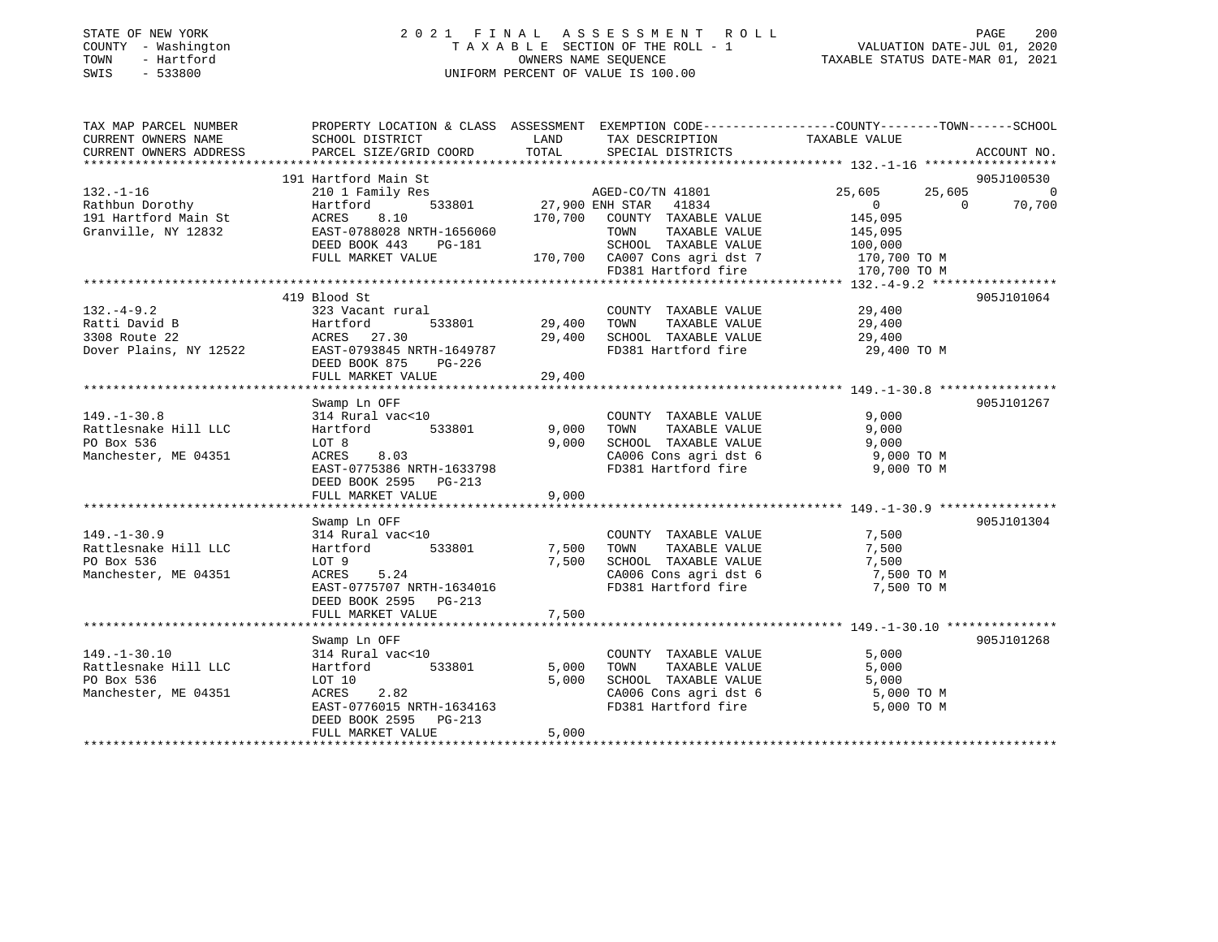| STATE OF NEW YORK |              |
|-------------------|--------------|
| COUNTY            | - Washington |
| TOWN              | - Hartford   |
| <b>CMTC</b>       | 533800       |

### STATE OF NEW YORK 2 0 2 1 F I N A L A S S E S S M E N T R O L L PAGE 200 COUNTY - Washington T A X A B L E SECTION OF THE ROLL - 1 VALUATION DATE-JUL 01, 2020 OWNERS NAME SEQUENCE TAXABLE STATUS DATE-MAR 01, 2021 SWIS - 533800 UNIFORM PERCENT OF VALUE IS 100.00

| TAX MAP PARCEL NUMBER                                                                       | PROPERTY LOCATION & CLASS ASSESSMENT EXEMPTION CODE----------------COUNTY-------TOWN------SCHOOL |               |                                                                         |                       |                    |
|---------------------------------------------------------------------------------------------|--------------------------------------------------------------------------------------------------|---------------|-------------------------------------------------------------------------|-----------------------|--------------------|
| CURRENT OWNERS NAME                                                                         | SCHOOL DISTRICT                                                                                  | LAND          | TAX DESCRIPTION                                                         | TAXABLE VALUE         |                    |
| CURRENT OWNERS ADDRESS                                                                      | PARCEL SIZE/GRID COORD                                                                           | TOTAL         | SPECIAL DISTRICTS                                                       |                       | ACCOUNT NO.        |
|                                                                                             | 191 Hartford Main St                                                                             |               |                                                                         |                       | 905J100530         |
| $132. - 1 - 16$                                                                             | 210 1 Family Res                                                                                 |               | AGED-CO/TN 41801                                                        | 25,605                | 25,605 0           |
| Rathbun Dorothy<br>191 Hartford Main St<br>Granville, NY 12832<br>EAST-0788028 NRTH-1656060 |                                                                                                  |               | 533801 27,900 ENH STAR 41834                                            | $\overline{0}$        | $\Omega$<br>70,700 |
|                                                                                             |                                                                                                  |               | 170,700 COUNTY TAXABLE VALUE                                            | 145,095               |                    |
|                                                                                             |                                                                                                  |               | TOWN<br>TAXABLE VALUE                                                   | 145,095               |                    |
|                                                                                             | DEED BOOK 443 PG-181                                                                             |               | SCHOOL TAXABLE VALUE                                                    | 100,000               |                    |
|                                                                                             | FULL MARKET VALUE                                                                                |               | -181 SCHOOL TAXABLE VALUE<br>170,700 CA007 Cons agri dst 7 170,700 TO M |                       |                    |
|                                                                                             |                                                                                                  |               | FD381 Hartford fire                                                     | 170,700 TO M          |                    |
|                                                                                             |                                                                                                  |               |                                                                         |                       |                    |
|                                                                                             | 419 Blood St                                                                                     |               |                                                                         |                       | 905J101064         |
| $132 - 4 - 9.2$                                                                             | 323 Vacant rural                                                                                 | 533801 29,400 | COUNTY TAXABLE VALUE                                                    | 29,400                |                    |
| Ratti David B                                                                               | Harttoru<br>ACRES 27.30<br>27.3845                                                               |               | TOWN<br>TAXABLE VALUE                                                   | 29,400                |                    |
|                                                                                             |                                                                                                  |               | SCHOOL TAXABLE VALUE<br>FD381 Hartford fire                             | 29,400<br>29,400 TO M |                    |
| ACRES 27.30 29,400<br>Dover Plains, NY 12522 EAST-0793845 NRTH-1649787                      | DEED BOOK 875<br>PG-226                                                                          |               |                                                                         |                       |                    |
|                                                                                             | FULL MARKET VALUE                                                                                | 29,400        |                                                                         |                       |                    |
|                                                                                             |                                                                                                  |               |                                                                         |                       |                    |
|                                                                                             | Swamp Ln OFF                                                                                     |               |                                                                         |                       | 905J101267         |
| $149. - 1 - 30.8$                                                                           | 314 Rural vac<10                                                                                 |               | COUNTY TAXABLE VALUE                                                    | 9,000                 |                    |
| Rattlesnake Hill LLC                                                                        | Hartford 533801                                                                                  | 9,000         | TAXABLE VALUE<br>TOWN                                                   | 9,000                 |                    |
| PO Box 536                                                                                  | LOT 8                                                                                            | 9,000         | SCHOOL TAXABLE VALUE                                                    | 9,000                 |                    |
| Manchester, ME 04351                                                                        | ACRES 8.03                                                                                       |               | CA006 Cons agri dst 6                                                   | 9,000 TO M            |                    |
|                                                                                             | EAST-0775386 NRTH-1633798                                                                        |               | FD381 Hartford fire                                                     | 9,000 TO M            |                    |
|                                                                                             | DEED BOOK 2595 PG-213                                                                            |               |                                                                         |                       |                    |
|                                                                                             | FULL MARKET VALUE                                                                                | 9,000         |                                                                         |                       |                    |
|                                                                                             |                                                                                                  |               |                                                                         |                       |                    |
|                                                                                             | Swamp Ln OFF                                                                                     |               |                                                                         |                       | 905J101304         |
| $149. - 1 - 30.9$<br>Rattlesnake Hill LLC                                                   | 314 Rural vac<10<br>533801<br>Hartford                                                           | 7,500         | COUNTY TAXABLE VALUE<br>TAXABLE VALUE<br>TOWN                           | 7,500<br>7,500        |                    |
| PO Box 536                                                                                  | LOT 9                                                                                            | 7,500         | SCHOOL TAXABLE VALUE                                                    | 7,500                 |                    |
| Manchester, ME 04351                                                                        | ACRES 5.24                                                                                       |               | CA006 Cons agri dst 6 7,500 TO M                                        |                       |                    |
|                                                                                             | EAST-0775707 NRTH-1634016                                                                        |               | FD381 Hartford fire                                                     | 7,500 TO M            |                    |
|                                                                                             | DEED BOOK 2595 PG-213                                                                            |               |                                                                         |                       |                    |
|                                                                                             | FULL MARKET VALUE                                                                                | 7,500         |                                                                         |                       |                    |
|                                                                                             |                                                                                                  |               |                                                                         |                       |                    |
|                                                                                             | Swamp Ln OFF                                                                                     |               |                                                                         |                       | 905J101268         |
| $149. - 1 - 30.10$                                                                          | 314 Rural vac<10                                                                                 |               | COUNTY TAXABLE VALUE                                                    | 5,000                 |                    |
| Rattlesnake Hill LLC                                                                        | Hartford 533801                                                                                  | 5,000         | TOWN<br>TAXABLE VALUE                                                   | 5,000                 |                    |
| PO Box 536                                                                                  | LOT 10                                                                                           | 5,000         | SCHOOL TAXABLE VALUE                                                    | 5,000                 |                    |
| Manchester, ME 04351                                                                        | ACRES<br>2.82                                                                                    |               | CA006 Cons agri dst 6 5,000 TO M                                        |                       |                    |
|                                                                                             | EAST-0776015 NRTH-1634163                                                                        |               | FD381 Hartford fire                                                     | 5,000 TO M            |                    |
|                                                                                             | PG-213<br>DEED BOOK 2595                                                                         |               |                                                                         |                       |                    |
|                                                                                             | FULL MARKET VALUE                                                                                | 5,000         |                                                                         |                       |                    |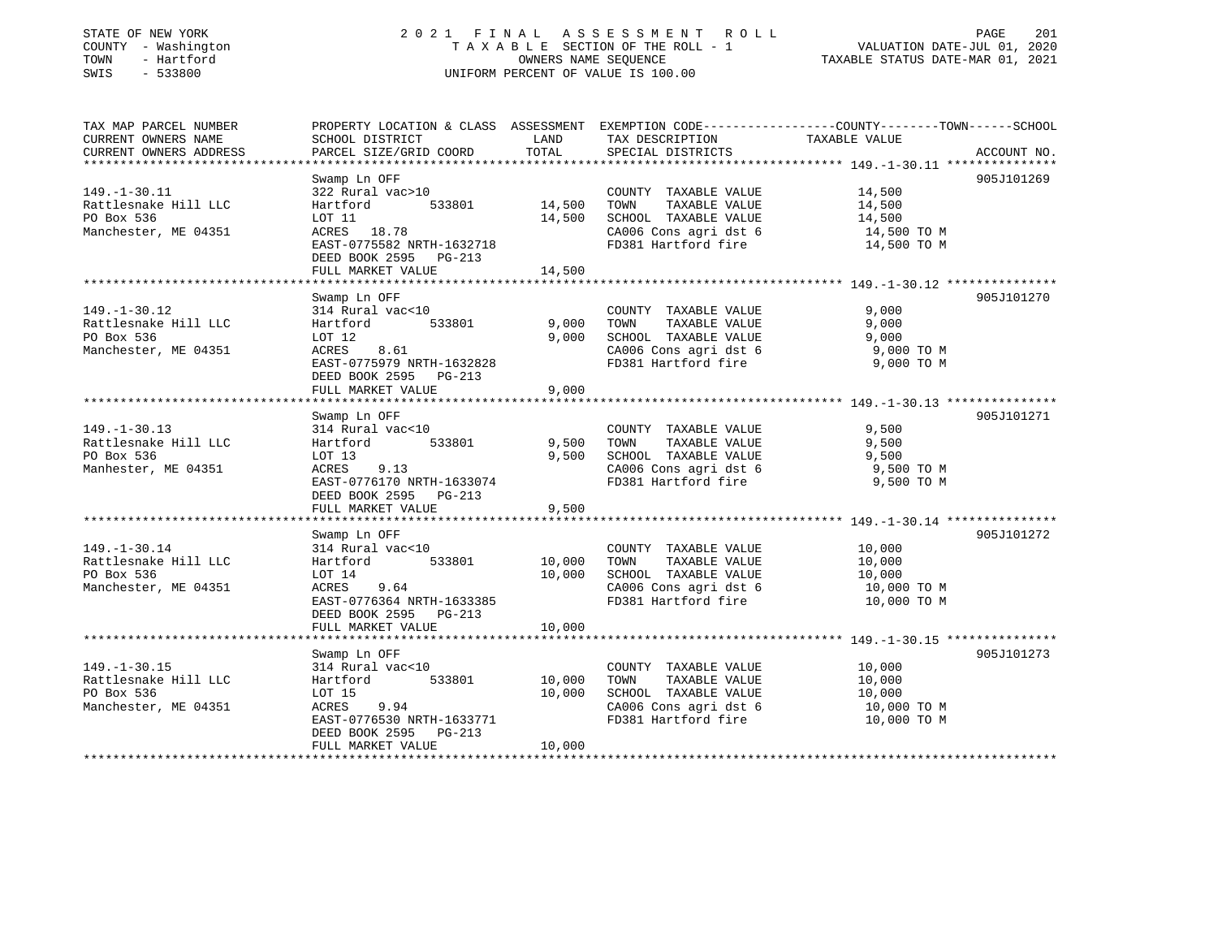| STATE OF NEW YORK |  |              |
|-------------------|--|--------------|
| COUNTY            |  | - Washington |
| TOWN              |  | - Hartford   |
| CM <sub>T</sub> C |  | $-$ 533800   |

### STATE OF NEW YORK 2 0 2 1 F I N A L A S S E S S M E N T R O L L PAGE 201 COUNTY - Washington T A X A B L E SECTION OF THE ROLL - 1 VALUATION DATE-JUL 01, 2020 OWNERS NAME SEQUENCE TAXABLE STATUS DATE-MAR 01, 2021 SWIS - 533800 UNIFORM PERCENT OF VALUE IS 100.00

| TAX MAP PARCEL NUMBER  |                                                |                        |                                            | PROPERTY LOCATION & CLASS ASSESSMENT EXEMPTION CODE----------------COUNTY-------TOWN------SCHOOL |  |
|------------------------|------------------------------------------------|------------------------|--------------------------------------------|--------------------------------------------------------------------------------------------------|--|
| CURRENT OWNERS NAME    | SCHOOL DISTRICT                                | LAND                   | TAX DESCRIPTION                            | TAXABLE VALUE                                                                                    |  |
| CURRENT OWNERS ADDRESS | PARCEL SIZE/GRID COORD                         | TOTAL                  | SPECIAL DISTRICTS                          | ACCOUNT NO.                                                                                      |  |
|                        |                                                |                        |                                            |                                                                                                  |  |
|                        | Swamp Ln OFF                                   |                        |                                            | 905J101269                                                                                       |  |
| $149. - 1 - 30.11$     | 322 Rural vac>10                               |                        | COUNTY TAXABLE VALUE                       | 14,500                                                                                           |  |
| Rattlesnake Hill LLC   | 533801<br>Hartford                             | 14,500                 | TOWN<br>TAXABLE VALUE                      | 14,500                                                                                           |  |
| PO Box 536             | LOT 11                                         | 14,500                 | SCHOOL TAXABLE VALUE                       | 14,500                                                                                           |  |
| Manchester, ME 04351   | ACRES 18.78                                    |                        | CA006 Cons agri dst 6                      | 14,500 TO M                                                                                      |  |
|                        | EAST-0775582 NRTH-1632718                      |                        | FD381 Hartford fire                        | 14,500 TO M                                                                                      |  |
|                        | DEED BOOK 2595<br>PG-213                       |                        |                                            |                                                                                                  |  |
|                        | FULL MARKET VALUE<br>************************* | 14,500<br>************ |                                            |                                                                                                  |  |
|                        |                                                |                        |                                            | 905J101270                                                                                       |  |
| $149. - 1 - 30.12$     | Swamp Ln OFF                                   |                        |                                            |                                                                                                  |  |
| Rattlesnake Hill LLC   | 314 Rural vac<10<br>533801                     | 9,000                  | COUNTY TAXABLE VALUE<br>TOWN TAXABLE VALUE | 9,000<br>9,000                                                                                   |  |
| PO Box 536             | Hartford<br>LOT 12                             | 9,000                  | SCHOOL TAXABLE VALUE                       | 9,000                                                                                            |  |
| Manchester, ME 04351   | 8.61<br>ACRES                                  |                        | CA006 Cons agri dst 6                      | 9,000 TO M                                                                                       |  |
|                        |                                                |                        | FD381 Hartford fire                        |                                                                                                  |  |
|                        | EAST-0775979 NRTH-1632828                      |                        |                                            | 9,000 TO M                                                                                       |  |
|                        | DEED BOOK 2595 PG-213                          | 9,000                  |                                            |                                                                                                  |  |
|                        | FULL MARKET VALUE                              |                        |                                            |                                                                                                  |  |
|                        | Swamp Ln OFF                                   |                        |                                            | 905J101271                                                                                       |  |
| $149. - 1 - 30.13$     | 314 Rural vac<10                               |                        | COUNTY TAXABLE VALUE                       | 9,500                                                                                            |  |
| Rattlesnake Hill LLC   | Hartford<br>533801                             | 9,500                  | TOWN TAXABLE VALUE                         | 9,500                                                                                            |  |
| PO Box 536             | LOT 13                                         | 9.500                  | SCHOOL TAXABLE VALUE                       | 9,500                                                                                            |  |
| Manhester, ME 04351    | ACRES<br>9.13                                  |                        | CA006 Cons agri dst 6                      | 9,500 TO M                                                                                       |  |
|                        | EAST-0776170 NRTH-1633074                      |                        | FD381 Hartford fire                        | 9,500 TO M                                                                                       |  |
|                        | DEED BOOK 2595 PG-213                          |                        |                                            |                                                                                                  |  |
|                        | FULL MARKET VALUE                              | 9,500                  |                                            |                                                                                                  |  |
|                        |                                                |                        |                                            |                                                                                                  |  |
|                        | Swamp Ln OFF                                   |                        |                                            | 905J101272                                                                                       |  |
| $149. - 1 - 30.14$     | 314 Rural vac<10                               |                        | COUNTY TAXABLE VALUE                       | 10,000                                                                                           |  |
| Rattlesnake Hill LLC   | 533801<br>Hartford                             | 10,000                 | TOWN<br>TAXABLE VALUE                      | 10,000                                                                                           |  |
| PO Box 536             | LOT 14                                         | 10,000                 | SCHOOL TAXABLE VALUE                       | 10,000                                                                                           |  |
| Manchester, ME 04351   | ACRES<br>9.64                                  |                        | CA006 Cons agri dst 6                      | 10,000 TO M                                                                                      |  |
|                        | EAST-0776364 NRTH-1633385                      |                        | FD381 Hartford fire                        | 10,000 TO M                                                                                      |  |
|                        | DEED BOOK 2595 PG-213                          |                        |                                            |                                                                                                  |  |
|                        | FULL MARKET VALUE                              | 10,000                 |                                            |                                                                                                  |  |
|                        |                                                |                        |                                            |                                                                                                  |  |
|                        | Swamp Ln OFF                                   |                        |                                            | 905J101273                                                                                       |  |
| $149. - 1 - 30.15$     | 314 Rural vac<10                               |                        | COUNTY TAXABLE VALUE                       | 10,000                                                                                           |  |
| Rattlesnake Hill LLC   | 533801<br>Hartford                             | 10,000                 | TAXABLE VALUE<br>TOWN                      | 10,000                                                                                           |  |
| PO Box 536             | LOT 15                                         | 10,000                 | SCHOOL TAXABLE VALUE                       | 10,000                                                                                           |  |
| Manchester, ME 04351   | 9.94<br>ACRES                                  |                        | CA006 Cons agri dst 6                      | 10,000 TO M                                                                                      |  |
|                        | EAST-0776530 NRTH-1633771                      |                        | FD381 Hartford fire                        | 10,000 TO M                                                                                      |  |
|                        | DEED BOOK 2595<br>PG-213                       |                        |                                            |                                                                                                  |  |
|                        | FULL MARKET VALUE                              | 10,000                 |                                            |                                                                                                  |  |
|                        |                                                |                        |                                            |                                                                                                  |  |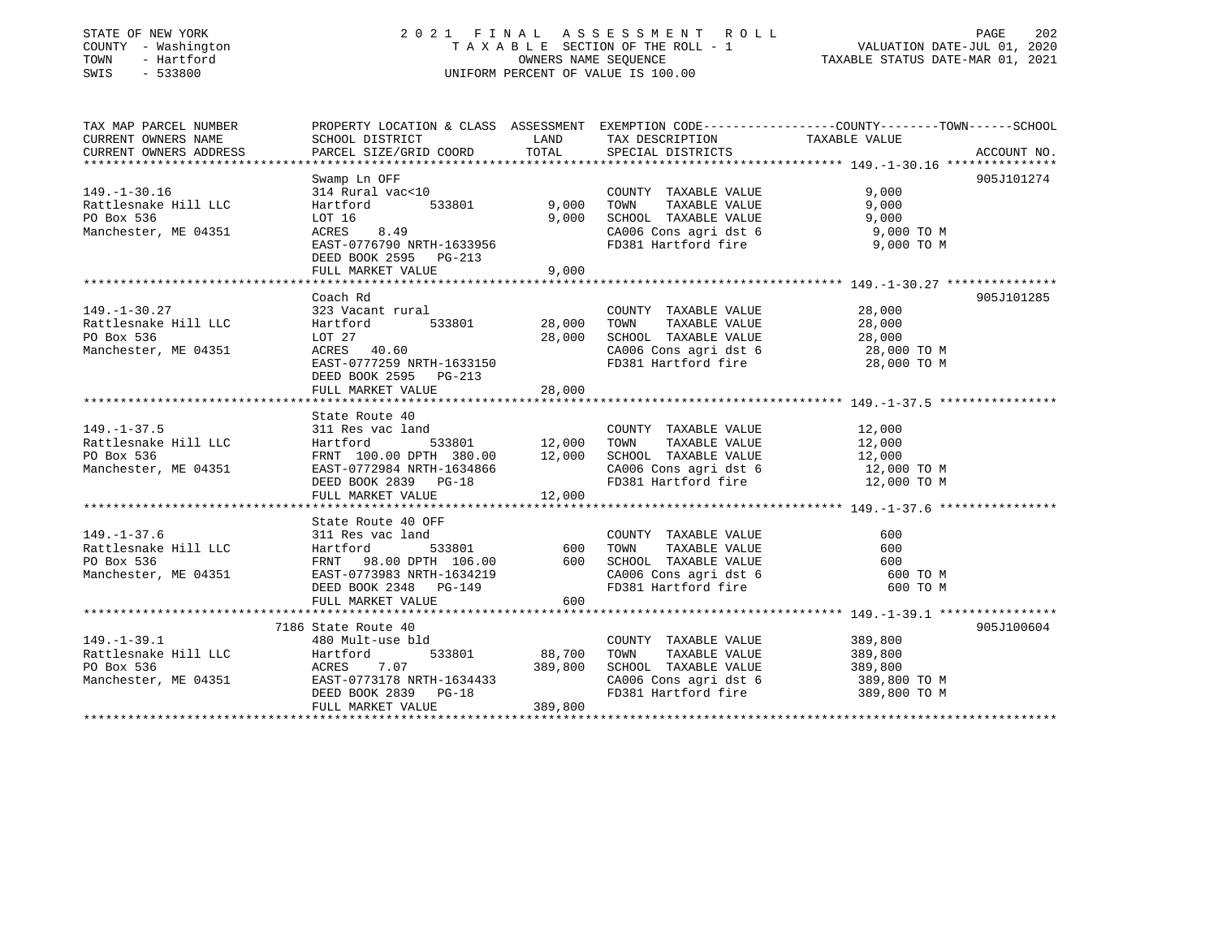#### STATE OF NEW YORK 2 0 2 1 F I N A L A S S E S S M E N T R O L L PAGE 202COUNTY - Washington T A X A B L E SECTION OF THE ROLL - 1 VALUATION DATE-JUL 01, 2020 OWNERS NAME SEQUENCE TAXABLE STATUS DATE-MAR 01, 2021 SWIS - 533800 UNIFORM PERCENT OF VALUE IS 100.00

VALUATION DATE-JUL 01, 2020

| TAX MAP PARCEL NUMBER  | PROPERTY LOCATION & CLASS ASSESSMENT EXEMPTION CODE---------------COUNTY-------TOWN-----SCHOOL                                                                                                                                            |         |                                                                                                           |                       |             |
|------------------------|-------------------------------------------------------------------------------------------------------------------------------------------------------------------------------------------------------------------------------------------|---------|-----------------------------------------------------------------------------------------------------------|-----------------------|-------------|
| CURRENT OWNERS NAME    | SCHOOL DISTRICT                                                                                                                                                                                                                           |         | LAND TAX DESCRIPTION TAXABLE VALUE                                                                        |                       |             |
| CURRENT OWNERS ADDRESS | PARCEL SIZE/GRID COORD TOTAL SPECIAL DISTRICTS                                                                                                                                                                                            |         |                                                                                                           |                       | ACCOUNT NO. |
|                        |                                                                                                                                                                                                                                           |         |                                                                                                           |                       |             |
|                        | Swamp Ln OFF                                                                                                                                                                                                                              |         |                                                                                                           |                       | 905J101274  |
| $149. - 1 - 30.16$     | $\begin{tabular}{llll} 314 \text{ Rural vac} & 10 & \text{COUNTY} \\ \text{Hartford} & 533801 & 9,000 & \text{TOWN} \end{tabular}$                                                                                                        |         | COUNTY TAXABLE VALUE                                                                                      | 9,000                 |             |
| Rattlesnake Hill LLC   |                                                                                                                                                                                                                                           |         | TAXABLE VALUE                                                                                             | 9,000                 |             |
| PO Box 536             | LOT 16<br>LOT 16<br>ACRES       8.49                                                                                                                                                                                                      | 9,000   | SCHOOL TAXABLE VALUE 9,000                                                                                |                       |             |
| Manchester, ME 04351   |                                                                                                                                                                                                                                           |         | CA006 Cons agri dst 6 9,000 TO M<br>FD381 Hartford fire 9,000 TO M                                        |                       |             |
|                        | EAST-0776790 NRTH-1633956                                                                                                                                                                                                                 |         |                                                                                                           |                       |             |
|                        | DEED BOOK 2595 PG-213                                                                                                                                                                                                                     |         |                                                                                                           |                       |             |
|                        | FULL MARKET VALUE 9,000                                                                                                                                                                                                                   |         |                                                                                                           |                       |             |
|                        |                                                                                                                                                                                                                                           |         |                                                                                                           |                       |             |
|                        | Coach Rd                                                                                                                                                                                                                                  |         |                                                                                                           |                       | 905J101285  |
|                        |                                                                                                                                                                                                                                           |         | COUNTY TAXABLE VALUE                                                                                      | 28,000                |             |
|                        |                                                                                                                                                                                                                                           |         |                                                                                                           | TAXABLE VALUE 28,000  |             |
| PO Box 536             |                                                                                                                                                                                                                                           |         |                                                                                                           |                       |             |
| Manchester, ME 04351   | LOT 27 28,000<br>ACRES 40.60 28,000                                                                                                                                                                                                       |         | SCHOOL TAXABLE VALUE $28,000$<br>CA006 Cons agri dst 6 $28,000$ TO M<br>FD381 Hartford fire $28,000$ TO M |                       |             |
|                        | EAST-0777259 NRTH-1633150                                                                                                                                                                                                                 |         |                                                                                                           |                       |             |
|                        | DEED BOOK 2595 PG-213                                                                                                                                                                                                                     |         |                                                                                                           |                       |             |
|                        |                                                                                                                                                                                                                                           |         |                                                                                                           |                       |             |
|                        |                                                                                                                                                                                                                                           |         |                                                                                                           |                       |             |
|                        | State Route 40                                                                                                                                                                                                                            |         |                                                                                                           |                       |             |
|                        |                                                                                                                                                                                                                                           |         |                                                                                                           |                       |             |
|                        |                                                                                                                                                                                                                                           |         |                                                                                                           |                       |             |
|                        |                                                                                                                                                                                                                                           |         |                                                                                                           |                       |             |
|                        |                                                                                                                                                                                                                                           |         |                                                                                                           |                       |             |
|                        |                                                                                                                                                                                                                                           |         |                                                                                                           |                       |             |
|                        |                                                                                                                                                                                                                                           |         |                                                                                                           |                       |             |
|                        | 149.-1-37.5<br>2000 EXTERNALLE AND STATE OF A COUNTY TAXABLE VALUE<br>21.000 EXTERNALLE STATE OF A STATE OF A STATE OF A SAMPLE CHANNER VALUE<br>2.000 EXTERNALLE PO BOX 536<br>2.000 EXTERNALLE VALUE<br>2.000 EXTERNALLE VALUE<br>2.000 |         |                                                                                                           |                       |             |
|                        | State Route 40 OFF                                                                                                                                                                                                                        |         |                                                                                                           |                       |             |
| $149. - 1 - 37.6$      | c land COUNT<br>533801 600 TOWN<br>311 Res vac land                                                                                                                                                                                       |         | COUNTY TAXABLE VALUE<br>TOWN TAXABLE VALUE                                                                | 600                   |             |
|                        |                                                                                                                                                                                                                                           |         |                                                                                                           |                       |             |
|                        |                                                                                                                                                                                                                                           |         |                                                                                                           |                       |             |
|                        |                                                                                                                                                                                                                                           |         |                                                                                                           |                       |             |
|                        |                                                                                                                                                                                                                                           |         |                                                                                                           |                       |             |
|                        | 149.-1-37.6<br>Rattlesnake Hill LLC Hartford 533801 600 TOWN TAXABLE VALUE<br>PO Box 536 FRNT 98.00 DPTH 106.00 600 SCHOOL TAXABLE VALUE<br>Manchester, ME 04351 EAST-0773983 NRTH-1634219 CA006 Cons agri dst 6 600 TO M<br>DEED BOO     |         |                                                                                                           |                       |             |
|                        |                                                                                                                                                                                                                                           |         |                                                                                                           |                       |             |
|                        | 7186 State Route 40                                                                                                                                                                                                                       |         | COUNTY TAXABLE VALUE 389,800                                                                              |                       | 905J100604  |
| $149. - 1 - 39.1$      | 480 Mult-use bld                                                                                                                                                                                                                          |         |                                                                                                           | TAXABLE VALUE 389,800 |             |
|                        | 149.-1-39.1<br>Rattlesnake Hill LLC Hartford 533801 88,700<br>PO Box 536 ACRES 7.07 389,800<br>Manchester, ME 04351 EAST-0773178 NRTH-1634433<br>DEED BOOK 2839 PG-18                                                                     |         | TOWN                                                                                                      |                       |             |
|                        |                                                                                                                                                                                                                                           |         | SCHOOL TAXABLE VALUE 389,800<br>CA006 Cons agri dst 6 389,800 TO M                                        |                       |             |
|                        |                                                                                                                                                                                                                                           |         | FD381 Hartford fire 389,800 TO M                                                                          |                       |             |
|                        | FULL MARKET VALUE                                                                                                                                                                                                                         | 389,800 |                                                                                                           |                       |             |
|                        |                                                                                                                                                                                                                                           |         |                                                                                                           |                       |             |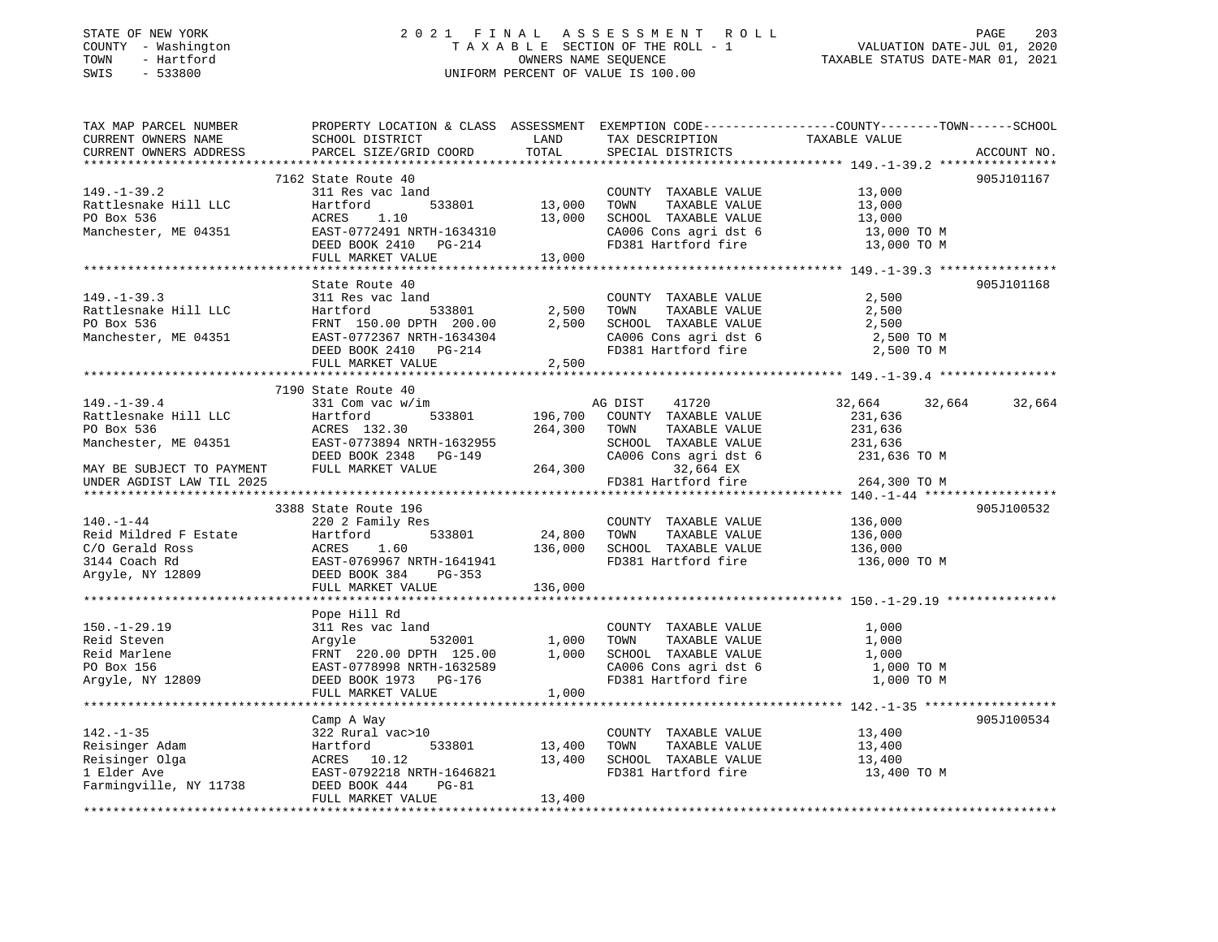### STATE OF NEW YORK 2 0 2 1 F I N A L A S S E S S M E N T R O L L PAGE 203 COUNTY - Washington T A X A B L E SECTION OF THE ROLL - 1 VALUATION DATE-JUL 01, 2020 TOWN - Hartford OWNERS NAME SEQUENCE TAXABLE STATUS DATE-MAR 01, 2021 SWIS - 533800 UNIFORM PERCENT OF VALUE IS 100.00

| TAX MAP PARCEL NUMBER<br>CURRENT OWNERS NAME<br>CURRENT OWNERS ADDRESS | SCHOOL DISTRICT<br>PARCEL SIZE/GRID COORD          | LAND<br>TOTAL | TAX DESCRIPTION<br>SPECIAL DISTRICTS | PROPERTY LOCATION & CLASS ASSESSMENT EXEMPTION CODE---------------COUNTY-------TOWN-----SCHOOL<br>TAXABLE VALUE | ACCOUNT NO. |
|------------------------------------------------------------------------|----------------------------------------------------|---------------|--------------------------------------|-----------------------------------------------------------------------------------------------------------------|-------------|
|                                                                        |                                                    |               |                                      |                                                                                                                 |             |
|                                                                        | 7162 State Route 40                                |               |                                      |                                                                                                                 | 905J101167  |
| $149. - 1 - 39.2$                                                      | 311 Res vac land                                   |               | COUNTY TAXABLE VALUE                 | 13,000                                                                                                          |             |
| Rattlesnake Hill LLC                                                   | 533801<br>Hartford                                 | 13,000        | TAXABLE VALUE<br>TOWN                | 13,000                                                                                                          |             |
| PO Box 536                                                             | 1.10<br>ACRES                                      | 13,000        | SCHOOL TAXABLE VALUE                 | 13,000                                                                                                          |             |
| Manchester, ME 04351                                                   | EAST-0772491 NRTH-1634310                          |               | CA006 Cons agri dst 6                | 13,000 TO M                                                                                                     |             |
|                                                                        | DEED BOOK 2410 PG-214                              |               | FD381 Hartford fire                  | 13,000 TO M                                                                                                     |             |
|                                                                        | FULL MARKET VALUE                                  | 13,000        |                                      |                                                                                                                 |             |
|                                                                        |                                                    |               |                                      |                                                                                                                 |             |
|                                                                        | State Route 40                                     |               |                                      |                                                                                                                 | 905J101168  |
| $149. - 1 - 39.3$                                                      | 311 Res vac land                                   |               | COUNTY TAXABLE VALUE                 | 2,500                                                                                                           |             |
| Rattlesnake Hill LLC                                                   | Hartford<br>533801                                 | 2,500         | TOWN<br>TAXABLE VALUE                | 2,500                                                                                                           |             |
| PO Box 536                                                             | FRNT 150.00 DPTH 200.00                            | 2,500         | SCHOOL TAXABLE VALUE                 | 2,500                                                                                                           |             |
| Manchester, ME 04351                                                   | EAST-0772367 NRTH-1634304<br>DEED BOOK 2410 PG-214 |               | CA006 Cons agri dst 6                | 2,500 TO M<br>2,500 TO M                                                                                        |             |
|                                                                        | FULL MARKET VALUE                                  | 2,500         | FD381 Hartford fire                  |                                                                                                                 |             |
|                                                                        |                                                    |               |                                      |                                                                                                                 |             |
|                                                                        | 7190 State Route 40                                |               |                                      |                                                                                                                 |             |
| $149. - 1 - 39.4$                                                      | 331 Com vac w/im                                   |               | AG DIST<br>41720                     | 32,664<br>32,664                                                                                                | 32,664      |
| Rattlesnake Hill LLC                                                   | 533801<br>Hartford                                 | 196,700       | COUNTY TAXABLE VALUE                 | 231,636                                                                                                         |             |
| PO Box 536                                                             | ACRES 132.30                                       | 264,300       | TOWN<br>TAXABLE VALUE                | 231,636                                                                                                         |             |
| Manchester, ME 04351                                                   | EAST-0773894 NRTH-1632955                          |               | SCHOOL TAXABLE VALUE                 | 231,636                                                                                                         |             |
|                                                                        | DEED BOOK 2348 PG-149                              |               | CA006 Cons agri dst 6                | 231,636 TO M                                                                                                    |             |
| MAY BE SUBJECT TO PAYMENT                                              | FULL MARKET VALUE                                  | 264,300       | 32,664 EX                            |                                                                                                                 |             |
| UNDER AGDIST LAW TIL 2025                                              |                                                    |               | FD381 Hartford fire                  | 264,300 TO M                                                                                                    |             |
|                                                                        |                                                    |               |                                      |                                                                                                                 |             |
|                                                                        | 3388 State Route 196                               |               |                                      |                                                                                                                 | 905J100532  |
| $140. - 1 - 44$                                                        | 220 2 Family Res                                   |               | COUNTY TAXABLE VALUE                 | 136,000                                                                                                         |             |
| Reid Mildred F Estate                                                  | 533801<br>Hartford                                 | 24,800        | TOWN<br>TAXABLE VALUE                | 136,000                                                                                                         |             |
| C/O Gerald Ross                                                        | ACRES<br>1.60                                      | 136,000       | SCHOOL TAXABLE VALUE                 | 136,000                                                                                                         |             |
| 3144 Coach Rd                                                          | EAST-0769967 NRTH-1641941                          |               | FD381 Hartford fire                  | 136,000 TO M                                                                                                    |             |
| Argyle, NY 12809                                                       | DEED BOOK 384<br>PG-353                            |               |                                      |                                                                                                                 |             |
|                                                                        | FULL MARKET VALUE                                  | 136,000       |                                      |                                                                                                                 |             |
|                                                                        |                                                    |               |                                      |                                                                                                                 |             |
| $150. - 1 - 29.19$                                                     | Pope Hill Rd                                       |               | COUNTY TAXABLE VALUE                 |                                                                                                                 |             |
| Reid Steven                                                            | 311 Res vac land<br>532001                         | 1,000         | TOWN<br>TAXABLE VALUE                | 1,000<br>1,000                                                                                                  |             |
| Reid Marlene                                                           | Argyle<br>FRNT 220.00 DPTH 125.00                  | 1,000         | SCHOOL TAXABLE VALUE                 | 1,000                                                                                                           |             |
| PO Box 156                                                             | EAST-0778998 NRTH-1632589                          |               | CA006 Cons agri dst 6                | 1,000 TO M                                                                                                      |             |
| Arqyle, NY 12809                                                       | DEED BOOK 1973 PG-176                              |               | FD381 Hartford fire                  | 1,000 TO M                                                                                                      |             |
|                                                                        | FULL MARKET VALUE                                  | 1,000         |                                      |                                                                                                                 |             |
|                                                                        | *************************                          |               |                                      |                                                                                                                 |             |
|                                                                        | Camp A Way                                         |               |                                      |                                                                                                                 | 905J100534  |
| $142. - 1 - 35$                                                        | 322 Rural vac>10                                   |               | COUNTY TAXABLE VALUE                 | 13,400                                                                                                          |             |
| Reisinger Adam                                                         | 533801<br>Hartford                                 | 13,400        | TAXABLE VALUE<br>TOWN                | 13,400                                                                                                          |             |
|                                                                        | ACRES 10.12                                        | 13,400        | SCHOOL TAXABLE VALUE                 | 13,400                                                                                                          |             |
|                                                                        | EAST-0792218 NRTH-1646821                          |               | FD381 Hartford fire                  | 13,400 TO M                                                                                                     |             |
| Reisinger Olga<br>1 Elder Ave<br>Farmingville, NY 11738                | DEED BOOK 444<br>$PG-81$                           |               |                                      |                                                                                                                 |             |
|                                                                        | FULL MARKET VALUE                                  | 13,400        |                                      |                                                                                                                 |             |
|                                                                        |                                                    |               |                                      |                                                                                                                 |             |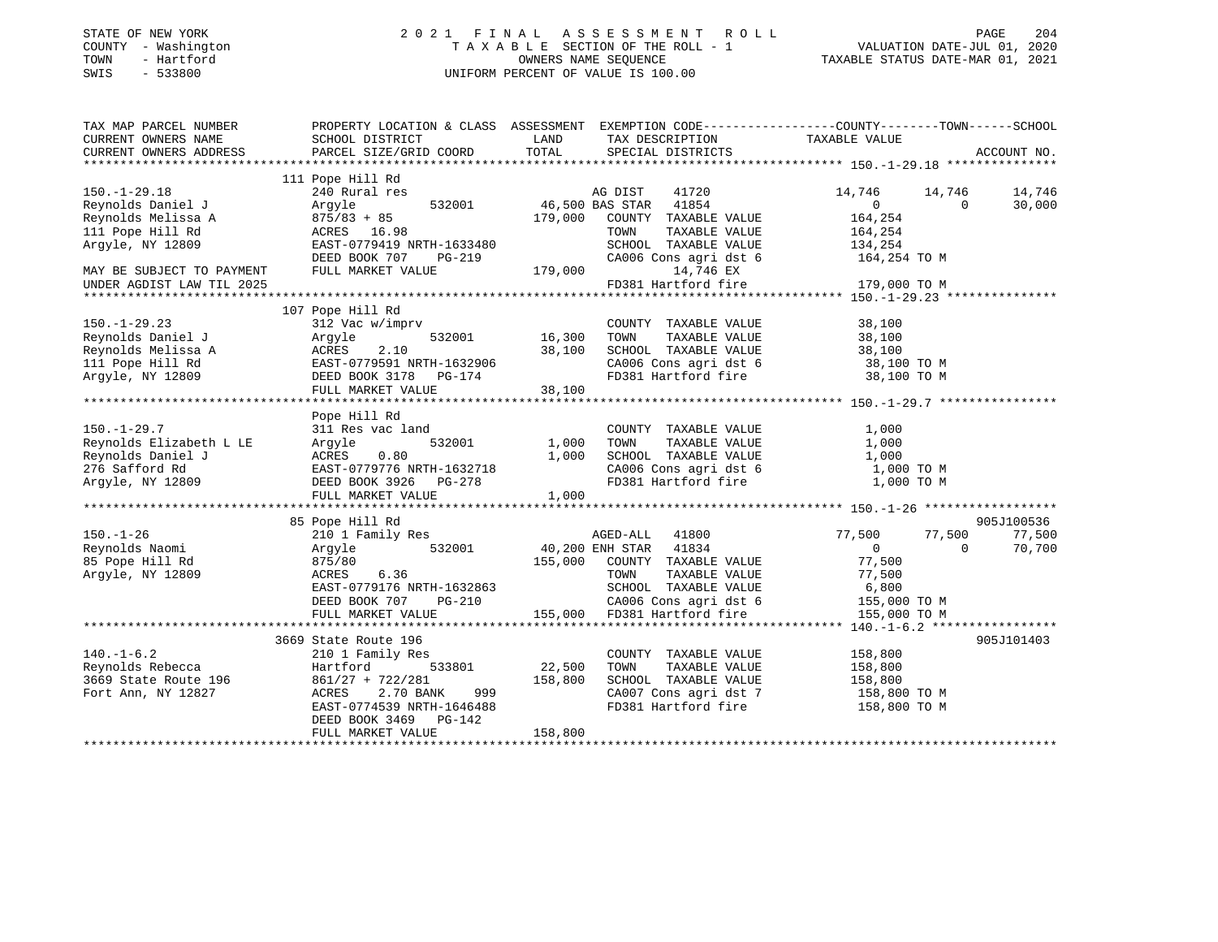| STATE OF NEW YORK<br>- Washington<br>COUNTY<br>- Hartford<br>TOWN<br>$-533800$<br>SWIS |                                                                        |                             | 2021 FINAL ASSESSMENT ROLL<br>TAXABLE SECTION OF THE ROLL - 1<br>OWNERS NAME SEOUENCE<br>UNIFORM PERCENT OF VALUE IS 100.00 |                                                                               | 204<br>PAGE<br>VALUATION DATE-JUL 01, 2020<br>TAXABLE STATUS DATE-MAR 01, 2021 |
|----------------------------------------------------------------------------------------|------------------------------------------------------------------------|-----------------------------|-----------------------------------------------------------------------------------------------------------------------------|-------------------------------------------------------------------------------|--------------------------------------------------------------------------------|
| TAX MAP PARCEL NUMBER<br>CURRENT OWNERS NAME<br>CURRENT OWNERS ADDRESS                 | PROPERTY LOCATION & CLASS<br>SCHOOL DISTRICT<br>PARCEL SIZE/GRID COORD | ASSESSMENT<br>LAND<br>TOTAL | TAX DESCRIPTION<br>SPECIAL DISTRICTS                                                                                        | EXEMPTION CODE-----------------COUNTY-------TOWN------SCHOOL<br>TAXABLE VALUE | ACCOUNT NO.                                                                    |

|                           | 111 Pope Hill Rd           |                             |                       |                |          |            |
|---------------------------|----------------------------|-----------------------------|-----------------------|----------------|----------|------------|
| $150. - 1 - 29.18$        | 240 Rural res              | AG DIST                     | 41720                 | 14,746         | 14,746   | 14,746     |
| Reynolds Daniel J         | 532001<br>Argyle           | 46,500 BAS STAR             | 41854                 | $\overline{0}$ | $\Omega$ | 30,000     |
| Reynolds Melissa A        | $875/83 + 85$              | 179,000                     | COUNTY TAXABLE VALUE  | 164,254        |          |            |
| 111 Pope Hill Rd          | ACRES 16.98                | TOWN                        | TAXABLE VALUE         | 164,254        |          |            |
| Arqyle, NY 12809          | EAST-0779419 NRTH-1633480  |                             | SCHOOL TAXABLE VALUE  | 134,254        |          |            |
|                           | DEED BOOK 707<br>PG-219    |                             | CA006 Cons agri dst 6 | 164,254 TO M   |          |            |
| MAY BE SUBJECT TO PAYMENT | FULL MARKET VALUE          | 179,000                     | 14,746 EX             |                |          |            |
| UNDER AGDIST LAW TIL 2025 |                            | FD381 Hartford fire         |                       | 179,000 TO M   |          |            |
|                           |                            |                             |                       |                |          |            |
|                           | 107 Pope Hill Rd           |                             |                       |                |          |            |
| $150. - 1 - 29.23$        | 312 Vac w/imprv            |                             | COUNTY TAXABLE VALUE  | 38,100         |          |            |
| Reynolds Daniel J         | 532001<br>Argyle           | 16,300<br>TOWN              | TAXABLE VALUE         | 38,100         |          |            |
| Reynolds Melissa A        | 2.10<br>ACRES              | 38,100                      | SCHOOL TAXABLE VALUE  | 38,100         |          |            |
| 111 Pope Hill Rd          | EAST-0779591 NRTH-1632906  |                             | CA006 Cons agri dst 6 | 38,100 TO M    |          |            |
| Argyle, NY 12809          | DEED BOOK 3178 PG-174      |                             | FD381 Hartford fire   | 38,100 TO M    |          |            |
|                           | FULL MARKET VALUE          | 38,100                      |                       |                |          |            |
|                           |                            |                             |                       |                |          |            |
|                           | Pope Hill Rd               |                             |                       |                |          |            |
| $150. - 1 - 29.7$         | 311 Res vac land           |                             | COUNTY TAXABLE VALUE  | 1,000          |          |            |
| Reynolds Elizabeth L LE   | 532001<br>Argyle           | 1,000<br>TOWN               | TAXABLE VALUE         | 1,000          |          |            |
| Reynolds Daniel J         | ACRES<br>0.80              | 1,000                       | SCHOOL TAXABLE VALUE  | 1,000          |          |            |
| 276 Safford Rd            | EAST-0779776 NRTH-1632718  |                             | CA006 Cons agri dst 6 | 1,000 TO M     |          |            |
| Argyle, NY 12809          | DEED BOOK 3926<br>PG-278   |                             | FD381 Hartford fire   | 1,000 TO M     |          |            |
|                           | FULL MARKET VALUE          | 1,000                       |                       |                |          |            |
|                           |                            |                             |                       |                |          |            |
|                           | 85 Pope Hill Rd            |                             |                       |                |          | 905J100536 |
| $150. - 1 - 26$           | 210 1 Family Res           | AGED-ALL                    | 41800                 | 77,500         | 77,500   | 77,500     |
| Reynolds Naomi            | 532001<br>Argyle           | 40,200 ENH STAR 41834       |                       | $\overline{0}$ | $\Omega$ | 70,700     |
| 85 Pope Hill Rd           | 875/80                     | 155,000                     | COUNTY TAXABLE VALUE  | 77,500         |          |            |
| Arqyle, NY 12809          | 6.36<br>ACRES              | TOWN                        | TAXABLE VALUE         | 77,500         |          |            |
|                           | EAST-0779176 NRTH-1632863  |                             | SCHOOL TAXABLE VALUE  | 6,800          |          |            |
|                           | DEED BOOK 707<br>PG-210    |                             | CA006 Cons agri dst 6 | 155,000 TO M   |          |            |
|                           | FULL MARKET VALUE          | 155,000 FD381 Hartford fire |                       | 155,000 TO M   |          |            |
|                           |                            |                             |                       |                |          |            |
|                           | 3669 State Route 196       |                             |                       |                |          | 905J101403 |
| $140. - 1 - 6.2$          | 210 1 Family Res           |                             | COUNTY TAXABLE VALUE  | 158,800        |          |            |
| Reynolds Rebecca          | Hartford<br>533801         | 22,500<br>TOWN              | TAXABLE VALUE         | 158,800        |          |            |
| 3669 State Route 196      | $861/27 + 722/281$         | 158,800                     | SCHOOL TAXABLE VALUE  | 158,800        |          |            |
| Fort Ann, NY 12827        | 2.70 BANK<br>ACRES<br>999  |                             | CA007 Cons agri dst 7 | 158,800 TO M   |          |            |
|                           | EAST-0774539 NRTH-1646488  |                             | FD381 Hartford fire   | 158,800 TO M   |          |            |
|                           | DEED BOOK 3469<br>$PG-142$ |                             |                       |                |          |            |
|                           | FULL MARKET VALUE          | 158,800                     |                       |                |          |            |
|                           |                            |                             |                       |                |          |            |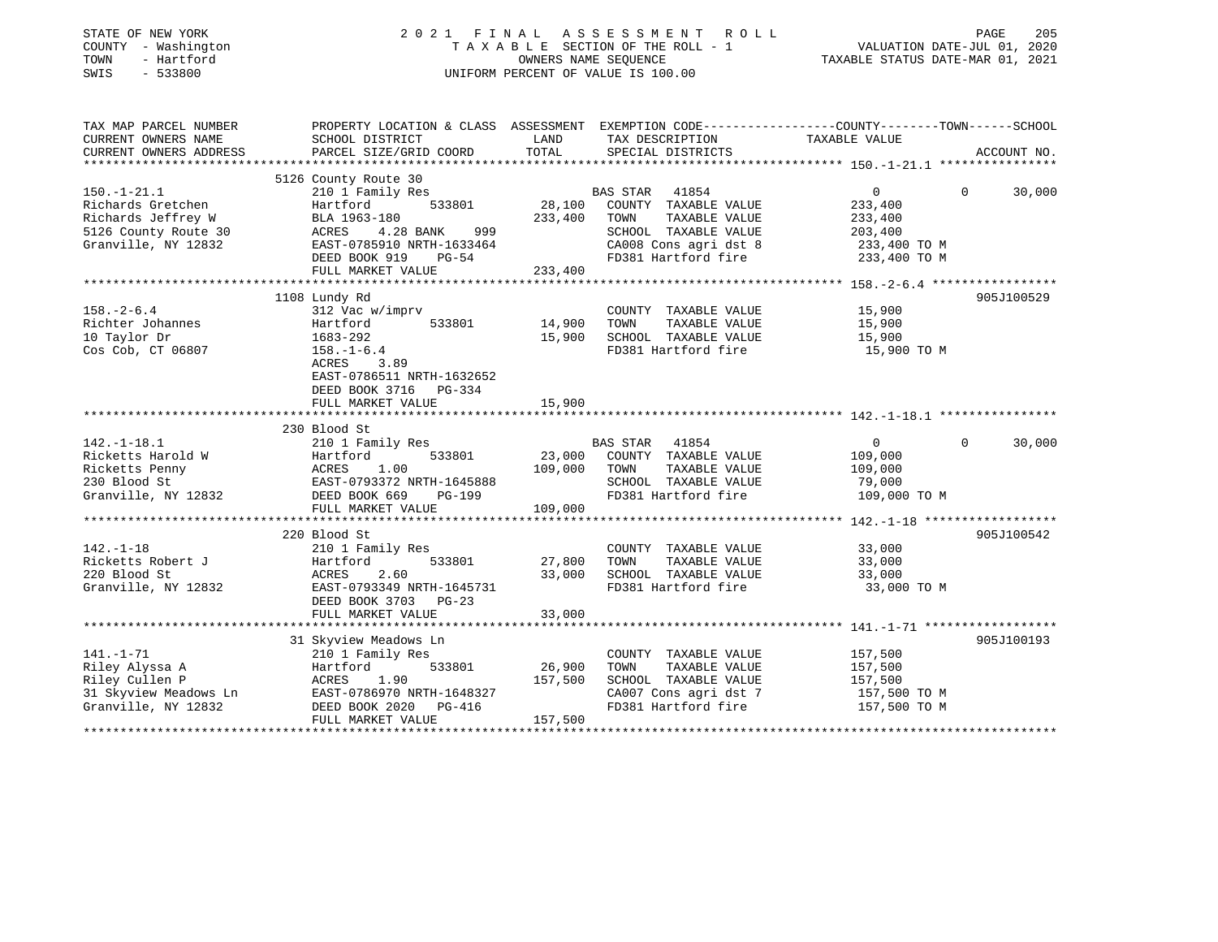| STATE OF NEW YORK<br>COUNTY - Washington<br>TOWN<br>- Hartford<br>$-533800$<br>SWIS | 2021 FINAL                                                                                                         | OWNERS NAME SEQUENCE<br>UNIFORM PERCENT OF VALUE IS 100.00 | A S S E S S M E N T<br>ROLL<br>TAXABLE SECTION OF THE ROLL - 1 | VALUATION DATE-JUL 01, 2020<br>TAXABLE STATUS DATE-MAR 01, 2021 | PAGE<br>205 |
|-------------------------------------------------------------------------------------|--------------------------------------------------------------------------------------------------------------------|------------------------------------------------------------|----------------------------------------------------------------|-----------------------------------------------------------------|-------------|
| TAX MAP PARCEL NUMBER<br>CURRENT OWNERS NAME                                        | PROPERTY LOCATION & CLASS ASSESSMENT EXEMPTION CODE----------------COUNTY-------TOWN-----SCHOOL<br>SCHOOL DISTRICT | LAND                                                       | TAX DESCRIPTION                                                | TAXABLE VALUE                                                   |             |
| CURRENT OWNERS ADDRESS                                                              | PARCEL SIZE/GRID COORD                                                                                             | TOTAL                                                      | SPECIAL DISTRICTS                                              |                                                                 | ACCOUNT NO. |
|                                                                                     | 5126 County Route 30                                                                                               |                                                            |                                                                |                                                                 |             |
| $150. - 1 - 21.1$                                                                   | 210 1 Family Res                                                                                                   |                                                            | BAS STAR 41854                                                 | $\overline{0}$<br>$\Omega$                                      | 30,000      |
| Richards Gretchen                                                                   | 533801<br>Hartford                                                                                                 | 28,100                                                     | COUNTY TAXABLE VALUE                                           | 233,400                                                         |             |
| Richards Jeffrey W                                                                  | BLA 1963-180                                                                                                       | 233,400                                                    | TAXABLE VALUE<br>TOWN                                          | 233,400                                                         |             |
| 5126 County Route 30                                                                | ACRES<br>4.28 BANK<br>999                                                                                          |                                                            | SCHOOL TAXABLE VALUE                                           | 203,400                                                         |             |
| Granville, NY 12832                                                                 | EAST-0785910 NRTH-1633464                                                                                          |                                                            | CA008 Cons agri dst 8                                          | 233,400 TO M                                                    |             |
|                                                                                     | DEED BOOK 919<br>$PG-54$                                                                                           |                                                            | FD381 Hartford fire                                            | 233,400 TO M                                                    |             |
|                                                                                     | FULL MARKET VALUE                                                                                                  | 233,400                                                    |                                                                |                                                                 |             |
|                                                                                     |                                                                                                                    | ***********                                                |                                                                | *************** 158. -2-6.4 ******************                  |             |
|                                                                                     | 1108 Lundy Rd                                                                                                      |                                                            |                                                                |                                                                 | 905J100529  |
| $158. - 2 - 6.4$<br>Richter Johannes                                                | 312 Vac w/imprv<br>533801<br>Hartford                                                                              | 14,900                                                     | COUNTY TAXABLE VALUE<br>TOWN<br>TAXABLE VALUE                  | 15,900<br>15,900                                                |             |
| 10 Taylor Dr                                                                        | 1683-292                                                                                                           | 15,900                                                     | SCHOOL TAXABLE VALUE                                           | 15,900                                                          |             |
| Cos Cob, CT 06807                                                                   | $158. - 1 - 6.4$                                                                                                   |                                                            | FD381 Hartford fire                                            | 15,900 TO M                                                     |             |
|                                                                                     | 3.89<br>ACRES                                                                                                      |                                                            |                                                                |                                                                 |             |
|                                                                                     | EAST-0786511 NRTH-1632652                                                                                          |                                                            |                                                                |                                                                 |             |
|                                                                                     | DEED BOOK 3716 PG-334                                                                                              |                                                            |                                                                |                                                                 |             |
|                                                                                     | FULL MARKET VALUE                                                                                                  | 15,900                                                     |                                                                |                                                                 |             |
|                                                                                     |                                                                                                                    |                                                            |                                                                |                                                                 |             |
| $142. - 1 - 18.1$                                                                   | 230 Blood St                                                                                                       |                                                            |                                                                | $\Omega$<br>$\overline{0}$                                      |             |
| Ricketts Harold W                                                                   | 210 1 Family Res<br>533801<br>Hartford                                                                             | 23,000                                                     | BAS STAR<br>41854<br>COUNTY TAXABLE VALUE                      | 109,000                                                         | 30,000      |
| Ricketts Penny                                                                      | ACRES<br>1.00                                                                                                      | 109,000                                                    | TOWN<br>TAXABLE VALUE                                          | 109,000                                                         |             |
| 230 Blood St                                                                        | EAST-0793372 NRTH-1645888                                                                                          |                                                            | SCHOOL TAXABLE VALUE                                           | 79,000                                                          |             |
| Granville, NY 12832                                                                 | DEED BOOK 669<br><b>PG-199</b>                                                                                     |                                                            | FD381 Hartford fire                                            | 109,000 TO M                                                    |             |
|                                                                                     | FULL MARKET VALUE                                                                                                  | 109,000                                                    |                                                                |                                                                 |             |
|                                                                                     | *********************                                                                                              |                                                            |                                                                | *************** 142.-1-18 *******************                   |             |
|                                                                                     | 220 Blood St                                                                                                       |                                                            |                                                                |                                                                 | 905J100542  |
| $142. - 1 - 18$                                                                     | 210 1 Family Res                                                                                                   |                                                            | COUNTY TAXABLE VALUE                                           | 33,000                                                          |             |
| Ricketts Robert J                                                                   | 533801<br>Hartford                                                                                                 | 27,800                                                     | TOWN<br>TAXABLE VALUE                                          | 33,000                                                          |             |
| 220 Blood St                                                                        | 2.60<br>ACRES                                                                                                      | 33,000                                                     | SCHOOL TAXABLE VALUE                                           | 33,000                                                          |             |
| Granville, NY 12832                                                                 | EAST-0793349 NRTH-1645731                                                                                          |                                                            | FD381 Hartford fire                                            | 33,000 TO M                                                     |             |
|                                                                                     | DEED BOOK 3703 PG-23<br>FULL MARKET VALUE                                                                          | 33,000                                                     |                                                                |                                                                 |             |
|                                                                                     | ********************************                                                                                   |                                                            |                                                                |                                                                 |             |
|                                                                                     | 31 Skyview Meadows Ln                                                                                              |                                                            |                                                                |                                                                 | 905J100193  |
| $141. - 1 - 71$                                                                     | 210 1 Family Res                                                                                                   |                                                            | COUNTY TAXABLE VALUE                                           | 157,500                                                         |             |
| Riley Alyssa A                                                                      | 533801<br>Hartford                                                                                                 | 26,900                                                     | TOWN<br>TAXABLE VALUE                                          | 157,500                                                         |             |
| Riley Cullen P                                                                      | ACRES<br>1.90                                                                                                      | 157,500                                                    | SCHOOL TAXABLE VALUE                                           | 157,500                                                         |             |
| 31 Skyview Meadows Ln                                                               | EAST-0786970 NRTH-1648327                                                                                          |                                                            | CA007 Cons agri dst 7                                          | 157,500 TO M                                                    |             |
| Granville, NY 12832                                                                 | DEED BOOK 2020<br>PG-416                                                                                           |                                                            | FD381 Hartford fire                                            | 157,500 TO M                                                    |             |
|                                                                                     | FULL MARKET VALUE                                                                                                  | 157,500                                                    |                                                                |                                                                 |             |
|                                                                                     |                                                                                                                    |                                                            |                                                                |                                                                 |             |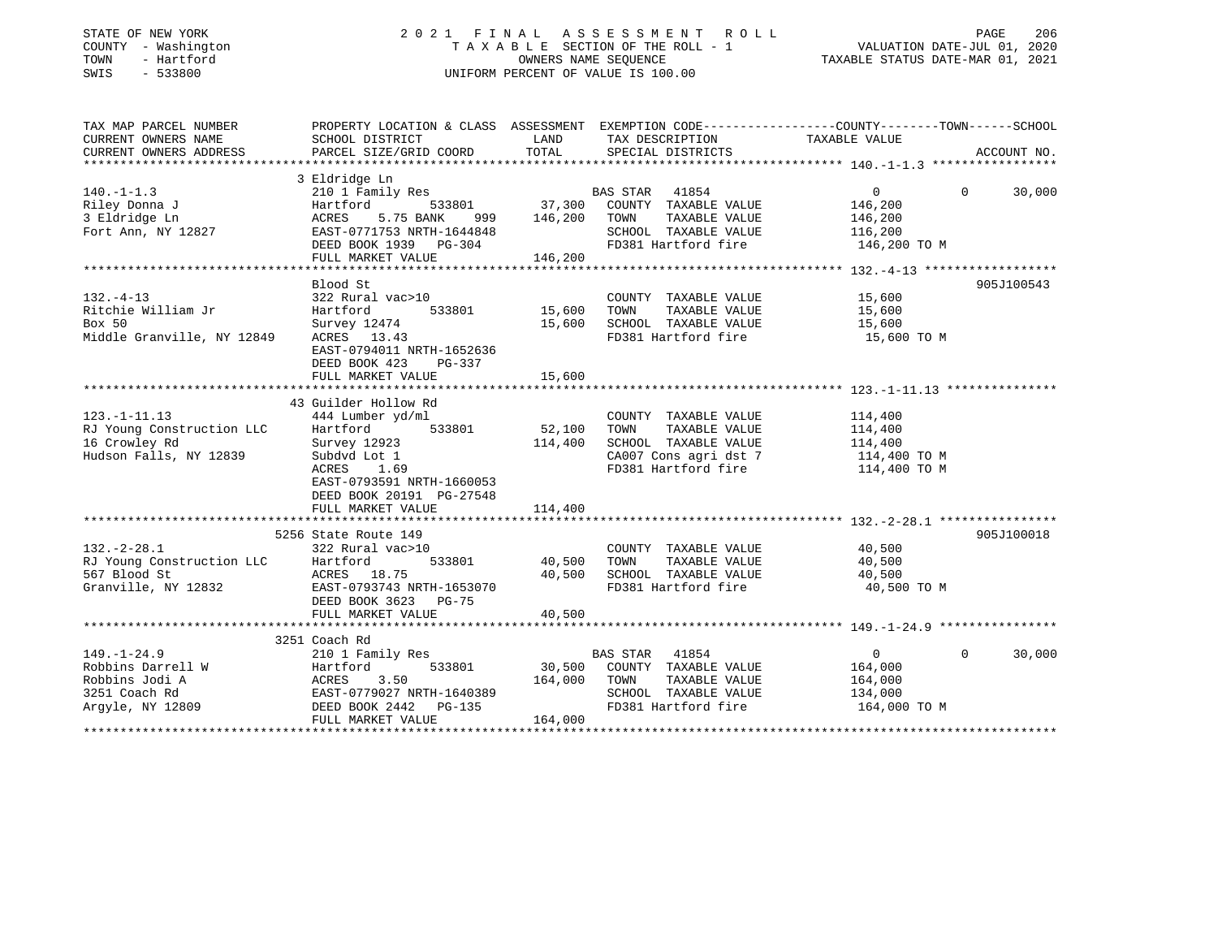| STATE OF NEW YORK |  |              |
|-------------------|--|--------------|
| COUNTY            |  | - Washington |
| TOWN              |  | - Hartford   |
| CM <sub>T</sub> C |  | 533800       |

### STATE OF NEW YORK 2 0 2 1 F I N A L A S S E S S M E N T R O L L PAGE 206 COUNTY - Washington T A X A B L E SECTION OF THE ROLL - 1 VALUATION DATE-JUL 01, 2020 TOWN - Hartford OWNERS NAME SEQUENCE TAXABLE STATUS DATE-MAR 01, 2021 SWIS - 533800 UNIFORM PERCENT OF VALUE IS 100.00

| TAX MAP PARCEL NUMBER                                      | PROPERTY LOCATION & CLASS ASSESSMENT EXEMPTION CODE---------------COUNTY-------TOWN------SCHOOL                                                                                                                  |                   |                                    |                |          |             |
|------------------------------------------------------------|------------------------------------------------------------------------------------------------------------------------------------------------------------------------------------------------------------------|-------------------|------------------------------------|----------------|----------|-------------|
| CURRENT OWNERS NAME                                        | SCHOOL DISTRICT                                                                                                                                                                                                  | LAND              | TAX DESCRIPTION                    | TAXABLE VALUE  |          |             |
| CURRENT OWNERS ADDRESS                                     | PARCEL SIZE/GRID COORD                                                                                                                                                                                           | TOTAL             | SPECIAL DISTRICTS                  |                |          | ACCOUNT NO. |
|                                                            |                                                                                                                                                                                                                  |                   |                                    |                |          |             |
|                                                            | 3 Eldridge Ln                                                                                                                                                                                                    |                   |                                    |                |          |             |
| $140. - 1 - 1.3$                                           | 210 1 Family Res                                                                                                                                                                                                 |                   | BAS STAR 41854                     | $\overline{0}$ | $\Omega$ | 30,000      |
| Riley Donna J                                              | 215 1 1 2 2 33801 2000 2000 2011<br>AGRES 5.75 BANK 999 146,200 TOWN<br>EAST-0771753 NRTH-1644848 SCHOOL                                                                                                         | $533801$ $37,300$ | COUNTY TAXABLE VALUE               | 146,200        |          |             |
|                                                            |                                                                                                                                                                                                                  |                   | TAXABLE VALUE                      | 146,200        |          |             |
| 3 Eldridge Ln<br>Fort Ann, NY 12827                        |                                                                                                                                                                                                                  |                   | SCHOOL TAXABLE VALUE               | 116,200        |          |             |
|                                                            | DEED BOOK 1939 $PG-304$                                                                                                                                                                                          |                   | FD381 Hartford fire 146,200 TO M   |                |          |             |
|                                                            | FULL MARKET VALUE                                                                                                                                                                                                | 146, 200          |                                    |                |          |             |
|                                                            |                                                                                                                                                                                                                  |                   |                                    |                |          |             |
|                                                            | Blood St                                                                                                                                                                                                         |                   |                                    |                |          | 905J100543  |
| $132. -4 - 13$                                             | 322 Rural vac>10                                                                                                                                                                                                 |                   | COUNTY TAXABLE VALUE               | 15,600         |          |             |
| Ritchie William Jr                                         | Hartford                                                                                                                                                                                                         | 533801 15,600     | TOWN<br>TAXABLE VALUE              | 15,600         |          |             |
| Box 50                                                     | Survey 12474                                                                                                                                                                                                     | 15,600            | SCHOOL TAXABLE VALUE               | 15,600         |          |             |
| Middle Granville, NY 12849 ACRES 13.43                     |                                                                                                                                                                                                                  |                   | FD381 Hartford fire                | 15,600 TO M    |          |             |
|                                                            | EAST-0794011 NRTH-1652636                                                                                                                                                                                        |                   |                                    |                |          |             |
|                                                            | DEED BOOK 423<br>PG-337                                                                                                                                                                                          |                   |                                    |                |          |             |
|                                                            | FULL MARKET VALUE                                                                                                                                                                                                | 15,600            |                                    |                |          |             |
|                                                            |                                                                                                                                                                                                                  |                   |                                    |                |          |             |
|                                                            | 43 Guilder Hollow Rd                                                                                                                                                                                             |                   |                                    |                |          |             |
| $123. - 1 - 11.13$                                         | 444 Lumber yd/ml                                                                                                                                                                                                 |                   | COUNTY TAXABLE VALUE               | 114,400        |          |             |
| RJ Young Construction LLC                                  | Hartford<br>533801                                                                                                                                                                                               | 52,100            | TOWN TAXABLE VALUE                 | 114,400        |          |             |
| 16 Crowley Rd                                              | Survey 12923                                                                                                                                                                                                     | 114,400           | SCHOOL TAXABLE VALUE               | 114,400        |          |             |
| Hudson Falls, NY 12839                                     | Subdyd Lot 1                                                                                                                                                                                                     |                   | CA007 Cons agri dst 7              | 114,400 TO M   |          |             |
|                                                            | ACRES<br>1.69                                                                                                                                                                                                    |                   | FD381 Hartford fire                | 114,400 TO M   |          |             |
|                                                            | EAST-0793591 NRTH-1660053                                                                                                                                                                                        |                   |                                    |                |          |             |
|                                                            | DEED BOOK 20191 PG-27548                                                                                                                                                                                         |                   |                                    |                |          |             |
|                                                            | FULL MARKET VALUE                                                                                                                                                                                                | 114,400           |                                    |                |          |             |
|                                                            |                                                                                                                                                                                                                  |                   |                                    |                |          |             |
|                                                            | 5256 State Route 149                                                                                                                                                                                             |                   |                                    |                |          | 905J100018  |
| $132. - 2 - 28.1$                                          | 322 Rural vac>10                                                                                                                                                                                                 |                   | COUNTY TAXABLE VALUE 40,500        |                |          |             |
|                                                            | 533801                                                                                                                                                                                                           |                   | 40,500 TOWN TAXABLE VALUE          | 40,500         |          |             |
| RJ Young Construction LLC Hartford<br>567 Blood St ACRES 1 | ACRES 18.75                                                                                                                                                                                                      | 40,500            | SCHOOL TAXABLE VALUE               | 40,500         |          |             |
| Granville, NY 12832                                        | EAST-0793743 NRTH-1653070                                                                                                                                                                                        |                   | FD381 Hartford fire                | 40,500 TO M    |          |             |
|                                                            | DEED BOOK 3623 PG-75                                                                                                                                                                                             |                   |                                    |                |          |             |
|                                                            | FULL MARKET VALUE                                                                                                                                                                                                | 40,500            |                                    |                |          |             |
|                                                            |                                                                                                                                                                                                                  |                   |                                    |                |          |             |
|                                                            | 3251 Coach Rd                                                                                                                                                                                                    |                   |                                    |                |          |             |
| $149. - 1 - 24.9$                                          | 210 1 Family Res                                                                                                                                                                                                 |                   | BAS STAR 41854                     | $\overline{0}$ | $\Omega$ | 30,000      |
|                                                            |                                                                                                                                                                                                                  |                   | 533801 30,500 COUNTY TAXABLE VALUE | 164,000        |          |             |
|                                                            |                                                                                                                                                                                                                  |                   | TAXABLE VALUE                      | 164,000        |          |             |
|                                                            |                                                                                                                                                                                                                  |                   | SCHOOL TAXABLE VALUE               | 134,000        |          |             |
|                                                            | 149.-1-24.9 BAS STA<br>Robbins Darrell W Hartford 533801 30,500 COUNT<br>Robbins Jodi A ACRES 3.50 164,000 TOWN<br>3251 Coach Rd EAST-0779027 NRTH-1640389 5CHOO<br>Argyle, NY 12809 DEED BOOK 2442 PG-135 FD381 |                   | FD381 Hartford fire                | 164,000 TO M   |          |             |
|                                                            | FULL MARKET VALUE                                                                                                                                                                                                | 164,000           |                                    |                |          |             |
|                                                            |                                                                                                                                                                                                                  |                   |                                    |                |          |             |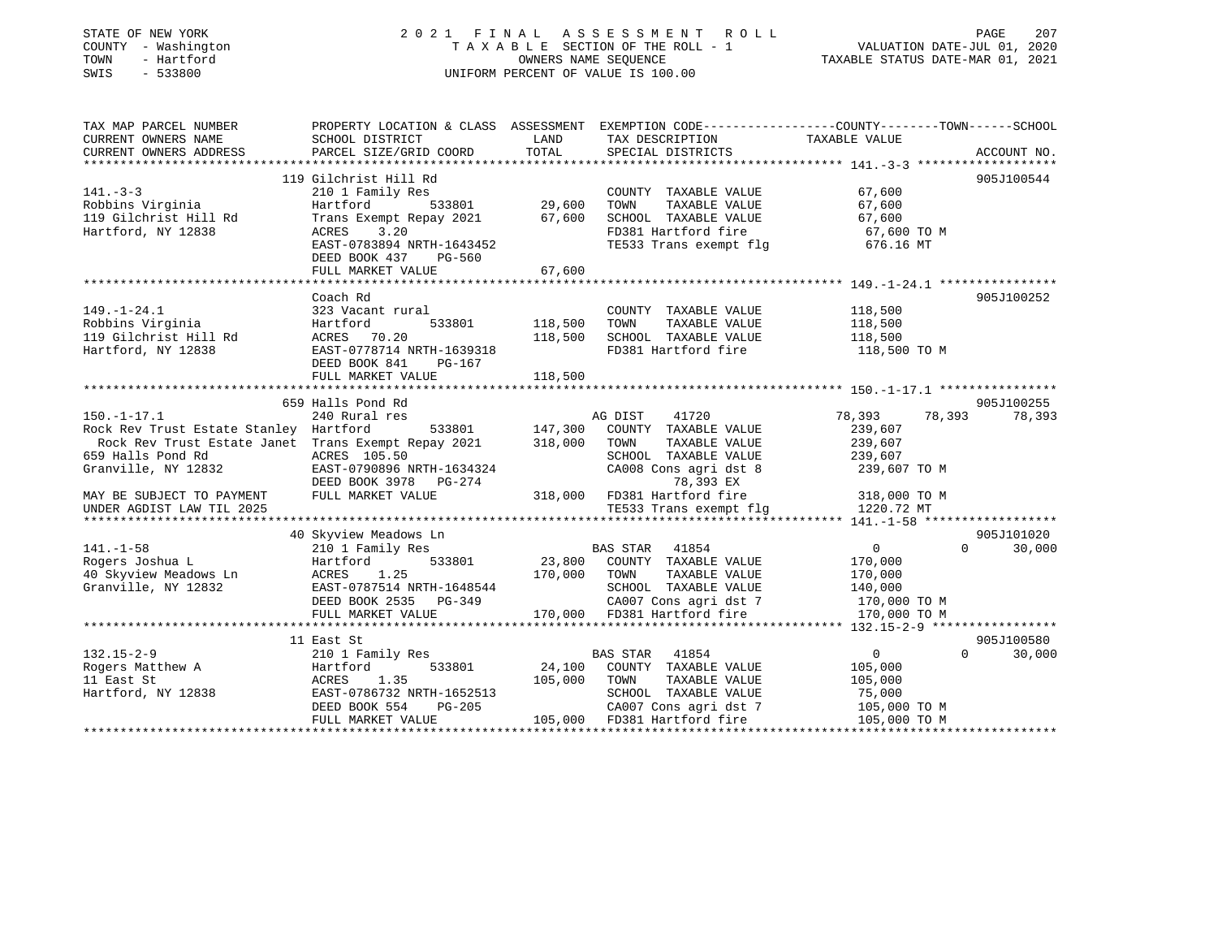### STATE OF NEW YORK 2 0 2 1 F I N A L A S S E S S M E N T R O L L PAGE 207 COUNTY - Washington T A X A B L E SECTION OF THE ROLL - 1 VALUATION DATE-JUL 01, 2020 TOWN - Hartford OWNERS NAME SEQUENCE TAXABLE STATUS DATE-MAR 01, 2021 SWIS - 533800 UNIFORM PERCENT OF VALUE IS 100.00

| TAX MAP PARCEL NUMBER                                               | PROPERTY LOCATION & CLASS ASSESSMENT EXEMPTION CODE----------------COUNTY-------TOWN------SCHOOL |                |                                                                |                              |                                  |
|---------------------------------------------------------------------|--------------------------------------------------------------------------------------------------|----------------|----------------------------------------------------------------|------------------------------|----------------------------------|
| CURRENT OWNERS NAME                                                 | SCHOOL DISTRICT                                                                                  | LAND           | TAX DESCRIPTION                                                | TAXABLE VALUE                |                                  |
| CURRENT OWNERS ADDRESS                                              | PARCEL SIZE/GRID COORD                                                                           | TOTAL          | SPECIAL DISTRICTS                                              |                              | ACCOUNT NO.                      |
|                                                                     |                                                                                                  |                |                                                                |                              |                                  |
|                                                                     | 119 Gilchrist Hill Rd                                                                            |                |                                                                |                              | 905J100544                       |
| $141. - 3 - 3$                                                      | 210 1 Family Res                                                                                 |                | COUNTY TAXABLE VALUE                                           | 67,600                       |                                  |
| Robbins Virginia                                                    | Hartford                                                                                         | 533801 29,600  | TAXABLE VALUE<br>TOWN                                          | 67,600                       |                                  |
| 119 Gilchrist Hill Rd                                               | Trans Exempt Repay 2021 67,600                                                                   |                | SCHOOL TAXABLE VALUE 67,600<br>FD381 Hartford fire 67,600 TO M |                              |                                  |
| Hartford, NY 12838                                                  | ACRES<br>3.20<br>EAST-0783894 NRTH-1643452                                                       |                | TE533 Trans exempt flg 676.16 MT                               |                              |                                  |
|                                                                     | DEED BOOK 437 PG-560                                                                             |                |                                                                |                              |                                  |
|                                                                     | FULL MARKET VALUE                                                                                | 67,600         |                                                                |                              |                                  |
|                                                                     |                                                                                                  |                |                                                                |                              |                                  |
|                                                                     | Coach Rd                                                                                         |                |                                                                |                              | 905J100252                       |
| $149. - 1 - 24.1$                                                   | 323 Vacant rural                                                                                 |                | COUNTY TAXABLE VALUE                                           | 118,500                      |                                  |
| Robbins Virginia                                                    | Hartford<br>533801 118,500                                                                       |                | TOWN<br>TAXABLE VALUE                                          | 118,500                      |                                  |
| 119 Gilchrist Hill Rd                                               | ACRES 70.20                                                                                      | 118,500        | SCHOOL TAXABLE VALUE                                           | 118,500                      |                                  |
| Hartford, NY 12838                                                  | EAST-0778714 NRTH-1639318                                                                        |                | FD381 Hartford fire                                            | 118,500 TO M                 |                                  |
|                                                                     | DEED BOOK 841 PG-167                                                                             |                |                                                                |                              |                                  |
|                                                                     | FULL MARKET VALUE                                                                                | 118,500        |                                                                |                              |                                  |
|                                                                     |                                                                                                  |                |                                                                |                              |                                  |
|                                                                     | 659 Halls Pond Rd                                                                                |                |                                                                |                              | 905J100255                       |
| $150. - 1 - 17.1$                                                   | 240 Rural res                                                                                    |                | AG DIST 41720                                                  | 78,393                       | 78,393 78,393                    |
| Rock Rev Trust Estate Stanley Hartford                              |                                                                                                  | 533801 147,300 | COUNTY TAXABLE VALUE                                           | 239,607                      |                                  |
| Rock Rev Trust Estate Janet Trans Exempt Repay 2021 318,000         |                                                                                                  |                | TOWN<br>TAXABLE VALUE                                          | 239,607                      |                                  |
| 659 Halls Pond Rd                                                   | ACRES 105.50                                                                                     |                | SCHOOL TAXABLE VALUE                                           | 239,607                      |                                  |
| Granville, NY 12832                                                 | EAST-0790896 NRTH-1634324                                                                        |                | CA008 Cons agri dst 8                                          | 239,607 TO M                 |                                  |
|                                                                     | DEED BOOK 3978 PG-274                                                                            |                | 78,393 EX                                                      |                              |                                  |
| MAY BE SUBJECT TO PAYMENT                                           | FULL MARKET VALUE                                                                                |                |                                                                |                              |                                  |
| UNDER AGDIST LAW TIL 2025                                           |                                                                                                  |                | TE533 Trans exempt flg                                         | 1220.72 MT                   |                                  |
|                                                                     |                                                                                                  |                |                                                                |                              |                                  |
| $141. - 1 - 58$                                                     | 40 Skyview Meadows Ln<br>210 1 Family Res                                                        |                | BAS STAR 41854                                                 | 0                            | 905J101020<br>$\Omega$<br>30,000 |
| Rogers Joshua L                                                     | Hartford<br>533801                                                                               |                | 23,800 COUNTY TAXABLE VALUE                                    | 170,000                      |                                  |
|                                                                     | <b>ACRES</b><br>1.25                                                                             | 170,000        | TOWN<br>TAXABLE VALUE                                          | 170,000                      |                                  |
| 40 Skyview Meadows Ln<br>Granville, NY 12832<br>Granville, NY 12832 |                                                                                                  |                | SCHOOL TAXABLE VALUE                                           | 140,000                      |                                  |
|                                                                     |                                                                                                  |                | CA007 Cons agri dst 7 170,000 TO M                             |                              |                                  |
|                                                                     | FULL MARKET VALUE                                                                                |                | 170,000 FD381 Hartford fire                                    | 170,000 TO M                 |                                  |
|                                                                     |                                                                                                  |                |                                                                |                              |                                  |
|                                                                     | 11 East St                                                                                       |                |                                                                |                              | 905J100580                       |
| $132.15 - 2 - 9$                                                    | 210 1 Family Res                                                                                 |                | BAS STAR 41854                                                 | $\overline{0}$               | $\Omega$<br>30,000               |
| Rogers Matthew A                                                    | 533801<br>Hartford                                                                               | 24,100         | COUNTY TAXABLE VALUE                                           | 105,000                      |                                  |
| 11 East St                                                          | ACRES 1.35                                                                                       | 105,000 TOWN   | TAXABLE VALUE                                                  | 105,000                      |                                  |
| Hartford, NY 12838                                                  | EAST-0786732 NRTH-1652513                                                                        |                | SCHOOL TAXABLE VALUE                                           | 75,000                       |                                  |
|                                                                     | DEED BOOK 554<br>PG-205                                                                          |                | CA007 Cons agri dst 7                                          | 105,000 TO M<br>105,000 TO M |                                  |
|                                                                     | FULL MARKET VALUE                                                                                |                | $105,000$ FD381 Hartford fire                                  |                              |                                  |
|                                                                     |                                                                                                  |                |                                                                |                              |                                  |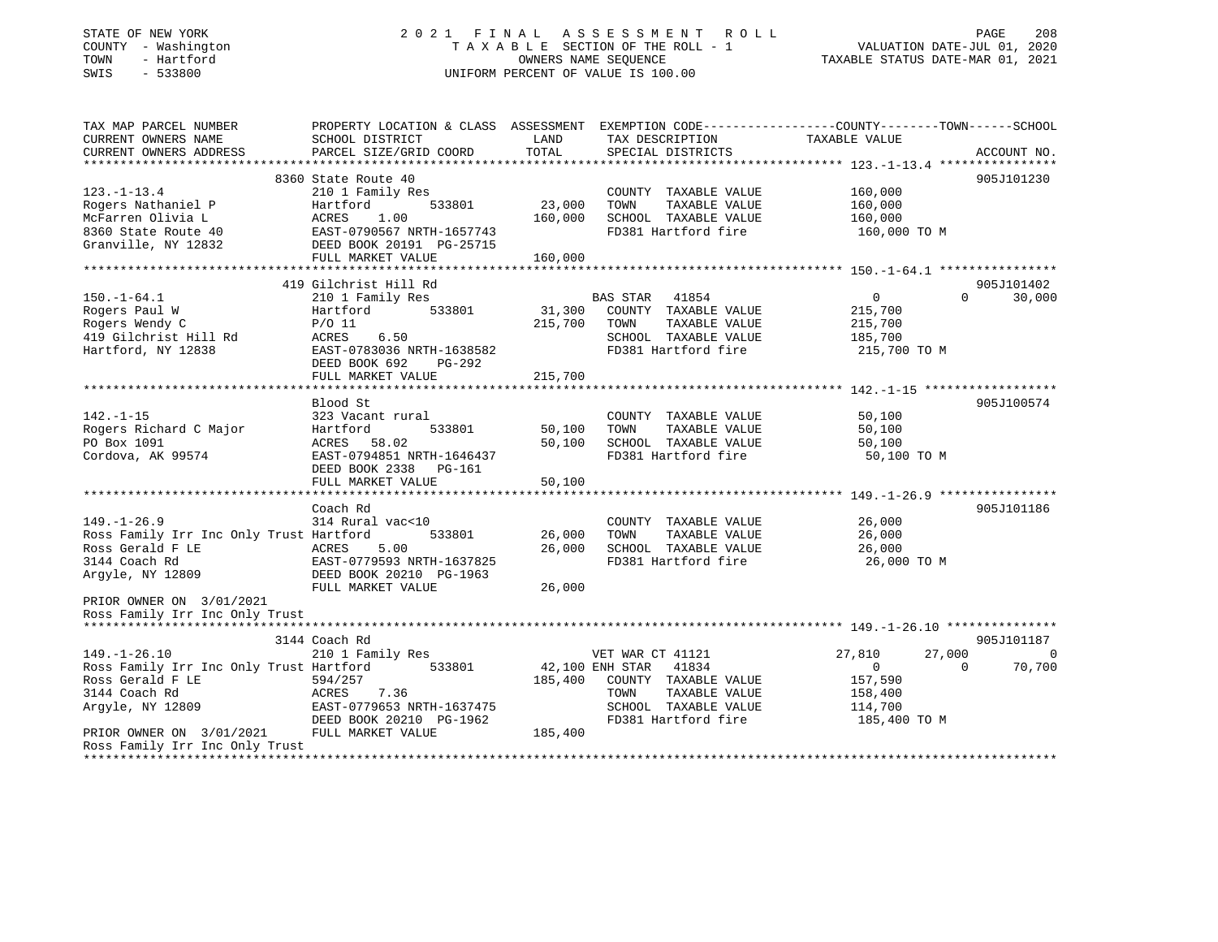### STATE OF NEW YORK 2 0 2 1 F I N A L A S S E S S M E N T R O L L PAGE 208 COUNTY - Washington T A X A B L E SECTION OF THE ROLL - 1 VALUATION DATE-JUL 01, 2020 TOWN - Hartford OWNERS NAME SEQUENCE TAXABLE STATUS DATE-MAR 01, 2021 SWIS - 533800 UNIFORM PERCENT OF VALUE IS 100.00

| TAX MAP PARCEL NUMBER<br>CURRENT OWNERS NAME<br>CURRENT OWNERS ADDRESS | SCHOOL DISTRICT<br>PARCEL SIZE/GRID COORD     | LAND<br>TOTAL              | TAX DESCRIPTION<br>SPECIAL DISTRICTS | PROPERTY LOCATION & CLASS ASSESSMENT EXEMPTION CODE---------------COUNTY-------TOWN------SCHOOL<br>TAXABLE VALUE<br>ACCOUNT NO. |  |
|------------------------------------------------------------------------|-----------------------------------------------|----------------------------|--------------------------------------|---------------------------------------------------------------------------------------------------------------------------------|--|
|                                                                        |                                               |                            |                                      |                                                                                                                                 |  |
|                                                                        | 8360 State Route 40                           |                            |                                      | 905J101230                                                                                                                      |  |
| $123. - 1 - 13.4$                                                      | 210 1 Family Res                              |                            | COUNTY TAXABLE VALUE                 | 160,000                                                                                                                         |  |
| Rogers Nathaniel P                                                     | 533801<br>Hartford                            | 23,000                     | TOWN<br>TAXABLE VALUE                | 160,000                                                                                                                         |  |
| McFarren Olivia L                                                      | 1.00<br>ACRES                                 | 160,000                    | SCHOOL TAXABLE VALUE                 | 160,000                                                                                                                         |  |
| 8360 State Route 40                                                    | EAST-0790567 NRTH-1657743                     |                            | FD381 Hartford fire                  | 160,000 TO M                                                                                                                    |  |
| Granville, NY 12832                                                    | DEED BOOK 20191 PG-25715<br>FULL MARKET VALUE | 160,000                    |                                      |                                                                                                                                 |  |
|                                                                        |                                               |                            |                                      |                                                                                                                                 |  |
|                                                                        | 419 Gilchrist Hill Rd                         |                            |                                      | 905J101402                                                                                                                      |  |
| $150. - 1 - 64.1$                                                      | 210 1 Family Res                              |                            | BAS STAR 41854                       | $\mathbf 0$<br>$\Omega$<br>30,000                                                                                               |  |
| Rogers Paul W                                                          | 533801<br>Hartford                            | 31,300                     | COUNTY TAXABLE VALUE                 | 215,700                                                                                                                         |  |
| Rogers Wendy C                                                         | $P/O$ 11                                      | 215,700                    | TOWN<br>TAXABLE VALUE                | 215,700                                                                                                                         |  |
| 419 Gilchrist Hill Rd                                                  | ACRES<br>6.50                                 |                            | SCHOOL TAXABLE VALUE                 | 185,700                                                                                                                         |  |
| Hartford, NY 12838                                                     | EAST-0783036 NRTH-1638582                     |                            | FD381 Hartford fire                  | 215,700 TO M                                                                                                                    |  |
|                                                                        | DEED BOOK 692<br>$PG-292$                     |                            |                                      |                                                                                                                                 |  |
|                                                                        | FULL MARKET VALUE                             | 215,700                    |                                      |                                                                                                                                 |  |
|                                                                        |                                               |                            |                                      |                                                                                                                                 |  |
|                                                                        | Blood St                                      |                            |                                      | 905J100574                                                                                                                      |  |
| $142. - 1 - 15$                                                        | 323 Vacant rural                              |                            | COUNTY TAXABLE VALUE                 | 50,100                                                                                                                          |  |
| Rogers Richard C Major                                                 | Hartford<br>533801                            | 50,100                     | TOWN<br>TAXABLE VALUE                | 50,100                                                                                                                          |  |
| PO Box 1091                                                            | ACRES 58.02                                   | 50,100                     | SCHOOL TAXABLE VALUE                 | 50,100                                                                                                                          |  |
| Cordova, AK 99574                                                      | EAST-0794851 NRTH-1646437                     |                            | FD381 Hartford fire                  | 50,100 TO M                                                                                                                     |  |
|                                                                        | DEED BOOK 2338 PG-161<br>FULL MARKET VALUE    | 50,100                     |                                      |                                                                                                                                 |  |
|                                                                        |                                               |                            |                                      |                                                                                                                                 |  |
|                                                                        | Coach Rd                                      |                            |                                      | 905J101186                                                                                                                      |  |
| $149. - 1 - 26.9$                                                      | 314 Rural vac<10                              |                            | COUNTY TAXABLE VALUE                 | 26,000                                                                                                                          |  |
| Ross Family Irr Inc Only Trust Hartford                                | 533801                                        | 26,000                     | TOWN<br>TAXABLE VALUE                | 26,000                                                                                                                          |  |
| Ross Gerald F LE                                                       | ACRES<br>5.00                                 | 26,000                     | SCHOOL TAXABLE VALUE                 | 26,000                                                                                                                          |  |
| 3144 Coach Rd                                                          | EAST-0779593 NRTH-1637825                     |                            | FD381 Hartford fire                  | 26,000 TO M                                                                                                                     |  |
| Argyle, NY 12809                                                       | DEED BOOK 20210 PG-1963                       |                            |                                      |                                                                                                                                 |  |
|                                                                        | FULL MARKET VALUE                             | 26,000                     |                                      |                                                                                                                                 |  |
| PRIOR OWNER ON 3/01/2021                                               |                                               |                            |                                      |                                                                                                                                 |  |
| Ross Family Irr Inc Only Trust                                         |                                               |                            |                                      |                                                                                                                                 |  |
|                                                                        |                                               |                            |                                      |                                                                                                                                 |  |
|                                                                        | 3144 Coach Rd                                 |                            |                                      | 905J101187                                                                                                                      |  |
| $149. - 1 - 26.10$                                                     | 210 1 Family Res                              |                            | VET WAR CT 41121                     | 27,810<br>27,000<br>$\overline{0}$                                                                                              |  |
| Ross Family Irr Inc Only Trust Hartford<br>Ross Gerald F LE            | 533801<br>594/257                             | 42,100 ENH STAR<br>185,400 | 41834<br>COUNTY TAXABLE VALUE        | 70,700<br>$\mathbf 0$<br>$\Omega$<br>157,590                                                                                    |  |
| 3144 Coach Rd                                                          | 7.36<br>ACRES                                 |                            | TAXABLE VALUE<br>TOWN                | 158,400                                                                                                                         |  |
| Argyle, NY 12809                                                       | EAST-0779653 NRTH-1637475                     |                            | SCHOOL TAXABLE VALUE                 | 114,700                                                                                                                         |  |
|                                                                        | DEED BOOK 20210 PG-1962                       |                            | FD381 Hartford fire                  | 185,400 TO M                                                                                                                    |  |
| PRIOR OWNER ON 3/01/2021                                               | FULL MARKET VALUE                             | 185,400                    |                                      |                                                                                                                                 |  |
| Ross Family Irr Inc Only Trust                                         |                                               |                            |                                      |                                                                                                                                 |  |
|                                                                        |                                               |                            |                                      |                                                                                                                                 |  |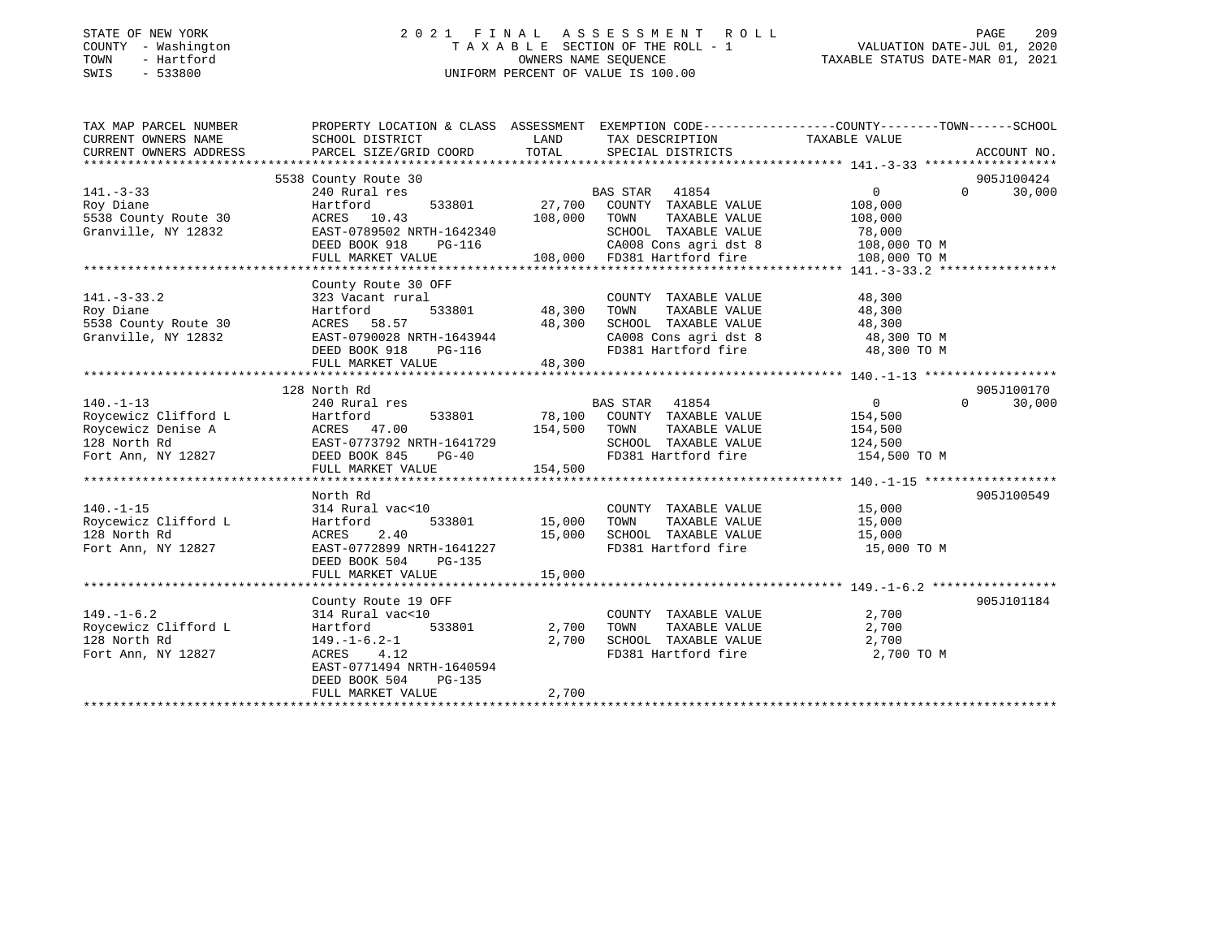### STATE OF NEW YORK 2 0 2 1 F I N A L A S S E S S M E N T R O L L PAGE 209 COUNTY - Washington T A X A B L E SECTION OF THE ROLL - 1 VALUATION DATE-JUL 01, 2020 TOWN - Hartford OWNERS NAME SEQUENCE TAXABLE STATUS DATE-MAR 01, 2021 SWIS - 533800 UNIFORM PERCENT OF VALUE IS 100.00

| TAX MAP PARCEL NUMBER                                                                                                                                      | PROPERTY LOCATION & CLASS ASSESSMENT EXEMPTION CODE---------------COUNTY-------TOWN-----SCHOOL   |                          |                                                                                                                       |                       |                    |
|------------------------------------------------------------------------------------------------------------------------------------------------------------|--------------------------------------------------------------------------------------------------|--------------------------|-----------------------------------------------------------------------------------------------------------------------|-----------------------|--------------------|
| CURRENT OWNERS NAME                                                                                                                                        | SCHOOL DISTRICT                                                                                  | LAND                     | TAX DESCRIPTION                                                                                                       | TAXABLE VALUE         |                    |
| CURRENT OWNERS ADDRESS                                                                                                                                     | PARCEL SIZE/GRID COORD                                                                           | TOTAL                    | SPECIAL DISTRICTS                                                                                                     |                       | ACCOUNT NO.        |
|                                                                                                                                                            |                                                                                                  |                          |                                                                                                                       |                       |                    |
|                                                                                                                                                            | 5538 County Route 30                                                                             |                          |                                                                                                                       |                       | 905J100424         |
| $141. - 3 - 33$                                                                                                                                            | 240 Rural res                                                                                    |                          | BAS STAR 41854                                                                                                        | $\overline{0}$        | 30,000<br>$\Omega$ |
| Roy Diane                                                                                                                                                  | Hartford<br>533801                                                                               |                          | 27,700 COUNTY TAXABLE VALUE                                                                                           | 108,000               |                    |
| 5538 County Route 30                                                                                                                                       | ACRES 10.43                                                                                      |                          | 108,000 TOWN<br>TAXABLE VALUE<br>SCHOOL TAXABLE VALUE                                                                 | 108,000               |                    |
| Granville, NY 12832                                                                                                                                        | EAST-0789502 NRTH-1642340<br>DEED BOOK 918<br>PG-116                                             |                          |                                                                                                                       | 78,000                |                    |
|                                                                                                                                                            | FULL MARKET VALUE                                                                                |                          | 2340 SCHOOL TAXABLE VALUE 78,000<br>16 CA008 Cons agri dst 8 108,000 TO M<br>108,000 FD381 Hartford fire 108,000 TO M |                       |                    |
|                                                                                                                                                            |                                                                                                  |                          |                                                                                                                       |                       |                    |
|                                                                                                                                                            | County Route 30 OFF                                                                              |                          |                                                                                                                       |                       |                    |
| $141. - 3 - 33.2$                                                                                                                                          | 323 Vacant rural                                                                                 |                          | COUNTY TAXABLE VALUE 48,300                                                                                           |                       |                    |
| Roy Diane                                                                                                                                                  | Hartford                                                                                         | 1<br>1933801 18,300 TOWN | TAXABLE VALUE                                                                                                         | 48,300                |                    |
| 5538 County Route 30                                                                                                                                       |                                                                                                  |                          |                                                                                                                       |                       |                    |
| Granville, NY 12832                                                                                                                                        | ACRES 58.57 48,300<br>EAST-0790028 NRTH-1643944 48,300<br>DEED BOOK 918 PG-116<br>THI WINDOW 111 |                          | SCHOOL TAXABLE VALUE $48,300$<br>CA008 Cons agri dst 8 $48,300$ TO M<br>FD381 Hartford fire $48,300$ TO M             |                       |                    |
|                                                                                                                                                            |                                                                                                  |                          |                                                                                                                       |                       |                    |
|                                                                                                                                                            | FULL MARKET VALUE 48,300                                                                         |                          |                                                                                                                       |                       |                    |
|                                                                                                                                                            |                                                                                                  |                          |                                                                                                                       |                       |                    |
|                                                                                                                                                            | 128 North Rd                                                                                     |                          |                                                                                                                       |                       | 905J100170         |
| $140. - 1 - 13$                                                                                                                                            | 240 Rural res                                                                                    |                          |                                                                                                                       | $\overline{0}$        | 30,000<br>$\Omega$ |
| X40 Kural res<br>Roycewicz Clifford L<br>Roycewicz Denise A<br>128 North Rd<br>Fort Ann, NY 12827<br>Fort Ann, NY 12827<br>Results CERED BOOK 845<br>PG-40 |                                                                                                  |                          | BAS STAR 41854<br>78,100 COUNTY TAXABLE VALUE                                                                         | 154,500               |                    |
|                                                                                                                                                            |                                                                                                  | 154,500 TOWN             |                                                                                                                       | TAXABLE VALUE 154,500 |                    |
|                                                                                                                                                            |                                                                                                  |                          | SCHOOL TAXABLE VALUE 124,500                                                                                          |                       |                    |
|                                                                                                                                                            |                                                                                                  |                          | FD381 Hartford fire                                                                                                   | 154,500 TO M          |                    |
|                                                                                                                                                            | FULL MARKET VALUE                                                                                | 154,500                  |                                                                                                                       |                       |                    |
|                                                                                                                                                            |                                                                                                  |                          |                                                                                                                       |                       |                    |
|                                                                                                                                                            | North Rd                                                                                         |                          |                                                                                                                       |                       | 905J100549         |
| $140. - 1 - 15$                                                                                                                                            | 314 Rural vac<10                                                                                 |                          | COUNTY TAXABLE VALUE 15,000                                                                                           |                       |                    |
| Roycewicz Clifford L                                                                                                                                       | Hartford                                                                                         | 533801 15,000            | TAXABLE VALUE<br>TOWN                                                                                                 | 15,000                |                    |
| 128 North Rd<br>Fort Ann, NY 12827                                                                                                                         | ACRES<br>2.40<br>EAST-0772899 NRTH-1641227                                                       | 15,000                   |                                                                                                                       |                       |                    |
|                                                                                                                                                            | DEED BOOK 504<br>PG-135                                                                          |                          |                                                                                                                       |                       |                    |
|                                                                                                                                                            | FULL MARKET VALUE                                                                                | 15,000                   |                                                                                                                       |                       |                    |
|                                                                                                                                                            |                                                                                                  |                          |                                                                                                                       |                       |                    |
|                                                                                                                                                            | County Route 19 OFF                                                                              |                          |                                                                                                                       |                       | 905J101184         |
| $149. - 1 - 6.2$                                                                                                                                           | 314 Rural vac<10                                                                                 |                          | COUNTY TAXABLE VALUE 2,700                                                                                            |                       |                    |
| Roycewicz Clifford L                                                                                                                                       | Hartford                                                                                         | 533801 2,700 TOWN        | TAXABLE VALUE                                                                                                         | 2,700                 |                    |
| 128 North Rd                                                                                                                                               | $149. - 1 - 6.2 - 1$                                                                             | 2,700                    | SCHOOL TAXABLE VALUE 2,700                                                                                            |                       |                    |
| Fort Ann, NY 12827                                                                                                                                         | ACRES 4.12                                                                                       |                          | FD381 Hartford fire                                                                                                   | 2,700 TO M            |                    |
|                                                                                                                                                            | EAST-0771494 NRTH-1640594                                                                        |                          |                                                                                                                       |                       |                    |
|                                                                                                                                                            | DEED BOOK 504<br>PG-135                                                                          |                          |                                                                                                                       |                       |                    |
|                                                                                                                                                            | FULL MARKET VALUE                                                                                | 2,700                    |                                                                                                                       |                       |                    |
|                                                                                                                                                            |                                                                                                  |                          |                                                                                                                       |                       |                    |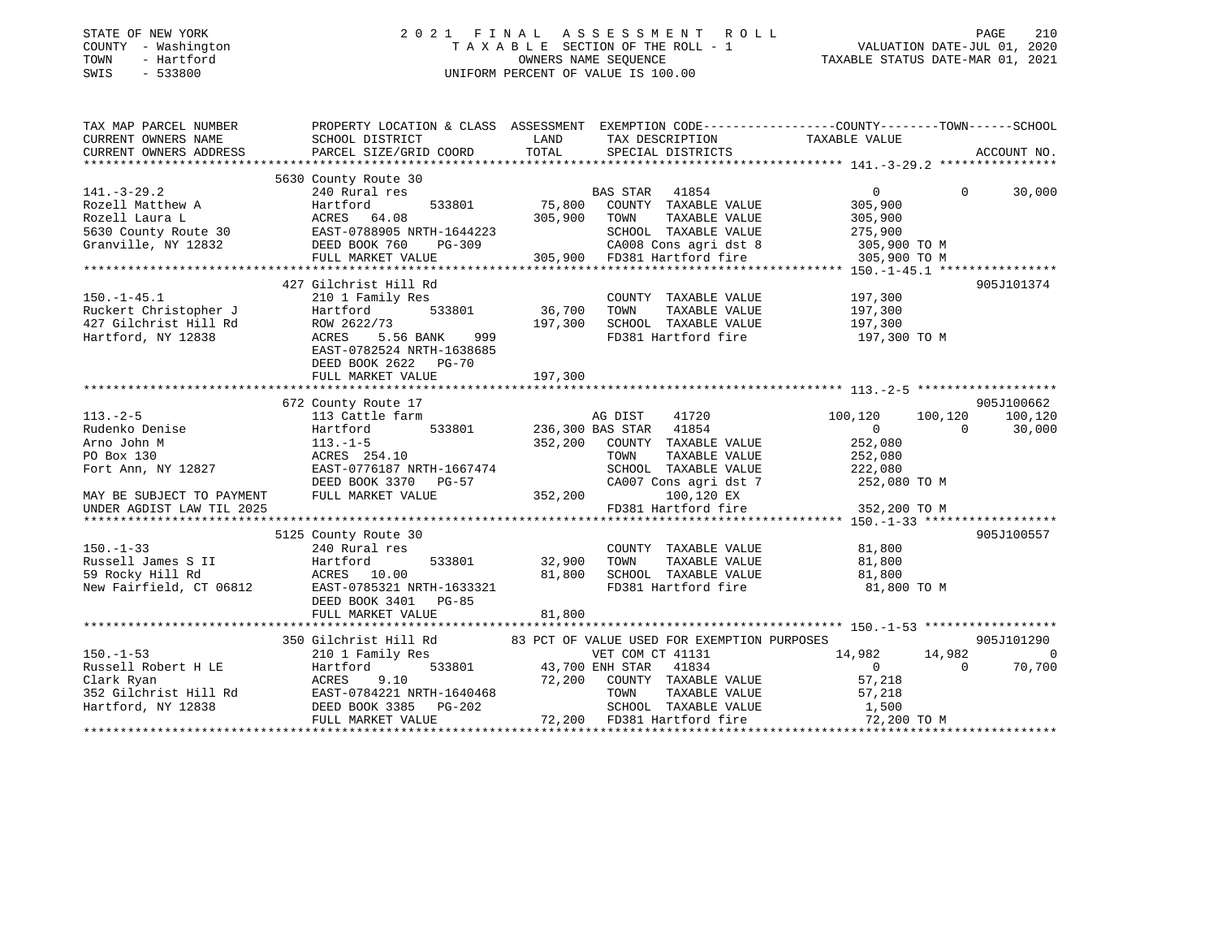| STATE OF NEW YORK |              |
|-------------------|--------------|
| COUNTY            | - Washington |
| TOWN              | - Hartford   |
| <b>CMTC</b>       | $-533800$    |

### STATE OF NEW YORK 2 0 2 1 F I N A L A S S E S S M E N T R O L L PAGE 210 COUNTY - Washington T A X A B L E SECTION OF THE ROLL - 1 VALUATION DATE-JUL 01, 2020 TOWN - Hartford OWNERS NAME SEQUENCE TAXABLE STATUS DATE-MAR 01, 2021 SWIS - 533800 UNIFORM PERCENT OF VALUE IS 100.00

| TAX MAP PARCEL NUMBER            |                                                                                                                                                                                                    |                    |                                                          | PROPERTY LOCATION & CLASS ASSESSMENT EXEMPTION CODE---------------COUNTY-------TOWN------SCHOOL               |                |
|----------------------------------|----------------------------------------------------------------------------------------------------------------------------------------------------------------------------------------------------|--------------------|----------------------------------------------------------|---------------------------------------------------------------------------------------------------------------|----------------|
| CURRENT OWNERS NAME              | SCHOOL DISTRICT                                                                                                                                                                                    | LAND               | TAX DESCRIPTION                                          | TAXABLE VALUE                                                                                                 |                |
| CURRENT OWNERS ADDRESS           | PARCEL SIZE/GRID COORD                                                                                                                                                                             | TOTAL              | SPECIAL DISTRICTS                                        |                                                                                                               | ACCOUNT NO.    |
|                                  |                                                                                                                                                                                                    |                    |                                                          |                                                                                                               |                |
|                                  | 5630 County Route 30                                                                                                                                                                               |                    |                                                          |                                                                                                               |                |
| $141. - 3 - 29.2$                | 240 Rural res                                                                                                                                                                                      |                    | BAS STAR 41854                                           | $\overline{0}$<br>$\Omega$                                                                                    | 30,000         |
| Rozell Matthew A                 | 533801<br>Hartford                                                                                                                                                                                 |                    | 75,800 COUNTY TAXABLE VALUE                              | 305,900                                                                                                       |                |
|                                  |                                                                                                                                                                                                    | 305,900 TOWN       | TAXABLE VALUE                                            | 305,900                                                                                                       |                |
|                                  | Rozell Laura L<br>Rozell Laura L<br>5630 County Route 30<br>Granville, NY 12832<br>Cranville, NY 12832<br>Cranville, NY 12832<br>Cranville, NY 12832<br>CREED BOOK 760<br>CREED BOOK 760<br>PG-309 |                    | SCHOOL TAXABLE VALUE                                     | 275,900                                                                                                       |                |
|                                  |                                                                                                                                                                                                    |                    | CA008 Cons agri dst 8 305,900 TO M                       |                                                                                                               |                |
|                                  | FULL MARKET VALUE 305,900 FD381 Hartford fire                                                                                                                                                      |                    |                                                          | 305,900 TO M                                                                                                  |                |
|                                  |                                                                                                                                                                                                    |                    |                                                          |                                                                                                               |                |
|                                  | 427 Gilchrist Hill Rd                                                                                                                                                                              |                    |                                                          |                                                                                                               | 905J101374     |
| $150. - 1 - 45.1$                | 210 1 Family Res                                                                                                                                                                                   |                    | COUNTY TAXABLE VALUE 197,300                             |                                                                                                               |                |
| Ruckert Christopher J            | Hartford                                                                                                                                                                                           | 533801 36,700 TOWN | TAXABLE VALUE                                            | 197,300                                                                                                       |                |
| 427 Gilchrist Hill Rd            | ROW 2622/73                                                                                                                                                                                        | 197,300            | SCHOOL TAXABLE VALUE                                     | 197,300                                                                                                       |                |
| Hartford, NY 12838               | ACRES 5.56 BANK<br>999                                                                                                                                                                             |                    | FD381 Hartford fire                                      | 197,300 TO M                                                                                                  |                |
|                                  | EAST-0782524 NRTH-1638685                                                                                                                                                                          |                    |                                                          |                                                                                                               |                |
|                                  | DEED BOOK 2622 PG-70                                                                                                                                                                               |                    |                                                          |                                                                                                               |                |
|                                  | FULL MARKET VALUE                                                                                                                                                                                  | 197,300            |                                                          |                                                                                                               |                |
|                                  |                                                                                                                                                                                                    |                    |                                                          |                                                                                                               |                |
|                                  | 672 County Route 17                                                                                                                                                                                |                    |                                                          |                                                                                                               | 905J100662     |
| $113. - 2 - 5$                   | 113 Cattle farm                                                                                                                                                                                    |                    | 41720<br>AG DIST                                         | 100,120<br>100,120                                                                                            | 100,120        |
|                                  | 533801 236,300 BAS STAR 41854<br>Hartford                                                                                                                                                          |                    |                                                          | $\overline{0}$<br>$\Omega$                                                                                    | 30,000         |
| Rudenko Denise<br>Rudenko Denise | $113. -1 - 5$                                                                                                                                                                                      |                    |                                                          | 252,080                                                                                                       |                |
| PO Box 130                       | ACRES 254.10                                                                                                                                                                                       |                    | 352,200 COUNTY TAXABLE VALUE<br>TOWN<br>TAXABLE VALUE    |                                                                                                               |                |
|                                  |                                                                                                                                                                                                    |                    |                                                          | 252,080                                                                                                       |                |
| Fort Ann, NY 12827               | EAST-0776187 NRTH-1667474                                                                                                                                                                          |                    | SCHOOL TAXABLE VALUE                                     | 222,080                                                                                                       |                |
|                                  | DEED BOOK 3370 PG-57                                                                                                                                                                               |                    | CA007 Cons agri dst 7                                    | 252,080 TO M                                                                                                  |                |
| MAY BE SUBJECT TO PAYMENT        | FULL MARKET VALUE                                                                                                                                                                                  | 352,200            |                                                          |                                                                                                               |                |
| UNDER AGDIST LAW TIL 2025        |                                                                                                                                                                                                    |                    | FD381 Hartford fire                                      | 100,120 EX<br>$200 \text{ F10}$<br>$352,200 \text{ TO M}$<br>$352,200 \text{ TO M}$<br>$352,200 \text{ TO M}$ |                |
|                                  |                                                                                                                                                                                                    |                    |                                                          |                                                                                                               |                |
|                                  | 5125 County Route 30                                                                                                                                                                               |                    |                                                          |                                                                                                               | 905J100557     |
| $150. - 1 - 33$                  | 240 Rural res                                                                                                                                                                                      |                    | COUNTY TAXABLE VALUE 81,800                              |                                                                                                               |                |
|                                  | 533801                                                                                                                                                                                             | 32,900 TOWN        | 32,900 TOWN TAXABLE VALUE<br>81,800 SCHOOL TAXABLE VALUE | 81,800                                                                                                        |                |
|                                  |                                                                                                                                                                                                    |                    |                                                          | 81,800                                                                                                        |                |
|                                  | EAST-0785321 NRTH-1633321                                                                                                                                                                          |                    | FD381 Hartford fire 31,800 TO M                          |                                                                                                               |                |
|                                  | DEED BOOK 3401 PG-85                                                                                                                                                                               |                    |                                                          |                                                                                                               |                |
|                                  | FULL MARKET VALUE                                                                                                                                                                                  | 81,800             |                                                          |                                                                                                               |                |
|                                  |                                                                                                                                                                                                    |                    |                                                          |                                                                                                               |                |
|                                  | 350 Gilchrist Hill Rd 83 PCT OF VALUE USED FOR EXEMPTION PURPOSES                                                                                                                                  |                    |                                                          |                                                                                                               | 905J101290     |
| $150. - 1 - 53$                  | 210 1 Family Res                                                                                                                                                                                   |                    | VET COM CT 41131                                         | 14,982<br>14,982                                                                                              | $\overline{0}$ |
| Russell Robert H LE              | Hartford                                                                                                                                                                                           |                    | 533801 43,700 ENH STAR 41834                             | $\overline{0}$<br>$\Omega$                                                                                    | 70,700         |
|                                  |                                                                                                                                                                                                    |                    | 72,200 COUNTY TAXABLE VALUE 57,218                       |                                                                                                               |                |
|                                  |                                                                                                                                                                                                    |                    | TOWN<br>TAXABLE VALUE                                    | 57,218                                                                                                        |                |
|                                  |                                                                                                                                                                                                    |                    | SCHOOL TAXABLE VALUE                                     | 1,500                                                                                                         |                |
|                                  | FULL MARKET VALUE                                                                                                                                                                                  |                    | 72,200 FD381 Hartford fire                               | 72,200 TO M                                                                                                   |                |
|                                  |                                                                                                                                                                                                    |                    |                                                          |                                                                                                               |                |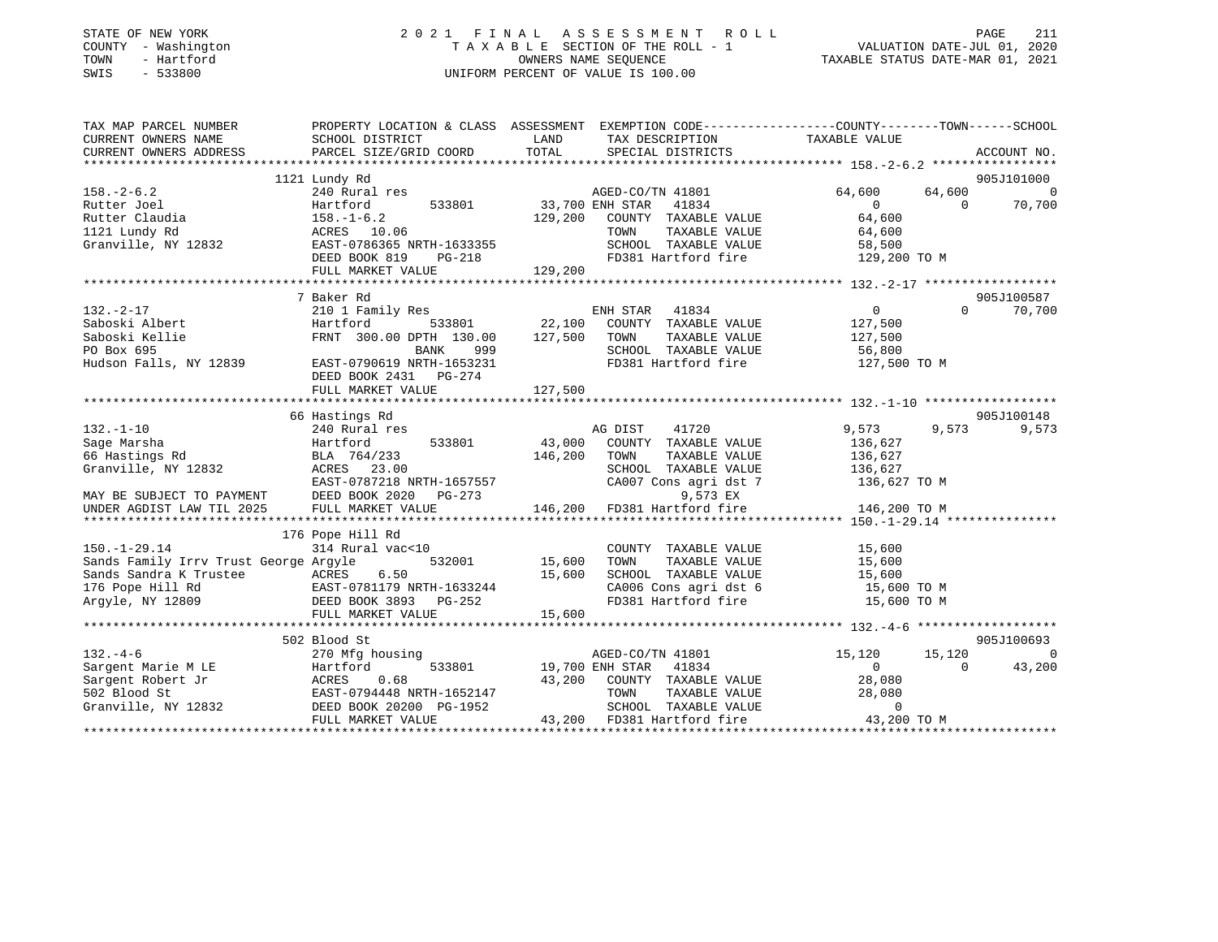|      | STATE OF NEW YORK   |  |  |  |  | 2021 FINAL ASSESSMEN               |  |  |  |  |
|------|---------------------|--|--|--|--|------------------------------------|--|--|--|--|
|      | COUNTY - Washington |  |  |  |  | TAXABLE SECTION OF THE ROL         |  |  |  |  |
| TOWN | - Hartford          |  |  |  |  | OWNERS NAME SEOUENCE               |  |  |  |  |
|      | SWIS - 533800       |  |  |  |  | UNIFORM PERCENT OF VALUE IS 100.00 |  |  |  |  |

# STATE OF NEW YORK 2 0 2 1 F I N A L A S S E S S M E N T R O L L PAGE 211T A X A B L E SECTION OF THE ROLL - 1<br>OWNERS NAME SEQUENCE TOWN - Hartford OWNERS NAME SEQUENCE TAXABLE STATUS DATE-MAR 01, 2021

| TAX MAP PARCEL NUMBER                                                                                                      | PROPERTY LOCATION & CLASS ASSESSMENT EXEMPTION CODE----------------COUNTY-------TOWN------SCHOOL |         |                                                       |                |                    |     |
|----------------------------------------------------------------------------------------------------------------------------|--------------------------------------------------------------------------------------------------|---------|-------------------------------------------------------|----------------|--------------------|-----|
| CURRENT OWNERS NAME                                                                                                        | SCHOOL DISTRICT                                                                                  | LAND    | TAX DESCRIPTION                                       | TAXABLE VALUE  |                    |     |
| CURRENT OWNERS ADDRESS                                                                                                     | PARCEL SIZE/GRID COORD                                                                           | TOTAL   | SPECIAL DISTRICTS                                     |                | ACCOUNT NO.        |     |
|                                                                                                                            |                                                                                                  |         |                                                       |                |                    |     |
|                                                                                                                            | 1121 Lundy Rd                                                                                    |         |                                                       |                | 905J101000         |     |
| $158. - 2 - 6.2$                                                                                                           | 240 Rural res                                                                                    |         | AGED-CO/TN 41801                                      | 64,600         | 64,600 0           |     |
| Rutter Joel                                                                                                                | 533801 33,700 ENH STAR<br>Hartford                                                               |         | 41834                                                 | $\sim$ 0       | 70,700<br>$\Omega$ |     |
| Rutter Claudia                                                                                                             | $158. - 1 - 6.2$                                                                                 |         | 129,200 COUNTY TAXABLE VALUE                          | 64,600         |                    |     |
| 1121 Lundy Rd                                                                                                              | 158.-1-0.4<br>ACRES 10.06                                                                        |         | TOWN<br>TAXABLE VALUE                                 | 64,600         |                    |     |
| Granville, NY 12832 EAST-0786365 NRTH-1633355                                                                              |                                                                                                  |         | SCHOOL TAXABLE VALUE                                  | 58,500         |                    |     |
|                                                                                                                            | DEED BOOK 819<br>$PG-218$                                                                        |         | FD381 Hartford fire                                   | 129,200 TO M   |                    |     |
|                                                                                                                            | FULL MARKET VALUE                                                                                | 129,200 |                                                       |                |                    |     |
|                                                                                                                            |                                                                                                  |         |                                                       |                |                    |     |
|                                                                                                                            | 7 Baker Rd                                                                                       |         |                                                       |                | 905J100587         |     |
| $132 - 2 - 17$                                                                                                             | 210 1 Family Res                                                                                 |         | ENH STAR<br>41834                                     | $\overline{0}$ | $\Omega$<br>70,700 |     |
| Saboski Albert                                                                                                             | 533801 22,100<br>Hartford                                                                        |         | COUNTY TAXABLE VALUE                                  | 127,500        |                    |     |
| Saboski Kellie                                                                                                             | FRNT 300.00 DPTH 130.00                                                                          | 127,500 | TAXABLE VALUE<br>TOWN                                 | 127,500        |                    |     |
| PO Box 695                                                                                                                 | BANK<br>999                                                                                      |         | SCHOOL TAXABLE VALUE                                  | 56,800         |                    |     |
| Hudson Falls, NY 12839                                                                                                     | EAST-0790619 NRTH-1653231                                                                        |         | FD381 Hartford fire                                   | 127,500 TO M   |                    |     |
|                                                                                                                            | DEED BOOK 2431 PG-274                                                                            |         |                                                       |                |                    |     |
|                                                                                                                            |                                                                                                  |         |                                                       |                |                    |     |
|                                                                                                                            |                                                                                                  |         |                                                       |                |                    |     |
|                                                                                                                            | 66 Hastings Rd                                                                                   |         |                                                       |                | 905J100148         |     |
| $132. - 1 - 10$                                                                                                            | 240 Rural res                                                                                    |         | AG DIST<br>41720                                      | 9,573          | 9,573<br>9,573     |     |
| Sage Marsha                                                                                                                | 533801<br>Hartford                                                                               | 43,000  | COUNTY TAXABLE VALUE                                  | 136,627        |                    |     |
| 66 Hastings Rd                                                                                                             | BLA 764/233                                                                                      | 146,200 | TOWN<br>TAXABLE VALUE                                 | 136,627        |                    |     |
|                                                                                                                            | ACRES 23.00                                                                                      |         | SCHOOL TAXABLE VALUE                                  | 136,627        |                    |     |
|                                                                                                                            |                                                                                                  |         | CA007 Cons agri dst 7                                 | 136,627 TO M   |                    |     |
|                                                                                                                            |                                                                                                  |         | 9,573 EX                                              |                |                    |     |
|                                                                                                                            | DEED BOOK 2020 PG-273<br>FIILL MARKET VALUE 146,200                                              |         | FD381 Hartford fire                                   | 146,200 TO M   |                    |     |
| 0.1.2007 ----- 23.00<br>MAY BE SUBJECT TO PAYMENT BEST-0787218 NRTH-1657557<br>UNDER AGDIST LAW TIL 2025 FULL MARKET VALUE |                                                                                                  |         |                                                       |                |                    |     |
|                                                                                                                            | 176 Pope Hill Rd                                                                                 |         |                                                       |                |                    |     |
| $150. - 1 - 29.14$                                                                                                         | 314 Rural vac<10                                                                                 |         | COUNTY TAXABLE VALUE                                  | 15,600         |                    |     |
| Sands Family Irrv Trust George Argyle                                                                                      | 532001 15,600                                                                                    |         | TOWN<br>TAXABLE VALUE                                 | 15,600         |                    |     |
| Sands Sandra K Trustee ACRES                                                                                               | 6.50                                                                                             | 15,600  | SCHOOL TAXABLE VALUE 15,600                           |                |                    |     |
| 176 Pope Hill Rd                                                                                                           |                                                                                                  |         | CA006 Cons agri dst 6                                 | 15,600 TO M    |                    |     |
| Argyle, NY 12809                                                                                                           | EAST-0781179 NRTH-1633244<br>DEED BOOK 3893 PG-252                                               |         | FD381 Hartford fire                                   | 15,600 TO M    |                    |     |
|                                                                                                                            | FULL MARKET VALUE                                                                                | 15,600  |                                                       |                |                    |     |
|                                                                                                                            |                                                                                                  |         |                                                       |                |                    |     |
|                                                                                                                            | 502 Blood St                                                                                     |         |                                                       |                | 905J100693         |     |
| $132 - 4 - 6$                                                                                                              | 270 Mfg housing                                                                                  |         | AGED-CO/TN 41801                                      | 15,120         | 15,120             | - 0 |
| Sargent Marie M LE                                                                                                         | Hartford                                                                                         |         | 533801 19,700 ENH STAR 41834                          | $\Omega$       | 43,200<br>$\Omega$ |     |
|                                                                                                                            |                                                                                                  | 43,200  | COUNTY TAXABLE VALUE                                  | 28,080         |                    |     |
|                                                                                                                            |                                                                                                  |         | TOWN       TAXABLE  VALUE<br>SCHOOL    TAXABLE  VALUE | 28,080         |                    |     |
| Sargent Robert Jr<br>Sargent Robert Jr<br>502 Blood St<br>Granville, NY 12832<br>DEED BOOK 20200 PG-1952                   |                                                                                                  |         |                                                       | $\mathbf{0}$   |                    |     |
|                                                                                                                            | FULL MARKET VALUE                                                                                |         | 43,200 FD381 Hartford fire 43,200 TO M                |                |                    |     |
|                                                                                                                            |                                                                                                  |         |                                                       |                |                    |     |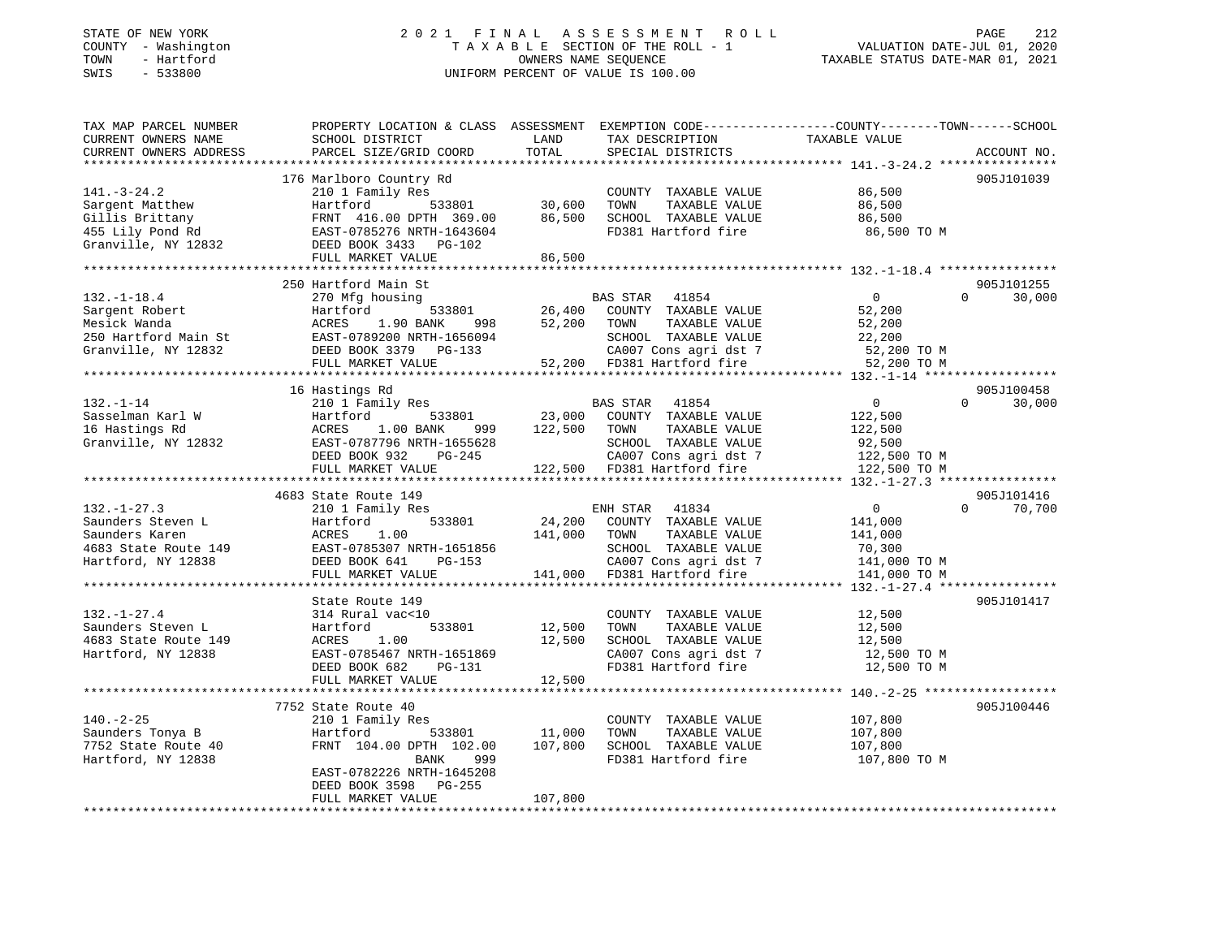### STATE OF NEW YORK 2 0 2 1 F I N A L A S S E S S M E N T R O L L PAGE 212 COUNTY - Washington T A X A B L E SECTION OF THE ROLL - 1 VALUATION DATE-JUL 01, 2020 TOWN - Hartford OWNERS NAME SEQUENCE TAXABLE STATUS DATE-MAR 01, 2021 SWIS - 533800 UNIFORM PERCENT OF VALUE IS 100.00

| TAX MAP PARCEL NUMBER                                                                                         |                           |               |                             | PROPERTY LOCATION & CLASS ASSESSMENT EXEMPTION CODE----------------COUNTY-------TOWN-----SCHOOL |  |
|---------------------------------------------------------------------------------------------------------------|---------------------------|---------------|-----------------------------|-------------------------------------------------------------------------------------------------|--|
| CURRENT OWNERS NAME                                                                                           | SCHOOL DISTRICT           | LAND          | TAX DESCRIPTION             | TAXABLE VALUE                                                                                   |  |
| CURRENT OWNERS ADDRESS                                                                                        | PARCEL SIZE/GRID COORD    | TOTAL         | SPECIAL DISTRICTS           | ACCOUNT NO.                                                                                     |  |
|                                                                                                               |                           |               |                             |                                                                                                 |  |
|                                                                                                               | 176 Marlboro Country Rd   |               |                             | 905J101039                                                                                      |  |
| $141. - 3 - 24.2$                                                                                             | 210 1 Family Res          |               | COUNTY TAXABLE VALUE        | 86,500                                                                                          |  |
| Sargent Matthew                                                                                               | Hartford                  | 533801 30,600 | TAXABLE VALUE<br>TOWN       | 86,500                                                                                          |  |
| Gillis Brittany                                                                                               | FRNT 416.00 DPTH 369.00   | 86,500        | SCHOOL TAXABLE VALUE        | 86,500                                                                                          |  |
| 455 Lily Pond Rd                                                                                              | EAST-0785276 NRTH-1643604 |               | FD381 Hartford fire         | 86,500 TO M                                                                                     |  |
| Granville, NY 12832                                                                                           | DEED BOOK 3433 PG-102     |               |                             |                                                                                                 |  |
|                                                                                                               | FULL MARKET VALUE         | 86,500        |                             |                                                                                                 |  |
|                                                                                                               |                           |               |                             |                                                                                                 |  |
|                                                                                                               | 250 Hartford Main St      |               |                             | 905J101255                                                                                      |  |
| $132. - 1 - 18.4$                                                                                             | 270 Mfg housing           |               | BAS STAR 41854              | $0 \qquad \qquad$<br>30,000<br>$\Omega$                                                         |  |
| Sargent Robert                                                                                                | Hartford<br>533801        | 26,400        | COUNTY TAXABLE VALUE        | 52,200                                                                                          |  |
| Mesick Wanda                                                                                                  | ACRES 1.90 BANK           | 52,200        | TOWN<br>TAXABLE VALUE       | 52,200                                                                                          |  |
|                                                                                                               |                           |               | SCHOOL TAXABLE VALUE        | 22,200                                                                                          |  |
| Mesick Wanda<br>250 Hartford Main St<br>Granville, NY 12832<br>CHER COOK 3379 PE-133<br>CHER COOK 3379 PG-133 |                           |               | CA007 Cons agri dst 7       | 52,200 TO M                                                                                     |  |
|                                                                                                               | FULL MARKET VALUE         |               | 52,200 FD381 Hartford fire  | 52,200 TO M                                                                                     |  |
|                                                                                                               |                           |               |                             |                                                                                                 |  |
|                                                                                                               | 16 Hastings Rd            |               |                             | 905J100458                                                                                      |  |
| $132. - 1 - 14$                                                                                               | 210 1 Family Res          |               | BAS STAR 41854              | $\overline{0}$<br>30,000<br>$\Omega$                                                            |  |
| Sasselman Karl W                                                                                              | Hartford<br>533801        |               | 23,000 COUNTY TAXABLE VALUE | 122,500                                                                                         |  |
| 16 Hastings Rd                                                                                                | ACRES<br>1.00 BANK<br>999 | 122,500       | TAXABLE VALUE<br>TOWN       | 122,500                                                                                         |  |
| Granville, NY 12832                                                                                           | EAST-0787796 NRTH-1655628 |               | SCHOOL TAXABLE VALUE        | 92,500                                                                                          |  |
|                                                                                                               | DEED BOOK 932<br>PG-245   |               | CA007 Cons agri dst 7       | 122,500 TO M                                                                                    |  |
|                                                                                                               | FULL MARKET VALUE         |               | 122,500 FD381 Hartford fire | 122,500 TO M                                                                                    |  |
|                                                                                                               |                           |               |                             |                                                                                                 |  |
|                                                                                                               | 4683 State Route 149      |               |                             | 905J101416                                                                                      |  |
| $132. - 1 - 27.3$                                                                                             | 210 1 Family Res          |               | ENH STAR 41834              | $\overline{0}$<br>$\Omega$<br>70,700                                                            |  |
| Saunders Steven L                                                                                             | 533801<br>Hartford        | 24,200        | COUNTY TAXABLE VALUE        | 141,000                                                                                         |  |
| Saunders Karen                                                                                                | ACRES<br>1.00             | 141,000       | TOWN<br>TAXABLE VALUE       | 141,000                                                                                         |  |
| 4683 State Route 149                                                                                          | EAST-0785307 NRTH-1651856 |               | SCHOOL TAXABLE VALUE        | 70,300                                                                                          |  |
| Hartford, NY 12838                                                                                            | PG-153<br>DEED BOOK 641   |               | CA007 Cons agri dst 7       | 141,000 TO M                                                                                    |  |
|                                                                                                               | FULL MARKET VALUE         |               | 141,000 FD381 Hartford fire | 141,000 TO M                                                                                    |  |
|                                                                                                               |                           |               |                             |                                                                                                 |  |
|                                                                                                               | State Route 149           |               |                             | 905J101417                                                                                      |  |
| $132. - 1 - 27.4$                                                                                             | 314 Rural vac<10          |               | COUNTY TAXABLE VALUE        | 12,500                                                                                          |  |
| Saunders Steven L                                                                                             | Hartford<br>533801        | 12,500        | TOWN<br>TAXABLE VALUE       | 12,500                                                                                          |  |
| 4683 State Route 149                                                                                          | 1.00<br>ACRES             | 12,500        | SCHOOL TAXABLE VALUE        | 12,500                                                                                          |  |
| Hartford, NY 12838                                                                                            | EAST-0785467 NRTH-1651869 |               | CA007 Cons agri dst 7       | 12,500 TO M                                                                                     |  |
|                                                                                                               | DEED BOOK 682<br>PG-131   |               | FD381 Hartford fire         | 12,500 TO M                                                                                     |  |
|                                                                                                               | FULL MARKET VALUE         | 12,500        |                             |                                                                                                 |  |
|                                                                                                               |                           |               |                             |                                                                                                 |  |
|                                                                                                               | 7752 State Route 40       |               |                             | 905J100446                                                                                      |  |
| $140. - 2 - 25$                                                                                               | 210 1 Family Res          |               | COUNTY TAXABLE VALUE        | 107,800                                                                                         |  |
| Saunders Tonya B                                                                                              | Hartford<br>533801        | 11,000        | TOWN<br>TAXABLE VALUE       | 107,800                                                                                         |  |
| 7752 State Route 40                                                                                           | FRNT 104.00 DPTH 102.00   | 107,800       | SCHOOL TAXABLE VALUE        | 107,800                                                                                         |  |
| Hartford, NY 12838                                                                                            | BANK<br>999               |               | FD381 Hartford fire         | 107,800 TO M                                                                                    |  |
|                                                                                                               | EAST-0782226 NRTH-1645208 |               |                             |                                                                                                 |  |
|                                                                                                               | DEED BOOK 3598<br>PG-255  |               |                             |                                                                                                 |  |
|                                                                                                               | FULL MARKET VALUE         | 107,800       |                             |                                                                                                 |  |
|                                                                                                               |                           |               |                             |                                                                                                 |  |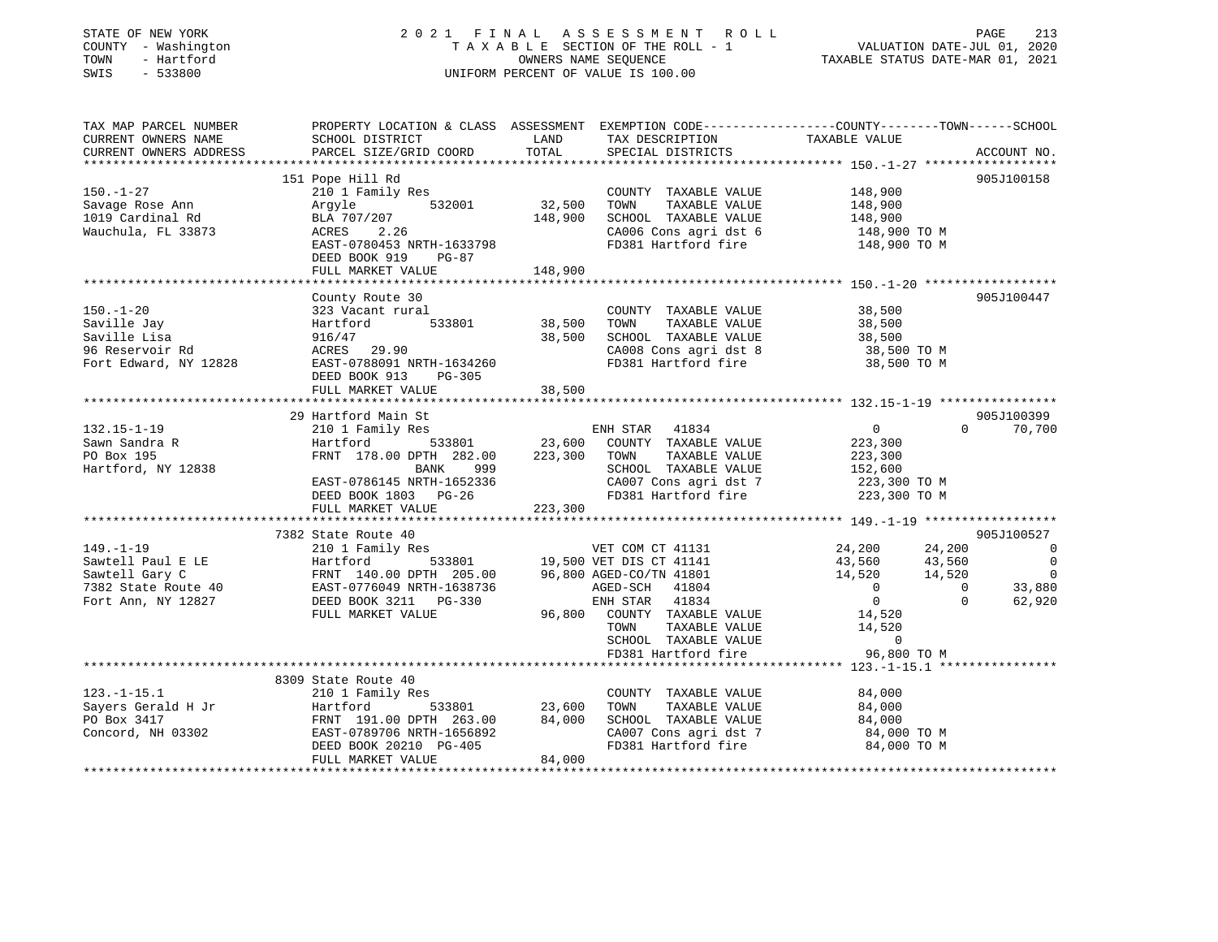| STATE OF NEW YORK<br>COUNTY - Washington<br>- Hartford<br>TOWN<br>SWIS<br>$-533800$        |                                                                                                                                                                               | 2021 FINAL ASSESSMENT ROLL                                                                                                                                                                                                                                                                                               | 213<br>PAGE<br>$\begin{tabular}{lllllllllllllllllll} \multicolumn{2}{c c c c c} \multicolumn{2}{c c c} \multicolumn{2}{c c} \multicolumn{2}{c c} \multicolumn{2}{c c} \multicolumn{2}{c}{\multicolumn{2}{c}{\multicolumn{2}{c}{\multicolumn{2}{c}{\multicolumn{2}{c}{\multicolumn{2}{c}{\multicolumn{2}{c}{\multicolumn{2}{c}{\multicolumn{2}{c}{\multicolumn{2}{c}{\multicolumn{2}{c}{\multicolumn{2}{c}{\multicolumn{2}{c}{\multicolumn{2}{c}{\multicolumn{2}{c}{\multicolumn{$ |
|--------------------------------------------------------------------------------------------|-------------------------------------------------------------------------------------------------------------------------------------------------------------------------------|--------------------------------------------------------------------------------------------------------------------------------------------------------------------------------------------------------------------------------------------------------------------------------------------------------------------------|-----------------------------------------------------------------------------------------------------------------------------------------------------------------------------------------------------------------------------------------------------------------------------------------------------------------------------------------------------------------------------------------------------------------------------------------------------------------------------------|
| TAX MAP PARCEL NUMBER<br>CURRENT OWNERS NAME<br>CURRENT OWNERS ADDRESS                     | SCHOOL DISTRICT                                                                                                                                                               | LAND<br>TAX DESCRIPTION                                                                                                                                                                                                                                                                                                  | PROPERTY LOCATION & CLASS ASSESSMENT EXEMPTION CODE----------------COUNTY-------TOWN-----SCHOOL<br>TAXABLE VALUE                                                                                                                                                                                                                                                                                                                                                                  |
| $150. - 1 - 27$<br>Savage Rose Ann<br>1019 Cardinal Rd<br>Wauchula, FL 33873               | 151 Pope Hill Rd<br>210 1 Family Res<br>$532001$ 32,500<br>Arqyle<br>BLA 707/207<br>ACRES<br>2.26<br>EAST-0780453 NRTH-1633798<br>DEED BOOK 919<br>PG-87<br>FULL MARKET VALUE | COUNTY TAXABLE VALUE 148,900<br>TOWN<br>SCHOOL TAXABLE VALUE 148,900<br>148,900<br>CA006 Cons agri dst 6 148,900 TO M<br>FD381 Hartford fire 148,900 TO M<br>148,900                                                                                                                                                     | 905J100158<br>TAXABLE VALUE 148,900                                                                                                                                                                                                                                                                                                                                                                                                                                               |
| $150. - 1 - 20$<br>Saville Jay<br>Saville Lisa<br>96 Reservoir Rd<br>Fort Edward, NY 12828 | County Route 30<br>323 Vacant rural<br>533801<br>Hartford<br>916/47<br>ACRES 29.90<br>EAST-0788091 NRTH-1634260<br>DEED BOOK 913<br>PG-305                                    | COUNTY TAXABLE VALUE 38,500<br>TAXABLE VALUE<br>38,500 TOWN<br>38,500<br>SCHOOL TAXABLE VALUE 38,500<br>CA008 Cons agri dst 8 38,500 TO M<br>FD381 Hartford fire                                                                                                                                                         | 905J100447<br>38,500<br>38,500 TO M                                                                                                                                                                                                                                                                                                                                                                                                                                               |
| $132.15 - 1 - 19$                                                                          | FULL MARKET VALUE<br>29 Hartford Main St<br>210 1 Family Res                                                                                                                  | 38,500<br>ENH STAR 41834                                                                                                                                                                                                                                                                                                 | 905J100399<br>$\overline{0}$<br>$\Omega$<br>70,700                                                                                                                                                                                                                                                                                                                                                                                                                                |
| Sawn Sandra R<br>PO Box 195<br>Hartford, NY 12838                                          | Hartford<br>FRNT 178.00 DPTH 282.00<br><b>BANK</b><br>999<br>EAST-0786145 NRTH-1652336<br>DEED BOOK 1803 PG-26<br>FULL MARKET VALUE                                           | 533801 23,600 COUNTY TAXABLE VALUE<br>223,300 TOWN<br>TAXABLE VALUE<br>SCHOOL TAXABLE VALUE<br>$\begin{array}{ccc}\n & - & - & - & - \\ \text{CA007 Cons agri dist 7} & 223,300 \text{ TO M} \\ \text{FD381 Hartford time} & & \text{C23 } 300 \text{ TO M}\n\end{array}$<br>FD381 Hartford fire 223,300 TO M<br>223,300 | 223,300<br>223,300<br>152,600                                                                                                                                                                                                                                                                                                                                                                                                                                                     |
| $149 - 1 - 19$                                                                             | 7382 State Route 40<br>210 1 Family Res                                                                                                                                       | VET COM CT 41131                                                                                                                                                                                                                                                                                                         | 905J100527<br>24.200<br>24.200<br>$\overline{0}$                                                                                                                                                                                                                                                                                                                                                                                                                                  |
|                                                                                            |                                                                                                                                                                               |                                                                                                                                                                                                                                                                                                                          |                                                                                                                                                                                                                                                                                                                                                                                                                                                                                   |

|                     | 7382 State Route 40       |                                   |                  | 905J100527   |
|---------------------|---------------------------|-----------------------------------|------------------|--------------|
| $149. - 1 - 19$     | 210 1 Family Res          | VET COM CT 41131                  | 24,200<br>24,200 | $\Omega$     |
| Sawtell Paul E LE   | Hartford<br>533801        | 19,500 VET DIS CT 41141           | 43,560<br>43,560 | $\Omega$     |
| Sawtell Gary C      | FRNT 140.00 DPTH 205.00   | 96,800 AGED-CO/TN 41801           | 14,520<br>14,520 | $\mathbf{0}$ |
| 7382 State Route 40 | EAST-0776049 NRTH-1638736 | 41804<br>AGED-SCH                 |                  | 33,880       |
| Fort Ann, NY 12827  | DEED BOOK 3211 PG-330     | 41834<br>ENH STAR                 |                  | 62,920       |
|                     | FULL MARKET VALUE         | 96,800<br>COUNTY<br>TAXABLE VALUE | 14,520           |              |
|                     |                           | TOWN<br>TAXABLE VALUE             | 14,520           |              |
|                     |                           | SCHOOL<br>TAXABLE VALUE           |                  |              |
|                     |                           | FD381 Hartford fire               | 96,800 TO M      |              |
|                     |                           |                                   |                  |              |
|                     | 8309 State Route 40       |                                   |                  |              |
| $123. - 1 - 15.1$   | 210 1 Family Res          | TAXABLE VALUE<br>COUNTY           | 84,000           |              |
| Sayers Gerald H Jr  | Hartford<br>533801        | 23,600<br>TOWN<br>TAXABLE VALUE   | 84,000           |              |
| PO Box 3417         | FRNT 191.00 DPTH 263.00   | 84,000<br>SCHOOL<br>TAXABLE VALUE | 84,000           |              |
| Concord, NH 03302   | EAST-0789706 NRTH-1656892 | CA007 Cons agri dst 7             | 84,000 TO M      |              |
|                     | DEED BOOK 20210 PG-405    | FD381 Hartford fire               | 84,000 TO M      |              |
|                     | FULL MARKET VALUE         | 84,000                            |                  |              |
|                     |                           |                                   |                  |              |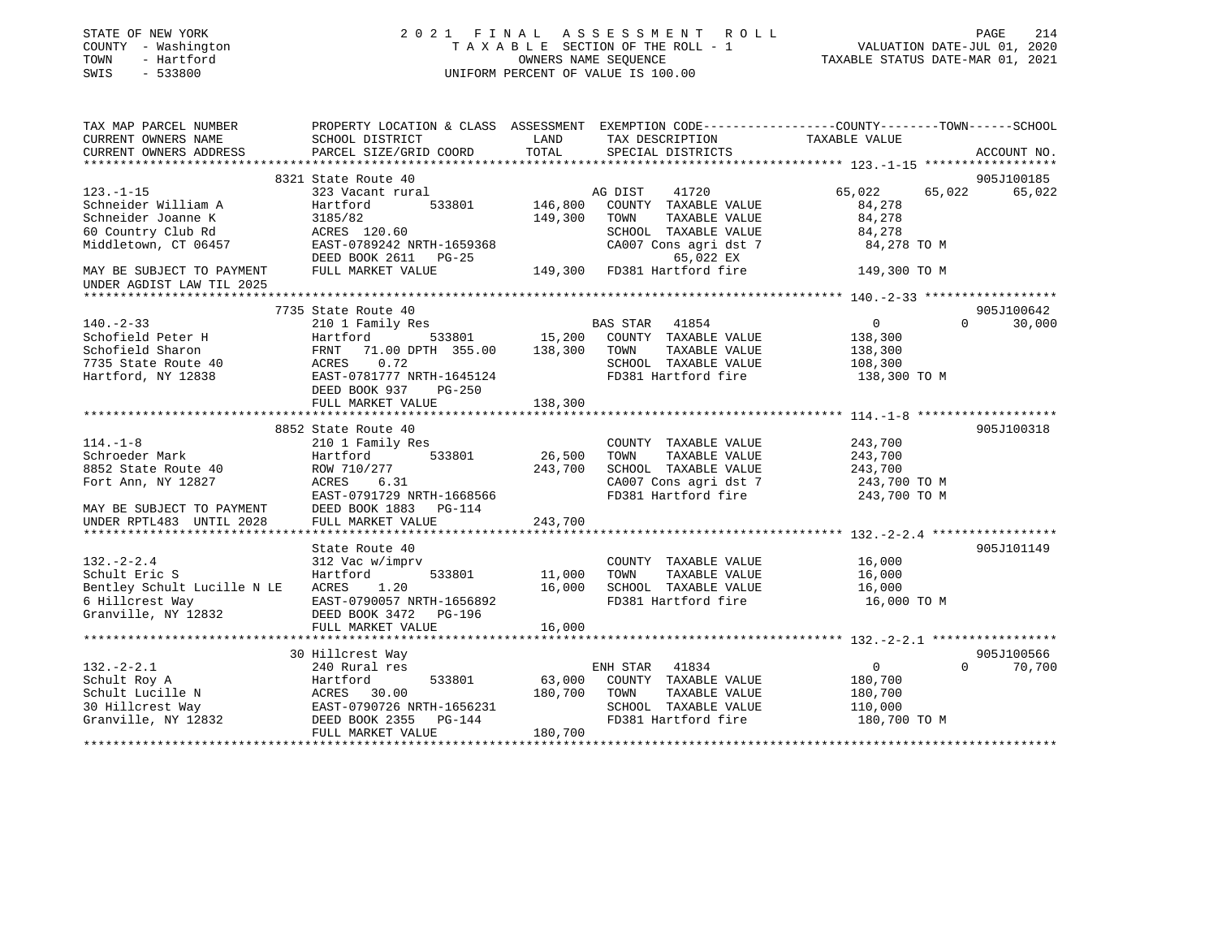| STATE OF NEW YORK<br>COUNTY - Washington<br>TOWN<br>- Hartford<br>SWIS<br>$-533800$ |                                                                                                 |                  | 2021 FINAL ASSESSMENT ROLL<br>TAXABLE SECTION OF THE ROLL - 1<br>OWNERS NAME SEOUENCE<br>UNIFORM PERCENT OF VALUE IS 100.00 | VALUATION DATE-JUL 01, 2020<br>TAXABLE STATUS DATE-MAR 01, 2021 | PAGE<br>214 |
|-------------------------------------------------------------------------------------|-------------------------------------------------------------------------------------------------|------------------|-----------------------------------------------------------------------------------------------------------------------------|-----------------------------------------------------------------|-------------|
| TAX MAP PARCEL NUMBER                                                               | PROPERTY LOCATION & CLASS ASSESSMENT EXEMPTION CODE---------------COUNTY-------TOWN------SCHOOL |                  |                                                                                                                             |                                                                 |             |
| CURRENT OWNERS NAME                                                                 | SCHOOL DISTRICT                                                                                 | LAND             | TAX DESCRIPTION                                                                                                             | TAXABLE VALUE                                                   |             |
| CURRENT OWNERS ADDRESS                                                              | PARCEL SIZE/GRID COORD                                                                          | TOTAL            | SPECIAL DISTRICTS                                                                                                           |                                                                 | ACCOUNT NO. |
|                                                                                     | 8321 State Route 40                                                                             |                  |                                                                                                                             |                                                                 | 905J100185  |
| $123. - 1 - 15$                                                                     | 323 Vacant rural                                                                                |                  | AG DIST<br>41720                                                                                                            | 65,022<br>65,022                                                | 65,022      |
| Schneider William A                                                                 | Hartford<br>533801                                                                              | 146,800          | COUNTY TAXABLE VALUE                                                                                                        | 84,278                                                          |             |
| Schneider Joanne K                                                                  | 3185/82                                                                                         | 149,300          | TOWN<br>TAXABLE VALUE                                                                                                       | 84,278                                                          |             |
| 60 Country Club Rd                                                                  | ACRES 120.60                                                                                    |                  | SCHOOL TAXABLE VALUE                                                                                                        | 84,278                                                          |             |
| Middletown, CT 06457                                                                | EAST-0789242 NRTH-1659368<br>DEED BOOK 2611 PG-25                                               |                  | CA007 Cons agri dst 7<br>65,022 EX                                                                                          | 84,278 TO M                                                     |             |
| MAY BE SUBJECT TO PAYMENT<br>UNDER AGDIST LAW TIL 2025                              | FULL MARKET VALUE                                                                               |                  | 149,300 FD381 Hartford fire                                                                                                 | 149,300 TO M                                                    |             |
|                                                                                     |                                                                                                 |                  |                                                                                                                             |                                                                 |             |
|                                                                                     | 7735 State Route 40                                                                             |                  |                                                                                                                             |                                                                 | 905J100642  |
| $140. - 2 - 33$                                                                     | 210 1 Family Res                                                                                |                  | BAS STAR 41854                                                                                                              | $\Omega$<br>$\overline{0}$                                      | 30,000      |
| Schofield Peter H<br>Schofield Sharon                                               | Hartford<br>71.00 DPTH 355.00 138,300<br>FRNT                                                   | 533801 15,200    | COUNTY TAXABLE VALUE<br>TAXABLE VALUE<br>TOWN                                                                               | 138,300<br>138,300                                              |             |
| 7735 State Route 40                                                                 | ACRES<br>0.72                                                                                   |                  | SCHOOL TAXABLE VALUE                                                                                                        | 108,300                                                         |             |
| Hartford, NY 12838                                                                  | EAST-0781777 NRTH-1645124                                                                       |                  | FD381 Hartford fire                                                                                                         | 138,300 TO M                                                    |             |
|                                                                                     | DEED BOOK 937 PG-250                                                                            |                  |                                                                                                                             |                                                                 |             |
|                                                                                     | FULL MARKET VALUE                                                                               | 138,300          |                                                                                                                             |                                                                 |             |
|                                                                                     |                                                                                                 |                  |                                                                                                                             |                                                                 |             |
|                                                                                     | 8852 State Route 40                                                                             |                  |                                                                                                                             |                                                                 | 905J100318  |
| $114. - 1 - 8$<br>Schroeder Mark                                                    | 210 1 Family Res<br>533801                                                                      | 26,500           | COUNTY TAXABLE VALUE<br>TAXABLE VALUE<br>TOWN                                                                               | 243,700<br>243,700                                              |             |
| 8852 State Route 40                                                                 | Hartford<br>ROW 710/277                                                                         | 243,700          | SCHOOL TAXABLE VALUE                                                                                                        | 243,700                                                         |             |
| Fort Ann, NY 12827                                                                  | 6.31<br>ACRES                                                                                   |                  | CA007 Cons agri dst 7                                                                                                       | 243,700 TO M                                                    |             |
|                                                                                     | EAST-0791729 NRTH-1668566                                                                       |                  | FD381 Hartford fire                                                                                                         | 243,700 TO M                                                    |             |
| MAY BE SUBJECT TO PAYMENT                                                           | DEED BOOK 1883 PG-114                                                                           |                  |                                                                                                                             |                                                                 |             |
| UNDER RPTL483 UNTIL 2028                                                            | FULL MARKET VALUE                                                                               | 243,700          |                                                                                                                             |                                                                 |             |
|                                                                                     |                                                                                                 |                  |                                                                                                                             |                                                                 |             |
|                                                                                     | State Route 40                                                                                  |                  |                                                                                                                             |                                                                 | 905J101149  |
| $132 - 2 - 2.4$                                                                     | 312 Vac w/imprv                                                                                 |                  | COUNTY TAXABLE VALUE                                                                                                        | 16,000                                                          |             |
| Schult Eric S<br>Bentley Schult Lucille N LE                                        | 533801<br>Hartford<br>1.20<br>ACRES                                                             | 11,000<br>16,000 | TAXABLE VALUE<br>TOWN<br>SCHOOL TAXABLE VALUE                                                                               | 16,000<br>16,000                                                |             |
| 6 Hillcrest Way                                                                     | EAST-0790057 NRTH-1656892                                                                       |                  | FD381 Hartford fire                                                                                                         | 16,000 TO M                                                     |             |
| Granville, NY 12832                                                                 | DEED BOOK 3472 PG-196                                                                           |                  |                                                                                                                             |                                                                 |             |
|                                                                                     | FULL MARKET VALUE                                                                               | 16,000           |                                                                                                                             |                                                                 |             |
|                                                                                     |                                                                                                 |                  |                                                                                                                             |                                                                 |             |
|                                                                                     | 30 Hillcrest Way                                                                                |                  |                                                                                                                             |                                                                 | 905J100566  |
| $132 - 2 - 2.1$                                                                     | 240 Rural res                                                                                   |                  | ENH STAR 41834                                                                                                              | $\overline{0}$<br>$\Omega$                                      | 70,700      |
| Schult Roy A                                                                        | 533801                                                                                          | 63,000           | COUNTY TAXABLE VALUE                                                                                                        | 180,700                                                         |             |
| Schult Lucille N                                                                    | Hartford 533801<br>ACRES 30.00<br>EAST-0790726 NRTH-1656231                                     | 180,700          | TOWN<br>TAXABLE VALUE<br>SCHOOL TAXABLE VALUE                                                                               | 180,700                                                         |             |
| 30 Hillcrest Way<br>Granville, NY 12832                                             | DEED BOOK 2355<br>PG-144                                                                        |                  | FD381 Hartford fire                                                                                                         | 110,000<br>180,700 TO M                                         |             |
|                                                                                     | FULL MARKET VALUE                                                                               | 180,700          |                                                                                                                             |                                                                 |             |
|                                                                                     |                                                                                                 |                  |                                                                                                                             |                                                                 |             |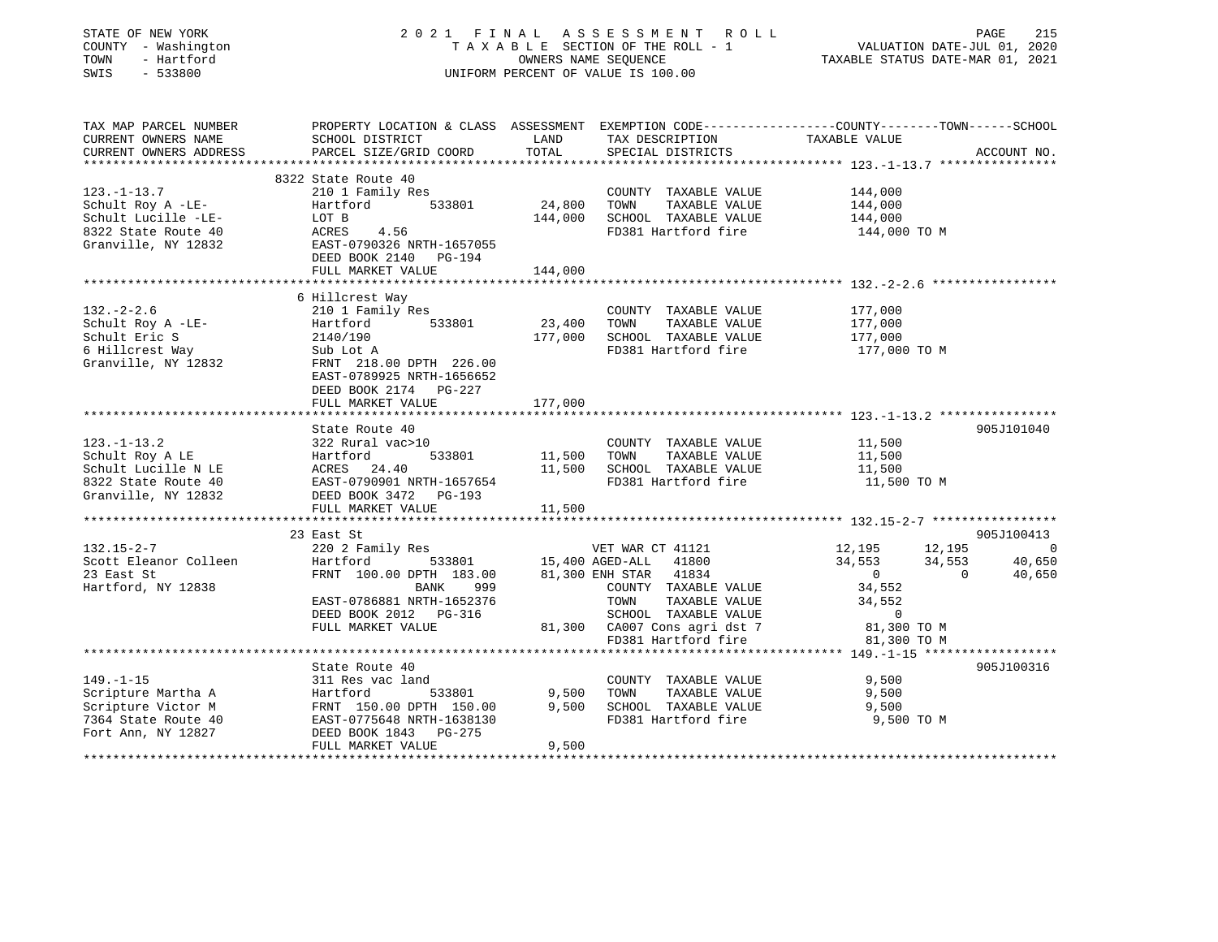| STATE OF NEW YORK                                                                                                                                                    | 2021 FINAL                                                                                       |                      | A S S E S S M E N T<br>R O L L                                                        |                                  | PAGE                        | 215                                |
|----------------------------------------------------------------------------------------------------------------------------------------------------------------------|--------------------------------------------------------------------------------------------------|----------------------|---------------------------------------------------------------------------------------|----------------------------------|-----------------------------|------------------------------------|
| COUNTY - Washington                                                                                                                                                  |                                                                                                  |                      | TAXABLE SECTION OF THE ROLL - 1                                                       |                                  | VALUATION DATE-JUL 01, 2020 |                                    |
| TOWN<br>- Hartford                                                                                                                                                   |                                                                                                  | OWNERS NAME SEQUENCE |                                                                                       | TAXABLE STATUS DATE-MAR 01, 2021 |                             |                                    |
| SWIS<br>$-533800$                                                                                                                                                    |                                                                                                  |                      | UNIFORM PERCENT OF VALUE IS 100.00                                                    |                                  |                             |                                    |
|                                                                                                                                                                      |                                                                                                  |                      |                                                                                       |                                  |                             |                                    |
| TAX MAP PARCEL NUMBER                                                                                                                                                | PROPERTY LOCATION & CLASS ASSESSMENT EXEMPTION CODE----------------COUNTY-------TOWN------SCHOOL |                      |                                                                                       |                                  |                             |                                    |
| CURRENT OWNERS NAME<br>CURRENT OWNERS ADDRESS                                                                                                                        | SCHOOL DISTRICT<br>PARCEL SIZE/GRID COORD                                                        | LAND<br>TOTAL        | TAX DESCRIPTION<br>SPECIAL DISTRICTS                                                  | TAXABLE VALUE                    |                             | ACCOUNT NO.                        |
|                                                                                                                                                                      | ********************                                                                             |                      |                                                                                       |                                  |                             |                                    |
|                                                                                                                                                                      | 8322 State Route 40                                                                              |                      |                                                                                       |                                  |                             |                                    |
| $123. - 1 - 13.7$                                                                                                                                                    | 210 1 Family Res                                                                                 |                      | COUNTY TAXABLE VALUE                                                                  | 144,000                          |                             |                                    |
| Schult Roy A -LE-                                                                                                                                                    | Hartford<br>533801                                                                               | 24,800               | TOWN<br>TAXABLE VALUE                                                                 | 144,000                          |                             |                                    |
| Schult Lucille -LE-                                                                                                                                                  | LOT B                                                                                            | 144,000              | SCHOOL TAXABLE VALUE                                                                  | 144,000                          |                             |                                    |
| 8322 State Route 40                                                                                                                                                  | ACRES<br>4.56                                                                                    |                      | FD381 Hartford fire                                                                   | 144,000 TO M                     |                             |                                    |
| Granville, NY 12832                                                                                                                                                  | EAST-0790326 NRTH-1657055                                                                        |                      |                                                                                       |                                  |                             |                                    |
|                                                                                                                                                                      | DEED BOOK 2140<br>PG-194                                                                         |                      |                                                                                       |                                  |                             |                                    |
|                                                                                                                                                                      | FULL MARKET VALUE                                                                                | 144,000              |                                                                                       |                                  |                             |                                    |
|                                                                                                                                                                      |                                                                                                  |                      |                                                                                       |                                  |                             |                                    |
|                                                                                                                                                                      | 6 Hillcrest Way                                                                                  |                      |                                                                                       |                                  |                             |                                    |
| $132 - 2 - 2.6$                                                                                                                                                      | 210 1 Family Res                                                                                 |                      | COUNTY TAXABLE VALUE                                                                  | 177,000                          |                             |                                    |
| Schult Roy A -LE-                                                                                                                                                    | Hartford<br>533801                                                                               | 23,400               | TOWN<br>TAXABLE VALUE                                                                 | 177,000                          |                             |                                    |
| Schult Eric S                                                                                                                                                        | 2140/190                                                                                         | 177,000              | SCHOOL TAXABLE VALUE<br>FD381 Hartford fire                                           | 177,000                          |                             |                                    |
| 6 Hillcrest Way<br>Granville, NY 12832                                                                                                                               | Sub Lot A<br>FRNT 218.00 DPTH 226.00                                                             |                      |                                                                                       | 177,000 TO M                     |                             |                                    |
|                                                                                                                                                                      |                                                                                                  |                      |                                                                                       |                                  |                             |                                    |
|                                                                                                                                                                      |                                                                                                  |                      |                                                                                       |                                  |                             |                                    |
|                                                                                                                                                                      | EAST-0789925 NRTH-1656652                                                                        |                      |                                                                                       |                                  |                             |                                    |
|                                                                                                                                                                      | DEED BOOK 2174 PG-227                                                                            |                      |                                                                                       |                                  |                             |                                    |
|                                                                                                                                                                      | FULL MARKET VALUE                                                                                | 177,000<br>********  |                                                                                       |                                  |                             |                                    |
|                                                                                                                                                                      | State Route 40                                                                                   |                      |                                                                                       |                                  |                             | 905J101040                         |
|                                                                                                                                                                      | 322 Rural vac>10                                                                                 |                      | COUNTY TAXABLE VALUE                                                                  | 11,500                           |                             |                                    |
|                                                                                                                                                                      | Hartford<br>533801                                                                               | 11,500               | TAXABLE VALUE<br>TOWN                                                                 | 11,500                           |                             |                                    |
| $123. - 1 - 13.2$<br>Schult Roy A LE<br>Schult Lucille N LE                                                                                                          | 24.40<br>ACRES                                                                                   | 11,500               | SCHOOL TAXABLE VALUE                                                                  | 11,500                           |                             |                                    |
|                                                                                                                                                                      | EAST-0790901 NRTH-1657654                                                                        |                      | FD381 Hartford fire                                                                   | 11,500 TO M                      |                             |                                    |
|                                                                                                                                                                      | DEED BOOK 3472 PG-193                                                                            |                      |                                                                                       |                                  |                             |                                    |
|                                                                                                                                                                      | FULL MARKET VALUE                                                                                | 11,500               |                                                                                       |                                  |                             |                                    |
|                                                                                                                                                                      |                                                                                                  |                      |                                                                                       |                                  |                             |                                    |
|                                                                                                                                                                      | 23 East St                                                                                       |                      |                                                                                       |                                  |                             | 905J100413                         |
|                                                                                                                                                                      | 220 2 Family Res                                                                                 |                      | VET WAR CT 41121                                                                      | 12,195                           | 12,195                      |                                    |
|                                                                                                                                                                      | Hartford<br>533801                                                                               |                      | 15,400 AGED-ALL 41800                                                                 | 34,553                           | 34,553                      |                                    |
|                                                                                                                                                                      | FRNT 100.00 DPTH 183.00                                                                          |                      | 81,300 ENH STAR 41834                                                                 | $\overline{0}$                   | $\mathbf{0}$                |                                    |
|                                                                                                                                                                      | BANK<br>999                                                                                      |                      | COUNTY TAXABLE VALUE                                                                  | 34,552                           |                             |                                    |
|                                                                                                                                                                      | EAST-0786881 NRTH-1652376                                                                        |                      | TOWN<br>TAXABLE VALUE                                                                 | 34,552                           |                             |                                    |
|                                                                                                                                                                      | DEED BOOK 2012 PG-316                                                                            |                      | SCHOOL TAXABLE VALUE                                                                  | $\mathbf 0$                      |                             |                                    |
|                                                                                                                                                                      | FULL MARKET VALUE                                                                                |                      | 81,300 CA007 Cons agri dst 7                                                          |                                  | 81,300 TO M                 | $\overline{0}$<br>40,650<br>40,650 |
|                                                                                                                                                                      |                                                                                                  |                      | FD381 Hartford fire<br>********************************* 149.-1-15 ****************** |                                  | 81,300 TO M                 |                                    |
|                                                                                                                                                                      | State Route 40                                                                                   |                      |                                                                                       |                                  |                             | 905J100316                         |
|                                                                                                                                                                      | 311 Res vac land                                                                                 |                      | COUNTY TAXABLE VALUE                                                                  | 9,500                            |                             |                                    |
| 8322 State Route 40<br>Granville, NY 12832<br>$132.15 - 2 - 7$<br>Scott Eleanor Colleen<br>23 East St<br>Hartford, NY 12838<br>$149. - 1 - 15$<br>Scripture Martha A | Hartford<br>533801                                                                               | 9,500                | TAXABLE VALUE<br>TOWN                                                                 | 9,500                            |                             |                                    |
| Scripture Victor M                                                                                                                                                   | FRNT 150.00 DPTH 150.00                                                                          | 9,500                | SCHOOL TAXABLE VALUE                                                                  | 9,500                            |                             |                                    |
| 7364 State Route 40                                                                                                                                                  | EAST-0775648 NRTH-1638130                                                                        |                      | FD381 Hartford fire                                                                   |                                  | 9,500 TO M                  |                                    |
| Fort Ann, NY 12827                                                                                                                                                   | DEED BOOK 1843<br>PG-275<br>FULL MARKET VALUE                                                    | 9,500                |                                                                                       |                                  |                             |                                    |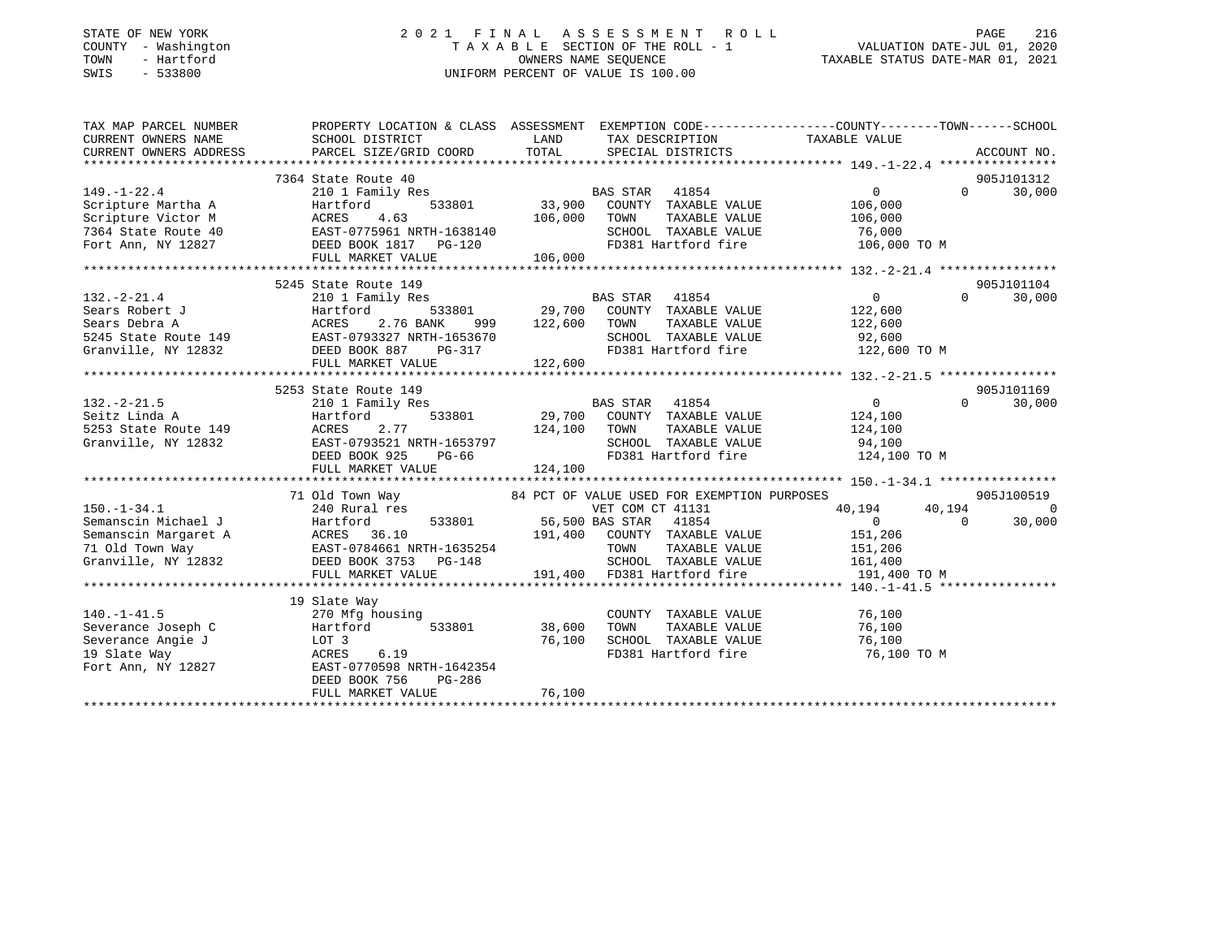| STATE OF NEW YORK                       |              |
|-----------------------------------------|--------------|
| COUNTY                                  | - Washington |
| TOWN                                    | - Hartford   |
| <b>CMTC</b><br>$\overline{\phantom{0}}$ | 533800       |

### STATE OF NEW YORK 2 0 2 1 F I N A L A S S E S S M E N T R O L L PAGE 216 COUNTY - Washington T A X A B L E SECTION OF THE ROLL - 1 VALUATION DATE-JUL 01, 2020 TOWN - Hartford OWNERS NAME SEQUENCE TAXABLE STATUS DATE-MAR 01, 2021 SWIS - 533800 UNIFORM PERCENT OF VALUE IS 100.00UNIFORM PERCENT OF VALUE IS 100.00

| TAX MAP PARCEL NUMBER<br>CURRENT OWNERS NAME | PROPERTY LOCATION & CLASS ASSESSMENT EXEMPTION CODE---------------COUNTY-------TOWN-----SCHOOL<br>SCHOOL DISTRICT | LAND             | TAX DESCRIPTION                                                                                                                                                                                                                | TAXABLE VALUE                                                                                 |          |            |
|----------------------------------------------|-------------------------------------------------------------------------------------------------------------------|------------------|--------------------------------------------------------------------------------------------------------------------------------------------------------------------------------------------------------------------------------|-----------------------------------------------------------------------------------------------|----------|------------|
|                                              |                                                                                                                   |                  |                                                                                                                                                                                                                                |                                                                                               |          |            |
|                                              |                                                                                                                   |                  |                                                                                                                                                                                                                                |                                                                                               |          | 905J101312 |
| $149. - 1 - 22.4$                            | 7364 State Route 40<br>210 1 Family Res                                                                           |                  | <b>BAS STAR</b><br>41854                                                                                                                                                                                                       | $\Omega$                                                                                      | $\Omega$ | 30,000     |
| Scripture Martha A                           | 533801<br>Hartford                                                                                                |                  | 33,900 COUNTY TAXABLE VALUE                                                                                                                                                                                                    | 106,000                                                                                       |          |            |
| Scripture Victor M                           | Hartford 533801<br>ACRES 4.63<br>EAST-0775961 NRTH-1638140                                                        | 106,000          | TOWN<br>TAXABLE VALUE                                                                                                                                                                                                          | 106,000                                                                                       |          |            |
| 7364 State Route 40                          |                                                                                                                   |                  | SCHOOL TAXABLE VALUE 76,000                                                                                                                                                                                                    |                                                                                               |          |            |
| Fort Ann, NY 12827                           | DEED BOOK 1817 PG-120                                                                                             |                  |                                                                                                                                                                                                                                | FD381 Hartford fire 106,000 TO M                                                              |          |            |
|                                              | FULL MARKET VALUE                                                                                                 | 106,000          |                                                                                                                                                                                                                                |                                                                                               |          |            |
|                                              |                                                                                                                   |                  |                                                                                                                                                                                                                                |                                                                                               |          |            |
|                                              | 5245 State Route 149                                                                                              |                  |                                                                                                                                                                                                                                |                                                                                               |          | 905J101104 |
| $132. - 2 - 21.4$                            | 210 1 Family Res                                                                                                  |                  | BAS STAR 41854                                                                                                                                                                                                                 | $\overline{0}$                                                                                | $\Omega$ | 30,000     |
|                                              | Sears Robert J<br>Sears Debra A<br>5345 State Route 149<br>5245 State Route 149<br>EAST-0793327 NRTH-1653670      |                  | 533801 29,700 COUNTY TAXABLE VALUE                                                                                                                                                                                             | 122,600                                                                                       |          |            |
|                                              |                                                                                                                   | 999 122,600 TOWN |                                                                                                                                                                                                                                |                                                                                               |          |            |
|                                              | EAST-0793327 NRTH-1653670<br>DEED BOOK 887 PG-317                                                                 |                  |                                                                                                                                                                                                                                | TOWN TAXABLE VALUE 122,600<br>SCHOOL TAXABLE VALUE 92,600<br>FD381 Hartford fire 122,600 TO M |          |            |
| Granville, NY 12832                          |                                                                                                                   |                  |                                                                                                                                                                                                                                |                                                                                               |          |            |
|                                              |                                                                                                                   |                  |                                                                                                                                                                                                                                |                                                                                               |          |            |
|                                              | 5253 State Route 149                                                                                              |                  |                                                                                                                                                                                                                                |                                                                                               |          | 905J101169 |
|                                              | 210 1 Family Res                                                                                                  |                  |                                                                                                                                                                                                                                | $0 \qquad \qquad$                                                                             | $\Omega$ | 30,000     |
| $132.-2-21.5$<br>Seitz Linda A               | 533801<br>Hartford                                                                                                |                  | BAS STAR 41854<br>29,700 COUNTY TAXABLE VALUE                                                                                                                                                                                  | 124,100                                                                                       |          |            |
| 5253 State Route 149                         | ACRES<br>2.77                                                                                                     | 124,100          | TOWN<br>TAXABLE VALUE                                                                                                                                                                                                          | 124, 100                                                                                      |          |            |
| Granville, NY 12832                          | EAST-0793521 NRTH-1653797                                                                                         |                  | SCHOOL TAXABLE VALUE                                                                                                                                                                                                           |                                                                                               |          |            |
|                                              | DEED BOOK 925<br>PG-66                                                                                            |                  | SCHOOL TAXABLE VALUE<br>FD381 Hartford fire                                                                                                                                                                                    | 94,100<br>124,100 TO M                                                                        |          |            |
|                                              | FULL MARKET VALUE                                                                                                 | 124,100          |                                                                                                                                                                                                                                |                                                                                               |          |            |
|                                              |                                                                                                                   |                  |                                                                                                                                                                                                                                |                                                                                               |          |            |
|                                              | 71 Old Town Way 64 PCT OF VALUE USED FOR EXEMPTION PURPOSES                                                       |                  |                                                                                                                                                                                                                                |                                                                                               |          | 905J100519 |
|                                              |                                                                                                                   |                  | VET COM CT 41131                                                                                                                                                                                                               | 40,194                                                                                        | 40,194   | $\Omega$   |
|                                              | 533801 56,500 BAS STAR 41854                                                                                      |                  |                                                                                                                                                                                                                                | $\overline{0}$                                                                                | $\Omega$ | 30,000     |
|                                              |                                                                                                                   |                  | 191,400 COUNTY TAXABLE VALUE                                                                                                                                                                                                   | 151,206                                                                                       |          |            |
|                                              |                                                                                                                   |                  | TOWN<br>TAXABLE VALUE                                                                                                                                                                                                          | 151,206                                                                                       |          |            |
|                                              |                                                                                                                   |                  | SCHOOL TAXABLE VALUE 161,400<br>191,400 FD381 Hartford fire 191,400                                                                                                                                                            |                                                                                               |          |            |
|                                              |                                                                                                                   |                  |                                                                                                                                                                                                                                | 191,400 TO M                                                                                  |          |            |
|                                              |                                                                                                                   |                  |                                                                                                                                                                                                                                |                                                                                               |          |            |
|                                              | 19 Slate Way                                                                                                      |                  |                                                                                                                                                                                                                                |                                                                                               |          |            |
| $140. - 1 - 41.5$                            | 270 Mfg housing                                                                                                   |                  | COUNTY TAXABLE VALUE 76,100                                                                                                                                                                                                    |                                                                                               |          |            |
| Severance Joseph C                           | Hartford<br>533801                                                                                                | 38,600           | TOWN<br>TAXABLE VALUE                                                                                                                                                                                                          | 76,100                                                                                        |          |            |
| Severance Angie J                            | LOT 3                                                                                                             | 76,100           | SCHOOL TAXABLE VALUE                                                                                                                                                                                                           |                                                                                               |          |            |
| 19 Slate Way                                 | 6.19<br>ACRES                                                                                                     |                  | CONCORRECTED TRANSFORM TO THE TRANSFORM OF THE TRANSFORM TRANSFORM TRANSFORM TRANSFORM TRANSFORM THE TRANSFORM TRANSFORM TRANSFORM TRANSFORM TRANSFORM TRANSFORM TRANSFORM TRANSFORM TRANSFORM TRANSFORM TRANSFORM TRANSFORM T | 76,100 TO M                                                                                   |          |            |
| Fort Ann, NY 12827                           | EAST-0770598 NRTH-1642354                                                                                         |                  |                                                                                                                                                                                                                                |                                                                                               |          |            |
|                                              | DEED BOOK 756<br>PG-286                                                                                           |                  |                                                                                                                                                                                                                                |                                                                                               |          |            |
|                                              | FULL MARKET VALUE                                                                                                 | 76,100           |                                                                                                                                                                                                                                |                                                                                               |          |            |
|                                              |                                                                                                                   |                  |                                                                                                                                                                                                                                |                                                                                               |          |            |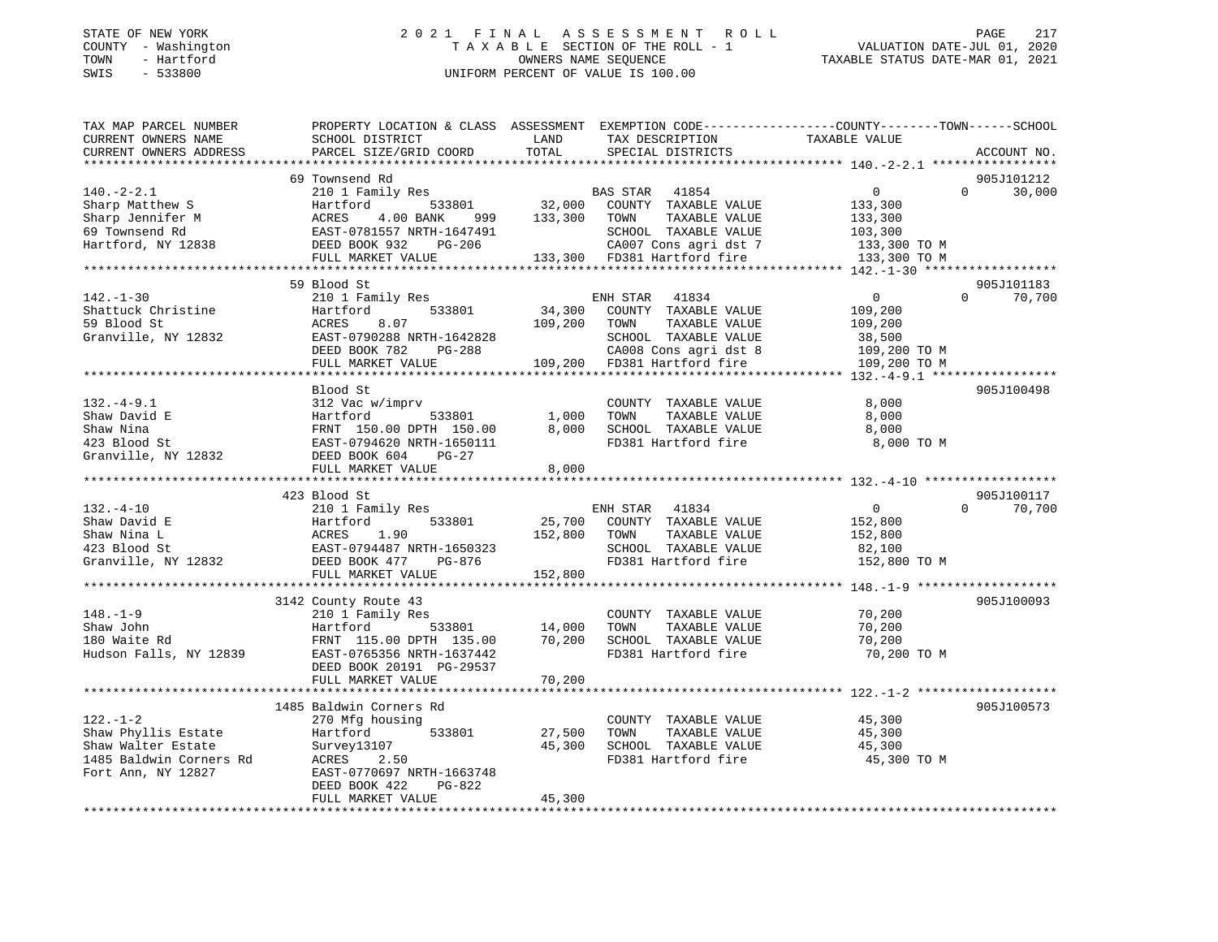#### STATE OF NEW YORK 2 0 2 1 F I N A L A S S E S S M E N T R O L L PAGE 217 COUNTY - Washington T A X A B L E SECTION OF THE ROLL - 1 VALUATION DATE-JUL 01, 2020 TOWN - Hartford OWNERS NAME SEQUENCE TAXABLE STATUS DATE-MAR 01, 2021 SWIS - 533800 UNIFORM PERCENT OF VALUE IS 100.00

| TAX MAP PARCEL NUMBER<br>CURRENT OWNERS NAME                                                                                                                                                                                                | PROPERTY LOCATION & CLASS ASSESSMENT EXEMPTION CODE---------------COUNTY-------TOWN-----SCHOOL<br>SCHOOL DISTRICT | LAND         | TAX DESCRIPTION                                             | TAXABLE VALUE  |                    |
|---------------------------------------------------------------------------------------------------------------------------------------------------------------------------------------------------------------------------------------------|-------------------------------------------------------------------------------------------------------------------|--------------|-------------------------------------------------------------|----------------|--------------------|
| CURRENT OWNERS ADDRESS                                                                                                                                                                                                                      | PARCEL SIZE/GRID COORD                                                                                            | TOTAL        | SPECIAL DISTRICTS                                           |                | ACCOUNT NO.        |
|                                                                                                                                                                                                                                             |                                                                                                                   |              |                                                             |                |                    |
|                                                                                                                                                                                                                                             | 69 Townsend Rd                                                                                                    |              |                                                             |                | 905J101212         |
| $140. - 2 - 2.1$                                                                                                                                                                                                                            | 210 1 Family Res                                                                                                  |              | BAS STAR 41854                                              | $\Omega$       | $\Omega$<br>30,000 |
| Sharp Matthew S                                                                                                                                                                                                                             | Hartford                                                                                                          |              |                                                             | 133,300        |                    |
| Sharp Jennifer M                                                                                                                                                                                                                            | ACRES<br>4.00 BANK                                                                                                |              |                                                             | 133,300        |                    |
| 69 Townsend Rd                                                                                                                                                                                                                              | EAST-0781557 NRTH-1647491                                                                                         |              | SCHOOL TAXABLE VALUE                                        | 103,300        |                    |
| Hartford, NY 12838                                                                                                                                                                                                                          | DEED BOOK 932<br>PG-206                                                                                           |              | CA007 Cons agri dst 7                                       | 133,300 TO M   |                    |
|                                                                                                                                                                                                                                             | FULL MARKET VALUE 133,300 FD381 Hartford fire                                                                     |              |                                                             | 133,300 TO M   |                    |
|                                                                                                                                                                                                                                             |                                                                                                                   |              |                                                             |                |                    |
|                                                                                                                                                                                                                                             | 59 Blood St                                                                                                       |              |                                                             |                | 905J101183         |
| $142. - 1 - 30$                                                                                                                                                                                                                             | 210 1 Family Res                                                                                                  |              | ENH STAR<br>41834                                           | $\overline{0}$ | 70,700<br>$\Omega$ |
| Shattuck Christine                                                                                                                                                                                                                          | Hartford<br>533801                                                                                                | 34,300       | COUNTY TAXABLE VALUE                                        | 109,200        |                    |
| 59 Blood St                                                                                                                                                                                                                                 | 8.07<br>ACRES                                                                                                     | 109,200 TOWN | TAXABLE VALUE                                               | 109,200        |                    |
| Granville, NY 12832                                                                                                                                                                                                                         | EAST-0790288 NRTH-1642828                                                                                         |              | SCHOOL TAXABLE VALUE                                        | 38,500         |                    |
|                                                                                                                                                                                                                                             | DEED BOOK 782<br>PG-288                                                                                           |              | CA008 Cons agri dst 8                                       | 109,200 TO M   |                    |
|                                                                                                                                                                                                                                             | FULL MARKET VALUE                                                                                                 |              | 109,200 FD381 Hartford fire                                 | 109,200 TO M   |                    |
|                                                                                                                                                                                                                                             |                                                                                                                   |              |                                                             |                |                    |
|                                                                                                                                                                                                                                             | Blood St                                                                                                          |              |                                                             |                | 905J100498         |
| $132.-4-9.1$                                                                                                                                                                                                                                | 312 Vac w/imprv                                                                                                   |              | COUNTY TAXABLE VALUE                                        | 8,000          |                    |
|                                                                                                                                                                                                                                             |                                                                                                                   | 1,000        |                                                             | 8,000          |                    |
|                                                                                                                                                                                                                                             |                                                                                                                   | 8,000        | COLLINAABLE VALUE<br>SCHOOL TAXABLE VALUE<br>FD381 Hartford | 8,000          |                    |
|                                                                                                                                                                                                                                             |                                                                                                                   |              | FD381 Hartford fire                                         | 8,000 TO M     |                    |
| Shaw David E<br>Shaw Nina<br>1993 Blood St<br>1993 Blood St<br>1993 Blood St<br>1993 Blood St<br>1993 BLSD BOOK 604<br>1994620 NRTH-1650111<br>1994620 NRTH-1650111<br>1994620 NRTH-1650111<br>1994620 NRTH-1650111<br>1994620 NRTH-1650111 |                                                                                                                   |              |                                                             |                |                    |
|                                                                                                                                                                                                                                             | FULL MARKET VALUE                                                                                                 | 8,000        |                                                             |                |                    |
|                                                                                                                                                                                                                                             |                                                                                                                   |              |                                                             |                |                    |
|                                                                                                                                                                                                                                             | 423 Blood St                                                                                                      |              |                                                             |                | 905J100117         |
| $132. - 4 - 10$                                                                                                                                                                                                                             | 210 1 Family Res                                                                                                  |              | ENH STAR 41834                                              | $\overline{0}$ | $\Omega$<br>70,700 |
| Shaw David E                                                                                                                                                                                                                                |                                                                                                                   |              | 533801 25,700 COUNTY TAXABLE VALUE                          | 152,800        |                    |
| Shaw Nina L                                                                                                                                                                                                                                 |                                                                                                                   | 152,800      | TOWN<br>TAXABLE VALUE                                       | 152,800        |                    |
| 423 Blood St                                                                                                                                                                                                                                |                                                                                                                   |              | SCHOOL TAXABLE VALUE                                        | 82,100         |                    |
| Granville, NY 12832                                                                                                                                                                                                                         | Hartford 533801<br>ACRES 1.90<br>EAST-0794487 NRTH-1650323<br>DEED BOOK 477 PG-876                                |              | FD381 Hartford fire                                         | 152,800 TO M   |                    |
|                                                                                                                                                                                                                                             | FULL MARKET VALUE                                                                                                 | 152,800      |                                                             |                |                    |
|                                                                                                                                                                                                                                             |                                                                                                                   |              |                                                             |                |                    |
|                                                                                                                                                                                                                                             | 3142 County Route 43                                                                                              |              |                                                             |                | 905J100093         |
| $148. - 1 - 9$                                                                                                                                                                                                                              | 210 1 Family Res                                                                                                  |              | COUNTY TAXABLE VALUE                                        | 70,200         |                    |
| Shaw John                                                                                                                                                                                                                                   | Hartford<br>533801                                                                                                | 14,000       | TAXABLE VALUE<br>TOWN                                       | 70,200         |                    |
|                                                                                                                                                                                                                                             | FRNT 115.00 DPTH 135.00                                                                                           | 70,200       | SCHOOL TAXABLE VALUE                                        | 70,200         |                    |
| 180 Waite Rd<br>Hudson Falls, NY 12839                                                                                                                                                                                                      | EAST-0765356 NRTH-1637442                                                                                         |              | FD381 Hartford fire                                         | 70,200 TO M    |                    |
|                                                                                                                                                                                                                                             | DEED BOOK 20191 PG-29537                                                                                          |              |                                                             |                |                    |
|                                                                                                                                                                                                                                             | FULL MARKET VALUE                                                                                                 | 70,200       |                                                             |                |                    |
|                                                                                                                                                                                                                                             |                                                                                                                   |              |                                                             |                |                    |
|                                                                                                                                                                                                                                             | 1485 Baldwin Corners Rd                                                                                           |              |                                                             |                | 905J100573         |
| $122. - 1 - 2$                                                                                                                                                                                                                              | 270 Mfg housing                                                                                                   |              | COUNTY TAXABLE VALUE                                        | 45,300         |                    |
| Shaw Phyllis Estate                                                                                                                                                                                                                         | 533801<br>Hartford                                                                                                | 27,500       | TAXABLE VALUE<br>TOWN                                       | 45,300         |                    |
| Shaw Walter Estate                                                                                                                                                                                                                          | Survey13107                                                                                                       | 45,300       | SCHOOL TAXABLE VALUE                                        | 45,300         |                    |
| 1485 Baldwin Corners Rd                                                                                                                                                                                                                     | ACRES<br>2.50                                                                                                     |              | FD381 Hartford fire                                         | 45,300 TO M    |                    |
| Fort Ann, NY 12827                                                                                                                                                                                                                          | EAST-0770697 NRTH-1663748                                                                                         |              |                                                             |                |                    |
|                                                                                                                                                                                                                                             | DEED BOOK 422<br>PG-822                                                                                           |              |                                                             |                |                    |
|                                                                                                                                                                                                                                             | FULL MARKET VALUE                                                                                                 | 45,300       |                                                             |                |                    |
|                                                                                                                                                                                                                                             |                                                                                                                   |              |                                                             |                |                    |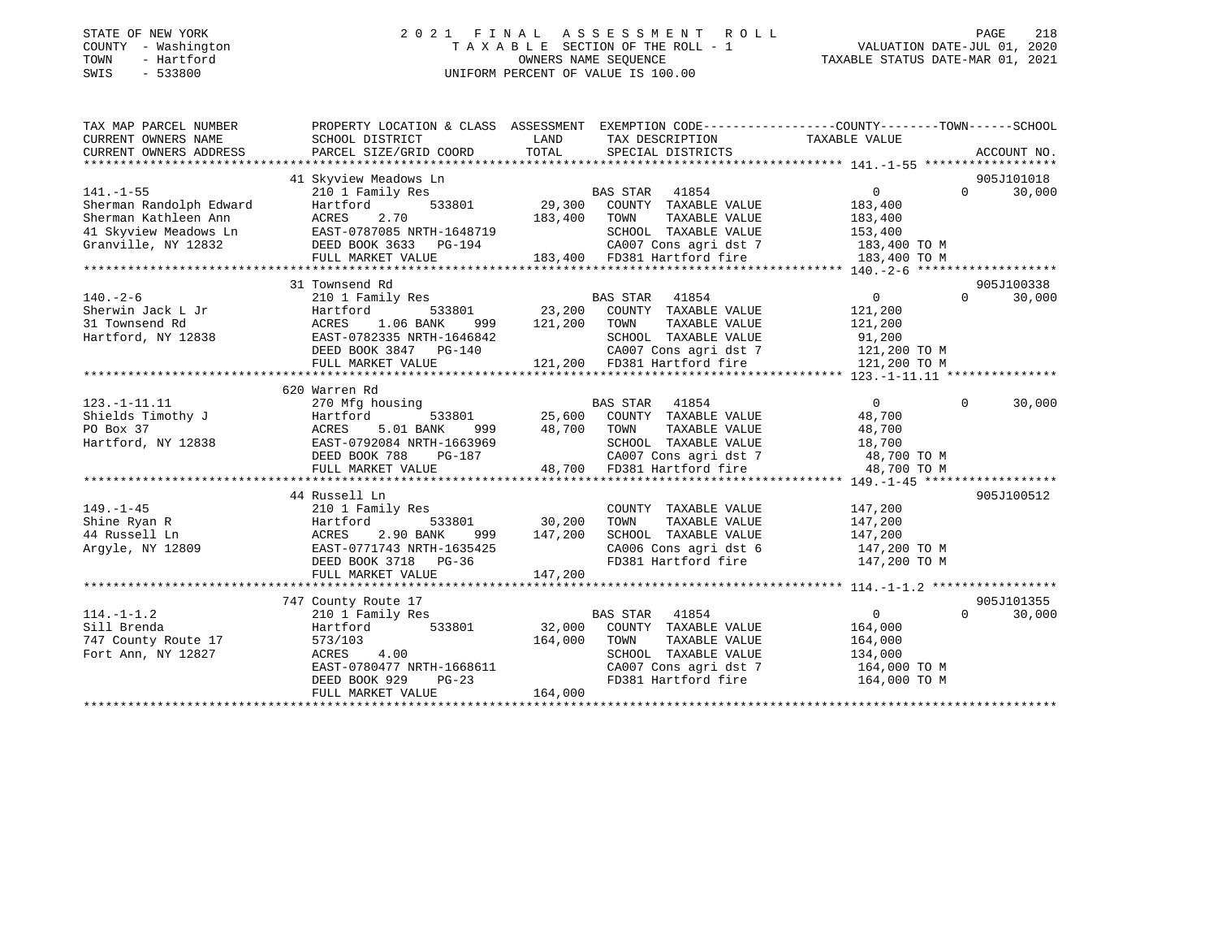#### STATE OF NEW YORK 2 0 2 1 F I N A L A S S E S S M E N T R O L L PAGE 218 COUNTY - Washington T A X A B L E SECTION OF THE ROLL - 1 VALUATION DATE-JUL 01, 2020 TOWN - Hartford OWNERS NAME SEQUENCE TAXABLE STATUS DATE-MAR 01, 2021 SWIS - 533800 UNIFORM PERCENT OF VALUE IS 100.00

| TAX MAP PARCEL NUMBER               |                                                 | PROPERTY LOCATION & CLASS ASSESSMENT EXEMPTION CODE---------------COUNTY-------TOWN-----SCHOOL                                                                                |                                                                    |             |
|-------------------------------------|-------------------------------------------------|-------------------------------------------------------------------------------------------------------------------------------------------------------------------------------|--------------------------------------------------------------------|-------------|
| CURRENT OWNERS NAME                 | SCHOOL DISTRICT                                 | LAND<br>TAX DESCRIPTION                                                                                                                                                       | TAXABLE VALUE                                                      |             |
| CURRENT OWNERS ADDRESS              | PARCEL SIZE/GRID COORD                          | TOTAL SPECIAL DISTRICTS                                                                                                                                                       |                                                                    | ACCOUNT NO. |
|                                     |                                                 |                                                                                                                                                                               |                                                                    |             |
|                                     | 41 Skyview Meadows Ln                           |                                                                                                                                                                               |                                                                    | 905J101018  |
| $141. - 1 - 55$                     | 210 1 Family Res                                | BAS STAR 41854                                                                                                                                                                | 0<br>$\Omega$                                                      | 30,000      |
| Sherman Randolph Edward             | 533801<br>Hartford                              | 29,300 COUNTY TAXABLE VALUE                                                                                                                                                   | 183,400                                                            |             |
| Sherman Kathleen Ann                | ACRES<br>2.70                                   | TAXABLE VALUE<br>183,400 TOWN                                                                                                                                                 | 183,400                                                            |             |
|                                     | 41 Skyview Meadows Ln EAST-0787085 NRTH-1648719 | SCHOOL TAXABLE VALUE 153,400                                                                                                                                                  |                                                                    |             |
| Granville, NY 12832                 | DEED BOOK 3633 PG-194                           | CA007 Cons agri dst 7 183,400 TO M<br>183,400 FD381 Hartford fire 183,400 TO M                                                                                                |                                                                    |             |
|                                     | FULL MARKET VALUE                               |                                                                                                                                                                               |                                                                    |             |
|                                     |                                                 |                                                                                                                                                                               |                                                                    | 905J100338  |
| $140. - 2 - 6$                      | 31 Townsend Rd<br>210 1 Family Res              |                                                                                                                                                                               | $\overline{0}$<br>$\Omega$                                         |             |
|                                     |                                                 | BAS STAR 41854<br>533801 23,200 COUNTY TAXABLE VALUE                                                                                                                          |                                                                    | 30,000      |
| Sherwin Jack L Jr<br>31 Townsend Rd | Hartford<br>ACRES 1.06 BANK                     | TAXABLE VALUE                                                                                                                                                                 | 121,200<br>121,200                                                 |             |
| Hartford, NY 12838                  | EAST-0782335 NRTH-1646842                       | 999 121,200 TOWN<br>SCHOOL TAXABLE VALUE                                                                                                                                      | 91,200                                                             |             |
|                                     | DEED BOOK 3847 PG-140                           |                                                                                                                                                                               | CA007 Cons agri dst 7 121,200 TO M                                 |             |
|                                     |                                                 |                                                                                                                                                                               |                                                                    |             |
|                                     |                                                 |                                                                                                                                                                               |                                                                    |             |
|                                     | 620 Warren Rd                                   |                                                                                                                                                                               |                                                                    |             |
| $123. - 1 - 11.11$                  | 270 Mfg housing                                 | BAS STAR 41854                                                                                                                                                                | $\mathbf{0}$<br>$\overline{0}$                                     | 30,000      |
| Shields Timothy J                   | Hartford                                        | BAS STAR 41854<br>533801 25,600 COUNTY TAXABLE VALUE                                                                                                                          | 48,700                                                             |             |
| PO Box 37                           | 5.01 BANK<br>ACRES                              | 999 48,700 TOWN<br>TAXABLE VALUE                                                                                                                                              | 48,700                                                             |             |
| Hartford, NY 12838                  |                                                 |                                                                                                                                                                               |                                                                    |             |
|                                     |                                                 |                                                                                                                                                                               |                                                                    |             |
|                                     |                                                 | EAST-0792084 NRTH-1663969 SCHOOL TAXABLE VALUE $18,700$<br>DEED BOOK 788 PG-187 CA007 Cons agri dst 7 48,700 TO M<br>FULL MARKET VALUE 48,700 FD381 Hartford fire 48,700 TO M |                                                                    |             |
|                                     |                                                 |                                                                                                                                                                               |                                                                    |             |
|                                     | 44 Russell Ln                                   |                                                                                                                                                                               |                                                                    | 905J100512  |
| $149. - 1 - 45$                     | 210 1 Family Res                                | COUNTY TAXABLE VALUE                                                                                                                                                          | 147,200                                                            |             |
| Shine Ryan R                        | Hartford                                        | 533801 30,200<br>TOWN<br>TAXABLE VALUE                                                                                                                                        | 147,200                                                            |             |
| 44 Russell Ln                       | ACRES<br>2.90 BANK                              | 999 147,200                                                                                                                                                                   |                                                                    |             |
| Argyle, NY 12809                    | EAST-0771743 NRTH-1635425                       |                                                                                                                                                                               | SCHOOL TAXABLE VALUE 147,200<br>CA006 Cons agri dst 6 147,200 TO M |             |
|                                     | DEED BOOK 3718 PG-36                            |                                                                                                                                                                               | FD381 Hartford fire 147,200 TO M                                   |             |
|                                     | FULL MARKET VALUE                               | 147,200                                                                                                                                                                       |                                                                    |             |
|                                     |                                                 |                                                                                                                                                                               |                                                                    |             |
|                                     | 747 County Route 17                             |                                                                                                                                                                               |                                                                    | 905J101355  |
| $114. - 1 - 1.2$                    | 210 1 Family Res                                | BAS STAR 41854                                                                                                                                                                | $\sim$ 0<br>$\Omega$                                               | 30,000      |
| Sill Brenda                         | Hartford<br>533801                              | 32,000 COUNTY TAXABLE VALUE                                                                                                                                                   | 164,000                                                            |             |
| 747 County Route 17                 | 573/103                                         | 164,000 TOWN<br>TAXABLE VALUE                                                                                                                                                 | 164,000                                                            |             |
| Fort Ann, NY 12827                  | ACRES 4.00                                      | SCHOOL TAXABLE VALUE                                                                                                                                                          | 134,000                                                            |             |
|                                     | EAST-0780477 NRTH-1668611                       |                                                                                                                                                                               |                                                                    |             |
|                                     | DEED BOOK 929<br>$PG-23$                        |                                                                                                                                                                               | FD381 Hartford fire 164,000 TO M                                   |             |
|                                     | FULL MARKET VALUE                               | 164,000                                                                                                                                                                       |                                                                    |             |
|                                     |                                                 |                                                                                                                                                                               |                                                                    |             |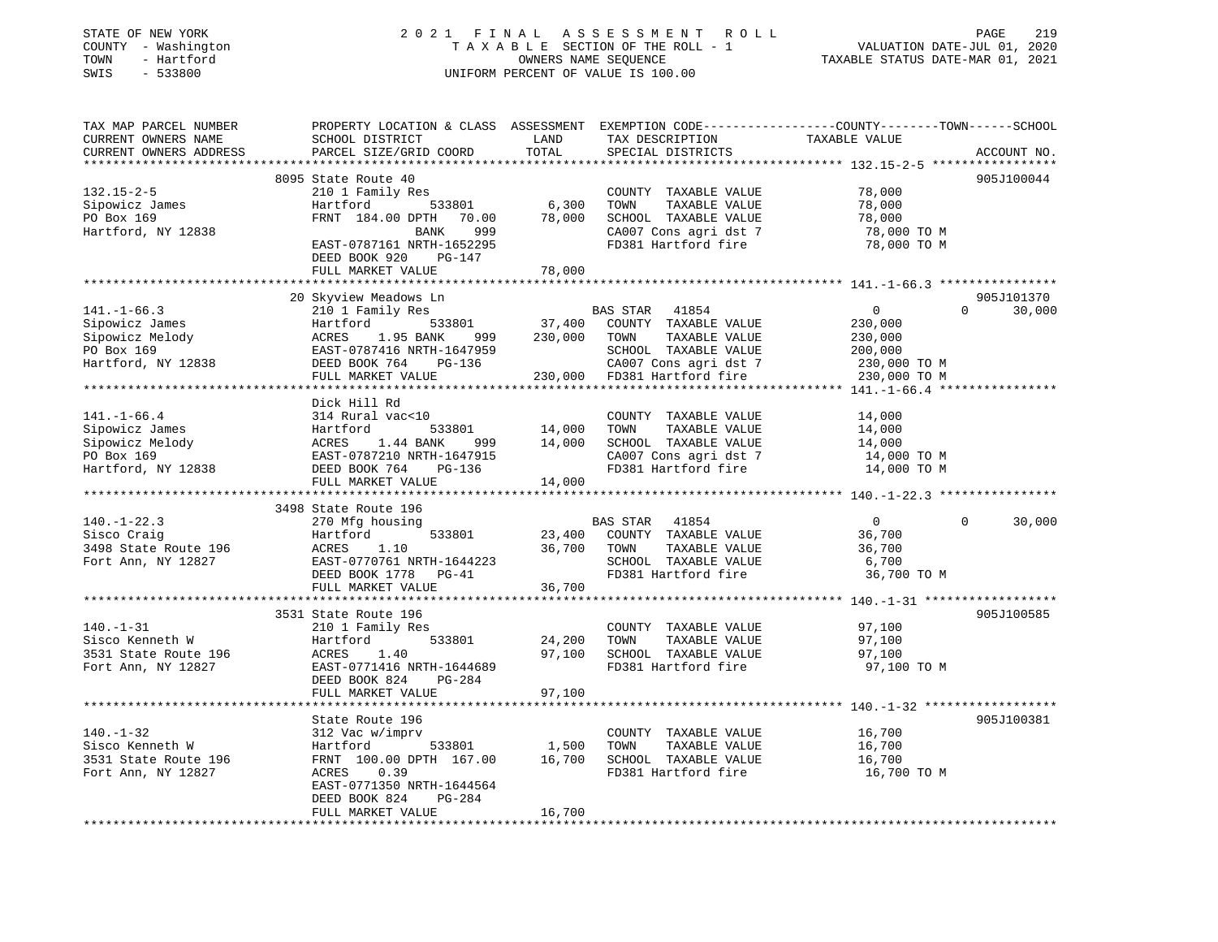### STATE OF NEW YORK 2 0 2 1 F I N A L A S S E S S M E N T R O L L PAGE 219 COUNTY - Washington T A X A B L E SECTION OF THE ROLL - 1 VALUATION DATE-JUL 01, 2020 TOWN - Hartford OWNERS NAME SEQUENCE TAXABLE STATUS DATE-MAR 01, 2021 SWIS - 533800 UNIFORM PERCENT OF VALUE IS 100.00

| TAX MAP PARCEL NUMBER<br>CURRENT OWNERS NAME | PROPERTY LOCATION & CLASS ASSESSMENT EXEMPTION CODE----------------COUNTY-------TOWN------SCHOOL<br>SCHOOL DISTRICT | LAND             | TAX DESCRIPTION             | TAXABLE VALUE  |                       |
|----------------------------------------------|---------------------------------------------------------------------------------------------------------------------|------------------|-----------------------------|----------------|-----------------------|
| CURRENT OWNERS ADDRESS                       | PARCEL SIZE/GRID COORD                                                                                              | TOTAL            | SPECIAL DISTRICTS           |                | ACCOUNT NO.           |
|                                              |                                                                                                                     |                  |                             |                |                       |
|                                              | 8095 State Route 40                                                                                                 |                  |                             |                | 905J100044            |
| $132.15 - 2 - 5$                             | 210 1 Family Res                                                                                                    |                  | COUNTY TAXABLE VALUE        | 78,000         |                       |
| Sipowicz James                               | 533801<br>Hartford                                                                                                  | 6,300            | TAXABLE VALUE<br>TOWN       | 78,000         |                       |
| PO Box 169                                   | FRNT 184.00 DPTH 70.00                                                                                              | 78,000           | SCHOOL TAXABLE VALUE        | 78,000         |                       |
| Hartford, NY 12838                           | 999<br>BANK                                                                                                         |                  | CA007 Cons agri dst 7       | 78,000 TO M    |                       |
|                                              | EAST-0787161 NRTH-1652295<br>DEED BOOK 920<br>PG-147                                                                |                  | FD381 Hartford fire         | 78,000 TO M    |                       |
|                                              | FULL MARKET VALUE                                                                                                   | 78,000           |                             |                |                       |
|                                              |                                                                                                                     |                  |                             |                |                       |
|                                              | 20 Skyview Meadows Ln                                                                                               |                  |                             |                | 905J101370            |
| $141. - 1 - 66.3$                            | 210 1 Family Res                                                                                                    |                  | BAS STAR<br>41854           | $\overline{0}$ | $\Omega$<br>30,000    |
| Sipowicz James                               | 533801<br>Hartford                                                                                                  |                  | 37,400 COUNTY TAXABLE VALUE | 230,000        |                       |
| Sipowicz Melody                              | ACRES<br>1.95 BANK<br>999                                                                                           | 230,000          | TOWN<br>TAXABLE VALUE       | 230,000        |                       |
| PO Box 169                                   | EAST-0787416 NRTH-1647959                                                                                           |                  | SCHOOL TAXABLE VALUE        | 200,000        |                       |
| Hartford, NY 12838                           | DEED BOOK 764<br>PG-136                                                                                             |                  | CA007 Cons agri dst 7       | 230,000 TO M   |                       |
|                                              | FULL MARKET VALUE                                                                                                   |                  | 230,000 FD381 Hartford fire | 230,000 TO M   |                       |
|                                              |                                                                                                                     |                  |                             |                |                       |
|                                              | Dick Hill Rd                                                                                                        |                  |                             |                |                       |
| $141. - 1 - 66.4$                            | 314 Rural vac<10                                                                                                    |                  | COUNTY TAXABLE VALUE        | 14,000         |                       |
| Sipowicz James                               | Hartford<br>533801                                                                                                  | 14,000<br>14,000 | TAXABLE VALUE<br>TOWN       | 14,000         |                       |
| Sipowicz Melody                              | 1.44 BANK<br>999                                                                                                    |                  | SCHOOL TAXABLE VALUE        | 14,000         |                       |
| PO Box 169                                   | EAST-0787210 NRTH-1647915                                                                                           |                  | CA007 Cons agri dst 7       | 14,000 TO M    |                       |
| Hartford, NY 12838                           | Hart<br>ACRES<br>EAST-0<br>DEED<br>DEED BOOK 764<br>PG-136                                                          |                  | FD381 Hartford fire         | 14,000 TO M    |                       |
|                                              | FULL MARKET VALUE                                                                                                   | 14,000           |                             |                |                       |
|                                              |                                                                                                                     |                  |                             |                |                       |
|                                              | 3498 State Route 196                                                                                                |                  |                             |                |                       |
| $140. - 1 - 22.3$                            | 270 Mfg housing                                                                                                     |                  | BAS STAR 41854              | $\overline{0}$ | $\mathbf 0$<br>30,000 |
| Sisco Craig                                  | 533801<br>Hartford                                                                                                  | 23,400           | COUNTY TAXABLE VALUE        | 36,700         |                       |
| 3498 State Route 196                         | ACRES<br>1.10                                                                                                       | 36,700 TOWN      | TAXABLE VALUE               | 36,700         |                       |
| Fort Ann, NY 12827                           | EAST-0770761 NRTH-1644223                                                                                           |                  | SCHOOL TAXABLE VALUE        | 6,700          |                       |
|                                              | DEED BOOK 1778 PG-41                                                                                                |                  | FD381 Hartford fire         | 36,700 TO M    |                       |
|                                              | FULL MARKET VALUE                                                                                                   | 36,700           |                             |                |                       |
|                                              |                                                                                                                     |                  |                             |                |                       |
|                                              | 3531 State Route 196                                                                                                |                  |                             |                | 905J100585            |
| $140. - 1 - 31$                              | 210 1 Family Res                                                                                                    |                  | COUNTY TAXABLE VALUE        | 97,100         |                       |
| Sisco Kenneth W                              | 533801<br>Hartford                                                                                                  | 24,200           | TOWN<br>TAXABLE VALUE       | 97,100         |                       |
| 3531 State Route 196                         | 1.40<br>ACRES                                                                                                       | 97,100           | SCHOOL TAXABLE VALUE        | 97,100         |                       |
| Fort Ann, NY 12827                           | EAST-0771416 NRTH-1644689                                                                                           |                  | FD381 Hartford fire         | 97,100 TO M    |                       |
|                                              | DEED BOOK 824<br>PG-284                                                                                             |                  |                             |                |                       |
|                                              | FULL MARKET VALUE                                                                                                   | 97,100           |                             |                |                       |
|                                              |                                                                                                                     |                  |                             |                |                       |
|                                              | State Route 196                                                                                                     |                  |                             |                | 905J100381            |
| $140. - 1 - 32$                              | 312 Vac w/imprv                                                                                                     |                  | COUNTY TAXABLE VALUE        | 16,700         |                       |
| Sisco Kenneth W                              | 533801<br>Hartford                                                                                                  | 1,500            | TOWN<br>TAXABLE VALUE       | 16,700         |                       |
| 3531 State Route 196                         | FRNT 100.00 DPTH 167.00                                                                                             | 16,700           | SCHOOL TAXABLE VALUE        | 16,700         |                       |
| Fort Ann, NY 12827                           | 0.39<br>ACRES                                                                                                       |                  | FD381 Hartford fire         | 16,700 TO M    |                       |
|                                              | EAST-0771350 NRTH-1644564                                                                                           |                  |                             |                |                       |
|                                              | DEED BOOK 824<br>PG-284                                                                                             |                  |                             |                |                       |
|                                              | FULL MARKET VALUE                                                                                                   | 16,700           |                             |                |                       |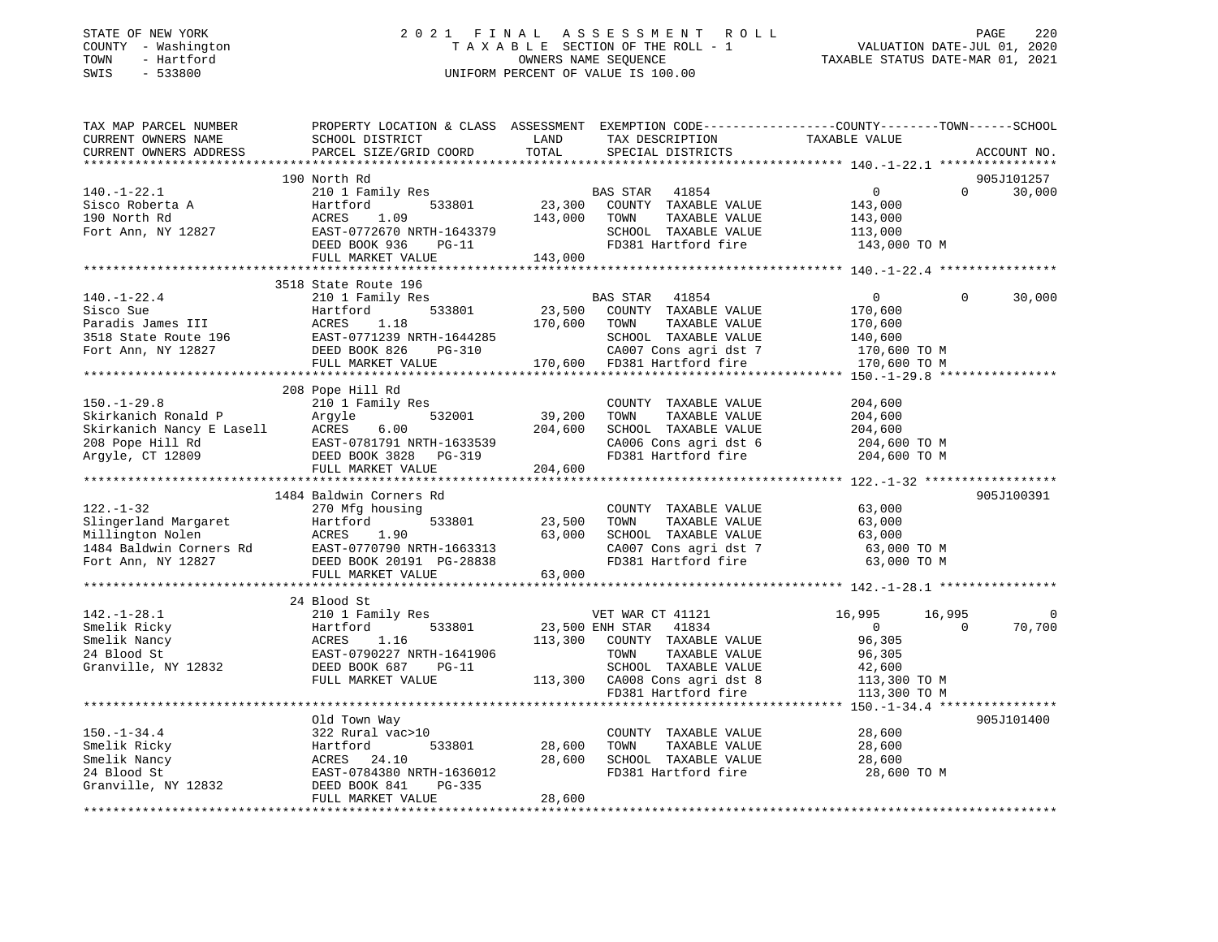#### STATE OF NEW YORK 2 0 2 1 F I N A L A S S E S S M E N T R O L L PAGE 220 COUNTY - Washington T A X A B L E SECTION OF THE ROLL - 1 VALUATION DATE-JUL 01, 2020 TOWN - Hartford OWNERS NAME SEQUENCE TAXABLE STATUS DATE-MAR 01, 2021 SWIS - 533800 UNIFORM PERCENT OF VALUE IS 100.00

| TAX MAP PARCEL NUMBER<br>CURRENT OWNERS NAME | PROPERTY LOCATION & CLASS ASSESSMENT EXEMPTION CODE----------------COUNTY-------TOWN-----SCHOOL<br>SCHOOL DISTRICT                                                                                                                             | LAND          | TAX DESCRIPTION                                      | TAXABLE VALUE  |          |             |
|----------------------------------------------|------------------------------------------------------------------------------------------------------------------------------------------------------------------------------------------------------------------------------------------------|---------------|------------------------------------------------------|----------------|----------|-------------|
| CURRENT OWNERS ADDRESS                       | PARCEL SIZE/GRID COORD                                                                                                                                                                                                                         | TOTAL         | SPECIAL DISTRICTS                                    |                |          | ACCOUNT NO. |
|                                              |                                                                                                                                                                                                                                                |               |                                                      |                |          |             |
|                                              | 190 North Rd                                                                                                                                                                                                                                   |               |                                                      |                |          | 905J101257  |
| $140. - 1 - 22.1$                            | 210 1 Family Res                                                                                                                                                                                                                               |               | BAS STAR<br>41854                                    | $\Omega$       | $\Omega$ | 30,000      |
| Sisco Roberta A                              | 533801<br>Hartford                                                                                                                                                                                                                             | 23,300        | COUNTY TAXABLE VALUE                                 | 143,000        |          |             |
| 190 North Rd                                 | 1.09<br>ACRES                                                                                                                                                                                                                                  | 143,000       | TOWN<br>TAXABLE VALUE                                | 143,000        |          |             |
| Fort Ann, NY 12827                           | EAST-0772670 NRTH-1643379                                                                                                                                                                                                                      |               | SCHOOL TAXABLE VALUE                                 | 113,000        |          |             |
|                                              | DEED BOOK 936<br>PG-11                                                                                                                                                                                                                         |               | FD381 Hartford fire                                  | 143,000 TO M   |          |             |
|                                              | FULL MARKET VALUE                                                                                                                                                                                                                              | 143,000       |                                                      |                |          |             |
|                                              |                                                                                                                                                                                                                                                |               |                                                      |                |          |             |
|                                              | 3518 State Route 196                                                                                                                                                                                                                           |               |                                                      |                |          |             |
|                                              | Paradis James III artford 533801<br>Fort Ann, NY 12827<br>The Martford 533801<br>Fort Ann, NY 12827<br>The DEED BOOK 826<br>The Martford DEED BOOK 826<br>The Martford DEED BOOK 826<br>The Martford DEED BOOK 826<br>The Martford DEED BOOK 8 |               | BAS STAR<br>41854                                    | $\mathbf{0}$   | $\Omega$ | 30,000      |
|                                              |                                                                                                                                                                                                                                                | 23,500        | COUNTY TAXABLE VALUE                                 | 170,600        |          |             |
|                                              |                                                                                                                                                                                                                                                | 170,600       | TOWN<br>TAXABLE VALUE                                | 170,600        |          |             |
|                                              |                                                                                                                                                                                                                                                |               | SCHOOL TAXABLE VALUE                                 | 140,600        |          |             |
|                                              |                                                                                                                                                                                                                                                |               | CA007 Cons agri dst 7<br>170,600 FD381 Hartford fire | 170,600 TO M   |          |             |
|                                              |                                                                                                                                                                                                                                                |               |                                                      | 170,600 TO M   |          |             |
|                                              |                                                                                                                                                                                                                                                |               |                                                      |                |          |             |
|                                              | 208 Pope Hill Rd                                                                                                                                                                                                                               |               |                                                      |                |          |             |
| $150. - 1 - 29.8$                            | 210 1 Family Res                                                                                                                                                                                                                               |               | COUNTY TAXABLE VALUE                                 | 204,600        |          |             |
|                                              |                                                                                                                                                                                                                                                |               | TOWN<br>TAXABLE VALUE                                | 204,600        |          |             |
|                                              |                                                                                                                                                                                                                                                |               | SCHOOL TAXABLE VALUE                                 | 204,600        |          |             |
|                                              |                                                                                                                                                                                                                                                |               | CA006 Cons agri dst 6                                | 204,600 TO M   |          |             |
|                                              |                                                                                                                                                                                                                                                |               | FD381 Hartford fire                                  | 204,600 TO M   |          |             |
|                                              | FULL MARKET VALUE                                                                                                                                                                                                                              | 204,600       |                                                      |                |          |             |
|                                              |                                                                                                                                                                                                                                                |               |                                                      |                |          |             |
|                                              | 1484 Baldwin Corners Rd                                                                                                                                                                                                                        |               |                                                      |                |          | 905J100391  |
| $122. - 1 - 32$                              | 270 Mfg housing                                                                                                                                                                                                                                |               | COUNTY TAXABLE VALUE                                 | 63,000         |          |             |
|                                              |                                                                                                                                                                                                                                                | 533801 23,500 | TAXABLE VALUE<br>TOWN                                | 63,000         |          |             |
|                                              |                                                                                                                                                                                                                                                | 63,000        | SCHOOL TAXABLE VALUE                                 | 63,000         |          |             |
|                                              |                                                                                                                                                                                                                                                |               | CA007 Cons agri dst 7                                | 63,000 TO M    |          |             |
|                                              | 12.1.1.92<br>Slingerland Margaret Hartford 533801<br>Millington Nolen ACRES 1.90<br>1484 Baldwin Corners Rd EAST-0770790 NRTH-1663313<br>Fort Ann, NY 12827 DEED BOOK 20191 PG-28838<br>DEED BOOK 20191 PG-28838                               |               | FD381 Hartford fire                                  | 63,000 TO M    |          |             |
|                                              | FULL MARKET VALUE                                                                                                                                                                                                                              | 63,000        |                                                      |                |          |             |
|                                              |                                                                                                                                                                                                                                                |               |                                                      |                |          |             |
|                                              | 24 Blood St                                                                                                                                                                                                                                    |               |                                                      |                |          |             |
| $142.-1-28.1$                                | 210 1 Family Res                                                                                                                                                                                                                               |               | VET WAR CT 41121                                     | 16,995         | 16,995   | $\mathbf 0$ |
| Smelik Ricky                                 | 533801<br>Hartford                                                                                                                                                                                                                             |               | 23,500 ENH STAR 41834                                | $\overline{0}$ | $\Omega$ | 70,700      |
| Smelik Nancy                                 | ACRES 1.16<br>EAST-0790227 NRTH-1641906<br>EAST-0790227 NRTH-1641906                                                                                                                                                                           | 113,300       | COUNTY TAXABLE VALUE                                 | 96,305         |          |             |
| 24 Blood St                                  |                                                                                                                                                                                                                                                |               | TOWN<br>TAXABLE VALUE                                | 96,305         |          |             |
| Granville, NY 12832 DEED BOOK 687            | <b>PG-11</b>                                                                                                                                                                                                                                   |               | SCHOOL TAXABLE VALUE                                 | 42,600         |          |             |
|                                              | FULL MARKET VALUE                                                                                                                                                                                                                              |               | 113,300 CA008 Cons agri dst 8                        | 113,300 TO M   |          |             |
|                                              |                                                                                                                                                                                                                                                |               | FD381 Hartford fire                                  | 113,300 TO M   |          |             |
|                                              |                                                                                                                                                                                                                                                |               |                                                      |                |          |             |
|                                              | Old Town Way                                                                                                                                                                                                                                   |               |                                                      |                |          | 905J101400  |
| $150. - 1 - 34.4$                            | 322 Rural vac>10                                                                                                                                                                                                                               |               | COUNTY TAXABLE VALUE                                 | 28,600         |          |             |
| Smelik Ricky                                 | Hartford<br>533801                                                                                                                                                                                                                             | 28,600        | TOWN<br>TAXABLE VALUE                                | 28,600         |          |             |
| Smelik Nancy                                 | ACRES<br>24.10                                                                                                                                                                                                                                 | 28,600        | SCHOOL TAXABLE VALUE                                 | 28,600         |          |             |
| 24 Blood St                                  | EAST-0784380 NRTH-1636012                                                                                                                                                                                                                      |               | FD381 Hartford fire                                  | 28,600 TO M    |          |             |
| Granville, NY 12832                          | DEED BOOK 841<br>PG-335                                                                                                                                                                                                                        |               |                                                      |                |          |             |
|                                              | FULL MARKET VALUE                                                                                                                                                                                                                              | 28,600        |                                                      |                |          |             |
|                                              |                                                                                                                                                                                                                                                |               |                                                      |                |          |             |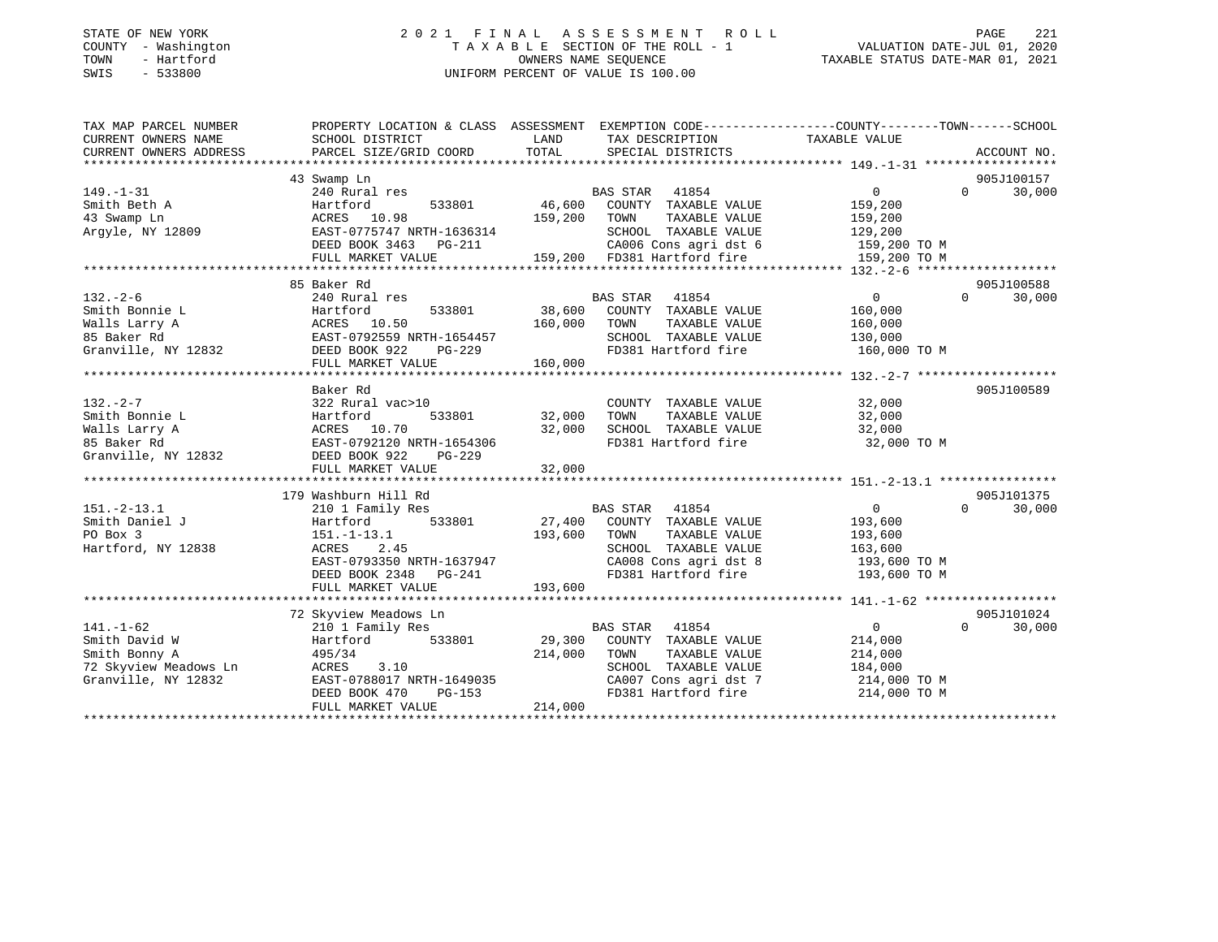#### STATE OF NEW YORK 2 0 2 1 F I N A L A S S E S S M E N T R O L L PAGE 221 COUNTY - Washington T A X A B L E SECTION OF THE ROLL - 1 VALUATION DATE-JUL 01, 2020 TOWN - Hartford OWNERS NAME SEQUENCE TAXABLE STATUS DATE-MAR 01, 2021 SWIS - 533800 UNIFORM PERCENT OF VALUE IS 100.00

| TAX MAP PARCEL NUMBER                                                                                                                                                     |                                                            |         |                                              | PROPERTY LOCATION & CLASS ASSESSMENT EXEMPTION CODE----------------COUNTY-------TOWN------SCHOOL |                             |
|---------------------------------------------------------------------------------------------------------------------------------------------------------------------------|------------------------------------------------------------|---------|----------------------------------------------|--------------------------------------------------------------------------------------------------|-----------------------------|
| CURRENT OWNERS NAME                                                                                                                                                       | SCHOOL DISTRICT                                            | LAND    | TAX DESCRIPTION TAXABLE VALUE                |                                                                                                  |                             |
| CURRENT OWNERS ADDRESS                                                                                                                                                    | PARCEL SIZE/GRID COORD                                     | TOTAL   | SPECIAL DISTRICTS                            |                                                                                                  | ACCOUNT NO.                 |
|                                                                                                                                                                           |                                                            |         |                                              |                                                                                                  |                             |
|                                                                                                                                                                           | 43 Swamp Ln                                                |         |                                              |                                                                                                  | 905J100157                  |
| $149. - 1 - 31$                                                                                                                                                           | 240 Rural res                                              |         | res<br>533801 66,600 COUNTY TAXABLE VALUE    | $\overline{0}$                                                                                   | $0 \t 30,000$               |
| Smith Beth A                                                                                                                                                              | Hartford                                                   |         |                                              | 159,200                                                                                          |                             |
| 43 Swamp Ln                                                                                                                                                               | 159,200 TOWN                                               |         | TAXABLE VALUE                                | 159,200                                                                                          |                             |
| Argyle, NY 12809                                                                                                                                                          | ACRES 10.98<br>EAST-0775747 N<br>EAST-0775747 NRTH-1636314 |         |                                              | SCHOOL TAXABLE VALUE 129,200<br>CA006 Cons agri dst 6 159,200 TO M                               |                             |
|                                                                                                                                                                           | DEED BOOK 3463 PG-211                                      |         |                                              |                                                                                                  |                             |
|                                                                                                                                                                           | FULL MARKET VALUE                                          |         | 159,200 FD381 Hartford fire 159,200 TO M     |                                                                                                  |                             |
|                                                                                                                                                                           |                                                            |         |                                              |                                                                                                  |                             |
|                                                                                                                                                                           | 85 Baker Rd                                                |         |                                              |                                                                                                  | 905J100588                  |
| $132 - 2 - 6$                                                                                                                                                             | 240 Rural res                                              |         | BAS STAR 41854                               | $\overline{0}$                                                                                   | $\Omega$<br>30,000          |
|                                                                                                                                                                           |                                                            |         |                                              | 160,000                                                                                          |                             |
|                                                                                                                                                                           |                                                            |         | TOWN<br>TAXABLE VALUE                        | 160,000                                                                                          |                             |
|                                                                                                                                                                           |                                                            |         |                                              | SCHOOL TAXABLE VALUE 130,000<br>FD381 Hartford fire 160,000 TO M                                 |                             |
|                                                                                                                                                                           |                                                            |         | FD381 Hartford fire                          |                                                                                                  |                             |
|                                                                                                                                                                           | FULL MARKET VALUE                                          | 160,000 |                                              |                                                                                                  |                             |
|                                                                                                                                                                           |                                                            |         |                                              |                                                                                                  |                             |
|                                                                                                                                                                           | Baker Rd                                                   |         |                                              |                                                                                                  | 905J100589                  |
| $132 - 2 - 7$                                                                                                                                                             | 322 Rural vac>10                                           |         | COUNTY TAXABLE VALUE 32,000                  |                                                                                                  |                             |
|                                                                                                                                                                           | 533801 32,000                                              |         | TAXABLE VALUE<br>TOWN                        | 32,000<br>32,000                                                                                 |                             |
|                                                                                                                                                                           |                                                            | 32,000  | SCHOOL TAXABLE VALUE                         |                                                                                                  |                             |
|                                                                                                                                                                           |                                                            |         |                                              | FD381 Hartford fire 32,000 TO M                                                                  |                             |
| 9 Smith Bonnie L<br>Walls Larry A<br>Malls Larry A<br>2,000<br>85 Baker Rd<br>Granville, NY 12832<br>2000<br>2000 BOOK 922<br>2000 BOOK 922<br>2000 PG-229<br>2000 PG-229 |                                                            |         |                                              |                                                                                                  |                             |
|                                                                                                                                                                           | FULL MARKET VALUE                                          | 32,000  |                                              |                                                                                                  |                             |
|                                                                                                                                                                           |                                                            |         |                                              |                                                                                                  |                             |
|                                                                                                                                                                           | 179 Washburn Hill Rd                                       |         |                                              |                                                                                                  | 905J101375                  |
| $151.-2-13.1$                                                                                                                                                             | 210 1 Family Res                                           |         | BAS STAR 41854                               | $\overline{0}$<br>$\Omega$                                                                       | 30,000                      |
| Smith Daniel J                                                                                                                                                            | Hartford 533801 27,400 COUNTY TAXABLE VALUE                |         |                                              | 193,600                                                                                          |                             |
| PO Box 3                                                                                                                                                                  | $151.-1-13.1$                                              | 193,600 | TAXABLE VALUE<br>TOWN                        | 193,600                                                                                          |                             |
| Hartford, NY 12838                                                                                                                                                        | ACRES 2.45                                                 |         | SCHOOL TAXABLE VALUE                         | 163,600                                                                                          |                             |
|                                                                                                                                                                           | EAST-0793350 NRTH-1637947<br>DEED BOOK 2348 PG-241         |         | CA008 Cons agri dst 8                        | 193,600 TO M                                                                                     |                             |
|                                                                                                                                                                           |                                                            |         | FD381 Hartford fire                          | 193,600 TO M                                                                                     |                             |
|                                                                                                                                                                           | FULL MARKET VALUE                                          | 193,600 |                                              |                                                                                                  |                             |
|                                                                                                                                                                           |                                                            |         |                                              |                                                                                                  |                             |
|                                                                                                                                                                           | 72 Skyview Meadows Ln                                      |         |                                              |                                                                                                  | 905J101024                  |
| $141. - 1 - 62$                                                                                                                                                           | 210 1 Family Res                                           |         | <b>BAS STAR</b><br>41854                     | $0 \qquad \qquad$                                                                                | $0 \qquad \qquad$<br>30,000 |
| Smith David W                                                                                                                                                             |                                                            |         |                                              |                                                                                                  |                             |
| Smith Bonny A                                                                                                                                                             | 495/34                                                     | 214,000 | TOWN<br>TAXABLE VALUE                        | $214,000$<br>$214,000$                                                                           |                             |
| 72 Skyview Meadows Ln                                                                                                                                                     | ACRES 3.10                                                 |         | SCHOOL TAXABLE VALUE                         | 184,000                                                                                          |                             |
| Granville, NY 12832                                                                                                                                                       | EAST-0788017 NRTH-1649035<br>$PG-153$                      |         | CA007 Cons agri dst 7<br>FD381 Hartford fire | 214,000 TO M                                                                                     |                             |
|                                                                                                                                                                           | DEED BOOK 470                                              |         |                                              | 214,000 TO M                                                                                     |                             |
|                                                                                                                                                                           | FULL MARKET VALUE                                          | 214,000 |                                              |                                                                                                  |                             |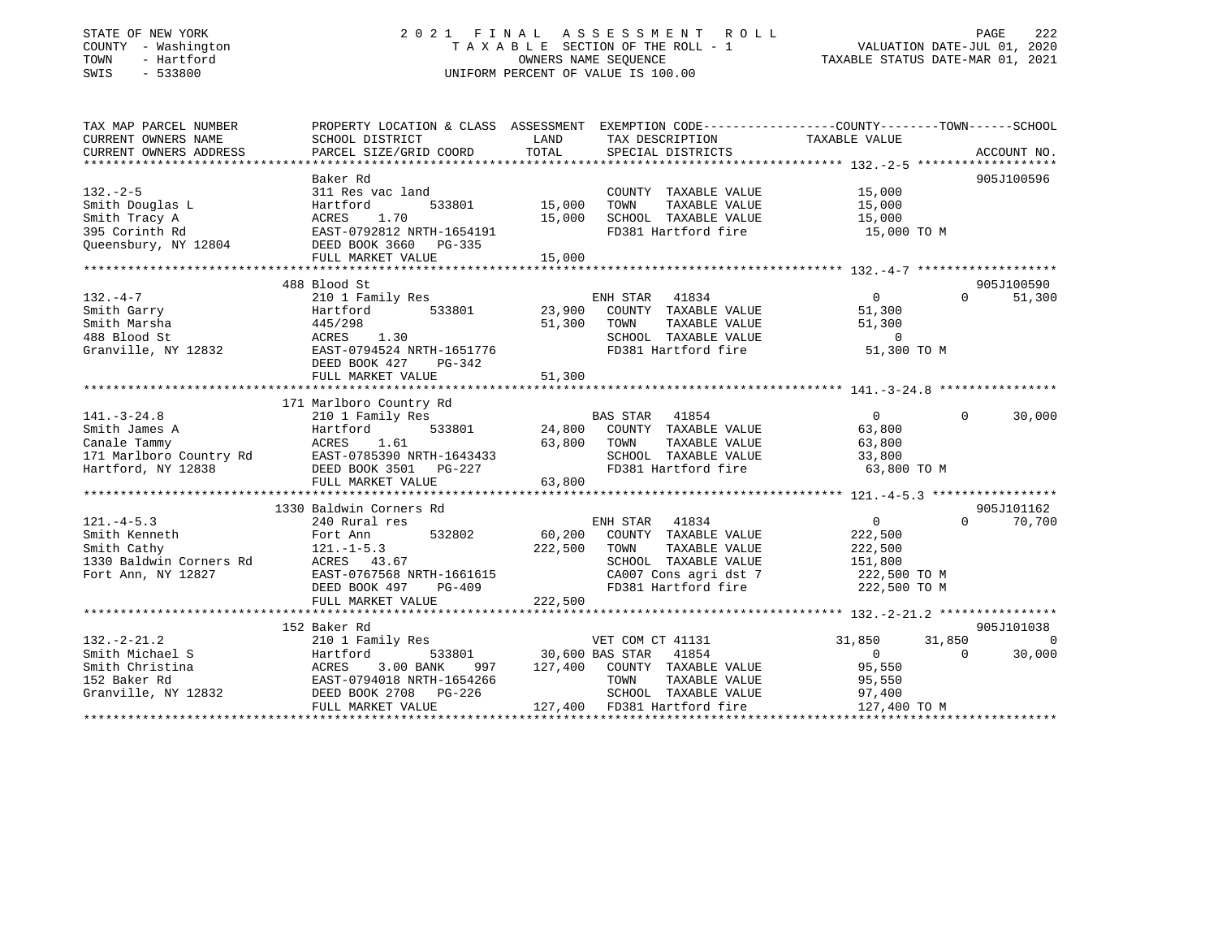#### STATE OF NEW YORK 2 0 2 1 F I N A L A S S E S S M E N T R O L L PAGE 222 COUNTY - Washington T A X A B L E SECTION OF THE ROLL - 1 VALUATION DATE-JUL 01, 2020 TOWN - Hartford OWNERS NAME SEQUENCE TAXABLE STATUS DATE-MAR 01, 2021 SWIS - 533800 UNIFORM PERCENT OF VALUE IS 100.00

| TAX MAP PARCEL NUMBER   | PROPERTY LOCATION & CLASS ASSESSMENT EXEMPTION CODE----------------COUNTY-------TOWN------SCHOOL                                                                                                                                                             |               |                                               |                             |                      |
|-------------------------|--------------------------------------------------------------------------------------------------------------------------------------------------------------------------------------------------------------------------------------------------------------|---------------|-----------------------------------------------|-----------------------------|----------------------|
| CURRENT OWNERS NAME     | SCHOOL DISTRICT                                                                                                                                                                                                                                              | LAND          | TAX DESCRIPTION                               | TAXABLE VALUE               |                      |
|                         |                                                                                                                                                                                                                                                              |               |                                               |                             |                      |
|                         |                                                                                                                                                                                                                                                              |               |                                               |                             |                      |
|                         | Baker Rd                                                                                                                                                                                                                                                     |               |                                               |                             | 905J100596           |
| $132 - 2 - 5$           | 311 Res vac land                                                                                                                                                                                                                                             |               | COUNTY TAXABLE VALUE 15,000                   |                             |                      |
| Smith Douglas L         | Hartford                                                                                                                                                                                                                                                     | 533801 15,000 | TOWN<br>TAXABLE VALUE                         | 15,000                      |                      |
|                         |                                                                                                                                                                                                                                                              | 15,000        | SCHOOL TAXABLE VALUE 15,000                   |                             |                      |
|                         |                                                                                                                                                                                                                                                              |               | FD381 Hartford fire                           | 15,000 TO M                 |                      |
|                         |                                                                                                                                                                                                                                                              |               |                                               |                             |                      |
|                         | Smith Tracy A<br>395 Corinth Rd<br>2013 (Queensbury, NY 12804)<br>2014 DEED BOOK 3660 PG-335                                                                                                                                                                 |               |                                               |                             |                      |
|                         |                                                                                                                                                                                                                                                              |               |                                               |                             |                      |
|                         | 488 Blood St                                                                                                                                                                                                                                                 |               |                                               |                             | 905J100590           |
| $132. -4 - 7$           |                                                                                                                                                                                                                                                              |               |                                               | $0 \qquad \qquad$           | 51,300<br>$\Omega$   |
|                         |                                                                                                                                                                                                                                                              |               |                                               | 51,300                      |                      |
| Smith Garry             |                                                                                                                                                                                                                                                              |               |                                               |                             |                      |
| Smith Marsha            | 445/298                                                                                                                                                                                                                                                      | 51,300        | TAXABLE VALUE<br>TOWN                         | 51,300                      |                      |
| 488 Blood St            | ACRES 1.30<br>EAST-0794524 NRTH-1651776                                                                                                                                                                                                                      |               | SCHOOL TAXABLE VALUE<br>FD381 Hartford fire   | $\overline{0}$              |                      |
| Granville, NY 12832     |                                                                                                                                                                                                                                                              |               |                                               | 51,300 TO M                 |                      |
|                         | DEED BOOK 427<br>PG-342                                                                                                                                                                                                                                      |               |                                               |                             |                      |
|                         | FULL MARKET VALUE                                                                                                                                                                                                                                            | 51,300        |                                               |                             |                      |
|                         |                                                                                                                                                                                                                                                              |               |                                               |                             |                      |
|                         | 171 Marlboro Country Rd                                                                                                                                                                                                                                      |               |                                               |                             |                      |
| $141. - 3 - 24.8$       | 210 1 Family Res                                                                                                                                                                                                                                             |               | BAS STAR 41854                                | $\overline{0}$              | $0 \t 30,000$        |
| Smith James A           | Hartford                                                                                                                                                                                                                                                     |               | 533801 24,800 COUNTY TAXABLE VALUE            | 63,800                      |                      |
|                         |                                                                                                                                                                                                                                                              |               |                                               |                             |                      |
|                         |                                                                                                                                                                                                                                                              |               |                                               |                             |                      |
|                         |                                                                                                                                                                                                                                                              |               |                                               |                             |                      |
|                         |                                                                                                                                                                                                                                                              |               |                                               |                             |                      |
|                         | Canale Tammy<br>1.61<br>2. ACRES 1.61<br>2. ACRES 1.61<br>2. ACRES 1.61<br>2. ACRES 1.61<br>2. ACRES 1.61<br>2. ACRES 1.61<br>2. ACRES 1.61<br>2. ACRES 1.61<br>2. ACRES 1.61<br>2. ACRES 1.61<br>2. ACRES 1.61<br>2. ACRES 1.61<br>2. ACRES 1.61<br>2. ACRE |               |                                               |                             |                      |
|                         | 1330 Baldwin Corners Rd                                                                                                                                                                                                                                      |               |                                               |                             | 905J101162           |
| $121. -4 - 5.3$         | 240 Rural res                                                                                                                                                                                                                                                |               | ENH STAR 41834                                | $\overline{0}$              | $\Omega$<br>70,700   |
| Smith Kenneth           |                                                                                                                                                                                                                                                              |               |                                               | 222,500                     |                      |
| Smith Cathy             | $121. -1 - 5.3$                                                                                                                                                                                                                                              | 222,500       | TOWN<br>TAXABLE VALUE                         | 222,500                     |                      |
| 1330 Baldwin Corners Rd |                                                                                                                                                                                                                                                              |               |                                               |                             |                      |
| Fort Ann, NY 12827      |                                                                                                                                                                                                                                                              |               | SCHOOL TAXABLE VALUE<br>CA007 Cons agri dst 7 | 151,800<br>222,500 TO M     |                      |
|                         | DEED BOOK 497<br>PG-409                                                                                                                                                                                                                                      |               | FD381 Hartford fire 222,500 TO M              |                             |                      |
|                         |                                                                                                                                                                                                                                                              | 222,500       |                                               |                             |                      |
|                         | FULL MARKET VALUE                                                                                                                                                                                                                                            |               |                                               |                             |                      |
|                         | 152 Baker Rd                                                                                                                                                                                                                                                 |               |                                               |                             | 905J101038           |
|                         | 210 1 Family Res                                                                                                                                                                                                                                             |               |                                               |                             |                      |
| $132 - 2 - 21.2$        |                                                                                                                                                                                                                                                              |               | VET COM CT 41131                              | 31,850<br>$0 \qquad \qquad$ | 31,850<br>$\bigcirc$ |
| Smith Michael S         | Hartford                                                                                                                                                                                                                                                     |               | 533801 30,600 BAS STAR 41854                  |                             | 30,000<br>$\Omega$   |
|                         |                                                                                                                                                                                                                                                              |               | 997 127,400 COUNTY TAXABLE VALUE              | 95,550                      |                      |
|                         |                                                                                                                                                                                                                                                              |               | TOWN<br>TAXABLE VALUE                         | 95,550                      |                      |
|                         |                                                                                                                                                                                                                                                              |               | SCHOOL TAXABLE VALUE 97,400                   |                             |                      |
|                         | FULL MARKET VALUE                                                                                                                                                                                                                                            |               | 127,400 FD381 Hartford fire                   | 127,400 TO M                |                      |
|                         |                                                                                                                                                                                                                                                              |               |                                               |                             |                      |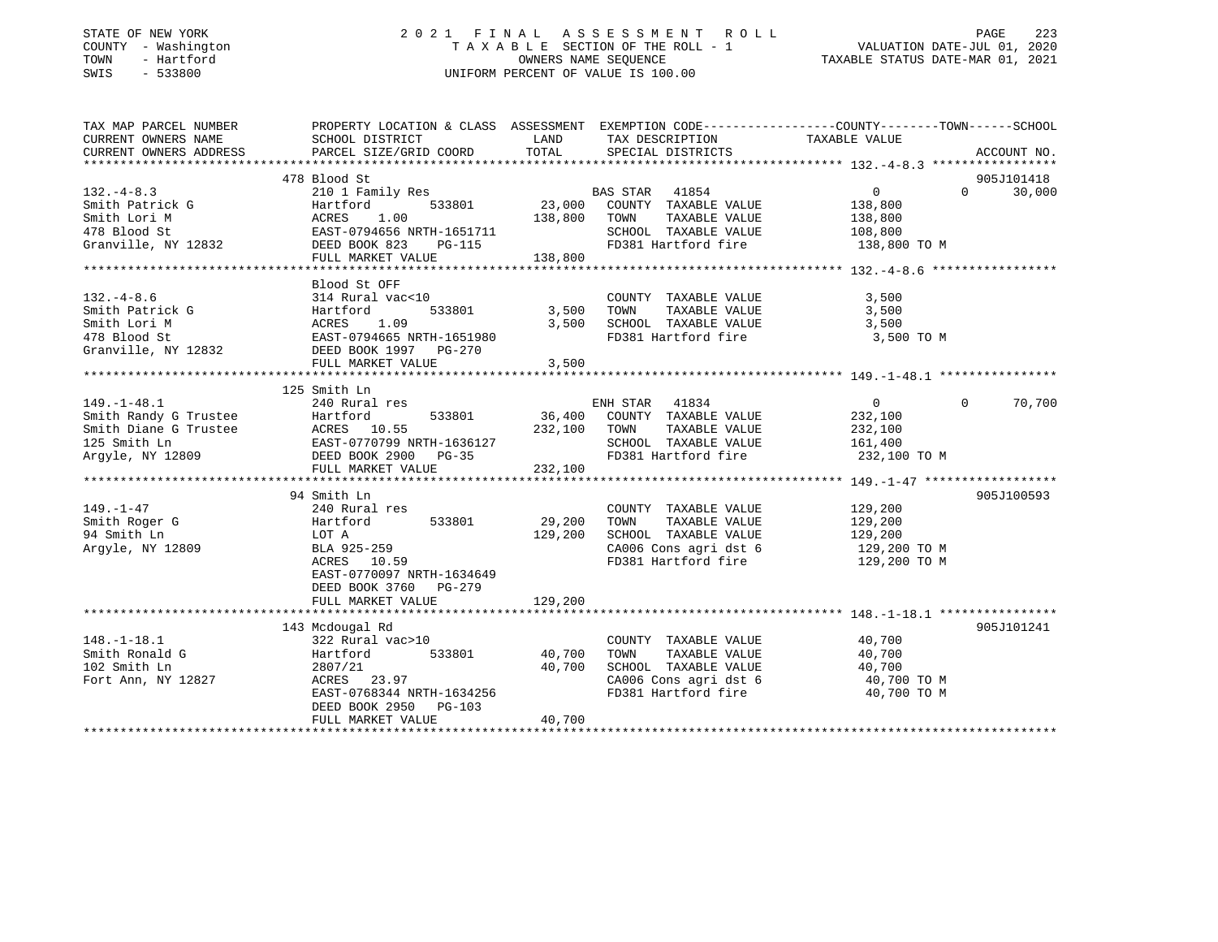### STATE OF NEW YORK 2 0 2 1 F I N A L A S S E S S M E N T R O L L PAGE 223 COUNTY - Washington T A X A B L E SECTION OF THE ROLL - 1 VALUATION DATE-JUL 01, 2020 TOWN - Hartford OWNERS NAME SEQUENCE TAXABLE STATUS DATE-MAR 01, 2021 SWIS - 533800 UNIFORM PERCENT OF VALUE IS 100.00UNIFORM PERCENT OF VALUE IS 100.00

| TAX MAP PARCEL NUMBER | PROPERTY LOCATION & CLASS ASSESSMENT EXEMPTION CODE---------------COUNTY-------TOWN-----SCHOOL                                                                                                                                                                                                                                                                                                                                      |         |                                                                                            |                                                |            |
|-----------------------|-------------------------------------------------------------------------------------------------------------------------------------------------------------------------------------------------------------------------------------------------------------------------------------------------------------------------------------------------------------------------------------------------------------------------------------|---------|--------------------------------------------------------------------------------------------|------------------------------------------------|------------|
| CURRENT OWNERS NAME   | SCHOOL DISTRICT                                                                                                                                                                                                                                                                                                                                                                                                                     |         | LAND TAX DESCRIPTION TAXABLE VALUE                                                         |                                                |            |
|                       |                                                                                                                                                                                                                                                                                                                                                                                                                                     |         |                                                                                            |                                                |            |
|                       |                                                                                                                                                                                                                                                                                                                                                                                                                                     |         |                                                                                            |                                                |            |
|                       | 478 Blood St                                                                                                                                                                                                                                                                                                                                                                                                                        |         |                                                                                            |                                                | 905J101418 |
| $132. -4 - 8.3$       | and the studies of the studies of the studies of the studies of the studies of the studies of the studies of t<br>Hartford 533801 533801 23,000 COUNTY TAXABLE VALUE 138,800                                                                                                                                                                                                                                                        |         |                                                                                            |                                                | 30,000     |
|                       |                                                                                                                                                                                                                                                                                                                                                                                                                                     |         |                                                                                            |                                                |            |
|                       |                                                                                                                                                                                                                                                                                                                                                                                                                                     |         |                                                                                            |                                                |            |
|                       |                                                                                                                                                                                                                                                                                                                                                                                                                                     |         |                                                                                            |                                                |            |
|                       |                                                                                                                                                                                                                                                                                                                                                                                                                                     |         |                                                                                            |                                                |            |
|                       |                                                                                                                                                                                                                                                                                                                                                                                                                                     |         |                                                                                            |                                                |            |
|                       | $\begin{tabular}{lllllllllllllllllllll} \texttt{132.--4-8.5} & \texttt{210 I family} & \texttt{new} & \texttt{132.--4-8.5} & \texttt{210 I family} & \texttt{new} & \texttt{138.800} & \texttt{23.000} & \texttt{COUNT} & \texttt{TXABLE VALUE} & \texttt{138.800} \\ \texttt{Smith} & \texttt{Joint} & \texttt{Martford} & \texttt{ACRES} & 1.00 & 138,800 & \texttt{TONNABLE VALUE} & 138,800 \\ \texttt{478 Blood St} & \texttt$ |         |                                                                                            |                                                |            |
|                       | Blood St OFF                                                                                                                                                                                                                                                                                                                                                                                                                        |         |                                                                                            |                                                |            |
| $132. -4 - 8.6$       | 314 Rural vac<10                                                                                                                                                                                                                                                                                                                                                                                                                    |         | COUNTY TAXABLE VALUE                                                                       | 3,500                                          |            |
|                       | 533801 3,500 TOWN                                                                                                                                                                                                                                                                                                                                                                                                                   |         |                                                                                            | TAXABLE VALUE 3,500                            |            |
|                       | 132.-4-8.6<br>Smith Patrick G<br>Smith Lori M<br>478 Blood St<br>Granville, NY 12832<br>$\begin{array}{ccc}\n & 14 & \text{Rural Vac} < 10 \\ \text{Hartford} & 533801 & 3,500 \\ \text{ACRES} & 1.09 & 3,500 \\ \text{EAST-0794665 NRTH-1651980} & & \\ \text{EAST-0794665 NRTH-1651980} & & \\ \text{DESD} & 97 & 97 & $                                                                                                          |         | 3,500 SCHOOL TAXABLE VALUE                                                                 | 3,500                                          |            |
|                       |                                                                                                                                                                                                                                                                                                                                                                                                                                     |         | FD381 Hartford fire 3,500 TO M                                                             |                                                |            |
|                       |                                                                                                                                                                                                                                                                                                                                                                                                                                     |         |                                                                                            |                                                |            |
|                       |                                                                                                                                                                                                                                                                                                                                                                                                                                     | 3,500   |                                                                                            |                                                |            |
|                       | FULL MARKET VALUE                                                                                                                                                                                                                                                                                                                                                                                                                   |         |                                                                                            |                                                |            |
|                       |                                                                                                                                                                                                                                                                                                                                                                                                                                     |         |                                                                                            |                                                |            |
|                       | 125 Smith Ln                                                                                                                                                                                                                                                                                                                                                                                                                        |         |                                                                                            |                                                |            |
| $149. - 1 - 48.1$     | 240 Rural res                                                                                                                                                                                                                                                                                                                                                                                                                       |         | res<br>533801 36,400 COUNTY TAXABLE VALUE<br>533801 36,400 COUNTY TAXABLE VALUE<br>232,100 |                                                | 70,700     |
|                       |                                                                                                                                                                                                                                                                                                                                                                                                                                     |         |                                                                                            |                                                |            |
|                       |                                                                                                                                                                                                                                                                                                                                                                                                                                     |         |                                                                                            |                                                |            |
|                       |                                                                                                                                                                                                                                                                                                                                                                                                                                     |         |                                                                                            |                                                |            |
|                       |                                                                                                                                                                                                                                                                                                                                                                                                                                     |         |                                                                                            |                                                |            |
|                       |                                                                                                                                                                                                                                                                                                                                                                                                                                     |         |                                                                                            |                                                |            |
|                       | 129.100<br>Smith Randy G Trustee Hartford 533801 36,400 COUNTY TAXABLE VALUE 232,100<br>Smith Diane G Trustee ACRES 10.55 232,100 TOWN TAXABLE VALUE 232,100<br>125 Smith Ln EAST-0770799 NRTH-1636127 5CHOOL TAXABLE VALUE 161,400<br>                                                                                                                                                                                             |         |                                                                                            |                                                |            |
|                       | 94 Smith Ln                                                                                                                                                                                                                                                                                                                                                                                                                         |         |                                                                                            |                                                | 905J100593 |
| 149.–1–47             | 240 Rural res                                                                                                                                                                                                                                                                                                                                                                                                                       |         | COUNTY TAXABLE VALUE 129,200                                                               |                                                |            |
|                       |                                                                                                                                                                                                                                                                                                                                                                                                                                     | 29,200  | TOWN                                                                                       | TAXABLE VALUE 129,200<br>TAXABLE VALUE 129,200 |            |
|                       |                                                                                                                                                                                                                                                                                                                                                                                                                                     | 129,200 | SCHOOL TAXABLE VALUE                                                                       |                                                |            |
|                       |                                                                                                                                                                                                                                                                                                                                                                                                                                     |         | CA006 Cons agri dst 6 129,200 TO M                                                         |                                                |            |
|                       | ed aminum argyle, NY 12809<br>Argyle, NY 12809 BLA 925-259<br>ACRES 10.59                                                                                                                                                                                                                                                                                                                                                           |         | FD381 Hartford fire                                                                        | 129,200 TO M                                   |            |
|                       | EAST-0770097 NRTH-1634649                                                                                                                                                                                                                                                                                                                                                                                                           |         |                                                                                            |                                                |            |
|                       | DEED BOOK 3760 PG-279                                                                                                                                                                                                                                                                                                                                                                                                               |         |                                                                                            |                                                |            |
|                       | FULL MARKET VALUE                                                                                                                                                                                                                                                                                                                                                                                                                   | 129,200 |                                                                                            |                                                |            |
|                       |                                                                                                                                                                                                                                                                                                                                                                                                                                     |         |                                                                                            |                                                |            |
|                       | 143 Mcdougal Rd                                                                                                                                                                                                                                                                                                                                                                                                                     |         |                                                                                            |                                                | 905J101241 |
|                       |                                                                                                                                                                                                                                                                                                                                                                                                                                     |         | COUNTY TAXABLE VALUE 40,700                                                                |                                                |            |
|                       |                                                                                                                                                                                                                                                                                                                                                                                                                                     |         | TOWN                                                                                       |                                                |            |
|                       |                                                                                                                                                                                                                                                                                                                                                                                                                                     |         | SCHOOL TAXABLE VALUE                                                                       | TAXABLE VALUE 40,700<br>TAXABLE VALUE 40,700   |            |
|                       |                                                                                                                                                                                                                                                                                                                                                                                                                                     |         | CA006 Cons agri dst 6 40,700 TO M                                                          |                                                |            |
|                       |                                                                                                                                                                                                                                                                                                                                                                                                                                     |         | FD381 Hartford fire                                                                        | 40,700 TO M                                    |            |
|                       |                                                                                                                                                                                                                                                                                                                                                                                                                                     |         |                                                                                            |                                                |            |
|                       | ACRES 23.97<br>EAST-0768344 NRTH-1634256<br>DEED BOOK 2950 PG-103<br>RILL WICH                                                                                                                                                                                                                                                                                                                                                      |         |                                                                                            |                                                |            |
|                       | FULL MARKET VALUE                                                                                                                                                                                                                                                                                                                                                                                                                   | 40,700  |                                                                                            |                                                |            |
|                       |                                                                                                                                                                                                                                                                                                                                                                                                                                     |         |                                                                                            |                                                |            |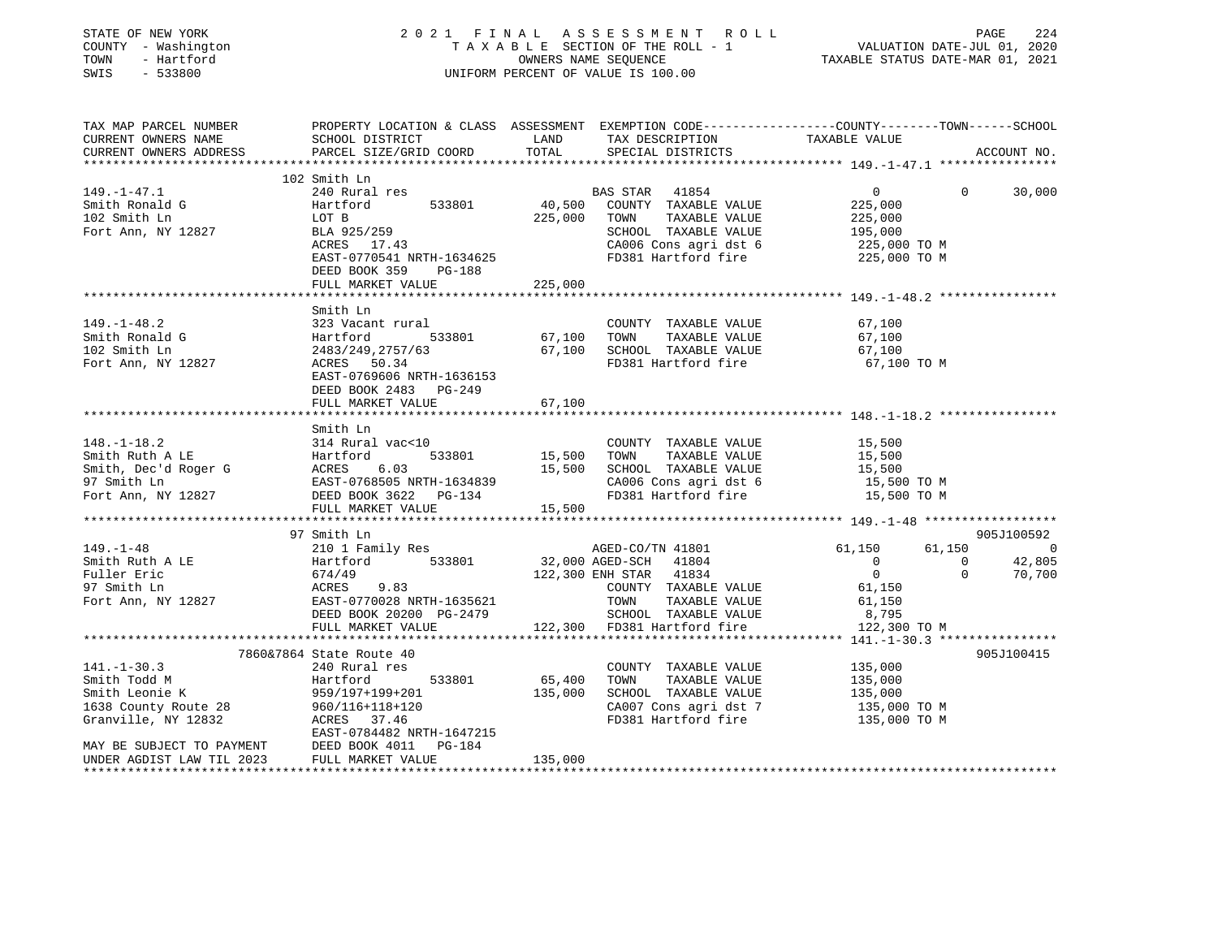| STATE OF NEW YORK<br>COUNTY - Washington<br>TOWN<br>- Hartford<br>SWIS<br>$-533800$                                                                           |                                                                                                                                                                                                 |                                   | 2021 FINAL ASSESSMENT ROLL<br>UNIFORM PERCENT OF VALUE IS 100.00                                                                                                                                       | $\begin{tabular}{lllllllllll} \multicolumn{2}{c l} \multicolumn{2}{c l} \multicolumn{2}{c l} \multicolumn{2}{c l} \multicolumn{2}{c l} \multicolumn{2}{c l} \multicolumn{2}{c l} \multicolumn{2}{c l} \multicolumn{2}{c l} \multicolumn{2}{c l} \multicolumn{2}{c l} \multicolumn{2}{c l} \multicolumn{2}{c l} \multicolumn{2}{c l} \multicolumn{2}{c l} \multicolumn{2}{c l} \multicolumn{2}{c l} \multicolumn{2}{c l} \multicolumn{2}{c $ | PAGE<br>224                  |
|---------------------------------------------------------------------------------------------------------------------------------------------------------------|-------------------------------------------------------------------------------------------------------------------------------------------------------------------------------------------------|-----------------------------------|--------------------------------------------------------------------------------------------------------------------------------------------------------------------------------------------------------|---------------------------------------------------------------------------------------------------------------------------------------------------------------------------------------------------------------------------------------------------------------------------------------------------------------------------------------------------------------------------------------------------------------------------------------------|------------------------------|
| TAX MAP PARCEL NUMBER<br>CURRENT OWNERS NAME<br>CURRENT OWNERS ADDRESS                                                                                        | SCHOOL DISTRICT<br>PARCEL SIZE/GRID COORD                                                                                                                                                       | LAND<br>TOTAL                     | TAX DESCRIPTION<br>SPECIAL DISTRICTS                                                                                                                                                                   | PROPERTY LOCATION & CLASS ASSESSMENT EXEMPTION CODE---------------COUNTY-------TOWN-----SCHOOL<br>TAXABLE VALUE                                                                                                                                                                                                                                                                                                                             | ACCOUNT NO.                  |
|                                                                                                                                                               | 102 Smith Ln                                                                                                                                                                                    |                                   |                                                                                                                                                                                                        |                                                                                                                                                                                                                                                                                                                                                                                                                                             |                              |
| $149. - 1 - 47.1$<br>Smith Ronald G<br>102 Smith Ln<br>Fort Ann, NY 12827                                                                                     | 240 Rural res<br>Hartford<br>533801<br>LOT B<br>BLA 925/259<br>$ACRES$ 17.43<br>EAST-0770541 NRTH-1634625<br>DEED BOOK 359 PG-188                                                               | 40,500<br>225,000                 | BAS STAR 41854<br>COUNTY TAXABLE VALUE<br>TOWN TAXABLE VALUE<br>SCHOOL TAXABLE VALUE<br>CA006 Cons agri dst 6<br>FD381 Hartford fire                                                                   | $\overline{0}$<br>$\overline{0}$<br>225,000<br>225,000<br>195,000<br>225,000 TO M<br>225,000 TO M                                                                                                                                                                                                                                                                                                                                           | 30,000                       |
|                                                                                                                                                               | FULL MARKET VALUE                                                                                                                                                                               | 225,000                           |                                                                                                                                                                                                        |                                                                                                                                                                                                                                                                                                                                                                                                                                             |                              |
| $149. - 1 - 48.2$<br>Smith Ronald G<br>102 Smith Ln<br>Fort Ann, NY 12827                                                                                     | Smith Ln<br>323 Vacant rural<br>Hartford<br>533801<br>2483/249,2757/63<br>ACRES 50.34<br>EAST-0769606 NRTH-1636153<br>DEED BOOK 2483 PG-249<br>FULL MARKET VALUE                                | 67,100                            | COUNTY TAXABLE VALUE<br>67,100 TOWN TAXABLE VALUE<br>67,100 SCHOOL TAXABLE VALUE<br>FD381 Hartford fire                                                                                                | 67,100<br>67,100<br>67,100<br>67,100 TO M                                                                                                                                                                                                                                                                                                                                                                                                   |                              |
|                                                                                                                                                               |                                                                                                                                                                                                 |                                   |                                                                                                                                                                                                        |                                                                                                                                                                                                                                                                                                                                                                                                                                             |                              |
| $148. - 1 - 18.2$<br>Smith Ruth A LE<br>Smith, Dec'd Roger G<br>97 Smith Ln<br>Fort Ann, NY 12827                                                             | Smith Ln<br>314 Rural vac<10<br>EAST-0768505 NRTH-1634839<br>DEED BOOK 3622 PG-134                                                                                                              | 533801 15,500<br>15,500           | COUNTY TAXABLE VALUE<br>TAXABLE VALUE<br>TOWN<br>SCHOOL TAXABLE VALUE<br>CA006 Cons agri dst 6<br>FD381 Hartford fire                                                                                  | 15,500<br>15,500<br>15,500<br>15,500 TO M<br>15,500 TO M                                                                                                                                                                                                                                                                                                                                                                                    |                              |
|                                                                                                                                                               | FULL MARKET VALUE                                                                                                                                                                               | 15,500                            |                                                                                                                                                                                                        |                                                                                                                                                                                                                                                                                                                                                                                                                                             |                              |
|                                                                                                                                                               | 97 Smith Ln                                                                                                                                                                                     |                                   |                                                                                                                                                                                                        |                                                                                                                                                                                                                                                                                                                                                                                                                                             | 905J100592                   |
| $149. - 1 - 48$<br>Smith Ruth A LE<br>Fuller Eric<br>97 Smith Ln<br>Fort Ann, NY 12827                                                                        | 210 1 Family Res<br>Hartford 533801<br>674/49<br>ACRES 9.83<br>EAST-0770028 NRTH-1635621<br>DEED BOOK 20200 PG-2479<br>FULL MARKET VALUE                                                        |                                   | AGED-CO/TN 41801<br>32,000 AGED-SCH 41804<br>AGED-CO/TN 41801 61,150<br>122,300 ENH STAR 41834<br>COUNTY TAXABLE VALUE<br>TOWN<br>TAXABLE VALUE<br>SCHOOL TAXABLE VALUE<br>122,300 FD381 Hartford fire | 61,150<br>$\overline{0}$<br>$\overline{0}$<br>$\overline{0}$<br>$\Omega$<br>61,150<br>61,150<br>8,795<br>122,300 TO M                                                                                                                                                                                                                                                                                                                       | $\sim$ 0<br>42,805<br>70,700 |
|                                                                                                                                                               |                                                                                                                                                                                                 |                                   |                                                                                                                                                                                                        |                                                                                                                                                                                                                                                                                                                                                                                                                                             |                              |
| $141. - 1 - 30.3$<br>Smith Todd M<br>Smith Leonie K<br>1638 County Route 28<br>1638 County Route 28<br>MAY BE SUBJECT TO PAYMENT<br>UNDER AGDIST LAW TIL 2023 | 7860&7864 State Route 40<br>240 Rural res<br>Hartford<br>533801<br>959/197+199+201<br>960/116+118+120<br>ACRES 37.46<br>EAST-0784482 NRTH-1647215<br>DEED BOOK 4011 PG-184<br>FULL MARKET VALUE | 65,400 TOWN<br>135,000<br>135,000 | COUNTY TAXABLE VALUE<br>TAXABLE VALUE<br>SCHOOL TAXABLE VALUE<br>CA007 Cons agri dst 7<br>FD381 Hartford fire                                                                                          | 135,000<br>135,000<br>135,000<br>135,000 TO M<br>135,000 TO M                                                                                                                                                                                                                                                                                                                                                                               | 905J100415                   |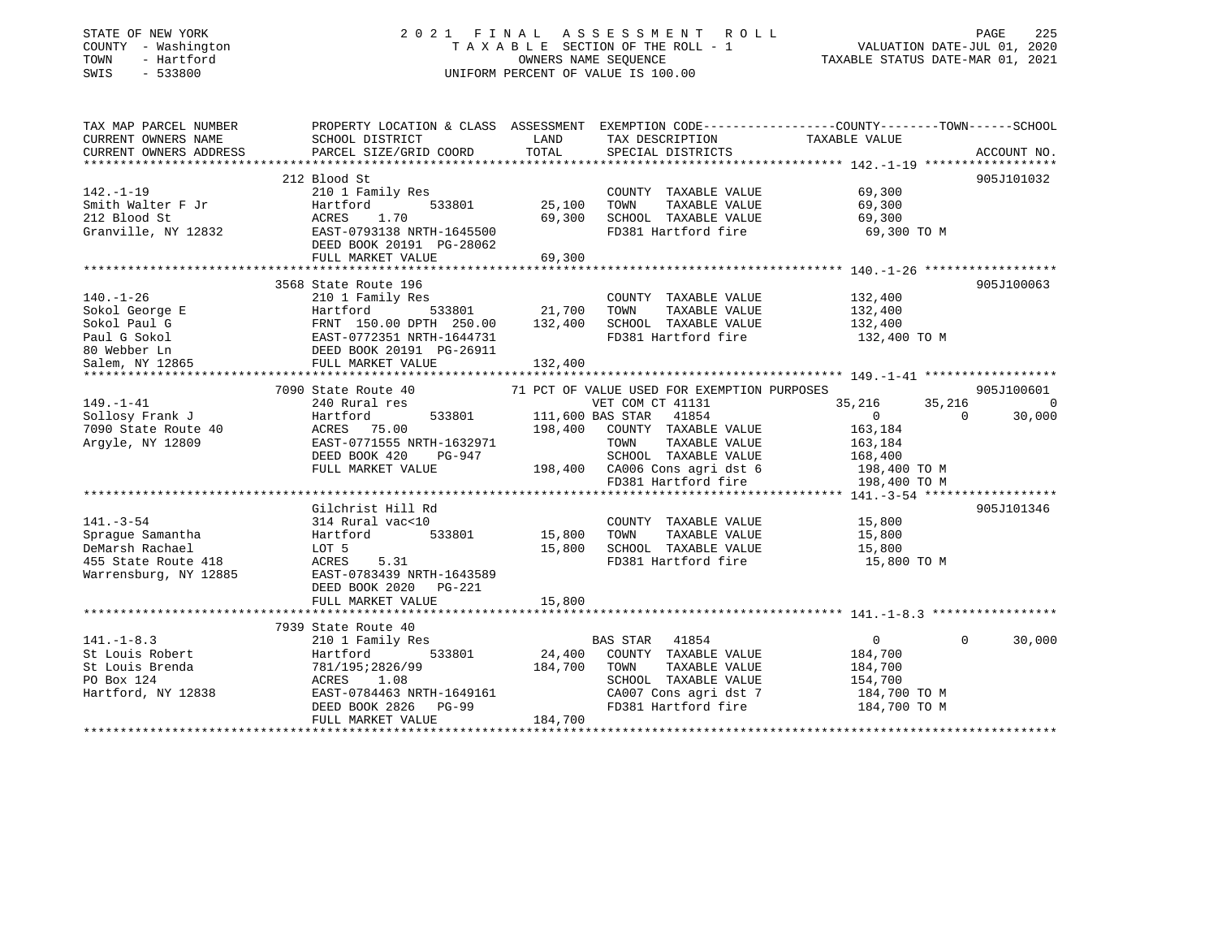| STATE OF NEW YORK |              |
|-------------------|--------------|
| COUNTY            | - Washington |
| TOWN              | - Hartford   |
| OMT O             | E 22000      |

## STATE OF NEW YORK 2 0 2 1 F I N A L A S S E S S M E N T R O L L PAGE 225T A X A B L E SECTION OF THE ROLL - 1<br>OWNERS NAME SEQUENCE SWIS - 533800 UNIFORM PERCENT OF VALUE IS 100.00

TAXABLE STATUS DATE-MAR 01, 2021

| TAX MAP PARCEL NUMBER |                                                                                                                                                                                                                                |               |                                                                                                         | PROPERTY LOCATION & CLASS ASSESSMENT EXEMPTION CODE----------------COUNTY-------TOWN------SCHOOL |            |
|-----------------------|--------------------------------------------------------------------------------------------------------------------------------------------------------------------------------------------------------------------------------|---------------|---------------------------------------------------------------------------------------------------------|--------------------------------------------------------------------------------------------------|------------|
| CURRENT OWNERS NAME   | SCHOOL DISTRICT                                                                                                                                                                                                                | LAND          | TAX DESCRIPTION                                                                                         | TAXABLE VALUE                                                                                    |            |
|                       |                                                                                                                                                                                                                                |               |                                                                                                         |                                                                                                  |            |
|                       |                                                                                                                                                                                                                                |               |                                                                                                         |                                                                                                  |            |
|                       | 212 Blood St                                                                                                                                                                                                                   |               |                                                                                                         |                                                                                                  | 905J101032 |
| $142. - 1 - 19$       | 210 1 Family Res                                                                                                                                                                                                               |               | COUNTY TAXABLE VALUE 69,300                                                                             |                                                                                                  |            |
| Smith Walter F Jr     | 533801<br>Hartford                                                                                                                                                                                                             | 25,100        | TAXABLE VALUE<br>TOWN                                                                                   | 69,300                                                                                           |            |
| 212 Blood St          | ACRES 1.70                                                                                                                                                                                                                     | 69,300        | SCHOOL TAXABLE VALUE                                                                                    | 69,300                                                                                           |            |
|                       | Granville, NY 12832 EAST-0793138 NRTH-1645500                                                                                                                                                                                  |               | FD381 Hartford fire                                                                                     | 69,300 TO M                                                                                      |            |
|                       | DEED BOOK 20191 PG-28062                                                                                                                                                                                                       |               |                                                                                                         |                                                                                                  |            |
|                       | FULL MARKET VALUE                                                                                                                                                                                                              | 69,300        |                                                                                                         |                                                                                                  |            |
|                       |                                                                                                                                                                                                                                |               |                                                                                                         |                                                                                                  |            |
|                       | 3568 State Route 196                                                                                                                                                                                                           |               |                                                                                                         |                                                                                                  | 905J100063 |
| $140. - 1 - 26$       | 210 1 Family Res                                                                                                                                                                                                               |               | COUNTY TAXABLE VALUE 132,400                                                                            |                                                                                                  |            |
|                       |                                                                                                                                                                                                                                |               |                                                                                                         |                                                                                                  |            |
|                       |                                                                                                                                                                                                                                |               |                                                                                                         | 132,400                                                                                          |            |
|                       |                                                                                                                                                                                                                                |               |                                                                                                         |                                                                                                  |            |
|                       |                                                                                                                                                                                                                                |               |                                                                                                         |                                                                                                  |            |
|                       |                                                                                                                                                                                                                                |               |                                                                                                         |                                                                                                  |            |
|                       |                                                                                                                                                                                                                                |               |                                                                                                         |                                                                                                  |            |
|                       | Note that the corresponding to the main of the main of the corresponding to the main of the corresponding to the main of the corresponding to the corresponding to the main of the corresponding to the corresponding to the c |               |                                                                                                         |                                                                                                  |            |
|                       | 7090 State Route 40                                                                                                                                                                                                            |               | 71 PCT OF VALUE USED FOR EXEMPTION PURPOSES                                                             |                                                                                                  | 905J100601 |
| $149. - 1 - 41$       | 240 Rural res                                                                                                                                                                                                                  |               | VET COM CT 41131                                                                                        | 35,216                                                                                           | 35,216 0   |
| Sollosy Frank J       | Hartford 533801<br>40 ACRES 75.00<br>EAST-0771555 NRTH-1632971                                                                                                                                                                 |               | 111,600 BAS STAR 41854                                                                                  | $\sim$ 0<br>$\Omega$                                                                             | 30,000     |
| 7090 State Route 40   |                                                                                                                                                                                                                                | 198,400       | COUNTY TAXABLE VALUE                                                                                    | 163,184                                                                                          |            |
| Argyle, NY 12809      |                                                                                                                                                                                                                                |               |                                                                                                         |                                                                                                  |            |
|                       | DEED BOOK 420<br>PG-947                                                                                                                                                                                                        |               |                                                                                                         |                                                                                                  |            |
|                       | FULL MARKET VALUE                                                                                                                                                                                                              |               | TOWN TAXABLE VALUE 163,184<br>SCHOOL TAXABLE VALUE 168,400<br>198,400 CA006 Cons agridst 6 198,400 TO M |                                                                                                  |            |
|                       |                                                                                                                                                                                                                                |               | FD381 Hartford fire                                                                                     | 198,400 TO M                                                                                     |            |
|                       |                                                                                                                                                                                                                                |               |                                                                                                         |                                                                                                  |            |
|                       | Gilchrist Hill Rd                                                                                                                                                                                                              |               |                                                                                                         |                                                                                                  | 905J101346 |
| $141. - 3 - 54$       | 314 Rural vac<10                                                                                                                                                                                                               |               | COUNTY TAXABLE VALUE 15,800                                                                             |                                                                                                  |            |
| Sprague Samantha      | Hartford                                                                                                                                                                                                                       | 533801 15,800 | TAXABLE VALUE<br>TOWN                                                                                   | 15,800                                                                                           |            |
|                       |                                                                                                                                                                                                                                | 15,800        | SCHOOL TAXABLE VALUE                                                                                    | 15,800                                                                                           |            |
|                       | 5.31                                                                                                                                                                                                                           |               | FD381 Hartford fire                                                                                     | 15,800 TO M                                                                                      |            |
|                       | Warrensburg, NY 12885 EAST-0783439 NRTH-1643589                                                                                                                                                                                |               |                                                                                                         |                                                                                                  |            |
|                       | DEED BOOK 2020 PG-221                                                                                                                                                                                                          |               |                                                                                                         |                                                                                                  |            |
|                       |                                                                                                                                                                                                                                | 15,800        |                                                                                                         |                                                                                                  |            |
|                       | FULL MARKET VALUE                                                                                                                                                                                                              |               |                                                                                                         |                                                                                                  |            |
|                       |                                                                                                                                                                                                                                |               |                                                                                                         |                                                                                                  |            |
|                       | 7939 State Route 40                                                                                                                                                                                                            |               |                                                                                                         | $\Omega$                                                                                         |            |
| $141. - 1 - 8.3$      | 210 1 Family Res                                                                                                                                                                                                               |               | BAS STAR 41854                                                                                          | $\overline{0}$                                                                                   | 30,000     |
| St Louis Robert       | 533801<br>Hartford<br>Hartford<br>781/195;2826/99                                                                                                                                                                              |               | 24,400 COUNTY TAXABLE VALUE                                                                             | 184,700                                                                                          |            |
| St Louis Brenda       |                                                                                                                                                                                                                                | 184,700       | TOWN<br>TAXABLE VALUE                                                                                   | 184,700                                                                                          |            |
| PO Box 124            |                                                                                                                                                                                                                                |               | SCHOOL TAXABLE VALUE                                                                                    | 154,700                                                                                          |            |
| Hartford, NY 12838    | ACRES 1.00<br>EAST-0784463 NRTH-1649161<br>And Dana DG-99                                                                                                                                                                      |               | CA007 Cons agri dst 7                                                                                   | 184,700 TO M                                                                                     |            |
|                       |                                                                                                                                                                                                                                |               | FD381 Hartford fire                                                                                     | 184,700 TO M                                                                                     |            |
|                       | FULL MARKET VALUE                                                                                                                                                                                                              | 184,700       |                                                                                                         |                                                                                                  |            |
|                       |                                                                                                                                                                                                                                |               |                                                                                                         |                                                                                                  |            |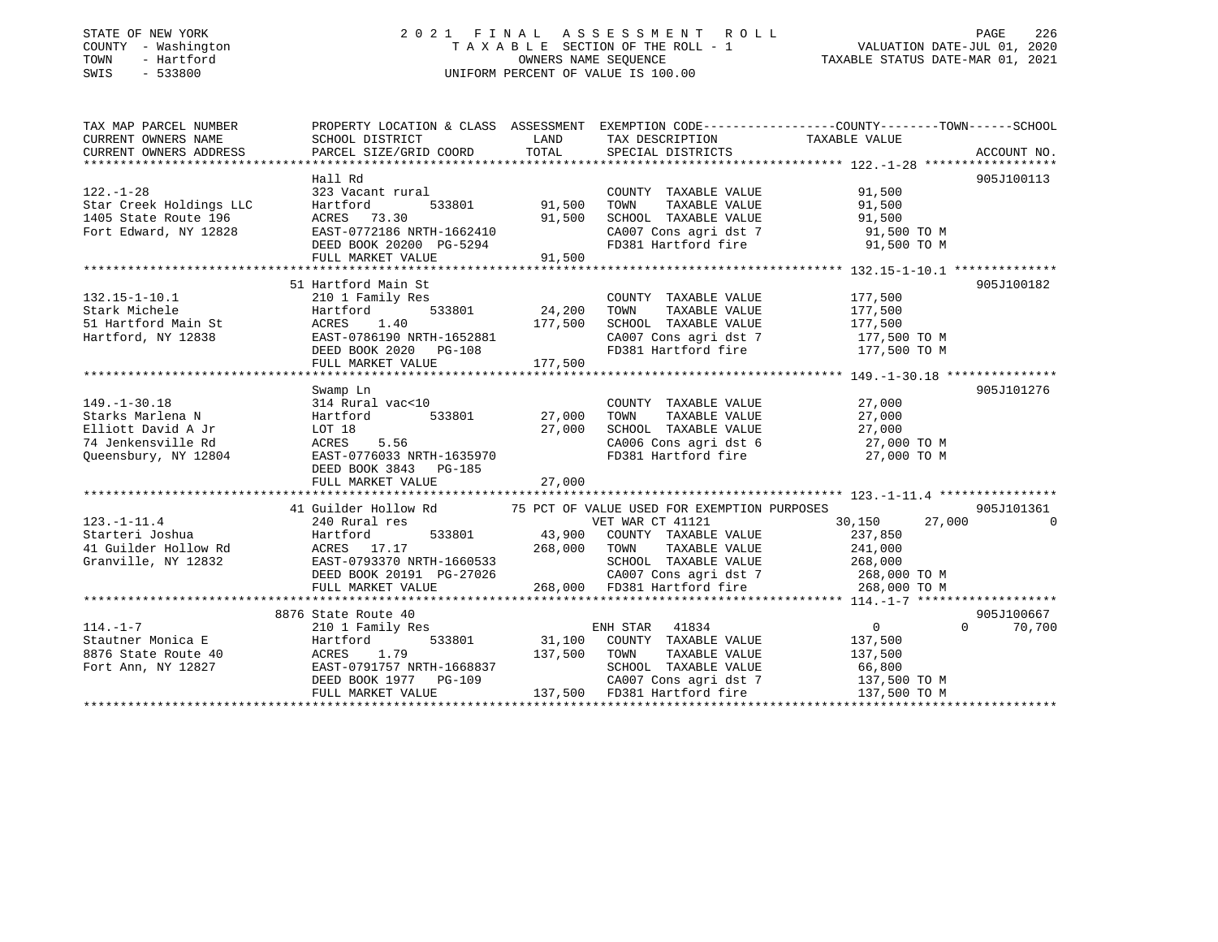### STATE OF NEW YORK 2 0 2 1 F I N A L A S S E S S M E N T R O L L PAGE 226 COUNTY - Washington T A X A B L E SECTION OF THE ROLL - 1 VALUATION DATE-JUL 01, 2020 TOWN - Hartford OWNERS NAME SEQUENCE TAXABLE STATUS DATE-MAR 01, 2021 SWIS - 533800 UNIFORM PERCENT OF VALUE IS 100.00

| TAX MAP PARCEL NUMBER   | PROPERTY LOCATION & CLASS ASSESSMENT EXEMPTION CODE----------------COUNTY-------TOWN------SCHOOL                                                                                                                                                                             |                                                                                                                     |                                                                  |                                                                      |                    |
|-------------------------|------------------------------------------------------------------------------------------------------------------------------------------------------------------------------------------------------------------------------------------------------------------------------|---------------------------------------------------------------------------------------------------------------------|------------------------------------------------------------------|----------------------------------------------------------------------|--------------------|
| CURRENT OWNERS NAME     | SCHOOL DISTRICT                                                                                                                                                                                                                                                              | <b>EXAMPLE TO A LAND THE SECOND SERVICE SERVICE SERVICE SERVICE SERVICE SERVICE SERVICE SERVICE SERVICE SERVICE</b> | TAX DESCRIPTION TAXABLE VALUE                                    |                                                                      |                    |
| CURRENT OWNERS ADDRESS  |                                                                                                                                                                                                                                                                              |                                                                                                                     |                                                                  |                                                                      |                    |
|                         |                                                                                                                                                                                                                                                                              |                                                                                                                     |                                                                  |                                                                      |                    |
|                         | Hall Rd                                                                                                                                                                                                                                                                      |                                                                                                                     |                                                                  |                                                                      | 905J100113         |
| $122. - 1 - 28$         | 323 Vacant rural                                                                                                                                                                                                                                                             |                                                                                                                     | COUNTY TAXABLE VALUE 91,500                                      |                                                                      |                    |
| Star Creek Holdings LLC | 533801 91,500<br>Hartford                                                                                                                                                                                                                                                    |                                                                                                                     | TOWN<br>TOWN TAXABLE VALUE 91,500<br>SCHOOL TAXABLE VALUE 91,500 |                                                                      |                    |
|                         | ACRES 73.30<br>2014 1405 State Route 196 MCRES (2012)<br>Fort Edward, NY 12828 EAST-0772186 NRTH-1662410                                                                                                                                                                     |                                                                                                                     |                                                                  |                                                                      |                    |
|                         |                                                                                                                                                                                                                                                                              |                                                                                                                     |                                                                  | CA007 Cons agri dst 7 91,500 TO M                                    |                    |
|                         | DEED BOOK 20200 PG-5294<br>FULL MARKET VALUE 91,500                                                                                                                                                                                                                          |                                                                                                                     | FD381 Hartford fire                                              | 91,500 TO M                                                          |                    |
|                         |                                                                                                                                                                                                                                                                              |                                                                                                                     |                                                                  |                                                                      |                    |
|                         |                                                                                                                                                                                                                                                                              |                                                                                                                     |                                                                  |                                                                      |                    |
|                         | 51 Hartford Main St                                                                                                                                                                                                                                                          |                                                                                                                     |                                                                  |                                                                      | 905J100182         |
| $132.15 - 1 - 10.1$     | 210 1 Family Res                                                                                                                                                                                                                                                             |                                                                                                                     | COUNTY TAXABLE VALUE 177,500                                     |                                                                      |                    |
|                         |                                                                                                                                                                                                                                                                              |                                                                                                                     |                                                                  |                                                                      |                    |
|                         |                                                                                                                                                                                                                                                                              |                                                                                                                     |                                                                  |                                                                      |                    |
|                         |                                                                                                                                                                                                                                                                              |                                                                                                                     |                                                                  |                                                                      |                    |
|                         |                                                                                                                                                                                                                                                                              |                                                                                                                     |                                                                  |                                                                      |                    |
|                         |                                                                                                                                                                                                                                                                              |                                                                                                                     |                                                                  |                                                                      |                    |
|                         | 132.15-1-10.1<br>Stark Michele Hartford 533801 24,200 TOWN TAXABLE VALUE<br>51 Hartford Main St<br>EAST-0786190 NRTH-1652881 2A007 Cons agri dst 7 177,500 TOM<br>FULL MARKET VALUE 177,500 2010 FD381 Hartford fire 177,500 TOM<br>FULL                                     |                                                                                                                     |                                                                  |                                                                      |                    |
|                         | Swamp Ln                                                                                                                                                                                                                                                                     |                                                                                                                     |                                                                  |                                                                      | 905J101276         |
|                         |                                                                                                                                                                                                                                                                              |                                                                                                                     | COUNTY TAXABLE VALUE<br>TOWN TAXABLE VALUE 77,000                |                                                                      |                    |
|                         | 149.-1-30.18<br>Starks Marlena N<br>Elliott David A Jr<br>74 Jenkensville Rd<br>27,000<br>27,000<br>27,000<br>27,000<br>27,000<br>27,000<br>27,000<br>27,000<br>27,000<br>27,000<br>27,000<br>27,000<br>27,000<br>27,000<br>27,000<br>27,000<br>28<br>27,000<br>28<br>27,000 |                                                                                                                     |                                                                  |                                                                      |                    |
|                         |                                                                                                                                                                                                                                                                              |                                                                                                                     | SCHOOL TAXABLE VALUE 27,000                                      |                                                                      |                    |
|                         |                                                                                                                                                                                                                                                                              |                                                                                                                     |                                                                  | CA006 Cons agri dst 6 27,000 TO M<br>FD381 Hartford fire 27,000 TO M |                    |
|                         |                                                                                                                                                                                                                                                                              |                                                                                                                     |                                                                  |                                                                      |                    |
|                         | DEED BOOK 3843 PG-185                                                                                                                                                                                                                                                        |                                                                                                                     |                                                                  |                                                                      |                    |
|                         | FULL MARKET VALUE                                                                                                                                                                                                                                                            | 27,000                                                                                                              |                                                                  |                                                                      |                    |
|                         |                                                                                                                                                                                                                                                                              |                                                                                                                     |                                                                  |                                                                      |                    |
|                         | 41 Guilder Hollow Rd 75 PCT OF VALUE USED FOR EXEMPTION PURPOSES                                                                                                                                                                                                             |                                                                                                                     |                                                                  |                                                                      | 905J101361         |
| $123. - 1 - 11.4$       | 240 Rural res                                                                                                                                                                                                                                                                |                                                                                                                     | VET WAR CT 41121                                                 | 30,150                                                               | 27,000 0           |
|                         |                                                                                                                                                                                                                                                                              |                                                                                                                     |                                                                  | 237,850                                                              |                    |
|                         | 123.1-1.1.4<br>268,000 COUNTY TAXABLE VALUE<br>268,000 TOWN TAXABLE VALUE<br>268,000 TOWN TAXABLE VALUE<br>31 Granville, NY 12832<br>268,000 TOWN TAXABLE VALUE<br>268,000 TOWN TAXABLE VALUE<br>268,000 TOWN TAXABLE VALUE<br>268,000 TOWN TA                               |                                                                                                                     |                                                                  | TAXABLE VALUE 241,000                                                |                    |
|                         |                                                                                                                                                                                                                                                                              |                                                                                                                     |                                                                  | SCHOOL TAXABLE VALUE 268,000<br>CA007 Cons agri dst 7 268,000 TO M   |                    |
|                         |                                                                                                                                                                                                                                                                              |                                                                                                                     |                                                                  |                                                                      |                    |
|                         | FULL MARKET VALUE                                                                                                                                                                                                                                                            |                                                                                                                     | 268,000 FD381 Hartford fire                                      | 268,000 TO M                                                         |                    |
|                         |                                                                                                                                                                                                                                                                              |                                                                                                                     |                                                                  |                                                                      |                    |
|                         | 8876 State Route 40                                                                                                                                                                                                                                                          |                                                                                                                     |                                                                  |                                                                      | 905J100667         |
| $114. - 1 - 7$          | 210 1 Family Res                                                                                                                                                                                                                                                             |                                                                                                                     | ENH STAR 41834                                                   | $\overline{0}$                                                       | $\Omega$<br>70,700 |
|                         |                                                                                                                                                                                                                                                                              |                                                                                                                     |                                                                  |                                                                      |                    |
|                         |                                                                                                                                                                                                                                                                              |                                                                                                                     |                                                                  |                                                                      |                    |
|                         |                                                                                                                                                                                                                                                                              |                                                                                                                     |                                                                  |                                                                      |                    |
|                         |                                                                                                                                                                                                                                                                              |                                                                                                                     |                                                                  |                                                                      |                    |
|                         | 11.1.1 Artificial Example 20 Exercise 1.79<br>8876 State Route 40 ACRES 1.79 137,500 TOWN TAXABLE VALUE 137,500<br>Fort Ann, NY 12827 EAST-0791757 NRTH-1668837<br>FULL MARKET VALUE 137,500 CAOOI TAXABLE VALUE 66,800<br>DEED BOOK 1                                       |                                                                                                                     |                                                                  |                                                                      |                    |
|                         |                                                                                                                                                                                                                                                                              |                                                                                                                     |                                                                  |                                                                      |                    |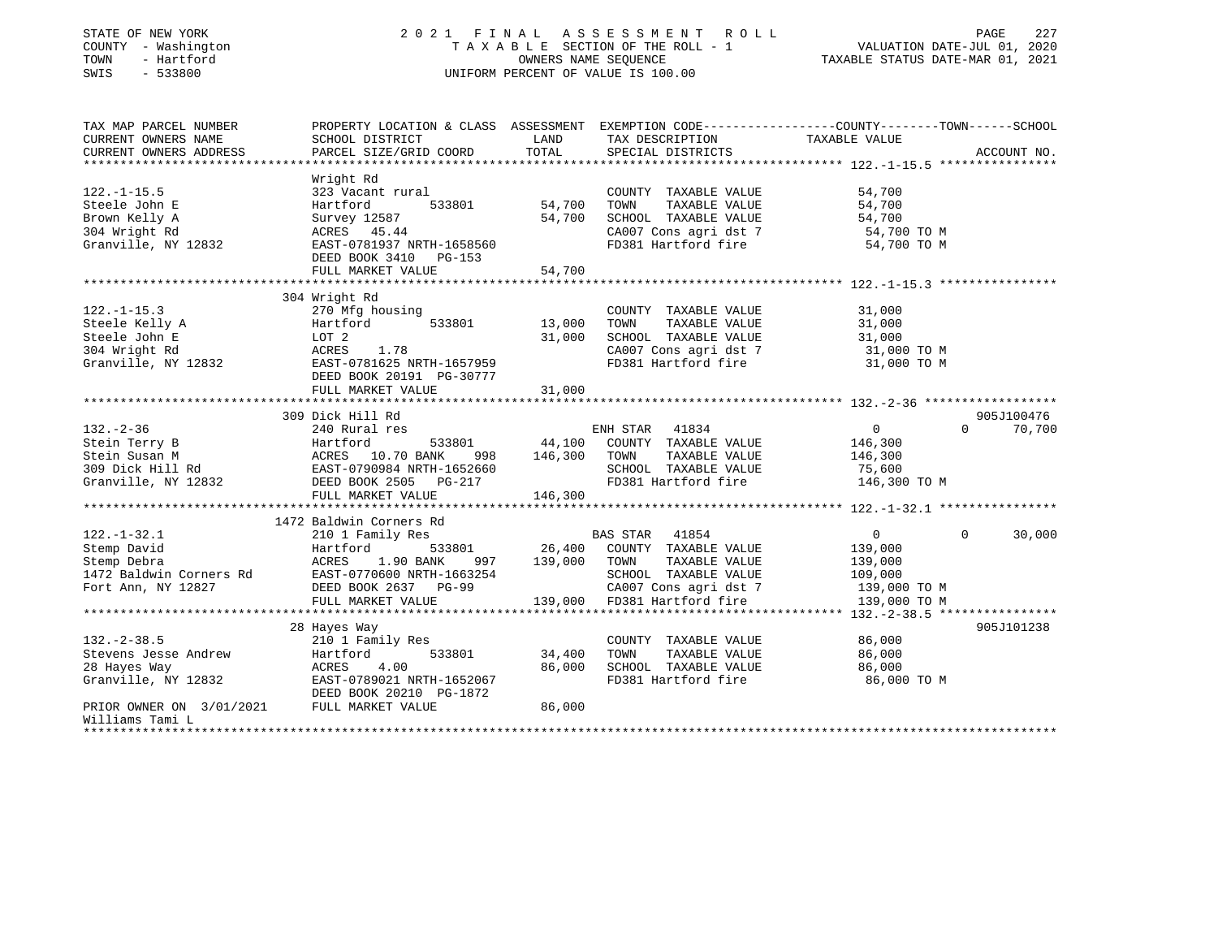### STATE OF NEW YORK 2 0 2 1 F I N A L A S S E S S M E N T R O L L PAGE 227 COUNTY - Washington T A X A B L E SECTION OF THE ROLL - 1 VALUATION DATE-JUL 01, 2020 TOWN - Hartford OWNERS NAME SEQUENCE TAXABLE STATUS DATE-MAR 01, 2021 SWIS - 533800 UNIFORM PERCENT OF VALUE IS 100.00

| TAX MAP PARCEL NUMBER<br>CURRENT OWNERS NAME<br>CURRENT OWNERS ADDRESS                           | PROPERTY LOCATION & CLASS ASSESSMENT<br>SCHOOL DISTRICT<br>PARCEL SIZE/GRID COORD                                                                           | LAND<br>TOTAL                | TAX DESCRIPTION<br>SPECIAL DISTRICTS                                                                                                                      | EXEMPTION CODE-----------------COUNTY-------TOWN------SCHOOL<br>TAXABLE VALUE               | ACCOUNT NO. |
|--------------------------------------------------------------------------------------------------|-------------------------------------------------------------------------------------------------------------------------------------------------------------|------------------------------|-----------------------------------------------------------------------------------------------------------------------------------------------------------|---------------------------------------------------------------------------------------------|-------------|
| $122. - 1 - 15.5$<br>Steele John E<br>Brown Kelly A<br>304 Wright Rd<br>Granville, NY 12832      | Wright Rd<br>323 Vacant rural<br>Hartford<br>533801<br>Survey 12587<br>ACRES 45.44<br>EAST-0781937 NRTH-1658560<br>DEED BOOK 3410 PG-153                    | 54,700<br>54,700             | COUNTY TAXABLE VALUE<br>TAXABLE VALUE<br>TOWN<br>SCHOOL TAXABLE VALUE<br>CA007 Cons agri dst 7<br>FD381 Hartford fire                                     | 54,700<br>54,700<br>54,700<br>54,700 TO M<br>54,700 TO M                                    |             |
|                                                                                                  | FULL MARKET VALUE                                                                                                                                           | 54,700                       |                                                                                                                                                           |                                                                                             |             |
|                                                                                                  |                                                                                                                                                             |                              |                                                                                                                                                           |                                                                                             |             |
| $122. - 1 - 15.3$<br>Steele Kelly A<br>Steele John E<br>304 Wright Rd<br>Granville, NY 12832     | 304 Wright Rd<br>270 Mfg housing<br>533801<br>Hartford<br>LOT 2<br>ACRES<br>1.78<br>EAST-0781625 NRTH-1657959<br>DEED BOOK 20191 PG-30777                   | 13,000<br>31,000             | COUNTY TAXABLE VALUE<br>TOWN<br>TAXABLE VALUE<br>SCHOOL TAXABLE VALUE<br>CA007 Cons agri dst 7<br>FD381 Hartford fire                                     | 31,000<br>31,000<br>31,000<br>31,000 TO M<br>31,000 TO M                                    |             |
|                                                                                                  | FULL MARKET VALUE                                                                                                                                           | 31,000                       |                                                                                                                                                           |                                                                                             |             |
|                                                                                                  | 309 Dick Hill Rd                                                                                                                                            |                              |                                                                                                                                                           |                                                                                             | 905J100476  |
| $132 - 2 - 36$<br>Stein Terry B<br>Stein Susan M<br>309 Dick Hill Rd<br>Granville, NY 12832      | 240 Rural res<br>Hartford<br>533801<br>ACRES 10.70 DENSITY<br>EAST-0790984 NRTH-1652660<br>EAST-0790984 NRTH-1652660<br>DEED BOOK 2505<br>FULL MARKET VALUE | 44,100<br>146,300<br>146,300 | ENH STAR 41834<br>COUNTY TAXABLE VALUE<br>TOWN<br>TAXABLE VALUE<br>SCHOOL TAXABLE VALUE<br>FD381 Hartford fire                                            | $0 \qquad \qquad$<br>$\Omega$<br>146,300<br>146,300<br>75,600<br>146,300 TO M               | 70,700      |
|                                                                                                  | 1472 Baldwin Corners Rd                                                                                                                                     |                              |                                                                                                                                                           |                                                                                             |             |
| $122. - 1 - 32.1$<br>Stemp David<br>Stemp Debra<br>1472 Baldwin Corners Rd<br>Fort Ann, NY 12827 | 210 1 Family Res<br>533801<br>Hartford<br>1.90 BANK<br>ACRES<br>997<br>EAST-0770600 NRTH-1663254<br>DEED BOOK 2637 PG-99<br>FULL MARKET VALUE               | 139,000                      | 41854<br>BAS STAR<br>26,400 COUNTY TAXABLE VALUE<br>TAXABLE VALUE<br>TOWN<br>SCHOOL TAXABLE VALUE<br>CA007 Cons agri dst 7<br>139,000 FD381 Hartford fire | $\overline{0}$<br>$\Omega$<br>139,000<br>139,000<br>109,000<br>139,000 TO M<br>139,000 TO M | 30,000      |
|                                                                                                  |                                                                                                                                                             |                              |                                                                                                                                                           |                                                                                             |             |
| $132. - 2 - 38.5$<br>Stevens Jesse Andrew<br>28 Hayes Way<br>Granville, NY 12832                 | 28 Hayes Way<br>210 1 Family Res<br>533801<br>Hartford<br>4.00<br>ACRES<br>EAST-0789021 NRTH-1652067<br>DEED BOOK 20210 PG-1872                             | 34,400<br>86,000             | COUNTY TAXABLE VALUE<br>TAXABLE VALUE<br>TOWN<br>SCHOOL TAXABLE VALUE<br>FD381 Hartford fire                                                              | 86,000<br>86,000<br>86,000<br>86,000 TO M                                                   | 905J101238  |
| PRIOR OWNER ON 3/01/2021<br>Williams Tami L<br>**************                                    | FULL MARKET VALUE                                                                                                                                           | 86,000                       |                                                                                                                                                           |                                                                                             |             |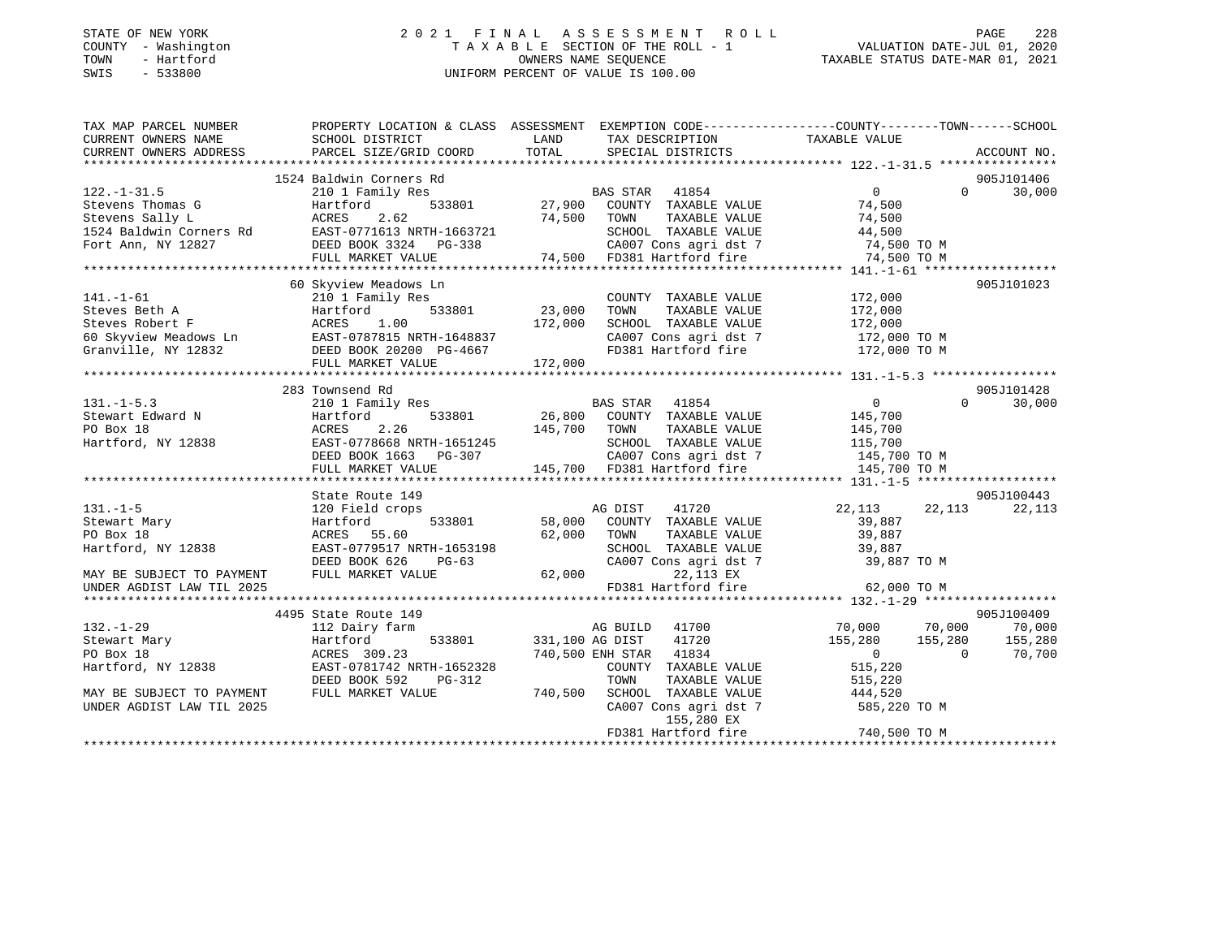#### STATE OF NEW YORK 2 0 2 1 F I N A L A S S E S S M E N T R O L L PAGE 228 COUNTY - Washington T A X A B L E SECTION OF THE ROLL - 1 VALUATION DATE-JUL 01, 2020 TOWN - Hartford OWNERS NAME SEQUENCE TAXABLE STATUS DATE-MAR 01, 2021 SWIS - 533800 UNIFORM PERCENT OF VALUE IS 100.00

| TAX MAP PARCEL NUMBER                           | PROPERTY LOCATION & CLASS ASSESSMENT EXEMPTION CODE----------------COUNTY-------TOWN-----SCHOOL                                                                                                                                                                                                                                                                                                                                       |             |                                                                                                                                      |                                         |               |
|-------------------------------------------------|---------------------------------------------------------------------------------------------------------------------------------------------------------------------------------------------------------------------------------------------------------------------------------------------------------------------------------------------------------------------------------------------------------------------------------------|-------------|--------------------------------------------------------------------------------------------------------------------------------------|-----------------------------------------|---------------|
| CURRENT OWNERS NAME                             | SCHOOL DISTRICT                                                                                                                                                                                                                                                                                                                                                                                                                       | LAND        | TAX DESCRIPTION TAXABLE VALUE                                                                                                        |                                         |               |
| CURRENT OWNERS ADDRESS                          |                                                                                                                                                                                                                                                                                                                                                                                                                                       |             |                                                                                                                                      |                                         |               |
|                                                 |                                                                                                                                                                                                                                                                                                                                                                                                                                       |             |                                                                                                                                      |                                         |               |
|                                                 | $\begin{array}{cccccccc} & & & & & 1524 & \text{Baldwin}\ \text{Corems} & & & & & & & 1524 & \text{Baldwin}\ \text{SLevens} & & & & & & & & & 1524 & \text{Baldwin}\ \text{Corems} & & & & & & & & & & & 1524 & \text{Baldwin}\ \text{Corems} & & & & & & & & & & & & 1524 & \text{Baldwin}\ \text{Corems} & & & & & & & & & & & & & 1524 & \text{Baldwin}\ \text{Corems} & & & & & & & & & & & & & 1524 & \text{CPE} & & & & & 1524$ |             |                                                                                                                                      |                                         | 905J101406    |
|                                                 |                                                                                                                                                                                                                                                                                                                                                                                                                                       |             |                                                                                                                                      |                                         | $0 \t 30,000$ |
|                                                 |                                                                                                                                                                                                                                                                                                                                                                                                                                       |             |                                                                                                                                      |                                         |               |
|                                                 |                                                                                                                                                                                                                                                                                                                                                                                                                                       |             |                                                                                                                                      |                                         |               |
|                                                 |                                                                                                                                                                                                                                                                                                                                                                                                                                       |             |                                                                                                                                      |                                         |               |
|                                                 |                                                                                                                                                                                                                                                                                                                                                                                                                                       |             |                                                                                                                                      |                                         |               |
|                                                 |                                                                                                                                                                                                                                                                                                                                                                                                                                       |             |                                                                                                                                      |                                         |               |
|                                                 |                                                                                                                                                                                                                                                                                                                                                                                                                                       |             |                                                                                                                                      |                                         |               |
|                                                 | 60 Skyview Meadows Ln                                                                                                                                                                                                                                                                                                                                                                                                                 |             |                                                                                                                                      |                                         | 905J101023    |
|                                                 |                                                                                                                                                                                                                                                                                                                                                                                                                                       |             | COUNTY TAXABLE VALUE 172,000<br>TOWN TAXABLE VALUE 172,000                                                                           |                                         |               |
|                                                 |                                                                                                                                                                                                                                                                                                                                                                                                                                       |             |                                                                                                                                      |                                         |               |
|                                                 |                                                                                                                                                                                                                                                                                                                                                                                                                                       |             |                                                                                                                                      |                                         |               |
|                                                 |                                                                                                                                                                                                                                                                                                                                                                                                                                       |             |                                                                                                                                      |                                         |               |
|                                                 |                                                                                                                                                                                                                                                                                                                                                                                                                                       |             |                                                                                                                                      |                                         |               |
|                                                 |                                                                                                                                                                                                                                                                                                                                                                                                                                       |             |                                                                                                                                      |                                         |               |
|                                                 | 141.-1-61<br>Steves Beth A<br>Steves Beth A<br>Steves Robert F<br>Steves Robert E<br>Steves Robert E<br>ACRES 1.00<br>Steves Robert A<br>ACRES 1.00<br>STERING S33801<br>23,000 TOWN TAXABLE VALUE<br>23,000 TOWN TAXABLE VALUE<br>23,000 TOWN TAXABLE                                                                                                                                                                                |             |                                                                                                                                      |                                         |               |
|                                                 | 283 Townsend Rd                                                                                                                                                                                                                                                                                                                                                                                                                       |             |                                                                                                                                      |                                         | 905J101428    |
| $131. - 1 - 5.3$                                | 210 1 Family Res                                                                                                                                                                                                                                                                                                                                                                                                                      |             | BAS STAR 41854                                                                                                                       | $\overline{0}$                          | $0 \t30,000$  |
|                                                 |                                                                                                                                                                                                                                                                                                                                                                                                                                       |             |                                                                                                                                      |                                         |               |
|                                                 |                                                                                                                                                                                                                                                                                                                                                                                                                                       |             |                                                                                                                                      |                                         |               |
|                                                 |                                                                                                                                                                                                                                                                                                                                                                                                                                       |             |                                                                                                                                      |                                         |               |
|                                                 |                                                                                                                                                                                                                                                                                                                                                                                                                                       |             |                                                                                                                                      |                                         |               |
|                                                 | 131.-1-5.3<br>SHER EXERCISE AND HART MANUS 26,800 COUNTY TAXABLE VALUE<br>FORE SALE CONTROLLY AND MANUS 2.26<br>HART MANUS 2.26<br>HART MANUS 2.26<br>HART MANUS 2.26<br>HART MANUS 2.26<br>EAST-0778668 NRTH-1651245<br>DEED BOOK 1663 PG-307                                                                                                                                                                                        |             |                                                                                                                                      |                                         |               |
|                                                 |                                                                                                                                                                                                                                                                                                                                                                                                                                       |             |                                                                                                                                      |                                         |               |
|                                                 | State Route 149                                                                                                                                                                                                                                                                                                                                                                                                                       |             |                                                                                                                                      |                                         | 905J100443    |
| $131. - 1 - 5$                                  | 120 Field crops                                                                                                                                                                                                                                                                                                                                                                                                                       |             | AG DIST 41720<br>533801 58,000 COUNTY TAXABLE VALUE                                                                                  | 41720 22,113 22,113                     | 22,113        |
| Stewart Mary                                    | Hartford                                                                                                                                                                                                                                                                                                                                                                                                                              |             |                                                                                                                                      | 39,887                                  |               |
| PO Box 18                                       | ACRES 55.60                                                                                                                                                                                                                                                                                                                                                                                                                           | 62,000 TOWN |                                                                                                                                      | TAXABLE VALUE 39,887                    |               |
| Hartford, NY 12838                              |                                                                                                                                                                                                                                                                                                                                                                                                                                       |             |                                                                                                                                      |                                         |               |
|                                                 |                                                                                                                                                                                                                                                                                                                                                                                                                                       |             |                                                                                                                                      |                                         |               |
| MAY BE SUBJECT TO PAYMENT                       |                                                                                                                                                                                                                                                                                                                                                                                                                                       |             |                                                                                                                                      |                                         |               |
| UNDER AGDIST LAW TIL 2025                       |                                                                                                                                                                                                                                                                                                                                                                                                                                       |             |                                                                                                                                      |                                         |               |
|                                                 | ACRES 55.60<br>EAST-0779517 NRTH-1653198<br>DEED BOOK 626 PG-63<br>FULL MARKET VALUE 62,000<br>CA007 Cons agri dst 7 39,887 TO M<br>22,113 EX 62,000 TO M<br>FD381 Hartford fire 62,000 TO M<br>CA007 Constant in the 2000 COM<br>FD381 Ha                                                                                                                                                                                            |             |                                                                                                                                      |                                         |               |
|                                                 | 4495 State Route 149                                                                                                                                                                                                                                                                                                                                                                                                                  |             |                                                                                                                                      |                                         | 905J100409    |
| $132. - 1 - 29$                                 | 112 Dairy farm                                                                                                                                                                                                                                                                                                                                                                                                                        |             | ر دول سے دورے ہوں۔<br>70,000 میں سے سے 70,000 میں 11700 میں سے 11700 میں سے 20,000 میں ہے جو میں سے 20 کھلاڑ کیا جاتا ہے۔ اس کے مطاب |                                         |               |
| Stewart Mary<br>PO Box 18<br>Hartford, NY 12838 | Hartford                                                                                                                                                                                                                                                                                                                                                                                                                              |             | $533801$ $331,100$ AG DIST $41720$<br>$740$ FOO FNH STAR $41834$                                                                     | $155,280$ $155,280$ $155,280$ $155,280$ |               |
|                                                 | ACRES 309.23                                                                                                                                                                                                                                                                                                                                                                                                                          |             |                                                                                                                                      |                                         |               |
|                                                 | EAST-0781742 NRTH-1652328                                                                                                                                                                                                                                                                                                                                                                                                             |             |                                                                                                                                      |                                         |               |
|                                                 | DEED BOOK 592<br>PG-312                                                                                                                                                                                                                                                                                                                                                                                                               |             | 1652328 COUNTY TAXABLE VALUE 515,220<br>G-312 TOWN TAXABLE VALUE 515,220<br>740,500 SCHOOL TAXABLE VALUE 444,520                     |                                         |               |
| MAY BE SUBJECT TO PAYMENT                       | FULL MARKET VALUE                                                                                                                                                                                                                                                                                                                                                                                                                     |             |                                                                                                                                      |                                         |               |
| UNDER AGDIST LAW TIL 2025                       |                                                                                                                                                                                                                                                                                                                                                                                                                                       |             | CA007 Cons agri dst 7                                                                                                                | 585,220 TO M                            |               |
|                                                 |                                                                                                                                                                                                                                                                                                                                                                                                                                       |             | 155,280 EX                                                                                                                           |                                         |               |
|                                                 |                                                                                                                                                                                                                                                                                                                                                                                                                                       |             | FD381 Hartford fire                                                                                                                  | 740,500 TO M                            |               |
|                                                 |                                                                                                                                                                                                                                                                                                                                                                                                                                       |             |                                                                                                                                      |                                         |               |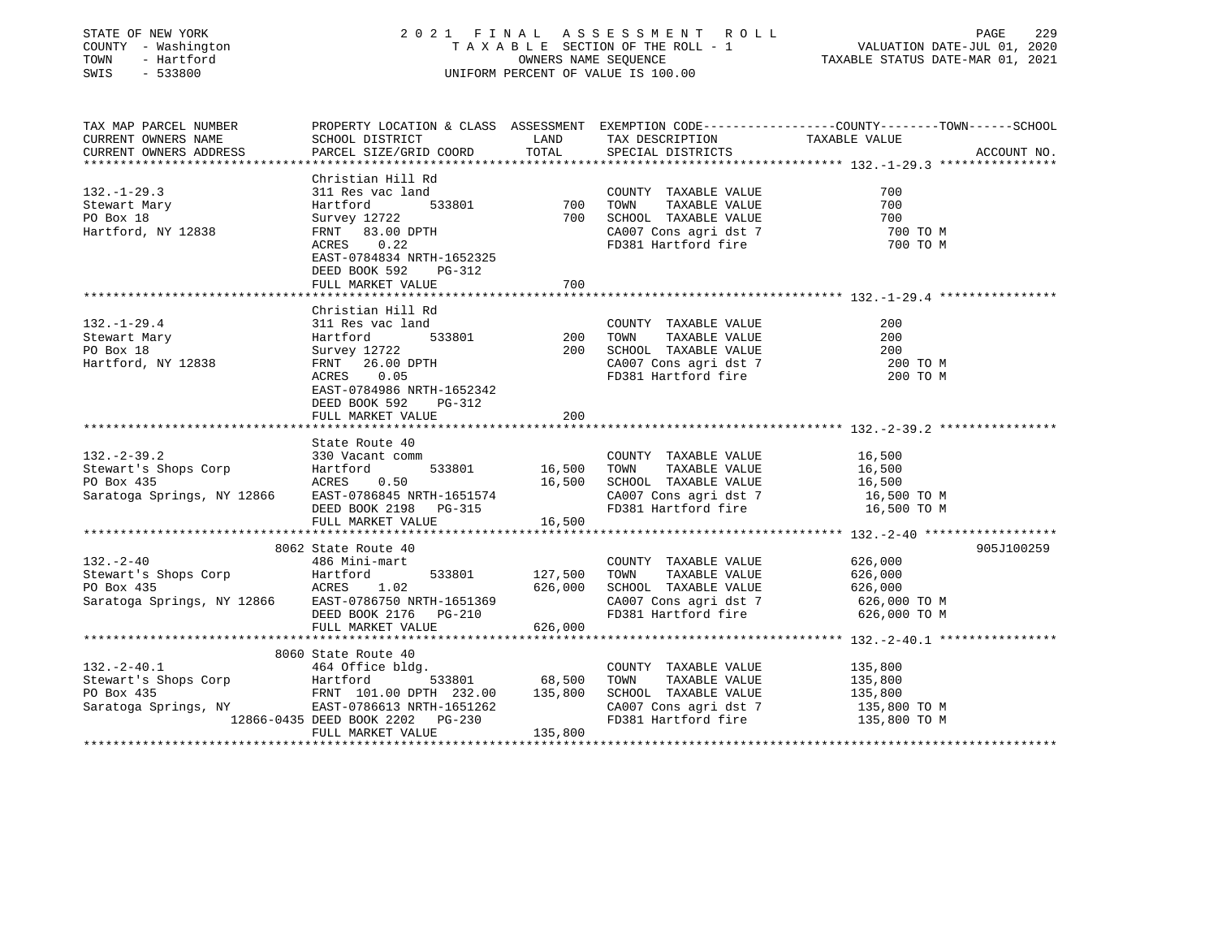| COUNTY - Washington<br>TOWN<br>- Hartford<br>SWIS<br>$-533800$                     |                                                                                                                                                                                    |                               | UNIFORM PERCENT OF VALUE IS 100.00                                                                                                                 |                                                                                                                                 |
|------------------------------------------------------------------------------------|------------------------------------------------------------------------------------------------------------------------------------------------------------------------------------|-------------------------------|----------------------------------------------------------------------------------------------------------------------------------------------------|---------------------------------------------------------------------------------------------------------------------------------|
| TAX MAP PARCEL NUMBER<br>CURRENT OWNERS NAME<br>CURRENT OWNERS ADDRESS             | SCHOOL DISTRICT<br>PARCEL SIZE/GRID COORD                                                                                                                                          | LAND<br>TOTAL                 | TAX DESCRIPTION<br>SPECIAL DISTRICTS                                                                                                               | PROPERTY LOCATION & CLASS ASSESSMENT EXEMPTION CODE---------------COUNTY-------TOWN------SCHOOL<br>TAXABLE VALUE<br>ACCOUNT NO. |
|                                                                                    | Christian Hill Rd                                                                                                                                                                  |                               |                                                                                                                                                    |                                                                                                                                 |
| $132. - 1 - 29.3$<br>Stewart Mary<br>PO Box 18<br>Hartford, NY 12838               | 311 Res vac land<br>533801<br>Hartford<br>Survey 12722<br>FRNT 83.00 DPTH<br>ACRES<br>0.22                                                                                         |                               | COUNTY TAXABLE VALUE<br>TONN TAXABLE VALUE<br>700 SCHOOL TAXABLE VALUE<br>2008 agri dist<br>CA007 Cons agri dst 7<br>FD381 Hartford fire           | 700<br>700<br>700<br>700 TO M<br>700 TO M                                                                                       |
|                                                                                    | EAST-0784834 NRTH-1652325<br>DEED BOOK 592<br>PG-312<br>FULL MARKET VALUE                                                                                                          | 700                           |                                                                                                                                                    |                                                                                                                                 |
|                                                                                    |                                                                                                                                                                                    |                               |                                                                                                                                                    |                                                                                                                                 |
| $132. - 1 - 29.4$<br>Stewart Mary<br>PO Box 18<br>Hartford, NY 12838               | Christian Hill Rd<br>311 Res vac land<br>$\frac{1}{1}$ 533801<br>Hartford<br>Survey 12722<br>FRNT 26.00 DPTH<br>ACRES 0.05<br>EAST-0784986 NRTH-1652342<br>DEED BOOK 592<br>PG-312 | 200                           | COUNTY TAXABLE VALUE<br>TOWN<br>TAXABLE VALUE<br>200 SCHOOL TAXABLE VALUE<br>CA007 Cons agri dst 7<br>CA007 Cons agri dst 7<br>FD381 Hartford fire | 200<br>200<br>200<br>200 TO M<br>200 TO M                                                                                       |
|                                                                                    | FULL MARKET VALUE                                                                                                                                                                  | 200                           |                                                                                                                                                    |                                                                                                                                 |
| $132 - 2 - 39.2$<br>Stewart's Shops Corp<br>PO Box 435                             | State Route 40<br>330 Vacant comm<br>533801<br>Hartford<br>0.50<br>ACRES<br>Saratoga Springs, NY 12866 EAST-0786845 NRTH-1651574<br>DEED BOOK 2198 PG-315                          | 16,500                        | COUNTY TAXABLE VALUE<br>TOWN<br>TAXABLE VALUE<br>16,500 SCHOOL TAXABLE VALUE<br>CA007 Cons agri dst 7<br>FD381 Hartford fire                       | 16,500<br>16,500<br>16,500<br>16,500 TO M<br>16,500 TO M                                                                        |
|                                                                                    | FULL MARKET VALUE                                                                                                                                                                  | 16,500                        |                                                                                                                                                    |                                                                                                                                 |
| $132 - 2 - 40$<br>Stewart's Shops Corp<br>PO Box 435<br>Saratoga Springs, NY 12866 | 8062 State Route 40<br>486 Mini-mart<br>533801<br>Hartford<br>1.02<br>ACRES<br>EAST-0786750 NRTH-1651369<br>DEED BOOK 2176 - PG-210<br>DEED BOOK 2176 PG-210<br>FULL MARKET VALUE  | 127,500<br>626,000<br>626,000 | COUNTY TAXABLE VALUE<br>TOWN<br>TAXABLE VALUE<br>SCHOOL TAXABLE VALUE<br>CA007 Cons agri dst 7<br>FD381 Hartford fire                              | 905J100259<br>626,000<br>626,000<br>626,000<br>626,000 TO M<br>626,000 TO M                                                     |
|                                                                                    | 8060 State Route 40                                                                                                                                                                |                               |                                                                                                                                                    |                                                                                                                                 |
| $132. - 2 - 40.1$<br>Stewart's Shops Corp<br>PO Box 435<br>Saratoga Springs, NY    | 464 Office bldg.<br>Hartford<br>FRNT 101.00 DPTH 232.00 135,800<br>EAST-0786613 NRTH-1651262<br>12866-0435 DEED BOOK 2202 PG-230<br>FULL MARKET VALUE                              | 533801 68,500<br>135,800      | COUNTY TAXABLE VALUE<br>TOWN<br>TAXABLE VALUE<br>SCHOOL TAXABLE VALUE<br>CA007 Cons agri dst 7<br>FD381 Hartford fire                              | 135,800<br>135,800<br>135,800<br>135,800 TO M<br>135,800 TO M                                                                   |

\*\*\*\*\*\*\*\*\*\*\*\*\*\*\*\*\*\*\*\*\*\*\*\*\*\*\*\*\*\*\*\*\*\*\*\*\*\*\*\*\*\*\*\*\*\*\*\*\*\*\*\*\*\*\*\*\*\*\*\*\*\*\*\*\*\*\*\*\*\*\*\*\*\*\*\*\*\*\*\*\*\*\*\*\*\*\*\*\*\*\*\*\*\*\*\*\*\*\*\*\*\*\*\*\*\*\*\*\*\*\*\*\*\*\*\*\*\*\*\*\*\*\*\*\*\*\*\*\*\*\*\*

STATE OF NEW YORK 2 0 2 1 F I N A L A S S E S S M E N T R O L L PAGE 229

229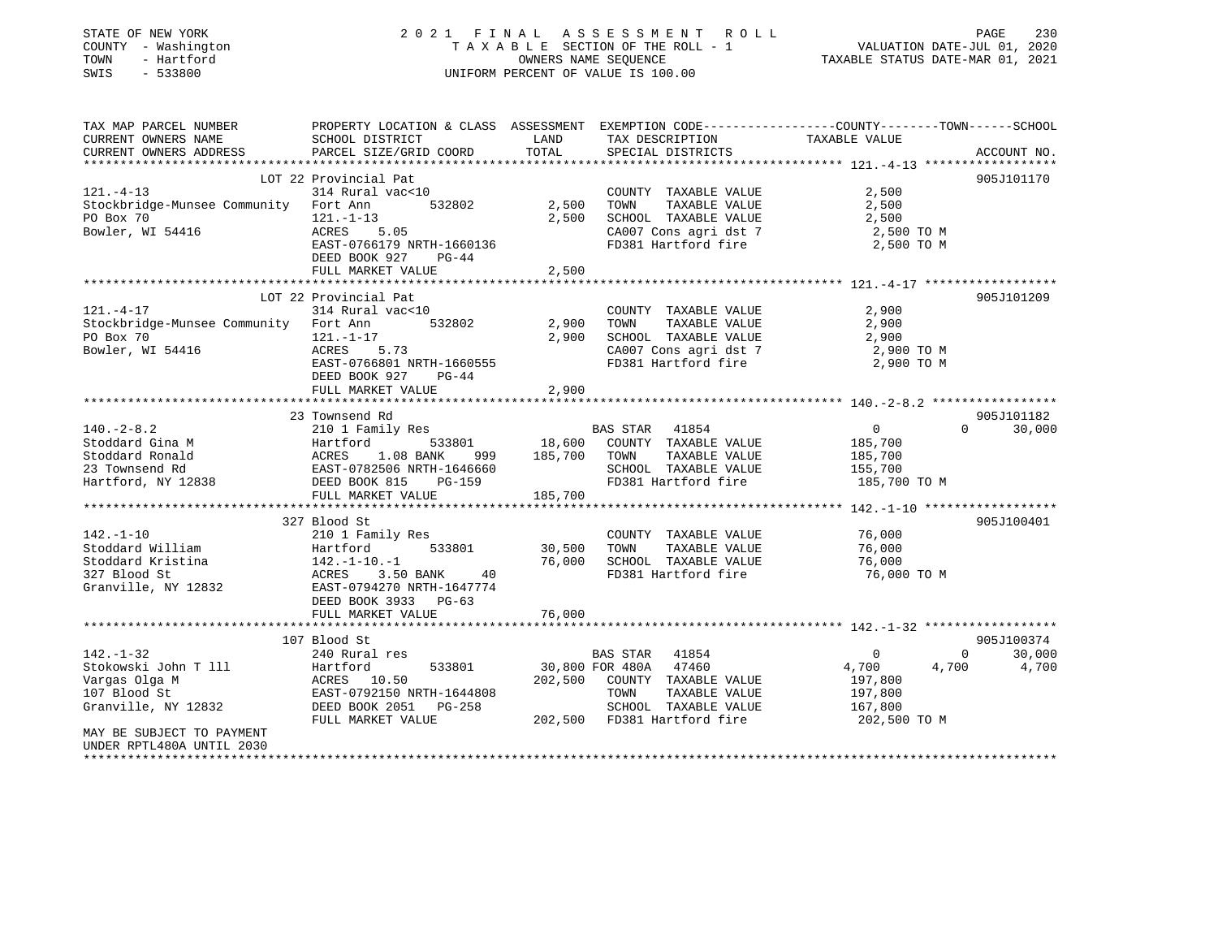| STATE OF NEW YORK<br>COUNTY - Washington<br>TOWN<br>- Hartford<br>$-533800$<br>SWIS |                                                                                                                     | OWNERS NAME SEQUENCE | 2021 FINAL ASSESSMENT ROLL<br>TAXABLE SECTION OF THE ROLL - 1<br>UNIFORM PERCENT OF VALUE IS 100.00 | VALUATION DATE-JUL 01, 2020<br>TAXABLE STATUS DATE-MAR 01, 2021 | PAGE<br>230        |
|-------------------------------------------------------------------------------------|---------------------------------------------------------------------------------------------------------------------|----------------------|-----------------------------------------------------------------------------------------------------|-----------------------------------------------------------------|--------------------|
| TAX MAP PARCEL NUMBER<br>CURRENT OWNERS NAME                                        | PROPERTY LOCATION & CLASS ASSESSMENT EXEMPTION CODE----------------COUNTY-------TOWN------SCHOOL<br>SCHOOL DISTRICT | LAND                 | TAX DESCRIPTION TAXABLE VALUE                                                                       |                                                                 |                    |
| CURRENT OWNERS ADDRESS                                                              | PARCEL SIZE/GRID COORD                                                                                              | TOTAL                | SPECIAL DISTRICTS                                                                                   |                                                                 | ACCOUNT NO.        |
|                                                                                     |                                                                                                                     |                      |                                                                                                     |                                                                 |                    |
| $121. - 4 - 13$                                                                     | LOT 22 Provincial Pat<br>314 Rural vac<10                                                                           |                      | COUNTY TAXABLE VALUE                                                                                | 2,500                                                           | 905J101170         |
| Stockbridge-Munsee Community Fort Ann                                               | 532802                                                                                                              | 2,500                | TAXABLE VALUE<br>TOWN                                                                               | 2,500                                                           |                    |
| PO Box 70                                                                           | $121. - 1 - 13$                                                                                                     | 2,500                | SCHOOL TAXABLE VALUE                                                                                | 2,500                                                           |                    |
| Bowler, WI 54416                                                                    | ACRES<br>5.05                                                                                                       |                      | CA007 Cons agri dst 7                                                                               | 2,500 TO M                                                      |                    |
|                                                                                     | EAST-0766179 NRTH-1660136<br>DEED BOOK 927<br>PG-44                                                                 |                      | FD381 Hartford fire                                                                                 | 2,500 TO M                                                      |                    |
|                                                                                     | FULL MARKET VALUE                                                                                                   | 2,500                |                                                                                                     |                                                                 |                    |
|                                                                                     | LOT 22 Provincial Pat                                                                                               |                      |                                                                                                     |                                                                 | 905J101209         |
| $121. - 4 - 17$                                                                     | 314 Rural vac<10                                                                                                    |                      | COUNTY TAXABLE VALUE                                                                                | 2,900                                                           |                    |
| Stockbridge-Munsee Community Fort Ann                                               | 532802                                                                                                              | 2,900                | TOWN<br>TAXABLE VALUE                                                                               | 2,900                                                           |                    |
| PO Box 70                                                                           | $121. - 1 - 17$                                                                                                     | 2,900                | SCHOOL TAXABLE VALUE                                                                                | 2,900                                                           |                    |
| Bowler, WI 54416                                                                    | ACRES<br>5.73                                                                                                       |                      | CA007 Cons agri dst 7                                                                               | 2,900 TO M                                                      |                    |
|                                                                                     | EAST-0766801 NRTH-1660555                                                                                           |                      | FD381 Hartford fire                                                                                 | 2,900 TO M                                                      |                    |
|                                                                                     | DEED BOOK 927<br>PG-44                                                                                              |                      |                                                                                                     |                                                                 |                    |
|                                                                                     | FULL MARKET VALUE                                                                                                   | 2,900                |                                                                                                     |                                                                 |                    |
|                                                                                     | 23 Townsend Rd                                                                                                      |                      |                                                                                                     |                                                                 | 905J101182         |
| $140. -2 - 8.2$                                                                     | 210 1 Family Res                                                                                                    |                      | BAS STAR 41854                                                                                      | $\overline{0}$                                                  | 30,000<br>$\Omega$ |
| Stoddard Gina M                                                                     |                                                                                                                     |                      | 18,600 COUNTY TAXABLE VALUE                                                                         | 185,700                                                         |                    |
|                                                                                     | 999                                                                                                                 | 185,700 TOWN         | TAXABLE VALUE                                                                                       | 185,700                                                         |                    |
|                                                                                     | Hartford 533801<br>ACRES 1.08 BANK 999<br>EAST-0782506 NRTH-1646660                                                 |                      | SCHOOL TAXABLE VALUE                                                                                | 155,700                                                         |                    |
| Stoddard Gina M<br>Stoddard Ronald<br>23 Townsend Rd<br>Hartford, NY 12838          | DEED BOOK 815<br>PG-159                                                                                             |                      | FD381 Hartford fire                                                                                 | 185,700 TO M                                                    |                    |
|                                                                                     | FULL MARKET VALUE                                                                                                   | 185,700              |                                                                                                     |                                                                 |                    |
|                                                                                     |                                                                                                                     |                      |                                                                                                     |                                                                 |                    |
| $142. - 1 - 10$                                                                     | 327 Blood St                                                                                                        |                      | COUNTY TAXABLE VALUE                                                                                | 76,000                                                          | 905J100401         |
| Stoddard William                                                                    | 210 1 Family Res<br>533801<br>Hartford                                                                              | 30,500               | TOWN<br>TAXABLE VALUE                                                                               | 76,000                                                          |                    |
| Stoddard Kristina                                                                   |                                                                                                                     | 76,000               | SCHOOL TAXABLE VALUE                                                                                | 76,000                                                          |                    |
| 327 Blood St                                                                        | 142.-1-10.-1<br>ACRES 3.50<br>3.50 BANK 40                                                                          |                      | FD381 Hartford fire                                                                                 | 76,000 ТО М                                                     |                    |
| Granville, NY 12832                                                                 | EAST-0794270 NRTH-1647774                                                                                           |                      |                                                                                                     |                                                                 |                    |
|                                                                                     | DEED BOOK 3933 PG-63                                                                                                |                      |                                                                                                     |                                                                 |                    |
|                                                                                     | FULL MARKET VALUE                                                                                                   | 76,000               |                                                                                                     |                                                                 |                    |
|                                                                                     |                                                                                                                     |                      |                                                                                                     |                                                                 |                    |
|                                                                                     | 107 Blood St                                                                                                        |                      |                                                                                                     |                                                                 | 905J100374         |
| $142. - 1 - 32$<br>Stokowski John T 111                                             | 240 Rural res<br>533801<br>Hartford                                                                                 |                      | BAS STAR 41854<br>30,800 FOR 480A 47460                                                             | $\overline{0}$<br>$\overline{0}$<br>4,700<br>4,700              | 30,000<br>4,700    |
| Vargas Olga M                                                                       | ACRES 10.50                                                                                                         |                      | 202,500 COUNTY TAXABLE VALUE                                                                        | 197,800                                                         |                    |
| 107 Blood St                                                                        | EAST-0792150 NRTH-1644808                                                                                           |                      | TOWN<br>TAXABLE VALUE                                                                               | 197,800                                                         |                    |
| Granville, NY 12832                                                                 | DEED BOOK 2051 PG-258                                                                                               |                      | SCHOOL TAXABLE VALUE                                                                                | 167,800                                                         |                    |
|                                                                                     | FULL MARKET VALUE                                                                                                   |                      | 202,500 FD381 Hartford fire                                                                         | 202,500 TO M                                                    |                    |
| MAY BE SUBJECT TO PAYMENT<br>UNDER RPTL480A UNTIL 2030                              |                                                                                                                     |                      |                                                                                                     |                                                                 |                    |

\*\*\*\*\*\*\*\*\*\*\*\*\*\*\*\*\*\*\*\*\*\*\*\*\*\*\*\*\*\*\*\*\*\*\*\*\*\*\*\*\*\*\*\*\*\*\*\*\*\*\*\*\*\*\*\*\*\*\*\*\*\*\*\*\*\*\*\*\*\*\*\*\*\*\*\*\*\*\*\*\*\*\*\*\*\*\*\*\*\*\*\*\*\*\*\*\*\*\*\*\*\*\*\*\*\*\*\*\*\*\*\*\*\*\*\*\*\*\*\*\*\*\*\*\*\*\*\*\*\*\*\*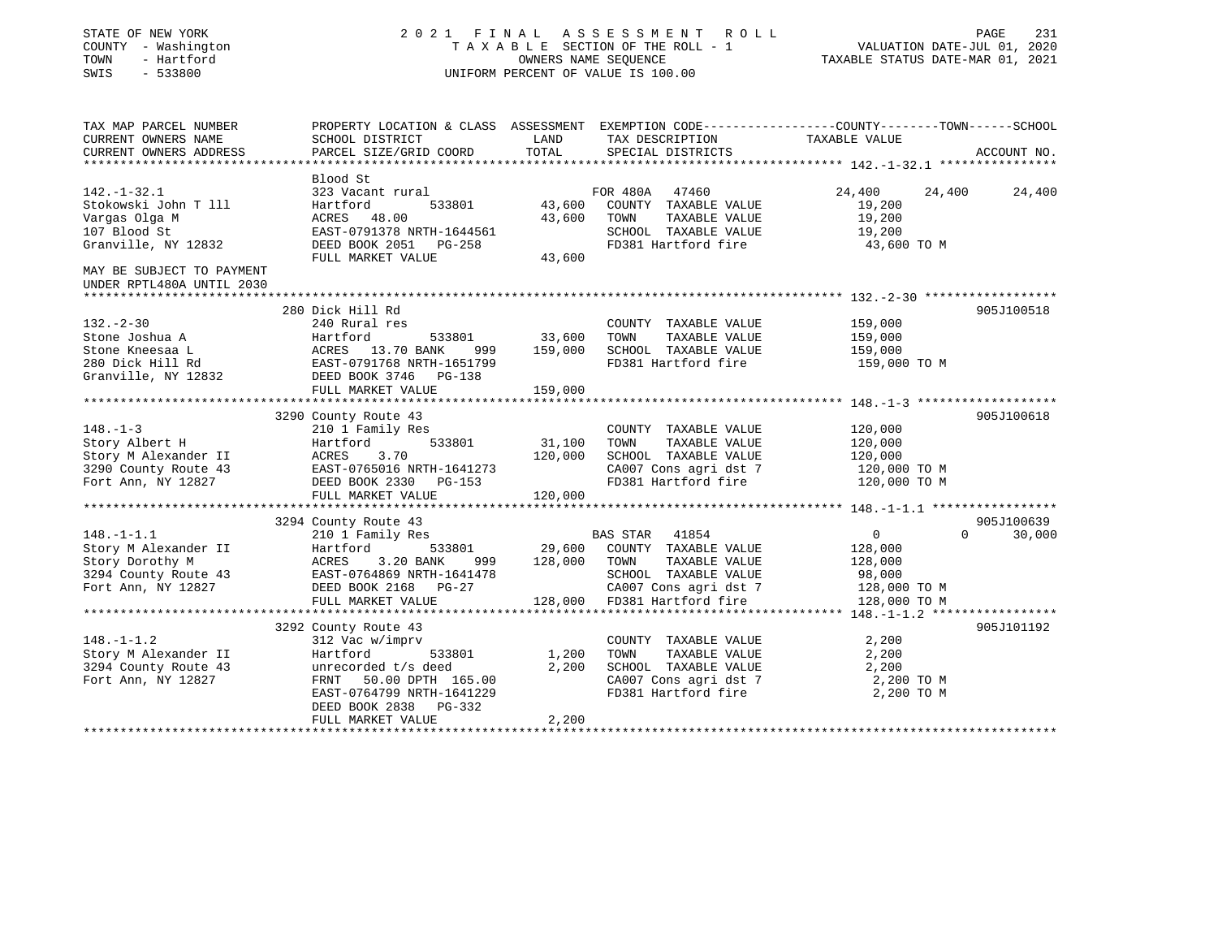| STATE OF NEW YORK<br>COUNTY - Washington<br>- Hartford<br>TOWN<br>SWIS<br>$-533800$ |                                                    |         | 2021 FINAL ASSESSMENT ROLL<br>TAXABLE SECTION OF THE ROLL - 1<br>OWNERS NAME SEQUENCE<br>UNIFORM PERCENT OF VALUE IS 100.00 | TAXABLE STATUS DATE-MAR 01, 2021 | PAGE<br>231<br>VALUATION DATE-JUL 01, 2020 |
|-------------------------------------------------------------------------------------|----------------------------------------------------|---------|-----------------------------------------------------------------------------------------------------------------------------|----------------------------------|--------------------------------------------|
| TAX MAP PARCEL NUMBER<br>CURRENT OWNERS NAME                                        | SCHOOL DISTRICT                                    | LAND    | PROPERTY LOCATION & CLASS ASSESSMENT EXEMPTION CODE---------------COUNTY-------TOWN------SCHOOL<br>TAX DESCRIPTION          | TAXABLE VALUE                    |                                            |
| CURRENT OWNERS ADDRESS                                                              | PARCEL SIZE/GRID COORD                             | TOTAL   | SPECIAL DISTRICTS                                                                                                           |                                  | ACCOUNT NO.                                |
|                                                                                     | Blood St                                           |         |                                                                                                                             |                                  |                                            |
| $142. - 1 - 32.1$                                                                   | 323 Vacant rural                                   |         | FOR 480A 47460                                                                                                              | 24,400<br>24,400                 | 24,400                                     |
| Stokowski John T 111                                                                | Hartford<br>533801                                 | 43,600  | COUNTY TAXABLE VALUE                                                                                                        | 19,200                           |                                            |
| Vargas Olga M                                                                       | ACRES 48.00                                        | 43,600  | TOWN<br>TAXABLE VALUE                                                                                                       | 19,200                           |                                            |
| 107 Blood St<br>Granville, NY 12832                                                 | EAST-0791378 NRTH-1644561<br>DEED BOOK 2051 PG-258 |         | SCHOOL TAXABLE VALUE<br>FD381 Hartford fire                                                                                 | 19,200<br>43,600 TO M            |                                            |
|                                                                                     | FULL MARKET VALUE                                  | 43,600  |                                                                                                                             |                                  |                                            |
| MAY BE SUBJECT TO PAYMENT<br>UNDER RPTL480A UNTIL 2030                              |                                                    |         |                                                                                                                             |                                  |                                            |
| **********************                                                              |                                                    |         |                                                                                                                             |                                  |                                            |
| $132 - 2 - 30$                                                                      | 280 Dick Hill Rd<br>240 Rural res                  |         | COUNTY TAXABLE VALUE                                                                                                        | 159,000                          | 905J100518                                 |
| Stone Joshua A                                                                      | Hartford<br>533801                                 | 33,600  | TAXABLE VALUE<br>TOWN                                                                                                       | 159,000                          |                                            |
| Stone Kneesaa L                                                                     | ACRES 13.70 BANK<br>999                            | 159,000 | SCHOOL TAXABLE VALUE                                                                                                        | 159,000                          |                                            |
| 280 Dick Hill Rd                                                                    | EAST-0791768 NRTH-1651799                          |         | FD381 Hartford fire                                                                                                         | 159,000 TO M                     |                                            |
| Granville, NY 12832                                                                 | DEED BOOK 3746 PG-138                              |         |                                                                                                                             |                                  |                                            |
|                                                                                     | FULL MARKET VALUE                                  | 159,000 |                                                                                                                             |                                  |                                            |
|                                                                                     |                                                    |         |                                                                                                                             |                                  | 905J100618                                 |
| $148. - 1 - 3$                                                                      | 3290 County Route 43<br>210 1 Family Res           |         | COUNTY TAXABLE VALUE                                                                                                        | 120,000                          |                                            |
| Story Albert H                                                                      | 533801<br>Hartford                                 | 31,100  | TAXABLE VALUE<br>TOWN                                                                                                       | 120,000                          |                                            |
| Story M Alexander II                                                                | ACRES<br>3.70                                      | 120,000 | SCHOOL TAXABLE VALUE                                                                                                        | 120,000                          |                                            |
| 3290 County Route 43                                                                | EAST-0765016 NRTH-1641273                          |         | CA007 Cons agri dst 7                                                                                                       | 120,000 TO M                     |                                            |
| Fort Ann, NY 12827                                                                  | DEED BOOK 2330 PG-153                              |         | FD381 Hartford fire                                                                                                         | 120,000 TO M                     |                                            |
|                                                                                     | FULL MARKET VALUE                                  | 120,000 |                                                                                                                             |                                  |                                            |
|                                                                                     | 3294 County Route 43                               |         |                                                                                                                             |                                  | 905J100639                                 |
| $148. - 1 - 1.1$                                                                    | 210 1 Family Res                                   |         | BAS STAR 41854                                                                                                              | $\overline{0}$                   | $\Omega$<br>30,000                         |
| Story M Alexander II                                                                | Hartford<br>533801                                 | 29,600  | COUNTY TAXABLE VALUE                                                                                                        | 128,000                          |                                            |
| Story Dorothy M                                                                     | ACRES<br>3.20 BANK<br>999                          | 128,000 | TOWN<br>TAXABLE VALUE                                                                                                       | 128,000                          |                                            |
| 3294 County Route 43<br>Fort Ann, NY 12827                                          | EAST-0764869 NRTH-1641478                          |         | SCHOOL TAXABLE VALUE                                                                                                        | 98,000                           |                                            |
|                                                                                     | DEED BOOK 2168 PG-27                               |         | CA007 Cons agri dst 7                                                                                                       | 128,000 TO M                     |                                            |
|                                                                                     | FULL MARKET VALUE                                  |         | 128,000 FD381 Hartford fire                                                                                                 | 128,000 TO M                     |                                            |
|                                                                                     | 3292 County Route 43                               |         |                                                                                                                             |                                  | 905J101192                                 |
| $148. - 1 - 1.2$                                                                    | 312 Vac w/imprv                                    |         | COUNTY TAXABLE VALUE                                                                                                        | 2,200                            |                                            |
| Story M Alexander II                                                                | Hartford<br>533801                                 | 1,200   | TOWN<br>TAXABLE VALUE                                                                                                       | 2,200                            |                                            |
| 3294 County Route 43                                                                | unrecorded t/s deed                                | 2,200   | SCHOOL TAXABLE VALUE                                                                                                        | 2,200                            |                                            |
| Fort Ann, NY 12827                                                                  | FRNT 50.00 DPTH 165.00                             |         | CA007 Cons agri dst 7                                                                                                       | 2,200 TO M                       |                                            |
|                                                                                     | EAST-0764799 NRTH-1641229                          |         | FD381 Hartford fire                                                                                                         | 2,200 TO M                       |                                            |
|                                                                                     | DEED BOOK 2838 PG-332                              |         |                                                                                                                             |                                  |                                            |
|                                                                                     | FULL MARKET VALUE                                  | 2,200   |                                                                                                                             |                                  |                                            |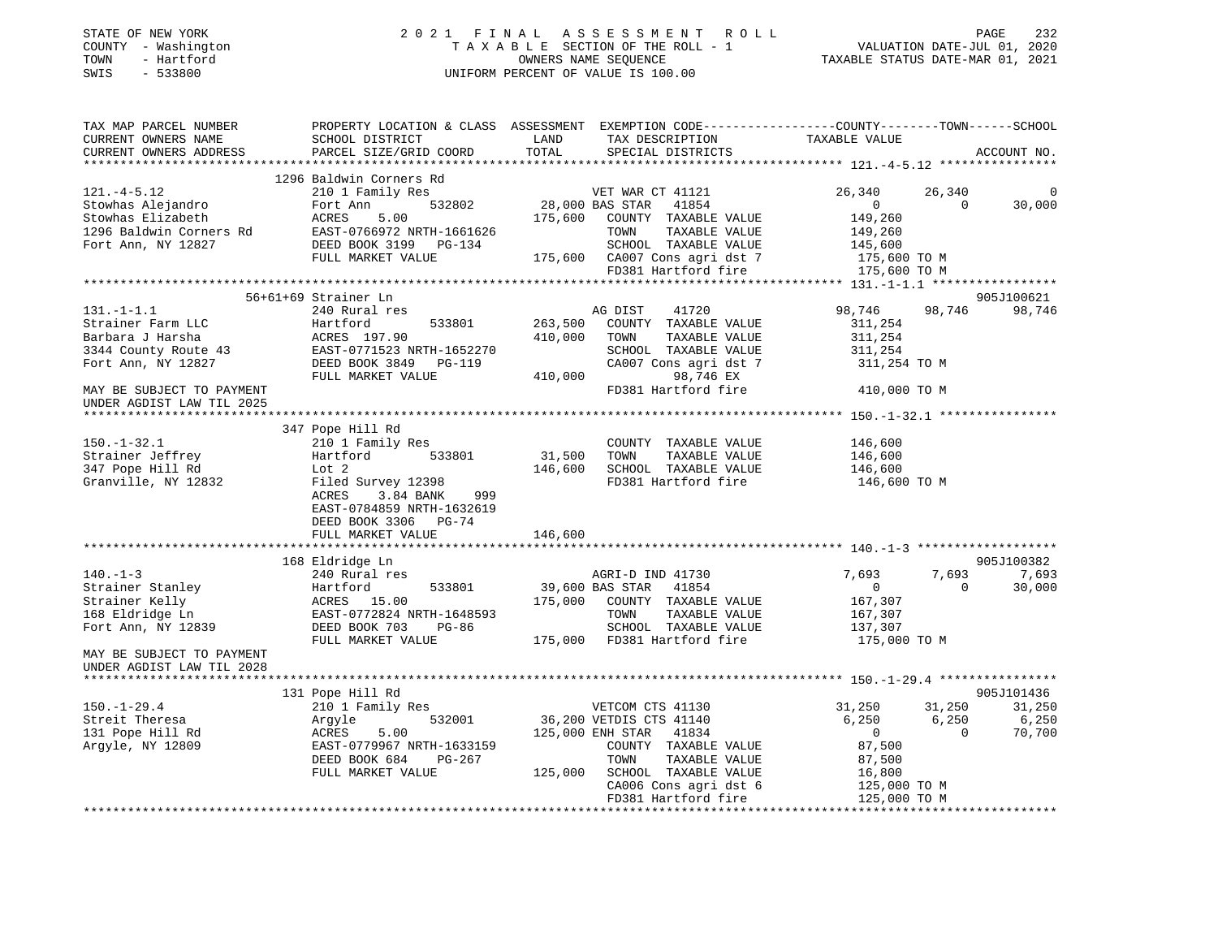| STATE OF NEW YORK |      |              |
|-------------------|------|--------------|
| COUNTY            |      | - Washington |
| TOWN              |      | - Hartford   |
| SMTS              | $ -$ | 533800       |

### STATE OF NEW YORK 2 0 2 1 F I N A L A S S E S S M E N T R O L L PAGE 232 COUNTY - Washington T A X A B L E SECTION OF THE ROLL - 1 VALUATION DATE-JUL 01, 2020 TOWN - Hartford OWNERS NAME SEQUENCE TAXABLE STATUS DATE-MAR 01, 2021 SWIS - 533800 UNIFORM PERCENT OF VALUE IS 100.00

| TAX MAP PARCEL NUMBER<br>CURRENT OWNERS NAME<br>CURRENT OWNERS ADDRESS                                  | PROPERTY LOCATION & CLASS ASSESSMENT EXEMPTION CODE---------------COUNTY-------TOWN-----SCHOOL<br>SCHOOL DISTRICT<br>PARCEL SIZE/GRID COORD         | LAND<br>TOTAL                 | TAX DESCRIPTION<br>SPECIAL DISTRICTS                                                                                                                                            | TAXABLE VALUE                                                                   |                             | ACCOUNT NO.                             |
|---------------------------------------------------------------------------------------------------------|-----------------------------------------------------------------------------------------------------------------------------------------------------|-------------------------------|---------------------------------------------------------------------------------------------------------------------------------------------------------------------------------|---------------------------------------------------------------------------------|-----------------------------|-----------------------------------------|
|                                                                                                         |                                                                                                                                                     |                               |                                                                                                                                                                                 |                                                                                 |                             |                                         |
| $121. - 4 - 5.12$<br>Stowhas Alejandro<br>Stowhas Elizabeth                                             | 1296 Baldwin Corners Rd<br>210 1 Family Res<br>Fort Ann<br>532802<br>5.00<br>ACRES                                                                  | 28,000 BAS STAR<br>175,600    | VET WAR CT 41121<br>41854<br>COUNTY TAXABLE VALUE                                                                                                                               | 26,340<br>$\overline{0}$<br>149,260                                             | 26,340<br>$\Omega$          | $\Omega$<br>30,000                      |
| 1296 Baldwin Corners Rd<br>Fort Ann, NY 12827                                                           | EAST-0766972 NRTH-1661626<br>DEED BOOK 3199 PG-134<br>FULL MARKET VALUE                                                                             |                               | TAXABLE VALUE<br>TOWN<br>SCHOOL TAXABLE VALUE<br>175,600 CA007 Cons agri dst 7                                                                                                  | 149,260<br>145,600<br>175,600 TO M                                              |                             |                                         |
|                                                                                                         |                                                                                                                                                     |                               | FD381 Hartford fire                                                                                                                                                             | 175,600 TO M                                                                    |                             |                                         |
|                                                                                                         |                                                                                                                                                     |                               |                                                                                                                                                                                 |                                                                                 |                             |                                         |
|                                                                                                         | 56+61+69 Strainer Ln                                                                                                                                |                               |                                                                                                                                                                                 |                                                                                 |                             | 905J100621                              |
| $131. - 1 - 1.1$<br>Strainer Farm LLC<br>Barbara J Harsha<br>3344 County Route 43<br>Fort Ann, NY 12827 | 240 Rural res<br>533801<br>Hartford<br>ACRES 197.90<br>EAST-0771523 NRTH-1652270<br>DEED BOOK 3849 PG-119<br>FULL MARKET VALUE                      | 263,500<br>410,000<br>410,000 | 41720<br>AG DIST<br>COUNTY TAXABLE VALUE<br>TAXABLE VALUE<br>TOWN<br>SCHOOL TAXABLE VALUE<br>CA007 Cons agri dst 7<br>98,746 EX                                                 | 98,746<br>311,254<br>311,254<br>311,254<br>311,254 TO M                         | 98,746                      | 98,746                                  |
| MAY BE SUBJECT TO PAYMENT                                                                               |                                                                                                                                                     |                               | FD381 Hartford fire                                                                                                                                                             | 410,000 TO M                                                                    |                             |                                         |
| UNDER AGDIST LAW TIL 2025                                                                               |                                                                                                                                                     |                               |                                                                                                                                                                                 |                                                                                 |                             |                                         |
|                                                                                                         |                                                                                                                                                     |                               |                                                                                                                                                                                 |                                                                                 |                             |                                         |
| $150.-1-32.1$                                                                                           | 347 Pope Hill Rd<br>210 1 Family Res                                                                                                                |                               | COUNTY TAXABLE VALUE                                                                                                                                                            | 146,600                                                                         |                             |                                         |
| Strainer Jeffrey<br>347 Pope Hill Rd                                                                    | Hartford<br>533801<br>Lot 2                                                                                                                         | 31,500<br>146,600             | TAXABLE VALUE<br>TOWN<br>SCHOOL TAXABLE VALUE                                                                                                                                   | 146,600<br>146,600                                                              |                             |                                         |
| Granville, NY 12832                                                                                     | Filed Survey 12398<br>3.84 BANK<br>ACRES<br>999<br>EAST-0784859 NRTH-1632619<br>DEED BOOK 3306 PG-74<br>FULL MARKET VALUE                           | 146,600                       | FD381 Hartford fire                                                                                                                                                             | 146,600 TO M                                                                    |                             |                                         |
|                                                                                                         |                                                                                                                                                     |                               |                                                                                                                                                                                 |                                                                                 |                             |                                         |
|                                                                                                         | 168 Eldridge Ln                                                                                                                                     |                               |                                                                                                                                                                                 |                                                                                 |                             | 905J100382                              |
| $140. - 1 - 3$<br>Strainer Stanley<br>Strainer Kelly<br>168 Eldridge Ln<br>Fort Ann, NY 12839           | 240 Rural res<br>533801<br>Hartford<br>ACRES 15.00<br>EAST-0772824 NRTH-1648593<br>DEED BOOK 703<br>PG-86<br>FULL MARKET VALUE                      | 39,600 BAS STAR               | AGRI-D IND 41730<br>41854<br>175,000 COUNTY TAXABLE VALUE<br>TOWN<br>TAXABLE VALUE<br>SCHOOL TAXABLE VALUE<br>175,000 FD381 Hartford fire                                       | 7,693<br>$\Omega$<br>167,307<br>167,307<br>137,307<br>175,000 TO M              | 7,693<br>$\Omega$           | 7,693<br>30,000                         |
| MAY BE SUBJECT TO PAYMENT<br>UNDER AGDIST LAW TIL 2028                                                  |                                                                                                                                                     |                               |                                                                                                                                                                                 |                                                                                 |                             |                                         |
| ************************                                                                                |                                                                                                                                                     |                               |                                                                                                                                                                                 |                                                                                 |                             |                                         |
| $150. - 1 - 29.4$<br>Streit Theresa<br>131 Pope Hill Rd<br>Argyle, NY 12809                             | 131 Pope Hill Rd<br>210 1 Family Res<br>532001<br>Argyle<br>5.00<br>ACRES<br>EAST-0779967 NRTH-1633159<br>DEED BOOK 684 PG-267<br>FULL MARKET VALUE |                               | VETCOM CTS 41130<br>36,200 VETDIS CTS 41140<br>125,000 ENH STAR 41834<br>COUNTY TAXABLE VALUE<br>TOWN<br>TAXABLE VALUE<br>125,000 SCHOOL TAXABLE VALUE<br>CA006 Cons agri dst 6 | 31,250<br>6,250<br>$\overline{0}$<br>87,500<br>87,500<br>16,800<br>125,000 TO M | 31,250<br>6,250<br>$\Omega$ | 905J101436<br>31,250<br>6,250<br>70,700 |
|                                                                                                         |                                                                                                                                                     |                               | FD381 Hartford fire                                                                                                                                                             | 125,000 TO M                                                                    |                             |                                         |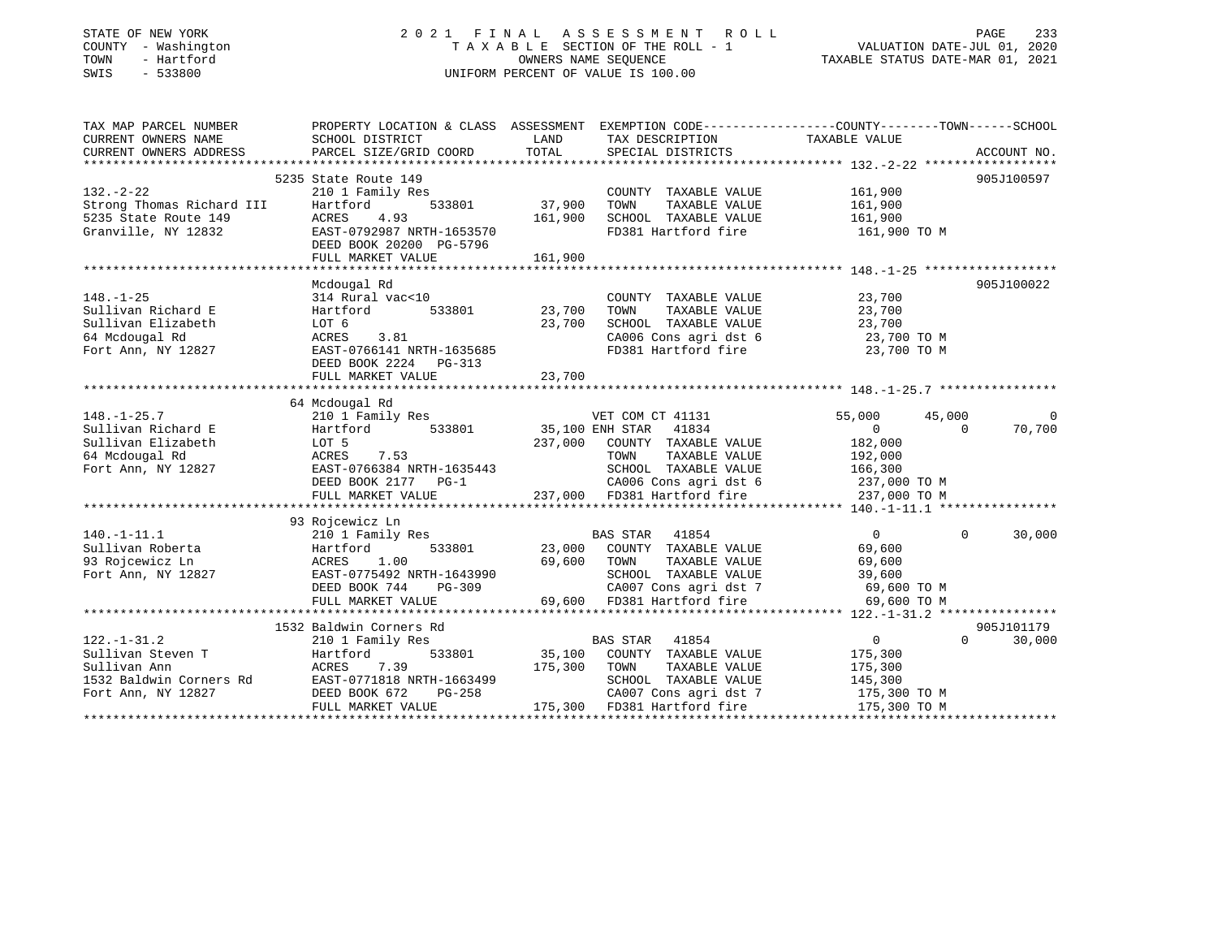| STATE OF NEW YORK |  |              |
|-------------------|--|--------------|
| COUNTY            |  | - Washington |
| TOWN              |  | - Hartford   |
| SWIS              |  | $-533800$    |

## STATE OF NEW YORK 2 0 2 1 F I N A L A S S E S S M E N T R O L L PAGE 233T A X A B L E SECTION OF THE ROLL - 1<br>OWNERS NAME SEQUENCE SWIS - 533800 UNIFORM PERCENT OF VALUE IS 100.00

# VALUATION DATE-JUL 01, 2020

TAXABLE STATUS DATE-MAR 01, 2021

| PROPERTY LOCATION & CLASS ASSESSMENT EXEMPTION CODE----------------COUNTY-------TOWN------SCHOOL<br>LAND TAX DESCRIPTION<br>CURRENT OWNERS NAME<br>SCHOOL DISTRICT<br>TAXABLE VALUE<br>CURRENT OWNERS ADDRESS<br>TOTAL<br>PARCEL SIZE/GRID COORD<br>SPECIAL DISTRICTS<br>ACCOUNT NO.<br>905J100597<br>5235 State Route 149<br>$132. - 2 - 22$<br>161,900<br>210 1 Family Res<br>COUNTY TAXABLE VALUE |                |
|------------------------------------------------------------------------------------------------------------------------------------------------------------------------------------------------------------------------------------------------------------------------------------------------------------------------------------------------------------------------------------------------------|----------------|
|                                                                                                                                                                                                                                                                                                                                                                                                      |                |
|                                                                                                                                                                                                                                                                                                                                                                                                      |                |
|                                                                                                                                                                                                                                                                                                                                                                                                      |                |
|                                                                                                                                                                                                                                                                                                                                                                                                      |                |
|                                                                                                                                                                                                                                                                                                                                                                                                      |                |
| TOWN<br>TAXABLE VALUE<br>161,900                                                                                                                                                                                                                                                                                                                                                                     |                |
| 161,900<br>SCHOOL TAXABLE VALUE<br>161,900                                                                                                                                                                                                                                                                                                                                                           |                |
| Strong Thomas Richard III Hartford 533801<br>5235 State Route 149 ACRES 4.93<br>Granville, NY 12832 EAST-0792987 NRTH-1653570<br>FD381 Hartford fire<br>161,900 TO M                                                                                                                                                                                                                                 |                |
| DEED BOOK 20200 PG-5796                                                                                                                                                                                                                                                                                                                                                                              |                |
| FULL MARKET VALUE<br>161,900                                                                                                                                                                                                                                                                                                                                                                         |                |
|                                                                                                                                                                                                                                                                                                                                                                                                      |                |
| 905J100022<br>Mcdougal Rd                                                                                                                                                                                                                                                                                                                                                                            |                |
| 23,700<br>$148. - 1 - 25$<br>314 Rural vac<10<br>COUNTY TAXABLE VALUE                                                                                                                                                                                                                                                                                                                                |                |
| 23,700<br>Sullivan Richard E<br>533801 23,700<br>TOWN<br>TAXABLE VALUE                                                                                                                                                                                                                                                                                                                               |                |
| Hartford<br>LOT 6<br>23,700<br>SCHOOL TAXABLE VALUE<br>23,700<br>Sullivan Elizabeth                                                                                                                                                                                                                                                                                                                  |                |
| CA006 Cons agri dst 6 23,700 TO M<br>64 Mcdougal Rd                                                                                                                                                                                                                                                                                                                                                  |                |
| ACRES 3.81<br>EAST-0766141 NRTH-1635685<br>DEED BOOK 2224 PG-313<br>FD381 Hartford fire<br>Fort Ann, NY 12827<br>23,700 TO M                                                                                                                                                                                                                                                                         |                |
| DEED BOOK 2224 PG-313                                                                                                                                                                                                                                                                                                                                                                                |                |
| 23,700<br>FULL MARKET VALUE                                                                                                                                                                                                                                                                                                                                                                          |                |
|                                                                                                                                                                                                                                                                                                                                                                                                      |                |
| 64 Mcdougal Rd                                                                                                                                                                                                                                                                                                                                                                                       |                |
| 210 1 Family Res<br>$148. - 1 - 25.7$<br>VET COM CT 41131<br>55,000<br>45,000                                                                                                                                                                                                                                                                                                                        | $\overline{0}$ |
| VEL CUM CT 41131<br>533801 35,100 ENH STAR 41834<br>Hartford<br>$\begin{array}{ccc} 0 & & & 0 \end{array}$<br>Sullivan Richard E                                                                                                                                                                                                                                                                     | 70,700         |
| 237,000 COUNTY TAXABLE VALUE<br>Sullivan Elizabeth<br>182,000                                                                                                                                                                                                                                                                                                                                        |                |
| LOT 5<br>ACRES 7.53<br>TOWN TAXABLE VALUE<br>64 Mcdougal Rd<br>192,000                                                                                                                                                                                                                                                                                                                               |                |
| EAST-0766384 NRTH-1635443<br>SCHOOL TAXABLE VALUE 166,300<br>Fort Ann, NY 12827                                                                                                                                                                                                                                                                                                                      |                |
|                                                                                                                                                                                                                                                                                                                                                                                                      |                |
|                                                                                                                                                                                                                                                                                                                                                                                                      |                |
|                                                                                                                                                                                                                                                                                                                                                                                                      |                |
| 93 Rojcewicz Ln                                                                                                                                                                                                                                                                                                                                                                                      |                |
| $140.-1-11.1$<br>210 1 Family Res<br>BAS STAR 41854<br>$\overline{0}$<br>$\Omega$                                                                                                                                                                                                                                                                                                                    | 30,000         |
| 533801 23,000 COUNTY TAXABLE VALUE<br>69,600                                                                                                                                                                                                                                                                                                                                                         |                |
| 1907–1911.1<br>Sullivan Roberta (1917) Hartford 533801<br>93 Rojcewicz Ln (1927) RCRES 1.00<br>Fort Ann, NY 12827 (1928) EAST-0775492 NRTH-1643990<br>69,600 TOWN<br>TAXABLE VALUE<br>69,600<br>s Rojcewicz Ln<br>Fort Ann, NY 12827                                                                                                                                                                 |                |
| SCHOOL TAXABLE VALUE<br>39,600                                                                                                                                                                                                                                                                                                                                                                       |                |
| $PG-309$<br>CA007 Cons agri dst 7 69,600 TO M<br>DEED BOOK 744                                                                                                                                                                                                                                                                                                                                       |                |
| 69,600 FD381 Hartford fire<br>69,600 TO M<br>FULL MARKET VALUE                                                                                                                                                                                                                                                                                                                                       |                |
|                                                                                                                                                                                                                                                                                                                                                                                                      |                |
| 1532 Baldwin Corners Rd<br>905J101179                                                                                                                                                                                                                                                                                                                                                                |                |
| $\overline{0}$<br>$122. - 1 - 31.2$<br><b>BAS STAR 41854</b><br>$\Omega$<br>210 1 Family Res                                                                                                                                                                                                                                                                                                         | 30,000         |
| Sullivan Steven T Martford<br>533801 35,100 COUNTY TAXABLE VALUE<br>175,300                                                                                                                                                                                                                                                                                                                          |                |
| Sullivan Ann<br>ACRES 7.39<br>175,300 TOWN TAXABLE VALUE<br>175,300                                                                                                                                                                                                                                                                                                                                  |                |
| 1532 Baldwin Corners Rd<br>SCHOOL TAXABLE VALUE<br>145,300                                                                                                                                                                                                                                                                                                                                           |                |
| ACRES 7.39<br>FAST-0771818 NRTH-1663499<br>INDEED BOOK 672 PG-258<br>PG-258 2007 Cons agri dst 7<br>E 175,300 FD381 Hartford fire<br>CA007 Cons agri dst 7 175,300 TO M<br>Fort Ann, NY 12827                                                                                                                                                                                                        |                |
| 175,300 TO M                                                                                                                                                                                                                                                                                                                                                                                         |                |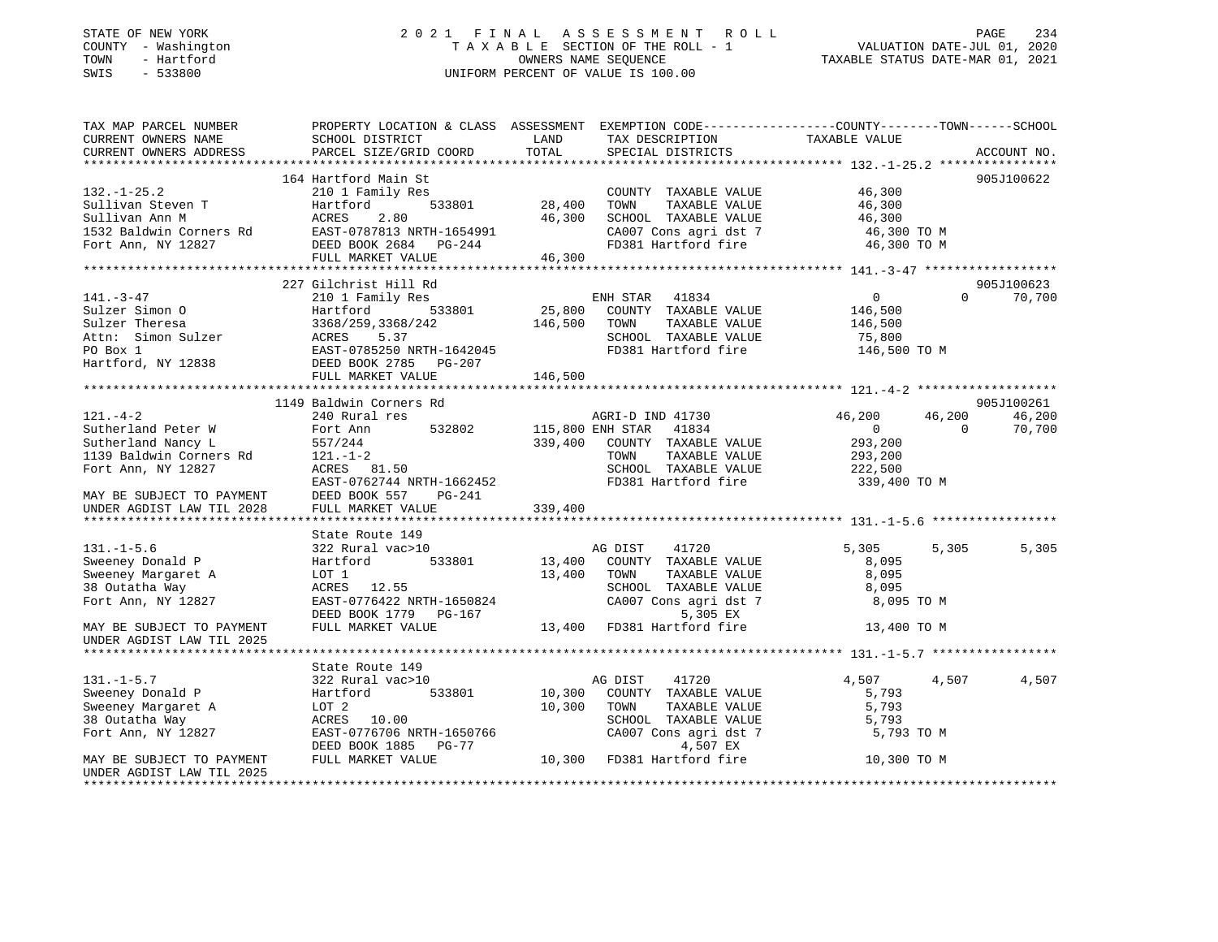#### STATE OF NEW YORK 2 0 2 1 F I N A L A S S E S S M E N T R O L L PAGE 234COUNTY - Washington  $T A X A B L E$  SECTION OF THE ROLL - 1<br>TOWN - Hartford TOWN - Hartford **Taxable STATUS DATE-MAR 01, 2021** OWNERS NAME SEQUENCE TAXABLE STATUS DATE-MAR 01, 2021 SWIS - 533800 UNIFORM PERCENT OF VALUE IS 100.00

VALUATION DATE-JUL 01, 2020

| TAX MAP PARCEL NUMBER                                                                                                                                                                                                                                  | PROPERTY LOCATION & CLASS ASSESSMENT EXEMPTION CODE----------------COUNTY-------TOWN------SCHOOL |               |                                              |                   |                    |
|--------------------------------------------------------------------------------------------------------------------------------------------------------------------------------------------------------------------------------------------------------|--------------------------------------------------------------------------------------------------|---------------|----------------------------------------------|-------------------|--------------------|
| CURRENT OWNERS NAME<br>CURRENT OWNERS ADDRESS                                                                                                                                                                                                          | SCHOOL DISTRICT                                                                                  | LAND<br>TOTAL | TAX DESCRIPTION                              | TAXABLE VALUE     |                    |
|                                                                                                                                                                                                                                                        | PARCEL SIZE/GRID COORD                                                                           |               | SPECIAL DISTRICTS                            |                   | ACCOUNT NO.        |
|                                                                                                                                                                                                                                                        | 164 Hartford Main St                                                                             |               |                                              |                   | 905J100622         |
|                                                                                                                                                                                                                                                        |                                                                                                  |               |                                              |                   |                    |
| $132. - 1 - 25.2$                                                                                                                                                                                                                                      | 210 1 Family Res                                                                                 |               | COUNTY TAXABLE VALUE                         | 46,300            |                    |
|                                                                                                                                                                                                                                                        |                                                                                                  |               | TOWN<br>TAXABLE VALUE                        | 46,300<br>46,300  |                    |
|                                                                                                                                                                                                                                                        |                                                                                                  | 46,300        | SCHOOL TAXABLE VALUE                         |                   |                    |
|                                                                                                                                                                                                                                                        |                                                                                                  |               | CA007 Cons agri dst 7<br>FD381 Hartford fire | 46,300 TO M       |                    |
| Sullivan Steven T<br>Sullivan Ann M<br>1532 Baldwin Corners Rd<br>1532 Baldwin Corners Rd<br>1654991<br>1654991<br>1654991<br>1767 DEED BOOK 2684<br>1767-244<br>1767 DEED BOOK 2684<br>1767-244                                                       |                                                                                                  | 46, 300       |                                              | 46,300 TO M       |                    |
|                                                                                                                                                                                                                                                        | FULL MARKET VALUE                                                                                |               |                                              |                   |                    |
|                                                                                                                                                                                                                                                        | 227 Gilchrist Hill Rd                                                                            |               |                                              |                   | 905J100623         |
| $141. - 3 - 47$                                                                                                                                                                                                                                        |                                                                                                  |               |                                              | $0 \qquad \qquad$ | $\Omega$           |
|                                                                                                                                                                                                                                                        | 210 1 Family Res                                                                                 | 25,800        | ENH STAR 41834                               |                   | 70,700             |
|                                                                                                                                                                                                                                                        |                                                                                                  |               | COUNTY TAXABLE VALUE                         | 146,500           |                    |
|                                                                                                                                                                                                                                                        |                                                                                                  | 146,500       | TOWN<br>TAXABLE VALUE                        | 146,500           |                    |
|                                                                                                                                                                                                                                                        | ACRES 5.37<br>EAST-0785250 NRTH-1642045                                                          |               | SCHOOL TAXABLE VALUE                         | 75,800            |                    |
|                                                                                                                                                                                                                                                        |                                                                                                  |               | FD381 Hartford fire                          | 146,500 TO M      |                    |
| 141.1.3-14<br>Sulzer Simon 0<br>Sulzer Theresa<br>Attn: Simon Sulzer<br>PO Box 1<br>Hartford, NY 12838<br>Hartford, NY 12838<br>PO Box 1<br>Hartford, NY 12838<br>DEED BOOK 2785250 NRTH-1642045<br>DEED BOOK 2785250<br>DEED BOOK 2785250<br>DEED BOO |                                                                                                  |               |                                              |                   |                    |
|                                                                                                                                                                                                                                                        | FULL MARKET VALUE                                                                                | 146,500       |                                              |                   |                    |
|                                                                                                                                                                                                                                                        |                                                                                                  |               |                                              |                   |                    |
|                                                                                                                                                                                                                                                        | 1149 Baldwin Corners Rd                                                                          |               |                                              |                   | 905J100261         |
| $121. - 4 - 2$                                                                                                                                                                                                                                         | 240 Rural res                                                                                    |               | AGRI-D IND 41730                             | 46,200<br>46,200  | 46,200             |
| Sutherland Peter W                                                                                                                                                                                                                                     | Fort Ann                                                                                         |               | 532802 115,800 ENH STAR 41834                | $\overline{0}$    | $\Omega$<br>70,700 |
| Sutherland Nancy L                                                                                                                                                                                                                                     | 557/244                                                                                          | 339,400       | COUNTY TAXABLE VALUE                         | 293,200           |                    |
| 1139 Baldwin Corners Rd                                                                                                                                                                                                                                | 121.-1-2                                                                                         |               | TAXABLE VALUE<br>TOWN                        | 293,200           |                    |
| Fort Ann, NY 12827                                                                                                                                                                                                                                     | ACRES 81.50                                                                                      |               | SCHOOL TAXABLE VALUE                         | 222,500           |                    |
|                                                                                                                                                                                                                                                        | EAST-0762744 NRTH-1662452                                                                        |               | FD381 Hartford fire                          | 339,400 TO M      |                    |
|                                                                                                                                                                                                                                                        |                                                                                                  |               |                                              |                   |                    |
|                                                                                                                                                                                                                                                        |                                                                                                  |               |                                              |                   |                    |
|                                                                                                                                                                                                                                                        |                                                                                                  |               |                                              |                   |                    |
|                                                                                                                                                                                                                                                        | State Route 149                                                                                  |               |                                              |                   |                    |
| $131. - 1 - 5.6$                                                                                                                                                                                                                                       | 322 Rural vac>10                                                                                 |               | AG DIST<br>41720                             | 5,305             | 5,305<br>5,305     |
| Sweeney Donald P                                                                                                                                                                                                                                       | Hartford 533801                                                                                  | 13,400        | COUNTY TAXABLE VALUE                         | 8,095             |                    |
| Sweeney Margaret A                                                                                                                                                                                                                                     | LOT 1                                                                                            | 13,400        | TAXABLE VALUE<br>TOWN                        | 8,095             |                    |
| 38 Outatha Way                                                                                                                                                                                                                                         | ACRES 12.55                                                                                      |               | SCHOOL TAXABLE VALUE                         | 8,095             |                    |
| Fort Ann, NY 12827                                                                                                                                                                                                                                     | EAST-0776422 NRTH-1650824                                                                        |               | CA007 Cons agri dst 7                        | 8,095 TO M        |                    |
|                                                                                                                                                                                                                                                        | DEED BOOK 1779 PG-167                                                                            |               | 5,305 EX                                     |                   |                    |
| MAY BE SUBJECT TO PAYMENT                                                                                                                                                                                                                              | FULL MARKET VALUE                                                                                |               | 13,400 FD381 Hartford fire                   | 13,400 TO M       |                    |
| UNDER AGDIST LAW TIL 2025                                                                                                                                                                                                                              |                                                                                                  |               |                                              |                   |                    |
|                                                                                                                                                                                                                                                        |                                                                                                  |               |                                              |                   |                    |
|                                                                                                                                                                                                                                                        | State Route 149                                                                                  |               |                                              |                   |                    |
| $131. - 1 - 5.7$                                                                                                                                                                                                                                       | 322 Rural vac>10                                                                                 |               | AG DIST<br>41720                             | 4,507             | 4,507<br>4,507     |
| Sweeney Donald P                                                                                                                                                                                                                                       | Hartford                                                                                         | 533801 10,300 | COUNTY TAXABLE VALUE                         | 5,793             |                    |
| Sweeney Margaret A                                                                                                                                                                                                                                     | LOT 2                                                                                            | 10,300        | TOWN<br>TAXABLE VALUE                        | 5,793             |                    |
| 38 Outatha Way                                                                                                                                                                                                                                         | ACRES 10.00                                                                                      |               | SCHOOL TAXABLE VALUE                         | 5,793             |                    |
| Fort Ann, NY 12827                                                                                                                                                                                                                                     | EAST-0776706 NRTH-1650766                                                                        |               | CA007 Cons agri dst 7                        | 5,793 TO M        |                    |
|                                                                                                                                                                                                                                                        | DEED BOOK 1885 PG-77                                                                             |               | 4,507 EX                                     |                   |                    |
| MAY BE SUBJECT TO PAYMENT                                                                                                                                                                                                                              | FULL MARKET VALUE                                                                                |               | 10,300 FD381 Hartford fire                   | 10,300 TO M       |                    |
| UNDER AGDIST LAW TIL 2025                                                                                                                                                                                                                              |                                                                                                  |               |                                              |                   |                    |
|                                                                                                                                                                                                                                                        |                                                                                                  |               |                                              |                   |                    |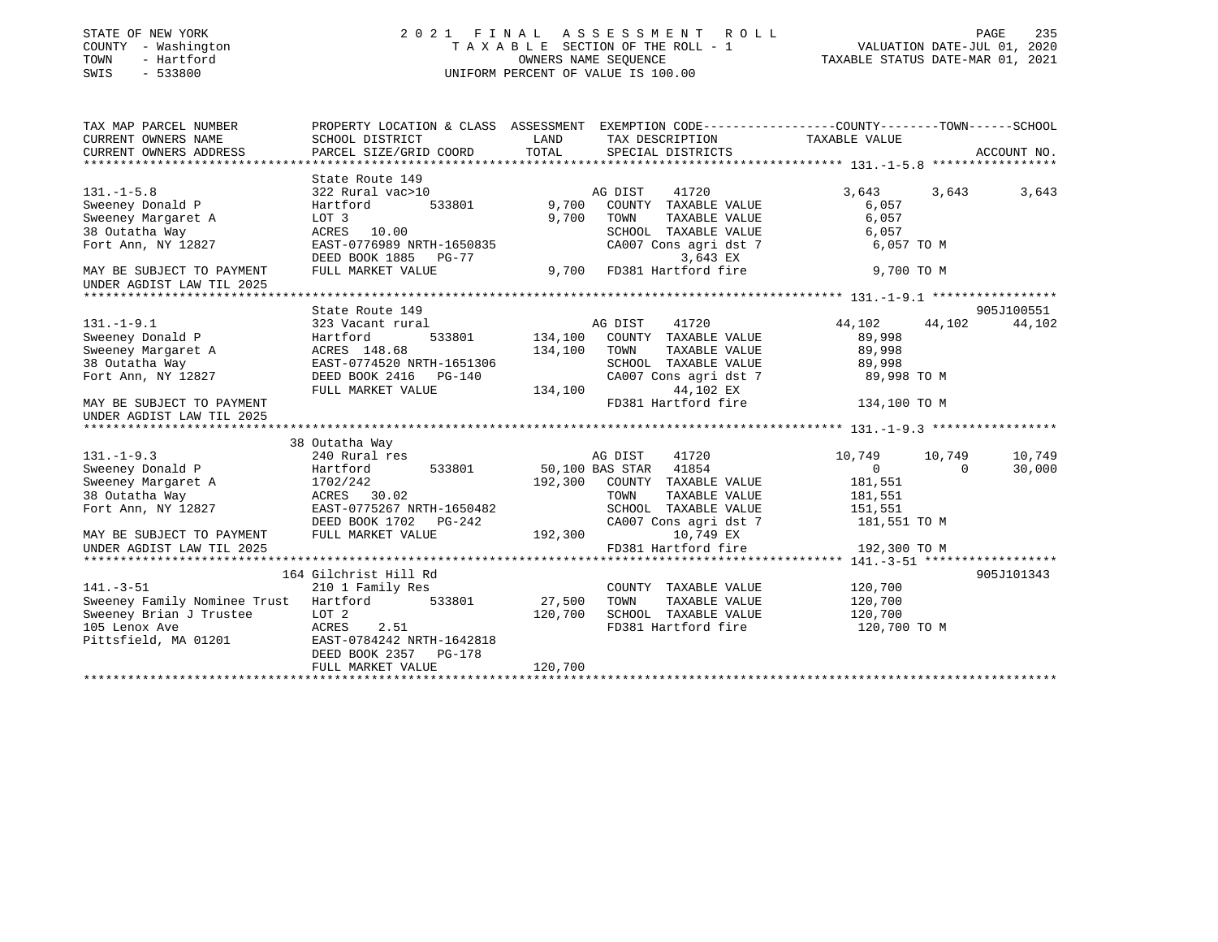| STATE OF NEW YORK<br>COUNTY - Washington<br>TOWN<br>- Hartford<br>SWIS<br>$-533800$ |                                                    | OWNERS NAME SEQUENCE | 2021 FINAL ASSESSMENT ROLL<br>TAXABLE SECTION OF THE ROLL - 1<br>UNIFORM PERCENT OF VALUE IS 100.00 | VALUATION DATE-JUL 01, 2020<br>TAXABLE STATUS DATE-MAR 01, 2021 | PAGE     | 235         |
|-------------------------------------------------------------------------------------|----------------------------------------------------|----------------------|-----------------------------------------------------------------------------------------------------|-----------------------------------------------------------------|----------|-------------|
| TAX MAP PARCEL NUMBER                                                               |                                                    |                      | PROPERTY LOCATION & CLASS ASSESSMENT EXEMPTION CODE----------------COUNTY-------TOWN-----SCHOOL     |                                                                 |          |             |
| CURRENT OWNERS NAME<br>CURRENT OWNERS ADDRESS                                       | SCHOOL DISTRICT<br>PARCEL SIZE/GRID COORD          | LAND<br>TOTAL        | TAX DESCRIPTION<br>SPECIAL DISTRICTS                                                                | TAXABLE VALUE                                                   |          | ACCOUNT NO. |
|                                                                                     |                                                    |                      |                                                                                                     |                                                                 |          |             |
|                                                                                     | State Route 149                                    |                      |                                                                                                     |                                                                 |          |             |
| $131. -1 - 5.8$                                                                     | 322 Rural vac>10                                   |                      | AG DIST<br>41720                                                                                    | 3,643                                                           | 3,643    | 3,643       |
| Sweeney Donald P                                                                    | Hartford<br>533801                                 | 9,700                | COUNTY TAXABLE VALUE                                                                                | 6,057                                                           |          |             |
| Sweeney Margaret A                                                                  | LOT 3                                              | 9,700                | TOWN<br>TAXABLE VALUE                                                                               | 6,057                                                           |          |             |
| 38 Outatha Way                                                                      | ACRES 10.00                                        |                      | SCHOOL TAXABLE VALUE                                                                                | 6,057                                                           |          |             |
| Fort Ann, NY 12827                                                                  | EAST-0776989 NRTH-1650835                          |                      | CA007 Cons agri dst 7                                                                               | 6,057 TO M                                                      |          |             |
|                                                                                     | DEED BOOK 1885 PG-77                               |                      | 3,643 EX                                                                                            |                                                                 |          |             |
| MAY BE SUBJECT TO PAYMENT                                                           | FULL MARKET VALUE                                  | 9,700                | FD381 Hartford fire                                                                                 | 9,700 TO M                                                      |          |             |
| UNDER AGDIST LAW TIL 2025                                                           |                                                    |                      |                                                                                                     |                                                                 |          |             |
|                                                                                     |                                                    |                      |                                                                                                     |                                                                 |          |             |
|                                                                                     | State Route 149                                    |                      |                                                                                                     |                                                                 |          | 905J100551  |
| $131. - 1 - 9.1$                                                                    | 323 Vacant rural                                   |                      | AG DIST<br>41720                                                                                    | 44,102                                                          | 44,102   | 44,102      |
| Sweeney Donald P                                                                    | Hartford<br>533801                                 | 134,100              | COUNTY TAXABLE VALUE                                                                                | 89,998                                                          |          |             |
| Sweeney Margaret A                                                                  | ACRES 148.68                                       | 134,100              | TAXABLE VALUE<br>TOWN                                                                               | 89,998                                                          |          |             |
| 38 Outatha Way                                                                      | EAST-0774520 NRTH-1651306                          |                      | SCHOOL TAXABLE VALUE                                                                                | 89,998                                                          |          |             |
| Fort Ann, NY 12827                                                                  | DEED BOOK 2416 PG-140                              |                      | CA007 Cons agri dst 7                                                                               | 89,998 TO M                                                     |          |             |
| MAY BE SUBJECT TO PAYMENT                                                           | FULL MARKET VALUE                                  | 134,100              | 44,102 EX<br>FD381 Hartford fire                                                                    | 134,100 TO M                                                    |          |             |
| UNDER AGDIST LAW TIL 2025                                                           |                                                    |                      |                                                                                                     |                                                                 |          |             |
|                                                                                     |                                                    |                      |                                                                                                     |                                                                 |          |             |
|                                                                                     | 38 Outatha Way                                     |                      |                                                                                                     |                                                                 |          |             |
| $131. -1 - 9.3$                                                                     | 240 Rural res                                      |                      | AG DIST<br>41720                                                                                    | 10,749                                                          | 10,749   | 10,749      |
| Sweeney Donald P                                                                    | Hartford<br>533801                                 |                      | 50,100 BAS STAR 41854                                                                               | 0                                                               | $\Omega$ | 30,000      |
| Sweeney Margaret A                                                                  | 1702/242                                           |                      | 192,300 COUNTY TAXABLE VALUE                                                                        | 181,551                                                         |          |             |
| 38 Outatha Way                                                                      | ACRES 30.02                                        |                      | TOWN<br>TAXABLE VALUE                                                                               | 181,551                                                         |          |             |
| Fort Ann, NY 12827                                                                  | EAST-0775267 NRTH-1650482                          |                      | SCHOOL TAXABLE VALUE                                                                                | 151,551                                                         |          |             |
|                                                                                     | DEED BOOK 1702 PG-242                              |                      | CA007 Cons agri dst 7                                                                               | 181,551 TO M                                                    |          |             |
| MAY BE SUBJECT TO PAYMENT                                                           | FULL MARKET VALUE                                  | 192,300              | 10,749 EX                                                                                           |                                                                 |          |             |
| UNDER AGDIST LAW TIL 2025                                                           |                                                    |                      | FD381 Hartford fire                                                                                 | 192,300 TO M                                                    |          |             |
|                                                                                     |                                                    |                      |                                                                                                     |                                                                 |          |             |
|                                                                                     | 164 Gilchrist Hill Rd                              |                      |                                                                                                     |                                                                 |          | 905J101343  |
| $141. - 3 - 51$                                                                     | 210 1 Family Res                                   |                      | COUNTY TAXABLE VALUE                                                                                | 120,700                                                         |          |             |
| Sweeney Family Nominee Trust                                                        | Hartford 533801                                    | 27,500               | TOWN<br>TAXABLE VALUE                                                                               | 120,700                                                         |          |             |
| Sweeney Brian J Trustee                                                             | LOT 2                                              | 120,700              | SCHOOL TAXABLE VALUE                                                                                | 120,700                                                         |          |             |
| 105 Lenox Ave                                                                       | ACRES<br>2.51                                      |                      | FD381 Hartford fire                                                                                 | 120,700 TO M                                                    |          |             |
| Pittsfield, MA 01201                                                                | EAST-0784242 NRTH-1642818<br>DEED BOOK 2357 PG-178 |                      |                                                                                                     |                                                                 |          |             |
|                                                                                     | FULL MARKET VALUE                                  | 120,700              |                                                                                                     |                                                                 |          |             |
|                                                                                     |                                                    |                      |                                                                                                     |                                                                 |          |             |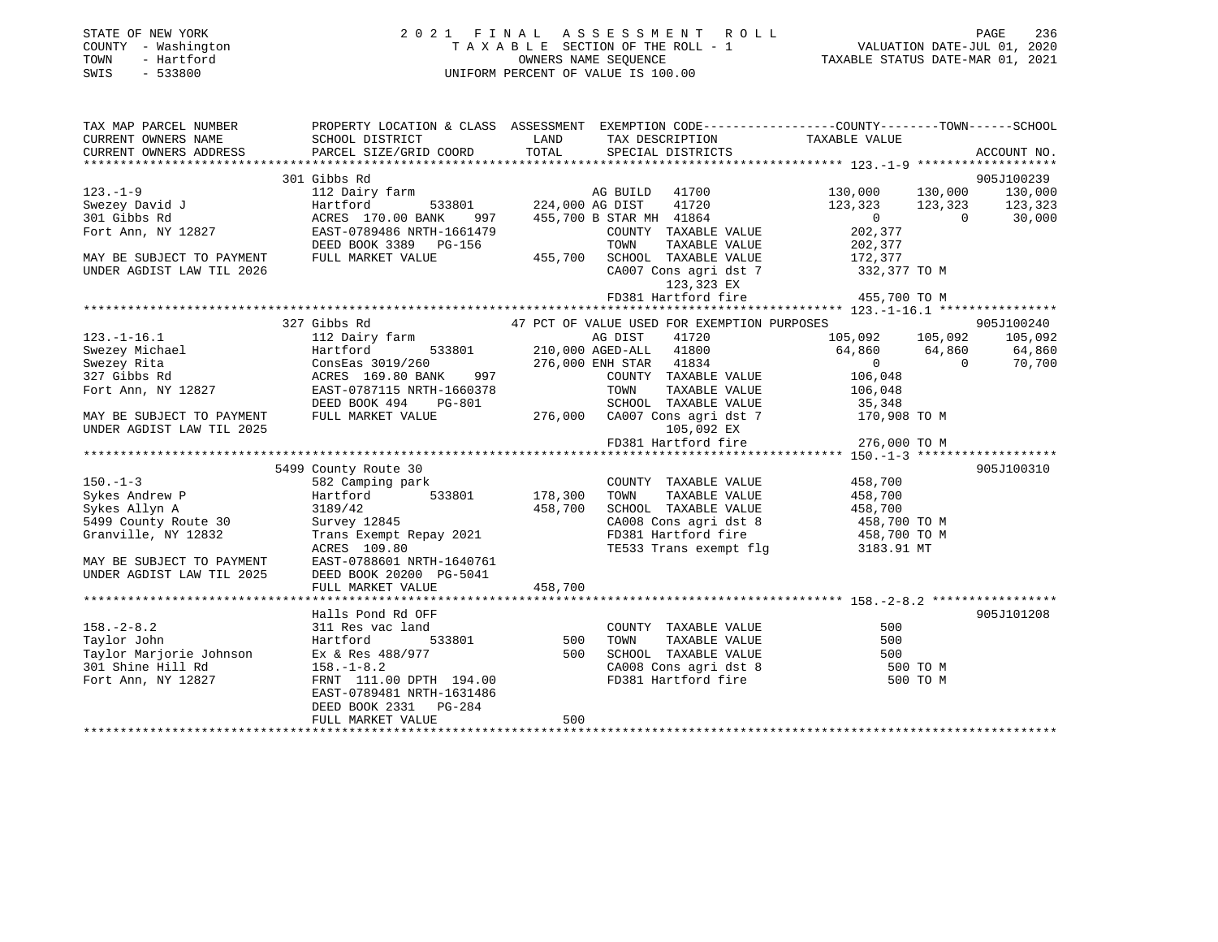| STATE OF NEW YORK<br>COUNTY - Washington<br>- Hartford<br>TOWN<br>$-533800$<br>SWIS | 2021 FINAL ASSESSMENT ROLL<br>TAXABLE SECTION OF THE ROLL - 1<br>OWNERS NAME SEOUENCE<br>UNIFORM PERCENT OF VALUE IS 100.00 | TAXABLE STATUS DATE-MAR 01, 2021 | PAGE<br>VALUATION DATE-JUL 01, 2020 | 236 |
|-------------------------------------------------------------------------------------|-----------------------------------------------------------------------------------------------------------------------------|----------------------------------|-------------------------------------|-----|
| TAX MAP PARCEL NUMBER                                                               | PROPERTY LOCATION & CLASS ASSESSMENT<br>EXEMPTION CODE------------------COUNTY-------TOWN------SCHOOL                       |                                  |                                     |     |

| CURRENT OWNERS NAME<br>SCHOOL DISTRICT<br>LAND<br>TAX DESCRIPTION<br>TAXABLE VALUE                         |                |             |
|------------------------------------------------------------------------------------------------------------|----------------|-------------|
| TOTAL<br>PARCEL SIZE/GRID COORD<br>CURRENT OWNERS ADDRESS<br>SPECIAL DISTRICTS                             |                | ACCOUNT NO. |
|                                                                                                            |                |             |
| 301 Gibbs Rd                                                                                               |                | 905J100239  |
| $123. - 1 - 9$<br>112 Dairy farm<br>AG BUILD 41700<br>130,000                                              | 130,000        | 130,000     |
| 41720<br>Swezey David J<br>Hartford<br>533801 224,000 AG DIST<br>123,323                                   | 123,323        | 123,323     |
| 301 Gibbs Rd<br>ACRES 170.00 BANK<br>455,700 B STAR MH 41864<br>$0 \qquad \qquad$<br>997                   | $\overline{0}$ | 30,000      |
| EAST-0789486 NRTH-1661479<br>202,377<br>Fort Ann, NY 12827<br>COUNTY TAXABLE VALUE                         |                |             |
| DEED BOOK 3389 PG-156<br>TOWN<br>TAXABLE VALUE                                                             |                |             |
| 202,377<br>172,377<br>MAY BE SUBJECT TO PAYMENT<br>FULL MARKET VALUE<br>455,700<br>SCHOOL TAXABLE VALUE    |                |             |
| CA007 Cons agri dst 7 332,377 TO M<br>UNDER AGDIST LAW TIL 2026                                            |                |             |
| 123,323 EX                                                                                                 |                |             |
| 455,700 TO M<br>FD381 Hartford fire                                                                        |                |             |
|                                                                                                            |                |             |
| 327 Gibbs Rd<br>47 PCT OF VALUE USED FOR EXEMPTION PURPOSES                                                |                | 905J100240  |
| 112 Dairy farm<br>AG DIST<br>41720<br>105,092 105,092 105,092<br>$123. - 1 - 16.1$                         |                |             |
| 533801<br>Swezey Michael<br>Hartford<br>210,000 AGED-ALL 41800<br>64,860 64,860                            |                | 64,860      |
| Swezey Rita<br>ConsEas 3019/260<br>276,000 ENH STAR 41834<br>$\overline{0}$                                | $\sim$ 0       | 70,700      |
| 327 Gibbs Rd<br>ACRES 169.80 BANK<br>997<br>COUNTY TAXABLE VALUE<br>106,048                                |                |             |
| Fort Ann, NY 12827<br>EAST-0787115 NRTH-1660378<br>TOWN<br>TAXABLE VALUE<br>106,048                        |                |             |
| SCHOOL TAXABLE VALUE<br>DEED BOOK 494<br>PG-801<br>35,348                                                  |                |             |
| 276,000 CA007 Cons agri dst 7 170,908 TO M<br>FULL MARKET VALUE<br>MAY BE SUBJECT TO PAYMENT               |                |             |
| UNDER AGDIST LAW TIL 2025<br>105,092 EX<br>105,092 EX<br>FD381 Hartford fire                               |                |             |
| 276,000 TO M                                                                                               |                |             |
|                                                                                                            |                |             |
| 5499 County Route 30                                                                                       |                | 905J100310  |
| 458,700<br>$150. - 1 - 3$<br>582 Camping park<br>COUNTY TAXABLE VALUE                                      |                |             |
| 533801 178,300<br>Sykes Andrew P<br>Hartford<br>TOWN<br>TAXABLE VALUE<br>458,700                           |                |             |
| 458,700<br>SCHOOL TAXABLE VALUE<br>Sykes Allyn A<br>3189/42<br>458,700                                     |                |             |
| 458,700 TO M<br>Survey 12845<br>5499 County Route 30<br>CA008 Cons agri dst 8                              |                |             |
| Trans Exempt Repay 2021<br>FD381 Hartford fire 458,700 TO M<br>Granville, NY 12832                         |                |             |
| TE533 Trans exempt flg<br>ACRES 109.80<br>3183.91 MT                                                       |                |             |
| EAST-0788601 NRTH-1640761<br>MAY BE SUBJECT TO PAYMENT                                                     |                |             |
| UNDER AGDIST LAW TIL 2025<br>DEED BOOK 20200 PG-5041                                                       |                |             |
| 458,700<br>FULL MARKET VALUE                                                                               |                |             |
|                                                                                                            |                |             |
| Halls Pond Rd OFF                                                                                          |                | 905J101208  |
| $158. - 2 - 8.2$<br>311 Res vac land<br>500<br>COUNTY TAXABLE VALUE                                        |                |             |
| 533801 500<br>Taylor John<br>Hartford<br>TOWN<br>TAXABLE VALUE<br>500                                      |                |             |
| Taylor Marjorie Johnson<br>SCHOOL TAXABLE VALUE<br>Ex & Res 488/977<br>500<br>500<br>CA008 Cons agri dst 8 |                |             |
| 500 TO M<br>301 Shine Hill Rd<br>$158. - 1 - 8.2$                                                          |                |             |
| FD381 Hartford fire<br>Fort Ann, NY 12827<br>FRNT 111.00 DPTH 194.00                                       | 500 TO M       |             |
| EAST-0789481 NRTH-1631486                                                                                  |                |             |
| DEED BOOK 2331 PG-284                                                                                      |                |             |
| 500<br>FULL MARKET VALUE                                                                                   |                |             |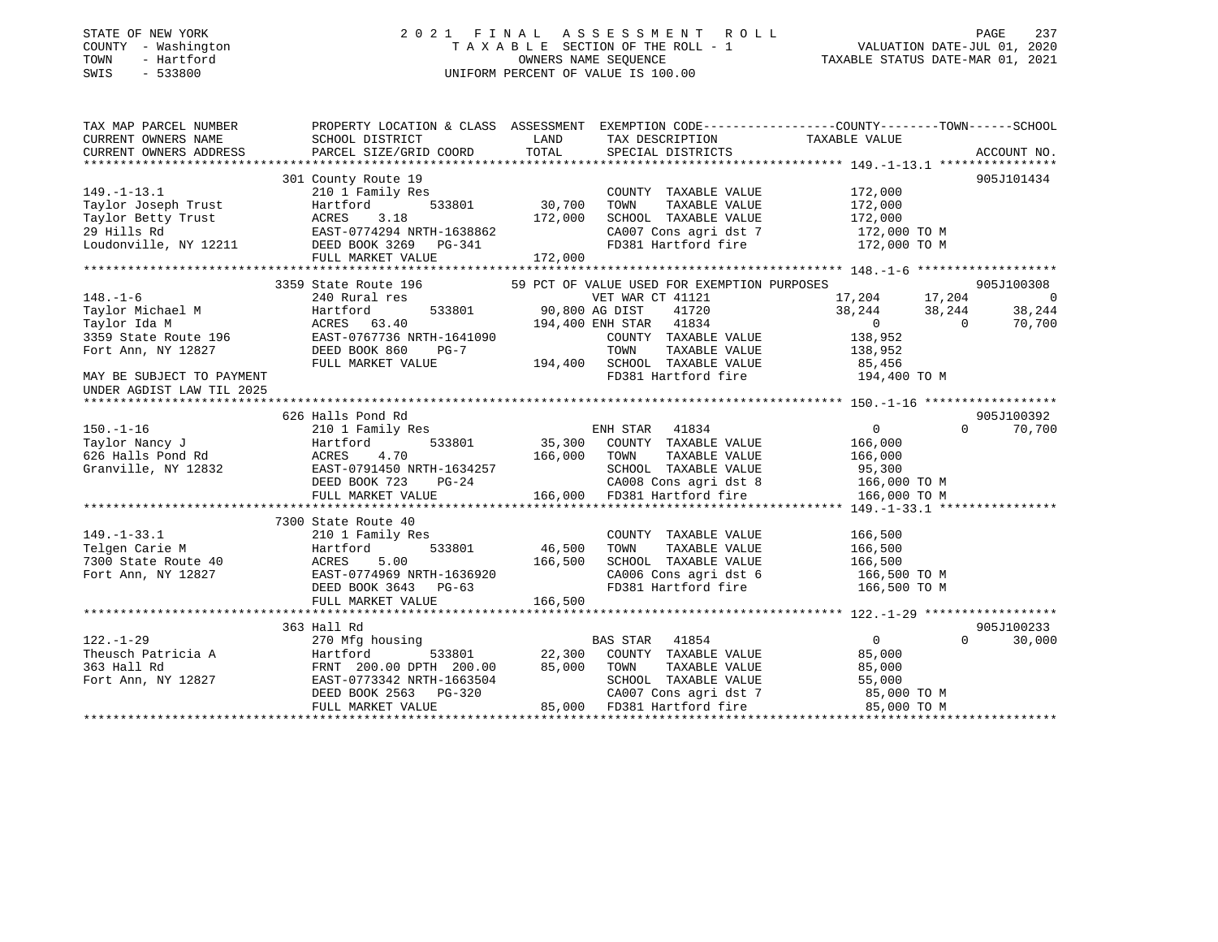#### STATE OF NEW YORK 2 0 2 1 F I N A L A S S E S S M E N T R O L L PAGE 237COUNTY - Washington T A X A B L E SECTION OF THE ROLL - 1 TOWN - Hartford **Taxable State of the CONNERS OWNERS NAME SEQUENCE** TAXABLE STATUS DATE-MAR 01, 2021 SWIS - 533800 UNIFORM PERCENT OF VALUE IS 100.00

# VALUATION DATE-JUL 01, 2020

| TAX MAP PARCEL NUMBER<br>CURRENT OWNERS NAME<br>CURRENT OWNERS ADDRESS | PROPERTY LOCATION & CLASS ASSESSMENT EXEMPTION CODE---------------COUNTY-------TOWN-----SCHOOL<br>SCHOOL DISTRICT<br>PARCEL SIZE/GRID COORD                                                                                                                                                                          | TOTAL         | LAND TAX DESCRIPTION<br>SPECIAL DISTRICTS                                          | TAXABLE VALUE            | ACCOUNT NO.              |
|------------------------------------------------------------------------|----------------------------------------------------------------------------------------------------------------------------------------------------------------------------------------------------------------------------------------------------------------------------------------------------------------------|---------------|------------------------------------------------------------------------------------|--------------------------|--------------------------|
|                                                                        |                                                                                                                                                                                                                                                                                                                      |               |                                                                                    |                          |                          |
|                                                                        | 301 County Route 19                                                                                                                                                                                                                                                                                                  |               |                                                                                    |                          | 905J101434               |
| $149. - 1 - 13.1$                                                      | 210 1 Family Res                                                                                                                                                                                                                                                                                                     |               | COUNTY TAXABLE VALUE                                                               | 172,000                  |                          |
|                                                                        |                                                                                                                                                                                                                                                                                                                      | 30,700        | TAXABLE VALUE<br>TOWN                                                              |                          |                          |
|                                                                        | Taylor Joseph Trust<br>Taylor Betty Trust<br>29 Hills Rd<br>Loudonville, NY 12211<br>DEED BOOK 3269 PG-341                                                                                                                                                                                                           | 172,000       | SCHOOL TAXABLE VALUE                                                               | 172,000<br>172,000       |                          |
|                                                                        |                                                                                                                                                                                                                                                                                                                      |               | CA007 Cons agri dst 7 172,000 TO M                                                 |                          |                          |
|                                                                        |                                                                                                                                                                                                                                                                                                                      |               | FD381 Hartford fire                                                                | 172,000 TO M             |                          |
|                                                                        | FULL MARKET VALUE                                                                                                                                                                                                                                                                                                    | 172,000       |                                                                                    |                          |                          |
|                                                                        |                                                                                                                                                                                                                                                                                                                      |               |                                                                                    |                          |                          |
|                                                                        | 3359 State Route 196 69 FCT OF VALUE USED FOR EXEMPTION PURPOSES                                                                                                                                                                                                                                                     |               |                                                                                    |                          | 905J100308               |
| $148. - 1 - 6$                                                         | 240 Rural res                                                                                                                                                                                                                                                                                                        |               |                                                                                    | 17,204 17,204            | $\overline{\phantom{0}}$ |
|                                                                        | Hartford                                                                                                                                                                                                                                                                                                             |               | VET WAR CT 41121<br>533801 90,800 AG DIST 41720<br>194,400 ENH STAR 41834<br>41720 |                          | 38,244                   |
| Taylor Michael M<br>Tavlor Ida M<br>Taylor Ida M                       | ACRES 63.40                                                                                                                                                                                                                                                                                                          |               |                                                                                    | $38,244$ $38,244$<br>0 0 | 70,700                   |
|                                                                        | 3359 State Route 196 EAST-0767736 NRTH-1641090                                                                                                                                                                                                                                                                       |               | COUNTY TAXABLE VALUE 138,952                                                       |                          |                          |
| Fort Ann, NY 12827                                                     | DEED BOOK 860<br>PG-7                                                                                                                                                                                                                                                                                                |               | TOWN<br>TAXABLE VALUE                                                              | 138,952                  |                          |
|                                                                        | FULL MARKET VALUE                                                                                                                                                                                                                                                                                                    |               | 194,400 SCHOOL TAXABLE VALUE 85,456                                                |                          |                          |
| MAY BE SUBJECT TO PAYMENT                                              |                                                                                                                                                                                                                                                                                                                      |               | FD381 Hartford fire 194,400 TO M                                                   |                          |                          |
|                                                                        |                                                                                                                                                                                                                                                                                                                      |               |                                                                                    |                          |                          |
| UNDER AGDIST LAW TIL 2025                                              |                                                                                                                                                                                                                                                                                                                      |               |                                                                                    |                          |                          |
|                                                                        | 626 Halls Pond Rd                                                                                                                                                                                                                                                                                                    |               |                                                                                    |                          | 905J100392               |
|                                                                        |                                                                                                                                                                                                                                                                                                                      |               | ENH STAR 41834                                                                     | $\overline{0}$           | $\Omega$                 |
| $150. - 1 - 16$                                                        | 210 1 Family Res                                                                                                                                                                                                                                                                                                     |               |                                                                                    |                          | 70,700                   |
|                                                                        |                                                                                                                                                                                                                                                                                                                      |               | 533801 35,300 COUNTY TAXABLE VALUE 166,000                                         |                          |                          |
|                                                                        |                                                                                                                                                                                                                                                                                                                      |               |                                                                                    |                          |                          |
|                                                                        |                                                                                                                                                                                                                                                                                                                      |               |                                                                                    |                          |                          |
|                                                                        |                                                                                                                                                                                                                                                                                                                      |               | CA008 Cons agri dst 8 166,000 TO M                                                 |                          |                          |
|                                                                        | 150.-1-16<br>Taylor Nancy J<br>626 Halls Pond Rd<br>Granville, NY 12832<br>EXST-0791450 NRTH-1634257<br>DEED BOOK 723 PG-24<br>FULL MARKET VALUE<br>FULL MARKET VALUE<br>CAO00 FD381 Hartford fire<br>166,000 FD381 Hartford fire<br>166,000 FD38                                                                    |               |                                                                                    | 166,000 TO M             |                          |
|                                                                        |                                                                                                                                                                                                                                                                                                                      |               |                                                                                    |                          |                          |
|                                                                        | 7300 State Route 40                                                                                                                                                                                                                                                                                                  |               |                                                                                    |                          |                          |
| $149. - 1 - 33.1$                                                      | 210 1 Family Res                                                                                                                                                                                                                                                                                                     |               | COUNTY TAXABLE VALUE                                                               | 166,500                  |                          |
|                                                                        |                                                                                                                                                                                                                                                                                                                      | 533801 46,500 | TOWN<br>TAXABLE VALUE                                                              | 166,500                  |                          |
|                                                                        | Telgen Carie M<br>Telgen Carie M<br>7300 State Route 40<br>Fort Ann, NY 12827<br>FAST-0774969 NRTH-1636920                                                                                                                                                                                                           | 166,500       | SCHOOL TAXABLE VALUE 166,500<br>CA006 Cons agri dst 6 166,500 TO M                 |                          |                          |
|                                                                        |                                                                                                                                                                                                                                                                                                                      |               |                                                                                    |                          |                          |
|                                                                        | DEED BOOK 3643 PG-63                                                                                                                                                                                                                                                                                                 |               | FD381 Hartford fire 166,500 TO M                                                   |                          |                          |
|                                                                        | FULL MARKET VALUE                                                                                                                                                                                                                                                                                                    | 166,500       |                                                                                    |                          |                          |
|                                                                        |                                                                                                                                                                                                                                                                                                                      |               |                                                                                    |                          |                          |
|                                                                        | 363 Hall Rd                                                                                                                                                                                                                                                                                                          |               |                                                                                    |                          | 905J100233               |
| $122. - 1 - 29$                                                        | 270 Mfg housing                                                                                                                                                                                                                                                                                                      |               | BAS STAR 41854                                                                     | $\overline{0}$           | $\Omega$<br>30,000       |
| Theusch Patricia A                                                     | Hartford                                                                                                                                                                                                                                                                                                             |               | 533801 22,300 COUNTY TAXABLE VALUE                                                 | 85,000                   |                          |
| 363 Hall Rd                                                            | FRNT 200.00 DPTH 200.00<br>EAST-0773342 NRTH-1663504                                                                                                                                                                                                                                                                 |               |                                                                                    | 85,000                   |                          |
| Fort Ann, NY 12827                                                     | EAST-0773342 NRTH-1663504                                                                                                                                                                                                                                                                                            |               | 85,000 TOWN TAXABLE VALUE<br>SCHOOL TAXABLE VALUE                                  | 55,000                   |                          |
|                                                                        |                                                                                                                                                                                                                                                                                                                      |               | CA007 Cons agri dst 7 85,000 TO M                                                  |                          |                          |
|                                                                        | $\begin{array}{lllllllllllll} \texttt{EAST-0773342 NKM-1003303} \\ \texttt{DEED BOOK 2563} & \texttt{PG-320} \\ \texttt{POTN} & \texttt{MADKFT VAIJIF.} & \texttt{85,000} & \texttt{FD381 Mattford fire} \\ \texttt{POTN} & \texttt{MADKFT VAIJIF.} & \texttt{85,000} & \texttt{FD381 Mattford fire} \\ \end{array}$ |               |                                                                                    | 85,000 TO M              |                          |
|                                                                        |                                                                                                                                                                                                                                                                                                                      |               |                                                                                    |                          |                          |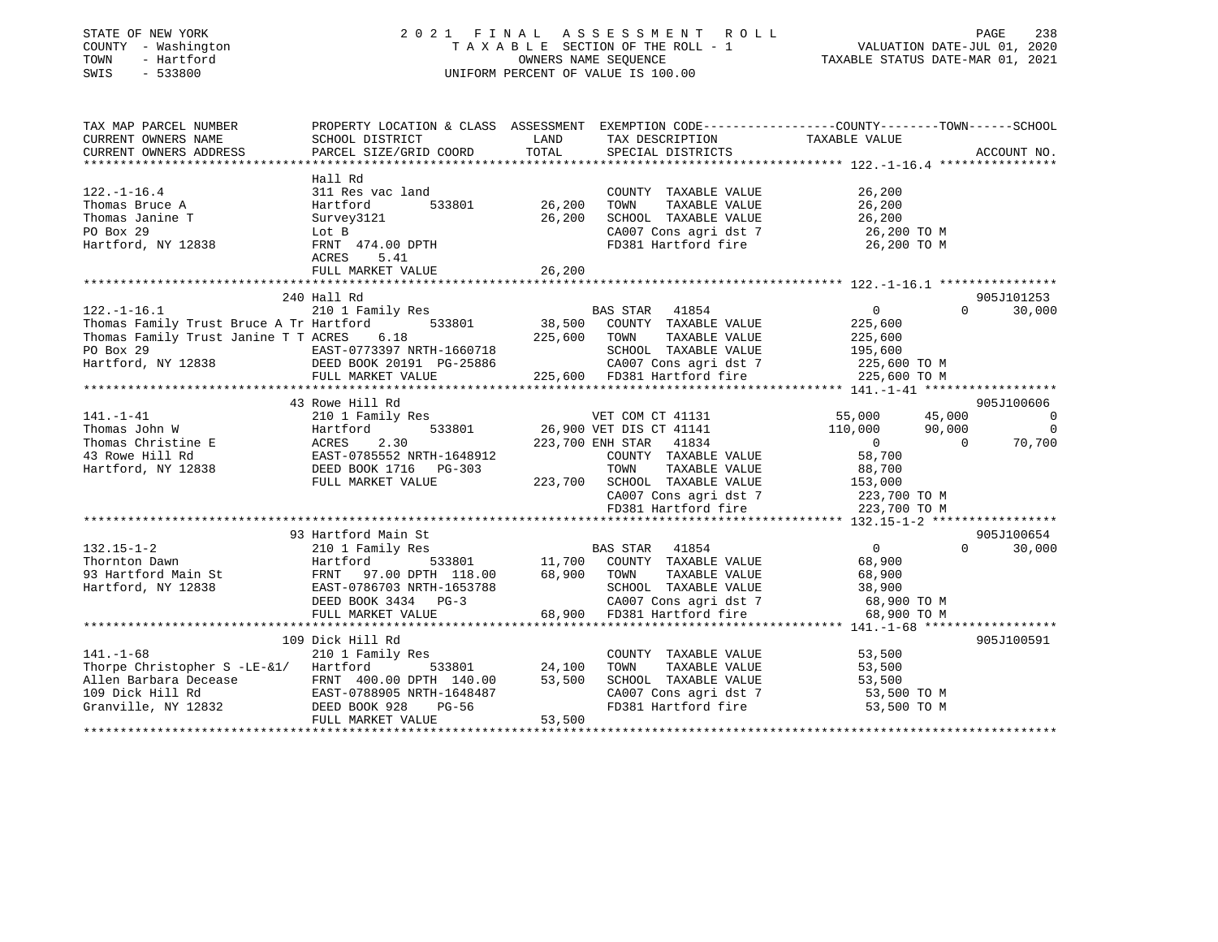#### STATE OF NEW YORK 2 0 2 1 F I N A L A S S E S S M E N T R O L L PAGE 238 COUNTY - Washington T A X A B L E SECTION OF THE ROLL - 1 VALUATION DATE-JUL 01, 2020 TOWN - Hartford OWNERS NAME SEQUENCE TAXABLE STATUS DATE-MAR 01, 2021 SWIS - 533800 UNIFORM PERCENT OF VALUE IS 100.00

| TAX MAP PARCEL NUMBER                                                                                                                                                                                                                              | PROPERTY LOCATION & CLASS ASSESSMENT EXEMPTION CODE---------------COUNTY-------TOWN-----SCHOOL |                    |                                                                                                                               |                                             |                          |
|----------------------------------------------------------------------------------------------------------------------------------------------------------------------------------------------------------------------------------------------------|------------------------------------------------------------------------------------------------|--------------------|-------------------------------------------------------------------------------------------------------------------------------|---------------------------------------------|--------------------------|
| CURRENT OWNERS NAME                                                                                                                                                                                                                                | SCHOOL DISTRICT                                                                                | LAND               | TAX DESCRIPTION                                                                                                               | TAXABLE VALUE                               |                          |
| CURRENT OWNERS ADDRESS                                                                                                                                                                                                                             | PARCEL SIZE/GRID COORD                                                                         | TOTAL              | SPECIAL DISTRICTS                                                                                                             |                                             | ACCOUNT NO.              |
|                                                                                                                                                                                                                                                    |                                                                                                |                    |                                                                                                                               |                                             |                          |
|                                                                                                                                                                                                                                                    | Hall Rd                                                                                        |                    |                                                                                                                               |                                             |                          |
| $122. - 1 - 16.4$                                                                                                                                                                                                                                  | 311 Res vac land                                                                               |                    | COUNTY TAXABLE VALUE                                                                                                          | 26,200                                      |                          |
| Thomas Bruce A                                                                                                                                                                                                                                     | Hartford                                                                                       | -<br>533801 26,200 | TOWN<br>TAXABLE VALUE                                                                                                         | 26, 200                                     |                          |
| Thomas Janine T                                                                                                                                                                                                                                    |                                                                                                | 26,200             |                                                                                                                               |                                             |                          |
| Survey3121<br>Lot B                                                                                                                                                                                                                                |                                                                                                |                    | SCHOOL TAXABLE VALUE 26, 200<br>CA007 Cons agri dst 7 26, 200 TO M                                                            |                                             |                          |
| PO Box 29<br>Hartford, NY 12838 FRNT 474.00 DPTH                                                                                                                                                                                                   |                                                                                                |                    | FD381 Hartford fire 26,200 TO M                                                                                               |                                             |                          |
|                                                                                                                                                                                                                                                    | ACRES<br>5.41                                                                                  |                    |                                                                                                                               |                                             |                          |
|                                                                                                                                                                                                                                                    | FULL MARKET VALUE                                                                              | 26,200             |                                                                                                                               |                                             |                          |
|                                                                                                                                                                                                                                                    |                                                                                                |                    |                                                                                                                               |                                             |                          |
|                                                                                                                                                                                                                                                    | 240 Hall Rd                                                                                    |                    |                                                                                                                               |                                             | 905J101253               |
|                                                                                                                                                                                                                                                    |                                                                                                |                    |                                                                                                                               | $\begin{array}{c} 0 \\ 225,600 \end{array}$ | $\Omega$<br>30,000       |
|                                                                                                                                                                                                                                                    |                                                                                                |                    |                                                                                                                               |                                             |                          |
|                                                                                                                                                                                                                                                    |                                                                                                |                    |                                                                                                                               | TAXABLE VALUE 225,600                       |                          |
|                                                                                                                                                                                                                                                    |                                                                                                |                    |                                                                                                                               |                                             |                          |
|                                                                                                                                                                                                                                                    |                                                                                                |                    | SCHOOL TAXABLE VALUE 195,600<br>CA007 Cons agri dst 7 1225,600                                                                | 225,600 TO M                                |                          |
|                                                                                                                                                                                                                                                    |                                                                                                |                    | 225,600 FD381 Hartford fire 225,600 TO M                                                                                      |                                             |                          |
|                                                                                                                                                                                                                                                    |                                                                                                |                    |                                                                                                                               |                                             |                          |
|                                                                                                                                                                                                                                                    | 43 Rowe Hill Rd                                                                                |                    |                                                                                                                               |                                             | 905J100606               |
| 141.-1-41<br>141.-1-41<br>2010 I Family Res<br>26,900 VET DIS CT 41131 55,000 45,000<br>26,900 VET DIS CT 41141 110,000 90,000<br>223,700 ENH STAR 41834 0<br>223,700 ENH STAR 41834 0<br>223,700 ENH STAR 41834 0<br>223,700 ENH STAR 41834       |                                                                                                |                    |                                                                                                                               |                                             | $\overline{0}$           |
|                                                                                                                                                                                                                                                    |                                                                                                |                    |                                                                                                                               |                                             | $\overline{0}$           |
|                                                                                                                                                                                                                                                    |                                                                                                |                    |                                                                                                                               |                                             | $\overline{0}$<br>70,700 |
|                                                                                                                                                                                                                                                    |                                                                                                |                    |                                                                                                                               |                                             |                          |
|                                                                                                                                                                                                                                                    |                                                                                                |                    |                                                                                                                               |                                             |                          |
|                                                                                                                                                                                                                                                    | FULL MARKET VALUE                                                                              |                    | 223,700 SCHOOL TAXABLE VALUE 153,000                                                                                          |                                             |                          |
|                                                                                                                                                                                                                                                    |                                                                                                |                    | CA007 Cons agri dst 7                                                                                                         | 223,700 TO M                                |                          |
|                                                                                                                                                                                                                                                    |                                                                                                |                    | FD381 Hartford fire                                                                                                           | 223,700 TO M                                |                          |
|                                                                                                                                                                                                                                                    |                                                                                                |                    |                                                                                                                               |                                             |                          |
|                                                                                                                                                                                                                                                    |                                                                                                |                    |                                                                                                                               |                                             | 905J100654               |
| 132.15-1-2<br>Thornton Dawn<br>93 Hartford Main St<br>Hartford, NY 12838<br>200 Hartford 533801<br>210 Hartford 533801<br>FRNT 97.00 DPTH 118.00<br>2010 Hartford, NY 12838<br>2010 Hartford 533801<br>2010 Hartford, NY 12838<br>2010 Hartford, N |                                                                                                |                    |                                                                                                                               |                                             | $\Omega$<br>30,000       |
|                                                                                                                                                                                                                                                    |                                                                                                |                    | EXEREM A STAR A 1854 (1954)<br>533801 11,700 COUNTY TAXABLE VALUE 68,900                                                      |                                             |                          |
|                                                                                                                                                                                                                                                    |                                                                                                |                    |                                                                                                                               | TAXABLE VALUE 68,900                        |                          |
|                                                                                                                                                                                                                                                    |                                                                                                |                    |                                                                                                                               |                                             |                          |
|                                                                                                                                                                                                                                                    |                                                                                                |                    |                                                                                                                               |                                             |                          |
|                                                                                                                                                                                                                                                    | FULL MARKET VALUE                                                                              |                    | 1653788 SCHOOL TAXABLE VALUE 38,900<br>G-3 68,900 CA007 Cons agri dst 7 68,900 TO M<br>68,900 FD381 Hartford fire 68,900 TO M |                                             |                          |
|                                                                                                                                                                                                                                                    |                                                                                                |                    |                                                                                                                               |                                             |                          |
|                                                                                                                                                                                                                                                    | 109 Dick Hill Rd                                                                               |                    |                                                                                                                               |                                             | 905J100591               |
| $141. - 1 - 68$                                                                                                                                                                                                                                    | 210 1 Family Res                                                                               |                    |                                                                                                                               |                                             |                          |
| Thorpe Christopher S -LE-&1/ Hartford                                                                                                                                                                                                              |                                                                                                | 533801 24,100      | COUNTY TAXABLE VALUE 53,500<br>TOWN TAXABLE VALUE 53,500                                                                      |                                             |                          |
|                                                                                                                                                                                                                                                    |                                                                                                |                    | SCHOOL TAXABLE VALUE 53,500                                                                                                   |                                             |                          |
|                                                                                                                                                                                                                                                    |                                                                                                |                    |                                                                                                                               | 53,500 TO M                                 |                          |
|                                                                                                                                                                                                                                                    |                                                                                                |                    | CA007 Cons agri dst 7<br>FD381 Hartford fire                                                                                  | 53,500 TO M                                 |                          |
|                                                                                                                                                                                                                                                    | FULL MARKET VALUE                                                                              | 53,500             |                                                                                                                               |                                             |                          |
|                                                                                                                                                                                                                                                    |                                                                                                |                    |                                                                                                                               |                                             |                          |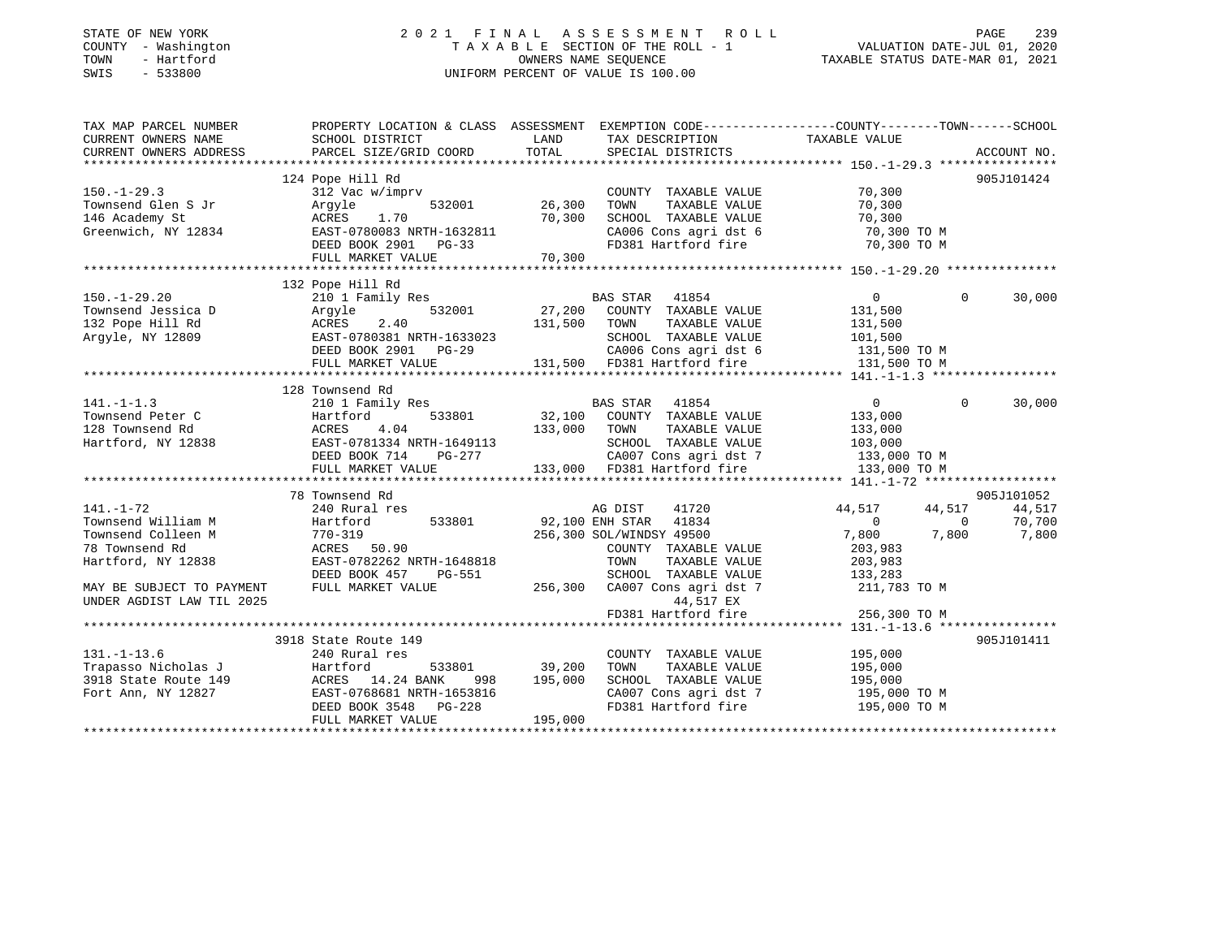#### STATE OF NEW YORK 2 0 2 1 F I N A L A S S E S S M E N T R O L L PAGE 239 COUNTY - Washington T A X A B L E SECTION OF THE ROLL - 1 VALUATION DATE-JUL 01, 2020 TOWN - Hartford OWNERS NAME SEQUENCE TAXABLE STATUS DATE-MAR 01, 2021 SWIS - 533800 UNIFORM PERCENT OF VALUE IS 100.00

| TAX MAP PARCEL NUMBER<br>CURRENT OWNERS NAME               | PROPERTY LOCATION & CLASS ASSESSMENT EXEMPTION CODE---------------COUNTY-------TOWN-----SCHOOL<br>SCHOOL DISTRICT                                                                                                                      | LAND         |                                                                         |                                |             |
|------------------------------------------------------------|----------------------------------------------------------------------------------------------------------------------------------------------------------------------------------------------------------------------------------------|--------------|-------------------------------------------------------------------------|--------------------------------|-------------|
| CURRENT OWNERS ADDRESS                                     | PARCEL SIZE/GRID COORD                                                                                                                                                                                                                 | TOTAL        | TAX DESCRIPTION TAXABLE VALUE<br>SERCIAL DISTRICTS<br>SPECIAL DISTRICTS |                                | ACCOUNT NO. |
|                                                            |                                                                                                                                                                                                                                        |              |                                                                         |                                |             |
|                                                            | 124 Pope Hill Rd                                                                                                                                                                                                                       |              |                                                                         |                                | 905J101424  |
| $150. - 1 - 29.3$                                          | 312 Vac w/imprv                                                                                                                                                                                                                        |              | COUNTY TAXABLE VALUE                                                    | 70,300                         |             |
| Townsend Glen S Jr                                         | 532001<br>Argyle                                                                                                                                                                                                                       | 26,300       | TAXABLE VALUE<br>TOWN                                                   | 70,300                         |             |
| 146 Academy St                                             | ACRES<br>1.70                                                                                                                                                                                                                          | 70,300       | SCHOOL TAXABLE VALUE                                                    | 70,300                         |             |
| Greenwich, NY 12834                                        | EAST-0780083 NRTH-1632811                                                                                                                                                                                                              |              |                                                                         | 70,300 TO M                    |             |
|                                                            | DEED BOOK 2901 PG-33                                                                                                                                                                                                                   |              | CA006 Cons agri dst 6<br>FD381 Hartford fire                            | 70,300 TO M                    |             |
|                                                            |                                                                                                                                                                                                                                        |              |                                                                         |                                |             |
|                                                            |                                                                                                                                                                                                                                        |              |                                                                         |                                |             |
|                                                            | 132 Pope Hill Rd                                                                                                                                                                                                                       |              |                                                                         |                                |             |
| $150. - 1 - 29.20$                                         | 210 1 Family Res                                                                                                                                                                                                                       |              |                                                                         | $\overline{0}$<br>$\mathbf{0}$ | 30,000      |
|                                                            | Argyle<br>532001                                                                                                                                                                                                                       |              | BAS STAR 41854<br>27,200 COUNTY TAXABLE VALUE                           | 131,500                        |             |
| Townsend Jessica D<br>132 Pope Hill Rd<br>Argyle, NY 12809 | 2.40<br>ACRES                                                                                                                                                                                                                          | 131,500      | TOWN<br>TAXABLE VALUE                                                   | 131,500                        |             |
| Argyle, NY 12809                                           | EAST-0780381 NRTH-1633023                                                                                                                                                                                                              |              | SCHOOL TAXABLE VALUE                                                    | 101,500                        |             |
|                                                            | DEED BOOK 2901 PG-29                                                                                                                                                                                                                   |              |                                                                         |                                |             |
|                                                            |                                                                                                                                                                                                                                        |              | CA006 Cons agri dst 6                                                   | 131,500 TO M                   |             |
|                                                            | FULL MARKET VALUE                                                                                                                                                                                                                      |              | 131,500 FD381 Hartford fire                                             | 131,500 TO M                   |             |
|                                                            |                                                                                                                                                                                                                                        |              |                                                                         |                                |             |
|                                                            | 128 Townsend Rd                                                                                                                                                                                                                        |              |                                                                         |                                |             |
| $141. - 1 - 1.3$                                           | 210 1 Family Res                                                                                                                                                                                                                       |              | BAS STAR 41854                                                          | $\Omega$<br>$\overline{0}$     | 30,000      |
| Townsend Peter C                                           | 533801<br>Hartford                                                                                                                                                                                                                     |              | 32,100 COUNTY TAXABLE VALUE                                             | 133,000                        |             |
| 128 Townsend Rd                                            | 4.04<br>ACRES                                                                                                                                                                                                                          | 133,000 TOWN | TAXABLE VALUE                                                           | 133,000<br>103,000             |             |
| Hartford, NY 12838                                         |                                                                                                                                                                                                                                        |              |                                                                         |                                |             |
|                                                            |                                                                                                                                                                                                                                        |              |                                                                         |                                |             |
|                                                            | 120 1000 12838<br>Hartford, NY 12838 EAST-0781334 NRTH-1649113<br>EED BOOK 714 PG-277 CA007 Cons agri dst 7 133,000 TO M<br>FULL MARKET VALUE 133,000 FD381 Hartford fire 133,000 TO M<br>FULL MARKET VALUE 133,000 FD381 Hartford fir |              |                                                                         |                                |             |
|                                                            |                                                                                                                                                                                                                                        |              |                                                                         |                                |             |
|                                                            | 78 Townsend Rd                                                                                                                                                                                                                         |              |                                                                         |                                | 905J101052  |
| $141. - 1 - 72$                                            | 240 Rural res                                                                                                                                                                                                                          |              | 41720<br>AG DIST                                                        | 44,517<br>44,517               | 44,517      |
| Townsend William M                                         | 533801<br>Hartford                                                                                                                                                                                                                     |              | 92,100 ENH STAR 41834                                                   | $\sim$ 0<br>$\overline{0}$     | 70,700      |
| Townsend Colleen M                                         | $770 - 319$                                                                                                                                                                                                                            |              | 256,300 SOL/WINDSY 49500                                                | 7,800<br>7,800                 | 7,800       |
| 78 Townsend Rd                                             | ACRES 50.90                                                                                                                                                                                                                            |              | COUNTY TAXABLE VALUE                                                    | 203,983                        |             |
| Hartford, NY 12838                                         | EAST-0782262 NRTH-1648818                                                                                                                                                                                                              |              | TOWN<br>TAXABLE VALUE                                                   | 203,983                        |             |
|                                                            | DEED BOOK 457<br>PG-551                                                                                                                                                                                                                |              | SCHOOL TAXABLE VALUE                                                    | 133,283                        |             |
| MAY BE SUBJECT TO PAYMENT                                  | FULL MARKET VALUE                                                                                                                                                                                                                      |              | 256,300 CA007 Cons agri dst 7                                           | 211,783 TO M                   |             |
| UNDER AGDIST LAW TIL 2025                                  |                                                                                                                                                                                                                                        |              | 44,517 EX                                                               |                                |             |
|                                                            |                                                                                                                                                                                                                                        |              | FD381 Hartford fire                                                     | 256,300 TO M                   |             |
|                                                            |                                                                                                                                                                                                                                        |              |                                                                         |                                |             |
|                                                            | 3918 State Route 149                                                                                                                                                                                                                   |              |                                                                         |                                | 905J101411  |
| $131. - 1 - 13.6$                                          | 240 Rural res                                                                                                                                                                                                                          |              | COUNTY TAXABLE VALUE                                                    | 195,000                        |             |
| Trapasso Nicholas J                                        | Hartford<br>533801                                                                                                                                                                                                                     | 39,200       | TAXABLE VALUE<br>TOWN                                                   | 195,000                        |             |
| 3918 State Route 149                                       | ACRES 14.24 BANK<br>998                                                                                                                                                                                                                | 195,000      | SCHOOL TAXABLE VALUE                                                    | 195,000                        |             |
| Fort Ann, NY 12827                                         | EAST-0768681 NRTH-1653816                                                                                                                                                                                                              |              | CA007 Cons agri dst 7<br>En281 Hartford fire                            | 195,000 TO M                   |             |
|                                                            | DEED BOOK 3548 PG-228                                                                                                                                                                                                                  |              | FD381 Hartford fire                                                     | 195,000 TO M                   |             |
|                                                            | FULL MARKET VALUE                                                                                                                                                                                                                      | 195,000      |                                                                         |                                |             |
|                                                            |                                                                                                                                                                                                                                        |              |                                                                         |                                |             |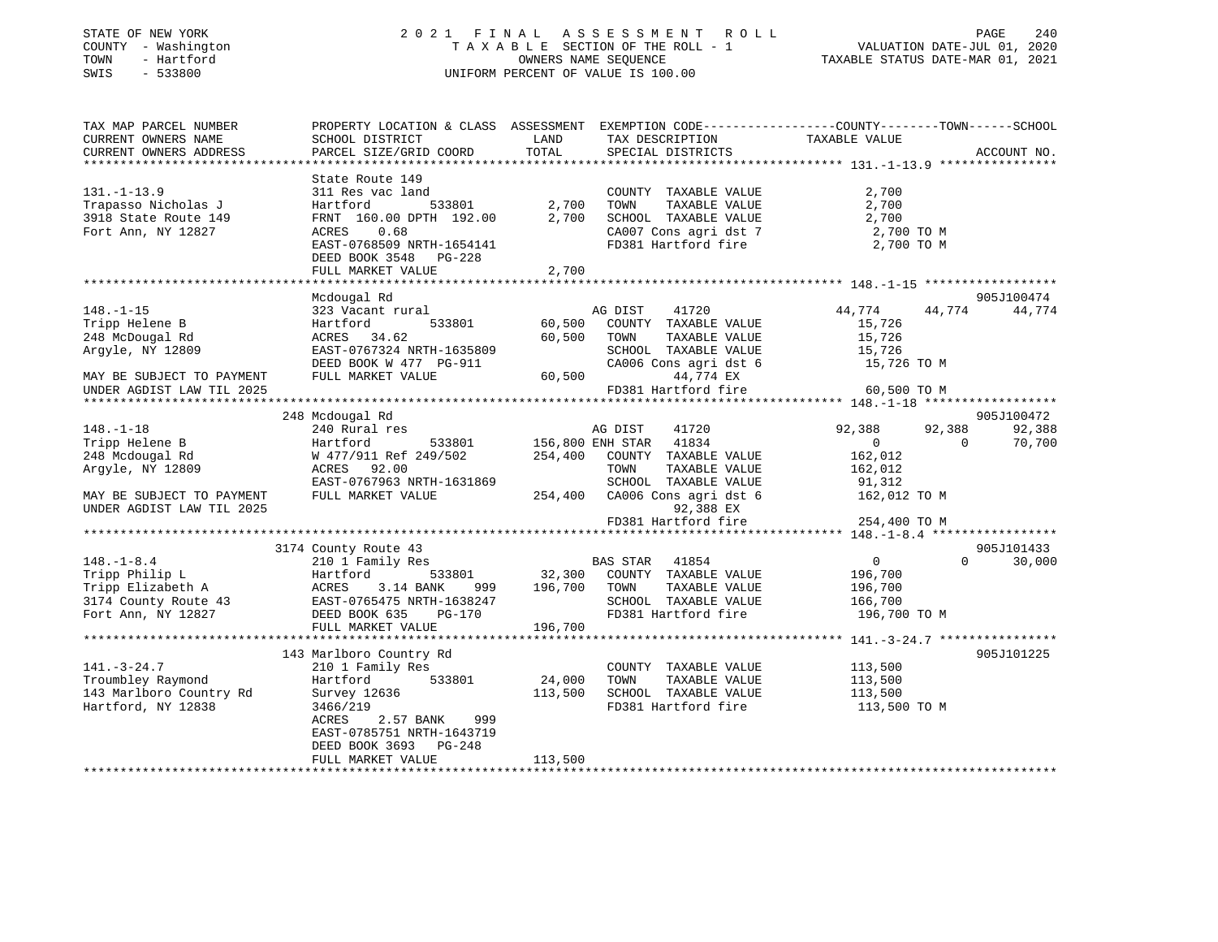| STATE OF NEW YORK |  |              |  |
|-------------------|--|--------------|--|
| COUNTY            |  | - Washington |  |
| TOWN              |  | - Hartford   |  |
| <b>CMTC</b>       |  | $-533800$    |  |

#### STATE OF NEW YORK 2 0 2 1 F I N A L A S S E S S M E N T R O L L PAGE 240 COUNTY - Washington T A X A B L E SECTION OF THE ROLL - 1 VALUATION DATE-JUL 01, 2020 OWNERS NAME SEQUENCE TAXABLE STATUS DATE-MAR 01, 2021 SWIS - 533800 UNIFORM PERCENT OF VALUE IS 100.00

| TAX MAP PARCEL NUMBER<br>CURRENT OWNERS NAME<br>CURRENT OWNERS ADDRESS                 | PROPERTY LOCATION & CLASS ASSESSMENT EXEMPTION CODE---------------COUNTY-------TOWN------SCHOOL<br>SCHOOL DISTRICT<br>PARCEL SIZE/GRID COORD | LAND<br>TOTAL    | TAX DESCRIPTION<br>SPECIAL DISTRICTS                                                                               | TAXABLE VALUE                                                 | ACCOUNT NO.      |
|----------------------------------------------------------------------------------------|----------------------------------------------------------------------------------------------------------------------------------------------|------------------|--------------------------------------------------------------------------------------------------------------------|---------------------------------------------------------------|------------------|
|                                                                                        |                                                                                                                                              |                  |                                                                                                                    |                                                               |                  |
| $131. - 1 - 13.9$<br>Trapasso Nicholas J<br>3918 State Route 149<br>Fort Ann, NY 12827 | State Route 149<br>311 Res vac land<br>Hartford<br>533801<br>FRNT 160.00 DPTH 192.00<br>0.68<br>ACRES                                        | 2,700<br>2,700   | COUNTY TAXABLE VALUE<br>TOWN<br>TAXABLE VALUE<br>SCHOOL TAXABLE VALUE<br>CA007 Cons agri dst 7                     | 2,700<br>2,700<br>2,700<br>2,700 TO M                         |                  |
|                                                                                        | EAST-0768509 NRTH-1654141<br>DEED BOOK 3548<br>$PG-228$<br>FULL MARKET VALUE                                                                 | 2,700            | FD381 Hartford fire                                                                                                | 2,700 TO M                                                    |                  |
|                                                                                        |                                                                                                                                              |                  |                                                                                                                    |                                                               |                  |
|                                                                                        | Mcdougal Rd                                                                                                                                  |                  |                                                                                                                    |                                                               | 905J100474       |
| $148. - 1 - 15$<br>Tripp Helene B<br>248 McDougal Rd<br>Arqyle, NY 12809               | 323 Vacant rural<br>533801<br>Hartford<br>ACRES 34.62<br>EAST-0767324 NRTH-1635809<br>DEED BOOK W 477 PG-911                                 | 60,500<br>60,500 | AG DIST<br>41720<br>COUNTY TAXABLE VALUE<br>TOWN<br>TAXABLE VALUE<br>SCHOOL TAXABLE VALUE<br>CA006 Cons agri dst 6 | 44,774<br>44,774<br>15,726<br>15,726<br>15,726<br>15,726 TO M | 44,774           |
| MAY BE SUBJECT TO PAYMENT                                                              | FULL MARKET VALUE                                                                                                                            | 60,500           | 44,774 EX                                                                                                          |                                                               |                  |
| UNDER AGDIST LAW TIL 2025                                                              |                                                                                                                                              |                  | FD381 Hartford fire                                                                                                | 60,500 TO M                                                   |                  |
|                                                                                        |                                                                                                                                              |                  |                                                                                                                    |                                                               |                  |
|                                                                                        | 248 Mcdougal Rd                                                                                                                              |                  |                                                                                                                    |                                                               | 905J100472       |
| $148. - 1 - 18$<br>Tripp Helene B                                                      | 240 Rural res<br>533801<br>Hartford                                                                                                          |                  | AG DIST<br>41720<br>41834<br>156,800 ENH STAR                                                                      | 92,388<br>92,388<br>$\Omega$<br>$\Omega$                      | 92,388<br>70,700 |
| 248 Mcdougal Rd<br>Argyle, NY 12809                                                    | W 477/911 Ref 249/502<br>ACRES 92.00<br>EAST-0767963 NRTH-1631869                                                                            | 254,400          | COUNTY TAXABLE VALUE<br>TOWN<br>TAXABLE VALUE<br>SCHOOL TAXABLE VALUE                                              | 162,012<br>162,012<br>91,312                                  |                  |
| MAY BE SUBJECT TO PAYMENT<br>UNDER AGDIST LAW TIL 2025                                 | FULL MARKET VALUE                                                                                                                            | 254,400          | CA006 Cons agri dst 6<br>92,388 EX                                                                                 | 162,012 TO M                                                  |                  |
|                                                                                        |                                                                                                                                              |                  | FD381 Hartford fire                                                                                                | 254,400 TO M                                                  |                  |
|                                                                                        |                                                                                                                                              |                  |                                                                                                                    |                                                               |                  |
|                                                                                        | 3174 County Route 43                                                                                                                         |                  |                                                                                                                    |                                                               | 905J101433       |
| $148. - 1 - 8.4$                                                                       | 210 1 Family Res                                                                                                                             |                  | 41854<br><b>BAS STAR</b>                                                                                           | $\overline{0}$<br>$\Omega$                                    | 30,000           |
| Tripp Philip L                                                                         | 533801<br>Hartford                                                                                                                           | 32,300           | COUNTY TAXABLE VALUE                                                                                               | 196,700                                                       |                  |
| Tripp Elizabeth A                                                                      | 3.14 BANK<br>ACRES<br>999                                                                                                                    | 196,700          | TOWN<br>TAXABLE VALUE                                                                                              | 196,700                                                       |                  |
| 3174 County Route 43<br>Fort Ann, NY 12827                                             | EAST-0765475 NRTH-1638247<br>DEED BOOK 635<br><b>PG-170</b>                                                                                  |                  | SCHOOL TAXABLE VALUE<br>FD381 Hartford fire                                                                        | 166,700<br>196,700 TO M                                       |                  |
|                                                                                        | FULL MARKET VALUE                                                                                                                            | 196,700          |                                                                                                                    |                                                               |                  |
|                                                                                        |                                                                                                                                              |                  |                                                                                                                    |                                                               |                  |
|                                                                                        | 143 Marlboro Country Rd                                                                                                                      |                  |                                                                                                                    |                                                               | 905J101225       |
| $141. - 3 - 24.7$                                                                      | 210 1 Family Res                                                                                                                             |                  | COUNTY TAXABLE VALUE                                                                                               | 113,500                                                       |                  |
| Troumbley Raymond                                                                      | 533801<br>Hartford                                                                                                                           | 24,000           | TOWN<br>TAXABLE VALUE                                                                                              | 113,500                                                       |                  |
| 143 Marlboro Country Rd                                                                | Survey 12636                                                                                                                                 | 113,500          | SCHOOL TAXABLE VALUE                                                                                               | 113,500                                                       |                  |
| Hartford, NY 12838                                                                     | 3466/219<br>2.57 BANK<br>ACRES<br>999<br>EAST-0785751 NRTH-1643719<br>$PG-248$<br>DEED BOOK 3693                                             |                  | FD381 Hartford fire                                                                                                | 113,500 TO M                                                  |                  |
|                                                                                        | FULL MARKET VALUE                                                                                                                            | 113,500          |                                                                                                                    |                                                               |                  |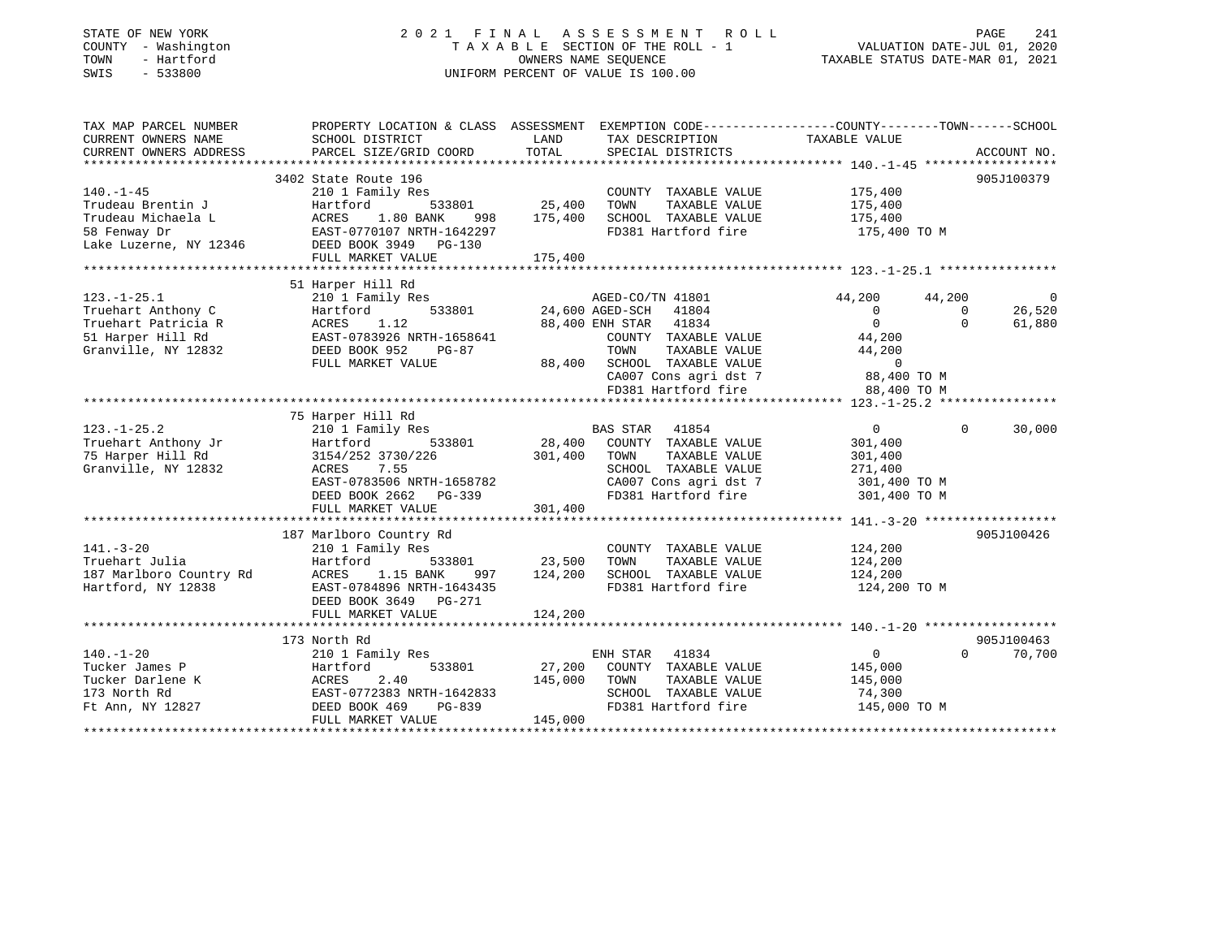#### STATE OF NEW YORK 2 0 2 1 F I N A L A S S E S S M E N T R O L L PAGE 241 COUNTY - Washington T A X A B L E SECTION OF THE ROLL - 1 VALUATION DATE-JUL 01, 2020 TOWN - Hartford OWNERS NAME SEQUENCE TAXABLE STATUS DATE-MAR 01, 2021 SWIS - 533800 UNIFORM PERCENT OF VALUE IS 100.00

| TAX MAP PARCEL NUMBER<br>CURRENT OWNERS NAME                                                               | PROPERTY LOCATION & CLASS ASSESSMENT EXEMPTION CODE----------------COUNTY-------TOWN------SCHOOL<br>SCHOOL DISTRICT                                                          | LAND                         | TAX DESCRIPTION                                                                                                                                                      | TAXABLE VALUE                                                                        |                                |                                    |
|------------------------------------------------------------------------------------------------------------|------------------------------------------------------------------------------------------------------------------------------------------------------------------------------|------------------------------|----------------------------------------------------------------------------------------------------------------------------------------------------------------------|--------------------------------------------------------------------------------------|--------------------------------|------------------------------------|
| CURRENT OWNERS ADDRESS                                                                                     | PARCEL SIZE/GRID COORD                                                                                                                                                       | TOTAL                        | SPECIAL DISTRICTS                                                                                                                                                    |                                                                                      |                                | ACCOUNT NO.                        |
|                                                                                                            |                                                                                                                                                                              |                              |                                                                                                                                                                      |                                                                                      |                                |                                    |
| $140. - 1 - 45$<br>Trudeau Brentin J<br>Trudeau Michaela L<br>58 Fenway Dr<br>Lake Luzerne, NY 12346       | 3402 State Route 196<br>210 1 Family Res<br>Hartford<br>533801<br>ACRES<br>1.80 BANK<br>998<br>EAST-0770107 NRTH-1642297<br>DEED BOOK 3949 PG-130                            | 25,400<br>175,400            | COUNTY TAXABLE VALUE<br>TOWN<br>TAXABLE VALUE<br>SCHOOL TAXABLE VALUE<br>FD381 Hartford fire                                                                         | 175,400<br>175,400<br>175,400<br>175,400 TO M                                        |                                | 905J100379                         |
|                                                                                                            | FULL MARKET VALUE                                                                                                                                                            | 175,400                      |                                                                                                                                                                      |                                                                                      |                                |                                    |
|                                                                                                            |                                                                                                                                                                              |                              |                                                                                                                                                                      |                                                                                      |                                |                                    |
| $123. - 1 - 25.1$<br>Truehart Anthony C<br>Truehart Patricia R<br>51 Harper Hill Rd<br>Granville, NY 12832 | 51 Harper Hill Rd<br>210 1 Family Res<br>Hartford<br>533801<br>ACRES<br>1.12<br>EAST-0783926 NRTH-1658641<br>DEED BOOK 952<br>$PG-87$<br>FULL MARKET VALUE                   | 88,400                       | AGED-CO/TN 41801<br>24,600 AGED-SCH 41804<br>88,400 ENH STAR 41834<br>COUNTY TAXABLE VALUE<br>TOWN<br>TAXABLE VALUE<br>SCHOOL TAXABLE VALUE<br>CA007 Cons agri dst 7 | 44,200<br>$\mathbf{0}$<br>$\Omega$<br>44,200<br>44,200<br>$\mathbf 0$<br>88,400 TO M | 44,200<br>$\Omega$<br>$\Omega$ | $\overline{0}$<br>26,520<br>61,880 |
|                                                                                                            |                                                                                                                                                                              |                              | FD381 Hartford fire                                                                                                                                                  | 88,400 TO M                                                                          |                                |                                    |
|                                                                                                            |                                                                                                                                                                              |                              |                                                                                                                                                                      |                                                                                      |                                |                                    |
| $123. - 1 - 25.2$<br>Truehart Anthony Jr<br>75 Harper Hill Rd<br>Granville, NY 12832                       | 75 Harper Hill Rd<br>210 1 Family Res<br>Hartford<br>533801<br>3154/252 3730/226<br>7.55<br>ACRES<br>EAST-0783506 NRTH-1658782<br>DEED BOOK 2662 PG-339<br>FULL MARKET VALUE | 28,400<br>301,400<br>301,400 | BAS STAR 41854<br>COUNTY TAXABLE VALUE<br>TOWN<br>TAXABLE VALUE<br>SCHOOL TAXABLE VALUE<br>CA007 Cons agri dst 7<br>FD381 Hartford fire                              | $\overline{0}$<br>301,400<br>301,400<br>271,400<br>301,400 TO M<br>301,400 TO M      | $\mathbf 0$                    | 30,000                             |
|                                                                                                            |                                                                                                                                                                              |                              |                                                                                                                                                                      |                                                                                      |                                |                                    |
| $141. - 3 - 20$<br>Truehart Julia<br>187 Marlboro Country Rd<br>Hartford, NY 12838                         | 187 Marlboro Country Rd<br>210 1 Family Res<br>Hartford<br>533801<br>1.15 BANK<br>ACRES<br>997<br>EAST-0784896 NRTH-1643435<br>DEED BOOK 3649 PG-271<br>FULL MARKET VALUE    | 23,500<br>124,200<br>124,200 | COUNTY TAXABLE VALUE<br>TOWN<br>TAXABLE VALUE<br>SCHOOL TAXABLE VALUE<br>FD381 Hartford fire                                                                         | 124,200<br>124,200<br>124,200<br>124,200 TO M                                        |                                | 905J100426                         |
|                                                                                                            |                                                                                                                                                                              |                              |                                                                                                                                                                      |                                                                                      |                                |                                    |
| $140. - 1 - 20$<br>Tucker James P<br>Tucker Darlene K<br>173 North Rd<br>Ft Ann, NY 12827                  | 173 North Rd<br>210 1 Family Res<br>533801<br>Hartford<br>2.40<br>ACRES<br>EAST-0772383 NRTH-1642833<br>PG-839<br>DEED BOOK 469<br>FULL MARKET VALUE                         | 27,200<br>145,000<br>145,000 | ENH STAR<br>41834<br>COUNTY TAXABLE VALUE<br>TOWN<br>TAXABLE VALUE<br>SCHOOL TAXABLE VALUE<br>FD381 Hartford fire                                                    | $\overline{0}$<br>145,000<br>145,000<br>74,300<br>145,000 TO M                       | $\Omega$                       | 905J100463<br>70,700               |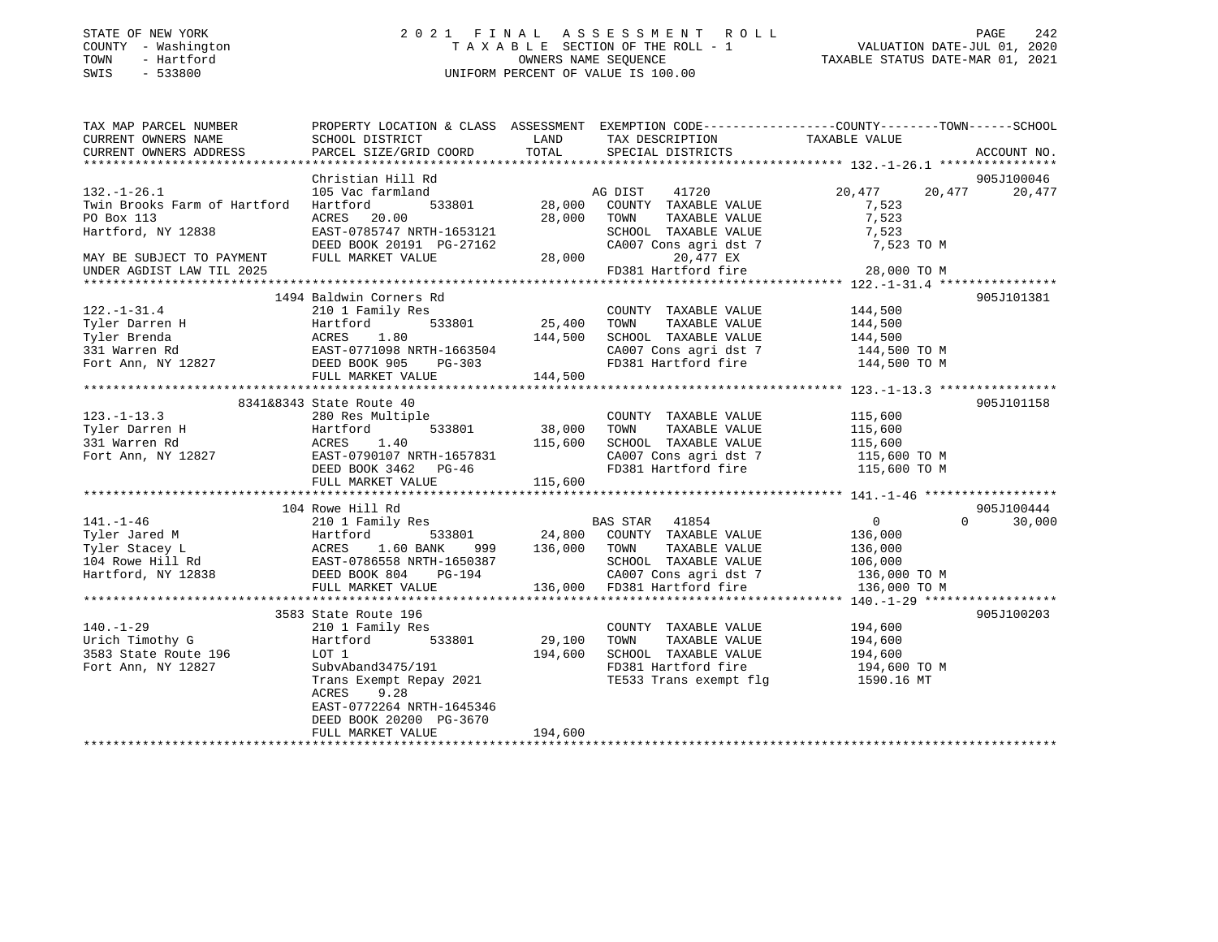| STATE OF NEW YORK |  |              |
|-------------------|--|--------------|
| COUNTY            |  | - Washington |
| TOWN              |  | - Hartford   |
| SWIS              |  | $-533800$    |

### STATE OF NEW YORK 2 0 2 1 F I N A L A S S E S S M E N T R O L L PAGE 242 COUNTY - Washington T A X A B L E SECTION OF THE ROLL - 1 VALUATION DATE-JUL 01, 2020 OWNERS NAME SEQUENCE TAXABLE STATUS DATE-MAR 01, 2021 SWIS - 533800 UNIFORM PERCENT OF VALUE IS 100.00

| TAX MAP PARCEL NUMBER                                                                                                                                                                                                                  | PROPERTY LOCATION & CLASS ASSESSMENT EXEMPTION CODE----------------COUNTY-------TOWN------SCHOOL |                          |                                                                   |                   |                    |
|----------------------------------------------------------------------------------------------------------------------------------------------------------------------------------------------------------------------------------------|--------------------------------------------------------------------------------------------------|--------------------------|-------------------------------------------------------------------|-------------------|--------------------|
| CURRENT OWNERS NAME                                                                                                                                                                                                                    | SCHOOL DISTRICT                                                                                  | LAND                     | TAX DESCRIPTION                                                   | TAXABLE VALUE     |                    |
| CURRENT OWNERS ADDRESS                                                                                                                                                                                                                 | PARCEL SIZE/GRID COORD                                                                           | TOTAL                    | SPECIAL DISTRICTS                                                 |                   | ACCOUNT NO.        |
|                                                                                                                                                                                                                                        | Christian Hill Rd                                                                                |                          |                                                                   |                   | 905J100046         |
| $132. - 1 - 26.1$                                                                                                                                                                                                                      | 105 Vac farmland                                                                                 |                          | 41720<br>AG DIST                                                  | 20,477            | 20,477 20,477      |
| Twin Brooks Farm of Hartford                                                                                                                                                                                                           | Hartford                                                                                         | 533801 28,000            | COUNTY TAXABLE VALUE                                              | 7,523             |                    |
| PO Box 113                                                                                                                                                                                                                             | ACRES 20.00                                                                                      |                          | 28,000 TOWN<br>TAXABLE VALUE                                      | 7,523             |                    |
| Hartford, NY 12838                                                                                                                                                                                                                     | EAST-0785747 NRTH-1653121                                                                        |                          | SCHOOL TAXABLE VALUE                                              | 7,523             |                    |
|                                                                                                                                                                                                                                        | DEED BOOK 20191 PG-27162                                                                         |                          | CA007 Cons agri dst 7                                             | 7,523 TO M        |                    |
| MAY BE SUBJECT TO PAYMENT                                                                                                                                                                                                              | FULL MARKET VALUE                                                                                | 28,000                   | 20,477 EX                                                         |                   |                    |
| UNDER AGDIST LAW TIL 2025                                                                                                                                                                                                              |                                                                                                  |                          | FD381 Hartford fire 28,000 TO M                                   |                   |                    |
|                                                                                                                                                                                                                                        |                                                                                                  |                          |                                                                   |                   |                    |
|                                                                                                                                                                                                                                        | 1494 Baldwin Corners Rd                                                                          |                          |                                                                   |                   | 905J101381         |
| $122. - 1 - 31.4$                                                                                                                                                                                                                      | 210 1 Family Res                                                                                 |                          | COUNTY TAXABLE VALUE 144,500                                      |                   |                    |
|                                                                                                                                                                                                                                        |                                                                                                  |                          |                                                                   |                   |                    |
|                                                                                                                                                                                                                                        |                                                                                                  |                          |                                                                   |                   |                    |
|                                                                                                                                                                                                                                        |                                                                                                  |                          |                                                                   |                   |                    |
|                                                                                                                                                                                                                                        |                                                                                                  |                          |                                                                   |                   |                    |
| 122.-1-31.4<br>Tyler Daren H Hartford 533801 25,400 TOWN TAXABLE VALUE<br>Tyler Brenda ACRES 1.80 25,400 TOWN TAXABLE VALUE 144,500<br>The Step of the Same CRES 1.80 2007 Cons agri dst 7 144,500 TO M<br>Fort Ann, NY 12827 DEED BOO |                                                                                                  |                          |                                                                   |                   |                    |
|                                                                                                                                                                                                                                        | 8341&8343 State Route 40                                                                         |                          |                                                                   |                   | 905J101158         |
|                                                                                                                                                                                                                                        | 280 Res Multiple                                                                                 |                          | COUNTY TAXABLE VALUE 115,600                                      |                   |                    |
|                                                                                                                                                                                                                                        |                                                                                                  |                          | TOWN<br>TAXABLE VALUE                                             | 115,600           |                    |
|                                                                                                                                                                                                                                        | $533801$ $38,000$<br>$115,600$<br>1.40                                                           |                          | SCHOOL TAXABLE VALUE                                              | 115,600           |                    |
|                                                                                                                                                                                                                                        |                                                                                                  |                          | CA007 Cons agri dst 7 115,600 TO M                                |                   |                    |
| Fort Ann, NY 12827<br>EAST-0790107 NRTH-1657831<br>DEED BOOK 3462 PG-46                                                                                                                                                                |                                                                                                  |                          | FD381 Hartford fire                                               | 115,600 TO M      |                    |
|                                                                                                                                                                                                                                        | FULL MARKET VALUE 115,600                                                                        |                          |                                                                   |                   |                    |
|                                                                                                                                                                                                                                        |                                                                                                  |                          |                                                                   |                   |                    |
|                                                                                                                                                                                                                                        | 104 Rowe Hill Rd                                                                                 |                          |                                                                   |                   | 905J100444         |
| $141. - 1 - 46$                                                                                                                                                                                                                        | 210 1 Family Res                                                                                 |                          | BAS STAR 41854                                                    | $0 \qquad \qquad$ | $\Omega$<br>30,000 |
|                                                                                                                                                                                                                                        |                                                                                                  |                          | 533801 24,800 COUNTY TAXABLE VALUE                                | 136,000           |                    |
|                                                                                                                                                                                                                                        |                                                                                                  | 999 136,000              | TOWN<br>TAXABLE VALUE                                             | 136,000           |                    |
| 141.-1-46 210 1 Family Res<br>Tyler Jared M Hartford 533801<br>Tyler Stacey L ACRES 1.60 BANK 999<br>104 Rowe Hill Rd EAST-0786558 NRTH-1650387<br>Hartford, NY 12838 DEED BOOK 804 PG-194                                             |                                                                                                  | H-1650387<br>PG-194<br>F | SCHOOL TAXABLE VALUE                                              | 106,000           |                    |
|                                                                                                                                                                                                                                        | FULL MARKET VALUE                                                                                |                          | CA007 Cons agri dst 7 136,000 TO M<br>136,000 FD381 Hartford fire | 136,000 TO M      |                    |
|                                                                                                                                                                                                                                        |                                                                                                  |                          |                                                                   |                   |                    |
|                                                                                                                                                                                                                                        | 3583 State Route 196                                                                             |                          |                                                                   |                   | 905J100203         |
| $140. - 1 - 29$                                                                                                                                                                                                                        | 210 1 Family Res                                                                                 |                          | COUNTY TAXABLE VALUE                                              | 194,600           |                    |
|                                                                                                                                                                                                                                        | 533801<br>Hartford                                                                               | 29,100                   | TOWN<br>TAXABLE VALUE                                             | 194,600           |                    |
| Urich Timothy G<br>3583 State Route 196                                                                                                                                                                                                | LOT 1                                                                                            | 194,600                  | SCHOOL TAXABLE VALUE                                              | 194,600           |                    |
| Fort Ann, NY 12827                                                                                                                                                                                                                     | SubvAband3475/191                                                                                |                          | FD381 Hartford fire                                               | 194,600 TO M      |                    |
|                                                                                                                                                                                                                                        | Trans Exempt Repay 2021                                                                          |                          | TE533 Trans exempt flg 1590.16 MT                                 |                   |                    |
|                                                                                                                                                                                                                                        | 9.28<br>ACRES                                                                                    |                          |                                                                   |                   |                    |
|                                                                                                                                                                                                                                        | EAST-0772264 NRTH-1645346                                                                        |                          |                                                                   |                   |                    |
|                                                                                                                                                                                                                                        | DEED BOOK 20200 PG-3670                                                                          |                          |                                                                   |                   |                    |
|                                                                                                                                                                                                                                        | FULL MARKET VALUE                                                                                | 194,600                  |                                                                   |                   |                    |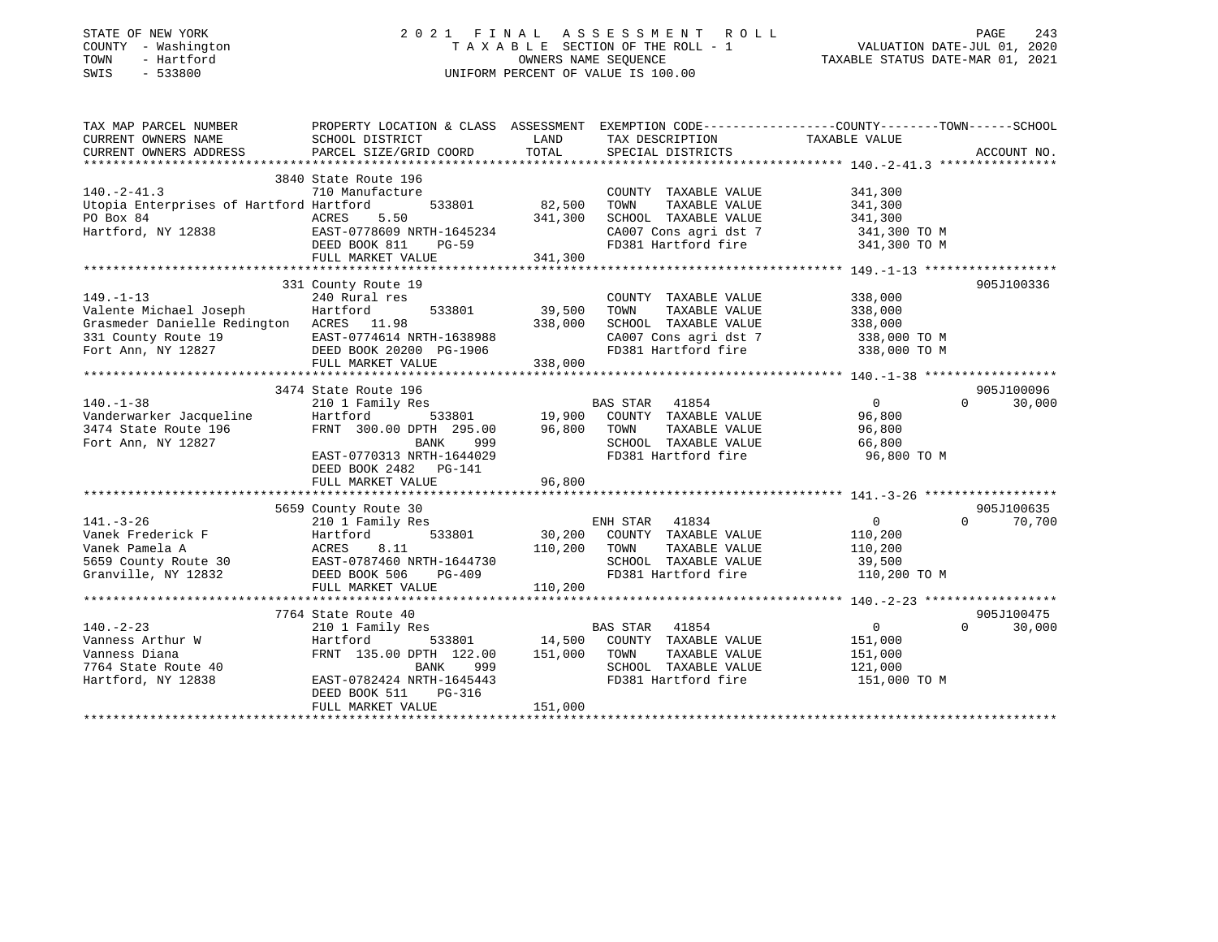| STATE OF NEW YORK |              |
|-------------------|--------------|
| COUNTY            | - Washington |
| TOWN              | - Hartford   |
| <b>CMTC</b>       | 522800       |

#### STATE OF NEW YORK 2 0 2 1 F I N A L A S S E S S M E N T R O L L PAGE 243 COUNTY - Washington T A X A B L E SECTION OF THE ROLL - 1 VALUATION DATE-JUL 01, 2020 TOWN - Hartford OWNERS NAME SEQUENCE TAXABLE STATUS DATE-MAR 01, 2021 SWIS - 533800 UNIFORM PERCENT OF VALUE IS 100.00

| TAX MAP PARCEL NUMBER                                                                        | PROPERTY LOCATION & CLASS ASSESSMENT EXEMPTION CODE----------------COUNTY-------TOWN------SCHOOL                                                                                   |               |                                                                                                                                                                            |                       |                    |
|----------------------------------------------------------------------------------------------|------------------------------------------------------------------------------------------------------------------------------------------------------------------------------------|---------------|----------------------------------------------------------------------------------------------------------------------------------------------------------------------------|-----------------------|--------------------|
| CURRENT OWNERS NAME<br>CURRENT OWNERS ADDRESS                                                | SCHOOL DISTRICT<br>PARCEL SIZE/GRID COORD                                                                                                                                          | LAND<br>TOTAL | TAX DESCRIPTION TAXABLE VALUE SPECIAL DISTRICTS                                                                                                                            |                       | ACCOUNT NO.        |
|                                                                                              |                                                                                                                                                                                    |               |                                                                                                                                                                            |                       |                    |
|                                                                                              | 3840 State Route 196                                                                                                                                                               |               |                                                                                                                                                                            |                       |                    |
| $140. -2 - 41.3$                                                                             | $533801$<br>$5.50$<br>$341.300$<br>$39 \text{ NRTH-16450}$                                                                                                                         |               |                                                                                                                                                                            |                       |                    |
|                                                                                              | 710 Manufacture                                                                                                                                                                    |               | COUNTY TAXABLE VALUE                                                                                                                                                       | 341,300               |                    |
| Utopia Enterprises of Hartford Hartford                                                      |                                                                                                                                                                                    |               | TOWN<br>TAXABLE VALUE                                                                                                                                                      | 341,300<br>341,300    |                    |
|                                                                                              |                                                                                                                                                                                    |               | SCHOOL TAXABLE VALUE                                                                                                                                                       |                       |                    |
|                                                                                              |                                                                                                                                                                                    |               | CA007 Cons agri dst 7 341,300 TO M                                                                                                                                         |                       |                    |
|                                                                                              |                                                                                                                                                                                    |               | FD381 Hartford fire                                                                                                                                                        | 341,300 TO M          |                    |
|                                                                                              | FULL MARKET VALUE                                                                                                                                                                  | 341,300       |                                                                                                                                                                            |                       |                    |
|                                                                                              |                                                                                                                                                                                    |               |                                                                                                                                                                            |                       |                    |
|                                                                                              | 331 County Route 19                                                                                                                                                                |               |                                                                                                                                                                            |                       | 905J100336         |
| $149. - 1 - 13$                                                                              | 240 Rural res                                                                                                                                                                      |               | COUNTY TAXABLE VALUE                                                                                                                                                       | 338,000               |                    |
| Valente Michael Joseph                                                                       | 533801<br>Hartford                                                                                                                                                                 | 39,500        | TOWN<br>TAXABLE VALUE                                                                                                                                                      | 338,000               |                    |
| Grasmeder Danielle Redington ACRES 11.98                                                     |                                                                                                                                                                                    | 338,000       | SCHOOL TAXABLE VALUE                                                                                                                                                       | 338,000               |                    |
|                                                                                              |                                                                                                                                                                                    |               | CA007 Cons agri dst 7 338,000 TO M                                                                                                                                         |                       |                    |
|                                                                                              |                                                                                                                                                                                    |               | FD381 Hartford fire                                                                                                                                                        | 338,000 TO M          |                    |
| 331 County Route 19<br>Fort Ann, NY 12827<br>Fort Ann, NY 12827<br>FULL MARKET VALUE 338,000 |                                                                                                                                                                                    |               |                                                                                                                                                                            |                       |                    |
|                                                                                              |                                                                                                                                                                                    |               |                                                                                                                                                                            |                       |                    |
|                                                                                              | 3474 State Route 196                                                                                                                                                               |               |                                                                                                                                                                            |                       | 905J100096         |
| $140. - 1 - 38$                                                                              | 210 1 Family Res                                                                                                                                                                   |               | BAS STAR 41854                                                                                                                                                             | 0                     | $\Omega$<br>30,000 |
|                                                                                              |                                                                                                                                                                                    |               |                                                                                                                                                                            |                       |                    |
| Vanderwarker Jacqueline<br>3474 State Route 196                                              |                                                                                                                                                                                    |               |                                                                                                                                                                            |                       |                    |
| Fort Ann, NY 12827                                                                           |                                                                                                                                                                                    |               | SCHOOL TAXABLE VALUE 66,800                                                                                                                                                |                       |                    |
|                                                                                              | Hartford 533801 19,900 COUNTY TAXABLE VALUE<br>FRNT 300.00 DPTH 295.00 96,800 TOWN TAXABLE VALUE<br>BANK 999 SCHOOL TAXABLE VALUE<br>EAST-0770313 NRTH-1644029 FD381 Hartford fire |               | FD381 Hartford fire                                                                                                                                                        | 96,800 TO M           |                    |
|                                                                                              | DEED BOOK 2482 PG-141                                                                                                                                                              |               |                                                                                                                                                                            |                       |                    |
|                                                                                              |                                                                                                                                                                                    |               |                                                                                                                                                                            |                       |                    |
|                                                                                              |                                                                                                                                                                                    |               |                                                                                                                                                                            |                       |                    |
|                                                                                              | 5659 County Route 30                                                                                                                                                               |               |                                                                                                                                                                            |                       | 905J100635         |
| $141. - 3 - 26$                                                                              |                                                                                                                                                                                    |               |                                                                                                                                                                            | $\overline{0}$        | $\Omega$<br>70,700 |
|                                                                                              | 210 1 Family Res ENH STAR 41834<br>Hartford 533801 30,200 COUNTY TAXABLE VALUE                                                                                                     |               |                                                                                                                                                                            | 110,200               |                    |
|                                                                                              |                                                                                                                                                                                    | 110,200       |                                                                                                                                                                            |                       |                    |
|                                                                                              |                                                                                                                                                                                    |               | TOWN                                                                                                                                                                       | TAXABLE VALUE 110,200 |                    |
|                                                                                              |                                                                                                                                                                                    |               | SCHOOL TAXABLE VALUE<br>FD381 Hartford fire                                                                                                                                | 39,500                |                    |
|                                                                                              |                                                                                                                                                                                    |               |                                                                                                                                                                            | 110,200 TO M          |                    |
|                                                                                              | FULL MARKET VALUE                                                                                                                                                                  | 110, 200      |                                                                                                                                                                            |                       |                    |
|                                                                                              |                                                                                                                                                                                    |               |                                                                                                                                                                            |                       |                    |
|                                                                                              | 7764 State Route 40                                                                                                                                                                |               |                                                                                                                                                                            |                       | 905J100475         |
| $140. - 2 - 23$                                                                              | 210 1 Family Res                                                                                                                                                                   |               |                                                                                                                                                                            | $0 \qquad \qquad$     | $\Omega$<br>30,000 |
| Vanness Arthur W                                                                             | Hartford                                                                                                                                                                           |               | $\begin{tabular}{lllllllll} \bf 1y\;\; Res & \tt\;\;BAS\;\; STR & \tt\;\; 41854 \\ \bf 533801 & \tt\;\; 14,500 & \tt\;\; COUNTY & \tt\;\; TAXABLE\;\; VALUE \end{tabular}$ | 151,000               |                    |
| Vanness Diana                                                                                | FRNT 135.00 DPTH 122.00 151,000 TOWN                                                                                                                                               |               | TAXABLE VALUE                                                                                                                                                              | 151,000               |                    |
| 7764 State Route 40                                                                          |                                                                                                                                                                                    |               | SCHOOL TAXABLE VALUE                                                                                                                                                       | 121,000               |                    |
| Hartford, NY 12838                                                                           | BANK 999<br>EAST-0782424 NRTH-1645443                                                                                                                                              |               | FD381 Hartford fire                                                                                                                                                        | 151,000 TO M          |                    |
|                                                                                              | DEED BOOK 511<br>PG-316                                                                                                                                                            |               |                                                                                                                                                                            |                       |                    |
|                                                                                              | FULL MARKET VALUE                                                                                                                                                                  | 151,000       |                                                                                                                                                                            |                       |                    |
|                                                                                              |                                                                                                                                                                                    |               |                                                                                                                                                                            |                       |                    |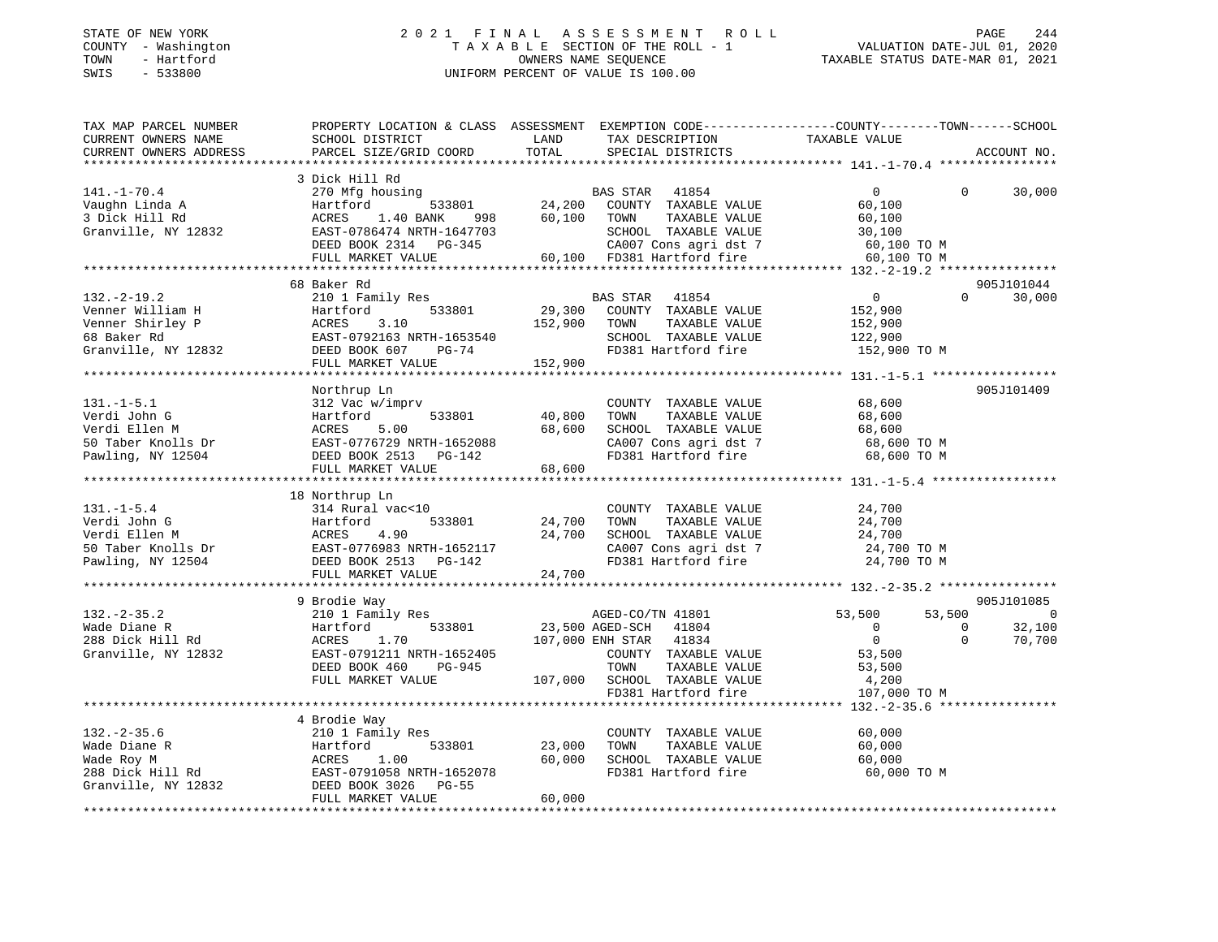#### STATE OF NEW YORK 2 0 2 1 F I N A L A S S E S S M E N T R O L L PAGE 244 COUNTY - Washington T A X A B L E SECTION OF THE ROLL - 1 VALUATION DATE-JUL 01, 2020 TOWN - Hartford OWNERS NAME SEQUENCE TAXABLE STATUS DATE-MAR 01, 2021 SWIS - 533800 UNIFORM PERCENT OF VALUE IS 100.00

| TAX MAP PARCEL NUMBER<br>CURRENT OWNERS NAME | PROPERTY LOCATION & CLASS ASSESSMENT EXEMPTION CODE----------------COUNTY-------TOWN------SCHOOL<br>SCHOOL DISTRICT | LAND    | TAX DESCRIPTION              | TAXABLE VALUE  |          |                |
|----------------------------------------------|---------------------------------------------------------------------------------------------------------------------|---------|------------------------------|----------------|----------|----------------|
| CURRENT OWNERS ADDRESS                       | PARCEL SIZE/GRID COORD                                                                                              | TOTAL   | SPECIAL DISTRICTS            |                |          | ACCOUNT NO.    |
|                                              | 3 Dick Hill Rd                                                                                                      |         |                              |                |          |                |
| $141. - 1 - 70.4$                            | 270 Mfg housing                                                                                                     |         | BAS STAR<br>41854            | $\overline{0}$ | $\Omega$ | 30,000         |
| Vaughn Linda A                               | 533801<br>Hartford                                                                                                  |         | 24,200 COUNTY TAXABLE VALUE  | 60,100         |          |                |
| 3 Dick Hill Rd                               | ACRES<br>1.40 BANK<br>998                                                                                           | 60,100  | TOWN<br>TAXABLE VALUE        | 60,100         |          |                |
| Granville, NY 12832                          | EAST-0786474 NRTH-1647703                                                                                           |         | SCHOOL TAXABLE VALUE         | 30,100         |          |                |
|                                              | DEED BOOK 2314 PG-345                                                                                               |         | CA007 Cons agri dst 7        | 60,100 TO M    |          |                |
|                                              | FULL MARKET VALUE                                                                                                   |         | 60,100 FD381 Hartford fire   | 60,100 TO M    |          |                |
|                                              |                                                                                                                     |         |                              |                |          |                |
|                                              | 68 Baker Rd                                                                                                         |         |                              |                |          | 905J101044     |
| $132. - 2 - 19.2$                            | 210 1 Family Res                                                                                                    |         | BAS STAR<br>41854            | $\overline{0}$ | $\Omega$ | 30,000         |
| Venner William H                             | Hartford<br>533801                                                                                                  | 29,300  | COUNTY TAXABLE VALUE         | 152,900        |          |                |
| Venner Shirley P                             | ACRES<br>3.10                                                                                                       | 152,900 | TOWN<br>TAXABLE VALUE        | 152,900        |          |                |
| 68 Baker Rd                                  | EAST-0792163 NRTH-1653540                                                                                           |         | SCHOOL TAXABLE VALUE         | 122,900        |          |                |
| Granville, NY 12832                          | DEED BOOK 607<br>PG-74                                                                                              |         | FD381 Hartford fire          | 152,900 TO M   |          |                |
|                                              | FULL MARKET VALUE                                                                                                   | 152,900 |                              |                |          |                |
|                                              |                                                                                                                     |         |                              |                |          |                |
|                                              | Northrup Ln                                                                                                         |         |                              |                |          | 905J101409     |
| $131.-1-5.1$                                 | 312 Vac w/imprv                                                                                                     |         | COUNTY TAXABLE VALUE         | 68,600         |          |                |
| Verdi John G                                 | 533801<br>Hartford                                                                                                  | 40,800  | TOWN<br>TAXABLE VALUE        | 68,600         |          |                |
| Verdi Ellen M                                | ACRES<br>5.00                                                                                                       | 68,600  | SCHOOL TAXABLE VALUE         | 68,600         |          |                |
| 50 Taber Knolls Dr                           | EAST-0776729 NRTH-1652088                                                                                           |         | CA007 Cons agri dst 7        | 68,600 TO M    |          |                |
| Pawling, NY 12504                            | DEED BOOK 2513 PG-142                                                                                               |         | FD381 Hartford fire          | 68,600 TO M    |          |                |
|                                              | FULL MARKET VALUE                                                                                                   | 68,600  |                              |                |          |                |
|                                              |                                                                                                                     |         |                              |                |          |                |
|                                              | 18 Northrup Ln                                                                                                      |         |                              |                |          |                |
| $131. - 1 - 5.4$                             | 314 Rural vac<10                                                                                                    |         | COUNTY TAXABLE VALUE         | 24,700         |          |                |
| Verdi John G                                 | Hartford<br>533801                                                                                                  | 24,700  | TAXABLE VALUE<br>TOWN        | 24,700         |          |                |
| Verdi Ellen M                                | 4.90<br>ACRES                                                                                                       | 24,700  | SCHOOL TAXABLE VALUE         | 24,700         |          |                |
| 50 Taber Knolls Dr                           | EAST-0776983 NRTH-1652117                                                                                           |         | CA007 Cons agri dst 7        | 24,700 TO M    |          |                |
| Pawling, NY 12504                            | DEED BOOK 2513 PG-142                                                                                               |         | FD381 Hartford fire          | 24,700 TO M    |          |                |
|                                              | FULL MARKET VALUE                                                                                                   | 24,700  |                              |                |          |                |
|                                              | **********************                                                                                              |         |                              |                |          |                |
|                                              | 9 Brodie Way                                                                                                        |         |                              |                |          | 905J101085     |
| $132. - 2 - 35.2$                            | 210 1 Family Res                                                                                                    |         | AGED-CO/TN 41801             | 53,500         | 53,500   | $\overline{0}$ |
| Wade Diane R                                 | Hartford<br>533801                                                                                                  |         | 23,500 AGED-SCH<br>41804     | $\overline{0}$ | $\Omega$ | 32,100         |
| 288 Dick Hill Rd                             | ACRES<br>1.70                                                                                                       |         | 107,000 ENH STAR<br>41834    | $\Omega$       | $\Omega$ | 70,700         |
| Granville, NY 12832                          | EAST-0791211 NRTH-1652405                                                                                           |         | COUNTY TAXABLE VALUE         | 53,500         |          |                |
|                                              | DEED BOOK 460<br>PG-945                                                                                             |         | TOWN<br>TAXABLE VALUE        | 53,500         |          |                |
|                                              | FULL MARKET VALUE                                                                                                   |         | 107,000 SCHOOL TAXABLE VALUE | 4,200          |          |                |
|                                              |                                                                                                                     |         | FD381 Hartford fire          | 107,000 TO M   |          |                |
|                                              |                                                                                                                     |         |                              |                |          |                |
|                                              | 4 Brodie Way                                                                                                        |         |                              |                |          |                |
| $132 - 2 - 35.6$                             | 210 1 Family Res                                                                                                    |         | COUNTY TAXABLE VALUE         | 60,000         |          |                |
| Wade Diane R                                 | 533801<br>Hartford                                                                                                  | 23,000  | TOWN<br>TAXABLE VALUE        | 60,000         |          |                |
| Wade Roy M                                   | 1.00<br>ACRES                                                                                                       | 60,000  | SCHOOL TAXABLE VALUE         | 60,000         |          |                |
| 288 Dick Hill Rd                             | EAST-0791058 NRTH-1652078                                                                                           |         | FD381 Hartford fire          | 60,000 TO M    |          |                |
| Granville, NY 12832                          | DEED BOOK 3026 PG-55                                                                                                |         |                              |                |          |                |
|                                              | FULL MARKET VALUE                                                                                                   | 60,000  |                              |                |          |                |
|                                              |                                                                                                                     |         |                              |                |          |                |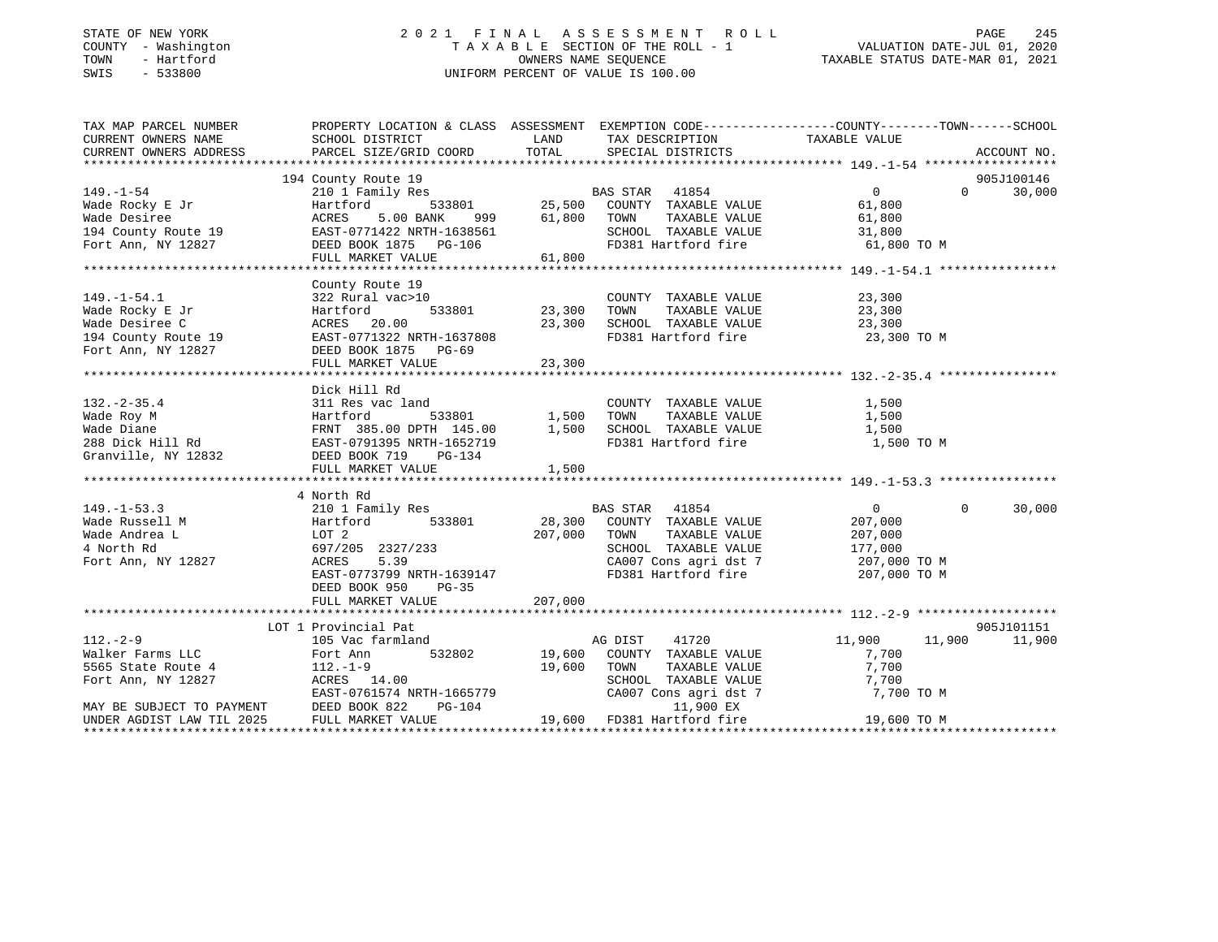#### STATE OF NEW YORK 2 0 2 1 F I N A L A S S E S S M E N T R O L L PAGE 245 COUNTY - Washington T A X A B L E SECTION OF THE ROLL - 1 VALUATION DATE-JUL 01, 2020 TOWN - Hartford OWNERS NAME SEQUENCE TAXABLE STATUS DATE-MAR 01, 2021 SWIS - 533800 UNIFORM PERCENT OF VALUE IS 100.00

| TAX MAP PARCEL NUMBER                                                                                                                                                                                                                                    | PROPERTY LOCATION & CLASS ASSESSMENT EXEMPTION CODE----------------COUNTY-------TOWN------SCHOOL                                               |             |                                                                         |                      |                    |
|----------------------------------------------------------------------------------------------------------------------------------------------------------------------------------------------------------------------------------------------------------|------------------------------------------------------------------------------------------------------------------------------------------------|-------------|-------------------------------------------------------------------------|----------------------|--------------------|
| CURRENT OWNERS NAME                                                                                                                                                                                                                                      | SCHOOL DISTRICT                                                                                                                                |             | LAND TAX DESCRIPTION TAXABLE VALUE                                      |                      |                    |
| CURRENT OWNERS ADDRESS                                                                                                                                                                                                                                   | PARCEL SIZE/GRID COORD                                                                                                                         | TOTAL       | SPECIAL DISTRICTS                                                       |                      | ACCOUNT NO.        |
| 1919.1-54<br>1919.1-54<br>1920 1 Family Res<br>2010 I Family Res<br>25,500 COUNTY TAXABLE VALUE<br>219 1 Family Res<br>25,500 COUNTY TAXABLE VALUE<br>25,500 COUNTY TAXABLE VALUE<br>25,500 COUNTY TAXABLE VALUE<br>25,500 COUNTY TAXABLE VALUE<br>      |                                                                                                                                                |             |                                                                         |                      |                    |
|                                                                                                                                                                                                                                                          |                                                                                                                                                |             |                                                                         |                      | 905J100146         |
|                                                                                                                                                                                                                                                          |                                                                                                                                                |             |                                                                         | $\overline{0}$       | 30,000<br>$\Omega$ |
|                                                                                                                                                                                                                                                          |                                                                                                                                                |             |                                                                         | 61,800               |                    |
|                                                                                                                                                                                                                                                          |                                                                                                                                                |             | 7000 7AXABLE VALUE 61,800<br>SCHOOL TAXABLE VALUE 31,800                |                      |                    |
|                                                                                                                                                                                                                                                          |                                                                                                                                                |             |                                                                         |                      |                    |
|                                                                                                                                                                                                                                                          |                                                                                                                                                |             | FD381 Hartford fire 61,800 TO M                                         |                      |                    |
|                                                                                                                                                                                                                                                          |                                                                                                                                                |             |                                                                         |                      |                    |
|                                                                                                                                                                                                                                                          |                                                                                                                                                |             |                                                                         |                      |                    |
|                                                                                                                                                                                                                                                          | County Route 19                                                                                                                                |             |                                                                         |                      |                    |
| $149. - 1 - 54.1$                                                                                                                                                                                                                                        | 322 Rural vac>10                                                                                                                               |             | COUNTY TAXABLE VALUE                                                    | 23,300               |                    |
| Wade Rocky E Jr                                                                                                                                                                                                                                          | 533801 23,300 TOWN<br>Hartford                                                                                                                 |             |                                                                         | TAXABLE VALUE 23,300 |                    |
| Wade Desiree C                                                                                                                                                                                                                                           | ACRES 20.00                                                                                                                                    |             |                                                                         |                      |                    |
| 194 County Route 19 EAST-0771322 NRTH-1637808                                                                                                                                                                                                            |                                                                                                                                                |             | 23,300 SCHOOL TAXABLE VALUE 23,300 TO M PD381 Hartford fire 23,300 TO M |                      |                    |
| Fort Ann, NY 12827                                                                                                                                                                                                                                       | DEED BOOK 1875 PG-69                                                                                                                           |             |                                                                         |                      |                    |
|                                                                                                                                                                                                                                                          |                                                                                                                                                |             |                                                                         |                      |                    |
|                                                                                                                                                                                                                                                          |                                                                                                                                                |             |                                                                         |                      |                    |
|                                                                                                                                                                                                                                                          | Dick Hill Rd                                                                                                                                   |             |                                                                         |                      |                    |
|                                                                                                                                                                                                                                                          |                                                                                                                                                |             |                                                                         |                      |                    |
|                                                                                                                                                                                                                                                          |                                                                                                                                                |             |                                                                         |                      |                    |
|                                                                                                                                                                                                                                                          |                                                                                                                                                |             |                                                                         |                      |                    |
|                                                                                                                                                                                                                                                          |                                                                                                                                                |             |                                                                         |                      |                    |
|                                                                                                                                                                                                                                                          |                                                                                                                                                |             |                                                                         |                      |                    |
| Wade Roy M<br>Wade Roy M<br>Wade Diane<br>Wade Diane<br>288 Dick Hill Rd<br>288 Dick Hill Rd<br>288 Dick Hill Rd<br>288 Dick Hill Rd<br>288 Dick Hill Rd<br>288 Dick Hill Rd<br>288 Dick Hill Rd<br>288 Dick Hill Rd<br>288 Dick Hill Rd<br>288 Dick Hil | FULL MARKET VALUE                                                                                                                              | 1,500       |                                                                         |                      |                    |
|                                                                                                                                                                                                                                                          |                                                                                                                                                |             |                                                                         |                      |                    |
|                                                                                                                                                                                                                                                          | 4 North Rd                                                                                                                                     |             |                                                                         |                      |                    |
| $149. - 1 - 53.3$                                                                                                                                                                                                                                        | 210 1 Family Res                                                                                                                               |             | BAS STAR 41854                                                          | $\overline{0}$       | $\Omega$<br>30,000 |
| Wade Russell M                                                                                                                                                                                                                                           |                                                                                                                                                |             |                                                                         |                      |                    |
| Wade Andrea L                                                                                                                                                                                                                                            | Hartford<br>LOT 2                                                                                                                              |             | 533801 28,300 COUNTY TAXABLE VALUE<br>207,000 TOWN TAXABLE VALUE        | 207,000<br>207,000   |                    |
| 4 North Rd                                                                                                                                                                                                                                               | 697/205 2327/233<br>ACRES 5.39                                                                                                                 |             |                                                                         |                      |                    |
|                                                                                                                                                                                                                                                          |                                                                                                                                                |             | SCHOOL TAXABLE VALUE 177,000                                            |                      |                    |
| Fort Ann, NY 12827                                                                                                                                                                                                                                       |                                                                                                                                                |             |                                                                         |                      |                    |
|                                                                                                                                                                                                                                                          | EAST-0773799 NRTH-1639147                                                                                                                      |             |                                                                         |                      |                    |
|                                                                                                                                                                                                                                                          | DEED BOOK 950 PG-35                                                                                                                            |             |                                                                         |                      |                    |
|                                                                                                                                                                                                                                                          |                                                                                                                                                |             |                                                                         |                      |                    |
|                                                                                                                                                                                                                                                          |                                                                                                                                                |             |                                                                         |                      |                    |
|                                                                                                                                                                                                                                                          | LOT 1 Provincial Pat                                                                                                                           |             |                                                                         |                      | 905J101151         |
| $112. - 2 - 9$                                                                                                                                                                                                                                           | 105 Vac farmland                                                                                                                               |             | 41720<br>AG DIST                                                        | 11,900<br>11,900     | 11,900             |
| 112.-2-y<br>Walker Farms LLC $\begin{array}{ccc} 1 & 0 & 0 & 0 \\ 0 & 0 & 0 & 0 \\ 0 & 0 & 0 & 0 \\ 0 & 0 & 0 & 0 \end{array}$ = 112.-1-9                                                                                                                |                                                                                                                                                |             | 532802 19,600 COUNTY TAXABLE VALUE                                      | 7,700                |                    |
|                                                                                                                                                                                                                                                          |                                                                                                                                                | 19,600 TOWN | TAXABLE VALUE                                                           | 7,700                |                    |
| Fort Ann, NY 12827                                                                                                                                                                                                                                       | ACRES 14.00                                                                                                                                    |             | SCHOOL TAXABLE VALUE                                                    | 7,700                |                    |
|                                                                                                                                                                                                                                                          |                                                                                                                                                |             | CA007 Cons agri dst 7                                                   | 7,700 TO M           |                    |
| MAY BE SUBJECT TO PAYMENT                                                                                                                                                                                                                                | ACRES 14.00<br>EAST-0761574 NRTH-1665779 CA007 Cons agri dst<br>DEED BOOK 822 PG-104 11,900 EX<br>FULL MARKET VALUE 19,600 FD381 Hartford fire |             |                                                                         |                      |                    |
| UNDER AGDIST LAW TIL 2025                                                                                                                                                                                                                                |                                                                                                                                                |             |                                                                         | 19,600 TO M          |                    |
|                                                                                                                                                                                                                                                          |                                                                                                                                                |             |                                                                         |                      |                    |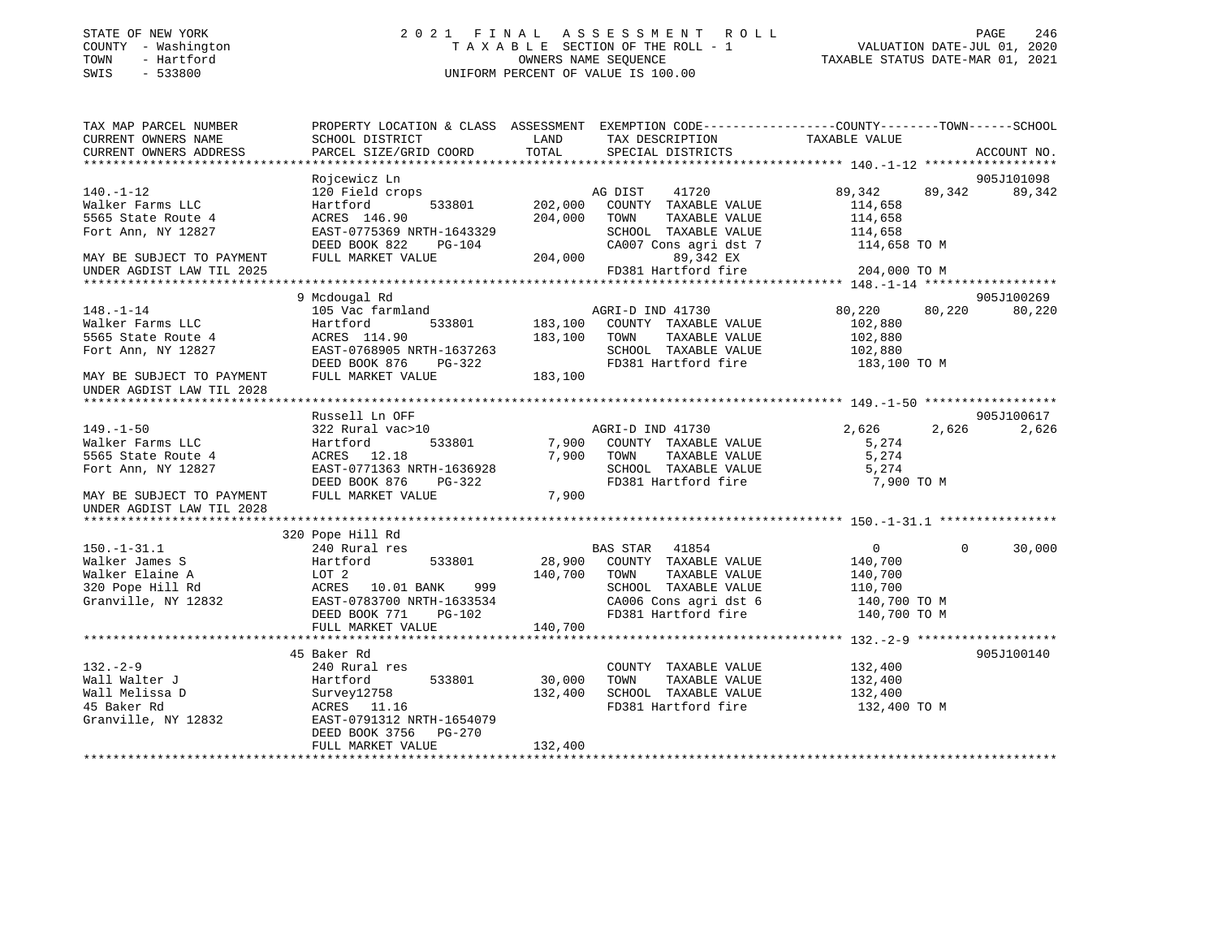### STATE OF NEW YORK 2 0 2 1 F I N A L A S S E S S M E N T R O L L PAGE 246 COUNTY - Washington T A X A B L E SECTION OF THE ROLL - 1 VALUATION DATE-JUL 01, 2020 TOWN - Hartford OWNERS NAME SEQUENCE TAXABLE STATUS DATE-MAR 01, 2021 SWIS - 533800 UNIFORM PERCENT OF VALUE IS 100.00

| TAX MAP PARCEL NUMBER<br>CURRENT OWNERS NAME | PROPERTY LOCATION & CLASS ASSESSMENT EXEMPTION CODE---------------COUNTY-------TOWN-----SCHOOL<br>SCHOOL DISTRICT | LAND    | TAX DESCRIPTION               | TAXABLE VALUE  |          |             |
|----------------------------------------------|-------------------------------------------------------------------------------------------------------------------|---------|-------------------------------|----------------|----------|-------------|
| CURRENT OWNERS ADDRESS                       | PARCEL SIZE/GRID COORD                                                                                            | TOTAL   | SPECIAL DISTRICTS             |                |          | ACCOUNT NO. |
|                                              |                                                                                                                   |         |                               |                |          |             |
|                                              | Rojcewicz Ln                                                                                                      |         |                               |                |          | 905J101098  |
| $140. - 1 - 12$                              | 120 Field crops                                                                                                   |         | 41720<br>AG DIST              | 89,342         | 89,342   | 89,342      |
| Walker Farms LLC                             | 533801<br>Hartford                                                                                                |         | 202,000 COUNTY TAXABLE VALUE  | 114,658        |          |             |
| 5565 State Route 4                           | ACRES 146.90                                                                                                      | 204,000 | TOWN<br>TAXABLE VALUE         | 114,658        |          |             |
| Fort Ann, NY 12827                           | EAST-0775369 NRTH-1643329                                                                                         |         | SCHOOL TAXABLE VALUE          | 114,658        |          |             |
|                                              | DEED BOOK 822<br>PG-104                                                                                           |         | CA007 Cons agri dst 7         | 114,658 TO M   |          |             |
| MAY BE SUBJECT TO PAYMENT                    | FULL MARKET VALUE                                                                                                 |         | 204,000<br>89,342 EX          |                |          |             |
| UNDER AGDIST LAW TIL 2025                    |                                                                                                                   |         | FD381 Hartford fire           | 204,000 TO M   |          |             |
|                                              |                                                                                                                   |         |                               |                |          |             |
|                                              | 9 Mcdougal Rd                                                                                                     |         |                               |                |          | 905J100269  |
| $148. - 1 - 14$                              | 105 Vac farmland                                                                                                  |         | AGRI-D IND 41730              | 80,220         | 80,220   | 80,220      |
| Walker Farms LLC                             | 533801<br>Hartford                                                                                                |         | 183,100 COUNTY TAXABLE VALUE  | 102,880        |          |             |
| 5565 State Route 4                           | ACRES 114.90                                                                                                      |         | 183,100 TOWN<br>TAXABLE VALUE | 102,880        |          |             |
| Fort Ann, NY 12827                           | EAST-0768905 NRTH-1637263                                                                                         |         | SCHOOL TAXABLE VALUE          | 102,880        |          |             |
|                                              | DEED BOOK 876<br>PG-322                                                                                           |         | FD381 Hartford fire           | 183,100 TO M   |          |             |
| MAY BE SUBJECT TO PAYMENT                    | FULL MARKET VALUE                                                                                                 | 183,100 |                               |                |          |             |
| UNDER AGDIST LAW TIL 2028                    |                                                                                                                   |         |                               |                |          |             |
|                                              |                                                                                                                   |         |                               |                |          |             |
|                                              | Russell Ln OFF                                                                                                    |         |                               |                |          | 905J100617  |
| $149. - 1 - 50$                              | 322 Rural vac>10                                                                                                  |         | AGRI-D IND 41730              | 2,626          | 2,626    | 2,626       |
| Walker Farms LLC                             | 533801<br>Hartford                                                                                                |         | 7,900 COUNTY TAXABLE VALUE    | 5,274          |          |             |
| 5565 State Route 4                           | ACRES 12.18                                                                                                       |         | 7,900 TOWN<br>TAXABLE VALUE   | 5,274          |          |             |
| Fort Ann, NY 12827                           | EAST-0771363 NRTH-1636928                                                                                         |         | SCHOOL TAXABLE VALUE          | 5,274          |          |             |
|                                              | DEED BOOK 876<br>PG-322                                                                                           |         | FD381 Hartford fire           | 7,900 TO M     |          |             |
| MAY BE SUBJECT TO PAYMENT                    | FULL MARKET VALUE                                                                                                 | 7,900   |                               |                |          |             |
| UNDER AGDIST LAW TIL 2028                    |                                                                                                                   |         |                               |                |          |             |
|                                              |                                                                                                                   |         |                               |                |          |             |
|                                              | 320 Pope Hill Rd                                                                                                  |         |                               |                |          |             |
| $150. - 1 - 31.1$                            | 240 Rural res                                                                                                     |         | BAS STAR 41854                | $\overline{0}$ | $\Omega$ | 30,000      |
| Walker James S                               | 533801<br>Hartford                                                                                                |         | 28,900 COUNTY TAXABLE VALUE   | 140,700        |          |             |
| Walker Elaine A                              | LOT 2                                                                                                             | 140,700 | TAXABLE VALUE<br>TOWN         | 140,700        |          |             |
| 320 Pope Hill Rd                             | 999<br>ACRES 10.01 BANK                                                                                           |         | SCHOOL TAXABLE VALUE          | 110,700        |          |             |
| Granville, NY 12832                          | EAST-0783700 NRTH-1633534                                                                                         |         | CA006 Cons agri dst 6         | 140,700 TO M   |          |             |
|                                              | DEED BOOK 771<br>PG-102                                                                                           |         | FD381 Hartford fire           | 140,700 TO M   |          |             |
|                                              | FULL MARKET VALUE                                                                                                 | 140,700 |                               |                |          |             |
|                                              | 45 Baker Rd                                                                                                       |         |                               |                |          | 905J100140  |
| $132 - 2 - 9$                                | 240 Rural res                                                                                                     |         | COUNTY TAXABLE VALUE          | 132,400        |          |             |
| Wall Walter J                                | 533801<br>Hartford                                                                                                | 30,000  | TOWN<br>TAXABLE VALUE         | 132,400        |          |             |
| Wall Melissa D                               | Survey12758                                                                                                       | 132,400 | SCHOOL TAXABLE VALUE          | 132,400        |          |             |
| 45 Baker Rd                                  | ACRES 11.16                                                                                                       |         | FD381 Hartford fire           | 132,400 TO M   |          |             |
| Granville, NY 12832                          | EAST-0791312 NRTH-1654079                                                                                         |         |                               |                |          |             |
|                                              | DEED BOOK 3756 PG-270                                                                                             |         |                               |                |          |             |
|                                              | FULL MARKET VALUE                                                                                                 | 132,400 |                               |                |          |             |
|                                              |                                                                                                                   |         |                               |                |          |             |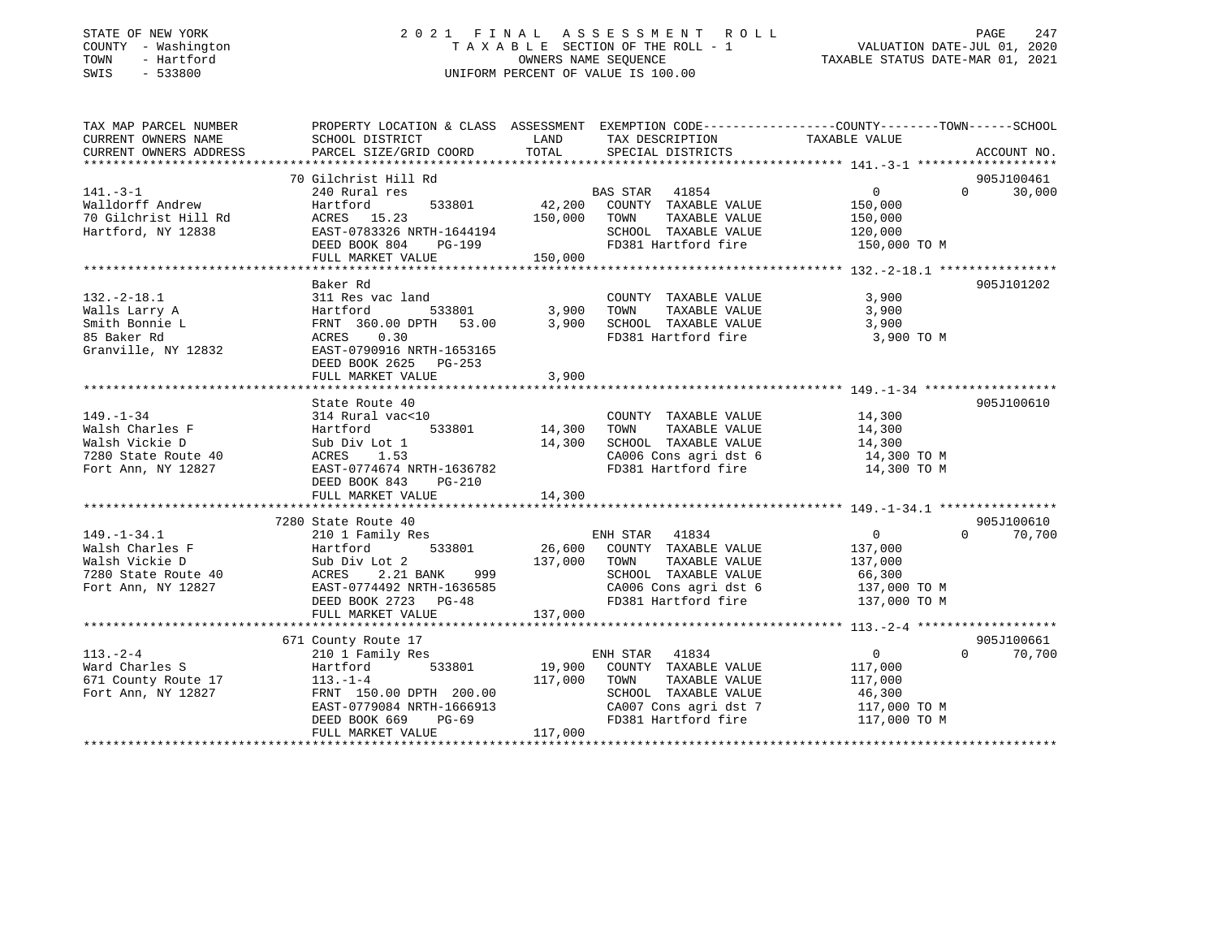#### STATE OF NEW YORK 2 0 2 1 F I N A L A S S E S S M E N T R O L L PAGE 247 COUNTY - Washington T A X A B L E SECTION OF THE ROLL - 1 VALUATION DATE-JUL 01, 2020 TOWN - Hartford OWNERS NAME SEQUENCE TAXABLE STATUS DATE-MAR 01, 2021 SWIS - 533800 UNIFORM PERCENT OF VALUE IS 100.00

| TAX MAP PARCEL NUMBER                                                                                                                                                                                                                                    | PROPERTY LOCATION & CLASS ASSESSMENT EXEMPTION CODE----------------COUNTY-------TOWN------SCHOOL                             |               |                                                                                                                                                                                                                    |                |               |
|----------------------------------------------------------------------------------------------------------------------------------------------------------------------------------------------------------------------------------------------------------|------------------------------------------------------------------------------------------------------------------------------|---------------|--------------------------------------------------------------------------------------------------------------------------------------------------------------------------------------------------------------------|----------------|---------------|
| CURRENT OWNERS NAME SCHOOL DISTRICT<br>CURRENT OWNERS ADDRESS PARCEL SIZE/GRID COORD                                                                                                                                                                     |                                                                                                                              | LAND<br>TOTAL | TAX DESCRIPTION TAXABLE VALUE<br>SPECIAL DISTRICTS                                                                                                                                                                 |                | ACCOUNT NO.   |
|                                                                                                                                                                                                                                                          |                                                                                                                              |               |                                                                                                                                                                                                                    |                |               |
|                                                                                                                                                                                                                                                          |                                                                                                                              |               |                                                                                                                                                                                                                    |                | 905J100461    |
|                                                                                                                                                                                                                                                          |                                                                                                                              |               |                                                                                                                                                                                                                    |                | $0 \t 30,000$ |
|                                                                                                                                                                                                                                                          |                                                                                                                              |               |                                                                                                                                                                                                                    |                |               |
|                                                                                                                                                                                                                                                          |                                                                                                                              |               |                                                                                                                                                                                                                    |                |               |
|                                                                                                                                                                                                                                                          |                                                                                                                              |               |                                                                                                                                                                                                                    |                |               |
|                                                                                                                                                                                                                                                          |                                                                                                                              |               | SCHOOL TAXABLE VALUE 120,000<br>FD381 Hartford fire 150,000 TO M                                                                                                                                                   |                |               |
| 3141.-3-1<br>240 Rural res<br>240 Rural res<br>240 Rural res<br>240 Rural res<br>240 Rural res<br>240 Rural res<br>240 Rural res<br>253801<br>26,200 COUNTY TAXABLE VALUE<br>250,000<br>26,000 TOWN TAXABLE VALUE<br>250,000<br>26,000 TOWN TAXABLE VALU |                                                                                                                              |               |                                                                                                                                                                                                                    |                |               |
|                                                                                                                                                                                                                                                          |                                                                                                                              |               |                                                                                                                                                                                                                    |                |               |
|                                                                                                                                                                                                                                                          | Baker Rd                                                                                                                     |               |                                                                                                                                                                                                                    | 3,900          | 905J101202    |
|                                                                                                                                                                                                                                                          |                                                                                                                              |               |                                                                                                                                                                                                                    | 3,900          |               |
|                                                                                                                                                                                                                                                          |                                                                                                                              |               |                                                                                                                                                                                                                    | 3,900          |               |
|                                                                                                                                                                                                                                                          |                                                                                                                              |               |                                                                                                                                                                                                                    | 3,900 TO M     |               |
|                                                                                                                                                                                                                                                          |                                                                                                                              |               |                                                                                                                                                                                                                    |                |               |
|                                                                                                                                                                                                                                                          | DEED BOOK 2625 PG-253                                                                                                        |               |                                                                                                                                                                                                                    |                |               |
|                                                                                                                                                                                                                                                          |                                                                                                                              |               |                                                                                                                                                                                                                    |                |               |
|                                                                                                                                                                                                                                                          |                                                                                                                              |               |                                                                                                                                                                                                                    |                |               |
|                                                                                                                                                                                                                                                          | State Route 40                                                                                                               |               |                                                                                                                                                                                                                    |                | 905J100610    |
| $149. - 1 - 34$                                                                                                                                                                                                                                          | 314 Rural vac<10                                                                                                             |               | COUNTY TAXABLE VALUE 14,300                                                                                                                                                                                        |                |               |
| Walsh Charles F<br>Walsh Vickie D                                                                                                                                                                                                                        |                                                                                                                              |               | $\begin{tabular}{lllllllllll} \textsc{Tom} & \textsc{TrXABLE} & \textsc{VALUE} & & \textsc{14}\,,\textsc{300} \\ \textsc{SCHOOL} & \textsc{TrXABLE} & \textsc{VALUE} & & \textsc{14}\,,\textsc{300} \end{tabular}$ |                |               |
|                                                                                                                                                                                                                                                          |                                                                                                                              |               |                                                                                                                                                                                                                    |                |               |
| Walsh Charles F<br>Walsh Charles F<br>Walsh Vickie D<br>Tartford 533801 14,300<br>Tartford 533801 14,300<br>Tartford 533801 14,300<br>Tartford 533801 14,300<br>Tartford 14,300<br>Tartford NRTH-1636782                                                 |                                                                                                                              |               | CA006 Cons agri dst 6 14,300 TO M<br>FD381 Hartford fire 14,300 TO M                                                                                                                                               |                |               |
|                                                                                                                                                                                                                                                          |                                                                                                                              |               |                                                                                                                                                                                                                    |                |               |
|                                                                                                                                                                                                                                                          | DEED BOOK 843<br>PG-210                                                                                                      |               |                                                                                                                                                                                                                    |                |               |
|                                                                                                                                                                                                                                                          |                                                                                                                              |               |                                                                                                                                                                                                                    |                |               |
|                                                                                                                                                                                                                                                          | 7280 State Route 40                                                                                                          |               |                                                                                                                                                                                                                    |                | 905J100610    |
|                                                                                                                                                                                                                                                          | 210 1 Family Res                                                                                                             |               |                                                                                                                                                                                                                    | $\overline{0}$ | $0 \t 70,700$ |
|                                                                                                                                                                                                                                                          |                                                                                                                              |               |                                                                                                                                                                                                                    |                |               |
|                                                                                                                                                                                                                                                          |                                                                                                                              |               |                                                                                                                                                                                                                    |                |               |
|                                                                                                                                                                                                                                                          |                                                                                                                              |               |                                                                                                                                                                                                                    |                |               |
|                                                                                                                                                                                                                                                          |                                                                                                                              |               |                                                                                                                                                                                                                    |                |               |
|                                                                                                                                                                                                                                                          |                                                                                                                              |               |                                                                                                                                                                                                                    |                |               |
|                                                                                                                                                                                                                                                          |                                                                                                                              |               |                                                                                                                                                                                                                    |                |               |
|                                                                                                                                                                                                                                                          |                                                                                                                              |               |                                                                                                                                                                                                                    |                |               |
|                                                                                                                                                                                                                                                          | 671 County Route 17<br>210 1 Family Res                                                                                      |               |                                                                                                                                                                                                                    | $\overline{0}$ | 905J100661    |
| $113. - 2 - 4$<br>Ward Charles S                                                                                                                                                                                                                         |                                                                                                                              |               |                                                                                                                                                                                                                    |                | $0 \t 70,700$ |
| $e$ 17<br>671 County Route 17                                                                                                                                                                                                                            | 210 1 Family Res ENH STAK 41054<br>Hartford 533801 19,900 COUNTY TAXABLE VALUE 117,000<br>117,000 TOMM TAXABLE VALUE 117,000 |               |                                                                                                                                                                                                                    |                |               |
| Fort Ann, NY 12827                                                                                                                                                                                                                                       |                                                                                                                              |               | SCHOOL TAXABLE VALUE 46,300                                                                                                                                                                                        |                |               |
|                                                                                                                                                                                                                                                          |                                                                                                                              |               |                                                                                                                                                                                                                    |                |               |
|                                                                                                                                                                                                                                                          | FRNT 150.00 DPTH 200.00<br>EAST-0779084 NRTH-1666913<br>DEED BOOK 669 PG-69                                                  |               | CA007 Cons agri dst 7 117,000 TO M<br>FD381 Hartford fire 117,000 TO M                                                                                                                                             |                |               |
|                                                                                                                                                                                                                                                          | FULL MARKET VALUE                                                                                                            | 117,000       |                                                                                                                                                                                                                    |                |               |
|                                                                                                                                                                                                                                                          |                                                                                                                              |               |                                                                                                                                                                                                                    |                |               |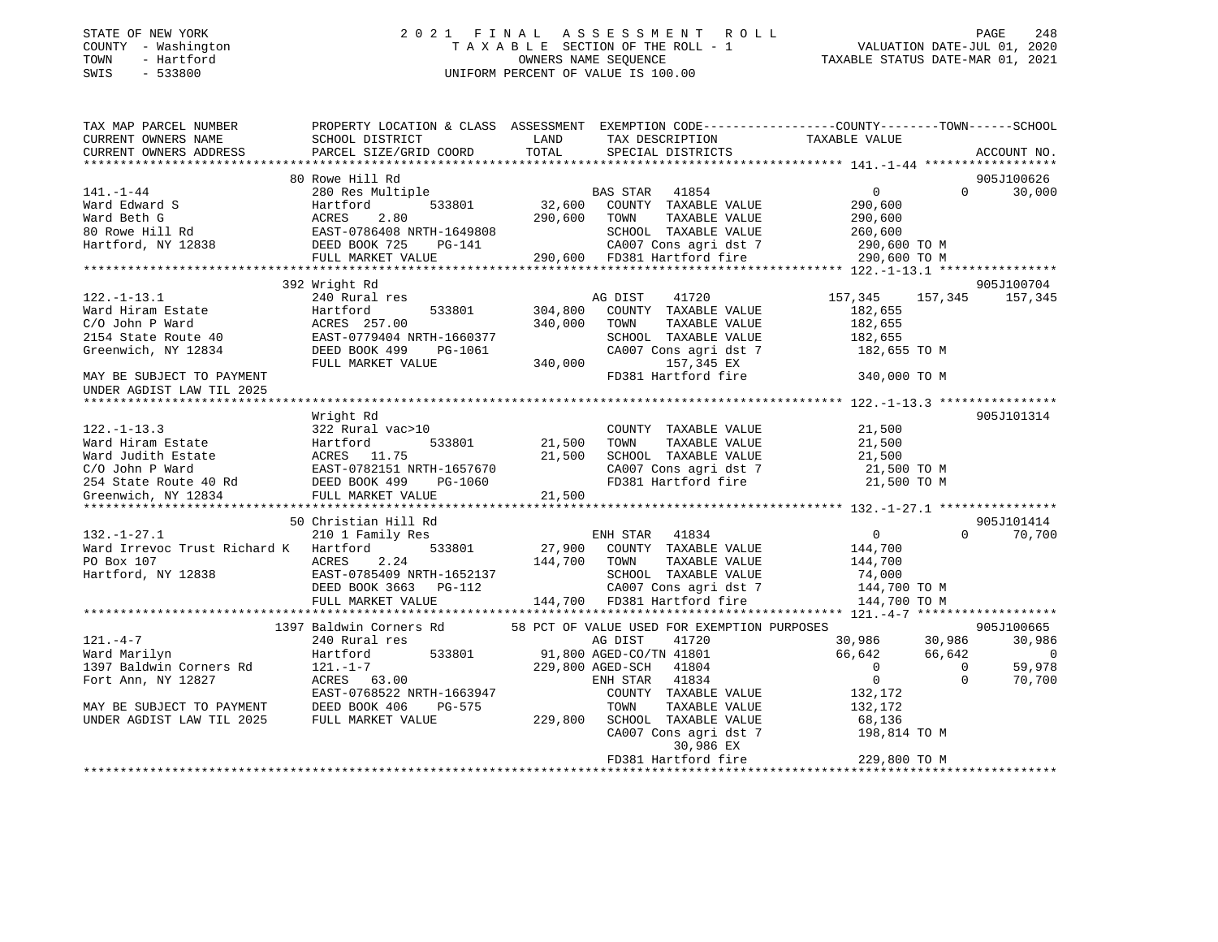#### STATE OF NEW YORK 2 0 2 1 F I N A L A S S E S S M E N T R O L L PAGE 248 COUNTY - Washington T A X A B L E SECTION OF THE ROLL - 1 VALUATION DATE-JUL 01, 2020 TOWN - Hartford OWNERS NAME SEQUENCE TAXABLE STATUS DATE-MAR 01, 2021 SWIS - 533800 UNIFORM PERCENT OF VALUE IS 100.00

| TAX MAP PARCEL NUMBER                                                                                                                       | PROPERTY LOCATION & CLASS ASSESSMENT EXEMPTION CODE---------------COUNTY-------TOWN------SCHOOL                             |              |                                              |                                    |                                 |
|---------------------------------------------------------------------------------------------------------------------------------------------|-----------------------------------------------------------------------------------------------------------------------------|--------------|----------------------------------------------|------------------------------------|---------------------------------|
| CURRENT OWNERS NAME                                                                                                                         | SCHOOL DISTRICT                                                                                                             | LAND         | TAX DESCRIPTION                              | TAXABLE VALUE                      |                                 |
| CURRENT OWNERS ADDRESS                                                                                                                      | PARCEL SIZE/GRID COORD                                                                                                      | TOTAL        | SPECIAL DISTRICTS                            |                                    | ACCOUNT NO.                     |
|                                                                                                                                             |                                                                                                                             |              |                                              |                                    |                                 |
|                                                                                                                                             | 80 Rowe Hill Rd                                                                                                             |              |                                              |                                    | 905J100626                      |
| $141. - 1 - 44$                                                                                                                             | 280 Res Multiple                                                                                                            |              | BAS STAR 41854                               | $\overline{0}$                     | $\Omega$<br>30,000              |
| Ward Edward S                                                                                                                               | 533801<br>Hartford                                                                                                          | 32,600       | COUNTY TAXABLE VALUE                         | 290,600                            |                                 |
|                                                                                                                                             |                                                                                                                             | 290,600      | TOWN<br>TAXABLE VALUE                        | 290,600                            |                                 |
| Ward Edward S<br>Ward Beth G<br>80 Rowe Hill Rd                                                                                             | ACRES 2.80<br>EAST-0786408 NRTH-1649808                                                                                     | $290o$       | SCHOOL TAXABLE VALUE                         | 260,600                            |                                 |
| Hartford, NY 12838 DEED BOOK 725                                                                                                            | PG-141                                                                                                                      |              | CA007 Cons agri dst 7                        | 290,600 TO M                       |                                 |
|                                                                                                                                             | FULL MARKET VALUE                                                                                                           |              | 290,600 FD381 Hartford fire                  | 290,600 TO M                       |                                 |
|                                                                                                                                             |                                                                                                                             |              |                                              |                                    |                                 |
|                                                                                                                                             | 392 Wright Rd                                                                                                               |              |                                              |                                    | 905J100704                      |
| $122. - 1 - 13.1$                                                                                                                           | 240 Rural res                                                                                                               |              | AG DIST<br>41720                             | 157,345 157,345                    | 157,345                         |
| Ward Hiram Estate                                                                                                                           |                                                                                                                             | 304,800      | COUNTY TAXABLE VALUE                         | 182,655                            |                                 |
| C/O John P Ward                                                                                                                             | Hartford 533801<br>ACRES 257.00<br>40 EAST-0779404 NRTH-1660377                                                             | 340,000      | TOWN<br>TAXABLE VALUE                        | 182,655                            |                                 |
| 2154 State Route 40                                                                                                                         |                                                                                                                             |              | SCHOOL TAXABLE VALUE                         | 182,655                            |                                 |
|                                                                                                                                             |                                                                                                                             |              |                                              |                                    |                                 |
| Greenwich, NY 12834                                                                                                                         | DEED BOOK 499<br>PG-1061                                                                                                    |              |                                              | CA007 Cons agri dst 7 182,655 TO M |                                 |
|                                                                                                                                             | FULL MARKET VALUE                                                                                                           | 340,000      | 157,345 EX                                   |                                    |                                 |
| MAY BE SUBJECT TO PAYMENT                                                                                                                   |                                                                                                                             |              | FD381 Hartford fire                          | 340,000 TO M                       |                                 |
| UNDER AGDIST LAW TIL 2025                                                                                                                   |                                                                                                                             |              |                                              |                                    |                                 |
|                                                                                                                                             |                                                                                                                             |              |                                              |                                    |                                 |
|                                                                                                                                             | Wright Rd                                                                                                                   |              |                                              |                                    | 905J101314                      |
| $122. - 1 - 13.3$                                                                                                                           | 322 Rural vac>10                                                                                                            |              | COUNTY TAXABLE VALUE                         | 21,500                             |                                 |
|                                                                                                                                             | 533801                                                                                                                      | 21,500       | TAXABLE VALUE<br>TOWN                        | 21,500                             |                                 |
|                                                                                                                                             |                                                                                                                             | 21,500       | SCHOOL TAXABLE VALUE 21,500                  |                                    |                                 |
|                                                                                                                                             | EAST-0782151 NRTH-1657670                                                                                                   |              | CA007 Cons agri dst 7<br>FD381 Hartford fire | 21,500 TO M                        |                                 |
|                                                                                                                                             | RTH-1657670<br>PG-1060                                                                                                      |              |                                              | 21,500 TO M                        |                                 |
| 122.-1-13.3<br>Ward Hiram Estate<br>Ward Judith Estate<br>C/O John P Ward<br>254 State Route 40 Rd<br>Greenwich, NY 12834<br>PULL MARKET VA | FULL MARKET VALUE                                                                                                           | 21,500       |                                              |                                    |                                 |
|                                                                                                                                             |                                                                                                                             |              |                                              |                                    |                                 |
|                                                                                                                                             | 50 Christian Hill Rd                                                                                                        |              |                                              |                                    | 905J101414                      |
| $132. - 1 - 27.1$                                                                                                                           | 210 1 Family Res                                                                                                            |              | ENH STAR 41834                               | 0                                  | $0 \t 70,700$                   |
| Ward Irrevoc Trust Richard K Hartford                                                                                                       | 533801                                                                                                                      |              | 27,900 COUNTY TAXABLE VALUE                  | 144,700                            |                                 |
| PO Box 107                                                                                                                                  | 2.24<br>ACRES                                                                                                               | 144,700 TOWN | TAXABLE VALUE                                | 144,700                            |                                 |
| Hartford, NY 12838                                                                                                                          |                                                                                                                             |              |                                              | 74,000                             |                                 |
|                                                                                                                                             |                                                                                                                             |              |                                              | CA007 Cons agri dst 7 144,700 TO M |                                 |
|                                                                                                                                             | EAST-0785409 NRTH-1652137<br>DEED BOOK 3663 PG-112<br>FULL MARKET VALUE<br>FULL MARKET VALUE<br>144,700 FD381 Hartford fire |              |                                              | 144,700 TO M                       |                                 |
|                                                                                                                                             |                                                                                                                             |              |                                              |                                    |                                 |
|                                                                                                                                             | 1397 Baldwin Corners Rd                                                                                                     |              | 58 PCT OF VALUE USED FOR EXEMPTION PURPOSES  |                                    | 905J100665                      |
|                                                                                                                                             |                                                                                                                             |              |                                              | 30,986 30,986                      |                                 |
| $121. -4 - 7$                                                                                                                               | 240 Rural res                                                                                                               |              | 41720<br>AG DIST                             |                                    | 30,986                          |
| Ward Marilyn                                                                                                                                | 533801<br>Hartford                                                                                                          |              | 91,800 AGED-CO/TN 41801                      | 66,642<br>66,642                   | $\sim$ 0                        |
| 1397 Baldwin Corners Rd                                                                                                                     | $121. - 1 - 7$                                                                                                              |              | 229,800 AGED-SCH 41804                       | $\overline{0}$<br>$\overline{0}$   | 59,978                          |
| Fort Ann, NY 12827                                                                                                                          | ACRES 63.00                                                                                                                 |              | ENH STAR 41834                               | $\overline{0}$                     | 70,700<br>$\Omega$              |
|                                                                                                                                             | EAST-0768522 NRTH-1663947                                                                                                   |              | COUNTY TAXABLE VALUE                         | 132,172                            |                                 |
| MAY BE SUBJECT TO PAYMENT                                                                                                                   | DEED BOOK 406<br>PG-575                                                                                                     |              | TOWN<br>TAXABLE VALUE                        | 132,172                            |                                 |
| UNDER AGDIST LAW TIL 2025                                                                                                                   | FULL MARKET VALUE                                                                                                           | 229,800      | SCHOOL TAXABLE VALUE                         | 68,136                             |                                 |
|                                                                                                                                             |                                                                                                                             |              | CA007 Cons agri dst 7                        | 198,814 TO M                       |                                 |
|                                                                                                                                             |                                                                                                                             |              | 30,986 EX                                    |                                    |                                 |
|                                                                                                                                             |                                                                                                                             |              | FD381 Hartford fire                          | 229,800 TO M                       |                                 |
|                                                                                                                                             |                                                                                                                             |              |                                              |                                    | * * * * * * * * * * * * * * * * |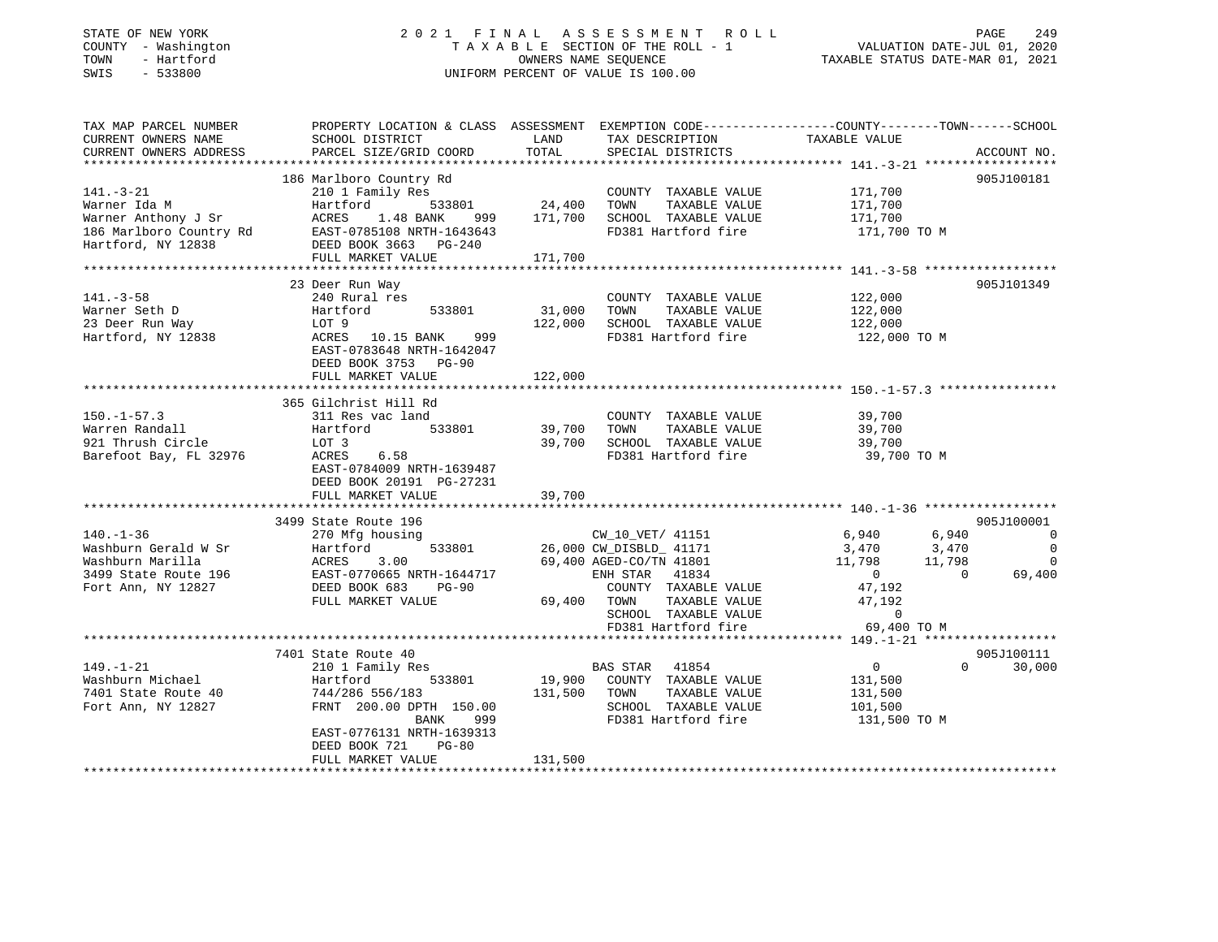### STATE OF NEW YORK 2 0 2 1 F I N A L A S S E S S M E N T R O L L PAGE 249 COUNTY - Washington T A X A B L E SECTION OF THE ROLL - 1 VALUATION DATE-JUL 01, 2020 TOWN - Hartford OWNERS NAME SEQUENCE TAXABLE STATUS DATE-MAR 01, 2021 SWIS - 533800 UNIFORM PERCENT OF VALUE IS 100.00

| TAX MAP PARCEL NUMBER                                                                                                                | PROPERTY LOCATION & CLASS ASSESSMENT EXEMPTION CODE----------------COUNTY-------TOWN-----SCHOOL                                                                                                                                                |                             |                                                                                               |                                                                                                                           |                          |
|--------------------------------------------------------------------------------------------------------------------------------------|------------------------------------------------------------------------------------------------------------------------------------------------------------------------------------------------------------------------------------------------|-----------------------------|-----------------------------------------------------------------------------------------------|---------------------------------------------------------------------------------------------------------------------------|--------------------------|
| CURRENT OWNERS NAME                                                                                                                  | SCHOOL DISTRICT                                                                                                                                                                                                                                | LAND                        | TAX DESCRIPTION                                                                               | TAXABLE VALUE                                                                                                             |                          |
| CURRENT OWNERS ADDRESS                                                                                                               | PARCEL SIZE/GRID COORD                                                                                                                                                                                                                         | TOTAL                       | SPECIAL DISTRICTS                                                                             |                                                                                                                           | ACCOUNT NO.              |
|                                                                                                                                      |                                                                                                                                                                                                                                                |                             |                                                                                               |                                                                                                                           |                          |
|                                                                                                                                      | 186 Marlboro Country Rd                                                                                                                                                                                                                        |                             |                                                                                               |                                                                                                                           | 905J100181               |
| $141. - 3 - 21$                                                                                                                      | 210 1 Family Res                                                                                                                                                                                                                               |                             | COUNTY TAXABLE VALUE                                                                          | 171,700                                                                                                                   |                          |
|                                                                                                                                      |                                                                                                                                                                                                                                                |                             |                                                                                               |                                                                                                                           |                          |
|                                                                                                                                      |                                                                                                                                                                                                                                                |                             |                                                                                               |                                                                                                                           |                          |
|                                                                                                                                      |                                                                                                                                                                                                                                                |                             | 1.48 BANK 999 171,700 SCHOOL TAXABLE VALUE 171,700 1.48 BANK 999 171,700 SCHOOL TAXABLE VALUE |                                                                                                                           |                          |
|                                                                                                                                      |                                                                                                                                                                                                                                                |                             |                                                                                               |                                                                                                                           |                          |
|                                                                                                                                      | FULL MARKET VALUE                                                                                                                                                                                                                              | 171,700                     |                                                                                               |                                                                                                                           |                          |
|                                                                                                                                      |                                                                                                                                                                                                                                                |                             |                                                                                               |                                                                                                                           |                          |
|                                                                                                                                      | 23 Deer Run Way                                                                                                                                                                                                                                |                             |                                                                                               |                                                                                                                           | 905J101349               |
| $141. - 3 - 58$                                                                                                                      | 240 Rural res                                                                                                                                                                                                                                  |                             | COUNTY TAXABLE VALUE                                                                          | 122,000                                                                                                                   |                          |
| Warner Seth D                                                                                                                        | 533801                                                                                                                                                                                                                                         | 31,000                      | TOWN<br>TAXABLE VALUE                                                                         | 122,000                                                                                                                   |                          |
|                                                                                                                                      |                                                                                                                                                                                                                                                | 122,000                     | SCHOOL TAXABLE VALUE 122,000                                                                  |                                                                                                                           |                          |
| 23 Deer Run Way<br>Hartford, NY 12838                                                                                                |                                                                                                                                                                                                                                                |                             | FD381 Hartford fire                                                                           | 122,000 TO M                                                                                                              |                          |
|                                                                                                                                      | EAST-0783648 NRTH-1642047                                                                                                                                                                                                                      |                             |                                                                                               |                                                                                                                           |                          |
|                                                                                                                                      | DEED BOOK 3753 PG-90                                                                                                                                                                                                                           |                             |                                                                                               |                                                                                                                           |                          |
|                                                                                                                                      | FULL MARKET VALUE                                                                                                                                                                                                                              | 122,000                     |                                                                                               |                                                                                                                           |                          |
|                                                                                                                                      |                                                                                                                                                                                                                                                |                             |                                                                                               |                                                                                                                           |                          |
|                                                                                                                                      | 365 Gilchrist Hill Rd                                                                                                                                                                                                                          |                             |                                                                                               |                                                                                                                           |                          |
| $150. - 1 - 57.3$                                                                                                                    | 311 Res vac land                                                                                                                                                                                                                               |                             | COUNTY TAXABLE VALUE                                                                          | 39,700                                                                                                                    |                          |
| Warren Randall                                                                                                                       |                                                                                                                                                                                                                                                |                             | TOWN                                                                                          |                                                                                                                           |                          |
| 921 Thrush Circle                                                                                                                    | Hartford 533801 39,700<br>LOT 3                                                                                                                                                                                                                |                             | TAXABLE VALUE 39,700<br>TAXABLE VALUE 39,700<br>39,700 SCHOOL TAXABLE VALUE                   |                                                                                                                           |                          |
|                                                                                                                                      | ACRES 6.58                                                                                                                                                                                                                                     |                             | FD381 Hartford fire                                                                           | 39,700 TO M                                                                                                               |                          |
| Barefoot Bay, FL 32976                                                                                                               |                                                                                                                                                                                                                                                |                             |                                                                                               |                                                                                                                           |                          |
|                                                                                                                                      | EAST-0784009 NRTH-1639487                                                                                                                                                                                                                      |                             |                                                                                               |                                                                                                                           |                          |
|                                                                                                                                      | DEED BOOK 20191 PG-27231                                                                                                                                                                                                                       | 39,700                      |                                                                                               |                                                                                                                           |                          |
|                                                                                                                                      | FULL MARKET VALUE                                                                                                                                                                                                                              |                             |                                                                                               |                                                                                                                           |                          |
|                                                                                                                                      | 3499 State Route 196                                                                                                                                                                                                                           |                             |                                                                                               |                                                                                                                           | 905J100001               |
|                                                                                                                                      | CW_10_VET/41151<br>Washburn Gerald W Sr Martford<br>Washburn Marilla ACRES 3.00 26,000 CW_DISBLD_41171<br>26,000 CW_DISBLD_41171<br>26,000 CW_DISBLD_41171<br>26,000 CW_DISBLD_41171<br>26,000 CW_DISBLD_41171<br>26,400 AGED-CO/TN 41801<br>2 |                             |                                                                                               |                                                                                                                           | $\overline{0}$           |
|                                                                                                                                      |                                                                                                                                                                                                                                                |                             |                                                                                               | $\begin{array}{ccc} 6\,,940 & \qquad & 6\,,940 \\ 3\,,470 & \qquad & 3\,,470 \\ 11\,,798 & \qquad & 11\,,798 \end{array}$ | $\overline{\phantom{0}}$ |
|                                                                                                                                      |                                                                                                                                                                                                                                                |                             |                                                                                               |                                                                                                                           | $\overline{0}$           |
|                                                                                                                                      |                                                                                                                                                                                                                                                |                             |                                                                                               |                                                                                                                           | $\overline{0}$           |
|                                                                                                                                      |                                                                                                                                                                                                                                                |                             |                                                                                               | $\overline{0}$                                                                                                            | 69,400                   |
|                                                                                                                                      |                                                                                                                                                                                                                                                |                             | COUNTY TAXABLE VALUE 47,192                                                                   |                                                                                                                           |                          |
|                                                                                                                                      | FULL MARKET VALUE                                                                                                                                                                                                                              | 69,400       TOWN<br>SCHOOL |                                                                                               |                                                                                                                           |                          |
|                                                                                                                                      |                                                                                                                                                                                                                                                |                             | TOWN TAXABLE VALUE 47,192<br>SCHOOL TAXABLE VALUE 47,192                                      |                                                                                                                           |                          |
|                                                                                                                                      |                                                                                                                                                                                                                                                |                             | FD381 Hartford fire                                                                           | 69,400 TO M                                                                                                               |                          |
|                                                                                                                                      |                                                                                                                                                                                                                                                |                             |                                                                                               |                                                                                                                           |                          |
|                                                                                                                                      | 7401 State Route 40                                                                                                                                                                                                                            |                             |                                                                                               |                                                                                                                           | 905J100111               |
|                                                                                                                                      | 210 1 Family Res                                                                                                                                                                                                                               |                             | BAS STAR 41854<br>19,900 COUNTY TAXABLE VALUE                                                 | $\overline{0}$                                                                                                            | $\Omega$<br>30,000       |
|                                                                                                                                      | 533801                                                                                                                                                                                                                                         |                             |                                                                                               | 131,500                                                                                                                   |                          |
|                                                                                                                                      |                                                                                                                                                                                                                                                | 131,500 TOWN                | TAXABLE VALUE                                                                                 | 131,500                                                                                                                   |                          |
| 149.-1-21 210 1 Family Res<br>Washburn Michael Hartford<br>7401 State Route 40 744/286 556/183<br>Fort Ann, NY 12827 FRNT 200.00 DPT | FRNT 200.00 DPTH 150.00                                                                                                                                                                                                                        |                             | SCHOOL TAXABLE VALUE                                                                          | 101,500                                                                                                                   |                          |
|                                                                                                                                      | BANK<br>999 —                                                                                                                                                                                                                                  |                             | FD381 Hartford fire 131,500 TO M                                                              |                                                                                                                           |                          |
|                                                                                                                                      | EAST-0776131 NRTH-1639313                                                                                                                                                                                                                      |                             |                                                                                               |                                                                                                                           |                          |
|                                                                                                                                      | DEED BOOK 721<br>$PG-80$                                                                                                                                                                                                                       |                             |                                                                                               |                                                                                                                           |                          |
|                                                                                                                                      | FULL MARKET VALUE                                                                                                                                                                                                                              | 131,500                     |                                                                                               |                                                                                                                           |                          |
|                                                                                                                                      |                                                                                                                                                                                                                                                |                             |                                                                                               |                                                                                                                           |                          |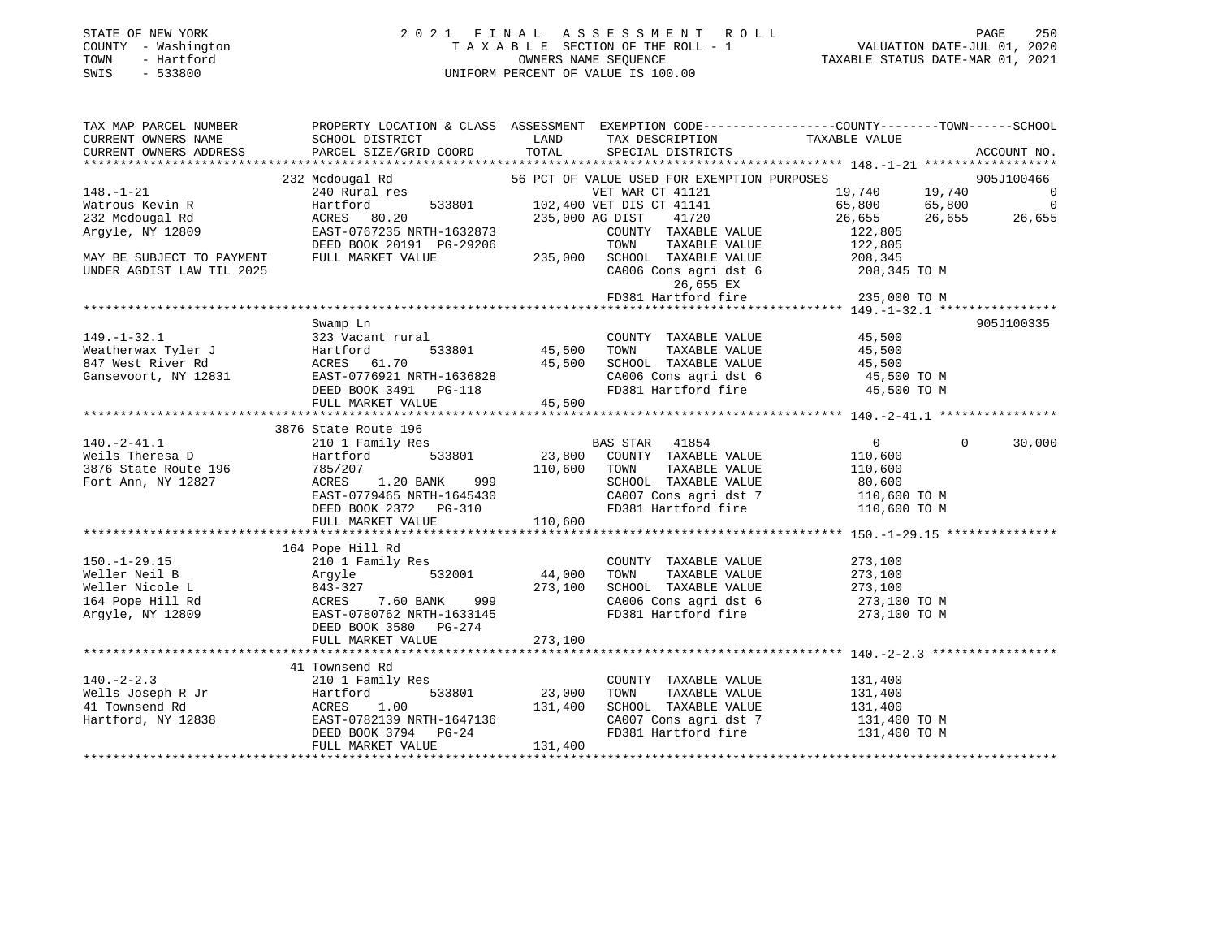#### STATE OF NEW YORK 2 0 2 1 F I N A L A S S E S S M E N T R O L L PAGE 250 COUNTY - Washington T A X A B L E SECTION OF THE ROLL - 1 VALUATION DATE-JUL 01, 2020 TOWN - Hartford OWNERS NAME SEQUENCE TAXABLE STATUS DATE-MAR 01, 2021 SWIS - 533800 UNIFORM PERCENT OF VALUE IS 100.00

| TAX MAP PARCEL NUMBER                                                                                         | PROPERTY LOCATION & CLASS ASSESSMENT EXEMPTION CODE----------------COUNTY-------TOWN------SCHOOL                                                                                                                                                                                                                                                                       |              |                                                                                                                                                                                                          |                                                |                |             |
|---------------------------------------------------------------------------------------------------------------|------------------------------------------------------------------------------------------------------------------------------------------------------------------------------------------------------------------------------------------------------------------------------------------------------------------------------------------------------------------------|--------------|----------------------------------------------------------------------------------------------------------------------------------------------------------------------------------------------------------|------------------------------------------------|----------------|-------------|
|                                                                                                               |                                                                                                                                                                                                                                                                                                                                                                        |              | TAX DESCRIPTION TAXABLE VALUE                                                                                                                                                                            |                                                |                |             |
|                                                                                                               |                                                                                                                                                                                                                                                                                                                                                                        |              | SPECIAL DISTRICTS                                                                                                                                                                                        |                                                |                | ACCOUNT NO. |
|                                                                                                               | 232 Mcdougal Rd<br>240 Rural res<br>240 Rural res<br>247 Martford 533801<br>247 Martford 533801<br>235.000 AG DIST<br>275.000 AG DIST<br>277 Martford 20                                                                                                                                                                                                               |              |                                                                                                                                                                                                          |                                                |                |             |
|                                                                                                               |                                                                                                                                                                                                                                                                                                                                                                        |              | 56 PCT OF VALUE USED FOR EXEMPTION PURPOSES 305J100466                                                                                                                                                   |                                                |                |             |
| $148. - 1 - 21$                                                                                               |                                                                                                                                                                                                                                                                                                                                                                        |              | VET WAR CT 41121 1000 1000 19,740 19,740 0<br>VET DIS CT 41141 65,800 65,800 0<br>AG DIST 41720 26,655 26,655 26,655                                                                                     |                                                |                |             |
| Watrous Kevin R                                                                                               |                                                                                                                                                                                                                                                                                                                                                                        |              |                                                                                                                                                                                                          |                                                |                |             |
| 232 Mcdougal Rd                                                                                               |                                                                                                                                                                                                                                                                                                                                                                        |              |                                                                                                                                                                                                          |                                                |                | 26,655      |
| 232 McGougai<br>Argyle, NY 12809                                                                              | EAST-0767235 NRTH-1632873                                                                                                                                                                                                                                                                                                                                              |              |                                                                                                                                                                                                          |                                                |                |             |
|                                                                                                               | DEED BOOK 20191 PG-29206<br>FULI MARKET WATHER                                                                                                                                                                                                                                                                                                                         |              | $\begin{tabular}{lllllllllll} \multicolumn{2}{c}{\textbf{COUNTY}} & \textbf{TAXABLE VALUE} & & & 122\,,805 \\ \multicolumn{2}{c}{\textbf{TOWN}} & \textbf{TAXABLE VALUE} & & 122\,,805 \\ \end{tabular}$ |                                                |                |             |
| MAY BE SUBJECT TO PAYMENT                                                                                     | FULL MARKET VALUE                                                                                                                                                                                                                                                                                                                                                      |              | 235,000 SCHOOL TAXABLE VALUE<br>CA006 Cons agri dst 6 208,345 TO M<br>ED381 Hartford fire 235,000 TO M<br>PD381 Hartford fire 235,000 TO M                                                               |                                                |                |             |
| UNDER AGDIST LAW TIL 2025                                                                                     |                                                                                                                                                                                                                                                                                                                                                                        |              |                                                                                                                                                                                                          |                                                |                |             |
|                                                                                                               |                                                                                                                                                                                                                                                                                                                                                                        |              |                                                                                                                                                                                                          |                                                |                |             |
|                                                                                                               |                                                                                                                                                                                                                                                                                                                                                                        |              |                                                                                                                                                                                                          |                                                |                |             |
|                                                                                                               |                                                                                                                                                                                                                                                                                                                                                                        |              |                                                                                                                                                                                                          |                                                |                |             |
|                                                                                                               | Swamp Ln                                                                                                                                                                                                                                                                                                                                                               |              |                                                                                                                                                                                                          |                                                |                | 905J100335  |
|                                                                                                               |                                                                                                                                                                                                                                                                                                                                                                        |              |                                                                                                                                                                                                          |                                                |                |             |
|                                                                                                               |                                                                                                                                                                                                                                                                                                                                                                        |              |                                                                                                                                                                                                          |                                                |                |             |
|                                                                                                               |                                                                                                                                                                                                                                                                                                                                                                        |              |                                                                                                                                                                                                          |                                                |                |             |
|                                                                                                               |                                                                                                                                                                                                                                                                                                                                                                        |              |                                                                                                                                                                                                          |                                                |                |             |
|                                                                                                               |                                                                                                                                                                                                                                                                                                                                                                        |              | CA006 Cons agri dst 6 15,500 TO M<br>FD381 Hartford fire 15,500 TO M                                                                                                                                     |                                                |                |             |
|                                                                                                               | FULL MARKET VALUE                                                                                                                                                                                                                                                                                                                                                      | 45,500       |                                                                                                                                                                                                          |                                                |                |             |
|                                                                                                               |                                                                                                                                                                                                                                                                                                                                                                        |              |                                                                                                                                                                                                          |                                                |                |             |
|                                                                                                               | 3876 State Route 196                                                                                                                                                                                                                                                                                                                                                   |              |                                                                                                                                                                                                          |                                                |                |             |
| $140.-2-41.1$                                                                                                 | 210 1 Family Res                                                                                                                                                                                                                                                                                                                                                       |              | <b>BAS STAR 41854</b>                                                                                                                                                                                    | $\overline{0}$                                 | $\overline{0}$ | 30,000      |
| 140.-2-41.1 210 1 Fam<br>Weils Theresa D Hartford<br>3876 State Route 196 785/207<br>Fort Ann, NY 12827 ACRES | Hartford                                                                                                                                                                                                                                                                                                                                                               |              | ${\tt 533801} \hspace{20pt} {\tt 23,800} \hspace{20pt} {\tt COUNTY} \hspace{20pt} {\tt TAXABLE} \hspace{20pt} {\tt VALUE} \hspace{20pt} {\tt 110,600}$                                                   |                                                |                |             |
|                                                                                                               |                                                                                                                                                                                                                                                                                                                                                                        | 110,600 TOWN | TAXABLE VALUE                                                                                                                                                                                            | 110,600                                        |                |             |
|                                                                                                               |                                                                                                                                                                                                                                                                                                                                                                        |              |                                                                                                                                                                                                          |                                                |                |             |
|                                                                                                               |                                                                                                                                                                                                                                                                                                                                                                        |              |                                                                                                                                                                                                          |                                                |                |             |
|                                                                                                               |                                                                                                                                                                                                                                                                                                                                                                        |              |                                                                                                                                                                                                          |                                                |                |             |
|                                                                                                               |                                                                                                                                                                                                                                                                                                                                                                        |              |                                                                                                                                                                                                          |                                                |                |             |
|                                                                                                               | $\begin{array}{r} \text{1.10,000} \\ \text{1.2827} \\ \text{1.20 BANK} \\ \text{1.20 BANK} \\ \text{1.20 BANK} \\ \text{1.20 BANK} \\ \text{1.21,000} \\ \text{1.22,000} \\ \text{1.23,00} \\ \text{1.24,000} \\ \text{1.25,000} \\ \text{1.26,00} \\ \text{1.27,000} \\ \text{1.28,000} \\ \text{1.29,15} \\ \text{1.20 BANK} \\ \text{1.20 BANK} \\ \text{1.20 BANK$ |              |                                                                                                                                                                                                          |                                                |                |             |
|                                                                                                               | --- rupe H111 Rd<br>210 1 Family Res<br>Argyle 532001 44,000<br>843-327 273,100<br>273,100<br>BAST-0780762 NRTH-1633145<br>PEED BOOK 3580 PG-274                                                                                                                                                                                                                       |              |                                                                                                                                                                                                          |                                                |                |             |
| $150. - 1 - 29.15$                                                                                            |                                                                                                                                                                                                                                                                                                                                                                        |              | COUNTY TAXABLE VALUE                                                                                                                                                                                     | 273,100                                        |                |             |
| Weller Neil B                                                                                                 |                                                                                                                                                                                                                                                                                                                                                                        |              | TOWN                                                                                                                                                                                                     |                                                |                |             |
| Weller Nicole L                                                                                               |                                                                                                                                                                                                                                                                                                                                                                        |              | SCHOOL TAXABLE VALUE                                                                                                                                                                                     | TAXABLE VALUE 273,100<br>TAXABLE VALUE 273,100 |                |             |
| 164 Pope Hill Rd                                                                                              |                                                                                                                                                                                                                                                                                                                                                                        |              | CA006 Cons agri dst 6 273,100 TO M                                                                                                                                                                       |                                                |                |             |
| Argyle, NY 12809                                                                                              |                                                                                                                                                                                                                                                                                                                                                                        |              | FD381 Hartford fire                                                                                                                                                                                      | 273,100 TO M                                   |                |             |
|                                                                                                               |                                                                                                                                                                                                                                                                                                                                                                        |              |                                                                                                                                                                                                          |                                                |                |             |
|                                                                                                               |                                                                                                                                                                                                                                                                                                                                                                        |              |                                                                                                                                                                                                          |                                                |                |             |
|                                                                                                               |                                                                                                                                                                                                                                                                                                                                                                        |              |                                                                                                                                                                                                          |                                                |                |             |
|                                                                                                               | 41 Townsend Rd                                                                                                                                                                                                                                                                                                                                                         |              |                                                                                                                                                                                                          |                                                |                |             |
|                                                                                                               |                                                                                                                                                                                                                                                                                                                                                                        |              | COUNTY TAXABLE VALUE 131,400                                                                                                                                                                             |                                                |                |             |
|                                                                                                               |                                                                                                                                                                                                                                                                                                                                                                        |              |                                                                                                                                                                                                          |                                                |                |             |
|                                                                                                               |                                                                                                                                                                                                                                                                                                                                                                        |              |                                                                                                                                                                                                          |                                                |                |             |
|                                                                                                               |                                                                                                                                                                                                                                                                                                                                                                        |              |                                                                                                                                                                                                          |                                                |                |             |
|                                                                                                               |                                                                                                                                                                                                                                                                                                                                                                        |              | CA007 Cons agri dst 7 131,400 TO M<br>FD381 Hartford fire 131,400 TO M                                                                                                                                   |                                                |                |             |
|                                                                                                               |                                                                                                                                                                                                                                                                                                                                                                        | 131,400      |                                                                                                                                                                                                          |                                                |                |             |
|                                                                                                               |                                                                                                                                                                                                                                                                                                                                                                        |              |                                                                                                                                                                                                          |                                                |                |             |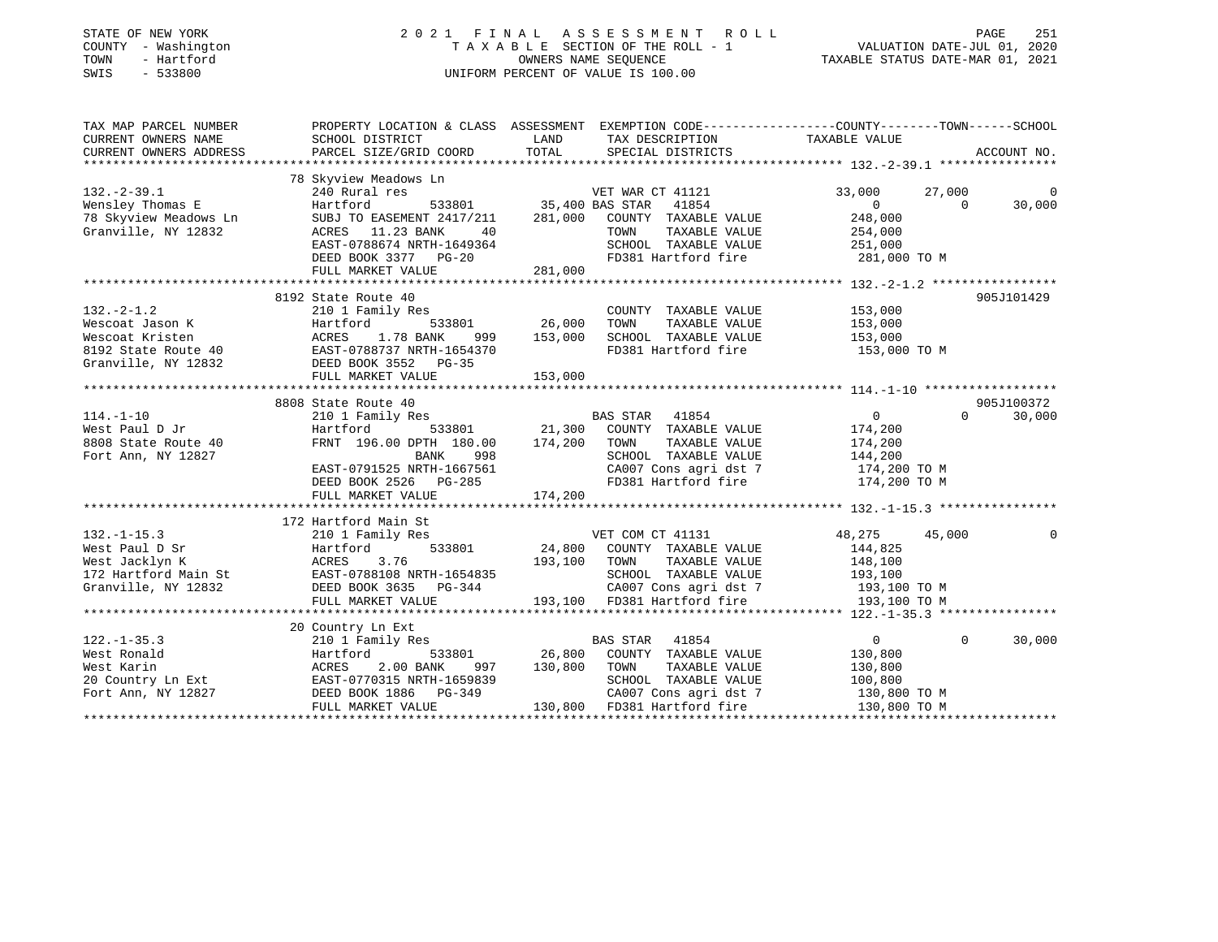| STATE OF NEW YORK<br>COUNTY - Washington<br>TOWN<br>- Hartford<br>$-533800$<br>SWIS | 2021 FINAL ASSESSMENT<br>TAXABLE SECTION OF THE ROLL - 1<br>UNIFORM PERCENT OF VALUE IS 100.00 | PAGE<br>251<br>VALUATION DATE-JUL 01, 2020<br>TAXABLE STATUS DATE-MAR 01, 2021                                             |                                      |  |
|-------------------------------------------------------------------------------------|------------------------------------------------------------------------------------------------|----------------------------------------------------------------------------------------------------------------------------|--------------------------------------|--|
| TAX MAP PARCEL NUMBER<br>CURRENT OWNERS NAME                                        | SCHOOL DISTRICT                                                                                | PROPERTY LOCATION & CLASS ASSESSMENT EXEMPTION CODE---------------COUNTY-------TOWN------SCHOOL<br>LAND<br>TAX DESCRIPTION | TAXABLE VALUE                        |  |
| CURRENT OWNERS ADDRESS                                                              | PARCEL SIZE/GRID COORD                                                                         | TOTAL<br>SPECIAL DISTRICTS                                                                                                 | ACCOUNT NO.                          |  |
|                                                                                     |                                                                                                |                                                                                                                            |                                      |  |
|                                                                                     | 78 Skyview Meadows Ln                                                                          |                                                                                                                            |                                      |  |
| $132 - 2 - 39.1$                                                                    | 240 Rural res                                                                                  | VET WAR CT 41121                                                                                                           | 33,000<br>27,000<br>0                |  |
| Wensley Thomas E                                                                    | Hartford<br>533801                                                                             | 35,400 BAS STAR<br>41854                                                                                                   | $\overline{0}$<br>$\Omega$<br>30,000 |  |
| 78 Skyview Meadows Ln                                                               | SUBJ TO EASEMENT 2417/211                                                                      | 281,000<br>COUNTY TAXABLE VALUE                                                                                            | 248,000                              |  |
| Granville, NY 12832                                                                 | ACRES 11.23 BANK<br>40<br>EAST-0788674 NRTH-1649364                                            | TAXABLE VALUE<br>TOWN<br>SCHOOL TAXABLE VALUE                                                                              | 254,000<br>251,000                   |  |
|                                                                                     | DEED BOOK 3377 PG-20                                                                           | FD381 Hartford fire                                                                                                        | 281,000 TO M                         |  |
|                                                                                     | FULL MARKET VALUE                                                                              | 281,000                                                                                                                    |                                      |  |
|                                                                                     |                                                                                                |                                                                                                                            |                                      |  |
|                                                                                     | 8192 State Route 40                                                                            |                                                                                                                            | 905J101429                           |  |
| $132 - 2 - 1.2$                                                                     | 210 1 Family Res                                                                               | COUNTY TAXABLE VALUE                                                                                                       | 153,000                              |  |
| Wescoat Jason K                                                                     | Hartford<br>533801                                                                             | 26,000<br>TOWN<br>TAXABLE VALUE                                                                                            | 153,000                              |  |
| Wescoat Kristen                                                                     | ACRES<br>1.78 BANK<br>999                                                                      | 153,000<br>SCHOOL TAXABLE VALUE                                                                                            | 153,000                              |  |
| 8192 State Route 40                                                                 | EAST-0788737 NRTH-1654370                                                                      | FD381 Hartford fire                                                                                                        | 153,000 TO M                         |  |
| Granville, NY 12832                                                                 | DEED BOOK 3552 PG-35                                                                           |                                                                                                                            |                                      |  |
|                                                                                     | FULL MARKET VALUE                                                                              | 153,000                                                                                                                    |                                      |  |
|                                                                                     | *****************************                                                                  |                                                                                                                            |                                      |  |
|                                                                                     | 8808 State Route 40                                                                            |                                                                                                                            | 905J100372                           |  |
| $114. - 1 - 10$                                                                     | 210 1 Family Res                                                                               | BAS STAR<br>41854                                                                                                          | $\overline{0}$<br>$\Omega$<br>30,000 |  |
| West Paul D Jr                                                                      | 533801<br>Hartford                                                                             | 21,300<br>COUNTY TAXABLE VALUE                                                                                             | 174,200                              |  |
| 8808 State Route 40                                                                 | FRNT 196.00 DPTH 180.00                                                                        | 174,200<br>TAXABLE VALUE<br>TOWN                                                                                           | 174,200                              |  |
| Fort Ann, NY 12827                                                                  | BANK<br>998<br>EAST-0791525 NRTH-1667561                                                       | SCHOOL TAXABLE VALUE<br>CA007 Cons agri dst 7                                                                              | 144,200<br>174,200 TO M              |  |
|                                                                                     | DEED BOOK 2526 PG-285                                                                          | FD381 Hartford fire                                                                                                        | 174,200 TO M                         |  |
|                                                                                     | FULL MARKET VALUE                                                                              | 174,200                                                                                                                    |                                      |  |
|                                                                                     |                                                                                                |                                                                                                                            |                                      |  |
|                                                                                     | 172 Hartford Main St                                                                           |                                                                                                                            |                                      |  |
| $132. - 1 - 15.3$                                                                   | 210 1 Family Res                                                                               | VET COM CT 41131                                                                                                           | 48,275<br>45,000<br>$\Omega$         |  |
| West Paul D Sr                                                                      | 533801<br>Hartford                                                                             | 24,800<br>COUNTY TAXABLE VALUE                                                                                             | 144,825                              |  |
| West Jacklyn K                                                                      | 3.76<br>ACRES                                                                                  | 193,100<br>TOWN<br>TAXABLE VALUE                                                                                           | 148,100                              |  |
| 172 Hartford Main St                                                                | EAST-0788108 NRTH-1654835                                                                      | SCHOOL TAXABLE VALUE                                                                                                       | 193,100                              |  |
| Granville, NY 12832                                                                 | DEED BOOK 3635<br>PG-344                                                                       | CA007 Cons agri dst 7                                                                                                      | 193,100 ТО М                         |  |
|                                                                                     | FULL MARKET VALUE                                                                              | FD381 Hartford fire<br>193,100                                                                                             | 193,100 TO M                         |  |
|                                                                                     |                                                                                                |                                                                                                                            |                                      |  |
|                                                                                     | 20 Country Ln Ext                                                                              |                                                                                                                            |                                      |  |
| $122. - 1 - 35.3$                                                                   | 210 1 Family Res                                                                               | 41854<br><b>BAS STAR</b>                                                                                                   | $\mathbf{0}$<br>30,000<br>$\Omega$   |  |
| West Ronald                                                                         | Hartford<br>533801                                                                             | 26,800<br>COUNTY TAXABLE VALUE                                                                                             | 130,800                              |  |
| West Karin                                                                          | ACRES<br>2.00 BANK<br>997                                                                      | 130,800<br>TAXABLE VALUE<br>TOWN                                                                                           | 130,800                              |  |
| 20 Country Ln Ext                                                                   | EAST-0770315 NRTH-1659839                                                                      | SCHOOL TAXABLE VALUE                                                                                                       | 100,800                              |  |
| Fort Ann, NY 12827                                                                  | DEED BOOK 1886<br>PG-349                                                                       | CA007 Cons agri dst 7                                                                                                      | 130,800 TO M                         |  |
|                                                                                     | FULL MARKET VALUE                                                                              | 130,800<br>FD381 Hartford fire                                                                                             | 130,800 TO M                         |  |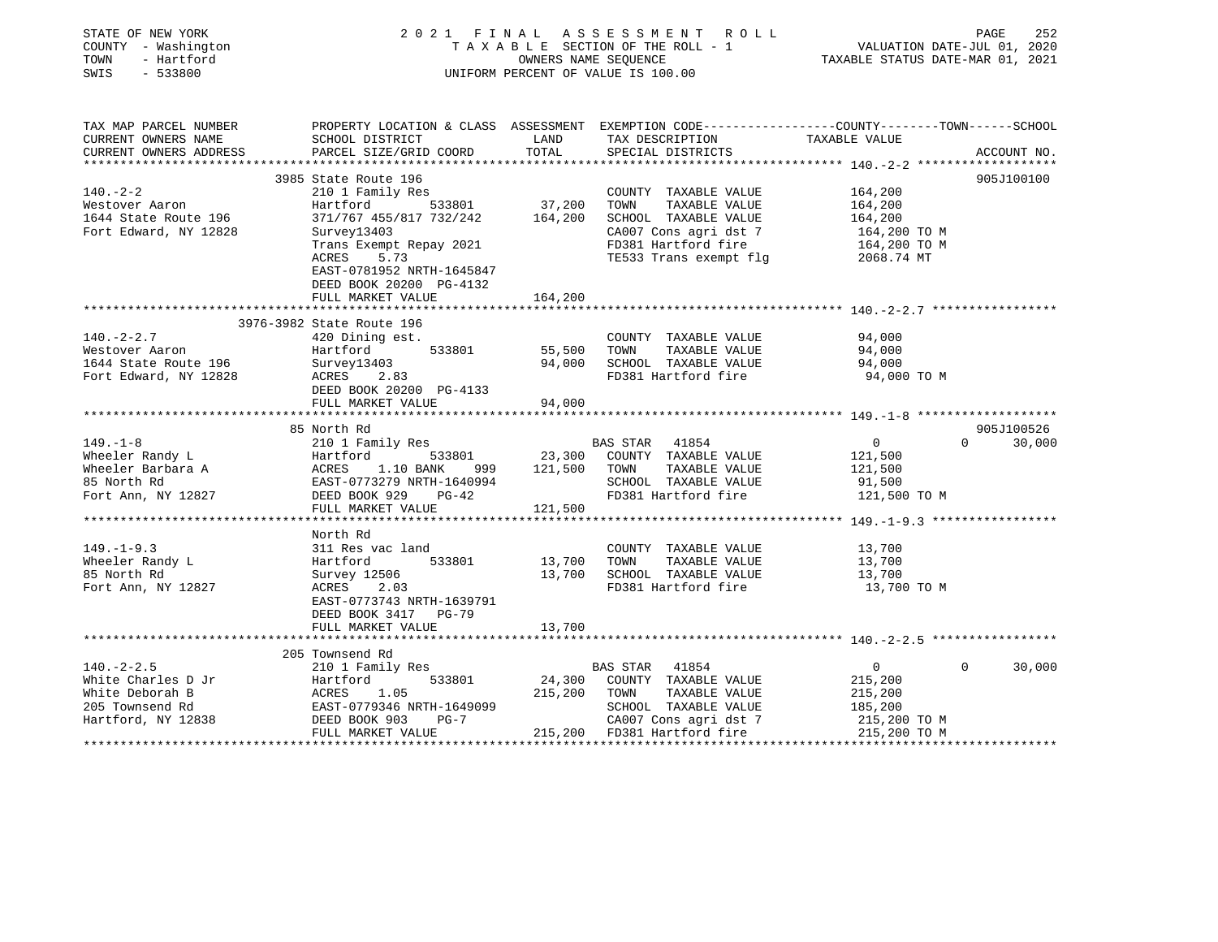| STATE OF NEW YORK<br>COUNTY - Washington<br>TOWN<br>- Hartford<br>SWIS<br>$-533800$ | 2021 FINAL ASSESSMENT ROLL<br>T A X A B L E SECTION OF THE ROLL - 1<br>OWNERS NAME SEQUENCE<br>UNIFORM PERCENT OF VALUE IS 100.00 |         |                                                                                | PAGE<br>252<br>VALUATION DATE-JUL 01, 2020<br>TAXABLE STATUS DATE-MAR 01, 2021 |                                  |  |
|-------------------------------------------------------------------------------------|-----------------------------------------------------------------------------------------------------------------------------------|---------|--------------------------------------------------------------------------------|--------------------------------------------------------------------------------|----------------------------------|--|
| TAX MAP PARCEL NUMBER                                                               | PROPERTY LOCATION & CLASS ASSESSMENT EXEMPTION CODE---------------COUNTY-------TOWN-----SCHOOL                                    |         |                                                                                |                                                                                |                                  |  |
| CURRENT OWNERS NAME                                                                 | SCHOOL DISTRICT                                                                                                                   | LAND    | TAX DESCRIPTION                                                                | TAXABLE VALUE                                                                  |                                  |  |
| CURRENT OWNERS ADDRESS                                                              | PARCEL SIZE/GRID COORD                                                                                                            | TOTAL   | SPECIAL DISTRICTS                                                              |                                                                                | ACCOUNT NO.                      |  |
|                                                                                     |                                                                                                                                   |         |                                                                                |                                                                                |                                  |  |
|                                                                                     | 3985 State Route 196                                                                                                              |         |                                                                                |                                                                                | 905J100100                       |  |
| $140. - 2 - 2$                                                                      | 210 1 Family Res                                                                                                                  |         | COUNTY TAXABLE VALUE                                                           | 164,200                                                                        |                                  |  |
| Westover Aaron                                                                      | Hartford<br>533801                                                                                                                | 37,200  | TAXABLE VALUE<br>TOWN                                                          | 164,200                                                                        |                                  |  |
| 1644 State Route 196                                                                | 371/767 455/817 732/242                                                                                                           | 164,200 | SCHOOL TAXABLE VALUE                                                           | 164,200                                                                        |                                  |  |
| Fort Edward, NY 12828                                                               | Survey13403<br>Trans Exempt Repay 2021                                                                                            |         | CA007 Cons agri dst 7<br>FD381 Hartford fire                                   | 164,200 TO M<br>164,200 TO M                                                   |                                  |  |
|                                                                                     | 5.73<br>ACRES                                                                                                                     |         | TE533 Trans exempt flg 2068.74 MT                                              |                                                                                |                                  |  |
|                                                                                     | EAST-0781952 NRTH-1645847                                                                                                         |         |                                                                                |                                                                                |                                  |  |
|                                                                                     | DEED BOOK 20200 PG-4132                                                                                                           |         |                                                                                |                                                                                |                                  |  |
|                                                                                     | FULL MARKET VALUE                                                                                                                 | 164,200 |                                                                                |                                                                                |                                  |  |
|                                                                                     |                                                                                                                                   |         |                                                                                |                                                                                |                                  |  |
|                                                                                     | 3976-3982 State Route 196                                                                                                         |         |                                                                                |                                                                                |                                  |  |
| $140. -2 - 2.7$                                                                     | 420 Dining est.                                                                                                                   |         | COUNTY TAXABLE VALUE                                                           | 94,000                                                                         |                                  |  |
| Westover Aaron                                                                      | Hartford<br>533801                                                                                                                | 55,500  | TOWN TAXABLE VALUE                                                             | 94,000                                                                         |                                  |  |
| 1644 State Route 196                                                                | Survey13403                                                                                                                       | 94,000  | SCHOOL TAXABLE VALUE                                                           | 94,000                                                                         |                                  |  |
| Fort Edward, NY 12828                                                               | 2.83<br>ACRES                                                                                                                     |         | FD381 Hartford fire                                                            | 94,000 TO M                                                                    |                                  |  |
|                                                                                     | DEED BOOK 20200 PG-4133                                                                                                           |         |                                                                                |                                                                                |                                  |  |
|                                                                                     | FULL MARKET VALUE                                                                                                                 | 94,000  |                                                                                |                                                                                |                                  |  |
|                                                                                     | North R<br>210 1 Fa<br>Hartford<br>ACRES<br>1 EAST-07<br>DPT                                                                      |         |                                                                                |                                                                                |                                  |  |
| $149. - 1 - 8$                                                                      | 210 1 Family Res                                                                                                                  |         | BAS STAR 41854                                                                 | $0 \qquad \qquad$                                                              | 905J100526<br>$\Omega$<br>30,000 |  |
|                                                                                     | 533801                                                                                                                            |         | 23,300 COUNTY TAXABLE VALUE                                                    | 121,500                                                                        |                                  |  |
| Wheeler Randy L<br>Wheeler Barbara A<br>85 North Rd                                 | 1.10 BANK                                                                                                                         |         | 999 121,500 TOWN TAXABLE VALUE                                                 | 121,500                                                                        |                                  |  |
|                                                                                     | EAST-0773279 NRTH-1640994                                                                                                         |         | SCHOOL TAXABLE VALUE                                                           | 91,500                                                                         |                                  |  |
| Fort Ann, NY 12827                                                                  | DEED BOOK 929 PG-42                                                                                                               |         | FD381 Hartford fire                                                            | 121,500 TO M                                                                   |                                  |  |
|                                                                                     | FULL MARKET VALUE                                                                                                                 | 121,500 |                                                                                |                                                                                |                                  |  |
|                                                                                     |                                                                                                                                   |         |                                                                                |                                                                                |                                  |  |
|                                                                                     | North Rd                                                                                                                          |         |                                                                                |                                                                                |                                  |  |
| $149. - 1 - 9.3$                                                                    | 311 Res vac land                                                                                                                  |         | COUNTY TAXABLE VALUE                                                           | 13,700                                                                         |                                  |  |
| Wheeler Randy L                                                                     | 533801<br>Hartford                                                                                                                | 13,700  | TOWN<br>TAXABLE VALUE                                                          | 13,700                                                                         |                                  |  |
| 85 North Rd                                                                         | Survey 12506                                                                                                                      | 13,700  | SCHOOL TAXABLE VALUE                                                           | 13,700                                                                         |                                  |  |
| Fort Ann, NY 12827                                                                  | ACRES<br>2.03                                                                                                                     |         | FD381 Hartford fire                                                            | 13,700 TO M                                                                    |                                  |  |
|                                                                                     | EAST-0773743 NRTH-1639791                                                                                                         |         |                                                                                |                                                                                |                                  |  |
|                                                                                     | DEED BOOK 3417 PG-79                                                                                                              |         |                                                                                |                                                                                |                                  |  |
|                                                                                     | FULL MARKET VALUE                                                                                                                 | 13,700  |                                                                                |                                                                                |                                  |  |
|                                                                                     | 205 Townsend Rd                                                                                                                   |         |                                                                                |                                                                                |                                  |  |
| $140. -2 - 2.5$                                                                     | 210 1 Family Res                                                                                                                  |         | BAS STAR 41854                                                                 | $\overline{0}$                                                                 | 30,000<br>$\Omega$               |  |
| White Charles D Jr                                                                  | 533801<br>Hartford                                                                                                                |         | 24,300 COUNTY TAXABLE VALUE                                                    | 215,200                                                                        |                                  |  |
| White Deborah B                                                                     | ACRES<br>1.05                                                                                                                     | 215,200 | TAXABLE VALUE<br>TOWN                                                          | 215,200                                                                        |                                  |  |
| 205 Townsend Rd                                                                     | EAST-0779346 NRTH-1649099                                                                                                         |         | SCHOOL TAXABLE VALUE                                                           | 185,200                                                                        |                                  |  |
| Hartford, NY 12838                                                                  | DEED BOOK 903<br>$PG-7$                                                                                                           |         |                                                                                |                                                                                |                                  |  |
|                                                                                     | FULL MARKET VALUE                                                                                                                 |         | CA007 Cons agri dst 7 215,200 TO M<br>215,200 FD381 Hartford fire 215,200 TO M |                                                                                |                                  |  |
|                                                                                     |                                                                                                                                   |         |                                                                                |                                                                                |                                  |  |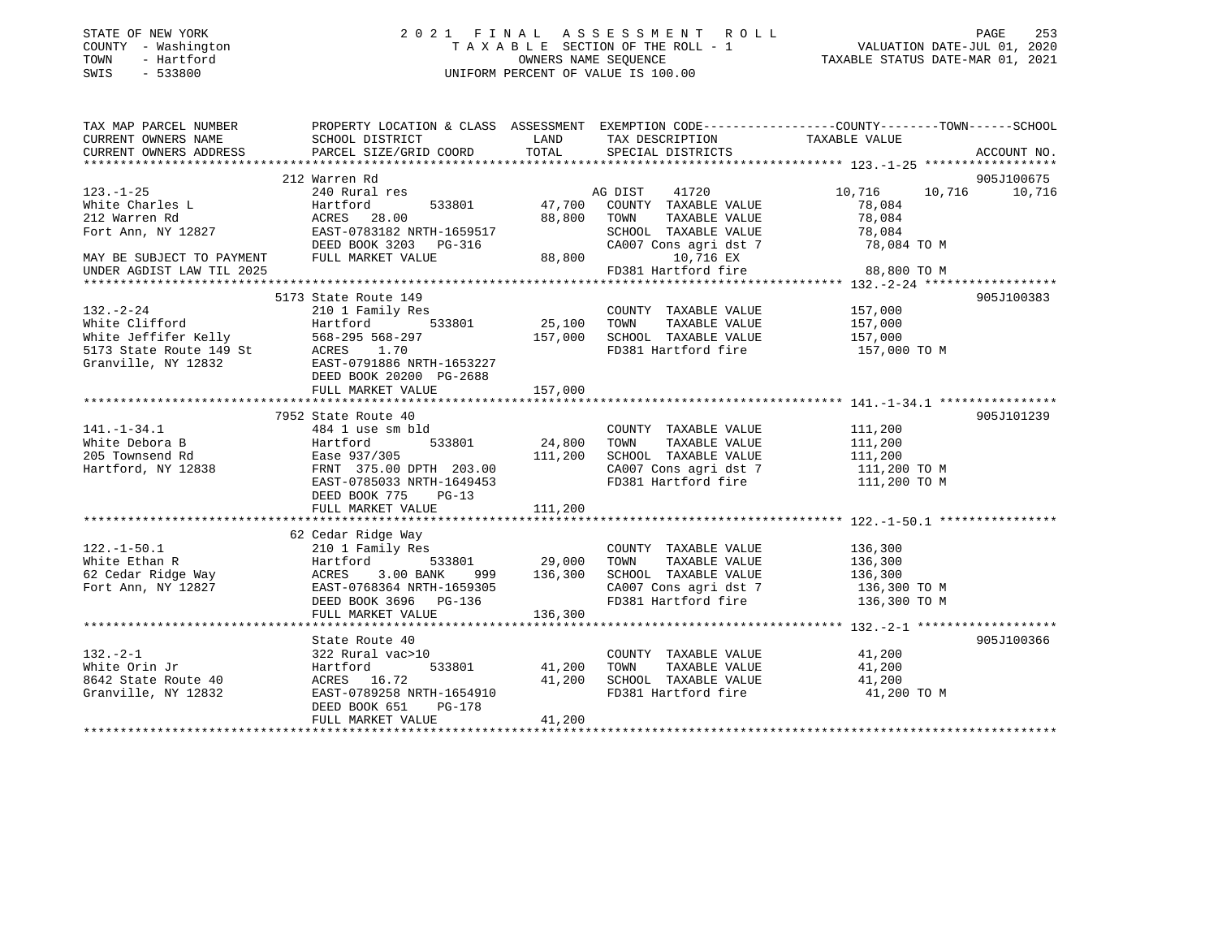| STATE OF NEW YORK |              |
|-------------------|--------------|
| COUNTY            | - Washington |
| TOWN              | - Hartford   |
| $\cap$            | 533000       |

# STATE OF NEW YORK 2 0 2 1 F I N A L A S S E S S M E N T R O L L PAGE 253 COUNTY - Washington T A X A B L E SECTION OF THE ROLL - 1 VALUATION DATE-JUL 01, 2020 TOWN - Hartford OWNERS NAME SEQUENCE TAXABLE STATUS DATE-MAR 01, 2021 SWIS - 533800 UNIFORM PERCENT OF VALUE IS 100.00

| TAX MAP PARCEL NUMBER<br>CURRENT OWNERS NAME                                                                                                                                                                                                         | PROPERTY LOCATION & CLASS ASSESSMENT EXEMPTION CODE---------------COUNTY-------TOWN-----SCHOOL<br>SCHOOL DISTRICT                                                                                                                                        | <b>LAND</b>       | TAX DESCRIPTION                                                    | TAXABLE VALUE                |             |
|------------------------------------------------------------------------------------------------------------------------------------------------------------------------------------------------------------------------------------------------------|----------------------------------------------------------------------------------------------------------------------------------------------------------------------------------------------------------------------------------------------------------|-------------------|--------------------------------------------------------------------|------------------------------|-------------|
| CURRENT OWNERS ADDRESS                                                                                                                                                                                                                               | PARCEL SIZE/GRID COORD                                                                                                                                                                                                                                   | TOTAL             | SPECIAL DISTRICTS                                                  |                              | ACCOUNT NO. |
|                                                                                                                                                                                                                                                      |                                                                                                                                                                                                                                                          |                   |                                                                    |                              |             |
|                                                                                                                                                                                                                                                      | 212 Warren Rd                                                                                                                                                                                                                                            |                   |                                                                    |                              | 905J100675  |
| $123. - 1 - 25$                                                                                                                                                                                                                                      | 240 Rural res                                                                                                                                                                                                                                            |                   | AG DIST 41720                                                      | 10,716 10,716 10,716         |             |
| White Charles L                                                                                                                                                                                                                                      | Hartford                                                                                                                                                                                                                                                 |                   | 533801 47,700 COUNTY TAXABLE VALUE                                 | 78,084                       |             |
| 212 Warren Rd                                                                                                                                                                                                                                        | ACRES 28.00                                                                                                                                                                                                                                              | 88,800 TOWN       | TAXABLE VALUE                                                      | 78,084                       |             |
| Fort Ann, NY 12827                                                                                                                                                                                                                                   | EAST-0783182 NRTH-1659517                                                                                                                                                                                                                                |                   |                                                                    |                              |             |
|                                                                                                                                                                                                                                                      | DEED BOOK 3203 PG-316                                                                                                                                                                                                                                    |                   | SCHOOL TAXABLE VALUE 78,084<br>CA007 Cons agri dst 7 78,084 TO M   |                              |             |
| MAY BE SUBJECT TO PAYMENT                                                                                                                                                                                                                            | FULL MARKET VALUE                                                                                                                                                                                                                                        | 88,800            | 10,716 EX                                                          |                              |             |
| UNDER AGDIST LAW TIL 2025                                                                                                                                                                                                                            |                                                                                                                                                                                                                                                          |                   | 10,716 EX<br>FD381 Hartford fire 88,800 TO M                       |                              |             |
|                                                                                                                                                                                                                                                      |                                                                                                                                                                                                                                                          |                   |                                                                    |                              |             |
|                                                                                                                                                                                                                                                      | 5173 State Route 149                                                                                                                                                                                                                                     |                   |                                                                    |                              | 905J100383  |
|                                                                                                                                                                                                                                                      |                                                                                                                                                                                                                                                          |                   | COUNTY TAXABLE VALUE 157,000                                       |                              |             |
|                                                                                                                                                                                                                                                      |                                                                                                                                                                                                                                                          |                   |                                                                    | 157,000                      |             |
|                                                                                                                                                                                                                                                      |                                                                                                                                                                                                                                                          | 25,100<br>157,000 | TOWN      TAXABLE VALUE<br>SCHOOL   TAXABLE VALUE                  | 157,000                      |             |
|                                                                                                                                                                                                                                                      |                                                                                                                                                                                                                                                          |                   | FD381 Hartford fire 157,000 TO M                                   |                              |             |
|                                                                                                                                                                                                                                                      | 132.-2-24<br>White Clifford<br>White Jeffifer Kelly<br>568-295 568-297<br>5173 State Route 149 St<br>71114. NY 12832<br>712832<br>72207<br>72207<br>72207<br>7240791886 NRTH-1653227<br>7240791886 NRTH-1653227<br>7240791886 NRTH-1653227<br>7240791886 |                   |                                                                    |                              |             |
|                                                                                                                                                                                                                                                      |                                                                                                                                                                                                                                                          |                   |                                                                    |                              |             |
|                                                                                                                                                                                                                                                      | FULL MARKET VALUE                                                                                                                                                                                                                                        | 157,000           |                                                                    |                              |             |
|                                                                                                                                                                                                                                                      |                                                                                                                                                                                                                                                          |                   |                                                                    |                              |             |
|                                                                                                                                                                                                                                                      | 7952 State Route 40                                                                                                                                                                                                                                      |                   |                                                                    |                              | 905J101239  |
| $141. - 1 - 34.1$                                                                                                                                                                                                                                    | 484 1 use sm bld                                                                                                                                                                                                                                         |                   | COUNTY TAXABLE VALUE                                               | 111,200                      |             |
| White Debora B                                                                                                                                                                                                                                       | Hartford                                                                                                                                                                                                                                                 | 533801 24,800     | TAXABLE VALUE<br>TOWN                                              | 111,200                      |             |
| 205 Townsend Rd                                                                                                                                                                                                                                      | Ease 937/305                                                                                                                                                                                                                                             | 111,200           |                                                                    |                              |             |
| Hartford, NY 12838                                                                                                                                                                                                                                   | FRNT 375.00 DPTH 203.00                                                                                                                                                                                                                                  |                   | SCHOOL TAXABLE VALUE 111,200<br>CA007 Cons agri dst 7 111,200 TO M |                              |             |
|                                                                                                                                                                                                                                                      | EAST-0785033 NRTH-1649453                                                                                                                                                                                                                                |                   | FD381 Hartford fire 111,200 TO M                                   |                              |             |
|                                                                                                                                                                                                                                                      | DEED BOOK 775 PG-13                                                                                                                                                                                                                                      |                   |                                                                    |                              |             |
|                                                                                                                                                                                                                                                      | FULL MARKET VALUE                                                                                                                                                                                                                                        | 111,200           |                                                                    |                              |             |
|                                                                                                                                                                                                                                                      |                                                                                                                                                                                                                                                          |                   |                                                                    |                              |             |
|                                                                                                                                                                                                                                                      | 62 Cedar Ridge Way                                                                                                                                                                                                                                       |                   |                                                                    |                              |             |
|                                                                                                                                                                                                                                                      | 210 1 Family Res                                                                                                                                                                                                                                         |                   | COUNTY TAXABLE VALUE                                               | 136,300                      |             |
|                                                                                                                                                                                                                                                      |                                                                                                                                                                                                                                                          |                   | TOWN<br>TAXABLE VALUE                                              | 136,300                      |             |
|                                                                                                                                                                                                                                                      | 3.00 BANK                                                                                                                                                                                                                                                | 999 136,300       | SCHOOL TAXABLE VALUE 136,300                                       |                              |             |
|                                                                                                                                                                                                                                                      | EAST-0768364 NRTH-1659305                                                                                                                                                                                                                                |                   |                                                                    |                              |             |
|                                                                                                                                                                                                                                                      | DEED BOOK 3696 PG-136                                                                                                                                                                                                                                    |                   | CA007 Cons agri dst 7<br>FD381 Hartford fire                       | 136,300 TO M<br>136,300 TO M |             |
| White Ethan R<br>62 Cedar Ridge Way<br>Fort Ann, NY 12827<br>Fort Ann, NY 12827<br>Fort Ann, NY 12827<br>Primer Parties 2010<br>Primer Parties 2010<br>Primer Parties 2010<br>Primer Parties 2010<br>Primer Parties 2010<br>Primer Parties 2010<br>P | FULL MARKET VALUE                                                                                                                                                                                                                                        | 136,300           |                                                                    |                              |             |
|                                                                                                                                                                                                                                                      |                                                                                                                                                                                                                                                          |                   |                                                                    |                              |             |
|                                                                                                                                                                                                                                                      | State Route 40                                                                                                                                                                                                                                           |                   |                                                                    |                              | 905J100366  |
| $132 - 2 - 1$                                                                                                                                                                                                                                        | 322 Rural vac>10                                                                                                                                                                                                                                         |                   | COUNTY TAXABLE VALUE 41,200                                        |                              |             |
| White Orin Jr                                                                                                                                                                                                                                        | Hartford 533801 41,200                                                                                                                                                                                                                                   |                   | TAXABLE VALUE<br>TOWN                                              | 41,200                       |             |
|                                                                                                                                                                                                                                                      |                                                                                                                                                                                                                                                          |                   | SCHOOL TAXABLE VALUE 41,200                                        |                              |             |
| 8642 State Route 40<br>Granville, NY 12832<br>Granville, NY 12832                                                                                                                                                                                    | ACRES 16.72 41,200<br>EAST-0789258 NRTH-1654910                                                                                                                                                                                                          |                   | FD381 Hartford fire                                                | 41,200 TO M                  |             |
|                                                                                                                                                                                                                                                      | DEED BOOK 651<br>PG-178                                                                                                                                                                                                                                  |                   |                                                                    |                              |             |
|                                                                                                                                                                                                                                                      | FULL MARKET VALUE                                                                                                                                                                                                                                        | 41,200            |                                                                    |                              |             |
|                                                                                                                                                                                                                                                      |                                                                                                                                                                                                                                                          |                   |                                                                    |                              |             |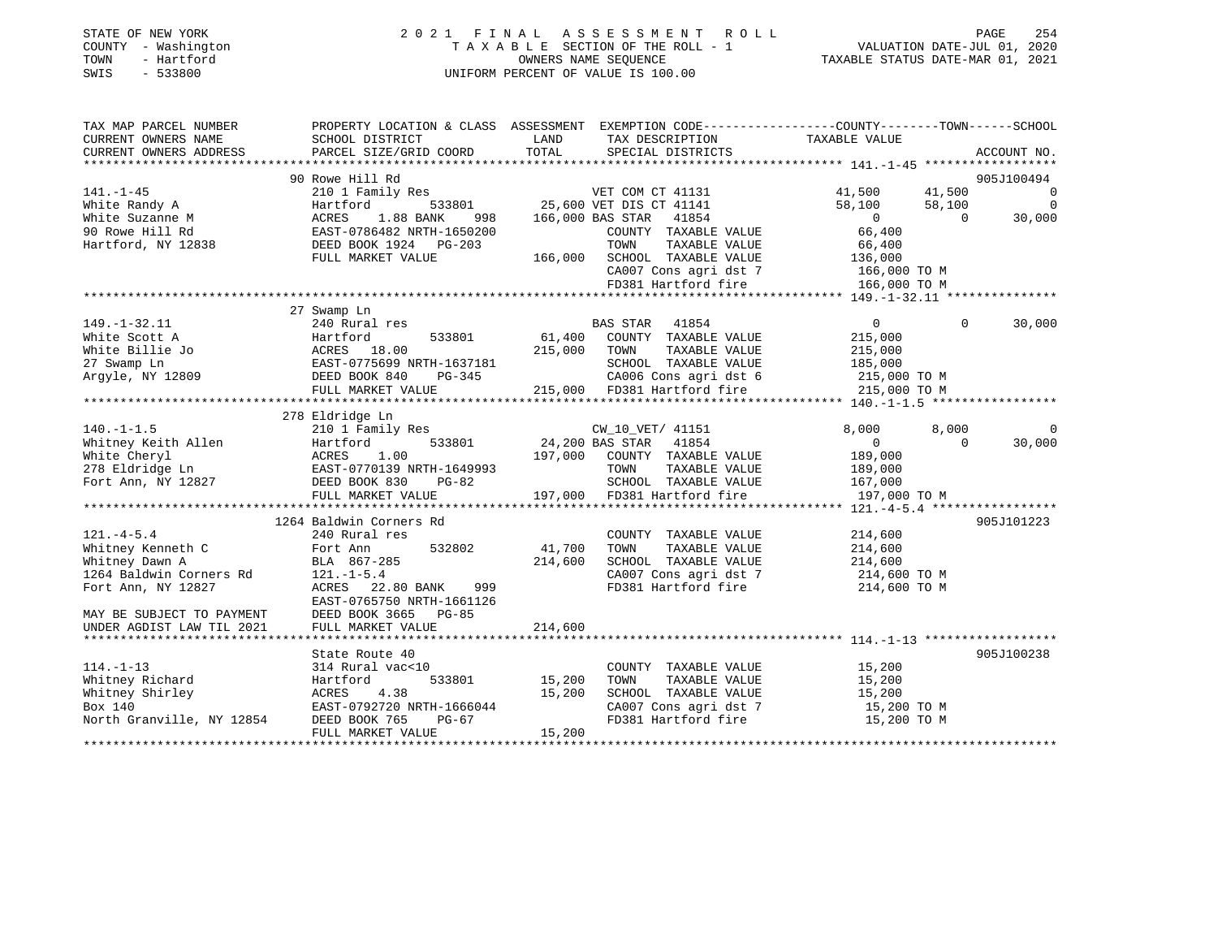| TOWN | STATE OF NEW YORK<br>COUNTY - Washington<br>- Hartford |                                                                                                 | 2021 FINAL ASSESSMENT ROLL<br>TAXABLE SECTION OF THE ROLL - 1<br>OWNERS NAME SEOUENCE | VALUATION DATE-JUL 01, 2020<br>TAXABLE STATUS DATE-MAR 01, 2021 | PAGE | 254 |
|------|--------------------------------------------------------|-------------------------------------------------------------------------------------------------|---------------------------------------------------------------------------------------|-----------------------------------------------------------------|------|-----|
| SWIS | $-533800$                                              |                                                                                                 | UNIFORM PERCENT OF VALUE IS 100.00                                                    |                                                                 |      |     |
|      |                                                        |                                                                                                 |                                                                                       |                                                                 |      |     |
|      |                                                        |                                                                                                 |                                                                                       |                                                                 |      |     |
|      | TAX MAP PARCEL NUMBER                                  | PROPERTY LOCATION & CLASS ASSESSMENT EXEMPTION CODE---------------COUNTY-------TOWN------SCHOOL |                                                                                       |                                                                 |      |     |

| CURRENT OWNERS NAME         | SCHOOL DISTRICT                        | LAND    | TAX DESCRIPTION                              | TAXABLE VALUE           |                   |                |
|-----------------------------|----------------------------------------|---------|----------------------------------------------|-------------------------|-------------------|----------------|
| CURRENT OWNERS ADDRESS      | PARCEL SIZE/GRID COORD                 | TOTAL   | SPECIAL DISTRICTS                            |                         |                   | ACCOUNT NO.    |
| *************************** |                                        |         |                                              |                         |                   |                |
|                             | 90 Rowe Hill Rd                        |         |                                              |                         |                   | 905J100494     |
| $141. - 1 - 45$             | 210 1 Family Res                       |         | VET COM CT 41131                             | 41,500                  | 41,500            | $\overline{0}$ |
| White Randy A               | Hartford<br>533801                     |         | 25,600 VET DIS CT 41141                      | 58,100                  | 58,100            | $\Omega$       |
| White Suzanne M             | 1.88 BANK<br>ACRES<br>998              |         | 166,000 BAS STAR<br>41854                    | $\overline{0}$          | $\Omega$          | 30,000         |
| 90 Rowe Hill Rd             | EAST-0786482 NRTH-1650200              |         | COUNTY TAXABLE VALUE                         | 66,400                  |                   |                |
| Hartford, NY 12838          | DEED BOOK 1924 PG-203                  |         | TAXABLE VALUE<br>TOWN                        | 66,400                  |                   |                |
|                             | FULL MARKET VALUE                      | 166,000 | SCHOOL TAXABLE VALUE                         | 136,000                 |                   |                |
|                             |                                        |         | CA007 Cons agri dst 7                        | 166,000 TO M            |                   |                |
|                             |                                        |         | FD381 Hartford fire                          | 166,000 TO M            |                   |                |
|                             |                                        |         |                                              |                         |                   |                |
|                             | 27 Swamp Ln                            |         |                                              |                         |                   |                |
| $149. - 1 - 32.11$          | 240 Rural res                          |         | BAS STAR<br>41854                            | $\overline{0}$          | $\Omega$          | 30,000         |
| White Scott A               | Hartford<br>533801                     | 61,400  | COUNTY TAXABLE VALUE                         | 215,000                 |                   |                |
| White Billie Jo             | ACRES 18.00                            | 215,000 | TOWN<br>TAXABLE VALUE                        | 215,000                 |                   |                |
| 27 Swamp Ln                 | EAST-0775699 NRTH-1637181              |         | SCHOOL TAXABLE VALUE                         | 185,000                 |                   |                |
| Argyle, NY 12809            | DEED BOOK 840<br>PG-345                |         | CA006 Cons agri dst 6                        | 215,000 TO M            |                   |                |
|                             | FULL MARKET VALUE                      |         | 215,000 FD381 Hartford fire                  | 215,000 TO M            |                   |                |
|                             |                                        |         |                                              |                         |                   |                |
|                             | 278 Eldridge Ln                        |         |                                              |                         |                   |                |
| $140. - 1 - 1.5$            |                                        |         |                                              |                         |                   | $\Omega$       |
| Whitney Keith Allen         | 210 1 Family Res<br>Hartford<br>533801 |         | CW_10_VET/ 41151<br>41854<br>24,200 BAS STAR | 8,000<br>$\overline{0}$ | 8,000<br>$\Omega$ | 30,000         |
| White Cheryl                | 1.00                                   | 197,000 | COUNTY TAXABLE VALUE                         | 189,000                 |                   |                |
|                             | ACRES                                  |         |                                              |                         |                   |                |
| 278 Eldridge Ln             | EAST-0770139 NRTH-1649993              |         | TOWN<br>TAXABLE VALUE                        | 189,000                 |                   |                |
| Fort Ann, NY 12827          | DEED BOOK 830<br>$PG-82$               |         | SCHOOL TAXABLE VALUE                         | 167,000                 |                   |                |
|                             | FULL MARKET VALUE                      | 197,000 | FD381 Hartford fire                          | 197,000 TO M            |                   |                |
|                             |                                        |         |                                              |                         |                   |                |
|                             | 1264 Baldwin Corners Rd                |         |                                              |                         |                   | 905J101223     |
| $121. -4 - 5.4$             | 240 Rural res                          |         | COUNTY TAXABLE VALUE                         | 214,600                 |                   |                |
| Whitney Kenneth C           | 532802<br>Fort Ann                     | 41,700  | TOWN<br>TAXABLE VALUE                        | 214,600                 |                   |                |
| Whitney Dawn A              | BLA 867-285                            | 214,600 | SCHOOL TAXABLE VALUE                         | 214,600                 |                   |                |
| 1264 Baldwin Corners Rd     | $121. - 1 - 5.4$                       |         | CA007 Cons agri dst 7                        | 214,600 TO M            |                   |                |
| Fort Ann, NY 12827          | 22.80 BANK<br>ACRES<br>999             |         | FD381 Hartford fire                          | 214,600 TO M            |                   |                |
|                             | EAST-0765750 NRTH-1661126              |         |                                              |                         |                   |                |
| MAY BE SUBJECT TO PAYMENT   | DEED BOOK 3665<br>PG-85                |         |                                              |                         |                   |                |
| UNDER AGDIST LAW TIL 2021   | FULL MARKET VALUE                      | 214,600 |                                              |                         |                   |                |
|                             |                                        |         |                                              |                         |                   |                |
|                             | State Route 40                         |         |                                              |                         |                   | 905J100238     |
| $114. - 1 - 13$             | 314 Rural vac<10                       |         | COUNTY TAXABLE VALUE                         | 15,200                  |                   |                |
| Whitney Richard             | Hartford<br>533801                     | 15,200  | TOWN<br>TAXABLE VALUE                        | 15,200                  |                   |                |
| Whitney Shirley             | 4.38<br>ACRES                          | 15,200  | SCHOOL TAXABLE VALUE                         | 15,200                  |                   |                |
| Box 140                     | EAST-0792720 NRTH-1666044              |         | CA007 Cons agri dst 7                        | 15,200 TO M             |                   |                |
| North Granville, NY 12854   | DEED BOOK 765<br>$PG-67$               |         | FD381 Hartford fire                          | 15,200 TO M             |                   |                |
|                             | FULL MARKET VALUE                      | 15,200  |                                              |                         |                   |                |
|                             |                                        |         |                                              |                         |                   |                |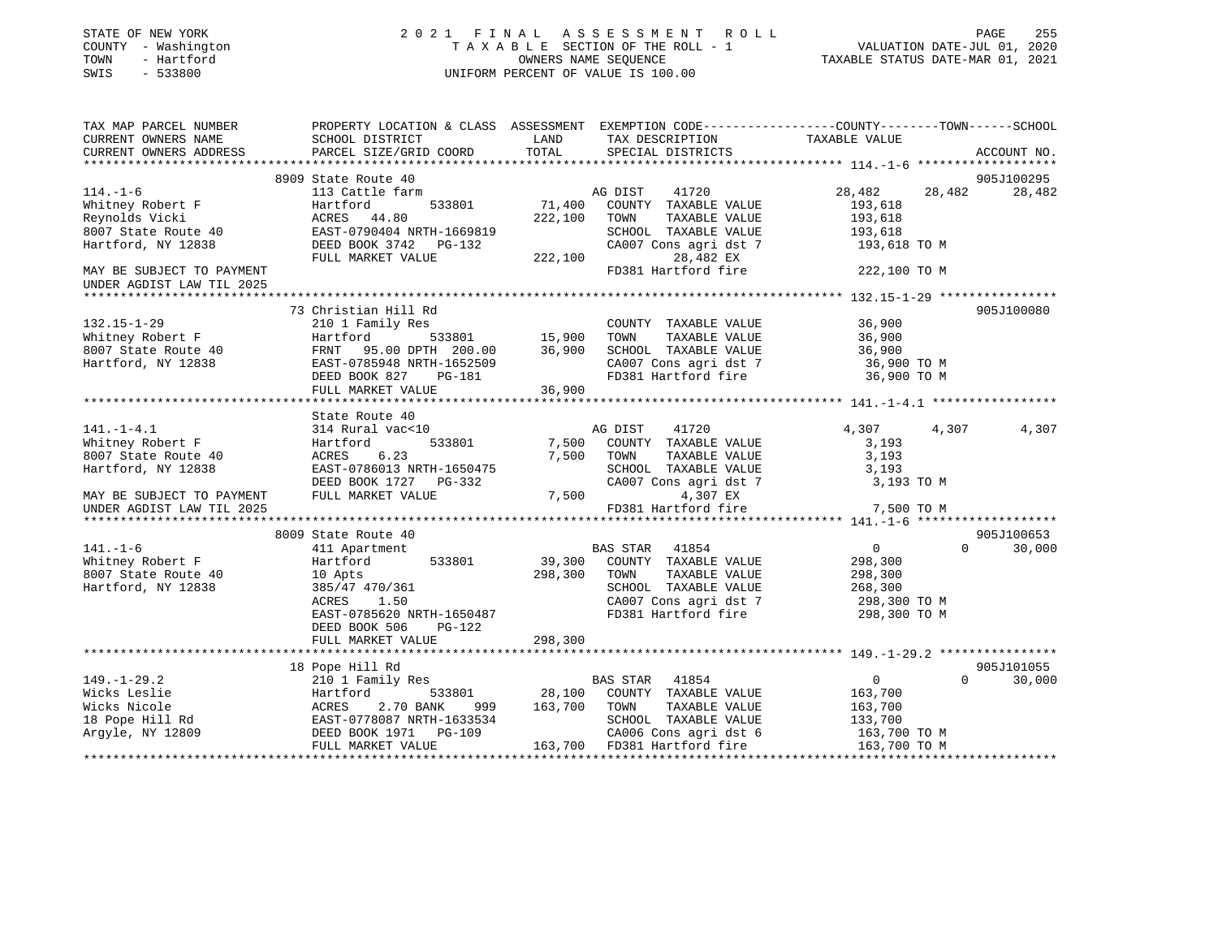| STATE OF NEW YORK<br>COUNTY - Washington<br>TOWN<br>- Hartford<br>SWIS<br>$-533800$ |                                                                                                  |                   | 2021 FINAL ASSESSMENT ROLL<br>TAXABLE SECTION OF THE ROLL - 1<br>OWNERS NAME SEQUENCE<br>UNIFORM PERCENT OF VALUE IS 100.00 | VALUATION DATE-JUL 01, 2020<br>TAXABLE STATUS DATE-MAR 01, 2021 | PAGE<br>255        |
|-------------------------------------------------------------------------------------|--------------------------------------------------------------------------------------------------|-------------------|-----------------------------------------------------------------------------------------------------------------------------|-----------------------------------------------------------------|--------------------|
| TAX MAP PARCEL NUMBER                                                               | PROPERTY LOCATION & CLASS ASSESSMENT EXEMPTION CODE----------------COUNTY-------TOWN------SCHOOL |                   |                                                                                                                             |                                                                 |                    |
| CURRENT OWNERS NAME<br>CURRENT OWNERS ADDRESS                                       | SCHOOL DISTRICT<br>PARCEL SIZE/GRID COORD                                                        | LAND<br>TOTAL     | TAX DESCRIPTION TAXABLE VALUE<br>SPECIAL DISTRICTS                                                                          |                                                                 | ACCOUNT NO.        |
|                                                                                     |                                                                                                  |                   |                                                                                                                             |                                                                 |                    |
|                                                                                     | 8909 State Route 40                                                                              |                   |                                                                                                                             |                                                                 | 905J100295         |
| $114. - 1 - 6$                                                                      | 113 Cattle farm                                                                                  |                   | AG DIST<br>41720                                                                                                            | 28,482<br>28,482                                                | 28,482             |
| Whitney Robert F<br>Reynolds Vicki                                                  | Hartford<br>533801<br>ACRES 44.80                                                                | 71,400<br>222,100 | COUNTY TAXABLE VALUE<br>TOWN<br>TAXABLE VALUE                                                                               | 193,618<br>193,618                                              |                    |
| 8007 State Route 40                                                                 | EAST-0790404 NRTH-1669819                                                                        |                   | SCHOOL TAXABLE VALUE                                                                                                        | 193,618                                                         |                    |
| Hartford, NY 12838                                                                  | DEED BOOK 3742 PG-132                                                                            |                   | CA007 Cons agri dst 7                                                                                                       | 193,618 TO M                                                    |                    |
|                                                                                     | FULL MARKET VALUE                                                                                | 222,100           | 28,482 EX                                                                                                                   |                                                                 |                    |
| MAY BE SUBJECT TO PAYMENT                                                           |                                                                                                  |                   | FD381 Hartford fire                                                                                                         | 222,100 TO M                                                    |                    |
| UNDER AGDIST LAW TIL 2025                                                           |                                                                                                  |                   |                                                                                                                             |                                                                 |                    |
|                                                                                     |                                                                                                  |                   |                                                                                                                             |                                                                 |                    |
|                                                                                     | 73 Christian Hill Rd                                                                             |                   |                                                                                                                             |                                                                 | 905J100080         |
| $132.15 - 1 - 29$                                                                   | 210 1 Family Res                                                                                 |                   | COUNTY TAXABLE VALUE                                                                                                        | 36,900                                                          |                    |
| Whitney Robert F                                                                    | 533801<br>Hartford                                                                               | 15,900            | TAXABLE VALUE<br>TOWN                                                                                                       | 36,900                                                          |                    |
| 8007 State Route 40                                                                 | FRNT 95.00 DPTH 200.00                                                                           | 36,900            | SCHOOL TAXABLE VALUE                                                                                                        | 36,900                                                          |                    |
| Hartford, NY 12838                                                                  | EAST-0785948 NRTH-1652509                                                                        |                   | CA007 Cons agri dst 7                                                                                                       | 36,900 TO M                                                     |                    |
|                                                                                     | DEED BOOK 827<br>PG-181                                                                          |                   | FD381 Hartford fire                                                                                                         | 36,900 TO M                                                     |                    |
|                                                                                     | FULL MARKET VALUE                                                                                | 36,900            |                                                                                                                             |                                                                 |                    |
|                                                                                     |                                                                                                  |                   |                                                                                                                             |                                                                 |                    |
|                                                                                     | State Route 40                                                                                   |                   |                                                                                                                             |                                                                 |                    |
| $141. - 1 - 4.1$                                                                    | 314 Rural vac<10                                                                                 |                   | AG DIST<br>41720                                                                                                            | 4,307<br>4,307                                                  | 4,307              |
| Whitney Robert F                                                                    | Hartford<br>533801                                                                               | 7,500             | COUNTY TAXABLE VALUE                                                                                                        | 3,193                                                           |                    |
| 8007 State Route 40                                                                 | ACRES<br>6.23                                                                                    | 7,500             | TOWN<br>TAXABLE VALUE                                                                                                       | 3,193                                                           |                    |
| Hartford, NY 12838                                                                  | EAST-0786013 NRTH-1650475                                                                        |                   | SCHOOL TAXABLE VALUE                                                                                                        | 3,193                                                           |                    |
|                                                                                     | DEED BOOK 1727 PG-332                                                                            |                   | CA007 Cons agri dst 7                                                                                                       | 3,193 TO M                                                      |                    |
| MAY BE SUBJECT TO PAYMENT                                                           | FULL MARKET VALUE                                                                                | 7,500             | 4,307 EX                                                                                                                    |                                                                 |                    |
| UNDER AGDIST LAW TIL 2025                                                           |                                                                                                  |                   | FD381 Hartford fire                                                                                                         | 7,500 TO M                                                      |                    |
|                                                                                     | 8009 State Route 40                                                                              |                   |                                                                                                                             |                                                                 | 905J100653         |
| $141. - 1 - 6$                                                                      | 411 Apartment                                                                                    |                   | BAS STAR 41854                                                                                                              | $\overline{0}$                                                  | $\Omega$<br>30,000 |
| Whitney Robert F                                                                    | Hartford<br>533801                                                                               | 39,300            | COUNTY TAXABLE VALUE                                                                                                        | 298,300                                                         |                    |
| 8007 State Route 40                                                                 | 10 Apts                                                                                          | 298,300           | TOWN<br>TAXABLE VALUE                                                                                                       | 298,300                                                         |                    |
| Hartford, NY 12838                                                                  | 385/47 470/361                                                                                   |                   | SCHOOL TAXABLE VALUE                                                                                                        | 268,300                                                         |                    |
|                                                                                     | 1.50<br>ACRES                                                                                    |                   | CA007 Cons agri dst 7                                                                                                       | 298,300 ТО М                                                    |                    |
|                                                                                     | EAST-0785620 NRTH-1650487                                                                        |                   | FD381 Hartford fire                                                                                                         | 298,300 TO M                                                    |                    |
|                                                                                     | DEED BOOK 506<br>PG-122                                                                          |                   |                                                                                                                             |                                                                 |                    |
|                                                                                     | FULL MARKET VALUE                                                                                | 298,300           |                                                                                                                             |                                                                 |                    |
|                                                                                     |                                                                                                  |                   |                                                                                                                             |                                                                 |                    |
|                                                                                     | 18 Pope Hill Rd                                                                                  |                   |                                                                                                                             |                                                                 | 905J101055         |
| $149. - 1 - 29.2$                                                                   | 210 1 Family Res                                                                                 |                   | BAS STAR 41854                                                                                                              | $\overline{0}$                                                  | 30,000<br>$\Omega$ |
| Wicks Leslie                                                                        | Hartford<br>533801                                                                               |                   | 28,100 COUNTY TAXABLE VALUE                                                                                                 | 163,700                                                         |                    |
| Wicks Nicole                                                                        | ACRES<br>2.70 BANK<br>999                                                                        | 163,700           | TOWN<br>TAXABLE VALUE                                                                                                       | 163,700                                                         |                    |
| 18 Pope Hill Rd                                                                     | EAST-0778087 NRTH-1633534                                                                        |                   | SCHOOL TAXABLE VALUE                                                                                                        | 133,700                                                         |                    |
| Argyle, NY 12809                                                                    | DEED BOOK 1971 PG-109                                                                            |                   | CA006 Cons agri dst 6                                                                                                       | 163,700 ТО М                                                    |                    |
|                                                                                     | FULL MARKET VALUE                                                                                |                   | 163,700 FD381 Hartford fire                                                                                                 | 163,700 TO M                                                    |                    |
|                                                                                     |                                                                                                  |                   |                                                                                                                             |                                                                 |                    |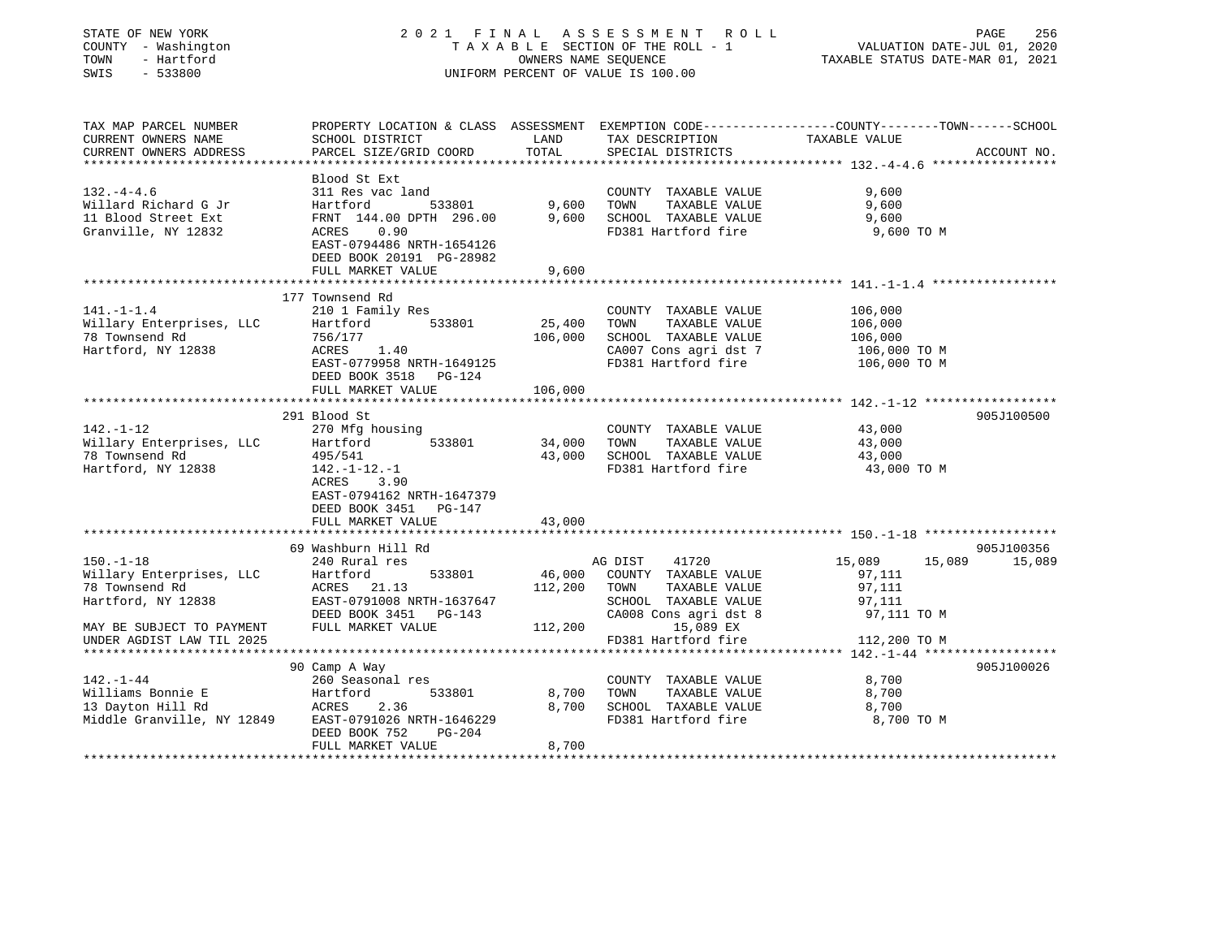| PROPERTY LOCATION & CLASS ASSESSMENT EXEMPTION CODE---------------COUNTY-------TOWN------SCHOOL<br>TAX MAP PARCEL NUMBER<br>CURRENT OWNERS NAME<br>SCHOOL DISTRICT<br>LAND<br>TAX DESCRIPTION<br>TAXABLE VALUE<br>PARCEL SIZE/GRID COORD<br>TOTAL<br>CURRENT OWNERS ADDRESS<br>SPECIAL DISTRICTS<br>ACCOUNT NO.<br>*****************<br>Blood St Ext<br>$132. - 4 - 4.6$<br>311 Res vac land<br>COUNTY TAXABLE VALUE<br>9,600<br>Willard Richard G Jr<br>9,600<br>TOWN<br>TAXABLE VALUE<br>9,600<br>Hartford<br>533801<br>11 Blood Street Ext<br>FRNT 144.00 DPTH 296.00<br>9,600<br>SCHOOL TAXABLE VALUE<br>9,600 |  |
|--------------------------------------------------------------------------------------------------------------------------------------------------------------------------------------------------------------------------------------------------------------------------------------------------------------------------------------------------------------------------------------------------------------------------------------------------------------------------------------------------------------------------------------------------------------------------------------------------------------------|--|
|                                                                                                                                                                                                                                                                                                                                                                                                                                                                                                                                                                                                                    |  |
|                                                                                                                                                                                                                                                                                                                                                                                                                                                                                                                                                                                                                    |  |
|                                                                                                                                                                                                                                                                                                                                                                                                                                                                                                                                                                                                                    |  |
|                                                                                                                                                                                                                                                                                                                                                                                                                                                                                                                                                                                                                    |  |
|                                                                                                                                                                                                                                                                                                                                                                                                                                                                                                                                                                                                                    |  |
|                                                                                                                                                                                                                                                                                                                                                                                                                                                                                                                                                                                                                    |  |
| Granville, NY 12832<br>0.90<br>FD381 Hartford fire<br>ACRES<br>9,600 TO M                                                                                                                                                                                                                                                                                                                                                                                                                                                                                                                                          |  |
| EAST-0794486 NRTH-1654126                                                                                                                                                                                                                                                                                                                                                                                                                                                                                                                                                                                          |  |
| DEED BOOK 20191 PG-28982                                                                                                                                                                                                                                                                                                                                                                                                                                                                                                                                                                                           |  |
| FULL MARKET VALUE<br>9,600<br>*********************                                                                                                                                                                                                                                                                                                                                                                                                                                                                                                                                                                |  |
| 177 Townsend Rd                                                                                                                                                                                                                                                                                                                                                                                                                                                                                                                                                                                                    |  |
| $141. - 1 - 1.4$<br>210 1 Family Res<br>106,000<br>COUNTY TAXABLE VALUE                                                                                                                                                                                                                                                                                                                                                                                                                                                                                                                                            |  |
| Willary Enterprises, LLC<br>533801<br>25,400<br>TOWN<br>TAXABLE VALUE<br>106,000<br>Hartford                                                                                                                                                                                                                                                                                                                                                                                                                                                                                                                       |  |
| 78 Townsend Rd<br>106,000<br>SCHOOL TAXABLE VALUE<br>756/177<br>106,000                                                                                                                                                                                                                                                                                                                                                                                                                                                                                                                                            |  |
| Hartford, NY 12838<br>ACRES 1.40<br>CA007 Cons agri dst 7<br>106,000 TO M                                                                                                                                                                                                                                                                                                                                                                                                                                                                                                                                          |  |
| EAST-0779958 NRTH-1649125<br>FD381 Hartford fire<br>106,000 TO M                                                                                                                                                                                                                                                                                                                                                                                                                                                                                                                                                   |  |
| DEED BOOK 3518 PG-124                                                                                                                                                                                                                                                                                                                                                                                                                                                                                                                                                                                              |  |
| FULL MARKET VALUE<br>106,000                                                                                                                                                                                                                                                                                                                                                                                                                                                                                                                                                                                       |  |
| 291 Blood St<br>905J100500                                                                                                                                                                                                                                                                                                                                                                                                                                                                                                                                                                                         |  |
| $142. - 1 - 12$<br>43,000<br>270 Mfg housing<br>COUNTY TAXABLE VALUE                                                                                                                                                                                                                                                                                                                                                                                                                                                                                                                                               |  |
| Willary Enterprises, LLC<br>533801<br>34,000<br>Hartford<br>TOWN<br>TAXABLE VALUE<br>43,000                                                                                                                                                                                                                                                                                                                                                                                                                                                                                                                        |  |
| SCHOOL TAXABLE VALUE<br>78 Townsend Rd<br>495/541<br>43,000<br>43,000                                                                                                                                                                                                                                                                                                                                                                                                                                                                                                                                              |  |
| Hartford, NY 12838<br>FD381 Hartford fire<br>$142. - 1 - 12. - 1$<br>43,000 TO M                                                                                                                                                                                                                                                                                                                                                                                                                                                                                                                                   |  |
| ACRES<br>3.90                                                                                                                                                                                                                                                                                                                                                                                                                                                                                                                                                                                                      |  |
| EAST-0794162 NRTH-1647379                                                                                                                                                                                                                                                                                                                                                                                                                                                                                                                                                                                          |  |
| DEED BOOK 3451 PG-147                                                                                                                                                                                                                                                                                                                                                                                                                                                                                                                                                                                              |  |
| FULL MARKET VALUE<br>43,000                                                                                                                                                                                                                                                                                                                                                                                                                                                                                                                                                                                        |  |
| 69 Washburn Hill Rd<br>905J100356                                                                                                                                                                                                                                                                                                                                                                                                                                                                                                                                                                                  |  |
| 41720<br>$150. - 1 - 18$<br>240 Rural res<br>AG DIST<br>15,089<br>15,089<br>15,089                                                                                                                                                                                                                                                                                                                                                                                                                                                                                                                                 |  |
| Willary Enterprises, LLC<br>533801<br>46,000<br>COUNTY TAXABLE VALUE<br>97,111<br>Hartford                                                                                                                                                                                                                                                                                                                                                                                                                                                                                                                         |  |
| 112,200<br>97,111<br>78 Townsend Rd<br>ACRES 21.13<br>TOWN<br>TAXABLE VALUE                                                                                                                                                                                                                                                                                                                                                                                                                                                                                                                                        |  |
| Hartford, NY 12838<br>EAST-0791008 NRTH-1637647<br>SCHOOL TAXABLE VALUE<br>97,111                                                                                                                                                                                                                                                                                                                                                                                                                                                                                                                                  |  |
| CA008 Cons agri dst 8<br>DEED BOOK 3451 PG-143<br>97,111 TO M                                                                                                                                                                                                                                                                                                                                                                                                                                                                                                                                                      |  |
| FULL MARKET VALUE<br>15,089 EX<br>MAY BE SUBJECT TO PAYMENT<br>112,200                                                                                                                                                                                                                                                                                                                                                                                                                                                                                                                                             |  |
| FD381 Hartford fire<br>UNDER AGDIST LAW TIL 2025<br>112,200 TO M                                                                                                                                                                                                                                                                                                                                                                                                                                                                                                                                                   |  |
| 90 Camp A Way<br>905J100026                                                                                                                                                                                                                                                                                                                                                                                                                                                                                                                                                                                        |  |
| $142. - 1 - 44$<br>260 Seasonal res<br>8,700<br>COUNTY TAXABLE VALUE                                                                                                                                                                                                                                                                                                                                                                                                                                                                                                                                               |  |
| 533801<br>8,700<br>Williams Bonnie E<br>TOWN<br>TAXABLE VALUE<br>8,700<br>Hartford                                                                                                                                                                                                                                                                                                                                                                                                                                                                                                                                 |  |
| 13 Dayton Hill Rd<br>ACRES<br>2.36<br>8,700<br>SCHOOL TAXABLE VALUE<br>8,700                                                                                                                                                                                                                                                                                                                                                                                                                                                                                                                                       |  |
| Middle Granville, NY 12849<br>FD381 Hartford fire<br>EAST-0791026 NRTH-1646229<br>8,700 TO M                                                                                                                                                                                                                                                                                                                                                                                                                                                                                                                       |  |
| DEED BOOK 752<br>PG-204                                                                                                                                                                                                                                                                                                                                                                                                                                                                                                                                                                                            |  |
| FULL MARKET VALUE<br>8,700                                                                                                                                                                                                                                                                                                                                                                                                                                                                                                                                                                                         |  |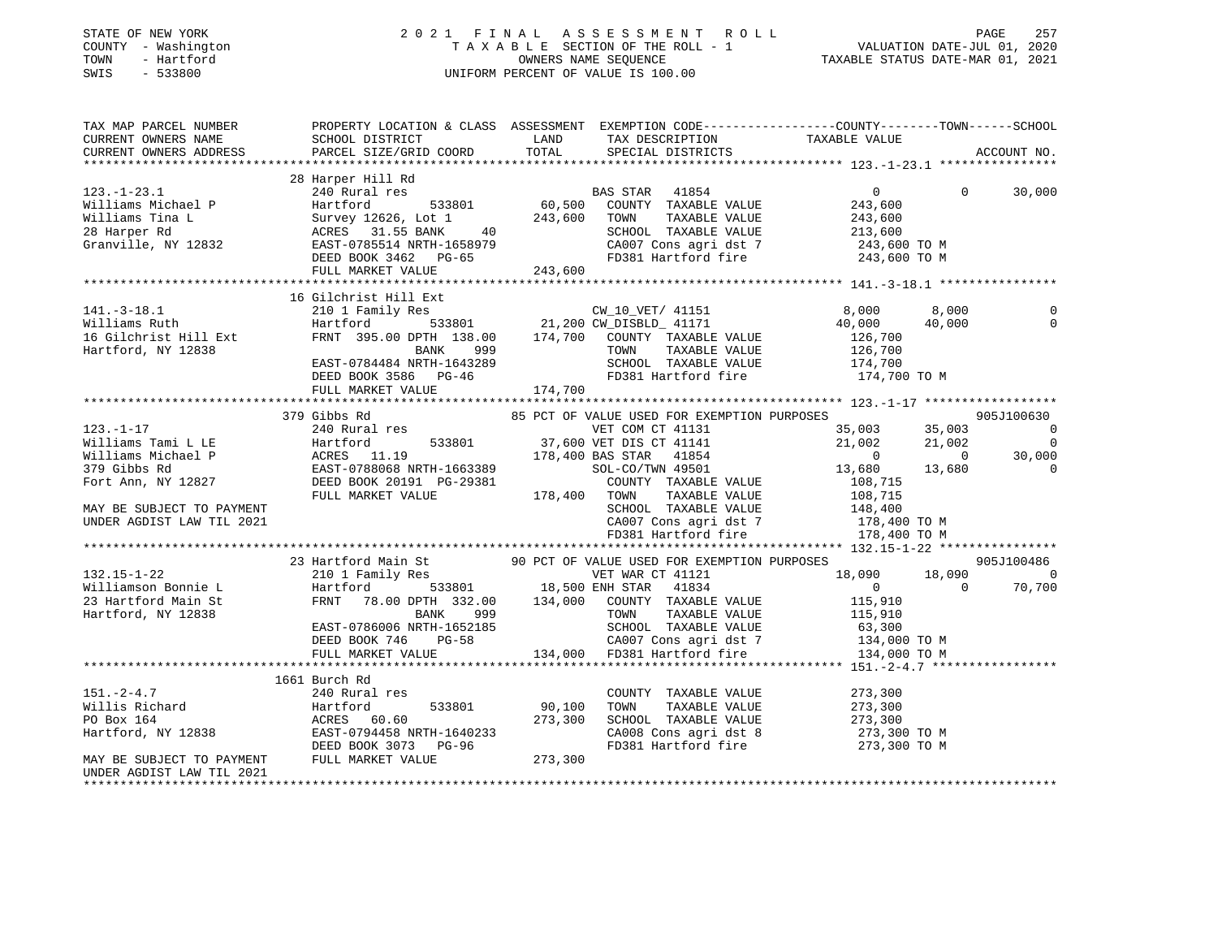# STATE OF NEW YORK 2 0 2 1 F I N A L A S S E S S M E N T R O L L PAGE 257COUNTY - Washington  $T A X A B L E$  SECTION OF THE ROLL - 1<br>TOWN - Hartford TOWN - Hartford **Taxable STATUS DATE-MAR 01, 2021** OWNERS NAME SEQUENCE TAXABLE STATUS DATE-MAR 01, 2021 SWIS - 533800 UNIFORM PERCENT OF VALUE IS 100.00

| TAX MAP PARCEL NUMBER<br>CURRENT OWNERS NAME<br>CURRENT OWNERS ADDRESS                                                                                      | SCHOOL DISTRICT<br>PARCEL SIZE/GRID COORD                                                                                                                                                                                                            | LAND<br>TOTAL            | TAX DESCRIPTION<br>SPECIAL DISTRICTS                                                                                                                                                    | PROPERTY LOCATION & CLASS ASSESSMENT EXEMPTION CODE----------------COUNTY-------TOWN------SCHOOL<br>TAXABLE VALUE                                                                                                                                                                                                                                                                                                                                             | ACCOUNT NO.                                      |
|-------------------------------------------------------------------------------------------------------------------------------------------------------------|------------------------------------------------------------------------------------------------------------------------------------------------------------------------------------------------------------------------------------------------------|--------------------------|-----------------------------------------------------------------------------------------------------------------------------------------------------------------------------------------|---------------------------------------------------------------------------------------------------------------------------------------------------------------------------------------------------------------------------------------------------------------------------------------------------------------------------------------------------------------------------------------------------------------------------------------------------------------|--------------------------------------------------|
|                                                                                                                                                             |                                                                                                                                                                                                                                                      |                          |                                                                                                                                                                                         |                                                                                                                                                                                                                                                                                                                                                                                                                                                               |                                                  |
|                                                                                                                                                             | 28 Harper Hill Rd<br>123.-1-23.1<br>Williams Michael P (Martford Source Mailiams Tina L (Martford Survey 12626, Lot 1<br>28 Harper Rd (Martford ACRES 31.55 BANK 40<br>Granville, NY 12832 (MARTF-1058979 DEED BOOK 3462 PG-65<br>FIIT. MARKET VALUE |                          | res<br>533801 60,500 COUNTY TAXABLE VALUE<br>533801 60,500 COUNTY TAXABLE VALUE<br>26, Lot 1 243,600 TOWN TAXABLE VALUE<br>TAXABLE VALUE<br>SCHOOL TAXABLE VALUE<br>FD381 Hartford fire | $\begin{array}{cc} & & & 0 \\ \text{VALUE} & & 243,600 \\ \text{VALUE} & & 243,600 \\ & & 243,600 \\ \text{C13} & 500 \end{array}$<br>$\Omega$<br>213,600<br>CA007 Cons agri dst 7 243,600 TO M<br>243,600 TO M                                                                                                                                                                                                                                               | 30,000                                           |
|                                                                                                                                                             |                                                                                                                                                                                                                                                      |                          |                                                                                                                                                                                         |                                                                                                                                                                                                                                                                                                                                                                                                                                                               |                                                  |
| $141.-3-18.1$<br>Williams Ruth<br>16 Gilchrist Hill Ext<br>Hartford, NY 12838                                                                               | 16 Gilchrist Hill Ext<br>210 1 Family Res<br>Hartford 533801 21,200 CW_DISBLD_ 41171<br>FRNT 395.00 DPTH 138.00 174,700 COUNTY TAXABLE VALUE<br>FRNT 395.00 DEIN 1999<br>BANK 999<br>EAST-0784484 NRTH-1643289<br>FULL MARKET VALUE                  | 174,700                  | TOWN<br>TAXABLE VALUE<br>SCHOOL TAXABLE VALUE                                                                                                                                           | 8,000<br>8,000<br>40,000<br>40,000<br>126,700<br>126,700<br>174,700<br>FD381 Hartford fire 174,700 TO M                                                                                                                                                                                                                                                                                                                                                       | $\Omega$<br>$\mathbf 0$                          |
|                                                                                                                                                             | 379 Gibbs Rd                                                                                                                                                                                                                                         |                          | 85 PCT OF VALUE USED FOR EXEMPTION PURPOSES                                                                                                                                             |                                                                                                                                                                                                                                                                                                                                                                                                                                                               | 905J100630                                       |
| $123. - 1 - 17$<br>Williams Tami L LE<br>Williams Michael P<br>379 Gibbs Rd<br>Fort Ann, NY 12827<br>MAY BE SUBJECT TO PAYMENT<br>UNDER AGDIST LAW TIL 2021 | 240 Rural res<br>Hartford 533801 37, 600 VEI DIS CITED HARRES 11.19 178, 400 BAS STAR 41854<br>EAST-0788068 NRTH-1663389 SOL-CO/TWN 49501<br>DEED BOOK 20191 PG-29381 COUNTY TAXABLE VALUE<br>FULL MARKET VALUE 178, 400 TOWN TAXABLE VALUE          |                          | VET COM CT 41131<br>533801 37,600 VET DIS CT 41141                                                                                                                                      | 35,003<br>35,003<br>21,002<br>21,002<br>$\overline{0}$<br>$\sim$ 0<br>13,680<br>13,680<br>108,715<br>108,715<br>148,400<br>$\begin{tabular}{lllllllllll} \multicolumn{4}{c}{\textbf{SCHOOD}} & \textbf{TAXABLE} & \textbf{VALUE} & \textbf{148,400} \\ \textbf{CA007} & \textbf{Cons}\text{ agri}\text{ dist }7 & & \textbf{178,400} & \textbf{TO M} \\ \textbf{FD381} & \textbf{Hartford}\text{ fire} & & \textbf{178,400} & \textbf{TO M} \\ \end{tabular}$ | $\Omega$<br>$\overline{0}$<br>30,000<br>$\Omega$ |
|                                                                                                                                                             |                                                                                                                                                                                                                                                      |                          |                                                                                                                                                                                         |                                                                                                                                                                                                                                                                                                                                                                                                                                                               |                                                  |
|                                                                                                                                                             | 23 Hartford Main St 90 PCT OF VALUE USED FOR EXEMPTION PURPOSES                                                                                                                                                                                      |                          |                                                                                                                                                                                         |                                                                                                                                                                                                                                                                                                                                                                                                                                                               | 905J100486                                       |
| $132.15 - 1 - 22$<br>Williamson Bonnie L<br>23 Hartford Main St<br>********** *** 12020<br>Hartford, NY 12838                                               | 210 1 Family Res<br>Hartford 533801 18,500 ENH STAR 41834<br>FRNT 78.00 DPTH 332.00 134,000 COUNTY TAXABLE VALUE<br><b>BANK</b><br>999<br>EAST-0786006 NRTH-1652185<br>DEED BOOK 746 PG-58<br>FULL MARKET VALUE                                      |                          | VET WAR CT 41121<br>TOWN                                                                                                                                                                | 18,090<br>18,090<br>$\overline{0}$<br>$\Omega$<br>115,910<br>TAXABLE VALUE 115,910<br>SCHOOL TAXABLE VALUE 63,300<br>CA007 Cons agri dst 7 134,000 TO M<br>134,000 FD381 Hartford fire 134,000 TO M                                                                                                                                                                                                                                                           | $\Omega$<br>70,700                               |
|                                                                                                                                                             |                                                                                                                                                                                                                                                      |                          |                                                                                                                                                                                         |                                                                                                                                                                                                                                                                                                                                                                                                                                                               |                                                  |
| $151. - 2 - 4.7$<br>Willis Richard<br>PO Box 164<br>Hartford, NY 12838<br>MAY BE SUBJECT TO PAYMENT                                                         | 1661 Burch Rd<br>240 Rural res<br>Hartford<br>ACRES 60.60<br>FULL MARKET VALUE                                                                                                                                                                       | 533801 90,100<br>273,300 | COUNTY TAXABLE VALUE<br>TOWN<br>TAXABLE VALUE<br>FD381 Hartford fire                                                                                                                    | 273,300<br>273,300<br>$\begin{tabular}{lllllllll} \texttt{SCHOOL} & \texttt{TAXABLE} & \texttt{VALUE} & & \texttt{273,300} \\ \texttt{CA008} & \texttt{Cons}\ & \texttt{agri}\ & \texttt{dst}\ & 8 & & \texttt{273,300} & \texttt{TO} \text{ M} \end{tabular}$<br>273,300 TO M                                                                                                                                                                                |                                                  |
| UNDER AGDIST LAW TIL 2021<br>*****************                                                                                                              |                                                                                                                                                                                                                                                      |                          |                                                                                                                                                                                         |                                                                                                                                                                                                                                                                                                                                                                                                                                                               |                                                  |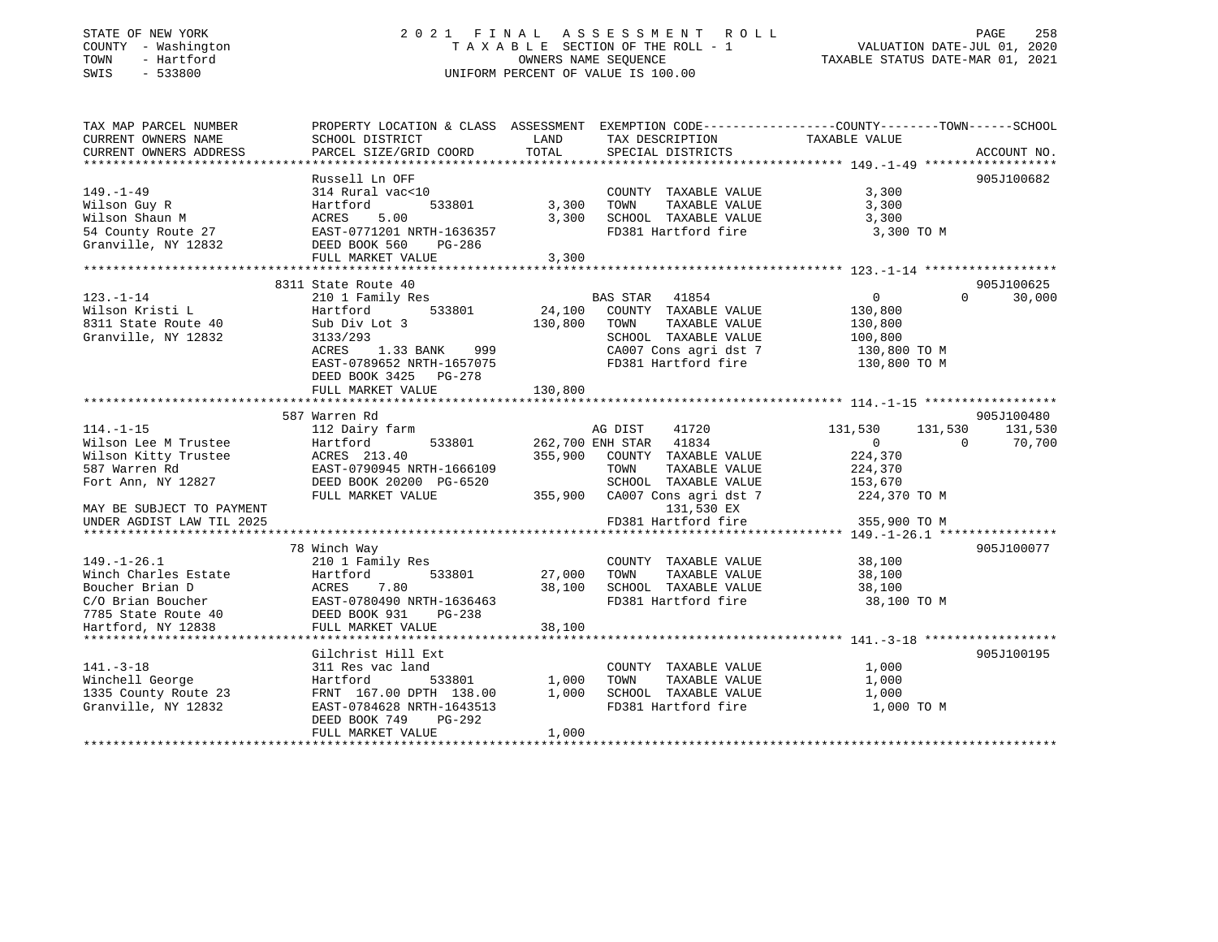# STATE OF NEW YORK 2 0 2 1 F I N A L A S S E S S M E N T R O L L PAGE 258 COUNTY - Washington T A X A B L E SECTION OF THE ROLL - 1 VALUATION DATE-JUL 01, 2020 TOWN - Hartford OWNERS NAME SEQUENCE TAXABLE STATUS DATE-MAR 01, 2021 SWIS - 533800 UNIFORM PERCENT OF VALUE IS 100.00

| TAX MAP PARCEL NUMBER<br>CURRENT OWNERS NAME<br>CURRENT OWNERS ADDRESS | SCHOOL DISTRICT<br>PARCEL SIZE/GRID COORD                | LAND<br>TOTAL | TAX DESCRIPTION TAXABLE VALUE<br>SPECIAL DISTRICTS                     | PROPERTY LOCATION & CLASS ASSESSMENT EXEMPTION CODE----------------COUNTY-------TOWN------SCHOOL<br>ACCOUNT NO. |  |
|------------------------------------------------------------------------|----------------------------------------------------------|---------------|------------------------------------------------------------------------|-----------------------------------------------------------------------------------------------------------------|--|
|                                                                        |                                                          |               |                                                                        |                                                                                                                 |  |
| $149. - 1 - 49$<br>Wilson Guy R                                        | Russell Ln OFF<br>314 Rural vac<10<br>Hartford<br>533801 | 3,300         | COUNTY TAXABLE VALUE<br>TAXABLE VALUE<br>TOWN                          | 905J100682<br>3,300<br>3,300                                                                                    |  |
| Wilson Shaun M                                                         | 5.00<br>ACRES                                            | 3,300         | SCHOOL TAXABLE VALUE                                                   | 3,300                                                                                                           |  |
| 54 County Route 27                                                     | EAST-0771201 NRTH-1636357                                |               | FD381 Hartford fire                                                    | 3,300 TO M                                                                                                      |  |
| Granville, NY 12832                                                    | DEED BOOK 560<br>PG-286                                  |               |                                                                        |                                                                                                                 |  |
|                                                                        | FULL MARKET VALUE                                        | 3,300         |                                                                        |                                                                                                                 |  |
|                                                                        |                                                          |               |                                                                        |                                                                                                                 |  |
|                                                                        | 8311 State Route 40                                      |               |                                                                        | 905J100625                                                                                                      |  |
| $123. - 1 - 14$                                                        | 210 1 Family Res                                         |               | BAS STAR 41854                                                         | $\Omega$<br>$\overline{0}$<br>30,000                                                                            |  |
| Wilson Kristi L                                                        | Hartford<br>533801                                       | 24,100        | COUNTY TAXABLE VALUE                                                   | 130,800                                                                                                         |  |
| 8311 State Route 40                                                    | Sub Div Lot 3                                            | 130,800       | TOWN<br>TAXABLE VALUE                                                  | 130,800                                                                                                         |  |
| Granville, NY 12832                                                    | 3133/293                                                 |               | SCHOOL TAXABLE VALUE                                                   | 100,800                                                                                                         |  |
|                                                                        | ACRES 1.33 BANK 999                                      |               |                                                                        |                                                                                                                 |  |
|                                                                        | EAST-0789652 NRTH-1657075                                |               | CA007 Cons agri dst 7 130,800 TO M<br>FD381 Hartford fire 130,800 TO M |                                                                                                                 |  |
|                                                                        | DEED BOOK 3425 PG-278                                    |               |                                                                        |                                                                                                                 |  |
|                                                                        | FULL MARKET VALUE                                        | 130,800       |                                                                        |                                                                                                                 |  |
|                                                                        |                                                          |               |                                                                        |                                                                                                                 |  |
|                                                                        | 587 Warren Rd                                            |               |                                                                        | 905J100480                                                                                                      |  |
| $114. - 1 - 15$                                                        | 112 Dairy farm                                           |               | 41720<br>AG DIST                                                       | 131,530<br>131,530<br>131,530                                                                                   |  |
| Wilson Lee M Trustee                                                   | Hartford<br>533801                                       |               | 262,700 ENH STAR 41834                                                 | $\Omega$<br>$\overline{0}$<br>70,700                                                                            |  |
| Wilson Kitty Trustee                                                   | ACRES 213.40                                             |               | 355,900 COUNTY TAXABLE VALUE                                           | 224,370                                                                                                         |  |
| 587 Warren Rd                                                          | EAST-0790945 NRTH-1666109                                |               | TOWN<br>TAXABLE VALUE                                                  | 224,370                                                                                                         |  |
| Fort Ann, NY 12827                                                     | DEED BOOK 20200 PG-6520                                  |               | SCHOOL TAXABLE VALUE                                                   | 153,670                                                                                                         |  |
|                                                                        | FULL MARKET VALUE                                        |               | 355,900 CA007 Cons agri dst 7                                          | 224,370 TO M                                                                                                    |  |
|                                                                        |                                                          |               |                                                                        |                                                                                                                 |  |
| MAY BE SUBJECT TO PAYMENT                                              |                                                          |               | 131,530 EX                                                             |                                                                                                                 |  |
| UNDER AGDIST LAW TIL 2025                                              |                                                          |               | FD381 Hartford fire                                                    | 355,900 TO M                                                                                                    |  |
|                                                                        |                                                          |               |                                                                        |                                                                                                                 |  |
|                                                                        | 78 Winch Way                                             |               |                                                                        | 905J100077                                                                                                      |  |
| $149. - 1 - 26.1$                                                      | 210 1 Family Res                                         |               | COUNTY TAXABLE VALUE                                                   | 38,100                                                                                                          |  |
| Winch Charles Estate                                                   | 533801<br>Hartford                                       | 27,000        | TAXABLE VALUE<br>TOWN                                                  | 38,100                                                                                                          |  |
| Boucher Brian D                                                        | ACRES       7.80<br>EAST-0780490  NRTH-1636463           | 38,100        | SCHOOL TAXABLE VALUE<br>FD381 Hartford fire                            | 38,100                                                                                                          |  |
| C/O Brian Boucher<br>7785 State Route 40<br>19838                      |                                                          |               |                                                                        | 38,100 TO M                                                                                                     |  |
|                                                                        | DEED BOOK 931<br>PG-238                                  |               |                                                                        |                                                                                                                 |  |
|                                                                        | FULL MARKET VALUE                                        | 38,100        |                                                                        |                                                                                                                 |  |
|                                                                        |                                                          |               |                                                                        |                                                                                                                 |  |
|                                                                        | Gilchrist Hill Ext                                       |               |                                                                        | 905J100195                                                                                                      |  |
| $141. - 3 - 18$                                                        | 311 Res vac land                                         |               | COUNTY TAXABLE VALUE                                                   | 1,000                                                                                                           |  |
| Winchell George                                                        | Hartford<br>533801                                       | 1,000         | TAXABLE VALUE<br>TOWN                                                  | 1,000                                                                                                           |  |
| 1335 County Route 23                                                   | FRNT 167.00 DPTH 138.00                                  | 1,000         | SCHOOL TAXABLE VALUE                                                   | 1,000                                                                                                           |  |
| Granville, NY 12832                                                    | EAST-0784628 NRTH-1643513                                |               | FD381 Hartford fire                                                    | 1,000 TO M                                                                                                      |  |
|                                                                        | PG-292<br>DEED BOOK 749                                  |               |                                                                        |                                                                                                                 |  |
|                                                                        | FULL MARKET VALUE                                        | 1,000         |                                                                        |                                                                                                                 |  |
|                                                                        |                                                          |               |                                                                        |                                                                                                                 |  |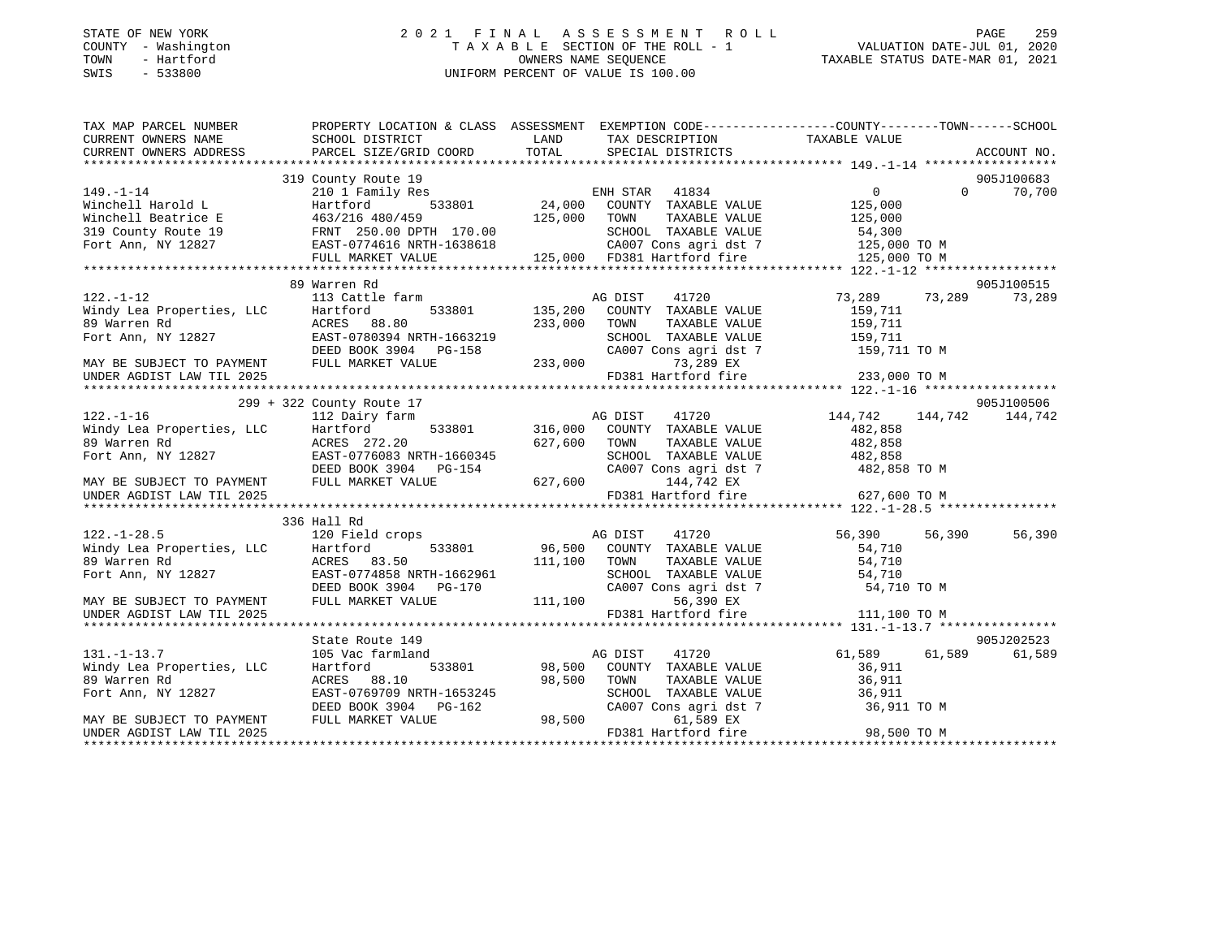# STATE OF NEW YORK 2 0 2 1 F I N A L A S S E S S M E N T R O L L PAGE 259COUNTY - Washington  $T A X A B L E$  SECTION OF THE ROLL - 1<br>TOWN - Hartford TOWN - Hartford **Taxable STATUS DATE-MAR 01, 2021** OWNERS NAME SEQUENCE TAXABLE STATUS DATE-MAR 01, 2021 SWIS - 533800 UNIFORM PERCENT OF VALUE IS 100.00

| TAX MAP PARCEL NUMBER               | PROPERTY LOCATION & CLASS ASSESSMENT EXEMPTION CODE----------------COUNTY-------TOWN------SCHOOL                                                                                                                                                   |              |                                                                                                       |                    |                 |
|-------------------------------------|----------------------------------------------------------------------------------------------------------------------------------------------------------------------------------------------------------------------------------------------------|--------------|-------------------------------------------------------------------------------------------------------|--------------------|-----------------|
| CURRENT OWNERS NAME SCHOOL DISTRICT |                                                                                                                                                                                                                                                    | LAND         | TAX DESCRIPTION TAXABLE VALUE                                                                         |                    |                 |
| CURRENT OWNERS ADDRESS              | PARCEL SIZE/GRID COORD TOTAL                                                                                                                                                                                                                       |              | SPECIAL DISTRICTS                                                                                     |                    | ACCOUNT NO.     |
|                                     |                                                                                                                                                                                                                                                    |              |                                                                                                       |                    |                 |
|                                     |                                                                                                                                                                                                                                                    |              |                                                                                                       |                    | 905J100683      |
|                                     |                                                                                                                                                                                                                                                    |              |                                                                                                       |                    | $0$ 70,700      |
|                                     |                                                                                                                                                                                                                                                    |              |                                                                                                       |                    |                 |
|                                     |                                                                                                                                                                                                                                                    |              |                                                                                                       |                    |                 |
|                                     |                                                                                                                                                                                                                                                    |              |                                                                                                       |                    |                 |
|                                     |                                                                                                                                                                                                                                                    |              |                                                                                                       |                    |                 |
|                                     |                                                                                                                                                                                                                                                    |              |                                                                                                       |                    |                 |
|                                     |                                                                                                                                                                                                                                                    |              |                                                                                                       |                    |                 |
|                                     | 122.-1-12<br>Windy Lea Properties, LLC<br>89 Warren Rd<br>Fort Ann, NY 12827<br>TOWENT PULL MARKET VALUE<br>TOWENT PULL MARKET VALUE<br>TOWENT PULL MARKET VALUE<br>PULL MARKET VALUE<br>PULL MARKET VALUE<br>PULL MARKET VALUE<br>PULL MARKET VAL |              |                                                                                                       |                    | 905J100515      |
|                                     |                                                                                                                                                                                                                                                    |              |                                                                                                       | 73,289 73,289      | 73,289          |
|                                     |                                                                                                                                                                                                                                                    |              | e farm 533801 AG DIST 41720<br>533801 135,200 COUNTY TAXABLE VALUE<br>8.80 233,000 TOWN TAXABLE VALUE | 159,711            |                 |
|                                     |                                                                                                                                                                                                                                                    |              |                                                                                                       |                    |                 |
|                                     |                                                                                                                                                                                                                                                    |              |                                                                                                       |                    |                 |
|                                     |                                                                                                                                                                                                                                                    |              | TOWN TAXABLE VALUE<br>SCHOOL TAXABLE VALUE<br>CA007 Cons agri dst 7 159,711 TO M                      |                    |                 |
|                                     |                                                                                                                                                                                                                                                    |              | 73,289 EX                                                                                             |                    |                 |
|                                     |                                                                                                                                                                                                                                                    |              | FD381 Hartford fire 233,000 TO M                                                                      |                    |                 |
|                                     |                                                                                                                                                                                                                                                    |              |                                                                                                       |                    |                 |
|                                     |                                                                                                                                                                                                                                                    |              |                                                                                                       |                    | 905J100506      |
|                                     |                                                                                                                                                                                                                                                    |              | 41720                                                                                                 | 144,742            | 144,742 144,742 |
|                                     |                                                                                                                                                                                                                                                    |              |                                                                                                       |                    |                 |
|                                     |                                                                                                                                                                                                                                                    |              | 533801 316,000 COUNTY TAXABLE VALUE<br>627,600 TOWN TAXABLE VALUE                                     | 482,858<br>482,858 |                 |
|                                     |                                                                                                                                                                                                                                                    |              |                                                                                                       |                    |                 |
|                                     |                                                                                                                                                                                                                                                    |              | SCHOOL TAXABLE VALUE 482,858<br>CA007 Cons agri dst 7 482,858                                         | 482,858 TO M       |                 |
|                                     |                                                                                                                                                                                                                                                    |              | 144,742 EX                                                                                            |                    |                 |
|                                     |                                                                                                                                                                                                                                                    |              |                                                                                                       |                    |                 |
|                                     | 122.-1-16<br>Windy Lea Properties, LLC<br>89 Warren Rd<br>Fort Ann, NY 12827<br>TORES 272.20<br>EAST-0776083 NRTH-1660345<br>DEED BOOK 3904 PG-154<br>FULL MARKET VALUE<br>FULL MARKET VALUE<br>CA007<br>FULL MARKET VALUE<br>PD38                 |              | FD381 Hartford fire                                                                                   | 627,600 TO M       |                 |
|                                     |                                                                                                                                                                                                                                                    |              |                                                                                                       |                    |                 |
|                                     | 336 Hall Rd                                                                                                                                                                                                                                        |              |                                                                                                       |                    |                 |
|                                     |                                                                                                                                                                                                                                                    |              | AG DIST<br>41720                                                                                      | 56,390<br>56,390   | 56,390          |
|                                     |                                                                                                                                                                                                                                                    |              | 533801 96,500 COUNTY TAXABLE VALUE                                                                    | 54,710             |                 |
|                                     |                                                                                                                                                                                                                                                    | 111,100 TOWN | TAXABLE VALUE                                                                                         | 54,710             |                 |
|                                     | 122.-1-28.5 120 Field crops<br>Windy Lea Properties, LLC Hartford 533801<br>89 Warren Rd ACRES 83.50<br>Fort Ann, NY 12827 EAST-0774858 NRTH-1662961                                                                                               |              | SCHOOL TAXABLE VALUE 54,710                                                                           |                    |                 |
|                                     | EAST-0774858 NRTH-1662961 SCHOOL<br>DEED BOOK 3904 PG-170 CA007 C<br>FULL MARKET VALUE 111,100                                                                                                                                                     |              | CA007 Cons agri dst 7                                                                                 | 54,710 TO M        |                 |
| MAY BE SUBJECT TO PAYMENT           |                                                                                                                                                                                                                                                    |              | 56,390 EX                                                                                             |                    |                 |
| UNDER AGDIST LAW TIL 2025           |                                                                                                                                                                                                                                                    |              | FD381 Hartford fire 111,100 TO M                                                                      |                    |                 |
|                                     |                                                                                                                                                                                                                                                    |              |                                                                                                       |                    |                 |
|                                     | State Route 149                                                                                                                                                                                                                                    |              |                                                                                                       |                    | 905J202523      |
| $131. - 1 - 13.7$                   | 105 Vac farmland                                                                                                                                                                                                                                   |              | AG DIST<br>41720                                                                                      | 61,589 61,589      | 61,589          |
| Windy Lea Properties, LLC           | Hartford                                                                                                                                                                                                                                           |              | 533801 98,500 COUNTY TAXABLE VALUE                                                                    | 36,911             |                 |
| 89 Warren Rd                        | ACRES 88.10                                                                                                                                                                                                                                        | 98,500       | TOWN                                                                                                  |                    |                 |
| Fort Ann, NY 12827                  |                                                                                                                                                                                                                                                    |              |                                                                                                       |                    |                 |
|                                     | ACKES 00.10<br>EAST-0769709 NRTH-1653245 SCHOOL<br>DEED BOOK 3904 PG-162 98,500 CA007<br>FULL MARKET VALUE 98,500                                                                                                                                  |              | CA007 Cons agri dst 7 36,911 TO M                                                                     |                    |                 |
| MAY BE SUBJECT TO PAYMENT           |                                                                                                                                                                                                                                                    |              | 61,589 EX                                                                                             |                    |                 |
| UNDER AGDIST LAW TIL 2025           |                                                                                                                                                                                                                                                    |              | FD381 Hartford fire                                                                                   | 98,500 TO M        |                 |
|                                     |                                                                                                                                                                                                                                                    |              |                                                                                                       |                    |                 |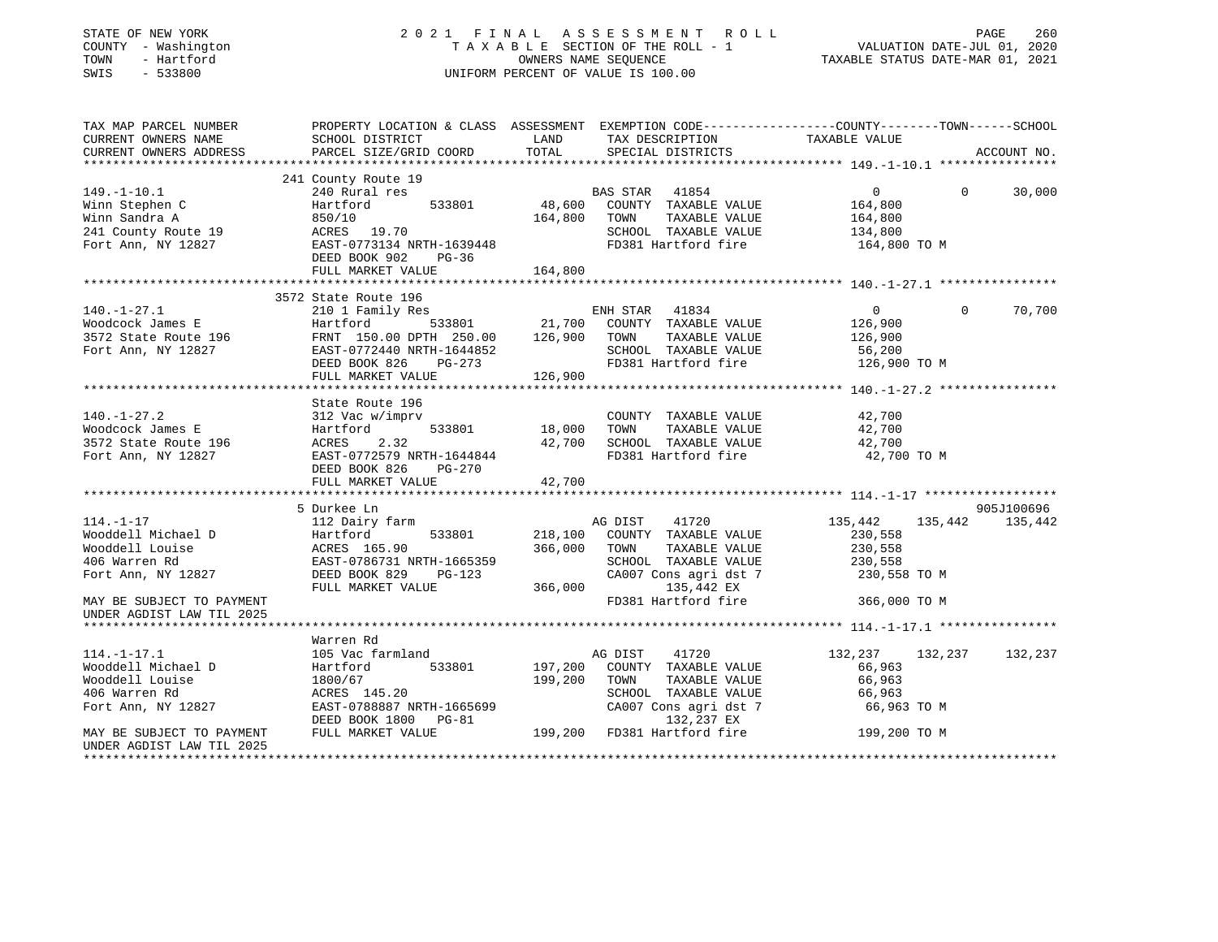| STATE OF NEW YORK<br>COUNTY - Washington<br>- Hartford<br>TOWN<br>SWIS<br>$-533800$ |                                                                                                                     |                     | 2021 FINAL ASSESSMENT ROLL<br>TAXABLE SECTION OF THE ROLL - 1<br>OWNERS NAME SEQUENCE<br>UNIFORM PERCENT OF VALUE IS 100.00 | VALUATION DATE-JUL 01, 2020<br>TAXABLE STATUS DATE-MAR 01, 2021 | 260<br>PAGE |
|-------------------------------------------------------------------------------------|---------------------------------------------------------------------------------------------------------------------|---------------------|-----------------------------------------------------------------------------------------------------------------------------|-----------------------------------------------------------------|-------------|
| TAX MAP PARCEL NUMBER<br>CURRENT OWNERS NAME                                        | PROPERTY LOCATION & CLASS ASSESSMENT EXEMPTION CODE----------------COUNTY-------TOWN------SCHOOL<br>SCHOOL DISTRICT | LAND                | TAX DESCRIPTION                                                                                                             | TAXABLE VALUE                                                   |             |
| CURRENT OWNERS ADDRESS<br>**********************                                    | PARCEL SIZE/GRID COORD                                                                                              | TOTAL               | SPECIAL DISTRICTS                                                                                                           |                                                                 | ACCOUNT NO. |
|                                                                                     | 241 County Route 19                                                                                                 |                     |                                                                                                                             |                                                                 |             |
| $149. - 1 - 10.1$                                                                   | 240 Rural res                                                                                                       |                     | BAS STAR<br>41854                                                                                                           | $\overline{0}$<br>$\Omega$                                      | 30,000      |
| Winn Stephen C                                                                      | Hartford<br>533801                                                                                                  | 48,600              | COUNTY TAXABLE VALUE                                                                                                        | 164,800                                                         |             |
| Winn Sandra A                                                                       | 850/10                                                                                                              | 164,800             | TOWN<br>TAXABLE VALUE                                                                                                       | 164,800                                                         |             |
| 241 County Route 19                                                                 | ACRES 19.70                                                                                                         |                     | SCHOOL TAXABLE VALUE                                                                                                        | 134,800                                                         |             |
| Fort Ann, NY 12827                                                                  | EAST-0773134 NRTH-1639448                                                                                           |                     | FD381 Hartford fire                                                                                                         | 164,800 TO M                                                    |             |
|                                                                                     | DEED BOOK 902 PG-36                                                                                                 |                     |                                                                                                                             |                                                                 |             |
|                                                                                     | FULL MARKET VALUE                                                                                                   | 164,800             |                                                                                                                             |                                                                 |             |
|                                                                                     | 3572 State Route 196                                                                                                |                     |                                                                                                                             |                                                                 |             |
| $140. - 1 - 27.1$                                                                   | 210 1 Family Res                                                                                                    |                     | ENH STAR 41834                                                                                                              | $\Omega$<br>$\Omega$                                            | 70,700      |
| Woodcock James E                                                                    | 533801<br>Hartford                                                                                                  | 21,700              | COUNTY TAXABLE VALUE                                                                                                        | 126,900                                                         |             |
| 3572 State Route 196                                                                | FRNT 150.00 DPTH 250.00                                                                                             | 126,900             | TOWN<br>TAXABLE VALUE                                                                                                       | 126,900                                                         |             |
| Fort Ann, NY 12827                                                                  | EAST-0772440 NRTH-1644852                                                                                           |                     | SCHOOL TAXABLE VALUE                                                                                                        | 56,200                                                          |             |
|                                                                                     | DEED BOOK 826<br>$PG-273$                                                                                           |                     | FD381 Hartford fire                                                                                                         | 126,900 TO M                                                    |             |
|                                                                                     | FULL MARKET VALUE                                                                                                   | 126,900             |                                                                                                                             |                                                                 |             |
|                                                                                     |                                                                                                                     | * * * * * * * * * * |                                                                                                                             | ************** 140.-1-27.2 ***************                      |             |
|                                                                                     | State Route 196                                                                                                     |                     |                                                                                                                             |                                                                 |             |
| $140.-1-27.2$<br>Woodcock James E                                                   | 312 Vac w/imprv<br>533801<br>Hartford                                                                               | 18,000              | COUNTY TAXABLE VALUE<br>TOWN<br>TAXABLE VALUE                                                                               | 42,700<br>42,700                                                |             |
| 3572 State Route 196                                                                | 2.32<br>ACRES                                                                                                       | 42,700              | SCHOOL TAXABLE VALUE                                                                                                        | 42,700                                                          |             |
| Fort Ann, NY 12827                                                                  | EAST-0772579 NRTH-1644844                                                                                           |                     | FD381 Hartford fire                                                                                                         | 42,700 TO M                                                     |             |
|                                                                                     | DEED BOOK 826<br>PG-270                                                                                             |                     |                                                                                                                             |                                                                 |             |
|                                                                                     | FULL MARKET VALUE                                                                                                   | 42,700              |                                                                                                                             |                                                                 |             |
|                                                                                     |                                                                                                                     |                     |                                                                                                                             |                                                                 |             |
|                                                                                     | 5 Durkee Ln                                                                                                         |                     |                                                                                                                             |                                                                 | 905J100696  |
| $114. - 1 - 17$                                                                     | 112 Dairy farm                                                                                                      |                     | 41720<br>AG DIST                                                                                                            | 135,442<br>135,442                                              | 135,442     |
| Wooddell Michael D                                                                  | 533801<br>Hartford                                                                                                  | 218,100             | COUNTY TAXABLE VALUE                                                                                                        | 230,558                                                         |             |
| Wooddell Louise                                                                     | ACRES 165.90                                                                                                        | 366,000             | TOWN<br>TAXABLE VALUE                                                                                                       | 230,558                                                         |             |
| 406 Warren Rd                                                                       | EAST-0786731 NRTH-1665359                                                                                           |                     | SCHOOL TAXABLE VALUE                                                                                                        | 230,558                                                         |             |
| Fort Ann, NY 12827                                                                  | DEED BOOK 829<br>PG-123                                                                                             |                     | CA007 Cons agri dst 7                                                                                                       | 230,558 TO M                                                    |             |
|                                                                                     | FULL MARKET VALUE                                                                                                   | 366,000             | 135,442 EX                                                                                                                  |                                                                 |             |
| MAY BE SUBJECT TO PAYMENT<br>UNDER AGDIST LAW TIL 2025                              |                                                                                                                     |                     | FD381 Hartford fire                                                                                                         | 366,000 TO M                                                    |             |
|                                                                                     |                                                                                                                     |                     |                                                                                                                             |                                                                 |             |
|                                                                                     | Warren Rd                                                                                                           |                     |                                                                                                                             |                                                                 |             |
| $114. - 1 - 17.1$                                                                   | 105 Vac farmland                                                                                                    |                     | 41720<br>AG DIST                                                                                                            | 132, 237 132, 237                                               | 132,237     |
| Wooddell Michael D                                                                  | Hartford<br>533801                                                                                                  | 197,200             | COUNTY TAXABLE VALUE                                                                                                        | 66,963                                                          |             |
| Wooddell Louise                                                                     | 1800/67                                                                                                             | 199,200             | TOWN<br>TAXABLE VALUE                                                                                                       | 66,963                                                          |             |
| 406 Warren Rd                                                                       | ACRES 145.20                                                                                                        |                     | SCHOOL TAXABLE VALUE                                                                                                        | 66,963                                                          |             |
| Fort Ann, NY 12827                                                                  | EAST-0788887 NRTH-1665699                                                                                           |                     | CA007 Cons agri dst 7                                                                                                       | 66,963 ТО М                                                     |             |
|                                                                                     | DEED BOOK 1800 PG-81                                                                                                |                     | 132,237 EX                                                                                                                  |                                                                 |             |
| MAY BE SUBJECT TO PAYMENT                                                           | FULL MARKET VALUE                                                                                                   | 199,200             | FD381 Hartford fire                                                                                                         | 199,200 TO M                                                    |             |
| UNDER AGDIST LAW TIL 2025                                                           |                                                                                                                     |                     |                                                                                                                             |                                                                 |             |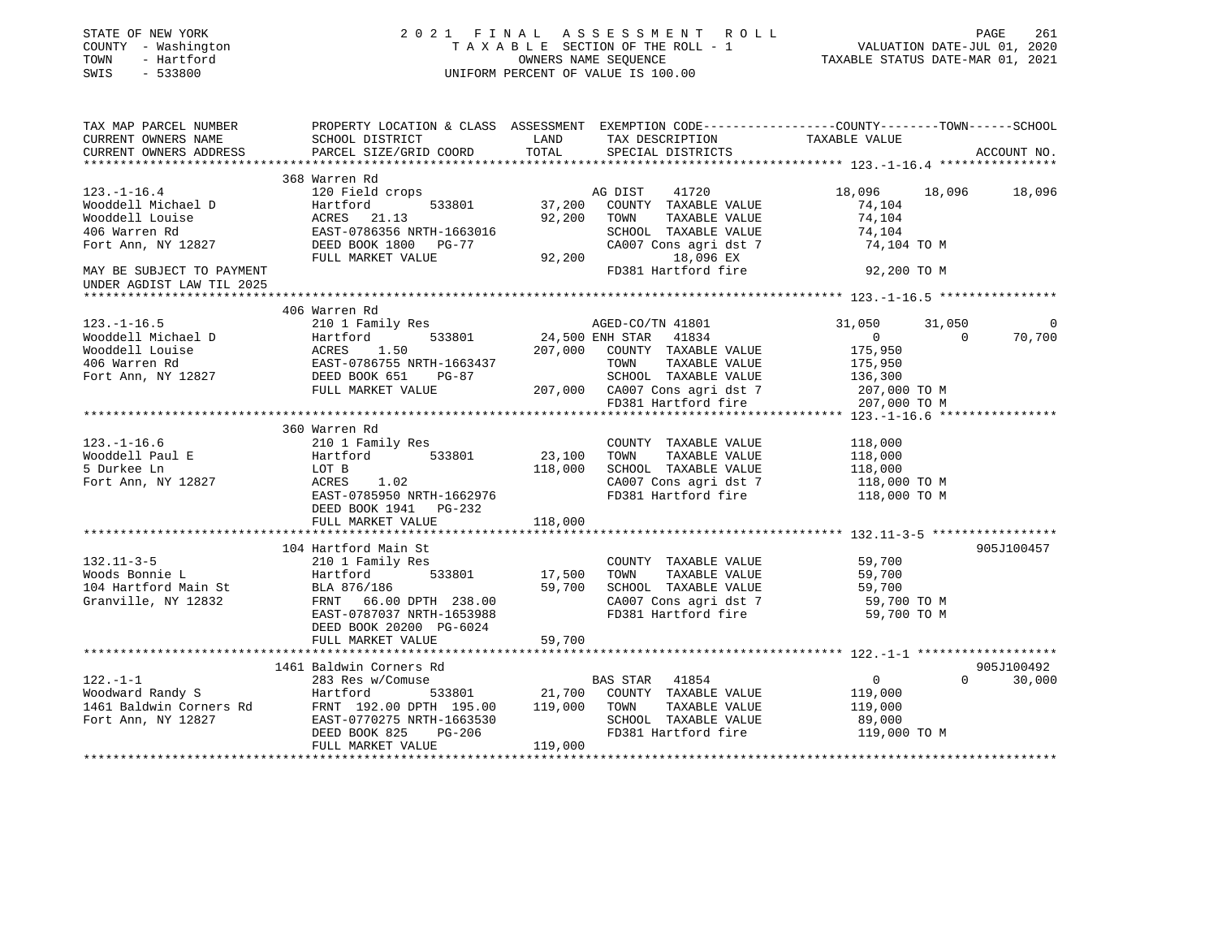| STATE OF NEW YORK<br>COUNTY - Washington<br>- Hartford<br>TOWN<br>SWIS<br>$-533800$ | 2021 FINAL ASSESSMENT ROLL<br>UNIFORM PERCENT OF VALUE IS 100.00                                                                            | FINAL ASSESSMENT ROLL PAGE 261<br>TAXABLE SECTION OF THE ROLL - 1 VALUATION DATE-JUL 01, 2020<br>OWNERS NAME SEQUENCE TAXABLE STATUS DATE-MAR 01, 2021                                                                                              |                                            |  |
|-------------------------------------------------------------------------------------|---------------------------------------------------------------------------------------------------------------------------------------------|-----------------------------------------------------------------------------------------------------------------------------------------------------------------------------------------------------------------------------------------------------|--------------------------------------------|--|
| CURRENT OWNERS NAME<br>CURRENT OWNERS ADDRESS                                       |                                                                                                                                             | TAX MAP PARCEL NUMBER THE PROPERTY LOCATION & CLASS ASSESSMENT EXEMPTION CODE---------------COUNTY--------TOWN------SCHOOL                                                                                                                          | ACCOUNT NO.                                |  |
|                                                                                     |                                                                                                                                             |                                                                                                                                                                                                                                                     |                                            |  |
|                                                                                     | 368 Warren Rd                                                                                                                               |                                                                                                                                                                                                                                                     |                                            |  |
| $123. - 1 - 16.4$                                                                   | 120 Field crops                                                                                                                             | AG DIST<br>41720                                                                                                                                                                                                                                    | 18,096<br>18,096 18,096                    |  |
|                                                                                     |                                                                                                                                             | 533801 37,200<br>COUNTY TAXABLE VALUE                                                                                                                                                                                                               | 74,104                                     |  |
|                                                                                     | Nooddell Michael D<br>Wooddell Louise Martford 533801<br>406 Warren Rd EAST-0786356 NRTH-1663016<br>Fort Ann, NY 12827 DEED BOOK 1800 PG-77 | 92,200<br>TOWN<br>TAXABLE VALUE                                                                                                                                                                                                                     | 74,104                                     |  |
|                                                                                     |                                                                                                                                             | SCHOOL TAXABLE VALUE<br>CA007 Cons agri dst 7                                                                                                                                                                                                       | 74,104<br>74,104 TO M                      |  |
|                                                                                     | FULL MARKET VALUE                                                                                                                           | 92,200<br>18,096 EX                                                                                                                                                                                                                                 |                                            |  |
| MAY BE SUBJECT TO PAYMENT                                                           |                                                                                                                                             | FD381 Hartford fire 92,200 TO M                                                                                                                                                                                                                     |                                            |  |
| UNDER AGDIST LAW TIL 2025                                                           |                                                                                                                                             |                                                                                                                                                                                                                                                     |                                            |  |
|                                                                                     |                                                                                                                                             |                                                                                                                                                                                                                                                     |                                            |  |
|                                                                                     | 406 Warren Rd                                                                                                                               |                                                                                                                                                                                                                                                     |                                            |  |
| $123. - 1 - 16.5$                                                                   |                                                                                                                                             | 210 1 Family Res<br>Hartford 533801 24,500 ENH STAR 41834<br>AGED-CO/TN 41801                                                                                                                                                                       | 31,050<br>31,050                           |  |
|                                                                                     |                                                                                                                                             |                                                                                                                                                                                                                                                     | 70,700<br>$\overline{0}$<br>$\overline{0}$ |  |
|                                                                                     |                                                                                                                                             |                                                                                                                                                                                                                                                     | 175,950<br>175,950                         |  |
|                                                                                     |                                                                                                                                             |                                                                                                                                                                                                                                                     | 136,300                                    |  |
|                                                                                     |                                                                                                                                             |                                                                                                                                                                                                                                                     | 207,000 TO M                               |  |
|                                                                                     |                                                                                                                                             | 123.-1-10.5<br>Wooddell Michael D<br>Wooddell Louise ACRES 1.50<br>406 Warren Rd<br>Fort Ann, NY 12827<br>FULL MARKET VALUE<br>FULL MARKET VALUE<br>FULL MARKET VALUE<br>FULL MARKET VALUE<br>FULL MARKET VALUE<br>FULL MARKET VALUE<br>FULL MARKET | 207,000 TO M                               |  |
|                                                                                     |                                                                                                                                             |                                                                                                                                                                                                                                                     |                                            |  |
|                                                                                     | 360 Warren Rd                                                                                                                               |                                                                                                                                                                                                                                                     |                                            |  |
| $123. - 1 - 16.6$                                                                   | 210 1 Family Res                                                                                                                            | COUNTY TAXABLE VALUE                                                                                                                                                                                                                                | 118,000                                    |  |
| Wooddell Paul E                                                                     | Hartford 533801                                                                                                                             | 23,100<br>TOWN<br>TAXABLE VALUE                                                                                                                                                                                                                     | 118,000                                    |  |
| 5 Durkee Ln                                                                         | Hartford 533801<br>LOT B<br>ACRES 1.02                                                                                                      | 118,000<br>SCHOOL TAXABLE VALUE                                                                                                                                                                                                                     | 118,000<br>118,000 TO M                    |  |
| Fort Ann, NY 12827                                                                  | EAST-0785950 NRTH-1662976                                                                                                                   | CA007 Cons agri dst 7<br>FD381 Hartford fire                                                                                                                                                                                                        |                                            |  |
|                                                                                     | DEED BOOK 1941    PG-232                                                                                                                    |                                                                                                                                                                                                                                                     | 118,000 TO M                               |  |
|                                                                                     | FULL MARKET VALUE                                                                                                                           | 118,000                                                                                                                                                                                                                                             |                                            |  |
|                                                                                     |                                                                                                                                             |                                                                                                                                                                                                                                                     |                                            |  |
|                                                                                     | 104 Hartford Main St                                                                                                                        |                                                                                                                                                                                                                                                     | 905J100457                                 |  |
| $132.11 - 3 - 5$                                                                    | 210 1 Family Res                                                                                                                            | COUNTY TAXABLE VALUE 59,700                                                                                                                                                                                                                         |                                            |  |
| Woods Bonnie L                                                                      | 533801 17,500<br>Hartford                                                                                                                   | TOWN<br>TAXABLE VALUE                                                                                                                                                                                                                               | 59,700                                     |  |
|                                                                                     | NOOds Bonnie L<br>104 Hartford Main St<br>Granville, NY 12832 FRNT 66.00 DPTH 238.00                                                        | 59,700<br>SCHOOL TAXABLE VALUE                                                                                                                                                                                                                      | 59,700                                     |  |
|                                                                                     |                                                                                                                                             | CA007 Cons agri dst 7<br>FD381 Hartford fire                                                                                                                                                                                                        | 59,700 TO M                                |  |
|                                                                                     | EAST-0787037 NRTH-1653988<br>DEED BOOK 20200 PG-6024                                                                                        |                                                                                                                                                                                                                                                     | 59,700 TO M                                |  |
|                                                                                     | FULL MARKET VALUE                                                                                                                           | 59,700                                                                                                                                                                                                                                              |                                            |  |
|                                                                                     |                                                                                                                                             |                                                                                                                                                                                                                                                     |                                            |  |
|                                                                                     | 1461 Baldwin Corners Rd                                                                                                                     |                                                                                                                                                                                                                                                     | 905J100492                                 |  |
| $122. - 1 - 1$                                                                      | 283 Res w/Comuse                                                                                                                            | BAS STAR 41854                                                                                                                                                                                                                                      | $0 \t 30,000$<br>$\overline{0}$            |  |
|                                                                                     |                                                                                                                                             |                                                                                                                                                                                                                                                     | 119,000                                    |  |
|                                                                                     |                                                                                                                                             |                                                                                                                                                                                                                                                     | 119,000                                    |  |
|                                                                                     |                                                                                                                                             | 122.-1-1<br>Woodward Randy S<br>1461 Baldwin Corners Rd<br>FRNT 192.00 DPTH 195.00<br>Fort Ann, NY 12827<br>EAST-0770275 NRTH-1663530<br>EAST-0770275 NRTH-1663530<br>EAST-0770275 NRTH-1663530<br>EAST-0770275 NRTH-1663530<br>ENSERIE VALUE<br>   | 89,000                                     |  |
|                                                                                     |                                                                                                                                             | FD381 Hartford fire                                                                                                                                                                                                                                 | 119,000 TO M                               |  |
|                                                                                     | FULL MARKET VALUE                                                                                                                           | 119,000                                                                                                                                                                                                                                             |                                            |  |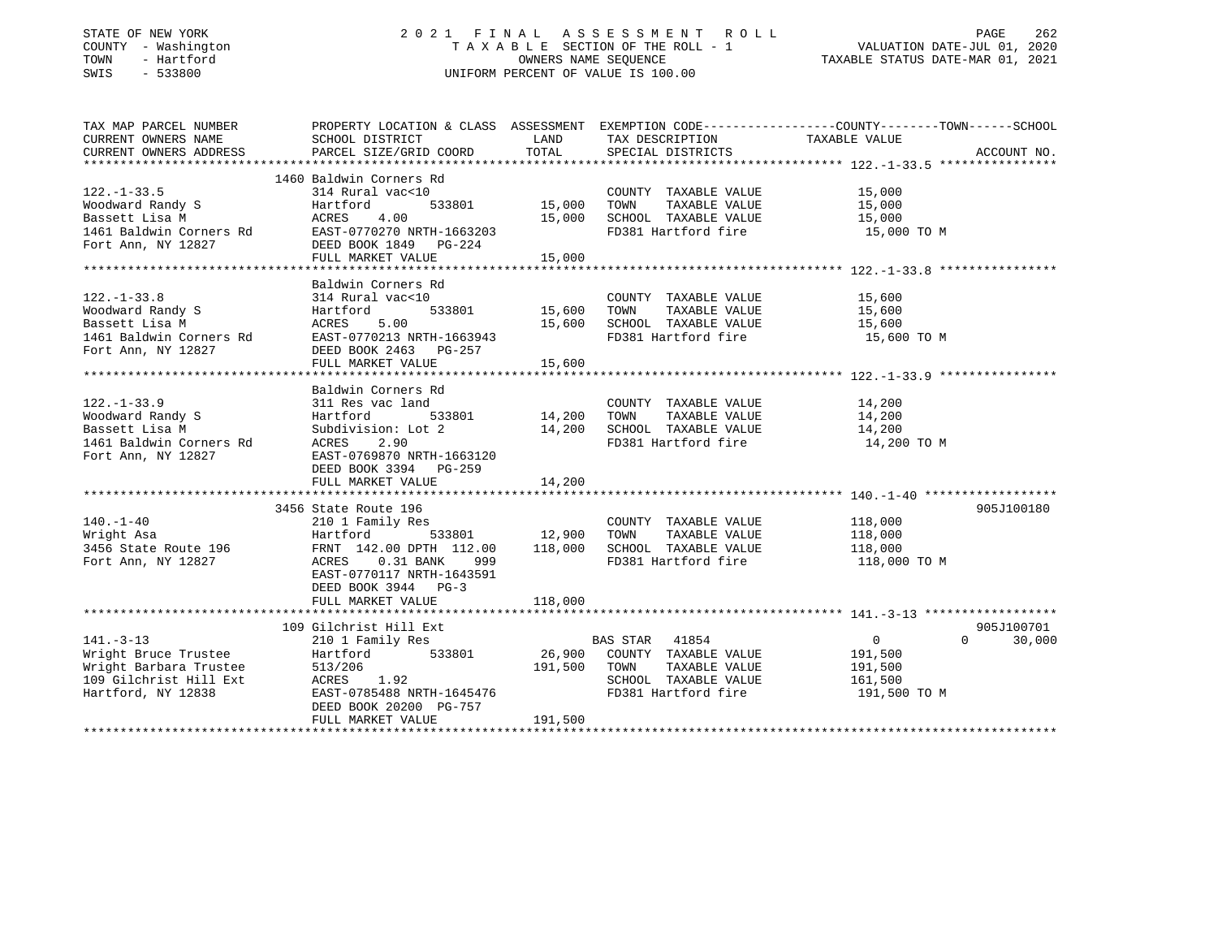# STATE OF NEW YORK 2 0 2 1 F I N A L A S S E S S M E N T R O L L PAGE 262 COUNTY - Washington T A X A B L E SECTION OF THE ROLL - 1 VALUATION DATE-JUL 01, 2020 TOWN - Hartford OWNERS NAME SEQUENCE TAXABLE STATUS DATE-MAR 01, 2021 SWIS - 533800 UNIFORM PERCENT OF VALUE IS 100.00

| TAX MAP PARCEL NUMBER<br>CURRENT OWNERS NAME<br>CURRENT OWNERS ADDRESS                                                  | PROPERTY LOCATION & CLASS ASSESSMENT EXEMPTION CODE---------------COUNTY-------TOWN-----SCHOOL<br>SCHOOL DISTRICT<br>PARCEL SIZE/GRID COORD                                                                                                                                            |                                   | LAND TAX DESCRIPTION<br>TOTAL SPECIAL DISTRICTS                                                                                                           | TAXABLE VALUE                                        | ACCOUNT NO.                      |
|-------------------------------------------------------------------------------------------------------------------------|----------------------------------------------------------------------------------------------------------------------------------------------------------------------------------------------------------------------------------------------------------------------------------------|-----------------------------------|-----------------------------------------------------------------------------------------------------------------------------------------------------------|------------------------------------------------------|----------------------------------|
|                                                                                                                         |                                                                                                                                                                                                                                                                                        |                                   |                                                                                                                                                           |                                                      |                                  |
| $122. - 1 - 33.5$<br>Woodward Randy S                                                                                   | 1460 Baldwin Corners Rd<br>314 Rural vac<10<br>Hartford<br>Notward Manuy 19<br>Bassett Lisa M<br>1461 Baldwin Corners Rd<br>EAST-0770270 NRTH-1663203<br>Fort Ann, NY 12827<br>DEED BOOK 1849 PG-224<br>EAST-0770270 NRTH-1663203<br>FULL MARKET VALUE                                 | 0<br>533801 15,000 TOWN<br>15,000 | COUNTY TAXABLE VALUE 15,000<br>TOWN TAXABLE VALUE 15,000<br>15,000 TOWN TAXABLE VALUE 15,000<br>15,000 SCHOOL TAXABLE VALUE 15,000<br>FD381 Hartford fire | 15,000 TO M                                          |                                  |
|                                                                                                                         |                                                                                                                                                                                                                                                                                        |                                   |                                                                                                                                                           |                                                      |                                  |
| $122. - 1 - 33.8$<br>122.-1-33.8<br>Woodward Randy S<br>Bassett Lisa M<br>1461 Baldwin Corners Rd<br>Fort Ann, NY 12827 | Baldwin Corners Rd<br>314 Rural vac<10<br>Hartford<br>ACRES 5.00<br>EAST-0770213 NRTH-1663943<br>DEED BOOK 2463 PG-257                                                                                                                                                                 |                                   | COUNTY TAXABLE VALUE 15,600<br>TOWN TAXABLE VALUE 15,600<br>15,600 SCHOOL TAXABLE VALUE 15,600<br>FD381 Hartford fire 15,600 TO M                         |                                                      |                                  |
|                                                                                                                         | FULL MARKET VALUE                                                                                                                                                                                                                                                                      | 15,600                            |                                                                                                                                                           |                                                      |                                  |
|                                                                                                                         |                                                                                                                                                                                                                                                                                        |                                   |                                                                                                                                                           |                                                      |                                  |
| $122. - 1 - 33.9$<br>Woodward Randy S<br>Bassett Lisa M<br>1461 Baldwin Corners Rd<br>Fort Ann, NY 12827                | Baldwin Corners Rd<br>311 Res vac land<br>533801 14,200 TOWN<br>Hartford<br>Subdivision: Lot 2 14,200 SCHOOL TAXABLE VALUE 14,200 14,200 ACRES 2.90 FD381 Hartford fire 14,200 TO M<br>EAST-0769870 NRTH-1663120<br>DEED BOOK 3394 PG-259<br>FULL MARKET VALUE<br>3456 State Route 196 | 14,200                            | COUNTY TAXABLE VALUE 14,200                                                                                                                               | TAXABLE VALUE 14,200                                 | 905J100180                       |
| $140. - 1 - 40$<br>Wright Asa<br>Fort Ann, NY 12827                                                                     | ly Res COUNT<br>533801 12,900 TOWN<br>210 1 Family Res<br>Hartford<br>3456 State Route 196 FRNT 142.00 DPTH 112.00<br>ACRES 0.31 BANK<br>999<br>EAST-0770117 NRTH-1643591<br>DEED BOOK 3944 PG-3                                                                                       |                                   | COUNTY TAXABLE VALUE 118,000<br>TAXABLE VALUE<br>118,000 SCHOOL TAXABLE VALUE 118,000<br>FD381 Hartford fire                                              | 118,000<br>118,000 TO M                              |                                  |
| $141. - 3 - 13$<br>Wright Bruce Trustee<br>Wright Barbara Trustee<br>109 Gilchrist Hill Ext<br>Hartford, NY 12838       | 109 Gilchrist Hill Ext<br>210 1 Family Res<br>Hartford 533801<br>513/206<br>ACRES 1.92<br>EAST-0785488 NRTH-1645476 FD381 Hartford fire<br>DEED BOOK 20200 PG-757                                                                                                                      | 191,500 TOWN                      | BAS STAR 41854<br>26,900 COUNTY TAXABLE VALUE<br>TAXABLE VALUE<br>SCHOOL TAXABLE VALUE 161,500                                                            | $\overline{0}$<br>191,500<br>191,500<br>191,500 TO M | 905J100701<br>30,000<br>$\Omega$ |
|                                                                                                                         | FULL MARKET VALUE                                                                                                                                                                                                                                                                      | 191,500                           |                                                                                                                                                           |                                                      |                                  |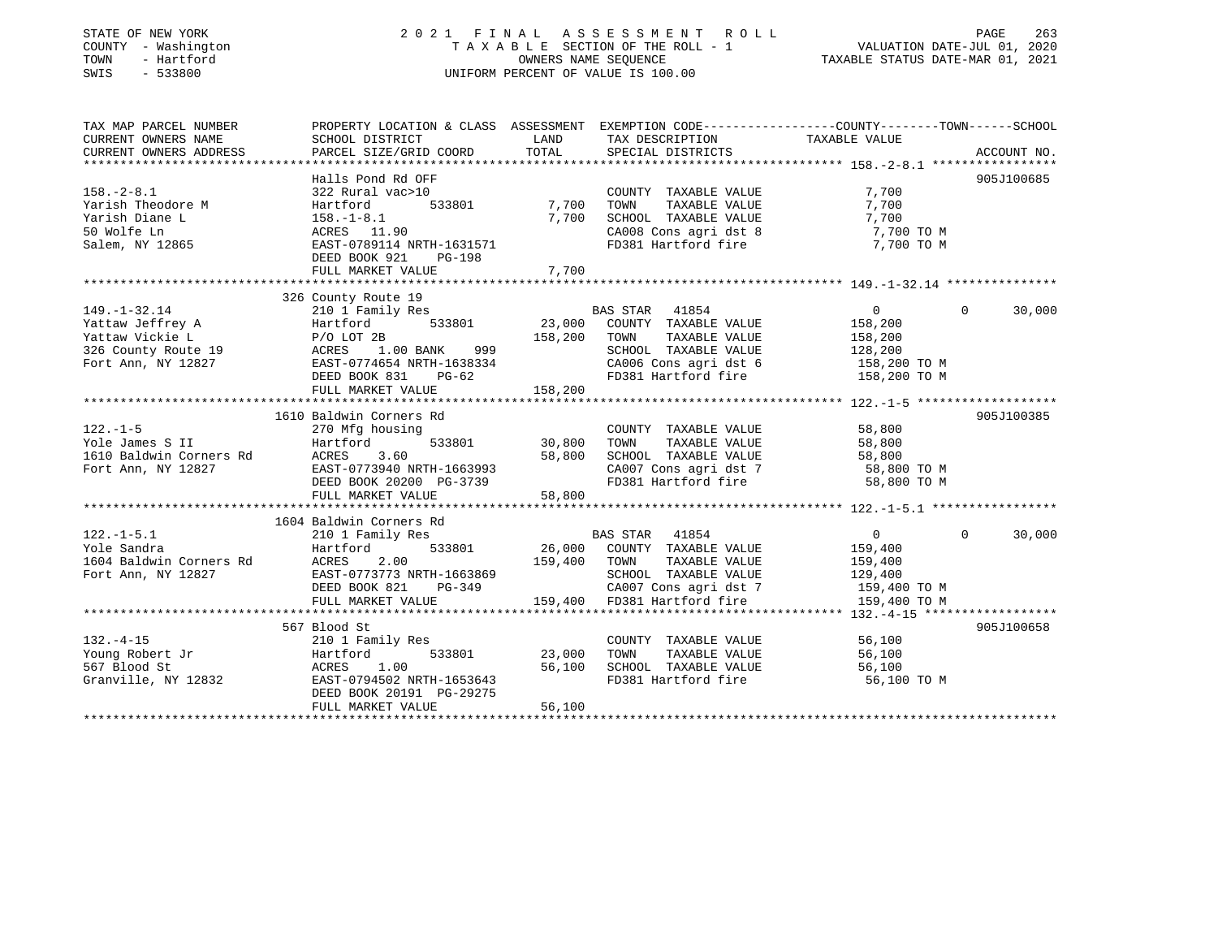# STATE OF NEW YORK 2 0 2 1 F I N A L A S S E S S M E N T R O L L PAGE 263COUNTY - Washington  $T A X A B L E$  SECTION OF THE ROLL - 1<br>TOWN - Hartford SWIS - 533800 UNIFORM PERCENT OF VALUE IS 100.00

# VALUATION DATE-JUL 01, 2020

TAXABLE STATUS DATE-MAR 01, 2021

| TAX MAP PARCEL NUMBER<br>CURRENT OWNERS NAME<br>CURRENT OWNERS ADDRESS                                                                                                                                                                               | PROPERTY LOCATION & CLASS ASSESSMENT EXEMPTION CODE---------------COUNTY-------TOWN-----SCHOOL<br>SCHOOL DISTRICT<br>PARCEL SIZE/GRID COORD                       | LAND<br>TOTAL                                     | TAX DESCRIPTION TAXABLE VALUE SPECIAL DISTRICTS                                                                                                   |                                                                                                                         | ACCOUNT NO. |
|------------------------------------------------------------------------------------------------------------------------------------------------------------------------------------------------------------------------------------------------------|-------------------------------------------------------------------------------------------------------------------------------------------------------------------|---------------------------------------------------|---------------------------------------------------------------------------------------------------------------------------------------------------|-------------------------------------------------------------------------------------------------------------------------|-------------|
| $158. - 2 - 8.1$<br>Yarish Theodore M<br>Yarish Diane L<br>50 Wolfe Ln<br>Salem, NY 12865                                                                                                                                                            | Halls Pond Rd OFF<br>322 Rural vac>10<br>Hartford<br>$158. - 1 - 8.1$<br>ACRES 11.90<br>EAST-0789114 NRTH-1631571<br>DEED BOOK 921<br>PG-198<br>FULL MARKET VALUE | 533801 7,700<br>7,700<br>7,700                    | COUNTY TAXABLE VALUE<br>TAXABLE VALUE<br>TOWN<br>SCHOOL TAXABLE VALUE<br>FD381 Hartford fire                                                      | 7,700<br>7,700<br>7,700<br>CA008 Cons agri dst 8 7,700 TO M<br>7,700 TO M                                               | 905J100685  |
|                                                                                                                                                                                                                                                      |                                                                                                                                                                   |                                                   |                                                                                                                                                   |                                                                                                                         |             |
| 149.-1-32.14<br>Yattaw Jeffrey A<br>Yattaw Vickie L<br>326 County Route 19<br>Fort Ann. NY 12827<br>The CAST COMERS 1.00 BANK<br>Fort Ann. NY 12827<br>Fort Ann. NY 12827<br>The CAST COMERS 1.00 BANK<br>PASS 2011<br>The CAST COMERS 1.00 BANK<br> | 326 County Route 19<br>DEED BOOK 831<br>$PG-62$<br>FULL MARKET VALUE                                                                                              | 158,200<br>158,200                                | TAXABLE VALUE<br>TOWN<br>SCHOOL TAXABLE VALUE 128,200<br>CA006 Cons agri dst 6 158,200 TO M                                                       | $0 \qquad \qquad$<br>$\mathbf{0}$<br>158,200<br>158,200<br>FD381 Hartford fire 158,200 TO M                             | 30,000      |
| $122. - 1 - 5$<br>Yole James S II<br>Yole James > 11<br>1610 Baldwin Corners Rd<br>Fort Ann, NY 12827                                                                                                                                                | 1610 Baldwin Corners Rd<br>270 Mfg housing<br>Hartford 533801 30,800<br>ACRES 3.60<br>EAST-0773940 NRTH-1663993<br>DEED BOOK 20200 PG-3739<br>FULL MARKET VALUE   | 58,800<br>58,800                                  | COUNTY TAXABLE VALUE<br>TOWN<br>TAXABLE VALUE                                                                                                     | 58,800<br>58,800<br>SCHOOL TAXABLE VALUE 58,800<br>CA007 Cons agri dst 7 58,800 TO M<br>FD381 Hartford fire 58,800 TO M | 905J100385  |
|                                                                                                                                                                                                                                                      | 1604 Baldwin Corners Rd                                                                                                                                           |                                                   |                                                                                                                                                   |                                                                                                                         |             |
| $122. - 1 - 5.1$<br>Yole Sandra<br>1604 Baldwin Corners Rd<br>Fort Ann, NY 12827                                                                                                                                                                     | 210 1 Family Res<br>Hartford<br>ACRES 2.00<br>EAST-0773773 NRTH-1663869<br>DEED BOOK 821<br>FULL MARKET VALUE                                                     | 533801 26,000<br>159,400<br>RTH-1663869<br>PG-349 | BAS STAR 41854<br>AS STAR 41854 0<br>COUNTY TAXABLE VALUE 159,400<br>TOWN<br>TAXABLE VALUE<br>SCHOOL TAXABLE VALUE<br>159,400 FD381 Hartford fire | $\overline{0}$<br>$\Omega$<br>159,400<br>129,400<br>CA007 Cons agri dst 7 159,400 TO M<br>159,400 TO M                  | 30,000      |
|                                                                                                                                                                                                                                                      |                                                                                                                                                                   |                                                   |                                                                                                                                                   |                                                                                                                         |             |
| $132. -4 - 15$<br>Young Robert Jr<br>567 Blood St<br>Granville, NY 12832                                                                                                                                                                             | 567 Blood St<br>210 1 Family Res<br>Hartford<br>ACRES 1.00<br>EAST-0794502 NRTH-1653643<br>DEED BOOK 20191 PG-29275<br>FULL MARKET VALUE                          | 533801 23,000<br>56,100<br>56,100                 | COUNTY TAXABLE VALUE<br>TOWN<br>SCHOOL TAXABLE VALUE<br>FD381 Hartford fire                                                                       | 56,100<br>TAXABLE VALUE 56,100<br>56,100<br>56,100 TO M                                                                 | 905J100658  |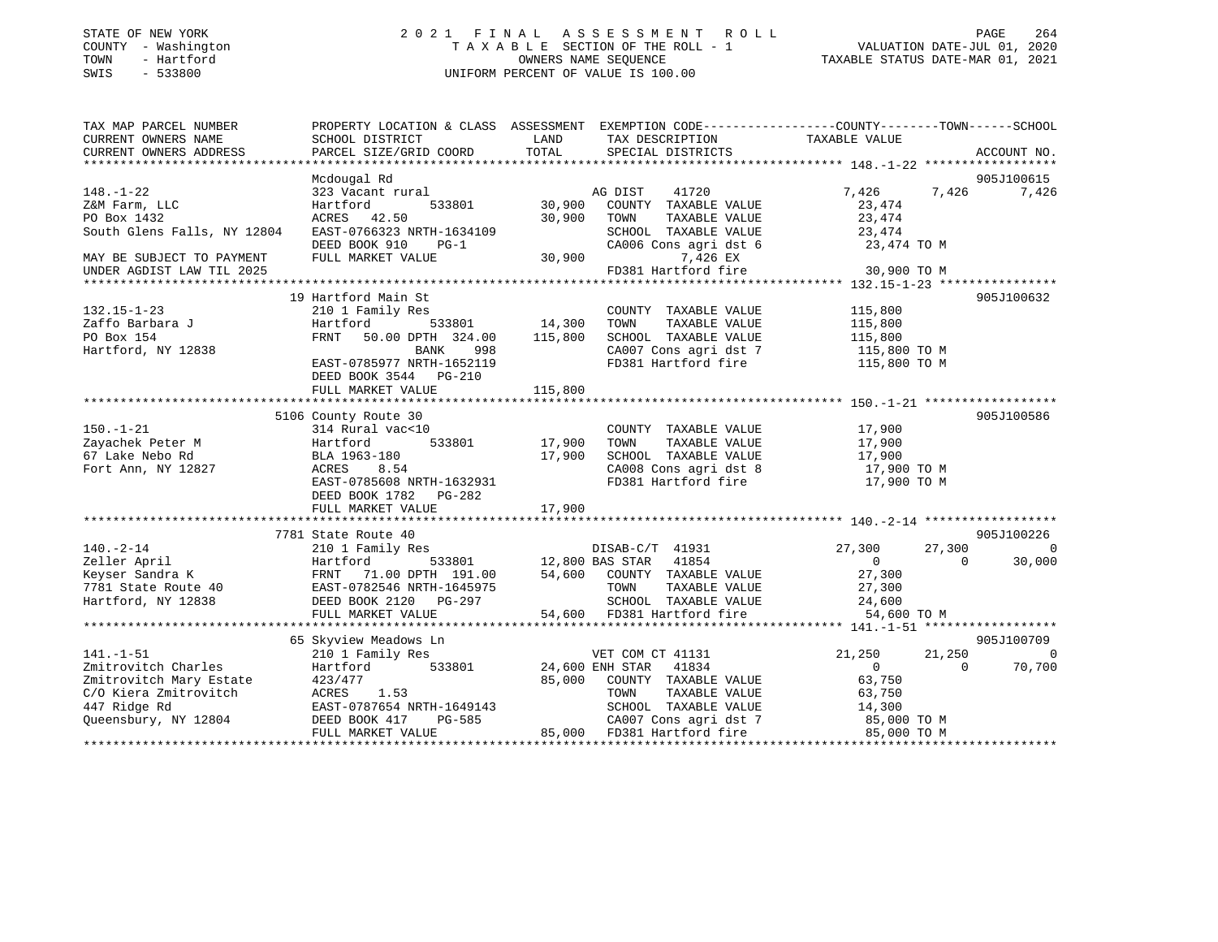# STATE OF NEW YORK 2 0 2 1 F I N A L A S S E S S M E N T R O L L PAGE 264 COUNTY - Washington T A X A B L E SECTION OF THE ROLL - 1 VALUATION DATE-JUL 01, 2020 TOWN - Hartford OWNERS NAME SEQUENCE TAXABLE STATUS DATE-MAR 01, 2021 SWIS - 533800 UNIFORM PERCENT OF VALUE IS 100.00

| TAX MAP PARCEL NUMBER       |                           |               | PROPERTY LOCATION & CLASS ASSESSMENT EXEMPTION CODE--------------COUNTY-------TOWN-----SCHOOL |                |          |             |
|-----------------------------|---------------------------|---------------|-----------------------------------------------------------------------------------------------|----------------|----------|-------------|
| CURRENT OWNERS NAME         | SCHOOL DISTRICT           | LAND          | TAX DESCRIPTION                                                                               | TAXABLE VALUE  |          |             |
| CURRENT OWNERS ADDRESS      | PARCEL SIZE/GRID COORD    | TOTAL         | SPECIAL DISTRICTS                                                                             |                |          | ACCOUNT NO. |
|                             |                           |               |                                                                                               |                |          |             |
|                             | Mcdougal Rd               |               |                                                                                               |                |          | 905J100615  |
| $148. - 1 - 22$             | 323 Vacant rural          |               | 41720<br>AG DIST                                                                              | 7,426          | 7,426    | 7,426       |
| Z&M Farm, LLC               | Hartford<br>533801        | 30,900        | COUNTY TAXABLE VALUE                                                                          | 23,474         |          |             |
| PO Box 1432                 | ACRES 42.50               | 30,900        | TOWN<br>TAXABLE VALUE                                                                         | 23,474         |          |             |
| South Glens Falls, NY 12804 | EAST-0766323 NRTH-1634109 |               | SCHOOL TAXABLE VALUE                                                                          | 23,474         |          |             |
|                             | DEED BOOK 910<br>$PG-1$   |               | CA006 Cons agri dst 6                                                                         | 23,474 TO M    |          |             |
| MAY BE SUBJECT TO PAYMENT   | FULL MARKET VALUE         | 30,900        | 7,426 EX                                                                                      |                |          |             |
| UNDER AGDIST LAW TIL 2025   |                           |               | FD381 Hartford fire                                                                           | 30,900 TO M    |          |             |
|                             |                           |               |                                                                                               |                |          |             |
|                             | 19 Hartford Main St       |               |                                                                                               |                |          | 905J100632  |
| $132.15 - 1 - 23$           | 210 1 Family Res          |               | COUNTY TAXABLE VALUE                                                                          | 115,800        |          |             |
| Zaffo Barbara J             | Hartford                  | 533801 14,300 | TOWN<br>TAXABLE VALUE                                                                         | 115,800        |          |             |
|                             | FRNT                      |               |                                                                                               |                |          |             |
| PO Box 154                  | 50.00 DPTH 324.00         | 115,800       | SCHOOL TAXABLE VALUE                                                                          | 115,800        |          |             |
| Hartford, NY 12838          | BANK<br>998               |               | CA007 Cons agri dst 7 115,800 TO M                                                            |                |          |             |
|                             | EAST-0785977 NRTH-1652119 |               | FD381 Hartford fire                                                                           | 115,800 TO M   |          |             |
|                             | DEED BOOK 3544 PG-210     |               |                                                                                               |                |          |             |
|                             | FULL MARKET VALUE         | 115,800       |                                                                                               |                |          |             |
|                             |                           |               |                                                                                               |                |          |             |
|                             | 5106 County Route 30      |               |                                                                                               |                |          | 905J100586  |
| $150. - 1 - 21$             | 314 Rural vac<10          |               | COUNTY TAXABLE VALUE                                                                          | 17,900         |          |             |
| Zayachek Peter M            | Hartford                  | 533801 17,900 | TAXABLE VALUE<br>TOWN                                                                         | 17,900         |          |             |
| 67 Lake Nebo Rd             | BLA 1963-180              | 17,900        | SUNOUL TAXABLE VALUE<br>CA008 Cons agri dst 8                                                 | 17,900         |          |             |
| Fort Ann, NY 12827          | ACRES<br>8.54             |               |                                                                                               | 17,900 TO M    |          |             |
|                             | EAST-0785608 NRTH-1632931 |               | FD381 Hartford fire                                                                           | 17,900 TO M    |          |             |
|                             | DEED BOOK 1782 PG-282     |               |                                                                                               |                |          |             |
|                             | FULL MARKET VALUE         | 17,900        |                                                                                               |                |          |             |
|                             |                           |               |                                                                                               |                |          |             |
|                             | 7781 State Route 40       |               |                                                                                               |                |          | 905J100226  |
| $140. - 2 - 14$             | 210 1 Family Res          |               | DISAB-C/T 41931                                                                               | 27,300         | 27,300   | $\Omega$    |
| Zeller April                | Hartford                  |               | 533801 12,800 BAS STAR 41854                                                                  | $\overline{0}$ | $\Omega$ | 30,000      |
| Keyser Sandra K             | 71.00 DPTH 191.00<br>FRNT |               | 54,600 COUNTY TAXABLE VALUE                                                                   | 27,300         |          |             |
| 7781 State Route 40         | EAST-0782546 NRTH-1645975 |               | TOWN<br>TAXABLE VALUE                                                                         | 27,300         |          |             |
| Hartford, NY 12838          | DEED BOOK 2120 PG-297     |               | SCHOOL TAXABLE VALUE                                                                          | 24,600         |          |             |
|                             | FULL MARKET VALUE         |               | 54,600 FD381 Hartford fire                                                                    | 54,600 TO M    |          |             |
|                             |                           |               |                                                                                               |                |          |             |
|                             |                           |               |                                                                                               |                |          | 905J100709  |
| $141. - 1 - 51$             | 65 Skyview Meadows Ln     |               |                                                                                               |                |          | 0           |
|                             | 210 1 Family Res          |               | VET COM CT 41131                                                                              | 21,250         | 21,250   |             |
| Zmitrovitch Charles         | 533801<br>Hartford        |               | 24,600 ENH STAR<br>41834                                                                      | $\overline{0}$ | $\Omega$ | 70,700      |
| Zmitrovitch Mary Estate     | 423/477                   | 85,000        | COUNTY TAXABLE VALUE                                                                          | 63,750         |          |             |
| C/O Kiera Zmitrovitch       | ACRES<br>1.53             |               | TOWN<br>TAXABLE VALUE                                                                         | 63,750         |          |             |
| 447 Ridge Rd                | EAST-0787654 NRTH-1649143 |               | SCHOOL TAXABLE VALUE                                                                          | 14,300         |          |             |
| Queensbury, NY 12804        | PG-585<br>DEED BOOK 417   |               | CA007 Cons agri dst 7                                                                         | 85,000 TO M    |          |             |
|                             | FULL MARKET VALUE         |               | 85,000 FD381 Hartford fire                                                                    | 85,000 TO M    |          |             |
|                             |                           |               |                                                                                               |                |          |             |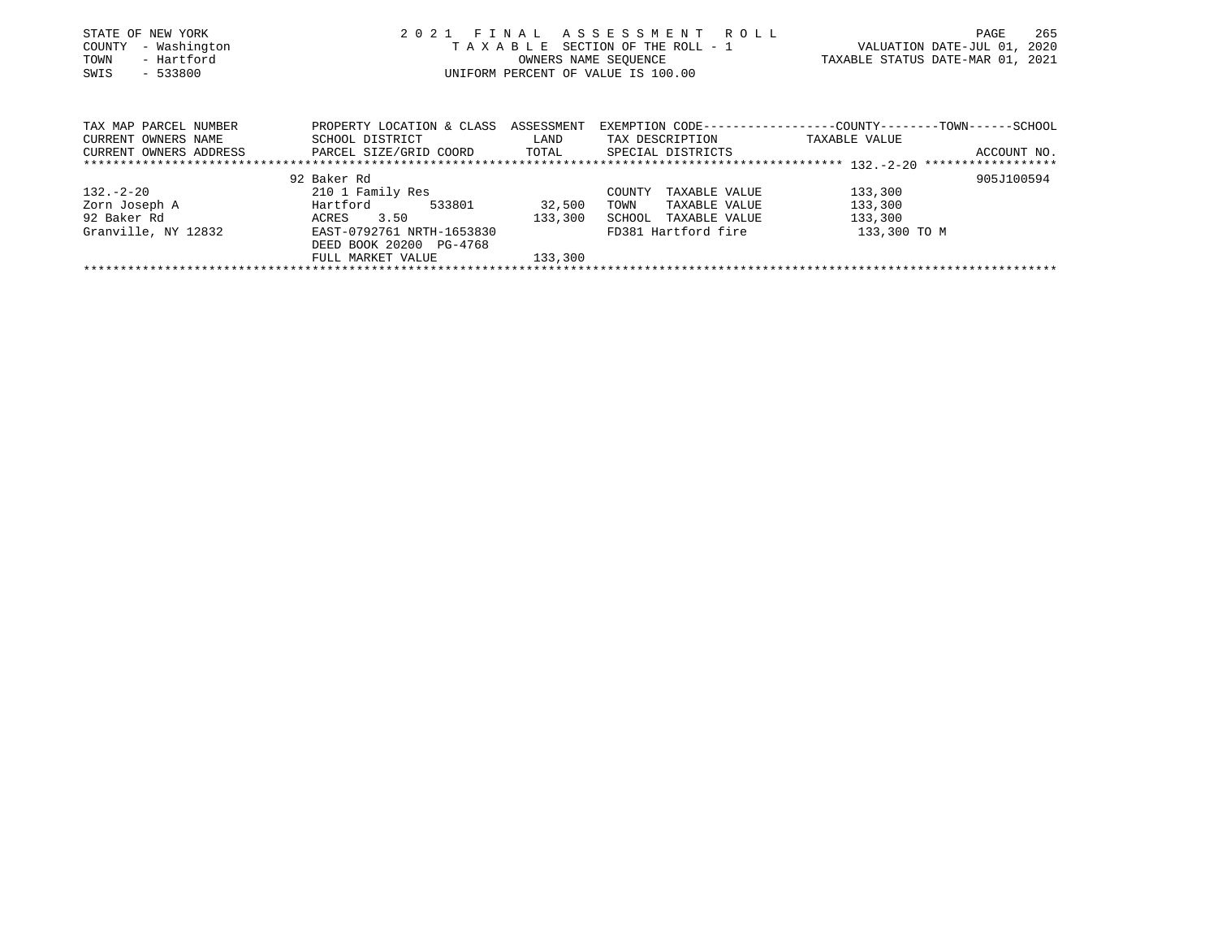| STATE OF NEW YORK<br>- Washington<br>COUNTY<br>- Hartford<br>TOWN<br>$-533800$<br>SWIS | 2021 FINAL ASSESSMENT ROLL<br>TAXABLE SECTION OF THE ROLL - 1<br>UNIFORM PERCENT OF VALUE IS 100.00             | PAGE<br>VALUATION DATE-JUL 01, 2020<br>TAXABLE STATUS DATE-MAR 01, 2021 | 265                                                                                                |                                                                                               |  |
|----------------------------------------------------------------------------------------|-----------------------------------------------------------------------------------------------------------------|-------------------------------------------------------------------------|----------------------------------------------------------------------------------------------------|-----------------------------------------------------------------------------------------------|--|
| TAX MAP PARCEL NUMBER<br>CURRENT OWNERS NAME<br>CURRENT OWNERS ADDRESS                 | PROPERTY LOCATION & CLASS<br>SCHOOL DISTRICT<br>PARCEL SIZE/GRID COORD                                          | ASSESSMENT<br>LAND<br>TOTAL                                             | TAX DESCRIPTION<br>SPECIAL DISTRICTS                                                               | EXEMPTION CODE-----------------COUNTY--------TOWN------SCHOOL<br>TAXABLE VALUE<br>ACCOUNT NO. |  |
|                                                                                        | 92 Baker Rd                                                                                                     |                                                                         |                                                                                                    | 905J100594                                                                                    |  |
| 132.-2-20<br>Zorn Joseph A<br>92 Baker Rd<br>Granville, NY 12832                       | 210 1 Family Res<br>Hartford<br>533801<br>3.50<br>ACRES<br>EAST-0792761 NRTH-1653830<br>DEED BOOK 20200 PG-4768 | 32,500<br>133,300                                                       | TAXABLE VALUE<br>COUNTY<br>TOWN<br>TAXABLE VALUE<br>SCHOOL<br>TAXABLE VALUE<br>FD381 Hartford fire | 133,300<br>133,300<br>133,300<br>133,300 TO M                                                 |  |

FULL MARKET VALUE 133,300 \*\*\*\*\*\*\*\*\*\*\*\*\*\*\*\*\*\*\*\*\*\*\*\*\*\*\*\*\*\*\*\*\*\*\*\*\*\*\*\*\*\*\*\*\*\*\*\*\*\*\*\*\*\*\*\*\*\*\*\*\*\*\*\*\*\*\*\*\*\*\*\*\*\*\*\*\*\*\*\*\*\*\*\*\*\*\*\*\*\*\*\*\*\*\*\*\*\*\*\*\*\*\*\*\*\*\*\*\*\*\*\*\*\*\*\*\*\*\*\*\*\*\*\*\*\*\*\*\*\*\*\*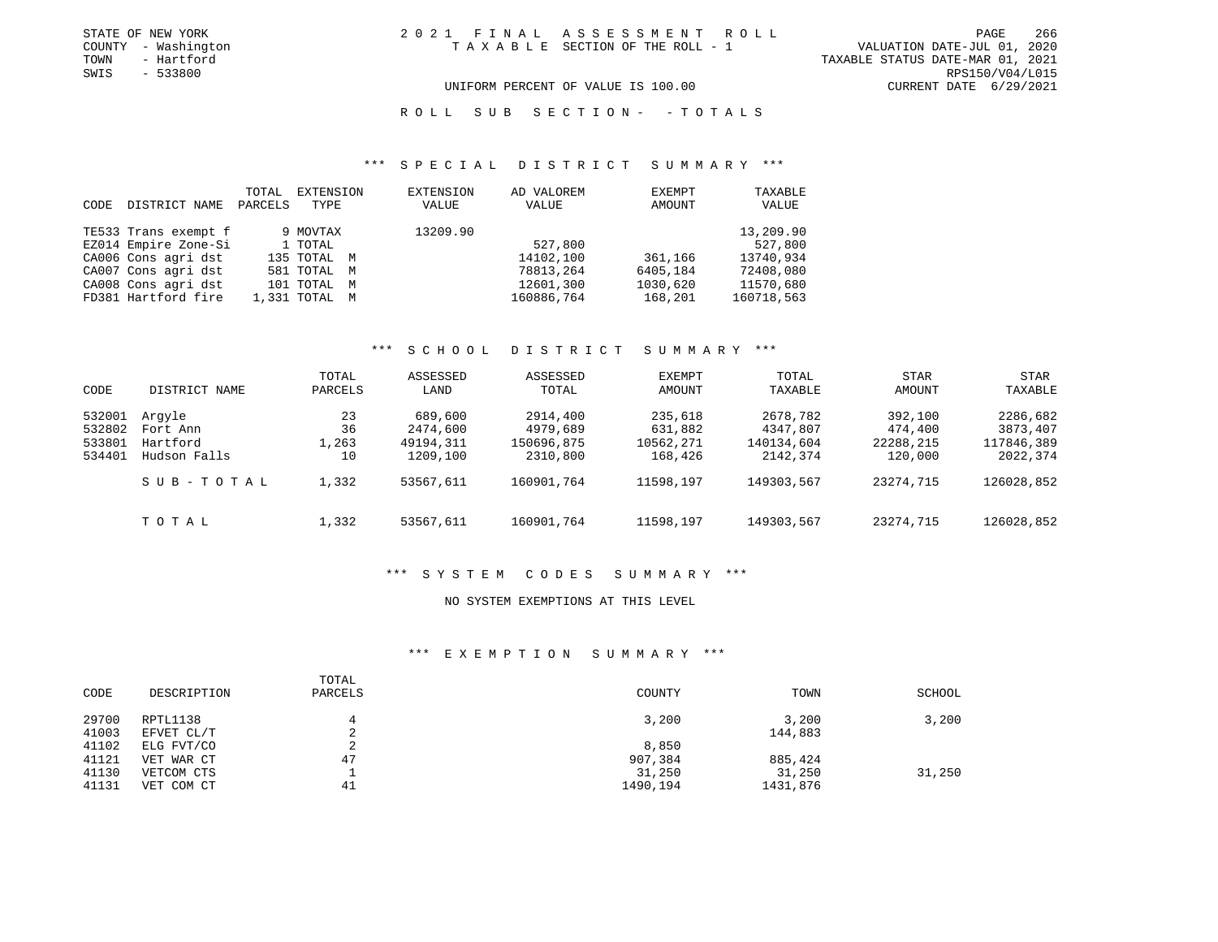| STATE OF NEW YORK   | 2021 FINAL ASSESSMENT ROLL      | PAGE                        | 266 |
|---------------------|---------------------------------|-----------------------------|-----|
| COUNTY - Washington | TAXABLE SECTION OF THE ROLL - 1 | VALUATION DATE-JUL 01, 2020 |     |

COUNTY - Washington T A X A B L E SECTION OF THE ROLL - 1 VALUATION DATE-JUL 01, 2020 TAXABLE STATUS DATE-MAR 01, 2021

SWIS - 533800 RPS150/V04/L015

# UNIFORM PERCENT OF VALUE IS 100.00 CURRENT DATE 6/29/2021

ROLL SUB SECTION - - TOTALS

#### \*\*\* S P E C I A L D I S T R I C T S U M M A R Y \*\*\*

| CODE. | DISTRICT NAME        | TOTAL<br>PARCELS | EXTENSION<br>TYPE | EXTENSION<br>VALUE | AD VALOREM<br>VALUE | EXEMPT<br>AMOUNT | TAXABLE<br>VALUE |
|-------|----------------------|------------------|-------------------|--------------------|---------------------|------------------|------------------|
|       | TE533 Trans exempt f |                  | 9 MOVTAX          | 13209.90           |                     |                  | 13,209.90        |
|       | EZ014 Empire Zone-Si |                  | 1 TOTAL           |                    | 527,800             |                  | 527,800          |
|       | CA006 Cons agri dst  |                  | 135 TOTAL M       |                    | 14102,100           | 361,166          | 13740,934        |
|       | CA007 Cons agri dst  |                  | 581 TOTAL<br>M    |                    | 78813,264           | 6405,184         | 72408,080        |
|       | CA008 Cons agri dst  |                  | 101 TOTAL<br>M    |                    | 12601,300           | 1030,620         | 11570,680        |
|       | FD381 Hartford fire  |                  | 1,331 TOTAL M     |                    | 160886,764          | 168,201          | 160718,563       |

# \*\*\* S C H O O L D I S T R I C T S U M M A R Y \*\*\*

| CODE                                 | DISTRICT NAME                                  | TOTAL<br>PARCELS        | ASSESSED<br>LAND                             | ASSESSED<br>TOTAL                              | EXEMPT<br>AMOUNT                           | TOTAL<br>TAXABLE                               | <b>STAR</b><br>AMOUNT                      | <b>STAR</b><br>TAXABLE                         |
|--------------------------------------|------------------------------------------------|-------------------------|----------------------------------------------|------------------------------------------------|--------------------------------------------|------------------------------------------------|--------------------------------------------|------------------------------------------------|
| 532001<br>532802<br>533801<br>534401 | Arqyle<br>Fort Ann<br>Hartford<br>Hudson Falls | 23<br>36<br>1,263<br>10 | 689,600<br>2474,600<br>49194,311<br>1209,100 | 2914,400<br>4979,689<br>150696,875<br>2310,800 | 235,618<br>631,882<br>10562,271<br>168,426 | 2678,782<br>4347,807<br>140134,604<br>2142,374 | 392,100<br>474,400<br>22288,215<br>120,000 | 2286,682<br>3873,407<br>117846,389<br>2022,374 |
|                                      | SUB-TOTAL                                      | 1,332                   | 53567,611                                    | 160901,764                                     | 11598,197                                  | 149303,567                                     | 23274,715                                  | 126028,852                                     |
|                                      | TOTAL                                          | 1,332                   | 53567,611                                    | 160901,764                                     | 11598,197                                  | 149303,567                                     | 23274,715                                  | 126028,852                                     |

#### \*\*\* S Y S T E M C O D E S S U M M A R Y \*\*\*

# NO SYSTEM EXEMPTIONS AT THIS LEVEL

# \*\*\* E X E M P T I O N S U M M A R Y \*\*\*

| CODE           | DESCRIPTION            | TOTAL<br>PARCELS | COUNTY   | TOWN             | SCHOOL |
|----------------|------------------------|------------------|----------|------------------|--------|
| 29700<br>41003 | RPTL1138<br>EFVET CL/T | $\sim$<br>∠      | 3,200    | 3,200<br>144,883 | 3,200  |
| 41102          | ELG FVT/CO             | ∠                | 8,850    |                  |        |
| 41121          | VET WAR CT             | 47               | 907,384  | 885,424          |        |
| 41130          | VETCOM CTS             |                  | 31,250   | 31,250           | 31,250 |
| 41131          | VET COM CT             | 41               | 1490,194 | 1431,876         |        |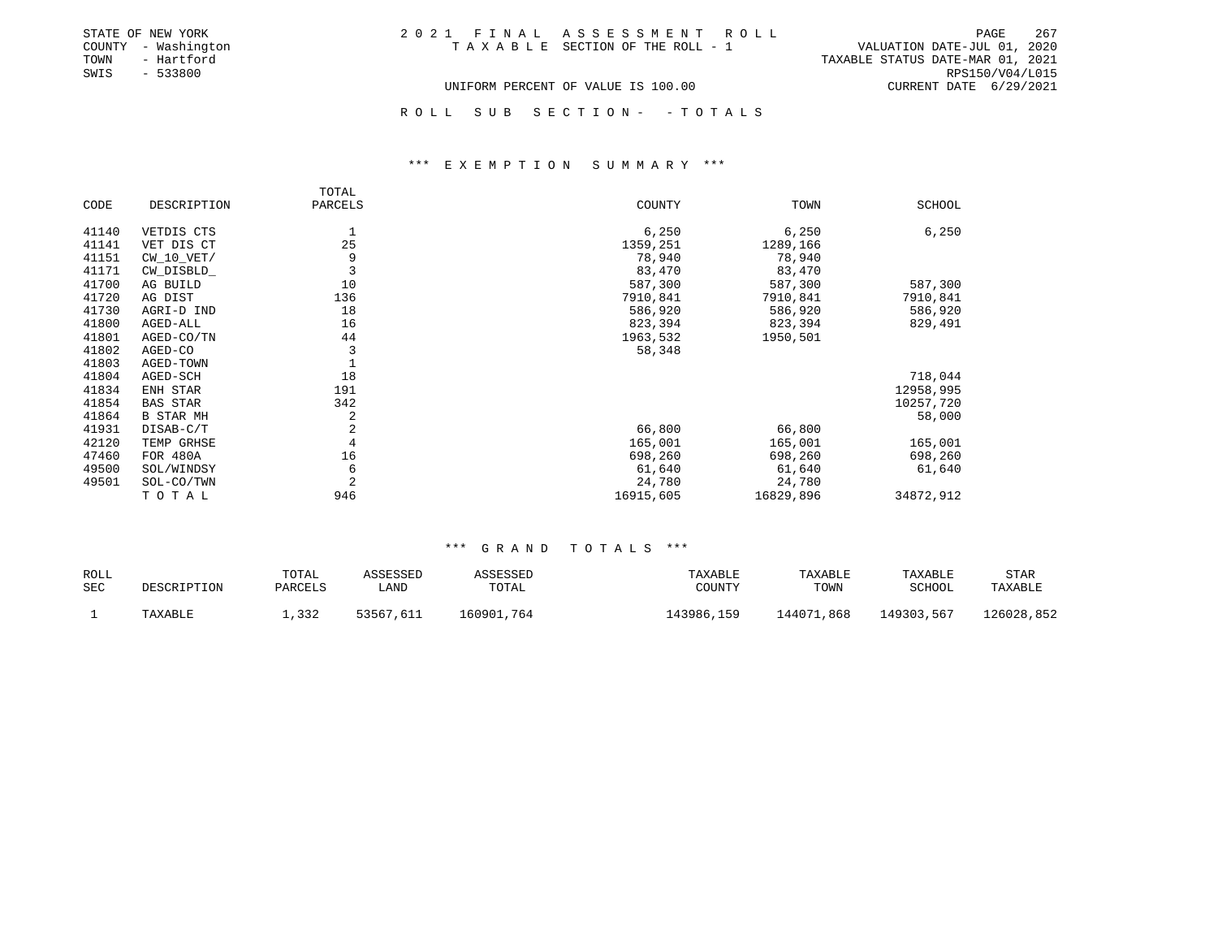| STATE OF NEW YORK   | 2021 FINAL ASSESSMENT ROLL         | 267<br>PAGE                      |
|---------------------|------------------------------------|----------------------------------|
| COUNTY - Washington | TAXABLE SECTION OF THE ROLL - 1    | VALUATION DATE-JUL 01, 2020      |
| TOWN<br>- Hartford  |                                    | TAXABLE STATUS DATE-MAR 01, 2021 |
| SWIS<br>- 533800    |                                    | RPS150/V04/L015                  |
|                     | UNIFORM PERCENT OF VALUE IS 100.00 | CURRENT DATE 6/29/2021           |

R O L L S U B S E C T I O N - - T O T A L S

#### \*\*\* E X E M P T I O N S U M M A R Y \*\*\*

|       |                  | TOTAL          |           |           |           |
|-------|------------------|----------------|-----------|-----------|-----------|
| CODE  | DESCRIPTION      | PARCELS        | COUNTY    | TOWN      | SCHOOL    |
| 41140 | VETDIS CTS       | 1              | 6,250     | 6,250     | 6,250     |
| 41141 | VET DIS CT       | 25             | 1359,251  | 1289,166  |           |
| 41151 | $CW_10_VET/$     | 9              | 78,940    | 78,940    |           |
| 41171 | CW_DISBLD_       | 3              | 83,470    | 83,470    |           |
| 41700 | AG BUILD         | 10             | 587,300   | 587,300   | 587,300   |
| 41720 | AG DIST          | 136            | 7910,841  | 7910,841  | 7910,841  |
| 41730 | AGRI-D IND       | 18             | 586,920   | 586,920   | 586,920   |
| 41800 | AGED-ALL         | 16             | 823,394   | 823,394   | 829,491   |
| 41801 | AGED-CO/TN       | 44             | 1963,532  | 1950,501  |           |
| 41802 | AGED-CO          | 3              | 58,348    |           |           |
| 41803 | AGED-TOWN        |                |           |           |           |
| 41804 | AGED-SCH         | 18             |           |           | 718,044   |
| 41834 | ENH STAR         | 191            |           |           | 12958,995 |
| 41854 | <b>BAS STAR</b>  | 342            |           |           | 10257,720 |
| 41864 | <b>B STAR MH</b> | 2              |           |           | 58,000    |
| 41931 | DISAB-C/T        | $\overline{a}$ | 66,800    | 66,800    |           |
| 42120 | TEMP GRHSE       | $\overline{4}$ | 165,001   | 165,001   | 165,001   |
| 47460 | FOR 480A         | 16             | 698,260   | 698,260   | 698,260   |
| 49500 | SOL/WINDSY       | 6              | 61,640    | 61,640    | 61,640    |
| 49501 | SOL-CO/TWN       | $\overline{2}$ | 24,780    | 24,780    |           |
|       | TOTAL            | 946            | 16915,605 | 16829,896 | 34872,912 |

| ROLL |             | TOTAL   | ASSESSED  | ASSESSED   | TAXABLE    | TAXABLE    | TAXABLE    | STAR       |
|------|-------------|---------|-----------|------------|------------|------------|------------|------------|
| SEC  | DESCRIPTION | PARCELS | ∟AND      | TOTAL      | COUNTY     | TOWN       | SCHOOL     | TAXABLE    |
|      | TAXABLE     | 1,332   | 53567,611 | 160901,764 | 143986,159 | 144071,868 | 149303,567 | 126028,852 |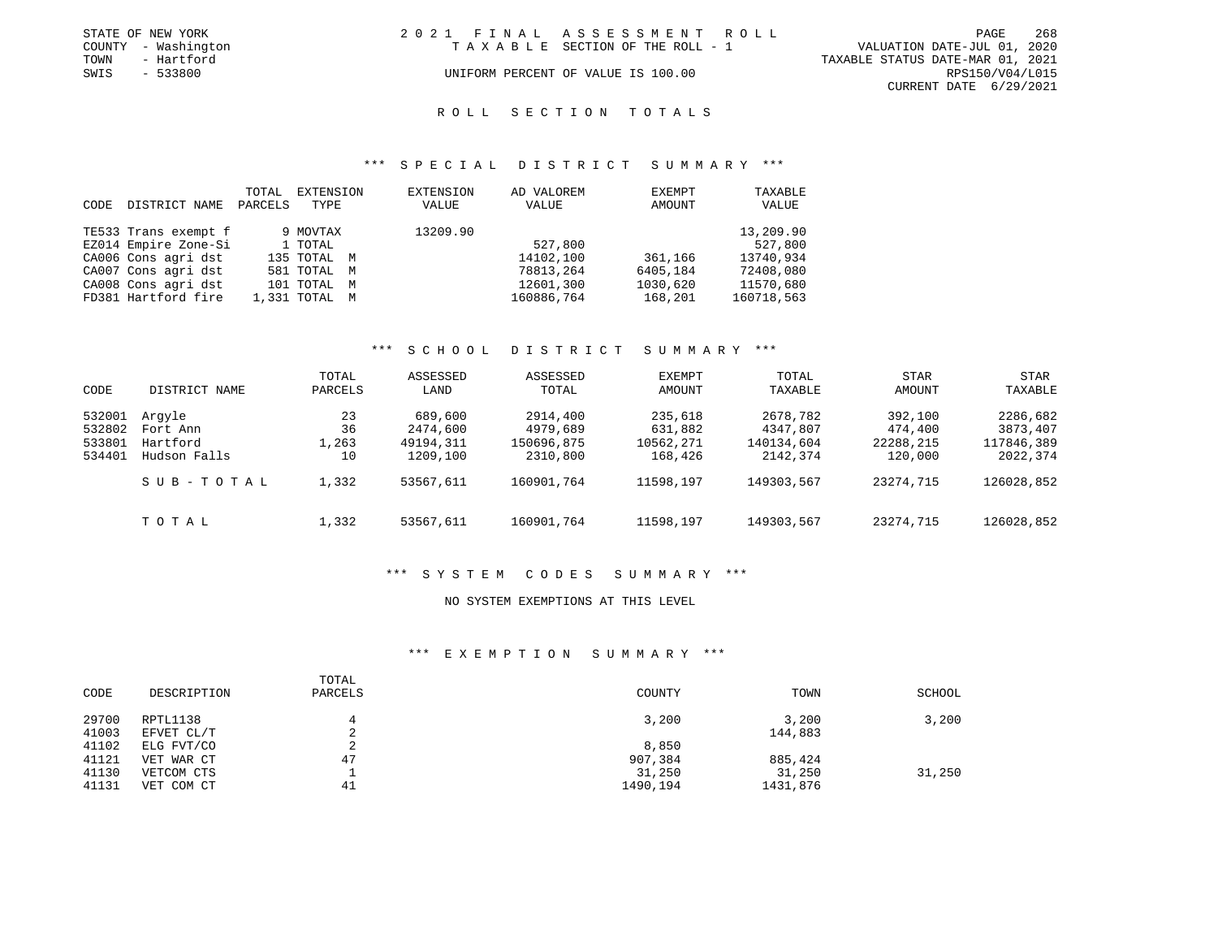| STATE OF NEW YORK   | 2021 FINAL ASSESSMENT ROLL         |                                  | PAGE            | 268 |
|---------------------|------------------------------------|----------------------------------|-----------------|-----|
| COUNTY - Washington | TAXABLE SECTION OF THE ROLL - 1    | VALUATION DATE-JUL 01, 2020      |                 |     |
| TOWN<br>- Hartford  |                                    | TAXABLE STATUS DATE-MAR 01, 2021 |                 |     |
| SWIS<br>- 533800    | UNIFORM PERCENT OF VALUE IS 100.00 |                                  | RPS150/V04/L015 |     |
|                     |                                    | CURRENT DATE 6/29/2021           |                 |     |

# ROLL SECTION TOTALS

#### \*\*\* S P E C I A L D I S T R I C T S U M M A R Y \*\*\*

| CODE | DISTRICT NAME        | TOTAL<br>PARCELS | EXTENSION<br>TYPE | EXTENSION<br>VALUE | AD VALOREM<br>VALUE | EXEMPT<br>AMOUNT | TAXABLE<br>VALUE |
|------|----------------------|------------------|-------------------|--------------------|---------------------|------------------|------------------|
|      | TE533 Trans exempt f |                  | 9 MOVTAX          | 13209.90           |                     |                  | 13,209.90        |
|      | EZ014 Empire Zone-Si |                  | 1 TOTAL           |                    | 527,800             |                  | 527,800          |
|      | CA006 Cons agri dst  |                  | 135 TOTAL M       |                    | 14102,100           | 361,166          | 13740,934        |
|      | CA007 Cons agri dst  |                  | 581 TOTAL M       |                    | 78813,264           | 6405,184         | 72408,080        |
|      | CA008 Cons agri dst  |                  | 101 TOTAL M       |                    | 12601,300           | 1030,620         | 11570,680        |
|      | FD381 Hartford fire  |                  | 1,331 TOTAL M     |                    | 160886,764          | 168,201          | 160718,563       |

# \*\*\* S C H O O L D I S T R I C T S U M M A R Y \*\*\*

| CODE                                 | DISTRICT NAME                                  | TOTAL<br>PARCELS        | ASSESSED<br>LAND                             | ASSESSED<br>TOTAL                              | EXEMPT<br>AMOUNT                           | <b>TOTAL</b><br>TAXABLE                        | <b>STAR</b><br>AMOUNT                      | STAR<br>TAXABLE                                |
|--------------------------------------|------------------------------------------------|-------------------------|----------------------------------------------|------------------------------------------------|--------------------------------------------|------------------------------------------------|--------------------------------------------|------------------------------------------------|
| 532001<br>532802<br>533801<br>534401 | Arqyle<br>Fort Ann<br>Hartford<br>Hudson Falls | 23<br>36<br>1,263<br>10 | 689,600<br>2474,600<br>49194,311<br>1209,100 | 2914,400<br>4979,689<br>150696,875<br>2310,800 | 235,618<br>631,882<br>10562,271<br>168,426 | 2678,782<br>4347,807<br>140134,604<br>2142,374 | 392,100<br>474,400<br>22288,215<br>120,000 | 2286,682<br>3873,407<br>117846,389<br>2022,374 |
|                                      | SUB-TOTAL                                      | 1,332                   | 53567,611                                    | 160901,764                                     | 11598,197                                  | 149303,567                                     | 23274,715                                  | 126028,852                                     |
|                                      | TOTAL                                          | 1,332                   | 53567,611                                    | 160901,764                                     | 11598,197                                  | 149303,567                                     | 23274,715                                  | 126028,852                                     |

#### \*\*\* S Y S T E M C O D E S S U M M A R Y \*\*\*

### NO SYSTEM EXEMPTIONS AT THIS LEVEL

# \*\*\* E X E M P T I O N S U M M A R Y \*\*\*

| CODE           | DESCRIPTION            | TOTAL<br>PARCELS | COUNTY   | TOWN             | SCHOOL |
|----------------|------------------------|------------------|----------|------------------|--------|
| 29700<br>41003 | RPTL1138<br>EFVET CL/T | $\sim$<br>▵      | 3,200    | 3,200<br>144,883 | 3,200  |
| 41102          | ELG FVT/CO             | $\sim$<br>▵      | 8,850    |                  |        |
| 41121          | VET WAR CT             | 47               | 907,384  | 885,424          |        |
| 41130          | VETCOM CTS             |                  | 31,250   | 31,250           | 31,250 |
| 41131          | VET COM CT             | 41               | 1490,194 | 1431,876         |        |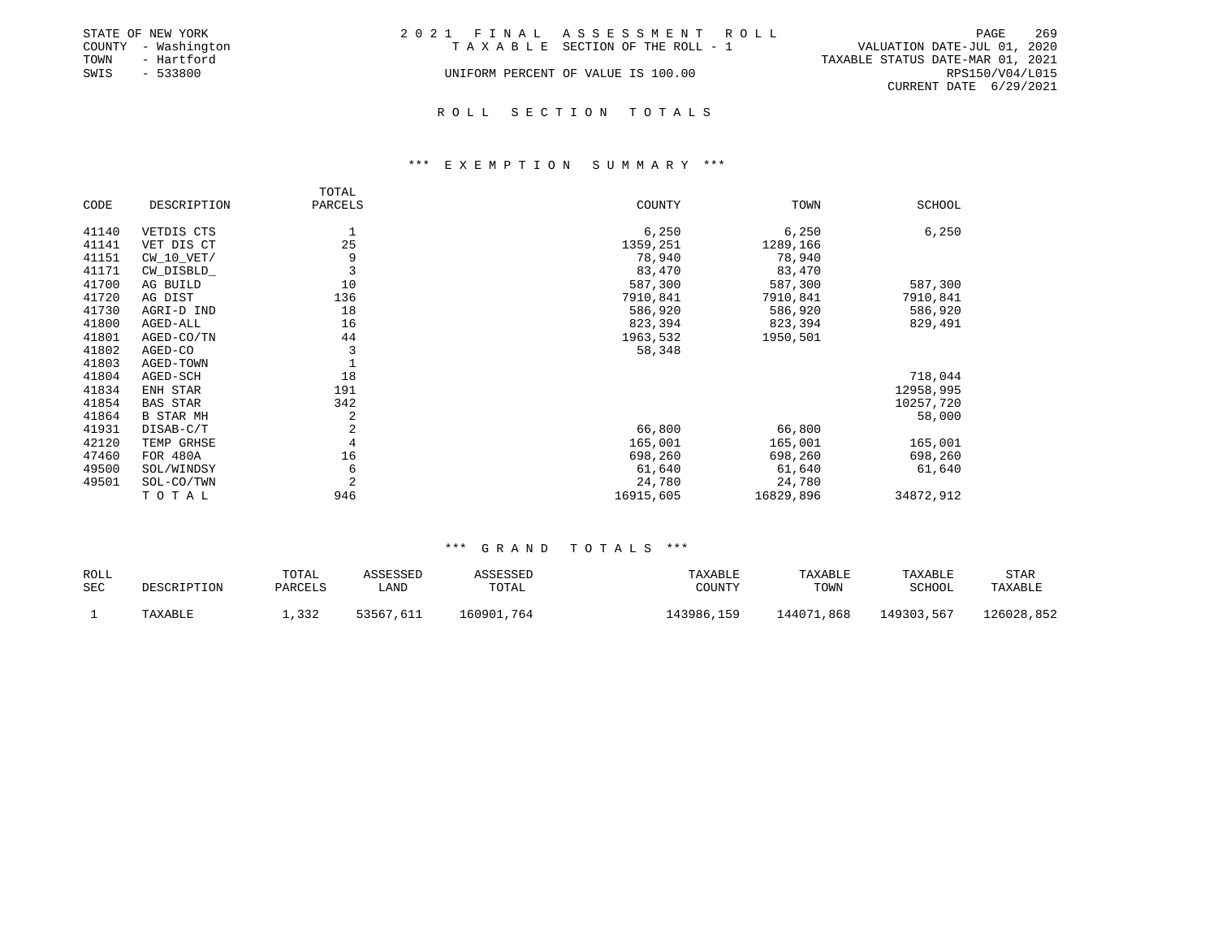|      | STATE OF NEW YORK   | 2021 FINAL ASSESSMENT ROLL |                                    |                                  | PAGE            | -269 |
|------|---------------------|----------------------------|------------------------------------|----------------------------------|-----------------|------|
|      | COUNTY - Washington |                            | TAXABLE SECTION OF THE ROLL - 1    | VALUATION DATE-JUL 01, 2020      |                 |      |
| TOWN | - Hartford          |                            |                                    | TAXABLE STATUS DATE-MAR 01, 2021 |                 |      |
| SWIS | $-533800$           |                            | UNIFORM PERCENT OF VALUE IS 100.00 |                                  | RPS150/V04/L015 |      |
|      |                     |                            |                                    | CURRENT DATE 6/29/2021           |                 |      |
|      |                     |                            |                                    |                                  |                 |      |

# ROLL SECTION TOTALS

#### \*\*\* E X E M P T I O N S U M M A R Y \*\*\*

|       |              | TOTAL          |           |           |               |
|-------|--------------|----------------|-----------|-----------|---------------|
| CODE  | DESCRIPTION  | PARCELS        | COUNTY    | TOWN      | <b>SCHOOL</b> |
| 41140 | VETDIS CTS   |                | 6,250     | 6,250     | 6,250         |
| 41141 | VET DIS CT   | 25             | 1359,251  | 1289,166  |               |
| 41151 | $CW_10_VET/$ | 9              | 78,940    | 78,940    |               |
| 41171 | CW_DISBLD_   | 3              | 83,470    | 83,470    |               |
| 41700 | AG BUILD     | 10             | 587,300   | 587,300   | 587,300       |
| 41720 | AG DIST      | 136            | 7910,841  | 7910,841  | 7910,841      |
| 41730 | AGRI-D IND   | 18             | 586,920   | 586,920   | 586,920       |
| 41800 | AGED-ALL     | 16             | 823,394   | 823,394   | 829,491       |
| 41801 | AGED-CO/TN   | 44             | 1963,532  | 1950,501  |               |
| 41802 | AGED-CO      | 3              | 58,348    |           |               |
| 41803 | AGED-TOWN    |                |           |           |               |
| 41804 | AGED-SCH     | 18             |           |           | 718,044       |
| 41834 | ENH STAR     | 191            |           |           | 12958,995     |
| 41854 | BAS STAR     | 342            |           |           | 10257,720     |
| 41864 | B STAR MH    | 2              |           |           | 58,000        |
| 41931 | DISAB-C/T    | $\overline{c}$ | 66,800    | 66,800    |               |
| 42120 | TEMP GRHSE   | $\overline{4}$ | 165,001   | 165,001   | 165,001       |
| 47460 | FOR 480A     | 16             | 698,260   | 698,260   | 698,260       |
| 49500 | SOL/WINDSY   | 6              | 61,640    | 61,640    | 61,640        |
| 49501 | SOL-CO/TWN   | $\overline{2}$ | 24,780    | 24,780    |               |
|       | TOTAL        | 946            | 16915,605 | 16829,896 | 34872,912     |

| ROLL |             | TOTAL   | ASSESSED  | ASSESSED   | TAXABLE    | TAXABLE    | TAXABLE    | STAR       |
|------|-------------|---------|-----------|------------|------------|------------|------------|------------|
| SEC  | DESCRIPTION | PARCELS | LAND      | TOTAL      | COUNTY     | TOWN       | SCHOOL     | TAXABLE    |
|      | TAXABLE     | 1,332   | 53567,611 | 160901,764 | 143986,159 | 144071,868 | 149303,567 | 126028,852 |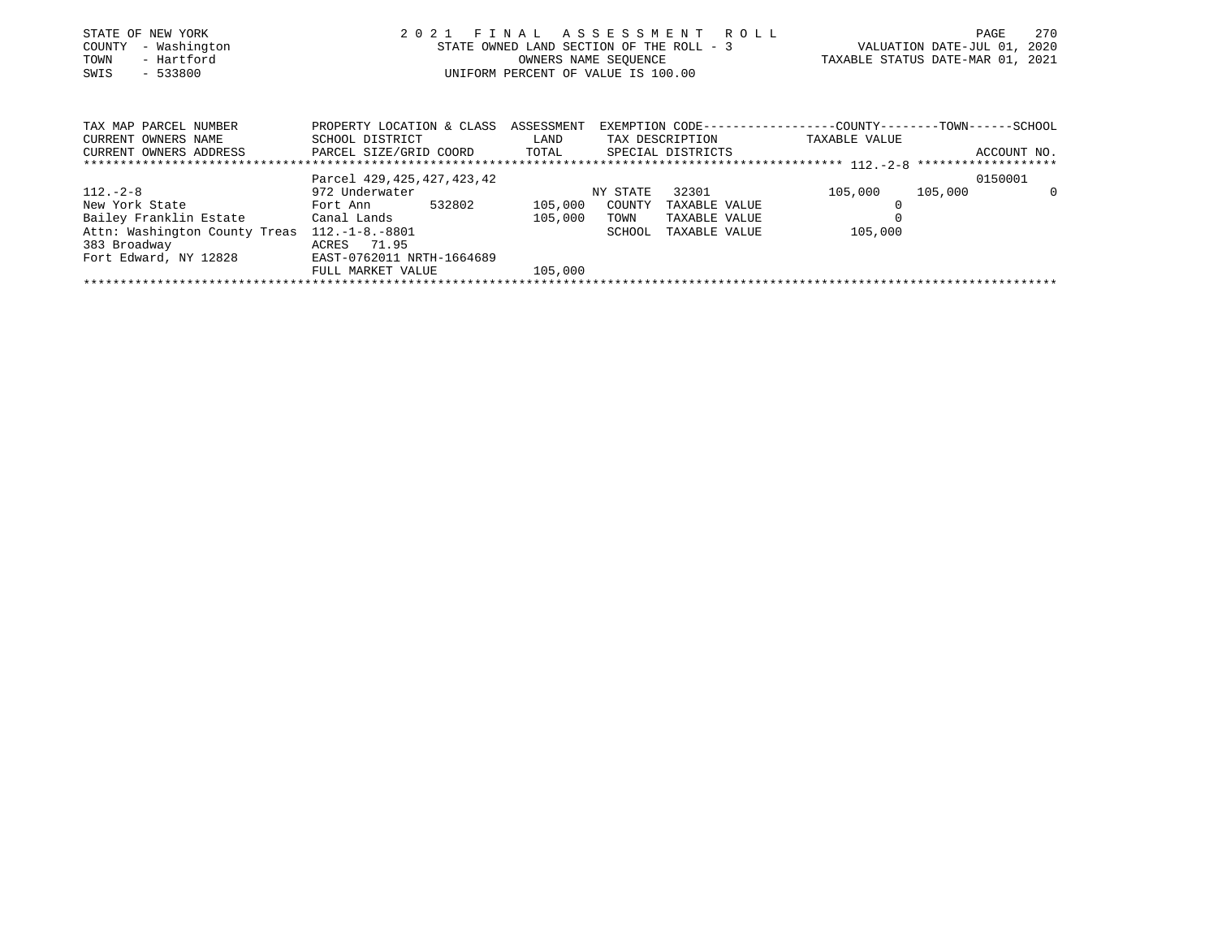| STATE OF NEW YORK   | 2021 FINAL ASSESSMENT ROLL               | 2.70<br>PAGE                     |
|---------------------|------------------------------------------|----------------------------------|
| COUNTY - Washington | STATE OWNED LAND SECTION OF THE ROLL - 3 | VALUATION DATE-JUL 01, 2020      |
| - Hartford<br>TOWN  | OWNERS NAME SEOUENCE                     | TAXABLE STATUS DATE-MAR 01, 2021 |
| SWIS<br>$-533800$   | UNIFORM PERCENT OF VALUE IS 100.00       |                                  |
|                     |                                          |                                  |

| TAX MAP PARCEL NUMBER         | PROPERTY LOCATION & CLASS     |         | ASSESSMENT<br>EXEMPTION CODE-----------------COUNTY-------TOWN------SCHOOL |                   |               |         |             |
|-------------------------------|-------------------------------|---------|----------------------------------------------------------------------------|-------------------|---------------|---------|-------------|
| CURRENT OWNERS NAME           | SCHOOL DISTRICT               | LAND    | TAX DESCRIPTION                                                            |                   | TAXABLE VALUE |         |             |
| CURRENT OWNERS ADDRESS        | PARCEL SIZE/GRID COORD        | TOTAL   |                                                                            | SPECIAL DISTRICTS |               |         | ACCOUNT NO. |
|                               |                               |         |                                                                            |                   |               |         |             |
|                               | Parcel 429, 425, 427, 423, 42 |         |                                                                            |                   |               | 0150001 |             |
| $112.-2-8$                    | 972 Underwater                |         | NY STATE                                                                   | 32301             | 105,000       | 105,000 | $\Omega$    |
| New York State                | 532802<br>Fort Ann            | 105,000 | COUNTY                                                                     | TAXABLE VALUE     |               |         |             |
| Bailey Franklin Estate        | Canal Lands                   | 105,000 | TOWN                                                                       | TAXABLE VALUE     |               |         |             |
| Attn: Washington County Treas | $112.-1-8.-8801$              |         | SCHOOL                                                                     | TAXABLE VALUE     | 105,000       |         |             |
| 383 Broadway                  | ACRES 71.95                   |         |                                                                            |                   |               |         |             |
| Fort Edward, NY 12828         | EAST-0762011 NRTH-1664689     |         |                                                                            |                   |               |         |             |
|                               | FULL MARKET VALUE             | 105,000 |                                                                            |                   |               |         |             |
|                               |                               |         |                                                                            |                   |               |         |             |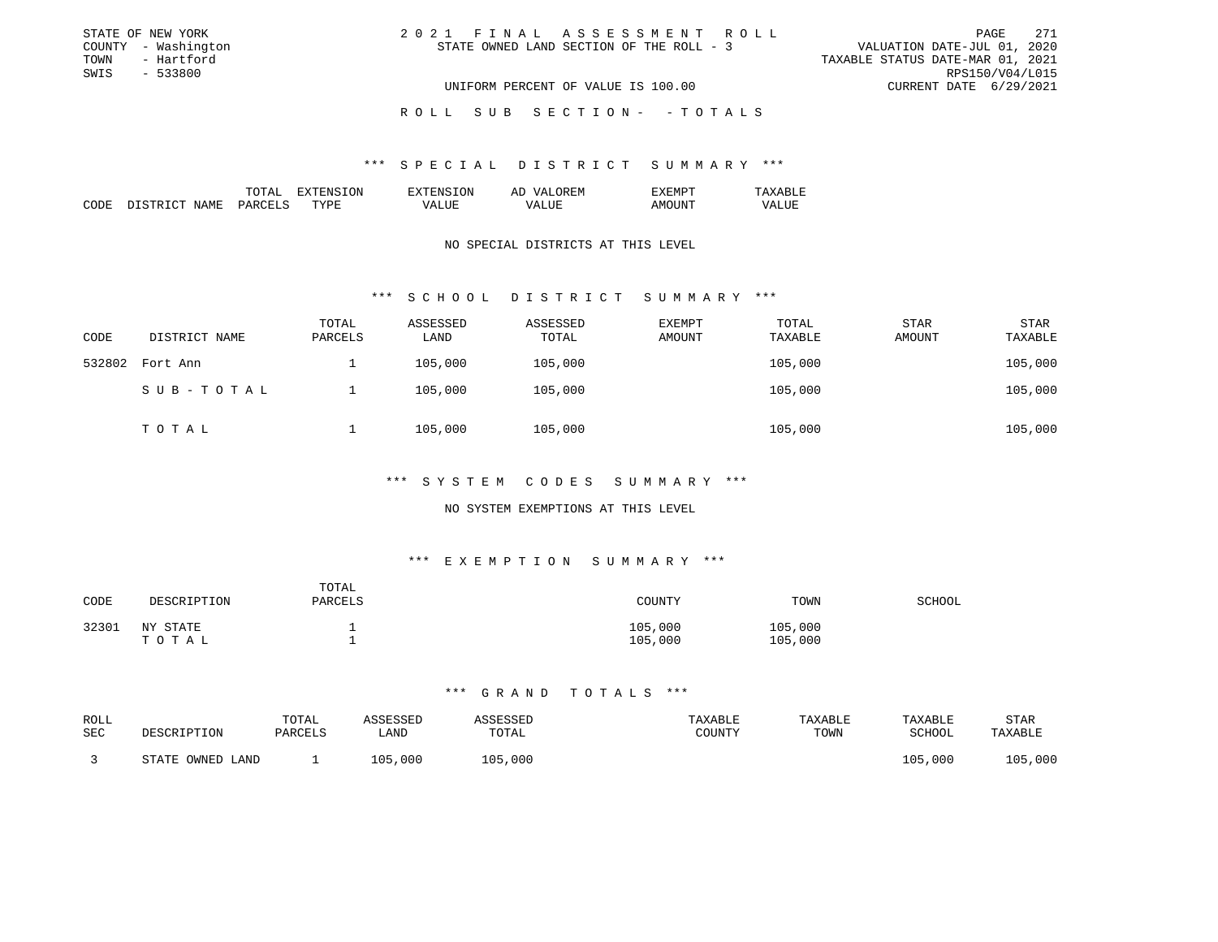| STATE OF NEW YORK   | 2021 FINAL ASSESSMENT ROLL               | 271<br>PAGE                      |
|---------------------|------------------------------------------|----------------------------------|
| COUNTY - Washington | STATE OWNED LAND SECTION OF THE ROLL - 3 | VALUATION DATE-JUL 01, 2020      |
| - Hartford<br>TOWN  |                                          | TAXABLE STATUS DATE-MAR 01, 2021 |
| SWIS<br>- 533800    |                                          | RPS150/V04/L015                  |
|                     | UNIFORM PERCENT OF VALUE IS 100.00       | CURRENT DATE 6/29/2021           |
|                     |                                          |                                  |

# ROLL SUB SECTION - - TOTALS

#### \*\*\* S P E C I A L D I S T R I C T S U M M A R Y \*\*\*

|                                                                                                                       | . . | 'N<br>'NE | -- |  |
|-----------------------------------------------------------------------------------------------------------------------|-----|-----------|----|--|
| oп<br>the contract of the contract of the contract of the contract of the contract of the contract of the contract of |     |           |    |  |

# NO SPECIAL DISTRICTS AT THIS LEVEL

# \*\*\* S C H O O L D I S T R I C T S U M M A R Y \*\*\*

| CODE   | DISTRICT NAME | TOTAL<br>PARCELS | ASSESSED<br>LAND | ASSESSED<br>TOTAL | EXEMPT<br>AMOUNT | TOTAL<br>TAXABLE | <b>STAR</b><br>AMOUNT | <b>STAR</b><br>TAXABLE |
|--------|---------------|------------------|------------------|-------------------|------------------|------------------|-----------------------|------------------------|
| 532802 | Fort Ann      |                  | 105,000          | 105,000           |                  | 105,000          |                       | 105,000                |
|        | SUB-TOTAL     |                  | 105,000          | 105,000           |                  | 105,000          |                       | 105,000                |
|        | ТОТАЬ         |                  | 105,000          | 105,000           |                  | 105,000          |                       | 105,000                |

# \*\*\* S Y S T E M C O D E S S U M M A R Y \*\*\*

# NO SYSTEM EXEMPTIONS AT THIS LEVEL

# \*\*\* E X E M P T I O N S U M M A R Y \*\*\*

| CODE  | DESCRIPTION       | TOTAL<br>PARCELS | COUNTY             | TOWN               | SCHOOL |
|-------|-------------------|------------------|--------------------|--------------------|--------|
| 32301 | NY STATE<br>TOTAL |                  | 105,000<br>105,000 | 105,000<br>105,000 |        |

| ROLL<br>SEC | DESCRIPTION         | TOTAL<br>PARCELS | \SSESSED<br>∟AND | SSESSEL<br>TOTAL | TAXABLE<br>COUNTY | TAXABLE<br>TOWN | TAXABLE<br>SCHOOL | STAR<br>TAXABLE |
|-------------|---------------------|------------------|------------------|------------------|-------------------|-----------------|-------------------|-----------------|
|             | OWNED LAND<br>STATE |                  | 105,000          | 105,000          |                   |                 | 105,000           | 105,000         |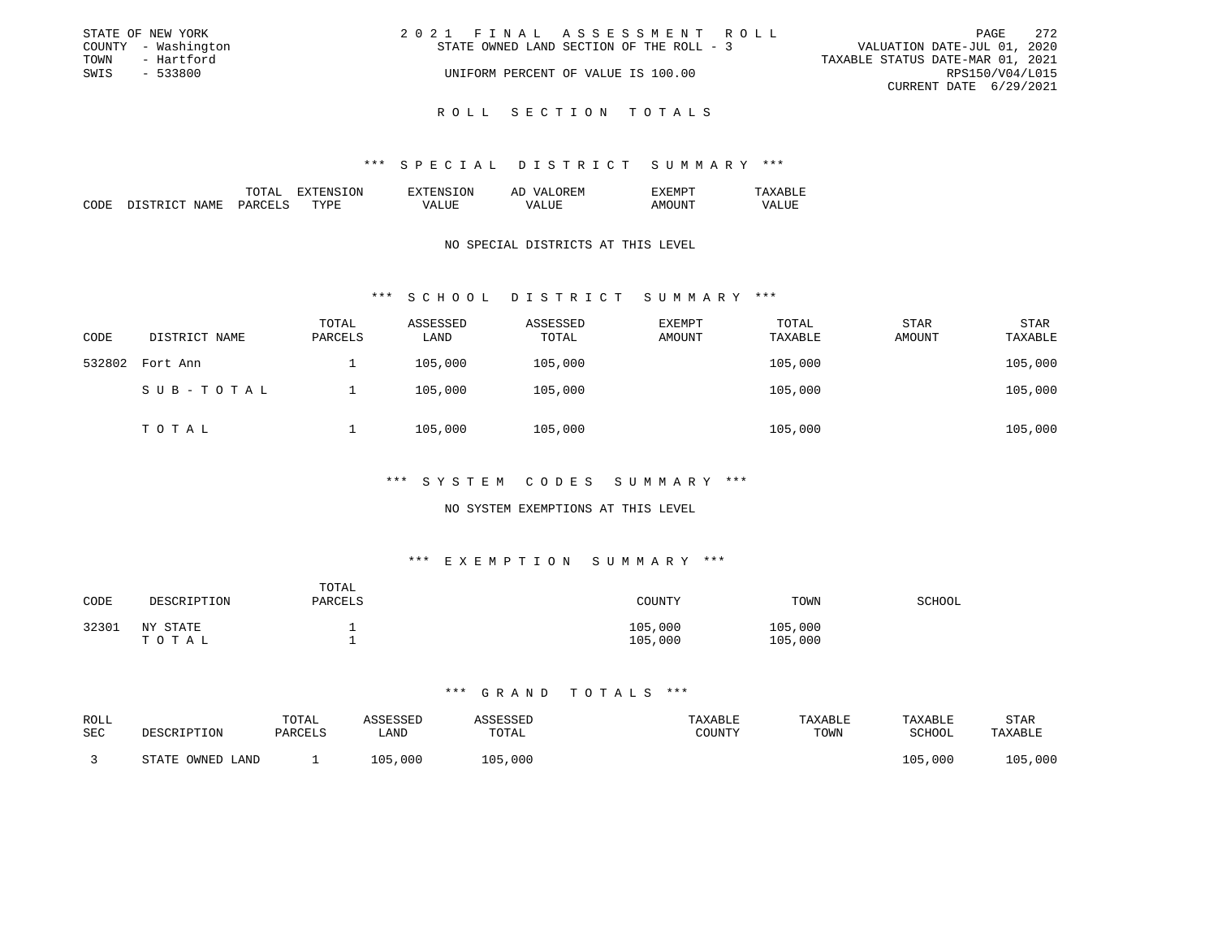| STATE OF NEW YORK   | 2021 FINAL ASSESSMENT ROLL               | 2.72<br>PAGE                     |
|---------------------|------------------------------------------|----------------------------------|
| COUNTY - Washington | STATE OWNED LAND SECTION OF THE ROLL - 3 | VALUATION DATE-JUL 01, 2020      |
| TOWN<br>- Hartford  |                                          | TAXABLE STATUS DATE-MAR 01, 2021 |
| SWIS<br>$-533800$   | UNIFORM PERCENT OF VALUE IS 100.00       | RPS150/V04/L015                  |
|                     |                                          | CURRENT DATE 6/29/2021           |
|                     |                                          |                                  |

# ROLL SECTION TOTALS

#### \*\*\* S P E C I A L D I S T R I C T S U M M A R Y \*\*\*

|  | . А | эN | -- |  |
|--|-----|----|----|--|
|  |     |    |    |  |
|  |     |    |    |  |

# NO SPECIAL DISTRICTS AT THIS LEVEL

# \*\*\* S C H O O L D I S T R I C T S U M M A R Y \*\*\*

| CODE   | DISTRICT NAME | TOTAL<br>PARCELS | ASSESSED<br>LAND | ASSESSED<br>TOTAL | EXEMPT<br>AMOUNT | TOTAL<br>TAXABLE | STAR<br>AMOUNT | <b>STAR</b><br>TAXABLE |
|--------|---------------|------------------|------------------|-------------------|------------------|------------------|----------------|------------------------|
| 532802 | Fort Ann      |                  | 105,000          | 105,000           |                  | 105,000          |                | 105,000                |
|        | SUB-TOTAL     |                  | 105,000          | 105,000           |                  | 105,000          |                | 105,000                |
|        | TOTAL         |                  | 105,000          | 105,000           |                  | 105,000          |                | 105,000                |

#### \*\*\* S Y S T E M C O D E S S U M M A R Y \*\*\*

# NO SYSTEM EXEMPTIONS AT THIS LEVEL

# \*\*\* E X E M P T I O N S U M M A R Y \*\*\*

| CODE  | DESCRIPTION       | TOTAL<br>PARCELS | COUNTY             | TOWN               | SCHOOL |
|-------|-------------------|------------------|--------------------|--------------------|--------|
| 32301 | NY STATE<br>ТОТАЬ |                  | 105,000<br>105,000 | 105,000<br>105,000 |        |

| ROLL<br>SEC | DESCRIPTION         | TOTAL<br>PARCELS | \SSESSED<br>∟AND | TOTAL   | TAXABLE<br>TOUNTY | TAXABLE<br>TOWN | TAXABLE<br><b>SCHOOL</b> | STAR<br>TAXABLE |
|-------------|---------------------|------------------|------------------|---------|-------------------|-----------------|--------------------------|-----------------|
|             | OWNED LAND<br>STATE |                  | LO 5<br>,000     | 105,000 |                   |                 | 105,000                  | 105,000         |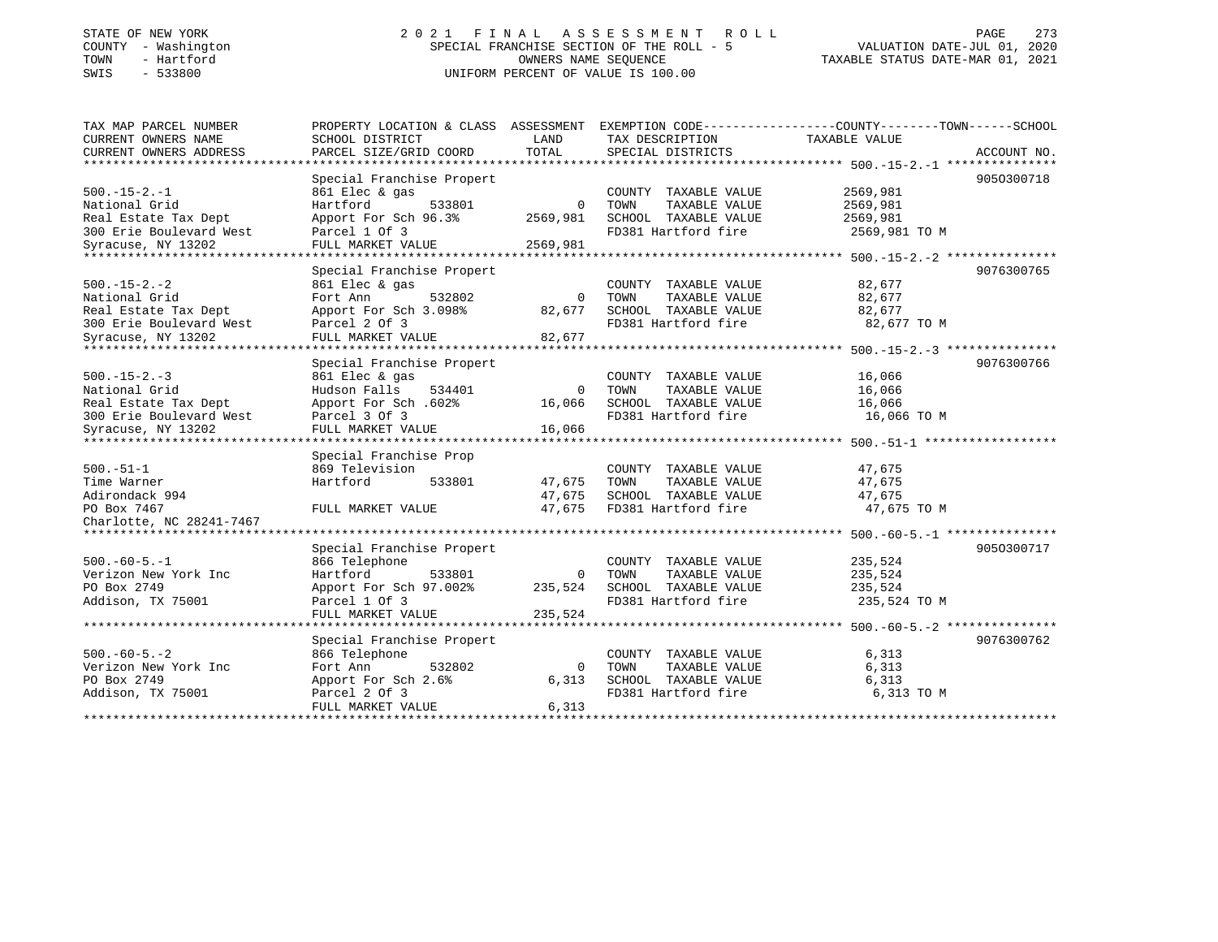# STATE OF NEW YORK 2 0 2 1 F I N A L A S S E S S M E N T R O L L PAGE 273 COUNTY - Washington SPECIAL FRANCHISE SECTION OF THE ROLL - 5 VALUATION DATE-JUL 01, 2020 TOWN - Hartford OWNERS NAME SEQUENCE TAXABLE STATUS DATE-MAR 01, 2021 SWIS - 533800 UNIFORM PERCENT OF VALUE IS 100.00

| TAX MAP PARCEL NUMBER          | PROPERTY LOCATION & CLASS ASSESSMENT |             |                       | EXEMPTION CODE-----------------COUNTY-------TOWN------SCHOOL |  |
|--------------------------------|--------------------------------------|-------------|-----------------------|--------------------------------------------------------------|--|
| CURRENT OWNERS NAME            | SCHOOL DISTRICT                      | LAND        | TAX DESCRIPTION       | TAXABLE VALUE                                                |  |
| CURRENT OWNERS ADDRESS         | PARCEL SIZE/GRID COORD               | TOTAL       | SPECIAL DISTRICTS     | ACCOUNT NO.                                                  |  |
|                                |                                      |             |                       |                                                              |  |
|                                | Special Franchise Propert            |             |                       | 9050300718                                                   |  |
| $500.-15-2.-1$                 | 861 Elec & gas                       |             | COUNTY TAXABLE VALUE  | 2569,981                                                     |  |
| National Grid                  | 533801<br>Hartford                   | $\Omega$    | TOWN<br>TAXABLE VALUE | 2569,981                                                     |  |
| Real Estate Tax Dept           | Apport For Sch 96.3%                 | 2569,981    | SCHOOL TAXABLE VALUE  | 2569,981                                                     |  |
| 300 Erie Boulevard West        | Parcel 1 Of 3                        |             | FD381 Hartford fire   | 2569,981 TO M                                                |  |
| Syracuse, NY 13202             | FULL MARKET VALUE                    | 2569,981    |                       |                                                              |  |
| **************************     | ****************************         |             |                       |                                                              |  |
|                                | Special Franchise Propert            |             |                       | 9076300765                                                   |  |
| $500. - 15 - 2. - 2$           | 861 Elec & gas                       |             | COUNTY TAXABLE VALUE  | 82,677                                                       |  |
| National Grid                  | 532802<br>Fort Ann                   | $\Omega$    | TOWN<br>TAXABLE VALUE | 82,677                                                       |  |
| Real Estate Tax Dept           | Apport For Sch 3.098%                | 82,677      | SCHOOL TAXABLE VALUE  | 82,677                                                       |  |
| 300 Erie Boulevard West        | Parcel 2 Of 3                        |             | FD381 Hartford fire   | 82,677 TO M                                                  |  |
| Syracuse, NY 13202             | FULL MARKET VALUE                    | 82,677      |                       |                                                              |  |
|                                |                                      |             |                       |                                                              |  |
|                                | Special Franchise Propert            |             |                       | 9076300766                                                   |  |
| $500. -15 - 2. -3$             | 861 Elec & gas                       |             | COUNTY TAXABLE VALUE  | 16,066                                                       |  |
| National Grid                  | Hudson Falls<br>534401               | $\Omega$    | TAXABLE VALUE<br>TOWN | 16,066                                                       |  |
| Real Estate Tax Dept           | Apport For Sch. 602%                 | 16,066      | SCHOOL TAXABLE VALUE  | 16,066                                                       |  |
| 300 Erie Boulevard West        | Parcel 3 Of 3                        |             | FD381 Hartford fire   | 16,066 TO M                                                  |  |
| Syracuse, NY 13202             | FULL MARKET VALUE                    | 16,066      |                       |                                                              |  |
|                                |                                      |             |                       |                                                              |  |
|                                | Special Franchise Prop               |             |                       |                                                              |  |
| $500. - 51 - 1$                | 869 Television                       |             | COUNTY TAXABLE VALUE  | 47,675                                                       |  |
| Time Warner                    | Hartford<br>533801                   | 47,675      | TOWN<br>TAXABLE VALUE | 47,675                                                       |  |
| Adirondack 994                 |                                      | 47,675      | SCHOOL TAXABLE VALUE  | 47,675                                                       |  |
| PO Box 7467                    | FULL MARKET VALUE                    | 47,675      | FD381 Hartford fire   | 47,675 TO M                                                  |  |
| Charlotte, NC 28241-7467       |                                      |             |                       |                                                              |  |
| ****************************** |                                      |             |                       |                                                              |  |
|                                | Special Franchise Propert            |             |                       | 9050300717                                                   |  |
| $500. -60 - 5. -1$             | 866 Telephone                        |             | COUNTY TAXABLE VALUE  | 235,524                                                      |  |
| Verizon New York Inc           | Hartford<br>533801                   | $\Omega$    | TAXABLE VALUE<br>TOWN | 235,524                                                      |  |
| PO Box 2749                    | Apport For Sch 97.002%               | 235,524     | SCHOOL TAXABLE VALUE  | 235,524                                                      |  |
| Addison, TX 75001              | Parcel 1 Of 3                        |             | FD381 Hartford fire   | 235,524 TO M                                                 |  |
|                                | FULL MARKET VALUE                    | 235,524     |                       |                                                              |  |
|                                |                                      |             |                       |                                                              |  |
|                                | Special Franchise Propert            |             |                       | 9076300762                                                   |  |
| $500. -60 - 5. -2$             | 866 Telephone                        |             | COUNTY TAXABLE VALUE  | 6,313                                                        |  |
| Verizon New York Inc           | 532802<br>Fort Ann                   | $\mathbf 0$ | TOWN<br>TAXABLE VALUE | 6,313                                                        |  |
| PO Box 2749                    | Apport For Sch 2.6%                  | 6,313       | SCHOOL TAXABLE VALUE  | 6,313                                                        |  |
| Addison, TX 75001              | Parcel 2 Of 3                        |             | FD381 Hartford fire   | 6,313 TO M                                                   |  |
|                                | FULL MARKET VALUE                    | 6,313       |                       |                                                              |  |
|                                |                                      |             |                       |                                                              |  |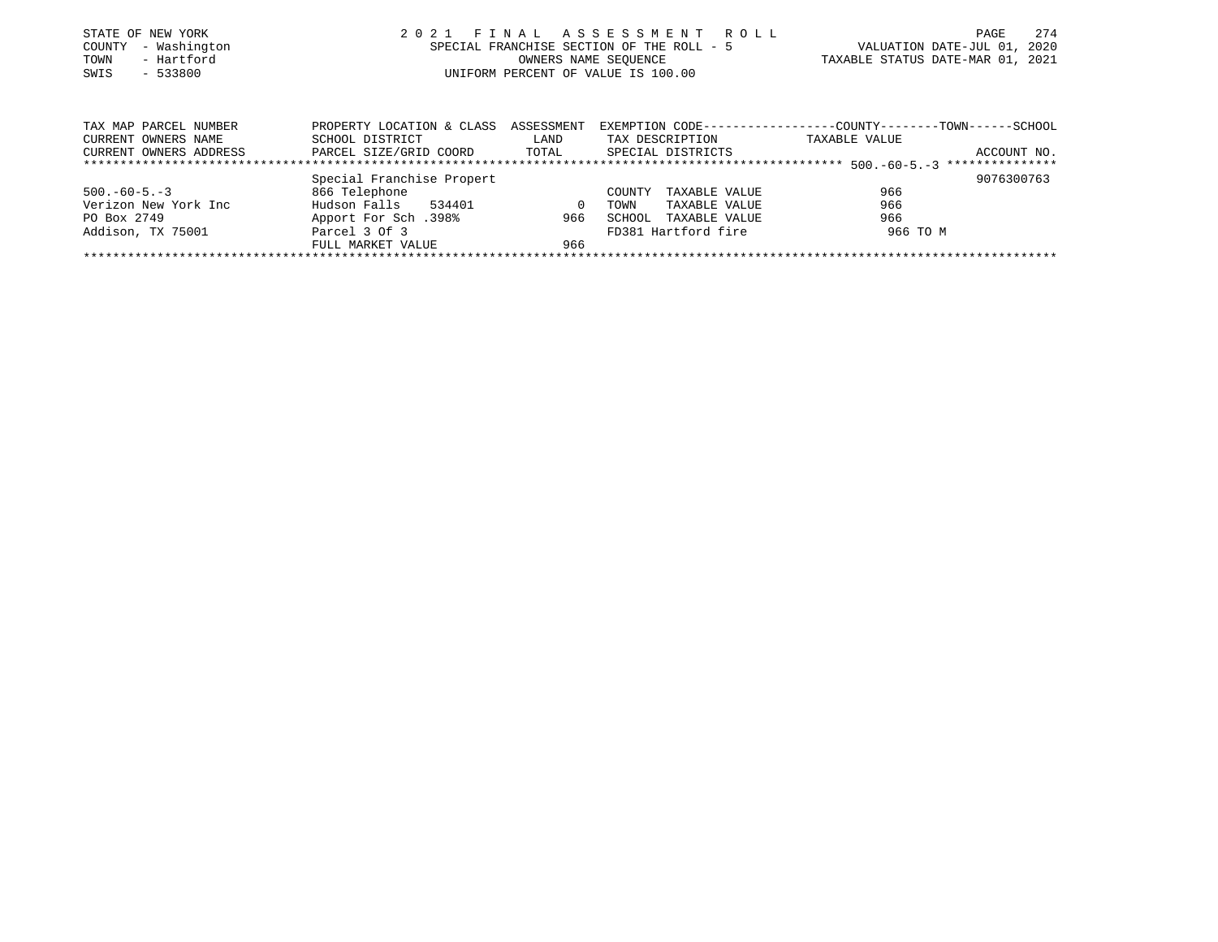|      | STATE OF NEW YORK   | 2021 FINAL ASSESSMENT ROLL                | PAGE                             | 2.74 |
|------|---------------------|-------------------------------------------|----------------------------------|------|
|      | COUNTY - Washington | SPECIAL FRANCHISE SECTION OF THE ROLL - 5 | VALUATION DATE-JUL 01, 2020      |      |
| TOWN | - Hartford          | OWNERS NAME SEOUENCE                      | TAXABLE STATUS DATE-MAR 01, 2021 |      |
| SWIS | $-533800$           | UNIFORM PERCENT OF VALUE IS 100.00        |                                  |      |
|      |                     |                                           |                                  |      |
|      |                     |                                           |                                  |      |

| TAX MAP PARCEL NUMBER  | PROPERTY LOCATION & CLASS ASSESSMENT |          |                         |               |             |
|------------------------|--------------------------------------|----------|-------------------------|---------------|-------------|
| CURRENT OWNERS NAME    | SCHOOL DISTRICT                      | LAND     | TAX DESCRIPTION         | TAXABLE VALUE |             |
| CURRENT OWNERS ADDRESS | PARCEL SIZE/GRID COORD               | TOTAL    | SPECIAL DISTRICTS       |               | ACCOUNT NO. |
|                        |                                      |          |                         |               |             |
|                        | Special Franchise Propert            |          |                         |               | 9076300763  |
| $500. -60 - 5. -3$     | 866 Telephone                        |          | TAXABLE VALUE<br>COUNTY | 966           |             |
| Verizon New York Inc   | Hudson Falls<br>534401               | $\Omega$ | TAXABLE VALUE<br>TOWN   | 966           |             |
| PO Box 2749            | Apport For Sch.398%                  | 966      | TAXABLE VALUE<br>SCHOOL | 966           |             |
| Addison, TX 75001      | Parcel 3 Of 3                        |          | FD381 Hartford fire     | 966 TO M      |             |
|                        | FULL MARKET VALUE                    | 966      |                         |               |             |
|                        |                                      |          |                         |               |             |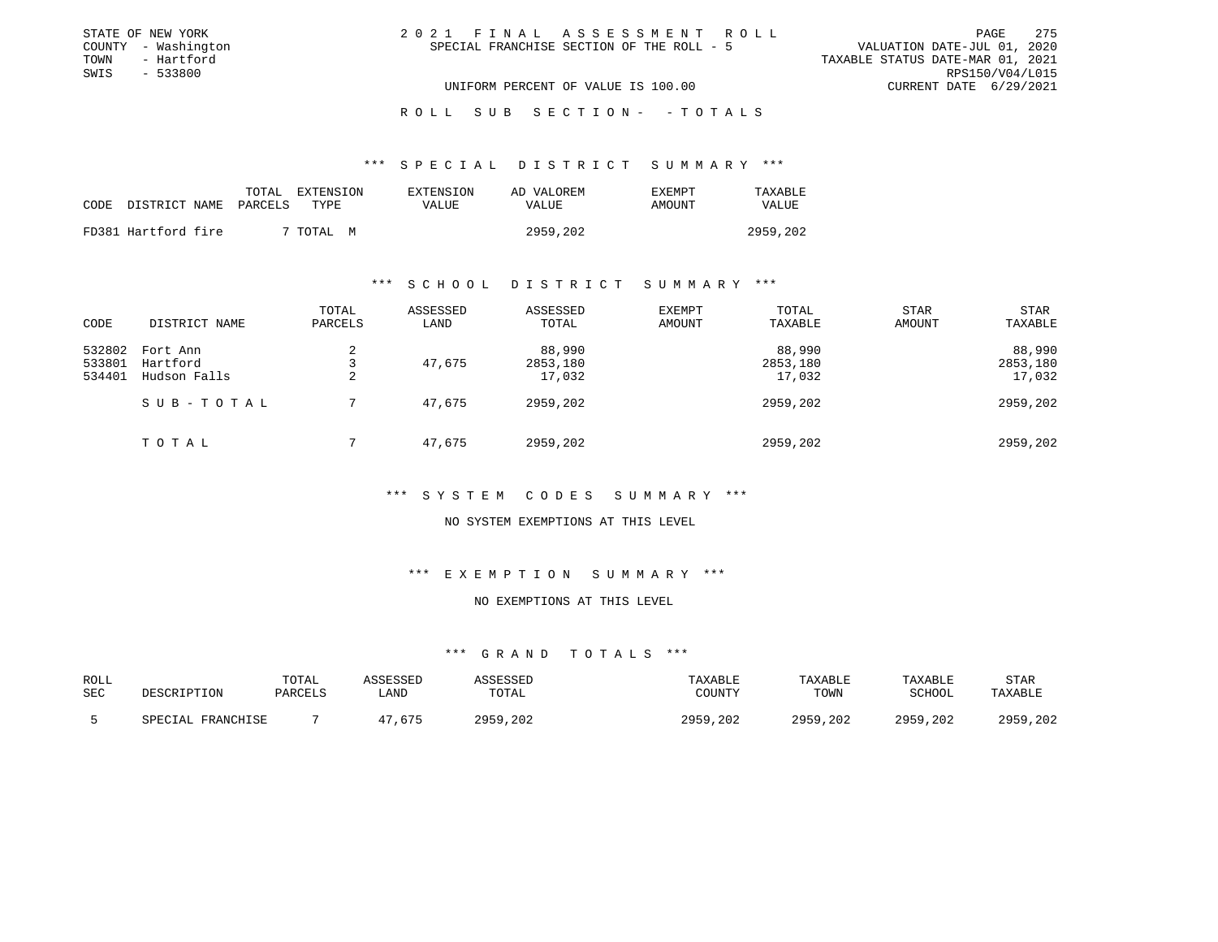| STATE OF NEW YORK   | 2021 FINAL ASSESSMENT ROLL                | 2.75<br>PAGE                     |
|---------------------|-------------------------------------------|----------------------------------|
| COUNTY - Washington | SPECIAL FRANCHISE SECTION OF THE ROLL - 5 | VALUATION DATE-JUL 01, 2020      |
| TOWN<br>- Hartford  |                                           | TAXABLE STATUS DATE-MAR 01, 2021 |
| SWIS - 533800       |                                           | RPS150/V04/L015                  |
|                     | UNIFORM PERCENT OF VALUE IS 100.00        | CURRENT DATE 6/29/2021           |
|                     |                                           |                                  |

ROLL SUB SECTION - - TOTALS

#### \*\*\* S P E C I A L D I S T R I C T S U M M A R Y \*\*\*

|                            | TOTAL EXTENSION | EXTENSION | AD VALOREM | <b>EXEMPT</b> | TAXABLE  |
|----------------------------|-----------------|-----------|------------|---------------|----------|
| CODE DISTRICT NAME PARCELS | TYPE.           | VALUE     | VALUE      | AMOUNT        | VALUE    |
| FD381 Hartford fire        | ' TOTAL M       |           | 2959,202   |               | 2959,202 |

#### \*\*\* S C H O O L D I S T R I C T S U M M A R Y \*\*\*

| CODE                       | DISTRICT NAME                        | TOTAL<br>PARCELS | ASSESSED<br>LAND | ASSESSED<br>TOTAL            | EXEMPT<br>AMOUNT | TOTAL<br>TAXABLE             | <b>STAR</b><br>AMOUNT | <b>STAR</b><br>TAXABLE       |
|----------------------------|--------------------------------------|------------------|------------------|------------------------------|------------------|------------------------------|-----------------------|------------------------------|
| 532802<br>533801<br>534401 | Fort Ann<br>Hartford<br>Hudson Falls | 2<br>2           | 47,675           | 88,990<br>2853,180<br>17,032 |                  | 88,990<br>2853,180<br>17,032 |                       | 88,990<br>2853,180<br>17,032 |
|                            | SUB-TOTAL                            |                  | 47,675           | 2959,202                     |                  | 2959,202                     |                       | 2959,202                     |
|                            | TOTAL                                |                  | 47,675           | 2959,202                     |                  | 2959,202                     |                       | 2959,202                     |

#### \*\*\* S Y S T E M C O D E S S U M M A R Y \*\*\*

#### NO SYSTEM EXEMPTIONS AT THIS LEVEL

#### \*\*\* E X E M P T I O N S U M M A R Y \*\*\*

# NO EXEMPTIONS AT THIS LEVEL

| ROLL<br><b>SEC</b> | DESCRIPTION            | TOTAL<br>PARCELS | \SSESSED<br>LAND | SSESSEL<br>TOTAL | TAXABLE<br>TOUNTY   | TAXABLE<br>TOWN | TAXABLE<br>SCHOOL | STAR<br>TAXABLE |
|--------------------|------------------------|------------------|------------------|------------------|---------------------|-----------------|-------------------|-----------------|
|                    | L FRANCHISE<br>SPECTAL |                  | 675              | ດເດ<br>.202      | <b>DOEQ</b><br>.202 | 2959,202        | 2959,202          | 2959,202        |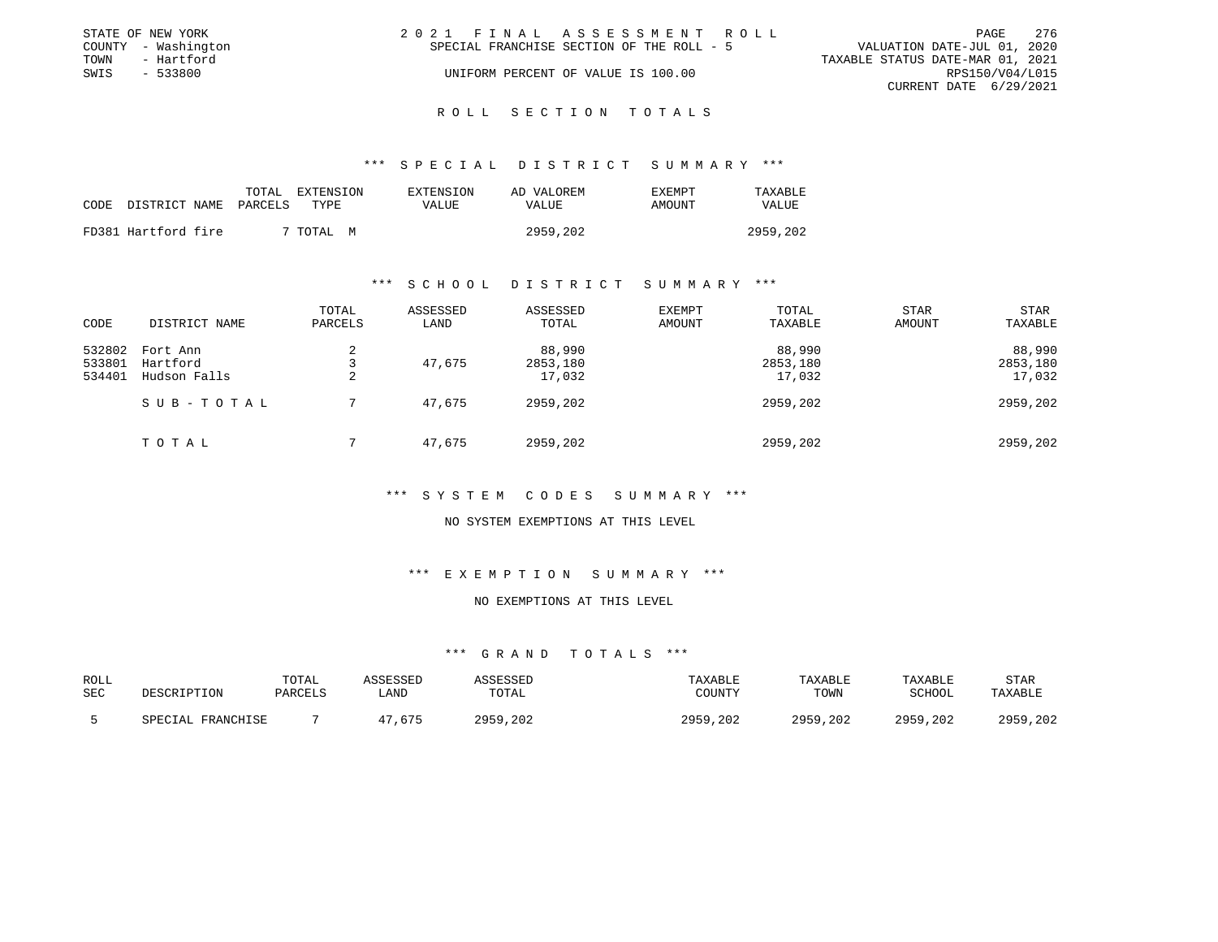|                                  | - 276                   |
|----------------------------------|-------------------------|
| VALUATION DATE-JUL 01, 2020      |                         |
| TAXABLE STATUS DATE-MAR 01, 2021 |                         |
|                                  |                         |
| CURRENT DATE 6/29/2021           |                         |
|                                  | PAGE<br>RPS150/V04/L015 |

#### R O L L S E C T I O N T O T A L S

#### \*\*\* S P E C I A L D I S T R I C T S U M M A R Y \*\*\*

|      |                       | TOTAL<br>EXTENSION | <b>EXTENSION</b> | AD VALOREM | F.XF.MPT | TAXABLE  |
|------|-----------------------|--------------------|------------------|------------|----------|----------|
| CODE | DISTRICT NAME PARCELS | TYPE.              | VALUE.           | VALUE      | AMOUNT   | VALUE    |
|      | FD381 Hartford fire   | TOTAL M            |                  | 2959,202   |          | 2959,202 |

#### \*\*\* S C H O O L D I S T R I C T S U M M A R Y \*\*\*

| CODE             | DISTRICT NAME        | TOTAL<br>PARCELS | ASSESSED<br>LAND | ASSESSED<br>TOTAL  | <b>EXEMPT</b><br>AMOUNT | TOTAL<br>TAXABLE   | STAR<br>AMOUNT | STAR<br>TAXABLE    |
|------------------|----------------------|------------------|------------------|--------------------|-------------------------|--------------------|----------------|--------------------|
| 532802<br>533801 | Fort Ann<br>Hartford | 2                | 47,675           | 88,990<br>2853,180 |                         | 88,990<br>2853,180 |                | 88,990<br>2853,180 |
| 534401           | Hudson Falls         | 2                |                  | 17,032             |                         | 17,032             |                | 17,032             |
|                  | SUB-TOTAL            |                  | 47,675           | 2959,202           |                         | 2959,202           |                | 2959,202           |
|                  | TOTAL                |                  | 47,675           | 2959,202           |                         | 2959,202           |                | 2959,202           |

#### \*\*\* S Y S T E M C O D E S S U M M A R Y \*\*\*

#### NO SYSTEM EXEMPTIONS AT THIS LEVEL

#### \*\*\* E X E M P T I O N S U M M A R Y \*\*\*

# NO EXEMPTIONS AT THIS LEVEL

| ROLL<br>SEC | <b>DESCRIPTION</b>     | TOTAL<br>PARCELS | \SSESSED<br>LAND | <b>SSESSEL</b><br>TOTAL | TAXABLE<br>COUNTY   | TAXABLE<br>TOWN | TAXABLE<br><b>SCHOOL</b> | STAR<br>TAXABLE |
|-------------|------------------------|------------------|------------------|-------------------------|---------------------|-----------------|--------------------------|-----------------|
|             | . FRANCHISE<br>SPECTAL |                  | .675             | .202<br>OQEQ            | <b>COLO</b><br>.202 | 20EQ<br>,202    | 2959,202                 | , 202<br>2959   |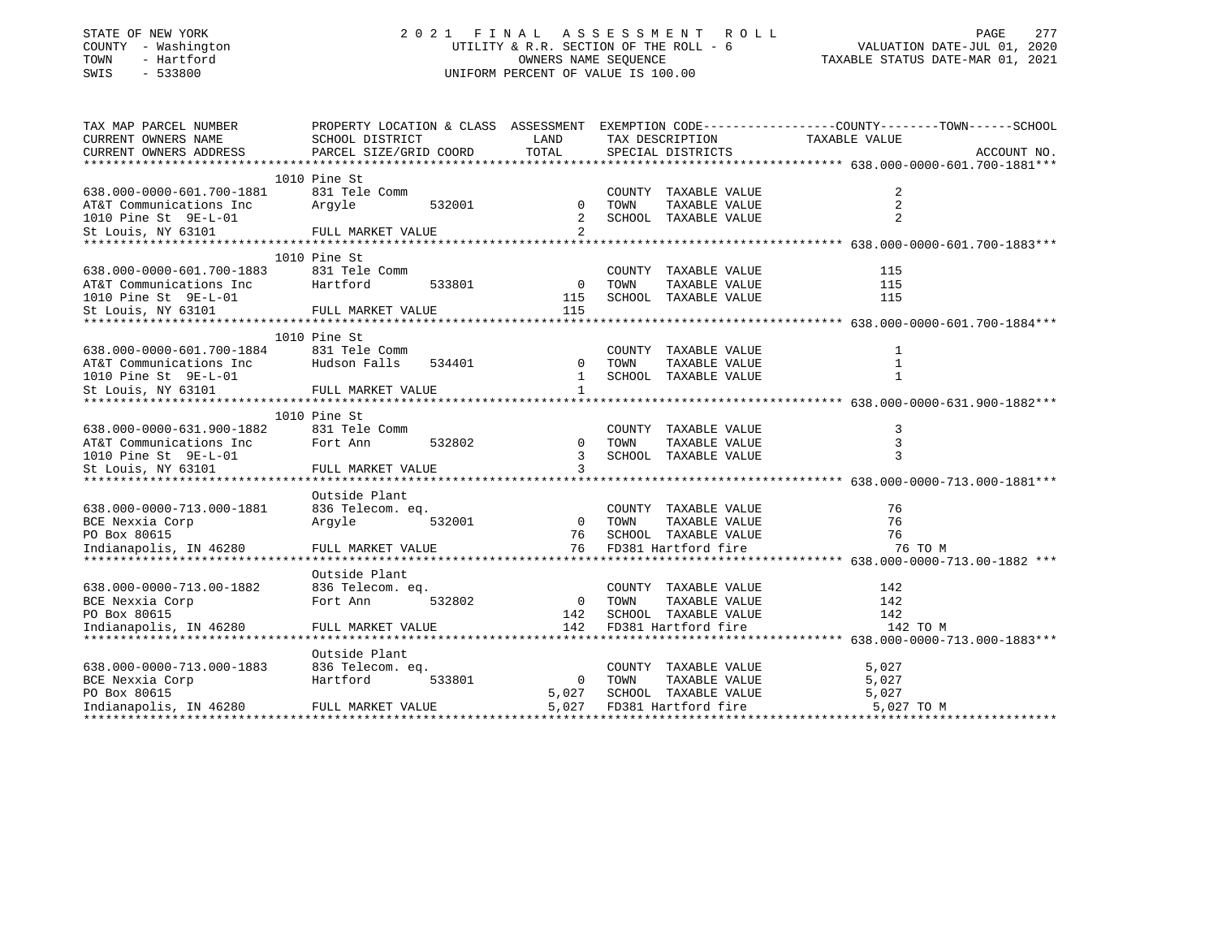| COUNTY<br>- Washington<br>TOWN<br>- Hartford<br>SWIS<br>$-533800$ | UTILITY & R.R. SECTION OF THE ROLL - 6<br>UNIFORM PERCENT OF VALUE IS 100.00                    | VALUATION DATE-JUL 01, 2020<br>TAXABLE STATUS DATE-MAR 01, 2021 |        |                                       |               |             |
|-------------------------------------------------------------------|-------------------------------------------------------------------------------------------------|-----------------------------------------------------------------|--------|---------------------------------------|---------------|-------------|
| TAX MAP PARCEL NUMBER                                             | PROPERTY LOCATION & CLASS ASSESSMENT EXEMPTION CODE---------------COUNTY-------TOWN------SCHOOL |                                                                 |        |                                       |               |             |
| CURRENT OWNERS NAME                                               | SCHOOL DISTRICT                                                                                 | LAND                                                            |        | TAX DESCRIPTION                       | TAXABLE VALUE |             |
| CURRENT OWNERS ADDRESS                                            | PARCEL SIZE/GRID COORD                                                                          | TOTAL                                                           |        | SPECIAL DISTRICTS                     |               | ACCOUNT NO. |
|                                                                   |                                                                                                 |                                                                 |        |                                       |               |             |
|                                                                   | 1010 Pine St                                                                                    |                                                                 |        |                                       |               |             |
| 638.000-0000-601.700-1881                                         | 831 Tele Comm                                                                                   |                                                                 |        | COUNTY TAXABLE VALUE                  | 2             |             |
| AT&T Communications Inc<br>1010 Pine St 9E-L-01                   | Arqyle<br>532001                                                                                | $\mathbf{0}$<br>2                                               | TOWN   | TAXABLE VALUE<br>SCHOOL TAXABLE VALUE | 2             |             |
| St Louis, NY 63101                                                | FULL MARKET VALUE                                                                               | 2                                                               |        |                                       |               |             |
|                                                                   |                                                                                                 |                                                                 |        |                                       |               |             |
|                                                                   | 1010 Pine St                                                                                    |                                                                 |        |                                       |               |             |
| 638.000-0000-601.700-1883                                         | 831 Tele Comm                                                                                   |                                                                 | COUNTY | TAXABLE VALUE                         | 115           |             |
| AT&T Communications Inc                                           | Hartford<br>533801                                                                              | $\mathbf 0$                                                     | TOWN   | TAXABLE VALUE                         | 115           |             |
| 1010 Pine St 9E-L-01                                              |                                                                                                 | 115                                                             |        | SCHOOL TAXABLE VALUE                  | 115           |             |
| St Louis, NY 63101                                                | FULL MARKET VALUE                                                                               | 115                                                             |        |                                       |               |             |
|                                                                   |                                                                                                 |                                                                 |        |                                       |               |             |
|                                                                   | 1010 Pine St                                                                                    |                                                                 |        |                                       |               |             |
| 638.000-0000-601.700-1884                                         | 831 Tele Comm                                                                                   |                                                                 | COUNTY | TAXABLE VALUE                         | 1             |             |
| AT&T Communications Inc                                           | Hudson Falls<br>534401                                                                          | $\Omega$                                                        | TOWN   | TAXABLE VALUE                         | 1             |             |
| 1010 Pine St 9E-L-01                                              |                                                                                                 | $\mathbf{1}$                                                    | SCHOOL | TAXABLE VALUE                         | $\mathbf{1}$  |             |
| St Louis, NY 63101                                                | FULL MARKET VALUE                                                                               | $\mathbf{1}$                                                    |        |                                       |               |             |
|                                                                   |                                                                                                 |                                                                 |        |                                       |               |             |
|                                                                   | 1010 Pine St                                                                                    |                                                                 |        |                                       |               |             |
| 638.000-0000-631.900-1882                                         | 831 Tele Comm                                                                                   |                                                                 | COUNTY | TAXABLE VALUE                         | 3             |             |
| AT&T Communications Inc                                           | 532802<br>Fort Ann                                                                              | $\mathbf 0$                                                     | TOWN   | TAXABLE VALUE                         | 3             |             |
| 1010 Pine St 9E-L-01<br>St Louis, NY 63101                        | FULL MARKET VALUE                                                                               | 3<br>3                                                          |        | SCHOOL TAXABLE VALUE                  | 3             |             |
|                                                                   |                                                                                                 |                                                                 |        |                                       |               |             |
|                                                                   | Outside Plant                                                                                   |                                                                 |        |                                       |               |             |
| 638.000-0000-713.000-1881                                         | 836 Telecom. eq.                                                                                |                                                                 | COUNTY | TAXABLE VALUE                         | 76            |             |
| BCE Nexxia Corp                                                   | Arqyle<br>532001                                                                                | $\mathbf 0$                                                     | TOWN   | TAXABLE VALUE                         | 76            |             |
| PO Box 80615                                                      |                                                                                                 | 76                                                              |        | SCHOOL TAXABLE VALUE                  | 76            |             |
| Indianapolis, IN 46280                                            | FULL MARKET VALUE                                                                               | 76                                                              |        | FD381 Hartford fire                   | 76 TO M       |             |
|                                                                   |                                                                                                 |                                                                 |        |                                       |               |             |
|                                                                   | Outside Plant                                                                                   |                                                                 |        |                                       |               |             |
| 638.000-0000-713.00-1882                                          | 836 Telecom. eq.                                                                                |                                                                 | COUNTY | TAXABLE VALUE                         | 142           |             |
| BCE Nexxia Corp                                                   | Fort Ann<br>532802                                                                              | $\overline{0}$                                                  | TOWN   | TAXABLE VALUE                         | 142           |             |
| PO Box 80615                                                      |                                                                                                 | 142                                                             |        | SCHOOL TAXABLE VALUE                  | 142           |             |
| Indianapolis, IN 46280                                            | FULL MARKET VALUE                                                                               | 142                                                             |        | FD381 Hartford fire                   | 142 TO M      |             |
|                                                                   |                                                                                                 |                                                                 |        |                                       |               |             |
|                                                                   | Outside Plant                                                                                   |                                                                 |        |                                       |               |             |
| 638.000-0000-713.000-1883                                         | 836 Telecom. eq.                                                                                |                                                                 | COUNTY | TAXABLE VALUE                         | 5,027         |             |
| BCE Nexxia Corp                                                   | Hartford<br>533801                                                                              | 0                                                               | TOWN   | TAXABLE VALUE                         | 5,027         |             |
| PO Box 80615                                                      |                                                                                                 | 5,027                                                           |        | SCHOOL TAXABLE VALUE                  | 5,027         |             |
| Indianapolis, IN 46280                                            | FULL MARKET VALUE                                                                               | 5,027                                                           |        | FD381 Hartford fire                   | 5,027 TO M    |             |

PAGE 277

STATE OF NEW YORK 2021 FINAL ASSESSMENT ROLL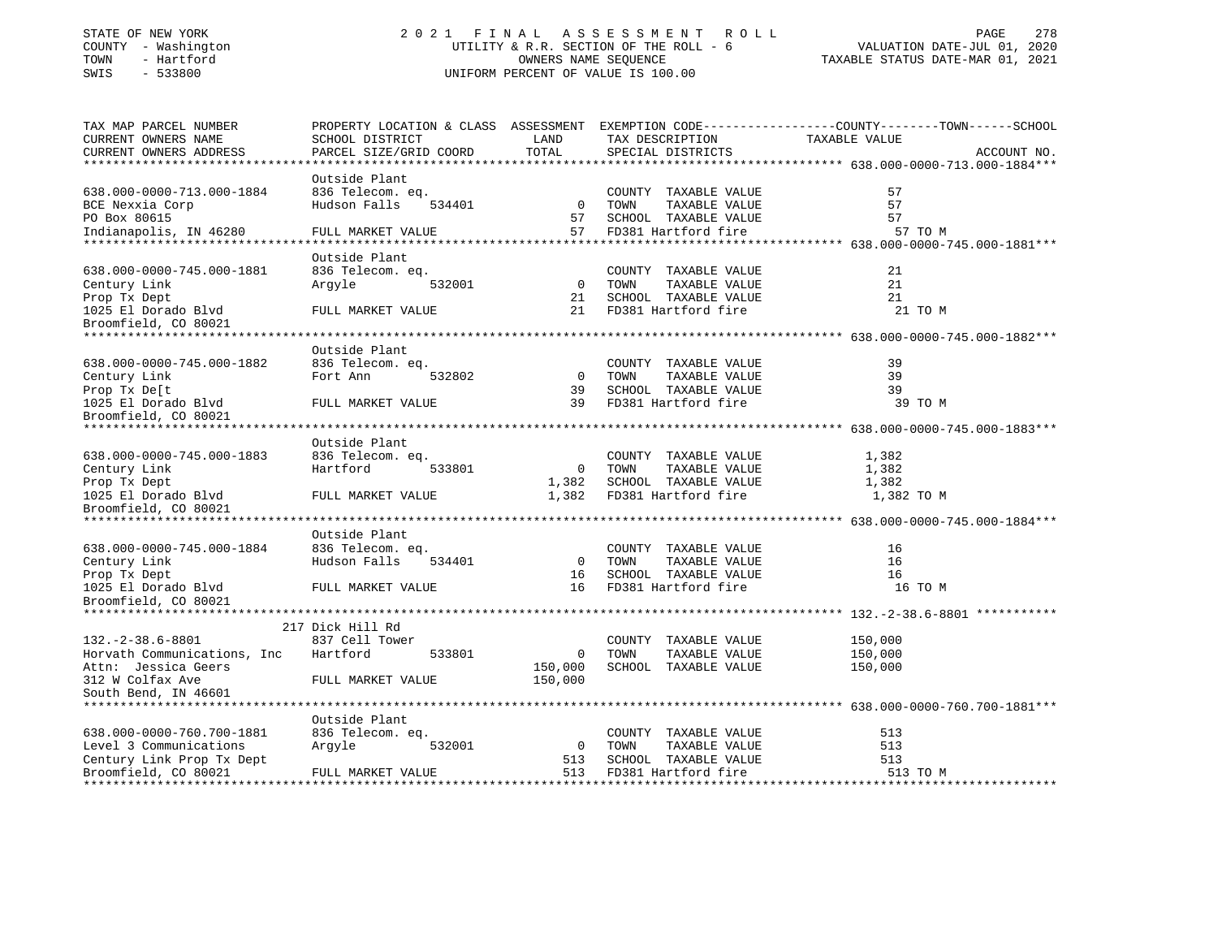# STATE OF NEW YORK 2 0 2 1 F I N A L A S S E S S M E N T R O L L PAGE 278 COUNTY - Washington UTILITY & R.R. SECTION OF THE ROLL - 6 VALUATION DATE-JUL 01, 2020 TOWN - Hartford OWNERS NAME SEQUENCE TAXABLE STATUS DATE-MAR 01, 2021 SWIS - 533800 UNIFORM PERCENT OF VALUE IS 100.00

| TAX MAP PARCEL NUMBER       | PROPERTY LOCATION & CLASS ASSESSMENT |                |                       | EXEMPTION CODE-----------------COUNTY-------TOWN------SCHOOL |             |
|-----------------------------|--------------------------------------|----------------|-----------------------|--------------------------------------------------------------|-------------|
| CURRENT OWNERS NAME         | SCHOOL DISTRICT                      | LAND           | TAX DESCRIPTION       | TAXABLE VALUE                                                |             |
| CURRENT OWNERS ADDRESS      | PARCEL SIZE/GRID COORD               | TOTAL          | SPECIAL DISTRICTS     |                                                              | ACCOUNT NO. |
| ***********************     |                                      |                |                       |                                                              |             |
|                             | Outside Plant                        |                |                       |                                                              |             |
| 638.000-0000-713.000-1884   | 836 Telecom. eq.                     |                | COUNTY TAXABLE VALUE  | 57                                                           |             |
| BCE Nexxia Corp             | Hudson Falls<br>534401               | $\overline{0}$ | TOWN<br>TAXABLE VALUE | 57                                                           |             |
| PO Box 80615                |                                      | 57             | SCHOOL TAXABLE VALUE  | 57                                                           |             |
| Indianapolis, IN 46280      | FULL MARKET VALUE                    | 57             | FD381 Hartford fire   | 57 TO M                                                      |             |
|                             |                                      |                |                       |                                                              |             |
|                             | Outside Plant                        |                |                       |                                                              |             |
| 638.000-0000-745.000-1881   | 836 Telecom. eq.                     |                | COUNTY TAXABLE VALUE  | 21                                                           |             |
| Century Link                | 532001<br>Argyle                     | $\overline{0}$ | TAXABLE VALUE<br>TOWN | 21                                                           |             |
| Prop Tx Dept                |                                      | 21             | SCHOOL TAXABLE VALUE  | 21                                                           |             |
| 1025 El Dorado Blvd         | FULL MARKET VALUE                    | 21             | FD381 Hartford fire   | 21 TO M                                                      |             |
| Broomfield, CO 80021        |                                      |                |                       |                                                              |             |
|                             |                                      |                |                       |                                                              |             |
|                             | Outside Plant                        |                |                       |                                                              |             |
| 638.000-0000-745.000-1882   | 836 Telecom. eq.                     |                | COUNTY TAXABLE VALUE  | 39                                                           |             |
| Century Link                | 532802<br>Fort Ann                   | $\overline{0}$ | TAXABLE VALUE<br>TOWN | 39                                                           |             |
| Prop Tx De[t                |                                      | 39             | SCHOOL TAXABLE VALUE  | 39                                                           |             |
| 1025 El Dorado Blvd         | FULL MARKET VALUE                    | 39             | FD381 Hartford fire   | 39 TO M                                                      |             |
| Broomfield, CO 80021        |                                      |                |                       |                                                              |             |
|                             |                                      |                |                       |                                                              |             |
|                             | Outside Plant                        |                |                       |                                                              |             |
|                             |                                      |                |                       |                                                              |             |
| 638.000-0000-745.000-1883   | 836 Telecom. eq.                     |                | COUNTY TAXABLE VALUE  | 1,382                                                        |             |
| Century Link                | Hartford<br>533801                   | $\overline{0}$ | TOWN<br>TAXABLE VALUE | 1,382                                                        |             |
| Prop Tx Dept                |                                      | 1,382          | SCHOOL TAXABLE VALUE  | 1,382                                                        |             |
| 1025 El Dorado Blvd         | FULL MARKET VALUE                    | 1,382          | FD381 Hartford fire   | 1,382 TO M                                                   |             |
| Broomfield, CO 80021        |                                      |                |                       |                                                              |             |
|                             |                                      |                |                       |                                                              |             |
|                             | Outside Plant                        |                |                       |                                                              |             |
| 638.000-0000-745.000-1884   | 836 Telecom. eq.                     |                | COUNTY TAXABLE VALUE  | 16                                                           |             |
| Century Link                | Hudson Falls<br>534401               | $\overline{0}$ | TAXABLE VALUE<br>TOWN | 16                                                           |             |
| Prop Tx Dept                |                                      | 16             | SCHOOL TAXABLE VALUE  | 16                                                           |             |
| 1025 El Dorado Blvd         | FULL MARKET VALUE                    | 16             | FD381 Hartford fire   | 16 TO M                                                      |             |
| Broomfield, CO 80021        |                                      |                |                       |                                                              |             |
|                             |                                      |                |                       |                                                              |             |
|                             | 217 Dick Hill Rd                     |                |                       |                                                              |             |
| $132.-2-38.6-8801$          | 837 Cell Tower                       |                | COUNTY TAXABLE VALUE  | 150,000                                                      |             |
| Horvath Communications, Inc | Hartford<br>533801                   | $\mathbf 0$    | TOWN<br>TAXABLE VALUE | 150,000                                                      |             |
| Attn: Jessica Geers         |                                      | 150,000        | SCHOOL TAXABLE VALUE  | 150,000                                                      |             |
| 312 W Colfax Ave            | FULL MARKET VALUE                    | 150,000        |                       |                                                              |             |
| South Bend, IN 46601        |                                      |                |                       |                                                              |             |
|                             |                                      |                |                       |                                                              |             |
|                             | Outside Plant                        |                |                       |                                                              |             |
| 638.000-0000-760.700-1881   | 836 Telecom. eq.                     |                | COUNTY TAXABLE VALUE  | 513                                                          |             |
| Level 3 Communications      | Argyle<br>532001                     | $\overline{0}$ | TAXABLE VALUE<br>TOWN | 513                                                          |             |
| Century Link Prop Tx Dept   |                                      | 513            | SCHOOL TAXABLE VALUE  | 513                                                          |             |
| Broomfield, CO 80021        | FULL MARKET VALUE                    | 513            | FD381 Hartford fire   | 513 TO M                                                     |             |
|                             |                                      |                |                       |                                                              |             |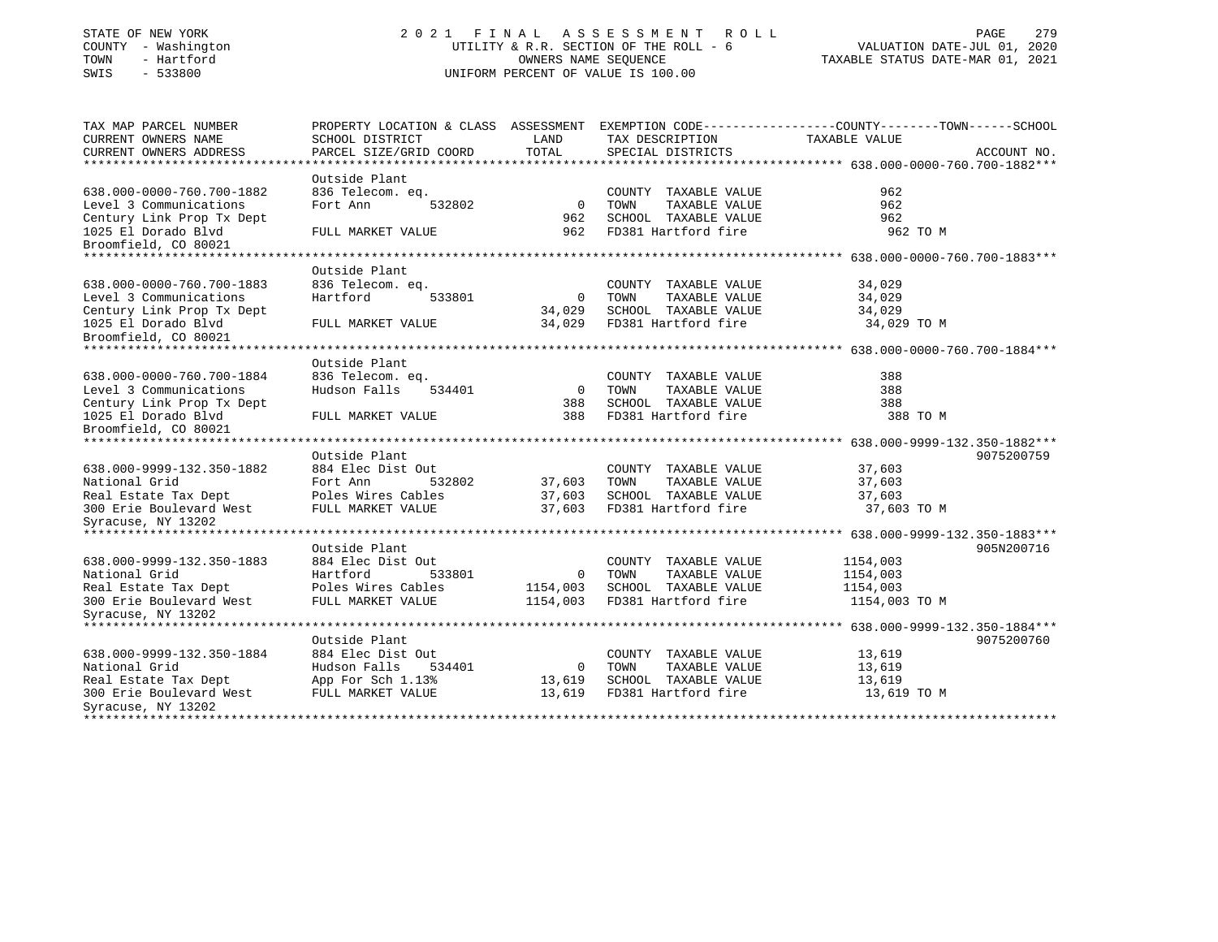# STATE OF NEW YORK 2 0 2 1 F I N A L A S S E S S M E N T R O L L PAGE 279COUNTY - Washington The COUNTY - Washington COUNTY - Washington COUNTY COUNTY COUNTY COUNTY - 6 TOWN - Hartford OWNERS NAME SEQUENCE TAXABLE STATUS DATE-MAR 01, 2021 SWIS - 533800 UNIFORM PERCENT OF VALUE IS 100.00

TAX MAP PARCEL NUMBER PROPERTY LOCATION & CLASS ASSESSMENT EXEMPTION CODE-----------------COUNTY-------TOWN-----SCHOOL CURRENT OWNERS NAME SCHOOL DISTRICT LAND TAX DESCRIPTION TAXABLE VALUECURRENT OWNERS ADDRESS PARCEL SIZE/GRID COORD TOTAL SPECIAL DISTRICTS ACCOUNT NO. \*\*\*\*\*\*\*\*\*\*\*\*\*\*\*\*\*\*\*\*\*\*\*\*\*\*\*\*\*\*\*\*\*\*\*\*\*\*\*\*\*\*\*\*\*\*\*\*\*\*\*\*\*\*\*\*\*\*\*\*\*\*\*\*\*\*\*\*\*\*\*\*\*\*\*\*\*\*\*\*\*\*\*\*\*\*\*\*\*\*\*\*\*\*\*\*\*\*\*\*\*\*\* 638.000-0000-760.700-1882\*\*\* Outside Plant836 Telecom. eq. 638.000-0000-760.700-1882 836 Telecom. eq. COUNTY TAXABLE VALUE 962 Level 3 Communications 62 Fort Ann 532802 0 TOWN TAXABLE VALUE 962 962 Century Link Prop Tx Dept 962 SCHOOL TAXABLE VALUE 1025 El Dorado Blvd FULL MARKET VALUE 962 FD381 Hartford fire 962 TO MBroomfield, CO 80021 \*\*\*\*\*\*\*\*\*\*\*\*\*\*\*\*\*\*\*\*\*\*\*\*\*\*\*\*\*\*\*\*\*\*\*\*\*\*\*\*\*\*\*\*\*\*\*\*\*\*\*\*\*\*\*\*\*\*\*\*\*\*\*\*\*\*\*\*\*\*\*\*\*\*\*\*\*\*\*\*\*\*\*\*\*\*\*\*\*\*\*\*\*\*\*\*\*\*\*\*\*\*\* 638.000-0000-760.700-1883\*\*\* Outside Plant836 Telecom. eq. 638.000-0000-760.700-1883 836 Telecom. eq. COUNTY TAXABLE VALUE 34,029 Level 3 Communications Hartford 533801 0 TOWN TAXABLE VALUE 34,029 Century Link Prop Tx Dept 34,029 SCHOOL TAXABLE VALUE 34,029 1025 El Dorado Blvd FULL MARKET VALUE 34,029 FD381 Hartford fire 34,029 TO M Broomfield, CO 80021 \*\*\*\*\*\*\*\*\*\*\*\*\*\*\*\*\*\*\*\*\*\*\*\*\*\*\*\*\*\*\*\*\*\*\*\*\*\*\*\*\*\*\*\*\*\*\*\*\*\*\*\*\*\*\*\*\*\*\*\*\*\*\*\*\*\*\*\*\*\*\*\*\*\*\*\*\*\*\*\*\*\*\*\*\*\*\*\*\*\*\*\*\*\*\*\*\*\*\*\*\*\*\* 638.000-0000-760.700-1884\*\*\* Outside Plant638.000-0000-760.700-1884 836 Telecom. eq. COUNTY TAXABLE VALUE 388 Level 3 Communications 6388 Hudson Falls 534401 0 TOWN TAXABLE VALUE 388 Century Link Prop Tx Dept 388 SCHOOL TAXABLE VALUE 388 1025 El Dorado Blvd FULL MARKET VALUE 388 FD381 Hartford fire 388 TO MBroomfield, CO 80021 \*\*\*\*\*\*\*\*\*\*\*\*\*\*\*\*\*\*\*\*\*\*\*\*\*\*\*\*\*\*\*\*\*\*\*\*\*\*\*\*\*\*\*\*\*\*\*\*\*\*\*\*\*\*\*\*\*\*\*\*\*\*\*\*\*\*\*\*\*\*\*\*\*\*\*\*\*\*\*\*\*\*\*\*\*\*\*\*\*\*\*\*\*\*\*\*\*\*\*\*\*\*\* 638.000-9999-132.350-1882\*\*\* Outside Plant 9075200759638.000-9999-132.350-1882 884 Elec Dist Out COUNTY TAXABLE VALUE 37,603 Fort Ann 532802 37,603 TOWN TAXABLE VALUE 37,603 Real Estate Tax Dept Poles Wires Cables 37,603 SCHOOL TAXABLE VALUE 37,603 300 Erie Boulevard West FULL MARKET VALUE 37,603 FD381 Hartford fire 37,603 TO M Syracuse, NY 13202 \*\*\*\*\*\*\*\*\*\*\*\*\*\*\*\*\*\*\*\*\*\*\*\*\*\*\*\*\*\*\*\*\*\*\*\*\*\*\*\*\*\*\*\*\*\*\*\*\*\*\*\*\*\*\*\*\*\*\*\*\*\*\*\*\*\*\*\*\*\*\*\*\*\*\*\*\*\*\*\*\*\*\*\*\*\*\*\*\*\*\*\*\*\*\*\*\*\*\*\*\*\*\* 638.000-9999-132.350-1883\*\*\* Outside Plant 905N200716638.000-9999-132.350-1883 884 Elec Dist Out COUNTY TAXABLE VALUE 1154,003<br>Mational Grid Hartford 533801 0 TOWN TAXABLE VALUE 1154,003<br>1154,003 1154,003 National Grid Hartford 533801 0 TOWN TAXABLE VALUE 1154,003 Real Estate Tax Dept Poles Wires Cables 1154,003 SCHOOL TAXABLE VALUE 1154,003 300 Erie Boulevard West FULL MARKET VALUE 1154,003 FD381 Hartford fire 1154,003 TO M Syracuse, NY 13202 \*\*\*\*\*\*\*\*\*\*\*\*\*\*\*\*\*\*\*\*\*\*\*\*\*\*\*\*\*\*\*\*\*\*\*\*\*\*\*\*\*\*\*\*\*\*\*\*\*\*\*\*\*\*\*\*\*\*\*\*\*\*\*\*\*\*\*\*\*\*\*\*\*\*\*\*\*\*\*\*\*\*\*\*\*\*\*\*\*\*\*\*\*\*\*\*\*\*\*\*\*\*\* 638.000-9999-132.350-1884\*\*\* Outside Plant 9075200760638.000-9999-132.350-1884 884 Elec Dist Out COUNTY TAXABLE VALUE 13,619 National Grid Hudson Falls 534401 0 TOWN TAXABLE VALUE 13,619 Real Estate Tax Dept  $\begin{array}{c} \text{App For Sch } 1.13\text{*} \\ \text{9.13,619} \\ \text{13.619} \end{array}$  SCHOOL TAXABLE VALUE  $\begin{array}{c} 13,619 \\ \text{13.619} \end{array}$ 300 Erie Boulevard West FULL MARKET VALUE 13,619 FD381 Hartford fire 13,619 TO M Syracuse, NY 13202 \*\*\*\*\*\*\*\*\*\*\*\*\*\*\*\*\*\*\*\*\*\*\*\*\*\*\*\*\*\*\*\*\*\*\*\*\*\*\*\*\*\*\*\*\*\*\*\*\*\*\*\*\*\*\*\*\*\*\*\*\*\*\*\*\*\*\*\*\*\*\*\*\*\*\*\*\*\*\*\*\*\*\*\*\*\*\*\*\*\*\*\*\*\*\*\*\*\*\*\*\*\*\*\*\*\*\*\*\*\*\*\*\*\*\*\*\*\*\*\*\*\*\*\*\*\*\*\*\*\*\*\*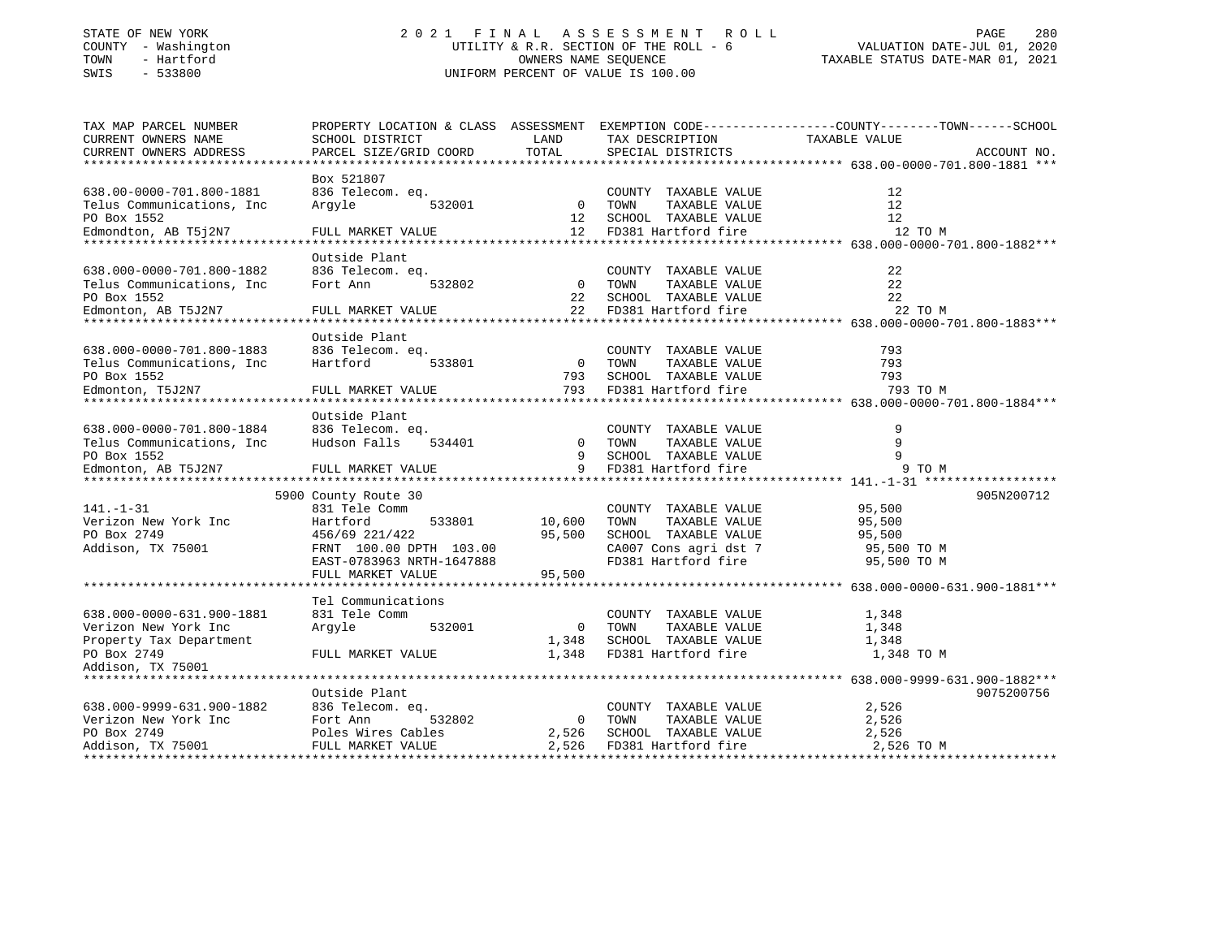# STATE OF NEW YORK 2 0 2 1 F I N A L A S S E S S M E N T R O L L PAGE 280 COUNTY - Washington UTILITY & R.R. SECTION OF THE ROLL - 6 VALUATION DATE-JUL 01, 2020 TOWN - Hartford OWNERS NAME SEQUENCE TAXABLE STATUS DATE-MAR 01, 2021 SWIS - 533800 UNIFORM PERCENT OF VALUE IS 100.00

| TOTAL<br>CURRENT OWNERS ADDRESS<br>PARCEL SIZE/GRID COORD<br>SPECIAL DISTRICTS<br>ACCOUNT NO.<br>Box 521807<br>836 Telecom. eq.<br>12<br>COUNTY TAXABLE VALUE<br>0 TOWN<br>TAXABLE VALUE<br>12<br>Arqyle<br>532001<br>12<br>SCHOOL TAXABLE VALUE<br>12<br>12 FD381 Hartford fire<br>12 TO M<br>FULL MARKET VALUE<br>Outside Plant<br>836 Telecom. eq.<br>22<br>COUNTY TAXABLE VALUE<br>22<br>Fort Ann<br>532802<br>$\overline{0}$<br>TOWN<br>TAXABLE VALUE<br>22<br>22<br>SCHOOL TAXABLE VALUE<br>22<br>FD381 Hartford fire<br>22 TO M<br>Edmonton, AB T5J2N7<br>FULL MARKET VALUE<br>*************************<br>****************************<br>Outside Plant<br>638.000-0000-701.800-1883<br>793<br>836 Telecom. eq.<br>COUNTY TAXABLE VALUE<br>$\overline{0}$<br>TOWN<br>TAXABLE VALUE<br>793<br>Telus Communications, Inc.<br>Hartford<br>533801<br>793<br>793 SCHOOL TAXABLE VALUE<br>PO Box 1552<br>793<br>FD381 Hartford fire<br>793 TO M<br>Edmonton, T5J2N7<br>FULL MARKET VALUE<br>Outside Plant<br>638.000-0000-701.800-1884<br>9<br>836 Telecom. eq.<br>COUNTY TAXABLE VALUE<br>9<br>Hudson Falls<br>$\overline{0}$<br>TAXABLE VALUE<br>Telus Communications, Inc.<br>534401<br>TOWN<br>9<br>9<br>SCHOOL TAXABLE VALUE<br>PO Box 1552<br>9 FD381 Hartford fire<br>9 TO M<br>Edmonton, AB T5J2N7<br>FULL MARKET VALUE<br>5900 County Route 30<br>905N200712<br>$141. - 1 - 31$<br>95,500<br>831 Tele Comm<br>COUNTY TAXABLE VALUE<br>TAXABLE VALUE<br>Verizon New York Inc<br>Hartford<br>533801<br>10,600<br>TOWN<br>95,500<br>PO Box 2749<br>95,500<br>SCHOOL TAXABLE VALUE<br>456/69 221/422<br>95,500<br>Addison, TX 75001<br>FRNT 100.00 DPTH 103.00<br>CA007 Cons agri dst 7<br>95,500 TO M<br>FD381 Hartford fire<br>EAST-0783963 NRTH-1647888<br>95,500 TO M<br>FULL MARKET VALUE<br>95,500<br>Tel Communications<br>638.000-0000-631.900-1881<br>831 Tele Comm<br>COUNTY TAXABLE VALUE<br>1,348<br>532001<br>TAXABLE VALUE<br>Argyle<br>$\overline{0}$<br>TOWN<br>1,348<br>SCHOOL TAXABLE VALUE<br>1,348<br>1,348<br>FD381 Hartford fire<br>FULL MARKET VALUE<br>1,348<br>1,348 TO M<br>Outside Plant<br>9075200756<br>638.000-9999-631.900-1882 836 Telecom. eq.<br>2,526<br>COUNTY TAXABLE VALUE<br>532802<br>TOWN<br>TAXABLE VALUE<br>2,526<br>$\overline{0}$<br>SCHOOL TAXABLE VALUE<br>2,526<br>2,526<br>2,526<br>FD381 Hartford fire<br>2,526 TO M | TAX MAP PARCEL NUMBER      | PROPERTY LOCATION & CLASS ASSESSMENT |      |                 | EXEMPTION CODE-----------------COUNTY-------TOWN------SCHOOL |
|--------------------------------------------------------------------------------------------------------------------------------------------------------------------------------------------------------------------------------------------------------------------------------------------------------------------------------------------------------------------------------------------------------------------------------------------------------------------------------------------------------------------------------------------------------------------------------------------------------------------------------------------------------------------------------------------------------------------------------------------------------------------------------------------------------------------------------------------------------------------------------------------------------------------------------------------------------------------------------------------------------------------------------------------------------------------------------------------------------------------------------------------------------------------------------------------------------------------------------------------------------------------------------------------------------------------------------------------------------------------------------------------------------------------------------------------------------------------------------------------------------------------------------------------------------------------------------------------------------------------------------------------------------------------------------------------------------------------------------------------------------------------------------------------------------------------------------------------------------------------------------------------------------------------------------------------------------------------------------------------------------------------------------------------------------------------------------------------------------------------------------------------------------------------------------------------------------------------------------------------------------------------------------------------------------------------------------------------------------------------------------|----------------------------|--------------------------------------|------|-----------------|--------------------------------------------------------------|
|                                                                                                                                                                                                                                                                                                                                                                                                                                                                                                                                                                                                                                                                                                                                                                                                                                                                                                                                                                                                                                                                                                                                                                                                                                                                                                                                                                                                                                                                                                                                                                                                                                                                                                                                                                                                                                                                                                                                                                                                                                                                                                                                                                                                                                                                                                                                                                                | CURRENT OWNERS NAME        | SCHOOL DISTRICT                      | LAND | TAX DESCRIPTION | TAXABLE VALUE                                                |
|                                                                                                                                                                                                                                                                                                                                                                                                                                                                                                                                                                                                                                                                                                                                                                                                                                                                                                                                                                                                                                                                                                                                                                                                                                                                                                                                                                                                                                                                                                                                                                                                                                                                                                                                                                                                                                                                                                                                                                                                                                                                                                                                                                                                                                                                                                                                                                                |                            |                                      |      |                 |                                                              |
|                                                                                                                                                                                                                                                                                                                                                                                                                                                                                                                                                                                                                                                                                                                                                                                                                                                                                                                                                                                                                                                                                                                                                                                                                                                                                                                                                                                                                                                                                                                                                                                                                                                                                                                                                                                                                                                                                                                                                                                                                                                                                                                                                                                                                                                                                                                                                                                |                            |                                      |      |                 |                                                              |
|                                                                                                                                                                                                                                                                                                                                                                                                                                                                                                                                                                                                                                                                                                                                                                                                                                                                                                                                                                                                                                                                                                                                                                                                                                                                                                                                                                                                                                                                                                                                                                                                                                                                                                                                                                                                                                                                                                                                                                                                                                                                                                                                                                                                                                                                                                                                                                                |                            |                                      |      |                 |                                                              |
|                                                                                                                                                                                                                                                                                                                                                                                                                                                                                                                                                                                                                                                                                                                                                                                                                                                                                                                                                                                                                                                                                                                                                                                                                                                                                                                                                                                                                                                                                                                                                                                                                                                                                                                                                                                                                                                                                                                                                                                                                                                                                                                                                                                                                                                                                                                                                                                | 638.00-0000-701.800-1881   |                                      |      |                 |                                                              |
|                                                                                                                                                                                                                                                                                                                                                                                                                                                                                                                                                                                                                                                                                                                                                                                                                                                                                                                                                                                                                                                                                                                                                                                                                                                                                                                                                                                                                                                                                                                                                                                                                                                                                                                                                                                                                                                                                                                                                                                                                                                                                                                                                                                                                                                                                                                                                                                | Telus Communications, Inc  |                                      |      |                 |                                                              |
|                                                                                                                                                                                                                                                                                                                                                                                                                                                                                                                                                                                                                                                                                                                                                                                                                                                                                                                                                                                                                                                                                                                                                                                                                                                                                                                                                                                                                                                                                                                                                                                                                                                                                                                                                                                                                                                                                                                                                                                                                                                                                                                                                                                                                                                                                                                                                                                | PO Box 1552                |                                      |      |                 |                                                              |
|                                                                                                                                                                                                                                                                                                                                                                                                                                                                                                                                                                                                                                                                                                                                                                                                                                                                                                                                                                                                                                                                                                                                                                                                                                                                                                                                                                                                                                                                                                                                                                                                                                                                                                                                                                                                                                                                                                                                                                                                                                                                                                                                                                                                                                                                                                                                                                                | Edmondton, AB T5j2N7       |                                      |      |                 |                                                              |
|                                                                                                                                                                                                                                                                                                                                                                                                                                                                                                                                                                                                                                                                                                                                                                                                                                                                                                                                                                                                                                                                                                                                                                                                                                                                                                                                                                                                                                                                                                                                                                                                                                                                                                                                                                                                                                                                                                                                                                                                                                                                                                                                                                                                                                                                                                                                                                                |                            |                                      |      |                 |                                                              |
|                                                                                                                                                                                                                                                                                                                                                                                                                                                                                                                                                                                                                                                                                                                                                                                                                                                                                                                                                                                                                                                                                                                                                                                                                                                                                                                                                                                                                                                                                                                                                                                                                                                                                                                                                                                                                                                                                                                                                                                                                                                                                                                                                                                                                                                                                                                                                                                |                            |                                      |      |                 |                                                              |
|                                                                                                                                                                                                                                                                                                                                                                                                                                                                                                                                                                                                                                                                                                                                                                                                                                                                                                                                                                                                                                                                                                                                                                                                                                                                                                                                                                                                                                                                                                                                                                                                                                                                                                                                                                                                                                                                                                                                                                                                                                                                                                                                                                                                                                                                                                                                                                                | 638.000-0000-701.800-1882  |                                      |      |                 |                                                              |
|                                                                                                                                                                                                                                                                                                                                                                                                                                                                                                                                                                                                                                                                                                                                                                                                                                                                                                                                                                                                                                                                                                                                                                                                                                                                                                                                                                                                                                                                                                                                                                                                                                                                                                                                                                                                                                                                                                                                                                                                                                                                                                                                                                                                                                                                                                                                                                                | Telus Communications, Inc. |                                      |      |                 |                                                              |
|                                                                                                                                                                                                                                                                                                                                                                                                                                                                                                                                                                                                                                                                                                                                                                                                                                                                                                                                                                                                                                                                                                                                                                                                                                                                                                                                                                                                                                                                                                                                                                                                                                                                                                                                                                                                                                                                                                                                                                                                                                                                                                                                                                                                                                                                                                                                                                                | PO Box 1552                |                                      |      |                 |                                                              |
|                                                                                                                                                                                                                                                                                                                                                                                                                                                                                                                                                                                                                                                                                                                                                                                                                                                                                                                                                                                                                                                                                                                                                                                                                                                                                                                                                                                                                                                                                                                                                                                                                                                                                                                                                                                                                                                                                                                                                                                                                                                                                                                                                                                                                                                                                                                                                                                |                            |                                      |      |                 |                                                              |
|                                                                                                                                                                                                                                                                                                                                                                                                                                                                                                                                                                                                                                                                                                                                                                                                                                                                                                                                                                                                                                                                                                                                                                                                                                                                                                                                                                                                                                                                                                                                                                                                                                                                                                                                                                                                                                                                                                                                                                                                                                                                                                                                                                                                                                                                                                                                                                                |                            |                                      |      |                 |                                                              |
|                                                                                                                                                                                                                                                                                                                                                                                                                                                                                                                                                                                                                                                                                                                                                                                                                                                                                                                                                                                                                                                                                                                                                                                                                                                                                                                                                                                                                                                                                                                                                                                                                                                                                                                                                                                                                                                                                                                                                                                                                                                                                                                                                                                                                                                                                                                                                                                |                            |                                      |      |                 |                                                              |
|                                                                                                                                                                                                                                                                                                                                                                                                                                                                                                                                                                                                                                                                                                                                                                                                                                                                                                                                                                                                                                                                                                                                                                                                                                                                                                                                                                                                                                                                                                                                                                                                                                                                                                                                                                                                                                                                                                                                                                                                                                                                                                                                                                                                                                                                                                                                                                                |                            |                                      |      |                 |                                                              |
|                                                                                                                                                                                                                                                                                                                                                                                                                                                                                                                                                                                                                                                                                                                                                                                                                                                                                                                                                                                                                                                                                                                                                                                                                                                                                                                                                                                                                                                                                                                                                                                                                                                                                                                                                                                                                                                                                                                                                                                                                                                                                                                                                                                                                                                                                                                                                                                |                            |                                      |      |                 |                                                              |
|                                                                                                                                                                                                                                                                                                                                                                                                                                                                                                                                                                                                                                                                                                                                                                                                                                                                                                                                                                                                                                                                                                                                                                                                                                                                                                                                                                                                                                                                                                                                                                                                                                                                                                                                                                                                                                                                                                                                                                                                                                                                                                                                                                                                                                                                                                                                                                                |                            |                                      |      |                 |                                                              |
|                                                                                                                                                                                                                                                                                                                                                                                                                                                                                                                                                                                                                                                                                                                                                                                                                                                                                                                                                                                                                                                                                                                                                                                                                                                                                                                                                                                                                                                                                                                                                                                                                                                                                                                                                                                                                                                                                                                                                                                                                                                                                                                                                                                                                                                                                                                                                                                |                            |                                      |      |                 |                                                              |
|                                                                                                                                                                                                                                                                                                                                                                                                                                                                                                                                                                                                                                                                                                                                                                                                                                                                                                                                                                                                                                                                                                                                                                                                                                                                                                                                                                                                                                                                                                                                                                                                                                                                                                                                                                                                                                                                                                                                                                                                                                                                                                                                                                                                                                                                                                                                                                                |                            |                                      |      |                 |                                                              |
|                                                                                                                                                                                                                                                                                                                                                                                                                                                                                                                                                                                                                                                                                                                                                                                                                                                                                                                                                                                                                                                                                                                                                                                                                                                                                                                                                                                                                                                                                                                                                                                                                                                                                                                                                                                                                                                                                                                                                                                                                                                                                                                                                                                                                                                                                                                                                                                |                            |                                      |      |                 |                                                              |
|                                                                                                                                                                                                                                                                                                                                                                                                                                                                                                                                                                                                                                                                                                                                                                                                                                                                                                                                                                                                                                                                                                                                                                                                                                                                                                                                                                                                                                                                                                                                                                                                                                                                                                                                                                                                                                                                                                                                                                                                                                                                                                                                                                                                                                                                                                                                                                                |                            |                                      |      |                 |                                                              |
|                                                                                                                                                                                                                                                                                                                                                                                                                                                                                                                                                                                                                                                                                                                                                                                                                                                                                                                                                                                                                                                                                                                                                                                                                                                                                                                                                                                                                                                                                                                                                                                                                                                                                                                                                                                                                                                                                                                                                                                                                                                                                                                                                                                                                                                                                                                                                                                |                            |                                      |      |                 |                                                              |
|                                                                                                                                                                                                                                                                                                                                                                                                                                                                                                                                                                                                                                                                                                                                                                                                                                                                                                                                                                                                                                                                                                                                                                                                                                                                                                                                                                                                                                                                                                                                                                                                                                                                                                                                                                                                                                                                                                                                                                                                                                                                                                                                                                                                                                                                                                                                                                                |                            |                                      |      |                 |                                                              |
|                                                                                                                                                                                                                                                                                                                                                                                                                                                                                                                                                                                                                                                                                                                                                                                                                                                                                                                                                                                                                                                                                                                                                                                                                                                                                                                                                                                                                                                                                                                                                                                                                                                                                                                                                                                                                                                                                                                                                                                                                                                                                                                                                                                                                                                                                                                                                                                |                            |                                      |      |                 |                                                              |
|                                                                                                                                                                                                                                                                                                                                                                                                                                                                                                                                                                                                                                                                                                                                                                                                                                                                                                                                                                                                                                                                                                                                                                                                                                                                                                                                                                                                                                                                                                                                                                                                                                                                                                                                                                                                                                                                                                                                                                                                                                                                                                                                                                                                                                                                                                                                                                                |                            |                                      |      |                 |                                                              |
|                                                                                                                                                                                                                                                                                                                                                                                                                                                                                                                                                                                                                                                                                                                                                                                                                                                                                                                                                                                                                                                                                                                                                                                                                                                                                                                                                                                                                                                                                                                                                                                                                                                                                                                                                                                                                                                                                                                                                                                                                                                                                                                                                                                                                                                                                                                                                                                |                            |                                      |      |                 |                                                              |
|                                                                                                                                                                                                                                                                                                                                                                                                                                                                                                                                                                                                                                                                                                                                                                                                                                                                                                                                                                                                                                                                                                                                                                                                                                                                                                                                                                                                                                                                                                                                                                                                                                                                                                                                                                                                                                                                                                                                                                                                                                                                                                                                                                                                                                                                                                                                                                                |                            |                                      |      |                 |                                                              |
|                                                                                                                                                                                                                                                                                                                                                                                                                                                                                                                                                                                                                                                                                                                                                                                                                                                                                                                                                                                                                                                                                                                                                                                                                                                                                                                                                                                                                                                                                                                                                                                                                                                                                                                                                                                                                                                                                                                                                                                                                                                                                                                                                                                                                                                                                                                                                                                |                            |                                      |      |                 |                                                              |
|                                                                                                                                                                                                                                                                                                                                                                                                                                                                                                                                                                                                                                                                                                                                                                                                                                                                                                                                                                                                                                                                                                                                                                                                                                                                                                                                                                                                                                                                                                                                                                                                                                                                                                                                                                                                                                                                                                                                                                                                                                                                                                                                                                                                                                                                                                                                                                                |                            |                                      |      |                 |                                                              |
|                                                                                                                                                                                                                                                                                                                                                                                                                                                                                                                                                                                                                                                                                                                                                                                                                                                                                                                                                                                                                                                                                                                                                                                                                                                                                                                                                                                                                                                                                                                                                                                                                                                                                                                                                                                                                                                                                                                                                                                                                                                                                                                                                                                                                                                                                                                                                                                |                            |                                      |      |                 |                                                              |
|                                                                                                                                                                                                                                                                                                                                                                                                                                                                                                                                                                                                                                                                                                                                                                                                                                                                                                                                                                                                                                                                                                                                                                                                                                                                                                                                                                                                                                                                                                                                                                                                                                                                                                                                                                                                                                                                                                                                                                                                                                                                                                                                                                                                                                                                                                                                                                                |                            |                                      |      |                 |                                                              |
|                                                                                                                                                                                                                                                                                                                                                                                                                                                                                                                                                                                                                                                                                                                                                                                                                                                                                                                                                                                                                                                                                                                                                                                                                                                                                                                                                                                                                                                                                                                                                                                                                                                                                                                                                                                                                                                                                                                                                                                                                                                                                                                                                                                                                                                                                                                                                                                |                            |                                      |      |                 |                                                              |
|                                                                                                                                                                                                                                                                                                                                                                                                                                                                                                                                                                                                                                                                                                                                                                                                                                                                                                                                                                                                                                                                                                                                                                                                                                                                                                                                                                                                                                                                                                                                                                                                                                                                                                                                                                                                                                                                                                                                                                                                                                                                                                                                                                                                                                                                                                                                                                                |                            |                                      |      |                 |                                                              |
|                                                                                                                                                                                                                                                                                                                                                                                                                                                                                                                                                                                                                                                                                                                                                                                                                                                                                                                                                                                                                                                                                                                                                                                                                                                                                                                                                                                                                                                                                                                                                                                                                                                                                                                                                                                                                                                                                                                                                                                                                                                                                                                                                                                                                                                                                                                                                                                |                            |                                      |      |                 |                                                              |
|                                                                                                                                                                                                                                                                                                                                                                                                                                                                                                                                                                                                                                                                                                                                                                                                                                                                                                                                                                                                                                                                                                                                                                                                                                                                                                                                                                                                                                                                                                                                                                                                                                                                                                                                                                                                                                                                                                                                                                                                                                                                                                                                                                                                                                                                                                                                                                                |                            |                                      |      |                 |                                                              |
|                                                                                                                                                                                                                                                                                                                                                                                                                                                                                                                                                                                                                                                                                                                                                                                                                                                                                                                                                                                                                                                                                                                                                                                                                                                                                                                                                                                                                                                                                                                                                                                                                                                                                                                                                                                                                                                                                                                                                                                                                                                                                                                                                                                                                                                                                                                                                                                |                            |                                      |      |                 |                                                              |
|                                                                                                                                                                                                                                                                                                                                                                                                                                                                                                                                                                                                                                                                                                                                                                                                                                                                                                                                                                                                                                                                                                                                                                                                                                                                                                                                                                                                                                                                                                                                                                                                                                                                                                                                                                                                                                                                                                                                                                                                                                                                                                                                                                                                                                                                                                                                                                                | Verizon New York Inc       |                                      |      |                 |                                                              |
|                                                                                                                                                                                                                                                                                                                                                                                                                                                                                                                                                                                                                                                                                                                                                                                                                                                                                                                                                                                                                                                                                                                                                                                                                                                                                                                                                                                                                                                                                                                                                                                                                                                                                                                                                                                                                                                                                                                                                                                                                                                                                                                                                                                                                                                                                                                                                                                | Property Tax Department    |                                      |      |                 |                                                              |
|                                                                                                                                                                                                                                                                                                                                                                                                                                                                                                                                                                                                                                                                                                                                                                                                                                                                                                                                                                                                                                                                                                                                                                                                                                                                                                                                                                                                                                                                                                                                                                                                                                                                                                                                                                                                                                                                                                                                                                                                                                                                                                                                                                                                                                                                                                                                                                                | PO Box 2749                |                                      |      |                 |                                                              |
|                                                                                                                                                                                                                                                                                                                                                                                                                                                                                                                                                                                                                                                                                                                                                                                                                                                                                                                                                                                                                                                                                                                                                                                                                                                                                                                                                                                                                                                                                                                                                                                                                                                                                                                                                                                                                                                                                                                                                                                                                                                                                                                                                                                                                                                                                                                                                                                | Addison, TX 75001          |                                      |      |                 |                                                              |
|                                                                                                                                                                                                                                                                                                                                                                                                                                                                                                                                                                                                                                                                                                                                                                                                                                                                                                                                                                                                                                                                                                                                                                                                                                                                                                                                                                                                                                                                                                                                                                                                                                                                                                                                                                                                                                                                                                                                                                                                                                                                                                                                                                                                                                                                                                                                                                                |                            |                                      |      |                 |                                                              |
|                                                                                                                                                                                                                                                                                                                                                                                                                                                                                                                                                                                                                                                                                                                                                                                                                                                                                                                                                                                                                                                                                                                                                                                                                                                                                                                                                                                                                                                                                                                                                                                                                                                                                                                                                                                                                                                                                                                                                                                                                                                                                                                                                                                                                                                                                                                                                                                |                            |                                      |      |                 |                                                              |
|                                                                                                                                                                                                                                                                                                                                                                                                                                                                                                                                                                                                                                                                                                                                                                                                                                                                                                                                                                                                                                                                                                                                                                                                                                                                                                                                                                                                                                                                                                                                                                                                                                                                                                                                                                                                                                                                                                                                                                                                                                                                                                                                                                                                                                                                                                                                                                                |                            |                                      |      |                 |                                                              |
|                                                                                                                                                                                                                                                                                                                                                                                                                                                                                                                                                                                                                                                                                                                                                                                                                                                                                                                                                                                                                                                                                                                                                                                                                                                                                                                                                                                                                                                                                                                                                                                                                                                                                                                                                                                                                                                                                                                                                                                                                                                                                                                                                                                                                                                                                                                                                                                |                            |                                      |      |                 |                                                              |
|                                                                                                                                                                                                                                                                                                                                                                                                                                                                                                                                                                                                                                                                                                                                                                                                                                                                                                                                                                                                                                                                                                                                                                                                                                                                                                                                                                                                                                                                                                                                                                                                                                                                                                                                                                                                                                                                                                                                                                                                                                                                                                                                                                                                                                                                                                                                                                                |                            |                                      |      |                 |                                                              |
|                                                                                                                                                                                                                                                                                                                                                                                                                                                                                                                                                                                                                                                                                                                                                                                                                                                                                                                                                                                                                                                                                                                                                                                                                                                                                                                                                                                                                                                                                                                                                                                                                                                                                                                                                                                                                                                                                                                                                                                                                                                                                                                                                                                                                                                                                                                                                                                |                            |                                      |      |                 |                                                              |
|                                                                                                                                                                                                                                                                                                                                                                                                                                                                                                                                                                                                                                                                                                                                                                                                                                                                                                                                                                                                                                                                                                                                                                                                                                                                                                                                                                                                                                                                                                                                                                                                                                                                                                                                                                                                                                                                                                                                                                                                                                                                                                                                                                                                                                                                                                                                                                                |                            |                                      |      |                 |                                                              |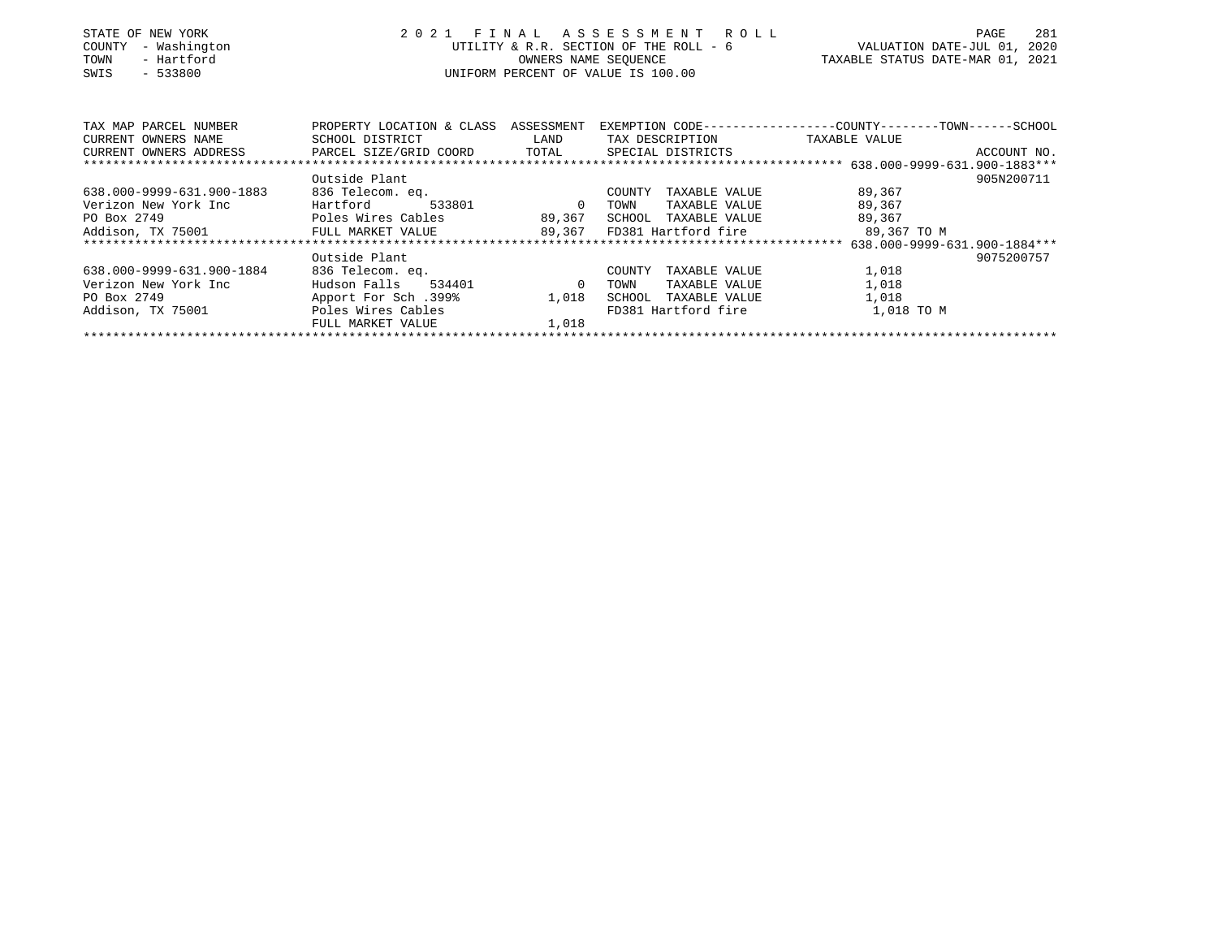| STATE OF NEW YORK<br>- Washington<br>COUNTY<br>- Hartford<br>TOWN<br>$-533800$<br>SWIS | 2021                                 | OWNERS NAME SEOUENCE               | FINAL ASSESSMENT ROLL<br>UNIFORM PERCENT OF VALUE IS 100.00 | 281<br>PAGE<br>UTILITY & R.R. SECTION OF THE ROLL - 6 WALUATION DATE-JUL 01, 2020<br>TAXABLE STATUS DATE-MAR 01, 2021 |
|----------------------------------------------------------------------------------------|--------------------------------------|------------------------------------|-------------------------------------------------------------|-----------------------------------------------------------------------------------------------------------------------|
| TAX MAP PARCEL NUMBER                                                                  | PROPERTY LOCATION & CLASS ASSESSMENT |                                    |                                                             | EXEMPTION CODE-----------------COUNTY-------TOWN------SCHOOL                                                          |
| CURRENT OWNERS NAME                                                                    | SCHOOL DISTRICT                      | <b>EXAMPLE STATE SERVICE STATE</b> | TAX DESCRIPTION                                             | TAXABLE VALUE                                                                                                         |
| CURRENT OWNERS ADDRESS TRARCEL SIZE/GRID COORD TOTAL                                   |                                      |                                    | SPECIAL DISTRICTS                                           | ACCOUNT NO.                                                                                                           |
|                                                                                        |                                      |                                    |                                                             |                                                                                                                       |
|                                                                                        | Outside Plant                        |                                    |                                                             | 905N200711                                                                                                            |
| 638.000-9999-631.900-1883                                                              | 836 Telecom. eq.                     |                                    | COUNTY<br>TAXABLE VALUE                                     | 89,367                                                                                                                |
| Verizon New York Inc                                                                   | Hartford                             | 533801 0                           | TOWN<br>TAXABLE VALUE                                       | 89,367                                                                                                                |
| PO Box 2749                                                                            | Poles Wires Cables                   | 89, 367                            | SCHOOL TAXABLE VALUE                                        | 89,367                                                                                                                |
| Addison, TX 75001 FULL MARKET VALUE 89,367                                             |                                      |                                    | FD381 Hartford fire                                         | 89,367 TO M                                                                                                           |
|                                                                                        |                                      |                                    |                                                             | 638.000-9999-631.900-1884***                                                                                          |
|                                                                                        | Outside Plant                        |                                    |                                                             | 9075200757                                                                                                            |
| 638.000-9999-631.900-1884                                                              | 836 Telecom. eq.                     |                                    | COUNTY<br>TAXABLE VALUE                                     | 1,018                                                                                                                 |
| Verizon New York Inc                                                                   | Hudson Falls<br>534401 0             |                                    | TOWN<br>TAXABLE VALUE                                       | 1,018                                                                                                                 |
| PO Box 2749                                                                            | 199%. Apport For Sch                 | 1,018                              | TAXABLE VALUE<br>SCHOOL                                     | 1,018                                                                                                                 |
| Addison, TX 75001                                                                      | Poles Wires Cables                   |                                    | FD381 Hartford fire                                         | 1,018 TO M                                                                                                            |
|                                                                                        | FULL MARKET VALUE                    | 1,018                              |                                                             |                                                                                                                       |
|                                                                                        |                                      |                                    |                                                             |                                                                                                                       |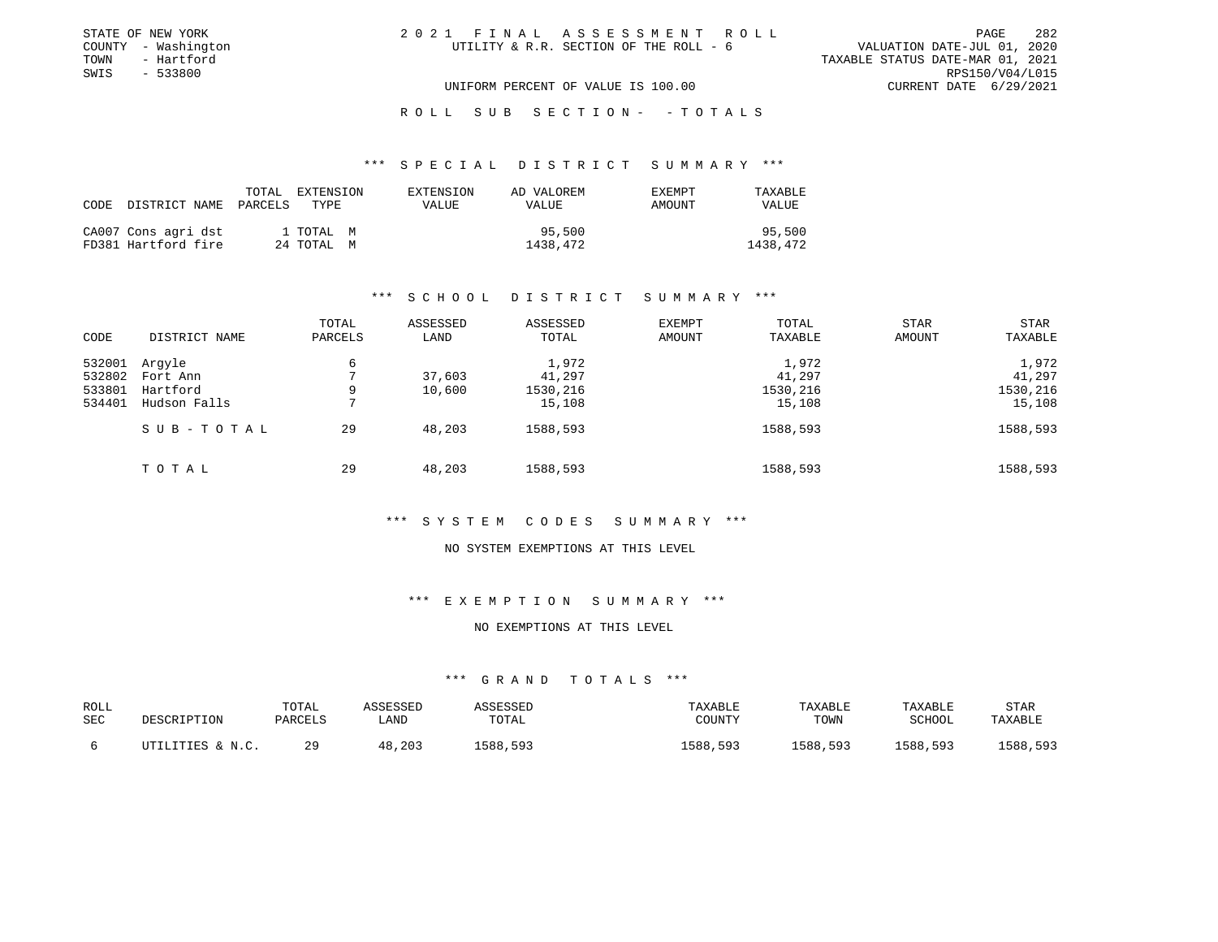| STATE OF NEW YORK   | 2021 FINAL ASSESSMENT ROLL             | PAGE                             | 282 |
|---------------------|----------------------------------------|----------------------------------|-----|
| COUNTY - Washington | UTILITY & R.R. SECTION OF THE ROLL - 6 | VALUATION DATE-JUL 01, 2020      |     |
| TOWN<br>- Hartford  |                                        | TAXABLE STATUS DATE-MAR 01, 2021 |     |
| SWIS<br>$-533800$   |                                        | RPS150/V04/L015                  |     |
|                     | UNIFORM PERCENT OF VALUE IS 100.00     | CURRENT DATE 6/29/2021           |     |

# ROLL SUB SECTION - - TOTALS

#### \*\*\* S P E C I A L D I S T R I C T S U M M A R Y \*\*\*

| CODE DISTRICT NAME                         | TOTAL<br>EXTENSION<br>PARCELS<br>TYPE. | EXTENSION<br><b>VALUE</b> | AD VALOREM<br><b>VALUE</b> | EXEMPT<br>AMOUNT | TAXABLE<br><b>VALUE</b> |
|--------------------------------------------|----------------------------------------|---------------------------|----------------------------|------------------|-------------------------|
| CA007 Cons agri dst<br>FD381 Hartford fire | 1 TOTAL M<br>24 TOTAL M                |                           | 95,500<br>1438,472         |                  | 95,500<br>1438,472      |

# \*\*\* S C H O O L D I S T R I C T S U M M A R Y \*\*\*

| CODE   | DISTRICT NAME | TOTAL<br>PARCELS | ASSESSED<br>LAND | ASSESSED<br>TOTAL | EXEMPT<br>AMOUNT | TOTAL<br>TAXABLE | <b>STAR</b><br>AMOUNT | <b>STAR</b><br>TAXABLE |
|--------|---------------|------------------|------------------|-------------------|------------------|------------------|-----------------------|------------------------|
| 532001 | Arqyle        | 6                |                  | 1,972             |                  | 1,972            |                       | 1,972                  |
| 532802 | Fort Ann      |                  | 37,603           | 41,297            |                  | 41,297           |                       | 41,297                 |
| 533801 | Hartford      | 9                | 10,600           | 1530,216          |                  | 1530,216         |                       | 1530,216               |
| 534401 | Hudson Falls  | ⇁                |                  | 15,108            |                  | 15,108           |                       | 15,108                 |
|        | SUB-TOTAL     | 29               | 48,203           | 1588,593          |                  | 1588,593         |                       | 1588,593               |
|        | TOTAL         | 29               | 48,203           | 1588,593          |                  | 1588,593         |                       | 1588,593               |

#### \*\*\* S Y S T E M C O D E S S U M M A R Y \*\*\*

#### NO SYSTEM EXEMPTIONS AT THIS LEVEL

# \*\*\* E X E M P T I O N S U M M A R Y \*\*\*

# NO EXEMPTIONS AT THIS LEVEL

| ROLL       | DESCRIPTION      | TOTAL   | ASSESSED | ASSESSED | TAXABLE  | TAXABLE  | TAXABLE       | STAR     |
|------------|------------------|---------|----------|----------|----------|----------|---------------|----------|
| <b>SEC</b> |                  | PARCELS | LAND     | TOTAL    | COUNTY   | TOWN     | <b>SCHOOL</b> | TAXABLE  |
|            | UTILITIES & N.C. | つQ      | 48,203   | L588,593 | 1588,593 | 1588,593 | 1588,593      | 1588,593 |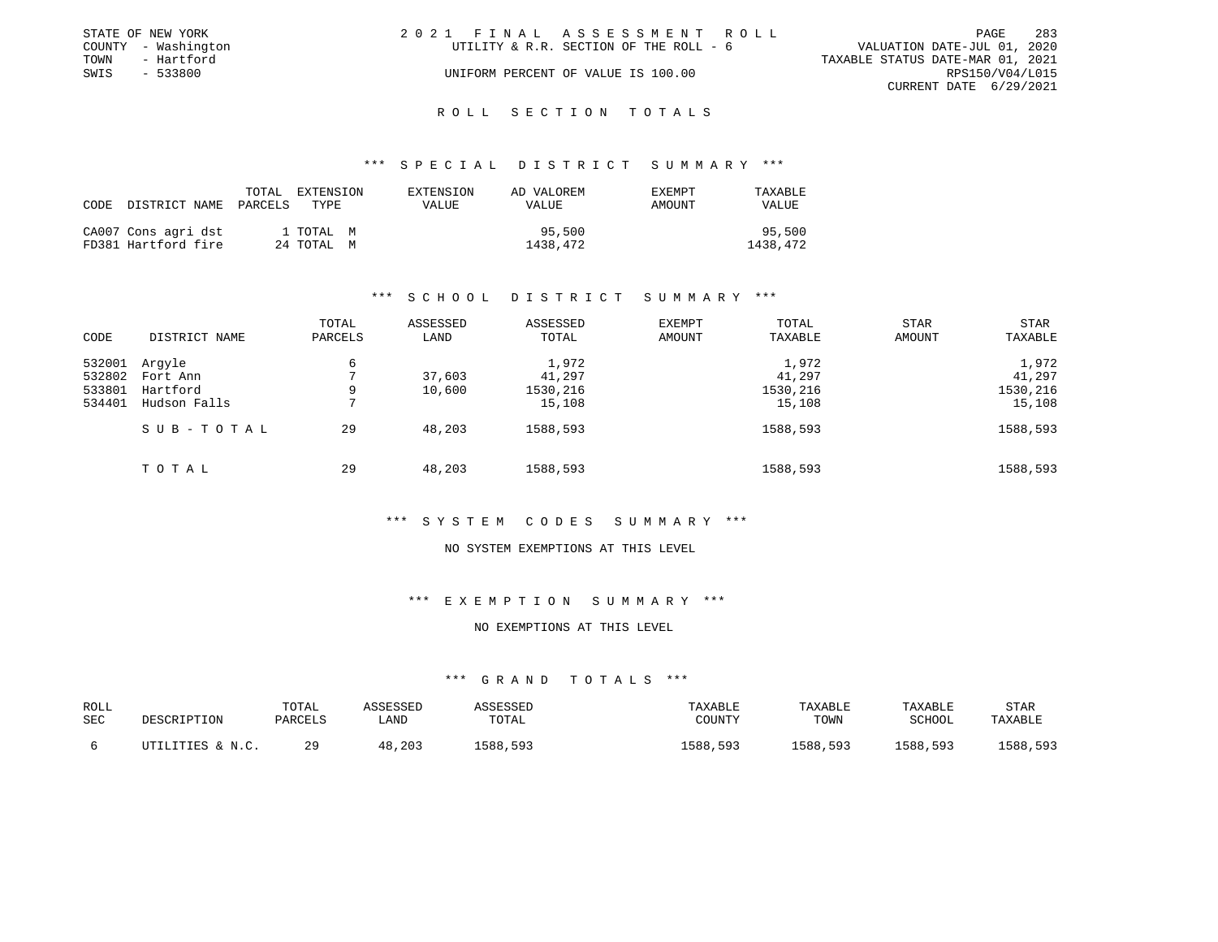|      | STATE OF NEW YORK   | 2021 FINAL ASSESSMENT ROLL                                            | PAGE            | -283 |
|------|---------------------|-----------------------------------------------------------------------|-----------------|------|
|      | COUNTY - Washington | VALUATION DATE-JUL 01, 2020<br>UTILITY & R.R. SECTION OF THE ROLL - 6 |                 |      |
| TOWN | - Hartford          | TAXABLE STATUS DATE-MAR 01, 2021                                      |                 |      |
| SWIS | $-533800$           | UNIFORM PERCENT OF VALUE IS 100.00                                    | RPS150/V04/L015 |      |
|      |                     | CURRENT DATE 6/29/2021                                                |                 |      |
|      |                     |                                                                       |                 |      |

# ROLL SECTION TOTALS

#### \*\*\* S P E C I A L D I S T R I C T S U M M A R Y \*\*\*

| CODE DISTRICT NAME                         | TOTAL<br>PARCELS | <b>EXTENSION</b><br>TYPE. | EXTENSION<br><b>VALUE</b> | AD VALOREM<br>VALUE | EXEMPT<br>AMOUNT | TAXABLE<br><b>VALUE</b> |
|--------------------------------------------|------------------|---------------------------|---------------------------|---------------------|------------------|-------------------------|
| CA007 Cons agri dst<br>FD381 Hartford fire |                  | 1 ТОТАЬ М<br>24 ТОТАЬ М   |                           | 95,500<br>1438,472  |                  | 95,500<br>1438,472      |

# \*\*\* S C H O O L D I S T R I C T S U M M A R Y \*\*\*

| CODE   | DISTRICT NAME | TOTAL<br>PARCELS | ASSESSED<br>LAND | ASSESSED<br>TOTAL | EXEMPT<br>AMOUNT | TOTAL<br>TAXABLE | <b>STAR</b><br>AMOUNT | <b>STAR</b><br>TAXABLE |
|--------|---------------|------------------|------------------|-------------------|------------------|------------------|-----------------------|------------------------|
| 532001 | Arqyle        | 6                |                  | 1,972             |                  | 1,972            |                       | 1,972                  |
| 532802 | Fort Ann      |                  | 37,603           | 41,297            |                  | 41,297           |                       | 41,297                 |
| 533801 | Hartford      | 9                | 10,600           | 1530,216          |                  | 1530,216         |                       | 1530,216               |
| 534401 | Hudson Falls  |                  |                  | 15,108            |                  | 15,108           |                       | 15,108                 |
|        | SUB-TOTAL     | 29               | 48,203           | 1588,593          |                  | 1588,593         |                       | 1588,593               |
|        | TOTAL         | 29               | 48,203           | 1588,593          |                  | 1588,593         |                       | 1588,593               |

#### \*\*\* S Y S T E M C O D E S S U M M A R Y \*\*\*

#### NO SYSTEM EXEMPTIONS AT THIS LEVEL

# \*\*\* E X E M P T I O N S U M M A R Y \*\*\*

## NO EXEMPTIONS AT THIS LEVEL

| ROLL<br>SEC | DESCRIPTION      | TOTAL<br>PARCELS | <b>\SSESSED</b><br>∟AND | ASSESSED<br>TOTAL | TAXABLE<br>COUNTY | TAXABLE<br>TOWN | TAXABLE<br><b>SCHOOL</b> | STAF<br>TAXABLE |
|-------------|------------------|------------------|-------------------------|-------------------|-------------------|-----------------|--------------------------|-----------------|
|             | UTILITIES & N.C. | 29               | .203<br>48              | 1588,593          | 1588,593          | 1588,593        | 1588,593                 | 1588,593        |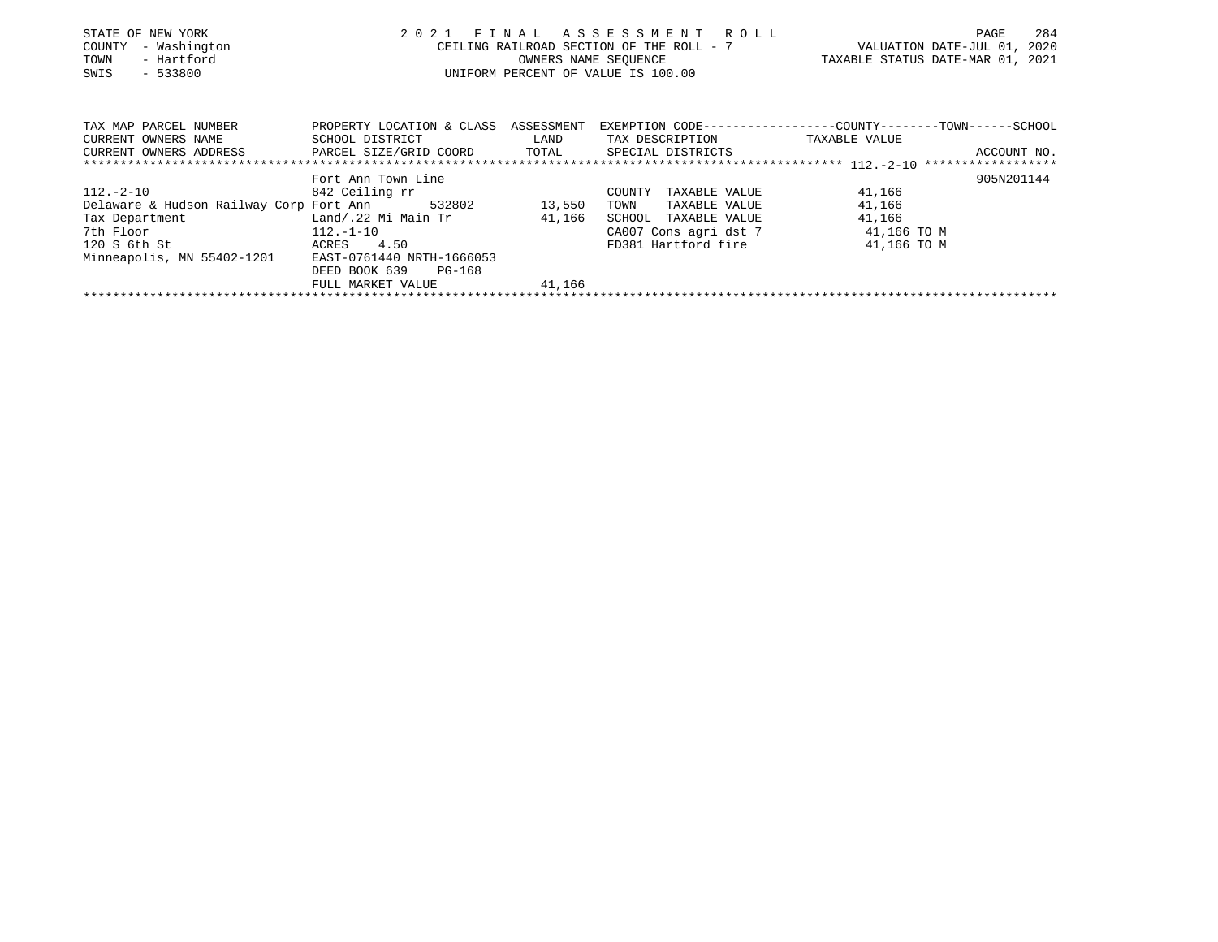| STATE OF NEW YORK<br>- Washington<br>COUNTY<br>- Hartford<br>TOWN<br>$-533800$<br>SWIS | 2021 FINAL ASSESSMENT ROLL<br>UNIFORM PERCENT OF VALUE IS 100.00 | PAGE<br>284<br>CEILING RAILROAD SECTION OF THE ROLL - 7 VALUATION DATE-JUL 01, 2020<br>TAXABLE STATUS DATE-MAR 01, 2021<br>OWNERS NAME SEQUENCE |                                                              |
|----------------------------------------------------------------------------------------|------------------------------------------------------------------|-------------------------------------------------------------------------------------------------------------------------------------------------|--------------------------------------------------------------|
|                                                                                        |                                                                  |                                                                                                                                                 |                                                              |
| TAX MAP PARCEL NUMBER<br>CURRENT OWNERS NAME                                           | PROPERTY LOCATION & CLASS ASSESSMENT<br>SCHOOL DISTRICT LAND     | TAX DESCRIPTION TAXABLE VALUE                                                                                                                   | EXEMPTION CODE-----------------COUNTY-------TOWN------SCHOOL |
| CURRENT OWNERS ADDRESS FRACEL SIZE/GRID COORD TOTAL SPECIAL DISTRICTS                  |                                                                  |                                                                                                                                                 | ACCOUNT NO.                                                  |
|                                                                                        | Fort Ann Town Line                                               |                                                                                                                                                 | 905N201144                                                   |
| $112.-2-10$ 842 Ceiling rr                                                             |                                                                  | COUNTY<br>TAXABLE VALUE                                                                                                                         | 41,166                                                       |
| Delaware & Hudson Railway Corp Fort Ann 532802 13,550                                  |                                                                  | TOWN<br>TAXABLE VALUE                                                                                                                           | 41,166                                                       |
| Tax Department Land/.22 Mi Main Tr 41,166                                              |                                                                  | SCHOOL TAXABLE VALUE                                                                                                                            | 41,166                                                       |
| 7th Floor 112.-1-10                                                                    |                                                                  | CA007 Cons agri dst 7 41,166 TO M                                                                                                               |                                                              |
| 120 S 6th St<br>ACRES 4.50                                                             |                                                                  | FD381 Hartford fire 31,166 TO M                                                                                                                 |                                                              |
| Minneapolis, MN 55402-1201                                                             | EAST-0761440 NRTH-1666053                                        |                                                                                                                                                 |                                                              |
|                                                                                        | DEED BOOK 639<br>PG-168                                          |                                                                                                                                                 |                                                              |
|                                                                                        | FULL MARKET VALUE 41,166                                         |                                                                                                                                                 |                                                              |
|                                                                                        |                                                                  |                                                                                                                                                 |                                                              |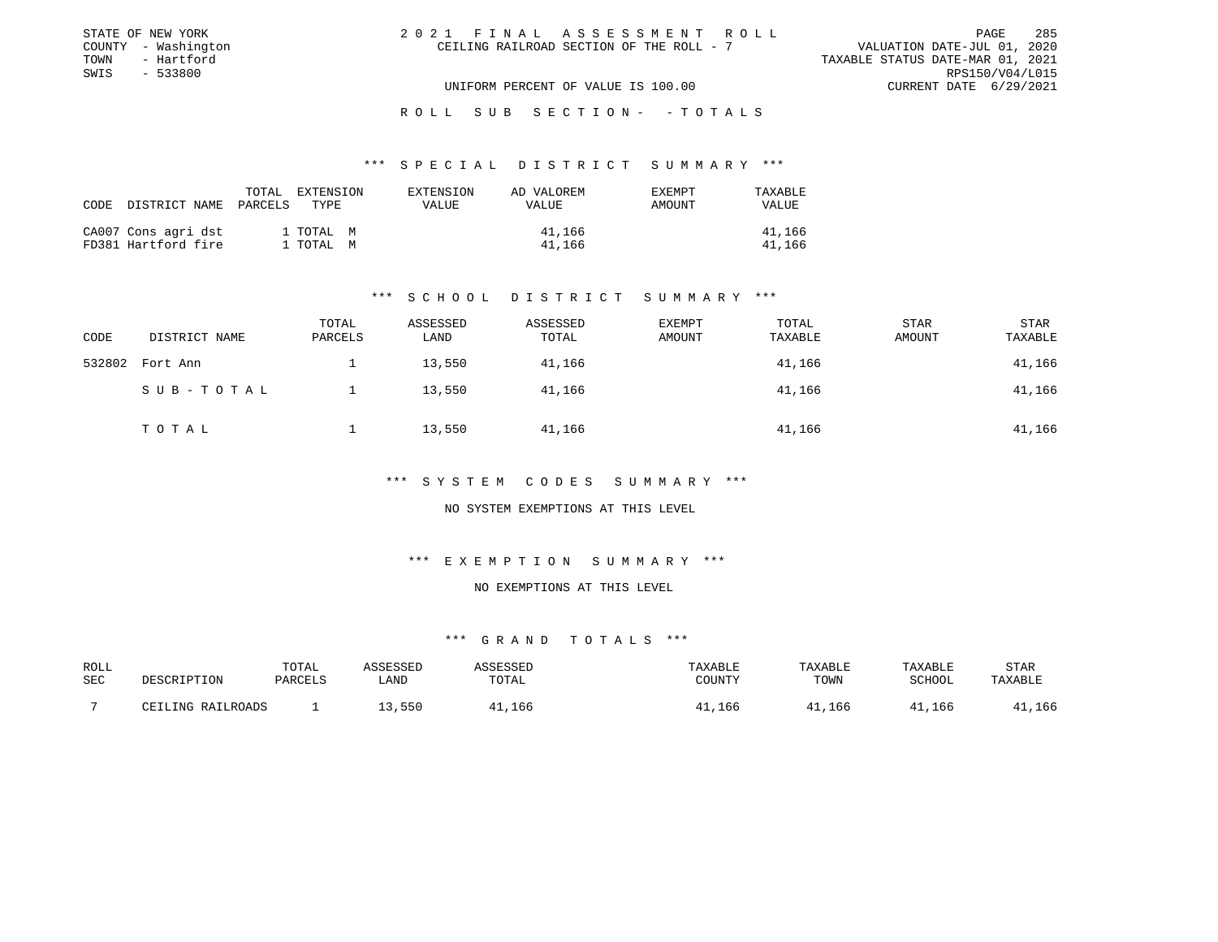| STATE OF NEW YORK   |  | 2021 FINAL ASSESSMENT ROLL               |                                  | PAGE                   | 285 |
|---------------------|--|------------------------------------------|----------------------------------|------------------------|-----|
| COUNTY - Washington |  | CEILING RAILROAD SECTION OF THE ROLL - 7 | VALUATION DATE-JUL 01, 2020      |                        |     |
| TOWN<br>- Hartford  |  |                                          | TAXABLE STATUS DATE-MAR 01, 2021 |                        |     |
| SWIS<br>- 533800    |  |                                          |                                  | RPS150/V04/L015        |     |
|                     |  | UNIFORM PERCENT OF VALUE IS 100.00       |                                  | CURRENT DATE 6/29/2021 |     |

# ROLL SUB SECTION - - TOTALS

#### \*\*\* S P E C I A L D I S T R I C T S U M M A R Y \*\*\*

| CODE | DISTRICT NAME PARCELS                      | TOTAL | EXTENSION<br>TYPE.     | EXTENSION<br>VALUE | AD VALOREM<br>VALUE | <b>EXEMPT</b><br>AMOUNT | TAXABLE<br><b>VALUE</b> |
|------|--------------------------------------------|-------|------------------------|--------------------|---------------------|-------------------------|-------------------------|
|      | CA007 Cons agri dst<br>FD381 Hartford fire |       | 1 TOTAL M<br>1 TOTAL M |                    | 41,166<br>41,166    |                         | 41,166<br>41,166        |

# \*\*\* S C H O O L D I S T R I C T S U M M A R Y \*\*\*

| CODE   | DISTRICT NAME | TOTAL<br>PARCELS | ASSESSED<br>LAND | ASSESSED<br>TOTAL | EXEMPT<br>AMOUNT | TOTAL<br>TAXABLE | <b>STAR</b><br>AMOUNT | <b>STAR</b><br>TAXABLE |
|--------|---------------|------------------|------------------|-------------------|------------------|------------------|-----------------------|------------------------|
| 532802 | Fort Ann      |                  | 13,550           | 41,166            |                  | 41,166           |                       | 41,166                 |
|        | SUB-TOTAL     |                  | 13,550           | 41,166            |                  | 41,166           |                       | 41,166                 |
|        | TOTAL         |                  | 13,550           | 41,166            |                  | 41,166           |                       | 41,166                 |

#### \*\*\* S Y S T E M C O D E S S U M M A R Y \*\*\*

# NO SYSTEM EXEMPTIONS AT THIS LEVEL

# \*\*\* E X E M P T I O N S U M M A R Y \*\*\*

#### NO EXEMPTIONS AT THIS LEVEL

| ROLL |                   | TOTAL   | ASSESSED | <b><i>ASSESSED</i></b> | TAXABLE | TAXABLE | TAXABLE | STAR    |
|------|-------------------|---------|----------|------------------------|---------|---------|---------|---------|
| SEC  | DESCRIPTION       | PARCELS | LAND     | TOTAL                  | COUNTY  | TOWN    | SCHOOL  | TAXABLE |
|      | CEILING RAILROADS |         | 13,550   | 166, 11                | 41,166  | 41,166  | 41,166  | ,166    |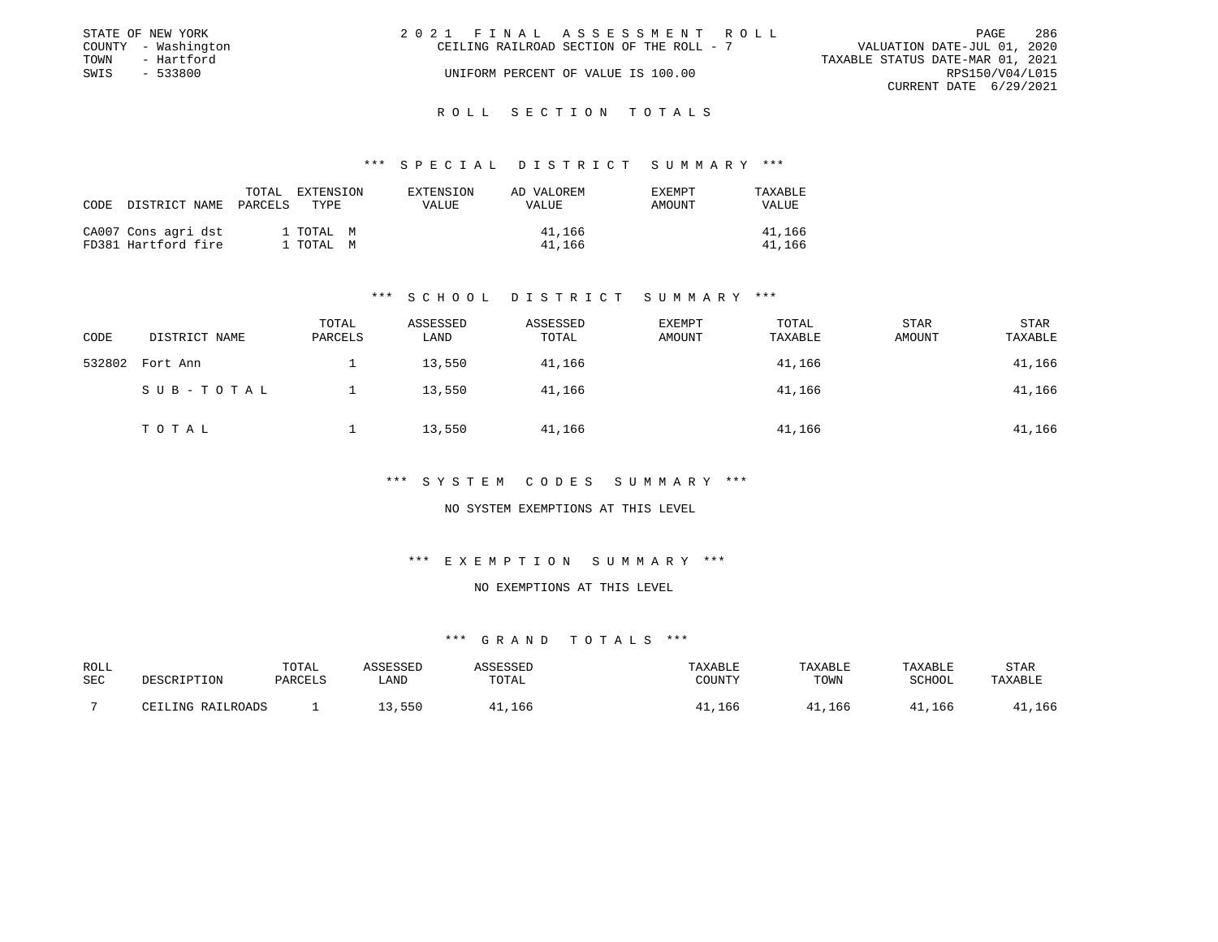|      | STATE OF NEW YORK   | 2021 FINAL ASSESSMENT ROLL                                              | PAGE            | 286 |
|------|---------------------|-------------------------------------------------------------------------|-----------------|-----|
|      | COUNTY - Washington | VALUATION DATE-JUL 01, 2020<br>CEILING RAILROAD SECTION OF THE ROLL - 7 |                 |     |
| TOWN | - Hartford          | TAXABLE STATUS DATE-MAR 01, 2021                                        |                 |     |
| SWIS | - 533800            | UNIFORM PERCENT OF VALUE IS 100.00                                      | RPS150/V04/L015 |     |
|      |                     | CURRENT DATE 6/29/2021                                                  |                 |     |
|      |                     |                                                                         |                 |     |

#### R O L L S E C T I O N T O T A L S

#### \*\*\* S P E C I A L D I S T R I C T S U M M A R Y \*\*\*

| CODE | DISTRICT NAME                              | TOTAL<br>PARCELS | EXTENSION<br>TYPE      | EXTENSION<br>VALUE | AD VALOREM<br>VALUE | EXEMPT<br>AMOUNT | TAXABLE<br><b>VALUE</b> |
|------|--------------------------------------------|------------------|------------------------|--------------------|---------------------|------------------|-------------------------|
|      | CA007 Cons agri dst<br>FD381 Hartford fire |                  | 1 TOTAL M<br>1 TOTAL M |                    | 41,166<br>41,166    |                  | 41,166<br>41,166        |

# \*\*\* S C H O O L D I S T R I C T S U M M A R Y \*\*\*

| CODE   | DISTRICT NAME | TOTAL<br>PARCELS | ASSESSED<br>LAND | ASSESSED<br>TOTAL | EXEMPT<br>AMOUNT | TOTAL<br>TAXABLE | STAR<br>AMOUNT | STAR<br>TAXABLE |
|--------|---------------|------------------|------------------|-------------------|------------------|------------------|----------------|-----------------|
| 532802 | Fort Ann      |                  | 13,550           | 41,166            |                  | 41,166           |                | 41,166          |
|        | SUB-TOTAL     |                  | 13,550           | 41,166            |                  | 41,166           |                | 41,166          |
|        | TOTAL         |                  | 13,550           | 41,166            |                  | 41,166           |                | 41,166          |

#### \*\*\* S Y S T E M C O D E S S U M M A R Y \*\*\*

# NO SYSTEM EXEMPTIONS AT THIS LEVEL

# \*\*\* E X E M P T I O N S U M M A R Y \*\*\*

#### NO EXEMPTIONS AT THIS LEVEL

| ROLL |                   | TOTAL   | ASSESSED | <b><i>ASSESSED</i></b> | TAXABLE | TAXABLE | TAXABLE | STAR    |
|------|-------------------|---------|----------|------------------------|---------|---------|---------|---------|
| SEC  | DESCRIPTION       | PARCELS | LAND     | TOTAL                  | COUNTY  | TOWN    | SCHOOL  | TAXABLE |
|      | CEILING RAILROADS |         | 13,550   | 166, 11                | 41,166  | 41,166  | 41,166  | ,166    |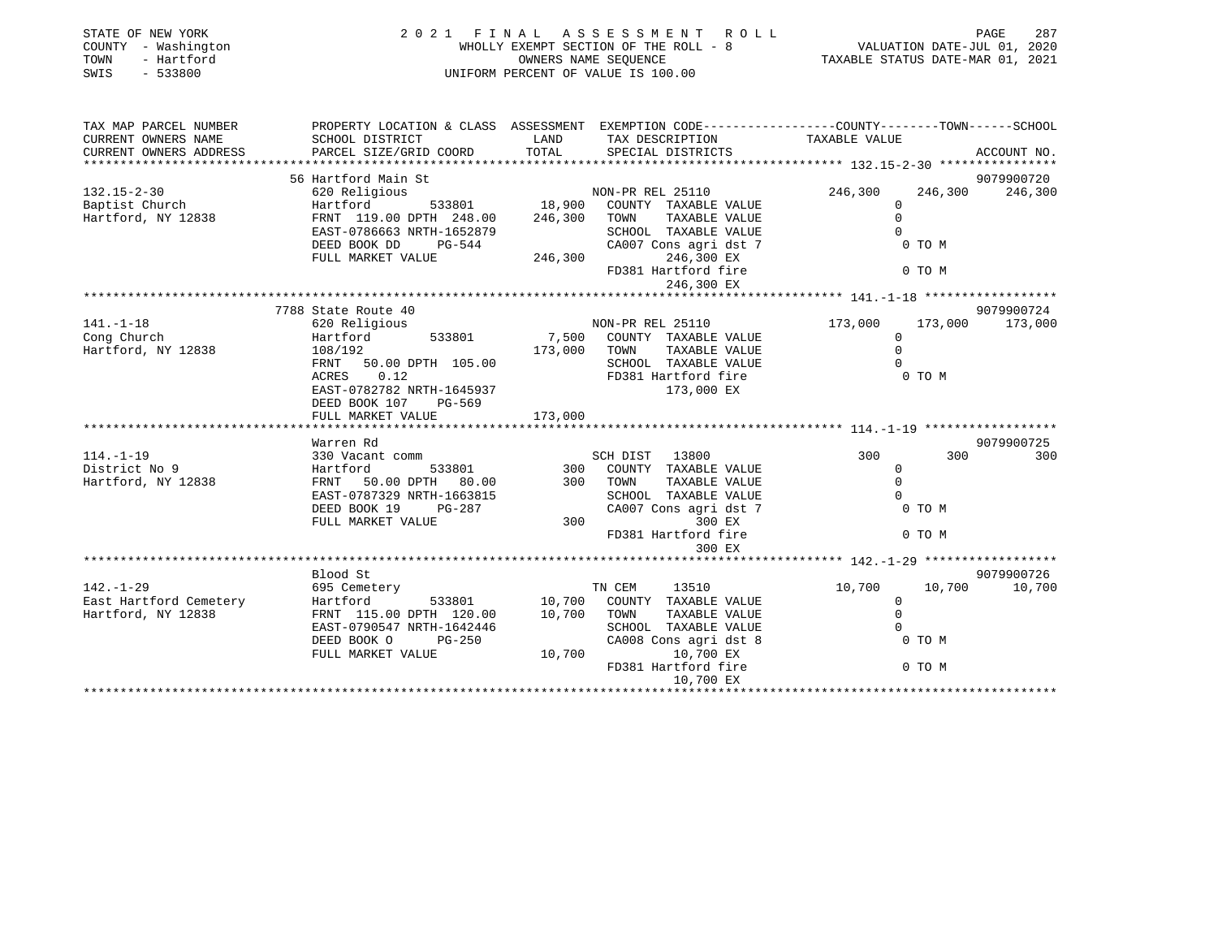| STATE OF NEW YORK<br>COUNTY - Washington<br>- Hartford<br>TOWN<br>SWIS<br>$-533800$                                                                                                                                                                    |                                                                                                                                                                                                                                                |         | 2021 FINAL ASSESSMENT ROLL                                                                                                                                                                                                     | PAGE 287<br>WHOLLY EXEMPT SECTION OF THE ROLL - 8<br>WALUATION DATE-JUL 01, 2020<br>OWNERS NAME SEQUENCE TAXABLE STATUS DATE-MAR 01, 2021<br>UNIFORM PERCENT OF VALUE IS 100.00 |                 |  |
|--------------------------------------------------------------------------------------------------------------------------------------------------------------------------------------------------------------------------------------------------------|------------------------------------------------------------------------------------------------------------------------------------------------------------------------------------------------------------------------------------------------|---------|--------------------------------------------------------------------------------------------------------------------------------------------------------------------------------------------------------------------------------|---------------------------------------------------------------------------------------------------------------------------------------------------------------------------------|-----------------|--|
| TAX MAP PARCEL NUMBER PROPERTY LOCATION & CLASS ASSESSMENT EXEMPTION CODE----------------COUNTY--------TOWN------SCHOOL                                                                                                                                |                                                                                                                                                                                                                                                |         |                                                                                                                                                                                                                                |                                                                                                                                                                                 |                 |  |
| CURRENT OWNERS NAME<br>CURRENT OWNERS ADDRESS                                                                                                                                                                                                          | SCHOOL DISTRICT<br>PARCEL SIZE/GRID COORD TOTAL SPECIAL DISTRICTS                                                                                                                                                                              |         | LAND TAX DESCRIPTION TAXABLE VALUE                                                                                                                                                                                             | ACCOUNT NO.                                                                                                                                                                     |                 |  |
|                                                                                                                                                                                                                                                        |                                                                                                                                                                                                                                                |         |                                                                                                                                                                                                                                |                                                                                                                                                                                 | 9079900720      |  |
| $132.15 - 2 - 30$                                                                                                                                                                                                                                      | 56 Hartford Main St<br>620 Religious 18,900 COUNTY TAXABLE VALUE<br>FRNT 119.00 DPTH 248.00 246,300 TOWN TAXABLE VALUE<br>FRNT 119.00 DPTH 248.00 246,300 TOWN TAXABLE VALUE                                                                   |         |                                                                                                                                                                                                                                | 246,300                                                                                                                                                                         | 246,300 246,300 |  |
|                                                                                                                                                                                                                                                        |                                                                                                                                                                                                                                                |         |                                                                                                                                                                                                                                | $\overline{0}$                                                                                                                                                                  |                 |  |
| Baptist Church<br>Hartford, NY 12838                                                                                                                                                                                                                   |                                                                                                                                                                                                                                                |         |                                                                                                                                                                                                                                |                                                                                                                                                                                 |                 |  |
|                                                                                                                                                                                                                                                        |                                                                                                                                                                                                                                                |         |                                                                                                                                                                                                                                |                                                                                                                                                                                 |                 |  |
|                                                                                                                                                                                                                                                        | FRNT 119.00 DPTH 248.00 246,300 TOWN TAXABLE VALUE ON THE CAST-0786663 NRTH-1652879 SCHOOL TAXABLE VALUE ON TO M<br>DEED BOOK DD PG-544 CA007 Cons agri dst 7 0 TO M<br>FULL MARKET VALUE 246,300 FD PS81 Hartford fire 0 TO M<br>FU           |         |                                                                                                                                                                                                                                |                                                                                                                                                                                 |                 |  |
|                                                                                                                                                                                                                                                        |                                                                                                                                                                                                                                                |         |                                                                                                                                                                                                                                |                                                                                                                                                                                 |                 |  |
|                                                                                                                                                                                                                                                        |                                                                                                                                                                                                                                                |         |                                                                                                                                                                                                                                |                                                                                                                                                                                 |                 |  |
|                                                                                                                                                                                                                                                        |                                                                                                                                                                                                                                                |         |                                                                                                                                                                                                                                |                                                                                                                                                                                 |                 |  |
|                                                                                                                                                                                                                                                        |                                                                                                                                                                                                                                                |         |                                                                                                                                                                                                                                |                                                                                                                                                                                 |                 |  |
|                                                                                                                                                                                                                                                        | 7788 State Route 40                                                                                                                                                                                                                            |         |                                                                                                                                                                                                                                |                                                                                                                                                                                 | 9079900724      |  |
|                                                                                                                                                                                                                                                        |                                                                                                                                                                                                                                                |         | NON-PR REL 25110                                                                                                                                                                                                               | 173,000                                                                                                                                                                         | 173,000 173,000 |  |
|                                                                                                                                                                                                                                                        |                                                                                                                                                                                                                                                |         |                                                                                                                                                                                                                                | $\Omega$                                                                                                                                                                        |                 |  |
| 1.1.1.0<br>Cong Church 620 Religious<br>Hartford, NY 12838 108/192<br>108/192                                                                                                                                                                          | Hartford 533801 7,500 COUNTY TAXABLE VALUE<br>108/192 173,000 TOWN TAXABLE VALUE<br>FRNT 50.00 DPTH 105.00 SCHOOL TAXABLE VALUE<br>ACRES 0.12 FD381 Hartford fire<br>FD381 HATE 0.00 EV                                                        |         |                                                                                                                                                                                                                                | $\Omega$                                                                                                                                                                        |                 |  |
|                                                                                                                                                                                                                                                        |                                                                                                                                                                                                                                                |         |                                                                                                                                                                                                                                |                                                                                                                                                                                 |                 |  |
|                                                                                                                                                                                                                                                        |                                                                                                                                                                                                                                                |         |                                                                                                                                                                                                                                |                                                                                                                                                                                 |                 |  |
|                                                                                                                                                                                                                                                        | EAST-0782782 NRTH-1645937                                                                                                                                                                                                                      |         | $173,000$ EX                                                                                                                                                                                                                   |                                                                                                                                                                                 |                 |  |
|                                                                                                                                                                                                                                                        | DEED BOOK 107<br>PG-569                                                                                                                                                                                                                        |         |                                                                                                                                                                                                                                |                                                                                                                                                                                 |                 |  |
|                                                                                                                                                                                                                                                        | FULL MARKET VALUE                                                                                                                                                                                                                              | 173,000 |                                                                                                                                                                                                                                |                                                                                                                                                                                 |                 |  |
|                                                                                                                                                                                                                                                        |                                                                                                                                                                                                                                                |         |                                                                                                                                                                                                                                |                                                                                                                                                                                 |                 |  |
|                                                                                                                                                                                                                                                        | Warren Rd                                                                                                                                                                                                                                      |         |                                                                                                                                                                                                                                |                                                                                                                                                                                 | 9079900725      |  |
|                                                                                                                                                                                                                                                        |                                                                                                                                                                                                                                                |         | SCH DIST 13800 300                                                                                                                                                                                                             | 300                                                                                                                                                                             | 300             |  |
|                                                                                                                                                                                                                                                        |                                                                                                                                                                                                                                                |         |                                                                                                                                                                                                                                |                                                                                                                                                                                 |                 |  |
|                                                                                                                                                                                                                                                        |                                                                                                                                                                                                                                                |         |                                                                                                                                                                                                                                |                                                                                                                                                                                 |                 |  |
|                                                                                                                                                                                                                                                        |                                                                                                                                                                                                                                                |         |                                                                                                                                                                                                                                |                                                                                                                                                                                 |                 |  |
| 114.-1-19<br>Martiord 330 Vacant comm<br>District No 9<br>Hartford, NY 12838<br>Hartford, NY 12838<br>EAST-0787329 NRTH-1663815<br>DEED BOOK 19<br>PG-287<br>FULL MARKET VALUE<br>THE SCHOOL TAXABLE VALUE<br>DEED BOOK 19<br>PG-287<br>2007 CONS agri |                                                                                                                                                                                                                                                |         | COUNTRY THAT THAT TOWN TRANSPORT ON THE CONTRYPT OF THE CONTRYPT OF THE CONTRYPT OF THE CONTRYPT OF THE CONTRYPT OF THE CONTRYPT OF THE CONTRYPT OF THE CONTRYPT OF THE CONTRYPT OF THE CONTRYPT OF THE CONTRYPT OF THE CONTRY |                                                                                                                                                                                 |                 |  |
|                                                                                                                                                                                                                                                        |                                                                                                                                                                                                                                                |         |                                                                                                                                                                                                                                |                                                                                                                                                                                 |                 |  |
|                                                                                                                                                                                                                                                        |                                                                                                                                                                                                                                                |         | FD381 Hartford fire                                                                                                                                                                                                            | 0 TO M                                                                                                                                                                          |                 |  |
|                                                                                                                                                                                                                                                        |                                                                                                                                                                                                                                                |         |                                                                                                                                                                                                                                |                                                                                                                                                                                 |                 |  |
|                                                                                                                                                                                                                                                        |                                                                                                                                                                                                                                                |         |                                                                                                                                                                                                                                |                                                                                                                                                                                 |                 |  |
| $142. - 1 - 29$                                                                                                                                                                                                                                        | Blood St                                                                                                                                                                                                                                       |         |                                                                                                                                                                                                                                |                                                                                                                                                                                 | 9079900726      |  |
|                                                                                                                                                                                                                                                        | 695 Cemetery                                                                                                                                                                                                                                   |         | TN CEM 13510                                                                                                                                                                                                                   | 10,700 10,700 10,700                                                                                                                                                            |                 |  |
| East Hartford Cemetery<br>Hartford, NY 12838                                                                                                                                                                                                           | Hartford 533801 10,700 COUNTY TAXABLE VALUE                                                                                                                                                                                                    |         |                                                                                                                                                                                                                                |                                                                                                                                                                                 |                 |  |
|                                                                                                                                                                                                                                                        | $\begin{tabular}{lllllllll} \textsc{FRNT} & 115.00 & \textsc{DFTH} & 120.00 & & 10,700 & \textsc{TOMN} & \textsc{TAXABLE VALUE} \\ \textsc{EAST}-0790547 & \textsc{NRTH}-1642446 & & & \textsc{SCHOOL} & \textsc{TAXABLE VALUE} \end{tabular}$ |         |                                                                                                                                                                                                                                |                                                                                                                                                                                 |                 |  |
|                                                                                                                                                                                                                                                        | DEED BOOK O<br>$PG-250$                                                                                                                                                                                                                        |         |                                                                                                                                                                                                                                |                                                                                                                                                                                 |                 |  |
|                                                                                                                                                                                                                                                        | FULL MARKET VALUE                                                                                                                                                                                                                              |         |                                                                                                                                                                                                                                |                                                                                                                                                                                 |                 |  |
|                                                                                                                                                                                                                                                        |                                                                                                                                                                                                                                                |         |                                                                                                                                                                                                                                |                                                                                                                                                                                 |                 |  |
|                                                                                                                                                                                                                                                        |                                                                                                                                                                                                                                                |         | 10,700 EX                                                                                                                                                                                                                      |                                                                                                                                                                                 |                 |  |
|                                                                                                                                                                                                                                                        |                                                                                                                                                                                                                                                |         |                                                                                                                                                                                                                                |                                                                                                                                                                                 |                 |  |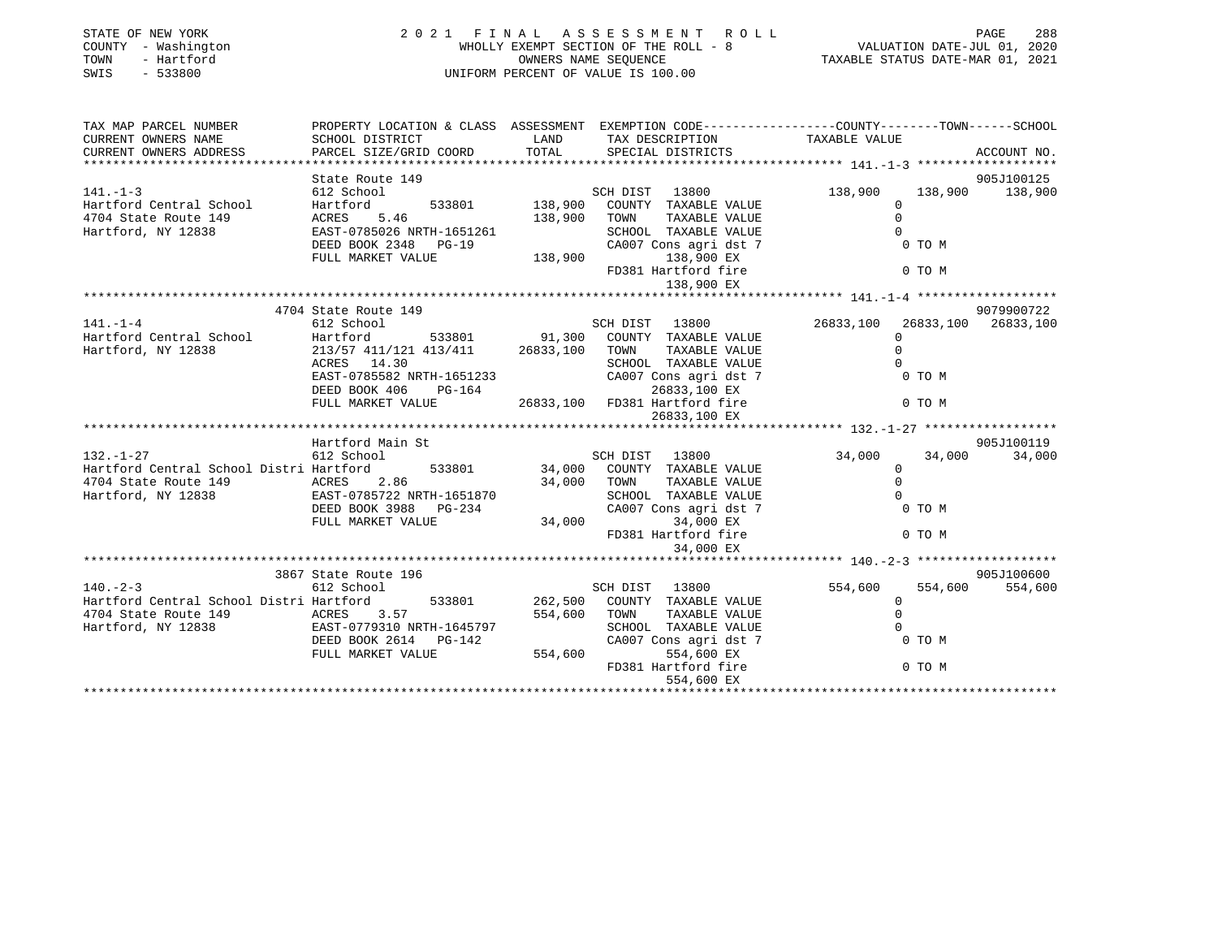| STATE OF NEW YORK<br>COUNTY - Washington<br>- Hartford<br>TOWN<br>SWIS<br>$-533800$                                                                                                                                               |                                                                                                                                                               |             | 2021 FINAL ASSESSMENT ROLL                                                                       | PAGE 288<br>WHOLLY EXEMPT SECTION OF THE ROLL - 8<br>OWNERS NAME SEQUENCE<br>UNIFORM PERCENT OF VALUE IS 100.00<br>UNIFORM PERCENT OF VALUE IS 100.00 |                     |  |
|-----------------------------------------------------------------------------------------------------------------------------------------------------------------------------------------------------------------------------------|---------------------------------------------------------------------------------------------------------------------------------------------------------------|-------------|--------------------------------------------------------------------------------------------------|-------------------------------------------------------------------------------------------------------------------------------------------------------|---------------------|--|
| TAX MAP PARCEL NUMBER THE PROPERTY LOCATION & CLASS ASSESSMENT EXEMPTION CODE---------------COUNTY--------TOWN------SCHOOL                                                                                                        |                                                                                                                                                               |             |                                                                                                  |                                                                                                                                                       |                     |  |
| CURRENT OWNERS NAME<br>SCHOOL DISTRICT                                                                                                                                                                                            |                                                                                                                                                               | LAND        | TAX DESCRIPTION TAXABLE VALUE                                                                    |                                                                                                                                                       |                     |  |
| CURRENT OWNERS ADDRESS                                                                                                                                                                                                            | PARCEL SIZE/GRID COORD                                                                                                                                        | TOTAL       | SPECIAL DISTRICTS                                                                                |                                                                                                                                                       | ACCOUNT NO.         |  |
|                                                                                                                                                                                                                                   | State Route 149                                                                                                                                               |             |                                                                                                  |                                                                                                                                                       | 905J100125          |  |
| 141.-1-3<br>Hartford Central School (Hartford 533801 138,900 TOWN)<br>4704 State Route 149 (ACRES 5.46 138,900 TOWN)<br>Hartford, NY 12838 (EAST-0785026 NRTH-1651261 SCHOOL DEED BOOK 2348 PG-19 CA007 (2348 PG-19 138,900 FD381 |                                                                                                                                                               |             | SCH DIST 13800                                                                                   | 138,900                                                                                                                                               | 138,900 138,900     |  |
|                                                                                                                                                                                                                                   |                                                                                                                                                               |             | 533801 138,900 COUNTY TAXABLE VALUE                                                              | $\mathbf{0}$                                                                                                                                          |                     |  |
|                                                                                                                                                                                                                                   |                                                                                                                                                               |             | TOWN TAXABLE VALUE                                                                               | $\Omega$                                                                                                                                              |                     |  |
|                                                                                                                                                                                                                                   |                                                                                                                                                               |             | SCHOOL TAXABLE VALUE<br>CA007 Cons agri dst 7<br>138,900 EX<br>FD381 Hartford fire<br>138 900 EV | $\Omega$<br>$0$ TO M                                                                                                                                  |                     |  |
|                                                                                                                                                                                                                                   |                                                                                                                                                               |             |                                                                                                  |                                                                                                                                                       |                     |  |
|                                                                                                                                                                                                                                   |                                                                                                                                                               |             |                                                                                                  | 0 TO M                                                                                                                                                |                     |  |
|                                                                                                                                                                                                                                   |                                                                                                                                                               |             |                                                                                                  |                                                                                                                                                       |                     |  |
|                                                                                                                                                                                                                                   |                                                                                                                                                               |             |                                                                                                  |                                                                                                                                                       |                     |  |
|                                                                                                                                                                                                                                   | 4704 State Route 149                                                                                                                                          |             |                                                                                                  |                                                                                                                                                       | 9079900722          |  |
| $141. - 1 - 4$                                                                                                                                                                                                                    | 612 School                                                                                                                                                    |             | SCH DIST 13800                                                                                   | 26833,100<br>$\Omega$                                                                                                                                 | 26833,100 26833,100 |  |
| Hartford Central School<br>Hartford Central School<br>Hartford, NY 12838                                                                                                                                                          | Hartford 533801 91,300 COUNTY TAXABLE VALUE 213/57 411/121 413/411 26833,100 TOWN TAXABLE VALUE                                                               |             |                                                                                                  | $\Omega$                                                                                                                                              |                     |  |
|                                                                                                                                                                                                                                   |                                                                                                                                                               |             | SCHOOL TAXABLE VALUE                                                                             | $\Omega$                                                                                                                                              |                     |  |
|                                                                                                                                                                                                                                   | ACRES 14.30<br>EAST-0785582 NRTH-1651233<br>EAST-0785582 NRTH-1651233<br>DEED BOOK 406 PG-164 26833,100 EX<br>FULL MARKET VALUE 26833,100 FD381 Hartford fire |             |                                                                                                  | 0 TO M                                                                                                                                                |                     |  |
|                                                                                                                                                                                                                                   |                                                                                                                                                               |             |                                                                                                  |                                                                                                                                                       |                     |  |
|                                                                                                                                                                                                                                   |                                                                                                                                                               |             |                                                                                                  | 0 TO M                                                                                                                                                |                     |  |
|                                                                                                                                                                                                                                   |                                                                                                                                                               |             | 26833,100 EX                                                                                     |                                                                                                                                                       |                     |  |
|                                                                                                                                                                                                                                   | Hartford Main St                                                                                                                                              |             |                                                                                                  |                                                                                                                                                       | 905J100119          |  |
| $132. - 1 - 27$                                                                                                                                                                                                                   | 612 School                                                                                                                                                    |             | SCH DIST 13800                                                                                   | 34,000<br>34,000                                                                                                                                      | 34,000              |  |
| Hartford Central School Distri Hartford                                                                                                                                                                                           |                                                                                                                                                               |             | SCH DIST 13800<br>533801 34,000 COUNTY TAXABLE VALUE                                             | $\Omega$                                                                                                                                              |                     |  |
| 4704 State Route 149                                                                                                                                                                                                              | ACRES 2.86<br>EAST-0785722 NRTH-1651870                                                                                                                       | 34,000 TOWN | TAXABLE VALUE                                                                                    | $\overline{0}$                                                                                                                                        |                     |  |
| Hartford, NY 12838                                                                                                                                                                                                                |                                                                                                                                                               |             | SCHOOL TAXABLE VALUE                                                                             | $\bigcirc$                                                                                                                                            |                     |  |
|                                                                                                                                                                                                                                   | DEED BOOK 3988 PG-234                                                                                                                                         | 34,000      | CA007 Cons agri dst 7                                                                            | $0$ TO M                                                                                                                                              |                     |  |
|                                                                                                                                                                                                                                   | FULL MARKET VALUE                                                                                                                                             |             | 34,000 EX<br>FD381 Hartford fire                                                                 | 0 TO M                                                                                                                                                |                     |  |
|                                                                                                                                                                                                                                   |                                                                                                                                                               |             | 34,000 EX                                                                                        |                                                                                                                                                       |                     |  |
|                                                                                                                                                                                                                                   |                                                                                                                                                               |             |                                                                                                  |                                                                                                                                                       |                     |  |
|                                                                                                                                                                                                                                   | 3867 State Route 196                                                                                                                                          |             |                                                                                                  |                                                                                                                                                       | 905J100600          |  |
| $140. -2 - 3$                                                                                                                                                                                                                     | 612 School                                                                                                                                                    |             | SCH DIST 13800                                                                                   | 554,600<br>554,600                                                                                                                                    | 554,600             |  |
| Hartford Central School Distri Hartford 533801 262,500                                                                                                                                                                            |                                                                                                                                                               |             | COUNTY TAXABLE VALUE<br>554,600 TOWN TAXABLE VALUE                                               | $\Omega$                                                                                                                                              |                     |  |
|                                                                                                                                                                                                                                   |                                                                                                                                                               |             | SCHOOL TAXABLE VALUE                                                                             |                                                                                                                                                       |                     |  |
| 4704 State Route 149<br>Hartford, NY 12838<br>DEED BOOK 2614 PG-142                                                                                                                                                               | DEED BOOK 2614 PG-142                                                                                                                                         |             | CA007 Cons agri dst 7                                                                            | TAXABLE VALUE<br>TAXABLE VALUE<br>DIS agri dst 7 0 TO M<br>554,600 EX<br>xxtford fire<br>0 TO M                                                       |                     |  |
|                                                                                                                                                                                                                                   | FULL MARKET VALUE                                                                                                                                             | 554,600     |                                                                                                  |                                                                                                                                                       |                     |  |
|                                                                                                                                                                                                                                   |                                                                                                                                                               |             | FD381 Hartford fire                                                                              |                                                                                                                                                       |                     |  |
|                                                                                                                                                                                                                                   |                                                                                                                                                               |             | 554,600 EX                                                                                       |                                                                                                                                                       |                     |  |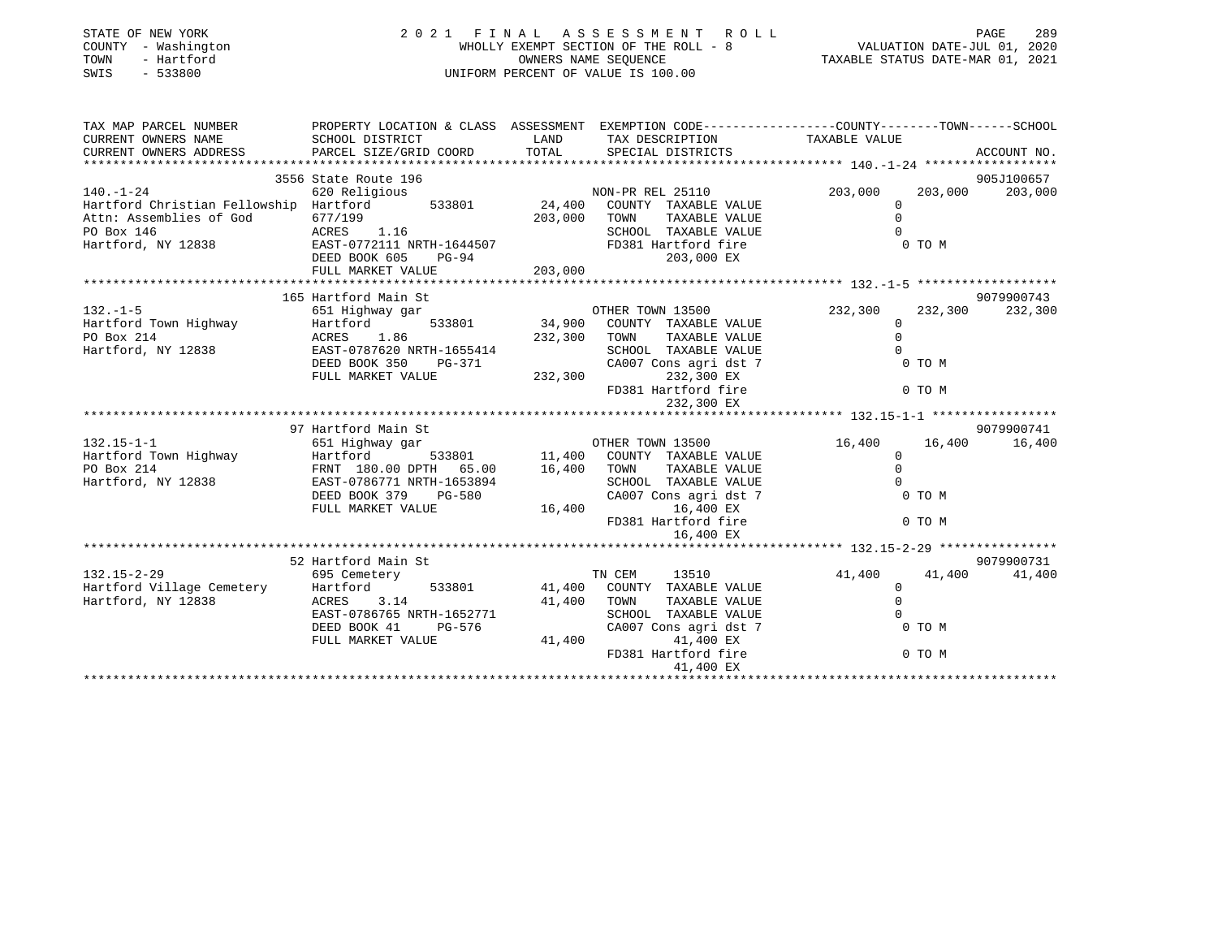| STATE OF NEW YORK<br>COUNTY - Washington<br>- Hartford<br>TOWN<br>$-533800$<br>SWIS |                                                                                                                    |             | 2021 FINAL ASSESSMENT ROLL<br>UNIFORM PERCENT OF VALUE IS 100.00                           | 289                        |                    |  |
|-------------------------------------------------------------------------------------|--------------------------------------------------------------------------------------------------------------------|-------------|--------------------------------------------------------------------------------------------|----------------------------|--------------------|--|
| TAX MAP PARCEL NUMBER<br>CURRENT OWNERS NAME                                        | PROPERTY LOCATION & CLASS ASSESSMENT EXEMPTION CODE----------------COUNTY-------TOWN-----SCHOOL<br>SCHOOL DISTRICT | LAND        | TAX DESCRIPTION TAXABLE VALUE                                                              |                            |                    |  |
| CURRENT OWNERS ADDRESS                                                              | PARCEL SIZE/GRID COORD                                                                                             |             | TOTAL SPECIAL DISTRICTS                                                                    |                            | ACCOUNT NO.        |  |
|                                                                                     | 3556 State Route 196                                                                                               |             |                                                                                            |                            | 905J100657         |  |
| $140. - 1 - 24$                                                                     | 620 Religious                                                                                                      |             |                                                                                            | 203,000                    | 203,000<br>203,000 |  |
| Hartford Christian Fellowship Hartford                                              |                                                                                                                    |             |                                                                                            | $\Omega$                   |                    |  |
| Attn: Assemblies of God                                                             |                                                                                                                    |             | 203,000 TOWN TAXABLE VALUE                                                                 | $\Omega$                   |                    |  |
| PO Box 146                                                                          | 0///199<br>ACRES 1.16                                                                                              |             | SCHOOL TAXABLE VALUE                                                                       | $\Omega$                   |                    |  |
| Hartford, NY 12838                                                                  | ACABO 1.11 NRTH-1644507<br>EAST-077211 NRTH-1644507                                                                |             | FD381 Hartford fire                                                                        |                            | 0 TO M             |  |
|                                                                                     | DEED BOOK 605 PG-94                                                                                                |             | 203,000 EX                                                                                 |                            |                    |  |
|                                                                                     | FULL MARKET VALUE                                                                                                  | 203,000     |                                                                                            |                            |                    |  |
|                                                                                     | 165 Hartford Main St                                                                                               |             |                                                                                            |                            | 9079900743         |  |
| $132. - 1 - 5$                                                                      |                                                                                                                    |             |                                                                                            | 232,300                    | 232,300 232,300    |  |
| Hartford Town Highway                                                               | 533801<br>Hartford                                                                                                 |             | 34,900 COUNTY TAXABLE VALUE                                                                | $\overline{0}$             |                    |  |
| PO Box 214                                                                          | ACRES 1.86                                                                                                         |             | TAXABLE VALUE<br>232,300 TOWN                                                              | $\Omega$                   |                    |  |
| Hartford, NY 12838                                                                  | EAST-0787620 NRTH-1655414<br>DEED BOOK 350 PG-371                                                                  |             |                                                                                            | $\Omega$                   |                    |  |
|                                                                                     |                                                                                                                    |             | SCHOOL TAXABLE VALUE<br>CA007 Cons agri dst 7<br>232,300 232,300 EX<br>FD381 Hartford fire |                            | 0 TO M             |  |
|                                                                                     | FULL MARKET VALUE                                                                                                  |             |                                                                                            |                            |                    |  |
|                                                                                     |                                                                                                                    |             | 232,300 EX                                                                                 |                            | 0 TO M             |  |
|                                                                                     |                                                                                                                    |             |                                                                                            |                            |                    |  |
|                                                                                     | 97 Hartford Main St                                                                                                |             |                                                                                            |                            | 9079900741         |  |
| $132.15 - 1 - 1$                                                                    | 651 Highway gar                                                                                                    |             | r gar<br>533801 11,400 COUNTY TAXABLE VALUE<br>11,400 COUNTY TAXABLE VALUE                 | 16,400                     | 16,400<br>16,400   |  |
| Hartford Town Highway Hartford<br>Po Pay 214                                        |                                                                                                                    |             |                                                                                            | $\overline{0}$<br>$\Omega$ |                    |  |
| PO Box 214<br>Hartford, NY 12838                                                    | FRNT 180.00 DPTH 65.00<br>EAST-0786771 NRTH-1653894                                                                | 16,400 TOWN | TAXABLE VALUE                                                                              | $\Omega$                   |                    |  |
|                                                                                     | DEED BOOK 379 PG-580                                                                                               |             |                                                                                            |                            | 0 TO M             |  |
|                                                                                     | FULL MARKET VALUE                                                                                                  | 16,400      |                                                                                            |                            |                    |  |
|                                                                                     |                                                                                                                    |             | SCHOOL TAXABLE VALUE                                                                       |                            | 0 TO M             |  |
|                                                                                     |                                                                                                                    |             | 16,400 EX                                                                                  |                            |                    |  |
|                                                                                     |                                                                                                                    |             |                                                                                            |                            |                    |  |
|                                                                                     | 52 Hartford Main St                                                                                                |             |                                                                                            |                            | 9079900731         |  |
| $132.15 - 2 - 29$                                                                   | 695 Cemetery                                                                                                       |             | TN CEM 13510                                                                               | 41,400                     | 41,400<br>41,400   |  |
| Hartford Village Cemetery                                                           | Hartford<br>533801                                                                                                 |             | 41,400 COUNTY TAXABLE VALUE                                                                | $\overline{0}$<br>$\Omega$ |                    |  |
| Hartford, NY 12838                                                                  | ACRES 3.14<br>EAST-0786765 NRTH-1652771                                                                            | 41,400 TOWN | TAXABLE VALUE<br>SCHOOL TAXABLE VALUE                                                      | $\Omega$                   |                    |  |
|                                                                                     | DEED BOOK 41<br>PG-576                                                                                             |             | CA007 Cons agri dst 7                                                                      |                            | 0 TO M             |  |
|                                                                                     | FULL MARKET VALUE                                                                                                  | 41,400      | 41,400 EX                                                                                  |                            |                    |  |
|                                                                                     |                                                                                                                    |             | FD381 Hartford fire                                                                        | 0 TO M                     |                    |  |
|                                                                                     |                                                                                                                    |             | 41,400 EX                                                                                  |                            |                    |  |
|                                                                                     |                                                                                                                    |             |                                                                                            |                            |                    |  |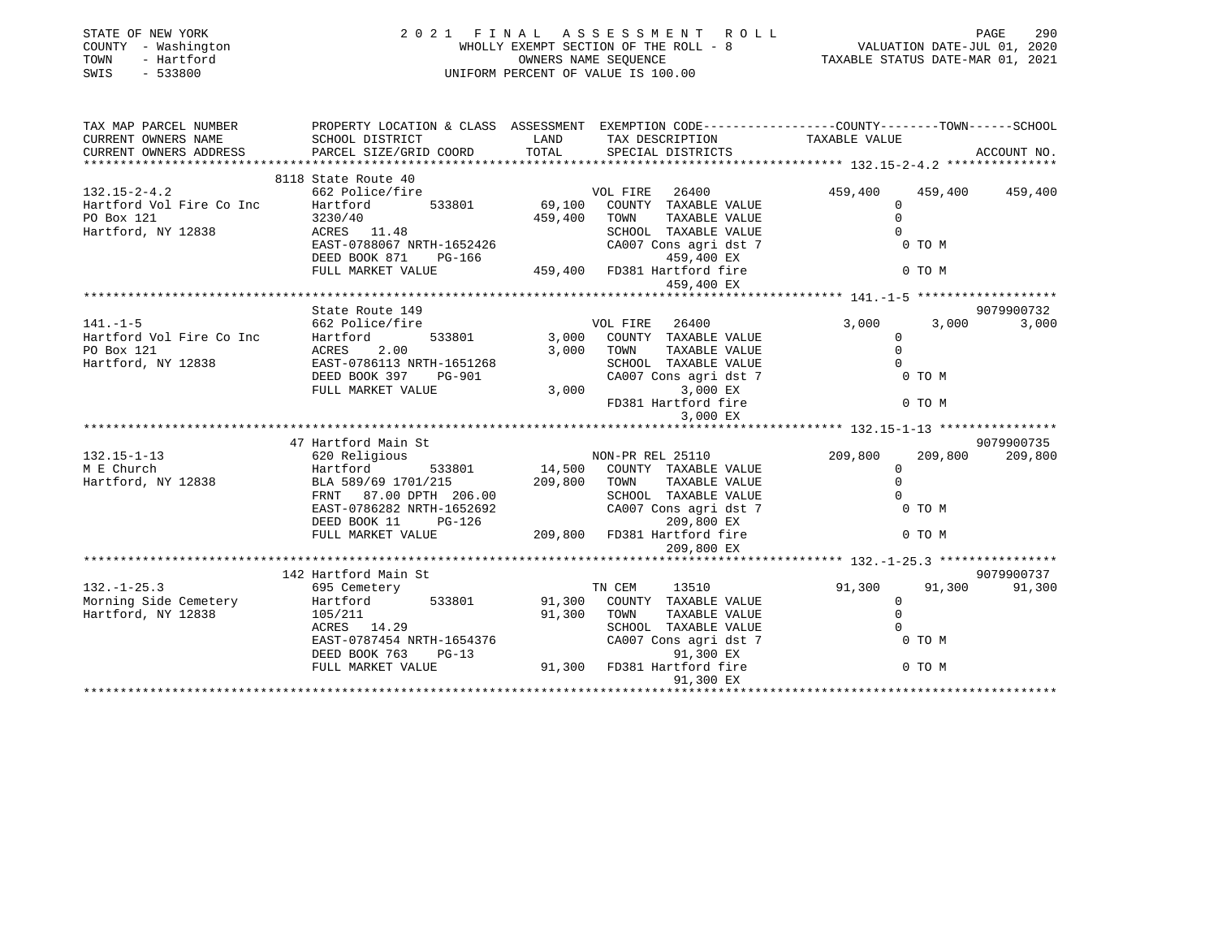| STATE OF NEW YORK<br>COUNTY - Washington<br>TOWN<br>- Hartford<br>SWIS<br>$-533800$                                   |                                                                                                                                                                                                                                            | $\begin{tabular}{lllllllllllll} \multicolumn{3}{c}{\begin{tabular}{l} \multicolumn{3}{c}{\begin{tabular}{l} \multicolumn{3}{c}{\begin{tabular}{l} \multicolumn{3}{c}{\begin{tabular}{l} \multicolumn{3}{c}{\begin{tabular}{l} \multicolumn{3}{c}{\begin{tabular}{l} \multicolumn{3}{c}{\begin{tabular}{l} \multicolumn{3}{c}{\begin{tabular}{l} \multicolumn{3}{c}{\begin{tabular}{c} \multicolumn{3}{c}{\begin{tabular}{c} \multicolumn{3}{c}{\end{tabular} \end{tabular} \end{tabular} \end{tabular} \end{$<br>2021 FINAL ASSESSMENT ROLL |                          |             |
|-----------------------------------------------------------------------------------------------------------------------|--------------------------------------------------------------------------------------------------------------------------------------------------------------------------------------------------------------------------------------------|---------------------------------------------------------------------------------------------------------------------------------------------------------------------------------------------------------------------------------------------------------------------------------------------------------------------------------------------------------------------------------------------------------------------------------------------------------------------------------------------------------------------------------------------|--------------------------|-------------|
| TAX MAP PARCEL NUMBER PROPERTY LOCATION & CLASS ASSESSMENT EXEMPTION CODE---------------COUNTY-------TOWN------SCHOOL |                                                                                                                                                                                                                                            |                                                                                                                                                                                                                                                                                                                                                                                                                                                                                                                                             |                          |             |
| CURRENT OWNERS NAME<br>CURRENT OWNERS ADDRESS                                                                         |                                                                                                                                                                                                                                            |                                                                                                                                                                                                                                                                                                                                                                                                                                                                                                                                             |                          | ACCOUNT NO. |
|                                                                                                                       |                                                                                                                                                                                                                                            |                                                                                                                                                                                                                                                                                                                                                                                                                                                                                                                                             |                          |             |
|                                                                                                                       | 8118 State Route 40                                                                                                                                                                                                                        |                                                                                                                                                                                                                                                                                                                                                                                                                                                                                                                                             |                          |             |
|                                                                                                                       |                                                                                                                                                                                                                                            |                                                                                                                                                                                                                                                                                                                                                                                                                                                                                                                                             |                          |             |
|                                                                                                                       |                                                                                                                                                                                                                                            |                                                                                                                                                                                                                                                                                                                                                                                                                                                                                                                                             |                          |             |
|                                                                                                                       |                                                                                                                                                                                                                                            |                                                                                                                                                                                                                                                                                                                                                                                                                                                                                                                                             |                          |             |
|                                                                                                                       |                                                                                                                                                                                                                                            |                                                                                                                                                                                                                                                                                                                                                                                                                                                                                                                                             |                          |             |
|                                                                                                                       |                                                                                                                                                                                                                                            |                                                                                                                                                                                                                                                                                                                                                                                                                                                                                                                                             |                          |             |
|                                                                                                                       |                                                                                                                                                                                                                                            |                                                                                                                                                                                                                                                                                                                                                                                                                                                                                                                                             |                          |             |
|                                                                                                                       |                                                                                                                                                                                                                                            | 459,400 EX                                                                                                                                                                                                                                                                                                                                                                                                                                                                                                                                  |                          |             |
|                                                                                                                       |                                                                                                                                                                                                                                            |                                                                                                                                                                                                                                                                                                                                                                                                                                                                                                                                             |                          |             |
|                                                                                                                       | State Route 149                                                                                                                                                                                                                            |                                                                                                                                                                                                                                                                                                                                                                                                                                                                                                                                             |                          | 9079900732  |
| $141. - 1 - 5$                                                                                                        | 662 Police/fire                                                                                                                                                                                                                            | VOL FIRE 26400                                                                                                                                                                                                                                                                                                                                                                                                                                                                                                                              | 3,000<br>3,000           | 3,000       |
|                                                                                                                       |                                                                                                                                                                                                                                            |                                                                                                                                                                                                                                                                                                                                                                                                                                                                                                                                             | $\Omega$                 |             |
|                                                                                                                       |                                                                                                                                                                                                                                            | TAXABLE VALUE                                                                                                                                                                                                                                                                                                                                                                                                                                                                                                                               | $\Omega$                 |             |
|                                                                                                                       |                                                                                                                                                                                                                                            |                                                                                                                                                                                                                                                                                                                                                                                                                                                                                                                                             |                          |             |
|                                                                                                                       |                                                                                                                                                                                                                                            | SCHOOL TAXABLE VALUE 0<br>CA007 Cons agri dst 7 0 0 TO M                                                                                                                                                                                                                                                                                                                                                                                                                                                                                    |                          |             |
|                                                                                                                       |                                                                                                                                                                                                                                            | FD381 Hartford fire 0 TO M                                                                                                                                                                                                                                                                                                                                                                                                                                                                                                                  |                          |             |
|                                                                                                                       |                                                                                                                                                                                                                                            | 3,000 EX                                                                                                                                                                                                                                                                                                                                                                                                                                                                                                                                    |                          |             |
|                                                                                                                       |                                                                                                                                                                                                                                            |                                                                                                                                                                                                                                                                                                                                                                                                                                                                                                                                             |                          |             |
|                                                                                                                       | 47 Hartford Main St                                                                                                                                                                                                                        |                                                                                                                                                                                                                                                                                                                                                                                                                                                                                                                                             |                          | 9079900735  |
|                                                                                                                       |                                                                                                                                                                                                                                            |                                                                                                                                                                                                                                                                                                                                                                                                                                                                                                                                             | 209,800                  | 209,800     |
|                                                                                                                       |                                                                                                                                                                                                                                            |                                                                                                                                                                                                                                                                                                                                                                                                                                                                                                                                             | $209,800$<br>0<br>0<br>0 |             |
|                                                                                                                       |                                                                                                                                                                                                                                            |                                                                                                                                                                                                                                                                                                                                                                                                                                                                                                                                             |                          |             |
|                                                                                                                       |                                                                                                                                                                                                                                            | TOWN      TAXABLE VALUE<br>SCHOOL   TAXABLE VALUE                                                                                                                                                                                                                                                                                                                                                                                                                                                                                           |                          |             |
|                                                                                                                       |                                                                                                                                                                                                                                            |                                                                                                                                                                                                                                                                                                                                                                                                                                                                                                                                             |                          |             |
|                                                                                                                       |                                                                                                                                                                                                                                            |                                                                                                                                                                                                                                                                                                                                                                                                                                                                                                                                             |                          |             |
|                                                                                                                       |                                                                                                                                                                                                                                            | CA007 Cons agri dst 7<br>209,800 EX<br>FD381 Hartford fire 209,800 EX<br>209,800 EX 6 0 TO M<br>209,800 EX                                                                                                                                                                                                                                                                                                                                                                                                                                  |                          |             |
|                                                                                                                       |                                                                                                                                                                                                                                            |                                                                                                                                                                                                                                                                                                                                                                                                                                                                                                                                             |                          |             |
|                                                                                                                       |                                                                                                                                                                                                                                            |                                                                                                                                                                                                                                                                                                                                                                                                                                                                                                                                             |                          | 9079900737  |
| $132. - 1 - 25.3$                                                                                                     | 142 Hartford Main St<br>695 Cemetery                                                                                                                                                                                                       | TN CEM 13510                                                                                                                                                                                                                                                                                                                                                                                                                                                                                                                                | 91,300 91,300 91,300     |             |
|                                                                                                                       | Hartford 533801 91,300 COUNTY TAXABLE VALUE 0<br>105/211 91,300 TOWN TAXABLE VALUE 0<br>ACRES 14.29 SCHOOL TAXABLE VALUE 0<br>EAST-0787454 NRTH-1654376 CA007 Cons agri dst 7 0 TO M<br>DEED BOOK 763 PG-13 91,300 FD381 Hartford fire 0 T |                                                                                                                                                                                                                                                                                                                                                                                                                                                                                                                                             |                          |             |
| Hartford, NY 12838                                                                                                    |                                                                                                                                                                                                                                            |                                                                                                                                                                                                                                                                                                                                                                                                                                                                                                                                             |                          |             |
|                                                                                                                       |                                                                                                                                                                                                                                            |                                                                                                                                                                                                                                                                                                                                                                                                                                                                                                                                             |                          |             |
|                                                                                                                       |                                                                                                                                                                                                                                            |                                                                                                                                                                                                                                                                                                                                                                                                                                                                                                                                             |                          |             |
|                                                                                                                       |                                                                                                                                                                                                                                            |                                                                                                                                                                                                                                                                                                                                                                                                                                                                                                                                             |                          |             |
|                                                                                                                       |                                                                                                                                                                                                                                            |                                                                                                                                                                                                                                                                                                                                                                                                                                                                                                                                             |                          |             |
|                                                                                                                       |                                                                                                                                                                                                                                            |                                                                                                                                                                                                                                                                                                                                                                                                                                                                                                                                             |                          |             |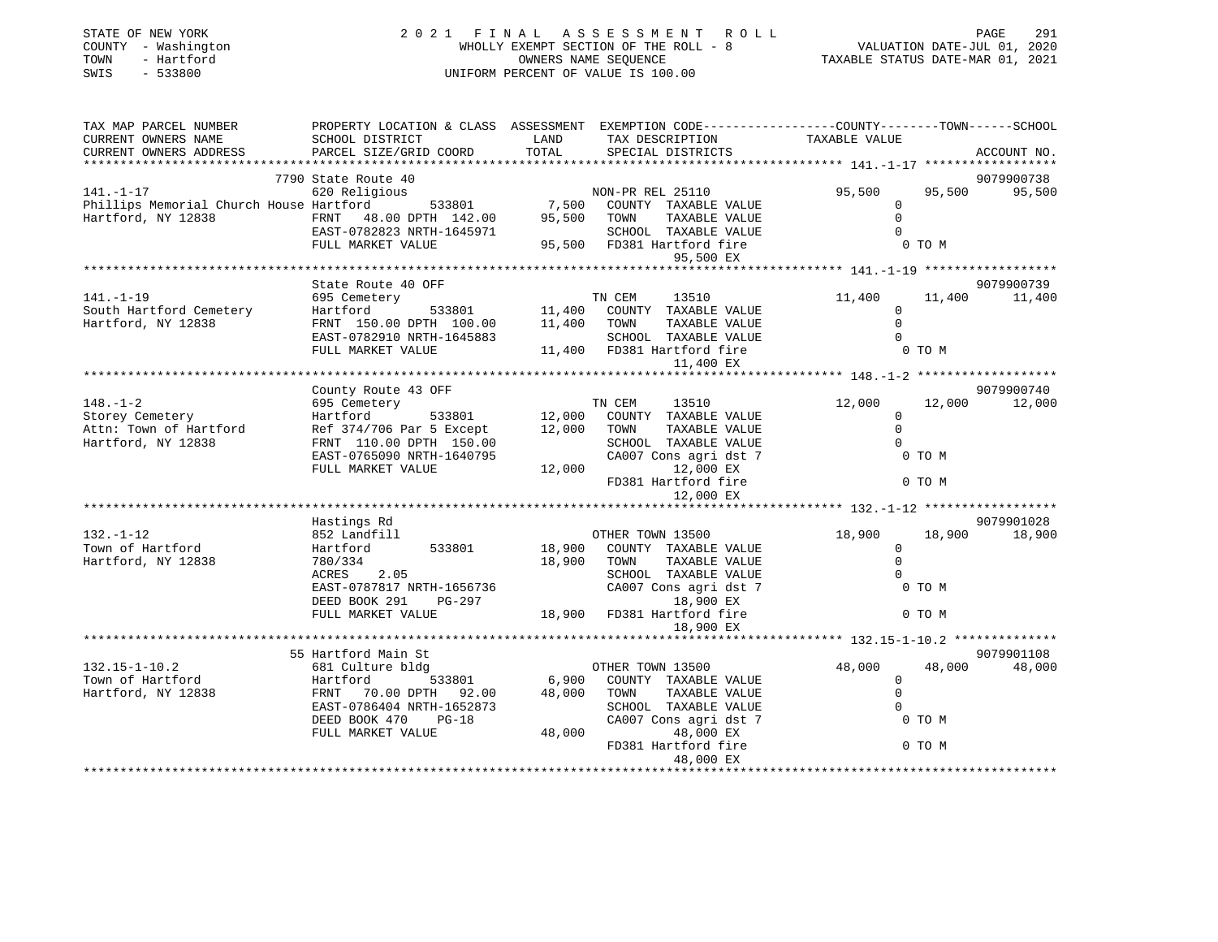| STATE OF NEW YORK<br>COUNTY - Washington<br>- Hartford<br>TOWN<br>$-533800$<br>SWIS | 2021 FINAL                                                                                                                                  | A S S E S S M E N T<br>ROLL<br>WHOLLY EXEMPT SECTION OF THE ROLL - 8<br>OWNERS NAME SEQUENCE<br>UNIFORM PERCENT OF VALUE IS 100.00 | VALUATION DATE-JUL 01, 2020<br>TAXABLE STATUS DATE-MAR 01, 2021             | PAGE<br>291                                     |                      |
|-------------------------------------------------------------------------------------|---------------------------------------------------------------------------------------------------------------------------------------------|------------------------------------------------------------------------------------------------------------------------------------|-----------------------------------------------------------------------------|-------------------------------------------------|----------------------|
| TAX MAP PARCEL NUMBER<br>CURRENT OWNERS NAME<br>CURRENT OWNERS ADDRESS              | PROPERTY LOCATION & CLASS ASSESSMENT EXEMPTION CODE---------------COUNTY-------TOWN-----SCHOOL<br>SCHOOL DISTRICT<br>PARCEL SIZE/GRID COORD | LAND<br>TOTAL                                                                                                                      | TAX DESCRIPTION<br>SPECIAL DISTRICTS                                        | TAXABLE VALUE                                   | ACCOUNT NO.          |
|                                                                                     |                                                                                                                                             |                                                                                                                                    |                                                                             |                                                 |                      |
|                                                                                     | 7790 State Route 40                                                                                                                         |                                                                                                                                    |                                                                             |                                                 | 9079900738           |
| $141. - 1 - 17$                                                                     | 620 Religious                                                                                                                               |                                                                                                                                    | NON-PR REL 25110                                                            | 95,500<br>95,500                                | 95,500               |
| Phillips Memorial Church House Hartford<br>Hartford, NY 12838                       | 533801<br>FRNT 48.00 DPTH 142.00<br>EAST-0782823 NRTH-1645971                                                                               | 95,500                                                                                                                             | 7,500 COUNTY TAXABLE VALUE<br>TOWN<br>TAXABLE VALUE<br>SCHOOL TAXABLE VALUE | $\mathbf 0$<br>$\mathbf 0$<br>$\Omega$          |                      |
|                                                                                     | FULL MARKET VALUE                                                                                                                           |                                                                                                                                    | 95,500 FD381 Hartford fire                                                  | 0 TO M                                          |                      |
|                                                                                     |                                                                                                                                             |                                                                                                                                    | 95,500 EX                                                                   |                                                 |                      |
|                                                                                     | State Route 40 OFF                                                                                                                          |                                                                                                                                    |                                                                             |                                                 | 9079900739           |
| $141. - 1 - 19$                                                                     | 695 Cemetery                                                                                                                                |                                                                                                                                    | TN CEM<br>13510                                                             | 11,400<br>11,400                                | 11,400               |
| South Hartford Cemetery                                                             | Hartford                                                                                                                                    |                                                                                                                                    | COUNTY TAXABLE VALUE                                                        | $\overline{0}$                                  |                      |
| Hartford, NY 12838                                                                  | FRNT 150.00 DPTH 100.00                                                                                                                     | $\begin{tabular}{lllll} 533801 & & & & 11,400 & \text{COUNT} \\ \text{TH} & 100.00 & & & 11,400 & \text{TOWN} \end{tabular}$       | TAXABLE VALUE                                                               | $\mathbf 0$                                     |                      |
|                                                                                     | EAST-0782910 NRTH-1645883                                                                                                                   |                                                                                                                                    | SCHOOL TAXABLE VALUE                                                        | $\Omega$                                        |                      |
|                                                                                     | FULL MARKET VALUE                                                                                                                           |                                                                                                                                    | 11,400 FD381 Hartford fire                                                  | 0 TO M                                          |                      |
|                                                                                     |                                                                                                                                             |                                                                                                                                    | 11,400 EX                                                                   |                                                 |                      |
|                                                                                     |                                                                                                                                             |                                                                                                                                    |                                                                             |                                                 |                      |
| $148. - 1 - 2$                                                                      | County Route 43 OFF                                                                                                                         |                                                                                                                                    | TN CEM                                                                      |                                                 | 9079900740           |
| Storey Cemetery                                                                     | 695 Cemetery<br>Hartford<br>533801                                                                                                          | 12,000                                                                                                                             | 13510<br>COUNTY TAXABLE VALUE                                               | 12,000<br>12,000<br>$\mathbf 0$                 | 12,000               |
| Attn: Town of Hartford                                                              | Ref 374/706 Par 5 Except                                                                                                                    | 12,000                                                                                                                             | TAXABLE VALUE<br>TOWN                                                       | $\Omega$                                        |                      |
| Hartford, NY 12838                                                                  | FRNT 110.00 DPTH 150.00                                                                                                                     |                                                                                                                                    | SCHOOL TAXABLE VALUE                                                        | $\Omega$                                        |                      |
|                                                                                     | EAST-0765090 NRTH-1640795                                                                                                                   |                                                                                                                                    | CA007 Cons agri dst 7                                                       | 0 TO M                                          |                      |
|                                                                                     | FULL MARKET VALUE                                                                                                                           | 12,000                                                                                                                             | 12,000 EX                                                                   |                                                 |                      |
|                                                                                     |                                                                                                                                             |                                                                                                                                    | FD381 Hartford fire                                                         | 0 TO M                                          |                      |
|                                                                                     |                                                                                                                                             |                                                                                                                                    | 12,000 EX                                                                   |                                                 |                      |
|                                                                                     |                                                                                                                                             |                                                                                                                                    |                                                                             | ****************** 132.-1-12 ****************** |                      |
| $132. - 1 - 12$                                                                     | Hastings Rd<br>852 Landfill                                                                                                                 |                                                                                                                                    | OTHER TOWN 13500                                                            | 18,900<br>18,900                                | 9079901028<br>18,900 |
| Town of Hartford                                                                    | 533801<br>Hartford                                                                                                                          | 18,900                                                                                                                             | COUNTY TAXABLE VALUE                                                        | $\mathbf 0$                                     |                      |
| Hartford, NY 12838                                                                  | 780/334                                                                                                                                     | 18,900                                                                                                                             | TAXABLE VALUE<br>TOWN                                                       | $\Omega$                                        |                      |
|                                                                                     | ACRES 2.05                                                                                                                                  |                                                                                                                                    | SCHOOL TAXABLE VALUE                                                        | $\Omega$                                        |                      |
|                                                                                     | EAST-0787817 NRTH-1656736                                                                                                                   |                                                                                                                                    | CA007 Cons agri dst 7                                                       | 0 TO M                                          |                      |
|                                                                                     | DEED BOOK 291<br>PG-297                                                                                                                     |                                                                                                                                    | 18,900 EX                                                                   |                                                 |                      |
|                                                                                     | FULL MARKET VALUE                                                                                                                           |                                                                                                                                    | 18,900 FD381 Hartford fire                                                  | 0 TO M                                          |                      |
|                                                                                     |                                                                                                                                             |                                                                                                                                    | 18,900 EX                                                                   |                                                 |                      |
|                                                                                     | 55 Hartford Main St                                                                                                                         |                                                                                                                                    |                                                                             |                                                 | 9079901108           |
| $132.15 - 1 - 10.2$                                                                 | 681 Culture bldg                                                                                                                            |                                                                                                                                    | OTHER TOWN 13500                                                            | 48,000<br>48,000                                | 48,000               |
| Town of Hartford                                                                    | 533801<br>Hartford                                                                                                                          | 6,900                                                                                                                              | COUNTY TAXABLE VALUE                                                        | $\mathbf{0}$                                    |                      |
| Hartford, NY 12838                                                                  | FRNT 70.00 DPTH 92.00                                                                                                                       | 48,000                                                                                                                             | TAXABLE VALUE<br>TOWN                                                       | $\Omega$                                        |                      |
|                                                                                     | EAST-0786404 NRTH-1652873                                                                                                                   |                                                                                                                                    | SCHOOL TAXABLE VALUE                                                        |                                                 |                      |
|                                                                                     | DEED BOOK 470<br>$PG-18$                                                                                                                    |                                                                                                                                    | CA007 Cons agri dst 7                                                       | 0 TO M                                          |                      |
|                                                                                     | FULL MARKET VALUE                                                                                                                           | 48,000                                                                                                                             | 48,000 EX                                                                   |                                                 |                      |
|                                                                                     |                                                                                                                                             |                                                                                                                                    | FD381 Hartford fire                                                         | 0 TO M                                          |                      |
|                                                                                     |                                                                                                                                             |                                                                                                                                    | 48,000 EX<br>* * * * * * * * * * * * * * * *                                |                                                 |                      |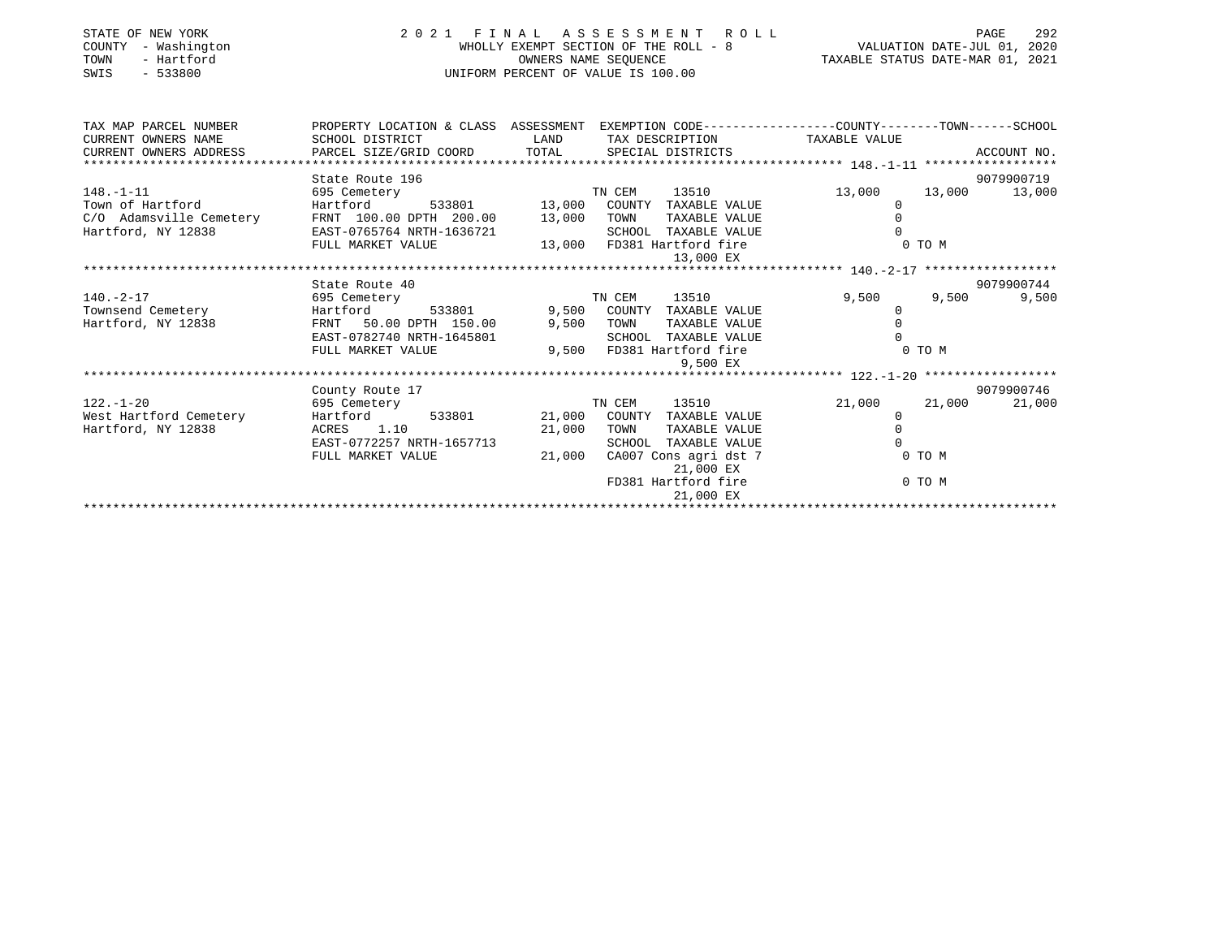| STATE OF NEW YORK<br>COUNTY<br>- Washington<br>- Hartford<br>TOWN<br>$-533800$<br>SWIS | 2021 FINAL ASSESSMENT ROLL                                                                                                                                              | UNIFORM PERCENT OF VALUE IS 100.00 | FINAL ASSESSMENT ROLL<br>WHOLLY EXEMPT SECTION OF THE ROLL - 8<br>OWNERS NAME SEQUENCE THE ROLL - 8<br>OWNERS NAME SEQUENCE TAXABLE STATUS DATE-MAR 01, 2021 | 292<br>PAGE                                                                                      |                     |
|----------------------------------------------------------------------------------------|-------------------------------------------------------------------------------------------------------------------------------------------------------------------------|------------------------------------|--------------------------------------------------------------------------------------------------------------------------------------------------------------|--------------------------------------------------------------------------------------------------|---------------------|
| TAX MAP PARCEL NUMBER                                                                  |                                                                                                                                                                         |                                    |                                                                                                                                                              | PROPERTY LOCATION & CLASS ASSESSMENT EXEMPTION CODE----------------COUNTY-------TOWN------SCHOOL |                     |
| CURRENT OWNERS NAME                                                                    | SCHOOL DISTRICT                                                                                                                                                         | <b>LAND</b>                        | TAX DESCRIPTION TAXABLE VALUE                                                                                                                                |                                                                                                  |                     |
| CURRENT OWNERS ADDRESS                                                                 | PARCEL SIZE/GRID COORD TOTAL SPECIAL DISTRICTS                                                                                                                          |                                    |                                                                                                                                                              |                                                                                                  | ACCOUNT NO.         |
|                                                                                        | State Route 196                                                                                                                                                         |                                    |                                                                                                                                                              |                                                                                                  | 9079900719          |
| $148. - 1 - 11$                                                                        | 695 Cemetery                                                                                                                                                            |                                    | TN CEM 13510<br>533801 13,000 COUNTY TAXABLE VALUE                                                                                                           | 13,000                                                                                           | 13,000 13,000       |
| Town of Hartford                                                                       | Hartford                                                                                                                                                                |                                    |                                                                                                                                                              | 0                                                                                                |                     |
| Town of Hartford<br>C/O Adamsville Cemetery                                            | FRNT 100.00 DPTH 200.00 13,000                                                                                                                                          |                                    | TAXABLE VALUE<br>TOWN                                                                                                                                        | $\Omega$                                                                                         |                     |
| Hartford, NY 12838                                                                     | EAST-0765764 NRTH-1636721 SCHOOL IAAADDE WARENT 100.00 LEAST-0765764 NRTH-1636721 SCHOOL IAAADDE WARENT 13,000<br>TIJ MARKET VALUE 13,000 FD381 Hartford fire 12.000 EX |                                    |                                                                                                                                                              |                                                                                                  |                     |
|                                                                                        |                                                                                                                                                                         |                                    |                                                                                                                                                              | $0$ TO M                                                                                         |                     |
|                                                                                        |                                                                                                                                                                         |                                    |                                                                                                                                                              |                                                                                                  |                     |
|                                                                                        |                                                                                                                                                                         |                                    |                                                                                                                                                              |                                                                                                  |                     |
| $140. - 2 - 17$                                                                        | State Route 40                                                                                                                                                          |                                    | TN CEM<br>13510                                                                                                                                              | 9,500<br>9,500                                                                                   | 9079900744<br>9,500 |
| 695 Cemetery<br>Townsend Cemetery                                                      | Hartford 533801 9,500 COUNTY TAXABLE VALUE                                                                                                                              |                                    |                                                                                                                                                              | $\Omega$                                                                                         |                     |
| Hartford, NY 12838                                                                     | FRNT 50.00 DPTH 150.00                                                                                                                                                  |                                    | 9,500 TOWN TAXABLE VALUE                                                                                                                                     | $\Omega$                                                                                         |                     |
|                                                                                        | EAST-0782740 NRTH-1645801                                                                                                                                               |                                    | SCHOOL TAXABLE VALUE                                                                                                                                         |                                                                                                  |                     |
|                                                                                        | FULL MARKET VALUE                                                                                                                                                       |                                    | 9,500 FD381 Hartford fire                                                                                                                                    | 0 TO M                                                                                           |                     |
|                                                                                        |                                                                                                                                                                         |                                    | 9,500 EX                                                                                                                                                     |                                                                                                  |                     |
|                                                                                        |                                                                                                                                                                         |                                    |                                                                                                                                                              |                                                                                                  |                     |
|                                                                                        | County Route 17                                                                                                                                                         |                                    |                                                                                                                                                              |                                                                                                  | 9079900746          |
| $122. - 1 - 20$                                                                        | 695 Cemetery                                                                                                                                                            |                                    | 13510<br>TN CEM                                                                                                                                              | 21,000<br>21,000                                                                                 | 21,000              |
| West Hartford Cemetery                                                                 | Hartford 533801 21,000 COUNTY TAXABLE VALUE                                                                                                                             |                                    |                                                                                                                                                              | $\Omega$                                                                                         |                     |
| Hartford, NY 12838                                                                     | ACRES 1.10                                                                                                                                                              | 21,000                             | TOWN<br>TAXABLE VALUE                                                                                                                                        | $\Omega$                                                                                         |                     |
|                                                                                        | EAST-0772257 NRTH-1657713                                                                                                                                               |                                    | SCHOOL TAXABLE VALUE                                                                                                                                         |                                                                                                  |                     |
|                                                                                        | FULL MARKET VALUE                                                                                                                                                       | 21,000                             | CA007 Cons agri dst 7<br>21,000 EX                                                                                                                           | 0 TO M                                                                                           |                     |
|                                                                                        |                                                                                                                                                                         |                                    | FD381 Hartford fire<br>21,000 EX                                                                                                                             | 0 TO M                                                                                           |                     |
|                                                                                        |                                                                                                                                                                         |                                    |                                                                                                                                                              |                                                                                                  |                     |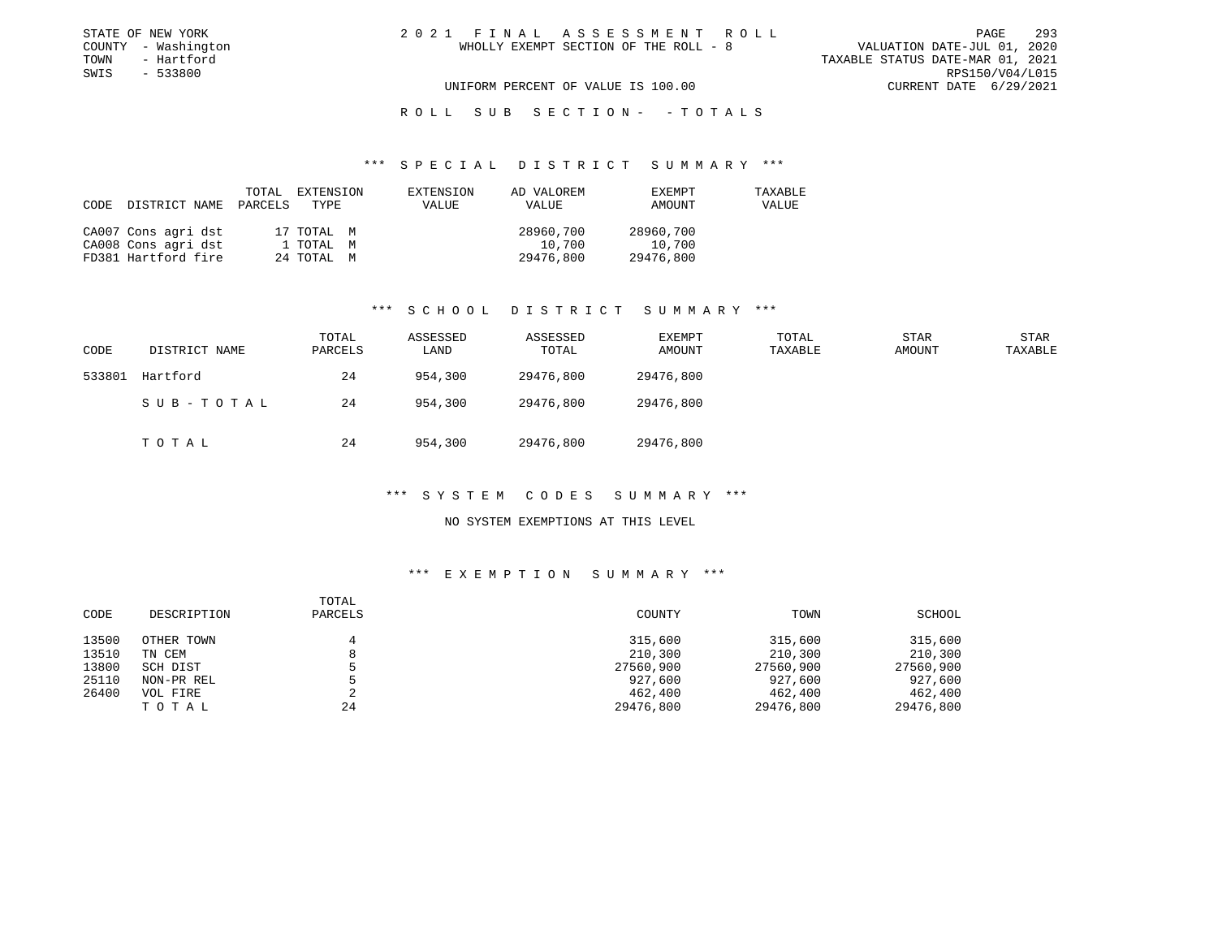|  | 1 FINAL ASSESSMENT ROLL               |  |  |  |  |                                  | PAGE. | 293             |
|--|---------------------------------------|--|--|--|--|----------------------------------|-------|-----------------|
|  | WHOLLY EXEMPT SECTION OF THE ROLL - 8 |  |  |  |  | VALUATION DATE-JUL 01, 2020      |       |                 |
|  |                                       |  |  |  |  | TAXABLE STATUS DATE-MAR 01, 2021 |       |                 |
|  |                                       |  |  |  |  |                                  |       | RPS150/V04/L015 |
|  | UNIFORM PERCENT OF VALUE IS 100.00    |  |  |  |  | CURRENT DATE 6/29/2021           |       |                 |

R O L L S U B S E C T I O N - - T O T A L S

### \*\*\* S P E C I A L D I S T R I C T S U M M A R Y \*\*\*

| CODE DISTRICT NAME PARCELS TYPE | TOTAL | EXTENSION  | EXTENSION<br><b>VALUE</b> | AD VALOREM<br>VALUE | EXEMPT<br>AMOUNT | TAXABLE<br>VALUE |
|---------------------------------|-------|------------|---------------------------|---------------------|------------------|------------------|
| CA007 Cons agri dst             |       | 17 TOTAL M |                           | 28960,700           | 28960,700        |                  |
| CA008 Cons agri dst             |       | 1 ТОТАL М  |                           | 10,700              | 10,700           |                  |
| FD381 Hartford fire             |       | 24 TOTAL M |                           | 29476,800           | 29476,800        |                  |

## \*\*\* S C H O O L D I S T R I C T S U M M A R Y \*\*\*

| CODE   | DISTRICT NAME | TOTAL<br>PARCELS | ASSESSED<br>LAND | ASSESSED<br>TOTAL | EXEMPT<br>AMOUNT | TOTAL<br>TAXABLE | <b>STAR</b><br>AMOUNT | STAR<br>TAXABLE |
|--------|---------------|------------------|------------------|-------------------|------------------|------------------|-----------------------|-----------------|
| 533801 | Hartford      | 24               | 954,300          | 29476,800         | 29476,800        |                  |                       |                 |
|        | SUB-TOTAL     | 24               | 954,300          | 29476,800         | 29476,800        |                  |                       |                 |
|        | TOTAL         | 24               | 954,300          | 29476,800         | 29476,800        |                  |                       |                 |

## \*\*\* S Y S T E M C O D E S S U M M A R Y \*\*\*

## NO SYSTEM EXEMPTIONS AT THIS LEVEL

| CODE  | DESCRIPTION | TOTAL<br>PARCELS | COUNTY    | TOWN      | SCHOOL    |
|-------|-------------|------------------|-----------|-----------|-----------|
| 13500 | OTHER TOWN  |                  | 315,600   | 315,600   | 315,600   |
| 13510 | TN CEM      |                  | 210,300   | 210,300   | 210,300   |
| 13800 | SCH DIST    |                  | 27560,900 | 27560,900 | 27560,900 |
| 25110 | NON-PR REL  |                  | 927,600   | 927,600   | 927,600   |
| 26400 | VOL FIRE    |                  | 462,400   | 462,400   | 462,400   |
|       | TOTAL       | 24               | 29476,800 | 29476,800 | 29476,800 |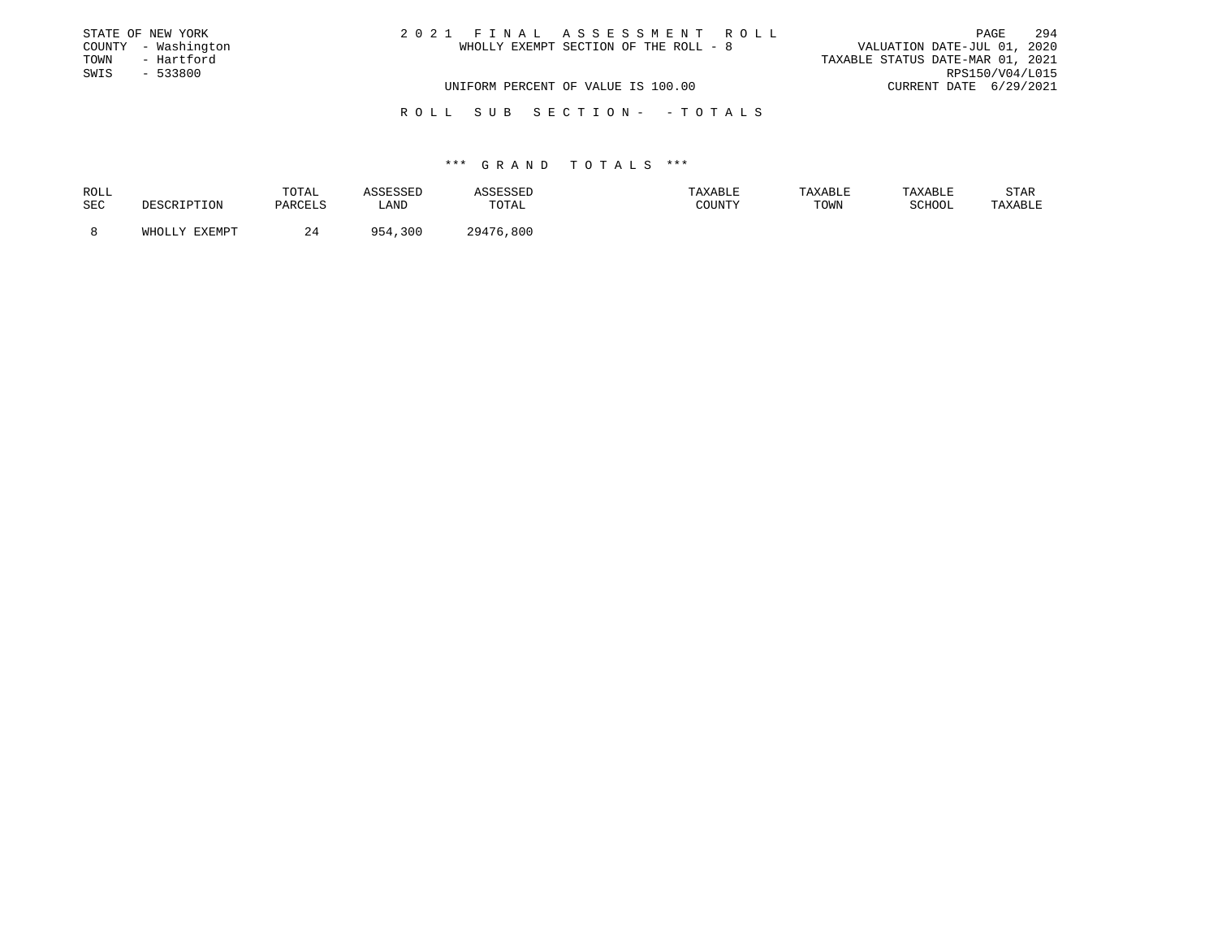|      | STATE OF NEW YORK   | 2021 FINAL ASSESSMENT ROLL            | 294<br>PAGE                      |
|------|---------------------|---------------------------------------|----------------------------------|
|      | COUNTY - Washington | WHOLLY EXEMPT SECTION OF THE ROLL - 8 | VALUATION DATE-JUL 01, 2020      |
| TOWN | - Hartford          |                                       | TAXABLE STATUS DATE-MAR 01, 2021 |
| SWIS | $-533800$           |                                       | RPS150/V04/L015                  |
|      |                     | UNIFORM PERCENT OF VALUE IS 100.00    | CURRENT DATE 6/29/2021           |
|      |                     |                                       |                                  |

R O L L S U B S E C T I O N - - T O T A L S

| ROLL | TOTAL        |           |                | <b>AXABLF</b> | TAXABLE | TAXABLE | STAR    |
|------|--------------|-----------|----------------|---------------|---------|---------|---------|
| SEC  | ⊃. דקבי∩ כדו | ∟AND      | TOTAL          | COUNTY        | TOWN    | COUOOT  | 'AXABLE |
|      |              | 300<br>QE | $20176$<br>800 |               |         |         |         |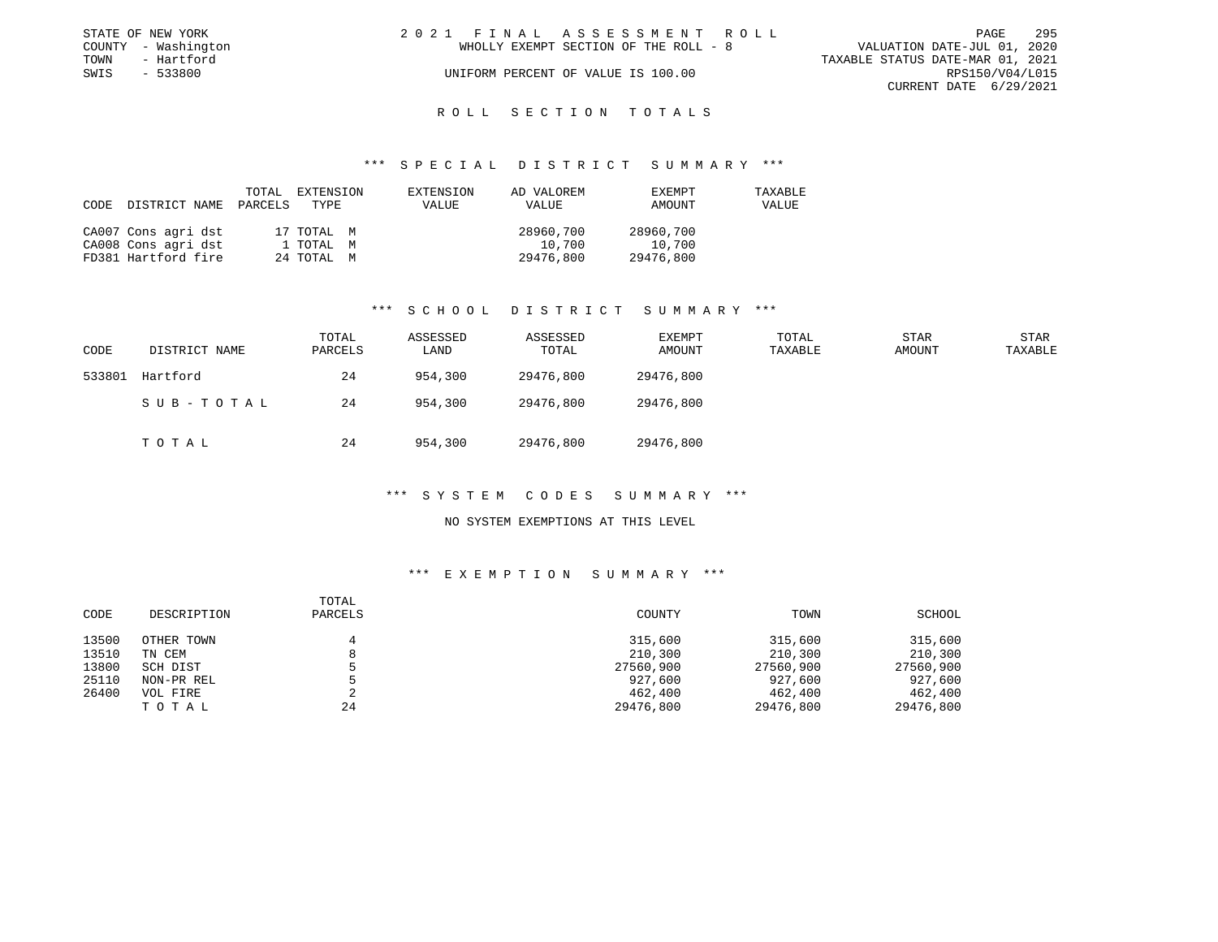|      | STATE OF NEW YORK   | 2021 FINAL ASSESSMENT ROLL            | <b>PAGE</b>                      | 295 |
|------|---------------------|---------------------------------------|----------------------------------|-----|
|      | COUNTY - Washington | WHOLLY EXEMPT SECTION OF THE ROLL - 8 | VALUATION DATE-JUL 01, 2020      |     |
| TOWN | - Hartford          |                                       | TAXABLE STATUS DATE-MAR 01, 2021 |     |
| SWIS | $-533800$           | UNIFORM PERCENT OF VALUE IS 100.00    | RPS150/V04/L015                  |     |
|      |                     |                                       | CURRENT DATE 6/29/2021           |     |

# ROLL SECTION TOTALS

## \*\*\* S P E C I A L D I S T R I C T S U M M A R Y \*\*\*

| CODE | DISTRICT NAME       | TOTAL<br>PARCELS | EXTENSION<br>TYPE | EXTENSION<br>VALUE | AD VALOREM<br>VALUE | EXEMPT<br>AMOUNT | TAXABLE<br>VALUE |
|------|---------------------|------------------|-------------------|--------------------|---------------------|------------------|------------------|
|      | CA007 Cons agri dst |                  | 17 TOTAL M        |                    | 28960,700           | 28960,700        |                  |
|      | CA008 Cons agri dst |                  | 1 TOTAL M         |                    | 10,700              | 10,700           |                  |
|      | FD381 Hartford fire |                  | 24 TOTAL M        |                    | 29476,800           | 29476,800        |                  |

## \*\*\* S C H O O L D I S T R I C T S U M M A R Y \*\*\*

| CODE   | DISTRICT NAME | TOTAL<br>PARCELS | ASSESSED<br>LAND | ASSESSED<br>TOTAL | EXEMPT<br>AMOUNT | TOTAL<br>TAXABLE | STAR<br>AMOUNT | STAR<br>TAXABLE |
|--------|---------------|------------------|------------------|-------------------|------------------|------------------|----------------|-----------------|
| 533801 | Hartford      | 24               | 954,300          | 29476,800         | 29476,800        |                  |                |                 |
|        | SUB-TOTAL     | 24               | 954,300          | 29476,800         | 29476,800        |                  |                |                 |
|        | TOTAL         | 24               | 954,300          | 29476,800         | 29476,800        |                  |                |                 |

## \*\*\* S Y S T E M C O D E S S U M M A R Y \*\*\*

## NO SYSTEM EXEMPTIONS AT THIS LEVEL

| CODE  | DESCRIPTION | TOTAL<br>PARCELS | COUNTY    | TOWN      | SCHOOL    |
|-------|-------------|------------------|-----------|-----------|-----------|
| 13500 | OTHER TOWN  | 4                | 315,600   | 315,600   | 315,600   |
| 13510 | TN CEM      | 8                | 210,300   | 210,300   | 210,300   |
| 13800 | SCH DIST    |                  | 27560,900 | 27560,900 | 27560,900 |
| 25110 | NON-PR REL  |                  | 927,600   | 927,600   | 927,600   |
| 26400 | VOL FIRE    |                  | 462,400   | 462,400   | 462,400   |
|       | TOTAL       | 24               | 29476,800 | 29476,800 | 29476,800 |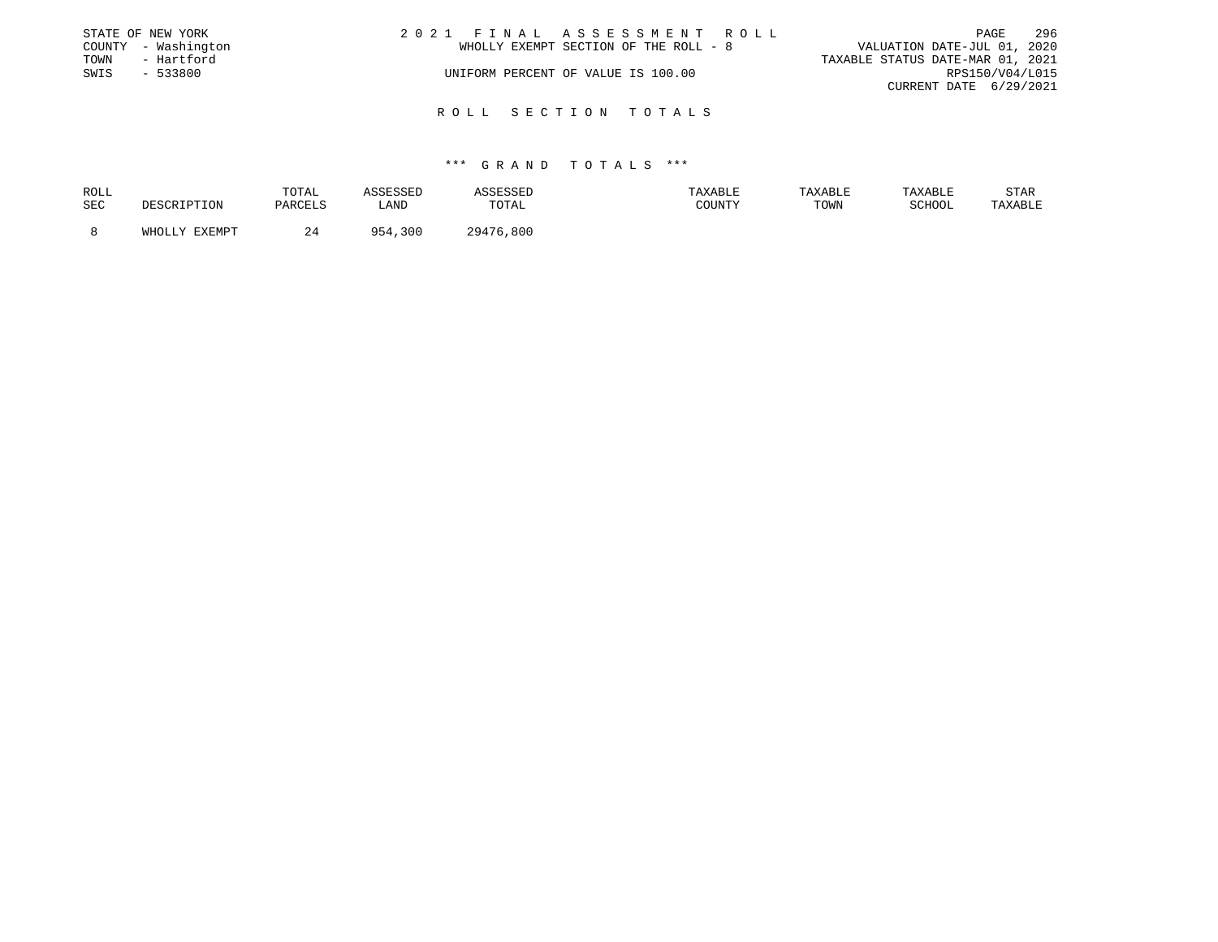|      | STATE OF NEW YORK   | 2021 FINAL ASSESSMENT ROLL            | - 296<br>PAGE                    |
|------|---------------------|---------------------------------------|----------------------------------|
|      | COUNTY - Washington | WHOLLY EXEMPT SECTION OF THE ROLL - 8 | VALUATION DATE-JUL 01, 2020      |
| TOWN | - Hartford          |                                       | TAXABLE STATUS DATE-MAR 01, 2021 |
| SWIS | - 533800            | UNIFORM PERCENT OF VALUE IS 100.00    | RPS150/V04/L015                  |
|      |                     |                                       | CURRENT DATE 6/29/2021           |
|      |                     |                                       |                                  |

## R O L L S E C T I O N T O T A L S

| ROLL |               | TOTAL   | SSESSED     |           | TAXABLE | TAXABLE | TAXABLE | STAR    |
|------|---------------|---------|-------------|-----------|---------|---------|---------|---------|
| SEC  | DESCRIPTION   | PARCELS | LAND        | TOTAL     | COUNTY  | TOWN    | SCHOOL  | TAXABLE |
|      | WHOLLY EXEMPT | 24      | 954<br>,300 | 29476,800 |         |         |         |         |
|      |               |         |             |           |         |         |         |         |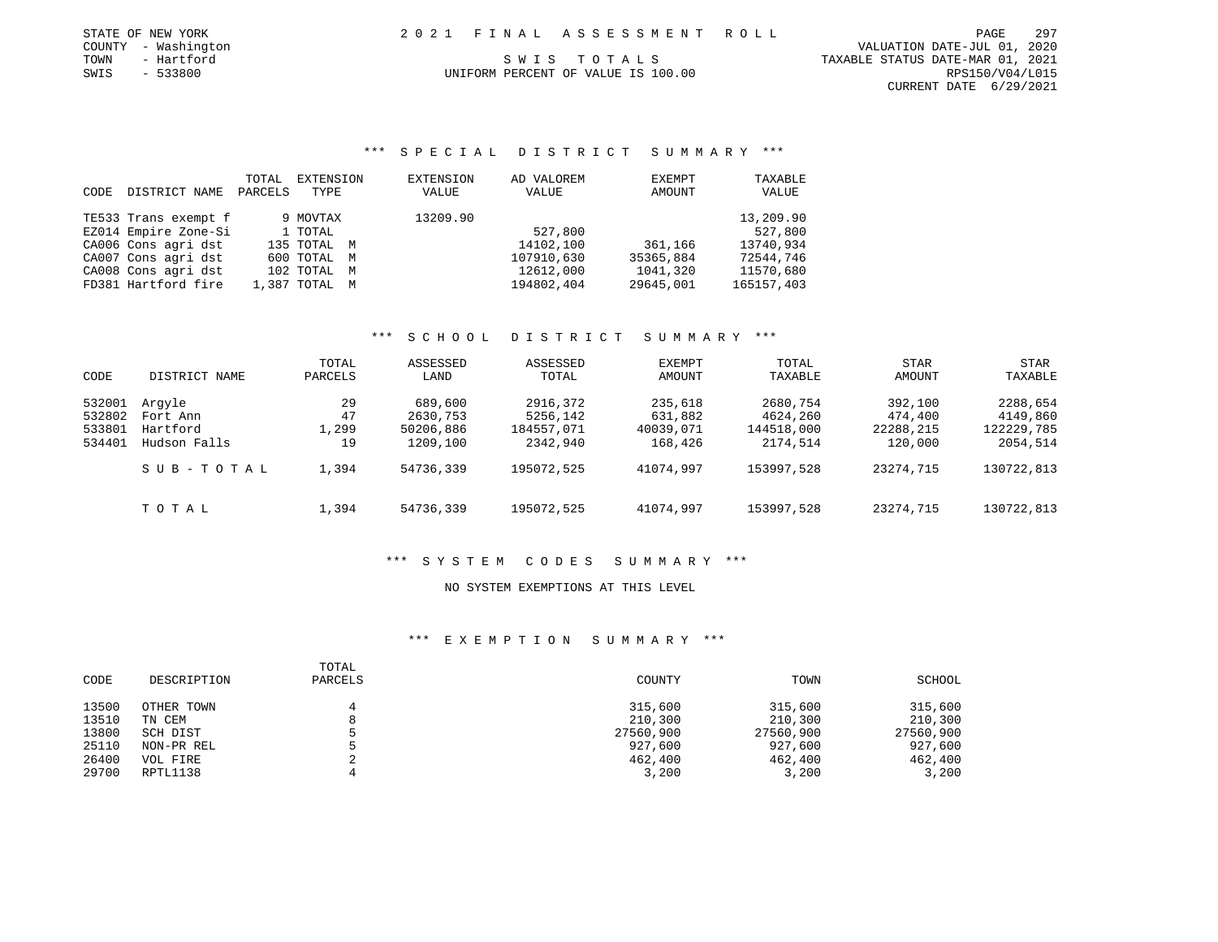|      | STATE OF NEW YORK   |  | 2021 FINAL ASSESSMENT ROLL         | PAGE                             | 297 |
|------|---------------------|--|------------------------------------|----------------------------------|-----|
|      | COUNTY - Washington |  |                                    | VALUATION DATE-JUL 01, 2020      |     |
| TOWN | - Hartford          |  | SWIS TOTALS                        | TAXABLE STATUS DATE-MAR 01, 2021 |     |
| SWIS | - 533800            |  | UNIFORM PERCENT OF VALUE IS 100.00 | RPS150/V04/L015                  |     |

CURRENT DATE 6/29/2021

## \*\*\* S P E C I A L D I S T R I C T S U M M A R Y \*\*\*

|      |                      | TOTAL   | EXTENSION     | EXTENSION | AD VALOREM | EXEMPT    | TAXABLE    |
|------|----------------------|---------|---------------|-----------|------------|-----------|------------|
| CODE | DISTRICT NAME        | PARCELS | TYPE          | VALUE     | VALUE      | AMOUNT    | VALUE      |
|      |                      |         |               |           |            |           |            |
|      | TE533 Trans exempt f |         | 9 MOVTAX      | 13209.90  |            |           | 13,209.90  |
|      | EZ014 Empire Zone-Si |         | 1 TOTAL       |           | 527,800    |           | 527,800    |
|      | CA006 Cons agri dst  |         | 135 TOTAL M   |           | 14102,100  | 361,166   | 13740,934  |
|      | CA007 Cons agri dst  |         | 600 TOTAL M   |           | 107910,630 | 35365,884 | 72544,746  |
|      | CA008 Cons agri dst  |         | 102 TOTAL M   |           | 12612,000  | 1041,320  | 11570,680  |
|      | FD381 Hartford fire  |         | 1,387 TOTAL M |           | 194802,404 | 29645,001 | 165157,403 |

## \*\*\* S C H O O L D I S T R I C T S U M M A R Y \*\*\*

| CODE   | DISTRICT NAME | TOTAL<br>PARCELS | ASSESSED<br>LAND | ASSESSED<br>TOTAL | EXEMPT<br>AMOUNT | TOTAL<br>TAXABLE | STAR<br>AMOUNT | STAR<br>TAXABLE |
|--------|---------------|------------------|------------------|-------------------|------------------|------------------|----------------|-----------------|
| 532001 | Arqyle        | 29               | 689,600          | 2916,372          | 235,618          | 2680,754         | 392,100        | 2288,654        |
| 532802 | Fort Ann      | 47               | 2630,753         | 5256,142          | 631,882          | 4624,260         | 474,400        | 4149,860        |
| 533801 | Hartford      | 1,299            | 50206,886        | 184557,071        | 40039,071        | 144518,000       | 22288,215      | 122229,785      |
| 534401 | Hudson Falls  | 19               | 1209,100         | 2342,940          | 168,426          | 2174,514         | 120,000        | 2054,514        |
|        | SUB-TOTAL     | 1,394            | 54736,339        | 195072,525        | 41074,997        | 153997,528       | 23274,715      | 130722,813      |
|        | TOTAL         | 1,394            | 54736,339        | 195072,525        | 41074,997        | 153997,528       | 23274,715      | 130722,813      |

# \*\*\* S Y S T E M C O D E S S U M M A R Y \*\*\*

## NO SYSTEM EXEMPTIONS AT THIS LEVEL

| CODE  | DESCRIPTION | TOTAL<br>PARCELS | COUNTY    | TOWN      | SCHOOL    |
|-------|-------------|------------------|-----------|-----------|-----------|
| 13500 | OTHER TOWN  |                  | 315,600   | 315,600   | 315,600   |
| 13510 | TN CEM      |                  | 210,300   | 210,300   | 210,300   |
| 13800 | SCH DIST    |                  | 27560,900 | 27560,900 | 27560,900 |
| 25110 | NON-PR REL  |                  | 927,600   | 927,600   | 927,600   |
| 26400 | VOL FIRE    |                  | 462,400   | 462,400   | 462,400   |
| 29700 | RPTL1138    |                  | 3,200     | 3,200     | 3,200     |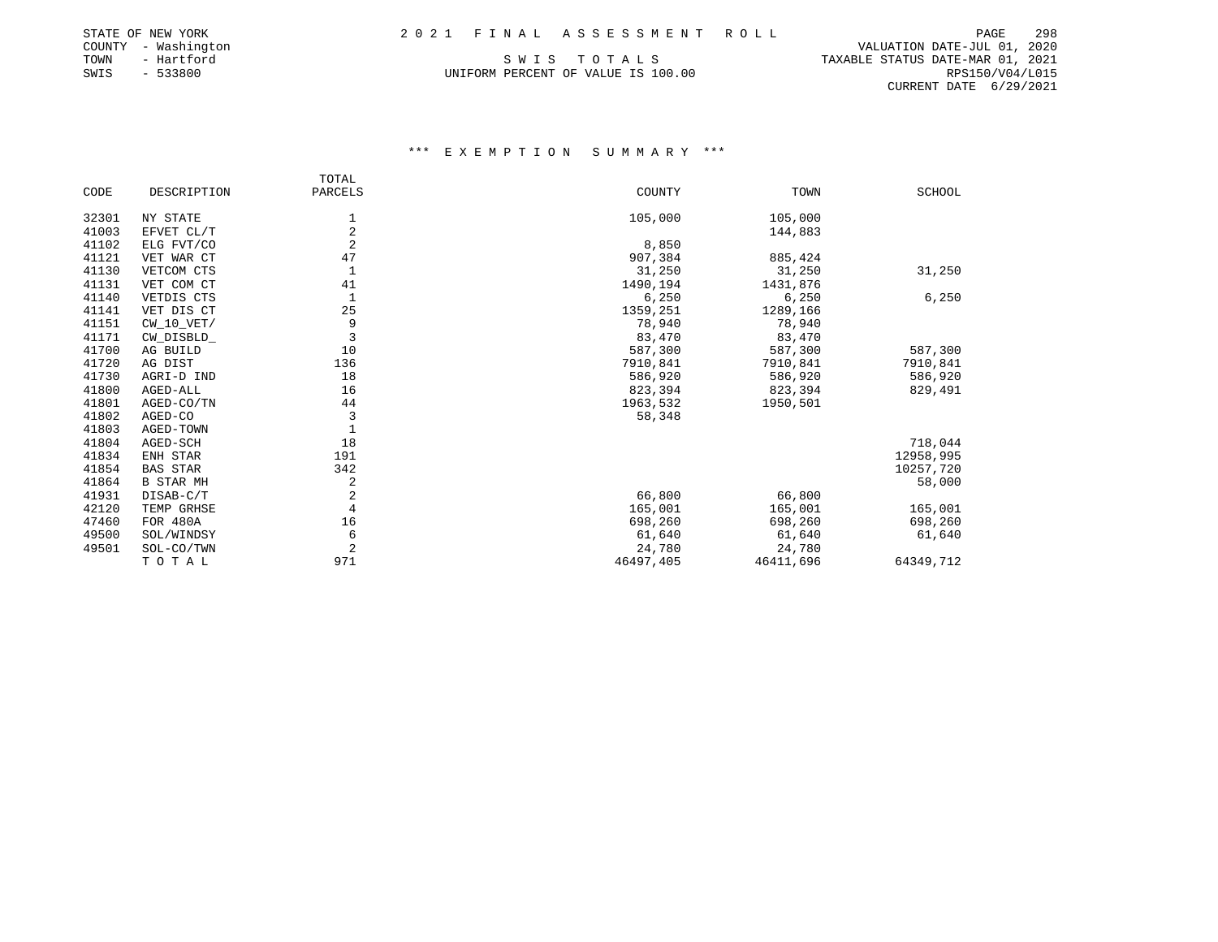# STATE OF NEW YORK 2 0 2 1 F I N A L A S S E S S M E N T R O L L PAGE 298

| STATE OF NEW YORK |              |
|-------------------|--------------|
| COUNTY            | - Washington |
| TOWN              | - Hartford   |
| SWIS              | $-533800$    |

PAGE 298 COUNTY - Washington VALUATION DATE-JUL 01, 2020 TAXABLE STATUS DATE-MAR 01, 2021 UNIFORM PERCENT OF VALUE IS 100.00 RPS150/V04/L015 CURRENT DATE 6/29/2021

|       |                  | TOTAL          |           |           |               |
|-------|------------------|----------------|-----------|-----------|---------------|
| CODE  | DESCRIPTION      | PARCELS        | COUNTY    | TOWN      | <b>SCHOOL</b> |
| 32301 | NY STATE         | 1              | 105,000   | 105,000   |               |
| 41003 | EFVET CL/T       | $\overline{2}$ |           | 144,883   |               |
| 41102 | ELG FVT/CO       | $\overline{2}$ | 8,850     |           |               |
| 41121 | VET WAR CT       | 47             | 907,384   | 885,424   |               |
| 41130 | VETCOM CTS       | $\mathbf{1}$   | 31,250    | 31,250    | 31,250        |
| 41131 | VET COM CT       | 41             | 1490,194  | 1431,876  |               |
| 41140 | VETDIS CTS       | 1              | 6,250     | 6,250     | 6,250         |
| 41141 | VET DIS CT       | 25             | 1359,251  | 1289,166  |               |
| 41151 | $CW_10_VET/$     | 9              | 78,940    | 78,940    |               |
| 41171 | CW_DISBLD_       | 3              | 83,470    | 83,470    |               |
| 41700 | AG BUILD         | 10             | 587,300   | 587,300   | 587,300       |
| 41720 | AG DIST          | 136            | 7910,841  | 7910,841  | 7910,841      |
| 41730 | AGRI-D IND       | 18             | 586,920   | 586,920   | 586,920       |
| 41800 | AGED-ALL         | 16             | 823,394   | 823,394   | 829,491       |
| 41801 | AGED-CO/TN       | 44             | 1963,532  | 1950,501  |               |
| 41802 | AGED-CO          | 3              | 58,348    |           |               |
| 41803 | AGED-TOWN        | 1              |           |           |               |
| 41804 | AGED-SCH         | 18             |           |           | 718,044       |
| 41834 | ENH STAR         | 191            |           |           | 12958,995     |
| 41854 | <b>BAS STAR</b>  | 342            |           |           | 10257,720     |
| 41864 | <b>B STAR MH</b> | 2              |           |           | 58,000        |
| 41931 | DISAB-C/T        | $\sqrt{2}$     | 66,800    | 66,800    |               |
| 42120 | TEMP GRHSE       | 4              | 165,001   | 165,001   | 165,001       |
| 47460 | <b>FOR 480A</b>  | 16             | 698,260   | 698,260   | 698,260       |
| 49500 | SOL/WINDSY       | 6              | 61,640    | 61,640    | 61,640        |
| 49501 | SOL-CO/TWN       | $\overline{2}$ | 24,780    | 24,780    |               |
|       | TOTAL            | 971            | 46497,405 | 46411,696 | 64349,712     |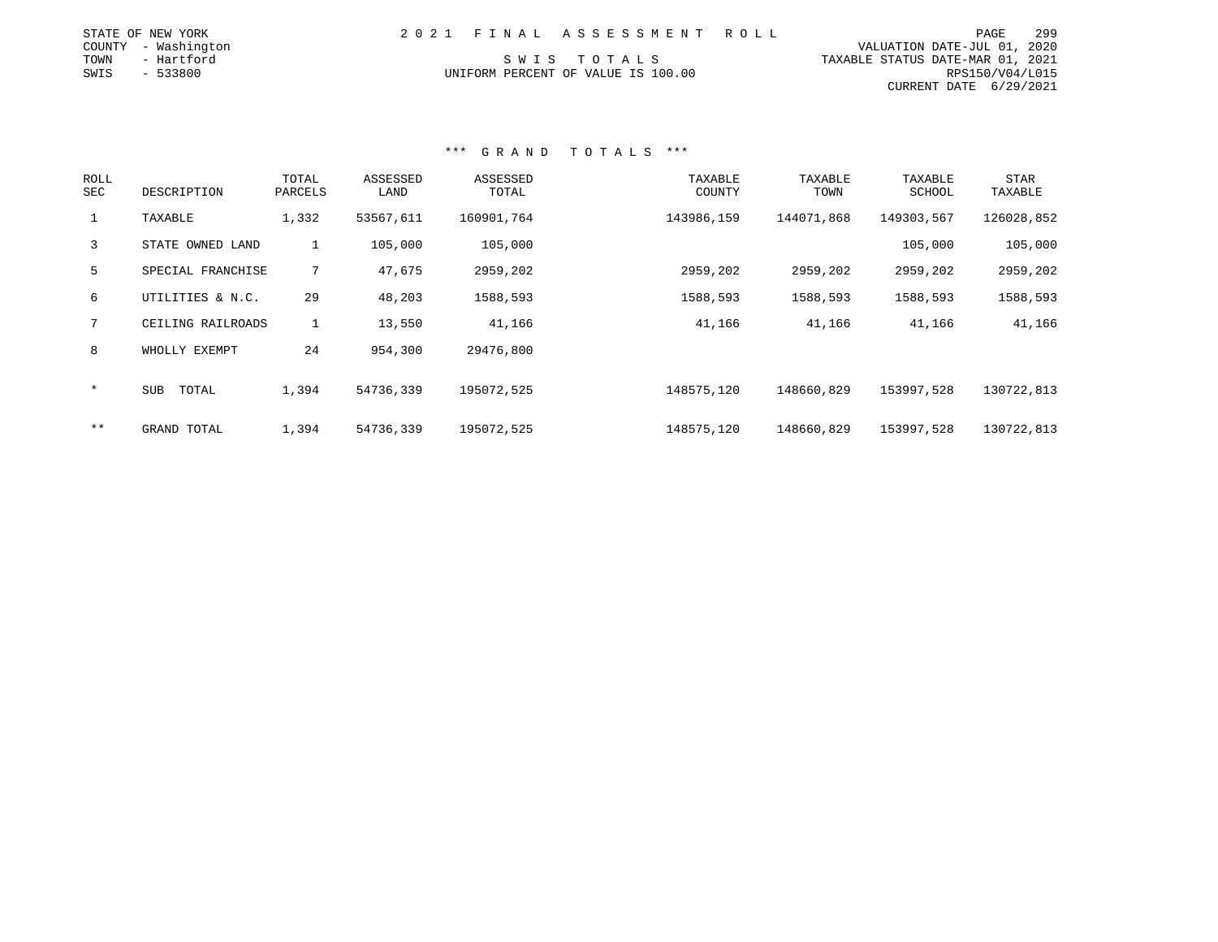|      | STATE OF NEW YORK   |  | 2021 FINAL ASSESSMENT ROLL         |                                  | PAGE            | 299 |
|------|---------------------|--|------------------------------------|----------------------------------|-----------------|-----|
|      | COUNTY - Washington |  |                                    | VALUATION DATE-JUL 01, 2020      |                 |     |
|      |                     |  |                                    |                                  |                 |     |
| TOWN | - Hartford          |  | SWIS TOTALS                        | TAXABLE STATUS DATE-MAR 01, 2021 |                 |     |
| SWIS | $-533800$           |  | UNIFORM PERCENT OF VALUE IS 100.00 |                                  | RPS150/V04/L015 |     |
|      |                     |  |                                    | CURRENT DATE 6/29/2021           |                 |     |

| ROLL<br>SEC  | DESCRIPTION       | TOTAL<br>PARCELS | ASSESSED<br>LAND | ASSESSED<br>TOTAL | TAXABLE<br>COUNTY | TAXABLE<br>TOWN | TAXABLE<br>SCHOOL | <b>STAR</b><br>TAXABLE |
|--------------|-------------------|------------------|------------------|-------------------|-------------------|-----------------|-------------------|------------------------|
| $\mathbf{1}$ | TAXABLE           | 1,332            | 53567,611        | 160901,764        | 143986,159        | 144071,868      | 149303,567        | 126028,852             |
| $\mathbf{3}$ | STATE OWNED LAND  | $\mathbf{1}$     | 105,000          | 105,000           |                   |                 | 105,000           | 105,000                |
| 5            | SPECIAL FRANCHISE | $7^{\circ}$      | 47,675           | 2959,202          | 2959,202          | 2959,202        | 2959,202          | 2959,202               |
| 6            | UTILITIES & N.C.  | 29               | 48,203           | 1588,593          | 1588,593          | 1588,593        | 1588,593          | 1588,593               |
| $7^{\circ}$  | CEILING RAILROADS | $\mathbf{1}$     | 13,550           | 41,166            | 41,166            | 41,166          | 41,166            | 41,166                 |
| 8            | WHOLLY EXEMPT     | 24               | 954,300          | 29476,800         |                   |                 |                   |                        |
| $\ast$       | SUB<br>TOTAL      | 1,394            | 54736,339        | 195072,525        | 148575,120        | 148660,829      | 153997.528        | 130722,813             |
| $***$        | GRAND TOTAL       | 1,394            | 54736,339        | 195072,525        | 148575,120        | 148660,829      | 153997,528        | 130722,813             |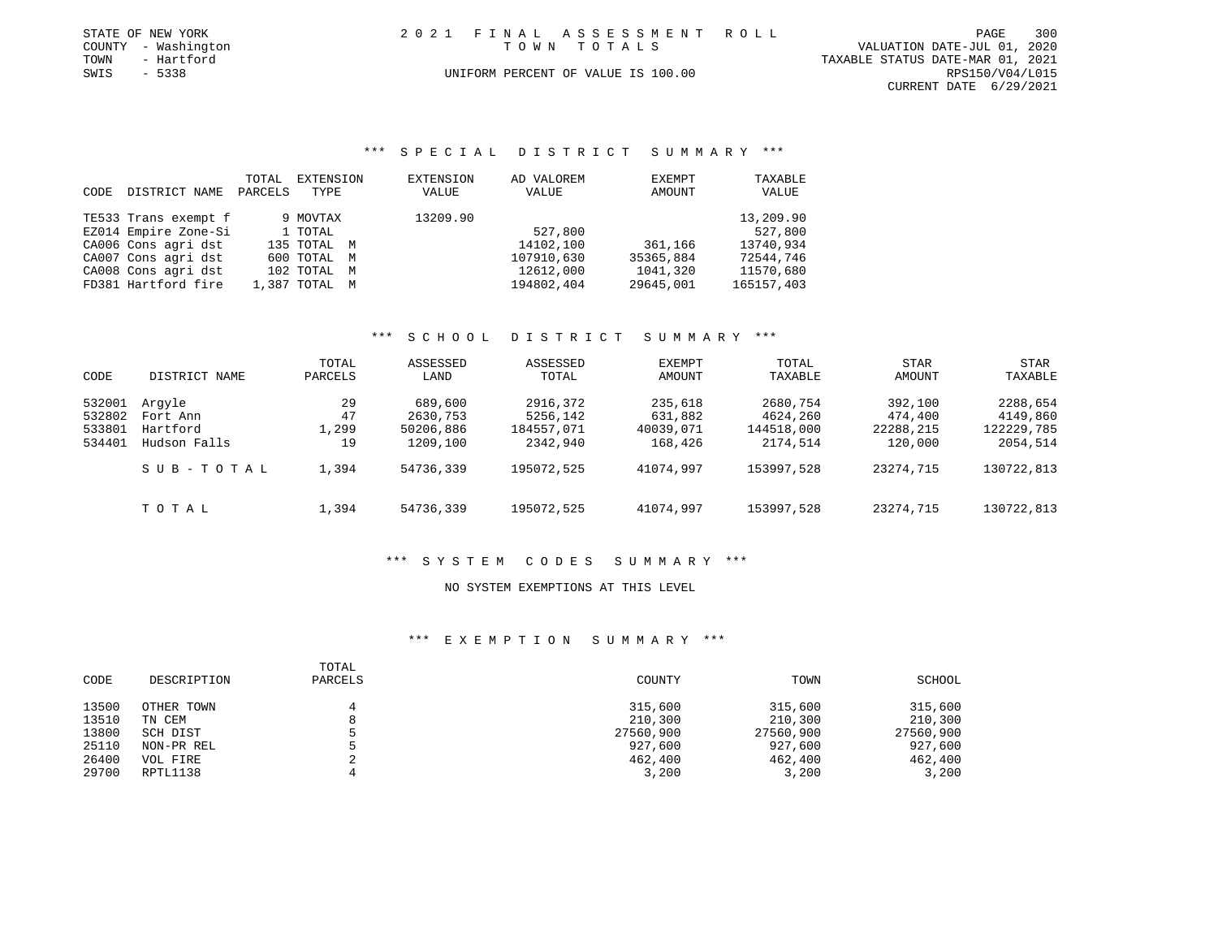| STATE OF NEW YORK   | 2021 FINAL ASSESSMENT ROLL         | 300<br>PAGE                      |
|---------------------|------------------------------------|----------------------------------|
| COUNTY - Washington | TOWN TOTALS                        | VALUATION DATE-JUL 01, 2020      |
| TOWN<br>- Hartford  |                                    | TAXABLE STATUS DATE-MAR 01, 2021 |
| SWIS<br>- 5338      | UNIFORM PERCENT OF VALUE IS 100.00 | RPS150/V04/L015                  |
|                     |                                    | CURRENT DATE 6/29/2021           |

## \*\*\* S P E C I A L D I S T R I C T S U M M A R Y \*\*\*

|      |                      | TOTAL   | EXTENSION     | EXTENSION | AD VALOREM | EXEMPT    | TAXABLE    |
|------|----------------------|---------|---------------|-----------|------------|-----------|------------|
| CODE | DISTRICT NAME        | PARCELS | TYPE          | VALUE     | VALUE      | AMOUNT    | VALUE      |
|      | TE533 Trans exempt f |         | 9 MOVTAX      | 13209.90  |            |           | 13,209.90  |
|      | EZ014 Empire Zone-Si |         | 1 TOTAL       |           | 527,800    |           | 527,800    |
|      | CA006 Cons agri dst  |         | 135 TOTAL M   |           | 14102,100  | 361,166   | 13740,934  |
|      | CA007 Cons agri dst  |         | 600 TOTAL M   |           | 107910,630 | 35365,884 | 72544,746  |
|      | CA008 Cons agri dst  |         | 102 TOTAL M   |           | 12612,000  | 1041,320  | 11570,680  |
|      | FD381 Hartford fire  |         | 1,387 TOTAL M |           | 194802,404 | 29645,001 | 165157,403 |

## \*\*\* S C H O O L D I S T R I C T S U M M A R Y \*\*\*

| CODE   | DISTRICT NAME | TOTAL<br>PARCELS | ASSESSED<br>LAND | ASSESSED<br>TOTAL | EXEMPT<br>AMOUNT | TOTAL<br>TAXABLE | <b>STAR</b><br>AMOUNT | STAR<br>TAXABLE |
|--------|---------------|------------------|------------------|-------------------|------------------|------------------|-----------------------|-----------------|
| 532001 | Arqyle        | 29               | 689,600          | 2916,372          | 235,618          | 2680,754         | 392,100               | 2288,654        |
| 532802 | Fort Ann      | 47               | 2630,753         | 5256,142          | 631,882          | 4624,260         | 474,400               | 4149,860        |
| 533801 | Hartford      | 1,299            | 50206,886        | 184557,071        | 40039,071        | 144518,000       | 22288,215             | 122229,785      |
| 534401 | Hudson Falls  | 19               | 1209,100         | 2342,940          | 168,426          | 2174,514         | 120,000               | 2054,514        |
|        | SUB-TOTAL     | 1,394            | 54736,339        | 195072.525        | 41074,997        | 153997,528       | 23274,715             | 130722,813      |
|        | TOTAL         | 1,394            | 54736,339        | 195072,525        | 41074,997        | 153997,528       | 23274,715             | 130722,813      |

# \*\*\* S Y S T E M C O D E S S U M M A R Y \*\*\*

### NO SYSTEM EXEMPTIONS AT THIS LEVEL

| CODE  | DESCRIPTION | TOTAL<br>PARCELS | COUNTY    | TOWN      | SCHOOL    |
|-------|-------------|------------------|-----------|-----------|-----------|
| 13500 | OTHER TOWN  |                  | 315,600   | 315,600   | 315,600   |
| 13510 | TN CEM      |                  | 210,300   | 210,300   | 210,300   |
| 13800 | SCH DIST    |                  | 27560,900 | 27560,900 | 27560,900 |
| 25110 | NON-PR REL  |                  | 927,600   | 927,600   | 927,600   |
| 26400 | VOL FIRE    |                  | 462,400   | 462,400   | 462,400   |
| 29700 | RPTL1138    |                  | 3,200     | 3,200     | 3,200     |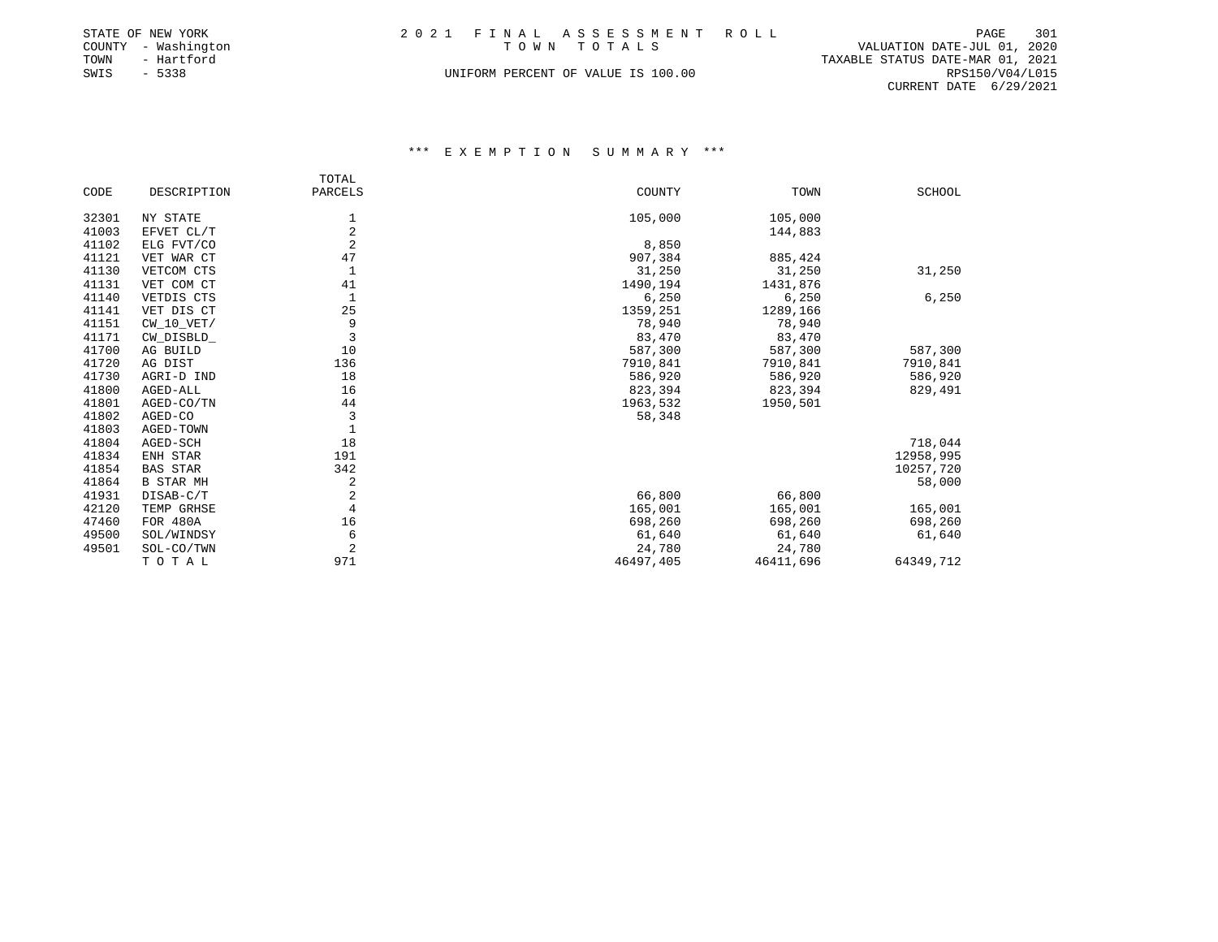|      | STATE OF NEW YORK   | 2021 FINAL ASSESSMENT ROLL         | PAGE                        | 301 |
|------|---------------------|------------------------------------|-----------------------------|-----|
|      | COUNTY - Washington | TOWN TOTALS                        | VALUATION DATE-JUL 01, 2020 |     |
| TOWN | - Hartford          | TAXABLE STATUS DATE-MAR 01, 2021   |                             |     |
| SWIS | $-5338$             | UNIFORM PERCENT OF VALUE IS 100.00 | RPS150/V04/L015             |     |
|      |                     |                                    | CURRENT DATE 6/29/2021      |     |

|       |                  | TOTAL          |           |           |           |
|-------|------------------|----------------|-----------|-----------|-----------|
| CODE  | DESCRIPTION      | PARCELS        | COUNTY    | TOWN      | SCHOOL    |
| 32301 | NY STATE         | 1              | 105,000   | 105,000   |           |
| 41003 | EFVET CL/T       | $\overline{2}$ |           | 144,883   |           |
| 41102 | ELG FVT/CO       | $\overline{2}$ | 8,850     |           |           |
| 41121 | VET WAR CT       | 47             | 907,384   | 885,424   |           |
| 41130 | VETCOM CTS       | 1              | 31,250    | 31,250    | 31,250    |
| 41131 | VET COM CT       | 41             | 1490,194  | 1431,876  |           |
| 41140 | VETDIS CTS       | 1              | 6,250     | 6,250     | 6,250     |
| 41141 | VET DIS CT       | 25             | 1359,251  | 1289,166  |           |
| 41151 | $CW_10_VET/$     | 9              | 78,940    | 78,940    |           |
| 41171 | CW_DISBLD_       | 3              | 83,470    | 83,470    |           |
| 41700 | AG BUILD         | 10             | 587,300   | 587,300   | 587,300   |
| 41720 | AG DIST          | 136            | 7910,841  | 7910,841  | 7910,841  |
| 41730 | AGRI-D IND       | 18             | 586,920   | 586,920   | 586,920   |
| 41800 | AGED-ALL         | 16             | 823,394   | 823,394   | 829,491   |
| 41801 | AGED-CO/TN       | 44             | 1963,532  | 1950,501  |           |
| 41802 | AGED-CO          | 3              | 58,348    |           |           |
| 41803 | AGED-TOWN        | $\mathbf{1}$   |           |           |           |
| 41804 | AGED-SCH         | 18             |           |           | 718,044   |
| 41834 | ENH STAR         | 191            |           |           | 12958,995 |
| 41854 | <b>BAS STAR</b>  | 342            |           |           | 10257,720 |
| 41864 | <b>B STAR MH</b> | $\sqrt{2}$     |           |           | 58,000    |
| 41931 | DISAB-C/T        | 2              | 66,800    | 66,800    |           |
| 42120 | TEMP GRHSE       | 4              | 165,001   | 165,001   | 165,001   |
| 47460 | FOR 480A         | 16             | 698,260   | 698,260   | 698,260   |
| 49500 | SOL/WINDSY       | 6              | 61,640    | 61,640    | 61,640    |
| 49501 | SOL-CO/TWN       | 2              | 24,780    | 24,780    |           |
|       | TOTAL            | 971            | 46497,405 | 46411,696 | 64349,712 |